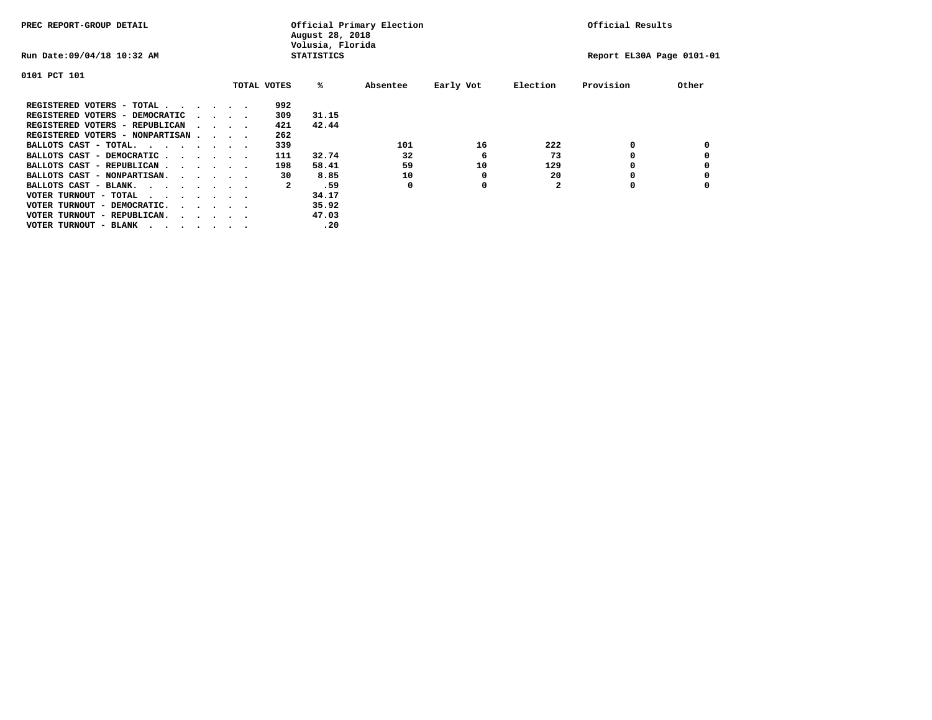| PREC REPORT-GROUP DETAIL               |  |  |                                         |             | August 28, 2018<br>Volusia, Florida | Official Primary Election |           | Official Results |           |       |  |  |
|----------------------------------------|--|--|-----------------------------------------|-------------|-------------------------------------|---------------------------|-----------|------------------|-----------|-------|--|--|
| Run Date: 09/04/18 10:32 AM            |  |  | <b>STATISTICS</b>                       |             | Report EL30A Page 0101-01           |                           |           |                  |           |       |  |  |
| 0101 PCT 101                           |  |  |                                         |             |                                     |                           |           |                  |           |       |  |  |
|                                        |  |  |                                         | TOTAL VOTES | %ะ                                  | Absentee                  | Early Vot | Election         | Provision | Other |  |  |
| REGISTERED VOTERS - TOTAL              |  |  |                                         | 992         |                                     |                           |           |                  |           |       |  |  |
| REGISTERED VOTERS - DEMOCRATIC         |  |  | $\cdot$ $\cdot$ $\cdot$ $\cdot$         | 309         | 31.15                               |                           |           |                  |           |       |  |  |
| REGISTERED VOTERS - REPUBLICAN         |  |  | $\sim$ $\sim$ $\sim$ $\sim$             | 421         | 42.44                               |                           |           |                  |           |       |  |  |
| REGISTERED VOTERS - NONPARTISAN        |  |  |                                         | 262         |                                     |                           |           |                  |           |       |  |  |
| BALLOTS CAST - TOTAL.                  |  |  |                                         | 339         |                                     | 101                       | 16        | 222              | 0         |       |  |  |
| BALLOTS CAST - DEMOCRATIC              |  |  |                                         | 111         | 32.74                               | 32                        | 6         | 73               |           |       |  |  |
| BALLOTS CAST - REPUBLICAN              |  |  |                                         | 198         | 58.41                               | 59                        | 10        | 129              | 0         |       |  |  |
| BALLOTS CAST - NONPARTISAN.            |  |  |                                         | 30          | 8.85                                | 10                        | 0         | 20               |           |       |  |  |
| BALLOTS CAST - BLANK.                  |  |  |                                         | 2           | .59                                 | 0                         | 0         | $\mathbf{2}$     | 0         |       |  |  |
| VOTER TURNOUT - TOTAL<br>.             |  |  |                                         |             | 34.17                               |                           |           |                  |           |       |  |  |
| VOTER TURNOUT - DEMOCRATIC.            |  |  | $\cdot$ $\cdot$ $\cdot$ $\cdot$ $\cdot$ |             | 35.92                               |                           |           |                  |           |       |  |  |
| VOTER TURNOUT - REPUBLICAN.<br>$\cdot$ |  |  |                                         |             | 47.03                               |                           |           |                  |           |       |  |  |
| VOTER TURNOUT - BLANK                  |  |  |                                         |             | .20                                 |                           |           |                  |           |       |  |  |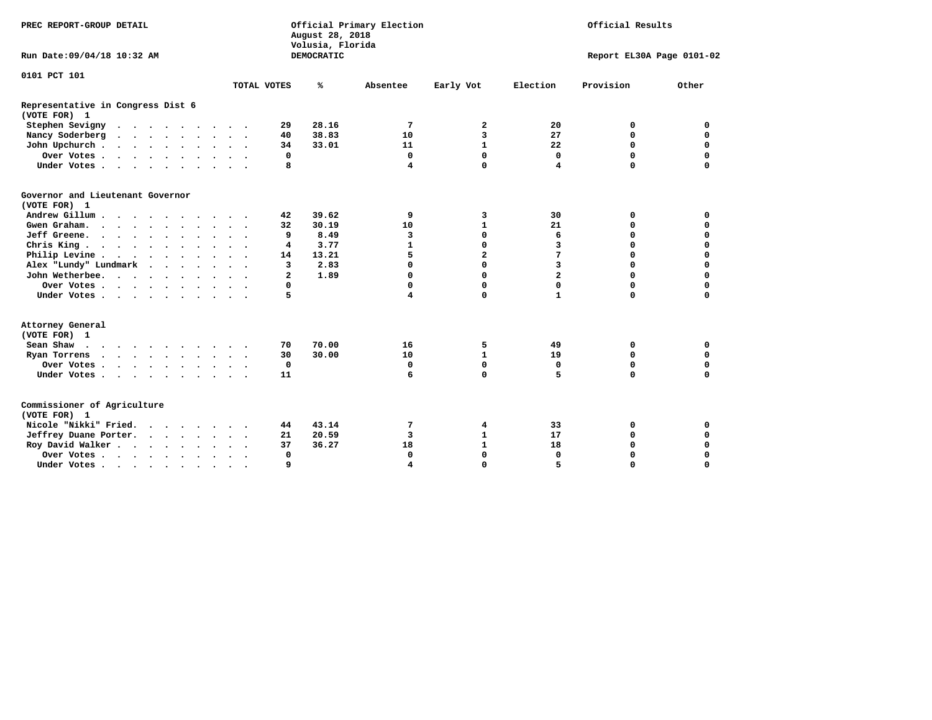| PREC REPORT-GROUP DETAIL                          |              | Official Primary Election<br>August 28, 2018<br>Volusia, Florida | Official Results              |                            |  |  |
|---------------------------------------------------|--------------|------------------------------------------------------------------|-------------------------------|----------------------------|--|--|
| Run Date: 09/04/18 10:32 AM                       |              | DEMOCRATIC                                                       |                               | Report EL30A Page 0101-02  |  |  |
| 0101 PCT 101                                      |              |                                                                  |                               |                            |  |  |
|                                                   | TOTAL VOTES  | ℁<br>Absentee                                                    | Early Vot<br>Election         | Provision<br>Other         |  |  |
| Representative in Congress Dist 6<br>(VOTE FOR) 1 |              |                                                                  |                               |                            |  |  |
| Stephen Sevigny                                   | 29           | 28.16<br>7                                                       | $\mathbf{2}$<br>20            | 0<br>0                     |  |  |
| Nancy Soderberg                                   | 40           | 38.83<br>10                                                      | 3<br>27                       | $\mathbf 0$<br>0           |  |  |
| John Upchurch                                     | 34           | 33.01<br>11                                                      | $\mathbf{1}$<br>22            | $\mathbf 0$<br>$\mathbf 0$ |  |  |
| Over Votes.                                       | 0            | 0                                                                | $\mathbf 0$<br>$\Omega$       | $\mathbf 0$<br>$\mathbf 0$ |  |  |
| Under Votes                                       | 8            | 4                                                                | $\mathbf 0$<br>4              | $\Omega$<br>$\mathbf 0$    |  |  |
| Governor and Lieutenant Governor<br>(VOTE FOR) 1  |              |                                                                  |                               |                            |  |  |
| Andrew Gillum                                     | 42           | 39.62<br>9                                                       | 3<br>30                       | 0<br>0                     |  |  |
| Gwen Graham.                                      | 32           | 30.19<br>10                                                      | $\mathbf{1}$<br>21            | 0<br>0                     |  |  |
| Jeff Greene.                                      | 9            | 8.49<br>з                                                        | $\mathbf 0$<br>6              | $\mathbf 0$<br>$\mathbf 0$ |  |  |
| Chris King.                                       | 4            | 3.77<br>1                                                        | $\mathbf 0$<br>3              | $\Omega$<br>0              |  |  |
| Philip Levine                                     | 14           | 5<br>13.21                                                       | $\overline{\mathbf{2}}$<br>7  | $\mathbf 0$<br>$\mathbf 0$ |  |  |
| Alex "Lundy" Lundmark                             | 3            | $\Omega$<br>2.83                                                 | $\mathbf 0$<br>$\overline{3}$ | $\mathbf 0$<br>$\mathbf 0$ |  |  |
| John Wetherbee.                                   | $\mathbf{2}$ | 1.89<br>$\mathbf 0$                                              | $\overline{a}$<br>$\mathbf 0$ | $\Omega$<br>$\mathbf 0$    |  |  |
| Over Votes                                        | 0            | $\Omega$                                                         | $\mathbf 0$<br>0              | $\mathbf 0$<br>$\mathbf 0$ |  |  |
| Under Votes                                       | 5            | 4                                                                | $\Omega$<br>$\mathbf{1}$      | $\Omega$<br>$\mathbf 0$    |  |  |
| Attorney General<br>(VOTE FOR) 1                  |              |                                                                  |                               |                            |  |  |
| Sean Shaw $\cdots$ $\cdots$ $\cdots$ $\cdots$     | 70           | 70.00<br>16                                                      | 5<br>49                       | 0<br>0                     |  |  |
| Ryan Torrens                                      | 30           | 30.00<br>10                                                      | $\mathbf{1}$<br>19            | $\mathbf 0$<br>0           |  |  |
| Over Votes.                                       | 0            | 0                                                                | $\mathbf 0$<br>0              | $\mathbf 0$<br>0           |  |  |
| Under Votes                                       | 11           | 6                                                                | $\mathbf 0$<br>5              | $\mathbf 0$<br>$\mathbf 0$ |  |  |
| Commissioner of Agriculture<br>(VOTE FOR) 1       |              |                                                                  |                               |                            |  |  |
| Nicole "Nikki" Fried.                             | 44           | 43.14<br>7                                                       | 4<br>33                       | 0<br>0                     |  |  |
| Jeffrey Duane Porter.                             | 21           | 20.59<br>3                                                       | $\mathbf{1}$<br>17            | $\mathbf 0$<br>$\mathbf 0$ |  |  |
| Roy David Walker                                  | 37           | 36.27<br>18                                                      | $\mathbf{1}$<br>18            | $\Omega$<br>$\mathbf 0$    |  |  |
| Over Votes                                        | $\mathbf 0$  | $\Omega$                                                         | $\Omega$<br>$\Omega$          | $\Omega$<br>$\mathbf 0$    |  |  |
| Under Votes                                       | 9            | $\overline{\bf 4}$                                               | $\mathbf 0$<br>5              | $\Omega$<br>$\mathbf 0$    |  |  |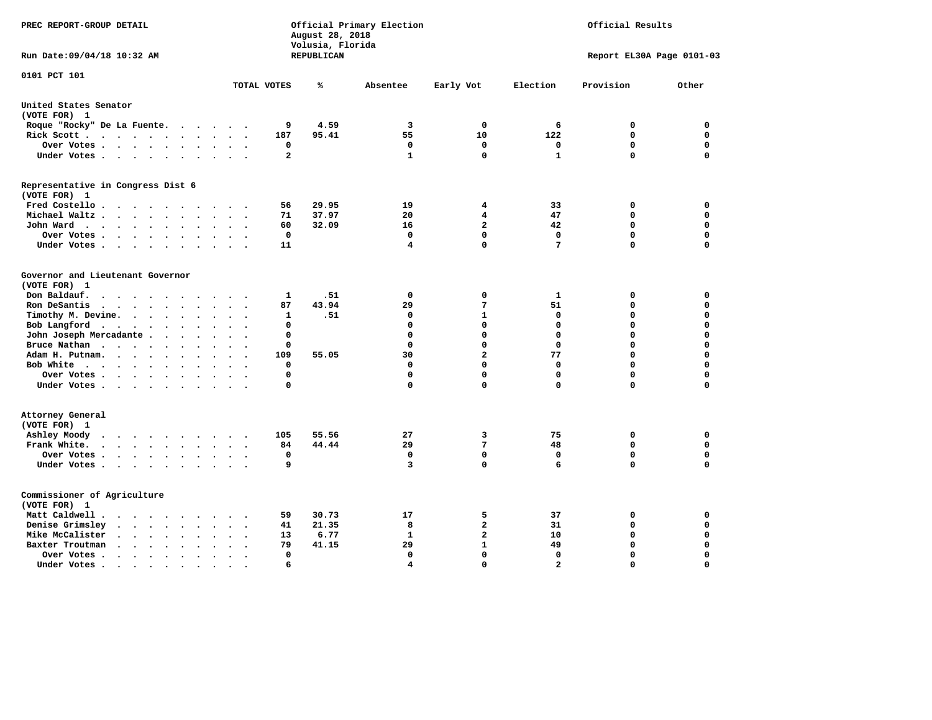| Volusia, Florida<br>Run Date: 09/04/18 10:32 AM<br>REPUBLICAN<br>0101 PCT 101<br>TOTAL VOTES<br>℁<br>Absentee<br>Early Vot                                                   | Election<br>6<br>122 | Report EL30A Page 0101-03<br>Provision | Other       |
|------------------------------------------------------------------------------------------------------------------------------------------------------------------------------|----------------------|----------------------------------------|-------------|
|                                                                                                                                                                              |                      |                                        |             |
|                                                                                                                                                                              |                      |                                        |             |
| United States Senator                                                                                                                                                        |                      |                                        |             |
| (VOTE FOR) 1                                                                                                                                                                 |                      |                                        |             |
| $\mathbf 0$<br>Roque "Rocky" De La Fuente.<br>9<br>4.59<br>3                                                                                                                 |                      | 0                                      | 0           |
| 55<br>10<br>Rick Scott<br>187<br>95.41                                                                                                                                       |                      | 0                                      | 0           |
| $\mathbf 0$<br>0<br>Over Votes<br>$\mathbf{o}$<br>$\bullet$<br>$\bullet$                                                                                                     | 0                    | $\mathbf 0$                            | $\mathbf 0$ |
| $\overline{a}$<br>$\mathbf 0$<br>1<br>Under Votes                                                                                                                            | $\mathbf{1}$         | $\mathbf 0$                            | $\mathbf 0$ |
| Representative in Congress Dist 6                                                                                                                                            |                      |                                        |             |
| (VOTE FOR) 1                                                                                                                                                                 |                      |                                        |             |
| Fred Costello<br>29.95<br>19<br>4<br>56                                                                                                                                      | 33                   | 0                                      | 0           |
| 20<br>Michael Waltz<br>71<br>37.97<br>4<br>$\ddot{\phantom{0}}$<br>$\sim$                                                                                                    | 47                   | $\mathbf 0$                            | $\mathbf 0$ |
| $\overline{2}$<br>John Ward<br>60<br>32.09<br>16                                                                                                                             | 42                   | 0                                      | 0           |
| 0<br>0<br>0<br>Over Votes<br>$\ddot{\phantom{1}}$                                                                                                                            | $^{\circ}$           | 0                                      | $\mathbf 0$ |
| $\mathbf 0$<br>4<br>Under Votes<br>11<br>$\sim$                                                                                                                              | $7\phantom{.0}$      | $\Omega$                               | $\mathbf 0$ |
| Governor and Lieutenant Governor                                                                                                                                             |                      |                                        |             |
| (VOTE FOR) 1                                                                                                                                                                 |                      |                                        |             |
| $\mathbf 0$<br>Don Baldauf.<br>1<br>.51<br>0<br>$\cdot$ $\cdot$ $\cdot$ $\cdot$<br>$\sim$                                                                                    | 1                    | 0                                      | $\mathbf 0$ |
| 87<br>43.94<br>29<br>7<br>Ron DeSantis<br>$\cdots$<br>$\bullet$                                                                                                              | 51                   | $\mathbf 0$                            | $\mathbf 0$ |
| $\mathbf{1}$<br>.51<br>$\mathbf 0$<br>Timothy M. Devine.<br>1<br>$\sim$<br>$\ddot{\phantom{a}}$<br>$\ddot{\phantom{a}}$                                                      | $\mathbf 0$          | $\mathbf 0$                            | $\mathbf 0$ |
| Bob Langford<br>$\mathbf 0$<br>$\mathbf 0$<br>0                                                                                                                              | $\mathbf 0$          | $\mathbf 0$                            | $\mathbf 0$ |
| John Joseph Mercadante<br>$\mathbf 0$<br>$\mathbf 0$<br>$\mathbf 0$<br>$\sim$ $\sim$                                                                                         | $\mathbf 0$          | $\mathbf 0$                            | $\mathbf 0$ |
| $\mathbf 0$<br>Bruce Nathan<br>0<br>0<br>$\bullet$<br>$\overline{\phantom{a}}$                                                                                               | $\mathbf 0$          | $\mathbf 0$                            | $\mathbf 0$ |
| 109<br>55.05<br>30<br>$\mathbf{2}$<br>Adam H. Putnam.<br>$\mathbf{r}$                                                                                                        | 77                   | $\mathbf 0$                            | 0           |
| $\mathbf 0$<br>Bob White<br>0<br>0<br>$\overline{\phantom{a}}$                                                                                                               | 0                    | $\mathbf 0$                            | $\mathbf 0$ |
| $\mathbf 0$<br>$\Omega$<br>$\mathbf 0$<br>Over Votes                                                                                                                         | $\mathbf 0$          | $\mathbf 0$                            | $\mathbf 0$ |
| $\mathbf 0$<br>$\mathbf 0$<br>Under Votes<br>0                                                                                                                               | $\mathbf 0$          | $\mathbf 0$                            | 0           |
| Attorney General                                                                                                                                                             |                      |                                        |             |
| (VOTE FOR) 1                                                                                                                                                                 |                      |                                        |             |
| 3<br>Ashley Moody<br>105<br>55.56<br>27                                                                                                                                      | 75                   | 0                                      | 0           |
| 44.44<br>29<br>7<br>Frank White.<br>84<br>$\cdots$                                                                                                                           | 48                   | $\mathbf 0$                            | 0           |
| $\mathbf{o}$<br>$\mathbf 0$<br>Over Votes<br>0<br>$\ddot{\phantom{0}}$<br>$\ddot{\phantom{a}}$<br>$\cdot$<br>$\bullet$                                                       | 0                    | 0                                      | 0           |
| 9<br>$\mathbf 0$<br>Under Votes<br>3                                                                                                                                         | 6                    | $\mathbf 0$                            | $\mathbf 0$ |
| Commissioner of Agriculture                                                                                                                                                  |                      |                                        |             |
| (VOTE FOR) 1                                                                                                                                                                 |                      |                                        |             |
| Matt Caldwell<br>59<br>30.73<br>17<br>5                                                                                                                                      | 37                   | 0                                      | 0           |
| $\mathbf{2}$<br>Denise Grimsley<br>$\cdot$ $\cdot$ $\cdot$ $\cdot$ $\cdot$ $\cdot$<br>41<br>21.35<br>8<br>$\ddot{\phantom{a}}$                                               | 31                   | $\mathbf 0$                            | $\mathbf 0$ |
| $\mathbf{2}$<br>Mike McCalister<br>13<br>6.77<br>1<br>$\cdots$<br>$\sim$<br>$\ddot{\phantom{a}}$                                                                             | 10                   | $\mathbf 0$                            | $\mathbf 0$ |
| 29<br>$\mathbf{1}$<br>Baxter Troutman<br>79<br>41.15<br>$\cdot$ $\cdot$ $\cdot$ $\cdot$                                                                                      | 49                   | $\mathbf 0$                            | $\mathbf 0$ |
| $\mathbf 0$<br>$\mathbf 0$<br>0<br>Over Votes<br>$\cdot$                                                                                                                     | 0                    | $\mathbf 0$                            | $\mathbf 0$ |
| 4<br>$\Omega$<br>Under Votes.<br>6<br>$\mathcal{A}^{\mathcal{A}}$ , and $\mathcal{A}^{\mathcal{A}}$ , and $\mathcal{A}^{\mathcal{A}}$<br>$\bullet$<br>$\bullet$<br>$\bullet$ | $\overline{2}$       | $\Omega$                               | $\Omega$    |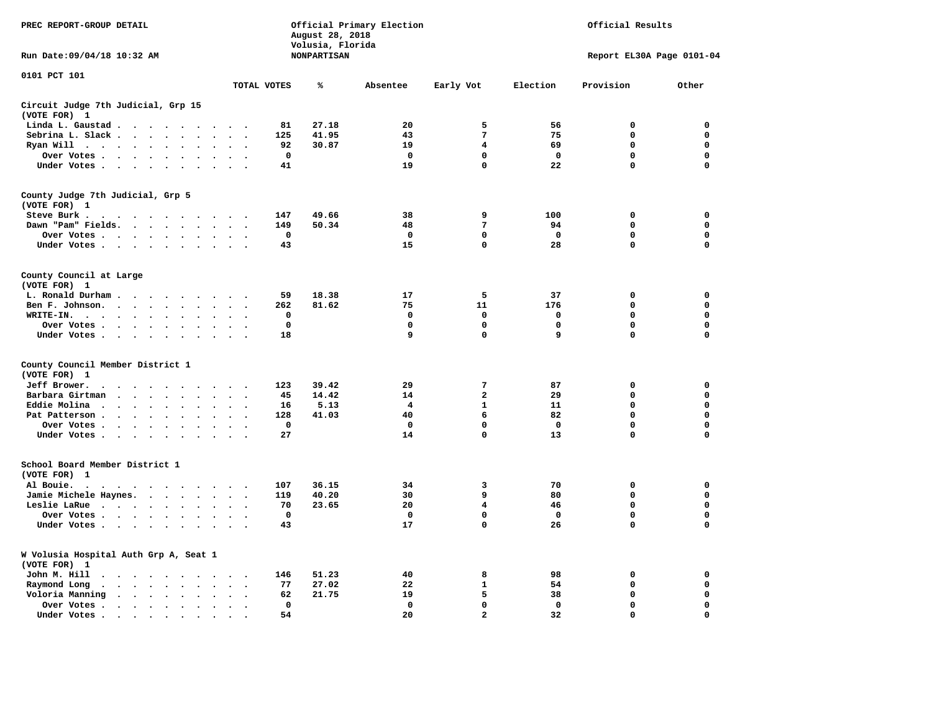| PREC REPORT-GROUP DETAIL                              |                                                                                                                                                                                                                                   |                                      |                                                  |                             | August 28, 2018<br>Volusia, Florida | Official Primary Election | Official Results |             |                           |                  |  |
|-------------------------------------------------------|-----------------------------------------------------------------------------------------------------------------------------------------------------------------------------------------------------------------------------------|--------------------------------------|--------------------------------------------------|-----------------------------|-------------------------------------|---------------------------|------------------|-------------|---------------------------|------------------|--|
| Run Date: 09/04/18 10:32 AM                           |                                                                                                                                                                                                                                   |                                      |                                                  |                             | <b>NONPARTISAN</b>                  |                           |                  |             | Report EL30A Page 0101-04 |                  |  |
| 0101 PCT 101                                          |                                                                                                                                                                                                                                   |                                      |                                                  | TOTAL VOTES                 | ℁                                   | Absentee                  | Early Vot        | Election    | Provision                 | Other            |  |
| Circuit Judge 7th Judicial, Grp 15                    |                                                                                                                                                                                                                                   |                                      |                                                  |                             |                                     |                           |                  |             |                           |                  |  |
| (VOTE FOR) 1                                          |                                                                                                                                                                                                                                   |                                      |                                                  |                             |                                     |                           |                  |             |                           |                  |  |
| Linda L. Gaustad                                      |                                                                                                                                                                                                                                   |                                      | $\sim$                                           | 81                          | 27.18                               | 20                        | 5                | 56          | $\mathbf 0$               | 0                |  |
| Sebrina L. Slack                                      |                                                                                                                                                                                                                                   | $\sim$<br>$\bullet$                  | $\ddot{\phantom{a}}$<br>$\overline{\phantom{a}}$ | 125                         | 41.95                               | 43                        | 7                | 75          | $\mathbf 0$               | $\mathbf 0$      |  |
| Ryan Will $\cdots$ $\cdots$ $\cdots$                  |                                                                                                                                                                                                                                   | $\sim$ $\sim$                        | $\sim$                                           | 92                          | 30.87                               | 19                        | 4                | 69          | $\mathbf 0$               | $\mathbf 0$      |  |
| Over Votes                                            |                                                                                                                                                                                                                                   | $\ddot{\phantom{1}}$                 |                                                  | 0                           |                                     | $^{\circ}$                | 0                | $^{\circ}$  | 0                         | 0                |  |
| Under Votes                                           |                                                                                                                                                                                                                                   |                                      | $\sim$ $\sim$                                    | 41                          |                                     | 19                        | 0                | 22          | $\mathbf 0$               | $\mathbf 0$      |  |
| County Judge 7th Judicial, Grp 5<br>(VOTE FOR) 1      |                                                                                                                                                                                                                                   |                                      |                                                  |                             |                                     |                           |                  |             |                           |                  |  |
| Steve Burk                                            |                                                                                                                                                                                                                                   |                                      |                                                  | 147                         | 49.66                               | 38                        | 9                | 100         | 0                         | 0                |  |
| Dawn "Pam" Fields.                                    |                                                                                                                                                                                                                                   |                                      | $\sim$ $\sim$                                    | 149                         | 50.34                               | 48                        | 7                | 94          | $\mathbf 0$               | $\mathbf 0$      |  |
| Over Votes                                            |                                                                                                                                                                                                                                   |                                      |                                                  | 0                           |                                     | 0                         | 0                | 0           | 0                         | 0                |  |
| Under Votes                                           |                                                                                                                                                                                                                                   |                                      | $\sim$ $\sim$                                    | 43                          |                                     | 15                        | 0                | 28          | $\mathbf 0$               | 0                |  |
| County Council at Large                               |                                                                                                                                                                                                                                   |                                      |                                                  |                             |                                     |                           |                  |             |                           |                  |  |
| (VOTE FOR) 1                                          |                                                                                                                                                                                                                                   |                                      |                                                  |                             |                                     |                           |                  |             |                           |                  |  |
| L. Ronald Durham                                      |                                                                                                                                                                                                                                   |                                      |                                                  | 59                          | 18.38                               | 17                        | 5                | 37          | 0<br>$\mathbf 0$          | 0                |  |
| Ben F. Johnson.                                       |                                                                                                                                                                                                                                   |                                      | $\sim$ $\sim$                                    | 262                         | 81.62                               | 75                        | 11               | 176         | 0                         | $\mathbf 0$<br>0 |  |
| WRITE-IN.                                             |                                                                                                                                                                                                                                   | $\ddot{\phantom{1}}$<br>$\mathbf{r}$ |                                                  | $\mathbf{o}$<br>$\mathbf 0$ |                                     | 0<br>$\mathbf 0$          | $\mathbf 0$<br>0 | 0<br>0      | 0                         | 0                |  |
| Over Votes<br>Under Votes                             |                                                                                                                                                                                                                                   | $\sim$                               | $\sim$                                           | 18                          |                                     | 9                         | 0                | 9           | 0                         | 0                |  |
| County Council Member District 1                      |                                                                                                                                                                                                                                   |                                      |                                                  |                             |                                     |                           |                  |             |                           |                  |  |
| (VOTE FOR) 1                                          |                                                                                                                                                                                                                                   |                                      |                                                  |                             |                                     |                           |                  |             |                           |                  |  |
| Jeff Brower.                                          |                                                                                                                                                                                                                                   |                                      |                                                  | 123                         | 39.42                               | 29                        | 7                | 87          | $\mathbf 0$               | 0                |  |
| Barbara Girtman                                       | $\mathbf{r}$ . The set of the set of the set of the set of the set of the set of the set of the set of the set of the set of the set of the set of the set of the set of the set of the set of the set of the set of the set of t | $\sim$                               |                                                  | 45                          | 14.42                               | 14                        | $\mathbf{2}$     | 29          | 0                         | $\mathbf 0$      |  |
| Eddie Molina                                          |                                                                                                                                                                                                                                   | $\ddot{\phantom{a}}$                 |                                                  | 16                          | 5.13                                | 4                         | $\mathbf{1}$     | 11          | 0                         | 0                |  |
| Pat Patterson                                         |                                                                                                                                                                                                                                   | $\ddot{\phantom{0}}$                 | $\sim$                                           | 128                         | 41.03                               | 40                        | 6                | 82          | 0                         | $\mathbf 0$      |  |
| Over Votes                                            |                                                                                                                                                                                                                                   | $\bullet$ .<br>$\bullet$             |                                                  | $\mathbf 0$                 |                                     | $\Omega$                  | $\Omega$         | $\mathbf 0$ | 0                         | $\mathbf 0$      |  |
| Under Votes                                           |                                                                                                                                                                                                                                   |                                      |                                                  | 27                          |                                     | 14                        | 0                | 13          | $\mathbf 0$               | $\mathbf 0$      |  |
| School Board Member District 1                        |                                                                                                                                                                                                                                   |                                      |                                                  |                             |                                     |                           |                  |             |                           |                  |  |
| (VOTE FOR) 1                                          |                                                                                                                                                                                                                                   |                                      |                                                  |                             |                                     |                           |                  |             |                           |                  |  |
| Al Bouie.                                             | the contract of the contract of the contract of the contract of the contract of the contract of the contract of                                                                                                                   |                                      |                                                  | 107                         | 36.15                               | 34                        | 3                | 70          | 0                         | 0                |  |
| Jamie Michele Haynes.                                 |                                                                                                                                                                                                                                   |                                      | $\ddot{\phantom{1}}$                             | 119                         | 40.20                               | 30                        | 9                | 80          | $\mathbf 0$               | $\mathbf 0$      |  |
| Leslie LaRue                                          |                                                                                                                                                                                                                                   | $\ddot{\phantom{0}}$<br>$\bullet$    | $\cdot$                                          | 70                          | 23.65                               | 20                        | 4                | 46          | 0                         | $\mathbf 0$      |  |
| Over Votes                                            |                                                                                                                                                                                                                                   |                                      |                                                  | 0                           |                                     | $\mathbf 0$               | $\mathbf 0$<br>0 | $\mathbf 0$ | $\mathbf 0$               | 0                |  |
| Under Votes                                           |                                                                                                                                                                                                                                   | $\sim$ $\sim$                        | $\sim$ $\sim$                                    | 43                          |                                     | 17                        |                  | 26          | 0                         | $\mathbf 0$      |  |
| W Volusia Hospital Auth Grp A, Seat 1<br>(VOTE FOR) 1 |                                                                                                                                                                                                                                   |                                      |                                                  |                             |                                     |                           |                  |             |                           |                  |  |
| John M. Hill                                          |                                                                                                                                                                                                                                   |                                      | $\cdot$ .                                        | 146                         | 51.23                               | 40                        | 8                | 98          | 0                         | 0                |  |
| Raymond Long<br>$\ddot{\phantom{a}}$                  | $\cdot$ $\cdot$ $\cdot$ $\cdot$ $\cdot$                                                                                                                                                                                           | $\bullet$ .<br>$\bullet$             | $\ddot{\phantom{a}}$<br>$\cdot$                  | 77                          | 27.02                               | 22                        | $\mathbf{1}$     | 54          | 0                         | 0                |  |
| Voloria Manning                                       | $\cdots$                                                                                                                                                                                                                          |                                      |                                                  | 62                          | 21.75                               | 19                        | 5                | 38          | $\mathbf 0$               | 0                |  |
| Over Votes .                                          | $\cdots$                                                                                                                                                                                                                          | $\sim$<br>$\ddot{\phantom{a}}$       | $\bullet$                                        | 0                           |                                     | $\mathbf 0$               | 0                | 0           | 0                         | 0                |  |
| Under Votes.                                          | $\cdots$                                                                                                                                                                                                                          |                                      |                                                  | 54                          |                                     | 20                        | $\mathbf{2}$     | 32          | $\mathbf 0$               | $\Omega$         |  |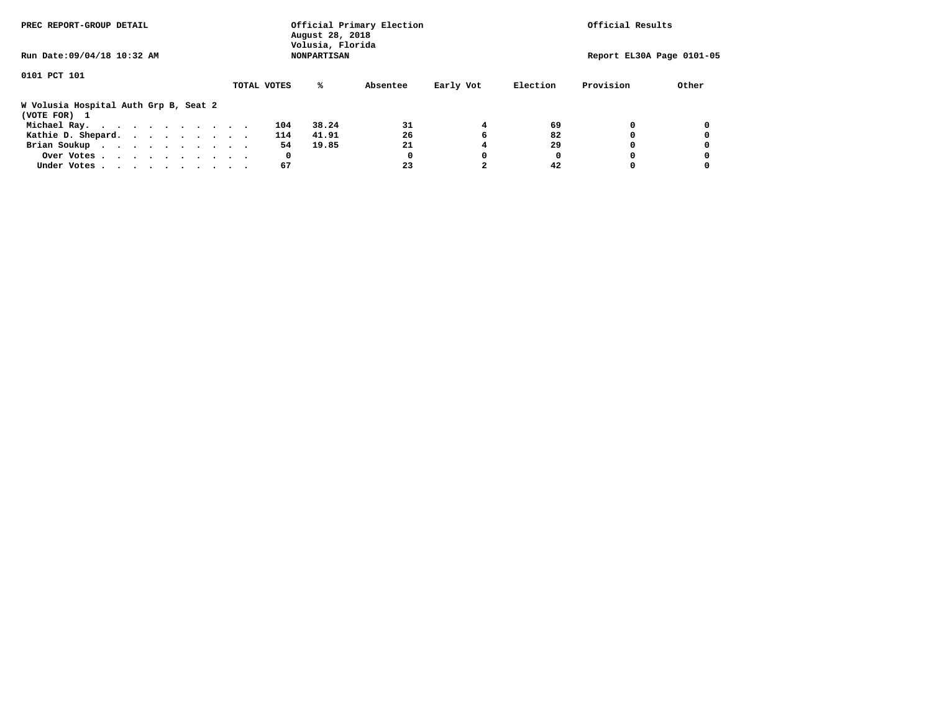| PREC REPORT-GROUP DETAIL                              |             | August 28, 2018<br>Volusia, Florida | Official Primary Election |           | Official Results |           |                           |
|-------------------------------------------------------|-------------|-------------------------------------|---------------------------|-----------|------------------|-----------|---------------------------|
| Run Date: 09/04/18 10:32 AM                           |             | <b>NONPARTISAN</b>                  |                           |           |                  |           | Report EL30A Page 0101-05 |
| 0101 PCT 101                                          |             |                                     |                           |           |                  |           |                           |
|                                                       | TOTAL VOTES | %ะ                                  | Absentee                  | Early Vot | Election         | Provision | Other                     |
| W Volusia Hospital Auth Grp B, Seat 2<br>(VOTE FOR) 1 |             |                                     |                           |           |                  |           |                           |
| Michael Ray.                                          | 104         | 38.24                               | 31                        | 4         | 69               |           |                           |
| Kathie D. Shepard.                                    | 114         | 41.91                               | 26                        | 6         | 82               |           |                           |
| Brian Soukup                                          |             | 54<br>19.85                         | 21                        |           | 29               |           |                           |
| Over Votes                                            |             | 0                                   | 0                         | 0         | 0                |           |                           |
| Under Votes                                           |             | 67                                  | 23                        |           | 42               |           |                           |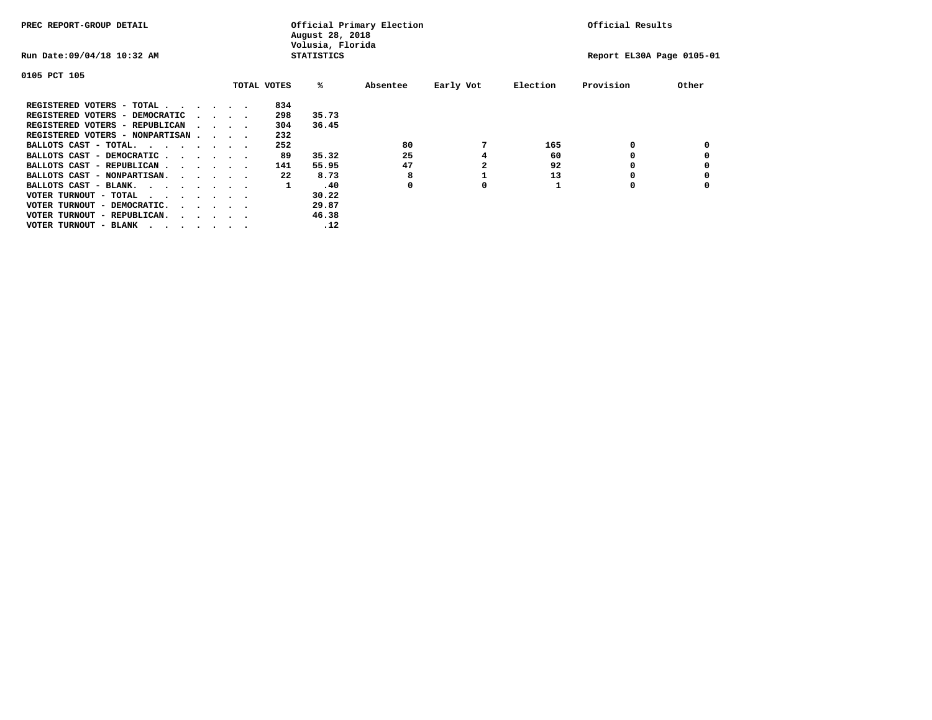| PREC REPORT-GROUP DETAIL         |  |                                         |                   |             | August 28, 2018<br>Volusia, Florida | Official Primary Election |           | Official Results |           |       |  |  |
|----------------------------------|--|-----------------------------------------|-------------------|-------------|-------------------------------------|---------------------------|-----------|------------------|-----------|-------|--|--|
| Run Date: 09/04/18 10:32 AM      |  |                                         | <b>STATISTICS</b> |             | Report EL30A Page 0105-01           |                           |           |                  |           |       |  |  |
| 0105 PCT 105                     |  |                                         |                   |             |                                     |                           |           |                  |           |       |  |  |
|                                  |  |                                         |                   | TOTAL VOTES | %ะ                                  | Absentee                  | Early Vot | Election         | Provision | Other |  |  |
| REGISTERED VOTERS - TOTAL        |  |                                         |                   | 834         |                                     |                           |           |                  |           |       |  |  |
| REGISTERED VOTERS - DEMOCRATIC   |  | $\cdot$ $\cdot$ $\cdot$ $\cdot$         |                   | 298         | 35.73                               |                           |           |                  |           |       |  |  |
| REGISTERED VOTERS - REPUBLICAN   |  | $\cdots$                                |                   | 304         | 36.45                               |                           |           |                  |           |       |  |  |
| REGISTERED VOTERS - NONPARTISAN  |  |                                         |                   | 232         |                                     |                           |           |                  |           |       |  |  |
| BALLOTS CAST - TOTAL.            |  |                                         |                   | 252         |                                     | 80                        |           | 165              | 0         |       |  |  |
| BALLOTS CAST - DEMOCRATIC        |  |                                         |                   | 89          | 35.32                               | 25                        |           | 60               |           |       |  |  |
| BALLOTS CAST - REPUBLICAN        |  |                                         |                   | 141         | 55.95                               | 47                        |           | 92               | 0         |       |  |  |
| BALLOTS CAST - NONPARTISAN.      |  |                                         |                   | 22          | 8.73                                |                           |           | 13               |           |       |  |  |
| BALLOTS CAST - BLANK.            |  |                                         |                   | 1           | .40                                 | 0                         | 0         |                  | O         |       |  |  |
| VOTER TURNOUT - TOTAL<br>.       |  |                                         |                   |             | 30.22                               |                           |           |                  |           |       |  |  |
| VOTER TURNOUT - DEMOCRATIC.      |  | $\cdot$ $\cdot$ $\cdot$ $\cdot$ $\cdot$ |                   |             | 29.87                               |                           |           |                  |           |       |  |  |
| VOTER TURNOUT - REPUBLICAN.<br>. |  |                                         |                   |             | 46.38                               |                           |           |                  |           |       |  |  |
| VOTER TURNOUT - BLANK            |  |                                         |                   |             | .12                                 |                           |           |                  |           |       |  |  |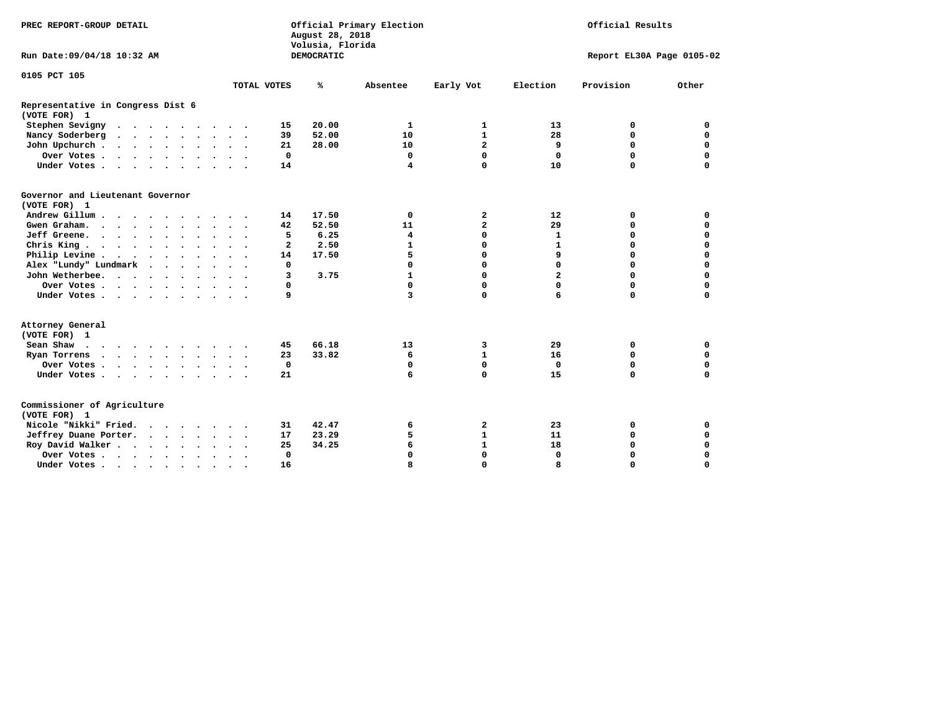| PREC REPORT-GROUP DETAIL                                                                                                                                                                                                                             |                      |              | August 28, 2018<br>Volusia, Florida | Official Primary Election |                | Official Results          |           |             |  |
|------------------------------------------------------------------------------------------------------------------------------------------------------------------------------------------------------------------------------------------------------|----------------------|--------------|-------------------------------------|---------------------------|----------------|---------------------------|-----------|-------------|--|
| Run Date: 09/04/18 10:32 AM                                                                                                                                                                                                                          |                      |              | <b>DEMOCRATIC</b>                   |                           |                | Report EL30A Page 0105-02 |           |             |  |
| 0105 PCT 105                                                                                                                                                                                                                                         |                      |              |                                     |                           |                |                           |           |             |  |
|                                                                                                                                                                                                                                                      |                      | TOTAL VOTES  | ℁                                   | Absentee                  | Early Vot      | Election                  | Provision | Other       |  |
| Representative in Congress Dist 6<br>(VOTE FOR) 1                                                                                                                                                                                                    |                      |              |                                     |                           |                |                           |           |             |  |
| Stephen Sevigny                                                                                                                                                                                                                                      |                      | 15           | 20.00                               | 1                         | 1              | 13                        | 0         | 0           |  |
| Nancy Soderberg<br>$\mathbf{r}$ . The contract of the contract of the contract of the contract of the contract of the contract of the contract of the contract of the contract of the contract of the contract of the contract of the contract of th |                      | 39           | 52.00                               | 10                        | $\mathbf{1}$   | 28                        | 0         | $\mathbf 0$ |  |
| John Upchurch                                                                                                                                                                                                                                        |                      | 21           | 28.00                               | 10                        | $\overline{a}$ | 9                         | $\Omega$  | $\mathbf 0$ |  |
| Over Votes                                                                                                                                                                                                                                           |                      | $\mathbf 0$  |                                     | 0                         | 0              | 0                         | 0         | $\mathbf 0$ |  |
| Under Votes                                                                                                                                                                                                                                          |                      | 14           |                                     | $\overline{\mathbf{4}}$   | $\Omega$       | 10                        | 0         | 0           |  |
| Governor and Lieutenant Governor<br>(VOTE FOR) 1                                                                                                                                                                                                     |                      |              |                                     |                           |                |                           |           |             |  |
| Andrew Gillum                                                                                                                                                                                                                                        |                      | 14           | 17.50                               | $\mathbf 0$               | 2              | 12                        | 0         | 0           |  |
| Gwen Graham.                                                                                                                                                                                                                                         |                      | 42           | 52.50                               | 11                        | $\overline{a}$ | 29                        | 0         | $\mathbf 0$ |  |
| Jeff Greene.                                                                                                                                                                                                                                         |                      | 5            | 6.25                                | $\overline{4}$            | 0              | $\mathbf{1}$              | 0         | $\Omega$    |  |
| Chris King                                                                                                                                                                                                                                           |                      | $\mathbf{z}$ | 2.50                                | $\mathbf{1}$              | $\Omega$       | $\mathbf{1}$              | 0         | $\Omega$    |  |
| Philip Levine                                                                                                                                                                                                                                        |                      | 14           | 17.50                               | 5                         | 0              | 9                         | 0         | $\Omega$    |  |
| Alex "Lundy" Lundmark<br>$\sim$ $\sim$ $\sim$ $\sim$                                                                                                                                                                                                 |                      | 0            |                                     | 0                         | $\Omega$       | $\Omega$                  | 0         | 0           |  |
| John Wetherbee.                                                                                                                                                                                                                                      |                      | 3            | 3.75                                | $\mathbf{1}$              | $\Omega$       | $\overline{a}$            | 0         | $\Omega$    |  |
| Over Votes                                                                                                                                                                                                                                           |                      | 0            |                                     | 0                         | $\Omega$       | $\Omega$                  | $\Omega$  | 0           |  |
| Under Votes                                                                                                                                                                                                                                          |                      | 9            |                                     | 3                         | 0              | 6                         | 0         | 0           |  |
| Attorney General<br>(VOTE FOR) 1                                                                                                                                                                                                                     |                      |              |                                     |                           |                |                           |           |             |  |
| Sean Shaw $\cdots$ $\cdots$ $\cdots$ $\cdots$                                                                                                                                                                                                        |                      | 45           | 66.18                               | 13                        | 3              | 29                        | 0         | 0           |  |
| Ryan Torrens                                                                                                                                                                                                                                         |                      | 23           | 33.82                               | 6                         | $\mathbf{1}$   | 16                        | 0         | $\mathbf 0$ |  |
| Over Votes                                                                                                                                                                                                                                           | $\ddot{\phantom{1}}$ | $\mathbf 0$  |                                     | 0                         | 0              | $\mathbf 0$               | 0         | $\Omega$    |  |
| Under Votes                                                                                                                                                                                                                                          |                      | 21           |                                     | 6                         | $\Omega$       | 15                        | $\Omega$  | $\Omega$    |  |
| Commissioner of Agriculture<br>(VOTE FOR) 1                                                                                                                                                                                                          |                      |              |                                     |                           |                |                           |           |             |  |
| Nicole "Nikki" Fried.                                                                                                                                                                                                                                |                      | 31           | 42.47                               | 6                         | 2              | 23                        | 0         | 0           |  |
| Jeffrey Duane Porter.                                                                                                                                                                                                                                |                      | 17           | 23.29                               | 5                         | $\mathbf{1}$   | 11                        | 0         | $\mathbf 0$ |  |
| Roy David Walker                                                                                                                                                                                                                                     |                      | 25           | 34.25                               | 6                         | $\mathbf{1}$   | 18                        | 0         | $\Omega$    |  |
| Over Votes                                                                                                                                                                                                                                           |                      | $\mathbf 0$  |                                     | $\Omega$                  | $\Omega$       | $\Omega$                  | $\Omega$  | $\Omega$    |  |
| Under Votes                                                                                                                                                                                                                                          | $\bullet$            | 16           |                                     | 8                         | 0              | 8                         | 0         | $\Omega$    |  |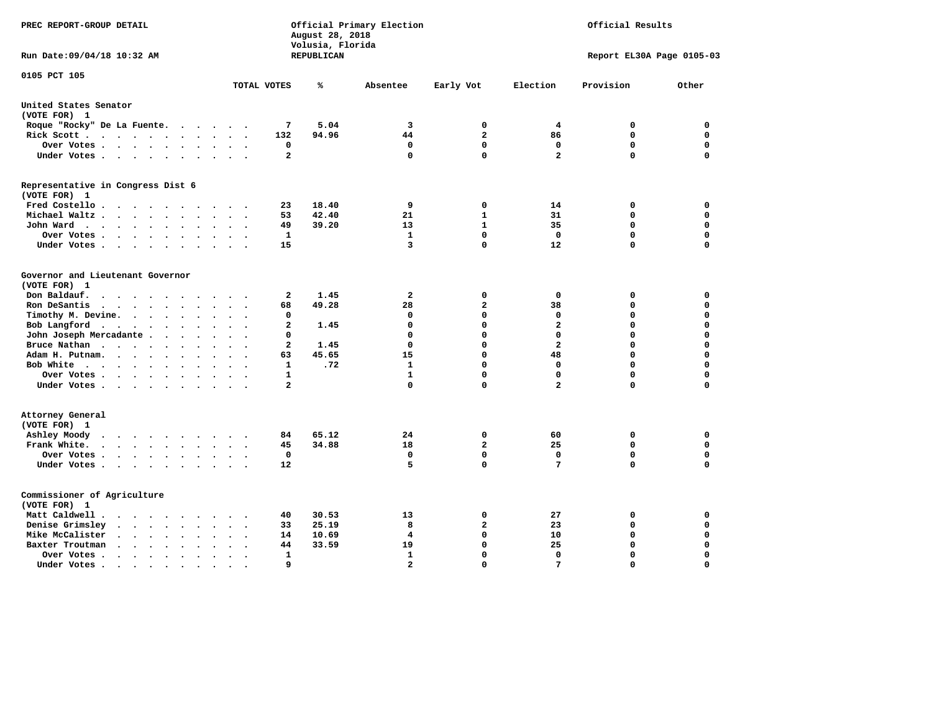| PREC REPORT-GROUP DETAIL                                                                                                                              |                         | August 28, 2018<br>Volusia, Florida | Official Primary Election |                | Official Results        |                           |             |  |
|-------------------------------------------------------------------------------------------------------------------------------------------------------|-------------------------|-------------------------------------|---------------------------|----------------|-------------------------|---------------------------|-------------|--|
| Run Date: 09/04/18 10:32 AM                                                                                                                           |                         | REPUBLICAN                          |                           |                |                         | Report EL30A Page 0105-03 |             |  |
| 0105 PCT 105                                                                                                                                          | TOTAL VOTES             | ℁                                   | Absentee                  | Early Vot      | Election                | Provision                 | Other       |  |
| United States Senator                                                                                                                                 |                         |                                     |                           |                |                         |                           |             |  |
| (VOTE FOR) 1                                                                                                                                          |                         |                                     |                           |                |                         |                           |             |  |
| Roque "Rocky" De La Fuente.<br>$\sim$ $\sim$ $\sim$<br>$\ddot{\phantom{a}}$                                                                           | 7                       | 5.04                                | 3                         | 0              | 4                       | 0                         | 0           |  |
| Rick Scott<br>$\bullet$<br>$\ddot{\phantom{0}}$                                                                                                       | 132                     | 94.96                               | 44                        | $\overline{a}$ | 86                      | 0                         | $\mathbf 0$ |  |
| Over Votes<br>$\bullet$<br>$\bullet$<br>$\cdot$                                                                                                       | 0                       |                                     | $\mathbf 0$               | $\mathbf 0$    | $\mathbf 0$             | $\mathbf 0$               | $\mathbf 0$ |  |
| Under Votes<br>$\sim$<br>$\ddot{\phantom{1}}$                                                                                                         | $\overline{a}$          |                                     | 0                         | $\mathbf 0$    | $\overline{\mathbf{2}}$ | $\mathbf 0$               | $\Omega$    |  |
| Representative in Congress Dist 6<br>(VOTE FOR) 1                                                                                                     |                         |                                     |                           |                |                         |                           |             |  |
| Fred Costello                                                                                                                                         | 23                      | 18.40                               | 9                         | 0              | 14                      | 0                         | 0           |  |
| Michael Waltz<br>$\sim$<br>$\sim$<br>$\sim$                                                                                                           | 53                      | 42.40                               | 21                        | $\mathbf{1}$   | 31                      | $\mathbf 0$               | $\mathbf 0$ |  |
| John Ward<br>$\bullet$<br>$\sim$ $\sim$                                                                                                               | 49                      | 39.20                               | 13                        | $\mathbf{1}$   | 35                      | $\mathbf 0$               | $\mathbf 0$ |  |
| Over Votes<br>$\bullet$<br>$\bullet$ .<br><br><br><br><br><br><br>$\bullet$                                                                           | $\mathbf{1}$            |                                     | $\mathbf{1}$              | $\mathbf{0}$   | $\mathbf 0$             | $\Omega$                  | $\mathbf 0$ |  |
| Under Votes<br>$\blacksquare$ .<br>$\ddot{\phantom{a}}$                                                                                               | 15                      |                                     | 3                         | $\mathbf 0$    | 12                      | $\mathbf 0$               | $\mathbf 0$ |  |
|                                                                                                                                                       |                         |                                     |                           |                |                         |                           |             |  |
| Governor and Lieutenant Governor                                                                                                                      |                         |                                     |                           |                |                         |                           |             |  |
| (VOTE FOR) 1                                                                                                                                          |                         |                                     |                           |                |                         |                           |             |  |
| Don Baldauf.<br>$\ddot{\phantom{a}}$<br>$\sim$                                                                                                        | $\mathbf{2}$            | 1.45                                | $\mathbf{z}$              | 0              | 0                       | 0                         | 0           |  |
| Ron DeSantis<br>$\cdot$ $\cdot$ $\cdot$<br>$\sim$<br>$\bullet$<br>$\bullet$                                                                           | 68                      | 49.28                               | 28                        | $\overline{a}$ | 38                      | 0                         | $\mathbf 0$ |  |
| Timothy M. Devine.<br>$\sim$ $\sim$<br>$\ddot{\phantom{a}}$<br>$\bullet$<br>$\bullet$                                                                 | 0                       |                                     | 0                         | $\mathbf{0}$   | 0                       | $\Omega$                  | $\mathbf 0$ |  |
| Bob Langford                                                                                                                                          | $\overline{a}$          | 1.45                                | 0                         | $\Omega$       | $\mathbf{2}$            | 0                         | $\mathbf 0$ |  |
| John Joseph Mercadante.<br>$\ddotsc$<br>$\ddot{\phantom{a}}$                                                                                          | 0                       |                                     | 0                         | $\mathbf{0}$   | $\mathbf 0$             | $\mathbf 0$               | $\mathbf 0$ |  |
| Bruce Nathan<br>$\bullet$<br>$\ddot{\phantom{1}}$<br>$\bullet$<br>$\ddot{\phantom{a}}$<br>$\cdot$                                                     | $\mathbf{2}$            | 1.45                                | 0                         | $\mathbf{0}$   | $\overline{\mathbf{2}}$ | $\mathbf 0$               | $\mathbf 0$ |  |
| Adam H. Putnam.<br>$\cdots$<br>$\ddot{\phantom{a}}$<br>$\ddot{\phantom{a}}$                                                                           | 63                      | 45.65                               | 15                        | $\Omega$       | 48                      | $\mathbf 0$               | $\mathbf 0$ |  |
| Bob White<br>$\sim$<br>$\sim$ $\sim$                                                                                                                  | 1                       | .72                                 | $\mathbf{1}$              | $\mathbf{0}$   | 0                       | $\mathbf 0$               | $\mathbf 0$ |  |
| Over Votes<br>$\bullet$<br>$\bullet$                                                                                                                  | 1                       |                                     | 1                         | $\mathbf 0$    | 0                       | 0                         | 0           |  |
| Under Votes                                                                                                                                           | $\overline{\mathbf{2}}$ |                                     | $\Omega$                  | $\mathbf 0$    | $\overline{\mathbf{2}}$ | $\mathbf 0$               | $\Omega$    |  |
| Attorney General<br>(VOTE FOR) 1                                                                                                                      |                         |                                     |                           |                |                         |                           |             |  |
| Ashley Moody<br>$\cdot$                                                                                                                               | 84                      | 65.12                               | 24                        | 0              | 60                      | 0                         | $\mathbf 0$ |  |
| Frank White.<br>$\cdots$                                                                                                                              | 45                      | 34.88                               | 18                        | $\overline{a}$ | 25                      | $\mathbf 0$               | $\mathbf 0$ |  |
| Over Votes.<br>$\cdots$<br>$\bullet$<br>$\bullet$                                                                                                     | $\mathbf 0$             |                                     | 0                         | $\mathbf 0$    | 0                       | $\mathbf 0$               | $\mathbf 0$ |  |
| Under Votes                                                                                                                                           | 12                      |                                     | 5                         | $\mathbf 0$    | $7\phantom{.0}$         | $\mathbf 0$               | $\mathbf 0$ |  |
| Commissioner of Agriculture<br>(VOTE FOR) 1                                                                                                           |                         |                                     |                           |                |                         |                           |             |  |
| Matt Caldwell.<br>$\begin{array}{cccccccccccccc} \bullet & \bullet & \bullet & \bullet & \bullet & \bullet & \bullet & \bullet & \bullet \end{array}$ | 40                      | 30.53                               | 13                        | 0              | 27                      | 0                         | 0           |  |
| Denise Grimsley<br>$\cdot$ $\cdot$<br>$\cdot$ $\cdot$<br>$\ddot{\phantom{a}}$                                                                         | 33                      | 25.19                               | 8                         | $\overline{a}$ | 23                      | $\mathbf 0$               | $\mathbf 0$ |  |
| Mike McCalister<br>$\cdot$ $\cdot$ $\cdot$ $\cdot$ $\cdot$<br>$\bullet$<br>$\bullet$<br>$\ddot{\phantom{a}}$                                          | 14                      | 10.69                               | 4                         | $\mathbf{0}$   | 10                      | 0                         | $\mathbf 0$ |  |
| Baxter Troutman<br>$\sim$ $\sim$<br>$\ddot{\phantom{a}}$<br>$\ddot{\phantom{a}}$                                                                      | 44                      | 33.59                               | 19                        | $\mathbf{0}$   | 25                      | $\mathbf 0$               | $\mathbf 0$ |  |
| Over Votes<br>$\bullet$<br>$\cdot$<br>$\ddot{\phantom{a}}$                                                                                            | 1                       |                                     | $\mathbf{1}$              | $\mathbf{0}$   | $\mathbf 0$             | $\mathbf 0$               | $\mathbf 0$ |  |
| Under Votes.<br>$\mathcal{A}=\mathcal{A}=\mathcal{A}=\mathcal{A}$ .<br>$\bullet$<br>$\bullet$<br>$\bullet$                                            | 9                       |                                     | $\mathbf{z}$              | $\Omega$       | 7                       | $\Omega$                  | $\Omega$    |  |
|                                                                                                                                                       |                         |                                     |                           |                |                         |                           |             |  |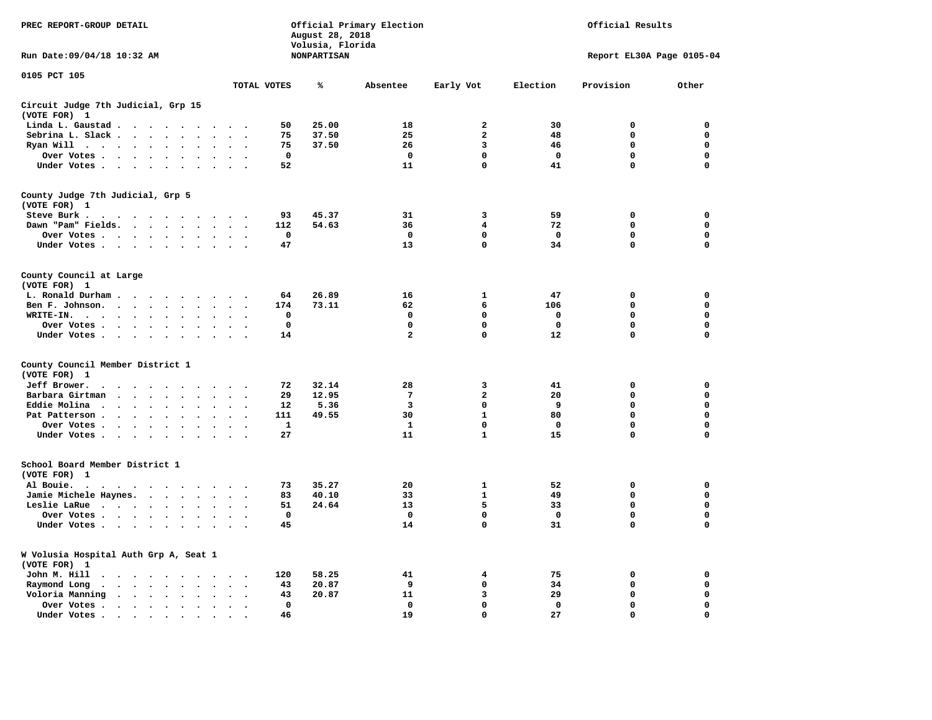| PREC REPORT-GROUP DETAIL                                     |                                                                                                                                                                                                                               |                                 |                             |                      |                                | August 28, 2018<br>Volusia, Florida | Official Primary Election | Official Results |             |                           |             |  |
|--------------------------------------------------------------|-------------------------------------------------------------------------------------------------------------------------------------------------------------------------------------------------------------------------------|---------------------------------|-----------------------------|----------------------|--------------------------------|-------------------------------------|---------------------------|------------------|-------------|---------------------------|-------------|--|
| Run Date: 09/04/18 10:32 AM                                  |                                                                                                                                                                                                                               |                                 |                             |                      |                                | <b>NONPARTISAN</b>                  |                           |                  |             | Report EL30A Page 0105-04 |             |  |
| 0105 PCT 105                                                 |                                                                                                                                                                                                                               |                                 |                             |                      | TOTAL VOTES                    | ℁                                   | Absentee                  | Early Vot        | Election    | Provision                 | Other       |  |
|                                                              |                                                                                                                                                                                                                               |                                 |                             |                      |                                |                                     |                           |                  |             |                           |             |  |
| Circuit Judge 7th Judicial, Grp 15<br>(VOTE FOR)<br><b>1</b> |                                                                                                                                                                                                                               |                                 |                             |                      |                                |                                     |                           |                  |             |                           |             |  |
| Linda L. Gaustad                                             |                                                                                                                                                                                                                               |                                 |                             | $\sim$ $\sim$        | 50                             | 25.00                               | 18                        | 2                | 30          | 0                         | 0           |  |
| Sebrina L. Slack                                             |                                                                                                                                                                                                                               | $\sim$                          | $\sim$                      | $\sim$               | 75<br>$\cdot$                  | 37.50                               | 25                        | $\mathbf{2}$     | 48          | 0                         | 0           |  |
| Ryan Will                                                    | $\cdots$                                                                                                                                                                                                                      |                                 | $\cdot$                     |                      | 75                             | 37.50                               | 26                        | 3                | 46          | $\mathbf 0$               | $\mathbf 0$ |  |
| Over Votes                                                   |                                                                                                                                                                                                                               |                                 |                             |                      | 0                              |                                     | 0                         | 0                | 0           | 0                         | 0           |  |
| Under Votes                                                  |                                                                                                                                                                                                                               |                                 |                             | $\ddot{\phantom{1}}$ | 52                             |                                     | 11                        | $\mathbf 0$      | 41          | $\mathbf 0$               | 0           |  |
| County Judge 7th Judicial, Grp 5<br>(VOTE FOR) 1             |                                                                                                                                                                                                                               |                                 |                             |                      |                                |                                     |                           |                  |             |                           |             |  |
| Steve Burk.                                                  | .                                                                                                                                                                                                                             |                                 |                             |                      | 93                             | 45.37                               | 31                        | 3                | 59          | 0                         | 0           |  |
| Dawn "Pam" Fields.                                           |                                                                                                                                                                                                                               |                                 |                             | $\ddot{\phantom{1}}$ | 112                            | 54.63                               | 36                        | 4                | 72          | 0                         | $\mathbf 0$ |  |
| Over Votes                                                   |                                                                                                                                                                                                                               | $\ddot{\phantom{0}}$<br>$\cdot$ |                             |                      | $\mathbf 0$                    |                                     | 0                         | 0                | 0           | 0                         | 0           |  |
| Under Votes                                                  |                                                                                                                                                                                                                               |                                 |                             |                      | 47                             |                                     | 13                        | $\mathbf 0$      | 34          | $\mathbf 0$               | 0           |  |
| County Council at Large<br>(VOTE FOR) 1                      |                                                                                                                                                                                                                               |                                 |                             |                      |                                |                                     |                           |                  |             |                           |             |  |
| L. Ronald Durham                                             |                                                                                                                                                                                                                               |                                 |                             | $\cdot$              | 64                             | 26.89                               | 16                        | 1                | 47          | 0                         | 0           |  |
| Ben F. Johnson.                                              |                                                                                                                                                                                                                               | $\ddot{\phantom{0}}$            | $\ddot{\phantom{a}}$        | $\ddot{\phantom{a}}$ | 174<br>$\ddot{\phantom{0}}$    | 73.11                               | 62                        | 6                | 106         | $\mathbf 0$               | $\mathbf 0$ |  |
| WRITE-IN.                                                    |                                                                                                                                                                                                                               |                                 | $\cdot$                     |                      | $\mathbf 0$                    |                                     | 0                         | $\mathbf 0$      | 0           | $\mathbf 0$               | 0           |  |
| Over Votes                                                   |                                                                                                                                                                                                                               |                                 |                             |                      | $\mathbf 0$                    |                                     | $\mathbf 0$               | $\mathbf 0$      | 0           | $\mathbf 0$               | 0           |  |
| Under Votes                                                  |                                                                                                                                                                                                                               | $\bullet$                       | $\bullet$                   |                      | 14                             |                                     | $\mathbf{2}$              | $\mathbf 0$      | 12          | $\mathbf 0$               | $\mathbf 0$ |  |
| County Council Member District 1                             |                                                                                                                                                                                                                               |                                 |                             |                      |                                |                                     |                           |                  |             |                           |             |  |
| (VOTE FOR) 1                                                 |                                                                                                                                                                                                                               |                                 |                             |                      |                                |                                     |                           |                  |             |                           |             |  |
| Jeff Brower.                                                 | $\cdot$                                                                                                                                                                                                                       |                                 | $\sim$ $\sim$ $\sim$ $\sim$ |                      | 72                             | 32.14                               | 28                        | 3                | 41          | 0                         | 0           |  |
| Barbara Girtman                                              |                                                                                                                                                                                                                               |                                 | $\ddot{\phantom{a}}$        |                      | 29                             | 12.95                               | $7\phantom{.0}$           | $\overline{a}$   | 20          | $\mathbf 0$               | $\mathbf 0$ |  |
| Eddie Molina                                                 |                                                                                                                                                                                                                               |                                 |                             |                      | 12                             | 5.36                                | 3                         | 0                | 9           | $\mathbf 0$               | $\mathbf 0$ |  |
| Pat Patterson                                                |                                                                                                                                                                                                                               | $\sim$                          | $\ddot{\phantom{0}}$        | $\mathbf{r}$         | 111                            | 49.55                               | 30                        | $\mathbf{1}$     | 80          | $\mathbf 0$               | $\mathbf 0$ |  |
| Over Votes                                                   |                                                                                                                                                                                                                               | $\cdot$                         | $\bullet$                   |                      | 1                              |                                     | $\mathbf{1}$              | 0                | $\Omega$    | $\mathbf 0$               | $\Omega$    |  |
| Under Votes                                                  |                                                                                                                                                                                                                               |                                 |                             |                      | 27                             |                                     | 11                        | $\mathbf{1}$     | 15          | $\mathbf 0$               | $\mathbf 0$ |  |
| School Board Member District 1<br>(VOTE FOR) 1               |                                                                                                                                                                                                                               |                                 |                             |                      |                                |                                     |                           |                  |             |                           |             |  |
| Al Bouie.<br>$\ddot{\phantom{0}}$<br>$\sim$                  | . The contract of the contract of the contract of the contract of the contract of the contract of the contract of the contract of the contract of the contract of the contract of the contract of the contract of the contrac |                                 |                             |                      | 73                             | 35.27                               | 20                        | $\mathbf{1}$     | 52          | $\mathbf 0$               | $\mathbf 0$ |  |
| Jamie Michele Haynes.                                        |                                                                                                                                                                                                                               |                                 |                             | $\sim$               | 83<br>$\overline{\phantom{a}}$ | 40.10                               | 33                        | 1                | 49          | 0                         | $\mathbf 0$ |  |
| Leslie LaRue                                                 |                                                                                                                                                                                                                               | $\sim$                          | $\bullet$                   | $\cdot$              | 51                             | 24.64                               | 13                        | 5                | 33          | 0                         | $\mathbf 0$ |  |
| Over Votes                                                   |                                                                                                                                                                                                                               |                                 |                             |                      | $\mathbf 0$                    |                                     | $\mathbf 0$               | $\mathbf 0$      | $\mathbf 0$ | $\mathbf 0$               | $\mathbf 0$ |  |
| Under Votes                                                  |                                                                                                                                                                                                                               |                                 | $\bullet$                   | $\bullet$            | 45                             |                                     | 14                        | $\mathbf 0$      | 31          | $\mathbf 0$               | $\mathbf 0$ |  |
| W Volusia Hospital Auth Grp A, Seat 1<br>(VOTE FOR) 1        |                                                                                                                                                                                                                               |                                 |                             |                      |                                |                                     |                           |                  |             |                           |             |  |
| John M. Hill                                                 |                                                                                                                                                                                                                               |                                 |                             | $\sim$ $\sim$        | 120                            | 58.25                               | 41                        | 4                | 75          | 0                         | 0           |  |
| Raymond Long<br>$\bullet$                                    | $\cdot$ $\cdot$ $\cdot$ $\cdot$ $\cdot$                                                                                                                                                                                       | $\ddot{\phantom{a}}$            | $\bullet$                   | $\cdot$              | 43<br>$\ddot{\phantom{1}}$     | 20.87                               | 9                         | 0                | 34          | 0                         | 0           |  |
| Voloria Manning                                              | $\mathbf{r}$ , $\mathbf{r}$ , $\mathbf{r}$ , $\mathbf{r}$ , $\mathbf{r}$ , $\mathbf{r}$                                                                                                                                       |                                 | $\cdot$                     |                      | 43                             | 20.87                               | 11                        | 3                | 29          | $\mathbf 0$               | 0           |  |
| Over Votes .                                                 | $\cdot$ $\cdot$ $\cdot$ $\cdot$ $\cdot$                                                                                                                                                                                       | $\ddot{\phantom{a}}$            | $\cdot$                     | $\bullet$            | 0                              |                                     | $\mathbf 0$               | $\mathbf 0$      | 0           | 0                         | 0           |  |
| Under Votes.                                                 | $\cdots$                                                                                                                                                                                                                      |                                 |                             |                      | 46                             |                                     | 19                        | $\mathbf 0$      | 27          | $\mathbf 0$               | $\Omega$    |  |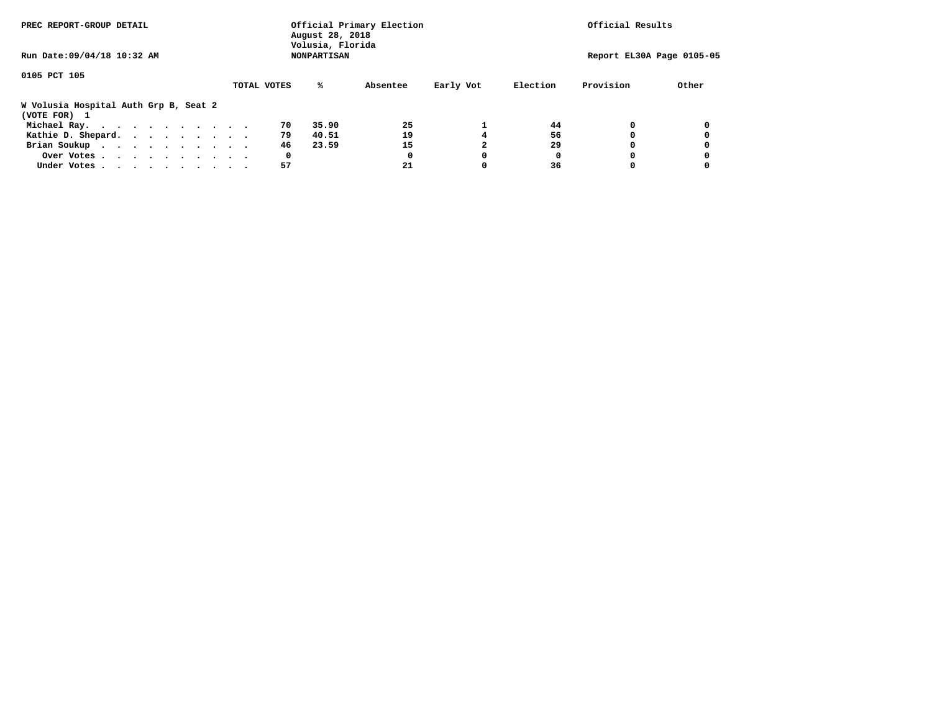| PREC REPORT-GROUP DETAIL                              |             | August 28, 2018<br>Volusia, Florida | Official Primary Election |           | Official Results |           |                           |
|-------------------------------------------------------|-------------|-------------------------------------|---------------------------|-----------|------------------|-----------|---------------------------|
| Run Date: 09/04/18 10:32 AM                           |             | <b>NONPARTISAN</b>                  |                           |           |                  |           | Report EL30A Page 0105-05 |
| 0105 PCT 105                                          |             |                                     |                           |           |                  |           |                           |
|                                                       | TOTAL VOTES | %ะ                                  | Absentee                  | Early Vot | Election         | Provision | Other                     |
| W Volusia Hospital Auth Grp B, Seat 2<br>(VOTE FOR) 1 |             |                                     |                           |           |                  |           |                           |
| Michael Ray.                                          |             | 35.90<br>70                         | 25                        |           | 44               |           |                           |
| Kathie D. Shepard.                                    |             | 79<br>40.51                         | 19                        |           | 56               |           |                           |
| Brian Soukup                                          |             | 46<br>23.59                         | 15                        |           | 29               |           |                           |
| Over Votes                                            |             | 0                                   | 0                         | 0         | 0                |           |                           |
| Under Votes                                           |             | 57                                  | 21                        |           | 36               |           |                           |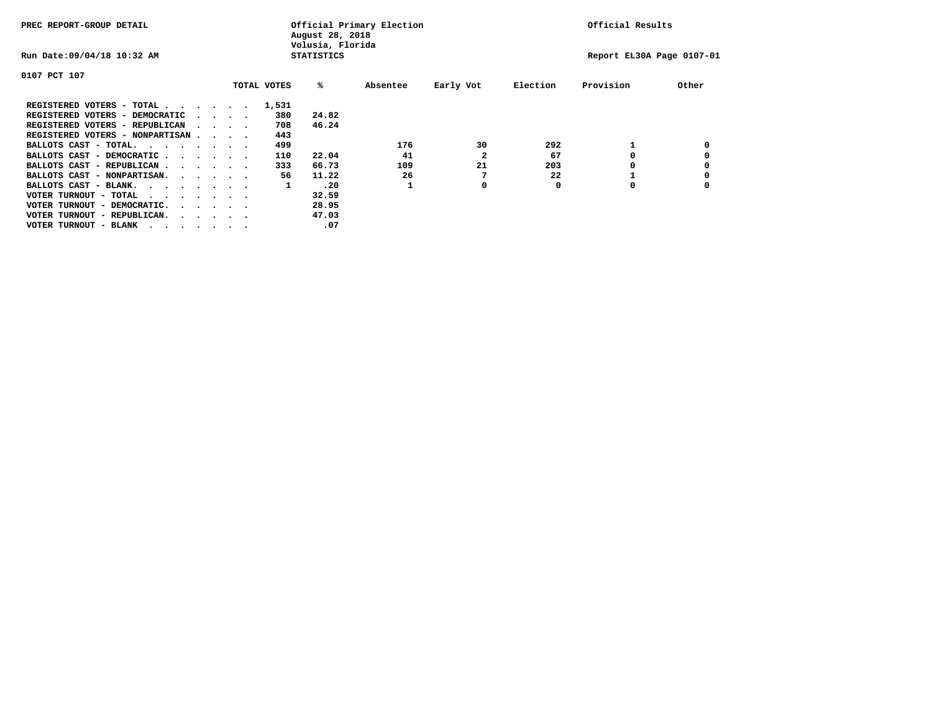| PREC REPORT-GROUP DETAIL               |  |  |                                         |             | Official Results<br>Official Primary Election<br>August 28, 2018<br>Volusia, Florida |          |           |          |           |       |
|----------------------------------------|--|--|-----------------------------------------|-------------|--------------------------------------------------------------------------------------|----------|-----------|----------|-----------|-------|
| Run Date: 09/04/18 10:32 AM            |  |  | <b>STATISTICS</b>                       |             | Report EL30A Page 0107-01                                                            |          |           |          |           |       |
| 0107 PCT 107                           |  |  |                                         |             |                                                                                      |          |           |          |           |       |
|                                        |  |  |                                         | TOTAL VOTES | %ะ                                                                                   | Absentee | Early Vot | Election | Provision | Other |
| REGISTERED VOTERS - TOTAL              |  |  |                                         | 1,531       |                                                                                      |          |           |          |           |       |
| REGISTERED VOTERS - DEMOCRATIC         |  |  | $\cdot$ $\cdot$ $\cdot$ $\cdot$         | 380         | 24.82                                                                                |          |           |          |           |       |
| REGISTERED VOTERS - REPUBLICAN         |  |  | $\sim$ $\sim$ $\sim$ $\sim$             | 708         | 46.24                                                                                |          |           |          |           |       |
| REGISTERED VOTERS - NONPARTISAN        |  |  |                                         | 443         |                                                                                      |          |           |          |           |       |
| BALLOTS CAST - TOTAL.                  |  |  |                                         | 499         |                                                                                      | 176      | 30        | 292      |           |       |
| BALLOTS CAST - DEMOCRATIC              |  |  |                                         | 110         | 22.04                                                                                | 41       |           | 67       |           |       |
| BALLOTS CAST - REPUBLICAN              |  |  |                                         | 333         | 66.73                                                                                | 109      | 21        | 203      |           |       |
| BALLOTS CAST - NONPARTISAN.            |  |  |                                         | 56          | 11.22                                                                                | 26       |           | 22       |           |       |
| BALLOTS CAST - BLANK.                  |  |  |                                         | 1           | .20                                                                                  |          | 0         | 0        | 0         |       |
| VOTER TURNOUT - TOTAL<br>$\cdots$      |  |  |                                         |             | 32.59                                                                                |          |           |          |           |       |
| VOTER TURNOUT - DEMOCRATIC.            |  |  | $\cdot$ $\cdot$ $\cdot$ $\cdot$ $\cdot$ |             | 28.95                                                                                |          |           |          |           |       |
| VOTER TURNOUT - REPUBLICAN.<br>$\cdot$ |  |  |                                         |             | 47.03                                                                                |          |           |          |           |       |
| VOTER TURNOUT - BLANK                  |  |  |                                         |             | .07                                                                                  |          |           |          |           |       |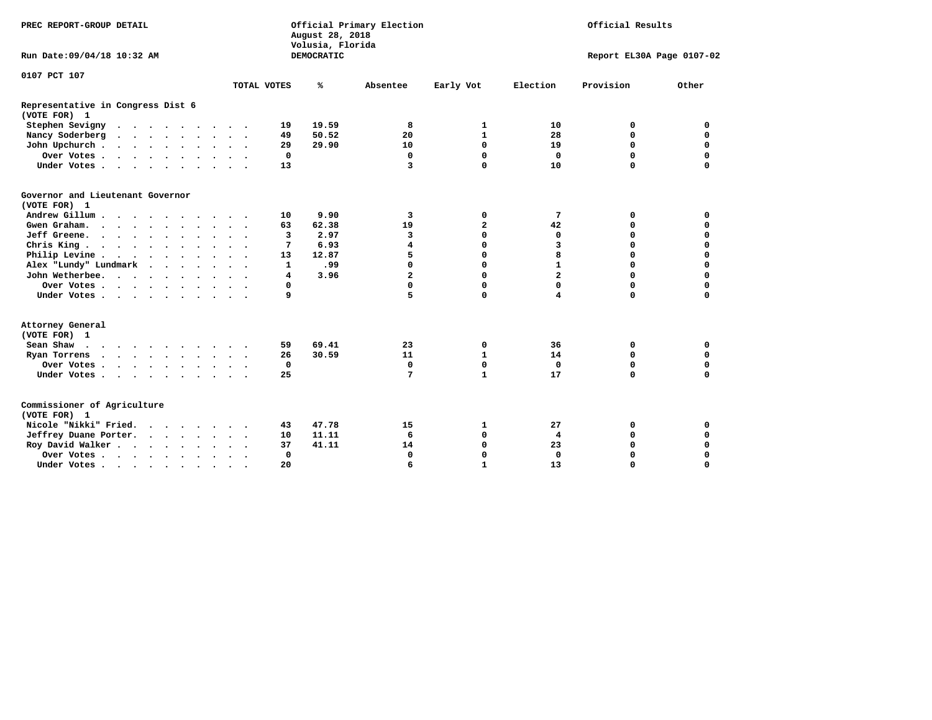| PREC REPORT-GROUP DETAIL                                 |           |                      |              | August 28, 2018<br>Volusia, Florida | Official Primary Election |                | Official Results          |           |             |  |  |
|----------------------------------------------------------|-----------|----------------------|--------------|-------------------------------------|---------------------------|----------------|---------------------------|-----------|-------------|--|--|
| Run Date: 09/04/18 10:32 AM                              |           |                      |              | DEMOCRATIC                          |                           |                | Report EL30A Page 0107-02 |           |             |  |  |
| 0107 PCT 107                                             |           |                      |              |                                     |                           |                |                           |           |             |  |  |
|                                                          |           |                      | TOTAL VOTES  | ℁                                   | Absentee                  | Early Vot      | Election                  | Provision | Other       |  |  |
| Representative in Congress Dist 6<br>(VOTE FOR) 1        |           |                      |              |                                     |                           |                |                           |           |             |  |  |
| Stephen Sevigny                                          |           |                      | 19           | 19.59                               | 8                         | 1              | 10                        | 0         | 0           |  |  |
| Nancy Soderberg                                          |           |                      | 49           | 50.52                               | 20                        | $\mathbf{1}$   | 28                        | 0         | $\mathbf 0$ |  |  |
| John Upchurch                                            |           |                      | 29           | 29.90                               | 10                        | 0              | 19                        | 0         | $\mathbf 0$ |  |  |
| Over Votes                                               |           |                      | 0            |                                     | 0                         | $\Omega$       | 0                         | 0         | $\mathbf 0$ |  |  |
| Under Votes                                              |           |                      | 13           |                                     | $\overline{3}$            | $\Omega$       | 10                        | 0         | $\mathbf 0$ |  |  |
| Governor and Lieutenant Governor<br>(VOTE FOR) 1         |           |                      |              |                                     |                           |                |                           |           |             |  |  |
| Andrew Gillum                                            | $\sim$    |                      | 10           | 9.90                                | 3                         | 0              | 7                         | 0         | 0           |  |  |
| Gwen Graham.                                             |           |                      | 63           | 62.38                               | 19                        | $\overline{a}$ | 42                        | 0         | $\mathbf 0$ |  |  |
| Jeff Greene.                                             |           |                      | 3            | 2.97                                | 3                         | 0              | $\mathbf 0$               | 0         | 0           |  |  |
| Chris King                                               |           |                      | 7            | 6.93                                | $\overline{\mathbf{4}}$   | $\Omega$       | 3                         | 0         | $\Omega$    |  |  |
| Philip Levine                                            |           |                      | 13           | 12.87                               | 5                         | 0              | 8                         | $\Omega$  | $\mathbf 0$ |  |  |
| Alex "Lundy" Lundmark<br>$\cdot$ $\cdot$ $\cdot$ $\cdot$ |           |                      | $\mathbf{1}$ | .99                                 | $\Omega$                  | 0              | $\mathbf{1}$              | $\Omega$  | 0           |  |  |
| John Wetherbee.                                          |           | $\ddot{\phantom{1}}$ | 4            | 3.96                                | $\overline{a}$            | $\Omega$       | $\overline{a}$            | $\Omega$  | $\Omega$    |  |  |
| Over Votes                                               |           |                      | 0            |                                     | 0                         | $\Omega$       | $\Omega$                  | $\Omega$  | 0           |  |  |
| Under Votes                                              |           |                      | 9            |                                     | 5                         | $\Omega$       | $\overline{\mathbf{4}}$   | 0         | 0           |  |  |
| Attorney General<br>(VOTE FOR) 1                         |           |                      |              |                                     |                           |                |                           |           |             |  |  |
| Sean Shaw $\cdots$ $\cdots$ $\cdots$ $\cdots$            |           |                      | 59           | 69.41                               | 23                        | 0              | 36                        | 0         | 0           |  |  |
| Ryan Torrens                                             |           |                      | 26           | 30.59                               | 11                        | $\mathbf{1}$   | 14                        | 0         | $\mathbf 0$ |  |  |
| Over Votes                                               |           | $\ddot{\phantom{1}}$ | $\mathbf 0$  |                                     | $\mathbf 0$               | 0              | $\mathbf 0$               | 0         | $\mathbf 0$ |  |  |
| Under Votes                                              |           |                      | 25           |                                     | 7                         | $\mathbf{1}$   | 17                        | $\Omega$  | $\Omega$    |  |  |
| Commissioner of Agriculture<br>(VOTE FOR) 1              |           |                      |              |                                     |                           |                |                           |           |             |  |  |
| Nicole "Nikki" Fried.                                    |           |                      | 43           | 47.78                               | 15                        | 1              | 27                        | 0         | 0           |  |  |
| Jeffrey Duane Porter.                                    |           |                      | 10           | 11.11                               | 6                         | 0              | 4                         | 0         | $\mathbf 0$ |  |  |
| Roy David Walker                                         |           |                      | 37           | 41.11                               | 14                        | 0              | 23                        | 0         | 0           |  |  |
| Over Votes                                               |           |                      | $\mathbf 0$  |                                     | $\Omega$                  | $\Omega$       | $\Omega$                  | 0         | 0           |  |  |
| Under Votes                                              | $\bullet$ |                      | 20           |                                     | 6                         | $\mathbf{1}$   | 13                        | 0         | $\mathbf 0$ |  |  |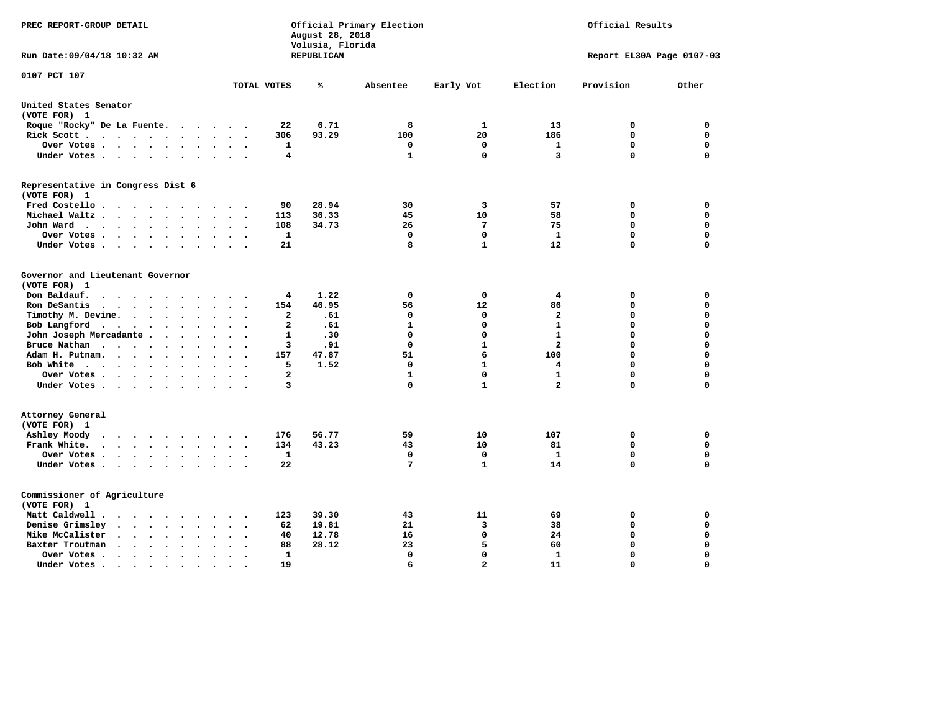| PREC REPORT-GROUP DETAIL                                                                                                                                                                     |                                                       | August 28, 2018<br>Volusia, Florida | Official Primary Election | Official Results |                         |                           |             |
|----------------------------------------------------------------------------------------------------------------------------------------------------------------------------------------------|-------------------------------------------------------|-------------------------------------|---------------------------|------------------|-------------------------|---------------------------|-------------|
| Run Date:09/04/18 10:32 AM                                                                                                                                                                   |                                                       | REPUBLICAN                          |                           |                  |                         | Report EL30A Page 0107-03 |             |
| 0107 PCT 107                                                                                                                                                                                 | TOTAL VOTES                                           | ℁                                   | Absentee                  | Early Vot        | Election                | Provision                 | Other       |
|                                                                                                                                                                                              |                                                       |                                     |                           |                  |                         |                           |             |
| United States Senator                                                                                                                                                                        |                                                       |                                     |                           |                  |                         |                           |             |
| (VOTE FOR) 1                                                                                                                                                                                 |                                                       |                                     |                           |                  |                         |                           |             |
| Roque "Rocky" De La Fuente.<br>$\cdots$                                                                                                                                                      | 22<br>$\sim$<br>$\sim$                                | 6.71                                | 8                         | 1                | 13                      | 0                         | 0           |
| Rick Scott                                                                                                                                                                                   | 306                                                   | 93.29                               | 100                       | 20               | 186                     | 0                         | $\mathbf 0$ |
| Over Votes                                                                                                                                                                                   | 1<br>$\bullet$<br>$\ddot{\phantom{a}}$<br>$\bullet$   |                                     | 0                         | 0                | 1                       | 0                         | $\mathbf 0$ |
| Under Votes<br>$\ddot{\phantom{a}}$                                                                                                                                                          | 4<br>$\overline{\phantom{a}}$                         |                                     | 1                         | 0                | 3                       | $\Omega$                  | $\mathbf 0$ |
| Representative in Congress Dist 6                                                                                                                                                            |                                                       |                                     |                           |                  |                         |                           |             |
| (VOTE FOR) 1                                                                                                                                                                                 |                                                       |                                     |                           |                  |                         |                           |             |
| Fred Costello.<br>$\cdot$ .                                                                                                                                                                  | 90                                                    | 28.94                               | 30                        | 3                | 57                      | 0                         | 0           |
| Michael Waltz.<br>$\cdots$<br>$\ddot{\phantom{a}}$<br>$\ddot{\phantom{a}}$<br>$\ddot{\phantom{a}}$                                                                                           | 113                                                   | 36.33                               | 45                        | 10               | 58                      | $\mathbf 0$               | $\mathbf 0$ |
| John Ward<br>$\begin{array}{cccccccccccccc} \bullet & \bullet & \bullet & \bullet & \bullet & \bullet & \bullet & \bullet & \bullet & \bullet & \bullet \end{array}$<br>$\ddot{\phantom{a}}$ | 108<br>$\bullet$                                      | 34.73                               | 26                        | $7\phantom{.0}$  | 75                      | $\mathbf 0$               | 0           |
| Over Votes<br>$\ddot{\phantom{a}}$                                                                                                                                                           | 1                                                     |                                     | 0                         | $\mathbf 0$      | $\mathbf{1}$            | $\mathbf 0$               | 0           |
| Under Votes<br>$\ddot{\phantom{a}}$                                                                                                                                                          | 21                                                    |                                     | 8                         | $\mathbf{1}$     | 12                      | $\mathbf 0$               | $\mathbf 0$ |
| Governor and Lieutenant Governor                                                                                                                                                             |                                                       |                                     |                           |                  |                         |                           |             |
| (VOTE FOR) 1                                                                                                                                                                                 |                                                       |                                     |                           |                  |                         |                           |             |
| Don Baldauf.<br>$\cdot$ $\cdot$ $\cdot$ $\cdot$                                                                                                                                              | 4                                                     | 1.22                                | 0                         | 0                | 4                       | 0                         | 0           |
| Ron DeSantis<br>$\sim$ $\sim$ $\sim$ $\sim$ $\sim$ $\sim$ $\sim$<br>$\bullet$                                                                                                                | 154<br>$\Delta \sim 10^{-11}$<br>$\ddot{\phantom{a}}$ | 46.95                               | 56                        | 12               | 86                      | 0                         | 0           |
| Timothy M. Devine.<br>$\ddot{\phantom{a}}$                                                                                                                                                   | $\mathbf{2}$                                          | .61                                 | 0                         | 0                | $\overline{\mathbf{2}}$ | 0                         | $\mathbf 0$ |
| Bob Langford<br>$\sim$<br>$\ddot{\phantom{a}}$                                                                                                                                               | $\overline{a}$<br>$\cdot$                             | .61                                 | $\mathbf{1}$              | $\mathbf 0$      | $\mathbf{1}$            | $\mathbf 0$               | $\mathbf 0$ |
| John Joseph Mercadante                                                                                                                                                                       | 1<br>$\overline{\phantom{a}}$                         | .30                                 | 0                         | 0                | $\mathbf{1}$            | $\mathbf 0$               | $\mathbf 0$ |
| Bruce Nathan<br>$\bullet$<br>$\ddot{\phantom{a}}$                                                                                                                                            | 3                                                     | .91                                 | $\Omega$                  | $\mathbf{1}$     | $\overline{a}$          | 0                         | $\mathbf 0$ |
| Adam H. Putnam.<br>$\cdot$                                                                                                                                                                   | 157                                                   | 47.87                               | 51                        | 6                | 100                     | $\Omega$                  | $\mathbf 0$ |
| Bob White<br>$\ddot{\phantom{a}}$                                                                                                                                                            | 5<br>$\ddot{\phantom{a}}$                             | 1.52                                | 0                         | $\mathbf{1}$     | 4                       | $\Omega$                  | $\mathbf 0$ |
| Over Votes .<br>$\cdot$                                                                                                                                                                      | $\overline{a}$                                        |                                     | 1                         | $\mathbf 0$      | $\mathbf{1}$            | $\mathbf 0$               | $\mathbf 0$ |
| Under Votes                                                                                                                                                                                  | 3                                                     |                                     | 0                         | $\mathbf{1}$     | $\overline{a}$          | $\Omega$                  | $\mathbf 0$ |
| Attorney General                                                                                                                                                                             |                                                       |                                     |                           |                  |                         |                           |             |
| (VOTE FOR) 1                                                                                                                                                                                 |                                                       |                                     |                           |                  |                         |                           |             |
| Ashley Moody<br>$\bullet$<br>.<br>$\sim$ $\sim$                                                                                                                                              | 176<br>$\cdot$                                        | 56.77                               | 59                        | 10               | 107                     | 0                         | $\mathbf 0$ |
| Frank White.<br>$\cdot$ $\cdot$ $\cdot$ $\cdot$ $\cdot$ $\cdot$<br>$\sim$                                                                                                                    | 134                                                   | 43.23                               | 43                        | 10               | 81                      | $\mathbf 0$               | 0           |
| Over Votes .<br>$\cdots$<br>$\bullet$                                                                                                                                                        | $\mathbf{1}$                                          |                                     | $\mathbf 0$               | $\mathbf 0$      | $\mathbf{1}$            | $\mathbf 0$               | $\mathbf 0$ |
| Under Votes<br>$\ddot{\phantom{a}}$                                                                                                                                                          | 22<br>$\ddot{\phantom{a}}$                            |                                     | 7                         | $\mathbf{1}$     | 14                      | $\Omega$                  | 0           |
|                                                                                                                                                                                              |                                                       |                                     |                           |                  |                         |                           |             |
| Commissioner of Agriculture                                                                                                                                                                  |                                                       |                                     |                           |                  |                         |                           |             |
| (VOTE FOR) 1                                                                                                                                                                                 |                                                       |                                     |                           |                  |                         |                           |             |
| Matt Caldwell.<br>$\cdot$ $\cdot$ $\cdot$ $\cdot$ $\cdot$ $\cdot$ $\cdot$ $\cdot$                                                                                                            | 123                                                   | 39.30                               | 43                        | 11               | 69                      | 0                         | 0           |
| Denise Grimsley<br>$\cdot$ $\cdot$ $\cdot$ $\cdot$ $\cdot$<br>$\ddot{\phantom{a}}$                                                                                                           | 62                                                    | 19.81                               | 21                        | 3                | 38                      | 0                         | 0           |
| Mike McCalister<br>$\cdots$<br>$\bullet$                                                                                                                                                     | 40<br>$\overline{\phantom{a}}$                        | 12.78                               | 16                        | 0                | 24                      | 0                         | 0           |
| Baxter Troutman<br>$\cdot$ $\cdot$ $\cdot$ $\cdot$<br>$\overline{\phantom{a}}$<br>$\ddot{\phantom{a}}$                                                                                       | 88                                                    | 28.12                               | 23                        | 5                | 60                      | 0                         | 0           |
| Over Votes .<br>$\sim$ $\sim$ $\sim$ $\sim$ $\sim$<br>$\bullet$                                                                                                                              | 1                                                     |                                     | $\Omega$                  | $\mathbf 0$      | 1                       | $\Omega$                  | $\mathbf 0$ |
| Under Votes.<br>.                                                                                                                                                                            | 19                                                    |                                     | 6                         | $\overline{a}$   | 11                      | $\Omega$                  | $\Omega$    |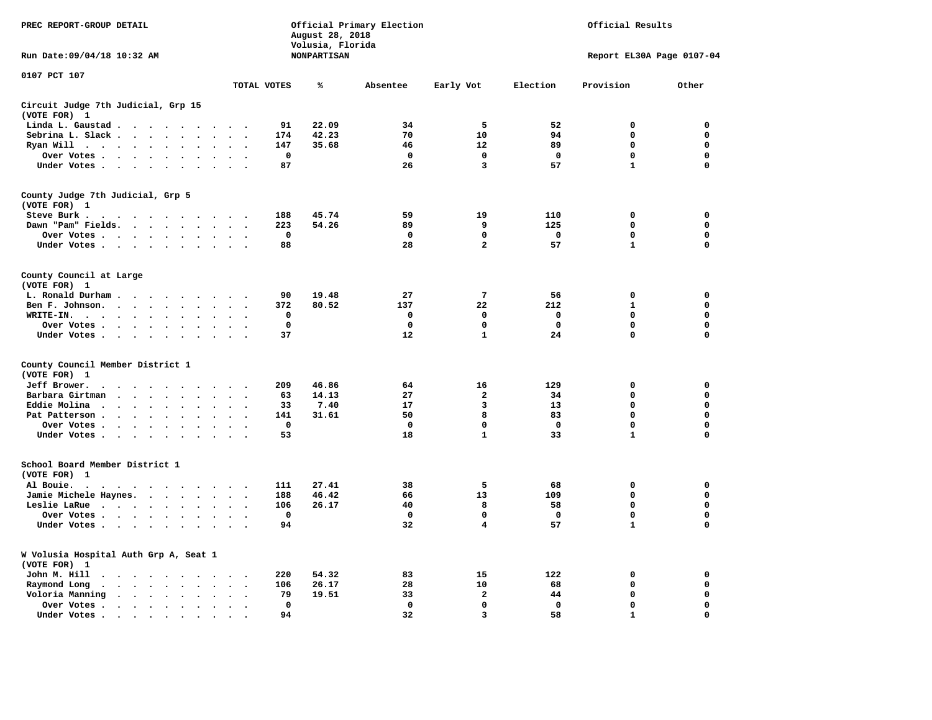| PREC REPORT-GROUP DETAIL                              |                                                           |                      |                      | Official Primary Election<br>August 28, 2018<br>Volusia, Florida |                      |                      |             |                    |              | Official Results |             |                           |             |
|-------------------------------------------------------|-----------------------------------------------------------|----------------------|----------------------|------------------------------------------------------------------|----------------------|----------------------|-------------|--------------------|--------------|------------------|-------------|---------------------------|-------------|
| Run Date: 09/04/18 10:32 AM                           |                                                           |                      |                      |                                                                  |                      |                      |             | <b>NONPARTISAN</b> |              |                  |             | Report EL30A Page 0107-04 |             |
| 0107 PCT 107                                          |                                                           |                      |                      |                                                                  |                      | TOTAL VOTES          |             | ℁                  | Absentee     | Early Vot        | Election    | Provision                 | Other       |
| Circuit Judge 7th Judicial, Grp 15<br>(VOTE FOR) 1    |                                                           |                      |                      |                                                                  |                      |                      |             |                    |              |                  |             |                           |             |
| Linda L. Gaustad                                      |                                                           |                      | $\ddot{\phantom{a}}$ |                                                                  |                      |                      | 91          | 22.09              | 34           | 5                | 52          | $\mathbf 0$               | 0           |
| Sebrina L. Slack                                      |                                                           |                      |                      |                                                                  |                      |                      | 174         | 42.23              | 70           | 10               | 94          | 0                         | 0           |
| Ryan Will $\cdots$                                    |                                                           | $\ddot{\phantom{a}}$ | $\sim$               |                                                                  |                      |                      | 147         | 35.68              | 46           | 12               | 89          | 0                         | 0           |
| Over Votes                                            |                                                           |                      |                      |                                                                  |                      |                      | $\mathbf 0$ |                    | $\mathbf 0$  | $\mathbf 0$      | $\mathbf 0$ | 0                         | $\mathbf 0$ |
| Under Votes                                           |                                                           |                      |                      | $\ddot{\phantom{0}}$                                             |                      |                      | 87          |                    | 26           | 3                | 57          | $\mathbf{1}$              | $\mathbf 0$ |
| County Judge 7th Judicial, Grp 5<br>(VOTE FOR) 1      |                                                           |                      |                      |                                                                  |                      |                      |             |                    |              |                  |             |                           |             |
| Steve Burk .                                          | .                                                         |                      |                      |                                                                  |                      |                      | 188         | 45.74              | 59           | 19               | 110         | $\mathbf 0$               | $\mathbf 0$ |
| Dawn "Pam" Fields.                                    |                                                           |                      |                      |                                                                  |                      |                      | 223         | 54.26              | 89           | 9                | 125         | 0                         | 0           |
| Over Votes                                            |                                                           |                      |                      |                                                                  |                      |                      | $\mathbf 0$ |                    | $\mathbf{o}$ | 0                | 0           | 0                         | 0           |
| Under Votes                                           |                                                           |                      |                      |                                                                  | $\sim$ $\sim$        |                      | 88          |                    | 28           | $\overline{a}$   | 57          | $\mathbf{1}$              | $\mathbf 0$ |
| County Council at Large<br>(VOTE FOR) 1               |                                                           |                      |                      |                                                                  |                      |                      |             |                    |              |                  |             |                           |             |
| L. Ronald Durham                                      |                                                           |                      |                      |                                                                  | $\sim$ $\sim$        |                      | 90          | 19.48              | 27           | 7                | 56          | 0                         | 0           |
| Ben F. Johnson.                                       |                                                           |                      |                      |                                                                  | $\sim$ $\sim$        |                      | 372         | 80.52              | 137          | 22               | 212         | 1                         | 0           |
| $WRITE-IN.$                                           |                                                           | $\sim$               |                      |                                                                  |                      |                      | 0           |                    | 0            | 0                | 0           | 0                         | 0           |
| Over Votes                                            |                                                           |                      |                      |                                                                  |                      |                      | $\mathbf 0$ |                    | $\mathbf 0$  | 0                | 0           | 0                         | 0           |
| Under Votes                                           |                                                           |                      |                      |                                                                  | $\cdot$ .<br>$\sim$  | $\cdot$              | 37          |                    | 12           | $\mathbf{1}$     | 24          | 0                         | $\mathbf 0$ |
| County Council Member District 1<br>(VOTE FOR) 1      |                                                           |                      |                      |                                                                  |                      |                      |             |                    |              |                  |             |                           |             |
| Jeff Brower.<br>$\ddot{\phantom{0}}$                  | $\cdots$                                                  |                      |                      |                                                                  |                      |                      | 209         | 46.86              | 64           | 16               | 129         | $\mathbf 0$               | 0           |
| Barbara Girtman                                       | $\cdot$ $\cdot$ $\cdot$ $\cdot$                           | $\sim$               |                      |                                                                  |                      |                      | 63          | 14.13              | 27           | $\mathbf{2}$     | 34          | 0                         | 0           |
| Eddie Molina                                          |                                                           | $\cdot$              |                      |                                                                  |                      |                      | 33          | 7.40               | 17           | 3                | 13          | 0                         | $\mathbf 0$ |
| Pat Patterson                                         |                                                           | $\ddot{\phantom{a}}$ | $\ddot{\phantom{a}}$ | $\bullet$                                                        |                      |                      | 141         | 31.61              | 50           | 8                | 83          | 0                         | $\mathbf 0$ |
|                                                       |                                                           |                      |                      |                                                                  |                      |                      | $\mathbf 0$ |                    | $\mathbf 0$  | $\mathbf 0$      | $\mathbf 0$ | 0                         | $\mathbf 0$ |
| Over Votes<br>Under Votes                             |                                                           |                      | $\ddot{\phantom{a}}$ | $\sim$                                                           |                      |                      | 53          |                    | 18           | $\mathbf{1}$     | 33          | $\mathbf{1}$              | $\mathbf 0$ |
| School Board Member District 1<br>(VOTE FOR) 1        |                                                           |                      |                      |                                                                  |                      |                      |             |                    |              |                  |             |                           |             |
| Al Bouie. .<br>$\sim$                                 | $\cdots$                                                  |                      |                      |                                                                  |                      |                      | 111         | 27.41              | 38           | 5                | 68          | $\mathbf 0$               | $\mathbf 0$ |
| Jamie Michele Haynes.                                 |                                                           |                      |                      |                                                                  | $\ddot{\phantom{1}}$ |                      | 188         | 46.42              | 66           | 13               | 109         | $\mathbf 0$               | $\mathbf 0$ |
| Leslie LaRue                                          |                                                           |                      | $\bullet$            | $\bullet$                                                        | $\mathbf{r}$         |                      | 106         | 26.17              | 40           | 8                | 58          | 0                         | $\mathbf 0$ |
| Over Votes                                            |                                                           |                      |                      |                                                                  |                      |                      | 0           |                    | $\Omega$     | 0                | $^{\circ}$  | 0                         | 0           |
| Under Votes                                           |                                                           |                      | $\sim$ $\sim$        |                                                                  | $\sim$ $\sim$        |                      | 94          |                    | 32           | 4                | 57          | $\mathbf{1}$              | $\mathbf 0$ |
|                                                       |                                                           |                      |                      |                                                                  |                      |                      |             |                    |              |                  |             |                           |             |
| W Volusia Hospital Auth Grp A, Seat 1<br>(VOTE FOR) 1 |                                                           |                      |                      |                                                                  |                      |                      |             |                    |              |                  |             |                           |             |
| John M. Hill<br>$\ddot{\phantom{0}}$                  | $\cdots$                                                  |                      |                      |                                                                  | $\cdot$ .            |                      | 220         | 54.32              | 83           | 15               | 122         | 0                         | 0           |
| Raymond Long<br>$\bullet$                             | $\cdot$ $\cdot$ $\cdot$ $\cdot$ $\cdot$                   |                      | $\bullet$            | $\ddot{\phantom{a}}$                                             | $\ddot{\phantom{a}}$ | $\ddot{\phantom{0}}$ | 106         | 26.17              | 28           | 10               | 68          | 0                         | 0           |
| Voloria Manning                                       | $\mathbf{r}$ , $\mathbf{r}$ , $\mathbf{r}$ , $\mathbf{r}$ |                      | $\sim$               | $\ddot{\phantom{a}}$                                             |                      |                      | 79          | 19.51              | 33           | $\mathbf{2}$     | 44          | $\mathbf 0$               | 0           |
| Over Votes .                                          | $\cdot$ $\cdot$ $\cdot$ $\cdot$ $\cdot$ $\cdot$           |                      | $\ddot{\phantom{a}}$ | $\cdot$                                                          | $\bullet$            |                      | 0           |                    | $\mathbf 0$  | 0                | $\mathbf 0$ | 0                         | 0           |
| Under Votes.                                          | $\cdots$                                                  |                      | $\ddot{\phantom{a}}$ |                                                                  |                      |                      | 94          |                    | 32           | 3                | 58          | $\mathbf{1}$              | $\Omega$    |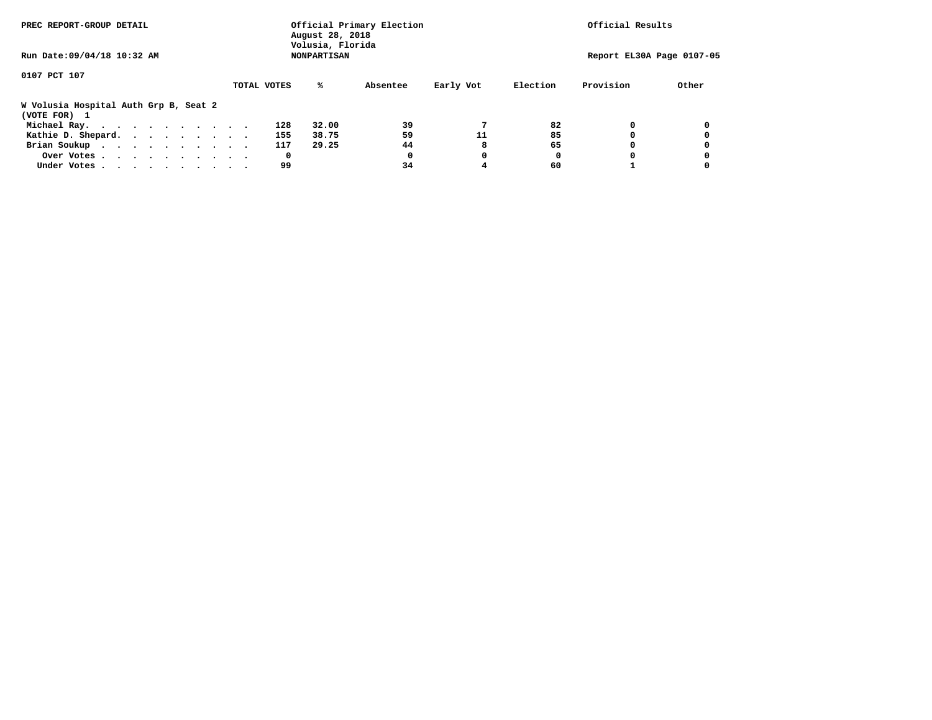| PREC REPORT-GROUP DETAIL                              |             | Official Primary Election<br>August 28, 2018<br>Volusia, Florida | Official Results |           |          |                           |       |
|-------------------------------------------------------|-------------|------------------------------------------------------------------|------------------|-----------|----------|---------------------------|-------|
| Run Date: 09/04/18 10:32 AM                           |             | <b>NONPARTISAN</b>                                               |                  |           |          | Report EL30A Page 0107-05 |       |
| 0107 PCT 107                                          |             |                                                                  |                  |           |          |                           |       |
|                                                       | TOTAL VOTES | ℁                                                                | Absentee         | Early Vot | Election | Provision                 | Other |
| W Volusia Hospital Auth Grp B, Seat 2<br>(VOTE FOR) 1 |             |                                                                  |                  |           |          |                           |       |
| Michael Ray.                                          |             | 128<br>32.00                                                     | 39               |           | 82       |                           |       |
| Kathie D. Shepard.                                    |             | 155<br>38.75                                                     | 59               | 11        | 85       |                           |       |
| Brian Soukup                                          |             | 117<br>29.25                                                     | 44               |           | 65       |                           |       |
| Over Votes                                            |             | 0                                                                | 0                | 0         | 0        |                           |       |
| Under Votes                                           |             | 99                                                               | 34               | 4         | 60       |                           |       |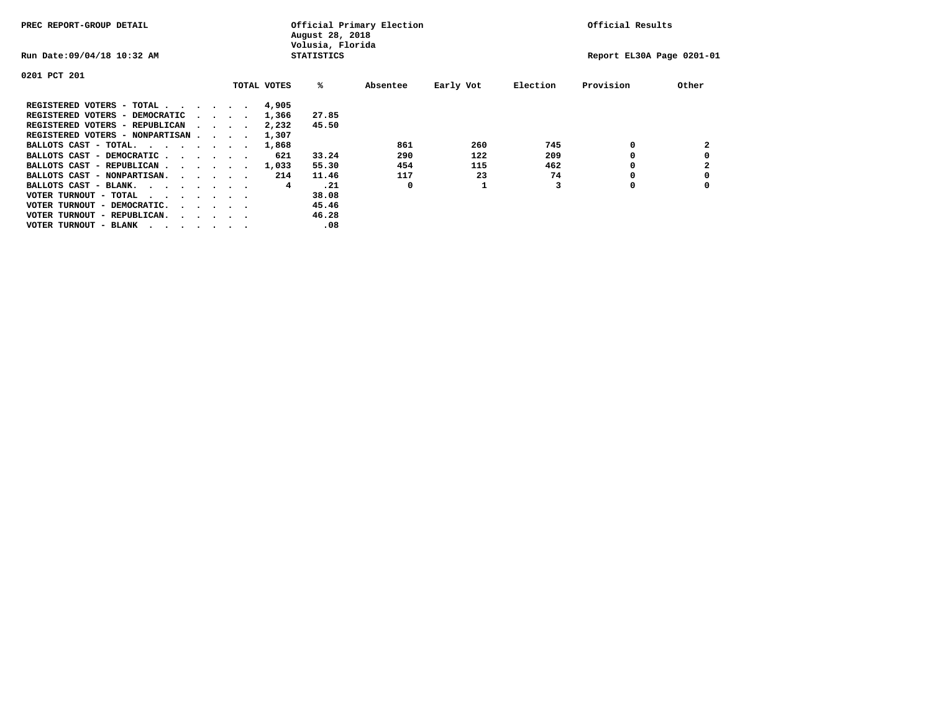| PREC REPORT-GROUP DETAIL                                               |  |                             |             | August 28, 2018<br>Volusia, Florida | Official Primary Election |           |          | Official Results          |       |
|------------------------------------------------------------------------|--|-----------------------------|-------------|-------------------------------------|---------------------------|-----------|----------|---------------------------|-------|
| Run Date: 09/04/18 10:32 AM                                            |  |                             |             | <b>STATISTICS</b>                   |                           |           |          | Report EL30A Page 0201-01 |       |
| 0201 PCT 201                                                           |  |                             |             |                                     |                           |           |          |                           |       |
|                                                                        |  |                             | TOTAL VOTES | %ะ                                  | Absentee                  | Early Vot | Election | Provision                 | Other |
| REGISTERED VOTERS - TOTAL                                              |  |                             | 4,905       |                                     |                           |           |          |                           |       |
| REGISTERED VOTERS - DEMOCRATIC                                         |  | $\sim$ $\sim$ $\sim$ $\sim$ | 1,366       | 27.85                               |                           |           |          |                           |       |
| REGISTERED VOTERS - REPUBLICAN                                         |  |                             | 2,232       | 45.50                               |                           |           |          |                           |       |
| REGISTERED VOTERS - NONPARTISAN                                        |  |                             | 1,307       |                                     |                           |           |          |                           |       |
| BALLOTS CAST - TOTAL.                                                  |  |                             | 1,868       |                                     | 861                       | 260       | 745      | 0                         | 2     |
| BALLOTS CAST - DEMOCRATIC                                              |  |                             | 621         | 33.24                               | 290                       | 122       | 209      |                           |       |
| BALLOTS CAST - REPUBLICAN                                              |  |                             | 1,033       | 55.30                               | 454                       | 115       | 462      | 0                         |       |
| BALLOTS CAST - NONPARTISAN.                                            |  |                             | 214         | 11.46                               | 117                       | 23        | 74       |                           |       |
| BALLOTS CAST - BLANK.                                                  |  |                             | 4           | .21                                 | 0                         |           |          | 0                         |       |
| VOTER TURNOUT - TOTAL<br>.                                             |  |                             |             | 38.08                               |                           |           |          |                           |       |
| VOTER TURNOUT - DEMOCRATIC.<br>$\cdot$ $\cdot$ $\cdot$ $\cdot$ $\cdot$ |  |                             |             | 45.46                               |                           |           |          |                           |       |
| VOTER TURNOUT - REPUBLICAN.<br>$\cdot$                                 |  |                             |             | 46.28                               |                           |           |          |                           |       |
| VOTER TURNOUT - BLANK                                                  |  |                             |             | .08                                 |                           |           |          |                           |       |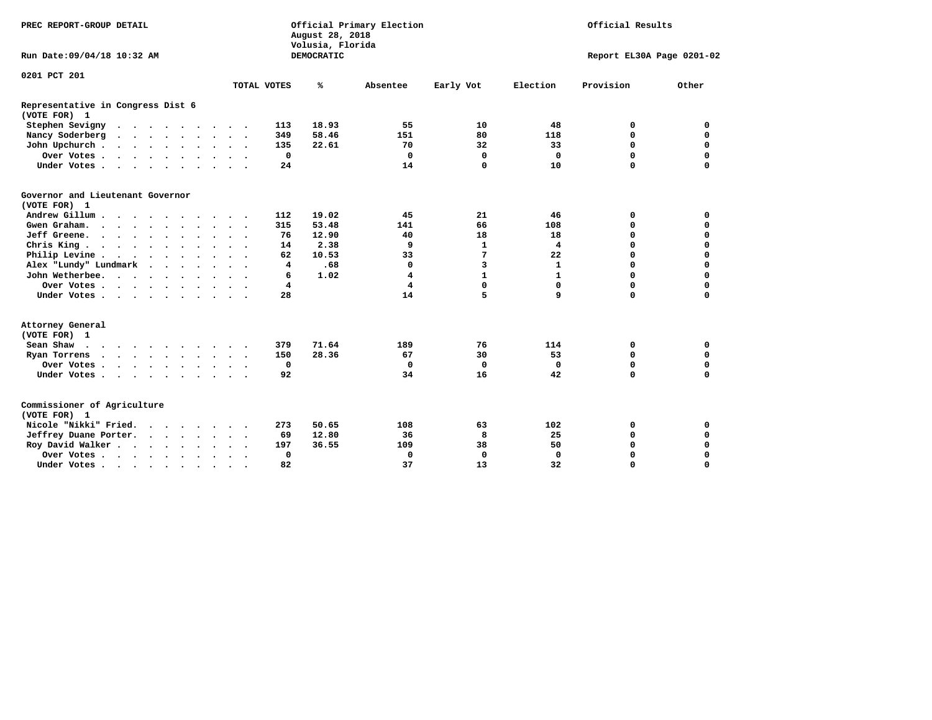| PREC REPORT-GROUP DETAIL                          |                                                  | Official Primary Election<br>August 28, 2018<br>Volusia, Florida | Official Results                        |                           |             |             |  |
|---------------------------------------------------|--------------------------------------------------|------------------------------------------------------------------|-----------------------------------------|---------------------------|-------------|-------------|--|
| Run Date: 09/04/18 10:32 AM                       |                                                  | DEMOCRATIC                                                       |                                         | Report EL30A Page 0201-02 |             |             |  |
| 0201 PCT 201                                      |                                                  |                                                                  |                                         |                           |             |             |  |
|                                                   | TOTAL VOTES                                      | %<br>Absentee                                                    | Early Vot                               | Election                  | Provision   | Other       |  |
| Representative in Congress Dist 6<br>(VOTE FOR) 1 |                                                  |                                                                  |                                         |                           |             |             |  |
| Stephen Sevigny                                   | 113                                              | 18.93                                                            | 55<br>10                                | 48                        | 0           | 0           |  |
| Nancy Soderberg<br>$\cdots$                       | 349                                              | 58.46<br>151                                                     | 80                                      | 118                       | $\Omega$    | $\mathbf 0$ |  |
| John Upchurch                                     | 135                                              | 22.61                                                            | 32<br>70                                | 33                        | $\mathbf 0$ | $\mathbf 0$ |  |
| Over Votes.                                       | $\mathbf 0$                                      |                                                                  | $\mathbf 0$<br>$\mathbf 0$              | $\mathbf 0$               | $\mathbf 0$ | $\mathbf 0$ |  |
| Under Votes                                       | 24                                               |                                                                  | 0<br>14                                 | 10                        | $\Omega$    | $\Omega$    |  |
| Governor and Lieutenant Governor<br>(VOTE FOR) 1  |                                                  |                                                                  |                                         |                           |             |             |  |
| Andrew Gillum                                     | 112                                              | 19.02                                                            | 21<br>45                                | 46                        | 0           | $\mathbf 0$ |  |
| Gwen Graham.                                      | 315                                              | 53.48<br>141                                                     | 66                                      | 108                       | $\mathbf 0$ | $\mathbf 0$ |  |
| Jeff Greene.                                      | 76                                               | 12.90                                                            | 18<br>40                                | 18                        | 0           | $\mathbf 0$ |  |
| Chris King                                        | 14                                               | 2.38                                                             | $\mathbf{1}$<br>9                       | $\overline{4}$            | 0           | $\mathbf 0$ |  |
| Philip Levine                                     | 62                                               | 10.53                                                            | 7<br>33                                 | 22                        | $\mathbf 0$ | $\mathbf 0$ |  |
| Alex "Lundy" Lundmark                             | 4                                                | .68                                                              | 3<br>0                                  | $\mathbf{1}$              | $\mathbf 0$ | $\mathbf 0$ |  |
| John Wetherbee.                                   | 6                                                | 1.02                                                             | $\overline{\mathbf{4}}$<br>$\mathbf{1}$ | $\mathbf{1}$              | $\mathbf 0$ | $\mathbf 0$ |  |
| Over Votes                                        | 4                                                |                                                                  | 0<br>4                                  | 0                         | $\mathbf 0$ | $\mathbf 0$ |  |
| Under Votes                                       | 28                                               |                                                                  | 5<br>14                                 | 9                         | $\Omega$    | $\mathbf 0$ |  |
| Attorney General<br>(VOTE FOR) 1                  |                                                  |                                                                  |                                         |                           |             |             |  |
| Sean Shaw                                         | 379                                              | 71.64<br>189                                                     | 76                                      | 114                       | 0           | 0           |  |
| Ryan Torrens<br>$\cdots$                          | 150                                              | 28.36                                                            | 30<br>67                                | 53                        | 0           | 0           |  |
| Over Votes                                        | $\mathbf 0$<br>$\bullet$<br>$\cdot$ $\cdot$      |                                                                  | 0<br>0                                  | $\mathbf 0$               | 0           | $\mathbf 0$ |  |
| Under Votes                                       | 92                                               |                                                                  | 16<br>34                                | 42                        | $\mathbf 0$ | $\Omega$    |  |
| Commissioner of Agriculture<br>(VOTE FOR) 1       |                                                  |                                                                  |                                         |                           |             |             |  |
| Nicole "Nikki" Fried.                             | 273                                              | 50.65<br>108                                                     | 63                                      | 102                       | 0           | 0           |  |
| Jeffrey Duane Porter.                             | 69                                               | 12.80                                                            | 8<br>36                                 | 25                        | 0           | $\mathbf 0$ |  |
| Roy David Walker                                  | 197                                              | 36.55<br>109                                                     | 38                                      | 50                        | $\mathbf 0$ | $\mathbf 0$ |  |
| Over Votes                                        | $\mathbf 0$<br>$\bullet$<br>$\bullet$<br>$\cdot$ |                                                                  | $\mathbf 0$<br>$\mathbf 0$              | $\Omega$                  | $\Omega$    | $\mathbf 0$ |  |
| Under Votes                                       | 82<br>$\bullet$                                  |                                                                  | 37<br>13                                | 32                        | 0           | $\mathbf 0$ |  |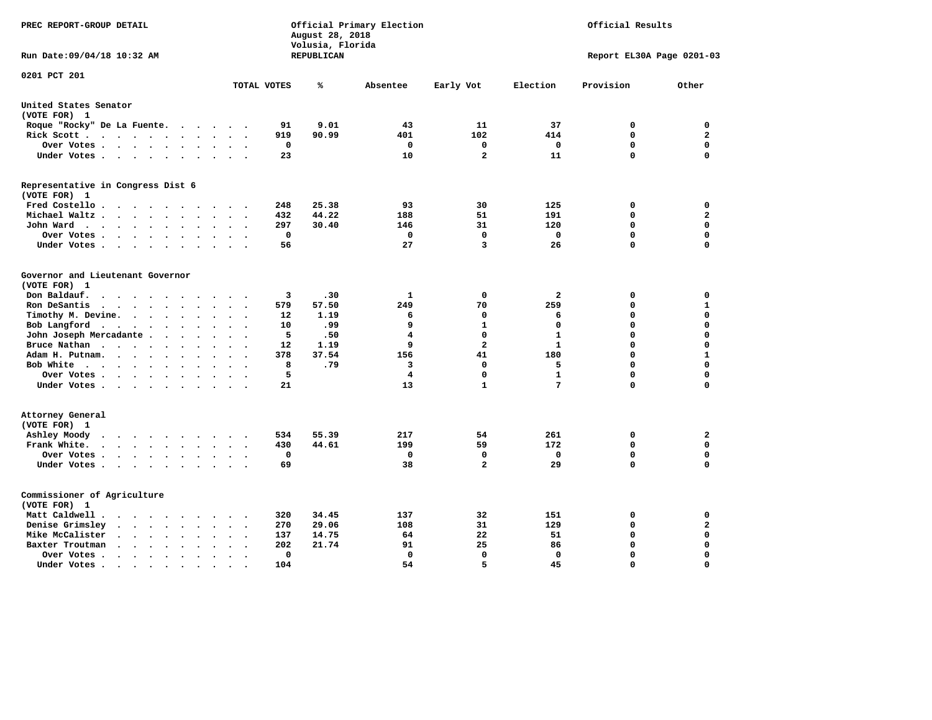| PREC REPORT-GROUP DETAIL                                                                                                                                                |                                                         | August 28, 2018<br>Volusia, Florida | Official Primary Election | Official Results    |                   |                           |                            |
|-------------------------------------------------------------------------------------------------------------------------------------------------------------------------|---------------------------------------------------------|-------------------------------------|---------------------------|---------------------|-------------------|---------------------------|----------------------------|
| Run Date: 09/04/18 10:32 AM                                                                                                                                             |                                                         | <b>REPUBLICAN</b>                   |                           |                     |                   | Report EL30A Page 0201-03 |                            |
| 0201 PCT 201                                                                                                                                                            | TOTAL VOTES                                             | ℁                                   | Absentee                  | Early Vot           | Election          | Provision                 | Other                      |
| United States Senator                                                                                                                                                   |                                                         |                                     |                           |                     |                   |                           |                            |
| (VOTE FOR) 1                                                                                                                                                            |                                                         |                                     |                           |                     |                   |                           |                            |
| Roque "Rocky" De La Fuente.<br>$\sim$<br>$\ddot{\phantom{a}}$<br>$\ddot{\phantom{1}}$                                                                                   | 91<br>$\ddot{\phantom{a}}$                              | 9.01                                | 43                        | 11                  | 37                | 0                         | 0                          |
| Rick Scott<br>$\bullet$<br>$\bullet$                                                                                                                                    | 919                                                     | 90.99                               | 401                       | 102                 | 414               | $\mathbf 0$               | $\mathbf{2}$               |
| Over Votes<br>$\ddot{\phantom{1}}$<br>$\cdot$                                                                                                                           | 0<br>$\bullet$<br>$\overline{\phantom{a}}$              |                                     | $\mathbf 0$               | 0                   | 0                 | $\mathbf 0$               | $\mathbf 0$                |
| Under Votes<br>$\sim$<br>$\sim$                                                                                                                                         | 23<br>$\ddot{\phantom{a}}$                              |                                     | 10                        | $\overline{a}$      | 11                | $\mathbf 0$               | $\mathbf 0$                |
| Representative in Congress Dist 6<br>(VOTE FOR) 1                                                                                                                       |                                                         |                                     |                           |                     |                   |                           |                            |
| Fred Costello.<br>$\sim$ $\sim$                                                                                                                                         | 248                                                     | 25.38                               | 93                        | 30                  | 125               | 0                         | 0                          |
| Michael Waltz<br>$\ddot{\phantom{a}}$                                                                                                                                   | 432                                                     | 44.22                               | 188                       | 51                  | 191               | 0                         | $\mathbf{2}$               |
| John Ward<br>$\bullet$<br>$\ddot{\phantom{1}}$<br>$\bullet$                                                                                                             | 297<br>$\bullet$                                        | 30.40                               | 146                       | 31                  | 120               | 0                         | $\mathbf 0$                |
| Over Votes .<br>$\sim$ $\sim$<br>$\ddot{\phantom{0}}$<br>$\cdot$<br>$\bullet$                                                                                           | 0<br>$\ddot{\phantom{0}}$                               |                                     | 0                         | $\mathbf 0$         | 0                 | 0                         | 0                          |
| Under Votes<br>$\sim$<br>$\bullet$                                                                                                                                      | 56                                                      |                                     | 27                        | 3                   | 26                | $\mathbf 0$               | $\Omega$                   |
| Governor and Lieutenant Governor<br>(VOTE FOR) 1<br>Don Baldauf.<br>$\cdot$ $\cdot$ $\cdot$                                                                             | 3                                                       | .30                                 | 1                         | 0                   | $\mathbf{2}$      | 0                         | $\mathbf 0$                |
| Ron DeSantis<br>$\cdot$ $\cdot$ $\cdot$<br>$\bullet$                                                                                                                    | 579                                                     | 57.50                               | 249                       | 70                  | 259               | $\mathbf 0$               | $\mathbf{1}$               |
| Timothy M. Devine. .<br>$\sim$<br>$\ddot{\phantom{a}}$<br>$\bullet$<br>$\bullet$<br>$\ddot{\phantom{0}}$                                                                | 12<br>$\ddot{\phantom{a}}$                              | 1.19                                | 6                         | $\mathbf 0$         | 6                 | $\mathbf 0$               | $\mathbf 0$                |
| Bob Langford<br>$\ddot{\phantom{1}}$<br>$\bullet$<br>$\bullet$<br>$\bullet$                                                                                             | 10                                                      | .99                                 | 9                         | $\mathbf{1}$        | $\mathbf 0$       | 0                         | $\mathbf 0$                |
| John Joseph Mercadante .<br>$\ddot{\phantom{a}}$<br>$\bullet$<br>$\ddot{\phantom{a}}$                                                                                   | 5<br>$\overline{\phantom{a}}$                           | .50                                 | 4                         | $\mathbf 0$         | $\mathbf{1}$      | $\mathbf 0$               | $\mathbf 0$                |
| Bruce Nathan<br>$\cdot \cdot \cdot \cdot$<br>$\bullet$<br>$\bullet$<br>$\bullet$<br>$\ddot{\phantom{a}}$                                                                | 12<br>$\overline{\phantom{a}}$                          | 1.19                                | 9                         | $\overline{a}$      | $\mathbf{1}$      | 0                         | $\mathbf 0$                |
| Adam H. Putnam.<br>$\ddot{\phantom{0}}$<br>$\sim$ $\sim$<br>$\bullet$                                                                                                   | 378                                                     | 37.54                               | 156                       | 41                  | 180               | 0                         | $\mathbf{1}$               |
| Bob White<br>$\bullet$<br>$\overline{\phantom{a}}$<br>$\bullet$                                                                                                         | 8<br>$\ddot{\phantom{a}}$                               | .79                                 | 3                         | $\mathbf 0$         | 5                 | $\mathbf 0$               | $\mathbf 0$                |
| Over Votes .<br>$\bullet$ .<br><br><br><br><br><br><br><br><br><br><br><br><br><br>$\bullet$<br>$\bullet$                                                               | 5                                                       |                                     | 4                         | $\Omega$            | $\mathbf{1}$      | $\mathbf 0$               | $\mathbf 0$                |
| Under Votes                                                                                                                                                             | 21<br>$\ddot{\phantom{a}}$                              |                                     | 13                        | $\mathbf{1}$        | 7                 | $\mathbf 0$               | 0                          |
| Attorney General<br>(VOTE FOR) 1                                                                                                                                        |                                                         |                                     |                           |                     |                   |                           |                            |
| Ashley Moody<br>$\cdot$ $\cdot$ $\cdot$ $\cdot$ $\cdot$<br>$\cdot$<br>$\cdot$<br>$\bullet$                                                                              | 534                                                     | 55.39                               | 217                       | 54                  | 261               | 0                         | $\mathbf{2}$               |
| Frank White.<br>$\cdot$ $\cdot$ $\cdot$ $\cdot$ $\cdot$<br>$\bullet$<br>$\bullet$                                                                                       | 430                                                     | 44.61                               | 199                       | 59                  | 172               | $\mathbf 0$               | $\mathbf 0$                |
| Over Votes.<br>$\mathbf{r} = \mathbf{r} + \mathbf{r} + \mathbf{r} + \mathbf{r}$<br>$\ddot{\phantom{0}}$<br>$\bullet$<br>$\bullet$<br>Under Votes<br>$\sim$<br>$\bullet$ | 0<br>$\ddot{\phantom{a}}$<br>69<br>$\ddot{\phantom{a}}$ |                                     | 0<br>38                   | 0<br>$\overline{a}$ | $\mathbf 0$<br>29 | 0<br>0                    | $\mathbf 0$<br>$\mathbf 0$ |
| Commissioner of Agriculture<br>(VOTE FOR) 1                                                                                                                             |                                                         |                                     |                           |                     |                   |                           |                            |
| Matt Caldwell.<br>$\begin{array}{cccccccccccccc} \bullet & \bullet & \bullet & \bullet & \bullet & \bullet & \bullet \end{array}$                                       | 320                                                     | 34.45                               | 137                       | 32                  | 151               | 0                         | 0                          |
| Denise Grimsley<br>$\ddot{\phantom{a}}$<br>$\ddot{\phantom{a}}$                                                                                                         | 270                                                     | 29.06                               | 108                       | 31                  | 129               | $\mathbf 0$               | $\mathbf{2}$               |
| Mike McCalister<br>$\ddot{\phantom{1}}$<br>$\sim$<br>$\bullet$<br>$\bullet$<br>$\ddot{\phantom{a}}$                                                                     | 137<br>$\bullet$                                        | 14.75                               | 64                        | 22                  | 51                | 0                         | $\mathbf 0$                |
| Baxter Troutman<br>$\ddot{\phantom{1}}$<br>$\cdot$                                                                                                                      | 202                                                     | 21.74                               | 91                        | 25                  | 86                | $\mathbf 0$               | $\mathbf 0$                |
| Over Votes.<br>$\sim$ $\sim$<br>$\ddot{\phantom{1}}$<br>$\Delta$<br>$\cdot$                                                                                             | 0<br>$\bullet$                                          |                                     | $\mathbf 0$               | $\mathbf 0$         | $\mathbf 0$       | $\mathbf 0$               | $\mathbf 0$                |
| Under Votes.<br>$\bullet$ . $\bullet$<br>$\sim$ $\sim$<br>$\bullet$<br>$\bullet$<br>$\bullet$                                                                           | 104                                                     |                                     | 54                        | 5                   | 45                | $\Omega$                  | $\Omega$                   |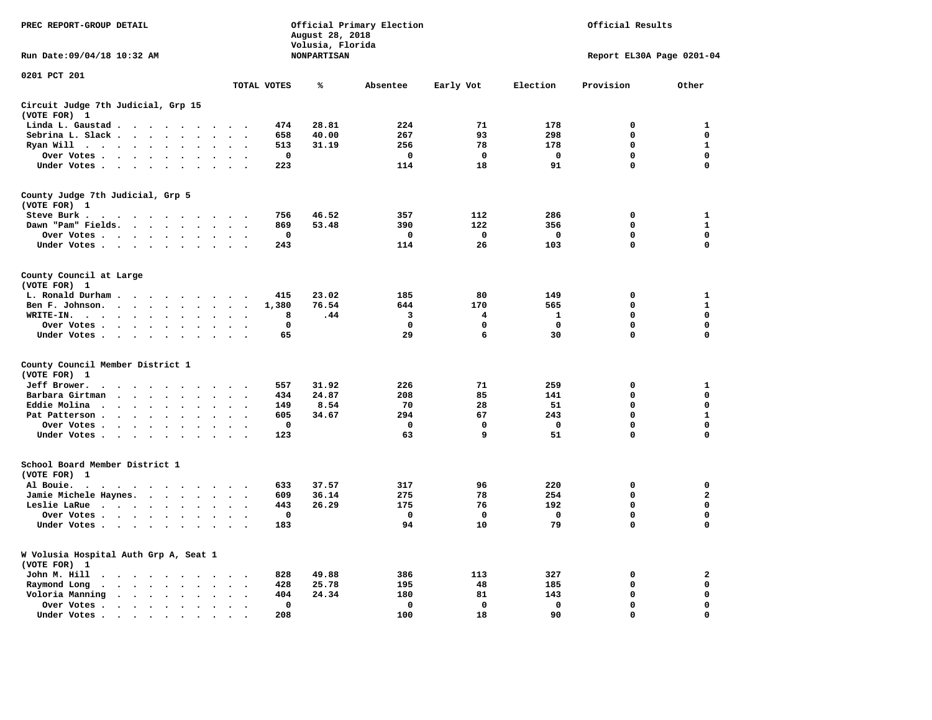| PREC REPORT-GROUP DETAIL                                                                                                                |                                                                | August 28, 2018<br>Volusia, Florida | Official Primary Election |             |             | Official Results           |                   |
|-----------------------------------------------------------------------------------------------------------------------------------------|----------------------------------------------------------------|-------------------------------------|---------------------------|-------------|-------------|----------------------------|-------------------|
| Run Date: 09/04/18 10:32 AM                                                                                                             |                                                                | <b>NONPARTISAN</b>                  |                           |             |             | Report EL30A Page 0201-04  |                   |
| 0201 PCT 201                                                                                                                            | TOTAL VOTES                                                    | ℁                                   | Absentee                  | Early Vot   | Election    | Provision                  | Other             |
| Circuit Judge 7th Judicial, Grp 15                                                                                                      |                                                                |                                     |                           |             |             |                            |                   |
| (VOTE FOR) 1                                                                                                                            |                                                                |                                     |                           |             |             |                            |                   |
| Linda L. Gaustad                                                                                                                        | 474                                                            | 28.81                               | 224                       | 71          | 178         | 0                          | 1                 |
| Sebrina L. Slack<br>$\ddot{\phantom{a}}$                                                                                                | 658<br>$\ddot{\phantom{a}}$<br>513                             | 40.00                               | 267<br>256                | 93<br>78    | 298         | $\mathbf 0$<br>$\mathbf 0$ | 0<br>$\mathbf{1}$ |
| Ryan Will $\cdots$ $\cdots$<br>Over Votes                                                                                               | 0                                                              | 31.19                               | 0                         | 0           | 178<br>0    | 0                          | 0                 |
| Under Votes                                                                                                                             | 223<br>$\sim$                                                  |                                     | 114                       | 18          | 91          | 0                          | $\mathbf 0$       |
|                                                                                                                                         |                                                                |                                     |                           |             |             |                            |                   |
| County Judge 7th Judicial, Grp 5<br>(VOTE FOR) 1                                                                                        |                                                                |                                     |                           |             |             |                            |                   |
| Steve Burk.<br>.                                                                                                                        | 756                                                            | 46.52                               | 357                       | 112         | 286         | $\mathbf 0$                | $\mathbf{1}$      |
| Dawn "Pam" Fields.<br>$\sim$                                                                                                            | 869                                                            | 53.48                               | 390                       | 122         | 356         | $\mathbf 0$                | $\mathbf{1}$      |
| Over Votes                                                                                                                              | $\mathbf 0$                                                    |                                     | $\mathbf 0$               | 0           | 0           | 0                          | 0                 |
| Under Votes                                                                                                                             | 243<br>$\cdot$ .                                               |                                     | 114                       | 26          | 103         | $\mathbf 0$                | 0                 |
| County Council at Large<br>(VOTE FOR) 1                                                                                                 |                                                                |                                     |                           |             |             |                            |                   |
| L. Ronald Durham                                                                                                                        | 415                                                            | 23.02                               | 185                       | 80          | 149         | $\mathbf 0$                | 1                 |
| Ben F. Johnson.                                                                                                                         | 1,380<br>$\ddot{\phantom{a}}$<br>$\sim$                        | 76.54                               | 644                       | 170         | 565         | 0                          | 1                 |
| WRITE-IN.                                                                                                                               | 8                                                              | .44                                 | 3                         | 4           | 1           | 0                          | 0                 |
| Over Votes                                                                                                                              | $\mathbf 0$<br>$\sim$<br>$\sim$<br>$\overline{\phantom{a}}$    |                                     | $\mathbf 0$               | 0           | $\mathbf 0$ | $\mathbf 0$                | $\mathbf 0$       |
| Under Votes                                                                                                                             | 65<br>$\sim$<br>$\overline{\phantom{a}}$                       |                                     | 29                        | 6           | 30          | $\mathbf 0$                | $\mathbf 0$       |
| County Council Member District 1                                                                                                        |                                                                |                                     |                           |             |             |                            |                   |
| (VOTE FOR) 1                                                                                                                            |                                                                |                                     |                           |             |             |                            |                   |
| Jeff Brower.<br>$\cdot$ $\cdot$ $\cdot$ $\cdot$<br>$\cdot$<br>$\sim$ $\sim$                                                             | 557<br>$\sim$                                                  | 31.92                               | 226                       | 71          | 259         | $\mathbf 0$                | 1                 |
| Barbara Girtman<br>$\cdots$<br>$\sim$<br>$\ddot{\phantom{a}}$                                                                           | 434                                                            | 24.87                               | 208                       | 85          | 141         | $\mathbf 0$                | 0                 |
| Eddie Molina<br>$\cdots$<br>$\sim$<br>$\ddot{\phantom{a}}$                                                                              | 149                                                            | 8.54                                | 70                        | 28          | 51          | 0                          | 0                 |
| Pat Patterson.<br><b>Contract Contract Contract</b><br>$\ddot{\phantom{1}}$<br>$\ddot{\phantom{a}}$                                     | 605                                                            | 34.67                               | 294                       | 67          | 243         | 0                          | $\mathbf{1}$      |
| Over Votes                                                                                                                              | 0                                                              |                                     | 0                         | 0           | 0           | $\mathbf 0$                | $\mathbf 0$       |
| Under Votes<br>$\sim$<br>$\ddot{\phantom{0}}$<br>$\ddot{\phantom{a}}$<br>$\ddot{\phantom{a}}$<br>$\ddot{\phantom{a}}$                   | 123                                                            |                                     | 63                        | 9           | 51          | $\mathbf 0$                | 0                 |
| School Board Member District 1<br>(VOTE FOR) 1                                                                                          |                                                                |                                     |                           |             |             |                            |                   |
| Al Bouie.<br>$\cdot$<br>the contract of the contract of the contract of the contract of the contract of the contract of the contract of | 633                                                            | 37.57                               | 317                       | 96          | 220         | $\mathbf 0$                | $\mathbf 0$       |
| Jamie Michele Haynes.                                                                                                                   | 609<br>$\ddot{\phantom{a}}$<br>$\ddot{\phantom{0}}$            | 36.14                               | 275                       | 78          | 254         | $\mathbf 0$                | $\mathbf{2}$      |
| Leslie LaRue                                                                                                                            | 443<br>$\bullet$ .                                             | 26.29                               | 175                       | 76          | 192         | $\mathbf 0$                | $\mathbf 0$       |
| Over Votes<br>$\ddot{\phantom{0}}$                                                                                                      | $\mathbf 0$                                                    |                                     | 0                         | 0           | $\mathbf 0$ | 0                          | 0                 |
| Under Votes                                                                                                                             | 183<br>$\sim$ $\sim$                                           |                                     | 94                        | 10          | 79          | 0                          | $\Omega$          |
| W Volusia Hospital Auth Grp A, Seat 1<br>(VOTE FOR) 1                                                                                   |                                                                |                                     |                           |             |             |                            |                   |
| John M. Hill<br>$\ddot{\phantom{0}}$<br>$\cdots$<br>$\cdot$                                                                             | 828                                                            | 49.88                               | 386                       | 113         | 327         | 0                          | 2                 |
| Raymond Long<br>$\cdot$ $\cdot$ $\cdot$ $\cdot$ $\cdot$<br>$\ddot{\phantom{0}}$<br>$\ddot{\phantom{a}}$                                 | 428<br>$\cdot$<br>$\ddot{\phantom{a}}$<br>$\ddot{\phantom{0}}$ | 25.78                               | 195                       | 48          | 185         | $\mathbf 0$                | $\mathbf 0$       |
| Voloria Manning<br>$\cdots$                                                                                                             | 404                                                            | 24.34                               | 180                       | 81          | 143         | $\mathbf 0$                | 0                 |
| Over Votes.<br>$\cdot$ $\cdot$ $\cdot$ $\cdot$ $\cdot$<br>$\cdot$                                                                       | $\mathbf 0$<br>$\cdot$<br>$\bullet$                            |                                     | $\mathbf 0$               | $\mathbf 0$ | $\mathbf 0$ | $\mathbf 0$                | $\mathbf 0$       |
| Under Votes<br>$\cdot$                                                                                                                  | 208                                                            |                                     | 100                       | 18          | 90          | $\mathbf 0$                | $\mathbf 0$       |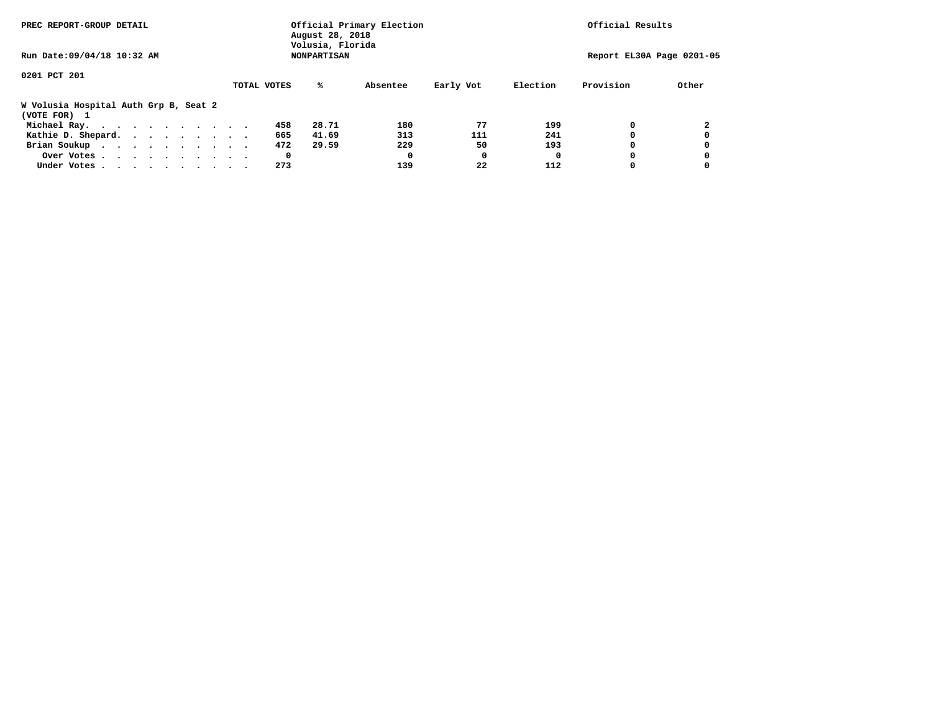| PREC REPORT-GROUP DETAIL                              |             | Official Primary Election<br>August 28, 2018<br>Volusia, Florida | Official Results |           |          |           |                           |
|-------------------------------------------------------|-------------|------------------------------------------------------------------|------------------|-----------|----------|-----------|---------------------------|
| Run Date: 09/04/18 10:32 AM                           |             | <b>NONPARTISAN</b>                                               |                  |           |          |           | Report EL30A Page 0201-05 |
| 0201 PCT 201                                          |             |                                                                  |                  |           |          |           |                           |
|                                                       | TOTAL VOTES | %ะ                                                               | Absentee         | Early Vot | Election | Provision | Other                     |
| W Volusia Hospital Auth Grp B, Seat 2<br>(VOTE FOR) 1 |             |                                                                  |                  |           |          |           |                           |
| Michael Ray.                                          |             | 28.71<br>458                                                     | 180              | 77        | 199      |           |                           |
| Kathie D. Shepard.                                    |             | 665<br>41.69                                                     | 313              | 111       | 241      |           |                           |
| Brian Soukup                                          |             | 29.59<br>472                                                     | 229              | 50        | 193      |           |                           |
| Over Votes                                            |             | 0                                                                | O                | 0         | O        |           |                           |
| Under Votes                                           |             | 273                                                              | 139              | 22        | 112      |           |                           |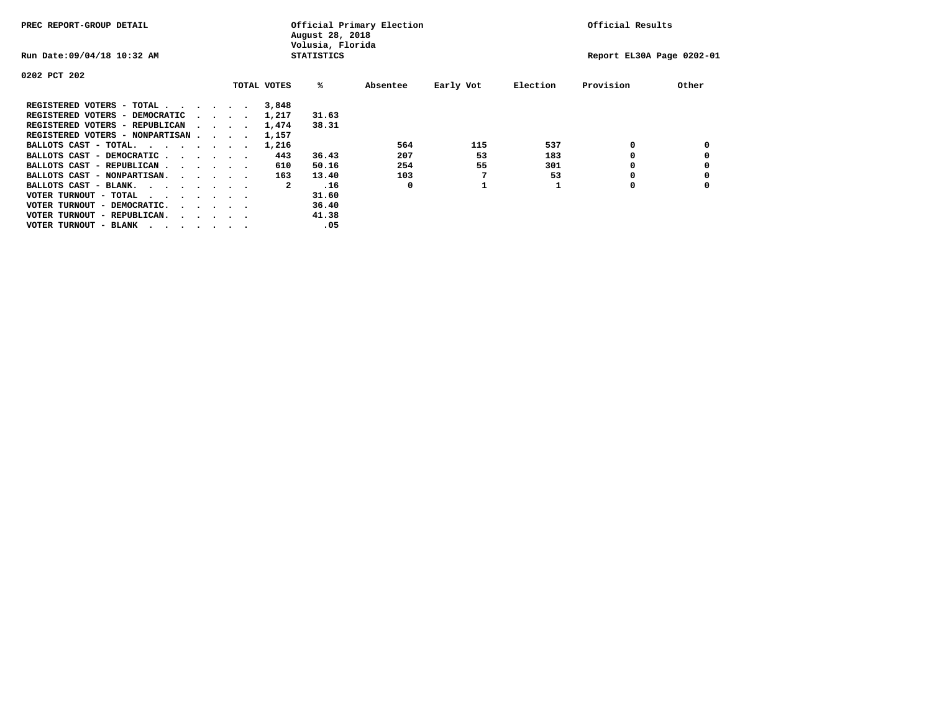| PREC REPORT-GROUP DETAIL               |  |                                         |             | August 28, 2018<br>Volusia, Florida | Official Primary Election |           |          | Official Results          |       |
|----------------------------------------|--|-----------------------------------------|-------------|-------------------------------------|---------------------------|-----------|----------|---------------------------|-------|
| Run Date: 09/04/18 10:32 AM            |  |                                         |             | <b>STATISTICS</b>                   |                           |           |          | Report EL30A Page 0202-01 |       |
| 0202 PCT 202                           |  |                                         |             |                                     |                           |           |          |                           |       |
|                                        |  |                                         | TOTAL VOTES | %ะ                                  | Absentee                  | Early Vot | Election | Provision                 | Other |
| REGISTERED VOTERS - TOTAL              |  |                                         | 3,848       |                                     |                           |           |          |                           |       |
| REGISTERED VOTERS - DEMOCRATIC         |  | $\sim$ $\sim$ $\sim$ $\sim$             | 1,217       | 31.63                               |                           |           |          |                           |       |
| REGISTERED VOTERS - REPUBLICAN         |  |                                         | 1,474       | 38.31                               |                           |           |          |                           |       |
| REGISTERED VOTERS - NONPARTISAN        |  |                                         | 1,157       |                                     |                           |           |          |                           |       |
| BALLOTS CAST - TOTAL.                  |  |                                         | 1,216       |                                     | 564                       | 115       | 537      | 0                         |       |
| BALLOTS CAST - DEMOCRATIC              |  |                                         | 443         | 36.43                               | 207                       | 53        | 183      |                           |       |
| BALLOTS CAST - REPUBLICAN              |  |                                         | 610         | 50.16                               | 254                       | 55        | 301      |                           |       |
| BALLOTS CAST - NONPARTISAN.            |  |                                         | 163         | 13.40                               | 103                       |           | 53       |                           |       |
| BALLOTS CAST - BLANK.                  |  |                                         | 2           | .16                                 | 0                         |           |          | 0                         |       |
| VOTER TURNOUT - TOTAL<br>.             |  |                                         |             | 31.60                               |                           |           |          |                           |       |
| VOTER TURNOUT - DEMOCRATIC.            |  | $\cdot$ $\cdot$ $\cdot$ $\cdot$ $\cdot$ |             | 36.40                               |                           |           |          |                           |       |
| VOTER TURNOUT - REPUBLICAN.<br>$\cdot$ |  |                                         |             | 41.38                               |                           |           |          |                           |       |
| VOTER TURNOUT - BLANK                  |  |                                         |             | .05                                 |                           |           |          |                           |       |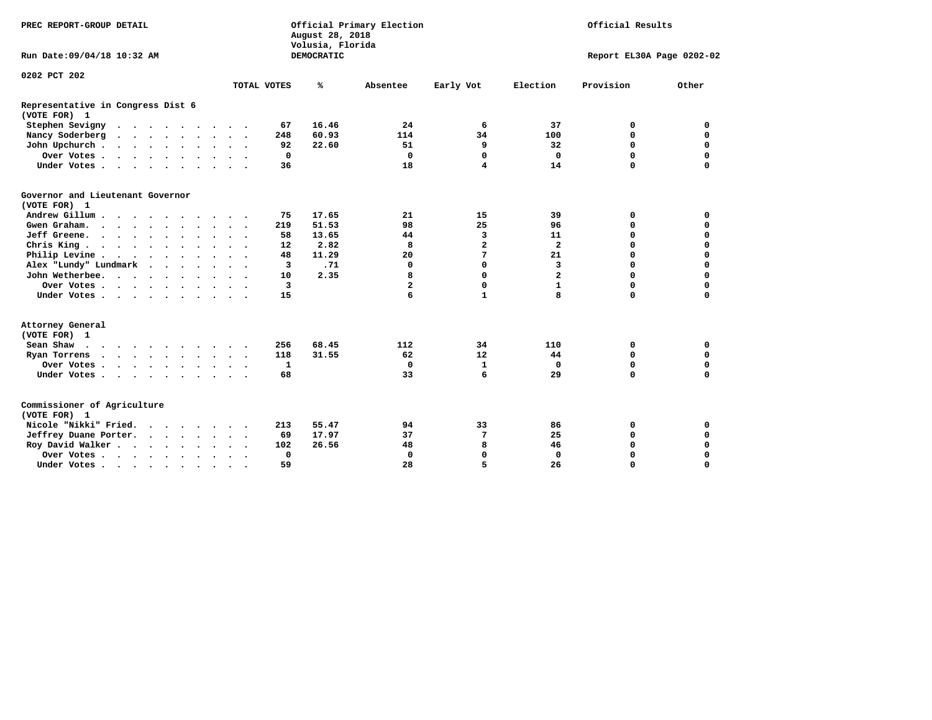| PREC REPORT-GROUP DETAIL                          |               |           |                      |                      |                      |             | August 28, 2018<br>Volusia, Florida | Official Primary Election | Official Results        |                |                           |             |  |  |  |
|---------------------------------------------------|---------------|-----------|----------------------|----------------------|----------------------|-------------|-------------------------------------|---------------------------|-------------------------|----------------|---------------------------|-------------|--|--|--|
| Run Date: 09/04/18 10:32 AM                       |               |           |                      |                      |                      |             | DEMOCRATIC                          |                           |                         |                | Report EL30A Page 0202-02 |             |  |  |  |
| 0202 PCT 202                                      |               |           |                      |                      |                      |             |                                     |                           |                         |                |                           |             |  |  |  |
|                                                   |               |           |                      |                      |                      | TOTAL VOTES | ℁                                   | Absentee                  | Early Vot               | Election       | Provision                 | Other       |  |  |  |
| Representative in Congress Dist 6<br>(VOTE FOR) 1 |               |           |                      |                      |                      |             |                                     |                           |                         |                |                           |             |  |  |  |
| Stephen Sevigny                                   |               |           |                      |                      |                      | 67          | 16.46                               | 24                        | 6                       | 37             | 0                         | 0           |  |  |  |
| Nancy Soderberg                                   |               |           |                      |                      |                      | 248         | 60.93                               | 114                       | 34                      | 100            | 0                         | $\mathbf 0$ |  |  |  |
| John Upchurch                                     |               |           |                      |                      |                      | 92          | 22.60                               | 51                        | 9                       | 32             | 0                         | $\mathbf 0$ |  |  |  |
| Over Votes                                        |               |           |                      |                      |                      | $\mathbf 0$ |                                     | $\mathbf 0$               | $\mathbf 0$             | $\Omega$       | 0                         | $\mathbf 0$ |  |  |  |
| Under Votes                                       |               |           |                      |                      |                      | 36          |                                     | 18                        | $\overline{\mathbf{4}}$ | 14             | $\Omega$                  | $\Omega$    |  |  |  |
| Governor and Lieutenant Governor<br>(VOTE FOR) 1  |               |           |                      |                      |                      |             |                                     |                           |                         |                |                           |             |  |  |  |
| Andrew Gillum                                     |               |           |                      | $\ddot{\phantom{1}}$ |                      | 75          | 17.65                               | 21                        | 15                      | 39             | 0                         | 0           |  |  |  |
| Gwen Graham.                                      |               |           |                      |                      |                      | 219         | 51.53                               | 98                        | 25                      | 96             | 0                         | $\mathbf 0$ |  |  |  |
| Jeff Greene.                                      |               |           |                      |                      |                      | 58          | 13.65                               | 44                        | 3                       | 11             | 0                         | $\mathbf 0$ |  |  |  |
| Chris King                                        |               |           |                      |                      |                      | 12          | 2.82                                | 8                         | $\mathbf{2}$            | $\mathbf{2}$   | 0                         | 0           |  |  |  |
| Philip Levine                                     |               |           |                      |                      | $\ddot{\phantom{1}}$ | 48          | 11.29                               | 20                        | 7                       | 21             | 0                         | $\mathbf 0$ |  |  |  |
| Alex "Lundy" Lundmark<br>$\ddot{\phantom{1}}$     | $\sim$ $\sim$ |           |                      |                      |                      | 3           | .71                                 | $\mathbf 0$               | 0                       | 3              | $\Omega$                  | 0           |  |  |  |
| John Wetherbee.                                   |               |           |                      |                      |                      | 10          | 2.35                                | 8                         | $\Omega$                | $\overline{a}$ | 0                         | $\Omega$    |  |  |  |
| Over Votes                                        |               |           |                      |                      |                      | 3           |                                     | $\overline{a}$            | $\mathbf 0$             | $\mathbf{1}$   | 0                         | 0           |  |  |  |
| Under Votes                                       |               |           |                      |                      |                      | 15          |                                     | 6                         | $\mathbf{1}$            | 8              | 0                         | 0           |  |  |  |
| Attorney General<br>(VOTE FOR) 1                  |               |           |                      |                      |                      |             |                                     |                           |                         |                |                           |             |  |  |  |
| Sean Shaw                                         |               |           |                      |                      |                      | 256         | 68.45                               | 112                       | 34                      | 110            | 0                         | 0           |  |  |  |
| Ryan Torrens                                      |               |           |                      |                      |                      | 118         | 31.55                               | 62                        | 12                      | 44             | 0                         | 0           |  |  |  |
| Over Votes                                        |               | $\bullet$ | $\ddot{\phantom{1}}$ |                      |                      | 1           |                                     | $\mathbf 0$               | $\mathbf{1}$            | $\mathbf 0$    | 0                         | $\mathbf 0$ |  |  |  |
| Under Votes                                       |               |           |                      |                      |                      | 68          |                                     | 33                        | 6                       | 29             | $\Omega$                  | $\Omega$    |  |  |  |
| Commissioner of Agriculture<br>(VOTE FOR) 1       |               |           |                      |                      |                      |             |                                     |                           |                         |                |                           |             |  |  |  |
| Nicole "Nikki" Fried.                             |               |           |                      |                      |                      | 213         | 55.47                               | 94                        | 33                      | 86             | 0                         | 0           |  |  |  |
| Jeffrey Duane Porter.                             |               |           |                      |                      |                      | 69          | 17.97                               | 37                        | 7                       | 25             | 0                         | $\mathbf 0$ |  |  |  |
| Roy David Walker                                  |               |           |                      |                      |                      | 102         | 26.56                               | 48                        | 8                       | 46             | 0                         | $\mathbf 0$ |  |  |  |
| Over Votes                                        |               |           |                      |                      |                      | 0           |                                     | 0                         | 0                       | $\mathbf 0$    | 0                         | $\mathbf 0$ |  |  |  |
| Under Votes                                       |               |           |                      | $\bullet$            |                      | 59          |                                     | 28                        | 5                       | 26             | 0                         | 0           |  |  |  |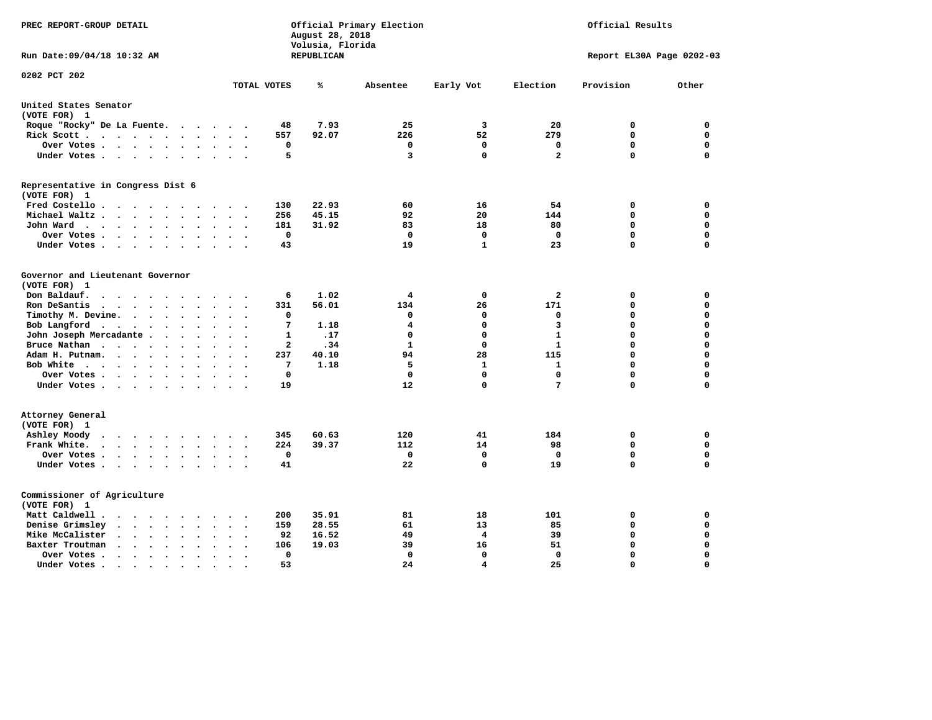| PREC REPORT-GROUP DETAIL                                                                          |                                                                | Official Primary Election<br>August 28, 2018<br>Volusia, Florida | Official Results |              |                |                           |             |
|---------------------------------------------------------------------------------------------------|----------------------------------------------------------------|------------------------------------------------------------------|------------------|--------------|----------------|---------------------------|-------------|
| Run Date: 09/04/18 10:32 AM                                                                       |                                                                | REPUBLICAN                                                       |                  |              |                | Report EL30A Page 0202-03 |             |
| 0202 PCT 202                                                                                      | TOTAL VOTES                                                    | ℁                                                                | Absentee         | Early Vot    | Election       | Provision                 | Other       |
|                                                                                                   |                                                                |                                                                  |                  |              |                |                           |             |
| United States Senator<br>(VOTE FOR) 1                                                             |                                                                |                                                                  |                  |              |                |                           |             |
| Roque "Rocky" De La Fuente.                                                                       | 48<br>$\cdot$                                                  | 7.93                                                             | 25               | 3            | 20             | 0                         | $\mathbf 0$ |
| Rick Scott                                                                                        | 557                                                            | 92.07                                                            | 226              | 52           | 279            | $\mathbf 0$               | 0           |
| Over Votes                                                                                        | 0<br>$\ddot{\phantom{a}}$<br>$\bullet$<br>$\ddot{\phantom{0}}$ |                                                                  | $\mathbf 0$      | $\mathbf 0$  | $\mathbf 0$    | $\mathbf 0$               | 0           |
| Under Votes                                                                                       | 5                                                              |                                                                  | 3                | $\mathbf 0$  | $\overline{a}$ | $\mathbf 0$               | $\mathbf 0$ |
| Representative in Congress Dist 6<br>(VOTE FOR) 1                                                 |                                                                |                                                                  |                  |              |                |                           |             |
| Fred Costello                                                                                     | 130                                                            | 22.93                                                            | 60               | 16           | 54             | 0                         | 0           |
| Michael Waltz<br>$\cdot$<br>$\sim$                                                                | 256                                                            | 45.15                                                            | 92               | 20           | 144            | $\mathbf 0$               | $\mathbf 0$ |
| John Ward<br>$\ddot{\phantom{a}}$                                                                 | 181<br>$\ddot{\phantom{a}}$                                    | 31.92                                                            | 83               | 18           | 80             | $\mathbf 0$               | $\mathbf 0$ |
| Over Votes.<br>$\cdots$<br>$\sim$                                                                 | $\mathbf 0$                                                    |                                                                  | 0                | $\mathbf 0$  | $\mathbf{0}$   | $\mathbf 0$               | $\mathbf 0$ |
| Under Votes<br>$\sim$                                                                             | 43                                                             |                                                                  | 19               | $\mathbf{1}$ | 23             | $\Omega$                  | $\Omega$    |
|                                                                                                   |                                                                |                                                                  |                  |              |                |                           |             |
| Governor and Lieutenant Governor<br>(VOTE FOR) 1                                                  |                                                                |                                                                  |                  |              |                |                           |             |
| Don Baldauf.<br>$\cdot$ $\cdot$ $\cdot$ $\cdot$                                                   | 6                                                              | 1.02                                                             | 4                | $\mathbf 0$  | $\overline{a}$ | 0                         | 0           |
| Ron DeSantis<br>$\overline{\phantom{a}}$<br>$\sim$                                                | 331                                                            | 56.01                                                            | 134              | 26           | 171            | $\mathbf 0$               | $\mathbf 0$ |
| Timothy M. Devine.<br>$\bullet$                                                                   | 0<br>$\ddot{\phantom{a}}$                                      |                                                                  | 0                | 0            | 0              | $\mathbf 0$               | $\mathbf 0$ |
| Bob Langford<br>$\ddot{\phantom{a}}$                                                              | 7<br>$\ddot{\phantom{a}}$                                      | 1.18                                                             | 4                | $\mathbf 0$  | 3              | $\mathbf 0$               | 0           |
| John Joseph Mercadante                                                                            | $\mathbf{1}$<br>$\overline{\phantom{a}}$                       | .17                                                              | $\mathbf 0$      | $\mathbf 0$  | $\mathbf{1}$   | $\mathbf 0$               | $\mathbf 0$ |
| Bruce Nathan<br>$\bullet$<br>$\bullet$                                                            | 2                                                              | .34                                                              | $\mathbf{1}$     | $\mathbf 0$  | $\mathbf 1$    | $\mathbf 0$               | $\mathbf 0$ |
| Adam H. Putnam.<br>$\cdots$                                                                       | 237                                                            | 40.10                                                            | 94               | 28           | 115            | $\mathbf 0$               | 0           |
| Bob White<br>$\ddot{\phantom{a}}$                                                                 | 7<br>$\ddot{\phantom{a}}$                                      | 1.18                                                             | 5                | $\mathbf{1}$ | 1              | $\mathbf 0$               | 0           |
| Over Votes .<br>$\cdots$                                                                          | $\Omega$                                                       |                                                                  | 0                | $\Omega$     | $\mathbf 0$    | $\mathbf 0$               | 0           |
| Under Votes                                                                                       | 19                                                             |                                                                  | 12               | $\mathbf 0$  | 7              | $\Omega$                  | $\mathbf 0$ |
| Attorney General<br>(VOTE FOR) 1                                                                  |                                                                |                                                                  |                  |              |                |                           |             |
| Ashley Moody<br>$\begin{array}{cccccccccccccccccc} . & . & . & . & . & . & . & . & . \end{array}$ | 345<br>$\cdot$                                                 | 60.63                                                            | 120              | 41           | 184            | 0                         | 0           |
| Frank White.<br>$\cdots$<br>$\sim$<br>$\overline{\phantom{a}}$                                    | 224                                                            | 39.37                                                            | 112              | 14           | 98             | $\mathbf 0$               | $\mathbf 0$ |
| Over Votes .<br>$\cdots$<br>$\ddot{\phantom{1}}$                                                  | $\Omega$                                                       |                                                                  | $\Omega$         | $\mathbf 0$  | $\mathbf{0}$   | $\mathbf 0$               | $\mathbf 0$ |
| Under Votes<br>$\ddot{\phantom{0}}$                                                               | 41<br>$\cdot$                                                  |                                                                  | 22               | $\mathbf 0$  | 19             | $\Omega$                  | $\mathbf 0$ |
| Commissioner of Agriculture<br>(VOTE FOR) 1                                                       |                                                                |                                                                  |                  |              |                |                           |             |
| Matt Caldwell.<br>$\cdot$ $\cdot$ $\cdot$ $\cdot$ $\cdot$ $\cdot$<br>$\sim$ $\sim$                | 200<br>$\ddot{\phantom{a}}$                                    | 35.91                                                            | 81               | 18           | 101            | 0                         | 0           |
| Denise Grimsley<br>$\cdot$ $\cdot$ $\cdot$ $\cdot$ $\cdot$<br>$\bullet$                           | 159                                                            | 28.55                                                            | 61               | 13           | 85             | $\mathbf 0$               | 0           |
| Mike McCalister<br>$\cdot$ $\cdot$ $\cdot$ $\cdot$ $\cdot$<br>$\bullet$                           | 92                                                             | 16.52                                                            | 49               | 4            | 39             | 0                         | 0           |
| Baxter Troutman<br>$\mathbf{r}$ , and $\mathbf{r}$ , and $\mathbf{r}$<br>$\sim$<br>$\sim$         | 106                                                            | 19.03                                                            | 39               | 16           | 51             | 0                         | 0           |
| Over Votes .<br>$\sim$ $\sim$ $\sim$ $\sim$ $\sim$<br>$\bullet$<br>$\bullet$                      | 0                                                              |                                                                  | $\Omega$         | 0            | $\Omega$       | $\mathbf 0$               | $\mathbf 0$ |
| Under Votes.<br>.                                                                                 | 53                                                             |                                                                  | 24               | 4            | 25             | $\Omega$                  | $\Omega$    |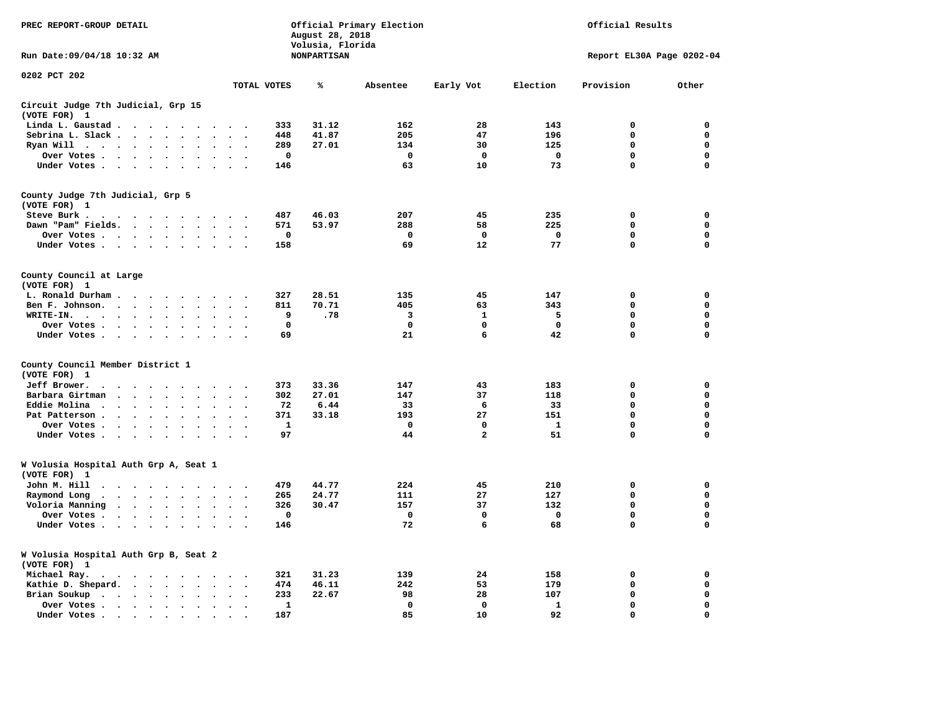| PREC REPORT-GROUP DETAIL                                 |                                 |                                              | Official Primary Election<br>Official Results<br>August 28, 2018<br>Volusia, Florida |                          |                                              |              |                    |             |                |              |                           |             |
|----------------------------------------------------------|---------------------------------|----------------------------------------------|--------------------------------------------------------------------------------------|--------------------------|----------------------------------------------|--------------|--------------------|-------------|----------------|--------------|---------------------------|-------------|
| Run Date: 09/04/18 10:32 AM                              |                                 |                                              |                                                                                      |                          |                                              |              | <b>NONPARTISAN</b> |             |                |              | Report EL30A Page 0202-04 |             |
| 0202 PCT 202                                             |                                 |                                              |                                                                                      |                          |                                              | TOTAL VOTES  | ℁                  | Absentee    | Early Vot      | Election     | Provision                 | Other       |
| Circuit Judge 7th Judicial, Grp 15<br>(VOTE FOR) 1       |                                 |                                              |                                                                                      |                          |                                              |              |                    |             |                |              |                           |             |
| Linda L. Gaustad                                         |                                 |                                              |                                                                                      |                          |                                              | 333          | 31.12              | 162         | 28             | 143          | $\mathbf 0$               | 0           |
| Sebrina L. Slack.                                        |                                 |                                              |                                                                                      |                          |                                              | 448          | 41.87              | 205         | 47             | 196          | $\mathbf 0$               | 0           |
| Ryan Will                                                |                                 | $\ddot{\phantom{a}}$<br>$\ddot{\phantom{a}}$ |                                                                                      |                          |                                              | 289          | 27.01              | 134         | 30             | 125          | 0                         | 0           |
| Over Votes                                               |                                 |                                              |                                                                                      | $\cdot$                  |                                              | $\mathbf 0$  |                    | $\mathbf 0$ | $\mathbf 0$    | $\mathbf 0$  | 0                         | $\mathbf 0$ |
| Under Votes                                              |                                 |                                              | $\ddot{\phantom{0}}$                                                                 | $\ddot{\phantom{a}}$     |                                              | 146          |                    | 63          | 10             | 73           | $\Omega$                  | $\mathbf 0$ |
| County Judge 7th Judicial, Grp 5<br>(VOTE FOR) 1         |                                 |                                              |                                                                                      |                          |                                              |              |                    |             |                |              |                           |             |
| Steve Burk .                                             | .                               |                                              |                                                                                      |                          |                                              | 487          | 46.03              | 207         | 45             | 235          | $\mathbf 0$               | $\mathbf 0$ |
| Dawn "Pam" Fields.                                       |                                 |                                              |                                                                                      |                          |                                              | 571          | 53.97              | 288         | 58             | 225          | $\mathbf 0$               | 0           |
| Over Votes                                               |                                 |                                              |                                                                                      |                          |                                              | 0            |                    | 0           | $\mathbf 0$    | $\mathbf 0$  | 0                         | 0           |
| Under Votes                                              |                                 |                                              |                                                                                      |                          | $\sim$ $\sim$                                | 158          |                    | 69          | 12             | 77           | $\mathbf 0$               | $\mathbf 0$ |
| County Council at Large<br>(VOTE FOR) 1                  |                                 |                                              |                                                                                      |                          |                                              |              |                    |             |                |              |                           |             |
| L. Ronald Durham                                         |                                 |                                              |                                                                                      |                          | $\sim$ $\sim$                                | 327          | 28.51              | 135         | 45             | 147          | 0                         | 0           |
| Ben F. Johnson.                                          |                                 |                                              |                                                                                      |                          | $\sim$<br>$\overline{\phantom{a}}$           | 811          | 70.71              | 405         | 63             | 343          | 0                         | 0           |
| WRITE-IN.                                                |                                 | $\sim$                                       |                                                                                      |                          |                                              | 9            | .78                | 3           | 1              | 5            | 0                         | 0           |
| Over Votes                                               |                                 |                                              | $\sim$                                                                               | $\cdot$                  | $\sim$                                       | $\mathbf{o}$ |                    | $\mathbf 0$ | $\mathbf 0$    | $\mathbf 0$  | 0                         | 0           |
| Under Votes                                              |                                 |                                              |                                                                                      | $\ddot{\phantom{a}}$     | $\sim$<br>$\cdot$                            | 69           |                    | 21          | 6              | 42           | $\mathbf 0$               | $\mathbf 0$ |
| County Council Member District 1<br>(VOTE FOR) 1         |                                 |                                              |                                                                                      |                          |                                              |              |                    |             |                |              |                           |             |
| Jeff Brower.                                             | $\cdots$                        | $\sim$                                       |                                                                                      |                          |                                              | 373          | 33.36              | 147         | 43             | 183          | $\mathbf 0$               | 0           |
| Barbara Girtman                                          | $\cdot$ $\cdot$ $\cdot$ $\cdot$ | $\sim$                                       |                                                                                      |                          |                                              | 302          | 27.01              | 147         | 37             | 118          | 0                         | 0           |
| Eddie Molina                                             |                                 | $\cdot$                                      |                                                                                      |                          |                                              | 72           | 6.44               | 33          | 6              | 33           | 0                         | $\mathbf 0$ |
| Pat Patterson                                            |                                 | $\ddot{\phantom{0}}$                         | $\mathbf{r}$                                                                         | $\overline{\phantom{a}}$ |                                              | 371          | 33.18              | 193         | 27             | 151          | $\mathbf 0$               | $\mathbf 0$ |
| Over Votes                                               |                                 |                                              | $\ddot{\phantom{a}}$                                                                 |                          |                                              | ${\bf 1}$    |                    | $\Omega$    | $\mathbf 0$    | $\mathbf{1}$ | 0                         | $\mathbf 0$ |
| Under Votes                                              |                                 |                                              | $\ddot{\phantom{a}}$                                                                 | $\cdot$                  |                                              | 97           |                    | 44          | $\overline{a}$ | 51           | $\mathbf 0$               | $\mathbf 0$ |
| W Volusia Hospital Auth Grp A, Seat 1<br>(VOTE FOR) 1    |                                 |                                              |                                                                                      |                          |                                              |              |                    |             |                |              |                           |             |
| John M. Hill                                             | .                               |                                              |                                                                                      |                          |                                              | 479          | 44.77              | 224         | 45             | 210          | $\mathbf 0$               | $\mathbf 0$ |
| Raymond Long                                             |                                 |                                              |                                                                                      |                          | $\ddot{\phantom{1}}$                         | 265          | 24.77              | 111         | 27             | 127          | $\mathbf 0$               | $\mathbf 0$ |
| Voloria Manning                                          |                                 |                                              | $\sim$                                                                               | $\bullet$                | $\bullet$                                    | 326          | 30.47              | 157         | 37             | 132          | $\mathbf 0$               | $\mathbf 0$ |
| Over Votes                                               |                                 |                                              |                                                                                      |                          |                                              | 0            |                    | $\Omega$    | 0              | $^{\circ}$   | $\mathbf 0$               | $\mathbf 0$ |
| Under Votes                                              |                                 |                                              | $\sim$ $\sim$                                                                        |                          | $\sim$ $\sim$                                | 146          |                    | 72          | 6              | 68           | 0                         | $\mathbf 0$ |
| W Volusia Hospital Auth Grp B, Seat 2<br>(VOTE FOR)<br>1 |                                 |                                              |                                                                                      |                          |                                              |              |                    |             |                |              |                           |             |
| Michael Ray.                                             |                                 |                                              |                                                                                      |                          | $\sim$                                       | 321          | 31.23              | 139         | 24             | 158          | 0                         | 0           |
| Kathie D. Shepard.                                       |                                 |                                              | $\sim$                                                                               | $\bullet$                | $\ddot{\phantom{a}}$<br>$\ddot{\phantom{0}}$ | 474          | 46.11              | 242         | 53             | 179          | 0                         | 0           |
| Brian Soukup                                             |                                 |                                              | $\sim$                                                                               | $\sim$                   |                                              | 233          | 22.67              | 98          | 28             | 107          | $\mathbf 0$               | 0           |
| Over Votes                                               |                                 |                                              |                                                                                      |                          |                                              | 1            |                    | $\mathbf 0$ | $\mathbf 0$    | 1            | 0                         | 0           |
| Under Votes                                              |                                 |                                              |                                                                                      |                          |                                              | 187          |                    | 85          | 10             | 92           | 0                         | $\Omega$    |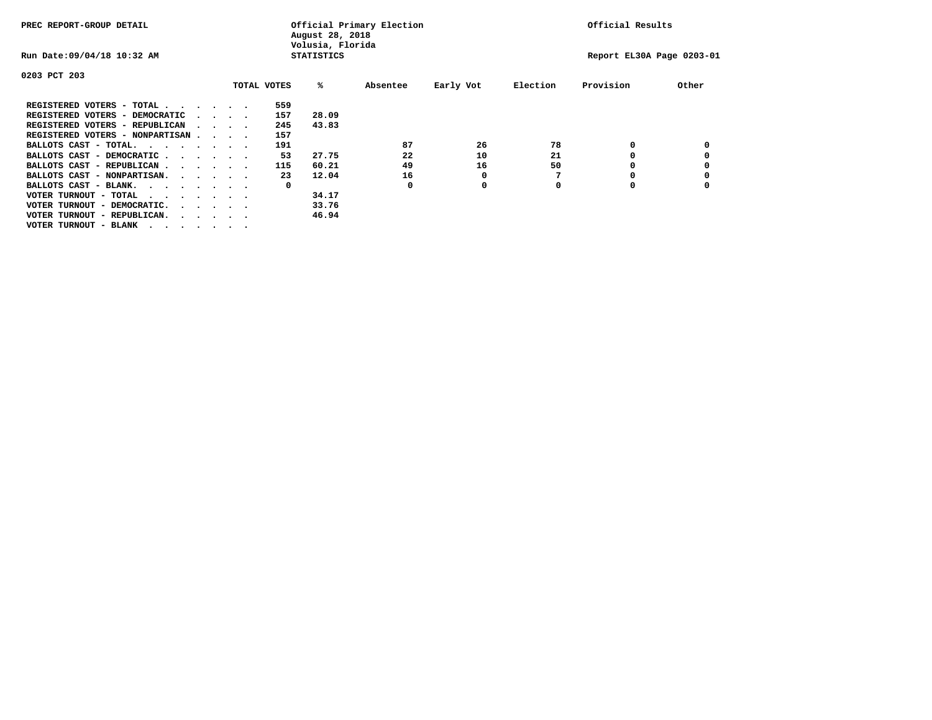| PREC REPORT-GROUP DETAIL          |  |                                         | Official Primary Election<br>August 28, 2018<br>Volusia, Florida | Official Results  |          |           |                           |           |       |
|-----------------------------------|--|-----------------------------------------|------------------------------------------------------------------|-------------------|----------|-----------|---------------------------|-----------|-------|
| Run Date: 09/04/18 10:32 AM       |  |                                         |                                                                  | <b>STATISTICS</b> |          |           | Report EL30A Page 0203-01 |           |       |
| 0203 PCT 203                      |  |                                         |                                                                  |                   |          |           |                           |           |       |
|                                   |  |                                         | TOTAL VOTES                                                      | %ะ                | Absentee | Early Vot | Election                  | Provision | Other |
| REGISTERED VOTERS - TOTAL         |  |                                         | 559                                                              |                   |          |           |                           |           |       |
| REGISTERED VOTERS - DEMOCRATIC    |  | $\cdot$ $\cdot$ $\cdot$ $\cdot$         | 157                                                              | 28.09             |          |           |                           |           |       |
| REGISTERED VOTERS - REPUBLICAN    |  |                                         | 245                                                              | 43.83             |          |           |                           |           |       |
| REGISTERED VOTERS - NONPARTISAN   |  |                                         | 157                                                              |                   |          |           |                           |           |       |
| BALLOTS CAST - TOTAL.             |  |                                         | 191                                                              |                   | 87       | 26        | 78                        | 0         |       |
| BALLOTS CAST - DEMOCRATIC         |  |                                         | 53                                                               | 27.75             | 22       | 10        | 21                        |           |       |
| BALLOTS CAST - REPUBLICAN         |  |                                         | 115                                                              | 60.21             | 49       | 16        | 50                        |           |       |
| BALLOTS CAST - NONPARTISAN.       |  |                                         | 23                                                               | 12.04             | 16       | 0         |                           |           |       |
| BALLOTS CAST - BLANK.             |  |                                         | 0                                                                |                   | 0        | 0         | O                         |           |       |
| VOTER TURNOUT - TOTAL<br>$\cdots$ |  |                                         |                                                                  | 34.17             |          |           |                           |           |       |
| VOTER TURNOUT - DEMOCRATIC.       |  | $\cdot$ $\cdot$ $\cdot$ $\cdot$ $\cdot$ |                                                                  | 33.76             |          |           |                           |           |       |
| VOTER TURNOUT - REPUBLICAN.<br>.  |  |                                         |                                                                  | 46.94             |          |           |                           |           |       |
| VOTER TURNOUT - BLANK             |  |                                         |                                                                  |                   |          |           |                           |           |       |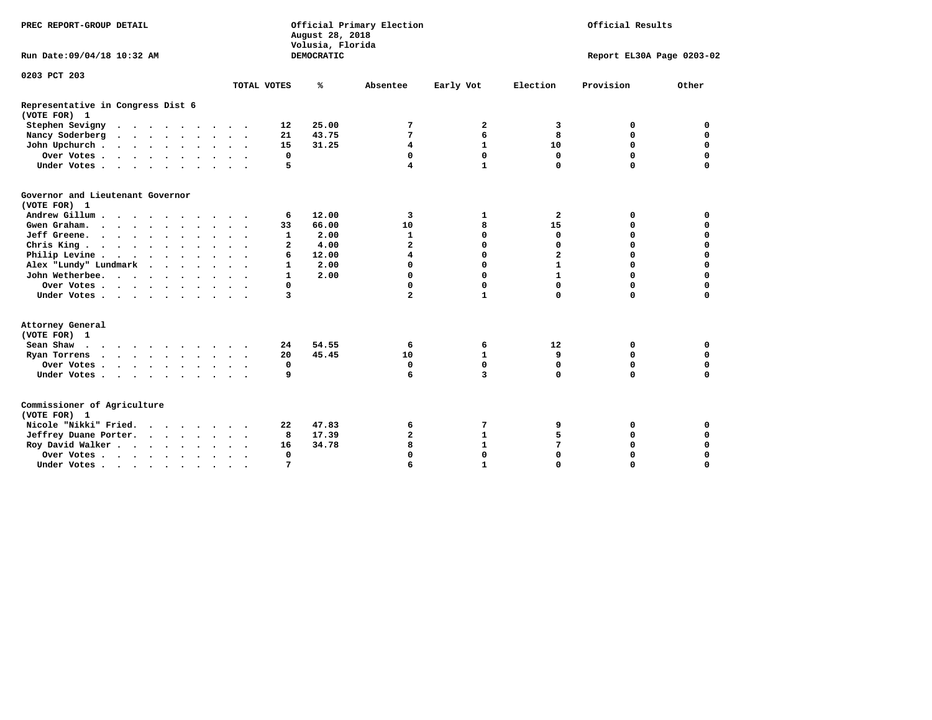| PREC REPORT-GROUP DETAIL                          | Official Primary Election<br>Official Results<br>August 28, 2018<br>Volusia, Florida |            |                         |              |                |                           |             |
|---------------------------------------------------|--------------------------------------------------------------------------------------|------------|-------------------------|--------------|----------------|---------------------------|-------------|
| Run Date: 09/04/18 10:32 AM                       |                                                                                      | DEMOCRATIC |                         |              |                | Report EL30A Page 0203-02 |             |
| 0203 PCT 203                                      |                                                                                      |            |                         |              |                |                           |             |
|                                                   | TOTAL VOTES                                                                          | ℁          | Absentee                | Early Vot    | Election       | Provision                 | Other       |
| Representative in Congress Dist 6<br>(VOTE FOR) 1 |                                                                                      |            |                         |              |                |                           |             |
| Stephen Sevigny                                   | 12                                                                                   | 25.00      | 7                       | 2            | 3              | 0                         | 0           |
| Nancy Soderberg                                   | 21                                                                                   | 43.75      | 7                       | 6            | 8              | $\mathbf 0$               | $\mathbf 0$ |
| John Upchurch                                     | 15                                                                                   | 31.25      | 4                       | $\mathbf{1}$ | 10             | $\mathbf 0$               | 0           |
| Over Votes                                        | 0                                                                                    |            | 0                       | 0            | 0              | $\mathbf 0$               | 0           |
| Under Votes                                       | 5                                                                                    |            | $\overline{\mathbf{4}}$ | $\mathbf{1}$ | 0              | $\Omega$                  | $\mathbf 0$ |
| Governor and Lieutenant Governor<br>(VOTE FOR) 1  |                                                                                      |            |                         |              |                |                           |             |
| Andrew Gillum                                     | 6                                                                                    | 12.00      | 3                       | 1            | $\mathbf{2}$   | 0                         | 0           |
| Gwen Graham.                                      | 33                                                                                   | 66.00      | 10                      | 8            | 15             | $\mathbf 0$               | $\mathbf 0$ |
| Jeff Greene.                                      | $\mathbf{1}$                                                                         | 2.00       | 1                       | 0            | 0              | $\Omega$                  | $\mathbf 0$ |
| Chris King.                                       | $\mathbf{2}$                                                                         | 4.00       | $\mathbf{z}$            | $\Omega$     | $\Omega$       | $\Omega$                  | $\Omega$    |
| Philip Levine                                     | 6                                                                                    | 12.00      | 4                       | 0            | $\overline{a}$ | $\mathbf 0$               | $\mathbf 0$ |
| Alex "Lundy" Lundmark                             | $\mathbf{1}$                                                                         | 2.00       | 0                       | 0            | $\mathbf{1}$   | $\mathbf 0$               | $\mathbf 0$ |
| John Wetherbee.                                   | 1                                                                                    | 2.00       | $\Omega$                | $\mathbf 0$  | $\mathbf{1}$   | $\Omega$                  | $\mathbf 0$ |
| Over Votes                                        | 0                                                                                    |            | 0                       | 0            | 0              | $\mathbf 0$               | $\mathbf 0$ |
| Under Votes                                       | 3                                                                                    |            | $\overline{a}$          | $\mathbf{1}$ | 0              | $\Omega$                  | $\mathbf 0$ |
| Attorney General<br>(VOTE FOR) 1                  |                                                                                      |            |                         |              |                |                           |             |
| Sean Shaw                                         | 24                                                                                   | 54.55      | 6                       | 6            | 12             | 0                         | 0           |
| Ryan Torrens                                      | 20                                                                                   | 45.45      | 10                      | $\mathbf{1}$ | 9              | 0                         | 0           |
| Over Votes                                        | 0                                                                                    |            | 0                       | $\mathbf 0$  | 0              | $\mathbf 0$               | 0           |
| Under Votes                                       | 9                                                                                    |            | 6                       | 3            | $\Omega$       | $\Omega$                  | $\mathbf 0$ |
| Commissioner of Agriculture<br>(VOTE FOR) 1       |                                                                                      |            |                         |              |                |                           |             |
| Nicole "Nikki" Fried.                             | 22                                                                                   | 47.83      | 6                       | 7            | 9              | 0                         | 0           |
| Jeffrey Duane Porter.                             | 8                                                                                    | 17.39      | $\overline{\mathbf{2}}$ | $\mathbf{1}$ | 5              | 0                         | 0           |
| Roy David Walker                                  | 16                                                                                   | 34.78      | 8                       | $\mathbf{1}$ | 7              | $\mathbf 0$               | 0           |
| Over Votes                                        | 0                                                                                    |            | 0                       | 0            | 0              | $\mathbf 0$               | 0           |
| Under Votes                                       | 7                                                                                    |            | 6                       | $\mathbf{1}$ | $\Omega$       | $\mathbf 0$               | $\Omega$    |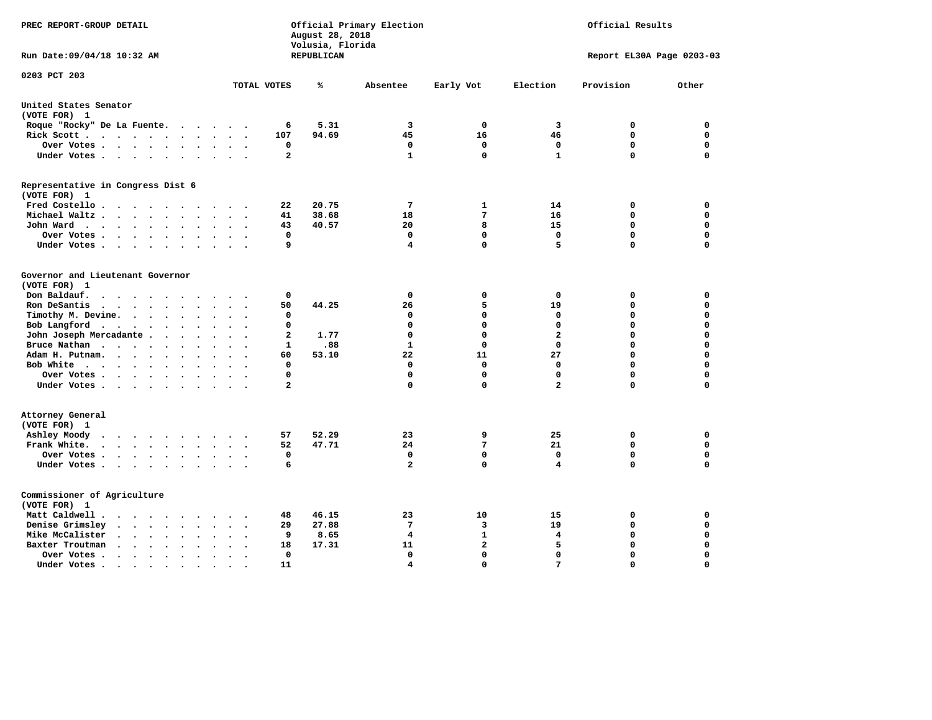| PREC REPORT-GROUP DETAIL                                                                              |                     | August 28, 2018<br>Volusia, Florida | Official Primary Election | Official Results |                           |             |             |
|-------------------------------------------------------------------------------------------------------|---------------------|-------------------------------------|---------------------------|------------------|---------------------------|-------------|-------------|
| Run Date: 09/04/18 10:32 AM                                                                           |                     | <b>REPUBLICAN</b>                   |                           |                  | Report EL30A Page 0203-03 |             |             |
| 0203 PCT 203                                                                                          | TOTAL VOTES         | ℁                                   | Absentee                  | Early Vot        | Election                  | Provision   | Other       |
| United States Senator                                                                                 |                     |                                     |                           |                  |                           |             |             |
| (VOTE FOR) 1                                                                                          |                     |                                     |                           |                  |                           |             |             |
| Roque "Rocky" De La Fuente.<br>$\ddot{\phantom{a}}$                                                   | 6                   | 5.31                                | 3                         | 0                | 3                         | 0           | 0           |
| Rick Scott<br>$\bullet$                                                                               | 107                 | 94.69                               | 45                        | 16               | 46                        | $\mathbf 0$ | $\mathbf 0$ |
| Over Votes<br>$\bullet$<br>$\bullet$                                                                  | 0<br>$\cdot$        |                                     | 0                         | 0                | 0                         | $\mathbf 0$ | $\mathbf 0$ |
| Under Votes<br>$\overline{\phantom{a}}$                                                               | $\mathbf{2}$        |                                     | $\mathbf{1}$              | $\Omega$         | $\mathbf{1}$              | $\mathbf 0$ | $\mathbf 0$ |
| Representative in Congress Dist 6<br>(VOTE FOR) 1                                                     |                     |                                     |                           |                  |                           |             |             |
| Fred Costello                                                                                         | 22                  | 20.75                               | $7\phantom{.0}$           | 1                | 14                        | 0           | 0           |
| Michael Waltz<br>$\ddot{\phantom{a}}$<br>$\ddot{\phantom{a}}$<br>$\cdot$                              | 41                  | 38.68                               | 18                        | 7                | 16                        | 0           | $\mathbf 0$ |
| John Ward<br>$\ddot{\phantom{1}}$                                                                     | 43<br>$\sim$ $\sim$ | 40.57                               | 20                        | 8                | 15                        | 0           | $\mathbf 0$ |
| Over Votes<br>$\sim$ $\sim$<br>$\cdot$<br>$\ddot{\phantom{a}}$                                        | 0                   |                                     | 0                         | 0                | 0                         | 0           | 0           |
| Under Votes                                                                                           | 9                   |                                     | 4                         | $\mathbf 0$      | 5                         | $\mathbf 0$ | $\Omega$    |
| Governor and Lieutenant Governor<br>(VOTE FOR) 1<br>Don Baldauf.<br>$\cdot$ $\cdot$ $\cdot$<br>$\sim$ | 0                   |                                     | $\mathbf 0$               | 0                | 0                         | 0           | 0           |
| Ron DeSantis<br>$\cdots$<br>$\sim$<br>$\bullet$                                                       | 50                  | 44.25                               | 26                        | 5                | 19                        | $\mathbf 0$ | $\mathbf 0$ |
| Timothy M. Devine.<br>$\bullet$<br>$\ddot{\phantom{a}}$                                               | $\mathbf 0$         |                                     | 0                         | $\mathbf 0$      | $\mathbf 0$               | $\mathbf 0$ | $\mathbf 0$ |
| Bob Langford $\cdot \cdot \cdot \cdot \cdot \cdot$                                                    | $\mathbf 0$         |                                     | 0                         | $\Omega$         | $\mathbf 0$               | $\mathbf 0$ | $\mathbf 0$ |
| John Joseph Mercadante<br>$\overline{\phantom{a}}$                                                    | $\mathbf{2}$        | 1.77                                | 0                         | $\mathbf 0$      | $\overline{\mathbf{2}}$   | $\mathbf 0$ | $\mathbf 0$ |
| Bruce Nathan<br>$\bullet$<br>$\sim$<br>$\bullet$<br>$\overline{\phantom{a}}$<br>$\ddot{\phantom{a}}$  | 1                   | .88                                 | $\mathbf{1}$              | $\mathbf 0$      | $\mathbf 0$               | 0           | $\mathbf 0$ |
| Adam H. Putnam.<br>$\cdots$<br>$\ddot{\phantom{a}}$                                                   | 60                  | 53.10                               | 22                        | 11               | 27                        | $\mathbf 0$ | $\mathbf 0$ |
| Bob White                                                                                             | 0<br>$\sim$ $\sim$  |                                     | $\mathbf 0$               | $\mathbf 0$      | $\mathbf 0$               | $\mathbf 0$ | $\mathbf 0$ |
| $\cdot$<br>Over Votes<br>$\bullet$                                                                    | $\mathbf 0$         |                                     | 0                         | $\Omega$         | $\mathbf 0$               | $\mathbf 0$ | $\mathbf 0$ |
| $\bullet$ .<br><br><br><br><br><br><br>Under Votes<br>$\sim$                                          | 2                   |                                     | 0                         | $\mathbf 0$      | $\overline{\mathbf{2}}$   | $\mathbf 0$ | 0           |
| Attorney General<br>(VOTE FOR) 1                                                                      |                     |                                     |                           |                  |                           |             |             |
| Ashley Moody<br>$\sim$ $\sim$<br>$\cdot$                                                              | 57                  | 52.29                               | 23                        | 9                | 25                        | 0           | 0           |
| Frank White.<br>$\cdots$                                                                              | 52                  | 47.71                               | 24                        | 7                | 21                        | $\mathbf 0$ | $\mathbf 0$ |
| Over Votes<br>$\ddot{\phantom{0}}$<br>$\bullet$<br>$\bullet$                                          | 0                   |                                     | 0                         | $\mathbf 0$      | 0                         | $\mathbf 0$ | $\mathbf 0$ |
| Under Votes<br>$\sim$<br>$\bullet$                                                                    | 6                   |                                     | $\overline{a}$            | $\mathbf 0$      | 4                         | $\mathbf 0$ | $\mathbf 0$ |
| Commissioner of Agriculture<br>(VOTE FOR) 1                                                           |                     |                                     |                           |                  |                           |             |             |
| Matt Caldwell.<br>$\cdots$                                                                            | 48                  | 46.15                               | 23                        | 10               | 15                        | 0           | 0           |
| Denise Grimsley<br>$\mathbf{r}$ , $\mathbf{r}$ , $\mathbf{r}$<br>$\ddot{\phantom{a}}$                 | 29                  | 27.88                               | 7                         | 3                | 19                        | 0           | $\mathbf 0$ |
| Mike McCalister<br>$\cdot$ $\cdot$ $\cdot$ $\cdot$ $\cdot$<br>$\bullet$<br>$\bullet$                  | 9                   | 8.65                                | 4                         | $\mathbf{1}$     | 4                         | 0           | $\mathbf 0$ |
| Baxter Troutman<br>$\sim$ $\sim$<br>$\ddot{\phantom{a}}$<br>$\ddot{\phantom{a}}$                      | 18                  | 17.31                               | 11                        | $\overline{a}$   | 5                         | $\mathbf 0$ | $\mathbf 0$ |
| Over Votes<br>$\bullet$<br>$\cdot$<br>$\ddot{\phantom{a}}$                                            | 0                   |                                     | $\mathbf{0}$              | $\mathbf{0}$     | $\mathbf 0$               | $\mathbf 0$ | $\mathbf 0$ |
| Under Votes.<br><b><i>Contract Contract</i></b><br>$\bullet$<br>$\bullet$<br>$\bullet$                | 11                  |                                     | 4                         | $\Omega$         | 7                         | $\Omega$    | $\Omega$    |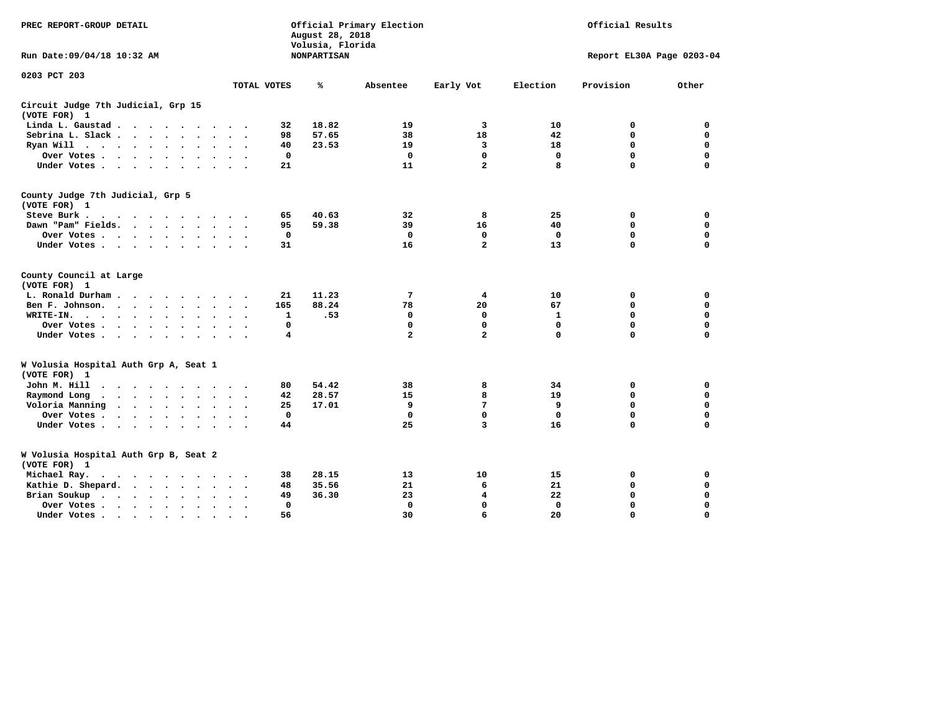| PREC REPORT-GROUP DETAIL                                                                                                      |                           | August 28, 2018<br>Volusia, Florida | Official Primary Election | Official Results<br>Report EL30A Page 0203-04 |             |             |             |
|-------------------------------------------------------------------------------------------------------------------------------|---------------------------|-------------------------------------|---------------------------|-----------------------------------------------|-------------|-------------|-------------|
| Run Date:09/04/18 10:32 AM                                                                                                    |                           | <b>NONPARTISAN</b>                  |                           |                                               |             |             |             |
| 0203 PCT 203                                                                                                                  |                           |                                     |                           |                                               |             |             |             |
|                                                                                                                               | TOTAL VOTES               | ℁                                   | Absentee                  | Early Vot                                     | Election    | Provision   | Other       |
| Circuit Judge 7th Judicial, Grp 15<br>(VOTE FOR) 1                                                                            |                           |                                     |                           |                                               |             |             |             |
| Linda L. Gaustad<br>$\sim$                                                                                                    | 32                        | 18.82                               | 19                        | 3                                             | 10          | 0           | 0           |
| Sebrina L. Slack<br>$\ddot{\phantom{a}}$                                                                                      | 98                        | 57.65                               | 38                        | 18                                            | 42          | 0           | $\mathbf 0$ |
| Ryan Will $\cdots$ $\cdots$                                                                                                   | 40                        | 23.53                               | 19                        | 3                                             | 18          | $\mathbf 0$ | $\mathbf 0$ |
| Over Votes<br>$\ddot{\phantom{0}}$                                                                                            | $\mathbf 0$               |                                     | $\mathbf 0$               | $\mathbf{0}$                                  | $\mathbf 0$ | $\mathbf 0$ | $\mathbf 0$ |
| Under Votes                                                                                                                   | 21                        |                                     | 11                        | $\overline{a}$                                | 8           | $\Omega$    | $\Omega$    |
| County Judge 7th Judicial, Grp 5<br>(VOTE FOR) 1                                                                              |                           |                                     |                           |                                               |             |             |             |
| Steve Burk.                                                                                                                   | 65                        | 40.63                               | 32                        | 8                                             | 25          | 0           | $\mathbf 0$ |
| Dawn "Pam" Fields.                                                                                                            | 95                        | 59.38                               | 39                        | 16                                            | 40          | 0           | $\mathbf 0$ |
| Over Votes<br>$\ddot{\phantom{a}}$<br>$\bullet$                                                                               | 0<br>$\bullet$            |                                     | $\mathbf 0$               | 0                                             | 0           | $\mathbf 0$ | $\mathbf 0$ |
| Under Votes                                                                                                                   | 31                        |                                     | 16                        | $\overline{a}$                                | 13          | 0           | $\mathbf 0$ |
| County Council at Large<br>(VOTE FOR) 1                                                                                       |                           |                                     |                           |                                               |             |             |             |
| L. Ronald Durham                                                                                                              | 21                        | 11.23                               | 7                         | 4                                             | 10          | 0           | 0           |
| Ben F. Johnson.<br>$\ddot{\phantom{a}}$                                                                                       | 165                       | 88.24                               | 78                        | 20                                            | 67          | 0           | $\mathbf 0$ |
| WRITE-IN.<br>$\mathbf{r}$ , $\mathbf{r}$ , $\mathbf{r}$ , $\mathbf{r}$ , $\mathbf{r}$<br>$\ddot{\phantom{0}}$<br>$\bullet$    | 1                         | .53                                 | 0                         | 0                                             | 1           | $\mathbf 0$ | $\mathbf 0$ |
| Over Votes<br>$\ddot{\phantom{a}}$<br>$\bullet$                                                                               | $\mathbf 0$               |                                     | 0                         | $\mathbf 0$                                   | $\mathbf 0$ | $\mathbf 0$ | $\mathbf 0$ |
| Under Votes<br>$\bullet$<br>$\bullet$                                                                                         | 4<br>$\ddot{\phantom{1}}$ |                                     | $\overline{a}$            | $\overline{a}$                                | $\mathbf 0$ | $\Omega$    | $\Omega$    |
| W Volusia Hospital Auth Grp A, Seat 1<br>(VOTE FOR) 1                                                                         |                           |                                     |                           |                                               |             |             |             |
| John M. Hill<br>$\sim$ $\sim$ $\sim$ $\sim$<br>$\cdot$<br>$\bullet$                                                           | 80                        | 54.42                               | 38                        | 8                                             | 34          | 0           | 0           |
| Raymond Long<br>$\cdots$<br>$\ddot{\phantom{0}}$                                                                              | 42                        | 28.57                               | 15                        | 8                                             | 19          | $\mathbf 0$ | $\mathbf 0$ |
| Voloria Manning<br>$\sim$<br>$\bullet$<br>$\bullet$ .<br>$\ddot{\phantom{a}}$<br>$\ddot{\phantom{a}}$<br>$\ddot{\phantom{a}}$ | 25                        | 17.01                               | 9                         | 7                                             | 9           | $\mathbf 0$ | $\mathbf 0$ |
| Over Votes .<br>$\cdot$ $\cdot$ $\cdot$ $\cdot$<br>$\bullet$                                                                  | $\mathbf 0$               |                                     | $\mathbf 0$               | $\mathbf 0$                                   | $\mathbf 0$ | $\mathbf 0$ | $\mathbf 0$ |
| Under Votes.<br>$\cdot$ $\cdot$ $\cdot$ $\cdot$<br>$\sim$ $\sim$<br>$\sim$                                                    | 44<br>$\sim$              |                                     | 25                        | 3                                             | 16          | 0           | $\mathbf 0$ |
| W Volusia Hospital Auth Grp B, Seat 2<br>(VOTE FOR) 1                                                                         |                           |                                     |                           |                                               |             |             |             |
| Michael Ray.<br>.                                                                                                             | 38                        | 28.15                               | 13                        | 10                                            | 15          | 0           | 0           |
| Kathie D. Shepard.<br>$\cdot$ $\cdot$ $\cdot$ $\cdot$                                                                         | 48                        | 35.56                               | 21                        | 6                                             | 21          | 0           | 0           |
| Brian Soukup<br>$\cdot$ $\cdot$ $\cdot$ $\cdot$                                                                               | 49                        | 36.30                               | 23                        | 4                                             | 22          | 0           | $\mathbf 0$ |
| Over Votes .<br>$\cdot$ $\cdot$ $\cdot$ $\cdot$<br>$\ddot{\phantom{0}}$<br>$\bullet$                                          | 0                         |                                     | $\mathbf 0$               | 0                                             | 0           | 0           | 0           |
| Under Votes<br>$\cdot$                                                                                                        | 56                        |                                     | 30                        | 6                                             | 20          | 0           | $\mathbf 0$ |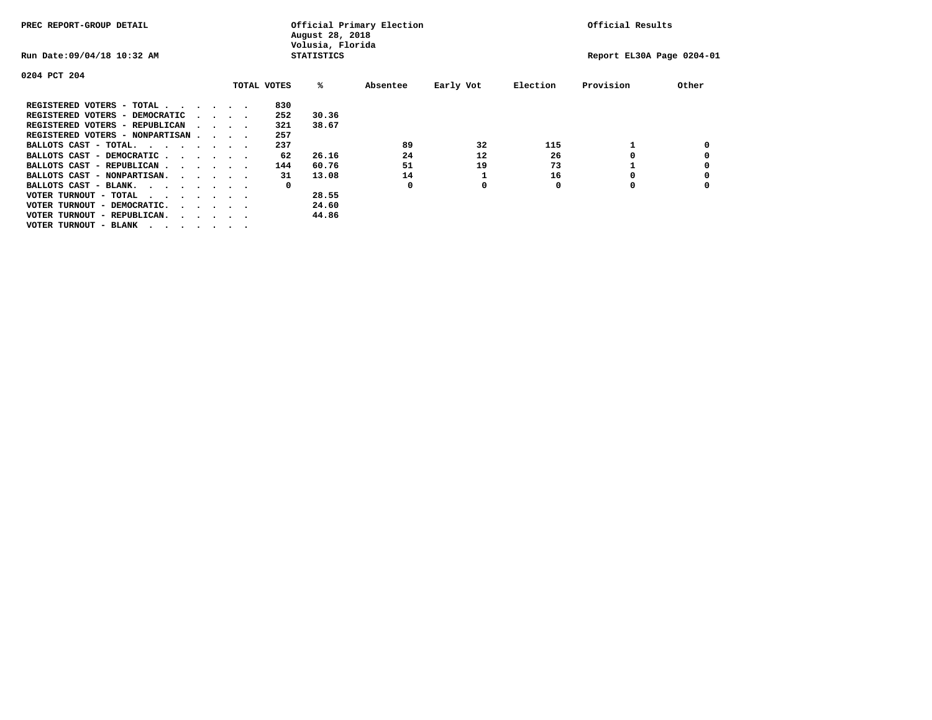| PREC REPORT-GROUP DETAIL               |  |  |                                         |  |             | Official Primary Election<br>August 28, 2018<br>Volusia, Florida | Official Results          |           |          |           |       |
|----------------------------------------|--|--|-----------------------------------------|--|-------------|------------------------------------------------------------------|---------------------------|-----------|----------|-----------|-------|
| Run Date: 09/04/18 10:32 AM            |  |  |                                         |  |             | <b>STATISTICS</b>                                                | Report EL30A Page 0204-01 |           |          |           |       |
| 0204 PCT 204                           |  |  |                                         |  |             |                                                                  |                           |           |          |           |       |
|                                        |  |  |                                         |  | TOTAL VOTES | %ะ                                                               | Absentee                  | Early Vot | Election | Provision | Other |
| REGISTERED VOTERS - TOTAL              |  |  |                                         |  | 830         |                                                                  |                           |           |          |           |       |
| REGISTERED VOTERS - DEMOCRATIC         |  |  | $\cdot$ $\cdot$ $\cdot$ $\cdot$         |  | 252         | 30.36                                                            |                           |           |          |           |       |
| REGISTERED VOTERS - REPUBLICAN         |  |  | $\sim$ $\sim$ $\sim$ $\sim$             |  | 321         | 38.67                                                            |                           |           |          |           |       |
| REGISTERED VOTERS - NONPARTISAN        |  |  |                                         |  | 257         |                                                                  |                           |           |          |           |       |
| BALLOTS CAST - TOTAL.                  |  |  |                                         |  | 237         |                                                                  | 89                        | 32        | 115      |           |       |
| BALLOTS CAST - DEMOCRATIC              |  |  |                                         |  | 62          | 26.16                                                            | 24                        | 12        | 26       |           |       |
| BALLOTS CAST - REPUBLICAN              |  |  |                                         |  | 144         | 60.76                                                            | 51                        | 19        | 73       |           |       |
| BALLOTS CAST - NONPARTISAN.            |  |  |                                         |  | 31          | 13.08                                                            | 14                        |           | 16       |           |       |
| BALLOTS CAST - BLANK.                  |  |  |                                         |  | 0           |                                                                  | 0                         | 0         | 0        | 0         |       |
| VOTER TURNOUT - TOTAL<br>.             |  |  |                                         |  |             | 28.55                                                            |                           |           |          |           |       |
| VOTER TURNOUT - DEMOCRATIC.            |  |  | $\cdot$ $\cdot$ $\cdot$ $\cdot$ $\cdot$ |  |             | 24.60                                                            |                           |           |          |           |       |
| VOTER TURNOUT - REPUBLICAN.<br>$\cdot$ |  |  |                                         |  |             | 44.86                                                            |                           |           |          |           |       |
| VOTER TURNOUT - BLANK                  |  |  |                                         |  |             |                                                                  |                           |           |          |           |       |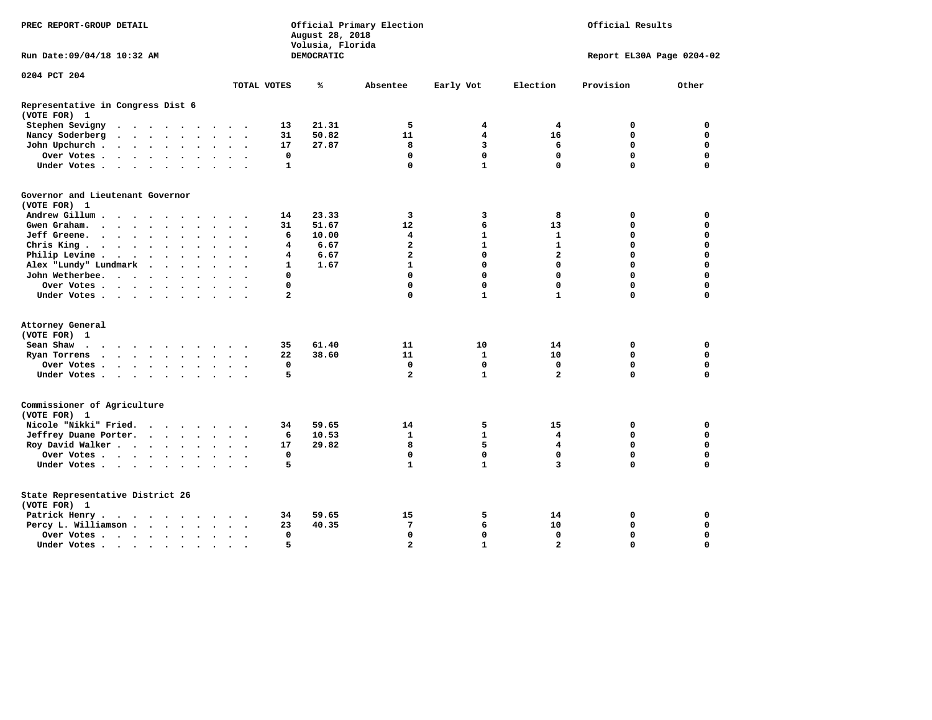| PREC REPORT-GROUP DETAIL                                                                                                                                                                              |                    | August 28, 2018<br>Volusia, Florida | Official Primary Election |                           | Official Results |                  |                            |
|-------------------------------------------------------------------------------------------------------------------------------------------------------------------------------------------------------|--------------------|-------------------------------------|---------------------------|---------------------------|------------------|------------------|----------------------------|
| Run Date: 09/04/18 10:32 AM                                                                                                                                                                           |                    | DEMOCRATIC                          |                           | Report EL30A Page 0204-02 |                  |                  |                            |
| 0204 PCT 204                                                                                                                                                                                          |                    |                                     |                           |                           |                  |                  |                            |
|                                                                                                                                                                                                       | TOTAL VOTES        | ℁                                   | Absentee                  | Early Vot                 | Election         | Provision        | Other                      |
| Representative in Congress Dist 6<br>(VOTE FOR) 1                                                                                                                                                     |                    |                                     |                           |                           |                  |                  |                            |
| Stephen Sevigny                                                                                                                                                                                       | 13                 | 21.31                               | 5                         | 4                         | 4                | 0                | 0                          |
| Nancy Soderberg<br>$\mathbf{a}$ , and $\mathbf{a}$ , and $\mathbf{a}$ , and $\mathbf{a}$<br>$\bullet$<br>$\ddot{\phantom{1}}$                                                                         | 31                 | 50.82                               | 11                        | 4                         | 16               | $\mathbf 0$      | $\mathbf 0$                |
| John Upchurch.<br>$\cdot$ $\cdot$ $\cdot$ $\cdot$ $\cdot$ $\cdot$<br>$\cdot$ $\cdot$ $\cdot$                                                                                                          | 17                 | 27.87                               | 8                         | 3                         | 6                | 0                | 0                          |
| Over Votes                                                                                                                                                                                            | 0                  |                                     | $\mathbf 0$               | $\mathbf 0$               | $\mathbf 0$      | $\mathbf 0$      | $\mathbf 0$                |
| Under Votes                                                                                                                                                                                           | $\mathbf{1}$       |                                     | $\mathbf{0}$              | $\mathbf{1}$              | $\mathbf 0$      | 0                | $\mathbf 0$                |
| Governor and Lieutenant Governor                                                                                                                                                                      |                    |                                     |                           |                           |                  |                  |                            |
| (VOTE FOR) 1                                                                                                                                                                                          |                    |                                     |                           |                           |                  |                  |                            |
| Andrew Gillum                                                                                                                                                                                         | 14                 | 23.33                               | 3                         | 3                         | 8                | 0                | 0                          |
| Gwen Graham.                                                                                                                                                                                          | 31                 | 51.67                               | 12                        | 6                         | 13               | 0                | $\mathbf 0$                |
| Jeff Greene.<br>$\sim$<br>$\ddot{\phantom{a}}$<br>$\bullet$<br>$\bullet$                                                                                                                              | 6                  | 10.00                               | 4                         | $\mathbf{1}$              | 1                | 0                | $\Omega$                   |
| Chris King                                                                                                                                                                                            | 4                  | 6.67                                | $\overline{a}$            | $\mathbf{1}$              | $\mathbf{1}$     | 0                | $\mathbf 0$                |
| Philip Levine .<br>$\begin{array}{cccccccccccccc} \bullet & \bullet & \bullet & \bullet & \bullet & \bullet & \bullet & \bullet & \bullet & \bullet \end{array}$<br>$\ddot{\phantom{0}}$<br>$\bullet$ | 4                  | 6.67                                | $\overline{2}$            | $\mathbf 0$               | $\overline{a}$   | 0                | $\mathbf 0$                |
| Alex "Lundy" Lundmark<br>$\sim$ $\sim$ $\sim$ $\sim$                                                                                                                                                  | $\mathbf{1}$       | 1.67                                | $\mathbf{1}$              | $\mathbf{0}$              | $\Omega$         | 0                | $\Omega$                   |
| John Wetherbee.                                                                                                                                                                                       | 0                  |                                     | 0                         | $\mathbf 0$               | $\Omega$         | $\Omega$         | $\Omega$                   |
| Over Votes.<br>$\cdots$                                                                                                                                                                               | $\mathbf 0$        |                                     | 0                         | 0                         | $\Omega$         | 0                | $\Omega$                   |
| Under Votes                                                                                                                                                                                           | $\overline{a}$     |                                     | 0                         | $\mathbf{1}$              | $\mathbf{1}$     | 0                | 0                          |
| Attorney General                                                                                                                                                                                      |                    |                                     |                           |                           |                  |                  |                            |
| (VOTE FOR) 1                                                                                                                                                                                          |                    |                                     |                           |                           |                  |                  |                            |
| Sean Shaw                                                                                                                                                                                             | 35                 | 61.40                               | 11                        | 10                        | 14               | 0                | 0                          |
| Ryan Torrens                                                                                                                                                                                          | 22                 | 38.60                               | 11                        | 1                         | 10               | $\mathbf 0$      | $\Omega$                   |
| Over Votes                                                                                                                                                                                            | $\mathbf 0$        |                                     | $\mathbf{0}$              | $\mathbf 0$               | $\mathbf 0$      | 0                | $\mathbf 0$                |
| Under Votes<br>$\sim$ $\sim$<br>$\sim$ $\sim$                                                                                                                                                         | 5                  |                                     | $\overline{a}$            | $\mathbf{1}$              | $\overline{a}$   | 0                | $\mathbf 0$                |
| Commissioner of Agriculture<br>(VOTE FOR) 1                                                                                                                                                           |                    |                                     |                           |                           |                  |                  |                            |
| Nicole "Nikki" Fried.                                                                                                                                                                                 | 34                 | 59.65                               | 14                        | 5                         | 15               | 0                | 0                          |
| Jeffrey Duane Porter.<br>$\sim$                                                                                                                                                                       | 6                  | 10.53                               | $\mathbf{1}$              | $\mathbf{1}$              | 4                | 0                | $\mathbf 0$                |
| Roy David Walker                                                                                                                                                                                      | 17                 | 29.82                               | 8                         | 5                         | 4                | $\mathbf 0$      | $\Omega$                   |
| Over Votes.<br>$\sim$<br>$\sim$ $\sim$                                                                                                                                                                | $\mathbf 0$        |                                     | $\mathbf 0$               | $\mathbf 0$               | $\Omega$         | $\Omega$         | $\Omega$                   |
| Under Votes                                                                                                                                                                                           | 5                  |                                     | $\mathbf{1}$              | $\mathbf{1}$              | 3                | $\Omega$         | $\Omega$                   |
| State Representative District 26                                                                                                                                                                      |                    |                                     |                           |                           |                  |                  |                            |
| (VOTE FOR) 1                                                                                                                                                                                          |                    |                                     |                           |                           |                  |                  |                            |
| Patrick Henry.<br>$\cdots$                                                                                                                                                                            | 34                 | 59.65<br>40.35                      | 15<br>7                   | 5<br>6                    | 14<br>10         | 0<br>$\mathbf 0$ | $\mathbf 0$<br>$\mathbf 0$ |
| Percy L. Williamson                                                                                                                                                                                   | 23<br>$\mathbf{0}$ |                                     | $\Omega$                  | $\mathbf 0$               | $\Omega$         | $\Omega$         | $\Omega$                   |
| Over Votes                                                                                                                                                                                            | 5.                 |                                     | $\mathbf{z}$              | $\mathbf{1}$              | $\mathbf{z}$     | $\Omega$         | $\Omega$                   |
| Under Votes                                                                                                                                                                                           |                    |                                     |                           |                           |                  |                  |                            |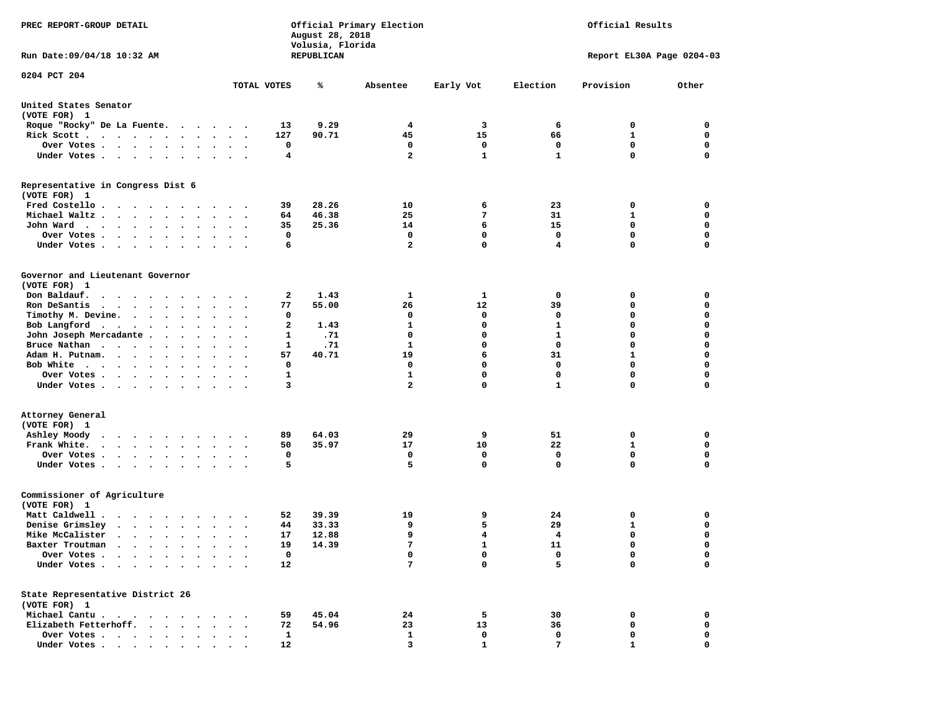| PREC REPORT-GROUP DETAIL                                                                                                                                                                                                                                                    |              | August 28, 2018<br>Volusia, Florida | Official Primary Election | Official Results |              |                           |             |
|-----------------------------------------------------------------------------------------------------------------------------------------------------------------------------------------------------------------------------------------------------------------------------|--------------|-------------------------------------|---------------------------|------------------|--------------|---------------------------|-------------|
| Run Date: 09/04/18 10:32 AM                                                                                                                                                                                                                                                 |              | REPUBLICAN                          |                           |                  |              | Report EL30A Page 0204-03 |             |
| 0204 PCT 204                                                                                                                                                                                                                                                                | TOTAL VOTES  | ℁                                   | Absentee                  | Early Vot        | Election     | Provision                 | Other       |
| United States Senator<br>(VOTE FOR) 1                                                                                                                                                                                                                                       |              |                                     |                           |                  |              |                           |             |
| Roque "Rocky" De La Fuente.                                                                                                                                                                                                                                                 | 13           | 9.29                                | 4                         | 3                | 6            | 0                         | 0           |
| Rick Scott                                                                                                                                                                                                                                                                  | 127          | 90.71                               | 45                        | 15               | 66           | 1                         | 0           |
| Over Votes                                                                                                                                                                                                                                                                  | 0            |                                     | 0                         | 0                | 0            | 0                         | 0           |
| Under Votes<br>$\sim$ $\sim$<br>$\ddot{\phantom{1}}$                                                                                                                                                                                                                        | 4            |                                     | $\overline{a}$            | $\mathbf{1}$     | $\mathbf{1}$ | 0                         | 0           |
| Representative in Congress Dist 6<br>(VOTE FOR) 1                                                                                                                                                                                                                           |              |                                     |                           |                  |              |                           |             |
| Fred Costello                                                                                                                                                                                                                                                               | 39           | 28.26                               | 10                        | 6                | 23           | 0                         | 0           |
| Michael Waltz<br>$\ddot{\phantom{1}}$                                                                                                                                                                                                                                       | 64           | 46.38                               | 25                        | 7                | 31           | 1                         | 0           |
| John Ward<br>$\cdot$ $\cdot$ $\cdot$                                                                                                                                                                                                                                        | 35           | 25.36                               | 14                        | 6                | 15           | 0                         | 0           |
| Over Votes .<br>$\cdot$ $\cdot$ $\cdot$ $\cdot$ $\cdot$ $\cdot$                                                                                                                                                                                                             | 0            |                                     | 0                         | $\mathbf 0$      | $\mathbf 0$  | $\mathbf 0$               | $\mathbf 0$ |
| Under Votes.<br>$\cdots$                                                                                                                                                                                                                                                    | 6            |                                     | $\overline{a}$            | $\mathbf 0$      | 4            | 0                         | $\mathbf 0$ |
| Governor and Lieutenant Governor<br>(VOTE FOR) 1                                                                                                                                                                                                                            |              |                                     |                           |                  |              |                           |             |
| Don Baldauf.                                                                                                                                                                                                                                                                | 2            | 1.43                                | 1                         | 1                | 0            | 0                         | 0           |
| Ron DeSantis<br>$\mathbf{r}$ . The set of the set of the set of the set of the set of the set of the set of the set of the set of the set of the set of the set of the set of the set of the set of the set of the set of the set of the set of t<br>$\ddot{\phantom{0}}$   | 77           | 55.00                               | 26                        | 12               | 39           | 0                         | 0           |
| Timothy M. Devine.                                                                                                                                                                                                                                                          | 0            |                                     | 0                         | 0                | 0            | 0                         | $\mathbf 0$ |
| Bob Langford $\cdot \cdot \cdot \cdot \cdot \cdot$<br>$\bullet$<br>$\bullet$ .<br>$\ddot{\phantom{0}}$                                                                                                                                                                      | $\mathbf{2}$ | 1.43                                | $\mathbf{1}$              | $\mathbf 0$      | $\mathbf{1}$ | 0                         | $\mathbf 0$ |
| John Joseph Mercadante                                                                                                                                                                                                                                                      | 1            | .71                                 | 0                         | 0                | $\mathbf{1}$ | 0                         | 0           |
| Bruce Nathan<br>$\bullet$<br>$\bullet$ .<br>$\ddot{\phantom{0}}$                                                                                                                                                                                                            | 1            | .71                                 | $\mathbf{1}$              | 0                | $\mathbf 0$  | 0                         | $\mathbf 0$ |
| Adam H. Putnam.<br>$\sim$ $\sim$ $\sim$ $\sim$                                                                                                                                                                                                                              | 57           | 40.71                               | 19                        | 6                | 31           | 1                         | $\mathbf 0$ |
| Bob White                                                                                                                                                                                                                                                                   | 0            |                                     | 0                         | 0                | $\mathbf 0$  | 0                         | $\mathbf 0$ |
| Over Votes .<br>$\mathbf{r}$ . The contract of the contract of the contract of the contract of the contract of the contract of the contract of the contract of the contract of the contract of the contract of the contract of the contract of th<br>$\bullet$<br>$\bullet$ | $\mathbf{1}$ |                                     | $\mathbf{1}$              | $\mathbf 0$      | $\mathbf 0$  | 0                         | $\mathbf 0$ |
| Under Votes                                                                                                                                                                                                                                                                 | 3            |                                     | $\overline{a}$            | $\mathbf 0$      | $\mathbf{1}$ | 0                         | 0           |
| Attorney General<br>(VOTE FOR) 1                                                                                                                                                                                                                                            | 89           | 64.03                               | 29                        | 9                | 51           | 0                         | 0           |
| Ashley Moody<br>$\cdots$<br>Frank White.                                                                                                                                                                                                                                    | 50           | 35.97                               | 17                        | 10               | 22           | 1                         | $\mathbf 0$ |
| $\mathbf{r}$ , and $\mathbf{r}$ , and $\mathbf{r}$ , and $\mathbf{r}$<br>$\bullet$ .<br>$\bullet$<br>$\bullet$<br>$\cdot$<br>Over Votes                                                                                                                                     | 0            |                                     | 0                         | 0                | 0            | 0                         | 0           |
| Under Votes<br>$\sim$<br>$\sim$ $\sim$                                                                                                                                                                                                                                      | 5            |                                     | 5                         | $\mathbf 0$      | $\mathbf 0$  | 0                         | $\mathbf 0$ |
| Commissioner of Agriculture<br>(VOTE FOR) 1                                                                                                                                                                                                                                 |              |                                     |                           |                  |              |                           |             |
| Matt Caldwell .<br>$\cdots$                                                                                                                                                                                                                                                 | 52           | 39.39                               | 19                        | 9                | 24           | 0                         | 0           |
| Denise Grimsley                                                                                                                                                                                                                                                             | 44           | 33.33                               | 9                         | 5                | 29           | 1                         | 0           |
| Mike McCalister<br>$\mathbf{r}$ , $\mathbf{r}$ , $\mathbf{r}$ , $\mathbf{r}$ , $\mathbf{r}$<br>$\ddot{\phantom{0}}$<br>$\cdot$                                                                                                                                              | 17           | 12.88                               | 9                         | 4                | 4            | 0                         | 0           |
| Baxter Troutman<br>.                                                                                                                                                                                                                                                        | 19           | 14.39                               | 7                         | 1                | 11           | 0                         | 0           |
| Over Votes .<br>$\sim$ $\sim$ $\sim$<br>$\ddot{\phantom{a}}$                                                                                                                                                                                                                | 0            |                                     | 0                         | 0                | 0            | 0                         | 0           |
| Under Votes.<br>$\bullet$<br>$\sim$                                                                                                                                                                                                                                         | 12           |                                     | 7                         | 0                | 5            | 0                         | $\mathbf 0$ |
| State Representative District 26<br>(VOTE FOR) 1                                                                                                                                                                                                                            |              |                                     |                           |                  |              |                           |             |
| Michael Cantu.<br>$\sim$ $\sim$ $\sim$<br>$\sim$<br>$\cdot$                                                                                                                                                                                                                 | 59           | 45.04                               | 24                        | 5                | 30           | 0                         | 0           |
| Elizabeth Fetterhoff.                                                                                                                                                                                                                                                       | 72           | 54.96                               | 23                        | 13               | 36           | 0                         | 0           |
| Over Votes                                                                                                                                                                                                                                                                  | 1            |                                     | 1                         | 0                | 0            | 0                         | 0           |
| Under Votes                                                                                                                                                                                                                                                                 | 12           |                                     | 3                         | $\mathbf{1}$     | 7            | 1                         | 0           |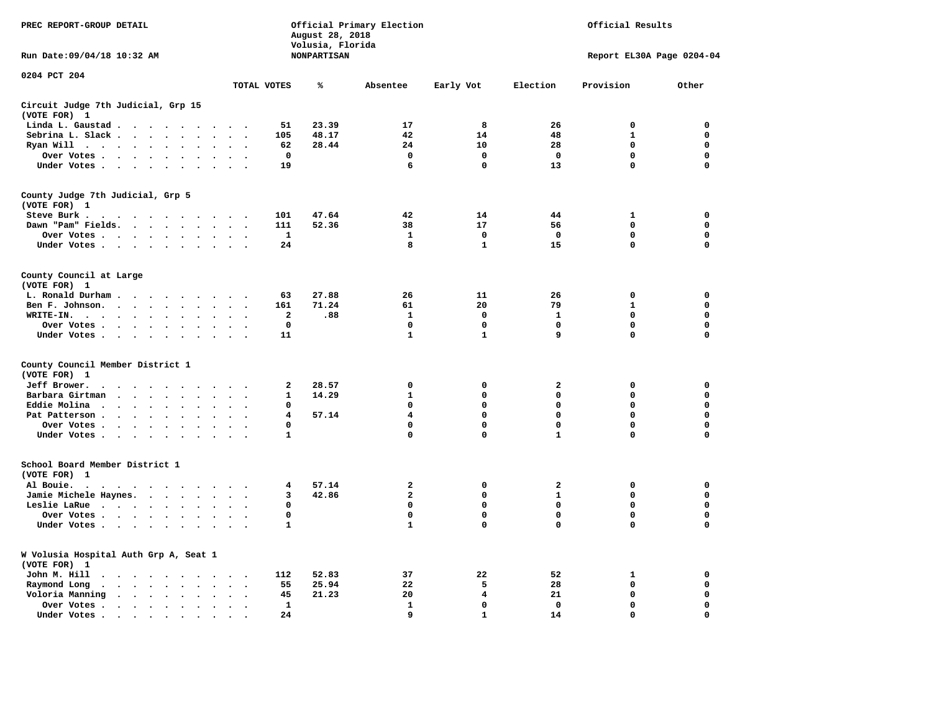| PREC REPORT-GROUP DETAIL                                                                                                                                                                                                                      |                                               | August 28, 2018<br>Volusia, Florida | Official Primary Election      |              | Official Results             |                           |             |  |  |
|-----------------------------------------------------------------------------------------------------------------------------------------------------------------------------------------------------------------------------------------------|-----------------------------------------------|-------------------------------------|--------------------------------|--------------|------------------------------|---------------------------|-------------|--|--|
| Run Date: 09/04/18 10:32 AM                                                                                                                                                                                                                   |                                               | <b>NONPARTISAN</b>                  |                                |              |                              | Report EL30A Page 0204-04 |             |  |  |
| 0204 PCT 204                                                                                                                                                                                                                                  | TOTAL VOTES                                   | ℁                                   | Absentee                       | Early Vot    | Election                     | Provision                 | Other       |  |  |
| Circuit Judge 7th Judicial, Grp 15                                                                                                                                                                                                            |                                               |                                     |                                |              |                              |                           |             |  |  |
| (VOTE FOR) 1                                                                                                                                                                                                                                  |                                               |                                     |                                |              |                              |                           |             |  |  |
| Linda L. Gaustad                                                                                                                                                                                                                              | 51                                            | 23.39                               | 17                             | 8            | 26                           | $\mathbf 0$               | 0           |  |  |
| Sebrina L. Slack<br>$\sim$                                                                                                                                                                                                                    | 105<br>$\bullet$<br>$\cdot$<br>$\bullet$      | 48.17                               | 42                             | 14           | 48                           | $\mathbf{1}$              | $\mathbf 0$ |  |  |
| Ryan Will $\cdots$ $\cdots$ $\cdots$                                                                                                                                                                                                          | 62<br>$\sim$                                  | 28.44                               | 24                             | 10           | 28                           | 0                         | $\mathbf 0$ |  |  |
| Over Votes                                                                                                                                                                                                                                    | 0                                             |                                     | $\mathbf 0$                    | $\Omega$     | $\mathbf{o}$                 | $\mathbf 0$               | 0           |  |  |
| Under Votes                                                                                                                                                                                                                                   | 19<br>$\sim$ $\sim$                           |                                     | 6                              | $\mathbf 0$  | 13                           | $\Omega$                  | $\mathbf 0$ |  |  |
| County Judge 7th Judicial, Grp 5<br>(VOTE FOR) 1                                                                                                                                                                                              |                                               |                                     |                                |              |                              |                           |             |  |  |
| Steve Burk .                                                                                                                                                                                                                                  | 101                                           | 47.64                               | 42                             | 14           | 44                           | 1                         | 0           |  |  |
| Dawn "Pam" Fields.                                                                                                                                                                                                                            | 111<br>$\sim$ $\sim$                          | 52.36                               | 38                             | 17           | 56                           | $\mathbf 0$               | $\mathbf 0$ |  |  |
| Over Votes                                                                                                                                                                                                                                    | 1                                             |                                     | 1                              | 0            | 0                            | 0                         | 0           |  |  |
| Under Votes                                                                                                                                                                                                                                   | 24<br>$\ddot{\phantom{1}}$                    |                                     | 8                              | $\mathbf{1}$ | 15                           | 0                         | 0           |  |  |
| County Council at Large                                                                                                                                                                                                                       |                                               |                                     |                                |              |                              |                           |             |  |  |
| (VOTE FOR) 1                                                                                                                                                                                                                                  |                                               | 27.88                               | 26                             |              |                              | $\mathbf 0$               | 0           |  |  |
| L. Ronald Durham<br>Ben F. Johnson.                                                                                                                                                                                                           | 63<br>161<br>$\cdot$ .                        | 71.24                               | 61                             | 11<br>20     | 26<br>79                     | $\mathbf{1}$              | 0           |  |  |
| WRITE-IN.<br>$\ddot{\phantom{0}}$<br>$\sim$                                                                                                                                                                                                   | $\overline{\mathbf{2}}$                       | .88                                 | $\mathbf{1}$                   | $\mathbf{o}$ | $\mathbf{1}$                 | 0                         | 0           |  |  |
| Over Votes                                                                                                                                                                                                                                    | $\mathbf 0$<br>$\cdot$                        |                                     | $\mathbf 0$                    | $\mathbf 0$  | $\mathbf 0$                  | $\mathbf 0$               | $\mathbf 0$ |  |  |
| Under Votes                                                                                                                                                                                                                                   | 11<br>$\cdot$ .                               |                                     | $\mathbf{1}$                   | $\mathbf{1}$ | 9                            | $\Omega$                  | $\mathbf 0$ |  |  |
| County Council Member District 1                                                                                                                                                                                                              |                                               |                                     |                                |              |                              |                           |             |  |  |
| (VOTE FOR) 1                                                                                                                                                                                                                                  |                                               |                                     |                                |              |                              |                           |             |  |  |
| Jeff Brower.                                                                                                                                                                                                                                  | 2                                             | 28.57                               | 0                              | 0            | 2                            | $\Omega$                  | 0           |  |  |
| Barbara Girtman<br>$\mathbf{r}$ . The set of $\mathbf{r}$<br>$\sim$                                                                                                                                                                           | $\mathbf{1}$<br>$\mathbf{r}$                  | 14.29                               | $\mathbf{1}$                   | 0            | 0                            | $\mathbf 0$               | $\mathbf 0$ |  |  |
| Eddie Molina                                                                                                                                                                                                                                  | 0                                             |                                     | $\mathbf 0$                    | 0            | 0                            | 0                         | $\mathbf 0$ |  |  |
| Pat Patterson<br>$\ddot{\phantom{a}}$<br>$\ddot{\phantom{a}}$                                                                                                                                                                                 | 4<br>$\sim$                                   | 57.14                               | 4                              | 0            | 0                            | $\mathbf 0$               | $\mathbf 0$ |  |  |
| Over Votes<br>$\bullet$                                                                                                                                                                                                                       | $\Omega$<br>$\bullet$<br>$\ddot{\phantom{0}}$ |                                     | $\mathbf 0$                    | 0            | 0                            | $\mathbf{0}$              | $\mathbf 0$ |  |  |
| Under Votes                                                                                                                                                                                                                                   | 1                                             |                                     | $\mathbf 0$                    | $\Omega$     | $\mathbf{1}$                 | $\mathbf 0$               | $\mathbf 0$ |  |  |
| School Board Member District 1                                                                                                                                                                                                                |                                               |                                     |                                |              |                              |                           |             |  |  |
| (VOTE FOR) 1                                                                                                                                                                                                                                  |                                               |                                     |                                |              |                              |                           |             |  |  |
| Al Bouie.<br>$\sim$<br>$\cdots$                                                                                                                                                                                                               | 4<br>$\sim$                                   | 57.14                               | $\mathbf{2}$<br>$\overline{a}$ | 0            | $\mathbf{2}$<br>$\mathbf{1}$ | 0                         | 0<br>0      |  |  |
| Jamie Michele Haynes.                                                                                                                                                                                                                         | 3<br>$\ddot{\phantom{1}}$<br>$\mathbf 0$      | 42.86                               | 0                              | 0<br>0       | 0                            | 0<br>0                    | 0           |  |  |
| Leslie LaRue<br>$\sim$ $\sim$<br>Over Votes                                                                                                                                                                                                   | $\mathbf 0$                                   |                                     | 0                              | 0            | 0                            | 0                         | 0           |  |  |
| Under Votes<br>$\ddot{\phantom{a}}$                                                                                                                                                                                                           | $\mathbf{1}$<br>$\cdot$                       |                                     | $\mathbf{1}$                   | 0            | 0                            | 0                         | 0           |  |  |
|                                                                                                                                                                                                                                               |                                               |                                     |                                |              |                              |                           |             |  |  |
| W Volusia Hospital Auth Grp A, Seat 1<br>(VOTE FOR) 1                                                                                                                                                                                         |                                               |                                     |                                |              |                              |                           |             |  |  |
| John M. Hill<br>.<br>$\ddot{\phantom{0}}$                                                                                                                                                                                                     | 112                                           | 52.83                               | 37                             | 22           | 52                           | 1                         | 0           |  |  |
| Raymond Long<br>$\cdots$<br>$\ddotsc$                                                                                                                                                                                                         | 55<br>$\bullet$<br>$\cdot$                    | 25.94                               | 22                             | 5            | 28                           | 0                         | 0           |  |  |
| Voloria Manning                                                                                                                                                                                                                               | 45<br>$\bullet$                               | 21.23                               | 20                             | 4            | 21                           | $\mathbf 0$               | 0           |  |  |
| Over Votes .<br>$\bullet$                                                                                                                                                                                                                     | $\mathbf{1}$                                  |                                     | $\mathbf{1}$                   | 0            | $\mathbf 0$                  | 0                         | 0           |  |  |
| Under Votes.<br>. The contract of the contract of the contract of the contract of the contract of the contract of the contract of the contract of the contract of the contract of the contract of the contract of the contract of the contrac | 24<br>$\cdot$                                 |                                     | 9                              | $\mathbf{1}$ | 14                           | $\mathbf 0$               | $\Omega$    |  |  |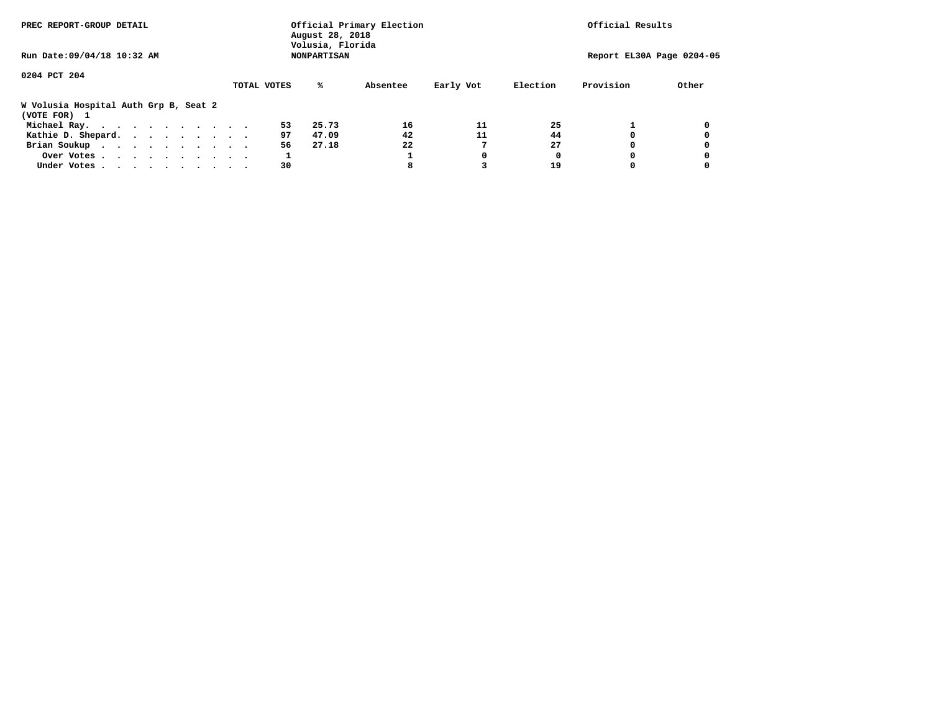| PREC REPORT-GROUP DETAIL                              |             | August 28, 2018<br>Volusia, Florida | Official Primary Election |           | Official Results          |           |       |
|-------------------------------------------------------|-------------|-------------------------------------|---------------------------|-----------|---------------------------|-----------|-------|
| Run Date: 09/04/18 10:32 AM                           |             | <b>NONPARTISAN</b>                  |                           |           | Report EL30A Page 0204-05 |           |       |
| 0204 PCT 204                                          |             |                                     |                           |           |                           |           |       |
|                                                       | TOTAL VOTES | ℁                                   | Absentee                  | Early Vot | Election                  | Provision | Other |
| W Volusia Hospital Auth Grp B, Seat 2<br>(VOTE FOR) 1 |             |                                     |                           |           |                           |           |       |
| Michael Ray.                                          |             | 53<br>25.73                         | 16                        | 11        | 25                        |           |       |
| Kathie D. Shepard.                                    |             | 97<br>47.09                         | 42                        | 11        | 44                        |           |       |
| Brian Soukup                                          |             | 56<br>27.18                         | 22                        |           | 27                        |           |       |
| Over Votes                                            |             |                                     |                           | 0         | 0                         |           |       |
| Under Votes                                           |             | 30                                  | 8                         |           | 19                        |           |       |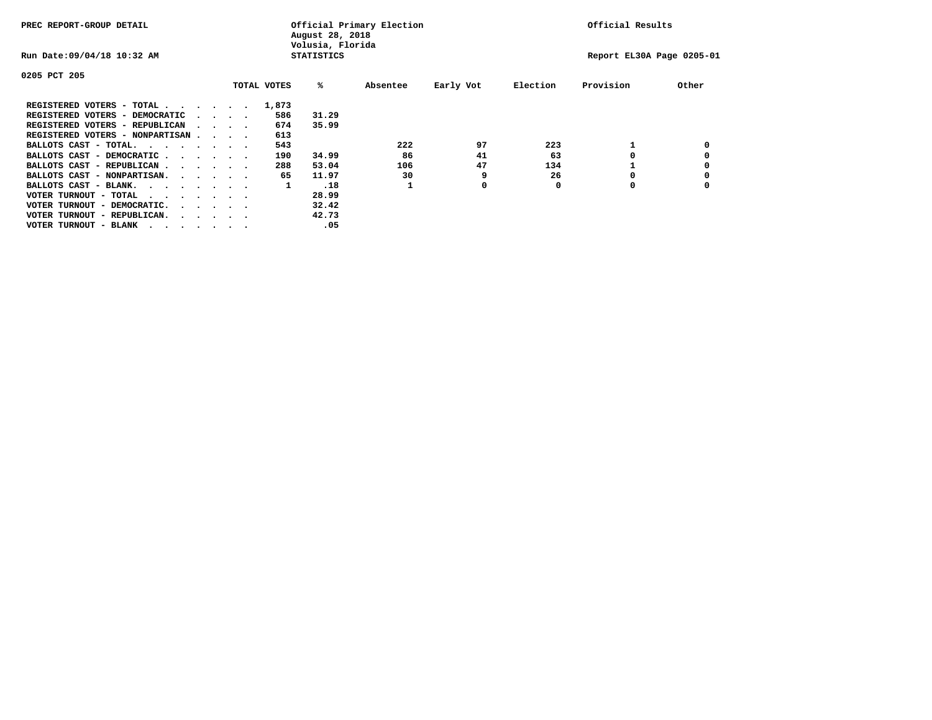| PREC REPORT-GROUP DETAIL                                                  |  |                                         |  |  |             | August 28, 2018<br>Volusia, Florida | Official Primary Election |           | Official Results |           |       |
|---------------------------------------------------------------------------|--|-----------------------------------------|--|--|-------------|-------------------------------------|---------------------------|-----------|------------------|-----------|-------|
| Run Date: 09/04/18 10:32 AM                                               |  |                                         |  |  |             | <b>STATISTICS</b>                   | Report EL30A Page 0205-01 |           |                  |           |       |
| 0205 PCT 205                                                              |  |                                         |  |  |             |                                     |                           |           |                  |           |       |
|                                                                           |  |                                         |  |  | TOTAL VOTES | %ะ                                  | Absentee                  | Early Vot | Election         | Provision | Other |
| REGISTERED VOTERS - TOTAL $\cdot$ $\cdot$ $\cdot$ $\cdot$ $\cdot$ $\cdot$ |  |                                         |  |  | 1,873       |                                     |                           |           |                  |           |       |
| REGISTERED VOTERS - DEMOCRATIC                                            |  | $\sim$ $\sim$ $\sim$ $\sim$             |  |  | 586         | 31.29                               |                           |           |                  |           |       |
| REGISTERED VOTERS - REPUBLICAN                                            |  |                                         |  |  | 674         | 35.99                               |                           |           |                  |           |       |
| REGISTERED VOTERS - NONPARTISAN                                           |  |                                         |  |  | 613         |                                     |                           |           |                  |           |       |
| BALLOTS CAST - TOTAL.                                                     |  |                                         |  |  | 543         |                                     | 222                       | 97        | 223              |           |       |
| BALLOTS CAST - DEMOCRATIC                                                 |  |                                         |  |  | 190         | 34.99                               | 86                        | 41        | 63               |           |       |
| BALLOTS CAST - REPUBLICAN                                                 |  |                                         |  |  | 288         | 53.04                               | 106                       | 47        | 134              |           |       |
| BALLOTS CAST - NONPARTISAN.                                               |  |                                         |  |  | 65          | 11.97                               | 30                        | 9         | 26               |           |       |
| BALLOTS CAST - BLANK.                                                     |  |                                         |  |  | 1           | .18                                 |                           | 0         | 0                | O         |       |
| VOTER TURNOUT - TOTAL<br>$\cdots$                                         |  |                                         |  |  |             | 28.99                               |                           |           |                  |           |       |
| VOTER TURNOUT - DEMOCRATIC.                                               |  | $\cdot$ $\cdot$ $\cdot$ $\cdot$ $\cdot$ |  |  |             | 32.42                               |                           |           |                  |           |       |
| VOTER TURNOUT - REPUBLICAN.<br>$\cdot$                                    |  |                                         |  |  |             | 42.73                               |                           |           |                  |           |       |
| VOTER TURNOUT - BLANK                                                     |  |                                         |  |  |             | .05                                 |                           |           |                  |           |       |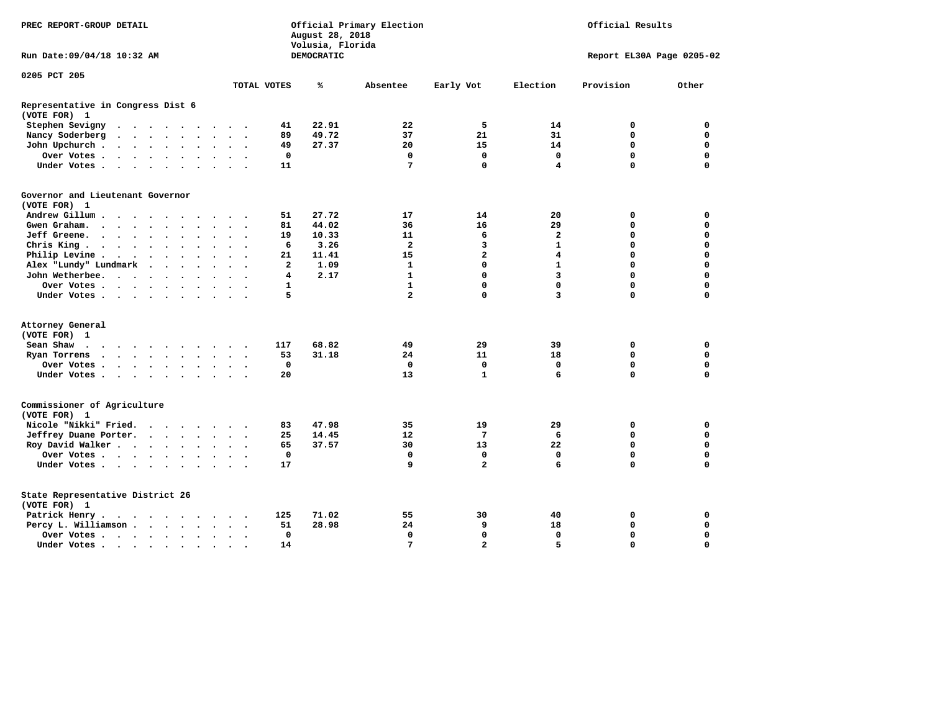| PREC REPORT-GROUP DETAIL                                                                                                                               |               |        |        |                         |              | August 28, 2018<br>Volusia, Florida | Official Primary Election | Official Results        |                         |                           |             |  |
|--------------------------------------------------------------------------------------------------------------------------------------------------------|---------------|--------|--------|-------------------------|--------------|-------------------------------------|---------------------------|-------------------------|-------------------------|---------------------------|-------------|--|
| Run Date: 09/04/18 10:32 AM                                                                                                                            |               |        |        |                         |              | DEMOCRATIC                          |                           |                         |                         | Report EL30A Page 0205-02 |             |  |
| 0205 PCT 205                                                                                                                                           |               |        |        |                         | TOTAL VOTES  | ℁                                   | Absentee                  | Early Vot               | Election                | Provision                 | Other       |  |
|                                                                                                                                                        |               |        |        |                         |              |                                     |                           |                         |                         |                           |             |  |
| Representative in Congress Dist 6<br>(VOTE FOR) 1                                                                                                      |               |        |        |                         |              |                                     |                           |                         |                         |                           |             |  |
| Stephen Sevigny                                                                                                                                        |               |        |        |                         | 41           | 22.91                               | 22                        | 5                       | 14                      | 0                         | 0           |  |
| Nancy Soderberg<br>$\mathcal{A}$ . The second contribution of $\mathcal{A}$                                                                            |               |        |        | $\cdots$                | 89           | 49.72                               | 37                        | 21                      | 31                      | $\mathbf 0$               | $\mathbf 0$ |  |
| John Upchurch                                                                                                                                          |               | $\sim$ |        | $\ddot{\phantom{1}}$    | 49           | 27.37                               | 20                        | 15                      | 14                      | 0                         | 0           |  |
| Over Votes                                                                                                                                             |               |        |        |                         | 0            |                                     | 0                         | 0                       | $\mathbf 0$             | $\mathbf 0$               | $\mathbf 0$ |  |
| Under Votes                                                                                                                                            |               |        |        | $\cdot$ $\cdot$ $\cdot$ | 11           |                                     | 7                         | $\mathbf 0$             | 4                       | $\Omega$                  | $\mathbf 0$ |  |
| Governor and Lieutenant Governor                                                                                                                       |               |        |        |                         |              |                                     |                           |                         |                         |                           |             |  |
| (VOTE FOR) 1                                                                                                                                           |               |        |        |                         |              |                                     |                           |                         |                         |                           |             |  |
| Andrew Gillum                                                                                                                                          | $\sim$ $\sim$ |        |        |                         | 51           | 27.72                               | 17                        | 14                      | 20                      | 0                         | 0           |  |
| Gwengraham                                                                                                                                             |               |        |        | $\cdot$ $\cdot$ $\cdot$ | 81           | 44.02                               | 36                        | 16                      | 29                      | $\mathbf 0$               | $\mathbf 0$ |  |
| Jeff Greene.                                                                                                                                           |               |        |        | $\bullet$               | 19           | 10.33                               | 11                        | 6                       | 2                       | 0                         | 0           |  |
| Chris King                                                                                                                                             |               |        |        |                         | 6            | 3.26                                | $\overline{\mathbf{2}}$   | 3                       | $\mathbf{1}$            | $\mathbf 0$               | $\mathbf 0$ |  |
| Philip Levine .<br>$\begin{array}{cccccccccccccc} \bullet & \bullet & \bullet & \bullet & \bullet & \bullet & \bullet & \bullet & \bullet \end{array}$ |               |        | $\sim$ | $\ddot{\phantom{0}}$    | 21           | 11.41                               | 15                        | $\overline{\mathbf{2}}$ | $\overline{\mathbf{4}}$ | $\mathbf 0$               | $\mathbf 0$ |  |
| Alex "Lundy" Lundmark                                                                                                                                  |               |        |        | $\ddot{\phantom{a}}$    | $\mathbf{2}$ | 1.09                                | 1                         | $\mathbf 0$             | $\mathbf{1}$            | $\mathbf 0$               | 0           |  |
| John Wetherbee.                                                                                                                                        |               |        |        | $\ddot{\phantom{a}}$    | 4            | 2.17                                | $\mathbf{1}$              | $\mathbf 0$             | 3                       | $\mathbf 0$               | $\mathbf 0$ |  |
| Over Votes                                                                                                                                             |               |        |        | $\sim$                  | 1            |                                     | $\mathbf{1}$              | $\mathbf 0$             | $\mathbf 0$             | $\mathbf 0$               | $\mathbf 0$ |  |
| Under Votes                                                                                                                                            |               |        |        |                         | 5            |                                     | $\overline{a}$            | $\mathbf 0$             | 3                       | $\mathbf 0$               | $\mathbf 0$ |  |
| Attorney General                                                                                                                                       |               |        |        |                         |              |                                     |                           |                         |                         |                           |             |  |
| (VOTE FOR) 1                                                                                                                                           |               |        |        |                         |              |                                     |                           |                         |                         |                           |             |  |
| Sean Shaw                                                                                                                                              |               |        |        |                         | 117          | 68.82                               | 49                        | 29                      | 39                      | 0                         | 0           |  |
| Ryan Torrens                                                                                                                                           |               |        |        | $\cdot$ $\cdot$ $\cdot$ | 53           | 31.18                               | 24                        | 11                      | 18                      | $\mathbf 0$               | $\mathbf 0$ |  |
| Over Votes                                                                                                                                             |               |        |        |                         | 0            |                                     | $\mathbf 0$               | $\mathbf 0$             | 0                       | $\mathbf 0$               | 0           |  |
| Under Votes                                                                                                                                            |               |        |        |                         | 20           |                                     | 13                        | $\mathbf{1}$            | 6                       | $\mathbf 0$               | $\mathbf 0$ |  |
| Commissioner of Agriculture<br>(VOTE FOR) 1                                                                                                            |               |        |        |                         |              |                                     |                           |                         |                         |                           |             |  |
| Nicole "Nikki" Fried.                                                                                                                                  |               |        |        |                         | 83           | 47.98                               | 35                        | 19                      | 29                      | 0                         | $\mathbf 0$ |  |
| Jeffrey Duane Porter.                                                                                                                                  |               |        |        |                         | 25           | 14.45                               | 12                        | 7                       | 6                       | $\mathbf 0$               | 0           |  |
| Roy David Walker                                                                                                                                       |               |        |        |                         | 65           | 37.57                               | 30                        | 13                      | 22                      | $\mathbf 0$               | $\mathbf 0$ |  |
| Over Votes                                                                                                                                             |               |        |        | $\ddot{\phantom{1}}$    | 0            |                                     | 0                         | 0                       | 0                       | $\mathbf 0$               | 0           |  |
| Under Votes                                                                                                                                            |               |        |        |                         | 17           |                                     | 9                         | $\overline{\mathbf{2}}$ | 6                       | $\mathbf 0$               | $\mathbf 0$ |  |
| State Representative District 26<br>(VOTE FOR) 1                                                                                                       |               |        |        |                         |              |                                     |                           |                         |                         |                           |             |  |
| Patrick Henry.<br>.                                                                                                                                    |               |        |        |                         | 125          | 71.02                               | 55                        | 30                      | 40                      | 0                         | 0           |  |
| Percy L. Williamson                                                                                                                                    |               |        | $\sim$ | $\ddot{\phantom{1}}$    | 51           | 28.98                               | 24                        | 9                       | 18                      | $\mathbf 0$               | $\mathbf 0$ |  |
| Over Votes                                                                                                                                             |               |        |        | $\ddot{\phantom{a}}$    | $\mathbf 0$  |                                     | $\mathbf 0$               | $\mathbf 0$             | $\mathbf 0$             | $\mathbf 0$               | $\mathbf 0$ |  |
| Under Votes                                                                                                                                            |               |        |        |                         | 14           |                                     | $\overline{7}$            | $\overline{a}$          | 5                       | $\Omega$                  | $\Omega$    |  |
|                                                                                                                                                        |               |        |        |                         |              |                                     |                           |                         |                         |                           |             |  |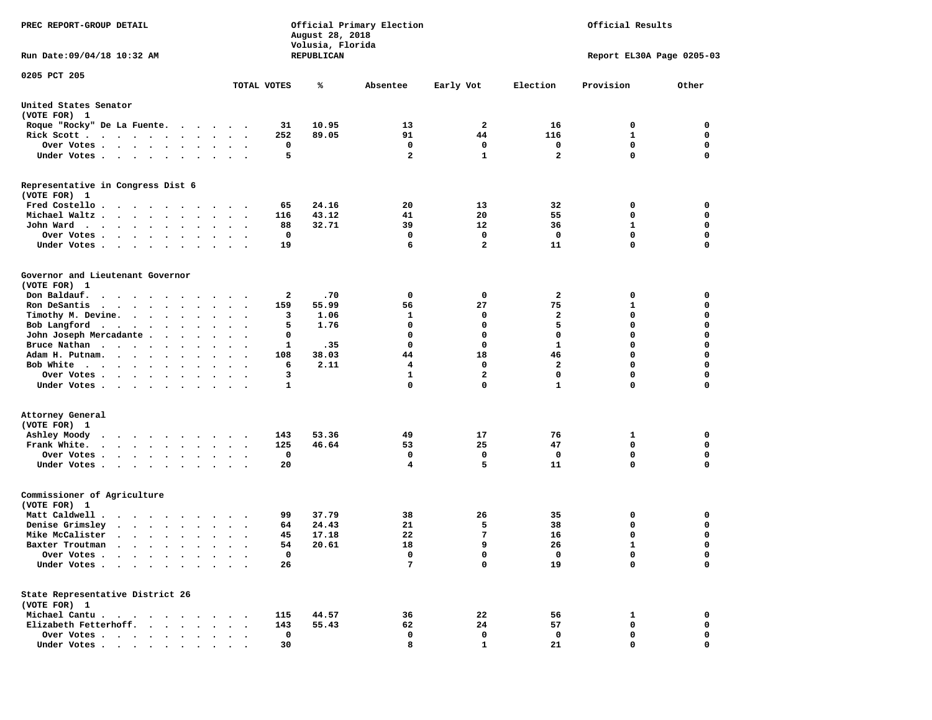| PREC REPORT-GROUP DETAIL                                                                                                                                                      | Official Primary Election<br>August 28, 2018<br>Volusia, Florida |                        | Official Results |                |                              |                           |                            |
|-------------------------------------------------------------------------------------------------------------------------------------------------------------------------------|------------------------------------------------------------------|------------------------|------------------|----------------|------------------------------|---------------------------|----------------------------|
| Run Date: 09/04/18 10:32 AM                                                                                                                                                   |                                                                  | REPUBLICAN             |                  |                |                              | Report EL30A Page 0205-03 |                            |
| 0205 PCT 205                                                                                                                                                                  | TOTAL VOTES                                                      | ℁                      | Absentee         | Early Vot      | Election                     | Provision                 | Other                      |
|                                                                                                                                                                               |                                                                  |                        |                  |                |                              |                           |                            |
| United States Senator<br>(VOTE FOR) 1                                                                                                                                         |                                                                  |                        |                  |                |                              |                           |                            |
| Roque "Rocky" De La Fuente.                                                                                                                                                   |                                                                  | 10.95<br>31            | 13               | 2              | 16                           | 0                         | 0                          |
| Rick Scott.<br>. The contract of the contract of the contract of the contract of the contract of the $\alpha$                                                                 | 252                                                              | 89.05                  | 91               | 44             | 116                          | 1                         | 0                          |
| Over Votes                                                                                                                                                                    |                                                                  | 0                      | 0                | 0              | 0                            | 0                         | 0                          |
| Under Votes<br>$\bullet$                                                                                                                                                      | $\ddot{\phantom{1}}$                                             | 5                      | $\overline{a}$   | $\mathbf{1}$   | $\overline{\mathbf{2}}$      | 0                         | 0                          |
| Representative in Congress Dist 6<br>(VOTE FOR) 1                                                                                                                             |                                                                  |                        |                  |                |                              |                           |                            |
| Fred Costello                                                                                                                                                                 |                                                                  | 24.16<br>65            | 20               | 13             | 32                           | 0                         | 0                          |
| Michael Waltz.<br>$\cdot$ $\cdot$ $\cdot$ $\cdot$<br>$\sim$<br>$\bullet$                                                                                                      | 116                                                              | 43.12                  | 41               | 20             | 55                           | 0                         | 0                          |
| John Ward<br>$\bullet$<br>$\cdot$                                                                                                                                             |                                                                  | 88<br>32.71            | 39               | 12             | 36                           | 1                         | 0                          |
| Over Votes .<br>$\cdot$ $\cdot$ $\cdot$<br>$\cdot$                                                                                                                            |                                                                  | $\mathbf 0$            | 0                | $\mathbf 0$    | 0                            | 0                         | $\mathbf 0$                |
| Under Votes.<br>$\cdot$ $\cdot$ $\cdot$ $\cdot$<br>$\ddot{\phantom{0}}$<br>$\cdot$                                                                                            |                                                                  | 19                     | 6                | $\overline{a}$ | 11                           | 0                         | $\mathbf 0$                |
| Governor and Lieutenant Governor                                                                                                                                              |                                                                  |                        |                  |                |                              |                           |                            |
| (VOTE FOR) 1                                                                                                                                                                  |                                                                  |                        |                  |                |                              |                           |                            |
| Don Baldauf.<br>$\sim$ $\sim$ $\sim$                                                                                                                                          |                                                                  | 2<br>.70               | 0                | 0              | 2                            | 0                         | 0                          |
| Ron DeSantis<br>$\cdots$                                                                                                                                                      | 159                                                              | 55.99                  | 56               | 27             | 75                           | 1                         | 0                          |
| Timothy M. Devine.                                                                                                                                                            |                                                                  | 1.06<br>3<br>5<br>1.76 | 1<br>$\mathbf 0$ | 0<br>0         | $\overline{\mathbf{2}}$<br>5 | 0<br>0                    | $\mathbf 0$<br>$\mathbf 0$ |
| Bob Langford<br>$\bullet$<br>John Joseph Mercadante.                                                                                                                          |                                                                  |                        | 0                | 0              | $\mathbf 0$                  | 0                         | 0                          |
| $\ddot{\phantom{1}}$<br>$\cdot$<br>Bruce Nathan<br>$\sim$<br>$\bullet$                                                                                                        |                                                                  | 0<br>.35<br>1          | 0                | 0              | $\mathbf{1}$                 | 0                         | $\mathbf 0$                |
| $\bullet$<br>Adam H. Putnam.<br>$\bullet$<br>$\sim$ $\sim$<br>$\cdot$                                                                                                         | 108                                                              | 38.03                  | 44               | 18             | 46                           | 0                         | $\mathbf 0$                |
| Bob White<br>$\sim$ $\sim$ $\sim$ $\sim$ $\sim$                                                                                                                               |                                                                  | 6<br>2.11              | 4                | 0              | $\mathbf{2}$                 | 0                         | $\mathbf 0$                |
| Over Votes .<br>$\sim$ $\sim$ $\sim$ $\sim$ $\sim$ $\sim$<br>$\bullet$<br>$\bullet$                                                                                           | $\bullet$                                                        | 3                      | $\mathbf{1}$     | $\mathbf{2}$   | $\mathbf 0$                  | 0                         | $\mathbf 0$                |
| Under Votes<br>$\ddot{\phantom{1}}$                                                                                                                                           |                                                                  | 1                      | 0                | $\mathbf 0$    | $\mathbf{1}$                 | 0                         | 0                          |
| Attorney General                                                                                                                                                              |                                                                  |                        |                  |                |                              |                           |                            |
| (VOTE FOR) 1                                                                                                                                                                  |                                                                  |                        |                  |                |                              |                           |                            |
| Ashley Moody<br>$\ddot{\phantom{0}}$<br>.                                                                                                                                     | 143                                                              | 53.36                  | 49               | 17             | 76                           | 1                         | 0                          |
| Frank White.<br>$\begin{array}{cccccccccccccc} \bullet & \bullet & \bullet & \bullet & \bullet & \bullet & \bullet & \bullet & \bullet \end{array}$<br>$\bullet$<br>$\bullet$ | 125<br>$\bullet$<br>$\cdot$                                      | 46.64                  | 53               | 25             | 47                           | $\mathbf 0$               | $\mathbf 0$                |
| Over Votes .<br>$\sim$ $\sim$ $\sim$ $\sim$<br>$\bullet$<br>$\bullet$                                                                                                         |                                                                  | 0                      | 0                | 0              | 0                            | 0                         | 0                          |
| Under Votes<br>$\bullet$<br>$\bullet$                                                                                                                                         | $\bullet$ . $\bullet$                                            | 20                     | 4                | 5              | 11                           | 0                         | $\mathbf 0$                |
| Commissioner of Agriculture<br>(VOTE FOR) 1                                                                                                                                   |                                                                  |                        |                  |                |                              |                           |                            |
| Matt Caldwell.<br>$\cdot$                                                                                                                                                     |                                                                  | 37.79<br>99            | 38               | 26             | 35                           | 0                         | 0                          |
| Denise Grimsley<br>$\ddot{\phantom{a}}$<br>$\cdots$                                                                                                                           |                                                                  | 64<br>24.43            | 21               | 5              | 38                           | 0                         | 0                          |
| Mike McCalister<br>$\cdots$                                                                                                                                                   |                                                                  | 17.18<br>45            | 22               | 7              | 16                           | 0                         | $\mathbf 0$                |
| Baxter Troutman<br>the contract of the contract of the contract of the contract of the contract of the contract of the contract of                                            |                                                                  | 54<br>20.61            | 18               | 9              | 26                           | 1                         | 0                          |
| Over Votes .<br>$\cdot$                                                                                                                                                       |                                                                  | 0                      | 0                | 0              | 0                            | 0                         | 0                          |
| Under Votes.<br>$\bullet$                                                                                                                                                     |                                                                  | 26                     | 7                | 0              | 19                           | 0                         | $\mathbf 0$                |
| State Representative District 26<br>(VOTE FOR) 1                                                                                                                              |                                                                  |                        |                  |                |                              |                           |                            |
| Michael Cantu.<br>$\cdots$                                                                                                                                                    | 115                                                              | 44.57                  | 36               | 22             | 56                           | 1                         | 0                          |
| Elizabeth Fetterhoff.                                                                                                                                                         | 143                                                              | 55.43                  | 62               | 24             | 57                           | 0                         | 0                          |
| Over Votes .<br>$\ddot{\phantom{1}}$<br>$\ddot{\phantom{0}}$<br>$\bullet$<br>$\bullet$                                                                                        |                                                                  | 0                      | 0                | 0              | 0                            | 0                         | 0                          |
| Under Votes                                                                                                                                                                   |                                                                  | 30                     | 8                | $\mathbf{1}$   | 21                           | 0                         | 0                          |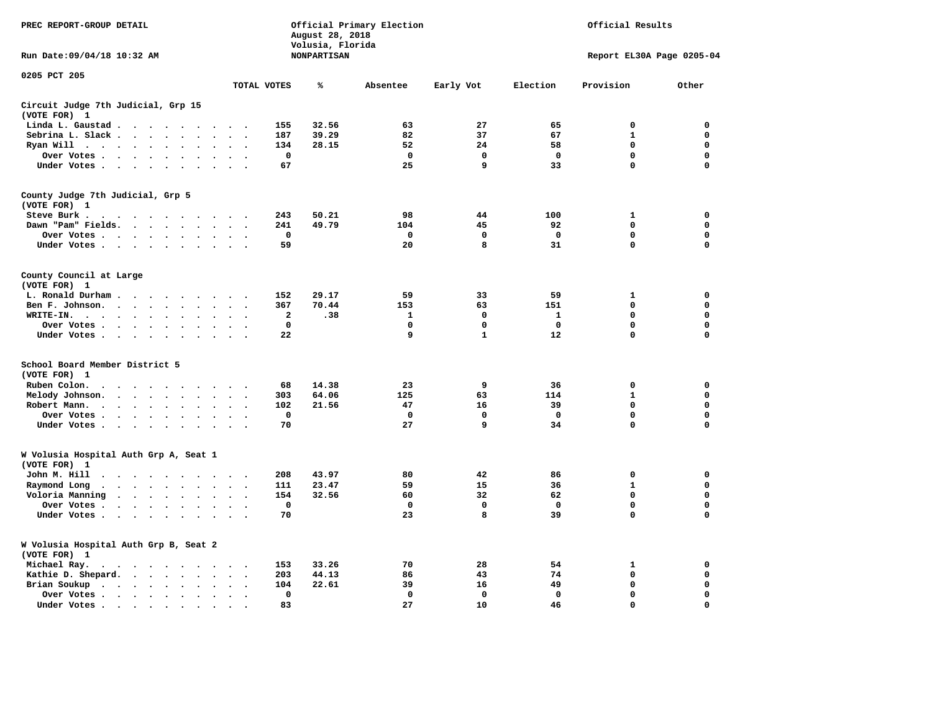| Official Primary Election<br>PREC REPORT-GROUP DETAIL<br>August 28, 2018                                                         |                                                   |                                        |              |              |              |                           | Official Results |  |  |  |
|----------------------------------------------------------------------------------------------------------------------------------|---------------------------------------------------|----------------------------------------|--------------|--------------|--------------|---------------------------|------------------|--|--|--|
| Run Date: 09/04/18 10:32 AM                                                                                                      |                                                   | Volusia, Florida<br><b>NONPARTISAN</b> |              |              |              | Report EL30A Page 0205-04 |                  |  |  |  |
| 0205 PCT 205                                                                                                                     | TOTAL VOTES                                       | ℁                                      | Absentee     | Early Vot    | Election     | Provision                 | Other            |  |  |  |
| Circuit Judge 7th Judicial, Grp 15                                                                                               |                                                   |                                        |              |              |              |                           |                  |  |  |  |
| (VOTE FOR) 1                                                                                                                     |                                                   |                                        |              |              |              |                           |                  |  |  |  |
| Linda L. Gaustad                                                                                                                 | 155                                               | 32.56                                  | 63           | 27           | 65           | $\mathbf 0$               | 0                |  |  |  |
| Sebrina L. Slack<br>$\sim$                                                                                                       | 187                                               | 39.29                                  | 82           | 37           | 67           | $\mathbf{1}$              | 0                |  |  |  |
| Ryan Will $\cdots$ $\cdots$<br>$\bullet$                                                                                         | 134                                               | 28.15                                  | 52           | 24           | 58           | 0                         | $\mathbf 0$      |  |  |  |
| Over Votes<br>$\ddot{\phantom{0}}$<br>$\bullet$<br>$\cdot$                                                                       | $\mathbf 0$                                       |                                        | $\mathbf 0$  | $\mathbf 0$  | $\mathbf 0$  | $\mathbf 0$               | 0                |  |  |  |
| Under Votes                                                                                                                      | 67<br>$\sim$                                      |                                        | 25           | 9            | 33           | $\mathbf 0$               | $\mathbf 0$      |  |  |  |
| County Judge 7th Judicial, Grp 5                                                                                                 |                                                   |                                        |              |              |              |                           |                  |  |  |  |
| (VOTE FOR) 1                                                                                                                     |                                                   |                                        |              |              |              |                           |                  |  |  |  |
| Steve Burk.                                                                                                                      | 243<br>$\sim$ $\sim$                              | 50.21                                  | 98           | 44           | 100          | 1                         | 0                |  |  |  |
| Dawn "Pam" Fields.                                                                                                               | 241<br>$\sim$<br>$\ddot{\phantom{0}}$             | 49.79                                  | 104          | 45           | 92           | 0                         | 0                |  |  |  |
| Over Votes<br>$\ddot{\phantom{a}}$                                                                                               | 0<br>$\ddot{\phantom{a}}$<br>$\ddot{\phantom{a}}$ |                                        | 0            | 0            | 0            | 0                         | $\mathbf 0$      |  |  |  |
| Under Votes                                                                                                                      | 59<br>$\sim$                                      |                                        | 20           | 8            | 31           | $\mathbf 0$               | $\mathbf 0$      |  |  |  |
| County Council at Large<br>(VOTE FOR) 1                                                                                          |                                                   |                                        |              |              |              |                           |                  |  |  |  |
| L. Ronald Durham                                                                                                                 | 152                                               | 29.17                                  | 59           | 33           | 59           | 1                         | 0                |  |  |  |
| Ben F. Johnson.<br>$\ddot{\phantom{a}}$<br>$\sim$                                                                                | 367<br>$\bullet$                                  | 70.44                                  | 153          | 63           | 151          | $\Omega$                  | 0                |  |  |  |
| WRITE-IN.<br>$\cdots$                                                                                                            | $\mathbf{z}$                                      | .38                                    | $\mathbf{1}$ | $\mathbf{0}$ | $\mathbf{1}$ | $\Omega$                  | $\mathbf 0$      |  |  |  |
| Over Votes .<br>$\cdot$ $\cdot$ $\cdot$ $\cdot$<br>$\bullet$                                                                     | $\mathbf 0$                                       |                                        | 0            | $\mathbf 0$  | $\mathbf 0$  | $\mathbf 0$               | 0                |  |  |  |
| Under Votes                                                                                                                      | 22                                                |                                        | 9            | $\mathbf{1}$ | 12           | 0                         | $\mathbf 0$      |  |  |  |
| School Board Member District 5                                                                                                   |                                                   |                                        |              |              |              |                           |                  |  |  |  |
| (VOTE FOR) 1                                                                                                                     |                                                   |                                        |              |              |              |                           |                  |  |  |  |
| Ruben Colon.<br>$\cdot$ $\cdot$ $\cdot$ $\cdot$ $\cdot$ $\cdot$<br>$\sim$ $\sim$                                                 | 68<br>$\sim$                                      | 14.38                                  | 23           | 9            | 36           | 0                         | 0                |  |  |  |
| Melody Johnson.<br>$\cdots$<br>$\sim$                                                                                            | 303<br>$\sim$<br>$\overline{\phantom{a}}$         | 64.06                                  | 125          | 63           | 114          | 1                         | 0                |  |  |  |
| Robert Mann.<br>$\sim$ $\sim$ $\sim$ $\sim$<br>$\bullet$                                                                         | 102                                               | 21.56                                  | 47           | 16           | 39           | $\mathbf 0$               | 0                |  |  |  |
| Over Votes<br>$\ddot{\phantom{a}}$<br>$\sim$                                                                                     | 0<br>$\sim$                                       |                                        | 0            | 0            | 0            | $\mathbf 0$               | $\mathbf 0$      |  |  |  |
| Under Votes<br>$\bullet$ .<br>$\cdot$                                                                                            | 70<br>$\bullet$<br>$\cdot$                        |                                        | 27           | 9            | 34           | $\mathbf 0$               | $\mathbf 0$      |  |  |  |
| W Volusia Hospital Auth Grp A, Seat 1                                                                                            |                                                   |                                        |              |              |              |                           |                  |  |  |  |
| (VOTE FOR) 1                                                                                                                     |                                                   |                                        |              |              |              |                           |                  |  |  |  |
| John M. Hill<br>$\ddot{\phantom{0}}$<br>$\cdots$<br>$\sim$ $\sim$                                                                | 208                                               | 43.97                                  | 80           | 42           | 86           | 0                         | 0                |  |  |  |
| Raymond Long<br>$\cdots$<br>$\ddot{\phantom{0}}$<br>$\ddot{\phantom{1}}$                                                         | 111<br>$\bullet$                                  | 23.47                                  | 59           | 15           | 36           | $\mathbf{1}$              | 0                |  |  |  |
| Voloria Manning<br>$\mathcal{L}^{\text{max}}$ , and $\mathcal{L}^{\text{max}}$<br>$\ddot{\phantom{0}}$<br>$\bullet$<br>$\bullet$ | 154<br>$\bullet$                                  | 32.56                                  | 60           | 32           | 62           | 0                         | 0                |  |  |  |
| Over Votes<br>$\sim$                                                                                                             | $\mathbf 0$                                       |                                        | $\mathbf 0$  | $\mathbf{0}$ | $\mathbf 0$  | $\Omega$                  | $\mathbf 0$      |  |  |  |
| Under Votes<br>$\cdots$<br>$\cdot$<br>$\cdot$                                                                                    | 70                                                |                                        | 23           | 8            | 39           | $\mathbf 0$               | $\mathbf 0$      |  |  |  |
| W Volusia Hospital Auth Grp B, Seat 2<br>(VOTE FOR) 1                                                                            |                                                   |                                        |              |              |              |                           |                  |  |  |  |
| Michael Ray.<br>.                                                                                                                | 153                                               | 33.26                                  | 70           | 28           | 54           | 1                         | 0                |  |  |  |
| Kathie D. Shepard.<br>$\ddot{\phantom{a}}$<br>$\sim$                                                                             | 203<br>$\bullet$<br>$\overline{\phantom{a}}$      | 44.13                                  | 86           | 43           | 74           | $\mathbf 0$               | 0                |  |  |  |
| Brian Soukup<br>$\cdot$ $\cdot$ $\cdot$ $\cdot$ $\cdot$ $\cdot$ $\cdot$<br>$\sim$                                                | 104                                               | 22.61                                  | 39           | 16           | 49           | $\mathbf 0$               | 0                |  |  |  |
| Over Votes<br>$\bullet$<br>$\ddot{\phantom{a}}$                                                                                  | 0<br>$\ddot{\phantom{a}}$                         |                                        | 0            | 0            | 0            | $\mathbf 0$               | $\mathbf 0$      |  |  |  |
| Under Votes<br>$\cdot$<br>$\overline{\phantom{a}}$                                                                               | 83                                                |                                        | 27           | 10           | 46           | $\mathbf 0$               | $\mathbf 0$      |  |  |  |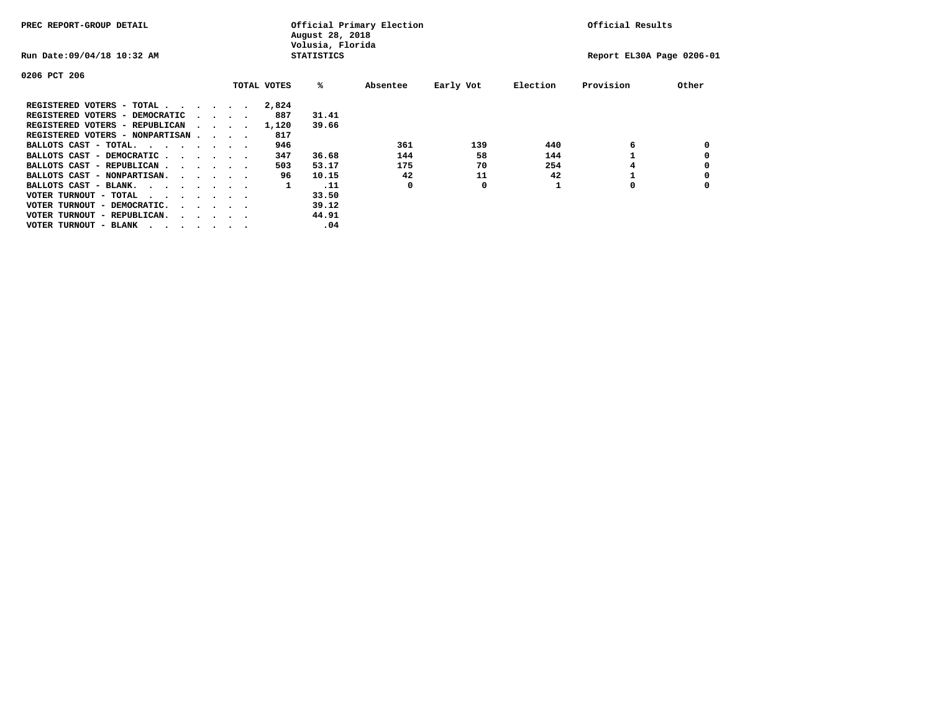| PREC REPORT-GROUP DETAIL               |  |                                         |  |  |             | Official Primary Election<br>August 28, 2018<br>Volusia, Florida | Official Results |           |          |                           |       |
|----------------------------------------|--|-----------------------------------------|--|--|-------------|------------------------------------------------------------------|------------------|-----------|----------|---------------------------|-------|
| Run Date: 09/04/18 10:32 AM            |  |                                         |  |  |             | <b>STATISTICS</b>                                                |                  |           |          | Report EL30A Page 0206-01 |       |
| 0206 PCT 206                           |  |                                         |  |  |             |                                                                  |                  |           |          |                           |       |
|                                        |  |                                         |  |  | TOTAL VOTES | %ะ                                                               | Absentee         | Early Vot | Election | Provision                 | Other |
| REGISTERED VOTERS - TOTAL              |  |                                         |  |  | 2,824       |                                                                  |                  |           |          |                           |       |
| REGISTERED VOTERS - DEMOCRATIC         |  | $\cdot$ $\cdot$ $\cdot$ $\cdot$         |  |  | 887         | 31.41                                                            |                  |           |          |                           |       |
| REGISTERED VOTERS - REPUBLICAN         |  |                                         |  |  | 1,120       | 39.66                                                            |                  |           |          |                           |       |
| REGISTERED VOTERS - NONPARTISAN        |  |                                         |  |  | 817         |                                                                  |                  |           |          |                           |       |
| BALLOTS CAST - TOTAL.                  |  |                                         |  |  | 946         |                                                                  | 361              | 139       | 440      | 6                         |       |
| BALLOTS CAST - DEMOCRATIC              |  |                                         |  |  | 347         | 36.68                                                            | 144              | 58        | 144      |                           |       |
| BALLOTS CAST - REPUBLICAN              |  |                                         |  |  | 503         | 53.17                                                            | 175              | 70        | 254      |                           |       |
| BALLOTS CAST - NONPARTISAN.            |  |                                         |  |  | 96          | 10.15                                                            | 42               | 11        | 42       |                           |       |
| BALLOTS CAST - BLANK.                  |  |                                         |  |  | 1           | .11                                                              | 0                | 0         |          | 0                         |       |
| VOTER TURNOUT - TOTAL<br>$\cdots$      |  |                                         |  |  |             | 33.50                                                            |                  |           |          |                           |       |
| VOTER TURNOUT - DEMOCRATIC.            |  | $\cdot$ $\cdot$ $\cdot$ $\cdot$ $\cdot$ |  |  |             | 39.12                                                            |                  |           |          |                           |       |
| VOTER TURNOUT - REPUBLICAN.<br>$\cdot$ |  |                                         |  |  |             | 44.91                                                            |                  |           |          |                           |       |
| VOTER TURNOUT - BLANK                  |  |                                         |  |  |             | .04                                                              |                  |           |          |                           |       |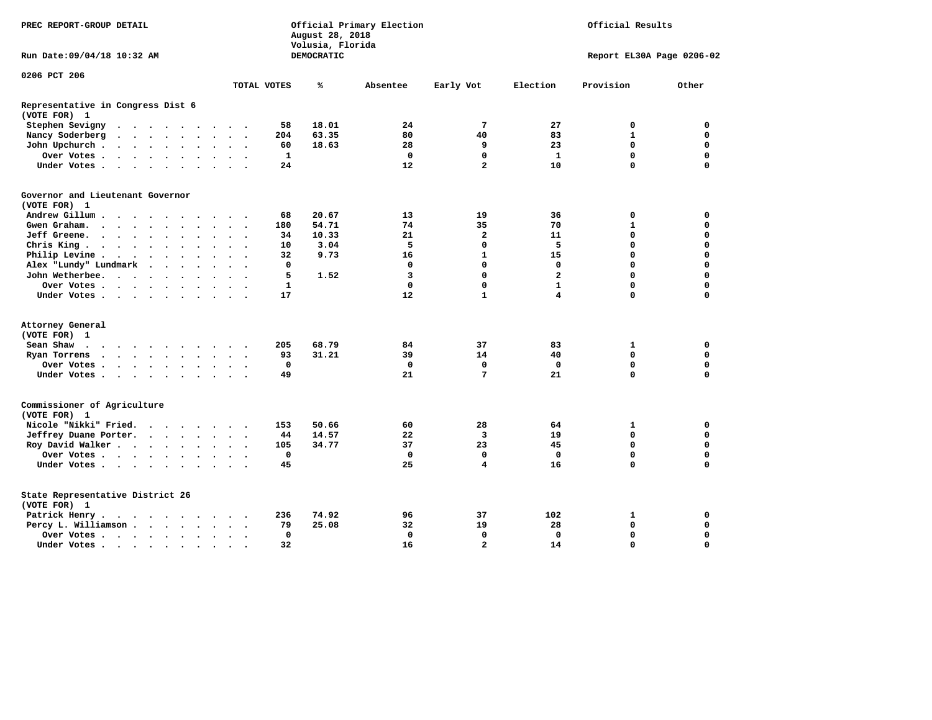| PREC REPORT-GROUP DETAIL                                                                                                                                                                                                                                                                            |              | August 28, 2018<br>Volusia, Florida | Official Primary Election | Official Results        |                |                           |             |
|-----------------------------------------------------------------------------------------------------------------------------------------------------------------------------------------------------------------------------------------------------------------------------------------------------|--------------|-------------------------------------|---------------------------|-------------------------|----------------|---------------------------|-------------|
| Run Date: 09/04/18 10:32 AM                                                                                                                                                                                                                                                                         |              | DEMOCRATIC                          |                           |                         |                | Report EL30A Page 0206-02 |             |
| 0206 PCT 206                                                                                                                                                                                                                                                                                        |              |                                     |                           |                         |                |                           |             |
|                                                                                                                                                                                                                                                                                                     | TOTAL VOTES  | ℁                                   | Absentee                  | Early Vot               | Election       | Provision                 | Other       |
| Representative in Congress Dist 6<br>(VOTE FOR) 1                                                                                                                                                                                                                                                   |              |                                     |                           |                         |                |                           |             |
| Stephen Sevigny<br>$\cdot$ $\cdot$ $\cdot$ $\cdot$ $\cdot$<br>$\bullet$                                                                                                                                                                                                                             | 58           | 18.01                               | 24                        | 7                       | 27             | 0                         | 0           |
| Nancy Soderberg<br>$\begin{array}{cccccccccccccc} \bullet & \bullet & \bullet & \bullet & \bullet & \bullet & \bullet & \bullet \end{array}$<br>$\bullet$<br>$\bullet$<br>$\ddotsc$                                                                                                                 | 204          | 63.35                               | 80                        | 40                      | 83             | $\mathbf{1}$              | $\mathbf 0$ |
| John Upchurch.<br>$\sim$ $\sim$ $\sim$ $\sim$ $\sim$<br>$\bullet$<br>$\bullet$                                                                                                                                                                                                                      | 60           | 18.63                               | 28                        | 9                       | 23             | $\mathbf 0$               | $\mathbf 0$ |
| Over Votes<br>$\bullet$<br>$\bullet$                                                                                                                                                                                                                                                                | 1            |                                     | $\mathbf 0$               | $\mathbf 0$             | $\mathbf{1}$   | $\mathbf 0$               | $\mathbf 0$ |
| Under Votes<br>$\cdot$<br>$\ddot{\phantom{a}}$<br>$\sim$                                                                                                                                                                                                                                            | 24           |                                     | 12                        | $\overline{a}$          | 10             | $\Omega$                  | $\Omega$    |
| Governor and Lieutenant Governor                                                                                                                                                                                                                                                                    |              |                                     |                           |                         |                |                           |             |
| (VOTE FOR) 1                                                                                                                                                                                                                                                                                        |              |                                     |                           |                         |                |                           |             |
| Andrew Gillum                                                                                                                                                                                                                                                                                       | 68           | 20.67                               | 13                        | 19                      | 36             | 0                         | 0           |
| Gwen Graham.<br>$\mathbf{r}$ . The set of $\mathbf{r}$<br>$\bullet$                                                                                                                                                                                                                                 | 180          | 54.71                               | 74                        | 35                      | 70             | 1                         | $\mathbf 0$ |
| Jeff Greene.<br>$\cdot$ $\cdot$ $\cdot$ $\cdot$<br>$\bullet$<br>$\bullet$                                                                                                                                                                                                                           | 34           | 10.33                               | 21                        | $\overline{\mathbf{2}}$ | 11             | 0                         | $\mathbf 0$ |
| Chris King<br>$\bullet$<br>$\bullet$                                                                                                                                                                                                                                                                | 10           | 3.04                                | 5                         | $\mathbf 0$             | 5              | 0                         | $\mathbf 0$ |
| Philip Levine .<br>$\bullet$<br>$\sim$ $\sim$<br>$\ddot{\phantom{a}}$<br>$\ddot{\phantom{0}}$<br>$\bullet$<br>$\bullet$<br>$\bullet$<br>$\overline{\phantom{a}}$                                                                                                                                    | 32           | 9.73                                | 16                        | $\mathbf{1}$            | 15             | 0                         | $\mathbf 0$ |
| Alex "Lundy" Lundmark<br>$\ddot{\phantom{a}}$<br>$\sim$<br>$\bullet$                                                                                                                                                                                                                                | 0            |                                     | 0                         | $\mathbf 0$             | $\Omega$       | 0                         | $\Omega$    |
| John Wetherbee.<br>$\ddot{\phantom{a}}$<br>$\sim$<br>$\sim$ $\sim$ $\sim$                                                                                                                                                                                                                           | 5            | 1.52                                | 3                         | $\Omega$                | $\overline{a}$ | $\Omega$                  | $\Omega$    |
| Over Votes .<br>$\ddot{\phantom{a}}$                                                                                                                                                                                                                                                                | $\mathbf{1}$ |                                     | $\mathbf 0$               | $\mathbf 0$             | $\mathbf{1}$   | 0                         | $\mathbf 0$ |
| Under Votes<br>$\bullet$                                                                                                                                                                                                                                                                            | 17           |                                     | 12                        | $\mathbf{1}$            | 4              | 0                         | 0           |
| Attorney General                                                                                                                                                                                                                                                                                    |              |                                     |                           |                         |                |                           |             |
| (VOTE FOR) 1                                                                                                                                                                                                                                                                                        |              |                                     |                           |                         |                |                           |             |
| Sean Shaw<br>$\overline{\phantom{a}}$                                                                                                                                                                                                                                                               | 205          | 68.79                               | 84                        | 37                      | 83             | 1                         | 0           |
| Ryan Torrens<br>$\mathbf{r}$ . The set of the set of the set of the set of the set of the set of the set of the set of the set of the set of the set of the set of the set of the set of the set of the set of the set of the set of the set of t<br>$\bullet$<br>$\bullet$<br>$\bullet$<br>$\cdot$ | 93           | 31.21                               | 39                        | 14                      | 40             | $\Omega$                  | $\mathbf 0$ |
| Over Votes.<br>$\sim$ $\sim$ $\sim$ $\sim$<br>$\ddot{\phantom{a}}$<br>$\ddot{\phantom{a}}$                                                                                                                                                                                                          | $\mathbf 0$  |                                     | $\mathbf 0$               | $\mathbf 0$             | $\mathbf 0$    | 0                         | $\mathbf 0$ |
| Under Votes<br>$\bullet$<br>$\bullet$<br>$\ddot{\phantom{1}}$                                                                                                                                                                                                                                       | 49           |                                     | 21                        | $\overline{7}$          | 21             | 0                         | $\mathbf 0$ |
| Commissioner of Agriculture<br>(VOTE FOR) 1                                                                                                                                                                                                                                                         |              |                                     |                           |                         |                |                           |             |
| Nicole "Nikki" Fried.<br>$\cdot$                                                                                                                                                                                                                                                                    | 153          | 50.66                               | 60                        | 28                      | 64             | 1                         | 0           |
| Jeffrey Duane Porter.<br>$\cdot$ $\cdot$ $\cdot$ $\cdot$                                                                                                                                                                                                                                            | 44           | 14.57                               | 22                        | 3                       | 19             | 0                         | $\mathbf 0$ |
| Roy David Walker                                                                                                                                                                                                                                                                                    | 105          | 34.77                               | 37                        | 23                      | 45             | $\mathbf 0$               | $\mathbf 0$ |
| Over Votes<br>$\bullet$                                                                                                                                                                                                                                                                             | $\mathbf{0}$ |                                     | $\mathbf 0$               | $\mathbf 0$             | $\Omega$       | 0                         | $\Omega$    |
| Under Votes<br>$\bullet$                                                                                                                                                                                                                                                                            | 45           |                                     | 25                        | $\overline{\mathbf{4}}$ | 16             | 0                         | 0           |
| State Representative District 26<br>(VOTE FOR) 1                                                                                                                                                                                                                                                    |              |                                     |                           |                         |                |                           |             |
| Patrick Henry.                                                                                                                                                                                                                                                                                      | 236          | 74.92                               | 96                        | 37                      | 102            | 1                         | 0           |
| Percy L. Williamson<br>$\ddot{\phantom{a}}$<br>$\bullet$<br>$\ddot{\phantom{0}}$                                                                                                                                                                                                                    | 79           | 25.08                               | 32                        | 19                      | 28             | $\mathbf 0$               | $\mathbf 0$ |
| Over Votes<br>$\bullet$                                                                                                                                                                                                                                                                             | $\mathbf 0$  |                                     | $\mathbf 0$               | $\mathbf 0$             | $\mathbf 0$    | 0                         | $\mathbf 0$ |
| Under Votes<br>$\bullet$                                                                                                                                                                                                                                                                            | 32           |                                     | 16                        | $\overline{a}$          | 14             | $\Omega$                  | $\Omega$    |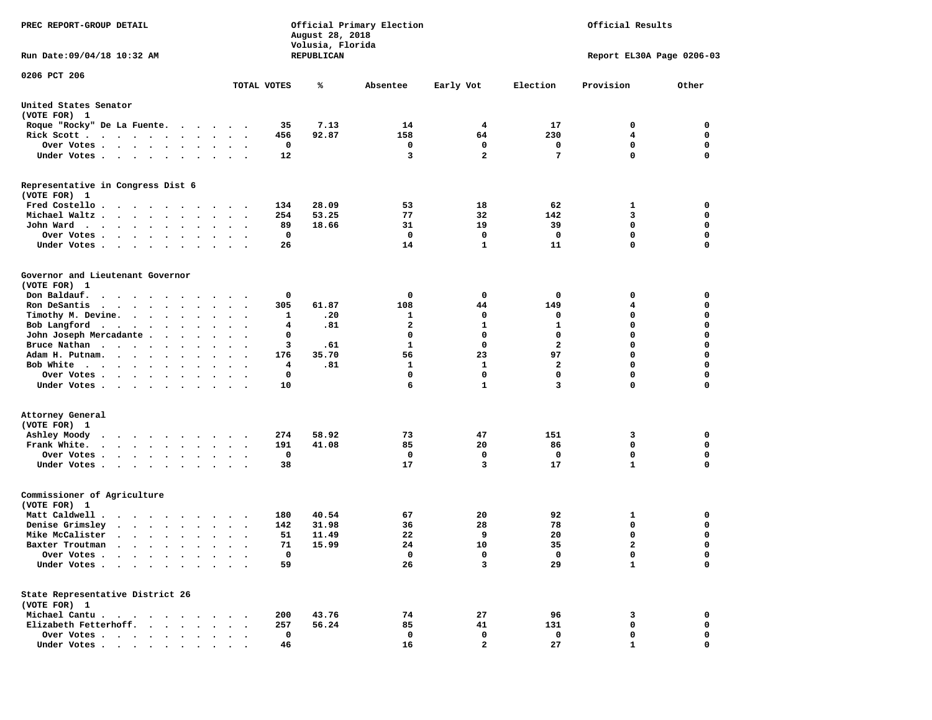| PREC REPORT-GROUP DETAIL                                                                                                                                                |                                                                               | August 28, 2018<br>Volusia, Florida | Official Primary Election | Official Results |              |                           |             |  |  |  |
|-------------------------------------------------------------------------------------------------------------------------------------------------------------------------|-------------------------------------------------------------------------------|-------------------------------------|---------------------------|------------------|--------------|---------------------------|-------------|--|--|--|
| Run Date: 09/04/18 10:32 AM                                                                                                                                             |                                                                               | REPUBLICAN                          |                           |                  |              | Report EL30A Page 0206-03 |             |  |  |  |
| 0206 PCT 206                                                                                                                                                            |                                                                               |                                     |                           |                  |              |                           |             |  |  |  |
|                                                                                                                                                                         | TOTAL VOTES                                                                   | ℁                                   | Absentee                  | Early Vot        | Election     | Provision                 | Other       |  |  |  |
| United States Senator<br>(VOTE FOR) 1                                                                                                                                   |                                                                               |                                     |                           |                  |              |                           |             |  |  |  |
| Roque "Rocky" De La Fuente.                                                                                                                                             | 35                                                                            | 7.13                                | 14                        | $\overline{4}$   | 17           | 0                         | 0           |  |  |  |
| Rick Scott                                                                                                                                                              | 456<br>$\sim$ $\sim$<br>$\sim$                                                | 92.87                               | 158                       | 64               | 230          | 4                         | 0           |  |  |  |
| Over Votes                                                                                                                                                              | 0                                                                             |                                     | 0                         | 0                | 0            | $\mathbf 0$               | 0           |  |  |  |
| Under Votes                                                                                                                                                             | 12<br>$\bullet$<br>$\ddot{\phantom{1}}$                                       |                                     | 3                         | $\overline{2}$   | 7            | $\Omega$                  | $\mathbf 0$ |  |  |  |
| Representative in Congress Dist 6<br>(VOTE FOR) 1                                                                                                                       |                                                                               |                                     |                           |                  |              |                           |             |  |  |  |
| Fred Costello                                                                                                                                                           | 134                                                                           | 28.09                               | 53                        | 18               | 62           | 1                         | 0           |  |  |  |
| Michael Waltz                                                                                                                                                           | 254<br>$\bullet$                                                              | 53.25                               | 77                        | 32               | 142          | 3                         | 0           |  |  |  |
| John Ward                                                                                                                                                               | 89<br>$\bullet$ .<br><br><br><br><br><br>$\bullet$<br>$\sim$                  | 18.66                               | 31                        | 19               | 39           | $\mathbf 0$               | 0           |  |  |  |
| Over Votes<br>$\cdot$<br>$\cdot$ $\cdot$ $\cdot$ $\cdot$<br>$\cdot$                                                                                                     | 0                                                                             |                                     | 0                         | 0                | $\mathbf 0$  | $\mathbf 0$               | 0           |  |  |  |
| Under Votes                                                                                                                                                             | 26                                                                            |                                     | 14                        | 1                | 11           | $\mathbf 0$               | 0           |  |  |  |
| Governor and Lieutenant Governor<br>(VOTE FOR) 1                                                                                                                        |                                                                               |                                     |                           |                  |              |                           |             |  |  |  |
| Don Baldauf.<br>$\cdot$                                                                                                                                                 | 0<br>$\cdot$ $\cdot$                                                          |                                     | 0                         | $\mathbf 0$      | 0            | 0                         | 0           |  |  |  |
| Ron DeSantis<br>$\cdots$                                                                                                                                                | 305<br>$\ddot{\phantom{0}}$                                                   | 61.87                               | 108                       | 44               | 149          | 4                         | 0           |  |  |  |
| Timothy M. Devine.                                                                                                                                                      | 1<br>$\ddot{\phantom{1}}$                                                     | .20                                 | 1                         | 0                | 0            | 0                         | $\mathbf 0$ |  |  |  |
| Bob Langford                                                                                                                                                            | 4<br>$\bullet$ .<br><br><br><br><br><br>$\bullet$<br>$\overline{\phantom{a}}$ | .81                                 | $\mathbf{2}$              | 1                | $\mathbf{1}$ | $\mathbf 0$               | 0           |  |  |  |
| John Joseph Mercadante .<br>$\sim$ $\sim$<br>$\ddot{\phantom{0}}$                                                                                                       | 0                                                                             |                                     | 0                         | 0                | 0            | $\mathbf 0$               | 0           |  |  |  |
| Bruce Nathan                                                                                                                                                            | 3<br>$\bullet$<br>$\cdot$                                                     | .61                                 | 1                         | 0                | $\mathbf{2}$ | $\mathbf 0$               | 0           |  |  |  |
| Adam H. Putnam.<br>$\sim$                                                                                                                                               | 176<br>$\sim$                                                                 | 35.70                               | 56                        | 23               | 97           | $\mathbf 0$               | 0           |  |  |  |
| Bob White                                                                                                                                                               | 4                                                                             | .81                                 | 1                         | 1                | $\mathbf{2}$ | $\mathbf 0$               | 0           |  |  |  |
| Over Votes .<br>$\cdots$<br>$\bullet$                                                                                                                                   | 0<br>$\cdot$                                                                  |                                     | 0                         | $\mathbf 0$      | 0            | $\mathbf 0$               | 0           |  |  |  |
| Under Votes                                                                                                                                                             | 10                                                                            |                                     | 6                         | $\mathbf{1}$     | 3            | $\mathbf 0$               | 0           |  |  |  |
| Attorney General<br>(VOTE FOR) 1                                                                                                                                        |                                                                               |                                     |                           |                  |              |                           |             |  |  |  |
| Ashley Moody                                                                                                                                                            | 274<br>$\cdot$ $\cdot$                                                        | 58.92                               | 73                        | 47               | 151          | 3                         | 0           |  |  |  |
| Frank White.<br>$\begin{array}{cccccccccccccc} \bullet & \bullet & \bullet & \bullet & \bullet & \bullet & \bullet & \bullet & \bullet & \bullet & \bullet \end{array}$ | 191<br>$\bullet$ .<br>$\bullet$<br>$\sim$                                     | 41.08                               | 85                        | 20               | 86           | $\mathbf 0$               | 0           |  |  |  |
| Over Votes.<br>$\cdot$<br>$\cdot$                                                                                                                                       | 0                                                                             |                                     | 0                         | 0                | 0            | $\mathbf 0$               | 0           |  |  |  |
| Under Votes                                                                                                                                                             | 38                                                                            |                                     | 17                        | 3                | 17           | $\mathbf{1}$              | $\mathbf 0$ |  |  |  |
| Commissioner of Agriculture<br>(VOTE FOR) 1                                                                                                                             |                                                                               |                                     |                           |                  |              |                           |             |  |  |  |
| Matt Caldwell .<br>$\cdots$                                                                                                                                             | 180                                                                           | 40.54                               | 67                        | 20               | 92           | 1                         | 0           |  |  |  |
| Denise Grimsley<br>$\cdot$ $\cdot$ $\cdot$ $\cdot$ $\cdot$ $\cdot$                                                                                                      | 142<br>$\cdot$                                                                | 31.98                               | 36                        | 28               | 78           | 0                         | 0           |  |  |  |
| Mike McCalister                                                                                                                                                         | 51<br>$\bullet$ .<br>$\ddot{\phantom{0}}$<br>$\cdot$                          | 11.49                               | 22                        | 9                | 20           | $\mathbf 0$               | 0           |  |  |  |
| Baxter Troutman                                                                                                                                                         | 71                                                                            | 15.99                               | 24                        | 10               | 35           | $\overline{2}$            | $\Omega$    |  |  |  |
| Over Votes .<br>$\cdots$                                                                                                                                                | $\mathbf 0$                                                                   |                                     | 0                         | 0                | 0            | 0                         | 0           |  |  |  |
| Under Votes.<br>$\ddot{\phantom{a}}$<br>$\ddot{\phantom{0}}$<br>$\ddot{\phantom{a}}$                                                                                    | 59                                                                            |                                     | 26                        | 3                | 29           | $\mathbf{1}$              | 0           |  |  |  |
| State Representative District 26<br>(VOTE FOR) 1                                                                                                                        |                                                                               |                                     |                           |                  |              |                           |             |  |  |  |
| Michael Cantu.<br>$\sim$ $\sim$                                                                                                                                         | 200                                                                           | 43.76                               | 74                        | 27               | 96           | 3                         | 0           |  |  |  |
| Elizabeth Fetterhoff.<br>$\bullet$<br>$\ddot{\phantom{a}}$                                                                                                              | 257                                                                           | 56.24                               | 85                        | 41               | 131          | $\mathbf 0$               | 0           |  |  |  |
| Over Votes<br>$\bullet$                                                                                                                                                 | 0                                                                             |                                     | 0                         | 0                | 0            | 0                         | 0           |  |  |  |
| Under Votes                                                                                                                                                             | 46                                                                            |                                     | 16                        | $\mathbf{2}$     | 27           | 1                         | $\mathbf 0$ |  |  |  |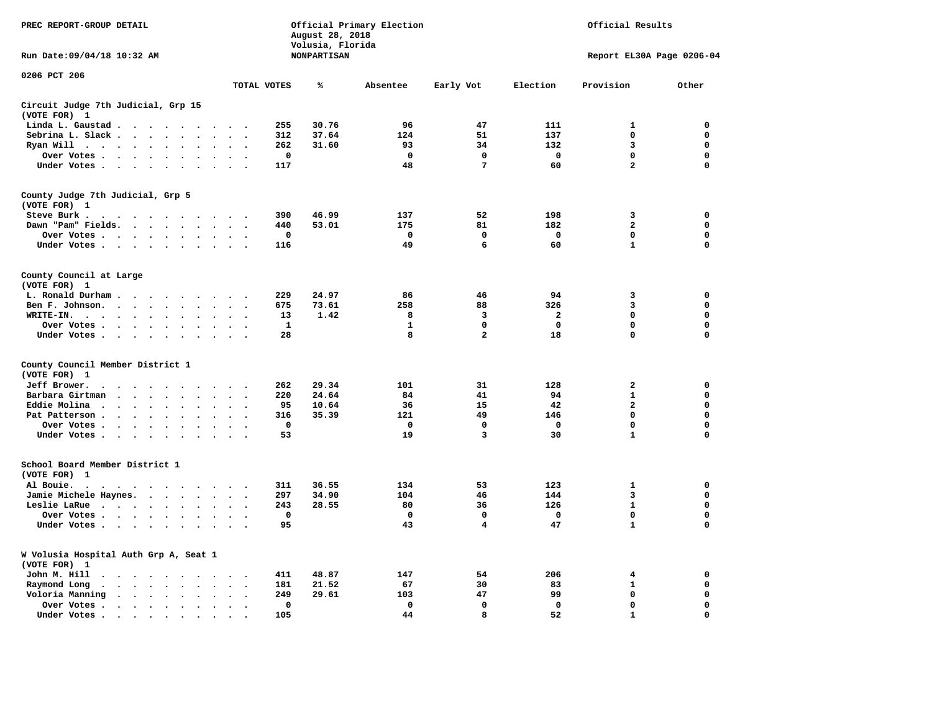| PREC REPORT-GROUP DETAIL                                                                                                                                                                        |                                           | August 28, 2018<br>Volusia, Florida | Official Primary Election |                 | Official Results          |                |             |  |  |  |
|-------------------------------------------------------------------------------------------------------------------------------------------------------------------------------------------------|-------------------------------------------|-------------------------------------|---------------------------|-----------------|---------------------------|----------------|-------------|--|--|--|
| Run Date: 09/04/18 10:32 AM                                                                                                                                                                     |                                           | <b>NONPARTISAN</b>                  |                           |                 | Report EL30A Page 0206-04 |                |             |  |  |  |
| 0206 PCT 206                                                                                                                                                                                    | TOTAL VOTES                               | ℁                                   | Absentee                  | Early Vot       | Election                  | Provision      | Other       |  |  |  |
|                                                                                                                                                                                                 |                                           |                                     |                           |                 |                           |                |             |  |  |  |
| Circuit Judge 7th Judicial, Grp 15<br>(VOTE FOR) 1                                                                                                                                              |                                           |                                     |                           |                 |                           |                |             |  |  |  |
| Linda L. Gaustad<br>$\ddot{\phantom{a}}$                                                                                                                                                        | 255                                       | 30.76                               | 96                        | 47              | 111                       | 1              | 0           |  |  |  |
| Sebrina L. Slack                                                                                                                                                                                | 312                                       | 37.64                               | 124                       | 51              | 137                       | $\Omega$       | $\mathbf 0$ |  |  |  |
| Ryan Will $\cdots$ $\cdots$ $\cdots$<br>$\ddot{\phantom{a}}$<br>$\sim$                                                                                                                          | 262                                       | 31.60                               | 93                        | 34              | 132                       | 3              | $\mathbf 0$ |  |  |  |
| Over Votes                                                                                                                                                                                      | $\mathbf 0$                               |                                     | $\mathbf 0$               | $\mathbf 0$     | $\mathbf 0$               | 0              | $\mathbf 0$ |  |  |  |
| Under Votes                                                                                                                                                                                     | 117<br>$\ddot{\phantom{0}}$               |                                     | 48                        | $7\phantom{.0}$ | 60                        | $\overline{a}$ | 0           |  |  |  |
| County Judge 7th Judicial, Grp 5<br>(VOTE FOR) 1                                                                                                                                                |                                           |                                     |                           |                 |                           |                |             |  |  |  |
| Steve Burk .                                                                                                                                                                                    | 390                                       | 46.99                               | 137                       | 52              | 198                       | 3              | 0           |  |  |  |
| Dawn "Pam" Fields.                                                                                                                                                                              | 440<br>$\overline{\phantom{a}}$           | 53.01                               | 175                       | 81              | 182                       | $\mathbf{2}$   | 0           |  |  |  |
| Over Votes                                                                                                                                                                                      | $\mathbf 0$                               |                                     | $\mathbf 0$               | $\mathbf 0$     | $\mathbf 0$               | 0              | $\mathbf 0$ |  |  |  |
| Under Votes                                                                                                                                                                                     | 116<br>$\sim$ $\sim$                      |                                     | 49                        | 6               | 60                        | $\mathbf{1}$   | $\mathbf 0$ |  |  |  |
| County Council at Large<br>(VOTE FOR) 1                                                                                                                                                         |                                           |                                     |                           |                 |                           |                |             |  |  |  |
| L. Ronald Durham                                                                                                                                                                                | 229<br>$\sim$                             | 24.97                               | 86                        | 46              | 94                        | 3              | 0           |  |  |  |
| Ben F. Johnson.<br>$\sim$ $\sim$                                                                                                                                                                | 675<br>$\overline{\phantom{a}}$           | 73.61                               | 258                       | 88              | 326                       | 3              | 0           |  |  |  |
| WRITE-IN.<br>$\sim$ $\sim$ $\sim$ $\sim$<br>$\sim$ $\sim$<br>$\ddot{\phantom{a}}$<br>$\ddot{\phantom{a}}$                                                                                       | 13                                        | 1.42                                | 8                         | 3               | $\mathbf{2}$              | 0              | 0           |  |  |  |
| Over Votes                                                                                                                                                                                      | 1                                         |                                     | $\mathbf{1}$              | $\mathbf 0$     | $\mathbf 0$               | 0              | $\mathbf 0$ |  |  |  |
| Under Votes                                                                                                                                                                                     | 28<br>$\sim$                              |                                     | 8                         | $\overline{a}$  | 18                        | 0              | $\mathbf 0$ |  |  |  |
| County Council Member District 1                                                                                                                                                                |                                           |                                     |                           |                 |                           |                |             |  |  |  |
| (VOTE FOR) 1                                                                                                                                                                                    |                                           |                                     |                           |                 |                           |                |             |  |  |  |
| Jeff Brower.<br>$\begin{array}{cccccccccccccc} \bullet & \bullet & \bullet & \bullet & \bullet & \bullet & \bullet & \bullet & \bullet \end{array}$                                             | 262                                       | 29.34                               | 101                       | 31              | 128                       | $\mathbf{2}$   | $\mathbf 0$ |  |  |  |
| Barbara Girtman<br>$\cdots$<br>$\ddot{\phantom{a}}$<br>$\ddot{\phantom{a}}$<br>$\sim$                                                                                                           | 220                                       | 24.64                               | 84                        | 41              | 94                        | $\mathbf{1}$   | 0           |  |  |  |
| Eddie Molina<br>$\cdot$                                                                                                                                                                         | 95                                        | 10.64                               | 36                        | 15              | 42                        | $\overline{a}$ | $\mathbf 0$ |  |  |  |
| Pat Patterson<br>$\bullet$<br>$\bullet$                                                                                                                                                         | 316                                       | 35.39                               | 121                       | 49              | 146                       | 0              | 0           |  |  |  |
| Over Votes<br>$\bullet$                                                                                                                                                                         | $\mathbf 0$                               |                                     | $\mathbf{0}$              | $\mathbf{0}$    | $\mathbf 0$               | 0              | $\mathbf 0$ |  |  |  |
| Under Votes<br>$\sim$                                                                                                                                                                           | 53<br>$\sim$                              |                                     | 19                        | 3               | 30                        | $\mathbf{1}$   | $\mathbf 0$ |  |  |  |
| School Board Member District 1<br>(VOTE FOR) 1                                                                                                                                                  |                                           |                                     |                           |                 |                           |                |             |  |  |  |
| Al Bouie.<br>$\cdot$<br>$\ddot{\phantom{0}}$<br>$\cdots$                                                                                                                                        | 311                                       | 36.55                               | 134                       | 53              | 123                       | $\mathbf{1}$   | $\mathbf 0$ |  |  |  |
| Jamie Michele Haynes.                                                                                                                                                                           | 297<br>$\sim$<br>$\overline{\phantom{a}}$ | 34.90                               | 104                       | 46              | 144                       | 3              | $\mathbf 0$ |  |  |  |
| Leslie LaRue<br>$\ddot{\phantom{a}}$<br>$\ddot{\phantom{a}}$                                                                                                                                    | 243                                       | 28.55                               | 80                        | 36              | 126                       | $\mathbf{1}$   | $\mathbf 0$ |  |  |  |
| Over Votes                                                                                                                                                                                      | 0                                         |                                     | $\Omega$                  | $\mathbf{0}$    | $\mathbf{0}$              | $\mathbf{0}$   | 0           |  |  |  |
| Under Votes<br>$\ddot{\phantom{a}}$                                                                                                                                                             | 95                                        |                                     | 43                        | 4               | 47                        | 1              | $\mathbf 0$ |  |  |  |
| W Volusia Hospital Auth Grp A, Seat 1<br>(VOTE FOR)<br>1                                                                                                                                        |                                           |                                     |                           |                 |                           |                |             |  |  |  |
| John M. Hill<br>$\begin{array}{cccccccccccccccccc} \bullet & \bullet & \bullet & \bullet & \bullet & \bullet & \bullet & \bullet & \bullet & \bullet & \bullet & \bullet & \bullet \end{array}$ | 411<br>$\cdot$                            | 48.87                               | 147                       | 54              | 206                       | 4              | 0           |  |  |  |
| Raymond Long<br>$\cdots$ $\cdots$<br>$\bullet$<br>$\ddot{\phantom{a}}$<br>$\ddot{\phantom{a}}$<br>$\ddot{\phantom{a}}$                                                                          | 181<br>$\cdot$<br>$\ddot{\phantom{0}}$    | 21.52                               | 67                        | 30              | 83                        | $\mathbf{1}$   | 0           |  |  |  |
| Voloria Manning<br>$\cdots$                                                                                                                                                                     | 249                                       | 29.61                               | 103                       | 47              | 99                        | $\mathbf 0$    | 0           |  |  |  |
| Over Votes.<br>$\cdot$ $\cdot$ $\cdot$ $\cdot$ $\cdot$<br>$\ddot{\phantom{a}}$                                                                                                                  | 0                                         |                                     | $\mathbf 0$               | 0               | $\mathbf 0$               | 0              | 0           |  |  |  |
| Under Votes<br>$\ddot{\phantom{a}}$                                                                                                                                                             | 105                                       |                                     | 44                        | 8               | 52                        | $\mathbf{1}$   | $\Omega$    |  |  |  |
|                                                                                                                                                                                                 |                                           |                                     |                           |                 |                           |                |             |  |  |  |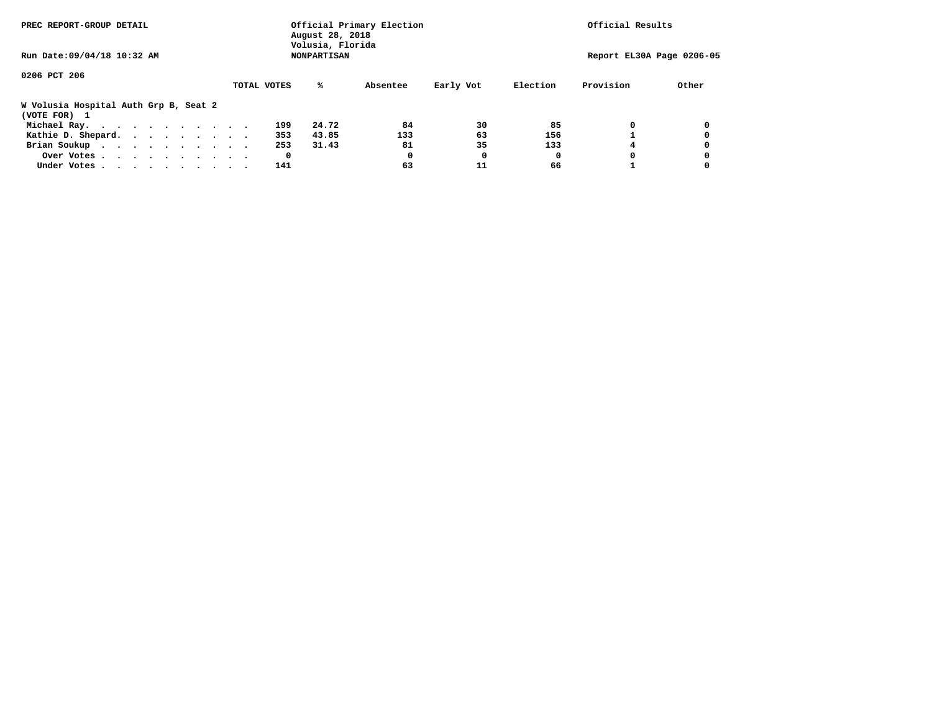| PREC REPORT-GROUP DETAIL                              | Official Primary Election<br>August 28, 2018<br>Volusia, Florida | Official Results   |          |           |          |           |                           |
|-------------------------------------------------------|------------------------------------------------------------------|--------------------|----------|-----------|----------|-----------|---------------------------|
| Run Date: 09/04/18 10:32 AM                           |                                                                  | <b>NONPARTISAN</b> |          |           |          |           | Report EL30A Page 0206-05 |
| 0206 PCT 206                                          |                                                                  |                    |          |           |          |           |                           |
|                                                       | TOTAL VOTES                                                      | ℁                  | Absentee | Early Vot | Election | Provision | Other                     |
| W Volusia Hospital Auth Grp B, Seat 2<br>(VOTE FOR) 1 |                                                                  |                    |          |           |          |           |                           |
| Michael Ray.                                          |                                                                  | 199<br>24.72       | 84       | 30        | 85       |           |                           |
| Kathie D. Shepard.                                    |                                                                  | 43.85<br>353       | 133      | 63        | 156      |           |                           |
| Brian Soukup                                          |                                                                  | 253<br>31.43       | 81       | 35        | 133      |           |                           |
| Over Votes                                            |                                                                  | 0                  | 0        | 0         | 0        |           |                           |
| Under Votes                                           |                                                                  | 141                | 63       | 11        | 66       |           |                           |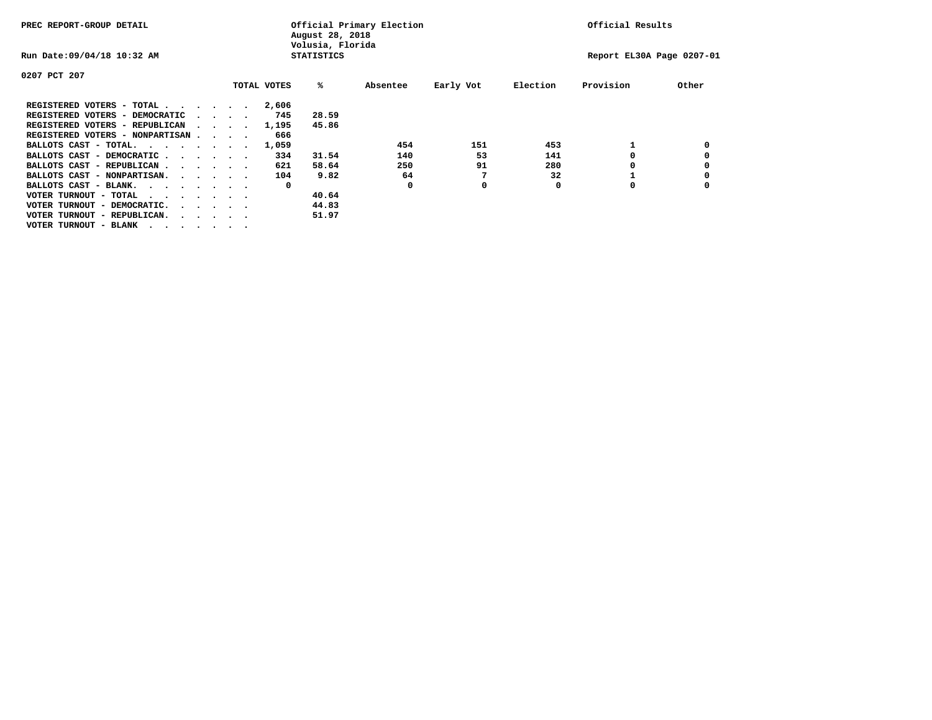| PREC REPORT-GROUP DETAIL                                               |  |  |                                 |  | Official Primary Election<br>August 28, 2018<br>Volusia, Florida | Official Results  |          |           |          |                           |       |
|------------------------------------------------------------------------|--|--|---------------------------------|--|------------------------------------------------------------------|-------------------|----------|-----------|----------|---------------------------|-------|
| Run Date: 09/04/18 10:32 AM                                            |  |  |                                 |  |                                                                  | <b>STATISTICS</b> |          |           |          | Report EL30A Page 0207-01 |       |
| 0207 PCT 207                                                           |  |  |                                 |  |                                                                  |                   |          |           |          |                           |       |
|                                                                        |  |  |                                 |  | TOTAL VOTES                                                      | ‱                 | Absentee | Early Vot | Election | Provision                 | Other |
| REGISTERED VOTERS - TOTAL                                              |  |  |                                 |  | 2,606                                                            |                   |          |           |          |                           |       |
| REGISTERED VOTERS - DEMOCRATIC                                         |  |  | $\cdot$ $\cdot$ $\cdot$ $\cdot$ |  | 745                                                              | 28.59             |          |           |          |                           |       |
| REGISTERED VOTERS - REPUBLICAN                                         |  |  |                                 |  | 1,195                                                            | 45.86             |          |           |          |                           |       |
| REGISTERED VOTERS - NONPARTISAN                                        |  |  |                                 |  | 666                                                              |                   |          |           |          |                           |       |
| BALLOTS CAST - TOTAL.                                                  |  |  |                                 |  | 1,059                                                            |                   | 454      | 151       | 453      |                           |       |
| BALLOTS CAST - DEMOCRATIC                                              |  |  |                                 |  | 334                                                              | 31.54             | 140      | 53        | 141      |                           |       |
| BALLOTS CAST - REPUBLICAN                                              |  |  |                                 |  | 621                                                              | 58.64             | 250      | 91        | 280      |                           |       |
| BALLOTS CAST - NONPARTISAN.                                            |  |  |                                 |  | 104                                                              | 9.82              | 64       |           | 32       |                           |       |
| BALLOTS CAST - BLANK.                                                  |  |  |                                 |  | 0                                                                |                   | 0        | 0         | O        | O                         |       |
| VOTER TURNOUT - TOTAL<br>.                                             |  |  |                                 |  |                                                                  | 40.64             |          |           |          |                           |       |
| VOTER TURNOUT - DEMOCRATIC.<br>$\cdot$ $\cdot$ $\cdot$ $\cdot$ $\cdot$ |  |  |                                 |  |                                                                  | 44.83             |          |           |          |                           |       |
| VOTER TURNOUT - REPUBLICAN.<br>$\cdots$                                |  |  |                                 |  |                                                                  | 51.97             |          |           |          |                           |       |
| VOTER TURNOUT - BLANK                                                  |  |  |                                 |  |                                                                  |                   |          |           |          |                           |       |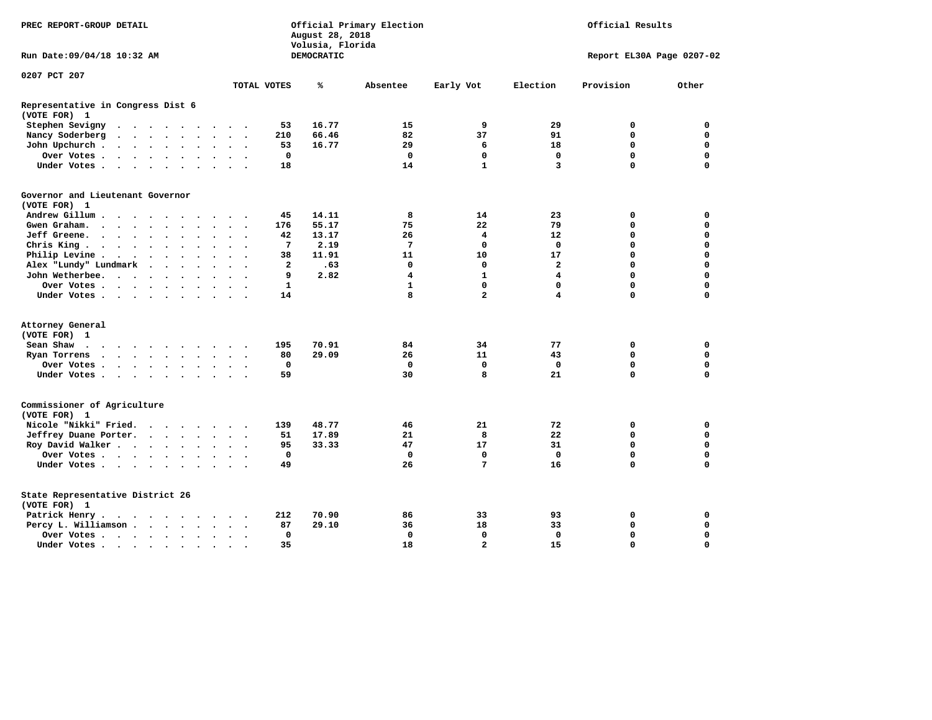| PREC REPORT-GROUP DETAIL                          |                                         | Official Primary Election<br>August 28, 2018<br>Volusia, Florida |                      |  |                      |                      |                         |                          |                | Official Results |              |                         |                         |                           |             |  |  |  |  |
|---------------------------------------------------|-----------------------------------------|------------------------------------------------------------------|----------------------|--|----------------------|----------------------|-------------------------|--------------------------|----------------|------------------|--------------|-------------------------|-------------------------|---------------------------|-------------|--|--|--|--|
| Run Date: 09/04/18 10:32 AM                       |                                         |                                                                  |                      |  |                      |                      |                         |                          |                | DEMOCRATIC       |              |                         |                         | Report EL30A Page 0207-02 |             |  |  |  |  |
| 0207 PCT 207                                      |                                         |                                                                  |                      |  |                      |                      |                         |                          |                |                  |              |                         |                         |                           |             |  |  |  |  |
|                                                   |                                         |                                                                  |                      |  |                      |                      |                         |                          | TOTAL VOTES    | ℁                | Absentee     | Early Vot               | Election                | Provision                 | Other       |  |  |  |  |
| Representative in Congress Dist 6<br>(VOTE FOR) 1 |                                         |                                                                  |                      |  |                      |                      |                         |                          |                |                  |              |                         |                         |                           |             |  |  |  |  |
| Stephen Sevigny                                   | $\cdots$                                |                                                                  |                      |  |                      |                      |                         |                          | 53             | 16.77            | 15           | 9                       | 29                      | 0                         | $\mathbf 0$ |  |  |  |  |
| Nancy Soderberg                                   |                                         |                                                                  |                      |  |                      |                      |                         |                          | 210            | 66.46            | 82           | 37                      | 91                      | $\mathbf 0$               | $\mathbf 0$ |  |  |  |  |
| John Upchurch                                     |                                         |                                                                  |                      |  |                      |                      | $\cdot$                 |                          | 53             | 16.77            | 29           | 6                       | 18                      | $\mathbf 0$               | $\mathbf 0$ |  |  |  |  |
| Over Votes                                        |                                         |                                                                  |                      |  |                      | $\ddot{\phantom{0}}$ | $\bullet$               |                          | 0              |                  | 0            | 0                       | $\mathbf 0$             | 0                         | 0           |  |  |  |  |
| Under Votes                                       |                                         |                                                                  |                      |  |                      |                      |                         |                          | 18             |                  | 14           | $\mathbf{1}$            | 3                       | $\Omega$                  | $\mathbf 0$ |  |  |  |  |
| Governor and Lieutenant Governor<br>(VOTE FOR) 1  |                                         |                                                                  |                      |  |                      |                      |                         |                          |                |                  |              |                         |                         |                           |             |  |  |  |  |
| Andrew Gillum                                     |                                         | $\sim$                                                           |                      |  |                      |                      |                         |                          | 45             | 14.11            | 8            | 14                      | 23                      | 0                         | 0           |  |  |  |  |
| Gwen Graham.                                      |                                         |                                                                  |                      |  | $\bullet$ .          |                      | $\sim$ $\sim$           | $\overline{\phantom{a}}$ | 176            | 55.17            | 75           | 22                      | 79                      | 0                         | 0           |  |  |  |  |
| Jeff Greene.                                      |                                         |                                                                  | $\ddot{\phantom{a}}$ |  |                      |                      |                         |                          | 42             | 13.17            | 26           | 4                       | 12                      | 0                         | 0           |  |  |  |  |
| Chris King                                        |                                         |                                                                  |                      |  |                      |                      |                         |                          | 7              | 2.19             | 7            | 0                       | 0                       | $\mathbf 0$               | $\mathbf 0$ |  |  |  |  |
| Philip Levine .                                   | $\cdot$ $\cdot$ $\cdot$ $\cdot$ $\cdot$ |                                                                  |                      |  | $\ddot{\phantom{a}}$ | $\ddot{\phantom{a}}$ | $\ddot{\phantom{a}}$    |                          | 38             | 11.91            | 11           | 10                      | 17                      | $\mathbf 0$               | $\mathbf 0$ |  |  |  |  |
| Alex "Lundy" Lundmark                             |                                         | $\sim$                                                           | $\sim$ $\sim$        |  | $\ddot{\phantom{a}}$ |                      | $\ddot{\phantom{a}}$    |                          | $\overline{2}$ | .63              | $\mathbf 0$  | $\mathbf 0$             | $\overline{2}$          | $\mathbf 0$               | $\mathbf 0$ |  |  |  |  |
| John Wetherbee.                                   |                                         |                                                                  |                      |  |                      |                      |                         |                          | 9              | 2.82             | 4            | $\mathbf{1}$            | $\overline{\mathbf{4}}$ | $\mathbf 0$               | $\mathbf 0$ |  |  |  |  |
| Over Votes                                        |                                         |                                                                  |                      |  |                      |                      | $\Delta$                |                          | $\mathbf{1}$   |                  | $\mathbf{1}$ | $\mathbf 0$             | $\mathbf 0$             | $\mathbf 0$               | $\mathbf 0$ |  |  |  |  |
| Under Votes                                       |                                         |                                                                  |                      |  |                      |                      |                         |                          | 14             |                  | 8            | $\overline{\mathbf{2}}$ | 4                       | $\mathbf 0$               | 0           |  |  |  |  |
|                                                   |                                         |                                                                  |                      |  |                      |                      |                         |                          |                |                  |              |                         |                         |                           |             |  |  |  |  |
| Attorney General                                  |                                         |                                                                  |                      |  |                      |                      |                         |                          |                |                  |              |                         |                         |                           |             |  |  |  |  |
| (VOTE FOR) 1                                      |                                         |                                                                  |                      |  |                      |                      |                         |                          |                |                  |              |                         |                         |                           |             |  |  |  |  |
| Sean Shaw                                         |                                         |                                                                  |                      |  |                      |                      | $\ddot{\phantom{1}}$    |                          | 195            | 70.91            | 84           | 34                      | 77                      | 0                         | $\mathbf 0$ |  |  |  |  |
| Ryan Torrens                                      |                                         |                                                                  |                      |  |                      |                      | $\ddot{\phantom{1}}$    | $\overline{\phantom{a}}$ | 80             | 29.09            | 26           | 11                      | 43                      | $\mathbf 0$               | $\mathbf 0$ |  |  |  |  |
| Over Votes                                        |                                         |                                                                  |                      |  |                      |                      |                         |                          | 0              |                  | $\mathbf 0$  | $\mathbf 0$             | $\mathbf 0$             | $\mathbf 0$               | 0           |  |  |  |  |
| Under Votes                                       |                                         |                                                                  |                      |  |                      |                      |                         |                          | 59             |                  | 30           | 8                       | 21                      | $\mathbf 0$               | $\mathbf 0$ |  |  |  |  |
| Commissioner of Agriculture<br>(VOTE FOR) 1       |                                         |                                                                  |                      |  |                      |                      |                         |                          |                |                  |              |                         |                         |                           |             |  |  |  |  |
| Nicole "Nikki" Fried.                             |                                         |                                                                  |                      |  |                      |                      |                         |                          | 139            | 48.77            | 46           | 21                      | 72                      | 0                         | 0           |  |  |  |  |
| Jeffrey Duane Porter.                             |                                         |                                                                  |                      |  |                      |                      | $\cdot$ $\cdot$ $\cdot$ |                          | 51             | 17.89            | 21           | 8                       | 22                      | 0                         | 0           |  |  |  |  |
| Roy David Walker                                  |                                         |                                                                  |                      |  |                      |                      |                         |                          | 95             | 33.33            | 47           | 17                      | 31                      | $\mathbf 0$               | $\mathbf 0$ |  |  |  |  |
| Over Votes                                        |                                         |                                                                  |                      |  |                      |                      | $\cdot$                 |                          | $\mathbf 0$    |                  | $\mathbf{0}$ | 0                       | $\Omega$                | $\mathbf 0$               | $\mathbf 0$ |  |  |  |  |
| Under Votes                                       |                                         |                                                                  |                      |  |                      |                      |                         |                          | 49             |                  | 26           | $7\phantom{.0}$         | 16                      | $\Omega$                  | $\mathbf 0$ |  |  |  |  |
| State Representative District 26<br>(VOTE FOR) 1  |                                         |                                                                  |                      |  |                      |                      |                         |                          |                |                  |              |                         |                         |                           |             |  |  |  |  |
| Patrick Henry.                                    | $\cdots$                                |                                                                  |                      |  |                      |                      |                         |                          | 212            | 70.90            | 86           | 33                      | 93                      | 0                         | 0           |  |  |  |  |
| Percy L. Williamson                               |                                         |                                                                  |                      |  |                      | $\ddot{\phantom{a}}$ | $\bullet$               | $\cdot$                  | 87             | 29.10            | 36           | 18                      | 33                      | $\mathbf 0$               | $\mathbf 0$ |  |  |  |  |
| Over Votes                                        |                                         |                                                                  |                      |  |                      |                      |                         |                          | 0              |                  | $\mathbf 0$  | $\mathbf 0$             | $\mathbf 0$             | $\mathbf 0$               | $\mathbf 0$ |  |  |  |  |
| Under Votes                                       |                                         |                                                                  |                      |  |                      |                      |                         |                          | 35             |                  | 18           | $\overline{a}$          | 15                      | $\Omega$                  | $\mathbf 0$ |  |  |  |  |
|                                                   |                                         |                                                                  |                      |  |                      |                      |                         |                          |                |                  |              |                         |                         |                           |             |  |  |  |  |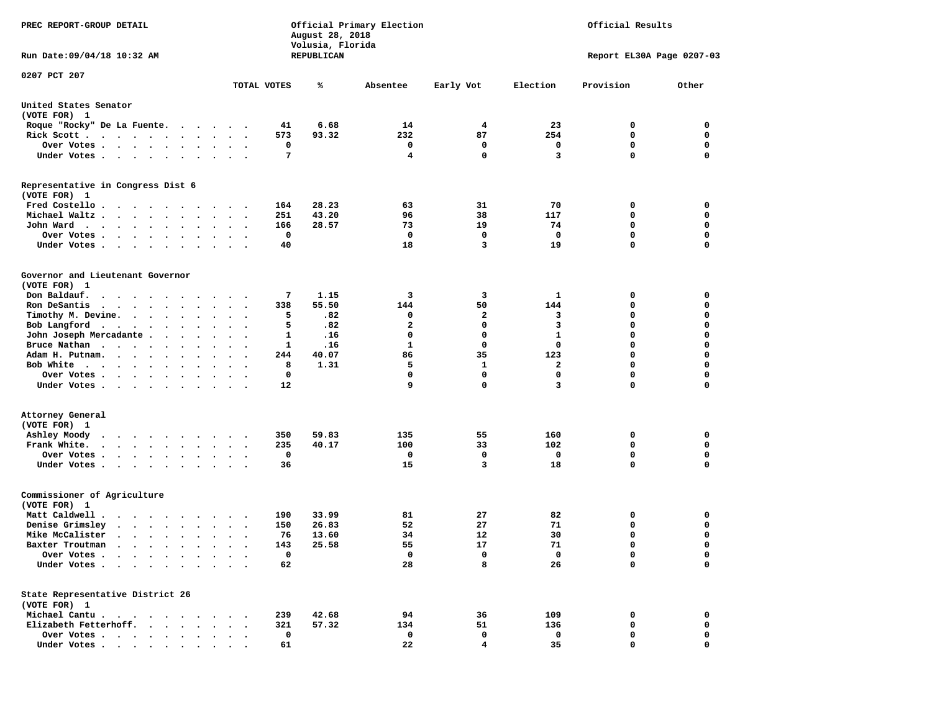| PREC REPORT-GROUP DETAIL                                                                     |                      |             | August 28, 2018<br>Volusia, Florida | Official Primary Election | Official Results<br>Report EL30A Page 0207-03 |              |             |             |
|----------------------------------------------------------------------------------------------|----------------------|-------------|-------------------------------------|---------------------------|-----------------------------------------------|--------------|-------------|-------------|
| Run Date: 09/04/18 10:32 AM                                                                  |                      |             | REPUBLICAN                          |                           |                                               |              |             |             |
| 0207 PCT 207                                                                                 |                      | TOTAL VOTES | ℁                                   | Absentee                  | Early Vot                                     | Election     | Provision   | Other       |
| United States Senator<br>(VOTE FOR) 1                                                        |                      |             |                                     |                           |                                               |              |             |             |
| Roque "Rocky" De La Fuente.<br>$\cdots$                                                      |                      | 41          | 6.68                                | 14                        | 4                                             | 23           | 0           | 0           |
| Rick Scott                                                                                   |                      | 573         | 93.32                               | 232                       | 87                                            | 254          | 0           | $\mathbf 0$ |
| Over Votes                                                                                   |                      | 0           |                                     | 0                         | 0                                             | 0            | 0           | 0           |
| Under Votes<br>$\sim$                                                                        | $\cdot$ .            | 7           |                                     | $\overline{\mathbf{4}}$   | $\mathbf 0$                                   | 3            | 0           | $\mathbf 0$ |
| Representative in Congress Dist 6<br>(VOTE FOR) 1                                            |                      |             |                                     |                           |                                               |              |             |             |
| Fred Costello                                                                                |                      | 164         | 28.23                               | 63                        | 31                                            | 70           | 0           | 0           |
| Michael Waltz.<br>$\ddot{\phantom{1}}$                                                       |                      | 251         | 43.20                               | 96                        | 38                                            | 117          | 0           | 0           |
| John Ward<br>$\ddot{\phantom{1}}$                                                            | $\ddot{\phantom{a}}$ | 166         | 28.57                               | 73                        | 19                                            | 74           | $\mathbf 0$ | $\mathbf 0$ |
| Over Votes .<br>$\sim$<br>$\bullet$<br>$\bullet$                                             |                      | 0           |                                     | 0                         | 0                                             | 0            | 0           | 0           |
| Under Votes<br>$\blacksquare$                                                                |                      | 40          |                                     | 18                        | 3                                             | 19           | 0           | $\mathbf 0$ |
| Governor and Lieutenant Governor<br>(VOTE FOR) 1                                             |                      |             |                                     |                           |                                               |              |             |             |
| Don Baldauf.                                                                                 |                      | 7           | 1.15                                | 3                         | 3                                             | 1            | 0           | 0           |
| Ron DeSantis<br>$\cdots$<br>$\bullet$                                                        | $\ddot{\phantom{0}}$ | 338         | 55.50                               | 144                       | 50                                            | 144          | 0           | 0           |
| Timothy M. Devine.                                                                           |                      | 5           | .82                                 | 0                         | $\mathbf{2}$                                  | 3            | 0           | $\mathbf 0$ |
| Bob Langford<br>$\bullet$                                                                    |                      | 5           | .82                                 | $\mathbf{2}$              | 0                                             | 3            | 0           | $\mathbf 0$ |
| John Joseph Mercadante.<br>$\sim$<br>$\bullet$<br>$\sim$ $\sim$                              |                      | 1           | .16                                 | 0                         | 0                                             | $\mathbf{1}$ | 0           | $\mathbf 0$ |
| Bruce Nathan                                                                                 |                      | 1           | .16                                 | $\mathbf{1}$              | $\mathbf 0$                                   | $\mathbf 0$  | 0           | $\mathbf 0$ |
| Adam H. Putnam.<br>$\cdot$ $\cdot$ $\cdot$<br>$\bullet$                                      |                      | 244         | 40.07                               | 86                        | 35                                            | 123          | 0           | 0           |
| Bob White<br>$\blacksquare$                                                                  |                      | 8           | 1.31                                | 5                         | $\mathbf{1}$                                  | 2            | 0           | $\mathbf 0$ |
| Over Votes .<br>$\bullet$<br>$\bullet$                                                       | $\bullet$<br>$\cdot$ | 0           |                                     | $\mathbf 0$               | $\mathbf 0$                                   | $\mathbf 0$  | 0           | $\mathbf 0$ |
| Under Votes<br>$\sim$                                                                        |                      | 12          |                                     | 9                         | $\mathbf 0$                                   | 3            | 0           | 0           |
| Attorney General<br>(VOTE FOR) 1                                                             |                      |             |                                     |                           |                                               |              |             |             |
| Ashley Moody<br>.<br>$\ddot{\phantom{0}}$                                                    |                      | 350         | 59.83                               | 135                       | 55                                            | 160          | 0           | 0           |
| Frank White.<br>$\bullet$<br>$\bullet$                                                       | $\bullet$            | 235         | 40.17                               | 100                       | 33                                            | 102          | 0           | 0           |
| Over Votes.<br>$\sim$ $\sim$ $\sim$ $\sim$<br>$\ddot{\phantom{0}}$<br>$\bullet$<br>$\bullet$ |                      | 0           |                                     | 0                         | 0                                             | 0            | 0           | 0           |
| Under Votes<br>$\bullet$<br>$\bullet$                                                        |                      | 36          |                                     | 15                        | 3                                             | 18           | 0           | $\Omega$    |
| Commissioner of Agriculture<br>(VOTE FOR) 1                                                  |                      |             |                                     |                           |                                               |              |             |             |
| Matt Caldwell.<br>$\mathbf{r}$ , $\mathbf{r}$ , $\mathbf{r}$ , $\mathbf{r}$ , $\mathbf{r}$   |                      | 190         | 33.99                               | 81                        | 27                                            | 82           | 0           | 0           |
| Denise Grimsley<br>.<br>$\bullet$                                                            |                      | 150         | 26.83                               | 52                        | 27                                            | 71           | 0           | 0           |
| Mike McCalister<br>$\cdots$<br>$\ddot{\phantom{0}}$                                          | $\cdot$              | 76          | 13.60                               | 34                        | 12                                            | 30           | 0           | $\mathbf 0$ |
| Baxter Troutman<br>.                                                                         |                      | 143         | 25.58                               | 55                        | 17                                            | 71           | 0           | 0           |
| Over Votes .<br>$\bullet$                                                                    |                      | 0           |                                     | 0                         | 0                                             | 0            | 0           | 0           |
| Under Votes.<br>$\ddot{\phantom{a}}$<br>$\sim$<br>$\bullet$                                  |                      | 62          |                                     | 28                        | 8                                             | 26           | 0           | $\mathbf 0$ |
| State Representative District 26<br>(VOTE FOR) 1                                             |                      |             |                                     |                           |                                               |              |             |             |
| Michael Cantu.<br>$\sim$ $\sim$ $\sim$                                                       |                      | 239         | 42.68                               | 94                        | 36                                            | 109          | 0           | 0           |
| Elizabeth Fetterhoff.                                                                        |                      | 321         | 57.32                               | 134                       | 51                                            | 136          | 0           | 0           |
| Over Votes.<br>$\sim$ $\sim$<br>$\ddot{\phantom{0}}$<br>$\bullet$<br>$\bullet$               |                      | 0           |                                     | 0                         | 0                                             | 0            | 0           | 0           |
| Under Votes.<br>$\cdot$ $\cdot$ $\cdot$ $\cdot$                                              |                      | 61          |                                     | 22                        | 4                                             | 35           | 0           | 0           |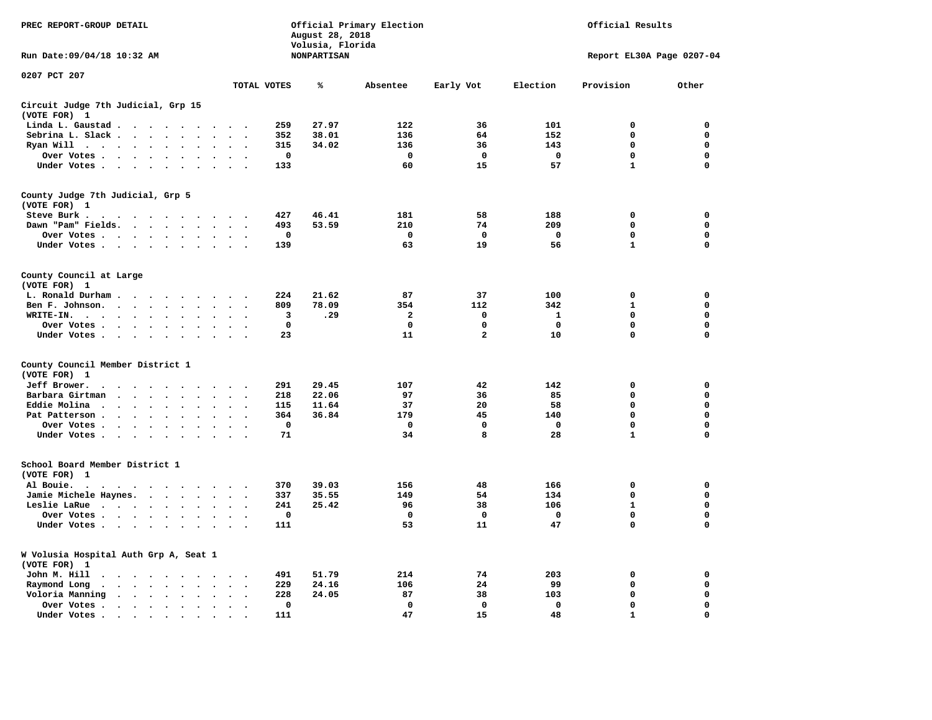| PREC REPORT-GROUP DETAIL                                                                                                                 |                                              | August 28, 2018<br>Volusia, Florida | Official Primary Election | Official Results |             |                           |             |
|------------------------------------------------------------------------------------------------------------------------------------------|----------------------------------------------|-------------------------------------|---------------------------|------------------|-------------|---------------------------|-------------|
| Run Date: 09/04/18 10:32 AM                                                                                                              |                                              | <b>NONPARTISAN</b>                  |                           |                  |             | Report EL30A Page 0207-04 |             |
| 0207 PCT 207                                                                                                                             | TOTAL VOTES                                  | ℁                                   | Absentee                  | Early Vot        | Election    | Provision                 | Other       |
| Circuit Judge 7th Judicial, Grp 15                                                                                                       |                                              |                                     |                           |                  |             |                           |             |
| (VOTE FOR) 1                                                                                                                             |                                              |                                     |                           |                  |             |                           |             |
| Linda L. Gaustad<br>$\ddot{\phantom{1}}$                                                                                                 |                                              | 259<br>27.97                        | 122                       | 36               | 101         | 0                         | 0           |
| Sebrina L. Slack<br>$\ddot{\phantom{a}}$                                                                                                 | $\overline{a}$                               | 352<br>38.01                        | 136                       | 64               | 152         | 0                         | 0           |
| Ryan Will $\cdots$                                                                                                                       |                                              | 34.02<br>315                        | 136                       | 36               | 143         | $\mathbf 0$               | $\mathbf 0$ |
| Over Votes<br>$\sim$                                                                                                                     | $\cdot$<br>$\sim$                            | 0                                   | 0                         | 0                | 0           | $\mathbf 0$               | $\mathbf 0$ |
| Under Votes<br>$\ddot{\phantom{a}}$<br>$\ddot{\phantom{0}}$<br>$\ddot{\phantom{a}}$                                                      | $\ddot{\phantom{a}}$<br>$\cdot$              | 133                                 | 60                        | 15               | 57          | $\mathbf{1}$              | $\mathbf 0$ |
| County Judge 7th Judicial, Grp 5<br>(VOTE FOR) 1                                                                                         |                                              |                                     |                           |                  |             |                           |             |
| Steve Burk.<br>.                                                                                                                         |                                              | 427<br>46.41                        | 181                       | 58               | 188         | $\mathbf 0$               | $\mathbf 0$ |
| Dawn "Pam" Fields. .<br>$\ddot{\phantom{0}}$<br>$\ddot{\phantom{a}}$<br>$\ddot{\phantom{a}}$                                             |                                              | 53.59<br>493                        | 210                       | 74               | 209         | 0                         | 0           |
| Over Votes                                                                                                                               | $\bullet$                                    | 0                                   | $\mathbf 0$               | $\mathbf 0$      | $\mathbf 0$ | $\mathbf 0$               | 0           |
| Under Votes<br>$\ddot{\phantom{0}}$                                                                                                      | $\bullet$<br>$\ddot{\phantom{a}}$            | 139                                 | 63                        | 19               | 56          | $\mathbf{1}$              | $\mathbf 0$ |
| County Council at Large<br>(VOTE FOR) 1                                                                                                  |                                              |                                     |                           |                  |             |                           |             |
| L. Ronald Durham                                                                                                                         |                                              | 21.62<br>224                        | 87                        | 37               | 100         | 0                         | $\mathbf 0$ |
| Ben F. Johnson.<br>$\ddot{\phantom{a}}$<br>$\sim$                                                                                        | $\sim$                                       | 78.09<br>809                        | 354                       | 112              | 342         | $\mathbf{1}$              | $\mathbf 0$ |
| WRITE-IN.<br>$\sim$                                                                                                                      |                                              | 3<br>.29                            | $\mathbf{2}$              | 0                | 1           | 0                         | $\mathbf 0$ |
| Over Votes<br>$\bullet$                                                                                                                  | $\bullet$<br>$\cdot$                         | $\mathbf 0$                         | $\mathbf 0$               | $\mathbf 0$      | $\mathbf 0$ | $\mathbf 0$               | $\mathbf 0$ |
| Under Votes<br>$\ddot{\phantom{0}}$<br>$\bullet$<br>$\bullet$                                                                            | $\ddot{\phantom{1}}$<br>$\ddot{\phantom{0}}$ | 23                                  | 11                        | $\overline{a}$   | 10          | $\mathbf 0$               | $\mathbf 0$ |
| County Council Member District 1<br>(VOTE FOR) 1                                                                                         |                                              |                                     |                           |                  |             |                           |             |
| Jeff Brower.<br>$\cdot$<br>$\cdot$ $\cdot$<br>$\overline{\phantom{a}}$<br>$\cdot$<br>$\ddot{\phantom{a}}$<br>$\cdot$                     | $\ddot{\phantom{1}}$                         | 29.45<br>291                        | 107                       | 42               | 142         | 0                         | 0           |
| Barbara Girtman<br>$\ddot{\phantom{a}}$                                                                                                  |                                              | 22.06<br>218                        | 97                        | 36               | 85          | 0                         | 0           |
| Eddie Molina<br>$\sim$<br>$\ddot{\phantom{1}}$<br>$\overline{\phantom{a}}$<br>$\overline{a}$<br>$\overline{\phantom{a}}$                 |                                              | 11.64<br>115                        | 37                        | 20               | 58          | 0                         | 0           |
| Pat Patterson.<br>$\bullet$<br>$\sim$<br>$\bullet$<br>$\overline{a}$<br>$\overline{\phantom{a}}$                                         |                                              | 36.84<br>364                        | 179                       | 45               | 140         | $\mathbf 0$               | $\mathbf 0$ |
| Over Votes<br>$\cdot$<br>$\ddot{\phantom{a}}$<br>$\ddot{\phantom{a}}$                                                                    |                                              | 0                                   | 0                         | $\mathbf 0$      | 0           | $\mathbf 0$               | $\mathbf 0$ |
| Under Votes.<br>$\ddot{\phantom{0}}$<br>$\bullet$<br>$\cdot$                                                                             |                                              | 71                                  | 34                        | 8                | 28          | $\mathbf{1}$              | $\mathbf 0$ |
| School Board Member District 1<br>(VOTE FOR) 1                                                                                           |                                              |                                     |                           |                  |             |                           |             |
| Al Bouie.<br>$\ddot{\phantom{1}}$<br>$\sim$ $\sim$<br>$\sim$<br>$\ddot{\phantom{0}}$                                                     | $\cdot$<br>$\cdot$                           | 39.03<br>370                        | 156                       | 48               | 166         | $\mathbf 0$               | 0           |
| Jamie Michele Haynes.<br><b>Contract Contract Contract</b>                                                                               | $\ddot{\phantom{a}}$<br>$\bullet$            | 35.55<br>337                        | 149                       | 54               | 134         | $\mathbf 0$               | $\mathbf 0$ |
| Leslie LaRue<br>$\bullet$<br>$\bullet$<br>$\bullet$                                                                                      |                                              | 241<br>25.42                        | 96                        | 38               | 106         | $\mathbf{1}$              | $\mathbf 0$ |
| Over Votes<br>$\bullet$                                                                                                                  |                                              | $\mathbf 0$                         | $\mathbf 0$               | 0                | 0           | 0                         | 0           |
| Under Votes<br>$\bullet$ . $\bullet$<br>$\cdot$                                                                                          | $\ddot{\phantom{a}}$<br>$\ddot{\phantom{a}}$ | 111                                 | 53                        | 11               | 47          | $\mathbf 0$               | 0           |
| W Volusia Hospital Auth Grp A, Seat 1<br>(VOTE FOR) 1                                                                                    |                                              |                                     |                           |                  |             |                           |             |
| John M. Hill<br>$\ddot{\phantom{1}}$<br>$\bullet$ . $\bullet$<br>$\ddot{\phantom{0}}$<br>$\bullet$<br>$\blacksquare$ .<br>$\blacksquare$ |                                              | 491<br>51.79                        | 214                       | 74               | 203         | 0                         | 0           |
| Raymond Long<br>$\bullet$<br>$\ddot{\phantom{a}}$<br>$\ddot{\phantom{a}}$<br>$\mathbf{r}$<br>$\bullet$<br>$\bullet$<br>$\bullet$         | $\ddot{\phantom{a}}$<br>$\cdot$<br>$\cdot$   | 229<br>24.16                        | 106                       | 24               | 99          | $\mathbf 0$               | $\mathbf 0$ |
| Voloria Manning<br>$\mathbf{r} = \mathbf{r} + \mathbf{r}$ .<br>$\bullet$<br>$\ddot{\phantom{a}}$<br>$\bullet$                            | $\cdot$                                      | 228<br>24.05                        | 87                        | 38               | 103         | $\mathbf 0$               | $\mathbf 0$ |
| Over Votes .<br>$\bullet$ . $\bullet$<br>$\cdot$<br>$\bullet$<br>$\bullet$<br>$\bullet$                                                  | $\bullet$<br>$\bullet$                       | $\mathbf 0$                         | $\mathbf 0$               | $\mathbf 0$      | $\mathbf 0$ | $\mathbf 0$               | $\mathbf 0$ |
| Under Votes.<br>$\sim$ $\sim$<br>$\sim$<br>$\cdot$<br>$\cdot$<br>$\ddot{\phantom{a}}$                                                    | $\Delta$                                     | 111                                 | 47                        | 15               | 48          | $\mathbf{1}$              | $\mathbf 0$ |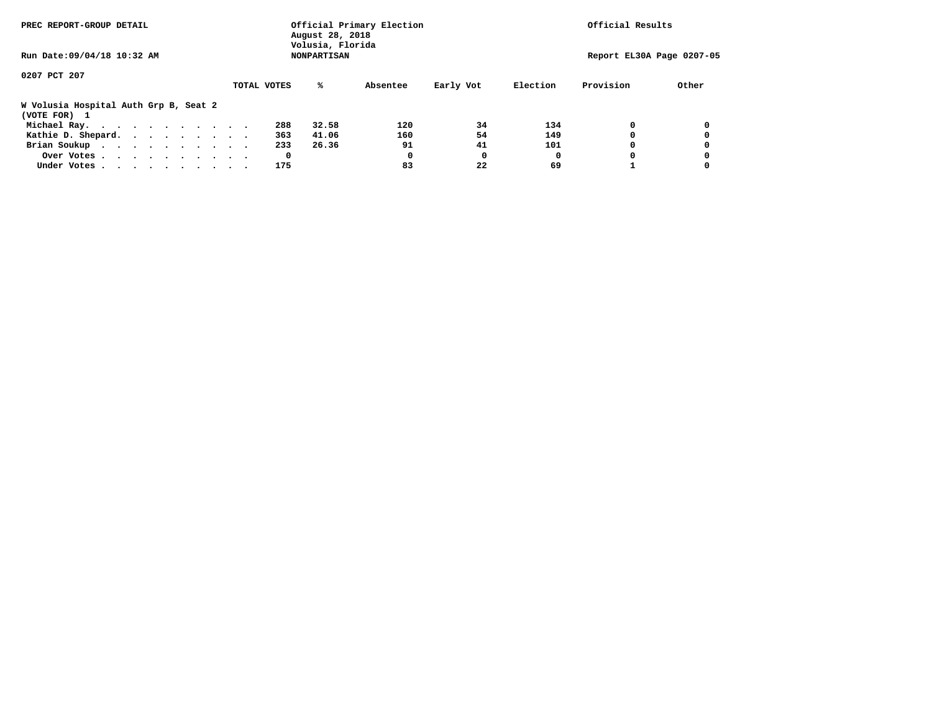| PREC REPORT-GROUP DETAIL                              |             | Official Primary Election<br>August 28, 2018<br>Volusia, Florida | Official Results |           |          |           |                           |
|-------------------------------------------------------|-------------|------------------------------------------------------------------|------------------|-----------|----------|-----------|---------------------------|
| Run Date: 09/04/18 10:32 AM                           |             | <b>NONPARTISAN</b>                                               |                  |           |          |           | Report EL30A Page 0207-05 |
| 0207 PCT 207                                          |             |                                                                  |                  |           |          |           |                           |
|                                                       | TOTAL VOTES | %ะ                                                               | Absentee         | Early Vot | Election | Provision | Other                     |
| W Volusia Hospital Auth Grp B, Seat 2<br>(VOTE FOR) 1 |             |                                                                  |                  |           |          |           |                           |
| Michael Ray.                                          |             | 288<br>32.58                                                     | 120              | 34        | 134      |           |                           |
| Kathie D. Shepard.                                    |             | 363<br>41.06                                                     | 160              | 54        | 149      |           |                           |
| Brian Soukup                                          |             | 233<br>26.36                                                     | 91               | 41        | 101      |           |                           |
| Over Votes                                            |             | 0                                                                | 0                | O         | O        |           |                           |
| Under Votes                                           |             | 175                                                              | 83               | 22        | 69       |           |                           |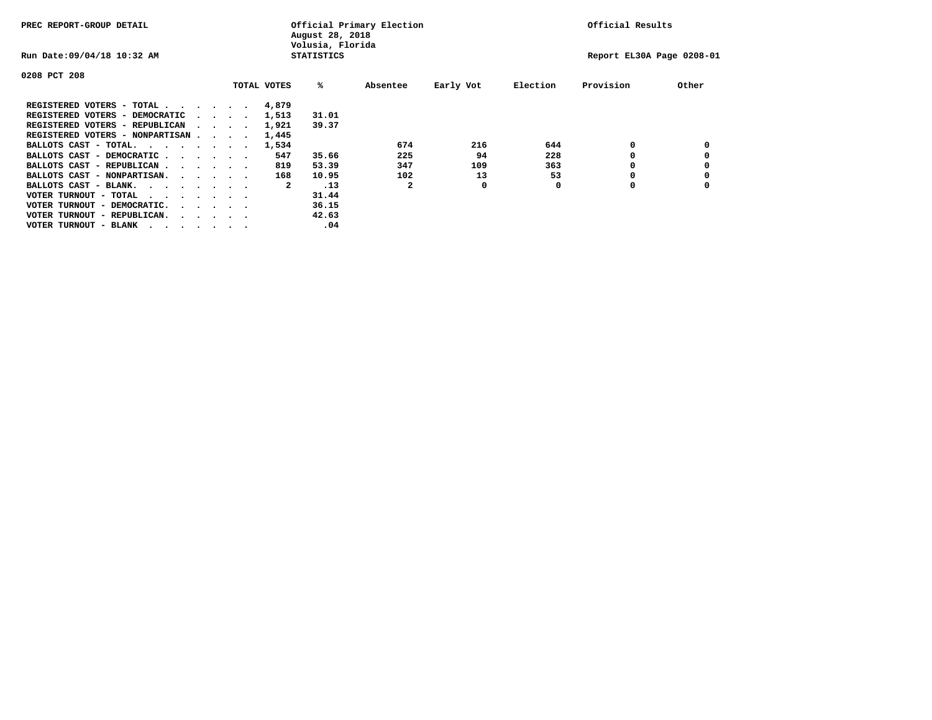| PREC REPORT-GROUP DETAIL               |  |                                         |  |  |             | Official Primary Election<br>August 28, 2018<br>Volusia, Florida | Official Results |           |          |                           |       |
|----------------------------------------|--|-----------------------------------------|--|--|-------------|------------------------------------------------------------------|------------------|-----------|----------|---------------------------|-------|
| Run Date: 09/04/18 10:32 AM            |  |                                         |  |  |             | <b>STATISTICS</b>                                                |                  |           |          | Report EL30A Page 0208-01 |       |
| 0208 PCT 208                           |  |                                         |  |  |             |                                                                  |                  |           |          |                           |       |
|                                        |  |                                         |  |  | TOTAL VOTES | %ะ                                                               | Absentee         | Early Vot | Election | Provision                 | Other |
| REGISTERED VOTERS - TOTAL              |  |                                         |  |  | 4,879       |                                                                  |                  |           |          |                           |       |
| REGISTERED VOTERS - DEMOCRATIC         |  | $\sim$ $\sim$ $\sim$ $\sim$             |  |  | 1,513       | 31.01                                                            |                  |           |          |                           |       |
| REGISTERED VOTERS - REPUBLICAN         |  |                                         |  |  | 1,921       | 39.37                                                            |                  |           |          |                           |       |
| REGISTERED VOTERS - NONPARTISAN        |  |                                         |  |  | 1,445       |                                                                  |                  |           |          |                           |       |
| BALLOTS CAST - TOTAL.                  |  |                                         |  |  | 1,534       |                                                                  | 674              | 216       | 644      | 0                         |       |
| BALLOTS CAST - DEMOCRATIC              |  |                                         |  |  | 547         | 35.66                                                            | 225              | 94        | 228      |                           |       |
| BALLOTS CAST - REPUBLICAN              |  |                                         |  |  | 819         | 53.39                                                            | 347              | 109       | 363      | 0                         |       |
| BALLOTS CAST - NONPARTISAN.            |  |                                         |  |  | 168         | 10.95                                                            | 102              | 13        | 53       |                           |       |
| BALLOTS CAST - BLANK.                  |  |                                         |  |  | 2           | .13                                                              | 2                | 0         | 0        | 0                         |       |
| VOTER TURNOUT - TOTAL<br>.             |  |                                         |  |  |             | 31.44                                                            |                  |           |          |                           |       |
| VOTER TURNOUT - DEMOCRATIC.            |  | $\cdot$ $\cdot$ $\cdot$ $\cdot$ $\cdot$ |  |  |             | 36.15                                                            |                  |           |          |                           |       |
| VOTER TURNOUT - REPUBLICAN.<br>$\cdot$ |  |                                         |  |  |             | 42.63                                                            |                  |           |          |                           |       |
| VOTER TURNOUT - BLANK                  |  |                                         |  |  |             | .04                                                              |                  |           |          |                           |       |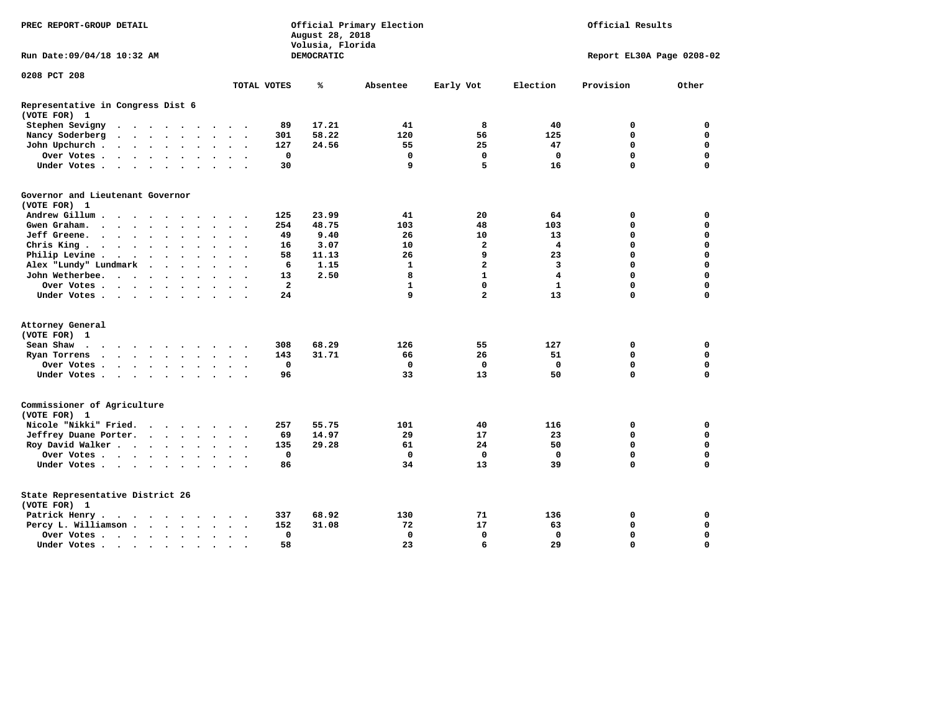| PREC REPORT-GROUP DETAIL                          |                                                                                         |                                         |                      |                      |                      |                      | August 28, 2018<br>Volusia, Florida | Official Primary Election |                | Official Results |              |                         |                           |             |             |  |  |
|---------------------------------------------------|-----------------------------------------------------------------------------------------|-----------------------------------------|----------------------|----------------------|----------------------|----------------------|-------------------------------------|---------------------------|----------------|------------------|--------------|-------------------------|---------------------------|-------------|-------------|--|--|
| Run Date: 09/04/18 10:32 AM                       |                                                                                         |                                         |                      |                      |                      |                      |                                     |                           |                | DEMOCRATIC       |              |                         | Report EL30A Page 0208-02 |             |             |  |  |
| 0208 PCT 208                                      |                                                                                         |                                         |                      |                      |                      |                      |                                     |                           | TOTAL VOTES    | ℁                | Absentee     | Early Vot               | Election                  | Provision   | Other       |  |  |
|                                                   |                                                                                         |                                         |                      |                      |                      |                      |                                     |                           |                |                  |              |                         |                           |             |             |  |  |
| Representative in Congress Dist 6<br>(VOTE FOR) 1 |                                                                                         |                                         |                      |                      |                      |                      |                                     |                           |                |                  |              |                         |                           |             |             |  |  |
| Stephen Sevigny                                   | $\cdots$                                                                                |                                         |                      |                      |                      |                      |                                     |                           | 89             | 17.21            | 41           | 8                       | 40                        | 0           | $\mathbf 0$ |  |  |
| Nancy Soderberg                                   | $\bullet$                                                                               | $\cdot$ $\cdot$ $\cdot$ $\cdot$ $\cdot$ |                      |                      |                      |                      | $\sim$ $\sim$                       | $\overline{\phantom{a}}$  | 301            | 58.22            | 120          | 56                      | 125                       | $\mathbf 0$ | $\mathbf 0$ |  |  |
| John Upchurch.                                    | $\mathcal{A}=\mathcal{A}=\mathcal{A}=\mathcal{A}=\mathcal{A}=\mathcal{A}=\mathcal{A}$ . |                                         |                      |                      |                      |                      | $\ddot{\phantom{1}}$                |                           | 127            | 24.56            | 55           | 25                      | 47                        | $\mathbf 0$ | $\mathbf 0$ |  |  |
| Over Votes                                        |                                                                                         |                                         |                      |                      |                      | $\ddot{\phantom{a}}$ | $\ddot{\phantom{1}}$                | $\sim$                    | $\mathbf 0$    |                  | $\mathbf 0$  | $\mathbf 0$             | $\mathbf 0$               | $\mathbf 0$ | $\mathbf 0$ |  |  |
| Under Votes                                       |                                                                                         |                                         |                      |                      | $\ddot{\phantom{0}}$ | $\sim$               | $\sim$                              |                           | 30             |                  | 9            | 5                       | 16                        | $\mathbf 0$ | $\mathbf 0$ |  |  |
| Governor and Lieutenant Governor<br>(VOTE FOR) 1  |                                                                                         |                                         |                      |                      |                      |                      |                                     |                           |                |                  |              |                         |                           |             |             |  |  |
| Andrew Gillum                                     |                                                                                         | $\sim$                                  |                      |                      |                      |                      |                                     |                           | 125            | 23.99            | 41           | 20                      | 64                        | 0           | 0           |  |  |
| Gwen Graham.                                      |                                                                                         |                                         |                      |                      | $\bullet$            |                      | $\ddot{\phantom{1}}$                | $\ddot{\phantom{1}}$      | 254            | 48.75            | 103          | 48                      | 103                       | 0           | $\mathbf 0$ |  |  |
| Jeff Greene.                                      |                                                                                         |                                         | $\ddot{\phantom{a}}$ |                      |                      |                      |                                     |                           | 49             | 9.40             | 26           | 10                      | 13                        | $\mathbf 0$ | $\mathbf 0$ |  |  |
| Chris King                                        |                                                                                         |                                         |                      |                      |                      |                      | $\ddot{\phantom{1}}$                |                           | 16             | 3.07             | 10           | $\overline{\mathbf{2}}$ | 4                         | $\mathbf 0$ | $\mathbf 0$ |  |  |
| Philip Levine .                                   | $\mathbf{r}$ , $\mathbf{r}$ , $\mathbf{r}$ , $\mathbf{r}$ , $\mathbf{r}$                |                                         |                      |                      | $\ddot{\phantom{a}}$ | $\ddot{\phantom{a}}$ | $\bullet$                           | $\overline{\phantom{a}}$  | 58             | 11.13            | 26           | 9                       | 23                        | $\mathbf 0$ | $\mathbf 0$ |  |  |
| Alex "Lundy" Lundmark                             |                                                                                         | $\ddot{\phantom{1}}$                    | $\ddot{\phantom{a}}$ | $\ddot{\phantom{a}}$ | $\ddot{\phantom{a}}$ |                      | $\bullet$                           |                           | 6              | 1.15             | 1            | $\mathbf{2}$            | 3                         | $\mathbf 0$ | $\mathbf 0$ |  |  |
| John Wetherbee.                                   |                                                                                         |                                         |                      |                      | $\bullet$            | $\bullet$            | $\cdot$                             |                           | 13             | 2.50             | 8            | $\mathbf{1}$            | $\overline{4}$            | $\mathbf 0$ | $\mathbf 0$ |  |  |
| Over Votes                                        |                                                                                         |                                         |                      |                      |                      |                      | $\Delta$                            |                           | $\overline{2}$ |                  | $\mathbf{1}$ | $\mathbf 0$             | $\mathbf{1}$              | $\Omega$    | $\mathbf 0$ |  |  |
| Under Votes                                       |                                                                                         |                                         |                      |                      |                      |                      |                                     |                           | 24             |                  | 9            | $\overline{a}$          | 13                        | $\mathbf 0$ | $\mathbf 0$ |  |  |
|                                                   |                                                                                         |                                         |                      |                      |                      |                      |                                     |                           |                |                  |              |                         |                           |             |             |  |  |
| Attorney General                                  |                                                                                         |                                         |                      |                      |                      |                      |                                     |                           |                |                  |              |                         |                           |             |             |  |  |
| (VOTE FOR) 1                                      |                                                                                         |                                         |                      |                      |                      |                      |                                     |                           |                |                  |              |                         |                           |             |             |  |  |
| Sean Shaw<br>$\cdots$                             |                                                                                         |                                         |                      |                      |                      |                      |                                     |                           | 308            | 68.29            | 126          | 55                      | 127                       | 0           | 0           |  |  |
| Ryan Torrens                                      |                                                                                         |                                         |                      |                      |                      |                      | $\ddot{\phantom{1}}$                | $\ddot{\phantom{1}}$      | 143            | 31.71            | 66           | 26                      | 51                        | $\mathbf 0$ | $\mathbf 0$ |  |  |
| Over Votes                                        |                                                                                         |                                         |                      |                      |                      |                      |                                     |                           | $\mathbf 0$    |                  | $\mathbf 0$  | $\mathbf 0$             | $\mathbf 0$               | $\mathbf 0$ | $\mathbf 0$ |  |  |
| Under Votes                                       |                                                                                         |                                         |                      |                      |                      |                      | $\sim$ $\sim$                       |                           | 96             |                  | 33           | 13                      | 50                        | $\mathbf 0$ | $\mathbf 0$ |  |  |
| Commissioner of Agriculture<br>(VOTE FOR) 1       |                                                                                         |                                         |                      |                      |                      |                      |                                     |                           |                |                  |              |                         |                           |             |             |  |  |
| Nicole "Nikki" Fried.                             |                                                                                         |                                         |                      |                      |                      |                      |                                     |                           | 257            | 55.75            | 101          | 40                      | 116                       | 0           | $\mathbf 0$ |  |  |
| Jeffrey Duane Porter.                             |                                                                                         |                                         |                      |                      |                      |                      | $\sim$ $\sim$                       |                           | 69             | 14.97            | 29           | 17                      | 23                        | $\mathbf 0$ | $\mathbf 0$ |  |  |
| Roy David Walker                                  |                                                                                         |                                         |                      |                      |                      |                      |                                     |                           | 135            | 29.28            | 61           | 24                      | 50                        | $\mathbf 0$ | $\mathbf 0$ |  |  |
| Over Votes                                        |                                                                                         |                                         |                      |                      |                      |                      | $\cdot$                             |                           | 0              |                  | $\mathbf{0}$ | 0                       | $\Omega$                  | $\mathbf 0$ | $\mathbf 0$ |  |  |
| Under Votes                                       |                                                                                         |                                         |                      |                      |                      |                      |                                     |                           | 86             |                  | 34           | 13                      | 39                        | $\Omega$    | $\mathbf 0$ |  |  |
| State Representative District 26<br>(VOTE FOR) 1  |                                                                                         |                                         |                      |                      |                      |                      |                                     |                           |                |                  |              |                         |                           |             |             |  |  |
| Patrick Henry.                                    | $\cdots$                                                                                |                                         |                      |                      |                      |                      |                                     |                           | 337            | 68.92            | 130          | 71                      | 136                       | 0           | 0           |  |  |
| Percy L. Williamson                               |                                                                                         |                                         |                      |                      |                      | $\bullet$            | $\bullet$                           | $\ddot{\phantom{0}}$      | 152            | 31.08            | 72           | 17                      | 63                        | $\mathbf 0$ | $\mathbf 0$ |  |  |
| Over Votes                                        |                                                                                         |                                         |                      |                      |                      |                      |                                     |                           | 0              |                  | $\mathbf 0$  | $\mathbf 0$             | $\mathbf 0$               | $\mathbf 0$ | $\mathbf 0$ |  |  |
| Under Votes                                       |                                                                                         |                                         |                      |                      |                      | $\ddot{\phantom{a}}$ |                                     |                           | 58             |                  | 23           | 6                       | 29                        | $\Omega$    | $\mathbf 0$ |  |  |
|                                                   |                                                                                         |                                         |                      |                      |                      |                      |                                     |                           |                |                  |              |                         |                           |             |             |  |  |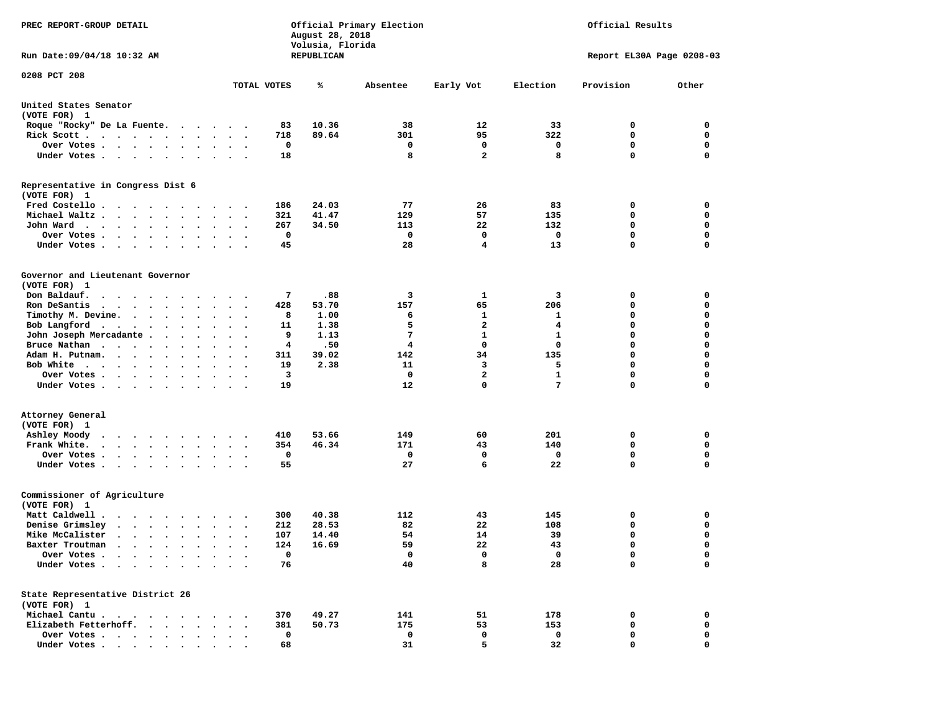| PREC REPORT-GROUP DETAIL                                                                                                                                                                                                                     |                      | August 28, 2018<br>Volusia, Florida | Official Primary Election | Official Results        |                 |                           |             |  |
|----------------------------------------------------------------------------------------------------------------------------------------------------------------------------------------------------------------------------------------------|----------------------|-------------------------------------|---------------------------|-------------------------|-----------------|---------------------------|-------------|--|
| Run Date: 09/04/18 10:32 AM                                                                                                                                                                                                                  |                      | REPUBLICAN                          |                           |                         |                 | Report EL30A Page 0208-03 |             |  |
| 0208 PCT 208                                                                                                                                                                                                                                 | TOTAL VOTES          | ℁                                   | Absentee                  | Early Vot               | Election        | Provision                 | Other       |  |
|                                                                                                                                                                                                                                              |                      |                                     |                           |                         |                 |                           |             |  |
| United States Senator<br>(VOTE FOR) 1                                                                                                                                                                                                        |                      |                                     |                           |                         |                 |                           |             |  |
| Roque "Rocky" De La Fuente.<br>.                                                                                                                                                                                                             |                      | 83<br>10.36                         | 38                        | 12                      | 33              | 0                         | 0           |  |
| Rick Scott.<br>. The contract of the contract of the contract of the contract of the contract of the contract of the contract of the contract of the contract of the contract of the contract of the contract of the contract of the contrac |                      | 89.64<br>718                        | 301                       | 95                      | 322             | 0                         | 0           |  |
| Over Votes                                                                                                                                                                                                                                   |                      | 0                                   | 0                         | 0                       | 0               | 0                         | 0           |  |
| Under Votes<br>$\bullet$                                                                                                                                                                                                                     | $\ddot{\phantom{1}}$ | 18                                  | 8                         | $\overline{a}$          | 8               | 0                         | 0           |  |
| Representative in Congress Dist 6<br>(VOTE FOR) 1                                                                                                                                                                                            |                      |                                     |                           |                         |                 |                           |             |  |
| Fred Costello                                                                                                                                                                                                                                |                      | 24.03<br>186                        | 77                        | 26                      | 83              | 0                         | 0           |  |
| Michael Waltz.<br>$\cdot$ $\cdot$ $\cdot$<br>$\bullet$<br>$\ddot{\phantom{1}}$<br>$\bullet$                                                                                                                                                  |                      | 321<br>41.47                        | 129                       | 57                      | 135             | 0                         | 0           |  |
| John Ward<br>$\bullet$<br>$\bullet$                                                                                                                                                                                                          | $\cdot$ .            | 267<br>34.50                        | 113                       | 22                      | 132             | 0                         | 0           |  |
| Over Votes .<br>$\sim$ $\sim$<br>$\cdot$                                                                                                                                                                                                     |                      | 0                                   | 0                         | 0                       | 0               | 0                         | $\mathbf 0$ |  |
| Under Votes.<br>$\sim$ $\sim$ $\sim$<br>$\blacksquare$<br>$\cdot$                                                                                                                                                                            |                      | 45                                  | 28                        | 4                       | 13              | 0                         | $\mathbf 0$ |  |
| Governor and Lieutenant Governor<br>(VOTE FOR) 1                                                                                                                                                                                             |                      |                                     |                           |                         |                 |                           |             |  |
| Don Baldauf.<br>$\begin{array}{cccccccccccccccccc} \bullet & \bullet & \bullet & \bullet & \bullet & \bullet & \bullet & \bullet & \bullet & \bullet & \bullet & \bullet \end{array}$                                                        | $\cdot$ .            | 7<br>.88                            | 3                         | 1                       | 3               | 0                         | 0           |  |
| Ron DeSantis<br>$\cdot$ $\cdot$ $\cdot$ $\cdot$ $\cdot$<br>$\sim$<br>$\bullet$                                                                                                                                                               |                      | 428<br>53.70                        | 157                       | 65                      | 206             | 0                         | 0           |  |
| Timothy M. Devine.                                                                                                                                                                                                                           |                      | 8<br>1.00                           | 6                         | 1                       | 1               | 0                         | $\mathbf 0$ |  |
| Bob Langford<br>$\bullet$<br>$\bullet$                                                                                                                                                                                                       | $\ddot{\phantom{0}}$ | 1.38<br>11                          | 5                         | $\mathbf{2}$            | 4               | 0                         | $\mathbf 0$ |  |
| John Joseph Mercadante .<br>$\bullet$<br>$\cdot$<br>$\bullet$                                                                                                                                                                                |                      | 9<br>1.13                           | 7                         | $\mathbf{1}$            | 1               | 0                         | 0           |  |
| Bruce Nathan<br>$\ddot{\phantom{0}}$<br>$\bullet$<br>$\bullet$                                                                                                                                                                               |                      | .50<br>4                            | 4                         | 0                       | 0               | 0                         | $\mathbf 0$ |  |
| Adam H. Putnam.<br>$\sim$<br>$\sim$ $\sim$<br>$\bullet$                                                                                                                                                                                      |                      | 39.02<br>311                        | 142                       | 34                      | 135             | 0                         | $\mathbf 0$ |  |
| Bob White<br>$\sim$<br>$\cdots$                                                                                                                                                                                                              |                      | 19<br>2.38                          | 11                        | 3                       | 5               | 0                         | $\mathbf 0$ |  |
| Over Votes .<br>$\mathbf{r}$ , and $\mathbf{r}$ , and $\mathbf{r}$<br>$\bullet$<br>$\bullet$                                                                                                                                                 | $\bullet$            | 3                                   | 0                         | $\overline{\mathbf{2}}$ | $\mathbf{1}$    | 0                         | $\mathbf 0$ |  |
| Under Votes<br>$\ddot{\phantom{1}}$                                                                                                                                                                                                          |                      | 19                                  | 12                        | $\mathbf 0$             | $7\phantom{.0}$ | 0                         | 0           |  |
| Attorney General                                                                                                                                                                                                                             |                      |                                     |                           |                         |                 |                           |             |  |
| (VOTE FOR) 1                                                                                                                                                                                                                                 |                      |                                     |                           |                         |                 |                           |             |  |
| Ashley Moody<br>$\ddot{\phantom{0}}$<br>.                                                                                                                                                                                                    |                      | 53.66<br>410                        | 149                       | 60                      | 201             | 0                         | 0           |  |
| Frank White.<br>$\begin{array}{cccccccccccccc} \bullet & \bullet & \bullet & \bullet & \bullet & \bullet & \bullet & \bullet & \bullet \end{array}$<br>$\bullet$<br>$\bullet$                                                                | $\bullet$<br>$\cdot$ | 46.34<br>354                        | 171                       | 43                      | 140             | 0                         | $\mathbf 0$ |  |
| Over Votes .<br>$\sim$ $\sim$ $\sim$ $\sim$ $\sim$<br>$\bullet$<br>$\bullet$                                                                                                                                                                 |                      | 0                                   | 0                         | 0                       | 0               | 0                         | 0           |  |
| Under Votes<br>$\sim$<br>$\bullet$<br>$\bullet$                                                                                                                                                                                              | $\sim$ $\sim$        | 55                                  | 27                        | 6                       | 22              | 0                         | 0           |  |
| Commissioner of Agriculture<br>(VOTE FOR) 1                                                                                                                                                                                                  |                      |                                     |                           |                         |                 |                           |             |  |
| Matt Caldwell.<br>$\cdot$ $\cdot$ $\cdot$ $\cdot$ $\cdot$ $\cdot$                                                                                                                                                                            |                      | 300<br>40.38                        | 112                       | 43                      | 145             | 0                         | 0           |  |
| Denise Grimsley<br>$\cdot$<br>$\bullet$                                                                                                                                                                                                      |                      | 28.53<br>212                        | 82                        | 22                      | 108             | 0                         | 0           |  |
| Mike McCalister<br>$\cdot$ $\cdot$ $\cdot$ $\cdot$ $\cdot$ $\cdot$<br>$\bullet$                                                                                                                                                              |                      | 107<br>14.40                        | 54                        | 14                      | 39              | 0                         | $\mathbf 0$ |  |
| Baxter Troutman<br>.                                                                                                                                                                                                                         |                      | 124<br>16.69                        | 59                        | 22                      | 43              | 0                         | 0           |  |
| Over Votes                                                                                                                                                                                                                                   |                      | 0                                   | 0                         | 0                       | 0               | 0                         | 0           |  |
| Under Votes.<br>$\bullet$                                                                                                                                                                                                                    |                      | 76                                  | 40                        | 8                       | 28              | 0                         | $\mathbf 0$ |  |
| State Representative District 26<br>(VOTE FOR) 1                                                                                                                                                                                             |                      |                                     |                           |                         |                 |                           |             |  |
| Michael Cantu.<br>$\cdots$                                                                                                                                                                                                                   |                      | 49.27<br>370                        | 141                       | 51                      | 178             | 0                         | 0           |  |
| Elizabeth Fetterhoff.                                                                                                                                                                                                                        |                      | 381<br>50.73                        | 175                       | 53                      | 153             | 0                         | 0           |  |
| Over Votes .<br>$\ddot{\phantom{1}}$<br>$\cdot$<br>$\bullet$<br>$\bullet$                                                                                                                                                                    |                      | 0                                   | 0                         | 0                       | 0               | 0                         | 0           |  |
| Under Votes<br>$\blacksquare$                                                                                                                                                                                                                |                      | 68                                  | 31                        | 5                       | 32              | 0                         | 0           |  |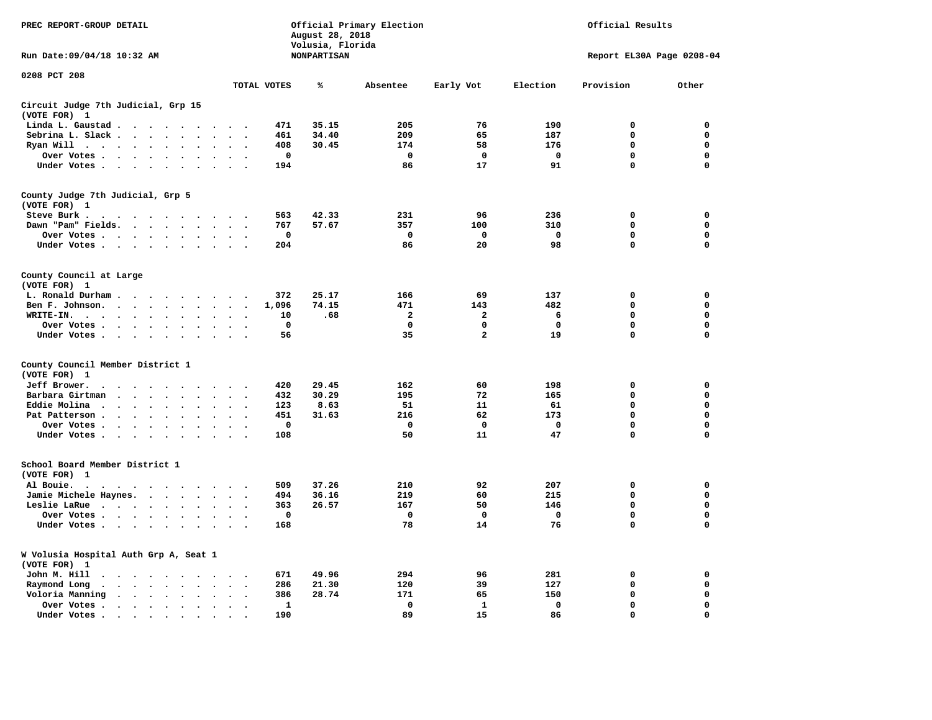| PREC REPORT-GROUP DETAIL                                                                                 |                                                         |                                   | August 28, 2018<br>Volusia, Florida | Official Primary Election |                | Official Results |                           |             |  |  |
|----------------------------------------------------------------------------------------------------------|---------------------------------------------------------|-----------------------------------|-------------------------------------|---------------------------|----------------|------------------|---------------------------|-------------|--|--|
| Run Date: 09/04/18 10:32 AM                                                                              |                                                         |                                   | <b>NONPARTISAN</b>                  |                           |                |                  | Report EL30A Page 0208-04 |             |  |  |
| 0208 PCT 208                                                                                             |                                                         | TOTAL VOTES                       | ℁                                   | Absentee                  | Early Vot      | Election         | Provision                 | Other       |  |  |
| Circuit Judge 7th Judicial, Grp 15                                                                       |                                                         |                                   |                                     |                           |                |                  |                           |             |  |  |
| (VOTE FOR) 1                                                                                             |                                                         |                                   |                                     |                           |                |                  |                           |             |  |  |
| Linda L. Gaustad                                                                                         | $\ddot{\phantom{a}}$                                    | 471                               | 35.15                               | 205                       | 76             | 190              | $\mathbf 0$               | 0           |  |  |
| Sebrina L. Slack                                                                                         | $\ddot{\phantom{a}}$                                    | 461<br>$\overline{\phantom{a}}$   | 34.40                               | 209                       | 65             | 187              | $\mathbf 0$               | 0           |  |  |
| Ryan Will .<br>$\sim$ $\sim$ $\sim$ $\sim$<br>$\ddot{\phantom{a}}$<br>$\ddot{\phantom{a}}$               |                                                         | 408                               | 30.45                               | 174                       | 58             | 176              | 0                         | 0           |  |  |
| Over Votes                                                                                               |                                                         | 0                                 |                                     | 0                         | 0              | 0                | 0                         | 0           |  |  |
| Under Votes                                                                                              | $\sim$<br>$\ddot{\phantom{a}}$                          | 194                               |                                     | 86                        | 17             | 91               | 0                         | $\mathbf 0$ |  |  |
| County Judge 7th Judicial, Grp 5<br>(VOTE FOR) 1                                                         |                                                         |                                   |                                     |                           |                |                  |                           |             |  |  |
| Steve Burk.                                                                                              |                                                         | 563                               | 42.33                               | 231                       | 96             | 236              | $\mathbf 0$               | 0           |  |  |
| Dawn "Pam" Fields.                                                                                       | $\sim$                                                  | 767                               | 57.67                               | 357                       | 100            | 310              | $\Omega$                  | $\mathbf 0$ |  |  |
| Over Votes                                                                                               |                                                         | $\mathbf 0$                       |                                     | $\mathbf 0$               | $\mathbf 0$    | $\mathbf 0$      | $\mathbf 0$               | 0           |  |  |
| Under Votes                                                                                              | $\cdot$ .                                               | 204                               |                                     | 86                        | 20             | 98               | $\mathbf 0$               | $\mathbf 0$ |  |  |
| County Council at Large<br>(VOTE FOR) 1                                                                  |                                                         |                                   |                                     |                           |                |                  |                           |             |  |  |
| L. Ronald Durham                                                                                         | $\cdot$ .                                               | 372                               | 25.17                               | 166                       | 69             | 137              | $\mathbf 0$               | $\mathbf 0$ |  |  |
| Ben F. Johnson.                                                                                          | $\sim$                                                  | 1,096<br>$\overline{\phantom{a}}$ | 74.15                               | 471                       | 143            | 482              | $\mathbf 0$               | $\mathbf 0$ |  |  |
| WRITE-IN.<br>$\cdot$ $\cdot$ $\cdot$ $\cdot$ $\cdot$ $\cdot$<br>$\sim$                                   |                                                         | 10                                | .68                                 | $\mathbf{2}$              | 2              | 6                | 0                         | 0           |  |  |
| Over Votes                                                                                               | $\sim$                                                  | 0<br>$\overline{\phantom{a}}$     |                                     | $\mathbf{0}$              | 0              | 0                | 0                         | 0           |  |  |
| Under Votes                                                                                              | $\sim$                                                  | 56<br>$\overline{\phantom{a}}$    |                                     | 35                        | $\overline{a}$ | 19               | 0                         | $\mathbf 0$ |  |  |
| County Council Member District 1                                                                         |                                                         |                                   |                                     |                           |                |                  |                           |             |  |  |
| (VOTE FOR) 1                                                                                             |                                                         |                                   |                                     |                           |                |                  |                           |             |  |  |
| Jeff Brower.<br>$\ddot{\phantom{0}}$<br>$\cdots$<br>$\sim$                                               | $\ddot{\phantom{a}}$                                    | 420                               | 29.45                               | 162                       | 60             | 198              | 0                         | 0           |  |  |
| Barbara Girtman<br>$\ddot{\phantom{a}}$<br>$\sim$ $\sim$<br>$\ddot{\phantom{a}}$<br>$\ddot{\phantom{a}}$ |                                                         | 432                               | 30.29                               | 195                       | 72             | 165              | 0                         | $\mathbf 0$ |  |  |
| Eddie Molina.<br>$\cdots$<br>$\ddot{\phantom{a}}$                                                        |                                                         | 123                               | 8.63                                | 51                        | 11             | 61               | $\mathbf 0$               | $\mathbf 0$ |  |  |
| Pat Patterson<br>$\ddot{\phantom{a}}$                                                                    | $\bullet$                                               | 451                               | 31.63                               | 216                       | 62             | 173              | $\mathbf 0$               | 0           |  |  |
| Over Votes                                                                                               | $\sim$                                                  | $\mathbf 0$                       |                                     | $\mathbf 0$               | $\mathbf 0$    | $\mathbf 0$      | $\mathbf 0$               | $\mathbf 0$ |  |  |
| Under Votes<br>$\sim$                                                                                    | $\sim$<br>$\sim$                                        | 108                               |                                     | 50                        | 11             | 47               | $\Omega$                  | 0           |  |  |
| School Board Member District 1<br>(VOTE FOR) 1                                                           |                                                         |                                   |                                     |                           |                |                  |                           |             |  |  |
| Al Bouie.<br>$\bullet$<br>$\cdots$<br>$\ddot{\phantom{1}}$                                               | $\ddot{\phantom{1}}$ .                                  | 509                               | 37.26                               | 210                       | 92             | 207              | $\mathbf 0$               | $\mathbf 0$ |  |  |
| Jamie Michele Haynes.                                                                                    | $\bullet$ .                                             | 494<br>$\overline{\phantom{a}}$   | 36.16                               | 219                       | 60             | 215              | $\Omega$                  | 0           |  |  |
| Leslie LaRue                                                                                             | $\bullet$<br>$\ddot{\phantom{a}}$                       | 363                               | 26.57                               | 167                       | 50             | 146              | $\Omega$                  | $\Omega$    |  |  |
| Over Votes                                                                                               |                                                         | 0                                 |                                     | $\Omega$                  | $\Omega$       | $\Omega$         | $\mathbf 0$               | $\mathbf 0$ |  |  |
| Under Votes                                                                                              | $\ddot{\phantom{a}}$<br>$\sim$                          | 168                               |                                     | 78                        | 14             | 76               | 0                         | $\mathbf 0$ |  |  |
| W Volusia Hospital Auth Grp A, Seat 1<br>(VOTE FOR) 1                                                    |                                                         |                                   |                                     |                           |                |                  |                           |             |  |  |
| John M. Hill                                                                                             | $\cdot$                                                 | 671                               | 49.96                               | 294                       | 96             | 281              | 0                         | 0           |  |  |
| Raymond Long<br>$\cdots$ $\cdots$<br>$\bullet$<br>$\ddot{\phantom{a}}$                                   | $\ddot{\phantom{a}}$<br>$\ddot{\phantom{a}}$<br>$\cdot$ | 286<br>$\cdot$                    | 21.30                               | 120                       | 39             | 127              | $\mathbf 0$               | 0           |  |  |
| Voloria Manning                                                                                          | $\sim$ $\sim$                                           | 386                               | 28.74                               | 171                       | 65             | 150              | $\mathbf 0$               | 0           |  |  |
| Over Votes.<br>$\cdot$ $\cdot$ $\cdot$ $\cdot$ $\cdot$                                                   | $\ddot{\phantom{a}}$                                    | 1                                 |                                     | 0                         | $\mathbf{1}$   | 0                | 0                         | 0           |  |  |
| Under Votes                                                                                              | $\ddot{\phantom{a}}$                                    | 190                               |                                     | 89                        | 15             | 86               | $\Omega$                  | 0           |  |  |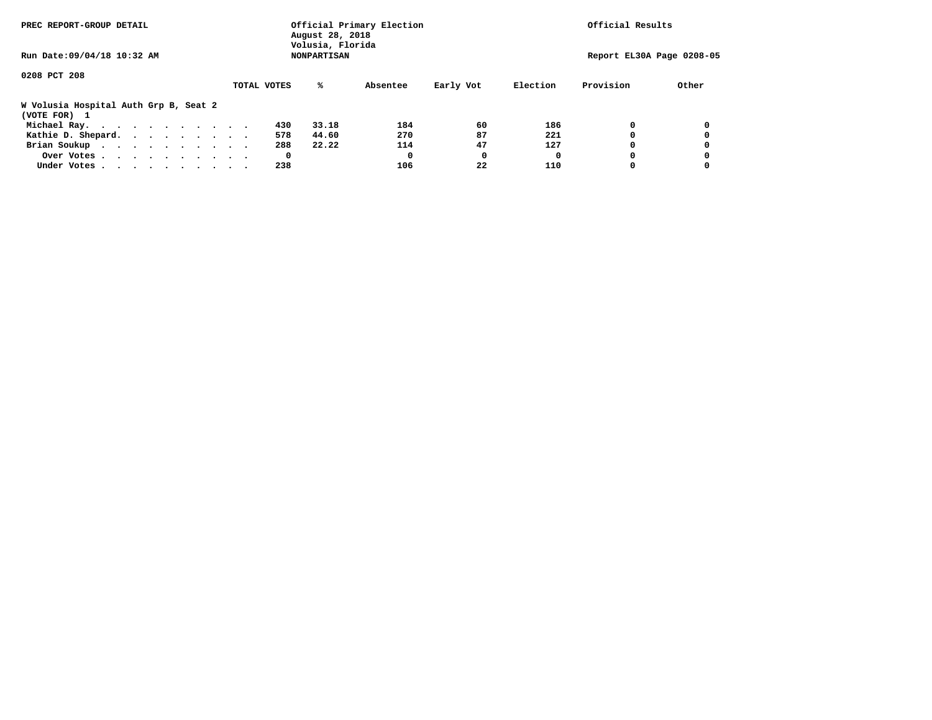| PREC REPORT-GROUP DETAIL                              | Official Primary Election<br>August 28, 2018<br>Volusia, Florida |                       | Official Results          |       |  |  |  |
|-------------------------------------------------------|------------------------------------------------------------------|-----------------------|---------------------------|-------|--|--|--|
| Run Date: 09/04/18 10:32 AM                           | <b>NONPARTISAN</b>                                               |                       | Report EL30A Page 0208-05 |       |  |  |  |
| 0208 PCT 208                                          | TOTAL VOTES<br>%ะ                                                | Early Vot<br>Absentee | Provision<br>Election     | Other |  |  |  |
| W Volusia Hospital Auth Grp B, Seat 2<br>(VOTE FOR) 1 |                                                                  |                       |                           |       |  |  |  |
| Michael Ray.                                          | 33.18<br>430                                                     | 60<br>184             | 0<br>186                  | 0     |  |  |  |
| Kathie D. Shepard.                                    | 44.60<br>578                                                     | 87<br>270             | 221<br>0                  | 0     |  |  |  |
| Brian Soukup                                          | 288<br>22.22                                                     | 47<br>114             | 127<br>0                  | 0     |  |  |  |
| Over Votes                                            | 0                                                                | 0<br>0                | 0                         | 0     |  |  |  |
| Under Votes                                           | 238                                                              | 22<br>106             | 110<br>0                  |       |  |  |  |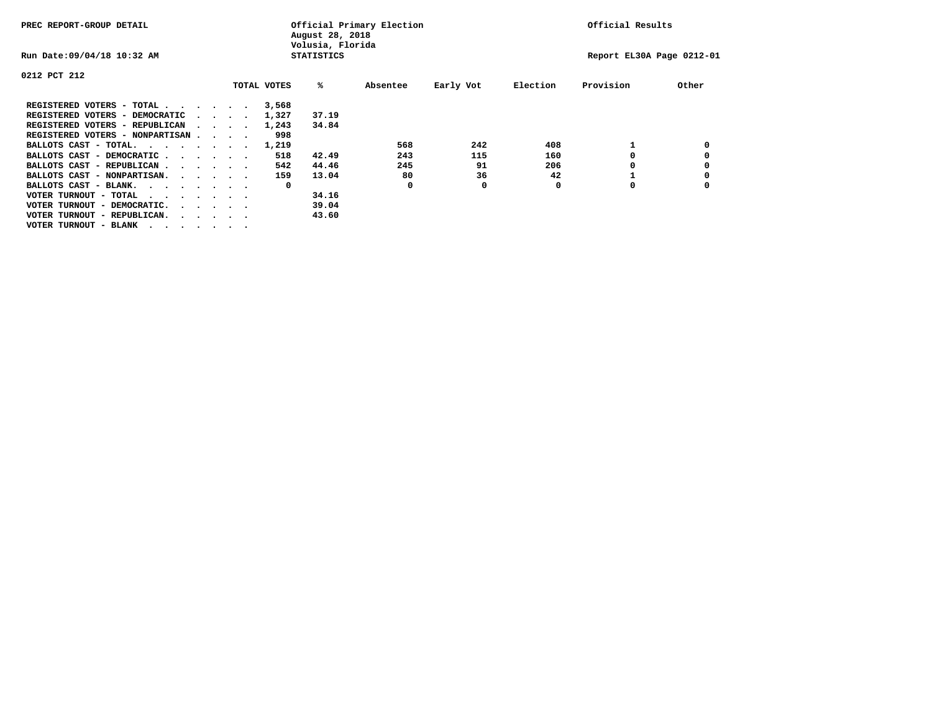| PREC REPORT-GROUP DETAIL                                               |  |  |                             |             | August 28, 2018<br>Volusia, Florida | Official Primary Election | Official Results |          |                           |       |
|------------------------------------------------------------------------|--|--|-----------------------------|-------------|-------------------------------------|---------------------------|------------------|----------|---------------------------|-------|
| Run Date: 09/04/18 10:32 AM                                            |  |  |                             |             | <b>STATISTICS</b>                   |                           |                  |          | Report EL30A Page 0212-01 |       |
| 0212 PCT 212                                                           |  |  |                             |             |                                     |                           |                  |          |                           |       |
|                                                                        |  |  |                             | TOTAL VOTES | ‱                                   | Absentee                  | Early Vot        | Election | Provision                 | Other |
| REGISTERED VOTERS - TOTAL                                              |  |  |                             | 3,568       |                                     |                           |                  |          |                           |       |
| REGISTERED VOTERS - DEMOCRATIC                                         |  |  | $\sim$ $\sim$ $\sim$ $\sim$ | 1,327       | 37.19                               |                           |                  |          |                           |       |
| REGISTERED VOTERS - REPUBLICAN                                         |  |  |                             | 1,243       | 34.84                               |                           |                  |          |                           |       |
| REGISTERED VOTERS - NONPARTISAN                                        |  |  |                             | 998         |                                     |                           |                  |          |                           |       |
| BALLOTS CAST - TOTAL.                                                  |  |  |                             | 1,219       |                                     | 568                       | 242              | 408      |                           |       |
| BALLOTS CAST - DEMOCRATIC                                              |  |  |                             | 518         | 42.49                               | 243                       | 115              | 160      |                           |       |
| BALLOTS CAST - REPUBLICAN                                              |  |  |                             | 542         | 44.46                               | 245                       | 91               | 206      |                           |       |
| BALLOTS CAST - NONPARTISAN.                                            |  |  |                             | 159         | 13.04                               | 80                        | 36               | 42       |                           |       |
| BALLOTS CAST - BLANK.                                                  |  |  |                             | 0           |                                     | $\mathbf 0$               | 0                | 0        | O                         |       |
| VOTER TURNOUT - TOTAL<br>.                                             |  |  |                             |             | 34.16                               |                           |                  |          |                           |       |
| VOTER TURNOUT - DEMOCRATIC.<br>$\cdot$ $\cdot$ $\cdot$ $\cdot$ $\cdot$ |  |  |                             |             | 39.04                               |                           |                  |          |                           |       |
| VOTER TURNOUT - REPUBLICAN.<br>$\cdots$                                |  |  |                             |             | 43.60                               |                           |                  |          |                           |       |
| VOTER TURNOUT - BLANK                                                  |  |  |                             |             |                                     |                           |                  |          |                           |       |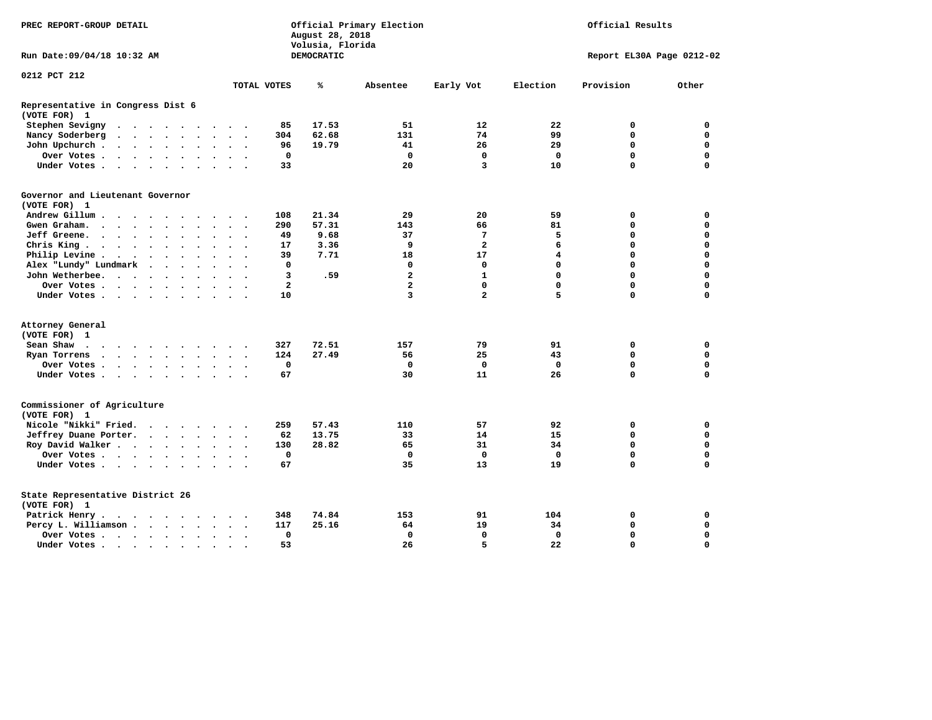| PREC REPORT-GROUP DETAIL                          |                                                                                                                                               |                      |                      |                      |                      |                      |                      | August 28, 2018<br>Volusia, Florida | Official Primary Election |                   | Official Results        |                         |                           |             |             |  |  |
|---------------------------------------------------|-----------------------------------------------------------------------------------------------------------------------------------------------|----------------------|----------------------|----------------------|----------------------|----------------------|----------------------|-------------------------------------|---------------------------|-------------------|-------------------------|-------------------------|---------------------------|-------------|-------------|--|--|
| Run Date: 09/04/18 10:32 AM                       |                                                                                                                                               |                      |                      |                      |                      |                      |                      |                                     |                           | <b>DEMOCRATIC</b> |                         |                         | Report EL30A Page 0212-02 |             |             |  |  |
| 0212 PCT 212                                      |                                                                                                                                               |                      |                      |                      |                      |                      |                      |                                     |                           |                   |                         |                         |                           |             |             |  |  |
|                                                   |                                                                                                                                               |                      |                      |                      |                      |                      |                      |                                     | TOTAL VOTES               | ℁                 | Absentee                | Early Vot               | Election                  | Provision   | Other       |  |  |
| Representative in Congress Dist 6<br>(VOTE FOR) 1 |                                                                                                                                               |                      |                      |                      |                      |                      |                      |                                     |                           |                   |                         |                         |                           |             |             |  |  |
| Stephen Sevigny                                   | $\cdot$                                                                                                                                       |                      |                      |                      |                      |                      |                      |                                     | 85                        | 17.53             | 51                      | 12                      | 22                        | 0           | $\mathbf 0$ |  |  |
| Nancy Soderberg                                   | $\begin{array}{cccccccccccccc} \bullet & \bullet & \bullet & \bullet & \bullet & \bullet & \bullet & \bullet & \bullet & \bullet \end{array}$ |                      |                      |                      |                      |                      | $\ddot{\phantom{1}}$ | $\overline{\phantom{a}}$            | 304                       | 62.68             | 131                     | 74                      | 99                        | 0           | 0           |  |  |
| John Upchurch.                                    | $\mathcal{A}=\mathcal{A}=\mathcal{A}=\mathcal{A}=\mathcal{A}=\mathcal{A}$ .                                                                   |                      |                      |                      |                      |                      | $\ddot{\phantom{0}}$ |                                     | 96                        | 19.79             | 41                      | 26                      | 29                        | 0           | 0           |  |  |
| Over Votes                                        |                                                                                                                                               |                      |                      |                      |                      | $\ddot{\phantom{a}}$ | $\bullet$            | $\ddot{\phantom{1}}$                | $\mathbf 0$               |                   | $\mathbf 0$             | 0                       | $\mathbf 0$               | 0           | 0           |  |  |
| Under Votes                                       |                                                                                                                                               |                      |                      |                      | $\sim$               | $\sim$               | $\sim$               |                                     | 33                        |                   | 20                      | 3                       | 10                        | 0           | 0           |  |  |
| Governor and Lieutenant Governor<br>(VOTE FOR) 1  |                                                                                                                                               |                      |                      |                      |                      |                      |                      |                                     |                           |                   |                         |                         |                           |             |             |  |  |
| Andrew Gillum                                     |                                                                                                                                               | $\ddot{\phantom{1}}$ |                      |                      |                      |                      |                      |                                     | 108                       | 21.34             | 29                      | 20                      | 59                        | 0           | 0           |  |  |
| Gwen Graham.                                      | $\cdots$                                                                                                                                      |                      |                      |                      |                      |                      | $\sim$ $\sim$        | $\overline{\phantom{a}}$            | 290                       | 57.31             | 143                     | 66                      | 81                        | 0           | 0           |  |  |
| Jeff Greene.                                      |                                                                                                                                               |                      | $\cdot$              |                      |                      |                      |                      |                                     | 49                        | 9.68              | 37                      | $7\phantom{.0}$         | 5                         | 0           | 0           |  |  |
| Chris King                                        |                                                                                                                                               |                      |                      |                      |                      |                      |                      |                                     | 17                        | 3.36              | 9                       | $\overline{\mathbf{2}}$ | 6                         | 0           | 0           |  |  |
| Philip Levine.                                    | $\mathcal{A}$ , and $\mathcal{A}$ , and $\mathcal{A}$ , and $\mathcal{A}$                                                                     |                      |                      |                      |                      | $\ddot{\phantom{a}}$ | $\bullet$            | $\ddot{\phantom{1}}$                | 39                        | 7.71              | 18                      | 17                      | $\overline{\mathbf{4}}$   | 0           | 0           |  |  |
| Alex "Lundy" Lundmark                             |                                                                                                                                               | $\sim$               | $\ddot{\phantom{0}}$ | $\ddot{\phantom{a}}$ | $\ddot{\phantom{a}}$ |                      |                      |                                     | 0                         |                   | 0                       | 0                       | $\mathbf 0$               | 0           | 0           |  |  |
| John Wetherbee.                                   |                                                                                                                                               |                      |                      |                      | $\bullet$            |                      |                      |                                     | 3                         | .59               | $\overline{\mathbf{2}}$ | $\mathbf{1}$            | $\mathbf{0}$              | 0           | 0           |  |  |
| Over Votes                                        |                                                                                                                                               |                      |                      |                      |                      |                      | $\Delta$             |                                     | $\mathbf{2}$              |                   | $\overline{\mathbf{2}}$ | 0                       | $\mathbf 0$               | $\mathbf 0$ | 0           |  |  |
| Under Votes                                       |                                                                                                                                               |                      |                      |                      |                      |                      |                      |                                     | 10                        |                   | 3                       | $\overline{a}$          | 5                         | $\Omega$    | 0           |  |  |
|                                                   |                                                                                                                                               |                      |                      |                      |                      |                      |                      |                                     |                           |                   |                         |                         |                           |             |             |  |  |
| Attorney General                                  |                                                                                                                                               |                      |                      |                      |                      |                      |                      |                                     |                           |                   |                         |                         |                           |             |             |  |  |
| (VOTE FOR) 1                                      |                                                                                                                                               |                      |                      |                      |                      |                      |                      |                                     |                           |                   |                         |                         |                           |             |             |  |  |
| Sean Shaw                                         |                                                                                                                                               |                      |                      |                      |                      |                      |                      |                                     | 327                       | 72.51             | 157                     | 79                      | 91                        | 0           | 0           |  |  |
| Ryan Torrens                                      | $\cdots$                                                                                                                                      |                      |                      |                      |                      | $\bullet$ .          | $\ddot{\phantom{a}}$ | $\ddot{\phantom{1}}$                | 124                       | 27.49             | 56                      | 25                      | 43                        | 0           | $\mathbf 0$ |  |  |
| Over Votes                                        |                                                                                                                                               |                      |                      |                      |                      |                      | $\ddot{\phantom{a}}$ |                                     | $\mathbf 0$               |                   | $\mathbf 0$             | $\mathbf 0$             | $\mathbf 0$               | 0           | $\mathbf 0$ |  |  |
| Under Votes                                       |                                                                                                                                               |                      |                      |                      |                      | $\bullet$ .          | $\sim$               |                                     | 67                        |                   | 30                      | 11                      | 26                        | 0           | 0           |  |  |
| Commissioner of Agriculture<br>(VOTE FOR) 1       |                                                                                                                                               |                      |                      |                      |                      |                      |                      |                                     |                           |                   |                         |                         |                           |             |             |  |  |
| Nicole "Nikki" Fried.                             |                                                                                                                                               |                      |                      |                      |                      |                      | $\sim$ $\sim$        |                                     | 259                       | 57.43             | 110                     | 57                      | 92                        | 0           | $\mathbf 0$ |  |  |
| Jeffrey Duane Porter.                             |                                                                                                                                               |                      |                      |                      |                      |                      | $\sim$ $\sim$        | $\sim$                              | 62                        | 13.75             | 33                      | 14                      | 15                        | 0           | 0           |  |  |
| Roy David Walker                                  |                                                                                                                                               |                      |                      |                      |                      |                      | $\ddot{\phantom{0}}$ |                                     | 130                       | 28.82             | 65                      | 31                      | 34                        | $\mathbf 0$ | 0           |  |  |
| Over Votes                                        |                                                                                                                                               |                      |                      |                      |                      |                      | $\cdot$              |                                     | $\mathbf 0$               |                   | $\mathbf 0$             | 0                       | $\Omega$                  | 0           | $\mathbf 0$ |  |  |
| Under Votes                                       |                                                                                                                                               |                      |                      |                      |                      |                      |                      |                                     | 67                        |                   | 35                      | 13                      | 19                        | $\mathbf 0$ | 0           |  |  |
| State Representative District 26<br>(VOTE FOR) 1  |                                                                                                                                               |                      |                      |                      |                      |                      |                      |                                     |                           |                   |                         |                         |                           |             |             |  |  |
| Patrick Henry.                                    |                                                                                                                                               |                      |                      |                      |                      |                      |                      |                                     | 348                       | 74.84             | 153                     | 91                      | 104                       | 0           | 0           |  |  |
| Percy L. Williamson                               |                                                                                                                                               |                      |                      |                      |                      | $\ddot{\phantom{a}}$ | $\bullet$            | $\cdot$                             | 117                       | 25.16             | 64                      | 19                      | 34                        | 0           | $\mathbf 0$ |  |  |
| Over Votes                                        |                                                                                                                                               |                      |                      |                      |                      |                      | $\ddot{\phantom{0}}$ |                                     | 0                         |                   | $\mathbf 0$             | $\mathbf 0$             | $\mathbf 0$               | 0           | 0           |  |  |
|                                                   |                                                                                                                                               |                      |                      |                      |                      |                      |                      |                                     | 53                        |                   | 26                      | 5                       | 22                        | $\mathbf 0$ | $\Omega$    |  |  |
| Under Votes                                       |                                                                                                                                               |                      |                      |                      |                      |                      |                      |                                     |                           |                   |                         |                         |                           |             |             |  |  |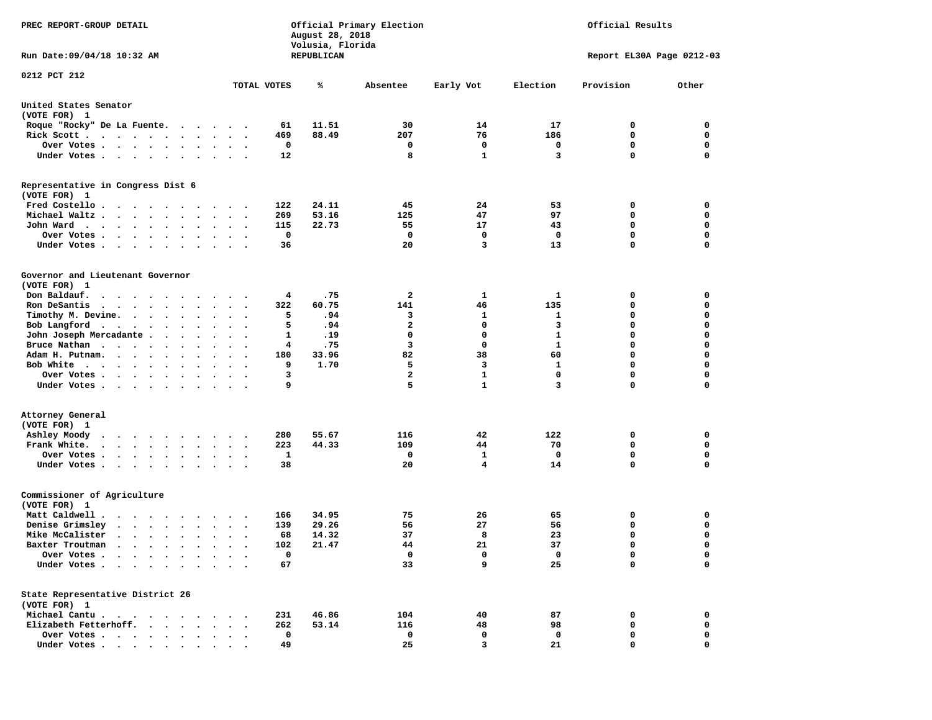| PREC REPORT-GROUP DETAIL                                                                    |                                                                     | August 28, 2018<br>Volusia, Florida | Official Primary Election | Official Results |                           |             |             |  |  |  |
|---------------------------------------------------------------------------------------------|---------------------------------------------------------------------|-------------------------------------|---------------------------|------------------|---------------------------|-------------|-------------|--|--|--|
| Run Date: 09/04/18 10:32 AM                                                                 |                                                                     | REPUBLICAN                          |                           |                  | Report EL30A Page 0212-03 |             |             |  |  |  |
| 0212 PCT 212                                                                                |                                                                     |                                     |                           |                  |                           |             |             |  |  |  |
|                                                                                             | TOTAL VOTES                                                         | ℁                                   | Absentee                  | Early Vot        | Election                  | Provision   | Other       |  |  |  |
| United States Senator<br>(VOTE FOR) 1                                                       |                                                                     |                                     |                           |                  |                           |             |             |  |  |  |
| Roque "Rocky" De La Fuente.                                                                 | 61                                                                  | 11.51                               | 30                        | 14               | 17                        | 0           | 0           |  |  |  |
| Rick Scott                                                                                  | 469<br>$\sim$ $\sim$<br>$\sim$                                      | 88.49                               | 207                       | 76               | 186                       | 0           | 0           |  |  |  |
| Over Votes                                                                                  | 0                                                                   |                                     | 0                         | $\mathbf 0$      | 0                         | $\mathbf 0$ | 0           |  |  |  |
| Under Votes                                                                                 | 12<br>$\bullet$ .<br>$\ddot{\phantom{1}}$                           |                                     | 8                         | $\mathbf{1}$     | 3                         | $\Omega$    | $\mathbf 0$ |  |  |  |
| Representative in Congress Dist 6<br>(VOTE FOR) 1                                           |                                                                     |                                     |                           |                  |                           |             |             |  |  |  |
| Fred Costello                                                                               | 122                                                                 | 24.11                               | 45                        | 24               | 53                        | 0           | 0           |  |  |  |
| Michael Waltz                                                                               | 269<br>$\ddot{\phantom{0}}$                                         | 53.16                               | 125                       | 47               | 97                        | 0           | 0           |  |  |  |
| John Ward                                                                                   | 115<br>$\ddot{\phantom{0}}$<br>$\sim$                               | 22.73                               | 55                        | 17               | 43                        | $\mathbf 0$ | 0           |  |  |  |
| Over Votes<br>$\sim$ $\sim$ $\sim$ $\sim$<br>$\cdot$<br>$\sim$<br>$\cdot$                   | $\mathbf 0$                                                         |                                     | 0                         | 0                | $\mathbf 0$               | $\mathbf 0$ | 0           |  |  |  |
| Under Votes                                                                                 | 36                                                                  |                                     | 20                        | 3                | 13                        | $\mathbf 0$ | 0           |  |  |  |
| Governor and Lieutenant Governor<br>(VOTE FOR) 1                                            |                                                                     |                                     |                           |                  |                           |             |             |  |  |  |
| Don Baldauf.<br>$\cdot$ $\cdot$ $\cdot$ $\cdot$ $\cdot$ $\cdot$ $\cdot$ $\cdot$             | $\cdot$ $\cdot$                                                     | .75<br>4                            | 2                         | 1                | 1                         | 0           | 0           |  |  |  |
| Ron DeSantis<br>$\cdots$                                                                    | 322<br>$\bullet$                                                    | 60.75                               | 141                       | 46               | 135                       | 0           | 0           |  |  |  |
| Timothy M. Devine.                                                                          |                                                                     | 5<br>.94                            | 3                         | 1                | 1                         | 0           | $\mathbf 0$ |  |  |  |
| Bob Langford                                                                                | 5<br>$\sim$ $\sim$<br>$\overline{\phantom{a}}$                      | .94                                 | $\mathbf{2}$              | $\mathbf 0$      | 3                         | $\mathbf 0$ | 0           |  |  |  |
| John Joseph Mercadante .<br>$\sim$ $\sim$ $\sim$ $\sim$                                     | 1<br>$\bullet$                                                      | .19                                 | 0                         | 0                | 1                         | $\mathbf 0$ | 0           |  |  |  |
| Bruce Nathan                                                                                | $\ddot{\phantom{0}}$<br>$\overline{\phantom{a}}$                    | .75<br>4                            | $\overline{\mathbf{3}}$   | 0                | $\mathbf{1}$              | $\mathbf 0$ | 0           |  |  |  |
| Adam H. Putnam.<br>$\sim$                                                                   | 180<br>$\sim$                                                       | 33.96                               | 82                        | 38               | 60                        | $\mathbf 0$ | 0           |  |  |  |
| Bob White                                                                                   | 9                                                                   | 1.70                                | 5                         | 3                | 1                         | $\mathbf 0$ | 0           |  |  |  |
| Over Votes .<br>$\cdots$<br>$\bullet$                                                       | 3<br>$\cdot$                                                        |                                     | $\overline{\mathbf{2}}$   | $\mathbf{1}$     | 0                         | $\mathbf 0$ | 0           |  |  |  |
| Under Votes                                                                                 | 9                                                                   |                                     | 5                         | $\mathbf{1}$     | 3                         | $\mathbf 0$ | 0           |  |  |  |
| Attorney General                                                                            |                                                                     |                                     |                           |                  |                           |             |             |  |  |  |
| (VOTE FOR) 1                                                                                |                                                                     |                                     |                           |                  |                           |             |             |  |  |  |
| Ashley Moody                                                                                | 280<br>$\cdot$ $\cdot$                                              | 55.67                               | 116                       | 42               | 122                       | 0           | 0           |  |  |  |
| Frank White.                                                                                | 223<br>$\bullet$<br>$\ddot{\phantom{a}}$<br>$\sim$                  | 44.33                               | 109                       | 44               | 70                        | 0           | 0           |  |  |  |
| Over Votes.<br>$\cdot$ $\cdot$ $\cdot$ $\cdot$ $\cdot$<br>$\ddot{\phantom{0}}$              | 1                                                                   |                                     | 0                         | 1                | 0                         | $\mathbf 0$ | 0           |  |  |  |
| Under Votes                                                                                 | 38                                                                  |                                     | 20                        | 4                | 14                        | $\Omega$    | $\mathbf 0$ |  |  |  |
| Commissioner of Agriculture<br>(VOTE FOR) 1                                                 |                                                                     |                                     |                           |                  |                           |             |             |  |  |  |
| Matt Caldwell .<br>$\mathbf{r}$ , $\mathbf{r}$ , $\mathbf{r}$ , $\mathbf{r}$ , $\mathbf{r}$ | 166                                                                 | 34.95                               | 75                        | 26               | 65                        | 0           | 0           |  |  |  |
| Denise Grimsley<br>$\cdot$ $\cdot$ $\cdot$ $\cdot$ $\cdot$ $\cdot$                          | 139<br>$\ddot{\phantom{0}}$                                         | 29.26                               | 56                        | 27               | 56                        | 0           | 0           |  |  |  |
| Mike McCalister                                                                             | 68<br>$\bullet$<br>$\ddot{\phantom{0}}$<br>$\overline{\phantom{a}}$ | 14.32                               | 37                        | 8                | 23                        | $\mathbf 0$ | 0           |  |  |  |
| Baxter Troutman<br>.                                                                        | 102                                                                 | 21.47                               | 44                        | 21               | 37                        | $\Omega$    | $\Omega$    |  |  |  |
| Over Votes .<br>$\sim$ $\sim$ $\sim$ $\sim$ $\sim$<br>$\bullet$                             | 0                                                                   |                                     | 0                         | 0                | 0                         | 0           | 0           |  |  |  |
| Under Votes.<br>$\sim$<br>$\sim$ $\sim$<br>$\bullet$                                        | 67                                                                  |                                     | 33                        | 9                | 25                        | $\mathbf 0$ | 0           |  |  |  |
| State Representative District 26<br>(VOTE FOR) 1                                            |                                                                     |                                     |                           |                  |                           |             |             |  |  |  |
| Michael Cantu.<br>$\sim$ $\sim$ $\sim$ $\sim$ $\sim$<br>$\sim$ $\sim$                       | 231                                                                 | 46.86                               | 104                       | 40               | 87                        | 0           | 0           |  |  |  |
| Elizabeth Fetterhoff.<br>$\ddot{\phantom{a}}$<br>$\ddot{\phantom{a}}$                       | 262                                                                 | 53.14                               | 116                       | 48               | 98                        | 0           | 0           |  |  |  |
| Over Votes<br>$\bullet$                                                                     | $\mathbf 0$                                                         |                                     | 0                         | 0                | 0                         | 0           | 0           |  |  |  |
| Under Votes                                                                                 | 49                                                                  |                                     | 25                        | 3                | 21                        | $\mathbf 0$ | $\mathbf 0$ |  |  |  |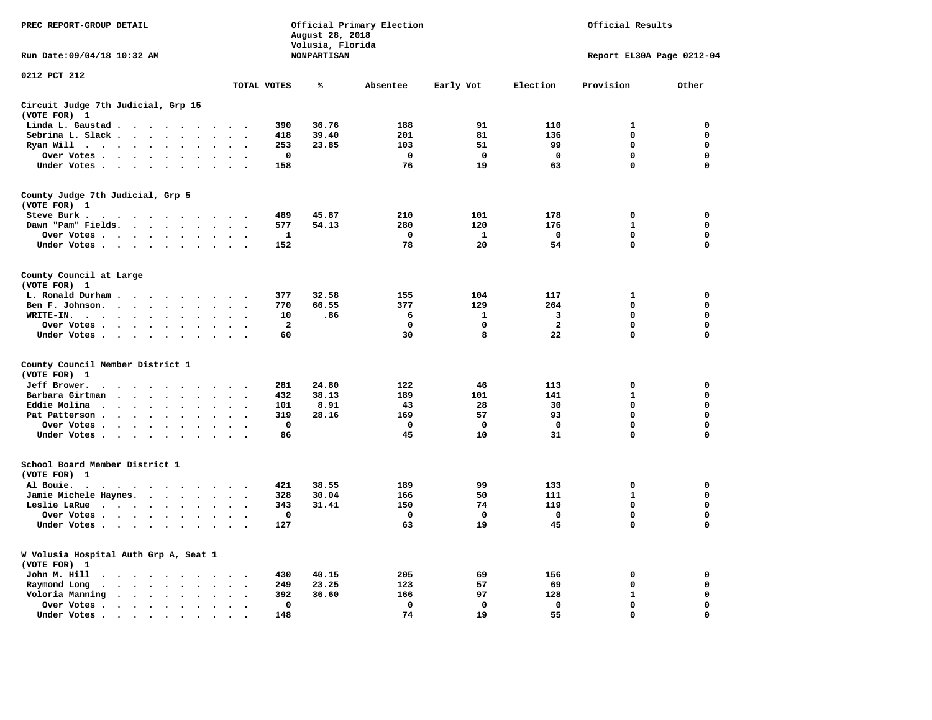| PREC REPORT-GROUP DETAIL                                                                                                                               |                                                         | August 28, 2018<br>Volusia, Florida | Official Primary Election | Official Results  |                   |                            |                  |  |
|--------------------------------------------------------------------------------------------------------------------------------------------------------|---------------------------------------------------------|-------------------------------------|---------------------------|-------------------|-------------------|----------------------------|------------------|--|
| Run Date: 09/04/18 10:32 AM                                                                                                                            |                                                         | <b>NONPARTISAN</b>                  |                           |                   |                   | Report EL30A Page 0212-04  |                  |  |
| 0212 PCT 212                                                                                                                                           | TOTAL VOTES                                             | ℁                                   | Absentee                  | Early Vot         | Election          | Provision                  | Other            |  |
| Circuit Judge 7th Judicial, Grp 15                                                                                                                     |                                                         |                                     |                           |                   |                   |                            |                  |  |
| (VOTE FOR) 1                                                                                                                                           |                                                         |                                     |                           |                   |                   |                            |                  |  |
| Linda L. Gaustad<br>$\sim$ $\sim$<br>$\bullet$                                                                                                         |                                                         | 36.76<br>390                        | 188                       | 91                | 110               | 1                          | 0                |  |
| Sebrina L. Slack<br>$\overline{\phantom{a}}$<br>$\overline{\phantom{a}}$                                                                               |                                                         | 39.40<br>418                        | 201                       | 81                | 136               | $\mathbf 0$                | $\mathbf 0$      |  |
| Ryan Will<br>$\bullet$                                                                                                                                 |                                                         | 23.85<br>253                        | 103                       | 51                | 99                | 0                          | 0                |  |
| Over Votes<br>$\sim$ $\sim$<br>$\overline{\phantom{a}}$                                                                                                | $\bullet$<br>$\cdot$                                    | $\mathbf 0$                         | $\mathbf 0$               | $\mathbf 0$       | $\mathbf 0$       | $\mathbf 0$                | $\mathbf 0$      |  |
| Under Votes<br>$\ddot{\phantom{0}}$<br>$\ddot{\phantom{a}}$<br>$\bullet$<br>$\bullet$                                                                  | $\ddot{\phantom{a}}$<br>$\ddot{\phantom{a}}$            | 158                                 | 76                        | 19                | 63                | $\mathbf 0$                | $\mathbf 0$      |  |
| County Judge 7th Judicial, Grp 5<br>(VOTE FOR) 1                                                                                                       |                                                         |                                     |                           |                   |                   |                            |                  |  |
| Steve Burk .                                                                                                                                           |                                                         | 489<br>45.87                        | 210                       | 101               | 178               | $\mathbf 0$                | 0                |  |
| Dawn "Pam" Fields. .<br>$\sim$<br>$\ddot{\phantom{0}}$<br>$\ddot{\phantom{a}}$                                                                         |                                                         | 54.13<br>577                        | 280                       | 120               | 176               | $\mathbf{1}$               | 0                |  |
| Over Votes<br>$\bullet$ . $\bullet$                                                                                                                    |                                                         | 1                                   | 0                         | 1                 | 0                 | $\mathbf 0$                | $\mathbf 0$      |  |
| Under Votes<br>$\ddot{\phantom{0}}$                                                                                                                    | $\ddot{\phantom{a}}$<br>$\cdot$                         | 152                                 | 78                        | 20                | 54                | $\Omega$                   | $\mathbf 0$      |  |
| County Council at Large<br>(VOTE FOR) 1                                                                                                                |                                                         |                                     |                           |                   |                   |                            |                  |  |
| L. Ronald Durham                                                                                                                                       |                                                         | 377<br>32.58                        | 155                       | 104               | 117               | $\mathbf{1}$               | $\mathbf 0$      |  |
| Ben F. Johnson.<br>$\sim$<br>$\sim$                                                                                                                    | $\sim$<br>$\ddot{\phantom{a}}$                          | 770<br>66.55                        | 377                       | 129               | 264               | $\mathbf 0$                | $\mathbf 0$      |  |
| WRITE-IN.<br>$\sim$ $\sim$<br>$\ddot{\phantom{a}}$                                                                                                     |                                                         | 10<br>.86                           | 6                         | 1                 | 3                 | 0                          | 0                |  |
| Over Votes<br>$\sim$ $\sim$<br>$\bullet$                                                                                                               | $\bullet$<br>$\sim$                                     | 2                                   | 0                         | 0                 | $\mathbf{2}$      | 0                          | 0                |  |
| Under Votes<br>$\ddot{\phantom{a}}$<br>$\cdot$<br>$\ddot{\phantom{a}}$                                                                                 | $\sim$<br>$\bullet$                                     | 60                                  | 30                        | 8                 | 22                | 0                          | 0                |  |
| County Council Member District 1<br>(VOTE FOR) 1                                                                                                       |                                                         |                                     |                           |                   |                   |                            |                  |  |
| Jeff Brower.<br>$\sim$ $\sim$<br>$\ddot{\phantom{a}}$<br>$\overline{\phantom{a}}$<br>$\overline{\phantom{a}}$<br>$\overline{\phantom{a}}$<br>$\cdot$   | $\cdot$                                                 | 24.80<br>281                        | 122                       | 46                | 113               | 0                          | 0                |  |
| Barbara Girtman<br>$\overline{\phantom{a}}$                                                                                                            |                                                         | 38.13<br>432                        | 189                       | 101               | 141               | $\mathbf{1}$               | $\mathbf 0$      |  |
| Eddie Molina<br>$\ddot{\phantom{1}}$<br>$\ddot{\phantom{a}}$<br>$\cdot$<br>$\ddot{\phantom{0}}$                                                        |                                                         | 8.91<br>101                         | 43                        | 28                | 30                | $\mathbf 0$                | $\mathbf 0$      |  |
| Pat Patterson.<br>$\bullet$<br>$\ddot{\phantom{1}}$<br>$\ddot{\phantom{a}}$<br>$\ddot{\phantom{a}}$                                                    |                                                         | 28.16<br>319                        | 169                       | 57                | 93                | 0                          | $\mathbf 0$      |  |
| Over Votes<br>$\sim$ $\sim$<br>$\bullet$<br>$\bullet$<br>$\bullet$                                                                                     |                                                         | $\mathbf 0$                         | 0                         | 0                 | $\mathbf 0$<br>31 | $\mathbf 0$<br>$\mathbf 0$ | 0<br>$\mathbf 0$ |  |
| Under Votes.<br>$\ddot{\phantom{0}}$<br>$\ddot{\phantom{1}}$<br>$\bullet$                                                                              |                                                         | 86                                  | 45                        | 10                |                   |                            |                  |  |
| School Board Member District 1<br>(VOTE FOR) 1                                                                                                         |                                                         |                                     |                           |                   |                   |                            |                  |  |
| Al Bouie.<br>$\ddot{\phantom{1}}$<br>$\cdot$ .<br>$\sim$<br>$\cdot$<br>$\cdot$ $\cdot$ $\cdot$ $\cdot$                                                 | $\ddot{\phantom{a}}$                                    | 38.55<br>421                        | 189                       | 99                | 133               | 0                          | 0                |  |
| Jamie Michele Haynes.<br>$\cdot$ $\cdot$ $\cdot$ $\cdot$                                                                                               | $\bullet$<br>$\ddot{\phantom{a}}$                       | 30.04<br>328                        | 166                       | 50                | 111               | $\mathbf{1}$               | $\mathbf 0$      |  |
| Leslie LaRue<br>$\bullet$<br>$\bullet$<br>$\bullet$                                                                                                    |                                                         | 343<br>31.41                        | 150                       | 74                | 119               | $\mathbf 0$                | $\mathbf 0$      |  |
| Over Votes<br>$\bullet$                                                                                                                                |                                                         | $\mathbf 0$                         | $\mathbf 0$<br>63         | $\mathbf 0$<br>19 | $\mathbf 0$<br>45 | 0<br>0                     | $\mathbf 0$<br>0 |  |
| Under Votes<br>$\ddot{\phantom{a}}$<br>$\cdot$                                                                                                         | $\bullet$<br>$\ddot{\phantom{a}}$                       | 127                                 |                           |                   |                   |                            |                  |  |
| W Volusia Hospital Auth Grp A, Seat 1<br>(VOTE FOR) 1                                                                                                  |                                                         |                                     |                           |                   |                   |                            |                  |  |
| John M. Hill<br>$\ddot{\phantom{1}}$<br>$\bullet$ . $\bullet$<br>$\ddot{\phantom{1}}$<br>$\bullet$<br>$\sim$<br>$\bullet$                              |                                                         | 40.15<br>430                        | 205                       | 69                | 156               | 0                          | 0                |  |
| Raymond Long<br>$\ddot{\phantom{a}}$<br>$\ddot{\phantom{a}}$<br>$\ddot{\phantom{a}}$<br>$\mathbf{r}$<br>$\ddot{\phantom{a}}$<br>$\bullet$<br>$\bullet$ | $\ddot{\phantom{a}}$<br>$\ddot{\phantom{a}}$<br>$\cdot$ | 249<br>23.25                        | 123                       | 57                | 69                | 0                          | 0                |  |
| Voloria Manning<br>$\sim$ $\sim$<br>$\bullet$<br>$\ddot{\phantom{a}}$<br>$\cdot$<br>$\bullet$                                                          | $\cdot$                                                 | 392<br>36.60                        | 166                       | 97                | 128               | $\mathbf{1}$               | $\mathbf 0$      |  |
| Over Votes .<br>$\bullet$ . $\bullet$<br>$\cdot$<br>$\bullet$<br>$\bullet$<br>$\bullet$                                                                | $\bullet$                                               | 0                                   | $\mathbf 0$               | $\mathbf 0$       | $\mathbf 0$       | $\mathbf 0$                | $\mathbf 0$      |  |
| Under Votes.<br>$\sim$ $\sim$<br>$\ddot{\phantom{a}}$<br>$\cdot$<br>$\cdot$<br>$\ddot{\phantom{a}}$                                                    |                                                         | 148                                 | 74                        | 19                | 55                | $\mathbf 0$                | $\mathbf 0$      |  |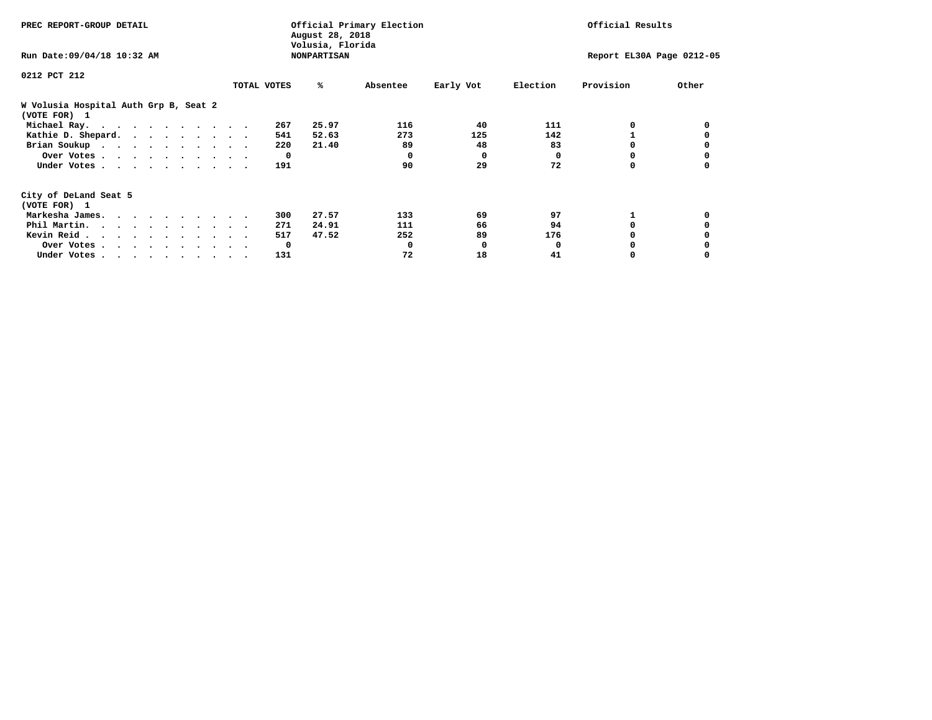| PREC REPORT-GROUP DETAIL                                               |             | August 28, 2018<br>Volusia, Florida | Official Primary Election | Official Results |          |                           |       |  |
|------------------------------------------------------------------------|-------------|-------------------------------------|---------------------------|------------------|----------|---------------------------|-------|--|
| Run Date: 09/04/18 10:32 AM                                            |             | <b>NONPARTISAN</b>                  |                           |                  |          | Report EL30A Page 0212-05 |       |  |
| 0212 PCT 212                                                           |             |                                     |                           |                  |          |                           |       |  |
|                                                                        | TOTAL VOTES | %ะ                                  | Absentee                  | Early Vot        | Election | Provision                 | Other |  |
| W Volusia Hospital Auth Grp B, Seat 2<br>(VOTE FOR) 1                  |             |                                     |                           |                  |          |                           |       |  |
| Michael Ray.                                                           |             | 25.97<br>267                        | 116                       | 40               | 111      |                           |       |  |
| Kathie D. Shepard.                                                     |             | 52.63<br>541                        | 273                       | 125              | 142      |                           |       |  |
| Brian Soukup                                                           |             | 21.40<br>220                        | 89                        | 48               | 83       |                           |       |  |
| Over Votes                                                             |             | $\mathbf{o}$                        | $\Omega$                  | $\Omega$         | 0        | 0                         |       |  |
| Under Votes                                                            |             | 191                                 | 90                        | 29               | 72       |                           |       |  |
| City of DeLand Seat 5                                                  |             |                                     |                           |                  |          |                           |       |  |
| (VOTE FOR) 1                                                           |             |                                     |                           |                  |          |                           |       |  |
| Markesha James.                                                        |             | 27.57<br>300                        | 133                       | 69               | 97       |                           |       |  |
| Phil Martin.                                                           |             | 24.91<br>271                        | 111                       | 66               | 94       | 0                         |       |  |
| Kevin Reid                                                             |             | 47.52<br>517                        | 252                       | 89               | 176      |                           |       |  |
| Over Votes                                                             |             | $\mathbf{o}$                        | 0                         | 0                |          |                           |       |  |
| Under Votes, $\cdot$ , $\cdot$ , $\cdot$ , $\cdot$ , $\cdot$ , $\cdot$ |             | 131                                 | 72                        | 18               | 41       |                           |       |  |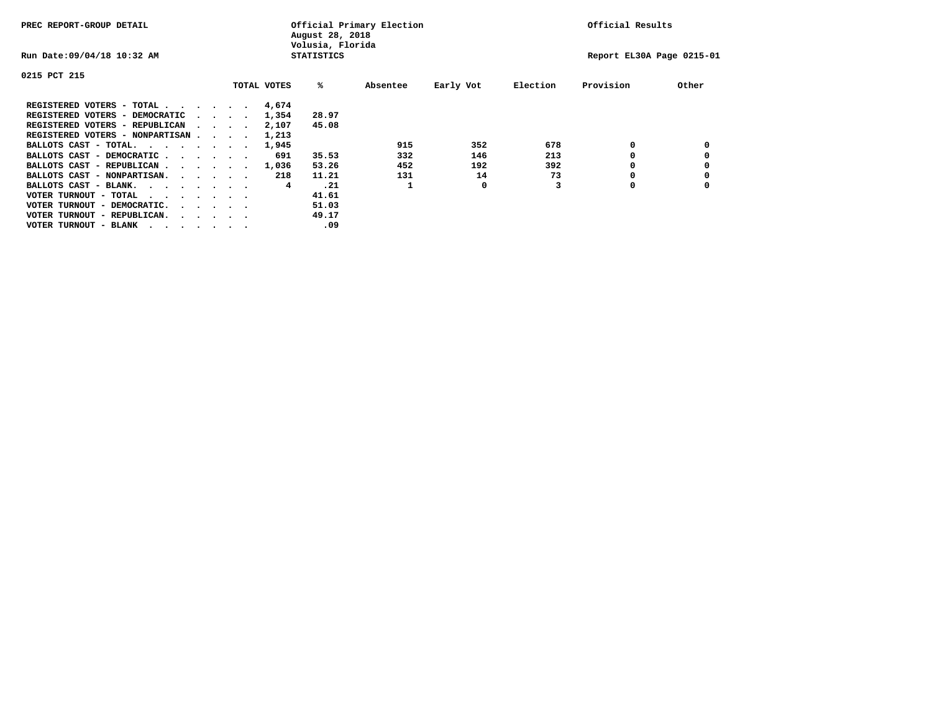| PREC REPORT-GROUP DETAIL               |  |                                         | August 28, 2018<br>Volusia, Florida | Official Primary Election |       | Official Results |           |                           |           |       |
|----------------------------------------|--|-----------------------------------------|-------------------------------------|---------------------------|-------|------------------|-----------|---------------------------|-----------|-------|
| Run Date: 09/04/18 10:32 AM            |  |                                         |                                     | <b>STATISTICS</b>         |       |                  |           | Report EL30A Page 0215-01 |           |       |
| 0215 PCT 215                           |  |                                         |                                     |                           |       |                  |           |                           |           |       |
|                                        |  |                                         |                                     | TOTAL VOTES               | %ะ    | Absentee         | Early Vot | Election                  | Provision | Other |
| REGISTERED VOTERS - TOTAL              |  |                                         |                                     | 4,674                     |       |                  |           |                           |           |       |
| REGISTERED VOTERS - DEMOCRATIC         |  | $\sim$ $\sim$ $\sim$ $\sim$             |                                     | 1,354                     | 28.97 |                  |           |                           |           |       |
| REGISTERED VOTERS - REPUBLICAN         |  |                                         |                                     | 2,107                     | 45.08 |                  |           |                           |           |       |
| REGISTERED VOTERS - NONPARTISAN        |  |                                         |                                     | 1,213                     |       |                  |           |                           |           |       |
| BALLOTS CAST - TOTAL.                  |  |                                         |                                     | 1,945                     |       | 915              | 352       | 678                       | 0         |       |
| BALLOTS CAST - DEMOCRATIC              |  |                                         |                                     | 691                       | 35.53 | 332              | 146       | 213                       |           |       |
| BALLOTS CAST - REPUBLICAN              |  |                                         |                                     | 1,036                     | 53.26 | 452              | 192       | 392                       |           |       |
| BALLOTS CAST - NONPARTISAN.            |  |                                         |                                     | 218                       | 11.21 | 131              | 14        | 73                        |           |       |
| BALLOTS CAST - BLANK.                  |  |                                         |                                     | 4                         | .21   |                  | 0         |                           | 0         |       |
| VOTER TURNOUT - TOTAL<br>.             |  |                                         |                                     |                           | 41.61 |                  |           |                           |           |       |
| VOTER TURNOUT - DEMOCRATIC.            |  | $\cdot$ $\cdot$ $\cdot$ $\cdot$ $\cdot$ |                                     |                           | 51.03 |                  |           |                           |           |       |
| VOTER TURNOUT - REPUBLICAN.<br>$\cdot$ |  |                                         |                                     |                           | 49.17 |                  |           |                           |           |       |
| VOTER TURNOUT - BLANK                  |  |                                         |                                     |                           | .09   |                  |           |                           |           |       |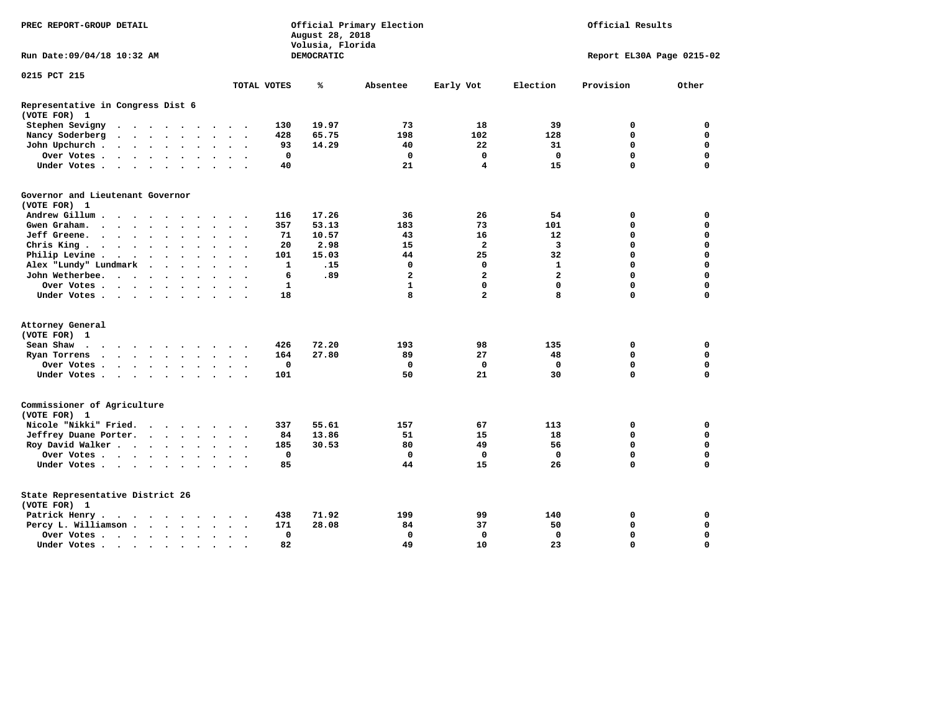| PREC REPORT-GROUP DETAIL                                                                                                                                                                                                                                                                                                |                          |                      |                      |                      |                                       |                          |              | August 28, 2018<br>Volusia, Florida | Official Primary Election |                         | Official Results          |             |             |  |  |
|-------------------------------------------------------------------------------------------------------------------------------------------------------------------------------------------------------------------------------------------------------------------------------------------------------------------------|--------------------------|----------------------|----------------------|----------------------|---------------------------------------|--------------------------|--------------|-------------------------------------|---------------------------|-------------------------|---------------------------|-------------|-------------|--|--|
| Run Date: 09/04/18 10:32 AM                                                                                                                                                                                                                                                                                             |                          |                      |                      |                      |                                       |                          |              | DEMOCRATIC                          |                           |                         | Report EL30A Page 0215-02 |             |             |  |  |
| 0215 PCT 215                                                                                                                                                                                                                                                                                                            |                          |                      |                      |                      |                                       |                          | TOTAL VOTES  | ℁                                   | Absentee                  | Early Vot               | Election                  | Provision   | Other       |  |  |
| Representative in Congress Dist 6<br>(VOTE FOR) 1                                                                                                                                                                                                                                                                       |                          |                      |                      |                      |                                       |                          |              |                                     |                           |                         |                           |             |             |  |  |
| Stephen Sevigny                                                                                                                                                                                                                                                                                                         |                          |                      |                      |                      |                                       |                          | 130          | 19.97                               | 73                        | 18                      | 39                        | 0           | 0           |  |  |
| Nancy Soderberg<br>$\cdot$ $\cdot$ $\cdot$ $\cdot$ $\cdot$<br>$\sim$                                                                                                                                                                                                                                                    |                          |                      |                      |                      | $\ddotsc$ $\ddotsc$                   |                          | 428          | 65.75                               | 198                       | 102                     | 128                       | $\mathbf 0$ | $\mathbf 0$ |  |  |
| John Upchurch.<br>$\cdot$ $\cdot$ $\cdot$ $\cdot$ $\cdot$ $\cdot$                                                                                                                                                                                                                                                       |                          |                      |                      |                      | $\ddot{\phantom{0}}$                  |                          | 93           | 14.29                               | 40                        | 22                      | 31                        | 0           | 0           |  |  |
| Over Votes.<br>. The contract of the contract of the contract of the contract of the contract of the contract of the contract of the contract of the contract of the contract of the contract of the contract of the contract of the contrac                                                                            |                          |                      |                      | $\bullet$            | $\sim$                                |                          | $\mathbf 0$  |                                     | $\mathbf 0$               | $\mathbf 0$             | $\mathbf 0$               | $\mathbf 0$ | $\mathbf 0$ |  |  |
| Under Votes                                                                                                                                                                                                                                                                                                             |                          |                      | $\ddot{\phantom{a}}$ |                      |                                       |                          | 40           |                                     | 21                        | 4                       | 15                        | $\Omega$    | $\mathbf 0$ |  |  |
| Governor and Lieutenant Governor<br>(VOTE FOR) 1                                                                                                                                                                                                                                                                        |                          |                      |                      |                      |                                       |                          |              |                                     |                           |                         |                           |             |             |  |  |
| Andrew Gillum<br>$\sim$<br>$\sim$                                                                                                                                                                                                                                                                                       | $\overline{\phantom{a}}$ | $\ddot{\phantom{a}}$ |                      | $\ddot{\phantom{a}}$ | $\sim$                                |                          | 116          | 17.26                               | 36                        | 26                      | 54                        | $\mathbf 0$ | 0           |  |  |
| Gwen Graham.                                                                                                                                                                                                                                                                                                            |                          |                      |                      |                      |                                       |                          | 357          | 53.13                               | 183                       | 73                      | 101                       | $\mathbf 0$ | $\mathbf 0$ |  |  |
| $\mathbf{r}$ , and $\mathbf{r}$ , and $\mathbf{r}$ , and $\mathbf{r}$<br>Jeff Greene.<br>and the contract of the contract of the contract of the contract of the contract of the contract of the contract of the contract of the contract of the contract of the contract of the contract of the contract of the contra |                          | $\sim$               | $\ddot{\phantom{1}}$ |                      | $\sim$ $\sim$<br>$\ddot{\phantom{a}}$ | $\ddot{\phantom{1}}$     | 71           | 10.57                               | 43                        | 16                      | 12                        | $\mathbf 0$ | $\mathbf 0$ |  |  |
|                                                                                                                                                                                                                                                                                                                         |                          |                      |                      |                      |                                       |                          | 20           | 2.98                                | 15                        | $\overline{\mathbf{2}}$ | 3                         | $\mathbf 0$ | $\mathbf 0$ |  |  |
| Chris King.<br>$\cdot$ $\cdot$ $\cdot$ $\cdot$ $\cdot$                                                                                                                                                                                                                                                                  |                          | $\ddot{\phantom{a}}$ |                      |                      | $\ddot{\phantom{1}}$                  |                          |              |                                     |                           |                         |                           |             |             |  |  |
| Philip Levine .<br><b>Contract Contract Contract</b>                                                                                                                                                                                                                                                                    |                          | $\ddotsc$            | $\ddot{\phantom{0}}$ |                      | $\sim$ $\sim$                         | $\overline{\phantom{a}}$ | 101          | 15.03                               | 44                        | 25                      | 32                        | $\mathbf 0$ | $\mathbf 0$ |  |  |
| Alex "Lundy" Lundmark<br>$\ddot{\phantom{a}}$                                                                                                                                                                                                                                                                           | $\ddot{\phantom{0}}$     | $\ddot{\phantom{a}}$ | $\ddot{\phantom{a}}$ |                      |                                       |                          | $\mathbf{1}$ | .15                                 | 0                         | $\mathbf 0$             | $\mathbf{1}$              | $\mathbf 0$ | $\mathbf 0$ |  |  |
| John Wetherbee.                                                                                                                                                                                                                                                                                                         |                          | $\ddot{\phantom{a}}$ | $\bullet$            | $\ddot{\phantom{0}}$ | $\bullet$                             |                          | 6            | .89                                 | $\mathbf{2}$              | $\mathbf{2}$            | $\overline{a}$            | $\mathbf 0$ | $\mathbf 0$ |  |  |
| Over Votes                                                                                                                                                                                                                                                                                                              |                          |                      |                      |                      |                                       |                          | 1            |                                     | $\mathbf{1}$              | $\mathbf 0$             | $\mathbf 0$               | $\mathbf 0$ | $\mathbf 0$ |  |  |
| Under Votes                                                                                                                                                                                                                                                                                                             |                          |                      |                      |                      |                                       |                          | 18           |                                     | 8                         | $\overline{a}$          | 8                         | $\mathbf 0$ | $\mathbf 0$ |  |  |
| Attorney General                                                                                                                                                                                                                                                                                                        |                          |                      |                      |                      |                                       |                          |              |                                     |                           |                         |                           |             |             |  |  |
| (VOTE FOR) 1                                                                                                                                                                                                                                                                                                            |                          |                      |                      |                      |                                       |                          |              |                                     |                           |                         |                           |             |             |  |  |
| Sean Shaw<br>$\cdots$                                                                                                                                                                                                                                                                                                   |                          |                      |                      |                      |                                       |                          | 426          | 72.20                               | 193                       | 98                      | 135                       | 0           | $\mathbf 0$ |  |  |
| Ryan Torrens<br>$\cdots$                                                                                                                                                                                                                                                                                                |                          |                      |                      | $\ddot{\phantom{a}}$ | $\bullet$                             | $\bullet$                | 164          | 27.80                               | 89                        | 27                      | 48                        | $\mathbf 0$ | $\mathbf 0$ |  |  |
| Over Votes                                                                                                                                                                                                                                                                                                              |                          |                      |                      |                      |                                       |                          | $\mathbf 0$  |                                     | $\mathbf 0$               | $\mathbf{0}$            | $\mathbf{0}$              | $\Omega$    | $\mathbf 0$ |  |  |
| Under Votes                                                                                                                                                                                                                                                                                                             |                          |                      | $\sim$               | $\ddot{\phantom{1}}$ | $\cdot$                               | $\overline{\phantom{a}}$ | 101          |                                     | 50                        | 21                      | 30                        | $\mathbf 0$ | $\mathbf 0$ |  |  |
| Commissioner of Agriculture<br>(VOTE FOR) 1                                                                                                                                                                                                                                                                             |                          |                      |                      |                      |                                       |                          |              |                                     |                           |                         |                           |             |             |  |  |
| Nicole "Nikki" Fried.                                                                                                                                                                                                                                                                                                   |                          |                      |                      |                      | $\sim$ $\sim$                         |                          | 337          | 55.61                               | 157                       | 67                      | 113                       | $\mathbf 0$ | $\mathbf 0$ |  |  |
| Jeffrey Duane Porter.                                                                                                                                                                                                                                                                                                   |                          |                      |                      | $\ddot{\phantom{a}}$ | $\ddot{\phantom{1}}$                  | $\sim$                   | 84           | 13.86                               | 51                        | 15                      | 18                        | 0           | 0           |  |  |
| Roy David Walker                                                                                                                                                                                                                                                                                                        |                          |                      |                      |                      | $\sim$ $\sim$                         |                          | 185          | 30.53                               | 80                        | 49                      | 56                        | $\mathbf 0$ | $\mathbf 0$ |  |  |
| Over Votes                                                                                                                                                                                                                                                                                                              |                          |                      |                      |                      | $\ddot{\phantom{a}}$                  |                          | $\mathbf 0$  |                                     | $\mathbf 0$               | $\mathbf 0$             | $\Omega$                  | $\mathbf 0$ | $\mathbf 0$ |  |  |
| Under Votes                                                                                                                                                                                                                                                                                                             |                          |                      | $\sim$ $\sim$        |                      | $\sim$ $\sim$                         |                          | 85           |                                     | 44                        | 15                      | 26                        | $\mathbf 0$ | $\mathbf 0$ |  |  |
| State Representative District 26<br>(VOTE FOR) 1                                                                                                                                                                                                                                                                        |                          |                      |                      |                      |                                       |                          |              |                                     |                           |                         |                           |             |             |  |  |
| Patrick Henry.<br>$\cdots$                                                                                                                                                                                                                                                                                              |                          |                      |                      |                      |                                       |                          | 438          | 71.92                               | 199                       | 99                      | 140                       | 0           | 0           |  |  |
| Percy L. Williamson                                                                                                                                                                                                                                                                                                     |                          |                      |                      | $\ddot{\phantom{a}}$ | $\bullet$                             | $\ddot{\phantom{1}}$     | 171          | 28.08                               | 84                        | 37                      | 50                        | $\mathbf 0$ | $\mathbf 0$ |  |  |
| Over Votes                                                                                                                                                                                                                                                                                                              |                          |                      |                      |                      | $\bullet$                             |                          | $\mathbf 0$  |                                     | $\mathbf 0$               | $\mathbf 0$             | $\mathbf 0$               | $\mathbf 0$ | $\mathbf 0$ |  |  |
| Under Votes                                                                                                                                                                                                                                                                                                             |                          |                      | $\blacksquare$ .     |                      |                                       |                          | 82           |                                     | 49                        | 10                      | 23                        | $\Omega$    | $\Omega$    |  |  |
|                                                                                                                                                                                                                                                                                                                         |                          |                      |                      |                      |                                       |                          |              |                                     |                           |                         |                           |             |             |  |  |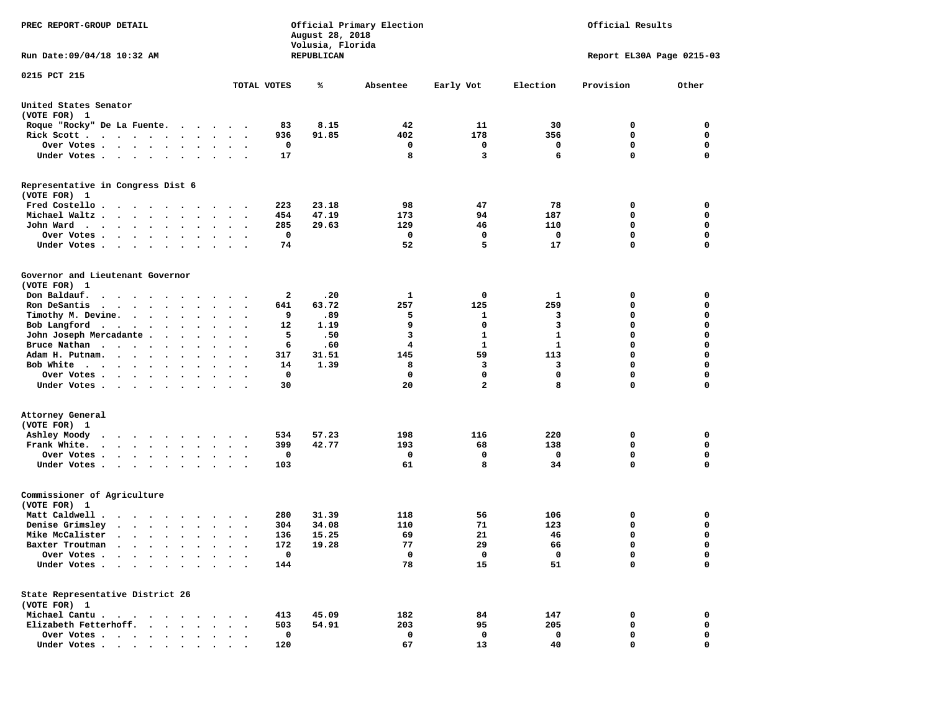| PREC REPORT-GROUP DETAIL                                                                                                                                        |                      |          | August 28, 2018<br>Volusia, Florida | Official Primary Election | Official Results |                           |             |             |  |  |
|-----------------------------------------------------------------------------------------------------------------------------------------------------------------|----------------------|----------|-------------------------------------|---------------------------|------------------|---------------------------|-------------|-------------|--|--|
| Run Date: 09/04/18 10:32 AM                                                                                                                                     |                      |          | REPUBLICAN                          |                           |                  | Report EL30A Page 0215-03 |             |             |  |  |
| 0215 PCT 215                                                                                                                                                    | TOTAL VOTES          |          | ℁                                   | Absentee                  | Early Vot        | Election                  | Provision   | Other       |  |  |
|                                                                                                                                                                 |                      |          |                                     |                           |                  |                           |             |             |  |  |
| United States Senator<br>(VOTE FOR) 1                                                                                                                           |                      |          |                                     |                           |                  |                           |             |             |  |  |
| Roque "Rocky" De La Fuente.<br>$\cdots$                                                                                                                         |                      | 83       | 8.15                                | 42                        | 11               | 30                        | 0           | 0           |  |  |
| Rick Scott                                                                                                                                                      | $\bullet$<br>$\cdot$ | 936      | 91.85                               | 402                       | 178              | 356                       | 0           | $\mathbf 0$ |  |  |
| Over Votes                                                                                                                                                      |                      | 0        |                                     | 0                         | 0                | 0                         | 0           | 0           |  |  |
| Under Votes<br>$\bullet$                                                                                                                                        | $\cdot$ $\cdot$      | 17       |                                     | 8                         | 3                | 6                         | 0           | $\mathbf 0$ |  |  |
| Representative in Congress Dist 6<br>(VOTE FOR) 1                                                                                                               |                      |          |                                     |                           |                  |                           |             |             |  |  |
| Fred Costello                                                                                                                                                   |                      | 223      | 23.18                               | 98                        | 47               | 78                        | 0           | 0           |  |  |
| Michael Waltz.<br>$\ddot{\phantom{a}}$                                                                                                                          |                      | 454      | 47.19                               | 173                       | 94               | 187                       | 0           | 0           |  |  |
| John Ward<br>$\bullet$                                                                                                                                          | $\ddot{\phantom{a}}$ | 285      | 29.63                               | 129                       | 46               | 110                       | $\mathbf 0$ | $\mathbf 0$ |  |  |
| Over Votes .<br>$\bullet$<br>$\ddot{\phantom{0}}$<br>$\bullet$                                                                                                  |                      | 0        |                                     | 0                         | 0                | 0                         | 0           | 0           |  |  |
| Under Votes.<br>$\bullet$                                                                                                                                       |                      | 74       |                                     | 52                        | 5                | 17                        | 0           | $\mathbf 0$ |  |  |
| Governor and Lieutenant Governor                                                                                                                                |                      |          |                                     |                           |                  |                           |             |             |  |  |
| (VOTE FOR) 1                                                                                                                                                    |                      |          |                                     |                           |                  |                           |             |             |  |  |
| Don Baldauf.<br>$\cdot$ $\cdot$ $\cdot$ $\cdot$<br>$\sim$ $\sim$ $\sim$<br>Ron DeSantis                                                                         |                      | 2<br>641 | .20<br>63.72                        | 1<br>257                  | 0<br>125         | 1<br>259                  | 0<br>0      | 0<br>0      |  |  |
| $\bullet$<br>Timothy M. Devine.<br>$\mathcal{A}=\mathcal{A}=\mathcal{A}=\mathcal{A}$ .                                                                          | $\bullet$            | 9        | .89                                 | 5                         | 1                | 3                         | 0           | $\mathbf 0$ |  |  |
| Bob Langford<br>$\bullet$<br>$\bullet$                                                                                                                          | $\cdot$              | 12       | 1.19                                | 9                         | 0                | 3                         | 0           | $\mathbf 0$ |  |  |
| John Joseph Mercadante .<br>$\ddot{\phantom{1}}$<br>$\bullet$                                                                                                   |                      | 5        | .50                                 | з                         | 1                | 1                         | 0           | $\mathbf 0$ |  |  |
| Bruce Nathan<br>$\bullet$                                                                                                                                       |                      | 6        | .60                                 | 4                         | $\mathbf{1}$     | $\mathbf{1}$              | 0           | $\mathbf 0$ |  |  |
| Adam H. Putnam.<br>$\cdot$ $\cdot$ $\cdot$<br>$\bullet$                                                                                                         |                      | 317      | 31.51                               | 145                       | 59               | 113                       | 0           | 0           |  |  |
| Bob White                                                                                                                                                       |                      | 14       | 1.39                                | 8                         | 3                | 3                         | 0           | $\mathbf 0$ |  |  |
| Over Votes .<br>$\sim$ , and $\sim$ , and $\sim$<br>$\bullet$<br>$\bullet$                                                                                      | $\bullet$<br>$\cdot$ | 0        |                                     | 0                         | $\mathbf 0$      | $\mathbf 0$               | 0           | $\mathbf 0$ |  |  |
| Under Votes<br>$\ddot{\phantom{1}}$                                                                                                                             |                      | 30       |                                     | 20                        | $\mathbf{2}$     | 8                         | 0           | 0           |  |  |
| Attorney General                                                                                                                                                |                      |          |                                     |                           |                  |                           |             |             |  |  |
| (VOTE FOR) 1                                                                                                                                                    |                      |          |                                     |                           |                  |                           |             |             |  |  |
| Ashley Moody<br>$\cdot$<br>$\ddot{\phantom{0}}$<br>$\overline{\phantom{a}}$                                                                                     |                      | 534      | 57.23                               | 198                       | 116              | 220                       | 0           | 0           |  |  |
| Frank White.<br>$\cdots$<br>$\bullet$                                                                                                                           | $\bullet$            | 399      | 42.77                               | 193                       | 68               | 138                       | 0           | 0           |  |  |
| Over Votes .<br>$\sim$ $\sim$ $\sim$ $\sim$ $\sim$<br>$\bullet$<br>$\bullet$<br>$\bullet$                                                                       |                      | 0        |                                     | 0                         | 0                | 0                         | 0           | 0           |  |  |
| Under Votes<br>$\ddot{\phantom{0}}$<br>$\bullet$<br>$\bullet$                                                                                                   |                      | 103      |                                     | 61                        | 8                | 34                        | 0           | $\Omega$    |  |  |
| Commissioner of Agriculture<br>(VOTE FOR) 1                                                                                                                     |                      |          |                                     |                           |                  |                           |             |             |  |  |
| Matt Caldwell.<br>$\begin{array}{cccccccccccccc} \bullet & \bullet & \bullet & \bullet & \bullet & \bullet & \bullet & \bullet & \bullet & \bullet \end{array}$ |                      | 280      | 31.39                               | 118                       | 56               | 106                       | 0           | 0           |  |  |
| Denise Grimsley<br>$\mathbf{r}$<br>$\bullet$                                                                                                                    |                      | 304      | 34.08                               | 110                       | 71               | 123                       | 0           | 0           |  |  |
| Mike McCalister<br>$\cdots$<br>$\ddot{\phantom{a}}$                                                                                                             | $\bullet$            | 136      | 15.25                               | 69                        | 21               | 46                        | 0           | $\mathbf 0$ |  |  |
| Baxter Troutman<br>.                                                                                                                                            |                      | 172      | 19.28                               | 77                        | 29               | 66                        | 0           | 0           |  |  |
| Over Votes .<br>$\ddotsc$ $\ddotsc$                                                                                                                             |                      | 0        |                                     | 0                         | 0                | $\mathbf 0$               | 0           | 0           |  |  |
| Under Votes.<br>$\bullet$ .<br><br><br><br><br><br><br><br><br><br><br><br><br>$\bullet$<br>$\bullet$                                                           |                      | 144      |                                     | 78                        | 15               | 51                        | 0           | $\mathbf 0$ |  |  |
| State Representative District 26<br>(VOTE FOR) 1                                                                                                                |                      |          |                                     |                           |                  |                           |             |             |  |  |
| Michael Cantu.<br>$\sim$ $\sim$ $\sim$                                                                                                                          |                      | 413      | 45.09                               | 182                       | 84               | 147                       | 0           | 0           |  |  |
| Elizabeth Fetterhoff.                                                                                                                                           |                      | 503      | 54.91                               | 203                       | 95               | 205                       | 0           | 0           |  |  |
| Over Votes<br>$\ddot{\phantom{0}}$<br>$\sim$                                                                                                                    |                      | 0        |                                     | 0                         | 0                | 0                         | 0           | 0           |  |  |
| Under Votes                                                                                                                                                     |                      | 120      |                                     | 67                        | 13               | 40                        | 0           | 0           |  |  |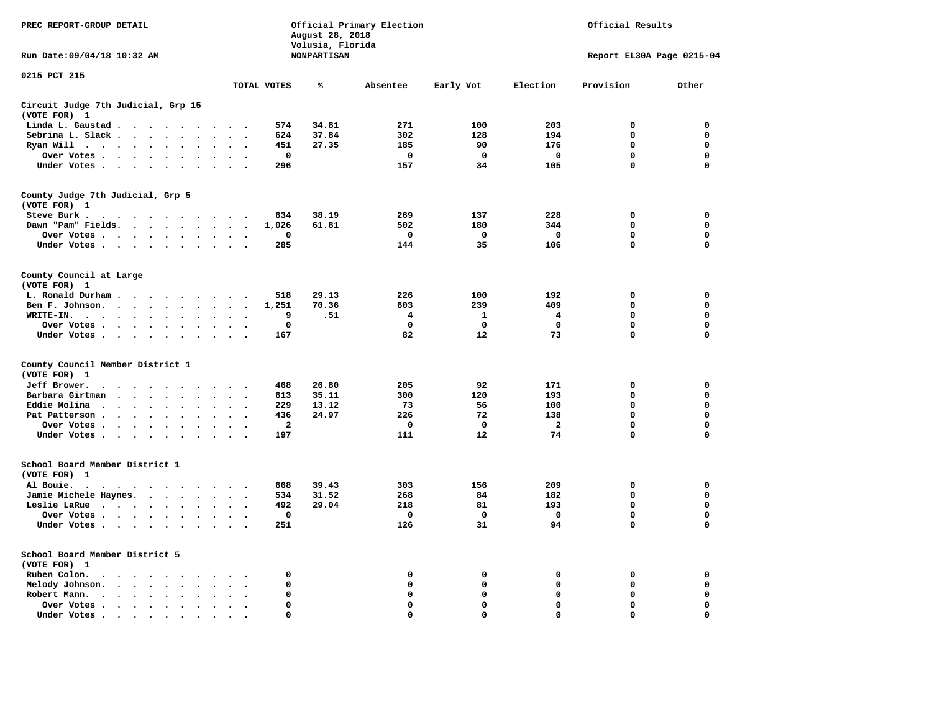| PREC REPORT-GROUP DETAIL                                                                 |                                                  | Official Primary Election<br>Official Results<br>August 28, 2018<br>Volusia, Florida |                    |             |             |                |                           |             |
|------------------------------------------------------------------------------------------|--------------------------------------------------|--------------------------------------------------------------------------------------|--------------------|-------------|-------------|----------------|---------------------------|-------------|
| Run Date: 09/04/18 10:32 AM                                                              |                                                  |                                                                                      | <b>NONPARTISAN</b> |             |             |                | Report EL30A Page 0215-04 |             |
| 0215 PCT 215                                                                             |                                                  | TOTAL VOTES                                                                          | ℁                  | Absentee    | Early Vot   | Election       | Provision                 | Other       |
| Circuit Judge 7th Judicial, Grp 15<br>(VOTE FOR) 1                                       |                                                  |                                                                                      |                    |             |             |                |                           |             |
| Linda L. Gaustad                                                                         | $\ddot{\phantom{a}}$<br>$\ddot{\phantom{a}}$     | 574                                                                                  | 34.81              | 271         | 100         | 203            | $\mathbf 0$               | 0           |
| Sebrina L. Slack                                                                         | $\ddot{\phantom{a}}$                             | 624                                                                                  | 37.84              | 302         | 128         | 194            | $\mathbf 0$               | 0           |
| Ryan Will $\cdots$ $\cdots$<br>$\ddot{\phantom{a}}$                                      |                                                  | 451                                                                                  | 27.35              | 185         | 90          | 176            | 0                         | 0           |
| Over Votes                                                                               | $\sim$ $\sim$                                    | $\mathbf{o}$                                                                         |                    | 0           | 0           | 0              | 0                         | 0           |
| Under Votes                                                                              | $\sim$                                           | 296                                                                                  |                    | 157         | 34          | 105            | 0                         | $\mathbf 0$ |
| County Judge 7th Judicial, Grp 5<br>(VOTE FOR) 1                                         |                                                  |                                                                                      |                    |             |             |                |                           |             |
| Steve Burk .<br>$\cdots$                                                                 |                                                  | 634                                                                                  | 38.19              | 269         | 137         | 228            | $\mathbf 0$               | 0           |
| Dawn "Pam" Fields.                                                                       | $\sim$<br>$\sim$<br>$\overline{\phantom{a}}$     | 1,026                                                                                | 61.81              | 502         | 180         | 344            | $\mathbf 0$               | $\mathbf 0$ |
| Over Votes                                                                               |                                                  | $\mathbf 0$                                                                          |                    | $\mathbf 0$ | $\mathbf 0$ | $\mathbf 0$    | 0                         | 0           |
| Under Votes                                                                              | $\sim$ $\sim$                                    | 285                                                                                  |                    | 144         | 35          | 106            | $\mathbf 0$               | $\mathbf 0$ |
| County Council at Large<br>(VOTE FOR) 1                                                  |                                                  |                                                                                      |                    |             |             |                |                           |             |
| L. Ronald Durham                                                                         | $\sim$ $\sim$                                    | 518                                                                                  | 29.13              | 226         | 100         | 192            | $\mathbf 0$               | $\mathbf 0$ |
| Ben F. Johnson.                                                                          | $\sim$<br>$\sim$                                 | 1,251                                                                                | 70.36              | 603         | 239         | 409            | $\mathbf 0$               | $\mathbf 0$ |
| WRITE-IN.<br>$\ddot{\phantom{a}}$                                                        |                                                  | 9                                                                                    | .51                | 4           | 1           | 4              | 0                         | 0           |
| Over Votes                                                                               | $\sim$ $\sim$                                    | 0                                                                                    |                    | $\mathbf 0$ | 0           | 0              | 0                         | 0           |
| Under Votes                                                                              | $\sim$ $\sim$                                    | 167                                                                                  |                    | 82          | 12          | 73             | 0                         | $\mathbf 0$ |
| County Council Member District 1<br>(VOTE FOR) 1                                         |                                                  |                                                                                      |                    |             |             |                |                           |             |
| Jeff Brower.<br>$\cdots$<br>$\sim$ $\sim$                                                |                                                  | 468                                                                                  | 26.80              | 205         | 92          | 171            | 0                         | 0           |
| Barbara Girtman<br>$\sim$ $\sim$ $\sim$ $\sim$<br>$\ddot{\phantom{a}}$                   |                                                  | 613                                                                                  | 35.11              | 300         | 120         | 193            | 0                         | $\mathbf 0$ |
| Eddie Molina.<br>$\cdots$<br>$\ddot{\phantom{a}}$                                        |                                                  | 229                                                                                  | 13.12              | 73          | 56          | 100            | $\mathbf 0$               | $\mathbf 0$ |
| Pat Patterson<br>$\ddot{\phantom{a}}$                                                    | $\ddot{\phantom{a}}$<br>$\bullet$                | 436                                                                                  | 24.97              | 226         | 72          | 138            | 0                         | 0           |
| Over Votes                                                                               | $\sim$<br>$\ddot{\phantom{a}}$                   | $\mathbf{2}$                                                                         |                    | $\mathbf 0$ | $\mathbf 0$ | $\overline{a}$ | 0                         | $\mathbf 0$ |
| Under Votes<br>$\sim$                                                                    | $\sim$<br>$\sim$                                 | 197                                                                                  |                    | 111         | 12          | 74             | $\Omega$                  | 0           |
| School Board Member District 1<br>(VOTE FOR) 1                                           |                                                  |                                                                                      |                    |             |             |                |                           |             |
| Al Bouie.<br>$\ddot{\phantom{0}}$<br>$\sim$ $\sim$<br>.                                  |                                                  | 668                                                                                  | 39.43              | 303         | 156         | 209            | $\mathbf 0$               | $\mathbf 0$ |
| Jamie Michele Haynes.                                                                    | $\sim$ $\sim$                                    | 534                                                                                  | 31.52              | 268         | 84          | 182            | $\Omega$                  | 0           |
| Leslie LaRue                                                                             | $\sim$<br>$\bullet$<br>$\mathbf{r}$              | 492                                                                                  | 29.04              | 218         | 81          | 193            | 0                         | $\Omega$    |
| Over Votes                                                                               |                                                  | 0                                                                                    |                    | 0           | $\Omega$    | $\mathbf{o}$   | 0                         | 0           |
| Under Votes                                                                              | $\sim$ $\sim$                                    | 251                                                                                  |                    | 126         | 31          | 94             | 0                         | $\mathbf 0$ |
| School Board Member District 5<br>(VOTE FOR) 1                                           |                                                  |                                                                                      |                    |             |             |                |                           |             |
| Ruben Colon.<br>$\mathcal{A}$ . The set of the set of the set of the $\mathcal{A}$       | $\ddot{\phantom{1}}$                             | 0                                                                                    |                    | 0           | 0           | 0              | 0                         | 0           |
| Melody Johnson.                                                                          | $\mathbf{r}$<br>$\bullet$                        | $\mathbf 0$                                                                          |                    | $\mathbf 0$ | $\mathbf 0$ | 0              | 0                         | 0           |
| Robert Mann.<br>$\mathbf{r}$ , $\mathbf{r}$ , $\mathbf{r}$ , $\mathbf{r}$ , $\mathbf{r}$ | $\overline{\phantom{a}}$                         | 0                                                                                    |                    | $\mathbf 0$ | 0           | 0              | $\mathbf 0$               | 0           |
| Over Votes .<br>$\cdots$                                                                 |                                                  | 0                                                                                    |                    | 0           | 0           | 0              | 0                         | 0           |
| Under Votes                                                                              | $\ddot{\phantom{a}}$<br>$\overline{\phantom{a}}$ | $\Omega$                                                                             |                    | $\mathbf 0$ | 0           | 0              | $\mathbf 0$               | $\Omega$    |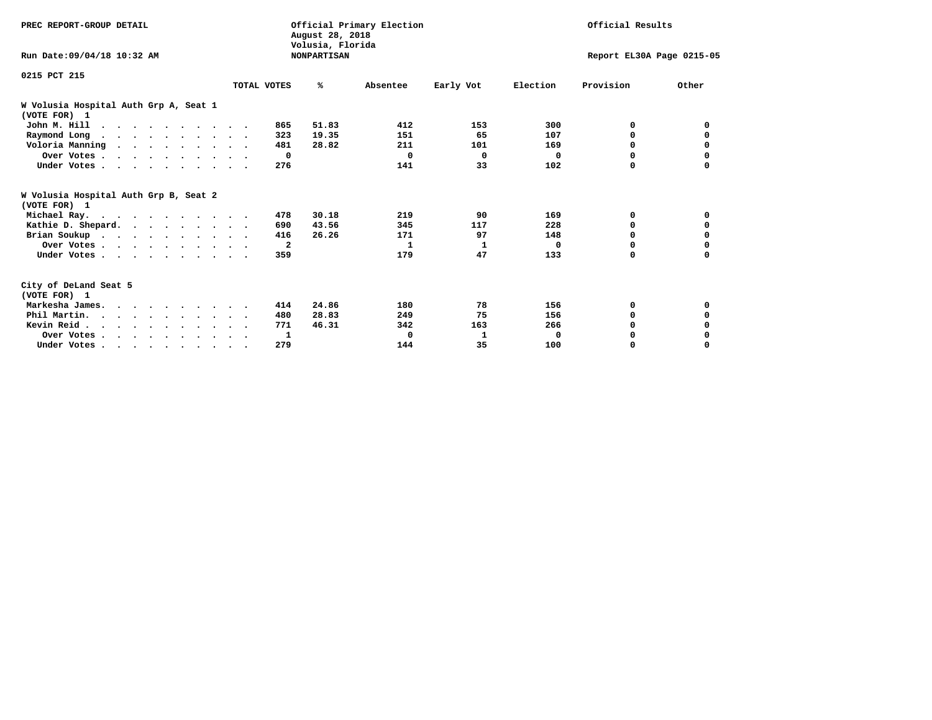| PREC REPORT-GROUP DETAIL                              |             | August 28, 2018<br>Volusia, Florida | Official Primary Election |           | Official Results |                           |          |
|-------------------------------------------------------|-------------|-------------------------------------|---------------------------|-----------|------------------|---------------------------|----------|
| Run Date: 09/04/18 10:32 AM                           |             | <b>NONPARTISAN</b>                  |                           |           |                  | Report EL30A Page 0215-05 |          |
| 0215 PCT 215                                          |             |                                     |                           |           |                  |                           |          |
|                                                       | TOTAL VOTES | %ะ                                  | Absentee                  | Early Vot | Election         | Provision                 | Other    |
| W Volusia Hospital Auth Grp A, Seat 1<br>(VOTE FOR) 1 |             |                                     |                           |           |                  |                           |          |
| John M. Hill                                          |             | 51.83<br>865                        | 412                       | 153       | 300              | 0                         | 0        |
| Raymond Long                                          |             | 19.35<br>323                        | 151                       | 65        | 107              | 0                         | 0        |
| Voloria Manning                                       |             | 481<br>28.82                        | 211                       | 101       | 169              | 0                         | 0        |
| Over Votes                                            |             | $\mathbf{o}$                        | $\Omega$                  | 0         | $\Omega$         | $\Omega$                  | 0        |
| Under Votes                                           |             | 276                                 | 141                       | 33        | 102              | $\Omega$                  | $\Omega$ |
| W Volusia Hospital Auth Grp B, Seat 2<br>(VOTE FOR) 1 |             |                                     |                           |           |                  |                           |          |
| Michael Ray.                                          |             | 30.18<br>478                        | 219                       | 90        | 169              | 0                         | 0        |
| Kathie D. Shepard.                                    |             | 43.56<br>690                        | 345                       | 117       | 228              | 0                         | 0        |
| Brian Soukup                                          |             | 416<br>26.26                        | 171                       | 97        | 148              | $\Omega$                  | 0        |
| Over Votes                                            |             | $\overline{\mathbf{2}}$             | 1                         | 1         | $\Omega$         | $\Omega$                  | 0        |
| Under Votes                                           |             | 359                                 | 179                       | 47        | 133              | 0                         | 0        |
| City of DeLand Seat 5<br>(VOTE FOR) 1                 |             |                                     |                           |           |                  |                           |          |
| Markesha James.                                       |             | 24.86<br>414                        | 180                       | 78        | 156              | 0                         | 0        |
| Phil Martin.                                          |             | 28.83<br>480                        | 249                       | 75        | 156              | $\Omega$                  | 0        |
| Kevin Reid                                            |             | 46.31<br>771                        | 342                       | 163       | 266              | $\Omega$                  | 0        |
| Over Votes                                            |             | 1                                   | 0                         | 1         | $\mathbf 0$      | 0                         | 0        |
| Under Votes                                           |             | 279                                 | 144                       | 35        | 100              | 0                         | $\Omega$ |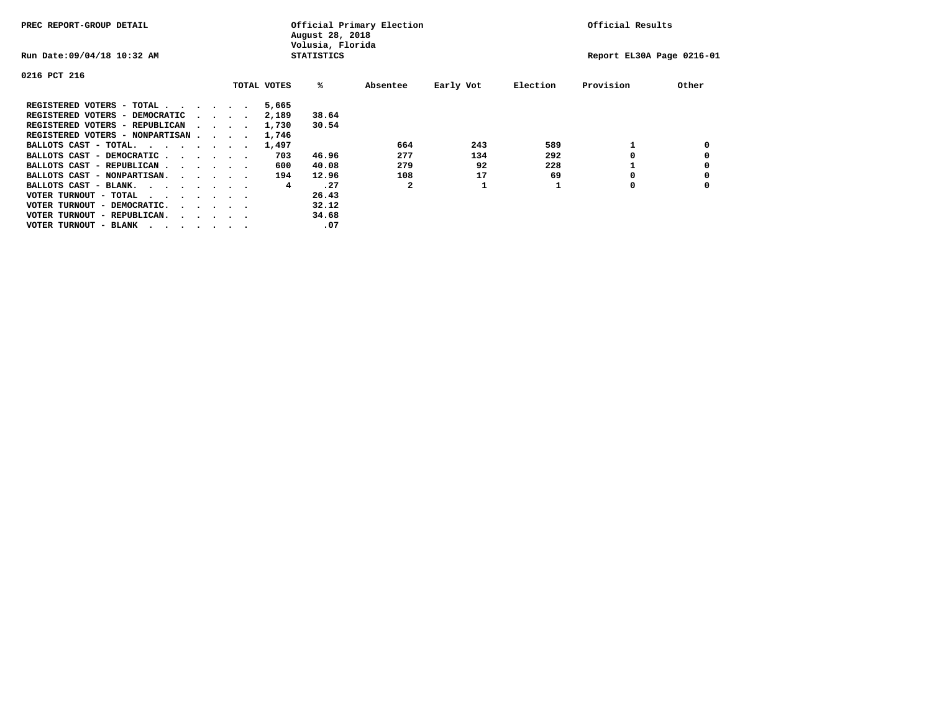| PREC REPORT-GROUP DETAIL                |  |                                         |  | Official Primary Election<br>August 28, 2018<br>Volusia, Florida | Official Results  |          |           |          |                           |       |
|-----------------------------------------|--|-----------------------------------------|--|------------------------------------------------------------------|-------------------|----------|-----------|----------|---------------------------|-------|
| Run Date: 09/04/18 10:32 AM             |  |                                         |  |                                                                  | <b>STATISTICS</b> |          |           |          | Report EL30A Page 0216-01 |       |
| 0216 PCT 216                            |  |                                         |  |                                                                  |                   |          |           |          |                           |       |
|                                         |  |                                         |  | TOTAL VOTES                                                      | %ะ                | Absentee | Early Vot | Election | Provision                 | Other |
| REGISTERED VOTERS - TOTAL               |  |                                         |  | 5,665                                                            |                   |          |           |          |                           |       |
| REGISTERED VOTERS - DEMOCRATIC          |  | $\sim$ $\sim$ $\sim$ $\sim$             |  | 2,189                                                            | 38.64             |          |           |          |                           |       |
| REGISTERED VOTERS - REPUBLICAN          |  |                                         |  | 1,730                                                            | 30.54             |          |           |          |                           |       |
| REGISTERED VOTERS - NONPARTISAN         |  |                                         |  | 1,746                                                            |                   |          |           |          |                           |       |
| BALLOTS CAST - TOTAL.                   |  |                                         |  | 1,497                                                            |                   | 664      | 243       | 589      |                           |       |
| BALLOTS CAST - DEMOCRATIC               |  |                                         |  | 703                                                              | 46.96             | 277      | 134       | 292      |                           |       |
| BALLOTS CAST - REPUBLICAN               |  |                                         |  | 600                                                              | 40.08             | 279      | 92        | 228      |                           |       |
| BALLOTS CAST - NONPARTISAN.             |  |                                         |  | 194                                                              | 12.96             | 108      | 17        | 69       |                           |       |
| BALLOTS CAST - BLANK.                   |  |                                         |  | 4                                                                | .27               | 2        |           |          | 0                         |       |
| VOTER TURNOUT - TOTAL<br>.              |  |                                         |  |                                                                  | 26.43             |          |           |          |                           |       |
| VOTER TURNOUT - DEMOCRATIC.             |  | $\cdot$ $\cdot$ $\cdot$ $\cdot$ $\cdot$ |  |                                                                  | 32.12             |          |           |          |                           |       |
| VOTER TURNOUT - REPUBLICAN.<br>$\cdots$ |  |                                         |  |                                                                  | 34.68             |          |           |          |                           |       |
| VOTER TURNOUT - BLANK                   |  |                                         |  |                                                                  | .07               |          |           |          |                           |       |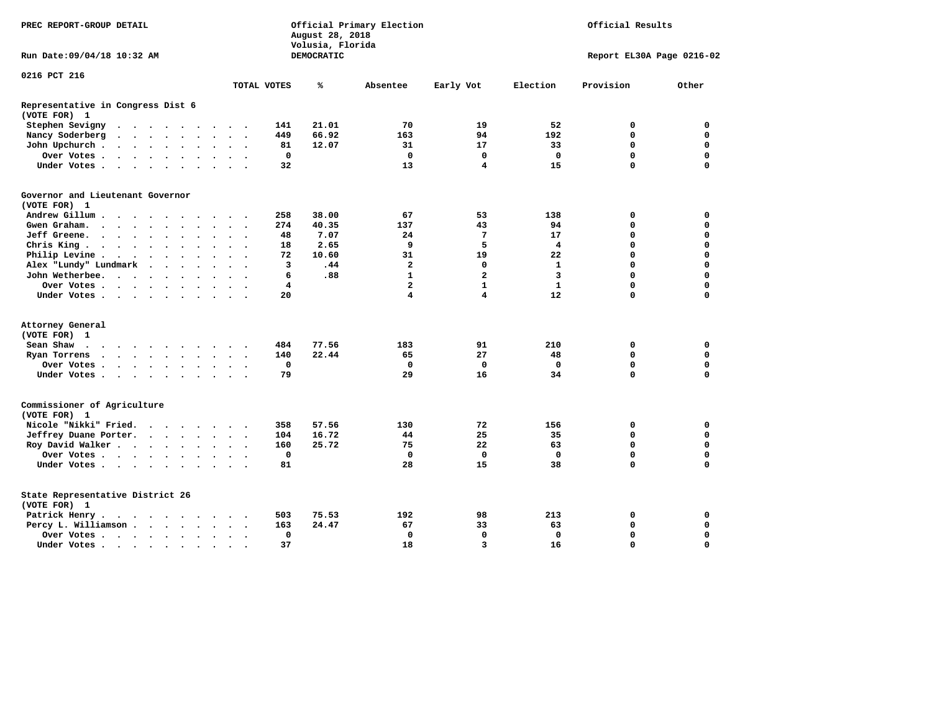|                                                   | Official Primary Election<br>Official Results<br>PREC REPORT-GROUP DETAIL<br>August 28, 2018<br>Volusia, Florida |                      |                      |                      |                      |                      |                          |                          |             |            |                |                         |                   |             |                           |
|---------------------------------------------------|------------------------------------------------------------------------------------------------------------------|----------------------|----------------------|----------------------|----------------------|----------------------|--------------------------|--------------------------|-------------|------------|----------------|-------------------------|-------------------|-------------|---------------------------|
| Run Date: 09/04/18 10:32 AM                       |                                                                                                                  |                      |                      |                      |                      |                      |                          |                          |             | DEMOCRATIC |                |                         |                   |             | Report EL30A Page 0216-02 |
| 0216 PCT 216                                      |                                                                                                                  |                      |                      |                      |                      |                      |                          |                          |             |            |                |                         |                   |             |                           |
|                                                   |                                                                                                                  |                      |                      |                      |                      |                      |                          |                          | TOTAL VOTES | ℁          | Absentee       | Early Vot               | Election          | Provision   | Other                     |
| Representative in Congress Dist 6<br>(VOTE FOR) 1 |                                                                                                                  |                      |                      |                      |                      |                      |                          |                          |             |            |                |                         |                   |             |                           |
| Stephen Sevigny                                   | $\cdots$                                                                                                         |                      |                      |                      |                      |                      |                          |                          | 141         | 21.01      | 70             | 19                      | 52                | 0           | $\mathbf 0$               |
| Nancy Soderberg                                   | $\bullet$                                                                                                        |                      |                      |                      |                      |                      | $\sim$ $\sim$            | $\overline{\phantom{a}}$ | 449         | 66.92      | 163            | 94                      | 192               | $\mathbf 0$ | $\mathbf 0$               |
| John Upchurch.                                    | $\mathcal{A}=\mathcal{A}=\mathcal{A}=\mathcal{A}=\mathcal{A}=\mathcal{A}=\mathcal{A}$ .                          |                      |                      |                      |                      |                      | $\ddot{\phantom{1}}$     |                          | 81          | 12.07      | 31             | 17                      | 33                | $\mathbf 0$ | $\mathbf 0$               |
| Over Votes.                                       |                                                                                                                  |                      |                      |                      |                      | $\ddot{\phantom{1}}$ | $\ddot{\phantom{1}}$     |                          | $\mathbf 0$ |            | $\mathbf 0$    | $\mathbf 0$             | $\mathbf 0$       | $\mathbf 0$ | $\mathbf 0$               |
| Under Votes                                       |                                                                                                                  |                      |                      |                      | $\sim$               | $\sim$               | $\sim$                   |                          | 32          |            | 13             | $\overline{\mathbf{4}}$ | 15                | $\mathbf 0$ | $\mathbf 0$               |
| Governor and Lieutenant Governor<br>(VOTE FOR) 1  |                                                                                                                  |                      |                      |                      |                      |                      |                          |                          |             |            |                |                         |                   |             |                           |
| Andrew Gillum                                     |                                                                                                                  | $\sim$               |                      |                      |                      |                      |                          |                          | 258         | 38.00      | 67             | 53                      | 138               | 0           | 0                         |
| Gwen Graham.                                      |                                                                                                                  |                      |                      |                      | $\bullet$            |                      | $\ddot{\phantom{1}}$     | $\ddot{\phantom{1}}$     | 274         | 40.35      | 137            | 43                      | 94                | 0           | $\mathbf 0$               |
| Jeff Greene.                                      |                                                                                                                  |                      | $\ddot{\phantom{a}}$ |                      |                      |                      | $\ddot{\phantom{a}}$     |                          | 48          | 7.07       | 24             | 7                       | 17                | $\mathbf 0$ | $\mathbf 0$               |
| Chris King                                        |                                                                                                                  |                      |                      |                      |                      |                      | $\ddot{\phantom{1}}$     |                          | 18          | 2.65       | 9              | 5                       | 4                 | $\mathbf 0$ | $\mathbf 0$               |
| Philip Levine .                                   | $\mathcal{A}$ , and $\mathcal{A}$ , and $\mathcal{A}$                                                            |                      |                      |                      | $\ddot{\phantom{a}}$ | $\ddot{\phantom{a}}$ | $\bullet$                | $\ddot{\phantom{1}}$     | 72          | 10.60      | 31             | 19                      | 22                | $\mathbf 0$ | $\mathbf 0$               |
| Alex "Lundy" Lundmark                             |                                                                                                                  | $\ddot{\phantom{1}}$ | $\ddot{\phantom{a}}$ | $\ddot{\phantom{a}}$ | $\ddot{\phantom{a}}$ |                      | $\overline{\phantom{a}}$ |                          | 3           | .44        | $\mathbf{2}$   | 0                       | 1                 | $\mathbf 0$ | $\mathbf 0$               |
| John Wetherbee.                                   |                                                                                                                  |                      |                      |                      | $\bullet$            | $\cdot$              | $\cdot$                  |                          | 6           | .88        | $\mathbf{1}$   | $\mathbf{2}$            | 3                 | $\mathbf 0$ | $\mathbf 0$               |
| Over Votes                                        |                                                                                                                  |                      |                      |                      |                      |                      | $\Delta$                 |                          | 4           |            | $\overline{a}$ | $\mathbf{1}$            | $\mathbf{1}$      | $\Omega$    | $\mathbf 0$               |
| Under Votes                                       |                                                                                                                  |                      |                      |                      |                      |                      |                          |                          | 20          |            | 4              | $\overline{4}$          | $12 \overline{ }$ | $\mathbf 0$ | $\mathbf 0$               |
|                                                   |                                                                                                                  |                      |                      |                      |                      |                      |                          |                          |             |            |                |                         |                   |             |                           |
| Attorney General<br>(VOTE FOR) 1                  |                                                                                                                  |                      |                      |                      |                      |                      |                          |                          |             |            |                |                         |                   |             |                           |
| Sean Shaw<br>$\cdots$                             |                                                                                                                  |                      |                      |                      |                      |                      |                          |                          | 484         | 77.56      | 183            | 91                      | 210               | 0           | 0                         |
| Ryan Torrens                                      |                                                                                                                  |                      |                      |                      |                      |                      | $\ddot{\phantom{1}}$     | $\ddot{\phantom{1}}$     | 140         | 22.44      | 65             | 27                      | 48                | $\mathbf 0$ | $\mathbf 0$               |
| Over Votes                                        |                                                                                                                  |                      |                      |                      |                      |                      |                          |                          | $\mathbf 0$ |            | $\mathbf 0$    | $\mathbf 0$             | $\mathbf{0}$      | $\mathbf 0$ | $\mathbf 0$               |
| Under Votes                                       |                                                                                                                  |                      |                      |                      |                      |                      | $\sim$ $\sim$            |                          | 79          |            | 29             | 16                      | 34                | $\mathbf 0$ | $\mathbf 0$               |
| Commissioner of Agriculture<br>(VOTE FOR) 1       |                                                                                                                  |                      |                      |                      |                      |                      |                          |                          |             |            |                |                         |                   |             |                           |
| Nicole "Nikki" Fried.                             |                                                                                                                  |                      |                      |                      |                      |                      |                          |                          | 358         | 57.56      | 130            | 72                      | 156               | 0           | $\mathbf 0$               |
| Jeffrey Duane Porter.                             |                                                                                                                  |                      |                      |                      |                      |                      |                          |                          | 104         | 16.72      | 44             | 25                      | 35                | $\mathbf 0$ | $\mathbf 0$               |
| Roy David Walker                                  |                                                                                                                  |                      |                      |                      |                      |                      |                          |                          | 160         | 25.72      | 75             | 22                      | 63                | $\mathbf 0$ | $\mathbf 0$               |
| Over Votes                                        |                                                                                                                  |                      |                      |                      |                      |                      | $\cdot$                  |                          | $\mathbf 0$ |            | $\mathbf 0$    | 0                       | $\mathbf{0}$      | $\mathbf 0$ | $\mathbf 0$               |
| Under Votes                                       |                                                                                                                  |                      |                      |                      |                      |                      | $\sim$ $\sim$            |                          | 81          |            | 28             | 15                      | 38                | $\Omega$    | $\mathbf 0$               |
| State Representative District 26<br>(VOTE FOR) 1  |                                                                                                                  |                      |                      |                      |                      |                      |                          |                          |             |            |                |                         |                   |             |                           |
| Patrick Henry.                                    | $\cdots$                                                                                                         |                      |                      |                      |                      |                      |                          |                          | 503         | 75.53      | 192            | 98                      | 213               | 0           | 0                         |
| Percy L. Williamson                               |                                                                                                                  |                      |                      |                      |                      | $\bullet$            | $\ddot{\phantom{a}}$     | $\ddot{\phantom{1}}$     | 163         | 24.47      | 67             | 33                      | 63                | $\mathbf 0$ | $\mathbf 0$               |
| Over Votes                                        |                                                                                                                  |                      |                      |                      |                      |                      | $\bullet$                |                          | 0           |            | $\mathbf 0$    | $\mathbf 0$             | $\mathbf 0$       | $\mathbf 0$ | $\mathbf 0$               |
| Under Votes                                       |                                                                                                                  |                      |                      |                      |                      | $\ddot{\phantom{a}}$ |                          |                          | 37          |            | 18             | $\overline{3}$          | 16                | $\Omega$    | $\mathbf 0$               |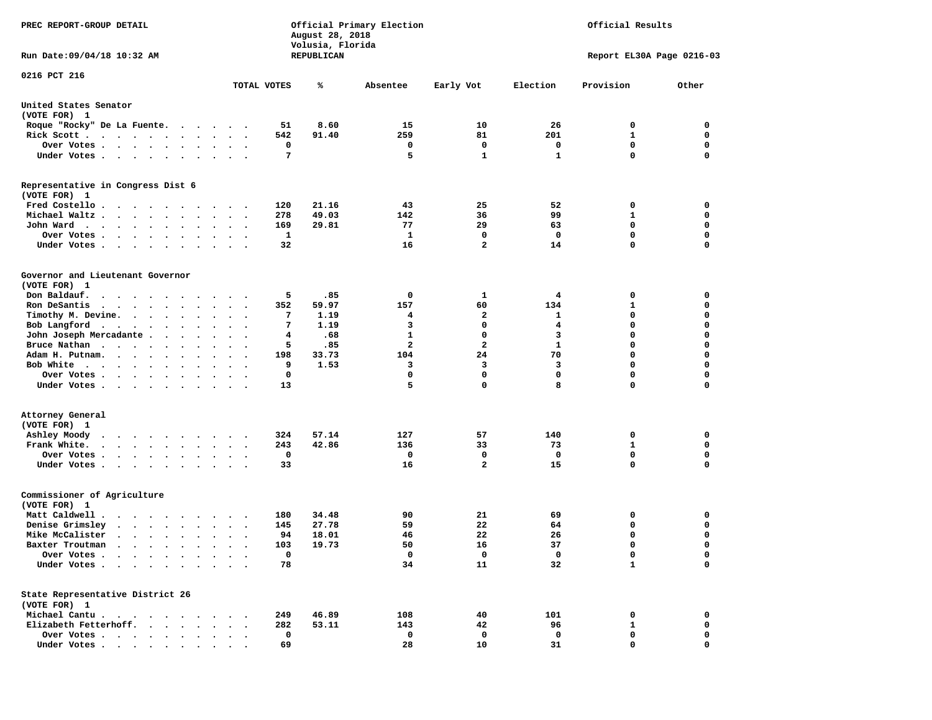| PREC REPORT-GROUP DETAIL<br>Official Primary Election<br>August 28, 2018<br>Volusia, Florida                                                                                                                                                     |                       |                |              |              | Official Results |                           |                  |
|--------------------------------------------------------------------------------------------------------------------------------------------------------------------------------------------------------------------------------------------------|-----------------------|----------------|--------------|--------------|------------------|---------------------------|------------------|
| Run Date: 09/04/18 10:32 AM                                                                                                                                                                                                                      |                       | REPUBLICAN     |              |              |                  | Report EL30A Page 0216-03 |                  |
| 0216 PCT 216                                                                                                                                                                                                                                     | TOTAL VOTES           | ℁              | Absentee     | Early Vot    | Election         | Provision                 | Other            |
|                                                                                                                                                                                                                                                  |                       |                |              |              |                  |                           |                  |
| United States Senator<br>(VOTE FOR) 1                                                                                                                                                                                                            |                       |                |              |              |                  |                           |                  |
| Roque "Rocky" De La Fuente.<br><b>Contract Contract</b>                                                                                                                                                                                          |                       | 8.60<br>51     | 15           | 10           | 26               | 0                         | 0                |
| Rick Scott.<br>$\mathbf{r}$ . The contract of the contract of the contract of the contract of the contract of the contract of the contract of the contract of the contract of the contract of the contract of the contract of the contract of th | $\ddot{\phantom{1}}$  | 542<br>91.40   | 259          | 81           | 201              | 1                         | 0                |
| Over Votes                                                                                                                                                                                                                                       |                       | 0              | 0            | 0            | 0                | $\mathbf 0$               | $\mathbf 0$      |
| Under Votes                                                                                                                                                                                                                                      | $\ddotsc$             | 7              | 5            | $\mathbf{1}$ | $\mathbf{1}$     | 0                         | $\mathbf 0$      |
| Representative in Congress Dist 6<br>(VOTE FOR) 1                                                                                                                                                                                                |                       |                |              |              |                  |                           |                  |
| Fred Costello                                                                                                                                                                                                                                    |                       | 21.16<br>120   | 43           | 25           | 52               | 0                         | 0                |
| Michael Waltz.<br>$\cdot$ $\cdot$ $\cdot$<br>$\bullet$<br>$\bullet$<br>$\bullet$                                                                                                                                                                 |                       | 278<br>49.03   | 142          | 36           | 99               | 1                         | 0                |
| John Ward<br>$\bullet$<br>$\bullet$                                                                                                                                                                                                              | $\cdot$               | 169<br>29.81   | 77           | 29           | 63               | 0                         | 0                |
| Over Votes .<br>$\cdots$<br>$\bullet$<br>$\cdot$                                                                                                                                                                                                 |                       | 1              | 1            | 0            | 0                | $\mathbf 0$               | $\mathbf 0$      |
| Under Votes<br>$\bullet$                                                                                                                                                                                                                         |                       | 32             | 16           | $\mathbf{2}$ | 14               | 0                         | $\mathbf 0$      |
| Governor and Lieutenant Governor<br>(VOTE FOR) 1                                                                                                                                                                                                 |                       |                |              |              |                  |                           |                  |
| Don Baldauf.                                                                                                                                                                                                                                     |                       | 5<br>.85       | 0            | 1            | 4                | 0                         | 0                |
| Ron DeSantis<br>the contract of the contract of the contract of the contract of the contract of the contract of the contract of<br>$\bullet$                                                                                                     | $\ddot{\phantom{0}}$  | 352<br>59.97   | 157          | 60           | 134              | 1                         | 0                |
| Timothy M. Devine.<br>$\bullet$                                                                                                                                                                                                                  |                       | 7<br>1.19      | 4            | 2            | 1                | 0                         | 0                |
| Bob Langford<br>$\bullet$<br>$\bullet$                                                                                                                                                                                                           |                       | 7<br>1.19      | 3            | 0            | 4                | 0                         | $\mathbf 0$      |
| John Joseph Mercadante .<br>$\ddot{\phantom{0}}$<br>$\bullet$                                                                                                                                                                                    |                       | 4<br>.68       | $\mathbf{1}$ | 0            | 3                | 0                         | $\mathbf 0$      |
| Bruce Nathan<br>$\bullet$<br>$\bullet$<br>$\bullet$<br>$\bullet$                                                                                                                                                                                 |                       | 5<br>.85       | 2            | 2            | $\mathbf{1}$     | 0                         | $\mathbf 0$      |
| Adam H. Putnam.<br>$\cdot$ $\cdot$ $\cdot$<br>$\cdot$                                                                                                                                                                                            |                       | 33.73<br>198   | 104          | 24           | 70               | 0                         | $\mathbf 0$      |
| Bob White                                                                                                                                                                                                                                        |                       | 9<br>1.53<br>0 | 3<br>0       | 3<br>0       | 3<br>$\mathbf 0$ | 0<br>0                    | $\mathbf 0$<br>0 |
| Over Votes .<br><b>Contract Contract Contract</b><br>$\bullet$<br>Under Votes<br>$\bullet$                                                                                                                                                       |                       | 13             | 5            | $\mathbf 0$  | 8                | 0                         | 0                |
|                                                                                                                                                                                                                                                  |                       |                |              |              |                  |                           |                  |
| Attorney General<br>(VOTE FOR) 1                                                                                                                                                                                                                 |                       |                |              |              |                  |                           |                  |
| Ashley Moody<br>$\cdots$                                                                                                                                                                                                                         |                       | 57.14<br>324   | 127          | 57           | 140              | 0                         | 0                |
| Frank White.<br>$\begin{array}{cccccccccccccc} \bullet & \bullet & \bullet & \bullet & \bullet & \bullet & \bullet & \bullet & \bullet & \bullet & \bullet \end{array}$<br>$\bullet$                                                             | $\ddot{\phantom{1}}$  | 42.86<br>243   | 136          | 33           | 73               | 1                         | $\mathbf 0$      |
| Over Votes.<br>$\mathbf{r}$ , and $\mathbf{r}$ , and $\mathbf{r}$<br>$\bullet$                                                                                                                                                                   |                       | 0              | 0            | 0            | 0                | 0                         | 0                |
| Under Votes                                                                                                                                                                                                                                      | $\bullet$ . $\bullet$ | 33             | 16           | $\mathbf{2}$ | 15               | 0                         | 0                |
| Commissioner of Agriculture<br>(VOTE FOR) 1                                                                                                                                                                                                      |                       |                |              |              |                  |                           |                  |
| Matt Caldwell.<br>$\cdots$                                                                                                                                                                                                                       |                       | 34.48<br>180   | 90           | 21           | 69               | 0                         | 0                |
| Denise Grimsley<br>$\bullet$<br>$\cdot$ $\cdot$ $\cdot$ $\cdot$<br>$\bullet$                                                                                                                                                                     |                       | 27.78<br>145   | 59           | 22           | 64               | 0                         | 0                |
| Mike McCalister<br>$\mathbf{r}$ , $\mathbf{r}$ , $\mathbf{r}$ , $\mathbf{r}$ , $\mathbf{r}$ , $\mathbf{r}$<br>$\bullet$<br>$\bullet$                                                                                                             |                       | 94<br>18.01    | 46           | 22           | 26               | 0                         | $\mathbf 0$      |
| Baxter Troutman<br>.                                                                                                                                                                                                                             |                       | 19.73<br>103   | 50           | 16           | 37               | 0                         | 0                |
| Over Votes<br>Under Votes                                                                                                                                                                                                                        |                       | 0<br>78        | 0<br>34      | 0<br>11      | 0<br>32          | 0<br>$\mathbf{1}$         | 0<br>$\mathbf 0$ |
|                                                                                                                                                                                                                                                  |                       |                |              |              |                  |                           |                  |
| State Representative District 26<br>(VOTE FOR) 1                                                                                                                                                                                                 |                       |                |              |              |                  |                           |                  |
| Michael Cantu                                                                                                                                                                                                                                    |                       | 46.89<br>249   | 108          | 40           | 101              | 0                         | 0                |
| Elizabeth Fetterhoff.<br><b>Contract Contract Contract</b>                                                                                                                                                                                       |                       | 282<br>53.11   | 143          | 42           | 96               | 1                         | 0                |
| Over Votes                                                                                                                                                                                                                                       |                       | 0              | 0            | 0            | 0                | 0                         | 0                |
| Under Votes                                                                                                                                                                                                                                      |                       | 69             | 28           | 10           | 31               | 0                         | 0                |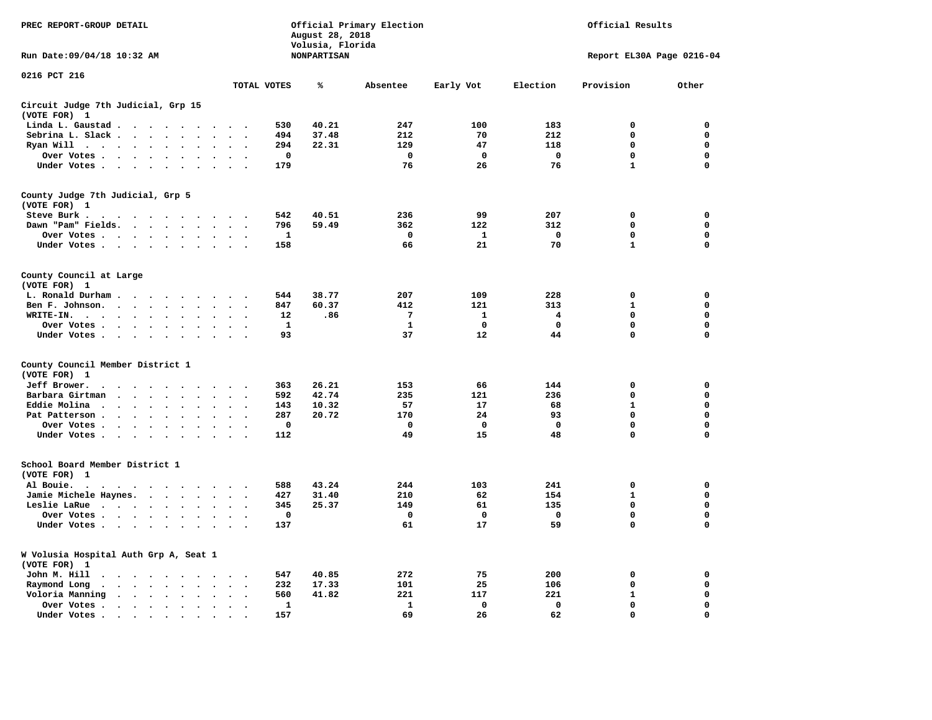| PREC REPORT-GROUP DETAIL                                                                                                                                       |                                                  | August 28, 2018<br>Volusia, Florida | Official Primary Election | Official Results |             |                   |                           |
|----------------------------------------------------------------------------------------------------------------------------------------------------------------|--------------------------------------------------|-------------------------------------|---------------------------|------------------|-------------|-------------------|---------------------------|
| Run Date: 09/04/18 10:32 AM                                                                                                                                    |                                                  | <b>NONPARTISAN</b>                  |                           |                  |             |                   | Report EL30A Page 0216-04 |
| 0216 PCT 216                                                                                                                                                   | TOTAL VOTES                                      | ℁                                   | Absentee                  | Early Vot        | Election    | Provision         | Other                     |
| Circuit Judge 7th Judicial, Grp 15                                                                                                                             |                                                  |                                     |                           |                  |             |                   |                           |
| (VOTE FOR) 1                                                                                                                                                   |                                                  |                                     |                           |                  |             |                   |                           |
| Linda L. Gaustad<br>$\cdot$                                                                                                                                    |                                                  | 40.21<br>530                        | 247                       | 100              | 183         | 0                 | 0                         |
| Sebrina L. Slack<br>$\sim$<br>$\cdot$<br>$\ddot{\phantom{a}}$                                                                                                  |                                                  | 494<br>37.48                        | 212                       | 70               | 212         | $\mathbf 0$       | 0                         |
| Ryan Will $\cdot \cdot \cdot$<br>$\ddot{\phantom{1}}$<br>$\ddot{\phantom{a}}$                                                                                  |                                                  | 22.31<br>294                        | 129                       | 47               | 118         | 0                 | 0                         |
| Over Votes<br>$\bullet$                                                                                                                                        | $\bullet$<br>$\overline{\phantom{a}}$            | 0                                   | 0                         | 0                | 0           | 0                 | 0                         |
| Under Votes<br>$\ddot{\phantom{0}}$<br>$\bullet$<br>$\bullet$<br>$\bullet$                                                                                     | $\ddot{\phantom{a}}$<br>$\overline{\phantom{a}}$ | 179                                 | 76                        | 26               | 76          | $\mathbf{1}$      | $\mathbf 0$               |
| County Judge 7th Judicial, Grp 5<br>(VOTE FOR) 1                                                                                                               |                                                  |                                     |                           |                  |             |                   |                           |
| Steve Burk.                                                                                                                                                    |                                                  | 40.51<br>542                        | 236                       | 99               | 207         | 0                 | 0                         |
| Dawn "Pam" Fields.<br>$\sim$<br>$\sim$<br>$\sim$<br>$\sim$                                                                                                     |                                                  | 59.49<br>796                        | 362                       | 122              | 312         | $\mathbf 0$       | $\mathbf 0$               |
| Over Votes<br>$\bullet$<br>$\blacksquare$ .                                                                                                                    |                                                  | $\mathbf{1}$                        | $\mathbf 0$               | $\mathbf{1}$     | $\mathbf 0$ | $\mathbf 0$       | $\mathbf 0$               |
| Under Votes<br>$\ddot{\phantom{0}}$                                                                                                                            | $\cdot$<br>$\ddot{\phantom{a}}$                  | 158                                 | 66                        | 21               | 70          | $\mathbf{1}$      | $\mathbf 0$               |
| County Council at Large<br>(VOTE FOR) 1                                                                                                                        |                                                  |                                     |                           |                  |             |                   |                           |
| L. Ronald Durham                                                                                                                                               | $\cdot$ .                                        | 38.77<br>544                        | 207                       | 109              | 228         | $\mathbf 0$       | $\mathbf 0$               |
| Ben F. Johnson.<br>$\sim$<br>$\sim$<br>$\sim$                                                                                                                  | $\sim$                                           | 60.37<br>847                        | 412                       | 121              | 313         | $\mathbf{1}$      | $\mathbf 0$               |
| WRITE-IN.<br>$\sim$ $\sim$<br>$\ddot{\phantom{a}}$<br>$\ddot{\phantom{a}}$                                                                                     |                                                  | 12<br>.86                           | 7                         | 1                | 4           | 0                 | 0                         |
| Over Votes<br>$\ddot{\phantom{0}}$<br>$\ddot{\phantom{a}}$<br>$\bullet$<br>Under Votes<br>$\ddot{\phantom{a}}$<br>$\ddot{\phantom{a}}$<br>$\ddot{\phantom{a}}$ | $\bullet$<br>$\sim$<br>$\sim$<br>$\bullet$       | 1<br>93                             | 1<br>37                   | 0<br>12          | 0<br>44     | 0<br>0            | 0<br>0                    |
| County Council Member District 1                                                                                                                               |                                                  |                                     |                           |                  |             |                   |                           |
| (VOTE FOR) 1                                                                                                                                                   |                                                  |                                     |                           |                  |             |                   |                           |
| Jeff Brower.<br>$\ddot{\phantom{a}}$<br>$\sim$<br>$\bullet$<br>$\ddot{\phantom{0}}$<br>$\bullet$<br>$\overline{\phantom{a}}$                                   | $\overline{\phantom{a}}$                         | 26.21<br>363<br>42.74               | 153                       | 66               | 144         | 0                 | 0<br>$\mathbf 0$          |
| Barbara Girtman<br>$\overline{\phantom{a}}$<br>$\overline{\phantom{a}}$                                                                                        |                                                  | 592<br>10.32                        | 235<br>57                 | 121              | 236         | 0<br>$\mathbf{1}$ | $\mathbf 0$               |
| Eddie Molina<br>$\ddot{\phantom{1}}$<br>$\ddot{\phantom{1}}$<br>Pat Patterson.                                                                                 |                                                  | 143<br>287<br>20.72                 | 170                       | 17<br>24         | 68<br>93    | $\mathbf 0$       | $\mathbf 0$               |
| $\ddot{\phantom{0}}$<br>$\bullet$<br>$\bullet$<br>$\bullet$<br>Over Votes .                                                                                    |                                                  | $\mathbf 0$                         | 0                         | $\mathbf 0$      | $\mathbf 0$ | $\mathbf 0$       | $\mathbf 0$               |
| $\sim$ $\sim$<br>$\ddot{\phantom{0}}$<br>$\bullet$<br>$\bullet$<br>$\bullet$<br>Under Votes.<br>$\sim$<br>$\ddot{\phantom{0}}$<br>$\bullet$                    | $\bullet$                                        | 112                                 | 49                        | 15               | 48          | 0                 | $\mathbf 0$               |
| School Board Member District 1<br>(VOTE FOR) 1                                                                                                                 |                                                  |                                     |                           |                  |             |                   |                           |
| Al Bouie.<br>$\ddot{\phantom{a}}$<br>$\sim$ $\sim$ $\sim$ $\sim$ $\sim$<br>$\cdot$<br>$\overline{\phantom{a}}$<br>$\overline{\phantom{a}}$<br>$\bullet$        | $\bullet$                                        | 43.24<br>588                        | 244                       | 103              | 241         | 0                 | 0                         |
| Jamie Michele Haynes.<br>$\sim$ $\sim$ $\sim$ $\sim$<br>$\ddot{\phantom{0}}$                                                                                   | $\bullet$<br>$\mathbf{r}$                        | 427<br>31.40                        | 210                       | 62               | 154         | $\mathbf{1}$      | $\mathbf 0$               |
| Leslie LaRue<br>$\bullet$<br>$\bullet$<br>$\bullet$                                                                                                            | $\ddot{\phantom{a}}$                             | 25.37<br>345                        | 149                       | 61               | 135         | $\mathbf 0$       | $\mathbf 0$               |
| Over Votes<br>$\ddot{\phantom{1}}$<br>$\cdot$                                                                                                                  |                                                  | $\mathbf 0$                         | 0                         | 0                | 0           | $\mathbf 0$       | $\mathbf 0$               |
| Under Votes<br>$\cdot$<br>$\bullet$                                                                                                                            | $\cdot$                                          | 137                                 | 61                        | 17               | 59          | $\mathbf 0$       | 0                         |
| W Volusia Hospital Auth Grp A, Seat 1<br>(VOTE FOR) 1                                                                                                          |                                                  |                                     |                           |                  |             |                   |                           |
| John M. Hill<br>$\ddot{\phantom{a}}$<br>$\bullet$ . $\bullet$<br>$\sim$<br>$\ddot{\phantom{1}}$<br>$\ddot{\phantom{1}}$                                        | $\bullet$<br>$\ddot{\phantom{0}}$                | 40.85<br>547                        | 272                       | 75               | 200         | 0                 | 0                         |
| Raymond Long<br>$\bullet$<br>$\ddot{\phantom{a}}$<br>$\ddot{\phantom{a}}$<br>$\bullet$<br>$\ddot{\phantom{a}}$<br>$\ddot{\phantom{a}}$<br>$\ddot{\phantom{a}}$ | $\ddot{\phantom{a}}$<br>$\cdot$                  | 232<br>17.33                        | 101                       | 25               | 106         | 0                 | 0                         |
| Voloria Manning<br>$\sim$ $\sim$<br>$\ddot{\phantom{a}}$<br>$\ddot{\phantom{a}}$<br>$\ddot{\phantom{a}}$                                                       |                                                  | 560<br>41.82                        | 221                       | 117              | 221         | ${\bf 1}$         | 0                         |
| Over Votes .<br>$\bullet$ . $\bullet$<br>$\cdot$<br>$\cdot$<br>$\bullet$                                                                                       |                                                  | 1                                   | ${\bf 1}$                 | 0                | 0           | 0                 | 0                         |
| Under Votes.<br>$\sim$ $\sim$<br>$\sim$<br>$\overline{\phantom{a}}$<br>$\overline{\phantom{a}}$<br>$\ddot{\phantom{a}}$                                        |                                                  | 157                                 | 69                        | 26               | 62          | $\mathbf 0$       | $\Omega$                  |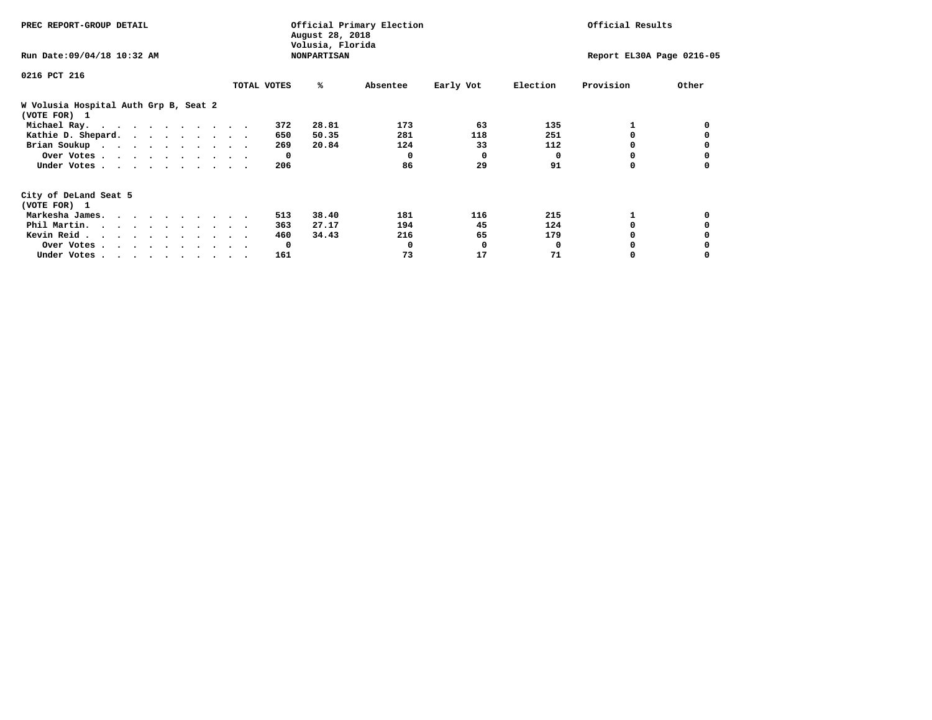| PREC REPORT-GROUP DETAIL                                               |             |              | August 28, 2018<br>Volusia, Florida | Official Primary Election | Official Results |          |                           |       |
|------------------------------------------------------------------------|-------------|--------------|-------------------------------------|---------------------------|------------------|----------|---------------------------|-------|
| Run Date: 09/04/18 10:32 AM                                            |             |              | <b>NONPARTISAN</b>                  |                           |                  |          | Report EL30A Page 0216-05 |       |
| 0216 PCT 216                                                           |             |              |                                     |                           |                  |          |                           |       |
|                                                                        | TOTAL VOTES |              | %ะ                                  | Absentee                  | Early Vot        | Election | Provision                 | Other |
| W Volusia Hospital Auth Grp B, Seat 2<br>(VOTE FOR) 1                  |             |              |                                     |                           |                  |          |                           |       |
| Michael Ray.                                                           |             | 372          | 28.81                               | 173                       | 63               | 135      |                           |       |
| Kathie D. Shepard.                                                     |             | 650          | 50.35                               | 281                       | 118              | 251      |                           |       |
| Brian Soukup                                                           |             | 269          | 20.84                               | 124                       | 33               | 112      |                           |       |
| Over Votes.                                                            |             | $\mathbf{o}$ |                                     | $\Omega$                  | $\Omega$         | 0        | 0                         |       |
| Under Votes                                                            |             | 206          |                                     | 86                        | 29               | 91       | 0                         |       |
| City of DeLand Seat 5                                                  |             |              |                                     |                           |                  |          |                           |       |
| (VOTE FOR) 1                                                           |             |              |                                     |                           |                  |          |                           |       |
| Markesha James.                                                        |             | 513          | 38.40                               | 181                       | 116              | 215      |                           |       |
| Phil Martin.                                                           |             | 363          | 27.17                               | 194                       | 45               | 124      | 0                         |       |
| Kevin Reid                                                             |             | 460          | 34.43                               | 216                       | 65               | 179      |                           |       |
| Over Votes                                                             |             | $\mathbf{o}$ |                                     |                           | 0                | 0        |                           |       |
| Under Votes, $\cdot$ , $\cdot$ , $\cdot$ , $\cdot$ , $\cdot$ , $\cdot$ |             | 161          |                                     | 73                        | 17               | 71       |                           |       |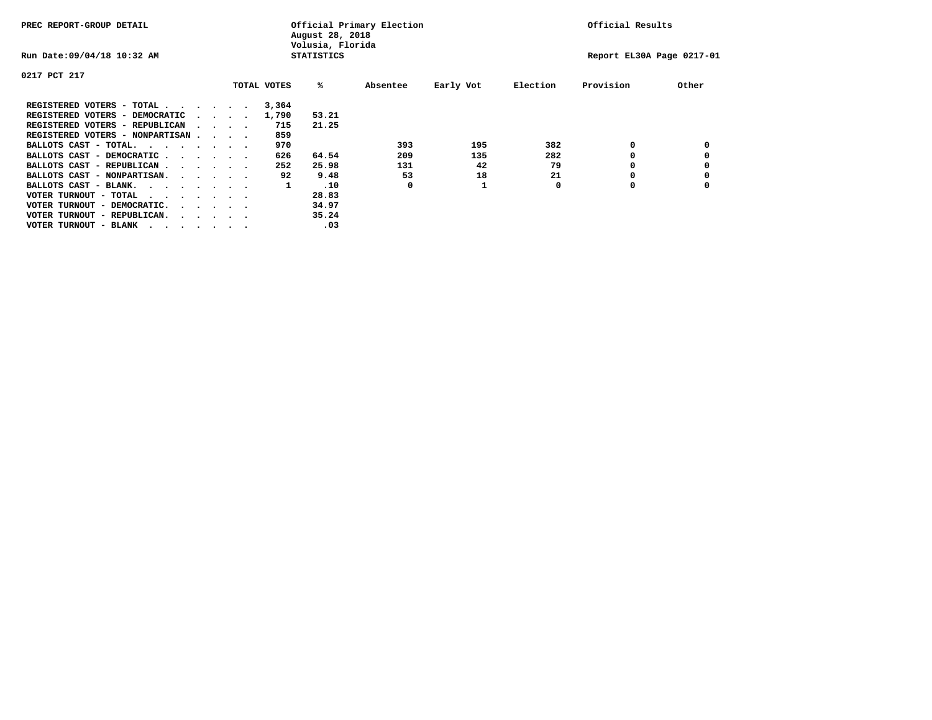| PREC REPORT-GROUP DETAIL               |  |  |                                         | Official Primary Election<br>August 28, 2018<br>Volusia, Florida | Official Results  |          |           |          |                           |       |
|----------------------------------------|--|--|-----------------------------------------|------------------------------------------------------------------|-------------------|----------|-----------|----------|---------------------------|-------|
| Run Date: 09/04/18 10:32 AM            |  |  |                                         |                                                                  | <b>STATISTICS</b> |          |           |          | Report EL30A Page 0217-01 |       |
| 0217 PCT 217                           |  |  |                                         |                                                                  |                   |          |           |          |                           |       |
|                                        |  |  |                                         | TOTAL VOTES                                                      | %ะ                | Absentee | Early Vot | Election | Provision                 | Other |
| REGISTERED VOTERS - TOTAL              |  |  |                                         | 3,364                                                            |                   |          |           |          |                           |       |
| REGISTERED VOTERS - DEMOCRATIC         |  |  | $\sim$ $\sim$ $\sim$ $\sim$             | 1,790                                                            | 53.21             |          |           |          |                           |       |
| REGISTERED VOTERS - REPUBLICAN         |  |  | $\cdots$                                | 715                                                              | 21.25             |          |           |          |                           |       |
| REGISTERED VOTERS - NONPARTISAN        |  |  |                                         | 859                                                              |                   |          |           |          |                           |       |
| BALLOTS CAST - TOTAL.                  |  |  |                                         | 970                                                              |                   | 393      | 195       | 382      | 0                         |       |
| BALLOTS CAST - DEMOCRATIC              |  |  |                                         | 626                                                              | 64.54             | 209      | 135       | 282      |                           |       |
| BALLOTS CAST - REPUBLICAN              |  |  |                                         | 252                                                              | 25.98             | 131      | 42        | 79       | 0                         |       |
| BALLOTS CAST - NONPARTISAN.            |  |  |                                         | 92                                                               | 9.48              | 53       | 18        | 21       |                           |       |
| BALLOTS CAST - BLANK.                  |  |  |                                         | 1                                                                | .10               | 0        |           | 0        | 0                         |       |
| VOTER TURNOUT - TOTAL<br>$\cdots$      |  |  |                                         |                                                                  | 28.83             |          |           |          |                           |       |
| VOTER TURNOUT - DEMOCRATIC.            |  |  | $\cdot$ $\cdot$ $\cdot$ $\cdot$ $\cdot$ |                                                                  | 34.97             |          |           |          |                           |       |
| VOTER TURNOUT - REPUBLICAN.<br>$\cdot$ |  |  |                                         |                                                                  | 35.24             |          |           |          |                           |       |
| VOTER TURNOUT - BLANK                  |  |  |                                         |                                                                  | .03               |          |           |          |                           |       |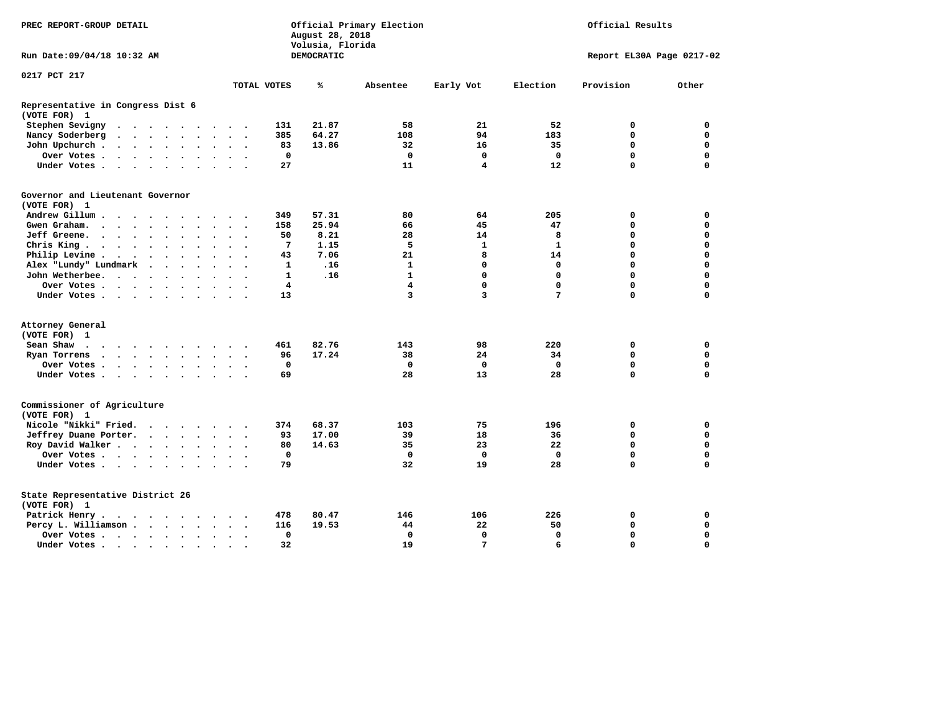| PREC REPORT-GROUP DETAIL                                                                                                                                                                                                                     | Official Primary Election<br>Official Results<br>August 28, 2018<br>Volusia, Florida |        |        |                      |                                         |                      |                          |                          |              |            |                         |                         |              |             |                           |
|----------------------------------------------------------------------------------------------------------------------------------------------------------------------------------------------------------------------------------------------|--------------------------------------------------------------------------------------|--------|--------|----------------------|-----------------------------------------|----------------------|--------------------------|--------------------------|--------------|------------|-------------------------|-------------------------|--------------|-------------|---------------------------|
| Run Date: 09/04/18 10:32 AM                                                                                                                                                                                                                  |                                                                                      |        |        |                      |                                         |                      |                          |                          |              | DEMOCRATIC |                         |                         |              |             | Report EL30A Page 0217-02 |
| 0217 PCT 217                                                                                                                                                                                                                                 |                                                                                      |        |        |                      |                                         |                      |                          |                          |              |            |                         |                         |              |             |                           |
|                                                                                                                                                                                                                                              |                                                                                      |        |        |                      |                                         |                      |                          |                          | TOTAL VOTES  | ℁          | Absentee                | Early Vot               | Election     | Provision   | Other                     |
| Representative in Congress Dist 6<br>(VOTE FOR) 1                                                                                                                                                                                            |                                                                                      |        |        |                      |                                         |                      |                          |                          |              |            |                         |                         |              |             |                           |
| Stephen Sevigny                                                                                                                                                                                                                              |                                                                                      |        |        |                      |                                         |                      |                          |                          | 131          | 21.87      | 58                      | 21                      | 52           | 0           | 0                         |
| Nancy Soderberg<br>$\sim$                                                                                                                                                                                                                    |                                                                                      |        |        |                      | $\cdot$ $\cdot$ $\cdot$ $\cdot$ $\cdot$ |                      | $\sim$ $\sim$            | $\overline{\phantom{a}}$ | 385          | 64.27      | 108                     | 94                      | 183          | $\mathbf 0$ | $\mathbf 0$               |
| John Upchurch.                                                                                                                                                                                                                               |                                                                                      |        |        |                      |                                         |                      | $\ddot{\phantom{1}}$     |                          | 83           | 13.86      | 32                      | 16                      | 35           | $\mathbf 0$ | $\mathbf 0$               |
| Over Votes.<br>. The contract of the contract of the contract of the contract of the contract of the contract of the contract of the contract of the contract of the contract of the contract of the contract of the contract of the contrac |                                                                                      |        |        |                      |                                         | $\ddot{\phantom{1}}$ | $\sim$                   |                          | $\mathbf 0$  |            | $\mathbf 0$             | 0                       | $\mathbf 0$  | $\mathbf 0$ | $\mathbf 0$               |
| Under Votes                                                                                                                                                                                                                                  |                                                                                      |        |        |                      | $\ddot{\phantom{1}}$                    | $\sim$               | $\sim$                   |                          | 27           |            | 11                      | $\overline{\mathbf{4}}$ | 12           | $\mathbf 0$ | $\mathbf 0$               |
| Governor and Lieutenant Governor<br>(VOTE FOR) 1                                                                                                                                                                                             |                                                                                      |        |        |                      |                                         |                      |                          |                          |              |            |                         |                         |              |             |                           |
| Andrew Gillum<br>$\ddot{\phantom{1}}$                                                                                                                                                                                                        | $\sim$                                                                               |        |        |                      |                                         |                      |                          |                          | 349          | 57.31      | 80                      | 64                      | 205          | $\mathbf 0$ | 0                         |
| Gwen Graham.<br>$\cdots$                                                                                                                                                                                                                     |                                                                                      |        |        |                      |                                         |                      | $\sim$ $\sim$            | $\ddot{\phantom{1}}$     | 158          | 25.94      | 66                      | 45                      | 47           | 0           | 0                         |
| Jeff Greene.<br>$\cdots$                                                                                                                                                                                                                     |                                                                                      |        |        |                      |                                         |                      | $\ddot{\phantom{a}}$     |                          | 50           | 8.21       | 28                      | 14                      | 8            | $\mathbf 0$ | $\mathbf 0$               |
| Chris King.<br>$\cdots$                                                                                                                                                                                                                      |                                                                                      |        |        |                      |                                         |                      | $\bullet$                |                          | 7            | 1.15       | 5                       | 1                       | $\mathbf{1}$ | 0           | $\mathbf 0$               |
| Philip Levine .<br>$\cdot$ $\cdot$ $\cdot$ $\cdot$ $\cdot$                                                                                                                                                                                   |                                                                                      |        |        |                      | $\bullet$                               |                      | $\sim$ $\sim$            |                          | 43           | 7.06       | 21                      | 8                       | 14           | $\mathbf 0$ | $\mathbf 0$               |
| Alex "Lundy" Lundmark                                                                                                                                                                                                                        |                                                                                      | $\sim$ | $\sim$ | $\ddot{\phantom{a}}$ | $\ddot{\phantom{a}}$                    |                      |                          |                          | $\mathbf{1}$ | .16        | $\mathbf{1}$            | $\mathbf 0$             | $\mathbf 0$  | $\mathbf 0$ | $\mathbf 0$               |
| John Wetherbee.                                                                                                                                                                                                                              |                                                                                      |        |        |                      | $\ddot{\phantom{a}}$                    | $\bullet$            | $\bullet$                |                          | $\mathbf{1}$ | .16        | $\mathbf{1}$            | $\mathbf 0$             | $\mathbf 0$  | $\mathbf 0$ | $\mathbf 0$               |
| Over Votes                                                                                                                                                                                                                                   |                                                                                      |        |        |                      |                                         |                      | $\bullet$                |                          | 4            |            | $\overline{\mathbf{4}}$ | $\mathbf 0$             | $\mathbf 0$  | $\mathbf 0$ | $\mathbf 0$               |
| Under Votes                                                                                                                                                                                                                                  |                                                                                      |        |        |                      |                                         |                      |                          |                          | 13           |            | 3                       | 3                       | 7            | $\mathbf 0$ | $\mathbf 0$               |
|                                                                                                                                                                                                                                              |                                                                                      |        |        |                      |                                         |                      |                          |                          |              |            |                         |                         |              |             |                           |
| Attorney General<br>(VOTE FOR) 1                                                                                                                                                                                                             |                                                                                      |        |        |                      |                                         |                      |                          |                          |              |            |                         |                         |              |             |                           |
| Sean Shaw<br>$\cdots$                                                                                                                                                                                                                        |                                                                                      |        |        |                      | $\sim$                                  |                      | $\sim$ $\sim$            |                          | 461          | 82.76      | 143                     | 98                      | 220          | $\mathbf 0$ | $\mathbf 0$               |
| Ryan Torrens<br>$\cdots$                                                                                                                                                                                                                     |                                                                                      |        |        |                      |                                         | $\bullet$            | $\bullet$                | $\overline{\phantom{a}}$ | 96           | 17.24      | 38                      | 24                      | 34           | 0           | 0                         |
| Over Votes                                                                                                                                                                                                                                   |                                                                                      |        |        |                      |                                         |                      |                          |                          | 0            |            | $\mathbf 0$             | $\mathbf 0$             | $\mathbf 0$  | $\mathbf 0$ | 0                         |
| Under Votes                                                                                                                                                                                                                                  |                                                                                      |        |        |                      | $\ddot{\phantom{0}}$                    | $\ddot{\phantom{1}}$ |                          | $\sim$ $\sim$            | 69           |            | 28                      | 13                      | 28           | $\mathbf 0$ | $\mathbf 0$               |
| Commissioner of Agriculture<br>(VOTE FOR) 1                                                                                                                                                                                                  |                                                                                      |        |        |                      |                                         |                      |                          |                          |              |            |                         |                         |              |             |                           |
| Nicole "Nikki" Fried.                                                                                                                                                                                                                        |                                                                                      |        |        |                      |                                         |                      |                          |                          | 374          | 68.37      | 103                     | 75                      | 196          | 0           | 0                         |
| Jeffrey Duane Porter.                                                                                                                                                                                                                        |                                                                                      |        |        |                      |                                         |                      | $\sim$ $\sim$            |                          | 93           | 17.00      | 39                      | 18                      | 36           | 0           | 0                         |
| Roy David Walker                                                                                                                                                                                                                             |                                                                                      |        |        |                      |                                         |                      | $\sim$ $\sim$            |                          | 80           | 14.63      | 35                      | 23                      | 22           | $\mathbf 0$ | $\mathbf 0$               |
| Over Votes                                                                                                                                                                                                                                   |                                                                                      |        |        |                      |                                         |                      | $\overline{\phantom{a}}$ |                          | $\mathbf 0$  |            | $\mathbf 0$             | $\mathbf 0$             | $\Omega$     | $\mathbf 0$ | $\mathbf 0$               |
| Under Votes                                                                                                                                                                                                                                  |                                                                                      |        |        |                      |                                         |                      | $\sim$ $\sim$            |                          | 79           |            | 32                      | 19                      | 28           | $\Omega$    | $\mathbf 0$               |
| State Representative District 26<br>(VOTE FOR) 1                                                                                                                                                                                             |                                                                                      |        |        |                      |                                         |                      |                          |                          |              |            |                         |                         |              |             |                           |
| Patrick Henry.<br>$\cdots$                                                                                                                                                                                                                   |                                                                                      |        |        |                      |                                         |                      |                          |                          | 478          | 80.47      | 146                     | 106                     | 226          | 0           | 0                         |
| Percy L. Williamson                                                                                                                                                                                                                          |                                                                                      |        |        |                      |                                         | $\ddot{\phantom{1}}$ | $\bullet$                | $\ddot{\phantom{1}}$     | 116          | 19.53      | 44                      | 22                      | 50           | $\mathbf 0$ | $\mathbf 0$               |
| Over Votes                                                                                                                                                                                                                                   |                                                                                      |        |        |                      |                                         |                      | $\bullet$                |                          | $\mathbf 0$  |            | $\mathbf 0$             | $\mathbf 0$             | $\mathbf 0$  | $\mathbf 0$ | $\mathbf 0$               |
| Under Votes                                                                                                                                                                                                                                  |                                                                                      |        |        |                      |                                         |                      |                          |                          | 32           |            | 19                      | 7                       | 6            | $\Omega$    | $\Omega$                  |
|                                                                                                                                                                                                                                              |                                                                                      |        |        |                      |                                         |                      |                          |                          |              |            |                         |                         |              |             |                           |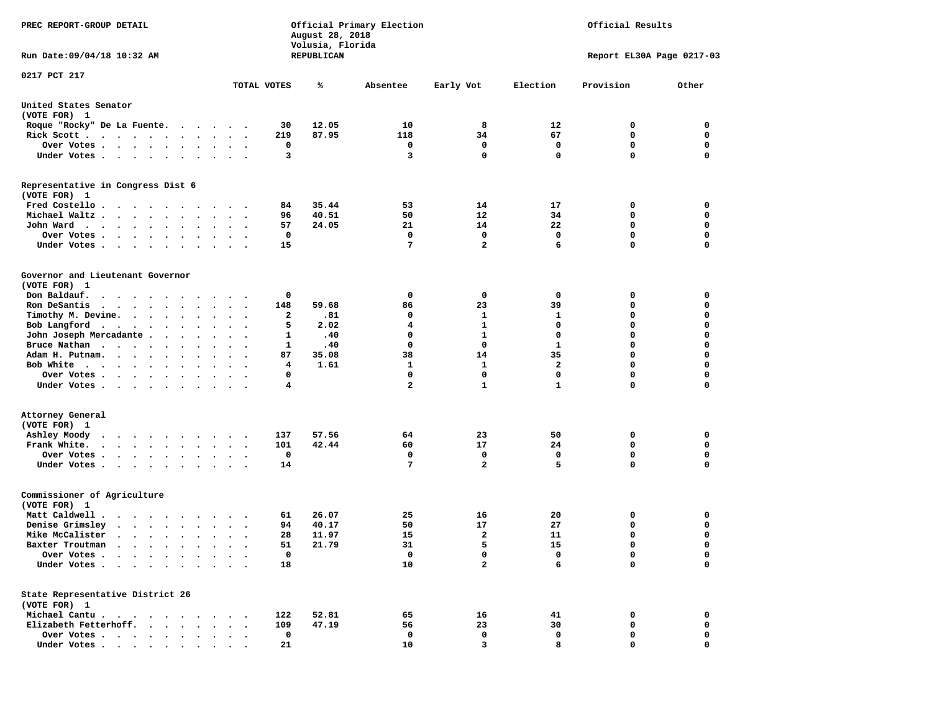| PREC REPORT-GROUP DETAIL                                               | Official Primary Election<br>Official Results<br>August 28, 2018<br>Volusia, Florida      |            |                 |                |              |                           |             |  |  |  |
|------------------------------------------------------------------------|-------------------------------------------------------------------------------------------|------------|-----------------|----------------|--------------|---------------------------|-------------|--|--|--|
| Run Date: 09/04/18 10:32 AM                                            |                                                                                           | REPUBLICAN |                 |                |              | Report EL30A Page 0217-03 |             |  |  |  |
| 0217 PCT 217                                                           |                                                                                           |            |                 |                |              |                           |             |  |  |  |
|                                                                        | TOTAL VOTES                                                                               | ℁          | Absentee        | Early Vot      | Election     | Provision                 | Other       |  |  |  |
| United States Senator<br>(VOTE FOR) 1                                  |                                                                                           |            |                 |                |              |                           |             |  |  |  |
| Roque "Rocky" De La Fuente.                                            | 30                                                                                        | 12.05      | 10              | 8              | 12           | 0                         | 0           |  |  |  |
| Rick Scott                                                             | 219                                                                                       | 87.95      | 118             | 34             | 67           | 0                         | 0           |  |  |  |
| Over Votes                                                             | 0<br>$\sim$ $\sim$                                                                        |            | 0               | 0              | 0            | $\mathbf 0$               | 0           |  |  |  |
| Under Votes                                                            | 3<br>$\cdots$                                                                             |            | 3               | $\mathbf 0$    | 0            | $\Omega$                  | $\mathbf 0$ |  |  |  |
| Representative in Congress Dist 6<br>(VOTE FOR) 1                      |                                                                                           |            |                 |                |              |                           |             |  |  |  |
| Fred Costello                                                          | 84                                                                                        | 35.44      | 53              | 14             | 17           | 0                         | 0           |  |  |  |
| Michael Waltz                                                          | 96<br>$\sim$ $\sim$                                                                       | 40.51      | 50              | 12             | 34           | 0                         | 0           |  |  |  |
| John Ward                                                              | 57<br>$\cdot$ $\cdot$ $\cdot$                                                             | 24.05      | 21              | 14             | 22           | 0                         | 0           |  |  |  |
| Over Votes.<br>$\cdot$                                                 | 0                                                                                         |            | 0               | $\mathbf 0$    | 0            | $\mathbf 0$               | 0           |  |  |  |
| Under Votes                                                            | 15                                                                                        |            | 7               | $\mathbf{2}$   | 6            | $\mathbf 0$               | 0           |  |  |  |
| Governor and Lieutenant Governor<br>(VOTE FOR) 1                       |                                                                                           |            |                 |                |              |                           |             |  |  |  |
| Don Baldauf.                                                           | 0                                                                                         |            | 0               | 0              | 0            | 0                         | 0           |  |  |  |
| Ron DeSantis<br>$\cdots$                                               | 148<br>$\bullet$<br>$\ddot{\phantom{1}}$                                                  | 59.68      | 86              | 23             | 39           | 0                         | 0           |  |  |  |
| Timothy M. Devine.                                                     | 2                                                                                         | .81        | $\mathbf{o}$    | 1              | 1            | 0                         | $\mathbf 0$ |  |  |  |
| Bob Langford                                                           | 5                                                                                         | 2.02       | 4               | $\mathbf{1}$   | $\mathbf 0$  | $\mathbf 0$               | 0           |  |  |  |
| John Joseph Mercadante                                                 | 1                                                                                         | .40        | 0               | 1              | 0            | $\mathbf 0$               | 0           |  |  |  |
| Bruce Nathan                                                           | 1<br>$\ddot{\phantom{0}}$<br>$\overline{\phantom{a}}$                                     | .40        | 0               | 0              | 1            | $\mathbf 0$               | 0           |  |  |  |
| Adam H. Putnam.                                                        | 87<br>$\sim$                                                                              | 35.08      | 38              | 14             | 35           | $\mathbf 0$               | $\mathbf 0$ |  |  |  |
| Bob White                                                              | 4                                                                                         | 1.61       | 1               | 1              | $\mathbf{2}$ | $\mathbf 0$               | 0           |  |  |  |
| Over Votes                                                             | 0<br>$\cdot$                                                                              |            | 0               | $\mathbf 0$    | 0            | $\mathbf 0$               | 0           |  |  |  |
| Under Votes                                                            | 4                                                                                         |            | $\overline{a}$  | $\mathbf{1}$   | $\mathbf{1}$ | $\mathbf 0$               | 0           |  |  |  |
| Attorney General                                                       |                                                                                           |            |                 |                |              |                           |             |  |  |  |
| (VOTE FOR) 1                                                           |                                                                                           |            |                 |                |              |                           |             |  |  |  |
| Ashley Moody                                                           | 137                                                                                       | 57.56      | 64              | 23             | 50           | 0                         | 0           |  |  |  |
| Frank White.                                                           | 101<br>$\bullet$<br>$\ddot{\phantom{a}}$<br>$\sim$                                        | 42.44      | 60              | 17             | 24           | 0                         | 0           |  |  |  |
| Over Votes                                                             | 0                                                                                         |            | 0               | 0              | 0            | $\mathbf 0$               | 0           |  |  |  |
| Under Votes                                                            | 14                                                                                        |            | $7\phantom{.0}$ | $\overline{a}$ | 5            | $\Omega$                  | $\mathbf 0$ |  |  |  |
| Commissioner of Agriculture<br>(VOTE FOR) 1                            |                                                                                           |            |                 |                |              |                           |             |  |  |  |
| Matt Caldwell.<br>$\cdots$                                             | 61                                                                                        | 26.07      | 25              | 16             | 20           | 0                         | 0           |  |  |  |
| Denise Grimsley                                                        | 94<br>$\ddot{\phantom{0}}$                                                                | 40.17      | 50              | 17             | 27           | 0                         | 0           |  |  |  |
| Mike McCalister                                                        | 28<br>$\bullet$ .<br><br><br><br><br><br>$\ddot{\phantom{a}}$<br>$\overline{\phantom{a}}$ | 11.97      | 15              | $\mathbf{2}$   | 11           | $\mathbf 0$               | 0           |  |  |  |
| Baxter Troutman                                                        | 51                                                                                        | 21.79      | 31              | 5              | 15           | $\Omega$                  | $\Omega$    |  |  |  |
| Over Votes .<br>$\sim$ $\sim$ $\sim$ $\sim$ $\sim$<br>$\sim$ $\sim$    | 0                                                                                         |            | 0               | 0              | 0            | 0                         | 0           |  |  |  |
| Under Votes.<br>$\sim$<br>$\ddot{\phantom{0}}$<br>$\ddot{\phantom{1}}$ | 18                                                                                        |            | 10              | 2              | 6            | $\mathbf 0$               | 0           |  |  |  |
| State Representative District 26<br>(VOTE FOR) 1                       |                                                                                           |            |                 |                |              |                           |             |  |  |  |
| Michael Cantu.<br>$\sim$ $\sim$ $\sim$ $\sim$ $\sim$<br>$\sim$ $\sim$  | 122                                                                                       | 52.81      | 65              | 16             | 41           | 0                         | 0           |  |  |  |
| Elizabeth Fetterhoff.<br>$\bullet$<br>$\ddot{\phantom{a}}$             | 109                                                                                       | 47.19      | 56              | 23             | 30           | 0                         | 0           |  |  |  |
| Over Votes<br>$\bullet$                                                | 0                                                                                         |            | 0               | 0              | 0            | 0                         | 0           |  |  |  |
| Under Votes                                                            | 21                                                                                        |            | 10              | 3              | 8            | $\mathbf 0$               | $\mathbf 0$ |  |  |  |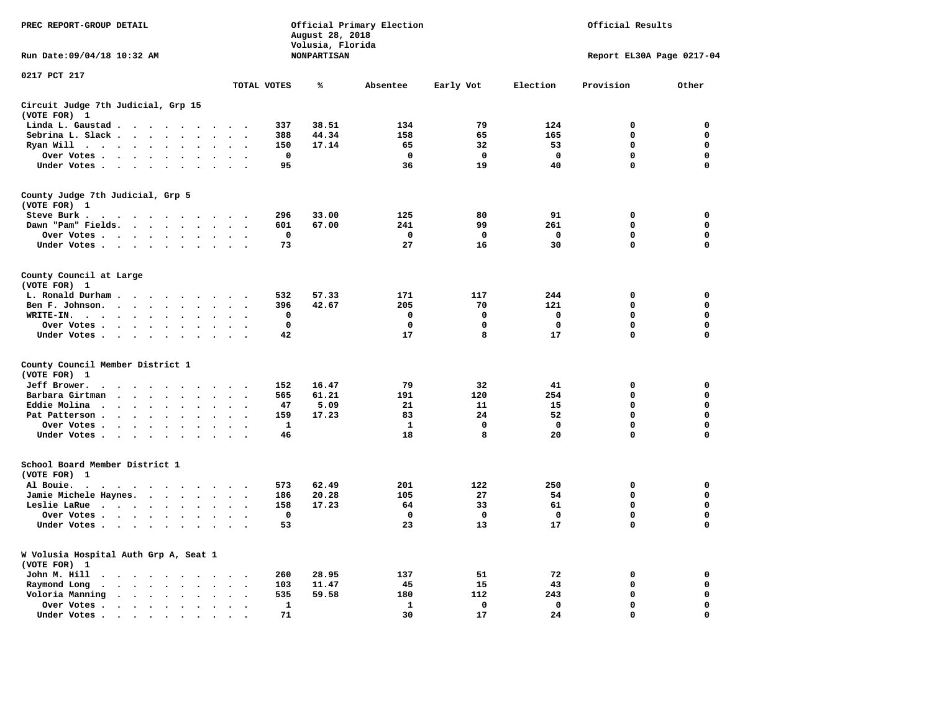| PREC REPORT-GROUP DETAIL                                                                                                                                         |                                        | August 28, 2018<br>Volusia, Florida | Official Primary Election | Official Results |                           |             |             |  |  |  |  |  |  |
|------------------------------------------------------------------------------------------------------------------------------------------------------------------|----------------------------------------|-------------------------------------|---------------------------|------------------|---------------------------|-------------|-------------|--|--|--|--|--|--|
| Run Date: 09/04/18 10:32 AM                                                                                                                                      |                                        | <b>NONPARTISAN</b>                  |                           |                  | Report EL30A Page 0217-04 |             |             |  |  |  |  |  |  |
| 0217 PCT 217                                                                                                                                                     | TOTAL VOTES                            | ℁                                   | Absentee                  | Early Vot        | Election                  | Provision   | Other       |  |  |  |  |  |  |
|                                                                                                                                                                  |                                        |                                     |                           |                  |                           |             |             |  |  |  |  |  |  |
| Circuit Judge 7th Judicial, Grp 15<br>(VOTE FOR) 1                                                                                                               |                                        |                                     |                           |                  |                           |             |             |  |  |  |  |  |  |
| Linda L. Gaustad<br>$\ddot{\phantom{a}}$                                                                                                                         | 337                                    | 38.51                               | 134                       | 79               | 124                       | $\mathbf 0$ | 0           |  |  |  |  |  |  |
| Sebrina L. Slack<br>$\mathbf{r}$                                                                                                                                 | 388                                    | 44.34                               | 158                       | 65               | 165                       | $\Omega$    | $\mathbf 0$ |  |  |  |  |  |  |
| Ryan Will $\cdots$ $\cdots$ $\cdots$<br>$\ddot{\phantom{a}}$<br>$\sim$                                                                                           | 150                                    | 17.14                               | 65                        | 32               | 53                        | $\mathbf 0$ | $\mathbf 0$ |  |  |  |  |  |  |
| Over Votes                                                                                                                                                       | $\mathbf 0$                            |                                     | $\mathbf 0$               | $\mathbf 0$      | $\mathbf 0$               | 0           | $\mathbf 0$ |  |  |  |  |  |  |
| Under Votes                                                                                                                                                      | 95<br>$\ddot{\phantom{a}}$             |                                     | 36                        | 19               | 40                        | $\Omega$    | $\mathbf 0$ |  |  |  |  |  |  |
| County Judge 7th Judicial, Grp 5<br>(VOTE FOR) 1                                                                                                                 |                                        |                                     |                           |                  |                           |             |             |  |  |  |  |  |  |
| Steve Burk .                                                                                                                                                     | 296                                    | 33.00                               | 125                       | 80               | 91                        | $\mathbf 0$ | 0           |  |  |  |  |  |  |
| Dawn "Pam" Fields.                                                                                                                                               | 601<br>$\overline{\phantom{a}}$        | 67.00                               | 241                       | 99               | 261                       | $\mathbf 0$ | 0           |  |  |  |  |  |  |
| Over Votes                                                                                                                                                       | $\mathbf 0$                            |                                     | $\mathbf 0$               | $\mathbf 0$      | $\mathbf 0$               | 0           | $\mathbf 0$ |  |  |  |  |  |  |
| Under Votes                                                                                                                                                      | 73<br>$\sim$ $\sim$                    |                                     | 27                        | 16               | 30                        | $\mathbf 0$ | $\mathbf 0$ |  |  |  |  |  |  |
| County Council at Large<br>(VOTE FOR) 1                                                                                                                          |                                        |                                     |                           |                  |                           |             |             |  |  |  |  |  |  |
| L. Ronald Durham                                                                                                                                                 | 532<br>$\sim$                          | 57.33                               | 171                       | 117              | 244                       | $\mathbf 0$ | 0           |  |  |  |  |  |  |
| Ben F. Johnson.<br>$\sim$ $\sim$                                                                                                                                 | 396<br>$\overline{\phantom{a}}$        | 42.67                               | 205                       | 70               | 121                       | $\mathbf 0$ | 0           |  |  |  |  |  |  |
| WRITE-IN.<br>$\sim$ $\sim$<br>$\sim$ $\sim$<br>$\ddot{\phantom{a}}$<br>$\ddot{\phantom{a}}$<br>$\sim$                                                            | 0                                      |                                     | 0                         | 0                | 0                         | 0           | 0           |  |  |  |  |  |  |
| Over Votes                                                                                                                                                       | $\mathbf 0$                            |                                     | $\mathbf 0$               | 0                | $\mathbf 0$               | 0           | $\mathbf 0$ |  |  |  |  |  |  |
| Under Votes<br>$\sim$                                                                                                                                            | 42<br>$\sim$                           |                                     | 17                        | 8                | 17                        | $\mathbf 0$ | $\mathbf 0$ |  |  |  |  |  |  |
| County Council Member District 1                                                                                                                                 |                                        |                                     |                           |                  |                           |             |             |  |  |  |  |  |  |
| (VOTE FOR) 1                                                                                                                                                     |                                        |                                     |                           |                  |                           |             |             |  |  |  |  |  |  |
| Jeff Brower.<br>$\cdot$ $\cdot$ $\cdot$ $\cdot$ $\cdot$<br>$\sim$                                                                                                | 152                                    | 16.47                               | 79                        | 32               | 41                        | $\mathbf 0$ | $\mathbf 0$ |  |  |  |  |  |  |
| Barbara Girtman<br>$\cdots$<br>$\ddot{\phantom{a}}$<br>$\ddot{\phantom{a}}$<br>$\sim$                                                                            | 565                                    | 61.21                               | 191                       | 120              | 254                       | $\mathbf 0$ | 0           |  |  |  |  |  |  |
| Eddie Molina.<br>$\cdots$<br>$\ddot{\phantom{a}}$                                                                                                                | 47                                     | 5.09                                | 21                        | 11               | 15                        | 0           | $\mathbf 0$ |  |  |  |  |  |  |
| Pat Patterson<br>$\bullet$<br>$\bullet$                                                                                                                          | 159                                    | 17.23                               | 83                        | 24               | 52                        | 0           | 0           |  |  |  |  |  |  |
| Over Votes<br>$\bullet$                                                                                                                                          | $\mathbf{1}$                           |                                     | $\mathbf{1}$              | $\mathbf{0}$     | $\mathbf{0}$              | $\mathbf 0$ | $\mathbf 0$ |  |  |  |  |  |  |
| Under Votes<br>$\ddot{\phantom{0}}$<br>$\sim$                                                                                                                    | 46<br>$\sim$                           |                                     | 18                        | 8                | 20                        | $\mathbf 0$ | $\mathbf 0$ |  |  |  |  |  |  |
| School Board Member District 1<br>(VOTE FOR) 1                                                                                                                   |                                        |                                     |                           |                  |                           |             |             |  |  |  |  |  |  |
| Al Bouie.<br>$\cdot$<br>$\ddot{\phantom{0}}$<br>$\sim$ $\sim$<br>.                                                                                               | 573                                    | 62.49                               | 201                       | 122              | 250                       | $\mathbf 0$ | $\mathbf 0$ |  |  |  |  |  |  |
| Jamie Michele Haynes.                                                                                                                                            | 186<br>$\sim$ $\sim$                   | 20.28                               | 105                       | 27               | 54                        | $\mathbf 0$ | $\mathbf 0$ |  |  |  |  |  |  |
| Leslie LaRue<br>$\ddot{\phantom{a}}$<br>$\ddot{\phantom{a}}$                                                                                                     | 158                                    | 17.23                               | 64                        | 33               | 61                        | $\mathbf 0$ | $\mathbf 0$ |  |  |  |  |  |  |
| Over Votes                                                                                                                                                       | 0                                      |                                     | $\Omega$                  | $\Omega$         | $\mathbf{0}$              | $\mathbf 0$ | 0           |  |  |  |  |  |  |
| Under Votes<br>$\ddot{\phantom{a}}$                                                                                                                              | 53                                     |                                     | 23                        | 13               | 17                        | 0           | $\mathbf 0$ |  |  |  |  |  |  |
| W Volusia Hospital Auth Grp A, Seat 1<br>(VOTE FOR)<br>1                                                                                                         |                                        |                                     |                           |                  |                           |             |             |  |  |  |  |  |  |
| John M. Hill<br>$\cdots$<br>$\cdot$                                                                                                                              | 260<br>$\cdot$                         | 28.95                               | 137                       | 51               | 72                        | 0           | 0           |  |  |  |  |  |  |
| Raymond Long<br>$\cdots$ $\cdots$<br>$\bullet$<br>$\ddot{\phantom{a}}$<br>$\ddot{\phantom{a}}$<br>$\ddot{\phantom{a}}$                                           | 103<br>$\cdot$<br>$\ddot{\phantom{0}}$ | 11.47                               | 45                        | 15               | 43                        | $\mathbf 0$ | 0           |  |  |  |  |  |  |
| Voloria Manning<br>$\cdot$                                                                                                                                       | 535                                    | 59.58                               | 180                       | 112              | 243                       | $\mathbf 0$ | 0           |  |  |  |  |  |  |
| Over Votes.<br>$\begin{array}{cccccccccccccc} \bullet & \bullet & \bullet & \bullet & \bullet & \bullet & \bullet & \bullet \end{array}$<br>$\ddot{\phantom{a}}$ | 1<br>$\bullet$                         |                                     | 1                         | 0                | $\mathbf 0$               | 0           | 0           |  |  |  |  |  |  |
| Under Votes<br>$\ddot{\phantom{a}}$                                                                                                                              | 71                                     |                                     | 30                        | 17               | 24                        | $\Omega$    | $\Omega$    |  |  |  |  |  |  |
|                                                                                                                                                                  |                                        |                                     |                           |                  |                           |             |             |  |  |  |  |  |  |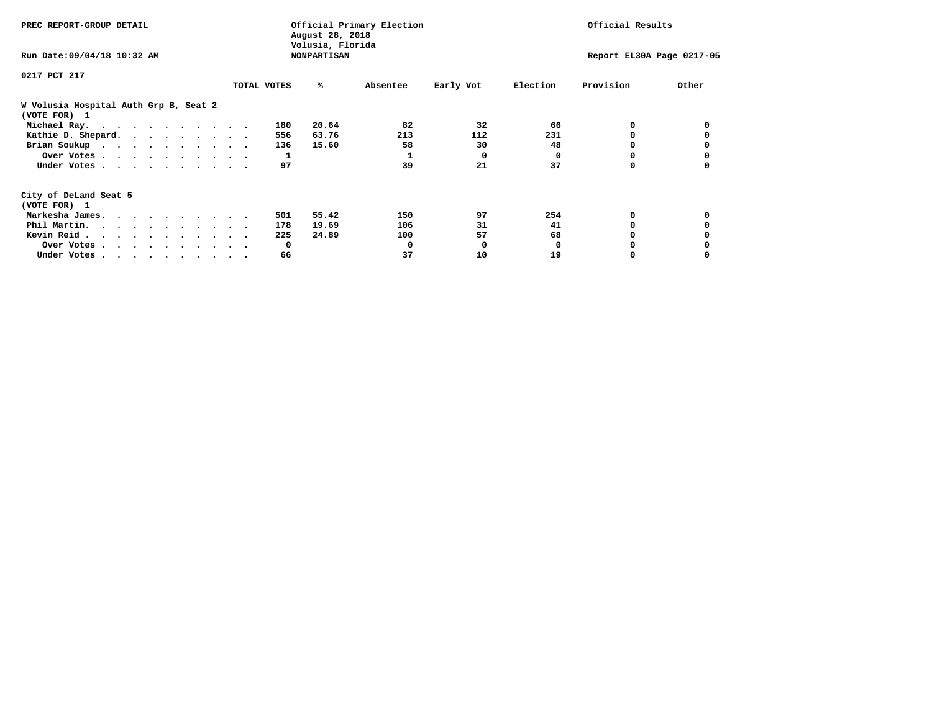| PREC REPORT-GROUP DETAIL                              |             | August 28, 2018<br>Volusia, Florida | Official Primary Election | Official Results |              |                           |       |  |
|-------------------------------------------------------|-------------|-------------------------------------|---------------------------|------------------|--------------|---------------------------|-------|--|
| Run Date: 09/04/18 10:32 AM                           |             | <b>NONPARTISAN</b>                  |                           |                  |              | Report EL30A Page 0217-05 |       |  |
| 0217 PCT 217                                          |             |                                     |                           |                  |              |                           |       |  |
|                                                       | TOTAL VOTES | %ะ                                  | Absentee                  | Early Vot        | Election     | Provision                 | Other |  |
| W Volusia Hospital Auth Grp B, Seat 2<br>(VOTE FOR) 1 |             |                                     |                           |                  |              |                           |       |  |
| Michael Ray.                                          |             | 20.64<br>180                        | 82                        | 32               | 66           | 0                         |       |  |
| Kathie D. Shepard.                                    |             | 63.76<br>556                        | 213                       | 112              | 231          |                           |       |  |
| Brian Soukup                                          |             | 15.60<br>136                        | 58                        | 30               | 48           |                           |       |  |
| Over Votes                                            |             | ı                                   |                           | $\Omega$         | $\Omega$     |                           |       |  |
| Under Votes                                           |             | 97                                  | 39                        | 21               | 37           | 0                         |       |  |
| City of DeLand Seat 5                                 |             |                                     |                           |                  |              |                           |       |  |
| (VOTE FOR) 1                                          |             |                                     |                           |                  |              |                           |       |  |
| Markesha James.                                       |             | 55.42<br>501                        | 150                       | 97               | 254          | 0                         |       |  |
| Phil Martin.                                          |             | 19.69<br>178                        | 106                       | 31               | 41           |                           |       |  |
| Kevin Reid                                            |             | 24.89<br>225                        | 100                       | 57               | 68           |                           |       |  |
| Over Votes                                            |             | $\mathbf{o}$                        | 0                         | 0                | <sup>0</sup> |                           |       |  |
| Under Votes                                           |             | 66                                  | 37                        | 10               | 19           |                           |       |  |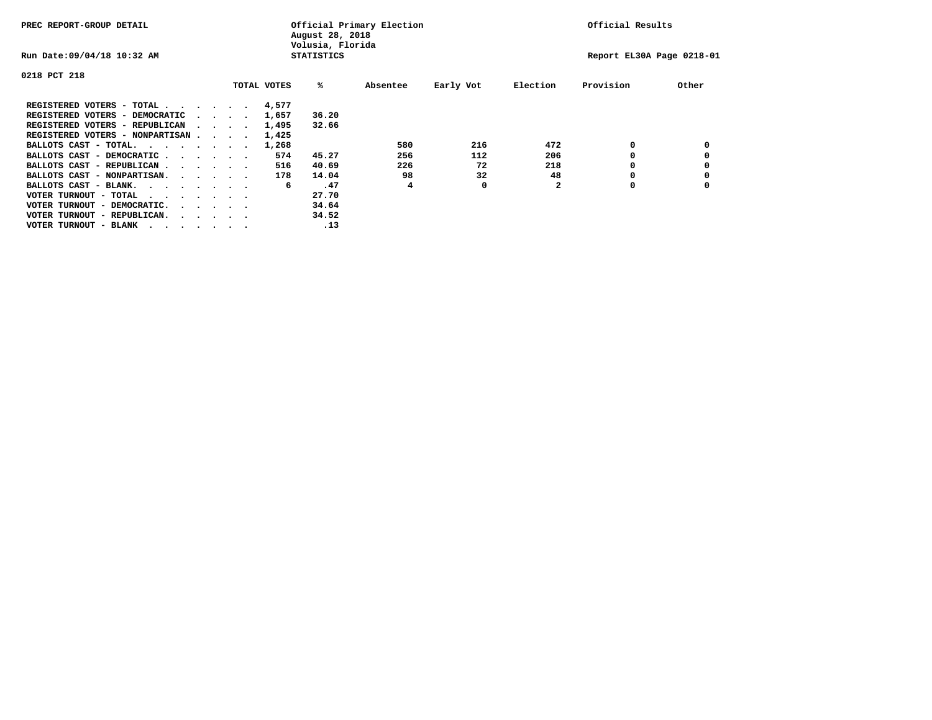| PREC REPORT-GROUP DETAIL               |  |                                         |             | August 28, 2018<br>Volusia, Florida | Official Primary Election |           |          | Official Results          |       |
|----------------------------------------|--|-----------------------------------------|-------------|-------------------------------------|---------------------------|-----------|----------|---------------------------|-------|
| Run Date: 09/04/18 10:32 AM            |  |                                         |             | <b>STATISTICS</b>                   |                           |           |          | Report EL30A Page 0218-01 |       |
| 0218 PCT 218                           |  |                                         |             |                                     |                           |           |          |                           |       |
|                                        |  |                                         | TOTAL VOTES | %ะ                                  | Absentee                  | Early Vot | Election | Provision                 | Other |
| REGISTERED VOTERS - TOTAL              |  |                                         | 4,577       |                                     |                           |           |          |                           |       |
| REGISTERED VOTERS - DEMOCRATIC         |  | $\sim$ $\sim$ $\sim$ $\sim$             | 1,657       | 36.20                               |                           |           |          |                           |       |
| REGISTERED VOTERS - REPUBLICAN         |  |                                         | 1,495       | 32.66                               |                           |           |          |                           |       |
| REGISTERED VOTERS - NONPARTISAN        |  |                                         | 1,425       |                                     |                           |           |          |                           |       |
| BALLOTS CAST - TOTAL.                  |  |                                         | 1,268       |                                     | 580                       | 216       | 472      | 0                         |       |
| BALLOTS CAST - DEMOCRATIC              |  |                                         | 574         | 45.27                               | 256                       | 112       | 206      |                           |       |
| BALLOTS CAST - REPUBLICAN              |  |                                         | 516         | 40.69                               | 226                       | 72        | 218      | 0                         |       |
| BALLOTS CAST - NONPARTISAN.            |  |                                         | 178         | 14.04                               | 98                        | 32        | 48       |                           |       |
| BALLOTS CAST - BLANK.                  |  |                                         | 6           | .47                                 | 4                         | 0         |          | 0                         |       |
| VOTER TURNOUT - TOTAL<br>.             |  |                                         |             | 27.70                               |                           |           |          |                           |       |
| VOTER TURNOUT - DEMOCRATIC.            |  | $\cdot$ $\cdot$ $\cdot$ $\cdot$ $\cdot$ |             | 34.64                               |                           |           |          |                           |       |
| VOTER TURNOUT - REPUBLICAN.<br>$\cdot$ |  |                                         |             | 34.52                               |                           |           |          |                           |       |
| VOTER TURNOUT - BLANK                  |  |                                         |             | .13                                 |                           |           |          |                           |       |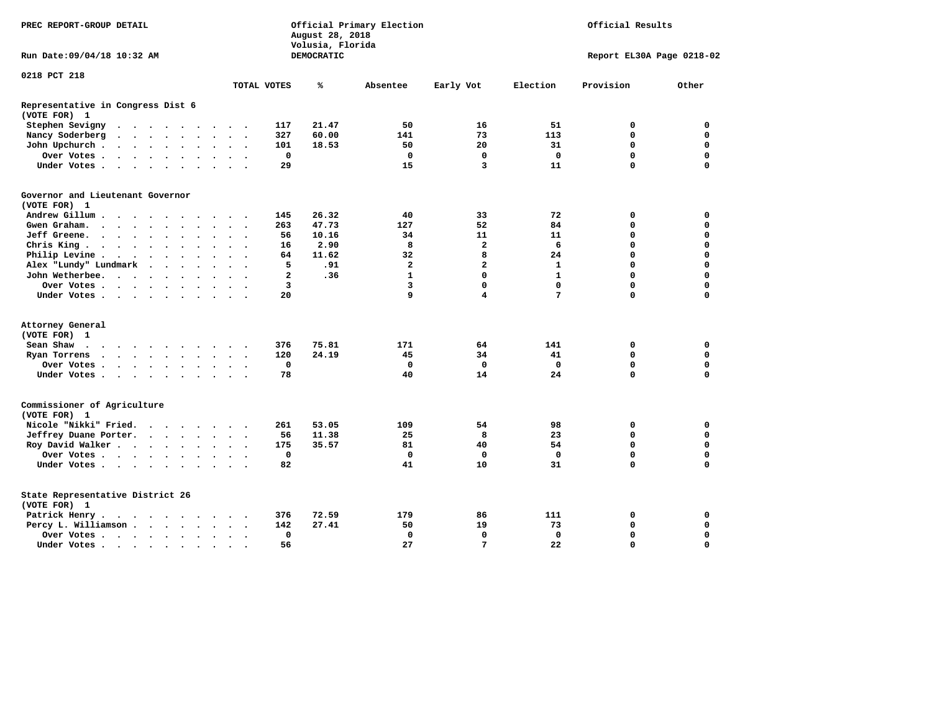| DEMOCRATIC<br>Run Date: 09/04/18 10:32 AM<br>Report EL30A Page 0218-02<br>Early Vot<br>Election<br>Provision<br>Other<br>TOTAL VOTES<br>℁<br>Absentee<br>Representative in Congress Dist 6<br>21.47<br>16<br>51<br>0<br>Stephen Sevigny<br>117<br>50<br>0<br>$\cdots$<br>327<br>60.00<br>141<br>73<br>113<br>$\mathbf 0$<br>$\mathbf 0$<br>Nancy Soderberg<br>$\mathbf{r}$ , $\mathbf{r}$ , $\mathbf{r}$ , $\mathbf{r}$ , $\mathbf{r}$<br>$\ddotsc$ $\ddotsc$<br>$\mathbf 0$<br>18.53<br>20<br>31<br>$\mathbf 0$<br>John Upchurch.<br>101<br>50<br>$\cdot$ $\cdot$ $\cdot$ $\cdot$ $\cdot$<br>$\ddot{\phantom{a}}$<br>$\ddot{\phantom{a}}$<br>$\mathbf 0$<br>$\mathbf 0$<br>$\mathbf 0$<br>$\mathbf 0$<br>$\mathbf 0$<br>$\mathbf 0$<br>Over Votes.<br>$\cdots$<br>$\ddot{\phantom{1}}$<br>$\ddot{\phantom{1}}$<br>$\sim$<br>$\Omega$<br>29<br>15<br>3<br>11<br>$\mathbf 0$<br>Under Votes<br>$\ddot{\phantom{a}}$<br>$\sim$<br>Governor and Lieutenant Governor<br>26.32<br>33<br>72<br>Andrew Gillum<br>145<br>40<br>0<br>0<br>$\sim$<br>263<br>47.73<br>52<br>84<br>$\mathbf 0$<br>Gwen Graham.<br>127<br>0<br>$\cdots$<br>$\ddot{\phantom{a}}$<br>$\ddot{\phantom{1}}$<br>$\sim$<br>Jeff Greene.<br>56<br>10.16<br>11<br>11<br>$\mathbf 0$<br>$\mathbf 0$<br>34<br>$\ddot{\phantom{a}}$<br>$\mathbf{2}$<br>Chris King<br>2.90<br>8<br>6<br>$\mathbf 0$<br>$\mathbf 0$<br>16<br>$\sim$<br>8<br>11.62<br>32<br>24<br>$\mathbf 0$<br>$\mathbf 0$<br>Philip Levine.<br>64<br>$\mathcal{A}=\mathcal{A}=\mathcal{A}=\mathcal{A}=\mathcal{A}=\mathcal{A}$<br>$\ddot{\phantom{0}}$<br>$\bullet$<br>$\ddot{\phantom{0}}$<br>$\overline{\phantom{a}}$<br>$\overline{a}$<br>$\mathbf 0$<br>$\mathbf 0$<br>Alex "Lundy" Lundmark<br>5<br>.91<br>$\mathbf{2}$<br>1<br>$\ddot{\phantom{a}}$<br>$\ddot{\phantom{a}}$<br>$\ddot{\phantom{a}}$<br>$\mathbf{1}$<br>$\mathbf{1}$<br>0<br>$\mathbf 0$<br>$\mathbf 0$<br>John Wetherbee.<br>$\mathbf{2}$<br>.36<br>$\cdot$<br>3<br>0<br>$\mathbf 0$<br>$\mathbf 0$<br>$\mathbf 0$<br>3<br>Over Votes<br>20<br>9<br>4<br>7<br>$\Omega$<br>$\mathbf 0$<br>Under Votes<br>(VOTE FOR) 1<br>376<br>75.81<br>171<br>64<br>141<br>0<br>0<br>Sean Shaw<br>$\cdots$<br>24.19<br>34<br>$\mathbf 0$<br>$\mathbf 0$<br>Ryan Torrens<br>120<br>45<br>41<br>$\cdots$<br>$\ddot{\phantom{1}}$<br>$\sim$<br>$\mathbf 0$<br>$\mathbf 0$<br>$\mathbf 0$<br>$\mathbf 0$<br>$\mathbf 0$<br>$\mathbf 0$<br>Over Votes<br>78<br>40<br>14<br>24<br>$\Omega$<br>$\Omega$<br>Under Votes<br>$\ddot{\phantom{a}}$<br>Commissioner of Agriculture<br>Nicole "Nikki" Fried.<br>261<br>109<br>53.05<br>54<br>98<br>0<br>0<br>$\cdot$<br>Jeffrey Duane Porter.<br>56<br>11.38<br>25<br>8<br>23<br>0<br>0<br>$\cdots$<br>$\sim$<br>$\sim$<br>$\sim$<br>$\mathbf 0$<br>175<br>81<br>40<br>54<br>$\mathbf 0$<br>Roy David Walker<br>35.57<br>$\sim$<br>$\ddot{\phantom{a}}$<br>$\mathbf 0$<br>$\mathbf 0$<br>$\mathbf 0$<br>$\mathbf{0}$<br>$\mathbf 0$<br>$\mathbf 0$<br>Over Votes<br>$\ddot{\phantom{a}}$<br>$\Omega$<br>82<br>41<br>10<br>31<br>$\mathbf 0$<br>Under Votes<br>$\ddot{\phantom{1}}$<br>State Representative District 26<br>111<br>Patrick Henry.<br>376<br>72.59<br>179<br>86<br>0<br>0<br>$\cdots$<br>$\mathbf 0$<br>27.41<br>19<br>73<br>$\mathbf 0$<br>Percy L. Williamson<br>142<br>50<br>$\ddot{\phantom{a}}$<br>$\overline{\phantom{a}}$<br>$\ddot{\phantom{0}}$<br>$\mathbf 0$<br>$\mathbf 0$<br>$\mathbf 0$<br>$\mathbf 0$<br>$\mathbf 0$<br>$\mathbf 0$<br>Over Votes.<br>$\ddot{\phantom{a}}$<br>$\bullet$<br>Under Votes | PREC REPORT-GROUP DETAIL |  | Official Primary Election<br>Official Results<br>August 28, 2018<br>Volusia, Florida |  |  |  |  |    |    |   |    |          |          |
|------------------------------------------------------------------------------------------------------------------------------------------------------------------------------------------------------------------------------------------------------------------------------------------------------------------------------------------------------------------------------------------------------------------------------------------------------------------------------------------------------------------------------------------------------------------------------------------------------------------------------------------------------------------------------------------------------------------------------------------------------------------------------------------------------------------------------------------------------------------------------------------------------------------------------------------------------------------------------------------------------------------------------------------------------------------------------------------------------------------------------------------------------------------------------------------------------------------------------------------------------------------------------------------------------------------------------------------------------------------------------------------------------------------------------------------------------------------------------------------------------------------------------------------------------------------------------------------------------------------------------------------------------------------------------------------------------------------------------------------------------------------------------------------------------------------------------------------------------------------------------------------------------------------------------------------------------------------------------------------------------------------------------------------------------------------------------------------------------------------------------------------------------------------------------------------------------------------------------------------------------------------------------------------------------------------------------------------------------------------------------------------------------------------------------------------------------------------------------------------------------------------------------------------------------------------------------------------------------------------------------------------------------------------------------------------------------------------------------------------------------------------------------------------------------------------------------------------------------------------------------------------------------------------------------------------------------------------------------------------------------------------------------------------------------------------------------------------------------------------------------------------------------------------------------------------------------------------------------------------------------------------------------------------------------------------------------------------------------------------------------------------------------------------------------------------------------------------------------------------------------------------------------------------------------|--------------------------|--|--------------------------------------------------------------------------------------|--|--|--|--|----|----|---|----|----------|----------|
|                                                                                                                                                                                                                                                                                                                                                                                                                                                                                                                                                                                                                                                                                                                                                                                                                                                                                                                                                                                                                                                                                                                                                                                                                                                                                                                                                                                                                                                                                                                                                                                                                                                                                                                                                                                                                                                                                                                                                                                                                                                                                                                                                                                                                                                                                                                                                                                                                                                                                                                                                                                                                                                                                                                                                                                                                                                                                                                                                                                                                                                                                                                                                                                                                                                                                                                                                                                                                                                                                                                                                      |                          |  |                                                                                      |  |  |  |  |    |    |   |    |          |          |
|                                                                                                                                                                                                                                                                                                                                                                                                                                                                                                                                                                                                                                                                                                                                                                                                                                                                                                                                                                                                                                                                                                                                                                                                                                                                                                                                                                                                                                                                                                                                                                                                                                                                                                                                                                                                                                                                                                                                                                                                                                                                                                                                                                                                                                                                                                                                                                                                                                                                                                                                                                                                                                                                                                                                                                                                                                                                                                                                                                                                                                                                                                                                                                                                                                                                                                                                                                                                                                                                                                                                                      | 0218 PCT 218             |  |                                                                                      |  |  |  |  |    |    |   |    |          |          |
|                                                                                                                                                                                                                                                                                                                                                                                                                                                                                                                                                                                                                                                                                                                                                                                                                                                                                                                                                                                                                                                                                                                                                                                                                                                                                                                                                                                                                                                                                                                                                                                                                                                                                                                                                                                                                                                                                                                                                                                                                                                                                                                                                                                                                                                                                                                                                                                                                                                                                                                                                                                                                                                                                                                                                                                                                                                                                                                                                                                                                                                                                                                                                                                                                                                                                                                                                                                                                                                                                                                                                      |                          |  |                                                                                      |  |  |  |  |    |    |   |    |          |          |
|                                                                                                                                                                                                                                                                                                                                                                                                                                                                                                                                                                                                                                                                                                                                                                                                                                                                                                                                                                                                                                                                                                                                                                                                                                                                                                                                                                                                                                                                                                                                                                                                                                                                                                                                                                                                                                                                                                                                                                                                                                                                                                                                                                                                                                                                                                                                                                                                                                                                                                                                                                                                                                                                                                                                                                                                                                                                                                                                                                                                                                                                                                                                                                                                                                                                                                                                                                                                                                                                                                                                                      | (VOTE FOR) 1             |  |                                                                                      |  |  |  |  |    |    |   |    |          |          |
|                                                                                                                                                                                                                                                                                                                                                                                                                                                                                                                                                                                                                                                                                                                                                                                                                                                                                                                                                                                                                                                                                                                                                                                                                                                                                                                                                                                                                                                                                                                                                                                                                                                                                                                                                                                                                                                                                                                                                                                                                                                                                                                                                                                                                                                                                                                                                                                                                                                                                                                                                                                                                                                                                                                                                                                                                                                                                                                                                                                                                                                                                                                                                                                                                                                                                                                                                                                                                                                                                                                                                      |                          |  |                                                                                      |  |  |  |  |    |    |   |    |          |          |
|                                                                                                                                                                                                                                                                                                                                                                                                                                                                                                                                                                                                                                                                                                                                                                                                                                                                                                                                                                                                                                                                                                                                                                                                                                                                                                                                                                                                                                                                                                                                                                                                                                                                                                                                                                                                                                                                                                                                                                                                                                                                                                                                                                                                                                                                                                                                                                                                                                                                                                                                                                                                                                                                                                                                                                                                                                                                                                                                                                                                                                                                                                                                                                                                                                                                                                                                                                                                                                                                                                                                                      |                          |  |                                                                                      |  |  |  |  |    |    |   |    |          |          |
|                                                                                                                                                                                                                                                                                                                                                                                                                                                                                                                                                                                                                                                                                                                                                                                                                                                                                                                                                                                                                                                                                                                                                                                                                                                                                                                                                                                                                                                                                                                                                                                                                                                                                                                                                                                                                                                                                                                                                                                                                                                                                                                                                                                                                                                                                                                                                                                                                                                                                                                                                                                                                                                                                                                                                                                                                                                                                                                                                                                                                                                                                                                                                                                                                                                                                                                                                                                                                                                                                                                                                      |                          |  |                                                                                      |  |  |  |  |    |    |   |    |          |          |
|                                                                                                                                                                                                                                                                                                                                                                                                                                                                                                                                                                                                                                                                                                                                                                                                                                                                                                                                                                                                                                                                                                                                                                                                                                                                                                                                                                                                                                                                                                                                                                                                                                                                                                                                                                                                                                                                                                                                                                                                                                                                                                                                                                                                                                                                                                                                                                                                                                                                                                                                                                                                                                                                                                                                                                                                                                                                                                                                                                                                                                                                                                                                                                                                                                                                                                                                                                                                                                                                                                                                                      |                          |  |                                                                                      |  |  |  |  |    |    |   |    |          |          |
|                                                                                                                                                                                                                                                                                                                                                                                                                                                                                                                                                                                                                                                                                                                                                                                                                                                                                                                                                                                                                                                                                                                                                                                                                                                                                                                                                                                                                                                                                                                                                                                                                                                                                                                                                                                                                                                                                                                                                                                                                                                                                                                                                                                                                                                                                                                                                                                                                                                                                                                                                                                                                                                                                                                                                                                                                                                                                                                                                                                                                                                                                                                                                                                                                                                                                                                                                                                                                                                                                                                                                      |                          |  |                                                                                      |  |  |  |  |    |    |   |    |          |          |
|                                                                                                                                                                                                                                                                                                                                                                                                                                                                                                                                                                                                                                                                                                                                                                                                                                                                                                                                                                                                                                                                                                                                                                                                                                                                                                                                                                                                                                                                                                                                                                                                                                                                                                                                                                                                                                                                                                                                                                                                                                                                                                                                                                                                                                                                                                                                                                                                                                                                                                                                                                                                                                                                                                                                                                                                                                                                                                                                                                                                                                                                                                                                                                                                                                                                                                                                                                                                                                                                                                                                                      | (VOTE FOR) 1             |  |                                                                                      |  |  |  |  |    |    |   |    |          |          |
|                                                                                                                                                                                                                                                                                                                                                                                                                                                                                                                                                                                                                                                                                                                                                                                                                                                                                                                                                                                                                                                                                                                                                                                                                                                                                                                                                                                                                                                                                                                                                                                                                                                                                                                                                                                                                                                                                                                                                                                                                                                                                                                                                                                                                                                                                                                                                                                                                                                                                                                                                                                                                                                                                                                                                                                                                                                                                                                                                                                                                                                                                                                                                                                                                                                                                                                                                                                                                                                                                                                                                      |                          |  |                                                                                      |  |  |  |  |    |    |   |    |          |          |
|                                                                                                                                                                                                                                                                                                                                                                                                                                                                                                                                                                                                                                                                                                                                                                                                                                                                                                                                                                                                                                                                                                                                                                                                                                                                                                                                                                                                                                                                                                                                                                                                                                                                                                                                                                                                                                                                                                                                                                                                                                                                                                                                                                                                                                                                                                                                                                                                                                                                                                                                                                                                                                                                                                                                                                                                                                                                                                                                                                                                                                                                                                                                                                                                                                                                                                                                                                                                                                                                                                                                                      |                          |  |                                                                                      |  |  |  |  |    |    |   |    |          |          |
|                                                                                                                                                                                                                                                                                                                                                                                                                                                                                                                                                                                                                                                                                                                                                                                                                                                                                                                                                                                                                                                                                                                                                                                                                                                                                                                                                                                                                                                                                                                                                                                                                                                                                                                                                                                                                                                                                                                                                                                                                                                                                                                                                                                                                                                                                                                                                                                                                                                                                                                                                                                                                                                                                                                                                                                                                                                                                                                                                                                                                                                                                                                                                                                                                                                                                                                                                                                                                                                                                                                                                      |                          |  |                                                                                      |  |  |  |  |    |    |   |    |          |          |
|                                                                                                                                                                                                                                                                                                                                                                                                                                                                                                                                                                                                                                                                                                                                                                                                                                                                                                                                                                                                                                                                                                                                                                                                                                                                                                                                                                                                                                                                                                                                                                                                                                                                                                                                                                                                                                                                                                                                                                                                                                                                                                                                                                                                                                                                                                                                                                                                                                                                                                                                                                                                                                                                                                                                                                                                                                                                                                                                                                                                                                                                                                                                                                                                                                                                                                                                                                                                                                                                                                                                                      |                          |  |                                                                                      |  |  |  |  |    |    |   |    |          |          |
|                                                                                                                                                                                                                                                                                                                                                                                                                                                                                                                                                                                                                                                                                                                                                                                                                                                                                                                                                                                                                                                                                                                                                                                                                                                                                                                                                                                                                                                                                                                                                                                                                                                                                                                                                                                                                                                                                                                                                                                                                                                                                                                                                                                                                                                                                                                                                                                                                                                                                                                                                                                                                                                                                                                                                                                                                                                                                                                                                                                                                                                                                                                                                                                                                                                                                                                                                                                                                                                                                                                                                      |                          |  |                                                                                      |  |  |  |  |    |    |   |    |          |          |
|                                                                                                                                                                                                                                                                                                                                                                                                                                                                                                                                                                                                                                                                                                                                                                                                                                                                                                                                                                                                                                                                                                                                                                                                                                                                                                                                                                                                                                                                                                                                                                                                                                                                                                                                                                                                                                                                                                                                                                                                                                                                                                                                                                                                                                                                                                                                                                                                                                                                                                                                                                                                                                                                                                                                                                                                                                                                                                                                                                                                                                                                                                                                                                                                                                                                                                                                                                                                                                                                                                                                                      |                          |  |                                                                                      |  |  |  |  |    |    |   |    |          |          |
|                                                                                                                                                                                                                                                                                                                                                                                                                                                                                                                                                                                                                                                                                                                                                                                                                                                                                                                                                                                                                                                                                                                                                                                                                                                                                                                                                                                                                                                                                                                                                                                                                                                                                                                                                                                                                                                                                                                                                                                                                                                                                                                                                                                                                                                                                                                                                                                                                                                                                                                                                                                                                                                                                                                                                                                                                                                                                                                                                                                                                                                                                                                                                                                                                                                                                                                                                                                                                                                                                                                                                      |                          |  |                                                                                      |  |  |  |  |    |    |   |    |          |          |
|                                                                                                                                                                                                                                                                                                                                                                                                                                                                                                                                                                                                                                                                                                                                                                                                                                                                                                                                                                                                                                                                                                                                                                                                                                                                                                                                                                                                                                                                                                                                                                                                                                                                                                                                                                                                                                                                                                                                                                                                                                                                                                                                                                                                                                                                                                                                                                                                                                                                                                                                                                                                                                                                                                                                                                                                                                                                                                                                                                                                                                                                                                                                                                                                                                                                                                                                                                                                                                                                                                                                                      |                          |  |                                                                                      |  |  |  |  |    |    |   |    |          |          |
|                                                                                                                                                                                                                                                                                                                                                                                                                                                                                                                                                                                                                                                                                                                                                                                                                                                                                                                                                                                                                                                                                                                                                                                                                                                                                                                                                                                                                                                                                                                                                                                                                                                                                                                                                                                                                                                                                                                                                                                                                                                                                                                                                                                                                                                                                                                                                                                                                                                                                                                                                                                                                                                                                                                                                                                                                                                                                                                                                                                                                                                                                                                                                                                                                                                                                                                                                                                                                                                                                                                                                      |                          |  |                                                                                      |  |  |  |  |    |    |   |    |          |          |
|                                                                                                                                                                                                                                                                                                                                                                                                                                                                                                                                                                                                                                                                                                                                                                                                                                                                                                                                                                                                                                                                                                                                                                                                                                                                                                                                                                                                                                                                                                                                                                                                                                                                                                                                                                                                                                                                                                                                                                                                                                                                                                                                                                                                                                                                                                                                                                                                                                                                                                                                                                                                                                                                                                                                                                                                                                                                                                                                                                                                                                                                                                                                                                                                                                                                                                                                                                                                                                                                                                                                                      |                          |  |                                                                                      |  |  |  |  |    |    |   |    |          |          |
|                                                                                                                                                                                                                                                                                                                                                                                                                                                                                                                                                                                                                                                                                                                                                                                                                                                                                                                                                                                                                                                                                                                                                                                                                                                                                                                                                                                                                                                                                                                                                                                                                                                                                                                                                                                                                                                                                                                                                                                                                                                                                                                                                                                                                                                                                                                                                                                                                                                                                                                                                                                                                                                                                                                                                                                                                                                                                                                                                                                                                                                                                                                                                                                                                                                                                                                                                                                                                                                                                                                                                      | Attorney General         |  |                                                                                      |  |  |  |  |    |    |   |    |          |          |
|                                                                                                                                                                                                                                                                                                                                                                                                                                                                                                                                                                                                                                                                                                                                                                                                                                                                                                                                                                                                                                                                                                                                                                                                                                                                                                                                                                                                                                                                                                                                                                                                                                                                                                                                                                                                                                                                                                                                                                                                                                                                                                                                                                                                                                                                                                                                                                                                                                                                                                                                                                                                                                                                                                                                                                                                                                                                                                                                                                                                                                                                                                                                                                                                                                                                                                                                                                                                                                                                                                                                                      |                          |  |                                                                                      |  |  |  |  |    |    |   |    |          |          |
|                                                                                                                                                                                                                                                                                                                                                                                                                                                                                                                                                                                                                                                                                                                                                                                                                                                                                                                                                                                                                                                                                                                                                                                                                                                                                                                                                                                                                                                                                                                                                                                                                                                                                                                                                                                                                                                                                                                                                                                                                                                                                                                                                                                                                                                                                                                                                                                                                                                                                                                                                                                                                                                                                                                                                                                                                                                                                                                                                                                                                                                                                                                                                                                                                                                                                                                                                                                                                                                                                                                                                      |                          |  |                                                                                      |  |  |  |  |    |    |   |    |          |          |
|                                                                                                                                                                                                                                                                                                                                                                                                                                                                                                                                                                                                                                                                                                                                                                                                                                                                                                                                                                                                                                                                                                                                                                                                                                                                                                                                                                                                                                                                                                                                                                                                                                                                                                                                                                                                                                                                                                                                                                                                                                                                                                                                                                                                                                                                                                                                                                                                                                                                                                                                                                                                                                                                                                                                                                                                                                                                                                                                                                                                                                                                                                                                                                                                                                                                                                                                                                                                                                                                                                                                                      |                          |  |                                                                                      |  |  |  |  |    |    |   |    |          |          |
|                                                                                                                                                                                                                                                                                                                                                                                                                                                                                                                                                                                                                                                                                                                                                                                                                                                                                                                                                                                                                                                                                                                                                                                                                                                                                                                                                                                                                                                                                                                                                                                                                                                                                                                                                                                                                                                                                                                                                                                                                                                                                                                                                                                                                                                                                                                                                                                                                                                                                                                                                                                                                                                                                                                                                                                                                                                                                                                                                                                                                                                                                                                                                                                                                                                                                                                                                                                                                                                                                                                                                      |                          |  |                                                                                      |  |  |  |  |    |    |   |    |          |          |
|                                                                                                                                                                                                                                                                                                                                                                                                                                                                                                                                                                                                                                                                                                                                                                                                                                                                                                                                                                                                                                                                                                                                                                                                                                                                                                                                                                                                                                                                                                                                                                                                                                                                                                                                                                                                                                                                                                                                                                                                                                                                                                                                                                                                                                                                                                                                                                                                                                                                                                                                                                                                                                                                                                                                                                                                                                                                                                                                                                                                                                                                                                                                                                                                                                                                                                                                                                                                                                                                                                                                                      | (VOTE FOR) 1             |  |                                                                                      |  |  |  |  |    |    |   |    |          |          |
|                                                                                                                                                                                                                                                                                                                                                                                                                                                                                                                                                                                                                                                                                                                                                                                                                                                                                                                                                                                                                                                                                                                                                                                                                                                                                                                                                                                                                                                                                                                                                                                                                                                                                                                                                                                                                                                                                                                                                                                                                                                                                                                                                                                                                                                                                                                                                                                                                                                                                                                                                                                                                                                                                                                                                                                                                                                                                                                                                                                                                                                                                                                                                                                                                                                                                                                                                                                                                                                                                                                                                      |                          |  |                                                                                      |  |  |  |  |    |    |   |    |          |          |
|                                                                                                                                                                                                                                                                                                                                                                                                                                                                                                                                                                                                                                                                                                                                                                                                                                                                                                                                                                                                                                                                                                                                                                                                                                                                                                                                                                                                                                                                                                                                                                                                                                                                                                                                                                                                                                                                                                                                                                                                                                                                                                                                                                                                                                                                                                                                                                                                                                                                                                                                                                                                                                                                                                                                                                                                                                                                                                                                                                                                                                                                                                                                                                                                                                                                                                                                                                                                                                                                                                                                                      |                          |  |                                                                                      |  |  |  |  |    |    |   |    |          |          |
|                                                                                                                                                                                                                                                                                                                                                                                                                                                                                                                                                                                                                                                                                                                                                                                                                                                                                                                                                                                                                                                                                                                                                                                                                                                                                                                                                                                                                                                                                                                                                                                                                                                                                                                                                                                                                                                                                                                                                                                                                                                                                                                                                                                                                                                                                                                                                                                                                                                                                                                                                                                                                                                                                                                                                                                                                                                                                                                                                                                                                                                                                                                                                                                                                                                                                                                                                                                                                                                                                                                                                      |                          |  |                                                                                      |  |  |  |  |    |    |   |    |          |          |
|                                                                                                                                                                                                                                                                                                                                                                                                                                                                                                                                                                                                                                                                                                                                                                                                                                                                                                                                                                                                                                                                                                                                                                                                                                                                                                                                                                                                                                                                                                                                                                                                                                                                                                                                                                                                                                                                                                                                                                                                                                                                                                                                                                                                                                                                                                                                                                                                                                                                                                                                                                                                                                                                                                                                                                                                                                                                                                                                                                                                                                                                                                                                                                                                                                                                                                                                                                                                                                                                                                                                                      |                          |  |                                                                                      |  |  |  |  |    |    |   |    |          |          |
|                                                                                                                                                                                                                                                                                                                                                                                                                                                                                                                                                                                                                                                                                                                                                                                                                                                                                                                                                                                                                                                                                                                                                                                                                                                                                                                                                                                                                                                                                                                                                                                                                                                                                                                                                                                                                                                                                                                                                                                                                                                                                                                                                                                                                                                                                                                                                                                                                                                                                                                                                                                                                                                                                                                                                                                                                                                                                                                                                                                                                                                                                                                                                                                                                                                                                                                                                                                                                                                                                                                                                      |                          |  |                                                                                      |  |  |  |  |    |    |   |    |          |          |
|                                                                                                                                                                                                                                                                                                                                                                                                                                                                                                                                                                                                                                                                                                                                                                                                                                                                                                                                                                                                                                                                                                                                                                                                                                                                                                                                                                                                                                                                                                                                                                                                                                                                                                                                                                                                                                                                                                                                                                                                                                                                                                                                                                                                                                                                                                                                                                                                                                                                                                                                                                                                                                                                                                                                                                                                                                                                                                                                                                                                                                                                                                                                                                                                                                                                                                                                                                                                                                                                                                                                                      | (VOTE FOR) 1             |  |                                                                                      |  |  |  |  |    |    |   |    |          |          |
|                                                                                                                                                                                                                                                                                                                                                                                                                                                                                                                                                                                                                                                                                                                                                                                                                                                                                                                                                                                                                                                                                                                                                                                                                                                                                                                                                                                                                                                                                                                                                                                                                                                                                                                                                                                                                                                                                                                                                                                                                                                                                                                                                                                                                                                                                                                                                                                                                                                                                                                                                                                                                                                                                                                                                                                                                                                                                                                                                                                                                                                                                                                                                                                                                                                                                                                                                                                                                                                                                                                                                      |                          |  |                                                                                      |  |  |  |  |    |    |   |    |          |          |
|                                                                                                                                                                                                                                                                                                                                                                                                                                                                                                                                                                                                                                                                                                                                                                                                                                                                                                                                                                                                                                                                                                                                                                                                                                                                                                                                                                                                                                                                                                                                                                                                                                                                                                                                                                                                                                                                                                                                                                                                                                                                                                                                                                                                                                                                                                                                                                                                                                                                                                                                                                                                                                                                                                                                                                                                                                                                                                                                                                                                                                                                                                                                                                                                                                                                                                                                                                                                                                                                                                                                                      |                          |  |                                                                                      |  |  |  |  |    |    |   |    |          |          |
|                                                                                                                                                                                                                                                                                                                                                                                                                                                                                                                                                                                                                                                                                                                                                                                                                                                                                                                                                                                                                                                                                                                                                                                                                                                                                                                                                                                                                                                                                                                                                                                                                                                                                                                                                                                                                                                                                                                                                                                                                                                                                                                                                                                                                                                                                                                                                                                                                                                                                                                                                                                                                                                                                                                                                                                                                                                                                                                                                                                                                                                                                                                                                                                                                                                                                                                                                                                                                                                                                                                                                      |                          |  |                                                                                      |  |  |  |  |    |    |   |    |          |          |
|                                                                                                                                                                                                                                                                                                                                                                                                                                                                                                                                                                                                                                                                                                                                                                                                                                                                                                                                                                                                                                                                                                                                                                                                                                                                                                                                                                                                                                                                                                                                                                                                                                                                                                                                                                                                                                                                                                                                                                                                                                                                                                                                                                                                                                                                                                                                                                                                                                                                                                                                                                                                                                                                                                                                                                                                                                                                                                                                                                                                                                                                                                                                                                                                                                                                                                                                                                                                                                                                                                                                                      |                          |  |                                                                                      |  |  |  |  | 56 | 27 | 7 | 22 | $\Omega$ | $\Omega$ |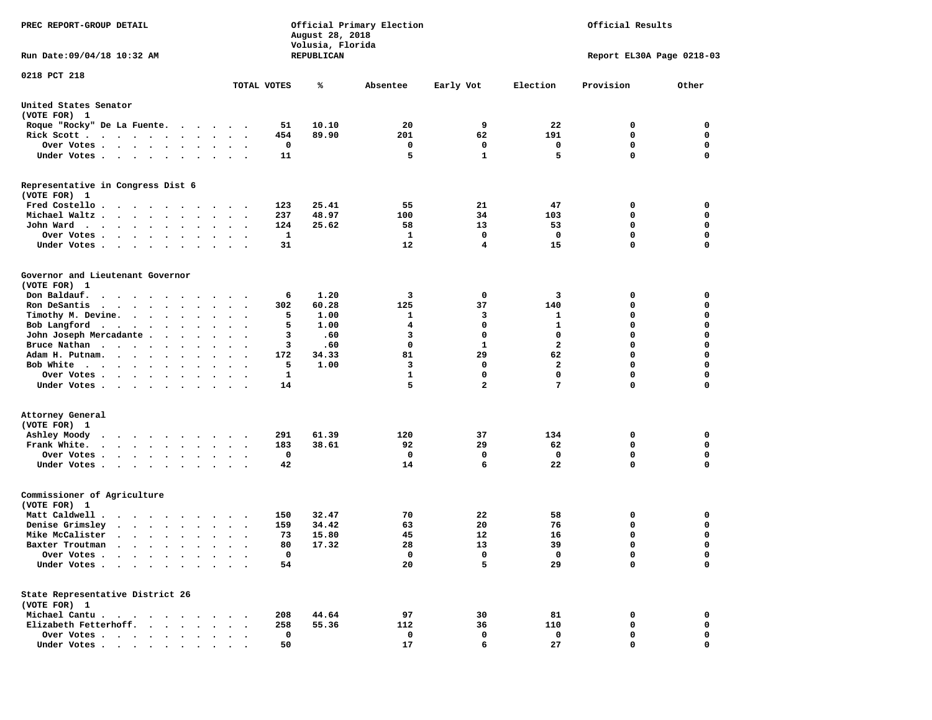| PREC REPORT-GROUP DETAIL                                                                                                                                                      |                             | August 28, 2018<br>Volusia, Florida | Official Primary Election |                         |                             | Official Results          |                            |
|-------------------------------------------------------------------------------------------------------------------------------------------------------------------------------|-----------------------------|-------------------------------------|---------------------------|-------------------------|-----------------------------|---------------------------|----------------------------|
| Run Date: 09/04/18 10:32 AM                                                                                                                                                   |                             | REPUBLICAN                          |                           |                         |                             | Report EL30A Page 0218-03 |                            |
| 0218 PCT 218                                                                                                                                                                  | TOTAL VOTES                 | ℁                                   | Absentee                  | Early Vot               | Election                    | Provision                 | Other                      |
|                                                                                                                                                                               |                             |                                     |                           |                         |                             |                           |                            |
| United States Senator<br>(VOTE FOR) 1                                                                                                                                         |                             |                                     |                           |                         |                             |                           |                            |
| Roque "Rocky" De La Fuente.<br>$\sim$                                                                                                                                         |                             | 10.10<br>51                         | 20                        | 9                       | 22                          | 0                         | 0                          |
| Rick Scott.<br>$\mathcal{A}$ . The second contribution of the second contribution $\mathcal{A}$                                                                               | 454<br>$\ddotsc$            | 89.90                               | 201                       | 62                      | 191                         | 0                         | 0                          |
| Over Votes                                                                                                                                                                    |                             | 0                                   | 0                         | 0                       | 0                           | 0                         | 0                          |
| Under Votes<br>$\bullet$                                                                                                                                                      | $\ddot{\phantom{1}}$        | 11                                  | 5                         | $\mathbf{1}$            | 5                           | 0                         | 0                          |
| Representative in Congress Dist 6<br>(VOTE FOR) 1                                                                                                                             |                             |                                     |                           |                         |                             |                           |                            |
| Fred Costello                                                                                                                                                                 | 123                         | 25.41                               | 55                        | 21                      | 47                          | 0                         | 0                          |
| Michael Waltz.<br>$\sim$<br>$\bullet$<br>$\ddot{\phantom{0}}$                                                                                                                 | 237                         | 48.97                               | 100                       | 34                      | 103                         | 0                         | 0                          |
| John Ward<br>$\bullet$<br>$\bullet$                                                                                                                                           | 124                         | 25.62                               | 58                        | 13                      | 53                          | 0                         | 0                          |
| Over Votes .<br>$\ddot{\phantom{a}}$<br>$\ddot{\phantom{a}}$<br>$\sim$<br>$\bullet$                                                                                           |                             | 1                                   | 1                         | 0                       | 0                           | 0                         | $\mathbf 0$                |
| Under Votes<br>$\bullet$                                                                                                                                                      |                             | 31                                  | 12                        | 4                       | 15                          | 0                         | $\mathbf 0$                |
| Governor and Lieutenant Governor<br>(VOTE FOR) 1                                                                                                                              |                             |                                     |                           |                         |                             |                           |                            |
| Don Baldauf.                                                                                                                                                                  |                             | 1.20<br>6                           | 3                         | 0                       | 3                           | 0                         | 0                          |
| Ron DeSantis<br>$\cdot$ $\cdot$ $\cdot$ $\cdot$ $\cdot$                                                                                                                       | 302                         | 60.28                               | 125                       | 37                      | 140                         | 0                         | 0                          |
| Timothy M. Devine.<br>$\sim$ $\sim$ $\sim$ $\sim$ $\sim$ $\sim$<br>$\bullet$                                                                                                  |                             | 5<br>1.00                           | 1                         | 3                       | 1                           | 0                         | $\mathbf 0$                |
| Bob Langford.<br>$\sim$ $\sim$ $\sim$ $\sim$ $\sim$<br>$\bullet$<br>$\bullet$<br>$\cdot$                                                                                      |                             | 5<br>1.00                           | 4                         | 0                       | $\mathbf 1$                 | 0                         | $\mathbf 0$                |
| John Joseph Mercadante .<br>$\ddot{\phantom{0}}$<br>$\bullet$                                                                                                                 |                             | з<br>.60                            | 3                         | 0                       | $\mathbf 0$                 | 0                         | 0                          |
| Bruce Nathan<br>$\bullet$<br>$\bullet$<br>$\bullet$                                                                                                                           |                             | 3<br>.60                            | 0                         | $\mathbf{1}$            | $\overline{a}$              | 0                         | $\mathbf 0$                |
| Adam H. Putnam.<br>$\bullet$<br>$\bullet$<br>$\ddot{\phantom{0}}$                                                                                                             | 172                         | 34.33                               | 81                        | 29                      | 62                          | 0<br>0                    | $\mathbf 0$<br>$\mathbf 0$ |
| Bob White<br>$\ddot{\phantom{0}}$<br>$\cdots$<br>Over Votes .                                                                                                                 |                             | 5<br>1.00<br>1                      | 3<br>$\mathbf{1}$         | 0<br>0                  | $\mathbf{2}$<br>$\mathbf 0$ | 0                         | $\mathbf 0$                |
| $\cdot \cdot \cdot \cdot$<br>$\bullet$<br>$\bullet$<br>Under Votes                                                                                                            | $\cdot$                     | 14                                  | 5                         | $\overline{\mathbf{2}}$ | 7                           | 0                         | 0                          |
|                                                                                                                                                                               |                             |                                     |                           |                         |                             |                           |                            |
| Attorney General<br>(VOTE FOR) 1                                                                                                                                              |                             |                                     |                           |                         |                             |                           |                            |
| Ashley Moody<br>$\cdots$<br>$\cdot$ $\cdot$                                                                                                                                   | 291                         | 61.39                               | 120                       | 37                      | 134                         | 0                         | 0                          |
| Frank White.<br>$\begin{array}{cccccccccccccc} \bullet & \bullet & \bullet & \bullet & \bullet & \bullet & \bullet & \bullet & \bullet \end{array}$<br>$\bullet$<br>$\bullet$ | 183<br>$\ddot{\phantom{0}}$ | 38.61                               | 92                        | 29                      | 62                          | 0                         | $\mathbf 0$                |
| Over Votes.<br>$\sim$ $\sim$ $\sim$ $\sim$<br>$\bullet$<br>$\bullet$<br>$\bullet$                                                                                             |                             | 0                                   | 0                         | 0                       | 0                           | 0                         | 0                          |
| Under Votes<br>$\bullet$<br>$\bullet$                                                                                                                                         |                             | 42                                  | 14                        | 6                       | 22                          | 0                         | 0                          |
| Commissioner of Agriculture<br>(VOTE FOR) 1                                                                                                                                   |                             |                                     |                           |                         |                             |                           |                            |
| Matt Caldwell .<br>$\cdot$ $\cdot$ $\cdot$ $\cdot$ $\cdot$ $\cdot$                                                                                                            | 150                         | 32.47                               | 70                        | 22                      | 58                          | 0                         | 0                          |
| Denise Grimsley<br>$\cdot$ $\cdot$ $\cdot$ $\cdot$<br>$\bullet$<br>$\bullet$                                                                                                  | 159                         | 34.42                               | 63                        | 20                      | 76                          | 0                         | 0                          |
| Mike McCalister<br>$\cdots$<br>$\ddot{\phantom{a}}$                                                                                                                           |                             | 73<br>15.80                         | 45                        | 12                      | 16                          | 0                         | 0                          |
| Baxter Troutman<br>.                                                                                                                                                          |                             | 80<br>17.32                         | 28                        | 13                      | 39                          | 0                         | 0                          |
| Over Votes .<br>$\ddot{\phantom{1}}$<br>Under Votes.<br>$\ddot{\phantom{a}}$<br>$\ddot{\phantom{a}}$                                                                          |                             | 0<br>54                             | 0<br>20                   | 0<br>5                  | 0<br>29                     | 0<br>0                    | 0<br>$\mathbf 0$           |
|                                                                                                                                                                               |                             |                                     |                           |                         |                             |                           |                            |
| State Representative District 26<br>(VOTE FOR) 1                                                                                                                              |                             |                                     |                           |                         |                             |                           |                            |
| Michael Cantu.<br>$\sim$ $\sim$ $\sim$<br>$\sim$                                                                                                                              | 208                         | 44.64                               | 97                        | 30                      | 81                          | 0                         | 0                          |
| Elizabeth Fetterhoff.                                                                                                                                                         | 258                         | 55.36                               | 112                       | 36                      | 110                         | 0                         | 0                          |
| Over Votes .<br>$\sim$ $\sim$<br>$\ddot{\phantom{0}}$<br>$\bullet$<br>$\bullet$<br>Under Votes                                                                                |                             | 0<br>50                             | 0<br>17                   | 0<br>6                  | 0<br>27                     | 0<br>0                    | 0<br>0                     |
|                                                                                                                                                                               |                             |                                     |                           |                         |                             |                           |                            |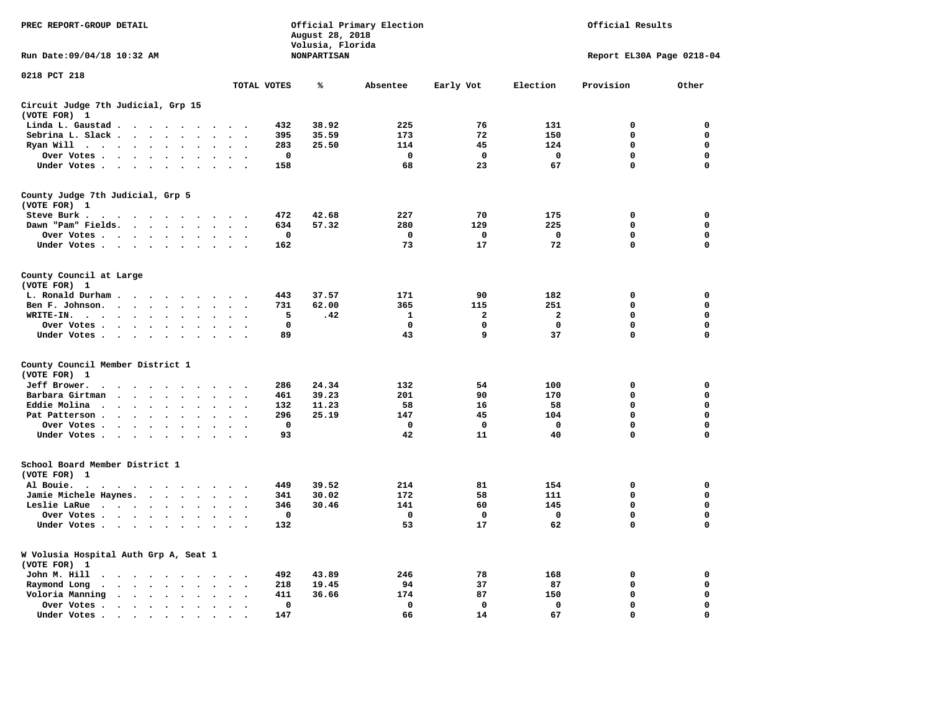| PREC REPORT-GROUP DETAIL                                                                                                                                                    |                                                  | August 28, 2018<br>Volusia, Florida | Official Primary Election |              |              | Official Results |                           |
|-----------------------------------------------------------------------------------------------------------------------------------------------------------------------------|--------------------------------------------------|-------------------------------------|---------------------------|--------------|--------------|------------------|---------------------------|
| Run Date: 09/04/18 10:32 AM                                                                                                                                                 |                                                  | <b>NONPARTISAN</b>                  |                           |              |              |                  | Report EL30A Page 0218-04 |
| 0218 PCT 218                                                                                                                                                                | TOTAL VOTES                                      | ℁                                   | Absentee                  | Early Vot    | Election     | Provision        | Other                     |
|                                                                                                                                                                             |                                                  |                                     |                           |              |              |                  |                           |
| Circuit Judge 7th Judicial, Grp 15<br>(VOTE FOR) 1                                                                                                                          |                                                  |                                     |                           |              |              |                  |                           |
| Linda L. Gaustad<br>$\cdot$ $\cdot$<br>$\cdot$                                                                                                                              |                                                  | 38.92<br>432                        | 225                       | 76           | 131          | 0                | 0                         |
| Sebrina L. Slack<br>$\ddot{\phantom{a}}$<br>$\ddot{\phantom{a}}$                                                                                                            |                                                  | 395<br>35.59                        | 173                       | 72           | 150          | $\mathbf 0$      | $\mathbf 0$               |
| Ryan Will $\cdots$<br>$\ddot{\phantom{a}}$<br>$\cdot$<br>$\ddot{\phantom{a}}$                                                                                               |                                                  | 25.50<br>283                        | 114                       | 45           | 124          | $\mathbf 0$      | 0                         |
| Over Votes<br>$\bullet$<br>$\bullet$<br>$\cdot$<br>$\bullet$                                                                                                                |                                                  | $\mathbf 0$                         | $\mathbf 0$               | $\mathbf 0$  | $\mathbf 0$  | $\mathbf 0$      | 0                         |
| Under Votes<br>$\blacksquare$<br>$\ddot{\phantom{0}}$<br>$\bullet$<br>$\bullet$                                                                                             |                                                  | 158                                 | 68                        | 23           | 67           | $\mathbf 0$      | $\mathbf 0$               |
| County Judge 7th Judicial, Grp 5<br>(VOTE FOR) 1                                                                                                                            |                                                  |                                     |                           |              |              |                  |                           |
| Steve Burk .                                                                                                                                                                |                                                  | 472<br>42.68                        | 227                       | 70           | 175          | 0                | 0                         |
| Dawn "Pam" Fields.<br>$\ddot{\phantom{a}}$<br>$\sim$<br>$\sim$<br>$\sim$                                                                                                    | $\sim$                                           | 634<br>57.32                        | 280                       | 129          | 225          | $\mathbf 0$      | $\mathbf 0$               |
| Over Votes<br>$\ddot{\phantom{0}}$<br>$\bullet$                                                                                                                             |                                                  | 0                                   | $\mathbf 0$               | $\mathbf 0$  | $\mathbf 0$  | $\mathbf 0$      | $\mathbf 0$               |
| Under Votes<br>$\ddot{\phantom{0}}$<br>$\ddot{\phantom{a}}$                                                                                                                 | $\ddot{\phantom{a}}$                             | 162                                 | 73                        | 17           | 72           | $\mathbf 0$      | $\mathbf 0$               |
| County Council at Large<br>(VOTE FOR) 1                                                                                                                                     |                                                  |                                     |                           |              |              |                  |                           |
| L. Ronald Durham                                                                                                                                                            | $\bullet$<br>$\bullet$                           | 443<br>37.57                        | 171                       | 90           | 182          | 0                | 0                         |
| Ben F. Johnson.<br>$\sim$ $\sim$ $\sim$ $\sim$<br>$\sim$<br>$\sim$<br>$\sim$<br>$\ddot{\phantom{a}}$                                                                        | $\sim$                                           | 731<br>62.00                        | 365                       | 115          | 251          | 0                | $\mathbf 0$               |
| WRITE-IN.<br>$\sim$<br>$\ddot{\phantom{0}}$<br>$\bullet$                                                                                                                    |                                                  | 5<br>.42                            | 1                         | $\mathbf{2}$ | $\mathbf{2}$ | $\mathbf 0$      | $\mathbf 0$               |
| Over Votes.<br><b>Contract Contract Contract</b><br>$\cdot$<br>$\sim$<br>$\cdot$<br>$\ddot{\phantom{a}}$                                                                    |                                                  | 0                                   | 0                         | $\mathbf 0$  | $\mathbf 0$  | $\mathbf 0$      | $\mathbf 0$               |
| Under Votes<br>$\cdot$<br>$\cdot$<br>$\cdot$<br>$\cdot$                                                                                                                     | $\ddot{\phantom{0}}$                             | 89                                  | 43                        | 9            | 37           | $\mathbf 0$      | $\mathbf 0$               |
| County Council Member District 1<br>(VOTE FOR) 1                                                                                                                            |                                                  |                                     |                           |              |              |                  |                           |
| Jeff Brower.<br>$\bullet$<br>$\bullet$ . $\bullet$<br>$\ddot{\phantom{0}}$<br>$\ddot{\phantom{a}}$<br>$\ddot{\phantom{a}}$<br>$\cdot$                                       |                                                  | 24.34<br>286                        | 132                       | 54           | 100          | 0                | 0                         |
| Barbara Girtman<br>$\ddot{\phantom{a}}$<br>$\ddot{\phantom{a}}$                                                                                                             |                                                  | 39.23<br>461                        | 201                       | 90           | 170          | 0                | $\mathbf 0$               |
| Eddie Molina<br>$\ddot{\phantom{0}}$<br>$\ddot{\phantom{1}}$                                                                                                                |                                                  | 11.23<br>132                        | 58                        | 16           | 58           | $\mathbf 0$      | $\mathbf 0$               |
| Pat Patterson.<br>$\ddot{\phantom{1}}$<br>$\bullet$<br>$\bullet$<br>$\bullet$<br>$\bullet$                                                                                  |                                                  | 296<br>25.19                        | 147                       | 45           | 104          | $\mathbf 0$      | $\mathbf 0$               |
| Over Votes<br>$\bullet$<br>$\bullet$<br>$\ddot{\phantom{0}}$<br>$\ddot{\phantom{a}}$<br>$\bullet$                                                                           |                                                  | $\mathbf 0$                         | $\mathbf 0$               | $\mathbf 0$  | $\mathbf 0$  | $\mathbf 0$      | $\mathbf 0$               |
| Under Votes<br>$\ddot{\phantom{0}}$<br>$\bullet$                                                                                                                            |                                                  | 93                                  | 42                        | 11           | 40           | 0                | $\mathbf 0$               |
| School Board Member District 1<br>(VOTE FOR) 1                                                                                                                              |                                                  |                                     |                           |              |              |                  |                           |
| Al Bouie.<br>$\ddot{\phantom{0}}$<br>$\bullet$ , $\bullet$ , $\bullet$ , $\bullet$<br>$\ddot{\phantom{1}}$<br>$\sim$<br>$\sim$<br>$\bullet$<br>$\bullet$                    |                                                  | 39.52<br>449                        | 214                       | 81           | 154          | 0                | 0                         |
| Jamie Michele Haynes.<br>$\cdot$ $\cdot$ $\cdot$ $\cdot$ $\cdot$<br>$\bullet$                                                                                               | $\ddot{\phantom{a}}$                             | 30.02<br>341                        | 172                       | 58           | 111          | 0                | 0                         |
| Leslie LaRue<br>$\bullet$<br>$\bullet$<br>$\bullet$                                                                                                                         |                                                  | 346<br>30.46                        | 141                       | 60           | 145          | $\mathbf 0$      | $\mathbf 0$               |
| Over Votes<br>$\bullet$<br>$\cdot$                                                                                                                                          |                                                  | $\mathbf 0$                         | $\mathbf 0$               | $\mathbf 0$  | $\mathbf 0$  | $\mathbf 0$      | $\mathbf 0$               |
| Under Votes<br>$\ddot{\phantom{0}}$<br>$\bullet$<br>$\ddot{\phantom{a}}$                                                                                                    | $\bullet$                                        | 132                                 | 53                        | 17           | 62           | 0                | 0                         |
| W Volusia Hospital Auth Grp A, Seat 1<br>(VOTE FOR) 1                                                                                                                       |                                                  |                                     |                           |              |              |                  |                           |
| John M. Hill<br>$\ddot{\phantom{1}}$<br>$\ddot{\phantom{a}}$<br>$\ddot{\phantom{1}}$<br>$\ddot{\phantom{1}}$<br>$\bullet$<br>$\blacksquare$ .<br>$\bullet$                  |                                                  | 43.89<br>492                        | 246                       | 78           | 168          | 0                | 0                         |
| Raymond Long<br>$\ddot{\phantom{a}}$<br>$\bullet$<br>$\ddot{\phantom{a}}$<br>$\ddot{\phantom{a}}$<br>$\bullet$<br>$\bullet$<br>$\ddot{\phantom{a}}$<br>$\ddot{\phantom{a}}$ | $\ddot{\phantom{a}}$<br>$\overline{\phantom{a}}$ | 218<br>19.45                        | 94                        | 37           | 87           | 0                | 0                         |
| Voloria Manning<br>$\sim$<br>$\ddot{\phantom{0}}$<br>$\bullet$<br>$\cdot$<br>$\cdot$<br>$\ddot{\phantom{a}}$                                                                | $\cdot$                                          | 411<br>36.66                        | 174                       | 87           | 150          | $\mathbf 0$      | $\mathbf 0$               |
| Over Votes .<br>$\bullet$ . $\bullet$<br>$\cdot$<br>$\bullet$<br>$\bullet$<br>$\bullet$                                                                                     | $\bullet$                                        | 0                                   | $\mathbf 0$               | $\mathbf 0$  | $\mathbf 0$  | $\mathbf 0$      | $\mathbf 0$               |
| Under Votes.<br>$\sim$ $\sim$<br>$\ddot{\phantom{a}}$<br>$\cdot$<br>$\cdot$<br>$\ddot{\phantom{a}}$                                                                         |                                                  | 147                                 | 66                        | 14           | 67           | $\mathbf 0$      | $\mathbf 0$               |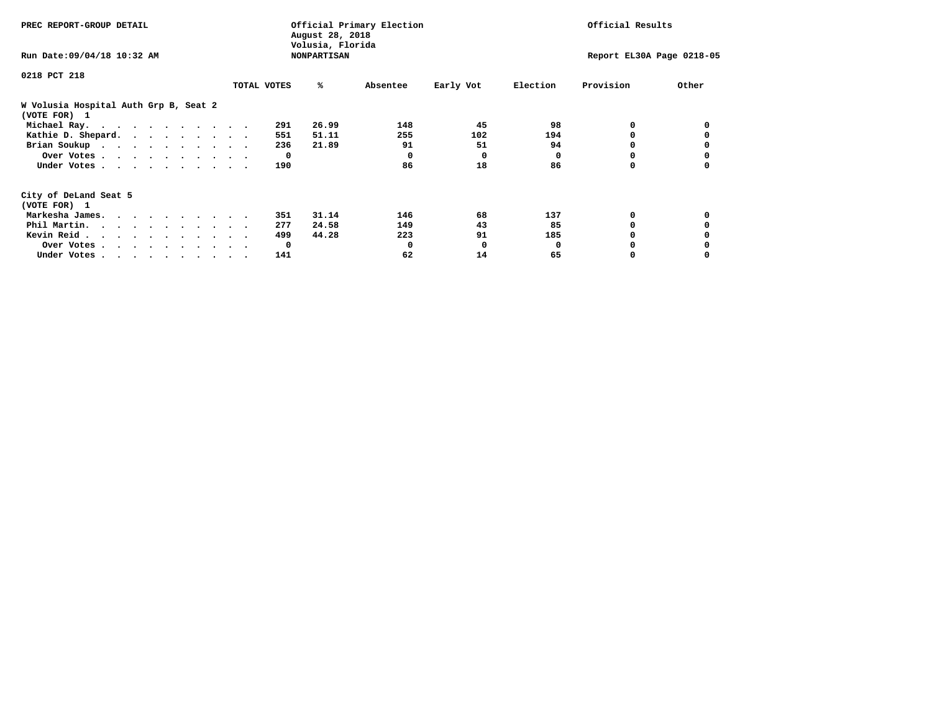| PREC REPORT-GROUP DETAIL                              |             | August 28, 2018<br>Volusia, Florida | Official Primary Election |           |              | Official Results          |       |
|-------------------------------------------------------|-------------|-------------------------------------|---------------------------|-----------|--------------|---------------------------|-------|
| Run Date: 09/04/18 10:32 AM                           |             | <b>NONPARTISAN</b>                  |                           |           |              | Report EL30A Page 0218-05 |       |
| 0218 PCT 218                                          |             |                                     |                           |           |              |                           |       |
|                                                       | TOTAL VOTES | %ะ                                  | Absentee                  | Early Vot | Election     | Provision                 | Other |
| W Volusia Hospital Auth Grp B, Seat 2<br>(VOTE FOR) 1 |             |                                     |                           |           |              |                           |       |
| Michael Ray.                                          |             | 26.99<br>291                        | 148                       | 45        | 98           | 0                         |       |
| Kathie D. Shepard.                                    |             | 51.11<br>551                        | 255                       | 102       | 194          |                           |       |
| Brian Soukup                                          |             | 21.89<br>236                        | 91                        | 51        | 94           |                           |       |
| Over Votes                                            |             | $\mathbf{o}$                        | 0                         | $\Omega$  | 0            |                           |       |
| Under Votes                                           |             | 190                                 | 86                        | 18        | 86           | 0                         |       |
| City of DeLand Seat 5                                 |             |                                     |                           |           |              |                           |       |
| (VOTE FOR) 1                                          |             |                                     |                           |           |              |                           |       |
| Markesha James.                                       |             | 31.14<br>351                        | 146                       | 68        | 137          | 0                         |       |
| Phil Martin.                                          |             | 24.58<br>277                        | 149                       | 43        | 85           |                           |       |
| Kevin Reid                                            |             | 44.28<br>499                        | 223                       | 91        | 185          |                           |       |
| Over Votes                                            |             | $\mathbf{o}$                        | 0                         | 0         | <sup>0</sup> |                           |       |
| Under Votes                                           |             | 141                                 | 62                        | 14        | 65           |                           |       |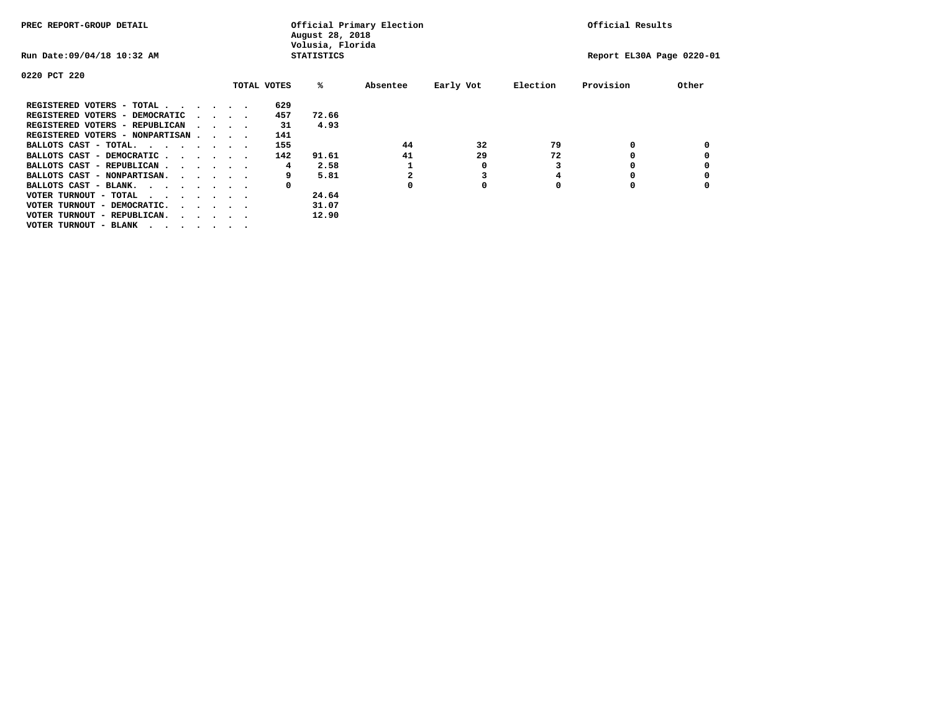| PREC REPORT-GROUP DETAIL                                               |  |                                         |             | August 28, 2018<br>Volusia, Florida | Official Primary Election |           |          | Official Results          |       |
|------------------------------------------------------------------------|--|-----------------------------------------|-------------|-------------------------------------|---------------------------|-----------|----------|---------------------------|-------|
| Run Date: 09/04/18 10:32 AM                                            |  |                                         |             | <b>STATISTICS</b>                   |                           |           |          | Report EL30A Page 0220-01 |       |
| 0220 PCT 220                                                           |  |                                         |             |                                     |                           |           |          |                           |       |
|                                                                        |  |                                         | TOTAL VOTES | %ะ                                  | Absentee                  | Early Vot | Election | Provision                 | Other |
| REGISTERED VOTERS - TOTAL                                              |  |                                         | 629         |                                     |                           |           |          |                           |       |
| REGISTERED VOTERS - DEMOCRATIC                                         |  | $\cdot$ $\cdot$ $\cdot$ $\cdot$ $\cdot$ | 457         | 72.66                               |                           |           |          |                           |       |
| REGISTERED VOTERS - REPUBLICAN                                         |  | $\sim$ $\sim$ $\sim$ $\sim$             | 31          | 4.93                                |                           |           |          |                           |       |
| REGISTERED VOTERS - NONPARTISAN                                        |  |                                         | 141         |                                     |                           |           |          |                           |       |
| BALLOTS CAST - TOTAL.                                                  |  |                                         | 155         |                                     | 44                        | 32        | 79       | 0                         |       |
| BALLOTS CAST - DEMOCRATIC                                              |  |                                         | 142         | 91.61                               | 41                        | 29        | 72       |                           |       |
| BALLOTS CAST - REPUBLICAN                                              |  |                                         | 4           | 2.58                                |                           | 0         |          |                           |       |
| BALLOTS CAST - NONPARTISAN.                                            |  |                                         | 9           | 5.81                                |                           |           | 4        |                           |       |
| BALLOTS CAST - BLANK.                                                  |  |                                         | 0           |                                     |                           | 0         |          |                           |       |
| VOTER TURNOUT - TOTAL<br>.                                             |  |                                         |             | 24.64                               |                           |           |          |                           |       |
| VOTER TURNOUT - DEMOCRATIC.<br>$\cdot$ $\cdot$ $\cdot$ $\cdot$ $\cdot$ |  |                                         |             | 31.07                               |                           |           |          |                           |       |
| VOTER TURNOUT - REPUBLICAN.<br>.                                       |  |                                         |             | 12.90                               |                           |           |          |                           |       |
| VOTER TURNOUT - BLANK                                                  |  |                                         |             |                                     |                           |           |          |                           |       |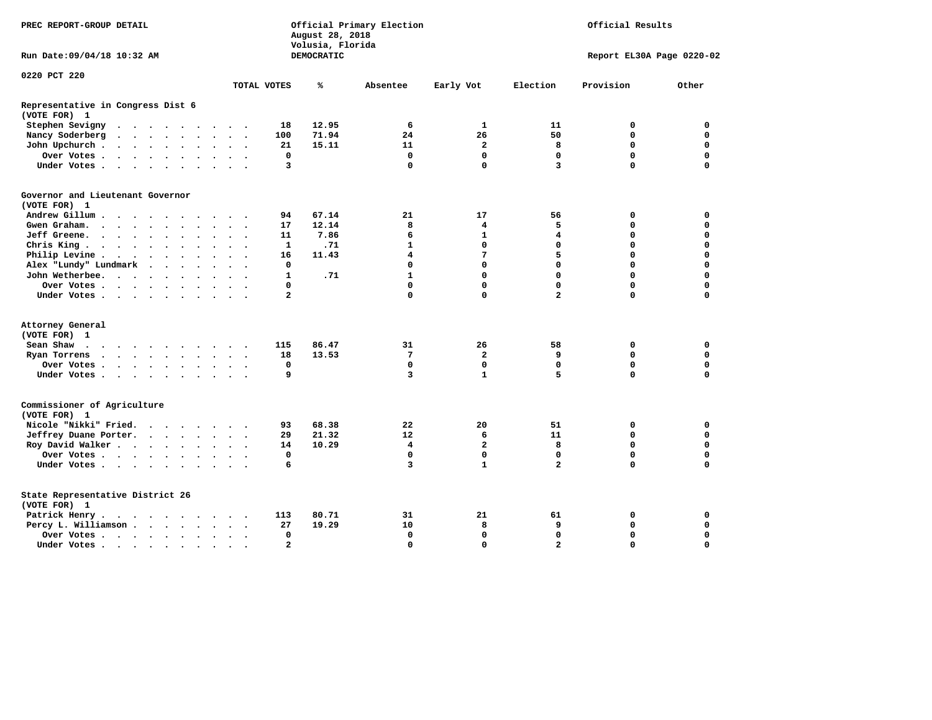| PREC REPORT-GROUP DETAIL                          |                              | August 28, 2018<br>Volusia, Florida | Official Primary Election |                         | Official Results |                           |             |  |  |
|---------------------------------------------------|------------------------------|-------------------------------------|---------------------------|-------------------------|------------------|---------------------------|-------------|--|--|
| Run Date: 09/04/18 10:32 AM                       |                              | DEMOCRATIC                          |                           |                         |                  | Report EL30A Page 0220-02 |             |  |  |
| 0220 PCT 220                                      | TOTAL VOTES                  | ℁                                   | Absentee                  | Early Vot               | Election         | Provision                 | Other       |  |  |
|                                                   |                              |                                     |                           |                         |                  |                           |             |  |  |
| Representative in Congress Dist 6<br>(VOTE FOR) 1 |                              |                                     |                           |                         |                  |                           |             |  |  |
| Stephen Sevigny                                   | 18                           | 12.95                               | 6                         | $\mathbf{1}$            | 11               | 0                         | 0           |  |  |
| Nancy Soderberg                                   | 100                          | 71.94                               | 24                        | 26                      | 50               | $\mathbf 0$               | $\mathbf 0$ |  |  |
| John Upchurch                                     | 21                           | 15.11                               | 11                        | $\mathbf{2}$            | 8                | 0                         | 0           |  |  |
| Over Votes                                        | 0                            |                                     | $\mathbf 0$               | 0                       | $\mathbf 0$      | $\mathbf 0$               | $\mathbf 0$ |  |  |
| Under Votes.                                      | 3                            |                                     | $\mathbf 0$               | $\mathbf 0$             | 3                | $\Omega$                  | $\mathbf 0$ |  |  |
| Governor and Lieutenant Governor<br>(VOTE FOR) 1  |                              |                                     |                           |                         |                  |                           |             |  |  |
| Andrew Gillum<br>$\sim$ $\sim$ $\sim$             | 94                           | 67.14                               | 21                        | 17                      | 56               | 0                         | 0           |  |  |
| Gwen Graham.                                      | 17                           | 12.14                               | 8                         | $\overline{\mathbf{4}}$ | 5                | $\mathbf 0$               | $\mathbf 0$ |  |  |
| Jeff Greene.                                      | 11<br>$\bullet$              | 7.86                                | 6                         | 1                       | 4                | 0                         | 0           |  |  |
| Chris King                                        | 1<br>$\sim$ $\sim$           | .71                                 | $\mathbf{1}$              | $\mathbf 0$             | $\mathbf 0$      | $\mathbf 0$               | $\mathbf 0$ |  |  |
| Philip Levine                                     | 16                           | 11.43                               | 4                         | 7                       | 5                | $\mathbf 0$               | $\mathbf 0$ |  |  |
| Alex "Lundy" Lundmark                             | 0                            |                                     | $\mathbf 0$               | $\mathbf 0$             | $\mathbf 0$      | $\mathbf 0$               | 0           |  |  |
| John Wetherbee.                                   | 1<br>$\sim$                  | .71                                 | $\mathbf{1}$              | $\mathbf 0$             | $\mathbf 0$      | $\mathbf 0$               | $\mathbf 0$ |  |  |
| Over Votes                                        | $\mathbf 0$<br>$\sim$ $\sim$ |                                     | $\mathbf 0$               | $\mathbf 0$             | $\mathbf 0$      | $\mathbf 0$               | $\mathbf 0$ |  |  |
| Under Votes                                       | $\overline{a}$               |                                     | $\mathbf 0$               | 0                       | $\overline{a}$   | $\Omega$                  | $\mathbf 0$ |  |  |
| Attorney General                                  |                              |                                     |                           |                         |                  |                           |             |  |  |
| (VOTE FOR) 1                                      |                              |                                     |                           |                         |                  |                           |             |  |  |
| Sean Shaw                                         | 115                          | 86.47                               | 31                        | 26                      | 58               | 0                         | 0           |  |  |
| Ryan Torrens                                      | 18                           | 13.53                               | 7                         | $\mathbf{2}$            | 9                | $\mathbf 0$               | $\mathbf 0$ |  |  |
| Over Votes                                        | 0<br>$\bullet$               |                                     | 0                         | $\mathbf 0$             | 0                | $\mathbf 0$               | 0           |  |  |
| Under Votes                                       | 9                            |                                     | 3                         | $\mathbf{1}$            | 5                | $\mathbf 0$               | $\mathbf 0$ |  |  |
| Commissioner of Agriculture<br>(VOTE FOR) 1       |                              |                                     |                           |                         |                  |                           |             |  |  |
| Nicole "Nikki" Fried.                             | 93                           | 68.38                               | 22                        | 20                      | 51               | 0                         | $\mathbf 0$ |  |  |
| Jeffrey Duane Porter.                             | 29                           | 21.32                               | 12                        | 6                       | 11               | $\mathbf 0$               | 0           |  |  |
| Roy David Walker                                  | 14                           | 10.29                               | 4                         | $\mathbf{2}$            | 8                | $\mathbf 0$               | $\mathbf 0$ |  |  |
| Over Votes                                        | 0<br>$\ddot{\phantom{1}}$    |                                     | 0                         | 0                       | $\mathbf{0}$     | $\mathbf 0$               | 0           |  |  |
| Under Votes                                       | 6                            |                                     | 3                         | $\mathbf{1}$            | $\overline{a}$   | $\mathbf 0$               | $\mathbf 0$ |  |  |
| State Representative District 26<br>(VOTE FOR) 1  |                              |                                     |                           |                         |                  |                           |             |  |  |
| Patrick Henry                                     | 113                          | 80.71                               | 31                        | 21                      | 61               | 0                         | 0           |  |  |
| Percy L. Williamson                               | 27                           | 19.29                               | 10                        | 8                       | 9                | $\mathbf 0$               | $\mathbf 0$ |  |  |
| Over Votes                                        | $\mathbf 0$<br>$\sim$        |                                     | $\mathbf 0$               | $\mathbf 0$             | $\mathbf 0$      | $\mathbf 0$               | $\mathbf 0$ |  |  |
| Under Votes                                       | $\overline{2}$               |                                     | $\Omega$                  | $\Omega$                | $\overline{2}$   | $\Omega$                  | $\Omega$    |  |  |
|                                                   |                              |                                     |                           |                         |                  |                           |             |  |  |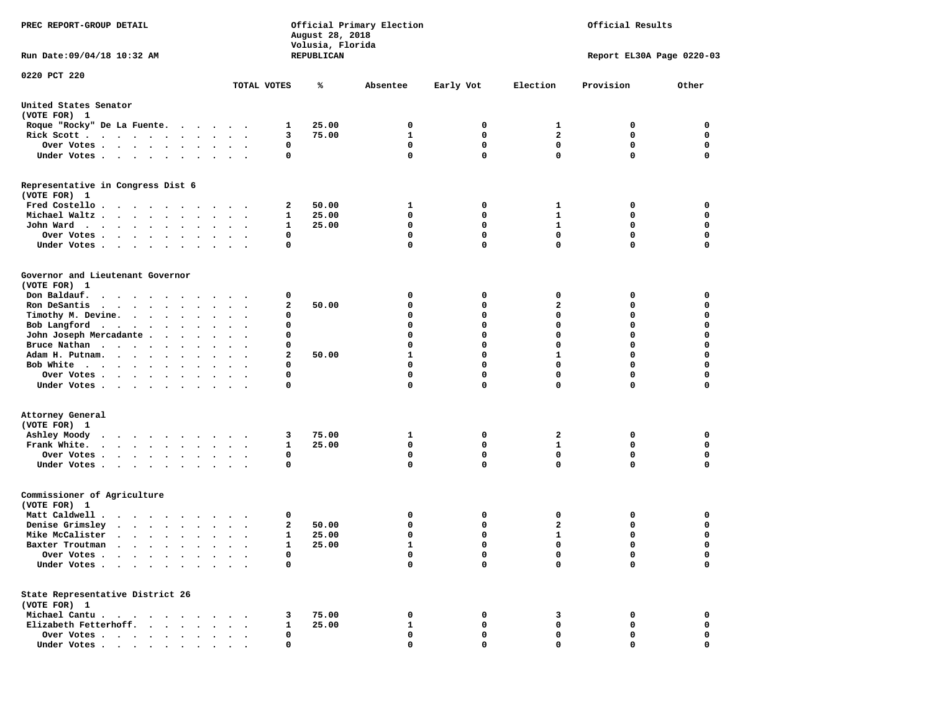| PREC REPORT-GROUP DETAIL                                                                                                                                                                                                                                                               |                                              |                | August 28, 2018<br>Volusia, Florida | Official Primary Election |              |              | Official Results          |                  |
|----------------------------------------------------------------------------------------------------------------------------------------------------------------------------------------------------------------------------------------------------------------------------------------|----------------------------------------------|----------------|-------------------------------------|---------------------------|--------------|--------------|---------------------------|------------------|
| Run Date: 09/04/18 10:32 AM                                                                                                                                                                                                                                                            |                                              |                | REPUBLICAN                          |                           |              |              | Report EL30A Page 0220-03 |                  |
| 0220 PCT 220                                                                                                                                                                                                                                                                           |                                              | TOTAL VOTES    | ℁                                   | Absentee                  | Early Vot    | Election     | Provision                 | Other            |
| United States Senator<br>(VOTE FOR) 1                                                                                                                                                                                                                                                  |                                              |                |                                     |                           |              |              |                           |                  |
| Roque "Rocky" De La Fuente.<br>$\sim$ $\sim$ $\sim$                                                                                                                                                                                                                                    | $\cdots$                                     | 1              | 25.00                               | 0                         | 0            | 1            | 0                         | 0                |
| Rick Scott                                                                                                                                                                                                                                                                             | $\bullet$ .<br>$\ddot{\phantom{0}}$          | з              | 75.00                               | $\mathbf{1}$              | 0            | $\mathbf{2}$ | 0                         | 0                |
| Over Votes                                                                                                                                                                                                                                                                             |                                              | 0              |                                     | 0                         | $\mathbf 0$  | $\mathbf 0$  | $\mathbf 0$               | $\mathbf 0$      |
| Under Votes.<br>.                                                                                                                                                                                                                                                                      |                                              | 0              |                                     | 0                         | $\mathbf{0}$ | $\mathbf 0$  | $\mathbf 0$               | $\mathbf 0$      |
| Representative in Congress Dist 6<br>(VOTE FOR) 1                                                                                                                                                                                                                                      |                                              |                |                                     |                           |              |              |                           |                  |
| Fred Costello                                                                                                                                                                                                                                                                          |                                              | 2              | 50.00                               | 1                         | 0            | 1            | 0                         | 0                |
| Michael Waltz.                                                                                                                                                                                                                                                                         | $\sim$                                       | 1              | 25.00                               | 0                         | 0            | 1            | 0                         | 0                |
| John Ward                                                                                                                                                                                                                                                                              |                                              | 1              | 25.00                               | 0                         | 0            | 1            | $\mathbf 0$               | $\mathbf 0$      |
| Over Votes .<br>$\bullet$                                                                                                                                                                                                                                                              | $\sim$<br>$\cdot$ .                          | 0              |                                     | 0                         | $\mathbf 0$  | $\mathbf 0$  | $\mathbf 0$               | $\mathbf 0$      |
| Under Votes                                                                                                                                                                                                                                                                            |                                              | 0              |                                     | 0                         | $\mathbf{0}$ | $\mathbf 0$  | 0                         | 0                |
| Governor and Lieutenant Governor<br>(VOTE FOR) 1                                                                                                                                                                                                                                       |                                              |                |                                     |                           |              |              |                           |                  |
| Don Baldauf.                                                                                                                                                                                                                                                                           |                                              | 0              |                                     | 0                         | 0            | 0            | 0                         | 0                |
| Ron DeSantis<br>$\cdots$                                                                                                                                                                                                                                                               |                                              | 2              | 50.00                               | 0                         | 0            | $\mathbf{2}$ | 0                         | 0                |
| $\bullet$                                                                                                                                                                                                                                                                              | $\cdot$                                      | 0              |                                     | 0                         | 0            | $\mathbf 0$  | 0                         | 0                |
| Timothy M. Devine.                                                                                                                                                                                                                                                                     |                                              |                |                                     | 0                         | 0            | $\mathbf 0$  | 0                         | $\mathbf 0$      |
| Bob Langford                                                                                                                                                                                                                                                                           |                                              | 0              |                                     |                           |              | $\mathbf 0$  |                           |                  |
| John Joseph Mercadante .<br>$\bullet$<br>$\sim$ $\sim$                                                                                                                                                                                                                                 |                                              | 0              |                                     | 0                         | 0            | $\mathbf 0$  | 0<br>0                    | 0<br>$\mathbf 0$ |
| Bruce Nathan<br>$\bullet$                                                                                                                                                                                                                                                              |                                              | 0              |                                     | 0                         | 0            |              |                           |                  |
| Adam H. Putnam.<br>$\cdot$ $\cdot$ $\cdot$ $\cdot$<br>$\ddot{\phantom{a}}$<br>$\ddot{\phantom{0}}$                                                                                                                                                                                     | $\cdot$                                      | 2              | 50.00                               | $\mathbf{1}$              | 0            | $\mathbf{1}$ | 0                         | $\mathbf 0$      |
| Bob White<br>$\ddot{\phantom{a}}$                                                                                                                                                                                                                                                      |                                              | 0              |                                     | 0                         | $\mathbf 0$  | $\mathbf 0$  | 0                         | 0                |
| Over Votes.<br>$\cdots$                                                                                                                                                                                                                                                                | $\bullet$<br>$\ddot{\phantom{1}}$            | 0              |                                     | 0                         | $\mathbf 0$  | $\mathbf 0$  | 0                         | $\mathbf 0$      |
| Under Votes                                                                                                                                                                                                                                                                            |                                              | 0              |                                     | 0                         | 0            | $\mathbf 0$  | 0                         | $\mathbf 0$      |
| Attorney General<br>(VOTE FOR) 1<br>Ashley Moody<br>$\mathcal{A}$ . The set of the set of the set of the set of the set of the set of the set of the set of the set of the set of the set of the set of the set of the set of the set of the set of the set of the set of the set of t |                                              | 3              | 75.00                               | 1                         | $\mathbf{o}$ | 2            | 0                         | 0                |
| Frank White.                                                                                                                                                                                                                                                                           |                                              | 1              | 25.00                               | $\mathbf 0$               | $\mathbf 0$  | $\mathbf{1}$ | $\mathbf 0$               | $\mathbf 0$      |
| Over Votes .<br>$\cdot$ $\cdot$ $\cdot$ $\cdot$ $\cdot$<br>$\ddot{\phantom{a}}$                                                                                                                                                                                                        | $\bullet$                                    | 0              |                                     | 0                         | 0            | 0            | 0                         | 0                |
| Under Votes<br>$\bullet$                                                                                                                                                                                                                                                               |                                              | 0              |                                     | 0                         | $\mathbf{0}$ | 0            | 0                         | 0                |
| Commissioner of Agriculture<br>(VOTE FOR) 1                                                                                                                                                                                                                                            |                                              |                |                                     |                           |              |              |                           |                  |
| Matt Caldwell.<br>$\cdots$                                                                                                                                                                                                                                                             |                                              | 0              |                                     | 0                         | 0            | 0            | 0                         | 0                |
| Denise Grimsley<br>$\begin{array}{cccccccccccccc} \bullet & \bullet & \bullet & \bullet & \bullet & \bullet & \bullet & \bullet & \bullet & \bullet & \bullet \end{array}$                                                                                                             | $\bullet$                                    | 2<br>$\bullet$ | 50.00                               | 0                         | 0            | $\mathbf{z}$ | 0                         | 0                |
| Mike McCalister<br>$\cdot$ $\cdot$ $\cdot$ $\cdot$ $\cdot$ $\cdot$                                                                                                                                                                                                                     | $\ddot{\phantom{0}}$<br>$\ddot{\phantom{a}}$ | 1              | 25.00                               | 0                         | 0            | 1            | 0                         | $\mathbf 0$      |
| Baxter Troutman<br>$\bullet$<br>$\mathcal{A}=\mathcal{A}=\mathcal{A}=\mathcal{A}=\mathcal{A}=\mathcal{A}$ .<br>$\bullet$                                                                                                                                                               | $\bullet$                                    | $\mathbf{1}$   | 25.00                               | $\mathbf{1}$              | $\Omega$     | $\mathbf 0$  | $\Omega$                  | $\Omega$         |
| Over Votes .                                                                                                                                                                                                                                                                           |                                              | 0              |                                     | 0                         | 0            | 0            | 0                         | 0                |
| Under Votes.                                                                                                                                                                                                                                                                           |                                              | 0              |                                     | 0                         | 0            | $\mathbf 0$  | 0                         | 0                |
| State Representative District 26<br>(VOTE FOR) 1                                                                                                                                                                                                                                       |                                              |                |                                     |                           |              |              |                           |                  |
| Michael Cantu.<br>$\ddot{\phantom{1}}$<br>$\cdot$<br>$\sim$ $\sim$                                                                                                                                                                                                                     |                                              | 3              | 75.00                               | 0                         | 0            | 3            | 0                         | 0                |
| Elizabeth Fetterhoff.                                                                                                                                                                                                                                                                  |                                              | $\mathbf{1}$   | 25.00                               | 1                         | 0            | 0            | 0                         | 0                |
| Over Votes .<br>$\cdots$                                                                                                                                                                                                                                                               |                                              | 0              |                                     | 0                         | 0            | 0            | 0                         | 0                |
| Under Votes                                                                                                                                                                                                                                                                            |                                              | 0              |                                     | 0                         | 0            | 0            | 0                         | 0                |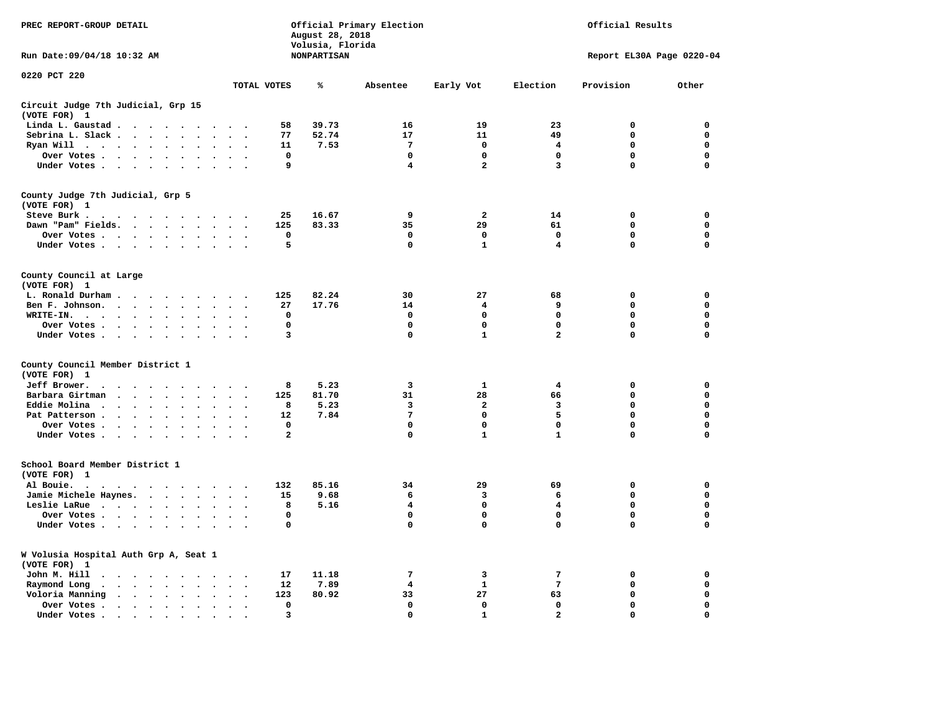| PREC REPORT-GROUP DETAIL                         |                                       |                                                           | August 28, 2018<br>Volusia, Florida | Official Primary Election |                         |                         | Official Results |             |
|--------------------------------------------------|---------------------------------------|-----------------------------------------------------------|-------------------------------------|---------------------------|-------------------------|-------------------------|------------------|-------------|
| Run Date:09/04/18 10:32 AM                       |                                       |                                                           | NONPARTISAN                         | Report EL30A Page 0220-04 |                         |                         |                  |             |
| 0220 PCT 220                                     |                                       | TOTAL VOTES                                               | ℁                                   | Absentee                  | Early Vot               | Election                | Provision        | Other       |
| Circuit Judge 7th Judicial, Grp 15               |                                       |                                                           |                                     |                           |                         |                         |                  |             |
| (VOTE FOR) 1                                     |                                       |                                                           |                                     |                           |                         |                         |                  |             |
| Linda L. Gaustad                                 |                                       | 58                                                        | 39.73                               | 16                        | 19                      | 23                      | 0                | 0           |
| Sebrina L. Slack                                 | $\bullet$ .<br>$\ddot{\phantom{a}}$   | 77<br>$\ddot{\phantom{a}}$                                | 52.74                               | 17                        | 11                      | 49                      | $\mathbf 0$      | $\mathbf 0$ |
| Ryan Will $\cdots$ $\cdots$ $\cdots$             | $\ddot{\phantom{a}}$                  | 11                                                        | 7.53                                | $7\phantom{.0}$           | $\mathbf 0$             | 4                       | $\mathbf 0$      | $\mathbf 0$ |
|                                                  | Over Votes                            | $\mathbf 0$                                               |                                     | $\mathbf 0$               | $\mathbf 0$             | $\mathbf 0$             | $\mathbf 0$      | $\mathbf 0$ |
|                                                  | Under Votes                           | 9                                                         |                                     | 4                         | $\overline{a}$          | 3                       | $\Omega$         | $\mathbf 0$ |
| County Judge 7th Judicial, Grp 5<br>(VOTE FOR) 1 |                                       |                                                           |                                     |                           |                         |                         |                  |             |
| Steve Burk .                                     |                                       | 25                                                        | 16.67                               | 9                         | $\mathbf{2}$            | 14                      | $\mathbf 0$      | 0           |
|                                                  | Dawn "Pam" Fields.                    | 125<br>$\sim$ $\sim$                                      | 83.33                               | 35                        | 29                      | 61                      | $\mathbf 0$      | 0           |
|                                                  | Over Votes                            | $\mathbf 0$                                               |                                     | $\mathbf 0$               | $\mathbf 0$             | $\mathbf 0$             | $\mathbf 0$      | $\mathbf 0$ |
|                                                  | Under Votes                           | 5<br>$\sim$ $\sim$                                        |                                     | $\mathbf 0$               | $\mathbf{1}$            | $\overline{\mathbf{4}}$ | $\mathbf 0$      | $\mathbf 0$ |
| County Council at Large<br>(VOTE FOR) 1          |                                       |                                                           |                                     |                           |                         |                         |                  |             |
|                                                  | L. Ronald Durham                      | 125                                                       | 82.24                               | 30                        | 27                      | 68                      | $\mathbf 0$      | 0           |
|                                                  | Ben F. Johnson.                       | 27<br>$\sim$ $\sim$                                       | 17.76                               | 14                        | 4                       | 9                       | $\mathbf 0$      | 0           |
| WRITE-IN.                                        | $\ddot{\phantom{a}}$                  | 0                                                         |                                     | 0                         | 0                       | 0                       | 0                | 0           |
|                                                  | Over Votes.                           | $\mathbf 0$                                               |                                     | $\mathbf 0$               | $\mathbf 0$             | $\mathbf 0$             | $\mathbf 0$      | $\mathbf 0$ |
|                                                  | Under Votes                           | 3                                                         |                                     | $\mathbf 0$               | $\mathbf{1}$            | $\overline{a}$          | $\mathbf 0$      | $\mathbf 0$ |
| County Council Member District 1<br>(VOTE FOR) 1 |                                       |                                                           |                                     |                           |                         |                         |                  |             |
| Jeff Brower.                                     | .                                     | 8                                                         | 5.23                                | 3                         | $\mathbf{1}$            | 4                       | $\mathbf 0$      | $\mathbf 0$ |
| Barbara Girtman                                  | $\sim$                                | 125                                                       | 81.70                               | 31                        | 28                      | 66                      | $\mathbf 0$      | 0           |
| Eddie Molina                                     |                                       | 8                                                         | 5.23                                | 3                         | $\overline{\mathbf{2}}$ | 3                       | $\mathbf 0$      | $\mathbf 0$ |
| Pat Patterson                                    | $\ddot{\phantom{1}}$                  | 12<br>$\sim$                                              | 7.84                                | 7                         | 0                       | 5                       | $\mathbf 0$      | 0           |
| Over Votes                                       | $\sim$<br>$\ddot{\phantom{1}}$        | $^{\circ}$                                                |                                     | $\mathbf 0$               | $\mathbf 0$             | $\mathbf 0$             | $\mathbf 0$      | $\mathbf 0$ |
|                                                  | Under Votes                           | $\overline{a}$<br>$\cdot$ .                               |                                     | $\mathbf 0$               | $\mathbf{1}$            | $\mathbf{1}$            | $\mathbf 0$      | $\mathbf 0$ |
| School Board Member District 1<br>(VOTE FOR) 1   |                                       |                                                           |                                     |                           |                         |                         |                  |             |
| Al Bouie. .<br>$\sim$ $\sim$                     | .                                     | 132                                                       | 85.16                               | 34                        | 29                      | 69                      | $\mathbf 0$      | $\mathbf 0$ |
|                                                  | Jamie Michele Haynes.                 | 15                                                        | 9.68                                | 6                         | 3                       | 6                       | $\mathbf 0$      | $\mathbf 0$ |
|                                                  | Leslie LaRue                          | 8<br>$\cdot$<br>$\ddot{\phantom{0}}$                      | 5.16                                | 4                         | $\mathbf 0$             | 4                       | $\mathbf 0$      | $\mathbf 0$ |
|                                                  | Over Votes                            | $\mathbf 0$                                               |                                     | 0                         | 0                       | 0                       | $\mathbf 0$      | 0           |
| Under Votes                                      | $\sim$ $\sim$                         | 0<br>$\sim$ $\sim$                                        |                                     | 0                         | 0                       | $\mathbf 0$             | 0                | $\mathbf 0$ |
| (VOTE FOR) 1                                     | W Volusia Hospital Auth Grp A, Seat 1 |                                                           |                                     |                           |                         |                         |                  |             |
| John M. Hill                                     |                                       | 17                                                        | 11.18                               | 7                         | 3                       | 7                       | 0                | 0           |
| Raymond Long<br>$\ddot{\phantom{1}}$             | $\sim$                                | 12<br>$\sim$ $\sim$                                       | 7.89                                | 4                         | $\mathbf{1}$            | $7\phantom{.0}$         | $\mathbf 0$      | 0           |
| Voloria Manning                                  | $\cdot$                               | 123                                                       | 80.92                               | 33                        | 27                      | 63                      | $\mathbf 0$      | 0           |
| Over Votes .                                     | $\cdots$<br>$\cdot$                   | 0<br>$\cdot$                                              |                                     | 0                         | 0                       | 0                       | 0                | 0           |
| Under Votes.                                     | $\cdots$<br>$\sim$                    | 3<br>$\overline{\phantom{a}}$<br>$\overline{\phantom{a}}$ |                                     | $\mathbf 0$               | ${\bf 1}$               | $\mathbf{2}$            | $\mathbf 0$      | $\Omega$    |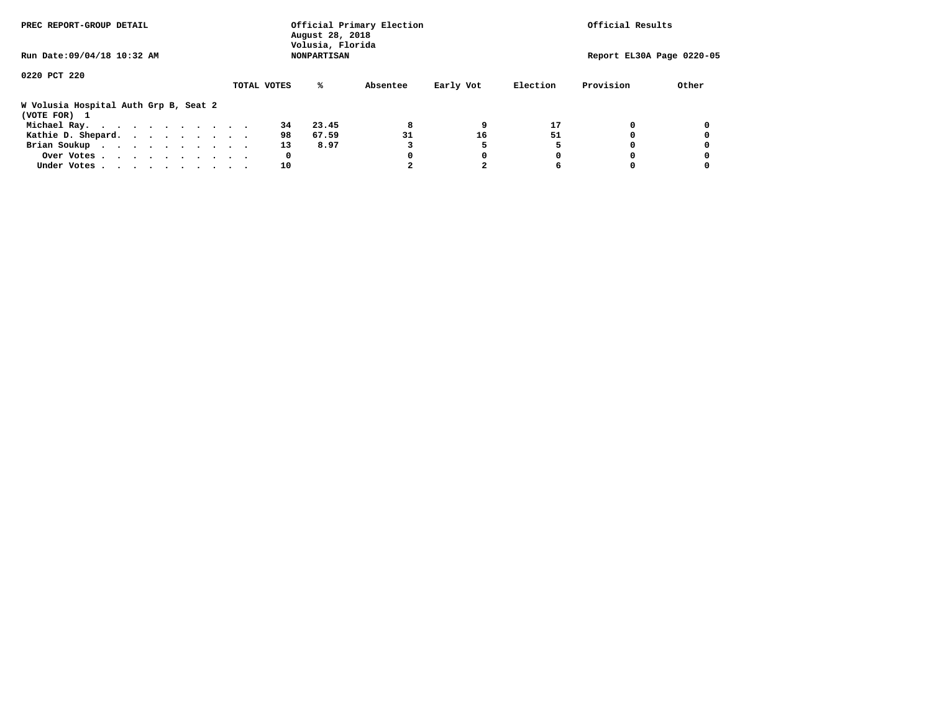| PREC REPORT-GROUP DETAIL                              |             | August 28, 2018<br>Volusia, Florida | Official Primary Election |           |          | Official Results          |       |
|-------------------------------------------------------|-------------|-------------------------------------|---------------------------|-----------|----------|---------------------------|-------|
| Run Date: 09/04/18 10:32 AM                           |             | <b>NONPARTISAN</b>                  |                           |           |          | Report EL30A Page 0220-05 |       |
| 0220 PCT 220                                          |             |                                     |                           |           |          |                           |       |
|                                                       | TOTAL VOTES | ℁                                   | Absentee                  | Early Vot | Election | Provision                 | Other |
| W Volusia Hospital Auth Grp B, Seat 2<br>(VOTE FOR) 1 |             |                                     |                           |           |          |                           |       |
| Michael Ray.                                          |             | 34<br>23.45                         | 8                         |           | 17       |                           |       |
| Kathie D. Shepard.                                    |             | 98<br>67.59                         | 31                        | 16        | 51       |                           |       |
| Brian Soukup                                          |             | 13<br>8.97                          |                           |           |          |                           |       |
| Over Votes                                            |             | 0                                   |                           |           | 0        |                           |       |
| Under Votes                                           |             | 10                                  |                           |           | 6        |                           |       |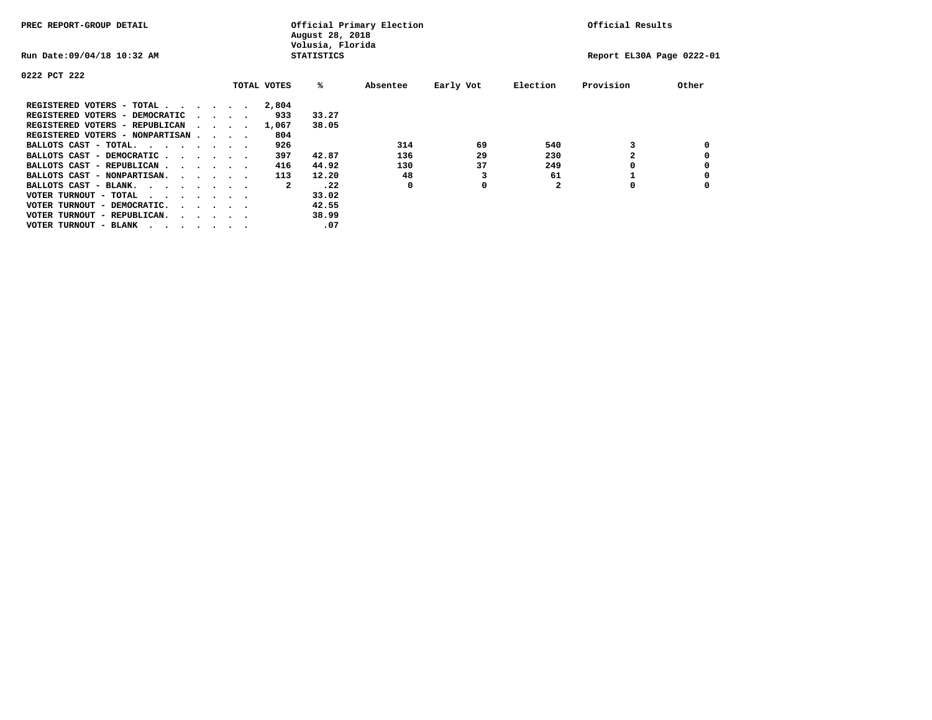| PREC REPORT-GROUP DETAIL                |                                         |  |             | August 28, 2018<br>Volusia, Florida | Official Primary Election |           |              | Official Results          |       |
|-----------------------------------------|-----------------------------------------|--|-------------|-------------------------------------|---------------------------|-----------|--------------|---------------------------|-------|
| Run Date: 09/04/18 10:32 AM             |                                         |  |             | <b>STATISTICS</b>                   |                           |           |              | Report EL30A Page 0222-01 |       |
| 0222 PCT 222                            |                                         |  |             |                                     |                           |           |              |                           |       |
|                                         |                                         |  | TOTAL VOTES | %ะ                                  | Absentee                  | Early Vot | Election     | Provision                 | Other |
| REGISTERED VOTERS - TOTAL               |                                         |  | 2,804       |                                     |                           |           |              |                           |       |
| REGISTERED VOTERS - DEMOCRATIC          | $\cdot$ $\cdot$ $\cdot$ $\cdot$         |  | 933         | 33.27                               |                           |           |              |                           |       |
| REGISTERED VOTERS - REPUBLICAN          |                                         |  | 1,067       | 38.05                               |                           |           |              |                           |       |
| REGISTERED VOTERS - NONPARTISAN         |                                         |  | 804         |                                     |                           |           |              |                           |       |
| BALLOTS CAST - TOTAL.                   |                                         |  | 926         |                                     | 314                       | 69        | 540          |                           |       |
| BALLOTS CAST - DEMOCRATIC               |                                         |  | 397         | 42.87                               | 136                       | 29        | 230          |                           |       |
| BALLOTS CAST - REPUBLICAN               |                                         |  | 416         | 44.92                               | 130                       | 37        | 249          |                           |       |
| BALLOTS CAST - NONPARTISAN.             |                                         |  | 113         | 12.20                               | 48                        |           | 61           |                           |       |
| BALLOTS CAST - BLANK.                   |                                         |  | 2           | .22                                 | 0                         | 0         | $\mathbf{2}$ | 0                         |       |
| VOTER TURNOUT - TOTAL<br>.              |                                         |  |             | 33.02                               |                           |           |              |                           |       |
| VOTER TURNOUT - DEMOCRATIC.             | $\cdot$ $\cdot$ $\cdot$ $\cdot$ $\cdot$ |  |             | 42.55                               |                           |           |              |                           |       |
| VOTER TURNOUT - REPUBLICAN.<br>$\cdots$ |                                         |  |             | 38.99                               |                           |           |              |                           |       |
| VOTER TURNOUT - BLANK                   |                                         |  |             | .07                                 |                           |           |              |                           |       |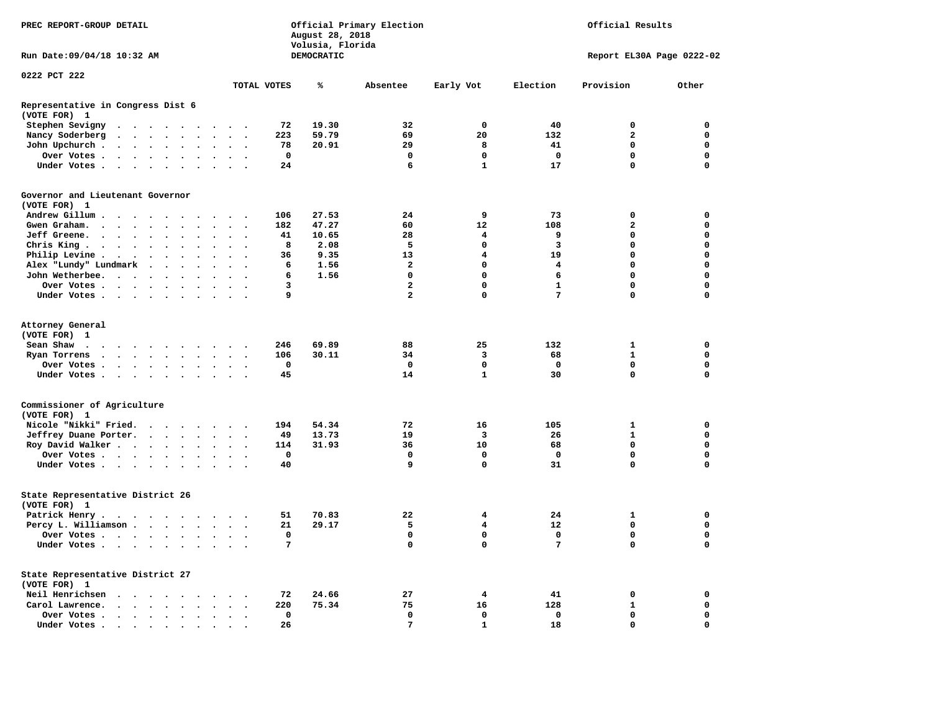| PREC REPORT-GROUP DETAIL                          |                                                                                                                                                                                                                               |        |           |                          |                                    |             |          | August 28, 2018<br>Volusia, Florida | Official Primary Election |                         | Official Results |                           |             |  |
|---------------------------------------------------|-------------------------------------------------------------------------------------------------------------------------------------------------------------------------------------------------------------------------------|--------|-----------|--------------------------|------------------------------------|-------------|----------|-------------------------------------|---------------------------|-------------------------|------------------|---------------------------|-------------|--|
| Run Date: 09/04/18 10:32 AM                       |                                                                                                                                                                                                                               |        |           |                          |                                    |             |          | DEMOCRATIC                          |                           |                         |                  | Report EL30A Page 0222-02 |             |  |
| 0222 PCT 222                                      |                                                                                                                                                                                                                               |        |           |                          |                                    |             |          |                                     |                           |                         |                  |                           |             |  |
|                                                   |                                                                                                                                                                                                                               |        |           |                          |                                    | TOTAL VOTES |          | ℁                                   | Absentee                  | Early Vot               | Election         | Provision                 | Other       |  |
| Representative in Congress Dist 6<br>(VOTE FOR) 1 |                                                                                                                                                                                                                               |        |           |                          |                                    |             |          |                                     |                           |                         |                  |                           |             |  |
| Stephen Sevigny                                   | . The contract of the contract of the contract of the contract of the contract of the contract of the contract of the contract of the contract of the contract of the contract of the contract of the contract of the contrac |        |           |                          |                                    |             | 72       | 19.30                               | 32                        | $\mathbf 0$             | 40               | $\mathbf 0$               | 0           |  |
| Nancy Soderberg                                   |                                                                                                                                                                                                                               |        |           |                          |                                    |             | 223      | 59.79                               | 69                        | 20                      | 132              | $\mathbf{2}$              | $\mathbf 0$ |  |
| John Upchurch                                     |                                                                                                                                                                                                                               |        | $\bullet$ | $\ddot{\phantom{a}}$     | $\ddot{\phantom{a}}$               |             | 78       | 20.91                               | 29                        | 8                       | 41               | 0                         | $\mathbf 0$ |  |
| Over Votes                                        |                                                                                                                                                                                                                               |        |           |                          | $\cdot$ .                          |             | 0        |                                     | $\mathbf 0$               | $\mathbf 0$             | $\mathbf 0$      | 0                         | $\mathbf 0$ |  |
| Under Votes                                       |                                                                                                                                                                                                                               |        |           |                          | $\cdot$ $\cdot$ $\cdot$            |             | 24       |                                     | 6                         | $\mathbf{1}$            | 17               | $\mathbf 0$               | $\mathbf 0$ |  |
| Governor and Lieutenant Governor<br>(VOTE FOR) 1  |                                                                                                                                                                                                                               |        |           |                          |                                    |             |          |                                     |                           |                         |                  |                           |             |  |
| Andrew Gillum                                     |                                                                                                                                                                                                                               |        |           |                          |                                    |             | 106      | 27.53                               | 24                        | 9                       | 73               | 0                         | $\mathbf 0$ |  |
| Gwen Graham.                                      |                                                                                                                                                                                                                               |        |           |                          | $\ddot{\phantom{0}}$               |             | 182      | 47.27                               | 60                        | 12                      | 108              | $\mathbf{2}$              | $\mathbf 0$ |  |
| Jeff Greene.                                      |                                                                                                                                                                                                                               | $\sim$ | $\cdot$   | $\cdot$                  | $\cdot$<br>$\cdot$                 |             | 41       | 10.65                               | 28                        | 4                       | 9                | $\mathbf 0$               | $\mathbf 0$ |  |
| Chris King                                        |                                                                                                                                                                                                                               |        |           | $\cdot$                  | $\sim$                             |             | 8        | 2.08                                | 5                         | $\mathbf 0$             | $\overline{3}$   | $\mathbf 0$               | $\mathbf 0$ |  |
| Philip Levine                                     |                                                                                                                                                                                                                               |        | $\cdot$   | $\ddot{\phantom{a}}$     | $\sim$ $\sim$                      |             | 36       | 9.35                                | 13                        | 4                       | 19               | $\mathbf{0}$              | $\mathbf 0$ |  |
| Alex "Lundy" Lundmark                             |                                                                                                                                                                                                                               |        |           |                          |                                    |             | 6        | 1.56                                | $\overline{\mathbf{2}}$   | 0                       | 4                | 0                         | $\mathbf 0$ |  |
| John Wetherbee.                                   |                                                                                                                                                                                                                               |        | $\sim$    | $\ddot{\phantom{a}}$     | $\overline{\phantom{a}}$           |             | 6        | 1.56                                | $\mathbf 0$               | 0                       | 6                | 0                         | $\mathbf 0$ |  |
| Over Votes                                        |                                                                                                                                                                                                                               |        |           |                          |                                    |             | 3        |                                     | $\overline{a}$            | 0                       | $\mathbf{1}$     | $\mathbf 0$               | $\mathbf 0$ |  |
| Under Votes                                       |                                                                                                                                                                                                                               |        |           |                          |                                    |             | 9        |                                     | $\overline{a}$            | 0                       | 7                | $\mathbf 0$               | $\mathbf 0$ |  |
| Attorney General<br>(VOTE FOR) 1<br>Sean Shaw     |                                                                                                                                                                                                                               |        |           | $\sim$ $\sim$            |                                    |             | 246      | 69.89                               | 88                        | 25                      | 132              | $\mathbf{1}$              | $\mathbf 0$ |  |
| Ryan Torrens                                      |                                                                                                                                                                                                                               |        |           |                          |                                    |             | 106      | 30.11                               | 34                        | $\overline{\mathbf{3}}$ | 68               | $\mathbf{1}$              | $\mathbf 0$ |  |
| Over Votes                                        |                                                                                                                                                                                                                               |        |           | $\bullet$                | $\ddot{\phantom{a}}$               |             | $\Omega$ |                                     | 0                         | $\mathbf 0$             | $^{\circ}$       | 0                         | $\mathbf 0$ |  |
| Under Votes                                       |                                                                                                                                                                                                                               |        |           |                          |                                    |             | 45       |                                     | 14                        | $\mathbf{1}$            | 30               | $\mathbf 0$               | $\mathbf 0$ |  |
| Commissioner of Agriculture<br>(VOTE FOR) 1       |                                                                                                                                                                                                                               |        |           |                          |                                    |             |          |                                     |                           |                         |                  |                           |             |  |
| Nicole "Nikki" Fried.                             |                                                                                                                                                                                                                               |        |           |                          |                                    |             | 194      | 54.34                               | 72                        | 16                      | 105              | 1                         | 0           |  |
| Jeffrey Duane Porter.                             |                                                                                                                                                                                                                               |        |           |                          |                                    |             | 49       | 13.73                               | 19                        | 3                       | 26               | 1                         | $\mathbf 0$ |  |
| Roy David Walker                                  |                                                                                                                                                                                                                               |        |           |                          | $\overline{\phantom{a}}$           |             | 114      | 31.93                               | 36                        | 10                      | 68               | 0                         | 0           |  |
| Over Votes                                        |                                                                                                                                                                                                                               |        |           | $\bullet$                | $\bullet$ .                        |             | $\Omega$ |                                     | $\mathbf 0$               | $\mathbf 0$             | $\Omega$         | $\mathbf 0$               | $\mathbf 0$ |  |
| Under Votes                                       |                                                                                                                                                                                                                               |        |           |                          | $\sim$ $\sim$                      |             | 40       |                                     | 9                         | $\mathbf 0$             | 31               | $\mathbf 0$               | $\mathbf 0$ |  |
| State Representative District 26<br>(VOTE FOR) 1  |                                                                                                                                                                                                                               |        |           |                          |                                    |             |          |                                     |                           |                         |                  |                           |             |  |
| Patrick Henry                                     |                                                                                                                                                                                                                               |        |           |                          |                                    |             | 51       | 70.83                               | 22                        | 4                       | 24               | 1                         | 0           |  |
| Percy L. Williamson                               |                                                                                                                                                                                                                               |        |           |                          |                                    |             | 21       | 29.17                               | 5                         | 4                       | 12               | 0                         | 0           |  |
| Over Votes                                        |                                                                                                                                                                                                                               |        |           | $\cdot$                  | $\sim$<br>$\overline{\phantom{a}}$ |             | 0        |                                     | $\mathbf 0$               | 0                       | 0                | 0                         | 0           |  |
| Under Votes                                       |                                                                                                                                                                                                                               |        |           |                          |                                    |             | 7        |                                     | $\mathbf 0$               | 0                       | 7                | $\mathbf 0$               | $\mathbf 0$ |  |
| State Representative District 27<br>(VOTE FOR) 1  |                                                                                                                                                                                                                               |        |           |                          |                                    |             |          |                                     |                           |                         |                  |                           |             |  |
| Neil Henrichsen                                   |                                                                                                                                                                                                                               |        |           |                          |                                    |             | 72       | 24.66                               | 27                        | 4                       | 41               | $\mathbf 0$               | $\mathbf 0$ |  |
| Carol Lawrence.                                   | $\mathbf{r}$ , $\mathbf{r}$ , $\mathbf{r}$ , $\mathbf{r}$ , $\mathbf{r}$                                                                                                                                                      |        |           | $\sim$                   | $\ddot{\phantom{a}}$               |             | 220      | 75.34                               | 75                        | 16                      | 128              | $\mathbf{1}$              | $\mathbf 0$ |  |
| Over Votes                                        |                                                                                                                                                                                                                               |        |           |                          | $\cdot$ $\cdot$ $\cdot$            |             | 0        |                                     | $\mathbf 0$               | $\mathbf 0$             | 0                | $\mathbf 0$               | $\mathbf 0$ |  |
| Under Votes.                                      | the contract of the contract of the contract of the contract of the contract of the contract of the contract of                                                                                                               |        |           | $\overline{\phantom{a}}$ |                                    |             | 26       |                                     | $7\phantom{.0}$           | $\mathbf{1}$            | 18               | $\mathbf 0$               | $\mathbf 0$ |  |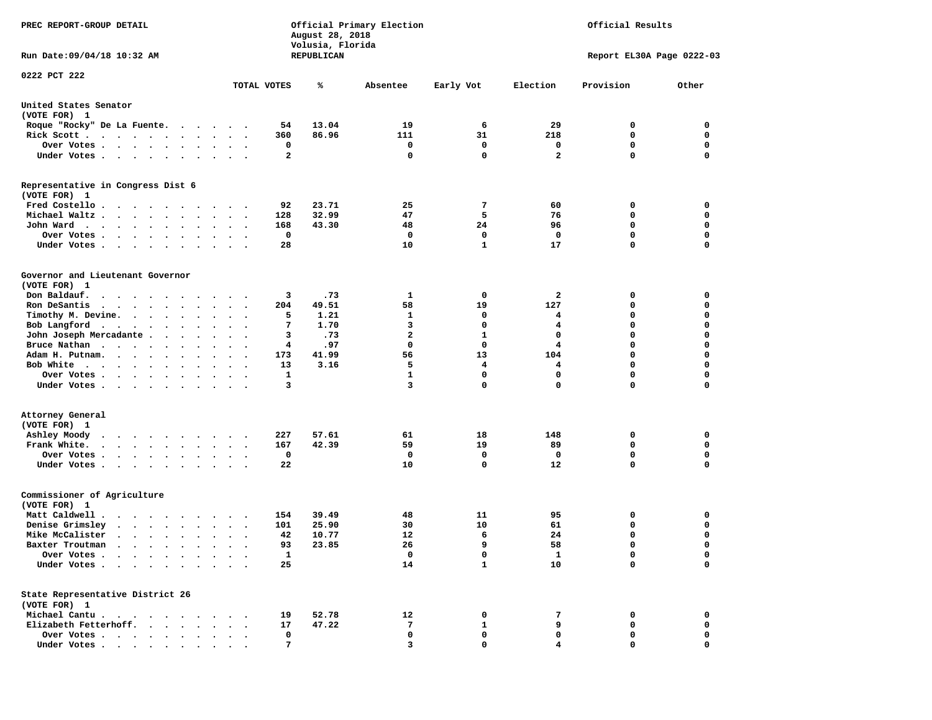| PREC REPORT-GROUP DETAIL                                                          | Official Primary Election<br>Official Results<br>August 28, 2018<br>Volusia, Florida |            |                   |                           |                         |             |             |  |  |
|-----------------------------------------------------------------------------------|--------------------------------------------------------------------------------------|------------|-------------------|---------------------------|-------------------------|-------------|-------------|--|--|
| Run Date: 09/04/18 10:32 AM                                                       |                                                                                      | REPUBLICAN |                   | Report EL30A Page 0222-03 |                         |             |             |  |  |
| 0222 PCT 222                                                                      |                                                                                      |            |                   |                           |                         |             |             |  |  |
|                                                                                   | TOTAL VOTES                                                                          | ℁          | Absentee          | Early Vot                 | Election                | Provision   | Other       |  |  |
| United States Senator<br>(VOTE FOR) 1                                             |                                                                                      |            |                   |                           |                         |             |             |  |  |
| Roque "Rocky" De La Fuente.                                                       | 54                                                                                   | 13.04      | 19                | 6                         | 29                      | 0           | 0           |  |  |
| Rick Scott                                                                        | 360                                                                                  | 86.96      | 111               | 31                        | 218                     | 0           | 0           |  |  |
| Over Votes                                                                        | 0<br>$\ddot{\phantom{1}}$                                                            |            | 0                 | 0                         | 0                       | $\mathbf 0$ | 0           |  |  |
| Under Votes                                                                       | 2<br>$\cdots$                                                                        |            | 0                 | $\mathbf 0$               | $\overline{\mathbf{2}}$ | $\Omega$    | $\mathbf 0$ |  |  |
| Representative in Congress Dist 6<br>(VOTE FOR) 1                                 |                                                                                      |            |                   |                           |                         |             |             |  |  |
| Fred Costello                                                                     | 92                                                                                   | 23.71      | 25                | 7                         | 60                      | 0           | 0           |  |  |
| Michael Waltz                                                                     | 128<br>$\ddot{\phantom{1}}$                                                          | 32.99      | 47                | 5                         | 76                      | 0           | 0           |  |  |
| John Ward                                                                         | 168<br>$\sim$ $\sim$<br>$\sim$                                                       | 43.30      | 48                | 24                        | 96                      | $\mathbf 0$ | 0           |  |  |
| Over Votes<br>$\sim$ $\sim$ $\sim$ $\sim$<br>$\cdot$<br>$\sim$<br>$\cdot$         | $\mathbf 0$                                                                          |            | 0                 | $\mathbf 0$               | $\mathbf 0$             | $\mathbf 0$ | 0           |  |  |
| Under Votes                                                                       | 28                                                                                   |            | 10                | $\mathbf{1}$              | 17                      | $\mathbf 0$ | 0           |  |  |
| Governor and Lieutenant Governor<br>(VOTE FOR) 1                                  |                                                                                      |            |                   |                           |                         |             |             |  |  |
| Don Baldauf.<br>.                                                                 | 3                                                                                    | .73        | 1                 | 0                         | $\mathbf{2}$            | 0           | 0           |  |  |
| Ron DeSantis<br>$\cdots$                                                          | 204<br>$\bullet$                                                                     | 49.51      | 58                | 19                        | 127                     | 0           | 0           |  |  |
| Timothy M. Devine.                                                                | 5                                                                                    | 1.21       | 1                 | 0                         | 4                       | 0           | $\mathbf 0$ |  |  |
| Bob Langford                                                                      | 7<br>$\overline{\phantom{a}}$                                                        | 1.70       | 3                 | $\mathbf 0$               | 4                       | $\mathbf 0$ | 0           |  |  |
| John Joseph Mercadante                                                            | 3<br>$\ddot{\phantom{1}}$                                                            | .73        | $\mathbf{2}$      | 1                         | 0                       | $\mathbf 0$ | 0           |  |  |
| Bruce Nathan                                                                      | 4<br>$\ddot{\phantom{1}}$<br>$\ddot{\phantom{1}}$                                    | .97        | $\mathbf 0$       | 0                         | 4                       | $\mathbf 0$ | 0           |  |  |
| Adam H. Putnam.                                                                   | 173<br>$\overline{\phantom{a}}$                                                      | 41.99      | 56                | 13                        | 104                     | $\mathbf 0$ | $\mathbf 0$ |  |  |
|                                                                                   |                                                                                      |            |                   |                           |                         | $\mathbf 0$ | 0           |  |  |
| Bob White<br>Over Votes .                                                         | 13<br>1                                                                              | 3.16       | 5<br>$\mathbf{1}$ | 4<br>$\mathbf 0$          | 4<br>0                  | $\mathbf 0$ | 0           |  |  |
| .<br>Under Votes                                                                  | $\bullet$<br>$\cdot$<br>3                                                            |            | 3                 | 0                         | 0                       | $\mathbf 0$ | 0           |  |  |
| Attorney General                                                                  |                                                                                      |            |                   |                           |                         |             |             |  |  |
| (VOTE FOR) 1                                                                      |                                                                                      |            |                   |                           |                         |             |             |  |  |
| Ashley Moody<br>$\cdot$ $\cdot$ $\cdot$ $\cdot$ $\cdot$ $\cdot$ $\cdot$           | 227<br>$\sim$ $\sim$                                                                 | 57.61      | 61                | 18                        | 148                     | 0           | 0           |  |  |
| Frank White.<br>$\cdot$ $\cdot$ $\cdot$ $\cdot$ $\cdot$ $\cdot$ $\cdot$           | 167<br>$\bullet$<br>$\ddot{\phantom{a}}$<br>$\sim$                                   | 42.39      | 59                | 19                        | 89                      | $\mathbf 0$ | 0           |  |  |
| Over Votes.                                                                       | 0                                                                                    |            | 0                 | 0                         | $\mathbf 0$             | $\mathbf 0$ | 0           |  |  |
| Under Votes                                                                       | 22                                                                                   |            | 10                | $\mathbf 0$               | 12                      | $\Omega$    | $\mathbf 0$ |  |  |
| Commissioner of Agriculture<br>(VOTE FOR) 1                                       |                                                                                      |            |                   |                           |                         |             |             |  |  |
| Matt Caldwell.<br>$\mathbf{r}$ , $\mathbf{r}$ , $\mathbf{r}$ , $\mathbf{r}$       | 154                                                                                  | 39.49      | 48                | 11                        | 95                      | 0           | 0           |  |  |
| Denise Grimsley                                                                   | 101<br>$\ddot{\phantom{0}}$                                                          | 25.90      | 30                | 10                        | 61                      | $\mathbf 0$ | 0           |  |  |
| Mike McCalister                                                                   | 42<br>$\bullet$<br>$\bullet$<br>$\overline{\phantom{a}}$                             | 10.77      | 12                | 6                         | 24                      | $\mathbf 0$ | 0           |  |  |
| Baxter Troutman                                                                   | 93                                                                                   | 23.85      | 26                | 9                         | 58                      | $\Omega$    | $\Omega$    |  |  |
| Over Votes .<br>$\sim$ $\sim$ $\sim$ $\sim$<br>$\sim$                             | $\mathbf{1}$                                                                         |            | 0                 | 0                         | $\mathbf{1}$            | 0           | 0           |  |  |
| Under Votes.<br>$\sim$<br>$\sim$ $\sim$ $\sim$<br>$\ddot{\phantom{0}}$<br>$\cdot$ | 25                                                                                   |            | 14                | $\mathbf{1}$              | 10                      | $\mathbf 0$ | 0           |  |  |
| State Representative District 26                                                  |                                                                                      |            |                   |                           |                         |             |             |  |  |
| (VOTE FOR) 1                                                                      |                                                                                      |            |                   |                           |                         |             |             |  |  |
| Michael Cantu.                                                                    | 19                                                                                   | 52.78      | 12                | 0                         | 7                       | 0           | 0           |  |  |
| Elizabeth Fetterhoff.<br>$\sim$<br>$\ddot{\phantom{0}}$                           | 17                                                                                   | 47.22      | 7                 | 1                         | 9                       | 0           | 0           |  |  |
| Over Votes                                                                        | 0                                                                                    |            | 0                 | 0                         | 0                       | 0           | 0           |  |  |
| Under Votes                                                                       | 7                                                                                    |            | 3                 | 0                         |                         | 0           | $\mathbf 0$ |  |  |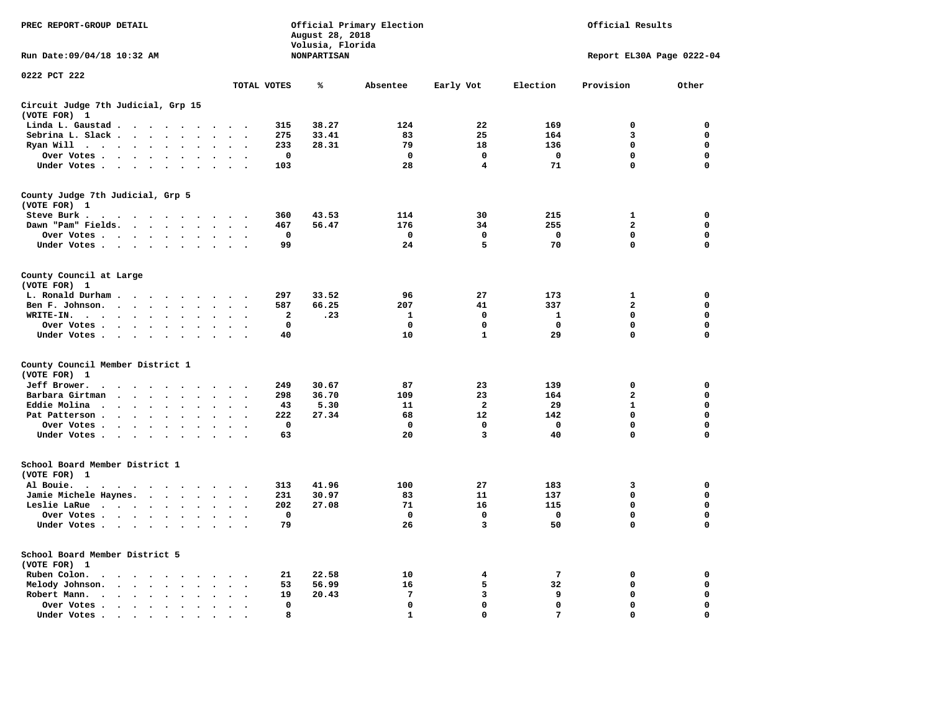| PREC REPORT-GROUP DETAIL                                                                                       |                                                     | Official Results<br>Official Primary Election<br>August 28, 2018<br>Volusia, Florida |              |                         |                           |                |             |  |  |
|----------------------------------------------------------------------------------------------------------------|-----------------------------------------------------|--------------------------------------------------------------------------------------|--------------|-------------------------|---------------------------|----------------|-------------|--|--|
| Run Date: 09/04/18 10:32 AM                                                                                    |                                                     | <b>NONPARTISAN</b>                                                                   |              |                         | Report EL30A Page 0222-04 |                |             |  |  |
| 0222 PCT 222                                                                                                   | TOTAL VOTES                                         | ℁                                                                                    | Absentee     | Early Vot               | Election                  | Provision      | Other       |  |  |
| Circuit Judge 7th Judicial, Grp 15                                                                             |                                                     |                                                                                      |              |                         |                           |                |             |  |  |
| (VOTE FOR) 1                                                                                                   |                                                     |                                                                                      |              |                         |                           |                |             |  |  |
| Linda L. Gaustad                                                                                               | 315                                                 | 38.27                                                                                | 124          | 22                      | 169                       | $\mathbf 0$    | 0           |  |  |
| Sebrina L. Slack<br>$\sim$                                                                                     | 275<br>$\ddot{\phantom{0}}$                         | 33.41                                                                                | 83           | 25                      | 164                       | 3              | $\mathbf 0$ |  |  |
| Ryan Will $\cdots$ $\cdots$<br>$\sim$                                                                          | 233<br>$\mathbf{r}$                                 | 28.31                                                                                | 79           | 18                      | 136                       | 0              | 0           |  |  |
| Over Votes                                                                                                     | $\mathbf 0$                                         |                                                                                      | $\mathbf 0$  | $\mathbf 0$             | $\mathbf 0$               | 0              | 0           |  |  |
| Under Votes                                                                                                    | 103                                                 |                                                                                      | 28           | 4                       | 71                        | $\mathbf 0$    | $\mathbf 0$ |  |  |
| County Judge 7th Judicial, Grp 5<br>(VOTE FOR) 1                                                               |                                                     |                                                                                      |              |                         |                           |                |             |  |  |
| Steve Burk .                                                                                                   | 360                                                 | 43.53                                                                                | 114          | 30                      | 215                       | 1              | 0           |  |  |
| Dawn "Pam" Fields.                                                                                             | 467<br>$\sim$                                       | 56.47                                                                                | 176          | 34                      | 255                       | $\overline{a}$ | 0           |  |  |
| Over Votes                                                                                                     | $\mathbf 0$                                         |                                                                                      | $\mathbf 0$  | $\mathbf 0$             | $\mathbf 0$               | 0              | $\mathbf 0$ |  |  |
| Under Votes                                                                                                    | 99<br>$\cdot$ .                                     |                                                                                      | 24           | 5                       | 70                        | $\mathbf 0$    | $\mathbf 0$ |  |  |
| County Council at Large<br>(VOTE FOR) 1                                                                        |                                                     |                                                                                      |              |                         |                           |                |             |  |  |
| L. Ronald Durham                                                                                               | 297<br>$\sim$ $\sim$                                | 33.52                                                                                | 96           | 27                      | 173                       | 1              | 0           |  |  |
| Ben F. Johnson.<br>$\sim$ $\sim$                                                                               | 587<br>$\sim$<br>$\overline{\phantom{a}}$           | 66.25                                                                                | 207          | 41                      | 337                       | $\overline{a}$ | 0           |  |  |
| $WRITE-IN.$<br>$\ddot{\phantom{a}}$<br>$\mathbf{r}$                                                            | 2                                                   | .23                                                                                  | 1            | 0                       | 1                         | 0              | 0           |  |  |
| Over Votes<br>$\sim$                                                                                           | $\mathbf 0$                                         |                                                                                      | $\mathbf 0$  | 0                       | $\mathbf 0$               | 0              | $\mathbf 0$ |  |  |
| Under Votes                                                                                                    | 40<br>$\sim$                                        |                                                                                      | 10           | $\mathbf{1}$            | 29                        | 0              | $\mathbf 0$ |  |  |
| County Council Member District 1<br>(VOTE FOR) 1                                                               |                                                     |                                                                                      |              |                         |                           |                |             |  |  |
| Jeff Brower.                                                                                                   | 249                                                 | 30.67                                                                                | 87           | 23                      | 139                       | $\mathbf 0$    | $\mathbf 0$ |  |  |
| Barbara Girtman<br>$\mathbf{r}$ , $\mathbf{r}$ , $\mathbf{r}$ , $\mathbf{r}$<br>$\ddot{\phantom{a}}$<br>$\sim$ | 298                                                 | 36.70                                                                                | 109          | 23                      | 164                       | $\mathbf{2}$   | 0           |  |  |
| Eddie Molina<br>$\bullet$                                                                                      | 43                                                  | 5.30                                                                                 | 11           | $\overline{\mathbf{2}}$ | 29                        | $\mathbf{1}$   | $\mathbf 0$ |  |  |
| Pat Patterson<br>$\ddot{\phantom{a}}$                                                                          | 222<br>$\ddot{\phantom{a}}$                         | 27.34                                                                                | 68           | 12                      | 142                       | 0              | 0           |  |  |
| Over Votes<br>$\bullet$ .                                                                                      | $\Omega$                                            |                                                                                      | $\mathbf{0}$ | 0                       | $^{\circ}$                | 0              | $\mathbf 0$ |  |  |
| Under Votes                                                                                                    | 63<br>$\sim$                                        |                                                                                      | 20           | 3                       | 40                        | $\mathbf 0$    | $\mathbf 0$ |  |  |
| School Board Member District 1<br>(VOTE FOR) 1                                                                 |                                                     |                                                                                      |              |                         |                           |                |             |  |  |
| Al Bouie. .<br>$\sim$<br>.                                                                                     | 313                                                 | 41.96                                                                                | 100          | 27                      | 183                       | 3              | $\mathbf 0$ |  |  |
| Jamie Michele Haynes.                                                                                          | 231<br>$\ddot{\phantom{1}}$                         | 30.97                                                                                | 83           | 11                      | 137                       | $\mathbf 0$    | $\mathbf 0$ |  |  |
| Leslie LaRue<br>$\ddot{\phantom{a}}$                                                                           | 202<br>$\ddot{\phantom{a}}$<br>$\ddot{\phantom{a}}$ | 27.08                                                                                | 71           | 16                      | 115                       | 0              | $\mathbf 0$ |  |  |
| Over Votes                                                                                                     | $\Omega$                                            |                                                                                      | $^{\circ}$   | $\mathbf 0$             | $\mathbf{0}$              | $\mathbf 0$    | 0           |  |  |
| Under Votes<br>$\sim$ $\sim$                                                                                   | 79<br>$\sim$ $\sim$                                 |                                                                                      | 26           | 3                       | 50                        | 0              | $\mathbf 0$ |  |  |
| School Board Member District 5<br>(VOTE FOR) 1                                                                 |                                                     |                                                                                      |              |                         |                           |                |             |  |  |
| Ruben Colon.<br>$\mathbf{r}$ , and $\mathbf{r}$ , and $\mathbf{r}$ , and $\mathbf{r}$ , and $\mathbf{r}$       | 21<br>$\sim$                                        | 22.58                                                                                | 10           | 4                       | 7                         | 0              | 0           |  |  |
| Melody Johnson.<br>$\cdot$<br>$\sim$                                                                           | 53<br>$\bullet$<br>$\bullet$                        | 56.99                                                                                | 16           | 5                       | 32                        | 0              | 0           |  |  |
| Robert Mann.<br>$\mathbf{r}$ , $\mathbf{r}$ , $\mathbf{r}$ , $\mathbf{r}$ , $\mathbf{r}$ , $\mathbf{r}$        | 19<br>$\sim$                                        | 20.43                                                                                | 7            | 3                       | 9                         | $\mathbf 0$    | 0           |  |  |
| Over Votes .<br>$\cdots$                                                                                       | $\mathbf 0$                                         |                                                                                      | 0            | 0                       | 0                         | 0              | 0           |  |  |
| Under Votes<br>$\ddot{\phantom{a}}$                                                                            | 8                                                   |                                                                                      | $\mathbf{1}$ | $\mathbf 0$             | 7                         | $\mathbf 0$    | $\Omega$    |  |  |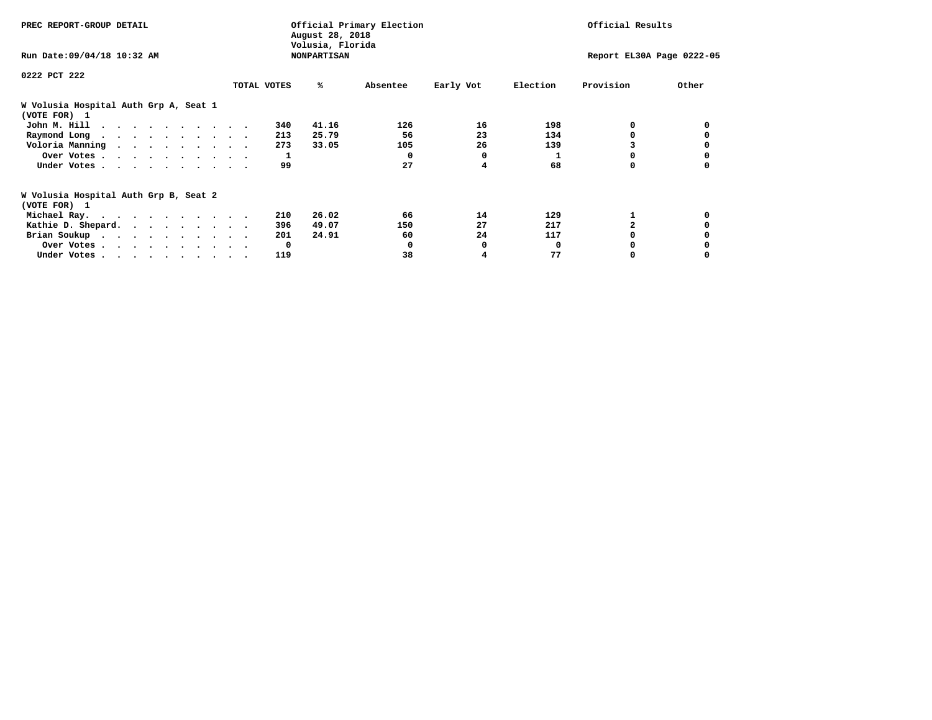| PREC REPORT-GROUP DETAIL                                               |             |     | Official Primary Election<br>August 28, 2018 |          | Official Results |          |                           |       |  |
|------------------------------------------------------------------------|-------------|-----|----------------------------------------------|----------|------------------|----------|---------------------------|-------|--|
| Run Date: 09/04/18 10:32 AM                                            |             |     | Volusia, Florida<br><b>NONPARTISAN</b>       |          |                  |          | Report EL30A Page 0222-05 |       |  |
| 0222 PCT 222                                                           |             |     |                                              |          |                  |          |                           |       |  |
|                                                                        | TOTAL VOTES |     | ℁                                            | Absentee | Early Vot        | Election | Provision                 | Other |  |
| W Volusia Hospital Auth Grp A, Seat 1                                  |             |     |                                              |          |                  |          |                           |       |  |
| (VOTE FOR) 1                                                           |             |     |                                              |          |                  |          |                           |       |  |
| John M. Hill $\ldots$ ,                                                |             | 340 | 41.16                                        | 126      | 16               | 198      | O.                        |       |  |
| Raymond Long                                                           |             | 213 | 25.79                                        | 56       | 23               | 134      | 0                         |       |  |
| Voloria Manning                                                        |             | 273 | 33.05                                        | 105      | 26               | 139      |                           |       |  |
| Over Votes                                                             |             | 1   |                                              | 0        | 0                |          | 0                         |       |  |
| Under Votes                                                            |             | 99  |                                              | 27       | 4                | 68       | 0                         |       |  |
| W Volusia Hospital Auth Grp B, Seat 2                                  |             |     |                                              |          |                  |          |                           |       |  |
| (VOTE FOR) 1                                                           |             |     |                                              |          |                  |          |                           |       |  |
| Michael Ray.                                                           |             | 210 | 26.02                                        | 66       | 14               | 129      |                           |       |  |
| Kathie D. Shepard.                                                     |             | 396 | 49.07                                        | 150      | 27               | 217      |                           |       |  |
| Brian Soukup                                                           |             | 201 | 24.91                                        | 60       | 24               | 117      |                           |       |  |
| Over Votes.                                                            |             | 0   |                                              |          | 0                | $\Omega$ |                           |       |  |
| Under Votes, $\cdot$ , $\cdot$ , $\cdot$ , $\cdot$ , $\cdot$ , $\cdot$ |             | 119 |                                              | 38       |                  | 77       |                           |       |  |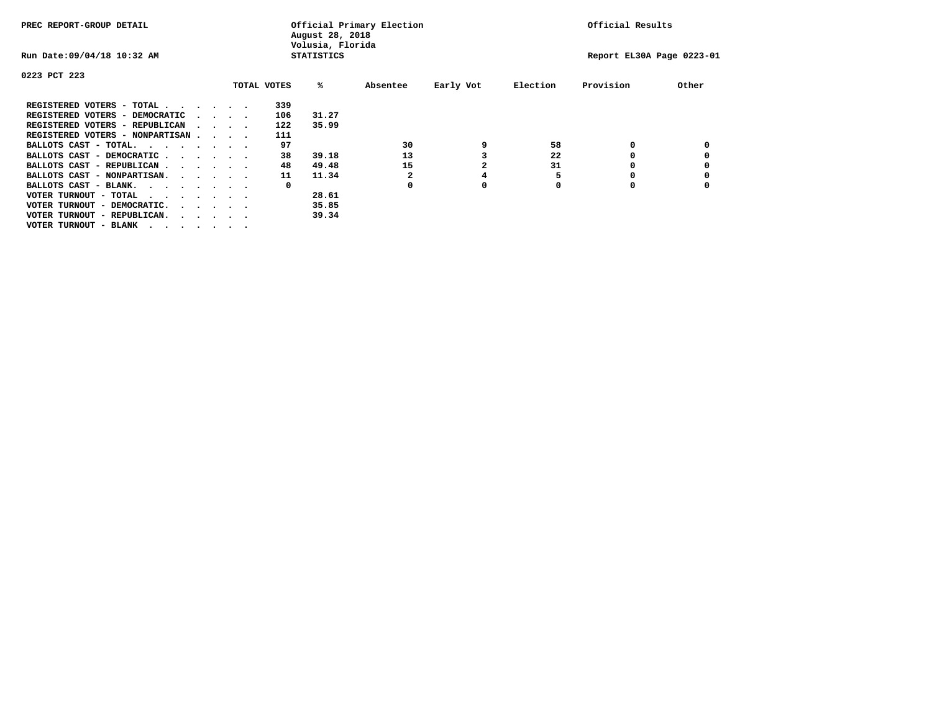| PREC REPORT-GROUP DETAIL          |  |                                         |  |  | Official Primary Election<br>August 28, 2018<br>Volusia, Florida | Official Results  |          |           |          |                           |       |
|-----------------------------------|--|-----------------------------------------|--|--|------------------------------------------------------------------|-------------------|----------|-----------|----------|---------------------------|-------|
| Run Date: 09/04/18 10:32 AM       |  |                                         |  |  |                                                                  | <b>STATISTICS</b> |          |           |          | Report EL30A Page 0223-01 |       |
| 0223 PCT 223                      |  |                                         |  |  |                                                                  |                   |          |           |          |                           |       |
|                                   |  |                                         |  |  | TOTAL VOTES                                                      | %ะ                | Absentee | Early Vot | Election | Provision                 | Other |
| REGISTERED VOTERS - TOTAL         |  |                                         |  |  | 339                                                              |                   |          |           |          |                           |       |
| REGISTERED VOTERS - DEMOCRATIC    |  | $\sim$ $\sim$ $\sim$ $\sim$             |  |  | 106                                                              | 31.27             |          |           |          |                           |       |
| REGISTERED VOTERS - REPUBLICAN    |  |                                         |  |  | 122                                                              | 35.99             |          |           |          |                           |       |
| REGISTERED VOTERS - NONPARTISAN   |  |                                         |  |  | 111                                                              |                   |          |           |          |                           |       |
| BALLOTS CAST - TOTAL.             |  |                                         |  |  | 97                                                               |                   | 30       | 9         | 58       | 0                         |       |
| BALLOTS CAST - DEMOCRATIC         |  |                                         |  |  | 38                                                               | 39.18             | 13       |           | 22       |                           |       |
| BALLOTS CAST - REPUBLICAN         |  |                                         |  |  | 48                                                               | 49.48             | 15       |           | 31       |                           |       |
| BALLOTS CAST - NONPARTISAN.       |  |                                         |  |  | 11                                                               | 11.34             |          | 4         |          |                           |       |
| BALLOTS CAST - BLANK.             |  |                                         |  |  | 0                                                                |                   |          | 0         |          |                           |       |
| VOTER TURNOUT - TOTAL<br>$\cdots$ |  |                                         |  |  |                                                                  | 28.61             |          |           |          |                           |       |
| VOTER TURNOUT - DEMOCRATIC.       |  | $\cdot$ $\cdot$ $\cdot$ $\cdot$ $\cdot$ |  |  |                                                                  | 35.85             |          |           |          |                           |       |
| VOTER TURNOUT - REPUBLICAN.<br>.  |  |                                         |  |  |                                                                  | 39.34             |          |           |          |                           |       |
| VOTER TURNOUT - BLANK             |  |                                         |  |  |                                                                  |                   |          |           |          |                           |       |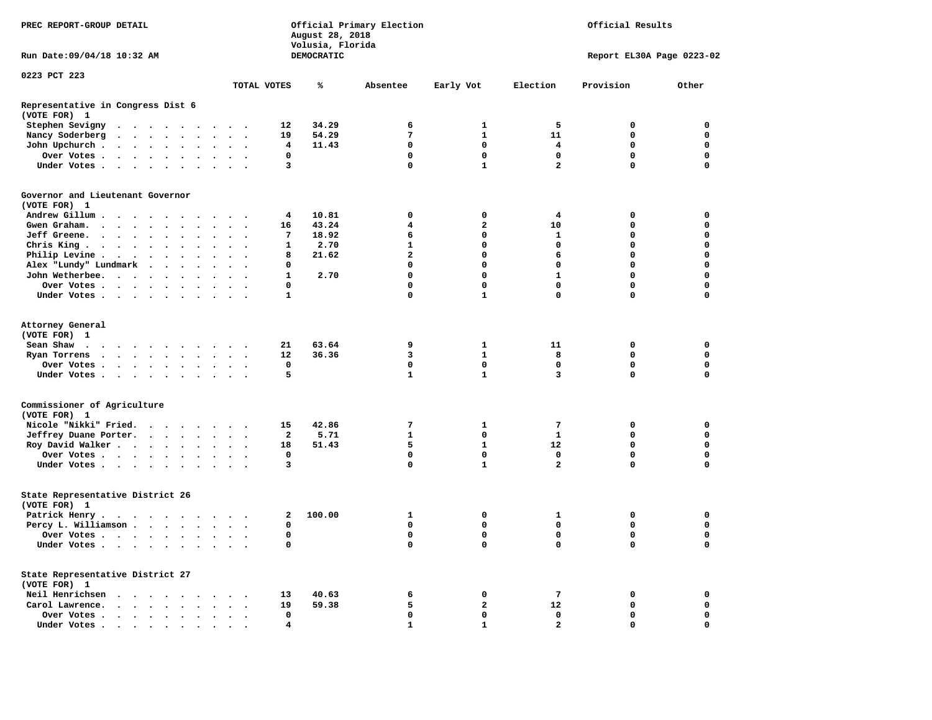| PREC REPORT-GROUP DETAIL                                                    |                                                                                                                                                                                                                               | Official Primary Election<br>August 28, 2018<br>Volusia, Florida |  |        |        |               |                                                             | Official Results |                |                         |                   |                           |              |                  |  |
|-----------------------------------------------------------------------------|-------------------------------------------------------------------------------------------------------------------------------------------------------------------------------------------------------------------------------|------------------------------------------------------------------|--|--------|--------|---------------|-------------------------------------------------------------|------------------|----------------|-------------------------|-------------------|---------------------------|--------------|------------------|--|
| Run Date: 09/04/18 10:32 AM                                                 |                                                                                                                                                                                                                               |                                                                  |  |        |        |               |                                                             |                  | DEMOCRATIC     |                         |                   | Report EL30A Page 0223-02 |              |                  |  |
| 0223 PCT 223                                                                |                                                                                                                                                                                                                               |                                                                  |  |        |        |               |                                                             |                  |                |                         |                   |                           |              |                  |  |
|                                                                             |                                                                                                                                                                                                                               |                                                                  |  |        |        |               |                                                             | TOTAL VOTES      | ℁              | Absentee                | Early Vot         | Election                  | Provision    | Other            |  |
| Representative in Congress Dist 6<br>(VOTE FOR) 1                           |                                                                                                                                                                                                                               |                                                                  |  |        |        |               |                                                             |                  |                |                         |                   |                           |              |                  |  |
| Stephen Sevigny                                                             |                                                                                                                                                                                                                               |                                                                  |  |        |        |               |                                                             | 12               | 34.29          | 6                       | $\mathbf{1}$      | 5                         | 0            | 0                |  |
| Nancy Soderberg                                                             |                                                                                                                                                                                                                               |                                                                  |  |        |        |               |                                                             | 19               | 54.29          | 7                       | $\mathbf{1}$      | 11                        | 0            | 0                |  |
| John Upchurch                                                               |                                                                                                                                                                                                                               |                                                                  |  |        |        |               |                                                             | 4                | 11.43          | 0                       | $\mathbf{0}$      | 4                         | 0            | 0                |  |
| Over Votes                                                                  |                                                                                                                                                                                                                               |                                                                  |  |        |        |               | $\bullet$ .<br><br><br><br><br><br><br><br><br><br><br><br> | $\Omega$         |                | $\mathbf 0$             | $\mathbf{0}$      | $\Omega$                  | $\mathbf{0}$ | $\mathbf{0}$     |  |
| Under Votes                                                                 |                                                                                                                                                                                                                               |                                                                  |  |        |        | $\sim$ $\sim$ |                                                             | 3                |                | 0                       | $\mathbf{1}$      | $\overline{a}$            | $\mathbf 0$  | $\mathbf 0$      |  |
| Governor and Lieutenant Governor<br>(VOTE FOR) 1                            |                                                                                                                                                                                                                               |                                                                  |  |        |        |               |                                                             |                  |                |                         |                   |                           |              |                  |  |
| Andrew Gillum                                                               |                                                                                                                                                                                                                               |                                                                  |  |        |        |               |                                                             | 4                | 10.81          | 0                       | 0                 | 4                         | 0            | 0                |  |
| Gwen Graham.                                                                |                                                                                                                                                                                                                               |                                                                  |  |        |        |               |                                                             | 16               | 43.24          | 4                       | $\mathbf{2}$      | 10                        | 0            | 0                |  |
| Jeff Greene.                                                                |                                                                                                                                                                                                                               |                                                                  |  | $\sim$ | $\sim$ | $\mathbf{r}$  | $\bullet$                                                   | 7                | 18.92          | 6                       | $\mathbf 0$       | 1                         | $\mathbf 0$  | $\mathbf 0$      |  |
| Chris King.                                                                 |                                                                                                                                                                                                                               |                                                                  |  |        |        |               |                                                             | 1                | 2.70           | $\mathbf{1}$            | $\mathbf 0$       | $\mathbf 0$               | $\mathbf 0$  | $\mathbf 0$      |  |
| Philip Levine                                                               |                                                                                                                                                                                                                               |                                                                  |  |        |        |               |                                                             | 8                | 21.62          | $\overline{\mathbf{2}}$ | $\mathbf 0$       | 6                         | $\mathbf 0$  | $\mathbf 0$      |  |
| Alex "Lundy" Lundmark                                                       |                                                                                                                                                                                                                               |                                                                  |  |        |        | $\sim$ $\sim$ |                                                             | $\mathbf{0}$     |                | $\mathbf 0$             | $\mathbf 0$       | $\mathbf 0$               | $\mathbf 0$  | $\mathbf 0$      |  |
| John Wetherbee.                                                             |                                                                                                                                                                                                                               |                                                                  |  |        |        | $\sim$ $\sim$ |                                                             | $\mathbf{1}$     | 2.70           | $\mathbf 0$             | 0                 | $\mathbf{1}$              | $\mathbf 0$  | $\mathbf 0$      |  |
| Over Votes                                                                  |                                                                                                                                                                                                                               |                                                                  |  |        |        | $\sim$ $\sim$ |                                                             | $\mathbf 0$      |                | $\mathbf 0$             | $\mathbf{0}$      | $\mathbf 0$               | $\mathbf 0$  | $\Omega$         |  |
| Under Votes                                                                 |                                                                                                                                                                                                                               |                                                                  |  |        |        |               |                                                             | $\mathbf{1}$     |                | $\mathbf 0$             | $\mathbf{1}$      | $\mathbf{0}$              | $\mathbf 0$  | $\mathbf 0$      |  |
| Attorney General<br>(VOTE FOR)<br>$\mathbf{1}$<br>Sean Shaw<br>Ryan Torrens |                                                                                                                                                                                                                               |                                                                  |  |        |        | $\sim$ $\sim$ |                                                             | 21<br>12         | 63.64<br>36.36 | 9<br>3                  | 1<br>$\mathbf{1}$ | 11<br>8                   | 0<br>0       | 0<br>$\mathbf 0$ |  |
| Over Votes                                                                  |                                                                                                                                                                                                                               |                                                                  |  |        |        |               | $\cdot$ $\cdot$ $\cdot$                                     | 0                |                | $\mathbf 0$             | 0                 | $\mathbf 0$               | $\mathbf 0$  | $\mathbf 0$      |  |
| Under Votes                                                                 |                                                                                                                                                                                                                               |                                                                  |  |        |        |               |                                                             | 5                |                | $\mathbf{1}$            | $\mathbf{1}$      | 3                         | $\mathbf 0$  | $\mathbf 0$      |  |
| Commissioner of Agriculture<br>(VOTE FOR) 1                                 |                                                                                                                                                                                                                               |                                                                  |  |        |        |               |                                                             |                  |                |                         |                   |                           |              |                  |  |
| Nicole "Nikki" Fried.                                                       |                                                                                                                                                                                                                               |                                                                  |  |        |        |               |                                                             | 15               | 42.86          | 7                       | $\mathbf{1}$      | 7                         | 0            | $\mathbf 0$      |  |
| Jeffrey Duane Porter.                                                       |                                                                                                                                                                                                                               |                                                                  |  |        |        |               |                                                             | $\overline{2}$   | 5.71           | $\mathbf{1}$            | $\mathbf{0}$      | $\mathbf{1}$              | 0            | $\mathbf{0}$     |  |
| Roy David Walker                                                            |                                                                                                                                                                                                                               |                                                                  |  |        |        |               |                                                             | 18               | 51.43          | 5                       | $\mathbf{1}$      | $12 \overline{ }$         | $\mathbf 0$  | $\mathbf 0$      |  |
| Over Votes                                                                  |                                                                                                                                                                                                                               |                                                                  |  |        |        |               |                                                             | 0                |                | $\mathbf 0$             | 0                 | $\mathbf 0$               | $\mathbf 0$  | $\mathbf 0$      |  |
| Under Votes                                                                 |                                                                                                                                                                                                                               |                                                                  |  |        |        |               |                                                             | 3                |                | $\mathbf 0$             | $\mathbf{1}$      | $\mathbf{2}$              | $\mathbf 0$  | 0                |  |
| State Representative District 26<br>(VOTE FOR) 1                            |                                                                                                                                                                                                                               |                                                                  |  |        |        |               |                                                             |                  |                |                         |                   |                           |              |                  |  |
| Patrick Henry                                                               |                                                                                                                                                                                                                               |                                                                  |  |        |        |               |                                                             | 2                | 100.00         | 1                       | 0                 | $\mathbf{1}$              | 0            | 0                |  |
| Percy L. Williamson                                                         |                                                                                                                                                                                                                               |                                                                  |  |        |        |               |                                                             | $\Omega$         |                | $\mathbf 0$             | $\mathbf 0$       | $\mathbf 0$               | $\mathbf 0$  | 0                |  |
| Over Votes                                                                  |                                                                                                                                                                                                                               |                                                                  |  |        |        |               |                                                             | 0                |                | $\mathbf 0$             | $\mathbf 0$       | $\mathbf 0$               | $\mathbf 0$  | $\mathbf 0$      |  |
| Under Votes                                                                 |                                                                                                                                                                                                                               |                                                                  |  |        |        |               |                                                             | 0                |                | $\mathbf 0$             | $\mathbf{0}$      | $\Omega$                  | $\mathbf 0$  | $\Omega$         |  |
| State Representative District 27<br>(VOTE FOR) 1                            |                                                                                                                                                                                                                               |                                                                  |  |        |        |               |                                                             |                  |                |                         |                   |                           |              |                  |  |
| Neil Henrichsen                                                             |                                                                                                                                                                                                                               |                                                                  |  |        |        |               |                                                             | 13               | 40.63          | 6                       | $\mathbf 0$       | $7\phantom{.0}$           | $\mathbf 0$  | $\mathbf 0$      |  |
| Carol Lawrence.                                                             |                                                                                                                                                                                                                               |                                                                  |  |        |        |               |                                                             | 19               | 59.38          | 5                       | $\mathbf{2}$      | $12 \overline{ }$         | $\mathbf 0$  | $\mathbf 0$      |  |
| Over Votes                                                                  |                                                                                                                                                                                                                               |                                                                  |  |        |        |               |                                                             | 0                |                | $\mathbf 0$             | $\mathbf 0$       | $\mathbf 0$               | $\mathbf 0$  | $\mathbf 0$      |  |
| Under Votes.                                                                | the company of the company of the company of the company of the company of the company of the company of the company of the company of the company of the company of the company of the company of the company of the company |                                                                  |  |        |        |               |                                                             | 4                |                | $\mathbf{1}$            | $\mathbf{1}$      | $\overline{a}$            | $\Omega$     | $\mathbf 0$      |  |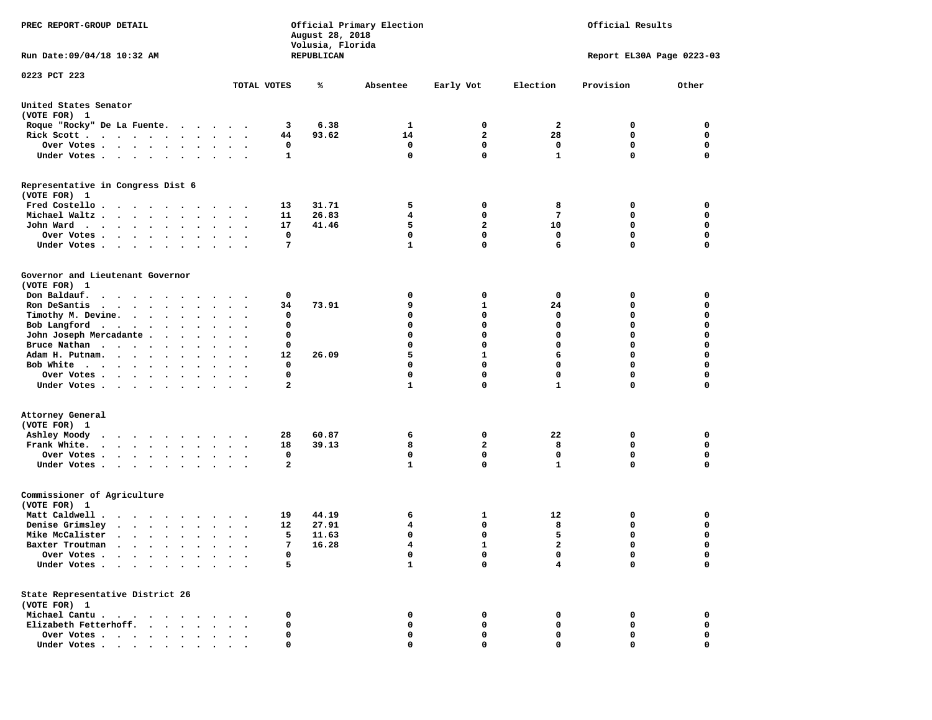| PREC REPORT-GROUP DETAIL                                                        |        |                      |              | August 28, 2018<br>Volusia, Florida | Official Primary Election |                     | Official Results |                           |             |  |
|---------------------------------------------------------------------------------|--------|----------------------|--------------|-------------------------------------|---------------------------|---------------------|------------------|---------------------------|-------------|--|
| Run Date: 09/04/18 10:32 AM                                                     |        |                      |              | REPUBLICAN                          |                           |                     |                  | Report EL30A Page 0223-03 |             |  |
| 0223 PCT 223                                                                    |        |                      |              |                                     |                           |                     |                  |                           |             |  |
|                                                                                 |        |                      | TOTAL VOTES  | ℁                                   | Absentee                  | Early Vot           | Election         | Provision                 | Other       |  |
| United States Senator<br>(VOTE FOR) 1                                           |        |                      |              |                                     |                           |                     |                  |                           |             |  |
| Roque "Rocky" De La Fuente.                                                     |        |                      | 3            | 6.38                                | 1                         | 0                   | 2                | 0                         | 0           |  |
| Rick Scott                                                                      |        |                      | 44           | 93.62                               | 14                        | $\overline{a}$      | 28               | $\mathbf 0$               | $\mathbf 0$ |  |
| Over Votes                                                                      |        |                      | 0            |                                     | 0                         | 0                   | 0                | 0                         | 0           |  |
| Under Votes                                                                     |        |                      | 1            |                                     | 0                         | $\mathbf{0}$        | $\mathbf{1}$     | $\mathbf 0$               | $\mathbf 0$ |  |
| Representative in Congress Dist 6<br>(VOTE FOR) 1                               |        |                      |              |                                     |                           |                     |                  |                           |             |  |
| Fred Costello                                                                   |        |                      | 13           | 31.71                               | 5                         | 0                   | 8                | 0                         | 0           |  |
| Michael Waltz.                                                                  |        |                      | 11           | 26.83                               | 4                         | 0                   | 7                | 0                         | 0           |  |
| John Ward.                                                                      |        |                      | 17           | 41.46                               | 5                         | $\overline{a}$      | 10               | 0                         | $\mathbf 0$ |  |
| Over Votes .                                                                    |        |                      | 0            |                                     | 0                         | $\mathbf{0}$        | 0                | 0                         | 0           |  |
| Under Votes                                                                     |        |                      | 7            |                                     | $\mathbf{1}$              | $\mathbf{0}$        | 6                | 0                         | $\Omega$    |  |
| Governor and Lieutenant Governor<br>(VOTE FOR) 1                                |        |                      |              |                                     |                           |                     |                  |                           |             |  |
| Don Baldauf.<br>.                                                               |        |                      | 0            |                                     | 0                         | 0                   | 0                | 0                         | 0           |  |
| Ron DeSantis<br>$\cdots$                                                        |        | $\ddot{\phantom{1}}$ | 34           | 73.91                               | 9                         | 1                   | 24               | 0                         | 0           |  |
| Timothy M. Devine.                                                              |        |                      | 0            |                                     | 0                         | 0                   | 0                | 0                         | $\mathbf 0$ |  |
| Bob Langford                                                                    |        | $\sim$ $\sim$        | 0            |                                     | 0                         | $\mathbf 0$         | $\mathbf 0$      | 0                         | $\mathbf 0$ |  |
| John Joseph Mercadante                                                          |        |                      | 0            |                                     | 0                         | $\mathbf 0$         | $\mathbf 0$      | 0                         | $\mathbf 0$ |  |
| Bruce Nathan                                                                    |        |                      | 0            |                                     | 0                         | $\mathbf 0$         | $\mathbf 0$      | 0                         | $\mathbf 0$ |  |
| Adam H. Putnam.<br>$\cdot$                                                      |        |                      | 12           | 26.09                               | 5                         | $\mathbf{1}$        | 6                | 0                         | 0           |  |
| Bob White                                                                       |        |                      | 0            |                                     | 0                         | $\mathbf{0}$        | $\Omega$         | 0                         | $\mathbf 0$ |  |
| Over Votes                                                                      |        | $\ddot{\phantom{1}}$ | 0            |                                     | 0                         | $\mathbf 0$         | $\mathbf 0$      | 0                         | $\mathbf 0$ |  |
| Under Votes                                                                     |        |                      | 2            |                                     | $\mathbf{1}$              | 0                   | $\mathbf{1}$     | 0                         | 0           |  |
| Attorney General<br>(VOTE FOR) 1                                                |        |                      |              |                                     |                           |                     |                  |                           |             |  |
| Ashley Moody<br>.                                                               |        |                      | 28<br>18     | 60.87<br>39.13                      | 6<br>8                    | 0<br>$\overline{a}$ | 22<br>8          | 0<br>0                    | 0<br>0      |  |
| Frank White.                                                                    | $\sim$ | $\ddot{\phantom{1}}$ | 0            |                                     | 0                         | $\mathbf 0$         | 0                | 0                         | 0           |  |
| Over Votes<br>Under Votes                                                       |        |                      | $\mathbf{2}$ |                                     | $\mathbf{1}$              | $\mathbf{0}$        | $\mathbf{1}$     | 0                         | $\Omega$    |  |
| Commissioner of Agriculture<br>(VOTE FOR) 1                                     |        |                      |              |                                     |                           |                     |                  |                           |             |  |
| Matt Caldwell.<br>$\cdots$                                                      |        |                      | 19           | 44.19                               | 6                         | 1                   | 12               | 0                         | 0           |  |
| Denise Grimsley<br>$\cdots$                                                     |        |                      | 12           | 27.91                               | 4                         | 0                   | 8                | 0                         | 0           |  |
| Mike McCalister<br>$\cdots$                                                     |        |                      | 5            | 11.63                               | 0                         | $\mathbf 0$         | 5                | 0                         | $\mathbf 0$ |  |
| Baxter Troutman<br>.                                                            |        |                      |              | 16.28                               | 4                         | 1                   | 2                | $\Omega$                  | 0           |  |
| Over Votes .<br>$\cdot$ $\cdot$ $\cdot$<br>$\cdot$ $\cdot$                      |        |                      | 0            |                                     | 0                         | 0                   | 0                | 0                         | 0           |  |
| Under Votes.<br>$\cdot$ $\cdot$ $\cdot$ $\cdot$ $\cdot$                         |        |                      | 5            |                                     | $\mathbf{1}$              | $\mathbf{0}$        | 4                | 0                         | $\mathbf 0$ |  |
| State Representative District 26<br>(VOTE FOR) 1                                |        |                      |              |                                     |                           |                     |                  |                           |             |  |
| Michael Cantu.                                                                  |        |                      | 0            |                                     | 0                         | 0                   | 0                | 0                         | 0           |  |
| Elizabeth Fetterhoff.<br>$\ddot{\phantom{0}}$<br>$\sim$<br>$\ddot{\phantom{a}}$ |        |                      | 0            |                                     | 0                         | 0                   | 0                | 0                         | 0           |  |
| Over Votes                                                                      |        |                      | 0            |                                     | 0                         | 0                   | 0                | 0                         | 0           |  |
| Under Votes                                                                     |        |                      | 0            |                                     | 0                         | 0                   | 0                | 0                         | 0           |  |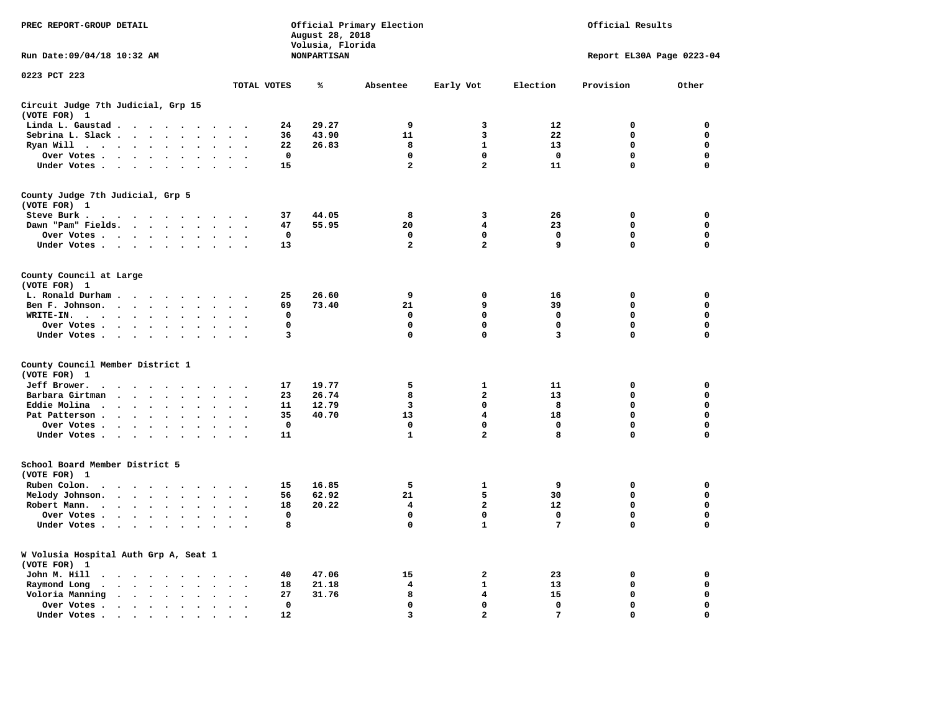| PREC REPORT-GROUP DETAIL                                     | Official Primary Election<br>Official Results<br>August 28, 2018<br>Volusia, Florida |                    |                            |                         |                  |                           |                            |
|--------------------------------------------------------------|--------------------------------------------------------------------------------------|--------------------|----------------------------|-------------------------|------------------|---------------------------|----------------------------|
| Run Date: 09/04/18 10:32 AM                                  |                                                                                      | <b>NONPARTISAN</b> |                            |                         |                  | Report EL30A Page 0223-04 |                            |
| 0223 PCT 223                                                 | TOTAL VOTES                                                                          | ℁                  | Absentee                   | Early Vot               | Election         | Provision                 | Other                      |
|                                                              |                                                                                      |                    |                            |                         |                  |                           |                            |
| Circuit Judge 7th Judicial, Grp 15<br>(VOTE FOR) 1           |                                                                                      |                    |                            |                         |                  |                           |                            |
| Linda L. Gaustad                                             | 24<br>$\sim$ $\sim$                                                                  | 29.27              | 9                          | 3                       | 12               | $\mathbf 0$               | 0                          |
| Sebrina L. Slack<br>$\Delta \sim 10$                         | 36<br>$\bullet$<br>$\cdot$<br>$\cdot$                                                | 43.90              | 11                         | 3                       | 22               | $\mathbf 0$               | $\mathbf 0$                |
| Ryan Will $\cdots$ , $\cdots$ , $\cdots$                     | 22<br>$\sim$                                                                         | 26.83              | 8                          | $\mathbf{1}$            | 13               | 0                         | $\mathbf 0$                |
| Over Votes                                                   | 0                                                                                    |                    | 0                          | 0                       | $\mathbf{o}$     | 0                         | $\mathbf 0$                |
| Under Votes                                                  | 15<br>$\cdot$ .                                                                      |                    | $\overline{a}$             | $\overline{a}$          | 11               | $\mathbf 0$               | $\mathbf 0$                |
| County Judge 7th Judicial, Grp 5<br>(VOTE FOR) 1             |                                                                                      |                    |                            |                         |                  |                           |                            |
| Steve Burk                                                   | 37                                                                                   | 44.05              | 8                          | 3                       | 26               | 0                         | 0                          |
| Dawn "Pam" Fields.                                           | 47<br>$\ddot{\phantom{1}}$                                                           | 55.95              | 20                         | 4                       | 23               | 0                         | 0                          |
| Over Votes                                                   | 0                                                                                    |                    | 0                          | 0                       | 0                | 0                         | 0                          |
| Under Votes                                                  | 13                                                                                   |                    | $\overline{a}$             | $\overline{a}$          | 9                | 0                         | 0                          |
| County Council at Large                                      |                                                                                      |                    |                            |                         |                  |                           |                            |
| (VOTE FOR) 1                                                 |                                                                                      |                    |                            |                         |                  |                           |                            |
| L. Ronald Durham                                             | 25                                                                                   | 26.60              | 9                          | 0                       | 16               | $\mathbf 0$               | 0                          |
| Ben F. Johnson.                                              | 69                                                                                   | 73.40              | 21                         | 9                       | 39               | 0                         | $\mathbf 0$                |
| WRITE-IN.<br>$\sim$                                          | 0                                                                                    |                    | $\mathbf 0$                | 0                       | $\mathbf 0$      | 0                         | 0                          |
| Over Votes<br>Under Votes                                    | $\mathbf 0$<br>3<br>$\sim$                                                           |                    | $\mathbf 0$<br>$\mathbf 0$ | 0<br>$\mathbf 0$        | $\mathbf 0$<br>3 | 0<br>$\Omega$             | $\mathbf 0$<br>$\mathbf 0$ |
| County Council Member District 1                             |                                                                                      |                    |                            |                         |                  |                           |                            |
| (VOTE FOR) 1                                                 |                                                                                      |                    |                            |                         |                  |                           |                            |
| Jeff Brower.<br>.                                            | 17                                                                                   | 19.77              | 5                          | $\mathbf{1}$            | 11               | $\mathbf 0$               | $\mathbf 0$                |
| Barbara Girtman                                              | 23                                                                                   | 26.74              | 8                          | $\mathbf{2}$            | 13               | 0                         | 0                          |
| Eddie Molina                                                 | 11                                                                                   | 12.79              | 3                          | 0                       | 8                | 0                         | 0                          |
| Pat Patterson                                                | 35<br>$\sim$                                                                         | 40.70              | 13                         | $\overline{\mathbf{4}}$ | 18               | 0                         | $\mathbf 0$                |
| Over Votes<br>$\ddot{\phantom{0}}$                           | $\Omega$<br>$\cdot$<br>$\ddot{\phantom{a}}$                                          |                    | $\mathbf 0$                | $\mathbf{0}$            | $\mathbf 0$      | $\mathbf{0}$              | $\mathbf 0$                |
| Under Votes                                                  | 11                                                                                   |                    | $\mathbf{1}$               | $\overline{a}$          | 8                | $\mathbf 0$               | $\mathbf 0$                |
| School Board Member District 5<br>(VOTE FOR) 1               |                                                                                      |                    |                            |                         |                  |                           |                            |
| Ruben Colon.                                                 | 15                                                                                   | 16.85              | 5                          | 1                       | 9                | $\mathbf 0$               | $\Omega$                   |
| Melody Johnson.                                              | 56<br>$\ddot{\phantom{1}}$                                                           | 62.92              | 21                         | 5                       | 30               | 0                         | 0                          |
| Robert Mann.<br>$\sim$                                       | 18<br>$\bullet$<br>$\cdot$                                                           | 20.22              | 4                          | $\overline{a}$          | 12               | 0                         | $\mathbf 0$                |
| Over Votes                                                   | $\mathbf 0$                                                                          |                    | $\mathbf 0$                | 0                       | $\mathbf 0$      | $\mathbf 0$               | $\mathbf 0$                |
| Under Votes<br>$\sim$ $\sim$                                 | 8<br>$\sim$ $\sim$                                                                   |                    | $\Omega$                   | $\mathbf{1}$            | 7                | 0                         | $\Omega$                   |
|                                                              |                                                                                      |                    |                            |                         |                  |                           |                            |
| W Volusia Hospital Auth Grp A, Seat 1<br>(VOTE FOR) 1        |                                                                                      |                    |                            |                         |                  |                           |                            |
| John M. Hill                                                 | 40<br>$\ddot{\phantom{1}}$                                                           | 47.06              | 15                         | 2                       | 23               | 0                         | 0                          |
| Raymond Long<br>$\ddot{\phantom{a}}$<br>$\ddot{\phantom{0}}$ | 18<br>$\ddot{\phantom{a}}$<br>$\cdot$                                                | 21.18              | 4                          | 1                       | 13               | 0                         | 0                          |
| Voloria Manning<br>$\cdot$                                   | 27                                                                                   | 31.76              | 8                          | 4                       | 15               | $\mathbf 0$               | 0                          |
| Over Votes .<br>$\sim$                                       | 0<br>$\ddot{\phantom{a}}$<br>$\cdot$                                                 |                    | 0                          | 0                       | 0                | 0                         | 0                          |
| Under Votes                                                  | 12                                                                                   |                    | $\overline{3}$             | $\mathbf{2}$            | 7                | $\mathbf 0$               | $\Omega$                   |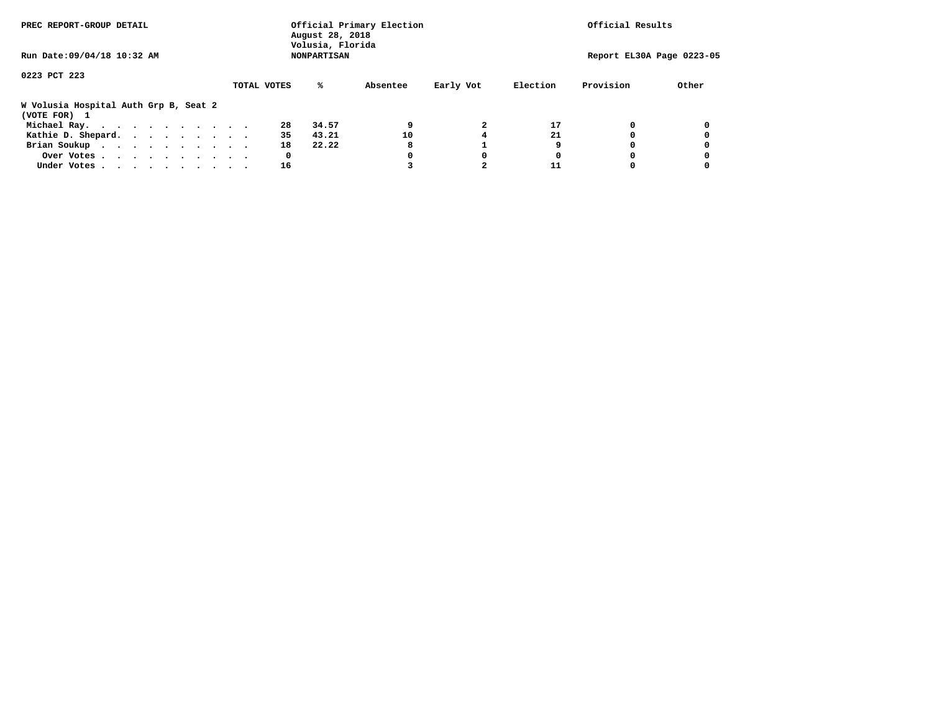| PREC REPORT-GROUP DETAIL                              |             | August 28, 2018<br>Volusia, Florida | Official Primary Election |           |          | Official Results          |       |
|-------------------------------------------------------|-------------|-------------------------------------|---------------------------|-----------|----------|---------------------------|-------|
| Run Date: 09/04/18 10:32 AM                           |             | <b>NONPARTISAN</b>                  |                           |           |          | Report EL30A Page 0223-05 |       |
| 0223 PCT 223                                          |             |                                     |                           |           |          |                           |       |
|                                                       | TOTAL VOTES | %ะ                                  | Absentee                  | Early Vot | Election | Provision                 | Other |
| W Volusia Hospital Auth Grp B, Seat 2<br>(VOTE FOR) 1 |             |                                     |                           |           |          |                           |       |
| Michael Ray.                                          |             | 28<br>34.57                         | 9                         |           | 17       |                           |       |
| Kathie D. Shepard.                                    |             | 35<br>43.21                         | 10                        |           | 21       |                           |       |
| Brian Soukup                                          |             | 18<br>22.22                         | 8                         |           | 9        |                           |       |
| Over Votes                                            |             | 0                                   | 0                         | 0         | 0        |                           |       |
| Under Votes                                           |             | 16                                  |                           |           |          |                           |       |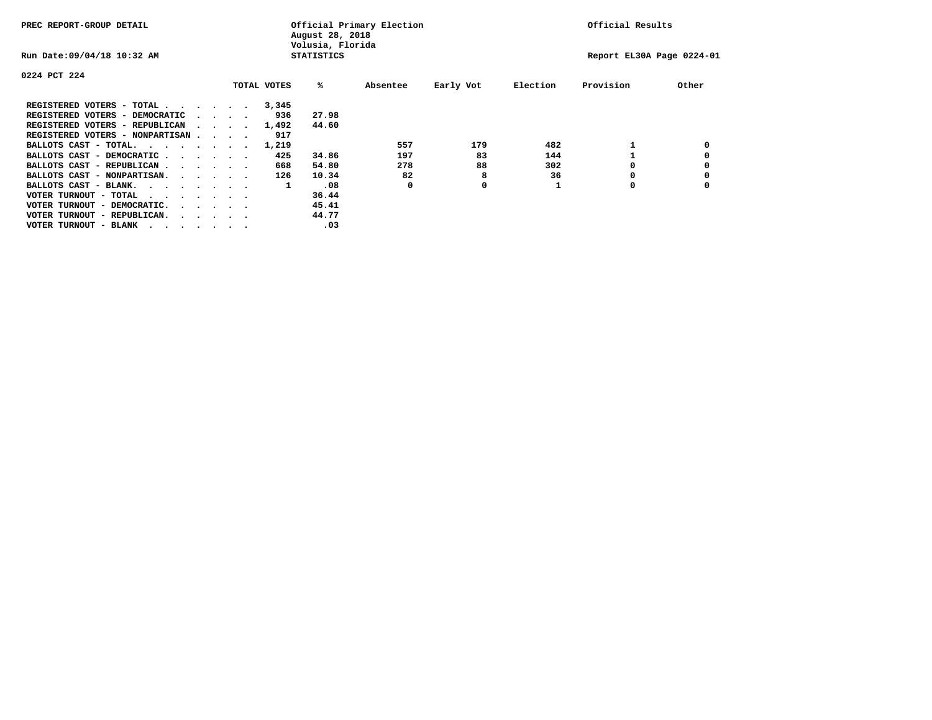| PREC REPORT-GROUP DETAIL               |  |                                         |             | August 28, 2018<br>Volusia, Florida | Official Primary Election |           |          | Official Results          |       |
|----------------------------------------|--|-----------------------------------------|-------------|-------------------------------------|---------------------------|-----------|----------|---------------------------|-------|
| Run Date: 09/04/18 10:32 AM            |  |                                         |             | <b>STATISTICS</b>                   |                           |           |          | Report EL30A Page 0224-01 |       |
| 0224 PCT 224                           |  |                                         |             |                                     |                           |           |          |                           |       |
|                                        |  |                                         | TOTAL VOTES | %ะ                                  | Absentee                  | Early Vot | Election | Provision                 | Other |
| REGISTERED VOTERS - TOTAL              |  |                                         | 3,345       |                                     |                           |           |          |                           |       |
| REGISTERED VOTERS - DEMOCRATIC         |  | $\cdot$ $\cdot$ $\cdot$ $\cdot$         | 936         | 27.98                               |                           |           |          |                           |       |
| REGISTERED VOTERS - REPUBLICAN         |  |                                         | 1,492       | 44.60                               |                           |           |          |                           |       |
| REGISTERED VOTERS - NONPARTISAN        |  |                                         | 917         |                                     |                           |           |          |                           |       |
| BALLOTS CAST - TOTAL.                  |  |                                         | 1,219       |                                     | 557                       | 179       | 482      |                           |       |
| BALLOTS CAST - DEMOCRATIC              |  |                                         | 425         | 34.86                               | 197                       | 83        | 144      |                           |       |
| BALLOTS CAST - REPUBLICAN              |  |                                         | 668         | 54.80                               | 278                       | 88        | 302      |                           |       |
| BALLOTS CAST - NONPARTISAN.            |  |                                         | 126         | 10.34                               | 82                        | 8         | 36       |                           |       |
| BALLOTS CAST - BLANK.                  |  |                                         | 1           | .08                                 | 0                         | 0         |          | 0                         |       |
| VOTER TURNOUT - TOTAL<br>.             |  |                                         |             | 36.44                               |                           |           |          |                           |       |
| VOTER TURNOUT - DEMOCRATIC.            |  | $\cdot$ $\cdot$ $\cdot$ $\cdot$ $\cdot$ |             | 45.41                               |                           |           |          |                           |       |
| VOTER TURNOUT - REPUBLICAN.<br>$\cdot$ |  |                                         |             | 44.77                               |                           |           |          |                           |       |
| VOTER TURNOUT - BLANK                  |  |                                         |             | .03                                 |                           |           |          |                           |       |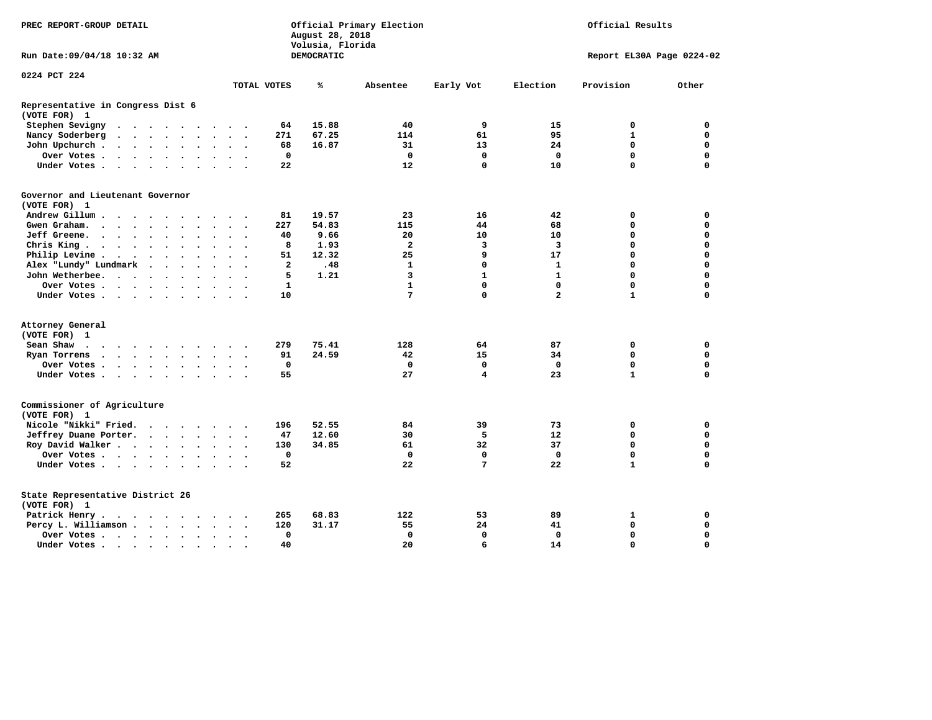| PREC REPORT-GROUP DETAIL                                                                                                                                 |                | August 28, 2018<br>Volusia, Florida | Official Primary Election | Official Results |                |                           |             |  |
|----------------------------------------------------------------------------------------------------------------------------------------------------------|----------------|-------------------------------------|---------------------------|------------------|----------------|---------------------------|-------------|--|
| Run Date: 09/04/18 10:32 AM                                                                                                                              |                | DEMOCRATIC                          |                           |                  |                | Report EL30A Page 0224-02 |             |  |
| 0224 PCT 224                                                                                                                                             |                |                                     |                           |                  |                |                           |             |  |
|                                                                                                                                                          | TOTAL VOTES    | ℁                                   | Absentee                  | Early Vot        | Election       | Provision                 | Other       |  |
| Representative in Congress Dist 6<br>(VOTE FOR) 1                                                                                                        |                |                                     |                           |                  |                |                           |             |  |
| Stephen Sevigny<br>$\ddot{\phantom{a}}$<br>$\cdots$<br>.                                                                                                 | 64             | 15.88                               | 40                        | 9                | 15             | 0                         | $\mathbf 0$ |  |
| Nancy Soderberg<br>$\bullet$<br>$\mathbf{r}$ , $\mathbf{r}$ , $\mathbf{r}$ , $\mathbf{r}$ , $\mathbf{r}$<br>$\ddot{\phantom{a}}$<br>$\ddot{\phantom{1}}$ | 271            | 67.25                               | 114                       | 61               | 95             | $\mathbf{1}$              | $\mathbf 0$ |  |
| John Upchurch.<br>$\mathbf{r}$ , and $\mathbf{r}$ , and $\mathbf{r}$<br>$\overline{\phantom{a}}$                                                         | 68             | 16.87                               | 31                        | 13               | 24             | 0                         | $\mathbf 0$ |  |
| Over Votes<br>$\ddot{\phantom{1}}$<br>$\bullet$<br>$\bullet$<br>$\bullet$                                                                                | 0              |                                     | 0                         | 0                | 0              | 0                         | $\mathbf 0$ |  |
| Under Votes<br>$\bullet$<br>$\cdot$                                                                                                                      | 22             |                                     | 12                        | $\mathbf 0$      | 10             | 0                         | 0           |  |
| Governor and Lieutenant Governor                                                                                                                         |                |                                     |                           |                  |                |                           |             |  |
| (VOTE FOR) 1                                                                                                                                             |                |                                     |                           |                  |                |                           |             |  |
| Andrew Gillum<br>$\sim$                                                                                                                                  | 81             | 19.57                               | 23                        | 16               | 42             | 0                         | 0           |  |
| Gwen Graham.<br>$\ddot{\phantom{0}}$<br>$\bullet$<br>$\bullet$<br>$\ddot{\phantom{0}}$<br>$\ddot{\phantom{0}}$                                           | 227            | 54.83                               | 115                       | 44               | 68             | 0                         | $\mathbf 0$ |  |
| Jeff Greene.<br>$\bullet$                                                                                                                                | 40             | 9.66                                | 20                        | 10               | 10             | 0                         | 0           |  |
| Chris King<br>$\bullet$                                                                                                                                  | 8              | 1.93                                | $\overline{a}$            | 3                | 3              | 0                         | $\mathbf 0$ |  |
| Philip Levine .<br>$\bullet$<br>$\sim$ $\sim$<br>$\cdot$ $\cdot$<br>$\bullet$<br>$\bullet$<br>$\bullet$<br>$\ddot{\phantom{0}}$                          | 51             | 12.32                               | 25                        | 9                | 17             | $\Omega$                  | $\Omega$    |  |
| Alex "Lundy" Lundmark<br>$\ddot{\phantom{a}}$<br>$\ddot{\phantom{0}}$<br>$\ddot{\phantom{a}}$<br>$\bullet$                                               | $\overline{a}$ | .48                                 | $\mathbf{1}$              | $\mathbf 0$      | 1              | 0                         | $\mathbf 0$ |  |
| John Wetherbee.<br>$\ddot{\phantom{a}}$<br>$\sim$<br>$\sim$ $\sim$ $\sim$<br>$\ddot{\phantom{1}}$<br>$\bullet$                                           | 5              | 1.21                                | $\overline{3}$            | $\mathbf{1}$     | $\mathbf{1}$   | $\Omega$                  | $\Omega$    |  |
| Over Votes .<br>$\cdots$<br>$\cdot$<br>$\bullet$                                                                                                         | $\mathbf{1}$   |                                     | $\mathbf{1}$              | $\mathbf 0$      | $\mathbf 0$    | 0                         | $\mathbf 0$ |  |
| Under Votes.<br>$\bullet$                                                                                                                                | 10             |                                     | 7                         | 0                | $\overline{a}$ | 1                         | 0           |  |
| Attorney General                                                                                                                                         |                |                                     |                           |                  |                |                           |             |  |
| (VOTE FOR) 1                                                                                                                                             |                |                                     |                           |                  |                |                           |             |  |
| Sean Shaw<br>$\cdots$                                                                                                                                    | 279            | 75.41                               | 128                       | 64               | 87             | 0                         | $\mathbf 0$ |  |
| Ryan Torrens<br>$\mathbf{r}$ , and $\mathbf{r}$ , and $\mathbf{r}$ , and $\mathbf{r}$<br>$\bullet$<br>$\bullet$<br>$\sim$                                | 91             | 24.59                               | 42                        | 15               | 34             | 0                         | $\mathbf 0$ |  |
| Over Votes .<br>$\sim$ $\sim$ $\sim$ $\sim$<br>$\sim$<br>$\bullet$                                                                                       | 0              |                                     | 0                         | 0                | $\mathbf 0$    | 0                         | $\mathbf 0$ |  |
| Under Votes<br>$\bullet$<br>$\ddot{\phantom{1}}$                                                                                                         | 55             |                                     | 27                        | 4                | 23             | $\mathbf{1}$              | $\mathbf 0$ |  |
| Commissioner of Agriculture<br>(VOTE FOR) 1                                                                                                              |                |                                     |                           |                  |                |                           |             |  |
| Nicole "Nikki" Fried.<br>$\ddot{\phantom{0}}$<br>$\cdots$                                                                                                | 196            | 52.55                               | 84                        | 39               | 73             | 0                         | 0           |  |
| Jeffrey Duane Porter.<br>$\cdot$ $\cdot$ $\cdot$ $\cdot$                                                                                                 | 47             | 12.60                               | 30                        | 5                | 12             | 0                         | $\mathbf 0$ |  |
| Roy David Walker                                                                                                                                         | 130            | 34.85                               | 61                        | 32               | 37             | $\mathbf 0$               | $\mathbf 0$ |  |
| Over Votes                                                                                                                                               | $\mathbf 0$    |                                     | $\mathbf{0}$              | 0                | $\mathbf 0$    | 0                         | $\mathbf 0$ |  |
| Under Votes<br>$\bullet$                                                                                                                                 | 52             |                                     | 22                        | $7\phantom{.0}$  | 22             | $\mathbf{1}$              | 0           |  |
| State Representative District 26<br>(VOTE FOR) 1                                                                                                         |                |                                     |                           |                  |                |                           |             |  |
| Patrick Henry.<br>$\cdots$                                                                                                                               | 265            | 68.83                               | 122                       | 53               | 89             | 1                         | 0           |  |
| Percy L. Williamson<br>$\bullet$<br>$\bullet$<br>$\ddot{\phantom{0}}$                                                                                    | 120            | 31.17                               | 55                        | 24               | 41             | $\mathbf 0$               | $\mathbf 0$ |  |
| Over Votes<br>$\bullet$                                                                                                                                  | $\mathbf 0$    |                                     | $\mathbf 0$               | $\mathbf 0$      | $\mathbf 0$    | 0                         | $\mathbf 0$ |  |
| Under Votes<br>$\cdot$                                                                                                                                   | 40             |                                     | 20                        | 6                | 14             | $\Omega$                  | $\Omega$    |  |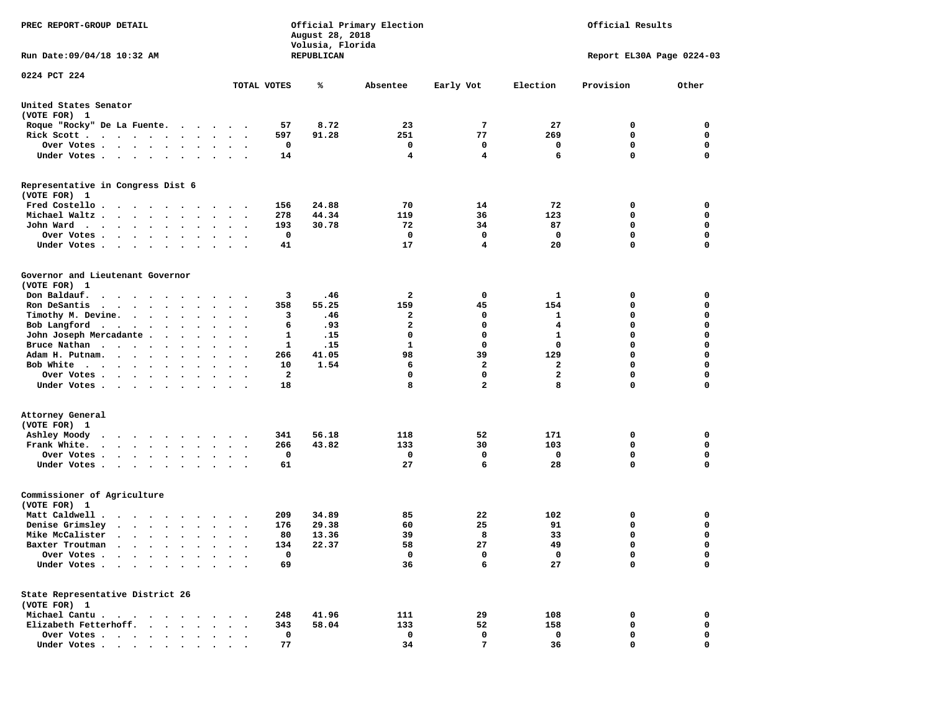| PREC REPORT-GROUP DETAIL                                                     |                                                                             | August 28, 2018<br>Volusia, Florida | Official Primary Election | Official Results |                     |                            |                  |
|------------------------------------------------------------------------------|-----------------------------------------------------------------------------|-------------------------------------|---------------------------|------------------|---------------------|----------------------------|------------------|
| Run Date: 09/04/18 10:32 AM                                                  |                                                                             | REPUBLICAN                          |                           |                  |                     | Report EL30A Page 0224-03  |                  |
| 0224 PCT 224                                                                 |                                                                             |                                     |                           |                  |                     |                            |                  |
|                                                                              | TOTAL VOTES                                                                 | ℁                                   | Absentee                  | Early Vot        | Election            | Provision                  | Other            |
| United States Senator<br>(VOTE FOR) 1                                        |                                                                             |                                     |                           |                  |                     |                            |                  |
| Roque "Rocky" De La Fuente.                                                  | 57                                                                          | 8.72                                | 23                        | 7                | 27                  | 0                          | 0                |
| Rick Scott                                                                   | 597<br>$\sim$ $\sim$<br>$\ddot{\phantom{1}}$                                | 91.28                               | 251                       | 77               | 269                 | 0                          | 0                |
| Over Votes                                                                   | 0                                                                           |                                     | 0                         | 0                | $\mathbf{o}$        | $\mathbf 0$                | 0                |
| Under Votes                                                                  | 14                                                                          |                                     | 4                         | $\overline{4}$   | 6                   | $\mathbf 0$                | $\mathbf 0$      |
| Representative in Congress Dist 6<br>(VOTE FOR) 1                            |                                                                             |                                     |                           |                  |                     |                            |                  |
| Fred Costello.<br>$\cdots$                                                   | 156                                                                         | 24.88                               | 70                        | 14               | 72                  | 0                          | 0                |
| Michael Waltz                                                                | 278<br>$\bullet$                                                            | 44.34                               | 119                       | 36               | 123                 | 0                          | 0                |
| John Ward<br>$\ddot{\phantom{1}}$                                            | 193<br>$\ddot{\phantom{0}}$<br>$\ddot{\phantom{a}}$<br>$\ddot{\phantom{1}}$ | 30.78                               | 72                        | 34               | 87                  | 0                          | 0                |
| Over Votes<br>$\cdots$<br>$\cdot$                                            | 0                                                                           |                                     | 0                         | 0                | $\mathbf{o}$        | $\mathbf 0$                | 0                |
| Under Votes                                                                  | 41                                                                          |                                     | 17                        | 4                | 20                  | $\mathbf 0$                | 0                |
| Governor and Lieutenant Governor                                             |                                                                             |                                     |                           |                  |                     |                            |                  |
| (VOTE FOR) 1<br>Don Baldauf.                                                 | 3                                                                           | .46                                 | 2                         | 0                | 1                   | 0                          | 0                |
| Ron DeSantis<br>$\cdots$                                                     | 358                                                                         | 55.25                               | 159                       | 45               | 154                 | 0                          | 0                |
| Timothy M. Devine.                                                           | $\ddot{\phantom{1}}$<br>3                                                   | .46                                 | 2                         | 0                | 1                   | 0                          | 0                |
|                                                                              | 6                                                                           | .93                                 | 2                         | $\mathbf 0$      | 4                   | $\mathbf 0$                | $\mathbf 0$      |
| Bob Langford                                                                 | $\ddot{\phantom{0}}$                                                        |                                     | $\mathbf 0$               | $\mathbf 0$      | $\mathbf{1}$        | $\mathbf 0$                |                  |
| John Joseph Mercadante.<br>$\cdots$<br>Bruce Nathan                          | 1<br>$\sim$ $\sim$<br>1                                                     | .15<br>.15                          | 1                         | 0                | 0                   | $\mathbf 0$                | 0<br>0           |
|                                                                              | $\ddot{\phantom{1}}$<br>$\blacksquare$ .                                    |                                     | 98                        | 39               |                     | $\mathbf 0$                | $\mathbf 0$      |
| Adam H. Putnam.                                                              | 266<br>$\sim$                                                               | 41.05                               |                           | $\overline{2}$   | 129<br>$\mathbf{2}$ | $\mathbf 0$                |                  |
| Bob White                                                                    | 10<br>$\sim$ $\sim$                                                         | 1.54                                | 6<br>0                    | 0                |                     | 0                          | 0<br>0           |
| Over Votes<br>Under Votes                                                    | 2<br>$\cdot$<br>18                                                          |                                     | 8                         | $\overline{a}$   | 2<br>8              | $\mathbf 0$                | 0                |
|                                                                              |                                                                             |                                     |                           |                  |                     |                            |                  |
| Attorney General                                                             |                                                                             |                                     |                           |                  |                     |                            |                  |
| (VOTE FOR) 1                                                                 |                                                                             | 56.18                               |                           | 52               |                     |                            | 0                |
| Ashley Moody<br>.                                                            | 341                                                                         |                                     | 118                       | 30               | 171<br>103          | 0<br>0                     | 0                |
| Frank White.                                                                 | 266<br>$\cdot$ $\cdot$ $\cdot$                                              | 43.82                               | 133                       | $\mathbf 0$      |                     |                            |                  |
| Over Votes                                                                   | 0<br>$\sim$ $\sim$<br>61                                                    |                                     | 0<br>27                   | 6                | 0<br>28             | $\mathbf 0$<br>$\mathbf 0$ | 0<br>$\mathbf 0$ |
| Under Votes                                                                  |                                                                             |                                     |                           |                  |                     |                            |                  |
| Commissioner of Agriculture<br>(VOTE FOR) 1                                  |                                                                             |                                     |                           |                  |                     |                            |                  |
| Matt Caldwell .<br>$\cdots$                                                  | 209                                                                         | 34.89                               | 85                        | 22               | 102                 | 0                          | 0                |
| Denise Grimsley<br>$\mathbf{r}$ , $\mathbf{r}$ , $\mathbf{r}$ , $\mathbf{r}$ | 176                                                                         | 29.38                               | 60                        | 25               | 91                  | 0                          | 0                |
| Mike McCalister                                                              | 80<br>$\bullet$<br>$\bullet$<br>$\bullet$                                   | 13.36                               | 39                        | 8                | 33                  | $\mathbf 0$                | 0                |
| Baxter Troutman<br>.                                                         | 134                                                                         | 22.37                               | 58                        | 27               | 49                  | $\mathbf 0$                | $\mathbf 0$      |
| Over Votes                                                                   | 0                                                                           |                                     | 0                         | 0                | 0                   | 0                          | 0                |
| Under Votes                                                                  | 69                                                                          |                                     | 36                        | 6                | 27                  | $\mathbf 0$                | $\mathbf 0$      |
| State Representative District 26                                             |                                                                             |                                     |                           |                  |                     |                            |                  |
| (VOTE FOR) 1                                                                 |                                                                             |                                     |                           |                  |                     |                            |                  |
| Michael Cantu.<br>Elizabeth Fetterhoff.                                      | 248                                                                         | 41.96                               | 111                       | 29               | 108                 | 0                          | 0<br>0           |
|                                                                              | 343<br>0                                                                    | 58.04                               | 133<br>0                  | 52<br>0          | 158<br>0            | 0<br>0                     | 0                |
| Over Votes<br>Under Votes                                                    | $\ddot{\phantom{0}}$<br>77                                                  |                                     | 34                        | 7                | 36                  | 0                          | 0                |
|                                                                              |                                                                             |                                     |                           |                  |                     |                            |                  |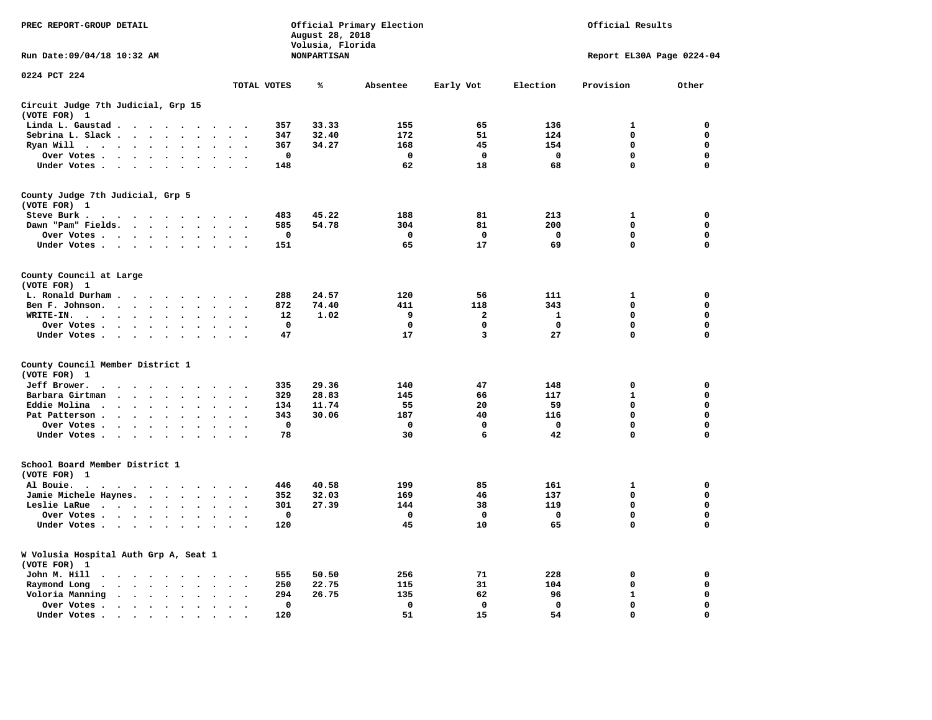| PREC REPORT-GROUP DETAIL                                                                                                                                                                        |                                                                | Official Results<br>Official Primary Election<br>August 28, 2018<br>Volusia, Florida |              |              |                           |                   |                  |  |  |  |
|-------------------------------------------------------------------------------------------------------------------------------------------------------------------------------------------------|----------------------------------------------------------------|--------------------------------------------------------------------------------------|--------------|--------------|---------------------------|-------------------|------------------|--|--|--|
| Run Date: 09/04/18 10:32 AM                                                                                                                                                                     |                                                                | <b>NONPARTISAN</b>                                                                   |              |              | Report EL30A Page 0224-04 |                   |                  |  |  |  |
| 0224 PCT 224                                                                                                                                                                                    | TOTAL VOTES                                                    | ℁                                                                                    | Absentee     | Early Vot    | Election                  | Provision         | Other            |  |  |  |
| Circuit Judge 7th Judicial, Grp 15                                                                                                                                                              |                                                                |                                                                                      |              |              |                           |                   |                  |  |  |  |
| (VOTE FOR) 1                                                                                                                                                                                    |                                                                |                                                                                      |              |              |                           |                   |                  |  |  |  |
| Linda L. Gaustad<br>$\ddot{\phantom{a}}$                                                                                                                                                        | 357                                                            | 33.33                                                                                | 155          | 65           | 136                       | 1                 | 0                |  |  |  |
| Sebrina L. Slack<br>$\mathbf{r}$                                                                                                                                                                | 347                                                            | 32.40                                                                                | 172          | 51           | 124                       | $\Omega$          | $\mathbf 0$      |  |  |  |
| Ryan Will $\cdots$ $\cdots$ $\cdots$<br>$\ddot{\phantom{a}}$                                                                                                                                    | 367<br>$\sim$                                                  | 34.27                                                                                | 168          | 45           | 154                       | $\mathbf 0$       | $\mathbf 0$      |  |  |  |
| Over Votes                                                                                                                                                                                      | $\mathbf 0$                                                    |                                                                                      | $\mathbf 0$  | $\mathbf 0$  | $\mathbf 0$               | 0                 | $\mathbf 0$      |  |  |  |
| Under Votes                                                                                                                                                                                     | 148<br>$\ddot{\phantom{a}}$                                    |                                                                                      | 62           | 18           | 68                        | $\Omega$          | $\mathbf 0$      |  |  |  |
| County Judge 7th Judicial, Grp 5<br>(VOTE FOR) 1                                                                                                                                                |                                                                |                                                                                      |              |              |                           |                   |                  |  |  |  |
| Steve Burk .                                                                                                                                                                                    | 483                                                            | 45.22                                                                                | 188          | 81           | 213                       | 1                 | 0                |  |  |  |
| Dawn "Pam" Fields.                                                                                                                                                                              | 585<br>$\overline{\phantom{a}}$                                | 54.78                                                                                | 304          | 81           | 200                       | $\mathbf 0$       | 0                |  |  |  |
| Over Votes                                                                                                                                                                                      | $\mathbf 0$                                                    |                                                                                      | $\mathbf 0$  | $\mathbf 0$  | $\mathbf 0$               | 0                 | $\mathbf 0$      |  |  |  |
| Under Votes                                                                                                                                                                                     | 151<br>$\sim$ $\sim$                                           |                                                                                      | 65           | 17           | 69                        | $\mathbf 0$       | $\mathbf 0$      |  |  |  |
| County Council at Large<br>(VOTE FOR) 1                                                                                                                                                         |                                                                |                                                                                      |              |              |                           |                   |                  |  |  |  |
| L. Ronald Durham                                                                                                                                                                                | 288<br>$\sim$                                                  | 24.57                                                                                | 120          | 56           | 111                       | 1                 | 0                |  |  |  |
| Ben F. Johnson.<br>$\sim$ $\sim$                                                                                                                                                                | 872<br>$\overline{\phantom{a}}$                                | 74.40                                                                                | 411          | 118          | 343                       | $\mathbf 0$       | 0                |  |  |  |
| WRITE-IN.<br>$\sim$ $\sim$ $\sim$ $\sim$<br>$\sim$ $\sim$<br>$\ddot{\phantom{a}}$<br>$\ddot{\phantom{a}}$                                                                                       | 12                                                             | 1.02                                                                                 | 9            | 2            | 1                         | 0                 | 0                |  |  |  |
| Over Votes                                                                                                                                                                                      | 0                                                              |                                                                                      | $\mathbf 0$  | 0            | $\mathbf 0$               | 0                 | 0                |  |  |  |
| Under Votes                                                                                                                                                                                     | 47<br>$\sim$                                                   |                                                                                      | 17           | 3            | 27                        | $\mathbf 0$       | $\mathbf 0$      |  |  |  |
| County Council Member District 1                                                                                                                                                                |                                                                |                                                                                      |              |              |                           |                   |                  |  |  |  |
| (VOTE FOR) 1                                                                                                                                                                                    |                                                                |                                                                                      |              |              |                           |                   |                  |  |  |  |
| Jeff Brower.                                                                                                                                                                                    | 335                                                            | 29.36                                                                                | 140          | 47           | 148                       | $\mathbf 0$       | $\mathbf 0$      |  |  |  |
| Barbara Girtman<br>$\cdots$<br>$\ddot{\phantom{a}}$<br>$\ddot{\phantom{a}}$<br>$\sim$                                                                                                           | 329                                                            | 28.83<br>11.74                                                                       | 145<br>55    | 66<br>20     | 117<br>59                 | $\mathbf{1}$<br>0 | 0<br>$\mathbf 0$ |  |  |  |
| Eddie Molina<br>$\cdot$                                                                                                                                                                         | 134                                                            | 30.06                                                                                | 187          | 40           | 116                       | 0                 | 0                |  |  |  |
| Pat Patterson<br>$\bullet$                                                                                                                                                                      | 343<br>$\bullet$<br>$\mathbf 0$                                |                                                                                      | $\mathbf{0}$ | $\mathbf{0}$ | $\mathbf 0$               | $\mathbf 0$       | $\mathbf 0$      |  |  |  |
| Over Votes<br>$\bullet$ .<br>Under Votes<br>$\sim$                                                                                                                                              | 78<br>$\sim$                                                   |                                                                                      | 30           | 6            | 42                        | $\mathbf 0$       | $\mathbf 0$      |  |  |  |
| School Board Member District 1                                                                                                                                                                  |                                                                |                                                                                      |              |              |                           |                   |                  |  |  |  |
| (VOTE FOR) 1                                                                                                                                                                                    |                                                                |                                                                                      |              |              |                           |                   |                  |  |  |  |
| Al Bouie.<br>$\cdot$<br>$\ddot{\phantom{0}}$<br>$\cdots$                                                                                                                                        | 446                                                            | 40.58                                                                                | 199          | 85           | 161                       | $\mathbf{1}$      | $\mathbf 0$      |  |  |  |
| Jamie Michele Haynes.                                                                                                                                                                           | 352<br>$\sim$<br>$\cdot$                                       | 32.03                                                                                | 169          | 46           | 137                       | $\mathbf 0$       | $\mathbf 0$      |  |  |  |
| Leslie LaRue<br>$\ddot{\phantom{a}}$                                                                                                                                                            | 301<br>$\ddot{\phantom{a}}$                                    | 27.39                                                                                | 144          | 38           | 119                       | $\mathbf 0$       | $\mathbf 0$      |  |  |  |
| Over Votes                                                                                                                                                                                      | 0                                                              |                                                                                      | 0            | 0            | $\Omega$                  | $\mathbf 0$       | 0                |  |  |  |
| Under Votes<br>$\sim$ $\sim$                                                                                                                                                                    | 120                                                            |                                                                                      | 45           | 10           | 65                        | 0                 | $\mathbf 0$      |  |  |  |
| W Volusia Hospital Auth Grp A, Seat 1<br>(VOTE FOR)<br>1                                                                                                                                        |                                                                |                                                                                      |              |              |                           |                   |                  |  |  |  |
| John M. Hill<br>$\begin{array}{cccccccccccccccccc} \bullet & \bullet & \bullet & \bullet & \bullet & \bullet & \bullet & \bullet & \bullet & \bullet & \bullet & \bullet & \bullet \end{array}$ | 555<br>$\cdot$                                                 | 50.50                                                                                | 256          | 71           | 228                       | 0                 | 0                |  |  |  |
| Raymond Long<br>$\cdots$ $\cdots$<br>$\bullet$<br>$\ddot{\phantom{a}}$<br>$\ddot{\phantom{a}}$                                                                                                  | 250<br>$\ddot{\phantom{a}}$<br>$\cdot$<br>$\ddot{\phantom{0}}$ | 22.75                                                                                | 115          | 31           | 104                       | $\mathbf 0$       | 0                |  |  |  |
| Voloria Manning<br>$\cdots$                                                                                                                                                                     | 294                                                            | 26.75                                                                                | 135          | 62           | 96                        | $\mathbf 1$       | 0                |  |  |  |
| Over Votes.<br>$\cdot$ $\cdot$ $\cdot$ $\cdot$ $\cdot$<br>$\ddot{\phantom{a}}$                                                                                                                  | 0<br>$\bullet$                                                 |                                                                                      | 0            | 0            | $\mathbf 0$               | 0                 | 0                |  |  |  |
| Under Votes<br>$\ddot{\phantom{a}}$                                                                                                                                                             | 120                                                            |                                                                                      | 51           | 15           | 54                        | $\Omega$          | $\Omega$         |  |  |  |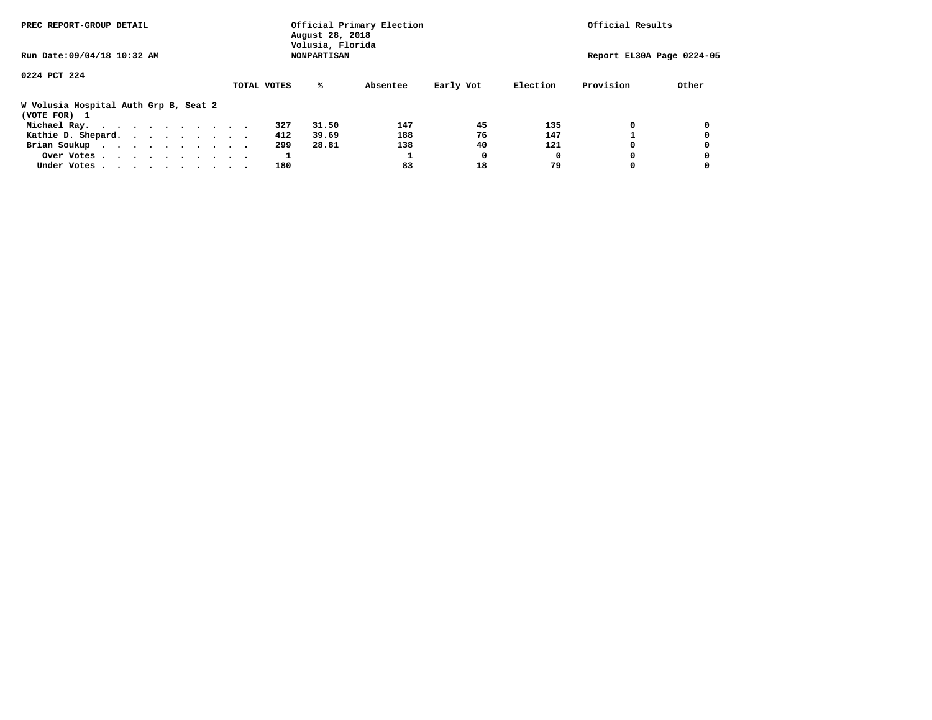| PREC REPORT-GROUP DETAIL                              | Official Primary Election<br>August 28, 2018<br>Volusia, Florida |                           |          | Official Results   |  |  |  |
|-------------------------------------------------------|------------------------------------------------------------------|---------------------------|----------|--------------------|--|--|--|
| Run Date: 09/04/18 10:32 AM                           |                                                                  | Report EL30A Page 0224-05 |          |                    |  |  |  |
| 0224 PCT 224                                          | TOTAL VOTES<br>‱                                                 | Absentee<br>Early Vot     | Election | Provision<br>Other |  |  |  |
| W Volusia Hospital Auth Grp B, Seat 2<br>(VOTE FOR) 1 |                                                                  |                           |          |                    |  |  |  |
| Michael Ray.                                          | 31.50<br>327                                                     | 45<br>147                 | 135      | 0<br>0             |  |  |  |
| Kathie D. Shepard.                                    | 39.69<br>412                                                     | 76<br>188                 | 147      | 0                  |  |  |  |
| Brian Soukup                                          | 299<br>28.81                                                     | 40<br>138                 | 121      | 0                  |  |  |  |
| Over Votes                                            |                                                                  | 0                         |          | 0<br>0             |  |  |  |
| Under Votes                                           | 180                                                              | 83<br>18                  | 79       | 0                  |  |  |  |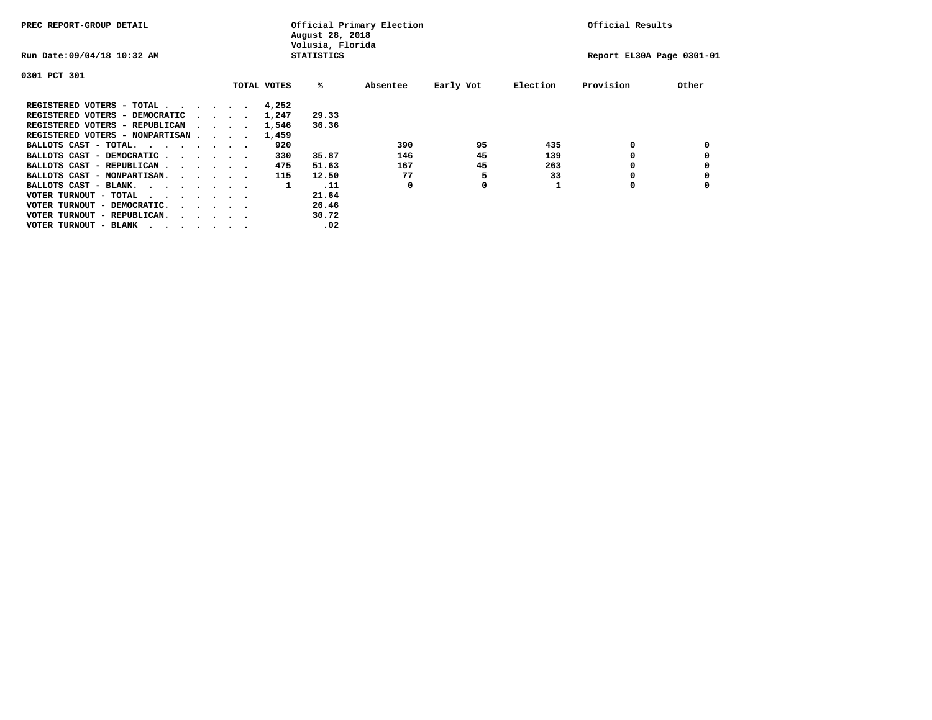| PREC REPORT-GROUP DETAIL               |  |  |                                         |  | Official Primary Election<br>August 28, 2018<br>Volusia, Florida | Official Results  |          |           |          |                           |       |
|----------------------------------------|--|--|-----------------------------------------|--|------------------------------------------------------------------|-------------------|----------|-----------|----------|---------------------------|-------|
| Run Date: 09/04/18 10:32 AM            |  |  |                                         |  |                                                                  | <b>STATISTICS</b> |          |           |          | Report EL30A Page 0301-01 |       |
| 0301 PCT 301                           |  |  |                                         |  |                                                                  |                   |          |           |          |                           |       |
|                                        |  |  |                                         |  | TOTAL VOTES                                                      | %ะ                | Absentee | Early Vot | Election | Provision                 | Other |
| REGISTERED VOTERS - TOTAL              |  |  |                                         |  | 4,252                                                            |                   |          |           |          |                           |       |
| REGISTERED VOTERS - DEMOCRATIC         |  |  | $\sim$ $\sim$ $\sim$ $\sim$             |  | 1,247                                                            | 29.33             |          |           |          |                           |       |
| REGISTERED VOTERS - REPUBLICAN         |  |  |                                         |  | 1,546                                                            | 36.36             |          |           |          |                           |       |
| REGISTERED VOTERS - NONPARTISAN        |  |  |                                         |  | 1,459                                                            |                   |          |           |          |                           |       |
| BALLOTS CAST - TOTAL.                  |  |  |                                         |  | 920                                                              |                   | 390      | 95        | 435      | 0                         |       |
| BALLOTS CAST - DEMOCRATIC              |  |  |                                         |  | 330                                                              | 35.87             | 146      | 45        | 139      |                           |       |
| BALLOTS CAST - REPUBLICAN              |  |  |                                         |  | 475                                                              | 51.63             | 167      | 45        | 263      | 0                         |       |
| BALLOTS CAST - NONPARTISAN.            |  |  |                                         |  | 115                                                              | 12.50             | 77       |           | 33       |                           |       |
| BALLOTS CAST - BLANK.                  |  |  |                                         |  | 1                                                                | .11               | 0        | 0         |          | 0                         |       |
| VOTER TURNOUT - TOTAL<br>.             |  |  |                                         |  |                                                                  | 21.64             |          |           |          |                           |       |
| VOTER TURNOUT - DEMOCRATIC.            |  |  | $\cdot$ $\cdot$ $\cdot$ $\cdot$ $\cdot$ |  |                                                                  | 26.46             |          |           |          |                           |       |
| VOTER TURNOUT - REPUBLICAN.<br>$\cdot$ |  |  |                                         |  |                                                                  | 30.72             |          |           |          |                           |       |
| VOTER TURNOUT - BLANK                  |  |  |                                         |  |                                                                  | .02               |          |           |          |                           |       |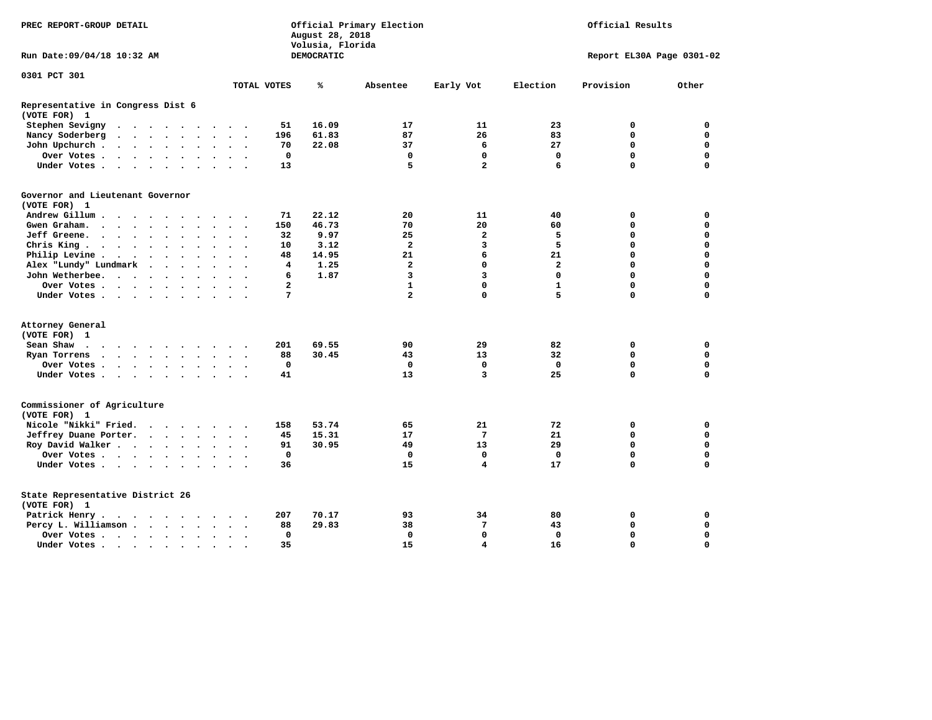| DEMOCRATIC<br>Report EL30A Page 0301-02<br>TOTAL VOTES<br>℁<br>Election<br>Provision<br>Other<br>Absentee<br>Early Vot<br>Stephen Sevigny<br>51<br>16.09<br>17<br>11<br>23<br>0<br>0<br>$\cdots$<br>$\sim$ $\sim$<br>61.83<br>87<br>26<br>83<br>0<br>$\mathbf 0$<br>Nancy Soderberg<br>196<br>$\bullet$<br>$\bullet$<br>$\ddot{\phantom{1}}$<br>22.08<br>27<br>0<br>$\mathbf 0$<br>John Upchurch.<br>70<br>37<br>6<br>$\mathbf{r} = \mathbf{r} + \mathbf{r} + \mathbf{r} + \mathbf{r}$<br>$\bullet$<br>$\mathbf 0$<br>$\mathbf 0$<br>$\mathbf 0$<br>$\mathbf 0$<br>$\mathbf 0$<br>Over Votes<br>0<br>$\bullet$<br>$\bullet$<br>5<br>$\overline{a}$<br>6<br>$\Omega$<br>$\Omega$<br>13<br>Under Votes<br>$\cdot$<br>$\ddot{\phantom{a}}$<br>$\sim$<br>(VOTE FOR) 1<br>Andrew Gillum<br>22.12<br>0<br>71<br>20<br>11<br>40<br>0<br>150<br>46.73<br>70<br>20<br>0<br>$\mathbf 0$<br>Gwen Graham.<br>60<br>$\cdots$ $\cdots$<br>$\bullet$<br>$\sim$<br>$\ddot{\phantom{a}}$<br>$\mathbf{2}$<br>$\mathbf 0$<br>Jeff Greene.<br>32<br>9.97<br>25<br>5<br>0<br>$\bullet$<br>$\bullet$<br>$\bullet$<br>$\overline{a}$<br>5<br>0<br>$\mathbf 0$<br>3.12<br>3<br>Chris King<br>10<br>$\ddot{\phantom{0}}$<br>$\bullet$<br>Philip Levine .<br>48<br>14.95<br>21<br>6<br>21<br>0<br>$\mathbf 0$<br>$\sim$<br>$\bullet$<br>$\bullet$<br>$\ddot{\phantom{0}}$<br>$\bullet$<br>$\bullet$<br>$\bullet$<br>$\ddot{\phantom{0}}$<br>$\Omega$<br>Alex "Lundy" Lundmark<br>$\overline{\mathbf{4}}$<br>1.25<br>$\overline{2}$<br>$\mathbf 0$<br>$\overline{a}$<br>0<br>$\ddot{\phantom{a}}$<br>$\cdot$<br>$\cdot$<br>1.87<br>3<br>$\overline{3}$<br>$\Omega$<br>$\Omega$<br>$\Omega$<br>John Wetherbee.<br>6<br>$\sim$ $\sim$<br>$\cdots$ $\cdots$<br>$\ddot{\phantom{1}}$<br>$\mathbf{1}$<br>$\Omega$<br>0<br>Over Votes .<br>2<br>$\mathbf{1}$<br>$\mathbf 0$<br>$\cdots$<br>$\cdot$<br>7<br>$\overline{a}$<br>$\mathbf 0$<br>5<br>0<br>0<br>Under Votes<br>$\cdot$<br>$\mathbf 0$<br>Sean Shaw<br>201<br>69.55<br>90<br>29<br>82<br>0<br>$\overline{\phantom{a}}$<br>$\Omega$<br>$\mathbf 0$<br>88<br>30.45<br>43<br>13<br>32<br>Ryan Torrens<br>$\cdots$<br>$\ddot{\phantom{a}}$<br>$\bullet$<br>$\bullet$<br>$\cdot$<br>$\mathbf 0$<br>$\mathbf 0$<br>$\mathbf 0$<br>$\mathbf 0$<br>0<br>$\mathbf 0$<br>Over Votes.<br>$\mathcal{A}=\mathcal{A}=\mathcal{A}=\mathcal{A}$ .<br>$\ddot{\phantom{a}}$<br>3<br>25<br>0<br>$\mathbf 0$<br>13<br>Under Votes<br>41<br>$\bullet$<br>$\bullet$<br>$\ddot{\phantom{1}}$<br>Nicole "Nikki" Fried.<br>53.74<br>158<br>65<br>21<br>72<br>0<br>0<br>$\cdot$ $\cdot$ $\cdot$ $\cdot$<br>45<br>7<br>21<br>0<br>$\mathbf 0$<br>Jeffrey Duane Porter.<br>15.31<br>17<br>$\cdot$ $\cdot$ $\cdot$ $\cdot$<br>$\mathbf 0$<br>$\mathbf 0$<br>Roy David Walker<br>91<br>30.95<br>49<br>13<br>29<br>Over Votes<br>$\mathbf{0}$<br>$\mathbf 0$<br>$\mathbf 0$<br>$\Omega$<br>0<br>$\mathbf 0$<br>$\bullet$<br>$\overline{\mathbf{4}}$<br>0<br>$\mathbf 0$<br>Under Votes<br>36<br>15<br>17<br>$\bullet$<br>Patrick Henry.<br>207<br>70.17<br>93<br>34<br>80<br>0<br>0<br>29.83<br>7<br>43<br>$\mathbf 0$<br>$\mathbf 0$<br>Percy L. Williamson<br>88<br>38<br>$\ddot{\phantom{a}}$<br>$\bullet$<br>$\ddot{\phantom{0}}$<br>$\mathbf 0$<br>$\mathbf 0$<br>$\mathbf 0$<br>$\mathbf 0$<br>0<br>$\mathbf 0$<br>Over Votes | PREC REPORT-GROUP DETAIL                          |    | August 28, 2018<br>Volusia, Florida | Official Primary Election | Official Results |    |          |          |  |
|-------------------------------------------------------------------------------------------------------------------------------------------------------------------------------------------------------------------------------------------------------------------------------------------------------------------------------------------------------------------------------------------------------------------------------------------------------------------------------------------------------------------------------------------------------------------------------------------------------------------------------------------------------------------------------------------------------------------------------------------------------------------------------------------------------------------------------------------------------------------------------------------------------------------------------------------------------------------------------------------------------------------------------------------------------------------------------------------------------------------------------------------------------------------------------------------------------------------------------------------------------------------------------------------------------------------------------------------------------------------------------------------------------------------------------------------------------------------------------------------------------------------------------------------------------------------------------------------------------------------------------------------------------------------------------------------------------------------------------------------------------------------------------------------------------------------------------------------------------------------------------------------------------------------------------------------------------------------------------------------------------------------------------------------------------------------------------------------------------------------------------------------------------------------------------------------------------------------------------------------------------------------------------------------------------------------------------------------------------------------------------------------------------------------------------------------------------------------------------------------------------------------------------------------------------------------------------------------------------------------------------------------------------------------------------------------------------------------------------------------------------------------------------------------------------------------------------------------------------------------------------------------------------------------------------------------------------------------------------------------------------------------------------------------------------------------------------------------------------------------------------------------------------------------------------------------------------------------------------------------------------------------------------------------------------------------------------|---------------------------------------------------|----|-------------------------------------|---------------------------|------------------|----|----------|----------|--|
|                                                                                                                                                                                                                                                                                                                                                                                                                                                                                                                                                                                                                                                                                                                                                                                                                                                                                                                                                                                                                                                                                                                                                                                                                                                                                                                                                                                                                                                                                                                                                                                                                                                                                                                                                                                                                                                                                                                                                                                                                                                                                                                                                                                                                                                                                                                                                                                                                                                                                                                                                                                                                                                                                                                                                                                                                                                                                                                                                                                                                                                                                                                                                                                                                                                                                                                               | Run Date: 09/04/18 10:32 AM                       |    |                                     |                           |                  |    |          |          |  |
|                                                                                                                                                                                                                                                                                                                                                                                                                                                                                                                                                                                                                                                                                                                                                                                                                                                                                                                                                                                                                                                                                                                                                                                                                                                                                                                                                                                                                                                                                                                                                                                                                                                                                                                                                                                                                                                                                                                                                                                                                                                                                                                                                                                                                                                                                                                                                                                                                                                                                                                                                                                                                                                                                                                                                                                                                                                                                                                                                                                                                                                                                                                                                                                                                                                                                                                               | 0301 PCT 301                                      |    |                                     |                           |                  |    |          |          |  |
|                                                                                                                                                                                                                                                                                                                                                                                                                                                                                                                                                                                                                                                                                                                                                                                                                                                                                                                                                                                                                                                                                                                                                                                                                                                                                                                                                                                                                                                                                                                                                                                                                                                                                                                                                                                                                                                                                                                                                                                                                                                                                                                                                                                                                                                                                                                                                                                                                                                                                                                                                                                                                                                                                                                                                                                                                                                                                                                                                                                                                                                                                                                                                                                                                                                                                                                               |                                                   |    |                                     |                           |                  |    |          |          |  |
|                                                                                                                                                                                                                                                                                                                                                                                                                                                                                                                                                                                                                                                                                                                                                                                                                                                                                                                                                                                                                                                                                                                                                                                                                                                                                                                                                                                                                                                                                                                                                                                                                                                                                                                                                                                                                                                                                                                                                                                                                                                                                                                                                                                                                                                                                                                                                                                                                                                                                                                                                                                                                                                                                                                                                                                                                                                                                                                                                                                                                                                                                                                                                                                                                                                                                                                               | Representative in Congress Dist 6<br>(VOTE FOR) 1 |    |                                     |                           |                  |    |          |          |  |
|                                                                                                                                                                                                                                                                                                                                                                                                                                                                                                                                                                                                                                                                                                                                                                                                                                                                                                                                                                                                                                                                                                                                                                                                                                                                                                                                                                                                                                                                                                                                                                                                                                                                                                                                                                                                                                                                                                                                                                                                                                                                                                                                                                                                                                                                                                                                                                                                                                                                                                                                                                                                                                                                                                                                                                                                                                                                                                                                                                                                                                                                                                                                                                                                                                                                                                                               |                                                   |    |                                     |                           |                  |    |          |          |  |
|                                                                                                                                                                                                                                                                                                                                                                                                                                                                                                                                                                                                                                                                                                                                                                                                                                                                                                                                                                                                                                                                                                                                                                                                                                                                                                                                                                                                                                                                                                                                                                                                                                                                                                                                                                                                                                                                                                                                                                                                                                                                                                                                                                                                                                                                                                                                                                                                                                                                                                                                                                                                                                                                                                                                                                                                                                                                                                                                                                                                                                                                                                                                                                                                                                                                                                                               |                                                   |    |                                     |                           |                  |    |          |          |  |
|                                                                                                                                                                                                                                                                                                                                                                                                                                                                                                                                                                                                                                                                                                                                                                                                                                                                                                                                                                                                                                                                                                                                                                                                                                                                                                                                                                                                                                                                                                                                                                                                                                                                                                                                                                                                                                                                                                                                                                                                                                                                                                                                                                                                                                                                                                                                                                                                                                                                                                                                                                                                                                                                                                                                                                                                                                                                                                                                                                                                                                                                                                                                                                                                                                                                                                                               |                                                   |    |                                     |                           |                  |    |          |          |  |
|                                                                                                                                                                                                                                                                                                                                                                                                                                                                                                                                                                                                                                                                                                                                                                                                                                                                                                                                                                                                                                                                                                                                                                                                                                                                                                                                                                                                                                                                                                                                                                                                                                                                                                                                                                                                                                                                                                                                                                                                                                                                                                                                                                                                                                                                                                                                                                                                                                                                                                                                                                                                                                                                                                                                                                                                                                                                                                                                                                                                                                                                                                                                                                                                                                                                                                                               |                                                   |    |                                     |                           |                  |    |          |          |  |
|                                                                                                                                                                                                                                                                                                                                                                                                                                                                                                                                                                                                                                                                                                                                                                                                                                                                                                                                                                                                                                                                                                                                                                                                                                                                                                                                                                                                                                                                                                                                                                                                                                                                                                                                                                                                                                                                                                                                                                                                                                                                                                                                                                                                                                                                                                                                                                                                                                                                                                                                                                                                                                                                                                                                                                                                                                                                                                                                                                                                                                                                                                                                                                                                                                                                                                                               |                                                   |    |                                     |                           |                  |    |          |          |  |
|                                                                                                                                                                                                                                                                                                                                                                                                                                                                                                                                                                                                                                                                                                                                                                                                                                                                                                                                                                                                                                                                                                                                                                                                                                                                                                                                                                                                                                                                                                                                                                                                                                                                                                                                                                                                                                                                                                                                                                                                                                                                                                                                                                                                                                                                                                                                                                                                                                                                                                                                                                                                                                                                                                                                                                                                                                                                                                                                                                                                                                                                                                                                                                                                                                                                                                                               | Governor and Lieutenant Governor                  |    |                                     |                           |                  |    |          |          |  |
|                                                                                                                                                                                                                                                                                                                                                                                                                                                                                                                                                                                                                                                                                                                                                                                                                                                                                                                                                                                                                                                                                                                                                                                                                                                                                                                                                                                                                                                                                                                                                                                                                                                                                                                                                                                                                                                                                                                                                                                                                                                                                                                                                                                                                                                                                                                                                                                                                                                                                                                                                                                                                                                                                                                                                                                                                                                                                                                                                                                                                                                                                                                                                                                                                                                                                                                               |                                                   |    |                                     |                           |                  |    |          |          |  |
|                                                                                                                                                                                                                                                                                                                                                                                                                                                                                                                                                                                                                                                                                                                                                                                                                                                                                                                                                                                                                                                                                                                                                                                                                                                                                                                                                                                                                                                                                                                                                                                                                                                                                                                                                                                                                                                                                                                                                                                                                                                                                                                                                                                                                                                                                                                                                                                                                                                                                                                                                                                                                                                                                                                                                                                                                                                                                                                                                                                                                                                                                                                                                                                                                                                                                                                               |                                                   |    |                                     |                           |                  |    |          |          |  |
|                                                                                                                                                                                                                                                                                                                                                                                                                                                                                                                                                                                                                                                                                                                                                                                                                                                                                                                                                                                                                                                                                                                                                                                                                                                                                                                                                                                                                                                                                                                                                                                                                                                                                                                                                                                                                                                                                                                                                                                                                                                                                                                                                                                                                                                                                                                                                                                                                                                                                                                                                                                                                                                                                                                                                                                                                                                                                                                                                                                                                                                                                                                                                                                                                                                                                                                               |                                                   |    |                                     |                           |                  |    |          |          |  |
|                                                                                                                                                                                                                                                                                                                                                                                                                                                                                                                                                                                                                                                                                                                                                                                                                                                                                                                                                                                                                                                                                                                                                                                                                                                                                                                                                                                                                                                                                                                                                                                                                                                                                                                                                                                                                                                                                                                                                                                                                                                                                                                                                                                                                                                                                                                                                                                                                                                                                                                                                                                                                                                                                                                                                                                                                                                                                                                                                                                                                                                                                                                                                                                                                                                                                                                               |                                                   |    |                                     |                           |                  |    |          |          |  |
|                                                                                                                                                                                                                                                                                                                                                                                                                                                                                                                                                                                                                                                                                                                                                                                                                                                                                                                                                                                                                                                                                                                                                                                                                                                                                                                                                                                                                                                                                                                                                                                                                                                                                                                                                                                                                                                                                                                                                                                                                                                                                                                                                                                                                                                                                                                                                                                                                                                                                                                                                                                                                                                                                                                                                                                                                                                                                                                                                                                                                                                                                                                                                                                                                                                                                                                               |                                                   |    |                                     |                           |                  |    |          |          |  |
|                                                                                                                                                                                                                                                                                                                                                                                                                                                                                                                                                                                                                                                                                                                                                                                                                                                                                                                                                                                                                                                                                                                                                                                                                                                                                                                                                                                                                                                                                                                                                                                                                                                                                                                                                                                                                                                                                                                                                                                                                                                                                                                                                                                                                                                                                                                                                                                                                                                                                                                                                                                                                                                                                                                                                                                                                                                                                                                                                                                                                                                                                                                                                                                                                                                                                                                               |                                                   |    |                                     |                           |                  |    |          |          |  |
|                                                                                                                                                                                                                                                                                                                                                                                                                                                                                                                                                                                                                                                                                                                                                                                                                                                                                                                                                                                                                                                                                                                                                                                                                                                                                                                                                                                                                                                                                                                                                                                                                                                                                                                                                                                                                                                                                                                                                                                                                                                                                                                                                                                                                                                                                                                                                                                                                                                                                                                                                                                                                                                                                                                                                                                                                                                                                                                                                                                                                                                                                                                                                                                                                                                                                                                               |                                                   |    |                                     |                           |                  |    |          |          |  |
|                                                                                                                                                                                                                                                                                                                                                                                                                                                                                                                                                                                                                                                                                                                                                                                                                                                                                                                                                                                                                                                                                                                                                                                                                                                                                                                                                                                                                                                                                                                                                                                                                                                                                                                                                                                                                                                                                                                                                                                                                                                                                                                                                                                                                                                                                                                                                                                                                                                                                                                                                                                                                                                                                                                                                                                                                                                                                                                                                                                                                                                                                                                                                                                                                                                                                                                               |                                                   |    |                                     |                           |                  |    |          |          |  |
|                                                                                                                                                                                                                                                                                                                                                                                                                                                                                                                                                                                                                                                                                                                                                                                                                                                                                                                                                                                                                                                                                                                                                                                                                                                                                                                                                                                                                                                                                                                                                                                                                                                                                                                                                                                                                                                                                                                                                                                                                                                                                                                                                                                                                                                                                                                                                                                                                                                                                                                                                                                                                                                                                                                                                                                                                                                                                                                                                                                                                                                                                                                                                                                                                                                                                                                               |                                                   |    |                                     |                           |                  |    |          |          |  |
|                                                                                                                                                                                                                                                                                                                                                                                                                                                                                                                                                                                                                                                                                                                                                                                                                                                                                                                                                                                                                                                                                                                                                                                                                                                                                                                                                                                                                                                                                                                                                                                                                                                                                                                                                                                                                                                                                                                                                                                                                                                                                                                                                                                                                                                                                                                                                                                                                                                                                                                                                                                                                                                                                                                                                                                                                                                                                                                                                                                                                                                                                                                                                                                                                                                                                                                               |                                                   |    |                                     |                           |                  |    |          |          |  |
|                                                                                                                                                                                                                                                                                                                                                                                                                                                                                                                                                                                                                                                                                                                                                                                                                                                                                                                                                                                                                                                                                                                                                                                                                                                                                                                                                                                                                                                                                                                                                                                                                                                                                                                                                                                                                                                                                                                                                                                                                                                                                                                                                                                                                                                                                                                                                                                                                                                                                                                                                                                                                                                                                                                                                                                                                                                                                                                                                                                                                                                                                                                                                                                                                                                                                                                               | Attorney General                                  |    |                                     |                           |                  |    |          |          |  |
|                                                                                                                                                                                                                                                                                                                                                                                                                                                                                                                                                                                                                                                                                                                                                                                                                                                                                                                                                                                                                                                                                                                                                                                                                                                                                                                                                                                                                                                                                                                                                                                                                                                                                                                                                                                                                                                                                                                                                                                                                                                                                                                                                                                                                                                                                                                                                                                                                                                                                                                                                                                                                                                                                                                                                                                                                                                                                                                                                                                                                                                                                                                                                                                                                                                                                                                               | (VOTE FOR) 1                                      |    |                                     |                           |                  |    |          |          |  |
|                                                                                                                                                                                                                                                                                                                                                                                                                                                                                                                                                                                                                                                                                                                                                                                                                                                                                                                                                                                                                                                                                                                                                                                                                                                                                                                                                                                                                                                                                                                                                                                                                                                                                                                                                                                                                                                                                                                                                                                                                                                                                                                                                                                                                                                                                                                                                                                                                                                                                                                                                                                                                                                                                                                                                                                                                                                                                                                                                                                                                                                                                                                                                                                                                                                                                                                               |                                                   |    |                                     |                           |                  |    |          |          |  |
|                                                                                                                                                                                                                                                                                                                                                                                                                                                                                                                                                                                                                                                                                                                                                                                                                                                                                                                                                                                                                                                                                                                                                                                                                                                                                                                                                                                                                                                                                                                                                                                                                                                                                                                                                                                                                                                                                                                                                                                                                                                                                                                                                                                                                                                                                                                                                                                                                                                                                                                                                                                                                                                                                                                                                                                                                                                                                                                                                                                                                                                                                                                                                                                                                                                                                                                               |                                                   |    |                                     |                           |                  |    |          |          |  |
|                                                                                                                                                                                                                                                                                                                                                                                                                                                                                                                                                                                                                                                                                                                                                                                                                                                                                                                                                                                                                                                                                                                                                                                                                                                                                                                                                                                                                                                                                                                                                                                                                                                                                                                                                                                                                                                                                                                                                                                                                                                                                                                                                                                                                                                                                                                                                                                                                                                                                                                                                                                                                                                                                                                                                                                                                                                                                                                                                                                                                                                                                                                                                                                                                                                                                                                               |                                                   |    |                                     |                           |                  |    |          |          |  |
|                                                                                                                                                                                                                                                                                                                                                                                                                                                                                                                                                                                                                                                                                                                                                                                                                                                                                                                                                                                                                                                                                                                                                                                                                                                                                                                                                                                                                                                                                                                                                                                                                                                                                                                                                                                                                                                                                                                                                                                                                                                                                                                                                                                                                                                                                                                                                                                                                                                                                                                                                                                                                                                                                                                                                                                                                                                                                                                                                                                                                                                                                                                                                                                                                                                                                                                               |                                                   |    |                                     |                           |                  |    |          |          |  |
|                                                                                                                                                                                                                                                                                                                                                                                                                                                                                                                                                                                                                                                                                                                                                                                                                                                                                                                                                                                                                                                                                                                                                                                                                                                                                                                                                                                                                                                                                                                                                                                                                                                                                                                                                                                                                                                                                                                                                                                                                                                                                                                                                                                                                                                                                                                                                                                                                                                                                                                                                                                                                                                                                                                                                                                                                                                                                                                                                                                                                                                                                                                                                                                                                                                                                                                               | Commissioner of Agriculture<br>(VOTE FOR) 1       |    |                                     |                           |                  |    |          |          |  |
|                                                                                                                                                                                                                                                                                                                                                                                                                                                                                                                                                                                                                                                                                                                                                                                                                                                                                                                                                                                                                                                                                                                                                                                                                                                                                                                                                                                                                                                                                                                                                                                                                                                                                                                                                                                                                                                                                                                                                                                                                                                                                                                                                                                                                                                                                                                                                                                                                                                                                                                                                                                                                                                                                                                                                                                                                                                                                                                                                                                                                                                                                                                                                                                                                                                                                                                               |                                                   |    |                                     |                           |                  |    |          |          |  |
|                                                                                                                                                                                                                                                                                                                                                                                                                                                                                                                                                                                                                                                                                                                                                                                                                                                                                                                                                                                                                                                                                                                                                                                                                                                                                                                                                                                                                                                                                                                                                                                                                                                                                                                                                                                                                                                                                                                                                                                                                                                                                                                                                                                                                                                                                                                                                                                                                                                                                                                                                                                                                                                                                                                                                                                                                                                                                                                                                                                                                                                                                                                                                                                                                                                                                                                               |                                                   |    |                                     |                           |                  |    |          |          |  |
|                                                                                                                                                                                                                                                                                                                                                                                                                                                                                                                                                                                                                                                                                                                                                                                                                                                                                                                                                                                                                                                                                                                                                                                                                                                                                                                                                                                                                                                                                                                                                                                                                                                                                                                                                                                                                                                                                                                                                                                                                                                                                                                                                                                                                                                                                                                                                                                                                                                                                                                                                                                                                                                                                                                                                                                                                                                                                                                                                                                                                                                                                                                                                                                                                                                                                                                               |                                                   |    |                                     |                           |                  |    |          |          |  |
|                                                                                                                                                                                                                                                                                                                                                                                                                                                                                                                                                                                                                                                                                                                                                                                                                                                                                                                                                                                                                                                                                                                                                                                                                                                                                                                                                                                                                                                                                                                                                                                                                                                                                                                                                                                                                                                                                                                                                                                                                                                                                                                                                                                                                                                                                                                                                                                                                                                                                                                                                                                                                                                                                                                                                                                                                                                                                                                                                                                                                                                                                                                                                                                                                                                                                                                               |                                                   |    |                                     |                           |                  |    |          |          |  |
|                                                                                                                                                                                                                                                                                                                                                                                                                                                                                                                                                                                                                                                                                                                                                                                                                                                                                                                                                                                                                                                                                                                                                                                                                                                                                                                                                                                                                                                                                                                                                                                                                                                                                                                                                                                                                                                                                                                                                                                                                                                                                                                                                                                                                                                                                                                                                                                                                                                                                                                                                                                                                                                                                                                                                                                                                                                                                                                                                                                                                                                                                                                                                                                                                                                                                                                               |                                                   |    |                                     |                           |                  |    |          |          |  |
|                                                                                                                                                                                                                                                                                                                                                                                                                                                                                                                                                                                                                                                                                                                                                                                                                                                                                                                                                                                                                                                                                                                                                                                                                                                                                                                                                                                                                                                                                                                                                                                                                                                                                                                                                                                                                                                                                                                                                                                                                                                                                                                                                                                                                                                                                                                                                                                                                                                                                                                                                                                                                                                                                                                                                                                                                                                                                                                                                                                                                                                                                                                                                                                                                                                                                                                               | State Representative District 26<br>(VOTE FOR) 1  |    |                                     |                           |                  |    |          |          |  |
|                                                                                                                                                                                                                                                                                                                                                                                                                                                                                                                                                                                                                                                                                                                                                                                                                                                                                                                                                                                                                                                                                                                                                                                                                                                                                                                                                                                                                                                                                                                                                                                                                                                                                                                                                                                                                                                                                                                                                                                                                                                                                                                                                                                                                                                                                                                                                                                                                                                                                                                                                                                                                                                                                                                                                                                                                                                                                                                                                                                                                                                                                                                                                                                                                                                                                                                               |                                                   |    |                                     |                           |                  |    |          |          |  |
|                                                                                                                                                                                                                                                                                                                                                                                                                                                                                                                                                                                                                                                                                                                                                                                                                                                                                                                                                                                                                                                                                                                                                                                                                                                                                                                                                                                                                                                                                                                                                                                                                                                                                                                                                                                                                                                                                                                                                                                                                                                                                                                                                                                                                                                                                                                                                                                                                                                                                                                                                                                                                                                                                                                                                                                                                                                                                                                                                                                                                                                                                                                                                                                                                                                                                                                               |                                                   |    |                                     |                           |                  |    |          |          |  |
|                                                                                                                                                                                                                                                                                                                                                                                                                                                                                                                                                                                                                                                                                                                                                                                                                                                                                                                                                                                                                                                                                                                                                                                                                                                                                                                                                                                                                                                                                                                                                                                                                                                                                                                                                                                                                                                                                                                                                                                                                                                                                                                                                                                                                                                                                                                                                                                                                                                                                                                                                                                                                                                                                                                                                                                                                                                                                                                                                                                                                                                                                                                                                                                                                                                                                                                               |                                                   |    |                                     |                           |                  |    |          |          |  |
|                                                                                                                                                                                                                                                                                                                                                                                                                                                                                                                                                                                                                                                                                                                                                                                                                                                                                                                                                                                                                                                                                                                                                                                                                                                                                                                                                                                                                                                                                                                                                                                                                                                                                                                                                                                                                                                                                                                                                                                                                                                                                                                                                                                                                                                                                                                                                                                                                                                                                                                                                                                                                                                                                                                                                                                                                                                                                                                                                                                                                                                                                                                                                                                                                                                                                                                               | Under Votes<br>$\bullet$                          | 35 |                                     | 15                        | 4                | 16 | $\Omega$ | $\Omega$ |  |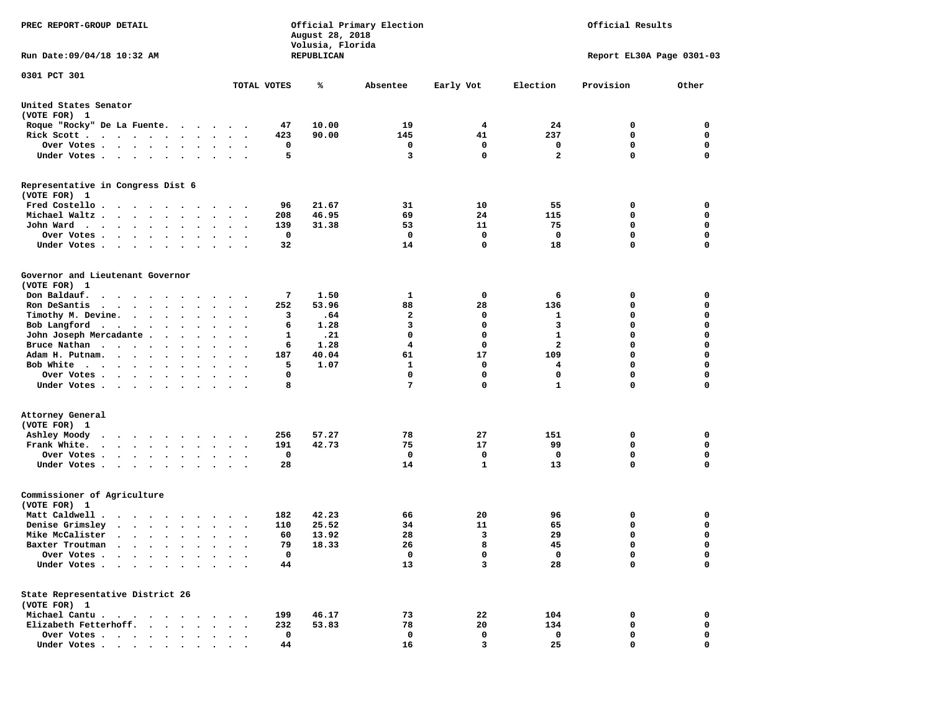| PREC REPORT-GROUP DETAIL                                                                                                                                                                                                                     |                                                                                     | August 28, 2018<br>Volusia, Florida | Official Primary Election | Official Results |                         |                           |             |  |  |
|----------------------------------------------------------------------------------------------------------------------------------------------------------------------------------------------------------------------------------------------|-------------------------------------------------------------------------------------|-------------------------------------|---------------------------|------------------|-------------------------|---------------------------|-------------|--|--|
| Run Date: 09/04/18 10:32 AM                                                                                                                                                                                                                  |                                                                                     | <b>REPUBLICAN</b>                   |                           |                  |                         | Report EL30A Page 0301-03 |             |  |  |
| 0301 PCT 301                                                                                                                                                                                                                                 | TOTAL VOTES                                                                         | ℁                                   | Absentee                  |                  | Election                | Provision                 | Other       |  |  |
|                                                                                                                                                                                                                                              |                                                                                     |                                     |                           | Early Vot        |                         |                           |             |  |  |
| United States Senator<br>(VOTE FOR) 1                                                                                                                                                                                                        |                                                                                     |                                     |                           |                  |                         |                           |             |  |  |
| Roque "Rocky" De La Fuente.                                                                                                                                                                                                                  | 47                                                                                  | 10.00                               | 19                        | 4                | 24                      | 0                         | 0           |  |  |
| Rick Scott                                                                                                                                                                                                                                   | 423<br>$\ddot{\phantom{a}}$<br>$\ddot{\phantom{0}}$                                 | 90.00                               | 145                       | 41               | 237                     | 0                         | 0           |  |  |
| Over Votes                                                                                                                                                                                                                                   |                                                                                     | 0                                   | 0                         | 0                | 0                       | 0                         | 0           |  |  |
| Under Votes                                                                                                                                                                                                                                  | $\sim$<br>$\ddot{\phantom{1}}$                                                      | 5                                   | 3                         | $\mathbf 0$      | $\overline{\mathbf{2}}$ | $\mathbf 0$               | $\mathbf 0$ |  |  |
| Representative in Congress Dist 6<br>(VOTE FOR) 1                                                                                                                                                                                            |                                                                                     |                                     |                           |                  |                         |                           |             |  |  |
| Fred Costello.<br>.                                                                                                                                                                                                                          | 96                                                                                  | 21.67                               | 31                        | 10               | 55                      | 0                         | 0           |  |  |
| Michael Waltz<br>$\ddot{\phantom{a}}$<br>$\ddot{\phantom{a}}$                                                                                                                                                                                | 208<br>$\bullet$                                                                    | 46.95                               | 69                        | 24               | 115                     | 0                         | 0           |  |  |
| John Ward<br>$\cdots$<br>$\ddot{\phantom{1}}$                                                                                                                                                                                                | 139<br>$\bullet$<br>$\cdot$                                                         | 31.38                               | 53                        | 11               | 75                      | 0                         | 0           |  |  |
| Over Votes.<br>$\cdot$ $\cdot$ $\cdot$ $\cdot$ $\cdot$<br>$\bullet$<br>$\cdot$                                                                                                                                                               |                                                                                     | 0                                   | 0                         | 0                | $\mathbf{o}$            | 0                         | 0           |  |  |
| Under Votes<br>$\bullet$                                                                                                                                                                                                                     | 32                                                                                  |                                     | 14                        | $\mathbf 0$      | 18                      | $\mathbf 0$               | 0           |  |  |
| Governor and Lieutenant Governor                                                                                                                                                                                                             |                                                                                     |                                     |                           |                  |                         |                           |             |  |  |
| (VOTE FOR) 1                                                                                                                                                                                                                                 |                                                                                     |                                     |                           |                  |                         |                           |             |  |  |
| Don Baldauf.<br>$\cdot$                                                                                                                                                                                                                      | $\sim$ $\sim$                                                                       | 7<br>1.50                           | 1                         | 0                | 6                       | 0                         | 0           |  |  |
| Ron DeSantis<br>$\cdots$                                                                                                                                                                                                                     | 252<br>$\bullet$<br>$\cdot$                                                         | 53.96                               | 88                        | 28<br>0          | 136                     | 0<br>0                    | 0<br>0      |  |  |
| Timothy M. Devine.                                                                                                                                                                                                                           |                                                                                     | .64<br>3                            | 2<br>3                    |                  | 1<br>3                  | $\mathbf 0$               | $\mathbf 0$ |  |  |
| Bob Langford                                                                                                                                                                                                                                 | $\bullet$ .<br><br><br><br><br><br>$\ddot{\phantom{1}}$<br>$\overline{\phantom{a}}$ | 6<br>1.28                           | $\mathbf 0$               | 0                | $\mathbf{1}$            | $\mathbf 0$               |             |  |  |
| John Joseph Mercadante .<br>$\sim$ $\sim$<br>$\ddot{\phantom{a}}$                                                                                                                                                                            | $\ddot{\phantom{a}}$                                                                | 1<br>.21<br>1.28                    | 4                         | 0<br>0           | 2                       | $\mathbf 0$               | 0<br>0      |  |  |
| Bruce Nathan<br>$\sim$ $\sim$<br>$\ddot{\phantom{0}}$                                                                                                                                                                                        | $\bullet$<br>$\bullet$<br>$\bullet$                                                 | 6<br>40.04                          | 61                        | 17               | 109                     | $\mathbf 0$               | $\mathbf 0$ |  |  |
| Adam H. Putnam.<br>$\sim$ $\sim$ $\sim$ $\sim$ $\sim$                                                                                                                                                                                        | 187                                                                                 | 5                                   |                           | $\mathbf 0$      |                         | 0                         | 0           |  |  |
| Bob White<br>Over Votes .                                                                                                                                                                                                                    | $\cdot$                                                                             | 1.07<br>0                           | 1<br>0                    | 0                | 4<br>0                  | 0                         | 0           |  |  |
| $\cdots$<br>$\bullet$<br>Under Votes                                                                                                                                                                                                         |                                                                                     | 8                                   | 7                         | $\mathbf 0$      | 1                       | $\mathbf 0$               | 0           |  |  |
|                                                                                                                                                                                                                                              |                                                                                     |                                     |                           |                  |                         |                           |             |  |  |
| Attorney General<br>(VOTE FOR) 1                                                                                                                                                                                                             |                                                                                     |                                     |                           |                  |                         |                           |             |  |  |
| Ashley Moody                                                                                                                                                                                                                                 | 256                                                                                 | 57.27                               | 78                        | 27               | 151                     | 0                         | 0           |  |  |
| Frank White.                                                                                                                                                                                                                                 | 191<br>$\bullet$ .<br>$\ddot{\phantom{0}}$<br>$\blacksquare$ .                      | 42.73                               | 75                        | 17               | 99                      | 0                         | 0           |  |  |
| Over Votes.<br>. The contract of the contract of the contract of the contract of the contract of the contract of the contract of the contract of the contract of the contract of the contract of the contract of the contract of the contrac | $\cdot$                                                                             | 0                                   | 0                         | 0                | 0                       | 0                         | 0           |  |  |
| Under Votes                                                                                                                                                                                                                                  | 28<br>$\bullet$<br>$\sim$                                                           |                                     | 14                        | 1                | 13                      | $\Omega$                  | $\mathbf 0$ |  |  |
| Commissioner of Agriculture<br>(VOTE FOR) 1                                                                                                                                                                                                  |                                                                                     |                                     |                           |                  |                         |                           |             |  |  |
| Matt Caldwell .<br>$\cdots$                                                                                                                                                                                                                  | 182                                                                                 | 42.23                               | 66                        | 20               | 96                      | 0                         | 0           |  |  |
| Denise Grimsley<br>$\begin{array}{cccccccccccccc} \bullet & \bullet & \bullet & \bullet & \bullet & \bullet & \bullet & \bullet & \bullet \end{array}$                                                                                       | 110                                                                                 | 25.52                               | 34                        | 11               | 65                      | 0                         | 0           |  |  |
| Mike McCalister                                                                                                                                                                                                                              | 60<br>$\bullet$<br>$\bullet$                                                        | 13.92                               | 28                        | 3                | 29                      | 0                         | 0           |  |  |
| Baxter Troutman<br>the contract of the contract of the contract of the contract of the contract of the contract of the contract of                                                                                                           | 79                                                                                  | 18.33                               | 26                        | 8                | 45                      | $\mathbf 0$               | $\mathbf 0$ |  |  |
| Over Votes                                                                                                                                                                                                                                   |                                                                                     | 0                                   | 0                         | 0                | 0                       | 0                         | 0           |  |  |
| Under Votes                                                                                                                                                                                                                                  | 44                                                                                  |                                     | 13                        | 3                | 28                      | $\mathbf 0$               | $\mathbf 0$ |  |  |
| State Representative District 26<br>(VOTE FOR) 1                                                                                                                                                                                             |                                                                                     |                                     |                           |                  |                         |                           |             |  |  |
| Michael Cantu.                                                                                                                                                                                                                               | 199                                                                                 | 46.17                               | 73                        | 22               | 104                     | 0                         | 0           |  |  |
| Elizabeth Fetterhoff.                                                                                                                                                                                                                        | 232                                                                                 | 53.83                               | 78                        | 20               | 134                     | 0                         | 0           |  |  |
| Over Votes                                                                                                                                                                                                                                   |                                                                                     | 0                                   | 0                         | 0                | 0                       | 0                         | 0           |  |  |
| Under Votes                                                                                                                                                                                                                                  | 44                                                                                  |                                     | 16                        | 3                | 25                      | 0                         | 0           |  |  |
|                                                                                                                                                                                                                                              |                                                                                     |                                     |                           |                  |                         |                           |             |  |  |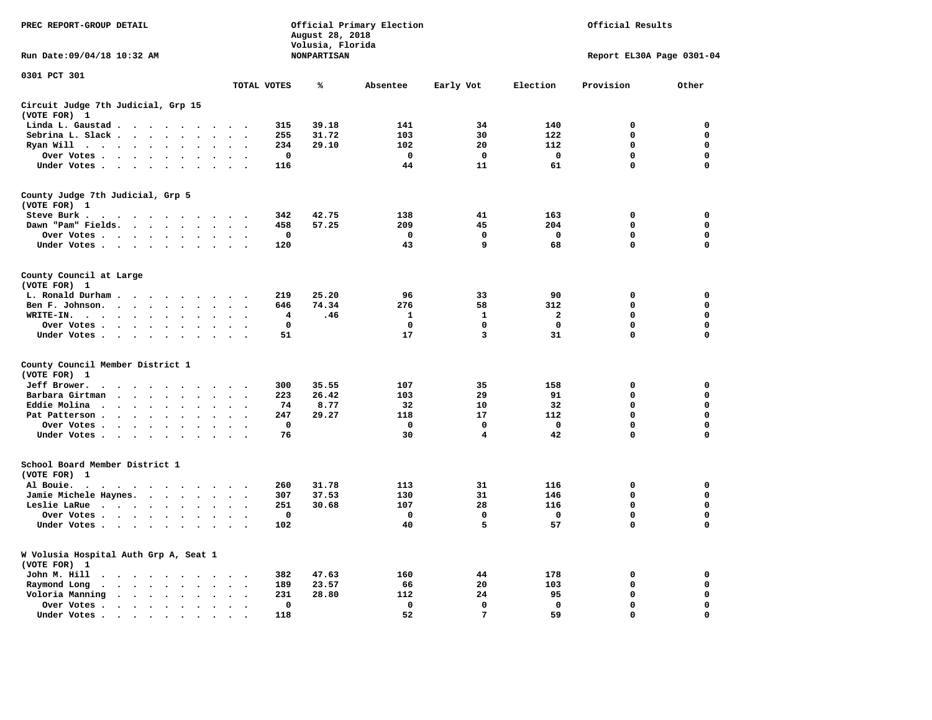| PREC REPORT-GROUP DETAIL                                                                                            |                                              |                                 | August 28, 2018                        | Official Primary Election |                 |             | Official Results          |             |  |  |  |
|---------------------------------------------------------------------------------------------------------------------|----------------------------------------------|---------------------------------|----------------------------------------|---------------------------|-----------------|-------------|---------------------------|-------------|--|--|--|
| Run Date: 09/04/18 10:32 AM                                                                                         |                                              |                                 | Volusia, Florida<br><b>NONPARTISAN</b> |                           |                 |             | Report EL30A Page 0301-04 |             |  |  |  |
| 0301 PCT 301                                                                                                        |                                              | TOTAL VOTES                     | ℁                                      | Absentee                  | Early Vot       | Election    | Provision                 | Other       |  |  |  |
| Circuit Judge 7th Judicial, Grp 15                                                                                  |                                              |                                 |                                        |                           |                 |             |                           |             |  |  |  |
| (VOTE FOR) 1                                                                                                        |                                              |                                 |                                        |                           |                 |             |                           |             |  |  |  |
| Linda L. Gaustad                                                                                                    | $\bullet$                                    | 315                             | 39.18                                  | 141                       | 34              | 140         | 0                         | 0           |  |  |  |
| Sebrina L. Slack<br>$\sim$                                                                                          |                                              | 255<br>$\overline{\phantom{a}}$ | 31.72                                  | 103                       | 30              | 122         | $\Omega$                  | $\mathbf 0$ |  |  |  |
| Ryan Will .<br>$\sim$ $\sim$ $\sim$ $\sim$<br>$\ddot{\phantom{0}}$<br>$\bullet$<br>$\ddot{\phantom{a}}$             |                                              | 234                             | 29.10                                  | 102                       | 20              | 112         | $\mathbf 0$               | 0           |  |  |  |
| Over Votes                                                                                                          |                                              | $\mathbf 0$                     |                                        | $\mathbf 0$               | 0               | $\mathbf 0$ | 0                         | 0           |  |  |  |
| Under Votes                                                                                                         | $\cdot$<br>$\cdot$                           | 116<br>$\cdot$                  |                                        | 44                        | 11              | 61          | $\mathbf 0$               | 0           |  |  |  |
| County Judge 7th Judicial, Grp 5<br>(VOTE FOR) 1                                                                    |                                              |                                 |                                        |                           |                 |             |                           |             |  |  |  |
| Steve Burk .<br>.                                                                                                   |                                              | 342                             | 42.75                                  | 138                       | 41              | 163         | $\mathbf 0$               | 0           |  |  |  |
| Dawn "Pam" Fields.                                                                                                  | $\ddot{\phantom{a}}$                         | 458                             | 57.25                                  | 209                       | 45              | 204         | $\mathbf 0$               | 0           |  |  |  |
| Over Votes                                                                                                          |                                              | 0                               |                                        | 0                         | 0               | 0           | 0                         | 0           |  |  |  |
| Under Votes                                                                                                         | $\cdot$ .                                    | 120                             |                                        | 43                        | 9               | 68          | $\Omega$                  | $\mathbf 0$ |  |  |  |
| County Council at Large<br>(VOTE FOR) 1                                                                             |                                              |                                 |                                        |                           |                 |             |                           |             |  |  |  |
| L. Ronald Durham                                                                                                    |                                              | 219                             | 25.20                                  | 96                        | 33              | 90          | $\mathbf 0$               | $\mathbf 0$ |  |  |  |
| Ben F. Johnson.                                                                                                     | $\sim$<br>$\sim$                             | 646<br>$\overline{\phantom{a}}$ | 74.34                                  | 276                       | 58              | 312         | $\mathbf 0$               | $\mathbf 0$ |  |  |  |
| WRITE-IN.<br>$\cdot$ $\cdot$ $\cdot$ $\cdot$ $\cdot$ $\cdot$<br>$\ddot{\phantom{a}}$                                |                                              | 4                               | .46                                    | 1                         | 1               | 2           | 0                         | 0           |  |  |  |
| Over Votes                                                                                                          | $\ddot{\phantom{a}}$<br>$\sim$<br>$\sim$     | 0                               |                                        | 0                         | 0               | 0           | 0                         | 0           |  |  |  |
| Under Votes                                                                                                         | $\sim$<br>$\sim$<br>$\sim$                   | 51<br>$\cdot$                   |                                        | 17                        | 3               | 31          | 0                         | $\mathbf 0$ |  |  |  |
| County Council Member District 1<br>(VOTE FOR) 1                                                                    |                                              |                                 |                                        |                           |                 |             |                           |             |  |  |  |
| Jeff Brower.<br>$\cdot$ $\cdot$ $\cdot$ $\cdot$<br>$\cdot$<br>$\sim$                                                | $\sim$                                       | 300                             | 35.55                                  | 107                       | 35              | 158         | 0                         | 0           |  |  |  |
| Barbara Girtman<br>$\ddot{\phantom{a}}$<br>$\ddot{\phantom{a}}$<br>$\ddot{\phantom{a}}$<br>$\overline{\phantom{a}}$ |                                              | 223                             | 26.42                                  | 103                       | 29              | 91          | 0                         | 0           |  |  |  |
| Eddie Molina<br>$\cdot$ $\cdot$ $\cdot$<br>$\ddot{\phantom{0}}$<br>$\cdot$<br>$\ddot{\phantom{a}}$                  |                                              | 74                              | 8.77                                   | 32                        | 10              | 32          | 0                         | 0           |  |  |  |
| Pat Patterson.<br>$\sim$ $\sim$ $\sim$ $\sim$<br>$\bullet$<br>$\bullet$<br>$\ddot{\phantom{0}}$                     |                                              | 247                             | 29.27                                  | 118                       | 17              | 112         | 0                         | 0           |  |  |  |
| Over Votes                                                                                                          | $\bullet$                                    | $\mathbf 0$                     |                                        | 0                         | 0               | $\mathbf 0$ | 0                         | 0           |  |  |  |
| Under Votes<br>$\ddot{\phantom{0}}$<br>$\ddot{\phantom{a}}$<br>$\ddot{\phantom{a}}$<br>$\bullet$                    |                                              | 76                              |                                        | 30                        | 4               | 42          | $\mathbf 0$               | $\mathbf 0$ |  |  |  |
| School Board Member District 1<br>(VOTE FOR) 1                                                                      |                                              |                                 |                                        |                           |                 |             |                           |             |  |  |  |
| Al Bouie.<br>$\cdot$<br>$\sim$<br>$\cdot$ $\cdot$                                                                   |                                              | 260                             | 31.78                                  | 113                       | 31              | 116         | 0                         | 0           |  |  |  |
| Jamie Michele Haynes.                                                                                               | $\ddot{\phantom{a}}$                         | 307                             | 37.53                                  | 130                       | 31              | 146         | $\mathbf 0$               | 0           |  |  |  |
| Leslie LaRue                                                                                                        | $\bullet$ .                                  | 251                             | 30.68                                  | 107                       | 28              | 116         | $\mathbf 0$               | $\mathbf 0$ |  |  |  |
| Over Votes                                                                                                          | $\bullet$                                    | $\mathbf 0$                     |                                        | 0                         | 0               | $\mathbf 0$ | $\mathbf 0$               | 0           |  |  |  |
| Under Votes                                                                                                         | $\sim$<br>$\cdot$                            | 102                             |                                        | 40                        | 5               | 57          | $\mathbf 0$               | $\mathbf 0$ |  |  |  |
| W Volusia Hospital Auth Grp A, Seat 1<br>(VOTE FOR) 1                                                               |                                              |                                 |                                        |                           |                 |             |                           |             |  |  |  |
| John M. Hill<br>$\cdot$<br>$\cdot$                                                                                  | $\bullet$                                    | 382                             | 47.63                                  | 160                       | 44              | 178         | 0                         | 0           |  |  |  |
| Raymond Long<br>$\cdot$ $\cdot$ $\cdot$ $\cdot$<br>$\ddot{\phantom{1}}$<br>$\ddot{\phantom{1}}$                     | $\cdot$<br>$\ddot{\phantom{a}}$<br>$\bullet$ | 189<br>$\ddot{\phantom{0}}$     | 23.57                                  | 66                        | 20              | 103         | 0                         | 0           |  |  |  |
| Voloria Manning                                                                                                     | $\ddot{\phantom{a}}$<br>$\sim$<br>$\cdot$    | 231                             | 28.80                                  | 112                       | 24              | 95          | $\mathbf 0$               | 0           |  |  |  |
| Over Votes.<br>$\cdots$                                                                                             | $\cdot$<br>$\Delta$<br>$\bullet$             | $\mathbf 0$                     |                                        | $\mathbf 0$               | $\mathbf 0$     | $\mathbf 0$ | $\mathbf 0$               | $\mathbf 0$ |  |  |  |
| Under Votes.<br>$\cdots$                                                                                            | $\ddot{\phantom{a}}$                         | 118                             |                                        | 52                        | $7\phantom{.0}$ | 59          | $\mathbf 0$               | $\mathbf 0$ |  |  |  |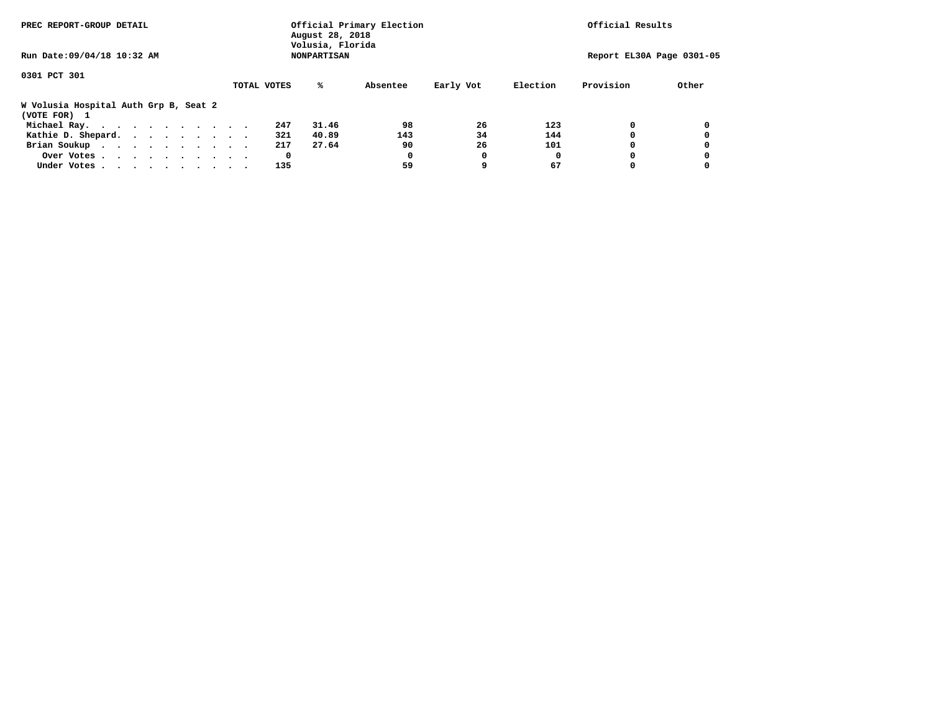| PREC REPORT-GROUP DETAIL                              |             | August 28, 2018<br>Volusia, Florida | Official Primary Election | Official Results |          |           |                           |
|-------------------------------------------------------|-------------|-------------------------------------|---------------------------|------------------|----------|-----------|---------------------------|
| Run Date: 09/04/18 10:32 AM                           |             | <b>NONPARTISAN</b>                  |                           |                  |          |           | Report EL30A Page 0301-05 |
| 0301 PCT 301                                          |             |                                     |                           |                  |          |           |                           |
|                                                       | TOTAL VOTES | %ะ                                  | Absentee                  | Early Vot        | Election | Provision | Other                     |
| W Volusia Hospital Auth Grp B, Seat 2<br>(VOTE FOR) 1 |             |                                     |                           |                  |          |           |                           |
| Michael Ray.                                          |             | 247<br>31.46                        | 98                        | 26               | 123      |           |                           |
| Kathie D. Shepard.                                    |             | 321<br>40.89                        | 143                       | 34               | 144      |           |                           |
| Brian Soukup                                          |             | 27.64<br>217                        | 90                        | 26               | 101      |           |                           |
| Over Votes                                            |             | 0                                   | 0                         | O                | O        |           |                           |
| Under Votes                                           |             | 135                                 | 59                        |                  | 67       |           |                           |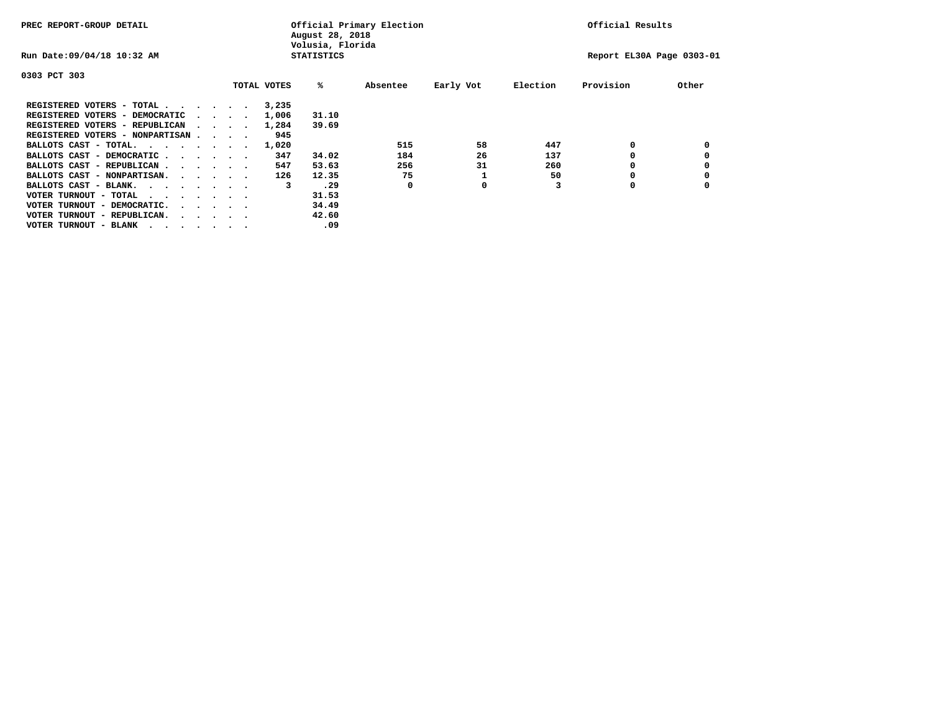| PREC REPORT-GROUP DETAIL               |  |                                         |  |  | Official Primary Election<br>August 28, 2018<br>Volusia, Florida | Official Results  |          |           |          |                           |       |
|----------------------------------------|--|-----------------------------------------|--|--|------------------------------------------------------------------|-------------------|----------|-----------|----------|---------------------------|-------|
| Run Date: 09/04/18 10:32 AM            |  |                                         |  |  |                                                                  | <b>STATISTICS</b> |          |           |          | Report EL30A Page 0303-01 |       |
| 0303 PCT 303                           |  |                                         |  |  |                                                                  |                   |          |           |          |                           |       |
|                                        |  |                                         |  |  | TOTAL VOTES                                                      | %ะ                | Absentee | Early Vot | Election | Provision                 | Other |
| REGISTERED VOTERS - TOTAL              |  |                                         |  |  | 3,235                                                            |                   |          |           |          |                           |       |
| REGISTERED VOTERS - DEMOCRATIC         |  | $\sim$ $\sim$ $\sim$ $\sim$             |  |  | 1,006                                                            | 31.10             |          |           |          |                           |       |
| REGISTERED VOTERS - REPUBLICAN         |  |                                         |  |  | 1,284                                                            | 39.69             |          |           |          |                           |       |
| REGISTERED VOTERS - NONPARTISAN        |  |                                         |  |  | 945                                                              |                   |          |           |          |                           |       |
| BALLOTS CAST - TOTAL.                  |  |                                         |  |  | 1,020                                                            |                   | 515      | 58        | 447      | 0                         |       |
| BALLOTS CAST - DEMOCRATIC              |  |                                         |  |  | 347                                                              | 34.02             | 184      | 26        | 137      |                           |       |
| BALLOTS CAST - REPUBLICAN              |  |                                         |  |  | 547                                                              | 53.63             | 256      | 31        | 260      |                           |       |
| BALLOTS CAST - NONPARTISAN.            |  |                                         |  |  | 126                                                              | 12.35             | 75       |           | 50       |                           |       |
| BALLOTS CAST - BLANK.                  |  |                                         |  |  | 3                                                                | .29               | 0        | 0         |          | 0                         |       |
| VOTER TURNOUT - TOTAL<br>.             |  |                                         |  |  |                                                                  | 31.53             |          |           |          |                           |       |
| VOTER TURNOUT - DEMOCRATIC.            |  | $\cdot$ $\cdot$ $\cdot$ $\cdot$ $\cdot$ |  |  |                                                                  | 34.49             |          |           |          |                           |       |
| VOTER TURNOUT - REPUBLICAN.<br>$\cdot$ |  |                                         |  |  |                                                                  | 42.60             |          |           |          |                           |       |
| VOTER TURNOUT - BLANK                  |  |                                         |  |  |                                                                  | .09               |          |           |          |                           |       |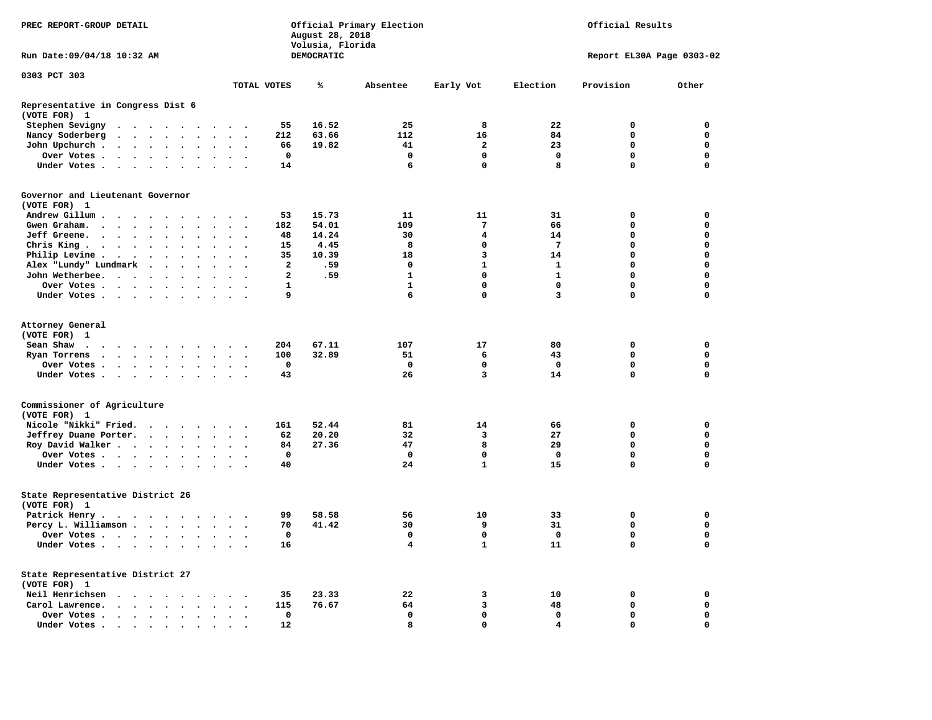| PREC REPORT-GROUP DETAIL                          |                                                                                                                 |                                    |                      |                      |                      |                          |                | August 28, 2018<br>Volusia, Florida | Official Primary Election | Official Results |              |                           |             |  |  |  |
|---------------------------------------------------|-----------------------------------------------------------------------------------------------------------------|------------------------------------|----------------------|----------------------|----------------------|--------------------------|----------------|-------------------------------------|---------------------------|------------------|--------------|---------------------------|-------------|--|--|--|
| Run Date: 09/04/18 10:32 AM                       |                                                                                                                 |                                    |                      |                      |                      |                          |                | DEMOCRATIC                          |                           |                  |              | Report EL30A Page 0303-02 |             |  |  |  |
| 0303 PCT 303                                      |                                                                                                                 |                                    |                      |                      |                      |                          |                |                                     |                           |                  |              |                           |             |  |  |  |
|                                                   |                                                                                                                 |                                    |                      |                      |                      |                          | TOTAL VOTES    | ℁                                   | Absentee                  | Early Vot        | Election     | Provision                 | Other       |  |  |  |
| Representative in Congress Dist 6<br>(VOTE FOR) 1 |                                                                                                                 |                                    |                      |                      |                      |                          |                |                                     |                           |                  |              |                           |             |  |  |  |
| Stephen Sevigny                                   | $\cdots$                                                                                                        |                                    |                      |                      |                      |                          | 55             | 16.52                               | 25                        | 8                | 22           | 0                         | 0           |  |  |  |
| Nancy Soderberg                                   | $\cdots$                                                                                                        |                                    |                      |                      | $\sim$ $\sim$        | $\overline{\phantom{a}}$ | 212            | 63.66                               | 112                       | 16               | 84           | $\mathbf 0$               | $\mathbf 0$ |  |  |  |
| John Upchurch.                                    | $\cdots$                                                                                                        |                                    |                      | $\bullet$ .          | $\sim$               | $\ddot{\phantom{a}}$     | 66             | 19.82                               | 41                        | $\overline{2}$   | 23           | $\mathbf{0}$              | $\mathbf 0$ |  |  |  |
| Over Votes                                        |                                                                                                                 |                                    |                      |                      |                      | $\ddot{\phantom{0}}$     | $\mathbf 0$    |                                     | $\mathbf 0$               | $\mathbf 0$      | $\mathbf 0$  | $\mathbf 0$               | $\mathbf 0$ |  |  |  |
| Under Votes                                       |                                                                                                                 |                                    |                      |                      | $\sim$ $\sim$        |                          | 14             |                                     | 6                         | $\mathbf 0$      | 8            | $\mathbf 0$               | $\mathbf 0$ |  |  |  |
| Governor and Lieutenant Governor                  |                                                                                                                 |                                    |                      |                      |                      |                          |                |                                     |                           |                  |              |                           |             |  |  |  |
| (VOTE FOR) 1                                      |                                                                                                                 |                                    |                      |                      |                      |                          |                |                                     |                           |                  |              |                           |             |  |  |  |
| Andrew Gillum.                                    | $\sim$ $\sim$ $\sim$ $\sim$ $\sim$                                                                              |                                    | $\cdots$             |                      |                      |                          | 53             | 15.73                               | 11                        | 11               | 31           | 0                         | 0           |  |  |  |
| Gwen Graham.<br>$\sim$                            | $\sim$                                                                                                          | $\sim$ $\sim$ $\sim$ $\sim$ $\sim$ | $\ddot{\phantom{0}}$ | $\ddot{\phantom{a}}$ | $\sim$ $\sim$        | $\ddot{\phantom{1}}$     | 182            | 54.01                               | 109                       | 7                | 66           | 0                         | 0           |  |  |  |
| Jeff Greene.                                      |                                                                                                                 |                                    | $\bullet$            |                      |                      | $\ddot{\phantom{a}}$     | 48             | 14.24                               | 30                        | 4                | 14           | $\mathbf 0$               | $\mathbf 0$ |  |  |  |
| Chris King                                        |                                                                                                                 | $\ddot{\phantom{0}}$               | $\ddot{\phantom{0}}$ | $\sim$               |                      | $\sim$                   | 15             | 4.45                                | 8                         | 0                | 7            | 0                         | 0           |  |  |  |
| Philip Levine                                     |                                                                                                                 |                                    |                      |                      |                      | $\cdot$                  | 35             | 10.39                               | 18                        | 3                | 14           | $\mathbf 0$               | $\mathbf 0$ |  |  |  |
| Alex "Lundy" Lundmark                             |                                                                                                                 |                                    |                      |                      | $\sim$ $\sim$        | $\sim$                   | $\overline{a}$ | .59                                 | 0                         | $\mathbf{1}$     | 1            | 0                         | 0           |  |  |  |
| John Wetherbee.                                   |                                                                                                                 | $\sim$                             | $\ddot{\phantom{a}}$ |                      |                      | $\sim$                   | $\overline{2}$ | .59                                 | $\mathbf{1}$              | $\mathbf 0$      | $\mathbf{1}$ | $\mathbf 0$               | $\mathbf 0$ |  |  |  |
| Over Votes                                        |                                                                                                                 |                                    |                      |                      |                      |                          | $\mathbf{1}$   |                                     | $\mathbf{1}$              | $\mathbf 0$      | $\mathbf 0$  | $\mathbf 0$               | $\mathbf 0$ |  |  |  |
| Under Votes                                       |                                                                                                                 |                                    |                      |                      |                      |                          | 9              |                                     | 6                         | 0                | 3            | $\mathbf 0$               | 0           |  |  |  |
| Attorney General                                  |                                                                                                                 |                                    |                      |                      |                      |                          |                |                                     |                           |                  |              |                           |             |  |  |  |
| (VOTE FOR) 1                                      |                                                                                                                 |                                    |                      |                      |                      |                          |                |                                     |                           |                  |              |                           |             |  |  |  |
| Sean Shaw<br>$\cdots$                             |                                                                                                                 |                                    |                      |                      | $\ddot{\phantom{1}}$ |                          | 204            | 67.11                               | 107                       | 17               | 80           | 0                         | $\mathbf 0$ |  |  |  |
| Ryan Torrens                                      |                                                                                                                 |                                    |                      |                      |                      | $\ddot{\phantom{a}}$     | 100            | 32.89                               | 51                        | 6                | 43           | $\mathbf 0$               | $\mathbf 0$ |  |  |  |
| Over Votes                                        |                                                                                                                 |                                    |                      |                      | $\bullet$            | $\bullet$                | $\mathbf 0$    |                                     | $\mathbf{0}$              | $\mathbf 0$      | $\Omega$     | $\mathbf 0$               | $\mathbf 0$ |  |  |  |
| Under Votes                                       |                                                                                                                 |                                    |                      |                      |                      |                          | 43             |                                     | 26                        | 3                | 14           | $\mathbf 0$               | $\mathbf 0$ |  |  |  |
| Commissioner of Agriculture                       |                                                                                                                 |                                    |                      |                      |                      |                          |                |                                     |                           |                  |              |                           |             |  |  |  |
| (VOTE FOR) 1                                      |                                                                                                                 |                                    |                      |                      |                      |                          |                |                                     |                           |                  |              |                           |             |  |  |  |
| Nicole "Nikki" Fried.                             |                                                                                                                 | $\cdots$                           |                      |                      |                      |                          | 161            | 52.44                               | 81                        | 14               | 66           | $\mathbf 0$               | $\mathbf 0$ |  |  |  |
| Jeffrey Duane Porter.                             |                                                                                                                 |                                    |                      |                      |                      |                          | 62             | 20.20                               | 32                        | 3                | 27           | $\mathbf 0$               | $\mathbf 0$ |  |  |  |
| Roy David Walker                                  |                                                                                                                 |                                    |                      |                      | $\sim$ $\sim$        |                          | 84             | 27.36                               | 47                        | 8                | 29           | $\mathbf 0$               | $\mathbf 0$ |  |  |  |
| Over Votes                                        |                                                                                                                 |                                    |                      |                      |                      | $\cdot$                  | $\Omega$       |                                     | $\mathbf 0$               | $\mathbf 0$      | $\mathbf{0}$ | $\mathbf 0$               | $\Omega$    |  |  |  |
| Under Votes                                       |                                                                                                                 |                                    |                      |                      | $\sim$               |                          | 40             |                                     | 24                        | $\mathbf{1}$     | 15           | 0                         | 0           |  |  |  |
| State Representative District 26                  |                                                                                                                 |                                    |                      |                      |                      |                          |                |                                     |                           |                  |              |                           |             |  |  |  |
| (VOTE FOR) 1                                      |                                                                                                                 |                                    |                      |                      |                      |                          |                |                                     |                           |                  |              |                           |             |  |  |  |
| Patrick Henry                                     |                                                                                                                 |                                    |                      |                      |                      |                          | 99             | 58.58                               | 56                        | 10               | 33           | 0                         | 0           |  |  |  |
| Percy L. Williamson                               |                                                                                                                 |                                    |                      |                      |                      |                          | 70             | 41.42                               | 30                        | 9                | 31           | 0                         | 0           |  |  |  |
| Over Votes                                        |                                                                                                                 |                                    |                      |                      | $\ddot{\phantom{a}}$ | $\ddot{\phantom{a}}$     | 0              |                                     | 0                         | 0                | 0            | 0                         | 0           |  |  |  |
| Under Votes                                       |                                                                                                                 |                                    |                      |                      |                      |                          | 16             |                                     | 4                         | $\mathbf{1}$     | 11           | $\mathbf 0$               | $\mathbf 0$ |  |  |  |
| State Representative District 27                  |                                                                                                                 |                                    |                      |                      |                      |                          |                |                                     |                           |                  |              |                           |             |  |  |  |
| (VOTE FOR) 1                                      |                                                                                                                 |                                    |                      |                      |                      |                          |                |                                     |                           |                  |              |                           |             |  |  |  |
| Neil Henrichsen                                   | $\cdots$                                                                                                        |                                    |                      |                      |                      |                          | 35             | 23.33                               | 22                        | 3                | 10           | 0                         | $\mathbf 0$ |  |  |  |
| Carol Lawrence.                                   | $\cdots$                                                                                                        |                                    |                      |                      |                      | $\cdot$                  | 115            | 76.67                               | 64                        | 3                | 48           | $\mathbf 0$               | $\mathbf 0$ |  |  |  |
| Over Votes                                        |                                                                                                                 |                                    |                      |                      | $\ddot{\phantom{1}}$ | $\overline{\phantom{a}}$ | 0              |                                     | $\mathbf 0$               | $\mathbf 0$      | $\mathbf 0$  | $\mathbf 0$               | $\mathbf 0$ |  |  |  |
| Under Votes.                                      | the contract of the contract of the contract of the contract of the contract of the contract of the contract of |                                    |                      |                      |                      | $\bullet$                | 12             |                                     | 8                         | $\mathbf 0$      | 4            | $\Omega$                  | $\mathbf 0$ |  |  |  |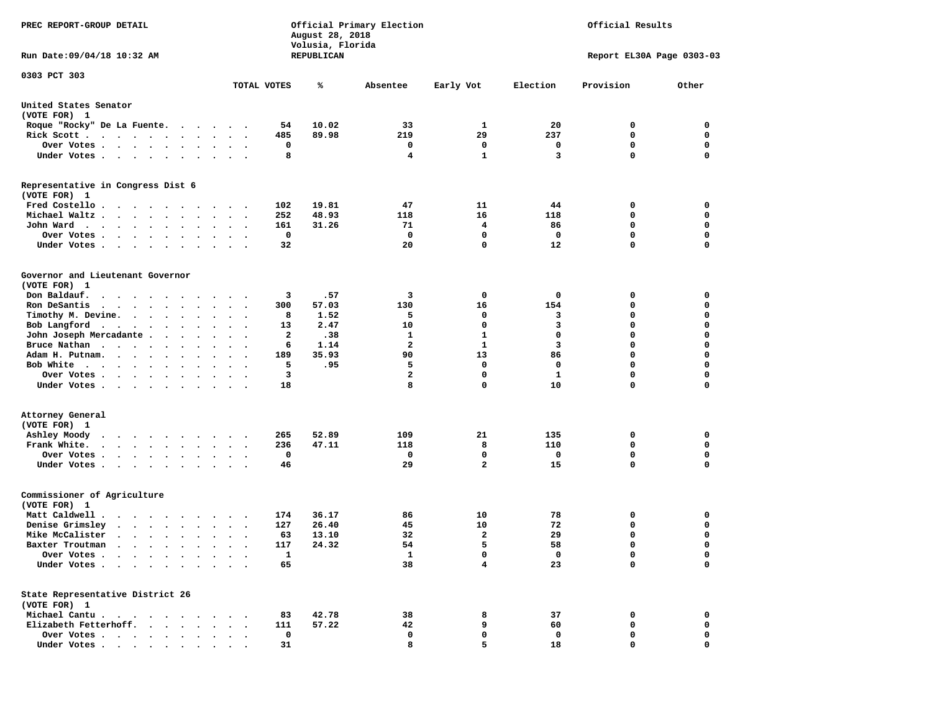| PREC REPORT-GROUP DETAIL                                                                                                                                                                                                                     |                       | August 28, 2018<br>Volusia, Florida | Official Primary Election |                | Official Results |                           |             |  |
|----------------------------------------------------------------------------------------------------------------------------------------------------------------------------------------------------------------------------------------------|-----------------------|-------------------------------------|---------------------------|----------------|------------------|---------------------------|-------------|--|
| Run Date: 09/04/18 10:32 AM                                                                                                                                                                                                                  |                       | REPUBLICAN                          |                           |                |                  | Report EL30A Page 0303-03 |             |  |
| 0303 PCT 303                                                                                                                                                                                                                                 | TOTAL VOTES           | ℁                                   | Absentee                  | Early Vot      | Election         | Provision                 | Other       |  |
| United States Senator<br>(VOTE FOR) 1                                                                                                                                                                                                        |                       |                                     |                           |                |                  |                           |             |  |
| Roque "Rocky" De La Fuente.                                                                                                                                                                                                                  |                       | 10.02<br>54                         | 33                        | 1              | 20               | 0                         | 0           |  |
| Rick Scott.<br>. The contract of the contract of the contract of the contract of the contract of the contract of the contract of the contract of the contract of the contract of the contract of the contract of the contract of the contrac |                       | 485<br>89.98                        | 219                       | 29             | 237              | 0                         | 0           |  |
| Over Votes                                                                                                                                                                                                                                   |                       | 0                                   | 0                         | 0              | 0                | 0                         | 0           |  |
| Under Votes<br>$\ddot{\phantom{0}}$                                                                                                                                                                                                          | $\ddot{\phantom{1}}$  | 8                                   | 4                         | $\mathbf{1}$   | 3                | 0                         | 0           |  |
| Representative in Congress Dist 6<br>(VOTE FOR) 1                                                                                                                                                                                            |                       |                                     |                           |                |                  |                           |             |  |
| Fred Costello                                                                                                                                                                                                                                |                       | 19.81<br>102                        | 47                        | 11             | 44               | 0                         | 0           |  |
| Michael Waltz.<br>$\ddot{\phantom{a}}$<br>$\bullet$<br>$\ddot{\phantom{1}}$<br>$\bullet$                                                                                                                                                     |                       | 252<br>48.93                        | 118                       | 16             | 118              | 0                         | 0           |  |
| John Ward<br>$\bullet$<br>$\bullet$                                                                                                                                                                                                          | $\bullet$ .           | 161<br>31.26                        | 71                        | 4              | 86               | 0                         | 0           |  |
| Over Votes .<br>$\sim$ $\sim$<br>$\cdot$                                                                                                                                                                                                     |                       | 0                                   | 0                         | 0              | 0                | 0                         | $\mathbf 0$ |  |
| Under Votes.<br>$\sim$ $\sim$ $\sim$<br>$\blacksquare$<br>$\ddot{\phantom{a}}$                                                                                                                                                               |                       | 32                                  | 20                        | 0              | 12               | 0                         | $\mathbf 0$ |  |
| Governor and Lieutenant Governor<br>(VOTE FOR) 1                                                                                                                                                                                             |                       |                                     |                           |                |                  |                           |             |  |
| Don Baldauf.<br>$\begin{array}{cccccccccccccccccc} \bullet & \bullet & \bullet & \bullet & \bullet & \bullet & \bullet & \bullet & \bullet & \bullet & \bullet & \bullet \end{array}$                                                        | $\cdot$ .             | 3<br>.57                            | 3                         | 0              | 0                | 0                         | 0           |  |
| Ron DeSantis<br>$\cdot$ $\cdot$ $\cdot$ $\cdot$ $\cdot$ $\cdot$<br>$\sim$<br>$\ddot{\phantom{a}}$                                                                                                                                            |                       | 300<br>57.03                        | 130                       | 16             | 154              | 0                         | 0           |  |
| Timothy M. Devine.                                                                                                                                                                                                                           |                       | 8<br>1.52                           | 5                         | 0              | 3                | 0                         | $\mathbf 0$ |  |
| Bob Langford<br>$\bullet$<br>$\bullet$                                                                                                                                                                                                       | $\ddot{\phantom{0}}$  | 2.47<br>13                          | 10                        | $\mathbf 0$    | 3                | 0                         | $\mathbf 0$ |  |
| John Joseph Mercadante .<br>$\ddot{\phantom{a}}$<br>$\ddot{\phantom{a}}$<br>$\bullet$                                                                                                                                                        |                       | 2<br>.38                            | 1                         | ${\bf 1}$      | $\mathbf 0$      | 0                         | 0           |  |
| Bruce Nathan<br>$\ddot{\phantom{0}}$<br>$\bullet$<br>$\bullet$                                                                                                                                                                               |                       | 1.14<br>6                           | $\overline{2}$            | 1              | 3                | 0                         | $\mathbf 0$ |  |
| Adam H. Putnam.<br>$\sim$<br>$\sim$ $\sim$<br>$\bullet$                                                                                                                                                                                      |                       | 35.93<br>189                        | 90                        | 13             | 86               | 0                         | $\mathbf 0$ |  |
| Bob White<br>$\sim$<br>$\cdots$                                                                                                                                                                                                              |                       | 5<br>.95                            | 5                         | 0              | 0                | 0                         | $\mathbf 0$ |  |
| Over Votes .<br>$\mathbf{r}$ , and $\mathbf{r}$ , and $\mathbf{r}$<br>$\bullet$<br>$\bullet$                                                                                                                                                 | $\bullet$             | 3                                   | $\mathbf{2}$              | 0              | 1                | 0                         | $\mathbf 0$ |  |
| Under Votes<br>$\ddot{\phantom{1}}$                                                                                                                                                                                                          |                       | 18                                  | 8                         | $\mathbf 0$    | 10               | 0                         | 0           |  |
| Attorney General<br>(VOTE FOR) 1                                                                                                                                                                                                             |                       |                                     |                           |                |                  |                           |             |  |
| Ashley Moody<br>$\ddot{\phantom{0}}$<br>.                                                                                                                                                                                                    |                       | 52.89<br>265                        | 109                       | 21             | 135              | 0                         | 0           |  |
| Frank White.<br>$\begin{array}{cccccccccccccc} \bullet & \bullet & \bullet & \bullet & \bullet & \bullet & \bullet & \bullet & \bullet \end{array}$<br>$\bullet$<br>$\bullet$                                                                | $\bullet$<br>$\cdot$  | 47.11<br>236                        | 118                       | 8              | 110              | 0                         | $\mathbf 0$ |  |
| Over Votes .<br>$\sim$ $\sim$ $\sim$ $\sim$ $\sim$<br>$\bullet$<br>$\bullet$                                                                                                                                                                 |                       | 0                                   | 0                         | 0              | 0                | 0                         | 0           |  |
| Under Votes<br>$\sim$<br>$\bullet$<br>$\bullet$                                                                                                                                                                                              | $\bullet$ . $\bullet$ | 46                                  | 29                        | $\overline{a}$ | 15               | 0                         | $\Omega$    |  |
| Commissioner of Agriculture<br>(VOTE FOR) 1                                                                                                                                                                                                  |                       |                                     |                           |                |                  |                           |             |  |
| Matt Caldwell.<br>$\cdot$ $\cdot$ $\cdot$ $\cdot$ $\cdot$ $\cdot$                                                                                                                                                                            |                       | 36.17<br>174                        | 86                        | 10             | 78               | 0                         | 0           |  |
| Denise Grimsley<br>$\cdot$<br>$\bullet$                                                                                                                                                                                                      |                       | 26.40<br>127                        | 45                        | 10             | 72               | 0                         | 0           |  |
| Mike McCalister<br>$\cdot$ $\cdot$ $\cdot$ $\cdot$ $\cdot$ $\cdot$<br>$\bullet$                                                                                                                                                              | $\bullet$             | 13.10<br>63                         | 32                        | $\mathbf{2}$   | 29               | 0                         | $\mathbf 0$ |  |
| Baxter Troutman<br>.                                                                                                                                                                                                                         |                       | 117<br>24.32                        | 54                        | 5              | 58               | 0                         | 0           |  |
| Over Votes .                                                                                                                                                                                                                                 |                       | $\mathbf{1}$                        | $\mathbf{1}$              | 0              | 0                | 0                         | 0           |  |
| Under Votes.<br>$\bullet$                                                                                                                                                                                                                    |                       | 65                                  | 38                        | 4              | 23               | 0                         | $\mathbf 0$ |  |
| State Representative District 26<br>(VOTE FOR) 1                                                                                                                                                                                             |                       |                                     |                           |                |                  |                           |             |  |
| Michael Cantu.<br>$\sim$ $\sim$ $\sim$                                                                                                                                                                                                       |                       | 42.78<br>83                         | 38                        | 8              | 37               | 0                         | 0           |  |
| Elizabeth Fetterhoff.                                                                                                                                                                                                                        |                       | 111<br>57.22                        | 42                        | 9              | 60               | 0                         | 0           |  |
| Over Votes .<br>$\ddot{\phantom{1}}$<br>$\ddot{\phantom{0}}$<br>$\bullet$<br>$\cdot$                                                                                                                                                         |                       | 0                                   | 0                         | 0              | 0                | 0                         | 0           |  |
| Under Votes.<br>$\sim$ $\sim$                                                                                                                                                                                                                |                       | 31                                  | 8                         | 5              | 18               | 0                         | 0           |  |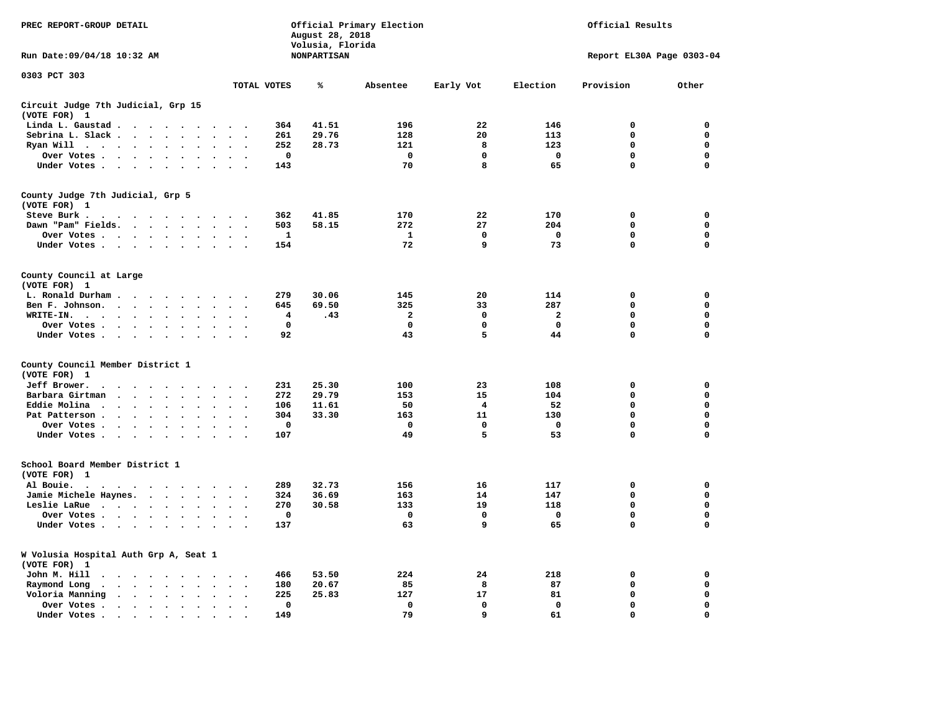| PREC REPORT-GROUP DETAIL                               |                                                                                                                 |                                              |              | August 28, 2018<br>Volusia, Florida | Official Primary Election |             |              | Official Results          |             |
|--------------------------------------------------------|-----------------------------------------------------------------------------------------------------------------|----------------------------------------------|--------------|-------------------------------------|---------------------------|-------------|--------------|---------------------------|-------------|
| Run Date: 09/04/18 10:32 AM                            |                                                                                                                 |                                              |              | <b>NONPARTISAN</b>                  |                           |             |              | Report EL30A Page 0303-04 |             |
| 0303 PCT 303                                           |                                                                                                                 | TOTAL VOTES                                  |              | ℁                                   | Absentee                  | Early Vot   | Election     | Provision                 | Other       |
| Circuit Judge 7th Judicial, Grp 15                     |                                                                                                                 |                                              |              |                                     |                           |             |              |                           |             |
| (VOTE FOR) 1                                           |                                                                                                                 |                                              |              |                                     |                           |             |              |                           |             |
| Linda L. Gaustad                                       |                                                                                                                 |                                              | 364          | 41.51                               | 196                       | 22          | 146          | 0                         | 0           |
| Sebrina L. Slack                                       | $\sim$                                                                                                          | $\overline{\phantom{a}}$                     | 261          | 29.76                               | 128                       | 20          | 113          | $\mathbf 0$               | 0           |
| Ryan Will $\cdots$ $\cdots$                            | $\ddot{\phantom{a}}$                                                                                            |                                              | 252          | 28.73                               | 121                       | 8           | 123          | $\mathbf 0$               | 0           |
| Over Votes                                             |                                                                                                                 |                                              | 0            |                                     | $\mathbf 0$               | 0           | 0            | 0                         | $\mathbf 0$ |
| Under Votes                                            |                                                                                                                 | $\sim$<br>$\overline{\phantom{a}}$           | 143          |                                     | 70                        | 8           | 65           | 0                         | $\mathbf 0$ |
| County Judge 7th Judicial, Grp 5<br>(VOTE FOR) 1       |                                                                                                                 |                                              |              |                                     |                           |             |              |                           |             |
| Steve Burk.                                            | .                                                                                                               |                                              | 362          | 41.85                               | 170                       | 22          | 170          | $\mathbf 0$               | $\mathbf 0$ |
| Dawn "Pam" Fields.                                     | $\sim$                                                                                                          |                                              | 503          | 58.15                               | 272                       | 27          | 204          | $\mathbf 0$               | 0           |
| Over Votes                                             |                                                                                                                 |                                              | $\mathbf{1}$ |                                     | $\mathbf{1}$              | $\mathbf 0$ | $\mathbf 0$  | 0                         | 0           |
| Under Votes                                            |                                                                                                                 | $\cdot$ .                                    | 154          |                                     | 72                        | 9           | 73           | $\mathbf 0$               | 0           |
| County Council at Large<br>(VOTE FOR) 1                |                                                                                                                 |                                              |              |                                     |                           |             |              |                           |             |
| L. Ronald Durham                                       |                                                                                                                 |                                              | 279          | 30.06                               | 145                       | 20          | 114          | $\mathbf 0$               | 0           |
| Ben F. Johnson.                                        |                                                                                                                 | $\sim$                                       | 645          | 69.50                               | 325                       | 33          | 287          | 0                         | 0           |
| WRITE-IN.                                              |                                                                                                                 |                                              | 4            | .43                                 | $\mathbf{2}$              | 0           | $\mathbf{2}$ | 0                         | 0           |
| Over Votes                                             |                                                                                                                 | $\sim$                                       | $\mathbf 0$  |                                     | $\mathbf 0$               | 0           | $\mathbf 0$  | $\mathbf 0$               | $\mathbf 0$ |
| Under Votes                                            |                                                                                                                 | $\sim$<br>$\overline{\phantom{a}}$           | 92           |                                     | 43                        | 5           | 44           | $\mathbf 0$               | $\mathbf 0$ |
| County Council Member District 1                       |                                                                                                                 |                                              |              |                                     |                           |             |              |                           |             |
| (VOTE FOR) 1                                           |                                                                                                                 |                                              |              |                                     |                           |             |              |                           |             |
| Jeff Brower.<br>$\sim$ $\sim$ $\sim$ $\sim$<br>$\cdot$ | $\sim$ $\sim$<br>$\ddot{\phantom{a}}$<br>$\sim$                                                                 |                                              | 231          | 25.30                               | 100                       | 23          | 108          | $\mathbf 0$               | 0           |
| Barbara Girtman<br>$\cdots$<br>$\sim$                  | $\ddot{\phantom{a}}$                                                                                            |                                              | 272          | 29.79                               | 153                       | 15          | 104          | $\mathbf 0$               | 0           |
| Eddie Molina.<br>$\cdots$                              | $\ddot{\phantom{a}}$                                                                                            |                                              | 106          | 11.61                               | 50                        | 4           | 52           | 0                         | 0           |
| Pat Patterson.<br><b>Contract Contract Contract</b>    | $\ddot{\phantom{0}}$<br>$\ddot{\phantom{a}}$                                                                    |                                              | 304          | 33.30                               | 163                       | 11          | 130          | 0                         | $\mathbf 0$ |
| Over Votes                                             |                                                                                                                 |                                              | 0            |                                     | 0                         | $\mathbf 0$ | 0            | $\mathbf 0$               | $\mathbf 0$ |
| Under Votes<br>$\sim$                                  | $\ddot{\phantom{0}}$<br>$\ddot{\phantom{a}}$<br>$\ddot{\phantom{a}}$<br>$\ddot{\phantom{a}}$                    |                                              | 107          |                                     | 49                        | 5           | 53           | $\mathbf 0$               | 0           |
| School Board Member District 1<br>(VOTE FOR) 1         |                                                                                                                 |                                              |              |                                     |                           |             |              |                           |             |
| Al Bouie.<br>$\cdot$                                   | the contract of the contract of the contract of the contract of the contract of the contract of the contract of |                                              | 289          | 32.73                               | 156                       | 16          | 117          | $\mathbf 0$               | $\mathbf 0$ |
| Jamie Michele Haynes.                                  |                                                                                                                 | $\ddot{\phantom{a}}$<br>$\ddot{\phantom{0}}$ | 324          | 36.69                               | 163                       | 14          | 147          | $\mathbf 0$               | 0           |
| Leslie LaRue                                           | $\bullet$ .                                                                                                     |                                              | 270          | 30.58                               | 133                       | 19          | 118          | $\mathbf 0$               | $\mathbf 0$ |
| Over Votes                                             | $\ddot{\phantom{0}}$                                                                                            |                                              | 0            |                                     | 0                         | 0           | $\mathbf 0$  | 0                         | 0           |
| Under Votes                                            | $\sim$ $\sim$                                                                                                   |                                              | 137          |                                     | 63                        | 9           | 65           | 0                         | $\Omega$    |
| W Volusia Hospital Auth Grp A, Seat 1<br>(VOTE FOR) 1  |                                                                                                                 |                                              |              |                                     |                           |             |              |                           |             |
| John M. Hill<br>$\ddot{\phantom{0}}$                   | $\cdot$ $\cdot$ $\cdot$ $\cdot$ $\cdot$<br>$\cdot$                                                              |                                              | 466          | 53.50                               | 224                       | 24          | 218          | 0                         | 0           |
| Raymond Long<br>$\cdot$                                | $\cdot$ $\cdot$ $\cdot$ $\cdot$ $\cdot$<br>$\ddot{\phantom{a}}$<br>$\cdot$                                      | $\ddot{\phantom{a}}$<br>$\cdot$              | 180          | 20.67                               | 85                        | 8           | 87           | $\mathbf 0$               | $\mathbf 0$ |
| Voloria Manning                                        | $\cdots$                                                                                                        |                                              | 225          | 25.83                               | 127                       | 17          | 81           | $\mathbf 0$               | 0           |
| Over Votes.                                            | $\cdot$ $\cdot$ $\cdot$ $\cdot$ $\cdot$<br>$\cdot$<br>$\cdot$                                                   | $\bullet$                                    | $\mathbf 0$  |                                     | $\mathbf 0$               | $\mathbf 0$ | $\mathbf 0$  | $\mathbf 0$               | $\mathbf 0$ |
| Under Votes                                            | $\cdot$                                                                                                         |                                              | 149          |                                     | 79                        | 9           | 61           | $\mathbf 0$               | $\mathbf 0$ |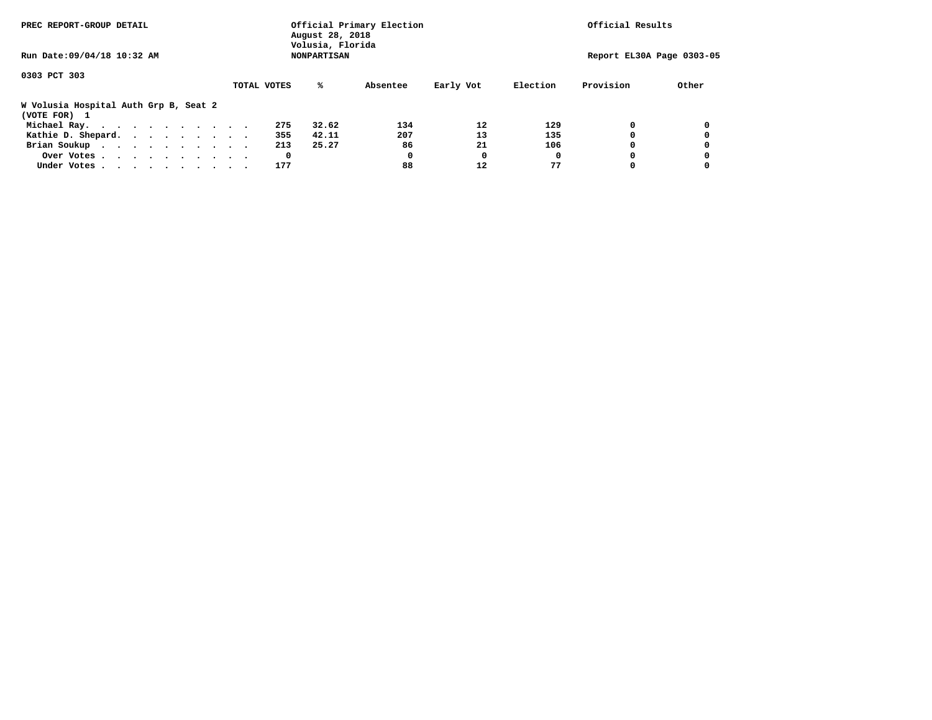| PREC REPORT-GROUP DETAIL                              |             | Official Primary Election<br>August 28, 2018<br>Volusia, Florida | Official Results |           |          |           |                           |
|-------------------------------------------------------|-------------|------------------------------------------------------------------|------------------|-----------|----------|-----------|---------------------------|
| Run Date: 09/04/18 10:32 AM                           |             | <b>NONPARTISAN</b>                                               |                  |           |          |           | Report EL30A Page 0303-05 |
| 0303 PCT 303                                          |             |                                                                  |                  |           |          |           |                           |
|                                                       | TOTAL VOTES | %ะ                                                               | Absentee         | Early Vot | Election | Provision | Other                     |
| W Volusia Hospital Auth Grp B, Seat 2<br>(VOTE FOR) 1 |             |                                                                  |                  |           |          |           |                           |
| Michael Ray.                                          |             | 32.62<br>275                                                     | 134              | 12        | 129      |           |                           |
| Kathie D. Shepard.                                    |             | 42.11<br>355                                                     | 207              | 13        | 135      |           |                           |
| Brian Soukup                                          |             | 213<br>25.27                                                     | 86               | 21        | 106      |           |                           |
| Over Votes                                            |             | 0                                                                | 0                | O         | 0        |           |                           |
| Under Votes                                           |             | 177                                                              | 88               | 12        |          |           |                           |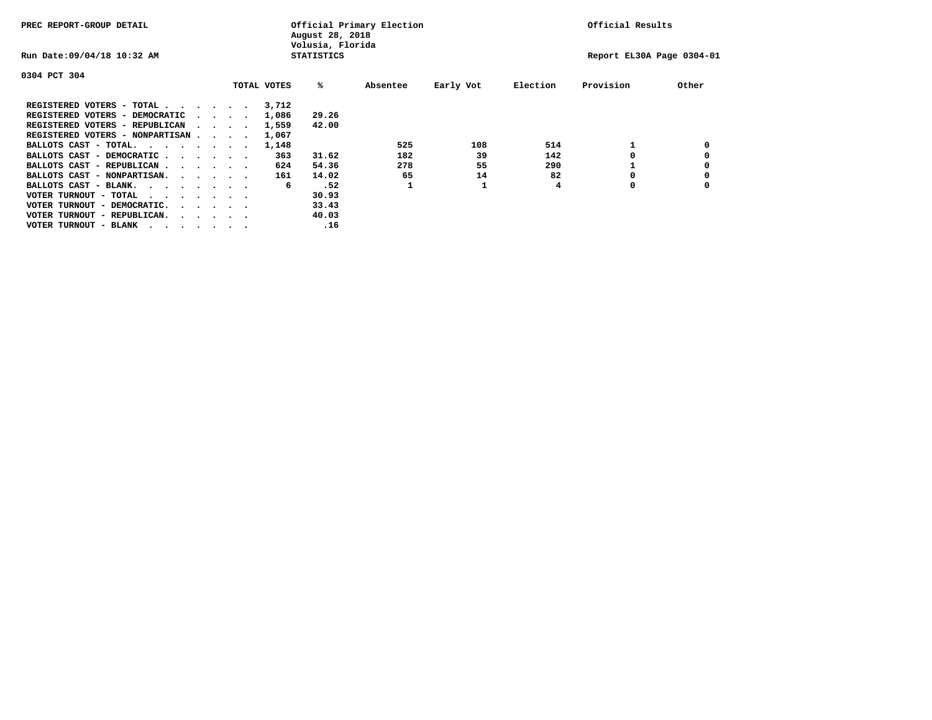| PREC REPORT-GROUP DETAIL               |  |  |                                         |  | Official Primary Election<br>August 28, 2018<br>Volusia, Florida | Official Results  |          |           |          |                           |       |
|----------------------------------------|--|--|-----------------------------------------|--|------------------------------------------------------------------|-------------------|----------|-----------|----------|---------------------------|-------|
| Run Date: 09/04/18 10:32 AM            |  |  |                                         |  |                                                                  | <b>STATISTICS</b> |          |           |          | Report EL30A Page 0304-01 |       |
| 0304 PCT 304                           |  |  |                                         |  |                                                                  |                   |          |           |          |                           |       |
|                                        |  |  |                                         |  | TOTAL VOTES                                                      | %ะ                | Absentee | Early Vot | Election | Provision                 | Other |
| REGISTERED VOTERS - TOTAL              |  |  |                                         |  | 3,712                                                            |                   |          |           |          |                           |       |
| REGISTERED VOTERS - DEMOCRATIC         |  |  | $\sim$ $\sim$ $\sim$ $\sim$             |  | 1,086                                                            | 29.26             |          |           |          |                           |       |
| REGISTERED VOTERS - REPUBLICAN         |  |  |                                         |  | 1,559                                                            | 42.00             |          |           |          |                           |       |
| REGISTERED VOTERS - NONPARTISAN        |  |  |                                         |  | 1,067                                                            |                   |          |           |          |                           |       |
| BALLOTS CAST - TOTAL.                  |  |  |                                         |  | 1,148                                                            |                   | 525      | 108       | 514      |                           |       |
| BALLOTS CAST - DEMOCRATIC              |  |  |                                         |  | 363                                                              | 31.62             | 182      | 39        | 142      |                           |       |
| BALLOTS CAST - REPUBLICAN              |  |  |                                         |  | 624                                                              | 54.36             | 278      | 55        | 290      |                           |       |
| BALLOTS CAST - NONPARTISAN.            |  |  |                                         |  | 161                                                              | 14.02             | 65       | 14        | 82       |                           |       |
| BALLOTS CAST - BLANK.                  |  |  |                                         |  | 6                                                                | .52               |          |           | 4        | 0                         |       |
| VOTER TURNOUT - TOTAL<br>.             |  |  |                                         |  |                                                                  | 30.93             |          |           |          |                           |       |
| VOTER TURNOUT - DEMOCRATIC.            |  |  | $\cdot$ $\cdot$ $\cdot$ $\cdot$ $\cdot$ |  |                                                                  | 33.43             |          |           |          |                           |       |
| VOTER TURNOUT - REPUBLICAN.<br>$\cdot$ |  |  |                                         |  |                                                                  | 40.03             |          |           |          |                           |       |
| VOTER TURNOUT - BLANK                  |  |  |                                         |  |                                                                  | .16               |          |           |          |                           |       |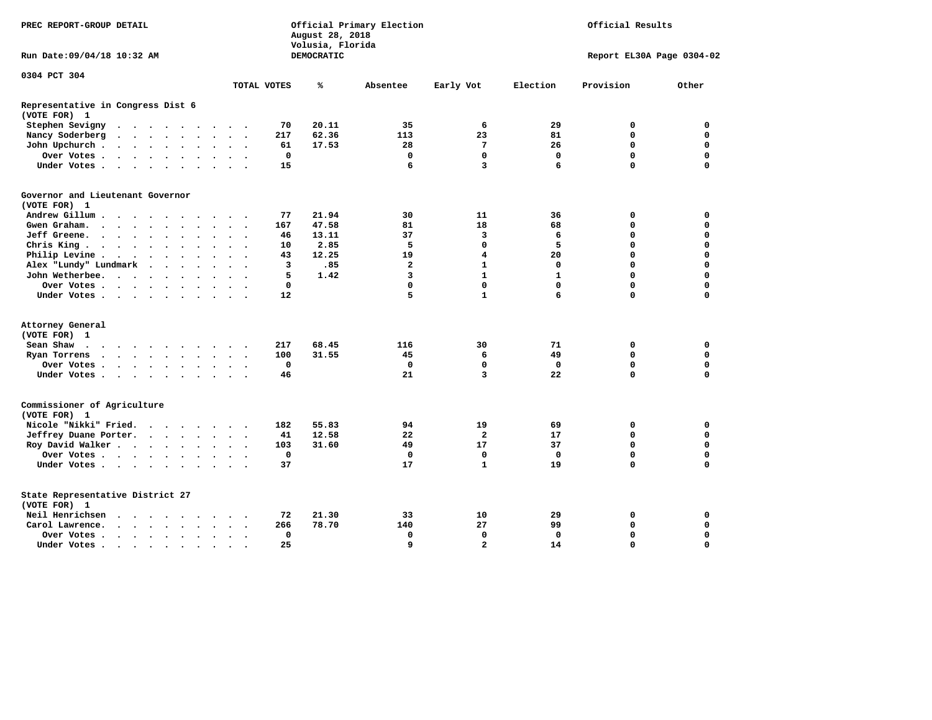| DEMOCRATIC<br>Report EL30A Page 0304-02<br>0304 PCT 304<br>TOTAL VOTES<br>Early Vot<br>Election<br>Provision<br>Other<br>℁<br>Absentee<br>Representative in Congress Dist 6<br>(VOTE FOR) 1<br>20.11<br>6<br>Stephen Sevigny<br>70<br>35<br>29<br>0<br>0<br>$\cdot$ $\cdot$ $\cdot$ $\cdot$ $\cdot$ $\cdot$<br>.<br>Nancy Soderberg<br>217<br>62.36<br>113<br>23<br>81<br>0<br>$\mathbf 0$<br><b>Contract Contract Contract</b><br>$\ddot{\phantom{a}}$<br>$\sim$ $\sim$<br>$\ddot{\phantom{a}}$<br>$\ddot{\phantom{1}}$<br>$\mathbf 0$<br>17.53<br>7<br>26<br>0<br>John Upchurch.<br>61<br>28<br>$\cdot$ $\cdot$ $\cdot$ $\cdot$<br>$\ddot{\phantom{a}}$<br>$\mathbf 0$<br>$\mathbf 0$<br>$\mathbf 0$<br>Over Votes .<br>$\mathbf 0$<br>$\mathbf 0$<br>$\mathbf 0$<br>$\cdots$<br>$\ddot{\phantom{a}}$<br>$\bullet$<br>$\ddot{\phantom{0}}$<br>$\bullet$<br>$\overline{\mathbf{3}}$<br>6<br>$\Omega$<br>Under Votes<br>15<br>6<br>$\Omega$<br>$\sim$<br>$\sim$<br>$\sim$<br>Governor and Lieutenant Governor<br>(VOTE FOR) 1<br>21.94<br>Andrew Gillum.<br>77<br>30<br>11<br>36<br>0<br>0<br>$\sim$<br>$\sim$<br>47.58<br>18<br>$\mathbf 0$<br>$\mathbf 0$<br>Gwen Graham.<br>167<br>81<br>68<br>$\cdots$<br>$\ddot{\phantom{a}}$<br>$\ddot{\phantom{0}}$<br>$\bullet$<br>$\ddot{\phantom{0}}$<br>$\ddot{\phantom{0}}$<br>Jeff Greene.<br>46<br>13.11<br>37<br>3<br>6<br>0<br>$\mathbf 0$<br>$\sim$ $\sim$<br>$\ddot{\phantom{1}}$<br>$\ddot{\phantom{a}}$<br>5<br>5<br>0<br>$\mathbf 0$<br>Chris King<br>2.85<br>$\mathbf 0$<br>10<br>$\bullet$<br>$\bullet$<br>12.25<br>20<br>0<br>$\mathbf 0$<br>Philip Levine .<br>43<br>19<br>4<br>$\sim$ $\sim$<br>$\bullet$ . $\bullet$ .<br>$\bullet$<br>$\bullet$<br>$\bullet$<br>$\bullet$<br>$\cdot$<br>$\ddot{\phantom{0}}$<br>.85<br>$\overline{a}$<br>$\mathbf{1}$<br>0<br>$\mathbf 0$<br>Alex "Lundy" Lundmark<br>3<br>0<br>$\ddot{\phantom{1}}$<br>$\ddot{\phantom{a}}$<br>$\bullet$<br>$\mathbf{1}$<br>$\Omega$<br>5<br>1.42<br>3<br>$\mathbf{1}$<br>$\mathbf 0$<br>John Wetherbee.<br>$\sim$ $\sim$<br>$\ddot{\phantom{a}}$<br>$\overline{\phantom{a}}$<br>$\bullet$<br>$\bullet$<br>$\Omega$<br>$\Omega$<br>0<br>$\Omega$<br>$\mathbf 0$<br>$\mathbf 0$<br>Over Votes .<br>$\cdot$ $\cdot$ $\cdot$ $\cdot$<br>$\sim$<br>5<br>$\mathbf{1}$<br>6<br>$\Omega$<br>$\Omega$<br>Under Votes.<br>12<br>$\cdots$<br>(VOTE FOR) 1<br>Sean Shaw<br>217<br>68.45<br>116<br>30<br>71<br>0<br>0<br>$\sim$ $\sim$<br>.<br>$\cdot$<br>31.55<br>0<br>$\mathbf 0$<br>Ryan Torrens<br>100<br>45<br>6<br>49<br>$\cdots$<br>$\bullet$<br>$\sim$<br>$\cdot$<br>0<br>$\mathbf 0$<br>$\mathbf 0$<br>$\mathbf 0$<br>$\mathbf 0$<br>$\mathbf 0$<br>Over Votes.<br>$\cdots$<br>21<br>$\overline{3}$<br>22<br>0<br>$\mathbf 0$<br>Under Votes<br>46<br>$\ddot{\phantom{a}}$<br>$\bullet$<br>$\sim$ $\sim$<br>Commissioner of Agriculture<br>(VOTE FOR) 1<br>Nicole "Nikki" Fried.<br>182<br>55.83<br>94<br>19<br>0<br>0<br>69<br>$\cdot$ $\cdot$ $\cdot$ $\cdot$<br>$\mathbf 0$<br>Jeffrey Duane Porter.<br>41<br>12.58<br>22<br>$\overline{\mathbf{2}}$<br>17<br>0<br>$\cdot$ $\cdot$ $\cdot$ $\cdot$<br>$\mathbf 0$<br>Roy David Walker<br>49<br>17<br>37<br>$\mathbf 0$<br>103<br>31.60<br>$\ddot{\phantom{a}}$<br>$\sim$<br>Over Votes<br>$\mathbf 0$<br>$\Omega$<br>$\mathbf{0}$<br>$\mathbf 0$<br>0<br>$\mathbf 0$<br>$\Omega$<br>17<br>$\mathbf{1}$<br>19<br>$\Omega$<br>Under Votes<br>37<br>$\ddot{\phantom{a}}$<br>State Representative District 27<br>(VOTE FOR) 1<br>Neil Henrichsen<br>72<br>21.30<br>33<br>10<br>29<br>0<br>0<br>$\sim$<br>$\bullet$<br>$\bullet$<br>$\cdot$<br>78.70<br>140<br>27<br>99<br>0<br>$\mathbf 0$<br>Carol Lawrence.<br>266<br>$\cdot$ $\cdot$ $\cdot$ $\cdot$<br>$\ddot{\phantom{a}}$<br>$\bullet$<br>$\bullet$<br>$\bullet$<br>$\cdot$<br>$\mathbf 0$<br>$\mathbf 0$<br>$\mathbf 0$<br>$\mathbf 0$<br>0<br>$\mathbf 0$<br>Over Votes .<br>$\cdots$<br>$\ddot{\phantom{a}}$<br>$\cdot$<br>$\overline{a}$<br>9<br>14<br>$\Omega$<br>$\Omega$<br>Under Votes.<br>25<br>$\sim$ $\sim$<br>$\sim$ $\sim$<br>$\bullet$ .<br>$\bullet$ | PREC REPORT-GROUP DETAIL    | August 28, 2018<br>Volusia, Florida | Official Primary Election |  | Official Results |  |
|----------------------------------------------------------------------------------------------------------------------------------------------------------------------------------------------------------------------------------------------------------------------------------------------------------------------------------------------------------------------------------------------------------------------------------------------------------------------------------------------------------------------------------------------------------------------------------------------------------------------------------------------------------------------------------------------------------------------------------------------------------------------------------------------------------------------------------------------------------------------------------------------------------------------------------------------------------------------------------------------------------------------------------------------------------------------------------------------------------------------------------------------------------------------------------------------------------------------------------------------------------------------------------------------------------------------------------------------------------------------------------------------------------------------------------------------------------------------------------------------------------------------------------------------------------------------------------------------------------------------------------------------------------------------------------------------------------------------------------------------------------------------------------------------------------------------------------------------------------------------------------------------------------------------------------------------------------------------------------------------------------------------------------------------------------------------------------------------------------------------------------------------------------------------------------------------------------------------------------------------------------------------------------------------------------------------------------------------------------------------------------------------------------------------------------------------------------------------------------------------------------------------------------------------------------------------------------------------------------------------------------------------------------------------------------------------------------------------------------------------------------------------------------------------------------------------------------------------------------------------------------------------------------------------------------------------------------------------------------------------------------------------------------------------------------------------------------------------------------------------------------------------------------------------------------------------------------------------------------------------------------------------------------------------------------------------------------------------------------------------------------------------------------------------------------------------------------------------------------------------------------------------------------------------------------------------------------------------------------------------------------------------------------------------------------------------------------------------------------------------------------------------------------------------------------------------------------------------------------------------------------------------------------------------------------------------------------------------------------------------------------------------------------------------------------------------------------------------------|-----------------------------|-------------------------------------|---------------------------|--|------------------|--|
|                                                                                                                                                                                                                                                                                                                                                                                                                                                                                                                                                                                                                                                                                                                                                                                                                                                                                                                                                                                                                                                                                                                                                                                                                                                                                                                                                                                                                                                                                                                                                                                                                                                                                                                                                                                                                                                                                                                                                                                                                                                                                                                                                                                                                                                                                                                                                                                                                                                                                                                                                                                                                                                                                                                                                                                                                                                                                                                                                                                                                                                                                                                                                                                                                                                                                                                                                                                                                                                                                                                                                                                                                                                                                                                                                                                                                                                                                                                                                                                                                                                                                                    | Run Date: 09/04/18 10:32 AM |                                     |                           |  |                  |  |
|                                                                                                                                                                                                                                                                                                                                                                                                                                                                                                                                                                                                                                                                                                                                                                                                                                                                                                                                                                                                                                                                                                                                                                                                                                                                                                                                                                                                                                                                                                                                                                                                                                                                                                                                                                                                                                                                                                                                                                                                                                                                                                                                                                                                                                                                                                                                                                                                                                                                                                                                                                                                                                                                                                                                                                                                                                                                                                                                                                                                                                                                                                                                                                                                                                                                                                                                                                                                                                                                                                                                                                                                                                                                                                                                                                                                                                                                                                                                                                                                                                                                                                    |                             |                                     |                           |  |                  |  |
|                                                                                                                                                                                                                                                                                                                                                                                                                                                                                                                                                                                                                                                                                                                                                                                                                                                                                                                                                                                                                                                                                                                                                                                                                                                                                                                                                                                                                                                                                                                                                                                                                                                                                                                                                                                                                                                                                                                                                                                                                                                                                                                                                                                                                                                                                                                                                                                                                                                                                                                                                                                                                                                                                                                                                                                                                                                                                                                                                                                                                                                                                                                                                                                                                                                                                                                                                                                                                                                                                                                                                                                                                                                                                                                                                                                                                                                                                                                                                                                                                                                                                                    |                             |                                     |                           |  |                  |  |
|                                                                                                                                                                                                                                                                                                                                                                                                                                                                                                                                                                                                                                                                                                                                                                                                                                                                                                                                                                                                                                                                                                                                                                                                                                                                                                                                                                                                                                                                                                                                                                                                                                                                                                                                                                                                                                                                                                                                                                                                                                                                                                                                                                                                                                                                                                                                                                                                                                                                                                                                                                                                                                                                                                                                                                                                                                                                                                                                                                                                                                                                                                                                                                                                                                                                                                                                                                                                                                                                                                                                                                                                                                                                                                                                                                                                                                                                                                                                                                                                                                                                                                    |                             |                                     |                           |  |                  |  |
|                                                                                                                                                                                                                                                                                                                                                                                                                                                                                                                                                                                                                                                                                                                                                                                                                                                                                                                                                                                                                                                                                                                                                                                                                                                                                                                                                                                                                                                                                                                                                                                                                                                                                                                                                                                                                                                                                                                                                                                                                                                                                                                                                                                                                                                                                                                                                                                                                                                                                                                                                                                                                                                                                                                                                                                                                                                                                                                                                                                                                                                                                                                                                                                                                                                                                                                                                                                                                                                                                                                                                                                                                                                                                                                                                                                                                                                                                                                                                                                                                                                                                                    |                             |                                     |                           |  |                  |  |
|                                                                                                                                                                                                                                                                                                                                                                                                                                                                                                                                                                                                                                                                                                                                                                                                                                                                                                                                                                                                                                                                                                                                                                                                                                                                                                                                                                                                                                                                                                                                                                                                                                                                                                                                                                                                                                                                                                                                                                                                                                                                                                                                                                                                                                                                                                                                                                                                                                                                                                                                                                                                                                                                                                                                                                                                                                                                                                                                                                                                                                                                                                                                                                                                                                                                                                                                                                                                                                                                                                                                                                                                                                                                                                                                                                                                                                                                                                                                                                                                                                                                                                    |                             |                                     |                           |  |                  |  |
|                                                                                                                                                                                                                                                                                                                                                                                                                                                                                                                                                                                                                                                                                                                                                                                                                                                                                                                                                                                                                                                                                                                                                                                                                                                                                                                                                                                                                                                                                                                                                                                                                                                                                                                                                                                                                                                                                                                                                                                                                                                                                                                                                                                                                                                                                                                                                                                                                                                                                                                                                                                                                                                                                                                                                                                                                                                                                                                                                                                                                                                                                                                                                                                                                                                                                                                                                                                                                                                                                                                                                                                                                                                                                                                                                                                                                                                                                                                                                                                                                                                                                                    |                             |                                     |                           |  |                  |  |
|                                                                                                                                                                                                                                                                                                                                                                                                                                                                                                                                                                                                                                                                                                                                                                                                                                                                                                                                                                                                                                                                                                                                                                                                                                                                                                                                                                                                                                                                                                                                                                                                                                                                                                                                                                                                                                                                                                                                                                                                                                                                                                                                                                                                                                                                                                                                                                                                                                                                                                                                                                                                                                                                                                                                                                                                                                                                                                                                                                                                                                                                                                                                                                                                                                                                                                                                                                                                                                                                                                                                                                                                                                                                                                                                                                                                                                                                                                                                                                                                                                                                                                    |                             |                                     |                           |  |                  |  |
|                                                                                                                                                                                                                                                                                                                                                                                                                                                                                                                                                                                                                                                                                                                                                                                                                                                                                                                                                                                                                                                                                                                                                                                                                                                                                                                                                                                                                                                                                                                                                                                                                                                                                                                                                                                                                                                                                                                                                                                                                                                                                                                                                                                                                                                                                                                                                                                                                                                                                                                                                                                                                                                                                                                                                                                                                                                                                                                                                                                                                                                                                                                                                                                                                                                                                                                                                                                                                                                                                                                                                                                                                                                                                                                                                                                                                                                                                                                                                                                                                                                                                                    |                             |                                     |                           |  |                  |  |
|                                                                                                                                                                                                                                                                                                                                                                                                                                                                                                                                                                                                                                                                                                                                                                                                                                                                                                                                                                                                                                                                                                                                                                                                                                                                                                                                                                                                                                                                                                                                                                                                                                                                                                                                                                                                                                                                                                                                                                                                                                                                                                                                                                                                                                                                                                                                                                                                                                                                                                                                                                                                                                                                                                                                                                                                                                                                                                                                                                                                                                                                                                                                                                                                                                                                                                                                                                                                                                                                                                                                                                                                                                                                                                                                                                                                                                                                                                                                                                                                                                                                                                    |                             |                                     |                           |  |                  |  |
|                                                                                                                                                                                                                                                                                                                                                                                                                                                                                                                                                                                                                                                                                                                                                                                                                                                                                                                                                                                                                                                                                                                                                                                                                                                                                                                                                                                                                                                                                                                                                                                                                                                                                                                                                                                                                                                                                                                                                                                                                                                                                                                                                                                                                                                                                                                                                                                                                                                                                                                                                                                                                                                                                                                                                                                                                                                                                                                                                                                                                                                                                                                                                                                                                                                                                                                                                                                                                                                                                                                                                                                                                                                                                                                                                                                                                                                                                                                                                                                                                                                                                                    |                             |                                     |                           |  |                  |  |
|                                                                                                                                                                                                                                                                                                                                                                                                                                                                                                                                                                                                                                                                                                                                                                                                                                                                                                                                                                                                                                                                                                                                                                                                                                                                                                                                                                                                                                                                                                                                                                                                                                                                                                                                                                                                                                                                                                                                                                                                                                                                                                                                                                                                                                                                                                                                                                                                                                                                                                                                                                                                                                                                                                                                                                                                                                                                                                                                                                                                                                                                                                                                                                                                                                                                                                                                                                                                                                                                                                                                                                                                                                                                                                                                                                                                                                                                                                                                                                                                                                                                                                    |                             |                                     |                           |  |                  |  |
|                                                                                                                                                                                                                                                                                                                                                                                                                                                                                                                                                                                                                                                                                                                                                                                                                                                                                                                                                                                                                                                                                                                                                                                                                                                                                                                                                                                                                                                                                                                                                                                                                                                                                                                                                                                                                                                                                                                                                                                                                                                                                                                                                                                                                                                                                                                                                                                                                                                                                                                                                                                                                                                                                                                                                                                                                                                                                                                                                                                                                                                                                                                                                                                                                                                                                                                                                                                                                                                                                                                                                                                                                                                                                                                                                                                                                                                                                                                                                                                                                                                                                                    |                             |                                     |                           |  |                  |  |
|                                                                                                                                                                                                                                                                                                                                                                                                                                                                                                                                                                                                                                                                                                                                                                                                                                                                                                                                                                                                                                                                                                                                                                                                                                                                                                                                                                                                                                                                                                                                                                                                                                                                                                                                                                                                                                                                                                                                                                                                                                                                                                                                                                                                                                                                                                                                                                                                                                                                                                                                                                                                                                                                                                                                                                                                                                                                                                                                                                                                                                                                                                                                                                                                                                                                                                                                                                                                                                                                                                                                                                                                                                                                                                                                                                                                                                                                                                                                                                                                                                                                                                    |                             |                                     |                           |  |                  |  |
|                                                                                                                                                                                                                                                                                                                                                                                                                                                                                                                                                                                                                                                                                                                                                                                                                                                                                                                                                                                                                                                                                                                                                                                                                                                                                                                                                                                                                                                                                                                                                                                                                                                                                                                                                                                                                                                                                                                                                                                                                                                                                                                                                                                                                                                                                                                                                                                                                                                                                                                                                                                                                                                                                                                                                                                                                                                                                                                                                                                                                                                                                                                                                                                                                                                                                                                                                                                                                                                                                                                                                                                                                                                                                                                                                                                                                                                                                                                                                                                                                                                                                                    |                             |                                     |                           |  |                  |  |
|                                                                                                                                                                                                                                                                                                                                                                                                                                                                                                                                                                                                                                                                                                                                                                                                                                                                                                                                                                                                                                                                                                                                                                                                                                                                                                                                                                                                                                                                                                                                                                                                                                                                                                                                                                                                                                                                                                                                                                                                                                                                                                                                                                                                                                                                                                                                                                                                                                                                                                                                                                                                                                                                                                                                                                                                                                                                                                                                                                                                                                                                                                                                                                                                                                                                                                                                                                                                                                                                                                                                                                                                                                                                                                                                                                                                                                                                                                                                                                                                                                                                                                    |                             |                                     |                           |  |                  |  |
|                                                                                                                                                                                                                                                                                                                                                                                                                                                                                                                                                                                                                                                                                                                                                                                                                                                                                                                                                                                                                                                                                                                                                                                                                                                                                                                                                                                                                                                                                                                                                                                                                                                                                                                                                                                                                                                                                                                                                                                                                                                                                                                                                                                                                                                                                                                                                                                                                                                                                                                                                                                                                                                                                                                                                                                                                                                                                                                                                                                                                                                                                                                                                                                                                                                                                                                                                                                                                                                                                                                                                                                                                                                                                                                                                                                                                                                                                                                                                                                                                                                                                                    |                             |                                     |                           |  |                  |  |
|                                                                                                                                                                                                                                                                                                                                                                                                                                                                                                                                                                                                                                                                                                                                                                                                                                                                                                                                                                                                                                                                                                                                                                                                                                                                                                                                                                                                                                                                                                                                                                                                                                                                                                                                                                                                                                                                                                                                                                                                                                                                                                                                                                                                                                                                                                                                                                                                                                                                                                                                                                                                                                                                                                                                                                                                                                                                                                                                                                                                                                                                                                                                                                                                                                                                                                                                                                                                                                                                                                                                                                                                                                                                                                                                                                                                                                                                                                                                                                                                                                                                                                    |                             |                                     |                           |  |                  |  |
|                                                                                                                                                                                                                                                                                                                                                                                                                                                                                                                                                                                                                                                                                                                                                                                                                                                                                                                                                                                                                                                                                                                                                                                                                                                                                                                                                                                                                                                                                                                                                                                                                                                                                                                                                                                                                                                                                                                                                                                                                                                                                                                                                                                                                                                                                                                                                                                                                                                                                                                                                                                                                                                                                                                                                                                                                                                                                                                                                                                                                                                                                                                                                                                                                                                                                                                                                                                                                                                                                                                                                                                                                                                                                                                                                                                                                                                                                                                                                                                                                                                                                                    |                             |                                     |                           |  |                  |  |
|                                                                                                                                                                                                                                                                                                                                                                                                                                                                                                                                                                                                                                                                                                                                                                                                                                                                                                                                                                                                                                                                                                                                                                                                                                                                                                                                                                                                                                                                                                                                                                                                                                                                                                                                                                                                                                                                                                                                                                                                                                                                                                                                                                                                                                                                                                                                                                                                                                                                                                                                                                                                                                                                                                                                                                                                                                                                                                                                                                                                                                                                                                                                                                                                                                                                                                                                                                                                                                                                                                                                                                                                                                                                                                                                                                                                                                                                                                                                                                                                                                                                                                    | Attorney General            |                                     |                           |  |                  |  |
|                                                                                                                                                                                                                                                                                                                                                                                                                                                                                                                                                                                                                                                                                                                                                                                                                                                                                                                                                                                                                                                                                                                                                                                                                                                                                                                                                                                                                                                                                                                                                                                                                                                                                                                                                                                                                                                                                                                                                                                                                                                                                                                                                                                                                                                                                                                                                                                                                                                                                                                                                                                                                                                                                                                                                                                                                                                                                                                                                                                                                                                                                                                                                                                                                                                                                                                                                                                                                                                                                                                                                                                                                                                                                                                                                                                                                                                                                                                                                                                                                                                                                                    |                             |                                     |                           |  |                  |  |
|                                                                                                                                                                                                                                                                                                                                                                                                                                                                                                                                                                                                                                                                                                                                                                                                                                                                                                                                                                                                                                                                                                                                                                                                                                                                                                                                                                                                                                                                                                                                                                                                                                                                                                                                                                                                                                                                                                                                                                                                                                                                                                                                                                                                                                                                                                                                                                                                                                                                                                                                                                                                                                                                                                                                                                                                                                                                                                                                                                                                                                                                                                                                                                                                                                                                                                                                                                                                                                                                                                                                                                                                                                                                                                                                                                                                                                                                                                                                                                                                                                                                                                    |                             |                                     |                           |  |                  |  |
|                                                                                                                                                                                                                                                                                                                                                                                                                                                                                                                                                                                                                                                                                                                                                                                                                                                                                                                                                                                                                                                                                                                                                                                                                                                                                                                                                                                                                                                                                                                                                                                                                                                                                                                                                                                                                                                                                                                                                                                                                                                                                                                                                                                                                                                                                                                                                                                                                                                                                                                                                                                                                                                                                                                                                                                                                                                                                                                                                                                                                                                                                                                                                                                                                                                                                                                                                                                                                                                                                                                                                                                                                                                                                                                                                                                                                                                                                                                                                                                                                                                                                                    |                             |                                     |                           |  |                  |  |
|                                                                                                                                                                                                                                                                                                                                                                                                                                                                                                                                                                                                                                                                                                                                                                                                                                                                                                                                                                                                                                                                                                                                                                                                                                                                                                                                                                                                                                                                                                                                                                                                                                                                                                                                                                                                                                                                                                                                                                                                                                                                                                                                                                                                                                                                                                                                                                                                                                                                                                                                                                                                                                                                                                                                                                                                                                                                                                                                                                                                                                                                                                                                                                                                                                                                                                                                                                                                                                                                                                                                                                                                                                                                                                                                                                                                                                                                                                                                                                                                                                                                                                    |                             |                                     |                           |  |                  |  |
|                                                                                                                                                                                                                                                                                                                                                                                                                                                                                                                                                                                                                                                                                                                                                                                                                                                                                                                                                                                                                                                                                                                                                                                                                                                                                                                                                                                                                                                                                                                                                                                                                                                                                                                                                                                                                                                                                                                                                                                                                                                                                                                                                                                                                                                                                                                                                                                                                                                                                                                                                                                                                                                                                                                                                                                                                                                                                                                                                                                                                                                                                                                                                                                                                                                                                                                                                                                                                                                                                                                                                                                                                                                                                                                                                                                                                                                                                                                                                                                                                                                                                                    |                             |                                     |                           |  |                  |  |
|                                                                                                                                                                                                                                                                                                                                                                                                                                                                                                                                                                                                                                                                                                                                                                                                                                                                                                                                                                                                                                                                                                                                                                                                                                                                                                                                                                                                                                                                                                                                                                                                                                                                                                                                                                                                                                                                                                                                                                                                                                                                                                                                                                                                                                                                                                                                                                                                                                                                                                                                                                                                                                                                                                                                                                                                                                                                                                                                                                                                                                                                                                                                                                                                                                                                                                                                                                                                                                                                                                                                                                                                                                                                                                                                                                                                                                                                                                                                                                                                                                                                                                    |                             |                                     |                           |  |                  |  |
|                                                                                                                                                                                                                                                                                                                                                                                                                                                                                                                                                                                                                                                                                                                                                                                                                                                                                                                                                                                                                                                                                                                                                                                                                                                                                                                                                                                                                                                                                                                                                                                                                                                                                                                                                                                                                                                                                                                                                                                                                                                                                                                                                                                                                                                                                                                                                                                                                                                                                                                                                                                                                                                                                                                                                                                                                                                                                                                                                                                                                                                                                                                                                                                                                                                                                                                                                                                                                                                                                                                                                                                                                                                                                                                                                                                                                                                                                                                                                                                                                                                                                                    |                             |                                     |                           |  |                  |  |
|                                                                                                                                                                                                                                                                                                                                                                                                                                                                                                                                                                                                                                                                                                                                                                                                                                                                                                                                                                                                                                                                                                                                                                                                                                                                                                                                                                                                                                                                                                                                                                                                                                                                                                                                                                                                                                                                                                                                                                                                                                                                                                                                                                                                                                                                                                                                                                                                                                                                                                                                                                                                                                                                                                                                                                                                                                                                                                                                                                                                                                                                                                                                                                                                                                                                                                                                                                                                                                                                                                                                                                                                                                                                                                                                                                                                                                                                                                                                                                                                                                                                                                    |                             |                                     |                           |  |                  |  |
|                                                                                                                                                                                                                                                                                                                                                                                                                                                                                                                                                                                                                                                                                                                                                                                                                                                                                                                                                                                                                                                                                                                                                                                                                                                                                                                                                                                                                                                                                                                                                                                                                                                                                                                                                                                                                                                                                                                                                                                                                                                                                                                                                                                                                                                                                                                                                                                                                                                                                                                                                                                                                                                                                                                                                                                                                                                                                                                                                                                                                                                                                                                                                                                                                                                                                                                                                                                                                                                                                                                                                                                                                                                                                                                                                                                                                                                                                                                                                                                                                                                                                                    |                             |                                     |                           |  |                  |  |
|                                                                                                                                                                                                                                                                                                                                                                                                                                                                                                                                                                                                                                                                                                                                                                                                                                                                                                                                                                                                                                                                                                                                                                                                                                                                                                                                                                                                                                                                                                                                                                                                                                                                                                                                                                                                                                                                                                                                                                                                                                                                                                                                                                                                                                                                                                                                                                                                                                                                                                                                                                                                                                                                                                                                                                                                                                                                                                                                                                                                                                                                                                                                                                                                                                                                                                                                                                                                                                                                                                                                                                                                                                                                                                                                                                                                                                                                                                                                                                                                                                                                                                    |                             |                                     |                           |  |                  |  |
|                                                                                                                                                                                                                                                                                                                                                                                                                                                                                                                                                                                                                                                                                                                                                                                                                                                                                                                                                                                                                                                                                                                                                                                                                                                                                                                                                                                                                                                                                                                                                                                                                                                                                                                                                                                                                                                                                                                                                                                                                                                                                                                                                                                                                                                                                                                                                                                                                                                                                                                                                                                                                                                                                                                                                                                                                                                                                                                                                                                                                                                                                                                                                                                                                                                                                                                                                                                                                                                                                                                                                                                                                                                                                                                                                                                                                                                                                                                                                                                                                                                                                                    |                             |                                     |                           |  |                  |  |
|                                                                                                                                                                                                                                                                                                                                                                                                                                                                                                                                                                                                                                                                                                                                                                                                                                                                                                                                                                                                                                                                                                                                                                                                                                                                                                                                                                                                                                                                                                                                                                                                                                                                                                                                                                                                                                                                                                                                                                                                                                                                                                                                                                                                                                                                                                                                                                                                                                                                                                                                                                                                                                                                                                                                                                                                                                                                                                                                                                                                                                                                                                                                                                                                                                                                                                                                                                                                                                                                                                                                                                                                                                                                                                                                                                                                                                                                                                                                                                                                                                                                                                    |                             |                                     |                           |  |                  |  |
|                                                                                                                                                                                                                                                                                                                                                                                                                                                                                                                                                                                                                                                                                                                                                                                                                                                                                                                                                                                                                                                                                                                                                                                                                                                                                                                                                                                                                                                                                                                                                                                                                                                                                                                                                                                                                                                                                                                                                                                                                                                                                                                                                                                                                                                                                                                                                                                                                                                                                                                                                                                                                                                                                                                                                                                                                                                                                                                                                                                                                                                                                                                                                                                                                                                                                                                                                                                                                                                                                                                                                                                                                                                                                                                                                                                                                                                                                                                                                                                                                                                                                                    |                             |                                     |                           |  |                  |  |
|                                                                                                                                                                                                                                                                                                                                                                                                                                                                                                                                                                                                                                                                                                                                                                                                                                                                                                                                                                                                                                                                                                                                                                                                                                                                                                                                                                                                                                                                                                                                                                                                                                                                                                                                                                                                                                                                                                                                                                                                                                                                                                                                                                                                                                                                                                                                                                                                                                                                                                                                                                                                                                                                                                                                                                                                                                                                                                                                                                                                                                                                                                                                                                                                                                                                                                                                                                                                                                                                                                                                                                                                                                                                                                                                                                                                                                                                                                                                                                                                                                                                                                    |                             |                                     |                           |  |                  |  |
|                                                                                                                                                                                                                                                                                                                                                                                                                                                                                                                                                                                                                                                                                                                                                                                                                                                                                                                                                                                                                                                                                                                                                                                                                                                                                                                                                                                                                                                                                                                                                                                                                                                                                                                                                                                                                                                                                                                                                                                                                                                                                                                                                                                                                                                                                                                                                                                                                                                                                                                                                                                                                                                                                                                                                                                                                                                                                                                                                                                                                                                                                                                                                                                                                                                                                                                                                                                                                                                                                                                                                                                                                                                                                                                                                                                                                                                                                                                                                                                                                                                                                                    |                             |                                     |                           |  |                  |  |
|                                                                                                                                                                                                                                                                                                                                                                                                                                                                                                                                                                                                                                                                                                                                                                                                                                                                                                                                                                                                                                                                                                                                                                                                                                                                                                                                                                                                                                                                                                                                                                                                                                                                                                                                                                                                                                                                                                                                                                                                                                                                                                                                                                                                                                                                                                                                                                                                                                                                                                                                                                                                                                                                                                                                                                                                                                                                                                                                                                                                                                                                                                                                                                                                                                                                                                                                                                                                                                                                                                                                                                                                                                                                                                                                                                                                                                                                                                                                                                                                                                                                                                    |                             |                                     |                           |  |                  |  |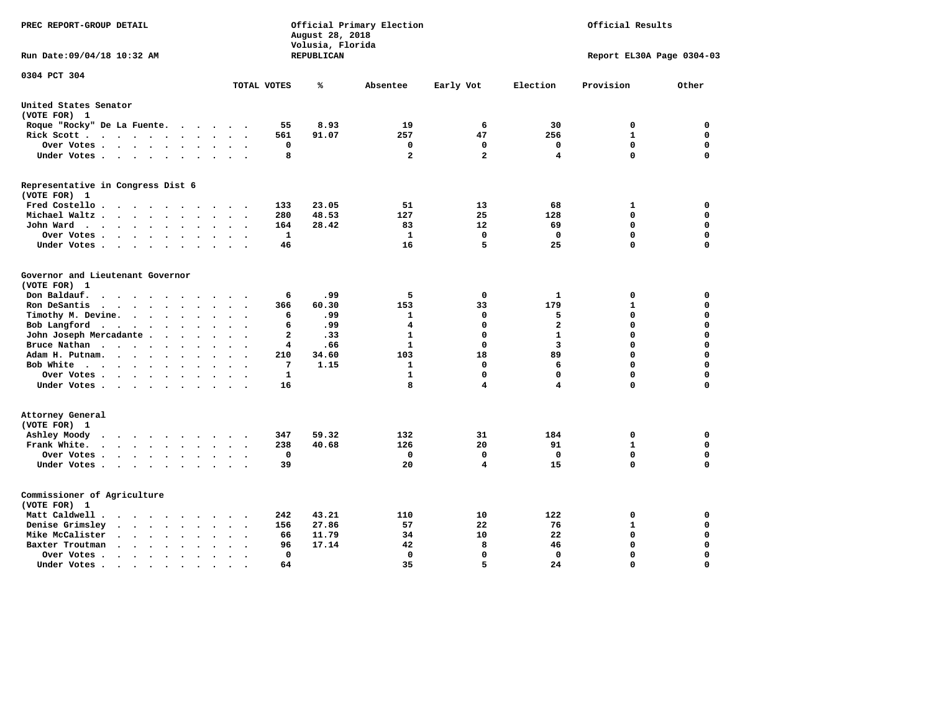| PREC REPORT-GROUP DETAIL                                                                                                           |                                                                | August 28, 2018<br>Volusia, Florida | Official Primary Election | Official Results        |                         |                           |             |  |
|------------------------------------------------------------------------------------------------------------------------------------|----------------------------------------------------------------|-------------------------------------|---------------------------|-------------------------|-------------------------|---------------------------|-------------|--|
| Run Date:09/04/18 10:32 AM                                                                                                         |                                                                | REPUBLICAN                          |                           |                         |                         | Report EL30A Page 0304-03 |             |  |
| 0304 PCT 304                                                                                                                       | TOTAL VOTES                                                    | ℁                                   | Absentee                  | Early Vot               | Election                | Provision                 | Other       |  |
|                                                                                                                                    |                                                                |                                     |                           |                         |                         |                           |             |  |
| United States Senator<br>(VOTE FOR) 1                                                                                              |                                                                |                                     |                           |                         |                         |                           |             |  |
| Roque "Rocky" De La Fuente.<br>$\cdots$                                                                                            | 55<br>$\sim$<br>$\overline{\phantom{a}}$                       | 8.93                                | 19                        | 6                       | 30                      | 0                         | 0           |  |
| Rick Scott<br>$\sim$                                                                                                               | 561                                                            | 91.07                               | 257                       | 47                      | 256                     | 1                         | $\mathbf 0$ |  |
| Over Votes<br>$\ddot{\phantom{1}}$                                                                                                 | 0<br>$\ddot{\phantom{a}}$<br>$\ddot{\phantom{a}}$<br>$\bullet$ |                                     | 0                         | 0                       | 0                       | 0                         | $\mathbf 0$ |  |
| Under Votes<br>$\ddot{\phantom{a}}$                                                                                                | 8<br>$\ddot{\phantom{a}}$                                      |                                     | $\mathbf{2}$              | $\overline{\mathbf{2}}$ | 4                       | $\Omega$                  | $\mathbf 0$ |  |
| Representative in Congress Dist 6                                                                                                  |                                                                |                                     |                           |                         |                         |                           |             |  |
| (VOTE FOR) 1                                                                                                                       |                                                                |                                     |                           |                         |                         |                           |             |  |
| Fred Costello.<br>$\cdots$<br>$\sim$<br>$\sim$ $\sim$                                                                              | 133                                                            | 23.05                               | 51                        | 13                      | 68                      | 1                         | 0           |  |
| Michael Waltz.<br>$\cdots$<br>$\ddot{\phantom{a}}$<br>$\mathbf{r}$                                                                 | 280                                                            | 48.53                               | 127                       | 25                      | 128                     | $\mathbf 0$               | $\mathbf 0$ |  |
| John Ward<br>$\cdots$<br>$\sim$<br>$\bullet$                                                                                       | 164<br>$\ddot{\phantom{a}}$                                    | 28.42                               | 83                        | 12                      | 69                      | $\mathbf 0$               | 0           |  |
| Over Votes<br>$\cdot$                                                                                                              | 1                                                              |                                     | $\mathbf{1}$              | $\mathbf 0$             | $\mathbf 0$             | $\mathbf 0$               | 0           |  |
| Under Votes<br>$\cdot$<br>$\cdot$                                                                                                  | 46                                                             |                                     | 16                        | 5                       | 25                      | $\mathbf 0$               | $\mathbf 0$ |  |
| Governor and Lieutenant Governor                                                                                                   |                                                                |                                     |                           |                         |                         |                           |             |  |
| (VOTE FOR) 1                                                                                                                       |                                                                |                                     |                           |                         |                         |                           |             |  |
| Don Baldauf.<br>$\bullet$ .<br><br><br><br><br><br><br><br><br><br><br><br><br>$\sim$                                              | 6                                                              | .99                                 | 5                         | 0                       | 1                       | 0                         | 0           |  |
| Ron DeSantis<br>$\bullet$                                                                                                          | 366<br>$\Delta \sim 10^{-11}$<br>$\ddot{\phantom{a}}$          | 60.30                               | 153                       | 33                      | 179                     | $\mathbf 1$               | 0           |  |
| Timothy M. Devine.<br>$\ddot{\phantom{a}}$<br>$\ddot{\phantom{a}}$                                                                 | 6                                                              | .99                                 | 1                         | 0                       | 5                       | 0                         | $\mathbf 0$ |  |
| Bob Langford<br>$\ddot{\phantom{0}}$<br>$\bullet$<br>$\bullet$                                                                     | 6<br>$\cdot$                                                   | .99                                 | 4                         | $\mathbf 0$             | $\overline{a}$          | $\mathbf 0$               | $\mathbf 0$ |  |
| John Joseph Mercadante                                                                                                             | $\mathbf{2}$<br>$\overline{\phantom{a}}$                       | .33                                 | 1                         | 0                       | $\mathbf{1}$            | $\mathbf 0$               | $\mathbf 0$ |  |
| Bruce Nathan<br>$\bullet$<br>$\ddot{\phantom{a}}$                                                                                  | 4                                                              | .66                                 | 1                         | 0                       | $\overline{\mathbf{3}}$ | 0                         | $\mathbf 0$ |  |
| Adam H. Putnam.<br>$\sim$                                                                                                          | 210                                                            | 34.60                               | 103                       | 18                      | 89                      | $\Omega$                  | $\mathbf 0$ |  |
| Bob White<br>$\sim$                                                                                                                | 7<br>$\ddot{\phantom{a}}$                                      | 1.15                                | 1                         | 0                       | 6                       | $\mathbf 0$               | $\mathbf 0$ |  |
| Over Votes .<br>$\sim$                                                                                                             | $\mathbf{1}$                                                   |                                     | 1                         | $\mathbf 0$             | $\mathbf 0$             | $\mathbf 0$               | $\mathbf 0$ |  |
| Under Votes<br>$\sim$                                                                                                              | 16                                                             |                                     | 8                         | 4                       | 4                       | $\mathbf 0$               | $\mathbf 0$ |  |
| Attorney General                                                                                                                   |                                                                |                                     |                           |                         |                         |                           |             |  |
| (VOTE FOR) 1                                                                                                                       |                                                                |                                     |                           |                         |                         |                           |             |  |
| Ashley Moody<br>$\cdot$ $\cdot$ $\cdot$ $\cdot$ $\cdot$<br>$\bullet$<br>$\sim$                                                     | 347                                                            | 59.32                               | 132                       | 31                      | 184                     | 0                         | 0           |  |
| Frank White.<br>$\cdots$<br>$\overline{\phantom{a}}$<br>$\sim$                                                                     | 238                                                            | 40.68                               | 126                       | 20                      | 91                      | $\mathbf{1}$              | 0           |  |
| Over Votes .<br>$\cdots$<br>$\bullet$                                                                                              | $\mathbf 0$                                                    |                                     | 0                         | $\mathbf 0$             | $\mathbf{0}$            | $\mathbf 0$               | 0           |  |
| Under Votes<br>$\sim$<br>$\ddot{\phantom{0}}$<br>$\ddot{\phantom{a}}$                                                              | 39<br>$\bullet$                                                |                                     | 20                        | 4                       | 15                      | $\mathbf 0$               | 0           |  |
| Commissioner of Agriculture                                                                                                        |                                                                |                                     |                           |                         |                         |                           |             |  |
| (VOTE FOR) 1                                                                                                                       |                                                                |                                     |                           |                         |                         |                           |             |  |
| Matt Caldwell.<br>$\cdot$ $\cdot$ $\cdot$ $\cdot$ $\cdot$<br>$\sim$ $\sim$                                                         | 242<br>$\ddot{\phantom{a}}$                                    | 43.21                               | 110                       | 10                      | 122                     | 0                         | 0           |  |
| Denise Grimsley<br>$\mathbf{a}$ , and $\mathbf{a}$ , and $\mathbf{a}$<br>$\ddot{\phantom{a}}$<br>$\bullet$<br>$\ddot{\phantom{a}}$ | 156                                                            | 27.86                               | 57                        | 22                      | 76                      | 1                         | 0           |  |
| Mike McCalister<br>$\mathbf{a}$ , and $\mathbf{a}$ , and $\mathbf{a}$<br>$\ddot{\phantom{0}}$<br>$\bullet$                         | 66<br>$\overline{\phantom{a}}$                                 | 11.79                               | 34                        | 10                      | 22                      | 0                         | 0           |  |
| Baxter Troutman<br>$\sim$ $\sim$ $\sim$ $\sim$<br>$\ddot{\phantom{0}}$<br>$\sim$<br>$\sim$                                         | 96                                                             | 17.14                               | 42                        | 8                       | 46                      | 0                         | 0           |  |
| Over Votes .<br>$\sim$ $\sim$ $\sim$<br>$\bullet$<br>$\bullet$                                                                     | $\Omega$                                                       |                                     | 0                         | 0                       | $\Omega$                | $\mathbf 0$               | $\mathbf 0$ |  |
| Under Votes.<br>.                                                                                                                  | 64                                                             |                                     | 35                        | 5                       | 24                      | $\Omega$                  | $\Omega$    |  |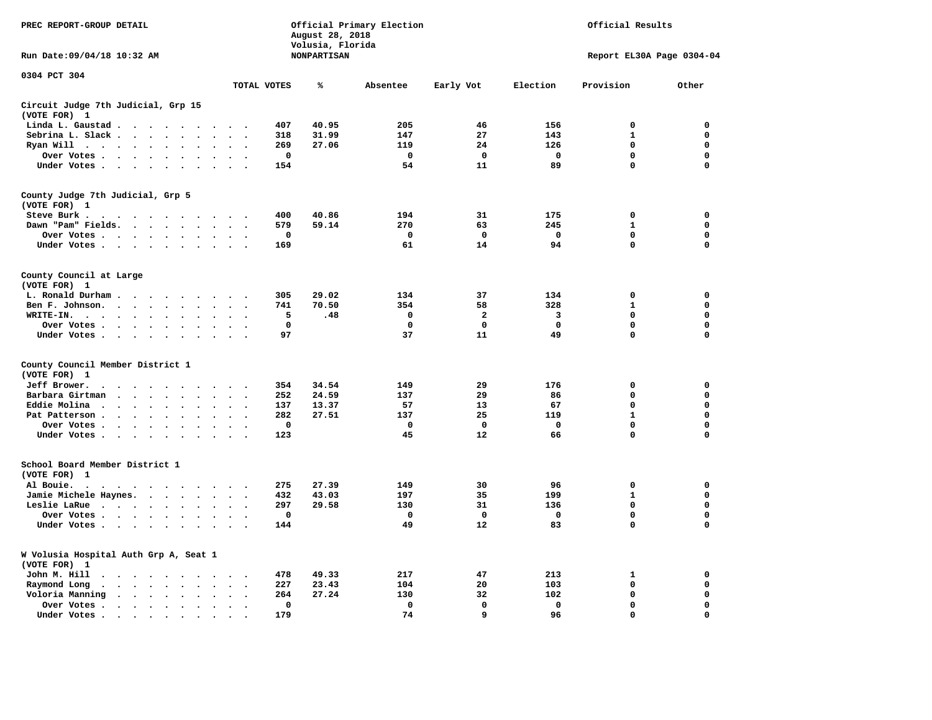| PREC REPORT-GROUP DETAIL                                                                                                                                                                                                                                        |                                              | Official Primary Election<br>Official Results<br>August 28, 2018<br>Volusia, Florida |             |                    |             |              |             |                           |             |
|-----------------------------------------------------------------------------------------------------------------------------------------------------------------------------------------------------------------------------------------------------------------|----------------------------------------------|--------------------------------------------------------------------------------------|-------------|--------------------|-------------|--------------|-------------|---------------------------|-------------|
| Run Date: 09/04/18 10:32 AM                                                                                                                                                                                                                                     |                                              |                                                                                      |             | <b>NONPARTISAN</b> |             |              |             | Report EL30A Page 0304-04 |             |
| 0304 PCT 304                                                                                                                                                                                                                                                    |                                              | TOTAL VOTES                                                                          |             | ℁                  | Absentee    | Early Vot    | Election    | Provision                 | Other       |
| Circuit Judge 7th Judicial, Grp 15                                                                                                                                                                                                                              |                                              |                                                                                      |             |                    |             |              |             |                           |             |
| (VOTE FOR) 1<br>Linda L. Gaustad                                                                                                                                                                                                                                |                                              |                                                                                      |             | 40.95              | 205         |              | 156         | 0                         | 0           |
| Sebrina L. Slack                                                                                                                                                                                                                                                | $\bullet$                                    | $\overline{\phantom{a}}$                                                             | 407<br>318  | 31.99              | 147         | 46<br>27     | 143         | $\mathbf{1}$              | $\mathbf 0$ |
| Ryan Will .<br>$\sim$ $\sim$ $\sim$ $\sim$<br>$\ddot{\phantom{0}}$<br>$\bullet$                                                                                                                                                                                 | $\ddot{\phantom{a}}$<br>$\ddot{\phantom{a}}$ |                                                                                      | 269         | 27.06              | 119         | 24           | 126         | $\mathbf 0$               | 0           |
| Over Votes                                                                                                                                                                                                                                                      |                                              |                                                                                      | $\mathbf 0$ |                    | $\mathbf 0$ | 0            | $\mathbf 0$ | 0                         | 0           |
| Under Votes                                                                                                                                                                                                                                                     | $\ddot{\phantom{a}}$                         | $\cdot$                                                                              | 154         |                    | 54          | 11           | 89          | $\mathbf 0$               | 0           |
| County Judge 7th Judicial, Grp 5<br>(VOTE FOR) 1                                                                                                                                                                                                                |                                              |                                                                                      |             |                    |             |              |             |                           |             |
| Steve Burk .<br>.                                                                                                                                                                                                                                               |                                              |                                                                                      | 400         | 40.86              | 194         | 31           | 175         | $\mathbf 0$               | 0           |
| Dawn "Pam" Fields.                                                                                                                                                                                                                                              | $\cdot$<br>$\sim$                            |                                                                                      | 579         | 59.14              | 270         | 63           | 245         | $\mathbf{1}$              | 0           |
| Over Votes                                                                                                                                                                                                                                                      |                                              |                                                                                      | 0           |                    | 0           | 0            | 0           | $\mathbf 0$               | 0           |
| Under Votes                                                                                                                                                                                                                                                     |                                              | $\cdot$ .                                                                            | 169         |                    | 61          | 14           | 94          | $\mathbf 0$               | $\mathbf 0$ |
| County Council at Large<br>(VOTE FOR) 1                                                                                                                                                                                                                         |                                              |                                                                                      |             |                    |             |              |             |                           |             |
| L. Ronald Durham                                                                                                                                                                                                                                                |                                              |                                                                                      | 305         | 29.02              | 134         | 37           | 134         | $\mathbf 0$               | $\mathbf 0$ |
| Ben F. Johnson.                                                                                                                                                                                                                                                 | $\sim$<br>$\sim$                             | $\overline{\phantom{a}}$                                                             | 741         | 70.50              | 354         | 58           | 328         | $\mathbf{1}$              | $\mathbf 0$ |
| WRITE-IN.<br>$\cdot$ $\cdot$ $\cdot$ $\cdot$ $\cdot$ $\cdot$<br>$\ddot{\phantom{a}}$                                                                                                                                                                            |                                              |                                                                                      | 5           | .48                | 0           | 2            | 3           | $\mathbf 0$               | 0           |
| Over Votes.                                                                                                                                                                                                                                                     |                                              | $\sim$                                                                               | 0           |                    | 0           | 0            | 0           | 0                         | 0           |
| Under Votes                                                                                                                                                                                                                                                     |                                              | $\sim$<br>$\cdot$                                                                    | 97          |                    | 37          | 11           | 49          | 0                         | $\mathbf 0$ |
| County Council Member District 1<br>(VOTE FOR) 1                                                                                                                                                                                                                |                                              |                                                                                      |             |                    |             |              |             |                           |             |
| Jeff Brower.<br>$\cdot$<br>$\cdot$                                                                                                                                                                                                                              | $\sim$<br>$\sim$                             |                                                                                      | 354         | 34.54              | 149         | 29           | 176         | 0                         | 0           |
| Barbara Girtman<br>$\sim$<br>$\ddot{\phantom{a}}$<br>$\sim$<br>$\overline{\phantom{a}}$                                                                                                                                                                         | $\ddot{\phantom{a}}$                         |                                                                                      | 252         | 24.59              | 137         | 29           | 86          | 0                         | 0           |
| Eddie Molina<br>$\ddot{\phantom{0}}$<br>$\cdot$                                                                                                                                                                                                                 | $\ddot{\phantom{a}}$                         |                                                                                      | 137         | 13.37              | 57          | 13           | 67          | 0                         | 0           |
| Pat Patterson.<br>$\mathcal{A}^{\mathcal{A}}$ , and $\mathcal{A}^{\mathcal{A}}$ , and $\mathcal{A}^{\mathcal{A}}$<br>$\bullet$                                                                                                                                  | $\ddot{\phantom{a}}$                         |                                                                                      | 282         | 27.51              | 137         | 25           | 119         | $\mathbf{1}$              | 0           |
| Over Votes                                                                                                                                                                                                                                                      | $\bullet$                                    |                                                                                      | $\mathbf 0$ |                    | 0           | 0            | 0           | 0                         | 0           |
| Under Votes<br>$\sim$<br>$\ddot{\phantom{0}}$<br>$\bullet$                                                                                                                                                                                                      | $\ddot{\phantom{a}}$<br>$\ddot{\phantom{a}}$ |                                                                                      | 123         |                    | 45          | 12           | 66          | $\mathbf 0$               | $\mathbf 0$ |
| School Board Member District 1<br>(VOTE FOR) 1                                                                                                                                                                                                                  |                                              |                                                                                      |             |                    |             |              |             |                           |             |
| Al Bouie.<br>$\cdot$<br>$\sim$<br>. The contract of the contract of the contract of the contract of the contract of the contract of the contract of the contract of the contract of the contract of the contract of the contract of the contract of the contrac |                                              |                                                                                      | 275         | 27.39              | 149         | 30           | 96          | 0                         | 0           |
| Jamie Michele Haynes.                                                                                                                                                                                                                                           |                                              | $\ddot{\phantom{a}}$<br>$\ddot{\phantom{0}}$                                         | 432         | 43.03              | 197         | 35           | 199         | $\mathbf{1}$              | 0           |
| Leslie LaRue                                                                                                                                                                                                                                                    | $\bullet$                                    |                                                                                      | 297         | 29.58              | 130         | 31           | 136         | $\mathbf 0$               | $\mathbf 0$ |
| Over Votes                                                                                                                                                                                                                                                      | $\bullet$                                    |                                                                                      | $\mathbf 0$ |                    | $\mathbf 0$ | $\mathbf{o}$ | $\mathbf 0$ | $\mathbf 0$               | 0           |
| Under Votes                                                                                                                                                                                                                                                     | $\sim$<br>$\cdot$                            |                                                                                      | 144         |                    | 49          | 12           | 83          | 0                         | $\mathbf 0$ |
| W Volusia Hospital Auth Grp A, Seat 1<br>(VOTE FOR) 1                                                                                                                                                                                                           |                                              |                                                                                      |             |                    |             |              |             |                           |             |
| John M. Hill<br>$\cdot$<br>$\cdot$                                                                                                                                                                                                                              | $\bullet$                                    |                                                                                      | 478         | 49.33              | 217         | 47           | 213         | 1                         | 0           |
| Raymond Long<br>$\cdot$ $\cdot$ $\cdot$ $\cdot$ $\cdot$<br>$\ddot{\phantom{1}}$                                                                                                                                                                                 | $\ddot{\phantom{a}}$<br>$\ddot{\phantom{a}}$ | $\cdot$<br>$\ddot{\phantom{0}}$                                                      | 227         | 23.43              | 104         | 20           | 103         | 0                         | 0           |
| Voloria Manning<br>$\cdot$ $\cdot$ $\cdot$ $\cdot$ $\cdot$ $\cdot$                                                                                                                                                                                              | $\cdot$<br>$\sim$                            |                                                                                      | 264         | 27.24              | 130         | 32           | 102         | $\mathbf 0$               | 0           |
| Over Votes.<br>$\cdots$                                                                                                                                                                                                                                         | $\cdot$<br>$\ddot{\phantom{a}}$              | $\bullet$                                                                            | $\mathbf 0$ |                    | $\mathbf 0$ | $\mathbf 0$  | $\mathbf 0$ | $\mathbf 0$               | $\mathbf 0$ |
| Under Votes.<br>$\cdots$                                                                                                                                                                                                                                        | $\cdot$                                      |                                                                                      | 179         |                    | 74          | 9            | 96          | $\mathbf 0$               | $\mathbf 0$ |
|                                                                                                                                                                                                                                                                 |                                              |                                                                                      |             |                    |             |              |             |                           |             |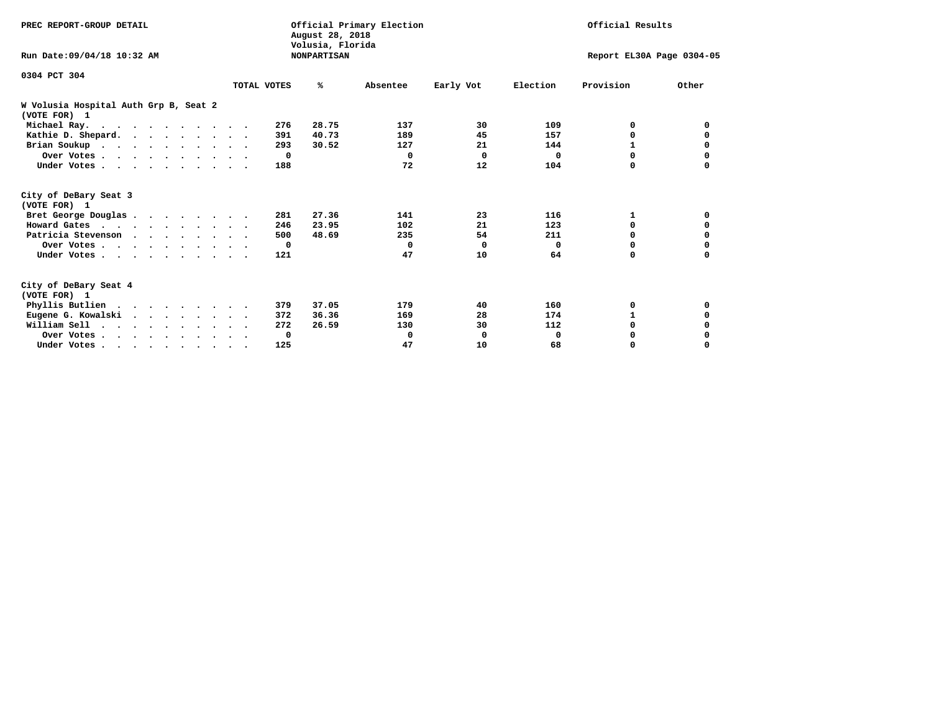| PREC REPORT-GROUP DETAIL                              |             | August 28, 2018                        | Official Primary Election |           |          | Official Results          |          |
|-------------------------------------------------------|-------------|----------------------------------------|---------------------------|-----------|----------|---------------------------|----------|
| Run Date: 09/04/18 10:32 AM                           |             | Volusia, Florida<br><b>NONPARTISAN</b> |                           |           |          | Report EL30A Page 0304-05 |          |
| 0304 PCT 304                                          | TOTAL VOTES | %ะ                                     | Absentee                  | Early Vot | Election | Provision                 | Other    |
| W Volusia Hospital Auth Grp B, Seat 2<br>(VOTE FOR) 1 |             |                                        |                           |           |          |                           |          |
| Michael Ray.                                          | 276         | 28.75                                  | 137                       | 30        | 109      | 0                         | 0        |
| Kathie D. Shepard.                                    | 391         | 40.73                                  | 189                       | 45        | 157      | 0                         | 0        |
| Brian Soukup                                          | 293         | 30.52                                  | 127                       | 21        | 144      | 1                         | 0        |
| Over Votes                                            |             | $\mathbf{o}$                           | $\Omega$                  | 0         | $\Omega$ | $\Omega$                  | 0        |
| Under Votes                                           | 188         |                                        | 72                        | 12        | 104      | 0                         | $\Omega$ |
| City of DeBary Seat 3<br>(VOTE FOR) 1                 |             |                                        |                           |           |          |                           |          |
| Bret George Douglas                                   | 281         | 27.36                                  | 141                       | 23        | 116      | 1                         | 0        |
| Howard Gates                                          | 246         | 23.95                                  | 102                       | 21        | 123      | 0                         | 0        |
| Patricia Stevenson                                    | 500         | 48.69                                  | 235                       | 54        | 211      | $\Omega$                  | 0        |
| Over Votes                                            |             | $\mathbf{o}$                           | $\Omega$                  | 0         | 0        | $\Omega$                  | 0        |
| Under Votes                                           | 121         |                                        | 47                        | 10        | 64       | $\Omega$                  | 0        |
| City of DeBary Seat 4<br>(VOTE FOR) 1                 |             |                                        |                           |           |          |                           |          |
| Phyllis Butlien                                       | 379         | 37.05                                  | 179                       | 40        | 160      | 0                         | 0        |
| Eugene G. Kowalski                                    | 372         | 36.36                                  | 169                       | 28        | 174      | $\mathbf{1}$              | 0        |
| William Sell                                          | 272         | 26.59                                  | 130                       | 30        | 112      | $\Omega$                  |          |
| Over Votes                                            |             | 0                                      | 0                         | 0         | 0        | 0                         |          |
| Under Votes                                           | 125         |                                        | 47                        | 10        | 68       | 0                         | $\Omega$ |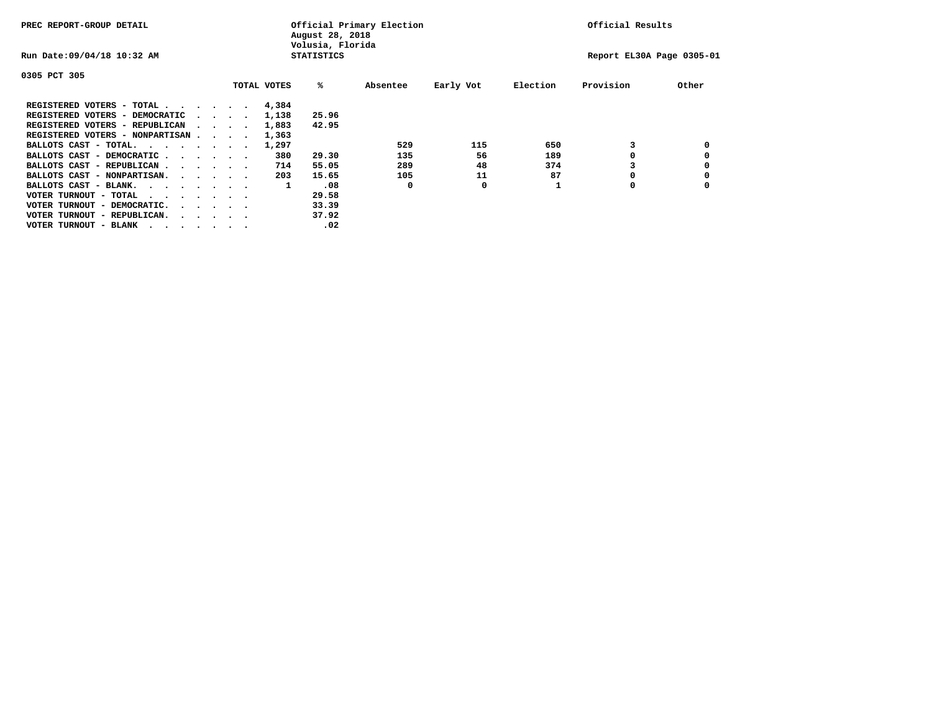| PREC REPORT-GROUP DETAIL                |                                         |  |             | August 28, 2018<br>Volusia, Florida | Official Primary Election |           |          | Official Results          |       |
|-----------------------------------------|-----------------------------------------|--|-------------|-------------------------------------|---------------------------|-----------|----------|---------------------------|-------|
| Run Date: 09/04/18 10:32 AM             |                                         |  |             | <b>STATISTICS</b>                   |                           |           |          | Report EL30A Page 0305-01 |       |
| 0305 PCT 305                            |                                         |  |             |                                     |                           |           |          |                           |       |
|                                         |                                         |  | TOTAL VOTES | %ะ                                  | Absentee                  | Early Vot | Election | Provision                 | Other |
| REGISTERED VOTERS - TOTAL               |                                         |  | 4,384       |                                     |                           |           |          |                           |       |
| REGISTERED VOTERS - DEMOCRATIC          | $\sim$ $\sim$ $\sim$ $\sim$             |  | 1,138       | 25.96                               |                           |           |          |                           |       |
| REGISTERED VOTERS - REPUBLICAN          |                                         |  | 1,883       | 42.95                               |                           |           |          |                           |       |
| REGISTERED VOTERS - NONPARTISAN         |                                         |  | 1,363       |                                     |                           |           |          |                           |       |
| BALLOTS CAST - TOTAL.                   |                                         |  | 1,297       |                                     | 529                       | 115       | 650      |                           |       |
| BALLOTS CAST - DEMOCRATIC               |                                         |  | 380         | 29.30                               | 135                       | 56        | 189      |                           |       |
| BALLOTS CAST - REPUBLICAN               |                                         |  | 714         | 55.05                               | 289                       | 48        | 374      |                           |       |
| BALLOTS CAST - NONPARTISAN.             |                                         |  | 203         | 15.65                               | 105                       | 11        | 87       |                           |       |
| BALLOTS CAST - BLANK.                   |                                         |  | 1           | .08                                 | 0                         | 0         |          | 0                         |       |
| VOTER TURNOUT - TOTAL<br>.              |                                         |  |             | 29.58                               |                           |           |          |                           |       |
| VOTER TURNOUT - DEMOCRATIC.             | $\cdot$ $\cdot$ $\cdot$ $\cdot$ $\cdot$ |  |             | 33.39                               |                           |           |          |                           |       |
| VOTER TURNOUT - REPUBLICAN.<br>$\cdots$ |                                         |  |             | 37.92                               |                           |           |          |                           |       |
| VOTER TURNOUT - BLANK                   |                                         |  |             | .02                                 |                           |           |          |                           |       |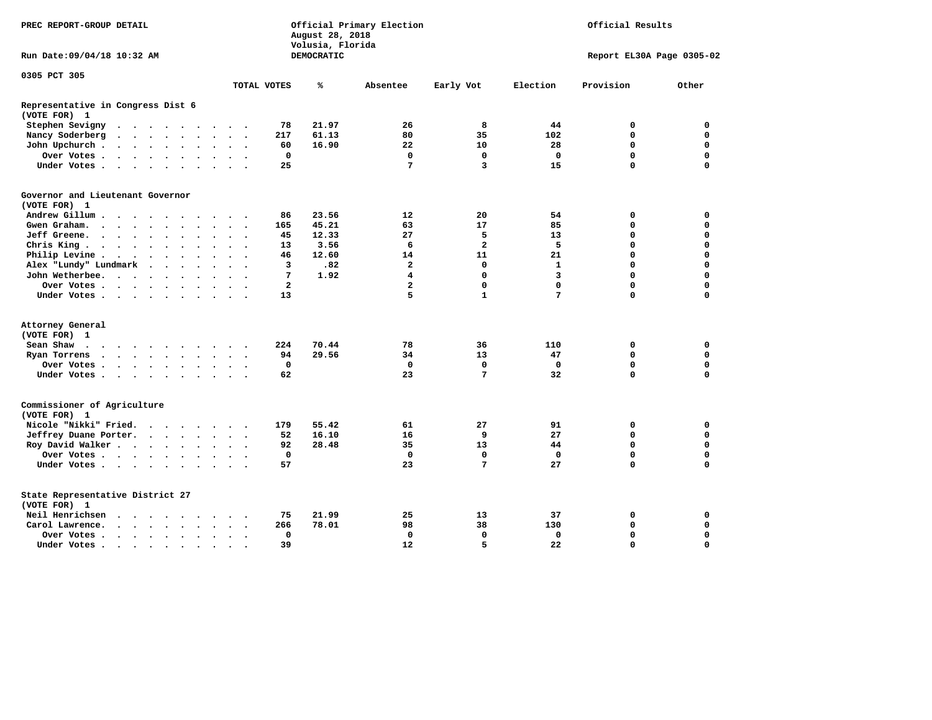| PREC REPORT-GROUP DETAIL                                                                                                                                 |                   | August 28, 2018<br>Volusia, Florida | Official Primary Election |                  |                   | Official Results          |             |
|----------------------------------------------------------------------------------------------------------------------------------------------------------|-------------------|-------------------------------------|---------------------------|------------------|-------------------|---------------------------|-------------|
| Run Date: 09/04/18 10:32 AM                                                                                                                              |                   | DEMOCRATIC                          |                           |                  |                   | Report EL30A Page 0305-02 |             |
| 0305 PCT 305                                                                                                                                             |                   |                                     |                           |                  |                   |                           |             |
|                                                                                                                                                          | TOTAL VOTES       | ℁                                   | Absentee                  | Early Vot        | Election          | Provision                 | Other       |
| Representative in Congress Dist 6<br>(VOTE FOR) 1                                                                                                        |                   |                                     |                           |                  |                   |                           |             |
| Stephen Sevigny<br>$\cdot$ $\cdot$ $\cdot$ $\cdot$ $\cdot$ $\cdot$<br>.                                                                                  | 78                | 21.97                               | 26                        | 8                | 44                | 0                         | 0           |
| Nancy Soderberg<br><b>Contract Contract Contract</b><br>$\ddot{\phantom{a}}$<br>$\sim$ $\sim$<br>$\ddot{\phantom{a}}$<br>$\ddot{\phantom{1}}$            | 217               | 61.13                               | 80                        | 35               | 102               | 0                         | $\mathbf 0$ |
| John Upchurch.<br>$\cdot$ $\cdot$ $\cdot$ $\cdot$<br>$\ddot{\phantom{a}}$                                                                                | 60                | 16.90                               | 22                        | 10               | 28                | 0                         | $\mathbf 0$ |
| Over Votes .<br>$\cdot$ $\cdot$ $\cdot$ $\cdot$ $\cdot$<br>$\ddot{\phantom{1}}$<br>$\bullet$<br>$\ddot{\phantom{0}}$<br>$\cdot$                          | $\mathbf 0$       |                                     | $\mathbf 0$               | $\mathbf 0$      | $\mathbf 0$       | $\mathbf 0$               | $\mathbf 0$ |
| Under Votes<br>$\sim$<br>$\sim$                                                                                                                          | 25                |                                     | 7                         | 3                | 15                | 0                         | $\Omega$    |
| Governor and Lieutenant Governor<br>(VOTE FOR) 1                                                                                                         |                   |                                     |                           |                  |                   |                           |             |
| Andrew Gillum.<br>$\sim$<br>$\sim$                                                                                                                       | 86                | 23.56                               | 12                        | 20               | 54                | 0                         | 0           |
| Gwen Graham.<br>$\cdots$<br>$\ddot{\phantom{a}}$<br>$\ddot{\phantom{0}}$<br>$\bullet$<br>$\ddot{\phantom{0}}$<br>$\ddot{\phantom{0}}$                    | 165               | 45.21                               | 63                        | 17               | 85                | $\mathbf 0$               | $\mathbf 0$ |
| Jeff Greene.<br>$\sim$ $\sim$<br>$\sim$<br>$\ddot{\phantom{a}}$                                                                                          | 45                | 12.33                               | 27                        | 5                | 13                | 0                         | $\mathbf 0$ |
| Chris King<br>$\bullet$<br>$\bullet$                                                                                                                     | 13                | 3.56                                | 6                         | $\mathbf{2}$     | 5                 | 0                         | $\mathbf 0$ |
| Philip Levine .<br>$\sim$ $\sim$<br>$\sim$ $\sim$ $\sim$<br>$\bullet$<br>$\cdot$<br>$\ddot{\phantom{0}}$<br>$\bullet$<br>$\cdot$<br>$\ddot{\phantom{0}}$ | 46                | 12.60                               | 14                        | 11               | 21                | 0                         | $\mathbf 0$ |
| Alex "Lundy" Lundmark<br>$\ddot{\phantom{a}}$<br>$\ddot{\phantom{a}}$<br>$\bullet$                                                                       | 3                 | .82                                 | $\overline{2}$            | 0                | 1                 | 0                         | $\mathbf 0$ |
| John Wetherbee.<br>$\ddot{\phantom{a}}$<br>$\sim$ $\sim$<br>$\overline{\phantom{a}}$<br>$\bullet$<br>$\bullet$                                           | 7                 | 1.92                                | 4                         | $\mathbf{0}$     | 3                 | $\mathbf 0$               | $\Omega$    |
| Over Votes .<br>$\cdot$ $\cdot$ $\cdot$ $\cdot$<br>$\sim$                                                                                                | $\overline{a}$    |                                     | $\overline{a}$            | 0                | $\mathbf 0$       | 0                         | $\Omega$    |
| Under Votes.<br>$\cdots$                                                                                                                                 | 13                |                                     | 5                         | $\mathbf{1}$     | 7                 | $\Omega$                  | $\Omega$    |
|                                                                                                                                                          |                   |                                     |                           |                  |                   |                           |             |
| Attorney General                                                                                                                                         |                   |                                     |                           |                  |                   |                           |             |
| (VOTE FOR) 1                                                                                                                                             | 224               |                                     | 78                        |                  | 110               | 0                         | 0           |
| Sean Shaw<br>$\sim$ $\sim$<br>.<br>$\cdot$                                                                                                               | 94                | 70.44<br>29.56                      | 34                        | 36               |                   | 0                         | $\mathbf 0$ |
| Ryan Torrens<br>$\cdots$<br>$\bullet$<br>$\cdot$<br>$\cdot$                                                                                              |                   |                                     |                           | 13               | 47                | 0                         | $\mathbf 0$ |
| Over Votes.<br>$\cdots$                                                                                                                                  | $\mathbf 0$<br>62 |                                     | $\mathbf 0$<br>23         | $\mathbf 0$<br>7 | $\mathbf 0$<br>32 | 0                         | $\mathbf 0$ |
| Under Votes<br>$\ddot{\phantom{a}}$<br>$\ddot{\phantom{a}}$<br>$\sim$ $\sim$                                                                             |                   |                                     |                           |                  |                   |                           |             |
| Commissioner of Agriculture<br>(VOTE FOR) 1                                                                                                              |                   |                                     |                           |                  |                   |                           |             |
| Nicole "Nikki" Fried.<br>$\cdot$ $\cdot$ $\cdot$ $\cdot$                                                                                                 | 179               | 55.42                               | 61                        | 27               | 91                | 0                         | 0           |
| Jeffrey Duane Porter.<br>$\cdot$ $\cdot$ $\cdot$ $\cdot$<br>$\ddot{\phantom{a}}$                                                                         | 52                | 16.10                               | 16                        | 9                | 27                | 0                         | $\mathbf 0$ |
| Roy David Walker<br>$\bullet$<br>$\sim$                                                                                                                  | 92                | 28.48                               | 35                        | 13               | 44                | $\mathbf 0$               | $\mathbf 0$ |
| Over Votes                                                                                                                                               | $\mathbf 0$       |                                     | $\mathbf{0}$              | $\mathbf{0}$     | $\mathbf 0$       | 0                         | $\mathbf 0$ |
| Under Votes                                                                                                                                              | 57                |                                     | 23                        | $7\phantom{.0}$  | 27                | $\Omega$                  | $\Omega$    |
| State Representative District 27<br>(VOTE FOR) 1                                                                                                         |                   |                                     |                           |                  |                   |                           |             |
| Neil Henrichsen<br>$\sim$<br>$\bullet$<br>$\bullet$<br>$\cdot$                                                                                           | 75                | 21.99                               | 25                        | 13               | 37                | 0                         | 0           |
| Carol Lawrence.<br>$\cdot$ $\cdot$ $\cdot$ $\cdot$<br>$\ddot{\phantom{a}}$<br>$\bullet$<br>$\bullet$<br>$\bullet$<br>$\sim$                              | 266               | 78.01                               | 98                        | 38               | 130               | $\mathbf 0$               | $\mathbf 0$ |
| Over Votes .<br>$\cdots$<br>$\ddot{\phantom{a}}$<br>$\cdot$                                                                                              | $\mathbf 0$       |                                     | $\mathbf 0$               | $\mathbf 0$      | $\mathbf 0$       | 0                         | $\mathbf 0$ |
| Under Votes.<br>$\sim$ $\sim$<br>$\sim$ $\sim$<br>$\bullet$<br>$\bullet$                                                                                 | 39                |                                     | 12                        | 5.               | 22                | $\Omega$                  | $\Omega$    |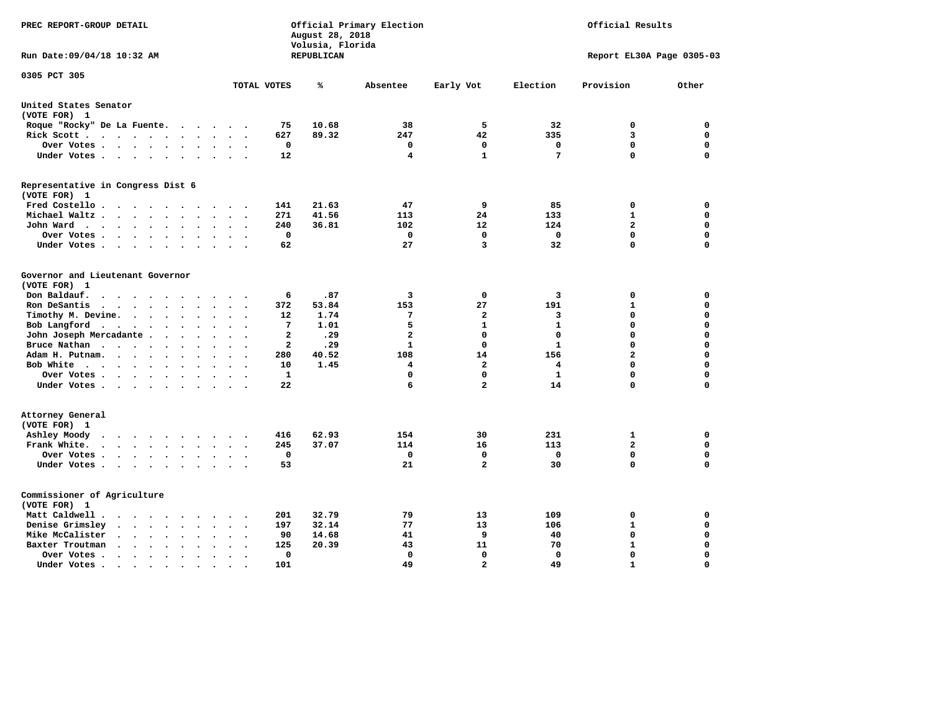| PREC REPORT-GROUP DETAIL                                                                                             |                                                    | August 28, 2018<br>Volusia, Florida | Official Primary Election |                   |              | Official Results          |             |
|----------------------------------------------------------------------------------------------------------------------|----------------------------------------------------|-------------------------------------|---------------------------|-------------------|--------------|---------------------------|-------------|
| Run Date: 09/04/18 10:32 AM                                                                                          |                                                    | REPUBLICAN                          |                           |                   |              | Report EL30A Page 0305-03 |             |
| 0305 PCT 305                                                                                                         | TOTAL VOTES                                        | ℁                                   | Absentee                  | Early Vot         | Election     | Provision                 | Other       |
| United States Senator                                                                                                |                                                    |                                     |                           |                   |              |                           |             |
| (VOTE FOR) 1                                                                                                         |                                                    |                                     |                           |                   |              |                           |             |
| Roque "Rocky" De La Fuente.<br>$\sim$ $\sim$                                                                         | 75<br>$\ddot{\phantom{a}}$<br>$\ddot{\phantom{a}}$ | 10.68                               | 38                        | 5                 | 32           | 0                         | 0           |
| Rick Scott<br>$\bullet$<br>$\cdot$                                                                                   | 627                                                | 89.32                               | 247                       | 42                | 335          | 3                         | $\mathbf 0$ |
| Over Votes<br>$\ddot{\phantom{a}}$                                                                                   | 0<br>$\ddot{\phantom{0}}$<br>$\bullet$             |                                     | 0                         | $\mathbf 0$       | $\mathbf 0$  | $\mathbf 0$               | $\mathbf 0$ |
| Under Votes<br>$\sim$<br>$\sim$                                                                                      | 12<br>$\sim$<br>$\sim$                             |                                     | 4                         | $\mathbf{1}$      | 7            | $\mathbf 0$               | $\mathbf 0$ |
| Representative in Congress Dist 6<br>(VOTE FOR) 1                                                                    |                                                    |                                     |                           |                   |              |                           |             |
| Fred Costello                                                                                                        | 141                                                | 21.63                               | 47                        | 9                 | 85           | 0                         | 0           |
| Michael Waltz<br>$\ddot{\phantom{a}}$<br>$\ddot{\phantom{a}}$                                                        | 271                                                | 41.56                               | 113                       | 24                | 133          | $\mathbf{1}$              | $\mathbf 0$ |
| John Ward<br>$\bullet$<br>$\bullet$                                                                                  | 240<br>$\bullet$<br>$\bullet$                      | 36.81                               | 102                       | $12 \overline{ }$ | 124          | $\mathbf{2}$              | $\mathbf 0$ |
| Over Votes .<br>$\ddot{\phantom{1}}$<br>$\ddot{\phantom{1}}$<br>$\ddot{\phantom{0}}$<br>$\bullet$                    | 0                                                  |                                     | 0                         | $\Omega$          | 0            | $\mathbf 0$               | 0           |
| Under Votes<br>$\ddot{\phantom{1}}$<br>$\bullet$                                                                     | 62                                                 |                                     | 27                        | 3                 | 32           | $\Omega$                  | $\Omega$    |
| Governor and Lieutenant Governor<br>(VOTE FOR) 1<br>Don Baldauf.<br>$\ddotsc$ $\ddotsc$<br>$\overline{\phantom{a}}$  | 6                                                  | .87                                 | 3                         | 0                 | 3            | 0                         | 0           |
| Ron DeSantis<br>$\cdot$ $\cdot$ $\cdot$                                                                              | 372                                                | 53.84                               | 153                       | 27                | 191          | $\mathbf{1}$              | $\mathbf 0$ |
| Timothy M. Devine. .<br>$\ddot{\phantom{0}}$<br>$\ddot{\phantom{a}}$<br>$\ddot{\phantom{a}}$<br>$\ddot{\phantom{a}}$ | 12<br>$\bullet$<br>$\ddot{\phantom{a}}$            | 1.74                                | 7                         | $\overline{a}$    | 3            | $\mathbf 0$               | $\mathbf 0$ |
| Bob Langford<br>$\blacksquare$<br>$\bullet$<br>$\bullet$<br>$\bullet$                                                | 7                                                  | 1.01                                | 5                         | $\mathbf{1}$      | $\mathbf{1}$ | 0                         | $\mathbf 0$ |
| John Joseph Mercadante .<br>$\ddot{\phantom{a}}$<br>$\ddot{\phantom{a}}$                                             | $\overline{a}$                                     | .29                                 | $\overline{\mathbf{2}}$   | $\mathbf 0$       | $\mathbf 0$  | $\mathbf 0$               | $\mathbf 0$ |
| Bruce Nathan<br>$\cdots$ $\cdots$<br>$\bullet$<br>$\overline{\phantom{a}}$<br>$\bullet$                              | $\overline{\mathbf{2}}$                            | .29                                 | $\mathbf{1}$              | $\mathbf 0$       | $\mathbf{1}$ | 0                         | $\mathbf 0$ |
| Adam H. Putnam.<br>$\sim$ $\sim$<br>$\ddot{\phantom{0}}$<br>$\ddot{\phantom{a}}$                                     | 280                                                | 40.52                               | 108                       | 14                | 156          | $\overline{\mathbf{2}}$   | $\mathbf 0$ |
| Bob White<br>$\ddot{\phantom{a}}$<br>$\ddot{\phantom{a}}$                                                            | 10<br>$\cdot$<br>$\ddot{\phantom{a}}$              | 1.45                                | 4                         | $\overline{a}$    | 4            | 0                         | $\mathbf 0$ |
| Over Votes .<br><b>Contract Contract Contract</b><br>$\bullet$<br>$\bullet$                                          | 1                                                  |                                     | 0                         | $\mathbf 0$       | $\mathbf{1}$ | 0                         | $\mathbf 0$ |
| Under Votes<br>$\sim$                                                                                                | 22                                                 |                                     | 6                         | $\overline{a}$    | 14           | 0                         | 0           |
| Attorney General<br>(VOTE FOR) 1                                                                                     |                                                    |                                     |                           |                   |              |                           |             |
| Ashley Moody<br>$\cdots$<br>$\bullet$<br>$\sim$                                                                      | 416<br>$\cdot$                                     | 62.93                               | 154                       | 30                | 231          | 1                         | 0           |
| Frank White.<br>$\mathbf{z} = \mathbf{z} + \mathbf{z}$ . The $\mathbf{z}$<br>$\bullet$ .<br>$\bullet$<br>$\bullet$   | 245                                                | 37.07                               | 114                       | 16                | 113          | $\mathbf{2}$              | $\mathbf 0$ |
| Over Votes.<br>$\mathbf{r} = \mathbf{r} + \mathbf{r} + \mathbf{r} + \mathbf{r}$<br>$\bullet$<br>$\bullet$            | $\mathbf 0$<br>$\ddot{\phantom{a}}$<br>$\bullet$   |                                     | 0                         | $\mathbf 0$       | 0            | 0                         | $\mathbf 0$ |
| Under Votes<br>$\ddot{\phantom{0}}$                                                                                  | 53<br>$\ddot{\phantom{a}}$<br>$\bullet$            |                                     | 21                        | $\overline{a}$    | 30           | 0                         | $\mathbf 0$ |
| Commissioner of Agriculture<br>(VOTE FOR) 1                                                                          |                                                    |                                     |                           |                   |              |                           |             |
| Matt Caldwell.<br>$\cdot$ $\cdot$ $\cdot$ $\cdot$                                                                    | 201                                                | 32.79                               | 79                        | 13                | 109          | 0                         | 0           |
| Denise Grimsley<br>$\ddot{\phantom{a}}$<br>$\sim$<br>$\ddot{\phantom{a}}$                                            | 197                                                | 32.14                               | 77                        | 13                | 106          | $\mathbf{1}$              | $\mathbf 0$ |
| Mike McCalister<br>$\ddot{\phantom{0}}$<br>$\sim$<br>$\bullet$<br>$\bullet$<br>$\ddot{\phantom{a}}$                  | 90<br>$\bullet$                                    | 14.68                               | 41                        | 9                 | 40           | $\mathbf 0$               | $\Omega$    |
| Baxter Troutman<br>$\ddot{\phantom{a}}$<br>$\ddot{\phantom{a}}$                                                      | 125                                                | 20.39                               | 43                        | 11                | 70           | $\mathbf{1}$              | $\Omega$    |
| Over Votes.<br>$\sim$ $\sim$<br>$\cdot$<br>$\cdot$<br>$\ddot{\phantom{a}}$                                           | $\mathbf 0$<br>$\bullet$                           |                                     | 0                         | $\mathbf 0$       | $\mathbf 0$  | $\mathbf 0$               | $\mathbf 0$ |
| Under Votes.<br>$\bullet$ . $\bullet$ .<br>$\sim$<br>$\bullet$<br>$\bullet$                                          | 101                                                |                                     | 49                        | $\mathbf{z}$      | 49           | $\mathbf{1}$              | $\Omega$    |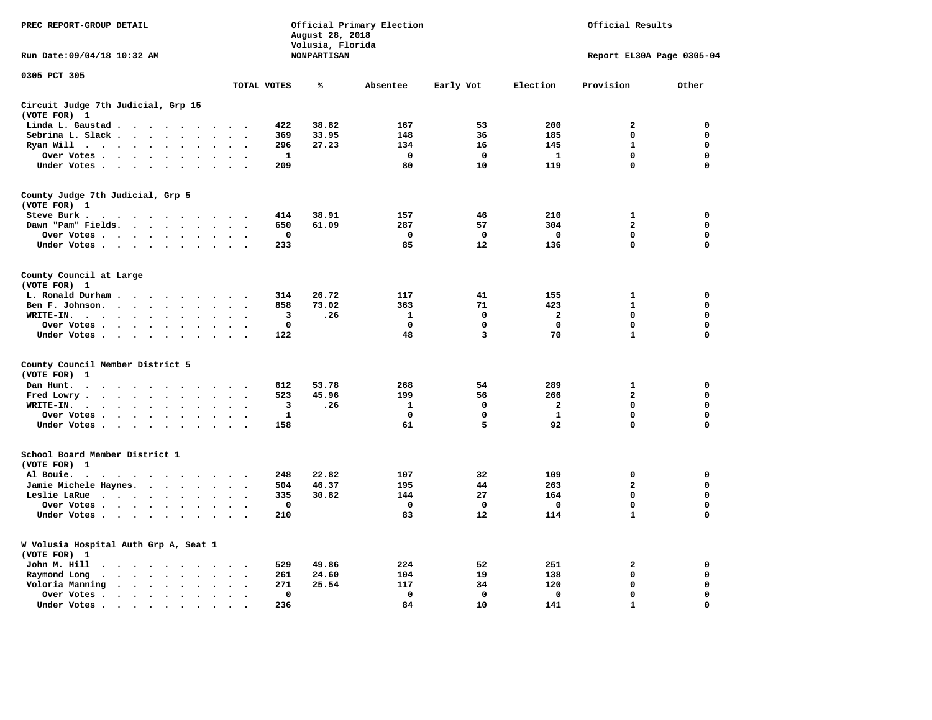| PREC REPORT-GROUP DETAIL                                                                                                        | Official Primary Election<br>Official Results<br>August 28, 2018<br>Volusia, Florida |                    |              |             |                         |                           |             |
|---------------------------------------------------------------------------------------------------------------------------------|--------------------------------------------------------------------------------------|--------------------|--------------|-------------|-------------------------|---------------------------|-------------|
| Run Date: 09/04/18 10:32 AM                                                                                                     |                                                                                      | <b>NONPARTISAN</b> |              |             |                         | Report EL30A Page 0305-04 |             |
| 0305 PCT 305                                                                                                                    | TOTAL VOTES                                                                          | ℁                  | Absentee     | Early Vot   | Election                | Provision                 | Other       |
| Circuit Judge 7th Judicial, Grp 15                                                                                              |                                                                                      |                    |              |             |                         |                           |             |
| (VOTE FOR) 1                                                                                                                    |                                                                                      |                    |              |             |                         |                           |             |
| Linda L. Gaustad                                                                                                                | 422                                                                                  | 38.82              | 167          | 53          | 200                     | $\mathbf{2}$              | 0           |
| Sebrina L. Slack<br>$\sim$                                                                                                      | 369                                                                                  | 33.95              | 148          | 36          | 185                     | 0                         | 0           |
| Ryan Will $\cdots$ $\cdots$<br>$\bullet$                                                                                        | 296<br>$\sim$                                                                        | 27.23              | 134          | 16          | 145                     | $\mathbf{1}$              | 0           |
| Over Votes<br>$\ddot{\phantom{0}}$<br>$\bullet$<br>$\ddot{\phantom{a}}$                                                         | 1<br>$\sim$<br>$\overline{\phantom{a}}$                                              |                    | 0            | 0           | 1                       | 0                         | 0           |
| Under Votes                                                                                                                     | 209<br>$\overline{\phantom{a}}$                                                      |                    | 80           | 10          | 119                     | 0                         | $\mathbf 0$ |
| County Judge 7th Judicial, Grp 5                                                                                                |                                                                                      |                    |              |             |                         |                           |             |
| (VOTE FOR) 1                                                                                                                    |                                                                                      |                    |              |             |                         |                           |             |
| Steve Burk .<br>.                                                                                                               | 414                                                                                  | 38.91              | 157          | 46          | 210                     | 1                         | 0           |
| Dawn "Pam" Fields.<br>$\bullet$<br>$\bullet$                                                                                    | 650<br>$\bullet$<br>$\ddot{\phantom{0}}$                                             | 61.09              | 287          | 57          | 304                     | $\mathbf{2}$              | 0           |
| Over Votes<br>$\bullet$                                                                                                         | $\mathbf 0$                                                                          |                    | $\mathbf 0$  | $\mathbf 0$ | $\mathbf 0$             | 0                         | $\mathbf 0$ |
| Under Votes<br>$\ddot{\phantom{1}}$<br>$\bullet$                                                                                | 233                                                                                  |                    | 85           | 12          | 136                     | $\Omega$                  | $\mathbf 0$ |
| County Council at Large                                                                                                         |                                                                                      |                    |              |             |                         |                           |             |
| (VOTE FOR) 1                                                                                                                    |                                                                                      |                    |              |             |                         |                           |             |
| L. Ronald Durham.<br>$\cdot$<br>$\cdot$                                                                                         | 314                                                                                  | 26.72              | 117          | 41          | 155                     | 1                         | 0           |
| Ben F. Johnson.<br>$\ddot{\phantom{a}}$<br>$\ddot{\phantom{a}}$<br>$\cdot$<br>$\cdot$                                           | 858<br>$\cdot$<br>$\ddot{\phantom{0}}$                                               | 73.02              | 363          | 71          | 423                     | $\mathbf{1}$              | 0           |
| WRITE-IN.<br>$\ddot{\phantom{1}}$<br>$\cdots$<br>$\sim$                                                                         | 3                                                                                    | .26                | 1            | 0           | 2                       | $\mathbf 0$               | $\mathbf 0$ |
| Over Votes.<br>$\sim$ $\sim$ $\sim$ $\sim$ $\sim$<br>$\sim$                                                                     | 0                                                                                    |                    | 0            | 0           | $\mathbf 0$             | 0                         | 0           |
| Under Votes<br>$\cdot$                                                                                                          | 122<br>$\sim$ $\sim$                                                                 |                    | 48           | 3           | 70                      | $\mathbf{1}$              | $\mathbf 0$ |
| County Council Member District 5                                                                                                |                                                                                      |                    |              |             |                         |                           |             |
| (VOTE FOR)<br>1                                                                                                                 |                                                                                      |                    |              |             |                         |                           |             |
| Dan Hunt.<br>$\bullet$<br>.                                                                                                     | 612                                                                                  | 53.78              | 268          | 54          | 289                     | 1                         | 0           |
| Fred Lowry.<br><b>Contract Contract Contract</b><br>$\ddot{\phantom{a}}$<br>$\bullet$<br>$\sim$                                 | 523                                                                                  | 45.96              | 199          | 56          | 266                     | $\overline{a}$            | $\mathbf 0$ |
| WRITE-IN.<br>$\cdots$<br>$\bullet$<br>$\cdot$                                                                                   | 3                                                                                    | .26                | $\mathbf{1}$ | $\mathbf 0$ | $\overline{\mathbf{2}}$ | 0                         | 0           |
| Over Votes<br>$\sim$<br>$\bullet$<br>$\cdot$                                                                                    | 1<br>$\ddot{\phantom{a}}$                                                            |                    | $\mathbf 0$  | 0           | 1                       | $\mathbf 0$               | 0           |
| Under Votes                                                                                                                     | 158                                                                                  |                    | 61           | 5           | 92                      | $\mathbf 0$               | $\mathbf 0$ |
| School Board Member District 1                                                                                                  |                                                                                      |                    |              |             |                         |                           |             |
| (VOTE FOR) 1                                                                                                                    |                                                                                      |                    |              |             |                         |                           |             |
| Al Bouie.<br>$\bullet$<br>$\sim$ $\sim$ $\sim$ $\sim$ $\sim$ $\sim$<br>$\sim$ $\sim$<br>$\cdot$<br>$\cdot$                      | 248                                                                                  | 22.82              | 107          | 32          | 109                     | $\mathbf 0$               | 0           |
| Jamie Michele Haynes.                                                                                                           | 504<br>$\bullet$<br>$\overline{\phantom{a}}$                                         | 46.37              | 195          | 44          | 263                     | $\overline{a}$            | $\mathbf 0$ |
| Leslie LaRue<br>$\ddot{\phantom{a}}$<br>$\ddot{\phantom{a}}$<br>$\ddot{\phantom{a}}$                                            | 335<br>$\ddot{\phantom{a}}$<br>$\overline{\phantom{a}}$                              | 30.82              | 144          | 27          | 164                     | 0                         | 0           |
| Over Votes                                                                                                                      | 0                                                                                    |                    | 0            | 0           | 0                       | 0                         | $\mathbf 0$ |
| Under Votes<br>$\cdot$<br>$\sim$                                                                                                | 210                                                                                  |                    | 83           | 12          | 114                     | $\mathbf{1}$              | $\mathbf 0$ |
| W Volusia Hospital Auth Grp A, Seat 1<br>(VOTE FOR) 1                                                                           |                                                                                      |                    |              |             |                         |                           |             |
| John M. Hill                                                                                                                    | 529                                                                                  | 49.86              | 224          | 52          | 251                     | $\mathbf{2}$              | 0           |
| $\ddot{\phantom{1}}$<br>$\cdots$                                                                                                | 261                                                                                  | 24.60              | 104          | 19          | 138                     | $\mathbf 0$               | 0           |
| Raymond Long<br>$\ddot{\phantom{0}}$<br>$\sim$                                                                                  | $\ddot{\phantom{0}}$                                                                 | 25.54              | 117          |             | 120                     | $\mathbf 0$               | 0           |
| Voloria Manning<br>$\sim$ $\sim$ $\sim$<br>$\ddot{\phantom{a}}$<br>$\ddot{\phantom{1}}$<br>$\bullet$                            | 271                                                                                  |                    |              | 34          |                         | 0                         |             |
| Over Votes .<br>$\cdots$<br>$\cdot$<br>$\cdot$                                                                                  | $\mathbf 0$<br>$\cdot$<br>$\ddot{\phantom{0}}$                                       |                    | $\mathbf 0$  | 0           | $\mathbf 0$             |                           | 0           |
| Under Votes.<br>the contract of the contract of the contract of the contract of the contract of the contract of the contract of | 236                                                                                  |                    | 84           | 10          | 141                     | $\mathbf{1}$              | $\mathbf 0$ |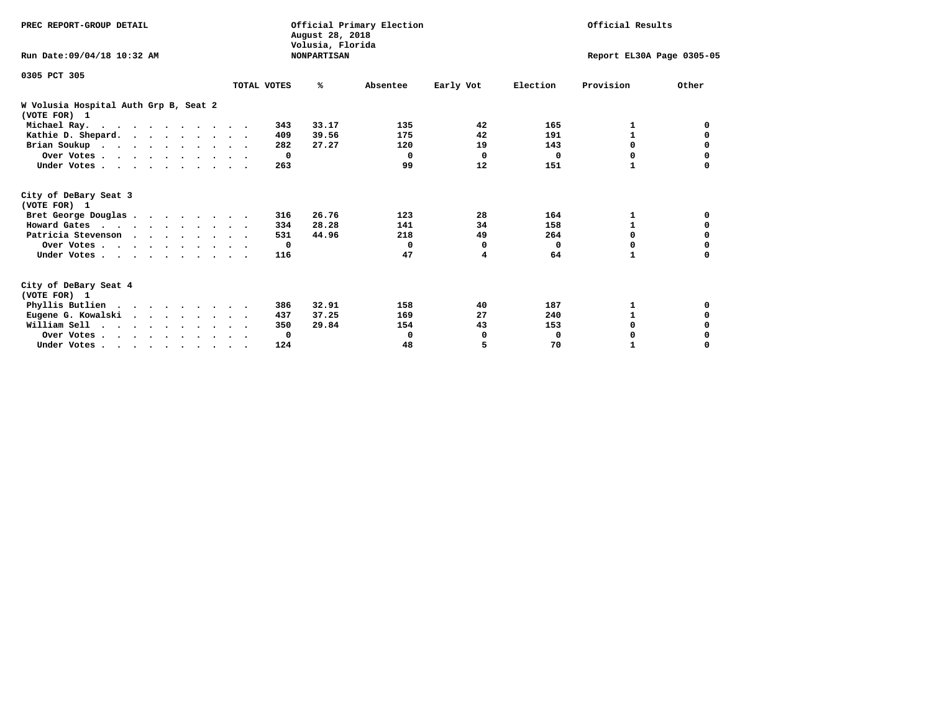| PREC REPORT-GROUP DETAIL                              |             | August 28, 2018<br>Volusia, Florida | Official Primary Election |           |          | Official Results          |          |
|-------------------------------------------------------|-------------|-------------------------------------|---------------------------|-----------|----------|---------------------------|----------|
| Run Date: 09/04/18 10:32 AM                           |             | <b>NONPARTISAN</b>                  |                           |           |          | Report EL30A Page 0305-05 |          |
| 0305 PCT 305                                          |             |                                     |                           |           |          |                           |          |
|                                                       | TOTAL VOTES | %ะ                                  | Absentee                  | Early Vot | Election | Provision                 | Other    |
| W Volusia Hospital Auth Grp B, Seat 2<br>(VOTE FOR) 1 |             |                                     |                           |           |          |                           |          |
| Michael Ray.                                          |             | 33.17<br>343                        | 135                       | 42        | 165      | 1                         | 0        |
| Kathie D. Shepard.                                    |             | 39.56<br>409                        | 175                       | 42        | 191      | 1                         | 0        |
| Brian Soukup                                          |             | 27.27<br>282                        | 120                       | 19        | 143      | 0                         | 0        |
| Over Votes                                            |             | $\mathbf{o}$                        | $\Omega$                  | 0         | $\Omega$ | 0                         | 0        |
| Under Votes                                           |             | 263                                 | 99                        | 12        | 151      | 1                         | $\Omega$ |
| City of DeBary Seat 3<br>(VOTE FOR) 1                 |             |                                     |                           |           |          |                           |          |
| Bret George Douglas                                   |             | 26.76<br>316                        | 123                       | 28        | 164      | 1                         | 0        |
| Howard Gates                                          |             | 28.28<br>334                        | 141                       | 34        | 158      | 1                         | 0        |
| Patricia Stevenson                                    |             | 44.96<br>531                        | 218                       | 49        | 264      | $\Omega$                  | 0        |
| Over Votes                                            |             | $\mathbf{o}$                        | 0                         | 0         | $\Omega$ | $\Omega$                  |          |
| Under Votes                                           |             | 116                                 | 47                        | 4         | 64       | 1                         | 0        |
| City of DeBary Seat 4<br>(VOTE FOR) 1                 |             |                                     |                           |           |          |                           |          |
| Phyllis Butlien                                       |             | 32.91<br>386                        | 158                       | 40        | 187      | 1                         | 0        |
| Eugene G. Kowalski                                    |             | 37.25<br>437                        | 169                       | 27        | 240      | 1                         | 0        |
| William Sell                                          |             | 29.84<br>350                        | 154                       | 43        | 153      | 0                         | 0        |
| Over Votes                                            |             | 0                                   | 0                         | 0         | 0        | 0                         | 0        |
| Under Votes.                                          |             | 124                                 | 48                        | 5         | 70       |                           | $\Omega$ |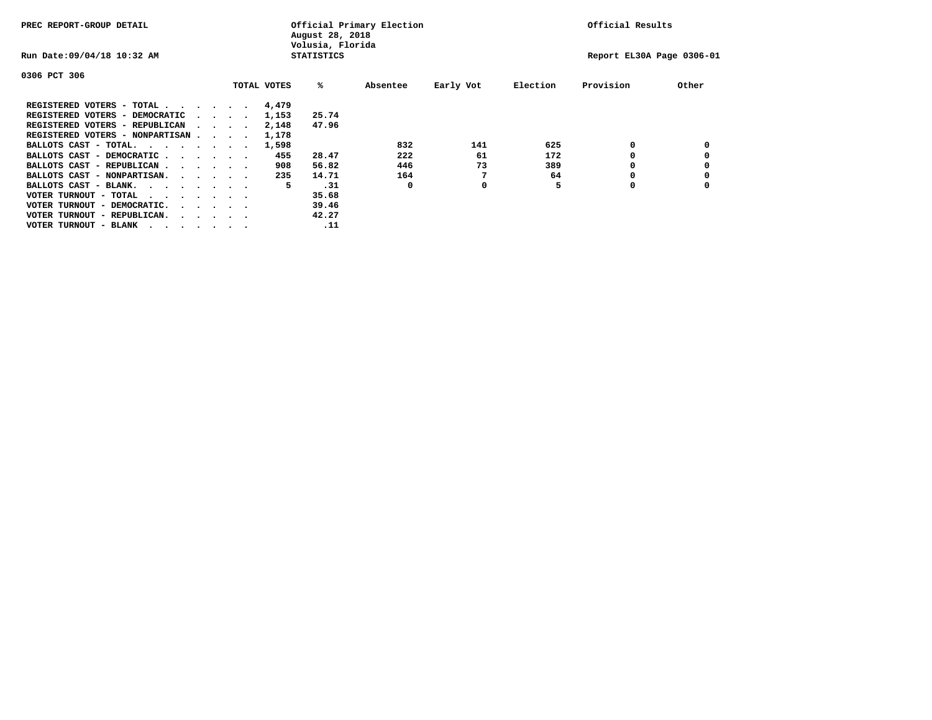| PREC REPORT-GROUP DETAIL               |  |                                         |             | August 28, 2018<br>Volusia, Florida | Official Primary Election |           |          | Official Results          |       |
|----------------------------------------|--|-----------------------------------------|-------------|-------------------------------------|---------------------------|-----------|----------|---------------------------|-------|
| Run Date: 09/04/18 10:32 AM            |  |                                         |             | <b>STATISTICS</b>                   |                           |           |          | Report EL30A Page 0306-01 |       |
| 0306 PCT 306                           |  |                                         |             |                                     |                           |           |          |                           |       |
|                                        |  |                                         | TOTAL VOTES | %ะ                                  | Absentee                  | Early Vot | Election | Provision                 | Other |
| REGISTERED VOTERS - TOTAL              |  |                                         | 4,479       |                                     |                           |           |          |                           |       |
| REGISTERED VOTERS - DEMOCRATIC         |  | $\sim$ $\sim$ $\sim$ $\sim$             | 1,153       | 25.74                               |                           |           |          |                           |       |
| REGISTERED VOTERS - REPUBLICAN         |  |                                         | 2,148       | 47.96                               |                           |           |          |                           |       |
| REGISTERED VOTERS - NONPARTISAN        |  |                                         | 1,178       |                                     |                           |           |          |                           |       |
| BALLOTS CAST - TOTAL.                  |  |                                         | 1,598       |                                     | 832                       | 141       | 625      | 0                         |       |
| BALLOTS CAST - DEMOCRATIC              |  |                                         | 455         | 28.47                               | 222                       | 61        | 172      |                           |       |
| BALLOTS CAST - REPUBLICAN              |  |                                         | 908         | 56.82                               | 446                       | 73        | 389      | 0                         |       |
| BALLOTS CAST - NONPARTISAN.            |  |                                         | 235         | 14.71                               | 164                       |           | 64       |                           |       |
| BALLOTS CAST - BLANK.                  |  |                                         | 5           | .31                                 | 0                         | 0         |          | 0                         |       |
| VOTER TURNOUT - TOTAL<br>.             |  |                                         |             | 35.68                               |                           |           |          |                           |       |
| VOTER TURNOUT - DEMOCRATIC.            |  | $\cdot$ $\cdot$ $\cdot$ $\cdot$ $\cdot$ |             | 39.46                               |                           |           |          |                           |       |
| VOTER TURNOUT - REPUBLICAN.<br>$\cdot$ |  |                                         |             | 42.27                               |                           |           |          |                           |       |
| VOTER TURNOUT - BLANK                  |  |                                         |             | .11                                 |                           |           |          |                           |       |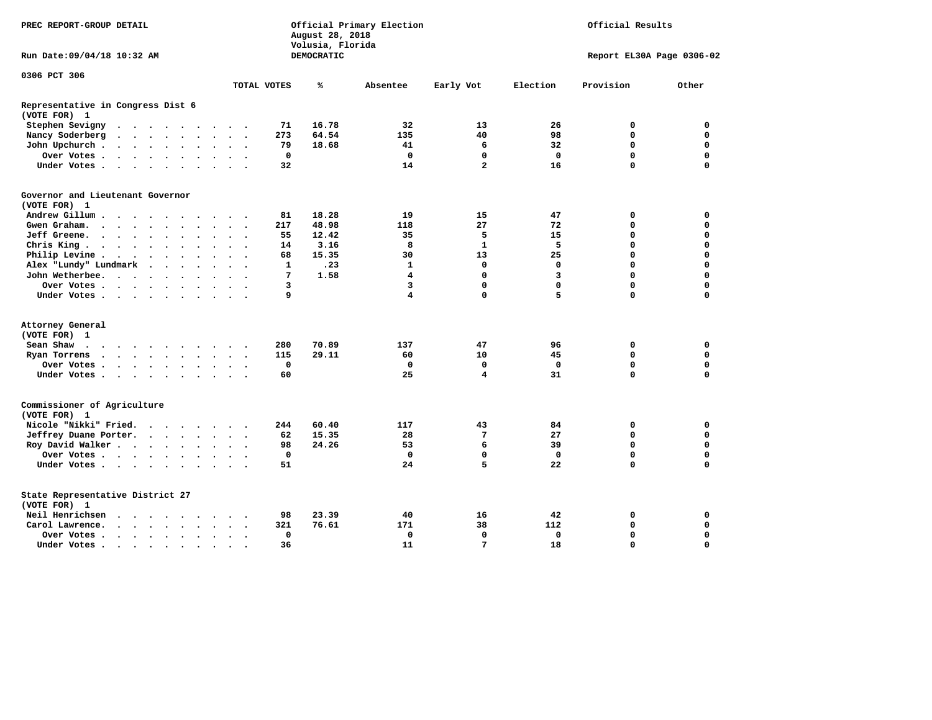| PREC REPORT-GROUP DETAIL                                                                                                                                                       |                                      | August 28, 2018<br>Volusia, Florida | Official Primary Election |                         |             | Official Results          |             |
|--------------------------------------------------------------------------------------------------------------------------------------------------------------------------------|--------------------------------------|-------------------------------------|---------------------------|-------------------------|-------------|---------------------------|-------------|
| Run Date: 09/04/18 10:32 AM                                                                                                                                                    |                                      | DEMOCRATIC                          |                           |                         |             | Report EL30A Page 0306-02 |             |
| 0306 PCT 306                                                                                                                                                                   |                                      |                                     |                           |                         |             |                           |             |
|                                                                                                                                                                                | TOTAL VOTES                          | ℁                                   | Absentee                  | Early Vot               | Election    | Provision                 | Other       |
| Representative in Congress Dist 6                                                                                                                                              |                                      |                                     |                           |                         |             |                           |             |
| (VOTE FOR) 1                                                                                                                                                                   |                                      |                                     |                           |                         |             |                           |             |
| Stephen Sevigny<br>$\bullet$<br>$\sim$<br>$\cdots$<br>$\sim$                                                                                                                   | 71                                   | 16.78                               | 32                        | 13                      | 26          | 0                         | $\mathbf 0$ |
| Nancy Soderberg<br>$\cdots$<br>$\bullet$<br>$\bullet$<br>$\ddot{\phantom{1}}$                                                                                                  | 273                                  | 64.54                               | 135                       | 40                      | 98          | 0                         | 0           |
| John Upchurch.<br>$\bullet$<br>$\ddot{\phantom{a}}$                                                                                                                            | 79                                   | 18.68                               | 41                        | 6                       | 32          | 0                         | $\mathbf 0$ |
| Over Votes .<br>$\begin{array}{cccccccccccccc} \bullet & \bullet & \bullet & \bullet & \bullet & \bullet & \bullet & \bullet \end{array}$<br>$\bullet$<br>$\bullet$<br>$\cdot$ | 0<br>$\ddot{\phantom{0}}$            |                                     | 0                         | 0                       | 0           | $\mathbf 0$               | $\mathbf 0$ |
| Under Votes<br>$\ddot{\phantom{0}}$<br>$\sim$<br>$\ddot{\phantom{a}}$                                                                                                          | 32                                   |                                     | 14                        | $\overline{a}$          | 16          | 0                         | $\mathbf 0$ |
| Governor and Lieutenant Governor                                                                                                                                               |                                      |                                     |                           |                         |             |                           |             |
| (VOTE FOR) 1                                                                                                                                                                   |                                      |                                     |                           |                         |             |                           |             |
| Andrew Gillum.<br>$\sim$ $\sim$ $\sim$                                                                                                                                         | 81                                   | 18.28                               | 19                        | 15                      | 47          | 0                         | 0           |
| Gwen Graham.<br>$\cdot$<br>$\bullet$<br>$\ddot{\phantom{a}}$<br>$\sim$<br>$\bullet$<br>$\sim$                                                                                  | 217                                  | 48.98                               | 118                       | 27                      | 72          | 0                         | $\mathbf 0$ |
| Jeff Greene.<br>$\sim$ $\sim$ $\sim$ $\sim$<br>$\bullet$                                                                                                                       | 55                                   | 12.42                               | 35                        | 5                       | 15          | 0                         | $\mathbf 0$ |
| Chris King<br>$\ddot{\phantom{a}}$<br>$\bullet$                                                                                                                                | 14                                   | 3.16                                | 8                         | $\mathbf{1}$            | 5           | $\Omega$                  | $\Omega$    |
| Philip Levine .<br>$\sim$ $\sim$<br>$\bullet$<br>$\sim$<br>$\bullet$<br>$\bullet$<br>$\bullet$<br>$\ddot{\phantom{a}}$                                                         | 68<br>$\ddot{\phantom{0}}$           | 15.35                               | 30                        | 13                      | 25          | 0                         | $\mathbf 0$ |
| Alex "Lundy" Lundmark<br>$\ddot{\phantom{a}}$<br>$\ddot{\phantom{1}}$<br>$\bullet$                                                                                             | 1                                    | .23                                 | 1                         | 0                       | 0           | 0                         | $\mathbf 0$ |
| John Wetherbee.<br>$\bullet$<br>$\sim$ $\sim$<br>$\ddot{\phantom{a}}$<br>$\ddot{\phantom{a}}$                                                                                  | 7                                    | 1.58                                | $\overline{\mathbf{4}}$   | $\mathbf{0}$            | 3           | 0                         | $\Omega$    |
| Over Votes .<br>$\sim$<br>$\sim$<br>$\sim$ $\sim$<br>$\overline{\phantom{a}}$                                                                                                  | 3                                    |                                     | 3                         | 0                       | $\mathbf 0$ | 0                         | $\mathbf 0$ |
| Under Votes.<br>$\cdot$ $\cdot$ $\cdot$ $\cdot$<br>$\bullet$                                                                                                                   | 9                                    |                                     | 4                         | $\mathbf{0}$            | 5           | 0                         | $\Omega$    |
|                                                                                                                                                                                |                                      |                                     |                           |                         |             |                           |             |
| Attorney General                                                                                                                                                               |                                      |                                     |                           |                         |             |                           |             |
| (VOTE FOR) 1                                                                                                                                                                   |                                      |                                     |                           |                         |             |                           |             |
| Sean Shaw<br>$\sim$ $\sim$<br>.                                                                                                                                                | 280                                  | 70.89                               | 137                       | 47                      | 96          | 0                         | 0           |
| Ryan Torrens<br>$\mathbf{r}$ , and $\mathbf{r}$ , and $\mathbf{r}$<br>$\ddot{\phantom{a}}$<br>$\ddot{\phantom{a}}$<br>$\cdot$ $\cdot$                                          | 115<br>$\bullet$                     | 29.11                               | 60                        | 10                      | 45          | 0                         | $\mathbf 0$ |
| Over Votes.<br>$\sim$ $\sim$ $\sim$ $\sim$ $\sim$<br>$\ddot{\phantom{a}}$<br>$\cdot$                                                                                           | $\mathbf 0$                          |                                     | $\mathbf 0$               | $\mathbf 0$             | $\mathbf 0$ | 0                         | $\mathbf 0$ |
| Under Votes<br>$\bullet$<br>$\bullet$<br>$\bullet$ $\bullet$                                                                                                                   | 60                                   |                                     | 25                        | $\overline{\mathbf{4}}$ | 31          | 0                         | $\mathbf 0$ |
| Commissioner of Agriculture<br>(VOTE FOR) 1                                                                                                                                    |                                      |                                     |                           |                         |             |                           |             |
| Nicole "Nikki" Fried.<br>$\cdot$ $\cdot$ $\cdot$ $\cdot$                                                                                                                       | 244                                  | 60.40                               | 117                       | 43                      | 84          | 0                         | 0           |
| Jeffrey Duane Porter.<br>$\sim$ $\sim$ $\sim$ $\sim$<br>$\ddot{\phantom{a}}$                                                                                                   | 62                                   | 15.35                               | 28                        | $7\phantom{.0}$         | 27          | 0                         | $\mathbf 0$ |
| Roy David Walker<br>$\bullet$                                                                                                                                                  | 98                                   | 24.26                               | 53                        | 6                       | 39          | $\mathbf 0$               | $\mathbf 0$ |
| Over Votes<br>$\cdot$<br>$\bullet$                                                                                                                                             | 0<br>$\ddot{\phantom{0}}$            |                                     | $\Omega$                  | 0                       | 0           | 0                         | $\mathbf 0$ |
| Under Votes<br>$\ddot{\phantom{1}}$<br>$\bullet$                                                                                                                               | 51                                   |                                     | 24                        | 5                       | 22          | 0                         | 0           |
| State Representative District 27<br>(VOTE FOR) 1                                                                                                                               |                                      |                                     |                           |                         |             |                           |             |
| Neil Henrichsen<br>$\sim$                                                                                                                                                      | 98                                   | 23.39                               | 40                        | 16                      | 42          | 0                         | 0           |
| $\ddot{\phantom{a}}$<br>$\ddot{\phantom{a}}$<br>$\cdot$<br>Carol Lawrence.                                                                                                     | 321                                  | 76.61                               | 171                       | 38                      | 112         | 0                         | $\mathbf 0$ |
| $\cdot$ $\cdot$ $\cdot$ $\cdot$<br>$\bullet$<br>$\bullet$                                                                                                                      | $\ddot{\phantom{0}}$<br>$\mathbf{0}$ |                                     | $\mathbf 0$               | $\mathbf 0$             | $\mathbf 0$ | $\mathbf 0$               | $\mathbf 0$ |
| Over Votes .<br>$\bullet$ .<br><br><br><br><br><br><br><br><br><br><br><br><br>$\ddot{\phantom{a}}$<br>$\bullet$                                                               |                                      |                                     |                           |                         |             |                           |             |
| Under Votes.<br>$\cdots$<br>$\sim$                                                                                                                                             | 36                                   |                                     | 11                        | $7\phantom{.0}$         | 18          | $\Omega$                  | $\Omega$    |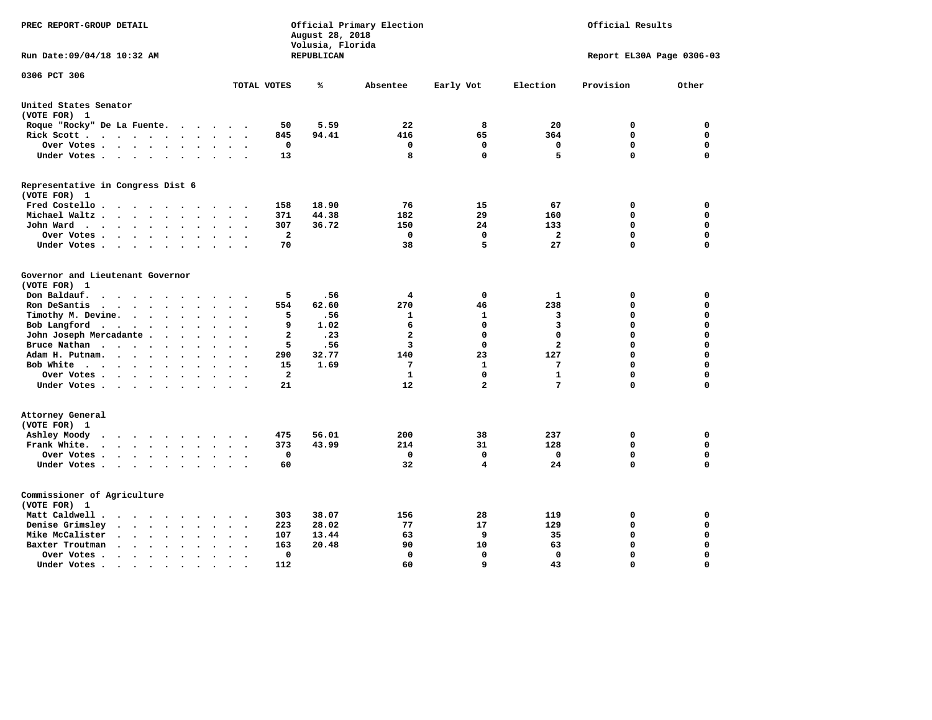| PREC REPORT-GROUP DETAIL                                                                                                                    |                                                     | August 28, 2018<br>Volusia, Florida | Official Primary Election    | Official Results         |                  |                            |             |  |
|---------------------------------------------------------------------------------------------------------------------------------------------|-----------------------------------------------------|-------------------------------------|------------------------------|--------------------------|------------------|----------------------------|-------------|--|
| Run Date: 09/04/18 10:32 AM                                                                                                                 |                                                     | REPUBLICAN                          |                              |                          |                  | Report EL30A Page 0306-03  |             |  |
| 0306 PCT 306                                                                                                                                | TOTAL VOTES                                         | ℁                                   | Absentee                     | Early Vot                | Election         | Provision                  | Other       |  |
| United States Senator                                                                                                                       |                                                     |                                     |                              |                          |                  |                            |             |  |
| (VOTE FOR) 1                                                                                                                                |                                                     |                                     |                              |                          |                  |                            |             |  |
| Roque "Rocky" De La Fuente.<br>$\cdots$                                                                                                     | 50<br>$\sim$<br>$\overline{\phantom{a}}$            | 5.59                                | 22                           | 8                        | 20               | 0                          | $\mathbf 0$ |  |
| Rick Scott<br>$\bullet$                                                                                                                     | 845                                                 | 94.41                               | 416                          | 65                       | 364              | $\mathbf 0$                | 0           |  |
| Over Votes                                                                                                                                  | 0<br>$\bullet$<br>$\bullet$<br>$\ddot{\phantom{0}}$ |                                     | $\mathbf 0$                  | $\mathbf 0$              | $\mathbf 0$      | $\mathbf 0$                | 0           |  |
| Under Votes                                                                                                                                 | 13                                                  |                                     | 8                            | $\mathbf 0$              | 5                | $\mathbf 0$                | $\mathbf 0$ |  |
| Representative in Congress Dist 6                                                                                                           |                                                     |                                     |                              |                          |                  |                            |             |  |
| (VOTE FOR) 1<br>Fred Costello                                                                                                               | 158                                                 | 18.90                               | 76                           | 15                       | 67               | 0                          | 0           |  |
| Michael Waltz<br>$\ddot{\phantom{a}}$<br>$\sim$                                                                                             | 371                                                 | 44.38                               | 182                          | 29                       | 160              | $\mathbf 0$                | $\mathbf 0$ |  |
| John Ward<br>$\ddot{\phantom{a}}$                                                                                                           | 307<br>$\bullet$                                    | 36.72                               | 150                          | 24                       | 133              | $\mathbf 0$                | $\mathbf 0$ |  |
| Over Votes .<br>.<br>$\sim$                                                                                                                 | $\overline{a}$                                      |                                     | 0                            | $\mathbf{0}$             | $\overline{a}$   | $\mathbf 0$                | $\mathbf 0$ |  |
| Under Votes<br>$\overline{\phantom{a}}$                                                                                                     | 70                                                  |                                     | 38                           | 5                        | 27               | $\mathbf 0$                | $\Omega$    |  |
|                                                                                                                                             |                                                     |                                     |                              |                          |                  |                            |             |  |
| Governor and Lieutenant Governor<br>(VOTE FOR) 1                                                                                            |                                                     |                                     |                              |                          |                  |                            |             |  |
| Don Baldauf.                                                                                                                                | 5                                                   | .56                                 | 4                            | $\mathbf 0$              | $\mathbf{1}$     | 0                          | 0           |  |
| $\ddot{\phantom{a}}$<br>$\sim$<br>Ron DeSantis<br>$\ddot{\phantom{a}}$                                                                      | 554                                                 | 62.60                               | 270                          | 46                       | 238              | $\mathbf 0$                | 0           |  |
|                                                                                                                                             | 5                                                   | .56                                 | 1                            | 1                        | 3                | $\mathbf 0$                | $\mathbf 0$ |  |
| Timothy M. Devine.<br>$\bullet$                                                                                                             | 9                                                   |                                     |                              | $\mathbf 0$              |                  | $\mathbf 0$                | 0           |  |
| Bob Langford<br>$\sim$<br>$\bullet$<br>$\ddot{\phantom{0}}$                                                                                 | $\ddot{\phantom{a}}$<br>$\overline{a}$              | 1.02<br>.23                         | 6<br>$\overline{\mathbf{2}}$ | $\mathbf 0$              | 3<br>$\mathbf 0$ | $\mathbf 0$                | $\mathbf 0$ |  |
| John Joseph Mercadante                                                                                                                      | $\sim$ $\sim$<br>$\ddot{\phantom{1}}$               | .56                                 | 3                            | $\mathbf 0$              | $\mathbf{2}$     | $\mathbf 0$                | $\mathbf 0$ |  |
| Bruce Nathan<br>$\cdots$<br>$\bullet$<br>$\ddot{\phantom{a}}$                                                                               | 5                                                   |                                     |                              |                          | 127              | $\mathbf 0$                | 0           |  |
| Adam H. Putnam.<br>$\cdots$<br>$\sim$                                                                                                       | 290                                                 | 32.77                               | 140                          | 23                       |                  |                            |             |  |
| Bob White<br>$\bullet$                                                                                                                      | 15<br>$\ddot{\phantom{a}}$                          | 1.69                                | 7                            | $\mathbf{1}$<br>$\Omega$ | 7                | $\mathbf 0$<br>$\mathbf 0$ | 0           |  |
| Over Votes .<br>$\cdots$                                                                                                                    | $\overline{\mathbf{2}}$                             |                                     | 1                            |                          | ${\bf 1}$<br>7   | $\Omega$                   | 0           |  |
| Under Votes                                                                                                                                 | 21                                                  |                                     | 12                           | $\mathbf{2}$             |                  |                            | $\mathbf 0$ |  |
| Attorney General                                                                                                                            |                                                     |                                     |                              |                          |                  |                            |             |  |
| (VOTE FOR) 1                                                                                                                                |                                                     |                                     |                              |                          |                  |                            |             |  |
| Ashley Moody<br>$\ddot{\phantom{0}}$<br>$\cdots$<br>$\sim$ $\sim$                                                                           | 475<br>$\cdot$                                      | 56.01                               | 200                          | 38                       | 237              | 0                          | 0           |  |
| Frank White.<br>$\cdot$ $\cdot$ $\cdot$ $\cdot$ $\cdot$<br>$\overline{\phantom{a}}$                                                         | 373                                                 | 43.99                               | 214                          | 31                       | 128              | $\mathbf 0$                | $\mathbf 0$ |  |
| Over Votes .<br>$\sim$ $\sim$ $\sim$ $\sim$ $\sim$<br>$\ddot{\phantom{1}}$                                                                  | $\mathbf 0$                                         |                                     | $\Omega$                     | $\mathbf 0$              | $\mathbf{0}$     | $\mathbf 0$                | $\mathbf 0$ |  |
| Under Votes<br>$\sim$ $\sim$<br>$\ddot{\phantom{0}}$                                                                                        | 60<br>$\cdot$                                       |                                     | 32                           | 4                        | 24               | $\Omega$                   | $\mathbf 0$ |  |
| Commissioner of Agriculture                                                                                                                 |                                                     |                                     |                              |                          |                  |                            |             |  |
| (VOTE FOR) 1                                                                                                                                |                                                     |                                     |                              |                          |                  |                            |             |  |
| Matt Caldwell.<br>$\cdot$ $\cdot$ $\cdot$ $\cdot$ $\cdot$<br>$\sim$                                                                         | 303<br>$\ddot{\phantom{a}}$                         | 38.07                               | 156                          | 28                       | 119              | 0                          | 0           |  |
| Denise Grimsley<br>$\bullet$ .<br><br><br><br><br><br><br><br><br><br><br><br><br>$\bullet$<br>$\ddot{\phantom{a}}$<br>$\ddot{\phantom{a}}$ | 223                                                 | 28.02                               | 77                           | 17                       | 129              | $\mathbf 0$                | 0           |  |
| Mike McCalister<br>$\cdots$<br>$\bullet$                                                                                                    | 107                                                 | 13.44                               | 63                           | 9                        | 35               | 0                          | 0           |  |
| Baxter Troutman<br>$\cdot$ $\cdot$ $\cdot$ $\cdot$<br>$\sim$<br>$\sim$                                                                      | 163                                                 | 20.48                               | 90                           | 10                       | 63               | 0                          | 0           |  |
| Over Votes .<br>$\sim$ $\sim$ $\sim$ $\sim$ $\sim$<br>$\bullet$<br>$\cdot$                                                                  | 0                                                   |                                     | 0                            | 0                        | $\Omega$         | $\mathbf 0$                | $\mathbf 0$ |  |
| Under Votes.<br>.                                                                                                                           | 112                                                 |                                     | 60                           | 9                        | 43               | $\Omega$                   | $\Omega$    |  |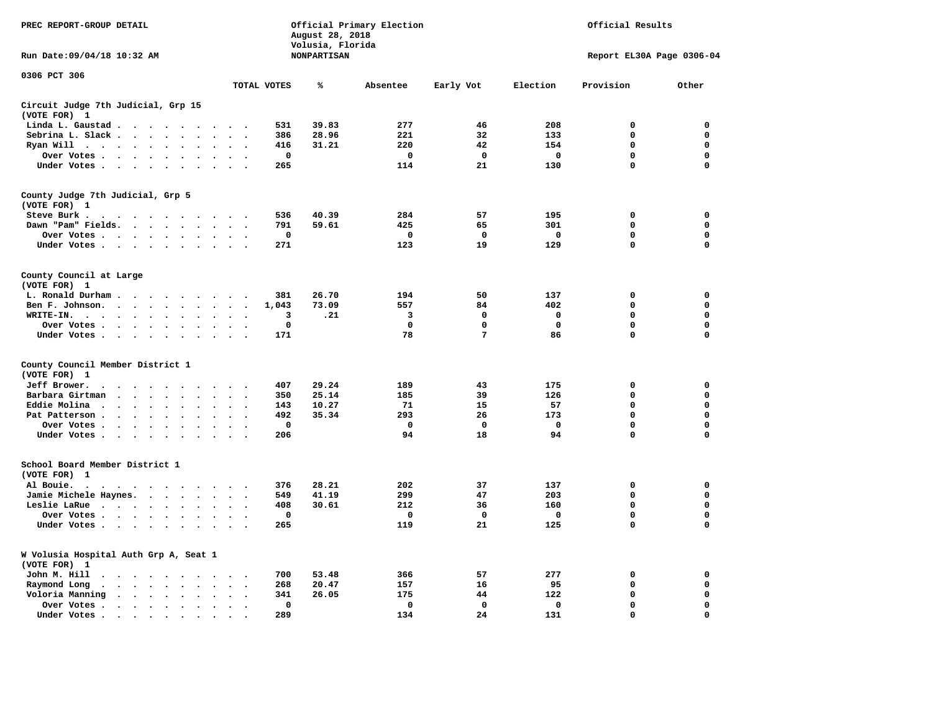| PREC REPORT-GROUP DETAIL                              |                                                                          |                                              |                                              |                                                  |             | August 28, 2018<br>Volusia, Florida | Official Primary Election |             |             | Official Results          |             |
|-------------------------------------------------------|--------------------------------------------------------------------------|----------------------------------------------|----------------------------------------------|--------------------------------------------------|-------------|-------------------------------------|---------------------------|-------------|-------------|---------------------------|-------------|
| Run Date: 09/04/18 10:32 AM                           |                                                                          |                                              |                                              |                                                  |             | <b>NONPARTISAN</b>                  |                           |             |             | Report EL30A Page 0306-04 |             |
| 0306 PCT 306                                          |                                                                          |                                              |                                              |                                                  | TOTAL VOTES | ℁                                   | Absentee                  | Early Vot   | Election    | Provision                 | Other       |
| Circuit Judge 7th Judicial, Grp 15<br>(VOTE FOR) 1    |                                                                          |                                              |                                              |                                                  |             |                                     |                           |             |             |                           |             |
| Linda L. Gaustad                                      |                                                                          |                                              | $\sim$                                       |                                                  | 531         | 39.83                               | 277                       | 46          | 208         | 0                         | 0           |
| Sebrina L. Slack                                      |                                                                          |                                              |                                              | $\overline{\phantom{a}}$                         | 386         | 28.96                               | 221                       | 32          | 133         | $\mathbf 0$               | $\mathbf 0$ |
| Ryan Will                                             | $\sim$                                                                   | $\ddot{\phantom{a}}$<br>$\ddot{\phantom{a}}$ |                                              |                                                  | 416         | 31.21                               | 220                       | 42          | 154         | 0                         | 0           |
| Over Votes                                            |                                                                          |                                              | $\bullet$                                    |                                                  | $\mathbf 0$ |                                     | $\mathbf 0$               | 0           | $\mathbf 0$ | 0                         | 0           |
| Under Votes                                           |                                                                          |                                              | $\ddot{\phantom{a}}$                         |                                                  | 265         |                                     | 114                       | 21          | 130         | 0                         | 0           |
| County Judge 7th Judicial, Grp 5<br>(VOTE FOR) 1      |                                                                          |                                              |                                              |                                                  |             |                                     |                           |             |             |                           |             |
| Steve Burk .                                          | .                                                                        |                                              |                                              |                                                  | 536         | 40.39                               | 284                       | 57          | 195         | $\mathbf 0$               | $\mathbf 0$ |
| Dawn "Pam" Fields.                                    |                                                                          |                                              | $\ddot{\phantom{a}}$<br>$\sim$               |                                                  | 791         | 59.61                               | 425                       | 65          | 301         | $\mathbf 0$               | 0           |
| Over Votes                                            |                                                                          |                                              |                                              |                                                  | 0           |                                     | 0                         | 0           | 0           | 0                         | 0           |
| Under Votes                                           |                                                                          |                                              |                                              | $\cdot$ .                                        | 271         |                                     | 123                       | 19          | 129         | $\mathbf 0$               | $\mathbf 0$ |
| County Council at Large<br>(VOTE FOR) 1               |                                                                          |                                              |                                              |                                                  |             |                                     |                           |             |             |                           |             |
| L. Ronald Durham                                      |                                                                          |                                              |                                              | $\cdot$ .                                        | 381         | 26.70                               | 194                       | 50          | 137         | $\mathbf 0$               | $\mathbf 0$ |
| Ben F. Johnson.                                       |                                                                          |                                              |                                              | $\sim$<br>$\overline{\phantom{a}}$               | 1,043       | 73.09                               | 557                       | 84          | 402         | $\mathbf 0$               | $\mathbf 0$ |
| WRITE-IN.                                             |                                                                          | $\ddot{\phantom{a}}$                         |                                              |                                                  | 3           | .21                                 | 3                         | 0           | 0           | 0                         | 0           |
| Over Votes                                            |                                                                          |                                              |                                              | $\sim$ $\sim$                                    | 0           |                                     | $\mathbf 0$               | 0           | 0           | 0                         | 0           |
| Under Votes                                           |                                                                          |                                              | $\cdot$ $\cdot$                              | $\cdot$ .                                        | 171         |                                     | 78                        | 7           | 86          | 0                         | $\mathbf 0$ |
| County Council Member District 1<br>(VOTE FOR) 1      |                                                                          |                                              |                                              |                                                  |             |                                     |                           |             |             |                           |             |
| Jeff Brower.<br>$\ddot{\phantom{0}}$                  | $\cdots$                                                                 | $\sim$ $\sim$                                |                                              |                                                  | 407         | 29.24                               | 189                       | 43          | 175         | 0                         | 0           |
| Barbara Girtman                                       | $\sim$<br>$\ddot{\phantom{a}}$<br>$\ddot{\phantom{a}}$                   | $\ddot{\phantom{a}}$<br>$\sim$               |                                              |                                                  | 350         | 25.14                               | 185                       | 39          | 126         | 0                         | 0           |
| Eddie Molina.                                         | $\cdots$                                                                 | $\bullet$                                    |                                              |                                                  | 143         | 10.27                               | 71                        | 15          | 57          | 0                         | 0           |
| Pat Patterson.                                        | $\sim$ $\sim$ $\sim$ $\sim$ $\sim$                                       | $\ddot{\phantom{a}}$<br>$\ddot{\phantom{a}}$ |                                              |                                                  | 492         | 35.34                               | 293                       | 26          | 173         | 0                         | 0           |
| Over Votes                                            |                                                                          |                                              | $\sim$<br>$\sim$                             |                                                  | $\mathbf 0$ |                                     | 0                         | $\mathbf 0$ | $\mathbf 0$ | 0                         | 0           |
| Under Votes                                           | $\sim$                                                                   | $\ddot{\phantom{a}}$<br>$\ddot{\phantom{a}}$ | $\sim$                                       |                                                  | 206         |                                     | 94                        | 18          | 94          | 0                         | $\mathbf 0$ |
| School Board Member District 1<br>(VOTE FOR) 1        |                                                                          |                                              |                                              |                                                  |             |                                     |                           |             |             |                           |             |
| Al Bouie.<br>$\cdot$<br>$\sim$                        | $\cdot$ .                                                                |                                              |                                              |                                                  | 376         | 28.21                               | 202                       | 37          | 137         | $\mathbf 0$               | 0           |
| Jamie Michele Haynes.                                 |                                                                          |                                              |                                              | $\ddot{\phantom{a}}$<br>$\overline{\phantom{a}}$ | 549         | 41.19                               | 299                       | 47          | 203         | 0                         | $\mathbf 0$ |
| Leslie LaRue                                          |                                                                          |                                              | $\ddot{\phantom{a}}$<br>$\cdot$              |                                                  | 408         | 30.61                               | 212                       | 36          | 160         | 0                         | $\mathbf 0$ |
| Over Votes                                            |                                                                          |                                              | $\bullet$                                    |                                                  | $\mathbf 0$ |                                     | $\mathbf 0$               | $\mathbf 0$ | $\mathbf 0$ | 0                         | 0           |
| Under Votes                                           |                                                                          |                                              | $\sim$ $\sim$                                | $\sim$ $\sim$                                    | 265         |                                     | 119                       | 21          | 125         | 0                         | $\mathbf 0$ |
| W Volusia Hospital Auth Grp A, Seat 1<br>(VOTE FOR) 1 |                                                                          |                                              |                                              |                                                  |             |                                     |                           |             |             |                           |             |
| John M. Hill<br>$\ddot{\phantom{0}}$                  | $\cdots$                                                                 |                                              | $\bullet$                                    | $\ddot{\phantom{1}}$                             | 700         | 53.48                               | 366                       | 57          | 277         | 0                         | 0           |
| Raymond Long<br>$\ddot{\phantom{0}}$                  | $\cdot$ $\cdot$ $\cdot$ $\cdot$ $\cdot$                                  |                                              | $\sim$<br>$\ddot{\phantom{a}}$               | $\cdot$<br>$\ddot{\phantom{0}}$                  | 268         | 20.47                               | 157                       | 16          | 95          | 0                         | 0           |
| Voloria Manning                                       | $\mathbf{r}$ , $\mathbf{r}$ , $\mathbf{r}$ , $\mathbf{r}$ , $\mathbf{r}$ |                                              | $\ddot{\phantom{a}}$<br>$\ddot{\phantom{a}}$ | $\cdot$                                          | 341         | 26.05                               | 175                       | 44          | 122         | $\mathbf 0$               | 0           |
| Over Votes.                                           | $\cdots$                                                                 |                                              | $\cdot$<br>$\cdot$                           | $\bullet$                                        | 0           |                                     | $\mathbf 0$               | $\mathbf 0$ | $\mathbf 0$ | $\mathbf 0$               | $\mathbf 0$ |
| Under Votes.                                          |                                                                          | $\sim$                                       | $\bullet$                                    |                                                  | 289         |                                     | 134                       | 24          | 131         | $\mathbf 0$               | $\mathbf 0$ |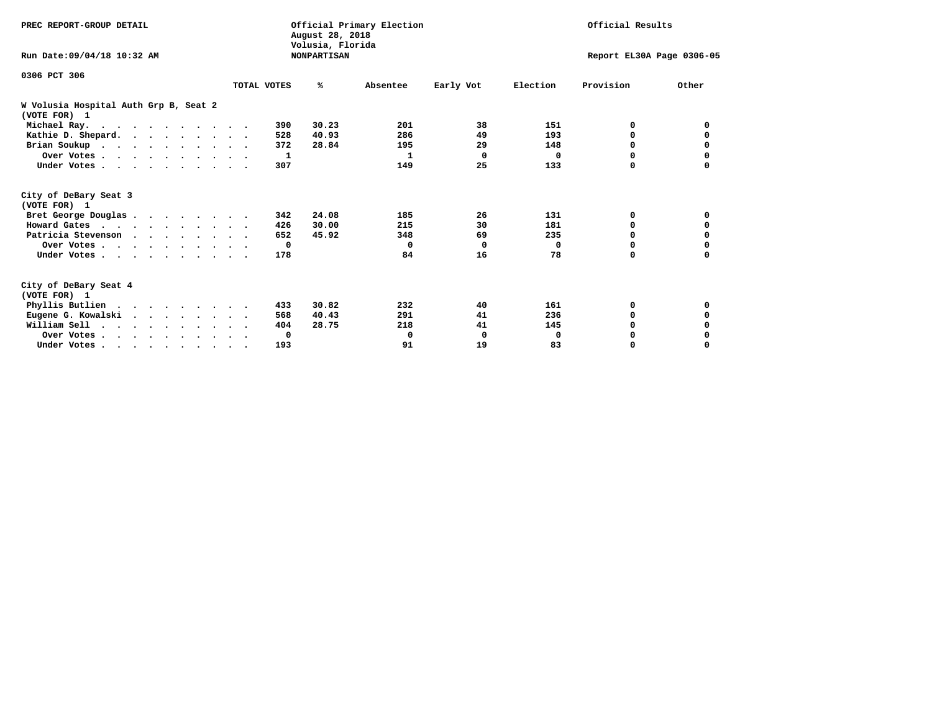| PREC REPORT-GROUP DETAIL                              |             | August 28, 2018<br>Volusia, Florida | Official Primary Election |                           | Official Results |           |              |
|-------------------------------------------------------|-------------|-------------------------------------|---------------------------|---------------------------|------------------|-----------|--------------|
| Run Date: 09/04/18 10:32 AM                           |             | <b>NONPARTISAN</b>                  |                           | Report EL30A Page 0306-05 |                  |           |              |
| 0306 PCT 306                                          |             |                                     |                           |                           |                  |           |              |
|                                                       | TOTAL VOTES | ℁                                   | Absentee                  | Early Vot                 | Election         | Provision | Other        |
| W Volusia Hospital Auth Grp B, Seat 2<br>(VOTE FOR) 1 |             |                                     |                           |                           |                  |           |              |
| Michael Ray.                                          |             | 30.23<br>390                        | 201                       | 38                        | 151              | 0         | <sup>0</sup> |
| Kathie D. Shepard.                                    |             | 40.93<br>528                        | 286                       | 49                        | 193              | 0         |              |
| Brian Soukup                                          |             | 372<br>28.84                        | 195                       | 29                        | 148              | 0         | 0            |
| Over Votes                                            |             | -1                                  | 1                         | 0                         | $\Omega$         | 0         | 0            |
| Under Votes                                           |             | 307                                 | 149                       | 25                        | 133              | $\Omega$  | $\Omega$     |
| City of DeBary Seat 3<br>(VOTE FOR) 1                 |             |                                     |                           |                           |                  |           |              |
| Bret George Douglas                                   |             | 24.08<br>342                        | 185                       | 26                        | 131              | 0         | 0            |
| Howard Gates                                          |             | 30.00<br>426                        | 215                       | 30                        | 181              | 0         | 0            |
| Patricia Stevenson                                    |             | 45.92<br>652                        | 348                       | 69                        | 235              | $\Omega$  | 0            |
| Over Votes                                            |             | $\mathbf{o}$                        | $\Omega$                  | $\Omega$                  | 0                | 0         | 0            |
| Under Votes                                           |             | 178                                 | 84                        | 16                        | 78               | 0         |              |
| City of DeBary Seat 4<br>(VOTE FOR) 1                 |             |                                     |                           |                           |                  |           |              |
| Phyllis Butlien                                       |             | 30.82<br>433                        | 232                       | 40                        | 161              | 0         | 0            |
| Eugene G. Kowalski                                    |             | 40.43<br>568                        | 291                       | 41                        | 236              | $\Omega$  | 0            |
| William Sell                                          |             | 28.75<br>404                        | 218                       | 41                        | 145              | $\Omega$  |              |
| Over Votes                                            |             | 0                                   | 0                         | 0                         | 0                | 0         |              |
| Under Votes                                           |             | 193                                 | 91                        | 19                        | 83               | 0         | $\Omega$     |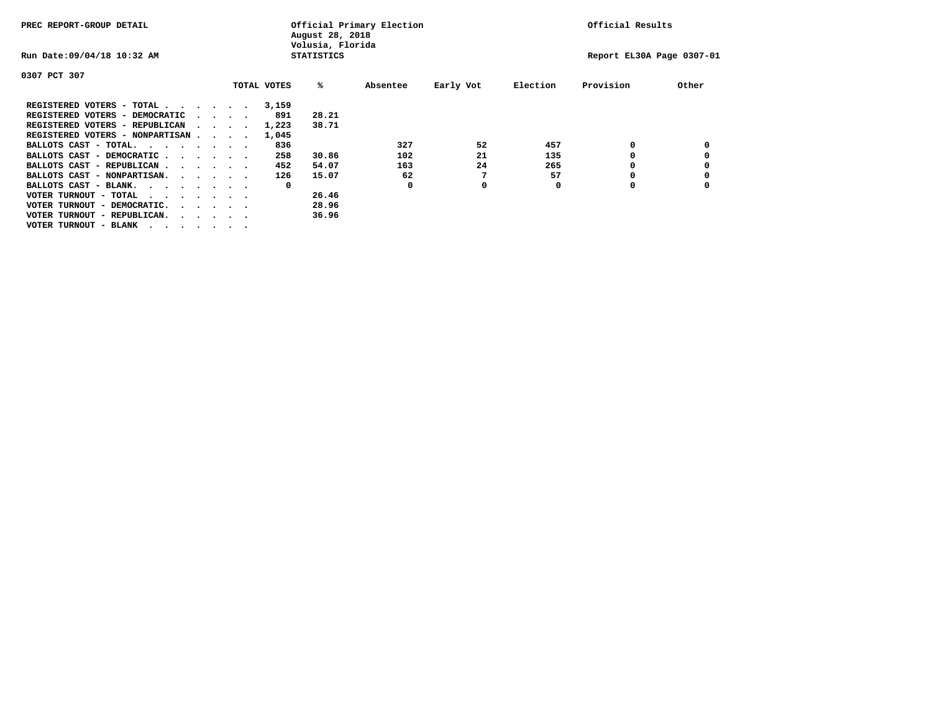| PREC REPORT-GROUP DETAIL                                                                       |  |  |                                         | August 28, 2018<br>Volusia, Florida | Official Primary Election |          | Official Results          |          |           |       |
|------------------------------------------------------------------------------------------------|--|--|-----------------------------------------|-------------------------------------|---------------------------|----------|---------------------------|----------|-----------|-------|
| Run Date: 09/04/18 10:32 AM                                                                    |  |  |                                         |                                     | <b>STATISTICS</b>         |          | Report EL30A Page 0307-01 |          |           |       |
| 0307 PCT 307                                                                                   |  |  |                                         |                                     |                           |          |                           |          |           |       |
|                                                                                                |  |  |                                         | TOTAL VOTES                         | %ะ                        | Absentee | Early Vot                 | Election | Provision | Other |
| REGISTERED VOTERS - TOTAL                                                                      |  |  |                                         | 3,159                               |                           |          |                           |          |           |       |
| REGISTERED VOTERS - DEMOCRATIC                                                                 |  |  | $\cdot$ $\cdot$ $\cdot$ $\cdot$         | 891                                 | 28.21                     |          |                           |          |           |       |
| REGISTERED VOTERS - REPUBLICAN                                                                 |  |  |                                         | 1,223                               | 38.71                     |          |                           |          |           |       |
| REGISTERED VOTERS - NONPARTISAN                                                                |  |  |                                         | 1,045                               |                           |          |                           |          |           |       |
| BALLOTS CAST - TOTAL.                                                                          |  |  |                                         | 836                                 |                           | 327      | 52                        | 457      | 0         |       |
| BALLOTS CAST - DEMOCRATIC                                                                      |  |  |                                         | 258                                 | 30.86                     | 102      | 21                        | 135      |           |       |
| BALLOTS CAST - REPUBLICAN                                                                      |  |  |                                         | 452                                 | 54.07                     | 163      | 24                        | 265      | 0         |       |
| BALLOTS CAST - NONPARTISAN.                                                                    |  |  |                                         | 126                                 | 15.07                     | 62       |                           | 57       |           |       |
| BALLOTS CAST - BLANK.                                                                          |  |  |                                         | 0                                   |                           | 0        | 0                         | 0        | 0         |       |
| VOTER TURNOUT - TOTAL<br>$\mathbf{r}$ , and $\mathbf{r}$ , and $\mathbf{r}$ , and $\mathbf{r}$ |  |  |                                         |                                     | 26.46                     |          |                           |          |           |       |
| VOTER TURNOUT - DEMOCRATIC.                                                                    |  |  | $\cdot$ $\cdot$ $\cdot$ $\cdot$ $\cdot$ |                                     | 28.96                     |          |                           |          |           |       |
| VOTER TURNOUT - REPUBLICAN.<br>$\cdot$                                                         |  |  |                                         |                                     | 36.96                     |          |                           |          |           |       |
| VOTER TURNOUT - BLANK                                                                          |  |  |                                         |                                     |                           |          |                           |          |           |       |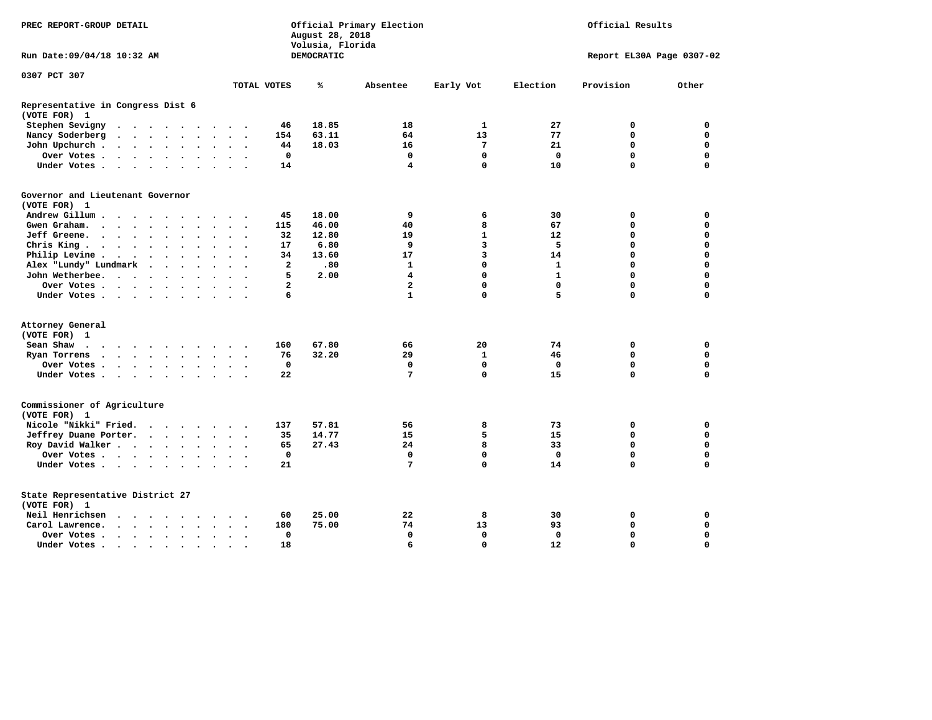| PREC REPORT-GROUP DETAIL                                                                                                                                                                                                                                                                             |                                | August 28, 2018<br>Volusia, Florida | Official Primary Election | Official Results |              |                           |             |
|------------------------------------------------------------------------------------------------------------------------------------------------------------------------------------------------------------------------------------------------------------------------------------------------------|--------------------------------|-------------------------------------|---------------------------|------------------|--------------|---------------------------|-------------|
| Run Date: 09/04/18 10:32 AM                                                                                                                                                                                                                                                                          |                                | DEMOCRATIC                          |                           |                  |              | Report EL30A Page 0307-02 |             |
| 0307 PCT 307                                                                                                                                                                                                                                                                                         |                                |                                     |                           |                  |              |                           |             |
|                                                                                                                                                                                                                                                                                                      | TOTAL VOTES                    | ℁                                   | Absentee                  | Early Vot        | Election     | Provision                 | Other       |
| Representative in Congress Dist 6<br>(VOTE FOR) 1                                                                                                                                                                                                                                                    |                                |                                     |                           |                  |              |                           |             |
| Stephen Sevigny<br>.                                                                                                                                                                                                                                                                                 | 46                             | 18.85                               | 18                        | 1                | 27           | 0                         | 0           |
| Nancy Soderberg<br>$\mathbf{r}$ . The contract of the contract of the contract of the contract of the contract of the contract of the contract of the contract of the contract of the contract of the contract of the contract of the contract of th<br>$\ddot{\phantom{a}}$<br>$\ddot{\phantom{1}}$ | 154                            | 63.11                               | 64                        | 13               | 77           | 0                         | $\mathbf 0$ |
| John Upchurch.<br>$\cdot$ $\cdot$ $\cdot$ $\cdot$ $\cdot$                                                                                                                                                                                                                                            | 44                             | 18.03                               | 16                        | 7                | 21           | 0                         | $\mathbf 0$ |
| Over Votes .<br>$\cdot$ $\cdot$ $\cdot$ $\cdot$ $\cdot$<br>$\ddot{\phantom{1}}$<br>$\ddot{\phantom{1}}$<br>$\ddot{\phantom{0}}$                                                                                                                                                                      | $\mathbf 0$<br>$\bullet$       |                                     | $\mathbf 0$               | $\mathbf 0$      | $\mathbf 0$  | $\mathbf 0$               | $\mathbf 0$ |
| Under Votes<br>$\sim$<br>$\sim$                                                                                                                                                                                                                                                                      | 14                             |                                     | 4                         | $\mathbf{0}$     | 10           | 0                         | $\Omega$    |
| Governor and Lieutenant Governor                                                                                                                                                                                                                                                                     |                                |                                     |                           |                  |              |                           |             |
| (VOTE FOR) 1                                                                                                                                                                                                                                                                                         |                                |                                     |                           |                  |              |                           |             |
| Andrew Gillum.<br>$\sim$ $\sim$                                                                                                                                                                                                                                                                      | 45                             | 18.00                               | 9                         | 6                | 30           | 0                         | 0           |
| Gwen Graham.<br>$\sim$<br>$\bullet$<br>$\bullet$<br>$\bullet$ .                                                                                                                                                                                                                                      | 115<br>$\bullet$               | 46.00                               | 40                        | 8                | 67           | $\mathbf 0$               | $\mathbf 0$ |
| Jeff Greene.<br>$\mathbf{r}$ , and $\mathbf{r}$ , and $\mathbf{r}$<br>$\ddot{\phantom{a}}$                                                                                                                                                                                                           | 32                             | 12.80                               | 19                        | $\mathbf{1}$     | 12           | 0                         | $\mathbf 0$ |
| Chris King<br>$\bullet$                                                                                                                                                                                                                                                                              | 17                             | 6.80                                | 9                         | 3                | 5            | 0                         | $\mathbf 0$ |
| Philip Levine .<br><b><i>Contract Contract</i></b><br>$\bullet$<br>$\ddot{\phantom{0}}$<br>$\bullet$<br>$\bullet$<br>$\cdot$                                                                                                                                                                         | 34<br>$\cdot$                  | 13.60                               | 17                        | 3                | 14           | 0                         | $\mathbf 0$ |
| Alex "Lundy" Lundmark<br>$\ddot{\phantom{0}}$<br>$\ddot{\phantom{a}}$<br>$\bullet$<br>$\ddot{\phantom{0}}$                                                                                                                                                                                           | $\mathbf{2}$                   | .80                                 | $\mathbf{1}$              | 0                | 1            | 0                         | $\mathbf 0$ |
| John Wetherbee.<br>$\ddot{\phantom{a}}$<br>$\sim$ $\sim$ $\sim$<br>$\bullet$<br>$\cdot$<br>$\bullet$                                                                                                                                                                                                 | 5                              | 2.00                                | $\overline{\mathbf{4}}$   | $\mathbf{0}$     | $\mathbf{1}$ | $\mathbf 0$               | $\Omega$    |
| Over Votes .<br>$\sim$ $\sim$ $\sim$ $\sim$<br>$\sim$                                                                                                                                                                                                                                                | $\overline{a}$                 |                                     | $\overline{a}$            | $\Omega$         | $\mathbf 0$  | $\Omega$                  | $\Omega$    |
| Under Votes.<br>$\cdots$                                                                                                                                                                                                                                                                             | 6                              |                                     | $\mathbf{1}$              | $\Omega$         | 5            | $\Omega$                  | $\Omega$    |
| Attorney General                                                                                                                                                                                                                                                                                     |                                |                                     |                           |                  |              |                           |             |
| (VOTE FOR) 1                                                                                                                                                                                                                                                                                         |                                |                                     |                           |                  |              |                           |             |
| Sean Shaw<br>$\sim$ $\sim$<br>.<br>$\sim$                                                                                                                                                                                                                                                            | 160                            | 67.80                               | 66                        | 20               | 74           | 0                         | 0           |
| Ryan Torrens<br>$\cdots$<br>$\bullet$<br>$\cdot$                                                                                                                                                                                                                                                     | 76<br>$\overline{\phantom{a}}$ | 32.20                               | 29                        | 1                | 46           | 0                         | $\mathbf 0$ |
| Over Votes.<br>$\cdots$                                                                                                                                                                                                                                                                              | $\mathbf 0$                    |                                     | $\mathbf 0$               | $\mathbf 0$      | $\mathbf 0$  | 0                         | $\mathbf 0$ |
| Under Votes<br>$\ddot{\phantom{0}}$<br>$\bullet$<br>$\sim$ $\sim$                                                                                                                                                                                                                                    | 22                             |                                     | 7                         | $\mathbf{0}$     | 15           | 0                         | $\mathbf 0$ |
| Commissioner of Agriculture<br>(VOTE FOR) 1                                                                                                                                                                                                                                                          |                                |                                     |                           |                  |              |                           |             |
| Nicole "Nikki" Fried.<br>$\cdot$                                                                                                                                                                                                                                                                     | 137                            | 57.81                               | 56                        | 8                | 73           | 0                         | 0           |
| Jeffrey Duane Porter.<br><b>Contract Contract Contract</b>                                                                                                                                                                                                                                           | 35                             | 14.77                               | 15                        | 5                | 15           | 0                         | $\mathbf 0$ |
| Roy David Walker<br>$\bullet$<br>$\cdot$ .                                                                                                                                                                                                                                                           | 65                             | 27.43                               | 24                        | 8                | 33           | $\mathbf 0$               | $\mathbf 0$ |
| Over Votes                                                                                                                                                                                                                                                                                           | $\mathbf 0$                    |                                     | $\mathbf 0$               | $\mathbf{0}$     | $\mathbf 0$  | 0                         | $\mathbf 0$ |
| Under Votes                                                                                                                                                                                                                                                                                          | 21                             |                                     | 7                         | $\Omega$         | 14           | $\Omega$                  | $\Omega$    |
| State Representative District 27<br>(VOTE FOR) 1                                                                                                                                                                                                                                                     |                                |                                     |                           |                  |              |                           |             |
| Neil Henrichsen<br>$\ddot{\phantom{1}}$<br>$\bullet$<br>$\ddot{\phantom{0}}$                                                                                                                                                                                                                         | 60                             | 25.00                               | 22                        | 8                | 30           | 0                         | 0           |
| Carol Lawrence.<br>$\cdot$ $\cdot$ $\cdot$ $\cdot$<br>$\ddot{\phantom{a}}$<br>$\ddot{\phantom{a}}$<br>$\ddot{\phantom{a}}$<br>$\sim$                                                                                                                                                                 | 180<br>$\bullet$               | 75.00                               | 74                        | 13               | 93           | $\mathbf 0$               | $\mathbf 0$ |
| Over Votes .<br><b>Contract Contract Contract Contract</b><br>$\bullet$<br>$\cdot$                                                                                                                                                                                                                   | $\mathbf 0$                    |                                     | $\mathbf 0$               | $\mathbf 0$      | $\mathbf 0$  | 0                         | $\mathbf 0$ |
| Under Votes.<br>$\cdots$<br>$\sim 100$ km s $^{-1}$<br>$\sim$ $-$<br>$\bullet$                                                                                                                                                                                                                       | 18                             |                                     | 6                         | $\Omega$         | 12           | $\Omega$                  | $\Omega$    |
|                                                                                                                                                                                                                                                                                                      |                                |                                     |                           |                  |              |                           |             |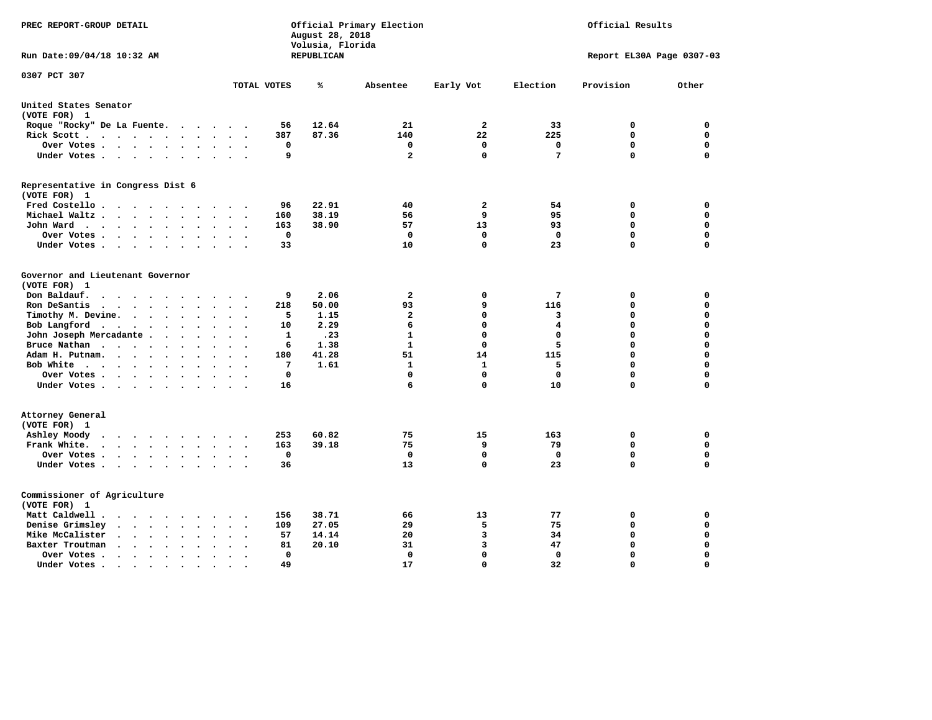| PREC REPORT-GROUP DETAIL                                                                                                                        |                            | August 28, 2018<br>Volusia, Florida | Official Primary Election | Official Results        |                  |                           |                            |
|-------------------------------------------------------------------------------------------------------------------------------------------------|----------------------------|-------------------------------------|---------------------------|-------------------------|------------------|---------------------------|----------------------------|
| Run Date: 09/04/18 10:32 AM                                                                                                                     |                            | REPUBLICAN                          |                           |                         |                  | Report EL30A Page 0307-03 |                            |
| 0307 PCT 307                                                                                                                                    | TOTAL VOTES                | %                                   | Absentee                  | Early Vot               | Election         | Provision                 | Other                      |
| United States Senator                                                                                                                           |                            |                                     |                           |                         |                  |                           |                            |
| (VOTE FOR) 1                                                                                                                                    |                            |                                     |                           |                         |                  |                           |                            |
| Roque "Rocky" De La Fuente.<br>$\sim$ $\sim$<br>$\ddot{\phantom{1}}$<br>$\ddot{\phantom{a}}$                                                    | 56                         | 12.64                               | 21                        | $\mathbf{2}$            | 33               | 0                         | 0                          |
| Rick Scott<br>$\ddot{\phantom{a}}$<br>$\sim$                                                                                                    | 387                        | 87.36                               | 140                       | 22                      | 225              | $\mathbf 0$               | $\mathbf 0$                |
| Over Votes<br>$\ddot{\phantom{0}}$<br>$\bullet$<br>$\ddot{\phantom{a}}$                                                                         | 0                          |                                     | 0                         | 0                       | 0                | $\mathbf 0$               | 0                          |
| Under Votes<br>$\ddot{\phantom{1}}$<br>$\ddot{\phantom{a}}$<br>$\ddot{\phantom{a}}$                                                             | 9                          |                                     | $\overline{\mathbf{2}}$   | $\Omega$                | 7                | $\mathbf 0$               | 0                          |
| Representative in Congress Dist 6<br>(VOTE FOR) 1                                                                                               |                            |                                     |                           |                         |                  |                           |                            |
| Fred Costello<br>$\cdot$<br>$\ddot{\phantom{a}}$<br>$\overline{\phantom{a}}$<br>$\cdot$                                                         | 96                         | 22.91                               | 40                        | $\mathbf{2}$            | 54               | $\mathbf 0$               | $\mathbf 0$                |
| Michael Waltz.<br>$\ddot{\phantom{0}}$<br>$\ddot{\phantom{a}}$                                                                                  | 160                        | 38.19                               | 56                        | 9                       | 95               | $\mathbf 0$               | $\mathbf 0$                |
| John Ward<br>$\cdots$<br>$\ddot{\phantom{1}}$<br>$\bullet$<br>$\bullet$<br>$\bullet$<br>$\bullet$                                               | 163                        | 38.90                               | 57                        | 13                      | 93               | $\mathbf 0$               | $\mathbf 0$                |
| Over Votes.<br>$\cdot$ $\cdot$ $\cdot$ $\cdot$<br>$\cdot$<br>$\cdot$                                                                            | $\mathbf 0$                |                                     | $\mathbf 0$               | $\mathbf 0$             | $\mathbf 0$      | $\mathbf 0$               | $\mathbf 0$                |
| Under Votes<br>$\bullet$<br>$\ddot{\phantom{a}}$                                                                                                | 33                         |                                     | 10                        | $\mathbf 0$             | 23               | 0                         | $\mathbf 0$                |
| Governor and Lieutenant Governor<br>(VOTE FOR) 1                                                                                                |                            |                                     |                           |                         |                  |                           |                            |
| Don Baldauf.<br>$\sim$ $\sim$ $\sim$ $\sim$<br>$\sim$                                                                                           | 9                          | 2.06                                | $\mathbf{2}$              | 0                       | 7                | 0                         | 0                          |
| Ron DeSantis<br>$\cdot$ $\cdot$ $\cdot$ $\cdot$<br>$\bullet$<br>$\ddot{\phantom{a}}$<br>$\sim$<br>$\ddot{\phantom{a}}$<br>$\sim$                | 218                        | 50.00                               | 93                        | 9<br>$\mathbf 0$        | 116              | 0                         | 0                          |
| Timothy M. Devine.<br>$\bullet$<br>$\bullet$<br>$\bullet$<br>$\bullet$                                                                          | 5                          | 1.15                                | $\mathbf{2}$              | $\mathbf 0$             | 3                | 0                         | 0                          |
| Bob Langford<br>$\mathbf{r}$ , and $\mathbf{r}$ , and $\mathbf{r}$<br>$\bullet$<br>$\bullet$<br>$\ddot{\phantom{a}}$                            | 10                         | 2.29                                | 6<br>$\mathbf{1}$         | $\Omega$                | 4<br>$\mathbf 0$ | 0<br>0                    | $\mathbf 0$<br>$\mathbf 0$ |
| John Joseph Mercadante .<br>$\cdots$<br>$\ddot{\phantom{a}}$<br>$\sim$                                                                          | 1                          | .23                                 | $\mathbf{1}$              | $\Omega$                |                  | $\Omega$                  | 0                          |
| Bruce Nathan<br>$\sim$ $\sim$ $\sim$ $\sim$<br>$\bullet$<br>$\bullet$                                                                           | 6                          | 1.38                                |                           |                         | 5                | 0                         | $\mathbf 0$                |
| Adam H. Putnam.<br>$\ddot{\phantom{a}}$<br>$\sim$                                                                                               | 180                        | 41.28                               | 51                        | 14                      | 115              |                           |                            |
| Bob White<br>$\bullet$<br>$\bullet$<br>$\bullet$                                                                                                | 7<br>$\Omega$              | 1.61                                | $\mathbf{1}$<br>0         | 1<br>$\mathbf 0$        | 5<br>$\mathbf 0$ | 0<br>0                    | $\mathbf 0$<br>$\mathbf 0$ |
| Over Votes .<br>$\cdot$ $\cdot$ $\cdot$ $\cdot$<br>$\overline{\phantom{a}}$<br>Under Votes                                                      | 16                         |                                     | 6                         | 0                       | 10               | 0                         | $\mathbf 0$                |
| Attorney General<br>(VOTE FOR) 1                                                                                                                |                            |                                     |                           |                         |                  |                           |                            |
| Ashley Moody<br>$\cdot$ $\cdot$ $\cdot$ $\cdot$ $\cdot$<br>$\ddot{\phantom{0}}$<br>$\blacksquare$                                               | 253                        | 60.82                               | 75                        | 15                      | 163              | 0                         | $\mathbf 0$                |
| Frank White.<br>$\cdot$ $\cdot$ $\cdot$ $\cdot$ $\cdot$<br>$\ddot{\phantom{0}}$                                                                 | 163                        | 39.18                               | 75                        | 9                       | 79               | $\mathbf 0$               | $\mathbf 0$                |
| Over Votes.<br>$\mathbf{r} = \mathbf{r} + \mathbf{r} + \mathbf{r} + \mathbf{r}$<br>$\bullet$<br>$\bullet$<br>$\bullet$                          | $\mathbf 0$                |                                     | $\mathbf 0$               | $\mathbf 0$             | $\mathbf 0$      | $\mathbf 0$               | $\mathbf 0$                |
| Under Votes<br>$\ddot{\phantom{1}}$<br>$\bullet$                                                                                                | 36                         |                                     | 13                        | $\mathbf 0$             | 23               | 0                         | $\mathbf 0$                |
| Commissioner of Agriculture<br>(VOTE FOR) 1                                                                                                     |                            |                                     |                           |                         |                  |                           |                            |
| Matt Caldwell.<br>$\cdot$ $\cdot$ $\cdot$ $\cdot$<br>$\sim$                                                                                     | 156                        | 38.71                               | 66                        | 13                      | 77               | 0                         | 0                          |
| Denise Grimsley<br>$\ddot{\phantom{1}}$<br>$\ddot{\phantom{a}}$<br>$\ddot{\phantom{a}}$                                                         | 109                        | 27.05                               | 29                        | 5                       | 75               | 0                         | $\mathbf 0$                |
| Mike McCalister<br>$\sim$ $\sim$<br>$\ddot{\phantom{a}}$<br>$\ddot{\phantom{0}}$<br>$\bullet$<br>$\bullet$<br>$\bullet$<br>$\ddot{\phantom{a}}$ | 57<br>$\ddot{\phantom{a}}$ | 14.14                               | 20                        | 3                       | 34               | 0                         | 0                          |
| Baxter Troutman<br>$\ddot{\phantom{1}}$<br>$\ddot{\phantom{a}}$<br>$\ddot{\phantom{a}}$<br>$\sim$<br>$\sim$                                     | 81                         | 20.10                               | 31                        | $\overline{\mathbf{3}}$ | 47               | $\mathbf 0$               | $\mathbf 0$                |
| Over Votes .<br>$\sim$ $\sim$<br>$\cdot$<br>$\ddot{\phantom{a}}$<br>$\ddot{\phantom{0}}$<br>$\ddot{\phantom{0}}$                                | 0                          |                                     | $\mathbf 0$               | $\mathbf 0$             | 0                | $\mathbf 0$               | $\mathbf 0$                |
| Under Votes.<br>.<br>$\overline{\phantom{a}}$<br>$\cdot$ $\cdot$                                                                                | 49                         |                                     | 17                        | $\Omega$                | 32               | $\Omega$                  | $\Omega$                   |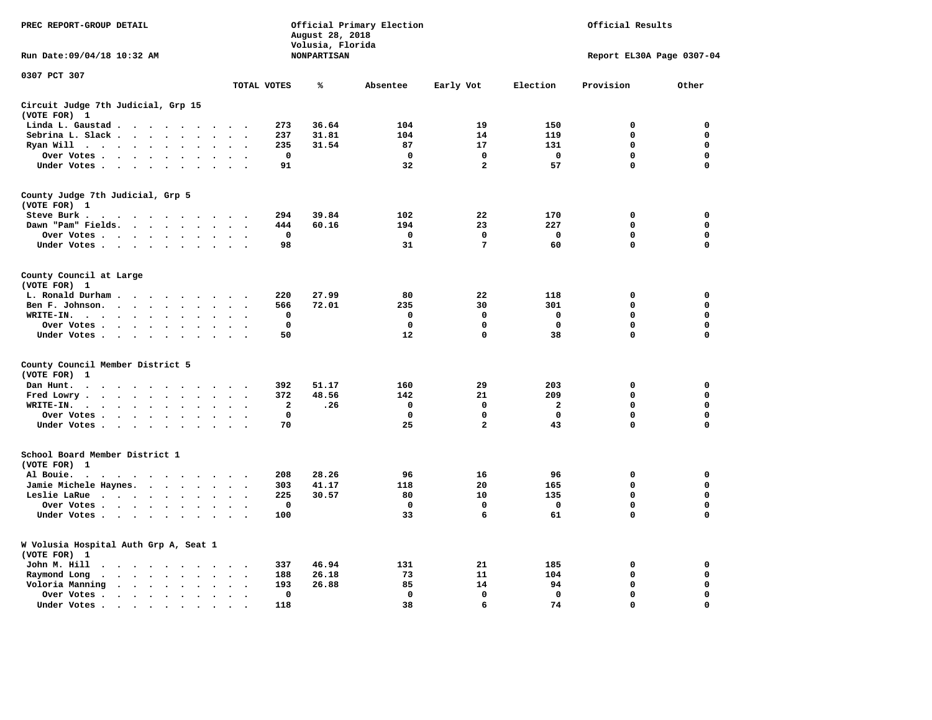| PREC REPORT-GROUP DETAIL                                                                                        | Official Primary Election<br>Official Results<br>August 28, 2018<br>Volusia, Florida |                    |             |                |                         |                           |             |
|-----------------------------------------------------------------------------------------------------------------|--------------------------------------------------------------------------------------|--------------------|-------------|----------------|-------------------------|---------------------------|-------------|
| Run Date: 09/04/18 10:32 AM                                                                                     |                                                                                      | <b>NONPARTISAN</b> |             |                |                         | Report EL30A Page 0307-04 |             |
| 0307 PCT 307                                                                                                    | TOTAL VOTES                                                                          | ℁                  | Absentee    | Early Vot      | Election                | Provision                 | Other       |
| Circuit Judge 7th Judicial, Grp 15<br>(VOTE FOR) 1                                                              |                                                                                      |                    |             |                |                         |                           |             |
| Linda L. Gaustad                                                                                                | 273                                                                                  | 36.64              | 104         | 19             | 150                     | 0                         | 0           |
| Sebrina L. Slack<br>$\sim$                                                                                      | 237                                                                                  | 31.81              | 104         | 14             | 119                     | $\mathbf 0$               | 0           |
| Ryan Will $\cdots$ $\cdots$<br>$\bullet$                                                                        | 235<br>$\sim$                                                                        | 31.54              | 87          | 17             | 131                     | 0                         | 0           |
| Over Votes<br>$\ddot{\phantom{0}}$<br>$\bullet$<br>$\ddot{\phantom{a}}$                                         | 0<br>$\overline{a}$                                                                  |                    | 0           | 0              | $\mathbf 0$             | 0                         | 0           |
| Under Votes                                                                                                     | 91<br>$\sim$                                                                         |                    | 32          | $\overline{a}$ | 57                      | 0                         | $\mathbf 0$ |
| County Judge 7th Judicial, Grp 5                                                                                |                                                                                      |                    |             |                |                         |                           |             |
| (VOTE FOR) 1                                                                                                    |                                                                                      |                    |             |                |                         |                           |             |
| Steve Burk .                                                                                                    | 294                                                                                  | 39.84              | 102         | 22             | 170                     | 0                         | 0           |
| Dawn "Pam" Fields.<br>$\bullet$<br>$\ddot{\phantom{a}}$                                                         | 444<br>$\bullet$                                                                     | 60.16              | 194         | 23             | 227                     | $\mathbf 0$               | 0           |
| Over Votes<br>$\bullet$                                                                                         | $\mathbf 0$                                                                          |                    | $\mathbf 0$ | $\mathbf 0$    | $\mathbf 0$             | 0                         | $\mathbf 0$ |
| Under Votes<br>$\ddot{\phantom{1}}$<br>$\bullet$                                                                | 98                                                                                   |                    | 31          | 7              | 60                      | $\mathbf 0$               | $\mathbf 0$ |
| County Council at Large                                                                                         |                                                                                      |                    |             |                |                         |                           |             |
| (VOTE FOR) 1                                                                                                    |                                                                                      |                    |             |                |                         |                           |             |
| L. Ronald Durham.<br>$\cdot$<br>$\ddot{\phantom{a}}$                                                            | 220                                                                                  | 27.99              | 80          | 22             | 118                     | 0                         | 0           |
| Ben F. Johnson.<br>$\ddot{\phantom{a}}$<br>$\ddot{\phantom{a}}$<br>$\ddot{\phantom{a}}$<br>$\cdot$              | 566<br>$\cdot$<br>$\ddot{\phantom{0}}$                                               | 72.01              | 235         | 30             | 301                     | $\mathbf 0$               | 0           |
| WRITE-IN.<br>$\ddot{\phantom{1}}$<br>$\cdots$<br>$\sim$                                                         | 0                                                                                    |                    | 0           | 0              | 0                       | 0                         | $\mathbf 0$ |
| Over Votes.<br>$\sim$ $\sim$ $\sim$ $\sim$ $\sim$<br>$\overline{\phantom{a}}$                                   | $\mathbf 0$                                                                          |                    | 0           | 0              | $\mathbf 0$             | 0                         | 0           |
| Under Votes<br>$\cdot$                                                                                          | 50<br>$\sim$<br>$\cdot$                                                              |                    | 12          | 0              | 38                      | 0                         | $\mathbf 0$ |
| County Council Member District 5<br>(VOTE FOR)<br>1                                                             |                                                                                      |                    |             |                |                         |                           |             |
| Dan Hunt.<br>$\bullet$<br>.                                                                                     | 392                                                                                  | 51.17              | 160         | 29             | 203                     | 0                         | 0           |
| Fred Lowry.<br><b><i>Contract Contract</i></b><br>$\ddot{\phantom{a}}$<br>$\ddot{\phantom{a}}$<br>$\bullet$     | 372                                                                                  | 48.56              | 142         | 21             | 209                     | $\mathbf 0$               | $\mathbf 0$ |
| WRITE-IN.<br>$\bullet$<br>$\cdot$                                                                               | $\mathbf{2}$                                                                         | .26                | $\mathbf 0$ | $\mathbf 0$    | $\overline{\mathbf{2}}$ | 0                         | 0           |
| Over Votes<br>$\ddot{\phantom{1}}$<br>$\bullet$<br>$\cdot$                                                      | $\mathbf 0$                                                                          |                    | $\mathbf 0$ | 0              | $\mathbf 0$             | 0                         | 0           |
| Under Votes                                                                                                     | 70<br>$\cdot$ $\cdot$ $\cdot$                                                        |                    | 25          | $\overline{a}$ | 43                      | $\mathbf 0$               | $\mathbf 0$ |
| School Board Member District 1<br>(VOTE FOR) 1                                                                  |                                                                                      |                    |             |                |                         |                           |             |
| Al Bouie.<br>$\bullet$<br>$\sim$ $\sim$ $\sim$ $\sim$ $\sim$ $\sim$<br>$\sim$ $\sim$<br>$\cdot$<br>$\cdot$      | 208                                                                                  | 28.26              | 96          | 16             | 96                      | 0                         | 0           |
| Jamie Michele Haynes.                                                                                           | 303<br>$\sim$<br>$\overline{\phantom{a}}$                                            | 41.17              | 118         | 20             | 165                     | 0                         | $\mathbf 0$ |
| Leslie LaRue<br>$\ddot{\phantom{a}}$<br>$\ddot{\phantom{a}}$<br>$\ddot{\phantom{a}}$                            | 225<br>$\ddot{\phantom{a}}$                                                          | 30.57              | 80          | 10             | 135                     | $\mathbf 0$               | 0           |
|                                                                                                                 | $\overline{\phantom{a}}$<br>0                                                        |                    | 0           | 0              | 0                       | 0                         | $\mathbf 0$ |
| Over Votes                                                                                                      |                                                                                      |                    |             |                |                         |                           |             |
| Under Votes<br>$\ddot{\phantom{a}}$<br>$\sim$                                                                   | 100                                                                                  |                    | 33          | 6              | 61                      | $\mathbf 0$               | $\mathbf 0$ |
| W Volusia Hospital Auth Grp A, Seat 1<br>(VOTE FOR) 1                                                           |                                                                                      |                    |             |                |                         |                           |             |
| John M. Hill<br>$\ddot{\phantom{1}}$<br>$\cdots$                                                                | 337                                                                                  | 46.94              | 131         | 21             | 185                     | $\mathbf 0$               | 0           |
| Raymond Long<br>$\cdots$<br>$\ddot{\phantom{0}}$<br>$\bullet$ .                                                 | 188<br>$\ddot{\phantom{0}}$                                                          | 26.18              | 73          | 11             | 104                     | $\mathbf 0$               | 0           |
| Voloria Manning<br>$\cdots$<br>$\ddot{\phantom{a}}$<br>$\ddot{\phantom{1}}$<br>$\bullet$                        | 193                                                                                  | 26.88              | 85          | 14             | 94                      | $\mathbf 0$               | 0           |
| Over Votes .<br>$\cdots$<br>$\cdot$<br>$\cdot$                                                                  | $\mathbf 0$<br>$\cdot$<br>$\ddot{\phantom{0}}$                                       |                    | $\mathbf 0$ | $\mathbf 0$    | $\mathbf 0$             | $\mathbf 0$               | 0           |
| Under Votes.                                                                                                    | 118                                                                                  |                    | 38          | 6              | 74                      | 0                         | $\mathbf 0$ |
| the contract of the contract of the contract of the contract of the contract of the contract of the contract of |                                                                                      |                    |             |                |                         |                           |             |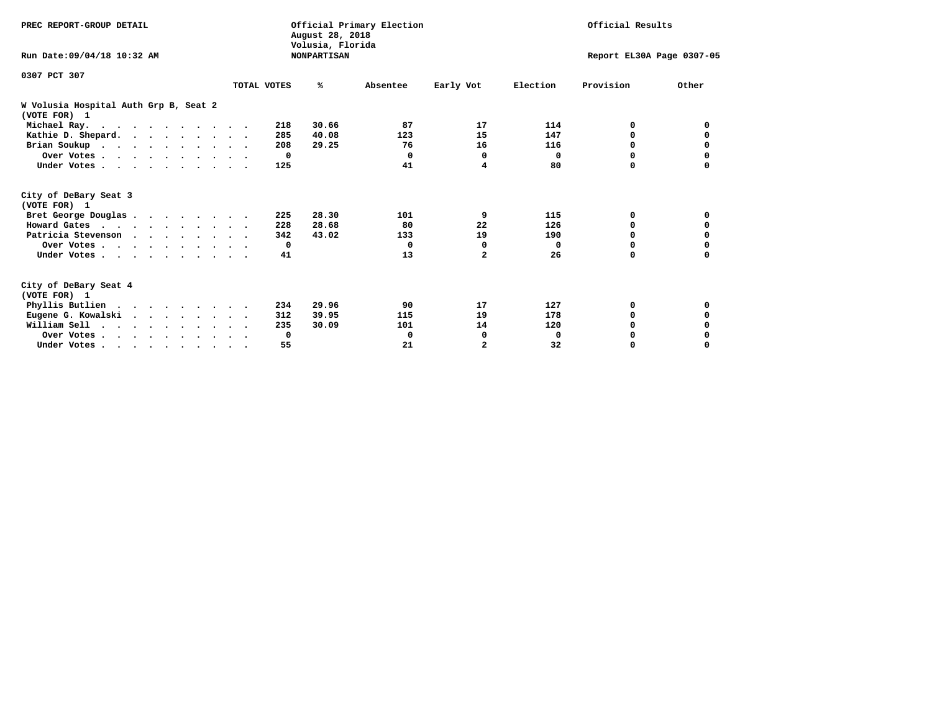| PREC REPORT-GROUP DETAIL                              |             | August 28, 2018<br>Volusia, Florida | Official Primary Election |                           | Official Results |           |              |  |
|-------------------------------------------------------|-------------|-------------------------------------|---------------------------|---------------------------|------------------|-----------|--------------|--|
| Run Date: 09/04/18 10:32 AM                           |             | <b>NONPARTISAN</b>                  |                           | Report EL30A Page 0307-05 |                  |           |              |  |
| 0307 PCT 307                                          |             |                                     |                           |                           |                  |           |              |  |
|                                                       | TOTAL VOTES | %ะ                                  | Absentee                  | Early Vot                 | Election         | Provision | Other        |  |
| W Volusia Hospital Auth Grp B, Seat 2<br>(VOTE FOR) 1 |             |                                     |                           |                           |                  |           |              |  |
| Michael Ray.                                          |             | 30.66<br>218                        | 87                        | 17                        | 114              | 0         | <sup>0</sup> |  |
| Kathie D. Shepard.                                    |             | 40.08<br>285                        | 123                       | 15                        | 147              | 0         | 0            |  |
| Brian Soukup                                          |             | 29.25<br>208                        | 76                        | 16                        | 116              | 0         | 0            |  |
| Over Votes                                            |             | $\mathbf 0$                         | $\Omega$                  | 0                         | $\Omega$         | $\Omega$  | 0            |  |
| Under Votes                                           |             | 125                                 | 41                        | 4                         | 80               | $\Omega$  | $\Omega$     |  |
| City of DeBary Seat 3<br>(VOTE FOR) 1                 |             |                                     |                           |                           |                  |           |              |  |
| Bret George Douglas                                   |             | 28.30<br>225                        | 101                       | 9                         | 115              | 0         | 0            |  |
| Howard Gates                                          |             | 28.68<br>228                        | 80                        | 22                        | 126              | 0         | 0            |  |
| Patricia Stevenson                                    |             | 43.02<br>342                        | 133                       | 19                        | 190              | $\Omega$  | 0            |  |
| Over Votes                                            |             | $\mathbf{o}$                        | $\Omega$                  | 0                         | $\Omega$         | $\Omega$  | 0            |  |
| Under Votes                                           |             | 41                                  | 13                        | $\overline{a}$            | 26               | 0         |              |  |
| City of DeBary Seat 4<br>(VOTE FOR) 1                 |             |                                     |                           |                           |                  |           |              |  |
| Phyllis Butlien                                       |             | 29.96<br>234                        | 90                        | 17                        | 127              | 0         | 0            |  |
| Eugene G. Kowalski                                    |             | 312<br>39.95                        | 115                       | 19                        | 178              | $\Omega$  | 0            |  |
| William Sell                                          |             | 30.09<br>235                        | 101                       | 14                        | 120              | $\Omega$  |              |  |
| Over Votes                                            |             | 0                                   | 0                         | 0                         | 0                | 0         |              |  |
| Under Votes                                           |             | 55                                  | 21                        | $\overline{a}$            | 32               | 0         | $\Omega$     |  |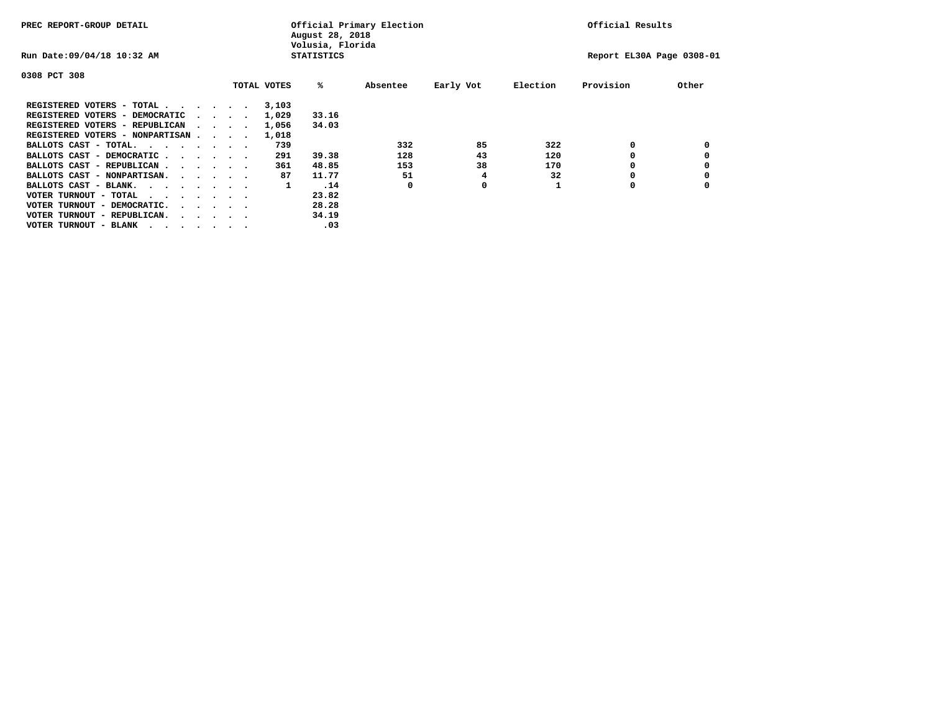| PREC REPORT-GROUP DETAIL               |  |  |                                         |             | Official Primary Election<br>August 28, 2018<br>Volusia, Florida |                           | Official Results |          |           |       |
|----------------------------------------|--|--|-----------------------------------------|-------------|------------------------------------------------------------------|---------------------------|------------------|----------|-----------|-------|
| Run Date: 09/04/18 10:32 AM            |  |  |                                         |             | <b>STATISTICS</b>                                                | Report EL30A Page 0308-01 |                  |          |           |       |
| 0308 PCT 308                           |  |  |                                         |             |                                                                  |                           |                  |          |           |       |
|                                        |  |  |                                         | TOTAL VOTES | %ะ                                                               | Absentee                  | Early Vot        | Election | Provision | Other |
| REGISTERED VOTERS - TOTAL              |  |  |                                         | 3,103       |                                                                  |                           |                  |          |           |       |
| REGISTERED VOTERS - DEMOCRATIC         |  |  | $\sim$ $\sim$ $\sim$ $\sim$             | 1,029       | 33.16                                                            |                           |                  |          |           |       |
| REGISTERED VOTERS - REPUBLICAN         |  |  |                                         | 1,056       | 34.03                                                            |                           |                  |          |           |       |
| REGISTERED VOTERS - NONPARTISAN        |  |  |                                         | 1,018       |                                                                  |                           |                  |          |           |       |
| BALLOTS CAST - TOTAL.                  |  |  |                                         | 739         |                                                                  | 332                       | 85               | 322      | 0         |       |
| BALLOTS CAST - DEMOCRATIC              |  |  |                                         | 291         | 39.38                                                            | 128                       | 43               | 120      |           |       |
| BALLOTS CAST - REPUBLICAN              |  |  |                                         | 361         | 48.85                                                            | 153                       | 38               | 170      | 0         |       |
| BALLOTS CAST - NONPARTISAN.            |  |  |                                         | 87          | 11.77                                                            | 51                        | 4                | 32       |           |       |
| BALLOTS CAST - BLANK.                  |  |  |                                         | 1           | .14                                                              | 0                         | 0                |          | 0         |       |
| VOTER TURNOUT - TOTAL<br>.             |  |  |                                         |             | 23.82                                                            |                           |                  |          |           |       |
| VOTER TURNOUT - DEMOCRATIC.            |  |  | $\cdot$ $\cdot$ $\cdot$ $\cdot$ $\cdot$ |             | 28.28                                                            |                           |                  |          |           |       |
| VOTER TURNOUT - REPUBLICAN.<br>$\cdot$ |  |  |                                         |             | 34.19                                                            |                           |                  |          |           |       |
| VOTER TURNOUT - BLANK                  |  |  |                                         |             | .03                                                              |                           |                  |          |           |       |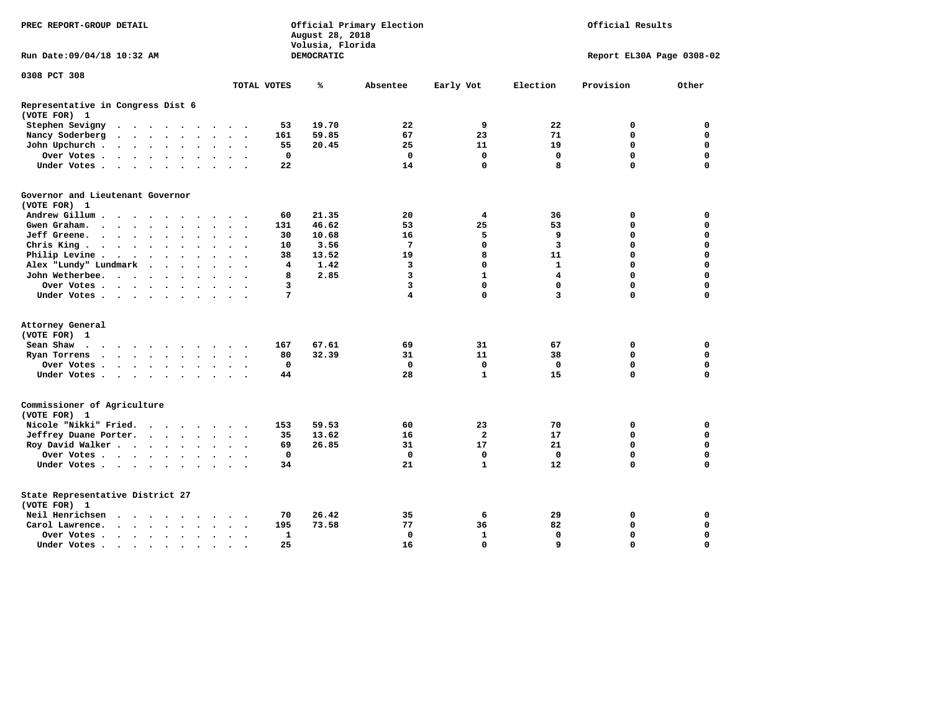| PREC REPORT-GROUP DETAIL                                                                                                                                                                                                                                   |                                          | August 28, 2018<br>Volusia, Florida | Official Primary Election | Official Results |                |                           |             |
|------------------------------------------------------------------------------------------------------------------------------------------------------------------------------------------------------------------------------------------------------------|------------------------------------------|-------------------------------------|---------------------------|------------------|----------------|---------------------------|-------------|
| Run Date: 09/04/18 10:32 AM                                                                                                                                                                                                                                |                                          | DEMOCRATIC                          |                           |                  |                | Report EL30A Page 0308-02 |             |
| 0308 PCT 308                                                                                                                                                                                                                                               | TOTAL VOTES                              | ℁                                   | Absentee                  | Early Vot        | Election       | Provision                 | Other       |
|                                                                                                                                                                                                                                                            |                                          |                                     |                           |                  |                |                           |             |
| Representative in Congress Dist 6<br>(VOTE FOR) 1                                                                                                                                                                                                          |                                          |                                     |                           |                  |                |                           |             |
| Stephen Sevigny                                                                                                                                                                                                                                            | 53                                       | 19.70                               | 22                        | 9                | 22             | 0                         | 0           |
| Nancy Soderberg<br>$\begin{array}{cccccccccccccc} \bullet & \bullet & \bullet & \bullet & \bullet & \bullet & \bullet & \bullet & \bullet & \bullet \end{array}$                                                                                           | 161<br>$\cdots$                          | 59.85                               | 67                        | 23               | 71             | $\mathbf 0$               | $\mathbf 0$ |
| John Upchurch.<br>$\cdots$<br>$\ddot{\phantom{1}}$                                                                                                                                                                                                         | 55<br>$\ddot{\phantom{a}}$               | 20.45                               | 25                        | 11               | 19             | 0                         | 0           |
| Over Votes<br>$\ddot{\phantom{0}}$                                                                                                                                                                                                                         | 0<br>$\sim$                              |                                     | 0                         | 0                | 0              | $\mathbf 0$               | $\mathbf 0$ |
| Under Votes                                                                                                                                                                                                                                                | 22<br>$\cdot$ $\cdot$ $\cdot$            |                                     | 14                        | $\mathbf 0$      | 8              | $\Omega$                  | $\mathbf 0$ |
| Governor and Lieutenant Governor<br>(VOTE FOR) 1                                                                                                                                                                                                           |                                          |                                     |                           |                  |                |                           |             |
| Andrew Gillum                                                                                                                                                                                                                                              | 60                                       | 21.35                               | 20                        | 4                | 36             | 0                         | 0           |
| Gwen Graham.<br>$\mathbf{r}$ . The set of the set of the set of the set of the set of the set of the set of the set of the set of the set of the set of the set of the set of the set of the set of the set of the set of the set of the set of t          | 131<br>$\sim$ $\sim$                     | 46.62                               | 53                        | 25               | 53             | $\Omega$                  | $\mathbf 0$ |
| Jeff Greene.<br>$\bullet$                                                                                                                                                                                                                                  | 30<br>$\bullet$                          | 10.68                               | 16                        | 5                | 9              | 0                         | 0           |
| Chris King                                                                                                                                                                                                                                                 | 10<br>$\bullet$                          | 3.56                                | 7                         | $\mathbf 0$      | 3              | $\mathbf 0$               | $\mathbf 0$ |
| Philip Levine .<br>$\mathbf{r}$ , and $\mathbf{r}$ , and $\mathbf{r}$<br>$\ddot{\phantom{a}}$<br>$\ddot{\phantom{a}}$                                                                                                                                      | 38<br>$\bullet$                          | 13.52                               | 19                        | 8                | 11             | $\mathbf 0$               | $\mathbf 0$ |
| Alex "Lundy" Lundmark<br>$\cdot$ $\cdot$ $\cdot$ $\cdot$                                                                                                                                                                                                   | 4<br>$\ddot{\phantom{a}}$                | 1.42                                | 3                         | $\mathbf 0$      | $\mathbf{1}$   | $\mathbf 0$               | 0           |
| John Wetherbee.                                                                                                                                                                                                                                            | 8<br>$\ddot{\phantom{a}}$                | 2.85                                | 3                         | $\mathbf{1}$     | $\overline{4}$ | $\mathbf 0$               | $\mathbf 0$ |
| Over Votes                                                                                                                                                                                                                                                 | 3<br>$\Delta$                            |                                     | 3                         | $\mathbf 0$      | $\mathbf{0}$   | $\mathbf 0$               | $\mathbf 0$ |
| Under Votes                                                                                                                                                                                                                                                | 7                                        |                                     | 4                         | $\mathbf 0$      | 3              | $\Omega$                  | $\Omega$    |
| Attorney General                                                                                                                                                                                                                                           |                                          |                                     |                           |                  |                |                           |             |
| (VOTE FOR) 1                                                                                                                                                                                                                                               |                                          |                                     |                           |                  |                |                           |             |
| Sean Shaw<br>$\cdots$<br>$\sim$ $\sim$                                                                                                                                                                                                                     | 167                                      | 67.61                               | 69                        | 31               | 67             | 0                         | 0           |
| Ryan Torrens<br>. The contract of the contract of the contract of the contract of the contract of the contract of the contract of the contract of the contract of the contract of the contract of the contract of the contract of the contrac<br>$\bullet$ | 80<br>$\bullet$<br>$\sim$                | 32.39                               | 31                        | 11               | 38             | $\mathbf 0$               | $\mathbf 0$ |
| Over Votes                                                                                                                                                                                                                                                 | 0                                        |                                     | $\mathbf 0$               | $\mathbf 0$      | 0              | $\mathbf 0$               | 0           |
| Under Votes                                                                                                                                                                                                                                                | 44                                       |                                     | 28                        | $\mathbf{1}$     | 15             | $\Omega$                  | $\Omega$    |
| Commissioner of Agriculture<br>(VOTE FOR) 1                                                                                                                                                                                                                |                                          |                                     |                           |                  |                |                           |             |
| Nicole "Nikki" Fried.                                                                                                                                                                                                                                      | 153                                      | 59.53                               | 60                        | 23               | 70             | 0                         | $\mathbf 0$ |
| Jeffrey Duane Porter.                                                                                                                                                                                                                                      | 35                                       | 13.62                               | 16                        | $\overline{a}$   | 17             | $\Omega$                  | 0           |
| Roy David Walker                                                                                                                                                                                                                                           | 69<br>$\sim$ $\sim$                      | 26.85                               | 31                        | 17               | 21             | $\mathbf 0$               | $\mathbf 0$ |
| Over Votes                                                                                                                                                                                                                                                 | 0<br>$\bullet$                           |                                     | 0                         | 0                | $\Omega$       | $\mathbf 0$               | 0           |
| Under Votes                                                                                                                                                                                                                                                | 34                                       |                                     | 21                        | $\mathbf{1}$     | 12             | $\Omega$                  | $\mathbf 0$ |
| State Representative District 27<br>(VOTE FOR) 1                                                                                                                                                                                                           |                                          |                                     |                           |                  |                |                           |             |
| Neil Henrichsen                                                                                                                                                                                                                                            | 70                                       | 26.42                               | 35                        | 6                | 29             | 0                         | 0           |
| Carol Lawrence.<br>$\sim$ $\sim$ $\sim$ $\sim$ $\sim$<br>$\ddot{\phantom{a}}$<br>$\ddot{\phantom{a}}$                                                                                                                                                      | 195<br>$\ddot{\phantom{1}}$<br>$\bullet$ | 73.58                               | 77                        | 36               | 82             | $\mathbf 0$               | $\mathbf 0$ |
| Over Votes .<br>$\cdots$<br>$\bullet$                                                                                                                                                                                                                      | $\mathbf{1}$<br>$\bullet$                |                                     | $\mathbf 0$               | $\mathbf{1}$     | $\mathbf 0$    | $\mathbf 0$               | $\mathbf 0$ |
| Under Votes.<br>$\bullet$                                                                                                                                                                                                                                  | 25                                       |                                     | 16                        | $\Omega$         | 9              | $\Omega$                  | $\Omega$    |
|                                                                                                                                                                                                                                                            |                                          |                                     |                           |                  |                |                           |             |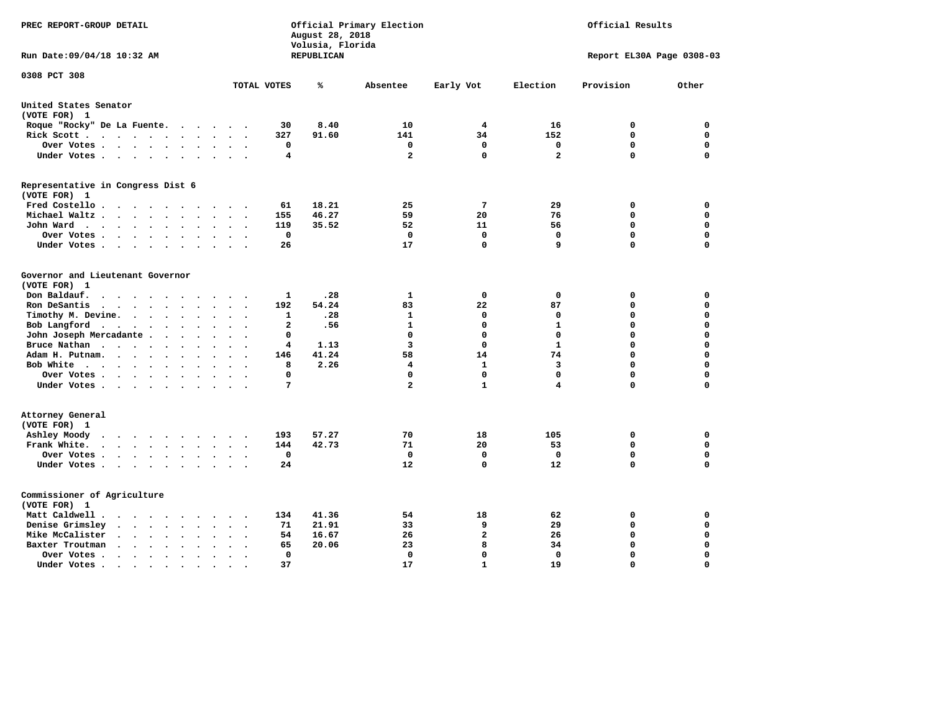| PREC REPORT-GROUP DETAIL                                                                                                                                                                                                                                                               |                                                       | August 28, 2018<br>Volusia, Florida | Official Primary Election |              | Official Results        |                           |             |  |
|----------------------------------------------------------------------------------------------------------------------------------------------------------------------------------------------------------------------------------------------------------------------------------------|-------------------------------------------------------|-------------------------------------|---------------------------|--------------|-------------------------|---------------------------|-------------|--|
| Run Date:09/04/18 10:32 AM                                                                                                                                                                                                                                                             |                                                       | REPUBLICAN                          |                           |              |                         | Report EL30A Page 0308-03 |             |  |
| 0308 PCT 308                                                                                                                                                                                                                                                                           | TOTAL VOTES                                           | ℁                                   | Absentee                  | Early Vot    | Election                | Provision                 | Other       |  |
|                                                                                                                                                                                                                                                                                        |                                                       |                                     |                           |              |                         |                           |             |  |
| United States Senator<br>(VOTE FOR) 1                                                                                                                                                                                                                                                  |                                                       |                                     |                           |              |                         |                           |             |  |
| Roque "Rocky" De La Fuente.<br>$\sim$ $\sim$ $\sim$                                                                                                                                                                                                                                    | 30<br>$\sim$<br>$\sim$                                | 8.40                                | 10                        | 4            | 16                      | 0                         | 0           |  |
| Rick Scott<br>$\sim$                                                                                                                                                                                                                                                                   | 327                                                   | 91.60                               | 141                       | 34           | 152                     | $\mathbf 0$               | $\mathbf 0$ |  |
| Over Votes<br>$\ddot{\phantom{1}}$                                                                                                                                                                                                                                                     | 0<br>$\sim$<br>$\ddot{\phantom{a}}$<br>$\overline{a}$ |                                     | 0                         | $\mathbf 0$  | 0                       | $\mathbf 0$               | $\mathbf 0$ |  |
| Under Votes<br>$\ddot{\phantom{a}}$                                                                                                                                                                                                                                                    | 4<br>$\sim$                                           |                                     | $\mathbf{2}$              | $\mathbf 0$  | $\overline{\mathbf{2}}$ | $\mathbf 0$               | $\mathbf 0$ |  |
| Representative in Congress Dist 6                                                                                                                                                                                                                                                      |                                                       |                                     |                           |              |                         |                           |             |  |
| (VOTE FOR) 1                                                                                                                                                                                                                                                                           |                                                       |                                     |                           |              |                         |                           |             |  |
| Fred Costello.                                                                                                                                                                                                                                                                         | 61<br>.                                               | 18.21                               | 25                        | 7            | 29                      | 0                         | 0           |  |
| Michael Waltz<br>$\cdot$<br>$\ddot{\phantom{a}}$                                                                                                                                                                                                                                       | 155                                                   | 46.27                               | 59                        | 20           | 76                      | 0                         | $\mathbf 0$ |  |
| John Ward<br>$\ddot{\phantom{a}}$                                                                                                                                                                                                                                                      | 119<br>$\bullet$                                      | 35.52                               | 52                        | 11           | 56                      | $\mathbf 0$               | $\mathbf 0$ |  |
| Over Votes.<br>$\cdots$<br>$\sim$                                                                                                                                                                                                                                                      | 0                                                     |                                     | 0                         | $\mathbf 0$  | $\mathbf 0$             | $\mathbf 0$               | $\mathbf 0$ |  |
| Under Votes<br>$\overline{\phantom{a}}$<br>$\sim$                                                                                                                                                                                                                                      | 26                                                    |                                     | 17                        | 0            | 9                       | $\mathbf 0$               | $\mathbf 0$ |  |
| Governor and Lieutenant Governor                                                                                                                                                                                                                                                       |                                                       |                                     |                           |              |                         |                           |             |  |
| (VOTE FOR) 1                                                                                                                                                                                                                                                                           |                                                       |                                     |                           |              |                         |                           |             |  |
| Don Baldauf.<br>$\ddot{\phantom{a}}$<br>$\sim$                                                                                                                                                                                                                                         | $\mathbf{1}$                                          | .28                                 | 1                         | $\mathbf 0$  | $\mathbf 0$             | 0                         | 0           |  |
| Ron DeSantis<br>$\cdots$<br>$\overline{\phantom{a}}$<br>$\sim$                                                                                                                                                                                                                         | 192                                                   | 54.24                               | 83                        | 22           | 87                      | $\mathbf 0$               | $\mathbf 0$ |  |
| Timothy M. Devine.<br>$\bullet$                                                                                                                                                                                                                                                        | 1                                                     | .28                                 | $\mathbf{1}$              | $\mathbf 0$  | 0                       | $\mathbf 0$               | $\mathbf 0$ |  |
| Bob Langford<br>$\sim$<br>$\ddot{\phantom{a}}$                                                                                                                                                                                                                                         | $\overline{a}$<br>$\ddot{\phantom{a}}$                | .56                                 | $\mathbf{1}$              | $\mathbf 0$  | $\mathbf{1}$            | $\mathbf 0$               | $\mathbf 0$ |  |
| John Joseph Mercadante                                                                                                                                                                                                                                                                 | $\mathbf 0$<br>$\ddot{\phantom{a}}$                   |                                     | $\mathbf 0$               | $\mathbf 0$  | $\mathbf 0$             | $\mathbf 0$               | $\mathbf 0$ |  |
| Bruce Nathan<br>$\mathbf{r}$ . The set of the set of the set of the set of the set of the set of the set of the set of the set of the set of the set of the set of the set of the set of the set of the set of the set of the set of the set of t<br>$\ddot{\phantom{a}}$<br>$\bullet$ | 4                                                     | 1.13                                | 3                         | $\mathbf 0$  | $\mathbf{1}$            | $\mathbf 0$               | $\mathbf 0$ |  |
| Adam H. Putnam.<br>$\cdots$<br>$\sim$<br>$\ddot{\phantom{a}}$                                                                                                                                                                                                                          | 146                                                   | 41.24                               | 58                        | 14           | 74                      | $\mathbf 0$               | $\mathbf 0$ |  |
| Bob White<br>$\sim$                                                                                                                                                                                                                                                                    | 8<br>$\sim$<br>$\cdot$                                | 2.26                                | $\overline{\mathbf{4}}$   | $\mathbf{1}$ | $\overline{\mathbf{3}}$ | $\mathbf 0$               | $\mathbf 0$ |  |
| Over Votes .<br>.                                                                                                                                                                                                                                                                      | $\Omega$                                              |                                     | $\Omega$                  | $\mathbf 0$  | $\mathbf 0$             | $\mathbf 0$               | 0           |  |
| Under Votes                                                                                                                                                                                                                                                                            | $\overline{7}$                                        |                                     | $\overline{\mathbf{2}}$   | $\mathbf{1}$ | 4                       | $\mathbf 0$               | $\mathbf 0$ |  |
| Attorney General                                                                                                                                                                                                                                                                       |                                                       |                                     |                           |              |                         |                           |             |  |
| (VOTE FOR) 1                                                                                                                                                                                                                                                                           |                                                       |                                     |                           |              |                         |                           |             |  |
| Ashley Moody<br>$\begin{array}{cccccccccccccccccc} \bullet & \bullet & \bullet & \bullet & \bullet & \bullet & \bullet & \bullet & \bullet & \bullet & \bullet \end{array}$                                                                                                            | 193<br>$\cdot$<br>$\cdot$                             | 57.27                               | 70                        | 18           | 105                     | 0                         | 0           |  |
| Frank White.<br>$\cdots$<br>$\overline{\phantom{a}}$<br>$\bullet$                                                                                                                                                                                                                      | 144                                                   | 42.73                               | 71                        | 20           | 53                      | $\mathbf 0$               | 0           |  |
| Over Votes .<br>$\bullet$                                                                                                                                                                                                                                                              | 0<br>$\cdot$<br>$\ddot{\phantom{0}}$                  |                                     | 0                         | $\mathbf 0$  | 0                       | $\mathbf 0$               | 0           |  |
| Under Votes                                                                                                                                                                                                                                                                            | 24<br>$\sim$ $\sim$                                   |                                     | 12                        | $\mathbf 0$  | 12                      | $\mathbf 0$               | $\mathbf 0$ |  |
| Commissioner of Agriculture                                                                                                                                                                                                                                                            |                                                       |                                     |                           |              |                         |                           |             |  |
| (VOTE FOR) 1                                                                                                                                                                                                                                                                           |                                                       |                                     |                           |              |                         |                           |             |  |
| Matt Caldwell.<br>$\cdot$ $\cdot$ $\cdot$ $\cdot$ $\cdot$<br>$\sim$                                                                                                                                                                                                                    | 134                                                   | 41.36                               | 54                        | 18           | 62                      | 0                         | 0           |  |
| Denise Grimsley<br>$\cdot$ $\cdot$<br>$\ddot{\phantom{a}}$<br>$\cdot$                                                                                                                                                                                                                  | 71                                                    | 21.91                               | 33                        | 9            | 29                      | $\mathbf 0$               | $\mathbf 0$ |  |
| Mike McCalister<br>$\sim$ , and $\sim$ , and $\sim$<br>$\ddot{\phantom{a}}$                                                                                                                                                                                                            | 54<br>$\bullet$                                       | 16.67                               | 26                        | $\mathbf{2}$ | 26                      | $\mathbf 0$               | 0           |  |
| Baxter Troutman<br>$\mathbf{a}$ , and $\mathbf{a}$ , and $\mathbf{a}$<br>$\ddot{\phantom{a}}$<br>$\sim$                                                                                                                                                                                | 65                                                    | 20.06                               | 23                        | 8            | 34                      | $\mathbf 0$               | $\mathbf 0$ |  |
| Over Votes .<br>$\sim$ $\sim$ $\sim$ $\sim$ $\sim$<br>$\cdot$<br>$\cdot$                                                                                                                                                                                                               | $\Omega$                                              |                                     | 0                         | 0            | $\Omega$                | $\mathbf 0$               | $\mathbf 0$ |  |
| Under Votes.<br>$\cdots$<br>$\blacksquare$                                                                                                                                                                                                                                             | 37<br>$\bullet$                                       |                                     | 17                        | $\mathbf{1}$ | 19                      | $\Omega$                  | $\Omega$    |  |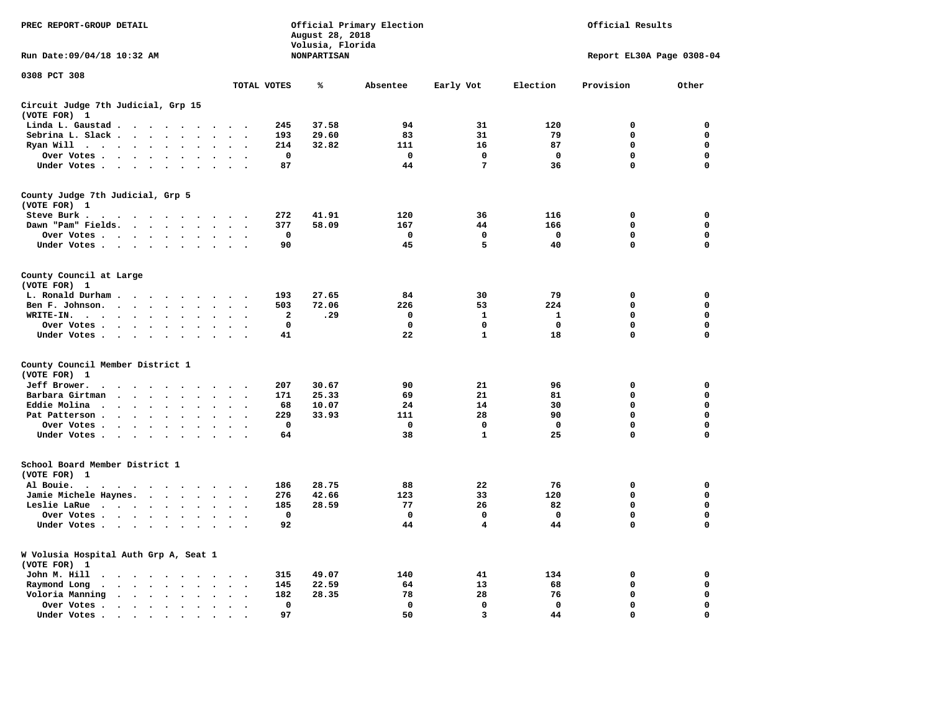| PREC REPORT-GROUP DETAIL                                                                                                                                         | Official Primary Election<br>August 28, 2018<br>Volusia, Florida |                    |              |                 |                           | Official Results |             |  |  |  |
|------------------------------------------------------------------------------------------------------------------------------------------------------------------|------------------------------------------------------------------|--------------------|--------------|-----------------|---------------------------|------------------|-------------|--|--|--|
| Run Date: 09/04/18 10:32 AM                                                                                                                                      |                                                                  | <b>NONPARTISAN</b> |              |                 | Report EL30A Page 0308-04 |                  |             |  |  |  |
| 0308 PCT 308                                                                                                                                                     | TOTAL VOTES                                                      | ℁                  | Absentee     | Early Vot       | Election                  | Provision        | Other       |  |  |  |
| Circuit Judge 7th Judicial, Grp 15                                                                                                                               |                                                                  |                    |              |                 |                           |                  |             |  |  |  |
| (VOTE FOR) 1                                                                                                                                                     |                                                                  |                    |              |                 |                           |                  |             |  |  |  |
| Linda L. Gaustad<br>$\ddot{\phantom{a}}$                                                                                                                         | 245                                                              | 37.58              | 94           | 31              | 120                       | $\mathbf 0$      | 0           |  |  |  |
| Sebrina L. Slack                                                                                                                                                 | 193                                                              | 29.60              | 83           | 31              | 79                        | $\Omega$         | $\mathbf 0$ |  |  |  |
| Ryan Will $\cdots$ $\cdots$ $\cdots$<br>$\ddot{\phantom{a}}$                                                                                                     | 214                                                              | 32.82              | 111          | 16              | 87                        | $\mathbf 0$      | $\mathbf 0$ |  |  |  |
| Over Votes<br>$\bullet$ .                                                                                                                                        | $\mathbf 0$                                                      |                    | $\mathbf 0$  | $\mathbf 0$     | $\mathbf 0$               | 0                | $\mathbf 0$ |  |  |  |
| Under Votes                                                                                                                                                      | 87                                                               |                    | 44           | $7\phantom{.0}$ | 36                        | $\Omega$         | $\mathbf 0$ |  |  |  |
| County Judge 7th Judicial, Grp 5<br>(VOTE FOR) 1                                                                                                                 |                                                                  |                    |              |                 |                           |                  |             |  |  |  |
| Steve Burk .                                                                                                                                                     | 272                                                              | 41.91              | 120          | 36              | 116                       | $\mathbf 0$      | 0           |  |  |  |
| Dawn "Pam" Fields.                                                                                                                                               | 377<br>$\overline{\phantom{a}}$                                  | 58.09              | 167          | 44              | 166                       | 0                | 0           |  |  |  |
| Over Votes                                                                                                                                                       | $\mathbf 0$                                                      |                    | $\mathbf 0$  | $\mathbf 0$     | $\mathbf 0$               | 0                | $\mathbf 0$ |  |  |  |
| Under Votes                                                                                                                                                      | 90<br>$\sim$                                                     |                    | 45           | 5               | 40                        | $\mathbf 0$      | $\mathbf 0$ |  |  |  |
| County Council at Large<br>(VOTE FOR) 1                                                                                                                          |                                                                  |                    |              |                 |                           |                  |             |  |  |  |
| L. Ronald Durham                                                                                                                                                 | 193<br>$\sim$                                                    | 27.65              | 84           | 30              | 79                        | $\mathbf 0$      | 0           |  |  |  |
| Ben F. Johnson.<br>$\sim$ $\sim$                                                                                                                                 | 503<br>$\overline{\phantom{a}}$                                  | 72.06              | 226          | 53              | 224                       | $\mathbf 0$      | 0           |  |  |  |
| WRITE-IN.<br>$\sim$ $\sim$<br>$\sim$<br>$\ddot{\phantom{a}}$<br>$\ddot{\phantom{a}}$<br>$\ddot{\phantom{a}}$<br>$\sim$                                           | 2                                                                | .29                | 0            | 1               | 1                         | 0                | 0           |  |  |  |
| Over Votes                                                                                                                                                       | 0                                                                |                    | $\mathbf 0$  | $\mathbf 0$     | $\mathbf 0$               | 0                | $\mathbf 0$ |  |  |  |
| Under Votes                                                                                                                                                      | 41<br>$\sim$<br>$\sim$                                           |                    | 22           | $\mathbf{1}$    | 18                        | $\mathbf 0$      | $\mathbf 0$ |  |  |  |
| County Council Member District 1<br>(VOTE FOR) 1                                                                                                                 |                                                                  |                    |              |                 |                           |                  |             |  |  |  |
| Jeff Brower.<br>$\cdot$ $\cdot$ $\cdot$ $\cdot$ $\cdot$<br>$\sim$                                                                                                | 207                                                              | 30.67              | 90           | 21              | 96                        | $\mathbf 0$      | $\mathbf 0$ |  |  |  |
| Barbara Girtman<br>$\cdots$<br>$\ddot{\phantom{a}}$<br>$\sim$<br>$\sim$                                                                                          | 171                                                              | 25.33              | 69           | 21              | 81                        | $\mathbf 0$      | 0           |  |  |  |
| Eddie Molina.<br>$\cdots$                                                                                                                                        | 68                                                               | 10.07              | 24           | 14              | 30                        | 0                | $\mathbf 0$ |  |  |  |
| Pat Patterson<br>$\ddot{\phantom{a}}$                                                                                                                            | 229<br>$\ddot{\phantom{a}}$                                      | 33.93              | 111          | 28              | 90                        | 0                | 0           |  |  |  |
| Over Votes<br>$\ddot{\phantom{a}}$                                                                                                                               | $\mathbf 0$                                                      |                    | $\mathbf{0}$ | $\mathbf{0}$    | $\mathbf{0}$              | $\mathbf 0$      | $\mathbf 0$ |  |  |  |
| Under Votes<br>$\sim$                                                                                                                                            | 64<br>$\sim$<br>$\sim$                                           |                    | 38           | $\mathbf{1}$    | 25                        | $\mathbf 0$      | $\mathbf 0$ |  |  |  |
| School Board Member District 1<br>(VOTE FOR) 1                                                                                                                   |                                                                  |                    |              |                 |                           |                  |             |  |  |  |
| Al Bouie.<br>$\cdot$<br>$\blacksquare$<br>$\sim$ $\sim$<br>.                                                                                                     | 186                                                              | 28.75              | 88           | 22              | 76                        | $\mathbf 0$      | $\mathbf 0$ |  |  |  |
| Jamie Michele Haynes.                                                                                                                                            | 276<br>$\sim$<br>$\cdot$                                         | 42.66              | 123          | 33              | 120                       | $\mathbf 0$      | $\mathbf 0$ |  |  |  |
| Leslie LaRue<br>$\ddot{\phantom{a}}$                                                                                                                             | 185<br>$\cdot$                                                   | 28.59              | 77           | 26              | 82                        | $\mathbf 0$      | $\mathbf 0$ |  |  |  |
| Over Votes                                                                                                                                                       | 0                                                                |                    | $\Omega$     | $\mathbf{0}$    | $\mathbf{0}$              | $\mathbf 0$      | 0           |  |  |  |
| Under Votes<br>$\ddot{\phantom{a}}$                                                                                                                              | 92<br>$\sim$                                                     |                    | 44           | 4               | 44                        | 0                | $\mathbf 0$ |  |  |  |
| W Volusia Hospital Auth Grp A, Seat 1<br>(VOTE FOR)<br>1                                                                                                         |                                                                  |                    |              |                 |                           |                  |             |  |  |  |
| John M. Hill<br>$\cdots$<br>$\cdot$                                                                                                                              | 315<br>$\cdot$                                                   | 49.07              | 140          | 41              | 134                       | 0                | 0           |  |  |  |
| Raymond Long<br>$\cdot$ $\cdot$ $\cdot$ $\cdot$<br>$\bullet$<br>$\ddot{\phantom{a}}$<br>$\ddot{\phantom{a}}$                                                     | 145<br>$\ddot{\phantom{a}}$<br>$\cdot$<br>$\ddot{\phantom{0}}$   | 22.59              | 64           | 13              | 68                        | $\mathbf 0$      | 0           |  |  |  |
| Voloria Manning<br>$\cdot$                                                                                                                                       | 182                                                              | 28.35              | 78           | 28              | 76                        | $\mathbf 0$      | 0           |  |  |  |
| Over Votes.<br>$\begin{array}{cccccccccccccc} \bullet & \bullet & \bullet & \bullet & \bullet & \bullet & \bullet & \bullet \end{array}$<br>$\ddot{\phantom{a}}$ | 0<br>$\bullet$                                                   |                    | $\mathbf 0$  | 0               | $\mathbf 0$               | 0                | 0           |  |  |  |
| Under Votes.<br>$\cdots$<br>$\ddot{\phantom{a}}$                                                                                                                 | 97                                                               |                    | 50           | 3               | 44                        | $\Omega$         | $\Omega$    |  |  |  |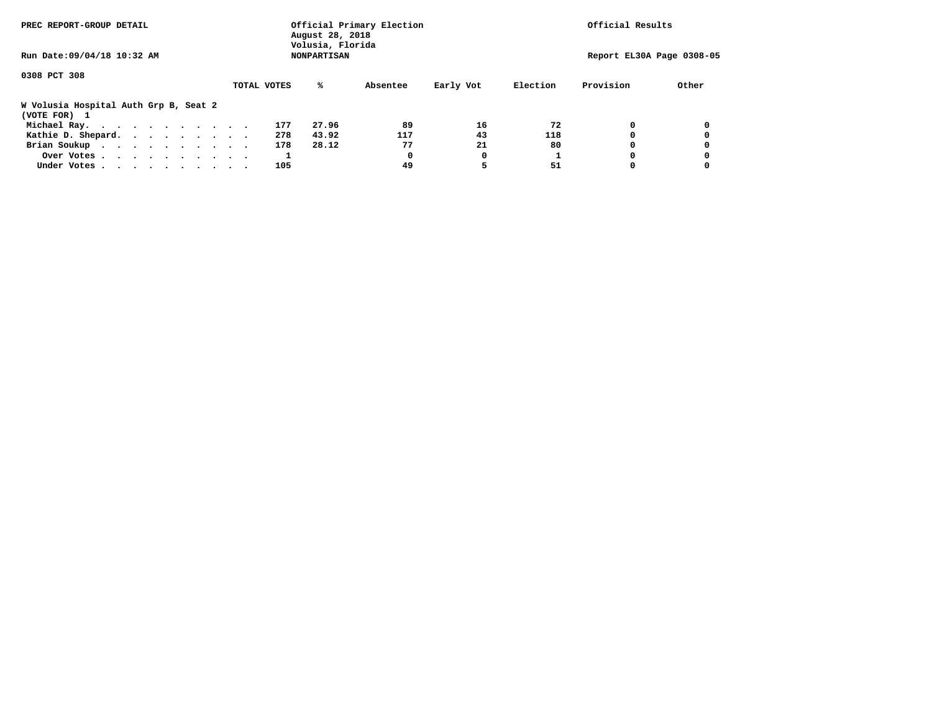| PREC REPORT-GROUP DETAIL                              | August 28, 2018<br>Volusia, Florida | Official Primary Election |          | Official Results |          |           |                           |
|-------------------------------------------------------|-------------------------------------|---------------------------|----------|------------------|----------|-----------|---------------------------|
| Run Date: 09/04/18 10:32 AM                           |                                     | <b>NONPARTISAN</b>        |          |                  |          |           | Report EL30A Page 0308-05 |
| 0308 PCT 308                                          |                                     |                           |          |                  |          |           |                           |
|                                                       | TOTAL VOTES                         | ℁                         | Absentee | Early Vot        | Election | Provision | Other                     |
| W Volusia Hospital Auth Grp B, Seat 2<br>(VOTE FOR) 1 |                                     |                           |          |                  |          |           |                           |
| Michael Ray.                                          |                                     | 27.96<br>177              | 89       | 16               | 72       |           |                           |
| Kathie D. Shepard.                                    |                                     | 43.92<br>278              | 117      | 43               | 118      |           |                           |
| Brian Soukup                                          |                                     | 28.12<br>178              | 77       | 21               | 80       |           |                           |
| Over Votes                                            |                                     |                           | 0        | 0                |          |           |                           |
| Under Votes                                           |                                     | 105                       | 49       |                  | 51       |           |                           |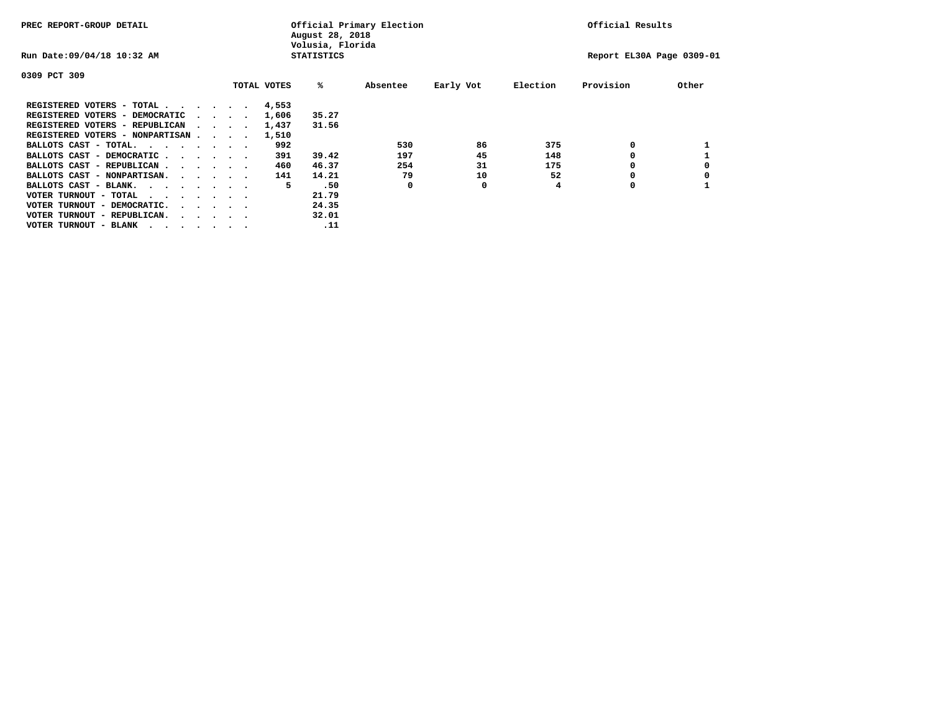| PREC REPORT-GROUP DETAIL               |  |  |                                         |             | Official Primary Election<br>August 28, 2018<br>Volusia, Florida |          | Official Results |          |                           |       |
|----------------------------------------|--|--|-----------------------------------------|-------------|------------------------------------------------------------------|----------|------------------|----------|---------------------------|-------|
| Run Date: 09/04/18 10:32 AM            |  |  |                                         |             | <b>STATISTICS</b>                                                |          |                  |          | Report EL30A Page 0309-01 |       |
| 0309 PCT 309                           |  |  |                                         |             |                                                                  |          |                  |          |                           |       |
|                                        |  |  |                                         | TOTAL VOTES | %ะ                                                               | Absentee | Early Vot        | Election | Provision                 | Other |
| REGISTERED VOTERS - TOTAL              |  |  |                                         | 4,553       |                                                                  |          |                  |          |                           |       |
| REGISTERED VOTERS - DEMOCRATIC         |  |  | $\sim$ $\sim$ $\sim$ $\sim$             | 1,606       | 35.27                                                            |          |                  |          |                           |       |
| REGISTERED VOTERS - REPUBLICAN         |  |  |                                         | 1,437       | 31.56                                                            |          |                  |          |                           |       |
| REGISTERED VOTERS - NONPARTISAN        |  |  |                                         | 1,510       |                                                                  |          |                  |          |                           |       |
| BALLOTS CAST - TOTAL.                  |  |  |                                         | 992         |                                                                  | 530      | 86               | 375      | 0                         |       |
| BALLOTS CAST - DEMOCRATIC              |  |  |                                         | 391         | 39.42                                                            | 197      | 45               | 148      |                           |       |
| BALLOTS CAST - REPUBLICAN              |  |  |                                         | 460         | 46.37                                                            | 254      | 31               | 175      | 0                         |       |
| BALLOTS CAST - NONPARTISAN.            |  |  |                                         | 141         | 14.21                                                            | 79       | 10               | 52       |                           |       |
| BALLOTS CAST - BLANK.                  |  |  |                                         | 5           | .50                                                              | 0        | 0                | 4        | 0                         |       |
| VOTER TURNOUT - TOTAL<br>$\cdots$      |  |  |                                         |             | 21.79                                                            |          |                  |          |                           |       |
| VOTER TURNOUT - DEMOCRATIC.            |  |  | $\cdot$ $\cdot$ $\cdot$ $\cdot$ $\cdot$ |             | 24.35                                                            |          |                  |          |                           |       |
| VOTER TURNOUT - REPUBLICAN.<br>$\cdot$ |  |  |                                         |             | 32.01                                                            |          |                  |          |                           |       |
| VOTER TURNOUT - BLANK                  |  |  |                                         |             | .11                                                              |          |                  |          |                           |       |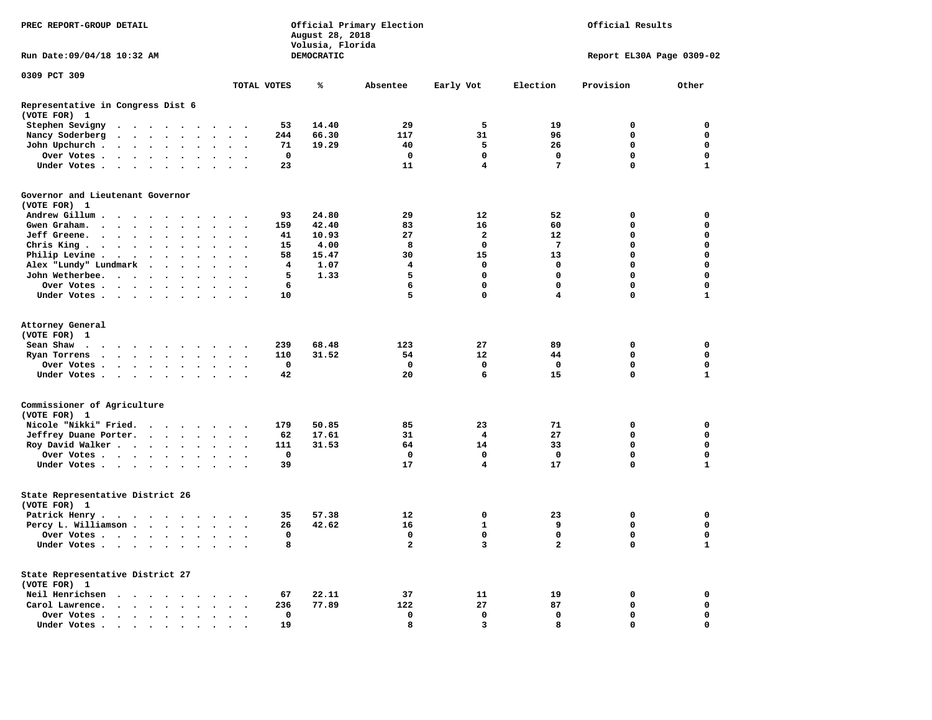| PREC REPORT-GROUP DETAIL<br>Run Date: 09/04/18 10:32 AM |                                                                                                                                                                                                                               |  |  |        | August 28, 2018<br>Volusia, Florida | Official Primary Election |                             |                      | Official Results |            |                         |                         |                 |                           |              |
|---------------------------------------------------------|-------------------------------------------------------------------------------------------------------------------------------------------------------------------------------------------------------------------------------|--|--|--------|-------------------------------------|---------------------------|-----------------------------|----------------------|------------------|------------|-------------------------|-------------------------|-----------------|---------------------------|--------------|
|                                                         |                                                                                                                                                                                                                               |  |  |        |                                     |                           |                             |                      |                  | DEMOCRATIC |                         |                         |                 | Report EL30A Page 0309-02 |              |
| 0309 PCT 309                                            |                                                                                                                                                                                                                               |  |  |        |                                     |                           |                             |                      |                  |            |                         |                         |                 |                           |              |
|                                                         |                                                                                                                                                                                                                               |  |  |        |                                     |                           |                             |                      | TOTAL VOTES      | ℁          | Absentee                | Early Vot               | Election        | Provision                 | Other        |
| Representative in Congress Dist 6<br>(VOTE FOR) 1       |                                                                                                                                                                                                                               |  |  |        |                                     |                           |                             |                      |                  |            |                         |                         |                 |                           |              |
| Stephen Sevigny                                         | . The contract of the contract of the contract of the contract of the contract of the contract of the contract of the contract of the contract of the contract of the contract of the contract of the contract of the contrac |  |  |        |                                     |                           |                             |                      | 53               | 14.40      | 29                      | 5                       | 19              | 0                         | $\mathbf 0$  |
| Nancy Soderberg                                         |                                                                                                                                                                                                                               |  |  |        |                                     |                           | $\sim$ $\sim$ $\sim$ $\sim$ |                      | 244              | 66.30      | 117                     | 31                      | 96              | 0                         | 0            |
| John Upchurch.                                          |                                                                                                                                                                                                                               |  |  |        | $\ddot{\phantom{a}}$                | $\sim$                    | $\sim$                      |                      | 71               | 19.29      | 40                      | 5                       | 26              | 0                         | 0            |
| Over Votes                                              |                                                                                                                                                                                                                               |  |  |        |                                     | $\ddot{\phantom{1}}$      | $\sim$                      |                      | 0                |            | 0                       | 0                       | $\mathbf 0$     | 0                         | $\mathbf 0$  |
| Under Votes                                             |                                                                                                                                                                                                                               |  |  |        |                                     | $\sim$ $\sim$             |                             |                      | 23               |            | 11                      | 4                       | 7               | $\mathbf 0$               | $\mathbf{1}$ |
| Governor and Lieutenant Governor                        |                                                                                                                                                                                                                               |  |  |        |                                     |                           |                             |                      |                  |            |                         |                         |                 |                           |              |
| (VOTE FOR) 1                                            |                                                                                                                                                                                                                               |  |  |        |                                     |                           |                             |                      |                  |            |                         |                         |                 |                           |              |
| Andrew Gillum.                                          | $\sim$ $\sim$ $\sim$ $\sim$                                                                                                                                                                                                   |  |  |        |                                     | $\cdots$                  |                             |                      | 93               | 24.80      | 29                      | 12                      | 52              | 0                         | 0            |
| Gwen Graham.                                            |                                                                                                                                                                                                                               |  |  |        |                                     | $\sim$ $\sim$             |                             | $\ddot{\phantom{a}}$ | 159              | 42.40      | 83                      | 16                      | 60              | 0                         | 0            |
| Jeff Greene.                                            |                                                                                                                                                                                                                               |  |  |        |                                     |                           | $\bullet$                   |                      | 41               | 10.93      | 27                      | $\mathbf{2}$            | 12              | $\mathbf 0$               | $\mathbf 0$  |
| Chris King                                              |                                                                                                                                                                                                                               |  |  |        | $\mathbf{r}$                        | $\ddot{\phantom{a}}$      | $\sim$                      |                      | 15               | 4.00       | 8                       | $\mathbf 0$             | $7\phantom{.0}$ | $\mathbf 0$               | $\mathbf 0$  |
| Philip Levine                                           |                                                                                                                                                                                                                               |  |  |        |                                     | $\cdot$ $\cdot$           |                             |                      | 58               | 15.47      | 30                      | 15                      | 13              | $\mathbf 0$               | $\mathbf 0$  |
| Alex "Lundy" Lundmark                                   |                                                                                                                                                                                                                               |  |  |        |                                     | $\sim$ $\sim$             |                             | $\sim$               | 4                | 1.07       | 4                       | 0                       | 0               | $\mathbf 0$               | $\mathbf 0$  |
| John Wetherbee.                                         |                                                                                                                                                                                                                               |  |  | $\sim$ |                                     | $\mathbf{r}$              |                             |                      | 5                | 1.33       | 5                       | $\mathbf 0$             | $\mathbf 0$     | $\mathbf 0$               | $\mathbf 0$  |
| Over Votes                                              |                                                                                                                                                                                                                               |  |  |        |                                     | $\sim$ $\sim$             |                             |                      | 6                |            | 6                       | $\mathbf 0$             | 0               | $\mathbf 0$               | $\mathbf 0$  |
| Under Votes                                             |                                                                                                                                                                                                                               |  |  |        |                                     |                           |                             |                      | 10               |            | 5                       | 0                       | 4               | $\mathbf 0$               | $\mathbf{1}$ |
| Attorney General                                        |                                                                                                                                                                                                                               |  |  |        |                                     |                           |                             |                      |                  |            |                         |                         |                 |                           |              |
| (VOTE FOR) 1                                            |                                                                                                                                                                                                                               |  |  |        |                                     |                           |                             |                      |                  |            |                         |                         |                 |                           |              |
| Sean Shaw                                               |                                                                                                                                                                                                                               |  |  |        |                                     | $\sim$ $\sim$             |                             |                      | 239              | 68.48      | 123                     | 27                      | 89              | 0                         | $\mathbf 0$  |
| Ryan Torrens                                            |                                                                                                                                                                                                                               |  |  |        |                                     |                           |                             | $\blacksquare$       | 110              | 31.52      | 54                      | 12                      | 44              | $\mathbf 0$               | $\mathbf 0$  |
| Over Votes                                              |                                                                                                                                                                                                                               |  |  |        |                                     | $\sim$ $\sim$             |                             |                      | $\mathbf 0$      |            | $\mathbf 0$             | $\mathbf 0$             | $\mathbf{0}$    | $\mathbf 0$               | $\mathbf 0$  |
| Under Votes                                             |                                                                                                                                                                                                                               |  |  |        |                                     |                           |                             |                      | 42               |            | 20                      | 6                       | 15              | $\mathbf 0$               | $\mathbf{1}$ |
| Commissioner of Agriculture                             |                                                                                                                                                                                                                               |  |  |        |                                     |                           |                             |                      |                  |            |                         |                         |                 |                           |              |
| (VOTE FOR) 1                                            |                                                                                                                                                                                                                               |  |  |        |                                     |                           |                             |                      |                  |            |                         |                         |                 |                           |              |
| Nicole "Nikki" Fried.                                   |                                                                                                                                                                                                                               |  |  |        |                                     | $\cdots$                  |                             |                      | 179              | 50.85      | 85                      | 23                      | 71              | 0                         | 0            |
| Jeffrey Duane Porter.                                   |                                                                                                                                                                                                                               |  |  |        |                                     |                           |                             |                      | 62               | 17.61      | 31                      | $\overline{\mathbf{4}}$ | 27              | $\mathbf 0$               | $\mathbf 0$  |
| Roy David Walker                                        |                                                                                                                                                                                                                               |  |  |        |                                     | $\ddot{\phantom{1}}$      |                             |                      | 111              | 31.53      | 64                      | 14                      | 33              | $\mathbf 0$               | $\mathbf 0$  |
| Over Votes                                              |                                                                                                                                                                                                                               |  |  |        |                                     |                           | $\sim$                      |                      | $\mathbf 0$      |            | $\mathbf 0$             | $\mathbf 0$             | $\Omega$        | $\mathbf 0$               | $\mathbf 0$  |
| Under Votes                                             |                                                                                                                                                                                                                               |  |  |        |                                     | $\cdot$                   |                             |                      | 39               |            | 17                      | $\overline{\mathbf{4}}$ | 17              | $\mathbf 0$               | $\mathbf{1}$ |
| State Representative District 26                        |                                                                                                                                                                                                                               |  |  |        |                                     |                           |                             |                      |                  |            |                         |                         |                 |                           |              |
| (VOTE FOR) 1                                            |                                                                                                                                                                                                                               |  |  |        |                                     |                           |                             |                      |                  |            |                         |                         |                 |                           |              |
| Patrick Henry                                           |                                                                                                                                                                                                                               |  |  |        |                                     |                           |                             |                      | 35               | 57.38      | 12                      | $\mathbf 0$             | 23              | $\mathbf 0$               | $\mathbf 0$  |
| Percy L. Williamson                                     |                                                                                                                                                                                                                               |  |  |        |                                     |                           |                             |                      | 26               | 42.62      | 16                      | $\mathbf{1}$            | 9               | $\mathbf 0$               | $\mathbf 0$  |
| Over Votes                                              |                                                                                                                                                                                                                               |  |  |        |                                     | $\cdot$                   | $\ddot{\phantom{0}}$        | $\sim$               | 0                |            | 0                       | 0                       | $\mathbf 0$     | 0                         | 0            |
| Under Votes                                             |                                                                                                                                                                                                                               |  |  |        |                                     |                           |                             |                      | 8                |            | $\overline{\mathbf{2}}$ | 3                       | $\overline{a}$  | $\Omega$                  | $\mathbf{1}$ |
| State Representative District 27                        |                                                                                                                                                                                                                               |  |  |        |                                     |                           |                             |                      |                  |            |                         |                         |                 |                           |              |
| (VOTE FOR) 1                                            |                                                                                                                                                                                                                               |  |  |        |                                     |                           |                             |                      |                  |            |                         |                         |                 |                           |              |
| Neil Henrichsen                                         |                                                                                                                                                                                                                               |  |  |        |                                     |                           |                             |                      | 67               | 22.11      | 37                      | 11                      | 19              | $\mathbf 0$               | $\mathbf 0$  |
| Carol Lawrence.                                         |                                                                                                                                                                                                                               |  |  |        |                                     | $\sim$ $\sim$             |                             | $\ddot{\phantom{0}}$ | 236              | 77.89      | 122                     | 27                      | 87              | $\mathbf 0$               | $\mathbf 0$  |
| Over Votes.                                             | $\cdots$                                                                                                                                                                                                                      |  |  |        |                                     | $\ddot{\phantom{0}}$      |                             | $\sim$               | 0                |            | $\mathbf 0$             | $\mathbf 0$             | $\mathbf 0$     | $\mathbf 0$               | $\mathbf 0$  |
| Under Votes.                                            | .                                                                                                                                                                                                                             |  |  |        |                                     |                           |                             |                      | 19               |            | 8                       | 3                       | 8               | $\mathbf 0$               | $\mathbf 0$  |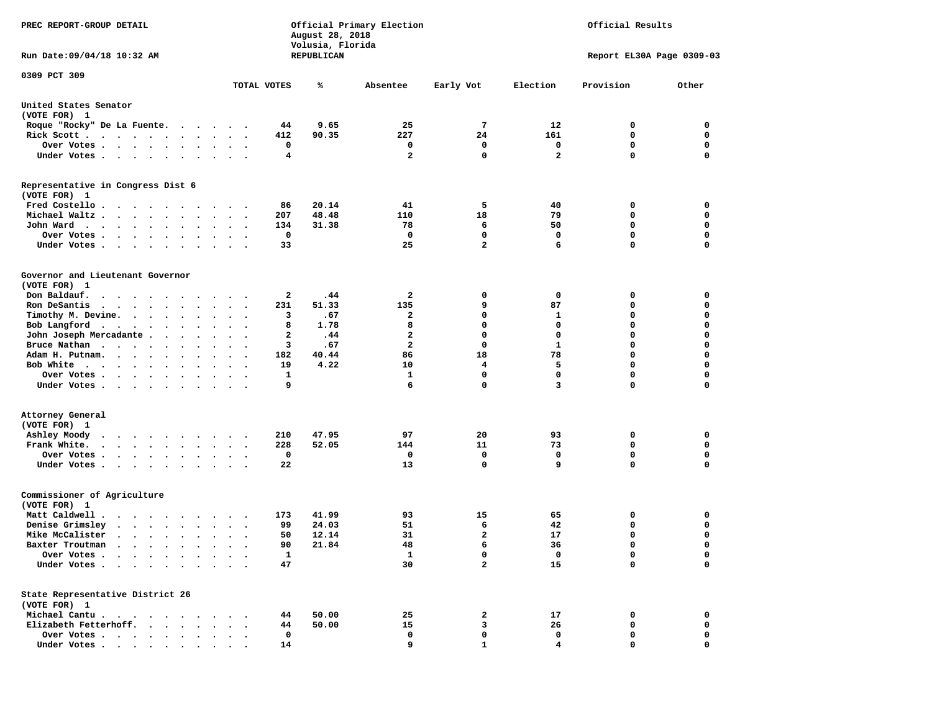| PREC REPORT-GROUP DETAIL                                                                                                                                                                                                                            |                                                                          | August 28, 2018<br>Volusia, Florida | Official Primary Election |              |                         | Official Results          |             |
|-----------------------------------------------------------------------------------------------------------------------------------------------------------------------------------------------------------------------------------------------------|--------------------------------------------------------------------------|-------------------------------------|---------------------------|--------------|-------------------------|---------------------------|-------------|
| Run Date: 09/04/18 10:32 AM                                                                                                                                                                                                                         |                                                                          | REPUBLICAN                          |                           |              |                         | Report EL30A Page 0309-03 |             |
| 0309 PCT 309                                                                                                                                                                                                                                        |                                                                          |                                     |                           |              |                         |                           |             |
|                                                                                                                                                                                                                                                     | TOTAL VOTES                                                              | ℁                                   | Absentee                  | Early Vot    | Election                | Provision                 | Other       |
| United States Senator<br>(VOTE FOR) 1                                                                                                                                                                                                               |                                                                          |                                     |                           |              |                         |                           |             |
| Roque "Rocky" De La Fuente.                                                                                                                                                                                                                         |                                                                          | 9.65<br>44                          | 25                        | 7            | 12                      | 0                         | 0           |
| Rick Scott                                                                                                                                                                                                                                          | 412                                                                      | 90.35                               | 227                       | 24           | 161                     | 0                         | 0           |
| Over Votes                                                                                                                                                                                                                                          | $\sim$ $\sim$                                                            | 0                                   | 0                         | 0            | 0                       | $\mathbf 0$               | 0           |
| Under Votes                                                                                                                                                                                                                                         | $\cdots$                                                                 | 4                                   | $\overline{a}$            | $\mathbf 0$  | $\overline{\mathbf{2}}$ | $\Omega$                  | $\mathbf 0$ |
| Representative in Congress Dist 6<br>(VOTE FOR) 1                                                                                                                                                                                                   |                                                                          |                                     |                           |              |                         |                           |             |
| Fred Costello                                                                                                                                                                                                                                       |                                                                          | 20.14<br>86                         | 41                        | 5            | 40                      | 0                         | 0           |
| Michael Waltz                                                                                                                                                                                                                                       | 207<br>$\ddot{\phantom{1}}$                                              | 48.48                               | 110                       | 18           | 79                      | 0                         | 0           |
| John Ward                                                                                                                                                                                                                                           | 134<br>$\sim$ $\sim$<br>$\overline{\phantom{a}}$                         | 31.38                               | 78                        | 6            | 50                      | $\mathbf 0$               | 0           |
| Over Votes.<br>$\cdots$                                                                                                                                                                                                                             |                                                                          | $\mathbf 0$                         | 0                         | $\mathbf 0$  | 0                       | $\mathbf 0$               | 0           |
| Under Votes                                                                                                                                                                                                                                         |                                                                          | 33                                  | 25                        | 2            | 6                       | $\mathbf 0$               | 0           |
| Governor and Lieutenant Governor<br>(VOTE FOR) 1                                                                                                                                                                                                    |                                                                          |                                     |                           |              |                         |                           |             |
| Don Baldauf.<br>.                                                                                                                                                                                                                                   |                                                                          | 2<br>.44                            | 2                         | 0            | 0                       | 0                         | 0           |
| Ron DeSantis<br>$\cdots$                                                                                                                                                                                                                            | 231<br>$\bullet$<br>$\ddot{\phantom{1}}$                                 | 51.33                               | 135                       | 9            | 87                      | 0                         | 0           |
| Timothy M. Devine.                                                                                                                                                                                                                                  |                                                                          | 3<br>.67                            | $\mathbf{2}$              | 0            | 1                       | $\mathbf 0$               | $\mathbf 0$ |
| Bob Langford                                                                                                                                                                                                                                        |                                                                          | 1.78<br>8                           | 8                         | $\mathbf 0$  | $\mathbf 0$             | $\mathbf 0$               | 0           |
| John Joseph Mercadante                                                                                                                                                                                                                              | $\ddot{\phantom{0}}$                                                     | 2<br>.44                            | $\mathbf{2}$              | 0            | 0                       | $\mathbf 0$               | 0           |
| Bruce Nathan                                                                                                                                                                                                                                        | $\ddot{\phantom{1}}$<br>$\ddot{\phantom{1}}$                             | 3<br>.67                            | $\overline{a}$            | 0            | 1                       | $\mathbf 0$               | 0           |
| Adam H. Putnam.<br>$\sim$                                                                                                                                                                                                                           | 182<br>$\sim$                                                            | 40.44                               | 86                        | 18           | 78                      | $\mathbf 0$               | $\mathbf 0$ |
| Bob White                                                                                                                                                                                                                                           | 19                                                                       | 4.22                                | 10                        | 4            | 5                       | $\mathbf 0$               | 0           |
| Over Votes .<br>.                                                                                                                                                                                                                                   | $\cdot$<br>$\bullet$                                                     | 1                                   | 1                         | $\mathbf 0$  | 0                       | $\mathbf 0$               | 0           |
| Under Votes                                                                                                                                                                                                                                         |                                                                          | 9                                   | 6                         | 0            | 3                       | $\mathbf 0$               | 0           |
| Attorney General                                                                                                                                                                                                                                    |                                                                          |                                     |                           |              |                         |                           |             |
| (VOTE FOR) 1                                                                                                                                                                                                                                        |                                                                          |                                     |                           |              |                         |                           |             |
| Ashley Moody                                                                                                                                                                                                                                        | 210                                                                      | 47.95                               | 97                        | 20           | 93                      | 0                         | 0           |
| Frank White.                                                                                                                                                                                                                                        | 228<br>$\bullet$ .<br><br><br><br><br><br>$\ddot{\phantom{a}}$<br>$\sim$ | 52.05                               | 144                       | 11           | 73                      | 0                         | 0           |
| Over Votes.                                                                                                                                                                                                                                         |                                                                          | 0                                   | 0                         | 0            | 0                       | $\mathbf 0$               | 0           |
| Under Votes                                                                                                                                                                                                                                         |                                                                          | 22                                  | 13                        | $\mathbf 0$  | 9                       | $\Omega$                  | $\mathbf 0$ |
| Commissioner of Agriculture<br>(VOTE FOR) 1                                                                                                                                                                                                         |                                                                          |                                     |                           |              |                         |                           |             |
| Matt Caldwell.<br>$\mathbf{r}$ . The set of the set of the set of the set of the set of the set of the set of the set of the set of the set of the set of the set of the set of the set of the set of the set of the set of the set of the set of t | 173                                                                      | 41.99                               | 93                        | 15           | 65                      | 0                         | 0           |
| Denise Grimsley                                                                                                                                                                                                                                     | $\ddot{\phantom{0}}$                                                     | 24.03<br>99                         | 51                        | 6            | 42                      | 0                         | 0           |
| Mike McCalister                                                                                                                                                                                                                                     | $\bullet$<br>$\bullet$<br>$\overline{\phantom{a}}$                       | 12.14<br>50                         | 31                        | $\mathbf{2}$ | 17                      | $\mathbf 0$               | 0           |
| Baxter Troutman                                                                                                                                                                                                                                     |                                                                          | 21.84<br>90                         | 48                        | 6            | 36                      | $\Omega$                  | $\Omega$    |
| Over Votes .<br>$\sim$ $\sim$ $\sim$ $\sim$ $\sim$<br>$\bullet$                                                                                                                                                                                     |                                                                          | $\mathbf{1}$                        | $\mathbf{1}$              | 0            | 0                       | 0                         | 0           |
| Under Votes.<br>$\sim$<br>$\sim$ $\sim$<br>$\bullet$                                                                                                                                                                                                |                                                                          | 47                                  | 30                        | 2            | 15                      | $\mathbf 0$               | 0           |
| State Representative District 26<br>(VOTE FOR) 1                                                                                                                                                                                                    |                                                                          |                                     |                           |              |                         |                           |             |
| Michael Cantu.<br>$\sim$ $\sim$                                                                                                                                                                                                                     |                                                                          | 50.00<br>44                         | 25                        | 2            | 17                      | 0                         | 0           |
| Elizabeth Fetterhoff.<br>$\ddot{\phantom{1}}$<br>$\ddot{\phantom{a}}$                                                                                                                                                                               |                                                                          | 50.00<br>44                         | 15                        | 3            | 26                      | 0                         | 0           |
| Over Votes<br>$\ddot{\phantom{1}}$                                                                                                                                                                                                                  |                                                                          | 0                                   | 0                         | 0            | 0                       | 0                         | 0           |
| Under Votes                                                                                                                                                                                                                                         |                                                                          | 14                                  | 9                         | 1            | 4                       | 0                         | $\mathbf 0$ |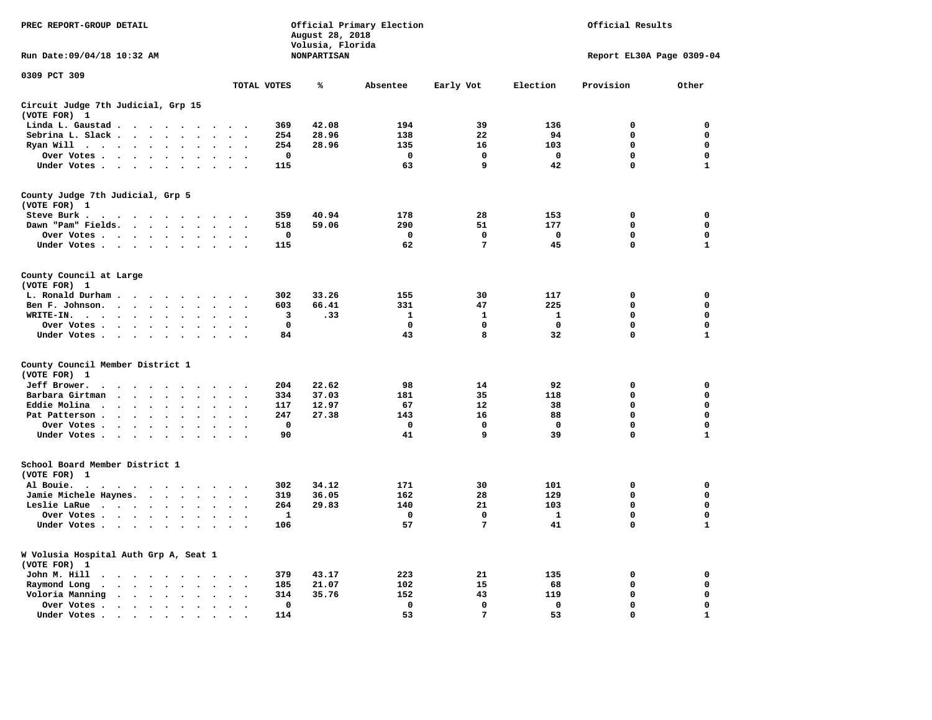| PREC REPORT-GROUP DETAIL                                     | Official Primary Election<br>August 28, 2018<br>Volusia, Florida |                                   |                          |                      |                                     |             | Official Results   |             |             |             |                           |              |
|--------------------------------------------------------------|------------------------------------------------------------------|-----------------------------------|--------------------------|----------------------|-------------------------------------|-------------|--------------------|-------------|-------------|-------------|---------------------------|--------------|
| Run Date: 09/04/18 10:32 AM                                  |                                                                  |                                   |                          |                      |                                     |             | <b>NONPARTISAN</b> |             |             |             | Report EL30A Page 0309-04 |              |
| 0309 PCT 309                                                 |                                                                  |                                   |                          |                      |                                     | TOTAL VOTES | ℁                  | Absentee    | Early Vot   | Election    | Provision                 | Other        |
| Circuit Judge 7th Judicial, Grp 15<br>(VOTE FOR) 1           |                                                                  |                                   |                          |                      |                                     |             |                    |             |             |             |                           |              |
| Linda L. Gaustad                                             |                                                                  |                                   | $\cdot$                  |                      |                                     | 369         | 42.08              | 194         | 39          | 136         | 0                         | 0            |
| Sebrina L. Slack.                                            |                                                                  |                                   |                          |                      | $\ddot{\phantom{0}}$                | 254         | 28.96              | 138         | 22          | 94          | $\mathbf 0$               | 0            |
| Ryan Will .                                                  | $\ddot{\phantom{0}}$                                             | $\bullet$<br>$\ddot{\phantom{a}}$ | $\overline{\phantom{a}}$ |                      |                                     | 254         | 28.96              | 135         | 16          | 103         | $\mathbf 0$               | 0            |
| Over Votes                                                   |                                                                  |                                   |                          |                      |                                     | $\mathbf 0$ |                    | $\mathbf 0$ | $\mathbf 0$ | $\mathbf 0$ | 0                         | $\mathbf 0$  |
| Under Votes                                                  |                                                                  |                                   | $\ddot{\phantom{a}}$     | $\bullet$            |                                     | 115         |                    | 63          | 9           | 42          | $\Omega$                  | $\mathbf{1}$ |
| County Judge 7th Judicial, Grp 5<br>(VOTE FOR) 1             |                                                                  |                                   |                          |                      |                                     |             |                    |             |             |             |                           |              |
| Steve Burk .                                                 | .                                                                |                                   |                          |                      |                                     | 359         | 40.94              | 178         | 28          | 153         | $\mathbf 0$               | $\mathbf 0$  |
| Dawn "Pam" Fields.                                           |                                                                  |                                   |                          | $\ddot{\phantom{a}}$ |                                     | 518         | 59.06              | 290         | 51          | 177         | $\mathbf 0$               | 0            |
| Over Votes                                                   |                                                                  |                                   |                          |                      |                                     | 0           |                    | 0           | $\mathbf 0$ | 0           | 0                         | 0            |
| Under Votes                                                  |                                                                  |                                   |                          |                      | $\sim$ $\sim$                       | 115         |                    | 62          | 7           | 45          | $\Omega$                  | $\mathbf{1}$ |
| County Council at Large<br>(VOTE FOR) 1                      |                                                                  |                                   |                          |                      |                                     |             |                    |             |             |             |                           |              |
| L. Ronald Durham                                             |                                                                  |                                   |                          |                      | $\sim$ $\sim$                       | 302         | 33.26              | 155         | 30          | 117         | 0                         | 0            |
| Ben F. Johnson.                                              |                                                                  |                                   | $\sim$                   | $\sim$               | $\overline{\phantom{a}}$            | 603         | 66.41              | 331         | 47          | 225         | 0                         | 0            |
| WRITE-IN.<br>$\cdot$ $\cdot$ $\cdot$ $\cdot$ $\cdot$ $\cdot$ |                                                                  | $\ddot{\phantom{a}}$              |                          |                      |                                     | 3           | .33                | 1           | 1           | 1           | 0                         | 0            |
| Over Votes                                                   |                                                                  |                                   |                          |                      |                                     | $\mathbf 0$ |                    | $\mathbf 0$ | 0           | 0           | 0                         | 0            |
| Under Votes                                                  |                                                                  |                                   |                          |                      | $\sim$<br>$\cdot$                   | 84          |                    | 43          | 8           | 32          | $\mathbf 0$               | $\mathbf{1}$ |
| County Council Member District 1<br>(VOTE FOR) 1             |                                                                  |                                   |                          |                      |                                     |             |                    |             |             |             |                           |              |
| Jeff Brower.                                                 | $\cdot$                                                          | $\sim$                            |                          |                      |                                     | 204         | 22.62              | 98          | 14          | 92          | $\mathbf 0$               | 0            |
| Barbara Girtman<br>$\ddot{\phantom{a}}$                      | $\cdot$ $\cdot$                                                  | $\sim$<br>$\sim$                  |                          |                      |                                     | 334         | 37.03              | 181         | 35          | 118         | 0                         | 0            |
| Eddie Molina                                                 |                                                                  |                                   |                          |                      |                                     | 117         | 12.97              | 67          | 12          | 38          | $\mathbf 0$               | $\mathbf 0$  |
| Pat Patterson                                                |                                                                  | $\ddot{\phantom{a}}$              | $\bullet$                |                      |                                     | 247         | 27.38              | 143         | 16          | 88          | $\mathbf 0$               | $\mathbf 0$  |
| Over Votes                                                   |                                                                  |                                   | $\cdot$                  |                      |                                     | $\mathbf 0$ |                    | $\mathbf 0$ | $\mathbf 0$ | $\mathbf 0$ | $\mathbf 0$               | $\mathbf 0$  |
| Under Votes                                                  |                                                                  |                                   | $\ddot{\phantom{a}}$     | $\cdot$              |                                     | 90          |                    | 41          | 9           | 39          | $\mathbf 0$               | $\mathbf{1}$ |
| School Board Member District 1<br>(VOTE FOR) 1               |                                                                  |                                   |                          |                      |                                     |             |                    |             |             |             |                           |              |
| Al Bouie.<br>$\cdot$<br>$\cdot$<br>$\ddot{\phantom{1}}$      | $\sim$                                                           |                                   |                          |                      | $\ddot{\phantom{1}}$ .              | 302         | 34.12              | 171         | 30          | 101         | $\mathbf 0$               | $\mathbf 0$  |
| Jamie Michele Haynes.                                        |                                                                  |                                   |                          |                      | $\bullet$ .<br>$\ddot{\phantom{a}}$ | 319         | 36.05              | 162         | 28          | 129         | $\mathbf 0$               | $\mathbf 0$  |
| Leslie LaRue                                                 |                                                                  | $\sim$                            | $\bullet$                | $\ddot{\phantom{a}}$ |                                     | 264         | 29.83              | 140         | 21          | 103         | $\mathbf 0$               | $\mathbf 0$  |
| Over Votes                                                   |                                                                  |                                   |                          |                      |                                     | 1           |                    | $\Omega$    | 0           | 1           | $\mathbf 0$               | 0            |
| Under Votes                                                  |                                                                  |                                   | $\ddot{\phantom{a}}$     | $\sim$               |                                     | 106         |                    | 57          | 7           | 41          | 0                         | $\mathbf{1}$ |
| W Volusia Hospital Auth Grp A, Seat 1<br>(VOTE FOR) 1        |                                                                  |                                   |                          |                      |                                     |             |                    |             |             |             |                           |              |
| John M. Hill<br>$\cdot$                                      | $\cdots$                                                         |                                   |                          |                      | $\ddot{\phantom{a}}$                | 379         | 43.17              | 223         | 21          | 135         | 0                         | 0            |
| Raymond Long<br>$\bullet$<br>$\ddot{\phantom{a}}$            | $\cdot$ $\cdot$ $\cdot$                                          | $\ddot{\phantom{0}}$              | $\ddot{\phantom{a}}$     | $\ddot{\phantom{a}}$ | $\cdot$<br>$\cdot$                  | 185         | 21.07              | 102         | 15          | 68          | $\mathbf 0$               | 0            |
| Voloria Manning                                              | $\cdot$ $\cdot$ $\cdot$ $\cdot$ $\cdot$                          |                                   | $\ddot{\phantom{a}}$     | $\sim$               |                                     | 314         | 35.76              | 152         | 43          | 119         | $\mathbf 0$               | 0            |
| Over Votes.                                                  | $\cdot$ $\cdot$ $\cdot$ $\cdot$ $\cdot$                          |                                   | $\ddot{\phantom{a}}$     |                      |                                     | 0           |                    | 0           | 0           | $\mathbf 0$ | 0                         | 0            |
| Under Votes.                                                 | $\sim$ $\sim$ $\sim$ $\sim$ $\sim$                               |                                   | $\ddot{\phantom{a}}$     |                      |                                     | 114         |                    | 53          | 7           | 53          | $\mathbf 0$               | $\mathbf 1$  |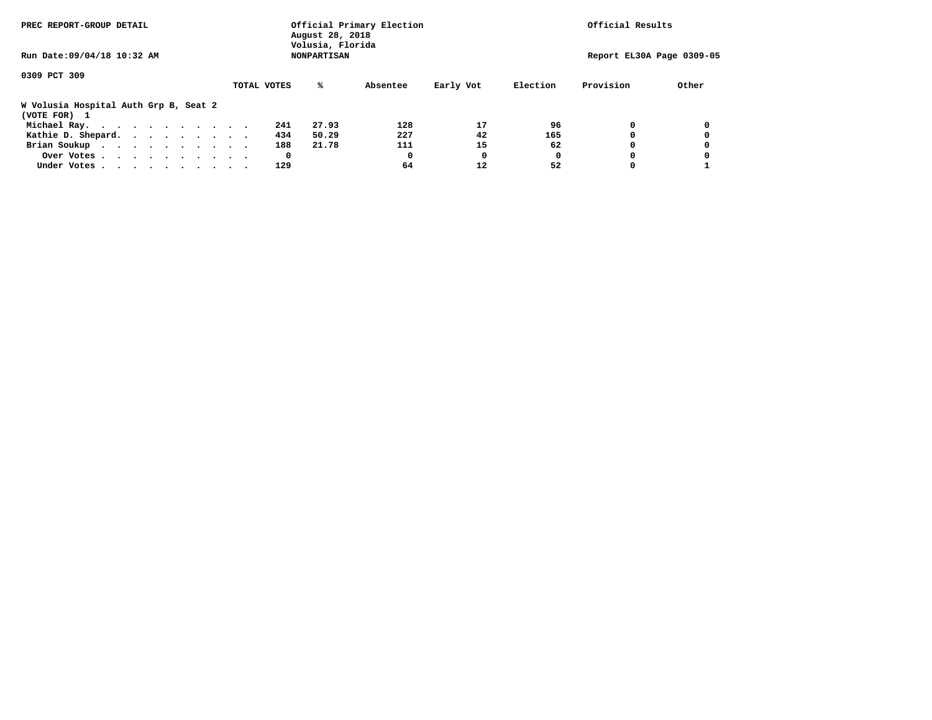| PREC REPORT-GROUP DETAIL                              | Official Primary Election<br>August 28, 2018<br>Volusia, Florida |                    | Official Results |           |          |           |                           |
|-------------------------------------------------------|------------------------------------------------------------------|--------------------|------------------|-----------|----------|-----------|---------------------------|
| Run Date: 09/04/18 10:32 AM                           |                                                                  | <b>NONPARTISAN</b> |                  |           |          |           | Report EL30A Page 0309-05 |
| 0309 PCT 309                                          |                                                                  |                    |                  |           |          |           |                           |
|                                                       | TOTAL VOTES                                                      | %ะ                 | Absentee         | Early Vot | Election | Provision | Other                     |
| W Volusia Hospital Auth Grp B, Seat 2<br>(VOTE FOR) 1 |                                                                  |                    |                  |           |          |           |                           |
| Michael Ray.                                          |                                                                  | 27.93<br>241       | 128              | 17        | 96       |           |                           |
| Kathie D. Shepard.                                    |                                                                  | 434<br>50.29       | 227              | 42        | 165      |           |                           |
| Brian Soukup                                          |                                                                  | 188<br>21.78       | 111              | 15        | 62       |           |                           |
| Over Votes                                            |                                                                  | 0                  | 0                | O         | 0        |           |                           |
| Under Votes                                           |                                                                  | 129                | 64               | 12        | 52       |           |                           |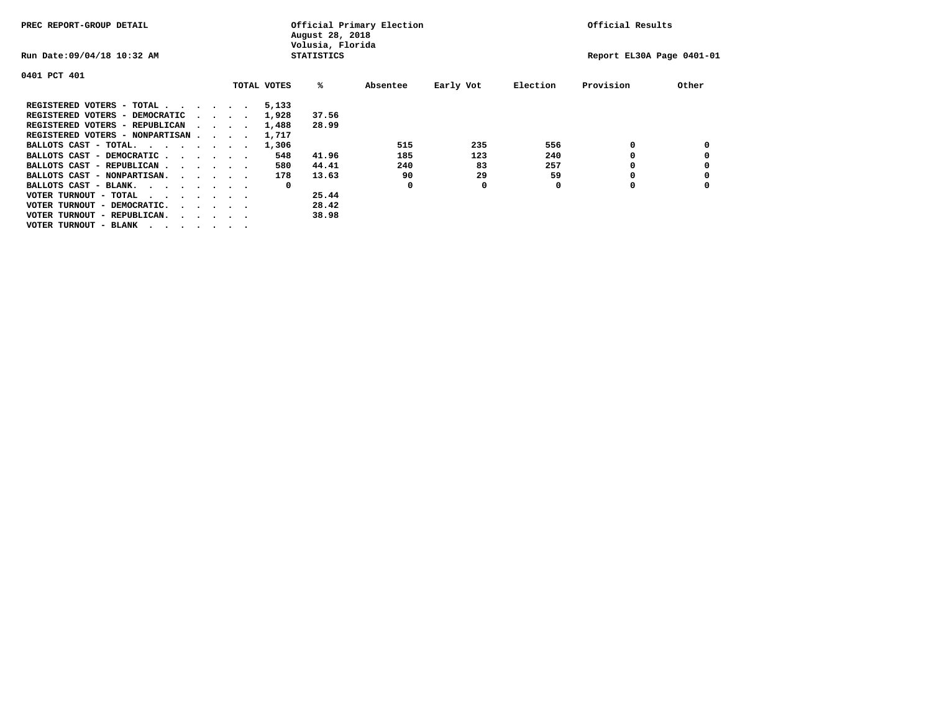| PREC REPORT-GROUP DETAIL                                               |  |  |                                         |             | August 28, 2018<br>Volusia, Florida | Official Primary Election | Official Results |          |                           |       |
|------------------------------------------------------------------------|--|--|-----------------------------------------|-------------|-------------------------------------|---------------------------|------------------|----------|---------------------------|-------|
| Run Date: 09/04/18 10:32 AM                                            |  |  |                                         |             | <b>STATISTICS</b>                   |                           |                  |          | Report EL30A Page 0401-01 |       |
| 0401 PCT 401                                                           |  |  |                                         |             |                                     |                           |                  |          |                           |       |
|                                                                        |  |  |                                         | TOTAL VOTES | %ะ                                  | Absentee                  | Early Vot        | Election | Provision                 | Other |
| REGISTERED VOTERS - TOTAL                                              |  |  |                                         | 5,133       |                                     |                           |                  |          |                           |       |
| REGISTERED VOTERS - DEMOCRATIC                                         |  |  | $\cdot$ $\cdot$ $\cdot$ $\cdot$ $\cdot$ | 1,928       | 37.56                               |                           |                  |          |                           |       |
| REGISTERED VOTERS - REPUBLICAN                                         |  |  |                                         | 1,488       | 28.99                               |                           |                  |          |                           |       |
| REGISTERED VOTERS - NONPARTISAN                                        |  |  |                                         | 1,717       |                                     |                           |                  |          |                           |       |
| BALLOTS CAST - TOTAL.                                                  |  |  |                                         | 1,306       |                                     | 515                       | 235              | 556      |                           |       |
| BALLOTS CAST - DEMOCRATIC                                              |  |  |                                         | 548         | 41.96                               | 185                       | 123              | 240      |                           |       |
| BALLOTS CAST - REPUBLICAN                                              |  |  |                                         | 580         | 44.41                               | 240                       | 83               | 257      |                           |       |
| BALLOTS CAST - NONPARTISAN.                                            |  |  |                                         | 178         | 13.63                               | 90                        | 29               | 59       | o                         |       |
| BALLOTS CAST - BLANK.                                                  |  |  |                                         | 0           |                                     | O                         | 0                | O        | o                         |       |
| VOTER TURNOUT - TOTAL<br>$\cdots$                                      |  |  |                                         |             | 25.44                               |                           |                  |          |                           |       |
| VOTER TURNOUT - DEMOCRATIC.<br>$\cdot$ $\cdot$ $\cdot$ $\cdot$ $\cdot$ |  |  |                                         |             | 28.42                               |                           |                  |          |                           |       |
| VOTER TURNOUT - REPUBLICAN.                                            |  |  |                                         |             | 38.98                               |                           |                  |          |                           |       |
| VOTER TURNOUT - BLANK                                                  |  |  |                                         |             |                                     |                           |                  |          |                           |       |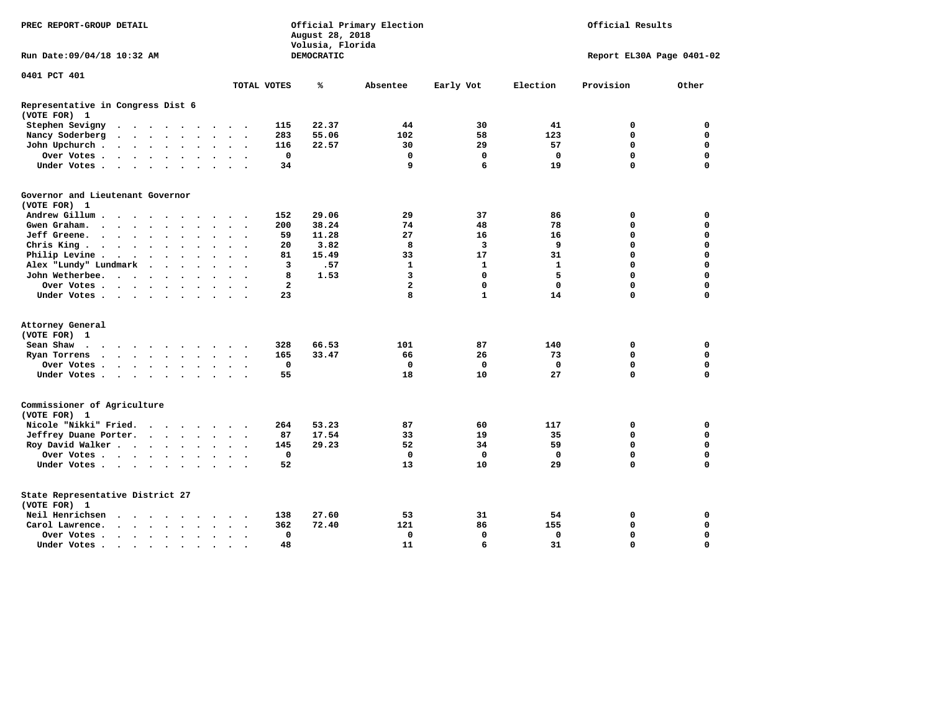| PREC REPORT-GROUP DETAIL<br>Run Date: 09/04/18 10:32 AM |                                                                                                                                                                                                                               |                      |                      |                      | August 28, 2018<br>Volusia, Florida | Official Primary Election |                      |           | Official Results |            |                         |              |              |                           |             |
|---------------------------------------------------------|-------------------------------------------------------------------------------------------------------------------------------------------------------------------------------------------------------------------------------|----------------------|----------------------|----------------------|-------------------------------------|---------------------------|----------------------|-----------|------------------|------------|-------------------------|--------------|--------------|---------------------------|-------------|
|                                                         |                                                                                                                                                                                                                               |                      |                      |                      |                                     |                           |                      |           |                  | DEMOCRATIC |                         |              |              | Report EL30A Page 0401-02 |             |
| 0401 PCT 401                                            |                                                                                                                                                                                                                               |                      |                      |                      |                                     |                           |                      |           |                  |            |                         |              |              |                           |             |
|                                                         |                                                                                                                                                                                                                               |                      |                      |                      |                                     |                           |                      |           | TOTAL VOTES      | ℁          | Absentee                | Early Vot    | Election     | Provision                 | Other       |
| Representative in Congress Dist 6<br>(VOTE FOR) 1       |                                                                                                                                                                                                                               |                      |                      |                      |                                     |                           |                      |           |                  |            |                         |              |              |                           |             |
| Stephen Sevigny                                         | $\cdot$                                                                                                                                                                                                                       |                      |                      |                      |                                     |                           |                      |           | 115              | 22.37      | 44                      | 30           | 41           | 0                         | $\mathbf 0$ |
| Nancy Soderberg                                         | $\begin{array}{cccccccccccccccccc} . & . & . & . & . & . & . & . & . & . & . & . \end{array}$                                                                                                                                 |                      |                      |                      |                                     |                           |                      |           | 283              | 55.06      | 102                     | 58           | 123          | $\mathbf 0$               | $\mathbf 0$ |
| John Upchurch.                                          | $\cdots$                                                                                                                                                                                                                      |                      |                      |                      | $\ddot{\phantom{a}}$                | $\ddot{\phantom{a}}$      | $\cdot$              |           | 116              | 22.57      | 30                      | 29           | 57           | $\Omega$                  | $\mathbf 0$ |
| Over Votes                                              |                                                                                                                                                                                                                               |                      |                      |                      | $\bullet$                           | $\bullet$                 | $\bullet$            |           | 0                |            | 0                       | 0            | 0            | 0                         | 0           |
| Under Votes                                             |                                                                                                                                                                                                                               |                      |                      |                      |                                     | $\ddot{\phantom{0}}$      | $\cdot$              |           | 34               |            | 9                       | 6            | 19           | $\Omega$                  | $\mathbf 0$ |
| Governor and Lieutenant Governor<br>(VOTE FOR) 1        |                                                                                                                                                                                                                               |                      |                      |                      |                                     |                           |                      |           |                  |            |                         |              |              |                           |             |
| Andrew Gillum                                           | $\sim$                                                                                                                                                                                                                        | $\sim$               |                      |                      |                                     |                           |                      |           | 152              | 29.06      | 29                      | 37           | 86           | 0                         | 0           |
| Gwen Graham.                                            | $\cdots$                                                                                                                                                                                                                      |                      |                      | $\ddot{\phantom{0}}$ | $\cdot$                             |                           | $\ddot{\phantom{1}}$ | $\cdot$   | 200              | 38.24      | 74                      | 48           | 78           | 0                         | 0           |
| Jeff Greene.                                            | $\cdots$                                                                                                                                                                                                                      |                      | $\bullet$            |                      |                                     |                           |                      |           | 59               | 11.28      | 27                      | 16           | 16           | 0                         | 0           |
| Chris King                                              |                                                                                                                                                                                                                               |                      |                      |                      |                                     |                           |                      |           | 20               | 3.82       | 8                       | 3            | 9            | $\mathbf 0$               | $\mathbf 0$ |
| Philip Levine .                                         | $\cdot$ $\cdot$ $\cdot$ $\cdot$ $\cdot$                                                                                                                                                                                       |                      |                      |                      | $\cdot$                             | $\ddot{\phantom{a}}$      | $\ddot{\phantom{a}}$ | $\sim$    | 81               | 15.49      | 33                      | 17           | 31           | $\mathbf 0$               | $\mathbf 0$ |
| Alex "Lundy" Lundmark                                   |                                                                                                                                                                                                                               | $\ddot{\phantom{a}}$ | $\ddot{\phantom{0}}$ | $\ddot{\phantom{a}}$ |                                     |                           | $\ddot{\phantom{a}}$ |           | 3                | .57        | $\mathbf{1}$            | $\mathbf{1}$ | $\mathbf{1}$ | $\mathbf 0$               | $\mathbf 0$ |
| John Wetherbee.                                         |                                                                                                                                                                                                                               |                      |                      |                      |                                     |                           |                      |           | 8                | 1.53       | $\overline{\mathbf{3}}$ | $\mathbf{0}$ | 5            | $\mathbf 0$               | $\mathbf 0$ |
|                                                         |                                                                                                                                                                                                                               |                      |                      |                      |                                     |                           |                      |           | $\overline{a}$   |            | $\overline{\mathbf{2}}$ | $\mathbf 0$  | $\mathbf 0$  | $\mathbf 0$               | $\mathbf 0$ |
| Over Votes                                              |                                                                                                                                                                                                                               |                      |                      | $\sim$               |                                     |                           | $\blacksquare$       |           |                  |            | 8                       |              |              | $\mathbf 0$               |             |
| Under Votes                                             |                                                                                                                                                                                                                               |                      |                      |                      |                                     |                           |                      |           | 23               |            |                         | $\mathbf{1}$ | 14           |                           | 0           |
| Attorney General                                        |                                                                                                                                                                                                                               |                      |                      |                      |                                     |                           |                      |           |                  |            |                         |              |              |                           |             |
| (VOTE FOR) 1                                            |                                                                                                                                                                                                                               |                      |                      |                      |                                     |                           |                      |           |                  |            |                         |              |              |                           |             |
| Sean Shaw<br>$\cdots$                                   |                                                                                                                                                                                                                               |                      |                      |                      |                                     |                           |                      |           | 328              | 66.53      | 101                     | 87           | 140          | 0                         | $\mathbf 0$ |
| Ryan Torrens                                            | . The contract of the contract of the contract of the contract of the contract of the contract of the contract of the contract of the contract of the contract of the contract of the contract of the contract of the contrac |                      |                      |                      |                                     | $\bullet$                 | $\bullet$            | $\sim$    | 165              | 33.47      | 66                      | 26           | 73           | $\mathbf 0$               | $\mathbf 0$ |
| Over Votes                                              |                                                                                                                                                                                                                               |                      |                      |                      |                                     |                           |                      |           | $\mathbf 0$      |            | 0                       | $\mathbf 0$  | $\mathbf 0$  | $\mathbf 0$               | 0           |
| Under Votes                                             |                                                                                                                                                                                                                               |                      |                      |                      |                                     |                           |                      |           | 55               |            | 18                      | 10           | 27           | $\mathbf 0$               | $\mathbf 0$ |
| Commissioner of Agriculture<br>(VOTE FOR) 1             |                                                                                                                                                                                                                               |                      |                      |                      |                                     |                           |                      |           |                  |            |                         |              |              |                           |             |
| Nicole "Nikki" Fried.                                   |                                                                                                                                                                                                                               |                      | $\cdots$             |                      |                                     |                           | $\ddot{\phantom{1}}$ |           | 264              | 53.23      | 87                      | 60           | 117          | 0                         | 0           |
| Jeffrey Duane Porter.                                   |                                                                                                                                                                                                                               |                      |                      |                      |                                     |                           | $\sim$               |           | 87               | 17.54      | 33                      | 19           | 35           | 0                         | 0           |
| Roy David Walker                                        |                                                                                                                                                                                                                               |                      |                      |                      |                                     |                           | $\sim$ $\sim$        |           | 145              | 29.23      | 52                      | 34           | 59           | $\mathbf 0$               | $\mathbf 0$ |
| Over Votes                                              |                                                                                                                                                                                                                               |                      |                      |                      | $\bullet$                           |                           | $\bullet$            |           | $\mathbf 0$      |            | $\mathbf{0}$            | 0            | $\mathbf{0}$ | $\mathbf 0$               | $\mathbf 0$ |
| Under Votes                                             |                                                                                                                                                                                                                               |                      |                      |                      |                                     |                           |                      |           | 52               |            | 13                      | 10           | 29           | $\Omega$                  | $\mathbf 0$ |
| State Representative District 27<br>(VOTE FOR) 1        |                                                                                                                                                                                                                               |                      |                      |                      |                                     |                           |                      |           |                  |            |                         |              |              |                           |             |
| Neil Henrichsen                                         | $\sim$                                                                                                                                                                                                                        | $\cdot$ $\cdot$      | $\sim$ $\sim$        |                      |                                     |                           |                      |           | 138              | 27.60      | 53                      | 31           | 54           | 0                         | 0           |
| Carol Lawrence.                                         | $\cdot$ $\cdot$ $\cdot$ $\cdot$                                                                                                                                                                                               |                      |                      | $\ddot{\phantom{a}}$ | $\ddot{\phantom{a}}$                | $\bullet$                 | $\bullet$            | $\bullet$ | 362              | 72.40      | 121                     | 86           | 155          | $\mathbf 0$               | $\mathbf 0$ |
| Over Votes                                              |                                                                                                                                                                                                                               |                      |                      |                      |                                     |                           |                      |           | 0                |            | $\mathbf 0$             | $\mathbf 0$  | 0            | $\mathbf 0$               | $\mathbf 0$ |
|                                                         |                                                                                                                                                                                                                               |                      |                      |                      | $\bullet$                           |                           |                      |           | 48               |            | 11                      | 6            | 31           | $\Omega$                  | $\mathbf 0$ |
| Under Votes                                             |                                                                                                                                                                                                                               |                      |                      |                      | $\sim$                              |                           |                      |           |                  |            |                         |              |              |                           |             |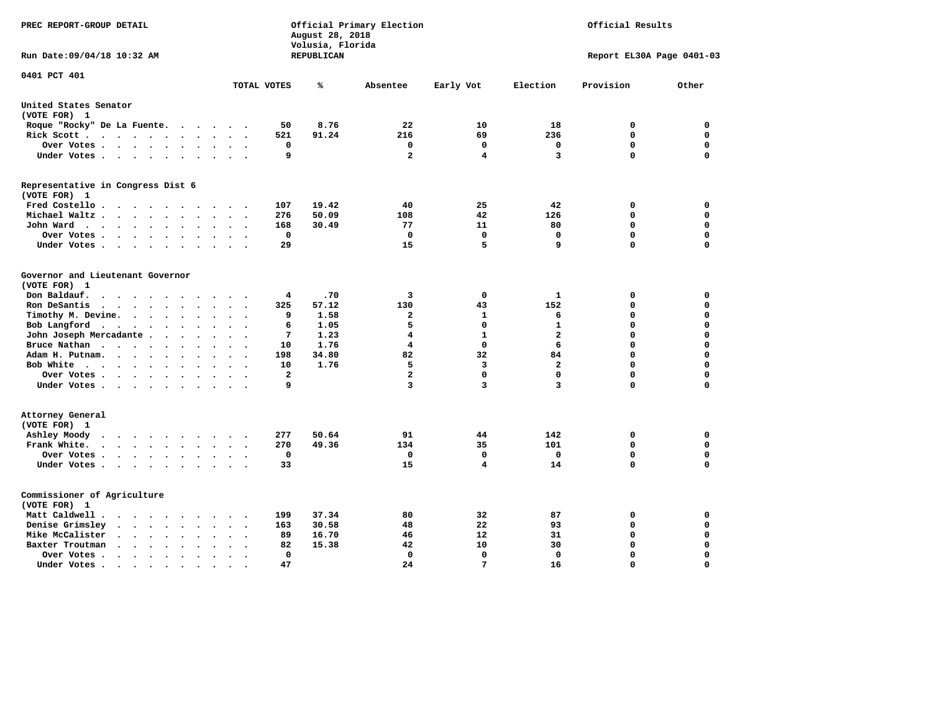| PREC REPORT-GROUP DETAIL                                                                                                           |                                                       | August 28, 2018<br>Volusia, Florida | Official Primary Election |              |                         | Official Results          |             |
|------------------------------------------------------------------------------------------------------------------------------------|-------------------------------------------------------|-------------------------------------|---------------------------|--------------|-------------------------|---------------------------|-------------|
| Run Date:09/04/18 10:32 AM                                                                                                         |                                                       | REPUBLICAN                          |                           |              |                         | Report EL30A Page 0401-03 |             |
| 0401 PCT 401                                                                                                                       | TOTAL VOTES                                           | ℁                                   | Absentee                  | Early Vot    | Election                | Provision                 | Other       |
|                                                                                                                                    |                                                       |                                     |                           |              |                         |                           |             |
| United States Senator<br>(VOTE FOR) 1                                                                                              |                                                       |                                     |                           |              |                         |                           |             |
| Roque "Rocky" De La Fuente.<br>$\cdots$                                                                                            | 50<br>$\sim$<br>$\sim$                                | 8.76                                | 22                        | 10           | 18                      | 0                         | 0           |
| Rick Scott<br>$\sim$                                                                                                               | 521                                                   | 91.24                               | 216                       | 69           | 236                     | $\mathbf 0$               | $\mathbf 0$ |
| Over Votes<br>$\ddot{\phantom{a}}$                                                                                                 | 0<br>$\ddot{\phantom{a}}$<br>$\ddot{\phantom{a}}$     |                                     | 0                         | 0            | 0                       | $\mathbf 0$               | $\mathbf 0$ |
| Under Votes<br>$\ddot{\phantom{a}}$                                                                                                | 9<br>$\ddot{\phantom{a}}$                             |                                     | $\mathbf{2}$              | 4            | 3                       | $\Omega$                  | $\mathbf 0$ |
| Representative in Congress Dist 6                                                                                                  |                                                       |                                     |                           |              |                         |                           |             |
| (VOTE FOR) 1                                                                                                                       |                                                       |                                     |                           |              |                         |                           |             |
| Fred Costello<br>$\sim$<br>$\sim$ $\sim$                                                                                           | 107                                                   | 19.42                               | 40                        | 25           | 42                      | 0                         | 0           |
| Michael Waltz.<br>$\cdots$<br>$\ddot{\phantom{a}}$<br>$\mathbf{r}$                                                                 | 276                                                   | 50.09                               | 108                       | 42           | 126                     | $\mathbf 0$               | $\mathbf 0$ |
| John Ward<br>$\cdots$<br>$\sim$<br>$\bullet$                                                                                       | 168<br>$\ddot{\phantom{a}}$                           | 30.49                               | 77                        | 11           | 80                      | $\mathbf 0$               | 0           |
| Over Votes<br>$\cdot$<br>$\cdot$                                                                                                   | $\mathbf 0$                                           |                                     | 0                         | $\mathbf 0$  | $\mathbf 0$             | $\mathbf 0$               | 0           |
| Under Votes<br>$\cdot$                                                                                                             | 29                                                    |                                     | 15                        | 5            | 9                       | $\Omega$                  | $\mathbf 0$ |
| Governor and Lieutenant Governor<br>(VOTE FOR) 1                                                                                   |                                                       |                                     |                           |              |                         |                           |             |
| Don Baldauf.<br>$\sim$ $\sim$ $\sim$ $\sim$<br>$\sim$                                                                              | 4                                                     | .70                                 | 3                         | 0            | 1                       | 0                         | 0           |
| Ron DeSantis<br>$\cdot$ $\cdot$ $\cdot$ $\cdot$ $\cdot$ $\cdot$<br>$\bullet$                                                       | 325<br>$\Delta \sim 10^{-11}$<br>$\ddot{\phantom{a}}$ | 57.12                               | 130                       | 43           | 152                     | 0                         | 0           |
| Timothy M. Devine.<br>$\ddot{\phantom{a}}$<br>$\bullet$                                                                            | 9                                                     | 1.58                                | $\mathbf{2}$              | 1            | 6                       | 0                         | $\mathbf 0$ |
| Bob Langford<br>$\ddot{\phantom{0}}$<br>$\bullet$<br>$\ddot{\phantom{a}}$                                                          | 6<br>$\ddot{\phantom{a}}$                             | 1.05                                | 5                         | $\mathbf 0$  | $\mathbf{1}$            | $\mathbf 0$               | $\mathbf 0$ |
| John Joseph Mercadante                                                                                                             | 7<br>$\overline{\phantom{a}}$                         | 1.23                                | 4                         | $\mathbf{1}$ | $\overline{a}$          | $\mathbf 0$               | $\mathbf 0$ |
| Bruce Nathan<br>$\bullet$<br>$\ddot{\phantom{a}}$                                                                                  | 10                                                    | 1.76                                | $\overline{4}$            | 0            | 6                       | 0                         | $\mathbf 0$ |
| Adam H. Putnam.                                                                                                                    | 198                                                   | 34.80                               | 82                        | 32           | 84                      | $\Omega$                  | $\mathbf 0$ |
| Bob White<br>$\ddot{\phantom{a}}$                                                                                                  | 10<br>$\ddot{\phantom{a}}$                            | 1.76                                | 5                         | 3            | $\overline{a}$          | $\mathbf 0$               | $\mathbf 0$ |
| Over Votes .<br>$\sim$                                                                                                             | $\overline{a}$                                        |                                     | $\overline{a}$            | $\mathbf 0$  | $\mathbf 0$             | $\mathbf 0$               | $\mathbf 0$ |
| Under Votes<br>$\sim$                                                                                                              | 9                                                     |                                     | 3                         | 3            | $\overline{\mathbf{3}}$ | $\mathbf 0$               | $\mathbf 0$ |
| Attorney General<br>(VOTE FOR) 1                                                                                                   |                                                       |                                     |                           |              |                         |                           |             |
| Ashley Moody<br>$\bullet$<br>$\cdot$ $\cdot$ $\cdot$ $\cdot$ $\cdot$<br>$\sim$                                                     | 277                                                   | 50.64                               | 91                        | 44           | 142                     | 0                         | 0           |
| Frank White.<br>$\cdots$<br>$\ddot{\phantom{a}}$<br>$\sim$                                                                         | 270                                                   | 49.36                               | 134                       | 35           | 101                     | $\mathbf 0$               | 0           |
| Over Votes .<br>$\cdots$<br>$\bullet$                                                                                              | $\mathbf 0$                                           |                                     | 0                         | $\mathbf 0$  | $\mathbf{0}$            | $\mathbf 0$               | $\mathbf 0$ |
| Under Votes<br>$\sim$<br>$\ddot{\phantom{0}}$<br>$\ddot{\phantom{a}}$                                                              | 33<br>$\bullet$                                       |                                     | 15                        | 4            | 14                      | $\mathbf 0$               | 0           |
| Commissioner of Agriculture<br>(VOTE FOR) 1                                                                                        |                                                       |                                     |                           |              |                         |                           |             |
| Matt Caldwell.<br>$\cdot$ $\cdot$ $\cdot$ $\cdot$ $\cdot$<br>$\sim$ $\sim$                                                         | 199<br>$\ddot{\phantom{a}}$                           | 37.34                               | 80                        | 32           | 87                      | 0                         | 0           |
| Denise Grimsley<br>$\mathbf{a}$ , and $\mathbf{a}$ , and $\mathbf{a}$<br>$\bullet$<br>$\ddot{\phantom{a}}$<br>$\ddot{\phantom{a}}$ | 163                                                   | 30.58                               | 48                        | 22           | 93                      | 0                         | 0           |
| Mike McCalister<br>$\cdot$ $\cdot$ $\cdot$ $\cdot$ $\cdot$<br>$\bullet$                                                            | 89<br>$\overline{\phantom{a}}$                        | 16.70                               | 46                        | 12           | 31                      | 0                         | 0           |
| Baxter Troutman<br>$\sim$ $\sim$ $\sim$ $\sim$<br>$\sim$<br>$\sim$<br>$\sim$                                                       | 82                                                    | 15.38                               | 42                        | 10           | 30                      | 0                         | 0           |
| Over Votes .<br>$\cdot$ $\cdot$ $\cdot$ $\cdot$<br>$\bullet$<br>$\bullet$                                                          | 0                                                     |                                     | 0                         | 0            | $\Omega$                | $\mathbf 0$               | $\mathbf 0$ |
| Under Votes.<br>.                                                                                                                  | 47                                                    |                                     | 24                        | 7            | 16                      | $\Omega$                  | $\Omega$    |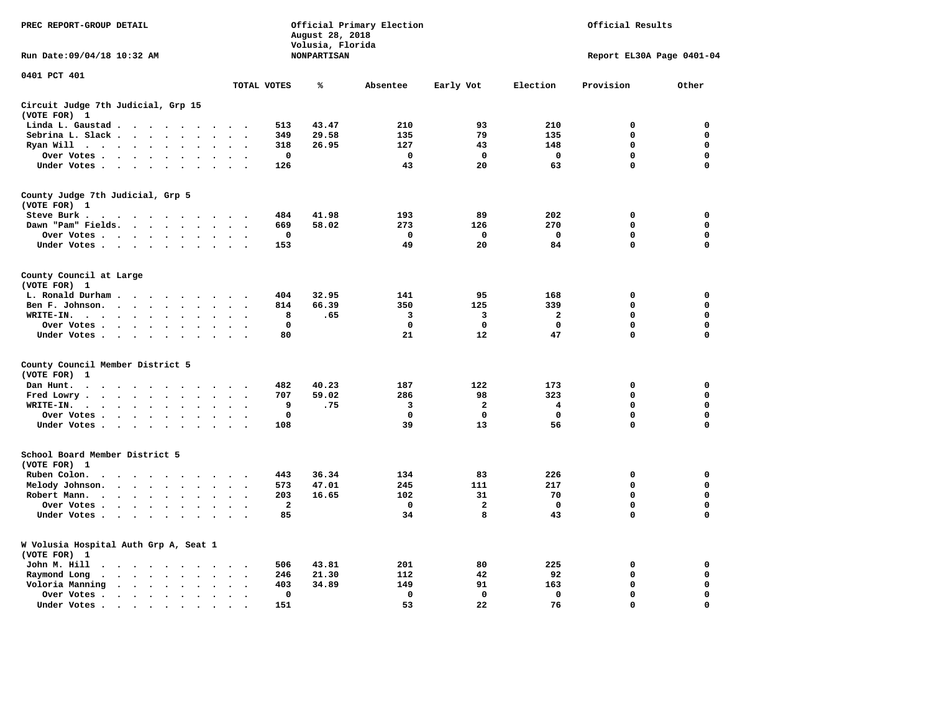| PREC REPORT-GROUP DETAIL                                                                                                                     |                                                     | August 28, 2018<br>Volusia, Florida | Official Primary Election |                         |             | Official Results          |             |
|----------------------------------------------------------------------------------------------------------------------------------------------|-----------------------------------------------------|-------------------------------------|---------------------------|-------------------------|-------------|---------------------------|-------------|
| Run Date: 09/04/18 10:32 AM                                                                                                                  |                                                     | <b>NONPARTISAN</b>                  |                           |                         |             | Report EL30A Page 0401-04 |             |
| 0401 PCT 401                                                                                                                                 | TOTAL VOTES                                         | ℁                                   | Absentee                  | Early Vot               | Election    | Provision                 | Other       |
| Circuit Judge 7th Judicial, Grp 15<br>(VOTE FOR) 1                                                                                           |                                                     |                                     |                           |                         |             |                           |             |
| Linda L. Gaustad                                                                                                                             | 513                                                 | 43.47                               | 210                       | 93                      | 210         | 0                         | 0           |
| Sebrina L. Slack<br>$\sim$                                                                                                                   | 349                                                 | 29.58                               | 135                       | 79                      | 135         | $\mathbf 0$               | 0           |
| Ryan Will $\cdots$ $\cdots$<br>$\ddot{\phantom{a}}$                                                                                          | 318<br>$\sim$                                       | 26.95                               | 127                       | 43                      | 148         | 0                         | 0           |
| Over Votes<br>$\bullet$<br>$\bullet$<br>$\overline{\phantom{a}}$                                                                             | 0<br>$\overline{a}$<br>$\overline{\phantom{a}}$     |                                     | 0                         | 0                       | $\mathbf 0$ | 0                         | 0           |
| Under Votes                                                                                                                                  | 126<br>$\cdot$                                      |                                     | 43                        | 20                      | 63          | 0                         | $\mathbf 0$ |
| County Judge 7th Judicial, Grp 5                                                                                                             |                                                     |                                     |                           |                         |             |                           |             |
| (VOTE FOR) 1                                                                                                                                 |                                                     |                                     |                           |                         |             |                           |             |
| Steve Burk .                                                                                                                                 | 484                                                 | 41.98                               | 193                       | 89                      | 202         | 0                         | 0           |
| Dawn "Pam" Fields.<br>$\bullet$<br>$\sim$                                                                                                    | 669<br>$\bullet$<br>$\ddot{\phantom{0}}$            | 58.02                               | 273                       | 126                     | 270         | $\mathbf 0$               | 0           |
| Over Votes<br>$\bullet$                                                                                                                      | $\mathbf 0$                                         |                                     | $\mathbf 0$               | $\mathbf 0$             | $\mathbf 0$ | $\mathbf 0$               | $\mathbf 0$ |
| Under Votes<br>$\ddot{\phantom{a}}$<br>$\bullet$                                                                                             | 153                                                 |                                     | 49                        | 20                      | 84          | $\mathbf 0$               | $\mathbf 0$ |
| County Council at Large<br>(VOTE FOR) 1                                                                                                      |                                                     |                                     |                           |                         |             |                           |             |
| L. Ronald Durham.<br>$\cdot$<br>$\cdot$                                                                                                      | 404                                                 | 32.95                               | 141                       | 95                      | 168         | 0                         | 0           |
|                                                                                                                                              |                                                     |                                     |                           |                         |             | $\mathbf 0$               |             |
| Ben F. Johnson.<br>$\ddot{\phantom{a}}$<br>$\ddot{\phantom{a}}$<br>$\bullet$<br>$\cdot$<br>$\cdot$                                           | 814<br>$\ddot{\phantom{a}}$<br>$\ddot{\phantom{0}}$ | 66.39                               | 350                       | 125                     | 339         |                           | 0           |
| WRITE-IN.<br>$\overline{\phantom{a}}$ .<br>$\ddot{\phantom{1}}$<br>$\cdots$<br>$\ddot{\phantom{a}}$                                          | 8                                                   | .65                                 | з                         | 3                       | 2           | 0                         | $\mathbf 0$ |
| Over Votes.<br>$\cdot \cdot \cdot \cdot$<br>$\sim$                                                                                           | 0                                                   |                                     | 0                         | 0                       | 0           | 0                         | 0           |
| Under Votes<br>$\sim$<br>$\bullet$                                                                                                           | 80<br>$\ddot{\phantom{a}}$<br>$\cdot$               |                                     | 21                        | 12                      | 47          | 0                         | $\mathbf 0$ |
| County Council Member District 5<br>(VOTE FOR)<br>1                                                                                          |                                                     |                                     |                           |                         |             |                           |             |
| Dan Hunt.<br>$\bullet$<br>.                                                                                                                  | 482                                                 | 40.23                               | 187                       | 122                     | 173         | 0                         | 0           |
| Fred Lowry.<br>$\mathcal{L}(\mathcal{A})$ , and $\mathcal{L}(\mathcal{A})$ , and $\mathcal{L}(\mathcal{A})$<br>$\bullet$<br>$\sim$<br>$\sim$ | 707                                                 | 59.02                               | 286                       | 98                      | 323         | $\mathbf 0$               | $\mathbf 0$ |
| WRITE-IN.<br>$\cdot$<br>$\bullet$<br>$\cdot$                                                                                                 | 9                                                   | .75                                 | 3                         | $\overline{\mathbf{2}}$ | 4           | 0                         | 0           |
| Over Votes<br>$\ddot{\phantom{1}}$<br>$\bullet$<br>$\cdot$                                                                                   | 0                                                   |                                     | $\mathbf 0$               | $\mathbf 0$             | $\mathbf 0$ | $\mathbf 0$               | 0           |
| Under Votes<br>$\sim$ $\sim$                                                                                                                 | 108                                                 |                                     | 39                        | 13                      | 56          | $\mathbf 0$               | $\mathbf 0$ |
| School Board Member District 5                                                                                                               |                                                     |                                     |                           |                         |             |                           |             |
| (VOTE FOR) 1                                                                                                                                 |                                                     |                                     |                           |                         |             |                           |             |
| Ruben Colon.<br>$\cdot$<br>$\sim$<br>$\cdot$<br>$\sim$ $\sim$<br>$\cdot$<br>$\overline{\phantom{a}}$<br>$\bullet$                            | 443                                                 | 36.34                               | 134                       | 83                      | 226         | 0                         | 0           |
| Melody Johnson.<br>$\cdots$<br>$\bullet$<br>$\sim$                                                                                           | 573<br>$\bullet$<br>$\overline{\phantom{a}}$        | 47.01                               | 245                       | 111                     | 217         | 0                         | $\mathbf 0$ |
| Robert Mann.<br>$\cdot$ $\cdot$ $\cdot$ $\cdot$<br>$\bullet$<br>$\ddot{\phantom{a}}$                                                         | 203<br>$\ddot{\phantom{a}}$                         | 16.65                               | 102                       | 31                      | 70          | $\mathbf 0$               | 0           |
| Over Votes<br>$\ddot{\phantom{a}}$<br>$\cdot$                                                                                                | $\overline{\mathbf{2}}$                             |                                     | 0                         | 2                       | 0           | 0                         | $\mathbf 0$ |
| Under Votes<br>$\cdot$                                                                                                                       | 85                                                  |                                     | 34                        | 8                       | 43          | $\mathbf 0$               | $\mathbf 0$ |
|                                                                                                                                              |                                                     |                                     |                           |                         |             |                           |             |
| W Volusia Hospital Auth Grp A, Seat 1<br>(VOTE FOR) 1                                                                                        |                                                     |                                     |                           |                         |             |                           |             |
| John M. Hill<br>$\bullet$<br>$\cdots$                                                                                                        | 506                                                 | 43.81                               | 201                       | 80                      | 225         | $\mathbf 0$               | 0           |
| Raymond Long<br>$\cdot$ $\cdot$ $\cdot$ $\cdot$ $\cdot$<br>$\ddot{\phantom{1}}$<br>$\cdot$                                                   | 246<br>$\cdot$<br>$\ddot{\phantom{0}}$              | 21.30                               | 112                       | 42                      | 92          | $\mathbf 0$               | 0           |
| Voloria Manning<br>$\cdots$<br>$\bullet$<br>$\ddot{\phantom{a}}$<br>$\bullet$                                                                | 403                                                 | 34.89                               | 149                       | 91                      | 163         | $\mathbf 0$               | 0           |
| Over Votes .<br>$\cdot \cdot \cdot \cdot$<br>$\ddot{\phantom{0}}$<br>$\cdot$<br>$\cdot$                                                      | $\mathbf 0$<br>$\bullet$<br>$\ddot{\phantom{0}}$    |                                     | $\mathbf 0$               | $\mathbf 0$             | $\mathbf 0$ | $\mathbf 0$               | 0           |
| Under Votes.                                                                                                                                 | 151                                                 |                                     | 53                        | 22                      | 76          | 0                         | $\mathbf 0$ |
| the contract of the contract of the contract of the contract of the contract of the contract of the contract of                              | $\bullet$                                           |                                     |                           |                         |             |                           |             |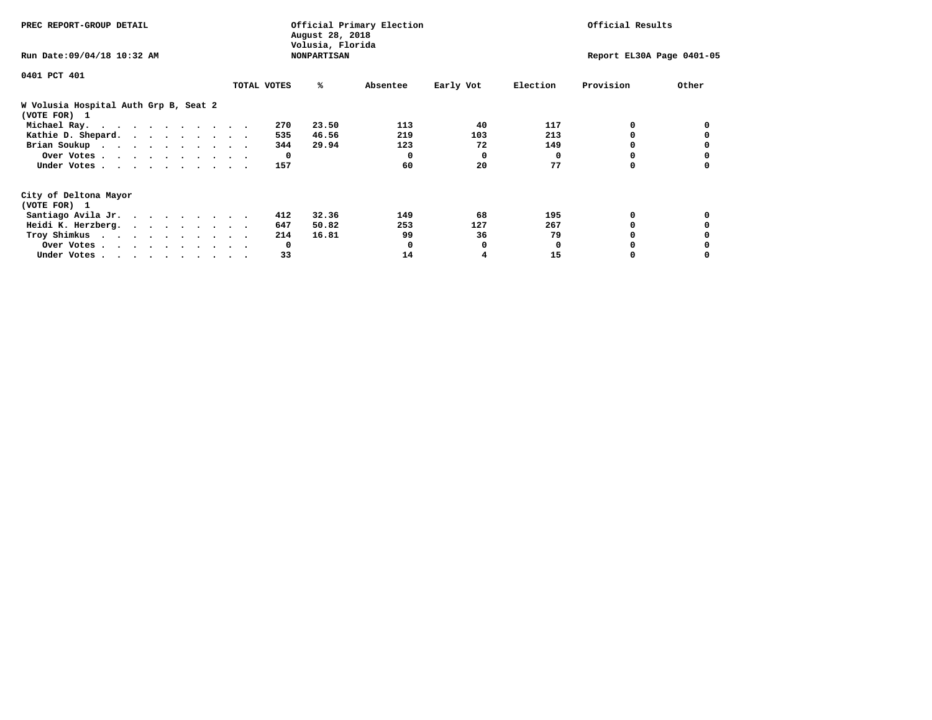| PREC REPORT-GROUP DETAIL                                               |             |              | August 28, 2018<br>Volusia, Florida | Official Primary Election | Official Results |                           |           |       |  |
|------------------------------------------------------------------------|-------------|--------------|-------------------------------------|---------------------------|------------------|---------------------------|-----------|-------|--|
| Run Date: 09/04/18 10:32 AM                                            |             |              | <b>NONPARTISAN</b>                  |                           |                  | Report EL30A Page 0401-05 |           |       |  |
| 0401 PCT 401                                                           |             |              |                                     |                           |                  |                           |           |       |  |
|                                                                        | TOTAL VOTES |              | ℁                                   | Absentee                  | Early Vot        | Election                  | Provision | Other |  |
| W Volusia Hospital Auth Grp B, Seat 2<br>(VOTE FOR) 1                  |             |              |                                     |                           |                  |                           |           |       |  |
| Michael Ray.                                                           |             | 270          | 23.50                               | 113                       | 40               | 117                       | 0         |       |  |
| Kathie D. Shepard.                                                     |             | 535          | 46.56                               | 219                       | 103              | 213                       |           |       |  |
| Brian Soukup                                                           |             | 344          | 29.94                               | 123                       | 72               | 149                       |           |       |  |
| Over Votes                                                             |             | $\mathbf{o}$ |                                     | 0                         | $\mathbf{o}$     | 0                         | 0         |       |  |
| Under Votes                                                            |             | 157          |                                     | 60                        | 20               | 77                        | 0         |       |  |
| City of Deltona Mayor                                                  |             |              |                                     |                           |                  |                           |           |       |  |
| (VOTE FOR) 1                                                           |             |              |                                     |                           |                  |                           |           |       |  |
| Santiago Avila Jr.                                                     |             | 412          | 32.36                               | 149                       | 68               | 195                       | 0         |       |  |
| Heidi K. Herzberg.                                                     |             | 647          | 50.82                               | 253                       | 127              | 267                       |           |       |  |
| Troy Shimkus                                                           |             | 214          | 16.81                               | 99                        | 36               | 79                        |           |       |  |
| Over Votes                                                             |             | 0            |                                     |                           | 0                | 0                         |           |       |  |
| Under Votes, $\cdot$ , $\cdot$ , $\cdot$ , $\cdot$ , $\cdot$ , $\cdot$ |             | 33           |                                     | 14                        |                  | 15                        |           |       |  |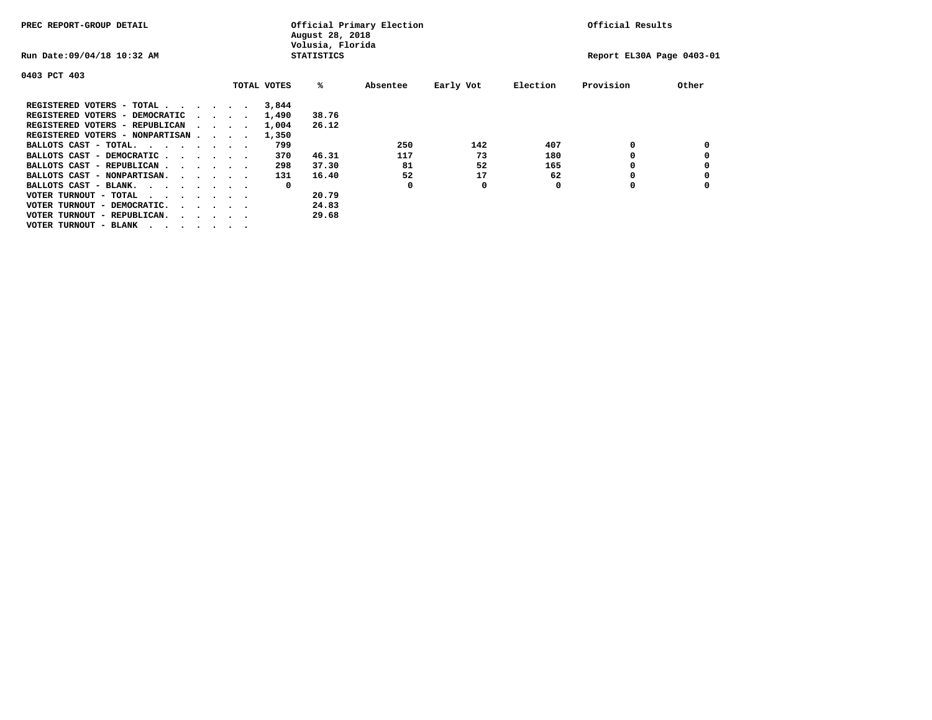| PREC REPORT-GROUP DETAIL                                                                                                                                                                                 |  |                                         |  |             | August 28, 2018<br>Volusia, Florida | Official Primary Election |           |          | Official Results          |       |
|----------------------------------------------------------------------------------------------------------------------------------------------------------------------------------------------------------|--|-----------------------------------------|--|-------------|-------------------------------------|---------------------------|-----------|----------|---------------------------|-------|
| Run Date: 09/04/18 10:32 AM                                                                                                                                                                              |  |                                         |  |             | <b>STATISTICS</b>                   |                           |           |          | Report EL30A Page 0403-01 |       |
| 0403 PCT 403                                                                                                                                                                                             |  |                                         |  |             |                                     |                           |           |          |                           |       |
|                                                                                                                                                                                                          |  |                                         |  | TOTAL VOTES | %ะ                                  | Absentee                  | Early Vot | Election | Provision                 | Other |
| REGISTERED VOTERS - TOTAL                                                                                                                                                                                |  |                                         |  | 3,844       |                                     |                           |           |          |                           |       |
| REGISTERED VOTERS - DEMOCRATIC                                                                                                                                                                           |  | $\cdot$ $\cdot$ $\cdot$ $\cdot$ $\cdot$ |  | 1,490       | 38.76                               |                           |           |          |                           |       |
| REGISTERED VOTERS - REPUBLICAN                                                                                                                                                                           |  |                                         |  | 1,004       | 26.12                               |                           |           |          |                           |       |
| REGISTERED VOTERS - NONPARTISAN                                                                                                                                                                          |  |                                         |  | 1,350       |                                     |                           |           |          |                           |       |
| BALLOTS CAST - TOTAL.                                                                                                                                                                                    |  |                                         |  | 799         |                                     | 250                       | 142       | 407      | 0                         |       |
| BALLOTS CAST - DEMOCRATIC                                                                                                                                                                                |  |                                         |  | 370         | 46.31                               | 117                       | 73        | 180      |                           |       |
| BALLOTS CAST - REPUBLICAN                                                                                                                                                                                |  |                                         |  | 298         | 37.30                               | 81                        | 52        | 165      | 0                         |       |
| BALLOTS CAST - NONPARTISAN.                                                                                                                                                                              |  |                                         |  | 131         | 16.40                               | 52                        | 17        | 62       | 0                         |       |
| BALLOTS CAST - BLANK.                                                                                                                                                                                    |  |                                         |  | 0           |                                     | 0                         | 0         | 0        | O                         |       |
| VOTER TURNOUT - TOTAL<br>$\begin{array}{cccccccccccccccccc} \bullet & \bullet & \bullet & \bullet & \bullet & \bullet & \bullet & \bullet & \bullet & \bullet & \bullet & \bullet & \bullet \end{array}$ |  |                                         |  |             | 20.79                               |                           |           |          |                           |       |
| VOTER TURNOUT - DEMOCRATIC.                                                                                                                                                                              |  | $\cdot$                                 |  |             | 24.83                               |                           |           |          |                           |       |
| VOTER TURNOUT - REPUBLICAN.<br>$\cdots$                                                                                                                                                                  |  |                                         |  |             | 29.68                               |                           |           |          |                           |       |
| VOTER TURNOUT - BLANK                                                                                                                                                                                    |  |                                         |  |             |                                     |                           |           |          |                           |       |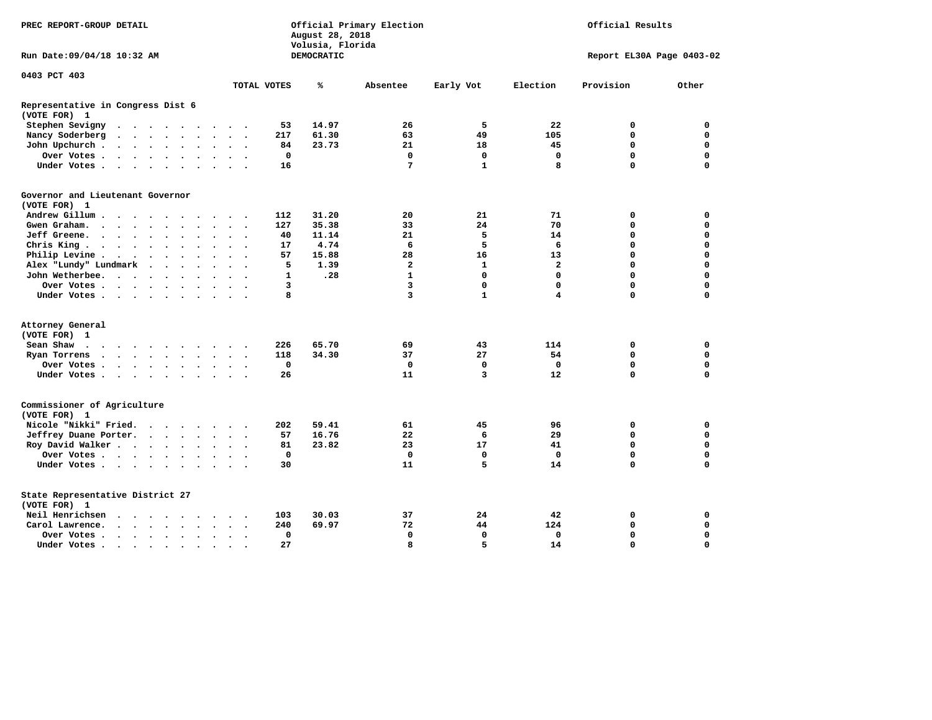| PREC REPORT-GROUP DETAIL                                                                                                                      |                                                         | August 28, 2018<br>Volusia, Florida | Official Primary Election | Official Results |              |                           |             |
|-----------------------------------------------------------------------------------------------------------------------------------------------|---------------------------------------------------------|-------------------------------------|---------------------------|------------------|--------------|---------------------------|-------------|
| Run Date: 09/04/18 10:32 AM                                                                                                                   |                                                         | DEMOCRATIC                          |                           |                  |              | Report EL30A Page 0403-02 |             |
| 0403 PCT 403                                                                                                                                  |                                                         |                                     |                           |                  |              |                           |             |
|                                                                                                                                               | TOTAL VOTES                                             | ℁                                   | Absentee                  | Early Vot        | Election     | Provision                 | Other       |
| Representative in Congress Dist 6<br>(VOTE FOR) 1                                                                                             |                                                         |                                     |                           |                  |              |                           |             |
| Stephen Sevigny<br>$\cdot$ $\cdot$ $\cdot$ $\cdot$ $\cdot$ $\cdot$                                                                            | 53<br>$\cdots$                                          | 14.97                               | 26                        | 5                | 22           | 0                         | $\mathbf 0$ |
| Nancy Soderberg<br>$\mathbf{z} = \mathbf{z} + \mathbf{z}$ .<br>$\ddot{\phantom{a}}$<br>$\sim$<br>$\ddot{\phantom{a}}$<br>$\ddot{\phantom{a}}$ | 217<br>$\ddot{\phantom{0}}$                             | 61.30                               | 63                        | 49               | 105          | 0                         | $\mathbf 0$ |
| John Upchurch.<br>$\cdot$ $\cdot$ $\cdot$ $\cdot$<br>$\bullet$                                                                                | 84                                                      | 23.73                               | 21                        | 18               | 45           | 0                         | $\mathbf 0$ |
| Over Votes .<br>$\cdot$ $\cdot$ $\cdot$ $\cdot$ $\cdot$<br>$\ddot{\phantom{0}}$<br>$\bullet$                                                  | 0<br>$\ddot{\phantom{0}}$<br>$\cdot$                    |                                     | $\mathbf 0$               | $\mathbf 0$      | $\mathbf 0$  | 0                         | $\mathbf 0$ |
| Under Votes<br>$\ddot{\phantom{a}}$<br>$\ddot{\phantom{0}}$<br>$\ddot{\phantom{0}}$                                                           | 16                                                      |                                     | 7                         | $\mathbf{1}$     | 8            | 0                         | $\mathbf 0$ |
| Governor and Lieutenant Governor<br>(VOTE FOR) 1                                                                                              |                                                         |                                     |                           |                  |              |                           |             |
| Andrew Gillum.<br>$\sim$ $\sim$<br>$\sim$                                                                                                     | 112                                                     | 31.20                               | 20                        | 21               | 71           | 0                         | 0           |
| Gwen Graham.<br>$\bullet$<br>$\bullet$                                                                                                        | 127<br>$\bullet$<br>$\ddot{\phantom{0}}$                | 35.38                               | 33                        | 24               | 70           | 0                         | $\mathbf 0$ |
| Jeff Greene.<br>$\sim$ $\sim$ $\sim$ $\sim$<br>$\ddot{\phantom{a}}$                                                                           | 40                                                      | 11.14                               | 21                        | 5                | 14           | 0                         | $\mathbf 0$ |
| Chris King<br>$\ddot{\phantom{a}}$                                                                                                            | 17                                                      | 4.74                                | 6                         | 5                | 6            | 0                         | $\mathbf 0$ |
| Philip Levine .<br>$\langle \cdot \rangle$<br>$\sim$<br>$\sim$ $\sim$ $\sim$<br>$\bullet$<br>$\ddot{\phantom{a}}$<br>$\bullet$                | 57<br>$\bullet$<br>$\bullet$                            | 15.88                               | 28                        | 16               | 13           | 0                         | $\mathbf 0$ |
| Alex "Lundy" Lundmark<br>$\ddot{\phantom{0}}$<br>$\ddot{\phantom{a}}$<br>$\cdot$<br>$\ddot{\phantom{0}}$                                      | 5                                                       | 1.39                                | $\mathbf{2}$              | 1                | 2            | 0                         | $\mathbf 0$ |
| John Wetherbee.<br>$\ddot{\phantom{a}}$<br>$\sim$<br>$\sim$ $\sim$ $\sim$<br>$\bullet$<br>$\bullet$<br>$\bullet$                              | $\mathbf{1}$                                            | .28                                 | $\mathbf{1}$              | $\mathbf{0}$     | $\mathbf 0$  | 0                         | $\Omega$    |
| Over Votes.<br>$\cdot$ $\cdot$ $\cdot$ $\cdot$<br>$\ddot{\phantom{a}}$                                                                        | 3                                                       |                                     | 3                         | 0                | $\mathbf 0$  | $\Omega$                  | $\Omega$    |
| Under Votes.<br>$\cdots$                                                                                                                      | 8                                                       |                                     | 3                         | $\mathbf{1}$     | 4            | $\Omega$                  | $\Omega$    |
| Attorney General                                                                                                                              |                                                         |                                     |                           |                  |              |                           |             |
| (VOTE FOR) 1                                                                                                                                  |                                                         |                                     |                           |                  |              |                           |             |
| Sean Shaw<br>$\blacksquare$ .<br>$\ddot{\phantom{1}}$<br>$\cdots$<br>$\sim$                                                                   | 226                                                     | 65.70                               | 69                        | 43               | 114          | 0                         | 0           |
| Ryan Torrens<br>$\cdots$<br>$\bullet$                                                                                                         | 118<br>$\ddot{\phantom{0}}$<br>$\overline{\phantom{a}}$ | 34.30                               | 37                        | 27               | 54           | 0                         | $\mathbf 0$ |
| Over Votes .<br>$\cdot$ $\cdot$ $\cdot$ $\cdot$ $\cdot$                                                                                       | $\mathbf 0$                                             |                                     | $\Omega$                  | $\mathbf 0$      | $\mathbf 0$  | 0                         | $\mathbf 0$ |
| Under Votes<br>$\sim$<br>$\bullet$                                                                                                            | 26<br>$\ddot{\phantom{1}}$                              |                                     | 11                        | 3                | 12           | 0                         | $\Omega$    |
| Commissioner of Agriculture<br>(VOTE FOR) 1                                                                                                   |                                                         |                                     |                           |                  |              |                           |             |
| Nicole "Nikki" Fried.<br>$\cdot$ $\cdot$ $\cdot$ $\cdot$                                                                                      | 202                                                     | 59.41                               | 61                        | 45               | 96           | 0                         | $\mathbf 0$ |
| Jeffrey Duane Porter.<br>$\cdot$ $\cdot$ $\cdot$ $\cdot$                                                                                      | 57                                                      | 16.76                               | 22                        | 6                | 29           | 0                         | $\mathbf 0$ |
| Roy David Walker<br>$\bullet$                                                                                                                 | 81<br>$\sim$                                            | 23.82                               | 23                        | 17               | 41           | $\mathbf 0$               | $\mathbf 0$ |
| Over Votes                                                                                                                                    | $\mathbf 0$                                             |                                     | $\mathbf{0}$              | 0                | $\mathbf{0}$ | 0                         | $\mathbf 0$ |
| Under Votes<br>$\ddot{\phantom{0}}$                                                                                                           | 30                                                      |                                     | 11                        | 5                | 14           | $\Omega$                  | 0           |
| State Representative District 27<br>(VOTE FOR) 1                                                                                              |                                                         |                                     |                           |                  |              |                           |             |
| Neil Henrichsen<br>$\ddot{\phantom{a}}$<br>$\overline{\phantom{a}}$<br>$\ddot{\phantom{0}}$                                                   | 103                                                     | 30.03                               | 37                        | 24               | 42           | 0                         | 0           |
| Carol Lawrence.<br>$\sim$<br>$\sim$ $\sim$<br>$\sim$<br>$\ddot{\phantom{a}}$<br>$\bullet$<br>$\bullet$                                        | 240<br>$\bullet$<br>$\bullet$                           | 69.97                               | 72                        | 44               | 124          | $\mathbf 0$               | $\mathbf 0$ |
| Over Votes.<br>$\cdots$<br>$\bullet$<br>$\bullet$                                                                                             | $\mathbf 0$                                             |                                     | $\Omega$                  | $\mathbf 0$      | $\mathbf 0$  | 0                         | $\mathbf 0$ |
| Under Votes.<br>$\mathcal{L}(\mathbf{a})$ . The set of $\mathcal{L}(\mathbf{a})$<br>$\sim$ $\sim$                                             | 27                                                      |                                     | 8                         | 5                | 14           | $\Omega$                  | $\Omega$    |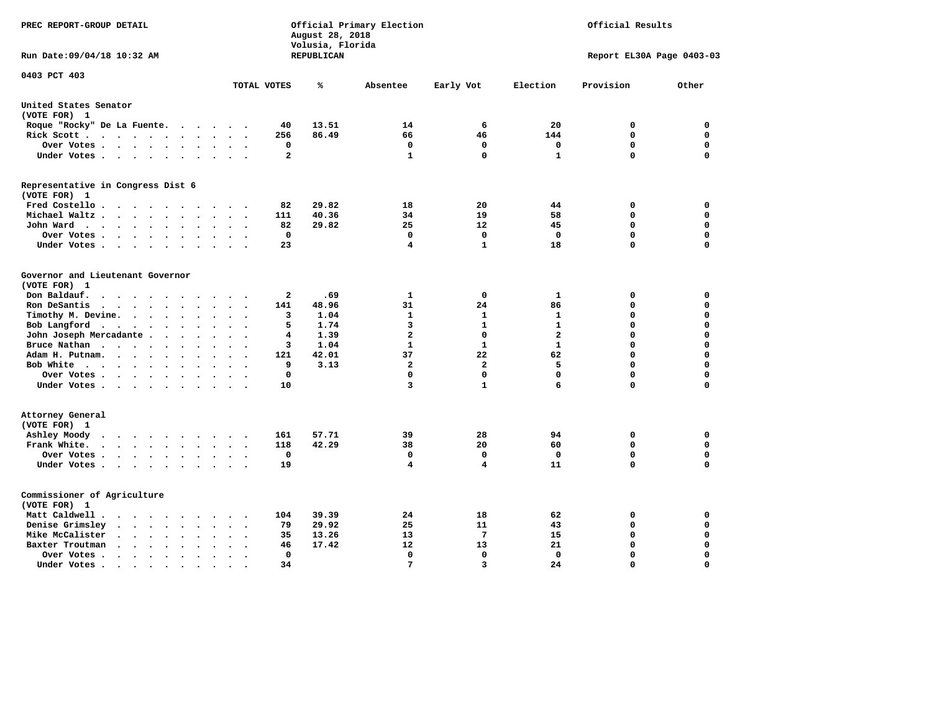| PREC REPORT-GROUP DETAIL                                                                                               |                                                       | August 28, 2018<br>Volusia, Florida | Official Primary Election |                 | Official Results |                           |             |
|------------------------------------------------------------------------------------------------------------------------|-------------------------------------------------------|-------------------------------------|---------------------------|-----------------|------------------|---------------------------|-------------|
| Run Date: 09/04/18 10:32 AM                                                                                            |                                                       | REPUBLICAN                          |                           |                 |                  | Report EL30A Page 0403-03 |             |
| 0403 PCT 403                                                                                                           | TOTAL VOTES                                           | ℁                                   | Absentee                  | Early Vot       | Election         | Provision                 | Other       |
|                                                                                                                        |                                                       |                                     |                           |                 |                  |                           |             |
| United States Senator<br>(VOTE FOR) 1                                                                                  |                                                       |                                     |                           |                 |                  |                           |             |
| Roque "Rocky" De La Fuente.                                                                                            | 40<br>$\cdots$                                        | 13.51                               | 14                        | 6               | 20               | 0                         | 0           |
| Rick Scott                                                                                                             | 256<br>$\bullet$                                      | 86.49                               | 66                        | 46              | 144              | 0                         | 0           |
| Over Votes                                                                                                             | 0<br>$\bullet$<br>$\cdot$                             |                                     | 0                         | $\mathbf 0$     | 0                | $\mathbf 0$               | 0           |
| Under Votes                                                                                                            | $\overline{a}$                                        |                                     | $\mathbf{1}$              | $\Omega$        | $\mathbf{1}$     | $\Omega$                  | $\mathbf 0$ |
| Representative in Congress Dist 6<br>(VOTE FOR) 1                                                                      |                                                       |                                     |                           |                 |                  |                           |             |
| Fred Costello                                                                                                          | 82                                                    | 29.82                               | 18                        | 20              | 44               | 0                         | $\mathbf 0$ |
| Michael Waltz<br>$\ddot{\phantom{a}}$<br>$\ddot{\phantom{a}}$                                                          | 111<br>$\ddot{\phantom{a}}$                           | 40.36                               | 34                        | 19              | 58               | $\mathbf 0$               | $\mathbf 0$ |
| John Ward                                                                                                              | 82                                                    | 29.82                               | 25                        | 12              | 45               | $\mathbf 0$               | 0           |
| Over Votes<br>$\cdot$                                                                                                  | $\mathbf 0$                                           |                                     | $\mathbf 0$               | $\mathbf 0$     | $\Omega$         | $\mathbf 0$               | 0           |
| Under Votes<br>$\sim$                                                                                                  | 23                                                    |                                     | 4                         | 1               | 18               | $\mathbf 0$               | $\mathbf 0$ |
|                                                                                                                        |                                                       |                                     |                           |                 |                  |                           |             |
| Governor and Lieutenant Governor<br>(VOTE FOR) 1                                                                       |                                                       |                                     |                           |                 |                  |                           |             |
| Don Baldauf.<br>$\cdot$ $\cdot$ $\cdot$ $\cdot$                                                                        | 2                                                     | .69                                 | 1                         | 0               | 1                | 0                         | 0           |
| Ron DeSantis<br>$\cdot$                                                                                                | 141                                                   | 48.96                               | 31                        | 24              | 86               | $\mathbf 0$               | $\mathbf 0$ |
| Timothy M. Devine.<br>$\ddot{\phantom{a}}$                                                                             | 3<br>$\ddot{\phantom{a}}$<br>$\overline{\phantom{a}}$ | 1.04                                | 1                         | 1               | 1                | $\mathbf 0$               | $\mathbf 0$ |
| Bob Langford                                                                                                           | 5                                                     | 1.74                                | 3                         | 1               | $\mathbf{1}$     | $\mathbf 0$               | $\mathbf 0$ |
| John Joseph Mercadante                                                                                                 | 4                                                     | 1.39                                | $\overline{a}$            | $\mathbf 0$     | $\overline{a}$   | $\mathbf 0$               | $\mathbf 0$ |
| Bruce Nathan<br>$\ddot{\phantom{a}}$                                                                                   | 3                                                     | 1.04                                | $\mathbf{1}$              | 1               | 1                | 0                         | $\mathbf 0$ |
| Adam H. Putnam.<br>$\cdot$<br>$\cdot$                                                                                  | 121                                                   | 42.01                               | 37                        | 22              | 62               | $\mathbf 0$               | $\mathbf 0$ |
| Bob White                                                                                                              | 9<br>$\sim$                                           | 3.13                                | $\overline{2}$            | $\overline{a}$  | 5                | $\mathbf 0$               | $\mathbf 0$ |
| Over Votes                                                                                                             | 0                                                     |                                     | $\Omega$                  | 0               | $\Omega$         | $\mathbf 0$               | $\mathbf 0$ |
| Under Votes                                                                                                            | 10                                                    |                                     | 3                         | $\mathbf{1}$    | 6                | $\Omega$                  | $\mathbf 0$ |
| Attorney General<br>(VOTE FOR) 1                                                                                       |                                                       |                                     |                           |                 |                  |                           |             |
| Ashley Moody                                                                                                           | 161<br>$\sim$<br>$\overline{\phantom{a}}$             | 57.71                               | 39                        | 28              | 94               | 0                         | $\mathbf 0$ |
| Frank White.<br>$\mathbf{r}$ , $\mathbf{r}$ , $\mathbf{r}$ , $\mathbf{r}$ , $\mathbf{r}$ , $\mathbf{r}$ , $\mathbf{r}$ | 118                                                   | 42.29                               | 38                        | 20              | 60               | $\mathbf 0$               | 0           |
| Over Votes                                                                                                             | $\mathbf 0$<br>$\cdot$<br>$\cdot$<br>$\cdot$          |                                     | $\mathbf 0$               | $\mathbf 0$     | 0                | $\mathbf 0$               | $\mathbf 0$ |
| Under Votes                                                                                                            | 19                                                    |                                     | 4                         | 4               | 11               | $\mathbf 0$               | $\mathbf 0$ |
| Commissioner of Agriculture<br>(VOTE FOR) 1                                                                            |                                                       |                                     |                           |                 |                  |                           |             |
| Matt Caldwell.<br>$\cdots$                                                                                             | 104                                                   | 39.39                               | 24                        | 18              | 62               | 0                         | 0           |
| Denise Grimsley<br>$\cdot$ $\cdot$ $\cdot$ $\cdot$<br>$\sim$                                                           | 79                                                    | 29.92                               | 25                        | 11              | 43               | 0                         | 0           |
| Mike McCalister<br>$\bullet$                                                                                           | 35<br>$\bullet$                                       | 13.26                               | 13                        | $7\phantom{.0}$ | 15               | $\mathbf 0$               | 0           |
| Baxter Troutman<br>$\sim$ $\sim$ $\sim$ $\sim$<br>$\overline{\phantom{a}}$<br>$\ddot{\phantom{a}}$                     | 46                                                    | 17.42                               | 12                        | 13              | 21               | $\mathbf 0$               | $\mathbf 0$ |
| Over Votes .<br>$\cdot$<br>$\cdot$                                                                                     | $\Omega$                                              |                                     | 0                         | 0               | $\Omega$         | $\mathbf 0$               | $\mathbf 0$ |
| Under Votes.<br>$\cdots$<br>$\sim$ $\sim$                                                                              | 34<br>$\bullet$                                       |                                     | 7                         | 3               | 24               | $\Omega$                  | $\Omega$    |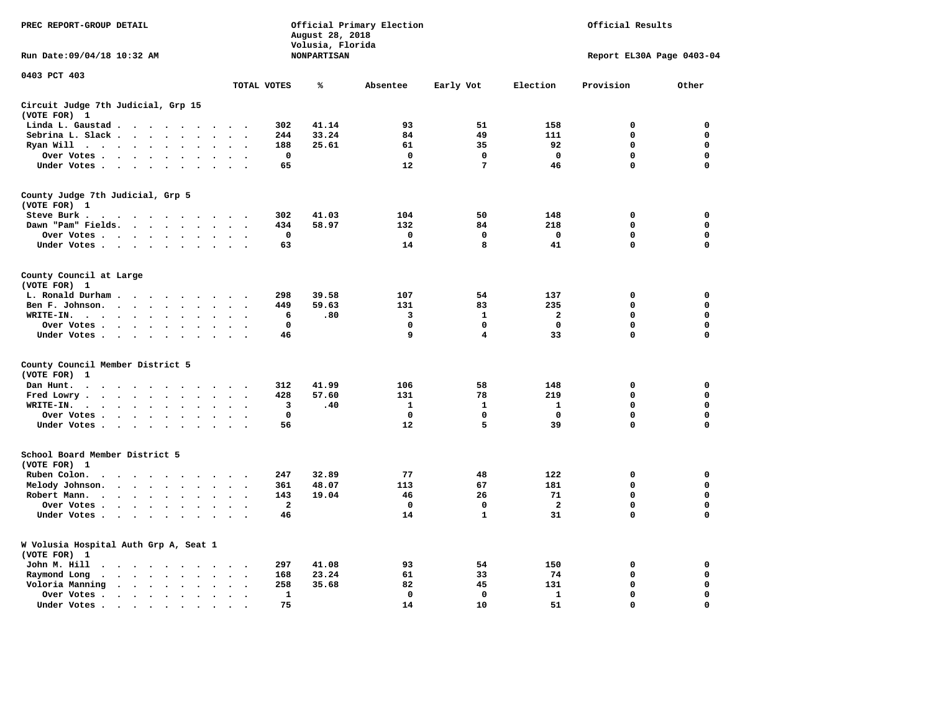| PREC REPORT-GROUP DETAIL                                                                                                                                                                                                                                          |                                                     | August 28, 2018                        | Official Primary Election |                         | Official Results<br>Report EL30A Page 0403-04 |             |             |  |
|-------------------------------------------------------------------------------------------------------------------------------------------------------------------------------------------------------------------------------------------------------------------|-----------------------------------------------------|----------------------------------------|---------------------------|-------------------------|-----------------------------------------------|-------------|-------------|--|
| Run Date: 09/04/18 10:32 AM                                                                                                                                                                                                                                       |                                                     | Volusia, Florida<br><b>NONPARTISAN</b> |                           |                         |                                               |             |             |  |
| 0403 PCT 403                                                                                                                                                                                                                                                      | TOTAL VOTES                                         | ℁                                      | Absentee                  | Early Vot               | Election                                      | Provision   | Other       |  |
|                                                                                                                                                                                                                                                                   |                                                     |                                        |                           |                         |                                               |             |             |  |
| Circuit Judge 7th Judicial, Grp 15<br>(VOTE FOR) 1                                                                                                                                                                                                                |                                                     |                                        |                           |                         |                                               |             |             |  |
| Linda L. Gaustad                                                                                                                                                                                                                                                  | 302                                                 | 41.14                                  | 93                        | 51                      | 158                                           | $\mathbf 0$ | 0           |  |
| Sebrina L. Slack<br>$\sim$<br>$\Delta$                                                                                                                                                                                                                            | 244                                                 | 33.24                                  | 84                        | 49                      | 111                                           | 0           | 0           |  |
| Ryan Will $\cdots$ $\cdots$<br>$\ddot{\phantom{a}}$                                                                                                                                                                                                               | 188                                                 | 25.61                                  | 61                        | 35                      | 92                                            | $\mathbf 0$ | 0           |  |
| Over Votes<br>$\bullet$<br>$\bullet$                                                                                                                                                                                                                              | $\mathbf 0$<br>$\ddot{\phantom{a}}$                 |                                        | $\mathbf 0$               | 0                       | $\mathbf 0$                                   | 0           | 0           |  |
| Under Votes                                                                                                                                                                                                                                                       | 65                                                  |                                        | 12                        | $7\phantom{.0}$         | 46                                            | $\mathbf 0$ | 0           |  |
| County Judge 7th Judicial, Grp 5                                                                                                                                                                                                                                  |                                                     |                                        |                           |                         |                                               |             |             |  |
| (VOTE FOR) 1                                                                                                                                                                                                                                                      |                                                     |                                        |                           |                         |                                               |             |             |  |
| Steve Burk.<br>. As the contract of the contract of the contract of the contract of the contract of the contract of the contract of the contract of the contract of the contract of the contract of the contract of the contract of the cont                      | 302                                                 | 41.03                                  | 104                       | 50                      | 148                                           | $\mathbf 0$ | 0           |  |
| Dawn "Pam" Fields.                                                                                                                                                                                                                                                | 434<br>$\ddot{\phantom{1}}$                         | 58.97                                  | 132                       | 84                      | 218                                           | 0           | $\mathbf 0$ |  |
| Over Votes<br>$\ddot{\phantom{a}}$<br>$\ddot{\phantom{a}}$                                                                                                                                                                                                        | $\mathbf 0$<br>$\bullet$                            |                                        | $\mathbf 0$               | 0                       | $\mathbf 0$                                   | 0           | $\mathbf 0$ |  |
| Under Votes                                                                                                                                                                                                                                                       | 63<br>$\cdot$                                       |                                        | 14                        | 8                       | 41                                            | 0           | $\mathbf 0$ |  |
|                                                                                                                                                                                                                                                                   |                                                     |                                        |                           |                         |                                               |             |             |  |
| County Council at Large<br>(VOTE FOR) 1                                                                                                                                                                                                                           |                                                     |                                        |                           |                         |                                               |             |             |  |
| L. Ronald Durham                                                                                                                                                                                                                                                  | 298                                                 | 39.58                                  | 107                       | 54                      | 137                                           | $\mathbf 0$ | 0           |  |
|                                                                                                                                                                                                                                                                   |                                                     |                                        |                           |                         |                                               |             |             |  |
| Ben F. Johnson.<br>$\ddot{\phantom{a}}$<br>$\ddot{\phantom{a}}$<br>$\ddot{\phantom{a}}$                                                                                                                                                                           | 449<br>$\ddot{\phantom{a}}$<br>$\ddot{\phantom{0}}$ | 59.63                                  | 131                       | 83                      | 235                                           | 0           | 0           |  |
| WRITE-IN.<br>$\ddot{\phantom{a}}$                                                                                                                                                                                                                                 | 6                                                   | .80                                    | 3                         | $\mathbf{1}$            | $\mathbf{2}$                                  | $\Omega$    | $\mathbf 0$ |  |
| Over Votes .<br>$\cdot$ $\cdot$ $\cdot$ $\cdot$<br>$\bullet$                                                                                                                                                                                                      | $\mathbf 0$                                         |                                        | 0                         | $\mathbf 0$             | $\mathbf 0$                                   | 0           | 0           |  |
| Under Votes<br>$\ddot{\phantom{a}}$<br>$\cdot$                                                                                                                                                                                                                    | 46<br>$\sim$                                        |                                        | 9                         | $\overline{\mathbf{4}}$ | 33                                            | 0           | $\mathbf 0$ |  |
| County Council Member District 5                                                                                                                                                                                                                                  |                                                     |                                        |                           |                         |                                               |             |             |  |
| (VOTE FOR)<br>1                                                                                                                                                                                                                                                   |                                                     |                                        |                           |                         |                                               |             |             |  |
| Dan Hunt.<br>.                                                                                                                                                                                                                                                    | 312                                                 | 41.99                                  | 106                       | 58                      | 148                                           | $\mathbf 0$ | $\mathbf 0$ |  |
| Fred Lowry.<br>$\mathbf{r}$ . The set of the set of the set of the set of the set of the set of the set of the set of the set of the set of the set of the set of the set of the set of the set of the set of the set of the set of the set of t<br>$\sim$ $\sim$ | 428<br>$\sim$ $\sim$                                | 57.60                                  | 131                       | 78                      | 219                                           | $\mathbf 0$ | $\mathbf 0$ |  |
| WRITE-IN.<br>$\cdot$<br>$\sim$                                                                                                                                                                                                                                    | 3                                                   | .40                                    | $\mathbf{1}$              | $\mathbf{1}$            | $\mathbf{1}$                                  | 0           | 0           |  |
| Over Votes<br>$\ddot{\phantom{a}}$<br>$\ddot{\phantom{1}}$                                                                                                                                                                                                        | $\mathbf 0$<br>$\cdot$                              |                                        | $\mathbf{0}$              | 0                       | $\mathbf 0$                                   | 0           | $\mathbf 0$ |  |
| Under Votes                                                                                                                                                                                                                                                       | 56                                                  |                                        | 12                        | 5                       | 39                                            | $\Omega$    | $\mathbf 0$ |  |
| $\bullet$ .<br><br><br><br><br><br><br><br><br><br><br><br><br>                                                                                                                                                                                                   | $\ddot{\phantom{0}}$                                |                                        |                           |                         |                                               |             |             |  |
| School Board Member District 5                                                                                                                                                                                                                                    |                                                     |                                        |                           |                         |                                               |             |             |  |
| (VOTE FOR) 1                                                                                                                                                                                                                                                      |                                                     |                                        |                           |                         |                                               |             |             |  |
| Ruben Colon.<br>$\ddot{\phantom{0}}$<br>$\cdot$ $\cdot$<br>$\ddot{\phantom{a}}$<br>$\ddot{\phantom{a}}$<br>$\ddot{\phantom{a}}$                                                                                                                                   | 247                                                 | 32.89                                  | 77                        | 48                      | 122                                           | 0           | 0           |  |
| Melody Johnson.<br>$\mathbf{r}$                                                                                                                                                                                                                                   | 361<br>$\sim$                                       | 48.07                                  | 113                       | 67                      | 181                                           | 0           | 0           |  |
| Robert Mann.<br>$\cdots$<br>$\bullet$<br>$\ddot{\phantom{a}}$                                                                                                                                                                                                     | 143<br>$\overline{a}$                               | 19.04                                  | 46                        | 26                      | 71                                            | 0           | 0           |  |
| Over Votes<br>$\ddot{\phantom{a}}$<br>$\bullet$                                                                                                                                                                                                                   | $\mathbf{2}$                                        |                                        | $\mathbf 0$               | $\mathbf 0$             | $\overline{a}$                                | 0           | 0           |  |
| Under Votes<br>$\sim$<br>$\sim$                                                                                                                                                                                                                                   | 46<br>$\sim$                                        |                                        | 14                        | $\mathbf{1}$            | 31                                            | 0           | $\mathbf 0$ |  |
|                                                                                                                                                                                                                                                                   |                                                     |                                        |                           |                         |                                               |             |             |  |
| W Volusia Hospital Auth Grp A, Seat 1<br>(VOTE FOR) 1                                                                                                                                                                                                             |                                                     |                                        |                           |                         |                                               |             |             |  |
| John M. Hill<br>$\sim$ $\sim$                                                                                                                                                                                                                                     | 297<br>$\ddot{\phantom{a}}$                         | 41.08                                  | 93                        | 54                      | 150                                           | 0           | 0           |  |
| Raymond Long<br>$\mathbf{r}$ . The set of the set of $\mathbf{r}$<br>$\bullet$                                                                                                                                                                                    | 168                                                 | 23.24                                  | 61                        | 33                      | 74                                            | $\mathbf 0$ | $\mathbf 0$ |  |
| $\ddot{\phantom{0}}$<br>$\bullet$<br>Voloria Manning<br>$\ddot{\phantom{a}}$<br>$\ddot{\phantom{a}}$                                                                                                                                                              | $\bullet$<br>$\bullet$<br>258<br>$\cdot$            | 35.68                                  | 82                        | 45                      | 131                                           | $\mathbf 0$ | 0           |  |
| Over Votes.                                                                                                                                                                                                                                                       | $\mathbf 1$                                         |                                        | $\mathbf 0$               | $\mathbf 0$             | 1                                             | 0           | $\mathbf 0$ |  |
| $\cdot \cdot \cdot \cdot$<br>$\bullet$<br>$\bullet$<br>$\bullet$                                                                                                                                                                                                  | $\ddot{\phantom{a}}$<br>$\cdot$                     |                                        |                           |                         |                                               | $\Omega$    | $\Omega$    |  |
| Under Votes.<br>$\bullet$<br>$\cdots$<br>$\bullet$                                                                                                                                                                                                                | 75                                                  |                                        | 14                        | 10                      | 51                                            |             |             |  |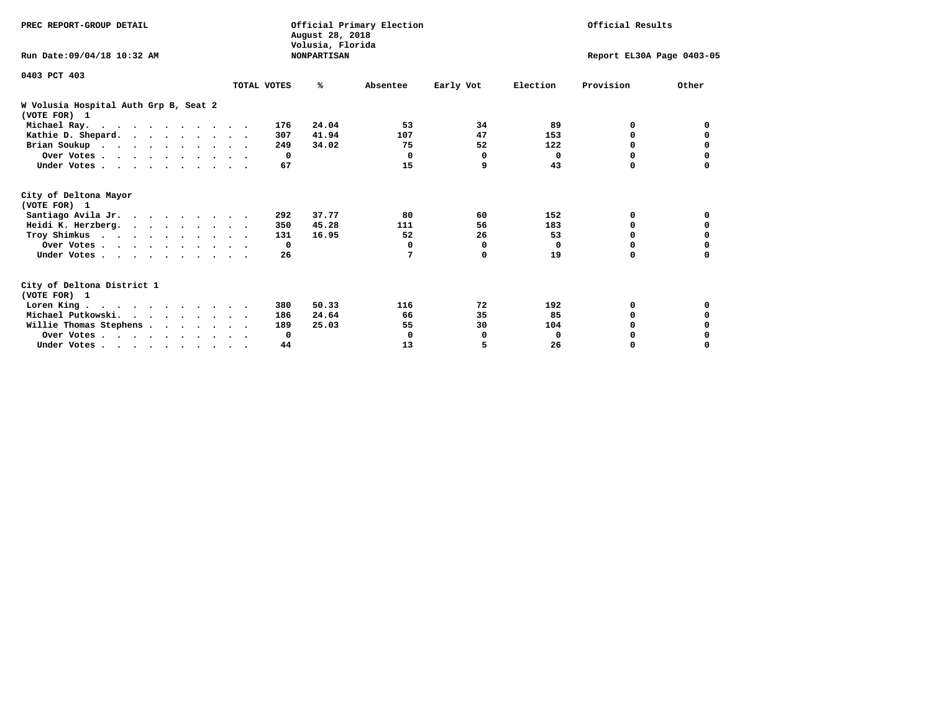| PREC REPORT-GROUP DETAIL                              |             |     | August 28, 2018<br>Volusia, Florida | Official Primary Election |           |          | Official Results          |              |
|-------------------------------------------------------|-------------|-----|-------------------------------------|---------------------------|-----------|----------|---------------------------|--------------|
| Run Date: 09/04/18 10:32 AM                           |             |     | <b>NONPARTISAN</b>                  |                           |           |          | Report EL30A Page 0403-05 |              |
| 0403 PCT 403                                          |             |     |                                     |                           |           |          |                           |              |
|                                                       | TOTAL VOTES |     | ℁                                   | Absentee                  | Early Vot | Election | Provision                 | Other        |
| W Volusia Hospital Auth Grp B, Seat 2<br>(VOTE FOR) 1 |             |     |                                     |                           |           |          |                           |              |
| Michael Ray.                                          |             | 176 | 24.04                               | 53                        | 34        | 89       | 0                         | <sup>0</sup> |
| Kathie D. Shepard.                                    |             | 307 | 41.94                               | 107                       | 47        | 153      | 0                         | 0            |
| Brian Soukup                                          |             | 249 | 34.02                               | 75                        | 52        | 122      | 0                         | 0            |
| Over Votes                                            |             | 0   |                                     | 0                         | $\Omega$  | $\Omega$ | $\Omega$                  | 0            |
| Under Votes                                           |             | 67  |                                     | 15                        | 9         | 43       | $\Omega$                  | $\Omega$     |
| City of Deltona Mayor<br>(VOTE FOR) 1                 |             |     |                                     |                           |           |          |                           |              |
| Santiago Avila Jr.                                    |             | 292 | 37.77                               | 80                        | 60        | 152      | 0                         | 0            |
| Heidi K. Herzberg.                                    |             | 350 | 45.28                               | 111                       | 56        | 183      | 0                         | 0            |
| Troy Shimkus                                          |             | 131 | 16.95                               | 52                        | 26        | 53       | $\Omega$                  | 0            |
| Over Votes                                            |             | 0   |                                     | 0                         | 0         | 0        | $\Omega$                  | 0            |
| Under Votes                                           |             | 26  |                                     | 7                         | 0         | 19       | 0                         | 0            |
| City of Deltona District 1<br>(VOTE FOR) 1            |             |     |                                     |                           |           |          |                           |              |
| Loren King                                            |             | 380 | 50.33                               | 116                       | 72        | 192      | 0                         | 0            |
| Michael Putkowski.                                    |             | 186 | 24.64                               | 66                        | 35        | 85       | $\Omega$                  | 0            |
| Willie Thomas Stephens                                |             | 189 | 25.03                               | 55                        | 30        | 104      | $\Omega$                  |              |
| Over Votes                                            |             | 0   |                                     | 0                         | 0         | 0        | 0                         |              |
| Under Votes                                           |             | 44  |                                     | 13                        | 5         | 26       | 0                         | $\Omega$     |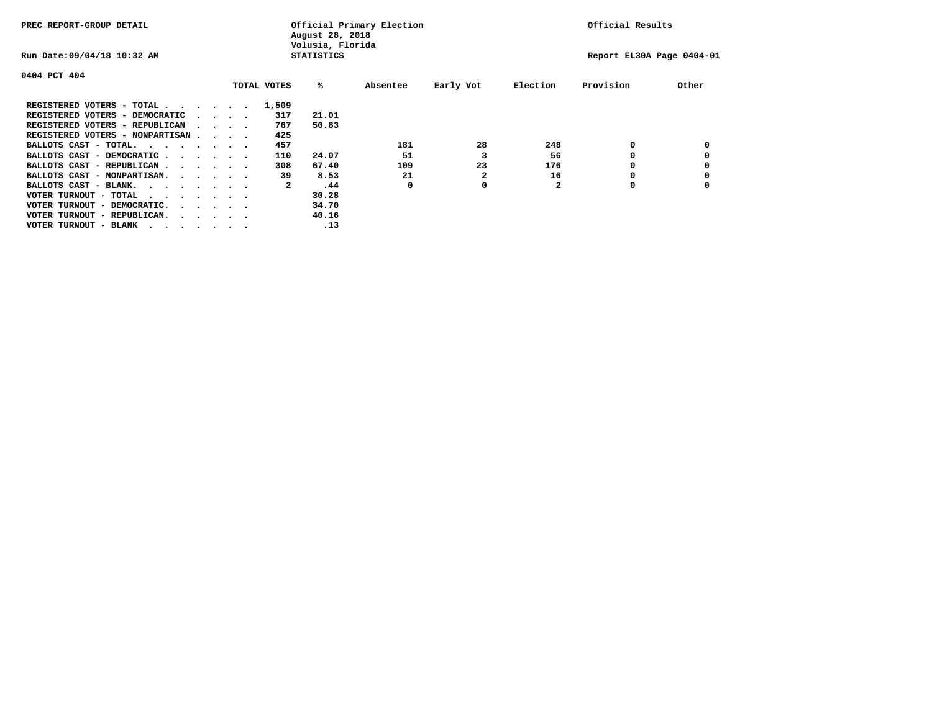| PREC REPORT-GROUP DETAIL               |  |                                 |             | August 28, 2018<br>Volusia, Florida | Official Primary Election |           |              | Official Results          |       |
|----------------------------------------|--|---------------------------------|-------------|-------------------------------------|---------------------------|-----------|--------------|---------------------------|-------|
| Run Date: 09/04/18 10:32 AM            |  |                                 |             | <b>STATISTICS</b>                   |                           |           |              | Report EL30A Page 0404-01 |       |
| 0404 PCT 404                           |  |                                 |             |                                     |                           |           |              |                           |       |
|                                        |  |                                 | TOTAL VOTES | %ะ                                  | Absentee                  | Early Vot | Election     | Provision                 | Other |
| REGISTERED VOTERS - TOTAL              |  |                                 | 1,509       |                                     |                           |           |              |                           |       |
| REGISTERED VOTERS - DEMOCRATIC         |  | $\cdot$ $\cdot$ $\cdot$ $\cdot$ | 317         | 21.01                               |                           |           |              |                           |       |
| REGISTERED VOTERS - REPUBLICAN         |  |                                 | 767         | 50.83                               |                           |           |              |                           |       |
| REGISTERED VOTERS - NONPARTISAN        |  |                                 | 425         |                                     |                           |           |              |                           |       |
| BALLOTS CAST - TOTAL.                  |  |                                 | 457         |                                     | 181                       | 28        | 248          | 0                         |       |
| BALLOTS CAST - DEMOCRATIC              |  |                                 | 110         | 24.07                               | 51                        |           | 56           |                           |       |
| BALLOTS CAST - REPUBLICAN              |  |                                 | 308         | 67.40                               | 109                       | 23        | 176          | ٥                         |       |
| BALLOTS CAST - NONPARTISAN.            |  |                                 | 39          | 8.53                                | 21                        | 2         | 16           |                           |       |
| BALLOTS CAST - BLANK.                  |  |                                 | 2           | .44                                 | 0                         | 0         | $\mathbf{2}$ | ٥                         |       |
| VOTER TURNOUT - TOTAL<br>$\cdots$      |  |                                 |             | 30.28                               |                           |           |              |                           |       |
| VOTER TURNOUT - DEMOCRATIC.            |  | $\cdot$                         |             | 34.70                               |                           |           |              |                           |       |
| VOTER TURNOUT - REPUBLICAN.<br>$\cdot$ |  |                                 |             | 40.16                               |                           |           |              |                           |       |
| VOTER TURNOUT - BLANK                  |  |                                 |             | .13                                 |                           |           |              |                           |       |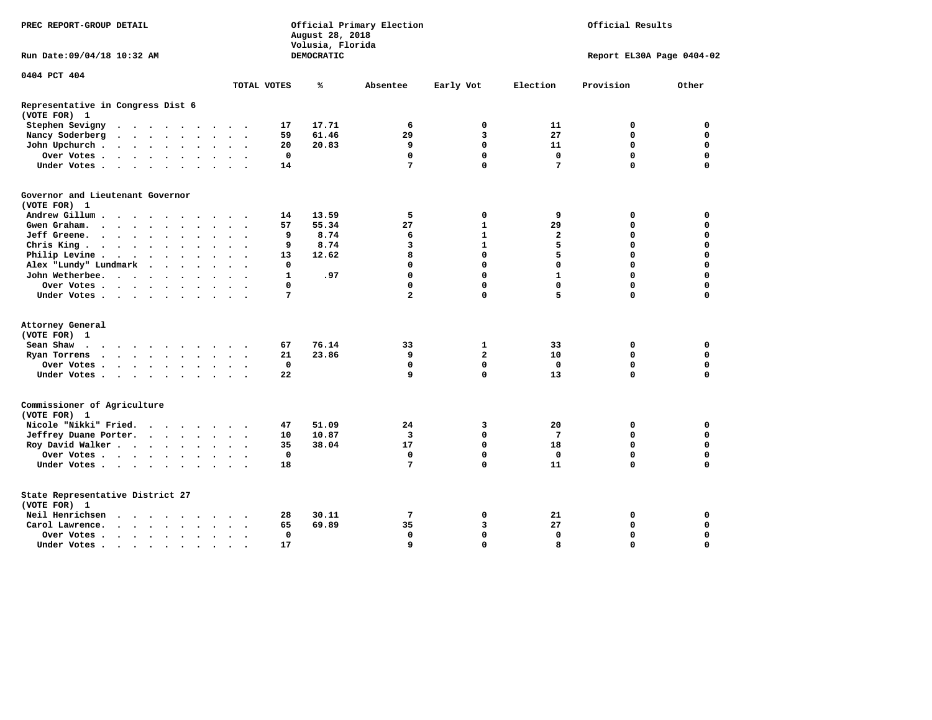| PREC REPORT-GROUP DETAIL                                                                                       |                                                   | August 28, 2018<br>Volusia, Florida | Official Primary Election | Official Results |              |                           |             |
|----------------------------------------------------------------------------------------------------------------|---------------------------------------------------|-------------------------------------|---------------------------|------------------|--------------|---------------------------|-------------|
| Run Date: 09/04/18 10:32 AM                                                                                    |                                                   | DEMOCRATIC                          |                           |                  |              | Report EL30A Page 0404-02 |             |
| 0404 PCT 404                                                                                                   |                                                   |                                     |                           |                  |              |                           |             |
|                                                                                                                | TOTAL VOTES                                       | ℁                                   | Absentee                  | Early Vot        | Election     | Provision                 | Other       |
| Representative in Congress Dist 6<br>(VOTE FOR) 1                                                              |                                                   |                                     |                           |                  |              |                           |             |
| Stephen Sevigny<br>$\ddot{\phantom{a}}$<br>$\cdots$<br>$\ddot{\phantom{1}}$                                    | 17                                                | 17.71                               | 6                         | $\mathbf 0$      | 11           | 0                         | $\mathbf 0$ |
| Nancy Soderberg<br>$\cdot$ $\cdot$ $\cdot$ $\cdot$ $\cdot$ $\cdot$<br>$\ddot{\phantom{0}}$                     | 59<br>$\bullet$ .<br><br><br><br><br><br>$\cdot$  | 61.46                               | 29                        | 3                | 27           | $\mathbf 0$               | $\mathbf 0$ |
| John Upchurch.<br>$\cdot$ $\cdot$ $\cdot$ $\cdot$<br>$\bullet$<br>$\ddot{\phantom{a}}$                         | 20                                                | 20.83                               | 9                         | $\Omega$         | 11           | 0                         | $\mathbf 0$ |
| Over Votes .<br>$\cdots$<br>$\cdot$                                                                            | $\mathbf 0$                                       |                                     | $\mathbf 0$               | $\mathbf{0}$     | $\mathbf 0$  | $\mathbf 0$               | $\mathbf 0$ |
| Under Votes<br>$\ddot{\phantom{a}}$                                                                            | 14                                                |                                     | 7                         | $\Omega$         | 7            | $\Omega$                  | $\Omega$    |
| Governor and Lieutenant Governor                                                                               |                                                   |                                     |                           |                  |              |                           |             |
| (VOTE FOR) 1                                                                                                   |                                                   |                                     |                           |                  |              |                           |             |
| Andrew Gillum<br>$\ddot{\phantom{a}}$                                                                          | 14                                                | 13.59                               | 5                         | 0                | 9            | 0                         | $\mathbf 0$ |
| Gwen Graham.<br>$\bullet$<br>$\ddot{\phantom{a}}$                                                              | 57                                                | 55.34                               | 27                        | 1                | 29           | 0                         | $\mathbf 0$ |
| Jeff Greene.<br>$\ddot{\phantom{0}}$<br>$\ddot{\phantom{a}}$<br>$\bullet$                                      | 9<br>$\ddot{\phantom{a}}$<br>$\ddot{\phantom{0}}$ | 8.74                                | 6                         | $\mathbf{1}$     | $\mathbf{2}$ | 0                         | $\mathbf 0$ |
| Chris King<br>$\sim$                                                                                           | 9                                                 | 8.74                                | 3                         | $\mathbf{1}$     | 5            | 0                         | $\mathbf 0$ |
| Philip Levine .<br>$\cdot$ $\cdot$ $\cdot$ $\cdot$ $\cdot$<br>$\bullet$<br>$\ddot{\phantom{0}}$                | 13<br>$\bullet$                                   | 12.62                               | 8                         | $\mathbf{0}$     | 5            | 0                         | $\mathbf 0$ |
| Alex "Lundy" Lundmark<br>$\sim$ $\sim$<br>$\ddot{\phantom{a}}$                                                 | $\mathbf 0$                                       |                                     | 0                         | 0                | $\Omega$     | 0                         | $\Omega$    |
| John Wetherbee.<br>$\cdot$ $\cdot$ $\cdot$ $\cdot$ $\cdot$                                                     | $\mathbf{1}$                                      | .97                                 | 0                         | $\mathbf{0}$     | $\mathbf{1}$ | 0                         | $\mathbf 0$ |
| Over Votes .<br>$\cdots$<br>$\ddot{\phantom{0}}$                                                               | $\mathbf{0}$                                      |                                     | 0                         | 0                | $\mathbf 0$  | 0                         | $\mathbf 0$ |
| Under Votes<br>$\ddot{\phantom{a}}$                                                                            | $7\phantom{.0}$                                   |                                     | $\overline{a}$            | 0                | 5            | $\Omega$                  | 0           |
| Attorney General                                                                                               |                                                   |                                     |                           |                  |              |                           |             |
| (VOTE FOR) 1                                                                                                   |                                                   |                                     |                           |                  |              |                           |             |
| Sean Shaw<br>$\cdots$                                                                                          | 67                                                | 76.14                               | 33                        | 1                | 33           | 0                         | 0           |
| Ryan Torrens<br>. The contract of the contract of the contract of the contract of the contract of the $\alpha$ | 21<br>$\ddot{\phantom{1}}$                        | 23.86                               | 9                         | $\overline{a}$   | 10           | 0                         | $\mathbf 0$ |
| Over Votes.<br>$\cdots$                                                                                        | 0                                                 |                                     | $\mathbf 0$               | $\mathbf 0$      | $\mathbf 0$  | 0                         | $\mathbf 0$ |
| Under Votes<br>$\ddot{\phantom{0}}$                                                                            | 22<br>$\ddot{\phantom{1}}$                        |                                     | 9                         | $\mathbf{0}$     | 13           | 0                         | $\mathbf 0$ |
| Commissioner of Agriculture<br>(VOTE FOR) 1                                                                    |                                                   |                                     |                           |                  |              |                           |             |
| Nicole "Nikki" Fried.<br>$\cdot$                                                                               | 47                                                | 51.09                               | 24                        | 3                | 20           | 0                         | 0           |
| Jeffrey Duane Porter.<br>$\cdot$                                                                               | 10                                                | 10.87                               | 3                         | 0                | 7            | 0                         | 0           |
| Roy David Walker                                                                                               | 35                                                | 38.04                               | 17                        | $\mathbf 0$      | 18           | $\mathbf 0$               | $\mathbf 0$ |
| Over Votes                                                                                                     | 0                                                 |                                     | $\mathbf 0$               | $\mathbf 0$      | $\mathbf 0$  | 0                         | $\mathbf 0$ |
| Under Votes<br>$\bullet$                                                                                       | 18                                                |                                     | 7                         | $\mathbf{0}$     | 11           | 0                         | 0           |
| State Representative District 27                                                                               |                                                   |                                     |                           |                  |              |                           |             |
| (VOTE FOR) 1                                                                                                   |                                                   |                                     |                           |                  |              |                           |             |
| Neil Henrichsen<br>.                                                                                           | 28                                                | 30.11                               | 7                         | 0                | 21           | 0                         | 0           |
| Carol Lawrence.<br>$\cdot$ $\cdot$ $\cdot$ $\cdot$ $\cdot$<br>$\bullet$<br>$\bullet$                           | 65                                                | 69.89                               | 35                        | 3                | 27           | 0                         | 0           |
| Over Votes .<br>$\bullet$                                                                                      | 0                                                 |                                     | $\mathbf 0$               | $\mathbf 0$      | 0            | 0                         | $\mathbf 0$ |
| Under Votes.<br>.                                                                                              | 17                                                |                                     | 9                         | 0                | 8            | 0                         | $\Omega$    |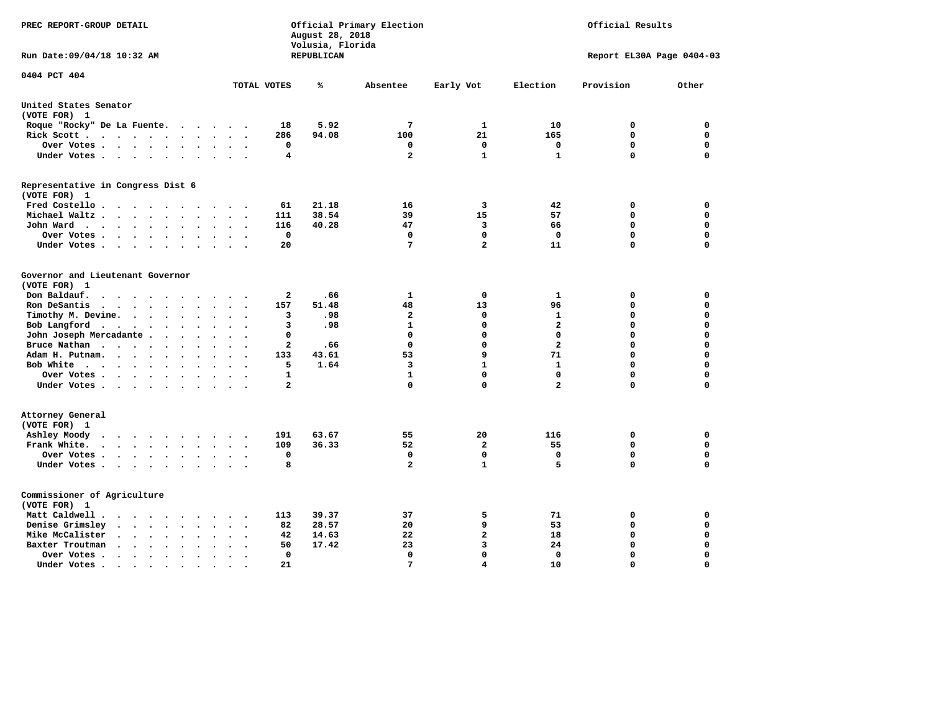| PREC REPORT-GROUP DETAIL                                                                                                                          |                                                  | August 28, 2018<br>Volusia, Florida | Official Primary Election |                      |                   | Official Results          |                  |
|---------------------------------------------------------------------------------------------------------------------------------------------------|--------------------------------------------------|-------------------------------------|---------------------------|----------------------|-------------------|---------------------------|------------------|
| Run Date: 09/04/18 10:32 AM                                                                                                                       |                                                  | <b>REPUBLICAN</b>                   |                           |                      |                   | Report EL30A Page 0404-03 |                  |
| 0404 PCT 404                                                                                                                                      | TOTAL VOTES                                      | ℁                                   | Absentee                  | Early Vot            | Election          | Provision                 | Other            |
| United States Senator                                                                                                                             |                                                  |                                     |                           |                      |                   |                           |                  |
| (VOTE FOR) 1                                                                                                                                      |                                                  |                                     |                           |                      |                   |                           |                  |
| Roque "Rocky" De La Fuente.<br>$\cdots$                                                                                                           | 18<br>$\sim$ $\sim$                              | 5.92                                | 7                         | 1                    | 10                | 0                         | 0                |
| Rick Scott<br>$\ddot{\phantom{0}}$                                                                                                                | 286                                              | 94.08                               | 100                       | 21                   | 165               | $\mathbf 0$               | $\mathbf 0$      |
| Over Votes<br>$\sim$<br>$\ddot{\phantom{a}}$                                                                                                      | $\mathbf 0$<br>$\bullet$<br>$\ddot{\phantom{a}}$ |                                     | 0                         | $\mathbf 0$          | $\mathbf 0$       | $\mathbf 0$               | $\mathbf 0$      |
| Under Votes                                                                                                                                       | 4<br>$\bullet$                                   |                                     | $\overline{a}$            | $\mathbf{1}$         | $\mathbf{1}$      | $\mathbf 0$               | $\Omega$         |
| Representative in Congress Dist 6<br>(VOTE FOR) 1                                                                                                 |                                                  |                                     |                           |                      |                   |                           |                  |
| Fred Costello                                                                                                                                     | 61                                               | 21.18                               | 16                        | 3                    | 42                | 0                         | 0                |
| Michael Waltz<br>$\ddot{\phantom{a}}$                                                                                                             | 111<br>$\sim$                                    | 38.54                               | 39                        | 15                   | 57                | 0                         | $\mathbf 0$      |
| John Ward<br>$\ddot{\phantom{a}}$<br>$\bullet$                                                                                                    | 116<br>$\bullet$                                 | 40.28                               | 47                        | 3                    | 66                | $\mathbf 0$               | $\mathbf 0$      |
| Over Votes<br>$\overline{\phantom{a}}$<br>$\ddot{\phantom{a}}$                                                                                    | $\mathbf 0$                                      |                                     | $\mathbf 0$               | $\mathbf{0}$         | $\mathbf 0$       | $\mathbf 0$               | $\mathbf 0$      |
| Under Votes<br>$\cdot$<br>$\cdot$                                                                                                                 | 20<br>$\ddot{\phantom{0}}$                       |                                     | 7                         | $\overline{a}$       | 11                | 0                         | $\mathbf 0$      |
| Governor and Lieutenant Governor<br>(VOTE FOR) 1<br>Don Baldauf.                                                                                  |                                                  |                                     | $\mathbf{1}$              |                      |                   |                           | $\mathbf 0$      |
| $\sim$ $\sim$ $\sim$ $\sim$<br>$\sim$<br>$\cdot$<br>$\overline{\phantom{a}}$                                                                      | $\mathbf{2}$                                     | .66                                 |                           | $\mathbf 0$          | 1                 | 0<br>$\mathbf 0$          | $\mathbf 0$      |
| Ron DeSantis<br>$\bullet$ .<br><br><br><br><br><br>$\ddot{\phantom{a}}$<br>$\ddot{\phantom{a}}$                                                   | 157<br>$\sim$<br>3                               | 51.48<br>.98                        | 48<br>$\overline{a}$      | 13<br>$\mathbf 0$    | 96<br>1           | 0                         | $\mathbf 0$      |
| Timothy M. Devine.<br>$\ddot{\phantom{a}}$<br>$\ddot{\phantom{a}}$<br>Bob Langford<br>$\ddot{\phantom{a}}$<br>$\ddot{\phantom{a}}$                | з                                                | .98                                 | $\mathbf{1}$              | $\mathbf 0$          | $\mathbf{2}$      | 0                         | $\mathbf 0$      |
| John Joseph Mercadante<br>$\ddot{\phantom{a}}$                                                                                                    | 0<br>$\sim$                                      |                                     | $\mathbf 0$               | $\mathbf 0$          | $\mathbf 0$       | 0                         | $\mathbf 0$      |
| Bruce Nathan<br>$\mathcal{L}(\mathcal{A})$ , and $\mathcal{A}(\mathcal{A})$ , and $\mathcal{A}(\mathcal{A})$<br>$\ddot{\phantom{a}}$<br>$\bullet$ | 2                                                | .66                                 | $\mathbf 0$               | $\mathbf 0$          | $\mathbf{2}$      | 0                         | $\mathbf 0$      |
| Adam H. Putnam.<br>$\cdot$ $\cdot$ $\cdot$<br>$\ddot{\phantom{a}}$                                                                                | 133                                              | 43.61                               | 53                        | 9                    | 71                | 0                         | $\mathbf 0$      |
| Bob White<br>$\bullet$<br>$\bullet$<br>$\bullet$                                                                                                  | 5<br>$\ddot{\phantom{a}}$                        | 1.64                                | 3                         | $\mathbf{1}$         | 1                 | 0                         | $\mathbf 0$      |
| Over Votes .<br>$\cdot \cdot \cdot \cdot$<br>$\overline{\phantom{a}}$                                                                             | $\mathbf{1}$                                     |                                     | $\mathbf{1}$              | $\Omega$             | $\mathbf 0$       | $\Omega$                  | $\mathbf 0$      |
| Under Votes                                                                                                                                       | $\mathbf{2}$                                     |                                     | $\mathbf 0$               | $\mathbf 0$          | $\overline{a}$    | 0                         | $\mathbf 0$      |
| Attorney General<br>(VOTE FOR) 1                                                                                                                  |                                                  |                                     |                           |                      |                   |                           |                  |
| Ashley Moody<br>$\cdots$<br>$\cdot$<br>$\bullet$                                                                                                  | 191                                              | 63.67                               | 55                        | 20<br>$\overline{a}$ | 116               | 0<br>$\mathbf 0$          | 0<br>$\mathbf 0$ |
| Frank White.                                                                                                                                      | 109<br>$\Omega$                                  | 36.33                               | 52<br>$\mathbf 0$         | $\mathbf 0$          | 55<br>$\mathbf 0$ | $\mathbf 0$               | $\mathbf 0$      |
| Over Votes<br>$\ddot{\phantom{0}}$<br>$\bullet$                                                                                                   | $\bullet$                                        |                                     | $\overline{a}$            | $\mathbf{1}$         | 5                 | 0                         | $\mathbf 0$      |
| Under Votes<br>$\ddot{\phantom{1}}$<br>$\ddot{\phantom{1}}$                                                                                       | 8                                                |                                     |                           |                      |                   |                           |                  |
| Commissioner of Agriculture<br>(VOTE FOR) 1                                                                                                       |                                                  |                                     |                           |                      |                   |                           |                  |
| Matt Caldwell.<br>$\cdot$ $\cdot$ $\cdot$ $\cdot$<br>$\sim$<br>$\sim$<br>$\sim$                                                                   | 113                                              | 39.37                               | 37                        | 5                    | 71                | 0                         | 0                |
| Denise Grimsley<br>$\bullet$ .<br><br><br>$\bullet$ .<br>$\sim$<br>$\bullet$<br>$\ddot{\phantom{a}}$                                              | 82                                               | 28.57                               | 20                        | 9                    | 53                | 0                         | $\mathbf 0$      |
| Mike McCalister<br>$\sim$ $\sim$<br>$\bullet$ .<br><br><br>$\bullet$ .<br>$\bullet$<br>$\bullet$<br>$\bullet$                                     | 42<br>$\bullet$                                  | 14.63                               | 22                        | $\mathbf{2}$         | 18                | 0                         | $\mathbf 0$      |
| Baxter Troutman<br>$\sim$<br>$\ddot{\phantom{0}}$<br>$\sim$<br>$\sim$<br>$\ddot{\phantom{a}}$                                                     | 50<br>$\sim$                                     | 17.42                               | 23                        | 3                    | 24                | $\mathbf 0$               | $\mathbf 0$      |
| Over Votes .<br>$\ddot{\phantom{0}}$<br>$\cdot$<br>$\bullet$<br>$\bullet$                                                                         | $\mathbf 0$<br>$\ddot{\phantom{0}}$              |                                     | $\mathbf 0$               | $\mathbf 0$          | 0                 | $\mathbf 0$               | $\mathbf 0$      |
| Under Votes.<br>.                                                                                                                                 | 21<br>$\bullet$                                  |                                     | 7                         | $\overline{4}$       | 10                | $\Omega$                  | $\Omega$         |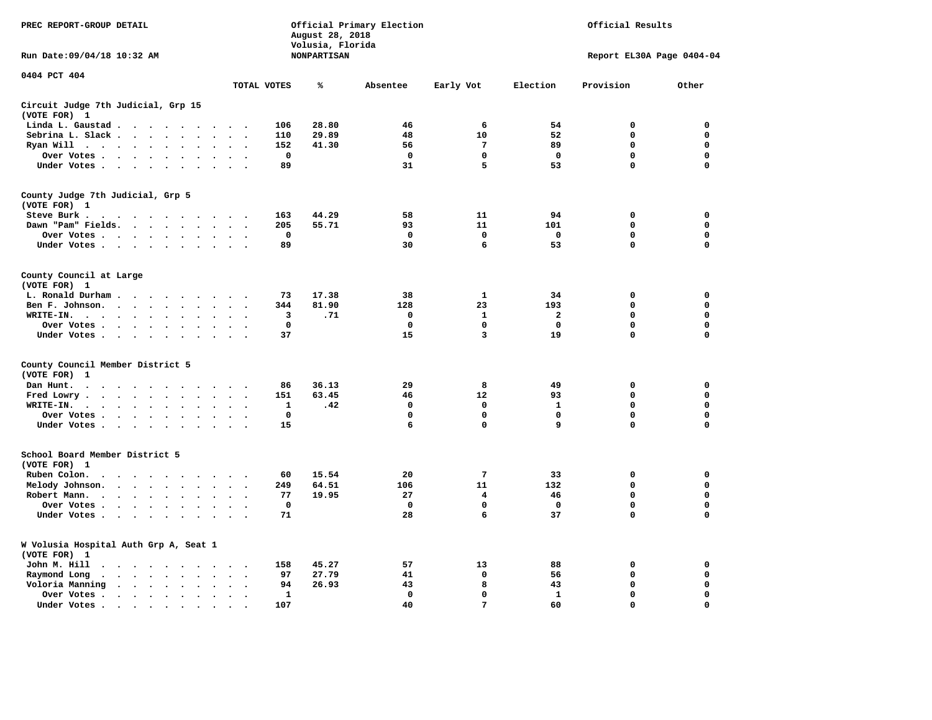| PREC REPORT-GROUP DETAIL                                                                                    |                                                      | August 28, 2018<br>Volusia, Florida | Official Primary Election |                 | Official Results<br>Report EL30A Page 0404-04 |             |             |  |
|-------------------------------------------------------------------------------------------------------------|------------------------------------------------------|-------------------------------------|---------------------------|-----------------|-----------------------------------------------|-------------|-------------|--|
| Run Date: 09/04/18 10:32 AM                                                                                 |                                                      | <b>NONPARTISAN</b>                  |                           |                 |                                               |             |             |  |
| 0404 PCT 404                                                                                                | TOTAL VOTES                                          | ℁                                   | Absentee                  | Early Vot       | Election                                      | Provision   | Other       |  |
| Circuit Judge 7th Judicial, Grp 15                                                                          |                                                      |                                     |                           |                 |                                               |             |             |  |
| (VOTE FOR) 1                                                                                                |                                                      |                                     |                           |                 |                                               |             |             |  |
| Linda L. Gaustad                                                                                            | 106<br>$\cdot$ .                                     | 28.80                               | 46                        | 6               | 54                                            | 0           | 0           |  |
| Sebrina L. Slack                                                                                            | 110                                                  | 29.89                               | 48                        | 10              | 52                                            | $\mathbf 0$ | 0           |  |
| Ryan Will $\cdots$ $\cdots$                                                                                 | 152                                                  | 41.30                               | 56                        | $7\phantom{.0}$ | 89                                            | 0           | 0           |  |
| Over Votes<br>$\ddot{\phantom{a}}$<br>$\bullet$                                                             | $\mathbf 0$                                          |                                     | $\mathbf 0$               | 0               | $\mathbf 0$                                   | $\mathbf 0$ | $\mathbf 0$ |  |
| Under Votes                                                                                                 | 89                                                   |                                     | 31                        | 5               | 53                                            | $\Omega$    | $\mathbf 0$ |  |
| County Judge 7th Judicial, Grp 5                                                                            |                                                      |                                     |                           |                 |                                               |             |             |  |
| (VOTE FOR) 1                                                                                                |                                                      |                                     |                           |                 |                                               |             |             |  |
| Steve Burk.                                                                                                 | 163<br>$\cdot$ .                                     | 44.29                               | 58                        | 11              | 94                                            | $\mathbf 0$ | 0           |  |
| Dawn "Pam" Fields.                                                                                          | 205<br>$\sim$<br>$\overline{\phantom{a}}$            | 55.71                               | 93                        | 11              | 101                                           | 0           | $\mathbf 0$ |  |
| Over Votes<br>$\ddot{\phantom{a}}$                                                                          | 0<br>$\cdot$                                         |                                     | 0                         | 0               | 0                                             | 0           | 0           |  |
| Under Votes                                                                                                 | 89<br>$\sim$                                         |                                     | 30                        | 6               | 53                                            | 0           | $\mathbf 0$ |  |
| County Council at Large<br>(VOTE FOR) 1                                                                     |                                                      |                                     |                           |                 |                                               |             |             |  |
| L. Ronald Durham                                                                                            | 73                                                   | 17.38                               | 38                        | 1               | 34                                            | 0           | 0           |  |
| Ben F. Johnson.<br>$\bullet$<br>$\bullet$                                                                   | 344<br>$\sim$<br>$\overline{\phantom{a}}$            | 81.90                               | 128                       | 23              | 193                                           | $\mathbf 0$ | 0           |  |
| WRITE-IN.<br>$\bullet$                                                                                      | 3                                                    | .71                                 | $\mathbf 0$               | $\mathbf{1}$    | $\mathbf{2}$                                  | $\mathbf 0$ | $\mathbf 0$ |  |
| Over Votes<br>$\ddot{\phantom{a}}$                                                                          | $\mathbf 0$                                          |                                     | $\mathbf 0$               | $\mathbf 0$     | $\mathbf 0$                                   | $\mathbf 0$ | 0           |  |
| Under Votes<br>$\cdot$                                                                                      | 37                                                   |                                     | 15                        | 3               | 19                                            | 0           | $\mathbf 0$ |  |
|                                                                                                             |                                                      |                                     |                           |                 |                                               |             |             |  |
| County Council Member District 5<br>(VOTE FOR)<br>-1                                                        |                                                      |                                     |                           |                 |                                               |             |             |  |
| Dan Hunt.<br>$\bullet$<br>$\sim$<br>$\cdots$                                                                | 86<br>$\cdot$ .                                      | 36.13                               | 29                        | 8               | 49                                            | $\mathbf 0$ | 0           |  |
| Fred Lowry.<br>$\sim$<br>$\sim$                                                                             | 151<br>$\sim$<br>$\overline{\phantom{a}}$            | 63.45                               | 46                        | 12              | 93                                            | 0           | 0           |  |
| WRITE-IN.<br>$\cdot$ $\cdot$ $\cdot$ $\cdot$<br>$\ddot{\phantom{a}}$<br>$\ddot{\phantom{a}}$<br>$\cdot$     | 1                                                    | .42                                 | 0                         | 0               | 1                                             | 0           | 0           |  |
| Over Votes<br>$\ddot{\phantom{a}}$<br>$\sim$                                                                | 0<br>$\sim$<br>$\overline{\phantom{a}}$              |                                     | 0                         | 0               | 0                                             | 0           | $\mathbf 0$ |  |
| Under Votes                                                                                                 | 15                                                   |                                     | 6                         | 0               | 9                                             | $\mathbf 0$ | $\mathbf 0$ |  |
| School Board Member District 5                                                                              |                                                      |                                     |                           |                 |                                               |             |             |  |
| (VOTE FOR) 1                                                                                                |                                                      |                                     |                           |                 |                                               |             |             |  |
| Ruben Colon.<br>$\cdots$<br>$\ddot{\phantom{0}}$<br>$\sim$<br>$\sim$                                        | 60                                                   | 15.54                               | 20                        | 7               | 33                                            | $\mathbf 0$ | 0           |  |
| Melody Johnson.<br>$\cdot$                                                                                  | 249                                                  | 64.51                               | 106                       | 11              | 132                                           | 0           | $\mathbf 0$ |  |
| Robert Mann.<br>$\cdots$<br>$\ddot{\phantom{a}}$<br>$\ddot{\phantom{a}}$<br>$\ddot{\phantom{a}}$            | 77                                                   | 19.95                               | 27                        | 4               | 46                                            | $\mathbf 0$ | $\mathbf 0$ |  |
| Over Votes                                                                                                  | $\mathbf 0$                                          |                                     | $\mathbf 0$               | 0               | $\mathbf 0$                                   | 0           | $\mathbf 0$ |  |
| Under Votes<br>$\sim$<br>$\sim$                                                                             | 71                                                   |                                     | 28                        | 6               | 37                                            | 0           | $\mathbf 0$ |  |
| W Volusia Hospital Auth Grp A, Seat 1<br>(VOTE FOR) 1                                                       |                                                      |                                     |                           |                 |                                               |             |             |  |
| John M. Hill<br>$\cdots$                                                                                    | 158<br>$\sim$<br>$\cdot$                             | 45.27                               | 57                        | 13              | 88                                            | 0           | 0           |  |
| Raymond Long<br>$\mathbf{r}$ , $\mathbf{r}$ , $\mathbf{r}$ , $\mathbf{r}$<br>$\ddot{\phantom{0}}$<br>$\sim$ | 97                                                   | 27.79                               | 41                        | $\mathbf 0$     | 56                                            | $\mathbf 0$ | 0           |  |
| $\ddot{\phantom{0}}$<br>Voloria Manning<br>$\cdots$                                                         | $\bullet$<br>$\bullet$<br>94<br>$\ddot{\phantom{a}}$ | 26.93                               | 43                        | 8               | 43                                            | 0           | 0           |  |
| Over Votes .<br>$\sim$ , and $\sim$ , and $\sim$<br>$\bullet$<br>$\bullet$                                  | 1<br>$\bullet$                                       |                                     | $\mathbf{0}$              | 0               | 1                                             | $\mathbf 0$ | $\mathbf 0$ |  |
| Under Votes<br>$\bullet$<br>$\ddot{\phantom{a}}$                                                            | 107                                                  |                                     | 40                        | $7\phantom{.0}$ | 60                                            | $\Omega$    | $\Omega$    |  |
|                                                                                                             |                                                      |                                     |                           |                 |                                               |             |             |  |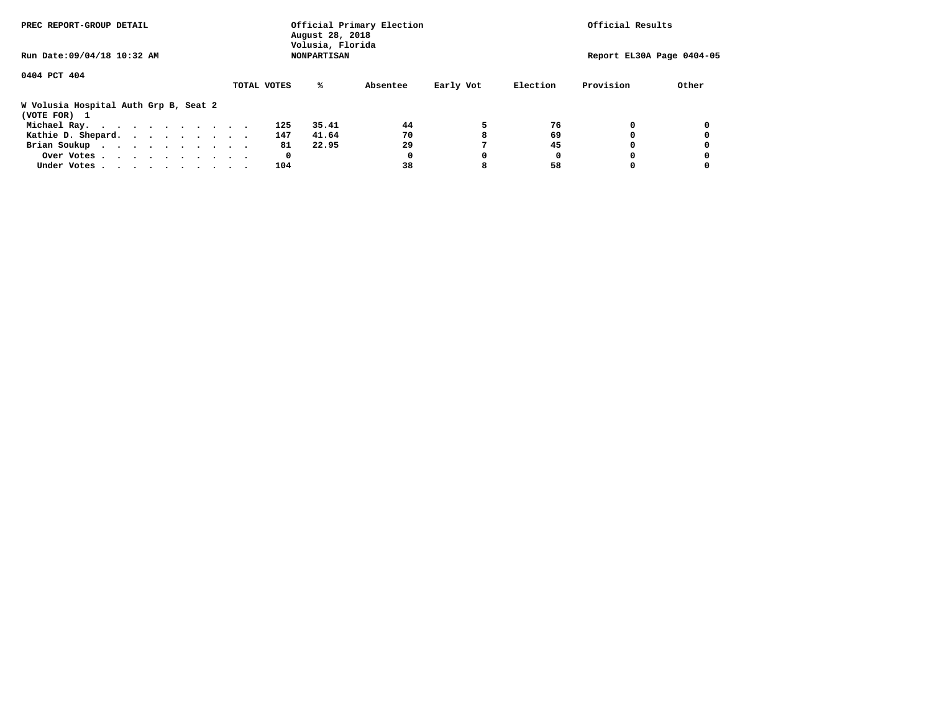| PREC REPORT-GROUP DETAIL                              |             | August 28, 2018<br>Volusia, Florida | Official Primary Election |           |          | Official Results          |       |
|-------------------------------------------------------|-------------|-------------------------------------|---------------------------|-----------|----------|---------------------------|-------|
| Run Date: 09/04/18 10:32 AM                           |             | <b>NONPARTISAN</b>                  |                           |           |          | Report EL30A Page 0404-05 |       |
| 0404 PCT 404                                          |             |                                     |                           |           |          |                           |       |
|                                                       | TOTAL VOTES | %ะ                                  | Absentee                  | Early Vot | Election | Provision                 | Other |
| W Volusia Hospital Auth Grp B, Seat 2<br>(VOTE FOR) 1 |             |                                     |                           |           |          |                           |       |
| Michael Ray.                                          | 125         | 35.41                               | 44                        | 5         | 76       |                           |       |
| Kathie D. Shepard.                                    | 147         | 41.64                               | 70                        |           | 69       |                           |       |
| Brian Soukup                                          |             | 81<br>22.95                         | 29                        |           | 45       |                           |       |
| Over Votes                                            |             | 0                                   | 0                         | 0         | 0        |                           |       |
| Under Votes                                           | 104         |                                     | 38                        |           | 58       |                           |       |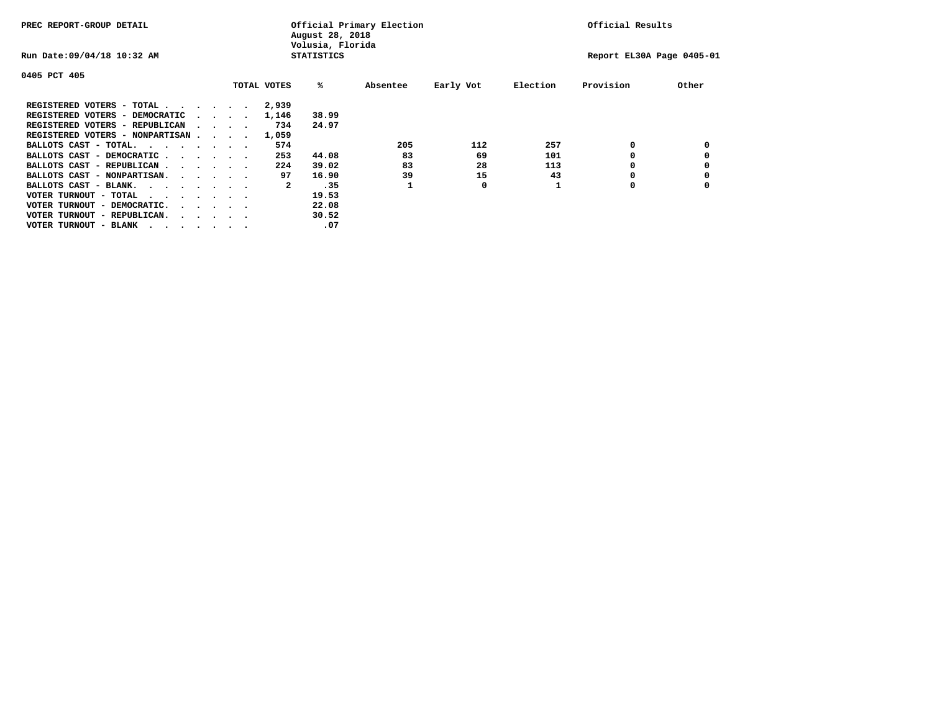| PREC REPORT-GROUP DETAIL               |                                         |  |             | August 28, 2018<br>Volusia, Florida | Official Primary Election |           |          | Official Results          |       |
|----------------------------------------|-----------------------------------------|--|-------------|-------------------------------------|---------------------------|-----------|----------|---------------------------|-------|
| Run Date: 09/04/18 10:32 AM            |                                         |  |             | <b>STATISTICS</b>                   |                           |           |          | Report EL30A Page 0405-01 |       |
| 0405 PCT 405                           |                                         |  |             |                                     |                           |           |          |                           |       |
|                                        |                                         |  | TOTAL VOTES | %ะ                                  | Absentee                  | Early Vot | Election | Provision                 | Other |
| REGISTERED VOTERS - TOTAL              |                                         |  | 2,939       |                                     |                           |           |          |                           |       |
| REGISTERED VOTERS - DEMOCRATIC         | $\sim$ $\sim$ $\sim$ $\sim$             |  | 1,146       | 38.99                               |                           |           |          |                           |       |
| REGISTERED VOTERS - REPUBLICAN         |                                         |  | 734         | 24.97                               |                           |           |          |                           |       |
| REGISTERED VOTERS - NONPARTISAN        |                                         |  | 1,059       |                                     |                           |           |          |                           |       |
| BALLOTS CAST - TOTAL.                  |                                         |  | 574         |                                     | 205                       | 112       | 257      | 0                         |       |
| BALLOTS CAST - DEMOCRATIC              |                                         |  | 253         | 44.08                               | 83                        | 69        | 101      |                           |       |
| BALLOTS CAST - REPUBLICAN              |                                         |  | 224         | 39.02                               | 83                        | 28        | 113      | 0                         |       |
| BALLOTS CAST - NONPARTISAN.            |                                         |  | 97          | 16.90                               | 39                        | 15        | 43       |                           |       |
| BALLOTS CAST - BLANK.                  |                                         |  | 2           | .35                                 |                           | 0         |          | 0                         |       |
| VOTER TURNOUT - TOTAL<br>.             |                                         |  |             | 19.53                               |                           |           |          |                           |       |
| VOTER TURNOUT - DEMOCRATIC.            | $\cdot$ $\cdot$ $\cdot$ $\cdot$ $\cdot$ |  |             | 22.08                               |                           |           |          |                           |       |
| VOTER TURNOUT - REPUBLICAN.<br>$\cdot$ |                                         |  |             | 30.52                               |                           |           |          |                           |       |
| VOTER TURNOUT - BLANK                  |                                         |  |             | .07                                 |                           |           |          |                           |       |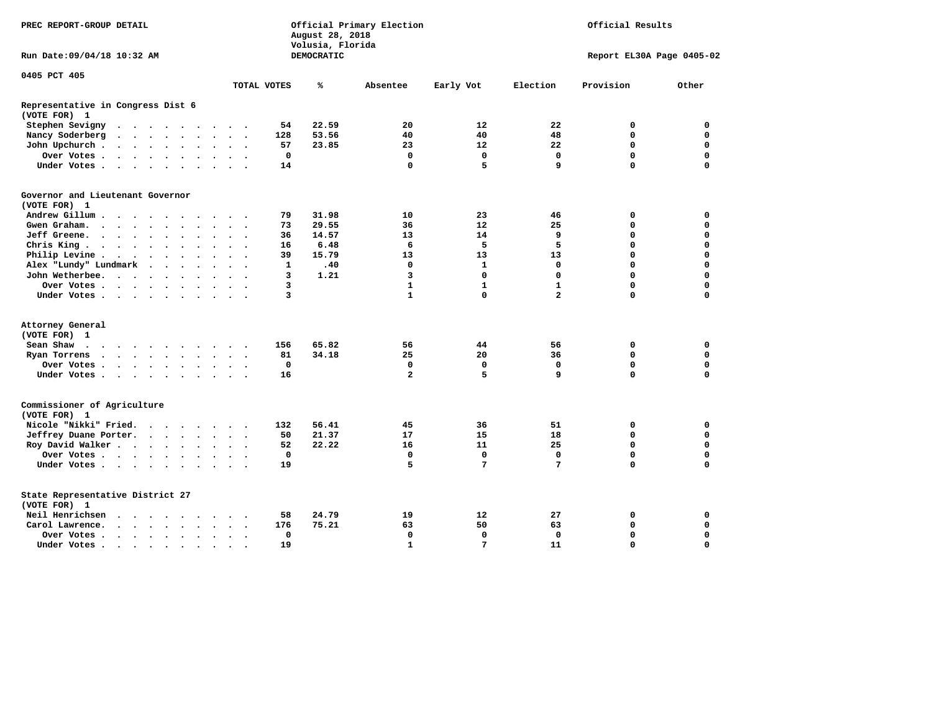| PREC REPORT-GROUP DETAIL                          |                                           |        |  |                         |                      |                      | Official Primary Election<br>Official Results<br>August 28, 2018<br>Volusia, Florida |              |                   |                         |                   |                |                           |              |
|---------------------------------------------------|-------------------------------------------|--------|--|-------------------------|----------------------|----------------------|--------------------------------------------------------------------------------------|--------------|-------------------|-------------------------|-------------------|----------------|---------------------------|--------------|
| Run Date:09/04/18 10:32 AM                        |                                           |        |  |                         |                      |                      |                                                                                      |              | <b>DEMOCRATIC</b> |                         |                   |                | Report EL30A Page 0405-02 |              |
| 0405 PCT 405                                      |                                           |        |  |                         |                      |                      |                                                                                      |              |                   |                         |                   |                |                           |              |
|                                                   |                                           |        |  |                         |                      |                      |                                                                                      | TOTAL VOTES  | ℁                 | Absentee                | Early Vot         | Election       | Provision                 | Other        |
| Representative in Congress Dist 6<br>(VOTE FOR) 1 |                                           |        |  |                         |                      |                      |                                                                                      |              |                   |                         |                   |                |                           |              |
| Stephen Sevigny                                   | $\cdots$                                  |        |  |                         |                      |                      |                                                                                      | 54           | 22.59             | 20                      | $12 \overline{ }$ | 22             | 0                         | 0            |
| Nancy Soderberg                                   |                                           |        |  |                         |                      |                      |                                                                                      | 128          | 53.56             | 40                      | 40                | 48             | 0                         | 0            |
| John Upchurch.                                    |                                           |        |  |                         |                      | $\cdot$ $\cdot$      |                                                                                      | 57           | 23.85             | 23                      | 12                | 22             | $\mathbf 0$               | $\mathbf 0$  |
| Over Votes                                        |                                           |        |  |                         |                      | $\sim$               |                                                                                      | $\mathbf 0$  |                   | $\mathbf 0$             | $\mathbf 0$       | $\mathbf 0$    | $\mathbf 0$               | $\mathbf 0$  |
| Under Votes                                       |                                           |        |  |                         | $\ddot{\phantom{0}}$ | $\sim$               |                                                                                      | 14           |                   | $\mathbf 0$             | 5                 | 9              | $\Omega$                  | $\mathbf 0$  |
| Governor and Lieutenant Governor<br>(VOTE FOR) 1  |                                           |        |  |                         |                      |                      |                                                                                      |              |                   |                         |                   |                |                           |              |
| Andrew Gillum                                     |                                           |        |  |                         |                      |                      |                                                                                      | 79           | 31.98             | 10                      | 23                | 46             | 0                         | 0            |
| Gwen Graham.                                      |                                           |        |  |                         |                      | $\sim$ $\sim$        | $\ddot{\phantom{1}}$                                                                 | 73           | 29.55             | 36                      | 12                | 25             | 0                         | 0            |
| Jeff Greene.                                      |                                           |        |  |                         |                      | $\ddot{\phantom{a}}$ |                                                                                      | 36           | 14.57             | 13                      | 14                | 9              | $\mathbf 0$               | $\mathbf 0$  |
| Chris King.                                       | $\cdots$                                  |        |  |                         |                      | $\sim$ $\sim$        |                                                                                      | 16           | 6.48              | 6                       | 5                 | 5              | $\mathbf 0$               | $\mathbf 0$  |
| Philip Levine .                                   |                                           |        |  |                         |                      | $\sim$ $\sim$        | $\overline{\phantom{a}}$                                                             | 39           | 15.79             | 13                      | 13                | 13             | $\mathbf 0$               | $\mathbf 0$  |
| Alex "Lundy" Lundmark                             |                                           | $\sim$ |  | $\cdot$ $\cdot$ $\cdot$ |                      | $\sim$               |                                                                                      | $\mathbf{1}$ | .40               | $\mathbf 0$             | $\mathbf{1}$      | $\mathbf 0$    | $\mathbf 0$               | $\mathbf 0$  |
| John Wetherbee.                                   |                                           |        |  |                         | $\ddot{\phantom{a}}$ | $\cdot$              |                                                                                      | 3            | 1.21              | 3                       | $\mathbf{0}$      | $\mathbf 0$    | $\Omega$                  | $\mathbf 0$  |
| Over Votes                                        |                                           |        |  |                         |                      |                      |                                                                                      | 3            |                   | $\mathbf{1}$            | $\mathbf{1}$      | $\mathbf{1}$   | $\mathbf 0$               | $\mathbf 0$  |
| Under Votes                                       |                                           |        |  |                         |                      | $\sim$ $\sim$        |                                                                                      | 3            |                   | $\mathbf{1}$            | $\mathbf 0$       | $\overline{2}$ | $\mathbf 0$               | 0            |
|                                                   |                                           |        |  |                         |                      |                      |                                                                                      |              |                   |                         |                   |                |                           |              |
| Attorney General                                  |                                           |        |  |                         |                      |                      |                                                                                      |              |                   |                         |                   |                |                           |              |
| (VOTE FOR) 1                                      |                                           |        |  |                         |                      |                      |                                                                                      |              |                   |                         |                   |                |                           |              |
| Sean Shaw                                         |                                           |        |  |                         |                      |                      |                                                                                      | 156          | 65.82             | 56                      | 44                | 56             | 0                         | $\mathbf 0$  |
| Ryan Torrens                                      |                                           |        |  |                         |                      | $\ddot{\phantom{1}}$ | $\sim$                                                                               | 81           | 34.18             | 25                      | 20                | 36             | $\mathbf 0$               | $\mathbf 0$  |
| Over Votes                                        |                                           |        |  |                         |                      |                      |                                                                                      | $\mathbf 0$  |                   | $\mathbf 0$             | $\mathbf{0}$      | $\mathbf{0}$   | $\Omega$                  | $\mathbf 0$  |
| Under Votes                                       |                                           |        |  |                         | $\sim$               | $\ddotsc$            |                                                                                      | 16           |                   | $\overline{\mathbf{2}}$ | 5                 | 9              | $\mathbf 0$               | $\mathbf 0$  |
| Commissioner of Agriculture<br>(VOTE FOR) 1       |                                           |        |  |                         |                      |                      |                                                                                      |              |                   |                         |                   |                |                           |              |
| Nicole "Nikki" Fried.                             |                                           |        |  |                         |                      |                      |                                                                                      | 132          | 56.41             | 45                      | 36                | 51             | 0                         | 0            |
| Jeffrey Duane Porter.                             |                                           |        |  |                         |                      | $\sim$ $\sim$        |                                                                                      | 50           | 21.37             | 17                      | 15                | 18             | $\mathbf 0$               | $\mathbf 0$  |
| Roy David Walker                                  |                                           |        |  |                         |                      |                      |                                                                                      | 52           | 22.22             | 16                      | 11                | 25             | $\mathbf 0$               | $\mathbf{0}$ |
| Over Votes                                        |                                           |        |  |                         |                      | $\sim$               |                                                                                      | $\mathbf 0$  |                   | $\mathbf 0$             | $\mathbf 0$       | $\mathbf 0$    | $\Omega$                  | $\mathbf 0$  |
| Under Votes                                       |                                           |        |  |                         |                      |                      |                                                                                      | 19           |                   | 5                       | 7                 | 7              | $\mathbf 0$               | 0            |
| State Representative District 27<br>(VOTE FOR) 1  |                                           |        |  |                         |                      |                      |                                                                                      |              |                   |                         |                   |                |                           |              |
| Neil Henrichsen                                   | $\sim$ $\sim$ $\sim$ $\sim$ $\sim$ $\sim$ |        |  |                         |                      |                      |                                                                                      | 58           | 24.79             | 19                      | 12                | 27             | 0                         | $\mathbf 0$  |
| Carol Lawrence.                                   | $\cdots$                                  |        |  |                         | $\sim$               | $\bullet$            | $\ddot{\phantom{1}}$                                                                 | 176          | 75.21             | 63                      | 50                | 63             | $\mathbf 0$               | $\mathbf 0$  |
| Over Votes                                        |                                           |        |  |                         | $\ddot{\phantom{a}}$ | $\ddot{\phantom{a}}$ |                                                                                      | $\mathbf 0$  |                   | $\mathbf 0$             | $\mathbf 0$       | $\mathbf 0$    | $\Omega$                  | $\mathbf 0$  |
| Under Votes.                                      |                                           |        |  |                         |                      |                      |                                                                                      | 19           |                   | $\mathbf{1}$            | 7                 | 11             | $\Omega$                  | $\Omega$     |
|                                                   | $\cdots$                                  |        |  |                         | $\bullet$            | $\bullet$            |                                                                                      |              |                   |                         |                   |                |                           |              |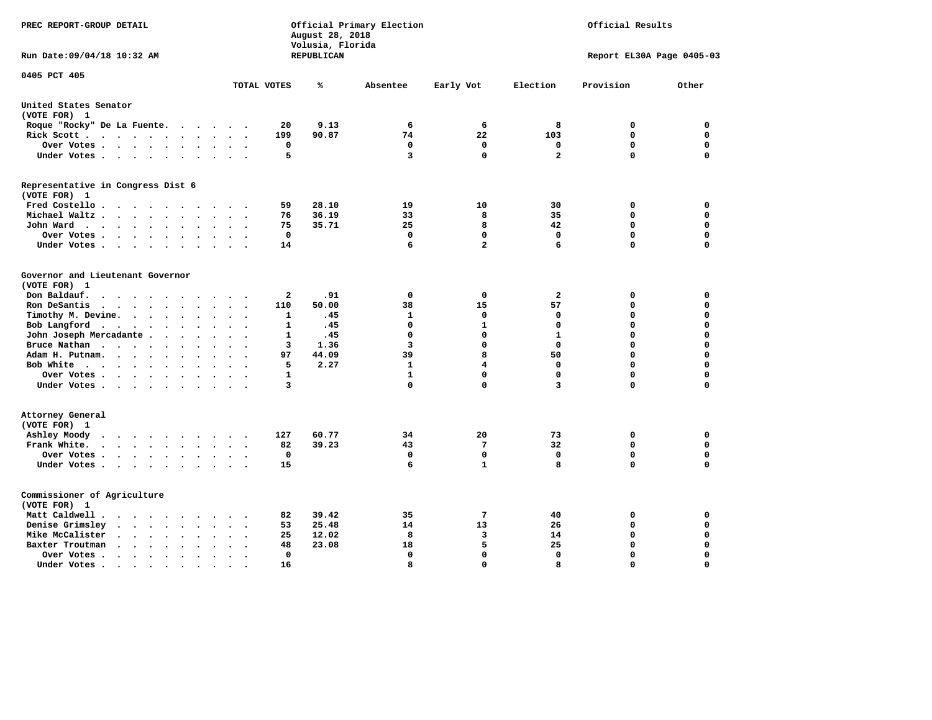| PREC REPORT-GROUP DETAIL                                                                                                                                                                 |                                            | August 28, 2018<br>Volusia, Florida | Official Primary Election |                         |                | Official Results           |                            |
|------------------------------------------------------------------------------------------------------------------------------------------------------------------------------------------|--------------------------------------------|-------------------------------------|---------------------------|-------------------------|----------------|----------------------------|----------------------------|
| Run Date: 09/04/18 10:32 AM                                                                                                                                                              |                                            | <b>REPUBLICAN</b>                   |                           |                         |                | Report EL30A Page 0405-03  |                            |
| 0405 PCT 405                                                                                                                                                                             | TOTAL VOTES                                | ℁                                   | Absentee                  | Early Vot               | Election       | Provision                  | Other                      |
| United States Senator                                                                                                                                                                    |                                            |                                     |                           |                         |                |                            |                            |
| (VOTE FOR) 1                                                                                                                                                                             |                                            |                                     |                           |                         |                |                            |                            |
| Roque "Rocky" De La Fuente.<br>$\sim$ $\sim$<br>$\sim$                                                                                                                                   | 20<br>$\ddot{\phantom{a}}$                 | 9.13                                | 6                         | 6                       | 8              | 0                          | 0                          |
| Rick Scott                                                                                                                                                                               | 199<br>$\bullet$                           | 90.87                               | 74                        | 22                      | 103            | $\mathbf 0$                | $\mathbf 0$                |
| Over Votes<br>$\bullet$                                                                                                                                                                  | 0<br>$\bullet$<br>$\overline{\phantom{a}}$ |                                     | $\mathbf 0$               | 0                       | 0              | $\mathbf 0$                | $\mathbf 0$                |
| Under Votes                                                                                                                                                                              | 5<br>$\ddot{\phantom{a}}$                  |                                     | 3                         | $\Omega$                | $\overline{a}$ | $\mathbf 0$                | $\mathbf 0$                |
| Representative in Congress Dist 6<br>(VOTE FOR) 1                                                                                                                                        |                                            |                                     |                           |                         |                |                            |                            |
| Fred Costello                                                                                                                                                                            | 59                                         | 28.10                               | 19                        | 10                      | 30             | 0                          | 0                          |
| Michael Waltz<br>$\cdot$                                                                                                                                                                 | 76<br>$\ddot{\phantom{a}}$                 | 36.19                               | 33                        | 8                       | 35             | 0                          | $\mathbf 0$                |
| John Ward<br>$\bullet$                                                                                                                                                                   | 75<br>$\ddot{\phantom{1}}$                 | 35.71                               | 25                        | 8                       | 42             | 0                          | $\mathbf 0$                |
| Over Votes<br>$\ddot{\phantom{0}}$<br>$\bullet$<br>$\ddot{\phantom{a}}$                                                                                                                  | 0                                          |                                     | 0                         | 0                       | 0              | 0                          | 0                          |
| Under Votes<br>$\cdot$<br>$\bullet$                                                                                                                                                      | 14                                         |                                     | 6                         | $\overline{a}$          | 6              | $\mathbf 0$                | $\Omega$                   |
| Governor and Lieutenant Governor<br>(VOTE FOR) 1<br>Don Baldauf.<br>$\ddot{\phantom{a}}$<br>$\overline{\phantom{a}}$                                                                     | $\mathbf{2}$                               | .91                                 | $\mathbf 0$               | 0                       | $\mathbf{2}$   | 0                          | 0                          |
| Ron DeSantis<br>$\cdots$<br>$\ddot{\phantom{a}}$<br>$\bullet$                                                                                                                            | 110                                        | 50.00                               | 38                        | 15                      | 57             | $\mathbf 0$                | $\mathbf 0$                |
| Timothy M. Devine.<br>$\bullet$<br>$\sim$<br>$\bullet$<br>$\bullet$                                                                                                                      | 1<br>$\ddot{\phantom{a}}$                  | .45                                 | $\mathbf{1}$              | $\mathbf 0$             | $\mathbf 0$    | $\mathbf 0$                | $\mathbf 0$                |
| Bob Langford<br>$\sim$ $\sim$                                                                                                                                                            | 1<br>$\bullet$                             | .45                                 | 0                         | $\mathbf{1}$            | $\mathbf 0$    | $\mathbf 0$                | $\mathbf 0$                |
| John Joseph Mercadante .<br>$\ddot{\phantom{0}}$<br>$\ddot{\phantom{a}}$<br>$\ddot{\phantom{a}}$                                                                                         | 1<br>$\overline{\phantom{a}}$              | .45                                 | 0                         | $\mathbf 0$             | $\mathbf{1}$   | $\mathbf 0$                | $\mathbf 0$                |
| Bruce Nathan<br>$\bullet$<br>$\bullet$<br>$\bullet$<br>$\ddot{\phantom{a}}$                                                                                                              | 3<br>$\overline{\phantom{a}}$              | 1.36                                | 3                         | $\mathbf 0$             | $\mathbf 0$    | 0                          | $\mathbf 0$                |
| Adam H. Putnam.<br>$\cdots$<br>$\bullet$                                                                                                                                                 | 97                                         | 44.09                               | 39                        | 8                       | 50             | $\mathbf 0$                | $\mathbf 0$                |
| Bob White<br>$\sim$<br>$\cdot$                                                                                                                                                           | 5<br>$\sim$ $\sim$                         | 2.27                                | $\mathbf{1}$              | $\overline{\mathbf{4}}$ | $\mathbf 0$    | $\mathbf 0$                | $\mathbf 0$                |
| Over Votes<br>$\bullet$<br>$\bullet$ .                                                                                                                                                   | 1                                          |                                     | $\mathbf{1}$              | $\mathbf{0}$            | $\mathbf 0$    | $\mathbf 0$                | $\mathbf 0$                |
| Under Votes                                                                                                                                                                              | 3<br>$\cdot$                               |                                     | 0                         | $\mathbf 0$             | 3              | $\mathbf 0$                | 0                          |
| Attorney General<br>(VOTE FOR) 1                                                                                                                                                         |                                            |                                     |                           |                         |                |                            |                            |
| Ashley Moody<br>$\begin{array}{cccccccccccccccccc} \bullet & \bullet & \bullet & \bullet & \bullet & \bullet & \bullet & \bullet & \bullet & \bullet & \bullet \end{array}$<br>$\bullet$ | 127<br>$\cdot$                             | 60.77                               | 34                        | 20                      | 73             | 0                          | 0                          |
| Frank White.<br>$\cdot$ $\cdot$ $\cdot$ $\cdot$<br>$\bullet$ .<br>$\bullet$                                                                                                              | 82                                         | 39.23                               | 43                        | 7<br>$\mathbf 0$        | 32             | $\mathbf 0$<br>$\mathbf 0$ | $\mathbf 0$<br>$\mathbf 0$ |
| Over Votes.<br>$\mathcal{A}$ , and $\mathcal{A}$ , and $\mathcal{A}$<br>$\bullet$<br>$\bullet$<br>Under Votes<br>$\sim$ $\sim$                                                           | 0<br>$\bullet$<br>15                       |                                     | 0<br>6                    | $\mathbf{1}$            | 0<br>8         | $\mathbf 0$                | $\mathbf 0$                |
| Commissioner of Agriculture<br>(VOTE FOR) 1                                                                                                                                              |                                            |                                     |                           |                         |                |                            |                            |
| Matt Caldwell.<br>$\cdot$ $\cdot$ $\cdot$ $\cdot$ $\cdot$ $\cdot$                                                                                                                        | 82                                         | 39.42                               | 35                        | 7                       | 40             | 0                          | 0                          |
| Denise Grimsley<br>$\ddot{\phantom{a}}$<br>$\sim$<br>$\ddot{\phantom{a}}$<br>$\cdot$                                                                                                     | 53                                         | 25.48                               | 14                        | 13                      | 26             | $\mathbf 0$                | $\mathbf 0$                |
| Mike McCalister<br>$\mathbf{a}$ , and $\mathbf{a}$ , and $\mathbf{a}$<br>$\bullet$<br>$\bullet$<br>$\bullet$                                                                             | 25                                         | 12.02                               | 8                         | 3                       | 14             | 0                          | $\mathbf 0$                |
| Baxter Troutman<br>$\ddot{\phantom{1}}$<br>$\cdot$<br>$\ddot{\phantom{a}}$                                                                                                               | 48                                         | 23.08                               | 18                        | 5                       | 25             | $\mathbf 0$                | $\mathbf 0$                |
| Over Votes<br>$\bullet$<br>$\cdot$                                                                                                                                                       | 0<br>$\overline{\phantom{a}}$              |                                     | $\mathbf{0}$              | $\mathbf{0}$            | $\mathbf 0$    | $\mathbf 0$                | $\mathbf 0$                |
| Under Votes.<br>$\bullet$ .<br><br><br><br><br><br><br><br><br><br><br><br><br>$\bullet$<br>$\bullet$<br>$\bullet$                                                                       | 16                                         |                                     | 8                         | $\Omega$                | 8              | $\Omega$                   | $\Omega$                   |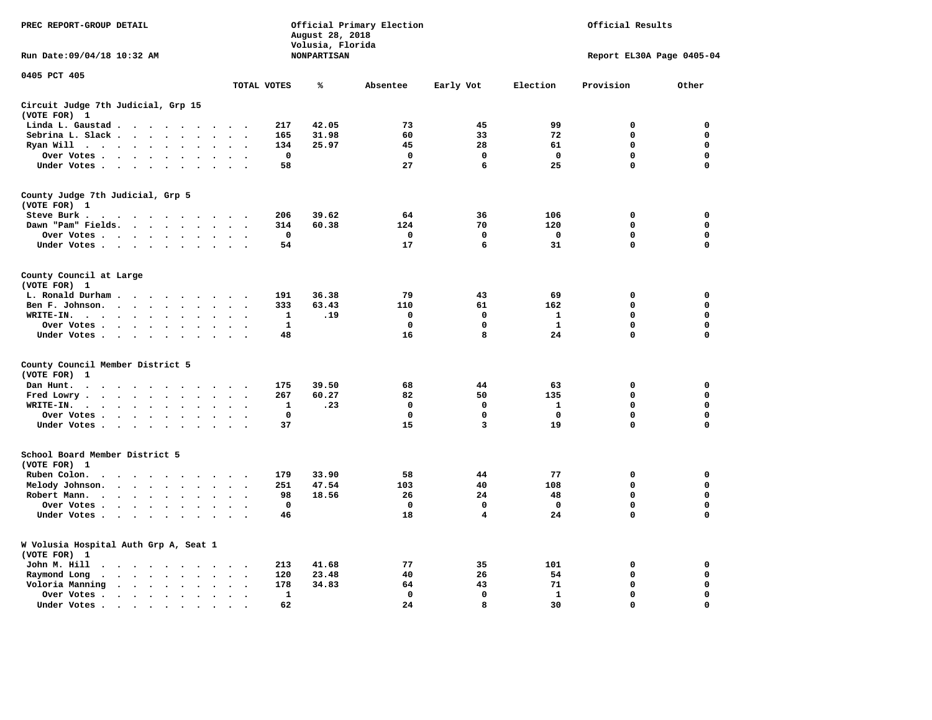| PREC REPORT-GROUP DETAIL                                                                                                       |                                        | August 28, 2018                        | Official Primary Election |             | Official Results |                           |             |  |
|--------------------------------------------------------------------------------------------------------------------------------|----------------------------------------|----------------------------------------|---------------------------|-------------|------------------|---------------------------|-------------|--|
| Run Date: 09/04/18 10:32 AM                                                                                                    |                                        | Volusia, Florida<br><b>NONPARTISAN</b> |                           |             |                  | Report EL30A Page 0405-04 |             |  |
| 0405 PCT 405                                                                                                                   | TOTAL VOTES                            | ℁                                      | Absentee                  | Early Vot   | Election         | Provision                 | Other       |  |
| Circuit Judge 7th Judicial, Grp 15                                                                                             |                                        |                                        |                           |             |                  |                           |             |  |
| (VOTE FOR) 1                                                                                                                   |                                        |                                        |                           |             |                  |                           |             |  |
| Linda L. Gaustad                                                                                                               | 217                                    | 42.05                                  | 73                        | 45          | 99               | $\mathbf 0$               | 0           |  |
| Sebrina L. Slack<br>$\sim$<br>$\sim$                                                                                           | 165                                    | 31.98                                  | 60                        | 33          | 72               | 0                         | 0           |  |
| Ryan Will $\cdots$<br>$\cdot$                                                                                                  | 134                                    | 25.97                                  | 45                        | 28          | 61               | 0                         | 0           |  |
| Over Votes<br>$\bullet$<br>$\cdot$<br>$\bullet$                                                                                | $\mathbf{o}$<br>$\bullet$              |                                        | $\mathbf 0$               | 0           | $\mathbf 0$      | 0                         | 0           |  |
| Under Votes                                                                                                                    | 58<br>$\sim$ $\sim$                    |                                        | 27                        | 6           | 25               | 0                         | $\mathbf 0$ |  |
| County Judge 7th Judicial, Grp 5                                                                                               |                                        |                                        |                           |             |                  |                           |             |  |
| (VOTE FOR) 1                                                                                                                   |                                        |                                        |                           |             |                  |                           |             |  |
| Steve Burk.                                                                                                                    | 206<br>$\sim$ $\sim$                   | 39.62                                  | 64                        | 36          | 106              | 0                         | 0           |  |
| Dawn "Pam" Fields.<br>$\sim$<br>$\cdot$                                                                                        | 314<br>$\cdot$ .                       | 60.38                                  | 124                       | 70          | 120              | $\mathbf 0$               | 0           |  |
| Over Votes<br>$\sim$<br>$\ddot{\phantom{a}}$                                                                                   | 0<br>$\cdot$                           |                                        | 0                         | 0           | 0                | 0                         | 0           |  |
| Under Votes                                                                                                                    | 54<br>$\sim$                           |                                        | 17                        | 6           | 31               | $\mathbf 0$               | $\mathbf 0$ |  |
| County Council at Large<br>(VOTE FOR) 1                                                                                        |                                        |                                        |                           |             |                  |                           |             |  |
| L. Ronald Durham                                                                                                               | 191                                    | 36.38                                  | 79                        | 43          | 69               | $\mathbf 0$               | 0           |  |
| Ben F. Johnson.<br>$\ddot{\phantom{a}}$<br>$\ddot{\phantom{a}}$<br>$\bullet$                                                   | 333<br>$\cdot$<br>$\ddot{\phantom{0}}$ | 63.43                                  | 110                       | 61          | 162              | $\mathbf 0$               | 0           |  |
| WRITE-IN.<br>$\cdots$                                                                                                          | $\mathbf 1$                            | .19                                    | $\mathbf 0$               | $\mathbf 0$ | $\mathbf{1}$     | 0                         | $\mathbf 0$ |  |
| Over Votes.<br>$\sim$ $\sim$ $\sim$ $\sim$<br>$\bullet$<br>$\cdot$                                                             | $\mathbf{1}$                           |                                        | $\mathbf 0$               | 0           | $\mathbf{1}$     | 0                         | 0           |  |
| Under Votes<br>$\sim$<br>$\overline{\phantom{a}}$                                                                              | 48                                     |                                        | 16                        | 8           | 24               | $\mathbf 0$               | 0           |  |
|                                                                                                                                |                                        |                                        |                           |             |                  |                           |             |  |
| County Council Member District 5<br>(VOTE FOR)<br>1                                                                            |                                        |                                        |                           |             |                  |                           |             |  |
| Dan Hunt.<br>$\bullet$<br>. The contract of the contract of the contract of the $\alpha$                                       | 175<br>$\cdot$ $\cdot$ $\cdot$ $\cdot$ | 39.50                                  | 68                        | 44          | 63               | 0                         | 0           |  |
| Fred Lowry.<br>$\cdots$<br>$\sim$<br>$\sim$                                                                                    | 267<br>$\ddot{\phantom{1}}$            | 60.27                                  | 82                        | 50          | 135              | $\mathbf 0$               | $\mathbf 0$ |  |
| WRITE-IN.<br>$\mathcal{A}=\mathcal{A}=\mathcal{A}=\mathcal{A}$ .<br>$\ddot{\phantom{a}}$<br>$\ddot{\phantom{a}}$               | 1                                      | .23                                    | 0                         | 0           | 1                | 0                         | $\mathbf 0$ |  |
| Over Votes<br>$\ddot{\phantom{a}}$<br>$\bullet$                                                                                | $\mathbf 0$<br>$\ddot{\phantom{a}}$    |                                        | $\mathbf 0$               | $\mathbf 0$ | $\mathbf 0$      | $\mathbf 0$               | 0           |  |
| Under Votes<br>$\sim$ $\sim$                                                                                                   | 37<br>$\sim$ $\sim$                    |                                        | 15                        | 3           | 19               | $\mathbf 0$               | $\mathbf 0$ |  |
| School Board Member District 5                                                                                                 |                                        |                                        |                           |             |                  |                           |             |  |
| (VOTE FOR) 1                                                                                                                   |                                        |                                        |                           |             |                  |                           |             |  |
| Ruben Colon.<br>$\ddot{\phantom{0}}$<br>$\sim$<br>$\sim$                                                                       | 179                                    | 33.90                                  | 58                        | 44          | 77               | $\mathbf 0$               | 0           |  |
| Melody Johnson.<br>$\ddot{\phantom{a}}$                                                                                        | 251                                    | 47.54                                  | 103                       | 40          | 108              | 0                         | 0           |  |
| Robert Mann.<br>$\cdot \cdot \cdot \cdot$<br>$\ddot{\phantom{a}}$<br>$\ddot{\phantom{a}}$<br>$\ddot{\phantom{a}}$<br>$\bullet$ | 98                                     | 18.56                                  | 26                        | 24          | 48               | 0                         | 0           |  |
| Over Votes<br>$\sim$<br>$\cdot$                                                                                                | $\mathbf{o}$                           |                                        | $\mathbf 0$               | 0           | 0                | 0                         | 0           |  |
| Under Votes<br>$\cdot$                                                                                                         | 46                                     |                                        | 18                        | 4           | 24               | 0                         | $\mathbf 0$ |  |
|                                                                                                                                |                                        |                                        |                           |             |                  |                           |             |  |
| W Volusia Hospital Auth Grp A, Seat 1<br>(VOTE FOR) 1                                                                          |                                        |                                        |                           |             |                  |                           |             |  |
| John M. Hill<br>$\cdot$ $\cdot$                                                                                                | 213<br>$\sim$                          | 41.68                                  | 77                        | 35          | 101              | 0                         | 0           |  |
| Raymond Long<br>$\langle \rangle$<br>$\bullet$<br>$\bullet$                                                                    | 120<br>$\bullet$<br>$\cdot$            | 23.48                                  | 40                        | 26          | 54               | $\mathbf 0$               | 0           |  |
| Voloria Manning<br>$\cdots$                                                                                                    | 178<br>$\ddot{\phantom{a}}$            | 34.83                                  | 64                        | 43          | 71               | 0                         | 0           |  |
| Over Votes .<br>$\cdots$<br>$\bullet$<br>$\bullet$                                                                             | 1<br>$\bullet$<br>$\bullet$            |                                        | $\mathbf 0$               | $\mathbf 0$ | 1                | $\mathbf 0$               | $\mathbf 0$ |  |
| Under Votes.<br>$\bullet$                                                                                                      | 62                                     |                                        | 24                        | 8           | 30               | $\Omega$                  | $\Omega$    |  |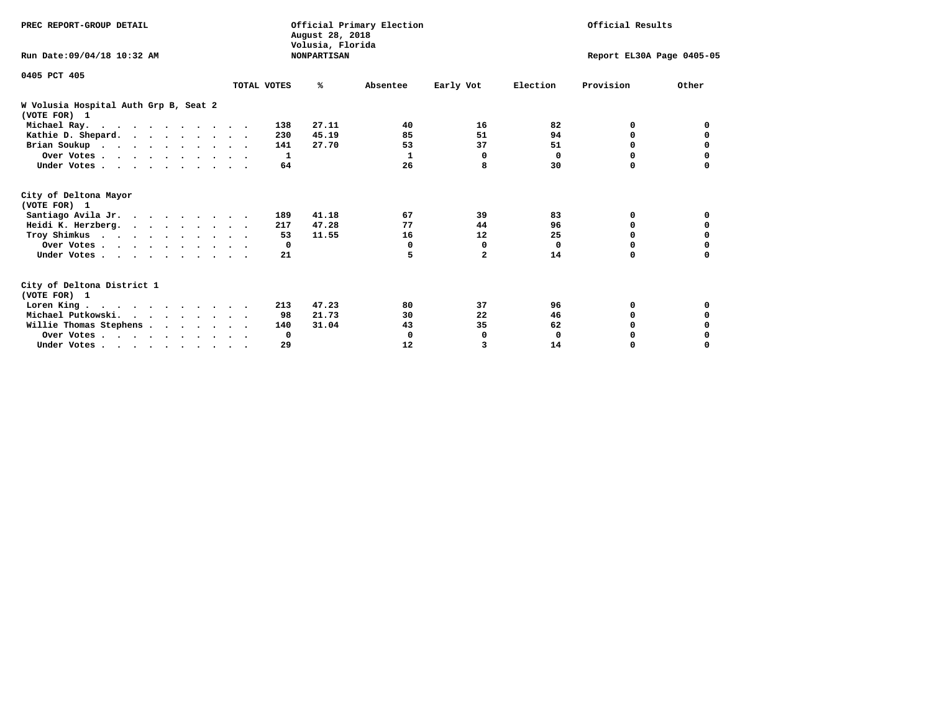| PREC REPORT-GROUP DETAIL                              |             | August 28, 2018<br>Volusia, Florida | Official Primary Election |                           | Official Results |           |          |  |
|-------------------------------------------------------|-------------|-------------------------------------|---------------------------|---------------------------|------------------|-----------|----------|--|
| Run Date: 09/04/18 10:32 AM                           |             | <b>NONPARTISAN</b>                  |                           | Report EL30A Page 0405-05 |                  |           |          |  |
| 0405 PCT 405                                          | TOTAL VOTES | %ะ                                  | Absentee                  | Early Vot                 | Election         | Provision | Other    |  |
|                                                       |             |                                     |                           |                           |                  |           |          |  |
| W Volusia Hospital Auth Grp B, Seat 2<br>(VOTE FOR) 1 |             |                                     |                           |                           |                  |           |          |  |
| Michael Ray.                                          |             | 27.11<br>138                        | 40                        | 16                        | 82               | 0         | 0        |  |
| Kathie D. Shepard.                                    |             | 45.19<br>230                        | 85                        | 51                        | 94               | 0         | 0        |  |
| Brian Soukup                                          |             | 27.70<br>141                        | 53                        | 37                        | 51               | 0         | 0        |  |
| Over Votes                                            |             | 1                                   | 1                         | 0                         | 0                | 0         | 0        |  |
| Under Votes                                           |             | 64                                  | 26                        | 8                         | 30               | O         |          |  |
| City of Deltona Mayor<br>(VOTE FOR) 1                 |             |                                     |                           |                           |                  |           |          |  |
| Santiago Avila Jr.                                    |             | 41.18<br>189                        | 67                        | 39                        | 83               | 0         | 0        |  |
| Heidi K. Herzberg.                                    |             | 47.28<br>217                        | 77                        | 44                        | 96               | 0         | 0        |  |
| Troy Shimkus                                          |             | 11.55<br>53                         | 16                        | 12                        | 25               | $\Omega$  | $\Omega$ |  |
| Over Votes                                            |             | $\mathbf{o}$                        | 0                         | 0                         | $\mathbf 0$      | 0         |          |  |
| Under Votes                                           |             | 21                                  | 5                         | $\overline{\mathbf{2}}$   | 14               | 0         | $\Omega$ |  |
| City of Deltona District 1<br>(VOTE FOR) 1            |             |                                     |                           |                           |                  |           |          |  |
| Loren King                                            |             | 47.23<br>213                        | 80                        | 37                        | 96               | 0         | 0        |  |
| Michael Putkowski.                                    |             | 21.73<br>98                         | 30                        | 22                        | 46               | 0         | 0        |  |
| Willie Thomas Stephens                                |             | 31.04<br>140                        | 43                        | 35                        | 62               | $\Omega$  |          |  |
| Over Votes                                            |             | 0                                   | 0                         | 0                         | 0                | 0         |          |  |
| Under Votes.                                          |             | 29                                  | 12                        | 3                         | 14               | 0         | $\Omega$ |  |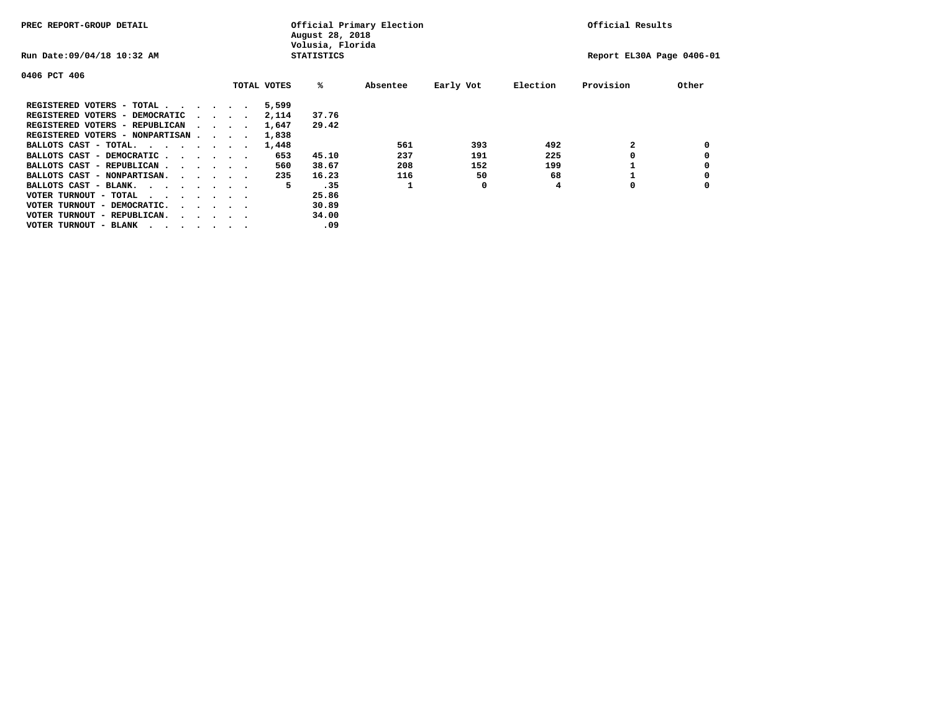| PREC REPORT-GROUP DETAIL                |  |  |                                         |  |             | August 28, 2018<br>Volusia, Florida | Official Primary Election | Official Results |          |                           |       |
|-----------------------------------------|--|--|-----------------------------------------|--|-------------|-------------------------------------|---------------------------|------------------|----------|---------------------------|-------|
| Run Date: 09/04/18 10:32 AM             |  |  |                                         |  |             | <b>STATISTICS</b>                   |                           |                  |          | Report EL30A Page 0406-01 |       |
| 0406 PCT 406                            |  |  |                                         |  |             |                                     |                           |                  |          |                           |       |
|                                         |  |  |                                         |  | TOTAL VOTES | %ะ                                  | Absentee                  | Early Vot        | Election | Provision                 | Other |
| REGISTERED VOTERS - TOTAL               |  |  |                                         |  | 5,599       |                                     |                           |                  |          |                           |       |
| REGISTERED VOTERS - DEMOCRATIC          |  |  | $\sim$ $\sim$ $\sim$ $\sim$             |  | 2,114       | 37.76                               |                           |                  |          |                           |       |
| REGISTERED VOTERS - REPUBLICAN          |  |  |                                         |  | 1,647       | 29.42                               |                           |                  |          |                           |       |
| REGISTERED VOTERS - NONPARTISAN         |  |  |                                         |  | 1,838       |                                     |                           |                  |          |                           |       |
| BALLOTS CAST - TOTAL.                   |  |  |                                         |  | 1,448       |                                     | 561                       | 393              | 492      |                           |       |
| BALLOTS CAST - DEMOCRATIC               |  |  |                                         |  | 653         | 45.10                               | 237                       | 191              | 225      |                           |       |
| BALLOTS CAST - REPUBLICAN               |  |  |                                         |  | 560         | 38.67                               | 208                       | 152              | 199      |                           |       |
| BALLOTS CAST - NONPARTISAN.             |  |  |                                         |  | 235         | 16.23                               | 116                       | 50               | 68       |                           |       |
| BALLOTS CAST - BLANK.                   |  |  |                                         |  | 5           | .35                                 |                           | 0                | 4        | 0                         |       |
| VOTER TURNOUT - TOTAL<br>$\cdots$       |  |  |                                         |  |             | 25.86                               |                           |                  |          |                           |       |
| VOTER TURNOUT - DEMOCRATIC.             |  |  | $\cdot$ $\cdot$ $\cdot$ $\cdot$ $\cdot$ |  |             | 30.89                               |                           |                  |          |                           |       |
| VOTER TURNOUT - REPUBLICAN.<br>$\cdots$ |  |  |                                         |  |             | 34.00                               |                           |                  |          |                           |       |
| VOTER TURNOUT - BLANK                   |  |  |                                         |  |             | .09                                 |                           |                  |          |                           |       |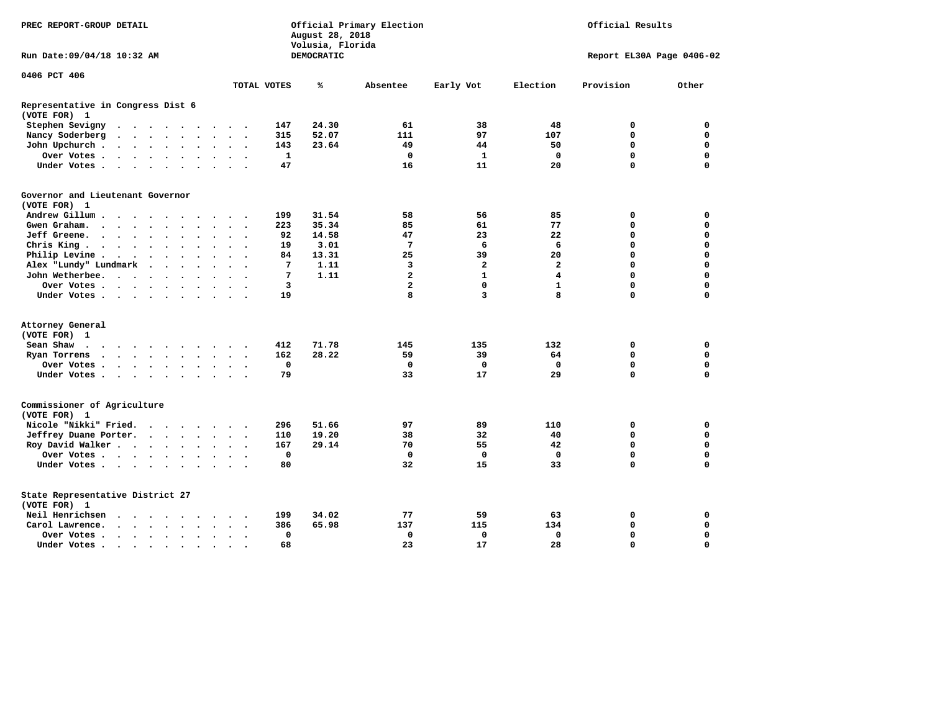| PREC REPORT-GROUP DETAIL                          |                                                    |                      |                                         |                      |                      |                      | Official Primary Election<br>August 28, 2018<br>Volusia, Florida |                          | Official Results |                   |                         |              |                |             |                           |
|---------------------------------------------------|----------------------------------------------------|----------------------|-----------------------------------------|----------------------|----------------------|----------------------|------------------------------------------------------------------|--------------------------|------------------|-------------------|-------------------------|--------------|----------------|-------------|---------------------------|
| Run Date:09/04/18 10:32 AM                        |                                                    |                      |                                         |                      |                      |                      |                                                                  |                          |                  | <b>DEMOCRATIC</b> |                         |              |                |             | Report EL30A Page 0406-02 |
| 0406 PCT 406                                      |                                                    |                      |                                         |                      |                      |                      |                                                                  |                          |                  |                   |                         |              |                |             |                           |
|                                                   |                                                    |                      |                                         |                      |                      |                      |                                                                  |                          | TOTAL VOTES      | ℁                 | Absentee                | Early Vot    | Election       | Provision   | Other                     |
| Representative in Congress Dist 6<br>(VOTE FOR) 1 |                                                    |                      |                                         |                      |                      |                      |                                                                  |                          |                  |                   |                         |              |                |             |                           |
| Stephen Sevigny                                   |                                                    |                      |                                         |                      |                      |                      |                                                                  |                          | 147              | 24.30             | 61                      | 38           | 48             | 0           | 0                         |
| Nancy Soderberg                                   | $\sim$                                             |                      | $\cdot$ $\cdot$ $\cdot$ $\cdot$ $\cdot$ |                      |                      |                      | $\sim$ $\sim$                                                    | $\overline{\phantom{a}}$ | 315              | 52.07             | 111                     | 97           | 107            | $\mathbf 0$ | 0                         |
| John Upchurch.                                    | $\cdot$ $\cdot$ $\cdot$ $\cdot$ $\cdot$            |                      |                                         |                      |                      | $\ddot{\phantom{a}}$ | $\cdot$                                                          |                          | 143              | 23.64             | 49                      | 44           | 50             | $\Omega$    | $\mathbf 0$               |
| Over Votes.                                       | $\cdots$                                           |                      |                                         |                      |                      | $\ddot{\phantom{a}}$ | $\ddot{\phantom{a}}$                                             |                          | $\mathbf{1}$     |                   | $\mathbf 0$             | $\mathbf{1}$ | $\mathbf 0$    | $\mathbf 0$ | $\mathbf 0$               |
| Under Votes                                       |                                                    |                      |                                         |                      |                      | $\cdot$              | $\sim$                                                           |                          | 47               |                   | 16                      | 11           | 20             | $\Omega$    | $\mathbf 0$               |
| Governor and Lieutenant Governor                  |                                                    |                      |                                         |                      |                      |                      |                                                                  |                          |                  |                   |                         |              |                |             |                           |
| (VOTE FOR) 1                                      |                                                    |                      |                                         |                      |                      |                      |                                                                  |                          |                  |                   |                         |              |                |             |                           |
| Andrew Gillum                                     | $\sim$                                             | $\sim$               |                                         |                      |                      |                      |                                                                  |                          | 199              | 31.54             | 58                      | 56           | 85             | 0           | 0                         |
| Gwen Graham.                                      | $\cdot$                                            |                      |                                         |                      | $\sim$               |                      | $\sim$ $\sim$                                                    | $\sim$                   | 223              | 35.34             | 85                      | 61           | 77             | $\mathbf 0$ | $\mathbf 0$               |
| Jeff Greene.                                      | $\cdot$ $\cdot$ $\cdot$ $\cdot$                    |                      | $\ddot{\phantom{a}}$                    |                      |                      |                      | $\ddot{\phantom{a}}$                                             |                          | 92               | 14.58             | 47                      | 23           | 22             | $\mathbf 0$ | $\mathbf 0$               |
| Chris King                                        |                                                    |                      |                                         |                      |                      |                      | $\bullet$                                                        |                          | 19               | 3.01              | 7                       | 6            | 6              | $\mathbf 0$ | $\mathbf 0$               |
| Philip Levine.                                    | $\mathbf{r}$ , and $\mathbf{r}$ , and $\mathbf{r}$ |                      |                                         |                      | $\bullet$            | $\ddot{\phantom{a}}$ | $\bullet$                                                        | $\sim$                   | 84               | 13.31             | 25                      | 39           | 20             | $\mathbf 0$ | $\mathbf 0$               |
| Alex "Lundy" Lundmark                             |                                                    | $\ddot{\phantom{1}}$ | $\ddot{\phantom{0}}$                    | $\ddot{\phantom{a}}$ | $\ddot{\phantom{a}}$ |                      | $\ddot{\phantom{a}}$                                             |                          | 7                | 1.11              | 3                       | $\mathbf{2}$ | $\overline{2}$ | $\mathbf 0$ | 0                         |
| John Wetherbee.                                   |                                                    |                      |                                         |                      | $\bullet$            | $\ddot{\phantom{0}}$ |                                                                  |                          | 7                | 1.11              | $\overline{\mathbf{2}}$ | $\mathbf{1}$ | 4              | $\mathbf 0$ | $\mathbf 0$               |
| Over Votes                                        |                                                    |                      |                                         |                      |                      |                      | $\ddot{\phantom{a}}$                                             |                          | 3                |                   | $\overline{\mathbf{2}}$ | $\mathbf 0$  | $\mathbf{1}$   | $\Omega$    | $\mathbf 0$               |
| Under Votes                                       |                                                    |                      |                                         |                      |                      |                      |                                                                  |                          | 19               |                   | 8                       | 3            | 8              | $\mathbf 0$ | $\mathbf 0$               |
|                                                   |                                                    |                      |                                         |                      |                      |                      |                                                                  |                          |                  |                   |                         |              |                |             |                           |
| Attorney General                                  |                                                    |                      |                                         |                      |                      |                      |                                                                  |                          |                  |                   |                         |              |                |             |                           |
| (VOTE FOR) 1                                      |                                                    |                      |                                         |                      |                      |                      |                                                                  |                          |                  |                   |                         |              |                |             |                           |
| Sean Shaw<br>$\cdots$                             |                                                    |                      |                                         |                      |                      |                      |                                                                  |                          | 412              | 71.78             | 145                     | 135          | 132            | 0           | 0                         |
| Ryan Torrens                                      | $\cdots$                                           |                      |                                         |                      |                      | $\ddot{\phantom{a}}$ | $\bullet$                                                        | $\ddot{\phantom{1}}$     | 162              | 28.22             | 59                      | 39           | 64             | $\mathbf 0$ | $\mathbf 0$               |
| Over Votes                                        |                                                    |                      |                                         |                      |                      |                      |                                                                  |                          | $\mathbf 0$      |                   | $\mathbf 0$             | $\mathbf 0$  | $\mathbf 0$    | $\mathbf 0$ | $\mathbf 0$               |
| Under Votes                                       |                                                    |                      |                                         |                      | $\ddot{\phantom{1}}$ | $\ddot{\phantom{a}}$ | $\ddot{\phantom{a}}$                                             |                          | 79               |                   | 33                      | 17           | 29             | $\mathbf 0$ | $\mathbf 0$               |
| Commissioner of Agriculture<br>(VOTE FOR) 1       |                                                    |                      |                                         |                      |                      |                      |                                                                  |                          |                  |                   |                         |              |                |             |                           |
| Nicole "Nikki" Fried.                             |                                                    |                      |                                         |                      |                      |                      |                                                                  |                          | 296              | 51.66             | 97                      | 89           | 110            | 0           | 0                         |
| Jeffrey Duane Porter.                             |                                                    |                      |                                         |                      |                      |                      | $\sim$ $\sim$                                                    |                          | 110              | 19.20             | 38                      | 32           | 40             | 0           | 0                         |
| Roy David Walker                                  |                                                    |                      |                                         |                      |                      | $\bullet$            | $\sim$                                                           |                          | 167              | 29.14             | 70                      | 55           | 42             | $\mathbf 0$ | $\mathbf 0$               |
| Over Votes                                        |                                                    |                      |                                         |                      | $\sim$               |                      | $\ddot{\phantom{1}}$                                             |                          | $\mathbf 0$      |                   | $\mathbf{0}$            | $\mathbf 0$  | $\mathbf{0}$   | $\mathbf 0$ | $\mathbf 0$               |
| Under Votes                                       |                                                    |                      |                                         |                      |                      |                      |                                                                  |                          | 80               |                   | 32                      | 15           | 33             | $\Omega$    | $\mathbf 0$               |
|                                                   |                                                    |                      |                                         |                      |                      |                      |                                                                  |                          |                  |                   |                         |              |                |             |                           |
| State Representative District 27<br>(VOTE FOR) 1  |                                                    |                      |                                         |                      |                      |                      |                                                                  |                          |                  |                   |                         |              |                |             |                           |
| Neil Henrichsen                                   | $\cdot$ $\cdot$ $\cdot$ $\cdot$ $\cdot$            |                      |                                         |                      |                      |                      |                                                                  |                          | 199              | 34.02             | 77                      | 59           | 63             | 0           | 0                         |
| Carol Lawrence.                                   |                                                    |                      |                                         |                      | $\ddot{\phantom{a}}$ | $\bullet$            | $\bullet$                                                        | $\bullet$                | 386              | 65.98             | 137                     | 115          | 134            | $\mathbf 0$ | $\mathbf 0$               |
| Over Votes.                                       | $\cdot$ $\cdot$ $\cdot$ $\cdot$                    |                      |                                         | $\ddot{\phantom{a}}$ | $\ddot{\phantom{a}}$ |                      | $\bullet$                                                        |                          | $\mathbf 0$      |                   | $\mathbf 0$             | $\mathbf 0$  | $\mathbf 0$    | $\mathbf 0$ | $\mathbf 0$               |
| Under Votes.                                      | $\cdots$                                           |                      | $\sim$ 100 $\pm$                        | $\bullet$            |                      |                      |                                                                  |                          | 68               |                   | 23                      | 17           | 28             | $\Omega$    | $\Omega$                  |
|                                                   |                                                    |                      |                                         |                      |                      |                      |                                                                  |                          |                  |                   |                         |              |                |             |                           |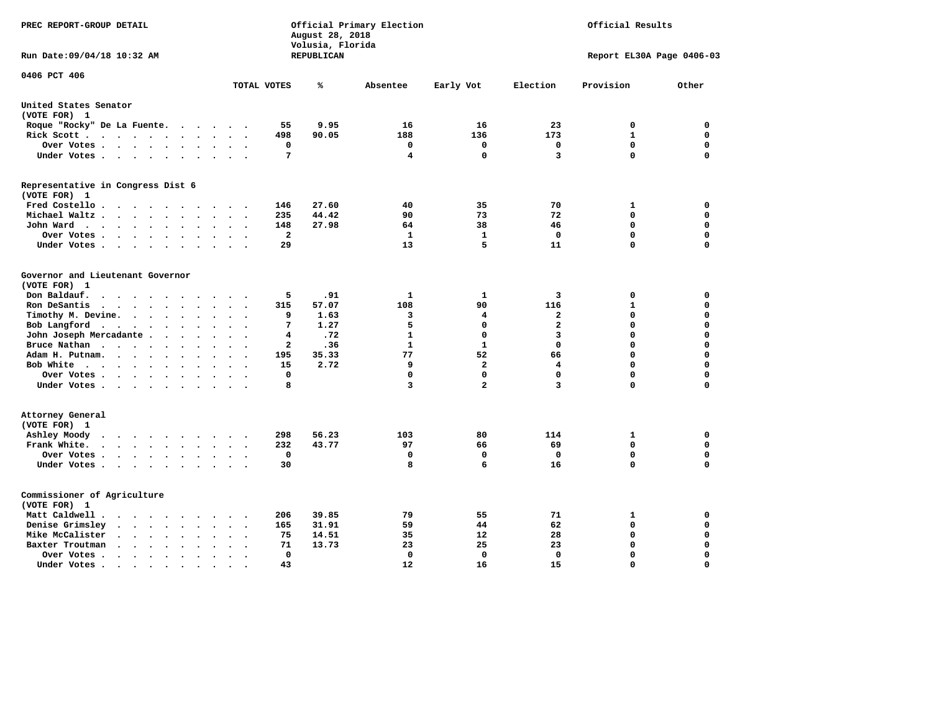| PREC REPORT-GROUP DETAIL                                                                                                                                  |                                      | August 28, 2018<br>Volusia, Florida | Official Primary Election | Official Results |                         |                           |          |
|-----------------------------------------------------------------------------------------------------------------------------------------------------------|--------------------------------------|-------------------------------------|---------------------------|------------------|-------------------------|---------------------------|----------|
| Run Date: 09/04/18 10:32 AM                                                                                                                               |                                      | REPUBLICAN                          |                           |                  |                         | Report EL30A Page 0406-03 |          |
| 0406 PCT 406                                                                                                                                              | TOTAL VOTES                          | ℁                                   | Absentee                  | Early Vot        | Election                | Provision                 | Other    |
|                                                                                                                                                           |                                      |                                     |                           |                  |                         |                           |          |
| United States Senator<br>(VOTE FOR) 1                                                                                                                     |                                      |                                     |                           |                  |                         |                           |          |
| Roque "Rocky" De La Fuente.<br>$\sim$ $\sim$ $\sim$                                                                                                       | 55<br><b>Contract</b>                | 9.95                                | 16                        | 16               | 23                      | 0                         | 0        |
| Rick Scott                                                                                                                                                | 498                                  | 90.05                               | 188                       | 136              | 173                     | $\mathbf{1}$              | 0        |
| Over Votes                                                                                                                                                | 0<br>$\sim$<br>$\ddot{\phantom{a}}$  |                                     | 0                         | 0                | 0                       | $\mathbf 0$               | 0        |
| Under Votes<br>$\ddot{\phantom{1}}$                                                                                                                       | 7<br>$\ddot{\phantom{a}}$            |                                     | 4                         | 0                | 3                       | $\mathbf 0$               | 0        |
| Representative in Congress Dist 6                                                                                                                         |                                      |                                     |                           |                  |                         |                           |          |
| (VOTE FOR) 1                                                                                                                                              |                                      |                                     |                           |                  |                         |                           |          |
| Fred Costello.                                                                                                                                            | 146<br>$\sim$ $\sim$ $\sim$ $\sim$   | 27.60                               | 40                        | 35               | 70                      | 1                         | 0        |
| Michael Waltz .<br>$\cdots$<br>$\ddot{\phantom{a}}$                                                                                                       | 235                                  | 44.42                               | 90                        | 73               | 72                      | 0                         | 0        |
| John Ward<br>$\sim$ $\sim$<br>$\bullet$                                                                                                                   | 148<br>$\ddot{\phantom{0}}$          | 27.98                               | 64                        | 38               | 46                      | 0                         | 0        |
| Over Votes.<br>$\cdots$<br>$\sim$<br>$\sim$                                                                                                               | $\overline{\mathbf{2}}$              |                                     | 1                         | $\mathbf{1}$     | $\Omega$                | $\mathbf 0$               | 0        |
| Under Votes<br>$\overline{\phantom{a}}$<br>$\cdot$                                                                                                        | 29                                   |                                     | 13                        | 5                | 11                      | $\mathbf 0$               | 0        |
| Governor and Lieutenant Governor                                                                                                                          |                                      |                                     |                           |                  |                         |                           |          |
| (VOTE FOR) 1                                                                                                                                              |                                      |                                     |                           |                  |                         |                           |          |
| Don Baldauf.<br>$\ddot{\phantom{a}}$                                                                                                                      | 5                                    | .91                                 | 1                         | $\mathbf{1}$     | 3                       | 0                         | 0        |
| Ron DeSantis<br>$\cdot$ $\cdot$ $\cdot$ $\cdot$<br>$\ddot{\phantom{a}}$<br>$\bullet$<br>$\ddot{\phantom{a}}$                                              | 315                                  | 57.07                               | 108                       | 90               | 116                     | $\mathbf{1}$              | 0        |
| Timothy M. Devine.<br>$\bullet$<br>$\bullet$                                                                                                              | 9                                    | 1.63                                | 3                         | 4                | $\mathbf{2}$            | $\mathbf 0$               | 0        |
| Bob Langford<br>$\ddot{\phantom{0}}$<br>$\ddot{\phantom{0}}$<br>$\sim$<br>$\ddot{\phantom{a}}$                                                            | 7<br>$\bullet$                       | 1.27                                | 5                         | $\mathbf 0$      | $\overline{a}$          | $\mathbf 0$               | 0        |
| John Joseph Mercadante                                                                                                                                    | 4                                    | .72                                 | $\mathbf{1}$              | 0                | $\overline{\mathbf{3}}$ | $\mathbf 0$               | 0        |
| Bruce Nathan<br>$\cdot$<br>$\ddot{\phantom{1}}$<br>$\bullet$                                                                                              | 2                                    | .36                                 | $\mathbf{1}$              | $\mathbf{1}$     | $\mathbf 0$             | $\mathbf 0$               | 0        |
| Adam H. Putnam.<br>$\cdots$<br>$\ddot{\phantom{a}}$<br>$\bullet$                                                                                          | 195                                  | 35.33                               | 77                        | 52               | 66                      | $\mathbf 0$               | 0        |
| Bob White<br>$\ddot{\phantom{a}}$                                                                                                                         | 15<br>$\sim$<br>$\ddot{\phantom{a}}$ | 2.72                                | 9                         | $\overline{a}$   | $\overline{\mathbf{4}}$ | $\mathbf 0$               | 0        |
| Over Votes .<br>$\cdots$<br>$\ddot{\phantom{a}}$                                                                                                          | $\mathbf 0$                          |                                     | $\mathbf 0$               | 0                | $\mathbf 0$             | $\mathbf 0$               | 0        |
| Under Votes<br>$\sim$                                                                                                                                     | 8                                    |                                     | 3                         | $\overline{a}$   | 3                       | $\mathbf 0$               | 0        |
| Attorney General                                                                                                                                          |                                      |                                     |                           |                  |                         |                           |          |
| (VOTE FOR) 1                                                                                                                                              |                                      |                                     |                           |                  |                         |                           |          |
| Ashley Moody<br>$\sim$ $\sim$ $\sim$ $\sim$ $\sim$<br>$\cdot$<br>$\sim$                                                                                   | 298<br>$\bullet$                     | 56.23                               | 103                       | 80               | 114                     | 1                         | 0        |
| Frank White.<br>$\cdot$ $\cdot$ $\cdot$ $\cdot$ $\cdot$ $\cdot$<br>$\ddot{\phantom{a}}$<br>$\overline{\phantom{a}}$                                       | 232                                  | 43.77                               | 97                        | 66               | 69                      | $\mathbf 0$               | 0        |
| Over Votes .<br>$\cdots$<br>$\bullet$                                                                                                                     | 0<br>$\ddot{\phantom{a}}$            |                                     | 0                         | 0                | 0                       | $\mathbf 0$               | 0        |
| Under Votes                                                                                                                                               | 30<br>$\sim$ $\sim$                  |                                     | 8                         | 6                | 16                      | $\mathbf 0$               | 0        |
| Commissioner of Agriculture                                                                                                                               |                                      |                                     |                           |                  |                         |                           |          |
| (VOTE FOR) 1                                                                                                                                              |                                      |                                     |                           |                  |                         |                           |          |
| Matt Caldwell.<br>$\cdot$ $\cdot$ $\cdot$ $\cdot$<br>$\sim$<br>$\overline{\phantom{a}}$                                                                   | 206                                  | 39.85                               | 79                        | 55               | 71                      | 1                         | 0        |
| Denise Grimsley<br>$\cdot$ $\cdot$<br>$\ddot{\phantom{a}}$<br>$\cdot$<br>$\ddot{\phantom{a}}$                                                             | 165                                  | 31.91                               | 59                        | 44               | 62                      | $\mathbf 0$               | 0        |
| Mike McCalister<br>$\begin{array}{cccccccccccccc} \bullet & \bullet & \bullet & \bullet & \bullet & \bullet & \bullet & \bullet \end{array}$<br>$\bullet$ | 75                                   | 14.51                               | 35                        | 12               | 28                      | $\mathbf 0$               | 0        |
| Baxter Troutman<br>$\cdot$ $\cdot$ $\cdot$<br>$\sim$<br>$\ddot{\phantom{a}}$<br>$\ddot{\phantom{a}}$                                                      | 71                                   | 13.73                               | 23                        | 25               | 23                      | $\mathbf 0$               | 0        |
| Over Votes .<br>$\cdot$ $\cdot$ $\cdot$ $\cdot$<br>$\bullet$<br>$\cdot$                                                                                   | 0                                    |                                     | 0                         | 0                | 0                       | $\mathbf 0$               | 0        |
| Under Votes.<br>$\cdot$ $\cdot$ $\cdot$ $\cdot$<br>$\sim$<br>$\blacksquare$                                                                               | 43<br>$\bullet$                      |                                     | 12                        | 16               | 15                      | $\Omega$                  | $\Omega$ |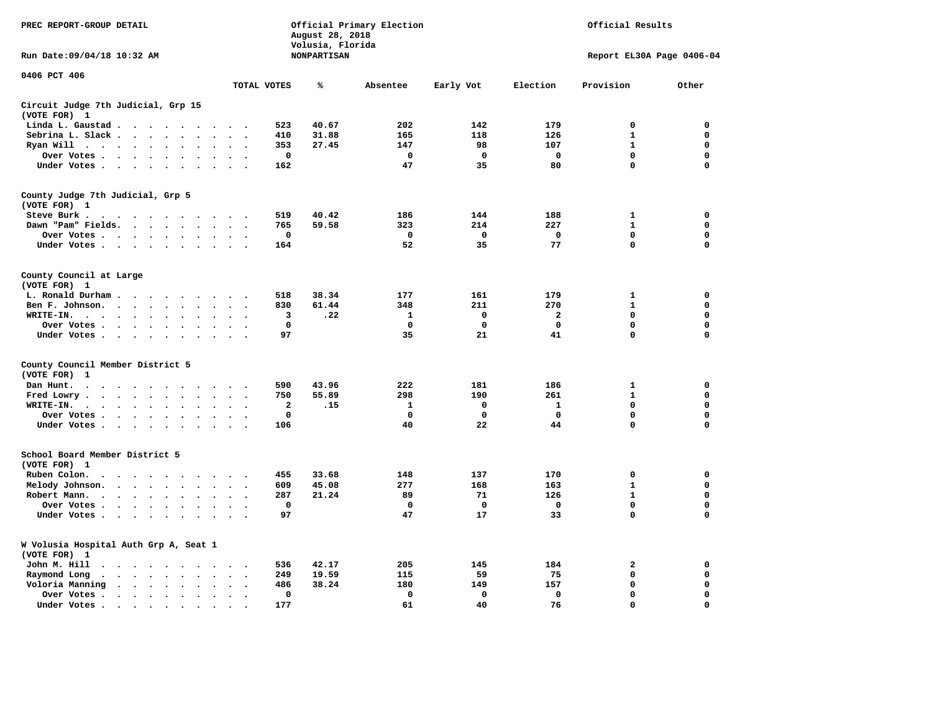| PREC REPORT-GROUP DETAIL                                                                                                                                                                                                                      |                                                     | August 28, 2018<br>Volusia, Florida | Official Primary Election | Official Results |                           |              |             |  |
|-----------------------------------------------------------------------------------------------------------------------------------------------------------------------------------------------------------------------------------------------|-----------------------------------------------------|-------------------------------------|---------------------------|------------------|---------------------------|--------------|-------------|--|
| Run Date: 09/04/18 10:32 AM                                                                                                                                                                                                                   |                                                     | <b>NONPARTISAN</b>                  |                           |                  | Report EL30A Page 0406-04 |              |             |  |
| 0406 PCT 406                                                                                                                                                                                                                                  | TOTAL VOTES                                         | ℁                                   | Absentee                  | Early Vot        | Election                  | Provision    | Other       |  |
| Circuit Judge 7th Judicial, Grp 15                                                                                                                                                                                                            |                                                     |                                     |                           |                  |                           |              |             |  |
| (VOTE FOR) 1                                                                                                                                                                                                                                  |                                                     |                                     |                           |                  |                           |              |             |  |
| Linda L. Gaustad<br>$\sim$                                                                                                                                                                                                                    | 523                                                 | 40.67                               | 202                       | 142              | 179                       | 0            | 0           |  |
| Sebrina L. Slack                                                                                                                                                                                                                              | 410                                                 | 31.88                               | 165                       | 118              | 126                       | 1            | 0           |  |
| Ryan Will $\cdots$ $\cdots$<br>$\ddot{\phantom{1}}$                                                                                                                                                                                           | 353<br>$\sim$<br>$\overline{\phantom{a}}$           | 27.45                               | 147                       | 98               | 107                       | $\mathbf{1}$ | $\mathbf 0$ |  |
| Over Votes<br>$\bullet$<br>$\cdot$                                                                                                                                                                                                            | $\mathbf 0$<br>$\cdot$<br>$\ddot{\phantom{0}}$      |                                     | $\mathbf 0$               | $\mathbf 0$      | $\mathbf 0$               | $\mathbf 0$  | $\mathbf 0$ |  |
| Under Votes                                                                                                                                                                                                                                   | 162                                                 |                                     | 47                        | 35               | 80                        | $\mathbf 0$  | $\mathbf 0$ |  |
| County Judge 7th Judicial, Grp 5                                                                                                                                                                                                              |                                                     |                                     |                           |                  |                           |              |             |  |
| (VOTE FOR) 1                                                                                                                                                                                                                                  |                                                     |                                     |                           |                  |                           |              |             |  |
| Steve Burk .<br>. The contract of the contract of the contract of the contract of the contract of the contract of the contract of the contract of the contract of the contract of the contract of the contract of the contract of the contrac | 519                                                 | 40.42                               | 186                       | 144              | 188                       | $\mathbf 1$  | $\mathbf 0$ |  |
| Dawn "Pam" Fields.<br>$\ddot{\phantom{a}}$<br>$\ddot{\phantom{a}}$                                                                                                                                                                            | 765<br>$\ddot{\phantom{a}}$<br>$\ddot{\phantom{0}}$ | 59.58                               | 323                       | 214              | 227                       | $\mathbf{1}$ | 0           |  |
| Over Votes<br>$\sim$                                                                                                                                                                                                                          | 0                                                   |                                     | $\mathbf 0$               | $\mathbf 0$      | $\mathbf 0$               | $\mathbf 0$  | $\mathbf 0$ |  |
| Under Votes<br>$\ddot{\phantom{a}}$                                                                                                                                                                                                           | 164                                                 |                                     | 52                        | 35               | 77                        | $\mathbf 0$  | 0           |  |
| County Council at Large                                                                                                                                                                                                                       |                                                     |                                     |                           |                  |                           |              |             |  |
| (VOTE FOR)<br>$\mathbf{1}$                                                                                                                                                                                                                    |                                                     |                                     |                           |                  |                           |              |             |  |
| L. Ronald Durham<br>$\ddot{\phantom{a}}$                                                                                                                                                                                                      | 518                                                 | 38.34                               | 177                       | 161              | 179                       | 1            | 0           |  |
| Ben F. Johnson.<br>$\ddot{\phantom{a}}$<br>$\ddot{\phantom{a}}$<br>$\sim$                                                                                                                                                                     | 830<br>$\mathbf{r}$<br>$\overline{\phantom{a}}$     | 61.44                               | 348                       | 211              | 270                       | $\mathbf{1}$ | $\mathbf 0$ |  |
| WRITE-IN.<br>$\ddot{\phantom{a}}$<br>$\cdots$<br>$\sim$                                                                                                                                                                                       | 3                                                   | .22                                 | 1                         | 0                | 2                         | $\mathbf 0$  | 0           |  |
| Over Votes                                                                                                                                                                                                                                    | 0                                                   |                                     | 0                         | 0                | 0                         | 0            | $\mathbf 0$ |  |
| Under Votes                                                                                                                                                                                                                                   | 97<br>$\cdot$ .                                     |                                     | 35                        | 21               | 41                        | $\mathbf 0$  | $\mathbf 0$ |  |
| County Council Member District 5                                                                                                                                                                                                              |                                                     |                                     |                           |                  |                           |              |             |  |
| (VOTE FOR)<br>1                                                                                                                                                                                                                               |                                                     |                                     |                           |                  |                           |              |             |  |
| Dan Hunt.<br>$\bullet$<br>the contract of the contract of the contract of the contract of the contract of the contract of the contract of                                                                                                     | 590                                                 | 43.96                               | 222                       | 181              | 186                       | ${\bf 1}$    | $\mathbf 0$ |  |
| Fred Lowry.<br>$\ddot{\phantom{a}}$<br>$\ddot{\phantom{a}}$<br>$\sim$<br>$\ddot{\phantom{a}}$                                                                                                                                                 | 750                                                 | 55.89                               | 298                       | 190              | 261                       | $\mathbf{1}$ | 0           |  |
| WRITE-IN.<br>$\cdots$<br>$\bullet$<br>$\cdot$                                                                                                                                                                                                 | 2                                                   | .15                                 | $\mathbf{1}$              | 0                | $\mathbf{1}$              | 0            | 0           |  |
| Over Votes<br>$\ddot{\phantom{a}}$<br>$\bullet$<br>$\cdot$                                                                                                                                                                                    | 0                                                   |                                     | $\mathbf 0$               | 0                | $\mathbf 0$               | $\mathbf 0$  | 0           |  |
| Under Votes                                                                                                                                                                                                                                   | 106                                                 |                                     | 40                        | 22               | 44                        | $\Omega$     | $\mathbf 0$ |  |
|                                                                                                                                                                                                                                               |                                                     |                                     |                           |                  |                           |              |             |  |
| School Board Member District 5<br>(VOTE FOR) 1                                                                                                                                                                                                |                                                     |                                     |                           |                  |                           |              |             |  |
| Ruben Colon.<br>$\sim$<br>$\mathbf{r}$<br>$\sim$ $\sim$ $\sim$ $\sim$<br>$\sim$ $\sim$<br>$\overline{\phantom{a}}$                                                                                                                            | 455<br>$\sim$                                       | 33.68                               | 148                       | 137              | 170                       | 0            | 0           |  |
| Melody Johnson.                                                                                                                                                                                                                               | 609<br>$\sim$<br>$\ddot{\phantom{0}}$               | 45.08                               | 277                       | 168              | 163                       | $\mathbf{1}$ | 0           |  |
| Robert Mann.<br>$\mathbf{r}$ , and $\mathbf{r}$ , and $\mathbf{r}$<br>$\bullet$<br>$\overline{a}$<br>$\overline{\phantom{a}}$                                                                                                                 | 287<br>$\ddot{\phantom{a}}$                         | 21.24                               | 89                        | 71               | 126                       | $\mathbf{1}$ | $\mathbf 0$ |  |
| Over Votes<br>$\cdot$<br>$\bullet$                                                                                                                                                                                                            | $\mathbf 0$                                         |                                     | $\mathbf 0$               | $\mathbf 0$      | $\mathbf 0$               | $\mathbf 0$  | 0           |  |
| Under Votes<br>$\sim$<br>$\cdot$                                                                                                                                                                                                              | 97                                                  |                                     | 47                        | 17               | 33                        | $\mathbf 0$  | $\mathbf 0$ |  |
|                                                                                                                                                                                                                                               |                                                     |                                     |                           |                  |                           |              |             |  |
| W Volusia Hospital Auth Grp A, Seat 1<br>(VOTE FOR) 1                                                                                                                                                                                         |                                                     |                                     |                           |                  |                           |              |             |  |
| John M. Hill<br>$\ddot{\phantom{1}}$<br>$\sim$ , and $\sim$ , and $\sim$                                                                                                                                                                      | 536                                                 | 42.17                               | 205                       | 145              | 184                       | 2            | 0           |  |
| Raymond Long<br>$\cdots$<br>$\cdot$<br>$\bullet$ .                                                                                                                                                                                            | 249                                                 | 19.59                               | 115                       | 59               | 75                        | $\mathbf 0$  | 0           |  |
| Voloria Manning<br>$\cdots$<br>$\ddot{\phantom{a}}$<br>$\ddot{\phantom{0}}$<br>$\bullet$                                                                                                                                                      | 486                                                 | 38.24                               | 180                       | 149              | 157                       | $\mathbf 0$  | 0           |  |
| Over Votes .<br>$\cdots$<br>$\cdot$<br>$\cdot$                                                                                                                                                                                                | $\mathbf 0$                                         |                                     | $\mathbf 0$               | $\mathbf 0$      | $\mathbf 0$               | $\mathbf 0$  | 0           |  |
|                                                                                                                                                                                                                                               | $\bullet$<br>$\ddot{\phantom{0}}$<br>177            |                                     | 61                        | 40               | 76                        | 0            | $\mathbf 0$ |  |
| Under Votes.<br>the contract of the contract of the contract of the contract of the contract of the contract of the contract of                                                                                                               | $\bullet$                                           |                                     |                           |                  |                           |              |             |  |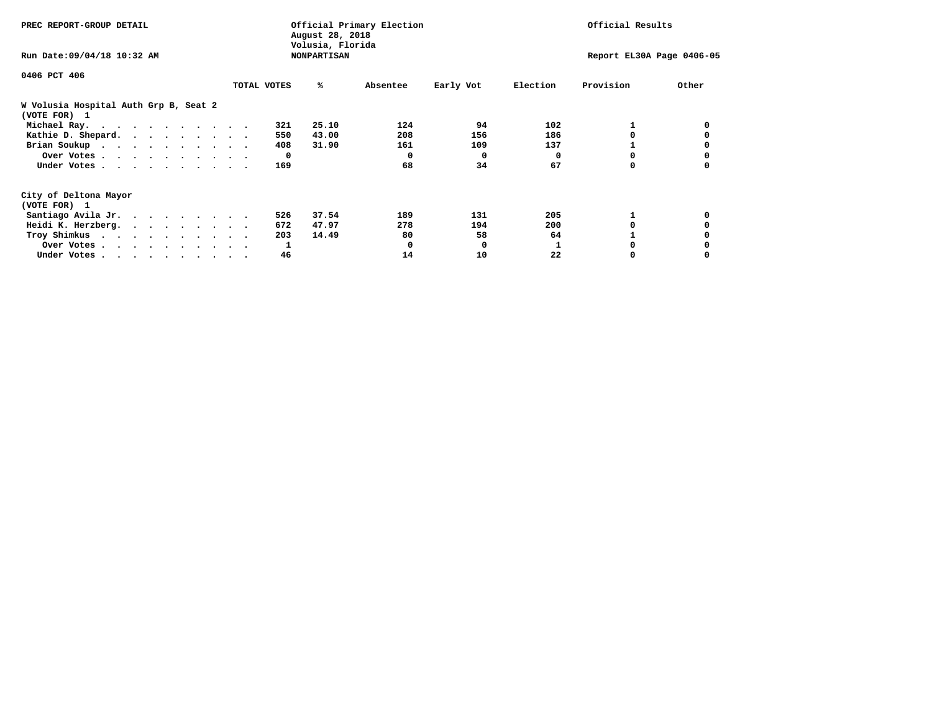| PREC REPORT-GROUP DETAIL                                               | Official Primary Election<br>August 28, 2018<br>Volusia, Florida |              |                    |          |              | Official Results          |           |       |  |  |
|------------------------------------------------------------------------|------------------------------------------------------------------|--------------|--------------------|----------|--------------|---------------------------|-----------|-------|--|--|
| Run Date: 09/04/18 10:32 AM                                            |                                                                  |              | <b>NONPARTISAN</b> |          |              | Report EL30A Page 0406-05 |           |       |  |  |
| 0406 PCT 406                                                           |                                                                  |              |                    |          |              |                           |           |       |  |  |
|                                                                        |                                                                  | TOTAL VOTES  | %ะ                 | Absentee | Early Vot    | Election                  | Provision | Other |  |  |
| W Volusia Hospital Auth Grp B, Seat 2<br>(VOTE FOR) 1                  |                                                                  |              |                    |          |              |                           |           |       |  |  |
| Michael Ray.                                                           |                                                                  | 321          | 25.10              | 124      | 94           | 102                       |           |       |  |  |
| Kathie D. Shepard.                                                     |                                                                  | 550          | 43.00              | 208      | 156          | 186                       |           |       |  |  |
| Brian Soukup                                                           |                                                                  | 408          | 31.90              | 161      | 109          | 137                       |           |       |  |  |
| Over Votes                                                             |                                                                  | $\mathbf{o}$ |                    | 0        | $\mathbf{o}$ | 0                         | 0         |       |  |  |
| Under Votes                                                            |                                                                  | 169          |                    | 68       | 34           | 67                        | 0         |       |  |  |
| City of Deltona Mayor                                                  |                                                                  |              |                    |          |              |                           |           |       |  |  |
| (VOTE FOR) 1                                                           |                                                                  |              |                    |          |              |                           |           |       |  |  |
| Santiago Avila Jr.                                                     |                                                                  | 526          | 37.54              | 189      | 131          | 205                       |           |       |  |  |
| Heidi K. Herzberg.                                                     |                                                                  | 672          | 47.97              | 278      | 194          | 200                       |           |       |  |  |
| Troy Shimkus                                                           |                                                                  | 203          | 14.49              | 80       | 58           | 64                        |           |       |  |  |
| Over Votes                                                             |                                                                  | 1            |                    | 0        | 0            |                           |           |       |  |  |
| Under Votes, $\cdot$ , $\cdot$ , $\cdot$ , $\cdot$ , $\cdot$ , $\cdot$ |                                                                  | 46           |                    | 14       | 10           | 22                        |           |       |  |  |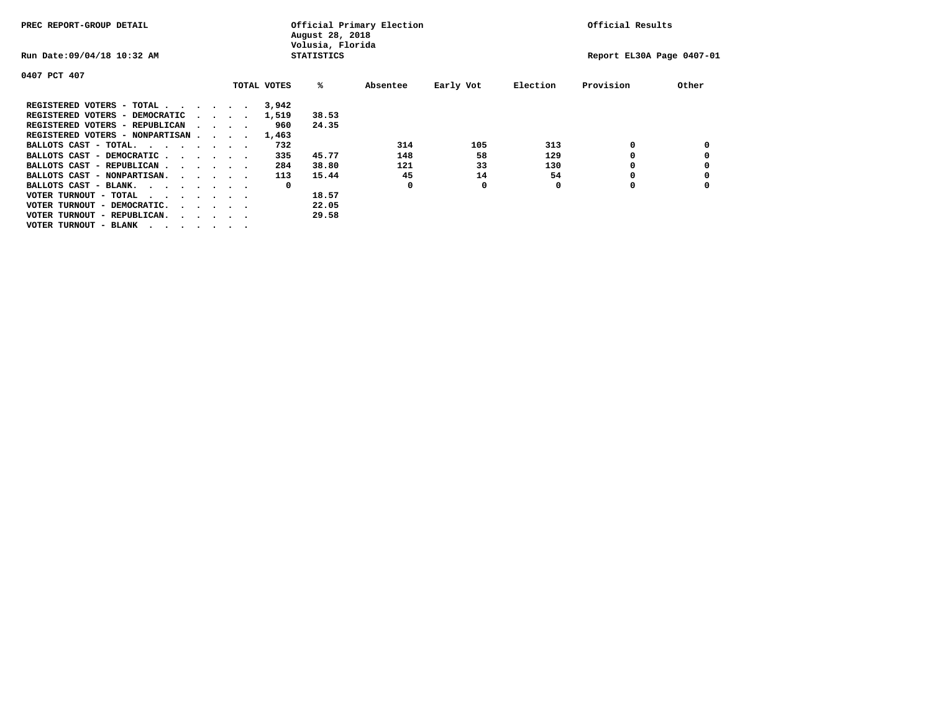| PREC REPORT-GROUP DETAIL                |  |                                 |  |  | Official Primary Election<br>August 28, 2018<br>Volusia, Florida | Official Results  |          |           |          |                           |       |
|-----------------------------------------|--|---------------------------------|--|--|------------------------------------------------------------------|-------------------|----------|-----------|----------|---------------------------|-------|
| Run Date: 09/04/18 10:32 AM             |  |                                 |  |  |                                                                  | <b>STATISTICS</b> |          |           |          | Report EL30A Page 0407-01 |       |
| 0407 PCT 407                            |  |                                 |  |  |                                                                  |                   |          |           |          |                           |       |
|                                         |  |                                 |  |  | TOTAL VOTES                                                      | %ะ                | Absentee | Early Vot | Election | Provision                 | Other |
| REGISTERED VOTERS - TOTAL               |  |                                 |  |  | 3,942                                                            |                   |          |           |          |                           |       |
| REGISTERED VOTERS - DEMOCRATIC          |  | $\cdot$ $\cdot$ $\cdot$ $\cdot$ |  |  | 1,519                                                            | 38.53             |          |           |          |                           |       |
| REGISTERED VOTERS - REPUBLICAN          |  | $\sim$ $\sim$ $\sim$ $\sim$     |  |  | 960                                                              | 24.35             |          |           |          |                           |       |
| REGISTERED VOTERS - NONPARTISAN         |  |                                 |  |  | 1,463                                                            |                   |          |           |          |                           |       |
| BALLOTS CAST - TOTAL.                   |  |                                 |  |  | 732                                                              |                   | 314      | 105       | 313      | 0                         |       |
| BALLOTS CAST - DEMOCRATIC               |  |                                 |  |  | 335                                                              | 45.77             | 148      | 58        | 129      |                           |       |
| BALLOTS CAST - REPUBLICAN               |  |                                 |  |  | 284                                                              | 38.80             | 121      | 33        | 130      | 0                         |       |
| BALLOTS CAST - NONPARTISAN.             |  |                                 |  |  | 113                                                              | 15.44             | 45       | 14        | 54       | 0                         |       |
| BALLOTS CAST - BLANK.                   |  |                                 |  |  | 0                                                                |                   | 0        | 0         | 0        | O                         |       |
| VOTER TURNOUT - TOTAL<br>$\cdots$       |  |                                 |  |  |                                                                  | 18.57             |          |           |          |                           |       |
| VOTER TURNOUT - DEMOCRATIC.             |  | $\cdot$                         |  |  |                                                                  | 22.05             |          |           |          |                           |       |
| VOTER TURNOUT - REPUBLICAN.<br>$\cdots$ |  |                                 |  |  |                                                                  | 29.58             |          |           |          |                           |       |
| VOTER TURNOUT - BLANK                   |  |                                 |  |  |                                                                  |                   |          |           |          |                           |       |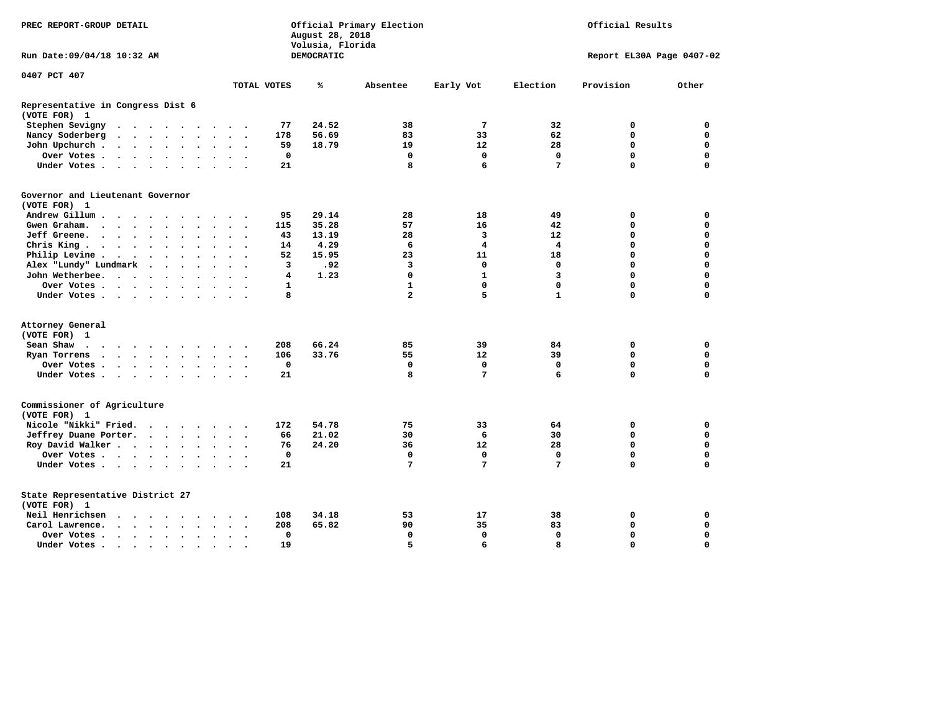| PREC REPORT-GROUP DETAIL                                                                |                                                  | August 28, 2018<br>Volusia, Florida | Official Primary Election | Official Results |                         |             |             |  |
|-----------------------------------------------------------------------------------------|--------------------------------------------------|-------------------------------------|---------------------------|------------------|-------------------------|-------------|-------------|--|
| Run Date: 09/04/18 10:32 AM                                                             | <b>DEMOCRATIC</b><br>Report EL30A Page 0407-02   |                                     |                           |                  |                         |             |             |  |
| 0407 PCT 407                                                                            |                                                  |                                     |                           |                  |                         |             |             |  |
|                                                                                         | TOTAL VOTES                                      | ℁                                   | Absentee                  | Early Vot        | Election                | Provision   | Other       |  |
| Representative in Congress Dist 6<br>(VOTE FOR) 1                                       |                                                  |                                     |                           |                  |                         |             |             |  |
| Stephen Sevigny<br>$\cdots$                                                             |                                                  | 24.52<br>77                         | 38                        | $\overline{7}$   | 32                      | 0           | 0           |  |
| Nancy Soderberg                                                                         |                                                  | 178<br>56.69                        | 83                        | 33               | 62                      | 0           | 0           |  |
| John Upchurch.                                                                          | $\sim$ $\sim$                                    | 59<br>18.79                         | 19                        | 12               | 28                      | $\mathbf 0$ | $\mathbf 0$ |  |
| Over Votes                                                                              |                                                  | 0                                   | $\mathbf 0$               | $\mathbf 0$      | $\mathbf 0$             | 0           | $\mathbf 0$ |  |
| Under Votes                                                                             |                                                  | 21                                  | 8                         | 6                | 7                       | $\Omega$    | $\mathbf 0$ |  |
| Governor and Lieutenant Governor                                                        |                                                  |                                     |                           |                  |                         |             |             |  |
| (VOTE FOR) 1                                                                            |                                                  |                                     |                           |                  |                         |             |             |  |
| Andrew Gillum<br>$\overline{\phantom{a}}$                                               |                                                  | 29.14<br>95                         | 28                        | 18               | 49                      | 0           | $\mathbf 0$ |  |
| Gwen Graham.                                                                            | $\sim$ $\sim$<br>$\overline{\phantom{a}}$        | 35.28<br>115                        | 57                        | 16               | 42                      | $\mathbf 0$ | $\mathbf 0$ |  |
| Jeff Greene.                                                                            | $\bullet$                                        | 43<br>13.19                         | 28                        | 3                | 12                      | 0           | 0           |  |
| Chris King                                                                              | $\sim$ $\sim$                                    | 4.29<br>14                          | 6                         | 4                | 4                       | 0           | 0           |  |
| Philip Levine.<br>$\mathbf{r}$ , and $\mathbf{r}$ , and $\mathbf{r}$ , and $\mathbf{r}$ | $\sim$ $\sim$<br>$\sim$                          | 15.95<br>52                         | 23                        | 11               | 18                      | $\mathbf 0$ | $\mathbf 0$ |  |
| Alex "Lundy" Lundmark                                                                   | $\sim$                                           | 3<br>.92                            | 3                         | $\mathbf 0$      | 0                       | $\mathbf 0$ | $\mathbf 0$ |  |
| John Wetherbee.                                                                         | $\ddot{\phantom{1}}$                             | 1.23<br>4                           | $\mathbf 0$               | $\mathbf{1}$     | $\overline{\mathbf{3}}$ | $\mathbf 0$ | $\mathbf 0$ |  |
| Over Votes                                                                              | $\sim$ $\sim$                                    | 1                                   | $\mathbf{1}$              | $\mathbf 0$      | $\mathbf 0$             | $\Omega$    | $\mathbf 0$ |  |
| Under Votes                                                                             |                                                  | 8                                   | $\overline{a}$            | 5                | $\mathbf{1}$            | $\Omega$    | $\mathbf 0$ |  |
| Attorney General                                                                        |                                                  |                                     |                           |                  |                         |             |             |  |
| (VOTE FOR) 1                                                                            |                                                  |                                     |                           |                  |                         |             |             |  |
| Sean Shaw<br>$\cdots$                                                                   |                                                  | 208<br>66.24                        | 85                        | 39               | 84                      | 0           | 0           |  |
| Ryan Torrens<br>$\cdots$                                                                | $\ddot{\phantom{1}}$<br>$\overline{\phantom{a}}$ | 33.76<br>106                        | 55                        | 12               | 39                      | 0           | 0           |  |
| Over Votes                                                                              |                                                  | 0                                   | $\mathbf 0$               | $\mathbf 0$      | $\mathbf 0$             | $\mathbf 0$ | 0           |  |
| Under Votes                                                                             | $\ddot{\phantom{1}}$<br>$\sim$ $\sim$            | 21                                  | 8                         | $\overline{7}$   | 6                       | $\mathbf 0$ | $\mathbf 0$ |  |
| Commissioner of Agriculture<br>(VOTE FOR) 1                                             |                                                  |                                     |                           |                  |                         |             |             |  |
| Nicole "Nikki" Fried.                                                                   |                                                  | 172<br>54.78                        | 75                        | 33               | 64                      | 0           | $\mathbf 0$ |  |
| Jeffrey Duane Porter.                                                                   |                                                  | 21.02<br>66                         | 30                        | 6                | 30                      | $\mathbf 0$ | $\mathbf 0$ |  |
| Roy David Walker                                                                        |                                                  | 24.20<br>76                         | 36                        | 12               | 28                      | $\mathbf 0$ | $\mathbf 0$ |  |
| Over Votes                                                                              | $\sim$                                           | 0                                   | 0                         | $\mathbf 0$      | $\mathbf 0$             | $\mathbf 0$ | $\mathbf 0$ |  |
| Under Votes                                                                             |                                                  | 21                                  | 7                         | 7                | 7                       | $\mathbf 0$ | 0           |  |
| State Representative District 27<br>(VOTE FOR) 1                                        |                                                  |                                     |                           |                  |                         |             |             |  |
| Neil Henrichsen<br>$\cdot$                                                              |                                                  | 34.18<br>108                        | 53                        | 17               | 38                      | 0           | $\mathbf 0$ |  |
| Carol Lawrence.<br>$\cdots$                                                             | $\sim$<br>$\bullet$                              | 65.82<br>208                        | 90                        | 35               | 83                      | $\mathbf 0$ | $\mathbf 0$ |  |
| Over Votes                                                                              | $\ddot{\phantom{a}}$<br>$\ddot{\phantom{a}}$     | $\mathbf 0$                         | $\mathbf 0$               | $\mathbf 0$      | $\mathbf 0$             | $\Omega$    | $\mathbf 0$ |  |
| Under Votes.                                                                            |                                                  | 19                                  | 5                         | 6                | 8                       | $\Omega$    | $\Omega$    |  |
|                                                                                         | $\bullet$<br>$\bullet$                           |                                     |                           |                  |                         |             |             |  |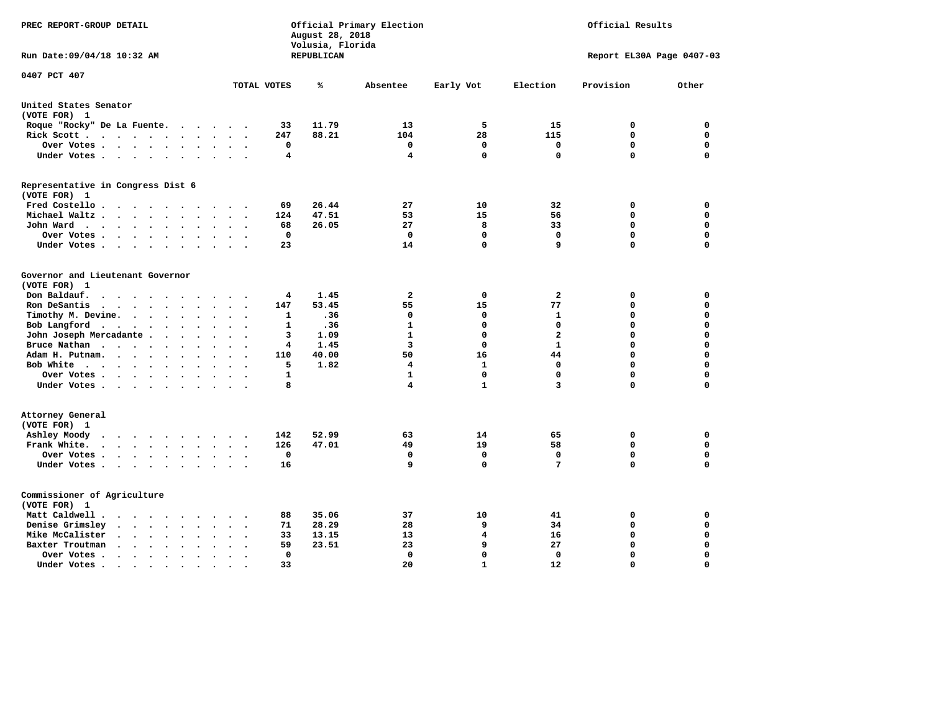| PREC REPORT-GROUP DETAIL                                                                              |                                                   | August 28, 2018<br>Volusia, Florida | Official Primary Election |              | Official Results          |             |             |  |  |
|-------------------------------------------------------------------------------------------------------|---------------------------------------------------|-------------------------------------|---------------------------|--------------|---------------------------|-------------|-------------|--|--|
| Run Date: 09/04/18 10:32 AM                                                                           |                                                   | REPUBLICAN                          |                           |              | Report EL30A Page 0407-03 |             |             |  |  |
| 0407 PCT 407                                                                                          | TOTAL VOTES                                       | ℁                                   | Absentee                  | Early Vot    | Election                  | Provision   | Other       |  |  |
|                                                                                                       |                                                   |                                     |                           |              |                           |             |             |  |  |
| United States Senator<br>(VOTE FOR) 1                                                                 |                                                   |                                     |                           |              |                           |             |             |  |  |
| Roque "Rocky" De La Fuente.                                                                           | 33<br>$\cdots$                                    | 11.79                               | 13                        | 5            | 15                        | 0           | 0           |  |  |
| Rick Scott                                                                                            | 247<br>$\ddot{\phantom{1}}$                       | 88.21                               | 104                       | 28           | 115                       | 0           | 0           |  |  |
| Over Votes                                                                                            | 0<br>$\ddot{\phantom{1}}$<br>$\bullet$<br>$\cdot$ |                                     | 0                         | 0            | 0                         | $\mathbf 0$ | 0           |  |  |
| Under Votes                                                                                           | 4                                                 |                                     | $\overline{4}$            | 0            | $\mathbf 0$               | $\Omega$    | 0           |  |  |
| Representative in Congress Dist 6<br>(VOTE FOR) 1                                                     |                                                   |                                     |                           |              |                           |             |             |  |  |
| Fred Costello                                                                                         | 69                                                | 26.44                               | 27                        | 10           | 32                        | 0           | 0           |  |  |
| Michael Waltz<br>$\ddot{\phantom{a}}$<br>$\ddot{\phantom{a}}$                                         | 124                                               | 47.51                               | 53                        | 15           | 56                        | $\mathbf 0$ | 0           |  |  |
| John Ward                                                                                             | 68<br>$\sim$                                      | 26.05                               | 27                        | 8            | 33                        | $\mathbf 0$ | 0           |  |  |
| Over Votes .<br>$\cdots$<br>$\cdot$                                                                   | $\mathbf 0$                                       |                                     | $\mathbf 0$               | 0            | $\mathbf 0$               | $\mathbf 0$ | 0           |  |  |
| Under Votes<br>$\ddot{\phantom{0}}$                                                                   | 23                                                |                                     | 14                        | 0            | 9                         | $\mathbf 0$ | 0           |  |  |
|                                                                                                       |                                                   |                                     |                           |              |                           |             |             |  |  |
| Governor and Lieutenant Governor<br>(VOTE FOR) 1                                                      |                                                   |                                     |                           |              |                           |             |             |  |  |
| Don Baldauf.<br>$\cdot$ $\cdot$ $\cdot$                                                               | 4                                                 | 1.45                                | $\mathbf{2}$              | 0            | $\mathbf{2}$              | 0           | 0           |  |  |
| Ron DeSantis<br>$\cdot$<br>$\sim$<br>$\sim$                                                           | 147                                               | 53.45                               | 55                        | 15           | 77                        | $\mathbf 0$ | 0           |  |  |
| Timothy M. Devine.<br>$\ddot{\phantom{a}}$                                                            | 1<br>$\ddot{\phantom{a}}$                         | .36                                 | 0                         | 0            | 1                         | $\mathbf 0$ | 0           |  |  |
| Bob Langford                                                                                          | 1                                                 | .36                                 | 1                         | 0            | 0                         | $\mathbf 0$ | 0           |  |  |
| John Joseph Mercadante                                                                                | 3                                                 | 1.09                                | 1                         | 0            | $\overline{a}$            | $\mathbf 0$ | 0           |  |  |
| Bruce Nathan<br>$\mathbf{r}$ , and $\mathbf{r}$ , and $\mathbf{r}$ , and $\mathbf{r}$                 | 4<br>$\ddot{\phantom{a}}$                         | 1.45                                | 3                         | 0            | 1                         | 0           | 0           |  |  |
| Adam H. Putnam.<br>$\sim$<br>$\ddot{\phantom{a}}$                                                     | 110                                               | 40.00                               | 50                        | 16           | 44                        | $\mathbf 0$ | 0           |  |  |
| Bob White                                                                                             | 5<br>$\sim$                                       | 1.82                                | 4                         | $\mathbf{1}$ | 0                         | $\mathbf 0$ | 0           |  |  |
| Over Votes<br>$\cdot$                                                                                 | 1                                                 |                                     | $\mathbf{1}$              | 0            | $\Omega$                  | $\mathbf 0$ | 0           |  |  |
| Under Votes                                                                                           | 8                                                 |                                     | 4                         | $\mathbf{1}$ | 3                         | $\Omega$    | 0           |  |  |
| Attorney General<br>(VOTE FOR) 1                                                                      |                                                   |                                     |                           |              |                           |             |             |  |  |
| Ashley Moody                                                                                          | 142                                               | 52.99                               | 63                        | 14           | 65                        | 0           | $\mathbf 0$ |  |  |
| Frank White.<br>$\cdot$ $\cdot$ $\cdot$ $\cdot$ $\cdot$ $\cdot$ $\cdot$<br>$\sim$                     | 126                                               | 47.01                               | 49                        | 19           | 58                        | $\mathbf 0$ | 0           |  |  |
| Over Votes                                                                                            | $\mathbf 0$<br>$\bullet$                          |                                     | $\mathbf 0$               | $\mathbf 0$  | $\mathbf 0$               | $\mathbf 0$ | 0           |  |  |
| Under Votes                                                                                           | 16                                                |                                     | 9                         | 0            | $7\phantom{.0}$           | $\mathbf 0$ | 0           |  |  |
| Commissioner of Agriculture<br>(VOTE FOR) 1                                                           |                                                   |                                     |                           |              |                           |             |             |  |  |
| Matt Caldwell.<br><b>Contract Contract Contract Contract Contract</b><br>$\sim$                       | 88                                                | 35.06                               | 37                        | 10           | 41                        | 0           | 0           |  |  |
| Denise Grimsley<br>$\cdot$ $\cdot$ $\cdot$ $\cdot$<br>$\bullet$                                       | 71                                                | 28.29                               | 28                        | 9            | 34                        | $\mathbf 0$ | 0           |  |  |
| Mike McCalister<br>$\bullet$                                                                          | 33<br>$\bullet$                                   | 13.15                               | 13                        | 4            | 16                        | $\mathbf 0$ | 0           |  |  |
| Baxter Troutman<br>$\sim$ $\sim$ $\sim$ $\sim$ $\sim$<br>$\ddot{\phantom{a}}$<br>$\ddot{\phantom{a}}$ | 59                                                | 23.51                               | 23                        | 9            | 27                        | $\mathbf 0$ | 0           |  |  |
| Over Votes.<br>$\cdot$<br>$\blacksquare$ .<br>$\cdot$                                                 | 0                                                 |                                     | 0                         | 0            | $\Omega$                  | $\mathbf 0$ | 0           |  |  |
| Under Votes.<br>$\cdots$<br>$\blacksquare$                                                            | 33<br>$\bullet$                                   |                                     | 20                        | $\mathbf{1}$ | 12                        | $\Omega$    | $\Omega$    |  |  |
|                                                                                                       |                                                   |                                     |                           |              |                           |             |             |  |  |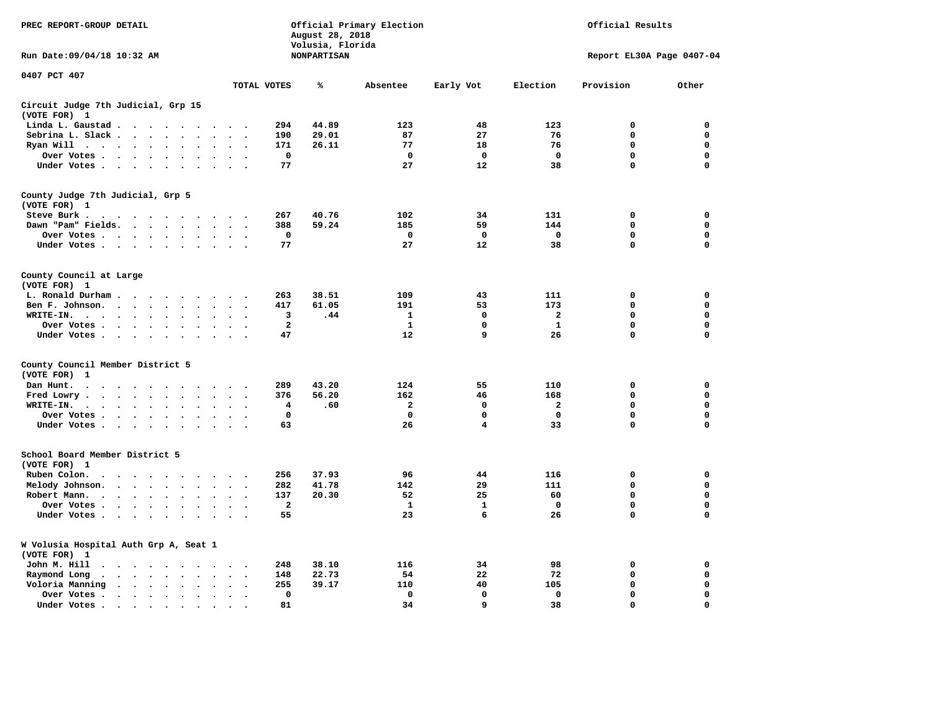| PREC REPORT-GROUP DETAIL                                                                                                                                                                                                                                |                                                         | August 28, 2018<br>Volusia, Florida | Official Primary Election |                         | Official Results          |             |             |  |  |
|---------------------------------------------------------------------------------------------------------------------------------------------------------------------------------------------------------------------------------------------------------|---------------------------------------------------------|-------------------------------------|---------------------------|-------------------------|---------------------------|-------------|-------------|--|--|
| Run Date: 09/04/18 10:32 AM                                                                                                                                                                                                                             |                                                         | <b>NONPARTISAN</b>                  |                           |                         | Report EL30A Page 0407-04 |             |             |  |  |
| 0407 PCT 407                                                                                                                                                                                                                                            | TOTAL VOTES                                             | ℁                                   | Absentee                  | Early Vot               | Election                  | Provision   | Other       |  |  |
| Circuit Judge 7th Judicial, Grp 15                                                                                                                                                                                                                      |                                                         |                                     |                           |                         |                           |             |             |  |  |
| (VOTE FOR) 1                                                                                                                                                                                                                                            |                                                         |                                     |                           |                         |                           |             |             |  |  |
| Linda L. Gaustad                                                                                                                                                                                                                                        | 294                                                     | 44.89                               | 123                       | 48                      | 123                       | $\mathbf 0$ | 0           |  |  |
| Sebrina L. Slack<br>$\sim$<br>$\Delta$                                                                                                                                                                                                                  | 190                                                     | 29.01                               | 87                        | 27                      | 76                        | $\mathbf 0$ | $\mathbf 0$ |  |  |
| Ryan Will $\cdots$ $\cdots$<br>$\cdot$                                                                                                                                                                                                                  | 171                                                     | 26.11                               | 77                        | 18                      | 76                        | 0           | 0           |  |  |
| Over Votes<br>$\ddot{\phantom{a}}$<br>$\bullet$<br>$\cdot$                                                                                                                                                                                              | 0<br>$\ddot{\phantom{a}}$                               |                                     | 0                         | $\mathbf 0$             | $\mathbf 0$               | 0           | $\mathbf 0$ |  |  |
| Under Votes                                                                                                                                                                                                                                             | 77                                                      |                                     | 27                        | 12                      | 38                        | $\mathbf 0$ | 0           |  |  |
| County Judge 7th Judicial, Grp 5                                                                                                                                                                                                                        |                                                         |                                     |                           |                         |                           |             |             |  |  |
| (VOTE FOR) 1                                                                                                                                                                                                                                            |                                                         |                                     |                           |                         |                           |             |             |  |  |
| Steve Burk .                                                                                                                                                                                                                                            | 267                                                     | 40.76                               | 102                       | 34                      | 131                       | $\mathbf 0$ | 0           |  |  |
| Dawn "Pam" Fields.<br>$\sim$                                                                                                                                                                                                                            | 388<br>$\ddot{\phantom{a}}$                             | 59.24                               | 185                       | 59                      | 144                       | 0           | $\mathbf 0$ |  |  |
| Over Votes<br>$\bullet$                                                                                                                                                                                                                                 | $\mathbf 0$                                             |                                     | 0                         | $\mathbf 0$             | $\mathbf 0$               | 0           | $\mathbf 0$ |  |  |
| Under Votes<br>$\sim$                                                                                                                                                                                                                                   | 77<br>$\cdot$                                           |                                     | 27                        | 12                      | 38                        | $\mathbf 0$ | $\mathbf 0$ |  |  |
| County Council at Large<br>(VOTE FOR) 1                                                                                                                                                                                                                 |                                                         |                                     |                           |                         |                           |             |             |  |  |
| L. Ronald Durham.                                                                                                                                                                                                                                       | 263                                                     | 38.51                               | 109                       | 43                      | 111                       | 0           | 0           |  |  |
| $\sim$ $\sim$ $\sim$ $\sim$<br>$\sim 100$ km s $^{-1}$<br>$\cdot$<br>Ben F. Johnson.<br>$\ddot{\phantom{a}}$<br>$\ddot{\phantom{a}}$<br>$\ddot{\phantom{a}}$<br>$\ddot{\phantom{a}}$                                                                    | 417                                                     | 61.05                               | 191                       | 53                      | 173                       | $\mathbf 0$ | $\mathbf 0$ |  |  |
|                                                                                                                                                                                                                                                         | $\ddot{\phantom{a}}$<br>$\ddot{\phantom{0}}$            |                                     |                           | 0                       | $\mathbf{2}$              | $\mathbf 0$ | 0           |  |  |
| WRITE-IN.<br>$\cdots$<br>$\ddot{\phantom{1}}$<br>$\ddot{\phantom{a}}$                                                                                                                                                                                   | 3                                                       | .44                                 | 1                         |                         |                           |             |             |  |  |
| Over Votes.<br>$\cdot \cdot \cdot \cdot$<br>$\cdot$                                                                                                                                                                                                     | $\mathbf{2}$                                            |                                     | $\mathbf{1}$              | 0                       | ${\bf 1}$                 | $\mathbf 0$ | $\mathbf 0$ |  |  |
| Under Votes<br>$\sim$<br>$\sim$                                                                                                                                                                                                                         | 47<br>$\sim$<br>$\overline{\phantom{a}}$                |                                     | 12                        | 9                       | 26                        | $\mathbf 0$ | $\mathbf 0$ |  |  |
| County Council Member District 5<br>(VOTE FOR)<br>1                                                                                                                                                                                                     |                                                         |                                     |                           |                         |                           |             |             |  |  |
| Dan Hunt.<br>$\bullet$<br>. The contract of the contract of the contract of the contract of the contract of the contract of the contract of the contract of the contract of the contract of the contract of the contract of the contract of the contrac | 289                                                     | 43.20                               | 124                       | 55                      | 110                       | $\mathbf 0$ | 0           |  |  |
| Fred Lowry.<br>$\begin{array}{cccccccccccccc} \bullet & \bullet & \bullet & \bullet & \bullet & \bullet & \bullet & \bullet \end{array}$<br>$\ddot{\phantom{0}}$<br>$\ddot{\phantom{a}}$<br>$\ddot{\phantom{a}}$                                        | 376                                                     | 56.20                               | 162                       | 46                      | 168                       | $\mathbf 0$ | 0           |  |  |
| WRITE-IN.<br>$\cdots$<br>$\cdot$<br>$\cdot$                                                                                                                                                                                                             | 4                                                       | .60                                 | $\overline{a}$            | 0                       | 2                         | 0           | 0           |  |  |
| Over Votes<br>$\bullet$<br>$\bullet$                                                                                                                                                                                                                    | $\mathbf 0$                                             |                                     | $\mathbf{0}$              | 0                       | 0                         | 0           | 0           |  |  |
| Under Votes<br>$\sim$ $\sim$                                                                                                                                                                                                                            | 63<br>$\sim$                                            |                                     | 26                        | $\overline{\mathbf{4}}$ | 33                        | $\Omega$    | $\mathbf 0$ |  |  |
| School Board Member District 5                                                                                                                                                                                                                          |                                                         |                                     |                           |                         |                           |             |             |  |  |
| (VOTE FOR) 1                                                                                                                                                                                                                                            |                                                         |                                     |                           |                         |                           |             |             |  |  |
| Ruben Colon.<br>$\bullet$<br>$\ddot{\phantom{a}}$<br>$\sim$<br>$\cdot$<br>$\sim$<br>$\cdot$<br>$\cdot$                                                                                                                                                  | 256                                                     | 37.93                               | 96                        | 44                      | 116                       | $\mathbf 0$ | 0           |  |  |
| Melody Johnson.<br>$\cdots$<br>$\sim$<br>$\sim$                                                                                                                                                                                                         | 282<br>$\ddot{\phantom{0}}$<br>$\overline{\phantom{a}}$ | 41.78                               | 142                       | 29                      | 111                       | 0           | $\mathbf 0$ |  |  |
| Robert Mann.<br>$\cdot$ $\cdot$ $\cdot$ $\cdot$ $\cdot$<br>$\bullet$<br>$\ddot{\phantom{a}}$<br>$\ddot{\phantom{a}}$                                                                                                                                    | 137<br>$\ddot{\phantom{a}}$                             | 20.30                               | 52                        | 25                      | 60                        | 0           | 0           |  |  |
| Over Votes<br>$\ddot{\phantom{a}}$<br>$\sim$                                                                                                                                                                                                            | $\overline{\mathbf{2}}$                                 |                                     | 1                         | 1                       | 0                         | $\mathbf 0$ | $\mathbf 0$ |  |  |
| Under Votes<br>$\ddot{\phantom{a}}$<br>$\sim$                                                                                                                                                                                                           | 55                                                      |                                     | 23                        | 6                       | 26                        | $\Omega$    | $\Omega$    |  |  |
| W Volusia Hospital Auth Grp A, Seat 1<br>(VOTE FOR) 1                                                                                                                                                                                                   |                                                         |                                     |                           |                         |                           |             |             |  |  |
| John M. Hill<br>$\ddot{\phantom{1}}$<br>$\cdots$                                                                                                                                                                                                        | 248                                                     | 38.10                               | 116                       | 34                      | 98                        | $\mathbf 0$ | 0           |  |  |
| Raymond Long<br>$\cdot$ $\cdot$ $\cdot$ $\cdot$ $\cdot$<br>$\ddot{\phantom{a}}$<br>$\sim$                                                                                                                                                               | 148<br>$\cdot$<br>$\ddot{\phantom{0}}$                  | 22.73                               | 54                        | 22                      | 72                        | $\mathbf 0$ | 0           |  |  |
| Voloria Manning<br>$\sim$ $\sim$ $\sim$ $\sim$<br>$\ddot{\phantom{a}}$<br>$\ddot{\phantom{a}}$<br>$\bullet$                                                                                                                                             | 255                                                     | 39.17                               | 110                       | 40                      | 105                       | $\mathbf 0$ | 0           |  |  |
|                                                                                                                                                                                                                                                         | $\mathbf 0$                                             |                                     | $\mathbf 0$               | $\mathbf 0$             | $\mathbf 0$               | $\mathbf 0$ | 0           |  |  |
| Over Votes .<br>$\cdot \cdot \cdot \cdot$<br>$\ddot{\phantom{0}}$<br>$\ddot{\phantom{a}}$<br>$\cdot$                                                                                                                                                    | $\bullet$<br>$\ddot{\phantom{0}}$                       |                                     |                           | 9                       |                           |             | $\mathbf 0$ |  |  |
| Under Votes.<br>the contract of the contract of the contract of the contract of the contract of the contract of the contract of                                                                                                                         | 81                                                      |                                     | 34                        |                         | 38                        | 0           |             |  |  |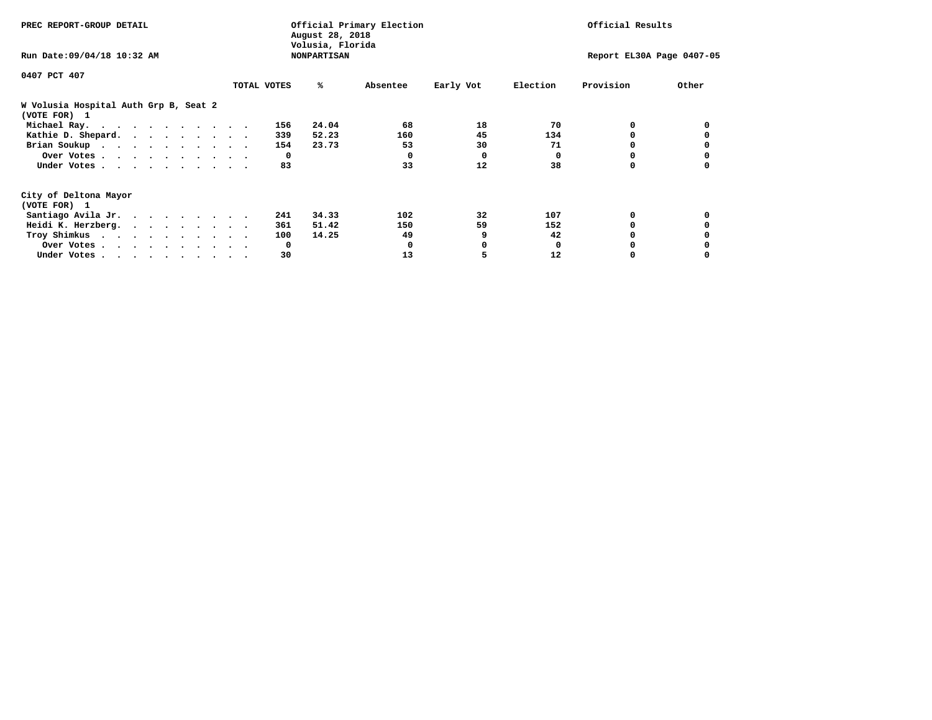| PREC REPORT-GROUP DETAIL                              |             | August 28, 2018<br>Volusia, Florida | Official Primary Election | Official Results |                           |           |       |  |
|-------------------------------------------------------|-------------|-------------------------------------|---------------------------|------------------|---------------------------|-----------|-------|--|
| Run Date: 09/04/18 10:32 AM                           |             | <b>NONPARTISAN</b>                  |                           |                  | Report EL30A Page 0407-05 |           |       |  |
| 0407 PCT 407                                          |             |                                     |                           |                  |                           |           |       |  |
|                                                       | TOTAL VOTES | ℁                                   | Absentee                  | Early Vot        | Election                  | Provision | Other |  |
| W Volusia Hospital Auth Grp B, Seat 2<br>(VOTE FOR) 1 |             |                                     |                           |                  |                           |           |       |  |
| Michael Ray.                                          | 156         | 24.04                               | 68                        | 18               | 70                        | 0         |       |  |
| Kathie D. Shepard.                                    | 339         | 52.23                               | 160                       | 45               | 134                       |           |       |  |
| Brian Soukup                                          | 154         | 23.73                               | 53                        | 30               | 71                        |           |       |  |
| Over Votes                                            | 0           |                                     | $\Omega$                  | 0                | $\Omega$                  |           |       |  |
| Under Votes                                           | 83          |                                     | 33                        | 12               | 38                        | 0         |       |  |
| City of Deltona Mayor                                 |             |                                     |                           |                  |                           |           |       |  |
| (VOTE FOR) 1                                          |             |                                     |                           |                  |                           |           |       |  |
| Santiago Avila Jr.                                    | 241         | 34.33                               | 102                       | 32               | 107                       | 0         |       |  |
| Heidi K. Herzberg.                                    | 361         | 51.42                               | 150                       | 59               | 152                       |           |       |  |
| Troy Shimkus                                          | 100         | 14.25                               | 49                        | 9                | 42                        |           |       |  |
| Over Votes                                            | 0           |                                     | 0                         |                  | <sup>0</sup>              |           |       |  |
| Under Votes                                           | 30          |                                     | 13                        |                  | 12                        |           |       |  |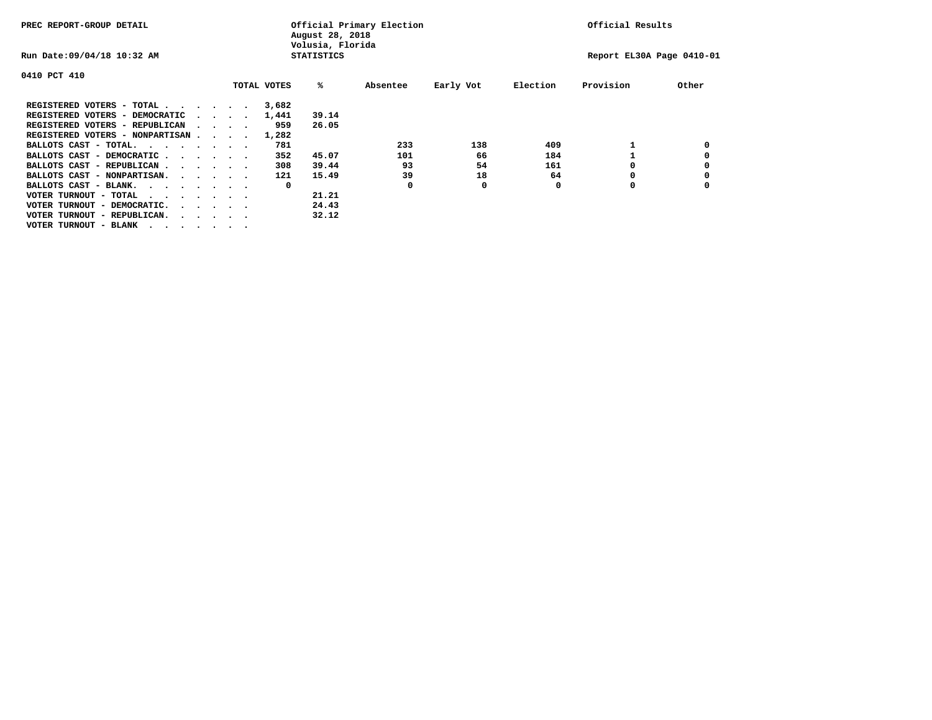| PREC REPORT-GROUP DETAIL                                               |  |  |                                         |  |             | Official Primary Election<br>August 28, 2018<br>Volusia, Florida | Official Results |           |          |                           |       |
|------------------------------------------------------------------------|--|--|-----------------------------------------|--|-------------|------------------------------------------------------------------|------------------|-----------|----------|---------------------------|-------|
| Run Date: 09/04/18 10:32 AM                                            |  |  |                                         |  |             | <b>STATISTICS</b>                                                |                  |           |          | Report EL30A Page 0410-01 |       |
| 0410 PCT 410                                                           |  |  |                                         |  |             |                                                                  |                  |           |          |                           |       |
|                                                                        |  |  |                                         |  | TOTAL VOTES | %ะ                                                               | Absentee         | Early Vot | Election | Provision                 | Other |
| REGISTERED VOTERS - TOTAL                                              |  |  |                                         |  | 3,682       |                                                                  |                  |           |          |                           |       |
| REGISTERED VOTERS - DEMOCRATIC                                         |  |  | $\cdot$ $\cdot$ $\cdot$ $\cdot$ $\cdot$ |  | 1,441       | 39.14                                                            |                  |           |          |                           |       |
| REGISTERED VOTERS - REPUBLICAN                                         |  |  | $\cdots$                                |  | 959         | 26.05                                                            |                  |           |          |                           |       |
| REGISTERED VOTERS - NONPARTISAN                                        |  |  |                                         |  | 1,282       |                                                                  |                  |           |          |                           |       |
| BALLOTS CAST - TOTAL.<br>$\cdots$                                      |  |  |                                         |  | 781         |                                                                  | 233              | 138       | 409      |                           |       |
| BALLOTS CAST - DEMOCRATIC.<br>$\cdots$                                 |  |  |                                         |  | 352         | 45.07                                                            | 101              | 66        | 184      |                           |       |
| BALLOTS CAST - REPUBLICAN                                              |  |  |                                         |  | 308         | 39.44                                                            | 93               | 54        | 161      |                           |       |
| BALLOTS CAST - NONPARTISAN.                                            |  |  |                                         |  | 121         | 15.49                                                            | 39               | 18        | 64       | o                         |       |
| BALLOTS CAST - BLANK.                                                  |  |  |                                         |  | 0           |                                                                  | O                | 0         | O        | o                         |       |
| VOTER TURNOUT - TOTAL<br>$\cdots$                                      |  |  |                                         |  |             | 21.21                                                            |                  |           |          |                           |       |
| VOTER TURNOUT - DEMOCRATIC.<br>$\cdot$ $\cdot$ $\cdot$ $\cdot$ $\cdot$ |  |  |                                         |  |             | 24.43                                                            |                  |           |          |                           |       |
| VOTER TURNOUT - REPUBLICAN.                                            |  |  |                                         |  |             | 32.12                                                            |                  |           |          |                           |       |
| VOTER TURNOUT - BLANK                                                  |  |  |                                         |  |             |                                                                  |                  |           |          |                           |       |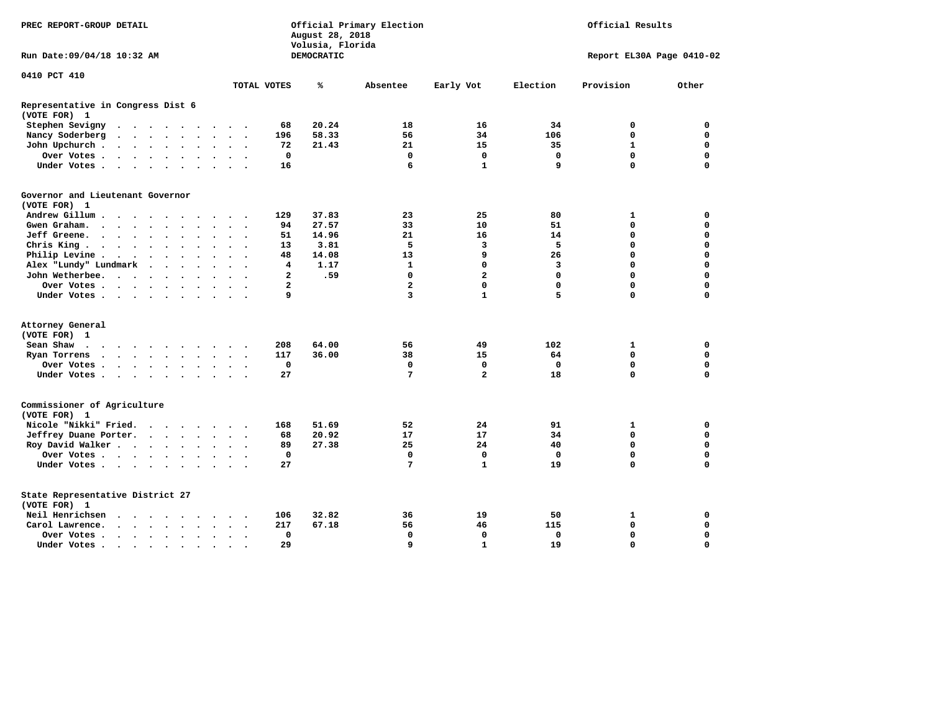| PREC REPORT-GROUP DETAIL                          |                                                                                               |                      |                      |               | August 28, 2018<br>Volusia, Florida | Official Primary Election | Official Results         |                      |                |            |                         |                         |             |                                                                                                                                                                                                                                                                                                                                                                                                                                                                                                                                                                                                                                                                                                                          |             |  |  |
|---------------------------------------------------|-----------------------------------------------------------------------------------------------|----------------------|----------------------|---------------|-------------------------------------|---------------------------|--------------------------|----------------------|----------------|------------|-------------------------|-------------------------|-------------|--------------------------------------------------------------------------------------------------------------------------------------------------------------------------------------------------------------------------------------------------------------------------------------------------------------------------------------------------------------------------------------------------------------------------------------------------------------------------------------------------------------------------------------------------------------------------------------------------------------------------------------------------------------------------------------------------------------------------|-------------|--|--|
| Run Date:09/04/18 10:32 AM                        |                                                                                               |                      |                      |               |                                     |                           |                          |                      |                | DEMOCRATIC |                         |                         |             | Report EL30A Page 0410-02<br>Election<br>Provision<br>Other<br>34<br>0<br>0<br>106<br>$\mathbf 0$<br>0<br>35<br>$\mathbf{1}$<br>$\mathbf 0$<br>$\mathbf 0$<br>$\mathbf 0$<br>$\mathbf 0$<br>$\Omega$<br>9<br>$\mathbf 0$<br>80<br>1<br>0<br>51<br>$\mathbf 0$<br>$\mathbf 0$<br>14<br>$\mathbf 0$<br>$\mathbf 0$<br>5<br>$\mathbf 0$<br>$\mathbf 0$<br>$\mathbf 0$<br>$\mathbf 0$<br>26<br>3<br>$\mathbf 0$<br>$\mathbf 0$<br>$\mathbf{0}$<br>$\mathbf 0$<br>$\mathbf 0$<br>$\mathbf 0$<br>$\Omega$<br>$\mathbf 0$<br>5<br>$\Omega$<br>$\mathbf 0$<br>102<br>1<br>0<br>$\mathbf 0$<br>$\mathbf 0$<br>64<br>$\mathbf 0$<br>$\mathbf 0$<br>$\mathbf 0$<br>18<br>$\mathbf 0$<br>$\mathbf 0$<br>91<br>1<br>0<br>34<br>0<br>0 |             |  |  |
| 0410 PCT 410                                      |                                                                                               |                      |                      |               |                                     |                           |                          |                      |                |            |                         |                         |             |                                                                                                                                                                                                                                                                                                                                                                                                                                                                                                                                                                                                                                                                                                                          |             |  |  |
|                                                   |                                                                                               |                      |                      |               |                                     |                           |                          |                      | TOTAL VOTES    | ℁          | Absentee                | Early Vot               |             |                                                                                                                                                                                                                                                                                                                                                                                                                                                                                                                                                                                                                                                                                                                          |             |  |  |
| Representative in Congress Dist 6<br>(VOTE FOR) 1 |                                                                                               |                      |                      |               |                                     |                           |                          |                      |                |            |                         |                         |             |                                                                                                                                                                                                                                                                                                                                                                                                                                                                                                                                                                                                                                                                                                                          |             |  |  |
| Stephen Sevigny                                   | $\cdots$                                                                                      |                      |                      |               |                                     |                           |                          |                      | 68             | 20.24      | 18                      | 16                      |             |                                                                                                                                                                                                                                                                                                                                                                                                                                                                                                                                                                                                                                                                                                                          |             |  |  |
| Nancy Soderberg                                   | $\begin{array}{cccccccccccccccccc} . & . & . & . & . & . & . & . & . & . & . & . \end{array}$ |                      |                      |               |                                     |                           |                          |                      | 196            | 58.33      | 56                      | 34                      |             |                                                                                                                                                                                                                                                                                                                                                                                                                                                                                                                                                                                                                                                                                                                          |             |  |  |
| John Upchurch.                                    |                                                                                               |                      |                      |               |                                     |                           | $\cdot$                  |                      | 72             | 21.43      | 21                      | 15                      |             |                                                                                                                                                                                                                                                                                                                                                                                                                                                                                                                                                                                                                                                                                                                          |             |  |  |
| Over Votes                                        |                                                                                               |                      |                      |               |                                     | $\ddot{\phantom{a}}$      | $\ddot{\phantom{1}}$     |                      | $\mathbf 0$    |            | $\mathbf 0$             | $\mathbf{o}$            |             |                                                                                                                                                                                                                                                                                                                                                                                                                                                                                                                                                                                                                                                                                                                          |             |  |  |
| Under Votes                                       |                                                                                               |                      |                      |               |                                     | $\ddot{\phantom{0}}$      | $\sim$                   |                      | 16             |            | 6                       | $\mathbf{1}$            |             |                                                                                                                                                                                                                                                                                                                                                                                                                                                                                                                                                                                                                                                                                                                          |             |  |  |
| Governor and Lieutenant Governor<br>(VOTE FOR) 1  |                                                                                               |                      |                      |               |                                     |                           |                          |                      |                |            |                         |                         |             |                                                                                                                                                                                                                                                                                                                                                                                                                                                                                                                                                                                                                                                                                                                          |             |  |  |
| Andrew Gillum                                     |                                                                                               | $\sim$               |                      |               |                                     |                           |                          |                      | 129            | 37.83      | 23                      | 25                      |             |                                                                                                                                                                                                                                                                                                                                                                                                                                                                                                                                                                                                                                                                                                                          |             |  |  |
| Gwen Graham.                                      | $\cdots$                                                                                      |                      |                      |               |                                     |                           | $\sim$ $\sim$            | $\sim$               | 94             | 27.57      | 33                      | 10                      |             |                                                                                                                                                                                                                                                                                                                                                                                                                                                                                                                                                                                                                                                                                                                          |             |  |  |
| Jeff Greene.                                      | $\cdots$                                                                                      |                      | $\ddot{\phantom{a}}$ |               |                                     |                           | $\ddot{\phantom{a}}$     |                      | 51             | 14.96      | 21                      | 16                      |             |                                                                                                                                                                                                                                                                                                                                                                                                                                                                                                                                                                                                                                                                                                                          |             |  |  |
| Chris King                                        |                                                                                               |                      |                      |               |                                     |                           | $\bullet$ . $\bullet$    |                      | 13             | 3.81       | 5                       | 3                       |             |                                                                                                                                                                                                                                                                                                                                                                                                                                                                                                                                                                                                                                                                                                                          |             |  |  |
| Philip Levine.                                    | $\mathcal{A}=\mathcal{A}=\mathcal{A}=\mathcal{A}=\mathcal{A}=\mathcal{A}$ .                   |                      |                      |               |                                     | $\ddot{\phantom{a}}$      | $\sim$                   | $\sim$               | 48             | 14.08      | 13                      | 9                       |             |                                                                                                                                                                                                                                                                                                                                                                                                                                                                                                                                                                                                                                                                                                                          |             |  |  |
| Alex "Lundy" Lundmark                             |                                                                                               | $\ddot{\phantom{0}}$ |                      | $\sim$ $\sim$ | $\sim$                              |                           | $\ddot{\phantom{a}}$     |                      | 4              | 1.17       | 1                       | $\mathbf 0$             |             |                                                                                                                                                                                                                                                                                                                                                                                                                                                                                                                                                                                                                                                                                                                          |             |  |  |
| John Wetherbee.                                   |                                                                                               |                      |                      |               |                                     |                           |                          |                      | $\mathbf{2}$   | .59        | $\Omega$                | $\overline{\mathbf{2}}$ |             |                                                                                                                                                                                                                                                                                                                                                                                                                                                                                                                                                                                                                                                                                                                          |             |  |  |
|                                                   |                                                                                               |                      |                      |               |                                     | $\ddot{\phantom{a}}$      | $\bullet$                |                      | $\overline{a}$ |            | $\overline{\mathbf{2}}$ | $\mathbf 0$             |             |                                                                                                                                                                                                                                                                                                                                                                                                                                                                                                                                                                                                                                                                                                                          |             |  |  |
| Over Votes                                        |                                                                                               |                      |                      |               |                                     |                           | $\Delta$                 |                      | 9              |            | 3                       | $\mathbf{1}$            |             |                                                                                                                                                                                                                                                                                                                                                                                                                                                                                                                                                                                                                                                                                                                          |             |  |  |
| Under Votes                                       |                                                                                               |                      |                      |               |                                     |                           |                          |                      |                |            |                         |                         |             |                                                                                                                                                                                                                                                                                                                                                                                                                                                                                                                                                                                                                                                                                                                          |             |  |  |
| Attorney General                                  |                                                                                               |                      |                      |               |                                     |                           |                          |                      |                |            |                         |                         |             |                                                                                                                                                                                                                                                                                                                                                                                                                                                                                                                                                                                                                                                                                                                          |             |  |  |
| (VOTE FOR) 1                                      |                                                                                               |                      |                      |               |                                     |                           |                          |                      |                |            |                         |                         |             |                                                                                                                                                                                                                                                                                                                                                                                                                                                                                                                                                                                                                                                                                                                          |             |  |  |
| Sean Shaw                                         |                                                                                               |                      |                      |               |                                     |                           |                          |                      | 208            | 64.00      | 56                      | 49                      |             |                                                                                                                                                                                                                                                                                                                                                                                                                                                                                                                                                                                                                                                                                                                          |             |  |  |
| Ryan Torrens                                      | $\cdots$                                                                                      |                      |                      |               |                                     |                           | $\ddot{\phantom{1}}$     | $\ddot{\phantom{0}}$ | 117            | 36.00      | 38                      | 15                      |             |                                                                                                                                                                                                                                                                                                                                                                                                                                                                                                                                                                                                                                                                                                                          |             |  |  |
| Over Votes                                        |                                                                                               |                      |                      |               |                                     |                           |                          |                      | $\mathbf 0$    |            | $\mathbf 0$             | $\mathbf 0$             |             |                                                                                                                                                                                                                                                                                                                                                                                                                                                                                                                                                                                                                                                                                                                          |             |  |  |
| Under Votes                                       |                                                                                               |                      |                      |               |                                     | $\ddot{\phantom{1}}$      | $\sim$ $\sim$            |                      | 27             |            | 7                       | $\overline{a}$          |             |                                                                                                                                                                                                                                                                                                                                                                                                                                                                                                                                                                                                                                                                                                                          |             |  |  |
| Commissioner of Agriculture<br>(VOTE FOR) 1       |                                                                                               |                      |                      |               |                                     |                           |                          |                      |                |            |                         |                         |             |                                                                                                                                                                                                                                                                                                                                                                                                                                                                                                                                                                                                                                                                                                                          |             |  |  |
| Nicole "Nikki" Fried.                             |                                                                                               |                      |                      |               |                                     |                           |                          |                      | 168            | 51.69      | 52                      | 24                      |             |                                                                                                                                                                                                                                                                                                                                                                                                                                                                                                                                                                                                                                                                                                                          |             |  |  |
| Jeffrey Duane Porter.                             |                                                                                               |                      |                      |               |                                     |                           | $\sim$ $\sim$            |                      | 68             | 20.92      | 17                      | 17                      |             |                                                                                                                                                                                                                                                                                                                                                                                                                                                                                                                                                                                                                                                                                                                          |             |  |  |
| Roy David Walker                                  |                                                                                               |                      |                      |               |                                     |                           | $\sim$ $\sim$            |                      | 89             | 27.38      | 25                      | 24                      | 40          | $\mathbf 0$                                                                                                                                                                                                                                                                                                                                                                                                                                                                                                                                                                                                                                                                                                              | $\mathbf 0$ |  |  |
| Over Votes                                        |                                                                                               |                      |                      |               |                                     |                           | $\overline{\phantom{a}}$ |                      | $\mathbf 0$    |            | $\mathbf 0$             | $\mathbf 0$             | $\mathbf 0$ | $\mathbf 0$                                                                                                                                                                                                                                                                                                                                                                                                                                                                                                                                                                                                                                                                                                              | $\mathbf 0$ |  |  |
| Under Votes                                       |                                                                                               |                      |                      |               |                                     |                           |                          |                      | 27             |            | 7                       | $\mathbf{1}$            | 19          | $\Omega$                                                                                                                                                                                                                                                                                                                                                                                                                                                                                                                                                                                                                                                                                                                 | $\mathbf 0$ |  |  |
| State Representative District 27<br>(VOTE FOR) 1  |                                                                                               |                      |                      |               |                                     |                           |                          |                      |                |            |                         |                         |             |                                                                                                                                                                                                                                                                                                                                                                                                                                                                                                                                                                                                                                                                                                                          |             |  |  |
| Neil Henrichsen                                   | $\mathbf{r}$ , $\mathbf{r}$ , $\mathbf{r}$ , $\mathbf{r}$ , $\mathbf{r}$                      |                      |                      |               |                                     |                           |                          |                      | 106            | 32.82      | 36                      | 19                      | 50          | 1                                                                                                                                                                                                                                                                                                                                                                                                                                                                                                                                                                                                                                                                                                                        | 0           |  |  |
| Carol Lawrence.                                   |                                                                                               |                      |                      |               | $\ddot{\phantom{a}}$                | $\bullet$                 | $\bullet$                | $\cdot$              | 217            | 67.18      | 56                      | 46                      | 115         | $\mathbf 0$                                                                                                                                                                                                                                                                                                                                                                                                                                                                                                                                                                                                                                                                                                              | $\mathbf 0$ |  |  |
| Over Votes                                        |                                                                                               |                      |                      |               | $\bullet$                           |                           | $\bullet$                |                      | $\mathbf 0$    |            | $\mathbf 0$             | $\mathbf 0$             | $\mathbf 0$ | $\mathbf 0$                                                                                                                                                                                                                                                                                                                                                                                                                                                                                                                                                                                                                                                                                                              | $\mathbf 0$ |  |  |
| Under Votes                                       |                                                                                               |                      |                      |               |                                     |                           |                          |                      | 29             |            | $\mathbf{q}$            | $\mathbf{1}$            | 19          | $\Omega$                                                                                                                                                                                                                                                                                                                                                                                                                                                                                                                                                                                                                                                                                                                 | $\Omega$    |  |  |
|                                                   |                                                                                               |                      |                      |               |                                     |                           |                          |                      |                |            |                         |                         |             |                                                                                                                                                                                                                                                                                                                                                                                                                                                                                                                                                                                                                                                                                                                          |             |  |  |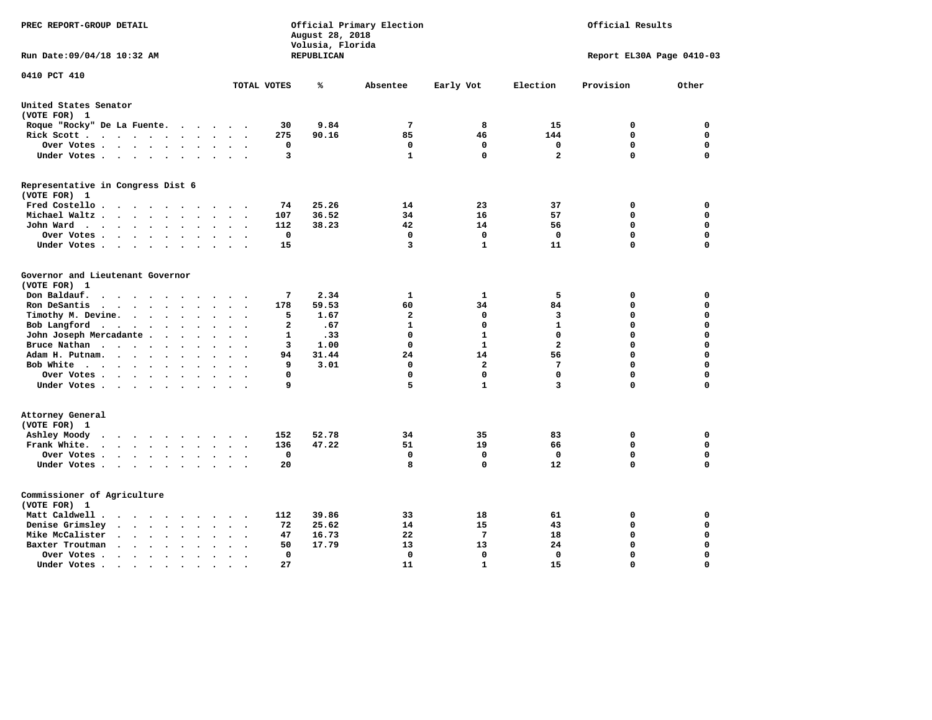| PREC REPORT-GROUP DETAIL                                                                                                                                                   |                                                   | August 28, 2018<br>Volusia, Florida | Official Primary Election |                         |                         | Official Results          |             |
|----------------------------------------------------------------------------------------------------------------------------------------------------------------------------|---------------------------------------------------|-------------------------------------|---------------------------|-------------------------|-------------------------|---------------------------|-------------|
| Run Date: 09/04/18 10:32 AM                                                                                                                                                |                                                   | REPUBLICAN                          |                           |                         |                         | Report EL30A Page 0410-03 |             |
| 0410 PCT 410                                                                                                                                                               | TOTAL VOTES                                       | ℁                                   | Absentee                  | Early Vot               | Election                | Provision                 | Other       |
|                                                                                                                                                                            |                                                   |                                     |                           |                         |                         |                           |             |
| United States Senator<br>(VOTE FOR) 1                                                                                                                                      |                                                   |                                     |                           |                         |                         |                           |             |
| Roque "Rocky" De La Fuente.                                                                                                                                                | 30<br>$\sim$ $\sim$ $\sim$ $\sim$ $\sim$          | 9.84                                | $7\phantom{.0}$           | 8                       | 15                      | 0                         | 0           |
| Rick Scott                                                                                                                                                                 | 275<br>$\bullet$                                  | 90.16                               | 85                        | 46                      | 144                     | 0                         | 0           |
| Over Votes                                                                                                                                                                 | 0<br>$\ddot{\phantom{a}}$<br>$\bullet$<br>$\cdot$ |                                     | 0                         | $\mathbf 0$             | $\mathbf 0$             | $\mathbf 0$               | 0           |
| Under Votes                                                                                                                                                                | 3                                                 |                                     | 1                         | $\mathbf 0$             | $\overline{2}$          | $\mathbf 0$               | $\mathbf 0$ |
| Representative in Congress Dist 6                                                                                                                                          |                                                   |                                     |                           |                         |                         |                           |             |
| (VOTE FOR) 1                                                                                                                                                               |                                                   |                                     |                           |                         |                         |                           |             |
| Fred Costello                                                                                                                                                              | 74                                                | 25.26                               | 14                        | 23                      | 37                      | 0                         | 0           |
| Michael Waltz<br>$\sim$<br>$\ddot{\phantom{a}}$                                                                                                                            | 107<br>$\sim$                                     | 36.52                               | 34                        | 16                      | 57                      | $\mathbf 0$               | $\mathbf 0$ |
| John Ward                                                                                                                                                                  | 112                                               | 38.23                               | 42                        | 14                      | 56                      | 0                         | 0           |
| Over Votes<br>$\bullet$                                                                                                                                                    | 0                                                 |                                     | 0                         | 0                       | $\Omega$                | 0                         | $\mathbf 0$ |
| Under Votes<br>$\ddot{\phantom{0}}$                                                                                                                                        | 15                                                |                                     | 3                         | 1                       | 11                      | $\Omega$                  | $\mathbf 0$ |
| Governor and Lieutenant Governor                                                                                                                                           |                                                   |                                     |                           |                         |                         |                           |             |
| (VOTE FOR) 1                                                                                                                                                               |                                                   |                                     |                           |                         |                         |                           |             |
| Don Baldauf.<br>$\cdot$ $\cdot$ $\cdot$ $\cdot$                                                                                                                            | 7                                                 | 2.34                                | 1                         | 1                       | 5                       | 0                         | $\mathbf 0$ |
| Ron DeSantis<br>$\sim$ $\sim$ $\sim$<br>$\ddot{\phantom{a}}$<br>$\ddot{\phantom{a}}$                                                                                       | 178                                               | 59.53                               | 60                        | 34                      | 84                      | $\mathbf 0$               | $\mathbf 0$ |
| Timothy M. Devine.<br>$\bullet$                                                                                                                                            | 5<br>$\ddot{\phantom{a}}$<br>$\ddot{\phantom{a}}$ | 1.67                                | $\overline{a}$            | $\mathbf 0$             | $\overline{\mathbf{3}}$ | $\mathbf 0$               | $\mathbf 0$ |
| Bob Langford<br>$\sim$<br>$\ddot{\phantom{a}}$                                                                                                                             | $\overline{a}$<br>$\sim$                          | .67                                 | $\mathbf{1}$              | $\mathbf 0$             | $\mathbf{1}$            | $\mathbf 0$               | $\mathbf 0$ |
| John Joseph Mercadante.<br>$\sim$ $\sim$<br>$\ddot{\phantom{a}}$                                                                                                           | 1                                                 | .33                                 | $\mathbf 0$               | $\mathbf{1}$            | $\mathbf 0$             | $\mathbf 0$               | $\mathbf 0$ |
| Bruce Nathan<br>$\ddot{\phantom{a}}$<br>$\bullet$                                                                                                                          | 3                                                 | 1.00                                | $\mathbf 0$               | $\mathbf{1}$            | $\overline{a}$          | $\mathbf 0$               | $\mathbf 0$ |
| Adam H. Putnam.<br>$\cdots$<br>$\overline{\phantom{a}}$                                                                                                                    | 94                                                | 31.44                               | 24                        | 14                      | 56                      | $\mathbf 0$               | 0           |
| Bob White<br>$\sim$                                                                                                                                                        | 9                                                 | 3.01                                | 0                         | $\overline{\mathbf{2}}$ | $7\phantom{.0}$         | $\mathbf 0$               | $\mathbf 0$ |
| Over Votes .<br><b>Contract Contract Contract Contract</b><br>$\bullet$                                                                                                    | $\mathbf 0$                                       |                                     | $\Omega$                  | $\mathbf 0$             | $\mathbf 0$             | $\mathbf 0$               | $\mathbf 0$ |
| Under Votes                                                                                                                                                                | 9                                                 |                                     | 5                         | $\mathbf{1}$            | 3                       | $\mathbf 0$               | 0           |
| Attorney General                                                                                                                                                           |                                                   |                                     |                           |                         |                         |                           |             |
| (VOTE FOR) 1                                                                                                                                                               |                                                   |                                     |                           |                         |                         |                           |             |
| Ashley Moody<br>$\begin{array}{cccccccccccccccccc} . & . & . & . & . & . & . & . & . & . \end{array}$                                                                      | 152                                               | 52.78                               | 34                        | 35                      | 83                      | 0                         | 0           |
| Frank White.<br>$\begin{array}{cccccccccccccc} \bullet & \bullet & \bullet & \bullet & \bullet & \bullet & \bullet & \bullet & \bullet & \bullet \end{array}$<br>$\bullet$ | 136                                               | 47.22                               | 51                        | 19                      | 66                      | $\mathbf 0$               | 0           |
| Over Votes .<br>$\mathcal{A}=\mathcal{A}=\mathcal{A}=\mathcal{A}=\mathcal{A}$ .<br>$\sim$                                                                                  | 0<br>$\cdot$<br>$\cdot$                           |                                     | $\mathbf{o}$              | $\mathbf 0$             | 0                       | 0                         | 0           |
| Under Votes                                                                                                                                                                | 20                                                |                                     | 8                         | $\mathbf 0$             | 12                      | $\mathbf 0$               | $\mathbf 0$ |
|                                                                                                                                                                            |                                                   |                                     |                           |                         |                         |                           |             |
| Commissioner of Agriculture                                                                                                                                                |                                                   |                                     |                           |                         |                         |                           |             |
| (VOTE FOR) 1                                                                                                                                                               |                                                   |                                     |                           |                         |                         |                           |             |
| Matt Caldwell.<br>$\cdots$                                                                                                                                                 | 112                                               | 39.86                               | 33                        | 18                      | 61                      | 0                         | 0           |
| Denise Grimsley<br>$\mathbf{r}$ . The set of $\mathbf{r}$<br>$\ddot{\phantom{a}}$<br>$\ddot{\phantom{a}}$<br>$\ddot{\phantom{a}}$                                          | 72                                                | 25.62                               | 14                        | 15                      | 43                      | $\mathbf 0$               | $\mathbf 0$ |
| Mike McCalister<br>$\mathbf{r}$ , $\mathbf{r}$ , $\mathbf{r}$ , $\mathbf{r}$<br>$\bullet$                                                                                  | 47                                                | 16.73                               | 22                        | $7\phantom{.0}$         | 18                      | $\mathbf 0$               | $\mathbf 0$ |
| Baxter Troutman<br>$\cdot$ $\cdot$ $\cdot$ $\cdot$                                                                                                                         | 50                                                | 17.79                               | 13                        | 13                      | 24                      | $\mathbf 0$               | $\mathbf 0$ |
| Over Votes.<br>$\cdots$<br>$\cdot$<br>$\cdot$                                                                                                                              | 0                                                 |                                     | 0                         | 0                       | 0                       | $\mathbf 0$               | $\mathbf 0$ |
| Under Votes.<br>$\bullet$ . $\bullet$ . $\bullet$<br>$\bullet$<br>$\bullet$<br>$\bullet$                                                                                   | 27                                                |                                     | 11                        | $\mathbf{1}$            | 15                      | $\Omega$                  | $\Omega$    |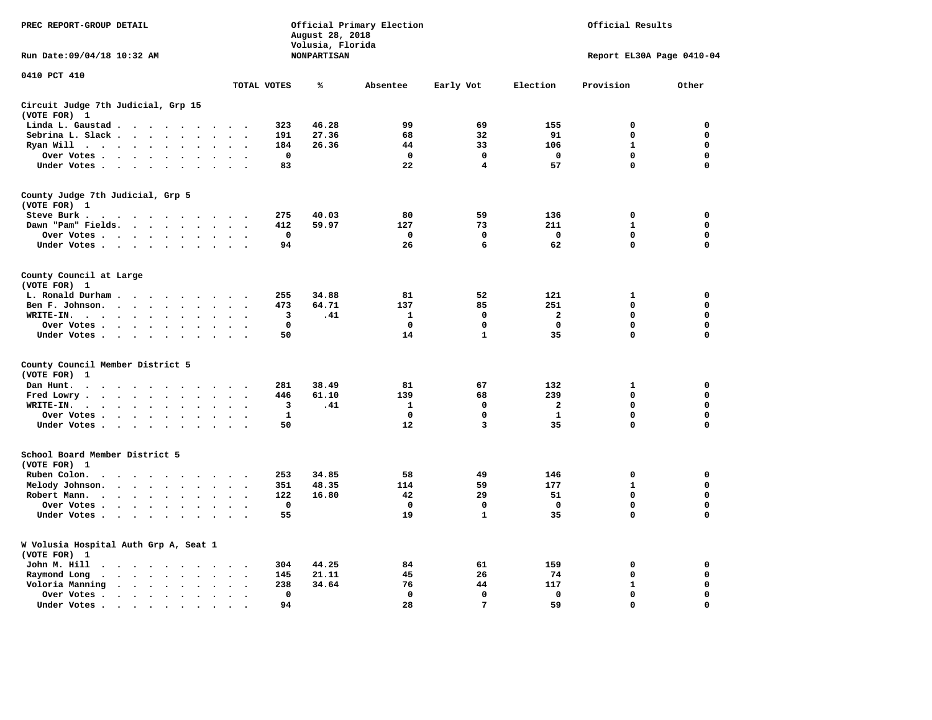| PREC REPORT-GROUP DETAIL                                                                                                                                                                                                                      |                                  | August 28, 2018<br>Volusia, Florida | Official Primary Election |              |              | Official Results          |             |  |
|-----------------------------------------------------------------------------------------------------------------------------------------------------------------------------------------------------------------------------------------------|----------------------------------|-------------------------------------|---------------------------|--------------|--------------|---------------------------|-------------|--|
| Run Date: 09/04/18 10:32 AM                                                                                                                                                                                                                   |                                  | <b>NONPARTISAN</b>                  |                           |              |              | Report EL30A Page 0410-04 |             |  |
| 0410 PCT 410                                                                                                                                                                                                                                  | TOTAL VOTES                      | ℁                                   | Absentee                  | Early Vot    | Election     | Provision                 | Other       |  |
| Circuit Judge 7th Judicial, Grp 15                                                                                                                                                                                                            |                                  |                                     |                           |              |              |                           |             |  |
| (VOTE FOR) 1                                                                                                                                                                                                                                  |                                  |                                     |                           |              |              |                           |             |  |
| Linda L. Gaustad<br>$\ddot{\phantom{a}}$                                                                                                                                                                                                      | 323                              | 46.28                               | 99                        | 69           | 155          | $\mathbf 0$               | 0           |  |
| Sebrina L. Slack<br>$\cdot$ $\cdot$<br>$\ddot{\phantom{a}}$                                                                                                                                                                                   | 191                              | 27.36                               | 68                        | 32           | 91           | 0                         | 0           |  |
| Ryan Will $\cdots$ $\cdots$ $\cdots$                                                                                                                                                                                                          | 184                              | 26.36                               | 44                        | 33           | 106          | $\mathbf{1}$              | 0           |  |
| Over Votes<br>$\ddot{\phantom{a}}$<br>$\cdot$                                                                                                                                                                                                 | $\mathbf{o}$<br>$\bullet$        |                                     | $\mathbf 0$               | $\mathbf 0$  | 0            | 0                         | 0           |  |
| Under Votes                                                                                                                                                                                                                                   | 83<br>$\sim$                     |                                     | 22                        | 4            | 57           | $\mathbf 0$               | $\mathbf 0$ |  |
| County Judge 7th Judicial, Grp 5                                                                                                                                                                                                              |                                  |                                     |                           |              |              |                           |             |  |
| (VOTE FOR) 1                                                                                                                                                                                                                                  |                                  |                                     |                           |              |              |                           |             |  |
| Steve Burk .<br>. The contract of the contract of the contract of the contract of the contract of the contract of the contract of the contract of the contract of the contract of the contract of the contract of the contract of the contrac | 275                              | 40.03                               | 80                        | 59           | 136          | $\mathbf 0$               | 0           |  |
| Dawn "Pam" Fields.<br>$\ddot{\phantom{a}}$<br>$\ddot{\phantom{1}}$                                                                                                                                                                            | 412<br>$\ddot{\phantom{1}}$      | 59.97                               | 127                       | 73           | 211          | $\mathbf{1}$              | 0           |  |
| Over Votes<br>$\sim$<br>$\bullet$                                                                                                                                                                                                             | $\Omega$<br>$\bullet$            |                                     | $\mathbf{0}$              | $\mathbf{0}$ | $\mathbf{0}$ | 0                         | 0           |  |
| Under Votes                                                                                                                                                                                                                                   | 94<br>$\cdot$                    |                                     | 26                        | 6            | 62           | $\mathbf 0$               | $\mathbf 0$ |  |
| County Council at Large<br>(VOTE FOR) 1                                                                                                                                                                                                       |                                  |                                     |                           |              |              |                           |             |  |
| L. Ronald Durham.                                                                                                                                                                                                                             | 255                              | 34.88                               | 81                        | 52           | 121          | 1                         | 0           |  |
| Ben F. Johnson.<br>$\ddot{\phantom{a}}$<br>$\ddot{\phantom{a}}$<br>$\ddot{\phantom{a}}$                                                                                                                                                       | 473<br>$\ddot{\phantom{a}}$      | 64.71                               | 137                       | 85           | 251          | 0                         | 0           |  |
| WRITE-IN.<br>$\cdot$                                                                                                                                                                                                                          | $\ddot{\phantom{0}}$<br>3        | .41                                 | 1                         | 0            | $\mathbf{2}$ | $\Omega$                  | $\mathbf 0$ |  |
| $\cdots$<br>Over Votes .<br>$\mathcal{A}=\mathcal{A}=\mathcal{A}=\mathcal{A}$ .<br>$\bullet$                                                                                                                                                  | $\mathbf{o}$                     |                                     | 0                         | 0            | 0            | 0                         | 0           |  |
| $\bullet$<br>Under Votes<br>$\sim$<br>$\overline{\phantom{a}}$                                                                                                                                                                                | 50<br>$\sim$                     |                                     | 14                        | $\mathbf{1}$ | 35           | 0                         | 0           |  |
|                                                                                                                                                                                                                                               |                                  |                                     |                           |              |              |                           |             |  |
| County Council Member District 5<br>(VOTE FOR)<br>1                                                                                                                                                                                           |                                  |                                     |                           |              |              |                           |             |  |
| Dan Hunt.<br>.                                                                                                                                                                                                                                | 281                              | 38.49                               | 81                        | 67           | 132          | 1                         | 0           |  |
| Fred Lowry.<br>$\cdots$<br>$\sim$<br>$\sim$                                                                                                                                                                                                   | 446                              | 61.10                               | 139                       | 68           | 239          | $\mathbf 0$               | $\mathbf 0$ |  |
| WRITE-IN.<br>$\cdots$<br>$\ddot{\phantom{a}}$<br>$\cdot$                                                                                                                                                                                      | $\cdot$ .<br>3                   | .41                                 | 1                         | 0            | $\mathbf{2}$ | 0                         | 0           |  |
| Over Votes                                                                                                                                                                                                                                    | $\mathbf{1}$<br>$\sim$<br>$\sim$ |                                     | $\mathbf 0$               | $\mathbf 0$  | $\mathbf{1}$ | 0                         | $\mathbf 0$ |  |
| $\ddot{\phantom{0}}$<br>$\bullet$                                                                                                                                                                                                             | 50                               |                                     | 12                        | 3            | 35           | 0                         | $\Omega$    |  |
| Under Votes                                                                                                                                                                                                                                   | $\cdot$ $\cdot$ $\cdot$ $\cdot$  |                                     |                           |              |              |                           |             |  |
| School Board Member District 5<br>(VOTE FOR) 1                                                                                                                                                                                                |                                  |                                     |                           |              |              |                           |             |  |
| Ruben Colon.<br>$\ddot{\phantom{0}}$<br>$\sim$<br>$\ddot{\phantom{1}}$                                                                                                                                                                        | 253                              | 34.85                               | 58                        | 49           | 146          | $\mathbf 0$               | 0           |  |
| Melody Johnson.<br>$\ddot{\phantom{a}}$                                                                                                                                                                                                       | 351<br>$\ddot{\phantom{a}}$      | 48.35                               | 114                       | 59           | 177          | $\mathbf{1}$              | 0           |  |
| Robert Mann.<br>$\cdots$<br>$\ddot{\phantom{a}}$<br>$\ddot{\phantom{a}}$<br>$\bullet$                                                                                                                                                         | 122                              | 16.80                               | 42                        | 29           | 51           | 0                         | 0           |  |
| Over Votes<br>$\sim$<br>$\overline{\phantom{a}}$                                                                                                                                                                                              | $\mathbf 0$                      |                                     | $\mathbf 0$               | $\mathbf 0$  | $\mathbf 0$  | 0                         | 0           |  |
| Under Votes<br>$\cdot$                                                                                                                                                                                                                        | 55                               |                                     | 19                        | $\mathbf{1}$ | 35           | 0                         | $\mathbf 0$ |  |
|                                                                                                                                                                                                                                               |                                  |                                     |                           |              |              |                           |             |  |
| W Volusia Hospital Auth Grp A, Seat 1<br>(VOTE FOR) 1                                                                                                                                                                                         |                                  |                                     |                           |              |              |                           |             |  |
| John M. Hill<br>$\cdot$ $\cdot$                                                                                                                                                                                                               | 304<br>$\cdot$ .                 | 44.25                               | 84                        | 61           | 159          | 0                         | 0           |  |
| Raymond Long<br>$\ddot{\phantom{1}}$ .<br>$\bullet$<br>$\bullet$                                                                                                                                                                              | 145<br>$\bullet$<br>$\cdot$      | 21.11                               | 45                        | 26           | 74           | $\mathbf 0$               | 0           |  |
| Voloria Manning<br>$\begin{array}{cccccccccccccccccc} \bullet & \bullet & \bullet & \bullet & \bullet & \bullet & \bullet & \bullet & \bullet & \bullet & \bullet & \bullet \end{array}$                                                      | 238<br>$\ddot{\phantom{a}}$      | 34.64                               | 76                        | 44           | 117          | $\mathbf{1}$              | 0           |  |
| Over Votes.<br>$\cdots$<br>$\ddot{\phantom{a}}$<br>$\cdot$                                                                                                                                                                                    | $\Omega$<br>$\cdot$              |                                     | $\mathbf 0$               | $\mathbf{0}$ | 0            | 0                         | $\mathbf 0$ |  |
| Under Votes.<br>$\bullet$                                                                                                                                                                                                                     | 94                               |                                     | 28                        | 7            | 59           | $\Omega$                  | $\Omega$    |  |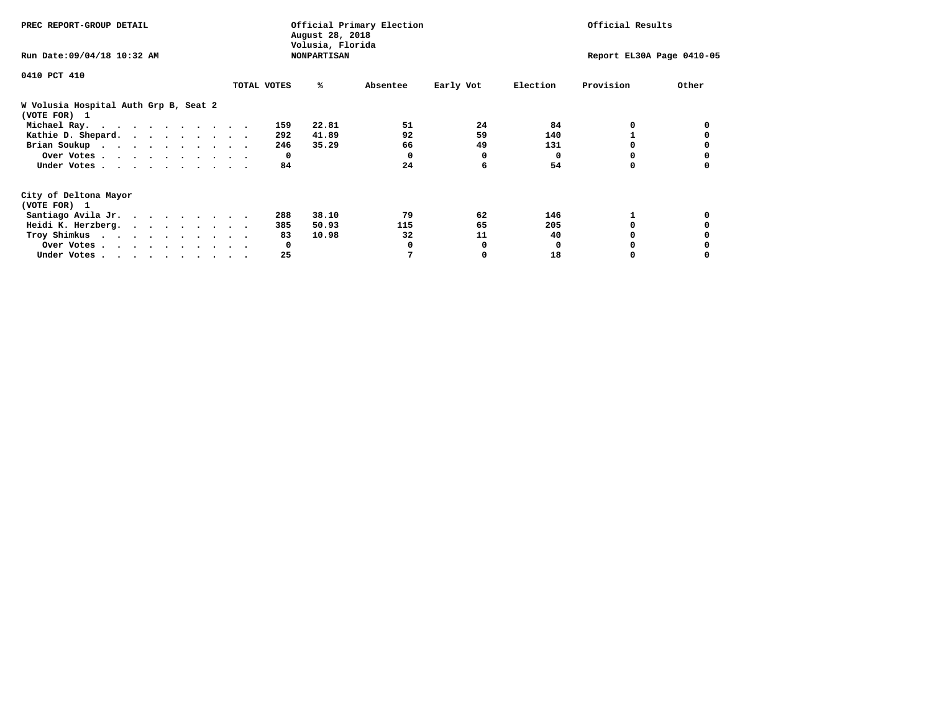| PREC REPORT-GROUP DETAIL                              |             |     | August 28, 2018<br>Volusia, Florida | Official Primary Election |           |          | Official Results          |       |
|-------------------------------------------------------|-------------|-----|-------------------------------------|---------------------------|-----------|----------|---------------------------|-------|
| Run Date: 09/04/18 10:32 AM                           |             |     | <b>NONPARTISAN</b>                  |                           |           |          | Report EL30A Page 0410-05 |       |
| 0410 PCT 410                                          |             |     |                                     |                           |           |          |                           |       |
|                                                       | TOTAL VOTES |     | ℁                                   | Absentee                  | Early Vot | Election | Provision                 | Other |
| W Volusia Hospital Auth Grp B, Seat 2<br>(VOTE FOR) 1 |             |     |                                     |                           |           |          |                           |       |
| Michael Ray.                                          |             | 159 | 22.81                               | 51                        | 24        | 84       |                           |       |
| Kathie D. Shepard.                                    |             | 292 | 41.89                               | 92                        | 59        | 140      |                           |       |
| Brian Soukup                                          |             | 246 | 35.29                               | 66                        | 49        | 131      |                           |       |
| Over Votes                                            |             | 0   |                                     | 0                         | 0         | 0        | 0                         |       |
| Under Votes                                           |             | 84  |                                     | 24                        | 6         | 54       | 0                         |       |
| City of Deltona Mayor                                 |             |     |                                     |                           |           |          |                           |       |
| (VOTE FOR) 1                                          |             |     |                                     |                           |           |          |                           |       |
| Santiago Avila Jr.                                    |             | 288 | 38.10                               | 79                        | 62        | 146      |                           |       |
| Heidi K. Herzberg.                                    |             | 385 | 50.93                               | 115                       | 65        | 205      |                           |       |
| Troy Shimkus                                          |             | 83  | 10.98                               | 32                        | 11        | 40       |                           |       |
| Over Votes                                            |             | 0   |                                     |                           | 0         |          |                           |       |
|                                                       |             | 25  |                                     |                           | 0         | 18       |                           |       |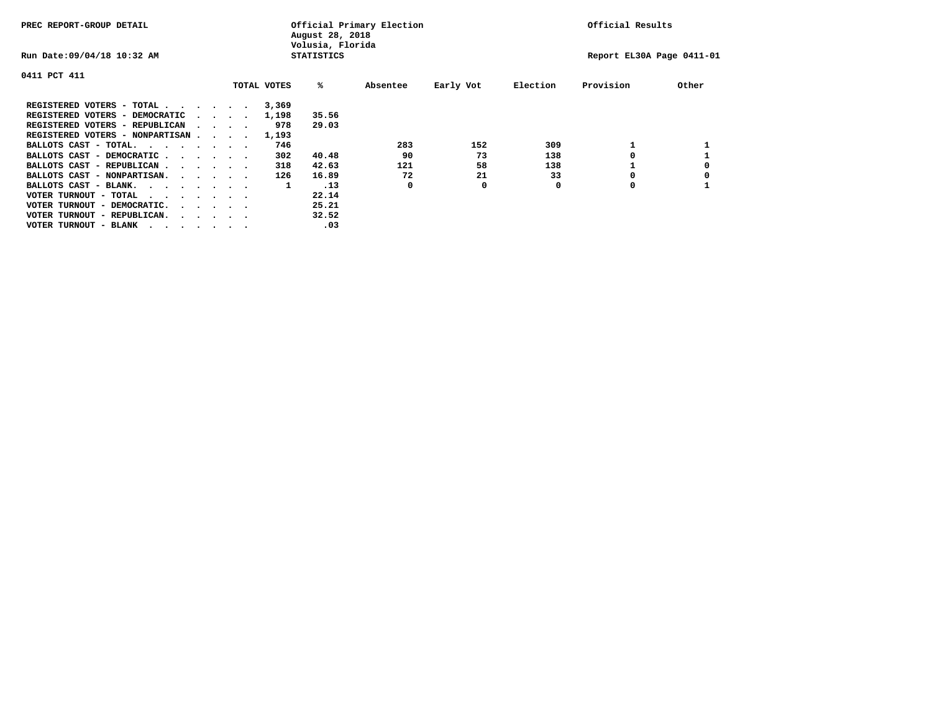| PREC REPORT-GROUP DETAIL         |  |                                         |             | August 28, 2018<br>Volusia, Florida | Official Primary Election |           |          | Official Results          |       |
|----------------------------------|--|-----------------------------------------|-------------|-------------------------------------|---------------------------|-----------|----------|---------------------------|-------|
| Run Date: 09/04/18 10:32 AM      |  |                                         |             | <b>STATISTICS</b>                   |                           |           |          | Report EL30A Page 0411-01 |       |
| 0411 PCT 411                     |  |                                         |             |                                     |                           |           |          |                           |       |
|                                  |  |                                         | TOTAL VOTES | %ะ                                  | Absentee                  | Early Vot | Election | Provision                 | Other |
| REGISTERED VOTERS - TOTAL        |  |                                         | 3,369       |                                     |                           |           |          |                           |       |
| REGISTERED VOTERS - DEMOCRATIC   |  | $\sim$ $\sim$ $\sim$ $\sim$             | 1,198       | 35.56                               |                           |           |          |                           |       |
| REGISTERED VOTERS - REPUBLICAN   |  |                                         | 978         | 29.03                               |                           |           |          |                           |       |
| REGISTERED VOTERS - NONPARTISAN  |  |                                         | 1,193       |                                     |                           |           |          |                           |       |
| BALLOTS CAST - TOTAL.            |  |                                         | 746         |                                     | 283                       | 152       | 309      |                           |       |
| BALLOTS CAST - DEMOCRATIC        |  |                                         | 302         | 40.48                               | 90                        | 73        | 138      |                           |       |
| BALLOTS CAST - REPUBLICAN        |  |                                         | 318         | 42.63                               | 121                       | 58        | 138      |                           |       |
| BALLOTS CAST - NONPARTISAN.      |  |                                         | 126         | 16.89                               | 72                        | 21        | 33       |                           |       |
| BALLOTS CAST - BLANK.            |  |                                         | 1           | .13                                 | 0                         | 0         | 0        | 0                         |       |
| VOTER TURNOUT - TOTAL<br>.       |  |                                         |             | 22.14                               |                           |           |          |                           |       |
| VOTER TURNOUT - DEMOCRATIC.      |  | $\cdot$ $\cdot$ $\cdot$ $\cdot$ $\cdot$ |             | 25.21                               |                           |           |          |                           |       |
| VOTER TURNOUT - REPUBLICAN.<br>. |  |                                         |             | 32.52                               |                           |           |          |                           |       |
| VOTER TURNOUT - BLANK            |  |                                         |             | .03                                 |                           |           |          |                           |       |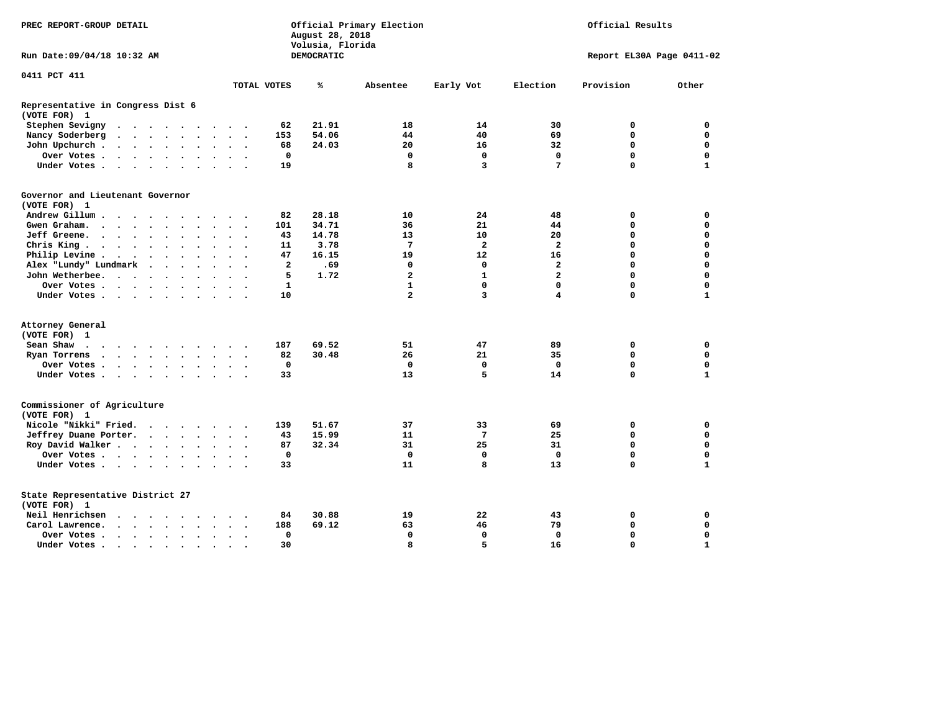| PREC REPORT-GROUP DETAIL                                                                                                                                                                |                         | August 28, 2018<br>Volusia, Florida | Official Primary Election |              |                         | Official Results          |              |
|-----------------------------------------------------------------------------------------------------------------------------------------------------------------------------------------|-------------------------|-------------------------------------|---------------------------|--------------|-------------------------|---------------------------|--------------|
| Run Date: 09/04/18 10:32 AM                                                                                                                                                             |                         | DEMOCRATIC                          |                           |              |                         | Report EL30A Page 0411-02 |              |
| 0411 PCT 411                                                                                                                                                                            |                         |                                     |                           |              |                         |                           |              |
|                                                                                                                                                                                         | TOTAL VOTES             | ℁                                   | Absentee                  | Early Vot    | Election                | Provision                 | Other        |
| Representative in Congress Dist 6<br>(VOTE FOR) 1                                                                                                                                       |                         |                                     |                           |              |                         |                           |              |
| Stephen Sevigny<br>$\cdot$ $\cdot$ $\cdot$ $\cdot$ $\cdot$ $\cdot$<br>$\bullet$                                                                                                         | 62                      | 21.91                               | 18                        | 14           | 30                      | 0                         | 0            |
| Nancy Soderberg<br>$\mathbf{a} = \mathbf{a} + \mathbf{a} + \mathbf{a} + \mathbf{a} + \mathbf{a}$<br>$\bullet$<br>$\bullet$<br>$\ddot{\phantom{1}}$                                      | 153                     | 54.06                               | 44                        | 40           | 69                      | 0                         | $\mathbf 0$  |
| John Upchurch.<br>$\sim$ $\sim$ $\sim$<br>$\sim$ $\sim$<br>$\bullet$                                                                                                                    | 68                      | 24.03                               | 20                        | 16           | 32                      | 0                         | 0            |
| Over Votes<br>$\bullet$<br>$\bullet$<br>$\bullet$ .                                                                                                                                     | 0                       |                                     | 0                         | 0            | 0                       | $\mathbf 0$               | $\mathbf 0$  |
| Under Votes<br>$\sim$<br>$\sim$<br>$\ddot{\phantom{a}}$                                                                                                                                 | 19                      |                                     | 8                         | 3            | 7                       | 0                         | $\mathbf{1}$ |
| Governor and Lieutenant Governor                                                                                                                                                        |                         |                                     |                           |              |                         |                           |              |
| (VOTE FOR) 1                                                                                                                                                                            |                         |                                     |                           |              |                         |                           |              |
| Andrew Gillum.<br>$\sim$ $\sim$                                                                                                                                                         | 82                      | 28.18                               | 10                        | 24           | 48                      | 0                         | 0            |
| Gwen Graham.<br>$\sim$ $\sim$ $\sim$ $\sim$ $\sim$<br>$\ddot{\phantom{a}}$<br>$\ddot{\phantom{a}}$<br>$\sim$<br>$\overline{\phantom{a}}$                                                | 101                     | 34.71                               | 36                        | 21           | 44                      | 0                         | $\Omega$     |
| Jeff Greene.<br>$\sim$ $\sim$ $\sim$ $\sim$<br>$\bullet$                                                                                                                                | 43                      | 14.78                               | 13                        | 10           | 20                      | 0                         | 0            |
| Chris King $\cdots$<br>$\bullet$<br>$\bullet$                                                                                                                                           | 11                      | 3.78                                | 7                         | $\mathbf{2}$ | $\mathbf{2}$            | 0                         | $\mathbf 0$  |
| Philip Levine.<br>$\bullet$<br>$\sim$<br>$\ddot{\phantom{1}}$<br>$\ddot{\phantom{0}}$<br>$\ddot{\phantom{a}}$<br>$\bullet$<br>$\bullet$<br>$\ddot{\phantom{0}}$<br>$\ddot{\phantom{0}}$ | 47                      | 16.15                               | 19                        | 12           | 16                      | 0                         | $\mathbf 0$  |
| Alex "Lundy" Lundmark<br>$\ddot{\phantom{a}}$<br>$\ddot{\phantom{1}}$<br>$\bullet$                                                                                                      | $\overline{\mathbf{2}}$ | .69                                 | 0                         | 0            | $\mathbf{2}$            | 0                         | $\mathbf 0$  |
| John Wetherbee.<br>$\ddot{\phantom{0}}$<br>$\ddot{\phantom{a}}$<br>$\sim$ $\sim$<br>$\bullet$                                                                                           | 5                       | 1.72                                | $\overline{a}$            | $\mathbf{1}$ | $\overline{\mathbf{2}}$ | $\Omega$                  | $\Omega$     |
| Over Votes .<br>$\cdot$ $\cdot$ $\cdot$ $\cdot$<br>$\overline{\phantom{a}}$                                                                                                             | $\mathbf{1}$            |                                     | $\mathbf{1}$              | 0            | $\mathbf 0$             | 0                         | $\mathbf 0$  |
| Under Votes.<br>$\cdot$                                                                                                                                                                 | 10                      |                                     | $\overline{a}$            | 3            | 4                       | 0                         | $\mathbf{1}$ |
| Attorney General                                                                                                                                                                        |                         |                                     |                           |              |                         |                           |              |
| (VOTE FOR) 1                                                                                                                                                                            |                         |                                     |                           |              |                         |                           |              |
| Sean Shaw<br>.<br>$\bullet$ .                                                                                                                                                           | 187                     | 69.52                               | 51                        | 47           | 89                      | 0                         | 0            |
| Ryan Torrens<br>$\mathbf{r}$ , and $\mathbf{r}$ , and $\mathbf{r}$ , and $\mathbf{r}$<br>$\bullet$<br>$\bullet$<br>$\bullet$<br>$\bullet$                                               | 82                      | 30.48                               | 26                        | 21           | 35                      | 0                         | $\mathbf 0$  |
| Over Votes.                                                                                                                                                                             | 0                       |                                     | 0                         | 0            | $\mathbf 0$             | 0                         | 0            |
| Under Votes<br>$\bullet$<br>$\bullet$<br>$\ddot{\phantom{1}}$                                                                                                                           | 33                      |                                     | 13                        | 5            | 14                      | 0                         | $\mathbf{1}$ |
| Commissioner of Agriculture<br>(VOTE FOR) 1                                                                                                                                             |                         |                                     |                           |              |                         |                           |              |
| Nicole "Nikki" Fried.<br>$\cdot$ $\cdot$ $\cdot$ $\cdot$                                                                                                                                | 139                     | 51.67                               | 37                        | 33           | 69                      | 0                         | $\mathbf 0$  |
| Jeffrey Duane Porter.<br>$\cdot$ $\cdot$ $\cdot$ $\cdot$                                                                                                                                | 43                      | 15.99                               | 11                        | 7            | 25                      | 0                         | $\mathbf 0$  |
| Roy David Walker<br>$\cdot$<br>$\sim$                                                                                                                                                   | 87                      | 32.34                               | 31                        | 25           | 31                      | $\mathbf 0$               | $\mathbf 0$  |
| Over Votes                                                                                                                                                                              | 0                       |                                     | 0                         | 0            | 0                       | 0                         | 0            |
| Under Votes<br>$\bullet$                                                                                                                                                                | 33                      |                                     | 11                        | 8            | 13                      | 0                         | $\mathbf{1}$ |
| State Representative District 27                                                                                                                                                        |                         |                                     |                           |              |                         |                           |              |
| (VOTE FOR) 1                                                                                                                                                                            |                         |                                     |                           |              |                         |                           |              |
| Neil Henrichsen<br>$\sim$<br>$\bullet$<br>$\bullet$<br>$\bullet$                                                                                                                        | 84                      | 30.88                               | 19                        | 22           | 43                      | 0                         | 0            |
| Carol Lawrence.<br>$\mathbf{z} = \mathbf{z} + \mathbf{z} + \mathbf{z} + \mathbf{z}$<br>$\ddot{\phantom{a}}$<br>$\ddot{\phantom{a}}$<br>$\bullet$<br>$\bullet$<br>$\cdot$                | 188                     | 69.12                               | 63                        | 46           | 79                      | 0                         | $\mathbf 0$  |
| Over Votes .<br>$\cdots$<br>$\bullet$<br>$\cdot$                                                                                                                                        | $\mathbf 0$             |                                     | $\mathbf 0$               | $\mathbf 0$  | $\mathbf 0$             | 0                         | $\mathbf 0$  |
| Under Votes.<br>$\cdots$<br>$\sim$ $\sim$<br>$\sim$<br>$\bullet$                                                                                                                        | 30                      |                                     | 8                         | 5.           | 16                      | $\Omega$                  | $\mathbf{1}$ |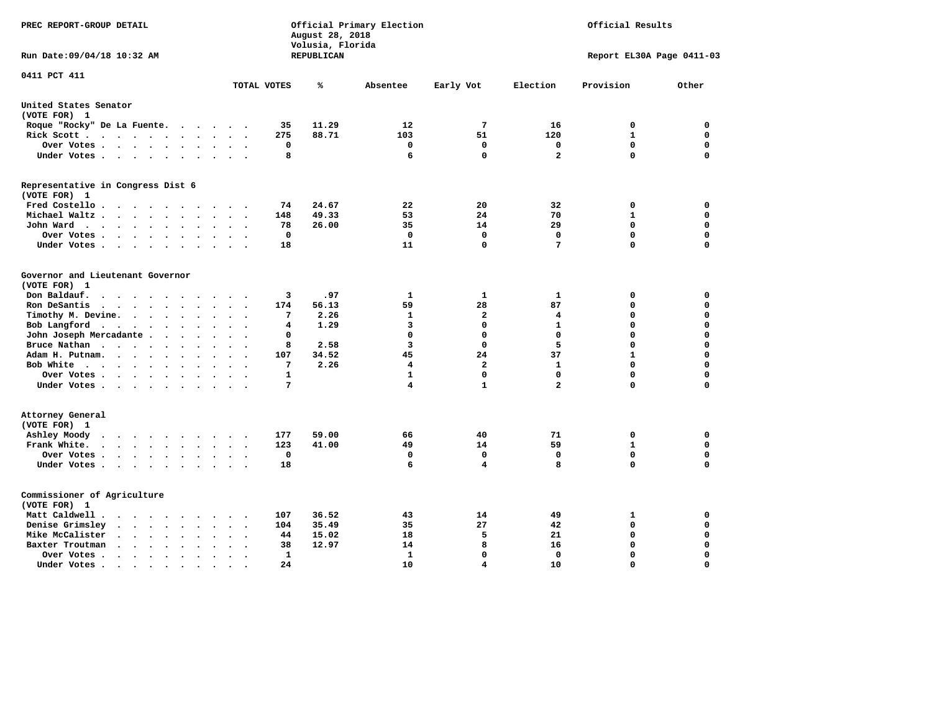| PREC REPORT-GROUP DETAIL                                                                                                                          |                                                    | August 28, 2018<br>Volusia, Florida | Official Primary Election |                   |                   | Official Results            |                            |
|---------------------------------------------------------------------------------------------------------------------------------------------------|----------------------------------------------------|-------------------------------------|---------------------------|-------------------|-------------------|-----------------------------|----------------------------|
| Run Date: 09/04/18 10:32 AM                                                                                                                       |                                                    | <b>REPUBLICAN</b>                   |                           |                   |                   | Report EL30A Page 0411-03   |                            |
| 0411 PCT 411                                                                                                                                      | TOTAL VOTES                                        | ℁                                   | Absentee                  | Early Vot         | Election          | Provision                   | Other                      |
| United States Senator                                                                                                                             |                                                    |                                     |                           |                   |                   |                             |                            |
| (VOTE FOR) 1                                                                                                                                      |                                                    |                                     |                           |                   |                   |                             |                            |
| Roque "Rocky" De La Fuente.<br>$\cdots$                                                                                                           | 35<br>$\sim$ $\sim$                                | 11.29                               | 12                        | 7                 | 16                | 0                           | 0                          |
| Rick Scott<br>$\ddot{\phantom{0}}$                                                                                                                | 275                                                | 88.71                               | 103                       | 51                | 120               | $\mathbf{1}$                | $\mathbf 0$                |
| Over Votes<br>$\ddot{\phantom{a}}$                                                                                                                | 0<br>$\ddot{\phantom{a}}$                          |                                     | 0                         | $\mathbf 0$       | $\mathbf 0$       | $\mathbf 0$                 | $\mathbf 0$                |
| Under Votes                                                                                                                                       | 8<br>$\bullet$                                     |                                     | 6                         | $\mathbf 0$       | $\mathbf{2}$      | $\mathbf 0$                 | $\Omega$                   |
| Representative in Congress Dist 6<br>(VOTE FOR) 1                                                                                                 |                                                    |                                     |                           |                   |                   |                             |                            |
| Fred Costello                                                                                                                                     | 74                                                 | 24.67                               | 22                        | 20                | 32                | 0                           | 0                          |
| Michael Waltz<br>$\ddot{\phantom{a}}$                                                                                                             | 148<br>$\ddot{\phantom{a}}$                        | 49.33                               | 53                        | 24                | 70                | $\mathbf{1}$                | $\mathbf 0$                |
| John Ward<br>$\ddot{\phantom{a}}$<br>$\bullet$                                                                                                    | 78<br>$\ddot{\phantom{0}}$                         | 26.00                               | 35                        | 14                | 29                | $\mathbf 0$                 | $\Omega$                   |
| Over Votes<br>$\overline{\phantom{a}}$                                                                                                            | $\mathbf 0$                                        |                                     | $\mathbf 0$               | $\mathbf 0$       | $\mathbf 0$       | $\mathbf 0$                 | $\Omega$                   |
| Under Votes<br>$\cdot$<br>$\cdot$                                                                                                                 | 18                                                 |                                     | 11                        | 0                 | 7                 | 0                           | $\Omega$                   |
| Governor and Lieutenant Governor<br>(VOTE FOR) 1<br>Don Baldauf.<br>$\sim$ $\sim$ $\sim$ $\sim$<br>$\sim$<br>$\overline{\phantom{a}}$             | 3                                                  | .97                                 | $\mathbf{1}$              | 1                 | 1                 | 0                           | $\mathbf 0$                |
| Ron DeSantis<br>$\bullet$                                                                                                                         | 174<br>$\mathbf{r}$                                | 56.13                               | 59                        | 28                | 87                | $\mathbf 0$                 | $\mathbf 0$                |
| Timothy M. Devine.<br>$\bullet$<br>$\ddot{\phantom{a}}$<br>$\ddot{\phantom{a}}$<br>$\ddot{\phantom{a}}$                                           | 7                                                  | 2.26                                | $\mathbf{1}$              | $\overline{a}$    | 4                 | 0                           | $\mathbf 0$                |
| Bob Langford<br>$\ddot{\phantom{a}}$<br>$\ddot{\phantom{a}}$                                                                                      | 4                                                  | 1.29                                | 3                         | $\mathbf 0$       | $\mathbf{1}$      | 0                           | $\mathbf 0$                |
| John Joseph Mercadante<br>$\bullet$                                                                                                               | 0<br>$\sim$                                        |                                     | $\mathbf 0$               | $\mathbf 0$       | $\mathbf 0$       | 0                           | $\mathbf 0$                |
| Bruce Nathan<br>$\mathcal{L}(\mathcal{A})$ , and $\mathcal{A}(\mathcal{A})$ , and $\mathcal{A}(\mathcal{A})$<br>$\ddot{\phantom{a}}$<br>$\bullet$ | 8                                                  | 2.58                                | 3                         | $\mathbf{0}$      | 5                 | $\mathbf 0$                 | $\mathbf 0$                |
| Adam H. Putnam.<br>$\ddotsc$ $\ddotsc$<br>$\ddot{\phantom{a}}$                                                                                    | 107                                                | 34.52                               | 45                        | 24                | 37                | $\mathbf{1}$                | $\mathbf 0$                |
| Bob White<br>$\bullet$<br>$\bullet$<br>$\bullet$                                                                                                  | 7<br>$\ddot{\phantom{a}}$                          | 2.26                                | 4                         | $\mathbf{2}$      | ${\bf 1}$         | $\mathbf 0$                 | $\mathbf 0$                |
| Over Votes .<br>$\cdot \cdot \cdot \cdot$                                                                                                         | $\mathbf{1}$                                       |                                     | $\mathbf{1}$              | $\Omega$          | $\mathbf 0$       | $\Omega$                    | $\mathbf 0$                |
| Under Votes                                                                                                                                       | 7                                                  |                                     | 4                         | $\mathbf{1}$      | $\overline{a}$    | 0                           | $\mathbf 0$                |
| Attorney General<br>(VOTE FOR) 1                                                                                                                  |                                                    |                                     |                           |                   |                   |                             |                            |
| Ashley Moody<br>$\cdot$<br>$\cdot$<br>$\sim$<br>$\bullet$                                                                                         | 177                                                | 59.00                               | 66                        | 40                | 71                | 0                           | 0                          |
| Frank White.<br>$\cdot$ $\cdot$ $\cdot$ $\cdot$ $\cdot$ $\cdot$                                                                                   | 123                                                | 41.00                               | 49<br>$\mathbf 0$         | 14<br>$\mathbf 0$ | 59<br>$\mathbf 0$ | $\mathbf{1}$<br>$\mathbf 0$ | $\mathbf 0$<br>$\mathbf 0$ |
| Over Votes<br>$\ddot{\phantom{0}}$<br>$\ddot{\phantom{a}}$                                                                                        | $\mathbf 0$<br>$\bullet$                           |                                     | 6                         | 4                 | 8                 | 0                           | $\mathbf 0$                |
| Under Votes<br>$\ddot{\phantom{0}}$<br>$\ddot{\phantom{1}}$                                                                                       | 18                                                 |                                     |                           |                   |                   |                             |                            |
| Commissioner of Agriculture<br>(VOTE FOR) 1                                                                                                       |                                                    |                                     |                           |                   |                   |                             |                            |
| Matt Caldwell.<br>$\cdot$ $\cdot$ $\cdot$ $\cdot$<br>$\sim$                                                                                       | 107                                                | 36.52                               | 43                        | 14                | 49                | 1                           | 0                          |
| Denise Grimsley<br>$\sim$ $\sim$ $\sim$<br>$\sim$<br>$\bullet$<br>$\ddot{\phantom{a}}$                                                            | 104                                                | 35.49                               | 35                        | 27                | 42                | $\mathbf 0$                 | $\mathbf 0$                |
| Mike McCalister<br>$\mathbf{a} = \mathbf{a} \cdot \mathbf{a}$<br>$\sim 100$ km s $^{-1}$<br>$\bullet$<br>$\bullet$<br>$\bullet$                   | 44<br>$\ddot{\phantom{a}}$<br>$\ddot{\phantom{0}}$ | 15.02                               | 18                        | 5                 | 21                | $\mathbf 0$                 | $\mathbf 0$                |
| Baxter Troutman<br>$\sim$<br>$\ddot{\phantom{0}}$<br>$\sim$<br>$\sim$<br>$\ddot{\phantom{a}}$                                                     | 38<br>$\sim$                                       | 12.97                               | 14                        | 8                 | 16                | $\mathbf 0$                 | $\mathbf 0$                |
| Over Votes .<br>$\cdot$ $\cdot$<br>$\cdot$<br>$\bullet$<br>$\bullet$                                                                              | 1<br>$\ddot{\phantom{0}}$                          |                                     | 1                         | $\mathbf 0$       | $\mathbf 0$       | $\mathbf 0$                 | $\mathbf 0$                |
| Under Votes.<br>.<br>$\cdot$ $\cdot$                                                                                                              | 24                                                 |                                     | 10                        | $\overline{4}$    | 10                | $\Omega$                    | $\Omega$                   |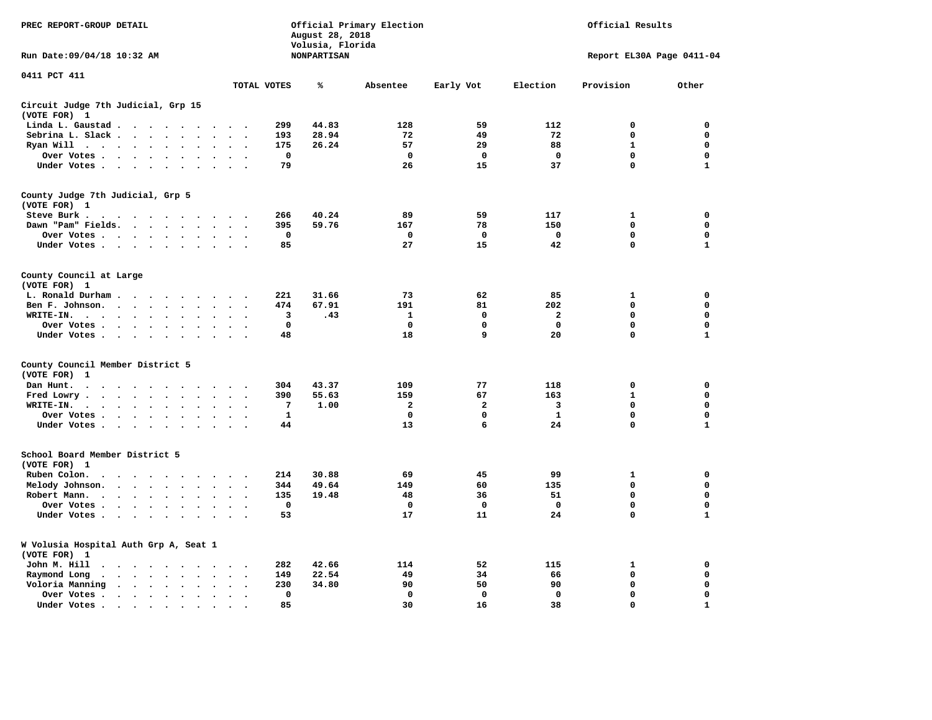| PREC REPORT-GROUP DETAIL                                                                                                                                                                                                                         |                                                 | August 28, 2018                        | Official Primary Election | Official Results   |                   |                           |                  |
|--------------------------------------------------------------------------------------------------------------------------------------------------------------------------------------------------------------------------------------------------|-------------------------------------------------|----------------------------------------|---------------------------|--------------------|-------------------|---------------------------|------------------|
| Run Date: 09/04/18 10:32 AM                                                                                                                                                                                                                      |                                                 | Volusia, Florida<br><b>NONPARTISAN</b> |                           |                    |                   | Report EL30A Page 0411-04 |                  |
| 0411 PCT 411                                                                                                                                                                                                                                     | TOTAL VOTES                                     | ℁                                      | Absentee                  | Early Vot          | Election          | Provision                 | Other            |
| Circuit Judge 7th Judicial, Grp 15                                                                                                                                                                                                               |                                                 |                                        |                           |                    |                   |                           |                  |
| (VOTE FOR) 1                                                                                                                                                                                                                                     |                                                 |                                        |                           |                    |                   |                           |                  |
| Linda L. Gaustad                                                                                                                                                                                                                                 | 299                                             | 44.83                                  | 128                       | 59                 | 112               | $\mathbf 0$               | 0                |
| Sebrina L. Slack<br>$\ddot{\phantom{a}}$<br>$\sim$                                                                                                                                                                                               | 193                                             | 28.94                                  | 72                        | 49                 | 72                | 0                         | 0                |
| Ryan Will $\cdots$ $\cdots$<br>$\ddot{\phantom{a}}$                                                                                                                                                                                              | 175                                             | 26.24                                  | 57                        | 29                 | 88                | $\mathbf{1}$              | 0                |
| Over Votes<br>$\ddot{\phantom{a}}$<br>$\bullet$<br>$\bullet$                                                                                                                                                                                     | $\mathbf 0$<br>$\cdot$                          |                                        | 0                         | 0                  | $\mathbf 0$       | 0                         | 0                |
| Under Votes                                                                                                                                                                                                                                      | 79                                              |                                        | 26                        | 15                 | 37                | $\mathbf 0$               | $\mathbf{1}$     |
| County Judge 7th Judicial, Grp 5                                                                                                                                                                                                                 |                                                 |                                        |                           |                    |                   |                           |                  |
| (VOTE FOR) 1                                                                                                                                                                                                                                     |                                                 |                                        |                           |                    |                   |                           |                  |
| Steve Burk.<br>$\mathbf{a}$ . The contribution of the contribution of the contribution of the contribution of the contribution of the contribution of the contribution of the contribution of the contribution of the contribution of the contri | 266<br>$\cdot$ .                                | 40.24                                  | 89                        | 59                 | 117               | 1                         | 0                |
| Dawn "Pam" Fields.                                                                                                                                                                                                                               | 395<br>$\sim$<br>$\overline{\phantom{a}}$       | 59.76                                  | 167                       | 78                 | 150               | $\mathbf 0$               | 0                |
| Over Votes<br>$\bullet$<br>$\Delta$                                                                                                                                                                                                              | 0<br>$\cdot$<br>$\ddot{\phantom{0}}$            |                                        | 0                         | 0                  | 0                 | 0                         | 0                |
| Under Votes                                                                                                                                                                                                                                      | 85<br>$\sim$                                    |                                        | 27                        | 15                 | 42                | $\mathbf 0$               | $\mathbf{1}$     |
| County Council at Large                                                                                                                                                                                                                          |                                                 |                                        |                           |                    |                   |                           |                  |
| (VOTE FOR) 1                                                                                                                                                                                                                                     |                                                 |                                        |                           |                    |                   |                           |                  |
| L. Ronald Durham<br>$\bullet$                                                                                                                                                                                                                    | 221                                             | 31.66                                  | 73                        | 62                 | 85                | ${\bf 1}$                 | 0                |
| Ben F. Johnson.<br>$\ddot{\phantom{a}}$<br>$\bullet$<br>$\bullet$                                                                                                                                                                                | 474<br>$\cdot$<br>$\ddot{\phantom{0}}$          | 67.91                                  | 191                       | 81                 | 202               | $\mathbf 0$               | 0                |
| WRITE-IN.<br>$\mathcal{A}=\mathcal{A}=\mathcal{A}=\mathcal{A}=\mathcal{A}=\mathcal{A}$ .                                                                                                                                                         | 3                                               | .43                                    | $\mathbf{1}$              | $\mathbf{0}$       | $\mathbf{2}$      | $\mathbf 0$               | $\mathbf 0$      |
| Over Votes.<br><b>Contract Contract</b><br>$\bullet$<br>$\cdot$                                                                                                                                                                                  | $\mathbf 0$                                     |                                        | $\mathbf 0$               | 0                  | $\mathbf 0$       | 0                         | 0                |
| Under Votes<br>$\sim$                                                                                                                                                                                                                            | 48                                              |                                        | 18                        | 9                  | 20                | $\mathbf 0$               | $\mathbf{1}$     |
| County Council Member District 5                                                                                                                                                                                                                 |                                                 |                                        |                           |                    |                   |                           |                  |
| (VOTE FOR)<br>1                                                                                                                                                                                                                                  |                                                 |                                        |                           |                    |                   |                           |                  |
| Dan Hunt.<br>$\bullet$<br>. As the contract of the state $\mathcal{A}$<br>$\sim$ $\sim$                                                                                                                                                          | 304<br>$\ddot{\phantom{1}}$                     | 43.37                                  | 109                       | 77                 | 118               | 0                         | 0                |
| Fred Lowry.<br>$\cdots$<br>$\ddot{\phantom{a}}$<br>$\sim$                                                                                                                                                                                        | 390<br>$\sim$<br>$\ddot{\phantom{a}}$           | 55.63                                  | 159                       | 67                 | 163               | $\mathbf{1}$              | $\mathbf 0$      |
| WRITE-IN.<br>$\mathbf{r} = \mathbf{r} + \mathbf{r} + \mathbf{r} + \mathbf{r}$<br>$\sim$<br>$\ddot{\phantom{a}}$<br>$\cdot$                                                                                                                       | 7                                               | 1.00                                   | $\overline{a}$            | $\overline{a}$     | 3                 | 0                         | $\mathbf 0$      |
| Over Votes<br>$\ddot{\phantom{a}}$<br>$\cdot$                                                                                                                                                                                                    | $\mathbf{1}$<br>$\ddot{\phantom{a}}$<br>$\cdot$ |                                        | $\mathbf 0$               | 0                  | $\mathbf{1}$      | $\mathbf 0$               | 0                |
| Under Votes                                                                                                                                                                                                                                      | 44                                              |                                        | 13                        | 6                  | 24                | $\mathbf 0$               | $\mathbf{1}$     |
| School Board Member District 5                                                                                                                                                                                                                   |                                                 |                                        |                           |                    |                   |                           |                  |
| (VOTE FOR) 1                                                                                                                                                                                                                                     |                                                 |                                        |                           |                    |                   |                           |                  |
| Ruben Colon.<br>$\overline{\phantom{a}}$<br>$\ddot{\phantom{0}}$<br><u>in a shekara</u><br>$\ddot{\phantom{a}}$                                                                                                                                  | 214                                             | 30.88                                  | 69                        | 45                 | 99                | 1                         | 0                |
| Melody Johnson.<br>$\sim$ $\sim$ $\sim$ $\sim$ $\sim$<br>$\cdot$                                                                                                                                                                                 | 344                                             | 49.64                                  | 149                       | 60                 | 135               | 0                         | 0                |
| Robert Mann.<br>$\cdot$ $\cdot$ $\cdot$ $\cdot$<br>$\ddot{\phantom{a}}$<br>$\ddot{\phantom{a}}$<br>$\bullet$<br>$\bullet$                                                                                                                        | 135                                             | 19.48                                  | 48                        | 36                 | 51                | $\mathbf 0$               | 0                |
| Over Votes                                                                                                                                                                                                                                       | $\mathbf 0$                                     |                                        | $\mathbf 0$               | 0                  | $\mathbf 0$       | 0                         | 0                |
| Under Votes<br>$\bullet$<br>$\sim$                                                                                                                                                                                                               | 53                                              |                                        | 17                        | 11                 | 24                | 0                         | $\mathbf{1}$     |
| W Volusia Hospital Auth Grp A, Seat 1                                                                                                                                                                                                            |                                                 |                                        |                           |                    |                   |                           |                  |
| (VOTE FOR) 1                                                                                                                                                                                                                                     |                                                 |                                        |                           |                    |                   |                           |                  |
| John M. Hill<br>.                                                                                                                                                                                                                                | 282<br>$\ddot{\phantom{a}}$                     | 42.66                                  | 114                       | 52                 | 115               | 1                         | 0                |
| Raymond Long<br>$\sim$ $\sim$ $\sim$ $\sim$ $\sim$<br>$\ddot{\phantom{0}}$<br>$\bullet$<br>$\bullet$                                                                                                                                             | 149<br>$\bullet$<br>$\cdot$                     | 22.54                                  | 49                        | 34                 | 66                | $\mathbf 0$               | 0                |
| Voloria Manning<br>$\cdots$                                                                                                                                                                                                                      | 230<br>$\cdot$<br>$\mathbf 0$                   | 34.80                                  | 90<br>$\mathbf{0}$        | 50<br>$\mathbf{0}$ | 90<br>$\mathbf 0$ | 0<br>$\mathbf 0$          | 0<br>$\mathbf 0$ |
| Over Votes.<br>$\bullet$<br>$\bullet$                                                                                                                                                                                                            | $\bullet$<br>$\cdot$<br>85                      |                                        |                           |                    |                   | $\Omega$                  | $\mathbf{1}$     |
| Under Votes<br>$\bullet$<br>$\cdot$                                                                                                                                                                                                              |                                                 |                                        | 30                        | 16                 | 38                |                           |                  |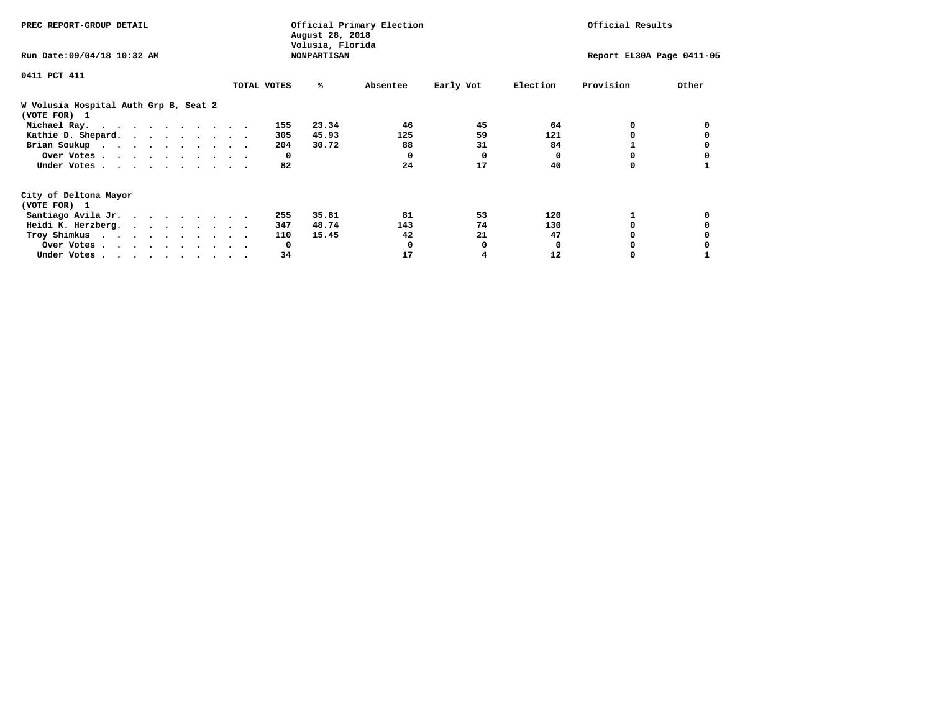| PREC REPORT-GROUP DETAIL                              |             |     | August 28, 2018<br>Volusia, Florida | Official Primary Election |           |              | Official Results          |       |
|-------------------------------------------------------|-------------|-----|-------------------------------------|---------------------------|-----------|--------------|---------------------------|-------|
| Run Date: 09/04/18 10:32 AM                           |             |     | <b>NONPARTISAN</b>                  |                           |           |              | Report EL30A Page 0411-05 |       |
| 0411 PCT 411                                          |             |     |                                     |                           |           |              |                           |       |
|                                                       | TOTAL VOTES |     | ℁                                   | Absentee                  | Early Vot | Election     | Provision                 | Other |
| W Volusia Hospital Auth Grp B, Seat 2<br>(VOTE FOR) 1 |             |     |                                     |                           |           |              |                           |       |
| Michael Ray.                                          |             | 155 | 23.34                               | 46                        | 45        | 64           | 0                         |       |
| Kathie D. Shepard.                                    |             | 305 | 45.93                               | 125                       | 59        | 121          |                           |       |
| Brian Soukup                                          |             | 204 | 30.72                               | 88                        | 31        | 84           |                           |       |
| Over Votes                                            |             | 0   |                                     | 0                         | 0         | 0            |                           |       |
| Under Votes                                           |             | 82  |                                     | 24                        | 17        | 40           | 0                         |       |
| City of Deltona Mayor                                 |             |     |                                     |                           |           |              |                           |       |
| (VOTE FOR) 1                                          |             |     |                                     |                           |           |              |                           |       |
| Santiago Avila Jr.                                    |             | 255 | 35.81                               | 81                        | 53        | 120          |                           |       |
| Heidi K. Herzberg.                                    |             | 347 | 48.74                               | 143                       | 74        | 130          |                           |       |
| Troy Shimkus                                          |             | 110 | 15.45                               | 42                        | 21        | 47           |                           |       |
| Over Votes                                            |             | 0   |                                     |                           | 0         | <sup>0</sup> |                           |       |
| Under Votes                                           |             | 34  |                                     | 17                        |           | 12           |                           |       |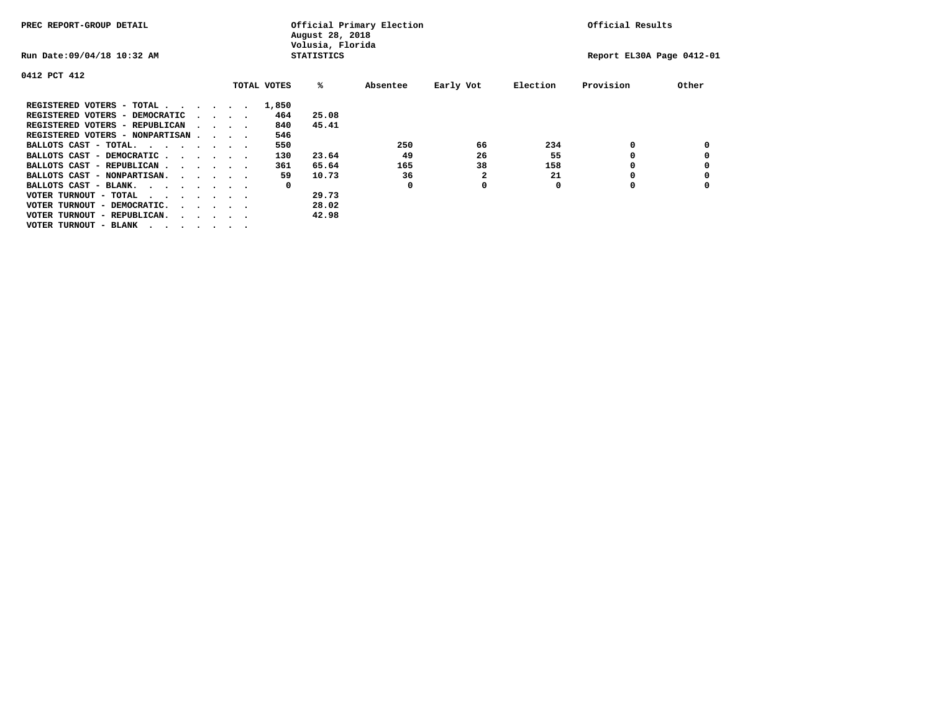| PREC REPORT-GROUP DETAIL                                                  |  |                                                 |             | August 28, 2018<br>Volusia, Florida | Official Primary Election |              |          | Official Results          |       |
|---------------------------------------------------------------------------|--|-------------------------------------------------|-------------|-------------------------------------|---------------------------|--------------|----------|---------------------------|-------|
| Run Date: 09/04/18 10:32 AM                                               |  |                                                 |             | <b>STATISTICS</b>                   |                           |              |          | Report EL30A Page 0412-01 |       |
| 0412 PCT 412                                                              |  |                                                 |             |                                     |                           |              |          |                           |       |
|                                                                           |  |                                                 | TOTAL VOTES | %ะ                                  | Absentee                  | Early Vot    | Election | Provision                 | Other |
| REGISTERED VOTERS - TOTAL $\cdot$ $\cdot$ $\cdot$ $\cdot$ $\cdot$ $\cdot$ |  |                                                 | 1,850       |                                     |                           |              |          |                           |       |
| REGISTERED VOTERS - DEMOCRATIC                                            |  | $\sim$ $\sim$ $\sim$ $\sim$                     | 464         | 25.08                               |                           |              |          |                           |       |
| REGISTERED VOTERS - REPUBLICAN                                            |  |                                                 | 840         | 45.41                               |                           |              |          |                           |       |
| REGISTERED VOTERS - NONPARTISAN                                           |  |                                                 | 546         |                                     |                           |              |          |                           |       |
| BALLOTS CAST - TOTAL.                                                     |  |                                                 | 550         |                                     | 250                       | 66           | 234      | 0                         |       |
| BALLOTS CAST - DEMOCRATIC                                                 |  |                                                 | 130         | 23.64                               | 49                        | 26           | 55       |                           |       |
| BALLOTS CAST - REPUBLICAN                                                 |  |                                                 | 361         | 65.64                               | 165                       | 38           | 158      |                           |       |
| BALLOTS CAST - NONPARTISAN.                                               |  |                                                 | 59          | 10.73                               | 36                        | $\mathbf{2}$ | 21       |                           |       |
| BALLOTS CAST - BLANK.                                                     |  |                                                 | 0           |                                     | 0                         | 0            | O        | o                         |       |
| VOTER TURNOUT - TOTAL<br>$\cdots$                                         |  |                                                 |             | 29.73                               |                           |              |          |                           |       |
| VOTER TURNOUT - DEMOCRATIC.                                               |  | $\cdot$ $\cdot$ $\cdot$ $\cdot$ $\cdot$ $\cdot$ |             | 28.02                               |                           |              |          |                           |       |
| VOTER TURNOUT - REPUBLICAN.<br>.                                          |  |                                                 |             | 42.98                               |                           |              |          |                           |       |
| VOTER TURNOUT - BLANK                                                     |  |                                                 |             |                                     |                           |              |          |                           |       |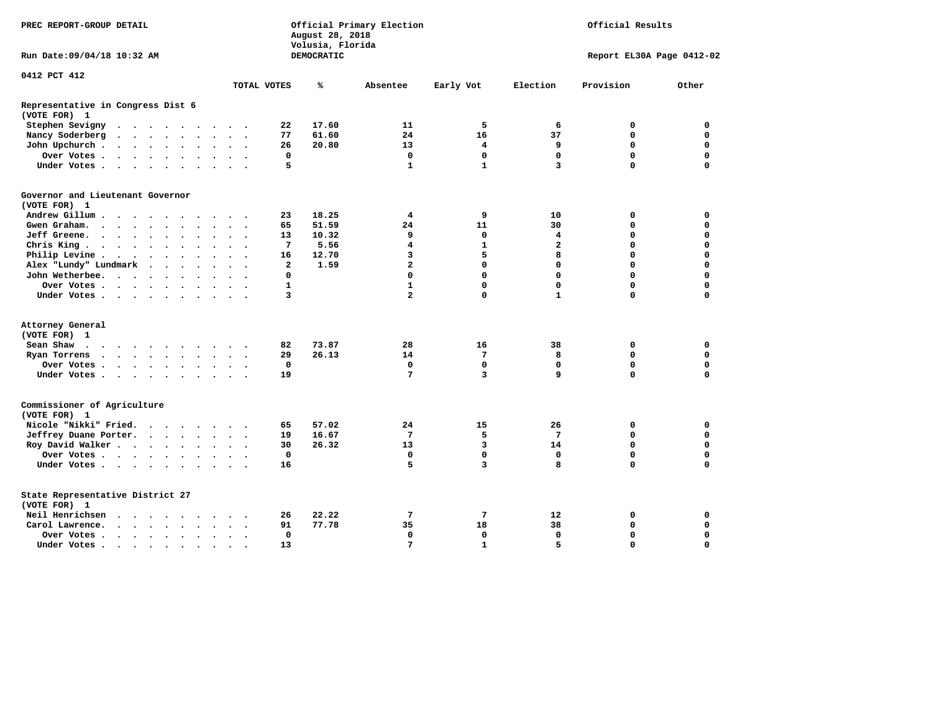| PREC REPORT-GROUP DETAIL                                                                                                                                                                                                                         |                            | August 28, 2018<br>Volusia, Florida | Official Primary Election<br>Official Results |              |                         |                           |             |
|--------------------------------------------------------------------------------------------------------------------------------------------------------------------------------------------------------------------------------------------------|----------------------------|-------------------------------------|-----------------------------------------------|--------------|-------------------------|---------------------------|-------------|
| Run Date: 09/04/18 10:32 AM                                                                                                                                                                                                                      |                            | DEMOCRATIC                          |                                               |              |                         | Report EL30A Page 0412-02 |             |
| 0412 PCT 412                                                                                                                                                                                                                                     | TOTAL VOTES                | ℁                                   | Absentee                                      | Early Vot    | Election                | Provision                 | Other       |
|                                                                                                                                                                                                                                                  |                            |                                     |                                               |              |                         |                           |             |
| Representative in Congress Dist 6<br>(VOTE FOR) 1                                                                                                                                                                                                |                            |                                     |                                               |              |                         |                           |             |
| Stephen Sevigny<br>. The contract of the contract of the contract of the contract of the contract of the contract of the contract of the contract of the contract of the contract of the contract of the contract of the contract of the contrac | 22                         | 17.60                               | 11                                            | 5            | 6                       | 0                         | 0           |
| Nancy Soderberg<br>$\mathbf{r}$ , $\mathbf{r}$ , $\mathbf{r}$ , $\mathbf{r}$ , $\mathbf{r}$<br>$\cdots$                                                                                                                                          | 77                         | 61.60                               | 24                                            | 16           | 37                      | 0                         | 0           |
| John Upchurch<br>$\sim$                                                                                                                                                                                                                          | 26                         | 20.80                               | 13                                            | 4            | 9                       | 0                         | 0           |
| Over Votes                                                                                                                                                                                                                                       | 0                          |                                     | $\mathbf 0$                                   | 0            | $\mathbf 0$             | $\mathbf 0$               | $\mathbf 0$ |
| Under Votes<br>$\sim$ $\sim$ $\sim$                                                                                                                                                                                                              | 5                          |                                     | $\mathbf{1}$                                  | $\mathbf{1}$ | 3                       | $\Omega$                  | $\mathbf 0$ |
| Governor and Lieutenant Governor<br>(VOTE FOR) 1                                                                                                                                                                                                 |                            |                                     |                                               |              |                         |                           |             |
| Andrew Gillum<br>$\sim$ $\sim$                                                                                                                                                                                                                   | 23                         | 18.25                               | 4                                             | 9            | 10                      | 0                         | 0           |
| Gwengraham<br>$\cdot$ $\cdot$ $\cdot$                                                                                                                                                                                                            | 65                         | 51.59                               | 24                                            | 11           | 30                      | $\mathbf 0$               | $\mathbf 0$ |
| Jeff Greene.<br>$\bullet$                                                                                                                                                                                                                        | 13                         | 10.32                               | 9                                             | 0            | 4                       | 0                         | 0           |
| Chris King<br>$\sim$ $\sim$                                                                                                                                                                                                                      | 7                          | 5.56                                | 4                                             | $\mathbf{1}$ | $\overline{\mathbf{2}}$ | $\mathbf 0$               | $\mathbf 0$ |
| Philip Levine .                                                                                                                                                                                                                                  | 16                         | 12.70                               | 3                                             | 5            | 8                       | $\mathbf 0$               | $\mathbf 0$ |
| Alex "Lundy" Lundmark<br>$\sim$                                                                                                                                                                                                                  | $\mathbf{2}$               | 1.59                                | $\overline{\mathbf{2}}$                       | $\mathbf 0$  | $\mathbf 0$             | $\mathbf 0$               | 0           |
| John Wetherbee.<br>$\ddot{\phantom{a}}$                                                                                                                                                                                                          | 0                          |                                     | $\mathbf 0$                                   | $\mathbf 0$  | $\mathbf 0$             | $\mathbf 0$               | $\mathbf 0$ |
| Over Votes<br>$\sim$ $\sim$                                                                                                                                                                                                                      | 1                          |                                     | $\mathbf{1}$                                  | $\mathbf 0$  | $\mathbf{0}$            | $\mathbf 0$               | $\mathbf 0$ |
| Under Votes                                                                                                                                                                                                                                      | 3                          |                                     | $\overline{a}$                                | 0            | $\mathbf{1}$            | $\mathbf 0$               | $\mathbf 0$ |
| Attorney General                                                                                                                                                                                                                                 |                            |                                     |                                               |              |                         |                           |             |
| (VOTE FOR) 1                                                                                                                                                                                                                                     |                            |                                     |                                               |              |                         |                           |             |
| Sean Shaw                                                                                                                                                                                                                                        | 82                         | 73.87                               | 28                                            | 16           | 38                      | 0                         | 0           |
| Ryan Torrens<br>$\cdot$ $\cdot$ $\cdot$                                                                                                                                                                                                          | 29                         | 26.13                               | 14                                            | 7            | 8                       | $\mathbf 0$               | $\mathbf 0$ |
| Over Votes                                                                                                                                                                                                                                       | 0                          |                                     | 0                                             | 0            | $\mathbf 0$             | $\mathbf 0$               | 0           |
| Under Votes                                                                                                                                                                                                                                      | 19                         |                                     | 7                                             | 3            | 9                       | $\mathbf 0$               | $\mathbf 0$ |
| Commissioner of Agriculture<br>(VOTE FOR) 1                                                                                                                                                                                                      |                            |                                     |                                               |              |                         |                           |             |
| Nicole "Nikki" Fried.                                                                                                                                                                                                                            | 65                         | 57.02                               | 24                                            | 15           | 26                      | 0                         | $\mathbf 0$ |
| Jeffrey Duane Porter.                                                                                                                                                                                                                            | 19                         | 16.67                               | $7\phantom{.0}$                               | 5            | 7                       | $\mathbf 0$               | 0           |
| Roy David Walker                                                                                                                                                                                                                                 | 30                         | 26.32                               | 13                                            | 3            | 14                      | $\mathbf 0$               | $\mathbf 0$ |
| Over Votes<br>$\ddot{\phantom{1}}$                                                                                                                                                                                                               | 0                          |                                     | 0                                             | $\mathbf 0$  | 0                       | $\mathbf 0$               | 0           |
| Under Votes                                                                                                                                                                                                                                      | 16                         |                                     | 5                                             | 3            | 8                       | $\mathbf 0$               | $\mathbf 0$ |
| State Representative District 27<br>(VOTE FOR) 1                                                                                                                                                                                                 |                            |                                     |                                               |              |                         |                           |             |
| Neil Henrichsen<br>$\cdots$                                                                                                                                                                                                                      | 26                         | 22.22                               | 7                                             | 7            | 12                      | 0                         | 0           |
| Carol Lawrence.<br>$\ddot{\phantom{a}}$<br>$\ddot{\phantom{a}}$<br>$\bullet$                                                                                                                                                                     | 91<br>$\ddot{\phantom{0}}$ | 77.78                               | 35                                            | 18           | 38                      | $\mathbf 0$               | $\mathbf 0$ |
| Over Votes<br>$\bullet$                                                                                                                                                                                                                          | $\mathbf 0$                |                                     | $\mathbf 0$                                   | $\mathbf 0$  | $\mathbf 0$             | $\mathbf 0$               | $\mathbf 0$ |
| Under Votes                                                                                                                                                                                                                                      | 13                         |                                     | $\overline{7}$                                | $\mathbf{1}$ | 5                       | $\Omega$                  | $\Omega$    |
|                                                                                                                                                                                                                                                  |                            |                                     |                                               |              |                         |                           |             |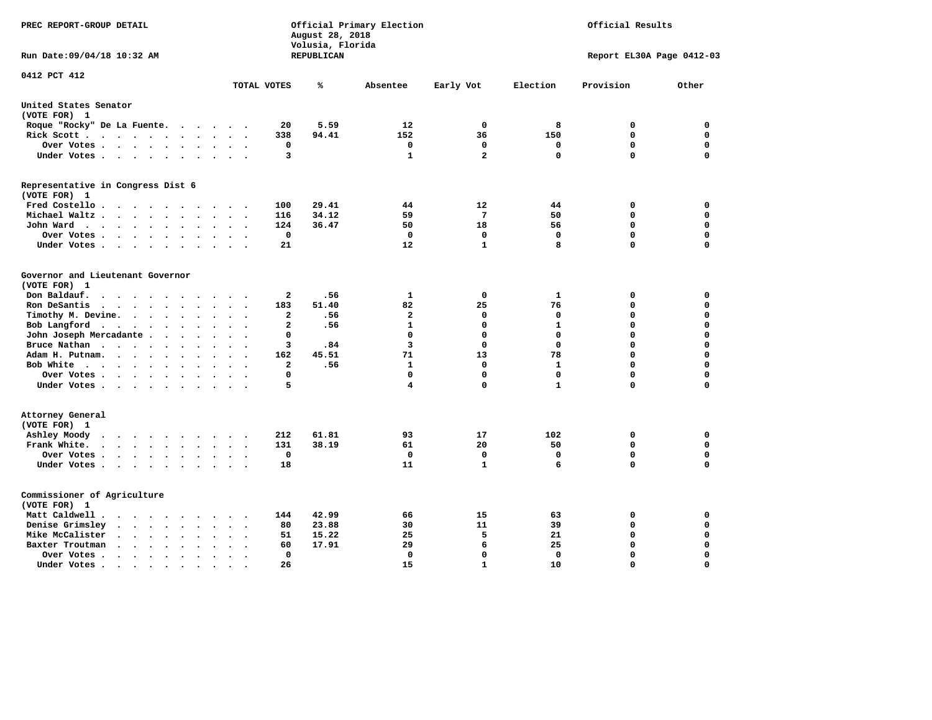| PREC REPORT-GROUP DETAIL                                                                                |                                                       | August 28, 2018<br>Volusia, Florida | Official Primary Election |                 |              | Official Results          |             |
|---------------------------------------------------------------------------------------------------------|-------------------------------------------------------|-------------------------------------|---------------------------|-----------------|--------------|---------------------------|-------------|
| Run Date:09/04/18 10:32 AM                                                                              |                                                       | REPUBLICAN                          |                           |                 |              | Report EL30A Page 0412-03 |             |
| 0412 PCT 412                                                                                            | TOTAL VOTES                                           | ℁                                   | Absentee                  | Early Vot       | Election     | Provision                 | Other       |
|                                                                                                         |                                                       |                                     |                           |                 |              |                           |             |
| United States Senator<br>(VOTE FOR) 1                                                                   |                                                       |                                     |                           |                 |              |                           |             |
| Roque "Rocky" De La Fuente.<br>$\sim$ $\sim$ $\sim$                                                     | 20<br>$\sim$<br>$\sim$                                | 5.59                                | 12                        | 0               | 8            | 0                         | 0           |
| Rick Scott<br>$\sim$                                                                                    | 338                                                   | 94.41                               | 152                       | 36              | 150          | $\mathbf 0$               | $\mathbf 0$ |
| Over Votes<br>$\ddot{\phantom{1}}$                                                                      | 0<br>$\sim$<br>$\ddot{\phantom{a}}$<br>$\overline{a}$ |                                     | 0                         | 0               | 0            | $\mathbf 0$               | $\mathbf 0$ |
| Under Votes<br>$\ddot{\phantom{0}}$                                                                     | 3<br>$\sim$                                           |                                     | 1                         | $\overline{a}$  | 0            | $\mathbf 0$               | $\mathbf 0$ |
| Representative in Congress Dist 6                                                                       |                                                       |                                     |                           |                 |              |                           |             |
| (VOTE FOR) 1                                                                                            |                                                       |                                     |                           |                 |              |                           |             |
| Fred Costello.                                                                                          | 100<br>$\sim$ $\sim$ $\sim$ $\sim$                    | 29.41                               | 44                        | 12              | 44           | 0                         | 0           |
| Michael Waltz<br>$\cdot$<br>$\ddot{\phantom{a}}$                                                        | 116                                                   | 34.12                               | 59                        | $7\phantom{.0}$ | 50           | 0                         | $\mathbf 0$ |
| John Ward<br>$\ddot{\phantom{a}}$                                                                       | 124<br>$\ddot{\phantom{a}}$                           | 36.47                               | 50                        | 18              | 56           | $\mathbf 0$               | $\mathbf 0$ |
| Over Votes.<br>$\cdots$<br>$\sim$                                                                       | 0                                                     |                                     | 0                         | 0               | $\mathbf 0$  | $\mathbf 0$               | $\mathbf 0$ |
| Under Votes<br>$\sim$                                                                                   | 21                                                    |                                     | 12                        | $\mathbf{1}$    | 8            | $\mathbf 0$               | $\mathbf 0$ |
| Governor and Lieutenant Governor                                                                        |                                                       |                                     |                           |                 |              |                           |             |
| (VOTE FOR) 1                                                                                            |                                                       |                                     |                           |                 |              |                           |             |
| Don Baldauf.<br>$\sim$                                                                                  | 2                                                     | .56                                 | 1                         | $\mathbf 0$     | $\mathbf{1}$ | 0                         | 0           |
| Ron DeSantis<br>$\overline{\phantom{a}}$<br>$\sim$                                                      | 183                                                   | 51.40                               | 82                        | 25              | 76           | $\mathbf 0$               | $\mathbf 0$ |
| Timothy M. Devine.<br>$\bullet$                                                                         | $\overline{a}$                                        | .56                                 | $\mathbf{2}$              | $\mathbf 0$     | $\mathbf 0$  | $\mathbf 0$               | $\mathbf 0$ |
| Bob Langford<br>$\ddot{\phantom{a}}$                                                                    | $\overline{a}$<br>$\ddot{\phantom{a}}$                | .56                                 | $\mathbf{1}$              | $\mathbf 0$     | $\mathbf{1}$ | $\mathbf 0$               | $\mathbf 0$ |
| John Joseph Mercadante                                                                                  | $\mathbf 0$<br>$\ddot{\phantom{a}}$                   |                                     | $\mathbf 0$               | $\mathbf 0$     | $\mathbf 0$  | $\mathbf 0$               | $\mathbf 0$ |
| Bruce Nathan<br>$\ddot{\phantom{a}}$<br>$\bullet$                                                       | 3                                                     | .84                                 | $\overline{\mathbf{3}}$   | $\mathbf 0$     | $\mathbf{0}$ | $\mathbf 0$               | $\mathbf 0$ |
| Adam H. Putnam.<br>$\cdots$<br>$\sim$<br>$\ddot{\phantom{a}}$                                           | 162                                                   | 45.51                               | 71                        | 13              | 78           | $\mathbf 0$               | $\mathbf 0$ |
| Bob White<br>$\sim$                                                                                     | $\overline{a}$<br>$\sim$<br>$\ddot{\phantom{0}}$      | .56                                 | $\mathbf{1}$              | $\mathbf 0$     | $\mathbf{1}$ | $\mathbf 0$               | $\mathbf 0$ |
| Over Votes .<br>.                                                                                       | $\mathbf 0$                                           |                                     | $\Omega$                  | $\mathbf 0$     | $\mathbf 0$  | $\mathbf 0$               | 0           |
| Under Votes                                                                                             | 5                                                     |                                     | 4                         | $\mathbf 0$     | $\mathbf{1}$ | $\mathbf 0$               | $\mathbf 0$ |
| Attorney General                                                                                        |                                                       |                                     |                           |                 |              |                           |             |
| (VOTE FOR) 1                                                                                            |                                                       |                                     |                           |                 |              |                           |             |
| Ashley Moody                                                                                            | 212<br>$\cdot$                                        | 61.81                               | 93                        | 17              | 102          | 0                         | 0           |
| Frank White.<br>$\cdots$<br>$\ddot{\phantom{a}}$<br>$\bullet$                                           | 131                                                   | 38.19                               | 61                        | 20              | 50           | $\mathbf 0$               | 0           |
| Over Votes .<br>$\sim$ $\sim$ $\sim$ $\sim$ $\sim$<br>$\bullet$                                         | $\mathbf 0$<br>$\cdot$<br>$\ddot{\phantom{0}}$        |                                     | 0                         | $\mathbf 0$     | $\mathbf 0$  | $\mathbf 0$               | 0           |
| Under Votes                                                                                             | 18<br>$\sim$ $\sim$                                   |                                     | 11                        | 1               | 6            | $\mathbf 0$               | $\mathbf 0$ |
| Commissioner of Agriculture                                                                             |                                                       |                                     |                           |                 |              |                           |             |
| (VOTE FOR) 1                                                                                            |                                                       |                                     |                           |                 |              |                           |             |
| Matt Caldwell.<br>$\cdot$ $\cdot$ $\cdot$ $\cdot$ $\cdot$<br>$\sim$                                     | 144                                                   | 42.99                               | 66                        | 15              | 63           | 0                         | 0           |
| Denise Grimsley<br>$\cdot$ $\cdot$ $\cdot$<br>$\cdot$                                                   | 80                                                    | 23.88                               | 30                        | 11              | 39           | $\mathbf 0$               | $\mathbf 0$ |
| Mike McCalister<br>$\sim$ , and $\sim$ , and $\sim$<br>$\ddot{\phantom{a}}$                             | 51<br>$\bullet$                                       | 15.22                               | 25                        | 5               | 21           | $\mathbf 0$               | 0           |
| Baxter Troutman<br>$\mathbf{a}$ , and $\mathbf{a}$ , and $\mathbf{a}$<br>$\ddot{\phantom{a}}$<br>$\sim$ | 60                                                    | 17.91                               | 29                        | 6               | 25           | $\mathbf 0$               | $\mathbf 0$ |
| Over Votes .<br>$\cdot$<br>$\cdot$<br>$\cdot$                                                           | $\Omega$                                              |                                     | 0                         | 0               | $\Omega$     | $\mathbf 0$               | $\mathbf 0$ |
| Under Votes.<br>$\cdots$<br>$\blacksquare$                                                              | 26<br>$\bullet$                                       |                                     | 15                        | $\mathbf{1}$    | 10           | $\Omega$                  | $\Omega$    |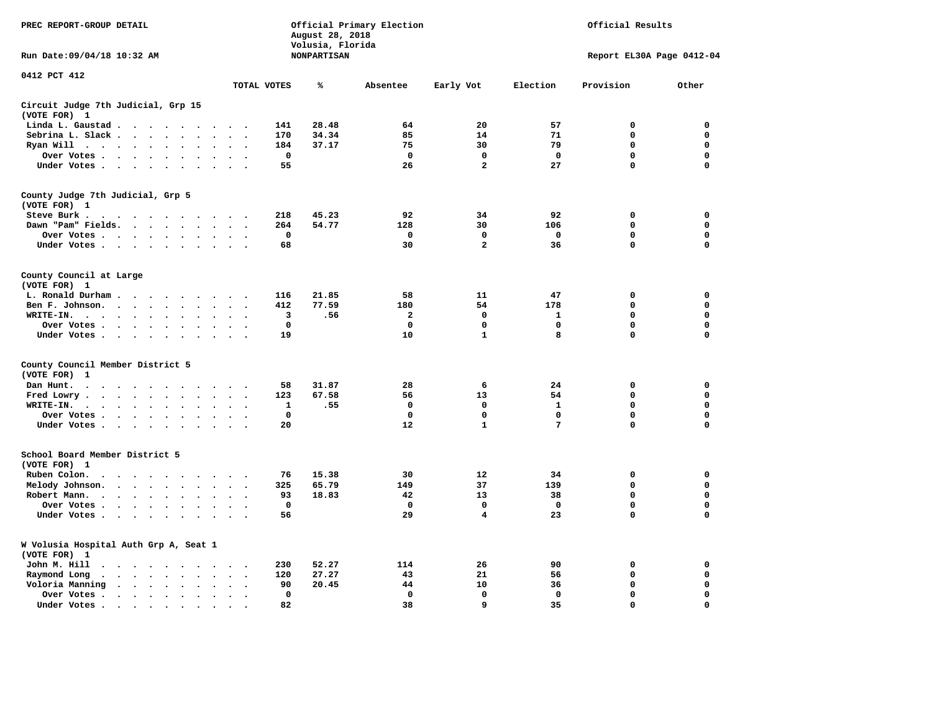| PREC REPORT-GROUP DETAIL                                                                                                                                                                 |                                           | August 28, 2018                        | Official Primary Election |                         | Official Results          |             |             |  |  |
|------------------------------------------------------------------------------------------------------------------------------------------------------------------------------------------|-------------------------------------------|----------------------------------------|---------------------------|-------------------------|---------------------------|-------------|-------------|--|--|
| Run Date: 09/04/18 10:32 AM                                                                                                                                                              |                                           | Volusia, Florida<br><b>NONPARTISAN</b> |                           |                         | Report EL30A Page 0412-04 |             |             |  |  |
| 0412 PCT 412                                                                                                                                                                             | TOTAL VOTES                               | ℁                                      | Absentee                  | Early Vot               | Election                  | Provision   | Other       |  |  |
|                                                                                                                                                                                          |                                           |                                        |                           |                         |                           |             |             |  |  |
| Circuit Judge 7th Judicial, Grp 15<br>(VOTE FOR) 1                                                                                                                                       |                                           |                                        |                           |                         |                           |             |             |  |  |
| Linda L. Gaustad                                                                                                                                                                         | 141<br>$\sim$ $\sim$                      | 28.48                                  | 64                        | 20                      | 57                        | 0           | 0           |  |  |
| Sebrina L. Slack<br>$\sim$                                                                                                                                                               | 170                                       | 34.34                                  | 85                        | 14                      | 71                        | $\mathbf 0$ | 0           |  |  |
| Ryan Will $\cdots$ $\cdots$                                                                                                                                                              | 184                                       | 37.17                                  | 75                        | 30                      | 79                        | $\mathbf 0$ | 0           |  |  |
| Over Votes<br>$\ddot{\phantom{a}}$<br>$\bullet$                                                                                                                                          | $\mathbf 0$                               |                                        | $\mathbf 0$               | $\mathbf 0$             | $\mathbf 0$               | 0           | $\mathbf 0$ |  |  |
| Under Votes                                                                                                                                                                              | 55<br>$\sim$                              |                                        | 26                        | $\mathbf{2}$            | 27                        | $\mathbf 0$ | $\mathbf 0$ |  |  |
| County Judge 7th Judicial, Grp 5                                                                                                                                                         |                                           |                                        |                           |                         |                           |             |             |  |  |
| (VOTE FOR) 1                                                                                                                                                                             |                                           |                                        |                           |                         |                           |             |             |  |  |
| Steve Burk.<br>$\begin{array}{cccccccccccccccccc} . & . & . & . & . & . & . & . & . & . \end{array}$                                                                                     | 218<br>$\sim$ $\sim$                      | 45.23                                  | 92                        | 34                      | 92                        | 0           | 0           |  |  |
| Dawn "Pam" Fields.<br>$\sim$<br>$\sim$                                                                                                                                                   | 264<br>$\sim$ $\sim$                      | 54.77                                  | 128                       | 30                      | 106                       | 0           | $\mathbf 0$ |  |  |
| Over Votes<br>$\ddot{\phantom{a}}$<br>$\ddot{\phantom{a}}$                                                                                                                               | 0<br>$\cdot$                              |                                        | 0                         | 0                       | $\mathbf 0$               | 0           | 0           |  |  |
| Under Votes                                                                                                                                                                              | 68<br>$\sim$                              |                                        | 30                        | $\overline{\mathbf{2}}$ | 36                        | 0           | $\mathbf 0$ |  |  |
| County Council at Large<br>(VOTE FOR) 1                                                                                                                                                  |                                           |                                        |                           |                         |                           |             |             |  |  |
| L. Ronald Durham<br>$\ddot{\phantom{1}}$                                                                                                                                                 | 116                                       | 21.85                                  | 58                        | 11                      | 47                        | 0           | 0           |  |  |
| Ben F. Johnson.<br>$\ddot{\phantom{a}}$<br>$\bullet$                                                                                                                                     | 412<br>$\bullet$<br>$\bullet$             | 77.59                                  | 180                       | 54                      | 178                       | $\Omega$    | 0           |  |  |
| WRITE-IN.<br>$\bullet$                                                                                                                                                                   | 3                                         | .56                                    | $\mathbf{2}$              | $\mathbf{0}$            | $\mathbf{1}$              | 0           | $\mathbf 0$ |  |  |
| Over Votes .<br>$\cdot$ $\cdot$ $\cdot$ $\cdot$<br>$\ddot{\phantom{a}}$                                                                                                                  | $\mathbf 0$                               |                                        | $\mathbf 0$               | 0                       | 0                         | 0           | $\mathbf 0$ |  |  |
| Under Votes                                                                                                                                                                              | 19                                        |                                        | 10                        | $\mathbf{1}$            | 8                         | 0           | 0           |  |  |
| County Council Member District 5                                                                                                                                                         |                                           |                                        |                           |                         |                           |             |             |  |  |
| (VOTE FOR)<br>-1                                                                                                                                                                         |                                           |                                        |                           |                         |                           |             |             |  |  |
| Dan Hunt.<br>$\ddot{\phantom{a}}$<br>$\mathcal{A}$ , and $\mathcal{A}$ , and $\mathcal{A}$ , and $\mathcal{A}$<br>$\sim$ $\sim$                                                          | 58<br>$\sim$ $\sim$                       | 31.87                                  | 28                        | 6                       | 24                        | 0           | 0           |  |  |
| Fred Lowry.<br>$\cdot$ $\cdot$ $\cdot$ $\cdot$ $\cdot$<br>$\sim$<br>$\sim$<br>$\sim$                                                                                                     | 123<br>$\sim$<br>$\overline{\phantom{a}}$ | 67.58                                  | 56                        | 13                      | 54                        | 0           | 0           |  |  |
| WRITE-IN.<br>$\mathbf{a} = \mathbf{a} + \mathbf{a} + \mathbf{a} + \mathbf{a}$<br>$\bullet$<br>$\ddot{\phantom{a}}$                                                                       | 1                                         | .55                                    | $\mathbf 0$               | 0                       | 1                         | 0           | 0           |  |  |
| Over Votes<br>$\ddot{\phantom{a}}$<br>$\bullet$                                                                                                                                          | 0<br>$\cdot$                              |                                        | 0                         | 0                       | $\mathbf 0$               | 0           | $\mathbf 0$ |  |  |
| Under Votes<br>$\sim$ $\sim$                                                                                                                                                             | 20<br>$\ddot{\phantom{1}}$                |                                        | 12                        | $\mathbf{1}$            | 7                         | $\Omega$    | $\Omega$    |  |  |
| School Board Member District 5                                                                                                                                                           |                                           |                                        |                           |                         |                           |             |             |  |  |
| (VOTE FOR) 1                                                                                                                                                                             |                                           |                                        |                           |                         |                           |             |             |  |  |
| Ruben Colon.<br>$\ddot{\phantom{0}}$<br>$\cdots$<br>$\sim$                                                                                                                               | 76                                        | 15.38                                  | 30                        | 12                      | 34                        | 0           | 0           |  |  |
| Melody Johnson.                                                                                                                                                                          | 325                                       | 65.79                                  | 149                       | 37                      | 139                       | 0           | $\mathbf 0$ |  |  |
| Robert Mann.<br>$\mathcal{A}$ , and $\mathcal{A}$ , and $\mathcal{A}$<br>$\ddot{\phantom{a}}$<br>$\ddot{\phantom{a}}$<br>$\bullet$                                                       | 93                                        | 18.83                                  | 42                        | 13                      | 38                        | 0           | $\mathbf 0$ |  |  |
| Over Votes<br>$\sim$<br>$\cdot$                                                                                                                                                          | $\mathbf 0$                               |                                        | $\mathbf 0$               | $\mathbf 0$             | $\mathbf 0$               | 0           | 0           |  |  |
| Under Votes<br>$\sim$<br>$\overline{\phantom{a}}$                                                                                                                                        | 56                                        |                                        | 29                        | 4                       | 23                        | 0           | $\mathbf 0$ |  |  |
|                                                                                                                                                                                          |                                           |                                        |                           |                         |                           |             |             |  |  |
| W Volusia Hospital Auth Grp A, Seat 1<br>(VOTE FOR) 1                                                                                                                                    |                                           |                                        |                           |                         |                           |             |             |  |  |
| John M. Hill<br>$\cdot$                                                                                                                                                                  | 230<br>$\ddot{\phantom{0}}$               | 52.27                                  | 114                       | 26                      | 90                        | 0           | 0           |  |  |
| Raymond Long<br>$\ddot{\phantom{1}}$<br>$\bullet$<br>$\bullet$                                                                                                                           | 120<br>$\bullet$<br>$\bullet$             | 27.27                                  | 43                        | 21                      | 56                        | $\mathbf 0$ | $\mathbf 0$ |  |  |
| Voloria Manning<br>$\begin{array}{cccccccccccccccccc} \bullet & \bullet & \bullet & \bullet & \bullet & \bullet & \bullet & \bullet & \bullet & \bullet & \bullet & \bullet \end{array}$ | 90<br>$\cdot$                             | 20.45                                  | 44                        | 10                      | 36                        | 0           | 0           |  |  |
| Over Votes .<br>$\bullet$<br>$\bullet$                                                                                                                                                   | $\Omega$<br>$\bullet$                     |                                        | $\mathbf 0$               | $\mathbf{0}$            | $\mathbf{0}$              | $\mathbf 0$ | $\mathbf 0$ |  |  |
| Under Votes.<br>$\cdots$<br>$\bullet$                                                                                                                                                    | 82                                        |                                        | 38                        | 9                       | 35                        | $\Omega$    | $\Omega$    |  |  |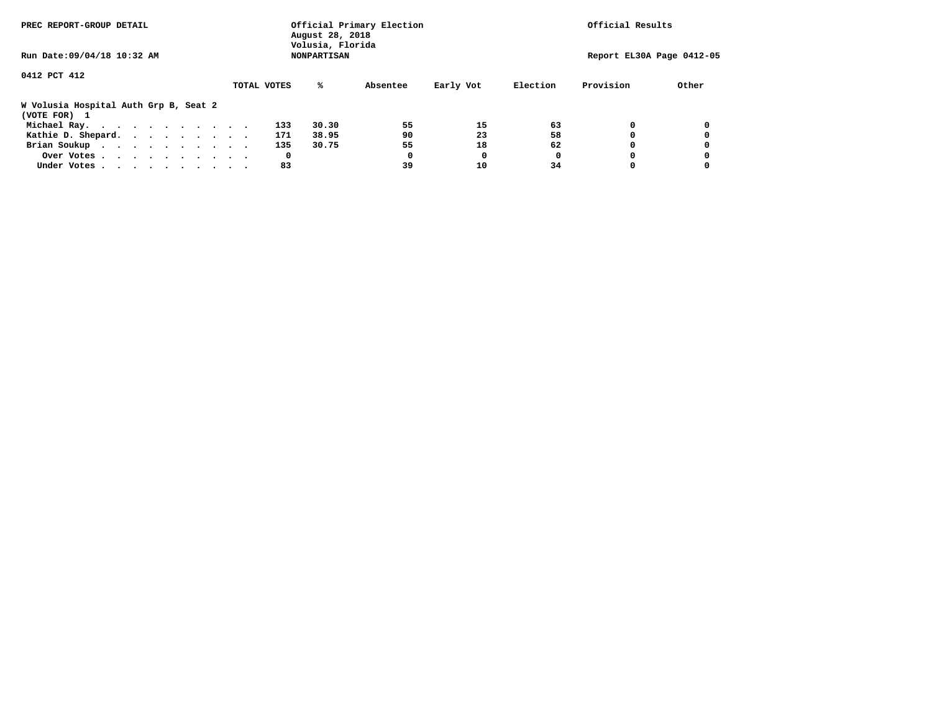| PREC REPORT-GROUP DETAIL                              | August 28, 2018<br>Volusia, Florida | Official Primary Election |                       | Official Results          |  |  |  |  |  |
|-------------------------------------------------------|-------------------------------------|---------------------------|-----------------------|---------------------------|--|--|--|--|--|
| Run Date: 09/04/18 10:32 AM                           | <b>NONPARTISAN</b>                  |                           |                       | Report EL30A Page 0412-05 |  |  |  |  |  |
| 0412 PCT 412                                          | TOTAL VOTES<br>%ะ                   | Absentee                  | Early Vot<br>Election | Provision<br>Other        |  |  |  |  |  |
| W Volusia Hospital Auth Grp B, Seat 2<br>(VOTE FOR) 1 |                                     |                           |                       |                           |  |  |  |  |  |
| Michael Ray.                                          | 30.30<br>133                        | 55                        | 15<br>63              | 0<br>0                    |  |  |  |  |  |
| Kathie D. Shepard.                                    | 38.95<br>171                        | 90                        | 23<br>58              | 0<br>0                    |  |  |  |  |  |
| Brian Soukup                                          | 30.75<br>135                        | 55                        | 62<br>18              | 0                         |  |  |  |  |  |
| Over Votes                                            | 0                                   |                           | 0                     | 0<br>0                    |  |  |  |  |  |
| Under Votes                                           | 83                                  | 39                        | 10<br>34              | 0                         |  |  |  |  |  |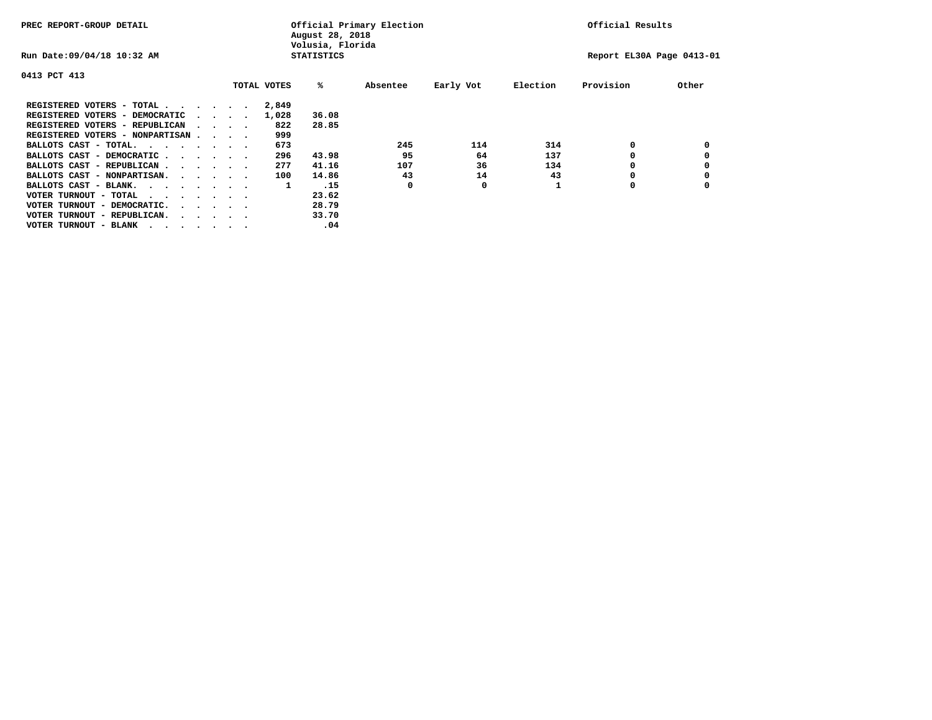| PREC REPORT-GROUP DETAIL               | Official Primary Election<br>August 28, 2018<br>Volusia, Florida |  |  |             |                   | Official Results |           |          |                           |       |
|----------------------------------------|------------------------------------------------------------------|--|--|-------------|-------------------|------------------|-----------|----------|---------------------------|-------|
| Run Date: 09/04/18 10:32 AM            |                                                                  |  |  |             | <b>STATISTICS</b> |                  |           |          | Report EL30A Page 0413-01 |       |
| 0413 PCT 413                           |                                                                  |  |  |             |                   |                  |           |          |                           |       |
|                                        |                                                                  |  |  | TOTAL VOTES | %ะ                | Absentee         | Early Vot | Election | Provision                 | Other |
| REGISTERED VOTERS - TOTAL              |                                                                  |  |  | 2,849       |                   |                  |           |          |                           |       |
| REGISTERED VOTERS - DEMOCRATIC         | $\sim$ $\sim$ $\sim$ $\sim$                                      |  |  | 1,028       | 36.08             |                  |           |          |                           |       |
| REGISTERED VOTERS - REPUBLICAN         | $\sim$ $\sim$ $\sim$ $\sim$                                      |  |  | 822         | 28.85             |                  |           |          |                           |       |
| REGISTERED VOTERS - NONPARTISAN        |                                                                  |  |  | 999         |                   |                  |           |          |                           |       |
| BALLOTS CAST - TOTAL.                  |                                                                  |  |  | 673         |                   | 245              | 114       | 314      | 0                         |       |
| BALLOTS CAST - DEMOCRATIC              |                                                                  |  |  | 296         | 43.98             | 95               | 64        | 137      |                           |       |
| BALLOTS CAST - REPUBLICAN              |                                                                  |  |  | 277         | 41.16             | 107              | 36        | 134      | 0                         |       |
| BALLOTS CAST - NONPARTISAN.            |                                                                  |  |  | 100         | 14.86             | 43               | 14        | 43       |                           |       |
| BALLOTS CAST - BLANK.                  |                                                                  |  |  | 1           | .15               | 0                | 0         |          | 0                         |       |
| VOTER TURNOUT - TOTAL<br>.             |                                                                  |  |  |             | 23.62             |                  |           |          |                           |       |
| VOTER TURNOUT - DEMOCRATIC.            | $\cdot$ $\cdot$ $\cdot$ $\cdot$ $\cdot$                          |  |  |             | 28.79             |                  |           |          |                           |       |
| VOTER TURNOUT - REPUBLICAN.<br>$\cdot$ |                                                                  |  |  |             | 33.70             |                  |           |          |                           |       |
| VOTER TURNOUT - BLANK                  |                                                                  |  |  |             | .04               |                  |           |          |                           |       |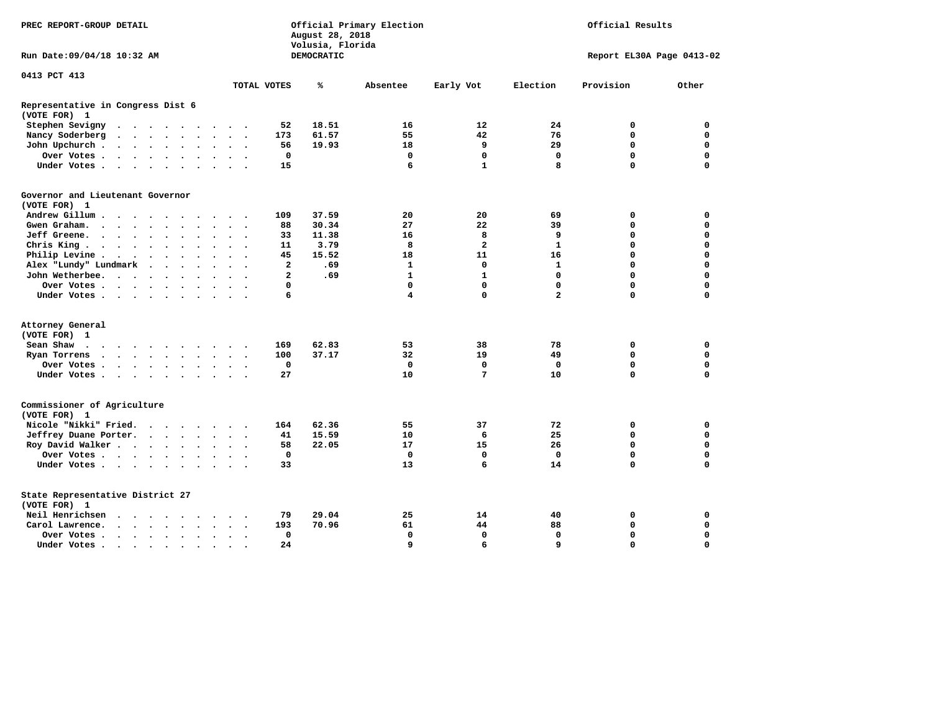| PREC REPORT-GROUP DETAIL                                                                                         |                                                                             | Official Primary Election<br>August 28, 2018<br>Volusia, Florida | Official Results        |                               |             |  |  |
|------------------------------------------------------------------------------------------------------------------|-----------------------------------------------------------------------------|------------------------------------------------------------------|-------------------------|-------------------------------|-------------|--|--|
| Run Date: 09/04/18 10:32 AM                                                                                      |                                                                             | <b>DEMOCRATIC</b>                                                |                         | Report EL30A Page 0413-02     |             |  |  |
| 0413 PCT 413                                                                                                     |                                                                             |                                                                  |                         |                               |             |  |  |
|                                                                                                                  | TOTAL VOTES                                                                 | ℁<br>Absentee                                                    | Early Vot<br>Election   | Provision<br>Other            |             |  |  |
| Representative in Congress Dist 6<br>(VOTE FOR) 1                                                                |                                                                             |                                                                  |                         |                               |             |  |  |
| Stephen Sevigny                                                                                                  | 52                                                                          | 18.51<br>16                                                      | 12<br>24                | 0                             | 0           |  |  |
| Nancy Soderberg<br>$\begin{array}{cccccccccccccccccc} . & . & . & . & . & . & . & . & . & . & . & . \end{array}$ | 173                                                                         | 61.57<br>55                                                      | 42<br>76                | 0                             | 0           |  |  |
| John Upchurch.<br>$\cdots$<br>$\sim$                                                                             | 56<br>$\sim$                                                                | 19.93<br>18                                                      | 9<br>29                 | $\mathbf 0$                   | $\mathbf 0$ |  |  |
| Over Votes                                                                                                       | 0<br>$\sim$<br>$\sim$ $\sim$                                                | 0                                                                | 0                       | $\mathbf 0$<br>$\mathbf 0$    | $\mathbf 0$ |  |  |
| Under Votes                                                                                                      | 15                                                                          | 6                                                                | $\mathbf{1}$            | $\Omega$<br>8                 | $\mathbf 0$ |  |  |
| Governor and Lieutenant Governor                                                                                 |                                                                             |                                                                  |                         |                               |             |  |  |
| (VOTE FOR) 1                                                                                                     |                                                                             |                                                                  |                         |                               |             |  |  |
| Andrew Gillum<br>$\cdot$                                                                                         | 109                                                                         | 37.59<br>20                                                      | 20<br>69                | 0                             | 0           |  |  |
| Gwen Graham.                                                                                                     | 88<br>$\sim$<br>$\sim$ $\sim$<br>$\sim$                                     | 27<br>30.34                                                      | 22<br>39                | 0                             | $\mathbf 0$ |  |  |
| Jeff Greene.                                                                                                     | 33                                                                          | 11.38<br>16                                                      | 8                       | 9<br>0                        | 0           |  |  |
| Chris King $\cdots$ $\cdots$ $\cdots$                                                                            | 11<br>$\sim$ $\sim$                                                         | 3.79<br>8                                                        | $\overline{\mathbf{2}}$ | $\mathbf{1}$<br>$\mathbf 0$   | $\mathbf 0$ |  |  |
| Philip Levine .                                                                                                  | 45<br>$\ddot{\phantom{a}}$<br>$\ddot{\phantom{a}}$<br>$\sim$<br>$\sim$      | 15.52<br>18                                                      | 11<br>16                | $\Omega$                      | $\mathbf 0$ |  |  |
| Alex "Lundy" Lundmark<br>$\mathcal{A}=\mathcal{A}=\mathcal{A}=\mathcal{A}$ .                                     | $\overline{a}$<br>$\cdot$                                                   | .69<br>$\mathbf{1}$                                              | $\mathbf{0}$            | $\mathbf{1}$<br>$\mathbf 0$   | $\mathbf 0$ |  |  |
| John Wetherbee.                                                                                                  | $\mathbf{2}$<br>$\ddot{\phantom{a}}$                                        | $\mathbf{1}$<br>.69                                              | $\mathbf{1}$            | $\mathbf 0$<br>$\Omega$       | $\mathbf 0$ |  |  |
| Over Votes                                                                                                       | 0<br>$\bullet$                                                              | $\mathbf 0$                                                      | $\mathbf 0$             | $\mathbf 0$<br>$\mathbf 0$    | $\mathbf 0$ |  |  |
| Under Votes                                                                                                      | 6                                                                           | 4                                                                | 0                       | $\overline{a}$<br>$\mathbf 0$ | 0           |  |  |
| Attorney General                                                                                                 |                                                                             |                                                                  |                         |                               |             |  |  |
| (VOTE FOR) 1                                                                                                     |                                                                             |                                                                  |                         |                               |             |  |  |
| Sean Shaw                                                                                                        | 169<br>$\sim$ $\sim$                                                        | 62.83<br>53                                                      | 38<br>78                | 0                             | $\mathbf 0$ |  |  |
| Ryan Torrens<br>$\mathbf{r}$ , $\mathbf{r}$ , $\mathbf{r}$ , $\mathbf{r}$ , $\mathbf{r}$ , $\mathbf{r}$          | 100<br>$\sim$ $\sim$<br>$\ddot{\phantom{1}}$                                | 37.17<br>32                                                      | 19<br>49                | $\mathbf 0$                   | $\mathbf 0$ |  |  |
|                                                                                                                  | $\mathbf 0$                                                                 | $\mathbf 0$                                                      | $\mathbf 0$             | $\mathbf 0$<br>$\mathbf 0$    | $\mathbf 0$ |  |  |
| Over Votes<br>Under Votes                                                                                        | 27<br>$\sim$ $\sim$                                                         | 10                                                               | 7<br>10                 | $\mathbf 0$                   | $\mathbf 0$ |  |  |
|                                                                                                                  |                                                                             |                                                                  |                         |                               |             |  |  |
| Commissioner of Agriculture<br>(VOTE FOR) 1                                                                      |                                                                             |                                                                  |                         |                               |             |  |  |
| Nicole "Nikki" Fried.                                                                                            | 164                                                                         | 62.36<br>55                                                      | 37<br>72                | 0                             | 0           |  |  |
| Jeffrey Duane Porter.                                                                                            | 41                                                                          | 15.59<br>10                                                      | 6<br>25                 | 0                             | 0           |  |  |
| Roy David Walker                                                                                                 | 58                                                                          | 22.05<br>17                                                      | 15<br>26                | $\mathbf 0$                   | $\mathbf 0$ |  |  |
| Over Votes                                                                                                       | $\mathbf 0$<br>$\overline{\phantom{a}}$                                     | $\mathbf{0}$                                                     | $\mathbf 0$             | $\Omega$<br>$\mathbf 0$       | $\mathbf 0$ |  |  |
| Under Votes                                                                                                      | 33                                                                          | 13                                                               | 6<br>14                 | $\Omega$                      | 0           |  |  |
|                                                                                                                  |                                                                             |                                                                  |                         |                               |             |  |  |
| State Representative District 27<br>(VOTE FOR) 1                                                                 |                                                                             |                                                                  |                         |                               |             |  |  |
| Neil Henrichsen<br>$\cdots$                                                                                      | 79                                                                          | 29.04<br>25                                                      | 14<br>40                | 0                             | 0           |  |  |
| Carol Lawrence.                                                                                                  | 193<br>$\ddot{\phantom{a}}$<br>$\cdot$<br>$\ddot{\phantom{1}}$<br>$\bullet$ | 70.96<br>61                                                      | 44<br>88                | $\mathbf 0$                   | $\mathbf 0$ |  |  |
| Over Votes<br>$\ddot{\phantom{0}}$                                                                               | $\mathbf 0$<br>$\bullet$                                                    | $\mathbf 0$                                                      | $\mathbf 0$             | $\mathbf 0$<br>$\mathbf 0$    | $\mathbf 0$ |  |  |
| Under Votes<br>$\bullet$                                                                                         | 24                                                                          | $\mathbf{q}$                                                     | 6                       | 9<br>$\Omega$                 | $\Omega$    |  |  |
|                                                                                                                  |                                                                             |                                                                  |                         |                               |             |  |  |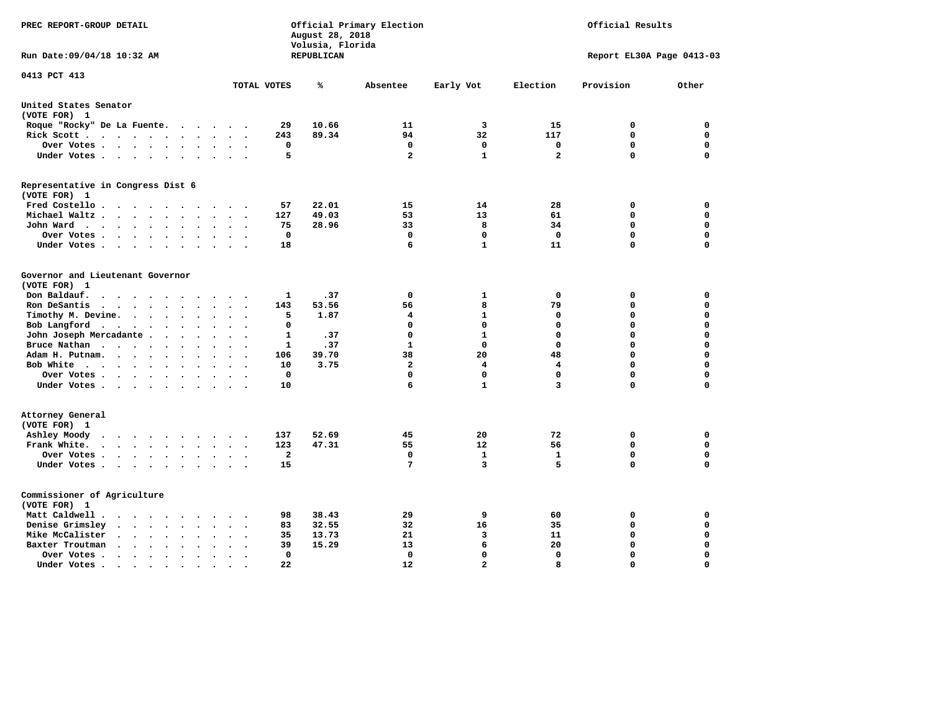| PREC REPORT-GROUP DETAIL                                                                                                    |                       | August 28, 2018<br>Volusia, Florida | Official Primary Election |                   | Official Results   |                           |                  |  |
|-----------------------------------------------------------------------------------------------------------------------------|-----------------------|-------------------------------------|---------------------------|-------------------|--------------------|---------------------------|------------------|--|
| Run Date: 09/04/18 10:32 AM                                                                                                 |                       | REPUBLICAN                          |                           |                   |                    | Report EL30A Page 0413-03 |                  |  |
| 0413 PCT 413                                                                                                                | TOTAL VOTES           | ℁                                   | Absentee                  | Early Vot         | Election           | Provision                 | Other            |  |
| United States Senator                                                                                                       |                       |                                     |                           |                   |                    |                           |                  |  |
| (VOTE FOR) 1                                                                                                                |                       |                                     |                           |                   |                    |                           |                  |  |
| Roque "Rocky" De La Fuente.<br>$\cdots$<br>$\sim$                                                                           | 29                    | 10.66                               | 11                        | 3                 | 15                 | 0                         | 0                |  |
| Rick Scott<br>$\bullet$                                                                                                     | 243                   | 89.34                               | 94                        | 32                | 117                | $\mathbf 0$               | $\mathbf 0$      |  |
| Over Votes<br>$\ddot{\phantom{0}}$<br>$\bullet$<br>$\ddot{\phantom{a}}$                                                     | $\mathbf 0$           |                                     | 0                         | $\mathbf 0$       | $\mathbf 0$        | $\mathbf 0$               | $\mathbf 0$      |  |
| Under Votes<br>$\bullet$                                                                                                    | 5                     |                                     | $\overline{a}$            | $\mathbf{1}$      | $\mathbf{2}$       | $\mathbf 0$               | $\mathbf 0$      |  |
| Representative in Congress Dist 6<br>(VOTE FOR) 1                                                                           |                       |                                     |                           |                   |                    |                           |                  |  |
| Fred Costello                                                                                                               | 57                    | 22.01                               | 15                        | 14                | 28                 | 0                         | 0                |  |
| Michael Waltz<br>$\ddot{\phantom{a}}$<br>$\ddot{\phantom{a}}$<br>$\sim$                                                     | 127                   | 49.03                               | 53                        | 13                | 61                 | 0                         | $\mathbf 0$      |  |
| John Ward<br>$\sim$<br>$\ddot{\phantom{a}}$<br>$\bullet$<br>$\ddot{\phantom{0}}$                                            | 75                    | 28.96                               | 33                        | 8                 | 34                 | $\mathbf 0$               | $\mathbf 0$      |  |
| Over Votes.<br>$\cdot$ $\cdot$ $\cdot$ $\cdot$<br>$\sim$<br>$\overline{\phantom{a}}$                                        | $\mathbf 0$           |                                     | $\mathbf 0$               | $\mathbf 0$       | $\mathbf 0$        | $\mathbf 0$               | $\mathbf 0$      |  |
| Under Votes<br>$\cdot$<br>$\cdot$<br>$\cdot$                                                                                | 18                    |                                     | 6                         | $\mathbf{1}$      | 11                 | 0                         | $\mathbf 0$      |  |
| Governor and Lieutenant Governor<br>(VOTE FOR) 1<br>Don Baldauf.                                                            |                       |                                     | $\mathbf 0$               |                   |                    |                           | $\mathbf 0$      |  |
| $\sim$ $\sim$ $\sim$ $\sim$<br>$\overline{\phantom{a}}$                                                                     | 1                     | .37                                 |                           | 1<br>8            | 0                  | 0<br>$\mathbf 0$          | $\mathbf 0$      |  |
| Ron DeSantis<br>$\cdot$ $\cdot$ $\cdot$ $\cdot$<br>$\bullet$<br>$\bullet$<br>$\sim$<br>$\ddot{\phantom{a}}$                 | 143<br>5              | 53.56<br>1.87                       | 56<br>4                   | $\mathbf{1}$      | 79<br>0            | 0                         | $\mathbf 0$      |  |
| Timothy M. Devine.<br>$\bullet$<br>$\bullet$<br>$\bullet$<br>Bob Langford<br>$\cdots$<br>$\bullet$                          | 0                     |                                     | $\mathbf 0$               | $\mathbf 0$       | 0                  | 0                         | $\mathbf 0$      |  |
| $\bullet$<br>John Joseph Mercadante .<br>$\cdots$<br>$\ddot{\phantom{a}}$<br>$\sim$                                         | 1                     | .37                                 | $\mathbf 0$               | $\mathbf{1}$      | $\mathbf 0$        | 0                         | $\mathbf 0$      |  |
| Bruce Nathan<br><b>Contract Contract Contract Contract</b><br>$\ddot{\phantom{a}}$<br>$\bullet$                             | 1                     | .37                                 | $\mathbf{1}$              | $\mathbf{0}$      | $\mathbf 0$        | 0                         | $\mathbf 0$      |  |
| Adam H. Putnam.<br>$\ddotsc$ $\ddotsc$<br>$\bullet$                                                                         | 106                   | 39.70                               | 38                        | 20                | 48                 | 0                         | $\mathbf 0$      |  |
| Bob White<br>$\bullet$<br>$\bullet$<br>$\bullet$<br>$\cdot$                                                                 | 10                    | 3.75                                | $\mathbf{2}$              | 4                 | 4                  | $\mathbf 0$               | $\mathbf 0$      |  |
| Over Votes.<br>$\sim$ $\sim$ $\sim$ $\sim$<br>$\overline{\phantom{a}}$                                                      | $\Omega$              |                                     | $\Omega$                  | $\Omega$          | $\mathbf 0$        | $\mathbf 0$               | $\mathbf 0$      |  |
| Under Votes<br>$\ddot{\phantom{a}}$                                                                                         | 10                    |                                     | 6                         | $\mathbf{1}$      | 3                  | 0                         | $\mathbf 0$      |  |
| Attorney General<br>(VOTE FOR) 1                                                                                            |                       |                                     |                           |                   |                    |                           |                  |  |
| Ashley Moody<br>$\cdots$<br>$\bullet$<br>$\blacksquare$ .                                                                   | 137                   | 52.69                               | 45                        | 20<br>12          | 72                 | 0<br>$\mathbf 0$          | 0<br>$\mathbf 0$ |  |
| Frank White.<br>$\cdot$ $\cdot$ $\cdot$ $\cdot$ $\cdot$ $\cdot$<br>$\sim$                                                   | 123<br>$\overline{a}$ | 47.31                               | 55<br>$\mathbf 0$         |                   | 56<br>$\mathbf{1}$ | $\mathbf 0$               | $\mathbf 0$      |  |
| Over Votes.<br>$\cdots$<br>$\bullet$<br>$\bullet$<br>$\cdot$<br>Under Votes<br>$\ddot{\phantom{1}}$<br>$\ddot{\phantom{a}}$ | 15                    |                                     | 7                         | $\mathbf{1}$<br>3 | 5                  | 0                         | $\mathbf 0$      |  |
| Commissioner of Agriculture<br>(VOTE FOR) 1                                                                                 |                       |                                     |                           |                   |                    |                           |                  |  |
| Matt Caldwell.<br>$\cdot$ $\cdot$ $\cdot$ $\cdot$<br>$\sim$                                                                 | 98                    | 38.43                               | 29                        | 9                 | 60                 | 0                         | 0                |  |
| Denise Grimsley<br>$\ddotsc$<br>$\sim$<br>$\ddot{\phantom{a}}$                                                              | 83                    | 32.55                               | 32                        | 16                | 35                 | 0                         | $\mathbf 0$      |  |
| Mike McCalister<br>$\ddotsc$<br>$\sim$ $\sim$<br>$\bullet$<br>$\bullet$<br>$\bullet$<br>$\ddot{\phantom{a}}$                | 35                    | 13.73                               | 21                        | 3                 | 11                 | 0                         | $\mathbf 0$      |  |
| Baxter Troutman<br>$\ddot{\phantom{1}}$<br>$\ddot{\phantom{a}}$<br>$\sim$<br>$\cdot$<br>$\sim$                              | 39                    | 15.29                               | 13                        | 6                 | 20                 | $\mathbf 0$               | $\mathbf 0$      |  |
| Over Votes .<br>$\ddot{\phantom{0}}$<br>$\bullet$<br>$\bullet$<br>$\ddot{\phantom{a}}$<br>$\ddot{\phantom{0}}$              | 0                     |                                     | $\mathbf 0$               | $\mathbf 0$       | $\mathbf 0$        | $\mathbf 0$               | $\mathbf 0$      |  |
| Under Votes.<br>.<br>$\cdot$ $\cdot$                                                                                        | 22                    |                                     | 12                        | $\overline{a}$    | 8                  | $\Omega$                  | $\Omega$         |  |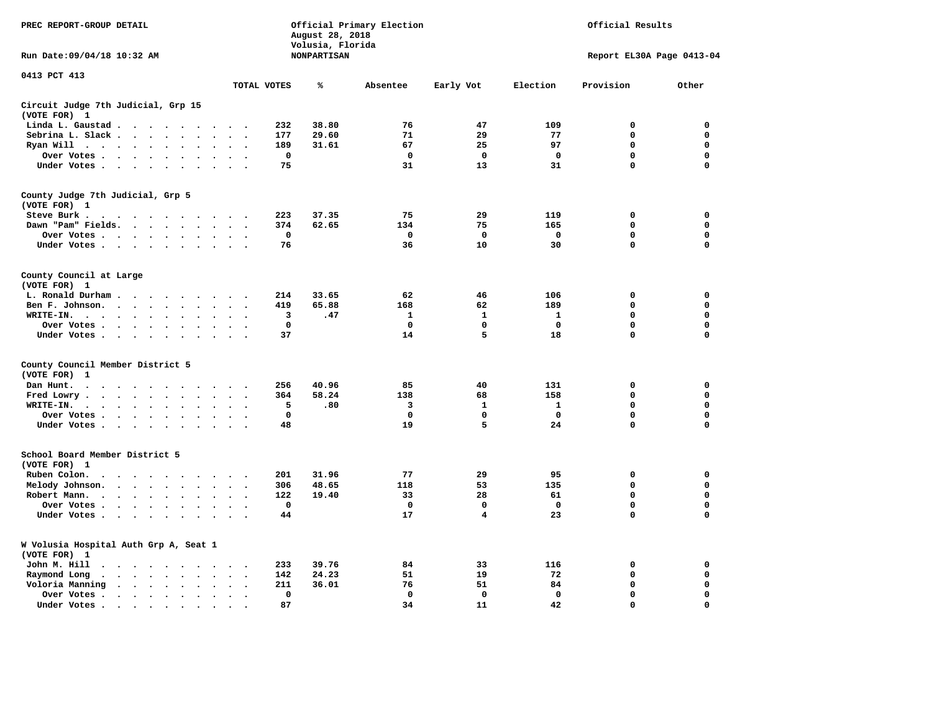| PREC REPORT-GROUP DETAIL                                                                                                            |                                           | August 28, 2018                        | Official Primary Election |              | Official Results          |             |             |  |  |
|-------------------------------------------------------------------------------------------------------------------------------------|-------------------------------------------|----------------------------------------|---------------------------|--------------|---------------------------|-------------|-------------|--|--|
| Run Date: 09/04/18 10:32 AM                                                                                                         |                                           | Volusia, Florida<br><b>NONPARTISAN</b> |                           |              | Report EL30A Page 0413-04 |             |             |  |  |
| 0413 PCT 413                                                                                                                        | TOTAL VOTES                               | ℁                                      | Absentee                  | Early Vot    | Election                  | Provision   | Other       |  |  |
|                                                                                                                                     |                                           |                                        |                           |              |                           |             |             |  |  |
| Circuit Judge 7th Judicial, Grp 15<br>(VOTE FOR) 1                                                                                  |                                           |                                        |                           |              |                           |             |             |  |  |
| Linda L. Gaustad                                                                                                                    | 232<br>$\sim$ $\sim$                      | 38.80                                  | 76                        | 47           | 109                       | 0           | 0           |  |  |
| Sebrina L. Slack<br>$\sim$<br>$\sim$                                                                                                | 177                                       | 29.60                                  | 71                        | 29           | 77                        | $\mathbf 0$ | 0           |  |  |
| Ryan Will $\cdots$ $\cdots$<br>$\bullet$                                                                                            | 189                                       | 31.61                                  | 67                        | 25           | 97                        | $\mathbf 0$ | 0           |  |  |
| Over Votes<br>$\ddot{\phantom{a}}$<br>$\bullet$                                                                                     | $\mathbf 0$                               |                                        | $\mathbf 0$               | $\mathbf 0$  | $\mathbf 0$               | 0           | 0           |  |  |
| Under Votes                                                                                                                         | 75<br>$\sim$                              |                                        | 31                        | 13           | 31                        | $\mathbf 0$ | $\mathbf 0$ |  |  |
| County Judge 7th Judicial, Grp 5                                                                                                    |                                           |                                        |                           |              |                           |             |             |  |  |
| (VOTE FOR) 1                                                                                                                        |                                           |                                        |                           |              |                           |             |             |  |  |
| Steve Burk.<br>$\begin{array}{cccccccccccccccccc} . & . & . & . & . & . & . & . & . & . \end{array}$                                | 223<br>$\sim$ $\sim$                      | 37.35                                  | 75                        | 29           | 119                       | 0           | 0           |  |  |
| Dawn "Pam" Fields.<br>$\sim$<br>$\sim$                                                                                              | 374<br>$\sim$<br>$\overline{\phantom{a}}$ | 62.65                                  | 134                       | 75           | 165                       | 0           | $\mathbf 0$ |  |  |
| Over Votes<br>$\ddot{\phantom{a}}$<br>$\cdot$                                                                                       | 0<br>$\cdot$                              |                                        | 0                         | 0            | 0                         | 0           | 0           |  |  |
| Under Votes                                                                                                                         | 76<br>$\sim$                              |                                        | 36                        | 10           | 30                        | 0           | $\mathbf 0$ |  |  |
| County Council at Large<br>(VOTE FOR) 1                                                                                             |                                           |                                        |                           |              |                           |             |             |  |  |
| L. Ronald Durham                                                                                                                    | 214                                       | 33.65                                  | 62                        | 46           | 106                       | 0           | 0           |  |  |
| Ben F. Johnson.<br>$\bullet$<br>$\bullet$                                                                                           | 419<br>$\mathbf{r}$                       | 65.88                                  | 168                       | 62           | 189                       | $\mathbf 0$ | 0           |  |  |
| WRITE-IN.                                                                                                                           | 3                                         | .47                                    | $\mathbf{1}$              | $\mathbf{1}$ | 1                         | 0           | $\mathbf 0$ |  |  |
| Over Votes .<br>$\cdot$ $\cdot$ $\cdot$ $\cdot$<br>$\ddot{\phantom{a}}$                                                             | $\mathbf 0$                               |                                        | $\mathbf 0$               | 0            | $\mathbf 0$               | 0           | 0           |  |  |
| Under Votes                                                                                                                         | 37                                        |                                        | 14                        | 5            | 18                        | 0           | 0           |  |  |
| County Council Member District 5                                                                                                    |                                           |                                        |                           |              |                           |             |             |  |  |
| (VOTE FOR)<br>-1                                                                                                                    |                                           |                                        |                           |              |                           |             |             |  |  |
| Dan Hunt.<br>$\ddot{\phantom{a}}$<br>$\sim$<br>$\sim$ $\sim$ $\sim$<br>$\sim$ $\sim$ $\sim$<br>$\sim$ $\sim$                        | 256<br>$\sim$ $\sim$                      | 40.96                                  | 85                        | 40           | 131                       | 0           | 0           |  |  |
| Fred Lowry.<br>$\cdot$ $\cdot$ $\cdot$ $\cdot$ $\cdot$<br>$\sim$<br>$\sim$                                                          | 364<br>$\sim$<br>$\overline{\phantom{a}}$ | 58.24                                  | 138                       | 68           | 158                       | 0           | 0           |  |  |
| WRITE-IN.<br><b>Contract Contract Contract</b><br>$\ddot{\phantom{a}}$<br>$\bullet$<br>$\ddot{\phantom{a}}$<br>$\ddot{\phantom{a}}$ | 5                                         | .80                                    | 3                         | 1            | 1                         | 0           | 0           |  |  |
| Over Votes<br>$\ddot{\phantom{a}}$<br>$\bullet$                                                                                     | 0<br>$\cdot$                              |                                        | 0                         | 0            | 0                         | 0           | 0           |  |  |
| Under Votes<br>$\sim$ $\sim$                                                                                                        | 48<br>$\ddot{\phantom{1}}$                |                                        | 19                        | 5            | 24                        | $\mathbf 0$ | $\mathbf 0$ |  |  |
|                                                                                                                                     |                                           |                                        |                           |              |                           |             |             |  |  |
| School Board Member District 5<br>(VOTE FOR) 1                                                                                      |                                           |                                        |                           |              |                           |             |             |  |  |
| and a state of the state of the state of the state of the state of the state of the state of the state of the<br>$\sim$<br>$\sim$   | 201                                       | 31.96                                  | 77                        | 29           | 95                        | 0           | 0           |  |  |
| Ruben Colon.<br>$\bullet$                                                                                                           |                                           |                                        |                           | 53           |                           | 0           | $\mathbf 0$ |  |  |
| Melody Johnson.<br>$\ddot{\phantom{a}}$<br>Robert Mann.                                                                             | 306<br>122                                | 48.65<br>19.40                         | 118<br>33                 | 28           | 135<br>61                 | 0           | 0           |  |  |
| $\mathcal{A}$ , and $\mathcal{A}$ , and $\mathcal{A}$<br>$\ddot{\phantom{a}}$<br>$\ddot{\phantom{a}}$<br>$\bullet$                  | $\mathbf 0$                               |                                        | $\mathbf 0$               | $\mathbf 0$  | $\mathbf 0$               | 0           | 0           |  |  |
| Over Votes<br>$\sim$<br>$\cdot$                                                                                                     |                                           |                                        |                           |              |                           |             |             |  |  |
| Under Votes<br>$\overline{\phantom{a}}$                                                                                             | 44                                        |                                        | 17                        | 4            | 23                        | 0           | 0           |  |  |
| W Volusia Hospital Auth Grp A, Seat 1<br>(VOTE FOR) 1                                                                               |                                           |                                        |                           |              |                           |             |             |  |  |
| John M. Hill<br>$\cdot$ $\cdot$                                                                                                     | 233<br>$\cdot$                            | 39.76                                  | 84                        | 33           | 116                       | 0           | 0           |  |  |
| Raymond Long<br>$\sim$ , and $\sim$ , and $\sim$<br>$\ddot{\phantom{0}}$<br>$\cdot$<br>$\bullet$                                    | 142<br>$\bullet$<br>$\bullet$             | 24.23                                  | 51                        | 19           | 72                        | $\mathbf 0$ | 0           |  |  |
| Voloria Manning<br>$\sim$<br>$\ddot{\phantom{a}}$                                                                                   | 211<br>$\cdot$                            | 36.01                                  | 76                        | 51           | 84                        | 0           | 0           |  |  |
| Over Votes .<br>$\bullet$<br>$\bullet$                                                                                              | $\Omega$<br>$\bullet$                     |                                        | $\mathbf 0$               | $\mathbf{0}$ | $\mathbf{0}$              | $\Omega$    | $\Omega$    |  |  |
| Under Votes.<br>$\bullet$                                                                                                           | 87                                        |                                        | 34                        | 11           | 42                        | $\Omega$    | $\Omega$    |  |  |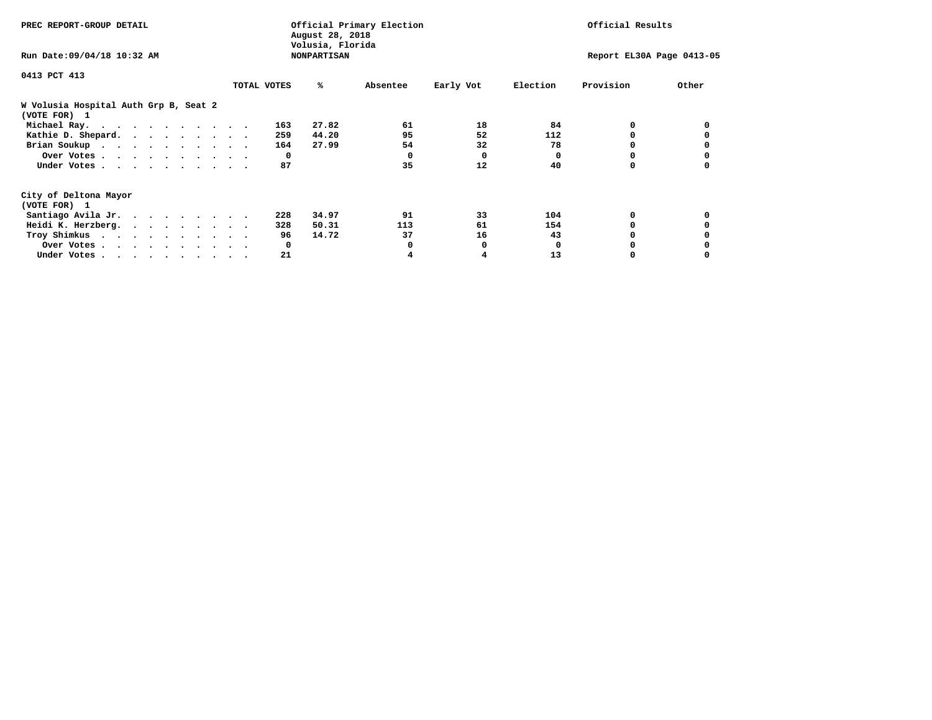| PREC REPORT-GROUP DETAIL                              | Official Primary Election<br>August 28, 2018<br>Volusia, Florida |     |       |          |           |              | Official Results          |       |  |  |
|-------------------------------------------------------|------------------------------------------------------------------|-----|-------|----------|-----------|--------------|---------------------------|-------|--|--|
| Run Date: 09/04/18 10:32 AM                           | <b>NONPARTISAN</b>                                               |     |       |          |           |              | Report EL30A Page 0413-05 |       |  |  |
| 0413 PCT 413                                          |                                                                  |     |       |          |           |              |                           |       |  |  |
|                                                       | TOTAL VOTES                                                      |     | ℁     | Absentee | Early Vot | Election     | Provision                 | Other |  |  |
| W Volusia Hospital Auth Grp B, Seat 2<br>(VOTE FOR) 1 |                                                                  |     |       |          |           |              |                           |       |  |  |
| Michael Ray.                                          |                                                                  | 163 | 27.82 | 61       | 18        | 84           | 0                         |       |  |  |
| Kathie D. Shepard.                                    |                                                                  | 259 | 44.20 | 95       | 52        | 112          | 0                         |       |  |  |
| Brian Soukup                                          |                                                                  | 164 | 27.99 | 54       | 32        | 78           |                           |       |  |  |
| Over Votes                                            |                                                                  | 0   |       | 0        | 0         | 0            |                           |       |  |  |
| Under Votes                                           |                                                                  | 87  |       | 35       | 12        | 40           | 0                         |       |  |  |
| City of Deltona Mayor                                 |                                                                  |     |       |          |           |              |                           |       |  |  |
| (VOTE FOR) 1                                          |                                                                  |     |       |          |           |              |                           |       |  |  |
| Santiago Avila Jr.                                    |                                                                  | 228 | 34.97 | 91       | 33        | 104          | 0                         |       |  |  |
| Heidi K. Herzberg.                                    |                                                                  | 328 | 50.31 | 113      | 61        | 154          |                           |       |  |  |
| Troy Shimkus                                          |                                                                  | 96  | 14.72 | 37       | 16        | 43           |                           |       |  |  |
| Over Votes                                            |                                                                  | 0   |       |          | 0         | <sup>0</sup> |                           |       |  |  |
| Under Votes                                           |                                                                  | 21  |       |          |           | 13           |                           |       |  |  |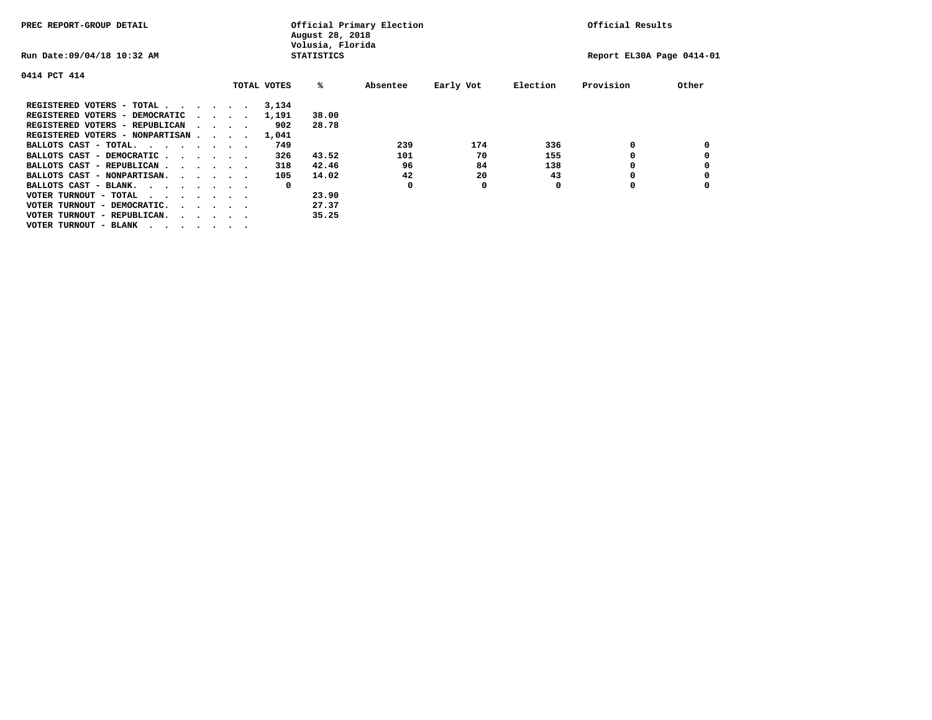| PREC REPORT-GROUP DETAIL               |  |                                         |  |             | August 28, 2018<br>Volusia, Florida | Official Primary Election |           | Official Results |                           |       |
|----------------------------------------|--|-----------------------------------------|--|-------------|-------------------------------------|---------------------------|-----------|------------------|---------------------------|-------|
| Run Date: 09/04/18 10:32 AM            |  |                                         |  |             | <b>STATISTICS</b>                   |                           |           |                  | Report EL30A Page 0414-01 |       |
| 0414 PCT 414                           |  |                                         |  |             |                                     |                           |           |                  |                           |       |
|                                        |  |                                         |  | TOTAL VOTES | %ะ                                  | Absentee                  | Early Vot | Election         | Provision                 | Other |
| REGISTERED VOTERS - TOTAL              |  |                                         |  | 3,134       |                                     |                           |           |                  |                           |       |
| REGISTERED VOTERS - DEMOCRATIC         |  | $\cdot$ $\cdot$ $\cdot$ $\cdot$         |  | 1,191       | 38.00                               |                           |           |                  |                           |       |
| REGISTERED VOTERS - REPUBLICAN         |  |                                         |  | 902         | 28.78                               |                           |           |                  |                           |       |
| REGISTERED VOTERS - NONPARTISAN        |  |                                         |  | 1,041       |                                     |                           |           |                  |                           |       |
| BALLOTS CAST - TOTAL.<br>$\cdots$      |  |                                         |  | 749         |                                     | 239                       | 174       | 336              |                           |       |
| BALLOTS CAST - DEMOCRATIC.<br>$\cdots$ |  |                                         |  | 326         | 43.52                               | 101                       | 70        | 155              |                           |       |
| BALLOTS CAST - REPUBLICAN              |  |                                         |  | 318         | 42.46                               | 96                        | 84        | 138              |                           |       |
| BALLOTS CAST - NONPARTISAN.            |  |                                         |  | 105         | 14.02                               | 42                        | 20        | 43               | o                         |       |
| BALLOTS CAST - BLANK.                  |  |                                         |  | 0           |                                     | 0                         | 0         | O                | o                         |       |
| VOTER TURNOUT - TOTAL<br>$\cdots$      |  |                                         |  |             | 23.90                               |                           |           |                  |                           |       |
| VOTER TURNOUT - DEMOCRATIC.            |  | $\cdot$ $\cdot$ $\cdot$ $\cdot$ $\cdot$ |  |             | 27.37                               |                           |           |                  |                           |       |
| VOTER TURNOUT - REPUBLICAN.            |  |                                         |  |             | 35.25                               |                           |           |                  |                           |       |
| VOTER TURNOUT - BLANK                  |  |                                         |  |             |                                     |                           |           |                  |                           |       |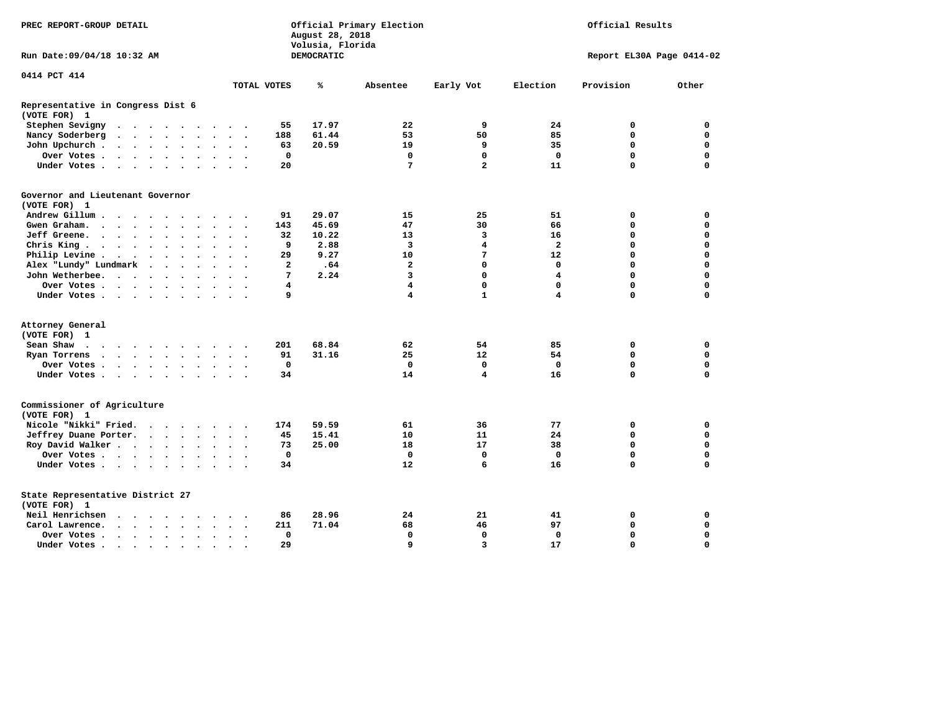| PREC REPORT-GROUP DETAIL                                  |                                                             | August 28, 2018<br>Volusia, Florida | Official Primary Election |                         | Official Results        |                           |             |  |  |
|-----------------------------------------------------------|-------------------------------------------------------------|-------------------------------------|---------------------------|-------------------------|-------------------------|---------------------------|-------------|--|--|
| Run Date: 09/04/18 10:32 AM                               |                                                             | DEMOCRATIC                          |                           |                         |                         | Report EL30A Page 0414-02 |             |  |  |
| 0414 PCT 414                                              | TOTAL VOTES                                                 | ℁                                   | Absentee                  | Early Vot               | Election                | Provision                 | Other       |  |  |
|                                                           |                                                             |                                     |                           |                         |                         |                           |             |  |  |
| Representative in Congress Dist 6<br>(VOTE FOR) 1         |                                                             |                                     |                           |                         |                         |                           |             |  |  |
| Stephen Sevigny<br>$\cdots$                               | 55                                                          | 17.97                               | 22                        | 9                       | 24                      | 0                         | $\mathbf 0$ |  |  |
| Nancy Soderberg                                           | 188                                                         | 61.44                               | 53                        | 50                      | 85                      | $\Omega$                  | $\Omega$    |  |  |
| John Upchurch.<br>$\cdot$ $\cdot$ $\cdot$ $\cdot$ $\cdot$ | 63<br>$\ddot{\phantom{0}}$<br>$\sim$                        | 20.59                               | 19                        | 9                       | 35                      | $\Omega$                  | $\mathbf 0$ |  |  |
| Over Votes                                                | 0                                                           |                                     | 0                         | 0                       | 0                       | 0                         | 0           |  |  |
| Under Votes                                               | 20                                                          |                                     | 7                         | $\overline{\mathbf{2}}$ | 11                      | $\Omega$                  | $\mathbf 0$ |  |  |
| Governor and Lieutenant Governor<br>(VOTE FOR) 1          |                                                             |                                     |                           |                         |                         |                           |             |  |  |
| Andrew Gillum<br>$\ddot{\phantom{1}}$                     | 91                                                          | 29.07                               | 15                        | 25                      | 51                      | 0                         | 0           |  |  |
| Gwen Graham.                                              | 143<br>$\sim$<br>$\cdot$ $\cdot$ $\cdot$                    | 45.69                               | 47                        | 30                      | 66                      | $\mathbf 0$               | $\mathbf 0$ |  |  |
| Jeff Greene.                                              | 32<br>$\bullet$                                             | 10.22                               | 13                        | 3                       | 16                      | $\Omega$                  | $\Omega$    |  |  |
| Chris King $\cdots$ $\cdots$ $\cdots$                     | 9<br>$\ddot{\phantom{1}}$                                   | 2.88                                | 3                         | 4                       | $\overline{a}$          | $\Omega$                  | $\Omega$    |  |  |
| Philip Levine .<br>$\cdots$                               | 29<br>$\ddot{\phantom{a}}$<br>$\sim$                        | 9.27                                | 10                        | 7                       | 12                      | $\Omega$                  | $\Omega$    |  |  |
| Alex "Lundy" Lundmark                                     | $\overline{a}$<br>$\ddot{\phantom{a}}$                      | .64                                 | $\mathbf{2}$              | $\mathbf 0$             | $\mathbf{0}$            | $\Omega$                  | $\mathbf 0$ |  |  |
| John Wetherbee.                                           | 7<br>$\sim$ $\sim$                                          | 2.24                                | $\overline{\mathbf{3}}$   | $\mathbf 0$             | $\overline{\mathbf{4}}$ | $\Omega$                  | $\mathbf 0$ |  |  |
| Over Votes                                                | 4                                                           |                                     | $\overline{\mathbf{4}}$   | $\mathbf 0$             | $\mathbf 0$             | $\mathbf 0$               | $\mathbf 0$ |  |  |
|                                                           | $\sim$<br>9                                                 |                                     | 4                         | $\mathbf{1}$            | 4                       | $\mathbf 0$               | 0           |  |  |
| Under Votes                                               |                                                             |                                     |                           |                         |                         |                           |             |  |  |
| Attorney General                                          |                                                             |                                     |                           |                         |                         |                           |             |  |  |
| (VOTE FOR) 1                                              |                                                             |                                     |                           |                         |                         |                           |             |  |  |
| Sean Shaw                                                 | 201<br>$\sim$ $\sim$                                        | 68.84                               | 62                        | 54                      | 85                      | 0                         | 0           |  |  |
| Ryan Torrens<br>$\cdots$                                  | 91<br>$\ddot{\phantom{1}}$<br>$\ddot{\phantom{1}}$          | 31.16                               | 25                        | 12                      | 54                      | $\mathbf 0$               | $\mathbf 0$ |  |  |
| Over Votes                                                | $\mathbf 0$                                                 |                                     | $\mathbf 0$               | $\mathbf 0$             | $\mathbf 0$             | $\mathbf 0$               | $\mathbf 0$ |  |  |
| Under Votes                                               | 34<br>$\sim$<br>$\sim$ $\sim$                               |                                     | 14                        | $\overline{4}$          | 16                      | $\mathbf 0$               | $\mathbf 0$ |  |  |
| Commissioner of Agriculture<br>(VOTE FOR) 1               |                                                             |                                     |                           |                         |                         |                           |             |  |  |
| Nicole "Nikki" Fried.                                     | 174                                                         | 59.59                               | 61                        | 36                      | 77                      | 0                         | 0           |  |  |
| Jeffrey Duane Porter.                                     | 45                                                          | 15.41                               | 10                        | 11                      | 24                      | 0                         | 0           |  |  |
| Roy David Walker                                          | 73                                                          | 25.00                               | 18                        | 17                      | 38                      | $\mathbf 0$               | $\mathbf 0$ |  |  |
| Over Votes                                                | $\mathbf 0$<br>$\overline{\phantom{a}}$                     |                                     | $\mathbf 0$               | 0                       | $\mathbf 0$             | $\mathbf 0$               | $\mathbf 0$ |  |  |
| Under Votes                                               | 34                                                          |                                     | 12                        | 6                       | 16                      | $\mathbf 0$               | 0           |  |  |
| State Representative District 27<br>(VOTE FOR) 1          |                                                             |                                     |                           |                         |                         |                           |             |  |  |
| Neil Henrichsen                                           | 86                                                          | 28.96                               | 24                        | 21                      | 41                      | 0                         | $\mathbf 0$ |  |  |
| Carol Lawrence.<br>$\cdots$                               | 211<br>$\sim$<br>$\bullet$<br>$\bullet$                     | 71.04                               | 68                        | 46                      | 97                      | $\mathbf 0$               | $\mathbf 0$ |  |  |
| Over Votes                                                | $\mathbf 0$<br>$\ddot{\phantom{a}}$<br>$\ddot{\phantom{a}}$ |                                     | $\mathbf 0$               | $\mathbf 0$             | $\mathbf 0$             | $\Omega$                  | $\mathbf 0$ |  |  |
| Under Votes.                                              | 29                                                          |                                     | $\mathbf{q}$              | 3                       | 17                      | $\Omega$                  | $\Omega$    |  |  |
| $\cdots$                                                  | $\bullet$<br>$\bullet$                                      |                                     |                           |                         |                         |                           |             |  |  |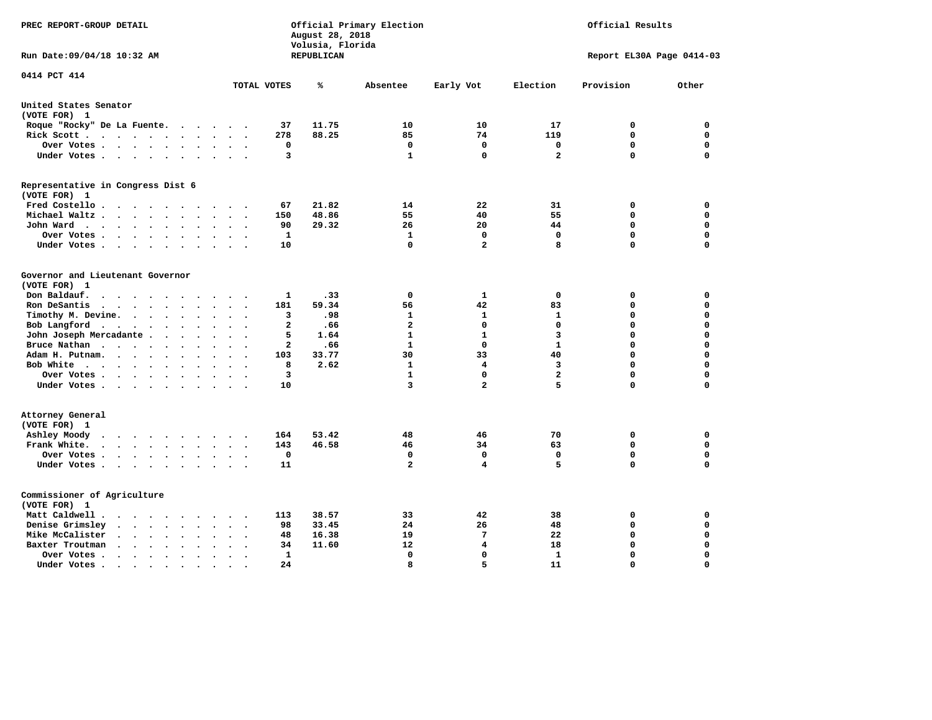| PREC REPORT-GROUP DETAIL                                                          | Official Primary Election<br>Official Results<br>August 28, 2018<br>Volusia, Florida |       |                         |                |                         |             |             |
|-----------------------------------------------------------------------------------|--------------------------------------------------------------------------------------|-------|-------------------------|----------------|-------------------------|-------------|-------------|
| Run Date: 09/04/18 10:32 AM                                                       | REPUBLICAN<br>Report EL30A Page 0414-03                                              |       |                         |                |                         |             |             |
| 0414 PCT 414                                                                      | TOTAL VOTES                                                                          | ℁     | Absentee                | Early Vot      | Election                | Provision   | Other       |
|                                                                                   |                                                                                      |       |                         |                |                         |             |             |
| United States Senator<br>(VOTE FOR) 1                                             |                                                                                      |       |                         |                |                         |             |             |
| Roque "Rocky" De La Fuente.                                                       | 37<br>$\cdots$                                                                       | 11.75 | 10                      | 10             | 17                      | 0           | $\mathbf 0$ |
| Rick Scott                                                                        | 278                                                                                  | 88.25 | 85                      | 74             | 119                     | $\mathbf 0$ | 0           |
| Over Votes                                                                        | 0<br>$\ddot{\phantom{a}}$<br>$\cdot$                                                 |       | $\mathbf 0$             | $\mathbf 0$    | $\mathbf 0$             | $\mathbf 0$ | 0           |
| Under Votes                                                                       | 3                                                                                    |       | $\mathbf{1}$            | $\mathbf 0$    | $\overline{a}$          | $\mathbf 0$ | $\mathbf 0$ |
| Representative in Congress Dist 6<br>(VOTE FOR) 1                                 |                                                                                      |       |                         |                |                         |             |             |
| Fred Costello                                                                     | 67                                                                                   | 21.82 | 14                      | 22             | 31                      | 0           | 0           |
| Michael Waltz<br>$\ddot{\phantom{a}}$<br>$\sim$<br>$\sim$                         | 150                                                                                  | 48.86 | 55                      | 40             | 55                      | $\mathbf 0$ | $\mathbf 0$ |
| John Ward<br>$\ddot{\phantom{0}}$                                                 | 90<br>$\ddot{\phantom{a}}$<br>$\bullet$                                              | 29.32 | 26                      | 20             | 44                      | $\Omega$    | $\mathbf 0$ |
| Over Votes<br>$\sim$                                                              | $\mathbf{1}$                                                                         |       | 1                       | $\mathbf 0$    | $\mathbf 0$             | $\Omega$    | $\mathbf 0$ |
| Under Votes<br>$\sim$                                                             | 10                                                                                   |       | 0                       | $\overline{a}$ | 8                       | $\Omega$    | $\Omega$    |
|                                                                                   |                                                                                      |       |                         |                |                         |             |             |
| Governor and Lieutenant Governor<br>(VOTE FOR) 1                                  |                                                                                      |       |                         |                |                         |             |             |
| Don Baldauf.<br>$\cdot$ $\cdot$ $\cdot$ $\cdot$<br>$\sim$                         | 1                                                                                    | .33   | 0                       | $\mathbf{1}$   | $\mathbf 0$             | 0           | 0           |
| Ron DeSantis<br>$\cdots$<br>$\sim$                                                | 181                                                                                  | 59.34 | 56                      | 42             | 83                      | $\mathbf 0$ | $\mathbf 0$ |
| Timothy M. Devine.<br>$\ddot{\phantom{0}}$                                        | 3<br>$\ddot{\phantom{a}}$<br>$\ddot{\phantom{a}}$<br>$\ddot{\phantom{a}}$            | .98   | 1                       | $\mathbf{1}$   | $\mathbf{1}$            | $\mathbf 0$ | $\mathbf 0$ |
| Bob Langford<br>$\sim$                                                            | $\overline{a}$<br>$\ddot{\phantom{1}}$                                               | .66   | $\overline{\mathbf{2}}$ | $\mathbf 0$    | $\mathbf 0$             | $\mathbf 0$ | 0           |
| John Joseph Mercadante                                                            | 5<br>$\overline{\phantom{a}}$                                                        | 1.64  | $\mathbf{1}$            | $\mathbf{1}$   | $\overline{\mathbf{3}}$ | $\mathbf 0$ | $\mathbf 0$ |
| Bruce Nathan<br>$\ddot{\phantom{a}}$                                              | 2                                                                                    | .66   | $\mathbf{1}$            | $\mathbf 0$    | $\mathbf{1}$            | $\Omega$    | $\mathbf 0$ |
| Adam H. Putnam.                                                                   | 103                                                                                  | 33.77 | 30                      | 33             | 40                      | $\mathbf 0$ | 0           |
| Bob White<br>$\ddot{\phantom{a}}$                                                 | 8<br>$\bullet$<br>$\cdot$                                                            | 2.62  | $\mathbf{1}$            | 4              | 3                       | $\mathbf 0$ | 0           |
| Over Votes .<br>$\cdots$                                                          | 3                                                                                    |       | $\mathbf{1}$            | $\Omega$       | $\mathbf{2}$            | $\Omega$    | 0           |
| Under Votes                                                                       | 10                                                                                   |       | 3                       | $\overline{a}$ | 5                       | $\Omega$    | $\mathbf 0$ |
| Attorney General<br>(VOTE FOR) 1                                                  |                                                                                      |       |                         |                |                         |             |             |
| Ashley Moody                                                                      | 164                                                                                  | 53.42 | 48                      | 46             | 70                      | 0           | 0           |
| Frank White.<br>$\cdot$ $\cdot$ $\cdot$ $\cdot$ $\cdot$ $\cdot$ $\cdot$<br>$\sim$ | 143                                                                                  | 46.58 | 46                      | 34             | 63                      | $\mathbf 0$ | $\mathbf 0$ |
| Over Votes.                                                                       | $\mathbf 0$                                                                          |       | $\Omega$                | $\mathbf 0$    | $\Omega$                | $\mathbf 0$ | $\mathbf 0$ |
| Under Votes                                                                       | 11<br>$\cdot$ $\cdot$                                                                |       | $\overline{a}$          | 4              | 5                       | $\Omega$    | $\mathbf 0$ |
| Commissioner of Agriculture<br>(VOTE FOR) 1                                       |                                                                                      |       |                         |                |                         |             |             |
| Matt Caldwell .<br>$\cdots$                                                       | 113                                                                                  | 38.57 | 33                      | 42             | 38                      | 0           | 0           |
| Denise Grimsley<br>$\cdot$ $\cdot$ $\cdot$ $\cdot$ $\cdot$<br>$\bullet$           | 98                                                                                   | 33.45 | 24                      | 26             | 48                      | 0           | 0           |
| Mike McCalister<br>$\cdot$ $\cdot$ $\cdot$ $\cdot$ $\cdot$<br>$\bullet$           | 48<br>$\ddot{\phantom{a}}$<br>$\bullet$                                              | 16.38 | 19                      | 7              | 22                      | 0           | 0           |
| Baxter Troutman<br>$\cdot \cdot \cdot \cdot$<br>$\bullet$<br>$\bullet$            | 34                                                                                   | 11.60 | 12                      | 4              | 18                      | 0           | 0           |
| Over Votes .<br>$\bullet$<br>$\bullet$                                            | 1                                                                                    |       | $\Omega$                | 0              | $\mathbf{1}$            | $\mathbf 0$ | $\mathbf 0$ |
| Under Votes.<br>.                                                                 | 24                                                                                   |       | 8                       | 5              | 11                      | $\Omega$    | $\Omega$    |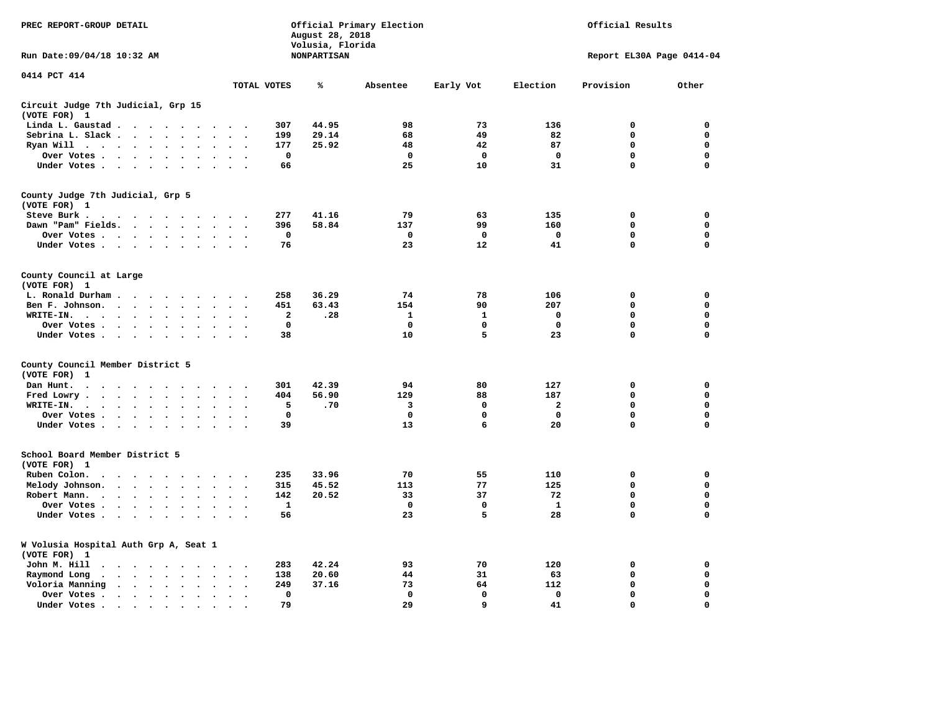| PREC REPORT-GROUP DETAIL                                                                                                                                                                                                                                                     |                                               | August 28, 2018                        | Official Primary Election |              | Official Results          |             |             |  |  |
|------------------------------------------------------------------------------------------------------------------------------------------------------------------------------------------------------------------------------------------------------------------------------|-----------------------------------------------|----------------------------------------|---------------------------|--------------|---------------------------|-------------|-------------|--|--|
| Run Date: 09/04/18 10:32 AM                                                                                                                                                                                                                                                  |                                               | Volusia, Florida<br><b>NONPARTISAN</b> |                           |              | Report EL30A Page 0414-04 |             |             |  |  |
| 0414 PCT 414                                                                                                                                                                                                                                                                 | TOTAL VOTES                                   | ℁                                      | Absentee                  | Early Vot    | Election                  | Provision   | Other       |  |  |
| Circuit Judge 7th Judicial, Grp 15                                                                                                                                                                                                                                           |                                               |                                        |                           |              |                           |             |             |  |  |
| (VOTE FOR) 1                                                                                                                                                                                                                                                                 |                                               |                                        |                           |              |                           |             |             |  |  |
| Linda L. Gaustad                                                                                                                                                                                                                                                             | 307                                           | 44.95                                  | 98                        | 73           | 136                       | $\mathbf 0$ | 0           |  |  |
| Sebrina L. Slack<br>$\sim$<br>$\sim$                                                                                                                                                                                                                                         | 199                                           | 29.14                                  | 68                        | 49           | 82                        | 0           | 0           |  |  |
| Ryan Will $\cdots$ $\cdots$<br>$\ddot{\phantom{a}}$                                                                                                                                                                                                                          | 177                                           | 25.92                                  | 48                        | 42           | 87                        | 0           | 0           |  |  |
| Over Votes<br>$\ddot{\phantom{a}}$<br>$\ddot{\phantom{a}}$<br>$\bullet$                                                                                                                                                                                                      | $\mathbf{o}$<br>$\bullet$                     |                                        | $\mathbf 0$               | 0            | $\mathbf 0$               | 0           | 0           |  |  |
| Under Votes                                                                                                                                                                                                                                                                  | 66                                            |                                        | 25                        | 10           | 31                        | 0           | $\mathbf 0$ |  |  |
| County Judge 7th Judicial, Grp 5                                                                                                                                                                                                                                             |                                               |                                        |                           |              |                           |             |             |  |  |
| (VOTE FOR) 1                                                                                                                                                                                                                                                                 |                                               |                                        |                           |              |                           |             |             |  |  |
| Steve Burk.                                                                                                                                                                                                                                                                  | 277<br>$\sim$ $\sim$                          | 41.16                                  | 79                        | 63           | 135                       | 0           | 0           |  |  |
| Dawn "Pam" Fields.<br>$\cdot$                                                                                                                                                                                                                                                | 396<br>$\cdot$ .                              | 58.84                                  | 137                       | 99           | 160                       | $\mathbf 0$ | 0           |  |  |
| Over Votes<br>$\sim$<br>$\ddot{\phantom{a}}$                                                                                                                                                                                                                                 | 0<br>$\cdot$                                  |                                        | 0                         | 0            | 0                         | 0           | 0           |  |  |
| Under Votes                                                                                                                                                                                                                                                                  | 76<br>$\sim$                                  |                                        | 23                        | 12           | 41                        | $\mathbf 0$ | $\mathbf 0$ |  |  |
| County Council at Large<br>(VOTE FOR) 1                                                                                                                                                                                                                                      |                                               |                                        |                           |              |                           |             |             |  |  |
| L. Ronald Durham                                                                                                                                                                                                                                                             | 258                                           | 36.29                                  | 74                        | 78           | 106                       | $\mathbf 0$ | 0           |  |  |
| Ben F. Johnson.<br>$\ddot{\phantom{a}}$<br>$\ddot{\phantom{a}}$<br>$\bullet$                                                                                                                                                                                                 | 451<br>$\cdot$<br>$\ddot{\phantom{0}}$        | 63.43                                  | 154                       | 90           | 207                       | $\mathbf 0$ | 0           |  |  |
| WRITE-IN.<br>$\cdots$                                                                                                                                                                                                                                                        | 2                                             | .28                                    | $\mathbf{1}$              | $\mathbf{1}$ | $\mathbf 0$               | $\mathbf 0$ | $\mathbf 0$ |  |  |
| Over Votes.<br>$\sim$ $\sim$ $\sim$ $\sim$<br>$\bullet$<br>$\cdot$                                                                                                                                                                                                           | $\mathbf 0$                                   |                                        | 0                         | 0            | $\mathbf 0$               | 0           | 0           |  |  |
| Under Votes<br>$\sim$<br>$\overline{\phantom{a}}$                                                                                                                                                                                                                            | 38                                            |                                        | 10                        | 5            | 23                        | $\mathbf 0$ | 0           |  |  |
|                                                                                                                                                                                                                                                                              |                                               |                                        |                           |              |                           |             |             |  |  |
| County Council Member District 5<br>(VOTE FOR)<br>1                                                                                                                                                                                                                          |                                               |                                        |                           |              |                           |             |             |  |  |
| Dan Hunt.<br>$\bullet$<br>$\sim$ $\sim$                                                                                                                                                                                                                                      | 301<br>$\sim$ $\sim$                          | 42.39                                  | 94                        | 80           | 127                       | 0           | 0           |  |  |
| . The contract of the contract of the contract of the contract of the contract of the contract of the contract of the contract of the contract of the contract of the contract of the contract of the contract of the contrac<br>Fred Lowry.<br>$\cdots$<br>$\sim$<br>$\sim$ | 404<br>$\sim$ $\sim$                          | 56.90                                  | 129                       | 88           | 187                       | $\mathbf 0$ | $\mathbf 0$ |  |  |
| WRITE-IN.<br>$\sim$<br>$\ddot{\phantom{a}}$                                                                                                                                                                                                                                  | 5                                             | .70                                    | 3                         | 0            | $\mathbf{2}$              | 0           | $\mathbf 0$ |  |  |
| Over Votes<br>$\ddot{\phantom{a}}$                                                                                                                                                                                                                                           | $\mathbf 0$<br>$\cdot$                        |                                        | $\mathbf 0$               | $\mathbf 0$  | $\mathbf 0$               | $\mathbf 0$ | 0           |  |  |
| $\bullet$<br>Under Votes                                                                                                                                                                                                                                                     | 39                                            |                                        | 13                        | 6            | 20                        | $\mathbf 0$ | $\mathbf 0$ |  |  |
| $\sim$ $\sim$                                                                                                                                                                                                                                                                | $\sim$ $\sim$                                 |                                        |                           |              |                           |             |             |  |  |
| School Board Member District 5                                                                                                                                                                                                                                               |                                               |                                        |                           |              |                           |             |             |  |  |
| (VOTE FOR) 1                                                                                                                                                                                                                                                                 |                                               |                                        | 70                        |              | 110                       | $\mathbf 0$ |             |  |  |
| Ruben Colon.<br>$\ddot{\phantom{0}}$<br>$\sim$ $\sim$ $\sim$ $\sim$<br>$\sim$<br>$\sim$                                                                                                                                                                                      | 235                                           | 33.96                                  |                           | 55           |                           |             | 0           |  |  |
| Melody Johnson.                                                                                                                                                                                                                                                              | 315                                           | 45.52                                  | 113                       | 77           | 125                       | 0           | 0           |  |  |
| Robert Mann.<br>$\cdot$ $\cdot$ $\cdot$ $\cdot$ $\cdot$<br>$\ddot{\phantom{a}}$<br>$\ddot{\phantom{a}}$<br>$\bullet$                                                                                                                                                         | 142                                           | 20.52                                  | 33                        | 37           | 72                        | 0           | 0           |  |  |
| Over Votes<br>$\sim$<br>$\ddot{\phantom{a}}$                                                                                                                                                                                                                                 | $\mathbf{1}$                                  |                                        | $\mathbf 0$               | 0            | 1                         | 0           | 0           |  |  |
| Under Votes<br>$\cdot$                                                                                                                                                                                                                                                       | 56                                            |                                        | 23                        | 5            | 28                        | 0           | $\mathbf 0$ |  |  |
| W Volusia Hospital Auth Grp A, Seat 1<br>(VOTE FOR) 1                                                                                                                                                                                                                        |                                               |                                        |                           |              |                           |             |             |  |  |
| John M. Hill<br>$\cdot$ $\cdot$                                                                                                                                                                                                                                              | 283<br>$\sim$                                 | 42.24                                  | 93                        | 70           | 120                       | 0           | 0           |  |  |
| Raymond Long<br>$\ddot{\phantom{1}}$<br>$\bullet$<br>$\bullet$                                                                                                                                                                                                               | 138<br>$\bullet$<br>$\cdot$                   | 20.60                                  | 44                        | 31           | 63                        | $\mathbf 0$ | 0           |  |  |
| Voloria Manning                                                                                                                                                                                                                                                              | 249<br>$\ddot{\phantom{a}}$                   | 37.16                                  | 73                        | 64           | 112                       | 0           | 0           |  |  |
| Over Votes .<br>$\bullet$<br>$\bullet$                                                                                                                                                                                                                                       | $\Omega$<br>$\ddot{\phantom{a}}$<br>$\bullet$ |                                        | $\mathbf 0$               | $\mathbf{0}$ | 0                         | $\Omega$    | $\Omega$    |  |  |
| Under Votes.<br>$\cdots$<br>$\bullet$                                                                                                                                                                                                                                        | 79                                            |                                        | 29                        | 9            | 41                        | $\Omega$    | $\Omega$    |  |  |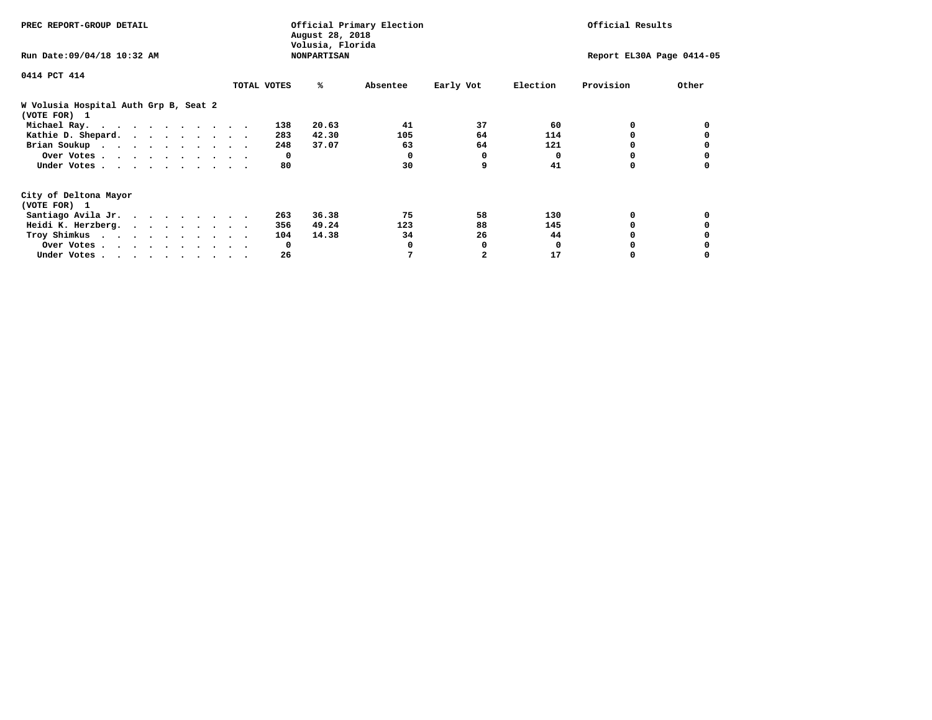| PREC REPORT-GROUP DETAIL                              | Official Primary Election<br>August 28, 2018<br>Volusia, Florida |             |       |          |           | Official Results |                           |       |  |  |
|-------------------------------------------------------|------------------------------------------------------------------|-------------|-------|----------|-----------|------------------|---------------------------|-------|--|--|
| Run Date: 09/04/18 10:32 AM                           | <b>NONPARTISAN</b>                                               |             |       |          |           |                  | Report EL30A Page 0414-05 |       |  |  |
| 0414 PCT 414                                          |                                                                  |             |       |          |           |                  |                           |       |  |  |
|                                                       |                                                                  | TOTAL VOTES | ℁     | Absentee | Early Vot | Election         | Provision                 | Other |  |  |
| W Volusia Hospital Auth Grp B, Seat 2<br>(VOTE FOR) 1 |                                                                  |             |       |          |           |                  |                           |       |  |  |
| Michael Ray.                                          |                                                                  | 138         | 20.63 | 41       | 37        | 60               | 0                         |       |  |  |
| Kathie D. Shepard.                                    |                                                                  | 283         | 42.30 | 105      | 64        | 114              |                           |       |  |  |
| Brian Soukup                                          |                                                                  | 248         | 37.07 | 63       | 64        | 121              |                           |       |  |  |
| Over Votes                                            |                                                                  | 0           |       | $\Omega$ | 0         | $\Omega$         |                           |       |  |  |
| Under Votes                                           |                                                                  | 80          |       | 30       | 9         | 41               | 0                         |       |  |  |
| City of Deltona Mayor                                 |                                                                  |             |       |          |           |                  |                           |       |  |  |
| (VOTE FOR) 1                                          |                                                                  |             |       |          |           |                  |                           |       |  |  |
| Santiago Avila Jr.                                    |                                                                  | 263         | 36.38 | 75       | 58        | 130              | 0                         |       |  |  |
| Heidi K. Herzberg.                                    |                                                                  | 356         | 49.24 | 123      | 88        | 145              |                           |       |  |  |
| Troy Shimkus                                          |                                                                  | 104         | 14.38 | 34       | 26        | 44               |                           |       |  |  |
| Over Votes                                            |                                                                  | 0           |       |          | 0         | <sup>0</sup>     |                           |       |  |  |
| Under Votes                                           |                                                                  | 26          |       |          |           | 17               |                           |       |  |  |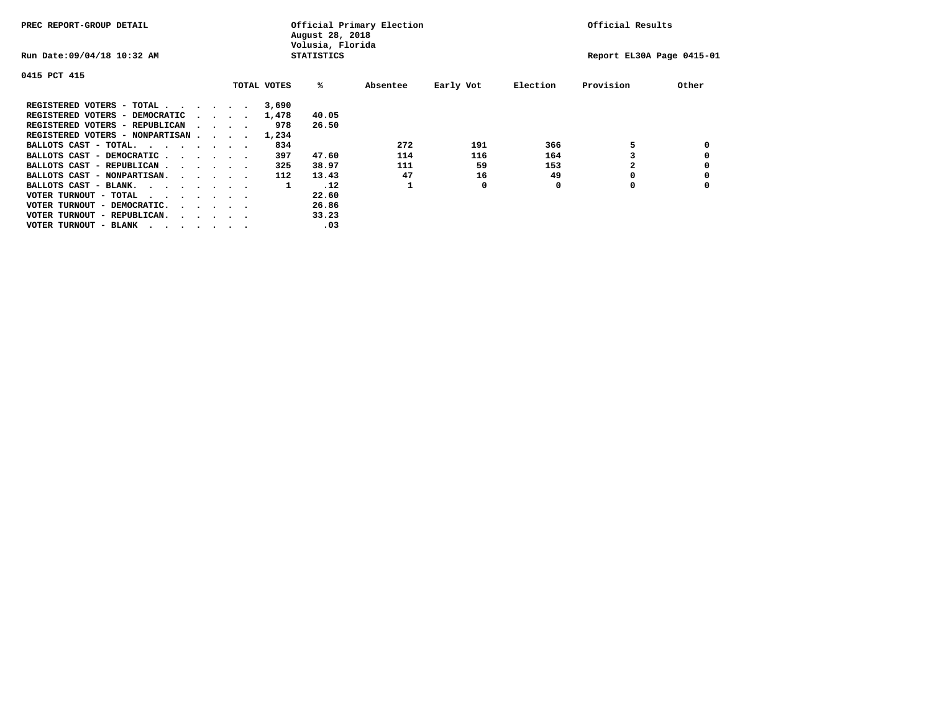| PREC REPORT-GROUP DETAIL               |  |                                         |  |             | August 28, 2018<br>Volusia, Florida | Official Primary Election |           | Official Results |                           |       |  |
|----------------------------------------|--|-----------------------------------------|--|-------------|-------------------------------------|---------------------------|-----------|------------------|---------------------------|-------|--|
| Run Date: 09/04/18 10:32 AM            |  |                                         |  |             | <b>STATISTICS</b>                   |                           |           |                  | Report EL30A Page 0415-01 |       |  |
| 0415 PCT 415                           |  |                                         |  |             |                                     |                           |           |                  |                           |       |  |
|                                        |  |                                         |  | TOTAL VOTES | %ะ                                  | Absentee                  | Early Vot | Election         | Provision                 | Other |  |
| REGISTERED VOTERS - TOTAL              |  |                                         |  | 3,690       |                                     |                           |           |                  |                           |       |  |
| REGISTERED VOTERS - DEMOCRATIC         |  | $\sim$ $\sim$ $\sim$ $\sim$             |  | 1,478       | 40.05                               |                           |           |                  |                           |       |  |
| REGISTERED VOTERS - REPUBLICAN         |  |                                         |  | 978         | 26.50                               |                           |           |                  |                           |       |  |
| REGISTERED VOTERS - NONPARTISAN        |  |                                         |  | 1,234       |                                     |                           |           |                  |                           |       |  |
| BALLOTS CAST - TOTAL.                  |  |                                         |  | 834         |                                     | 272                       | 191       | 366              |                           |       |  |
| BALLOTS CAST - DEMOCRATIC              |  |                                         |  | 397         | 47.60                               | 114                       | 116       | 164              |                           |       |  |
| BALLOTS CAST - REPUBLICAN              |  |                                         |  | 325         | 38.97                               | 111                       | 59        | 153              |                           |       |  |
| BALLOTS CAST - NONPARTISAN.            |  |                                         |  | 112         | 13.43                               | 47                        | 16        | 49               |                           |       |  |
| BALLOTS CAST - BLANK.                  |  |                                         |  | 1           | .12                                 | 1                         | 0         | 0                | 0                         |       |  |
| VOTER TURNOUT - TOTAL<br>.             |  |                                         |  |             | 22.60                               |                           |           |                  |                           |       |  |
| VOTER TURNOUT - DEMOCRATIC.            |  | $\cdot$ $\cdot$ $\cdot$ $\cdot$ $\cdot$ |  |             | 26.86                               |                           |           |                  |                           |       |  |
| VOTER TURNOUT - REPUBLICAN.<br>$\cdot$ |  |                                         |  |             | 33.23                               |                           |           |                  |                           |       |  |
| VOTER TURNOUT - BLANK                  |  |                                         |  |             | .03                                 |                           |           |                  |                           |       |  |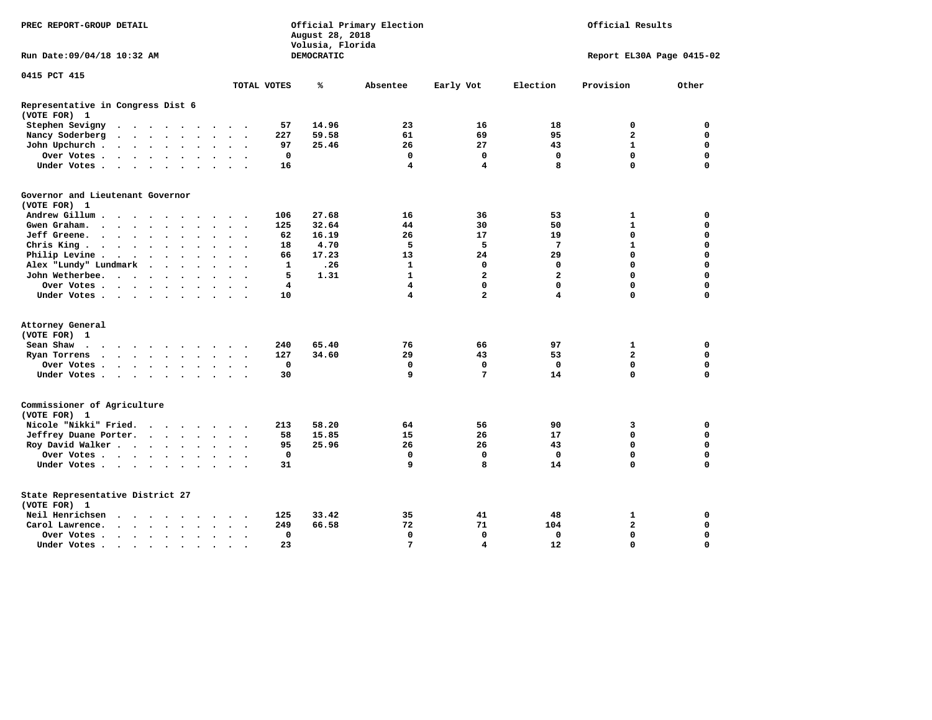| PREC REPORT-GROUP DETAIL                          |                                                                                               |                      |               |                      |                      | Official Primary Election<br>August 28, 2018<br>Volusia, Florida |                      |              |            |                |                         | Official Results |                           |             |  |  |  |  |  |  |
|---------------------------------------------------|-----------------------------------------------------------------------------------------------|----------------------|---------------|----------------------|----------------------|------------------------------------------------------------------|----------------------|--------------|------------|----------------|-------------------------|------------------|---------------------------|-------------|--|--|--|--|--|--|
| Run Date: 09/04/18 10:32 AM                       |                                                                                               |                      |               |                      |                      |                                                                  |                      |              | DEMOCRATIC |                |                         |                  | Report EL30A Page 0415-02 |             |  |  |  |  |  |  |
| 0415 PCT 415                                      |                                                                                               |                      |               |                      |                      |                                                                  |                      |              |            |                |                         |                  |                           |             |  |  |  |  |  |  |
|                                                   |                                                                                               |                      |               |                      |                      |                                                                  |                      | TOTAL VOTES  | ℁          | Absentee       | Early Vot               | Election         | Provision                 | Other       |  |  |  |  |  |  |
| Representative in Congress Dist 6<br>(VOTE FOR) 1 |                                                                                               |                      |               |                      |                      |                                                                  |                      |              |            |                |                         |                  |                           |             |  |  |  |  |  |  |
| Stephen Sevigny                                   | $\cdots$                                                                                      |                      |               |                      |                      |                                                                  |                      | 57           | 14.96      | 23             | 16                      | 18               | 0                         | 0           |  |  |  |  |  |  |
| Nancy Soderberg                                   | $\begin{array}{cccccccccccccccccc} . & . & . & . & . & . & . & . & . & . & . & . \end{array}$ |                      |               |                      |                      |                                                                  |                      | 227          | 59.58      | 61             | 69                      | 95               | $\mathbf{2}$              | 0           |  |  |  |  |  |  |
| John Upchurch.                                    |                                                                                               |                      |               |                      |                      | $\cdot$                                                          |                      | 97           | 25.46      | 26             | 27                      | 43               | $\mathbf{1}$              | $\mathbf 0$ |  |  |  |  |  |  |
| Over Votes                                        |                                                                                               |                      |               |                      | $\ddot{\phantom{a}}$ | $\ddot{\phantom{1}}$                                             |                      | $\mathbf 0$  |            | $\mathbf 0$    | $\mathbf 0$             | $\mathbf 0$      | $\mathbf 0$               | $\mathbf 0$ |  |  |  |  |  |  |
| Under Votes                                       |                                                                                               |                      |               |                      |                      | $\sim$                                                           |                      | 16           |            | 4              | $\overline{\mathbf{4}}$ | 8                | $\Omega$                  | $\Omega$    |  |  |  |  |  |  |
| Governor and Lieutenant Governor                  |                                                                                               |                      |               |                      |                      |                                                                  |                      |              |            |                |                         |                  |                           |             |  |  |  |  |  |  |
| (VOTE FOR) 1                                      |                                                                                               |                      |               |                      |                      |                                                                  |                      |              |            |                |                         |                  |                           |             |  |  |  |  |  |  |
| Andrew Gillum                                     |                                                                                               |                      |               |                      |                      |                                                                  |                      | 106          | 27.68      | 16             | 36                      | 53               | 1                         | 0           |  |  |  |  |  |  |
| Gwen Graham.                                      | $\cdots$                                                                                      |                      |               |                      |                      | $\sim$ $\sim$                                                    | $\sim$               | 125          | 32.64      | 44             | 30                      | 50               | $\mathbf{1}$              | $\mathbf 0$ |  |  |  |  |  |  |
| Jeff Greene.                                      |                                                                                               |                      |               |                      |                      | $\ddot{\phantom{a}}$                                             |                      | 62           | 16.19      | 26             | 17                      | 19               | $\mathbf 0$               | $\mathbf 0$ |  |  |  |  |  |  |
| Chris King                                        |                                                                                               |                      |               |                      |                      | $\bullet$ . $\bullet$                                            |                      | 18           | 4.70       | 5              | 5                       | 7                | $\mathbf{1}$              | $\mathbf 0$ |  |  |  |  |  |  |
| Philip Levine.                                    | $\mathcal{A}=\mathcal{A}=\mathcal{A}=\mathcal{A}=\mathcal{A}=\mathcal{A}$ .                   |                      |               |                      | $\ddot{\phantom{a}}$ | $\sim$                                                           | $\sim$               | 66           | 17.23      | 13             | 24                      | 29               | $\mathbf 0$               | $\mathbf 0$ |  |  |  |  |  |  |
| Alex "Lundy" Lundmark                             |                                                                                               | $\ddot{\phantom{0}}$ | $\sim$ $\sim$ | $\sim$               |                      | $\bullet$                                                        |                      | $\mathbf{1}$ | .26        | 1              | 0                       | 0                | $\mathbf 0$               | 0           |  |  |  |  |  |  |
| John Wetherbee.                                   |                                                                                               |                      |               |                      | $\bullet$            | $\bullet$                                                        |                      | 5            | 1.31       | $\mathbf{1}$   | $\overline{\mathbf{2}}$ | $\overline{a}$   | $\mathbf 0$               | $\Omega$    |  |  |  |  |  |  |
| Over Votes                                        |                                                                                               |                      |               |                      |                      | $\Delta$                                                         |                      | 4            |            | 4              | $\mathbf 0$             | $\mathbf 0$      | $\Omega$                  | $\mathbf 0$ |  |  |  |  |  |  |
| Under Votes                                       |                                                                                               |                      |               |                      |                      |                                                                  |                      | 10           |            | 4              | $\overline{a}$          | 4                | $\Omega$                  | $\Omega$    |  |  |  |  |  |  |
| Attorney General                                  |                                                                                               |                      |               |                      |                      |                                                                  |                      |              |            |                |                         |                  |                           |             |  |  |  |  |  |  |
| (VOTE FOR) 1                                      |                                                                                               |                      |               |                      |                      |                                                                  |                      |              |            |                |                         |                  |                           |             |  |  |  |  |  |  |
| Sean Shaw                                         |                                                                                               |                      |               |                      |                      |                                                                  |                      | 240          | 65.40      | 76             | 66                      | 97               | $\mathbf{1}$              | 0           |  |  |  |  |  |  |
|                                                   |                                                                                               |                      |               |                      |                      |                                                                  |                      | 127          | 34.60      | 29             | 43                      | 53               | $\overline{a}$            | $\mathbf 0$ |  |  |  |  |  |  |
| Ryan Torrens                                      | $\cdots$                                                                                      |                      |               |                      |                      | $\ddot{\phantom{0}}$                                             | $\ddot{\phantom{1}}$ |              |            |                |                         |                  |                           |             |  |  |  |  |  |  |
| Over Votes                                        |                                                                                               |                      |               |                      |                      |                                                                  |                      | 0            |            | $\mathbf 0$    | $\mathbf 0$             | $\mathbf 0$      | $\mathbf 0$               | $\mathbf 0$ |  |  |  |  |  |  |
| Under Votes                                       |                                                                                               |                      |               |                      | $\ddot{\phantom{1}}$ | $\sim$ $\sim$                                                    |                      | 30           |            | 9              | $7\phantom{.}$          | 14               | $\mathbf 0$               | $\mathbf 0$ |  |  |  |  |  |  |
| Commissioner of Agriculture<br>(VOTE FOR) 1       |                                                                                               |                      |               |                      |                      |                                                                  |                      |              |            |                |                         |                  |                           |             |  |  |  |  |  |  |
| Nicole "Nikki" Fried.                             |                                                                                               |                      |               |                      |                      |                                                                  |                      | 213          | 58.20      | 64             | 56                      | 90               | 3                         | 0           |  |  |  |  |  |  |
| Jeffrey Duane Porter.                             |                                                                                               |                      |               |                      |                      |                                                                  |                      | 58           | 15.85      | 15             | 26                      | 17               | 0                         | 0           |  |  |  |  |  |  |
| Roy David Walker                                  |                                                                                               |                      |               |                      |                      | $\sim$ $\sim$                                                    |                      | 95           | 25.96      | 26             | 26                      | 43               | $\mathbf 0$               | $\mathbf 0$ |  |  |  |  |  |  |
| Over Votes                                        |                                                                                               |                      |               |                      |                      | $\overline{\phantom{a}}$                                         |                      | $\mathbf 0$  |            | $\mathbf 0$    | $\mathbf 0$             | $\mathbf{0}$     | $\mathbf 0$               | $\mathbf 0$ |  |  |  |  |  |  |
| Under Votes                                       |                                                                                               |                      |               |                      |                      |                                                                  |                      | 31           |            | 9              | 8                       | 14               | $\Omega$                  | $\mathbf 0$ |  |  |  |  |  |  |
|                                                   |                                                                                               |                      |               |                      |                      |                                                                  |                      |              |            |                |                         |                  |                           |             |  |  |  |  |  |  |
| State Representative District 27<br>(VOTE FOR) 1  |                                                                                               |                      |               |                      |                      |                                                                  |                      |              |            |                |                         |                  |                           |             |  |  |  |  |  |  |
| Neil Henrichsen                                   | $\mathbf{r}$ , $\mathbf{r}$ , $\mathbf{r}$ , $\mathbf{r}$ , $\mathbf{r}$                      |                      |               |                      |                      |                                                                  |                      | 125          | 33.42      | 35             | 41                      | 48               | 1                         | 0           |  |  |  |  |  |  |
| Carol Lawrence.                                   |                                                                                               |                      |               | $\ddot{\phantom{a}}$ | $\bullet$            | $\bullet$                                                        | $\cdot$              | 249          | 66.58      | 72             | 71                      | 104              | $\overline{a}$            | $\mathbf 0$ |  |  |  |  |  |  |
| Over Votes                                        |                                                                                               |                      |               | $\bullet$            |                      | $\bullet$                                                        |                      | $\mathbf 0$  |            | $\mathbf 0$    | $\mathbf 0$             | $\mathbf 0$      | $\mathbf 0$               | $\mathbf 0$ |  |  |  |  |  |  |
| Under Votes                                       |                                                                                               |                      |               |                      |                      |                                                                  |                      | 23           |            | $\overline{7}$ | 4                       | 12               | $\Omega$                  | $\Omega$    |  |  |  |  |  |  |
|                                                   |                                                                                               |                      |               |                      |                      |                                                                  |                      |              |            |                |                         |                  |                           |             |  |  |  |  |  |  |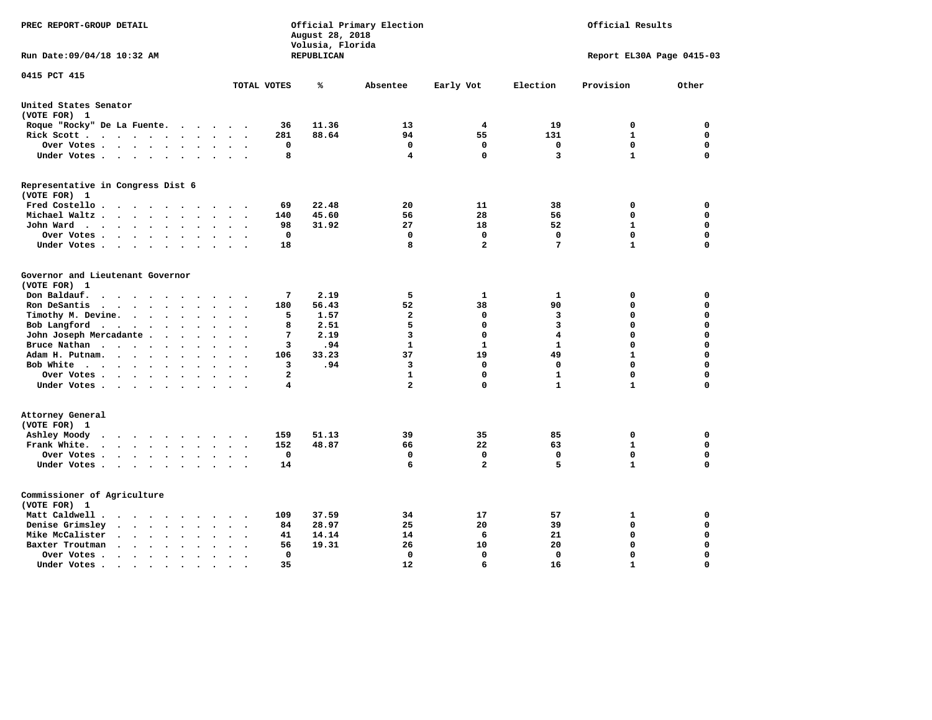| PREC REPORT-GROUP DETAIL                                                                                      |                                                   | August 28, 2018<br>Volusia, Florida | Official Primary Election |                | Official Results |                           |             |  |
|---------------------------------------------------------------------------------------------------------------|---------------------------------------------------|-------------------------------------|---------------------------|----------------|------------------|---------------------------|-------------|--|
| Run Date: 09/04/18 10:32 AM                                                                                   |                                                   | <b>REPUBLICAN</b>                   |                           |                |                  | Report EL30A Page 0415-03 |             |  |
| 0415 PCT 415                                                                                                  | TOTAL VOTES                                       | ℁                                   | Absentee                  | Early Vot      | Election         | Provision                 | Other       |  |
| United States Senator                                                                                         |                                                   |                                     |                           |                |                  |                           |             |  |
| (VOTE FOR) 1                                                                                                  |                                                   |                                     |                           |                |                  |                           |             |  |
| Roque "Rocky" De La Fuente.<br>$\sim$ $\sim$<br>$\bullet$                                                     | 36<br>$\ddot{\phantom{a}}$                        | 11.36                               | 13                        | 4              | 19               | 0                         | 0           |  |
| Rick Scott                                                                                                    | 281                                               | 88.64                               | 94                        | 55             | 131              | 1                         | 0           |  |
| Over Votes<br>$\bullet$<br>$\cdot$                                                                            | 0<br>$\bullet$<br>$\ddot{\phantom{a}}$            |                                     | 0                         | 0              | 0                | $\mathbf 0$               | $\mathbf 0$ |  |
| Under Votes<br>$\sim$                                                                                         | 8<br>$\bullet$                                    |                                     | 4                         | $\Omega$       | 3                | $\mathbf{1}$              | $\mathbf 0$ |  |
| Representative in Congress Dist 6<br>(VOTE FOR) 1                                                             |                                                   |                                     |                           |                |                  |                           |             |  |
| Fred Costello                                                                                                 | 69                                                | 22.48                               | 20                        | 11             | 38               | 0                         | $\mathbf 0$ |  |
| Michael Waltz<br>$\ddot{\phantom{a}}$                                                                         | 140<br>$\overline{\phantom{a}}$                   | 45.60                               | 56                        | 28             | 56               | 0                         | 0           |  |
| John Ward<br>$\bullet$<br>$\bullet$                                                                           | 98<br>$\bullet$<br>$\bullet$                      | 31.92                               | 27                        | 18             | 52               | $\mathbf{1}$              | $\mathbf 0$ |  |
| Over Votes<br>$\ddot{\phantom{a}}$<br>$\bullet$                                                               | $\mathbf 0$                                       |                                     | $\mathbf 0$               | $\mathbf{0}$   | $\mathbf 0$      | $\mathbf 0$               | $\mathbf 0$ |  |
| Under Votes<br>$\cdot$<br>$\bullet$                                                                           | 18<br>$\ddot{\phantom{1}}$                        |                                     | 8                         | $\overline{a}$ | 7                | $\mathbf{1}$              | $\mathbf 0$ |  |
| Governor and Lieutenant Governor<br>(VOTE FOR) 1<br>Don Baldauf.<br>$\sim$ $\sim$ $\sim$ $\sim$<br>$\sim$     | 7                                                 | 2.19                                | 5                         | 1              | 1                | 0                         | 0           |  |
| Ron DeSantis<br>$\sim$ $\sim$ $\sim$<br>$\sim$<br>$\ddot{\phantom{a}}$<br>$\sim$                              | 180                                               | 56.43                               | 52                        | 38             | 90               | $\mathbf 0$               | $\mathbf 0$ |  |
| Timothy M. Devine.<br>$\ddot{\phantom{a}}$<br>$\bullet$<br>$\bullet$<br>$\cdot$                               | 5                                                 | 1.57                                | $\mathbf{z}$              | 0              | 3                | 0                         | $\mathbf 0$ |  |
| Bob Langford<br>$\sim$ $\sim$<br>$\ddot{\phantom{0}}$<br>$\bullet$                                            | 8                                                 | 2.51                                | 5                         | $\Omega$       | 3                | 0                         | 0           |  |
| John Joseph Mercadante.<br>$\sim$ $\sim$ $\sim$<br>$\ddot{\phantom{a}}$                                       | 7<br>$\ddot{\phantom{a}}$<br>$\ddot{\phantom{a}}$ | 2.19                                | 3                         | $\mathbf 0$    | 4                | $\mathbf 0$               | $\mathbf 0$ |  |
| Bruce Nathan<br>$\sim$ $\sim$ $\sim$ $\sim$<br>$\bullet$<br>$\bullet$<br>$\bullet$                            | 3                                                 | .94                                 | 1                         | 1              | 1                | 0                         | 0           |  |
| Adam H. Putnam.<br>$\sim$ $\sim$<br>$\sim$                                                                    | 106                                               | 33.23                               | 37                        | 19             | 49               | $\mathbf{1}$              | $\mathbf 0$ |  |
| Bob White<br>$\ddot{\phantom{1}}$<br>$\cdot$                                                                  | 3<br>$\ddot{\phantom{a}}$                         | .94                                 | 3                         | $\mathbf 0$    | 0                | $\mathbf 0$               | $\mathbf 0$ |  |
| Over Votes<br>$\cdot$<br>$\cdot$                                                                              | $\mathbf{2}$                                      |                                     | 1                         | $\mathbf 0$    | $\mathbf{1}$     | $\Omega$                  | 0           |  |
| Under Votes                                                                                                   | 4                                                 |                                     | $\overline{\mathbf{2}}$   | $\mathbf 0$    | $\mathbf{1}$     | $\mathbf{1}$              | $\Omega$    |  |
| Attorney General<br>(VOTE FOR) 1                                                                              |                                                   |                                     |                           |                |                  |                           |             |  |
| Ashley Moody<br>$\ddot{\phantom{0}}$<br>$\cdots$<br>$\bullet$<br>$\bullet$                                    | 159<br>$\bullet$                                  | 51.13                               | 39                        | 35             | 85               | 0                         | 0           |  |
| Frank White.<br>$\cdot$ $\cdot$ $\cdot$ $\cdot$ $\cdot$<br>$\sim$<br>$\bullet$                                | 152                                               | 48.87                               | 66                        | 22             | 63               | $\mathbf{1}$              | $\mathbf 0$ |  |
| Over Votes .<br>$\cdots$<br>$\bullet$<br>$\bullet$                                                            | $\mathbf 0$<br>$\ddot{\phantom{a}}$               |                                     | 0                         | $\mathbf 0$    | $\mathbf 0$      | $\mathbf 0$               | $\mathbf 0$ |  |
| Under Votes<br>$\sim$ $\sim$                                                                                  | 14<br>$\bullet$ .<br>$\ddot{\phantom{a}}$         |                                     | 6                         | $\overline{a}$ | 5                | $\mathbf{1}$              | $\Omega$    |  |
| Commissioner of Agriculture<br>(VOTE FOR) 1                                                                   |                                                   |                                     |                           |                |                  |                           |             |  |
| Matt Caldwell .<br>$\ddot{\phantom{0}}$<br>$\sim$ $\sim$                                                      | 109                                               | 37.59                               | 34                        | 17             | 57               | 1                         | 0           |  |
| Denise Grimsley<br>$\bullet$<br>$\ddot{\phantom{0}}$                                                          | 84                                                | 28.97                               | 25                        | 20             | 39               | 0                         | 0           |  |
| Mike McCalister<br>$\mathbf{z} = \mathbf{z} + \mathbf{z} + \mathbf{z} + \mathbf{z}$<br>$\bullet$<br>$\bullet$ | 41<br>$\bullet$<br>$\bullet$                      | 14.14                               | 14                        | 6              | 21               | $\Omega$                  | $\Omega$    |  |
| Baxter Troutman<br>$\cdot$ $\cdot$<br>$\ddot{\phantom{a}}$<br>$\ddot{\phantom{a}}$                            | 56<br>$\ddot{\phantom{a}}$                        | 19.31                               | 26                        | 10             | 20               | $\Omega$                  | $\Omega$    |  |
| Over Votes .<br>$\ddot{\phantom{0}}$<br>$\ddot{\phantom{a}}$<br>$\cdot$<br>$\cdot$                            | 0<br>$\ddot{\phantom{a}}$                         |                                     | 0                         | $\mathbf{0}$   | 0                | $\mathbf 0$               | $\mathbf 0$ |  |
| Under Votes.<br>$\bullet$<br>$\bullet$                                                                        | 35                                                |                                     | 12                        | 6              | 16               | $\mathbf{1}$              | $\Omega$    |  |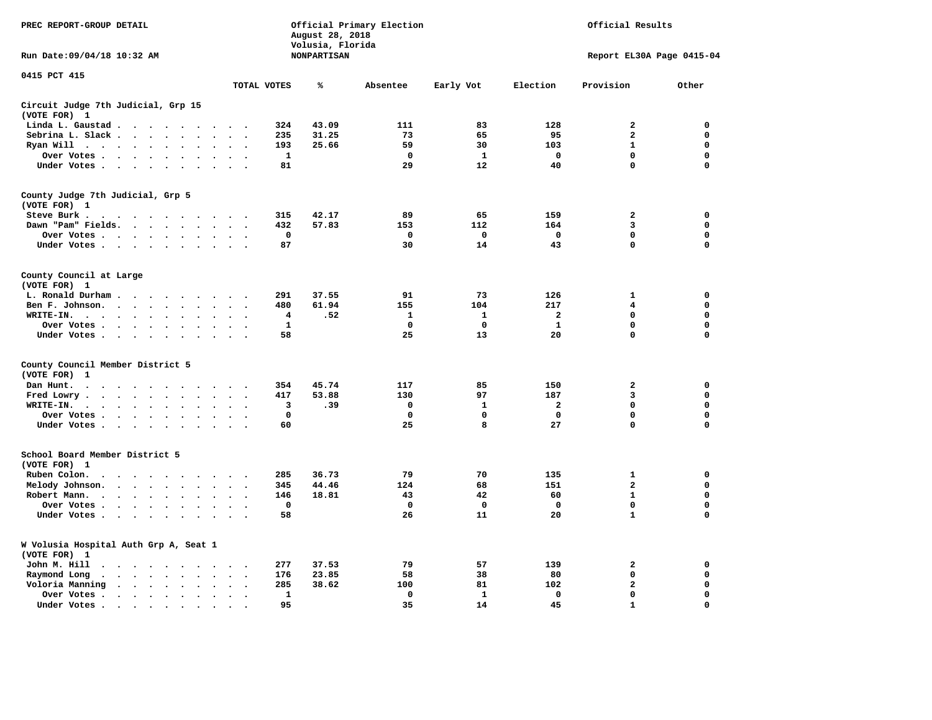| PREC REPORT-GROUP DETAIL                                                                                                                                                                                                                                                           |                                                             | August 28, 2018<br>Volusia, Florida | Official Primary Election |              |                         | Official Results          |             |
|------------------------------------------------------------------------------------------------------------------------------------------------------------------------------------------------------------------------------------------------------------------------------------|-------------------------------------------------------------|-------------------------------------|---------------------------|--------------|-------------------------|---------------------------|-------------|
| Run Date: 09/04/18 10:32 AM                                                                                                                                                                                                                                                        |                                                             | <b>NONPARTISAN</b>                  |                           |              |                         | Report EL30A Page 0415-04 |             |
| 0415 PCT 415                                                                                                                                                                                                                                                                       | TOTAL VOTES                                                 | ℁                                   | Absentee                  | Early Vot    | Election                | Provision                 | Other       |
| Circuit Judge 7th Judicial, Grp 15                                                                                                                                                                                                                                                 |                                                             |                                     |                           |              |                         |                           |             |
| (VOTE FOR) 1                                                                                                                                                                                                                                                                       |                                                             |                                     |                           |              |                         |                           |             |
| Linda L. Gaustad                                                                                                                                                                                                                                                                   | 324                                                         | 43.09                               | 111                       | 83           | 128                     | $\mathbf{2}$              | 0           |
| Sebrina L. Slack<br>$\ddot{\phantom{a}}$<br>$\ddot{\phantom{a}}$                                                                                                                                                                                                                   | 235                                                         | 31.25                               | 73                        | 65           | 95                      | $\mathbf{2}$              | 0           |
| Ryan Will $\cdots$<br>$\bullet$                                                                                                                                                                                                                                                    | 193                                                         | 25.66                               | 59                        | 30           | 103                     | $\mathbf{1}$              | 0           |
| Over Votes<br>$\ddot{\phantom{a}}$<br>$\bullet$<br>$\cdot$                                                                                                                                                                                                                         | 1<br>$\cdot$                                                |                                     | 0                         | $\mathbf{1}$ | $\mathbf 0$             | 0                         | 0           |
| Under Votes                                                                                                                                                                                                                                                                        | 81                                                          |                                     | 29                        | 12           | 40                      | $\mathbf 0$               | $\mathbf 0$ |
| County Judge 7th Judicial, Grp 5                                                                                                                                                                                                                                                   |                                                             |                                     |                           |              |                         |                           |             |
| (VOTE FOR) 1                                                                                                                                                                                                                                                                       |                                                             |                                     |                           |              |                         |                           |             |
| Steve Burk.<br>$\mathbf{a}$ . The contribution of the contribution of the contribution of the contribution of the contribution of the contribution of the contribution of the contribution of the contribution of the contribution of the contri                                   | 315<br>$\cdot$ .                                            | 42.17                               | 89                        | 65           | 159                     | $\mathbf{2}$              | 0           |
| Dawn "Pam" Fields.<br>$\sim$                                                                                                                                                                                                                                                       | 432<br>$\sim$<br>$\overline{\phantom{a}}$                   | 57.83                               | 153                       | 112          | 164                     | 3                         | 0           |
| Over Votes<br>$\cdot$<br>$\Delta$                                                                                                                                                                                                                                                  | 0<br>$\cdot$<br>$\ddot{\phantom{0}}$                        |                                     | 0                         | 0            | 0                       | 0                         | 0           |
| Under Votes                                                                                                                                                                                                                                                                        | 87<br>$\sim$                                                |                                     | 30                        | 14           | 43                      | $\mathbf 0$               | $\mathbf 0$ |
| County Council at Large                                                                                                                                                                                                                                                            |                                                             |                                     |                           |              |                         |                           |             |
| (VOTE FOR) 1                                                                                                                                                                                                                                                                       |                                                             |                                     |                           |              |                         |                           |             |
| L. Ronald Durham<br>$\bullet$                                                                                                                                                                                                                                                      | 291                                                         | 37.55                               | 91                        | 73           | 126                     | ${\bf 1}$                 | 0           |
| Ben F. Johnson.<br>$\ddot{\phantom{a}}$<br>$\bullet$                                                                                                                                                                                                                               | 480<br>$\cdot$<br>$\ddot{\phantom{a}}$                      | 61.94                               | 155                       | 104          | 217                     | 4                         | 0           |
| WRITE-IN.<br>$\mathbf{r}$ , $\mathbf{r}$ , $\mathbf{r}$ , $\mathbf{r}$ , $\mathbf{r}$<br>$\bullet$                                                                                                                                                                                 | 4                                                           | .52                                 | $\mathbf{1}$              | $\mathbf{1}$ | $\overline{\mathbf{2}}$ | $\mathbf 0$               | $\mathbf 0$ |
| Over Votes.<br>$\sim$ $\sim$ $\sim$ $\sim$ $\sim$<br>$\bullet$<br>$\cdot$                                                                                                                                                                                                          | $\mathbf 1$                                                 |                                     | $\mathbf 0$               | 0            | $\mathbf{1}$            | 0                         | 0           |
| Under Votes<br>$\ddot{\phantom{a}}$                                                                                                                                                                                                                                                | 58                                                          |                                     | 25                        | 13           | 20                      | $\mathbf 0$               | 0           |
| County Council Member District 5                                                                                                                                                                                                                                                   |                                                             |                                     |                           |              |                         |                           |             |
| (VOTE FOR)<br>1                                                                                                                                                                                                                                                                    |                                                             |                                     |                           |              |                         |                           |             |
| Dan Hunt.<br>$\bullet$<br>$\sim$<br>. The contract of the contract of the contract of the contract of the contract of the contract of the contract of the contract of the contract of the contract of the contract of the contract of the contract of the contrac<br>$\sim$ $\sim$ | 354<br>$\ddot{\phantom{1}}$                                 | 45.74                               | 117                       | 85           | 150                     | $\mathbf{2}$              | 0           |
| Fred Lowry.<br>$\sim$ $\sim$ $\sim$ $\sim$ $\sim$<br>$\sim$<br>$\ddot{\phantom{a}}$<br>$\sim$                                                                                                                                                                                      | 417<br>$\sim$<br>$\ddot{\phantom{a}}$                       | 53.88                               | 130                       | 97           | 187                     | 3                         | $\mathbf 0$ |
| WRITE-IN.<br>$\mathbf{r}=\mathbf{r}+\mathbf{r}+\mathbf{r}+\mathbf{r}$<br>$\mathbf{r}$<br>$\ddot{\phantom{a}}$<br>$\ddot{\phantom{a}}$                                                                                                                                              | 3                                                           | .39                                 | 0                         | 1            | $\mathbf{2}$            | 0                         | $\mathbf 0$ |
| Over Votes<br>$\cdot$<br>$\cdot$                                                                                                                                                                                                                                                   | $\mathbf 0$<br>$\ddot{\phantom{a}}$<br>$\ddot{\phantom{0}}$ |                                     | $\mathbf 0$               | 0            | $\mathbf 0$             | $\mathbf 0$               | 0           |
| Under Votes<br>$\sim$ $\sim$                                                                                                                                                                                                                                                       | 60<br>$\ddot{\phantom{1}}$                                  |                                     | 25                        | 8            | 27                      | $\mathbf 0$               | $\mathbf 0$ |
| School Board Member District 5                                                                                                                                                                                                                                                     |                                                             |                                     |                           |              |                         |                           |             |
| (VOTE FOR) 1                                                                                                                                                                                                                                                                       |                                                             |                                     |                           |              |                         |                           |             |
| Ruben Colon.<br>$\ddot{\phantom{1}}$<br>$\sim$ $\sim$<br>$\sim$<br>$\sim$<br>$\ddot{\phantom{a}}$                                                                                                                                                                                  | 285                                                         | 36.73                               | 79                        | 70           | 135                     | $\mathbf{1}$              | 0           |
| Melody Johnson.<br>$\sim$ $\sim$ $\sim$ $\sim$<br>$\ddot{\phantom{a}}$<br>$\cdot$                                                                                                                                                                                                  | 345                                                         | 44.46                               | 124                       | 68           | 151                     | $\overline{\mathbf{2}}$   | 0           |
| Robert Mann.<br>$\cdot$ $\cdot$ $\cdot$ $\cdot$<br>$\bullet$<br>$\ddot{\phantom{a}}$<br>$\bullet$<br>$\bullet$                                                                                                                                                                     | 146                                                         | 18.81                               | 43                        | 42           | 60                      | $\mathbf{1}$              | 0           |
| Over Votes<br>$\sim$                                                                                                                                                                                                                                                               | $\mathbf 0$                                                 |                                     | 0                         | 0            | $\mathbf 0$             | 0                         | 0           |
| Under Votes<br>$\ddot{\phantom{a}}$<br>$\overline{\phantom{a}}$                                                                                                                                                                                                                    | 58                                                          |                                     | 26                        | 11           | 20                      | $\mathbf{1}$              | $\mathbf 0$ |
| W Volusia Hospital Auth Grp A, Seat 1<br>(VOTE FOR) 1                                                                                                                                                                                                                              |                                                             |                                     |                           |              |                         |                           |             |
| John M. Hill<br>.                                                                                                                                                                                                                                                                  | 277<br>$\cdot$                                              | 37.53                               | 79                        | 57           | 139                     | 2                         | 0           |
| Raymond Long<br>$\cdots$<br>$\ddot{\phantom{0}}$<br>$\bullet$                                                                                                                                                                                                                      | 176                                                         | 23.85                               | 58                        | 38           | 80                      | $\mathbf 0$               | 0           |
| $\bullet$<br>Voloria Manning                                                                                                                                                                                                                                                       | $\bullet$<br>$\cdot$<br>285<br>$\cdot$                      | 38.62                               | 100                       | 81           | 102                     | $\overline{\mathbf{2}}$   | 0           |
| Over Votes.                                                                                                                                                                                                                                                                        | 1                                                           |                                     | 0                         | 1            | 0                       | 0                         | 0           |
| $\bullet$<br>$\bullet$                                                                                                                                                                                                                                                             | $\bullet$<br>$\bullet$<br>95                                |                                     | 35                        | 14           | 45                      | $\mathbf{1}$              | $\Omega$    |
| Under Votes<br>$\bullet$<br>$\cdot$                                                                                                                                                                                                                                                |                                                             |                                     |                           |              |                         |                           |             |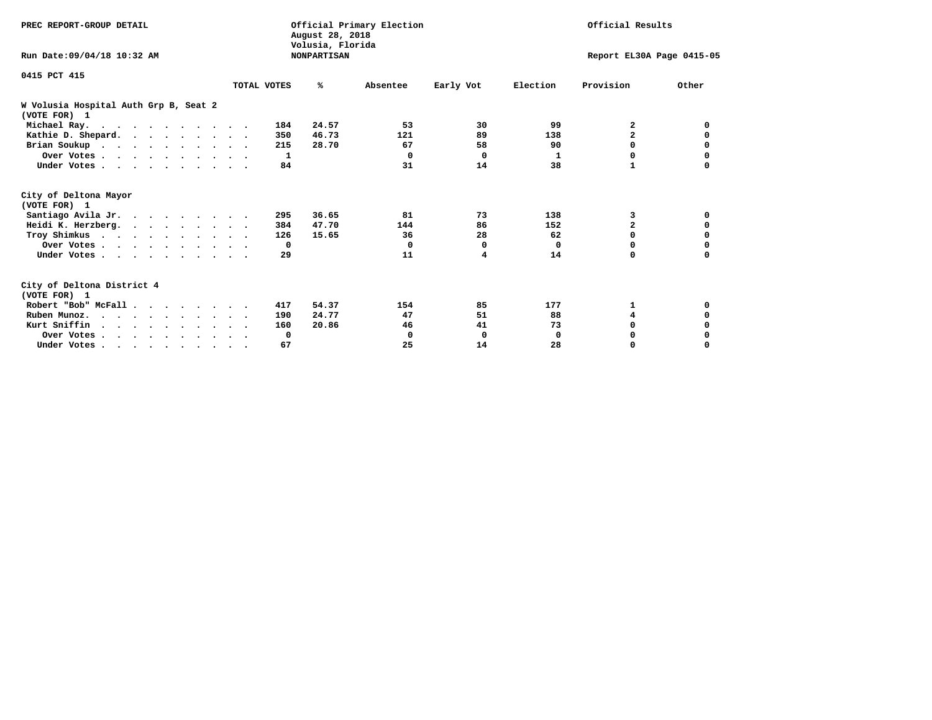| PREC REPORT-GROUP DETAIL                              |             |              | August 28, 2018<br>Volusia, Florida | Official Primary Election |           | Official Results |                           |          |  |
|-------------------------------------------------------|-------------|--------------|-------------------------------------|---------------------------|-----------|------------------|---------------------------|----------|--|
| Run Date: 09/04/18 10:32 AM                           |             |              | <b>NONPARTISAN</b>                  |                           |           |                  | Report EL30A Page 0415-05 |          |  |
| 0415 PCT 415                                          | TOTAL VOTES |              | %ะ                                  | Absentee                  | Early Vot | Election         | Provision                 | Other    |  |
| W Volusia Hospital Auth Grp B, Seat 2<br>(VOTE FOR) 1 |             |              |                                     |                           |           |                  |                           |          |  |
| Michael Ray.                                          |             | 184          | 24.57                               | 53                        | 30        | 99               | 2                         | 0        |  |
| Kathie D. Shepard.                                    |             | 350          | 46.73                               | 121                       | 89        | 138              | $\overline{\mathbf{2}}$   | 0        |  |
| Brian Soukup                                          |             | 215          | 28.70                               | 67                        | 58        | 90               | 0                         | 0        |  |
| Over Votes                                            |             | 1            |                                     | $\Omega$                  | 0         | 1                | $\Omega$                  | 0        |  |
| Under Votes                                           |             | 84           |                                     | 31                        | 14        | 38               | 1                         | $\Omega$ |  |
| City of Deltona Mayor<br>(VOTE FOR) 1                 |             |              |                                     |                           |           |                  |                           |          |  |
| Santiago Avila Jr.                                    |             | 295          | 36.65                               | 81                        | 73        | 138              | 3                         | 0        |  |
| Heidi K. Herzberg.                                    |             | 384          | 47.70                               | 144                       | 86        | 152              | $\overline{\mathbf{2}}$   | 0        |  |
| Troy Shimkus                                          |             | 126          | 15.65                               | 36                        | 28        | 62               | $\Omega$                  | 0        |  |
| Over Votes                                            |             | $\mathbf{o}$ |                                     | $\Omega$                  | 0         | 0                | 0                         | 0        |  |
| Under Votes                                           |             | 29           |                                     | 11                        | 4         | 14               | $\Omega$                  | $\Omega$ |  |
| City of Deltona District 4<br>(VOTE FOR) 1            |             |              |                                     |                           |           |                  |                           |          |  |
| Robert "Bob" McFall                                   |             | 417          | 54.37                               | 154                       | 85        | 177              | 1                         | 0        |  |
| Ruben Munoz.                                          |             | 190          | 24.77                               | 47                        | 51        | 88               | 4                         | 0        |  |
| Kurt Sniffin.                                         |             | 160          | 20.86                               | 46                        | 41        | 73               | $\Omega$                  |          |  |
| Over Votes                                            |             | 0            |                                     | 0                         | 0         | 0                | 0                         |          |  |
| Under Votes                                           |             | 67           |                                     | 25                        | 14        | 28               | 0                         | $\Omega$ |  |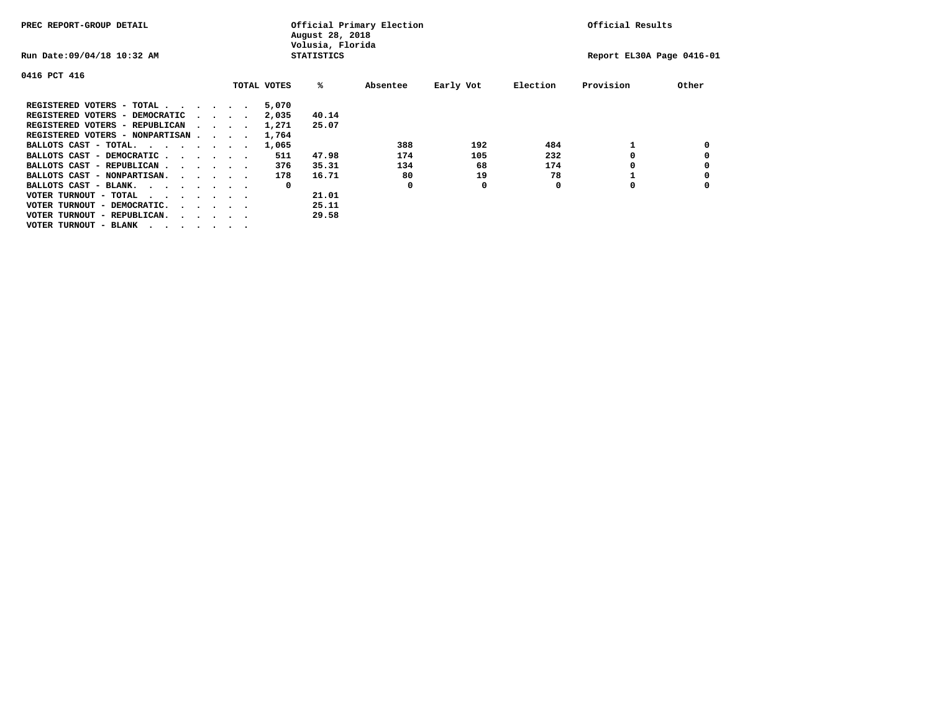| PREC REPORT-GROUP DETAIL                                               |  |  |                             |             | August 28, 2018<br>Volusia, Florida | Official Primary Election | Official Results |          |                           |       |  |
|------------------------------------------------------------------------|--|--|-----------------------------|-------------|-------------------------------------|---------------------------|------------------|----------|---------------------------|-------|--|
| Run Date: 09/04/18 10:32 AM                                            |  |  |                             |             | <b>STATISTICS</b>                   |                           |                  |          | Report EL30A Page 0416-01 |       |  |
| 0416 PCT 416                                                           |  |  |                             |             |                                     |                           |                  |          |                           |       |  |
|                                                                        |  |  |                             | TOTAL VOTES | %ะ                                  | Absentee                  | Early Vot        | Election | Provision                 | Other |  |
| REGISTERED VOTERS - TOTAL                                              |  |  |                             | 5,070       |                                     |                           |                  |          |                           |       |  |
| REGISTERED VOTERS - DEMOCRATIC                                         |  |  | $\sim$ $\sim$ $\sim$ $\sim$ | 2,035       | 40.14                               |                           |                  |          |                           |       |  |
| REGISTERED VOTERS - REPUBLICAN                                         |  |  |                             | 1,271       | 25.07                               |                           |                  |          |                           |       |  |
| REGISTERED VOTERS - NONPARTISAN                                        |  |  |                             | 1,764       |                                     |                           |                  |          |                           |       |  |
| BALLOTS CAST - TOTAL.                                                  |  |  |                             | 1,065       |                                     | 388                       | 192              | 484      |                           |       |  |
| BALLOTS CAST - DEMOCRATIC                                              |  |  |                             | 511         | 47.98                               | 174                       | 105              | 232      |                           |       |  |
| BALLOTS CAST - REPUBLICAN                                              |  |  |                             | 376         | 35.31                               | 134                       | 68               | 174      |                           |       |  |
| BALLOTS CAST - NONPARTISAN.                                            |  |  |                             | 178         | 16.71                               | 80                        | 19               | 78       |                           |       |  |
| BALLOTS CAST - BLANK.                                                  |  |  |                             | 0           |                                     | O                         | 0                | O        | o                         |       |  |
| VOTER TURNOUT - TOTAL<br>$\cdots$                                      |  |  |                             |             | 21.01                               |                           |                  |          |                           |       |  |
| VOTER TURNOUT - DEMOCRATIC.<br>$\cdot$ $\cdot$ $\cdot$ $\cdot$ $\cdot$ |  |  |                             |             | 25.11                               |                           |                  |          |                           |       |  |
| VOTER TURNOUT - REPUBLICAN.                                            |  |  |                             |             | 29.58                               |                           |                  |          |                           |       |  |
| VOTER TURNOUT - BLANK                                                  |  |  |                             |             |                                     |                           |                  |          |                           |       |  |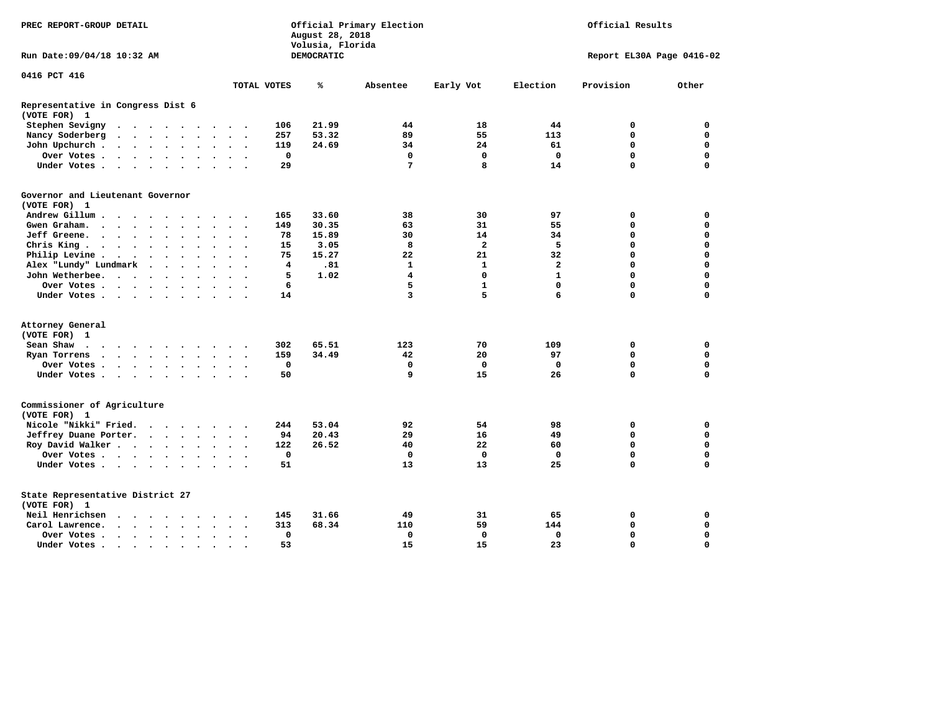| PREC REPORT-GROUP DETAIL                                                                                                                                                                 |                            | August 28, 2018<br>Volusia, Florida | Official Primary Election |              | Official Results |                           |             |  |
|------------------------------------------------------------------------------------------------------------------------------------------------------------------------------------------|----------------------------|-------------------------------------|---------------------------|--------------|------------------|---------------------------|-------------|--|
| Run Date: 09/04/18 10:32 AM                                                                                                                                                              |                            | DEMOCRATIC                          |                           |              |                  | Report EL30A Page 0416-02 |             |  |
| 0416 PCT 416                                                                                                                                                                             |                            |                                     |                           |              |                  |                           |             |  |
|                                                                                                                                                                                          | TOTAL VOTES                | ℁                                   | Absentee                  | Early Vot    | Election         | Provision                 | Other       |  |
| Representative in Congress Dist 6<br>(VOTE FOR) 1                                                                                                                                        |                            |                                     |                           |              |                  |                           |             |  |
| Stephen Sevigny<br>$\cdot$<br>$\sim$ $\sim$                                                                                                                                              | 106                        | 21.99                               | 44                        | 18           | 44               | 0                         | 0           |  |
| Nancy Soderberg<br>$\mathcal{L}(\mathbf{z})$ , and $\mathcal{L}(\mathbf{z})$ , and<br>$\ddot{\phantom{a}}$<br>$\ddot{\phantom{0}}$<br>$\bullet$<br>$\ddot{\phantom{0}}$<br>$\sim$ $\sim$ | 257                        | 53.32                               | 89                        | 55           | 113              | 0                         | $\mathbf 0$ |  |
| John Upchurch.<br>$\begin{array}{cccccccccccccc} \bullet & \bullet & \bullet & \bullet & \bullet & \bullet & \bullet & \bullet \end{array}$<br>$\bullet$                                 | 119                        | 24.69                               | 34                        | 24           | 61               | 0                         | $\mathbf 0$ |  |
| Over Votes .<br>$\cdot$ $\cdot$ $\cdot$ $\cdot$ $\cdot$<br>$\ddot{\phantom{a}}$<br>$\bullet$<br>$\ddot{\phantom{0}}$                                                                     | $\mathbf 0$<br>$\cdot$     |                                     | $\mathbf 0$               | $\mathbf 0$  | $\mathbf 0$      | $\mathbf 0$               | $\mathbf 0$ |  |
| Under Votes<br>$\ddot{\phantom{a}}$<br>$\sim$<br>$\sim$                                                                                                                                  | 29                         |                                     | 7                         | 8            | 14               | 0                         | $\Omega$    |  |
| Governor and Lieutenant Governor<br>(VOTE FOR) 1                                                                                                                                         |                            |                                     |                           |              |                  |                           |             |  |
| Andrew Gillum.<br>$\sim$<br>$\sim$                                                                                                                                                       | 165                        | 33.60                               | 38                        | 30           | 97               | 0                         | 0           |  |
| Gwen Graham.<br>$\cdots$<br>$\ddot{\phantom{a}}$<br>$\ddot{\phantom{0}}$<br>$\bullet$<br>$\ddot{\phantom{0}}$                                                                            | 149                        | 30.35                               | 63                        | 31           | 55               | 0                         | $\Omega$    |  |
| Jeff Greene.<br>$\sim$ $\sim$<br>$\ddot{\phantom{1}}$<br>$\ddot{\phantom{a}}$                                                                                                            | 78                         | 15.89                               | 30                        | 14           | 34               | 0                         | $\Omega$    |  |
| Chris King<br>$\bullet$<br>$\bullet$                                                                                                                                                     | 15                         | 3.05                                | 8                         | $\mathbf{2}$ | 5                | 0                         | $\mathbf 0$ |  |
| Philip Levine .<br>$\sim$ $\sim$<br>$\bullet$ . $\bullet$ .<br>$\bullet$<br>$\bullet$<br>$\ddot{\phantom{0}}$<br>$\bullet$<br>$\cdot$                                                    | 75<br>$\ddot{\phantom{0}}$ | 15.27                               | 22                        | 21           | 32               | 0                         | $\mathbf 0$ |  |
| Alex "Lundy" Lundmark<br>$\ddot{\phantom{1}}$<br>$\ddot{\phantom{a}}$<br>$\bullet$                                                                                                       | 4                          | .81                                 | $\mathbf{1}$              | 1            | $\mathbf{2}$     | 0                         | $\mathbf 0$ |  |
| John Wetherbee.<br>$\sim$ $\sim$<br>$\ddot{\phantom{a}}$<br>$\overline{\phantom{a}}$<br>$\bullet$<br>$\bullet$                                                                           | 5                          | 1.02                                | $\overline{4}$            | $\mathbf 0$  | $\mathbf{1}$     | $\mathbf 0$               | $\Omega$    |  |
| Over Votes .<br>$\cdot$ $\cdot$ $\cdot$ $\cdot$<br>$\sim$                                                                                                                                | 6                          |                                     | 5                         | $\mathbf{1}$ | $\Omega$         | 0                         | $\Omega$    |  |
| Under Votes.<br>$\cdots$                                                                                                                                                                 | 14                         |                                     | 3                         | 5            | 6                | $\Omega$                  | $\Omega$    |  |
| Attorney General                                                                                                                                                                         |                            |                                     |                           |              |                  |                           |             |  |
| (VOTE FOR) 1                                                                                                                                                                             |                            |                                     |                           |              |                  |                           |             |  |
| Sean Shaw<br>$\sim$ $\sim$<br>.                                                                                                                                                          | 302                        | 65.51                               | 123                       | 70           | 109              | 0                         | 0           |  |
| Ryan Torrens<br>$\cdots$<br>$\bullet$<br>$\sim$<br>$\cdot$                                                                                                                               | 159                        | 34.49                               | 42                        | 20           | 97               | 0                         | $\mathbf 0$ |  |
| Over Votes.<br>$\cdots$                                                                                                                                                                  | $\mathbf 0$                |                                     | $\mathbf 0$               | $\mathbf 0$  | $\mathbf 0$      | 0                         | $\mathbf 0$ |  |
| Under Votes<br>$\ddot{\phantom{a}}$<br>$\ddot{\phantom{0}}$<br>$\ddot{\phantom{1}}$                                                                                                      | 50                         |                                     | 9                         | 15           | 26               | 0                         | $\mathbf 0$ |  |
| Commissioner of Agriculture<br>(VOTE FOR) 1                                                                                                                                              |                            |                                     |                           |              |                  |                           |             |  |
| Nicole "Nikki" Fried.<br>$\cdot$ $\cdot$ $\cdot$ $\cdot$                                                                                                                                 | 244                        | 53.04                               | 92                        | 54           | 98               | 0                         | 0           |  |
| Jeffrey Duane Porter.<br>$\cdot$ $\cdot$ $\cdot$ $\cdot$                                                                                                                                 | 94                         | 20.43                               | 29                        | 16           | 49               | 0                         | $\mathbf 0$ |  |
| Roy David Walker<br>$\bullet$<br>$\sim$                                                                                                                                                  | 122                        | 26.52                               | 40                        | 22           | 60               | $\mathbf 0$               | $\mathbf 0$ |  |
| Over Votes                                                                                                                                                                               | $\mathbf 0$                |                                     | $\Omega$                  | $\mathbf 0$  | $\mathbf 0$      | 0                         | $\mathbf 0$ |  |
| Under Votes<br>$\ddot{\phantom{a}}$                                                                                                                                                      | 51                         |                                     | 13                        | 13           | 25               | $\Omega$                  | $\Omega$    |  |
| State Representative District 27<br>(VOTE FOR) 1                                                                                                                                         |                            |                                     |                           |              |                  |                           |             |  |
| Neil Henrichsen<br>$\sim$<br>$\bullet$<br>$\bullet$<br>$\bullet$                                                                                                                         | 145                        | 31.66                               | 49                        | 31           | 65               | 0                         | 0           |  |
| Carol Lawrence.<br>$\cdot$ $\cdot$ $\cdot$ $\cdot$<br>$\ddot{\phantom{a}}$<br>$\bullet$<br>$\bullet$<br>$\bullet$                                                                        | 313<br>$\cdot$             | 68.34                               | 110                       | 59           | 144              | 0                         | $\mathbf 0$ |  |
| Over Votes .<br>$\sim$ $\sim$ $\sim$ $\sim$<br>$\ddot{\phantom{a}}$<br>$\ddot{\phantom{a}}$<br>$\cdot$                                                                                   | $\mathbf 0$                |                                     | $\mathbf 0$               | $\mathbf 0$  | $\mathbf 0$      | 0                         | $\mathbf 0$ |  |
| Under Votes.<br>$\sim$ $\sim$<br>$\sim$ $\sim$<br>$\bullet$<br>$\bullet$                                                                                                                 | 53                         |                                     | 15                        | 15           | 23               | $\Omega$                  | $\Omega$    |  |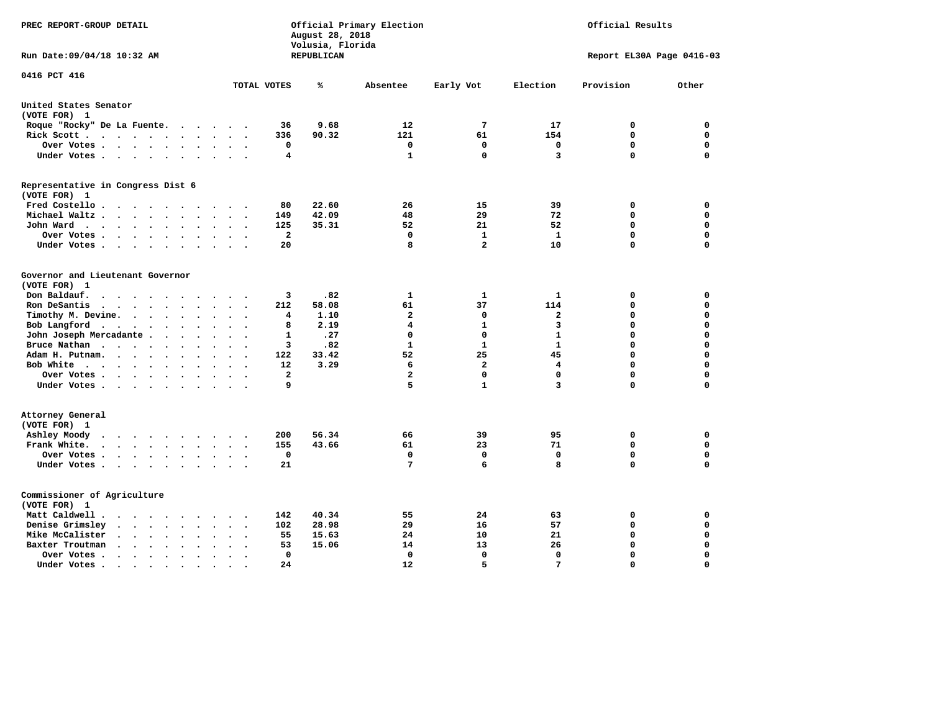| PREC REPORT-GROUP DETAIL                                                   |                                          | August 28, 2018<br>Volusia, Florida | Official Primary Election | Official Results |                         |                           |             |  |
|----------------------------------------------------------------------------|------------------------------------------|-------------------------------------|---------------------------|------------------|-------------------------|---------------------------|-------------|--|
| Run Date: 09/04/18 10:32 AM                                                |                                          | REPUBLICAN                          |                           |                  |                         | Report EL30A Page 0416-03 |             |  |
| 0416 PCT 416                                                               | TOTAL VOTES                              | ℁                                   | Absentee                  | Early Vot        | Election                | Provision                 | Other       |  |
|                                                                            |                                          |                                     |                           |                  |                         |                           |             |  |
| United States Senator<br>(VOTE FOR) 1                                      |                                          |                                     |                           |                  |                         |                           |             |  |
| Roque "Rocky" De La Fuente.<br>$\cdots$                                    | 36                                       | 9.68                                | 12                        | $7\phantom{.0}$  | 17                      | 0                         | $\mathbf 0$ |  |
| Rick Scott                                                                 | 336<br>$\bullet$                         | 90.32                               | 121                       | 61               | 154                     | $\mathbf 0$               | 0           |  |
| Over Votes                                                                 | 0<br>$\ddot{\phantom{a}}$<br>$\cdot$     |                                     | $\mathbf 0$               | $\mathbf 0$      | $\mathbf 0$             | $\mathbf 0$               | 0           |  |
| Under Votes                                                                | $\overline{\bf 4}$                       |                                     | $\mathbf{1}$              | $\mathbf 0$      | $\overline{\mathbf{3}}$ | $\mathbf 0$               | $\mathbf 0$ |  |
| Representative in Congress Dist 6                                          |                                          |                                     |                           |                  |                         |                           |             |  |
| (VOTE FOR) 1<br>Fred Costello                                              | 80                                       | 22.60                               | 26                        | 15               | 39                      | 0                         | 0           |  |
| Michael Waltz<br>$\ddot{\phantom{a}}$<br>$\sim$                            | 149                                      | 42.09                               | 48                        | 29               | 72                      | $\mathbf 0$               | $\mathbf 0$ |  |
| John Ward<br>$\ddot{\phantom{0}}$                                          | 125                                      | 35.31                               | 52                        | 21               | 52                      | $\mathbf 0$               | $\mathbf 0$ |  |
| Over Votes.<br>$\cdots$<br>$\sim$                                          | $\overline{a}$                           |                                     | 0                         | $\mathbf{1}$     | $\mathbf{1}$            | $\mathbf 0$               | $\mathbf 0$ |  |
| Under Votes<br>$\sim$                                                      | 20                                       |                                     | 8                         | $\overline{a}$   | 10                      | $\Omega$                  | $\Omega$    |  |
|                                                                            |                                          |                                     |                           |                  |                         |                           |             |  |
| Governor and Lieutenant Governor<br>(VOTE FOR) 1                           |                                          |                                     |                           |                  |                         |                           |             |  |
| Don Baldauf.<br>$\cdot$ $\cdot$ $\cdot$ $\cdot$                            | 3                                        | .82                                 | 1                         | $\mathbf{1}$     | $\mathbf{1}$            | 0                         | 0           |  |
| Ron DeSantis<br>$\cdots$<br>$\sim$                                         | 212                                      | 58.08                               | 61                        | 37               | 114                     | $\mathbf 0$               | $\mathbf 0$ |  |
| Timothy M. Devine.<br>$\bullet$                                            | 4<br>$\ddot{\phantom{a}}$                | 1.10                                | $\mathbf{2}$              | 0                | $\mathbf{2}$            | $\mathbf 0$               | $\mathbf 0$ |  |
| Bob Langford<br>$\ddot{\phantom{a}}$                                       | 8<br>$\ddot{\phantom{a}}$                | 2.19                                | 4                         | $\mathbf{1}$     | 3                       | $\mathbf 0$               | 0           |  |
| John Joseph Mercadante                                                     | $\mathbf{1}$<br>$\overline{\phantom{a}}$ | .27                                 | $\mathbf 0$               | $\mathbf 0$      | $\mathbf{1}$            | $\mathbf 0$               | $\mathbf 0$ |  |
| Bruce Nathan<br>$\bullet$                                                  | 3                                        | .82                                 | $\mathbf{1}$              | $\mathbf{1}$     | $\mathbf{1}$            | $\mathbf 0$               | $\mathbf 0$ |  |
| Adam H. Putnam.                                                            | 122                                      | 33.42                               | 52                        | 25               | 45                      | $\mathbf 0$               | 0           |  |
| Bob White<br>$\ddot{\phantom{a}}$                                          | 12<br>$\bullet$<br>$\cdot$               | 3.29                                | 6                         | $\mathbf{2}$     | 4                       | $\mathbf 0$               | 0           |  |
| Over Votes .<br>$\cdots$                                                   | $\overline{\mathbf{2}}$                  |                                     | $\mathbf{2}$              | $\Omega$         | $\mathbf 0$             | $\mathbf 0$               | 0           |  |
| Under Votes                                                                | 9                                        |                                     | 5                         | $\mathbf{1}$     | $\overline{3}$          | $\Omega$                  | $\mathbf 0$ |  |
| Attorney General<br>(VOTE FOR) 1                                           |                                          |                                     |                           |                  |                         |                           |             |  |
| Ashley Moody                                                               | 200                                      | 56.34                               | 66                        | 39               | 95                      | 0                         | 0           |  |
| Frank White.<br>$\cdot$ $\cdot$ $\cdot$ $\cdot$ $\cdot$ $\cdot$<br>$\sim$  | 155                                      | 43.66                               | 61                        | 23               | 71                      | $\mathbf 0$               | $\mathbf 0$ |  |
| Over Votes.<br>$\cdots$<br>$\bullet$                                       | $\mathbf 0$                              |                                     | $\Omega$                  | $\mathbf 0$      | $\mathbf{0}$            | $\mathbf 0$               | $\mathbf 0$ |  |
| Under Votes<br>$\sim$ $\sim$                                               | 21                                       |                                     | 7                         | 6                | 8                       | $\Omega$                  | $\mathbf 0$ |  |
| Commissioner of Agriculture<br>(VOTE FOR) 1                                |                                          |                                     |                           |                  |                         |                           |             |  |
| Matt Caldwell .<br>$\cdot$ $\cdot$ $\cdot$ $\cdot$ $\cdot$ $\cdot$ $\cdot$ | 142                                      | 40.34                               | 55                        | 24               | 63                      | 0                         | 0           |  |
| Denise Grimsley<br>$\cdots$<br>$\bullet$                                   | 102                                      | 28.98                               | 29                        | 16               | 57                      | 0                         | 0           |  |
| Mike McCalister<br>$\cdot$ $\cdot$ $\cdot$ $\cdot$ $\cdot$<br>$\bullet$    | 55<br>$\ddot{\phantom{a}}$               | 15.63                               | 24                        | 10               | 21                      | 0                         | 0           |  |
| Baxter Troutman<br>$\cdots$<br>$\cdot$<br>$\bullet$                        | 53                                       | 15.06                               | 14                        | 13               | 26                      | 0                         | 0           |  |
| Over Votes .<br>$\sim$ $\sim$ $\sim$ $\sim$ $\sim$<br>$\bullet$<br>$\cdot$ | $\Omega$                                 |                                     | 0                         | $\mathbf{0}$     | $\Omega$                | $\mathbf 0$               | $\mathbf 0$ |  |
| Under Votes.<br>.                                                          | 24                                       |                                     | 12                        | 5                | 7                       | $\Omega$                  | $\Omega$    |  |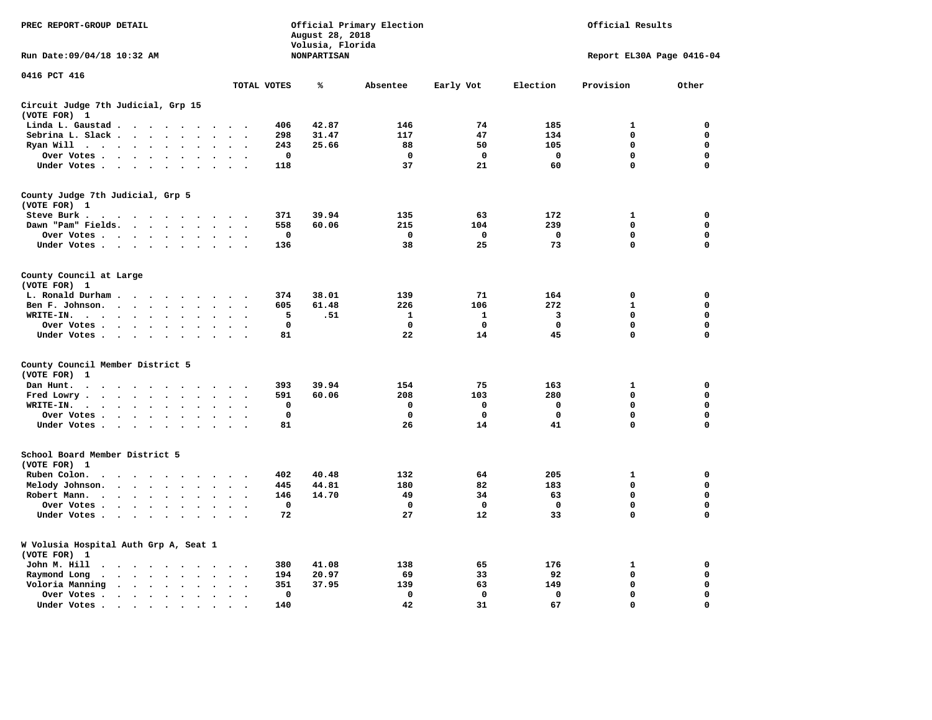| PREC REPORT-GROUP DETAIL                                                                                                                                   |                                                         | August 28, 2018<br>Volusia, Florida | Official Primary Election |             |             | Official Results          |             |  |  |
|------------------------------------------------------------------------------------------------------------------------------------------------------------|---------------------------------------------------------|-------------------------------------|---------------------------|-------------|-------------|---------------------------|-------------|--|--|
| Run Date: 09/04/18 10:32 AM                                                                                                                                |                                                         | <b>NONPARTISAN</b>                  |                           |             |             | Report EL30A Page 0416-04 |             |  |  |
| 0416 PCT 416                                                                                                                                               | TOTAL VOTES                                             | ℁                                   | Absentee                  | Early Vot   | Election    | Provision                 | Other       |  |  |
| Circuit Judge 7th Judicial, Grp 15                                                                                                                         |                                                         |                                     |                           |             |             |                           |             |  |  |
| (VOTE FOR) 1                                                                                                                                               |                                                         |                                     |                           |             |             |                           |             |  |  |
| Linda L. Gaustad                                                                                                                                           | 406                                                     | 42.87                               | 146                       | 74          | 185         | 1                         | 0           |  |  |
| Sebrina L. Slack<br>$\sim$                                                                                                                                 | 298                                                     | 31.47                               | 117                       | 47          | 134         | $\mathbf 0$               | 0           |  |  |
| Ryan Will $\cdots$ $\cdots$<br>$\bullet$                                                                                                                   | 243<br>$\sim$                                           | 25.66                               | 88                        | 50          | 105         | 0                         | 0           |  |  |
| Over Votes<br>$\bullet$<br>$\bullet$<br>$\ddot{\phantom{a}}$                                                                                               | 0<br>$\overline{a}$<br>$\overline{\phantom{a}}$         |                                     | 0                         | 0           | 0           | 0                         | 0           |  |  |
| Under Votes                                                                                                                                                | 118<br>$\cdot$                                          |                                     | 37                        | 21          | 60          | 0                         | $\mathbf 0$ |  |  |
| County Judge 7th Judicial, Grp 5                                                                                                                           |                                                         |                                     |                           |             |             |                           |             |  |  |
| (VOTE FOR) 1                                                                                                                                               |                                                         |                                     |                           |             |             |                           |             |  |  |
| Steve Burk .                                                                                                                                               | 371                                                     | 39.94                               | 135                       | 63          | 172         | 1                         | 0           |  |  |
| Dawn "Pam" Fields.<br>$\bullet$<br>$\bullet$                                                                                                               | 558<br>$\bullet$<br>$\ddot{\phantom{0}}$                | 60.06                               | 215                       | 104         | 239         | 0                         | 0           |  |  |
| Over Votes<br>$\bullet$                                                                                                                                    | $\mathbf 0$                                             |                                     | $\mathbf 0$               | $\mathbf 0$ | $\mathbf 0$ | $\mathbf 0$               | $\mathbf 0$ |  |  |
| Under Votes<br>$\ddot{\phantom{1}}$<br>$\bullet$                                                                                                           | 136                                                     |                                     | 38                        | 25          | 73          | $\mathbf 0$               | $\mathbf 0$ |  |  |
| County Council at Large                                                                                                                                    |                                                         |                                     |                           |             |             |                           |             |  |  |
| (VOTE FOR) 1                                                                                                                                               |                                                         |                                     |                           |             |             |                           |             |  |  |
| L. Ronald Durham.<br>$\cdot$                                                                                                                               | 374                                                     | 38.01                               | 139                       | 71          | 164         | 0                         | 0           |  |  |
| Ben F. Johnson.<br>$\sim$<br>$\ddot{\phantom{a}}$<br>$\ddot{\phantom{a}}$<br>$\cdot$<br>$\cdot$                                                            | 605<br>$\cdot$<br>$\bullet$                             | 61.48                               | 226                       | 106         | 272         | $\mathbf{1}$              | 0           |  |  |
| WRITE-IN.<br>$\ddot{\phantom{1}}$<br>$\cdots$<br>$\sim$                                                                                                    | 5                                                       | .51                                 | 1                         | 1           | 3           | $\mathbf 0$               | 0           |  |  |
| Over Votes.<br>$\sim$ $\sim$ $\sim$ $\sim$ $\sim$<br>$\sim$                                                                                                | $\mathbf 0$                                             |                                     | 0                         | 0           | $\mathbf 0$ | 0                         | 0           |  |  |
| Under Votes<br>$\cdot$                                                                                                                                     | 81<br>$\sim$<br>$\cdot$                                 |                                     | 22                        | 14          | 45          | 0                         | $\mathbf 0$ |  |  |
| County Council Member District 5                                                                                                                           |                                                         |                                     |                           |             |             |                           |             |  |  |
| (VOTE FOR)<br>1                                                                                                                                            |                                                         |                                     |                           |             |             |                           |             |  |  |
| Dan Hunt.<br>$\bullet$<br>.                                                                                                                                | 393                                                     | 39.94                               | 154                       | 75          | 163         | 1                         | 0           |  |  |
| Fred Lowry.<br>$\mathcal{L}(\mathcal{A})$ , and $\mathcal{L}(\mathcal{A})$ , and $\mathcal{L}(\mathcal{A})$<br>$\ddot{\phantom{a}}$<br>$\bullet$<br>$\sim$ | 591                                                     | 60.06                               | 208                       | 103         | 280         | 0                         | $\mathbf 0$ |  |  |
| WRITE-IN.<br>$\cdots$<br>$\bullet$<br>$\cdot$                                                                                                              | $\mathbf 0$                                             |                                     | $\mathbf 0$               | $\mathbf 0$ | $\mathbf 0$ | 0                         | 0           |  |  |
| Over Votes<br>$\ddot{\phantom{0}}$<br>$\bullet$<br>$\cdot$                                                                                                 | $\mathbf 0$                                             |                                     | $\mathbf 0$               | $\mathbf 0$ | $\mathbf 0$ | $\mathbf 0$               | 0           |  |  |
| Under Votes                                                                                                                                                | 81<br>$\cdot$ $\cdot$ $\cdot$ $\cdot$                   |                                     | 26                        | 14          | 41          | $\mathbf 0$               | $\mathbf 0$ |  |  |
| School Board Member District 5                                                                                                                             |                                                         |                                     |                           |             |             |                           |             |  |  |
| (VOTE FOR) 1                                                                                                                                               |                                                         |                                     |                           |             |             |                           |             |  |  |
| Ruben Colon.<br>$\cdot$<br>$\sim$<br>$\cdot$<br>$\sim$ $\sim$<br>$\cdot$<br>$\overline{\phantom{a}}$<br>$\bullet$                                          | 402                                                     | 40.48                               | 132                       | 64          | 205         | 1                         | 0           |  |  |
| Melody Johnson.<br>$\ddot{\phantom{0}}$                                                                                                                    | 445<br>$\ddot{\phantom{a}}$<br>$\overline{\phantom{a}}$ | 44.81                               | 180                       | 82          | 183         | 0                         | $\mathbf 0$ |  |  |
| Robert Mann.<br>$\cdot$ $\cdot$ $\cdot$ $\cdot$ $\cdot$<br>$\sim$<br>$\overline{\phantom{a}}$                                                              | 146<br>$\ddot{\phantom{a}}$                             | 14.70                               | 49                        | 34          | 63          | $\mathbf 0$               | 0           |  |  |
| Over Votes<br>$\ddot{\phantom{a}}$<br>$\cdot$                                                                                                              | 0                                                       |                                     | 0                         | 0           | 0           | 0                         | $\mathbf 0$ |  |  |
| Under Votes<br>$\sim$                                                                                                                                      | 72                                                      |                                     | 27                        | 12          | 33          | $\mathbf 0$               | $\mathbf 0$ |  |  |
| W Volusia Hospital Auth Grp A, Seat 1                                                                                                                      |                                                         |                                     |                           |             |             |                           |             |  |  |
| (VOTE FOR) 1                                                                                                                                               |                                                         |                                     |                           |             |             |                           |             |  |  |
| John M. Hill<br>$\ddot{\phantom{1}}$<br>$\sim$ $\sim$ $\sim$ $\sim$ $\sim$                                                                                 | 380                                                     | 41.08                               | 138                       | 65          | 176         | 1                         | 0           |  |  |
| Raymond Long<br>$\cdot$ $\cdot$ $\cdot$ $\cdot$ $\cdot$<br>$\cdot$<br>$\sim$                                                                               | 194<br>$\cdot$<br>$\ddot{\phantom{0}}$                  | 20.97                               | 69                        | 33          | 92          | $\mathbf 0$               | 0           |  |  |
| Voloria Manning<br>$\sim$ $\sim$ $\sim$ $\sim$<br>$\ddot{\phantom{a}}$<br>$\ddot{\phantom{a}}$<br>$\bullet$                                                | 351                                                     | 37.95                               | 139                       | 63          | 149         | $\mathbf 0$               | 0           |  |  |
| Over Votes .<br>$\cdot$ $\cdot$ $\cdot$ $\cdot$ $\cdot$<br>$\ddot{\phantom{a}}$<br>$\cdot$                                                                 | $\mathbf 0$<br>$\bullet$<br>$\ddot{\phantom{0}}$        |                                     | $\mathbf 0$               | $\mathbf 0$ | $\mathbf 0$ | $\mathbf 0$               | 0           |  |  |
| Under Votes.<br>the contract of the contract of the contract of the contract of the contract of the contract of the contract of                            | 140                                                     |                                     | 42                        | 31          | 67          | 0                         | $\mathbf 0$ |  |  |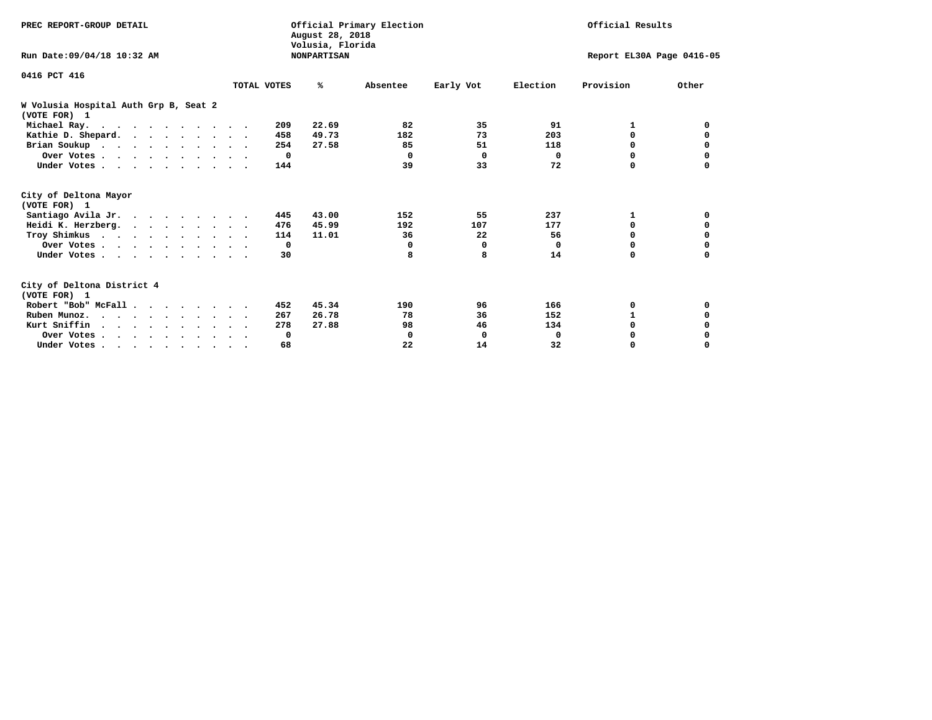| PREC REPORT-GROUP DETAIL                              |             | August 28, 2018<br>Volusia, Florida | Official Primary Election |            | Official Results |                           |             |  |
|-------------------------------------------------------|-------------|-------------------------------------|---------------------------|------------|------------------|---------------------------|-------------|--|
| Run Date: 09/04/18 10:32 AM                           |             | <b>NONPARTISAN</b>                  |                           |            |                  | Report EL30A Page 0416-05 |             |  |
| 0416 PCT 416                                          |             |                                     |                           |            |                  |                           |             |  |
|                                                       | TOTAL VOTES | ℁                                   | Absentee                  | Early Vot  | Election         | Provision                 | Other       |  |
| W Volusia Hospital Auth Grp B, Seat 2<br>(VOTE FOR) 1 |             |                                     |                           |            |                  |                           |             |  |
| Michael Ray.                                          |             | 209<br>22.69                        | 82                        | 35         | 91               | 1                         | 0           |  |
| Kathie D. Shepard.                                    |             | 49.73<br>458                        | 182                       | 73         | 203              | $\Omega$                  | 0           |  |
| Brian Soukup                                          |             | 27.58<br>254                        | 85                        | 51         | 118              | 0                         | 0           |  |
| Over Votes                                            |             | $\mathbf{o}$                        | 0                         | $^{\circ}$ | $\Omega$         | 0                         | 0           |  |
| Under Votes.                                          |             | 144                                 | 39                        | 33         | 72               | $\Omega$                  | $\Omega$    |  |
| City of Deltona Mayor<br>(VOTE FOR) 1                 |             |                                     |                           |            |                  |                           |             |  |
| Santiago Avila Jr.                                    |             | 43.00<br>445                        | 152                       | 55         | 237              | 1                         | 0           |  |
| Heidi K. Herzberg.                                    |             | 45.99<br>476                        | 192                       | 107        | 177              | 0                         | 0           |  |
| Troy Shimkus                                          |             | 11.01<br>114                        | 36                        | 22         | 56               | $\Omega$                  | $\mathbf 0$ |  |
| Over Votes                                            |             | 0                                   | 0                         | 0          | 0                | $\Omega$                  |             |  |
| Under Votes.                                          |             | 30                                  | 8                         | 8          | 14               | 0                         | 0           |  |
| City of Deltona District 4<br>(VOTE FOR) 1            |             |                                     |                           |            |                  |                           |             |  |
| Robert "Bob" McFall                                   |             | 45.34<br>452                        | 190                       | 96         | 166              | 0                         | 0           |  |
| Ruben Munoz.                                          |             | 26.78<br>267                        | 78                        | 36         | 152              | 1                         | 0           |  |
| Kurt Sniffin                                          |             | 27.88<br>278                        | 98                        | 46         | 134              | $\Omega$                  | 0           |  |
| Over Votes                                            |             | 0                                   | 0                         | 0          | 0                | 0                         | 0           |  |
| Under Votes.                                          |             | 68                                  | 22                        | 14         | 32               | 0                         | $\Omega$    |  |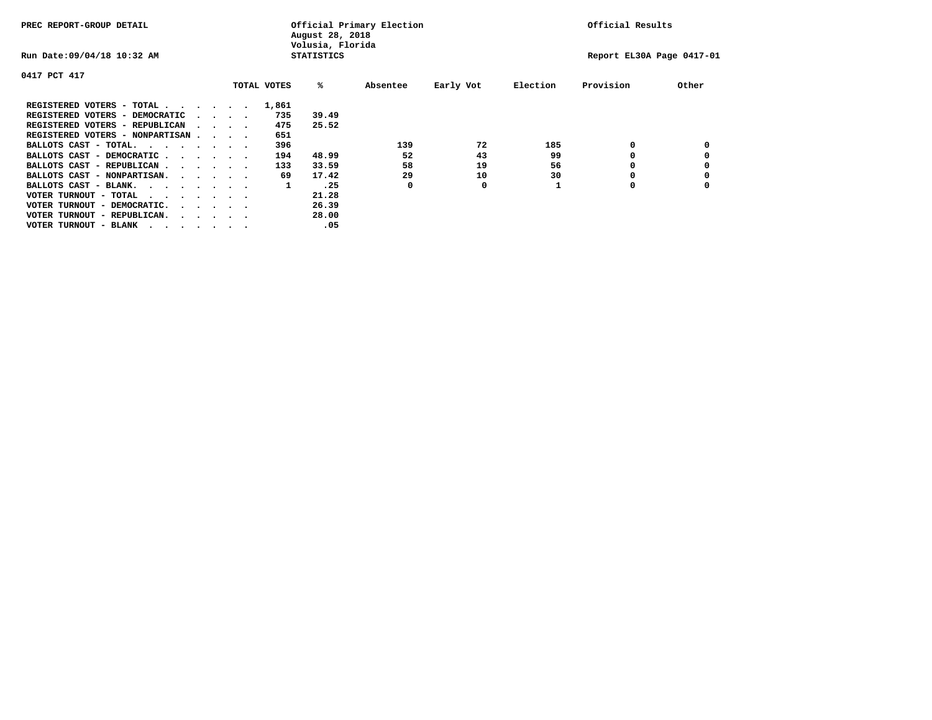| PREC REPORT-GROUP DETAIL               |  |                                         |  | Official Primary Election<br>August 28, 2018<br>Volusia, Florida | Official Results  |          |           |          |                           |       |
|----------------------------------------|--|-----------------------------------------|--|------------------------------------------------------------------|-------------------|----------|-----------|----------|---------------------------|-------|
| Run Date: 09/04/18 10:32 AM            |  |                                         |  |                                                                  | <b>STATISTICS</b> |          |           |          | Report EL30A Page 0417-01 |       |
| 0417 PCT 417                           |  |                                         |  |                                                                  |                   |          |           |          |                           |       |
|                                        |  |                                         |  | TOTAL VOTES                                                      | %ะ                | Absentee | Early Vot | Election | Provision                 | Other |
| REGISTERED VOTERS - TOTAL              |  |                                         |  | 1,861                                                            |                   |          |           |          |                           |       |
| REGISTERED VOTERS - DEMOCRATIC         |  | $\cdot$ $\cdot$ $\cdot$ $\cdot$         |  | 735                                                              | 39.49             |          |           |          |                           |       |
| REGISTERED VOTERS - REPUBLICAN         |  | $\sim$ $\sim$ $\sim$ $\sim$             |  | 475                                                              | 25.52             |          |           |          |                           |       |
| REGISTERED VOTERS - NONPARTISAN        |  |                                         |  | 651                                                              |                   |          |           |          |                           |       |
| BALLOTS CAST - TOTAL.                  |  |                                         |  | 396                                                              |                   | 139      | 72        | 185      | 0                         |       |
| BALLOTS CAST - DEMOCRATIC              |  |                                         |  | 194                                                              | 48.99             | 52       | 43        | 99       |                           |       |
| BALLOTS CAST - REPUBLICAN              |  |                                         |  | 133                                                              | 33.59             | 58       | 19        | 56       | 0                         |       |
| BALLOTS CAST - NONPARTISAN.            |  |                                         |  | 69                                                               | 17.42             | 29       | 10        | 30       |                           |       |
| BALLOTS CAST - BLANK.                  |  |                                         |  | 1                                                                | .25               | 0        | 0         |          | 0                         |       |
| VOTER TURNOUT - TOTAL<br>$\cdots$      |  |                                         |  |                                                                  | 21.28             |          |           |          |                           |       |
| VOTER TURNOUT - DEMOCRATIC.            |  | $\cdot$ $\cdot$ $\cdot$ $\cdot$ $\cdot$ |  |                                                                  | 26.39             |          |           |          |                           |       |
| VOTER TURNOUT - REPUBLICAN.<br>$\cdot$ |  |                                         |  |                                                                  | 28.00             |          |           |          |                           |       |
| VOTER TURNOUT - BLANK                  |  |                                         |  |                                                                  | .05               |          |           |          |                           |       |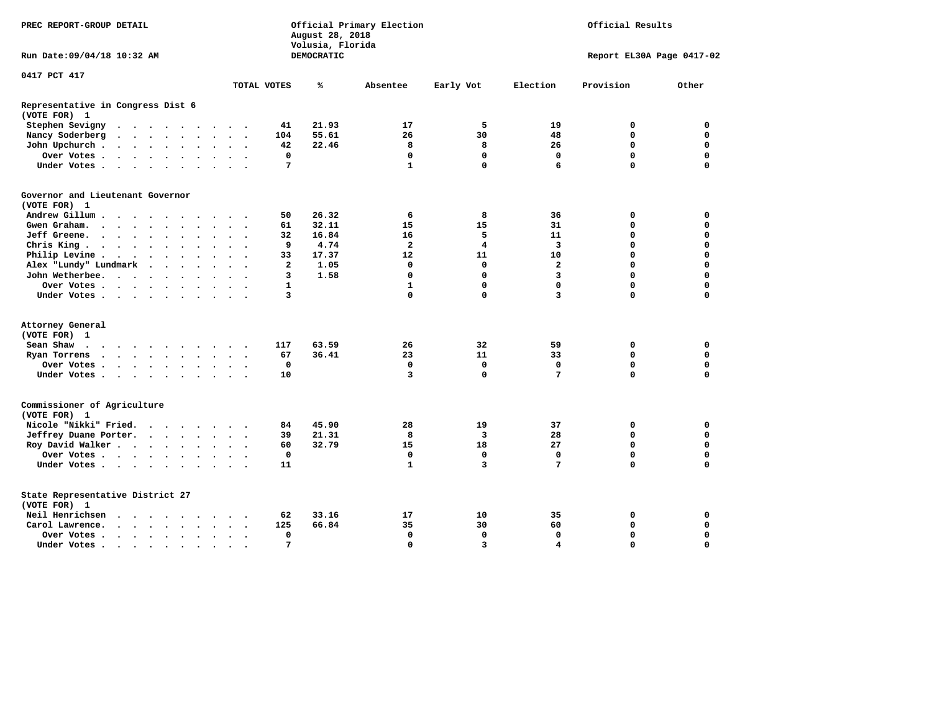| PREC REPORT-GROUP DETAIL                                                                                                                                               | Official Primary Election<br>Official Results |                                |                |                         |                         |                           |             |
|------------------------------------------------------------------------------------------------------------------------------------------------------------------------|-----------------------------------------------|--------------------------------|----------------|-------------------------|-------------------------|---------------------------|-------------|
| Run Date: 09/04/18 10:32 AM                                                                                                                                            |                                               | Volusia, Florida<br>DEMOCRATIC |                |                         |                         | Report EL30A Page 0417-02 |             |
| 0417 PCT 417                                                                                                                                                           |                                               |                                |                |                         |                         |                           |             |
|                                                                                                                                                                        | TOTAL VOTES                                   | ℁                              | Absentee       | Early Vot               | Election                | Provision                 | Other       |
| Representative in Congress Dist 6<br>(VOTE FOR) 1                                                                                                                      |                                               |                                |                |                         |                         |                           |             |
| Stephen Sevigny<br>$\begin{array}{cccccccccccccc} \bullet & \bullet & \bullet & \bullet & \bullet & \bullet & \bullet & \bullet & \bullet \end{array}$<br>$\sim$       | 41                                            | 21.93                          | 17             | 5                       | 19                      | 0                         | 0           |
| Nancy Soderberg<br>$\bullet$<br>$\bullet$<br>$\bullet$<br>$\bullet$                                                                                                    | 104                                           | 55.61                          | 26             | 30                      | 48                      | 0                         | $\mathbf 0$ |
| John Upchurch.<br>$\mathbf{r}$ , $\mathbf{r}$ , $\mathbf{r}$ , $\mathbf{r}$<br>$\ddot{\phantom{0}}$<br>$\ddot{\phantom{0}}$                                            | 42                                            | 22.46                          | 8              | 8                       | 26                      | 0                         | 0           |
| Over Votes.<br>$\mathbf{r}$ , $\mathbf{r}$ , $\mathbf{r}$ , $\mathbf{r}$ , $\mathbf{r}$<br>$\bullet$<br>$\bullet$<br>$\cdot$ .                                         | 0                                             |                                | $\mathbf 0$    | $\mathbf 0$             | $\mathbf 0$             | $\mathbf 0$               | $\mathbf 0$ |
| Under Votes<br>$\ddot{\phantom{a}}$<br>$\sim$                                                                                                                          | 7                                             |                                | $\mathbf{1}$   | $\mathbf{0}$            | 6                       | 0                         | $\Omega$    |
| Governor and Lieutenant Governor                                                                                                                                       |                                               |                                |                |                         |                         |                           |             |
| (VOTE FOR) 1                                                                                                                                                           |                                               |                                |                |                         |                         |                           |             |
| Andrew Gillum                                                                                                                                                          | 50                                            | 26.32                          | 6              | 8                       | 36                      | 0                         | $\mathbf 0$ |
| Gwen Graham<br>$\ddot{\phantom{a}}$                                                                                                                                    | 61                                            | 32.11                          | 15             | 15                      | 31                      | 0                         | $\Omega$    |
| Jeff Greene.<br>$\sim$<br>$\ddot{\phantom{a}}$<br>$\bullet$<br>$\bullet$<br>$\ddot{\phantom{0}}$                                                                       | 32                                            | 16.84                          | 16             | 5                       | 11                      | 0                         | 0           |
| Chris King<br>$\ddot{\phantom{a}}$<br>$\ddot{\phantom{a}}$                                                                                                             | 9                                             | 4.74                           | $\overline{a}$ | 4                       | 3                       | 0                         | $\mathbf 0$ |
| Philip Levine .<br>$\begin{array}{cccccccccccccc} \bullet & \bullet & \bullet & \bullet & \bullet & \bullet & \bullet & \bullet \end{array}$<br>$\bullet$<br>$\bullet$ | 33                                            | 17.37                          | 12             | 11                      | 10                      | 0                         | $\mathbf 0$ |
| Alex "Lundy" Lundmark<br>$\sim$ $\sim$<br>$\ddot{\phantom{a}}$                                                                                                         | $\overline{a}$                                | 1.05                           | $\Omega$       | $\mathbf 0$             | $\mathbf{2}$            | 0                         | $\mathbf 0$ |
| John Wetherbee.<br>$\cdot$ $\cdot$ $\cdot$ $\cdot$ $\cdot$ $\cdot$                                                                                                     | 3                                             | 1.58                           | $\mathbf 0$    | $\mathbf{0}$            | 3                       | 0                         | $\mathbf 0$ |
| Over Votes .<br>$\ddot{\phantom{1}}$                                                                                                                                   | $\mathbf{1}$                                  |                                | $\mathbf{1}$   | 0                       | $\mathbf 0$             | 0                         | $\mathbf 0$ |
| Under Votes<br>$\ddot{\phantom{1}}$                                                                                                                                    | 3                                             |                                | $\Omega$       | 0                       | $\overline{\mathbf{3}}$ | $\Omega$                  | 0           |
| Attorney General                                                                                                                                                       |                                               |                                |                |                         |                         |                           |             |
| (VOTE FOR) 1                                                                                                                                                           |                                               |                                |                |                         |                         |                           |             |
| Sean Shaw<br>$\sim$ $\sim$<br>$\cdots$<br>$\bullet$                                                                                                                    | 117                                           | 63.59                          | 26             | 32                      | 59                      | 0                         | 0           |
| Ryan Torrens<br>$\bullet$<br>$\bullet$<br>$\cdot$<br>$\cdot$                                                                                                           | 67                                            | 36.41                          | 23             | 11                      | 33                      | 0                         | $\mathbf 0$ |
| Over Votes.<br>$\cdot$ $\cdot$ $\cdot$ $\cdot$ $\cdot$<br>$\ddot{\phantom{0}}$                                                                                         | 0                                             |                                | 0              | 0                       | 0                       | 0                         | 0           |
| Under Votes<br>$\cdot$<br>$\ddot{\phantom{1}}$                                                                                                                         | 10                                            |                                | 3              | $\mathbf{0}$            | 7                       | 0                         | $\mathbf 0$ |
| Commissioner of Agriculture<br>(VOTE FOR) 1                                                                                                                            |                                               |                                |                |                         |                         |                           |             |
| Nicole "Nikki" Fried.<br>$\cdots$                                                                                                                                      | 84                                            | 45.90                          | 28             | 19                      | 37                      | 0                         | 0           |
| Jeffrey Duane Porter.<br>$\sim$ $\sim$ $\sim$ $\sim$                                                                                                                   | 39                                            | 21.31                          | 8              | 3                       | 28                      | 0                         | $\mathbf 0$ |
| Roy David Walker                                                                                                                                                       | 60                                            | 32.79                          | 15             | 18                      | 27                      | $\mathbf 0$               | $\mathbf 0$ |
| Over Votes<br>$\bullet$<br>$\bullet$                                                                                                                                   | 0                                             |                                | 0              | 0                       | 0                       | 0                         | $\mathbf 0$ |
| Under Votes<br>$\ddot{\phantom{a}}$                                                                                                                                    | 11                                            |                                | $\mathbf{1}$   | 3                       | 7                       | 0                         | 0           |
| State Representative District 27<br>(VOTE FOR) 1                                                                                                                       |                                               |                                |                |                         |                         |                           |             |
| Neil Henrichsen<br>$\cdot$ $\cdot$<br>$\sim$                                                                                                                           | 62                                            | 33.16                          | 17             | 10                      | 35                      | 0                         | 0           |
| Carol Lawrence.<br>$\cdot$ $\cdot$ $\cdot$ $\cdot$ $\cdot$<br>$\ddot{\phantom{a}}$<br>$\bullet$<br>$\bullet$<br>$\bullet$                                              | 125                                           | 66.84                          | 35             | 30                      | 60                      | $\mathbf 0$               | $\mathbf 0$ |
| Over Votes<br>$\ddot{\phantom{0}}$                                                                                                                                     | $\mathbf{0}$                                  |                                | $\Omega$       | $\mathbf 0$             | $\mathbf 0$             | 0                         | $\mathbf 0$ |
| Under Votes.<br>$\sim$ $\sim$ $\sim$ $\sim$ $\sim$ $\sim$ $\sim$ $\sim$                                                                                                | 7                                             |                                | $\Omega$       | $\overline{\mathbf{3}}$ | 4                       | $\Omega$                  | $\Omega$    |
|                                                                                                                                                                        |                                               |                                |                |                         |                         |                           |             |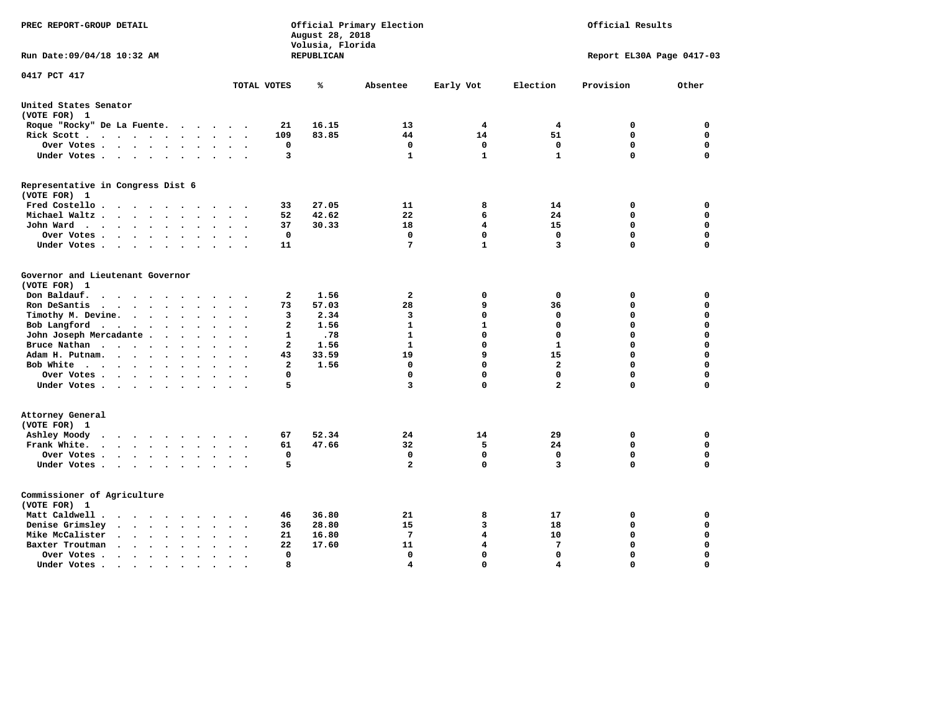| PREC REPORT-GROUP DETAIL                                                                                                  |                  | August 28, 2018<br>Volusia, Florida | Official Primary Election |                            |                | Official Results           |                            |
|---------------------------------------------------------------------------------------------------------------------------|------------------|-------------------------------------|---------------------------|----------------------------|----------------|----------------------------|----------------------------|
| Run Date: 09/04/18 10:32 AM                                                                                               |                  | REPUBLICAN                          |                           |                            |                | Report EL30A Page 0417-03  |                            |
| 0417 PCT 417                                                                                                              | TOTAL VOTES      | %                                   | Absentee                  | Early Vot                  | Election       | Provision                  | Other                      |
| United States Senator                                                                                                     |                  |                                     |                           |                            |                |                            |                            |
| (VOTE FOR) 1                                                                                                              |                  |                                     |                           |                            |                |                            |                            |
| Roque "Rocky" De La Fuente.<br>$\cdots$<br>$\sim$ $\sim$                                                                  | 21               | 16.15                               | 13                        | 4                          | 4              | 0                          | 0                          |
| Rick Scott<br>$\ddot{\phantom{a}}$                                                                                        | 109              | 83.85                               | 44                        | 14                         | 51             | 0                          | $\mathbf 0$                |
| Over Votes<br>$\bullet$<br>$\ddot{\phantom{a}}$<br>$\cdot$                                                                | $\mathbf 0$      |                                     | $\mathbf 0$               | $\mathbf 0$                | $\mathbf 0$    | $\mathbf 0$                | $\mathbf 0$                |
| Under Votes                                                                                                               | 3                |                                     | $\mathbf{1}$              | $\mathbf{1}$               | $\mathbf{1}$   | $\mathbf 0$                | $\Omega$                   |
| Representative in Congress Dist 6<br>(VOTE FOR) 1                                                                         |                  |                                     |                           |                            |                |                            |                            |
| Fred Costello                                                                                                             | 33               | 27.05                               | 11                        | 8                          | 14             | 0                          | 0                          |
| Michael Waltz<br>$\sim$                                                                                                   | 52               | 42.62                               | 22                        | 6                          | 24             | $\mathbf 0$                | $\mathbf 0$                |
| John Ward<br>$\bullet$ .<br>$\ddot{\phantom{1}}$                                                                          | 37               | 30.33                               | 18                        | 4                          | 15             | $\mathbf 0$                | $\mathbf 0$                |
| Over Votes<br>$\bullet$<br>$\bullet$                                                                                      | $\mathbf 0$      |                                     | $\mathbf 0$               | $\mathbf{0}$               | $\Omega$       | $\mathbf 0$                | $\mathbf 0$                |
| Under Votes<br>$\cdot$<br>$\ddot{\phantom{1}}$                                                                            | 11               |                                     | 7                         | $\mathbf{1}$               | 3              | 0                          | 0                          |
| Governor and Lieutenant Governor<br>(VOTE FOR) 1<br>Don Baldauf.<br>$\sim$ $\sim$ $\sim$ $\sim$                           | $\mathbf{2}$     | 1.56                                | $\overline{a}$            | 0                          | 0              | 0                          | 0                          |
| Ron DeSantis<br>$\bullet$                                                                                                 | 73               | 57.03                               | 28                        | 9                          | 36             | 0                          | $\mathbf 0$                |
| Timothy M. Devine.<br>$\ddot{\phantom{a}}$<br>$\bullet$<br>$\bullet$                                                      | 3                | 2.34                                | 3                         | $\mathbf{0}$               | 0              | $\Omega$                   | $\mathbf 0$                |
| Bob Langford<br>$\cdot$ $\cdot$                                                                                           | $\mathbf{2}$     | 1.56                                | $\mathbf{1}$              | $\mathbf{1}$               | $\Omega$       | 0                          | $\Omega$                   |
| John Joseph Mercadante .<br>$\sim$ $\sim$<br>$\ddot{\phantom{a}}$                                                         | 1                | .78                                 | $\mathbf{1}$              | $\mathbf{0}$               | $\mathbf 0$    | $\mathbf 0$                | $\mathbf 0$                |
| Bruce Nathan<br>$\ddot{\phantom{a}}$<br>$\ddot{\phantom{a}}$<br>$\bullet$<br>$\ddot{\phantom{a}}$<br>$\ddot{\phantom{a}}$ | $\mathbf{2}$     | 1.56                                | $\mathbf{1}$              | $\mathbf{0}$               | $\mathbf{1}$   | 0                          | $\mathbf 0$                |
| Adam H. Putnam.<br>$\cdot$<br>$\ddot{\phantom{a}}$                                                                        | 43               | 33.59                               | 19                        | 9                          | 15             | 0                          | $\mathbf 0$                |
| Bob White<br>$\sim$<br>$\bullet$                                                                                          | $\mathbf{2}$     | 1.56                                | $\mathbf 0$               | 0                          | $\mathbf{2}$   | $\mathbf 0$                | $\mathbf 0$                |
| Over Votes<br>$\ddot{\phantom{a}}$<br>$\bullet$                                                                           | 0                |                                     | 0                         | $\Omega$                   | 0              | 0                          | 0                          |
| Under Votes                                                                                                               | 5                |                                     | 3                         | $\Omega$                   | $\overline{a}$ | 0                          | $\mathbf 0$                |
| Attorney General<br>(VOTE FOR) 1                                                                                          |                  |                                     |                           |                            |                |                            |                            |
| Ashley Moody                                                                                                              | 67               | 52.34                               | 24                        | 14                         | 29             | 0                          | $\mathbf 0$                |
| Frank White.<br>$\mathbf{r}$ , $\mathbf{r}$ , $\mathbf{r}$ , $\mathbf{r}$ , $\mathbf{r}$                                  | 61               | 47.66                               | 32                        | 5                          | 24             | $\mathbf 0$                | $\mathbf 0$                |
| Over Votes<br>$\ddot{\phantom{0}}$<br>$\bullet$<br>$\sim$<br>Under Votes<br>$\sim$ $\sim$                                 | $\mathbf 0$<br>5 |                                     | 0<br>$\overline{a}$       | $\mathbf 0$<br>$\mathbf 0$ | 0<br>3         | $\mathbf 0$<br>$\mathbf 0$ | $\mathbf 0$<br>$\mathbf 0$ |
|                                                                                                                           |                  |                                     |                           |                            |                |                            |                            |
| Commissioner of Agriculture<br>(VOTE FOR) 1                                                                               |                  |                                     |                           |                            |                |                            |                            |
| Matt Caldwell .                                                                                                           | 46               | 36.80                               | 21                        | 8                          | 17             | 0                          | 0                          |
| Denise Grimsley<br>$\cdot$ $\cdot$ $\cdot$<br>$\ddot{\phantom{a}}$<br>$\ddot{\phantom{a}}$<br>$\ddot{\phantom{a}}$        | 36               | 28.80                               | 15                        | 3                          | 18             | 0                          | $\mathbf 0$                |
| Mike McCalister<br>$\mathbf{u} = \mathbf{u} + \mathbf{u} + \mathbf{u} + \mathbf{u}$<br>$\bullet$<br>$\bullet$             | 21               | 16.80                               | 7                         | 4                          | 10             | 0                          | $\mathbf 0$                |
| Baxter Troutman<br>$\sim$<br>$\ddot{\phantom{a}}$                                                                         | 22               | 17.60                               | 11                        | 4                          | 7              | $\mathbf 0$                | $\mathbf 0$                |
| Over Votes.<br>$\sim$ $\sim$ $\sim$ $\sim$<br>$\bullet$<br>$\cdot$<br>$\ddot{\phantom{a}}$                                | $\mathbf 0$      |                                     | $\mathbf 0$               | $\mathbf 0$                | $\mathbf 0$    | $\mathbf 0$                | $\mathbf 0$                |
| Under Votes.<br>$\sim$ $\sim$ $\sim$ $\sim$<br>$\bullet$<br>$\bullet$                                                     | 8                |                                     | 4                         | $\Omega$                   | 4              | $\Omega$                   | $\Omega$                   |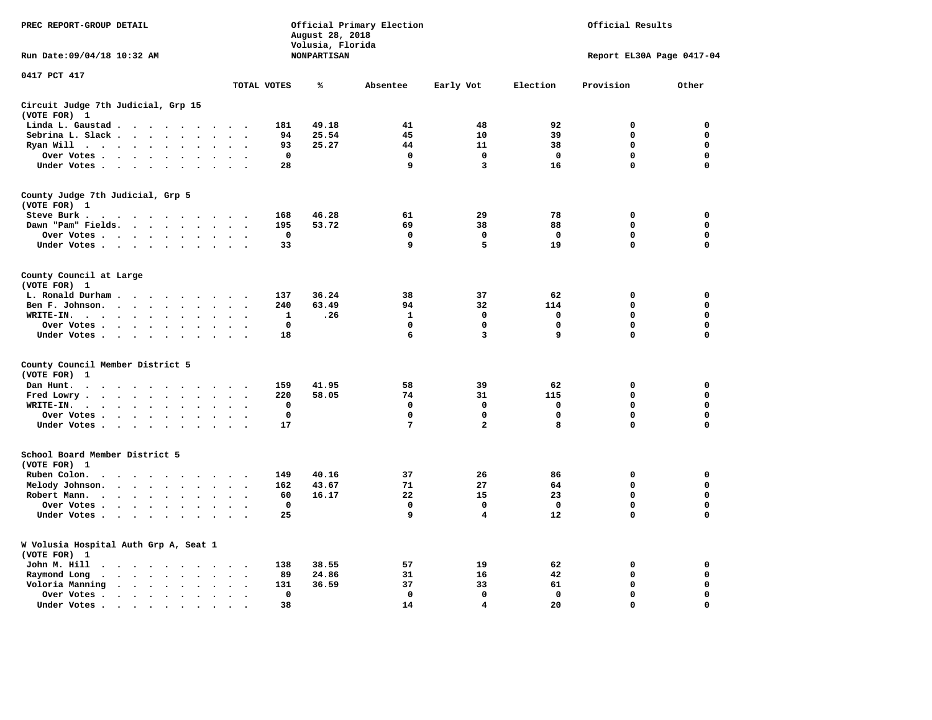| PREC REPORT-GROUP DETAIL                                                                                             | Official Results<br>Official Primary Election<br>August 28, 2018<br>Volusia, Florida |                    |              |                         |             |                           |             |
|----------------------------------------------------------------------------------------------------------------------|--------------------------------------------------------------------------------------|--------------------|--------------|-------------------------|-------------|---------------------------|-------------|
| Run Date: 09/04/18 10:32 AM                                                                                          |                                                                                      | <b>NONPARTISAN</b> |              |                         |             | Report EL30A Page 0417-04 |             |
| 0417 PCT 417                                                                                                         | TOTAL VOTES                                                                          | ℁                  | Absentee     | Early Vot               | Election    | Provision                 | Other       |
| Circuit Judge 7th Judicial, Grp 15                                                                                   |                                                                                      |                    |              |                         |             |                           |             |
| (VOTE FOR) 1                                                                                                         |                                                                                      |                    |              |                         |             |                           |             |
| Linda L. Gaustad                                                                                                     | 181                                                                                  | 49.18              | 41           | 48                      | 92          | $\mathbf 0$               | 0           |
| Sebrina L. Slack<br>$\sim$                                                                                           | 94                                                                                   | 25.54              | 45           | 10                      | 39          | $\mathbf 0$               | 0           |
| Ryan Will $\cdots$ $\cdots$<br>$\bullet$                                                                             | 93                                                                                   | 25.27              | 44           | 11                      | 38          | 0                         | 0           |
| Over Votes<br>$\ddot{\phantom{a}}$<br>$\bullet$                                                                      | $\mathbf 0$<br>$\cdot$                                                               |                    | 0            | 0                       | $\mathbf 0$ | 0                         | 0           |
| Under Votes                                                                                                          | 28                                                                                   |                    | 9            | 3                       | 16          | 0                         | 0           |
| County Judge 7th Judicial, Grp 5                                                                                     |                                                                                      |                    |              |                         |             |                           |             |
| (VOTE FOR) 1                                                                                                         |                                                                                      |                    |              |                         |             |                           |             |
| Steve Burk.                                                                                                          | 168                                                                                  | 46.28              | 61           | 29                      | 78          | 0                         | 0           |
| Dawn "Pam" Fields.                                                                                                   | 195<br>$\ddot{\phantom{0}}$                                                          | 53.72              | 69           | 38                      | 88          | 0                         | 0           |
| Over Votes<br>$\sim$<br>$\ddot{\phantom{a}}$                                                                         | 0<br>$\cdot$                                                                         |                    | $\mathbf 0$  | 0                       | 0           | 0                         | $\mathbf 0$ |
| Under Votes                                                                                                          | 33                                                                                   |                    | 9            | 5                       | 19          | $\mathbf 0$               | $\mathbf 0$ |
| County Council at Large<br>(VOTE FOR) 1                                                                              |                                                                                      |                    |              |                         |             |                           |             |
| L. Ronald Durham<br>$\sim$ $\sim$                                                                                    | 137                                                                                  | 36.24              | 38           | 37                      | 62          | 0                         | 0           |
| Ben F. Johnson.<br>$\sim$<br>$\bullet$                                                                               | 240<br>$\bullet$<br>$\ddot{\phantom{1}}$                                             | 63.49              | 94           | 32                      | 114         | 0                         | 0           |
| WRITE-IN.<br>$\bullet$                                                                                               | $\mathbf 1$                                                                          | .26                | $\mathbf{1}$ | $\mathbf{0}$            | $\mathbf 0$ | 0                         | $\mathbf 0$ |
| Over Votes .<br>$\bullet$                                                                                            | $\mathbf 0$                                                                          |                    | 0            | 0                       | 0           | 0                         | $\mathbf 0$ |
| Under Votes                                                                                                          | 18                                                                                   |                    | 6            | 3                       | 9           | $\mathbf 0$               | 0           |
| County Council Member District 5                                                                                     |                                                                                      |                    |              |                         |             |                           |             |
| (VOTE FOR) 1                                                                                                         |                                                                                      |                    |              |                         |             |                           |             |
| Dan Hunt.<br>$\ddot{\phantom{a}}$<br>$\cdot$ $\cdot$                                                                 | 159<br>$\sim$ $\sim$                                                                 | 41.95              | 58           | 39                      | 62          | 0                         | 0           |
| Fred Lowry.<br>$\cdots$<br>$\sim$<br>$\sim$                                                                          | 220<br>$\sim$ $\sim$                                                                 | 58.05              | 74           | 31                      | 115         | 0                         | 0           |
| WRITE-IN.<br>$\cdot$ $\cdot$ $\cdot$ $\cdot$<br>$\ddot{\phantom{a}}$<br>$\ddot{\phantom{a}}$<br>$\ddot{\phantom{a}}$ | 0                                                                                    |                    | $\mathbf 0$  | $\mathbf 0$             | 0           | 0                         | 0           |
| Over Votes<br>$\sim$<br>$\sim$                                                                                       | $\mathbf 0$<br>$\sim$                                                                |                    | $\mathbf 0$  | $\mathbf 0$             | $\mathbf 0$ | 0                         | $\mathbf 0$ |
| Under Votes                                                                                                          | 17<br>$\sim$ $\sim$                                                                  |                    | 7            | $\overline{\mathbf{2}}$ | 8           | $\mathbf 0$               | $\mathbf 0$ |
| School Board Member District 5                                                                                       |                                                                                      |                    |              |                         |             |                           |             |
| (VOTE FOR) 1                                                                                                         |                                                                                      |                    |              |                         |             |                           |             |
| Ruben Colon.<br>$\cdots$<br>$\bullet$<br>$\sim$ $\sim$                                                               | 149                                                                                  | 40.16              | 37           | 26                      | 86          | 0                         | 0           |
| Melody Johnson.<br>$\bullet$                                                                                         | 162                                                                                  | 43.67              | 71           | 27                      | 64          | 0                         | 0           |
| Robert Mann.<br>$\cdot$ $\cdot$ $\cdot$ $\cdot$ $\cdot$<br>$\ddot{\phantom{0}}$<br>$\bullet$<br>$\bullet$            | 60<br>$\bullet$                                                                      | 16.17              | 22           | 15                      | 23          | 0                         | 0           |
| Over Votes<br>$\sim$<br>$\cdot$                                                                                      | $\mathbf 0$                                                                          |                    | $\mathbf 0$  | $\mathbf 0$             | $^{\circ}$  | 0                         | $\mathbf 0$ |
| Under Votes<br>$\ddot{\phantom{a}}$<br>$\cdot$                                                                       | 25                                                                                   |                    | 9            | 4                       | 12          | 0                         | $\mathbf 0$ |
| W Volusia Hospital Auth Grp A, Seat 1<br>(VOTE FOR) 1                                                                |                                                                                      |                    |              |                         |             |                           |             |
| John M. Hill<br>$\cdot$                                                                                              | 138<br>$\cdot$ .                                                                     | 38.55              | 57           | 19                      | 62          | 0                         | 0           |
| Raymond Long<br>$\bullet$<br>$\sim$<br>$\bullet$                                                                     | 89<br>$\bullet$<br>$\overline{\phantom{a}}$                                          | 24.86              | 31           | 16                      | 42          | 0                         | 0           |
| Voloria Manning<br>$\mathbf{r}$ , $\mathbf{r}$ , $\mathbf{r}$ , $\mathbf{r}$<br>$\sim$ $\sim$                        | 131<br>$\cdot$                                                                       | 36.59              | 37           | 33                      | 61          | $\mathbf 0$               | 0           |
| Over Votes.<br>$\mathbf{r}$ , and $\mathbf{r}$ , and $\mathbf{r}$<br>$\ddot{\phantom{a}}$<br>$\cdot$                 | 0<br>$\cdot$                                                                         |                    | 0            | $\mathbf 0$             | $\mathbf 0$ | $\mathbf 0$               | $\mathbf 0$ |
| Under Votes.<br>$\cdots$<br>$\sim$<br>$\overline{\phantom{a}}$                                                       | 38<br>$\Delta$                                                                       |                    | 14           | 4                       | 20          | $\mathbf 0$               | $\mathbf 0$ |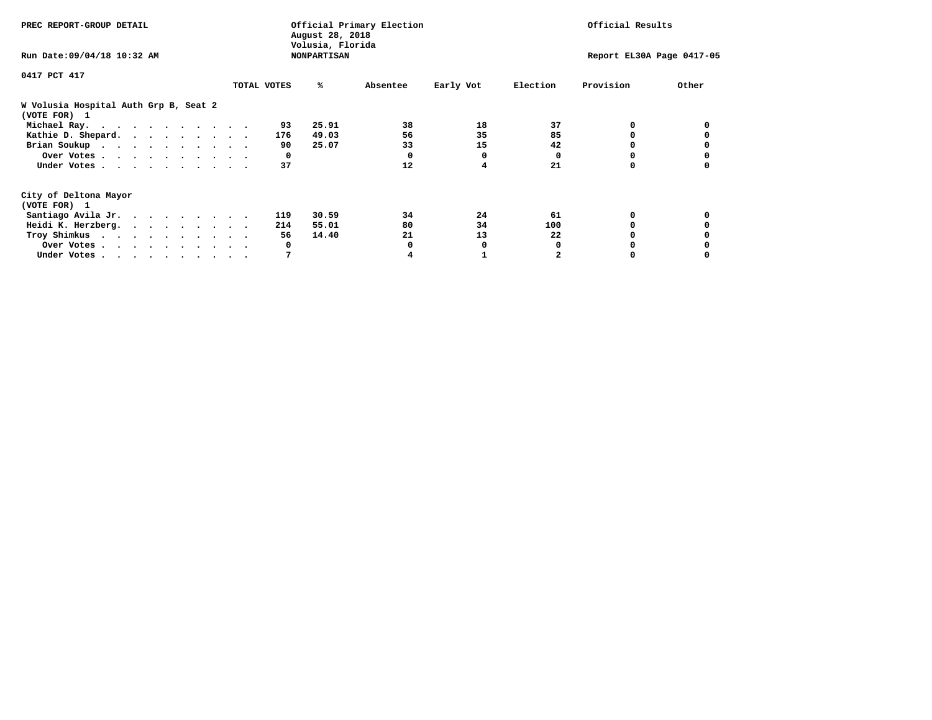| PREC REPORT-GROUP DETAIL                              |             | August 28, 2018                        | Official Primary Election |           |          | Official Results          |       |
|-------------------------------------------------------|-------------|----------------------------------------|---------------------------|-----------|----------|---------------------------|-------|
| Run Date: 09/04/18 10:32 AM                           |             | Volusia, Florida<br><b>NONPARTISAN</b> |                           |           |          | Report EL30A Page 0417-05 |       |
| 0417 PCT 417                                          |             |                                        |                           |           |          |                           |       |
|                                                       | TOTAL VOTES | ℁                                      | Absentee                  | Early Vot | Election | Provision                 | Other |
| W Volusia Hospital Auth Grp B, Seat 2<br>(VOTE FOR) 1 |             |                                        |                           |           |          |                           |       |
| Michael Ray.                                          |             | 25.91<br>93                            | 38                        | 18        | 37       | 0                         |       |
| Kathie D. Shepard.                                    |             | 49.03<br>176                           | 56                        | 35        | 85       |                           |       |
| Brian Soukup                                          |             | 25.07<br>90                            | 33                        | 15        | 42       |                           |       |
| Over Votes                                            |             | 0                                      | $\Omega$                  | 0         | 0        |                           |       |
| Under Votes                                           |             | 37                                     | 12                        | 4         | 21       | 0                         |       |
| City of Deltona Mayor                                 |             |                                        |                           |           |          |                           |       |
| (VOTE FOR) 1                                          |             |                                        |                           |           |          |                           |       |
| Santiago Avila Jr.                                    |             | 30.59<br>119                           | 34                        | 24        | 61       | 0                         |       |
| Heidi K. Herzberg.                                    |             | 55.01<br>214                           | 80                        | 34        | 100      |                           |       |
| Troy Shimkus                                          |             | 14.40<br>56                            | 21                        | 13        | 22       |                           |       |
| Over Votes                                            |             | 0                                      |                           | 0         |          |                           |       |
| Under Votes                                           |             | 7                                      |                           |           |          |                           |       |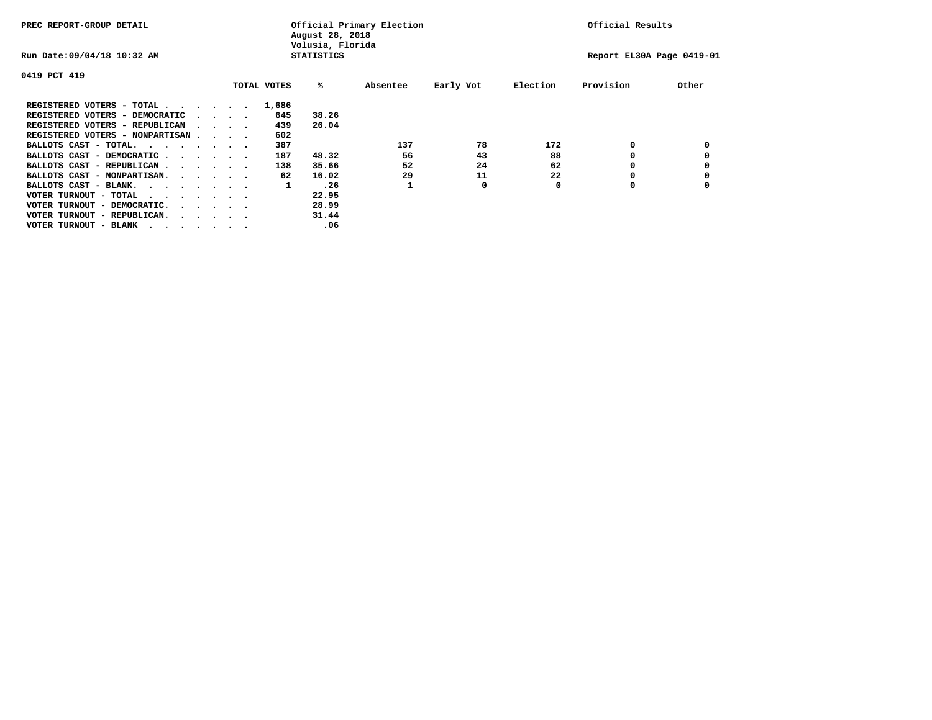| PREC REPORT-GROUP DETAIL                |                                         |  |             | August 28, 2018<br>Volusia, Florida | Official Primary Election |           |          | Official Results          |       |
|-----------------------------------------|-----------------------------------------|--|-------------|-------------------------------------|---------------------------|-----------|----------|---------------------------|-------|
| Run Date: 09/04/18 10:32 AM             |                                         |  |             | <b>STATISTICS</b>                   |                           |           |          | Report EL30A Page 0419-01 |       |
| 0419 PCT 419                            |                                         |  |             |                                     |                           |           |          |                           |       |
|                                         |                                         |  | TOTAL VOTES | %ะ                                  | Absentee                  | Early Vot | Election | Provision                 | Other |
| REGISTERED VOTERS - TOTAL               |                                         |  | 1,686       |                                     |                           |           |          |                           |       |
| REGISTERED VOTERS - DEMOCRATIC          | $\cdot$ $\cdot$ $\cdot$ $\cdot$         |  | 645         | 38.26                               |                           |           |          |                           |       |
| REGISTERED VOTERS - REPUBLICAN          | $\sim$ $\sim$ $\sim$ $\sim$             |  | 439         | 26.04                               |                           |           |          |                           |       |
| REGISTERED VOTERS - NONPARTISAN         |                                         |  | 602         |                                     |                           |           |          |                           |       |
| BALLOTS CAST - TOTAL.                   |                                         |  | 387         |                                     | 137                       | 78        | 172      | 0                         |       |
| BALLOTS CAST - DEMOCRATIC               |                                         |  | 187         | 48.32                               | 56                        | 43        | 88       |                           |       |
| BALLOTS CAST - REPUBLICAN               |                                         |  | 138         | 35.66                               | 52                        | 24        | 62       | 0                         |       |
| BALLOTS CAST - NONPARTISAN.             |                                         |  | 62          | 16.02                               | 29                        | 11        | 22       |                           |       |
| BALLOTS CAST - BLANK.                   |                                         |  | 1           | .26                                 |                           | 0         | 0        | 0                         |       |
| VOTER TURNOUT - TOTAL<br>$\cdots$       |                                         |  |             | 22.95                               |                           |           |          |                           |       |
| VOTER TURNOUT - DEMOCRATIC.             | $\cdot$ $\cdot$ $\cdot$ $\cdot$ $\cdot$ |  |             | 28.99                               |                           |           |          |                           |       |
| VOTER TURNOUT - REPUBLICAN.<br>$\cdots$ |                                         |  |             | 31.44                               |                           |           |          |                           |       |
| VOTER TURNOUT - BLANK                   |                                         |  |             | .06                                 |                           |           |          |                           |       |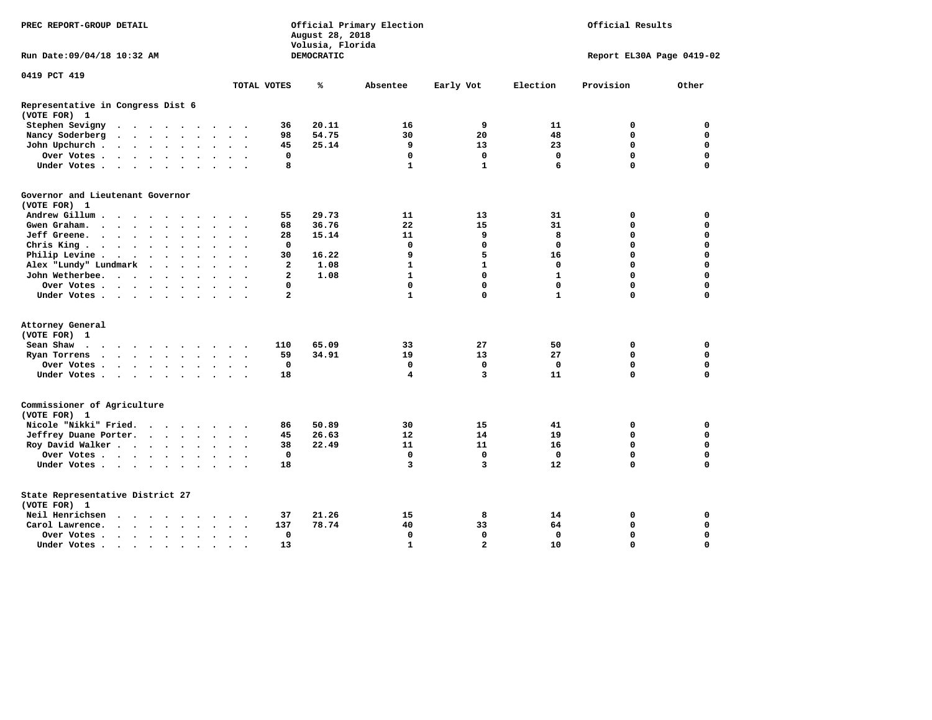| PREC REPORT-GROUP DETAIL                                                                                                                                                                                                                                       |                                                 | August 28, 2018                | Official Primary Election | Official Results        |                   |                           |             |
|----------------------------------------------------------------------------------------------------------------------------------------------------------------------------------------------------------------------------------------------------------------|-------------------------------------------------|--------------------------------|---------------------------|-------------------------|-------------------|---------------------------|-------------|
| Run Date: 09/04/18 10:32 AM                                                                                                                                                                                                                                    |                                                 | Volusia, Florida<br>DEMOCRATIC |                           |                         |                   | Report EL30A Page 0419-02 |             |
| 0419 PCT 419                                                                                                                                                                                                                                                   | TOTAL VOTES                                     | ℁                              | Absentee                  | Early Vot               | Election          | Provision                 | Other       |
|                                                                                                                                                                                                                                                                |                                                 |                                |                           |                         |                   |                           |             |
| Representative in Congress Dist 6<br>(VOTE FOR) 1                                                                                                                                                                                                              |                                                 |                                |                           |                         |                   |                           |             |
| Stephen Sevigny                                                                                                                                                                                                                                                | 36                                              | 20.11                          | 16                        | 9                       | 11                | 0                         | 0           |
| Nancy Soderberg<br>$\ddot{\phantom{a}}$                                                                                                                                                                                                                        | 98<br>$\sim$ $\sim$<br>$\overline{\phantom{a}}$ | 54.75                          | 30                        | 20                      | 48                | $\mathbf 0$               | $\mathbf 0$ |
| John Upchurch<br>$\ddot{\phantom{a}}$                                                                                                                                                                                                                          | 45<br>$\bullet$                                 | 25.14                          | 9                         | 13                      | 23                | 0                         | 0           |
| Over Votes                                                                                                                                                                                                                                                     | 0<br>$\sim$<br>$\bullet$                        |                                | $\mathbf 0$               | $\mathbf 0$             | $\mathbf 0$       | $\mathbf 0$               | $\mathbf 0$ |
| Under Votes                                                                                                                                                                                                                                                    | 8<br>$\sim$                                     |                                | $\mathbf{1}$              | $\mathbf{1}$            | 6                 | $\mathbf 0$               | $\mathbf 0$ |
| Governor and Lieutenant Governor<br>(VOTE FOR) 1                                                                                                                                                                                                               |                                                 |                                |                           |                         |                   |                           |             |
| Andrew Gillum                                                                                                                                                                                                                                                  | 55                                              | 29.73                          | 11                        | 13                      | 31                | 0                         | $\mathbf 0$ |
| Gwen Graham.<br>$\sim$ $\sim$ $\sim$ $\sim$<br>$\ddot{\phantom{a}}$                                                                                                                                                                                            | 68<br>$\ddot{\phantom{a}}$                      | 36.76                          | 22                        | 15                      | 31                | $\mathbf 0$               | $\mathbf 0$ |
| Jeff Greene.<br>$\ddot{\phantom{a}}$<br>$\bullet$                                                                                                                                                                                                              | 28<br>$\bullet$                                 | 15.14                          | 11                        | 9                       | 8                 | 0                         | 0           |
| Chris King<br>$\ddot{\phantom{a}}$                                                                                                                                                                                                                             | $\mathbf 0$                                     |                                | $\mathbf 0$               | $\mathbf 0$             | $\mathbf 0$       | $\mathbf 0$               | $\mathbf 0$ |
| Philip Levine .<br>$\cdots$<br>$\bullet$                                                                                                                                                                                                                       | 30<br>$\ddot{\phantom{a}}$                      | 16.22                          | 9                         | 5                       | 16                | $\mathbf 0$               | 0           |
| Alex "Lundy" Lundmark<br>$\ddot{\phantom{a}}$<br>$\sim$ $\sim$ $\sim$                                                                                                                                                                                          | $\mathbf{2}$<br>$\ddot{\phantom{a}}$            | 1.08                           | $\mathbf{1}$              | $\mathbf{1}$            | 0                 | $\mathbf 0$               | $\mathbf 0$ |
| John Wetherbee.                                                                                                                                                                                                                                                | $\mathbf{2}$                                    | 1.08                           | $\mathbf{1}$              | $\mathbf 0$             | $\mathbf{1}$      | $\mathbf 0$               | $\mathbf 0$ |
| Over Votes                                                                                                                                                                                                                                                     | 0                                               |                                | $\mathbf 0$               | $\mathbf 0$             | $\mathbf 0$       | $\mathbf 0$               | $\mathbf 0$ |
| Under Votes                                                                                                                                                                                                                                                    | $\overline{a}$                                  |                                | $\mathbf{1}$              | 0                       | $\mathbf{1}$      | $\Omega$                  | $\mathbf 0$ |
| Attorney General                                                                                                                                                                                                                                               |                                                 |                                |                           |                         |                   |                           |             |
| (VOTE FOR) 1                                                                                                                                                                                                                                                   |                                                 |                                |                           |                         |                   |                           |             |
| Sean Shaw<br>$\cdots$                                                                                                                                                                                                                                          | 110                                             | 65.09                          | 33                        | 27                      | 50                | 0                         | 0           |
| Ryan Torrens<br>$\mathbf{r}$ . The set of the set of the set of the set of the set of the set of the set of the set of the set of the set of the set of the set of the set of the set of the set of the set of the set of the set of the set of t<br>$\bullet$ | 59<br>$\bullet$<br>$\ddot{\phantom{1}}$         | 34.91                          | 19                        | 13                      | 27                | $\mathbf 0$               | $\mathbf 0$ |
| Over Votes                                                                                                                                                                                                                                                     | 0                                               |                                | 0                         | 0                       | 0                 | $\mathbf 0$               | 0           |
| Under Votes                                                                                                                                                                                                                                                    | 18<br>$\cdot$ $\cdot$ $\cdot$                   |                                | 4                         | $\overline{\mathbf{3}}$ | 11                | $\mathbf 0$               | $\mathbf 0$ |
| Commissioner of Agriculture<br>(VOTE FOR) 1                                                                                                                                                                                                                    |                                                 |                                |                           |                         |                   |                           |             |
| Nicole "Nikki" Fried.                                                                                                                                                                                                                                          | 86                                              | 50.89                          | 30                        | 15                      | 41                | 0                         | 0           |
| Jeffrey Duane Porter.                                                                                                                                                                                                                                          | 45<br>$\cdot$ $\cdot$ $\cdot$                   | 26.63                          | 12                        | 14                      | 19                | $\mathbf 0$               | $\mathbf 0$ |
| Roy David Walker                                                                                                                                                                                                                                               | 38<br>$\ddot{\phantom{1}}$                      | 22.49                          | 11                        | 11                      | 16                | $\mathbf 0$               | $\mathbf 0$ |
| Over Votes<br>$\bullet$                                                                                                                                                                                                                                        | 0<br>$\bullet$                                  |                                | $\mathbf 0$               | 0                       | 0                 | $\mathbf 0$               | 0           |
| Under Votes                                                                                                                                                                                                                                                    | 18                                              |                                | 3                         | 3                       | $12 \overline{ }$ | $\mathbf 0$               | $\mathbf 0$ |
| State Representative District 27<br>(VOTE FOR) 1                                                                                                                                                                                                               |                                                 |                                |                           |                         |                   |                           |             |
| Neil Henrichsen<br>$\cdot$ $\cdot$ $\cdot$ $\cdot$ $\cdot$ $\cdot$                                                                                                                                                                                             | 37                                              | 21.26                          | 15                        | 8                       | 14                | 0                         | 0           |
| Carol Lawrence.<br>$\mathbf{r}$ , $\mathbf{r}$ , $\mathbf{r}$ , $\mathbf{r}$ , $\mathbf{r}$<br>$\sim$                                                                                                                                                          | 137<br>$\ddot{\phantom{1}}$<br>$\bullet$        | 78.74                          | 40                        | 33                      | 64                | $\mathbf 0$               | $\mathbf 0$ |
| Over Votes<br>$\ddot{\phantom{a}}$                                                                                                                                                                                                                             | 0                                               |                                | $\mathbf 0$               | $\mathbf 0$             | $\mathbf 0$       | $\mathbf 0$               | $\mathbf 0$ |
| Under Votes<br>$\sim$                                                                                                                                                                                                                                          | 13<br>$\sim$ $\sim$                             |                                | $\mathbf{1}$              | $\overline{a}$          | 10                | $\Omega$                  | $\mathbf 0$ |
|                                                                                                                                                                                                                                                                |                                                 |                                |                           |                         |                   |                           |             |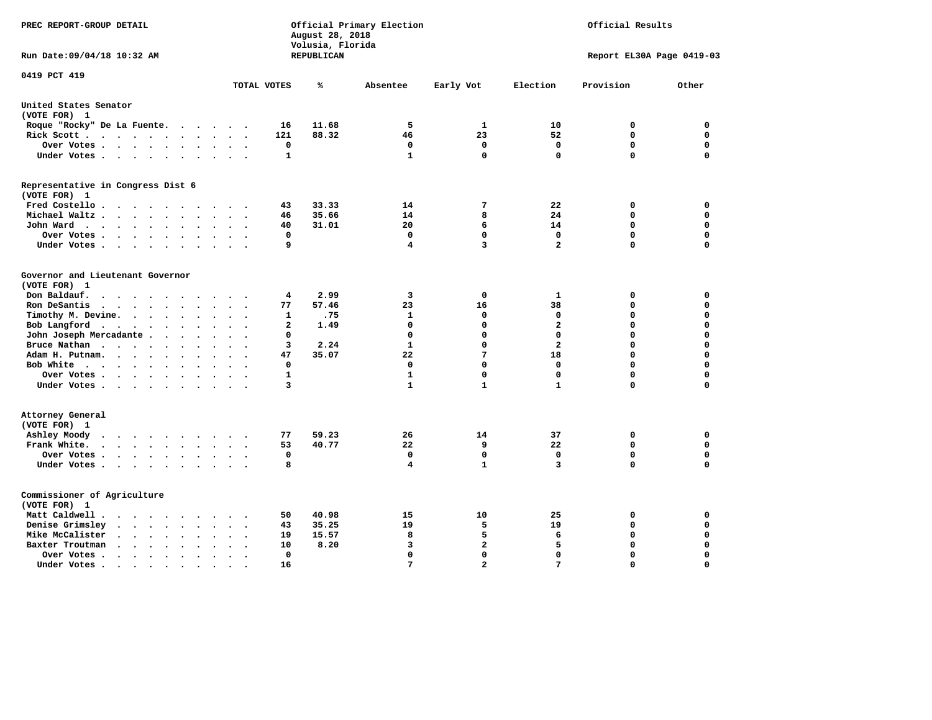| PREC REPORT-GROUP DETAIL                                                                                              |              | August 28, 2018<br>Volusia, Florida | Official Primary Election |                |                         | Official Results          |             |
|-----------------------------------------------------------------------------------------------------------------------|--------------|-------------------------------------|---------------------------|----------------|-------------------------|---------------------------|-------------|
| Run Date: 09/04/18 10:32 AM                                                                                           |              | REPUBLICAN                          |                           |                |                         | Report EL30A Page 0419-03 |             |
| 0419 PCT 419                                                                                                          | TOTAL VOTES  | %                                   | Absentee                  | Early Vot      | Election                | Provision                 | Other       |
| United States Senator                                                                                                 |              |                                     |                           |                |                         |                           |             |
| (VOTE FOR) 1                                                                                                          |              |                                     |                           |                |                         |                           |             |
| Roque "Rocky" De La Fuente.<br>$\cdots$<br>$\sim$ $\sim$                                                              | 16           | 11.68                               | 5                         | 1              | 10                      | 0                         | 0           |
| Rick Scott<br>$\ddot{\phantom{a}}$                                                                                    | 121          | 88.32                               | 46                        | 23             | 52                      | 0                         | $\mathbf 0$ |
| Over Votes<br>$\bullet$<br>$\ddot{\phantom{0}}$<br>$\cdot$                                                            | $\mathbf 0$  |                                     | 0                         | $\mathbf 0$    | $\mathbf 0$             | $\mathbf 0$               | $\mathbf 0$ |
| Under Votes                                                                                                           | $\mathbf{1}$ |                                     | $\mathbf{1}$              | $\mathbf 0$    | $\mathbf 0$             | $\mathbf 0$               | $\Omega$    |
| Representative in Congress Dist 6<br>(VOTE FOR) 1                                                                     |              |                                     |                           |                |                         |                           |             |
| Fred Costello                                                                                                         | 43           | 33.33                               | 14                        | 7              | 22                      | 0                         | 0           |
| Michael Waltz<br>$\sim$                                                                                               | 46           | 35.66                               | 14                        | 8              | 24                      | $\mathbf 0$               | $\mathbf 0$ |
| John Ward<br>$\bullet$ .<br>$\ddot{\phantom{1}}$                                                                      | 40           | 31.01                               | 20                        | 6              | 14                      | $\mathbf 0$               | $\mathbf 0$ |
| Over Votes<br>$\bullet$<br>$\bullet$                                                                                  | 0            |                                     | $\mathbf 0$               | $\mathbf{0}$   | $\mathbf 0$             | $\mathbf 0$               | $\mathbf 0$ |
| Under Votes<br>$\cdot$<br>$\cdot$                                                                                     | 9            |                                     | 4                         | 3              | $\overline{\mathbf{2}}$ | 0                         | 0           |
| Governor and Lieutenant Governor<br>(VOTE FOR) 1<br>Don Baldauf.<br><b><i>Charles Committee Committee States</i></b>  | 4            | 2.99                                | 3                         | 0              | 1                       | 0                         | 0           |
| Ron DeSantis<br>$\bullet$                                                                                             | 77           | 57.46                               | 23                        | 16             | 38                      | 0                         | $\mathbf 0$ |
| Timothy M. Devine.<br>$\sim$<br>$\ddot{\phantom{a}}$<br>$\bullet$<br>$\bullet$                                        | 1            | .75                                 | $\mathbf{1}$              | 0              | 0                       | $\mathbf 0$               | $\mathbf 0$ |
| Bob Langford<br>$\sim$ $\sim$                                                                                         | $\mathbf{2}$ | 1.49                                | 0                         | 0              | $\overline{a}$          | 0                         | $\mathbf 0$ |
| John Joseph Mercadante .<br>$\sim$ $\sim$<br>$\ddot{\phantom{a}}$                                                     | 0            |                                     | $\mathbf 0$               | $\mathbf 0$    | $\mathbf 0$             | $\mathbf 0$               | $\mathbf 0$ |
| Bruce Nathan<br>$\ddot{\phantom{a}}$<br>$\bullet$<br>$\bullet$<br>$\ddot{\phantom{a}}$<br>$\ddot{\phantom{a}}$        | 3            | 2.24                                | 1                         | $\mathbf{0}$   | $\overline{a}$          | 0                         | $\mathbf 0$ |
| Adam H. Putnam.<br>$\cdot$<br>$\ddot{\phantom{a}}$                                                                    | 47           | 35.07                               | 22                        | 7              | 18                      | 0                         | $\mathbf 0$ |
| Bob White<br>$\sim$<br>$\cdot$                                                                                        | 0            |                                     | $\mathbf 0$               | $\mathbf{0}$   | 0                       | $\mathbf 0$               | $\mathbf 0$ |
| Over Votes<br>$\ddot{\phantom{a}}$<br>$\bullet$                                                                       | 1            |                                     | 1                         | $\Omega$       | 0                       | 0                         | 0           |
| Under Votes                                                                                                           | 3            |                                     | $\mathbf{1}$              | $\mathbf{1}$   | $\mathbf{1}$            | 0                         | $\Omega$    |
| Attorney General<br>(VOTE FOR) 1                                                                                      |              |                                     |                           |                |                         |                           |             |
| Ashley Moody<br>$\sim$ $\sim$                                                                                         | 77           | 59.23                               | 26                        | 14             | 37                      | 0                         | $\mathbf 0$ |
| Frank White.<br>$\mathbf{r}$ , $\mathbf{r}$ , $\mathbf{r}$ , $\mathbf{r}$ , $\mathbf{r}$                              | 53           | 40.77                               | 22                        | 9              | 22                      | $\mathbf 0$               | $\mathbf 0$ |
| Over Votes<br>$\ddot{\phantom{0}}$<br>$\bullet$<br>$\ddot{\phantom{a}}$                                               | $\mathbf 0$  |                                     | 0                         | $\mathbf 0$    | 0                       | $\mathbf 0$               | $\mathbf 0$ |
| Under Votes<br>$\sim$                                                                                                 | 8            |                                     | 4                         | $\mathbf{1}$   | 3                       | $\mathbf 0$               | $\mathbf 0$ |
| Commissioner of Agriculture<br>(VOTE FOR) 1                                                                           |              |                                     |                           |                |                         |                           |             |
| Matt Caldwell .<br>$\mathcal{A}=\mathcal{A}=\mathcal{A}=\mathcal{A}=\mathcal{A}=\mathcal{A}$                          | 50           | 40.98                               | 15                        | 10             | 25                      | 0                         | 0           |
| Denise Grimsley<br>$\cdot$ $\cdot$ $\cdot$<br>$\ddot{\phantom{a}}$                                                    | 43           | 35.25                               | 19                        | 5              | 19                      | $\mathbf 0$               | $\mathbf 0$ |
| Mike McCalister<br>$\mathbf{u} = \mathbf{u} + \mathbf{u} + \mathbf{u} + \mathbf{u}$<br>$\bullet$<br>$\sim$<br>$\cdot$ | 19           | 15.57                               | 8                         | 5              | 6                       | 0                         | $\mathbf 0$ |
| Baxter Troutman<br>$\sim$<br>$\ddot{\phantom{a}}$                                                                     | 10           | 8.20                                | 3                         | $\overline{a}$ | 5                       | $\mathbf 0$               | $\mathbf 0$ |
| Over Votes.<br>$\sim$ $\sim$ $\sim$ $\sim$<br>$\bullet$<br>$\cdot$<br>$\ddot{\phantom{a}}$                            | $\mathbf 0$  |                                     | 0                         | $\mathbf{0}$   | $\mathbf 0$             | $\mathbf 0$               | $\mathbf 0$ |
| Under Votes.<br>$\sim$ $\sim$ $\sim$ $\sim$<br>$\bullet$<br>$\bullet$<br>$\bullet$                                    | 16           |                                     | 7                         | $\overline{2}$ | 7                       | $\Omega$                  | $\Omega$    |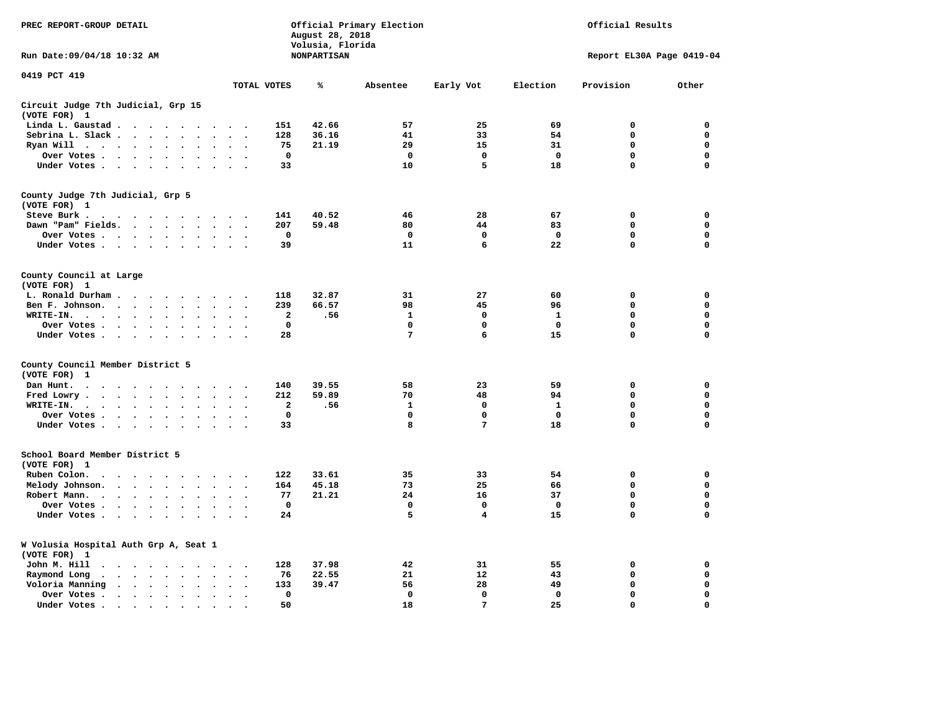| PREC REPORT-GROUP DETAIL                                                                                                                                                                                                                                                                                                                                                                                                                                                | Official Primary Election<br>Official Results<br>August 28, 2018<br>Volusia, Florida |                    |                 |              |              |                           |             |
|-------------------------------------------------------------------------------------------------------------------------------------------------------------------------------------------------------------------------------------------------------------------------------------------------------------------------------------------------------------------------------------------------------------------------------------------------------------------------|--------------------------------------------------------------------------------------|--------------------|-----------------|--------------|--------------|---------------------------|-------------|
| Run Date: 09/04/18 10:32 AM                                                                                                                                                                                                                                                                                                                                                                                                                                             |                                                                                      | <b>NONPARTISAN</b> |                 |              |              | Report EL30A Page 0419-04 |             |
| 0419 PCT 419                                                                                                                                                                                                                                                                                                                                                                                                                                                            | TOTAL VOTES                                                                          | ℁                  | Absentee        | Early Vot    | Election     | Provision                 | Other       |
| Circuit Judge 7th Judicial, Grp 15                                                                                                                                                                                                                                                                                                                                                                                                                                      |                                                                                      |                    |                 |              |              |                           |             |
| (VOTE FOR) 1                                                                                                                                                                                                                                                                                                                                                                                                                                                            |                                                                                      |                    |                 |              |              |                           |             |
| Linda L. Gaustad                                                                                                                                                                                                                                                                                                                                                                                                                                                        | 151                                                                                  | 42.66              | 57              | 25           | 69           | $\mathbf 0$               | 0           |
| Sebrina L. Slack<br>$\sim$<br>$\mathbf{r}$                                                                                                                                                                                                                                                                                                                                                                                                                              | 128                                                                                  | 36.16              | 41              | 33           | 54           | 0                         | 0           |
| Ryan Will $\cdots$ $\cdots$<br>$\cdot$                                                                                                                                                                                                                                                                                                                                                                                                                                  | 75                                                                                   | 21.19              | 29              | 15           | 31           | 0                         | 0           |
| Over Votes<br>$\bullet$<br>$\bullet$                                                                                                                                                                                                                                                                                                                                                                                                                                    | $\mathbf{o}$<br>$\bullet$                                                            |                    | $\mathbf 0$     | 0            | $\mathbf 0$  | 0                         | 0           |
| Under Votes                                                                                                                                                                                                                                                                                                                                                                                                                                                             | 33<br>$\sim$ $\sim$                                                                  |                    | 10              | 5            | 18           | 0                         | $\mathbf 0$ |
| County Judge 7th Judicial, Grp 5                                                                                                                                                                                                                                                                                                                                                                                                                                        |                                                                                      |                    |                 |              |              |                           |             |
| (VOTE FOR) 1                                                                                                                                                                                                                                                                                                                                                                                                                                                            |                                                                                      |                    |                 |              |              |                           |             |
| Steve Burk.<br>. As the second contribution of the second contribution $\mathcal{L}_\mathbf{r}$                                                                                                                                                                                                                                                                                                                                                                         | 141<br>$\sim$ $\sim$                                                                 | 40.52              | 46              | 28           | 67           | 0                         | 0           |
| Dawn "Pam" Fields.                                                                                                                                                                                                                                                                                                                                                                                                                                                      | 207<br>$\cdot$ .                                                                     | 59.48              | 80              | 44           | 83           | $\mathbf 0$               | 0           |
| Over Votes<br>$\ddot{\phantom{a}}$<br>$\ddot{\phantom{a}}$                                                                                                                                                                                                                                                                                                                                                                                                              | 0<br>$\cdot$                                                                         |                    | 0               | 0            | $\mathbf{o}$ | 0                         | 0           |
| Under Votes                                                                                                                                                                                                                                                                                                                                                                                                                                                             | 39<br>$\sim$                                                                         |                    | 11              | 6            | 22           | $\mathbf 0$               | $\mathbf 0$ |
| County Council at Large<br>(VOTE FOR) 1                                                                                                                                                                                                                                                                                                                                                                                                                                 |                                                                                      |                    |                 |              |              |                           |             |
| L. Ronald Durham                                                                                                                                                                                                                                                                                                                                                                                                                                                        | 118                                                                                  | 32.87              | 31              | 27           | 60           | $\mathbf 0$               | 0           |
| Ben F. Johnson.                                                                                                                                                                                                                                                                                                                                                                                                                                                         | 239                                                                                  | 66.57              | 98              | 45           | 96           | 0                         | 0           |
| $\ddot{\phantom{a}}$<br>$\bullet$<br>WRITE-IN.                                                                                                                                                                                                                                                                                                                                                                                                                          | $\cdot$<br>$\ddot{\phantom{0}}$<br>$\overline{\mathbf{2}}$                           | .56                | $\mathbf{1}$    | $\mathbf{0}$ | $\mathbf{1}$ | 0                         | $\mathbf 0$ |
| $\mathcal{A}=\mathcal{A}=\mathcal{A}=\mathcal{A}=\mathcal{A}=\mathcal{A}$ .                                                                                                                                                                                                                                                                                                                                                                                             | $\mathbf 0$                                                                          |                    | 0               | 0            | 0            | 0                         | 0           |
| Over Votes .<br>$\sim$ $\sim$ $\sim$ $\sim$ $\sim$<br>$\sim$<br>$\cdot$<br>Under Votes<br>$\sim$<br>$\overline{\phantom{a}}$                                                                                                                                                                                                                                                                                                                                            | 28                                                                                   |                    | $7\phantom{.0}$ | 6            | 15           | $\mathbf 0$               | 0           |
|                                                                                                                                                                                                                                                                                                                                                                                                                                                                         |                                                                                      |                    |                 |              |              |                           |             |
| County Council Member District 5<br>(VOTE FOR)<br>1                                                                                                                                                                                                                                                                                                                                                                                                                     |                                                                                      |                    |                 |              |              |                           |             |
| Dan Hunt.<br>$\mathbf{a} \qquad \mathbf{a} \qquad \mathbf{a} \qquad \mathbf{a} \qquad \mathbf{a} \qquad \mathbf{a} \qquad \mathbf{a} \qquad \mathbf{a} \qquad \mathbf{a} \qquad \mathbf{a} \qquad \mathbf{a} \qquad \mathbf{a} \qquad \mathbf{a} \qquad \mathbf{a} \qquad \mathbf{a} \qquad \mathbf{a} \qquad \mathbf{a} \qquad \mathbf{a} \qquad \mathbf{a} \qquad \mathbf{a} \qquad \mathbf{a} \qquad \mathbf{a} \qquad \mathbf{a} \qquad \mathbf{a} \qquad \mathbf{$ | 140                                                                                  | 39.55              | 58              | 23           | 59           | 0                         | 0           |
| Fred Lowry.<br>$\cdots$<br>$\sim$<br>$\sim$                                                                                                                                                                                                                                                                                                                                                                                                                             | 212<br>$\sim$ $\sim$                                                                 | 59.89              | 70              | 48           | 94           | $\mathbf 0$               | $\mathbf 0$ |
| WRITE-IN.<br>$\sim$ $\sim$ $\sim$ $\sim$ $\sim$<br>$\ddot{\phantom{a}}$<br>$\ddot{\phantom{a}}$<br>$\cdot$                                                                                                                                                                                                                                                                                                                                                              | $\mathbf{2}$                                                                         | .56                | 1               | 0            | 1            | 0                         | $\mathbf 0$ |
| Over Votes<br>$\bullet$<br>$\bullet$                                                                                                                                                                                                                                                                                                                                                                                                                                    | $\mathbf 0$<br>$\ddot{\phantom{a}}$<br>$\cdot$                                       |                    | $\mathbf 0$     | $\mathbf 0$  | $\mathbf 0$  | $\mathbf 0$               | 0           |
| Under Votes                                                                                                                                                                                                                                                                                                                                                                                                                                                             | 33<br>$\cdot$ $\cdot$ $\cdot$ $\cdot$                                                |                    | 8               | 7            | 18           | $\mathbf 0$               | $\mathbf 0$ |
| School Board Member District 5                                                                                                                                                                                                                                                                                                                                                                                                                                          |                                                                                      |                    |                 |              |              |                           |             |
| (VOTE FOR) 1                                                                                                                                                                                                                                                                                                                                                                                                                                                            |                                                                                      |                    |                 |              |              |                           |             |
| Ruben Colon.<br>$\ddot{\phantom{a}}$<br>$\cdots$                                                                                                                                                                                                                                                                                                                                                                                                                        | 122                                                                                  | 33.61              | 35              | 33           | 54           | $\mathbf 0$               | 0           |
| Melody Johnson.                                                                                                                                                                                                                                                                                                                                                                                                                                                         | 164                                                                                  | 45.18              | 73              | 25           | 66           | 0                         | 0           |
| Robert Mann.<br>$\mathbf{r}$ , $\mathbf{r}$ , $\mathbf{r}$ , $\mathbf{r}$<br>$\bullet$<br>$\ddot{\phantom{a}}$<br>$\bullet$                                                                                                                                                                                                                                                                                                                                             | 77                                                                                   | 21.21              | 24              | 16           | 37           | 0                         | 0           |
| Over Votes<br>$\cdot$                                                                                                                                                                                                                                                                                                                                                                                                                                                   | $\mathbf{o}$                                                                         |                    | $\mathbf 0$     | 0            | $\mathbf 0$  | 0                         | 0           |
| Under Votes<br>$\sim$<br>$\cdot$                                                                                                                                                                                                                                                                                                                                                                                                                                        | 24                                                                                   |                    | 5               | 4            | 15           | 0                         | $\mathbf 0$ |
| W Volusia Hospital Auth Grp A, Seat 1<br>(VOTE FOR) 1                                                                                                                                                                                                                                                                                                                                                                                                                   |                                                                                      |                    |                 |              |              |                           |             |
| John M. Hill<br>$\cdot$                                                                                                                                                                                                                                                                                                                                                                                                                                                 | 128<br>$\cdot$ .                                                                     | 37.98              | 42              | 31           | 55           | 0                         | 0           |
| Raymond Long<br>$\ddot{\phantom{1}}$ .<br>$\sim$<br>$\bullet$                                                                                                                                                                                                                                                                                                                                                                                                           | 76<br>$\bullet$<br>$\cdot$                                                           | 22.55              | 21              | 12           | 43           | $\mathbf 0$               | 0           |
| Voloria Manning                                                                                                                                                                                                                                                                                                                                                                                                                                                         | 133<br>$\ddot{\phantom{a}}$                                                          | 39.47              | 56              | 28           | 49           | 0                         | 0           |
| Over Votes .<br>$\bullet$<br>$\bullet$                                                                                                                                                                                                                                                                                                                                                                                                                                  | $\Omega$<br>$\ddot{\phantom{a}}$                                                     |                    | $\mathbf 0$     | $\mathbf{0}$ | $\mathbf{0}$ | $\mathbf 0$               | $\mathbf 0$ |
| Under Votes.<br>$\cdots$<br>$\bullet$                                                                                                                                                                                                                                                                                                                                                                                                                                   | 50                                                                                   |                    | 18              | 7            | 25           | $\Omega$                  | $\Omega$    |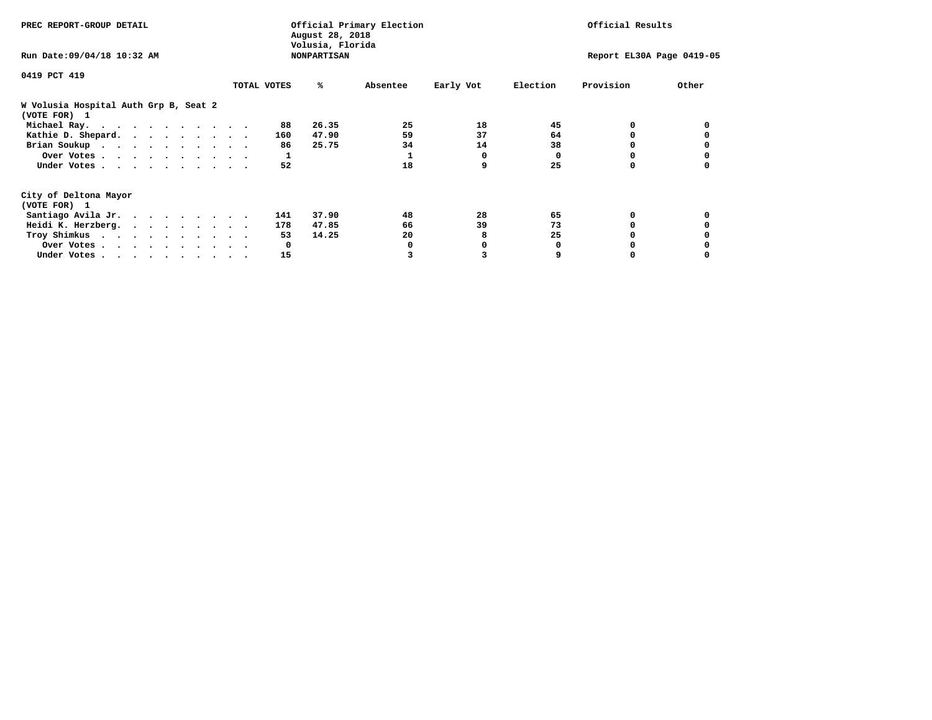| PREC REPORT-GROUP DETAIL                              |             |     | August 28, 2018                        | Official Primary Election |           |          | Official Results          |       |
|-------------------------------------------------------|-------------|-----|----------------------------------------|---------------------------|-----------|----------|---------------------------|-------|
| Run Date: 09/04/18 10:32 AM                           |             |     | Volusia, Florida<br><b>NONPARTISAN</b> |                           |           |          | Report EL30A Page 0419-05 |       |
| 0419 PCT 419                                          |             |     |                                        |                           |           |          |                           |       |
|                                                       | TOTAL VOTES |     | ℁                                      | Absentee                  | Early Vot | Election | Provision                 | Other |
| W Volusia Hospital Auth Grp B, Seat 2<br>(VOTE FOR) 1 |             |     |                                        |                           |           |          |                           |       |
| Michael Ray.                                          |             | 88  | 26.35                                  | 25                        | 18        | 45       |                           |       |
| Kathie D. Shepard.                                    |             | 160 | 47.90                                  | 59                        | 37        | 64       |                           |       |
| Brian Soukup                                          |             | 86  | 25.75                                  | 34                        | 14        | 38       |                           |       |
| Over Votes                                            |             | 1   |                                        |                           | 0         | $\Omega$ | 0                         |       |
| Under Votes                                           |             | 52  |                                        | 18                        | 9         | 25       |                           |       |
| City of Deltona Mayor                                 |             |     |                                        |                           |           |          |                           |       |
| (VOTE FOR) 1                                          |             |     |                                        |                           |           |          |                           |       |
| Santiago Avila Jr.                                    |             | 141 | 37.90                                  | 48                        | 28        | 65       | 0                         |       |
| Heidi K. Herzberg.                                    |             | 178 | 47.85                                  | 66                        | 39        | 73       |                           |       |
| Troy Shimkus                                          |             | 53  | 14.25                                  | 20                        | 8         | 25       |                           |       |
| Over Votes                                            |             | 0   |                                        |                           |           |          |                           |       |
| Under Votes                                           |             | 15  |                                        |                           |           |          |                           |       |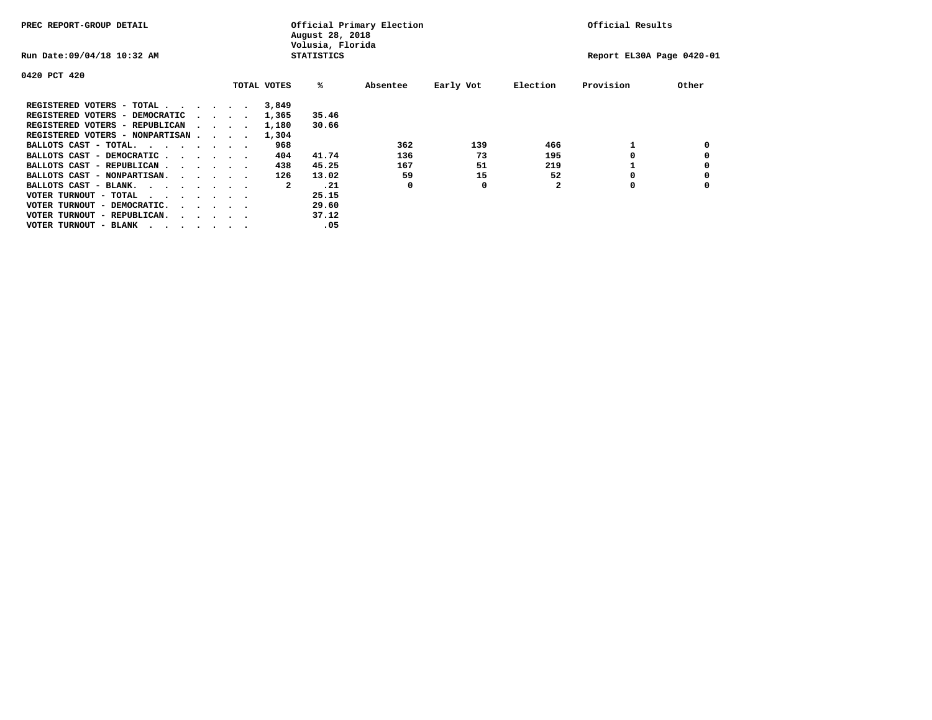| PREC REPORT-GROUP DETAIL               |                                         |  |             | August 28, 2018<br>Volusia, Florida | Official Primary Election |           |              | Official Results          |       |
|----------------------------------------|-----------------------------------------|--|-------------|-------------------------------------|---------------------------|-----------|--------------|---------------------------|-------|
| Run Date: 09/04/18 10:32 AM            |                                         |  |             | <b>STATISTICS</b>                   |                           |           |              | Report EL30A Page 0420-01 |       |
| 0420 PCT 420                           |                                         |  |             |                                     |                           |           |              |                           |       |
|                                        |                                         |  | TOTAL VOTES | %ะ                                  | Absentee                  | Early Vot | Election     | Provision                 | Other |
| REGISTERED VOTERS - TOTAL              |                                         |  | 3,849       |                                     |                           |           |              |                           |       |
| REGISTERED VOTERS - DEMOCRATIC         | $\sim$ $\sim$ $\sim$ $\sim$             |  | 1,365       | 35.46                               |                           |           |              |                           |       |
| REGISTERED VOTERS - REPUBLICAN         |                                         |  | 1,180       | 30.66                               |                           |           |              |                           |       |
| REGISTERED VOTERS - NONPARTISAN        |                                         |  | 1,304       |                                     |                           |           |              |                           |       |
| BALLOTS CAST - TOTAL.                  |                                         |  | 968         |                                     | 362                       | 139       | 466          |                           |       |
| BALLOTS CAST - DEMOCRATIC              |                                         |  | 404         | 41.74                               | 136                       | 73        | 195          |                           |       |
| BALLOTS CAST - REPUBLICAN              |                                         |  | 438         | 45.25                               | 167                       | 51        | 219          |                           |       |
| BALLOTS CAST - NONPARTISAN.            |                                         |  | 126         | 13.02                               | 59                        | 15        | 52           |                           |       |
| BALLOTS CAST - BLANK.                  |                                         |  | 2           | .21                                 | 0                         | 0         | $\mathbf{2}$ | 0                         |       |
| VOTER TURNOUT - TOTAL<br>.             |                                         |  |             | 25.15                               |                           |           |              |                           |       |
| VOTER TURNOUT - DEMOCRATIC.            | $\cdot$ $\cdot$ $\cdot$ $\cdot$ $\cdot$ |  |             | 29.60                               |                           |           |              |                           |       |
| VOTER TURNOUT - REPUBLICAN.<br>$\cdot$ |                                         |  |             | 37.12                               |                           |           |              |                           |       |
| VOTER TURNOUT - BLANK                  |                                         |  |             | .05                                 |                           |           |              |                           |       |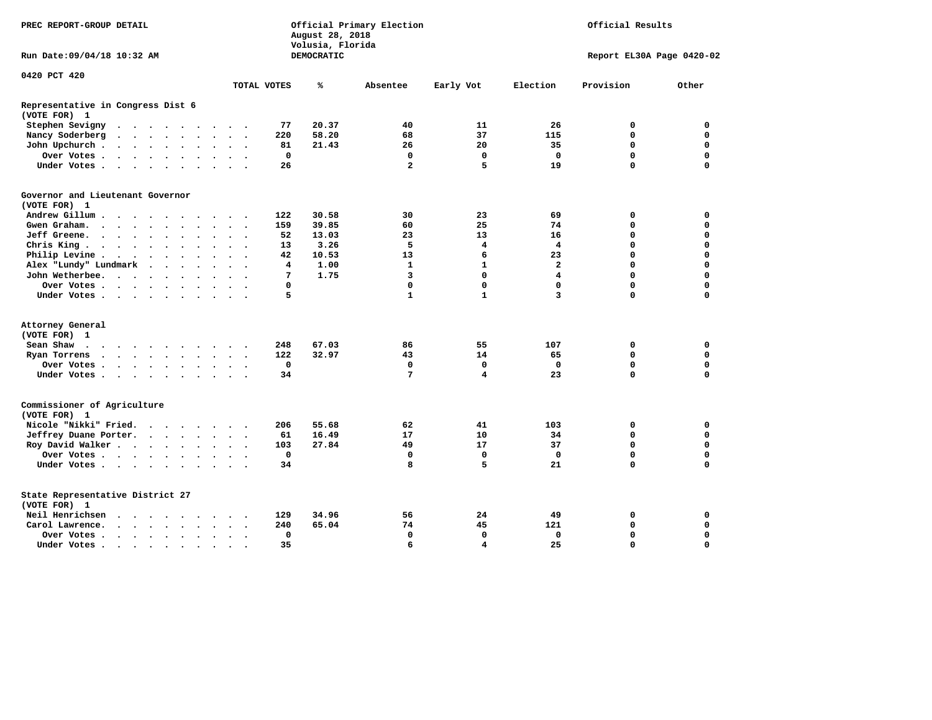| PREC REPORT-GROUP DETAIL                                                                                                 |                                                                                          | August 28, 2018<br>Volusia, Florida | Official Primary Election | Official Results        |                |                           |             |
|--------------------------------------------------------------------------------------------------------------------------|------------------------------------------------------------------------------------------|-------------------------------------|---------------------------|-------------------------|----------------|---------------------------|-------------|
| Run Date: 09/04/18 10:32 AM                                                                                              |                                                                                          | <b>DEMOCRATIC</b>                   |                           |                         |                | Report EL30A Page 0420-02 |             |
| 0420 PCT 420                                                                                                             | TOTAL VOTES                                                                              | ℁                                   | Absentee                  | Early Vot               | Election       | Provision                 | Other       |
|                                                                                                                          |                                                                                          |                                     |                           |                         |                |                           |             |
| Representative in Congress Dist 6<br>(VOTE FOR) 1                                                                        |                                                                                          |                                     |                           |                         |                |                           |             |
| Stephen Sevigny<br>$\cdot$                                                                                               | $\sim$ $\sim$                                                                            | 77<br>20.37                         | 40                        | 11                      | 26             | 0                         | 0           |
| Nancy Soderberg<br>$\begin{array}{cccccccccccccccccc} . & . & . & . & . & . & . & . & . & . & . & . \end{array}$         | 220                                                                                      | 58.20                               | 68                        | 37                      | 115            | 0                         | 0           |
| John Upchurch.<br>$\cdots$                                                                                               | $\ddot{\phantom{a}}$<br>$\ddot{\phantom{a}}$                                             | 21.43<br>81                         | 26                        | 20                      | 35             | $\mathbf 0$               | $\mathbf 0$ |
| Over Votes                                                                                                               | $\ddot{\phantom{0}}$<br>$\ddot{\phantom{1}}$                                             | 0                                   | $\mathbf 0$               | 0                       | $\mathbf 0$    | $\mathbf 0$               | $\mathbf 0$ |
| Under Votes                                                                                                              | <b>San Adams</b>                                                                         | 26                                  | $\overline{\mathbf{2}}$   | 5                       | 19             | $\Omega$                  | $\mathbf 0$ |
| Governor and Lieutenant Governor                                                                                         |                                                                                          |                                     |                           |                         |                |                           |             |
| (VOTE FOR) 1                                                                                                             |                                                                                          |                                     |                           |                         |                |                           |             |
| Andrew Gillum<br>$\cdot$                                                                                                 | 122                                                                                      | 30.58                               | 30                        | 23                      | 69             | 0                         | 0           |
| Gwen Graham.                                                                                                             | 159<br>$\sim$<br>$\sim$ $\sim$                                                           | 39.85                               | 60                        | 25                      | 74             | 0                         | $\mathbf 0$ |
| Jeff Greene.                                                                                                             |                                                                                          | 52<br>13.03                         | 23                        | 13                      | 16             | 0                         | 0           |
| Chris King $\cdots$ $\cdots$ $\cdots$                                                                                    | $\sim$ $\sim$                                                                            | 3.26<br>13                          | 5                         | 4                       | 4              | $\mathbf 0$               | $\mathbf 0$ |
| Philip Levine .                                                                                                          | $\ddot{\phantom{a}}$<br>$\ddot{\phantom{a}}$<br>$\sim$<br>$\overline{\phantom{a}}$       | 10.53<br>42                         | 13                        | 6                       | 23             | $\Omega$                  | $\mathbf 0$ |
| Alex "Lundy" Lundmark<br>$\mathcal{L}^{\mathcal{L}}$ , and $\mathcal{L}^{\mathcal{L}}$ , and $\mathcal{L}^{\mathcal{L}}$ | $\ddot{\phantom{a}}$                                                                     | 1.00<br>4                           | $\mathbf{1}$              | $\mathbf{1}$            | $\overline{2}$ | $\mathbf 0$               | $\mathbf 0$ |
| John Wetherbee.                                                                                                          | $\ddot{\phantom{a}}$                                                                     | 1.75<br>7                           | $\overline{\mathbf{3}}$   | $\mathbf 0$             | $\overline{4}$ | $\Omega$                  | $\mathbf 0$ |
| Over Votes                                                                                                               | $\bullet$                                                                                | 0                                   | $\mathbf 0$               | $\mathbf 0$             | $\mathbf 0$    | $\mathbf 0$               | $\mathbf 0$ |
| Under Votes                                                                                                              |                                                                                          | 5                                   | 1                         | $\mathbf{1}$            | 3              | $\mathbf 0$               | 0           |
| Attorney General                                                                                                         |                                                                                          |                                     |                           |                         |                |                           |             |
| (VOTE FOR) 1                                                                                                             |                                                                                          |                                     |                           |                         |                |                           |             |
| Sean Shaw<br>$\cdots$                                                                                                    | 248                                                                                      | 67.03                               | 86                        | 55                      | 107            | 0                         | $\mathbf 0$ |
| Ryan Torrens<br>$\cdots$                                                                                                 | 122<br>$\ddot{\phantom{1}}$<br>$\sim$                                                    | 32.97                               | 43                        | 14                      | 65             | $\mathbf 0$               | $\mathbf 0$ |
| Over Votes                                                                                                               |                                                                                          | $\mathbf 0$                         | $\mathbf 0$               | $\mathbf 0$             | $\mathbf 0$    | $\mathbf 0$               | $\mathbf 0$ |
| Under Votes                                                                                                              | $\sim$                                                                                   | 34                                  | 7                         | $\overline{\mathbf{4}}$ | 23             | $\mathbf 0$               | $\mathbf 0$ |
| Commissioner of Agriculture<br>(VOTE FOR) 1                                                                              |                                                                                          |                                     |                           |                         |                |                           |             |
| Nicole "Nikki" Fried.                                                                                                    | 206                                                                                      | 55.68                               | 62                        | 41                      | 103            | 0                         | 0           |
| Jeffrey Duane Porter.                                                                                                    | $\sim$ $\sim$                                                                            | 61<br>16.49                         | 17                        | 10                      | 34             | 0                         | 0           |
| Roy David Walker                                                                                                         | 103                                                                                      | 27.84                               | 49                        | 17                      | 37             | $\mathbf 0$               | $\mathbf 0$ |
| Over Votes                                                                                                               | $\ddot{\phantom{a}}$                                                                     | $\mathbf 0$                         | $\mathbf 0$               | $\mathbf 0$             | $\Omega$       | $\mathbf 0$               | $\mathbf 0$ |
| Under Votes                                                                                                              |                                                                                          | 34                                  | 8                         | 5                       | 21             | $\Omega$                  | 0           |
| State Representative District 27<br>(VOTE FOR) 1                                                                         |                                                                                          |                                     |                           |                         |                |                           |             |
| Neil Henrichsen<br>$\mathbf{r}$ , $\mathbf{r}$ , $\mathbf{r}$ , $\mathbf{r}$ , $\mathbf{r}$                              | 129                                                                                      | 34.96                               | 56                        | 24                      | 49             | 0                         | 0           |
| Carol Lawrence.                                                                                                          | 240<br>$\ddot{\phantom{a}}$<br>$\ddot{\phantom{a}}$<br>$\bullet$<br>$\ddot{\phantom{1}}$ | 65.04                               | 74                        | 45                      | 121            | $\mathbf 0$               | $\mathbf 0$ |
| Over Votes                                                                                                               | $\ddot{\phantom{0}}$<br>$\bullet$                                                        | $\mathbf 0$                         | $\mathbf 0$               | $\mathbf 0$             | $\mathbf 0$    | $\mathbf 0$               | $\mathbf 0$ |
| Under Votes                                                                                                              |                                                                                          | 35                                  | 6                         | 4                       | 25             | $\Omega$                  | $\Omega$    |
|                                                                                                                          |                                                                                          |                                     |                           |                         |                |                           |             |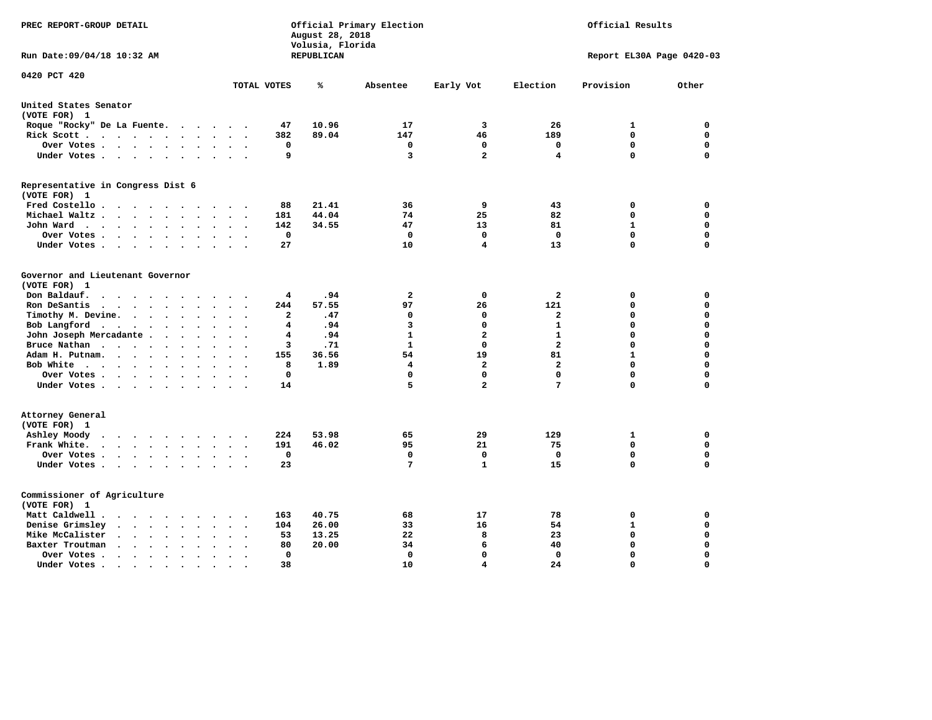| PREC REPORT-GROUP DETAIL                                                                                          |                                                   | August 28, 2018<br>Volusia, Florida | Official Primary Election |                         |                         | Official Results          |             |
|-------------------------------------------------------------------------------------------------------------------|---------------------------------------------------|-------------------------------------|---------------------------|-------------------------|-------------------------|---------------------------|-------------|
| Run Date: 09/04/18 10:32 AM                                                                                       |                                                   | <b>REPUBLICAN</b>                   |                           |                         |                         | Report EL30A Page 0420-03 |             |
| 0420 PCT 420                                                                                                      | TOTAL VOTES                                       | ℁                                   | Absentee                  | Early Vot               | Election                | Provision                 | Other       |
| United States Senator                                                                                             |                                                   |                                     |                           |                         |                         |                           |             |
| (VOTE FOR) 1                                                                                                      |                                                   |                                     |                           |                         |                         |                           |             |
| Roque "Rocky" De La Fuente.<br>$\sim$ $\sim$<br>$\bullet$                                                         | 47<br>$\ddot{\phantom{a}}$                        | 10.96                               | 17                        | 3                       | 26                      | 1                         | 0           |
| Rick Scott<br>$\cdot$                                                                                             | 382                                               | 89.04                               | 147                       | 46                      | 189                     | $\mathbf 0$               | $\mathbf 0$ |
| Over Votes<br>$\ddot{\phantom{0}}$<br>$\ddot{\phantom{a}}$                                                        | 0<br>$\ddot{\phantom{a}}$<br>$\ddot{\phantom{0}}$ |                                     | 0                         | $\mathbf 0$             | $\mathbf 0$             | $\mathbf 0$               | $\mathbf 0$ |
| Under Votes                                                                                                       | 9<br>$\bullet$                                    |                                     | 3                         | $\overline{a}$          | 4                       | $\mathbf 0$               | $\mathbf 0$ |
| Representative in Congress Dist 6<br>(VOTE FOR) 1                                                                 |                                                   |                                     |                           |                         |                         |                           |             |
| Fred Costello.                                                                                                    | 88                                                | 21.41                               | 36                        | 9                       | 43                      | 0                         | 0           |
| Michael Waltz<br>$\ddot{\phantom{a}}$<br>$\ddot{\phantom{a}}$                                                     | 181<br>$\ddot{\phantom{a}}$                       | 44.04                               | 74                        | 25                      | 82                      | 0                         | $\mathbf 0$ |
| John Ward<br>$\bullet$<br>$\bullet$<br>$\bullet$                                                                  | 142<br>$\bullet$                                  | 34.55                               | 47                        | 13                      | 81                      | $\mathbf{1}$              | $\mathbf 0$ |
| Over Votes<br>$\bullet$<br>$\mathbf{A}$                                                                           | $\mathbf 0$                                       |                                     | $\mathbf 0$               | $\mathbf{0}$            | $\mathbf 0$             | $\mathbf 0$               | $\mathbf 0$ |
| Under Votes<br>$\cdot$                                                                                            | 27<br>$\cdot$                                     |                                     | 10                        | 4                       | 13                      | 0                         | $\mathbf 0$ |
| Governor and Lieutenant Governor<br>(VOTE FOR) 1<br>Don Baldauf.<br>$\sim$ $\sim$ $\sim$ $\sim$<br>$\cdot$        | 4                                                 | .94                                 | $\overline{\mathbf{2}}$   | 0                       | $\mathbf{2}$            | 0                         | $\mathbf 0$ |
| Ron DeSantis<br>$\cdot$ $\cdot$ $\cdot$ $\cdot$ $\cdot$<br>$\ddot{\phantom{0}}$<br>$\ddot{\phantom{0}}$<br>$\sim$ | 244<br>$\overline{\phantom{a}}$                   | 57.55                               | 97                        | 26                      | 121                     | $\mathbf 0$               | $\mathbf 0$ |
| Timothy M. Devine.<br>$\bullet$<br>$\bullet$<br>$\bullet$<br>$\bullet$                                            | 2                                                 | .47                                 | 0                         | 0                       | $\mathbf{2}$            | $\mathbf 0$               | $\mathbf 0$ |
| Bob Langford<br>$\sim$ $\sim$<br>$\bullet$<br>$\bullet$                                                           | 4                                                 | .94                                 | 3                         | $\mathbf 0$             | $\mathbf{1}$            | $\mathbf 0$               | $\mathbf 0$ |
| John Joseph Mercadante<br>$\ddot{\phantom{a}}$                                                                    | 4<br>$\ddot{\phantom{a}}$                         | .94                                 | $\mathbf{1}$              | $\overline{\mathbf{2}}$ | $\mathbf{1}$            | 0                         | $\mathbf 0$ |
| Bruce Nathan<br>$\mathcal{A}=\mathcal{A}=\mathcal{A}=\mathcal{A}$ .<br>$\bullet$<br>$\bullet$                     | з                                                 | .71                                 | $\mathbf{1}$              | $\mathbf{0}$            | $\mathbf{2}$            | $\mathbf 0$               | $\mathbf 0$ |
| Adam H. Putnam.<br>$\cdot$ $\cdot$ $\cdot$                                                                        | 155                                               | 36.56                               | 54                        | 19                      | 81                      | $\mathbf{1}$              | $\mathbf 0$ |
| Bob White<br>$\bullet$<br>$\bullet$                                                                               | 8<br>$\bullet$                                    | 1.89                                | 4                         | $\mathbf{2}$            | $\overline{\mathbf{2}}$ | $\mathbf 0$               | $\mathbf 0$ |
| Over Votes.<br><b>Contract Contract Contract</b><br>$\ddot{\phantom{a}}$                                          | $\mathbf 0$                                       |                                     | 0                         | $\Omega$                | $\mathbf 0$             | $\Omega$                  | $\mathbf 0$ |
| Under Votes                                                                                                       | 14                                                |                                     | 5                         | $\overline{a}$          | 7                       | 0                         | $\mathbf 0$ |
| Attorney General<br>(VOTE FOR) 1                                                                                  | 224                                               | 53.98                               |                           | 29                      | 129                     | 1                         | 0           |
| Ashley Moody<br>$\cdot$ $\cdot$ $\cdot$ $\cdot$ $\cdot$<br>$\bullet$<br>$\blacksquare$ .                          | 191                                               | 46.02                               | 65<br>95                  | 21                      | 75                      | $\mathbf 0$               | $\mathbf 0$ |
| Frank White.<br>$\cdot$ $\cdot$ $\cdot$ $\cdot$ $\cdot$ $\cdot$ $\cdot$                                           | $\mathbf 0$                                       |                                     | 0                         | $\Omega$                | $\mathbf 0$             | $\mathbf 0$               | $\mathbf 0$ |
| Over Votes<br>$\bullet$<br>$\bullet$<br>Under Votes<br>$\ddot{\phantom{0}}$<br>$\ddot{\phantom{a}}$               | $\bullet$<br>23                                   |                                     | $7\phantom{.0}$           | $\mathbf{1}$            | 15                      | $\mathbf 0$               | $\mathbf 0$ |
| Commissioner of Agriculture<br>(VOTE FOR) 1                                                                       |                                                   |                                     |                           |                         |                         |                           |             |
| Matt Caldwell .<br>$\ddot{\phantom{1}}$<br>$\cdot$ $\cdot$<br>$\sim$<br>$\sim$                                    | 163                                               | 40.75                               | 68                        | 17                      | 78                      | 0                         | 0           |
| Denise Grimsley<br>$\sim$ $\sim$<br>$\sim$<br>$\bullet$                                                           | 104                                               | 26.00                               | 33                        | 16                      | 54                      | $\mathbf{1}$              | $\mathbf 0$ |
| Mike McCalister<br>$\sim$ $\sim$<br>$\ddotsc$<br>$\bullet$<br>$\bullet$<br>$\bullet$                              | 53<br>$\ddot{\phantom{a}}$                        | 13.25                               | 22                        | 8                       | 23                      | $\mathbf 0$               | 0           |
| Baxter Troutman<br>$\sim$ $\sim$<br>$\ddot{\phantom{0}}$<br>$\ddot{\phantom{a}}$                                  | 80<br>$\ddot{\phantom{a}}$                        | 20.00                               | 34                        | 6                       | 40                      | $\mathbf 0$               | $\mathbf 0$ |
| Over Votes .<br>$\sim$ $\sim$<br>$\ddot{\phantom{0}}$<br>$\cdot$<br>$\ddot{\phantom{a}}$                          | 0<br>$\ddot{\phantom{a}}$                         |                                     | 0                         | $\Omega$                | $\mathbf 0$             | $\mathbf 0$               | $\mathbf 0$ |
| Under Votes                                                                                                       | 38<br>$\cdot$ $\cdot$                             |                                     | 10                        | $\overline{\mathbf{4}}$ | 24                      | $\mathbf 0$               | $\Omega$    |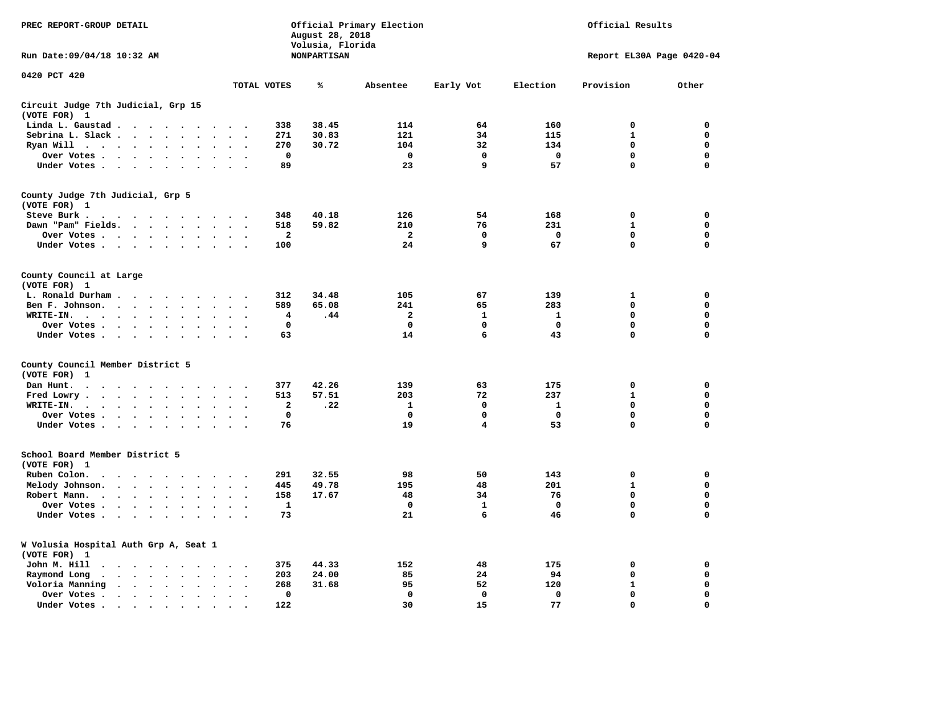| PREC REPORT-GROUP DETAIL                                                                                                                                                                                                                                                                              |                                                         | August 28, 2018<br>Volusia, Florida | Official Primary Election |              | Official Results |                           |             |  |
|-------------------------------------------------------------------------------------------------------------------------------------------------------------------------------------------------------------------------------------------------------------------------------------------------------|---------------------------------------------------------|-------------------------------------|---------------------------|--------------|------------------|---------------------------|-------------|--|
| Run Date: 09/04/18 10:32 AM                                                                                                                                                                                                                                                                           |                                                         | <b>NONPARTISAN</b>                  |                           |              |                  | Report EL30A Page 0420-04 |             |  |
| 0420 PCT 420                                                                                                                                                                                                                                                                                          | TOTAL VOTES                                             | ℁                                   | Absentee                  | Early Vot    | Election         | Provision                 | Other       |  |
| Circuit Judge 7th Judicial, Grp 15                                                                                                                                                                                                                                                                    |                                                         |                                     |                           |              |                  |                           |             |  |
| (VOTE FOR) 1                                                                                                                                                                                                                                                                                          |                                                         |                                     |                           |              |                  |                           |             |  |
| Linda L. Gaustad<br>$\sim$                                                                                                                                                                                                                                                                            | 338                                                     | 38.45                               | 114                       | 64           | 160              | $\mathbf 0$               | 0           |  |
| Sebrina L. Slack<br>$\ddot{\phantom{a}}$<br>$\sim$                                                                                                                                                                                                                                                    | 271                                                     | 30.83                               | 121                       | 34           | 115              | $\mathbf{1}$              | 0           |  |
| Ryan Will $\cdots$ $\cdots$<br>$\ddot{\phantom{a}}$                                                                                                                                                                                                                                                   | 270                                                     | 30.72                               | 104                       | 32           | 134              | 0                         | 0           |  |
| Over Votes<br>$\bullet$<br>$\cdot$                                                                                                                                                                                                                                                                    | 0<br>$\cdot$                                            |                                     | $\mathbf 0$               | $\mathbf 0$  | $\mathbf 0$      | 0                         | 0           |  |
| Under Votes                                                                                                                                                                                                                                                                                           | 89                                                      |                                     | 23                        | 9            | 57               | $\mathbf 0$               | $\mathbf 0$ |  |
| County Judge 7th Judicial, Grp 5                                                                                                                                                                                                                                                                      |                                                         |                                     |                           |              |                  |                           |             |  |
| (VOTE FOR) 1                                                                                                                                                                                                                                                                                          |                                                         |                                     |                           |              |                  |                           |             |  |
| Steve Burk.<br>. The contract of the contract of the contract of the contract of the contract of the contract of the contract of the contract of the contract of the contract of the contract of the contract of the contract of the contrac                                                          | 348                                                     | 40.18                               | 126                       | 54           | 168              | 0                         | 0           |  |
| Dawn "Pam" Fields.                                                                                                                                                                                                                                                                                    | 518<br>$\ddot{\phantom{0}}$<br>$\cdot$                  | 59.82                               | 210                       | 76           | 231              | $\mathbf{1}$              | $\mathbf 0$ |  |
| Over Votes<br>$\ddot{\phantom{a}}$                                                                                                                                                                                                                                                                    | $\overline{\mathbf{2}}$                                 |                                     | $\overline{a}$            | 0            | 0                | 0                         | $\mathbf 0$ |  |
| Under Votes                                                                                                                                                                                                                                                                                           | 100<br>$\ddot{\phantom{a}}$                             |                                     | 24                        | 9            | 67               | $\mathbf 0$               | $\mathbf 0$ |  |
| County Council at Large                                                                                                                                                                                                                                                                               |                                                         |                                     |                           |              |                  |                           |             |  |
| (VOTE FOR) 1                                                                                                                                                                                                                                                                                          |                                                         |                                     |                           |              |                  |                           |             |  |
| L. Ronald Durham<br>$\cdot$                                                                                                                                                                                                                                                                           | 312                                                     | 34.48                               | 105                       | 67           | 139              | $\mathbf{1}$              | 0           |  |
| Ben F. Johnson.<br>$\ddot{\phantom{a}}$<br>$\sim$<br>$\sim$                                                                                                                                                                                                                                           | 589<br>$\overline{\phantom{a}}$<br>$\ddot{\phantom{0}}$ | 65.08                               | 241                       | 65           | 283              | $\mathbf 0$               | $\mathbf 0$ |  |
| WRITE-IN.<br>$\cdots$<br>$\sim$                                                                                                                                                                                                                                                                       | 4                                                       | .44                                 | $\mathbf{2}$              | $\mathbf{1}$ | $\mathbf{1}$     | $\mathbf 0$               | 0           |  |
| Over Votes<br>$\ddot{\phantom{a}}$                                                                                                                                                                                                                                                                    | 0                                                       |                                     | $\mathbf 0$               | 0            | 0                | $\mathbf 0$               | $\mathbf 0$ |  |
| Under Votes                                                                                                                                                                                                                                                                                           | 63<br>$\sim$                                            |                                     | 14                        | 6            | 43               | $\mathbf 0$               | 0           |  |
| County Council Member District 5<br>(VOTE FOR)<br>-1                                                                                                                                                                                                                                                  |                                                         |                                     |                           |              |                  |                           |             |  |
| Dan Hunt.<br>$\mathbf{a} \cdot \mathbf{a} \cdot \mathbf{a} \cdot \mathbf{a} \cdot \mathbf{a} \cdot \mathbf{a} \cdot \mathbf{a} \cdot \mathbf{a} \cdot \mathbf{a} \cdot \mathbf{a} \cdot \mathbf{a} \cdot \mathbf{a}$                                                                                  | 377                                                     | 42.26                               | 139                       | 63           | 175              | $\mathbf 0$               | 0           |  |
| Fred Lowry.<br>$\cdots$<br>$\sim$ $\sim$                                                                                                                                                                                                                                                              | 513<br>$\sim$ $\sim$                                    | 57.51                               | 203                       | 72           | 237              | 1                         | 0           |  |
| WRITE-IN.<br>$\begin{array}{cccccccccccccc} \bullet & \bullet & \bullet & \bullet & \bullet & \bullet & \bullet & \bullet & \bullet & \bullet \end{array}$<br>$\sim$                                                                                                                                  | $\overline{\mathbf{2}}$                                 | .22                                 | $\mathbf{1}$              | $\Omega$     | 1                | 0                         | 0           |  |
| Over Votes<br>$\cdot$<br>$\ddot{\phantom{a}}$                                                                                                                                                                                                                                                         | $\mathbf 0$<br>$\ddot{\phantom{a}}$                     |                                     | $\mathbf 0$               | 0            | $\mathbf 0$      | $\mathbf 0$               | 0           |  |
| Under Votes                                                                                                                                                                                                                                                                                           | 76                                                      |                                     | 19                        | 4            | 53               | $\mathbf 0$               | $\mathbf 0$ |  |
|                                                                                                                                                                                                                                                                                                       |                                                         |                                     |                           |              |                  |                           |             |  |
| School Board Member District 5<br>(VOTE FOR) 1                                                                                                                                                                                                                                                        |                                                         |                                     |                           |              |                  |                           |             |  |
| $\ddot{\phantom{a}}$<br>$\sim$<br>$\sim$<br>$\sim$<br>$\sim$<br>$\sim$                                                                                                                                                                                                                                | 291                                                     | 32.55                               | 98                        | 50           | 143              | $\mathbf 0$               | $\mathbf 0$ |  |
| Ruben Colon.<br>$\bullet$                                                                                                                                                                                                                                                                             |                                                         |                                     |                           |              |                  | $\mathbf{1}$              | 0           |  |
| Melody Johnson.<br>$\cdot$ $\cdot$ $\cdot$ $\cdot$ $\cdot$<br>$\ddot{\phantom{0}}$                                                                                                                                                                                                                    | 445<br>$\bullet$<br>$\overline{\phantom{a}}$            | 49.78                               | 195                       | 48<br>34     | 201<br>76        | $\mathbf 0$               | $\mathbf 0$ |  |
| Robert Mann.<br>$\cdot$ $\cdot$ $\cdot$ $\cdot$ $\cdot$<br>$\ddot{\phantom{a}}$<br>$\ddot{\phantom{a}}$<br>$\ddot{\phantom{a}}$                                                                                                                                                                       | 158<br>$\overline{a}$                                   | 17.67                               | 48                        |              |                  |                           |             |  |
| Over Votes                                                                                                                                                                                                                                                                                            | 1                                                       |                                     | $\mathbf 0$               | $\mathbf{1}$ | $\mathbf 0$      | $\mathbf 0$               | 0           |  |
| Under Votes<br>$\ddot{\phantom{a}}$<br>$\sim$                                                                                                                                                                                                                                                         | 73<br>$\sim$                                            |                                     | 21                        | 6            | 46               | 0                         | $\mathbf 0$ |  |
| W Volusia Hospital Auth Grp A, Seat 1<br>(VOTE FOR) 1                                                                                                                                                                                                                                                 |                                                         |                                     |                           |              |                  |                           |             |  |
| John M. Hill<br>$\begin{array}{cccccccccccccc} \bullet & \bullet & \bullet & \bullet & \bullet & \bullet & \bullet & \bullet & \bullet & \bullet & \bullet \end{array}$<br>$\sim$                                                                                                                     | 375                                                     | 44.33                               | 152                       | 48           | 175              | 0                         | 0           |  |
| $\mathbf{r}$ . The set of the set of the set of the set of the set of the set of the set of the set of the set of the set of the set of the set of the set of the set of the set of the set of the set of the set of the set of t<br>Raymond Long<br>$\ddot{\phantom{0}}$<br>$\bullet$ .<br>$\bullet$ | 203<br>$\bullet$<br>$\bullet$                           | 24.00                               | 85                        | 24           | 94               | $\mathbf 0$               | $\mathbf 0$ |  |
| Voloria Manning<br>$\ddot{\phantom{a}}$<br>$\ddot{\phantom{a}}$                                                                                                                                                                                                                                       | 268<br>$\cdot$                                          | 31.68                               | 95                        | 52           | 120              | 1                         | 0           |  |
| Over Votes .<br>$\cdots$<br>$\bullet$                                                                                                                                                                                                                                                                 | $\mathbf 0$<br>$\bullet$                                |                                     | $\mathbf 0$               | $\mathbf 0$  | $\mathbf 0$      | 0                         | $\mathbf 0$ |  |
| Under Votes.<br>$\begin{array}{cccccccccccccc} \bullet & \bullet & \bullet & \bullet & \bullet & \bullet & \bullet \end{array}$<br>$\bullet$                                                                                                                                                          | 122                                                     |                                     | 30                        | 15           | 77               | $\Omega$                  | $\Omega$    |  |
|                                                                                                                                                                                                                                                                                                       |                                                         |                                     |                           |              |                  |                           |             |  |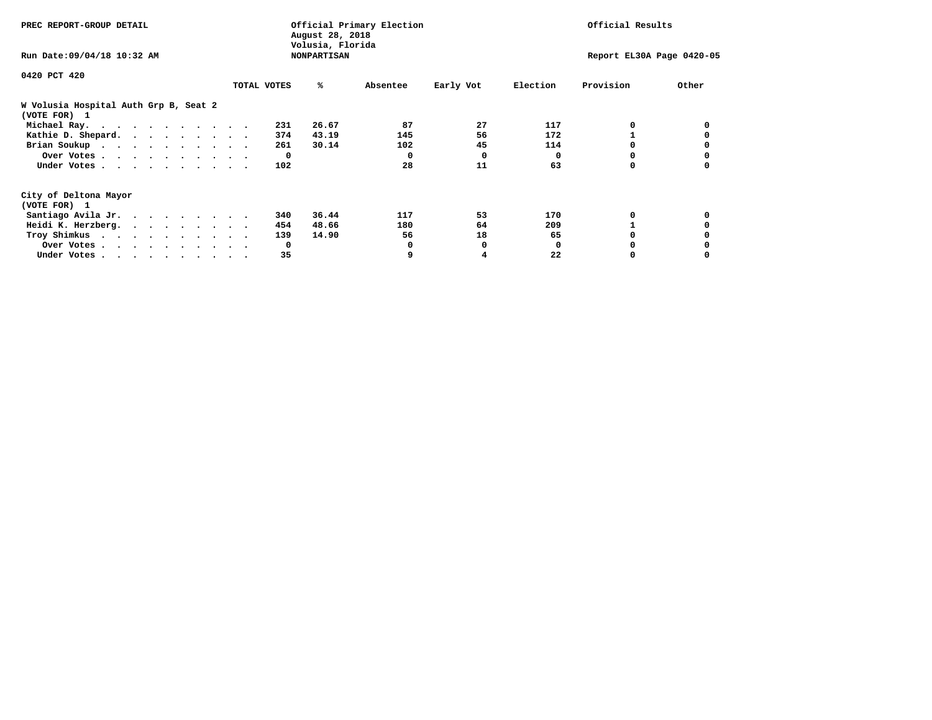| PREC REPORT-GROUP DETAIL                              | Official Primary Election<br>August 28, 2018<br>Volusia, Florida |                    |          |              |          | Official Results |                           |  |  |
|-------------------------------------------------------|------------------------------------------------------------------|--------------------|----------|--------------|----------|------------------|---------------------------|--|--|
| Run Date: 09/04/18 10:32 AM                           |                                                                  | <b>NONPARTISAN</b> |          |              |          |                  | Report EL30A Page 0420-05 |  |  |
| 0420 PCT 420                                          |                                                                  |                    |          |              |          |                  |                           |  |  |
|                                                       | TOTAL VOTES                                                      | ℁                  | Absentee | Early Vot    | Election | Provision        | Other                     |  |  |
| W Volusia Hospital Auth Grp B, Seat 2<br>(VOTE FOR) 1 |                                                                  |                    |          |              |          |                  |                           |  |  |
| Michael Ray.                                          |                                                                  | 26.67<br>231       | 87       | 27           | 117      | 0                |                           |  |  |
| Kathie D. Shepard.                                    |                                                                  | 43.19<br>374       | 145      | 56           | 172      |                  |                           |  |  |
| Brian Soukup                                          |                                                                  | 30.14<br>261       | 102      | 45           | 114      |                  |                           |  |  |
| Over Votes                                            |                                                                  | $\mathbf{o}$       | 0        | $\Omega$     | $\Omega$ |                  |                           |  |  |
| Under Votes                                           |                                                                  | 102                | 28       | 11           | 63       | 0                |                           |  |  |
| City of Deltona Mayor                                 |                                                                  |                    |          |              |          |                  |                           |  |  |
| (VOTE FOR) 1                                          |                                                                  |                    |          |              |          |                  |                           |  |  |
| Santiago Avila Jr.                                    |                                                                  | 36.44<br>340       | 117      | 53           | 170      |                  |                           |  |  |
| Heidi K. Herzberg.                                    |                                                                  | 48.66<br>454       | 180      | 64           | 209      |                  |                           |  |  |
| Troy Shimkus                                          |                                                                  | 14.90<br>139       | 56       | 18           | 65       |                  |                           |  |  |
| Over Votes                                            |                                                                  | $\mathbf{o}$       |          | <sup>0</sup> | 0        |                  |                           |  |  |
| Under Votes                                           |                                                                  | 35                 |          |              | 22       |                  |                           |  |  |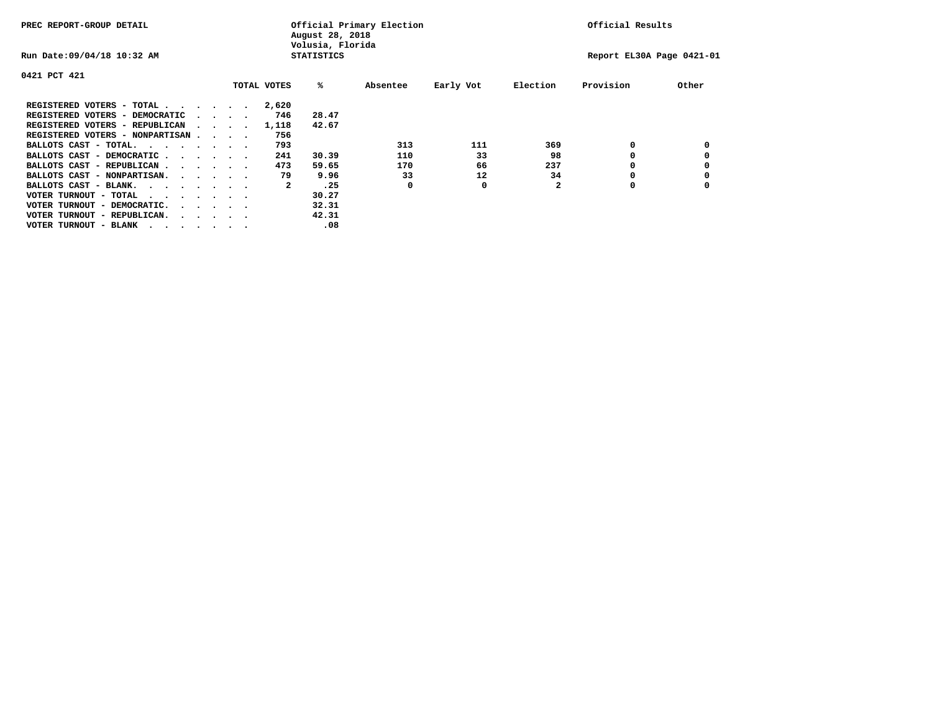| PREC REPORT-GROUP DETAIL                |  |                                         |  |  | August 28, 2018<br>Volusia, Florida | Official Primary Election | Official Results |           |          |                           |       |
|-----------------------------------------|--|-----------------------------------------|--|--|-------------------------------------|---------------------------|------------------|-----------|----------|---------------------------|-------|
| Run Date: 09/04/18 10:32 AM             |  |                                         |  |  |                                     | <b>STATISTICS</b>         |                  |           |          | Report EL30A Page 0421-01 |       |
| 0421 PCT 421                            |  |                                         |  |  |                                     |                           |                  |           |          |                           |       |
|                                         |  |                                         |  |  | TOTAL VOTES                         | %ะ                        | Absentee         | Early Vot | Election | Provision                 | Other |
| REGISTERED VOTERS - TOTAL               |  |                                         |  |  | 2,620                               |                           |                  |           |          |                           |       |
| REGISTERED VOTERS - DEMOCRATIC          |  | $\cdot$ $\cdot$ $\cdot$ $\cdot$         |  |  | 746                                 | 28.47                     |                  |           |          |                           |       |
| REGISTERED VOTERS - REPUBLICAN          |  |                                         |  |  | 1,118                               | 42.67                     |                  |           |          |                           |       |
| REGISTERED VOTERS - NONPARTISAN         |  |                                         |  |  | 756                                 |                           |                  |           |          |                           |       |
| BALLOTS CAST - TOTAL.                   |  |                                         |  |  | 793                                 |                           | 313              | 111       | 369      | 0                         |       |
| BALLOTS CAST - DEMOCRATIC               |  |                                         |  |  | 241                                 | 30.39                     | 110              | 33        | 98       |                           |       |
| BALLOTS CAST - REPUBLICAN               |  |                                         |  |  | 473                                 | 59.65                     | 170              | 66        | 237      | 0                         |       |
| BALLOTS CAST - NONPARTISAN.             |  |                                         |  |  | 79                                  | 9.96                      | 33               | 12        | 34       |                           |       |
| BALLOTS CAST - BLANK.                   |  |                                         |  |  | 2                                   | .25                       | 0                | 0         |          | 0                         |       |
| VOTER TURNOUT - TOTAL<br>.              |  |                                         |  |  |                                     | 30.27                     |                  |           |          |                           |       |
| VOTER TURNOUT - DEMOCRATIC.             |  | $\cdot$ $\cdot$ $\cdot$ $\cdot$ $\cdot$ |  |  |                                     | 32.31                     |                  |           |          |                           |       |
| VOTER TURNOUT - REPUBLICAN.<br>$\cdots$ |  |                                         |  |  |                                     | 42.31                     |                  |           |          |                           |       |
| VOTER TURNOUT - BLANK                   |  |                                         |  |  |                                     | .08                       |                  |           |          |                           |       |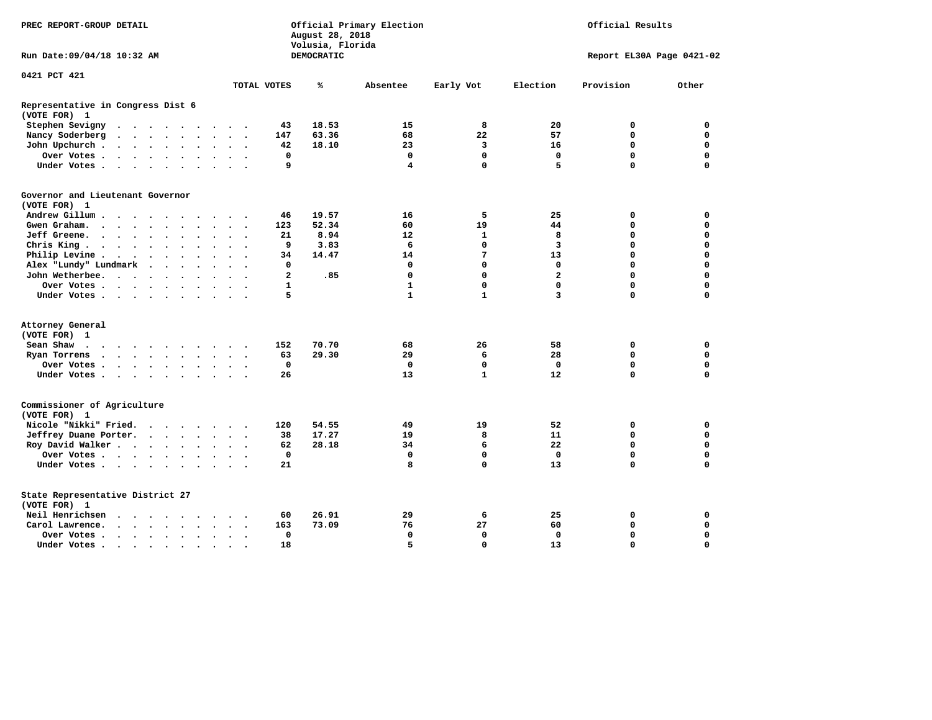| PREC REPORT-GROUP DETAIL                                                                                                                                                                                                                          |                                                        | Official Primary Election<br>August 28, 2018<br>Volusia, Florida | Official Results |                |                           |             |  |
|---------------------------------------------------------------------------------------------------------------------------------------------------------------------------------------------------------------------------------------------------|--------------------------------------------------------|------------------------------------------------------------------|------------------|----------------|---------------------------|-------------|--|
| Run Date: 09/04/18 10:32 AM                                                                                                                                                                                                                       |                                                        | DEMOCRATIC                                                       |                  |                | Report EL30A Page 0421-02 |             |  |
| 0421 PCT 421                                                                                                                                                                                                                                      | TOTAL VOTES                                            | ℁<br>Absentee                                                    | Early Vot        | Election       | Provision                 | Other       |  |
|                                                                                                                                                                                                                                                   |                                                        |                                                                  |                  |                |                           |             |  |
| Representative in Congress Dist 6<br>(VOTE FOR) 1                                                                                                                                                                                                 |                                                        |                                                                  |                  |                |                           |             |  |
| Stephen Sevigny                                                                                                                                                                                                                                   | 43                                                     | 18.53<br>15                                                      | 8                | 20             | 0                         | 0           |  |
| Nancy Soderberg<br>$\mathbf{r}$ , and $\mathbf{r}$ , and $\mathbf{r}$ , and $\mathbf{r}$                                                                                                                                                          | 147<br>$\sim$ $\sim$ $\sim$ $\sim$                     | 63.36<br>68                                                      | 22               | 57             | $\mathbf 0$               | $\mathbf 0$ |  |
| John Upchurch.<br>$\cdots$<br>$\ddot{\phantom{a}}$                                                                                                                                                                                                | 42<br>$\ddot{\phantom{1}}$                             | 18.10<br>23                                                      | 3                | 16             | 0                         | 0           |  |
| Over Votes                                                                                                                                                                                                                                        | 0<br>$\cdot$ $\cdot$ $\cdot$                           | $\mathbf 0$                                                      | 0                | 0              | $\mathbf 0$               | $\mathbf 0$ |  |
| Under Votes                                                                                                                                                                                                                                       | 9<br>$\sim$ $\sim$ $\sim$                              | 4                                                                | $\mathbf 0$      | 5              | $\Omega$                  | $\mathbf 0$ |  |
| Governor and Lieutenant Governor<br>(VOTE FOR) 1                                                                                                                                                                                                  |                                                        |                                                                  |                  |                |                           |             |  |
| Andrew Gillum<br>$\sim$<br>$\sim$                                                                                                                                                                                                                 | 46                                                     | 19.57<br>16                                                      | 5                | 25             | 0                         | 0           |  |
| Gwen Graham.<br>$\mathbf{r}$ . The contract of the contract of the contract of the contract of the contract of the contract of the contract of the contract of the contract of the contract of the contract of the contract of the contract of th | 123<br>$\cdot$ $\cdot$                                 | 52.34<br>60                                                      | 19               | 44             | $\mathbf 0$               | $\mathbf 0$ |  |
| Jeff Greene.<br>$\ddot{\phantom{a}}$                                                                                                                                                                                                              | 21<br>$\bullet$                                        | 8.94<br>12                                                       | 1                | 8              | 0                         | 0           |  |
| Chris King                                                                                                                                                                                                                                        | 9                                                      | 3.83<br>6                                                        | $\mathbf 0$      | 3              | $\mathbf 0$               | $\mathbf 0$ |  |
| Philip Levine .<br>$\begin{array}{cccccccccccccc} \bullet & \bullet & \bullet & \bullet & \bullet & \bullet & \bullet & \bullet & \bullet & \bullet \end{array}$                                                                                  | 34<br>$\bullet$<br>$\bullet$                           | 14.47<br>14                                                      | 7                | 13             | $\mathbf 0$               | $\mathbf 0$ |  |
| Alex "Lundy" Lundmark<br>$\cdot \cdot \cdot \cdot$ .                                                                                                                                                                                              | 0                                                      | 0                                                                | $\mathbf 0$      | 0              | $\Omega$                  | 0           |  |
| John Wetherbee.                                                                                                                                                                                                                                   | $\overline{a}$<br>$\ddot{\phantom{a}}$                 | $\mathbf 0$<br>.85                                               | $\mathbf 0$      | $\overline{a}$ | $\mathbf 0$               | $\mathbf 0$ |  |
| Over Votes                                                                                                                                                                                                                                        | $\mathbf{1}$<br>$\sim$                                 | $\mathbf{1}$                                                     | $\mathbf 0$      | $\mathbf{0}$   | $\mathbf 0$               | $\mathbf 0$ |  |
| Under Votes                                                                                                                                                                                                                                       | 5                                                      | $\mathbf{1}$                                                     | $\mathbf{1}$     | 3              | $\Omega$                  | $\Omega$    |  |
| Attorney General                                                                                                                                                                                                                                  |                                                        |                                                                  |                  |                |                           |             |  |
| (VOTE FOR) 1                                                                                                                                                                                                                                      |                                                        |                                                                  |                  |                |                           |             |  |
| Sean Shaw<br>$\cdots$                                                                                                                                                                                                                             | 152                                                    | 70.70<br>68                                                      | 26               | 58             | 0                         | 0           |  |
| Ryan Torrens<br>$\mathbf{r}$ , and $\mathbf{r}$ , and $\mathbf{r}$ , and $\mathbf{r}$                                                                                                                                                             | 63<br>$\ddot{\phantom{0}}$<br>$\overline{\phantom{a}}$ | 29.30<br>29                                                      | 6                | 28             | $\mathbf 0$               | $\mathbf 0$ |  |
| Over Votes                                                                                                                                                                                                                                        | 0                                                      | 0                                                                | $\mathbf 0$      | $\mathbf 0$    | $\mathbf 0$               | 0           |  |
| Under Votes                                                                                                                                                                                                                                       | 26                                                     | 13                                                               | $\mathbf{1}$     | 12             | $\Omega$                  | $\Omega$    |  |
| Commissioner of Agriculture<br>(VOTE FOR) 1                                                                                                                                                                                                       |                                                        |                                                                  |                  |                |                           |             |  |
| Nicole "Nikki" Fried.                                                                                                                                                                                                                             | 120                                                    | 54.55<br>49                                                      | 19               | 52             | 0                         | $\mathbf 0$ |  |
| Jeffrey Duane Porter.                                                                                                                                                                                                                             | 38                                                     | 19<br>17.27                                                      | 8                | 11             | $\Omega$                  | 0           |  |
| Roy David Walker                                                                                                                                                                                                                                  | 62                                                     | 34<br>28.18                                                      | 6                | 22             | $\mathbf 0$               | $\mathbf 0$ |  |
| Over Votes                                                                                                                                                                                                                                        | 0<br>$\ddot{\phantom{1}}$                              | 0                                                                | 0                | $^{\circ}$     | $\mathbf 0$               | 0           |  |
| Under Votes                                                                                                                                                                                                                                       | 21                                                     | 8                                                                | $\mathbf 0$      | 13             | $\Omega$                  | $\mathbf 0$ |  |
| State Representative District 27<br>(VOTE FOR) 1                                                                                                                                                                                                  |                                                        |                                                                  |                  |                |                           |             |  |
| Neil Henrichsen                                                                                                                                                                                                                                   | 60                                                     | 26.91<br>29                                                      | 6                | 25             | 0                         | 0           |  |
| Carol Lawrence.<br>$\ddot{\phantom{a}}$                                                                                                                                                                                                           | 163<br>$\cdot$<br>$\ddot{\phantom{1}}$<br>$\bullet$    | 73.09<br>76                                                      | 27               | 60             | $\mathbf 0$               | $\mathbf 0$ |  |
| Over Votes<br>$\ddot{\phantom{0}}$                                                                                                                                                                                                                | $\mathbf 0$<br>$\bullet$                               | $\mathbf 0$                                                      | $\mathbf 0$      | $\mathbf 0$    | $\mathbf 0$               | $\mathbf 0$ |  |
| Under Votes<br>$\blacksquare$                                                                                                                                                                                                                     | 18                                                     | 5                                                                | $\Omega$         | 13             | $\Omega$                  | $\Omega$    |  |
|                                                                                                                                                                                                                                                   |                                                        |                                                                  |                  |                |                           |             |  |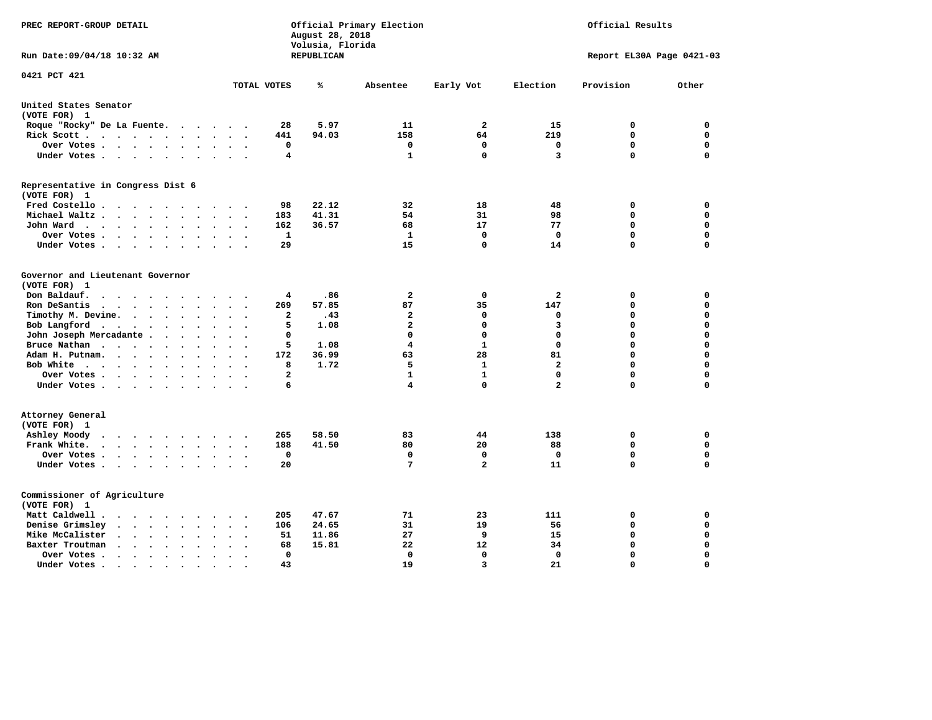| PREC REPORT-GROUP DETAIL                                                                                                                                         |                                      | August 28, 2018<br>Volusia, Florida | Official Primary Election | Official Results |                |                           |          |  |
|------------------------------------------------------------------------------------------------------------------------------------------------------------------|--------------------------------------|-------------------------------------|---------------------------|------------------|----------------|---------------------------|----------|--|
| Run Date: 09/04/18 10:32 AM                                                                                                                                      |                                      | REPUBLICAN                          |                           |                  |                | Report EL30A Page 0421-03 |          |  |
| 0421 PCT 421                                                                                                                                                     | TOTAL VOTES                          | ℁                                   | Absentee                  | Early Vot        | Election       | Provision                 | Other    |  |
| United States Senator                                                                                                                                            |                                      |                                     |                           |                  |                |                           |          |  |
| (VOTE FOR) 1                                                                                                                                                     |                                      |                                     |                           |                  |                |                           |          |  |
| Roque "Rocky" De La Fuente.<br>$\mathcal{L}(\mathbf{z})$ , and $\mathcal{L}(\mathbf{z})$                                                                         | 28<br>$\sim$                         | 5.97                                | 11                        | $\overline{a}$   | 15             | 0                         | 0        |  |
| Rick Scott<br>$\sim$ $\sim$                                                                                                                                      | 441                                  | 94.03                               | 158                       | 64               | 219            | $\mathbf 0$               | 0        |  |
| Over Votes                                                                                                                                                       | 0<br>$\cdot$<br>$\cdot$<br>$\cdot$   |                                     | 0                         | $\mathbf 0$      | 0              | 0                         | 0        |  |
| Under Votes                                                                                                                                                      | 4<br>$\bullet$                       |                                     | 1                         | 0                | 3              | $\mathbf 0$               | 0        |  |
| Representative in Congress Dist 6<br>(VOTE FOR) 1                                                                                                                |                                      |                                     |                           |                  |                |                           |          |  |
| Fred Costello                                                                                                                                                    | 98                                   | 22.12                               | 32                        | 18               | 48             | 0                         | 0        |  |
| Michael Waltz<br>$\ddot{\phantom{a}}$<br>$\sim$                                                                                                                  | 183                                  | 41.31                               | 54                        | 31               | 98             | $\mathbf 0$               | 0        |  |
| John Ward<br>$\ddot{\phantom{0}}$                                                                                                                                | 162<br>$\bullet$                     | 36.57                               | 68                        | 17               | 77             | $\mathbf 0$               | 0        |  |
| Over Votes .<br>$\cdots$<br>$\cdot$                                                                                                                              | $\mathbf{1}$                         |                                     | 1                         | $\mathbf 0$      | 0              | $\mathbf 0$               | 0        |  |
| Under Votes<br>$\overline{\phantom{a}}$                                                                                                                          | 29                                   |                                     | 15                        | 0                | 14             | $\mathbf 0$               | 0        |  |
|                                                                                                                                                                  |                                      |                                     |                           |                  |                |                           |          |  |
| Governor and Lieutenant Governor<br>(VOTE FOR) 1                                                                                                                 |                                      |                                     |                           |                  |                |                           |          |  |
| Don Baldauf.<br>$\ddot{\phantom{a}}$                                                                                                                             | 4                                    | .86                                 | 2                         | 0                | 2              | 0                         | 0        |  |
| Ron DeSantis<br>$\sim$ $\sim$ $\sim$<br>$\ddot{\phantom{a}}$<br>$\ddot{\phantom{a}}$<br>$\overline{\phantom{a}}$                                                 | 269                                  | 57.85                               | 87                        | 35               | 147            | $\mathbf 0$               | 0        |  |
| Timothy M. Devine.<br>$\bullet$<br>$\bullet$                                                                                                                     | $\mathbf{2}$<br>$\ddot{\phantom{a}}$ | .43                                 | $\mathbf{2}$              | 0                | 0              | $\mathbf 0$               | 0        |  |
| Bob Langford<br>$\sim$ $\sim$<br>$\ddot{\phantom{0}}$                                                                                                            | 5<br>$\cdot$                         | 1.08                                | $\overline{\mathbf{2}}$   | 0                | 3              | $\mathbf 0$               | 0        |  |
| John Joseph Mercadante                                                                                                                                           | 0<br>$\Delta \sim 10$                |                                     | $\mathbf 0$               | 0                | $\mathbf 0$    | $\mathbf 0$               | 0        |  |
| Bruce Nathan<br>$\cdots$<br>$\ddot{\phantom{0}}$<br>$\bullet$                                                                                                    | 5                                    | 1.08                                | 4                         | $\mathbf{1}$     | $\Omega$       | 0                         | 0        |  |
| Adam H. Putnam.<br>$\sim$ $\sim$ $\sim$<br>$\ddot{\phantom{a}}$<br>$\ddot{\phantom{a}}$                                                                          | 172                                  | 36.99                               | 63                        | 28               | 81             | $\mathbf 0$               | 0        |  |
| Bob White<br>$\sim$                                                                                                                                              | 8<br>$\overline{\phantom{a}}$        | 1.72                                | 5                         | $\mathbf{1}$     | $\overline{a}$ | $\Omega$                  | 0        |  |
| Over Votes.<br>$\cdots$<br>$\bullet$                                                                                                                             | $\mathbf{2}$                         |                                     | $\mathbf{1}$              | 1                | $\mathbf 0$    | $\mathbf 0$               | 0        |  |
| Under Votes<br>$\sim$                                                                                                                                            | 6                                    |                                     | 4                         | 0                | $\overline{a}$ | $\Omega$                  | 0        |  |
| Attorney General                                                                                                                                                 |                                      |                                     |                           |                  |                |                           |          |  |
| (VOTE FOR) 1                                                                                                                                                     |                                      |                                     |                           |                  |                |                           |          |  |
| Ashley Moody<br>$\cdots$<br>$\ddot{\phantom{a}}$                                                                                                                 | 265<br>$\sim$                        | 58.50                               | 83                        | 44               | 138            | 0                         | 0        |  |
| Frank White.<br>$\cdot$ $\cdot$ $\cdot$ $\cdot$<br>$\ddot{\phantom{1}}$<br>$\ddot{\phantom{0}}$<br>$\overline{\phantom{a}}$                                      | 188                                  | 41.50                               | 80                        | 20               | 88             | 0                         | 0        |  |
| Over Votes.<br>$\begin{array}{cccccccccccccc} \bullet & \bullet & \bullet & \bullet & \bullet & \bullet & \bullet & \bullet \end{array}$<br>$\ddot{\phantom{1}}$ | 0<br>$\sim$                          |                                     | 0                         | 0                | 0              | $\mathbf 0$               | 0        |  |
| Under Votes                                                                                                                                                      | 20                                   |                                     | 7                         | $\overline{a}$   | 11             | $\mathbf 0$               | 0        |  |
| Commissioner of Agriculture<br>(VOTE FOR) 1                                                                                                                      |                                      |                                     |                           |                  |                |                           |          |  |
| Matt Caldwell .<br>$\cdots$                                                                                                                                      | 205                                  | 47.67                               | 71                        | 23               | 111            | 0                         | 0        |  |
| Denise Grimsley<br>$\cdot$ $\cdot$ $\cdot$<br>$\ddot{\phantom{a}}$<br>$\cdot$<br>$\ddot{\phantom{a}}$                                                            | 106                                  | 24.65                               | 31                        | 19               | 56             | $\mathbf 0$               | 0        |  |
| Mike McCalister<br>$\cdots$<br>$\bullet$                                                                                                                         | 51                                   | 11.86                               | 27                        | 9                | 15             | $\mathbf 0$               | 0        |  |
| Baxter Troutman<br>$\sim$ $\sim$ $\sim$<br>$\bullet$<br>$\ddot{\phantom{a}}$                                                                                     | 68                                   | 15.81                               | 22                        | 12               | 34             | $\mathbf 0$               | 0        |  |
| Over Votes.<br>$\mathcal{L}=\mathcal{L}=\mathcal{L}=\mathcal{L}$ .<br>$\bullet$<br>$\cdot$                                                                       | 0                                    |                                     | 0                         | $\mathbf 0$      | 0              | $\mathbf 0$               | 0        |  |
| Under Votes .<br>$\sim$ $\sim$ $\sim$ $\sim$<br>$\bullet$<br>$\bullet$<br>$\bullet$                                                                              | 43                                   |                                     | 19                        | 3                | 21             | $\Omega$                  | $\Omega$ |  |
|                                                                                                                                                                  |                                      |                                     |                           |                  |                |                           |          |  |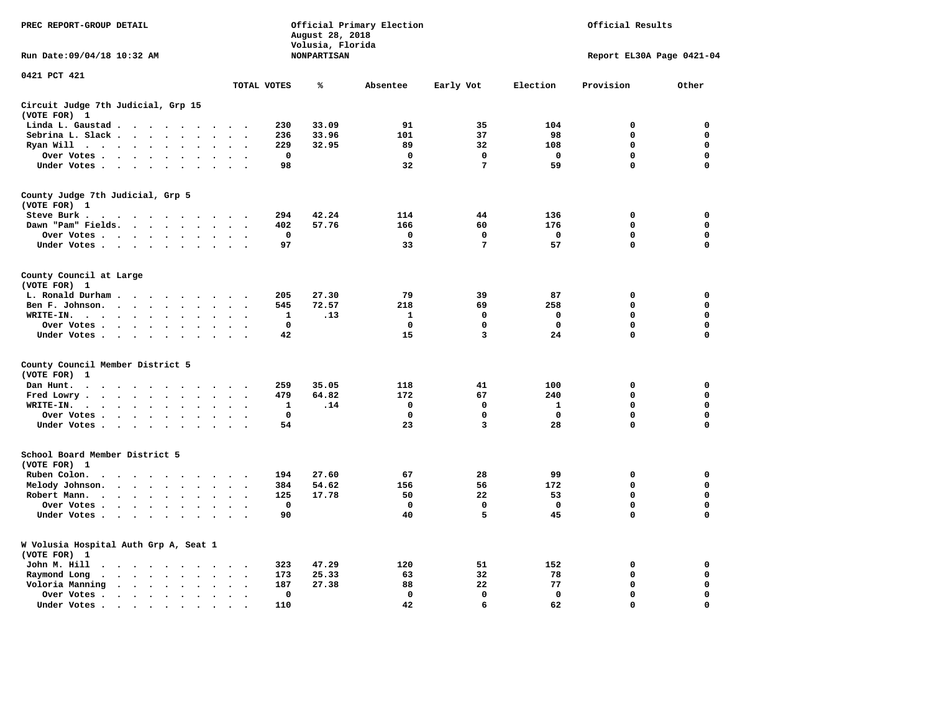| PREC REPORT-GROUP DETAIL                                                                                                                                                                                                                        |                                        | August 28, 2018                        | Official Primary Election | Official Results |              |                           |             |  |
|-------------------------------------------------------------------------------------------------------------------------------------------------------------------------------------------------------------------------------------------------|----------------------------------------|----------------------------------------|---------------------------|------------------|--------------|---------------------------|-------------|--|
| Run Date: 09/04/18 10:32 AM                                                                                                                                                                                                                     |                                        | Volusia, Florida<br><b>NONPARTISAN</b> |                           |                  |              | Report EL30A Page 0421-04 |             |  |
| 0421 PCT 421                                                                                                                                                                                                                                    | TOTAL VOTES                            | ℁                                      | Absentee                  | Early Vot        | Election     | Provision                 | Other       |  |
| Circuit Judge 7th Judicial, Grp 15                                                                                                                                                                                                              |                                        |                                        |                           |                  |              |                           |             |  |
| (VOTE FOR) 1                                                                                                                                                                                                                                    |                                        |                                        |                           |                  |              |                           |             |  |
| Linda L. Gaustad                                                                                                                                                                                                                                | 230                                    | 33.09                                  | 91                        | 35               | 104          | $\mathbf 0$               | 0           |  |
| Sebrina L. Slack<br>$\sim$                                                                                                                                                                                                                      | 236                                    | 33.96                                  | 101                       | 37               | 98           | 0                         | 0           |  |
| Ryan Will $\cdots$ $\cdots$<br>$\cdot$                                                                                                                                                                                                          | 229                                    | 32.95                                  | 89                        | 32               | 108          | 0                         | 0           |  |
| Over Votes<br>$\bullet$<br>$\cdot$<br>$\bullet$                                                                                                                                                                                                 | $\mathbf 0$<br>$\bullet$               |                                        | $\mathbf 0$               | 0                | 0            | 0                         | 0           |  |
| Under Votes                                                                                                                                                                                                                                     | 98<br>$\sim$ $\sim$                    |                                        | 32                        | $\overline{7}$   | 59           | 0                         | $\mathbf 0$ |  |
| County Judge 7th Judicial, Grp 5                                                                                                                                                                                                                |                                        |                                        |                           |                  |              |                           |             |  |
| (VOTE FOR) 1                                                                                                                                                                                                                                    |                                        |                                        |                           |                  |              |                           |             |  |
| Steve Burk.                                                                                                                                                                                                                                     | 294<br>$\sim$ $\sim$                   | 42.24                                  | 114                       | 44               | 136          | 0                         | 0           |  |
| Dawn "Pam" Fields.<br>$\sim$<br>$\cdot$                                                                                                                                                                                                         | 402<br>$\cdot$ .                       | 57.76                                  | 166                       | 60               | 176          | $\mathbf 0$               | 0           |  |
| Over Votes<br>$\sim$<br>$\cdot$                                                                                                                                                                                                                 | 0<br>$\cdot$                           |                                        | 0                         | 0                | 0            | 0                         | 0           |  |
| Under Votes                                                                                                                                                                                                                                     | 97<br>$\sim$                           |                                        | 33                        | 7                | 57           | $\mathbf 0$               | $\mathbf 0$ |  |
| County Council at Large<br>(VOTE FOR) 1                                                                                                                                                                                                         |                                        |                                        |                           |                  |              |                           |             |  |
| L. Ronald Durham                                                                                                                                                                                                                                | 205                                    | 27.30                                  | 79                        | 39               | 87           | $\mathbf 0$               | 0           |  |
| Ben F. Johnson.<br>$\ddot{\phantom{a}}$<br>$\ddot{\phantom{a}}$<br>$\bullet$                                                                                                                                                                    | 545<br>$\cdot$<br>$\ddot{\phantom{0}}$ | 72.57                                  | 218                       | 69               | 258          | $\mathbf 0$               | 0           |  |
| WRITE-IN.<br>$\mathcal{A}$ . The set of the set of the set of the set of the set of the set of the set of the set of the set of the set of the set of the set of the set of the set of the set of the set of the set of the set of the set of t | 1                                      | .13                                    | $\mathbf{1}$              | $\mathbf 0$      | $\mathbf 0$  | 0                         | $\mathbf 0$ |  |
| Over Votes.<br>$\sim$ $\sim$ $\sim$ $\sim$<br>$\bullet$<br>$\cdot$                                                                                                                                                                              | $\mathbf 0$                            |                                        | 0                         | 0                | $\mathbf 0$  | 0                         | 0           |  |
| Under Votes<br>$\sim$<br>$\overline{\phantom{a}}$                                                                                                                                                                                               | 42                                     |                                        | 15                        | 3                | 24           | $\mathbf 0$               | 0           |  |
|                                                                                                                                                                                                                                                 |                                        |                                        |                           |                  |              |                           |             |  |
| County Council Member District 5<br>(VOTE FOR)<br>1                                                                                                                                                                                             |                                        |                                        |                           |                  |              |                           |             |  |
| Dan Hunt.<br>$\bullet$<br>. The contract of the contract of the contract of the $\alpha$<br>$\cdot$ $\cdot$                                                                                                                                     | 259<br>$\sim$ $\sim$                   | 35.05                                  | 118                       | 41               | 100          | 0                         | 0           |  |
| Fred Lowry.<br>$\cdots$<br>$\sim$<br>$\sim$                                                                                                                                                                                                     | 479<br>$\sim$<br>$\cdot$               | 64.82                                  | 172                       | 67               | 240          | $\mathbf 0$               | $\mathbf 0$ |  |
| WRITE-IN.<br><b>Contract Contract Contract</b><br>$\sim$<br>$\cdot$                                                                                                                                                                             | 1                                      | .14                                    | 0                         | 0                | 1            | 0                         | $\mathbf 0$ |  |
| Over Votes<br>$\cdot$<br>$\bullet$                                                                                                                                                                                                              | $\mathbf 0$<br>$\cdot$                 |                                        | $\mathbf 0$               | $\mathbf 0$      | $\mathbf 0$  | $\mathbf 0$               | 0           |  |
| Under Votes<br>$\sim$ $\sim$                                                                                                                                                                                                                    | 54<br>$\cdot$ .                        |                                        | 23                        | 3                | 28           | $\mathbf 0$               | $\mathbf 0$ |  |
| School Board Member District 5                                                                                                                                                                                                                  |                                        |                                        |                           |                  |              |                           |             |  |
| (VOTE FOR) 1                                                                                                                                                                                                                                    |                                        |                                        |                           |                  |              |                           |             |  |
| Ruben Colon.<br>$\ddot{\phantom{1}}$<br>$\cdots$<br>$\sim$<br>$\sim$                                                                                                                                                                            | 194                                    | 27.60                                  | 67                        | 28               | 99           | $\mathbf 0$               | 0           |  |
| Melody Johnson.<br>$\ddot{\phantom{a}}$                                                                                                                                                                                                         | 384                                    | 54.62                                  | 156                       | 56               | 172          | 0                         | 0           |  |
| Robert Mann.<br>$\cdot \cdot \cdot \cdot$<br>$\ddot{\phantom{a}}$<br>$\bullet$<br>$\ddot{\phantom{a}}$<br>$\bullet$                                                                                                                             | 125                                    | 17.78                                  | 50                        | 22               | 53           | 0                         | 0           |  |
| Over Votes<br>$\sim$<br>$\cdot$                                                                                                                                                                                                                 | $\mathbf 0$                            |                                        | $\mathbf 0$               | 0                | $\mathbf 0$  | 0                         | 0           |  |
| Under Votes<br>$\cdot$                                                                                                                                                                                                                          | 90                                     |                                        | 40                        | 5                | 45           | 0                         | $\mathbf 0$ |  |
| W Volusia Hospital Auth Grp A, Seat 1<br>(VOTE FOR) 1                                                                                                                                                                                           |                                        |                                        |                           |                  |              |                           |             |  |
| John M. Hill<br>$\cdot$ $\cdot$                                                                                                                                                                                                                 | 323<br>$\ddot{\phantom{0}}$            | 47.29                                  | 120                       | 51               | 152          | 0                         | 0           |  |
| Raymond Long<br>$\langle \rangle$<br>$\cdot$<br>$\bullet$                                                                                                                                                                                       | 173<br>$\bullet$<br>$\cdot$            | 25.33                                  | 63                        | 32               | 78           | $\mathbf 0$               | 0           |  |
| Voloria Manning<br>$\sim$<br>$\ddot{\phantom{a}}$                                                                                                                                                                                               | 187<br>$\ddot{\phantom{a}}$            | 27.38                                  | 88                        | 22               | 77           | 0                         | 0           |  |
| Over Votes .<br>$\cdots$<br>$\bullet$<br>$\bullet$                                                                                                                                                                                              | 0<br>$\bullet$                         |                                        | $\mathbf 0$               | $\mathbf{0}$     | $\mathbf{0}$ | $\mathbf 0$               | $\mathbf 0$ |  |
| Under Votes.<br>$\bullet$                                                                                                                                                                                                                       | 110                                    |                                        | 42                        | 6                | 62           | $\Omega$                  | $\Omega$    |  |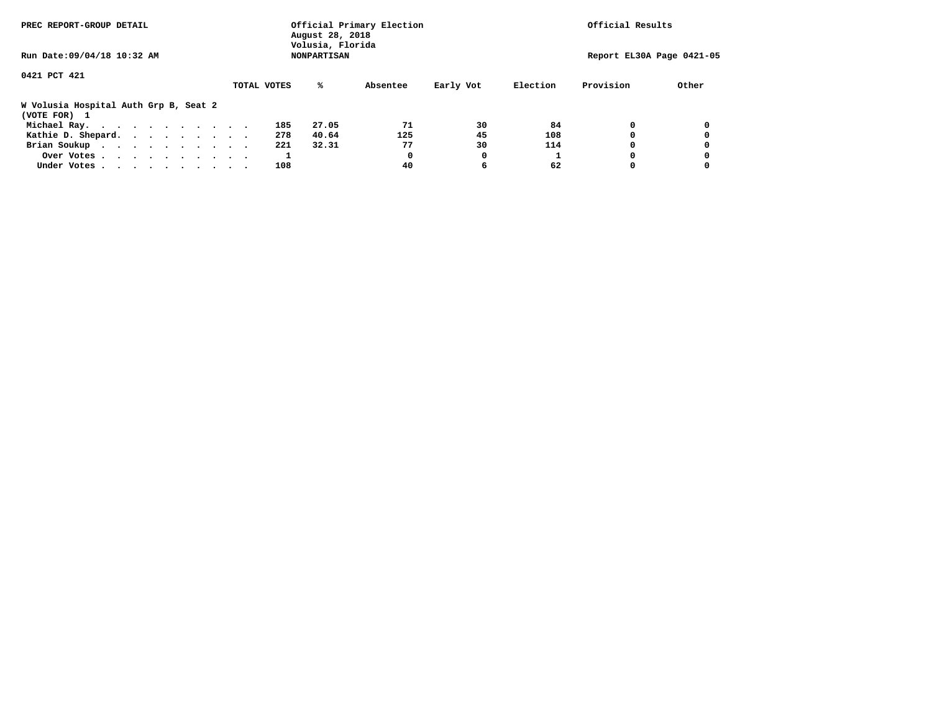| PREC REPORT-GROUP DETAIL                              | August 28, 2018<br>Volusia, Florida | Official Primary Election | Official Results      |                    |   |  |  |
|-------------------------------------------------------|-------------------------------------|---------------------------|-----------------------|--------------------|---|--|--|
| Run Date: 09/04/18 10:32 AM                           | Report EL30A Page 0421-05           |                           |                       |                    |   |  |  |
| 0421 PCT 421                                          | TOTAL VOTES<br>%ะ                   | Absentee                  | Election<br>Early Vot | Provision<br>Other |   |  |  |
| W Volusia Hospital Auth Grp B, Seat 2<br>(VOTE FOR) 1 |                                     |                           |                       |                    |   |  |  |
| Michael Ray.                                          | 27.05<br>185                        | 71                        | 84<br>30              | 0                  | 0 |  |  |
| Kathie D. Shepard.                                    | 40.64<br>278                        | 125                       | 45<br>108             | 0                  | 0 |  |  |
| Brian Soukup                                          | 221<br>32.31                        | 77                        | 30<br>114             | 0                  |   |  |  |
| Over Votes                                            |                                     | 0                         | 0                     | 0                  | 0 |  |  |
| Under Votes                                           | 108                                 | 40                        | 6<br>62               | 0                  |   |  |  |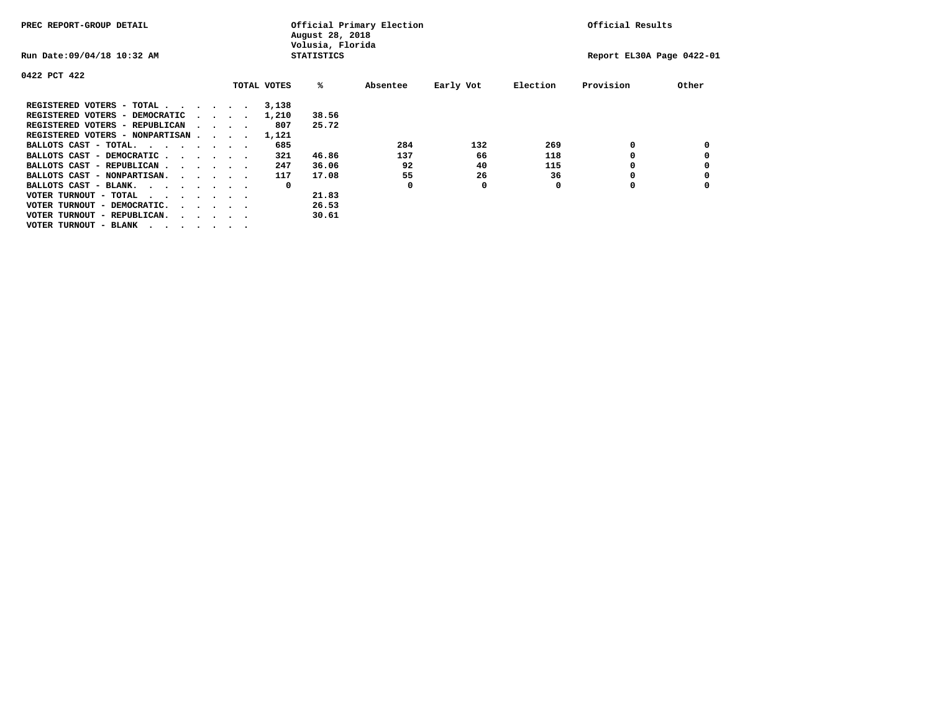| PREC REPORT-GROUP DETAIL                                               |  |  |                                         |  |             | August 28, 2018<br>Volusia, Florida | Official Primary Election | Official Results |          |                           |       |
|------------------------------------------------------------------------|--|--|-----------------------------------------|--|-------------|-------------------------------------|---------------------------|------------------|----------|---------------------------|-------|
| Run Date: 09/04/18 10:32 AM                                            |  |  |                                         |  |             | <b>STATISTICS</b>                   |                           |                  |          | Report EL30A Page 0422-01 |       |
| 0422 PCT 422                                                           |  |  |                                         |  |             |                                     |                           |                  |          |                           |       |
|                                                                        |  |  |                                         |  | TOTAL VOTES | %ะ                                  | Absentee                  | Early Vot        | Election | Provision                 | Other |
| REGISTERED VOTERS - TOTAL                                              |  |  |                                         |  | 3,138       |                                     |                           |                  |          |                           |       |
| REGISTERED VOTERS - DEMOCRATIC                                         |  |  | $\cdot$ $\cdot$ $\cdot$ $\cdot$ $\cdot$ |  | 1,210       | 38.56                               |                           |                  |          |                           |       |
| REGISTERED VOTERS - REPUBLICAN                                         |  |  |                                         |  | 807         | 25.72                               |                           |                  |          |                           |       |
| REGISTERED VOTERS - NONPARTISAN                                        |  |  |                                         |  | 1,121       |                                     |                           |                  |          |                           |       |
| BALLOTS CAST - TOTAL.<br>$\cdots$                                      |  |  |                                         |  | 685         |                                     | 284                       | 132              | 269      |                           |       |
| BALLOTS CAST - DEMOCRATIC.<br>$\cdots$                                 |  |  |                                         |  | 321         | 46.86                               | 137                       | 66               | 118      |                           |       |
| BALLOTS CAST - REPUBLICAN                                              |  |  |                                         |  | 247         | 36.06                               | 92                        | 40               | 115      |                           |       |
| BALLOTS CAST - NONPARTISAN.                                            |  |  |                                         |  | 117         | 17.08                               | 55                        | 26               | 36       | o                         |       |
| BALLOTS CAST - BLANK.                                                  |  |  |                                         |  | 0           |                                     | O                         | 0                | O        | O                         |       |
| VOTER TURNOUT - TOTAL<br>$\cdots$                                      |  |  |                                         |  |             | 21.83                               |                           |                  |          |                           |       |
| VOTER TURNOUT - DEMOCRATIC.<br>$\cdot$ $\cdot$ $\cdot$ $\cdot$ $\cdot$ |  |  |                                         |  |             | 26.53                               |                           |                  |          |                           |       |
| VOTER TURNOUT - REPUBLICAN.                                            |  |  |                                         |  |             | 30.61                               |                           |                  |          |                           |       |
| VOTER TURNOUT - BLANK                                                  |  |  |                                         |  |             |                                     |                           |                  |          |                           |       |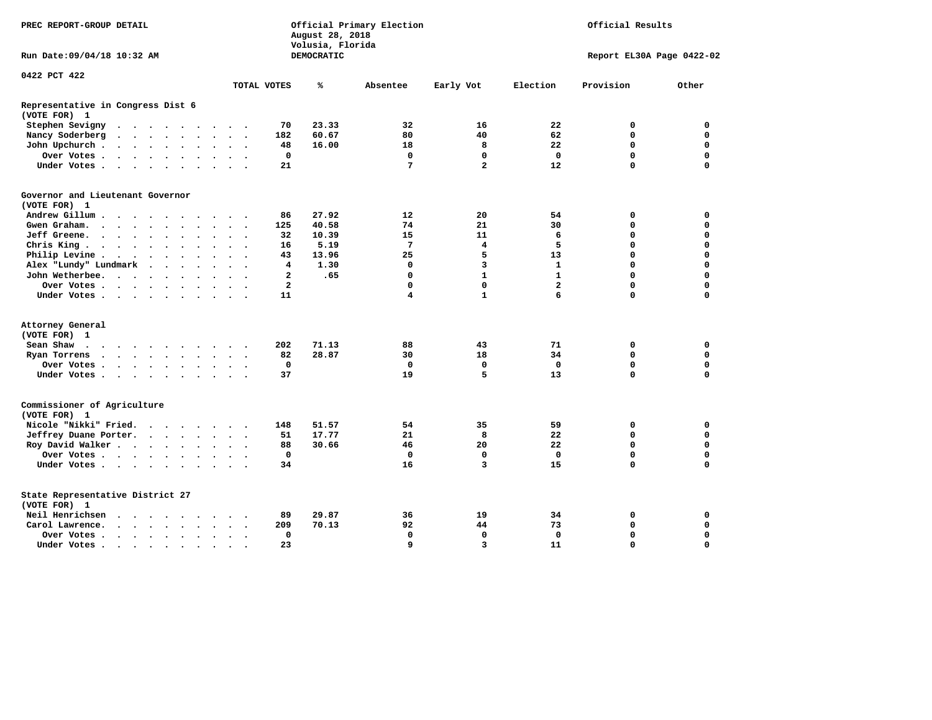| PREC REPORT-GROUP DETAIL                                                                                                                                                                                                                                                        |                            | August 28, 2018<br>Volusia, Florida | Official Primary Election |                | Official Results |                           |             |  |
|---------------------------------------------------------------------------------------------------------------------------------------------------------------------------------------------------------------------------------------------------------------------------------|----------------------------|-------------------------------------|---------------------------|----------------|------------------|---------------------------|-------------|--|
| Run Date: 09/04/18 10:32 AM                                                                                                                                                                                                                                                     |                            | <b>DEMOCRATIC</b>                   |                           |                |                  | Report EL30A Page 0422-02 |             |  |
| 0422 PCT 422                                                                                                                                                                                                                                                                    |                            |                                     |                           |                |                  |                           |             |  |
|                                                                                                                                                                                                                                                                                 | TOTAL VOTES                | ℁                                   | Absentee                  | Early Vot      | Election         | Provision                 | Other       |  |
| Representative in Congress Dist 6<br>(VOTE FOR) 1                                                                                                                                                                                                                               |                            |                                     |                           |                |                  |                           |             |  |
| Stephen Sevigny<br>$\mathbf{a}$ , and $\mathbf{a}$ , and $\mathbf{a}$ , and $\mathbf{a}$<br>$\sim$ $\sim$                                                                                                                                                                       | 70                         | 23.33                               | 32                        | 16             | 22               | 0                         | $\mathbf 0$ |  |
| Nancy Soderberg<br>$\begin{array}{cccccccccccccc} \bullet & \bullet & \bullet & \bullet & \bullet & \bullet & \bullet & \bullet & \bullet & \bullet \end{array}$<br>$\bullet$<br>$\ddotsc$                                                                                      | 182                        | 60.67                               | 80                        | 40             | 62               | $\Omega$                  | $\mathbf 0$ |  |
| John Upchurch.<br>$\begin{array}{cccccccccccccc} \bullet & \bullet & \bullet & \bullet & \bullet & \bullet & \bullet & \bullet \end{array}$<br>$\bullet$                                                                                                                        | 48                         | 16.00                               | 18                        | 8              | 22               | $\mathbf 0$               | $\mathbf 0$ |  |
| Over Votes<br>$\bullet$<br>$\bullet$ .                                                                                                                                                                                                                                          | 0                          |                                     | 0                         | 0              | 0                | $\mathbf 0$               | $\mathbf 0$ |  |
| Under Votes<br>$\sim$                                                                                                                                                                                                                                                           | 21                         |                                     | 7                         | $\overline{a}$ | 12               | 0                         | $\mathbf 0$ |  |
| Governor and Lieutenant Governor                                                                                                                                                                                                                                                |                            |                                     |                           |                |                  |                           |             |  |
| (VOTE FOR) 1                                                                                                                                                                                                                                                                    |                            |                                     |                           |                |                  |                           |             |  |
| Andrew Gillum                                                                                                                                                                                                                                                                   | 86                         | 27.92                               | 12 <sup>2</sup>           | 20             | 54               | 0                         | 0           |  |
| Gwen Graham.<br>$\sim$ $\sim$ $\sim$ $\sim$<br>$\ddot{\phantom{a}}$                                                                                                                                                                                                             | 125                        | 40.58                               | 74                        | 21             | 30               | 0                         | $\mathbf 0$ |  |
| Jeff Greene.<br>$\sim$ $\sim$ $\sim$ $\sim$ $\sim$<br>$\ddot{\phantom{a}}$<br>$\ddot{\phantom{a}}$                                                                                                                                                                              | 32<br>$\ddot{\phantom{0}}$ | 10.39                               | 15                        | 11             | 6                | 0                         | $\mathbf 0$ |  |
| Chris King<br>$\ddot{\phantom{a}}$                                                                                                                                                                                                                                              | 16                         | 5.19                                | $7\phantom{.0}$           | 4              | 5                | $\Omega$                  | $\Omega$    |  |
| Philip Levine.<br>$\sim$<br>$\ddot{\phantom{0}}$<br>$\sim$ $\sim$<br>$\ddot{\phantom{a}}$<br>$\bullet$<br>$\bullet$                                                                                                                                                             | 43<br>$\ddot{\phantom{0}}$ | 13.96                               | 25                        | 5              | 13               | 0                         | $\mathbf 0$ |  |
| Alex "Lundy" Lundmark<br>$\ddot{\phantom{a}}$<br>$\ddot{\phantom{a}}$<br>$\ddot{\phantom{a}}$                                                                                                                                                                                   | $\overline{\mathbf{4}}$    | 1.30                                | $\mathbf 0$               | 3              | $\mathbf{1}$     | 0                         | $\Omega$    |  |
| John Wetherbee.<br>$\cdot$ $\cdot$ $\cdot$ $\cdot$ $\cdot$<br>$\ddot{\phantom{a}}$                                                                                                                                                                                              | $\overline{a}$             | .65                                 | $\mathbf 0$               | $\mathbf{1}$   | $\mathbf{1}$     | $\Omega$                  | $\Omega$    |  |
| Over Votes .<br>$\sim$ $\sim$ $\sim$ $\sim$ $\sim$<br>$\bullet$                                                                                                                                                                                                                 | $\mathbf{2}$               |                                     | $\mathbf 0$               | $\Omega$       | $\overline{a}$   | 0                         | $\Omega$    |  |
| Under Votes                                                                                                                                                                                                                                                                     | 11                         |                                     | $\overline{\mathbf{4}}$   | $\mathbf{1}$   | 6                | 0                         | 0           |  |
| Attorney General                                                                                                                                                                                                                                                                |                            |                                     |                           |                |                  |                           |             |  |
| (VOTE FOR) 1                                                                                                                                                                                                                                                                    |                            |                                     |                           |                |                  |                           |             |  |
| Sean Shaw<br>. The contract of the contract of the contract of the contract of the contract of the contract of the contract of the contract of the contract of the contract of the contract of the contract of the contract of the contrac<br><b>Contract Contract Contract</b> | 202                        | 71.13                               | 88                        | 43             | 71               | 0                         | 0           |  |
| Ryan Torrens<br>$\mathcal{A}$ . The set of the set of the set of $\mathcal{A}$<br>$\bullet$<br>$\ddot{\phantom{0}}$                                                                                                                                                             | 82<br>$\bullet$            | 28.87                               | 30                        | 18             | 34               | 0                         | $\mathbf 0$ |  |
| Over Votes.                                                                                                                                                                                                                                                                     | $\mathbf 0$                |                                     | $\mathbf 0$               | $\mathbf 0$    | $\mathbf 0$      | 0                         | $\mathbf 0$ |  |
| Under Votes<br>$\ddot{\phantom{a}}$<br>$\sim$ $\sim$                                                                                                                                                                                                                            | 37                         |                                     | 19                        | 5              | 13               | 0                         | $\Omega$    |  |
| Commissioner of Agriculture<br>(VOTE FOR) 1                                                                                                                                                                                                                                     |                            |                                     |                           |                |                  |                           |             |  |
| Nicole "Nikki" Fried.<br>$\cdot$                                                                                                                                                                                                                                                | 148                        | 51.57                               | 54                        | 35             | 59               | 0                         | 0           |  |
| Jeffrey Duane Porter.<br>$\cdot$ $\cdot$ $\cdot$ $\cdot$                                                                                                                                                                                                                        | 51                         | 17.77                               | 21                        | 8              | 22               | 0                         | $\mathbf 0$ |  |
| Roy David Walker                                                                                                                                                                                                                                                                | 88                         | 30.66                               | 46                        | 20             | 22               | $\mathbf 0$               | $\mathbf 0$ |  |
| Over Votes                                                                                                                                                                                                                                                                      | 0                          |                                     | $\mathbf 0$               | 0              | 0                | 0                         | $\mathbf 0$ |  |
| Under Votes<br>$\ddot{\phantom{1}}$                                                                                                                                                                                                                                             | 34                         |                                     | 16                        | 3              | 15               | $\Omega$                  | 0           |  |
| State Representative District 27<br>(VOTE FOR) 1                                                                                                                                                                                                                                |                            |                                     |                           |                |                  |                           |             |  |
| Neil Henrichsen<br>$\sim$<br>$\sim$<br>$\sim$<br>$\cdots$                                                                                                                                                                                                                       | 89                         | 29.87                               | 36                        | 19             | 34               | 0                         | 0           |  |
| Carol Lawrence.<br>$\cdot$ $\cdot$ $\cdot$ $\cdot$ $\cdot$<br>$\ddot{\phantom{a}}$<br>$\ddot{\phantom{a}}$<br>$\bullet$                                                                                                                                                         | 209<br>$\cdot$             | 70.13                               | 92                        | 44             | 73               | 0                         | $\mathbf 0$ |  |
| Over Votes .<br>and the state of the state of the<br>$\ddot{\phantom{a}}$<br>$\bullet$                                                                                                                                                                                          | $\mathbf 0$                |                                     | $\mathbf 0$               | $\mathbf 0$    | $\mathbf 0$      | 0                         | $\mathbf 0$ |  |
| Under Votes<br>$\sim$ $\sim$<br>$\bullet$                                                                                                                                                                                                                                       | 2.3                        |                                     | 9                         | 3              | 11               | $\Omega$                  | $\Omega$    |  |
|                                                                                                                                                                                                                                                                                 |                            |                                     |                           |                |                  |                           |             |  |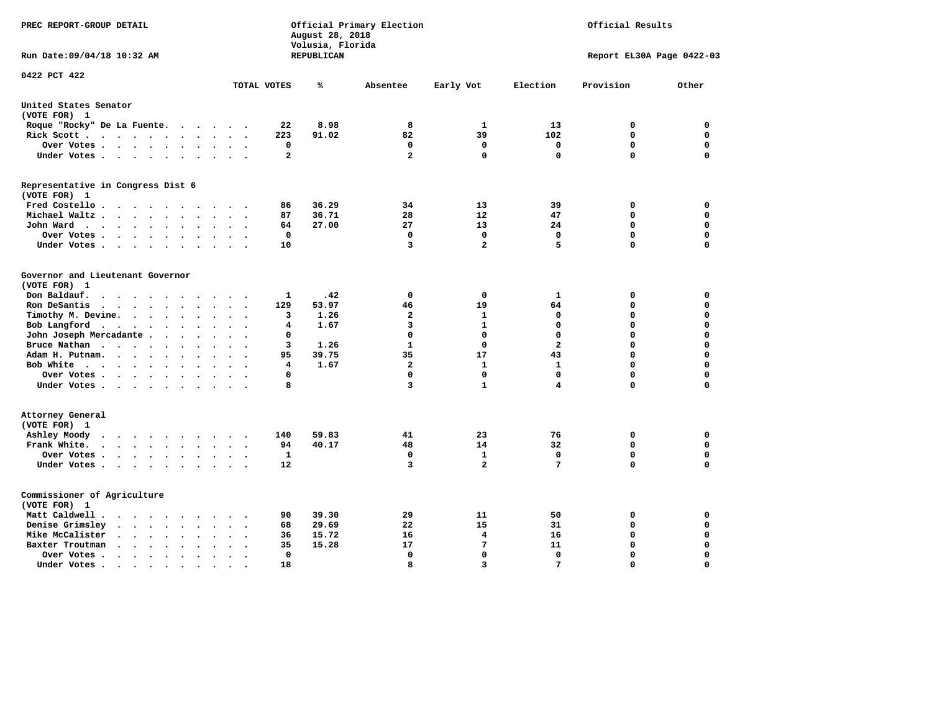| PREC REPORT-GROUP DETAIL                                                                                                                                               |              | August 28, 2018<br>Volusia, Florida | Official Primary Election | Official Results |                         |                           |             |
|------------------------------------------------------------------------------------------------------------------------------------------------------------------------|--------------|-------------------------------------|---------------------------|------------------|-------------------------|---------------------------|-------------|
| Run Date: 09/04/18 10:32 AM                                                                                                                                            |              | REPUBLICAN                          |                           |                  |                         | Report EL30A Page 0422-03 |             |
| 0422 PCT 422                                                                                                                                                           | TOTAL VOTES  | ℁                                   | Absentee                  | Early Vot        | Election                | Provision                 | Other       |
| United States Senator                                                                                                                                                  |              |                                     |                           |                  |                         |                           |             |
| (VOTE FOR) 1                                                                                                                                                           |              |                                     |                           |                  |                         |                           |             |
| Roque "Rocky" De La Fuente.<br>$\cdots$<br>$\sim$ $\sim$                                                                                                               | 22           | 8.98                                | 8                         | 1                | 13                      | $\mathbf 0$               | $\mathbf 0$ |
| Rick Scott<br>$\bullet$                                                                                                                                                | 223          | 91.02                               | 82                        | 39               | 102                     | $\mathbf 0$               | $\mathbf 0$ |
| Over Votes<br>$\ddot{\phantom{0}}$<br>$\bullet$<br>$\bullet$<br>$\ddot{\phantom{0}}$                                                                                   | $\mathbf 0$  |                                     | 0                         | $\mathbf 0$      | 0                       | $\mathbf 0$               | $\mathbf 0$ |
| Under Votes<br>$\ddot{\phantom{1}}$<br>$\bullet$ .<br><br><br><br><br>                                                                                                 | $\mathbf{2}$ |                                     | $\overline{a}$            | $\mathbf 0$      | $\mathbf 0$             | $\mathbf 0$               | $\Omega$    |
| Representative in Congress Dist 6<br>(VOTE FOR) 1                                                                                                                      |              |                                     |                           |                  |                         |                           |             |
| Fred Costello                                                                                                                                                          | 86           | 36.29                               | 34                        | 13               | 39                      | 0                         | 0           |
| Michael Waltz<br>$\ddot{\phantom{a}}$<br>$\ddot{\phantom{a}}$<br>$\ddot{\phantom{a}}$<br>$\ddot{\phantom{a}}$                                                          | 87           | 36.71                               | 28                        | 12               | 47                      | $\mathbf 0$               | $\mathbf 0$ |
| John Ward<br>$\ddot{\phantom{1}}$<br>$\bullet$                                                                                                                         | 64           | 27.00                               | 27                        | 13               | 24                      | $\mathbf 0$               | $\mathbf 0$ |
| Over Votes<br>$\ddot{\phantom{0}}$<br>$\bullet$                                                                                                                        | 0            |                                     | 0                         | $\Omega$         | 0                       | $\mathbf 0$               | $\mathbf 0$ |
| Under Votes<br>$\bullet$<br>$\cdot$                                                                                                                                    | 10           |                                     | 3                         | $\overline{2}$   | 5                       | 0                         | $\mathbf 0$ |
| Governor and Lieutenant Governor<br>(VOTE FOR) 1<br>Don Baldauf.<br>$\cdot$ $\cdot$ $\cdot$<br>$\sim$                                                                  | 1            | .42                                 | $\mathbf 0$               | 0                | 1                       | 0                         | 0           |
| Ron DeSantis<br>$\cdot$ $\cdot$ $\cdot$<br>$\bullet$<br>$\bullet$                                                                                                      | 129          | 53.97                               | 46                        | 19               | 64                      | $\mathbf 0$               | $\mathbf 0$ |
| Timothy M. Devine.<br>$\ddot{\phantom{a}}$<br>$\bullet$<br>$\ddot{\phantom{a}}$<br>$\bullet$<br>$\ddot{\phantom{0}}$                                                   | 3            | 1.26                                | $\mathbf{2}$              | $\mathbf{1}$     | $\mathbf 0$             | 0                         | $\mathbf 0$ |
| Bob Langford<br>$\sim$<br>$\ddot{\phantom{a}}$                                                                                                                         | 4            | 1.67                                | 3                         | $\mathbf{1}$     | $\mathbf 0$             | 0                         | $\mathbf 0$ |
| John Joseph Mercadante .<br>$\sim$<br>$\sim$<br>$\mathbf{r}$<br>$\ddot{\phantom{a}}$<br>$\mathbf{r}$                                                                   | 0            |                                     | $\mathbf 0$               | $\mathbf 0$      | $\mathbf 0$             | $\mathbf 0$               | $\mathbf 0$ |
| Bruce Nathan<br>$\sim$ $\sim$ $\sim$ $\sim$<br>$\bullet$<br>$\bullet$<br>$\bullet$<br>$\ddot{\phantom{a}}$                                                             | 3            | 1.26                                | $\mathbf{1}$              | $\mathbf 0$      | $\overline{\mathbf{2}}$ | 0                         | $\mathbf 0$ |
| Adam H. Putnam.<br>$\cdot$ $\cdot$ $\cdot$ $\cdot$<br>$\bullet$<br>$\bullet$                                                                                           | 95           | 39.75                               | 35                        | 17               | 43                      | 0                         | $\mathbf 0$ |
| Bob White<br>$\sim$<br>$\ddot{\phantom{a}}$<br>$\bullet$                                                                                                               | 4            | 1.67                                | $\overline{a}$            | $\mathbf{1}$     | $\mathbf{1}$            | 0                         | $\mathbf 0$ |
| Over Votes .<br><b>Contract Contract Contract</b><br>$\bullet$<br>$\bullet$                                                                                            | 0            |                                     | 0                         | $\Omega$         | $\Omega$                | $\Omega$                  | $\mathbf 0$ |
| Under Votes                                                                                                                                                            | 8            |                                     | 3                         | $\mathbf{1}$     | 4                       | 0                         | 0           |
| Attorney General<br>(VOTE FOR) 1                                                                                                                                       |              |                                     |                           |                  |                         |                           |             |
| Ashley Moody<br>$\cdots$<br>$\ddot{\phantom{0}}$<br>$\bullet$<br>$\sim$                                                                                                | 140          | 59.83                               | 41                        | 23               | 76                      | 0                         | 0           |
| Frank White.<br>$\cdot$ $\cdot$ $\cdot$ $\cdot$<br>$\sim$<br>$\bullet$                                                                                                 | 94           | 40.17                               | 48                        | 14               | 32                      | $\mathbf 0$               | $\mathbf 0$ |
| Over Votes .<br>$\cdots$<br>$\ddot{\phantom{0}}$<br>$\ddot{\phantom{0}}$<br>$\bullet$                                                                                  | $\mathbf{1}$ |                                     | $\mathbf 0$               | $\mathbf{1}$     | $\mathbf 0$             | $\mathbf 0$               | $\mathbf 0$ |
| Under Votes<br>$\ddot{\phantom{a}}$                                                                                                                                    | 12           |                                     | 3                         | $\overline{2}$   | 7                       | 0                         | $\Omega$    |
| Commissioner of Agriculture<br>(VOTE FOR) 1                                                                                                                            |              |                                     |                           |                  |                         |                           |             |
| Matt Caldwell.<br>$\cdots$ $\cdots$                                                                                                                                    | 90           | 39.30                               | 29                        | 11               | 50                      | 0                         | 0           |
| Denise Grimsley<br>$\sim$<br>$\sim$<br>$\bullet$                                                                                                                       | 68           | 29.69                               | 22                        | 15               | 31                      | 0                         | 0           |
| Mike McCalister<br>$\bullet$ .<br><br><br><br><br><br><br><br><br><br><br><br><br><br>$\ddot{\phantom{0}}$<br>$\bullet$<br>$\bullet$<br>$\bullet$                      | 36           | 15.72                               | 16                        | 4                | 16                      | $\mathbf 0$               | $\mathbf 0$ |
| Baxter Troutman<br>$\ddot{\phantom{1}}$<br>$\ddot{\phantom{a}}$<br>$\overline{a}$<br>$\ddot{\phantom{a}}$                                                              | 35           | 15.28                               | 17                        | 7                | 11                      | $\mathbf 0$               | $\mathbf 0$ |
| Over Votes.<br>$\sim$ $\sim$<br>$\ddot{\phantom{1}}$<br>$\cdot$<br>$\cdot$<br>$\ddot{\phantom{0}}$                                                                     | $\mathbf 0$  |                                     | $\mathbf 0$               | $\mathbf 0$      | $\mathbf 0$             | $\mathbf 0$               | $\mathbf 0$ |
| Under Votes.<br>$\begin{array}{cccccccccccccc} \bullet & \bullet & \bullet & \bullet & \bullet & \bullet & \bullet \end{array}$<br>$\bullet$<br>$\bullet$<br>$\bullet$ | 18           |                                     | 8                         | $\overline{3}$   | 7                       | $\Omega$                  | $\Omega$    |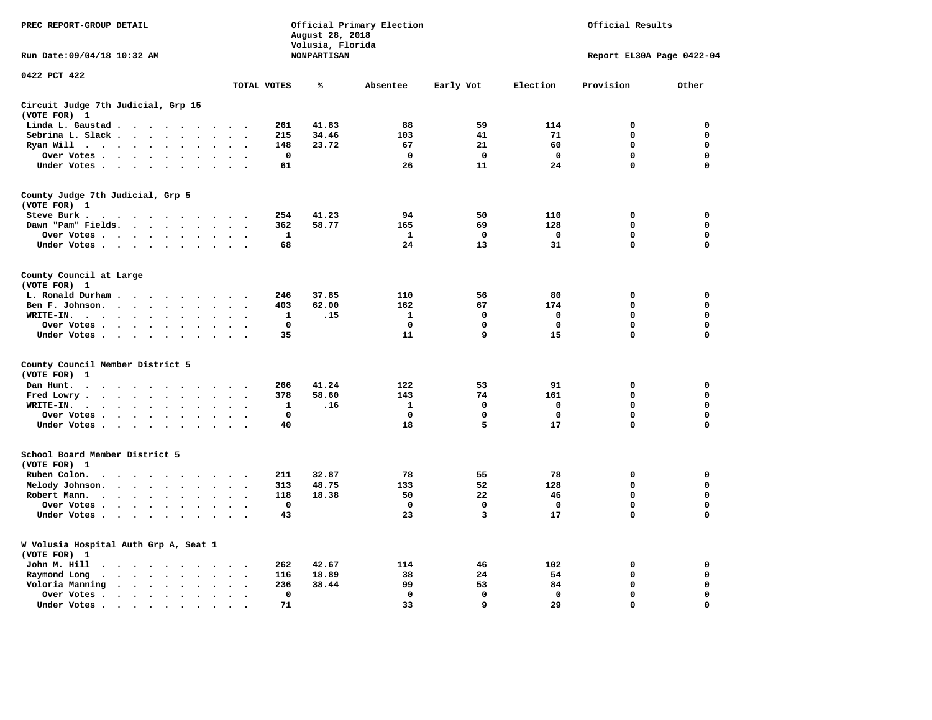| PREC REPORT-GROUP DETAIL                                                                                                                                                                                                                                                 |                                      | August 28, 2018                        | Official Primary Election | Official Results |             |                           |             |
|--------------------------------------------------------------------------------------------------------------------------------------------------------------------------------------------------------------------------------------------------------------------------|--------------------------------------|----------------------------------------|---------------------------|------------------|-------------|---------------------------|-------------|
| Run Date: 09/04/18 10:32 AM                                                                                                                                                                                                                                              |                                      | Volusia, Florida<br><b>NONPARTISAN</b> |                           |                  |             | Report EL30A Page 0422-04 |             |
| 0422 PCT 422                                                                                                                                                                                                                                                             | TOTAL VOTES                          | ℁                                      | Absentee                  | Early Vot        | Election    | Provision                 | Other       |
| Circuit Judge 7th Judicial, Grp 15                                                                                                                                                                                                                                       |                                      |                                        |                           |                  |             |                           |             |
| (VOTE FOR) 1                                                                                                                                                                                                                                                             |                                      |                                        |                           |                  |             |                           |             |
| Linda L. Gaustad                                                                                                                                                                                                                                                         | 261                                  | 41.83                                  | 88                        | 59               | 114         | $\mathbf 0$               | 0           |
| Sebrina L. Slack<br>$\sim$                                                                                                                                                                                                                                               | 215                                  | 34.46                                  | 103                       | 41               | 71          | 0                         | 0           |
| Ryan Will $\cdots$ $\cdots$<br>$\cdot$                                                                                                                                                                                                                                   | 148                                  | 23.72                                  | 67                        | 21               | 60          | 0                         | 0           |
| Over Votes<br>$\ddot{\phantom{1}}$<br>$\cdot$<br>$\bullet$                                                                                                                                                                                                               | $\mathbf{o}$<br>$\ddot{\phantom{a}}$ |                                        | $\mathbf 0$               | 0                | $\mathbf 0$ | 0                         | 0           |
| Under Votes                                                                                                                                                                                                                                                              | 61<br>$\sim$ $\sim$                  |                                        | 26                        | 11               | 24          | 0                         | $\mathbf 0$ |
| County Judge 7th Judicial, Grp 5                                                                                                                                                                                                                                         |                                      |                                        |                           |                  |             |                           |             |
| (VOTE FOR) 1                                                                                                                                                                                                                                                             |                                      |                                        |                           |                  |             |                           |             |
| Steve Burk.                                                                                                                                                                                                                                                              | 254<br>$\sim$ $\sim$                 | 41.23                                  | 94                        | 50               | 110         | 0                         | 0           |
| Dawn "Pam" Fields.<br>$\sim$<br>$\cdot$                                                                                                                                                                                                                                  | 362<br>$\cdot$ .                     | 58.77                                  | 165                       | 69               | 128         | $\mathbf 0$               | 0           |
| Over Votes<br>$\sim$<br>$\ddot{\phantom{a}}$                                                                                                                                                                                                                             | 1<br>$\cdot$                         |                                        | 1                         | 0                | 0           | 0                         | 0           |
| Under Votes                                                                                                                                                                                                                                                              | 68<br>$\sim$                         |                                        | 24                        | 13               | 31          | $\mathbf 0$               | $\mathbf 0$ |
| County Council at Large<br>(VOTE FOR) 1                                                                                                                                                                                                                                  |                                      |                                        |                           |                  |             |                           |             |
| L. Ronald Durham                                                                                                                                                                                                                                                         | 246                                  | 37.85                                  | 110                       | 56               | 80          | $\mathbf 0$               | 0           |
| Ben F. Johnson.<br>$\ddot{\phantom{a}}$<br>$\ddot{\phantom{a}}$<br>$\bullet$                                                                                                                                                                                             | 403<br>$\cdot$                       | 62.00                                  | 162                       | 67               | 174         | $\mathbf 0$               | 0           |
| WRITE-IN.<br>$\cdots$                                                                                                                                                                                                                                                    | $\mathbf 1$                          | .15                                    | $\mathbf{1}$              | $\mathbf 0$      | $\mathbf 0$ | 0                         | $\mathbf 0$ |
| Over Votes.<br>$\cdot$                                                                                                                                                                                                                                                   | $\mathbf 0$                          |                                        | 0                         | 0                | 0           | 0                         | 0           |
| $\sim$ $\sim$ $\sim$ $\sim$<br>$\bullet$<br>Under Votes<br>$\sim$<br>$\overline{\phantom{a}}$                                                                                                                                                                            | 35                                   |                                        | 11                        | 9                | 15          | $\mathbf 0$               | 0           |
|                                                                                                                                                                                                                                                                          |                                      |                                        |                           |                  |             |                           |             |
| County Council Member District 5<br>(VOTE FOR)<br>1                                                                                                                                                                                                                      |                                      |                                        |                           |                  |             |                           |             |
| Dan Hunt.<br>$\bullet$<br>. The contract of the contract of the contract of the contract of the contract of the contract of the contract of the contract of the contract of the contract of the contract of the contract of the contract of the contrac<br>$\sim$ $\sim$ | 266<br>$\sim$ $\sim$                 | 41.24                                  | 122                       | 53               | 91          | 0                         | 0           |
| Fred Lowry.<br>$\sim$<br>$\sim$<br>$\sim$                                                                                                                                                                                                                                | 378<br>$\sim$<br>$\cdot$             | 58.60                                  | 143                       | 74               | 161         | $\mathbf 0$               | $\mathbf 0$ |
| WRITE-IN.<br>$\mathcal{L}(\mathbf{z})$ , and $\mathcal{L}(\mathbf{z})$ , and $\mathcal{L}(\mathbf{z})$<br>$\ddot{\phantom{a}}$<br>$\ddot{\phantom{a}}$                                                                                                                   | 1                                    | .16                                    | 1                         | 0                | 0           | 0                         | $\mathbf 0$ |
| Over Votes<br>$\cdot$<br>$\bullet$                                                                                                                                                                                                                                       | $\mathbf 0$<br>$\cdot$               |                                        | $\mathbf 0$               | $\mathbf 0$      | $\mathbf 0$ | $\mathbf 0$               | 0           |
| Under Votes<br>$\sim$ $\sim$                                                                                                                                                                                                                                             | 40<br>$\cdot$ .                      |                                        | 18                        | 5                | 17          | $\mathbf 0$               | $\mathbf 0$ |
|                                                                                                                                                                                                                                                                          |                                      |                                        |                           |                  |             |                           |             |
| School Board Member District 5<br>(VOTE FOR) 1                                                                                                                                                                                                                           |                                      |                                        |                           |                  |             |                           |             |
| Ruben Colon.<br>$\bullet$<br>$\sim$ $\sim$ $\sim$<br>$\sim$<br>$\sim$                                                                                                                                                                                                    | 211                                  | 32.87                                  | 78                        | 55               | 78          | $\mathbf 0$               | 0           |
| Melody Johnson.<br>$\ddot{\phantom{a}}$                                                                                                                                                                                                                                  | 313                                  | 48.75                                  | 133                       | 52               | 128         | 0                         | 0           |
| Robert Mann.<br>$\cdot$ $\cdot$ $\cdot$ $\cdot$<br>$\ddot{\phantom{a}}$<br>$\ddot{\phantom{a}}$<br>$\ddot{\phantom{a}}$<br>$\bullet$                                                                                                                                     | 118                                  | 18.38                                  | 50                        | 22               | 46          | 0                         | 0           |
|                                                                                                                                                                                                                                                                          | $\mathbf 0$                          |                                        | $\mathbf 0$               | 0                | 0           | 0                         | 0           |
| Over Votes<br>$\sim$<br>$\cdot$                                                                                                                                                                                                                                          |                                      |                                        |                           | 3                |             | 0                         | $\mathbf 0$ |
| Under Votes<br>$\overline{\phantom{a}}$                                                                                                                                                                                                                                  | 43                                   |                                        | 23                        |                  | 17          |                           |             |
| W Volusia Hospital Auth Grp A, Seat 1<br>(VOTE FOR) 1                                                                                                                                                                                                                    |                                      |                                        |                           |                  |             |                           |             |
| John M. Hill<br>$\cdot$ $\cdot$                                                                                                                                                                                                                                          | 262<br>$\ddot{\phantom{0}}$          | 42.67                                  | 114                       | 46               | 102         | 0                         | 0           |
| Raymond Long<br>$\sim$ , and $\sim$ , and $\sim$<br>$\ddot{\phantom{1}}$<br>$\cdot$<br>$\bullet$                                                                                                                                                                         | 116<br>$\bullet$<br>$\cdot$          | 18.89                                  | 38                        | 24               | 54          | $\mathbf 0$               | 0           |
| Voloria Manning<br>$\sim$<br>$\ddot{\phantom{a}}$                                                                                                                                                                                                                        | 236<br>$\ddot{\phantom{a}}$          | 38.44                                  | 99                        | 53               | 84          | 0                         | 0           |
| Over Votes .<br>$\cdots$<br>$\bullet$<br>$\bullet$                                                                                                                                                                                                                       | $\Omega$<br>$\bullet$                |                                        | $\mathbf 0$               | $\mathbf{0}$     | $\mathbf 0$ | $\mathbf 0$               | $\mathbf 0$ |
| Under Votes.<br>$\bullet$                                                                                                                                                                                                                                                | 71                                   |                                        | 33                        | 9                | 29          | $\Omega$                  | $\Omega$    |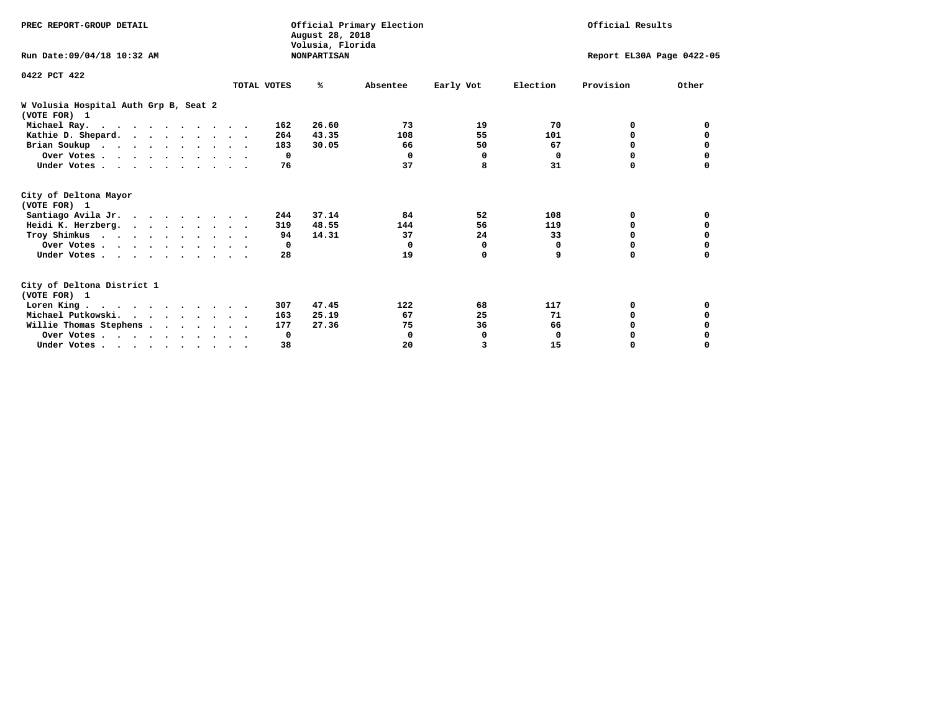| PREC REPORT-GROUP DETAIL                              | Official Primary Election<br>August 28, 2018<br>Volusia, Florida |                    |          |           |             | Official Results          |          |  |  |
|-------------------------------------------------------|------------------------------------------------------------------|--------------------|----------|-----------|-------------|---------------------------|----------|--|--|
| Run Date: 09/04/18 10:32 AM                           |                                                                  | <b>NONPARTISAN</b> |          |           |             | Report EL30A Page 0422-05 |          |  |  |
| 0422 PCT 422                                          |                                                                  |                    |          |           | Election    | Provision                 | Other    |  |  |
|                                                       | TOTAL VOTES                                                      | %ะ                 | Absentee | Early Vot |             |                           |          |  |  |
| W Volusia Hospital Auth Grp B, Seat 2<br>(VOTE FOR) 1 |                                                                  |                    |          |           |             |                           |          |  |  |
| Michael Ray.                                          |                                                                  | 26.60<br>162       | 73       | 19        | 70          | 0                         | 0        |  |  |
| Kathie D. Shepard.                                    |                                                                  | 43.35<br>264       | 108      | 55        | 101         | 0                         | 0        |  |  |
| Brian Soukup                                          |                                                                  | 183<br>30.05       | 66       | 50        | 67          | 0                         | 0        |  |  |
| Over Votes                                            |                                                                  | 0                  | $\Omega$ | 0         | 0           | $\Omega$                  | 0        |  |  |
| Under Votes                                           |                                                                  | 76                 | 37       | 8         | 31          | O                         |          |  |  |
| City of Deltona Mayor<br>(VOTE FOR) 1                 |                                                                  |                    |          |           |             |                           |          |  |  |
| Santiago Avila Jr.                                    |                                                                  | 37.14<br>244       | 84       | 52        | 108         | 0                         | 0        |  |  |
| Heidi K. Herzberg.                                    |                                                                  | 48.55<br>319       | 144      | 56        | 119         | 0                         | 0        |  |  |
| Troy Shimkus                                          |                                                                  | 14.31<br>94        | 37       | 24        | 33          | $\Omega$                  | $\Omega$ |  |  |
| Over Votes                                            |                                                                  | $\mathbf{o}$       | 0        | 0         | 0           | $\Omega$                  |          |  |  |
| Under Votes                                           |                                                                  | 28                 | 19       | 0         | 9           | 0                         | 0        |  |  |
| City of Deltona District 1<br>(VOTE FOR) 1            |                                                                  |                    |          |           |             |                           |          |  |  |
| Loren King                                            |                                                                  | 47.45<br>307       | 122      | 68        | 117         | 0                         | 0        |  |  |
| Michael Putkowski.                                    |                                                                  | 25.19<br>163       | 67       | 25        | 71          | 0                         | 0        |  |  |
| Willie Thomas Stephens                                |                                                                  | 27.36<br>177       | 75       | 36        | 66          | $\Omega$                  | 0        |  |  |
| Over Votes                                            |                                                                  | 0                  | 0        | 0         | $\mathbf 0$ | 0                         |          |  |  |
| Under Votes                                           |                                                                  | 38                 | 20       | 3         | 15          | 0                         | $\Omega$ |  |  |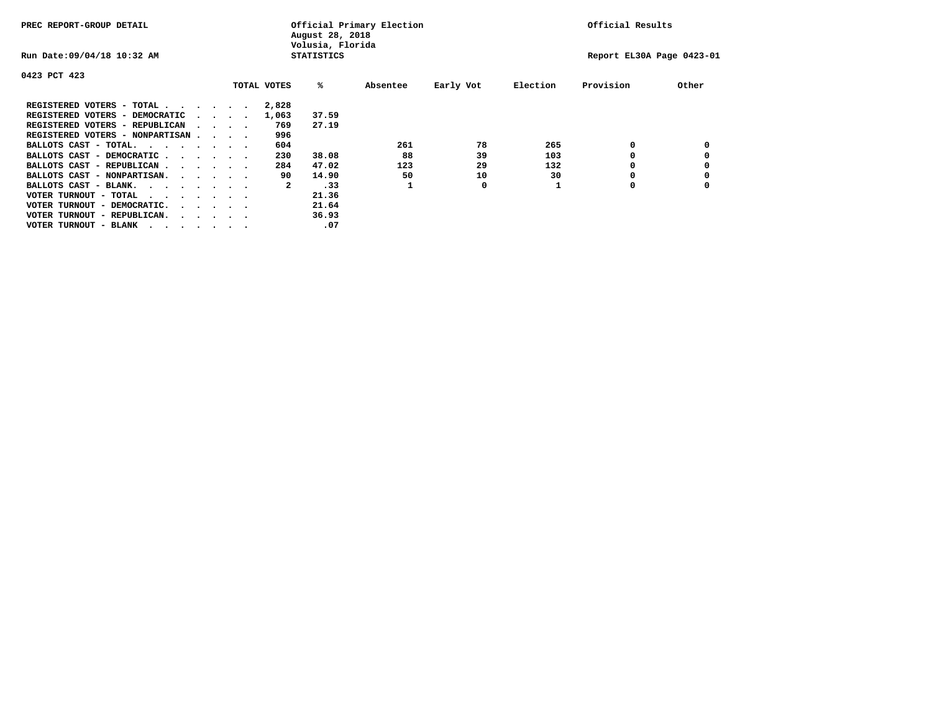| PREC REPORT-GROUP DETAIL                                                                                                                 | Official Primary Election<br>August 28, 2018<br>Volusia, Florida |                             |  |             |                   |          |           |          | Official Results          |       |  |
|------------------------------------------------------------------------------------------------------------------------------------------|------------------------------------------------------------------|-----------------------------|--|-------------|-------------------|----------|-----------|----------|---------------------------|-------|--|
| Run Date: 09/04/18 10:32 AM                                                                                                              |                                                                  |                             |  |             | <b>STATISTICS</b> |          |           |          | Report EL30A Page 0423-01 |       |  |
| 0423 PCT 423                                                                                                                             |                                                                  |                             |  |             |                   |          |           |          |                           |       |  |
|                                                                                                                                          |                                                                  |                             |  | TOTAL VOTES | %ะ                | Absentee | Early Vot | Election | Provision                 | Other |  |
| REGISTERED VOTERS - TOTAL                                                                                                                |                                                                  |                             |  | 2,828       |                   |          |           |          |                           |       |  |
| REGISTERED VOTERS - DEMOCRATIC                                                                                                           |                                                                  | $\sim$ $\sim$ $\sim$ $\sim$ |  | 1,063       | 37.59             |          |           |          |                           |       |  |
| REGISTERED VOTERS - REPUBLICAN                                                                                                           |                                                                  | $\sim$ $\sim$ $\sim$ $\sim$ |  | 769         | 27.19             |          |           |          |                           |       |  |
| REGISTERED VOTERS - NONPARTISAN                                                                                                          |                                                                  |                             |  | 996         |                   |          |           |          |                           |       |  |
| BALLOTS CAST - TOTAL.                                                                                                                    |                                                                  |                             |  | 604         |                   | 261      | 78        | 265      | 0                         |       |  |
| BALLOTS CAST - DEMOCRATIC                                                                                                                |                                                                  |                             |  | 230         | 38.08             | 88       | 39        | 103      |                           |       |  |
| BALLOTS CAST - REPUBLICAN                                                                                                                |                                                                  |                             |  | 284         | 47.02             | 123      | 29        | 132      | 0                         |       |  |
| BALLOTS CAST - NONPARTISAN.                                                                                                              |                                                                  |                             |  | 90          | 14.90             | 50       | 10        | 30       |                           |       |  |
| BALLOTS CAST - BLANK.                                                                                                                    |                                                                  |                             |  | 2           | .33               |          | 0         |          | 0                         |       |  |
| VOTER TURNOUT - TOTAL<br>the contract of the contract of the contract of the contract of the contract of the contract of the contract of |                                                                  |                             |  |             | 21.36             |          |           |          |                           |       |  |
| VOTER TURNOUT - DEMOCRATIC.                                                                                                              |                                                                  | $\cdot$                     |  |             | 21.64             |          |           |          |                           |       |  |
| VOTER TURNOUT - REPUBLICAN.<br>$\cdots$                                                                                                  |                                                                  |                             |  |             | 36.93             |          |           |          |                           |       |  |
| VOTER TURNOUT - BLANK                                                                                                                    |                                                                  |                             |  |             | .07               |          |           |          |                           |       |  |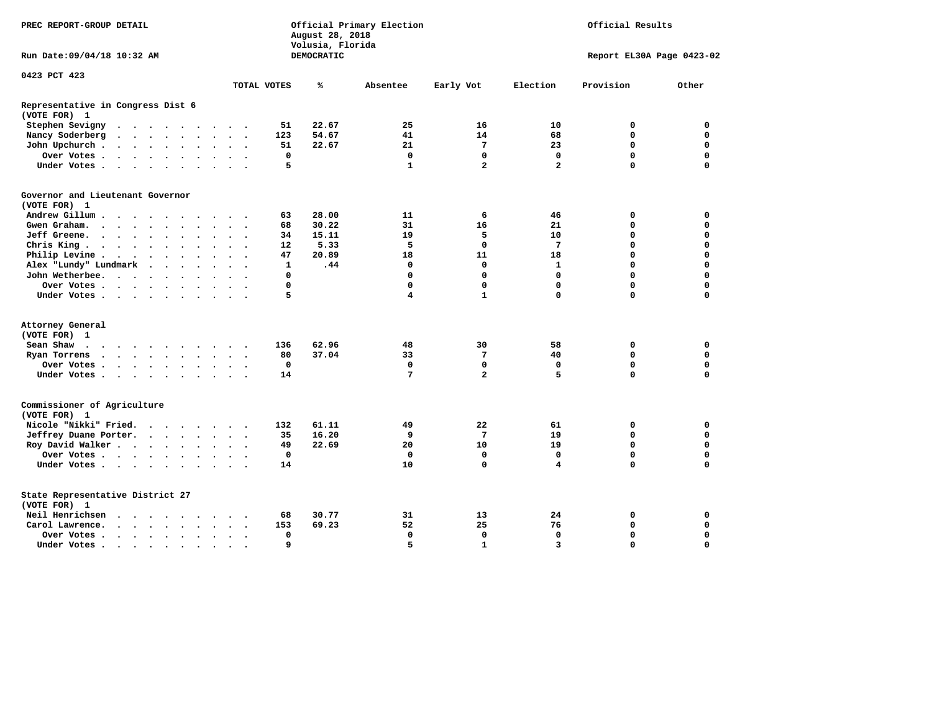| PREC REPORT-GROUP DETAIL                                                                                                                                                                                                                          |                             |                                              |             | August 28, 2018<br>Volusia, Florida | Official Primary Election | Official Results        |                |                           |             |  |
|---------------------------------------------------------------------------------------------------------------------------------------------------------------------------------------------------------------------------------------------------|-----------------------------|----------------------------------------------|-------------|-------------------------------------|---------------------------|-------------------------|----------------|---------------------------|-------------|--|
| Run Date: 09/04/18 10:32 AM                                                                                                                                                                                                                       |                             |                                              |             | DEMOCRATIC                          |                           |                         |                | Report EL30A Page 0423-02 |             |  |
| 0423 PCT 423                                                                                                                                                                                                                                      |                             | TOTAL VOTES                                  |             | ℁                                   | Absentee                  | Early Vot               | Election       | Provision                 | Other       |  |
|                                                                                                                                                                                                                                                   |                             |                                              |             |                                     |                           |                         |                |                           |             |  |
| Representative in Congress Dist 6<br>(VOTE FOR) 1                                                                                                                                                                                                 |                             |                                              |             |                                     |                           |                         |                |                           |             |  |
| Stephen Sevigny<br>$\mathcal{A}=\mathcal{A}=\mathcal{A}=\mathcal{A}=\mathcal{A}=\mathcal{A}=\mathcal{A}=\mathcal{A}$                                                                                                                              |                             |                                              | 51          | 22.67                               | 25                        | 16                      | 10             | 0                         | 0           |  |
| Nancy Soderberg                                                                                                                                                                                                                                   |                             | $\sim$ $\sim$ $\sim$ $\sim$                  | 123         | 54.67                               | 41                        | 14                      | 68             | $\mathbf 0$               | $\mathbf 0$ |  |
| John Upchurch.<br>$\cdots$                                                                                                                                                                                                                        | $\sim$                      | $\ddot{\phantom{1}}$                         | 51          | 22.67                               | 21                        | 7                       | 23             | 0                         | 0           |  |
| Over Votes                                                                                                                                                                                                                                        |                             |                                              | 0           |                                     | $\mathbf 0$               | 0                       | 0              | $\mathbf 0$               | $\mathbf 0$ |  |
| Under Votes                                                                                                                                                                                                                                       |                             | $\sim$ $\sim$ $\sim$                         | 5           |                                     | $\mathbf{1}$              | $\overline{\mathbf{2}}$ | $\overline{a}$ | $\Omega$                  | $\Omega$    |  |
| Governor and Lieutenant Governor                                                                                                                                                                                                                  |                             |                                              |             |                                     |                           |                         |                |                           |             |  |
| (VOTE FOR) 1                                                                                                                                                                                                                                      |                             |                                              |             |                                     |                           |                         |                |                           |             |  |
| Andrew Gillum<br>$\sim$                                                                                                                                                                                                                           | $\sim$                      |                                              | 63          | 28.00                               | 11                        | 6                       | 46             | 0                         | 0           |  |
| Gwen Graham.<br>$\mathbf{r}$ . The contract of the contract of the contract of the contract of the contract of the contract of the contract of the contract of the contract of the contract of the contract of the contract of the contract of th |                             | $\ddot{\phantom{1}}$                         | 68          | 30.22                               | 31                        | 16                      | 21             | $\Omega$                  | $\mathbf 0$ |  |
| Jeff Greene.                                                                                                                                                                                                                                      |                             | $\bullet$                                    | 34          | 15.11                               | 19                        | 5                       | 10             | 0                         | 0           |  |
| Chris King                                                                                                                                                                                                                                        |                             | $\sim$ $\sim$                                | 12          | 5.33                                | 5                         | $\mathbf 0$             | 7              | $\mathbf 0$               | $\mathbf 0$ |  |
| Philip Levine .<br>$\begin{array}{cccccccccccccc} \bullet & \bullet & \bullet & \bullet & \bullet & \bullet & \bullet & \bullet & \bullet & \bullet \end{array}$                                                                                  |                             | $\sim$ $\sim$                                | 47          | 20.89                               | 18                        | 11                      | 18             | $\mathbf 0$               | $\mathbf 0$ |  |
| Alex "Lundy" Lundmark                                                                                                                                                                                                                             | $\cdot \cdot \cdot \cdot$ . | $\ddot{\phantom{a}}$                         | 1           | .44                                 | 0                         | 0                       | 1              | $\Omega$                  | 0           |  |
| John Wetherbee.                                                                                                                                                                                                                                   |                             | $\ddot{\phantom{a}}$                         | 0           |                                     | $\mathbf 0$               | $\mathbf 0$             | $\mathbf{0}$   | $\mathbf 0$               | $\mathbf 0$ |  |
| Over Votes                                                                                                                                                                                                                                        |                             | $\sim$                                       | 0           |                                     | $\Omega$                  | $\mathbf 0$             | $\mathbf{0}$   | $\mathbf 0$               | $\mathbf 0$ |  |
| Under Votes                                                                                                                                                                                                                                       |                             |                                              | 5           |                                     | 4                         | $\mathbf{1}$            | $\mathbf 0$    | $\Omega$                  | $\Omega$    |  |
| Attorney General                                                                                                                                                                                                                                  |                             |                                              |             |                                     |                           |                         |                |                           |             |  |
| (VOTE FOR) 1                                                                                                                                                                                                                                      |                             |                                              |             |                                     |                           |                         |                |                           |             |  |
| Sean Shaw<br>$\cdots$                                                                                                                                                                                                                             |                             |                                              | 136         | 62.96                               | 48                        | 30                      | 58             | 0                         | 0           |  |
| Ryan Torrens<br>$\mathbf{r}$ , and $\mathbf{r}$ , and $\mathbf{r}$ , and $\mathbf{r}$                                                                                                                                                             |                             | $\ddot{\phantom{0}}$<br>$\ddot{\phantom{1}}$ | 80          | 37.04                               | 33                        | 7                       | 40             | $\mathbf 0$               | $\mathbf 0$ |  |
| Over Votes                                                                                                                                                                                                                                        |                             |                                              | 0           |                                     | 0                         | $\mathbf 0$             | 0              | $\mathbf 0$               | 0           |  |
| Under Votes                                                                                                                                                                                                                                       |                             |                                              | 14          |                                     | 7                         | $\overline{2}$          | 5              | $\mathbf 0$               | $\mathbf 0$ |  |
| Commissioner of Agriculture<br>(VOTE FOR) 1                                                                                                                                                                                                       |                             |                                              |             |                                     |                           |                         |                |                           |             |  |
| Nicole "Nikki" Fried.                                                                                                                                                                                                                             |                             |                                              | 132         | 61.11                               | 49                        | 22                      | 61             | 0                         | $\mathbf 0$ |  |
| Jeffrey Duane Porter.                                                                                                                                                                                                                             |                             |                                              | 35          | 16.20                               | 9                         | 7                       | 19             | $\mathbf 0$               | 0           |  |
| Roy David Walker                                                                                                                                                                                                                                  |                             |                                              | 49          | 22.69                               | 20                        | 10                      | 19             | $\mathbf 0$               | $\mathbf 0$ |  |
| Over Votes                                                                                                                                                                                                                                        |                             | $\ddot{\phantom{1}}$                         | 0           |                                     | 0                         | 0                       | 0              | $\mathbf 0$               | 0           |  |
| Under Votes                                                                                                                                                                                                                                       |                             |                                              | 14          |                                     | 10                        | $\mathbf 0$             | 4              | $\mathbf 0$               | $\mathbf 0$ |  |
| State Representative District 27                                                                                                                                                                                                                  |                             |                                              |             |                                     |                           |                         |                |                           |             |  |
| (VOTE FOR) 1                                                                                                                                                                                                                                      |                             |                                              |             |                                     |                           |                         |                |                           |             |  |
| Neil Henrichsen                                                                                                                                                                                                                                   |                             |                                              | 68          | 30.77                               | 31                        | 13                      | 24             | 0                         | 0           |  |
| Carol Lawrence.                                                                                                                                                                                                                                   | $\ddot{\phantom{a}}$        | $\cdot$<br>$\bullet$<br>$\ddot{\phantom{0}}$ | 153         | 69.23                               | 52                        | 25                      | 76             | $\mathbf 0$               | $\mathbf 0$ |  |
| Over Votes                                                                                                                                                                                                                                        | $\ddot{\phantom{0}}$        | $\bullet$                                    | $\mathbf 0$ |                                     | $\mathbf 0$               | $\mathbf 0$             | $\mathbf 0$    | $\mathbf 0$               | $\mathbf 0$ |  |
| Under Votes                                                                                                                                                                                                                                       | $\blacksquare$              |                                              | 9           |                                     | 5                         | $\mathbf{1}$            | 3              | $\Omega$                  | $\Omega$    |  |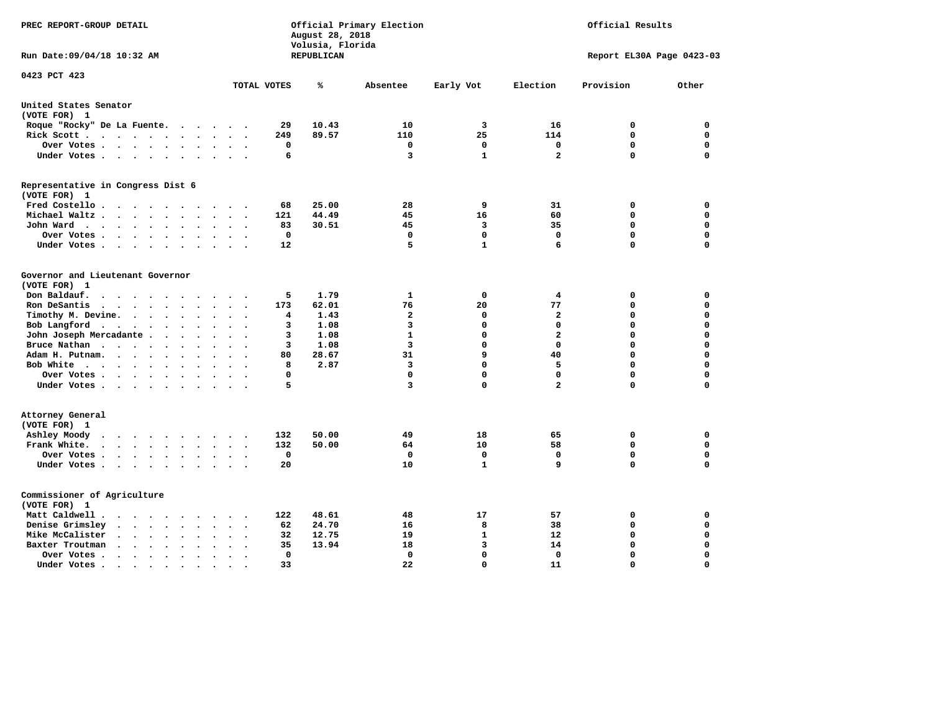| PREC REPORT-GROUP DETAIL                                                                                                                                                          |                                                                | August 28, 2018<br>Volusia, Florida | Official Primary Election | Official Results |                |                           |             |  |
|-----------------------------------------------------------------------------------------------------------------------------------------------------------------------------------|----------------------------------------------------------------|-------------------------------------|---------------------------|------------------|----------------|---------------------------|-------------|--|
| Run Date:09/04/18 10:32 AM                                                                                                                                                        |                                                                | REPUBLICAN                          |                           |                  |                | Report EL30A Page 0423-03 |             |  |
| 0423 PCT 423                                                                                                                                                                      | TOTAL VOTES                                                    | ℁                                   | Absentee                  | Early Vot        | Election       | Provision                 | Other       |  |
|                                                                                                                                                                                   |                                                                |                                     |                           |                  |                |                           |             |  |
| United States Senator<br>(VOTE FOR) 1                                                                                                                                             |                                                                |                                     |                           |                  |                |                           |             |  |
| Roque "Rocky" De La Fuente.<br>$\sim$ $\sim$ $\sim$                                                                                                                               | 29<br>$\sim$ $\sim$<br>$\overline{\phantom{a}}$                | 10.43                               | 10                        | 3                | 16             | 0                         | 0           |  |
| Rick Scott                                                                                                                                                                        | 249                                                            | 89.57                               | 110                       | 25               | 114            | $\mathbf 0$               | $\mathbf 0$ |  |
| Over Votes                                                                                                                                                                        | 0<br>$\ddot{\phantom{0}}$<br>$\ddot{\phantom{a}}$<br>$\bullet$ |                                     | 0                         | 0                | 0              | $\mathbf 0$               | $\mathbf 0$ |  |
| Under Votes<br>$\ddot{\phantom{1}}$                                                                                                                                               | 6<br>$\sim$                                                    |                                     | 3                         | $\mathbf{1}$     | $\mathbf{2}$   | $\Omega$                  | $\mathbf 0$ |  |
| Representative in Congress Dist 6                                                                                                                                                 |                                                                |                                     |                           |                  |                |                           |             |  |
| (VOTE FOR) 1                                                                                                                                                                      |                                                                |                                     |                           |                  |                |                           |             |  |
| Fred Costello.                                                                                                                                                                    | 68<br>.                                                        | 25.00                               | 28                        | 9                | 31             | 0                         | 0           |  |
| Michael Waltz<br>$\ddot{\phantom{a}}$<br>$\ddot{\phantom{a}}$<br>$\ddot{\phantom{a}}$                                                                                             | 121                                                            | 44.49                               | 45                        | 16               | 60             | $\mathbf 0$               | $\mathbf 0$ |  |
| John Ward<br>$\begin{array}{cccccccccccccc} \bullet & \bullet & \bullet & \bullet & \bullet & \bullet & \bullet & \bullet & \bullet & \bullet & \bullet \end{array}$<br>$\bullet$ | 83<br>$\ddot{\phantom{a}}$                                     | 30.51                               | 45                        | 3                | 35             | $\mathbf 0$               | 0           |  |
| Over Votes<br>$\ddot{\phantom{a}}$                                                                                                                                                | $\mathbf 0$                                                    |                                     | $\mathbf 0$               | $\mathbf 0$      | $\mathbf 0$    | $\mathbf 0$               | 0           |  |
| Under Votes<br>$\ddot{\phantom{a}}$                                                                                                                                               | 12                                                             |                                     | 5                         | $\mathbf{1}$     | 6              | $\Omega$                  | $\mathbf 0$ |  |
| Governor and Lieutenant Governor                                                                                                                                                  |                                                                |                                     |                           |                  |                |                           |             |  |
| (VOTE FOR) 1                                                                                                                                                                      |                                                                |                                     |                           |                  |                |                           |             |  |
| Don Baldauf.<br>$\cdot$ $\cdot$ $\cdot$ $\cdot$<br>$\sim$                                                                                                                         | 5                                                              | 1.79                                | $\mathbf{1}$              | 0                | 4              | 0                         | 0           |  |
| Ron DeSantis                                                                                                                                                                      | 173<br>$\ddot{\phantom{0}}$<br>$\ddot{\phantom{a}}$            | 62.01                               | 76                        | 20               | 77             | 0                         | 0           |  |
| Timothy M. Devine.<br>$\bullet$                                                                                                                                                   | 4                                                              | 1.43                                | $\mathbf{2}$              | 0                | $\mathbf{2}$   | 0                         | $\mathbf 0$ |  |
| Bob Langford<br>$\ddot{\phantom{a}}$                                                                                                                                              | 3<br>$\cdot$                                                   | 1.08                                | 3                         | $\mathbf 0$      | $\mathbf 0$    | $\mathbf 0$               | $\mathbf 0$ |  |
| John Joseph Mercadante                                                                                                                                                            | 3<br>$\overline{\phantom{a}}$                                  | 1.08                                | $\mathbf{1}$              | 0                | $\overline{a}$ | $\mathbf 0$               | $\mathbf 0$ |  |
| Bruce Nathan<br>$\ddot{\phantom{a}}$<br>$\ddot{\phantom{a}}$                                                                                                                      | 3                                                              | 1.08                                | $\overline{3}$            | $\Omega$         | $^{\circ}$     | $\mathbf 0$               | $\mathbf 0$ |  |
| Adam H. Putnam.<br>$\cdot$                                                                                                                                                        | 80                                                             | 28.67                               | 31                        | 9                | 40             | $\Omega$                  | $\mathbf 0$ |  |
| Bob White<br>$\ddot{\phantom{a}}$                                                                                                                                                 | 8<br>$\ddot{\phantom{a}}$                                      | 2.87                                | 3                         | $\Omega$         | 5              | $\mathbf 0$               | $\mathbf 0$ |  |
| Over Votes .<br>$\cdots$                                                                                                                                                          | $\mathbf 0$                                                    |                                     | 0                         | $\mathbf 0$      | $\mathbf{0}$   | $\mathbf 0$               | $\mathbf 0$ |  |
| Under Votes                                                                                                                                                                       | 5                                                              |                                     | 3                         | $\mathbf 0$      | $\overline{a}$ | $\mathbf 0$               | $\mathbf 0$ |  |
| Attorney General                                                                                                                                                                  |                                                                |                                     |                           |                  |                |                           |             |  |
| (VOTE FOR) 1                                                                                                                                                                      |                                                                |                                     |                           | 18               | 65             |                           | $\mathbf 0$ |  |
| Ashley Moody<br>$\cdot$ $\cdot$ $\cdot$ $\cdot$ $\cdot$ $\cdot$<br>$\sim$ $\sim$                                                                                                  | 132<br>$\cdot$                                                 | 50.00                               | 49<br>64                  | 10               | 58             | 0<br>$\mathbf 0$          | 0           |  |
| Frank White.<br>$\cdot$ $\cdot$ $\cdot$ $\cdot$ $\cdot$ $\cdot$<br>$\sim$                                                                                                         | 132<br>$\mathbf 0$                                             | 50.00                               | 0                         | $\mathbf 0$      | $\mathbf 0$    | $\mathbf 0$               | $\mathbf 0$ |  |
| Over Votes .<br>$\cdot$<br>$\bullet$                                                                                                                                              | 20                                                             |                                     | 10                        | $\mathbf{1}$     | 9              | $\mathbf 0$               | $\mathbf 0$ |  |
| Under Votes<br>$\ddot{\phantom{0}}$                                                                                                                                               | $\ddot{\phantom{a}}$                                           |                                     |                           |                  |                |                           |             |  |
| Commissioner of Agriculture                                                                                                                                                       |                                                                |                                     |                           |                  |                |                           |             |  |
| (VOTE FOR) 1                                                                                                                                                                      |                                                                |                                     |                           |                  |                |                           |             |  |
| Matt Caldwell.<br>$\cdot$ $\cdot$ $\cdot$ $\cdot$ $\cdot$ $\cdot$ $\cdot$                                                                                                         | 122                                                            | 48.61                               | 48                        | 17               | 57             | 0                         | 0           |  |
| Denise Grimsley<br>$\cdot$ $\cdot$ $\cdot$ $\cdot$ $\cdot$<br>$\bullet$                                                                                                           | 62                                                             | 24.70                               | 16                        | 8                | 38             | 0                         | 0           |  |
| Mike McCalister<br>$\cdot$ $\cdot$ $\cdot$ $\cdot$ $\cdot$<br>$\bullet$                                                                                                           | 32<br>$\overline{\phantom{a}}$                                 | 12.75                               | 19                        | $\mathbf{1}$     | 12             | 0                         | 0           |  |
| Baxter Troutman<br>$\cdots$<br>$\overline{\phantom{a}}$<br>$\bullet$                                                                                                              | 35                                                             | 13.94                               | 18                        | 3                | 14             | 0                         | 0           |  |
| Over Votes .<br>$\sim$ $\sim$ $\sim$ $\sim$ $\sim$<br>$\bullet$<br>$\cdot$                                                                                                        | $\Omega$                                                       |                                     | 0                         | $\mathbf 0$      | $\Omega$       | $\mathbf 0$               | $\mathbf 0$ |  |
| Under Votes.<br>.                                                                                                                                                                 | 33                                                             |                                     | 22                        | $\mathbf 0$      | 11             | $\Omega$                  | $\Omega$    |  |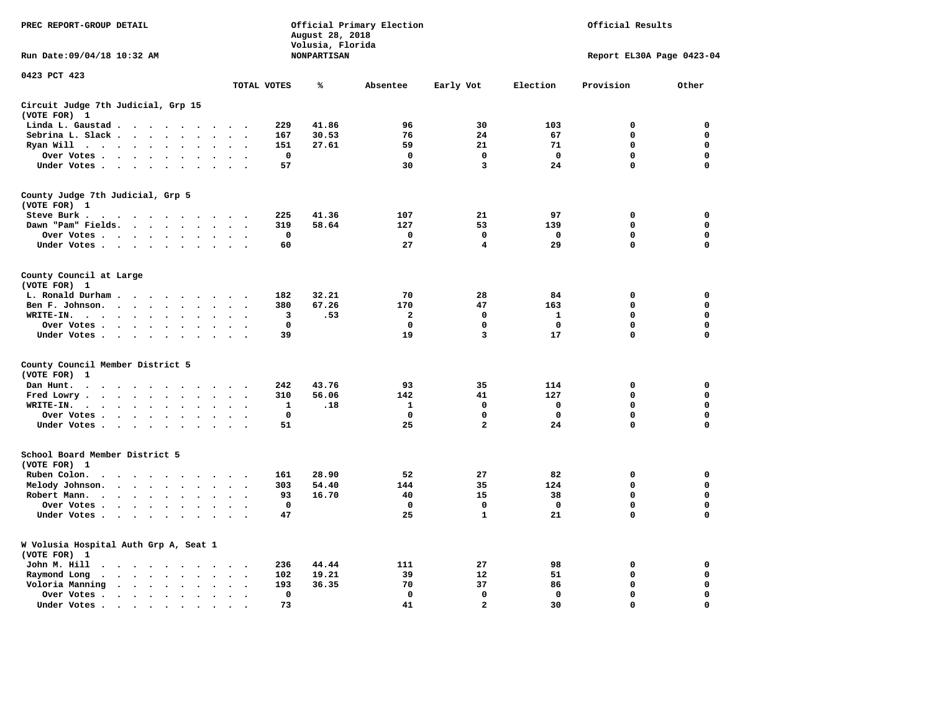| PREC REPORT-GROUP DETAIL                                                                                                                                                                                                                        |                                                     | August 28, 2018                        | Official Primary Election | Official Results |              |                           |             |  |
|-------------------------------------------------------------------------------------------------------------------------------------------------------------------------------------------------------------------------------------------------|-----------------------------------------------------|----------------------------------------|---------------------------|------------------|--------------|---------------------------|-------------|--|
| Run Date: 09/04/18 10:32 AM                                                                                                                                                                                                                     |                                                     | Volusia, Florida<br><b>NONPARTISAN</b> |                           |                  |              | Report EL30A Page 0423-04 |             |  |
| 0423 PCT 423                                                                                                                                                                                                                                    | TOTAL VOTES                                         | ℁                                      | Absentee                  | Early Vot        | Election     | Provision                 | Other       |  |
| Circuit Judge 7th Judicial, Grp 15                                                                                                                                                                                                              |                                                     |                                        |                           |                  |              |                           |             |  |
| (VOTE FOR) 1                                                                                                                                                                                                                                    |                                                     |                                        |                           |                  |              |                           |             |  |
| Linda L. Gaustad                                                                                                                                                                                                                                | 229                                                 | 41.86                                  | 96                        | 30               | 103          | $\mathbf 0$               | 0           |  |
| Sebrina L. Slack<br>$\sim$<br>$\sim$                                                                                                                                                                                                            | 167                                                 | 30.53                                  | 76                        | 24               | 67           | 0                         | 0           |  |
| Ryan Will $\cdots$ $\cdots$<br>$\cdot$                                                                                                                                                                                                          | 151                                                 | 27.61                                  | 59                        | 21               | 71           | 0                         | 0           |  |
| Over Votes<br>$\ddot{\phantom{a}}$<br>$\cdot$<br>$\bullet$                                                                                                                                                                                      | $\mathbf 0$<br>$\bullet$                            |                                        | $\mathbf 0$               | 0                | $\mathbf 0$  | 0                         | 0           |  |
| Under Votes                                                                                                                                                                                                                                     | 57                                                  |                                        | 30                        | 3                | 24           | 0                         | $\mathbf 0$ |  |
| County Judge 7th Judicial, Grp 5                                                                                                                                                                                                                |                                                     |                                        |                           |                  |              |                           |             |  |
| (VOTE FOR) 1                                                                                                                                                                                                                                    |                                                     |                                        |                           |                  |              |                           |             |  |
| Steve Burk.                                                                                                                                                                                                                                     | 225<br>$\sim$ $\sim$                                | 41.36                                  | 107                       | 21               | 97           | 0                         | 0           |  |
| Dawn "Pam" Fields.<br>$\cdot$                                                                                                                                                                                                                   | 319<br>$\cdot$ .                                    | 58.64                                  | 127                       | 53               | 139          | $\mathbf 0$               | 0           |  |
| Over Votes<br>$\sim$<br>$\ddot{\phantom{a}}$                                                                                                                                                                                                    | 0<br>$\cdot$                                        |                                        | 0                         | 0                | 0            | 0                         | 0           |  |
| Under Votes                                                                                                                                                                                                                                     | 60<br>$\sim$                                        |                                        | 27                        | 4                | 29           | $\mathbf 0$               | $\mathbf 0$ |  |
| County Council at Large<br>(VOTE FOR) 1                                                                                                                                                                                                         |                                                     |                                        |                           |                  |              |                           |             |  |
| L. Ronald Durham                                                                                                                                                                                                                                | 182                                                 | 32.21                                  | 70                        | 28               | 84           | $\mathbf 0$               | 0           |  |
| Ben F. Johnson.<br>$\ddot{\phantom{a}}$<br>$\ddot{\phantom{a}}$<br>$\bullet$                                                                                                                                                                    | 380<br>$\cdot$<br>$\ddot{\phantom{0}}$              | 67.26                                  | 170                       | 47               | 163          | $\mathbf 0$               | 0           |  |
| WRITE-IN.<br>$\mathcal{A}$ . The set of the set of the set of the set of the set of the set of the set of the set of the set of the set of the set of the set of the set of the set of the set of the set of the set of the set of the set of t | 3                                                   | .53                                    | $\mathbf{2}$              | $\mathbf 0$      | $\mathbf{1}$ | 0                         | $\mathbf 0$ |  |
| Over Votes.<br>$\sim$ $\sim$ $\sim$ $\sim$<br>$\bullet$<br>$\cdot$                                                                                                                                                                              | $\mathbf 0$                                         |                                        | 0                         | 0                | 0            | 0                         | 0           |  |
| Under Votes<br>$\sim$<br>$\overline{\phantom{a}}$                                                                                                                                                                                               | 39                                                  |                                        | 19                        | 3                | 17           | $\mathbf 0$               | 0           |  |
| County Council Member District 5                                                                                                                                                                                                                |                                                     |                                        |                           |                  |              |                           |             |  |
| (VOTE FOR)<br>1                                                                                                                                                                                                                                 |                                                     |                                        |                           |                  |              |                           |             |  |
| Dan Hunt.<br>$\bullet$<br>. The contract of the contract of the contract of the $\alpha$<br>$\sim$ $\sim$                                                                                                                                       | 242<br>$\sim$ $\sim$                                | 43.76                                  | 93                        | 35               | 114          | 0                         | 0           |  |
| Fred Lowry.<br>$\cdots$<br>$\sim$<br>$\sim$                                                                                                                                                                                                     | 310<br>$\cdot$ .                                    | 56.06                                  | 142                       | 41               | 127          | $\mathbf 0$               | $\mathbf 0$ |  |
| WRITE-IN.<br>$\sim$ $\sim$ $\sim$ $\sim$<br>$\sim$<br>$\cdot$                                                                                                                                                                                   | 1                                                   | .18                                    | 1                         | 0                | 0            | 0                         | $\mathbf 0$ |  |
| Over Votes<br>$\ddot{\phantom{a}}$<br>$\bullet$                                                                                                                                                                                                 | $\mathbf 0$<br>$\ddot{\phantom{a}}$                 |                                        | $\mathbf 0$               | $\mathbf 0$      | $\mathbf 0$  | $\mathbf 0$               | 0           |  |
| Under Votes                                                                                                                                                                                                                                     | 51<br>$\cdot$ $\cdot$ $\cdot$ $\cdot$               |                                        | 25                        | $\overline{a}$   | 24           | $\mathbf 0$               | $\mathbf 0$ |  |
|                                                                                                                                                                                                                                                 |                                                     |                                        |                           |                  |              |                           |             |  |
| School Board Member District 5<br>(VOTE FOR) 1                                                                                                                                                                                                  |                                                     |                                        |                           |                  |              |                           |             |  |
| Ruben Colon.<br>$\ddot{\phantom{0}}$<br>$\cdot$ $\cdot$ $\cdot$ $\cdot$<br>$\sim$                                                                                                                                                               | 161                                                 | 28.90                                  | 52                        | 27               | 82           | $\mathbf 0$               | 0           |  |
| Melody Johnson.                                                                                                                                                                                                                                 | 303                                                 | 54.40                                  | 144                       | 35               | 124          | 0                         | 0           |  |
| Robert Mann.<br>$\cdot$ $\cdot$ $\cdot$ $\cdot$ $\cdot$<br>$\ddot{\phantom{a}}$<br>$\ddot{\phantom{a}}$<br>$\bullet$                                                                                                                            | 93                                                  | 16.70                                  | 40                        | 15               | 38           | 0                         | 0           |  |
| Over Votes<br>$\sim$<br>$\ddot{\phantom{a}}$                                                                                                                                                                                                    | $\mathbf 0$                                         |                                        | $\mathbf 0$               | 0                | $\mathbf 0$  | 0                         | 0           |  |
| Under Votes<br>$\overline{\phantom{a}}$                                                                                                                                                                                                         | 47                                                  |                                        | 25                        | $\mathbf{1}$     | 21           | 0                         | $\mathbf 0$ |  |
| W Volusia Hospital Auth Grp A, Seat 1<br>(VOTE FOR) 1                                                                                                                                                                                           |                                                     |                                        |                           |                  |              |                           |             |  |
| John M. Hill<br>$\cdot$ $\cdot$                                                                                                                                                                                                                 | 236<br>$\sim$                                       | 44.44                                  | 111                       | 27               | 98           | 0                         | 0           |  |
| Raymond Long<br>$\bullet$<br>$\bullet$                                                                                                                                                                                                          | 102                                                 | 19.21                                  | 39                        | 12               | 51           | $\mathbf 0$               | 0           |  |
| $\langle \rangle$<br>Voloria Manning<br>$\begin{array}{cccccccccccccccccc} \bullet & \bullet & \bullet & \bullet & \bullet & \bullet & \bullet & \bullet & \bullet & \bullet & \bullet & \bullet \end{array}$                                   | $\bullet$<br>$\cdot$<br>193<br>$\ddot{\phantom{a}}$ | 36.35                                  | 70                        | 37               | 86           | 0                         | 0           |  |
| Over Votes .<br>$\bullet$<br>$\bullet$                                                                                                                                                                                                          | $\Omega$<br>$\ddot{\phantom{a}}$<br>$\cdot$         |                                        | $\mathbf 0$               | $\mathbf{0}$     | $\mathbf{0}$ | $\mathbf 0$               | $\mathbf 0$ |  |
| Under Votes.<br>$\cdots$<br>$\bullet$                                                                                                                                                                                                           | 73                                                  |                                        | 41                        | $\overline{a}$   | 30           | $\Omega$                  | $\Omega$    |  |
|                                                                                                                                                                                                                                                 |                                                     |                                        |                           |                  |              |                           |             |  |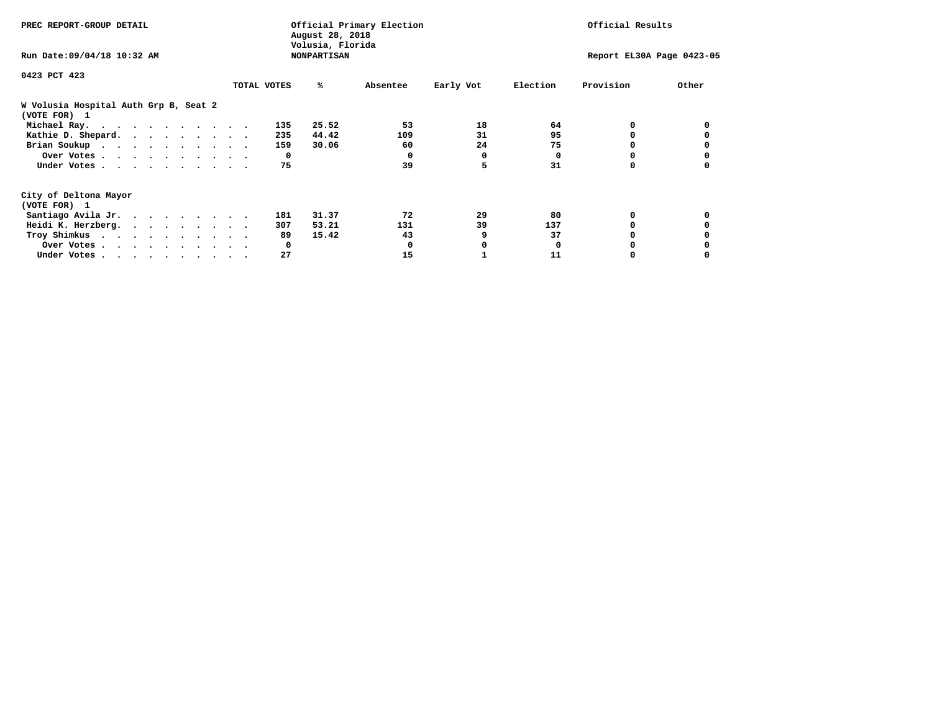| PREC REPORT-GROUP DETAIL                              | Official Primary Election<br>August 28, 2018<br>Volusia, Florida |     |       |          |           | Official Results |                           |       |  |  |
|-------------------------------------------------------|------------------------------------------------------------------|-----|-------|----------|-----------|------------------|---------------------------|-------|--|--|
| Run Date: 09/04/18 10:32 AM                           | <b>NONPARTISAN</b>                                               |     |       |          |           |                  | Report EL30A Page 0423-05 |       |  |  |
| 0423 PCT 423                                          |                                                                  |     |       |          |           |                  |                           |       |  |  |
|                                                       | TOTAL VOTES                                                      |     | ℁     | Absentee | Early Vot | Election         | Provision                 | Other |  |  |
| W Volusia Hospital Auth Grp B, Seat 2<br>(VOTE FOR) 1 |                                                                  |     |       |          |           |                  |                           |       |  |  |
| Michael Ray.                                          |                                                                  | 135 | 25.52 | 53       | 18        | 64               | 0                         |       |  |  |
| Kathie D. Shepard.                                    |                                                                  | 235 | 44.42 | 109      | 31        | 95               | 0                         |       |  |  |
| Brian Soukup                                          |                                                                  | 159 | 30.06 | 60       | 24        | 75               |                           |       |  |  |
| Over Votes                                            |                                                                  | 0   |       | 0        | 0         | 0                |                           |       |  |  |
| Under Votes                                           |                                                                  | 75  |       | 39       | 5         | 31               | 0                         |       |  |  |
| City of Deltona Mayor                                 |                                                                  |     |       |          |           |                  |                           |       |  |  |
| (VOTE FOR) 1                                          |                                                                  |     |       |          |           |                  |                           |       |  |  |
| Santiago Avila Jr.                                    |                                                                  | 181 | 31.37 | 72       | 29        | 80               | 0                         |       |  |  |
| Heidi K. Herzberg.                                    |                                                                  | 307 | 53.21 | 131      | 39        | 137              |                           |       |  |  |
| Troy Shimkus                                          |                                                                  | 89  | 15.42 | 43       | 9         | 37               |                           |       |  |  |
| Over Votes                                            |                                                                  | 0   |       |          |           | <sup>0</sup>     |                           |       |  |  |
| Under Votes                                           |                                                                  | 27  |       | 15       |           | 11               |                           |       |  |  |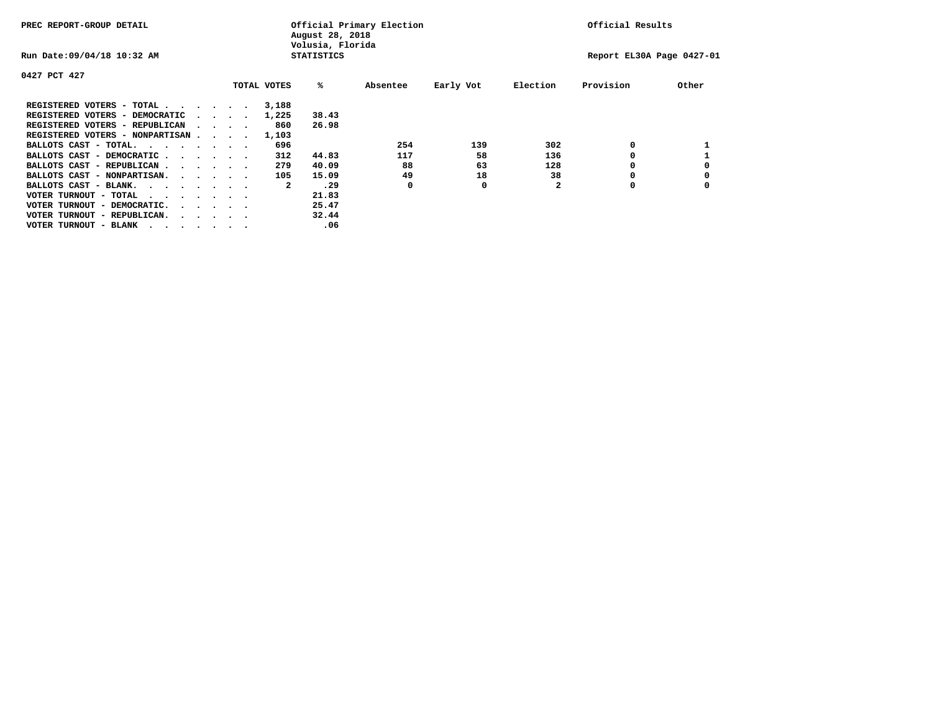| PREC REPORT-GROUP DETAIL                                               |  |                             |             | August 28, 2018<br>Volusia, Florida | Official Primary Election |           |              | Official Results          |       |
|------------------------------------------------------------------------|--|-----------------------------|-------------|-------------------------------------|---------------------------|-----------|--------------|---------------------------|-------|
| Run Date: 09/04/18 10:32 AM                                            |  |                             |             | <b>STATISTICS</b>                   |                           |           |              | Report EL30A Page 0427-01 |       |
| 0427 PCT 427                                                           |  |                             |             |                                     |                           |           |              |                           |       |
|                                                                        |  |                             | TOTAL VOTES | ‱                                   | Absentee                  | Early Vot | Election     | Provision                 | Other |
| REGISTERED VOTERS - TOTAL                                              |  |                             | 3,188       |                                     |                           |           |              |                           |       |
| REGISTERED VOTERS - DEMOCRATIC                                         |  | $\sim$ $\sim$ $\sim$ $\sim$ | 1,225       | 38.43                               |                           |           |              |                           |       |
| REGISTERED VOTERS - REPUBLICAN                                         |  | $\sim$ $\sim$ $\sim$ $\sim$ | 860         | 26.98                               |                           |           |              |                           |       |
| REGISTERED VOTERS - NONPARTISAN                                        |  |                             | 1,103       |                                     |                           |           |              |                           |       |
| BALLOTS CAST - TOTAL.                                                  |  |                             | 696         |                                     | 254                       | 139       | 302          | 0                         |       |
| BALLOTS CAST - DEMOCRATIC                                              |  |                             | 312         | 44.83                               | 117                       | 58        | 136          |                           |       |
| BALLOTS CAST - REPUBLICAN                                              |  |                             | 279         | 40.09                               | 88                        | 63        | 128          | 0                         |       |
| BALLOTS CAST - NONPARTISAN.                                            |  |                             | 105         | 15.09                               | 49                        | 18        | 38           |                           |       |
| BALLOTS CAST - BLANK.                                                  |  |                             | 2           | .29                                 | 0                         | 0         | $\mathbf{2}$ | O                         |       |
| VOTER TURNOUT - TOTAL<br>.                                             |  |                             |             | 21.83                               |                           |           |              |                           |       |
| VOTER TURNOUT - DEMOCRATIC.<br>$\cdot$ $\cdot$ $\cdot$ $\cdot$ $\cdot$ |  |                             |             | 25.47                               |                           |           |              |                           |       |
| VOTER TURNOUT - REPUBLICAN.<br>$\cdots$                                |  |                             |             | 32.44                               |                           |           |              |                           |       |
| VOTER TURNOUT - BLANK                                                  |  |                             |             | .06                                 |                           |           |              |                           |       |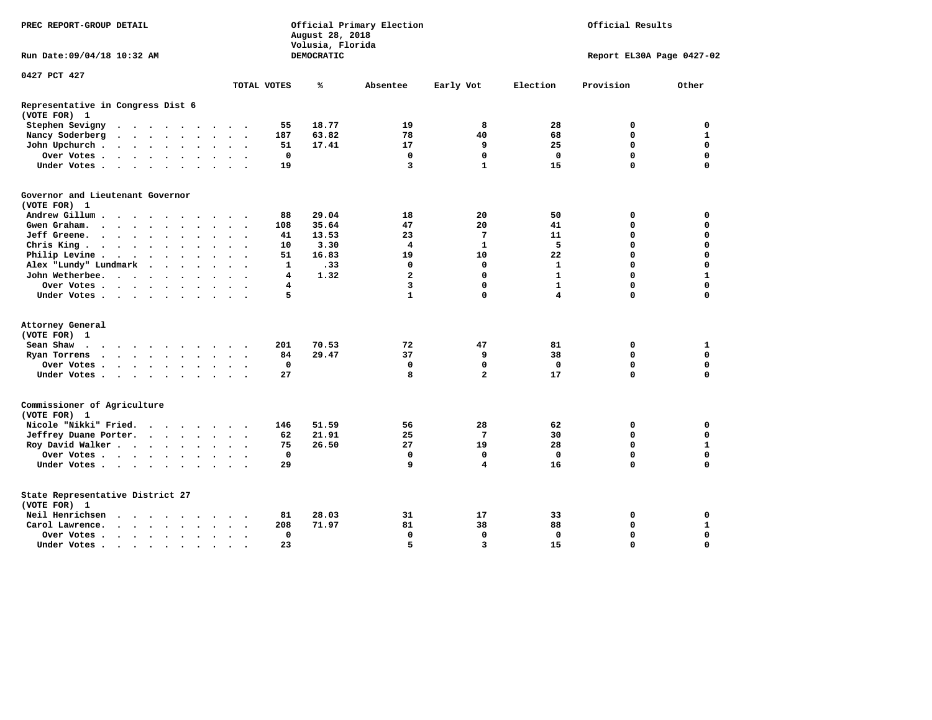| PREC REPORT-GROUP DETAIL                                                                                                 |                                           | August 28, 2018<br>Volusia, Florida | Official Primary Election | Official Results |              |                           |              |
|--------------------------------------------------------------------------------------------------------------------------|-------------------------------------------|-------------------------------------|---------------------------|------------------|--------------|---------------------------|--------------|
| Run Date:09/04/18 10:32 AM                                                                                               |                                           | DEMOCRATIC                          |                           |                  |              | Report EL30A Page 0427-02 |              |
| 0427 PCT 427                                                                                                             |                                           |                                     |                           |                  |              |                           |              |
|                                                                                                                          | TOTAL VOTES                               | ℁                                   | Absentee                  | Early Vot        | Election     | Provision                 | Other        |
| Representative in Congress Dist 6<br>(VOTE FOR) 1                                                                        |                                           |                                     |                           |                  |              |                           |              |
| Stephen Sevigny<br>$\cdot$<br>$\ddot{\phantom{a}}$                                                                       | 55                                        | 18.77                               | 19                        | 8                | 28           | 0                         | 0            |
| Nancy Soderberg<br>$\cdots$<br>$\bullet$                                                                                 | 187<br>$\ddot{\phantom{1}}$               | 63.82                               | 78                        | 40               | 68           | 0                         | 1            |
| John Upchurch.<br>$\sim$<br>$\sim 100$ km s $^{-1}$<br>$\bullet$<br>$\bullet$<br>$\bullet$<br>$\bullet$                  | 51                                        | 17.41                               | 17                        | 9                | 25           | 0                         | $\mathbf 0$  |
| Over Votes<br>$\bullet$<br>$\bullet$                                                                                     | 0<br>$\bullet$ .                          |                                     | $\mathbf 0$               | $\mathbf 0$      | $\mathbf 0$  | $\mathbf 0$               | $\mathbf 0$  |
| Under Votes<br>$\sim$<br>$\sim$<br>$\sim$                                                                                | 19                                        |                                     | 3                         | $\mathbf{1}$     | 15           | $\Omega$                  | $\Omega$     |
| Governor and Lieutenant Governor                                                                                         |                                           |                                     |                           |                  |              |                           |              |
| (VOTE FOR) 1                                                                                                             |                                           |                                     |                           |                  |              |                           |              |
| Andrew Gillum.<br>$\sim$ $\sim$                                                                                          | 88                                        | 29.04                               | 18                        | 20               | 50           | 0                         | 0            |
| Gwen Graham.<br>$\sim$ $\sim$ $\sim$ $\sim$ $\sim$<br>$\ddot{\phantom{a}}$<br>$\sim$                                     | 108<br>$\sim$<br>$\overline{\phantom{a}}$ | 35.64                               | 47                        | 20               | 41           | 0                         | $\mathbf 0$  |
| Jeff Greene.<br>$\sim$ $\sim$ $\sim$ $\sim$<br>$\ddot{\phantom{a}}$<br>$\bullet$                                         | 41                                        | 13.53                               | 23                        | 7                | 11           | 0                         | $\mathbf 0$  |
| Chris King $\cdots$ $\cdots$<br>$\bullet$<br>$\bullet$                                                                   | 10                                        | 3.30                                | 4                         | $\mathbf{1}$     | 5            | 0                         | $\mathbf 0$  |
| Philip Levine.<br>$\sim$ $\sim$<br>$\bullet$<br>$\ddot{\phantom{0}}$<br>$\bullet$<br>$\bullet$<br>$\bullet$<br>$\bullet$ | 51<br>$\bullet$<br>$\ddot{\phantom{0}}$   | 16.83                               | 19                        | 10               | 22           | 0                         | $\mathbf 0$  |
| Alex "Lundy" Lundmark<br>$\ddot{\phantom{a}}$<br>$\ddot{\phantom{1}}$<br>$\bullet$                                       | 1                                         | .33                                 | 0                         | 0                | 1            | 0                         | $\mathbf 0$  |
| John Wetherbee.<br>$\ddot{\phantom{a}}$<br>$\cdot$<br>$\sim$ $\sim$<br>$\bullet$                                         | 4                                         | 1.32                                | $\overline{a}$            | $\mathbf{0}$     | $\mathbf{1}$ | 0                         | $\mathbf{1}$ |
| Over Votes .<br>$\sim$<br>$\sim$<br>$\sim$ $\sim$<br>$\overline{\phantom{a}}$                                            | 4                                         |                                     | 3                         | 0                | $\mathbf{1}$ | 0                         | $\mathbf 0$  |
| Under Votes.<br>$\cdot$ $\cdot$ $\cdot$ $\cdot$<br>$\cdot$                                                               | 5                                         |                                     | $\mathbf{1}$              | $\mathbf{0}$     | 4            | 0                         | 0            |
| Attorney General                                                                                                         |                                           |                                     |                           |                  |              |                           |              |
| (VOTE FOR) 1                                                                                                             |                                           |                                     |                           |                  |              |                           |              |
| Sean Shaw<br>$\sim$ $\sim$<br>$\cdots$                                                                                   | 201                                       | 70.53                               | 72                        | 47               | 81           | 0                         | 1            |
| Ryan Torrens<br>$\mathcal{A}$ . The set of the set of the set of the $\mathcal{A}$<br>$\bullet$<br>$\bullet$             | 84<br>$\cdot$<br>$\bullet$                | 29.47                               | 37                        | 9                | 38           | 0                         | $\mathbf 0$  |
| Over Votes.<br>$\cdot$ $\cdot$ $\cdot$ $\cdot$<br>$\ddot{\phantom{a}}$                                                   | $\mathbf 0$                               |                                     | $\mathbf 0$               | 0                | $\mathbf 0$  | 0                         | $\mathbf 0$  |
| Under Votes<br>$\ddot{\phantom{a}}$<br>$\ddot{\phantom{0}}$                                                              | 27<br>$\cdot$                             |                                     | 8                         | $\overline{a}$   | 17           | 0                         | $\mathbf 0$  |
| Commissioner of Agriculture<br>(VOTE FOR) 1                                                                              |                                           |                                     |                           |                  |              |                           |              |
| Nicole "Nikki" Fried.<br>$\cdot$ $\cdot$ $\cdot$ $\cdot$                                                                 | 146                                       | 51.59                               | 56                        | 28               | 62           | 0                         | 0            |
| Jeffrey Duane Porter.<br>$\cdot$ $\cdot$ $\cdot$ $\cdot$                                                                 | 62                                        | 21.91                               | 25                        | $7\phantom{.0}$  | 30           | 0                         | $\mathbf 0$  |
| Roy David Walker<br>$\bullet$                                                                                            | 75                                        | 26.50                               | 27                        | 19               | 28           | $\mathbf 0$               | $\mathbf{1}$ |
| Over Votes                                                                                                               | $\mathbf 0$                               |                                     | $\Omega$                  | 0                | $\mathbf 0$  | 0                         | $\mathbf 0$  |
| Under Votes<br>$\ddot{\phantom{a}}$                                                                                      | 29                                        |                                     | 9                         | 4                | 16           | $\Omega$                  | 0            |
| State Representative District 27<br>(VOTE FOR) 1                                                                         |                                           |                                     |                           |                  |              |                           |              |
| Neil Henrichsen<br>$\overline{\phantom{a}}$<br>$\overline{\phantom{a}}$<br>$\cdot$                                       | 81                                        | 28.03                               | 31                        | 17               | 33           | 0                         | 0            |
| Carol Lawrence.<br>$\ddot{\phantom{0}}$<br>$\sim$<br>$\sim$<br>$\ddot{\phantom{a}}$<br>$\bullet$<br>$\bullet$            | 208<br>$\bullet$<br>$\bullet$             | 71.97                               | 81                        | 38               | 88           | $\mathbf 0$               | $\mathbf{1}$ |
| Over Votes.<br>$\ddot{\phantom{a}}$<br>$\bullet$                                                                         | $\mathbf 0$                               |                                     | $\mathbf 0$               | 0                | $\mathbf 0$  | 0                         | $\mathbf 0$  |
| Under Votes.<br>$\sim$ $\sim$ $\sim$ $\sim$ $\sim$ $\sim$ $\sim$<br>$\sim$                                               | 23                                        |                                     | 5                         | $\overline{3}$   | 15           | $\Omega$                  | $\Omega$     |
|                                                                                                                          |                                           |                                     |                           |                  |              |                           |              |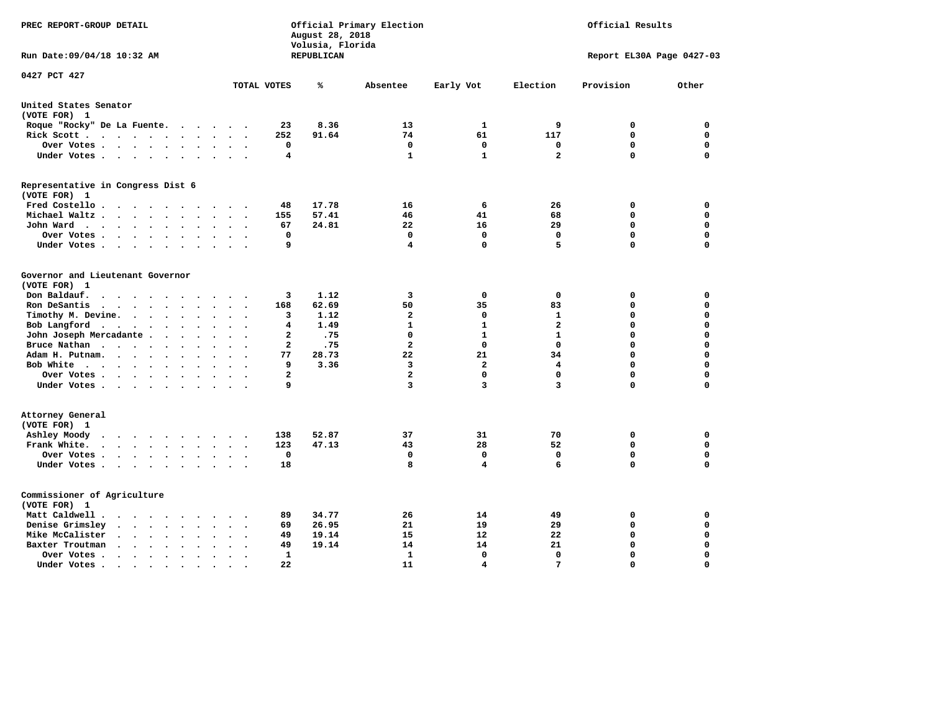| PREC REPORT-GROUP DETAIL                                                                                                                              |              | August 28, 2018<br>Volusia, Florida | Official Primary Election |                   |                         | Official Results          |             |
|-------------------------------------------------------------------------------------------------------------------------------------------------------|--------------|-------------------------------------|---------------------------|-------------------|-------------------------|---------------------------|-------------|
| Run Date: 09/04/18 10:32 AM                                                                                                                           |              | REPUBLICAN                          |                           |                   |                         | Report EL30A Page 0427-03 |             |
| 0427 PCT 427                                                                                                                                          | TOTAL VOTES  | ℁                                   | Absentee                  | Early Vot         | Election                | Provision                 | Other       |
| United States Senator                                                                                                                                 |              |                                     |                           |                   |                         |                           |             |
| (VOTE FOR) 1                                                                                                                                          |              |                                     |                           |                   |                         |                           |             |
| Roque "Rocky" De La Fuente.<br>$\cdots$<br>$\sim$ $\sim$                                                                                              | 23           | 8.36                                | 13                        | 1                 | 9                       | 0                         | 0           |
| Rick Scott                                                                                                                                            | 252          | 91.64                               | 74                        | 61                | 117                     | 0                         | $\mathbf 0$ |
| Over Votes<br>$\cdot$<br>$\bullet$<br>$\ddot{\phantom{0}}$<br>$\cdot$                                                                                 | $\mathbf 0$  |                                     | $\mathbf 0$               | $\mathbf 0$       | $\mathbf 0$             | $\mathbf 0$               | $\mathbf 0$ |
| Under Votes<br>$\sim$<br>$\ddot{\phantom{1}}$                                                                                                         | 4            |                                     | $\mathbf{1}$              | $\mathbf{1}$      | $\overline{\mathbf{2}}$ | $\mathbf 0$               | $\Omega$    |
| Representative in Congress Dist 6<br>(VOTE FOR) 1                                                                                                     |              |                                     |                           |                   |                         |                           |             |
| Fred Costello                                                                                                                                         | 48           | 17.78                               | 16                        | 6                 | 26                      | 0                         | 0           |
| Michael Waltz<br>$\sim$<br>$\sim$<br>$\sim$                                                                                                           | 155          | 57.41                               | 46                        | 41                | 68                      | $\mathbf 0$               | 0           |
| John Ward<br>$\ddot{\phantom{0}}$<br>$\ddotsc$<br>$\bullet$                                                                                           | 67           | 24.81                               | 22                        | 16                | 29                      | $\mathbf 0$               | $\mathbf 0$ |
| Over Votes<br>$\bullet$<br>$\bullet$                                                                                                                  | 0            |                                     | $\mathbf 0$               | $\mathbf 0$       | $\mathbf 0$             | $\mathbf 0$               | $\mathbf 0$ |
| Under Votes<br>$\ddot{\phantom{a}}$<br>$\cdot$                                                                                                        | 9            |                                     | 4                         | $\mathbf 0$       | 5                       | 0                         | 0           |
| Governor and Lieutenant Governor<br>(VOTE FOR) 1<br>Don Baldauf.<br>$\cdot$ $\cdot$ $\cdot$<br>$\sim$                                                 | 3            | 1.12                                | 3                         | 0                 | 0                       | 0                         | 0           |
| Ron DeSantis<br>$\cdot$ $\cdot$ $\cdot$<br>$\ddot{\phantom{1}}$<br>$\bullet$                                                                          | 168          | 62.69                               | 50                        | 35                | 83                      | 0                         | $\mathbf 0$ |
| Timothy M. Devine.<br>$\ddot{\phantom{a}}$<br>$\sim$<br>$\ddot{\phantom{a}}$<br>$\bullet$<br>$\ddot{\phantom{a}}$                                     | з            | 1.12                                | $\overline{a}$            | 0                 | $\mathbf{1}$            | $\mathbf 0$               | $\mathbf 0$ |
| Bob Langford<br>$\ddot{\phantom{1}}$<br>$\ddot{\phantom{a}}$<br>$\bullet$                                                                             | 4            | 1.49                                | $\mathbf{1}$              | $\mathbf{1}$      | $\overline{a}$          | 0                         | $\mathbf 0$ |
| John Joseph Mercadante .<br>$\ddot{\phantom{a}}$<br>$\ddot{\phantom{a}}$                                                                              | $\mathbf{2}$ | .75                                 | $\mathbf 0$               | $\mathbf{1}$      | $\mathbf{1}$            | $\mathbf 0$               | $\mathbf 0$ |
| Bruce Nathan<br><b>Contract Contract Contract Contract</b><br>$\ddot{\phantom{a}}$<br>$\bullet$<br>$\bullet$                                          | $\mathbf{2}$ | .75                                 | $\overline{a}$            | $\mathbf{0}$      | $\mathbf 0$             | 0                         | $\mathbf 0$ |
| Adam H. Putnam.<br>$\cdots$<br>$\ddot{\phantom{a}}$                                                                                                   | 77           | 28.73                               | 22                        | 21                | 34                      | 0                         | $\mathbf 0$ |
| Bob White<br>$\ddot{\phantom{0}}$<br>$\ddot{\phantom{a}}$<br>$\cdot$<br>$\sim$                                                                        | 9            | 3.36                                | 3                         | $\overline{a}$    | 4                       | 0                         | $\mathbf 0$ |
| Over Votes .<br><b>Contract Contract Contract</b><br>$\bullet$<br>$\ddot{\phantom{a}}$                                                                | $\mathbf{2}$ |                                     | $\overline{a}$            | 0                 | 0                       | $\mathbf 0$               | 0           |
| Under Votes                                                                                                                                           | 9            |                                     | 3                         | 3                 | 3                       | 0                         | 0           |
| Attorney General<br>(VOTE FOR) 1                                                                                                                      |              |                                     |                           |                   |                         |                           |             |
| Ashley Moody<br>$\cdots$<br>$\ddot{\phantom{a}}$<br>$\sim$<br>$\cdot$ .                                                                               | 138          | 52.87                               | 37                        | 31                | 70                      | 0                         | $\mathbf 0$ |
| Frank White.                                                                                                                                          | 123          | 47.13                               | 43                        | 28                | 52                      | $\mathbf 0$               | $\mathbf 0$ |
| Over Votes.<br>$\cdots$<br>$\bullet$<br>$\bullet$<br>$\cdot$                                                                                          | $\mathbf 0$  |                                     | 0                         | $\mathbf 0$       | 0                       | $\mathbf 0$               | $\mathbf 0$ |
| Under Votes<br>$\sim$<br>$\sim$ $\sim$                                                                                                                | 18           |                                     | 8                         | 4                 | 6                       | 0                         | $\mathbf 0$ |
| Commissioner of Agriculture<br>(VOTE FOR) 1                                                                                                           |              |                                     |                           |                   |                         |                           |             |
| Matt Caldwell.<br>$\begin{array}{cccccccccccccc} \bullet & \bullet & \bullet & \bullet & \bullet & \bullet & \bullet & \bullet & \bullet \end{array}$ | 89           | 34.77                               | 26                        | 14                | 49                      | 0                         | 0           |
| Denise Grimsley<br>$\ddot{\phantom{a}}$<br>$\sim$<br>$\ddot{\phantom{a}}$<br>$\ddot{\phantom{a}}$                                                     | 69           | 26.95                               | 21                        | 19                | 29                      | $\mathbf 0$               | $\mathbf 0$ |
| Mike McCalister<br>$\mathbf{r}=\mathbf{r}+\mathbf{r}+\mathbf{r}+\mathbf{r}$<br>$\bullet$<br>$\bullet$<br>$\ddot{\phantom{a}}$                         | 49           | 19.14                               | 15                        | $12 \overline{ }$ | 22                      | 0                         | $\Omega$    |
| Baxter Troutman<br>$\ddot{\phantom{1}}$<br>$\ddot{\phantom{a}}$                                                                                       | 49           | 19.14                               | 14                        | 14                | 21                      | $\mathbf 0$               | $\Omega$    |
| Over Votes.<br>$\cdots$<br>$\cdot$<br>$\cdot$<br>$\ddot{\phantom{1}}$                                                                                 | 1            |                                     | $\mathbf{1}$              | 0                 | $\mathbf 0$             | 0                         | $\Omega$    |
| Under Votes.<br>$\bullet$ , $\bullet$ , $\bullet$ , $\bullet$<br>$\bullet$<br>$\bullet$                                                               | 22           |                                     | 11                        | 4                 | 7                       | $\Omega$                  | $\Omega$    |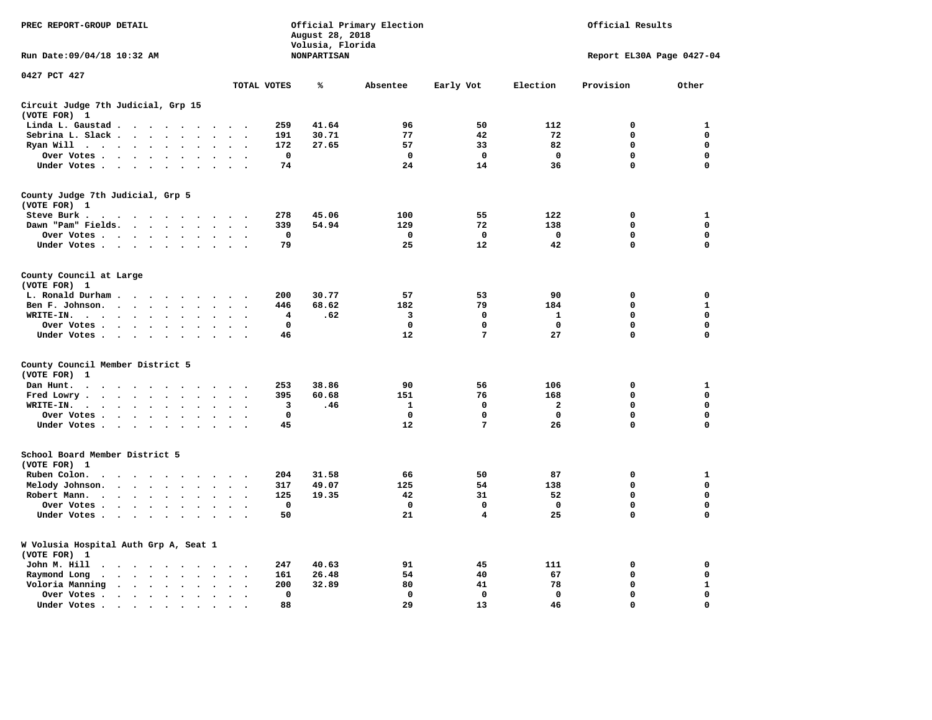| PREC REPORT-GROUP DETAIL                                                                                  |                                        | August 28, 2018                        | Official Primary Election | Official Results |              |                           |              |  |
|-----------------------------------------------------------------------------------------------------------|----------------------------------------|----------------------------------------|---------------------------|------------------|--------------|---------------------------|--------------|--|
| Run Date: 09/04/18 10:32 AM                                                                               |                                        | Volusia, Florida<br><b>NONPARTISAN</b> |                           |                  |              | Report EL30A Page 0427-04 |              |  |
| 0427 PCT 427                                                                                              | TOTAL VOTES                            | ℁                                      | Absentee                  | Early Vot        | Election     | Provision                 | Other        |  |
|                                                                                                           |                                        |                                        |                           |                  |              |                           |              |  |
| Circuit Judge 7th Judicial, Grp 15<br>(VOTE FOR) 1                                                        |                                        |                                        |                           |                  |              |                           |              |  |
| Linda L. Gaustad                                                                                          | 259                                    | 41.64                                  | 96                        | 50               | 112          | $\mathbf 0$               | 1            |  |
| Sebrina L. Slack<br>$\sim$<br>$\sim$                                                                      | 191                                    | 30.71                                  | 77                        | 42               | 72           | 0                         | 0            |  |
| Ryan Will $\cdots$<br>$\cdot$                                                                             | 172                                    | 27.65                                  | 57                        | 33               | 82           | 0                         | 0            |  |
| Over Votes<br>$\bullet$<br>$\cdot$<br>$\bullet$                                                           | $\mathbf 0$<br>$\bullet$               |                                        | $\mathbf 0$               | 0                | $\mathbf 0$  | 0                         | 0            |  |
| Under Votes                                                                                               | 74<br>$\sim$ $\sim$                    |                                        | 24                        | 14               | 36           | 0                         | $\mathbf 0$  |  |
| County Judge 7th Judicial, Grp 5                                                                          |                                        |                                        |                           |                  |              |                           |              |  |
| (VOTE FOR) 1                                                                                              |                                        |                                        |                           |                  |              |                           |              |  |
| Steve Burk.                                                                                               | 278<br>$\sim$ $\sim$                   | 45.06                                  | 100                       | 55               | 122          | 0                         | 1            |  |
| Dawn "Pam" Fields.<br>$\cdot$                                                                             | 339<br>$\cdot$ .                       | 54.94                                  | 129                       | 72               | 138          | $\mathbf 0$               | $\mathbf 0$  |  |
| Over Votes<br>$\sim$<br>$\ddot{\phantom{a}}$                                                              | 0<br>$\cdot$                           |                                        | 0                         | 0                | 0            | 0                         | 0            |  |
| Under Votes                                                                                               | 79<br>$\sim$                           |                                        | 25                        | 12               | 42           | $\Omega$                  | $\Omega$     |  |
| County Council at Large<br>(VOTE FOR) 1                                                                   |                                        |                                        |                           |                  |              |                           |              |  |
| L. Ronald Durham                                                                                          | 200                                    | 30.77                                  | 57                        | 53               | 90           | $\mathbf 0$               | 0            |  |
| Ben F. Johnson.<br>$\ddot{\phantom{a}}$<br>$\ddot{\phantom{a}}$<br>$\bullet$                              | 446<br>$\cdot$<br>$\ddot{\phantom{0}}$ | 68.62                                  | 182                       | 79               | 184          | 0                         | $\mathbf{1}$ |  |
| WRITE-IN.<br>$\cdots$                                                                                     | 4                                      | .62                                    | 3                         | $\mathbf 0$      | $\mathbf{1}$ | 0                         | $\Omega$     |  |
| Over Votes.<br>$\cdot$                                                                                    | $\mathbf 0$                            |                                        | 0                         | 0                | 0            | 0                         | 0            |  |
| $\sim$ $\sim$ $\sim$ $\sim$<br>$\bullet$<br>Under Votes<br>$\sim$<br>$\overline{\phantom{a}}$             | 46                                     |                                        | 12                        | 7                | 27           | $\mathbf 0$               | 0            |  |
|                                                                                                           |                                        |                                        |                           |                  |              |                           |              |  |
| County Council Member District 5<br>(VOTE FOR)<br>1                                                       |                                        |                                        |                           |                  |              |                           |              |  |
| Dan Hunt.<br>$\bullet$<br>. The contract of the contract of the contract of the $\alpha$<br>$\sim$ $\sim$ | 253<br>$\sim$ $\sim$                   | 38.86                                  | 90                        | 56               | 106          | 0                         | 1            |  |
| Fred Lowry.<br>$\cdots$<br>$\sim$<br>$\sim$                                                               | 395<br>$\sim$ $\sim$                   | 60.68                                  | 151                       | 76               | 168          | $\mathbf 0$               | $\mathbf 0$  |  |
| WRITE-IN.<br>$\ddot{\phantom{a}}$<br>$\ddot{\phantom{a}}$                                                 | 3                                      | .46                                    | 1                         | 0                | $\mathbf{2}$ | 0                         | $\mathbf 0$  |  |
| Over Votes<br>$\ddot{\phantom{a}}$<br>$\bullet$                                                           | $\mathbf 0$<br>$\cdot$                 |                                        | $\mathbf 0$               | $\mathbf 0$      | $\mathbf 0$  | $\mathbf 0$               | 0            |  |
| Under Votes<br>$\sim$ $\sim$                                                                              | 45<br>$\sim$ $\sim$                    |                                        | 12                        | 7                | 26           | $\mathbf 0$               | $\mathbf 0$  |  |
| School Board Member District 5                                                                            |                                        |                                        |                           |                  |              |                           |              |  |
| (VOTE FOR) 1                                                                                              |                                        |                                        |                           |                  |              |                           |              |  |
| Ruben Colon.<br>$\ddot{\phantom{0}}$<br>$\sim$<br>$\sim$                                                  | 204                                    | 31.58                                  | 66                        | 50               | 87           | $\mathbf 0$               | 1            |  |
| Melody Johnson.<br>$\ddot{\phantom{a}}$                                                                   | 317                                    | 49.07                                  | 125                       | 54               | 138          | 0                         | 0            |  |
| Robert Mann.<br>$\cdots$<br>$\ddot{\phantom{a}}$<br>$\ddot{\phantom{a}}$<br>$\bullet$                     | 125                                    | 19.35                                  | 42                        | 31               | 52           | 0                         | 0            |  |
| Over Votes<br>$\sim$<br>$\ddot{\phantom{a}}$                                                              | $\mathbf 0$                            |                                        | $\mathbf 0$               | 0                | $\mathbf 0$  | 0                         | 0            |  |
| Under Votes<br>$\cdot$                                                                                    | 50                                     |                                        | 21                        | 4                | 25           | 0                         | $\mathbf 0$  |  |
| W Volusia Hospital Auth Grp A, Seat 1<br>(VOTE FOR) 1                                                     |                                        |                                        |                           |                  |              |                           |              |  |
| John M. Hill<br>$\cdot$ $\cdot$                                                                           | 247<br>$\sim$                          | 40.63                                  | 91                        | 45               | 111          | 0                         | 0            |  |
| Raymond Long<br>$\langle \rangle$<br>$\cdot$<br>$\bullet$                                                 | 161<br>$\bullet$<br>$\cdot$            | 26.48                                  | 54                        | 40               | 67           | $\mathbf 0$               | 0            |  |
| Voloria Manning<br>$\cdots$<br>$\sim$                                                                     | 200<br>$\ddot{\phantom{a}}$            | 32.89                                  | 80                        | 41               | 78           | 0                         | 1            |  |
| Over Votes .<br>$\bullet$<br>$\bullet$                                                                    | $\Omega$<br>$\bullet$                  |                                        | $\mathbf 0$               | $\mathbf{0}$     | $\mathbf{0}$ | $\mathbf 0$               | 0            |  |
| Under Votes.<br>$\bullet$                                                                                 | 88                                     |                                        | 29                        | 13               | 46           | $\Omega$                  | $\Omega$     |  |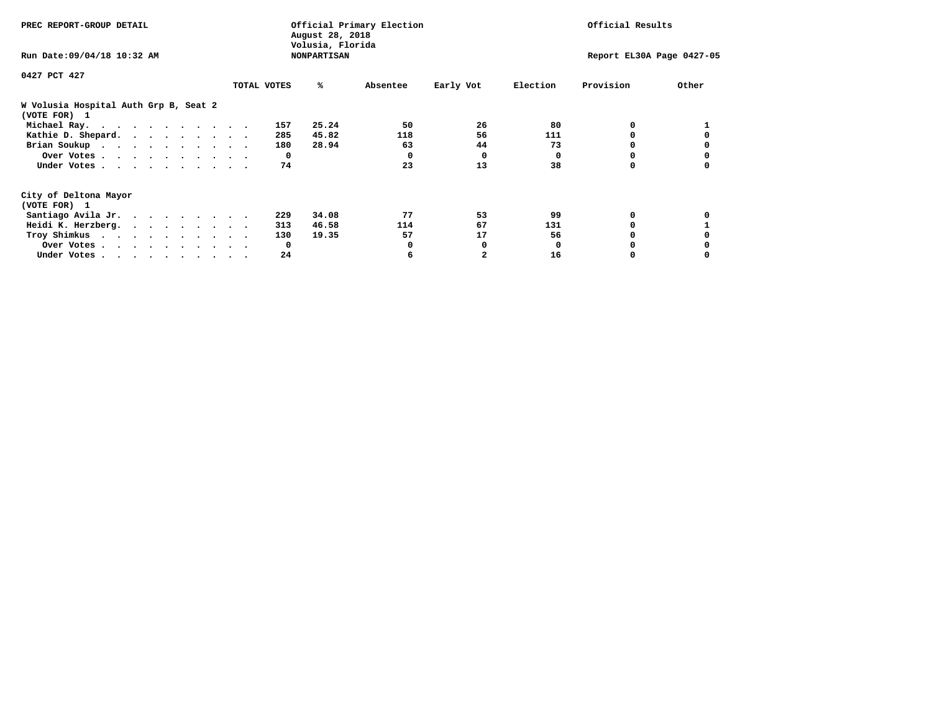| PREC REPORT-GROUP DETAIL                              | Official Primary Election<br>August 28, 2018<br>Volusia, Florida |              |          |           | Official Results<br>Report EL30A Page 0427-05 |           |       |
|-------------------------------------------------------|------------------------------------------------------------------|--------------|----------|-----------|-----------------------------------------------|-----------|-------|
| Run Date: 09/04/18 10:32 AM                           | <b>NONPARTISAN</b>                                               |              |          |           |                                               |           |       |
| 0427 PCT 427                                          |                                                                  |              |          |           |                                               |           |       |
|                                                       | TOTAL VOTES                                                      | ℁            | Absentee | Early Vot | Election                                      | Provision | Other |
| W Volusia Hospital Auth Grp B, Seat 2<br>(VOTE FOR) 1 |                                                                  |              |          |           |                                               |           |       |
| Michael Ray.                                          |                                                                  | 25.24<br>157 | 50       | 26        | 80                                            | 0         |       |
| Kathie D. Shepard.                                    |                                                                  | 45.82<br>285 | 118      | 56        | 111                                           |           |       |
| Brian Soukup                                          |                                                                  | 28.94<br>180 | 63       | 44        | 73                                            |           |       |
| Over Votes                                            |                                                                  | $\mathbf{o}$ | 0        | $\Omega$  | 0                                             |           |       |
| Under Votes                                           |                                                                  | 74           | 23       | 13        | 38                                            |           |       |
| City of Deltona Mayor                                 |                                                                  |              |          |           |                                               |           |       |
| (VOTE FOR) 1                                          |                                                                  |              |          |           |                                               |           |       |
| Santiago Avila Jr.                                    |                                                                  | 34.08<br>229 | 77       | 53        | 99                                            | 0         |       |
| Heidi K. Herzberg.                                    |                                                                  | 46.58<br>313 | 114      | 67        | 131                                           |           |       |
| Troy Shimkus                                          |                                                                  | 19.35<br>130 | 57       | 17        | 56                                            |           |       |
| Over Votes                                            |                                                                  | $\mathbf{o}$ |          |           | <sup>0</sup>                                  |           |       |
| Under Votes                                           |                                                                  | 24           |          |           | 16                                            |           |       |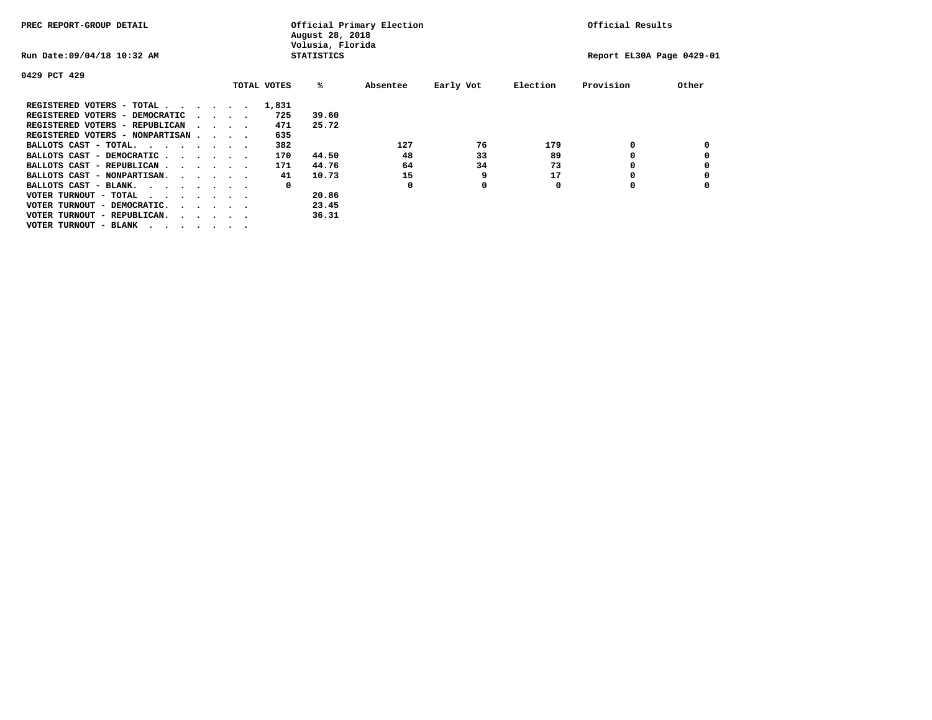| PREC REPORT-GROUP DETAIL               |  |                                         |             | August 28, 2018<br>Volusia, Florida | Official Primary Election |           |          | Official Results          |       |
|----------------------------------------|--|-----------------------------------------|-------------|-------------------------------------|---------------------------|-----------|----------|---------------------------|-------|
| Run Date: 09/04/18 10:32 AM            |  |                                         |             | <b>STATISTICS</b>                   |                           |           |          | Report EL30A Page 0429-01 |       |
| 0429 PCT 429                           |  |                                         |             |                                     |                           |           |          |                           |       |
|                                        |  |                                         | TOTAL VOTES | %ะ                                  | Absentee                  | Early Vot | Election | Provision                 | Other |
| REGISTERED VOTERS - TOTAL              |  |                                         | 1,831       |                                     |                           |           |          |                           |       |
| REGISTERED VOTERS - DEMOCRATIC         |  | $\cdot$ $\cdot$ $\cdot$ $\cdot$         | 725         | 39.60                               |                           |           |          |                           |       |
| REGISTERED VOTERS - REPUBLICAN         |  |                                         | 471         | 25.72                               |                           |           |          |                           |       |
| REGISTERED VOTERS - NONPARTISAN        |  |                                         | 635         |                                     |                           |           |          |                           |       |
| BALLOTS CAST - TOTAL.                  |  |                                         | 382         |                                     | 127                       | 76        | 179      | 0                         |       |
| BALLOTS CAST - DEMOCRATIC              |  |                                         | 170         | 44.50                               | 48                        | 33        | 89       |                           |       |
| BALLOTS CAST - REPUBLICAN              |  |                                         | 171         | 44.76                               | 64                        | 34        | 73       | ٥                         |       |
| BALLOTS CAST - NONPARTISAN.            |  |                                         | 41          | 10.73                               | 15                        | 9         | 17       |                           |       |
| BALLOTS CAST - BLANK.                  |  |                                         | 0           |                                     | 0                         | 0         | 0        | ٥                         |       |
| VOTER TURNOUT - TOTAL<br>$\cdots$      |  |                                         |             | 20.86                               |                           |           |          |                           |       |
| VOTER TURNOUT - DEMOCRATIC.            |  | $\cdot$ $\cdot$ $\cdot$ $\cdot$ $\cdot$ |             | 23.45                               |                           |           |          |                           |       |
| VOTER TURNOUT - REPUBLICAN.<br>$\cdot$ |  |                                         |             | 36.31                               |                           |           |          |                           |       |
| VOTER TURNOUT - BLANK                  |  |                                         |             |                                     |                           |           |          |                           |       |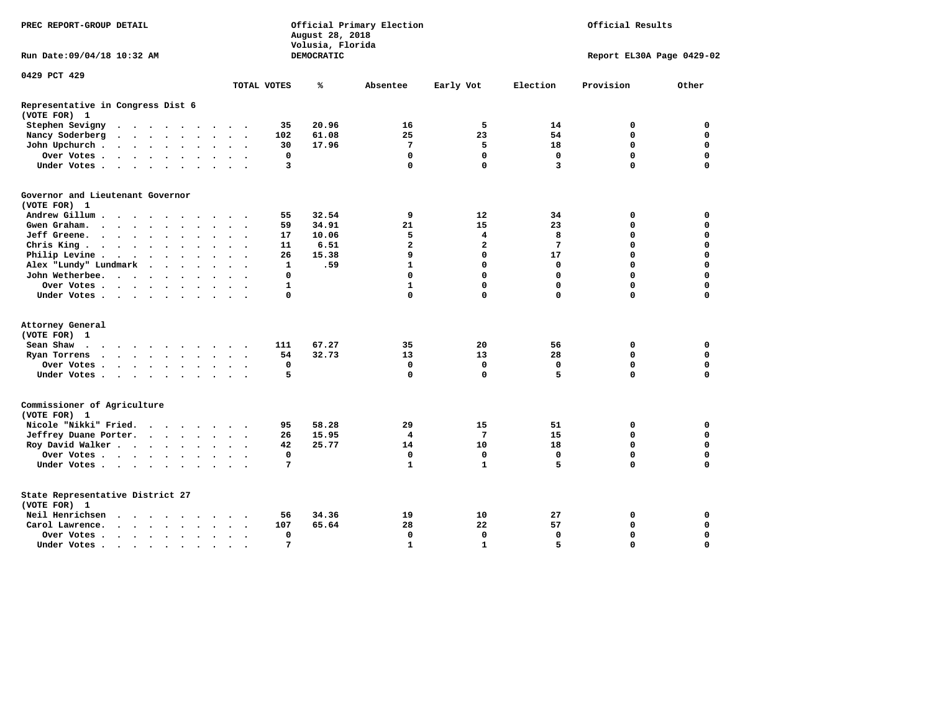| PREC REPORT-GROUP DETAIL                                                                                                                                                                                                                                                            |              | August 28, 2018<br>Volusia, Florida | Official Primary Election |              |             | Official Results          |             |
|-------------------------------------------------------------------------------------------------------------------------------------------------------------------------------------------------------------------------------------------------------------------------------------|--------------|-------------------------------------|---------------------------|--------------|-------------|---------------------------|-------------|
| Run Date: 09/04/18 10:32 AM                                                                                                                                                                                                                                                         |              | DEMOCRATIC                          |                           |              |             | Report EL30A Page 0429-02 |             |
| 0429 PCT 429                                                                                                                                                                                                                                                                        |              |                                     |                           |              |             |                           |             |
|                                                                                                                                                                                                                                                                                     | TOTAL VOTES  | ℁                                   | Absentee                  | Early Vot    | Election    | Provision                 | Other       |
| Representative in Congress Dist 6<br>(VOTE FOR) 1                                                                                                                                                                                                                                   |              |                                     |                           |              |             |                           |             |
| Stephen Sevigny<br>$\begin{array}{cccccccccccccc} \bullet & \bullet & \bullet & \bullet & \bullet & \bullet & \bullet & \bullet & \bullet & \bullet \end{array}$<br>$\cdot$ $\cdot$                                                                                                 | 35           | 20.96                               | 16                        | 5            | 14          | 0                         | 0           |
| Nancy Soderberg<br>$\begin{array}{cccccccccccccc} \bullet & \bullet & \bullet & \bullet & \bullet & \bullet & \bullet & \bullet & \bullet & \bullet & \bullet \end{array}$<br>$\ddot{\phantom{1}}$                                                                                  | 102          | 61.08                               | 25                        | 23           | 54          | 0                         | $\mathbf 0$ |
| John Upchurch.<br>$\cdot$ $\cdot$ $\cdot$ $\cdot$ $\cdot$<br>$\sim$ $\sim$                                                                                                                                                                                                          | 30           | 17.96                               | 7                         | 5            | 18          | 0                         | $\mathbf 0$ |
| Over Votes<br>$\bullet$<br>$\bullet$<br>$\bullet$ .                                                                                                                                                                                                                                 | 0            |                                     | $\mathbf 0$               | $\mathbf 0$  | $\mathbf 0$ | $\mathbf 0$               | $\mathbf 0$ |
| Under Votes<br>$\ddot{\phantom{a}}$<br>$\sim$                                                                                                                                                                                                                                       | 3            |                                     | $\mathbf 0$               | $\mathbf 0$  | 3           | 0                         | $\mathbf 0$ |
| Governor and Lieutenant Governor                                                                                                                                                                                                                                                    |              |                                     |                           |              |             |                           |             |
| (VOTE FOR) 1                                                                                                                                                                                                                                                                        |              |                                     |                           |              |             |                           |             |
| Andrew Gillum                                                                                                                                                                                                                                                                       | 55           | 32.54                               | 9                         | 12           | 34          | 0                         | 0           |
| Gwen Graham.<br>$\mathbf{r}$ . The set of the set of the set of the set of the set of the set of the set of the set of the set of the set of the set of the set of the set of the set of the set of the set of the set of the set of the set of t<br>$\ddot{\phantom{a}}$<br>$\sim$ | 59           | 34.91                               | 21                        | 15           | 23          | 0                         | $\Omega$    |
| Jeff Greene.<br>$\cdot$ $\cdot$ $\cdot$ $\cdot$<br>$\bullet$<br>$\bullet$                                                                                                                                                                                                           | 17           | 10.06                               | 5                         | 4            | 8           | 0                         | 0           |
| Chris King                                                                                                                                                                                                                                                                          | 11           | 6.51                                | $\overline{\mathbf{2}}$   | $\mathbf{2}$ | 7           | 0                         | $\mathbf 0$ |
| Philip Levine .<br>$\mathcal{L}(\mathbf{z})$ , and $\mathcal{L}(\mathbf{z})$ , and $\mathcal{L}(\mathbf{z})$<br>$\ddot{\phantom{a}}$<br>$\bullet$<br>$\bullet$<br>$\bullet$<br>$\ddot{\phantom{0}}$                                                                                 | 26           | 15.38                               | 9                         | $\mathbf 0$  | 17          | 0                         | $\mathbf 0$ |
| Alex "Lundy" Lundmark<br>$\sim$<br>$\sim$<br>$\ddot{\phantom{1}}$                                                                                                                                                                                                                   | $\mathbf{1}$ | .59                                 | $\mathbf{1}$              | $\mathbf 0$  | 0           | 0                         | $\mathbf 0$ |
| John Wetherbee.                                                                                                                                                                                                                                                                     | 0            |                                     | 0                         | $\Omega$     | $\Omega$    | $\Omega$                  | $\Omega$    |
| Over Votes .<br>and the state of the state of the                                                                                                                                                                                                                                   | $\mathbf{1}$ |                                     | $\mathbf{1}$              | $\mathbf 0$  | $\Omega$    | 0                         | $\mathbf 0$ |
| Under Votes<br>$\ddot{\phantom{0}}$                                                                                                                                                                                                                                                 | 0            |                                     | 0                         | $\mathbf 0$  | $\Omega$    | $\Omega$                  | $\Omega$    |
| Attorney General                                                                                                                                                                                                                                                                    |              |                                     |                           |              |             |                           |             |
| (VOTE FOR) 1                                                                                                                                                                                                                                                                        |              |                                     |                           |              |             |                           |             |
| Sean Shaw<br>$\mathbf{r}$ . The contract of the contract of the contract of the contract of the contract of the contract of the contract of the contract of the contract of the contract of the contract of the contract of the contract of th<br>$\cdots$                          | 111          | 67.27                               | 35                        | 20           | 56          | 0                         | 0           |
| Ryan Torrens<br>. The contract of the contract of the contract of the contract of the contract of the contract of the contract of the contract of the contract of the contract of the contract of the contract of the contract of the contrac<br>$\ddot{\phantom{1}}$               | 54           | 32.73                               | 13                        | 13           | 28          | 0                         | $\mathbf 0$ |
| Over Votes                                                                                                                                                                                                                                                                          | 0            |                                     | $\mathbf 0$               | $\mathbf 0$  | $\mathbf 0$ | 0                         | $\mathbf 0$ |
| Under Votes<br>$\ddot{\phantom{a}}$<br>$\ddot{\phantom{1}}$                                                                                                                                                                                                                         | 5            |                                     | $\mathbf 0$               | $\mathbf 0$  | 5           | 0                         | $\mathbf 0$ |
| Commissioner of Agriculture<br>(VOTE FOR) 1                                                                                                                                                                                                                                         |              |                                     |                           |              |             |                           |             |
| Nicole "Nikki" Fried.<br>$\cdots$                                                                                                                                                                                                                                                   | 95           | 58.28                               | 29                        | 15           | 51          | 0                         | $\mathbf 0$ |
| Jeffrey Duane Porter.<br>$\sim$                                                                                                                                                                                                                                                     | 26           | 15.95                               | 4                         | 7            | 15          | 0                         | $\mathbf 0$ |
| Roy David Walker<br>$\ddot{\phantom{0}}$                                                                                                                                                                                                                                            | 42           | 25.77                               | 14                        | 10           | 18          | $\mathbf 0$               | $\mathbf 0$ |
| Over Votes                                                                                                                                                                                                                                                                          | 0            |                                     | 0                         | 0            | 0           | 0                         | 0           |
| Under Votes<br>$\ddot{\phantom{1}}$                                                                                                                                                                                                                                                 | 7            |                                     | $\mathbf{1}$              | $\mathbf{1}$ | 5           | 0                         | 0           |
| State Representative District 27<br>(VOTE FOR) 1                                                                                                                                                                                                                                    |              |                                     |                           |              |             |                           |             |
| Neil Henrichsen<br>$\sim$ $\sim$<br>$\sim$<br>$\cdots$                                                                                                                                                                                                                              | 56           | 34.36                               | 19                        | 10           | 27          | 0                         | 0           |
| Carol Lawrence.<br>$\cdot$ $\cdot$ $\cdot$ $\cdot$ $\cdot$<br>$\ddot{\phantom{a}}$<br>$\ddot{\phantom{a}}$<br>$\bullet$<br>$\cdot$                                                                                                                                                  | 107          | 65.64                               | 28                        | 22           | 57          | 0                         | $\mathbf 0$ |
| Over Votes .<br>and the state of the state of the<br>$\bullet$<br>$\bullet$                                                                                                                                                                                                         | $\mathbf 0$  |                                     | $\mathbf 0$               | $\mathbf 0$  | $\mathbf 0$ | 0                         | $\mathbf 0$ |
| Under Votes<br>$\sim$ $\sim$<br>$\bullet$                                                                                                                                                                                                                                           | 7            |                                     | $\mathbf{1}$              | $\mathbf{1}$ | 5           | $\Omega$                  | $\Omega$    |
|                                                                                                                                                                                                                                                                                     |              |                                     |                           |              |             |                           |             |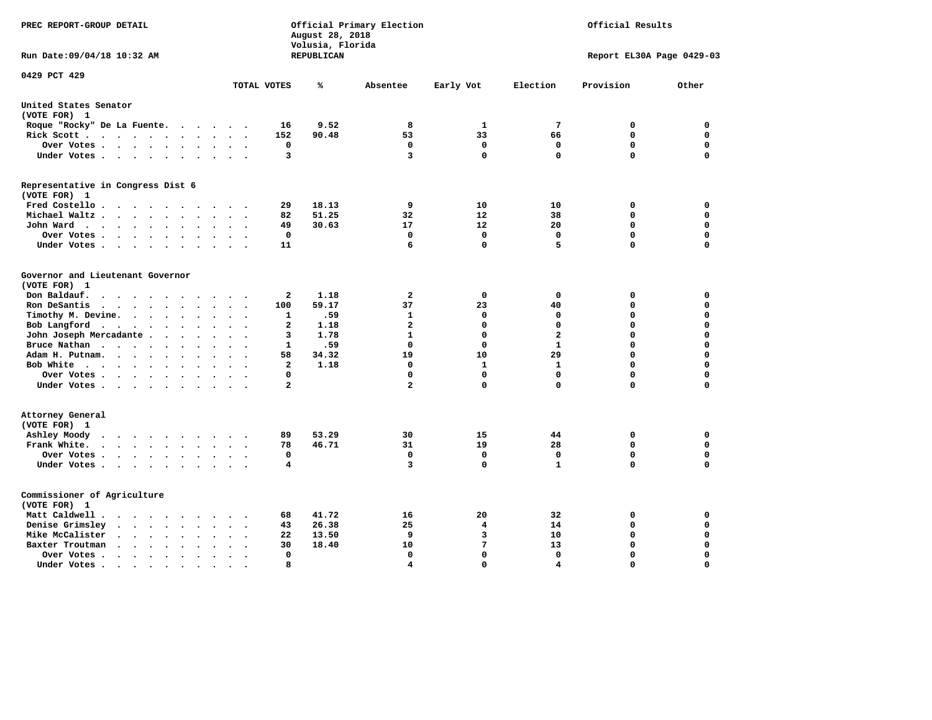| PREC REPORT-GROUP DETAIL                                                                                      |                         | August 28, 2018<br>Volusia, Florida | Official Primary Election |                            | Official Results |                            |                         |  |
|---------------------------------------------------------------------------------------------------------------|-------------------------|-------------------------------------|---------------------------|----------------------------|------------------|----------------------------|-------------------------|--|
| Run Date: 09/04/18 10:32 AM                                                                                   |                         | <b>REPUBLICAN</b>                   |                           |                            |                  | Report EL30A Page 0429-03  |                         |  |
| 0429 PCT 429                                                                                                  | TOTAL VOTES             | ℁                                   | Absentee                  | Early Vot                  | Election         | Provision                  | Other                   |  |
| United States Senator                                                                                         |                         |                                     |                           |                            |                  |                            |                         |  |
| (VOTE FOR) 1                                                                                                  |                         |                                     |                           |                            |                  |                            |                         |  |
| Roque "Rocky" De La Fuente.<br>.                                                                              | 16                      | 9.52                                | 8                         | 1                          | 7                | $\mathbf 0$                | $\mathbf 0$             |  |
| Rick Scott<br>$\bullet$<br>$\ddot{\phantom{a}}$                                                               | 152                     | 90.48                               | 53                        | 33                         | 66               | $\mathbf 0$                | $\mathbf 0$             |  |
| Over Votes<br>$\ddot{\phantom{1}}$<br>$\bullet$<br>Under Votes                                                | 0<br>3                  |                                     | $\mathbf 0$<br>3          | $\mathbf 0$<br>$\mathbf 0$ | 0<br>$\mathbf 0$ | $\mathbf 0$<br>$\mathbf 0$ | $\mathbf 0$<br>$\Omega$ |  |
|                                                                                                               |                         |                                     |                           |                            |                  |                            |                         |  |
| Representative in Congress Dist 6<br>(VOTE FOR) 1                                                             |                         |                                     |                           |                            |                  |                            |                         |  |
| Fred Costello                                                                                                 | 29                      | 18.13                               | 9                         | 10                         | 10               | 0                          | 0                       |  |
| Michael Waltz.<br>$\ddot{\phantom{a}}$<br>$\sim$                                                              | 82                      | 51.25                               | 32                        | 12                         | 38               | 0                          | 0                       |  |
| John Ward<br>$\bullet$ .<br>$\sim$                                                                            | 49                      | 30.63                               | 17                        | 12                         | 20               | $\mathbf 0$                | $\mathbf 0$             |  |
| Over Votes .<br>$\sim$ $\sim$ $\sim$ $\sim$ $\sim$<br>$\bullet$<br>$\bullet$<br>$\bullet$                     | 0                       |                                     | 0                         | 0                          | 0                | $\mathbf 0$                | $\mathbf 0$             |  |
| Under Votes<br>$\bullet$<br>$\bullet$                                                                         | 11                      |                                     | 6                         | $\mathbf 0$                | 5                | 0                          | $\mathbf 0$             |  |
| Governor and Lieutenant Governor<br>(VOTE FOR) 1                                                              |                         |                                     |                           |                            |                  |                            |                         |  |
| Don Baldauf.<br>$\cdot$ $\cdot$ $\cdot$ $\cdot$<br>$\cdot$<br>$\bullet$                                       | $\mathbf{2}$            | 1.18                                | $\overline{a}$            | 0                          | 0                | 0                          | $\mathbf 0$             |  |
| Ron DeSantis<br><b>Contract Contract Contract Contract</b><br>$\bullet$<br>$\bullet$                          | 100                     | 59.17                               | 37                        | 23                         | 40               | $\mathbf 0$                | $\mathbf 0$             |  |
| Timothy M. Devine.<br>$\sim$<br>$\ddot{\phantom{a}}$<br>$\bullet$<br>$\bullet$<br>$\ddot{\phantom{0}}$        | $\mathbf{1}$            | .59                                 | $\mathbf{1}$              | 0                          | $\mathbf 0$      | $\mathbf 0$                | $\mathbf 0$             |  |
| Bob Langford<br>$\cdot$ $\cdot$<br>$\cdot$                                                                    | $\mathbf{2}$            | 1.18                                | $\overline{a}$            | $\mathbf 0$                | $\mathbf 0$      | 0                          | $\mathbf 0$             |  |
| John Joseph Mercadante .<br>$\ddot{\phantom{0}}$                                                              | 3                       | 1.78                                | $\mathbf{1}$              | $\mathbf 0$                | $\mathbf{2}$     | $\mathbf 0$                | $\mathbf 0$             |  |
| Bruce Nathan<br>$\ddot{\phantom{1}}$<br>$\bullet$<br>$\bullet$<br>$\ddot{\phantom{a}}$                        | $\mathbf{1}$            | .59                                 | $\mathbf 0$               | $\mathbf 0$                | $\mathbf{1}$     | 0                          | $\mathbf 0$             |  |
| Adam H. Putnam.<br>$\sim$ $\sim$ $\sim$ $\sim$ $\sim$<br>$\bullet$                                            | 58                      | 34.32                               | 19                        | 10                         | 29               | 0                          | $\mathbf 0$             |  |
| Bob White<br>$\sim$<br>$\ddot{\phantom{a}}$<br>$\sim$                                                         | $\mathbf{2}$            | 1.18                                | $\mathbf 0$               | $\mathbf{1}$               | $\mathbf{1}$     | $\Omega$                   | $\Omega$                |  |
| Over Votes .<br>$\cdot$ $\cdot$ $\cdot$ $\cdot$<br>$\bullet$<br>$\cdot$                                       | $\Omega$                |                                     | 0                         | 0                          | $\mathbf 0$      | 0                          | $\mathbf 0$             |  |
| Under Votes                                                                                                   | $\overline{a}$          |                                     | $\overline{a}$            | $\mathbf 0$                | $\mathbf 0$      | 0                          | $\mathbf 0$             |  |
| Attorney General<br>(VOTE FOR) 1                                                                              |                         | 53.29                               | 30                        |                            | 44               | $\mathbf 0$                | $\mathbf 0$             |  |
| Ashley Moody<br>.<br>$\ddot{\phantom{1}}$                                                                     | 89<br>78                |                                     | 31                        | 15<br>19                   |                  | $\mathbf 0$                |                         |  |
| Frank White.                                                                                                  |                         | 46.71                               |                           |                            | 28               |                            | $\mathbf 0$             |  |
| Over Votes.<br>$\cdots$<br>$\ddot{\phantom{a}}$<br>$\bullet$<br>$\cdot$<br>$\bullet$                          | 0                       |                                     | $\mathbf 0$               | $\mathbf 0$                | $\mathbf 0$      | $\mathbf 0$                | $\mathbf 0$             |  |
| Under Votes<br>$\sim$<br>$\sim$                                                                               | $\overline{\mathbf{4}}$ |                                     | 3                         | $\mathbf 0$                | $\mathbf{1}$     | 0                          | $\mathbf 0$             |  |
| Commissioner of Agriculture<br>(VOTE FOR) 1                                                                   |                         |                                     |                           |                            |                  |                            |                         |  |
| Matt Caldwell.<br>$\cdot$ $\cdot$ $\cdot$ $\cdot$ $\cdot$ $\cdot$                                             | 68                      | 41.72                               | 16                        | 20                         | 32               | 0                          | 0                       |  |
| Denise Grimsley<br>$\cdot$ $\cdot$ $\cdot$<br>$\bullet$                                                       | 43                      | 26.38                               | 25                        | 4                          | 14               | 0                          | 0                       |  |
| Mike McCalister<br>$\mathbf{u} = \mathbf{u} + \mathbf{u} + \mathbf{u} + \mathbf{u}$<br>$\bullet$<br>$\bullet$ | 22                      | 13.50                               | 9                         | 3                          | 10               | 0                          | $\mathbf 0$             |  |
| Baxter Troutman<br>$\sim$<br>$\ddot{\phantom{a}}$<br>$\ddot{\phantom{a}}$<br>$\ddot{\phantom{a}}$             | 30                      | 18.40                               | 10                        | 7                          | 13               | $\mathbf 0$                | $\mathbf 0$             |  |
| Over Votes.<br>$\sim$ $\sim$ $\sim$ $\sim$<br>$\bullet$<br>$\cdot$                                            | 0                       |                                     | $\mathbf 0$               | $\mathbf 0$                | $\mathbf 0$      | 0                          | $\mathbf 0$             |  |
| Under Votes.<br>$\bullet$ .<br><br><br><br><br><br><br><br><br><br><br><br><br>$\bullet$<br>$\bullet$         | 8                       |                                     | 4                         | $\Omega$                   | 4                | $\Omega$                   | $\Omega$                |  |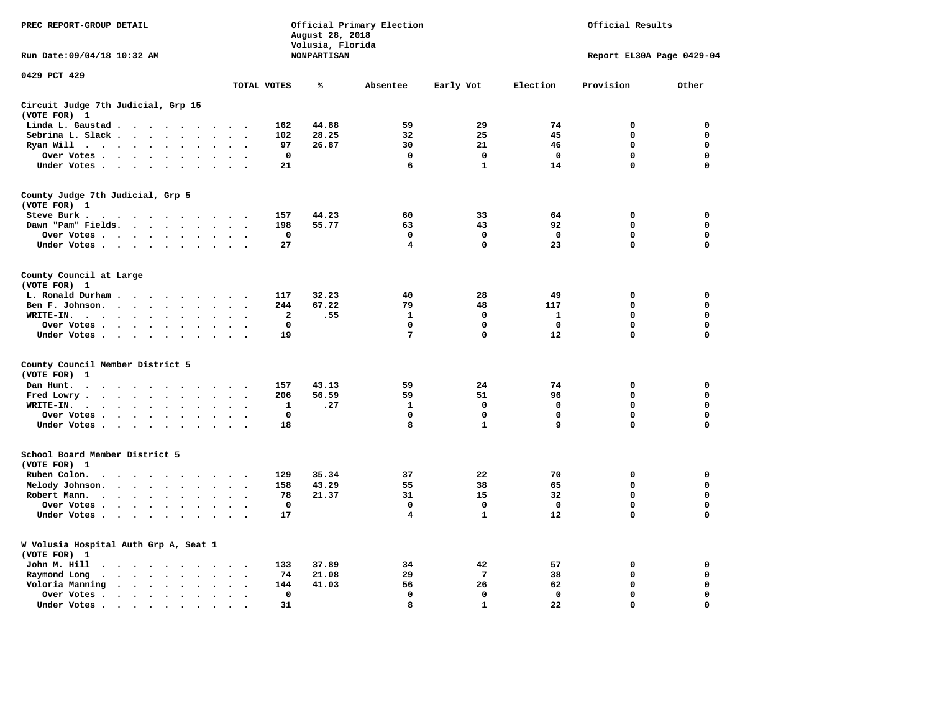| PREC REPORT-GROUP DETAIL                                                                                                                                                                                                          |                                        | August 28, 2018                        | Official Primary Election |                 |              | Official Results          |             |
|-----------------------------------------------------------------------------------------------------------------------------------------------------------------------------------------------------------------------------------|----------------------------------------|----------------------------------------|---------------------------|-----------------|--------------|---------------------------|-------------|
| Run Date: 09/04/18 10:32 AM                                                                                                                                                                                                       |                                        | Volusia, Florida<br><b>NONPARTISAN</b> |                           |                 |              | Report EL30A Page 0429-04 |             |
| 0429 PCT 429                                                                                                                                                                                                                      | TOTAL VOTES                            | ℁                                      | Absentee                  | Early Vot       | Election     | Provision                 | Other       |
| Circuit Judge 7th Judicial, Grp 15                                                                                                                                                                                                |                                        |                                        |                           |                 |              |                           |             |
| (VOTE FOR) 1                                                                                                                                                                                                                      |                                        |                                        |                           |                 |              |                           |             |
| Linda L. Gaustad                                                                                                                                                                                                                  | 162                                    | 44.88                                  | 59                        | 29              | 74           | $\mathbf 0$               | 0           |
| Sebrina L. Slack<br>$\mathbf{r}$                                                                                                                                                                                                  | 102                                    | 28.25                                  | 32                        | 25              | 45           | 0                         | 0           |
| Ryan Will $\cdots$ $\cdots$<br>$\ddot{\phantom{a}}$                                                                                                                                                                               | 97                                     | 26.87                                  | 30                        | 21              | 46           | 0                         | 0           |
| Over Votes<br>$\bullet$<br>$\bullet$                                                                                                                                                                                              | $\mathbf 0$<br>$\bullet$               |                                        | $\mathbf 0$               | 0               | $\mathbf 0$  | 0                         | 0           |
| Under Votes                                                                                                                                                                                                                       | 21<br>$\sim$ $\sim$                    |                                        | 6                         | $\mathbf{1}$    | 14           | 0                         | $\mathbf 0$ |
| County Judge 7th Judicial, Grp 5                                                                                                                                                                                                  |                                        |                                        |                           |                 |              |                           |             |
| (VOTE FOR) 1                                                                                                                                                                                                                      |                                        |                                        |                           |                 |              |                           |             |
| Steve Burk.<br>. As a set of the set of the set of the set of the $\alpha$                                                                                                                                                        | 157<br>$\sim$ $\sim$                   | 44.23                                  | 60                        | 33              | 64           | 0                         | 0           |
| Dawn "Pam" Fields.                                                                                                                                                                                                                | 198<br>$\cdot$ .                       | 55.77                                  | 63                        | 43              | 92           | $\mathbf 0$               | 0           |
| Over Votes<br>$\ddot{\phantom{a}}$<br>$\ddot{\phantom{a}}$                                                                                                                                                                        | 0<br>$\cdot$                           |                                        | 0                         | 0               | $\mathbf{o}$ | 0                         | 0           |
| Under Votes                                                                                                                                                                                                                       | 27<br>$\sim$                           |                                        | 4                         | 0               | 23           | $\mathbf 0$               | $\mathbf 0$ |
|                                                                                                                                                                                                                                   |                                        |                                        |                           |                 |              |                           |             |
| County Council at Large<br>(VOTE FOR) 1                                                                                                                                                                                           |                                        |                                        |                           |                 |              |                           |             |
| L. Ronald Durham                                                                                                                                                                                                                  | 117                                    | 32.23                                  | 40                        | 28              | 49           | $\mathbf 0$               | 0           |
| Ben F. Johnson.<br>$\bullet$<br>$\bullet$                                                                                                                                                                                         | 244<br>$\cdot$<br>$\ddot{\phantom{0}}$ | 67.22                                  | 79                        | 48              | 117          | 0                         | 0           |
| WRITE-IN.                                                                                                                                                                                                                         | $\overline{\mathbf{2}}$                | .55                                    | $\mathbf{1}$              | $\mathbf{0}$    | $\mathbf{1}$ | 0                         | $\mathbf 0$ |
| $\mathbf{r}$ . The contract of the contract of the contract of the contract of the contract of the contract of the contract of the contract of the contract of the contract of the contract of the contract of the contract of th | $\mathbf 0$                            |                                        | 0                         | 0               | 0            | 0                         | 0           |
| Over Votes .<br>$\sim$ $\sim$ $\sim$ $\sim$ $\sim$<br>$\ddot{\phantom{0}}$<br>$\cdot$                                                                                                                                             | 19                                     |                                        | $7\phantom{.0}$           | $\mathbf 0$     | 12           | $\mathbf 0$               | 0           |
| Under Votes<br>$\sim$<br>$\overline{\phantom{a}}$                                                                                                                                                                                 |                                        |                                        |                           |                 |              |                           |             |
| County Council Member District 5                                                                                                                                                                                                  |                                        |                                        |                           |                 |              |                           |             |
| (VOTE FOR)<br>1                                                                                                                                                                                                                   |                                        |                                        |                           |                 |              |                           |             |
| Dan Hunt.                                                                                                                                                                                                                         | 157                                    | 43.13                                  | 59                        | 24              | 74           | 0                         | 0           |
| Fred Lowry.<br>$\cdots$<br>$\sim$<br>$\sim$                                                                                                                                                                                       | 206<br>$\cdot$ .                       | 56.59                                  | 59                        | 51              | 96           | $\mathbf 0$               | $\mathbf 0$ |
| WRITE-IN.<br>$\cdots$<br>$\ddot{\phantom{a}}$<br>$\cdot$                                                                                                                                                                          | 1                                      | .27                                    | 1                         | 0               | 0            | 0                         | $\mathbf 0$ |
| Over Votes<br>$\sim$<br>$\bullet$                                                                                                                                                                                                 | $\mathbf 0$<br>$\ddot{\phantom{a}}$    |                                        | $\mathbf 0$               | $\mathbf 0$     | 0            | 0                         | 0           |
| Under Votes                                                                                                                                                                                                                       | 18<br>$\cdot$ $\cdot$ $\cdot$ $\cdot$  |                                        | 8                         | $\mathbf{1}$    | 9            | $\mathbf 0$               | $\mathbf 0$ |
| School Board Member District 5                                                                                                                                                                                                    |                                        |                                        |                           |                 |              |                           |             |
| (VOTE FOR) 1                                                                                                                                                                                                                      |                                        |                                        |                           |                 |              |                           |             |
|                                                                                                                                                                                                                                   | 129                                    | 35.34                                  | 37                        | 22              | 70           | $\mathbf 0$               | 0           |
| Ruben Colon.<br>$\ddot{\phantom{a}}$<br>$\cdots$                                                                                                                                                                                  |                                        |                                        |                           |                 |              | 0                         | 0           |
| Melody Johnson.                                                                                                                                                                                                                   | 158                                    | 43.29                                  | 55<br>31                  | 38              | 65           | 0                         |             |
| Robert Mann.<br>$\cdots$<br>$\ddot{\phantom{a}}$<br>$\ddot{\phantom{a}}$<br>$\bullet$                                                                                                                                             | 78                                     | 21.37                                  |                           | 15              | 32           |                           | 0           |
| Over Votes                                                                                                                                                                                                                        | $\mathbf 0$                            |                                        | 0                         | 0               | $\mathbf 0$  | 0                         | 0           |
| Under Votes<br>$\sim$<br>$\cdot$                                                                                                                                                                                                  | 17                                     |                                        | 4                         | $\mathbf{1}$    | 12           | 0                         | $\mathbf 0$ |
| W Volusia Hospital Auth Grp A, Seat 1                                                                                                                                                                                             |                                        |                                        |                           |                 |              |                           |             |
| (VOTE FOR) 1                                                                                                                                                                                                                      |                                        |                                        |                           |                 |              |                           |             |
| John M. Hill<br>$\cdot$                                                                                                                                                                                                           | 133<br>$\cdot$ .                       | 37.89                                  | 34                        | 42              | 57           | 0                         | 0           |
| Raymond Long<br>$\ddot{\phantom{1}}$ .<br>$\bullet$ .<br>$\bullet$                                                                                                                                                                | 74<br>$\bullet$<br>$\bullet$           | 21.08                                  | 29                        | $7\phantom{.0}$ | 38           | $\mathbf 0$               | 0           |
| Voloria Manning                                                                                                                                                                                                                   | 144<br>$\ddot{\phantom{a}}$            | 41.03                                  | 56                        | 26              | 62           | 0                         | 0           |
| Over Votes .<br>$\sim$ , and $\sim$ , and $\sim$<br>$\bullet$<br>$\bullet$                                                                                                                                                        | 0<br>$\ddot{\phantom{a}}$              |                                        | $\mathbf 0$               | $\mathbf{0}$    | $\mathbf{0}$ | $\mathbf 0$               | $\mathbf 0$ |
| Under Votes.<br>$\cdots$<br>$\bullet$                                                                                                                                                                                             | 31                                     |                                        | 8                         | $\mathbf{1}$    | 22           | $\Omega$                  | $\Omega$    |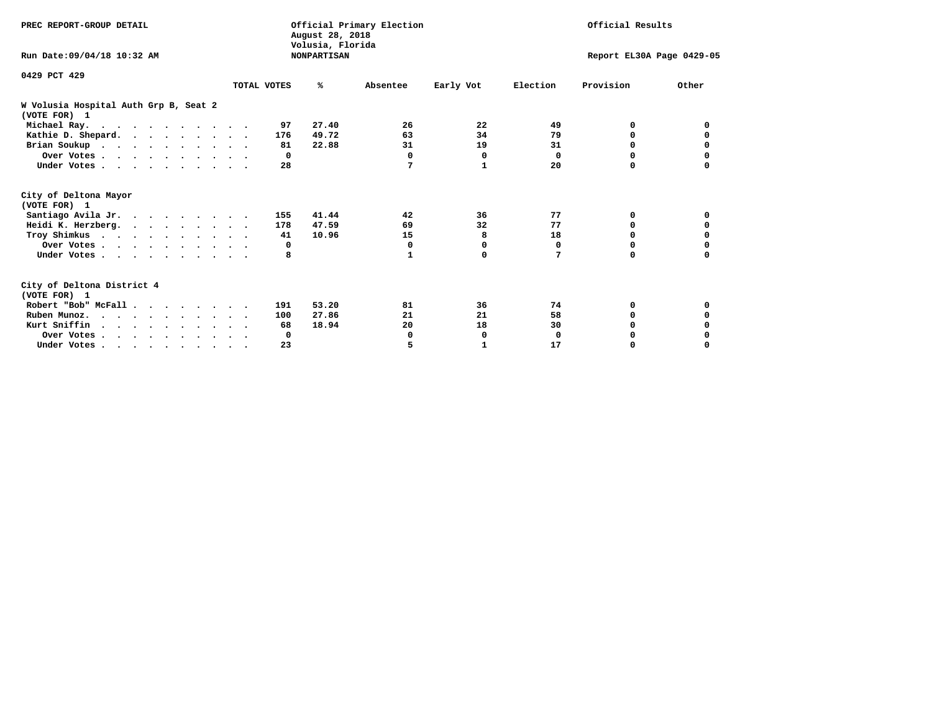| PREC REPORT-GROUP DETAIL                              |             | August 28, 2018<br>Volusia, Florida | Official Primary Election |              | Official Results          |           |          |  |
|-------------------------------------------------------|-------------|-------------------------------------|---------------------------|--------------|---------------------------|-----------|----------|--|
| Run Date: 09/04/18 10:32 AM                           |             | <b>NONPARTISAN</b>                  |                           |              | Report EL30A Page 0429-05 |           |          |  |
| 0429 PCT 429                                          |             |                                     |                           |              |                           |           |          |  |
|                                                       | TOTAL VOTES | %ะ                                  | Absentee                  | Early Vot    | Election                  | Provision | Other    |  |
| W Volusia Hospital Auth Grp B, Seat 2<br>(VOTE FOR) 1 |             |                                     |                           |              |                           |           |          |  |
| Michael Ray.                                          |             | 27.40<br>97                         | 26                        | 22           | 49                        | 0         | 0        |  |
| Kathie D. Shepard.                                    |             | 49.72<br>176                        | 63                        | 34           | 79                        | 0         | 0        |  |
| Brian Soukup                                          |             | 22.88<br>81                         | 31                        | 19           | 31                        | 0         | 0        |  |
| Over Votes                                            |             | $^{\circ}$                          | 0                         | 0            | 0                         | 0         | 0        |  |
| Under Votes                                           |             | 28                                  | 7                         | $\mathbf{1}$ | 20                        | O         |          |  |
| City of Deltona Mayor<br>(VOTE FOR) 1                 |             |                                     |                           |              |                           |           |          |  |
| Santiago Avila Jr.                                    |             | 41.44<br>155                        | 42                        | 36           | 77                        | 0         | 0        |  |
| Heidi K. Herzberg.                                    |             | 47.59<br>178                        | 69                        | 32           | 77                        | 0         | 0        |  |
| Troy Shimkus                                          |             | 10.96<br>41                         | 15                        | 8            | 18                        | $\Omega$  | $\Omega$ |  |
| Over Votes                                            |             | 0                                   | 0                         | 0            | 0                         | $\Omega$  |          |  |
| Under Votes                                           |             | 8                                   | 1                         | $\mathbf 0$  | 7                         | 0         | $\Omega$ |  |
| City of Deltona District 4<br>(VOTE FOR) 1            |             |                                     |                           |              |                           |           |          |  |
| Robert "Bob" McFall                                   |             | 53.20<br>191                        | 81                        | 36           | 74                        | 0         | 0        |  |
| Ruben Munoz.                                          |             | 27.86<br>100                        | 21                        | 21           | 58                        | 0         | 0        |  |
| Kurt Sniffin                                          |             | 18.94<br>68                         | 20                        | 18           | 30                        | $\Omega$  |          |  |
| Over Votes                                            |             | 0                                   | 0                         | 0            | $\mathbf 0$               | 0         |          |  |
| Under Votes                                           |             | 23                                  | 5                         | 1            | 17                        | 0         | $\Omega$ |  |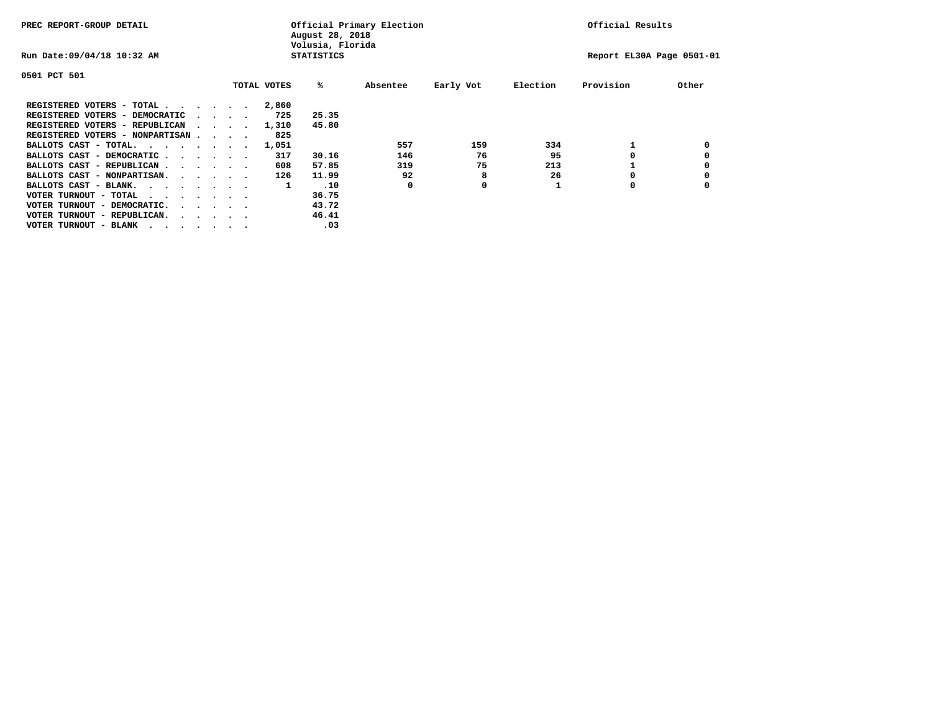| PREC REPORT-GROUP DETAIL               |  |  |                                         |  | Official Primary Election<br>August 28, 2018<br>Volusia, Florida | Official Results  |          |           |          |                           |       |
|----------------------------------------|--|--|-----------------------------------------|--|------------------------------------------------------------------|-------------------|----------|-----------|----------|---------------------------|-------|
| Run Date: 09/04/18 10:32 AM            |  |  |                                         |  |                                                                  | <b>STATISTICS</b> |          |           |          | Report EL30A Page 0501-01 |       |
| 0501 PCT 501                           |  |  |                                         |  |                                                                  |                   |          |           |          |                           |       |
|                                        |  |  |                                         |  | TOTAL VOTES                                                      | %ะ                | Absentee | Early Vot | Election | Provision                 | Other |
| REGISTERED VOTERS - TOTAL              |  |  |                                         |  | 2,860                                                            |                   |          |           |          |                           |       |
| REGISTERED VOTERS - DEMOCRATIC         |  |  | $\cdot$ $\cdot$ $\cdot$ $\cdot$         |  | 725                                                              | 25.35             |          |           |          |                           |       |
| REGISTERED VOTERS - REPUBLICAN         |  |  |                                         |  | 1,310                                                            | 45.80             |          |           |          |                           |       |
| REGISTERED VOTERS - NONPARTISAN        |  |  |                                         |  | 825                                                              |                   |          |           |          |                           |       |
| BALLOTS CAST - TOTAL.                  |  |  |                                         |  | 1,051                                                            |                   | 557      | 159       | 334      |                           |       |
| BALLOTS CAST - DEMOCRATIC              |  |  |                                         |  | 317                                                              | 30.16             | 146      | 76        | 95       |                           |       |
| BALLOTS CAST - REPUBLICAN              |  |  |                                         |  | 608                                                              | 57.85             | 319      | 75        | 213      |                           |       |
| BALLOTS CAST - NONPARTISAN.            |  |  |                                         |  | 126                                                              | 11.99             | 92       | 8         | 26       |                           |       |
| BALLOTS CAST - BLANK.                  |  |  |                                         |  | 1                                                                | .10               | 0        | 0         |          | 0                         |       |
| VOTER TURNOUT - TOTAL<br>.             |  |  |                                         |  |                                                                  | 36.75             |          |           |          |                           |       |
| VOTER TURNOUT - DEMOCRATIC.            |  |  | $\cdot$ $\cdot$ $\cdot$ $\cdot$ $\cdot$ |  |                                                                  | 43.72             |          |           |          |                           |       |
| VOTER TURNOUT - REPUBLICAN.<br>$\cdot$ |  |  |                                         |  |                                                                  | 46.41             |          |           |          |                           |       |
| VOTER TURNOUT - BLANK                  |  |  |                                         |  |                                                                  | .03               |          |           |          |                           |       |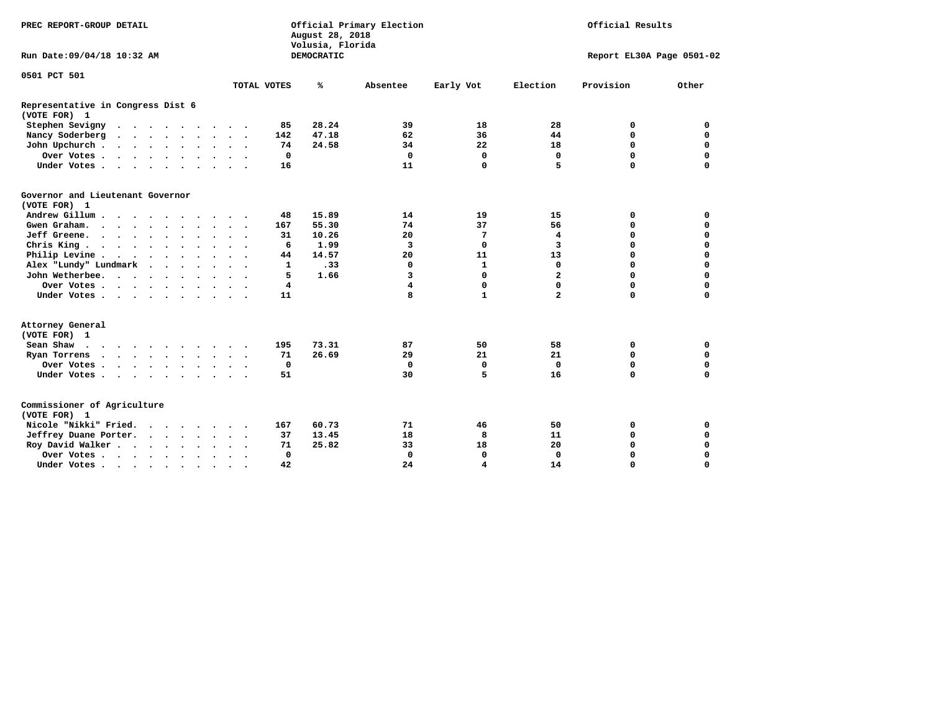| PREC REPORT-GROUP DETAIL                                         |                      |              | August 28, 2018<br>Volusia, Florida | Official Primary Election |              | Official Results |                           |             |  |
|------------------------------------------------------------------|----------------------|--------------|-------------------------------------|---------------------------|--------------|------------------|---------------------------|-------------|--|
| Run Date: 09/04/18 10:32 AM                                      |                      |              | DEMOCRATIC                          |                           |              |                  | Report EL30A Page 0501-02 |             |  |
| 0501 PCT 501                                                     |                      |              |                                     |                           |              |                  |                           |             |  |
|                                                                  | TOTAL VOTES          |              | ℁                                   | Absentee                  | Early Vot    | Election         | Provision                 | Other       |  |
| Representative in Congress Dist 6<br>(VOTE FOR) 1                |                      |              |                                     |                           |              |                  |                           |             |  |
| Stephen Sevigny                                                  |                      | 85           | 28.24                               | 39                        | 18           | 28               | 0                         | 0           |  |
| Nancy Soderberg                                                  |                      | 142          | 47.18                               | 62                        | 36           | 44               | 0                         | $\mathbf 0$ |  |
| John Upchurch                                                    |                      | 74           | 24.58                               | 34                        | 22           | 18               | $\Omega$                  | $\mathbf 0$ |  |
| Over Votes                                                       |                      | $\mathbf{0}$ |                                     | $\mathbf 0$               | $\mathbf 0$  | $\Omega$         | 0                         | $\mathbf 0$ |  |
| Under Votes                                                      |                      | 16           |                                     | 11                        | $\mathbf 0$  | 5                | 0                         | $\mathbf 0$ |  |
| Governor and Lieutenant Governor<br>(VOTE FOR) 1                 |                      |              |                                     |                           |              |                  |                           |             |  |
| Andrew Gillum<br>$\cdot$ $\cdot$ $\cdot$                         | $\ddot{\phantom{0}}$ | 48           | 15.89                               | 14                        | 19           | 15               | 0                         | 0           |  |
| Gwen Graham.                                                     |                      | 167          | 55.30                               | 74                        | 37           | 56               | 0                         | $\mathbf 0$ |  |
| Jeff Greene.                                                     |                      | 31           | 10.26                               | 20                        | 7            | 4                | 0                         | $\Omega$    |  |
| Chris King<br>$\ddot{\phantom{a}}$                               |                      | 6            | 1.99                                | 3                         | $\Omega$     | 3                | 0                         | $\Omega$    |  |
| Philip Levine                                                    |                      | 44           | 14.57                               | 20                        | 11           | 13               | 0                         | $\Omega$    |  |
| Alex "Lundy" Lundmark<br>$\ddot{\phantom{1}}$<br>$\cdot$ $\cdot$ |                      | $\mathbf{1}$ | .33                                 | 0                         | $\mathbf{1}$ | $\mathbf 0$      | 0                         | 0           |  |
| John Wetherbee.                                                  |                      | 5            | 1.66                                | 3                         | $\Omega$     | $\mathbf{2}$     | 0                         | $\Omega$    |  |
| Over Votes                                                       |                      | 4            |                                     | $\overline{\mathbf{4}}$   | $\mathbf 0$  | $\Omega$         | $\Omega$                  | 0           |  |
| Under Votes                                                      |                      | 11           |                                     | 8                         | $\mathbf{1}$ | $\overline{a}$   | 0                         | 0           |  |
| Attorney General<br>(VOTE FOR) 1                                 |                      |              |                                     |                           |              |                  |                           |             |  |
| Sean Shaw                                                        | $\sim$ $\sim$        | 195          | 73.31                               | 87                        | 50           | 58               | 0                         | 0           |  |
| Ryan Torrens                                                     |                      | 71           | 26.69                               | 29                        | 21           | 21               | 0                         | 0           |  |
| Over Votes<br>$\ddot{\phantom{1}}$                               |                      | $\mathbf 0$  |                                     | $\Omega$                  | 0            | $\Omega$         | 0                         | $\mathbf 0$ |  |
| Under Votes                                                      |                      | 51           |                                     | 30                        | 5            | 16               | $\Omega$                  | 0           |  |
| Commissioner of Agriculture<br>(VOTE FOR) 1                      |                      |              |                                     |                           |              |                  |                           |             |  |
| Nicole "Nikki" Fried.                                            |                      | 167          | 60.73                               | 71                        | 46           | 50               | 0                         | 0           |  |
| Jeffrey Duane Porter.                                            |                      | 37           | 13.45                               | 18                        | 8            | 11               | 0                         | $\mathbf 0$ |  |
| Roy David Walker                                                 |                      | 71           | 25.82                               | 33                        | 18           | 20               | 0                         | 0           |  |
| Over Votes                                                       |                      | 0            |                                     | 0                         | 0            | 0                | 0                         | $\mathbf 0$ |  |
| Under Votes                                                      | $\sim$               | 42           |                                     | 24                        | 4            | 14               | $\Omega$                  | 0           |  |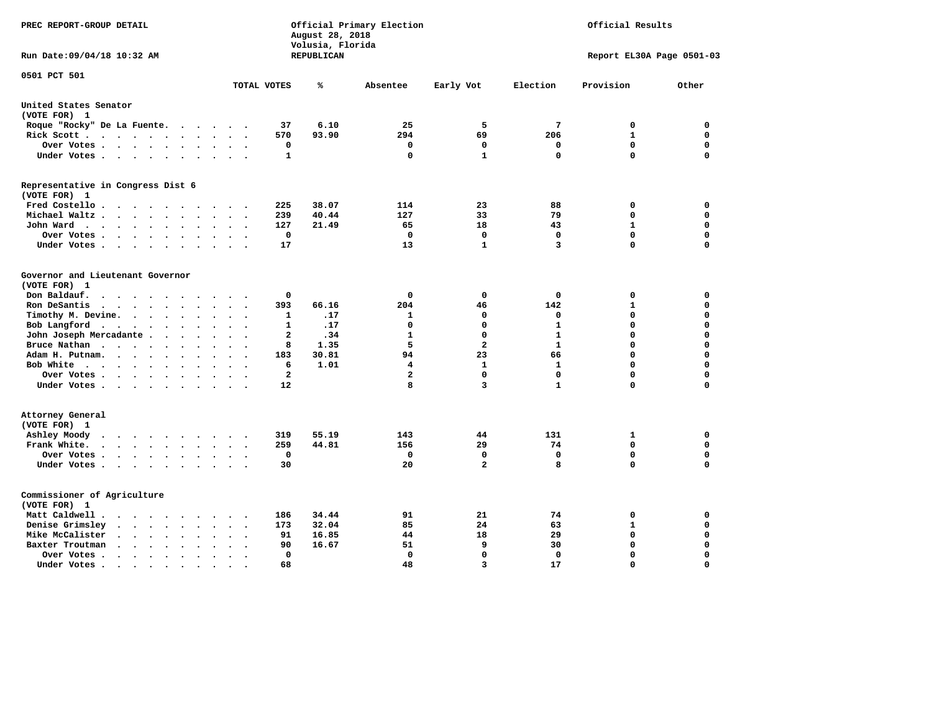| PREC REPORT-GROUP DETAIL                                                                                                 |                                     | August 28, 2018<br>Volusia, Florida | Official Primary Election | Official Results |              |                           |             |
|--------------------------------------------------------------------------------------------------------------------------|-------------------------------------|-------------------------------------|---------------------------|------------------|--------------|---------------------------|-------------|
| Run Date: 09/04/18 10:32 AM                                                                                              |                                     | REPUBLICAN                          |                           |                  |              | Report EL30A Page 0501-03 |             |
| 0501 PCT 501                                                                                                             | TOTAL VOTES                         | ℁                                   | Absentee                  | Early Vot        | Election     | Provision                 | Other       |
| United States Senator                                                                                                    |                                     |                                     |                           |                  |              |                           |             |
| (VOTE FOR) 1                                                                                                             |                                     |                                     |                           |                  |              |                           |             |
| Roque "Rocky" De La Fuente.<br>$\sim$ $\sim$<br>$\bullet$                                                                | 37<br>$\ddot{\phantom{a}}$          | 6.10                                | 25                        | 5                | 7            | 0                         | 0           |
| Rick Scott<br>$\ddot{\phantom{a}}$                                                                                       | 570                                 | 93.90                               | 294                       | 69               | 206          | $\mathbf{1}$              | $\mathbf 0$ |
| Over Votes<br>$\bullet$<br>$\bullet$                                                                                     | 0<br>$\ddot{\phantom{a}}$           |                                     | 0                         | 0                | 0            | $\mathbf 0$               | 0           |
| Under Votes<br>$\ddot{\phantom{1}}$<br>$\ddot{\phantom{1}}$                                                              | 1                                   |                                     | 0                         | 1                | $\mathbf 0$  | $\mathbf 0$               | 0           |
| Representative in Congress Dist 6                                                                                        |                                     |                                     |                           |                  |              |                           |             |
| (VOTE FOR) 1                                                                                                             |                                     |                                     |                           |                  |              |                           |             |
| Fred Costello<br>$\overline{\phantom{a}}$<br>$\bullet$                                                                   | 225                                 | 38.07                               | 114                       | 23               | 88           | 0                         | $\mathbf 0$ |
| Michael Waltz.<br>$\cdot$ $\cdot$<br>$\sim$                                                                              | 239                                 | 40.44                               | 127                       | 33               | 79           | $\mathbf 0$               | $\mathbf 0$ |
| John Ward<br>$\cdot$ $\cdot$ $\cdot$ $\cdot$<br>$\ddot{\phantom{0}}$<br>$\bullet$<br>$\bullet$<br>$\bullet$<br>$\bullet$ | 127<br>$\ddot{\phantom{a}}$         | 21.49                               | 65                        | 18               | 43           | $\mathbf{1}$              | $\mathbf 0$ |
| Over Votes<br>$\bullet$<br>$\ddot{\phantom{a}}$                                                                          | $\mathbf 0$<br>$\ddot{\phantom{a}}$ |                                     | $\mathbf 0$               | $\mathbf 0$      | $\mathbf 0$  | $\mathbf 0$               | $\mathbf 0$ |
| Under Votes<br>$\cdot$                                                                                                   | 17                                  |                                     | 13                        | $\mathbf{1}$     | 3            | $\mathbf 0$               | $\Omega$    |
| Governor and Lieutenant Governor<br>(VOTE FOR) 1                                                                         |                                     |                                     |                           |                  |              |                           |             |
| Don Baldauf.<br>$\sim$ $\sim$ $\sim$ $\sim$<br>$\overline{\phantom{a}}$                                                  | 0                                   |                                     | 0                         | 0                | 0            | 0                         | 0           |
| Ron DeSantis<br>$\bullet$<br>$\bullet$ .<br><br><br><br><br><br><br>$\ddot{\phantom{a}}$<br>$\ddot{\phantom{a}}$         | 393<br>$\ddot{\phantom{a}}$         | 66.16                               | 204                       | 46               | 142          | ${\bf 1}$                 | 0           |
| Timothy M. Devine.<br>$\ddot{\phantom{a}}$<br>$\bullet$                                                                  | 1                                   | .17                                 | 1                         | $\mathbf 0$      | 0            | 0                         | 0           |
| Bob Langford<br>$\sim$ $\sim$ $\sim$ $\sim$<br>$\ddot{\phantom{a}}$<br>$\bullet$<br>$\bullet$                            | 1                                   | .17                                 | 0                         | $\mathbf 0$      | $\mathbf{1}$ | $\mathbf 0$               | $\mathbf 0$ |
| John Joseph Mercadante.<br>$\cdots$<br>$\ddot{\phantom{1}}$<br>$\bullet$                                                 | $\mathbf{2}$                        | .34                                 | $\mathbf{1}$              | $\Omega$         | $\mathbf{1}$ | 0                         | $\mathbf 0$ |
| Bruce Nathan<br>$\cdot$ $\cdot$ $\cdot$<br>$\sim$<br>$\bullet$                                                           | 8                                   | 1.35                                | 5                         | $\overline{a}$   | $\mathbf{1}$ | $\Omega$                  | 0           |
| Adam H. Putnam.<br>$\cdot$<br>$\sim$ $\sim$                                                                              | 183                                 | 30.81                               | 94                        | 23               | 66           | 0                         | $\Omega$    |
| Bob White<br>$\bullet$<br>$\bullet$<br>$\bullet$                                                                         | 6                                   | 1.01                                | 4                         | 1                | 1            | 0                         | 0           |
| Over Votes .<br>$\cdot$ $\cdot$ $\cdot$ $\cdot$<br>$\Delta$                                                              | $\overline{a}$                      |                                     | $\mathbf{z}$              | $\mathbf{0}$     | $\mathbf 0$  | $\Omega$                  | $\Omega$    |
| Under Votes<br>$\cdot$                                                                                                   | 12                                  |                                     | 8                         | 3                | $\mathbf{1}$ | 0                         | $\Omega$    |
| Attorney General<br>(VOTE FOR) 1                                                                                         |                                     |                                     |                           |                  |              |                           |             |
| Ashley Moody<br>$\bullet$<br>$\cdot$ $\cdot$ $\cdot$ $\cdot$<br>$\sim$<br>$\cdot$                                        | 319                                 | 55.19                               | 143                       | 44               | 131          | 1                         | $\mathbf 0$ |
| Frank White.<br>$\cdot$ $\cdot$ $\cdot$ $\cdot$ $\cdot$<br>$\sim$<br>$\ddot{\phantom{a}}$                                | 259                                 | 44.81                               | 156                       | 29               | 74           | $\mathbf 0$               | $\mathbf 0$ |
| Over Votes .<br><b>Contract Contract Contract</b><br>$\bullet$<br>$\bullet$<br>$\bullet$                                 | $\mathbf 0$                         |                                     | $\mathbf 0$               | $\Omega$         | $\mathbf 0$  | $\mathbf 0$               | $\mathbf 0$ |
| Under Votes<br>$\sim$ $\sim$<br>$\bullet$                                                                                | 30                                  |                                     | 20                        | $\overline{a}$   | 8            | $\mathbf 0$               | $\Omega$    |
| Commissioner of Agriculture<br>(VOTE FOR) 1                                                                              |                                     |                                     |                           |                  |              |                           |             |
| Matt Caldwell.<br>$\ddot{\phantom{1}}$<br>$\sim$ $\sim$<br>$\cdot$<br>$\cdot$                                            | 186                                 | 34.44                               | 91                        | 21               | 74           | 0                         | 0           |
| Denise Grimsley<br>$\bullet$<br>$\ddot{\phantom{0}}$                                                                     | 173                                 | 32.04                               | 85                        | 24               | 63           | $\mathbf{1}$              | $\mathbf 0$ |
| Mike McCalister<br>$\ddot{\phantom{0}}$<br>$\ddot{\phantom{1}}$<br>$\bullet$<br>$\bullet$<br>$\bullet$<br>$\bullet$      | 91<br>$\bullet$                     | 16.85                               | 44                        | 18               | 29           | 0                         | 0           |
| Baxter Troutman<br>$\sim$ $\sim$<br>$\ddot{\phantom{a}}$<br>$\ddot{\phantom{a}}$                                         | 90<br>$\overline{\phantom{a}}$      | 16.67                               | 51                        | 9                | 30           | $\mathbf 0$               | $\mathbf 0$ |
| Over Votes .<br>$\ddot{\phantom{1}}$<br>$\ddot{\phantom{1}}$<br>$\cdot$<br>$\ddot{\phantom{a}}$                          | 0<br>$\ddot{\phantom{a}}$           |                                     | $\mathbf{0}$              | $\Omega$         | $\mathbf 0$  | $\mathbf 0$               | $\mathbf 0$ |
| Under Votes                                                                                                              | 68<br>$\cdot$ $\cdot$               |                                     | 48                        | $\overline{3}$   | 17           | $\mathbf 0$               | $\Omega$    |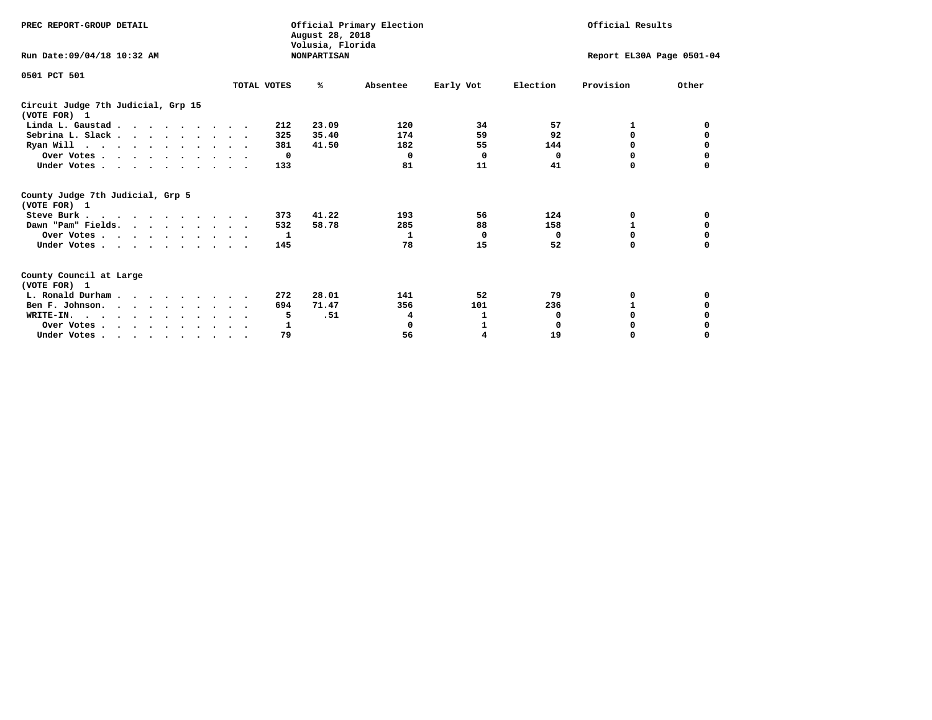| PREC REPORT-GROUP DETAIL                                                         |             | August 28, 2018<br>Volusia, Florida | Official Primary Election | Official Results |                           |           |          |
|----------------------------------------------------------------------------------|-------------|-------------------------------------|---------------------------|------------------|---------------------------|-----------|----------|
| Run Date: 09/04/18 10:32 AM                                                      |             | <b>NONPARTISAN</b>                  |                           |                  | Report EL30A Page 0501-04 |           |          |
| 0501 PCT 501                                                                     |             |                                     |                           |                  |                           |           | Other    |
|                                                                                  | TOTAL VOTES | ℁                                   | Absentee                  | Early Vot        | Election                  | Provision |          |
| Circuit Judge 7th Judicial, Grp 15<br>(VOTE FOR) 1                               |             |                                     |                           |                  |                           |           |          |
| Linda L. Gaustad                                                                 |             | 23.09<br>212                        | 120                       | 34               | 57                        | 1         | 0        |
| Sebrina L. Slack.                                                                |             | 35.40<br>325                        | 174                       | 59               | 92                        | $\Omega$  |          |
| Ryan Will $\cdots$ , $\cdots$ , $\cdots$ , $\cdots$                              |             | 381<br>41.50                        | 182                       | 55               | 144                       | 0         | 0        |
| Over Votes                                                                       |             | $\Omega$                            | 0                         | 0                | 0                         | 0         | 0        |
| Under Votes.                                                                     | 133         |                                     | 81                        | 11               | 41                        | O         |          |
| County Judge 7th Judicial, Grp 5<br>(VOTE FOR) 1                                 |             |                                     |                           |                  |                           |           |          |
| Steve Burk                                                                       |             | 41.22<br>373                        | 193                       | 56               | 124                       | 0         | 0        |
| Dawn "Pam" Fields.                                                               |             | 58.78<br>532                        | 285                       | 88               | 158                       |           | 0        |
| Over Votes                                                                       |             | 1                                   | 1                         | $^{\circ}$       | 0                         | 0         | 0        |
| Under Votes                                                                      | 145         |                                     | 78                        | 15               | 52                        | $\Omega$  | $\Omega$ |
| County Council at Large<br>(VOTE FOR) 1                                          |             |                                     |                           |                  |                           |           |          |
| L. Ronald Durham                                                                 |             | 28.01<br>272                        | 141                       | 52               | 79                        | 0         | 0        |
| Ben F. Johnson.                                                                  |             | 71.47<br>694                        | 356                       | 101              | 236                       | 1         | 0        |
| WRITE-IN.                                                                        |             | .51<br>5                            | 4                         | 1                | 0                         | $\Omega$  |          |
| Over Votes                                                                       |             | 1                                   | $\mathbf 0$               | 1                | $\Omega$                  | 0         |          |
| Under Votes, $\cdot$ , $\cdot$ , $\cdot$ , $\cdot$ , $\cdot$ , $\cdot$ , $\cdot$ |             | 79                                  | 56                        | 4                | 19                        | 0         | $\Omega$ |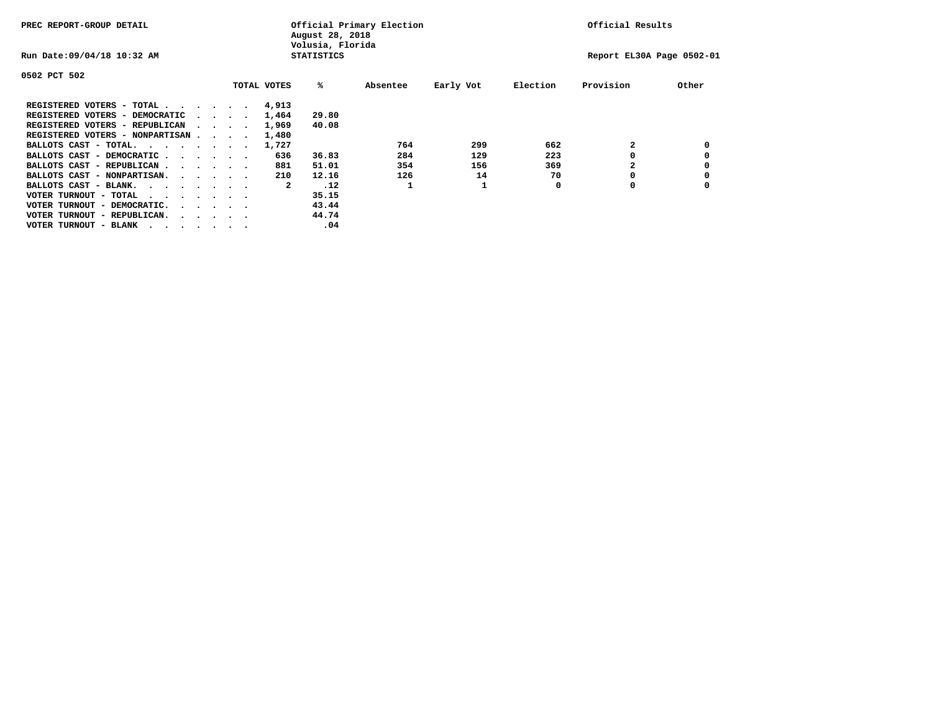| PREC REPORT-GROUP DETAIL               |  |                                         |  |  | Official Primary Election<br>August 28, 2018<br>Volusia, Florida | Official Results  |          |           |          |                           |       |
|----------------------------------------|--|-----------------------------------------|--|--|------------------------------------------------------------------|-------------------|----------|-----------|----------|---------------------------|-------|
| Run Date: 09/04/18 10:32 AM            |  |                                         |  |  |                                                                  | <b>STATISTICS</b> |          |           |          | Report EL30A Page 0502-01 |       |
| 0502 PCT 502                           |  |                                         |  |  |                                                                  |                   |          |           |          |                           |       |
|                                        |  |                                         |  |  | TOTAL VOTES                                                      | %ะ                | Absentee | Early Vot | Election | Provision                 | Other |
| REGISTERED VOTERS - TOTAL              |  |                                         |  |  | 4,913                                                            |                   |          |           |          |                           |       |
| REGISTERED VOTERS - DEMOCRATIC         |  | $\sim$ $\sim$ $\sim$ $\sim$             |  |  | 1,464                                                            | 29.80             |          |           |          |                           |       |
| REGISTERED VOTERS - REPUBLICAN         |  |                                         |  |  | 1,969                                                            | 40.08             |          |           |          |                           |       |
| REGISTERED VOTERS - NONPARTISAN        |  |                                         |  |  | 1,480                                                            |                   |          |           |          |                           |       |
| BALLOTS CAST - TOTAL.                  |  |                                         |  |  | 1,727                                                            |                   | 764      | 299       | 662      |                           |       |
| BALLOTS CAST - DEMOCRATIC              |  |                                         |  |  | 636                                                              | 36.83             | 284      | 129       | 223      |                           |       |
| BALLOTS CAST - REPUBLICAN              |  |                                         |  |  | 881                                                              | 51.01             | 354      | 156       | 369      |                           |       |
| BALLOTS CAST - NONPARTISAN.            |  |                                         |  |  | 210                                                              | 12.16             | 126      | 14        | 70       |                           |       |
| BALLOTS CAST - BLANK.                  |  |                                         |  |  | 2                                                                | .12               |          |           | 0        | 0                         |       |
| VOTER TURNOUT - TOTAL<br>.             |  |                                         |  |  |                                                                  | 35.15             |          |           |          |                           |       |
| VOTER TURNOUT - DEMOCRATIC.            |  | $\cdot$ $\cdot$ $\cdot$ $\cdot$ $\cdot$ |  |  |                                                                  | 43.44             |          |           |          |                           |       |
| VOTER TURNOUT - REPUBLICAN.<br>$\cdot$ |  |                                         |  |  |                                                                  | 44.74             |          |           |          |                           |       |
| VOTER TURNOUT - BLANK                  |  |                                         |  |  |                                                                  | .04               |          |           |          |                           |       |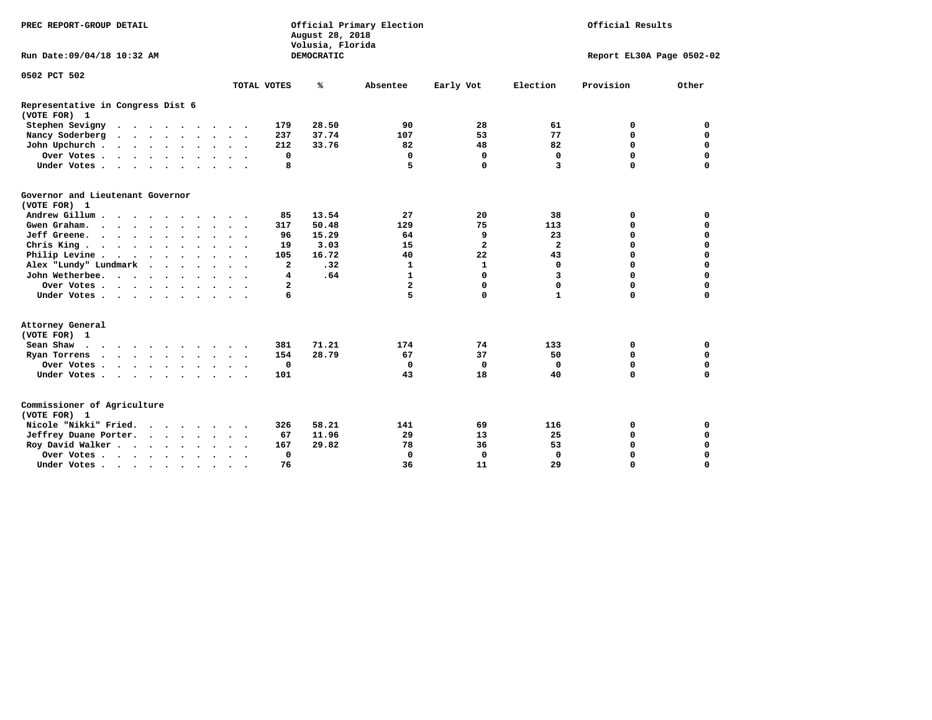| PREC REPORT-GROUP DETAIL                          |                                                                 | Official Primary Election<br>August 28, 2018<br>Volusia, Florida | Official Results                                   |                            |  |  |
|---------------------------------------------------|-----------------------------------------------------------------|------------------------------------------------------------------|----------------------------------------------------|----------------------------|--|--|
| Run Date: 09/04/18 10:32 AM                       |                                                                 | DEMOCRATIC                                                       |                                                    | Report EL30A Page 0502-02  |  |  |
| 0502 PCT 502                                      |                                                                 |                                                                  |                                                    |                            |  |  |
|                                                   | TOTAL VOTES                                                     | %<br>Absentee                                                    | Election<br>Early Vot                              | Provision<br>Other         |  |  |
| Representative in Congress Dist 6<br>(VOTE FOR) 1 |                                                                 |                                                                  |                                                    |                            |  |  |
| Stephen Sevigny                                   | 179                                                             | 28.50<br>90                                                      | 28<br>61                                           | 0<br>0                     |  |  |
| Nancy Soderberg<br>$\cdots$                       | 237                                                             | 37.74<br>107                                                     | 53<br>77                                           | $\mathbf 0$<br>$\mathbf 0$ |  |  |
| John Upchurch                                     | 212                                                             | 33.76<br>82                                                      | 82<br>48                                           | $\mathbf 0$<br>$\mathbf 0$ |  |  |
| Over Votes                                        | 0                                                               | 0                                                                | $\mathbf 0$<br>$\mathbf 0$                         | $\mathbf 0$<br>$\mathbf 0$ |  |  |
| Under Votes                                       | 8                                                               | 5                                                                | $\mathbf 0$<br>3                                   | $\Omega$<br>$\mathbf 0$    |  |  |
| Governor and Lieutenant Governor<br>(VOTE FOR) 1  |                                                                 |                                                                  |                                                    |                            |  |  |
| Andrew Gillum                                     | 85                                                              | 13.54<br>27                                                      | 20<br>38                                           | 0<br>0                     |  |  |
| Gwen Graham.                                      | 317                                                             | 50.48<br>129                                                     | 75<br>113                                          | $\mathbf 0$<br>0           |  |  |
| Jeff Greene.                                      | 96                                                              | 15.29<br>64                                                      | 9<br>23                                            | $\mathbf 0$<br>$\mathbf 0$ |  |  |
| Chris King                                        | 19                                                              | 3.03<br>15                                                       | $\overline{\mathbf{2}}$<br>$\overline{\mathbf{2}}$ | $\mathbf 0$<br>$\mathbf 0$ |  |  |
| Philip Levine                                     | 105                                                             | 16.72<br>40                                                      | 22<br>43                                           | $\mathbf 0$<br>$\mathbf 0$ |  |  |
| Alex "Lundy" Lundmark                             | $\overline{a}$                                                  | .32<br>1                                                         | $\mathbf{1}$<br>$\mathbf 0$                        | $\mathbf 0$<br>$\mathbf 0$ |  |  |
| John Wetherbee.                                   | 4                                                               | .64<br>1                                                         | 0<br>3                                             | $\mathbf 0$<br>0           |  |  |
| Over Votes                                        | $\mathbf{2}$                                                    | $\overline{\mathbf{2}}$                                          | 0<br>0                                             | $\mathbf 0$<br>$\mathbf 0$ |  |  |
| Under Votes                                       | 6                                                               | 5                                                                | 0<br>$\mathbf{1}$                                  | $\mathbf 0$<br>$\mathbf 0$ |  |  |
| Attorney General<br>(VOTE FOR) 1                  |                                                                 |                                                                  |                                                    |                            |  |  |
| Sean Shaw                                         | 381                                                             | 71.21<br>174                                                     | 74<br>133                                          | 0<br>0                     |  |  |
| Ryan Torrens<br>$\cdots$                          | 154                                                             | 28.79<br>67                                                      | 37<br>50                                           | $\mathbf 0$<br>0           |  |  |
| Over Votes                                        | $\mathbf 0$<br>$\ddot{\phantom{0}}$<br>$\overline{\phantom{a}}$ | 0                                                                | $\mathbf 0$<br>0                                   | 0<br>0                     |  |  |
| Under Votes                                       | 101                                                             | 43                                                               | 18<br>40                                           | $\Omega$<br>$\mathbf 0$    |  |  |
| Commissioner of Agriculture<br>(VOTE FOR) 1       |                                                                 |                                                                  |                                                    |                            |  |  |
| Nicole "Nikki" Fried.                             | 326                                                             | 58.21<br>141                                                     | 69<br>116                                          | 0<br>0                     |  |  |
| Jeffrey Duane Porter.                             | 67                                                              | 11.96<br>29                                                      | 13<br>25                                           | $\mathbf 0$<br>$\mathbf 0$ |  |  |
| Roy David Walker                                  | 167                                                             | 29.82<br>78                                                      | 53<br>36                                           | $\mathbf 0$<br>$\mathbf 0$ |  |  |
| Over Votes                                        | $\mathbf 0$<br>$\bullet$                                        | $\Omega$                                                         | $\mathbf 0$<br>$\Omega$                            | $\Omega$<br>$\mathbf 0$    |  |  |
| Under Votes                                       | 76<br>$\cdot$<br>$\cdot$                                        | 36                                                               | 11<br>29                                           | $\mathbf 0$<br>$\mathbf 0$ |  |  |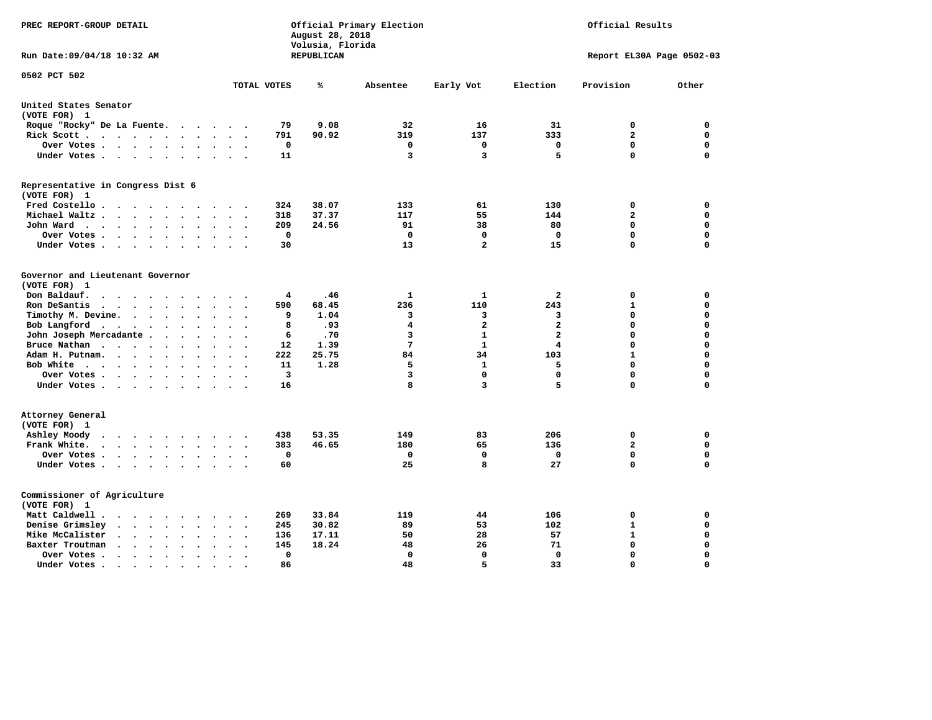| PREC REPORT-GROUP DETAIL                                                                                                                                             |                             | August 28, 2018<br>Volusia, Florida | Official Primary Election | Official Results |                         |                           |             |
|----------------------------------------------------------------------------------------------------------------------------------------------------------------------|-----------------------------|-------------------------------------|---------------------------|------------------|-------------------------|---------------------------|-------------|
| Run Date: 09/04/18 10:32 AM                                                                                                                                          |                             | REPUBLICAN                          |                           |                  |                         | Report EL30A Page 0502-03 |             |
| 0502 PCT 502                                                                                                                                                         | TOTAL VOTES                 | ℁                                   | Absentee                  | Early Vot        | Election                | Provision                 | Other       |
| United States Senator                                                                                                                                                |                             |                                     |                           |                  |                         |                           |             |
| (VOTE FOR) 1                                                                                                                                                         |                             |                                     |                           |                  |                         |                           |             |
| Roque "Rocky" De La Fuente.<br>$\sim$ $\sim$ $\sim$                                                                                                                  | 79<br>$\sim$ 100 $\mu$      | 9.08                                | 32                        | 16               | 31                      | 0                         | 0           |
| Rick Scott                                                                                                                                                           | 791                         | 90.92                               | 319                       | 137              | 333                     | $\overline{\mathbf{2}}$   | 0           |
| Over Votes                                                                                                                                                           | 0<br>$\ddot{\phantom{a}}$   |                                     | 0                         | 0                | 0                       | $\mathbf 0$               | 0           |
| Under Votes<br>$\sim$                                                                                                                                                | 11<br>$\ddot{\phantom{a}}$  |                                     | 3                         | 3                | 5                       | $\mathbf 0$               | 0           |
| Representative in Congress Dist 6                                                                                                                                    |                             |                                     |                           |                  |                         |                           |             |
| (VOTE FOR) 1                                                                                                                                                         |                             |                                     |                           |                  |                         |                           |             |
| Fred Costello.                                                                                                                                                       | 324<br>$\sim$ $\sim$ $\sim$ | 38.07                               | 133                       | 61               | 130                     | 0                         | 0           |
| Michael Waltz .<br>$\cdots$<br>$\ddot{\phantom{a}}$                                                                                                                  | 318                         | 37.37                               | 117                       | 55               | 144                     | $\mathbf{2}$              | 0           |
| John Ward<br>$\sim$<br>$\ddot{\phantom{a}}$                                                                                                                          | 209<br>$\ddot{\phantom{0}}$ | 24.56                               | 91                        | 38               | 80                      | $\mathbf 0$               | 0           |
| Over Votes.<br>$\cdots$<br>$\sim$<br>$\sim$                                                                                                                          | $\mathbf 0$                 |                                     | 0                         | 0                | 0                       | $\mathbf 0$               | 0           |
| Under Votes<br>$\overline{\phantom{a}}$<br>$\cdot$                                                                                                                   | 30                          |                                     | 13                        | $\mathbf{2}$     | 15                      | $\mathbf 0$               | 0           |
| Governor and Lieutenant Governor                                                                                                                                     |                             |                                     |                           |                  |                         |                           |             |
| (VOTE FOR) 1                                                                                                                                                         |                             |                                     |                           |                  |                         |                           |             |
| Don Baldauf.<br>$\ddot{\phantom{a}}$                                                                                                                                 | 4                           | .46                                 | 1                         | ${\bf 1}$        | $\overline{a}$          | 0                         | 0           |
| Ron DeSantis<br>$\sim$ $\sim$ $\sim$ $\sim$<br>$\ddot{\phantom{a}}$<br>$\bullet$<br>$\ddot{\phantom{a}}$                                                             | 590                         | 68.45                               | 236                       | 110              | 243                     | $\mathbf{1}$              | 0           |
| Timothy M. Devine.<br>$\bullet$<br>$\bullet$                                                                                                                         | 9                           | 1.04                                | 3                         | з                | 3                       | $\mathbf 0$               | 0           |
| Bob Langford<br>$\ddot{\phantom{0}}$<br>$\ddot{\phantom{a}}$<br>$\bullet$<br>$\ddot{\phantom{0}}$                                                                    | 8<br>$\bullet$              | .93                                 | 4                         | $\overline{a}$   | $\overline{a}$          | $\mathbf 0$               | 0           |
| John Joseph Mercadante                                                                                                                                               | 6<br>$\sim$                 | .70                                 | 3                         | $\mathbf{1}$     | $\overline{a}$          | $\mathbf 0$               | 0           |
| Bruce Nathan<br>$\cdots$<br>$\sim$ $\sim$<br>$\bullet$                                                                                                               | 12                          | 1.39                                | 7                         | $\mathbf{1}$     | $\overline{\mathbf{4}}$ | $\mathbf 0$               | 0           |
| Adam H. Putnam.<br>$\cdot$ $\cdot$ $\cdot$<br>$\ddot{\phantom{a}}$<br>$\bullet$                                                                                      | 222                         | 25.75                               | 84                        | 34               | 103                     | $\mathbf{1}$              | 0           |
| Bob White<br>$\sim$                                                                                                                                                  | 11<br>$\sim$                | 1.28                                | 5                         | $\mathbf{1}$     | 5                       | $\mathbf 0$               | 0           |
| Over Votes .<br>$\cdots$<br>$\ddot{\phantom{0}}$                                                                                                                     | 3                           |                                     | 3                         | 0                | $\Omega$                | $\mathbf 0$               | 0           |
| Under Votes<br>$\sim$                                                                                                                                                | 16                          |                                     | 8                         | 3                | 5                       | $\mathbf 0$               | 0           |
| Attorney General                                                                                                                                                     |                             |                                     |                           |                  |                         |                           |             |
| (VOTE FOR) 1                                                                                                                                                         |                             |                                     |                           |                  |                         |                           |             |
| Ashley Moody<br>$\cdots$<br>$\cdot$<br>$\sim$ $\sim$                                                                                                                 | 438<br>$\cdot$              | 53.35                               | 149                       | 83               | 206                     | 0                         | 0           |
| Frank White.<br>$\cdot$ $\cdot$ $\cdot$ $\cdot$ $\cdot$<br>$\ddot{\phantom{a}}$<br>$\overline{\phantom{a}}$                                                          | 383                         | 46.65                               | 180                       | 65               | 136                     | $\mathbf{2}$              | 0           |
| Over Votes .<br>$\cdots$<br>$\bullet$                                                                                                                                | 0<br>$\ddot{\phantom{a}}$   |                                     | 0                         | 0                | 0                       | $\mathbf 0$               | 0           |
| Under Votes                                                                                                                                                          | 60<br>$\sim$ $\sim$         |                                     | 25                        | 8                | 27                      | $\mathbf 0$               | 0           |
| Commissioner of Agriculture                                                                                                                                          |                             |                                     |                           |                  |                         |                           |             |
| (VOTE FOR) 1                                                                                                                                                         |                             |                                     |                           |                  |                         |                           |             |
| Matt Caldwell.<br>$\cdot$ $\cdot$ $\cdot$ $\cdot$<br>$\sim$<br>$\overline{\phantom{a}}$                                                                              | 269                         | 33.84                               | 119                       | 44               | 106                     | 0                         | 0           |
| Denise Grimsley<br>$\cdot$ $\cdot$<br>$\ddot{\phantom{a}}$<br>$\cdot$<br>$\cdot$                                                                                     | 245                         | 30.82                               | 89                        | 53               | 102                     | 1                         | 0           |
| Mike McCalister<br>$\begin{array}{cccccccccccccc} \bullet & \bullet & \bullet & \bullet & \bullet & \bullet & \bullet & \bullet \end{array}$<br>$\ddot{\phantom{a}}$ | 136<br>$\bullet$            | 17.11                               | 50                        | 28               | 57                      | 1                         | 0           |
| Baxter Troutman<br>$\cdot$ $\cdot$ $\cdot$ $\cdot$<br>$\sim$<br>$\ddot{\phantom{a}}$<br>$\ddot{\phantom{a}}$                                                         | 145                         | 18.24                               | 48                        | 26               | 71                      | $\mathbf 0$               | 0           |
| Over Votes .<br>$\cdot$ $\cdot$ $\cdot$ $\cdot$<br>$\bullet$<br>$\cdot$                                                                                              | 0                           |                                     | 0                         | 0                | 0                       | $\mathbf 0$               | 0           |
| Under Votes.<br>$\cdot$ $\cdot$ $\cdot$ $\cdot$<br>$\sim$<br>$\blacksquare$                                                                                          | 86<br>$\bullet$             |                                     | 48                        | 5                | 33                      | $\Omega$                  | $\mathbf 0$ |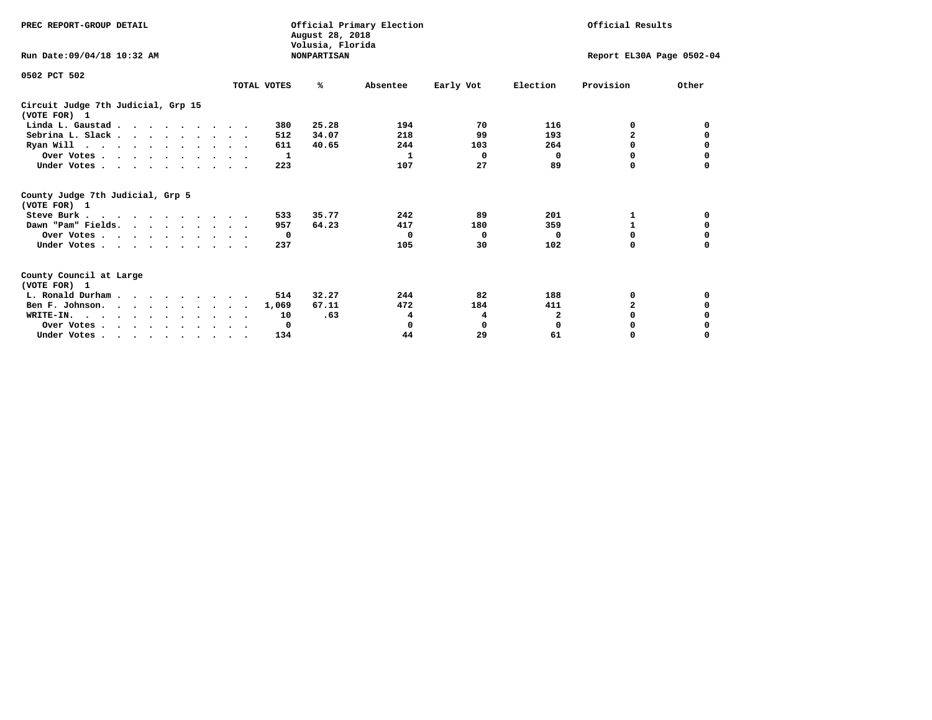| PREC REPORT-GROUP DETAIL                                                         |  | Official Primary Election<br>August 28, 2018<br>Volusia, Florida |                    | Official Results |           |                           |                |          |
|----------------------------------------------------------------------------------|--|------------------------------------------------------------------|--------------------|------------------|-----------|---------------------------|----------------|----------|
| Run Date: 09/04/18 10:32 AM                                                      |  |                                                                  | <b>NONPARTISAN</b> |                  |           | Report EL30A Page 0502-04 |                |          |
| 0502 PCT 502                                                                     |  | TOTAL VOTES                                                      | ℁                  | Absentee         | Early Vot | Election                  | Provision      | Other    |
|                                                                                  |  |                                                                  |                    |                  |           |                           |                |          |
| Circuit Judge 7th Judicial, Grp 15<br>(VOTE FOR) 1                               |  |                                                                  |                    |                  |           |                           |                |          |
| Linda L. Gaustad                                                                 |  | 380                                                              | 25.28              | 194              | 70        | 116                       | 0              | 0        |
| Sebrina L. Slack.                                                                |  | 512                                                              | 34.07              | 218              | 99        | 193                       | $\overline{a}$ | 0        |
| Ryan Will $\cdots$ , $\cdots$ , $\cdots$ , $\cdots$                              |  | 611                                                              | 40.65              | 244              | 103       | 264                       | 0              |          |
| Over Votes                                                                       |  | 1                                                                |                    | 1                | 0         | 0                         | 0              | 0        |
| Under Votes                                                                      |  | 223                                                              |                    | 107              | 27        | 89                        | O              |          |
| County Judge 7th Judicial, Grp 5<br>(VOTE FOR) 1                                 |  |                                                                  |                    |                  |           |                           |                |          |
| Steve Burk                                                                       |  | 533                                                              | 35.77              | 242              | 89        | 201                       | 1              | 0        |
| Dawn "Pam" Fields.                                                               |  | 957                                                              | 64.23              | 417              | 180       | 359                       |                |          |
| Over Votes                                                                       |  | 0                                                                |                    | 0                | 0         | $\Omega$                  | 0              | 0        |
| Under Votes                                                                      |  | 237                                                              |                    | 105              | 30        | 102                       | $\Omega$       | $\Omega$ |
| County Council at Large<br>(VOTE FOR) 1                                          |  |                                                                  |                    |                  |           |                           |                |          |
| L. Ronald Durham                                                                 |  | 514                                                              | 32.27              | 244              | 82        | 188                       | 0              | 0        |
| Ben F. Johnson.                                                                  |  | 1,069                                                            | 67.11              | 472              | 184       | 411                       | $\mathbf{z}$   | 0        |
| WRITE-IN.                                                                        |  | 10                                                               | .63                | 4                | 4         | 2                         | $\Omega$       |          |
| Over Votes                                                                       |  | 0                                                                |                    | 0                | 0         | $\mathbf 0$               | O              |          |
| Under Votes, $\cdot$ , $\cdot$ , $\cdot$ , $\cdot$ , $\cdot$ , $\cdot$ , $\cdot$ |  | 134                                                              |                    | 44               | 29        | 61                        | 0              | $\Omega$ |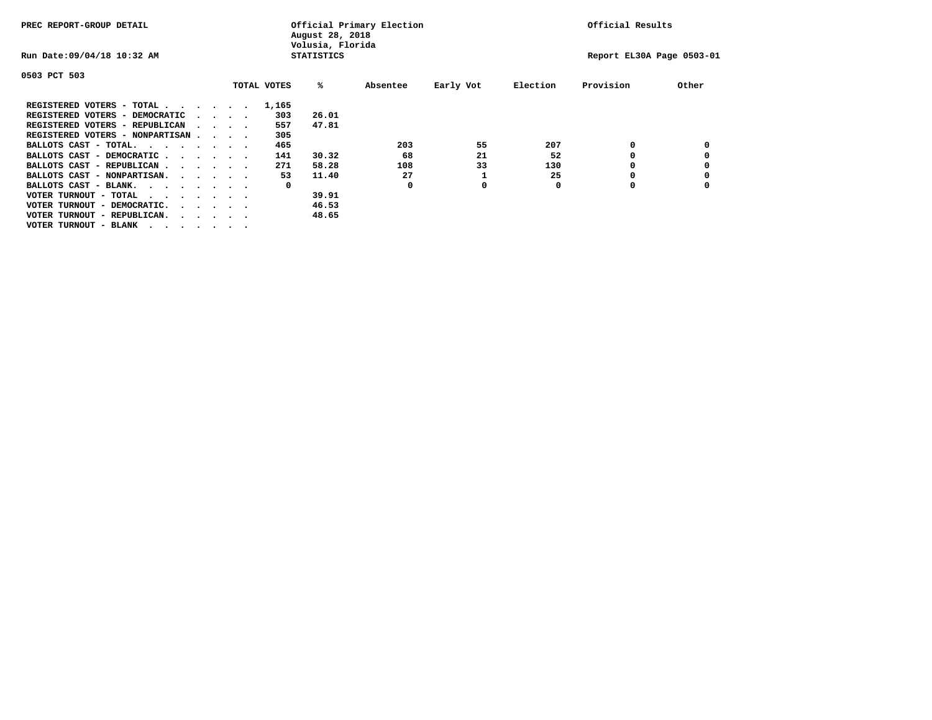| PREC REPORT-GROUP DETAIL               |  |  |                                         |  | Official Primary Election<br>August 28, 2018<br>Volusia, Florida | Official Results  |          |           |          |                           |       |
|----------------------------------------|--|--|-----------------------------------------|--|------------------------------------------------------------------|-------------------|----------|-----------|----------|---------------------------|-------|
| Run Date: 09/04/18 10:32 AM            |  |  |                                         |  |                                                                  | <b>STATISTICS</b> |          |           |          | Report EL30A Page 0503-01 |       |
| 0503 PCT 503                           |  |  |                                         |  |                                                                  |                   |          |           |          |                           |       |
|                                        |  |  |                                         |  | TOTAL VOTES                                                      | %ะ                | Absentee | Early Vot | Election | Provision                 | Other |
| REGISTERED VOTERS - TOTAL              |  |  |                                         |  | 1,165                                                            |                   |          |           |          |                           |       |
| REGISTERED VOTERS - DEMOCRATIC         |  |  | $\cdot$ $\cdot$ $\cdot$ $\cdot$         |  | 303                                                              | 26.01             |          |           |          |                           |       |
| REGISTERED VOTERS - REPUBLICAN         |  |  |                                         |  | 557                                                              | 47.81             |          |           |          |                           |       |
| REGISTERED VOTERS - NONPARTISAN        |  |  |                                         |  | 305                                                              |                   |          |           |          |                           |       |
| BALLOTS CAST - TOTAL.                  |  |  |                                         |  | 465                                                              |                   | 203      | 55        | 207      | 0                         |       |
| BALLOTS CAST - DEMOCRATIC              |  |  |                                         |  | 141                                                              | 30.32             | 68       | 21        | 52       |                           |       |
| BALLOTS CAST - REPUBLICAN              |  |  |                                         |  | 271                                                              | 58.28             | 108      | 33        | 130      | 0                         |       |
| BALLOTS CAST - NONPARTISAN.            |  |  |                                         |  | 53                                                               | 11.40             | 27       |           | 25       |                           |       |
| BALLOTS CAST - BLANK.                  |  |  |                                         |  | 0                                                                |                   | 0        | 0         | 0        | 0                         |       |
| VOTER TURNOUT - TOTAL<br>.             |  |  |                                         |  |                                                                  | 39.91             |          |           |          |                           |       |
| VOTER TURNOUT - DEMOCRATIC.            |  |  | $\cdot$ $\cdot$ $\cdot$ $\cdot$ $\cdot$ |  |                                                                  | 46.53             |          |           |          |                           |       |
| VOTER TURNOUT - REPUBLICAN.<br>$\cdot$ |  |  |                                         |  |                                                                  | 48.65             |          |           |          |                           |       |
| VOTER TURNOUT - BLANK                  |  |  |                                         |  |                                                                  |                   |          |           |          |                           |       |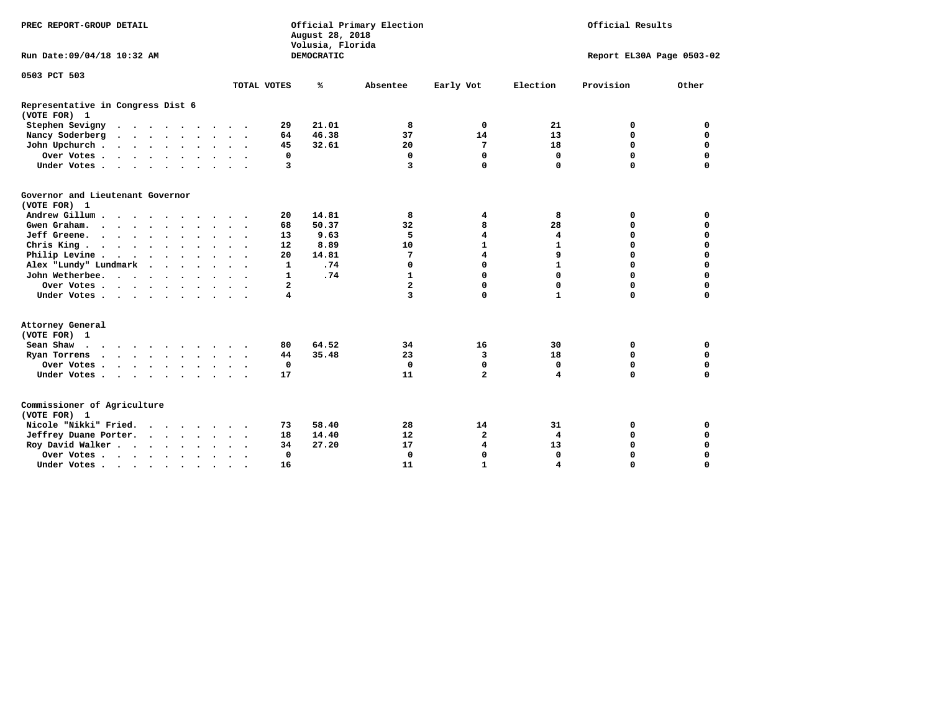| PREC REPORT-GROUP DETAIL                          |  |  |               |  |              | August 28, 2018<br>Volusia, Florida | Official Primary Election |                         | Official Results          |           |             |  |
|---------------------------------------------------|--|--|---------------|--|--------------|-------------------------------------|---------------------------|-------------------------|---------------------------|-----------|-------------|--|
| Run Date: 09/04/18 10:32 AM                       |  |  |               |  |              | DEMOCRATIC                          |                           |                         | Report EL30A Page 0503-02 |           |             |  |
| 0503 PCT 503                                      |  |  |               |  |              |                                     |                           |                         |                           |           |             |  |
|                                                   |  |  |               |  | TOTAL VOTES  | ℁                                   | Absentee                  | Early Vot               | Election                  | Provision | Other       |  |
| Representative in Congress Dist 6<br>(VOTE FOR) 1 |  |  |               |  |              |                                     |                           |                         |                           |           |             |  |
| Stephen Sevigny                                   |  |  |               |  | 29           | 21.01                               | 8                         | 0                       | 21                        | 0         | 0           |  |
| Nancy Soderberg<br>$\cdots$                       |  |  |               |  | 64           | 46.38                               | 37                        | 14                      | 13                        | 0         | $\mathbf 0$ |  |
| John Upchurch                                     |  |  |               |  | 45           | 32.61                               | 20                        | 7                       | 18                        | 0         | $\mathbf 0$ |  |
| Over Votes                                        |  |  |               |  | 0            |                                     | $\mathbf 0$               | $\Omega$                | $\Omega$                  | $\Omega$  | $\mathbf 0$ |  |
| Under Votes                                       |  |  |               |  | 3            |                                     | $\overline{\mathbf{3}}$   | $\mathbf 0$             | $\mathbf 0$               | $\Omega$  | $\Omega$    |  |
| Governor and Lieutenant Governor<br>(VOTE FOR) 1  |  |  |               |  |              |                                     |                           |                         |                           |           |             |  |
| Andrew Gillum                                     |  |  | $\sim$ $\sim$ |  | 20           | 14.81                               | 8                         | 4                       | 8                         | 0         | 0           |  |
| Gwen Graham.                                      |  |  |               |  | 68           | 50.37                               | 32                        | 8                       | 28                        | 0         | $\mathbf 0$ |  |
| Jeff Greene.                                      |  |  |               |  | 13           | 9.63                                | 5                         | 4                       | 4                         | $\Omega$  | 0           |  |
| Chris King                                        |  |  |               |  | 12           | 8.89                                | 10                        | $\mathbf{1}$            | $\mathbf{1}$              | 0         | $\mathbf 0$ |  |
| Philip Levine                                     |  |  |               |  | 20           | 14.81                               | 7                         | $\overline{\mathbf{4}}$ | 9                         | $\Omega$  | 0           |  |
| Alex "Lundy" Lundmark                             |  |  |               |  | 1            | .74                                 | $\mathbf 0$               | $\Omega$                | $\mathbf{1}$              | $\Omega$  | 0           |  |
| John Wetherbee.                                   |  |  |               |  | $\mathbf{1}$ | .74                                 | 1                         | $\Omega$                | $\Omega$                  | $\Omega$  | $\Omega$    |  |
| Over Votes                                        |  |  |               |  | 2            |                                     | $\overline{a}$            | $\mathbf 0$             | $\Omega$                  | $\Omega$  | 0           |  |
| Under Votes                                       |  |  |               |  | 4            |                                     | 3                         | $\Omega$                | $\mathbf{1}$              | 0         | 0           |  |
| Attorney General<br>(VOTE FOR) 1                  |  |  |               |  |              |                                     |                           |                         |                           |           |             |  |
| Sean Shaw                                         |  |  |               |  | 80           | 64.52                               | 34                        | 16                      | 30                        | 0         | 0           |  |
| Ryan Torrens                                      |  |  |               |  | 44           | 35.48                               | 23                        | 3                       | 18                        | 0         | $\Omega$    |  |
| Over Votes                                        |  |  |               |  | $\mathbf 0$  |                                     | $\mathbf 0$               | $\Omega$                | 0                         | 0         | 0           |  |
| Under Votes                                       |  |  |               |  | 17           |                                     | 11                        | $\overline{a}$          | 4                         | 0         | $\Omega$    |  |
| Commissioner of Agriculture<br>(VOTE FOR) 1       |  |  |               |  |              |                                     |                           |                         |                           |           |             |  |
| Nicole "Nikki" Fried.                             |  |  |               |  | 73           | 58.40                               | 28                        | 14                      | 31                        | 0         | 0           |  |
| Jeffrey Duane Porter.                             |  |  |               |  | 18           | 14.40                               | $12 \overline{ }$         | $\mathbf{2}$            | $\overline{4}$            | 0         | $\mathbf 0$ |  |
| Roy David Walker                                  |  |  |               |  | 34           | 27.20                               | 17                        | 4                       | 13                        | 0         | $\mathbf 0$ |  |
| Over Votes                                        |  |  | $\bullet$     |  | $\mathbf 0$  |                                     | $\Omega$                  | $\Omega$                | $\Omega$                  | 0         | $\Omega$    |  |
| Under Votes                                       |  |  | $\cdot$       |  | 16           |                                     | 11                        | $\mathbf{1}$            | 4                         | 0         | 0           |  |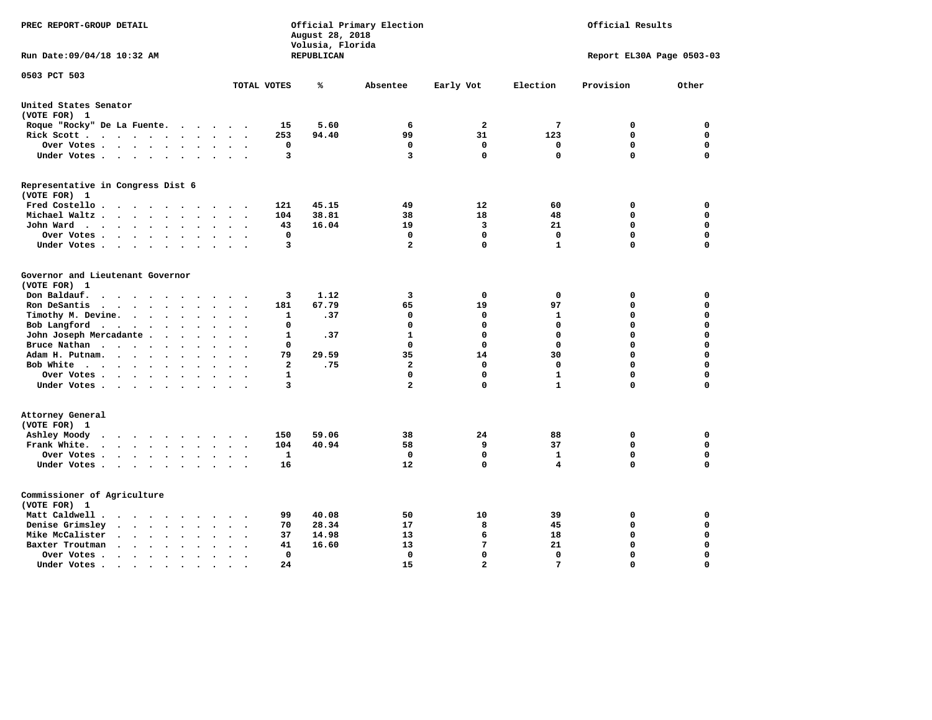| PREC REPORT-GROUP DETAIL                                                                              |                                                                           | Official Primary Election<br>August 28, 2018<br>Volusia, Florida |                         | Official Results |              |                           |             |
|-------------------------------------------------------------------------------------------------------|---------------------------------------------------------------------------|------------------------------------------------------------------|-------------------------|------------------|--------------|---------------------------|-------------|
| Run Date: 09/04/18 10:32 AM                                                                           |                                                                           | REPUBLICAN                                                       |                         |                  |              | Report EL30A Page 0503-03 |             |
| 0503 PCT 503                                                                                          | TOTAL VOTES                                                               | ℁                                                                | Absentee                | Early Vot        | Election     | Provision                 | Other       |
|                                                                                                       |                                                                           |                                                                  |                         |                  |              |                           |             |
| United States Senator<br>(VOTE FOR) 1                                                                 |                                                                           |                                                                  |                         |                  |              |                           |             |
| Roque "Rocky" De La Fuente.                                                                           | 15                                                                        | 5.60                                                             | 6                       | $\overline{a}$   | 7            | 0                         | $\mathbf 0$ |
| Rick Scott                                                                                            | 253                                                                       | 94.40                                                            | 99                      | 31               | 123          | $\mathbf 0$               | 0           |
| Over Votes                                                                                            | 0<br>$\bullet$<br>$\cdot$                                                 |                                                                  | $\mathbf 0$             | $\mathbf 0$      | $\mathbf 0$  | $\mathbf 0$               | 0           |
| Under Votes                                                                                           | 3                                                                         |                                                                  | 3                       | $\mathbf 0$      | $\mathbf 0$  | $\mathbf 0$               | $\mathbf 0$ |
| Representative in Congress Dist 6                                                                     |                                                                           |                                                                  |                         |                  |              |                           |             |
| (VOTE FOR) 1<br>Fred Costello                                                                         | 121                                                                       | 45.15                                                            | 49                      | 12               | 60           | 0                         | 0           |
| Michael Waltz<br>$\sim$<br>$\sim$                                                                     | 104                                                                       | 38.81                                                            | 38                      | 18               | 48           | $\mathbf 0$               | $\mathbf 0$ |
| John Ward                                                                                             | 43<br>$\sim$ $\sim$<br>$\bullet$                                          | 16.04                                                            | 19                      | 3                | 21           | $\mathbf 0$               | $\mathbf 0$ |
| Over Votes<br>$\sim$                                                                                  | $\mathbf{0}$                                                              |                                                                  | 0                       | $\mathbf 0$      | $\mathbf{0}$ | $\mathbf 0$               | $\mathbf 0$ |
| Under Votes                                                                                           | 3                                                                         |                                                                  | $\mathbf{2}$            | 0                | $\mathbf{1}$ | $\Omega$                  | $\Omega$    |
|                                                                                                       |                                                                           |                                                                  |                         |                  |              |                           |             |
| Governor and Lieutenant Governor<br>(VOTE FOR) 1                                                      |                                                                           |                                                                  |                         |                  |              |                           |             |
| Don Baldauf.<br>$\cdot$ $\cdot$ $\cdot$ $\cdot$<br>$\sim$                                             | 3                                                                         | 1.12                                                             | 3                       | $\mathbf 0$      | $\mathbf 0$  | 0                         | $\mathbf 0$ |
| Ron DeSantis<br>$\sim$                                                                                | 181                                                                       | 67.79                                                            | 65                      | 19               | 97           | $\mathbf 0$               | $\mathbf 0$ |
| Timothy M. Devine.<br>$\ddot{\phantom{0}}$                                                            | 1<br>$\ddot{\phantom{a}}$<br>$\ddot{\phantom{a}}$<br>$\ddot{\phantom{0}}$ | .37                                                              | 0                       | 0                | 1            | $\mathbf 0$               | $\mathbf 0$ |
| Bob Langford                                                                                          | $\mathbf 0$                                                               |                                                                  | $\mathbf 0$             | $\mathbf 0$      | $\mathbf 0$  | $\mathbf 0$               | 0           |
| John Joseph Mercadante                                                                                | $\mathbf{1}$<br>$\overline{\phantom{a}}$                                  | .37                                                              | $\mathbf{1}$            | $\mathbf 0$      | $\mathbf 0$  | $\mathbf 0$               | $\mathbf 0$ |
| Bruce Nathan<br>$\bullet$                                                                             | $\Omega$                                                                  |                                                                  | $\Omega$                | $\mathbf 0$      | $\Omega$     | $\mathbf 0$               | $\mathbf 0$ |
| Adam H. Putnam.                                                                                       | 79                                                                        | 29.59                                                            | 35                      | 14               | 30           | $\mathbf 0$               | 0           |
| Bob White<br>$\ddot{\phantom{a}}$                                                                     | $\overline{\mathbf{2}}$<br>$\ddot{\phantom{a}}$<br>$\cdot$                | .75                                                              | $\overline{\mathbf{2}}$ | $\mathbf 0$      | $\mathbf 0$  | $\mathbf 0$               | 0           |
| Over Votes.<br>$\cdots$                                                                               | $\mathbf{1}$                                                              |                                                                  | $\Omega$                | $\mathbf 0$      | ${\bf 1}$    | $\mathbf 0$               | 0           |
| Under Votes                                                                                           | 3                                                                         |                                                                  | $\overline{a}$          | $\mathbf 0$      | $\mathbf{1}$ | $\Omega$                  | $\mathbf 0$ |
| Attorney General<br>(VOTE FOR) 1                                                                      |                                                                           |                                                                  |                         |                  |              |                           |             |
| Ashley Moody<br>$\begin{array}{cccccccccccccccccc} . & . & . & . & . & . & . & . & . & . \end{array}$ | 150                                                                       | 59.06                                                            | 38                      | 24               | 88           | 0                         | 0           |
| Frank White.<br>$\cdot$ $\cdot$ $\cdot$ $\cdot$ $\cdot$ $\cdot$ $\cdot$ $\cdot$                       | 104                                                                       | 40.94                                                            | 58                      | 9                | 37           | $\mathbf 0$               | $\mathbf 0$ |
| Over Votes.<br>$\cdots$                                                                               | $\mathbf{1}$                                                              |                                                                  | $\Omega$                | $\mathbf 0$      | $\mathbf{1}$ | $\mathbf 0$               | $\mathbf 0$ |
| Under Votes                                                                                           | 16                                                                        |                                                                  | 12                      | $\mathbf 0$      | 4            | $\Omega$                  | $\mathbf 0$ |
|                                                                                                       |                                                                           |                                                                  |                         |                  |              |                           |             |
| Commissioner of Agriculture<br>(VOTE FOR) 1                                                           |                                                                           |                                                                  |                         |                  |              |                           |             |
| Matt Caldwell .<br>$\cdots$                                                                           | 99                                                                        | 40.08                                                            | 50                      | 10               | 39           | 0                         | 0           |
| Denise Grimsley<br>$\cdot$ $\cdot$ $\cdot$ $\cdot$ $\cdot$<br>$\bullet$                               | 70                                                                        | 28.34                                                            | 17                      | 8                | 45           | 0                         | 0           |
| Mike McCalister<br>$\cdot$ $\cdot$ $\cdot$ $\cdot$ $\cdot$<br>$\bullet$                               | 37<br>$\ddot{\phantom{a}}$                                                | 14.98                                                            | 13                      | 6                | 18           | 0                         | 0           |
| Baxter Troutman<br>$\cdot$ $\cdot$ $\cdot$ $\cdot$<br>$\bullet$<br>$\sim$                             | 41                                                                        | 16.60                                                            | 13                      | 7                | 21           | 0                         | 0           |
| Over Votes .<br>$\bullet$<br>$\bullet$                                                                | 0                                                                         |                                                                  | 0                       | $\mathbf 0$      | $\mathbf{0}$ | $\mathbf 0$               | $\mathbf 0$ |
| Under Votes.<br>.                                                                                     | 24                                                                        |                                                                  | 15                      | $\overline{a}$   | 7            | $\Omega$                  | $\Omega$    |
|                                                                                                       |                                                                           |                                                                  |                         |                  |              |                           |             |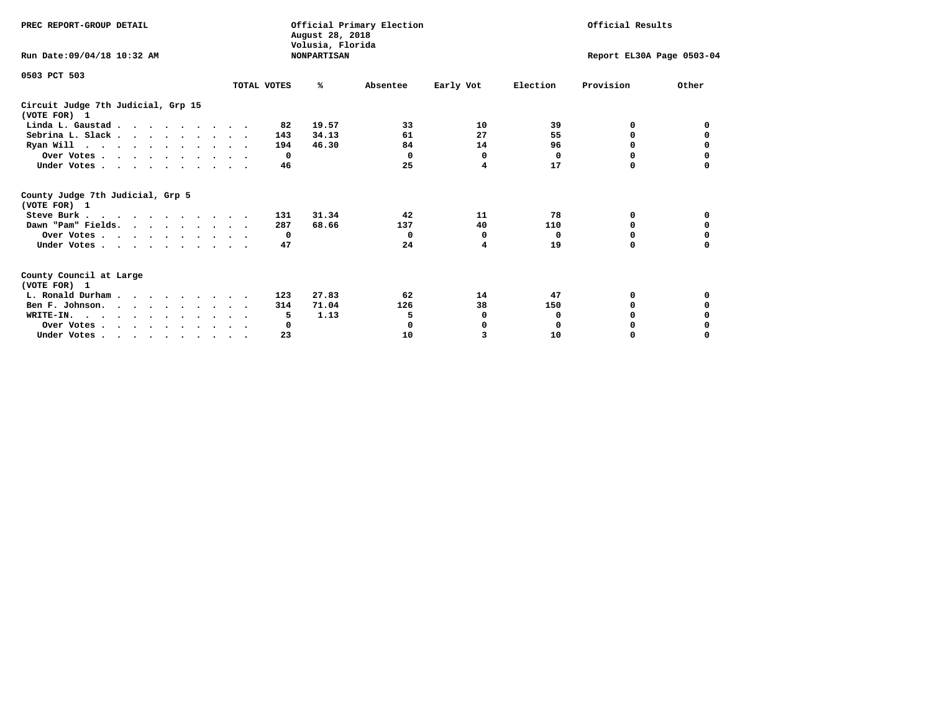| PREC REPORT-GROUP DETAIL                            |                      | August 28, 2018<br>Volusia, Florida | Official Primary Election |           |                           | Official Results |          |
|-----------------------------------------------------|----------------------|-------------------------------------|---------------------------|-----------|---------------------------|------------------|----------|
| Run Date: 09/04/18 10:32 AM                         |                      | <b>NONPARTISAN</b>                  |                           |           | Report EL30A Page 0503-04 |                  |          |
| 0503 PCT 503                                        |                      |                                     |                           |           |                           |                  |          |
|                                                     | TOTAL VOTES          | ℁                                   | Absentee                  | Early Vot | Election                  | Provision        | Other    |
| Circuit Judge 7th Judicial, Grp 15<br>(VOTE FOR) 1  |                      |                                     |                           |           |                           |                  |          |
| Linda L. Gaustad                                    |                      | 19.57<br>82                         | 33                        | 10        | 39                        | 0                | 0        |
| Sebrina L. Slack                                    |                      | 34.13<br>143                        | 61                        | 27        | 55                        | 0                |          |
| Ryan Will $\cdots$ , $\cdots$ , $\cdots$ , $\cdots$ |                      | 194<br>46.30                        | 84                        | 14        | 96                        | 0                | 0        |
| Over Votes                                          |                      | $\Omega$                            | 0                         | $\Omega$  | 0                         | 0                | 0        |
| Under Votes                                         |                      | 46                                  | 25                        | 4         | 17                        | 0                |          |
| County Judge 7th Judicial, Grp 5<br>(VOTE FOR) 1    |                      |                                     |                           |           |                           |                  |          |
| Steve Burk                                          | $\ddot{\phantom{1}}$ | 31.34<br>131                        | 42                        | 11        | 78                        | 0                | 0        |
| Dawn "Pam" Fields.                                  |                      | 287<br>68.66                        | 137                       | 40        | 110                       | 0                |          |
| Over Votes                                          |                      | $\mathbf{o}$                        | $^{\circ}$                | 0         | 0                         | 0                | 0        |
| Under Votes                                         |                      | 47                                  | 24                        | 4         | 19                        | $\Omega$         | $\Omega$ |
| County Council at Large<br>(VOTE FOR) 1             |                      |                                     |                           |           |                           |                  |          |
| L. Ronald Durham                                    |                      | 27.83<br>123                        | 62                        | 14        | 47                        | 0                | 0        |
| Ben F. Johnson.                                     |                      | 71.04<br>314                        | 126                       | 38        | 150                       | <sup>0</sup>     | 0        |
| WRITE-IN.                                           |                      | 1.13<br>5                           | 5                         | 0         | 0                         | $\Omega$         |          |
| Over Votes                                          |                      | 0                                   | 0                         | 0         | $\mathbf 0$               | 0                |          |
| Under Votes, , , , , , , , , ,                      |                      | 23                                  | 10                        | 3         | 10                        | 0                | $\Omega$ |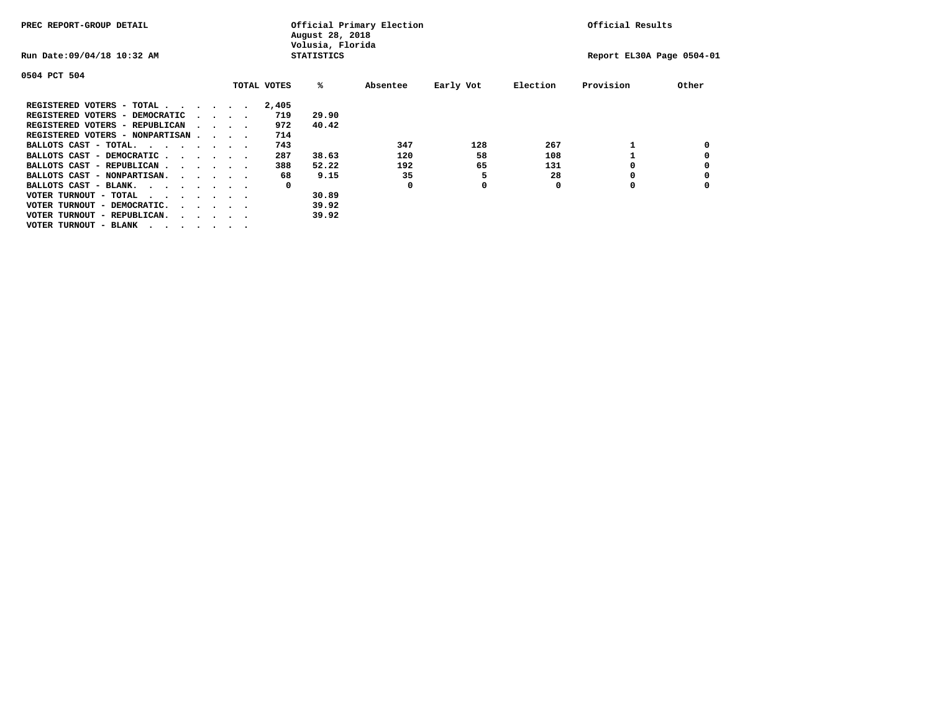| PREC REPORT-GROUP DETAIL                                                                                                                                                                                                                                            |  |  |                                         |             | August 28, 2018<br>Volusia, Florida | Official Primary Election | Official Results |          |                           |       |
|---------------------------------------------------------------------------------------------------------------------------------------------------------------------------------------------------------------------------------------------------------------------|--|--|-----------------------------------------|-------------|-------------------------------------|---------------------------|------------------|----------|---------------------------|-------|
| Run Date: 09/04/18 10:32 AM                                                                                                                                                                                                                                         |  |  |                                         |             | <b>STATISTICS</b>                   |                           |                  |          | Report EL30A Page 0504-01 |       |
| 0504 PCT 504                                                                                                                                                                                                                                                        |  |  |                                         |             |                                     |                           |                  |          |                           |       |
|                                                                                                                                                                                                                                                                     |  |  |                                         | TOTAL VOTES | %ะ                                  | Absentee                  | Early Vot        | Election | Provision                 | Other |
| REGISTERED VOTERS - TOTAL .<br><u>in the second contract of the second second and the second second second and second second and second second second and second second and second and second second and second second and second second and second and second </u> |  |  |                                         | 2,405       |                                     |                           |                  |          |                           |       |
| REGISTERED VOTERS - DEMOCRATIC                                                                                                                                                                                                                                      |  |  | $\cdot$ $\cdot$ $\cdot$ $\cdot$         | 719         | 29.90                               |                           |                  |          |                           |       |
| REGISTERED VOTERS - REPUBLICAN                                                                                                                                                                                                                                      |  |  |                                         | 972         | 40.42                               |                           |                  |          |                           |       |
| REGISTERED VOTERS - NONPARTISAN                                                                                                                                                                                                                                     |  |  |                                         | 714         |                                     |                           |                  |          |                           |       |
| BALLOTS CAST - TOTAL.<br>$\cdots$                                                                                                                                                                                                                                   |  |  |                                         | 743         |                                     | 347                       | 128              | 267      |                           |       |
| BALLOTS CAST - DEMOCRATIC.<br>$\cdots$                                                                                                                                                                                                                              |  |  |                                         | 287         | 38.63                               | 120                       | 58               | 108      |                           |       |
| BALLOTS CAST - REPUBLICAN                                                                                                                                                                                                                                           |  |  |                                         | 388         | 52.22                               | 192                       | 65               | 131      |                           |       |
| BALLOTS CAST - NONPARTISAN.                                                                                                                                                                                                                                         |  |  |                                         | 68          | 9.15                                | 35                        | 5                | 28       | o                         |       |
| BALLOTS CAST - BLANK.                                                                                                                                                                                                                                               |  |  |                                         | 0           |                                     | O                         | 0                | O        | o                         |       |
| VOTER TURNOUT - TOTAL<br>$\cdots$                                                                                                                                                                                                                                   |  |  |                                         |             | 30.89                               |                           |                  |          |                           |       |
| VOTER TURNOUT - DEMOCRATIC.                                                                                                                                                                                                                                         |  |  | $\cdot$ $\cdot$ $\cdot$ $\cdot$ $\cdot$ |             | 39.92                               |                           |                  |          |                           |       |
| VOTER TURNOUT - REPUBLICAN.                                                                                                                                                                                                                                         |  |  |                                         |             | 39.92                               |                           |                  |          |                           |       |
| VOTER TURNOUT - BLANK                                                                                                                                                                                                                                               |  |  |                                         |             |                                     |                           |                  |          |                           |       |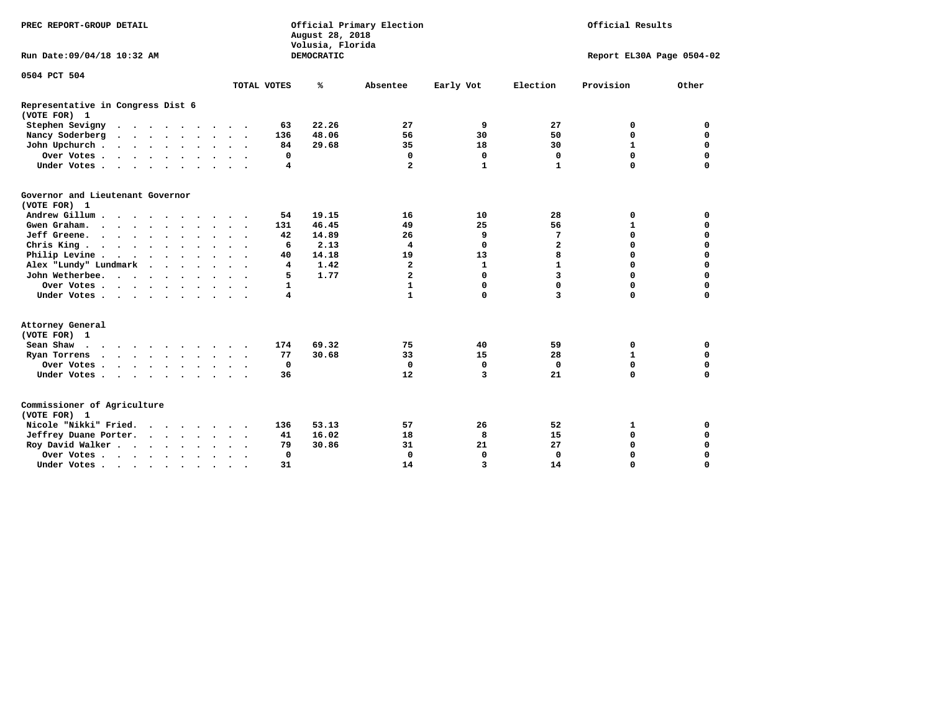| PREC REPORT-GROUP DETAIL                             |                                                    | Official Primary Election<br>August 28, 2018<br>Volusia, Florida |                         | Official Results |              |                           |             |  |
|------------------------------------------------------|----------------------------------------------------|------------------------------------------------------------------|-------------------------|------------------|--------------|---------------------------|-------------|--|
| Run Date: 09/04/18 10:32 AM                          |                                                    | <b>DEMOCRATIC</b>                                                |                         |                  |              | Report EL30A Page 0504-02 |             |  |
| 0504 PCT 504                                         |                                                    |                                                                  |                         |                  |              |                           |             |  |
|                                                      | TOTAL VOTES                                        | ℁                                                                | Absentee                | Early Vot        | Election     | Provision                 | Other       |  |
| Representative in Congress Dist 6<br>(VOTE FOR) 1    |                                                    |                                                                  |                         |                  |              |                           |             |  |
| Stephen Sevigny                                      | 63                                                 | 22.26                                                            | 27                      | 9                | 27           | 0                         | 0           |  |
| Nancy Soderberg                                      | 136                                                | 48.06                                                            | 56                      | 30               | 50           | $\mathbf 0$               | 0           |  |
| John Upchurch                                        | 84                                                 | 29.68                                                            | 35                      | 18               | 30           | $\mathbf{1}$              | $\mathbf 0$ |  |
| Over Votes                                           | 0                                                  |                                                                  | 0                       | 0                | 0            | $\mathbf 0$               | $\mathbf 0$ |  |
| Under Votes                                          | 4                                                  |                                                                  | $\mathbf{z}$            | $\mathbf{1}$     | $\mathbf{1}$ | $\Omega$                  | $\Omega$    |  |
| Governor and Lieutenant Governor<br>(VOTE FOR) 1     |                                                    |                                                                  |                         |                  |              |                           |             |  |
| Andrew Gillum                                        | 54                                                 | 19.15                                                            | 16                      | 10               | 28           | 0                         | 0           |  |
| Gwen Graham.                                         | 131                                                | 46.45                                                            | 49                      | 25               | 56           | $\mathbf{1}$              | $\mathbf 0$ |  |
| Jeff Greene.                                         | 42                                                 | 14.89                                                            | 26                      | 9                | 7            | $\mathbf 0$               | $\mathbf 0$ |  |
| Chris King                                           | 6                                                  | 2.13                                                             | 4                       | 0                | $\mathbf{z}$ | $\Omega$                  | $\Omega$    |  |
| Philip Levine                                        | 40                                                 | 14.18                                                            | 19                      | 13               | 8            | $\mathbf 0$               | $\Omega$    |  |
| Alex "Lundy" Lundmark<br>$\sim$ $\sim$ $\sim$ $\sim$ | 4                                                  | 1.42                                                             | $\overline{\mathbf{2}}$ | $\mathbf{1}$     | $\mathbf{1}$ | $\mathbf 0$               | $\mathbf 0$ |  |
| John Wetherbee.                                      | 5                                                  | 1.77                                                             | $\overline{\mathbf{2}}$ | 0                | 3            | $\Omega$                  | $\mathbf 0$ |  |
| Over Votes                                           | $\mathbf{1}$                                       |                                                                  | $\mathbf{1}$            | 0                | 0            | $\mathbf 0$               | $\mathbf 0$ |  |
| Under Votes                                          | $\overline{\mathbf{4}}$                            |                                                                  | $\mathbf{1}$            | 0                | 3            | $\mathbf 0$               | $\mathbf 0$ |  |
| Attorney General<br>(VOTE FOR) 1                     |                                                    |                                                                  |                         |                  |              |                           |             |  |
| Sean Shaw                                            | 174                                                | 69.32                                                            | 75                      | 40               | 59           | 0                         | 0           |  |
| Ryan Torrens<br>$\cdots$                             | 77                                                 | 30.68                                                            | 33                      | 15               | 28           | $\mathbf{1}$              | $\mathbf 0$ |  |
| Over Votes                                           | $\mathbf 0$                                        |                                                                  | $\mathbf 0$             | $\mathbf 0$      | $\Omega$     | $\mathbf 0$               | $\mathbf 0$ |  |
| Under Votes                                          | 36                                                 |                                                                  | 12                      | 3                | 21           | $\mathbf 0$               | $\mathbf 0$ |  |
| Commissioner of Agriculture<br>(VOTE FOR) 1          |                                                    |                                                                  |                         |                  |              |                           |             |  |
| Nicole "Nikki" Fried.                                | 136                                                | 53.13                                                            | 57                      | 26               | 52           | 1                         | 0           |  |
| Jeffrey Duane Porter.                                | 41                                                 | 16.02                                                            | 18                      | 8                | 15           | $\mathbf 0$               | $\mathbf 0$ |  |
| Roy David Walker                                     | 79                                                 | 30.86                                                            | 31                      | 21               | 27           | $\mathbf 0$               | 0           |  |
| Over Votes                                           | 0                                                  |                                                                  | $\mathbf 0$             | $\mathbf 0$      | 0            | $\mathbf 0$               | 0           |  |
| Under Votes                                          | 31<br>$\ddot{\phantom{1}}$<br>$\ddot{\phantom{1}}$ |                                                                  | 14                      | 3                | 14           | $\mathbf 0$               | $\mathbf 0$ |  |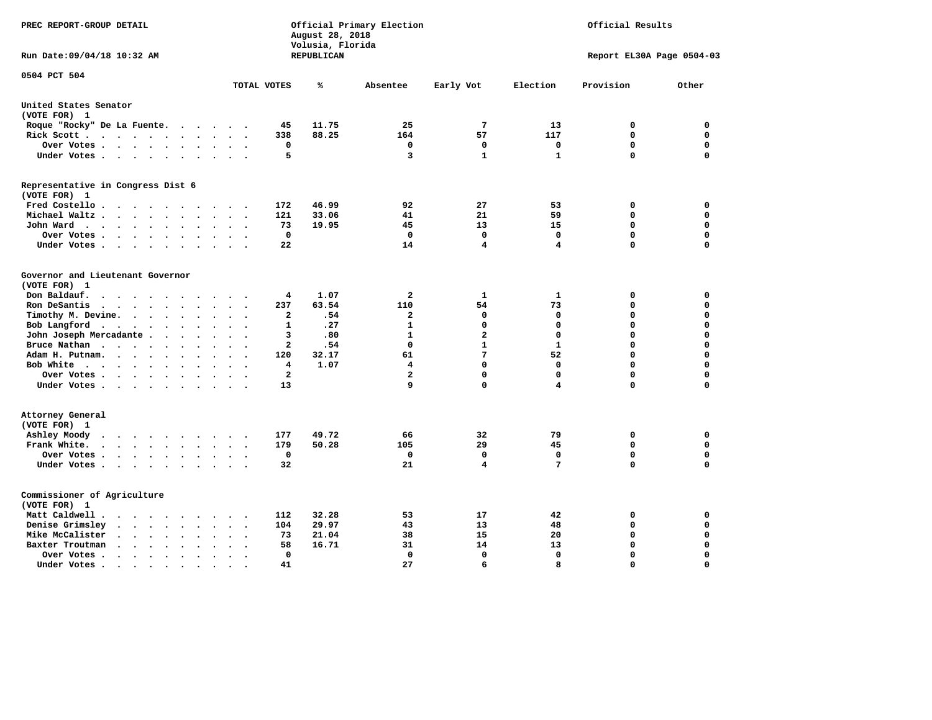| PREC REPORT-GROUP DETAIL                                                                                                                                          |                                                              | August 28, 2018<br>Volusia, Florida | Official Primary Election |                 | Official Results |                           |          |  |
|-------------------------------------------------------------------------------------------------------------------------------------------------------------------|--------------------------------------------------------------|-------------------------------------|---------------------------|-----------------|------------------|---------------------------|----------|--|
| Run Date: 09/04/18 10:32 AM                                                                                                                                       |                                                              | REPUBLICAN                          |                           |                 |                  | Report EL30A Page 0504-03 |          |  |
| 0504 PCT 504                                                                                                                                                      | TOTAL VOTES                                                  | ℁                                   | Absentee                  | Early Vot       | Election         | Provision                 | Other    |  |
|                                                                                                                                                                   |                                                              |                                     |                           |                 |                  |                           |          |  |
| United States Senator<br>(VOTE FOR) 1                                                                                                                             |                                                              |                                     |                           |                 |                  |                           |          |  |
| Roque "Rocky" De La Fuente.                                                                                                                                       | 45<br>$\cdot$                                                | 11.75                               | 25                        | $7\phantom{.0}$ | 13               | 0                         | 0        |  |
| Rick Scott                                                                                                                                                        | 338<br>$\ddot{\phantom{a}}$                                  | 88.25                               | 164                       | 57              | 117              | 0                         | 0        |  |
| Over Votes                                                                                                                                                        | 0<br>$\ddot{\phantom{a}}$<br>$\ddot{\phantom{0}}$<br>$\cdot$ |                                     | 0                         | 0               | 0                | $\mathbf 0$               | 0        |  |
| Under Votes                                                                                                                                                       | 5                                                            |                                     | 3                         | $\mathbf{1}$    | $\mathbf{1}$     | $\mathbf 0$               | $\Omega$ |  |
| Representative in Congress Dist 6<br>(VOTE FOR) 1                                                                                                                 |                                                              |                                     |                           |                 |                  |                           |          |  |
| Fred Costello                                                                                                                                                     | 172                                                          | 46.99                               | 92                        | 27              | 53               | 0                         | 0        |  |
| Michael Waltz<br>$\ddot{\phantom{a}}$<br>$\ddot{\phantom{a}}$                                                                                                     | 121                                                          | 33.06                               | 41                        | 21              | 59               | $\mathbf 0$               | 0        |  |
| John Ward<br>$\ddot{\phantom{0}}$                                                                                                                                 | 73<br>$\bullet$                                              | 19.95                               | 45                        | 13              | 15               | 0                         | 0        |  |
| Over Votes .<br>$\cdots$<br>$\sim$<br>$\cdot$                                                                                                                     | $\Omega$                                                     |                                     | 0                         | $\Omega$        | $\Omega$         | 0                         | 0        |  |
| Under Votes                                                                                                                                                       | 22                                                           |                                     | 14                        | 4               | 4                | $\Omega$                  | 0        |  |
|                                                                                                                                                                   |                                                              |                                     |                           |                 |                  |                           |          |  |
| Governor and Lieutenant Governor                                                                                                                                  |                                                              |                                     |                           |                 |                  |                           |          |  |
| (VOTE FOR) 1                                                                                                                                                      |                                                              |                                     |                           |                 |                  |                           |          |  |
| Don Baldauf.<br>$\cdot$ $\cdot$ $\cdot$                                                                                                                           | 4                                                            | 1.07                                | $\mathbf{2}$              | 1               | 1                | 0                         | 0        |  |
| Ron DeSantis<br>$\ddot{\phantom{a}}$<br>$\bullet$<br>$\bullet$                                                                                                    | 237                                                          | 63.54                               | 110                       | 54              | 73               | $\mathbf 0$               | 0        |  |
| Timothy M. Devine.<br>$\bullet$                                                                                                                                   | $\mathbf{2}$<br>$\bullet$                                    | .54                                 | $\mathbf{2}$              | 0               | $\mathbf 0$      | $\mathbf 0$               | 0        |  |
| Bob Langford<br>$\ddot{\phantom{1}}$                                                                                                                              | $\mathbf{1}$<br>$\sim$                                       | .27                                 | $\mathbf{1}$              | 0               | $\mathbf 0$      | $\mathbf 0$               | 0        |  |
| John Joseph Mercadante<br>$\ddot{\phantom{a}}$                                                                                                                    | 3                                                            | .80                                 | $\mathbf{1}$              | $\overline{a}$  | $\mathbf 0$      | $\mathbf 0$               | 0        |  |
| Bruce Nathan<br>$\bullet$<br>$\bullet$                                                                                                                            | $\overline{\mathbf{2}}$                                      | .54                                 | $\mathbf 0$               | $\mathbf{1}$    | $\mathbf{1}$     | $\mathbf 0$               | 0        |  |
| Adam H. Putnam.<br>$\cdots$<br>$\overline{\phantom{a}}$                                                                                                           | 120                                                          | 32.17                               | 61                        | $7\phantom{.0}$ | 52               | $\mathbf 0$               | 0        |  |
| Bob White<br>$\sim$                                                                                                                                               | 4                                                            | 1.07                                | 4                         | 0               | $\mathbf 0$      | $\mathbf 0$               | 0        |  |
| Over Votes.<br>$\bullet$<br>$\bullet$                                                                                                                             | $\overline{2}$                                               |                                     | $\mathbf{2}$              | 0               | $\mathbf 0$      | $\mathbf 0$               | 0        |  |
| Under Votes                                                                                                                                                       | 13                                                           |                                     | 9                         | 0               | 4                | $\mathbf 0$               | 0        |  |
| Attorney General<br>(VOTE FOR) 1                                                                                                                                  |                                                              |                                     |                           |                 |                  |                           |          |  |
| Ashley Moody<br>$\cdots$<br>$\ddot{\phantom{a}}$                                                                                                                  | 177<br>$\cdot$                                               | 49.72                               | 66                        | 32              | 79               | 0                         | 0        |  |
| Frank White.<br>$\cdots$<br>$\sim$ $\sim$<br>$\bullet$<br>$\ddot{\phantom{a}}$                                                                                    | 179                                                          | 50.28                               | 105                       | 29              | 45               | 0                         | 0        |  |
| Over Votes .<br>$\begin{array}{cccccccccccccc} \bullet & \bullet & \bullet & \bullet & \bullet & \bullet & \bullet & \bullet \end{array}$<br>$\ddot{\phantom{0}}$ | 0<br>$\cdot$<br>$\cdot$                                      |                                     | 0                         | 0               | 0                | $\mathbf 0$               | 0        |  |
| Under Votes                                                                                                                                                       | 32                                                           |                                     | 21                        | 4               | 7                | $\mathbf 0$               | 0        |  |
|                                                                                                                                                                   |                                                              |                                     |                           |                 |                  |                           |          |  |
| Commissioner of Agriculture<br>(VOTE FOR) 1                                                                                                                       |                                                              |                                     |                           |                 |                  |                           |          |  |
| Matt Caldwell.<br>$\cdots$                                                                                                                                        | 112                                                          | 32.28                               | 53                        | 17              | 42               | 0                         | 0        |  |
| Denise Grimsley<br>$\cdot$ $\cdot$ $\cdot$<br>$\ddot{\phantom{a}}$<br>$\ddot{\phantom{a}}$<br>$\ddot{\phantom{a}}$                                                | 104                                                          | 29.97                               | 43                        | 13              | 48               | $\mathbf 0$               | 0        |  |
| Mike McCalister<br>$\cdots$<br>$\bullet$                                                                                                                          | 73                                                           | 21.04                               | 38                        | 15              | 20               | $\mathbf 0$               | 0        |  |
| Baxter Troutman<br>$\sim$ $\sim$<br>$\bullet$<br>$\ddot{\phantom{a}}$                                                                                             | 58                                                           | 16.71                               | 31                        | 14              | 13               | $\mathbf 0$               | 0        |  |
| Over Votes.<br>$\cdot$<br>$\bullet$<br>$\cdot$                                                                                                                    | 0                                                            |                                     | 0                         | $\mathbf 0$     | $\mathbf 0$      | $\mathbf 0$               | 0        |  |
| Under Votes .<br>$\bullet$ .<br><br><br><br><br><br><br><br><br><br><br><br>$\bullet$<br>$\bullet$<br>$\bullet$                                                   | 41                                                           |                                     | 27                        | 6               | 8                | $\Omega$                  | $\Omega$ |  |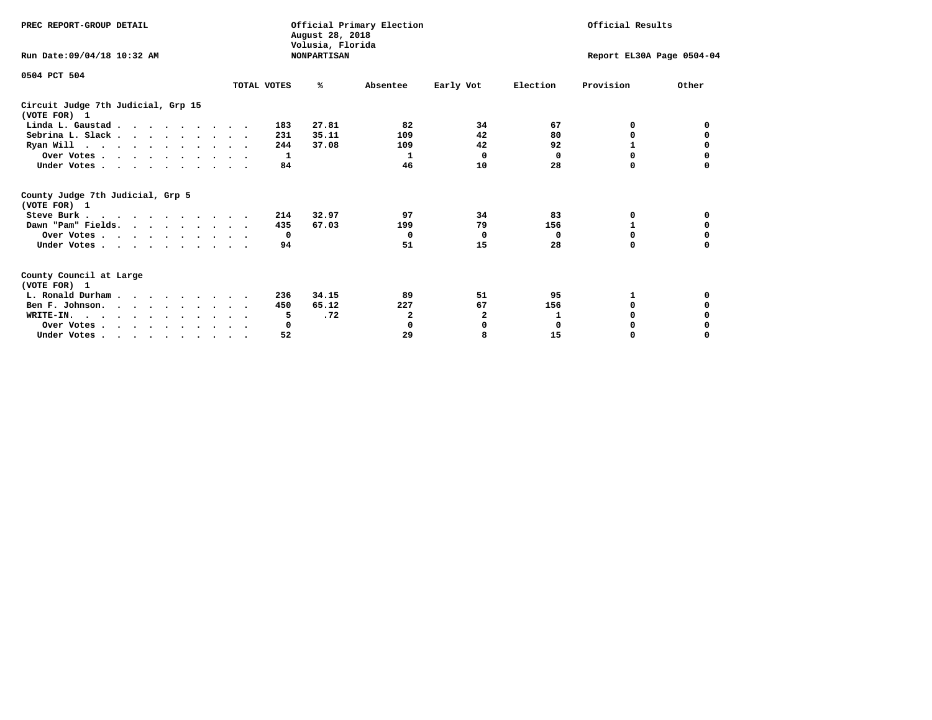| PREC REPORT-GROUP DETAIL                            |             | August 28, 2018<br>Volusia, Florida | Official Primary Election |                           |             | Official Results |          |
|-----------------------------------------------------|-------------|-------------------------------------|---------------------------|---------------------------|-------------|------------------|----------|
| Run Date: 09/04/18 10:32 AM                         |             | <b>NONPARTISAN</b>                  |                           | Report EL30A Page 0504-04 |             |                  |          |
| 0504 PCT 504                                        |             |                                     |                           |                           |             |                  |          |
|                                                     | TOTAL VOTES | ℁                                   | Absentee                  | Early Vot                 | Election    | Provision        | Other    |
| Circuit Judge 7th Judicial, Grp 15<br>(VOTE FOR) 1  |             |                                     |                           |                           |             |                  |          |
| Linda L. Gaustad                                    |             | 27.81<br>183                        | 82                        | 34                        | 67          | 0                | 0        |
| Sebrina L. Slack                                    |             | 35.11<br>231                        | 109                       | 42                        | 80          | 0                |          |
| Ryan Will $\cdots$ , $\cdots$ , $\cdots$ , $\cdots$ |             | 244<br>37.08                        | 109                       | 42                        | 92          | 1                | 0        |
| Over Votes                                          |             | 1                                   | 1                         | $\Omega$                  | 0           | $\Omega$         | 0        |
| Under Votes                                         |             | 84                                  | 46                        | 10                        | 28          | 0                |          |
| County Judge 7th Judicial, Grp 5<br>(VOTE FOR) 1    |             |                                     |                           |                           |             |                  |          |
| Steve Burk                                          |             | 32.97<br>214                        | 97                        | 34                        | 83          | 0                | 0        |
| Dawn "Pam" Fields.                                  |             | 67.03<br>435                        | 199                       | 79                        | 156         |                  |          |
| Over Votes                                          |             | $\mathbf{o}$                        | $\Omega$                  | 0                         | 0           | 0                | 0        |
| Under Votes                                         |             | 94                                  | 51                        | 15                        | 28          | $\Omega$         | $\Omega$ |
| County Council at Large<br>(VOTE FOR) 1             |             |                                     |                           |                           |             |                  |          |
| L. Ronald Durham                                    |             | 34.15<br>236                        | 89                        | 51                        | 95          | 1                | 0        |
| Ben F. Johnson.                                     |             | 65.12<br>450                        | 227                       | 67                        | 156         | <sup>0</sup>     | 0        |
| WRITE-IN.                                           |             | .72<br>5                            | 2                         | $\mathbf{2}$              | 1           | $\Omega$         |          |
| Over Votes                                          |             | 0                                   | 0                         | 0                         | $\mathbf 0$ | 0                |          |
| Under Votes, , , , , , , , , ,                      |             | 52                                  | 29                        | 8                         | 15          | 0                | $\Omega$ |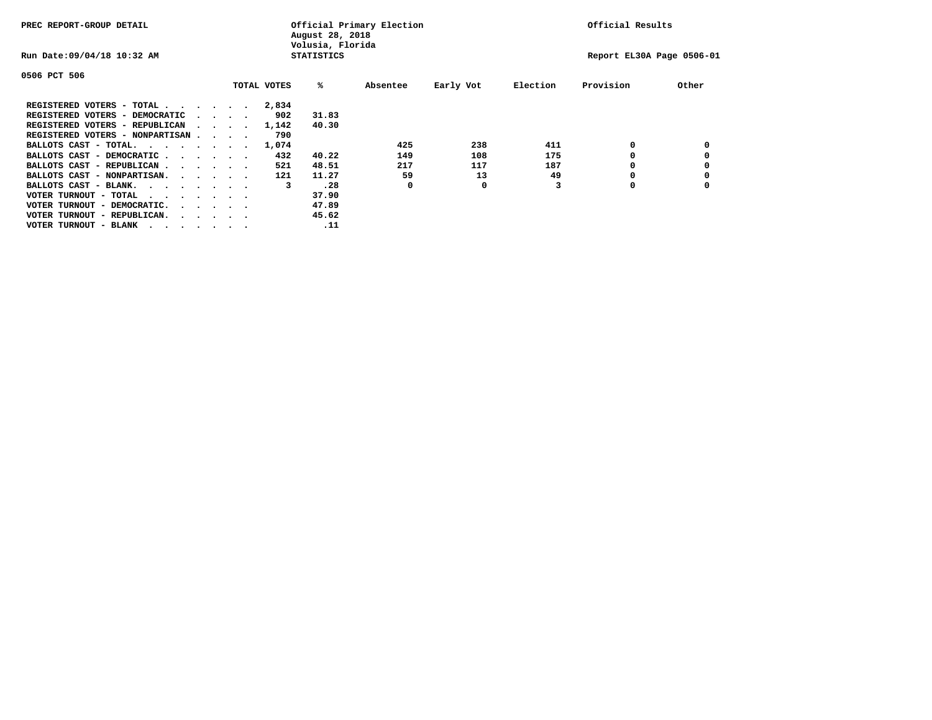| PREC REPORT-GROUP DETAIL               |  |                                         |             | August 28, 2018<br>Volusia, Florida | Official Primary Election |           |          | Official Results          |       |
|----------------------------------------|--|-----------------------------------------|-------------|-------------------------------------|---------------------------|-----------|----------|---------------------------|-------|
| Run Date: 09/04/18 10:32 AM            |  |                                         |             | <b>STATISTICS</b>                   |                           |           |          | Report EL30A Page 0506-01 |       |
| 0506 PCT 506                           |  |                                         |             |                                     |                           |           |          |                           |       |
|                                        |  |                                         | TOTAL VOTES | %ะ                                  | Absentee                  | Early Vot | Election | Provision                 | Other |
| REGISTERED VOTERS - TOTAL              |  |                                         | 2,834       |                                     |                           |           |          |                           |       |
| REGISTERED VOTERS - DEMOCRATIC         |  | $\sim$ $\sim$ $\sim$ $\sim$             | 902         | 31.83                               |                           |           |          |                           |       |
| REGISTERED VOTERS - REPUBLICAN         |  |                                         | 1,142       | 40.30                               |                           |           |          |                           |       |
| REGISTERED VOTERS - NONPARTISAN        |  |                                         | 790         |                                     |                           |           |          |                           |       |
| BALLOTS CAST - TOTAL.                  |  |                                         | 1,074       |                                     | 425                       | 238       | 411      | 0                         |       |
| BALLOTS CAST - DEMOCRATIC              |  |                                         | 432         | 40.22                               | 149                       | 108       | 175      |                           |       |
| BALLOTS CAST - REPUBLICAN              |  |                                         | 521         | 48.51                               | 217                       | 117       | 187      | 0                         |       |
| BALLOTS CAST - NONPARTISAN.            |  |                                         | 121         | 11.27                               | 59                        | 13        | 49       |                           |       |
| BALLOTS CAST - BLANK.                  |  |                                         | 3           | .28                                 | 0                         | 0         |          | 0                         |       |
| VOTER TURNOUT - TOTAL<br>.             |  |                                         |             | 37.90                               |                           |           |          |                           |       |
| VOTER TURNOUT - DEMOCRATIC.            |  | $\cdot$ $\cdot$ $\cdot$ $\cdot$ $\cdot$ |             | 47.89                               |                           |           |          |                           |       |
| VOTER TURNOUT - REPUBLICAN.<br>$\cdot$ |  |                                         |             | 45.62                               |                           |           |          |                           |       |
| VOTER TURNOUT - BLANK                  |  |                                         |             | .11                                 |                           |           |          |                           |       |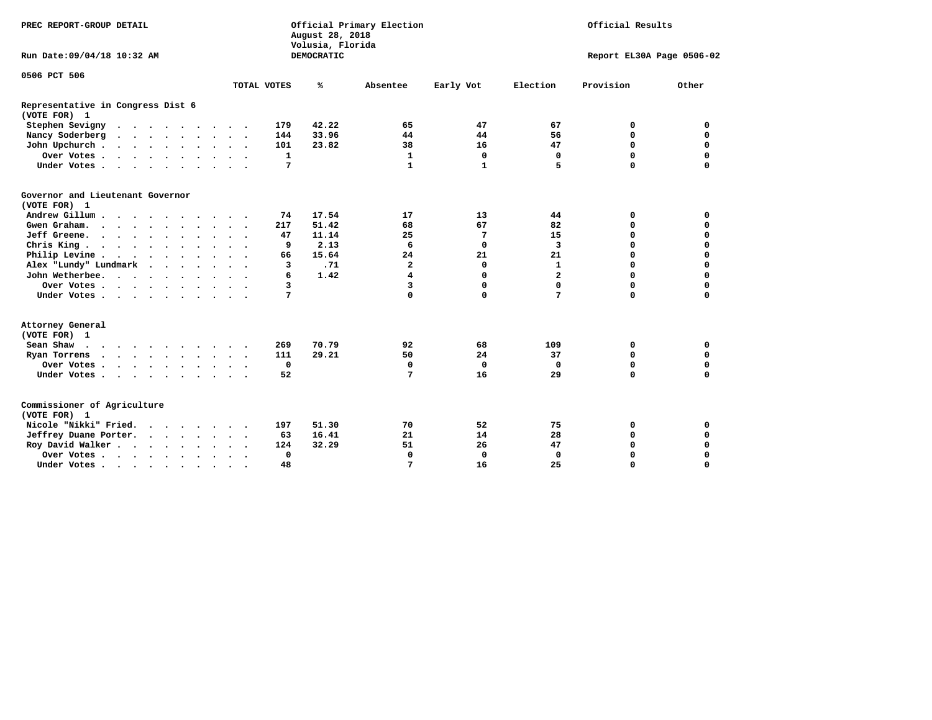| PREC REPORT-GROUP DETAIL                          | Official Primary Election<br>Official Results<br>August 28, 2018<br>Volusia, Florida |                      |              |            |                         |              |                |                           |             |
|---------------------------------------------------|--------------------------------------------------------------------------------------|----------------------|--------------|------------|-------------------------|--------------|----------------|---------------------------|-------------|
| Run Date: 09/04/18 10:32 AM                       |                                                                                      |                      |              | DEMOCRATIC |                         |              |                | Report EL30A Page 0506-02 |             |
| 0506 PCT 506                                      |                                                                                      |                      |              |            |                         |              |                |                           |             |
|                                                   |                                                                                      | TOTAL VOTES          |              | ℁          | Absentee                | Early Vot    | Election       | Provision                 | Other       |
| Representative in Congress Dist 6<br>(VOTE FOR) 1 |                                                                                      |                      |              |            |                         |              |                |                           |             |
| Stephen Sevigny                                   |                                                                                      |                      | 179          | 42.22      | 65                      | 47           | 67             | 0                         | 0           |
| Nancy Soderberg                                   |                                                                                      |                      | 144          | 33.96      | 44                      | 44           | 56             | $\mathbf 0$               | $\mathbf 0$ |
| John Upchurch                                     |                                                                                      |                      | 101          | 23.82      | 38                      | 16           | 47             | $\mathbf 0$               | $\mathbf 0$ |
| Over Votes                                        |                                                                                      |                      | $\mathbf{1}$ |            | $\mathbf{1}$            | $\mathbf 0$  | $\mathbf 0$    | $\mathbf 0$               | $\mathbf 0$ |
| Under Votes                                       |                                                                                      |                      | 7            |            | $\mathbf{1}$            | $\mathbf{1}$ | 5              | $\Omega$                  | $\mathbf 0$ |
| Governor and Lieutenant Governor<br>(VOTE FOR) 1  |                                                                                      |                      |              |            |                         |              |                |                           |             |
| Andrew Gillum                                     |                                                                                      |                      | 74           | 17.54      | 17                      | 13           | 44             | 0                         | 0           |
| Gwen Graham.                                      |                                                                                      |                      | 217          | 51.42      | 68                      | 67           | 82             | $\mathbf 0$               | 0           |
| Jeff Greene.                                      |                                                                                      |                      | 47           | 11.14      | 25                      | 7            | 15             | $\mathbf 0$               | $\mathbf 0$ |
| Chris King                                        |                                                                                      |                      | 9            | 2.13       | 6                       | 0            | 3              | $\mathbf 0$               | $\mathbf 0$ |
| Philip Levine                                     |                                                                                      |                      | 66           | 15.64      | 24                      | 21           | 21             | $\mathbf 0$               | $\mathbf 0$ |
| Alex "Lundy" Lundmark                             |                                                                                      |                      | 3            | .71        | $\overline{\mathbf{2}}$ | 0            | $\mathbf{1}$   | $\mathbf 0$               | $\mathbf 0$ |
| John Wetherbee.                                   |                                                                                      |                      | 6            | 1.42       | 4                       | 0            | $\overline{a}$ | $\mathbf 0$               | 0           |
| Over Votes                                        |                                                                                      |                      | 3            |            | 3                       | 0            | 0              | $\mathbf 0$               | $\mathbf 0$ |
| Under Votes                                       |                                                                                      |                      | 7            |            | 0                       | 0            | 7              | $\mathbf 0$               | $\mathbf 0$ |
| Attorney General<br>(VOTE FOR) 1                  |                                                                                      |                      |              |            |                         |              |                |                           |             |
| Sean Shaw                                         |                                                                                      |                      | 269          | 70.79      | 92                      | 68           | 109            | 0                         | $\mathbf 0$ |
| Ryan Torrens<br>$\cdots$                          |                                                                                      |                      | 111          | 29.21      | 50                      | 24           | 37             | $\mathbf 0$               | $\mathbf 0$ |
| Over Votes                                        | $\sim$                                                                               | $\sim$ $\sim$        | $\mathbf 0$  |            | $\mathbf 0$             | $\mathbf 0$  | $\Omega$       | $\mathbf 0$               | $\mathbf 0$ |
| Under Votes                                       |                                                                                      |                      | 52           |            | 7                       | 16           | 29             | $\mathbf 0$               | $\mathbf 0$ |
| Commissioner of Agriculture<br>(VOTE FOR) 1       |                                                                                      |                      |              |            |                         |              |                |                           |             |
| Nicole "Nikki" Fried.                             |                                                                                      |                      | 197          | 51.30      | 70                      | 52           | 75             | 0                         | 0           |
| Jeffrey Duane Porter.                             |                                                                                      |                      | 63           | 16.41      | 21                      | 14           | 28             | 0                         | $\mathbf 0$ |
| Roy David Walker                                  |                                                                                      |                      | 124          | 32.29      | 51                      | 26           | 47             | $\mathbf 0$               | $\mathbf 0$ |
| Over Votes                                        | $\ddot{\phantom{0}}$                                                                 | $\bullet$<br>$\cdot$ | $\mathbf 0$  |            | $\Omega$                | $\mathbf 0$  | $\Omega$       | $\Omega$                  | $\mathbf 0$ |
| Under Votes                                       | $\bullet$                                                                            |                      | 48           |            | 7                       | 16           | 25             | 0                         | $\mathbf 0$ |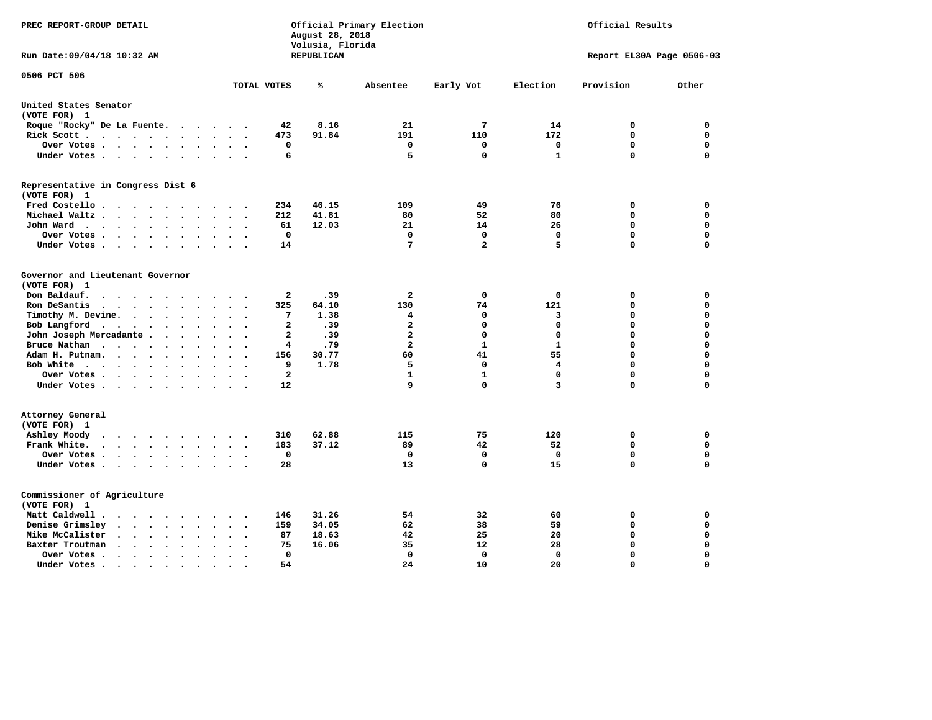| PREC REPORT-GROUP DETAIL                                                                                                                                                                                            |                               | August 28, 2018<br>Volusia, Florida | Official Primary Election                          | Official Results        |                            |                           |                            |
|---------------------------------------------------------------------------------------------------------------------------------------------------------------------------------------------------------------------|-------------------------------|-------------------------------------|----------------------------------------------------|-------------------------|----------------------------|---------------------------|----------------------------|
| Run Date: 09/04/18 10:32 AM                                                                                                                                                                                         |                               | REPUBLICAN                          |                                                    |                         |                            | Report EL30A Page 0506-03 |                            |
| 0506 PCT 506                                                                                                                                                                                                        | TOTAL VOTES                   | ℁                                   | Absentee                                           | Early Vot               | Election                   | Provision                 | Other                      |
| United States Senator                                                                                                                                                                                               |                               |                                     |                                                    |                         |                            |                           |                            |
| (VOTE FOR) 1                                                                                                                                                                                                        |                               |                                     |                                                    |                         |                            |                           |                            |
| Roque "Rocky" De La Fuente.<br>$\sim$ $\sim$ $\sim$<br>$\ddot{\phantom{a}}$<br>$\bullet$                                                                                                                            | 42                            | 8.16                                | 21                                                 | 7                       | 14                         | $\mathbf 0$               | 0                          |
| Rick Scott<br>$\bullet$<br>$\bullet$                                                                                                                                                                                | 473                           | 91.84                               | 191                                                | 110                     | 172                        | $\mathbf 0$               | $\mathbf 0$                |
| Over Votes<br>$\bullet$<br>$\bullet$                                                                                                                                                                                | 0<br>$\bullet$                |                                     | 0                                                  | 0                       | 0                          | $\mathbf 0$               | $\mathbf 0$                |
| Under Votes                                                                                                                                                                                                         | 6<br>$\ddot{\phantom{0}}$     |                                     | 5                                                  | $\mathbf 0$             | $\mathbf{1}$               | $\mathbf 0$               | $\Omega$                   |
| Representative in Congress Dist 6<br>(VOTE FOR) 1                                                                                                                                                                   |                               |                                     |                                                    |                         |                            |                           |                            |
| Fred Costello<br>$\sim$                                                                                                                                                                                             | 234                           | 46.15                               | 109                                                | 49                      | 76                         | 0                         | 0                          |
| Michael Waltz<br>$\cdot$<br>$\sim$                                                                                                                                                                                  | 212<br>$\ddot{\phantom{a}}$   | 41.81                               | 80                                                 | 52                      | 80                         | 0                         | 0                          |
| John Ward<br>the contract of the contract of the contract of the contract of the contract of the contract of the contract of<br>$\ddot{\phantom{0}}$<br>$\bullet$ .<br><br><br><br><br><br><br>$\bullet$<br>$\cdot$ | 61<br>$\sim$                  | 12.03                               | 21                                                 | 14                      | 26                         | $\mathbf 0$               | $\mathbf 0$                |
| Over Votes<br>$\ddot{\phantom{0}}$<br>$\bullet$<br>$\bullet$                                                                                                                                                        | 0                             |                                     | 0                                                  | 0                       | 0                          | $\mathbf 0$               | $\mathbf 0$                |
| Under Votes<br>$\ddot{\phantom{0}}$<br>$\sim$<br>$\bullet$                                                                                                                                                          | 14                            |                                     | 7                                                  | $\overline{a}$          | 5                          | $\mathbf 0$               | $\Omega$                   |
| Governor and Lieutenant Governor<br>(VOTE FOR) 1                                                                                                                                                                    |                               |                                     | $\mathbf{z}$                                       |                         | $\mathbf 0$                |                           | $\mathbf 0$                |
| Don Baldauf.<br>$\ddot{\phantom{a}}$<br>$\overline{\phantom{a}}$                                                                                                                                                    | $\mathbf{2}$                  | .39                                 |                                                    | $\mathbf 0$             |                            | 0                         |                            |
| Ron DeSantis<br>$\sim$ $\sim$ $\sim$ $\sim$<br>$\ddot{\phantom{a}}$<br>$\ddot{\phantom{a}}$                                                                                                                         | 325                           | 64.10                               | 130                                                | 74                      | 121                        | $\mathbf 0$               | $\mathbf 0$                |
| Timothy M. Devine. .<br>$\sim$ $\sim$<br>$\ddot{\phantom{1}}$<br>$\bullet$<br>$\bullet$                                                                                                                             | 7                             | 1.38                                | 4                                                  | $\mathbf 0$             | з                          | $\mathbf 0$               | $\mathbf 0$                |
| Bob Langford<br>$\sim$<br>$\bullet$<br>$\bullet$<br>$\overline{\phantom{a}}$                                                                                                                                        | $\mathbf{2}$                  | .39                                 | $\mathbf{z}$                                       | $\mathbf 0$<br>$\Omega$ | $\mathbf 0$                | 0<br>$\Omega$             | $\mathbf 0$                |
| John Joseph Mercadante .<br>$\ddot{\phantom{a}}$<br>$\bullet$                                                                                                                                                       | 2                             | .39                                 | $\overline{\mathbf{2}}$<br>$\overline{\mathbf{2}}$ | $\mathbf{1}$            | $\mathbf 0$<br>$\mathbf 1$ | 0                         | $\mathbf 0$<br>$\mathbf 0$ |
| Bruce Nathan<br>$\cdot$ $\cdot$ $\cdot$ $\cdot$ $\cdot$<br>$\bullet$<br>$\bullet$<br>$\bullet$<br>$\ddot{\phantom{a}}$                                                                                              | 4<br>$\ddot{\phantom{a}}$     | .79                                 |                                                    |                         |                            |                           |                            |
| Adam H. Putnam.<br><b>Contract Contract Contract</b><br>$\bullet$                                                                                                                                                   | 156                           | 30.77                               | 60                                                 | 41                      | 55                         | 0                         | $\mathbf 0$<br>$\Omega$    |
| Bob White<br>$\ddot{\phantom{a}}$<br>$\ddot{\phantom{a}}$                                                                                                                                                           | 9<br>$\ddot{\phantom{a}}$     | 1.78                                | 5                                                  | $\mathbf{0}$            | $\overline{\mathbf{4}}$    | $\mathbf 0$               |                            |
| Over Votes<br>$\bullet$<br>$\bullet$ .<br><br><br><br><br><br>$\bullet$<br>$\ddot{\phantom{a}}$                                                                                                                     | $\mathbf{2}$                  |                                     | $\mathbf{1}$                                       | $\mathbf{1}$            | $\Omega$                   | $\mathbf 0$               | $\mathbf 0$                |
| Under Votes<br>$\ddot{\phantom{a}}$                                                                                                                                                                                 | 12                            |                                     | 9                                                  | $\mathbf{0}$            | 3                          | 0                         | $\mathbf 0$                |
| Attorney General<br>(VOTE FOR) 1                                                                                                                                                                                    |                               |                                     |                                                    |                         |                            |                           |                            |
| Ashley Moody<br>$\cdots$<br>$\bullet$<br>$\cdot$                                                                                                                                                                    | 310                           | 62.88                               | 115                                                | 75                      | 120                        | $\mathbf 0$               | $\mathbf 0$                |
| Frank White.<br>$\mathbf{r}$ , $\mathbf{r}$ , $\mathbf{r}$ , $\mathbf{r}$<br>$\bullet$<br>$\ddot{\phantom{0}}$                                                                                                      | 183                           | 37.12                               | 89                                                 | 42                      | 52                         | $\mathbf 0$               | $\mathbf 0$                |
| Over Votes.<br>$\cdot$ $\cdot$ $\cdot$ $\cdot$ $\cdot$<br>$\bullet$<br>$\bullet$                                                                                                                                    | $\mathbf 0$<br>$\cdot$        |                                     | $\mathbf 0$                                        | $\mathbf 0$             | $\mathbf 0$                | $\mathbf 0$               | $\mathbf 0$                |
| Under Votes<br>$\sim$                                                                                                                                                                                               | 28<br>$\sim$ $\sim$           |                                     | 13                                                 | $\mathbf 0$             | 15                         | $\mathbf 0$               | $\mathbf 0$                |
| Commissioner of Agriculture<br>(VOTE FOR) 1                                                                                                                                                                         |                               |                                     |                                                    |                         |                            |                           |                            |
| Matt Caldwell.<br>$\cdot$ $\cdot$ $\cdot$ $\cdot$ $\cdot$ $\cdot$                                                                                                                                                   | 146                           | 31.26                               | 54                                                 | 32                      | 60                         | 0                         | 0                          |
| Denise Grimsley<br>$\mathcal{L}_{\bullet}$<br>$\sim$<br>$\bullet$                                                                                                                                                   | 159                           | 34.05                               | 62                                                 | 38                      | 59                         | 0                         | 0                          |
| Mike McCalister<br>$\sim$ $\sim$<br>$\bullet$ . $\bullet$ .<br>$\bullet$<br>$\bullet$<br>$\bullet$                                                                                                                  | 87                            | 18.63                               | 42                                                 | 25                      | 20                         | 0                         | $\mathbf 0$                |
| Baxter Troutman<br>$\ddot{\phantom{0}}$<br>$\ddot{\phantom{a}}$                                                                                                                                                     | 75                            | 16.06                               | 35                                                 | 12                      | 28                         | $\mathbf 0$               | $\mathbf 0$                |
| Over Votes.<br>$\sim$ $\sim$<br>$\ddot{\phantom{0}}$<br>$\Delta$<br>$\cdot$                                                                                                                                         | 0<br>$\overline{\phantom{a}}$ |                                     | $\mathbf{0}$                                       | $\mathbf 0$             | 0                          | $\mathbf 0$               | $\mathbf 0$                |
| Under Votes.<br>$\bullet$ .<br><br><br><br><br><br><br><br><br><br><br><br><br>$\bullet$<br>$\bullet$<br>$\bullet$                                                                                                  | 54                            |                                     | 24                                                 | 10                      | 20                         | $\Omega$                  | $\Omega$                   |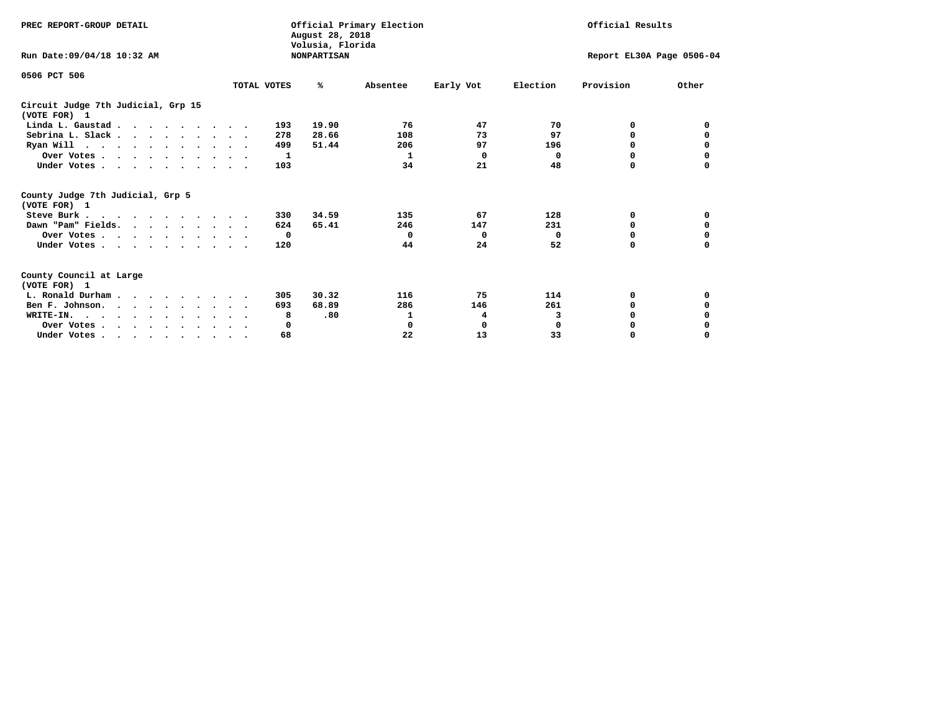| PREC REPORT-GROUP DETAIL                                                         |             | August 28, 2018<br>Volusia, Florida | Official Primary Election |           |                           | Official Results |          |
|----------------------------------------------------------------------------------|-------------|-------------------------------------|---------------------------|-----------|---------------------------|------------------|----------|
| Run Date: 09/04/18 10:32 AM                                                      |             | <b>NONPARTISAN</b>                  |                           |           | Report EL30A Page 0506-04 |                  |          |
| 0506 PCT 506                                                                     |             |                                     |                           |           |                           |                  |          |
|                                                                                  | TOTAL VOTES | ℁                                   | Absentee                  | Early Vot | Election                  | Provision        | Other    |
| Circuit Judge 7th Judicial, Grp 15<br>(VOTE FOR) 1                               |             |                                     |                           |           |                           |                  |          |
| Linda L. Gaustad                                                                 | 193         | 19.90                               | 76                        | 47        | 70                        | 0                | 0        |
| Sebrina L. Slack                                                                 | 278         | 28.66                               | 108                       | 73        | 97                        | 0                |          |
| Ryan Will $\cdots$ , $\cdots$ , $\cdots$ , $\cdots$                              | 499         | 51.44                               | 206                       | 97        | 196                       | 0                | 0        |
| Over Votes                                                                       |             | 1                                   | 1                         | $\Omega$  | 0                         | 0                | 0        |
| Under Votes                                                                      | 103         |                                     | 34                        | 21        | 48                        | 0                |          |
| County Judge 7th Judicial, Grp 5<br>(VOTE FOR) 1                                 |             |                                     |                           |           |                           |                  |          |
| Steve Burk                                                                       | 330         | 34.59                               | 135                       | 67        | 128                       | 0                | 0        |
| Dawn "Pam" Fields.                                                               | 624         | 65.41                               | 246                       | 147       | 231                       | 0                |          |
| Over Votes                                                                       |             | 0                                   | $^{\circ}$                | $\Omega$  | 0                         | 0                | 0        |
| Under Votes                                                                      | 120         |                                     | 44                        | 24        | 52                        | $\Omega$         | $\Omega$ |
| County Council at Large<br>(VOTE FOR) 1                                          |             |                                     |                           |           |                           |                  |          |
| L. Ronald Durham                                                                 | 305         | 30.32                               | 116                       | 75        | 114                       | 0                | 0        |
| Ben F. Johnson.                                                                  | 693         | 68.89                               | 286                       | 146       | 261                       | <sup>0</sup>     | 0        |
| WRITE-IN.                                                                        |             | .80<br>8                            | 1                         | 4         | 3                         | O                |          |
| Over Votes                                                                       |             | 0                                   | 0                         | 0         | $\mathbf 0$               | 0                |          |
| Under Votes, $\cdot$ , $\cdot$ , $\cdot$ , $\cdot$ , $\cdot$ , $\cdot$ , $\cdot$ |             | 68                                  | 22                        | 13        | 33                        | 0                | $\Omega$ |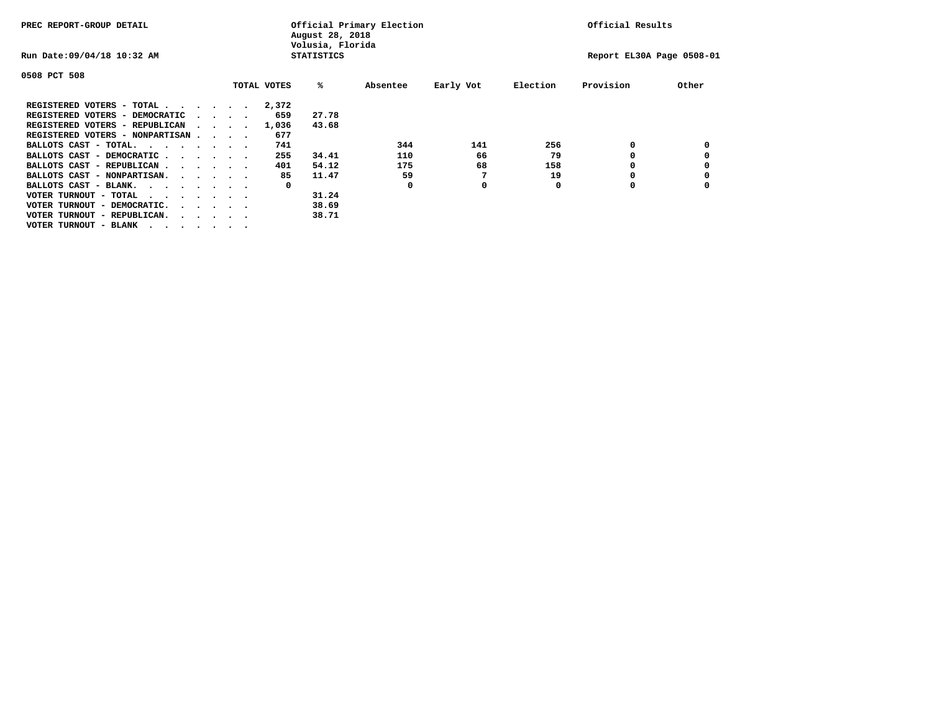| PREC REPORT-GROUP DETAIL                |  |                             |  | August 28, 2018<br>Volusia, Florida | Official Primary Election |          | Official Results |          |                           |       |
|-----------------------------------------|--|-----------------------------|--|-------------------------------------|---------------------------|----------|------------------|----------|---------------------------|-------|
| Run Date: 09/04/18 10:32 AM             |  |                             |  |                                     | <b>STATISTICS</b>         |          |                  |          | Report EL30A Page 0508-01 |       |
| 0508 PCT 508                            |  |                             |  |                                     |                           |          |                  |          |                           |       |
|                                         |  |                             |  | TOTAL VOTES                         | %ะ                        | Absentee | Early Vot        | Election | Provision                 | Other |
| REGISTERED VOTERS - TOTAL               |  |                             |  | 2,372                               |                           |          |                  |          |                           |       |
| REGISTERED VOTERS - DEMOCRATIC          |  | $\sim$ $\sim$ $\sim$ $\sim$ |  | 659                                 | 27.78                     |          |                  |          |                           |       |
| REGISTERED VOTERS - REPUBLICAN          |  |                             |  | 1,036                               | 43.68                     |          |                  |          |                           |       |
| REGISTERED VOTERS - NONPARTISAN         |  |                             |  | 677                                 |                           |          |                  |          |                           |       |
| BALLOTS CAST - TOTAL.                   |  |                             |  | 741                                 |                           | 344      | 141              | 256      | 0                         |       |
| BALLOTS CAST - DEMOCRATIC               |  |                             |  | 255                                 | 34.41                     | 110      | 66               | 79       | O                         |       |
| BALLOTS CAST - REPUBLICAN               |  |                             |  | 401                                 | 54.12                     | 175      | 68               | 158      | 0                         |       |
| BALLOTS CAST - NONPARTISAN.             |  |                             |  | 85                                  | 11.47                     | 59       | 7                | 19       | 0                         |       |
| BALLOTS CAST - BLANK.                   |  |                             |  | 0                                   |                           | 0        | 0                | O        | O                         |       |
| VOTER TURNOUT - TOTAL<br>$\cdots$       |  |                             |  |                                     | 31.24                     |          |                  |          |                           |       |
| VOTER TURNOUT - DEMOCRATIC.<br>$\cdot$  |  |                             |  |                                     | 38.69                     |          |                  |          |                           |       |
| VOTER TURNOUT - REPUBLICAN.<br>$\cdots$ |  |                             |  |                                     | 38.71                     |          |                  |          |                           |       |
| VOTER TURNOUT - BLANK                   |  |                             |  |                                     |                           |          |                  |          |                           |       |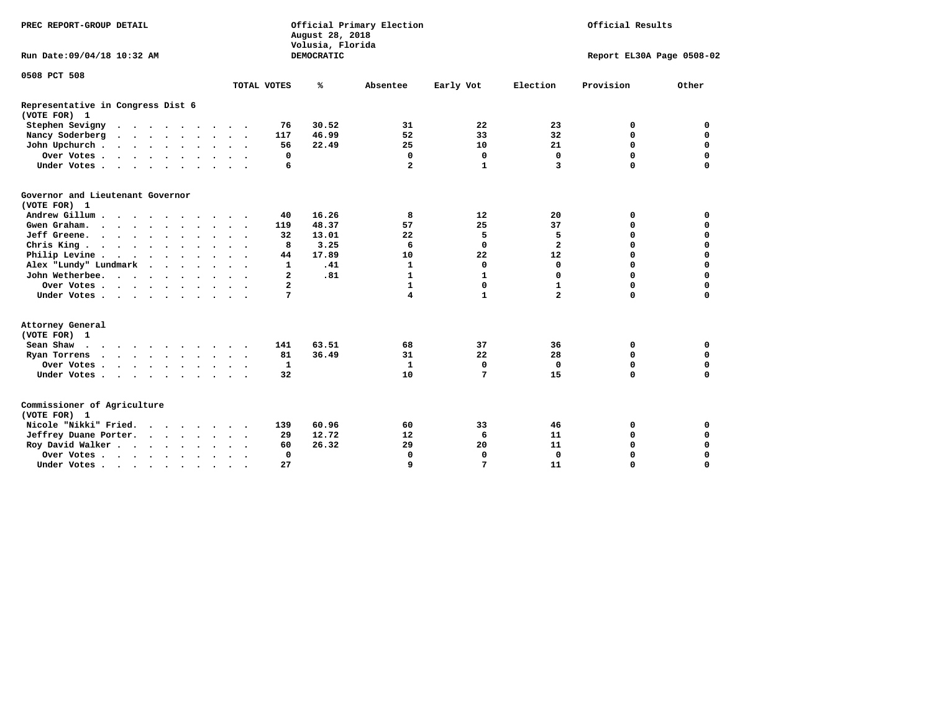| Official Primary Election<br>PREC REPORT-GROUP DETAIL<br>August 28, 2018<br>Volusia, Florida |                      |                                  |            |                         |              | Official Results |                           |             |
|----------------------------------------------------------------------------------------------|----------------------|----------------------------------|------------|-------------------------|--------------|------------------|---------------------------|-------------|
| Run Date: 09/04/18 10:32 AM                                                                  |                      |                                  | DEMOCRATIC |                         |              |                  | Report EL30A Page 0508-02 |             |
| 0508 PCT 508                                                                                 |                      |                                  |            |                         |              |                  |                           |             |
|                                                                                              |                      | TOTAL VOTES                      | ℁          | Absentee                | Early Vot    | Election         | Provision                 | Other       |
| Representative in Congress Dist 6<br>(VOTE FOR) 1                                            |                      |                                  |            |                         |              |                  |                           |             |
| Stephen Sevigny                                                                              |                      | 76                               | 30.52      | 31                      | 22           | 23               | 0                         | 0           |
| Nancy Soderberg                                                                              | $\cdots$             | 117                              | 46.99      | 52                      | 33           | 32               | $\mathbf 0$               | $\mathbf 0$ |
| John Upchurch                                                                                |                      | 56                               | 22.49      | 25                      | 10           | 21               | $\mathbf 0$               | $\mathbf 0$ |
| Over Votes                                                                                   |                      | 0                                |            | $\mathbf 0$             | $\mathbf 0$  | 0                | $\mathbf 0$               | $\mathbf 0$ |
| Under Votes                                                                                  |                      | 6                                |            | $\overline{a}$          | $\mathbf{1}$ | 3                | $\Omega$                  | $\mathbf 0$ |
| Governor and Lieutenant Governor<br>(VOTE FOR) 1                                             |                      |                                  |            |                         |              |                  |                           |             |
| Andrew Gillum                                                                                |                      | 40                               | 16.26      | 8                       | 12           | 20               | 0                         | 0           |
| Gwen Graham.                                                                                 |                      | 119                              | 48.37      | 57                      | 25           | 37               | 0                         | 0           |
| Jeff Greene.                                                                                 |                      | 32                               | 13.01      | 22                      | 5            | 5                | $\mathbf 0$               | $\mathbf 0$ |
| Chris King                                                                                   |                      | 8                                | 3.25       | 6                       | 0            | $\mathbf{2}$     | $\mathbf 0$               | $\mathbf 0$ |
| Philip Levine                                                                                |                      | 44                               | 17.89      | 10                      | 22           | 12               | $\mathbf 0$               | $\mathbf 0$ |
| Alex "Lundy" Lundmark                                                                        |                      | $\mathbf{1}$                     | .41        | $\mathbf{1}$            | 0            | $\Omega$         | $\mathbf 0$               | $\mathbf 0$ |
| John Wetherbee.                                                                              |                      | $\mathbf{2}$                     | .81        | 1                       | 1            | 0                | $\mathbf 0$               | 0           |
| Over Votes                                                                                   |                      | $\mathbf{2}$                     |            | 1                       | 0            | $\mathbf{1}$     | $\mathbf 0$               | 0           |
| Under Votes                                                                                  |                      | 7                                |            | $\overline{\mathbf{4}}$ | $\mathbf{1}$ | $\overline{a}$   | $\mathbf 0$               | $\mathbf 0$ |
| Attorney General<br>(VOTE FOR) 1                                                             |                      |                                  |            |                         |              |                  |                           |             |
| Sean Shaw                                                                                    |                      | 141                              | 63.51      | 68                      | 37           | 36               | 0                         | $\mathbf 0$ |
| Ryan Torrens<br>$\cdots$                                                                     |                      | 81                               | 36.49      | 31                      | 22           | 28               | $\mathbf 0$               | $\mathbf 0$ |
| Over Votes                                                                                   | $\sim$               | $\mathbf{1}$<br>$\sim$ $\sim$    |            | $\mathbf{1}$            | $\mathbf 0$  | $\Omega$         | $\mathbf 0$               | $\mathbf 0$ |
| Under Votes                                                                                  |                      | 32                               |            | 10                      | 7            | 15               | $\mathbf 0$               | $\mathbf 0$ |
| Commissioner of Agriculture<br>(VOTE FOR) 1                                                  |                      |                                  |            |                         |              |                  |                           |             |
| Nicole "Nikki" Fried.                                                                        |                      | 139                              | 60.96      | 60                      | 33           | 46               | 0                         | 0           |
| Jeffrey Duane Porter.                                                                        |                      | 29                               | 12.72      | 12                      | 6            | 11               | 0                         | $\mathbf 0$ |
| Roy David Walker                                                                             |                      | 60                               | 26.32      | 29                      | 20           | 11               | $\mathbf 0$               | $\mathbf 0$ |
| Over Votes                                                                                   | $\ddot{\phantom{0}}$ | $\Omega$<br>$\bullet$<br>$\cdot$ |            | $\Omega$                | 0            | $\Omega$         | $\Omega$                  | $\mathbf 0$ |
| Under Votes                                                                                  | $\bullet$            | 27                               |            | 9                       | 7            | 11               | 0                         | $\mathbf 0$ |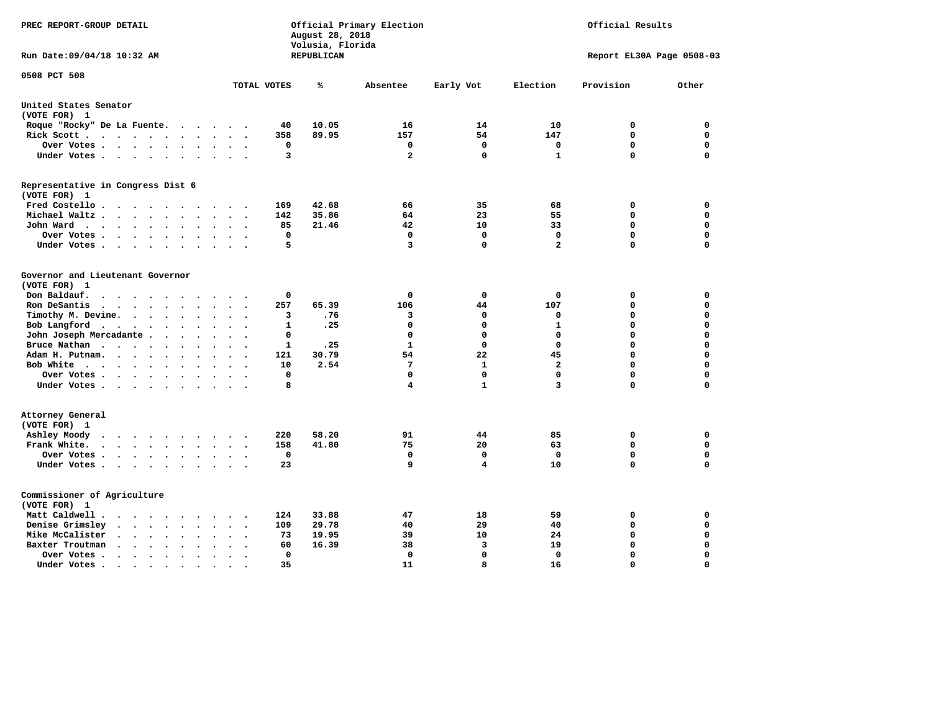| PREC REPORT-GROUP DETAIL                                                                                   |                                                   | August 28, 2018<br>Volusia, Florida | Official Primary Election | Official Results |                         |                            |                            |
|------------------------------------------------------------------------------------------------------------|---------------------------------------------------|-------------------------------------|---------------------------|------------------|-------------------------|----------------------------|----------------------------|
| Run Date: 09/04/18 10:32 AM                                                                                |                                                   | <b>REPUBLICAN</b>                   |                           |                  |                         | Report EL30A Page 0508-03  |                            |
| 0508 PCT 508                                                                                               | TOTAL VOTES                                       | ℁                                   | Absentee                  | Early Vot        | Election                | Provision                  | Other                      |
| United States Senator                                                                                      |                                                   |                                     |                           |                  |                         |                            |                            |
| (VOTE FOR) 1                                                                                               |                                                   |                                     |                           |                  |                         |                            |                            |
| Roque "Rocky" De La Fuente.<br>$\sim$ $\sim$                                                               | 40<br>$\bullet$<br>$\overline{\phantom{a}}$       | 10.05                               | 16                        | 14               | 10                      | 0                          | 0                          |
| Rick Scott<br>$\cdot$                                                                                      | 358                                               | 89.95                               | 157                       | 54               | 147                     | $\mathbf 0$                | $\mathbf 0$                |
| Over Votes<br>$\ddot{\phantom{0}}$                                                                         | 0<br>$\cdot$<br>$\ddot{\phantom{a}}$<br>$\bullet$ |                                     | 0                         | $\mathbf 0$      | $\mathbf 0$             | $\mathbf 0$                | $\mathbf 0$                |
| Under Votes<br>$\sim$                                                                                      | 3<br>$\bullet$                                    |                                     | $\mathbf{2}$              | $\mathbf 0$      | $\mathbf{1}$            | $\mathbf 0$                | $\mathbf 0$                |
| Representative in Congress Dist 6<br>(VOTE FOR) 1                                                          |                                                   |                                     |                           |                  |                         |                            |                            |
| Fred Costello                                                                                              | 169                                               | 42.68                               | 66                        | 35               | 68                      | 0                          | 0                          |
| Michael Waltz<br>$\ddot{\phantom{a}}$<br>$\ddot{\phantom{a}}$                                              | 142                                               | 35.86                               | 64                        | 23               | 55                      | 0                          | $\mathbf 0$                |
| John Ward<br>$\bullet$<br>$\bullet$                                                                        | 85<br>$\bullet$<br>$\bullet$                      | 21.46                               | 42                        | 10               | 33                      | 0                          | $\mathbf 0$                |
| Over Votes<br>$\bullet$<br>$\mathbf{A}$                                                                    | 0                                                 |                                     | $\mathbf{0}$              | $\Omega$         | $\mathbf 0$             | $\mathbf 0$                | $\mathbf 0$                |
| Under Votes<br>$\cdot$                                                                                     | 5                                                 |                                     | 3                         | $\mathbf 0$      | $\overline{a}$          | 0                          | $\mathbf 0$                |
| Governor and Lieutenant Governor<br>(VOTE FOR) 1<br>Don Baldauf.<br>$\sim$ $\sim$ $\sim$ $\sim$<br>$\cdot$ | 0                                                 |                                     | 0                         | 0                | $\mathbf 0$             | 0                          | $\mathbf 0$                |
| Ron DeSantis<br>$\cdot$ $\cdot$ $\cdot$ $\cdot$ $\cdot$<br>$\ddot{\phantom{0}}$<br>$\bullet$<br>$\sim$     | 257<br>$\overline{\phantom{a}}$                   | 65.39                               | 106                       | 44               | 107                     | $\mathbf 0$                | $\mathbf 0$                |
| Timothy M. Devine.<br>$\bullet$<br>$\bullet$<br>$\bullet$                                                  | 3<br>$\bullet$                                    | .76                                 | з                         | 0                | 0                       | $\mathbf 0$                | $\mathbf 0$                |
| Bob Langford<br>$\sim$ $\sim$<br>$\ddot{\phantom{1}}$                                                      | 1                                                 | .25                                 | 0                         | $\mathbf 0$      | ${\bf 1}$               | $\mathbf 0$                | $\mathbf 0$                |
| John Joseph Mercadante                                                                                     | 0<br>$\cdot$<br>$\ddot{\phantom{a}}$              |                                     | 0                         | $\mathbf 0$      | $\mathbf 0$             | 0                          | $\mathbf 0$                |
| Bruce Nathan<br>$\mathcal{A}=\mathcal{A}=\mathcal{A}=\mathcal{A}$ .<br>$\bullet$<br>$\bullet$              | 1                                                 | .25                                 | $\mathbf{1}$              | $\mathbf{0}$     | $\mathbf 0$             | $\mathbf 0$                | $\mathbf 0$                |
| Adam H. Putnam.<br>$\cdot$ $\cdot$ $\cdot$                                                                 | 121                                               | 30.79                               | 54                        | 22               | 45                      | 0                          | $\mathbf 0$                |
| Bob White<br>$\bullet$<br>$\bullet$                                                                        | 10<br>$\bullet$                                   | 2.54                                | 7                         | $\mathbf{1}$     | $\overline{\mathbf{2}}$ | $\mathbf 0$                | $\mathbf 0$                |
| Over Votes .<br><b>Contract Contract Contract</b><br>$\ddot{\phantom{a}}$                                  | $\mathbf 0$                                       |                                     | 0                         | $\Omega$         | $\mathbf 0$             | $\mathbf 0$                | $\mathbf 0$                |
| Under Votes                                                                                                | 8                                                 |                                     | 4                         | $\mathbf{1}$     | 3                       | 0                          | $\mathbf 0$                |
| Attorney General<br>(VOTE FOR) 1                                                                           |                                                   |                                     |                           |                  |                         |                            |                            |
| Ashley Moody<br>$\cdot$ $\cdot$ $\cdot$ $\cdot$ $\cdot$<br>$\bullet$<br>$\blacksquare$ .                   | 220                                               | 58.20                               | 91<br>75                  | 44               | 85                      | 0<br>$\mathbf 0$           | 0<br>$\mathbf 0$           |
| Frank White.<br>$\cdot$ $\cdot$ $\cdot$ $\cdot$ $\cdot$ $\cdot$ $\cdot$<br>$\overline{\phantom{a}}$        | 158                                               | 41.80                               |                           | 20               | 63                      |                            |                            |
| Over Votes<br>$\bullet$                                                                                    | $\mathbf 0$<br>$\ddot{\phantom{a}}$               |                                     | $\mathbf{0}$              | $\Omega$         | $\mathbf 0$             | $\mathbf 0$<br>$\mathbf 0$ | $\mathbf 0$<br>$\mathbf 0$ |
| Under Votes<br>$\ddot{\phantom{1}}$<br>$\bullet$                                                           | 23                                                |                                     | 9                         | 4                | 10                      |                            |                            |
| Commissioner of Agriculture<br>(VOTE FOR) 1                                                                |                                                   |                                     |                           |                  |                         |                            |                            |
| Matt Caldwell .<br>$\ddot{\phantom{0}}$<br>$\sim$ $\sim$ $\sim$<br>$\sim$                                  | 124                                               | 33.88                               | 47                        | 18               | 59                      | 0                          | 0                          |
| Denise Grimsley<br>$\sim$ $\sim$<br>$\sim$<br>$\bullet$                                                    | 109                                               | 29.78                               | 40                        | 29               | 40                      | 0                          | $\mathbf 0$                |
| Mike McCalister<br>$\sim$ $\sim$<br>$\ddotsc$<br>$\bullet$<br>$\bullet$                                    | 73<br>$\bullet$<br>$\ddot{\phantom{a}}$           | 19.95                               | 39                        | 10               | 24                      | 0                          | $\mathbf 0$                |
| Baxter Troutman<br>$\sim$ $\sim$<br>$\ddot{\phantom{0}}$<br>$\ddot{\phantom{a}}$                           | 60<br>$\ddot{\phantom{a}}$                        | 16.39                               | 38                        | 3                | 19                      | $\mathbf 0$                | $\mathbf 0$                |
| Over Votes .<br>$\sim$ $\sim$<br>$\ddot{\phantom{0}}$<br>$\cdot$<br>$\ddot{\phantom{a}}$                   | 0<br>$\ddot{\phantom{a}}$                         |                                     | 0                         | $\Omega$         | $\mathbf 0$             | $\mathbf 0$                | $\mathbf 0$                |
| Under Votes                                                                                                | 35<br>$\bullet$                                   |                                     | 11                        | 8                | 16                      | $\mathbf 0$                | $\Omega$                   |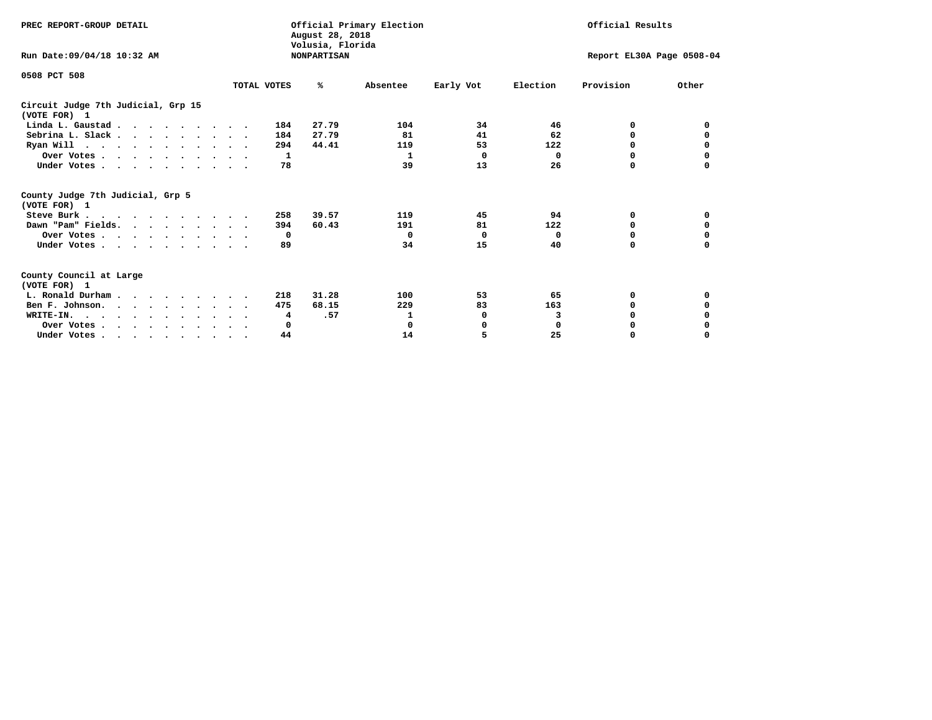| PREC REPORT-GROUP DETAIL                                                                                                                                                                                                                                                                                                                                                 | August 28, 2018<br>Volusia, Florida | Official Primary Election | Official Results |                           |             |              |          |
|--------------------------------------------------------------------------------------------------------------------------------------------------------------------------------------------------------------------------------------------------------------------------------------------------------------------------------------------------------------------------|-------------------------------------|---------------------------|------------------|---------------------------|-------------|--------------|----------|
| Run Date: 09/04/18 10:32 AM                                                                                                                                                                                                                                                                                                                                              |                                     | <b>NONPARTISAN</b>        |                  | Report EL30A Page 0508-04 |             |              |          |
| 0508 PCT 508                                                                                                                                                                                                                                                                                                                                                             |                                     |                           |                  |                           |             |              |          |
|                                                                                                                                                                                                                                                                                                                                                                          | TOTAL VOTES                         | ℁                         | Absentee         | Early Vot                 | Election    | Provision    | Other    |
| Circuit Judge 7th Judicial, Grp 15<br>(VOTE FOR) 1                                                                                                                                                                                                                                                                                                                       |                                     |                           |                  |                           |             |              |          |
| Linda L. Gaustad                                                                                                                                                                                                                                                                                                                                                         |                                     | 27.79<br>184              | 104              | 34                        | 46          | 0            | 0        |
| Sebrina L. Slack                                                                                                                                                                                                                                                                                                                                                         |                                     | 27.79<br>184              | 81               | 41                        | 62          | 0            |          |
| Ryan Will $\cdots$ , $\cdots$ , $\cdots$ , $\cdots$                                                                                                                                                                                                                                                                                                                      |                                     | 294<br>44.41              | 119              | 53                        | 122         | 0            | 0        |
| Over Votes                                                                                                                                                                                                                                                                                                                                                               |                                     | 1                         | 1                | $\Omega$                  | 0           | $\Omega$     | 0        |
| Under Votes                                                                                                                                                                                                                                                                                                                                                              |                                     | 78                        | 39               | 13                        | 26          | 0            |          |
| County Judge 7th Judicial, Grp 5<br>(VOTE FOR) 1                                                                                                                                                                                                                                                                                                                         |                                     |                           |                  |                           |             |              |          |
| Steve Burk                                                                                                                                                                                                                                                                                                                                                               |                                     | 39.57<br>258              | 119              | 45                        | 94          | 0            | 0        |
| Dawn "Pam" Fields.                                                                                                                                                                                                                                                                                                                                                       |                                     | 60.43<br>394              | 191              | 81                        | 122         | 0            |          |
| Over Votes                                                                                                                                                                                                                                                                                                                                                               |                                     | $\mathbf{o}$              | $\Omega$         | 0                         | 0           | 0            | 0        |
| Under Votes                                                                                                                                                                                                                                                                                                                                                              |                                     | 89                        | 34               | 15                        | 40          | $\Omega$     | $\Omega$ |
| County Council at Large<br>(VOTE FOR) 1                                                                                                                                                                                                                                                                                                                                  |                                     |                           |                  |                           |             |              |          |
| L. Ronald Durham                                                                                                                                                                                                                                                                                                                                                         |                                     | 31.28<br>218              | 100              | 53                        | 65          | 0            | 0        |
| Ben F. Johnson.                                                                                                                                                                                                                                                                                                                                                          |                                     | 475<br>68.15              | 229              | 83                        | 163         | <sup>0</sup> | 0        |
| WRITE-IN.                                                                                                                                                                                                                                                                                                                                                                |                                     | .57<br>4                  | 1                | 0                         | 3           | O            |          |
| Over Votes                                                                                                                                                                                                                                                                                                                                                               |                                     | 0                         | 0                | 0                         | $\mathbf 0$ | 0            |          |
| Under Votes, $\cdot$ , $\cdot$ , $\cdot$ , $\cdot$ , $\cdot$ , $\cdot$ , $\cdot$ , $\cdot$ , $\cdot$ , $\cdot$ , $\cdot$ , $\cdot$ , $\cdot$ , $\cdot$ , $\cdot$ , $\cdot$ , $\cdot$ , $\cdot$ , $\cdot$ , $\cdot$ , $\cdot$ , $\cdot$ , $\cdot$ , $\cdot$ , $\cdot$ , $\cdot$ , $\cdot$ , $\cdot$ , $\cdot$ , $\cdot$ , $\cdot$ , $\cdot$ , $\cdot$ , $\cdot$ , $\cdot$ |                                     | 44                        | 14               | 5                         | 25          | 0            | $\Omega$ |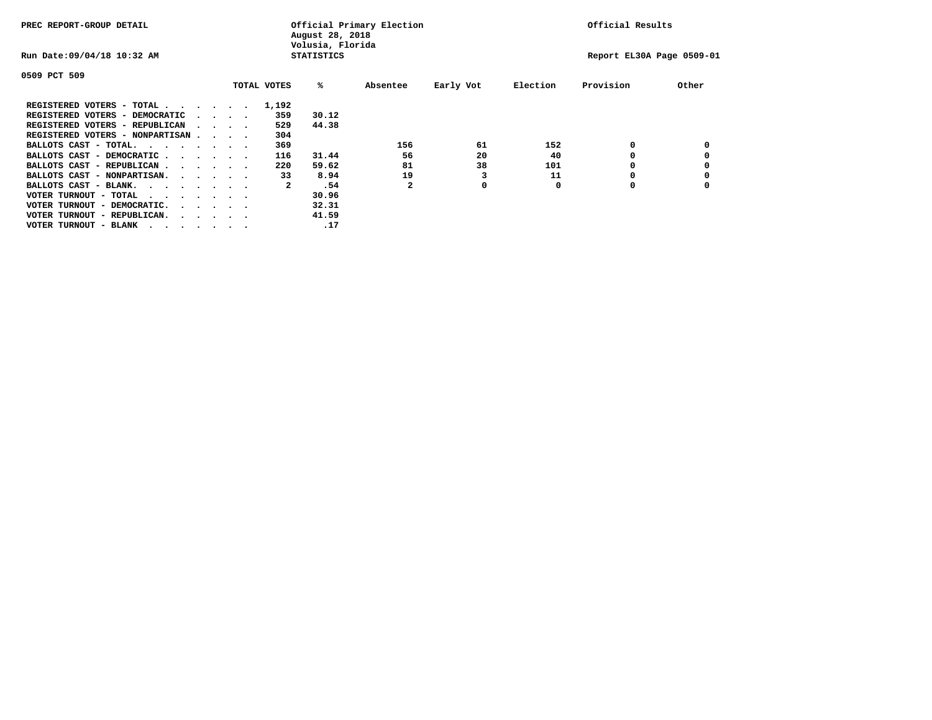| PREC REPORT-GROUP DETAIL               |  |                                 |  | Official Primary Election<br>August 28, 2018<br>Volusia, Florida | Official Results  |          |           |          |                           |       |
|----------------------------------------|--|---------------------------------|--|------------------------------------------------------------------|-------------------|----------|-----------|----------|---------------------------|-------|
| Run Date: 09/04/18 10:32 AM            |  |                                 |  |                                                                  | <b>STATISTICS</b> |          |           |          | Report EL30A Page 0509-01 |       |
| 0509 PCT 509                           |  |                                 |  |                                                                  |                   |          |           |          |                           |       |
|                                        |  |                                 |  | TOTAL VOTES                                                      | %ะ                | Absentee | Early Vot | Election | Provision                 | Other |
| REGISTERED VOTERS - TOTAL              |  |                                 |  | 1,192                                                            |                   |          |           |          |                           |       |
| REGISTERED VOTERS - DEMOCRATIC         |  | $\cdot$ $\cdot$ $\cdot$ $\cdot$ |  | 359                                                              | 30.12             |          |           |          |                           |       |
| REGISTERED VOTERS - REPUBLICAN         |  |                                 |  | 529                                                              | 44.38             |          |           |          |                           |       |
| REGISTERED VOTERS - NONPARTISAN        |  |                                 |  | 304                                                              |                   |          |           |          |                           |       |
| BALLOTS CAST - TOTAL.                  |  |                                 |  | 369                                                              |                   | 156      | 61        | 152      | 0                         |       |
| BALLOTS CAST - DEMOCRATIC              |  |                                 |  | 116                                                              | 31.44             | 56       | 20        | 40       |                           |       |
| BALLOTS CAST - REPUBLICAN              |  |                                 |  | 220                                                              | 59.62             | 81       | 38        | 101      | 0                         |       |
| BALLOTS CAST - NONPARTISAN.            |  |                                 |  | 33                                                               | 8.94              | 19       |           | 11       |                           |       |
| BALLOTS CAST - BLANK.                  |  |                                 |  | 2                                                                | .54               | 2        | 0         | 0        | 0                         |       |
| VOTER TURNOUT - TOTAL<br>.             |  |                                 |  |                                                                  | 30.96             |          |           |          |                           |       |
| VOTER TURNOUT - DEMOCRATIC.            |  | $\cdot$                         |  |                                                                  | 32.31             |          |           |          |                           |       |
| VOTER TURNOUT - REPUBLICAN.<br>$\cdot$ |  |                                 |  |                                                                  | 41.59             |          |           |          |                           |       |
| VOTER TURNOUT - BLANK                  |  |                                 |  |                                                                  | .17               |          |           |          |                           |       |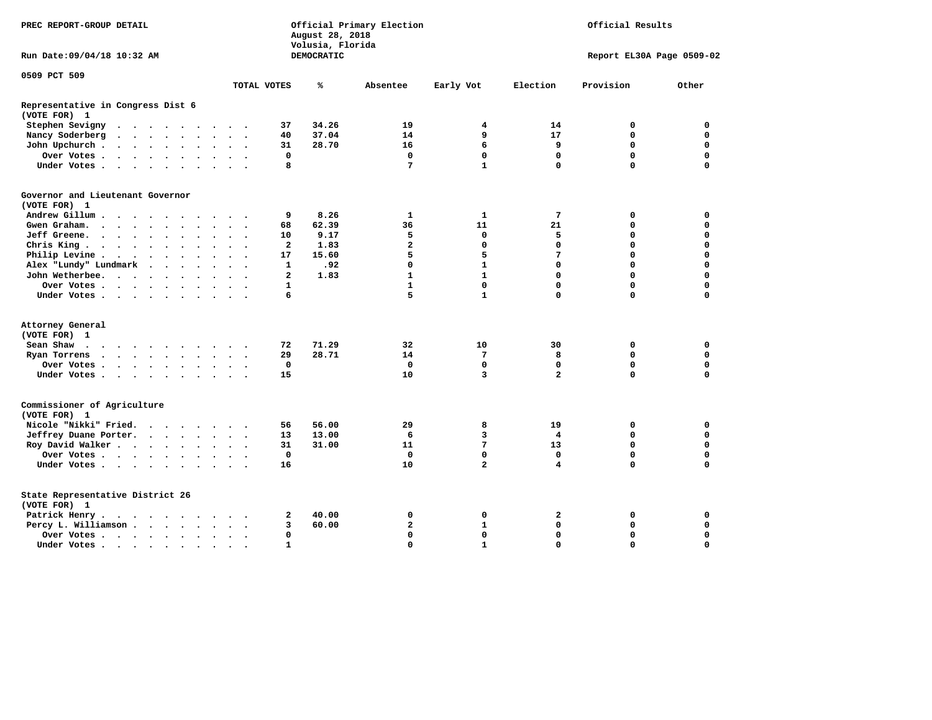| PREC REPORT-GROUP DETAIL                          |                           | August 28, 2018<br>Volusia, Florida | Official Primary Election | Official Results |                |                           |             |  |
|---------------------------------------------------|---------------------------|-------------------------------------|---------------------------|------------------|----------------|---------------------------|-------------|--|
| Run Date: 09/04/18 10:32 AM                       |                           | DEMOCRATIC                          |                           |                  |                | Report EL30A Page 0509-02 |             |  |
| 0509 PCT 509                                      | TOTAL VOTES               | ℁                                   | Absentee                  |                  | Election       | Provision                 | Other       |  |
|                                                   |                           |                                     |                           | Early Vot        |                |                           |             |  |
| Representative in Congress Dist 6<br>(VOTE FOR) 1 |                           |                                     |                           |                  |                |                           |             |  |
| Stephen Sevigny                                   | 37                        | 34.26                               | 19                        | 4                | 14             | 0                         | 0           |  |
| Nancy Soderberg                                   | 40                        | 37.04                               | 14                        | 9                | 17             | $\mathbf 0$               | $\mathbf 0$ |  |
| John Upchurch                                     | 31                        | 28.70                               | 16                        | 6                | 9              | $\mathbf 0$               | $\mathbf 0$ |  |
| Over Votes                                        | 0                         |                                     | $\mathbf 0$               | 0                | $\mathbf{0}$   | $\mathbf 0$               | $\mathbf 0$ |  |
| Under Votes.                                      | 8                         |                                     | 7                         | $\mathbf{1}$     | $\mathbf 0$    | $\Omega$                  | $\Omega$    |  |
| Governor and Lieutenant Governor<br>(VOTE FOR) 1  |                           |                                     |                           |                  |                |                           |             |  |
| Andrew Gillum                                     | 9                         | 8.26                                | 1                         | 1                | 7              | 0                         | 0           |  |
| Gwen Graham.                                      | 68                        | 62.39                               | 36                        | 11               | 21             | 0                         | 0           |  |
| Jeff Greene.                                      | 10                        | 9.17                                | 5                         | 0                | 5              | 0                         | 0           |  |
| Chris King                                        | 2                         | 1.83                                | $\overline{\mathbf{2}}$   | $\mathbf 0$      | $\mathbf 0$    | $\mathbf 0$               | $\mathbf 0$ |  |
| Philip Levine                                     | 17                        | 15.60                               | 5                         | 5                | 7              | $\mathbf 0$               | $\mathbf 0$ |  |
| Alex "Lundy" Lundmark                             | $\mathbf{1}$              | .92                                 | $\mathbf 0$               | $\mathbf{1}$     | $\mathbf 0$    | $\mathbf 0$               | $\mathbf 0$ |  |
| John Wetherbee.                                   | $\mathbf{2}$              | 1.83                                | $\mathbf{1}$              | $\mathbf{1}$     | $\mathbf 0$    | $\mathbf 0$               | $\mathbf 0$ |  |
| Over Votes                                        | 1<br>$\sim$ $\sim$ $\sim$ |                                     | $\mathbf{1}$              | $\mathbf 0$      | $\mathbf 0$    | $\Omega$                  | $\mathbf 0$ |  |
| Under Votes                                       | 6                         |                                     | 5                         | $\mathbf{1}$     | $\Omega$       | $\Omega$                  | $\mathbf 0$ |  |
|                                                   |                           |                                     |                           |                  |                |                           |             |  |
| Attorney General<br>(VOTE FOR) 1                  |                           |                                     |                           |                  |                |                           |             |  |
| Sean Shaw                                         | 72                        | 71.29                               | 32                        | 10               | 30             | 0                         | $\mathbf 0$ |  |
| Ryan Torrens<br>$\cdots$                          | 29                        | 28.71                               | 14                        | 7                | 8              | $\mathbf 0$               | $\mathbf 0$ |  |
| Over Votes.                                       | $\mathbf 0$               |                                     | $\mathbf 0$               | $\mathbf 0$      | $\mathbf 0$    | $\Omega$                  | $\mathbf 0$ |  |
| Under Votes                                       | 15                        |                                     | 10                        | 3                | $\overline{a}$ | $\Omega$                  | $\mathbf 0$ |  |
|                                                   |                           |                                     |                           |                  |                |                           |             |  |
| Commissioner of Agriculture<br>(VOTE FOR) 1       |                           |                                     |                           |                  |                |                           |             |  |
| Nicole "Nikki" Fried.                             | 56                        | 56.00                               | 29                        | 8                | 19             | 0                         | 0           |  |
| Jeffrey Duane Porter.                             | 13                        | 13.00                               | 6                         | 3                | 4              | 0                         | 0           |  |
| Roy David Walker                                  | 31                        | 31.00                               | 11                        | $7\phantom{.}$   | 13             | $\mathbf 0$               | $\mathbf 0$ |  |
| Over Votes                                        | $\mathbf 0$               |                                     | $\mathbf 0$               | $\mathbf 0$      | $\mathbf 0$    | $\mathbf 0$               | $\mathbf 0$ |  |
| Under Votes                                       | 16                        |                                     | 10                        | $\overline{a}$   | 4              | $\Omega$                  | $\mathbf 0$ |  |
|                                                   |                           |                                     |                           |                  |                |                           |             |  |
| State Representative District 26<br>(VOTE FOR) 1  |                           |                                     |                           |                  |                |                           |             |  |
| Patrick Henry                                     | 2                         | 40.00                               | 0                         | 0                | $\mathbf{2}$   | 0                         | $\mathbf 0$ |  |
| Percy L. Williamson                               | 3                         | 60.00                               | $\mathbf{2}$              | $\mathbf{1}$     | $\mathbf 0$    | $\mathbf 0$               | $\mathbf 0$ |  |
| Over Votes                                        | 0                         |                                     | $\mathbf 0$               | $\mathbf 0$      | $\mathbf 0$    | $\Omega$                  | $\Omega$    |  |
| Under Votes                                       | $\mathbf{1}$              |                                     | $\Omega$                  | $\mathbf{1}$     | $\Omega$       | $\Omega$                  | $\Omega$    |  |
|                                                   |                           |                                     |                           |                  |                |                           |             |  |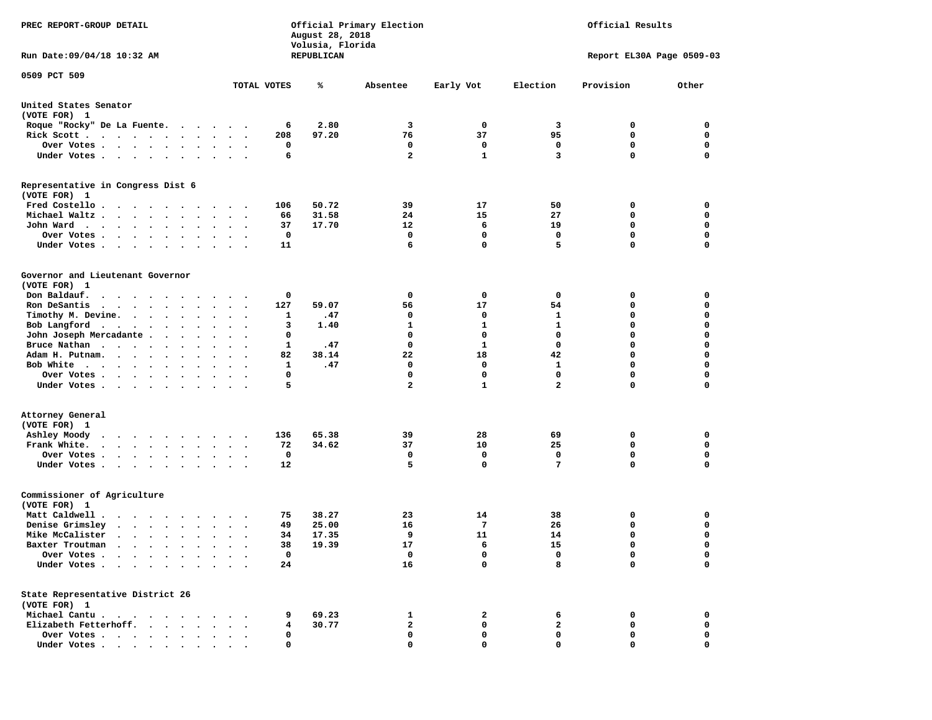| PREC REPORT-GROUP DETAIL                                                                                                                                                                        |                                 |                      | August 28, 2018<br>Volusia, Florida |       | Official Primary Election |              | Official Results |                           |             |
|-------------------------------------------------------------------------------------------------------------------------------------------------------------------------------------------------|---------------------------------|----------------------|-------------------------------------|-------|---------------------------|--------------|------------------|---------------------------|-------------|
| Run Date: 09/04/18 10:32 AM                                                                                                                                                                     |                                 |                      | REPUBLICAN                          |       |                           |              |                  | Report EL30A Page 0509-03 |             |
| 0509 PCT 509                                                                                                                                                                                    |                                 | TOTAL VOTES          |                                     | ℁     | Absentee                  | Early Vot    | Election         | Provision                 | Other       |
|                                                                                                                                                                                                 |                                 |                      |                                     |       |                           |              |                  |                           |             |
| United States Senator<br>(VOTE FOR) 1                                                                                                                                                           |                                 |                      |                                     |       |                           |              |                  |                           |             |
| Roque "Rocky" De La Fuente.                                                                                                                                                                     |                                 |                      | 6                                   | 2.80  | 3                         | $\mathbf{o}$ | 3                | 0                         | 0           |
| Rick Scott                                                                                                                                                                                      |                                 |                      | 208                                 | 97.20 | 76                        | 37           | 95               | $\mathbf 0$               | $\mathbf 0$ |
| Over Votes                                                                                                                                                                                      | $\sim$                          |                      | 0                                   |       | 0                         | 0            | 0                | 0                         | 0           |
| Under Votes                                                                                                                                                                                     | $\cdots$                        |                      | 6                                   |       | $\overline{2}$            | $\mathbf{1}$ | 3                | 0                         | $\mathbf 0$ |
| Representative in Congress Dist 6<br>(VOTE FOR) 1                                                                                                                                               |                                 |                      |                                     |       |                           |              |                  |                           |             |
| Fred Costello                                                                                                                                                                                   |                                 |                      | 106                                 | 50.72 | 39                        | 17           | 50               | 0                         | 0           |
| Michael Waltz                                                                                                                                                                                   | $\ddot{\phantom{0}}$            |                      | 66                                  | 31.58 | 24                        | 15           | 27               | 0                         | 0           |
| John Ward                                                                                                                                                                                       | $\sim$ $\sim$ $\sim$            |                      | 37                                  | 17.70 | 12                        | 6            | 19               | 0                         | $\mathbf 0$ |
| Over Votes .<br>$\cdot$ $\cdot$ $\cdot$ $\cdot$<br>$\bullet$                                                                                                                                    |                                 |                      | 0                                   |       | 0                         | 0            | 0                | 0                         | 0           |
| Under Votes                                                                                                                                                                                     |                                 |                      | 11                                  |       | 6                         | 0            | 5                | 0                         | $\mathbf 0$ |
| Governor and Lieutenant Governor<br>(VOTE FOR) 1                                                                                                                                                |                                 |                      |                                     |       |                           |              |                  |                           |             |
| Don Baldauf.<br>$\begin{array}{cccccccccccccccccc} \bullet & \bullet & \bullet & \bullet & \bullet & \bullet & \bullet & \bullet & \bullet & \bullet & \bullet & \bullet & \bullet \end{array}$ | $\ddot{\phantom{0}}$            |                      | 0                                   |       | 0                         | 0            | 0                | 0                         | 0           |
| Ron DeSantis<br>$\cdots$                                                                                                                                                                        |                                 |                      | 127                                 | 59.07 | 56                        | 17           | 54               | 0                         | 0           |
| Timothy M. Devine.                                                                                                                                                                              | $\bullet$                       | $\ddotsc$            | 1                                   | .47   | 0                         | 0            | 1                | 0                         | $\mathbf 0$ |
| Bob Langford                                                                                                                                                                                    |                                 |                      | 3                                   | 1.40  | $\mathbf{1}$              | 1            | 1                | 0                         | $\mathbf 0$ |
| $\cdot$                                                                                                                                                                                         | $\bullet$                       | $\ddot{\phantom{0}}$ | 0                                   |       | 0                         | 0            | 0                | 0                         | $\mathbf 0$ |
| John Joseph Mercadante<br>Bruce Nathan                                                                                                                                                          |                                 |                      | 1                                   | .47   | $\mathbf 0$               | 1            | $\mathbf 0$      | 0                         | $\mathbf 0$ |
| Adam H. Putnam.                                                                                                                                                                                 |                                 |                      | 82                                  | 38.14 | 22                        | 18           | 42               | 0                         | 0           |
| $\bullet$                                                                                                                                                                                       |                                 |                      |                                     | .47   | 0                         | 0            | 1                | 0                         | $\mathbf 0$ |
| Bob White<br>$\bullet$ .<br>Over Votes                                                                                                                                                          | $\cdot$                         |                      | 1<br>0                              |       | $\mathbf 0$               | $\mathbf 0$  | $\mathbf 0$      | 0                         | $\mathbf 0$ |
| $\bullet$<br>Under Votes                                                                                                                                                                        | $\bullet$                       | $\cdot$              | 5                                   |       | $\overline{a}$            | $\mathbf{1}$ | $\mathbf{2}$     | 0                         | 0           |
| Attorney General                                                                                                                                                                                |                                 |                      |                                     |       |                           |              |                  |                           |             |
| (VOTE FOR) 1                                                                                                                                                                                    |                                 |                      |                                     |       |                           |              |                  |                           |             |
| Ashley Moody                                                                                                                                                                                    | $\ddot{\phantom{0}}$            |                      | 136                                 | 65.38 | 39                        | 28           | 69               | 0                         | 0           |
| Frank White.<br>$\bullet$                                                                                                                                                                       | $\bullet$                       | $\bullet$            | 72                                  | 34.62 | 37                        | 10           | 25               | 0                         | $\mathbf 0$ |
| Over Votes.<br>$\cdot$ $\cdot$ $\cdot$ $\cdot$ $\cdot$                                                                                                                                          |                                 |                      | 0                                   |       | 0                         | 0            | 0                | 0                         | 0           |
| Under Votes                                                                                                                                                                                     | $\bullet$ .                     |                      | 12                                  |       | 5                         | $\mathbf{0}$ | 7                | 0                         | $\mathbf 0$ |
| Commissioner of Agriculture<br>(VOTE FOR) 1                                                                                                                                                     |                                 |                      |                                     |       |                           |              |                  |                           |             |
| Matt Caldwell.<br>$\cdot$ $\cdot$ $\cdot$ $\cdot$ $\cdot$ $\cdot$ $\cdot$                                                                                                                       |                                 |                      | 75                                  | 38.27 | 23                        | 14           | 38               | 0                         | 0           |
| Denise Grimsley<br>$\cdot$ $\cdot$ $\cdot$ $\cdot$ $\cdot$ $\cdot$                                                                                                                              |                                 |                      | 49                                  | 25.00 | 16                        | 7            | 26               | 0                         | 0           |
| Mike McCalister<br>$\cdots$                                                                                                                                                                     | $\ddot{\phantom{0}}$<br>$\cdot$ |                      | 34                                  | 17.35 | 9                         | 11           | 14               | 0                         | $\mathbf 0$ |
| Baxter Troutman<br>.                                                                                                                                                                            |                                 |                      | 38                                  | 19.39 | 17                        | 6            | 15               | $\Omega$                  | 0           |
| Over Votes .<br>$\bullet$<br>$\ddot{\phantom{a}}$                                                                                                                                               |                                 |                      | 0                                   |       | 0                         | 0            | 0                | 0                         | 0           |
| Under Votes.<br>$\sim$<br>$\ddot{\phantom{a}}$<br>$\bullet$                                                                                                                                     |                                 |                      | 24                                  |       | 16                        | 0            | 8                | 0                         | $\mathbf 0$ |
| State Representative District 26                                                                                                                                                                |                                 |                      |                                     |       |                           |              |                  |                           |             |
| (VOTE FOR) 1                                                                                                                                                                                    |                                 |                      |                                     |       |                           |              |                  |                           |             |
| Michael Cantu.                                                                                                                                                                                  |                                 |                      | 9                                   | 69.23 | 1                         | 2            | 6                | 0                         | 0           |
| Elizabeth Fetterhoff.<br>$\ddot{\phantom{1}}$<br>$\sim$<br>$\ddot{\phantom{a}}$                                                                                                                 |                                 |                      | 4                                   | 30.77 | 2                         | 0            | $\mathbf{2}$     | 0                         | 0           |
| Over Votes .<br>$\begin{array}{cccccccccccccc} \bullet & \bullet & \bullet & \bullet & \bullet & \bullet & \bullet & \bullet & \bullet & \bullet \end{array}$                                   |                                 |                      | 0                                   |       | 0                         | 0            | 0                | 0                         | 0           |
| Under Votes.<br>$\cdot$                                                                                                                                                                         |                                 |                      | 0                                   |       | 0                         | 0            | 0                | 0                         | 0           |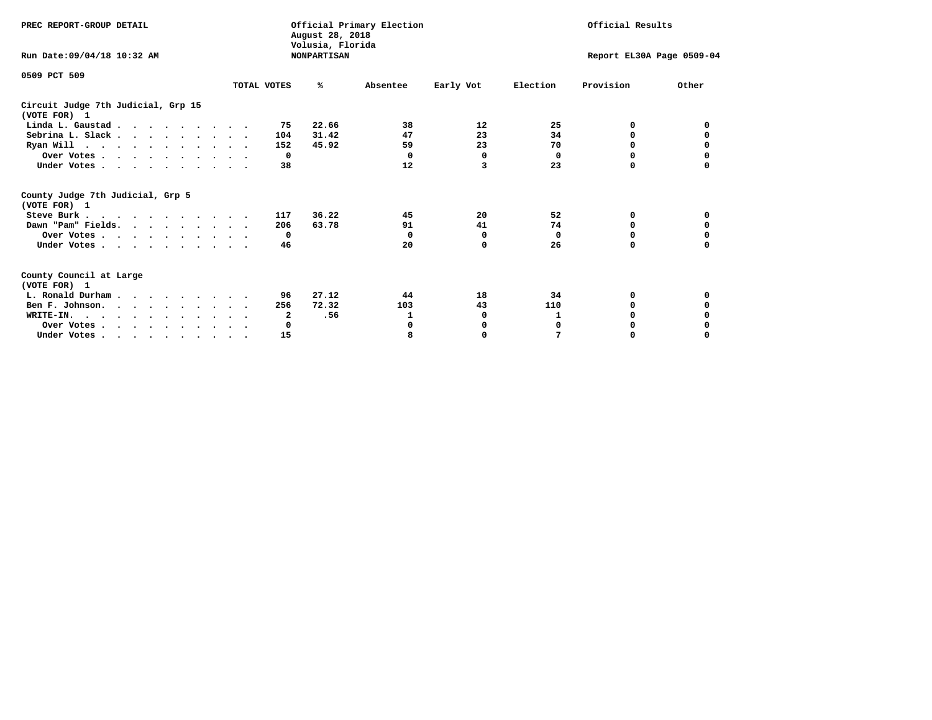| PREC REPORT-GROUP DETAIL                            | August 28, 2018 | Official Primary Election              |          | Official Results |                           |           |              |
|-----------------------------------------------------|-----------------|----------------------------------------|----------|------------------|---------------------------|-----------|--------------|
| Run Date: 09/04/18 10:32 AM                         |                 | Volusia, Florida<br><b>NONPARTISAN</b> |          |                  | Report EL30A Page 0509-04 |           |              |
| 0509 PCT 509                                        | TOTAL VOTES     | %ะ                                     | Absentee | Early Vot        | Election                  | Provision | Other        |
|                                                     |                 |                                        |          |                  |                           |           |              |
| Circuit Judge 7th Judicial, Grp 15<br>(VOTE FOR) 1  |                 |                                        |          |                  |                           |           |              |
| Linda L. Gaustad                                    |                 | 22.66<br>75                            | 38       | 12               | 25                        | 0         | <sup>0</sup> |
| Sebrina L. Slack.                                   |                 | 31.42<br>104                           | 47       | 23               | 34                        | 0         |              |
| Ryan Will $\cdots$ , $\cdots$ , $\cdots$ , $\cdots$ |                 | 152<br>45.92                           | 59       | 23               | 70                        | 0         |              |
| Over Votes                                          |                 | $\Omega$                               | 0        | 0                | 0                         | 0         | 0            |
| Under Votes                                         |                 | 38                                     | 12       | 3                | 23                        | 0         |              |
| County Judge 7th Judicial, Grp 5<br>(VOTE FOR) 1    |                 |                                        |          |                  |                           |           |              |
| Steve Burk                                          |                 | 36.22<br>117                           | 45       | 20               | 52                        | 0         | 0            |
| Dawn "Pam" Fields.                                  |                 | 63.78<br>206                           | 91       | 41               | 74                        | 0         |              |
| Over Votes                                          |                 | $\mathbf{o}$                           | $\Omega$ | 0                | 0                         | 0         | 0            |
| Under Votes                                         |                 | 46                                     | 20       | $\Omega$         | 26                        | $\Omega$  | 0            |
| County Council at Large<br>(VOTE FOR) 1             |                 |                                        |          |                  |                           |           |              |
| L. Ronald Durham                                    |                 | 27.12<br>96                            | 44       | 18               | 34                        | 0         | 0            |
| Ben F. Johnson.                                     |                 | 72.32<br>256                           | 103      | 43               | 110                       | $\Omega$  | 0            |
| WRITE-IN.                                           |                 | 2<br>.56                               | 1        | 0                | 1                         | O         |              |
| Over Votes                                          |                 | 0                                      | O        | 0                | 0                         | O         |              |
| Under Votes, , , , , , , , , ,                      |                 | 15                                     | 8        | $\Omega$         | 7                         | 0         | 0            |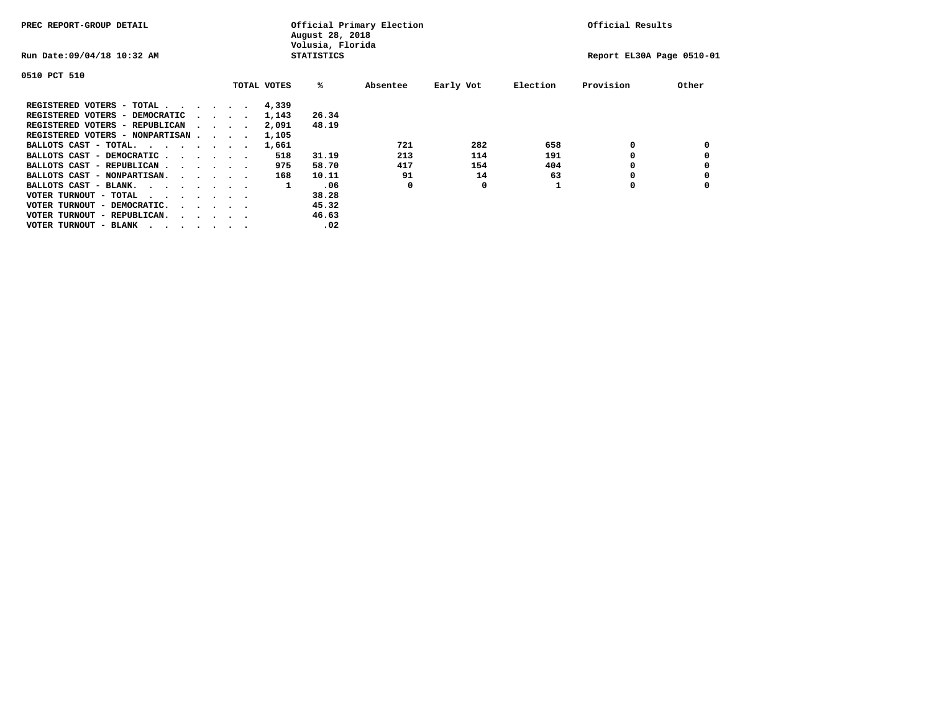| PREC REPORT-GROUP DETAIL               |  |                                         |  | Official Primary Election<br>August 28, 2018<br>Volusia, Florida | Official Results  |          |           |          |                           |       |
|----------------------------------------|--|-----------------------------------------|--|------------------------------------------------------------------|-------------------|----------|-----------|----------|---------------------------|-------|
| Run Date: 09/04/18 10:32 AM            |  |                                         |  |                                                                  | <b>STATISTICS</b> |          |           |          | Report EL30A Page 0510-01 |       |
| 0510 PCT 510                           |  |                                         |  |                                                                  |                   |          |           |          |                           |       |
|                                        |  |                                         |  | TOTAL VOTES                                                      | %ะ                | Absentee | Early Vot | Election | Provision                 | Other |
| REGISTERED VOTERS - TOTAL              |  |                                         |  | 4,339                                                            |                   |          |           |          |                           |       |
| REGISTERED VOTERS - DEMOCRATIC         |  | $\sim$ $\sim$ $\sim$ $\sim$             |  | 1,143                                                            | 26.34             |          |           |          |                           |       |
| REGISTERED VOTERS - REPUBLICAN         |  |                                         |  | 2,091                                                            | 48.19             |          |           |          |                           |       |
| REGISTERED VOTERS - NONPARTISAN        |  |                                         |  | 1,105                                                            |                   |          |           |          |                           |       |
| BALLOTS CAST - TOTAL.                  |  |                                         |  | 1,661                                                            |                   | 721      | 282       | 658      | 0                         |       |
| BALLOTS CAST - DEMOCRATIC              |  |                                         |  | 518                                                              | 31.19             | 213      | 114       | 191      |                           |       |
| BALLOTS CAST - REPUBLICAN              |  |                                         |  | 975                                                              | 58.70             | 417      | 154       | 404      | 0                         |       |
| BALLOTS CAST - NONPARTISAN.            |  |                                         |  | 168                                                              | 10.11             | 91       | 14        | 63       |                           |       |
| BALLOTS CAST - BLANK.                  |  |                                         |  | 1                                                                | .06               | 0        | 0         |          | 0                         |       |
| VOTER TURNOUT - TOTAL<br>.             |  |                                         |  |                                                                  | 38.28             |          |           |          |                           |       |
| VOTER TURNOUT - DEMOCRATIC.            |  | $\cdot$ $\cdot$ $\cdot$ $\cdot$ $\cdot$ |  |                                                                  | 45.32             |          |           |          |                           |       |
| VOTER TURNOUT - REPUBLICAN.<br>$\cdot$ |  |                                         |  |                                                                  | 46.63             |          |           |          |                           |       |
| VOTER TURNOUT - BLANK                  |  |                                         |  |                                                                  | .02               |          |           |          |                           |       |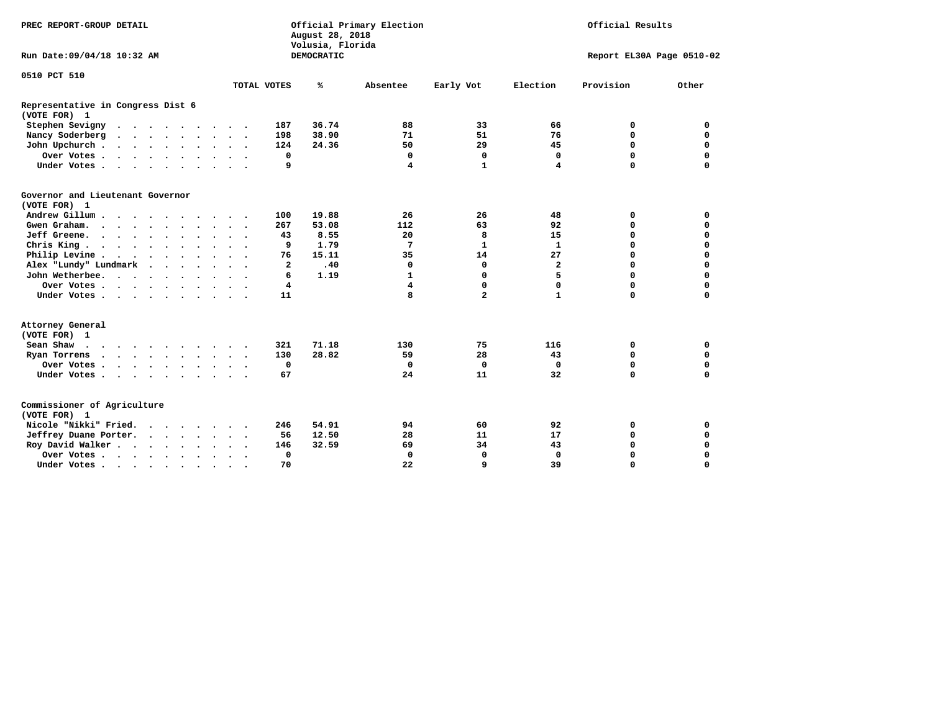| PREC REPORT-GROUP DETAIL                                                                                                                                                                                                                              |  |         |  |                      |        |                | August 28, 2018<br>Volusia, Florida | Official Primary Election | Official Results |                |                           |             |  |
|-------------------------------------------------------------------------------------------------------------------------------------------------------------------------------------------------------------------------------------------------------|--|---------|--|----------------------|--------|----------------|-------------------------------------|---------------------------|------------------|----------------|---------------------------|-------------|--|
| Run Date: 09/04/18 10:32 AM                                                                                                                                                                                                                           |  |         |  |                      |        |                | <b>DEMOCRATIC</b>                   |                           |                  |                | Report EL30A Page 0510-02 |             |  |
| 0510 PCT 510                                                                                                                                                                                                                                          |  |         |  |                      |        |                |                                     |                           |                  |                |                           |             |  |
|                                                                                                                                                                                                                                                       |  |         |  |                      |        | TOTAL VOTES    | ℁                                   | Absentee                  | Early Vot        | Election       | Provision                 | Other       |  |
| Representative in Congress Dist 6<br>(VOTE FOR) 1                                                                                                                                                                                                     |  |         |  |                      |        |                |                                     |                           |                  |                |                           |             |  |
| Stephen Sevigny                                                                                                                                                                                                                                       |  |         |  |                      |        | 187            | 36.74                               | 88                        | 33               | 66             | 0                         | 0           |  |
| Nancy Soderberg<br>$\cdots$                                                                                                                                                                                                                           |  |         |  |                      |        | 198            | 38.90                               | 71                        | 51               | 76             | $\mathbf 0$               | $\mathbf 0$ |  |
| John Upchurch                                                                                                                                                                                                                                         |  |         |  |                      |        | 124            | 24.36                               | 50                        | 29               | 45             | 0                         | 0           |  |
| Over Votes                                                                                                                                                                                                                                            |  |         |  |                      |        | $\mathbf 0$    |                                     | 0                         | $\mathbf 0$      | $\mathbf 0$    | $\mathbf 0$               | $\mathbf 0$ |  |
| Under Votes                                                                                                                                                                                                                                           |  |         |  |                      |        | 9              |                                     | 4                         | $\mathbf{1}$     | 4              | $\Omega$                  | $\mathbf 0$ |  |
| Governor and Lieutenant Governor<br>(VOTE FOR) 1                                                                                                                                                                                                      |  |         |  |                      |        |                |                                     |                           |                  |                |                           |             |  |
| Andrew Gillum                                                                                                                                                                                                                                         |  |         |  |                      |        | 100            | 19.88                               | 26                        | 26               | 48             | 0                         | $\mathbf 0$ |  |
| Gwen Graham.                                                                                                                                                                                                                                          |  |         |  |                      |        | 267            | 53.08                               | 112                       | 63               | 92             | $\mathbf 0$               | $\mathbf 0$ |  |
| Jeff Greene.                                                                                                                                                                                                                                          |  |         |  |                      |        | 43             | 8.55                                | 20                        | 8                | 15             | $\mathbf 0$               | $\mathbf 0$ |  |
| Chris King                                                                                                                                                                                                                                            |  |         |  | $\ddot{\phantom{a}}$ |        | 9              | 1.79                                | 7                         | 1                | 1              | $\mathbf 0$               | 0           |  |
| Philip Levine                                                                                                                                                                                                                                         |  |         |  |                      |        | 76             | 15.11                               | 35                        | 14               | 27             | $\mathbf 0$               | $\mathbf 0$ |  |
| Alex "Lundy" Lundmark                                                                                                                                                                                                                                 |  | $\cdot$ |  |                      |        | $\overline{a}$ | .40                                 | $\mathbf 0$               | 0                | $\overline{a}$ | $\mathbf 0$               | $\mathbf 0$ |  |
| John Wetherbee.                                                                                                                                                                                                                                       |  |         |  |                      |        | 6              | 1.19                                | $\mathbf{1}$              | 0                | 5              | $\Omega$                  | $\mathbf 0$ |  |
| Over Votes                                                                                                                                                                                                                                            |  |         |  |                      |        | 4              |                                     | 4                         | 0                | 0              | $\mathbf 0$               | $\mathbf 0$ |  |
| Under Votes                                                                                                                                                                                                                                           |  |         |  |                      |        | 11             |                                     | 8                         | $\overline{a}$   | $\mathbf{1}$   | $\mathbf 0$               | $\mathbf 0$ |  |
| Attorney General<br>(VOTE FOR) 1                                                                                                                                                                                                                      |  |         |  |                      |        |                |                                     |                           |                  |                |                           |             |  |
| Sean Shaw                                                                                                                                                                                                                                             |  |         |  |                      |        | 321            | 71.18                               | 130                       | 75               | 116            | 0                         | 0           |  |
| Ryan Torrens<br>$\mathbf{a}$ and $\mathbf{a}$ are a set of the set of the set of the set of the set of the set of the set of the set of the set of the set of the set of the set of the set of the set of the set of the set of the set of the set of |  |         |  |                      |        | 130            | 28.82                               | 59                        | 28               | 43             | $\mathbf 0$               | 0           |  |
| Over Votes                                                                                                                                                                                                                                            |  |         |  |                      |        | $\mathbf{o}$   |                                     | 0                         | $\mathbf 0$      | $\Omega$       | 0                         | $\mathbf 0$ |  |
| Under Votes                                                                                                                                                                                                                                           |  |         |  |                      |        | 67             |                                     | 24                        | 11               | 32             | $\Omega$                  | $\mathbf 0$ |  |
| Commissioner of Agriculture<br>(VOTE FOR) 1                                                                                                                                                                                                           |  |         |  |                      |        |                |                                     |                           |                  |                |                           |             |  |
| Nicole "Nikki" Fried.                                                                                                                                                                                                                                 |  |         |  |                      |        | 246            | 54.91                               | 94                        | 60               | 92             | 0                         | 0           |  |
| Jeffrey Duane Porter.                                                                                                                                                                                                                                 |  |         |  |                      |        | 56             | 12.50                               | 28                        | 11               | 17             | $\mathbf 0$               | $\mathbf 0$ |  |
| Roy David Walker                                                                                                                                                                                                                                      |  |         |  |                      |        | 146            | 32.59                               | 69                        | 34               | 43             | $\mathbf 0$               | $\mathbf 0$ |  |
| Over Votes                                                                                                                                                                                                                                            |  |         |  | $\ddot{\phantom{0}}$ |        | 0              |                                     | $\mathbf 0$               | $\mathbf 0$      | 0              | $\mathbf 0$               | 0           |  |
| Under Votes                                                                                                                                                                                                                                           |  |         |  | $\ddot{\phantom{1}}$ | $\sim$ | 70             |                                     | 22                        | 9                | 39             | $\mathbf 0$               | $\mathbf 0$ |  |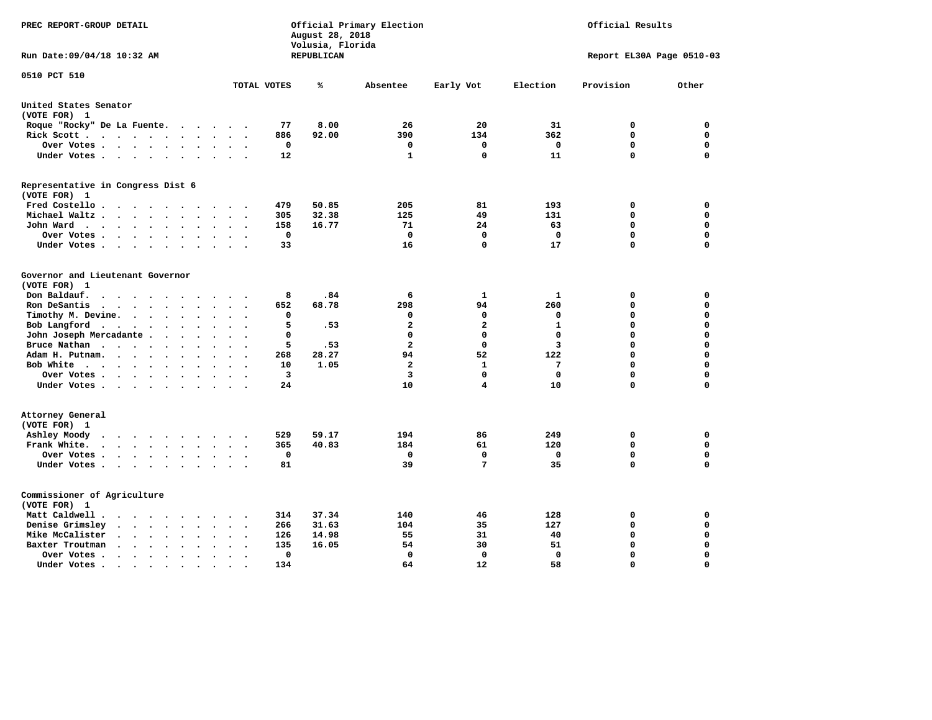| PREC REPORT-GROUP DETAIL                                                                                                                                   | Official Primary Election<br>Official Results<br>August 28, 2018<br>Volusia, Florida |                   |                         |                      |                   |                           |                            |
|------------------------------------------------------------------------------------------------------------------------------------------------------------|--------------------------------------------------------------------------------------|-------------------|-------------------------|----------------------|-------------------|---------------------------|----------------------------|
| Run Date: 09/04/18 10:32 AM                                                                                                                                |                                                                                      | <b>REPUBLICAN</b> |                         |                      |                   | Report EL30A Page 0510-03 |                            |
| 0510 PCT 510                                                                                                                                               | TOTAL VOTES                                                                          | ℁                 | Absentee                | Early Vot            | Election          | Provision                 | Other                      |
| United States Senator                                                                                                                                      |                                                                                      |                   |                         |                      |                   |                           |                            |
| (VOTE FOR) 1                                                                                                                                               |                                                                                      |                   |                         |                      |                   |                           |                            |
| Roque "Rocky" De La Fuente.<br>$\sim$<br>$\ddot{\phantom{a}}$<br>$\ddot{\phantom{1}}$                                                                      | 77<br>$\ddot{\phantom{a}}$                                                           | 8.00              | 26                      | 20                   | 31                | 0                         | 0                          |
| Rick Scott<br>$\bullet$<br>$\bullet$                                                                                                                       | 886                                                                                  | 92.00             | 390                     | 134                  | 362               | $\mathbf 0$               | $\mathbf 0$                |
| Over Votes<br>$\ddot{\phantom{1}}$<br>$\cdot$                                                                                                              | 0<br>$\bullet$                                                                       |                   | 0                       | 0                    | 0                 | $\mathbf 0$               | $\mathbf 0$                |
| Under Votes<br>$\sim$<br>$\sim$                                                                                                                            | 12<br>$\ddot{\phantom{a}}$                                                           |                   | 1                       | $\Omega$             | 11                | $\mathbf 0$               | $\mathbf 0$                |
| Representative in Congress Dist 6<br>(VOTE FOR) 1                                                                                                          |                                                                                      |                   |                         |                      |                   |                           |                            |
| Fred Costello.                                                                                                                                             | 479<br>$\sim$ $\sim$                                                                 | 50.85             | 205                     | 81                   | 193               | 0                         | 0                          |
| Michael Waltz<br>$\ddot{\phantom{a}}$                                                                                                                      | 305                                                                                  | 32.38             | 125                     | 49                   | 131               | 0                         | $\mathbf 0$                |
| John Ward<br>$\bullet$<br>$\ddot{\phantom{1}}$                                                                                                             | 158<br>$\bullet$<br>$\bullet$                                                        | 16.77             | 71                      | 24                   | 63                | 0                         | $\mathbf 0$                |
| Over Votes .<br>$\sim$ $\sim$<br>$\ddot{\phantom{0}}$<br>$\cdot$<br>$\bullet$                                                                              | 0<br>$\ddot{\phantom{0}}$                                                            |                   | 0                       | $\mathbf 0$          | 0                 | 0                         | 0                          |
| Under Votes<br>$\cdot$ $\cdot$<br>$\bullet$                                                                                                                | 33                                                                                   |                   | 16                      | 0                    | 17                | $\mathbf 0$               | $\Omega$                   |
| Governor and Lieutenant Governor<br>(VOTE FOR) 1<br>Don Baldauf.<br>$\ddotsc$ $\ddotsc$                                                                    | 8                                                                                    | .84               | 6                       | 1                    | 1                 | 0                         | 0                          |
| Ron DeSantis<br>$\cdot$ $\cdot$ $\cdot$                                                                                                                    | 652                                                                                  | 68.78             | 298                     | 94                   | 260               | $\mathbf 0$               | $\mathbf 0$                |
| Timothy M. Devine. .<br>$\sim$<br>$\ddot{\phantom{a}}$<br>$\bullet$<br>$\bullet$                                                                           | 0                                                                                    |                   | 0                       | $\mathbf 0$          | $\mathbf 0$       | $\mathbf 0$               | $\mathbf 0$                |
| Bob Langford<br>$\ddot{\phantom{1}}$<br>$\bullet$<br>$\bullet$<br>$\bullet$                                                                                | 5                                                                                    | .53               | $\mathbf{z}$            | $\overline{a}$       | $\mathbf{1}$      | $\mathbf 0$               | $\mathbf 0$                |
| John Joseph Mercadante .<br>$\ddot{\phantom{a}}$<br>$\bullet$<br>$\overline{\phantom{a}}$                                                                  | 0                                                                                    |                   | 0                       | $\mathbf 0$          | $\mathbf 0$       | $\mathbf 0$               | $\mathbf 0$                |
| Bruce Nathan<br>$\cdot \cdot \cdot \cdot$<br>$\bullet$<br>$\bullet$<br>$\bullet$                                                                           | 5<br>$\bullet$                                                                       | .53               | $\overline{\mathbf{2}}$ | $\mathbf 0$          | 3                 | 0                         | $\mathbf 0$                |
| Adam H. Putnam.<br>$\ddot{\phantom{0}}$<br>$\sim$ $\sim$<br>$\bullet$                                                                                      | 268                                                                                  | 28.27             | 94                      | 52                   | 122               | 0                         | $\mathbf 0$                |
| Bob White<br>$\bullet$<br>$\overline{\phantom{a}}$                                                                                                         | 10<br>$\ddot{\phantom{a}}$<br>$\ddot{\phantom{a}}$                                   | 1.05              | $\overline{a}$          | $\mathbf{1}$         | 7                 | $\mathbf 0$               | $\mathbf 0$                |
| Over Votes .<br>$\bullet$ , $\bullet$ , $\bullet$ , $\bullet$ , $\bullet$<br>$\bullet$<br>$\bullet$                                                        | 3                                                                                    |                   | 3                       | $\Omega$             | $\mathbf 0$       | $\mathbf 0$               | $\mathbf 0$                |
| Under Votes                                                                                                                                                | 24<br>$\ddot{\phantom{a}}$                                                           |                   | 10                      | 4                    | 10                | 0                         | 0                          |
| Attorney General<br>(VOTE FOR) 1                                                                                                                           |                                                                                      |                   |                         |                      |                   |                           |                            |
| Ashley Moody<br>$\bullet$<br>$\cdot$ $\cdot$ $\cdot$ $\cdot$ $\cdot$<br>$\cdot$                                                                            | 529                                                                                  | 59.17             | 194                     | 86                   | 249               | 0                         | 0                          |
| Frank White.<br>$\cdot$ $\cdot$ $\cdot$ $\cdot$<br>$\sim$<br>$\bullet$                                                                                     | 365                                                                                  | 40.83             | 184                     | 61                   | 120               | $\mathbf 0$               | 0                          |
| Over Votes.<br>$\mathbf{r} = \mathbf{r} + \mathbf{r} + \mathbf{r} + \mathbf{r}$<br>$\ddot{\phantom{0}}$<br>$\bullet$<br>$\bullet$<br>Under Votes<br>$\sim$ | 0<br>$\ddot{\phantom{a}}$<br>81<br>$\ddot{\phantom{a}}$<br>$\ddot{\phantom{a}}$      |                   | 0<br>39                 | 0<br>$7\phantom{.0}$ | $\mathbf 0$<br>35 | 0<br>0                    | $\mathbf 0$<br>$\mathbf 0$ |
| Commissioner of Agriculture<br>(VOTE FOR) 1                                                                                                                |                                                                                      |                   |                         |                      |                   |                           |                            |
| Matt Caldwell.<br>$\cdot$ $\cdot$ $\cdot$ $\cdot$                                                                                                          | 314                                                                                  | 37.34             | 140                     | 46                   | 128               | 0                         | 0                          |
| Denise Grimsley<br>$\ddot{\phantom{a}}$<br>$\ddot{\phantom{a}}$                                                                                            | 266                                                                                  | 31.63             | 104                     | 35                   | 127               | $\mathbf 0$               | $\mathbf 0$                |
| Mike McCalister<br>$\sim$ $\sim$<br>$\sim$<br>$\bullet$<br>$\bullet$<br>$\ddot{\phantom{a}}$                                                               | 126<br>$\bullet$                                                                     | 14.98             | 55                      | 31                   | 40                | 0                         | $\mathbf 0$                |
| Baxter Troutman<br>$\ddot{\phantom{1}}$<br>$\cdot$                                                                                                         | 135                                                                                  | 16.05             | 54                      | 30                   | 51                | $\mathbf 0$               | $\mathbf 0$                |
| Over Votes.<br>$\sim$ $\sim$<br>$\ddot{\phantom{1}}$<br>$\Delta$<br>$\cdot$                                                                                | 0<br>$\bullet$                                                                       |                   | 0                       | 0                    | $\mathbf 0$       | $\mathbf 0$               | $\mathbf 0$                |
| Under Votes.<br>$\bullet$ . $\bullet$<br>$\sim$ 100 $\pm$<br>$\bullet$<br>$\bullet$<br>$\bullet$                                                           | 134                                                                                  |                   | 64                      | 12                   | 58                | $\Omega$                  | $\Omega$                   |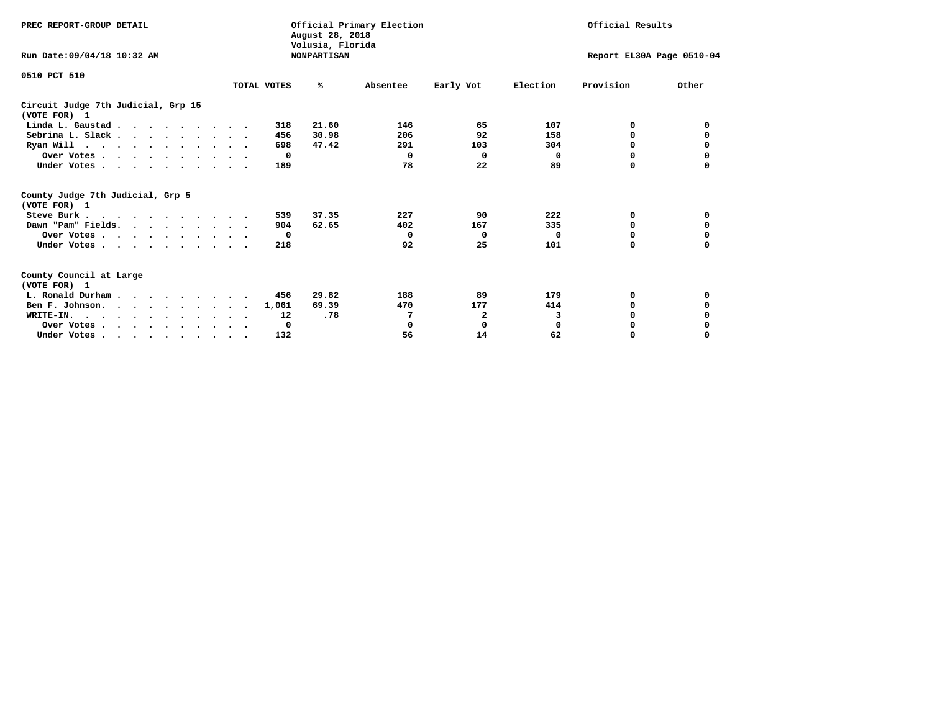| PREC REPORT-GROUP DETAIL                                                                                                                                                                                                                                                                                                                                                 | August 28, 2018<br>Volusia, Florida | Official Primary Election |            | Official Results          |             |              |          |
|--------------------------------------------------------------------------------------------------------------------------------------------------------------------------------------------------------------------------------------------------------------------------------------------------------------------------------------------------------------------------|-------------------------------------|---------------------------|------------|---------------------------|-------------|--------------|----------|
| Run Date: 09/04/18 10:32 AM                                                                                                                                                                                                                                                                                                                                              |                                     | <b>NONPARTISAN</b>        |            | Report EL30A Page 0510-04 |             |              |          |
| 0510 PCT 510                                                                                                                                                                                                                                                                                                                                                             | TOTAL VOTES                         | ℁                         | Absentee   | Early Vot                 | Election    | Provision    | Other    |
|                                                                                                                                                                                                                                                                                                                                                                          |                                     |                           |            |                           |             |              |          |
| Circuit Judge 7th Judicial, Grp 15<br>(VOTE FOR) 1                                                                                                                                                                                                                                                                                                                       |                                     |                           |            |                           |             |              |          |
| Linda L. Gaustad                                                                                                                                                                                                                                                                                                                                                         |                                     | 21.60<br>318              | 146        | 65                        | 107         | 0            | 0        |
| Sebrina L. Slack.                                                                                                                                                                                                                                                                                                                                                        |                                     | 30.98<br>456              | 206        | 92                        | 158         | 0            |          |
| Ryan Will $\cdots$ , $\cdots$ , $\cdots$ , $\cdots$                                                                                                                                                                                                                                                                                                                      |                                     | 698<br>47.42              | 291        | 103                       | 304         | 0            | 0        |
| Over Votes                                                                                                                                                                                                                                                                                                                                                               |                                     | $^{\circ}$                | $\Omega$   | $\Omega$                  | 0           | 0            | 0        |
| Under Votes                                                                                                                                                                                                                                                                                                                                                              |                                     | 189                       | 78         | 22                        | 89          | 0            |          |
| County Judge 7th Judicial, Grp 5<br>(VOTE FOR) 1                                                                                                                                                                                                                                                                                                                         |                                     |                           |            |                           |             |              |          |
| Steve Burk                                                                                                                                                                                                                                                                                                                                                               |                                     | 37.35<br>539              | 227        | 90                        | 222         | 0            | 0        |
| Dawn "Pam" Fields.                                                                                                                                                                                                                                                                                                                                                       |                                     | 904<br>62.65              | 402        | 167                       | 335         | 0            | 0        |
| Over Votes                                                                                                                                                                                                                                                                                                                                                               |                                     | 0                         | $^{\circ}$ | $\Omega$                  | 0           | 0            | 0        |
| Under Votes                                                                                                                                                                                                                                                                                                                                                              |                                     | 218                       | 92         | 25                        | 101         | $\Omega$     | $\Omega$ |
| County Council at Large<br>(VOTE FOR) 1                                                                                                                                                                                                                                                                                                                                  |                                     |                           |            |                           |             |              |          |
| L. Ronald Durham                                                                                                                                                                                                                                                                                                                                                         |                                     | 29.82<br>456              | 188        | 89                        | 179         | 0            | 0        |
| Ben F. Johnson.                                                                                                                                                                                                                                                                                                                                                          | 1,061                               | 69.39                     | 470        | 177                       | 414         | <sup>0</sup> | 0        |
| WRITE-IN.                                                                                                                                                                                                                                                                                                                                                                |                                     | .78<br>12                 | 7          | 2                         | 3           | O            |          |
| Over Votes                                                                                                                                                                                                                                                                                                                                                               |                                     | 0                         | 0          | 0                         | $\mathbf 0$ | 0            |          |
| Under Votes, $\cdot$ , $\cdot$ , $\cdot$ , $\cdot$ , $\cdot$ , $\cdot$ , $\cdot$ , $\cdot$ , $\cdot$ , $\cdot$ , $\cdot$ , $\cdot$ , $\cdot$ , $\cdot$ , $\cdot$ , $\cdot$ , $\cdot$ , $\cdot$ , $\cdot$ , $\cdot$ , $\cdot$ , $\cdot$ , $\cdot$ , $\cdot$ , $\cdot$ , $\cdot$ , $\cdot$ , $\cdot$ , $\cdot$ , $\cdot$ , $\cdot$ , $\cdot$ , $\cdot$ , $\cdot$ , $\cdot$ |                                     | 132                       | 56         | 14                        | 62          | 0            | $\Omega$ |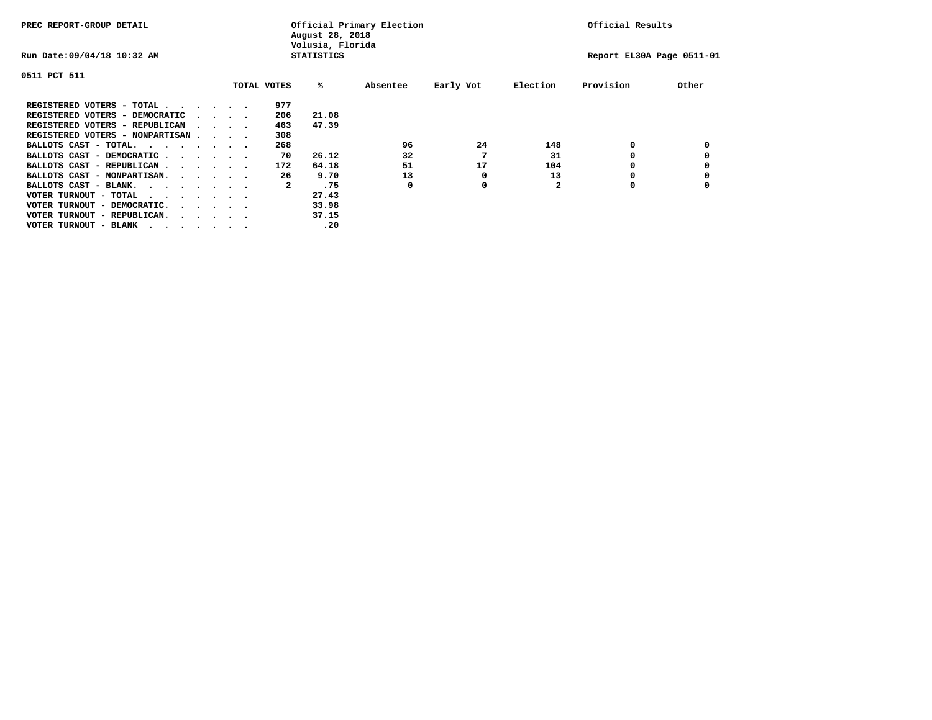| PREC REPORT-GROUP DETAIL               |  |                                         |  |  | Official Primary Election<br>August 28, 2018<br>Volusia, Florida | Official Results  |          |           |              |                           |       |
|----------------------------------------|--|-----------------------------------------|--|--|------------------------------------------------------------------|-------------------|----------|-----------|--------------|---------------------------|-------|
| Run Date: 09/04/18 10:32 AM            |  |                                         |  |  |                                                                  | <b>STATISTICS</b> |          |           |              | Report EL30A Page 0511-01 |       |
| 0511 PCT 511                           |  |                                         |  |  |                                                                  |                   |          |           |              |                           |       |
|                                        |  |                                         |  |  | TOTAL VOTES                                                      | %ะ                | Absentee | Early Vot | Election     | Provision                 | Other |
| REGISTERED VOTERS - TOTAL              |  |                                         |  |  | 977                                                              |                   |          |           |              |                           |       |
| REGISTERED VOTERS - DEMOCRATIC         |  | $\cdot$ $\cdot$ $\cdot$ $\cdot$         |  |  | 206                                                              | 21.08             |          |           |              |                           |       |
| REGISTERED VOTERS - REPUBLICAN         |  | $\sim$ $\sim$ $\sim$ $\sim$             |  |  | 463                                                              | 47.39             |          |           |              |                           |       |
| REGISTERED VOTERS - NONPARTISAN        |  |                                         |  |  | 308                                                              |                   |          |           |              |                           |       |
| BALLOTS CAST - TOTAL.                  |  |                                         |  |  | 268                                                              |                   | 96       | 24        | 148          | 0                         |       |
| BALLOTS CAST - DEMOCRATIC              |  |                                         |  |  | 70                                                               | 26.12             | 32       |           | 31           |                           |       |
| BALLOTS CAST - REPUBLICAN              |  |                                         |  |  | 172                                                              | 64.18             | 51       | 17        | 104          | 0                         |       |
| BALLOTS CAST - NONPARTISAN.            |  |                                         |  |  | 26                                                               | 9.70              | 13       | 0         | 13           |                           |       |
| BALLOTS CAST - BLANK.                  |  |                                         |  |  | 2                                                                | .75               | 0        | 0         | $\mathbf{2}$ | 0                         |       |
| VOTER TURNOUT - TOTAL<br>.             |  |                                         |  |  |                                                                  | 27.43             |          |           |              |                           |       |
| VOTER TURNOUT - DEMOCRATIC.            |  | $\cdot$ $\cdot$ $\cdot$ $\cdot$ $\cdot$ |  |  |                                                                  | 33.98             |          |           |              |                           |       |
| VOTER TURNOUT - REPUBLICAN.<br>$\cdot$ |  |                                         |  |  |                                                                  | 37.15             |          |           |              |                           |       |
| VOTER TURNOUT - BLANK                  |  |                                         |  |  |                                                                  | .20               |          |           |              |                           |       |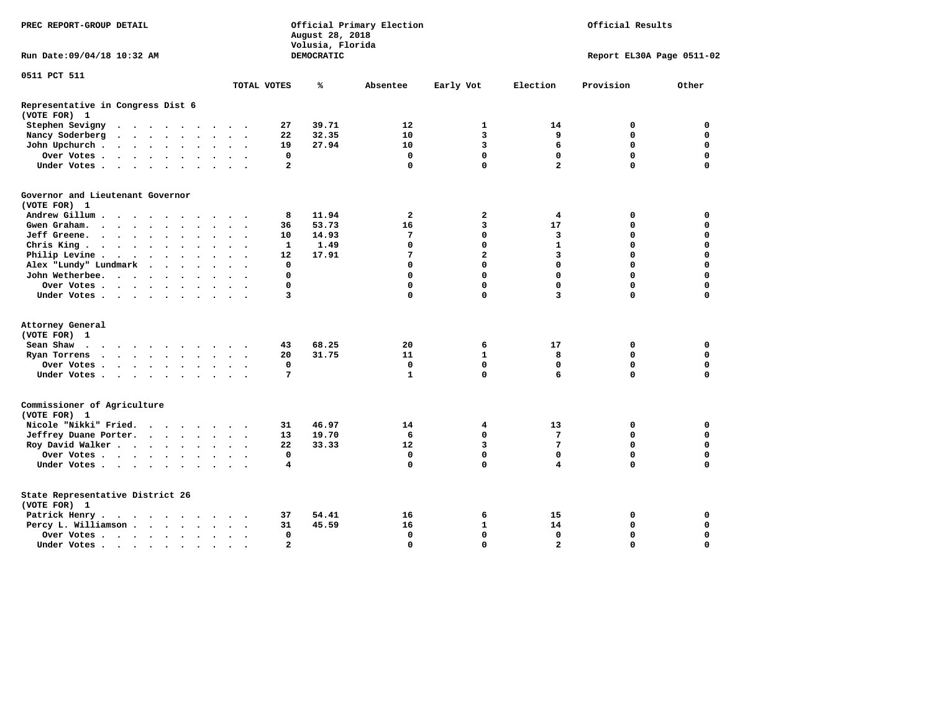| PREC REPORT-GROUP DETAIL                                                                                                                                                                    | Official Primary Election<br>August 28, 2018<br>Volusia, Florida |            |              |                         | Official Results        |                           |             |  |
|---------------------------------------------------------------------------------------------------------------------------------------------------------------------------------------------|------------------------------------------------------------------|------------|--------------|-------------------------|-------------------------|---------------------------|-------------|--|
| Run Date: 09/04/18 10:32 AM                                                                                                                                                                 |                                                                  | DEMOCRATIC |              |                         |                         | Report EL30A Page 0511-02 |             |  |
| 0511 PCT 511                                                                                                                                                                                |                                                                  |            |              |                         |                         | Provision                 |             |  |
| TOTAL VOTES                                                                                                                                                                                 |                                                                  | ℁          | Absentee     | Early Vot               | Election                |                           | Other       |  |
| Representative in Congress Dist 6<br>(VOTE FOR) 1                                                                                                                                           |                                                                  |            |              |                         |                         |                           |             |  |
| Stephen Sevigny                                                                                                                                                                             | 27                                                               | 39.71      | 12           | 1                       | 14                      | 0                         | 0           |  |
| Nancy Soderberg<br>$\begin{array}{cccccccccccccc} \bullet & \bullet & \bullet & \bullet & \bullet & \bullet & \bullet & \bullet & \bullet \end{array}$<br>$\ddot{\phantom{1}}$<br>$\bullet$ | 22                                                               | 32.35      | 10           | $\overline{\mathbf{3}}$ | 9                       | $\mathbf 0$               | $\mathbf 0$ |  |
| John Upchurch.<br>$\cdot$ $\cdot$ $\cdot$ $\cdot$ $\cdot$ $\cdot$                                                                                                                           | 19                                                               | 27.94      | 10           | $\overline{3}$          | 6                       | $\mathbf 0$               | $\Omega$    |  |
| Over Votes                                                                                                                                                                                  | $\mathbf 0$                                                      |            | $\mathbf 0$  | $\mathbf 0$             | $\mathbf 0$             | $\mathbf 0$               | $\mathbf 0$ |  |
| Under Votes                                                                                                                                                                                 | $\overline{a}$                                                   |            | $\mathbf{0}$ | $\Omega$                | $\overline{a}$          | $\Omega$                  | $\Omega$    |  |
| Governor and Lieutenant Governor                                                                                                                                                            |                                                                  |            |              |                         |                         |                           |             |  |
| (VOTE FOR) 1                                                                                                                                                                                |                                                                  |            |              |                         |                         |                           |             |  |
| Andrew Gillum                                                                                                                                                                               | 8                                                                | 11.94      | 2            | 2                       | 4                       | 0                         | 0           |  |
| Gwen Graham<br>$\cdot$ $\cdot$                                                                                                                                                              | 36                                                               | 53.73      | 16           | 3                       | 17                      | 0                         | $\mathbf 0$ |  |
| Jeff Greene.<br>$\bullet$<br>$\bullet$<br>$\ddot{\phantom{0}}$<br>$\bullet$                                                                                                                 | 10                                                               | 14.93      | 7            | $\mathbf{0}$            | 3                       | 0                         | $\mathbf 0$ |  |
| Chris King                                                                                                                                                                                  | $\mathbf{1}$                                                     | 1.49       | 0            | 0                       | $\mathbf{1}$            | 0                         | $\mathbf 0$ |  |
| Philip Levine .<br>$\mathbf{r}$ , and $\mathbf{r}$ , and $\mathbf{r}$ , and $\mathbf{r}$<br>$\ddot{\phantom{0}}$                                                                            | 12                                                               | 17.91      | 7            | $\overline{a}$          | 3                       | 0                         | $\mathbf 0$ |  |
| Alex "Lundy" Lundmark<br>$\cdot$ $\cdot$ $\cdot$ $\cdot$                                                                                                                                    | 0                                                                |            | 0            | $\mathbf 0$             | $\Omega$                | 0                         | $\Omega$    |  |
| John Wetherbee.                                                                                                                                                                             | $\mathbf 0$                                                      |            | 0            | $\mathbf 0$             | $\Omega$                | 0                         | $\Omega$    |  |
| Over Votes<br>$\cdot$                                                                                                                                                                       | $\mathbf{0}$                                                     |            | 0            | 0                       | $\Omega$                | 0                         | $\Omega$    |  |
| Under Votes                                                                                                                                                                                 | 3                                                                |            | $\Omega$     | 0                       | $\overline{\mathbf{3}}$ | $\Omega$                  | 0           |  |
| Attorney General                                                                                                                                                                            |                                                                  |            |              |                         |                         |                           |             |  |
| (VOTE FOR) 1                                                                                                                                                                                |                                                                  |            |              |                         |                         |                           |             |  |
| Sean Shaw                                                                                                                                                                                   | 43                                                               | 68.25      | 20           | 6                       | 17                      | 0                         | $\Omega$    |  |
| Ryan Torrens                                                                                                                                                                                | 20                                                               | 31.75      | 11           | $\mathbf{1}$            | 8                       | 0                         | $\Omega$    |  |
| Over Votes                                                                                                                                                                                  | $\mathbf 0$                                                      |            | $\mathbf 0$  | $\mathbf{0}$            | $\mathbf 0$             | 0                         | $\mathbf 0$ |  |
| Under Votes<br>$\cdots$                                                                                                                                                                     | 7                                                                |            | $\mathbf{1}$ | $\mathbf 0$             | 6                       | 0                         | $\Omega$    |  |
| Commissioner of Agriculture<br>(VOTE FOR) 1                                                                                                                                                 |                                                                  |            |              |                         |                         |                           |             |  |
| Nicole "Nikki" Fried.                                                                                                                                                                       | 31                                                               | 46.97      | 14           | 4                       | 13                      | 0                         | 0           |  |
| Jeffrey Duane Porter.                                                                                                                                                                       | 13                                                               | 19.70      | 6            | 0                       | 7                       | 0                         | $\mathbf 0$ |  |
| Roy David Walker                                                                                                                                                                            | 22                                                               | 33.33      | 12           | 3                       | 7                       | $\mathbf 0$               | $\mathbf 0$ |  |
| Over Votes<br>$\sim$                                                                                                                                                                        | $\mathbf 0$                                                      |            | 0            | $\mathbf{0}$            | $\mathbf 0$             | 0                         | $\mathbf 0$ |  |
| Under Votes                                                                                                                                                                                 | 4                                                                |            | 0            | 0                       | 4                       | $\Omega$                  | 0           |  |
| State Representative District 26<br>(VOTE FOR) 1                                                                                                                                            |                                                                  |            |              |                         |                         |                           |             |  |
| Patrick Henry.<br>$\cdots$                                                                                                                                                                  | 37                                                               | 54.41      | 16           | 6                       | 15                      | 0                         | 0           |  |
| Percy L. Williamson                                                                                                                                                                         | 31                                                               | 45.59      | 16           | $\mathbf{1}$            | 14                      | $\mathbf 0$               | $\mathbf 0$ |  |
| Over Votes<br>$\ddot{\phantom{0}}$                                                                                                                                                          | $\mathbf 0$                                                      |            | $\mathbf 0$  | $\mathbf{0}$            | $\mathbf 0$             | 0                         | $\mathbf 0$ |  |
| Under Votes                                                                                                                                                                                 | $\overline{2}$                                                   |            | $\Omega$     | $\Omega$                | $\overline{a}$          | $\Omega$                  | $\Omega$    |  |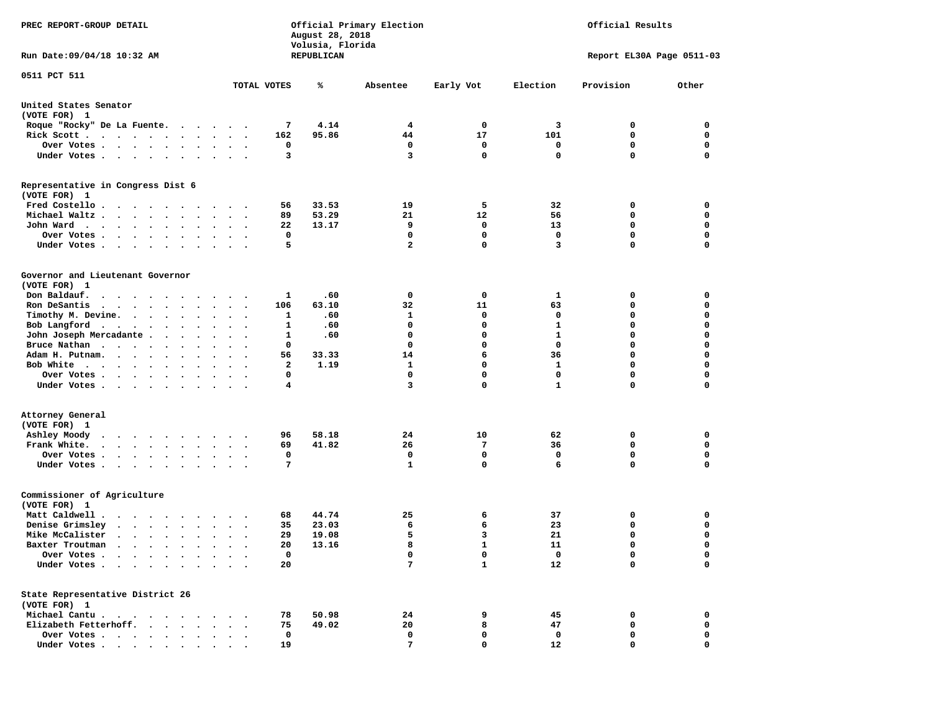| PREC REPORT-GROUP DETAIL                                                                 |                                                  | Official Primary Election<br>Official Results<br>August 28, 2018<br>Volusia, Florida |                |              |              |                           |             |
|------------------------------------------------------------------------------------------|--------------------------------------------------|--------------------------------------------------------------------------------------|----------------|--------------|--------------|---------------------------|-------------|
| Run Date: 09/04/18 10:32 AM<br>REPUBLICAN                                                |                                                  |                                                                                      |                |              |              | Report EL30A Page 0511-03 |             |
| 0511 PCT 511                                                                             |                                                  |                                                                                      |                |              |              |                           |             |
|                                                                                          | TOTAL VOTES                                      | ℁                                                                                    | Absentee       | Early Vot    | Election     | Provision                 | Other       |
| United States Senator<br>(VOTE FOR) 1                                                    |                                                  |                                                                                      |                |              |              |                           |             |
| Roque "Rocky" De La Fuente.                                                              |                                                  | 4.14<br>7                                                                            | 4              | 0            | 3            | 0                         | 0           |
| Rick Scott                                                                               |                                                  | 162<br>95.86                                                                         | 44             | 17           | 101          | 0                         | 0           |
| Over Votes                                                                               |                                                  | 0                                                                                    | 0              | 0            | 0            | 0                         | 0           |
| Under Votes                                                                              |                                                  | 3                                                                                    | 3              | $\mathbf 0$  | 0            | $\Omega$                  | $\mathbf 0$ |
| Representative in Congress Dist 6<br>(VOTE FOR) 1                                        |                                                  |                                                                                      |                |              |              |                           |             |
| Fred Costello.                                                                           |                                                  | 33.53<br>56                                                                          | 19             | 5            | 32           | 0                         | 0           |
| Michael Waltz.                                                                           |                                                  | 89<br>53.29                                                                          | 21             | 12           | 56           | 0                         | 0           |
| John Ward                                                                                |                                                  | 13.17<br>22                                                                          | 9              | 0            | 13           | 0                         | 0           |
| Over Votes                                                                               |                                                  | $\mathbf 0$                                                                          | 0              | $\mathbf 0$  | $\mathbf 0$  | 0                         | 0           |
| Under Votes                                                                              |                                                  | 5                                                                                    | $\overline{2}$ | $\mathbf 0$  | 3            | $\Omega$                  | $\mathbf 0$ |
| Governor and Lieutenant Governor<br>(VOTE FOR) 1                                         |                                                  |                                                                                      |                |              |              |                           |             |
| Don Baldauf.<br>.                                                                        |                                                  | .60<br>1                                                                             | 0              | 0            | 1            | 0                         | 0           |
| Ron DeSantis<br>$\cdots$                                                                 |                                                  | 106<br>63.10                                                                         | 32             | 11           | 63           | 0                         | 0           |
| Timothy M. Devine.                                                                       |                                                  | 1<br>.60                                                                             | 1              | 0            | 0            | $\mathbf 0$               | $\mathbf 0$ |
| Bob Langford                                                                             |                                                  | 1<br>.60                                                                             | $\mathbf 0$    | 0            | $\mathbf{1}$ | $\mathbf 0$               | 0           |
| John Joseph Mercadante                                                                   |                                                  | 1<br>.60                                                                             | 0              | 0            | $\mathbf{1}$ | $\mathbf 0$               | 0           |
| Bruce Nathan                                                                             |                                                  | 0                                                                                    | 0              | 0            | 0            | $\mathbf 0$               | 0           |
| Adam H. Putnam.                                                                          |                                                  | 33.33<br>56                                                                          | 14             | 6            | 36           | $\mathbf 0$               | $\mathbf 0$ |
| Bob White                                                                                |                                                  | 2<br>1.19                                                                            | 1              | 0            | 1            | $\Omega$                  | 0           |
| Over Votes                                                                               | $\bullet$                                        | 0                                                                                    | 0              | $\mathbf 0$  | 0            | $\mathbf 0$               | 0           |
| Under Votes                                                                              |                                                  | 4                                                                                    | 3              | 0            | $\mathbf{1}$ | $\mathbf 0$               | 0           |
| Attorney General                                                                         |                                                  |                                                                                      |                |              |              |                           |             |
| (VOTE FOR) 1                                                                             |                                                  |                                                                                      |                |              |              |                           |             |
| Ashley Moody<br>.                                                                        |                                                  | 58.18<br>96                                                                          | 24             | 10           | 62           | 0                         | 0           |
| Frank White.<br>$\cdots$                                                                 | $\cdot$ $\cdot$ $\cdot$                          | 41.82<br>69                                                                          | 26             | 7            | 36           | $\mathbf 0$               | 0           |
| Over Votes                                                                               |                                                  | 0                                                                                    | 0              | 0            | 0            | 0                         | 0           |
| Under Votes                                                                              |                                                  | 7                                                                                    | 1              | $\mathbf 0$  | 6            | $\Omega$                  | $\mathbf 0$ |
| Commissioner of Agriculture<br>(VOTE FOR) 1                                              |                                                  |                                                                                      |                |              |              |                           |             |
| Matt Caldwell .<br>$\cdots$                                                              |                                                  | 44.74<br>68                                                                          | 25             | 6            | 37           | 0                         | 0           |
| Denise Grimsley<br>$\mathbf{r}$ , and $\mathbf{r}$ , and $\mathbf{r}$ , and $\mathbf{r}$ |                                                  | 35<br>23.03                                                                          | 6              | 6            | 23           | 0                         | 0           |
| Mike McCalister                                                                          | $\ddot{\phantom{a}}$<br>$\overline{\phantom{a}}$ | 29<br>19.08                                                                          | 5              | 3            | 21           | 0                         | 0           |
| Baxter Troutman                                                                          |                                                  | 20<br>13.16                                                                          | 8              | 1            | 11           | $\Omega$                  | $\Omega$    |
| Over Votes .                                                                             |                                                  | 0                                                                                    | 0              | 0            | 0            | 0                         | 0           |
| Under Votes.<br>$\sim$ $\sim$ $\sim$<br>$\ddot{\phantom{a}}$<br>$\bullet$                |                                                  | 20                                                                                   | 7              | $\mathbf{1}$ | 12           | $\mathbf 0$               | 0           |
| State Representative District 26                                                         |                                                  |                                                                                      |                |              |              |                           |             |
| (VOTE FOR) 1                                                                             |                                                  |                                                                                      |                |              |              |                           |             |
| Michael Cantu.                                                                           |                                                  | 78<br>50.98                                                                          | 24             | 9            | 45           | 0                         | 0           |
| Elizabeth Fetterhoff.<br>$\ddot{\phantom{0}}$<br>$\ddot{\phantom{0}}$                    |                                                  | 75<br>49.02                                                                          | 20             | 8            | 47           | 0                         | 0           |
| Over Votes                                                                               |                                                  | 0                                                                                    | 0              | 0            | 0            | 0                         | 0           |
| Under Votes                                                                              |                                                  | 19                                                                                   | 7              | 0            | 12           | 0                         | $\mathbf 0$ |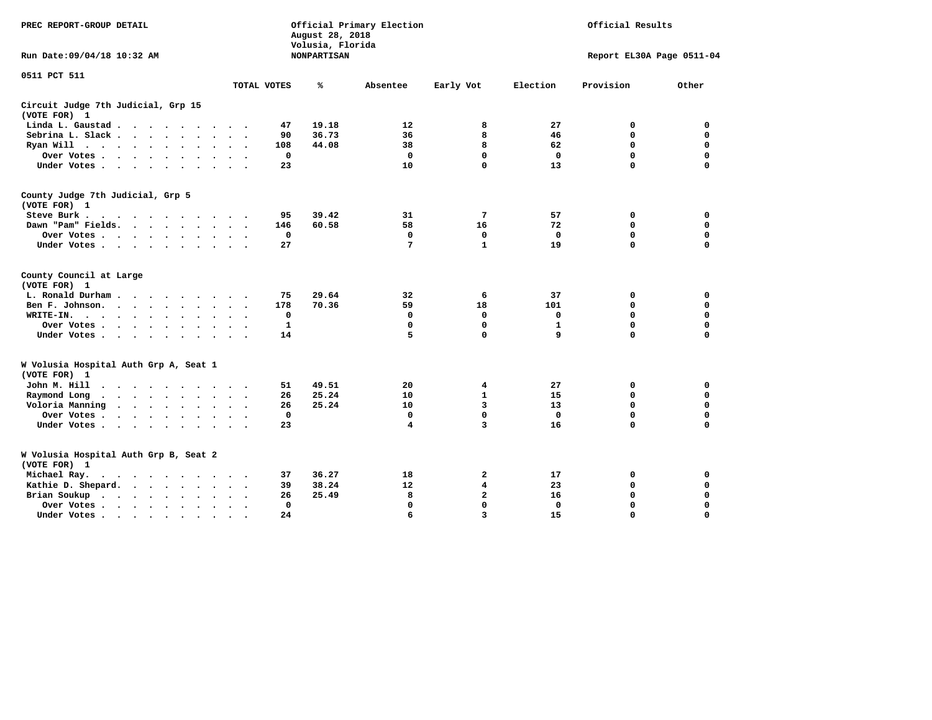| PREC REPORT-GROUP DETAIL                                                                                             |                              | August 28, 2018<br>Volusia, Florida | Official Primary Election |                | Official Results          |             |             |  |
|----------------------------------------------------------------------------------------------------------------------|------------------------------|-------------------------------------|---------------------------|----------------|---------------------------|-------------|-------------|--|
| Run Date:09/04/18 10:32 AM                                                                                           |                              | <b>NONPARTISAN</b>                  |                           |                | Report EL30A Page 0511-04 |             |             |  |
| 0511 PCT 511                                                                                                         |                              |                                     |                           |                |                           |             |             |  |
|                                                                                                                      | TOTAL VOTES                  | ℁                                   | Absentee                  | Early Vot      | Election                  | Provision   | Other       |  |
| Circuit Judge 7th Judicial, Grp 15<br>(VOTE FOR) 1                                                                   |                              |                                     |                           |                |                           |             |             |  |
| Linda L. Gaustad<br>$\cdot$                                                                                          | 47                           | 19.18                               | 12                        | 8              | 27                        | 0           | 0           |  |
| Sebrina L. Slack<br>$\bullet$                                                                                        | 90<br>$\bullet$<br>$\bullet$ | 36.73                               | 36                        | 8              | 46                        | 0           | $\mathbf 0$ |  |
| Ryan Will $\cdots$                                                                                                   | 108                          | 44.08                               | 38                        | 8              | 62                        | 0           | $\mathbf 0$ |  |
| Over Votes<br>$\bullet$                                                                                              | $\mathbf{0}$                 |                                     | $\Omega$                  | $\mathbf 0$    | $\mathbf 0$               | $\Omega$    | $\Omega$    |  |
| Under Votes<br>$\ddot{\phantom{a}}$                                                                                  | 23                           |                                     | 10                        | $\mathbf 0$    | 13                        | $\Omega$    | $\Omega$    |  |
| County Judge 7th Judicial, Grp 5<br>(VOTE FOR) 1                                                                     |                              |                                     |                           |                |                           |             |             |  |
| Steve Burk.<br>$\cdots$                                                                                              | 95                           | 39.42                               | 31                        | 7              | 57                        | 0           | 0           |  |
| Dawn "Pam" Fields.<br><b><i>Charles Committee Committee States</i></b>                                               | 146                          | 60.58                               | 58                        | 16             | 72                        | 0           | $\mathbf 0$ |  |
| Over Votes<br>$\bullet$<br>$\bullet$                                                                                 | 0<br>$\cdot$                 |                                     | 0                         | 0              | 0                         | $\mathbf 0$ | $\mathbf 0$ |  |
| Under Votes<br>$\ddot{\phantom{a}}$<br>$\ddot{\phantom{a}}$                                                          | 27                           |                                     | 7                         | $\mathbf{1}$   | 19                        | 0           | 0           |  |
| County Council at Large<br>(VOTE FOR) 1                                                                              |                              |                                     |                           |                |                           |             |             |  |
| L. Ronald Durham                                                                                                     | 75                           | 29.64                               | 32                        | 6              | 37                        | 0           | 0           |  |
| Ben F. Johnson.<br>$\cdot$<br>$\sim$                                                                                 | 178                          | 70.36                               | 59                        | 18             | 101                       | 0           | 0           |  |
| WRITE-IN.<br>$\bullet$<br>$\bullet$                                                                                  | 0                            |                                     | 0                         | 0              | 0                         | $\mathbf 0$ | $\mathbf 0$ |  |
| Over Votes.<br>$\sim$ $\sim$ $\sim$ $\sim$<br>$\bullet$<br>$\sim$<br>$\cdot$                                         | $\mathbf{1}$                 |                                     | $\mathbf 0$               | $\mathbf 0$    | $\mathbf{1}$              | $\mathbf 0$ | $\mathbf 0$ |  |
| Under Votes<br>$\sim$<br>$\bullet$                                                                                   | 14<br>$\ddot{\phantom{1}}$   |                                     | 5                         | $\mathbf{0}$   | 9                         | 0           | 0           |  |
| W Volusia Hospital Auth Grp A, Seat 1<br>(VOTE FOR) 1                                                                |                              |                                     |                           |                |                           |             |             |  |
| John M. Hill<br>$\sim$ $\sim$ $\sim$ $\sim$<br>$\Delta$                                                              | 51                           | 49.51                               | 20                        | 4              | 27                        | 0           | 0           |  |
| Raymond Long<br>$\sim$ $\sim$<br>$\bullet$ , $\bullet$ , $\bullet$ , $\bullet$ , $\bullet$<br>$\bullet$<br>$\bullet$ | 26                           | 25.24                               | 10                        | $\mathbf{1}$   | 15                        | $\mathbf 0$ | $\mathbf 0$ |  |
| Voloria Manning<br>$\ddot{\phantom{a}}$<br>$\ddot{\phantom{0}}$<br>$\bullet$<br>$\bullet$<br>$\bullet$<br>$\cdot$    | 26                           | 25.24                               | 10                        | 3              | 13                        | 0           | $\mathbf 0$ |  |
| Over Votes .<br>$\cdot$ $\cdot$ $\cdot$ $\cdot$<br>$\ddot{\phantom{a}}$                                              | $\mathbf 0$                  |                                     | $\mathbf 0$               | $\mathbf 0$    | $\mathbf 0$               | $\mathbf 0$ | $\mathbf 0$ |  |
| Under Votes.<br>$\cdot$ $\cdot$ $\cdot$ $\cdot$<br>$\sim$ $\sim$<br>$\ddot{\phantom{a}}$                             | 23<br>$\sim$                 |                                     | 4                         | $\overline{3}$ | 16                        | 0           | $\Omega$    |  |
| W Volusia Hospital Auth Grp B, Seat 2<br>(VOTE FOR) 1                                                                |                              |                                     |                           |                |                           |             |             |  |
| Michael Ray.<br>$\sim$                                                                                               | 37                           | 36.27                               | 18                        | 2              | 17                        | 0           | 0           |  |
| Kathie D. Shepard.<br>$\cdot$ $\cdot$ $\cdot$ $\cdot$                                                                | 39                           | 38.24                               | 12                        | 4              | 23                        | 0           | 0           |  |
| Brian Soukup<br>$\cdot$ $\cdot$ $\cdot$ $\cdot$                                                                      | 26                           | 25.49                               | 8                         | 2              | 16                        | $\mathbf 0$ | $\mathbf 0$ |  |
| Over Votes .<br>$\cdot$ $\cdot$ $\cdot$ $\cdot$<br>$\ddot{\phantom{a}}$<br>$\ddot{\phantom{0}}$<br>$\bullet$         | $\mathbf{0}$                 |                                     | 0                         | $\mathbf{0}$   | 0                         | 0           | 0           |  |
| Under Votes<br>$\cdot$                                                                                               | 24                           |                                     | 6                         | 3              | 15                        | 0           | $\Omega$    |  |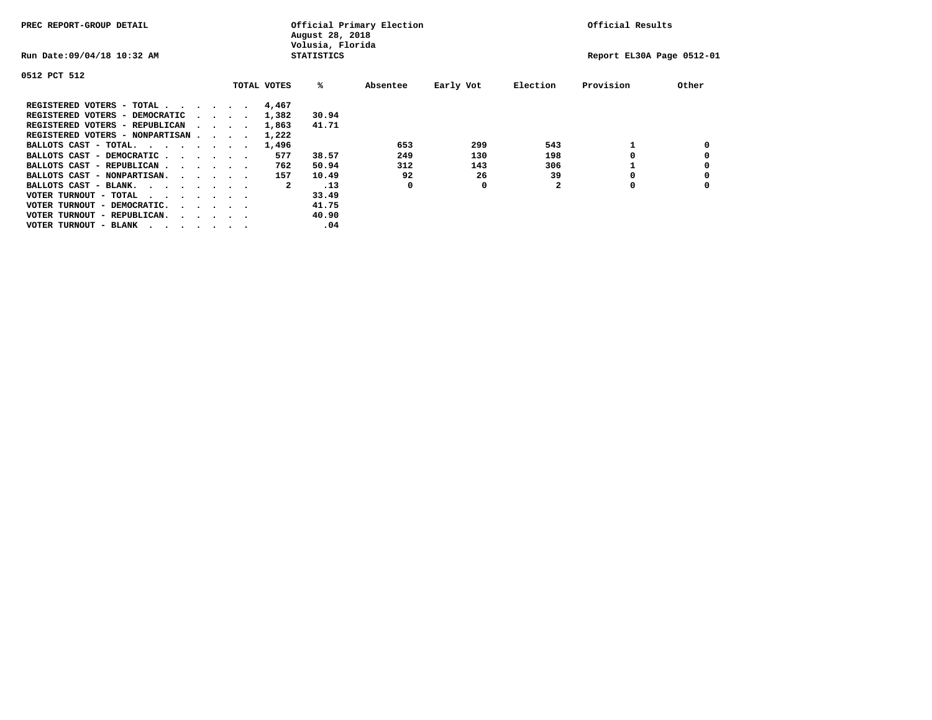| PREC REPORT-GROUP DETAIL                                               |  |  |                             | Official Primary Election<br>August 28, 2018<br>Volusia, Florida | Official Results |                   |          |           |              |                           |       |
|------------------------------------------------------------------------|--|--|-----------------------------|------------------------------------------------------------------|------------------|-------------------|----------|-----------|--------------|---------------------------|-------|
| Run Date: 09/04/18 10:32 AM                                            |  |  |                             |                                                                  |                  | <b>STATISTICS</b> |          |           |              | Report EL30A Page 0512-01 |       |
| 0512 PCT 512                                                           |  |  |                             |                                                                  |                  |                   |          |           |              |                           |       |
|                                                                        |  |  |                             |                                                                  | TOTAL VOTES      | %ะ                | Absentee | Early Vot | Election     | Provision                 | Other |
| REGISTERED VOTERS - TOTAL                                              |  |  |                             |                                                                  | 4,467            |                   |          |           |              |                           |       |
| REGISTERED VOTERS - DEMOCRATIC                                         |  |  | $\sim$ $\sim$ $\sim$ $\sim$ |                                                                  | 1,382            | 30.94             |          |           |              |                           |       |
| REGISTERED VOTERS - REPUBLICAN                                         |  |  |                             |                                                                  | 1,863            | 41.71             |          |           |              |                           |       |
| REGISTERED VOTERS - NONPARTISAN                                        |  |  |                             |                                                                  | 1,222            |                   |          |           |              |                           |       |
| BALLOTS CAST - TOTAL.                                                  |  |  |                             |                                                                  | 1,496            |                   | 653      | 299       | 543          |                           |       |
| BALLOTS CAST - DEMOCRATIC                                              |  |  |                             |                                                                  | 577              | 38.57             | 249      | 130       | 198          |                           |       |
| BALLOTS CAST - REPUBLICAN                                              |  |  |                             |                                                                  | 762              | 50.94             | 312      | 143       | 306          |                           |       |
| BALLOTS CAST - NONPARTISAN.                                            |  |  |                             |                                                                  | 157              | 10.49             | 92       | 26        | 39           |                           |       |
| BALLOTS CAST - BLANK.                                                  |  |  |                             |                                                                  | 2                | .13               | 0        | 0         | $\mathbf{2}$ | 0                         |       |
| VOTER TURNOUT - TOTAL<br>.                                             |  |  |                             |                                                                  |                  | 33.49             |          |           |              |                           |       |
| VOTER TURNOUT - DEMOCRATIC.<br>$\cdot$ $\cdot$ $\cdot$ $\cdot$ $\cdot$ |  |  |                             |                                                                  |                  | 41.75             |          |           |              |                           |       |
| VOTER TURNOUT - REPUBLICAN.<br>$\cdot$                                 |  |  |                             |                                                                  |                  | 40.90             |          |           |              |                           |       |
| VOTER TURNOUT - BLANK                                                  |  |  |                             |                                                                  |                  | .04               |          |           |              |                           |       |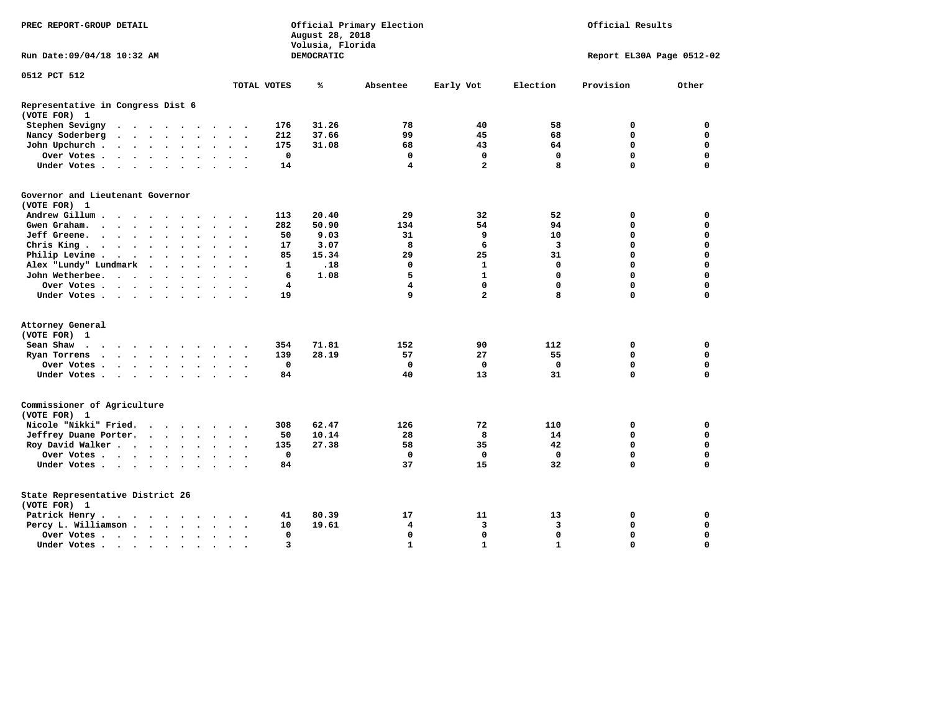|                                                   | Official Primary Election<br>Official Results<br>PREC REPORT-GROUP DETAIL<br>August 28, 2018<br>Volusia, Florida                                                                                                              |  |                   |  |                      |                                 |                         |                          |              |                   |                         |                |              |                           |             |
|---------------------------------------------------|-------------------------------------------------------------------------------------------------------------------------------------------------------------------------------------------------------------------------------|--|-------------------|--|----------------------|---------------------------------|-------------------------|--------------------------|--------------|-------------------|-------------------------|----------------|--------------|---------------------------|-------------|
| Run Date: 09/04/18 10:32 AM                       |                                                                                                                                                                                                                               |  |                   |  |                      |                                 |                         |                          |              | <b>DEMOCRATIC</b> |                         |                |              | Report EL30A Page 0512-02 |             |
| 0512 PCT 512                                      |                                                                                                                                                                                                                               |  |                   |  |                      |                                 |                         |                          |              |                   |                         |                |              |                           |             |
|                                                   |                                                                                                                                                                                                                               |  |                   |  |                      |                                 |                         |                          | TOTAL VOTES  | ℁                 | Absentee                | Early Vot      | Election     | Provision                 | Other       |
| Representative in Congress Dist 6<br>(VOTE FOR) 1 |                                                                                                                                                                                                                               |  |                   |  |                      |                                 |                         |                          |              |                   |                         |                |              |                           |             |
| Stephen Sevigny                                   |                                                                                                                                                                                                                               |  |                   |  |                      |                                 |                         |                          | 176          | 31.26             | 78                      | 40             | 58           | 0                         | 0           |
| Nancy Soderberg                                   |                                                                                                                                                                                                                               |  |                   |  |                      |                                 |                         |                          | 212          | 37.66             | 99                      | 45             | 68           | $\Omega$                  | $\mathbf 0$ |
| John Upchurch.                                    |                                                                                                                                                                                                                               |  |                   |  |                      |                                 | $\ddot{\phantom{1}}$    |                          | 175          | 31.08             | 68                      | 43             | 64           | $\mathbf 0$               | $\mathbf 0$ |
| Over Votes                                        |                                                                                                                                                                                                                               |  |                   |  |                      | $\ddot{\phantom{a}}$            | $\sim$ $\sim$           |                          | $\mathbf 0$  |                   | $\mathbf 0$             | $\mathbf 0$    | $\mathbf 0$  | $\mathbf 0$               | $\mathbf 0$ |
| Under Votes                                       |                                                                                                                                                                                                                               |  |                   |  |                      |                                 | $\cdot$ $\cdot$ $\cdot$ |                          | 14           |                   | 4                       | $\overline{a}$ | 8            | $\Omega$                  | $\Omega$    |
| Governor and Lieutenant Governor<br>(VOTE FOR) 1  |                                                                                                                                                                                                                               |  |                   |  |                      |                                 |                         |                          |              |                   |                         |                |              |                           |             |
| Andrew Gillum                                     |                                                                                                                                                                                                                               |  | $\cdot$           |  |                      |                                 |                         |                          | 113          | 20.40             | 29                      | 32             | 52           | 0                         | 0           |
| Gwen Graham.                                      |                                                                                                                                                                                                                               |  |                   |  | $\sim$               |                                 | $\ddot{\phantom{1}}$    | $\sim$                   | 282          | 50.90             | 134                     | 54             | 94           | 0                         | $\mathbf 0$ |
| Jeff Greene.                                      |                                                                                                                                                                                                                               |  |                   |  |                      |                                 | $\ddot{\phantom{a}}$    |                          | 50           | 9.03              | 31                      | 9              | 10           | $\Omega$                  | $\mathbf 0$ |
| Chris King                                        |                                                                                                                                                                                                                               |  |                   |  |                      |                                 | $\ddot{\phantom{0}}$    |                          | 17           | 3.07              | 8                       | 6              | 3            | $\mathbf 0$               | $\mathbf 0$ |
| Philip Levine.                                    | . The contract of the contract of the contract of the contract of the contract of the contract of the contract of the contract of the contract of the contract of the contract of the contract of the contract of the contrac |  |                   |  |                      |                                 | $\ddot{\phantom{1}}$    | $\sim$                   | 85           | 15.34             | 29                      | 25             | 31           | $\mathbf 0$               | $\mathbf 0$ |
| Alex "Lundy" Lundmark                             |                                                                                                                                                                                                                               |  | $\cdots$ $\cdots$ |  | $\ddot{\phantom{a}}$ |                                 | $\ddot{\phantom{a}}$    |                          | $\mathbf{1}$ | .18               | 0                       | $\mathbf{1}$   | 0            | $\mathbf 0$               | $\mathbf 0$ |
| John Wetherbee.                                   |                                                                                                                                                                                                                               |  |                   |  | $\ddot{\phantom{0}}$ | $\bullet$                       | $\cdot$                 |                          | 6            | 1.08              | 5                       | $\mathbf{1}$   | $\mathbf 0$  | $\mathbf 0$               | $\mathbf 0$ |
| Over Votes                                        |                                                                                                                                                                                                                               |  |                   |  |                      | $\sim$                          | $\sim$                  |                          | 4            |                   | $\overline{\mathbf{4}}$ | $\mathbf 0$    | $\mathbf 0$  | $\mathbf 0$               | $\mathbf 0$ |
| Under Votes                                       |                                                                                                                                                                                                                               |  |                   |  |                      |                                 |                         |                          | 19           |                   | 9                       | $\overline{a}$ | 8            | $\mathbf 0$               | $\mathbf 0$ |
|                                                   |                                                                                                                                                                                                                               |  |                   |  |                      |                                 |                         |                          |              |                   |                         |                |              |                           |             |
| Attorney General                                  |                                                                                                                                                                                                                               |  |                   |  |                      |                                 |                         |                          |              |                   |                         |                |              |                           |             |
| (VOTE FOR) 1                                      |                                                                                                                                                                                                                               |  |                   |  |                      |                                 |                         |                          |              |                   |                         | 90             | 112          | 0                         | 0           |
| Sean Shaw<br>$\cdots$                             |                                                                                                                                                                                                                               |  |                   |  |                      |                                 |                         |                          | 354          | 71.81             | 152                     |                |              |                           |             |
| Ryan Torrens                                      | $\cdots$                                                                                                                                                                                                                      |  |                   |  |                      |                                 | $\ddot{\phantom{1}}$    | $\cdot$                  | 139          | 28.19             | 57                      | 27             | 55           | $\mathbf 0$               | $\mathbf 0$ |
| Over Votes                                        |                                                                                                                                                                                                                               |  |                   |  |                      | $\bullet$ .<br><br><br><br><br> |                         |                          | $\mathbf 0$  |                   | $\mathbf 0$             | $\mathbf 0$    | $\mathbf 0$  | $\mathbf 0$               | $\mathbf 0$ |
| Under Votes                                       |                                                                                                                                                                                                                               |  |                   |  |                      |                                 | $\cdot$ $\cdot$ $\cdot$ |                          | 84           |                   | 40                      | 13             | 31           | $\mathbf 0$               | $\mathbf 0$ |
| Commissioner of Agriculture<br>(VOTE FOR) 1       |                                                                                                                                                                                                                               |  |                   |  |                      |                                 |                         |                          |              |                   |                         |                |              |                           |             |
| Nicole "Nikki" Fried.                             |                                                                                                                                                                                                                               |  |                   |  |                      |                                 |                         |                          | 308          | 62.47             | 126                     | 72             | 110          | 0                         | 0           |
| Jeffrey Duane Porter.                             |                                                                                                                                                                                                                               |  |                   |  |                      |                                 | $\sim$ $\sim$           | $\sim$                   | 50           | 10.14             | 28                      | 8              | 14           | 0                         | 0           |
| Roy David Walker                                  |                                                                                                                                                                                                                               |  |                   |  |                      |                                 | $\ddot{\phantom{1}}$    |                          | 135          | 27.38             | 58                      | 35             | 42           | $\mathbf 0$               | $\mathbf 0$ |
| Over Votes                                        |                                                                                                                                                                                                                               |  |                   |  |                      |                                 | $\ddot{\phantom{a}}$    |                          | $\mathbf 0$  |                   | $\mathbf 0$             | $\mathbf 0$    | $\mathbf{0}$ | $\mathbf 0$               | $\mathbf 0$ |
| Under Votes                                       |                                                                                                                                                                                                                               |  |                   |  |                      |                                 | $\ddot{\phantom{1}}$    |                          | 84           |                   | 37                      | 15             | 32           | $\Omega$                  | $\mathbf 0$ |
| State Representative District 26<br>(VOTE FOR) 1  |                                                                                                                                                                                                                               |  |                   |  |                      |                                 |                         |                          |              |                   |                         |                |              |                           |             |
| Patrick Henry.                                    | the contract of the contract of the contract of the contract of the contract of the contract of the contract of                                                                                                               |  |                   |  |                      |                                 |                         |                          | 41           | 80.39             | 17                      | 11             | 13           | 0                         | 0           |
| Percy L. Williamson                               |                                                                                                                                                                                                                               |  |                   |  |                      | $\ddot{\phantom{a}}$            | $\ddot{\phantom{0}}$    | $\overline{\phantom{a}}$ | 10           | 19.61             | 4                       | 3              | 3            | $\mathbf 0$               | $\mathbf 0$ |
| Over Votes                                        |                                                                                                                                                                                                                               |  |                   |  |                      | $\bullet$                       | $\bullet$               |                          | $\mathbf 0$  |                   | $\mathbf 0$             | 0              | $\mathbf 0$  | $\mathbf 0$               | $\mathbf 0$ |
| Under Votes                                       |                                                                                                                                                                                                                               |  |                   |  |                      |                                 |                         |                          | 3            |                   | $\mathbf{1}$            | $\mathbf{1}$   | $\mathbf{1}$ | $\Omega$                  | $\Omega$    |
|                                                   |                                                                                                                                                                                                                               |  |                   |  |                      |                                 |                         |                          |              |                   |                         |                |              |                           |             |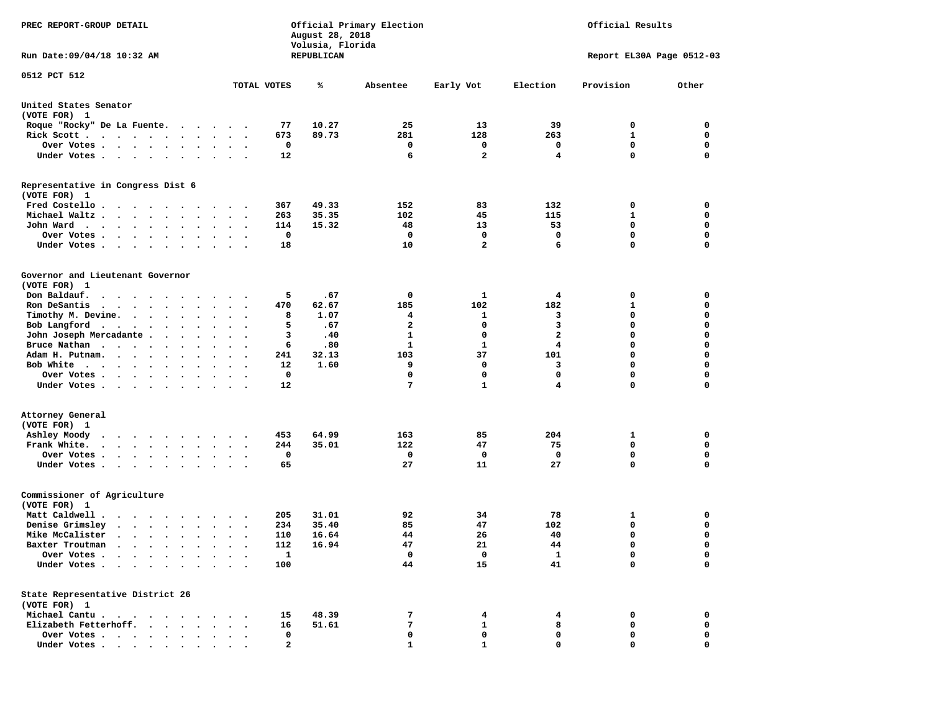| PREC REPORT-GROUP DETAIL                                                                                                                                                                        |                                              |              | August 28, 2018<br>Volusia, Florida | Official Primary Election | Official Results        |              |                           |             |
|-------------------------------------------------------------------------------------------------------------------------------------------------------------------------------------------------|----------------------------------------------|--------------|-------------------------------------|---------------------------|-------------------------|--------------|---------------------------|-------------|
| Run Date: 09/04/18 10:32 AM                                                                                                                                                                     |                                              |              | REPUBLICAN                          |                           |                         |              | Report EL30A Page 0512-03 |             |
| 0512 PCT 512                                                                                                                                                                                    | TOTAL VOTES                                  |              | ℁                                   | Absentee                  | Early Vot               | Election     | Provision                 | Other       |
|                                                                                                                                                                                                 |                                              |              |                                     |                           |                         |              |                           |             |
| United States Senator<br>(VOTE FOR) 1                                                                                                                                                           |                                              |              |                                     |                           |                         |              |                           |             |
| Roque "Rocky" De La Fuente.                                                                                                                                                                     | .                                            | 77           | 10.27                               | 25                        | 13                      | 39           | 0                         | 0           |
| Rick Scott                                                                                                                                                                                      | $\ddot{\phantom{1}}$                         | 673          | 89.73                               | 281                       | 128                     | 263          | $\mathbf{1}$              | $\mathbf 0$ |
| Over Votes                                                                                                                                                                                      | $\sim$                                       | 0            |                                     | 0                         | 0                       | 0            | 0                         | 0           |
| Under Votes                                                                                                                                                                                     | $\sim$ $\sim$ $\sim$                         | 12           |                                     | 6                         | $\mathbf{2}$            | 4            | 0                         | $\mathbf 0$ |
| Representative in Congress Dist 6<br>(VOTE FOR) 1                                                                                                                                               |                                              |              |                                     |                           |                         |              |                           |             |
| Fred Costello                                                                                                                                                                                   |                                              | 367          | 49.33                               | 152                       | 83                      | 132          | 0                         | 0           |
| Michael Waltz.                                                                                                                                                                                  | $\sim$<br>$\ddot{\phantom{a}}$               | 263          | 35.35                               | 102                       | 45                      | 115          | 1                         | 0           |
| John Ward<br>$\bullet$                                                                                                                                                                          | $\cdot$ $\cdot$ $\cdot$                      | 114          | 15.32                               | 48                        | 13                      | 53           | $\mathbf 0$               | $\mathbf 0$ |
| Over Votes .<br>$\sim$ $\sim$<br>$\ddot{\phantom{a}}$<br>$\bullet$                                                                                                                              |                                              | 0            |                                     | 0                         | 0                       | 0            | $\mathbf 0$               | 0           |
| Under Votes.<br>$\ddot{\phantom{0}}$                                                                                                                                                            |                                              | 18           |                                     | 10                        | $\overline{\mathbf{2}}$ | 6            | 0                         | $\mathbf 0$ |
| Governor and Lieutenant Governor<br>(VOTE FOR) 1                                                                                                                                                |                                              |              |                                     |                           |                         |              |                           |             |
| Don Baldauf.<br>$\begin{array}{cccccccccccccccccc} \bullet & \bullet & \bullet & \bullet & \bullet & \bullet & \bullet & \bullet & \bullet & \bullet & \bullet & \bullet & \bullet \end{array}$ | $\cdot$                                      | 5            | .67                                 | 0                         | 1                       | 4            | 0                         | 0           |
| Ron DeSantis<br>$\cdots$                                                                                                                                                                        | $\bullet$<br>$\bullet$<br>$\bullet$          | 470          | 62.67                               | 185                       | 102                     | 182          | 1                         | 0           |
| Timothy M. Devine.                                                                                                                                                                              |                                              | 8            | 1.07                                | 4                         | 1                       | 3            | 0                         | $\mathbf 0$ |
| Bob Langford<br>$\bullet$                                                                                                                                                                       | $\bullet$                                    | 5            | .67                                 | $\mathbf{2}$              | 0                       | 3            | 0                         | $\mathbf 0$ |
| John Joseph Mercadante .<br>$\sim$<br>$\bullet$                                                                                                                                                 |                                              | з            | .40                                 | 1                         | 0                       | $\mathbf{2}$ | 0                         | $\mathbf 0$ |
| Bruce Nathan<br>$\ddot{\phantom{0}}$                                                                                                                                                            |                                              | 6            | .80                                 | $\mathbf{1}$              | 1                       | 4            | 0                         | $\mathbf 0$ |
| Adam H. Putnam.<br>$\cdot$ $\cdot$ $\cdot$<br>$\bullet$                                                                                                                                         |                                              | 241          | 32.13                               | 103                       | 37                      | 101          | 0                         | 0           |
| Bob White<br>$\cdot$                                                                                                                                                                            |                                              | 12           | 1.60                                | 9                         | 0                       | 3            | 0                         | $\mathbf 0$ |
| Over Votes .<br>$\cdots$<br>$\bullet$                                                                                                                                                           | $\bullet$<br>$\ddot{\phantom{0}}$<br>$\cdot$ | 0            |                                     | 0                         | $\mathbf 0$             | $\mathbf 0$  | 0                         | $\mathbf 0$ |
| Under Votes                                                                                                                                                                                     | $\ddot{\phantom{1}}$<br>$\sim$ $\sim$        | 12           |                                     | 7                         | $\mathbf{1}$            | 4            | 0                         | 0           |
| Attorney General                                                                                                                                                                                |                                              |              |                                     |                           |                         |              |                           |             |
| (VOTE FOR) 1                                                                                                                                                                                    |                                              |              |                                     |                           |                         |              |                           |             |
| Ashley Moody                                                                                                                                                                                    | $\cdot$                                      | 453          | 64.99                               | 163                       | 85                      | 204          | 1                         | 0           |
| Frank White.<br>$\cdots$<br>$\bullet$                                                                                                                                                           | $\bullet$<br>$\bullet$                       | 244          | 35.01                               | 122                       | 47                      | 75           | 0                         | $\mathbf 0$ |
| Over Votes .<br>$\cdot$ $\cdot$ $\cdot$ $\cdot$<br>$\bullet$<br>$\bullet$                                                                                                                       |                                              | 0            |                                     | 0                         | 0                       | 0            | 0                         | 0           |
| Under Votes<br>$\bullet$ .<br>$\bullet$                                                                                                                                                         | $\bullet$<br>$\bullet$ $\bullet$             | 65           |                                     | 27                        | 11                      | 27           | 0                         | $\Omega$    |
| Commissioner of Agriculture<br>(VOTE FOR) 1                                                                                                                                                     |                                              |              |                                     |                           |                         |              |                           |             |
| Matt Caldwell .<br>$\cdot$ $\cdot$ $\cdot$ $\cdot$ $\cdot$ $\cdot$                                                                                                                              |                                              | 205          | 31.01                               | 92                        | 34                      | 78           | 1                         | 0           |
| Denise Grimsley<br>$\bullet$                                                                                                                                                                    |                                              | 234          | 35.40                               | 85                        | 47                      | 102          | 0                         | 0           |
| Mike McCalister<br>$\cdot$                                                                                                                                                                      | $\ddot{\phantom{a}}$<br>$\bullet$            | 110          | 16.64                               | 44                        | 26                      | 40           | 0                         | $\mathbf 0$ |
| Baxter Troutman<br>.                                                                                                                                                                            |                                              | 112          | 16.94                               | 47                        | 21                      | 44           | 0                         | 0           |
| Over Votes .<br>$\bullet$<br>$\bullet$                                                                                                                                                          |                                              | $\mathbf{1}$ |                                     | 0                         | 0                       | 1            | 0                         | 0           |
| Under Votes.<br>$\sim$<br>$\ddot{\phantom{a}}$<br>$\ddot{\phantom{a}}$<br>$\bullet$                                                                                                             |                                              | 100          |                                     | 44                        | 15                      | 41           | 0                         | $\mathbf 0$ |
| State Representative District 26<br>(VOTE FOR) 1                                                                                                                                                |                                              |              |                                     |                           |                         |              |                           |             |
| Michael Cantu.<br>$\sim$ $\sim$ $\sim$ $\sim$ $\sim$<br>$\cdot$<br>$\bullet$                                                                                                                    |                                              | 15           | 48.39                               | 7                         | 4                       | 4            | 0                         | 0           |
| Elizabeth Fetterhoff.<br>$\ddot{\phantom{a}}$                                                                                                                                                   |                                              | 16           | 51.61                               | 7                         | 1                       | 8            | 0                         | 0           |
| Over Votes .<br>$\ddot{\phantom{1}}$<br>$\sim$<br>$\bullet$ . $\bullet$                                                                                                                         |                                              | 0            |                                     | 0                         | 0                       | 0            | 0                         | 0           |
| Under Votes<br>$\bullet$                                                                                                                                                                        |                                              | $\mathbf{2}$ |                                     | 1                         | 1                       | 0            | 0                         | 0           |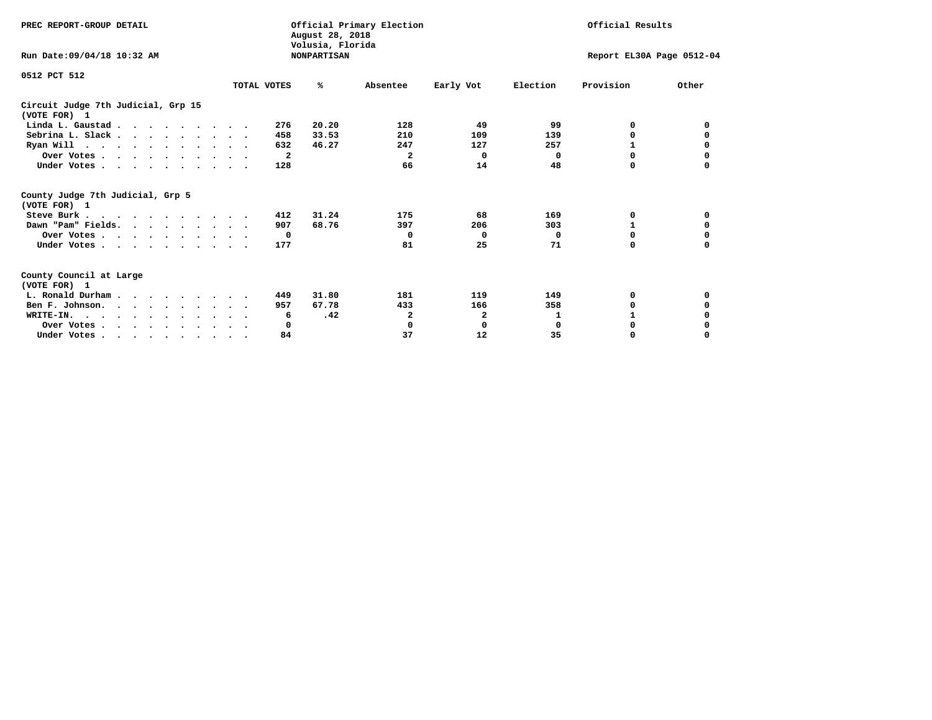| PREC REPORT-GROUP DETAIL                                                         |             | August 28, 2018<br>Volusia, Florida | Official Primary Election |              | Official Results |                           |          |  |
|----------------------------------------------------------------------------------|-------------|-------------------------------------|---------------------------|--------------|------------------|---------------------------|----------|--|
| Run Date: 09/04/18 10:32 AM                                                      |             | <b>NONPARTISAN</b>                  |                           |              |                  | Report EL30A Page 0512-04 |          |  |
| 0512 PCT 512                                                                     |             |                                     |                           |              |                  |                           |          |  |
|                                                                                  | TOTAL VOTES | ℁                                   | Absentee                  | Early Vot    | Election         | Provision                 | Other    |  |
| Circuit Judge 7th Judicial, Grp 15<br>(VOTE FOR) 1                               |             |                                     |                           |              |                  |                           |          |  |
| Linda L. Gaustad                                                                 |             | 20.20<br>276                        | 128                       | 49           | 99               | 0                         | 0        |  |
| Sebrina L. Slack                                                                 |             | 33.53<br>458                        | 210                       | 109          | 139              | 0                         |          |  |
| Ryan Will $\cdots$ , $\cdots$ , $\cdots$ , $\cdots$                              |             | 632<br>46.27                        | 247                       | 127          | 257              | 1                         | 0        |  |
| Over Votes                                                                       |             | $\mathbf{2}$                        | 2                         | $\Omega$     | 0                | $\Omega$                  | 0        |  |
| Under Votes                                                                      |             | 128                                 | 66                        | 14           | 48               | 0                         |          |  |
| County Judge 7th Judicial, Grp 5<br>(VOTE FOR) 1                                 |             |                                     |                           |              |                  |                           |          |  |
| Steve Burk                                                                       |             | 31.24<br>412                        | 175                       | 68           | 169              | 0                         | 0        |  |
| Dawn "Pam" Fields.                                                               |             | 68.76<br>907                        | 397                       | 206          | 303              |                           | 0        |  |
| Over Votes                                                                       |             | 0                                   | $\Omega$                  | $\Omega$     | 0                | 0                         | 0        |  |
| Under Votes                                                                      |             | 177                                 | 81                        | 25           | 71               | $\Omega$                  | $\Omega$ |  |
| County Council at Large<br>(VOTE FOR) 1                                          |             |                                     |                           |              |                  |                           |          |  |
| L. Ronald Durham                                                                 |             | 31.80<br>449                        | 181                       | 119          | 149              | 0                         | 0        |  |
| Ben F. Johnson.                                                                  |             | 67.78<br>957                        | 433                       | 166          | 358              | 0                         | 0        |  |
| WRITE-IN.                                                                        |             | .42<br>6                            | 2                         | $\mathbf{2}$ | 1                |                           |          |  |
| Over Votes                                                                       |             | 0                                   | 0                         | 0            | $\mathbf 0$      | 0                         |          |  |
| Under Votes, $\cdot$ , $\cdot$ , $\cdot$ , $\cdot$ , $\cdot$ , $\cdot$ , $\cdot$ |             | 84                                  | 37                        | 12           | 35               | 0                         | $\Omega$ |  |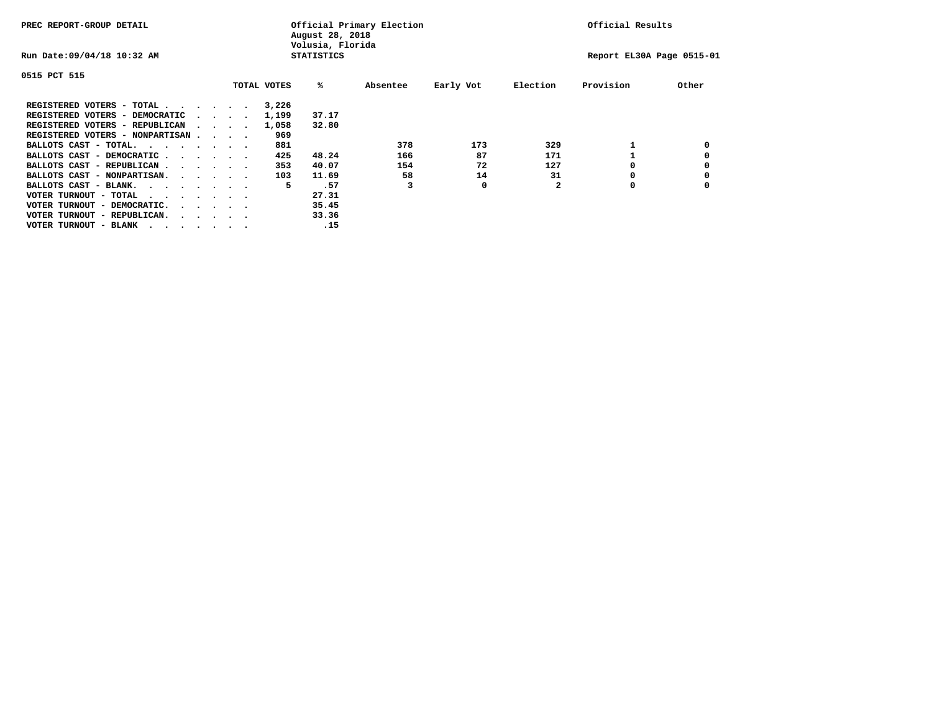| PREC REPORT-GROUP DETAIL                |  |                                         |  | Official Primary Election<br>August 28, 2018<br>Volusia, Florida | Official Results  |          |           |          |                           |       |
|-----------------------------------------|--|-----------------------------------------|--|------------------------------------------------------------------|-------------------|----------|-----------|----------|---------------------------|-------|
| Run Date: 09/04/18 10:32 AM             |  |                                         |  |                                                                  | <b>STATISTICS</b> |          |           |          | Report EL30A Page 0515-01 |       |
| 0515 PCT 515                            |  |                                         |  |                                                                  |                   |          |           |          |                           |       |
|                                         |  |                                         |  | TOTAL VOTES                                                      | %ะ                | Absentee | Early Vot | Election | Provision                 | Other |
| REGISTERED VOTERS - TOTAL               |  |                                         |  | 3,226                                                            |                   |          |           |          |                           |       |
| REGISTERED VOTERS - DEMOCRATIC          |  | $\sim$ $\sim$ $\sim$ $\sim$             |  | 1,199                                                            | 37.17             |          |           |          |                           |       |
| REGISTERED VOTERS - REPUBLICAN          |  |                                         |  | 1,058                                                            | 32.80             |          |           |          |                           |       |
| REGISTERED VOTERS - NONPARTISAN         |  |                                         |  | 969                                                              |                   |          |           |          |                           |       |
| BALLOTS CAST - TOTAL.                   |  |                                         |  | 881                                                              |                   | 378      | 173       | 329      |                           |       |
| BALLOTS CAST - DEMOCRATIC               |  |                                         |  | 425                                                              | 48.24             | 166      | 87        | 171      |                           |       |
| BALLOTS CAST - REPUBLICAN               |  |                                         |  | 353                                                              | 40.07             | 154      | 72        | 127      |                           |       |
| BALLOTS CAST - NONPARTISAN.             |  |                                         |  | 103                                                              | 11.69             | 58       | 14        | 31       |                           |       |
| BALLOTS CAST - BLANK.                   |  |                                         |  | 5                                                                | .57               |          | 0         |          | 0                         |       |
| VOTER TURNOUT - TOTAL<br>.              |  |                                         |  |                                                                  | 27.31             |          |           |          |                           |       |
| VOTER TURNOUT - DEMOCRATIC.             |  | $\cdot$ $\cdot$ $\cdot$ $\cdot$ $\cdot$ |  |                                                                  | 35.45             |          |           |          |                           |       |
| VOTER TURNOUT - REPUBLICAN.<br>$\cdots$ |  |                                         |  |                                                                  | 33.36             |          |           |          |                           |       |
| VOTER TURNOUT - BLANK                   |  |                                         |  |                                                                  | .15               |          |           |          |                           |       |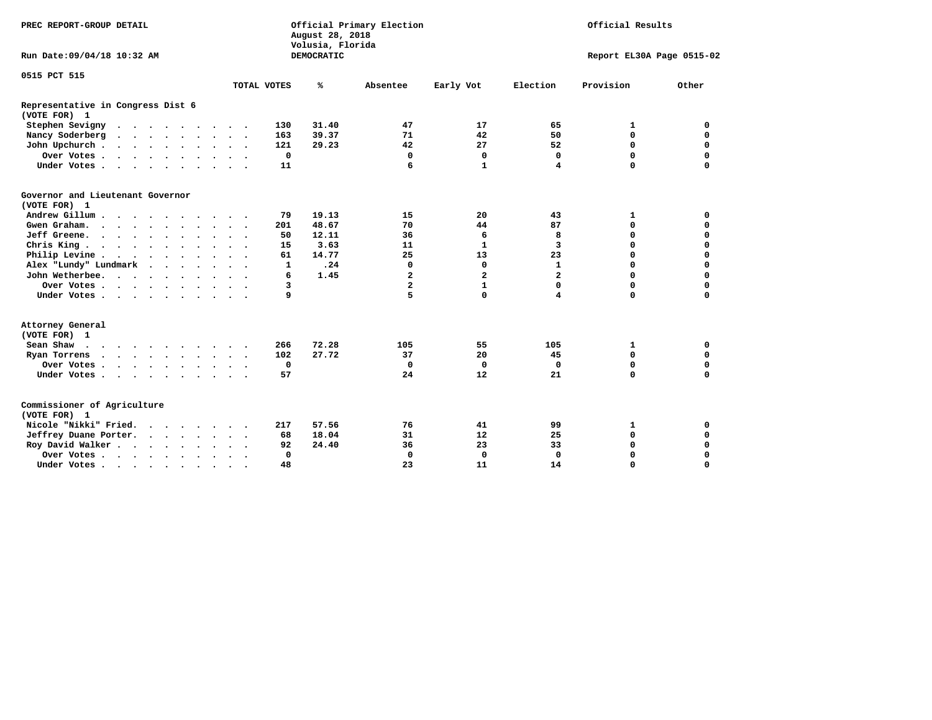| PREC REPORT-GROUP DETAIL                                 |                                                    | Official Primary Election<br>August 28, 2018<br>Volusia, Florida |                                  | Official Results<br>Report EL30A Page 0515-02 |  |  |  |
|----------------------------------------------------------|----------------------------------------------------|------------------------------------------------------------------|----------------------------------|-----------------------------------------------|--|--|--|
| Run Date: 09/04/18 10:32 AM                              |                                                    | <b>DEMOCRATIC</b>                                                |                                  |                                               |  |  |  |
| 0515 PCT 515                                             |                                                    |                                                                  |                                  |                                               |  |  |  |
|                                                          | TOTAL VOTES                                        | ℁<br>Absentee                                                    | Election<br>Early Vot            | Provision<br>Other                            |  |  |  |
| Representative in Congress Dist 6<br>(VOTE FOR) 1        |                                                    |                                                                  |                                  |                                               |  |  |  |
| Stephen Sevigny                                          | 130                                                | 31.40<br>47                                                      | 17<br>65                         | 1<br>0                                        |  |  |  |
| Nancy Soderberg                                          | 163                                                | 39.37<br>71                                                      | 42<br>50                         | $\mathbf 0$<br>$\mathbf 0$                    |  |  |  |
| John Upchurch                                            | 121                                                | 29.23<br>42                                                      | 27<br>52                         | $\mathbf 0$<br>$\mathbf 0$                    |  |  |  |
| Over Votes                                               | $\mathbf 0$                                        | 0                                                                | 0<br>0                           | $\mathbf 0$<br>0                              |  |  |  |
| Under Votes                                              | 11                                                 | 6                                                                | $\mathbf{1}$<br>4                | $\mathbf 0$<br>$\mathbf 0$                    |  |  |  |
| Governor and Lieutenant Governor<br>(VOTE FOR) 1         |                                                    |                                                                  |                                  |                                               |  |  |  |
| Andrew Gillum                                            | 79                                                 | 19.13<br>15                                                      | 20<br>43                         | 0<br>1                                        |  |  |  |
| Gwen Graham                                              | 201<br>$\overline{\phantom{a}}$                    | 48.67<br>70                                                      | 44<br>87                         | $\mathbf 0$<br>0                              |  |  |  |
| Jeff Greene.                                             | 50                                                 | 12.11<br>36                                                      | 8<br>6                           | 0<br>0                                        |  |  |  |
| Chris King                                               | 15                                                 | 3.63<br>11                                                       | $\mathbf{1}$<br>3                | $\mathbf 0$<br>$\mathbf 0$                    |  |  |  |
| Philip Levine                                            | 61                                                 | 14.77<br>25                                                      | 23<br>13                         | $\mathbf 0$<br>$\mathbf 0$                    |  |  |  |
| Alex "Lundy" Lundmark<br>$\cdot$ $\cdot$ $\cdot$ $\cdot$ | $\mathbf{1}$                                       | .24<br>$\mathbf 0$                                               | 0<br>$\mathbf{1}$                | $\mathbf 0$<br>$\mathbf 0$                    |  |  |  |
| John Wetherbee.                                          | 6                                                  | 1.45<br>$\mathbf{z}$                                             | $\overline{a}$<br>$\overline{a}$ | $\Omega$<br>$\mathbf 0$                       |  |  |  |
| Over Votes                                               | 3                                                  | $\overline{a}$                                                   | $\mathbf{1}$<br>0                | $\mathbf 0$<br>$\mathbf 0$                    |  |  |  |
| Under Votes                                              | 9                                                  | 5                                                                | $\mathbf 0$<br>4                 | $\mathbf 0$<br>$\mathbf 0$                    |  |  |  |
| Attorney General<br>(VOTE FOR) 1                         |                                                    |                                                                  |                                  |                                               |  |  |  |
| Sean Shaw                                                | 266                                                | 72.28<br>105                                                     | 55<br>105                        | $\mathbf 0$<br>1                              |  |  |  |
| Ryan Torrens<br>$\cdots$                                 | 102                                                | 27.72<br>37                                                      | 45<br>20                         | $\mathbf 0$<br>$\mathbf 0$                    |  |  |  |
| Over Votes                                               | 0<br>$\ddot{\phantom{1}}$                          | $\Omega$                                                         | 0<br>0                           | 0<br>0                                        |  |  |  |
| Under Votes                                              | 57                                                 | 24                                                               | 12<br>21                         | $\mathbf 0$<br>$\mathbf 0$                    |  |  |  |
| Commissioner of Agriculture<br>(VOTE FOR) 1              |                                                    |                                                                  |                                  |                                               |  |  |  |
| Nicole "Nikki" Fried.                                    | 217                                                | 57.56<br>76                                                      | 41<br>99                         | 1<br>0                                        |  |  |  |
| Jeffrey Duane Porter.                                    | 68                                                 | 18.04<br>31                                                      | 12<br>25                         | $\mathbf 0$<br>$\mathbf 0$                    |  |  |  |
| Roy David Walker                                         | 92                                                 | 24.40<br>36                                                      | 23<br>33                         | $\mathbf 0$<br>0                              |  |  |  |
| Over Votes                                               | $\Omega$<br>$\ddot{\phantom{0}}$                   | $\mathbf 0$                                                      | $\mathbf 0$<br>0                 | $\mathbf 0$<br>$\mathbf 0$                    |  |  |  |
| Under Votes                                              | 48<br>$\ddot{\phantom{1}}$<br>$\ddot{\phantom{0}}$ | 23                                                               | 11<br>14                         | $\Omega$<br>$\Omega$                          |  |  |  |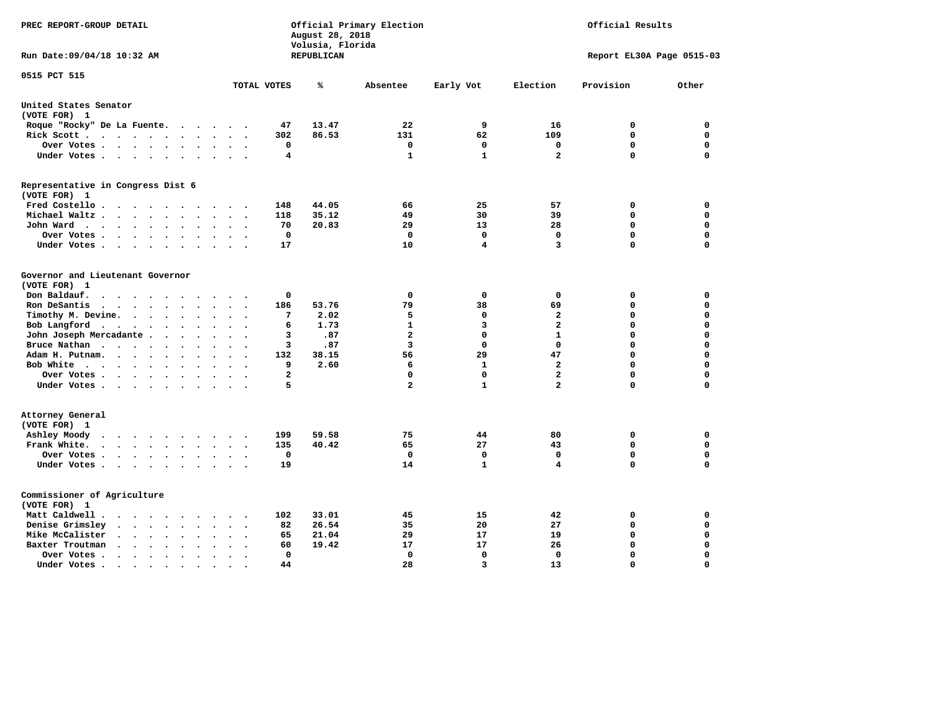| PREC REPORT-GROUP DETAIL                                                                                                                                                                     |                                                       | August 28, 2018<br>Volusia, Florida | Official Primary Election |              | Official Results |                           |             |
|----------------------------------------------------------------------------------------------------------------------------------------------------------------------------------------------|-------------------------------------------------------|-------------------------------------|---------------------------|--------------|------------------|---------------------------|-------------|
| Run Date: 09/04/18 10:32 AM                                                                                                                                                                  |                                                       | REPUBLICAN                          |                           |              |                  | Report EL30A Page 0515-03 |             |
| 0515 PCT 515                                                                                                                                                                                 | TOTAL VOTES                                           | ℁                                   | Absentee                  | Early Vot    | Election         | Provision                 | Other       |
|                                                                                                                                                                                              |                                                       |                                     |                           |              |                  |                           |             |
| United States Senator<br>(VOTE FOR) 1                                                                                                                                                        |                                                       |                                     |                           |              |                  |                           |             |
| Roque "Rocky" De La Fuente.<br>$\sim$ $\sim$ $\sim$                                                                                                                                          | 47<br>$\sim$<br>$\overline{\phantom{a}}$              | 13.47                               | 22                        | 9            | 16               | 0                         | 0           |
| Rick Scott                                                                                                                                                                                   | 302                                                   | 86.53                               | 131                       | 62           | 109              | $\mathbf 0$               | $\mathbf 0$ |
| Over Votes<br>$\ddot{\phantom{0}}$                                                                                                                                                           | 0<br>$\bullet$<br>$\ddot{\phantom{a}}$<br>$\bullet$   |                                     | 0                         | 0            | 0                | $\mathbf 0$               | $\mathbf 0$ |
| Under Votes<br>$\ddot{\phantom{a}}$                                                                                                                                                          | 4<br>$\ddot{\phantom{a}}$                             |                                     | 1                         | 1            | $\mathbf{2}$     | $\Omega$                  | $\mathbf 0$ |
| Representative in Congress Dist 6                                                                                                                                                            |                                                       |                                     |                           |              |                  |                           |             |
| (VOTE FOR) 1                                                                                                                                                                                 |                                                       |                                     |                           |              |                  |                           |             |
| Fred Costello.                                                                                                                                                                               | 148<br>$\sim$ $\sim$ $\sim$                           | 44.05                               | 66                        | 25           | 57               | 0                         | 0           |
| Michael Waltz.<br>$\sim$ $\sim$ $\sim$<br>$\ddot{\phantom{a}}$<br>$\ddot{\phantom{a}}$<br>$\ddot{\phantom{a}}$                                                                               | 118                                                   | 35.12                               | 49                        | 30           | 39               | $\mathbf 0$               | $\mathbf 0$ |
| John Ward<br>$\begin{array}{cccccccccccccc} \bullet & \bullet & \bullet & \bullet & \bullet & \bullet & \bullet & \bullet & \bullet & \bullet & \bullet \end{array}$<br>$\ddot{\phantom{a}}$ | 70<br>$\ddot{\phantom{a}}$                            | 20.83                               | 29                        | 13           | 28               | $\mathbf 0$               | 0           |
| Over Votes<br>$\cdot$                                                                                                                                                                        | $\mathbf{o}$                                          |                                     | 0                         | $\mathbf 0$  | $\mathbf 0$      | $\mathbf 0$               | 0           |
| Under Votes<br>$\cdot$                                                                                                                                                                       | 17                                                    |                                     | 10                        | 4            | 3                | $\Omega$                  | $\mathbf 0$ |
| Governor and Lieutenant Governor<br>(VOTE FOR) 1                                                                                                                                             |                                                       |                                     |                           |              |                  |                           |             |
| Don Baldauf.<br>$\sim$ $\sim$ $\sim$ $\sim$<br>$\sim$                                                                                                                                        | 0                                                     |                                     | 0                         | 0            | 0                | 0                         | 0           |
| Ron DeSantis<br>$\bullet$                                                                                                                                                                    | 186<br>$\Delta \sim 10^{-11}$<br>$\ddot{\phantom{a}}$ | 53.76                               | 79                        | 38           | 69               | 0                         | 0           |
| Timothy M. Devine.<br>$\bullet$                                                                                                                                                              | 7<br>$\overline{\phantom{a}}$                         | 2.02                                | 5                         | 0            | $\mathbf{2}$     | 0                         | $\mathbf 0$ |
| Bob Langford<br>$\ddot{\phantom{0}}$<br>$\ddot{\phantom{1}}$<br>$\ddot{\phantom{a}}$                                                                                                         | 6<br>$\ddot{\phantom{a}}$                             | 1.73                                | $\mathbf{1}$              | 3            | $\overline{a}$   | $\mathbf 0$               | $\mathbf 0$ |
| John Joseph Mercadante                                                                                                                                                                       | 3<br>$\overline{\phantom{a}}$                         | .87                                 | $\overline{a}$            | 0            | $\mathbf{1}$     | $\mathbf 0$               | $\mathbf 0$ |
| Bruce Nathan<br>$\bullet$<br>$\ddot{\phantom{a}}$                                                                                                                                            | 3                                                     | .87                                 | 3                         | 0            | $^{\circ}$       | 0                         | $\mathbf 0$ |
| Adam H. Putnam.                                                                                                                                                                              | 132                                                   | 38.15                               | 56                        | 29           | 47               | $\Omega$                  | $\mathbf 0$ |
| Bob White<br>$\ddot{\phantom{a}}$                                                                                                                                                            | 9<br>$\ddot{\phantom{a}}$                             | 2.60                                | 6                         | 1            | $\overline{a}$   | $\mathbf 0$               | $\mathbf 0$ |
| Over Votes .<br>$\cdot$                                                                                                                                                                      | $\overline{a}$                                        |                                     | 0                         | $\mathbf 0$  | $\overline{a}$   | $\mathbf 0$               | $\mathbf 0$ |
| Under Votes                                                                                                                                                                                  | 5                                                     |                                     | $\mathbf{2}$              | 1            | $\overline{a}$   | $\mathbf 0$               | $\mathbf 0$ |
| Attorney General<br>(VOTE FOR) 1                                                                                                                                                             |                                                       |                                     |                           |              |                  |                           |             |
| Ashley Moody<br>$\bullet$<br>$\cdots$<br>$\sim$                                                                                                                                              | 199<br>$\cdot$                                        | 59.58                               | 75                        | 44           | 80               | 0                         | $\mathbf 0$ |
| Frank White.<br>$\cdot$ $\cdot$ $\cdot$ $\cdot$ $\cdot$ $\cdot$ $\cdot$<br>$\sim$                                                                                                            | 135                                                   | 40.42                               | 65                        | 27           | 43               | $\mathbf 0$               | 0           |
| Over Votes .<br>$\cdots$<br>$\bullet$                                                                                                                                                        | $\mathbf 0$                                           |                                     | $\mathbf 0$               | $\mathbf 0$  | $\mathbf 0$      | $\mathbf 0$               | $\mathbf 0$ |
| Under Votes<br>$\sim$<br>$\ddot{\phantom{a}}$                                                                                                                                                | 19<br>$\ddot{\phantom{a}}$                            |                                     | 14                        | $\mathbf{1}$ | 4                | $\mathbf 0$               | 0           |
| Commissioner of Agriculture<br>(VOTE FOR) 1                                                                                                                                                  |                                                       |                                     |                           |              |                  |                           |             |
| Matt Caldwell.<br>$\cdot$ $\cdot$ $\cdot$ $\cdot$ $\cdot$ $\cdot$ $\cdot$                                                                                                                    | 102<br>$\ddot{\phantom{a}}$                           | 33.01                               | 45                        | 15           | 42               | 0                         | 0           |
| Denise Grimsley<br><b>Contract Contract Contract</b><br>$\bullet$<br>$\bullet$<br>$\bullet$                                                                                                  | 82                                                    | 26.54                               | 35                        | 20           | 27               | 0                         | 0           |
| Mike McCalister<br>$\cdots$<br>$\bullet$                                                                                                                                                     | 65<br>$\overline{\phantom{a}}$                        | 21.04                               | 29                        | 17           | 19               | 0                         | 0           |
| Baxter Troutman<br>$\sim$ $\sim$ $\sim$ $\sim$<br>$\sim$<br>$\sim$                                                                                                                           | 60                                                    | 19.42                               | 17                        | 17           | 26               | 0                         | 0           |
| Over Votes .<br>$\sim$ $\sim$ $\sim$<br>$\bullet$<br>$\bullet$                                                                                                                               | $\Omega$                                              |                                     | 0                         | $\mathbf{0}$ | $\Omega$         | $\mathbf 0$               | $\mathbf 0$ |
| Under Votes.<br>.                                                                                                                                                                            | 44                                                    |                                     | 28                        | 3            | 13               | $\Omega$                  | $\Omega$    |
|                                                                                                                                                                                              |                                                       |                                     |                           |              |                  |                           |             |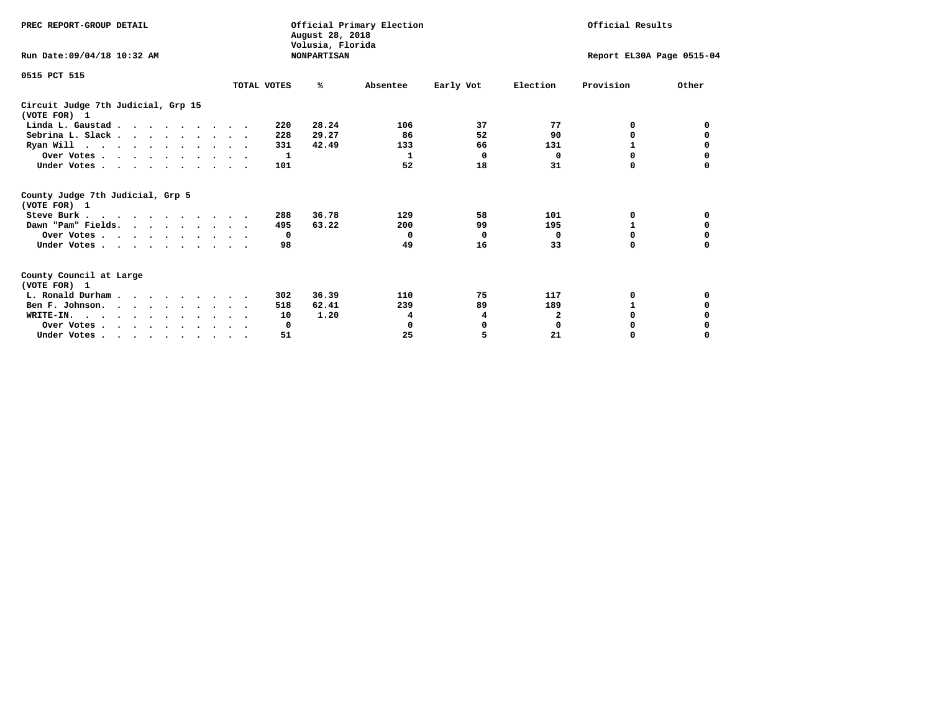| PREC REPORT-GROUP DETAIL                                                                                                                                                                                                                                                                                                                                                 |             | August 28, 2018<br>Volusia, Florida | Official Primary Election |           | Official Results          |           |          |  |
|--------------------------------------------------------------------------------------------------------------------------------------------------------------------------------------------------------------------------------------------------------------------------------------------------------------------------------------------------------------------------|-------------|-------------------------------------|---------------------------|-----------|---------------------------|-----------|----------|--|
| Run Date: 09/04/18 10:32 AM                                                                                                                                                                                                                                                                                                                                              |             | <b>NONPARTISAN</b>                  |                           |           | Report EL30A Page 0515-04 |           |          |  |
| 0515 PCT 515                                                                                                                                                                                                                                                                                                                                                             |             |                                     |                           |           |                           |           |          |  |
|                                                                                                                                                                                                                                                                                                                                                                          | TOTAL VOTES | ℁                                   | Absentee                  | Early Vot | Election                  | Provision | Other    |  |
| Circuit Judge 7th Judicial, Grp 15<br>(VOTE FOR) 1                                                                                                                                                                                                                                                                                                                       |             |                                     |                           |           |                           |           |          |  |
| Linda L. Gaustad                                                                                                                                                                                                                                                                                                                                                         |             | 28.24<br>220                        | 106                       | 37        | 77                        | 0         | 0        |  |
| Sebrina L. Slack                                                                                                                                                                                                                                                                                                                                                         |             | 29.27<br>228                        | 86                        | 52        | 90                        | 0         |          |  |
| Ryan Will $\cdots$ , $\cdots$ , $\cdots$ , $\cdots$                                                                                                                                                                                                                                                                                                                      |             | 331<br>42.49                        | 133                       | 66        | 131                       | 1         | 0        |  |
| Over Votes                                                                                                                                                                                                                                                                                                                                                               |             | 1                                   | 1                         | $\Omega$  | 0                         | $\Omega$  | 0        |  |
| Under Votes                                                                                                                                                                                                                                                                                                                                                              |             | 101                                 | 52                        | 18        | 31                        | 0         |          |  |
| County Judge 7th Judicial, Grp 5<br>(VOTE FOR) 1                                                                                                                                                                                                                                                                                                                         |             |                                     |                           |           |                           |           |          |  |
| Steve Burk                                                                                                                                                                                                                                                                                                                                                               |             | 36.78<br>288                        | 129                       | 58        | 101                       | 0         | 0        |  |
| Dawn "Pam" Fields.                                                                                                                                                                                                                                                                                                                                                       |             | 63.22<br>495                        | 200                       | 99        | 195                       |           | 0        |  |
| Over Votes                                                                                                                                                                                                                                                                                                                                                               |             | $\mathbf{o}$                        | 0                         | 0         | 0                         | 0         | 0        |  |
| Under Votes                                                                                                                                                                                                                                                                                                                                                              |             | 98                                  | 49                        | 16        | 33                        | $\Omega$  | $\Omega$ |  |
| County Council at Large<br>(VOTE FOR) 1                                                                                                                                                                                                                                                                                                                                  |             |                                     |                           |           |                           |           |          |  |
| L. Ronald Durham                                                                                                                                                                                                                                                                                                                                                         |             | 36.39<br>302                        | 110                       | 75        | 117                       | 0         | 0        |  |
| Ben F. Johnson.                                                                                                                                                                                                                                                                                                                                                          |             | 62.41<br>518                        | 239                       | 89        | 189                       | 1         | 0        |  |
| WRITE-IN.                                                                                                                                                                                                                                                                                                                                                                |             | 1.20<br>10                          | 4                         | 4         | $\mathbf{2}$              | $\Omega$  |          |  |
| Over Votes                                                                                                                                                                                                                                                                                                                                                               |             | 0                                   | 0                         | 0         | $\mathbf 0$               | 0         |          |  |
| Under Votes, $\cdot$ , $\cdot$ , $\cdot$ , $\cdot$ , $\cdot$ , $\cdot$ , $\cdot$ , $\cdot$ , $\cdot$ , $\cdot$ , $\cdot$ , $\cdot$ , $\cdot$ , $\cdot$ , $\cdot$ , $\cdot$ , $\cdot$ , $\cdot$ , $\cdot$ , $\cdot$ , $\cdot$ , $\cdot$ , $\cdot$ , $\cdot$ , $\cdot$ , $\cdot$ , $\cdot$ , $\cdot$ , $\cdot$ , $\cdot$ , $\cdot$ , $\cdot$ , $\cdot$ , $\cdot$ , $\cdot$ |             | 51                                  | 25                        | 5         | 21                        | 0         | $\Omega$ |  |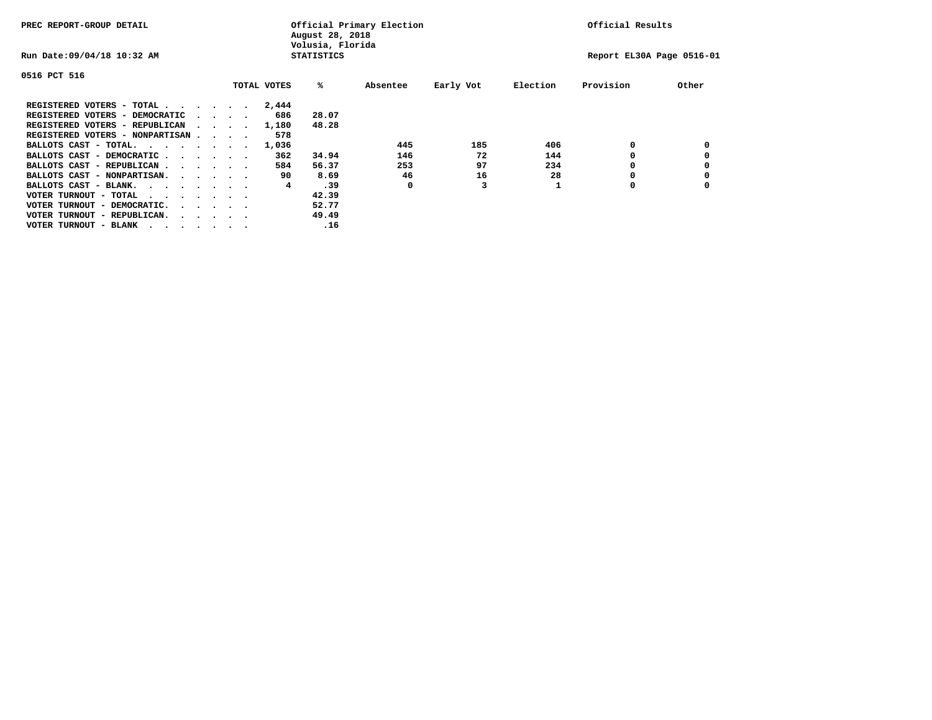| PREC REPORT-GROUP DETAIL               |  |                                         |  | Official Primary Election<br>August 28, 2018<br>Volusia, Florida | Official Results  |          |           |          |                           |       |
|----------------------------------------|--|-----------------------------------------|--|------------------------------------------------------------------|-------------------|----------|-----------|----------|---------------------------|-------|
| Run Date: 09/04/18 10:32 AM            |  |                                         |  |                                                                  | <b>STATISTICS</b> |          |           |          | Report EL30A Page 0516-01 |       |
| 0516 PCT 516                           |  |                                         |  |                                                                  |                   |          |           |          |                           |       |
|                                        |  |                                         |  | TOTAL VOTES                                                      | %ะ                | Absentee | Early Vot | Election | Provision                 | Other |
| REGISTERED VOTERS - TOTAL              |  |                                         |  | 2,444                                                            |                   |          |           |          |                           |       |
| REGISTERED VOTERS - DEMOCRATIC         |  | $\cdot$ $\cdot$ $\cdot$ $\cdot$         |  | 686                                                              | 28.07             |          |           |          |                           |       |
| REGISTERED VOTERS - REPUBLICAN         |  |                                         |  | 1,180                                                            | 48.28             |          |           |          |                           |       |
| REGISTERED VOTERS - NONPARTISAN        |  |                                         |  | 578                                                              |                   |          |           |          |                           |       |
| BALLOTS CAST - TOTAL.                  |  |                                         |  | 1,036                                                            |                   | 445      | 185       | 406      | 0                         |       |
| BALLOTS CAST - DEMOCRATIC              |  |                                         |  | 362                                                              | 34.94             | 146      | 72        | 144      |                           |       |
| BALLOTS CAST - REPUBLICAN              |  |                                         |  | 584                                                              | 56.37             | 253      | 97        | 234      | 0                         |       |
| BALLOTS CAST - NONPARTISAN.            |  |                                         |  | 90                                                               | 8.69              | 46       | 16        | 28       |                           |       |
| BALLOTS CAST - BLANK.                  |  |                                         |  | 4                                                                | .39               | 0        | 3         |          | 0                         |       |
| VOTER TURNOUT - TOTAL<br>.             |  |                                         |  |                                                                  | 42.39             |          |           |          |                           |       |
| VOTER TURNOUT - DEMOCRATIC.            |  | $\cdot$ $\cdot$ $\cdot$ $\cdot$ $\cdot$ |  |                                                                  | 52.77             |          |           |          |                           |       |
| VOTER TURNOUT - REPUBLICAN.<br>$\cdot$ |  |                                         |  |                                                                  | 49.49             |          |           |          |                           |       |
| VOTER TURNOUT - BLANK                  |  |                                         |  |                                                                  | .16               |          |           |          |                           |       |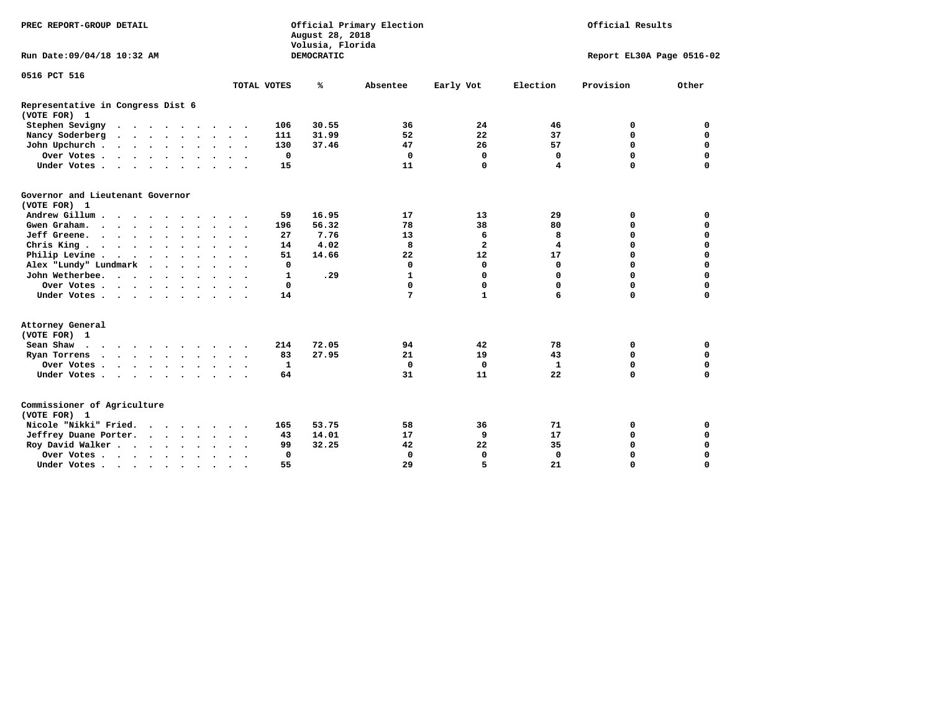| PREC REPORT-GROUP DETAIL                          |                          | Official Primary Election<br>August 28, 2018<br>Volusia, Florida |                              | Official Results           |  |  |  |
|---------------------------------------------------|--------------------------|------------------------------------------------------------------|------------------------------|----------------------------|--|--|--|
| Run Date: 09/04/18 10:32 AM                       |                          | DEMOCRATIC                                                       |                              | Report EL30A Page 0516-02  |  |  |  |
| 0516 PCT 516                                      |                          |                                                                  |                              |                            |  |  |  |
|                                                   | TOTAL VOTES              | ℁<br>Absentee                                                    | Early Vot<br>Election        | Provision<br>Other         |  |  |  |
| Representative in Congress Dist 6<br>(VOTE FOR) 1 |                          |                                                                  |                              |                            |  |  |  |
| Stephen Sevigny                                   | 106                      | 30.55<br>36                                                      | 24<br>46                     | 0<br>0                     |  |  |  |
| Nancy Soderberg                                   | 111                      | 31.99<br>52                                                      | 22<br>37                     | $\mathbf 0$<br>$\mathbf 0$ |  |  |  |
| John Upchurch                                     | 130                      | 37.46<br>47                                                      | 57<br>26                     | $\mathbf 0$<br>$\mathbf 0$ |  |  |  |
| Over Votes                                        | 0                        | 0                                                                | $\mathbf 0$<br>0             | $\mathbf 0$<br>$\mathbf 0$ |  |  |  |
| Under Votes                                       | 15                       | 11                                                               | 0<br>4                       | $\mathbf 0$<br>$\mathbf 0$ |  |  |  |
| Governor and Lieutenant Governor<br>(VOTE FOR) 1  |                          |                                                                  |                              |                            |  |  |  |
| Andrew Gillum                                     | 59                       | 16.95<br>17                                                      | 13<br>29                     | $\mathbf 0$<br>0           |  |  |  |
| Gwengraham                                        | 196                      | 56.32<br>78                                                      | 38<br>80                     | $\mathbf 0$<br>$\mathbf 0$ |  |  |  |
| Jeff Greene.                                      | 27                       | 7.76<br>13                                                       | 6<br>8                       | $\mathbf 0$<br>0           |  |  |  |
| Chris King                                        | 14<br>$\sim$ $\sim$      | 4.02<br>8                                                        | $\overline{\mathbf{2}}$<br>4 | 0<br>0                     |  |  |  |
| Philip Levine                                     | 51                       | 14.66<br>22                                                      | 12<br>17                     | $\mathbf 0$<br>$\mathbf 0$ |  |  |  |
| Alex "Lundy" Lundmark<br>$\cdot$                  | 0                        | $\mathbf 0$                                                      | 0<br>$\mathbf 0$             | $\mathbf 0$<br>$\mathbf 0$ |  |  |  |
| John Wetherbee.                                   | 1                        | $\mathbf{1}$<br>.29                                              | 0<br>$\Omega$                | $\mathbf 0$<br>$\mathbf 0$ |  |  |  |
| Over Votes                                        | 0                        | $\mathbf 0$                                                      | 0<br>$\Omega$                | $\mathbf 0$<br>$\mathbf 0$ |  |  |  |
| Under Votes                                       | 14                       | 7                                                                | $\mathbf{1}$<br>6            | $\mathbf 0$<br>$\mathbf 0$ |  |  |  |
| Attorney General<br>(VOTE FOR) 1                  |                          |                                                                  |                              |                            |  |  |  |
| Sean Shaw                                         | 214                      | 72.05<br>94                                                      | 42<br>78                     | 0<br>0                     |  |  |  |
| Ryan Torrens<br>$\cdots$                          | 83                       | 27.95<br>21                                                      | 19<br>43                     | $\mathbf 0$<br>$\mathbf 0$ |  |  |  |
| Over Votes                                        | 1<br>$\cdot$             | $\mathbf 0$                                                      | $\mathbf 0$<br>$\mathbf{1}$  | 0<br>$\mathbf 0$           |  |  |  |
| Under Votes                                       | 64                       | 31                                                               | 11<br>22                     | $\mathbf 0$<br>0           |  |  |  |
| Commissioner of Agriculture<br>(VOTE FOR) 1       |                          |                                                                  |                              |                            |  |  |  |
| Nicole "Nikki" Fried.                             | 165                      | 53.75<br>58                                                      | 36<br>71                     | 0<br>0                     |  |  |  |
| Jeffrey Duane Porter.                             | 43                       | 14.01<br>17                                                      | 9<br>17                      | $\mathbf 0$<br>$\mathbf 0$ |  |  |  |
| Roy David Walker                                  | 99                       | 32.25<br>42                                                      | 35<br>22                     | $\mathbf 0$<br>$\mathbf 0$ |  |  |  |
| Over Votes                                        | 0                        | $\mathbf 0$                                                      | 0<br>0                       | $\Omega$<br>$\Omega$       |  |  |  |
| Under Votes                                       | 55<br>$\cdot$<br>$\cdot$ | 29                                                               | 5<br>21                      | $\mathbf 0$<br>$\mathbf 0$ |  |  |  |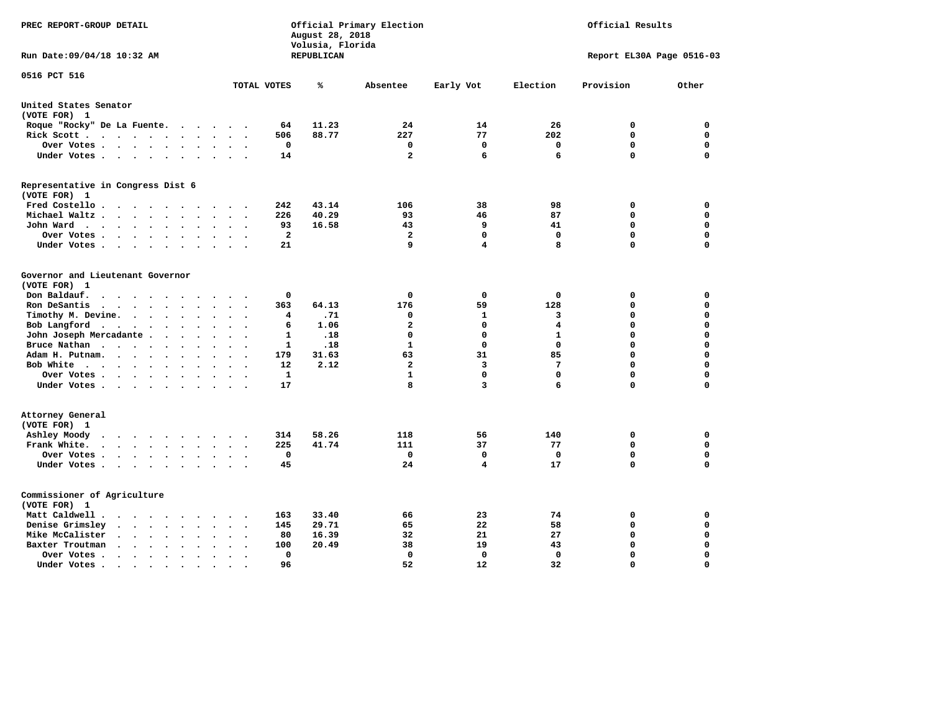| PREC REPORT-GROUP DETAIL                                                                                                                                      |                                                   | August 28, 2018<br>Volusia, Florida | Official Primary Election |             | Official Results          |             |             |  |  |
|---------------------------------------------------------------------------------------------------------------------------------------------------------------|---------------------------------------------------|-------------------------------------|---------------------------|-------------|---------------------------|-------------|-------------|--|--|
| Run Date:09/04/18 10:32 AM                                                                                                                                    |                                                   | REPUBLICAN                          |                           |             | Report EL30A Page 0516-03 |             |             |  |  |
| 0516 PCT 516                                                                                                                                                  | TOTAL VOTES                                       | ℁                                   | Absentee                  | Early Vot   | Election                  | Provision   | Other       |  |  |
|                                                                                                                                                               |                                                   |                                     |                           |             |                           |             |             |  |  |
| United States Senator<br>(VOTE FOR) 1                                                                                                                         |                                                   |                                     |                           |             |                           |             |             |  |  |
| Roque "Rocky" De La Fuente.<br>$\cdots$                                                                                                                       | 64<br>$\sim$<br>$\sim$                            | 11.23                               | 24                        | 14          | 26                        | 0           | 0           |  |  |
| Rick Scott<br>$\sim$                                                                                                                                          | 506                                               | 88.77                               | 227                       | 77          | 202                       | $\mathbf 0$ | $\mathbf 0$ |  |  |
| Over Votes<br>$\ddot{\phantom{1}}$                                                                                                                            | 0<br>$\ddot{\phantom{a}}$<br>$\ddot{\phantom{1}}$ |                                     | 0                         | 0           | 0                         | $\mathbf 0$ | $\mathbf 0$ |  |  |
| Under Votes<br>$\ddot{\phantom{0}}$                                                                                                                           | 14<br>$\cdot$                                     |                                     | $\mathbf{2}$              | 6           | 6                         | $\mathbf 0$ | $\mathbf 0$ |  |  |
| Representative in Congress Dist 6                                                                                                                             |                                                   |                                     |                           |             |                           |             |             |  |  |
| (VOTE FOR) 1                                                                                                                                                  |                                                   |                                     |                           |             |                           |             |             |  |  |
| Fred Costello.                                                                                                                                                | 242<br>$\sim$ $\sim$ $\sim$ $\sim$                | 43.14                               | 106                       | 38          | 98                        | 0           | 0           |  |  |
| Michael Waltz<br>$\ddot{\phantom{a}}$<br>$\ddot{\phantom{a}}$                                                                                                 | 226                                               | 40.29                               | 93                        | 46          | 87                        | 0           | $\mathbf 0$ |  |  |
| John Ward<br>$\ddot{\phantom{a}}$                                                                                                                             | 93<br>$\ddot{\phantom{0}}$                        | 16.58                               | 43                        | 9           | 41                        | $\mathbf 0$ | $\mathbf 0$ |  |  |
| Over Votes.<br>.<br>$\sim$                                                                                                                                    | $\overline{a}$                                    |                                     | $\mathbf{2}$              | $\mathbf 0$ | 0                         | $\mathbf 0$ | $\mathbf 0$ |  |  |
| Under Votes<br>$\cdot$                                                                                                                                        | 21                                                |                                     | 9                         | 4           | 8                         | $\mathbf 0$ | $\mathbf 0$ |  |  |
| Governor and Lieutenant Governor                                                                                                                              |                                                   |                                     |                           |             |                           |             |             |  |  |
| (VOTE FOR) 1                                                                                                                                                  |                                                   |                                     |                           |             |                           |             |             |  |  |
| Don Baldauf.<br>$\ddot{\phantom{a}}$<br>$\overline{\phantom{a}}$                                                                                              | 0                                                 |                                     | 0                         | $\mathbf 0$ | $\mathbf 0$               | 0           | 0           |  |  |
| Ron DeSantis<br>$\cdot$ $\cdot$ $\cdot$ $\cdot$ $\cdot$<br>$\ddot{\phantom{a}}$                                                                               | 363                                               | 64.13                               | 176                       | 59          | 128                       | $\mathbf 0$ | $\mathbf 0$ |  |  |
| Timothy M. Devine.<br>$\bullet$                                                                                                                               | $\overline{4}$<br>$\ddot{\phantom{0}}$            | .71                                 | 0                         | 1           | 3                         | $\mathbf 0$ | $\mathbf 0$ |  |  |
| Bob Langford<br>$\ddot{\phantom{0}}$<br>$\ddot{\phantom{0}}$<br>$\sim$<br>$\sim$                                                                              | 6<br>$\ddot{\phantom{a}}$                         | 1.06                                | $\mathbf{2}$              | $\mathbf 0$ | 4                         | $\mathbf 0$ | $\mathbf 0$ |  |  |
| John Joseph Mercadante                                                                                                                                        | $\mathbf{1}$<br>$\ddot{\phantom{a}}$              | .18                                 | $\mathbf 0$               | $\mathbf 0$ | $\mathbf{1}$              | $\mathbf 0$ | $\mathbf 0$ |  |  |
| Bruce Nathan<br>$\cdots$<br>$\ddot{\phantom{a}}$<br>$\bullet$                                                                                                 | 1                                                 | .18                                 | $\mathbf{1}$              | $\mathbf 0$ | $\Omega$                  | $\mathbf 0$ | $\mathbf 0$ |  |  |
| Adam H. Putnam.<br>$\cdots$<br>$\ddot{\phantom{a}}$                                                                                                           | 179                                               | 31.63                               | 63                        | 31          | 85                        | $\mathbf 0$ | $\mathbf 0$ |  |  |
| Bob White<br>$\ddot{\phantom{a}}$                                                                                                                             | 12<br>$\sim$                                      | 2.12                                | $\overline{\mathbf{2}}$   | 3           | 7                         | $\mathbf 0$ | $\mathbf 0$ |  |  |
| Over Votes .<br>.                                                                                                                                             | $\mathbf{1}$                                      |                                     | $\mathbf{1}$              | $\mathbf 0$ | $\mathbf 0$               | $\mathbf 0$ | 0           |  |  |
| Under Votes                                                                                                                                                   | 17                                                |                                     | 8                         | 3           | 6                         | $\mathbf 0$ | $\mathbf 0$ |  |  |
| Attorney General                                                                                                                                              |                                                   |                                     |                           |             |                           |             |             |  |  |
| (VOTE FOR) 1                                                                                                                                                  |                                                   |                                     |                           |             |                           |             |             |  |  |
| Ashley Moody<br>$\begin{array}{cccccccccccccc} \bullet & \bullet & \bullet & \bullet & \bullet & \bullet & \bullet & \bullet & \bullet \end{array}$<br>$\sim$ | 314<br>$\cdot$                                    | 58.26                               | 118                       | 56          | 140                       | 0           | 0           |  |  |
| Frank White.<br>$\cdot$ $\cdot$ $\cdot$ $\cdot$ $\cdot$<br>$\ddot{\phantom{0}}$                                                                               | 225                                               | 41.74                               | 111                       | 37          | 77                        | $\mathbf 0$ | 0           |  |  |
| Over Votes .<br>$\cdots$<br>$\bullet$                                                                                                                         | 0                                                 |                                     | 0                         | 0           | 0                         | $\mathbf 0$ | 0           |  |  |
| Under Votes                                                                                                                                                   | 45<br>$\sim$ $\sim$                               |                                     | 24                        | 4           | 17                        | $\mathbf 0$ | $\mathbf 0$ |  |  |
| Commissioner of Agriculture                                                                                                                                   |                                                   |                                     |                           |             |                           |             |             |  |  |
| (VOTE FOR) 1                                                                                                                                                  |                                                   |                                     |                           |             |                           |             |             |  |  |
| Matt Caldwell.<br>$\bullet$ .<br><br><br><br><br><br><br><br><br><br><br><br><br>$\sim$                                                                       | 163                                               | 33.40                               | 66                        | 23          | 74                        | 0           | 0           |  |  |
| Denise Grimsley<br>$\ddot{\phantom{1}}$<br>$\ddot{\phantom{a}}$<br>$\cdot$                                                                                    | 145                                               | 29.71                               | 65                        | 22          | 58                        | $\mathbf 0$ | $\mathbf 0$ |  |  |
| Mike McCalister<br>$\cdots$<br>$\ddot{\phantom{a}}$                                                                                                           | 80<br>$\bullet$                                   | 16.39                               | 32                        | 21          | 27                        | $\mathbf 0$ | 0           |  |  |
| Baxter Troutman<br>$\mathbf{a}$ , and $\mathbf{a}$ , and $\mathbf{a}$<br>$\ddot{\phantom{a}}$<br>$\sim$                                                       | 100                                               | 20.49                               | 38                        | 19          | 43                        | $\mathbf 0$ | $\mathbf 0$ |  |  |
| Over Votes .<br>$\cdot$ $\cdot$ $\cdot$ $\cdot$<br>$\cdot$<br>$\cdot$                                                                                         | 0                                                 |                                     | 0                         | 0           | $\Omega$                  | $\mathbf 0$ | $\mathbf 0$ |  |  |
| Under Votes.<br>$\cdots$<br>$\blacksquare$ .                                                                                                                  | 96<br>$\bullet$                                   |                                     | 52                        | 12          | 32                        | $\Omega$    | $\Omega$    |  |  |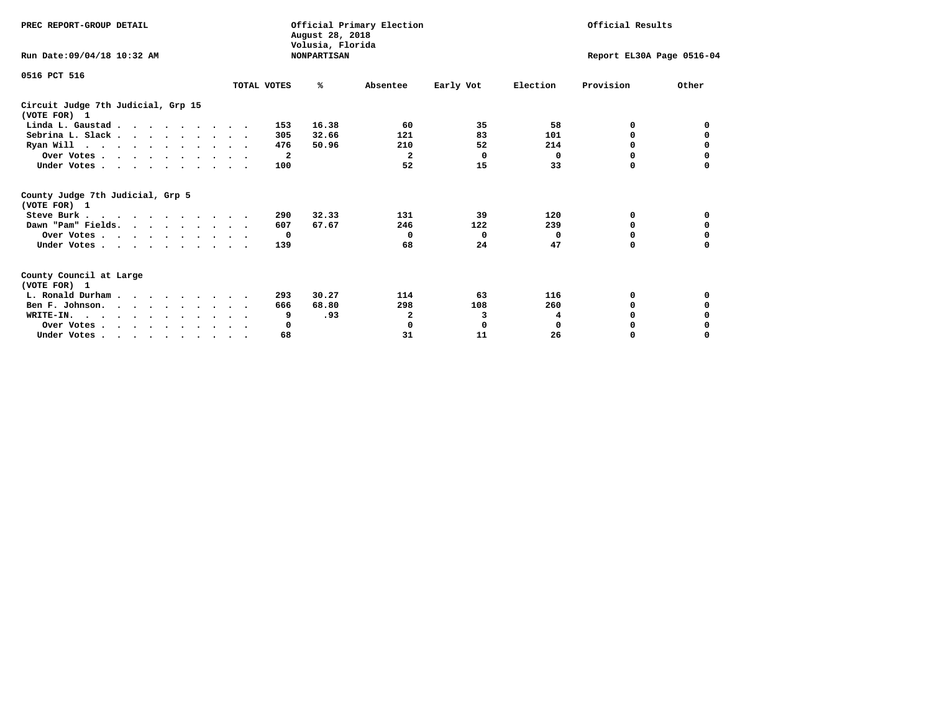| PREC REPORT-GROUP DETAIL                                                         |             | August 28, 2018                        | Official Primary Election |           |                           | Official Results |          |
|----------------------------------------------------------------------------------|-------------|----------------------------------------|---------------------------|-----------|---------------------------|------------------|----------|
| Run Date: 09/04/18 10:32 AM                                                      |             | Volusia, Florida<br><b>NONPARTISAN</b> |                           |           | Report EL30A Page 0516-04 |                  |          |
| 0516 PCT 516                                                                     | TOTAL VOTES | %ะ                                     | Absentee                  | Early Vot | Election                  | Provision        | Other    |
| Circuit Judge 7th Judicial, Grp 15<br>(VOTE FOR) 1                               |             |                                        |                           |           |                           |                  |          |
| Linda L. Gaustad                                                                 |             | 16.38<br>153                           | 60                        | 35        | 58                        | 0                | 0        |
| Sebrina L. Slack.                                                                |             | 305<br>32.66                           | 121                       | 83        | 101                       | 0                |          |
| Ryan Will $\cdots$ , $\cdots$ , $\cdots$ , $\cdots$                              |             | 476<br>50.96                           | 210                       | 52        | 214                       | 0                | 0        |
| Over Votes                                                                       |             | $\overline{\mathbf{2}}$                | $\mathbf{2}$              | $\Omega$  | 0                         | 0                | 0        |
| Under Votes                                                                      |             | 100                                    | 52                        | 15        | 33                        | 0                |          |
| County Judge 7th Judicial, Grp 5<br>(VOTE FOR) 1                                 |             |                                        |                           |           |                           |                  |          |
| Steve Burk                                                                       |             | 32.33<br>290                           | 131                       | 39        | 120                       | 0                | 0        |
| Dawn "Pam" Fields.                                                               |             | 67.67<br>607                           | 246                       | 122       | 239                       | 0                |          |
| Over Votes                                                                       |             | $\mathbf{o}$                           | 0                         | 0         | $\mathbf 0$               | 0                | 0        |
| Under Votes                                                                      |             | 139                                    | 68                        | 24        | 47                        | $\Omega$         | 0        |
| County Council at Large<br>(VOTE FOR) 1                                          |             |                                        |                           |           |                           |                  |          |
| L. Ronald Durham                                                                 |             | 30.27<br>293                           | 114                       | 63        | 116                       | 0                | 0        |
| Ben F. Johnson.                                                                  |             | 68.80<br>666                           | 298                       | 108       | 260                       | $\Omega$         | 0        |
| WRITE-IN.                                                                        |             | .93<br>9                               | 2                         | 3         | 4                         | O                |          |
| Over Votes                                                                       |             | 0                                      | 0                         | 0         | $\mathbf 0$               | 0                |          |
| Under Votes, $\cdot$ , $\cdot$ , $\cdot$ , $\cdot$ , $\cdot$ , $\cdot$ , $\cdot$ |             | 68                                     | 31                        | 11        | 26                        | 0                | $\Omega$ |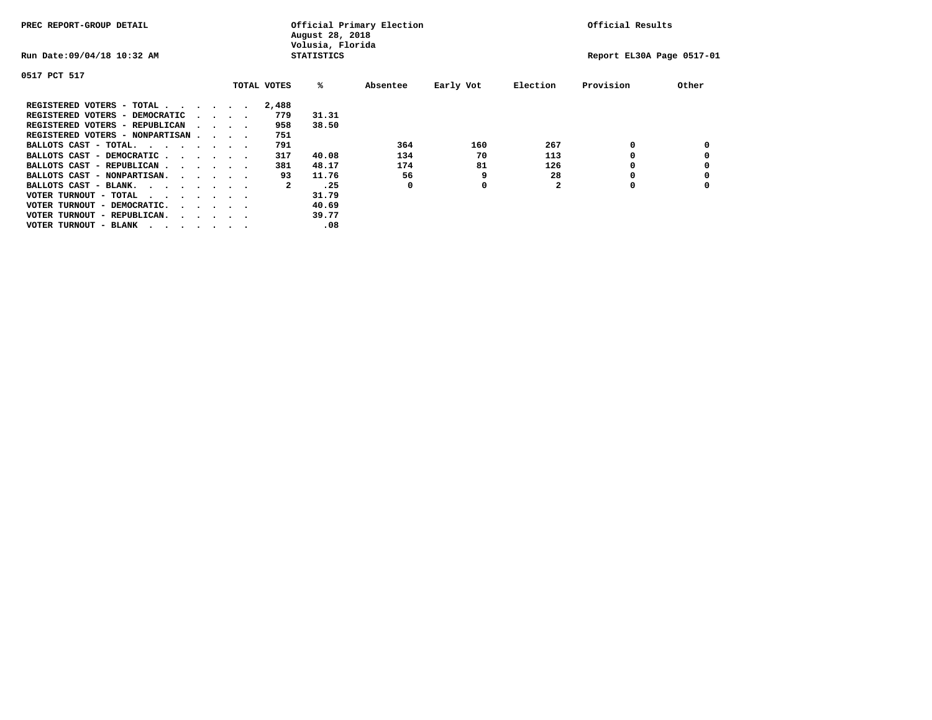| PREC REPORT-GROUP DETAIL          |                                         |  |              | August 28, 2018<br>Volusia, Florida | Official Primary Election |           |              | Official Results          |       |
|-----------------------------------|-----------------------------------------|--|--------------|-------------------------------------|---------------------------|-----------|--------------|---------------------------|-------|
| Run Date: 09/04/18 10:32 AM       |                                         |  |              | <b>STATISTICS</b>                   |                           |           |              | Report EL30A Page 0517-01 |       |
| 0517 PCT 517                      |                                         |  |              |                                     |                           |           |              |                           |       |
|                                   |                                         |  | TOTAL VOTES  | ‱                                   | Absentee                  | Early Vot | Election     | Provision                 | Other |
| REGISTERED VOTERS - TOTAL         |                                         |  | 2,488        |                                     |                           |           |              |                           |       |
| REGISTERED VOTERS - DEMOCRATIC    | $\cdot$ $\cdot$ $\cdot$ $\cdot$         |  | 779          | 31.31                               |                           |           |              |                           |       |
| REGISTERED VOTERS - REPUBLICAN    | $\sim$ $\sim$ $\sim$ $\sim$             |  | 958          | 38.50                               |                           |           |              |                           |       |
| REGISTERED VOTERS - NONPARTISAN   |                                         |  | 751          |                                     |                           |           |              |                           |       |
| BALLOTS CAST - TOTAL.             |                                         |  | 791          |                                     | 364                       | 160       | 267          | 0                         |       |
| BALLOTS CAST - DEMOCRATIC         |                                         |  | 317          | 40.08                               | 134                       | 70        | 113          |                           |       |
| BALLOTS CAST - REPUBLICAN         |                                         |  | 381          | 48.17                               | 174                       | 81        | 126          | 0                         |       |
| BALLOTS CAST - NONPARTISAN.       |                                         |  | 93           | 11.76                               | 56                        | 9         | 28           |                           |       |
| BALLOTS CAST - BLANK.             |                                         |  | $\mathbf{2}$ | .25                                 | 0                         | 0         | $\mathbf{2}$ | O                         |       |
| VOTER TURNOUT - TOTAL<br>$\cdots$ |                                         |  |              | 31.79                               |                           |           |              |                           |       |
| VOTER TURNOUT - DEMOCRATIC.       | $\cdot$ $\cdot$ $\cdot$ $\cdot$ $\cdot$ |  |              | 40.69                               |                           |           |              |                           |       |
| VOTER TURNOUT - REPUBLICAN.       | $\cdot$ $\cdot$ $\cdot$ $\cdot$ $\cdot$ |  |              | 39.77                               |                           |           |              |                           |       |
| VOTER TURNOUT - BLANK             |                                         |  |              | .08                                 |                           |           |              |                           |       |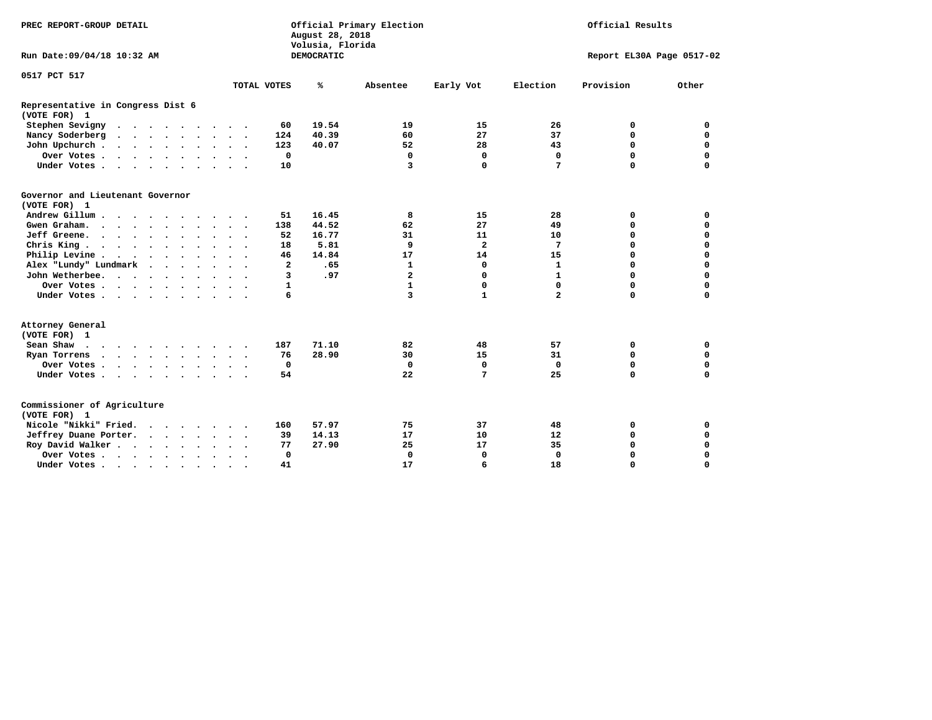| PREC REPORT-GROUP DETAIL                                                 |                      | August 28, 2018<br>Volusia, Florida | Official Primary Election |                |                   | Official Results          |             |
|--------------------------------------------------------------------------|----------------------|-------------------------------------|---------------------------|----------------|-------------------|---------------------------|-------------|
| Run Date: 09/04/18 10:32 AM                                              |                      | <b>DEMOCRATIC</b>                   |                           |                |                   | Report EL30A Page 0517-02 |             |
| 0517 PCT 517                                                             |                      |                                     |                           |                |                   |                           |             |
|                                                                          | TOTAL VOTES          | ℁                                   | Absentee                  | Early Vot      | Election          | Provision                 | Other       |
| Representative in Congress Dist 6<br>(VOTE FOR) 1                        |                      |                                     |                           |                |                   |                           |             |
| Stephen Sevigny                                                          |                      | 19.54<br>60                         | 19                        | 15             | 26                | 0                         | 0           |
| Nancy Soderberg                                                          | $\sim$ $\sim$        | 40.39<br>124                        | 60                        | 27             | 37                | 0                         | $\mathbf 0$ |
| John Upchurch                                                            |                      | 123<br>40.07                        | 52                        | 28             | 43                | $\Omega$                  | $\mathbf 0$ |
| Over Votes                                                               | $\ddot{\phantom{1}}$ | $\mathbf 0$                         | $\mathbf 0$               | $\mathbf 0$    | $\mathbf 0$       | 0                         | $\mathbf 0$ |
| Under Votes                                                              | $\ddot{\phantom{1}}$ | 10                                  | $\overline{3}$            | $\Omega$       | 7                 | $\Omega$                  | 0           |
| Governor and Lieutenant Governor<br>(VOTE FOR) 1                         |                      |                                     |                           |                |                   |                           |             |
| Andrew Gillum<br>$\ddot{\phantom{a}}$                                    | $\bullet$            | 51<br>16.45                         | 8                         | 15             | 28                | 0                         | 0           |
| Gwen Graham.                                                             |                      | 44.52<br>138                        | 62                        | 27             | 49                | 0                         | $\mathbf 0$ |
| Jeff Greene.                                                             |                      | 52<br>16.77                         | 31                        | 11             | 10                | 0                         | $\mathbf 0$ |
| Chris King                                                               |                      | 18<br>5.81                          | 9                         | $\overline{a}$ | 7                 | 0                         | $\mathbf 0$ |
| Philip Levine                                                            | $\sim$               | 46<br>14.84                         | 17                        | 14             | 15                | 0                         | 0           |
| Alex "Lundy" Lundmark<br>$\ddot{\phantom{a}}$<br>$\cdot$ $\cdot$ $\cdot$ |                      | $\mathbf{2}$<br>.65                 | 1                         | 0              | 1                 | 0                         | 0           |
| John Wetherbee.                                                          | $\ddot{\phantom{1}}$ | 3<br>.97                            | $\overline{a}$            | $\Omega$       | $\mathbf{1}$      | 0                         | $\Omega$    |
| Over Votes                                                               |                      | $\mathbf{1}$                        | $\mathbf{1}$              | 0              | $\Omega$          | $\Omega$                  | 0           |
| Under Votes                                                              |                      | 6                                   | $\overline{3}$            | $\mathbf{1}$   | $\overline{a}$    | 0                         | 0           |
| Attorney General<br>(VOTE FOR) 1                                         |                      |                                     |                           |                |                   |                           |             |
| Sean Shaw                                                                | $\sim$ $\sim$        | 71.10<br>187                        | 82                        | 48             | 57                | 0                         | 0           |
| Ryan Torrens<br>$\cdots$                                                 |                      | 76<br>28.90                         | 30                        | 15             | 31                | 0                         | $\mathbf 0$ |
| Over Votes                                                               |                      | $\mathbf 0$                         | $\mathbf{0}$              | 0              | $\Omega$          | $\Omega$                  | $\mathbf 0$ |
| Under Votes                                                              |                      | 54                                  | 22                        | 7              | 25                | $\Omega$                  | $\Omega$    |
| Commissioner of Agriculture<br>(VOTE FOR) 1                              |                      |                                     |                           |                |                   |                           |             |
| Nicole "Nikki" Fried.                                                    |                      | 57.97<br>160                        | 75                        | 37             | 48                | 0                         | 0           |
| Jeffrey Duane Porter.                                                    |                      | 14.13<br>39                         | 17                        | 10             | $12 \overline{ }$ | 0                         | $\mathbf 0$ |
| Roy David Walker                                                         |                      | 27.90<br>77                         | 25                        | 17             | 35                | 0                         | 0           |
| Over Votes                                                               | $\ddot{\phantom{a}}$ | 0                                   | $\mathbf 0$               | $\Omega$       | $\mathbf 0$       | 0                         | $\Omega$    |
| Under Votes                                                              | $\bullet$            | 41                                  | 17                        | 6              | 18                | 0                         | 0           |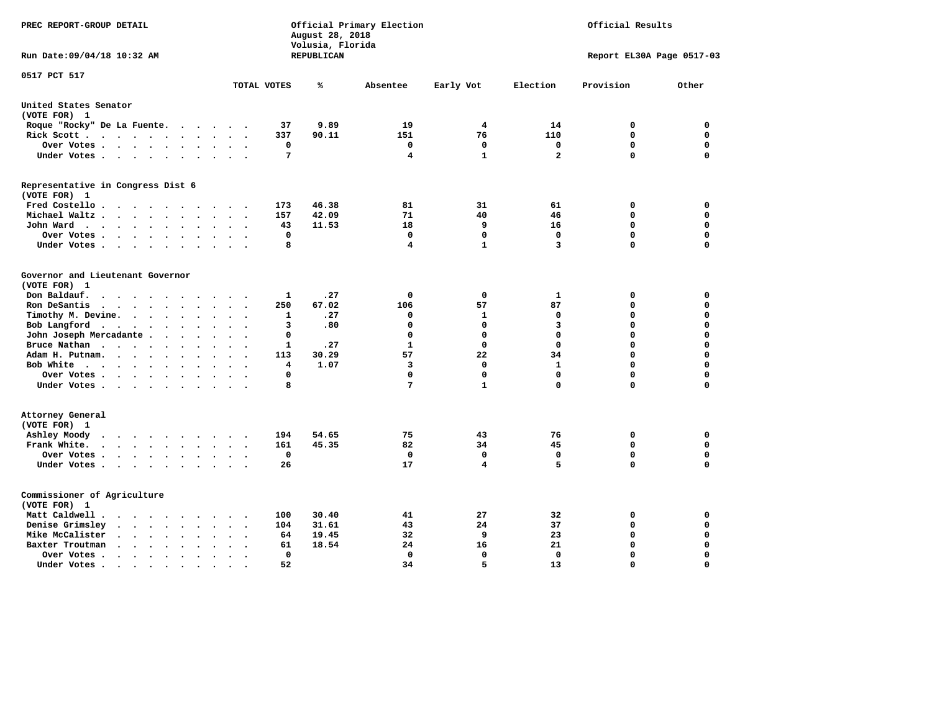| PREC REPORT-GROUP DETAIL                                                                                                                                         |                                         | August 28, 2018<br>Volusia, Florida | Official Primary Election | Official Results |                |                            |          |
|------------------------------------------------------------------------------------------------------------------------------------------------------------------|-----------------------------------------|-------------------------------------|---------------------------|------------------|----------------|----------------------------|----------|
| Run Date: 09/04/18 10:32 AM                                                                                                                                      |                                         | REPUBLICAN                          |                           |                  |                | Report EL30A Page 0517-03  |          |
| 0517 PCT 517                                                                                                                                                     | TOTAL VOTES                             | ℁                                   | Absentee                  | Early Vot        | Election       | Provision                  | Other    |
| United States Senator                                                                                                                                            |                                         |                                     |                           |                  |                |                            |          |
| (VOTE FOR) 1                                                                                                                                                     |                                         |                                     |                           |                  |                |                            |          |
| Roque "Rocky" De La Fuente.<br>$\mathcal{L}(\mathcal{A})$ , and $\mathcal{A}(\mathcal{A})$                                                                       | 37<br>$\sim$ $\sim$                     | 9.89                                | 19                        | 4                | 14             | 0                          | 0        |
| Rick Scott<br>$\sim$ $\sim$                                                                                                                                      | 337                                     | 90.11                               | 151                       | 76               | 110            | $\mathbf 0$                | 0        |
| Over Votes                                                                                                                                                       | 0<br>$\cdot$<br>$\cdot$<br>$\cdot$      |                                     | 0                         | 0                | 0              | 0                          | 0        |
| Under Votes                                                                                                                                                      | 7<br>$\ddot{\phantom{a}}$               |                                     | 4                         | $\mathbf{1}$     | $\overline{a}$ | $\mathbf 0$                | 0        |
| Representative in Congress Dist 6                                                                                                                                |                                         |                                     |                           |                  |                |                            |          |
| (VOTE FOR) 1                                                                                                                                                     |                                         |                                     |                           |                  |                |                            |          |
| Fred Costello                                                                                                                                                    | 173                                     | 46.38                               | 81                        | 31               | 61             | 0                          | 0        |
| Michael Waltz<br>$\sim$<br>$\sim$                                                                                                                                | 157                                     | 42.09                               | 71                        | 40               | 46             | $\mathbf 0$                | 0        |
| John Ward<br>$\bullet$                                                                                                                                           | 43<br>$\bullet$                         | 11.53                               | 18                        | 9                | 16             | $\mathbf 0$                | 0        |
| Over Votes .<br>$\cdots$<br>$\blacksquare$ .<br>$\ddot{\phantom{0}}$                                                                                             | $\mathbf 0$                             |                                     | 0                         | 0                | $\mathbf 0$    | $\mathbf 0$<br>$\mathbf 0$ | 0<br>0   |
| Under Votes<br>$\cdot$                                                                                                                                           | 8                                       |                                     | 4                         | 1                | 3              |                            |          |
| Governor and Lieutenant Governor                                                                                                                                 |                                         |                                     |                           |                  |                |                            |          |
| (VOTE FOR) 1                                                                                                                                                     |                                         |                                     |                           |                  |                |                            |          |
| Don Baldauf.<br>$\cdot$ $\cdot$ $\cdot$                                                                                                                          | 1                                       | .27                                 | 0                         | 0                | 1              | 0                          | 0        |
| Ron DeSantis<br>$\cdots$<br>$\ddot{\phantom{a}}$<br>$\ddot{\phantom{a}}$<br>$\overline{\phantom{a}}$                                                             | 250                                     | 67.02                               | 106                       | 57               | 87             | $\Omega$                   | 0        |
| Timothy M. Devine.<br>$\bullet$<br>$\bullet$                                                                                                                     | $\mathbf{1}$<br>$\ddot{\phantom{a}}$    | .27                                 | 0                         | 1                | 0              | $\Omega$                   | 0        |
| Bob Langford<br>$\sim$ $\sim$<br>$\sim$<br>$\ddot{\phantom{0}}$                                                                                                  | 3<br>$\ddot{\phantom{a}}$               | .80                                 | 0                         | 0                | 3              | $\Omega$                   | 0        |
| John Joseph Mercadante                                                                                                                                           | 0<br>$\sim$                             |                                     | 0                         | 0                | $\mathbf 0$    | $\Omega$                   | 0        |
| Bruce Nathan<br>$\cdots$<br>$\ddot{\phantom{1}}$<br>$\bullet$                                                                                                    | 1                                       | .27                                 | 1                         | 0                | $\Omega$       | 0                          | 0        |
| Adam H. Putnam.<br>$\sim$ $\sim$ $\sim$ $\sim$<br>$\cdot$<br>$\ddot{\phantom{a}}$                                                                                | 113                                     | 30.29                               | 57                        | 22               | 34             | $\Omega$                   | 0        |
| Bob White<br>$\sim$                                                                                                                                              | 4<br>$\overline{\phantom{a}}$           | 1.07                                | 3                         | $\mathbf 0$      | $\mathbf{1}$   | $\Omega$                   | 0        |
| Over Votes.<br>$\cdots$<br>$\bullet$                                                                                                                             | $\Omega$                                |                                     | 0                         | 0                | $\mathbf 0$    | $\Omega$                   | 0        |
| Under Votes                                                                                                                                                      | 8                                       |                                     | 7                         | $\mathbf{1}$     | $\mathbf 0$    | $\Omega$                   | 0        |
| Attorney General                                                                                                                                                 |                                         |                                     |                           |                  |                |                            |          |
| (VOTE FOR) 1                                                                                                                                                     |                                         |                                     |                           |                  |                |                            |          |
| Ashley Moody<br>$\cdots$<br>$\sim$                                                                                                                               | 194<br>$\sim$                           | 54.65                               | 75                        | 43               | 76             | 0                          | 0        |
| Frank White.<br>$\cdot$ $\cdot$ $\cdot$ $\cdot$<br>$\ddot{\phantom{1}}$<br>$\bullet$<br>$\overline{a}$                                                           | 161                                     | 45.35                               | 82                        | 34               | 45             | 0                          | 0        |
| Over Votes.<br>$\begin{array}{cccccccccccccc} \bullet & \bullet & \bullet & \bullet & \bullet & \bullet & \bullet & \bullet \end{array}$<br>$\ddot{\phantom{1}}$ | 0<br>$\sim$<br>$\overline{\phantom{a}}$ |                                     | 0                         | $\mathbf 0$      | $\mathbf 0$    | $\mathbf 0$                | 0        |
| Under Votes<br>$\cdot$ $\cdot$                                                                                                                                   | 26                                      |                                     | 17                        | 4                | 5              | $\Omega$                   | 0        |
| Commissioner of Agriculture                                                                                                                                      |                                         |                                     |                           |                  |                |                            |          |
| (VOTE FOR) 1                                                                                                                                                     |                                         |                                     |                           |                  |                |                            |          |
| Matt Caldwell .<br>$\sim$ $\sim$ $\sim$ $\sim$ $\sim$ $\sim$ $\sim$                                                                                              | 100                                     | 30.40                               | 41                        | 27               | 32             | 0                          | 0        |
| Denise Grimsley<br>$\sim$ $\sim$<br>$\ddot{\phantom{a}}$<br>$\sim$<br>$\ddot{\phantom{a}}$<br>$\ddot{\phantom{a}}$                                               | 104                                     | 31.61                               | 43                        | 24               | 37             | $\mathbf 0$                | 0        |
| Mike McCalister<br>$\cdots$<br>$\bullet$                                                                                                                         | 64                                      | 19.45                               | 32                        | 9                | 23             | $\mathbf 0$                | 0        |
| Baxter Troutman<br>$\sim$ $\sim$ $\sim$<br>$\bullet$<br>$\ddot{\phantom{1}}$                                                                                     | 61                                      | 18.54                               | 24                        | 16               | 21             | $\mathbf 0$                | 0        |
| Over Votes.<br>$\cdots$<br>$\bullet$<br>$\cdot$                                                                                                                  | 0                                       |                                     | 0                         | 0                | 0              | $\mathbf 0$                | 0        |
| Under Votes.<br>$\cdot$ $\cdot$ $\cdot$<br>$\bullet$<br>$\bullet$<br>$\bullet$                                                                                   | 52                                      |                                     | 34                        | 5                | 13             | $\Omega$                   | $\Omega$ |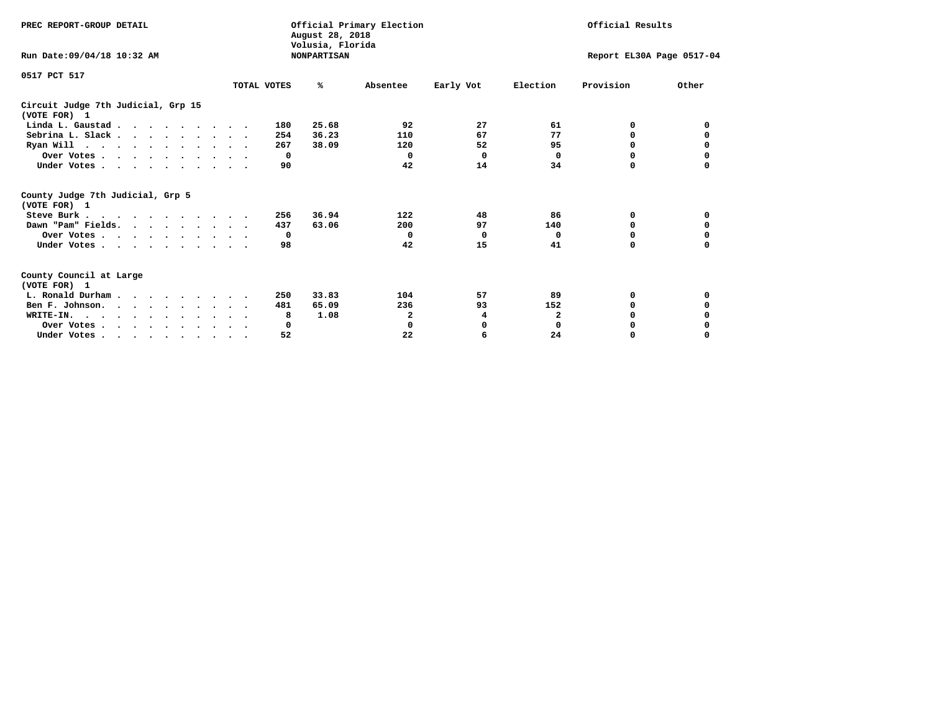| PREC REPORT-GROUP DETAIL                                                                   |             | August 28, 2018<br>Volusia, Florida | Official Primary Election |           |              | Official Results          |          |
|--------------------------------------------------------------------------------------------|-------------|-------------------------------------|---------------------------|-----------|--------------|---------------------------|----------|
| Run Date: 09/04/18 10:32 AM                                                                |             | <b>NONPARTISAN</b>                  |                           |           |              | Report EL30A Page 0517-04 |          |
| 0517 PCT 517                                                                               |             |                                     |                           |           |              |                           |          |
|                                                                                            | TOTAL VOTES | ℁                                   | Absentee                  | Early Vot | Election     | Provision                 | Other    |
| Circuit Judge 7th Judicial, Grp 15<br>(VOTE FOR) 1                                         |             |                                     |                           |           |              |                           |          |
| Linda L. Gaustad                                                                           |             | 25.68<br>180                        | 92                        | 27        | 61           | 0                         | 0        |
| Sebrina L. Slack                                                                           |             | 36.23<br>254                        | 110                       | 67        | 77           | 0                         |          |
| Ryan Will $\cdots$ , $\cdots$ , $\cdots$ , $\cdots$                                        |             | 267<br>38.09                        | 120                       | 52        | 95           | 0                         | 0        |
| Over Votes                                                                                 |             | $^{\circ}$                          | $\Omega$                  | $\Omega$  | 0            | 0                         | 0        |
| Under Votes                                                                                |             | 90                                  | 42                        | 14        | 34           | 0                         |          |
| County Judge 7th Judicial, Grp 5<br>(VOTE FOR) 1                                           |             |                                     |                           |           |              |                           |          |
| Steve Burk                                                                                 |             | 36.94<br>256                        | 122                       | 48        | 86           | 0                         | 0        |
| Dawn "Pam" Fields.                                                                         |             | 63.06<br>437                        | 200                       | 97        | 140          | 0                         |          |
| Over Votes                                                                                 |             | $\mathbf{o}$                        | $^{\circ}$                | 0         | 0            | 0                         | 0        |
| Under Votes                                                                                |             | 98                                  | 42                        | 15        | 41           | $\Omega$                  | $\Omega$ |
| County Council at Large<br>(VOTE FOR) 1                                                    |             |                                     |                           |           |              |                           |          |
| L. Ronald Durham                                                                           |             | 33.83<br>250                        | 104                       | 57        | 89           | 0                         | 0        |
| Ben F. Johnson.                                                                            |             | 481<br>65.09                        | 236                       | 93        | 152          | <sup>0</sup>              | 0        |
| WRITE-IN.                                                                                  |             | 1.08<br>8                           | 2                         | 4         | $\mathbf{2}$ | O                         |          |
| Over Votes                                                                                 |             | 0                                   | 0                         | 0         | $\mathbf 0$  | 0                         |          |
| Under Votes, $\cdot$ , $\cdot$ , $\cdot$ , $\cdot$ , $\cdot$ , $\cdot$ , $\cdot$ , $\cdot$ |             | 52                                  | 22                        | 6         | 24           | 0                         | $\Omega$ |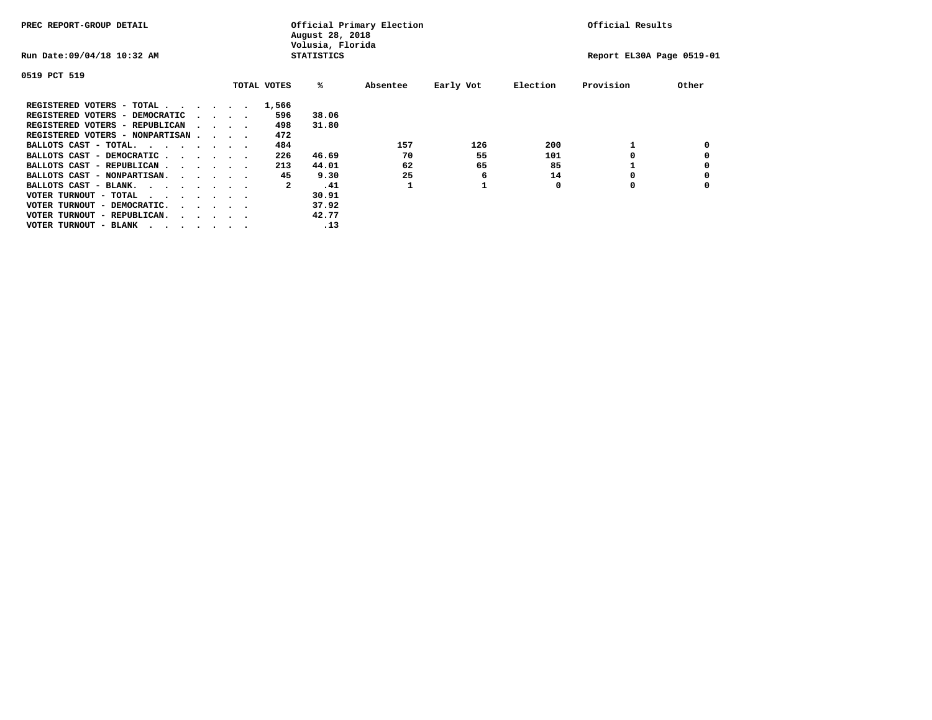| PREC REPORT-GROUP DETAIL                                                                                                                 |                                 |  |             | August 28, 2018<br>Volusia, Florida | Official Primary Election |           |          | Official Results          |       |
|------------------------------------------------------------------------------------------------------------------------------------------|---------------------------------|--|-------------|-------------------------------------|---------------------------|-----------|----------|---------------------------|-------|
| Run Date: 09/04/18 10:32 AM                                                                                                              |                                 |  |             | <b>STATISTICS</b>                   |                           |           |          | Report EL30A Page 0519-01 |       |
| 0519 PCT 519                                                                                                                             |                                 |  |             |                                     |                           |           |          |                           |       |
|                                                                                                                                          |                                 |  | TOTAL VOTES | %ะ                                  | Absentee                  | Early Vot | Election | Provision                 | Other |
| REGISTERED VOTERS - TOTAL                                                                                                                |                                 |  | 1,566       |                                     |                           |           |          |                           |       |
| REGISTERED VOTERS - DEMOCRATIC                                                                                                           | $\cdot$ $\cdot$ $\cdot$ $\cdot$ |  | 596         | 38.06                               |                           |           |          |                           |       |
| REGISTERED VOTERS - REPUBLICAN                                                                                                           | $\sim$ $\sim$ $\sim$ $\sim$     |  | 498         | 31.80                               |                           |           |          |                           |       |
| REGISTERED VOTERS - NONPARTISAN                                                                                                          |                                 |  | 472         |                                     |                           |           |          |                           |       |
| BALLOTS CAST - TOTAL.                                                                                                                    |                                 |  | 484         |                                     | 157                       | 126       | 200      |                           |       |
| BALLOTS CAST - DEMOCRATIC                                                                                                                |                                 |  | 226         | 46.69                               | 70                        | 55        | 101      |                           |       |
| BALLOTS CAST - REPUBLICAN                                                                                                                |                                 |  | 213         | 44.01                               | 62                        | 65        | 85       |                           |       |
| BALLOTS CAST - NONPARTISAN.                                                                                                              |                                 |  | 45          | 9.30                                | 25                        | 6         | 14       |                           |       |
| BALLOTS CAST - BLANK.                                                                                                                    |                                 |  | 2           | .41                                 |                           |           | 0        | 0                         |       |
| VOTER TURNOUT - TOTAL<br>the contract of the contract of the contract of the contract of the contract of the contract of the contract of |                                 |  |             | 30.91                               |                           |           |          |                           |       |
| VOTER TURNOUT - DEMOCRATIC.                                                                                                              | $\cdot$                         |  |             | 37.92                               |                           |           |          |                           |       |
| VOTER TURNOUT - REPUBLICAN.<br>$\cdots$                                                                                                  |                                 |  |             | 42.77                               |                           |           |          |                           |       |
| VOTER TURNOUT - BLANK                                                                                                                    |                                 |  |             | .13                                 |                           |           |          |                           |       |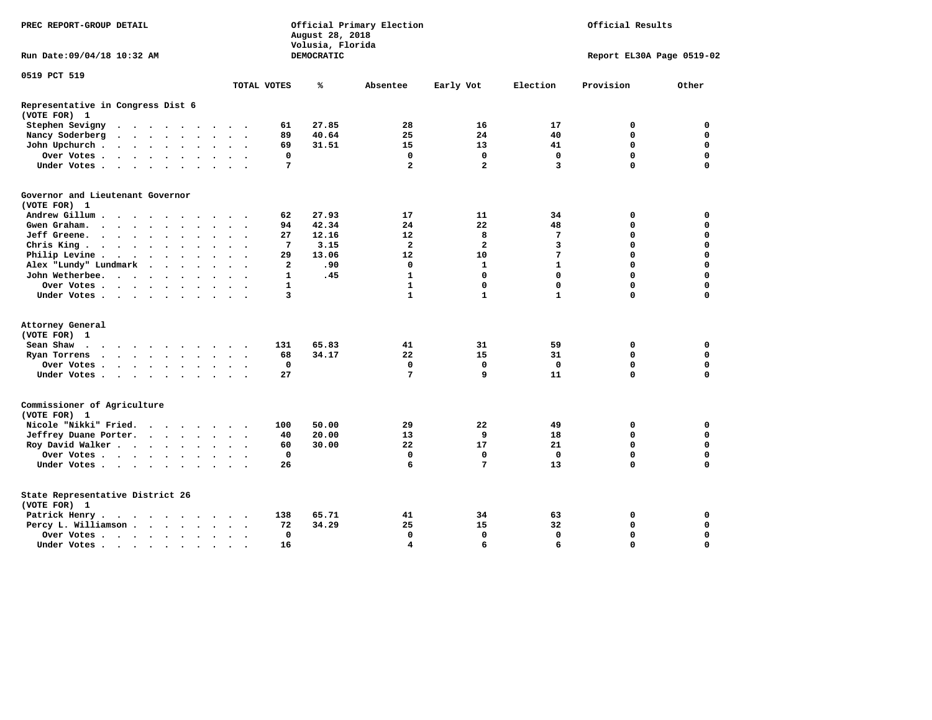| PREC REPORT-GROUP DETAIL                          |                                                                          |                             |        |                      |                      |                         |                          |                | August 28, 2018<br>Volusia, Florida | Official Primary Election | Official Results        |              |                           |             |
|---------------------------------------------------|--------------------------------------------------------------------------|-----------------------------|--------|----------------------|----------------------|-------------------------|--------------------------|----------------|-------------------------------------|---------------------------|-------------------------|--------------|---------------------------|-------------|
| Run Date: 09/04/18 10:32 AM                       |                                                                          |                             |        |                      |                      |                         |                          |                | DEMOCRATIC                          |                           |                         |              | Report EL30A Page 0519-02 |             |
| 0519 PCT 519                                      |                                                                          |                             |        |                      |                      |                         |                          | TOTAL VOTES    | ℁                                   | Absentee                  | Early Vot               | Election     | Provision                 | Other       |
|                                                   |                                                                          |                             |        |                      |                      |                         |                          |                |                                     |                           |                         |              |                           |             |
| Representative in Congress Dist 6<br>(VOTE FOR) 1 |                                                                          |                             |        |                      |                      |                         |                          |                |                                     |                           |                         |              |                           |             |
| Stephen Sevigny                                   |                                                                          |                             |        |                      |                      |                         |                          | 61             | 27.85                               | 28                        | 16                      | 17           | 0                         | 0           |
| Nancy Soderberg                                   | $\mathbf{r}$ , $\mathbf{r}$ , $\mathbf{r}$ , $\mathbf{r}$ , $\mathbf{r}$ |                             |        |                      |                      | $\cdot$ $\cdot$ $\cdot$ |                          | 89             | 40.64                               | 25                        | 24                      | 40           | $\mathbf 0$               | $\mathbf 0$ |
| John Upchurch.                                    | $\cdots$                                                                 |                             |        | $\bullet$            |                      | $\ddot{\phantom{a}}$    |                          | 69             | 31.51                               | 15                        | 13                      | 41           | $\mathbf 0$               | 0           |
| Over Votes                                        |                                                                          |                             |        |                      |                      | $\cdot$ $\cdot$ $\cdot$ |                          | 0              |                                     | $\mathbf 0$               | $\mathbf 0$             | $\mathbf{0}$ | $\mathbf 0$               | $\mathbf 0$ |
| Under Votes                                       |                                                                          |                             |        |                      |                      | $\cdot$ $\cdot$ $\cdot$ |                          | 7              |                                     | $\overline{\mathbf{2}}$   | $\overline{\mathbf{2}}$ | 3            | $\Omega$                  | $\Omega$    |
| Governor and Lieutenant Governor<br>(VOTE FOR) 1  |                                                                          |                             |        |                      |                      |                         |                          |                |                                     |                           |                         |              |                           |             |
| Andrew Gillum                                     |                                                                          |                             | $\sim$ |                      |                      |                         |                          | 62             | 27.93                               | 17                        | 11                      | 34           | 0                         | 0           |
| Gwen Graham.                                      |                                                                          |                             | $\sim$ |                      |                      | $\ddot{\phantom{1}}$    |                          | 94             | 42.34                               | 24                        | 22                      | 48           | $\mathbf 0$               | $\mathbf 0$ |
| Jeff Greene.                                      |                                                                          |                             |        | $\ddot{\phantom{a}}$ | $\ddot{\phantom{0}}$ | $\ddot{\phantom{a}}$    |                          | 27             | 12.16                               | 12                        | 8                       | 7            | 0                         | 0           |
| Chris King                                        |                                                                          |                             |        |                      | $\ddot{\phantom{a}}$ | $\ddot{\phantom{a}}$    |                          | 7              | 3.15                                | $\overline{\mathbf{2}}$   | $\overline{\mathbf{2}}$ | 3            | $\mathbf 0$               | $\mathbf 0$ |
| Philip Levine.                                    | $\cdots$                                                                 |                             |        |                      |                      | $\ddot{\phantom{0}}$    |                          | 29             | 13.06                               | 12                        | 10                      | 7            | $\mathbf 0$               | $\mathbf 0$ |
| Alex "Lundy" Lundmark                             |                                                                          | $\sim$ $\sim$ $\sim$ $\sim$ |        |                      |                      | $\sim$                  |                          | $\overline{a}$ | .90                                 | $\mathbf 0$               | $\mathbf{1}$            | $\mathbf{1}$ | $\Omega$                  | $\mathbf 0$ |
| John Wetherbee.                                   |                                                                          |                             |        |                      | $\sim$               | $\ddot{\phantom{a}}$    |                          | $\mathbf{1}$   | .45                                 | $\mathbf{1}$              | $\mathbf 0$             | $\mathbf 0$  | $\mathbf 0$               | $\mathbf 0$ |
| Over Votes .                                      |                                                                          |                             |        |                      |                      |                         |                          | $\mathbf{1}$   |                                     | $\mathbf{1}$              | $\mathbf 0$             | $\mathbf 0$  | $\mathbf 0$               | $\mathbf 0$ |
| Under Votes                                       |                                                                          |                             |        |                      |                      |                         |                          | 3              |                                     | $\mathbf{1}$              | $\mathbf{1}$            | $\mathbf{1}$ | $\mathbf 0$               | $\mathbf 0$ |
| Attorney General                                  |                                                                          |                             |        |                      |                      |                         |                          |                |                                     |                           |                         |              |                           |             |
| (VOTE FOR) 1                                      |                                                                          |                             |        |                      |                      |                         |                          |                |                                     |                           |                         |              |                           |             |
| Sean Shaw                                         |                                                                          |                             |        |                      |                      | $\cdot$ $\cdot$         |                          | 131            | 65.83                               | 41                        | 31                      | 59           | 0                         | 0           |
| Ryan Torrens<br>$\cdots$                          |                                                                          |                             |        |                      | $\ddot{\phantom{a}}$ | $\ddot{\phantom{a}}$    | $\overline{\phantom{a}}$ | 68             | 34.17                               | 22                        | 15                      | 31           | $\mathbf 0$               | $\mathbf 0$ |
| Over Votes                                        |                                                                          |                             |        |                      |                      |                         |                          | $\mathbf 0$    |                                     | $\mathbf 0$               | $\mathbf 0$             | $\mathbf 0$  | $\mathbf 0$               | $\mathbf 0$ |
| Under Votes                                       |                                                                          |                             |        |                      |                      |                         |                          | 27             |                                     | 7                         | 9                       | 11           | $\mathbf 0$               | $\mathbf 0$ |
| Commissioner of Agriculture<br>(VOTE FOR) 1       |                                                                          |                             |        |                      |                      |                         |                          |                |                                     |                           |                         |              |                           |             |
| Nicole "Nikki" Fried.                             |                                                                          | $\cdots$                    |        |                      |                      |                         |                          | 100            | 50.00                               | 29                        | 22                      | 49           | 0                         | 0           |
| Jeffrey Duane Porter.                             |                                                                          |                             |        |                      |                      | $\cdot$ $\cdot$ $\cdot$ |                          | 40             | 20.00                               | 13                        | 9                       | 18           | $\mathbf 0$               | $\mathbf 0$ |
| Roy David Walker                                  |                                                                          |                             |        |                      |                      | $\sim$ $\sim$           |                          | 60             | 30.00                               | 22                        | 17                      | 21           | $\mathbf 0$               | $\mathbf 0$ |
| Over Votes                                        |                                                                          |                             |        |                      | $\ddot{\phantom{a}}$ | $\ddot{\phantom{1}}$    |                          | $\mathbf 0$    |                                     | $\mathbf 0$               | $\mathbf 0$             | $\Omega$     | $\Omega$                  | $\mathbf 0$ |
| Under Votes                                       |                                                                          |                             |        |                      |                      | $\ddot{\phantom{1}}$    |                          | 26             |                                     | 6                         | 7                       | 13           | $\Omega$                  | $\mathbf 0$ |
| State Representative District 26<br>(VOTE FOR) 1  |                                                                          |                             |        |                      |                      |                         |                          |                |                                     |                           |                         |              |                           |             |
| Patrick Henry.                                    | $\cdots$                                                                 |                             |        |                      |                      |                         |                          | 138            | 65.71                               | 41                        | 34                      | 63           | 0                         | 0           |
| Percy L. Williamson                               |                                                                          |                             |        |                      | $\sim$               | $\sim$                  | $\ddot{\phantom{0}}$     | 72             | 34.29                               | 25                        | 15                      | 32           | $\mathbf 0$               | $\mathbf 0$ |
| Over Votes                                        |                                                                          |                             |        |                      | $\ddot{\phantom{1}}$ | $\ddot{\phantom{a}}$    |                          | 0              |                                     | $\mathbf 0$               | $\mathbf 0$             | $\mathbf 0$  | $\mathbf 0$               | $\mathbf 0$ |
| Under Votes                                       |                                                                          |                             |        |                      |                      | $\cdot$ $\cdot$         |                          | 16             |                                     | $\overline{\mathbf{4}}$   | 6                       | 6            | $\Omega$                  | $\mathbf 0$ |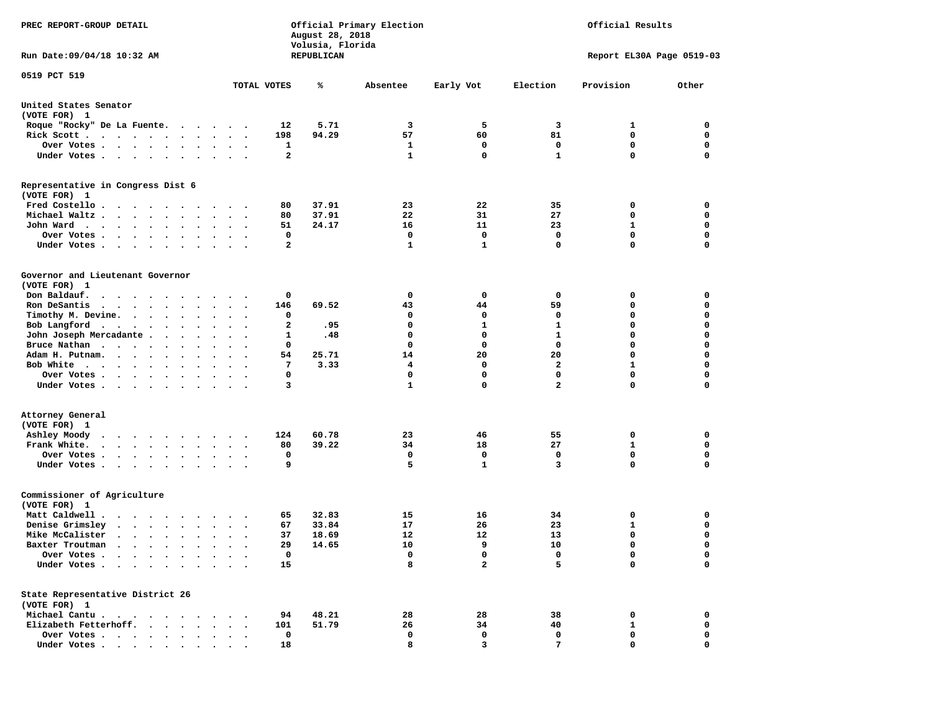| PREC REPORT-GROUP DETAIL                                                                                                                                                    |                         | August 28, 2018<br>Volusia, Florida | Official Primary Election |                |                         | Official Results          |             |
|-----------------------------------------------------------------------------------------------------------------------------------------------------------------------------|-------------------------|-------------------------------------|---------------------------|----------------|-------------------------|---------------------------|-------------|
| Run Date:09/04/18 10:32 AM                                                                                                                                                  |                         | REPUBLICAN                          |                           |                |                         | Report EL30A Page 0519-03 |             |
| 0519 PCT 519                                                                                                                                                                | TOTAL VOTES             | ℁                                   | Absentee                  | Early Vot      | Election                | Provision                 | Other       |
| United States Senator<br>(VOTE FOR) 1                                                                                                                                       |                         |                                     |                           |                |                         |                           |             |
| Roque "Rocky" De La Fuente.<br>.                                                                                                                                            |                         | 12<br>5.71                          | 3                         | 5              | 3                       | 1                         | 0           |
| Rick Scott                                                                                                                                                                  |                         | 198<br>94.29                        | 57                        | 60             | 81                      | 0                         | 0           |
| Over Votes                                                                                                                                                                  |                         | 1                                   | 1                         | 0              | 0                       | 0                         | 0           |
| Under Votes<br>$\sim$                                                                                                                                                       | $\ddot{\phantom{1}}$    | $\mathbf{2}$                        | $\mathbf{1}$              | $\mathbf 0$    | $\mathbf{1}$            | 0                         | 0           |
| Representative in Congress Dist 6<br>(VOTE FOR) 1                                                                                                                           |                         |                                     |                           |                |                         |                           |             |
| Fred Costello                                                                                                                                                               |                         | 37.91<br>80                         | 23                        | 22             | 35                      | 0                         | 0           |
| Michael Waltz.<br>$\sim$ $\sim$ $\sim$<br>$\cdot$<br>$\ddot{\phantom{1}}$<br>$\bullet$                                                                                      |                         | 37.91<br>80                         | 22                        | 31             | 27                      | 0                         | 0           |
| John Ward<br>$\bullet$<br>$\bullet$                                                                                                                                         |                         | 51<br>24.17                         | 16                        | 11             | 23                      | 1                         | 0           |
| Over Votes .<br>$\cdot$ $\cdot$ $\cdot$ $\cdot$<br>$\cdot$<br>$\cdot$                                                                                                       |                         | 0                                   | 0                         | $\mathbf 0$    | 0                       | $\mathbf 0$               | $\mathbf 0$ |
| Under Votes.<br>$\cdots$<br>$\cdot$                                                                                                                                         |                         | 2                                   | 1                         | $\mathbf{1}$   | 0                       | 0                         | $\mathbf 0$ |
| Governor and Lieutenant Governor<br>(VOTE FOR) 1                                                                                                                            |                         |                                     |                           |                |                         |                           |             |
| Don Baldauf.<br>$\begin{array}{cccccccccccccccccc} \bullet & \bullet & \bullet & \bullet & \bullet & \bullet & \bullet & \bullet & \bullet & \bullet & \bullet \end{array}$ | $\cdot$ $\cdot$ $\cdot$ | 0                                   | 0                         | 0              | 0                       | 0                         | 0           |
| Ron DeSantis<br>$\mathbf{r}$ , $\mathbf{r}$ , $\mathbf{r}$ , $\mathbf{r}$ , $\mathbf{r}$                                                                                    | $\bullet$               | 146<br>69.52                        | 43                        | 44             | 59                      | 0                         | 0           |
| Timothy M. Devine.                                                                                                                                                          |                         | 0                                   | 0                         | 0              | 0                       | 0                         | $\mathbf 0$ |
| Bob Langford<br>$\ddot{\phantom{0}}$<br>$\bullet$                                                                                                                           | $\cdot$                 | $\overline{a}$<br>.95               | 0                         | 1              | 1                       | 0                         | $\mathbf 0$ |
| John Joseph Mercadante.<br>$\ddot{\phantom{0}}$<br>$\ddot{\phantom{0}}$                                                                                                     |                         | 1<br>.48                            | 0                         | 0              | 1                       | 0                         | 0           |
| Bruce Nathan<br>$\bullet$                                                                                                                                                   |                         | 0                                   | 0                         | 0              | 0                       | 0                         | $\mathbf 0$ |
| Adam H. Putnam.<br>$\cdot$ $\cdot$ $\cdot$<br>$\cdot$<br>$\sim$                                                                                                             |                         | 54<br>25.71                         | 14                        | 20             | 20                      | 0                         | $\mathbf 0$ |
| Bob White<br>$\cdots$                                                                                                                                                       |                         | 3.33<br>7                           | 4                         | 0              | 2                       | $\mathbf{1}$              | $\mathbf 0$ |
| Over Votes .<br>$\sim$ $\sim$ $\sim$ $\sim$<br>$\bullet$                                                                                                                    | $\cdot$                 | 0                                   | 0                         | 0              | $\mathbf 0$             | 0                         | $\mathbf 0$ |
| Under Votes                                                                                                                                                                 |                         | 3                                   | $\mathbf{1}$              | $\mathbf 0$    | $\overline{\mathbf{2}}$ | 0                         | 0           |
| Attorney General<br>(VOTE FOR) 1<br>Ashley Moody<br>$\ddot{\phantom{0}}$<br>.<br>$\bullet$                                                                                  |                         | 60.78<br>124                        | 23                        | 46             | 55                      | 0                         | 0           |
| Frank White.<br>$\bullet$<br>$\bullet$                                                                                                                                      | $\cdot$<br>$\cdot$      | 39.22<br>80                         | 34                        | 18             | 27                      | 1                         | $\mathbf 0$ |
| Over Votes.<br>$\cdot$ $\cdot$ $\cdot$ $\cdot$<br>$\bullet$                                                                                                                 |                         | 0                                   | 0                         | 0              | 0                       | 0                         | 0           |
| Under Votes<br>$\bullet$                                                                                                                                                    | $\bullet$ . $\bullet$   | 9                                   | 5                         | 1              | 3                       | 0                         | $\mathbf 0$ |
| Commissioner of Agriculture<br>(VOTE FOR) 1                                                                                                                                 |                         |                                     |                           |                |                         |                           |             |
| Matt Caldwell .<br>$\mathbf{r}$ , $\mathbf{r}$ , $\mathbf{r}$ , $\mathbf{r}$ , $\mathbf{r}$ , $\mathbf{r}$                                                                  |                         | 32.83<br>65                         | 15                        | 16             | 34                      | 0                         | 0           |
| Denise Grimsley<br>$\cdots$<br>$\bullet$                                                                                                                                    |                         | 33.84<br>67                         | 17                        | 26             | 23                      | 1                         | 0           |
| Mike McCalister<br>$\cdot$<br>$\cdot$                                                                                                                                       | $\bullet$               | 37<br>18.69                         | 12                        | 12             | 13                      | 0                         | $\mathbf 0$ |
| Baxter Troutman<br>.                                                                                                                                                        |                         | 29<br>14.65                         | 10                        | 9              | 10                      | 0                         | 0           |
| Over Votes .                                                                                                                                                                |                         | 0                                   | 0                         | 0              | 0                       | 0                         | 0           |
| Under Votes.<br>$\overline{\phantom{a}}$                                                                                                                                    |                         | 15                                  | 8                         | $\overline{a}$ | 5                       | 0                         | $\mathbf 0$ |
| State Representative District 26<br>(VOTE FOR) 1                                                                                                                            |                         |                                     |                           |                |                         |                           |             |
| Michael Cantu.<br>$\sim$ $\sim$ $\sim$<br>$\overline{\phantom{a}}$                                                                                                          |                         | 48.21<br>94                         | 28                        | 28             | 38                      | 0                         | 0           |
| Elizabeth Fetterhoff.                                                                                                                                                       |                         | 101<br>51.79                        | 26                        | 34             | 40                      | $\mathbf{1}$              | 0           |
| Over Votes.<br>$\ddotsc$<br>$\sim$<br>$\bullet$<br>$\ddot{\phantom{a}}$                                                                                                     |                         | 0                                   | 0                         | 0              | 0                       | 0                         | 0           |
| Under Votes<br>$\sim$                                                                                                                                                       |                         | 18                                  | 8                         | 3              | 7                       | 0                         | 0           |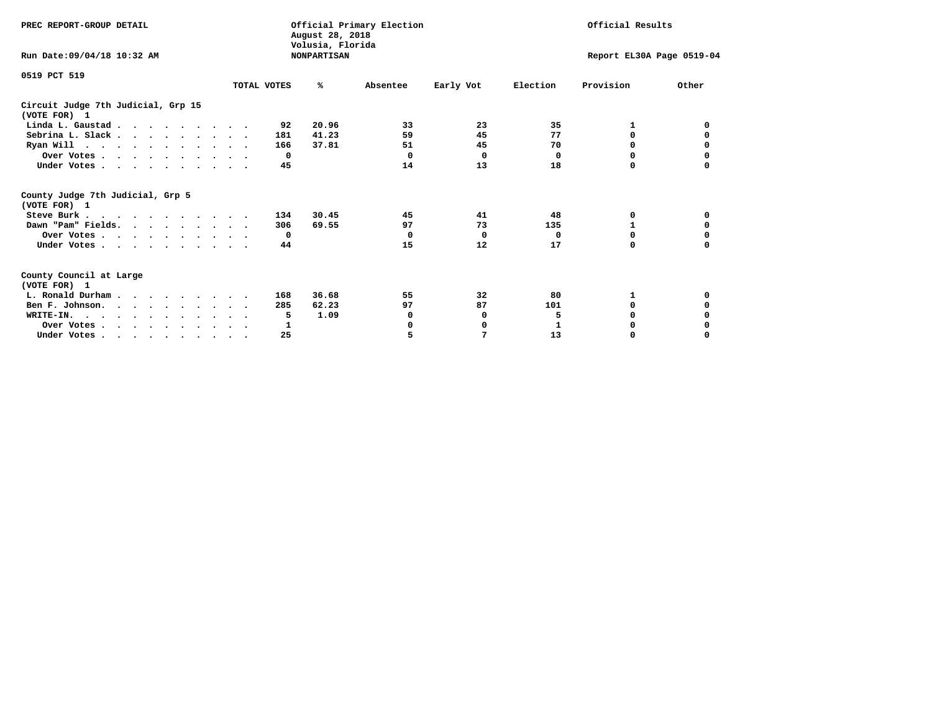| PREC REPORT-GROUP DETAIL                                                                   |             | August 28, 2018<br>Volusia, Florida | Official Primary Election |           |          | Official Results          |          |
|--------------------------------------------------------------------------------------------|-------------|-------------------------------------|---------------------------|-----------|----------|---------------------------|----------|
| Run Date:09/04/18 10:32 AM                                                                 |             | <b>NONPARTISAN</b>                  |                           |           |          | Report EL30A Page 0519-04 |          |
| 0519 PCT 519                                                                               |             |                                     |                           |           |          |                           |          |
|                                                                                            | TOTAL VOTES | ℁                                   | Absentee                  | Early Vot | Election | Provision                 | Other    |
| Circuit Judge 7th Judicial, Grp 15<br>(VOTE FOR) 1                                         |             |                                     |                           |           |          |                           |          |
| Linda L. Gaustad                                                                           |             | 20.96<br>92                         | 33                        | 23        | 35       | 1                         | 0        |
| Sebrina L. Slack                                                                           | 181         | 41.23                               | 59                        | 45        | 77       | 0                         |          |
| Ryan Will $\cdots$ , $\cdots$ , $\cdots$ , $\cdots$                                        | 166         | 37.81                               | 51                        | 45        | 70       | 0                         | 0        |
| Over Votes                                                                                 |             | $\Omega$                            | 0                         | $\Omega$  | 0        | 0                         | 0        |
| Under Votes                                                                                |             | 45                                  | 14                        | 13        | 18       | 0                         |          |
| County Judge 7th Judicial, Grp 5<br>(VOTE FOR) 1                                           |             |                                     |                           |           |          |                           |          |
| Steve Burk                                                                                 | 134         | 30.45                               | 45                        | 41        | 48       | 0                         | 0        |
| Dawn "Pam" Fields.                                                                         | 306         | 69.55                               | 97                        | 73        | 135      |                           |          |
| Over Votes                                                                                 |             | $\mathbf{o}$                        | $\Omega$                  | 0         | 0        | 0                         | 0        |
| Under Votes                                                                                |             | 44                                  | 15                        | 12        | 17       | $\Omega$                  | $\Omega$ |
| County Council at Large<br>(VOTE FOR) 1                                                    |             |                                     |                           |           |          |                           |          |
| L. Ronald Durham                                                                           | 168         | 36.68                               | 55                        | 32        | 80       | 1                         | 0        |
| Ben F. Johnson.                                                                            | 285         | 62.23                               | 97                        | 87        | 101      | <sup>0</sup>              | 0        |
| WRITE-IN.                                                                                  |             | 1.09<br>5                           | 0                         | 0         | 5        | $\Omega$                  |          |
| Over Votes                                                                                 |             | 1                                   | O                         | 0         | 1        | 0                         |          |
| Under Votes, $\cdot$ , $\cdot$ , $\cdot$ , $\cdot$ , $\cdot$ , $\cdot$ , $\cdot$ , $\cdot$ |             | 25                                  | 5                         | 7         | 13       | 0                         | $\Omega$ |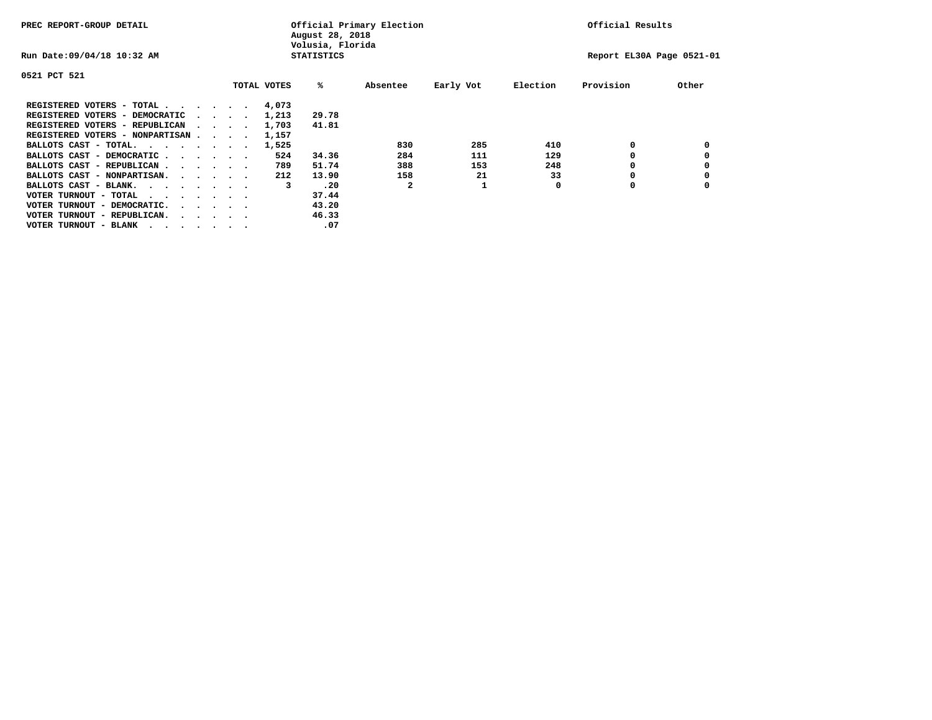| PREC REPORT-GROUP DETAIL               |  |                                         |             | August 28, 2018<br>Volusia, Florida | Official Primary Election |           |          | Official Results          |       |
|----------------------------------------|--|-----------------------------------------|-------------|-------------------------------------|---------------------------|-----------|----------|---------------------------|-------|
| Run Date: 09/04/18 10:32 AM            |  |                                         |             | <b>STATISTICS</b>                   |                           |           |          | Report EL30A Page 0521-01 |       |
| 0521 PCT 521                           |  |                                         |             |                                     |                           |           |          |                           |       |
|                                        |  |                                         | TOTAL VOTES | ‱                                   | Absentee                  | Early Vot | Election | Provision                 | Other |
| REGISTERED VOTERS - TOTAL              |  |                                         | 4,073       |                                     |                           |           |          |                           |       |
| REGISTERED VOTERS - DEMOCRATIC         |  | $\sim$ $\sim$ $\sim$ $\sim$             | 1,213       | 29.78                               |                           |           |          |                           |       |
| REGISTERED VOTERS - REPUBLICAN         |  |                                         | 1,703       | 41.81                               |                           |           |          |                           |       |
| REGISTERED VOTERS - NONPARTISAN        |  |                                         | 1,157       |                                     |                           |           |          |                           |       |
| BALLOTS CAST - TOTAL.                  |  |                                         | 1,525       |                                     | 830                       | 285       | 410      | 0                         |       |
| BALLOTS CAST - DEMOCRATIC              |  |                                         | 524         | 34.36                               | 284                       | 111       | 129      |                           |       |
| BALLOTS CAST - REPUBLICAN              |  |                                         | 789         | 51.74                               | 388                       | 153       | 248      | 0                         |       |
| BALLOTS CAST - NONPARTISAN.            |  |                                         | 212         | 13.90                               | 158                       | 21        | 33       |                           |       |
| BALLOTS CAST - BLANK.                  |  |                                         | 3           | .20                                 | 2                         |           | 0        | O                         |       |
| VOTER TURNOUT - TOTAL<br>.             |  |                                         |             | 37.44                               |                           |           |          |                           |       |
| VOTER TURNOUT - DEMOCRATIC.            |  | $\cdot$ $\cdot$ $\cdot$ $\cdot$ $\cdot$ |             | 43.20                               |                           |           |          |                           |       |
| VOTER TURNOUT - REPUBLICAN.<br>$\cdot$ |  |                                         |             | 46.33                               |                           |           |          |                           |       |
| VOTER TURNOUT - BLANK                  |  |                                         |             | .07                                 |                           |           |          |                           |       |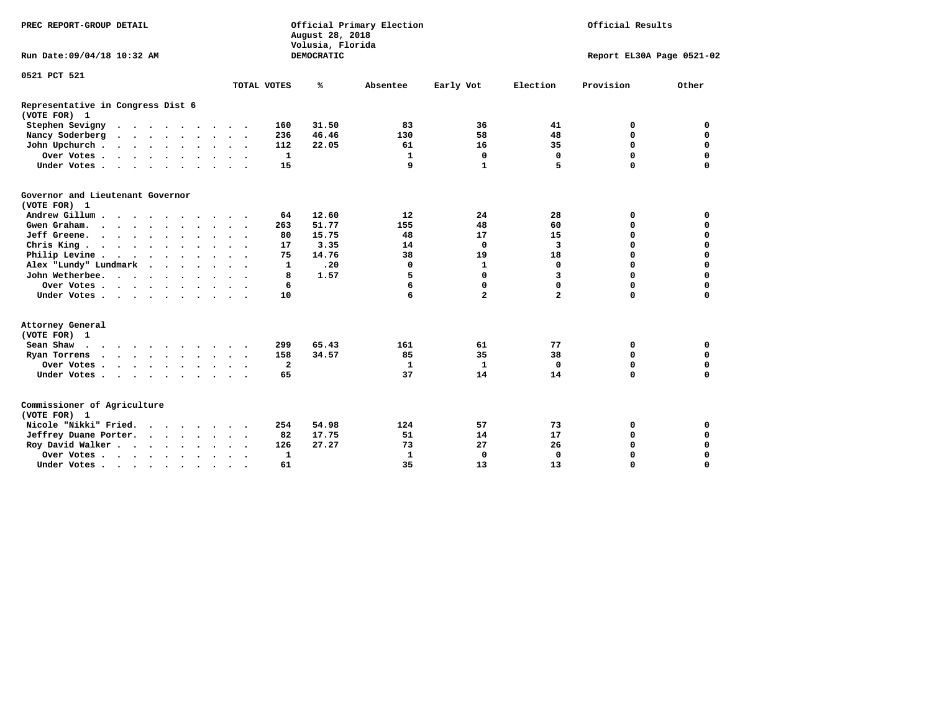| PREC REPORT-GROUP DETAIL                                                                 | Official Primary Election<br>Official Results<br>August 28, 2018<br>Volusia, Florida |               |                             |                           |             |             |  |
|------------------------------------------------------------------------------------------|--------------------------------------------------------------------------------------|---------------|-----------------------------|---------------------------|-------------|-------------|--|
| Run Date: 09/04/18 10:32 AM                                                              |                                                                                      | DEMOCRATIC    |                             | Report EL30A Page 0521-02 |             |             |  |
| 0521 PCT 521                                                                             |                                                                                      |               |                             |                           |             |             |  |
|                                                                                          | TOTAL VOTES                                                                          | ℁<br>Absentee | Early Vot                   | Election                  | Provision   | Other       |  |
| Representative in Congress Dist 6<br>(VOTE FOR) 1                                        |                                                                                      |               |                             |                           |             |             |  |
| Stephen Sevigny                                                                          | 160                                                                                  | 31.50         | 83<br>36                    | 41                        | 0           | 0           |  |
| Nancy Soderberg<br>$\mathbf{r}$ , and $\mathbf{r}$ , and $\mathbf{r}$ , and $\mathbf{r}$ | 236                                                                                  | 46.46         | 58<br>130                   | 48                        | $\mathbf 0$ | $\mathbf 0$ |  |
| John Upchurch                                                                            | 112                                                                                  | 22.05         | 16<br>61                    | 35                        | $\mathbf 0$ | $\mathbf 0$ |  |
| Over Votes.                                                                              | $\mathbf{1}$                                                                         |               | $\mathbf 0$<br>1            | $\mathbf 0$               | $\mathbf 0$ | $\mathbf 0$ |  |
| Under Votes                                                                              | 15                                                                                   |               | 9<br>$\mathbf{1}$           | 5                         | $\Omega$    | $\mathbf 0$ |  |
| Governor and Lieutenant Governor<br>(VOTE FOR) 1                                         |                                                                                      |               |                             |                           |             |             |  |
| Andrew Gillum                                                                            | 64                                                                                   | 12.60         | 24<br>12                    | 28                        | 0           | $\mathbf 0$ |  |
| Gwen Graham.                                                                             | 263                                                                                  | 51.77         | 155<br>48                   | 60                        | $\mathbf 0$ | $\mathbf 0$ |  |
| Jeff Greene.                                                                             | 80                                                                                   | 15.75         | 17<br>48                    | 15                        | 0           | $\mathbf 0$ |  |
| Chris King                                                                               | 17                                                                                   | 3.35          | 14<br>0                     | 3                         | 0           | $\mathbf 0$ |  |
| Philip Levine                                                                            | 75                                                                                   | 14.76         | 38<br>19                    | 18                        | $\mathbf 0$ | $\mathbf 0$ |  |
| Alex "Lundy" Lundmark                                                                    | $\mathbf{1}$                                                                         | .20           | $\mathbf{1}$<br>0           | $\mathbf 0$               | $\mathbf 0$ | $\mathbf 0$ |  |
| John Wetherbee.                                                                          | 8                                                                                    | 1.57          | 5<br>0                      | 3                         | $\mathbf 0$ | $\mathbf 0$ |  |
| Over Votes                                                                               | 6                                                                                    |               | 6<br>0                      | 0                         | $\mathbf 0$ | $\mathbf 0$ |  |
| Under Votes                                                                              | 10                                                                                   |               | 6<br>$\overline{a}$         | $\overline{a}$            | $\mathbf 0$ | $\mathbf 0$ |  |
| Attorney General<br>(VOTE FOR) 1                                                         |                                                                                      |               |                             |                           |             |             |  |
| Sean Shaw                                                                                | 299                                                                                  | 65.43         | 161<br>61                   | 77                        | 0           | 0           |  |
| Ryan Torrens                                                                             | 158                                                                                  | 34.57         | 35<br>85                    | 38                        | $\mathbf 0$ | $\mathbf 0$ |  |
| Over Votes                                                                               | $\overline{\mathbf{2}}$                                                              |               | 1<br>$\mathbf{1}$           | $\Omega$                  | 0           | 0           |  |
| Under Votes                                                                              | 65                                                                                   |               | 37<br>14                    | 14                        | $\mathbf 0$ | $\mathbf 0$ |  |
| Commissioner of Agriculture<br>(VOTE FOR) 1                                              |                                                                                      |               |                             |                           |             |             |  |
| Nicole "Nikki" Fried.                                                                    | 254                                                                                  | 54.98         | 124<br>57                   | 73                        | 0           | 0           |  |
| Jeffrey Duane Porter.                                                                    | 82                                                                                   | 17.75         | 14<br>51                    | 17                        | $\mathbf 0$ | $\mathbf 0$ |  |
| Roy David Walker                                                                         | 126                                                                                  | 27.27         | 73<br>27                    | 26                        | $\mathbf 0$ | $\mathbf 0$ |  |
| Over Votes                                                                               | $\mathbf{1}$<br>$\ddot{\phantom{0}}$<br>$\bullet$<br>$\overline{\phantom{a}}$        |               | $\mathbf{1}$<br>$\mathbf 0$ | $\Omega$                  | $\mathbf 0$ | $\mathbf 0$ |  |
| Under Votes                                                                              | 61<br>$\bullet$                                                                      |               | 35<br>13                    | 13                        | $\Omega$    | $\Omega$    |  |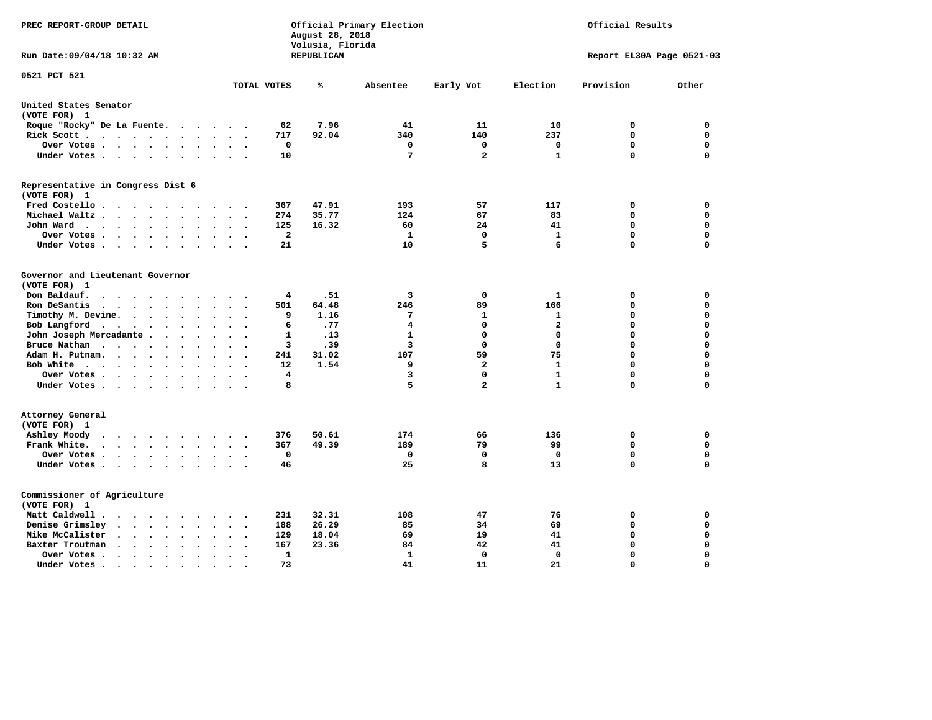| PREC REPORT-GROUP DETAIL                                                                                                                                  |                                            | August 28, 2018<br>Volusia, Florida | Official Primary Election | Official Results |                         |                           |                            |  |
|-----------------------------------------------------------------------------------------------------------------------------------------------------------|--------------------------------------------|-------------------------------------|---------------------------|------------------|-------------------------|---------------------------|----------------------------|--|
| Run Date: 09/04/18 10:32 AM                                                                                                                               |                                            | REPUBLICAN                          |                           |                  |                         | Report EL30A Page 0521-03 |                            |  |
| 0521 PCT 521                                                                                                                                              | TOTAL VOTES                                | ℁                                   | Absentee                  | Early Vot        | Election                | Provision                 | Other                      |  |
| United States Senator                                                                                                                                     |                                            |                                     |                           |                  |                         |                           |                            |  |
| (VOTE FOR) 1                                                                                                                                              |                                            |                                     |                           |                  |                         |                           |                            |  |
| Roque "Rocky" De La Fuente.<br>$\ddot{\phantom{1}}$<br>$\ddot{\phantom{a}}$<br>$\ddot{\phantom{a}}$<br>$\sim$                                             | 62                                         | 7.96                                | 41                        | 11               | 10                      | 0                         | 0                          |  |
| Rick Scott<br>$\bullet$<br>$\bullet$                                                                                                                      | 717                                        | 92.04                               | 340                       | 140              | 237                     | $\mathbf 0$               | $\mathbf 0$                |  |
| Over Votes<br>$\ddot{\phantom{1}}$<br>$\cdot$                                                                                                             | 0<br>$\bullet$<br>$\overline{\phantom{a}}$ |                                     | 0                         | 0                | 0                       | $\mathbf 0$               | $\mathbf 0$                |  |
| Under Votes<br>$\sim$<br>$\ddot{\phantom{a}}$                                                                                                             | 10                                         |                                     | 7                         | $\overline{2}$   | $\mathbf{1}$            | $\mathbf 0$               | $\mathbf 0$                |  |
| Representative in Congress Dist 6<br>(VOTE FOR) 1                                                                                                         |                                            |                                     |                           |                  |                         |                           |                            |  |
| Fred Costello.<br>.                                                                                                                                       | 367                                        | 47.91                               | 193                       | 57               | 117                     | 0                         | 0                          |  |
| Michael Waltz<br>$\ddot{\phantom{a}}$                                                                                                                     | 274                                        | 35.77                               | 124                       | 67               | 83                      | 0                         | $\mathbf 0$                |  |
| John Ward<br>$\ddot{\phantom{1}}$<br>$\cdot$<br>$\bullet$                                                                                                 | 125<br>$\bullet$                           | 16.32                               | 60                        | 24               | 41                      | 0                         | $\Omega$                   |  |
| Over Votes .<br>$\cdot$ $\cdot$ $\cdot$ $\cdot$<br>$\cdot$<br>$\bullet$<br>$\ddot{\phantom{0}}$                                                           | 2                                          |                                     | 1                         | $\mathbf 0$      | 1                       | 0                         | 0                          |  |
| Under Votes<br>$\sim$ $\sim$<br>$\bullet$                                                                                                                 | 21                                         |                                     | 10                        | 5                | 6                       | $\mathbf 0$               | $\Omega$                   |  |
| Governor and Lieutenant Governor<br>(VOTE FOR) 1<br>Don Baldauf.<br>$\ddotsc$ $\ddotsc$                                                                   | 4                                          | .51                                 | 3                         | 0                | 1                       | 0                         | 0                          |  |
| Ron DeSantis<br>$\cdot$ $\cdot$ $\cdot$<br>$\bullet$                                                                                                      | 501                                        | 64.48                               | 246                       | 89               | 166                     | $\mathbf 0$               | $\mathbf 0$                |  |
| Timothy M. Devine. .<br>$\ddot{\phantom{0}}$<br>$\bullet$<br>$\bullet$<br>$\bullet$                                                                       | 9                                          | 1.16                                | 7                         | $\mathbf{1}$     | $\mathbf 1$             | $\mathbf 0$               | $\mathbf 0$                |  |
| Bob Langford<br>$\bullet$<br>$\bullet$<br>$\ddot{\phantom{1}}$<br>$\bullet$                                                                               | 6                                          | .77                                 | 4                         | $\mathbf 0$      | $\overline{\mathbf{2}}$ | $\mathbf 0$               | $\mathbf 0$                |  |
| John Joseph Mercadante .<br>$\ddot{\phantom{a}}$<br>$\bullet$<br>$\ddot{\phantom{a}}$<br>$\overline{\phantom{a}}$                                         | 1                                          | .13                                 | $\mathbf{1}$              | $\mathbf 0$      | $\mathbf 0$             | $\mathbf 0$               | $\mathbf 0$                |  |
| Bruce Nathan<br>$\cdot \cdot \cdot \cdot$<br>$\bullet$<br>$\bullet$<br>$\bullet$<br>$\bullet$                                                             | з                                          | .39                                 | 3                         | $\mathbf 0$      | $\mathbf 0$             | 0                         | $\mathbf 0$                |  |
| Adam H. Putnam.<br>$\sim$<br>$\sim$ $\sim$<br>$\bullet$                                                                                                   | 241                                        | 31.02                               | 107                       | 59               | 75                      | 0                         | $\mathbf 0$                |  |
| Bob White<br>$\bullet$<br>$\overline{\phantom{a}}$<br>$\ddot{\phantom{a}}$                                                                                | 12<br>$\ddot{\phantom{a}}$                 | 1.54                                | 9                         | $\overline{a}$   | $\mathbf{1}$            | $\mathbf 0$               | $\mathbf 0$                |  |
| Over Votes .<br>$\bullet$ , $\bullet$ , $\bullet$ , $\bullet$ , $\bullet$<br>$\bullet$<br>$\bullet$                                                       | 4                                          |                                     | з                         | $\Omega$         | $\mathbf{1}$            | $\mathbf 0$               | $\mathbf 0$                |  |
| Under Votes                                                                                                                                               | 8                                          |                                     | 5                         | $\overline{a}$   | $\mathbf{1}$            | $\mathbf 0$               | 0                          |  |
| Attorney General<br>(VOTE FOR) 1                                                                                                                          |                                            |                                     |                           |                  |                         |                           |                            |  |
| Ashley Moody<br>$\bullet$<br>$\cdot$ $\cdot$ $\cdot$ $\cdot$ $\cdot$<br>$\cdot$<br>$\bullet$                                                              | 376<br>$\cdot$                             | 50.61                               | 174                       | 66               | 136                     | 0                         | 0                          |  |
| Frank White.<br>$\cdot$ $\cdot$ $\cdot$ $\cdot$<br>$\sim$<br>$\bullet$                                                                                    | 367                                        | 49.39                               | 189                       | 79               | 99                      | $\mathbf 0$               | 0                          |  |
| Over Votes.<br>$\mathbf{a}$ , and $\mathbf{a}$ , and $\mathbf{a}$<br>$\sim$<br>$\bullet$<br>$\ddot{\phantom{a}}$<br>$\bullet$<br>Under Votes<br>$\bullet$ | 0<br>46<br>$\ddot{\phantom{a}}$            |                                     | 0<br>25                   | $\mathbf 0$<br>8 | $\mathbf 0$<br>13       | 0<br>0                    | $\mathbf 0$<br>$\mathbf 0$ |  |
| Commissioner of Agriculture<br>(VOTE FOR) 1                                                                                                               |                                            |                                     |                           |                  |                         |                           |                            |  |
| Matt Caldwell.<br>$\cdot$ $\cdot$ $\cdot$ $\cdot$                                                                                                         | 231                                        | 32.31                               | 108                       | 47               | 76                      | 0                         | 0                          |  |
| Denise Grimsley<br>$\ddot{\phantom{a}}$<br>$\ddot{\phantom{a}}$<br>$\ddot{\phantom{a}}$                                                                   | 188                                        | 26.29                               | 85                        | 34               | 69                      | 0                         | $\mathbf 0$                |  |
| Mike McCalister<br>$\ddot{\phantom{0}}$<br>$\sim$ $\sim$<br>$\bullet$<br>$\bullet$<br>$\bullet$                                                           | 129<br>$\bullet$                           | 18.04                               | 69                        | 19               | 41                      | 0                         | $\mathbf 0$                |  |
| Baxter Troutman<br>$\ddot{\phantom{1}}$<br>$\cdot$                                                                                                        | 167                                        | 23.36                               | 84                        | 42               | 41                      | $\mathbf 0$               | $\mathbf 0$                |  |
| Over Votes.<br>$\sim$ $\sim$<br>$\ddot{\phantom{0}}$<br>$\Delta$<br>$\cdot$<br>$\bullet$                                                                  | 1                                          |                                     | 1                         | 0                | $\mathbf 0$             | $\mathbf 0$               | $\mathbf 0$                |  |
| Under Votes.<br>$\bullet$ , $\bullet$ , $\bullet$ , $\bullet$ , $\bullet$<br>$\bullet$<br>$\bullet$<br>$\bullet$                                          | 73                                         |                                     | 41                        | 11               | 21                      | $\Omega$                  | $\Omega$                   |  |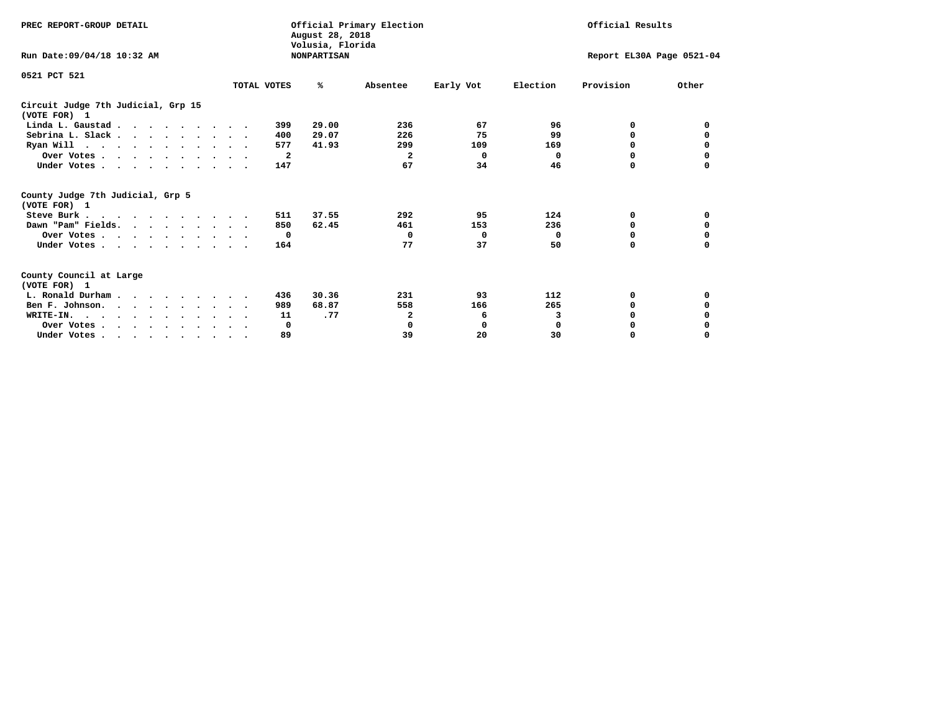| PREC REPORT-GROUP DETAIL                                                         |                      | Official Primary Election<br>August 28, 2018<br>Volusia, Florida | Official Results |                           |             |              |          |
|----------------------------------------------------------------------------------|----------------------|------------------------------------------------------------------|------------------|---------------------------|-------------|--------------|----------|
| Run Date: 09/04/18 10:32 AM                                                      |                      | <b>NONPARTISAN</b>                                               |                  | Report EL30A Page 0521-04 |             |              |          |
| 0521 PCT 521                                                                     |                      |                                                                  |                  |                           |             |              |          |
|                                                                                  | TOTAL VOTES          | ℁                                                                | Absentee         | Early Vot                 | Election    | Provision    | Other    |
| Circuit Judge 7th Judicial, Grp 15<br>(VOTE FOR) 1                               |                      |                                                                  |                  |                           |             |              |          |
| Linda L. Gaustad                                                                 |                      | 29.00<br>399                                                     | 236              | 67                        | 96          | 0            | 0        |
| Sebrina L. Slack                                                                 |                      | 29.07<br>400                                                     | 226              | 75                        | 99          | 0            |          |
| Ryan Will $\cdots$ , $\cdots$ , $\cdots$ , $\cdots$                              |                      | 577<br>41.93                                                     | 299              | 109                       | 169         | 0            | 0        |
| Over Votes                                                                       |                      | 2                                                                | 2                | $\Omega$                  | 0           | 0            | 0        |
| Under Votes                                                                      |                      | 147                                                              | 67               | 34                        | 46          | 0            |          |
| County Judge 7th Judicial, Grp 5<br>(VOTE FOR) 1                                 |                      |                                                                  |                  |                           |             |              |          |
| Steve Burk                                                                       | $\ddot{\phantom{0}}$ | 37.55<br>511                                                     | 292              | 95                        | 124         | 0            | 0        |
| Dawn "Pam" Fields.                                                               |                      | 62.45<br>850                                                     | 461              | 153                       | 236         | 0            |          |
| Over Votes                                                                       |                      | $\mathbf{o}$                                                     | 0                | $\Omega$                  | 0           | 0            | 0        |
| Under Votes                                                                      |                      | 164                                                              | 77               | 37                        | 50          | $\Omega$     | $\Omega$ |
| County Council at Large<br>(VOTE FOR) 1                                          |                      |                                                                  |                  |                           |             |              |          |
| L. Ronald Durham                                                                 |                      | 30.36<br>436                                                     | 231              | 93                        | 112         | 0            | 0        |
| Ben F. Johnson.                                                                  |                      | 68.87<br>989                                                     | 558              | 166                       | 265         | <sup>0</sup> | 0        |
| WRITE-IN.                                                                        |                      | .77<br>11                                                        | 2                | 6                         | 3           | O            |          |
| Over Votes                                                                       |                      | 0                                                                | 0                | 0                         | $\mathbf 0$ | 0            |          |
| Under Votes, $\cdot$ , $\cdot$ , $\cdot$ , $\cdot$ , $\cdot$ , $\cdot$ , $\cdot$ |                      | 89                                                               | 39               | 20                        | 30          | 0            | $\Omega$ |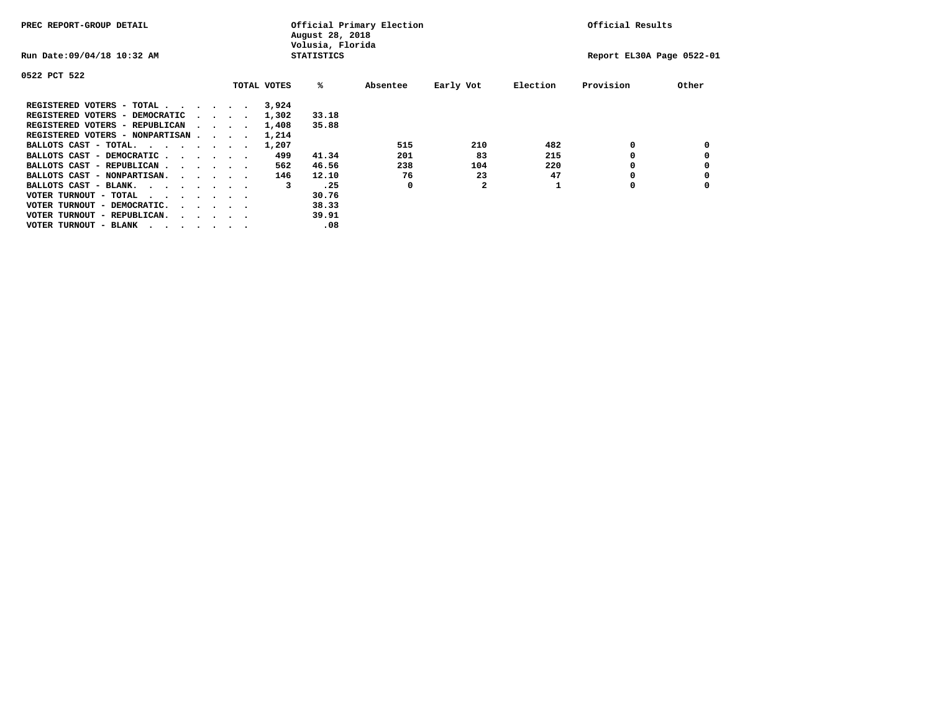| PREC REPORT-GROUP DETAIL               |  |  |                                         | Official Primary Election<br>August 28, 2018<br>Volusia, Florida |                   | Official Results |              |          |                           |       |
|----------------------------------------|--|--|-----------------------------------------|------------------------------------------------------------------|-------------------|------------------|--------------|----------|---------------------------|-------|
| Run Date: 09/04/18 10:32 AM            |  |  |                                         |                                                                  | <b>STATISTICS</b> |                  |              |          | Report EL30A Page 0522-01 |       |
| 0522 PCT 522                           |  |  |                                         |                                                                  |                   |                  |              |          |                           |       |
|                                        |  |  |                                         | TOTAL VOTES                                                      | %ะ                | Absentee         | Early Vot    | Election | Provision                 | Other |
| REGISTERED VOTERS - TOTAL              |  |  |                                         | 3,924                                                            |                   |                  |              |          |                           |       |
| REGISTERED VOTERS - DEMOCRATIC         |  |  | $\cdot$ $\cdot$ $\cdot$ $\cdot$ $\cdot$ | 1,302                                                            | 33.18             |                  |              |          |                           |       |
| REGISTERED VOTERS - REPUBLICAN         |  |  |                                         | 1,408                                                            | 35.88             |                  |              |          |                           |       |
| REGISTERED VOTERS - NONPARTISAN        |  |  |                                         | 1,214                                                            |                   |                  |              |          |                           |       |
| BALLOTS CAST - TOTAL.                  |  |  |                                         | 1,207                                                            |                   | 515              | 210          | 482      | 0                         |       |
| BALLOTS CAST - DEMOCRATIC              |  |  |                                         | 499                                                              | 41.34             | 201              | 83           | 215      |                           |       |
| BALLOTS CAST - REPUBLICAN              |  |  |                                         | 562                                                              | 46.56             | 238              | 104          | 220      |                           |       |
| BALLOTS CAST - NONPARTISAN.            |  |  |                                         | 146                                                              | 12.10             | 76               | 23           | 47       |                           |       |
| BALLOTS CAST - BLANK.                  |  |  |                                         | 3                                                                | .25               | 0                | $\mathbf{2}$ |          | 0                         |       |
| VOTER TURNOUT - TOTAL<br>.             |  |  |                                         |                                                                  | 30.76             |                  |              |          |                           |       |
| VOTER TURNOUT - DEMOCRATIC.            |  |  | $\cdot$ $\cdot$ $\cdot$ $\cdot$ $\cdot$ |                                                                  | 38.33             |                  |              |          |                           |       |
| VOTER TURNOUT - REPUBLICAN.<br>$\cdot$ |  |  |                                         |                                                                  | 39.91             |                  |              |          |                           |       |
| VOTER TURNOUT - BLANK                  |  |  |                                         |                                                                  | .08               |                  |              |          |                           |       |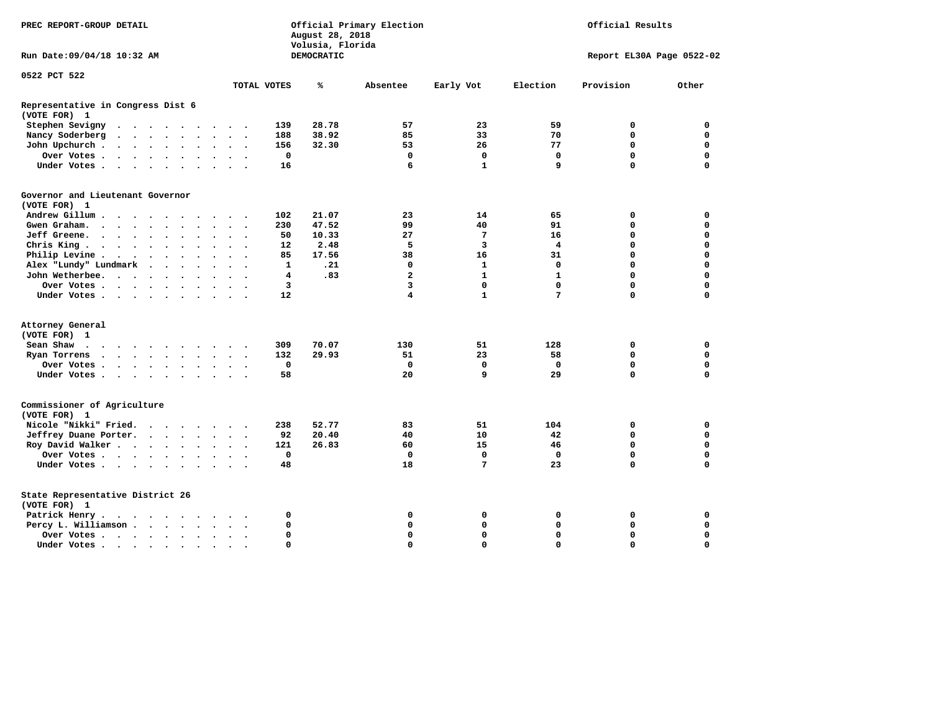| PREC REPORT-GROUP DETAIL                                                                                                                                              |                                       | August 28, 2018<br>Volusia, Florida | Official Primary Election | Official Results |              |                           |             |
|-----------------------------------------------------------------------------------------------------------------------------------------------------------------------|---------------------------------------|-------------------------------------|---------------------------|------------------|--------------|---------------------------|-------------|
| Run Date:09/04/18 10:32 AM                                                                                                                                            |                                       | DEMOCRATIC                          |                           |                  |              | Report EL30A Page 0522-02 |             |
| 0522 PCT 522                                                                                                                                                          |                                       |                                     |                           |                  |              |                           |             |
|                                                                                                                                                                       | TOTAL VOTES                           | ℁                                   | Absentee                  | Early Vot        | Election     | Provision                 | Other       |
| Representative in Congress Dist 6                                                                                                                                     |                                       |                                     |                           |                  |              |                           |             |
| (VOTE FOR) 1                                                                                                                                                          |                                       |                                     |                           |                  |              |                           |             |
| Stephen Sevigny<br>$\cdot$ $\cdot$ $\cdot$ $\cdot$ $\cdot$ $\cdot$<br>$\sim$ $\sim$                                                                                   | 139                                   | 28.78                               | 57                        | 23               | 59           | 0                         | 0           |
| Nancy Soderberg<br>$\begin{array}{cccccccccccccc} \bullet & \bullet & \bullet & \bullet & \bullet & \bullet & \bullet & \bullet & \bullet \end{array}$<br>$\bullet$ . | 188<br>$\ddot{\phantom{1}}$           | 38.92                               | 85                        | 33               | 70           | 0                         | 0           |
| John Upchurch.<br>$\cdot$ $\cdot$ $\cdot$ $\cdot$<br>$\sim$                                                                                                           | 156                                   | 32.30                               | 53                        | 26               | 77           | 0                         | $\mathbf 0$ |
| Over Votes.<br>$\mathbf{r}$ , and $\mathbf{r}$ , and $\mathbf{r}$<br>$\bullet$<br>$\bullet$                                                                           | 0<br>$\bullet$<br>$\bullet$           |                                     | 0                         | 0                | 0            | $\mathbf 0$               | $\mathbf 0$ |
| Under Votes<br>$\ddot{\phantom{a}}$<br>$\ddot{\phantom{a}}$                                                                                                           | 16<br>$\ddot{\phantom{0}}$            |                                     | 6                         | $\mathbf{1}$     | 9            | 0                         | $\mathbf 0$ |
| Governor and Lieutenant Governor                                                                                                                                      |                                       |                                     |                           |                  |              |                           |             |
| (VOTE FOR) 1                                                                                                                                                          |                                       |                                     |                           |                  |              |                           |             |
| Andrew Gillum                                                                                                                                                         | 102                                   | 21.07                               | 23                        | 14               | 65           | 0                         | $\mathbf 0$ |
| Gwen Graham.<br>$\ddot{\phantom{a}}$<br>$\sim$<br>$\ddot{\phantom{0}}$                                                                                                | 230<br>$\ddot{\phantom{0}}$           | 47.52                               | 99                        | 40               | 91           | $\mathbf 0$               | $\mathbf 0$ |
| Jeff Greene.<br>$\mathbf{r}$ , and $\mathbf{r}$ , and $\mathbf{r}$<br>$\bullet$                                                                                       | 50                                    | 10.33                               | 27                        | 7                | 16           | 0                         | 0           |
| Chris King<br>$\bullet$                                                                                                                                               | 12                                    | 2.48                                | 5                         | 3                | 4            | 0                         | $\mathbf 0$ |
| Philip Levine .<br>$\sim$ $\sim$<br>$\sim$ $\sim$ $\sim$<br>$\bullet$<br>$\cdot$<br>$\ddot{\phantom{0}}$<br>$\bullet$                                                 | 85<br>$\cdot$<br>$\ddot{\phantom{0}}$ | 17.56                               | 38                        | 16               | 31           | 0                         | $\mathbf 0$ |
| Alex "Lundy" Lundmark<br>$\ddot{\phantom{1}}$<br>$\ddot{\phantom{a}}$<br>$\bullet$                                                                                    | 1                                     | .21                                 | 0                         | 1                | 0            | 0                         | $\mathbf 0$ |
| John Wetherbee.<br>$\ddot{\phantom{a}}$<br>$\overline{\phantom{a}}$<br>$\sim$ $\sim$<br>$\bullet$                                                                     | 4                                     | .83                                 | $\overline{a}$            | $\mathbf{1}$     | $\mathbf{1}$ | 0                         | $\Omega$    |
| Over Votes.<br>$\cdots$<br>$\sim$                                                                                                                                     | 3                                     |                                     | 3                         | 0                | $\mathbf 0$  | 0                         | $\Omega$    |
| Under Votes.<br>$\sim$ $\sim$ $\sim$<br>$\bullet$                                                                                                                     | 12                                    |                                     | 4                         | $\mathbf{1}$     | 7            | $\Omega$                  | $\Omega$    |
| Attorney General                                                                                                                                                      |                                       |                                     |                           |                  |              |                           |             |
| (VOTE FOR) 1                                                                                                                                                          |                                       |                                     |                           |                  |              |                           |             |
| Sean Shaw<br>.<br>$\sim$                                                                                                                                              | 309                                   | 70.07                               | 130                       | 51               | 128          | 0                         | 0           |
| Ryan Torrens<br>$\cdots$<br>$\bullet$                                                                                                                                 | 132<br>$\ddot{\phantom{1}}$           | 29.93                               | 51                        | 23               | 58           | 0                         | 0           |
| Over Votes .<br>the contract of the contract of the contract of the contract of the contract of the contract of the contract of                                       | $\mathbf 0$                           |                                     | $\mathbf 0$               | 0                | $\mathbf 0$  | $\mathbf 0$               | $\mathbf 0$ |
| Under Votes<br>$\bullet$<br>$\bullet$                                                                                                                                 | 58<br>$\sim$ $\sim$                   |                                     | 20                        | 9                | 29           | 0                         | $\Omega$    |
| Commissioner of Agriculture<br>(VOTE FOR) 1                                                                                                                           |                                       |                                     |                           |                  |              |                           |             |
| Nicole "Nikki" Fried.<br>$\sim$                                                                                                                                       | 238                                   | 52.77                               | 83                        | 51               | 104          | 0                         | $\mathbf 0$ |
| Jeffrey Duane Porter.<br>$\cdots$                                                                                                                                     | 92                                    | 20.40                               | 40                        | 10               | 42           | $\mathbf 0$               | $\mathbf 0$ |
| Roy David Walker                                                                                                                                                      | 121                                   | 26.83                               | 60                        | 15               | 46           | $\mathbf 0$               | $\mathbf 0$ |
| Over Votes                                                                                                                                                            | $\mathbf 0$                           |                                     | $\mathbf 0$               | 0                | $\mathbf 0$  | 0                         | $\mathbf 0$ |
| Under Votes<br>$\bullet$                                                                                                                                              | 48                                    |                                     | 18                        | 7                | 23           | 0                         | 0           |
| State Representative District 26<br>(VOTE FOR) 1                                                                                                                      |                                       |                                     |                           |                  |              |                           |             |
| Patrick Henry.                                                                                                                                                        | 0                                     |                                     | 0                         | 0                | 0            | 0                         | 0           |
| Percy L. Williamson                                                                                                                                                   | 0<br>$\bullet$<br>$\cdot$             |                                     | 0                         | 0                | 0            | $\Omega$                  | $\Omega$    |
| Over Votes<br>$\cdot$                                                                                                                                                 | 0<br>$\sim$                           |                                     | 0                         | $\mathbf 0$      | $\Omega$     | 0                         | $\mathbf 0$ |
| Under Votes.                                                                                                                                                          | $\Omega$                              |                                     | $\Omega$                  | $\Omega$         | $\Omega$     | $\Omega$                  | $\Omega$    |
| $\bullet$<br>$\bullet$                                                                                                                                                |                                       |                                     |                           |                  |              |                           |             |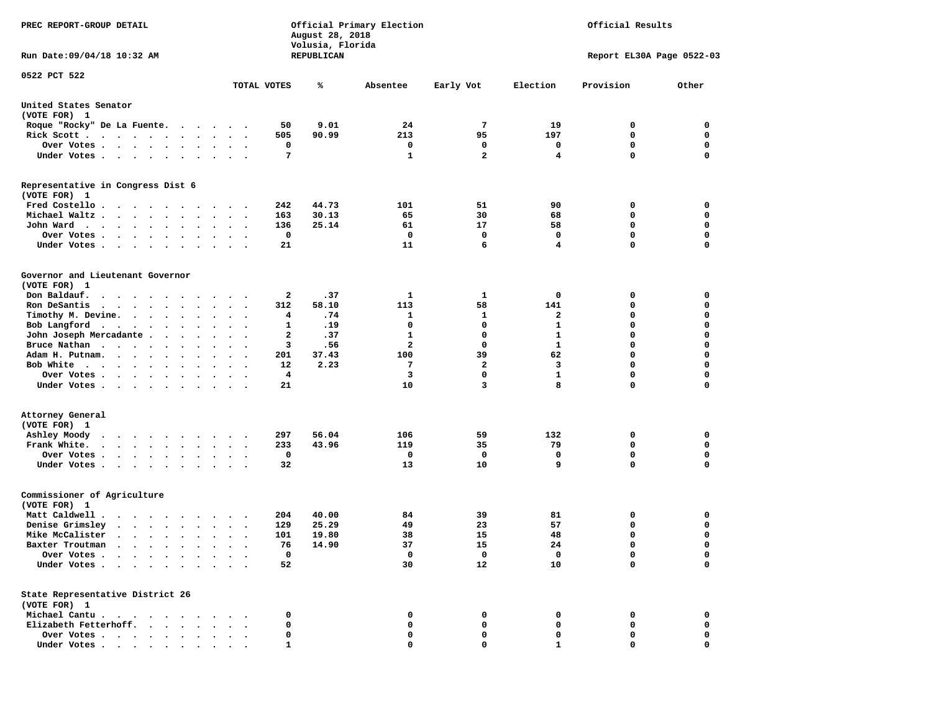| PREC REPORT-GROUP DETAIL                                                                                                                                                          | Official Primary Election<br>August 28, 2018<br>Volusia, Florida   |                      |                     |                             |                   |                            | Official Results |  |  |  |  |
|-----------------------------------------------------------------------------------------------------------------------------------------------------------------------------------|--------------------------------------------------------------------|----------------------|---------------------|-----------------------------|-------------------|----------------------------|------------------|--|--|--|--|
| Run Date: 09/04/18 10:32 AM                                                                                                                                                       |                                                                    | REPUBLICAN           |                     |                             |                   | Report EL30A Page 0522-03  |                  |  |  |  |  |
| 0522 PCT 522                                                                                                                                                                      |                                                                    |                      |                     |                             |                   |                            |                  |  |  |  |  |
|                                                                                                                                                                                   | TOTAL VOTES                                                        | ℁                    | Absentee            | Early Vot                   | Election          | Provision                  | Other            |  |  |  |  |
| United States Senator<br>(VOTE FOR) 1                                                                                                                                             |                                                                    |                      |                     |                             |                   |                            |                  |  |  |  |  |
| Roque "Rocky" De La Fuente.                                                                                                                                                       | 50                                                                 | 9.01                 | 24                  | 7                           | 19                | 0                          | 0                |  |  |  |  |
| Rick Scott                                                                                                                                                                        | 505<br>$\bullet$ .<br><br><br><br><br><br><br><br><br><br><br><br> | 90.99                | 213                 | 95                          | 197               | 0                          | 0                |  |  |  |  |
| Over Votes                                                                                                                                                                        | 0<br>$\ddot{\phantom{1}}$                                          |                      | 0                   | 0                           | 0                 | $\mathbf 0$                | 0                |  |  |  |  |
| Under Votes                                                                                                                                                                       | 7<br>$\bullet$ .<br>$\ddot{\phantom{0}}$                           |                      | 1                   | $\overline{2}$              | 4                 | $\Omega$                   | $\mathbf 0$      |  |  |  |  |
| Representative in Congress Dist 6<br>(VOTE FOR) 1                                                                                                                                 |                                                                    |                      |                     |                             |                   |                            |                  |  |  |  |  |
| Fred Costello                                                                                                                                                                     | 242                                                                | 44.73                | 101                 | 51                          | 90                | 0                          | 0                |  |  |  |  |
| Michael Waltz                                                                                                                                                                     | 163<br>$\ddot{\phantom{1}}$                                        | 30.13                | 65                  | 30                          | 68                | 0                          | 0                |  |  |  |  |
| John Ward                                                                                                                                                                         | 136<br>$\ddot{\phantom{1}}$<br>$\sim$                              | 25.14                | 61                  | 17                          | 58                | $\mathbf 0$                | 0                |  |  |  |  |
| Over Votes<br>$\sim$ $\sim$ $\sim$ $\sim$<br>$\cdot$<br>$\sim$<br>$\cdot$                                                                                                         | $\mathbf 0$                                                        |                      | 0                   | 0                           | 0                 | $\mathbf 0$                | 0                |  |  |  |  |
| Under Votes                                                                                                                                                                       | 21                                                                 |                      | 11                  | 6                           | 4                 | $\mathbf 0$                | 0                |  |  |  |  |
| Governor and Lieutenant Governor<br>(VOTE FOR) 1                                                                                                                                  |                                                                    |                      |                     |                             |                   |                            |                  |  |  |  |  |
| Don Baldauf.<br>$\cdot$ $\cdot$ $\cdot$ $\cdot$ $\cdot$ $\cdot$ $\cdot$ $\cdot$                                                                                                   | $\sim$ $\sim$                                                      | 2<br>.37             | 1                   | 1                           | 0                 | 0                          | 0                |  |  |  |  |
| Ron DeSantis                                                                                                                                                                      | 312                                                                | 58.10                | 113                 | 58                          | 141               | 0                          | 0                |  |  |  |  |
| $\cdot$                                                                                                                                                                           | $\bullet$                                                          | .74<br>4             | 1                   | 1                           | 2                 | 0                          | $\mathbf 0$      |  |  |  |  |
| Timothy M. Devine.                                                                                                                                                                | $\ddot{\phantom{1}}$<br>1                                          | .19                  | $\mathbf 0$         | $\mathbf 0$                 | $\mathbf{1}$      | $\mathbf 0$                | 0                |  |  |  |  |
| Bob Langford<br>John Joseph Mercadante .                                                                                                                                          | $\ddot{\phantom{0}}$<br>$\overline{\phantom{a}}$                   |                      |                     | 0                           |                   | $\mathbf 0$                | 0                |  |  |  |  |
| $\sim$ $\sim$ $\sim$ $\sim$                                                                                                                                                       | $\bullet$                                                          | 2<br>.37<br>3<br>.56 | 1<br>$\overline{a}$ | 0                           | 1<br>$\mathbf{1}$ | $\mathbf 0$                | 0                |  |  |  |  |
| Bruce Nathan<br>Adam H. Putnam.                                                                                                                                                   | $\bullet$ .<br>$\bullet$<br>$\cdot$                                |                      | 100                 | 39                          | 62                | $\mathbf 0$                | 0                |  |  |  |  |
| $\cdots$<br>$\sim$                                                                                                                                                                | 201<br>$\sim$                                                      | 37.43                |                     |                             |                   |                            |                  |  |  |  |  |
| Bob White                                                                                                                                                                         | 12                                                                 | 2.23                 | 7<br>3              | $\mathbf{2}$<br>$\mathbf 0$ | 3<br>$\mathbf{1}$ | $\mathbf 0$<br>$\mathbf 0$ | 0<br>0           |  |  |  |  |
| Over Votes.<br>$\cdots$<br>$\bullet$<br>Under Votes                                                                                                                               | $\ddot{\phantom{a}}$<br>$\bullet$<br>21                            | 4                    | 10                  | 3                           | 8                 | $\mathbf 0$                | 0                |  |  |  |  |
| Attorney General                                                                                                                                                                  |                                                                    |                      |                     |                             |                   |                            |                  |  |  |  |  |
| (VOTE FOR) 1                                                                                                                                                                      |                                                                    |                      |                     |                             |                   |                            |                  |  |  |  |  |
| Ashley Moody                                                                                                                                                                      | 297<br>$\cdot$ $\cdot$                                             | 56.04                | 106                 | 59                          | 132               | 0                          | 0                |  |  |  |  |
| Frank White.<br>$\begin{array}{cccccccccccccc} \bullet & \bullet & \bullet & \bullet & \bullet & \bullet & \bullet & \bullet & \bullet & \bullet & \bullet & \bullet \end{array}$ | 233<br>$\bullet$ .<br>$\bullet$<br>$\sim$                          | 43.96                | 119                 | 35                          | 79                | $\mathbf 0$                | 0                |  |  |  |  |
| Over Votes.<br>$\cdot$<br>$\ddot{\phantom{1}}$                                                                                                                                    | 0                                                                  |                      | 0                   | 0                           | 0                 | $\mathbf 0$                | 0                |  |  |  |  |
| Under Votes                                                                                                                                                                       | 32                                                                 |                      | 13                  | 10                          | 9                 | $\Omega$                   | $\mathbf 0$      |  |  |  |  |
| Commissioner of Agriculture<br>(VOTE FOR) 1                                                                                                                                       |                                                                    |                      |                     |                             |                   |                            |                  |  |  |  |  |
| Matt Caldwell.<br>$\cdots$                                                                                                                                                        | 204                                                                | 40.00                | 84                  | 39                          | 81                | 0                          | 0                |  |  |  |  |
| Denise Grimsley<br>$\mathbf{r}$ , $\mathbf{r}$ , $\mathbf{r}$ , $\mathbf{r}$ , $\mathbf{r}$ , $\mathbf{r}$                                                                        | 129<br>$\cdot$                                                     | 25.29                | 49                  | 23                          | 57                | $\mathbf 0$                | 0                |  |  |  |  |
| Mike McCalister                                                                                                                                                                   | 101<br>$\bullet$<br>$\bullet$<br>$\cdot$                           | 19.80                | 38                  | 15                          | 48                | $\mathbf 0$                | 0                |  |  |  |  |
| Baxter Troutman                                                                                                                                                                   | 76                                                                 | 14.90                | 37                  | 15                          | 24                | $\Omega$                   | $\Omega$         |  |  |  |  |
| Over Votes .<br>$\cdots$                                                                                                                                                          |                                                                    | 0                    | 0                   | 0                           | 0                 | 0                          | 0                |  |  |  |  |
| Under Votes.<br>$\ddot{\phantom{a}}$<br>$\sim$ $\sim$<br>$\ddot{\phantom{a}}$<br>$\cdot$                                                                                          | 52                                                                 |                      | 30                  | 12                          | 10                | $\mathbf 0$                | 0                |  |  |  |  |
| State Representative District 26                                                                                                                                                  |                                                                    |                      |                     |                             |                   |                            |                  |  |  |  |  |
| (VOTE FOR) 1                                                                                                                                                                      |                                                                    |                      |                     |                             |                   |                            |                  |  |  |  |  |
| Michael Cantu.<br>$\sim$ $\sim$                                                                                                                                                   | 0                                                                  |                      | 0                   | 0                           | 0                 | 0                          | 0                |  |  |  |  |
| Elizabeth Fetterhoff.<br>$\ddot{\phantom{1}}$<br>$\ddot{\phantom{a}}$                                                                                                             |                                                                    | 0                    | 0                   | 0                           | 0                 | 0                          | 0                |  |  |  |  |
| Over Votes                                                                                                                                                                        |                                                                    | 0                    | 0                   | 0                           | 0                 | 0                          | 0                |  |  |  |  |
| Under Votes                                                                                                                                                                       |                                                                    | 1                    | 0                   | 0                           | 1                 | 0                          | $\mathbf 0$      |  |  |  |  |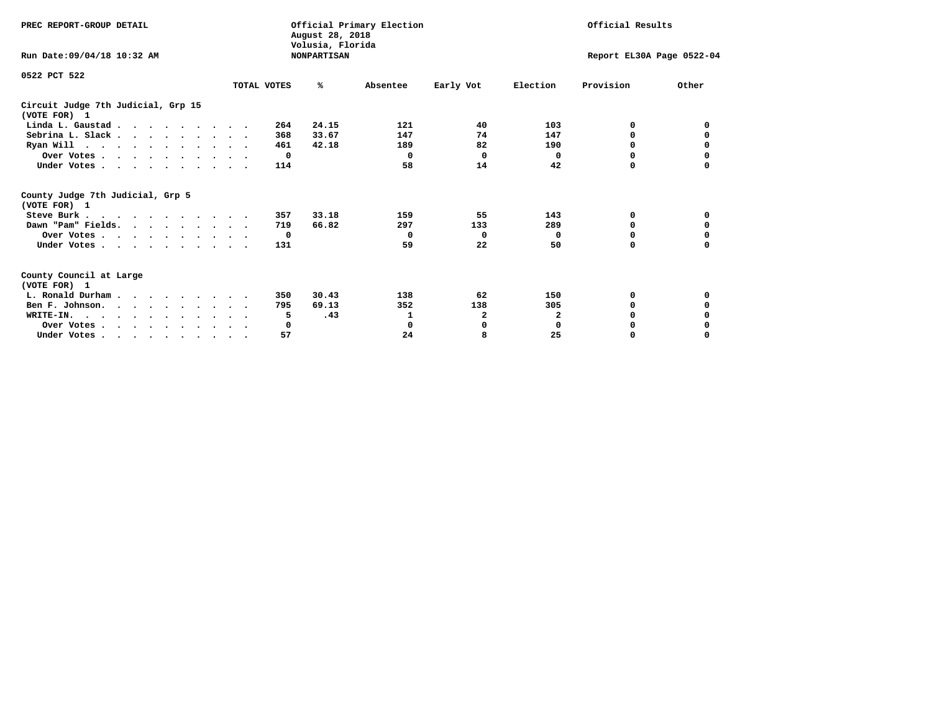| PREC REPORT-GROUP DETAIL                                                                   |             | August 28, 2018                        | Official Primary Election |           | Official Results          |           |          |  |
|--------------------------------------------------------------------------------------------|-------------|----------------------------------------|---------------------------|-----------|---------------------------|-----------|----------|--|
| Run Date: 09/04/18 10:32 AM                                                                |             | Volusia, Florida<br><b>NONPARTISAN</b> |                           |           | Report EL30A Page 0522-04 |           |          |  |
| 0522 PCT 522                                                                               | TOTAL VOTES | %ะ                                     | Absentee                  | Early Vot | Election                  | Provision | Other    |  |
| Circuit Judge 7th Judicial, Grp 15<br>(VOTE FOR) 1                                         |             |                                        |                           |           |                           |           |          |  |
| Linda L. Gaustad                                                                           |             | 24.15<br>264                           | 121                       | 40        | 103                       | 0         | 0        |  |
| Sebrina L. Slack.                                                                          |             | 33.67<br>368                           | 147                       | 74        | 147                       | 0         |          |  |
| Ryan Will $\cdots$ , $\cdots$ , $\cdots$ , $\cdots$                                        |             | 461<br>42.18                           | 189                       | 82        | 190                       | 0         | 0        |  |
| Over Votes                                                                                 |             | $\mathbf{o}$                           | $\Omega$                  | $\Omega$  | 0                         | $\Omega$  | 0        |  |
| Under Votes                                                                                |             | 114                                    | 58                        | 14        | 42                        | 0         |          |  |
| County Judge 7th Judicial, Grp 5<br>(VOTE FOR) 1                                           |             |                                        |                           |           |                           |           |          |  |
| Steve Burk                                                                                 |             | 33.18<br>357                           | 159                       | 55        | 143                       | 0         | 0        |  |
| Dawn "Pam" Fields.                                                                         |             | 66.82<br>719                           | 297                       | 133       | 289                       | 0         |          |  |
| Over Votes                                                                                 |             | $\mathbf{o}$                           | $\Omega$                  | 0         | 0                         | 0         | 0        |  |
| Under Votes                                                                                |             | 131                                    | 59                        | 22        | 50                        | $\Omega$  | 0        |  |
| County Council at Large<br>(VOTE FOR) 1                                                    |             |                                        |                           |           |                           |           |          |  |
| L. Ronald Durham                                                                           |             | 30.43<br>350                           | 138                       | 62        | 150                       | 0         | 0        |  |
| Ben F. Johnson.                                                                            |             | 69.13<br>795                           | 352                       | 138       | 305                       | $\Omega$  | 0        |  |
| WRITE-IN.                                                                                  |             | .43<br>5                               | 1                         | 2         | $\mathbf{2}$              | O         |          |  |
| Over Votes                                                                                 |             | 0                                      | 0                         | 0         | $\mathbf 0$               | 0         |          |  |
| Under Votes, $\cdot$ , $\cdot$ , $\cdot$ , $\cdot$ , $\cdot$ , $\cdot$ , $\cdot$ , $\cdot$ |             | 57                                     | 24                        | 8         | 25                        | 0         | $\Omega$ |  |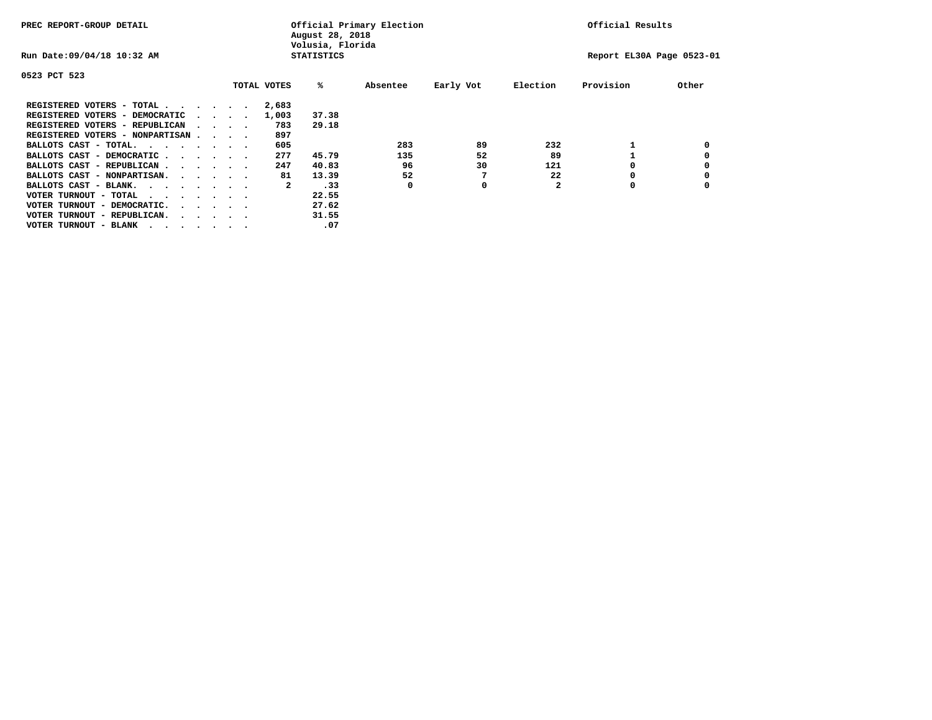| PREC REPORT-GROUP DETAIL                |  |                                         |  |             | Official Primary Election<br>August 28, 2018<br>Volusia, Florida | Official Results |           |          |                           |       |
|-----------------------------------------|--|-----------------------------------------|--|-------------|------------------------------------------------------------------|------------------|-----------|----------|---------------------------|-------|
| Run Date: 09/04/18 10:32 AM             |  |                                         |  |             | <b>STATISTICS</b>                                                |                  |           |          | Report EL30A Page 0523-01 |       |
| 0523 PCT 523                            |  |                                         |  |             |                                                                  |                  |           |          |                           |       |
|                                         |  |                                         |  | TOTAL VOTES | %ะ                                                               | Absentee         | Early Vot | Election | Provision                 | Other |
| REGISTERED VOTERS - TOTAL               |  |                                         |  | 2,683       |                                                                  |                  |           |          |                           |       |
| REGISTERED VOTERS - DEMOCRATIC          |  | $\sim$ $\sim$ $\sim$ $\sim$             |  | 1,003       | 37.38                                                            |                  |           |          |                           |       |
| REGISTERED VOTERS - REPUBLICAN          |  | $\sim$ $\sim$ $\sim$ $\sim$             |  | 783         | 29.18                                                            |                  |           |          |                           |       |
| REGISTERED VOTERS - NONPARTISAN         |  |                                         |  | 897         |                                                                  |                  |           |          |                           |       |
| BALLOTS CAST - TOTAL.                   |  |                                         |  | 605         |                                                                  | 283              | 89        | 232      |                           |       |
| BALLOTS CAST - DEMOCRATIC               |  |                                         |  | 277         | 45.79                                                            | 135              | 52        | 89       |                           |       |
| BALLOTS CAST - REPUBLICAN               |  |                                         |  | 247         | 40.83                                                            | 96               | 30        | 121      |                           |       |
| BALLOTS CAST - NONPARTISAN.             |  |                                         |  | 81          | 13.39                                                            | 52               |           | 22       |                           |       |
| BALLOTS CAST - BLANK.                   |  |                                         |  | 2           | .33                                                              | 0                | 0         |          | 0                         |       |
| VOTER TURNOUT - TOTAL<br>.              |  |                                         |  |             | 22.55                                                            |                  |           |          |                           |       |
| VOTER TURNOUT - DEMOCRATIC.             |  | $\cdot$ $\cdot$ $\cdot$ $\cdot$ $\cdot$ |  |             | 27.62                                                            |                  |           |          |                           |       |
| VOTER TURNOUT - REPUBLICAN.<br>$\cdots$ |  |                                         |  |             | 31.55                                                            |                  |           |          |                           |       |
| VOTER TURNOUT - BLANK                   |  |                                         |  |             | .07                                                              |                  |           |          |                           |       |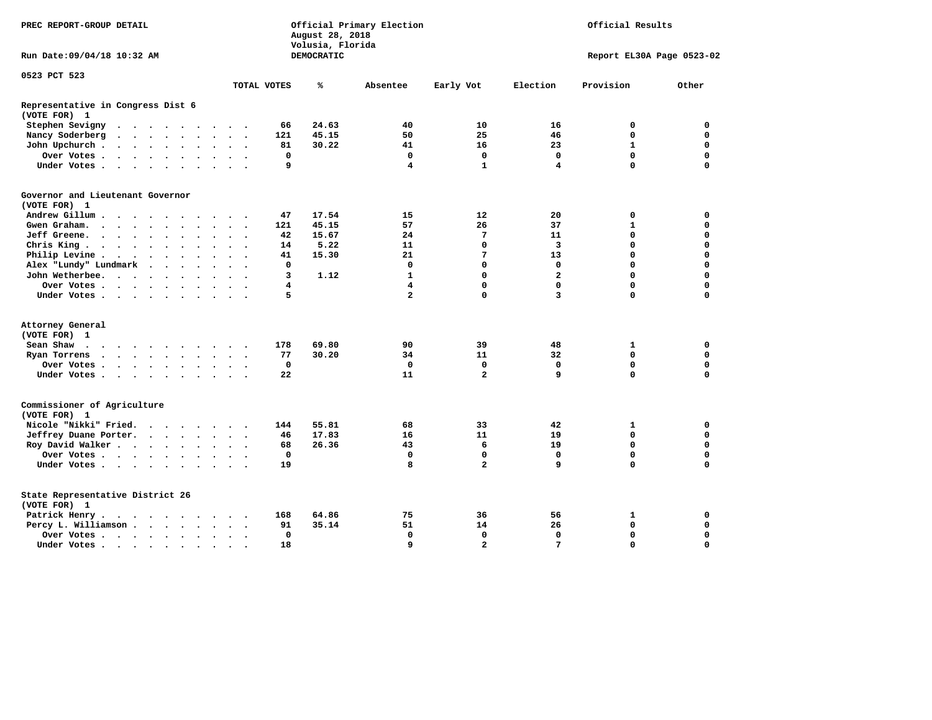|                                                   | PREC REPORT-GROUP DETAIL                                                              |  |  | Official Primary Election<br>August 28, 2018<br>Volusia, Florida |  |                      |                         | Official Results         |             |            |                |                |                 |                           |             |
|---------------------------------------------------|---------------------------------------------------------------------------------------|--|--|------------------------------------------------------------------|--|----------------------|-------------------------|--------------------------|-------------|------------|----------------|----------------|-----------------|---------------------------|-------------|
| Run Date:09/04/18 10:32 AM                        |                                                                                       |  |  |                                                                  |  |                      |                         |                          |             | DEMOCRATIC |                |                |                 | Report EL30A Page 0523-02 |             |
| 0523 PCT 523                                      |                                                                                       |  |  |                                                                  |  |                      |                         |                          |             |            |                |                |                 |                           |             |
|                                                   |                                                                                       |  |  |                                                                  |  |                      |                         |                          | TOTAL VOTES | ℁          | Absentee       | Early Vot      | Election        | Provision                 | Other       |
| Representative in Congress Dist 6<br>(VOTE FOR) 1 |                                                                                       |  |  |                                                                  |  |                      |                         |                          |             |            |                |                |                 |                           |             |
| Stephen Sevigny                                   | $\mathbf{r}$ , and $\mathbf{r}$ , and $\mathbf{r}$ , and $\mathbf{r}$                 |  |  |                                                                  |  |                      |                         |                          | 66          | 24.63      | 40             | 10             | 16              | 0                         | 0           |
| Nancy Soderberg                                   |                                                                                       |  |  |                                                                  |  |                      |                         |                          | 121         | 45.15      | 50             | 25             | 46              | $\Omega$                  | 0           |
| John Upchurch                                     |                                                                                       |  |  |                                                                  |  |                      | $\sim$ $\sim$           |                          | 81          | 30.22      | 41             | 16             | 23              | $\mathbf{1}$              | $\mathbf 0$ |
| Over Votes                                        |                                                                                       |  |  |                                                                  |  | $\ddot{\phantom{0}}$ | $\sim$                  |                          | $\mathbf 0$ |            | $\mathbf 0$    | $\mathbf 0$    | $\mathbf 0$     | $\mathbf 0$               | $\mathbf 0$ |
| Under Votes                                       |                                                                                       |  |  |                                                                  |  |                      | $\cdot$ $\cdot$ $\cdot$ |                          | 9           |            | 4              | $\mathbf{1}$   | 4               | $\Omega$                  | $\Omega$    |
| Governor and Lieutenant Governor<br>(VOTE FOR) 1  |                                                                                       |  |  |                                                                  |  |                      |                         |                          |             |            |                |                |                 |                           |             |
| Andrew Gillum                                     |                                                                                       |  |  |                                                                  |  |                      |                         |                          | 47          | 17.54      | 15             | 12             | 20              | 0                         | 0           |
| Gwen Graham.                                      |                                                                                       |  |  |                                                                  |  |                      | $\sim$ $\sim$           | $\overline{\phantom{a}}$ | 121         | 45.15      | 57             | 26             | 37              | 1                         | $\mathbf 0$ |
| Jeff Greene.                                      |                                                                                       |  |  |                                                                  |  |                      | $\ddot{\phantom{a}}$    |                          | 42          | 15.67      | 24             | 7              | 11              | $\mathbf 0$               | $\mathbf 0$ |
| Chris King                                        |                                                                                       |  |  |                                                                  |  |                      | $\sim$ $\sim$           |                          | 14          | 5.22       | 11             | $\mathbf 0$    | 3               | $\mathbf 0$               | $\mathbf 0$ |
| Philip Levine.                                    | $\mathcal{A}=\mathcal{A}=\mathcal{A}=\mathcal{A}=\mathcal{A}=\mathcal{A}=\mathcal{A}$ |  |  |                                                                  |  |                      | $\sim$ $\sim$           | $\sim$                   | 41          | 15.30      | 21             | 7              | 13              | $\mathbf 0$               | $\mathbf 0$ |
| Alex "Lundy" Lundmark                             |                                                                                       |  |  |                                                                  |  |                      | $\ddot{\phantom{0}}$    |                          | 0           |            | 0              | $\mathbf 0$    | 0               | $\mathbf 0$               | $\mathbf 0$ |
| John Wetherbee.                                   |                                                                                       |  |  |                                                                  |  | $\ddot{\phantom{0}}$ | $\ddot{\phantom{1}}$    |                          | 3           | 1.12       | $\mathbf{1}$   | $\mathbf 0$    | $\overline{a}$  | $\mathbf 0$               | $\Omega$    |
| Over Votes                                        |                                                                                       |  |  |                                                                  |  |                      |                         |                          | 4           |            | 4              | 0              | $\mathbf 0$     | $\Omega$                  | $\mathbf 0$ |
| Under Votes                                       |                                                                                       |  |  |                                                                  |  |                      | $\sim$ $\sim$           |                          | 5           |            | $\overline{a}$ | $\mathbf 0$    | 3               | $\Omega$                  | $\Omega$    |
|                                                   |                                                                                       |  |  |                                                                  |  |                      |                         |                          |             |            |                |                |                 |                           |             |
| Attorney General                                  |                                                                                       |  |  |                                                                  |  |                      |                         |                          |             |            |                |                |                 |                           |             |
| (VOTE FOR) 1                                      |                                                                                       |  |  |                                                                  |  |                      |                         |                          |             |            |                |                |                 |                           |             |
| Sean Shaw                                         |                                                                                       |  |  |                                                                  |  |                      |                         |                          | 178         | 69.80      | 90             | 39             | 48              | $\mathbf{1}$              | 0           |
| Ryan Torrens                                      | $\cdots$                                                                              |  |  |                                                                  |  |                      |                         | $\ddot{\phantom{1}}$     | 77          | 30.20      | 34             | 11             | 32              | $\mathbf 0$               | $\mathbf 0$ |
| Over Votes                                        |                                                                                       |  |  |                                                                  |  |                      |                         |                          | $\mathbf 0$ |            | $\mathbf 0$    | $\mathbf 0$    | $\mathbf 0$     | $\mathbf 0$               | $\mathbf 0$ |
| Under Votes                                       |                                                                                       |  |  |                                                                  |  |                      | $\sim$ $\sim$           |                          | 22          |            | 11             | $\overline{2}$ | 9               | $\Omega$                  | $\mathbf 0$ |
| Commissioner of Agriculture<br>(VOTE FOR) 1       |                                                                                       |  |  |                                                                  |  |                      |                         |                          |             |            |                |                |                 |                           |             |
| Nicole "Nikki" Fried.                             |                                                                                       |  |  |                                                                  |  |                      |                         |                          | 144         | 55.81      | 68             | 33             | 42              | 1                         | 0           |
| Jeffrey Duane Porter.                             |                                                                                       |  |  |                                                                  |  |                      |                         | $\sim$                   | 46          | 17.83      | 16             | 11             | 19              | 0                         | 0           |
| Roy David Walker                                  |                                                                                       |  |  |                                                                  |  |                      |                         |                          | 68          | 26.36      | 43             | 6              | 19              | $\mathbf 0$               | $\mathbf 0$ |
| Over Votes                                        |                                                                                       |  |  |                                                                  |  |                      | $\sim$                  |                          | $\mathbf 0$ |            | $\mathbf 0$    | $\mathbf 0$    | $\mathbf 0$     | $\mathbf 0$               | $\mathbf 0$ |
| Under Votes                                       |                                                                                       |  |  |                                                                  |  |                      |                         |                          | 19          |            | 8              | $\overline{a}$ | 9               | $\Omega$                  | $\mathbf 0$ |
| State Representative District 26<br>(VOTE FOR) 1  |                                                                                       |  |  |                                                                  |  |                      |                         |                          |             |            |                |                |                 |                           |             |
| Patrick Henry.                                    | .                                                                                     |  |  |                                                                  |  |                      |                         |                          | 168         | 64.86      | 75             | 36             | 56              | 1                         | 0           |
| Percy L. Williamson                               |                                                                                       |  |  |                                                                  |  | $\sim$               | $\ddot{\phantom{1}}$    |                          | 91          | 35.14      | 51             | 14             | 26              | $\mathbf 0$               | $\mathbf 0$ |
| Over Votes                                        |                                                                                       |  |  |                                                                  |  |                      | $\bullet$               |                          | $\mathbf 0$ |            | $\mathbf 0$    | $\mathbf 0$    | $\mathbf 0$     | $\mathbf 0$               | $\mathbf 0$ |
| Under Votes                                       |                                                                                       |  |  |                                                                  |  |                      |                         |                          | 18          |            | $\mathbf{q}$   | $\overline{a}$ | $7\phantom{.0}$ | $\Omega$                  | $\Omega$    |
|                                                   |                                                                                       |  |  |                                                                  |  |                      |                         |                          |             |            |                |                |                 |                           |             |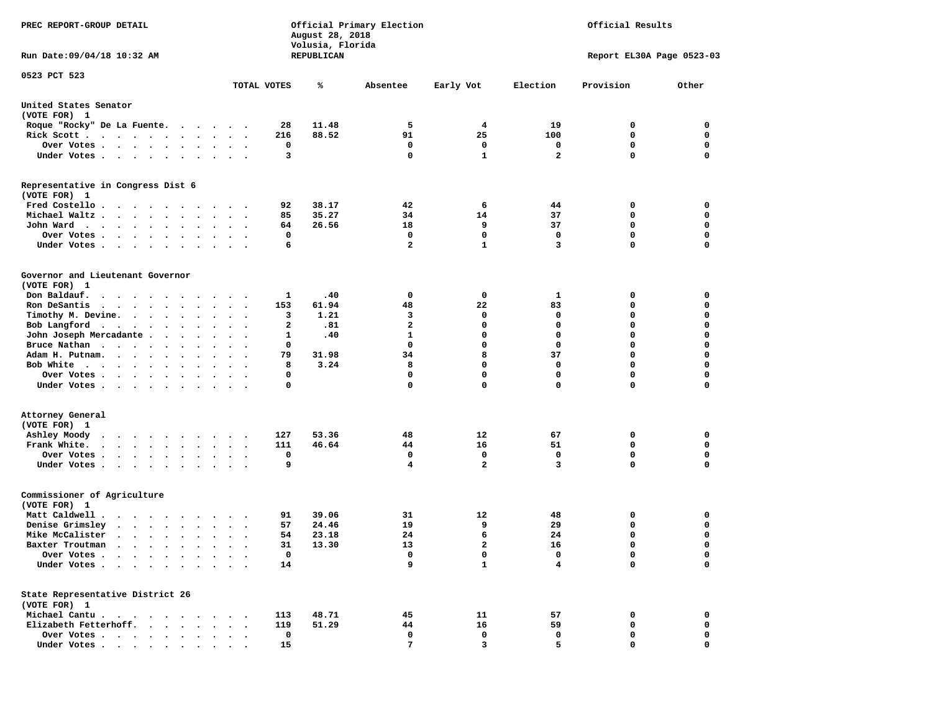| PREC REPORT-GROUP DETAIL                                                                                                                                                                                                                          |                                | August 28, 2018<br>Volusia, Florida | Official Primary Election | Official Results |                         |                            |             |  |
|---------------------------------------------------------------------------------------------------------------------------------------------------------------------------------------------------------------------------------------------------|--------------------------------|-------------------------------------|---------------------------|------------------|-------------------------|----------------------------|-------------|--|
| Run Date: 09/04/18 10:32 AM                                                                                                                                                                                                                       |                                | REPUBLICAN                          |                           |                  |                         | Report EL30A Page 0523-03  |             |  |
| 0523 PCT 523                                                                                                                                                                                                                                      |                                |                                     |                           |                  |                         |                            |             |  |
|                                                                                                                                                                                                                                                   | TOTAL VOTES                    | ℁                                   | Absentee                  | Early Vot        | Election                | Provision                  | Other       |  |
| United States Senator<br>(VOTE FOR) 1                                                                                                                                                                                                             |                                |                                     |                           |                  |                         |                            |             |  |
| Roque "Rocky" De La Fuente.                                                                                                                                                                                                                       | 28                             | 11.48                               | 5                         | 4                | 19                      | 0                          | 0           |  |
| Rick Scott                                                                                                                                                                                                                                        | 216                            | 88.52                               | 91                        | 25               | 100                     | 0                          | 0           |  |
| Over Votes                                                                                                                                                                                                                                        | 0                              |                                     | 0                         | 0                | 0                       | $\mathbf 0$                | 0           |  |
| Under Votes                                                                                                                                                                                                                                       | 3<br>$\sim$ $\sim$ $\sim$      |                                     | 0                         | $\mathbf{1}$     | $\overline{\mathbf{2}}$ | $\Omega$                   | $\mathbf 0$ |  |
| Representative in Congress Dist 6<br>(VOTE FOR) 1                                                                                                                                                                                                 |                                |                                     |                           |                  |                         |                            |             |  |
| Fred Costello                                                                                                                                                                                                                                     | 92                             | 38.17                               | 42                        | 6                | 44                      | 0                          | 0           |  |
| Michael Waltz                                                                                                                                                                                                                                     | 85<br>$\cdot$ $\cdot$ $\cdot$  | 35.27                               | 34                        | 14               | 37                      | 0                          | 0           |  |
| John Ward                                                                                                                                                                                                                                         | 64                             | 26.56                               | 18                        | 9                | 37                      | 0                          | 0           |  |
| Over Votes                                                                                                                                                                                                                                        | 0<br>$\cdot$                   |                                     | 0                         | $\mathbf 0$      | 0                       | $\mathbf 0$                | 0           |  |
| Under Votes                                                                                                                                                                                                                                       | 6                              |                                     | $\overline{a}$            | $\mathbf{1}$     | 3                       | $\mathbf 0$                | $\mathbf 0$ |  |
| Governor and Lieutenant Governor                                                                                                                                                                                                                  |                                |                                     |                           |                  |                         |                            |             |  |
| (VOTE FOR) 1                                                                                                                                                                                                                                      |                                |                                     |                           |                  |                         |                            |             |  |
| Don Baldauf.                                                                                                                                                                                                                                      | 1                              | .40                                 | 0                         | 0                | 1                       | 0                          | 0           |  |
| Ron DeSantis<br>$\mathbf{r}$ , $\mathbf{r}$ , $\mathbf{r}$ , $\mathbf{r}$ , $\mathbf{r}$ , $\mathbf{r}$                                                                                                                                           | 153<br>$\sim$ $\sim$<br>$\sim$ | 61.94                               | 48                        | 22               | 83                      | 0                          | 0           |  |
| Timothy M. Devine.                                                                                                                                                                                                                                | 3                              | 1.21                                | 3                         | 0                | 0                       | 0                          | $\mathbf 0$ |  |
| Bob Langford                                                                                                                                                                                                                                      | $\mathbf{2}$                   | .81                                 | $\overline{a}$            | $\mathbf 0$      | $\mathbf 0$             | $\mathbf 0$                | 0           |  |
| John Joseph Mercadante                                                                                                                                                                                                                            | 1                              | .40                                 | $\mathbf{1}$              | 0                | 0                       | $\mathbf 0$                | 0           |  |
| Bruce Nathan                                                                                                                                                                                                                                      | 0<br>$\sim$                    |                                     | $\mathbf 0$               | 0                | 0                       | $\mathbf 0$                | 0           |  |
| Adam H. Putnam.                                                                                                                                                                                                                                   | 79<br>$\sim$ $\sim$ $\sim$     | 31.98                               | 34                        | 8                | 37                      | $\mathbf 0$                | $\mathbf 0$ |  |
| Bob White                                                                                                                                                                                                                                         | 8                              | 3.24                                | 8                         | 0                | 0                       | $\mathbf 0$                | 0           |  |
| Over Votes<br>Under Votes                                                                                                                                                                                                                         | 0<br>$\cdot$<br>0              |                                     | 0<br>$\mathbf 0$          | 0<br>0           | 0<br>$\mathbf 0$        | $\mathbf 0$<br>$\mathbf 0$ | 0<br>0      |  |
|                                                                                                                                                                                                                                                   |                                |                                     |                           |                  |                         |                            |             |  |
| Attorney General<br>(VOTE FOR) 1                                                                                                                                                                                                                  |                                |                                     |                           |                  |                         |                            |             |  |
| Ashley Moody                                                                                                                                                                                                                                      | 127                            | 53.36                               | 48                        | 12               | 67                      | 0                          | 0           |  |
| Frank White.<br>$\cdots$                                                                                                                                                                                                                          | 111<br>$\ddotsc$ $\ddotsc$     | 46.64                               | 44                        | 16               | 51                      | 0                          | 0           |  |
| Over Votes                                                                                                                                                                                                                                        | 0                              |                                     | 0                         | 0                | 0                       | $\mathbf 0$                | 0           |  |
| Under Votes                                                                                                                                                                                                                                       | 9                              |                                     | 4                         | $\overline{a}$   | 3                       | $\Omega$                   | $\mathbf 0$ |  |
| Commissioner of Agriculture                                                                                                                                                                                                                       |                                |                                     |                           |                  |                         |                            |             |  |
| (VOTE FOR) 1<br>$\mathbf{r}$ . The set of the set of the set of the set of the set of the set of the set of the set of the set of the set of the set of the set of the set of the set of the set of the set of the set of the set of the set of t |                                |                                     |                           |                  |                         |                            |             |  |
| Matt Caldwell .                                                                                                                                                                                                                                   | 91                             | 39.06<br>24.46                      | 31<br>19                  | 12<br>9          | 48<br>29                | 0<br>$\mathbf 0$           | 0<br>0      |  |
| Denise Grimsley<br>$\sim$ $\sim$ $\sim$ $\sim$ $\sim$ $\sim$ $\sim$                                                                                                                                                                               | 57<br>$\bullet$                |                                     | 24                        | 6                | 24                      | $\mathbf 0$                | 0           |  |
| Mike McCalister                                                                                                                                                                                                                                   | 54<br>$\cdot$ $\cdot$ $\cdot$  | 23.18                               |                           |                  |                         | $\Omega$                   | $\Omega$    |  |
| Baxter Troutman                                                                                                                                                                                                                                   | 31<br>$\mathbf 0$              | 13.30                               | 13<br>0                   | 2<br>0           | 16<br>0                 | 0                          | 0           |  |
| Over Votes .<br>Under Votes<br>$\bullet$                                                                                                                                                                                                          | 14                             |                                     | 9                         | $\mathbf{1}$     | 4                       | $\mathbf 0$                | 0           |  |
| State Representative District 26                                                                                                                                                                                                                  |                                |                                     |                           |                  |                         |                            |             |  |
| (VOTE FOR) 1                                                                                                                                                                                                                                      |                                |                                     |                           |                  |                         |                            |             |  |
| Michael Cantu.                                                                                                                                                                                                                                    | 113                            | 48.71                               | 45                        | 11               | 57                      | 0                          | 0           |  |
| Elizabeth Fetterhoff.                                                                                                                                                                                                                             | 119                            | 51.29                               | 44                        | 16               | 59                      | 0                          | 0           |  |
| Over Votes                                                                                                                                                                                                                                        | $\mathbf{o}$                   |                                     | 0                         | 0                | 0                       | 0                          | 0           |  |
| Under Votes                                                                                                                                                                                                                                       | 15                             |                                     | 7                         | 3                | 5                       | 0                          | $\mathbf 0$ |  |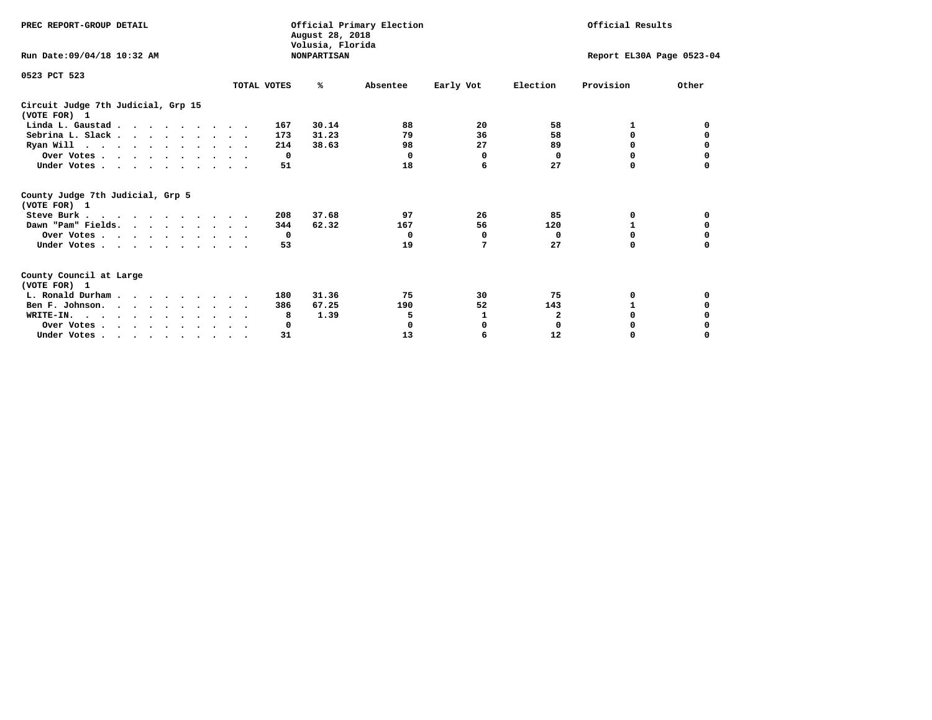| PREC REPORT-GROUP DETAIL                                                                   |             | August 28, 2018                        | Official Primary Election |           | Official Results          |           |          |
|--------------------------------------------------------------------------------------------|-------------|----------------------------------------|---------------------------|-----------|---------------------------|-----------|----------|
| Run Date: 09/04/18 10:32 AM                                                                |             | Volusia, Florida<br><b>NONPARTISAN</b> |                           |           | Report EL30A Page 0523-04 |           |          |
| 0523 PCT 523                                                                               | TOTAL VOTES | %ะ                                     | Absentee                  | Early Vot | Election                  | Provision | Other    |
|                                                                                            |             |                                        |                           |           |                           |           |          |
| Circuit Judge 7th Judicial, Grp 15<br>(VOTE FOR) 1                                         |             |                                        |                           |           |                           |           |          |
| Linda L. Gaustad                                                                           |             | 30.14<br>167                           | 88                        | 20        | 58                        |           | 0        |
| Sebrina L. Slack.                                                                          |             | 31.23<br>173                           | 79                        | 36        | 58                        | 0         |          |
| Ryan Will $\cdots$ , $\cdots$ , $\cdots$ , $\cdots$                                        |             | 38.63<br>214                           | 98                        | 27        | 89                        | 0         | 0        |
| Over Votes                                                                                 |             | $\Omega$                               | 0                         | 0         | 0                         | $\Omega$  | 0        |
| Under Votes                                                                                |             | 51                                     | 18                        | 6         | 27                        | 0         |          |
| County Judge 7th Judicial, Grp 5<br>(VOTE FOR) 1                                           |             |                                        |                           |           |                           |           |          |
| Steve Burk                                                                                 |             | 37.68<br>208                           | 97                        | 26        | 85                        | 0         | 0        |
| Dawn "Pam" Fields.                                                                         |             | 62.32<br>344                           | 167                       | 56        | 120                       |           |          |
| Over Votes                                                                                 |             | 0                                      | 0                         | 0         | 0                         | 0         | 0        |
| Under Votes                                                                                |             | 53                                     | 19                        | 7         | 27                        | $\Omega$  | 0        |
| County Council at Large<br>(VOTE FOR) 1                                                    |             |                                        |                           |           |                           |           |          |
| L. Ronald Durham                                                                           |             | 31.36<br>180                           | 75                        | 30        | 75                        | 0         | 0        |
| Ben F. Johnson.                                                                            |             | 67.25<br>386                           | 190                       | 52        | 143                       | 1         | 0        |
| WRITE-IN.                                                                                  |             | 1.39<br>8                              | 5                         | 1         | $\mathbf{2}$              | O         |          |
| Over Votes                                                                                 |             | 0                                      | 0                         | 0         | $\mathbf 0$               | O         |          |
| Under Votes, $\cdot$ , $\cdot$ , $\cdot$ , $\cdot$ , $\cdot$ , $\cdot$ , $\cdot$ , $\cdot$ |             | 31                                     | 13                        | 6         | 12                        | 0         | $\Omega$ |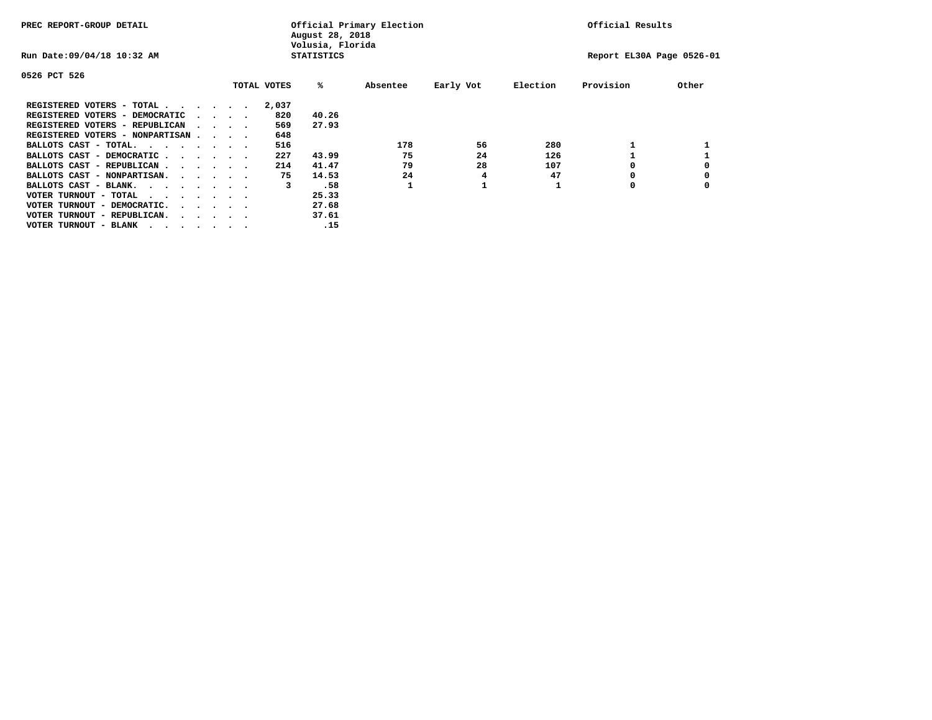| PREC REPORT-GROUP DETAIL                                                                       |  |  |                             |             | August 28, 2018<br>Volusia, Florida | Official Primary Election |           | Official Results |                           |       |
|------------------------------------------------------------------------------------------------|--|--|-----------------------------|-------------|-------------------------------------|---------------------------|-----------|------------------|---------------------------|-------|
| Run Date: 09/04/18 10:32 AM                                                                    |  |  |                             |             | <b>STATISTICS</b>                   |                           |           |                  | Report EL30A Page 0526-01 |       |
| 0526 PCT 526                                                                                   |  |  |                             |             |                                     |                           |           |                  |                           |       |
|                                                                                                |  |  |                             | TOTAL VOTES | %ะ                                  | Absentee                  | Early Vot | Election         | Provision                 | Other |
| REGISTERED VOTERS - TOTAL                                                                      |  |  |                             | 2,037       |                                     |                           |           |                  |                           |       |
| REGISTERED VOTERS - DEMOCRATIC                                                                 |  |  | $\sim$ $\sim$ $\sim$ $\sim$ | 820         | 40.26                               |                           |           |                  |                           |       |
| REGISTERED VOTERS - REPUBLICAN                                                                 |  |  |                             | 569         | 27.93                               |                           |           |                  |                           |       |
| REGISTERED VOTERS - NONPARTISAN                                                                |  |  |                             | 648         |                                     |                           |           |                  |                           |       |
| BALLOTS CAST - TOTAL.                                                                          |  |  |                             | 516         |                                     | 178                       | 56        | 280              |                           |       |
| BALLOTS CAST - DEMOCRATIC                                                                      |  |  |                             | 227         | 43.99                               | 75                        | 24        | 126              |                           |       |
| BALLOTS CAST - REPUBLICAN                                                                      |  |  |                             | 214         | 41.47                               | 79                        | 28        | 107              |                           |       |
| BALLOTS CAST - NONPARTISAN.                                                                    |  |  |                             | 75          | 14.53                               | 24                        | 4         | 47               |                           |       |
| BALLOTS CAST - BLANK.                                                                          |  |  |                             | 3           | .58                                 |                           |           |                  | O                         |       |
| VOTER TURNOUT - TOTAL<br>$\mathbf{r}$ , and $\mathbf{r}$ , and $\mathbf{r}$ , and $\mathbf{r}$ |  |  |                             |             | 25.33                               |                           |           |                  |                           |       |
| VOTER TURNOUT - DEMOCRATIC.                                                                    |  |  | $\cdot$                     |             | 27.68                               |                           |           |                  |                           |       |
| VOTER TURNOUT - REPUBLICAN.<br>$\cdot$                                                         |  |  |                             |             | 37.61                               |                           |           |                  |                           |       |
| VOTER TURNOUT - BLANK                                                                          |  |  |                             |             | .15                                 |                           |           |                  |                           |       |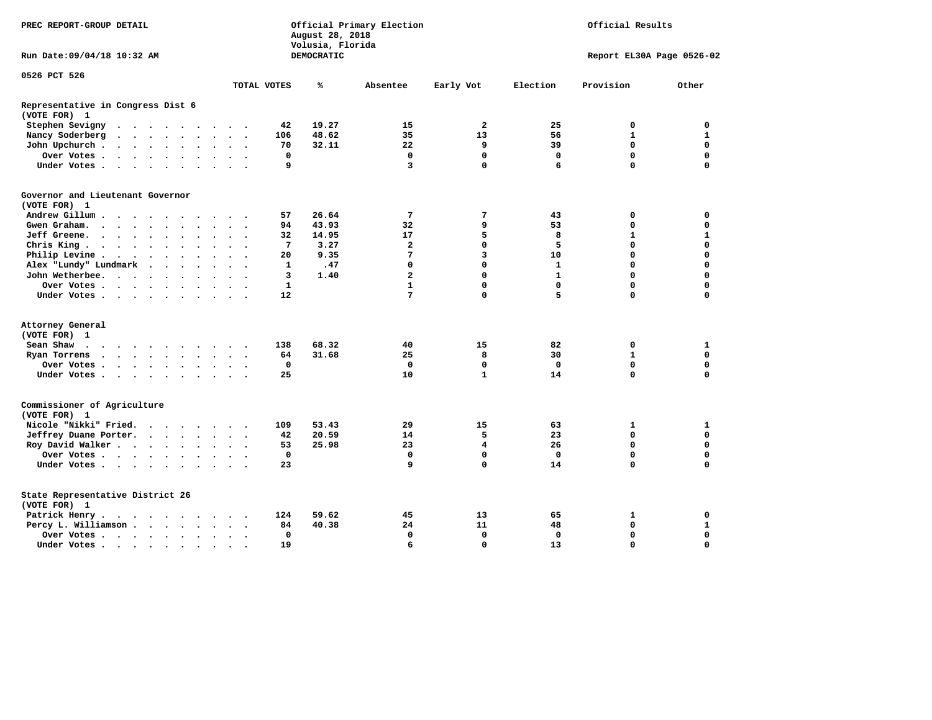| PREC REPORT-GROUP DETAIL                                                                                                                                                   |              | August 28, 2018<br>Volusia, Florida | Official Primary Election | Official Results |              |                           |              |
|----------------------------------------------------------------------------------------------------------------------------------------------------------------------------|--------------|-------------------------------------|---------------------------|------------------|--------------|---------------------------|--------------|
| Run Date: 09/04/18 10:32 AM                                                                                                                                                |              | DEMOCRATIC                          |                           |                  |              | Report EL30A Page 0526-02 |              |
| 0526 PCT 526                                                                                                                                                               |              |                                     |                           |                  |              |                           |              |
|                                                                                                                                                                            | TOTAL VOTES  | ℁                                   | Absentee                  | Early Vot        | Election     | Provision                 | Other        |
| Representative in Congress Dist 6<br>(VOTE FOR) 1                                                                                                                          |              |                                     |                           |                  |              |                           |              |
| Stephen Sevigny<br>$\begin{array}{cccccccccccccc} \bullet & \bullet & \bullet & \bullet & \bullet & \bullet & \bullet & \bullet & \bullet & \bullet \end{array}$<br>$\sim$ | 42           | 19.27                               | 15                        | $\overline{a}$   | 25           | 0                         | 0            |
| Nancy Soderberg<br>$\ddot{\phantom{a}}$<br>$\cdots$<br>$\bullet$<br>$\bullet$<br>$\ddot{\phantom{0}}$<br>$\cdot$                                                           | 106          | 48.62                               | 35                        | 13               | 56           | $\mathbf{1}$              | $\mathbf{1}$ |
| John Upchurch.<br>$\begin{array}{cccccccccccccc} \bullet & \bullet & \bullet & \bullet & \bullet & \bullet & \bullet \end{array}$<br>$\bullet$                             | 70           | 32.11                               | 22                        | 9                | 39           | 0                         | $\mathbf 0$  |
| Over Votes.<br>$\ddot{\phantom{0}}$<br>$\bullet$<br>$\bullet$                                                                                                              | 0            |                                     | $\mathbf 0$               | $\mathbf 0$      | $\mathbf 0$  | $\mathbf 0$               | $\mathbf 0$  |
| Under Votes<br>$\sim$                                                                                                                                                      | 9            |                                     | 3                         | $\mathbf{0}$     | 6            | 0                         | $\Omega$     |
| Governor and Lieutenant Governor                                                                                                                                           |              |                                     |                           |                  |              |                           |              |
| (VOTE FOR) 1                                                                                                                                                               |              |                                     |                           |                  |              |                           |              |
| Andrew Gillum                                                                                                                                                              | 57           | 26.64                               | 7                         | 7                | 43           | 0                         | 0            |
| Gwen Graham<br>$\ddot{\phantom{0}}$                                                                                                                                        | 94           | 43.93                               | 32                        | 9                | 53           | 0                         | $\mathbf 0$  |
| Jeff Greene.<br>$\bullet$<br>$\ddot{\phantom{a}}$<br>$\ddot{\phantom{a}}$<br>$\bullet$<br>$\bullet$<br>$\ddot{\phantom{0}}$                                                | 32           | 14.95                               | 17                        | 5                | 8            | 1                         | $\mathbf{1}$ |
| Chris King<br>$\bullet$<br>$\ddot{\phantom{a}}$                                                                                                                            | 7            | 3.27                                | $\overline{\mathbf{2}}$   | $\mathbf 0$      | 5            | 0                         | $\mathbf 0$  |
| Philip Levine.<br>$\cdot$ $\cdot$ $\cdot$ $\cdot$ $\cdot$ $\cdot$<br>$\bullet$<br>$\bullet$                                                                                | 20           | 9.35                                | 7                         | 3                | 10           | $\mathbf 0$               | $\Omega$     |
| Alex "Lundy" Lundmark<br>$\sim$<br>$\cdot$<br>$\ddot{\phantom{a}}$                                                                                                         | 1            | .47                                 | 0                         | 0                | $\mathbf{1}$ | 0                         | $\Omega$     |
| John Wetherbee.<br>$\cdots$                                                                                                                                                | 3            | 1.40                                | $\overline{a}$            | $\Omega$         | $\mathbf{1}$ | $\Omega$                  | $\Omega$     |
| Over Votes .<br>$\cdots$                                                                                                                                                   | $\mathbf{1}$ |                                     | $\mathbf{1}$              | 0                | $\Omega$     | $\Omega$                  | $\Omega$     |
| Under Votes<br>$\ddot{\phantom{1}}$                                                                                                                                        | 12           |                                     | 7                         | 0                | 5            | 0                         | 0            |
| Attorney General                                                                                                                                                           |              |                                     |                           |                  |              |                           |              |
| (VOTE FOR) 1                                                                                                                                                               |              |                                     |                           |                  |              |                           |              |
| Sean Shaw                                                                                                                                                                  | 138          | 68.32                               | 40                        | 15               | 82           | 0                         | 1            |
| Ryan Torrens<br>$\cdot$<br>$\bullet$<br>$\bullet$<br>$\bullet$<br>$\bullet$                                                                                                | 64           | 31.68                               | 25                        | 8                | 30           | $\mathbf{1}$              | $\mathbf 0$  |
| Over Votes.<br>$\cdot$ $\cdot$ $\cdot$ $\cdot$ $\cdot$                                                                                                                     | $\mathbf{0}$ |                                     | $\mathbf 0$               | $\mathbf 0$      | $\mathbf 0$  | $\mathbf 0$               | $\mathbf 0$  |
| Under Votes<br>$\bullet$                                                                                                                                                   | 25           |                                     | 10                        | $\mathbf{1}$     | 14           | 0                         | $\mathbf 0$  |
| Commissioner of Agriculture<br>(VOTE FOR) 1                                                                                                                                |              |                                     |                           |                  |              |                           |              |
| Nicole "Nikki" Fried.<br>$\cdots$                                                                                                                                          | 109          | 53.43                               | 29                        | 15               | 63           | 1                         | 1            |
| Jeffrey Duane Porter.<br>$\cdot \cdot \cdot \cdot$<br>$\overline{\phantom{a}}$                                                                                             | 42           | 20.59                               | 14                        | 5                | 23           | 0                         | $\Omega$     |
| Roy David Walker                                                                                                                                                           | 53           | 25.98                               | 23                        | 4                | 26           | $\mathbf 0$               | $\Omega$     |
| Over Votes<br>$\bullet$<br>$\bullet$<br>$\cdot$                                                                                                                            | $\Omega$     |                                     | $\Omega$                  | $\mathbf{0}$     | $\mathbf{0}$ | $\Omega$                  | $\Omega$     |
| Under Votes<br>$\sim$<br>$\cdot$                                                                                                                                           | 23           |                                     | 9                         | $\mathbf 0$      | 14           | 0                         | 0            |
| State Representative District 26<br>(VOTE FOR) 1                                                                                                                           |              |                                     |                           |                  |              |                           |              |
| Patrick Henry.<br>$\cdot$ $\cdot$ $\cdot$ $\cdot$ $\cdot$ $\cdot$ $\cdot$                                                                                                  | 124          | 59.62                               | 45                        | 13               | 65           | 1                         | 0            |
| Percy L. Williamson<br>$\sim$<br>$\ddot{\phantom{0}}$<br>$\bullet$                                                                                                         | 84           | 40.38                               | 24                        | 11               | 48           | $\mathbf 0$               | $\mathbf{1}$ |
| Over Votes<br>$\ddot{\phantom{0}}$                                                                                                                                         | $\mathbf{0}$ |                                     | $\Omega$                  | $\Omega$         | $\mathbf 0$  | 0                         | $\Omega$     |
| Under Votes<br>$\Delta$                                                                                                                                                    | 19           |                                     | 6                         | $\Omega$         | 13           | $\Omega$                  | $\mathbf 0$  |
|                                                                                                                                                                            |              |                                     |                           |                  |              |                           |              |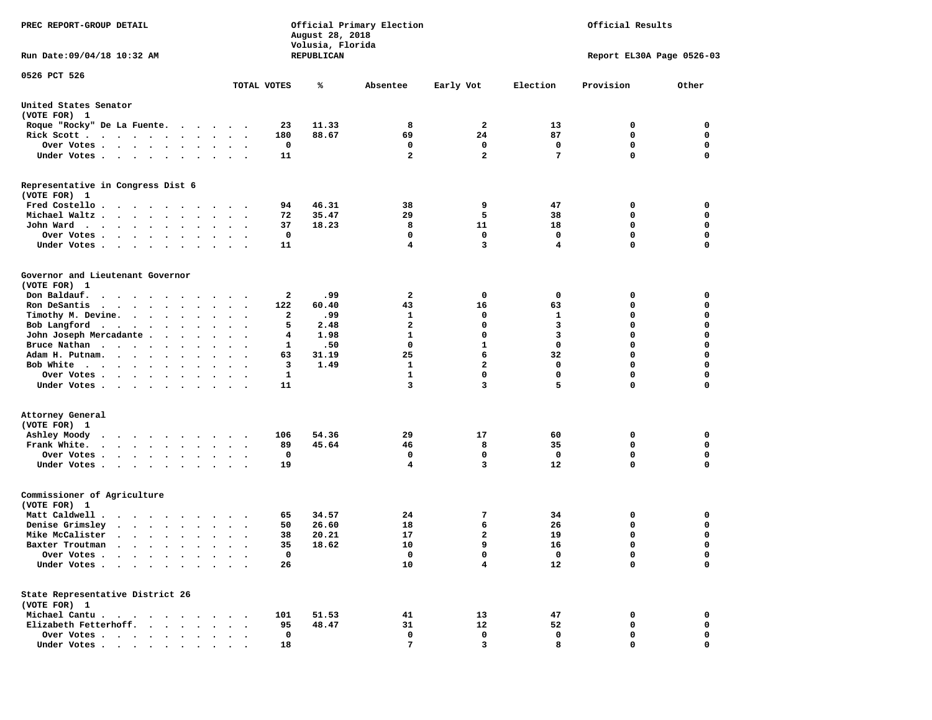| PREC REPORT-GROUP DETAIL                                                                                                        |                         |              | August 28, 2018<br>Volusia, Florida | Official Primary Election | Official Results<br>Report EL30A Page 0526-03 |             |             |             |  |
|---------------------------------------------------------------------------------------------------------------------------------|-------------------------|--------------|-------------------------------------|---------------------------|-----------------------------------------------|-------------|-------------|-------------|--|
| Run Date: 09/04/18 10:32 AM                                                                                                     |                         |              | REPUBLICAN                          |                           |                                               |             |             |             |  |
| 0526 PCT 526                                                                                                                    | TOTAL VOTES             |              | ℁                                   | Absentee                  | Early Vot                                     | Election    | Provision   | Other       |  |
| United States Senator<br>(VOTE FOR) 1                                                                                           |                         |              |                                     |                           |                                               |             |             |             |  |
| Roque "Rocky" De La Fuente.                                                                                                     |                         | 23           | 11.33                               | 8                         | 2                                             | 13          | 0           | 0           |  |
| Rick Scott                                                                                                                      |                         | 180          | 88.67                               | 69                        | 24                                            | 87          | $\mathbf 0$ | $\mathbf 0$ |  |
| Over Votes                                                                                                                      |                         | 0            |                                     | 0                         | 0                                             | 0           | 0           | 0           |  |
| Under Votes                                                                                                                     | $\cdot$ $\cdot$ $\cdot$ | 11           |                                     | $\overline{a}$            | $\overline{a}$                                | 7           | 0           | $\mathbf 0$ |  |
| Representative in Congress Dist 6<br>(VOTE FOR) 1                                                                               |                         |              |                                     |                           |                                               |             |             |             |  |
| Fred Costello                                                                                                                   |                         | 94           | 46.31                               | 38                        | 9                                             | 47          | 0           | 0           |  |
| Michael Waltz                                                                                                                   |                         | 72           | 35.47                               | 29                        | 5                                             | 38          | 0           | 0           |  |
| John Ward                                                                                                                       | $\ddot{\phantom{a}}$    | 37           | 18.23                               | 8                         | 11                                            | 18          | $\mathbf 0$ | $\mathbf 0$ |  |
| Over Votes .<br>$\mathbf{r} = \mathbf{r} + \mathbf{r} + \mathbf{r} + \mathbf{r}$                                                |                         | 0            |                                     | 0                         | 0                                             | 0           | 0           | 0           |  |
| Under Votes                                                                                                                     |                         | 11           |                                     | $\overline{\mathbf{4}}$   | 3                                             | 4           | 0           | $\mathbf 0$ |  |
| Governor and Lieutenant Governor<br>(VOTE FOR) 1                                                                                |                         |              |                                     |                           |                                               |             |             |             |  |
| Don Baldauf.                                                                                                                    |                         | 2            | 99.                                 | 2                         | 0                                             | 0           | 0           | 0           |  |
| Ron DeSantis<br>$\mathbf{r}$ , $\mathbf{r}$ , $\mathbf{r}$ , $\mathbf{r}$ , $\mathbf{r}$ , $\mathbf{r}$<br>$\ddot{\phantom{0}}$ | $\ddot{\phantom{1}}$    | 122          | 60.40                               | 43                        | 16                                            | 63          | 0           | 0           |  |
| Timothy M. Devine.                                                                                                              |                         | 2            | 99.                                 | 1                         | 0                                             | 1           | 0           | $\mathbf 0$ |  |
| Bob Langford<br>$\ddot{\phantom{0}}$                                                                                            | $\sim$<br>$\cdot$       | 5            | 2.48                                | $\mathbf{2}$              | 0                                             | 3           | 0           | $\mathbf 0$ |  |
| John Joseph Mercadante                                                                                                          |                         | 4            | 1.98                                | $\mathbf{1}$              | 0                                             | 3           | 0           | $\mathbf 0$ |  |
| Bruce Nathan<br>$\bullet$                                                                                                       |                         | 1            | .50                                 | 0                         | $\mathbf{1}$                                  | $\mathbf 0$ | 0           | $\mathbf 0$ |  |
| Adam H. Putnam.<br>$\sim$ $\sim$ $\sim$ $\sim$                                                                                  |                         | 63           | 31.19                               | 25                        | 6                                             | 32          | 0           | 0           |  |
| Bob White                                                                                                                       |                         | 3            | 1.49                                | $\mathbf{1}$              | $\overline{a}$                                | $\mathbf 0$ | 0           | $\mathbf 0$ |  |
| Over Votes<br>$\bullet$                                                                                                         | $\cdot$<br>$\cdot$      | $\mathbf{1}$ |                                     | $\mathbf{1}$              | $\mathbf 0$                                   | $\mathbf 0$ | 0           | $\mathbf 0$ |  |
| Under Votes                                                                                                                     |                         | 11           |                                     | 3                         | 3                                             | 5           | 0           | 0           |  |
| Attorney General<br>(VOTE FOR) 1                                                                                                |                         |              |                                     |                           |                                               |             |             |             |  |
| Ashley Moody<br>$\sim$                                                                                                          |                         | 106          | 54.36                               | 29                        | 17                                            | 60          | 0           | 0           |  |
| Frank White.<br>$\bullet$<br>$\bullet$                                                                                          | $\bullet$               | 89           | 45.64                               | 46                        | 8                                             | 35          | 0           | $\mathbf 0$ |  |
| Over Votes<br>$\bullet$                                                                                                         |                         | 0            |                                     | 0                         | 0                                             | 0           | 0           | 0           |  |
| Under Votes<br>$\ddot{\phantom{0}}$                                                                                             |                         | 19           |                                     | $\overline{\mathbf{4}}$   | 3                                             | 12          | 0           | $\mathbf 0$ |  |
| Commissioner of Agriculture<br>(VOTE FOR) 1                                                                                     |                         |              |                                     |                           |                                               |             |             |             |  |
| Matt Caldwell .<br>$\cdots$                                                                                                     |                         | 65           | 34.57                               | 24                        | 7                                             | 34          | 0           | 0           |  |
| Denise Grimsley<br>$\mathbf{r}$ , $\mathbf{r}$ , $\mathbf{r}$ , $\mathbf{r}$ , $\mathbf{r}$                                     |                         | 50           | 26.60                               | 18                        | 6                                             | 26          | 0           | 0           |  |
| Mike McCalister<br>$\mathbf{r}$ , $\mathbf{r}$ , $\mathbf{r}$ , $\mathbf{r}$ , $\mathbf{r}$<br>$\ddot{\phantom{0}}$             | $\cdot$                 | 38           | 20.21                               | 17                        | $\mathbf{2}$                                  | 19          | 0           | $\mathbf 0$ |  |
| Baxter Troutman<br>.                                                                                                            |                         | 35           | 18.62                               | 10                        | 9                                             | 16          | 0           | 0           |  |
| Over Votes .<br>$\ddot{\phantom{a}}$<br>$\bullet$                                                                               |                         | 0            |                                     | 0                         | 0                                             | 0           | 0           | 0           |  |
| Under Votes.<br>$\sim$ $\sim$<br>$\ddot{\phantom{0}}$<br>$\bullet$                                                              |                         | 26           |                                     | 10                        | 4                                             | 12          | 0           | $\mathbf 0$ |  |
| State Representative District 26<br>(VOTE FOR) 1                                                                                |                         |              |                                     |                           |                                               |             |             |             |  |
| Michael Cantu.<br>$\sim$ $\sim$ $\sim$                                                                                          |                         | 101          | 51.53                               | 41                        | 13                                            | 47          | 0           | 0           |  |
| Elizabeth Fetterhoff.                                                                                                           |                         | 95           | 48.47                               | 31                        | 12                                            | 52          | 0           | 0           |  |
| Over Votes.<br>$\sim$ $\sim$<br>$\ddot{\phantom{0}}$<br>$\bullet$<br>$\bullet$                                                  |                         | 0            |                                     | 0                         | 0                                             | 0           | 0           | 0           |  |
| Under Votes<br>$\bullet$                                                                                                        |                         | 18           |                                     | 7                         | 3                                             | 8           | 0           | 0           |  |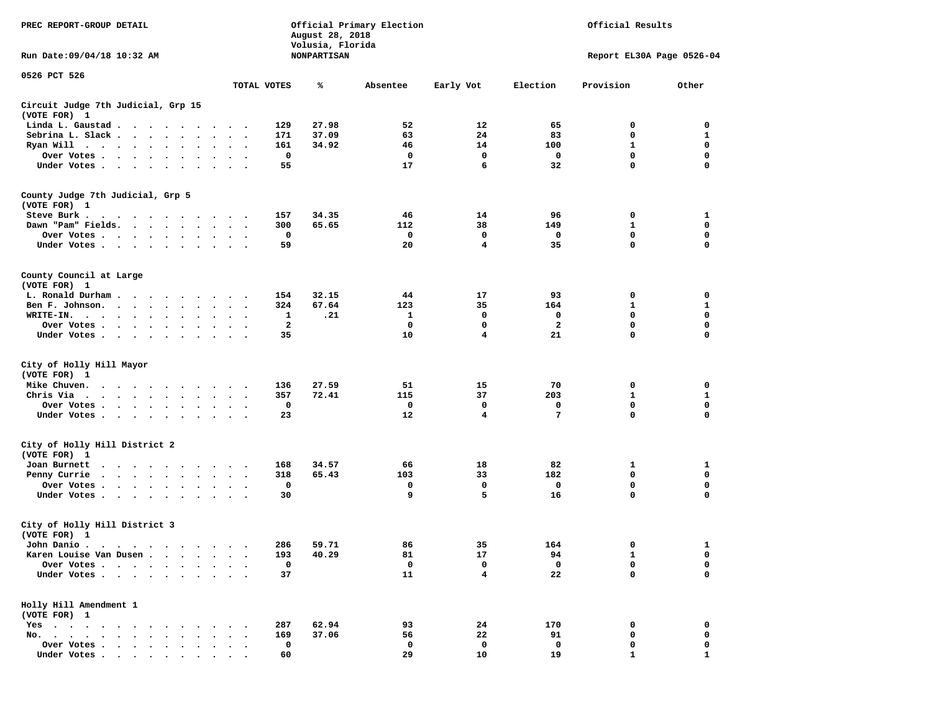| PREC REPORT-GROUP DETAIL<br>Run Date: 09/04/18 10:32 AM |                                                                                                                                                                                                                                |                 |                      |                      |                      |                             | August 28, 2018<br>Volusia, Florida<br><b>NONPARTISAN</b> | Official Primary Election |                |              | Official Results          |              |
|---------------------------------------------------------|--------------------------------------------------------------------------------------------------------------------------------------------------------------------------------------------------------------------------------|-----------------|----------------------|----------------------|----------------------|-----------------------------|-----------------------------------------------------------|---------------------------|----------------|--------------|---------------------------|--------------|
|                                                         |                                                                                                                                                                                                                                |                 |                      |                      |                      |                             |                                                           |                           |                |              | Report EL30A Page 0526-04 |              |
| 0526 PCT 526                                            |                                                                                                                                                                                                                                |                 |                      |                      |                      | TOTAL VOTES                 | ℁                                                         | Absentee                  | Early Vot      | Election     | Provision                 | Other        |
| Circuit Judge 7th Judicial, Grp 15                      |                                                                                                                                                                                                                                |                 |                      |                      |                      |                             |                                                           |                           |                |              |                           |              |
| (VOTE FOR) 1                                            |                                                                                                                                                                                                                                |                 |                      |                      |                      |                             |                                                           |                           |                |              |                           |              |
| Linda L. Gaustad                                        |                                                                                                                                                                                                                                |                 |                      |                      |                      | 129                         | 27.98                                                     | 52                        | 12             | 65           | 0                         | 0            |
| Sebrina L. Slack                                        |                                                                                                                                                                                                                                |                 | $\ddot{\phantom{a}}$ |                      | $\sim$               | 171                         | 37.09                                                     | 63                        | 24             | 83           | $\mathbf 0$               | $\mathbf 1$  |
| Ryan Will $\cdots$ $\cdots$ $\cdots$                    |                                                                                                                                                                                                                                |                 |                      | $\bullet$            |                      | 161                         | 34.92                                                     | 46                        | 14             | 100          | 1                         | 0            |
| Over Votes                                              |                                                                                                                                                                                                                                |                 |                      |                      | $\bullet$            | $\mathbf 0$                 |                                                           | $\mathbf 0$               | $\mathbf 0$    | 0            | $\mathbf 0$               | $\mathbf 0$  |
| Under Votes                                             |                                                                                                                                                                                                                                |                 | $\ddot{\phantom{1}}$ | $\ddot{\phantom{1}}$ |                      | 55                          |                                                           | 17                        | 6              | 32           | $\mathbf 0$               | $\mathbf 0$  |
| County Judge 7th Judicial, Grp 5                        |                                                                                                                                                                                                                                |                 |                      |                      |                      |                             |                                                           |                           |                |              |                           |              |
| (VOTE FOR) 1                                            |                                                                                                                                                                                                                                |                 |                      |                      |                      |                             |                                                           |                           |                |              |                           |              |
| Steve Burk.                                             |                                                                                                                                                                                                                                |                 |                      |                      |                      | 157                         | 34.35                                                     | 46                        | 14             | 96           | 0                         | 1            |
| Dawn "Pam" Fields.                                      |                                                                                                                                                                                                                                |                 |                      |                      | $\sim$               | 300<br>$\ddot{\phantom{0}}$ | 65.65                                                     | 112                       | 38             | 149          | $\mathbf{1}$              | $\mathbf 0$  |
| Over Votes                                              |                                                                                                                                                                                                                                |                 |                      | $\bullet$            | $\bullet$            | 0                           |                                                           | 0                         | 0              | 0            | 0                         | $\mathbf 0$  |
| Under Votes                                             |                                                                                                                                                                                                                                |                 |                      |                      | $\sim$               | 59                          |                                                           | 20                        | 4              | 35           | $\mathbf 0$               | $\mathbf 0$  |
|                                                         |                                                                                                                                                                                                                                |                 |                      |                      |                      |                             |                                                           |                           |                |              |                           |              |
| County Council at Large                                 |                                                                                                                                                                                                                                |                 |                      |                      |                      |                             |                                                           |                           |                |              |                           |              |
| (VOTE FOR) 1                                            |                                                                                                                                                                                                                                |                 |                      |                      |                      |                             |                                                           |                           |                |              |                           |              |
| L. Ronald Durham                                        |                                                                                                                                                                                                                                |                 |                      |                      |                      | 154                         | 32.15                                                     | 44                        | 17             | 93           | 0                         | 0            |
| Ben F. Johnson.                                         |                                                                                                                                                                                                                                |                 |                      |                      | $\sim$               | 324                         | 67.64                                                     | 123                       | 35             | 164          | $\mathbf{1}$              | 1            |
| WRITE-IN.                                               | $\cdots$                                                                                                                                                                                                                       |                 | $\ddot{\phantom{0}}$ |                      |                      | 1                           | .21                                                       | 1                         | 0              | 0            | 0                         | 0            |
| Over Votes                                              |                                                                                                                                                                                                                                |                 | $\sim$               |                      |                      | 2                           |                                                           | 0                         | 0              | $\mathbf{2}$ | 0                         | $\mathbf 0$  |
| Under Votes                                             |                                                                                                                                                                                                                                |                 | $\sim$ $\sim$        |                      |                      | 35                          |                                                           | 10                        | 4              | 21           | $\mathbf 0$               | $\mathbf 0$  |
|                                                         |                                                                                                                                                                                                                                |                 |                      |                      |                      |                             |                                                           |                           |                |              |                           |              |
| City of Holly Hill Mayor<br>(VOTE FOR) 1                |                                                                                                                                                                                                                                |                 |                      |                      |                      |                             |                                                           |                           |                |              |                           |              |
| Mike Chuven.                                            | $\cdots$                                                                                                                                                                                                                       |                 |                      |                      |                      | 136                         | 27.59                                                     | 51                        | 15             | 70           | 0                         | 0            |
| Chris Via                                               |                                                                                                                                                                                                                                |                 |                      | $\bullet$            | $\bullet$            | 357<br>$\ddot{\phantom{0}}$ | 72.41                                                     | 115                       | 37             | 203          | $\mathbf{1}$              | $\mathbf{1}$ |
| Over Votes                                              |                                                                                                                                                                                                                                |                 | $\ddot{\phantom{0}}$ | $\bullet$            |                      | 0                           |                                                           | 0                         | 0              | 0            | 0                         | $\mathbf 0$  |
| Under Votes                                             |                                                                                                                                                                                                                                |                 |                      |                      | $\bullet$ .          | 23                          |                                                           | 12                        | $\overline{4}$ | 7            | $\mathbf 0$               | $\mathbf 0$  |
|                                                         |                                                                                                                                                                                                                                |                 |                      |                      |                      |                             |                                                           |                           |                |              |                           |              |
| City of Holly Hill District 2                           |                                                                                                                                                                                                                                |                 |                      |                      |                      |                             |                                                           |                           |                |              |                           |              |
| (VOTE FOR) 1                                            |                                                                                                                                                                                                                                |                 |                      |                      |                      |                             |                                                           |                           |                |              |                           |              |
| Joan Burnett                                            | $\begin{array}{cccccccccccccccccc} \bullet & \bullet & \bullet & \bullet & \bullet & \bullet & \bullet & \bullet & \bullet & \bullet & \bullet & \bullet & \bullet \end{array}$                                                |                 |                      |                      |                      | 168                         | 34.57                                                     | 66                        | 18             | 82           | 1                         | 1            |
| Penny Currie                                            | $\mathbf{r}$ , $\mathbf{r}$ , $\mathbf{r}$ , $\mathbf{r}$ , $\mathbf{r}$ , $\mathbf{r}$                                                                                                                                        |                 |                      | $\bullet$            | $\ddot{\phantom{a}}$ | 318                         | 65.43                                                     | 103                       | 33             | 182          | 0                         | 0            |
| Over Votes                                              |                                                                                                                                                                                                                                |                 |                      |                      | $\bullet$            | 0                           |                                                           | 0                         | 0              | 0            | $\mathbf 0$               | $\mathbf 0$  |
| Under Votes                                             |                                                                                                                                                                                                                                |                 |                      |                      |                      | 30                          |                                                           | 9                         | 5              | 16           | 0                         | $\mathbf 0$  |
| City of Holly Hill District 3                           |                                                                                                                                                                                                                                |                 |                      |                      |                      |                             |                                                           |                           |                |              |                           |              |
| (VOTE FOR) 1                                            |                                                                                                                                                                                                                                |                 |                      |                      |                      |                             |                                                           |                           |                |              |                           |              |
| John Danio .                                            |                                                                                                                                                                                                                                |                 |                      |                      | .                    | 286                         | 59.71                                                     | 86                        | 35             | 164          | $\mathbf{0}$              | $\mathbf{1}$ |
| Karen Louise Van Dusen.                                 |                                                                                                                                                                                                                                | $\cdot$ $\cdot$ | $\ddot{\phantom{0}}$ |                      |                      | 193                         | 40.29                                                     | 81                        | 17             | 94           | 1                         | 0            |
| Over Votes                                              |                                                                                                                                                                                                                                |                 | $\sim$ $\sim$        |                      |                      | 0                           |                                                           | 0                         | 0              | 0            | $\mathbf 0$               | 0            |
| Under Votes                                             |                                                                                                                                                                                                                                |                 |                      |                      |                      | 37                          |                                                           | 11                        | 4              | 22           | $\mathbf 0$               | $\mathbf 0$  |
| Holly Hill Amendment 1                                  |                                                                                                                                                                                                                                |                 |                      |                      |                      |                             |                                                           |                           |                |              |                           |              |
| (VOTE FOR) 1                                            |                                                                                                                                                                                                                                |                 |                      |                      |                      |                             |                                                           |                           |                |              |                           |              |
| $Yes \t . \t .$                                         | $\cdot$ $\cdot$ $\cdot$ $\cdot$                                                                                                                                                                                                |                 |                      |                      |                      | 287                         | 62.94                                                     | 93                        | 24             | 170          | 0                         | 0            |
| No.                                                     | and the contract of the contract of the contract of the contract of the contract of the contract of the contract of the contract of the contract of the contract of the contract of the contract of the contract of the contra | $\cdot$         |                      |                      |                      | 169                         | 37.06                                                     | 56                        | 22             | 91           | 0                         | 0            |
| Over Votes<br>$\overline{\phantom{a}}$                  | $\cdot$ $\cdot$ $\cdot$ $\cdot$ $\cdot$                                                                                                                                                                                        |                 |                      |                      |                      | 0                           |                                                           | 0                         | 0              | 0            | 0                         | 0            |
| Under Votes                                             |                                                                                                                                                                                                                                |                 |                      |                      |                      | 60                          |                                                           | 29                        | 10             | 19           | 1                         | $\mathbf{1}$ |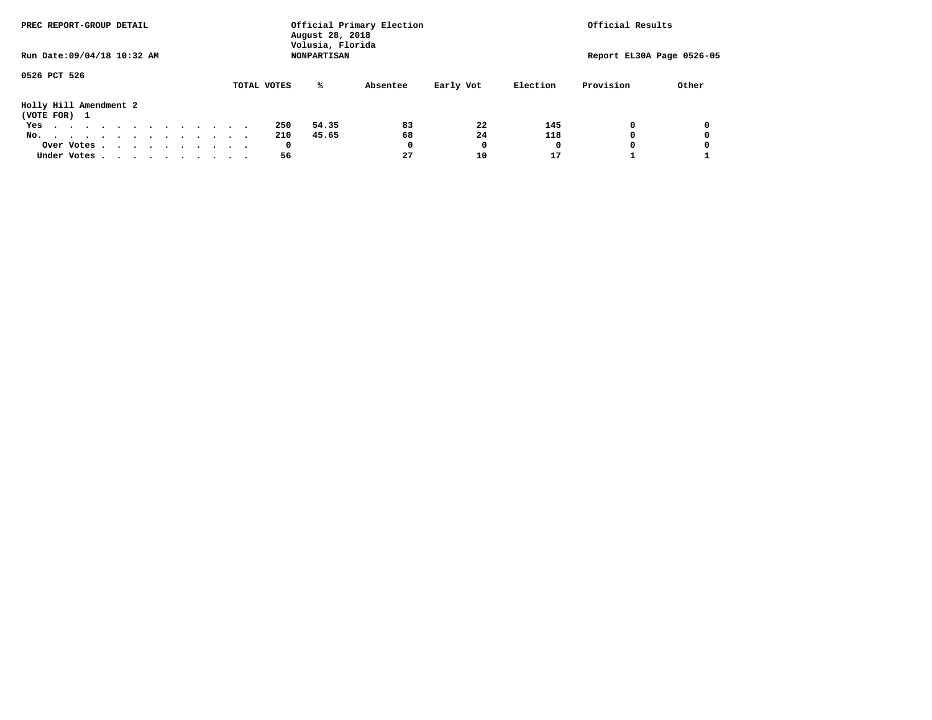| PREC REPORT-GROUP DETAIL               |            |  |  |  |  |  |  |             | August 28, 2018<br>Volusia, Florida | Official Primary Election |           |          | Official Results          |       |
|----------------------------------------|------------|--|--|--|--|--|--|-------------|-------------------------------------|---------------------------|-----------|----------|---------------------------|-------|
| Run Date: 09/04/18 10:32 AM            |            |  |  |  |  |  |  |             | <b>NONPARTISAN</b>                  |                           |           |          | Report EL30A Page 0526-05 |       |
| 0526 PCT 526                           |            |  |  |  |  |  |  | TOTAL VOTES | ℁                                   | Absentee                  | Early Vot | Election | Provision                 | Other |
| Holly Hill Amendment 2<br>(VOTE FOR) 1 |            |  |  |  |  |  |  |             |                                     |                           |           |          |                           |       |
| Yes                                    |            |  |  |  |  |  |  | 250         | 54.35                               | 83                        | 22        | 145      | $\Omega$                  | 0     |
| No.                                    |            |  |  |  |  |  |  | 210         | 45.65                               | 68                        | 24        | 118      | $^{\circ}$                | 0     |
|                                        | Over Votes |  |  |  |  |  |  | 0           |                                     | 0                         | 0         | 0        | 0                         |       |
| Under Votes                            |            |  |  |  |  |  |  | 56          |                                     | 27                        | 10        | 17       |                           |       |
|                                        |            |  |  |  |  |  |  |             |                                     |                           |           |          |                           |       |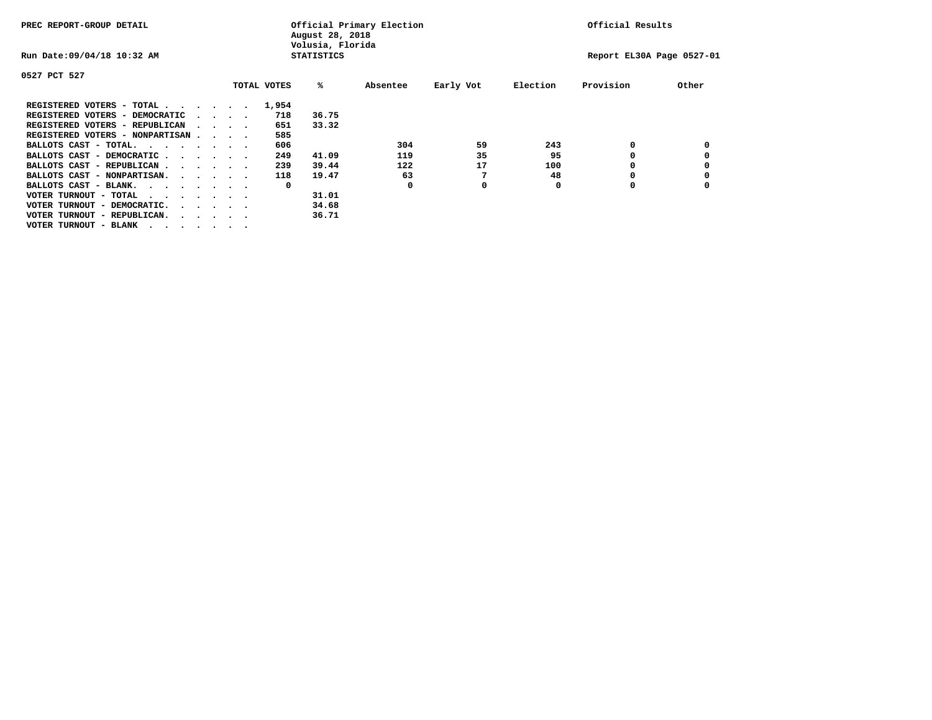| PREC REPORT-GROUP DETAIL                                                                       |                                         |  |             | August 28, 2018<br>Volusia, Florida | Official Primary Election |           |          | Official Results          |       |
|------------------------------------------------------------------------------------------------|-----------------------------------------|--|-------------|-------------------------------------|---------------------------|-----------|----------|---------------------------|-------|
| Run Date: 09/04/18 10:32 AM                                                                    |                                         |  |             | <b>STATISTICS</b>                   |                           |           |          | Report EL30A Page 0527-01 |       |
| 0527 PCT 527                                                                                   |                                         |  |             |                                     |                           |           |          |                           |       |
|                                                                                                |                                         |  | TOTAL VOTES | %ะ                                  | Absentee                  | Early Vot | Election | Provision                 | Other |
| REGISTERED VOTERS - TOTAL                                                                      |                                         |  | 1,954       |                                     |                           |           |          |                           |       |
| REGISTERED VOTERS - DEMOCRATIC                                                                 | $\cdot$ $\cdot$ $\cdot$ $\cdot$ $\cdot$ |  | 718         | 36.75                               |                           |           |          |                           |       |
| REGISTERED VOTERS - REPUBLICAN                                                                 |                                         |  | 651         | 33.32                               |                           |           |          |                           |       |
| REGISTERED VOTERS - NONPARTISAN                                                                |                                         |  | 585         |                                     |                           |           |          |                           |       |
| BALLOTS CAST - TOTAL.                                                                          |                                         |  | 606         |                                     | 304                       | 59        | 243      | 0                         |       |
| BALLOTS CAST - DEMOCRATIC                                                                      |                                         |  | 249         | 41.09                               | 119                       | 35        | 95       |                           |       |
| BALLOTS CAST - REPUBLICAN                                                                      |                                         |  | 239         | 39.44                               | 122                       | 17        | 100      | 0                         |       |
| BALLOTS CAST - NONPARTISAN.                                                                    |                                         |  | 118         | 19.47                               | 63                        | 7         | 48       | 0                         |       |
| BALLOTS CAST - BLANK.                                                                          |                                         |  | 0           |                                     | O                         | 0         | O        | O                         |       |
| VOTER TURNOUT - TOTAL<br>$\mathbf{r}$ , and $\mathbf{r}$ , and $\mathbf{r}$ , and $\mathbf{r}$ |                                         |  |             | 31.01                               |                           |           |          |                           |       |
| VOTER TURNOUT - DEMOCRATIC.<br>$\cdot$                                                         |                                         |  |             | 34.68                               |                           |           |          |                           |       |
| VOTER TURNOUT - REPUBLICAN.<br>$\cdots$                                                        |                                         |  |             | 36.71                               |                           |           |          |                           |       |
| VOTER TURNOUT - BLANK                                                                          |                                         |  |             |                                     |                           |           |          |                           |       |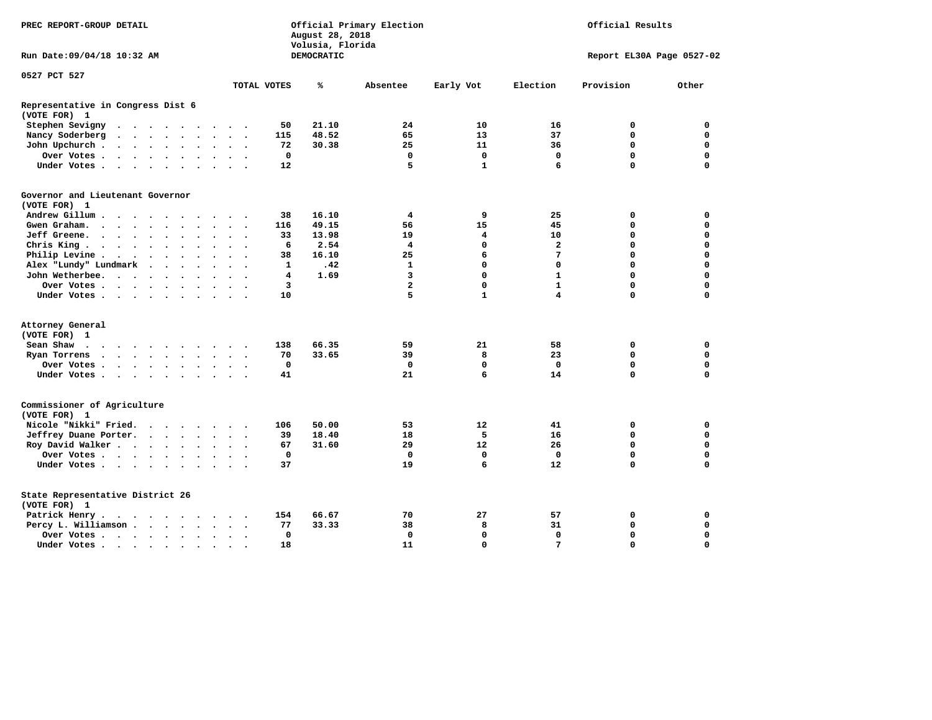| PREC REPORT-GROUP DETAIL                          |                                                                             |           |  |                      |                      |                      |              | August 28, 2018<br>Volusia, Florida | Official Primary Election |                   |                   | Official Results          |             |
|---------------------------------------------------|-----------------------------------------------------------------------------|-----------|--|----------------------|----------------------|----------------------|--------------|-------------------------------------|---------------------------|-------------------|-------------------|---------------------------|-------------|
| Run Date: 09/04/18 10:32 AM                       |                                                                             |           |  |                      |                      |                      |              | DEMOCRATIC                          |                           |                   |                   | Report EL30A Page 0527-02 |             |
| 0527 PCT 527                                      |                                                                             |           |  |                      |                      |                      |              |                                     |                           |                   |                   |                           |             |
|                                                   |                                                                             |           |  |                      |                      |                      | TOTAL VOTES  | ℁                                   | Absentee                  | Early Vot         | Election          | Provision                 | Other       |
| Representative in Congress Dist 6<br>(VOTE FOR) 1 |                                                                             |           |  |                      |                      |                      |              |                                     |                           |                   |                   |                           |             |
| Stephen Sevigny                                   | $\cdots$                                                                    |           |  |                      |                      |                      | 50           | 21.10                               | 24                        | 10                | 16                | 0                         | 0           |
| Nancy Soderberg                                   |                                                                             |           |  |                      |                      |                      | 115          | 48.52                               | 65                        | 13                | 37                | 0                         | 0           |
| John Upchurch                                     |                                                                             |           |  |                      | $\sim$ $\sim$        |                      | 72           | 30.38                               | 25                        | 11                | 36                | $\mathbf 0$               | $\mathbf 0$ |
| Over Votes                                        |                                                                             |           |  |                      | $\sim$ $\sim$ $\sim$ |                      | $\mathbf 0$  |                                     | $\mathbf 0$               | $\mathbf{o}$      | $\mathbf 0$       | $\mathbf 0$               | $\mathbf 0$ |
| Under Votes                                       |                                                                             |           |  |                      |                      |                      | 12           |                                     | 5                         | $\mathbf{1}$      | 6                 | $\Omega$                  | $\mathbf 0$ |
| Governor and Lieutenant Governor<br>(VOTE FOR) 1  |                                                                             |           |  |                      |                      |                      |              |                                     |                           |                   |                   |                           |             |
| Andrew Gillum                                     |                                                                             | $\bullet$ |  |                      |                      |                      | 38           | 16.10                               | 4                         | 9                 | 25                | 0                         | 0           |
| Gwen Graham.                                      |                                                                             |           |  |                      | $\ddotsc$ $\ddotsc$  |                      | 116          | 49.15                               | 56                        | 15                | 45                | 0                         | $\mathbf 0$ |
| Jeff Greene.                                      |                                                                             |           |  |                      | $\ddot{\phantom{a}}$ |                      | 33           | 13.98                               | 19                        | 4                 | 10                | $\mathbf 0$               | $\mathbf 0$ |
| Chris King                                        |                                                                             |           |  |                      | $\ddot{\phantom{0}}$ |                      | 6            | 2.54                                | 4                         | $\mathbf 0$       | $\mathbf{z}$      | $\mathbf 0$               | $\mathbf 0$ |
| Philip Levine.                                    | $\mathcal{A}=\mathcal{A}=\mathcal{A}=\mathcal{A}=\mathcal{A}=\mathcal{A}$ . |           |  |                      | $\sim$ $\sim$        | $\sim$               | 38           | 16.10                               | 25                        | 6                 | 7                 | $\mathbf 0$               | $\mathbf 0$ |
| Alex "Lundy" Lundmark                             |                                                                             |           |  |                      | $\ddot{\phantom{a}}$ |                      | $\mathbf{1}$ | .42                                 | 1                         | $\mathbf 0$       | 0                 | $\mathbf 0$               | $\mathbf 0$ |
|                                                   |                                                                             |           |  |                      |                      |                      | 4            | 1.69                                | 3                         | $\mathbf 0$       | $\mathbf{1}$      | $\mathbf 0$               | $\mathbf 0$ |
| John Wetherbee.                                   |                                                                             |           |  | $\ddot{\phantom{a}}$ | $\ddot{\phantom{a}}$ |                      |              |                                     | $\overline{\mathbf{2}}$   | $\mathbf 0$       |                   | $\Omega$                  |             |
| Over Votes                                        |                                                                             |           |  |                      | $\sim$               |                      | 3            |                                     |                           |                   | $\mathbf{1}$<br>4 | $\Omega$                  | $\mathbf 0$ |
| Under Votes                                       |                                                                             |           |  |                      |                      |                      | 10           |                                     | 5                         | $\mathbf{1}$      |                   |                           | $\mathbf 0$ |
| Attorney General                                  |                                                                             |           |  |                      |                      |                      |              |                                     |                           |                   |                   |                           |             |
| (VOTE FOR) 1                                      |                                                                             |           |  |                      |                      |                      |              |                                     |                           |                   |                   |                           |             |
| Sean Shaw                                         |                                                                             |           |  |                      |                      |                      | 138          | 66.35                               | 59                        | 21                | 58                | 0                         | 0           |
| Ryan Torrens                                      | $\cdots$                                                                    |           |  |                      |                      | $\ddot{\phantom{1}}$ | 70           | 33.65                               | 39                        | 8                 | 23                | $\mathbf 0$               | $\mathbf 0$ |
| Over Votes                                        |                                                                             |           |  |                      |                      |                      | 0            |                                     | $\mathbf 0$               | $\mathbf 0$       | $\mathbf 0$       | $\mathbf 0$               | $\mathbf 0$ |
| Under Votes                                       |                                                                             |           |  |                      | $\sim$ $\sim$        |                      | 41           |                                     | 21                        | 6                 | 14                | $\mathbf 0$               | $\mathbf 0$ |
| Commissioner of Agriculture<br>(VOTE FOR) 1       |                                                                             |           |  |                      |                      |                      |              |                                     |                           |                   |                   |                           |             |
| Nicole "Nikki" Fried.                             |                                                                             |           |  |                      |                      |                      | 106          | 50.00                               | 53                        | 12                | 41                | 0                         | 0           |
| Jeffrey Duane Porter.                             |                                                                             |           |  |                      |                      |                      | 39           | 18.40                               | 18                        | -5                | 16                | 0                         | 0           |
| Roy David Walker                                  |                                                                             |           |  |                      |                      |                      | 67           | 31.60                               | 29                        | $12 \overline{ }$ | 26                | $\mathbf 0$               | $\mathbf 0$ |
| Over Votes                                        |                                                                             |           |  |                      | $\sim$               |                      | $\mathbf 0$  |                                     | $\mathbf{0}$              | $\mathbf 0$       | $\Omega$          | $\mathbf 0$               | $\mathbf 0$ |
| Under Votes                                       |                                                                             |           |  |                      |                      |                      | 37           |                                     | 19                        | 6                 | $12 \overline{ }$ | $\Omega$                  | $\mathbf 0$ |
| State Representative District 26<br>(VOTE FOR) 1  |                                                                             |           |  |                      |                      |                      |              |                                     |                           |                   |                   |                           |             |
| Patrick Henry.                                    | .                                                                           |           |  |                      |                      |                      | 154          | 66.67                               | 70                        | 27                | 57                | 0                         | 0           |
| Percy L. Williamson                               |                                                                             |           |  | $\sim$               | $\ddot{\phantom{1}}$ |                      | 77           | 33.33                               | 38                        | 8                 | 31                | $\mathbf 0$               | $\mathbf 0$ |
| Over Votes                                        |                                                                             |           |  |                      | $\bullet$            |                      | $\mathbf 0$  |                                     | $\mathbf 0$               | $\mathbf 0$       | $\mathbf 0$       | $\mathbf 0$               | $\mathbf 0$ |
| Under Votes                                       |                                                                             |           |  |                      |                      |                      | 18           |                                     | 11                        | $\Omega$          | $7\phantom{.0}$   | $\Omega$                  | $\Omega$    |
|                                                   |                                                                             |           |  |                      |                      |                      |              |                                     |                           |                   |                   |                           |             |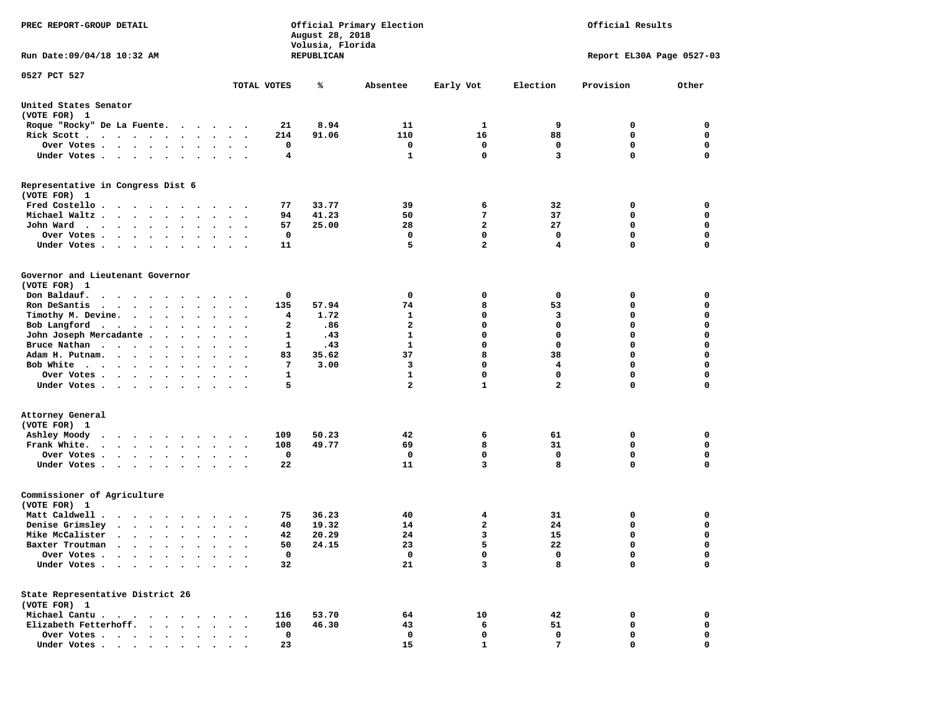| PREC REPORT-GROUP DETAIL                                                                                                                                                                   |                                      | August 28, 2018<br>Volusia, Florida | Official Primary Election |                |                         | Official Results          |             |
|--------------------------------------------------------------------------------------------------------------------------------------------------------------------------------------------|--------------------------------------|-------------------------------------|---------------------------|----------------|-------------------------|---------------------------|-------------|
| Run Date: 09/04/18 10:32 AM                                                                                                                                                                |                                      | REPUBLICAN                          |                           |                |                         | Report EL30A Page 0527-03 |             |
| 0527 PCT 527                                                                                                                                                                               | TOTAL VOTES                          | ℁                                   | Absentee                  | Early Vot      | Election                | Provision                 | Other       |
| United States Senator<br>(VOTE FOR) 1                                                                                                                                                      |                                      |                                     |                           |                |                         |                           |             |
| Roque "Rocky" De La Fuente.                                                                                                                                                                | 21                                   | 8.94                                | 11                        | 1              | 9                       | 0                         | 0           |
| Rick Scott                                                                                                                                                                                 | 214                                  | 91.06                               | 110                       | 16             | 88                      | 0                         | 0           |
| Over Votes                                                                                                                                                                                 | 0                                    |                                     | 0                         | 0              | 0                       | 0                         | 0           |
| Under Votes<br>$\sim$<br>$\ddot{\phantom{1}}$                                                                                                                                              | 4                                    |                                     | $\mathbf{1}$              | $\mathbf 0$    | 3                       | 0                         | 0           |
| Representative in Congress Dist 6<br>(VOTE FOR) 1                                                                                                                                          |                                      |                                     |                           |                |                         |                           |             |
| Fred Costello                                                                                                                                                                              | 77                                   | 33.77                               | 39                        | 6              | 32                      | 0                         | 0           |
| Michael Waltz.<br>$\cdots$                                                                                                                                                                 | 94                                   | 41.23                               | 50                        | 7              | 37                      | 0                         | 0           |
| John Ward<br>$\bullet$<br>$\bullet$                                                                                                                                                        | 57                                   | 25.00                               | 28                        | $\overline{a}$ | 27                      | 0                         | 0           |
| Over Votes .<br>$\cdot$ $\cdot$ $\cdot$ $\cdot$                                                                                                                                            | 0                                    |                                     | 0                         | 0              | 0                       | 0                         | $\mathbf 0$ |
| Under Votes.<br>$\cdots$<br>$\sim$ $\sim$                                                                                                                                                  | 11                                   |                                     | 5                         | $\overline{a}$ | 4                       | 0                         | $\mathbf 0$ |
| Governor and Lieutenant Governor<br>(VOTE FOR) 1                                                                                                                                           |                                      |                                     |                           |                |                         |                           |             |
| Don Baldauf.                                                                                                                                                                               | 0                                    |                                     | 0                         | 0              | 0                       | 0                         | 0           |
| Ron DeSantis<br>$\cdots$                                                                                                                                                                   | 135<br>$\ddot{\phantom{0}}$          | 57.94                               | 74                        | 8              | 53                      | 0                         | 0           |
| Timothy M. Devine.                                                                                                                                                                         | 4                                    | 1.72                                | 1                         | 0              | 3                       | 0                         | $\mathbf 0$ |
| Bob Langford<br>$\bullet$<br>$\bullet$                                                                                                                                                     | $\mathbf{2}$<br>$\ddot{\phantom{0}}$ | .86                                 | $\overline{a}$            | $\mathbf 0$    | $\mathbf 0$             | 0                         | $\mathbf 0$ |
| John Joseph Mercadante.<br>$\sim$<br>$\bullet$<br>$\ddot{\phantom{1}}$                                                                                                                     | 1                                    | .43                                 | 1                         | $\mathbf 0$    | $\mathbf 0$             | 0                         | 0           |
| Bruce Nathan<br>$\bullet$                                                                                                                                                                  | 1<br>$\bullet$                       | .43                                 | $\mathbf{1}$              | 0              | $\mathbf 0$             | 0                         | $\mathbf 0$ |
| Adam H. Putnam.<br>$\cdot$ $\cdot$ $\cdot$ $\cdot$                                                                                                                                         | 83                                   | 35.62                               | 37                        | 8              | 38                      | 0                         | $\mathbf 0$ |
| Bob White                                                                                                                                                                                  | 7                                    | 3.00                                | 3                         | 0              | 4                       | 0                         | $\mathbf 0$ |
| Over Votes .<br>$\bullet$<br>$\bullet$                                                                                                                                                     | 1<br>$\bullet$                       |                                     | $\mathbf{1}$              | $\mathbf 0$    | $\mathbf 0$             | 0                         | $\mathbf 0$ |
| Under Votes                                                                                                                                                                                | 5                                    |                                     | $\overline{a}$            | $\mathbf{1}$   | $\overline{\mathbf{2}}$ | 0                         | 0           |
| Attorney General<br>(VOTE FOR) 1                                                                                                                                                           |                                      |                                     |                           |                |                         |                           |             |
| Ashley Moody<br>$\cdots$                                                                                                                                                                   | 109                                  | 50.23                               | 42                        | 6              | 61                      | 0                         | 0           |
| Frank White.<br>$\begin{array}{cccccccccccccc} \bullet & \bullet & \bullet & \bullet & \bullet & \bullet & \bullet & \bullet & \bullet \end{array}$<br>$\bullet$<br>$\bullet$<br>$\bullet$ | 108<br>$\cdot$                       | 49.77                               | 69                        | 8              | 31                      | $\mathbf 0$               | $\mathbf 0$ |
| Over Votes.<br>$\cdot$ $\cdot$ $\cdot$ $\cdot$<br>$\sim$                                                                                                                                   | 0                                    |                                     | 0                         | 0              | 0                       | 0                         | 0           |
| Under Votes<br>$\bullet$ .<br>$\sim$ $\sim$                                                                                                                                                | 22                                   |                                     | 11                        | 3              | 8                       | 0                         | $\Omega$    |
| Commissioner of Agriculture<br>(VOTE FOR) 1                                                                                                                                                |                                      |                                     |                           |                |                         |                           |             |
| Matt Caldwell .<br>$\cdots$                                                                                                                                                                | 75                                   | 36.23                               | 40                        | 4              | 31                      | 0                         | 0           |
| Denise Grimsley<br>$\begin{array}{cccccccccccccc} \bullet & \bullet & \bullet & \bullet & \bullet & \bullet & \bullet & \bullet & \bullet & \bullet \end{array}$                           | 40                                   | 19.32                               | 14                        | $\mathbf{2}$   | 24                      | 0                         | 0           |
| Mike McCalister<br>$\cdots$                                                                                                                                                                | 42                                   | 20.29                               | 24                        | 3              | 15                      | 0                         | $\mathbf 0$ |
| Baxter Troutman<br>.                                                                                                                                                                       | 50                                   | 24.15                               | 23                        | 5              | 22                      | 0                         | 0           |
| Over Votes .<br>$\cdot$                                                                                                                                                                    | 0                                    |                                     | 0                         | 0              | 0                       | 0                         | 0           |
| Under Votes.<br>$\bullet$                                                                                                                                                                  | 32                                   |                                     | 21                        | 3              | 8                       | 0                         | $\mathbf 0$ |
| State Representative District 26<br>(VOTE FOR) 1                                                                                                                                           |                                      |                                     |                           |                |                         |                           |             |
| Michael Cantu.<br>$\sim$ $\sim$<br>$\sim$                                                                                                                                                  | 116                                  | 53.70                               | 64                        | 10             | 42                      | 0                         | 0           |
| Elizabeth Fetterhoff.                                                                                                                                                                      | 100                                  | 46.30                               | 43                        | 6              | 51                      | 0                         | 0           |
| Over Votes .<br>$\sim$ $\sim$<br>$\sim$ $\sim$<br>$\bullet$<br>$\bullet$                                                                                                                   | 0                                    |                                     | 0                         | 0              | 0                       | 0                         | 0           |
| Under Votes<br>$\sim$                                                                                                                                                                      | 23                                   |                                     | 15                        | 1              | 7                       | 0                         | 0           |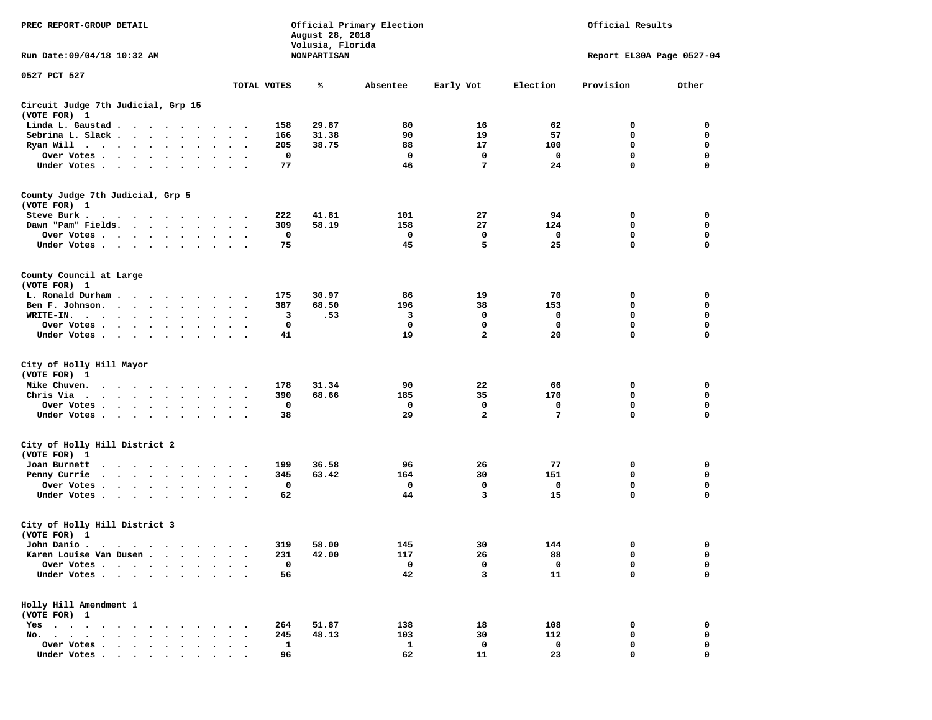| PREC REPORT-GROUP DETAIL<br>Run Date: 09/04/18 10:32 AM |                                                                                         |                      |                      |                                                                                                                                                                                                                                |              | August 28, 2018<br>Volusia, Florida<br>NONPARTISAN | Official Primary Election |              |                | Official Results<br>Report EL30A Page 0527-04 |              |
|---------------------------------------------------------|-----------------------------------------------------------------------------------------|----------------------|----------------------|--------------------------------------------------------------------------------------------------------------------------------------------------------------------------------------------------------------------------------|--------------|----------------------------------------------------|---------------------------|--------------|----------------|-----------------------------------------------|--------------|
| 0527 PCT 527                                            |                                                                                         |                      |                      |                                                                                                                                                                                                                                |              |                                                    |                           |              |                |                                               |              |
|                                                         |                                                                                         |                      |                      |                                                                                                                                                                                                                                | TOTAL VOTES  | ℁                                                  | Absentee                  | Early Vot    | Election       | Provision                                     | Other        |
| Circuit Judge 7th Judicial, Grp 15<br>(VOTE FOR) 1      |                                                                                         |                      |                      |                                                                                                                                                                                                                                |              |                                                    |                           |              |                |                                               |              |
| Linda L. Gaustad                                        |                                                                                         |                      |                      | $\ddot{\phantom{1}}$                                                                                                                                                                                                           | 158          | 29.87                                              | 80                        | 16           | 62             | 0                                             | 0            |
| Sebrina L. Slack                                        |                                                                                         |                      | $\ddot{\phantom{a}}$ | $\sim$<br>$\cdot$                                                                                                                                                                                                              | 166          | 31.38                                              | 90                        | 19           | 57             | 0                                             | 0            |
| Ryan Will $\cdots$ $\cdots$                             |                                                                                         |                      |                      |                                                                                                                                                                                                                                | 205          | 38.75                                              | 88                        | 17           | 100            | 0                                             | $\mathbf 0$  |
| Over Votes                                              |                                                                                         | $\bullet$            | $\bullet$            | $\bullet$                                                                                                                                                                                                                      | 0            |                                                    | $\mathbf 0$               | $\mathbf 0$  | 0              | $\mathbf 0$                                   | $\mathbf 0$  |
| Under Votes                                             |                                                                                         |                      |                      |                                                                                                                                                                                                                                | 77           |                                                    | 46                        | 7            | 24             | $\mathbf 0$                                   | $\mathbf 0$  |
| County Judge 7th Judicial, Grp 5                        |                                                                                         |                      |                      |                                                                                                                                                                                                                                |              |                                                    |                           |              |                |                                               |              |
| (VOTE FOR) 1                                            |                                                                                         |                      |                      |                                                                                                                                                                                                                                |              |                                                    |                           |              |                |                                               |              |
| Steve Burk .                                            |                                                                                         |                      |                      | $\cdot$ .                                                                                                                                                                                                                      | 222          | 41.81                                              | 101                       | 27           | 94             | 0                                             | 0            |
| Dawn "Pam" Fields.                                      |                                                                                         |                      | $\ddot{\phantom{a}}$ | $\ddot{\phantom{1}}$                                                                                                                                                                                                           | 309          | 58.19                                              | 158                       | 27           | 124            | 0                                             | 0            |
| Over Votes                                              |                                                                                         |                      |                      |                                                                                                                                                                                                                                | $\mathbf 0$  |                                                    | 0                         | 0            | 0              | 0                                             | 0            |
| Under Votes                                             |                                                                                         |                      |                      | $\ddot{\phantom{0}}$                                                                                                                                                                                                           | 75           |                                                    | 45                        | 5            | 25             | $\mathbf 0$                                   | $\mathbf 0$  |
| County Council at Large<br>(VOTE FOR) 1                 |                                                                                         |                      |                      |                                                                                                                                                                                                                                |              |                                                    |                           |              |                |                                               |              |
| L. Ronald Durham.                                       |                                                                                         |                      |                      | $\ddot{\phantom{1}}$                                                                                                                                                                                                           | 175          | 30.97                                              | 86                        | 19           | 70             | 0                                             | 0            |
| Ben F. Johnson.                                         | $\sim$ $\sim$ $\sim$ $\sim$ $\sim$                                                      |                      | $\sim$               | $\cdot$ .                                                                                                                                                                                                                      | 387          | 68.50                                              | 196                       | 38           | 153            | 0                                             | 0            |
| WRITE-IN.                                               | $\cdots$                                                                                |                      |                      |                                                                                                                                                                                                                                | 3            | .53                                                | 3                         | 0            | 0              | 0                                             | 0            |
| Over Votes                                              |                                                                                         |                      |                      |                                                                                                                                                                                                                                | 0            |                                                    | 0                         | 0            | 0              | 0                                             | $\mathbf 0$  |
| Under Votes                                             |                                                                                         |                      |                      |                                                                                                                                                                                                                                | 41           |                                                    | 19                        | $\mathbf{2}$ | 20             | $\mathbf 0$                                   | $\mathbf 0$  |
|                                                         |                                                                                         |                      |                      |                                                                                                                                                                                                                                |              |                                                    |                           |              |                |                                               |              |
| City of Holly Hill Mayor<br>(VOTE FOR) 1                |                                                                                         |                      |                      |                                                                                                                                                                                                                                |              |                                                    |                           |              |                |                                               |              |
| Mike Chuven.                                            | $\cdots$                                                                                |                      |                      |                                                                                                                                                                                                                                | 178          | 31.34                                              | 90                        | 22           | 66             | 0                                             | 0            |
| Chris Via                                               |                                                                                         |                      |                      | $\ddot{\phantom{0}}$                                                                                                                                                                                                           | 390          | 68.66                                              | 185                       | 35           | 170            | $\mathbf 0$                                   | 0            |
| Over Votes                                              |                                                                                         | $\ddot{\phantom{1}}$ |                      |                                                                                                                                                                                                                                | 0            |                                                    | 0                         | 0            | 0              | 0                                             | 0            |
| Under Votes                                             |                                                                                         |                      |                      | $\ddot{\phantom{1}}$                                                                                                                                                                                                           | 38           |                                                    | 29                        | $\mathbf{2}$ | $\overline{7}$ | 0                                             | $\mathbf 0$  |
| City of Holly Hill District 2<br>(VOTE FOR) 1           |                                                                                         |                      |                      |                                                                                                                                                                                                                                |              |                                                    |                           |              |                |                                               |              |
| Joan Burnett                                            |                                                                                         |                      |                      |                                                                                                                                                                                                                                | 199          | 36.58                                              | 96                        | 26           | 77             | 0                                             | 0            |
| Penny Currie                                            | $\mathbf{r}$ , $\mathbf{r}$ , $\mathbf{r}$ , $\mathbf{r}$ , $\mathbf{r}$                |                      | $\bullet$<br>$\sim$  | $\cdot$ .                                                                                                                                                                                                                      | 345          | 63.42                                              | 164                       | 30           | 151            | 0                                             | 0            |
| Over Votes                                              |                                                                                         |                      |                      | $\ddot{\phantom{1}}$                                                                                                                                                                                                           | 0            |                                                    | 0                         | 0            | 0              | 0                                             | 0            |
| Under Votes                                             |                                                                                         |                      |                      |                                                                                                                                                                                                                                | 62           |                                                    | 44                        | 3            | 15             | 0                                             | $\mathbf 0$  |
| City of Holly Hill District 3<br>(VOTE FOR) 1           |                                                                                         |                      |                      |                                                                                                                                                                                                                                |              |                                                    |                           |              |                |                                               |              |
| John Danio .                                            |                                                                                         |                      |                      | in the contract of the contract of the contract of the contract of the contract of the contract of the contract of the contract of the contract of the contract of the contract of the contract of the contract of the contrac | 319          | 58.00                                              | 145                       | 30           | 144            | $\Omega$                                      | $\mathbf{0}$ |
| Karen Louise Van Dusen                                  |                                                                                         |                      |                      | $\ddot{\phantom{1}}$                                                                                                                                                                                                           | 231          | 42.00                                              | 117                       | 26           | 88             | 0                                             | 0            |
| Over Votes                                              |                                                                                         | $\ddot{\phantom{a}}$ |                      |                                                                                                                                                                                                                                | 0            |                                                    | 0                         | 0            | 0              | 0                                             | 0            |
| Under Votes                                             |                                                                                         |                      |                      |                                                                                                                                                                                                                                | 56           |                                                    | 42                        | 3            | 11             | 0                                             | $\mathbf 0$  |
| Holly Hill Amendment 1<br>(VOTE FOR) 1                  |                                                                                         |                      |                      |                                                                                                                                                                                                                                |              |                                                    |                           |              |                |                                               |              |
| $Yes \t . \t .$<br>$\sim$                               | $\cdots$                                                                                |                      |                      |                                                                                                                                                                                                                                | 264          | 51.87                                              | 138                       | 18           | 108            | 0                                             | 0            |
| No.                                                     |                                                                                         |                      |                      |                                                                                                                                                                                                                                | 245          | 48.13                                              | 103                       | 30           | 112            | 0                                             | 0            |
| Over Votes .                                            | $\mathbf{r}$ , $\mathbf{r}$ , $\mathbf{r}$ , $\mathbf{r}$ , $\mathbf{r}$ , $\mathbf{r}$ |                      |                      |                                                                                                                                                                                                                                | $\mathbf{1}$ |                                                    | 1                         | 0            | 0              | 0                                             | 0            |
| Under Votes                                             |                                                                                         |                      |                      |                                                                                                                                                                                                                                | 96           |                                                    | 62                        | 11           | 23             | $\mathbf 0$                                   | $\mathbf 0$  |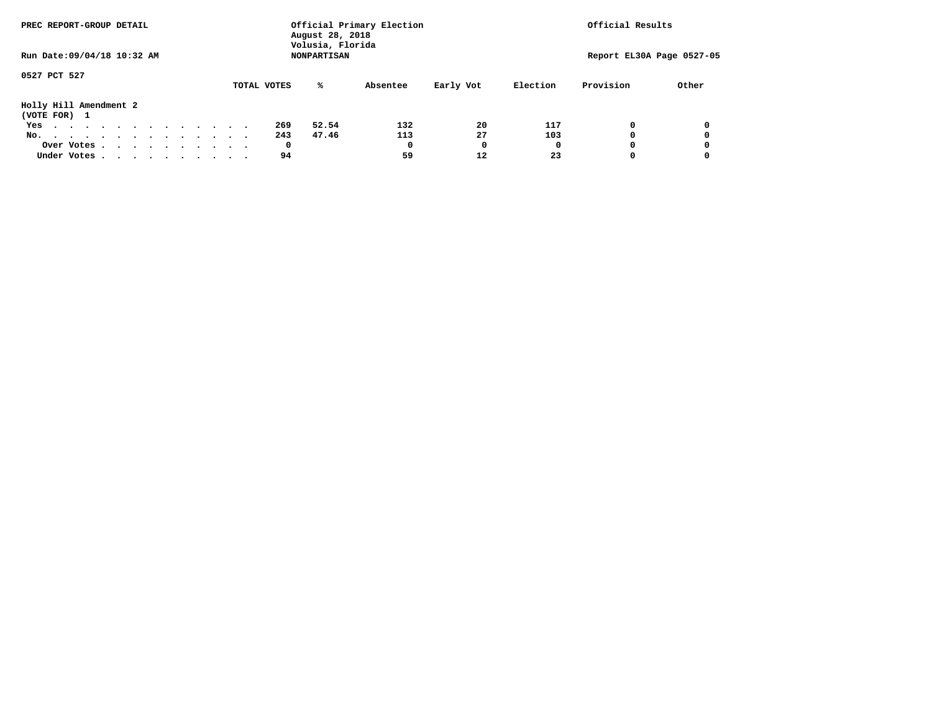| PREC REPORT-GROUP DETAIL         | August 28, 2018<br>Volusia, Florida | Official Primary Election | Official Results      |                           |
|----------------------------------|-------------------------------------|---------------------------|-----------------------|---------------------------|
| Run Date: 09/04/18 10:32 AM      | <b>NONPARTISAN</b>                  |                           |                       | Report EL30A Page 0527-05 |
| 0527 PCT 527                     | ℁<br>TOTAL VOTES                    | Early Vot<br>Absentee     | Provision<br>Election | Other                     |
| Holly Hill Amendment 2           |                                     |                           |                       |                           |
| (VOTE FOR) 1                     |                                     |                           |                       |                           |
| Yes                              | 269<br>52.54                        | 20<br>132                 | 117<br>0              | 0                         |
| No.                              | 243<br>47.46                        | 27<br>113                 | 103                   |                           |
| Over Votes                       | 0                                   | 0<br>$\Omega$             | 0<br>O                | 0                         |
| Under Votes, , , , , , , , , , , | 94                                  | 59<br>12                  | 23                    |                           |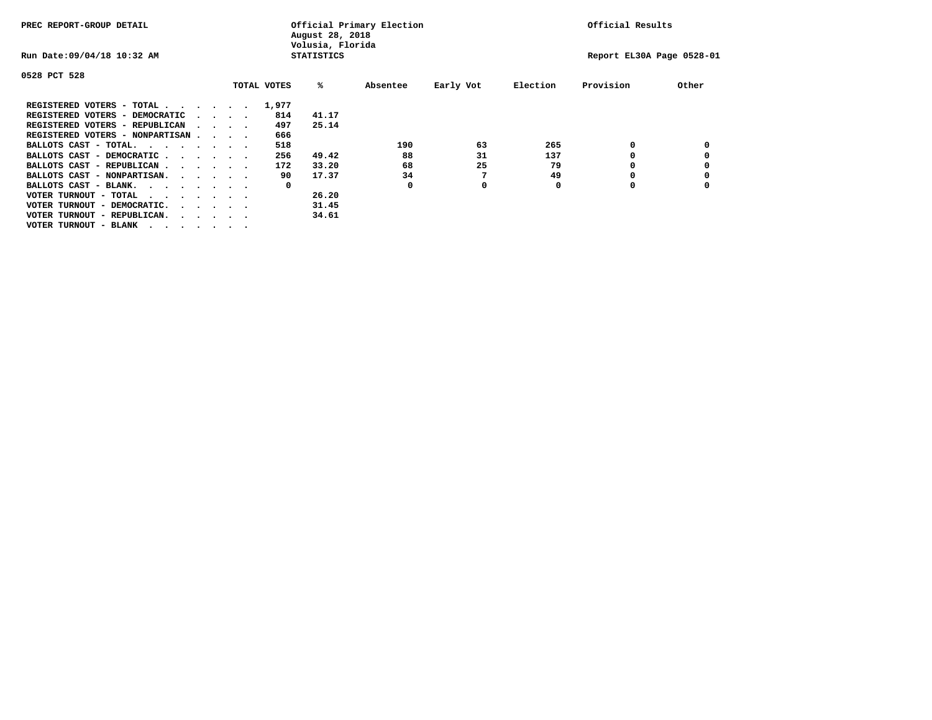| PREC REPORT-GROUP DETAIL               |  |                                         |             | August 28, 2018<br>Volusia, Florida | Official Primary Election |           |          | Official Results          |       |
|----------------------------------------|--|-----------------------------------------|-------------|-------------------------------------|---------------------------|-----------|----------|---------------------------|-------|
| Run Date: 09/04/18 10:32 AM            |  |                                         |             | <b>STATISTICS</b>                   |                           |           |          | Report EL30A Page 0528-01 |       |
| 0528 PCT 528                           |  |                                         |             |                                     |                           |           |          |                           |       |
|                                        |  |                                         | TOTAL VOTES | %ะ                                  | Absentee                  | Early Vot | Election | Provision                 | Other |
| REGISTERED VOTERS - TOTAL              |  |                                         | 1,977       |                                     |                           |           |          |                           |       |
| REGISTERED VOTERS - DEMOCRATIC         |  | $\cdot$ $\cdot$ $\cdot$ $\cdot$         | 814         | 41.17                               |                           |           |          |                           |       |
| REGISTERED VOTERS - REPUBLICAN         |  |                                         | 497         | 25.14                               |                           |           |          |                           |       |
| REGISTERED VOTERS - NONPARTISAN        |  |                                         | 666         |                                     |                           |           |          |                           |       |
| BALLOTS CAST - TOTAL.                  |  |                                         | 518         |                                     | 190                       | 63        | 265      | 0                         |       |
| BALLOTS CAST - DEMOCRATIC              |  |                                         | 256         | 49.42                               | 88                        | 31        | 137      |                           |       |
| BALLOTS CAST - REPUBLICAN              |  |                                         | 172         | 33.20                               | 68                        | 25        | 79       | ٥                         |       |
| BALLOTS CAST - NONPARTISAN.            |  |                                         | 90          | 17.37                               | 34                        |           | 49       |                           |       |
| BALLOTS CAST - BLANK.                  |  |                                         | 0           |                                     | 0                         | 0         | 0        | ٥                         |       |
| VOTER TURNOUT - TOTAL<br>$\cdots$      |  |                                         |             | 26.20                               |                           |           |          |                           |       |
| VOTER TURNOUT - DEMOCRATIC.            |  | $\cdot$ $\cdot$ $\cdot$ $\cdot$ $\cdot$ |             | 31.45                               |                           |           |          |                           |       |
| VOTER TURNOUT - REPUBLICAN.<br>$\cdot$ |  |                                         |             | 34.61                               |                           |           |          |                           |       |
| VOTER TURNOUT - BLANK                  |  |                                         |             |                                     |                           |           |          |                           |       |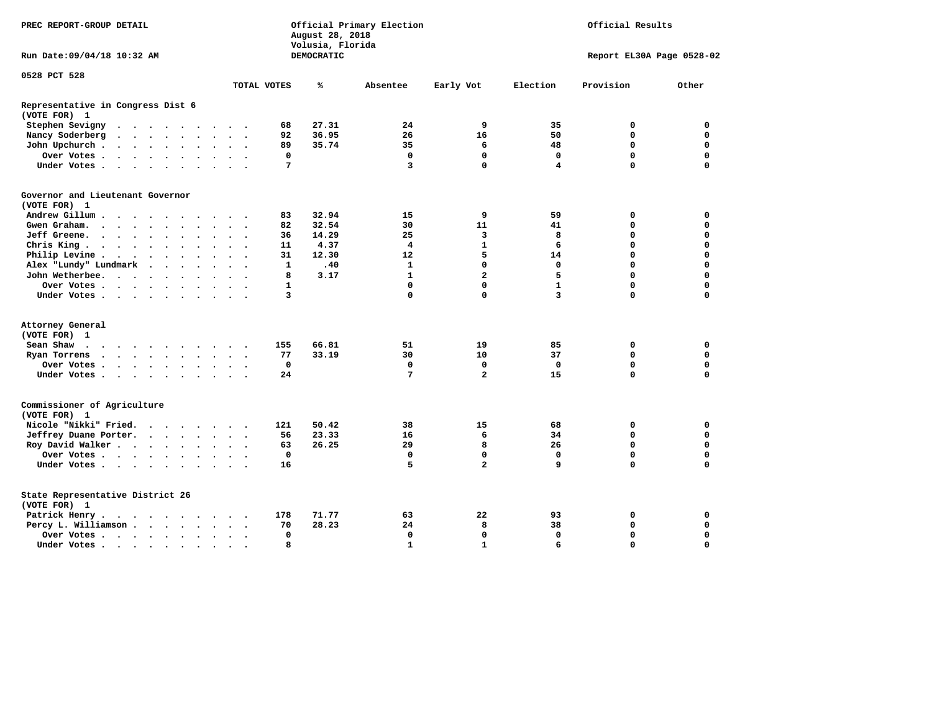| PREC REPORT-GROUP DETAIL                                                                                                                               |                               | August 28, 2018<br>Volusia, Florida | Official Primary Election |                         |              | Official Results          |             |
|--------------------------------------------------------------------------------------------------------------------------------------------------------|-------------------------------|-------------------------------------|---------------------------|-------------------------|--------------|---------------------------|-------------|
| Run Date: 09/04/18 10:32 AM                                                                                                                            |                               | DEMOCRATIC                          |                           |                         |              | Report EL30A Page 0528-02 |             |
| 0528 PCT 528                                                                                                                                           | TOTAL VOTES                   | ℁                                   | Absentee                  | Early Vot               | Election     | Provision                 | Other       |
|                                                                                                                                                        |                               |                                     |                           |                         |              |                           |             |
| Representative in Congress Dist 6<br>(VOTE FOR) 1                                                                                                      |                               |                                     |                           |                         |              |                           |             |
| Stephen Sevigny                                                                                                                                        | 68                            | 27.31                               | 24                        | 9                       | 35           | 0                         | 0           |
| Nancy Soderberg<br>$\mathbf{r}$ , and $\mathbf{r}$ , and $\mathbf{r}$ , and $\mathbf{r}$                                                               | 92<br>$\cdots$                | 36.95                               | 26                        | 16                      | 50           | $\mathbf 0$               | $\mathbf 0$ |
| John Upchurch                                                                                                                                          | 89<br>$\ddot{\phantom{0}}$    | 35.74                               | 35                        | 6                       | 48           | 0                         | 0           |
| Over Votes                                                                                                                                             | 0                             |                                     | $\mathbf 0$               | 0                       | 0            | $\mathbf 0$               | $\mathbf 0$ |
| Under Votes                                                                                                                                            | 7<br>$\sim$ $\sim$ $\sim$     |                                     | 3                         | $\mathbf 0$             | 4            | $\Omega$                  | $\Omega$    |
| Governor and Lieutenant Governor<br>(VOTE FOR) 1                                                                                                       |                               |                                     |                           |                         |              |                           |             |
| Andrew Gillum<br>$\sim$ $\sim$                                                                                                                         | 83                            | 32.94                               | 15                        | 9                       | 59           | 0                         | 0           |
| Gwengraham                                                                                                                                             | 82<br>$\cdot$ $\cdot$ $\cdot$ | 32.54                               | 30                        | 11                      | 41           | $\Omega$                  | $\mathbf 0$ |
| Jeff Greene.                                                                                                                                           | 36<br>$\bullet$               | 14.29                               | 25                        | 3                       | 8            | 0                         | 0           |
| Chris King                                                                                                                                             | 11<br>$\sim$ $\sim$           | 4.37                                | 4                         | $\mathbf{1}$            | 6            | $\mathbf 0$               | $\mathbf 0$ |
| Philip Levine .<br>$\begin{array}{cccccccccccccc} \bullet & \bullet & \bullet & \bullet & \bullet & \bullet & \bullet & \bullet & \bullet \end{array}$ | 31<br>$\ddotsc$ $\ddotsc$     | 12.30                               | 12                        | 5                       | 14           | $\mathbf 0$               | $\mathbf 0$ |
| Alex "Lundy" Lundmark                                                                                                                                  | $\mathbf{1}$<br>$\sim$        | .40                                 | 1                         | $\mathbf 0$             | 0            | $\Omega$                  | 0           |
| John Wetherbee.                                                                                                                                        | 8<br>$\ddot{\phantom{a}}$     | 3.17                                | $\mathbf{1}$              | $\overline{a}$          | 5            | $\mathbf 0$               | $\mathbf 0$ |
| Over Votes                                                                                                                                             | 1<br>$\sim$                   |                                     | $\mathbf 0$               | $\mathbf 0$             | $\mathbf{1}$ | $\mathbf 0$               | $\mathbf 0$ |
| Under Votes                                                                                                                                            | 3                             |                                     | $\mathbf 0$               | $\mathbf 0$             | 3            | $\Omega$                  | $\Omega$    |
|                                                                                                                                                        |                               |                                     |                           |                         |              |                           |             |
| Attorney General                                                                                                                                       |                               |                                     |                           |                         |              |                           |             |
| (VOTE FOR) 1                                                                                                                                           |                               |                                     |                           |                         |              |                           |             |
| Sean Shaw                                                                                                                                              | 155                           | 66.81                               | 51                        | 19                      | 85           | 0                         | 0           |
| Ryan Torrens                                                                                                                                           | 77                            | 33.19                               | 30                        | 10                      | 37           | $\mathbf 0$               | $\mathbf 0$ |
| Over Votes                                                                                                                                             | 0<br>$\bullet$                |                                     | 0                         | $\mathbf 0$             | $\mathbf 0$  | $\mathbf 0$               | 0           |
| Under Votes                                                                                                                                            | 24                            |                                     | 7                         | $\overline{\mathbf{2}}$ | 15           | $\Omega$                  | $\Omega$    |
| Commissioner of Agriculture<br>(VOTE FOR) 1                                                                                                            |                               |                                     |                           |                         |              |                           |             |
| Nicole "Nikki" Fried.                                                                                                                                  | 121                           | 50.42                               | 38                        | 15                      | 68           | 0                         | $\mathbf 0$ |
| Jeffrey Duane Porter.                                                                                                                                  | 56                            | 23.33                               | 16                        | 6                       | 34           | $\Omega$                  | 0           |
| Roy David Walker                                                                                                                                       | 63                            | 26.25                               | 29                        | 8                       | 26           | $\mathbf 0$               | $\mathbf 0$ |
| Over Votes                                                                                                                                             | 0<br>$\ddot{\phantom{1}}$     |                                     | 0                         | $\mathbf 0$             | 0            | $\mathbf 0$               | 0           |
| Under Votes                                                                                                                                            | 16                            |                                     | 5                         | $\overline{\mathbf{2}}$ | 9            | $\mathbf 0$               | $\mathbf 0$ |
| State Representative District 26<br>(VOTE FOR) 1                                                                                                       |                               |                                     |                           |                         |              |                           |             |
| Patrick Henry.<br>.                                                                                                                                    | 178                           | 71.77                               | 63                        | 22                      | 93           | 0                         | 0           |
| Percy L. Williamson                                                                                                                                    | 70<br>$\ddot{\phantom{1}}$    | 28.23                               | 24                        | 8                       | 38           | $\mathbf 0$               | $\mathbf 0$ |
| Over Votes                                                                                                                                             | 0<br>$\bullet$                |                                     | $\mathbf 0$               | $\mathbf 0$             | $\mathbf 0$  | $\mathbf 0$               | $\mathbf 0$ |
| Under Votes                                                                                                                                            | 8                             |                                     | $\mathbf{1}$              | $\mathbf{1}$            | 6            | $\Omega$                  | $\Omega$    |
|                                                                                                                                                        |                               |                                     |                           |                         |              |                           |             |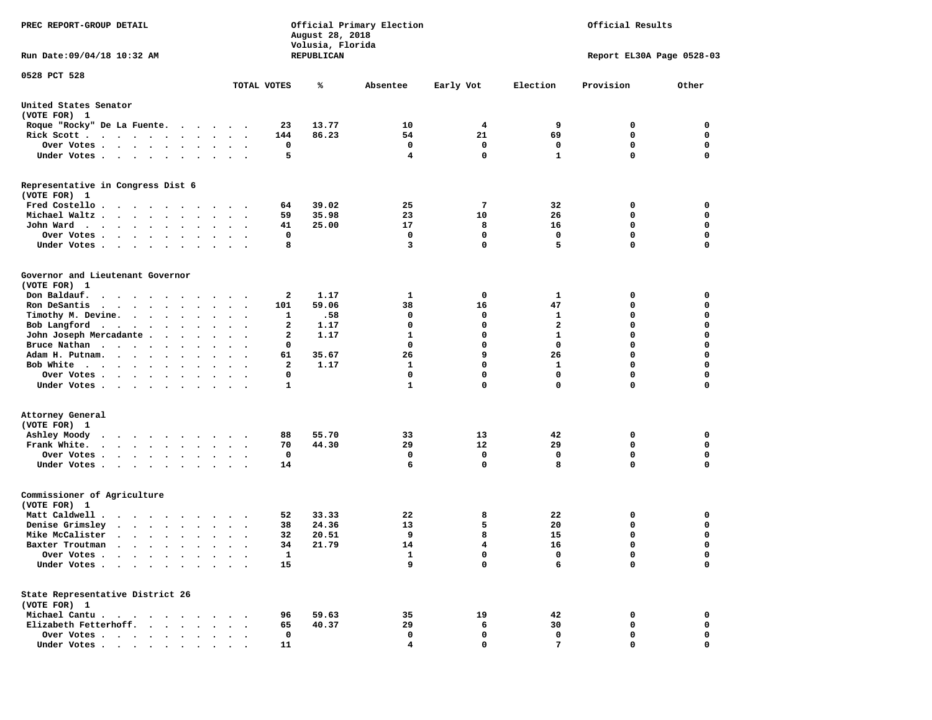| PREC REPORT-GROUP DETAIL                                                                                                              |                                              |                    | August 28, 2018<br>Volusia, Florida | Official Primary Election | Official Results<br>Report EL30A Page 0528-03 |                |             |                  |  |
|---------------------------------------------------------------------------------------------------------------------------------------|----------------------------------------------|--------------------|-------------------------------------|---------------------------|-----------------------------------------------|----------------|-------------|------------------|--|
| Run Date: 09/04/18 10:32 AM                                                                                                           |                                              |                    | REPUBLICAN                          |                           |                                               |                |             |                  |  |
| 0528 PCT 528                                                                                                                          |                                              | TOTAL VOTES        | ℁                                   | Absentee                  | Early Vot                                     | Election       | Provision   | Other            |  |
|                                                                                                                                       |                                              |                    |                                     |                           |                                               |                |             |                  |  |
| United States Senator<br>(VOTE FOR) 1                                                                                                 |                                              |                    |                                     |                           |                                               |                |             |                  |  |
| Roque "Rocky" De La Fuente.                                                                                                           |                                              | 23                 | 13.77                               | 10                        | 4                                             | 9              | 0           | 0                |  |
| Rick Scott                                                                                                                            |                                              | 144                | 86.23                               | 54                        | 21                                            | 69             | $\mathbf 0$ | $\mathbf 0$      |  |
| Over Votes                                                                                                                            |                                              | 0                  |                                     | 0                         | 0                                             | 0              | 0           | 0                |  |
| Under Votes                                                                                                                           | $\cdot$ $\cdot$ $\cdot$                      | 5                  |                                     | $\overline{4}$            | $\mathbf 0$                                   | $\mathbf{1}$   | 0           | $\mathbf 0$      |  |
| Representative in Congress Dist 6<br>(VOTE FOR) 1                                                                                     |                                              |                    |                                     |                           |                                               |                |             |                  |  |
| Fred Costello                                                                                                                         |                                              | 64                 | 39.02                               | 25                        | 7                                             | 32             | 0           | 0                |  |
| Michael Waltz                                                                                                                         |                                              | 59                 | 35.98                               | 23                        | 10                                            | 26             | 0           | 0                |  |
| John Ward                                                                                                                             |                                              | 41                 | 25.00                               | 17                        | 8                                             | 16             | $\mathbf 0$ | $\mathbf 0$      |  |
| Over Votes .<br>$\mathbf{r}$ , and $\mathbf{r}$ , and $\mathbf{r}$                                                                    |                                              | 0                  |                                     | 0                         | 0                                             | 0              | 0           | 0                |  |
| Under Votes                                                                                                                           |                                              | 8                  |                                     | 3                         | $\mathbf 0$                                   | 5              | 0           | $\mathbf 0$      |  |
| Governor and Lieutenant Governor<br>(VOTE FOR) 1                                                                                      |                                              |                    |                                     |                           |                                               |                |             |                  |  |
| Don Baldauf.                                                                                                                          |                                              | 2                  | 1.17                                | 1                         | 0                                             | 1              | 0           | 0                |  |
| Ron DeSantis<br>$\cdots$                                                                                                              | $\ddot{\phantom{a}}$<br>$\ddot{\phantom{1}}$ | 101                | 59.06                               | 38                        | 16                                            | 47             | 0           | 0                |  |
| Timothy M. Devine.                                                                                                                    |                                              | 1                  | .58                                 | 0                         | 0                                             | 1              | 0           | $\mathbf 0$      |  |
| Bob Langford<br>$\ddot{\phantom{0}}$                                                                                                  | $\cdot$                                      | 2                  | 1.17                                | $\mathbf 0$               | $\mathbf 0$                                   | $\overline{a}$ | 0           | $\mathbf 0$      |  |
| John Joseph Mercadante                                                                                                                |                                              | 2                  | 1.17                                | $\mathbf{1}$              | $\mathbf 0$                                   | $\mathbf{1}$   | 0           | $\mathbf 0$      |  |
| Bruce Nathan<br>$\bullet$                                                                                                             |                                              | 0                  |                                     | 0                         | $\mathbf 0$                                   | $\mathbf 0$    | 0           | $\mathbf 0$      |  |
| Adam H. Putnam.<br>$\cdot$ $\cdot$ $\cdot$ $\cdot$                                                                                    |                                              | 61                 | 35.67                               | 26                        | 9                                             | 26             | 0           | 0                |  |
| Bob White                                                                                                                             |                                              | 2                  | 1.17                                | 1                         | $\mathbf 0$                                   | 1              | 0           | $\mathbf 0$      |  |
| Over Votes<br>$\bullet$                                                                                                               | $\bullet$<br>$\overline{\phantom{a}}$        | 0                  |                                     | $\mathbf 0$               | $\mathbf 0$                                   | $\mathbf 0$    | 0           | $\mathbf 0$      |  |
| Under Votes                                                                                                                           |                                              | 1                  |                                     | $\mathbf{1}$              | $\mathbf 0$                                   | $\mathbf 0$    | 0           | 0                |  |
| Attorney General                                                                                                                      |                                              |                    |                                     |                           |                                               |                |             |                  |  |
| (VOTE FOR) 1                                                                                                                          |                                              |                    |                                     |                           |                                               |                |             |                  |  |
| Ashley Moody<br>$\cdots$                                                                                                              |                                              | 88                 | 55.70                               | 33                        | 13                                            | 42             | 0           | 0                |  |
| Frank White.<br>$\bullet$                                                                                                             | $\bullet$                                    | 70                 | 44.30                               | 29                        | 12                                            | 29             | 0           | $\mathbf 0$      |  |
| Over Votes                                                                                                                            |                                              | 0                  |                                     | 0<br>6                    | 0<br>$\mathbf 0$                              | 0<br>8         | 0<br>0      | 0<br>$\mathbf 0$ |  |
| Under Votes                                                                                                                           | $\ddot{\phantom{0}}$                         | 14                 |                                     |                           |                                               |                |             |                  |  |
| Commissioner of Agriculture<br>(VOTE FOR) 1                                                                                           |                                              |                    |                                     |                           |                                               |                |             |                  |  |
| Matt Caldwell .                                                                                                                       |                                              | 52                 | 33.33                               | 22                        | 8                                             | 22             | 0           | 0                |  |
| Denise Grimsley<br>$\cdot$                                                                                                            |                                              | 38                 | 24.36                               | 13                        | 5                                             | 20             | 0           | 0                |  |
| Mike McCalister<br>$\cdots$                                                                                                           | $\bullet$                                    | 32                 | 20.51                               | 9                         | 8                                             | 15             | 0           | $\mathbf 0$      |  |
| Baxter Troutman<br>.                                                                                                                  |                                              | 34                 | 21.79                               | 14                        | 4                                             | 16             | 0           | 0                |  |
| Over Votes .<br>$\ddot{\phantom{a}}$<br>$\bullet$<br>Under Votes .<br>$\mathbf{z} = \mathbf{z}$ .<br>$\sim$<br>$\bullet$<br>$\bullet$ |                                              | $\mathbf{1}$<br>15 |                                     | $\mathbf{1}$<br>9         | 0<br>0                                        | 0<br>6         | 0<br>0      | 0<br>$\mathbf 0$ |  |
| State Representative District 26                                                                                                      |                                              |                    |                                     |                           |                                               |                |             |                  |  |
| (VOTE FOR) 1                                                                                                                          |                                              |                    |                                     |                           |                                               |                |             |                  |  |
| Michael Cantu.<br>$\bullet$                                                                                                           |                                              | 96                 | 59.63                               | 35                        | 19                                            | 42             | 0           | 0                |  |
| Elizabeth Fetterhoff.                                                                                                                 |                                              | 65                 | 40.37                               | 29                        | 6                                             | 30             | 0           | 0                |  |
| Over Votes                                                                                                                            |                                              | 0                  |                                     | 0                         | 0                                             | 0              | 0           | 0                |  |
| Under Votes                                                                                                                           |                                              | 11                 |                                     | 4                         | $\mathbf 0$                                   | 7              | 0           | 0                |  |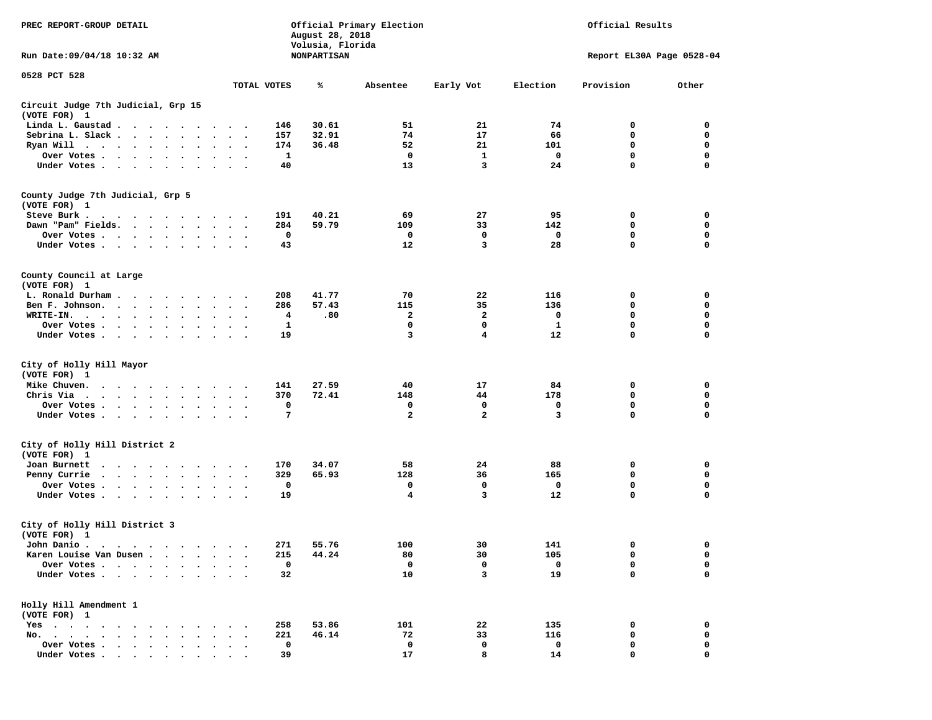| PREC REPORT-GROUP DETAIL<br>Run Date: 09/04/18 10:32 AM                                                                          |                                                    | August 28, 2018<br>Volusia, Florida<br><b>NONPARTISAN</b> | Official Primary Election |                |           | Official Results<br>Report EL30A Page 0528-04 |                  |
|----------------------------------------------------------------------------------------------------------------------------------|----------------------------------------------------|-----------------------------------------------------------|---------------------------|----------------|-----------|-----------------------------------------------|------------------|
| 0528 PCT 528                                                                                                                     |                                                    |                                                           |                           |                |           |                                               |                  |
|                                                                                                                                  | TOTAL VOTES                                        | ℁                                                         | Absentee                  | Early Vot      | Election  | Provision                                     | Other            |
| Circuit Judge 7th Judicial, Grp 15<br>(VOTE FOR) 1                                                                               |                                                    |                                                           |                           |                |           |                                               |                  |
| Linda L. Gaustad                                                                                                                 | 146                                                | 30.61                                                     | 51                        | 21             | 74        | 0                                             | 0                |
| Sebrina L. Slack<br>$\ddot{\phantom{0}}$<br>$\bullet$                                                                            | 157<br>$\ddot{\phantom{1}}$                        | 32.91                                                     | 74                        | 17             | 66        | 0                                             | 0                |
| Ryan Will $\cdots$ , $\cdots$ , $\cdots$                                                                                         | 174                                                | 36.48                                                     | 52                        | 21             | 101       | 0                                             | 0                |
| Over Votes                                                                                                                       | 1<br>$\sim$                                        |                                                           | 0                         | $\mathbf{1}$   | 0         | 0                                             | 0                |
| Under Votes                                                                                                                      | 40                                                 |                                                           | 13                        | 3              | 24        | 0                                             | $\mathbf 0$      |
| County Judge 7th Judicial, Grp 5                                                                                                 |                                                    |                                                           |                           |                |           |                                               |                  |
| (VOTE FOR) 1                                                                                                                     |                                                    |                                                           |                           |                |           |                                               |                  |
| Steve Burk .<br>$\cdots$                                                                                                         | 191<br>$\bullet$                                   | 40.21                                                     | 69                        | 27             | 95        | 0                                             | 0                |
| Dawn "Pam" Fields.                                                                                                               | 284<br>$\ddot{\phantom{1}}$                        | 59.79                                                     | 109                       | 33             | 142       | 0                                             | 0                |
| Over Votes                                                                                                                       | 0                                                  |                                                           | 0<br>12                   | 0<br>3         | 0<br>28   | 0<br>$\mathbf 0$                              | 0<br>$\mathbf 0$ |
| Under Votes                                                                                                                      | 43                                                 |                                                           |                           |                |           |                                               |                  |
| County Council at Large                                                                                                          |                                                    |                                                           |                           |                |           |                                               |                  |
| (VOTE FOR) 1<br>L. Ronald Durham                                                                                                 | 208                                                | 41.77                                                     | 70                        | 22             | 116       | 0                                             | 0                |
| Ben F. Johnson.                                                                                                                  | <b>Contract Contract Contract</b><br>286<br>$\sim$ | 57.43                                                     | 115                       | 35             | 136       | 0                                             | 0                |
| $\sim$ $\sim$<br>WRITE-IN.                                                                                                       | 4                                                  | .80                                                       | 2                         | 2              | 0         | 0                                             | $\mathbf 0$      |
| Over Votes                                                                                                                       | 1                                                  |                                                           | $\mathbf 0$               | $\mathbf 0$    | ${\bf 1}$ | $\mathbf 0$                                   | $\mathbf 0$      |
| $\bullet$<br>Under Votes                                                                                                         | $\bullet$<br>19                                    |                                                           | 3                         | 4              | 12        | 0                                             | $\mathbf 0$      |
|                                                                                                                                  |                                                    |                                                           |                           |                |           |                                               |                  |
| City of Holly Hill Mayor<br>(VOTE FOR) 1                                                                                         |                                                    |                                                           |                           |                |           |                                               |                  |
| Mike Chuven.<br>$\cdots$                                                                                                         | 141                                                | 27.59                                                     | 40                        | 17             | 84        | 0                                             | 0                |
| Chris Via<br>$\mathbf{r}$ , $\mathbf{r}$ , $\mathbf{r}$ , $\mathbf{r}$ , $\mathbf{r}$ , $\mathbf{r}$<br>$\bullet$ .<br>$\bullet$ | 370<br>$\bullet$ .<br>$\cdot$                      | 72.41                                                     | 148                       | 44             | 178       | 0                                             | 0                |
| Over Votes<br>$\bullet$<br>$\bullet$ .                                                                                           | 0                                                  |                                                           | 0                         | 0              | 0         | 0                                             | 0                |
| Under Votes                                                                                                                      | 7<br>$\cdot$ .                                     |                                                           | $\overline{a}$            | $\overline{a}$ | 3         | $\mathbf 0$                                   | $\mathbf 0$      |
| City of Holly Hill District 2                                                                                                    |                                                    |                                                           |                           |                |           |                                               |                  |
| (VOTE FOR) 1                                                                                                                     |                                                    |                                                           |                           |                |           |                                               |                  |
| Joan Burnett                                                                                                                     | 170                                                | 34.07                                                     | 58                        | 24             | 88        | 0                                             | 0                |
| Penny Currie                                                                                                                     | 329<br>$\cdot$ .                                   | 65.93                                                     | 128                       | 36             | 165       | 0                                             | 0                |
| Over Votes                                                                                                                       | 0                                                  |                                                           | 0                         | 0              | 0         | 0                                             | 0                |
| Under Votes                                                                                                                      | 19                                                 |                                                           | 4                         | 3              | 12        | 0                                             | $\mathbf 0$      |
| City of Holly Hill District 3                                                                                                    |                                                    |                                                           |                           |                |           |                                               |                  |
| (VOTE FOR) 1                                                                                                                     |                                                    |                                                           | 100                       |                |           |                                               |                  |
| John Danio .                                                                                                                     | 271                                                | 55.76                                                     |                           | 30             | 141       | $\mathbf{0}$<br>0                             | $\mathbf 0$      |
| Karen Louise Van Dusen.<br>$\sim$                                                                                                | 215                                                | 44.24                                                     | 80                        | 30             | 105       |                                               | 0                |
| Over Votes.<br>$\ddot{\phantom{a}}$                                                                                              | 0                                                  |                                                           | $\mathbf 0$               | 0              | 0         | $\mathbf 0$                                   | 0                |
| Under Votes                                                                                                                      | 32                                                 |                                                           | 10                        | 3              | 19        | 0                                             | 0                |
| Holly Hill Amendment 1<br>(VOTE FOR) 1                                                                                           |                                                    |                                                           |                           |                |           |                                               |                  |
| $Yes \cdot \cdot \cdot$<br>$\sim$ $\sim$ $\sim$ $\sim$<br>$\bullet$                                                              | 258                                                | 53.86                                                     | 101                       | 22             | 135       | 0                                             | 0                |
| $No.$ $\cdot$ $\cdot$ $\cdot$<br>$\sim$ $\sim$ $\sim$ $\sim$ $\sim$<br>$\ddot{\phantom{a}}$                                      | 221                                                | 46.14                                                     | 72                        | 33             | 116       | 0                                             | 0                |
| Over Votes .<br>$\cdot$ $\cdot$ $\cdot$ $\cdot$ $\cdot$                                                                          | 0                                                  |                                                           | 0                         | 0              | 0         | 0                                             | 0                |
| Under Votes.                                                                                                                     | 39                                                 |                                                           | 17                        | 8              | 14        | $\mathbf 0$                                   | $\mathbf 0$      |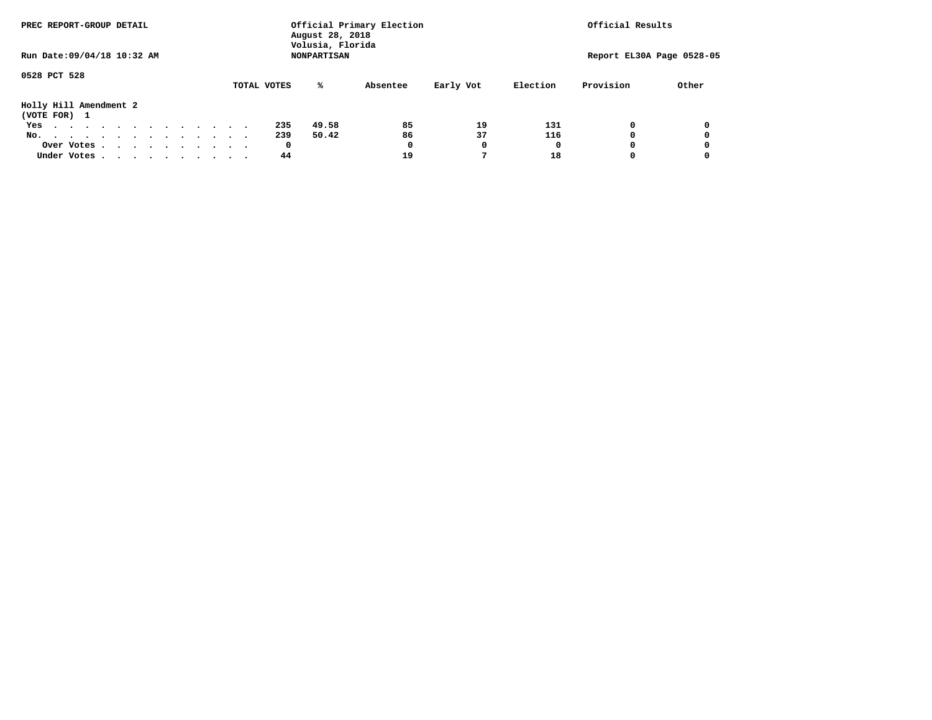|                                        | PREC REPORT-GROUP DETAIL |  |  |  |  |  |  |  |  |             | August 28, 2018                        | Official Primary Election | Official Results |          |                           |       |
|----------------------------------------|--------------------------|--|--|--|--|--|--|--|--|-------------|----------------------------------------|---------------------------|------------------|----------|---------------------------|-------|
| Run Date: 09/04/18 10:32 AM            |                          |  |  |  |  |  |  |  |  |             | Volusia, Florida<br><b>NONPARTISAN</b> |                           |                  |          | Report EL30A Page 0528-05 |       |
| 0528 PCT 528                           |                          |  |  |  |  |  |  |  |  | TOTAL VOTES | ℁                                      | Absentee                  | Early Vot        | Election | Provision                 | Other |
| Holly Hill Amendment 2<br>(VOTE FOR) 1 |                          |  |  |  |  |  |  |  |  |             |                                        |                           |                  |          |                           |       |
| Yes                                    |                          |  |  |  |  |  |  |  |  | 235         | 49.58                                  | 85                        | 19               | 131      | 0                         | 0     |
| No.                                    |                          |  |  |  |  |  |  |  |  | 239         | 50.42                                  | 86                        | 37               | 116      | o                         | 0     |
|                                        | Over Votes               |  |  |  |  |  |  |  |  | 0           |                                        | 0                         | 0                |          |                           | 0     |
| Under Votes                            |                          |  |  |  |  |  |  |  |  | 44          |                                        | 19                        |                  | 18       |                           |       |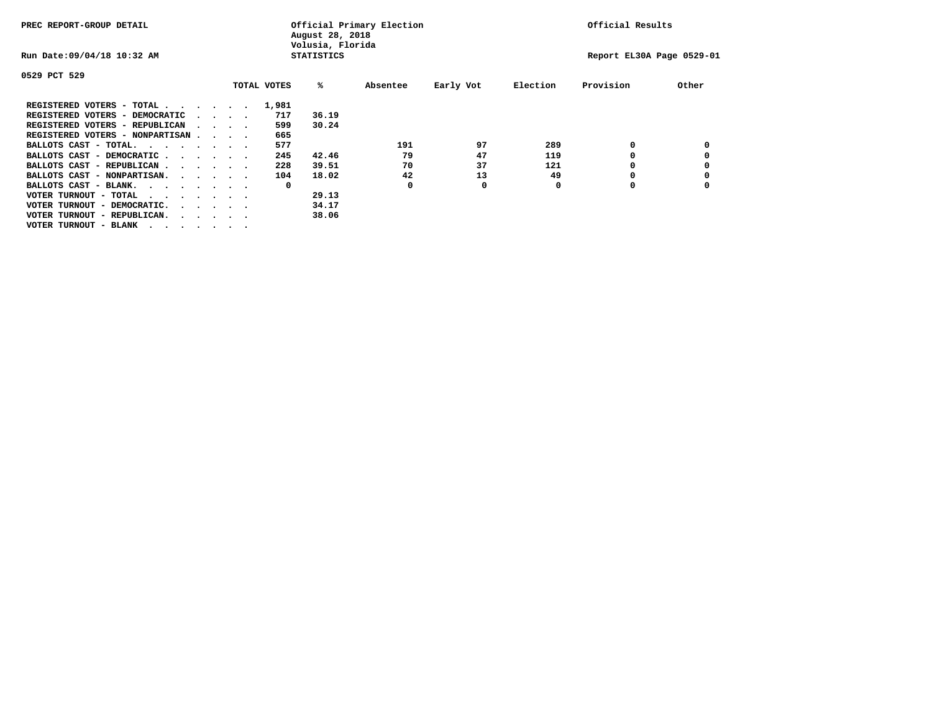| PREC REPORT-GROUP DETAIL               |  |                                         | August 28, 2018<br>Volusia, Florida | Official Primary Election |          | Official Results |          |                           |       |
|----------------------------------------|--|-----------------------------------------|-------------------------------------|---------------------------|----------|------------------|----------|---------------------------|-------|
| Run Date: 09/04/18 10:32 AM            |  |                                         |                                     | <b>STATISTICS</b>         |          |                  |          | Report EL30A Page 0529-01 |       |
| 0529 PCT 529                           |  |                                         |                                     |                           |          |                  |          |                           |       |
|                                        |  |                                         | TOTAL VOTES                         | %ะ                        | Absentee | Early Vot        | Election | Provision                 | Other |
| REGISTERED VOTERS - TOTAL              |  |                                         | 1,981                               |                           |          |                  |          |                           |       |
| REGISTERED VOTERS - DEMOCRATIC         |  | $\sim$ $\sim$ $\sim$ $\sim$             | 717                                 | 36.19                     |          |                  |          |                           |       |
| REGISTERED VOTERS - REPUBLICAN         |  |                                         | 599                                 | 30.24                     |          |                  |          |                           |       |
| REGISTERED VOTERS - NONPARTISAN        |  |                                         | 665                                 |                           |          |                  |          |                           |       |
| BALLOTS CAST - TOTAL.                  |  |                                         | 577                                 |                           | 191      | 97               | 289      | 0                         |       |
| BALLOTS CAST - DEMOCRATIC              |  |                                         | 245                                 | 42.46                     | 79       | 47               | 119      |                           |       |
| BALLOTS CAST - REPUBLICAN              |  |                                         | 228                                 | 39.51                     | 70       | 37               | 121      | 0                         |       |
| BALLOTS CAST - NONPARTISAN.            |  |                                         | 104                                 | 18.02                     | 42       | 13               | 49       |                           |       |
| BALLOTS CAST - BLANK.                  |  |                                         | 0                                   |                           | 0        | 0                | 0        | 0                         |       |
| VOTER TURNOUT - TOTAL<br>$\cdots$      |  |                                         |                                     | 29.13                     |          |                  |          |                           |       |
| VOTER TURNOUT - DEMOCRATIC.            |  | $\cdot$ $\cdot$ $\cdot$ $\cdot$ $\cdot$ |                                     | 34.17                     |          |                  |          |                           |       |
| VOTER TURNOUT - REPUBLICAN.<br>$\cdot$ |  |                                         |                                     | 38.06                     |          |                  |          |                           |       |
| VOTER TURNOUT - BLANK                  |  |                                         |                                     |                           |          |                  |          |                           |       |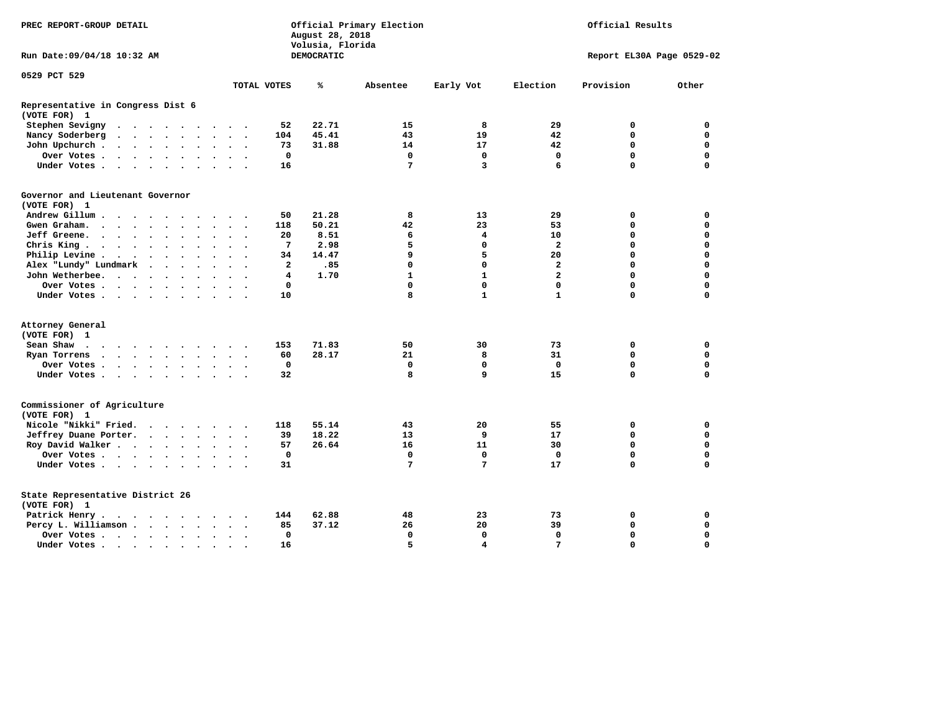| DEMOCRATIC<br>Run Date:09/04/18 10:32 AM<br>Report EL30A Page 0529-02<br>0529 PCT 529<br>Early Vot<br>Election<br>Provision<br>Other<br>TOTAL VOTES<br>℁<br>Absentee<br>Representative in Congress Dist 6<br>(VOTE FOR) 1<br>22.71<br>8<br>29<br>Stephen Sevigny<br>52<br>15<br>0<br>0<br>$\cdots$<br>45.41<br>43<br>19<br>42<br>Nancy Soderberg<br>104<br>0<br>0<br>42<br>$\mathbf 0$<br>31.88<br>14<br>17<br>$\mathbf 0$<br>John Upchurch<br>73<br>$\sim$ $\sim$<br>$\mathbf 0$<br>$\mathbf 0$<br>$\mathbf 0$<br>$\mathbf{o}$<br>$\mathbf 0$<br>$\mathbf 0$<br>Over Votes<br>$\sim$ $\sim$ $\sim$<br>7<br>$\Omega$<br>$\overline{\mathbf{3}}$<br>6<br>$\Omega$<br>Under Votes<br>16<br>Governor and Lieutenant Governor<br>(VOTE FOR) 1<br>Andrew Gillum<br>50<br>21.28<br>8<br>13<br>29<br>0<br>0<br>50.21<br>23<br>53<br>$\Omega$<br>$\mathbf 0$<br>Gwen Graham.<br>118<br>42<br>$\ddotsc$ $\ddotsc$<br>20<br>8.51<br>6<br>4<br>10<br>$\Omega$<br>$\mathbf 0$<br>Jeff Greene.<br>$\ddot{\phantom{a}}$<br>5<br>2.98<br>$\mathbf{z}$<br>Chris King<br>7<br>$\mathbf 0$<br>$\mathbf 0$<br>$\mathbf 0$<br>$\ddot{\phantom{1}}$<br>9<br>5<br>14.47<br>20<br>$\mathbf 0$<br>$\mathbf 0$<br>Philip Levine.<br>$\mathbf{r}$ . The contract of the contract of the contract of the contract of the contract of the contract of the contract of the contract of the contract of the contract of the contract of the contract of the contract of th<br>34<br>$\sim$ $\sim$<br>$\sim$<br>$\mathbf 0$<br>$\mathbf 0$<br>$\mathbf{2}$<br>$\mathbf 0$<br>$\mathbf 0$<br>Alex "Lundy" Lundmark<br>$\overline{a}$<br>.85<br>$\ddot{\phantom{0}}$<br>$\mathbf{1}$<br>$\mathbf{1}$<br>$\overline{a}$<br>1.70<br>$\mathbf 0$<br>$\mathbf 0$<br>John Wetherbee.<br>4<br>$\ddot{\phantom{a}}$<br>$\ddot{\phantom{a}}$<br>$\mathbf 0$<br>$\mathbf 0$<br>$\mathbf 0$<br>$\Omega$<br>$\mathbf 0$<br>$\mathbf 0$<br>Over Votes<br>$\sim$<br>8<br>$\mathbf{1}$<br>$\mathbf{1}$<br>$\Omega$<br>$\mathbf 0$<br>Under Votes<br>10<br>Attorney General<br>(VOTE FOR) 1<br>153<br>71.83<br>50<br>30<br>73<br>0<br>0<br>Sean Shaw<br>28.17<br>21<br>8<br>$\mathbf 0$<br>$\mathbf 0$<br>Ryan Torrens<br>60<br>31<br>$\cdots$<br>$\ddot{\phantom{1}}$<br>$\mathbf 0$<br>$\mathbf 0$<br>$\mathbf 0$<br>$\mathbf 0$<br>$\mathbf 0$<br>Over Votes<br>0<br>8<br>9<br>32<br>15<br>$\mathbf 0$<br>$\mathbf 0$<br>Under Votes<br>$\sim$ $\sim$<br>Commissioner of Agriculture<br>(VOTE FOR) 1<br>Nicole "Nikki" Fried.<br>118<br>55.14<br>20<br>55<br>0<br>0<br>43<br>Jeffrey Duane Porter.<br>39<br>18.22<br>13<br>9<br>17<br>0<br>0<br>Roy David Walker<br>16<br>11<br>30<br>$\mathbf 0$<br>$\mathbf 0$<br>57<br>26.64<br>$\mathbf 0$<br>$\mathbf 0$<br>$\mathbf 0$<br>$\Omega$<br>$\mathbf 0$<br>$\mathbf 0$<br>Over Votes<br>$\sim$<br>7<br>7<br>$\Omega$<br>$\mathbf 0$<br>Under Votes<br>31<br>17<br>State Representative District 26<br>(VOTE FOR) 1<br>Patrick Henry.<br>62.88<br>48<br>23<br>73<br>0<br>0<br>144<br>.<br>37.12<br>26<br>20<br>39<br>$\mathbf 0$<br>$\mathbf 0$<br>Percy L. Williamson<br>85<br>$\sim$<br>$\sim$ $\sim$<br>$\mathbf 0$<br>$\mathbf 0$<br>$\mathbf 0$<br>$\mathbf 0$<br>$\mathbf 0$<br>$\mathbf 0$<br>Over Votes<br>$\bullet$<br>5<br>$\overline{\mathbf{4}}$<br>$7\phantom{.0}$<br>$\Omega$<br>$\Omega$<br>Under Votes<br>16 | PREC REPORT-GROUP DETAIL |  |  |  |  |  |  |  | August 28, 2018<br>Volusia, Florida | Official Primary Election | Official Results |  |  |
|--------------------------------------------------------------------------------------------------------------------------------------------------------------------------------------------------------------------------------------------------------------------------------------------------------------------------------------------------------------------------------------------------------------------------------------------------------------------------------------------------------------------------------------------------------------------------------------------------------------------------------------------------------------------------------------------------------------------------------------------------------------------------------------------------------------------------------------------------------------------------------------------------------------------------------------------------------------------------------------------------------------------------------------------------------------------------------------------------------------------------------------------------------------------------------------------------------------------------------------------------------------------------------------------------------------------------------------------------------------------------------------------------------------------------------------------------------------------------------------------------------------------------------------------------------------------------------------------------------------------------------------------------------------------------------------------------------------------------------------------------------------------------------------------------------------------------------------------------------------------------------------------------------------------------------------------------------------------------------------------------------------------------------------------------------------------------------------------------------------------------------------------------------------------------------------------------------------------------------------------------------------------------------------------------------------------------------------------------------------------------------------------------------------------------------------------------------------------------------------------------------------------------------------------------------------------------------------------------------------------------------------------------------------------------------------------------------------------------------------------------------------------------------------------------------------------------------------------------------------------------------------------------------------------------------------------------------------------------------------------------------------------------------------------------------------------------------------------------------------------------------------------------------------------------------------------------------------------------------------------------------------------------------------------------------------------------------|--------------------------|--|--|--|--|--|--|--|-------------------------------------|---------------------------|------------------|--|--|
|                                                                                                                                                                                                                                                                                                                                                                                                                                                                                                                                                                                                                                                                                                                                                                                                                                                                                                                                                                                                                                                                                                                                                                                                                                                                                                                                                                                                                                                                                                                                                                                                                                                                                                                                                                                                                                                                                                                                                                                                                                                                                                                                                                                                                                                                                                                                                                                                                                                                                                                                                                                                                                                                                                                                                                                                                                                                                                                                                                                                                                                                                                                                                                                                                                                                                                                                |                          |  |  |  |  |  |  |  |                                     |                           |                  |  |  |
|                                                                                                                                                                                                                                                                                                                                                                                                                                                                                                                                                                                                                                                                                                                                                                                                                                                                                                                                                                                                                                                                                                                                                                                                                                                                                                                                                                                                                                                                                                                                                                                                                                                                                                                                                                                                                                                                                                                                                                                                                                                                                                                                                                                                                                                                                                                                                                                                                                                                                                                                                                                                                                                                                                                                                                                                                                                                                                                                                                                                                                                                                                                                                                                                                                                                                                                                |                          |  |  |  |  |  |  |  |                                     |                           |                  |  |  |
|                                                                                                                                                                                                                                                                                                                                                                                                                                                                                                                                                                                                                                                                                                                                                                                                                                                                                                                                                                                                                                                                                                                                                                                                                                                                                                                                                                                                                                                                                                                                                                                                                                                                                                                                                                                                                                                                                                                                                                                                                                                                                                                                                                                                                                                                                                                                                                                                                                                                                                                                                                                                                                                                                                                                                                                                                                                                                                                                                                                                                                                                                                                                                                                                                                                                                                                                |                          |  |  |  |  |  |  |  |                                     |                           |                  |  |  |
|                                                                                                                                                                                                                                                                                                                                                                                                                                                                                                                                                                                                                                                                                                                                                                                                                                                                                                                                                                                                                                                                                                                                                                                                                                                                                                                                                                                                                                                                                                                                                                                                                                                                                                                                                                                                                                                                                                                                                                                                                                                                                                                                                                                                                                                                                                                                                                                                                                                                                                                                                                                                                                                                                                                                                                                                                                                                                                                                                                                                                                                                                                                                                                                                                                                                                                                                |                          |  |  |  |  |  |  |  |                                     |                           |                  |  |  |
|                                                                                                                                                                                                                                                                                                                                                                                                                                                                                                                                                                                                                                                                                                                                                                                                                                                                                                                                                                                                                                                                                                                                                                                                                                                                                                                                                                                                                                                                                                                                                                                                                                                                                                                                                                                                                                                                                                                                                                                                                                                                                                                                                                                                                                                                                                                                                                                                                                                                                                                                                                                                                                                                                                                                                                                                                                                                                                                                                                                                                                                                                                                                                                                                                                                                                                                                |                          |  |  |  |  |  |  |  |                                     |                           |                  |  |  |
|                                                                                                                                                                                                                                                                                                                                                                                                                                                                                                                                                                                                                                                                                                                                                                                                                                                                                                                                                                                                                                                                                                                                                                                                                                                                                                                                                                                                                                                                                                                                                                                                                                                                                                                                                                                                                                                                                                                                                                                                                                                                                                                                                                                                                                                                                                                                                                                                                                                                                                                                                                                                                                                                                                                                                                                                                                                                                                                                                                                                                                                                                                                                                                                                                                                                                                                                |                          |  |  |  |  |  |  |  |                                     |                           |                  |  |  |
|                                                                                                                                                                                                                                                                                                                                                                                                                                                                                                                                                                                                                                                                                                                                                                                                                                                                                                                                                                                                                                                                                                                                                                                                                                                                                                                                                                                                                                                                                                                                                                                                                                                                                                                                                                                                                                                                                                                                                                                                                                                                                                                                                                                                                                                                                                                                                                                                                                                                                                                                                                                                                                                                                                                                                                                                                                                                                                                                                                                                                                                                                                                                                                                                                                                                                                                                |                          |  |  |  |  |  |  |  |                                     |                           |                  |  |  |
|                                                                                                                                                                                                                                                                                                                                                                                                                                                                                                                                                                                                                                                                                                                                                                                                                                                                                                                                                                                                                                                                                                                                                                                                                                                                                                                                                                                                                                                                                                                                                                                                                                                                                                                                                                                                                                                                                                                                                                                                                                                                                                                                                                                                                                                                                                                                                                                                                                                                                                                                                                                                                                                                                                                                                                                                                                                                                                                                                                                                                                                                                                                                                                                                                                                                                                                                |                          |  |  |  |  |  |  |  |                                     |                           |                  |  |  |
|                                                                                                                                                                                                                                                                                                                                                                                                                                                                                                                                                                                                                                                                                                                                                                                                                                                                                                                                                                                                                                                                                                                                                                                                                                                                                                                                                                                                                                                                                                                                                                                                                                                                                                                                                                                                                                                                                                                                                                                                                                                                                                                                                                                                                                                                                                                                                                                                                                                                                                                                                                                                                                                                                                                                                                                                                                                                                                                                                                                                                                                                                                                                                                                                                                                                                                                                |                          |  |  |  |  |  |  |  |                                     |                           |                  |  |  |
|                                                                                                                                                                                                                                                                                                                                                                                                                                                                                                                                                                                                                                                                                                                                                                                                                                                                                                                                                                                                                                                                                                                                                                                                                                                                                                                                                                                                                                                                                                                                                                                                                                                                                                                                                                                                                                                                                                                                                                                                                                                                                                                                                                                                                                                                                                                                                                                                                                                                                                                                                                                                                                                                                                                                                                                                                                                                                                                                                                                                                                                                                                                                                                                                                                                                                                                                |                          |  |  |  |  |  |  |  |                                     |                           |                  |  |  |
|                                                                                                                                                                                                                                                                                                                                                                                                                                                                                                                                                                                                                                                                                                                                                                                                                                                                                                                                                                                                                                                                                                                                                                                                                                                                                                                                                                                                                                                                                                                                                                                                                                                                                                                                                                                                                                                                                                                                                                                                                                                                                                                                                                                                                                                                                                                                                                                                                                                                                                                                                                                                                                                                                                                                                                                                                                                                                                                                                                                                                                                                                                                                                                                                                                                                                                                                |                          |  |  |  |  |  |  |  |                                     |                           |                  |  |  |
|                                                                                                                                                                                                                                                                                                                                                                                                                                                                                                                                                                                                                                                                                                                                                                                                                                                                                                                                                                                                                                                                                                                                                                                                                                                                                                                                                                                                                                                                                                                                                                                                                                                                                                                                                                                                                                                                                                                                                                                                                                                                                                                                                                                                                                                                                                                                                                                                                                                                                                                                                                                                                                                                                                                                                                                                                                                                                                                                                                                                                                                                                                                                                                                                                                                                                                                                |                          |  |  |  |  |  |  |  |                                     |                           |                  |  |  |
|                                                                                                                                                                                                                                                                                                                                                                                                                                                                                                                                                                                                                                                                                                                                                                                                                                                                                                                                                                                                                                                                                                                                                                                                                                                                                                                                                                                                                                                                                                                                                                                                                                                                                                                                                                                                                                                                                                                                                                                                                                                                                                                                                                                                                                                                                                                                                                                                                                                                                                                                                                                                                                                                                                                                                                                                                                                                                                                                                                                                                                                                                                                                                                                                                                                                                                                                |                          |  |  |  |  |  |  |  |                                     |                           |                  |  |  |
|                                                                                                                                                                                                                                                                                                                                                                                                                                                                                                                                                                                                                                                                                                                                                                                                                                                                                                                                                                                                                                                                                                                                                                                                                                                                                                                                                                                                                                                                                                                                                                                                                                                                                                                                                                                                                                                                                                                                                                                                                                                                                                                                                                                                                                                                                                                                                                                                                                                                                                                                                                                                                                                                                                                                                                                                                                                                                                                                                                                                                                                                                                                                                                                                                                                                                                                                |                          |  |  |  |  |  |  |  |                                     |                           |                  |  |  |
|                                                                                                                                                                                                                                                                                                                                                                                                                                                                                                                                                                                                                                                                                                                                                                                                                                                                                                                                                                                                                                                                                                                                                                                                                                                                                                                                                                                                                                                                                                                                                                                                                                                                                                                                                                                                                                                                                                                                                                                                                                                                                                                                                                                                                                                                                                                                                                                                                                                                                                                                                                                                                                                                                                                                                                                                                                                                                                                                                                                                                                                                                                                                                                                                                                                                                                                                |                          |  |  |  |  |  |  |  |                                     |                           |                  |  |  |
|                                                                                                                                                                                                                                                                                                                                                                                                                                                                                                                                                                                                                                                                                                                                                                                                                                                                                                                                                                                                                                                                                                                                                                                                                                                                                                                                                                                                                                                                                                                                                                                                                                                                                                                                                                                                                                                                                                                                                                                                                                                                                                                                                                                                                                                                                                                                                                                                                                                                                                                                                                                                                                                                                                                                                                                                                                                                                                                                                                                                                                                                                                                                                                                                                                                                                                                                |                          |  |  |  |  |  |  |  |                                     |                           |                  |  |  |
|                                                                                                                                                                                                                                                                                                                                                                                                                                                                                                                                                                                                                                                                                                                                                                                                                                                                                                                                                                                                                                                                                                                                                                                                                                                                                                                                                                                                                                                                                                                                                                                                                                                                                                                                                                                                                                                                                                                                                                                                                                                                                                                                                                                                                                                                                                                                                                                                                                                                                                                                                                                                                                                                                                                                                                                                                                                                                                                                                                                                                                                                                                                                                                                                                                                                                                                                |                          |  |  |  |  |  |  |  |                                     |                           |                  |  |  |
|                                                                                                                                                                                                                                                                                                                                                                                                                                                                                                                                                                                                                                                                                                                                                                                                                                                                                                                                                                                                                                                                                                                                                                                                                                                                                                                                                                                                                                                                                                                                                                                                                                                                                                                                                                                                                                                                                                                                                                                                                                                                                                                                                                                                                                                                                                                                                                                                                                                                                                                                                                                                                                                                                                                                                                                                                                                                                                                                                                                                                                                                                                                                                                                                                                                                                                                                |                          |  |  |  |  |  |  |  |                                     |                           |                  |  |  |
|                                                                                                                                                                                                                                                                                                                                                                                                                                                                                                                                                                                                                                                                                                                                                                                                                                                                                                                                                                                                                                                                                                                                                                                                                                                                                                                                                                                                                                                                                                                                                                                                                                                                                                                                                                                                                                                                                                                                                                                                                                                                                                                                                                                                                                                                                                                                                                                                                                                                                                                                                                                                                                                                                                                                                                                                                                                                                                                                                                                                                                                                                                                                                                                                                                                                                                                                |                          |  |  |  |  |  |  |  |                                     |                           |                  |  |  |
|                                                                                                                                                                                                                                                                                                                                                                                                                                                                                                                                                                                                                                                                                                                                                                                                                                                                                                                                                                                                                                                                                                                                                                                                                                                                                                                                                                                                                                                                                                                                                                                                                                                                                                                                                                                                                                                                                                                                                                                                                                                                                                                                                                                                                                                                                                                                                                                                                                                                                                                                                                                                                                                                                                                                                                                                                                                                                                                                                                                                                                                                                                                                                                                                                                                                                                                                |                          |  |  |  |  |  |  |  |                                     |                           |                  |  |  |
|                                                                                                                                                                                                                                                                                                                                                                                                                                                                                                                                                                                                                                                                                                                                                                                                                                                                                                                                                                                                                                                                                                                                                                                                                                                                                                                                                                                                                                                                                                                                                                                                                                                                                                                                                                                                                                                                                                                                                                                                                                                                                                                                                                                                                                                                                                                                                                                                                                                                                                                                                                                                                                                                                                                                                                                                                                                                                                                                                                                                                                                                                                                                                                                                                                                                                                                                |                          |  |  |  |  |  |  |  |                                     |                           |                  |  |  |
|                                                                                                                                                                                                                                                                                                                                                                                                                                                                                                                                                                                                                                                                                                                                                                                                                                                                                                                                                                                                                                                                                                                                                                                                                                                                                                                                                                                                                                                                                                                                                                                                                                                                                                                                                                                                                                                                                                                                                                                                                                                                                                                                                                                                                                                                                                                                                                                                                                                                                                                                                                                                                                                                                                                                                                                                                                                                                                                                                                                                                                                                                                                                                                                                                                                                                                                                |                          |  |  |  |  |  |  |  |                                     |                           |                  |  |  |
|                                                                                                                                                                                                                                                                                                                                                                                                                                                                                                                                                                                                                                                                                                                                                                                                                                                                                                                                                                                                                                                                                                                                                                                                                                                                                                                                                                                                                                                                                                                                                                                                                                                                                                                                                                                                                                                                                                                                                                                                                                                                                                                                                                                                                                                                                                                                                                                                                                                                                                                                                                                                                                                                                                                                                                                                                                                                                                                                                                                                                                                                                                                                                                                                                                                                                                                                |                          |  |  |  |  |  |  |  |                                     |                           |                  |  |  |
|                                                                                                                                                                                                                                                                                                                                                                                                                                                                                                                                                                                                                                                                                                                                                                                                                                                                                                                                                                                                                                                                                                                                                                                                                                                                                                                                                                                                                                                                                                                                                                                                                                                                                                                                                                                                                                                                                                                                                                                                                                                                                                                                                                                                                                                                                                                                                                                                                                                                                                                                                                                                                                                                                                                                                                                                                                                                                                                                                                                                                                                                                                                                                                                                                                                                                                                                |                          |  |  |  |  |  |  |  |                                     |                           |                  |  |  |
|                                                                                                                                                                                                                                                                                                                                                                                                                                                                                                                                                                                                                                                                                                                                                                                                                                                                                                                                                                                                                                                                                                                                                                                                                                                                                                                                                                                                                                                                                                                                                                                                                                                                                                                                                                                                                                                                                                                                                                                                                                                                                                                                                                                                                                                                                                                                                                                                                                                                                                                                                                                                                                                                                                                                                                                                                                                                                                                                                                                                                                                                                                                                                                                                                                                                                                                                |                          |  |  |  |  |  |  |  |                                     |                           |                  |  |  |
|                                                                                                                                                                                                                                                                                                                                                                                                                                                                                                                                                                                                                                                                                                                                                                                                                                                                                                                                                                                                                                                                                                                                                                                                                                                                                                                                                                                                                                                                                                                                                                                                                                                                                                                                                                                                                                                                                                                                                                                                                                                                                                                                                                                                                                                                                                                                                                                                                                                                                                                                                                                                                                                                                                                                                                                                                                                                                                                                                                                                                                                                                                                                                                                                                                                                                                                                |                          |  |  |  |  |  |  |  |                                     |                           |                  |  |  |
|                                                                                                                                                                                                                                                                                                                                                                                                                                                                                                                                                                                                                                                                                                                                                                                                                                                                                                                                                                                                                                                                                                                                                                                                                                                                                                                                                                                                                                                                                                                                                                                                                                                                                                                                                                                                                                                                                                                                                                                                                                                                                                                                                                                                                                                                                                                                                                                                                                                                                                                                                                                                                                                                                                                                                                                                                                                                                                                                                                                                                                                                                                                                                                                                                                                                                                                                |                          |  |  |  |  |  |  |  |                                     |                           |                  |  |  |
|                                                                                                                                                                                                                                                                                                                                                                                                                                                                                                                                                                                                                                                                                                                                                                                                                                                                                                                                                                                                                                                                                                                                                                                                                                                                                                                                                                                                                                                                                                                                                                                                                                                                                                                                                                                                                                                                                                                                                                                                                                                                                                                                                                                                                                                                                                                                                                                                                                                                                                                                                                                                                                                                                                                                                                                                                                                                                                                                                                                                                                                                                                                                                                                                                                                                                                                                |                          |  |  |  |  |  |  |  |                                     |                           |                  |  |  |
|                                                                                                                                                                                                                                                                                                                                                                                                                                                                                                                                                                                                                                                                                                                                                                                                                                                                                                                                                                                                                                                                                                                                                                                                                                                                                                                                                                                                                                                                                                                                                                                                                                                                                                                                                                                                                                                                                                                                                                                                                                                                                                                                                                                                                                                                                                                                                                                                                                                                                                                                                                                                                                                                                                                                                                                                                                                                                                                                                                                                                                                                                                                                                                                                                                                                                                                                |                          |  |  |  |  |  |  |  |                                     |                           |                  |  |  |
|                                                                                                                                                                                                                                                                                                                                                                                                                                                                                                                                                                                                                                                                                                                                                                                                                                                                                                                                                                                                                                                                                                                                                                                                                                                                                                                                                                                                                                                                                                                                                                                                                                                                                                                                                                                                                                                                                                                                                                                                                                                                                                                                                                                                                                                                                                                                                                                                                                                                                                                                                                                                                                                                                                                                                                                                                                                                                                                                                                                                                                                                                                                                                                                                                                                                                                                                |                          |  |  |  |  |  |  |  |                                     |                           |                  |  |  |
|                                                                                                                                                                                                                                                                                                                                                                                                                                                                                                                                                                                                                                                                                                                                                                                                                                                                                                                                                                                                                                                                                                                                                                                                                                                                                                                                                                                                                                                                                                                                                                                                                                                                                                                                                                                                                                                                                                                                                                                                                                                                                                                                                                                                                                                                                                                                                                                                                                                                                                                                                                                                                                                                                                                                                                                                                                                                                                                                                                                                                                                                                                                                                                                                                                                                                                                                |                          |  |  |  |  |  |  |  |                                     |                           |                  |  |  |
|                                                                                                                                                                                                                                                                                                                                                                                                                                                                                                                                                                                                                                                                                                                                                                                                                                                                                                                                                                                                                                                                                                                                                                                                                                                                                                                                                                                                                                                                                                                                                                                                                                                                                                                                                                                                                                                                                                                                                                                                                                                                                                                                                                                                                                                                                                                                                                                                                                                                                                                                                                                                                                                                                                                                                                                                                                                                                                                                                                                                                                                                                                                                                                                                                                                                                                                                |                          |  |  |  |  |  |  |  |                                     |                           |                  |  |  |
|                                                                                                                                                                                                                                                                                                                                                                                                                                                                                                                                                                                                                                                                                                                                                                                                                                                                                                                                                                                                                                                                                                                                                                                                                                                                                                                                                                                                                                                                                                                                                                                                                                                                                                                                                                                                                                                                                                                                                                                                                                                                                                                                                                                                                                                                                                                                                                                                                                                                                                                                                                                                                                                                                                                                                                                                                                                                                                                                                                                                                                                                                                                                                                                                                                                                                                                                |                          |  |  |  |  |  |  |  |                                     |                           |                  |  |  |
|                                                                                                                                                                                                                                                                                                                                                                                                                                                                                                                                                                                                                                                                                                                                                                                                                                                                                                                                                                                                                                                                                                                                                                                                                                                                                                                                                                                                                                                                                                                                                                                                                                                                                                                                                                                                                                                                                                                                                                                                                                                                                                                                                                                                                                                                                                                                                                                                                                                                                                                                                                                                                                                                                                                                                                                                                                                                                                                                                                                                                                                                                                                                                                                                                                                                                                                                |                          |  |  |  |  |  |  |  |                                     |                           |                  |  |  |
|                                                                                                                                                                                                                                                                                                                                                                                                                                                                                                                                                                                                                                                                                                                                                                                                                                                                                                                                                                                                                                                                                                                                                                                                                                                                                                                                                                                                                                                                                                                                                                                                                                                                                                                                                                                                                                                                                                                                                                                                                                                                                                                                                                                                                                                                                                                                                                                                                                                                                                                                                                                                                                                                                                                                                                                                                                                                                                                                                                                                                                                                                                                                                                                                                                                                                                                                |                          |  |  |  |  |  |  |  |                                     |                           |                  |  |  |
|                                                                                                                                                                                                                                                                                                                                                                                                                                                                                                                                                                                                                                                                                                                                                                                                                                                                                                                                                                                                                                                                                                                                                                                                                                                                                                                                                                                                                                                                                                                                                                                                                                                                                                                                                                                                                                                                                                                                                                                                                                                                                                                                                                                                                                                                                                                                                                                                                                                                                                                                                                                                                                                                                                                                                                                                                                                                                                                                                                                                                                                                                                                                                                                                                                                                                                                                |                          |  |  |  |  |  |  |  |                                     |                           |                  |  |  |
|                                                                                                                                                                                                                                                                                                                                                                                                                                                                                                                                                                                                                                                                                                                                                                                                                                                                                                                                                                                                                                                                                                                                                                                                                                                                                                                                                                                                                                                                                                                                                                                                                                                                                                                                                                                                                                                                                                                                                                                                                                                                                                                                                                                                                                                                                                                                                                                                                                                                                                                                                                                                                                                                                                                                                                                                                                                                                                                                                                                                                                                                                                                                                                                                                                                                                                                                |                          |  |  |  |  |  |  |  |                                     |                           |                  |  |  |
|                                                                                                                                                                                                                                                                                                                                                                                                                                                                                                                                                                                                                                                                                                                                                                                                                                                                                                                                                                                                                                                                                                                                                                                                                                                                                                                                                                                                                                                                                                                                                                                                                                                                                                                                                                                                                                                                                                                                                                                                                                                                                                                                                                                                                                                                                                                                                                                                                                                                                                                                                                                                                                                                                                                                                                                                                                                                                                                                                                                                                                                                                                                                                                                                                                                                                                                                |                          |  |  |  |  |  |  |  |                                     |                           |                  |  |  |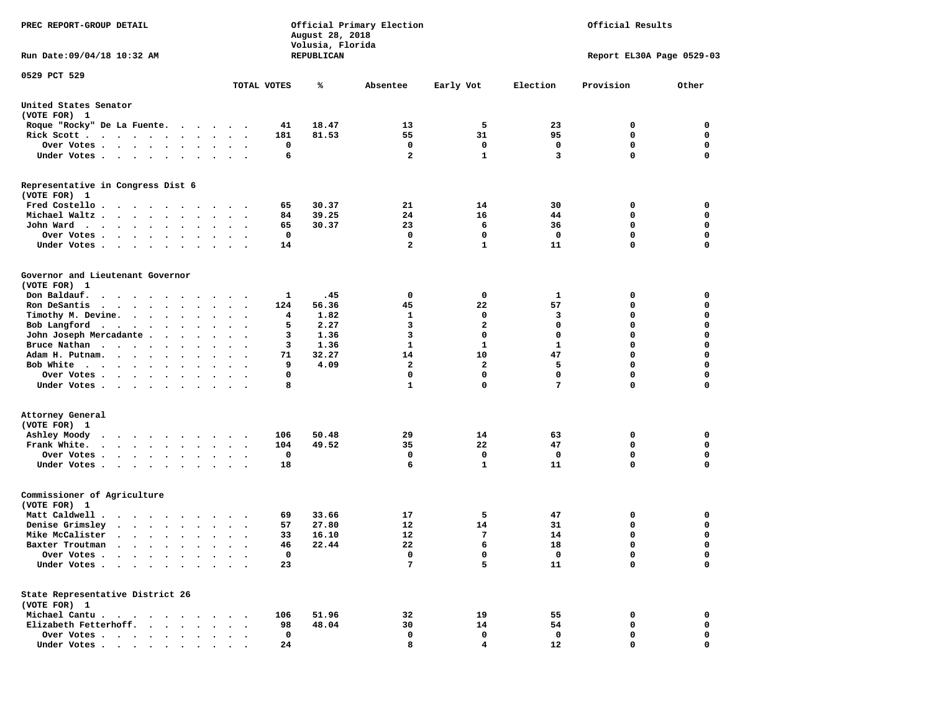| PREC REPORT-GROUP DETAIL                                                                                                   |                                       |         | August 28, 2018<br>Volusia, Florida | Official Primary Election |              |                  | Official Results          |                  |
|----------------------------------------------------------------------------------------------------------------------------|---------------------------------------|---------|-------------------------------------|---------------------------|--------------|------------------|---------------------------|------------------|
| Run Date: 09/04/18 10:32 AM                                                                                                |                                       |         | REPUBLICAN                          |                           |              |                  | Report EL30A Page 0529-03 |                  |
| 0529 PCT 529                                                                                                               | TOTAL VOTES                           |         | ℁                                   | Absentee                  | Early Vot    | Election         | Provision                 | Other            |
| United States Senator<br>(VOTE FOR) 1                                                                                      |                                       |         |                                     |                           |              |                  |                           |                  |
| Roque "Rocky" De La Fuente.                                                                                                |                                       | 41      | 18.47                               | 13                        | 5            | 23               | 0                         | 0                |
| Rick Scott                                                                                                                 |                                       | 181     | 81.53                               | 55                        | 31           | 95               | 0                         | $\mathbf 0$      |
| Over Votes.                                                                                                                |                                       | 0       |                                     | 0                         | 0            | 0                | 0                         | 0                |
| Under Votes                                                                                                                | $\cdots$                              | 6       |                                     | $\overline{a}$            | $\mathbf{1}$ | 3                | 0                         | $\mathbf 0$      |
| Representative in Congress Dist 6<br>(VOTE FOR) 1                                                                          |                                       |         |                                     |                           |              |                  |                           |                  |
| Fred Costello                                                                                                              |                                       | 65      | 30.37                               | 21                        | 14           | 30               | 0                         | 0                |
| Michael Waltz                                                                                                              |                                       | 84      | 39.25                               | 24                        | 16           | 44               | 0                         | 0                |
| John Ward                                                                                                                  | $\cdots$                              | 65      | 30.37                               | 23                        | 6            | 36               | $\mathbf 0$               | $\mathbf 0$      |
| Over Votes .<br>$\mathbf{a}$ , and $\mathbf{a}$ , and $\mathbf{a}$                                                         |                                       | 0       |                                     | 0                         | 0            | 0                | 0                         | 0                |
| Under Votes                                                                                                                |                                       | 14      |                                     | $\overline{2}$            | $\mathbf{1}$ | 11               | 0                         | $\mathbf 0$      |
| Governor and Lieutenant Governor<br>(VOTE FOR) 1                                                                           |                                       |         |                                     |                           |              |                  |                           |                  |
| Don Baldauf.                                                                                                               |                                       | 1       | .45                                 | 0                         | 0            | 1                | 0                         | 0                |
| Ron DeSantis<br>$\cdots$<br>$\ddot{\phantom{0}}$                                                                           | $\ddotsc$                             | 124     | 56.36                               | 45                        | 22           | 57               | 0                         | 0                |
| Timothy M. Devine.                                                                                                         |                                       | 4       | 1.82                                | 1                         | 0            | 3                | 0                         | $\mathbf 0$      |
| Bob Langford<br>$\bullet$                                                                                                  | $\cdot$                               | 5       | 2.27                                | 3                         | $\mathbf{2}$ | $\mathbf 0$      | 0                         | $\mathbf 0$      |
| John Joseph Mercadante                                                                                                     |                                       | з       | 1.36                                | 3                         | 0            | $\mathbf 0$      | 0                         | $\mathbf 0$      |
| Bruce Nathan<br>$\bullet$                                                                                                  |                                       | 3       | 1.36                                | 1                         | $\mathbf{1}$ | $\mathbf{1}$     | 0                         | $\mathbf 0$      |
| Adam H. Putnam.<br>$\sim$ $\sim$ $\sim$ $\sim$                                                                             |                                       | 71      | 32.27                               | 14                        | 10           | 47               | 0                         | 0                |
| Bob White                                                                                                                  |                                       | 9       | 4.09                                | $\mathbf{2}$              | $\mathbf{2}$ | 5                | 0                         | $\mathbf 0$      |
| Over Votes<br>$\bullet$<br>$\bullet$                                                                                       | $\bullet$<br>$\overline{\phantom{a}}$ | 0       |                                     | 0                         | $\mathbf 0$  | $\mathbf 0$<br>7 | 0                         | $\mathbf 0$      |
| Under Votes                                                                                                                | $\sim$ $\sim$                         | 8       |                                     | $\mathbf{1}$              | $\mathbf 0$  |                  | 0                         | 0                |
| Attorney General<br>(VOTE FOR) 1                                                                                           |                                       |         |                                     |                           |              |                  |                           |                  |
| Ashley Moody<br>$\sim$                                                                                                     |                                       | 106     | 50.48                               | 29                        | 14           | 63               | 0                         | 0                |
| Frank White.<br>$\bullet$                                                                                                  | $\bullet$                             | 104     | 49.52                               | 35                        | 22           | 47               | 0                         | $\mathbf 0$      |
| Over Votes<br>$\bullet$                                                                                                    |                                       | 0       |                                     | 0                         | 0            | 0                | 0                         | 0                |
| Under Votes<br>$\ddot{\phantom{0}}$                                                                                        |                                       | 18      |                                     | 6                         | $\mathbf{1}$ | 11               | 0                         | $\mathbf 0$      |
| Commissioner of Agriculture<br>(VOTE FOR) 1                                                                                |                                       |         |                                     |                           |              |                  |                           |                  |
| Matt Caldwell .<br>$\cdots$                                                                                                |                                       | 69      | 33.66                               | 17                        | 5            | 47               | 0                         | 0                |
| Denise Grimsley<br>$\mathbf{r}$ , $\mathbf{r}$ , $\mathbf{r}$ , $\mathbf{r}$ , $\mathbf{r}$                                |                                       | 57      | 27.80                               | 12                        | 14           | 31               | 0                         | 0                |
| Mike McCalister<br>$\cdots$<br>$\ddot{\phantom{0}}$                                                                        | $\cdot$                               | 33      | 16.10                               | 12                        | 7            | 14               | 0                         | $\mathbf 0$      |
| Baxter Troutman<br>.                                                                                                       |                                       | 46      | 22.44                               | 22                        | 6            | 18               | 0                         | 0                |
| Over Votes .<br>$\ddot{\phantom{a}}$<br>Under Votes.<br>$\mathbf{r} = \mathbf{r} + \mathbf{r}$ .<br>$\bullet$<br>$\bullet$ |                                       | 0<br>23 |                                     | 0<br>7                    | 0<br>5       | 0<br>11          | 0<br>0                    | 0<br>$\mathbf 0$ |
|                                                                                                                            |                                       |         |                                     |                           |              |                  |                           |                  |
| State Representative District 26<br>(VOTE FOR) 1                                                                           |                                       |         |                                     |                           |              |                  |                           |                  |
| Michael Cantu.                                                                                                             |                                       | 106     | 51.96                               | 32                        | 19           | 55               | 0                         | 0                |
| Elizabeth Fetterhoff.                                                                                                      |                                       | 98      | 48.04                               | 30                        | 14           | 54               | 0                         | 0                |
| Over Votes<br>$\sim$ $\sim$                                                                                                |                                       | 0       |                                     | 0                         | 0            | 0                | 0                         | 0                |
| Under Votes                                                                                                                |                                       | 24      |                                     | 8                         | 4            | 12               | 0                         | 0                |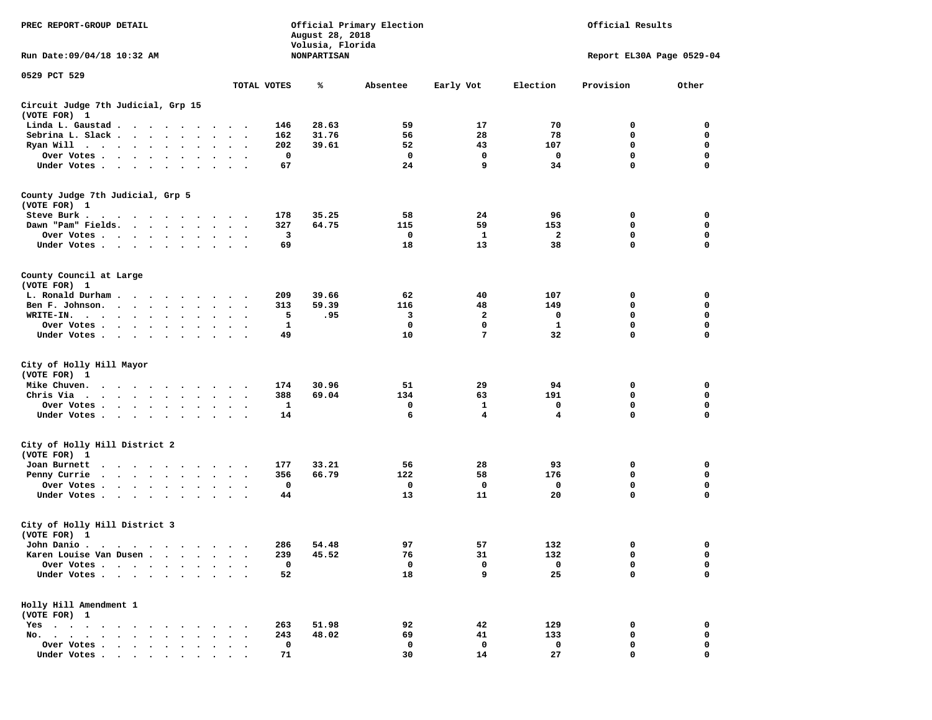| PREC REPORT-GROUP DETAIL<br>Run Date: 09/04/18 10:32 AM                                                                                                                                                                                                         |                                                  | August 28, 2018<br>Volusia, Florida<br><b>NONPARTISAN</b> | Official Primary Election |                 | Official Results<br>Report EL30A Page 0529-04 |              |             |
|-----------------------------------------------------------------------------------------------------------------------------------------------------------------------------------------------------------------------------------------------------------------|--------------------------------------------------|-----------------------------------------------------------|---------------------------|-----------------|-----------------------------------------------|--------------|-------------|
| 0529 PCT 529                                                                                                                                                                                                                                                    |                                                  |                                                           |                           |                 |                                               |              |             |
|                                                                                                                                                                                                                                                                 | TOTAL VOTES                                      | ℁                                                         | Absentee                  | Early Vot       | Election                                      | Provision    | Other       |
| Circuit Judge 7th Judicial, Grp 15<br>(VOTE FOR) 1                                                                                                                                                                                                              |                                                  |                                                           |                           |                 |                                               |              |             |
| Linda L. Gaustad                                                                                                                                                                                                                                                | 146                                              | 28.63                                                     | 59                        | 17              | 70                                            | 0            | 0           |
| Sebrina L. Slack<br>$\sim$                                                                                                                                                                                                                                      | 162<br>$\ddot{\phantom{a}}$<br>$\sim$<br>$\cdot$ | 31.76                                                     | 56                        | 28              | 78                                            | 0            | 0           |
| Ryan Will $\cdots$ $\cdots$                                                                                                                                                                                                                                     | 202                                              | 39.61                                                     | 52                        | 43              | 107                                           | 0            | $\mathbf 0$ |
| Over Votes                                                                                                                                                                                                                                                      | 0<br>$\bullet$                                   |                                                           | $\mathbf 0$               | $\mathbf 0$     | 0                                             | $\mathbf 0$  | $\mathbf 0$ |
| Under Votes                                                                                                                                                                                                                                                     | 67                                               |                                                           | 24                        | 9               | 34                                            | 0            | $\mathbf 0$ |
| County Judge 7th Judicial, Grp 5                                                                                                                                                                                                                                |                                                  |                                                           |                           |                 |                                               |              |             |
| (VOTE FOR) 1                                                                                                                                                                                                                                                    |                                                  |                                                           |                           |                 |                                               |              |             |
| Steve Burk .                                                                                                                                                                                                                                                    | 178<br>$\sim$ $\sim$                             | 35.25                                                     | 58                        | 24              | 96                                            | 0            | 0           |
| Dawn "Pam" Fields.                                                                                                                                                                                                                                              | 327<br>$\ddot{\phantom{1}}$                      | 64.75                                                     | 115                       | 59              | 153                                           | 0            | 0           |
| Over Votes<br>$\bullet$                                                                                                                                                                                                                                         | 3<br>$\cdot$                                     |                                                           | 0                         | 1               | 2                                             | 0            | 0           |
| Under Votes                                                                                                                                                                                                                                                     | 69<br>$\bullet$                                  |                                                           | 18                        | 13              | 38                                            | $\mathbf 0$  | $\mathbf 0$ |
| County Council at Large<br>(VOTE FOR) 1                                                                                                                                                                                                                         |                                                  |                                                           |                           |                 |                                               |              |             |
| L. Ronald Durham                                                                                                                                                                                                                                                | 209<br>$\sim$ $\sim$                             | 39.66                                                     | 62                        | 40              | 107                                           | 0            | 0           |
| Ben F. Johnson.<br>$\sim$ $\sim$                                                                                                                                                                                                                                | 313<br>$\sim$                                    | 59.39                                                     | 116                       | 48              | 149                                           | 0            | 0           |
| WRITE-IN.<br>$\cdots$                                                                                                                                                                                                                                           | 5                                                | .95                                                       | 3                         | 2               | 0                                             | 0            | $\mathbf 0$ |
| Over Votes<br>$\bullet$                                                                                                                                                                                                                                         | 1                                                |                                                           | 0                         | 0               | 1                                             | 0            | $\mathbf 0$ |
| Under Votes                                                                                                                                                                                                                                                     | 49                                               |                                                           | 10                        | $7\phantom{.0}$ | 32                                            | $\mathbf 0$  | $\mathbf 0$ |
|                                                                                                                                                                                                                                                                 |                                                  |                                                           |                           |                 |                                               |              |             |
| City of Holly Hill Mayor<br>(VOTE FOR) 1                                                                                                                                                                                                                        |                                                  |                                                           |                           |                 |                                               |              |             |
| Mike Chuven.<br>$\cdots$                                                                                                                                                                                                                                        | 174<br>$\sim$                                    | 30.96                                                     | 51                        | 29              | 94                                            | 0            | 0           |
| Chris Via                                                                                                                                                                                                                                                       | 388<br>$\ddot{\phantom{1}}$                      | 69.04                                                     | 134                       | 63              | 191                                           | $\mathbf 0$  | 0           |
| Over Votes<br>$\ddot{\phantom{1}}$                                                                                                                                                                                                                              | 1<br>$\ddot{\phantom{1}}$                        |                                                           | 0                         | 1               | 0                                             | 0            | 0           |
| Under Votes                                                                                                                                                                                                                                                     | 14                                               |                                                           | 6                         | 4               | 4                                             | 0            | $\mathbf 0$ |
| City of Holly Hill District 2                                                                                                                                                                                                                                   |                                                  |                                                           |                           |                 |                                               |              |             |
| (VOTE FOR) 1                                                                                                                                                                                                                                                    |                                                  |                                                           |                           |                 |                                               |              |             |
| Joan Burnett                                                                                                                                                                                                                                                    | 177                                              | 33.21                                                     | 56                        | 28              | 93                                            | 0            | 0           |
| Penny Currie<br>$\sim$ $\sim$                                                                                                                                                                                                                                   | 356                                              | 66.79                                                     | 122                       | 58              | 176                                           | 0            | 0           |
| Over Votes                                                                                                                                                                                                                                                      | 0<br>$\bullet$                                   |                                                           | 0                         | 0               | 0                                             | 0            | 0           |
| Under Votes.                                                                                                                                                                                                                                                    | 44                                               |                                                           | 13                        | 11              | 20                                            | 0            | $\mathbf 0$ |
| City of Holly Hill District 3<br>(VOTE FOR) 1                                                                                                                                                                                                                   |                                                  |                                                           |                           |                 |                                               |              |             |
| John Danio.                                                                                                                                                                                                                                                     |                                                  |                                                           |                           |                 |                                               | $\mathbf{0}$ | $^{\circ}$  |
|                                                                                                                                                                                                                                                                 | 286                                              | 54.48<br>45.52                                            | 97                        | 57              | 132                                           | 0            | 0           |
| Karen Louise Van Dusen                                                                                                                                                                                                                                          | 239<br>$\ddot{\phantom{1}}$                      |                                                           | 76                        | 31              | 132                                           |              |             |
| Over Votes<br>$\ddot{\phantom{a}}$                                                                                                                                                                                                                              | 0                                                |                                                           | 0                         | 0               | 0                                             | 0            | 0           |
| Under Votes                                                                                                                                                                                                                                                     | 52                                               |                                                           | 18                        | 9               | 25                                            | $\mathbf 0$  | $\mathbf 0$ |
| Holly Hill Amendment 1<br>(VOTE FOR) 1                                                                                                                                                                                                                          |                                                  |                                                           |                           |                 |                                               |              |             |
| $Yes \t . \t .$<br>$\bullet$<br>$\sim$ . The contract of the contract of the contract of the contract of the contract of the contract of the contract of the contract of the contract of the contract of the contract of the contract of the contract of the co | 263                                              | 51.98                                                     | 92                        | 42              | 129                                           | 0            | 0           |
| No. $\cdot$ $\cdot$ $\cdot$                                                                                                                                                                                                                                     | 243                                              | 48.02                                                     | 69                        | 41              | 133                                           | 0            | 0           |
| Over Votes .<br>$\cdot$ $\cdot$ $\cdot$ $\cdot$ $\cdot$                                                                                                                                                                                                         | 0                                                |                                                           | 0                         | 0               | 0                                             | 0            | 0           |
| Under Votes.                                                                                                                                                                                                                                                    | 71                                               |                                                           | 30                        | 14              | 27                                            | $\mathbf 0$  | $\mathbf 0$ |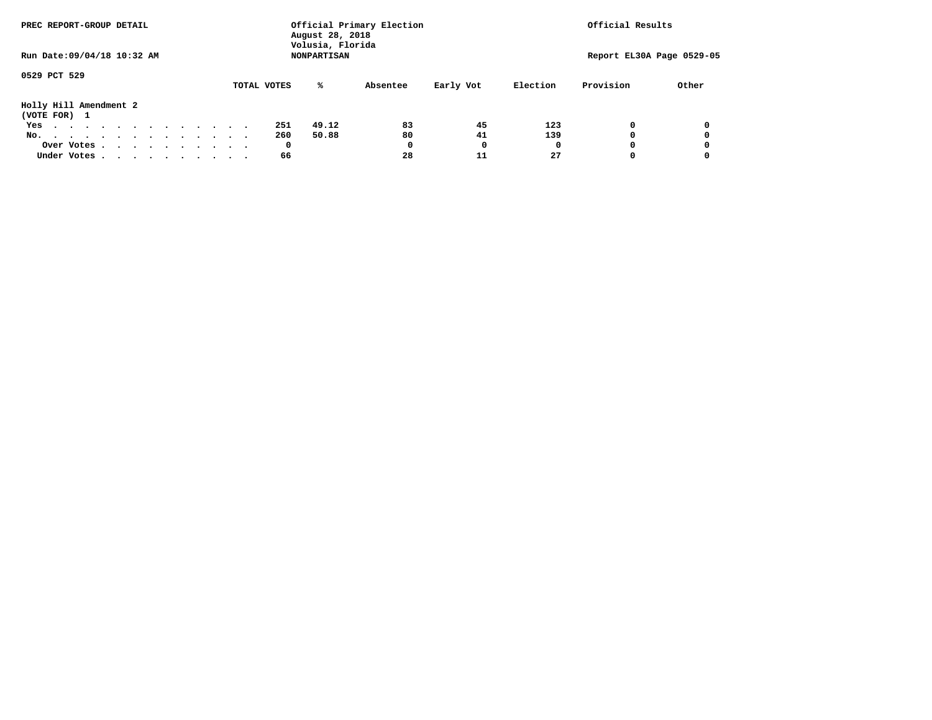|                             | PREC REPORT-GROUP DETAIL |  |  |  |  |  |  |  |  |             | Official Primary Election<br>August 28, 2018 | Official Results |           |          |                           |       |
|-----------------------------|--------------------------|--|--|--|--|--|--|--|--|-------------|----------------------------------------------|------------------|-----------|----------|---------------------------|-------|
| Run Date: 09/04/18 10:32 AM |                          |  |  |  |  |  |  |  |  |             | Volusia, Florida<br><b>NONPARTISAN</b>       |                  |           |          | Report EL30A Page 0529-05 |       |
| 0529 PCT 529                |                          |  |  |  |  |  |  |  |  |             |                                              |                  |           |          |                           |       |
|                             |                          |  |  |  |  |  |  |  |  | TOTAL VOTES | %ะ                                           | Absentee         | Early Vot | Election | Provision                 | Other |
| Holly Hill Amendment 2      |                          |  |  |  |  |  |  |  |  |             |                                              |                  |           |          |                           |       |
| (VOTE FOR) 1                |                          |  |  |  |  |  |  |  |  |             |                                              |                  |           |          |                           |       |
| Yes                         |                          |  |  |  |  |  |  |  |  | 251         | 49.12                                        | 83               | 45        | 123      | $\Omega$                  |       |
| No.                         |                          |  |  |  |  |  |  |  |  | 260         | 50.88                                        | 80               | 41        | 139      | 0                         |       |
|                             | Over Votes               |  |  |  |  |  |  |  |  | 0           |                                              | 0                | 0         |          | $\Omega$                  |       |
| Under Votes.                |                          |  |  |  |  |  |  |  |  | 66          |                                              | 28               | 11        | 27       | 0                         |       |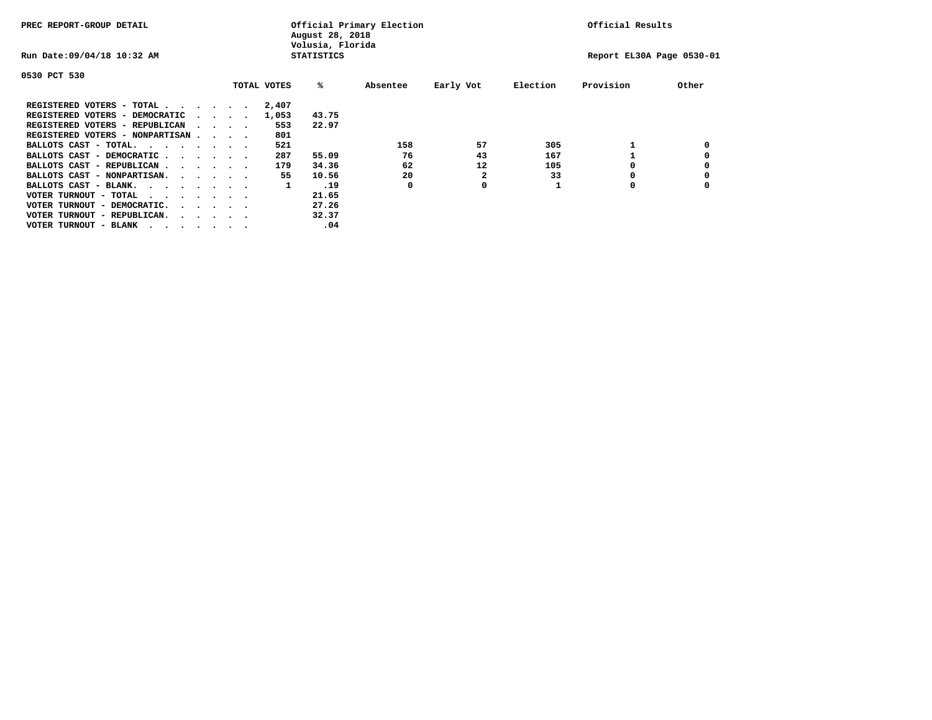| PREC REPORT-GROUP DETAIL                                                                       |  |                                         |             | Official Primary Election<br>August 28, 2018<br>Volusia, Florida |          | Official Results |          |                           |       |
|------------------------------------------------------------------------------------------------|--|-----------------------------------------|-------------|------------------------------------------------------------------|----------|------------------|----------|---------------------------|-------|
| Run Date: 09/04/18 10:32 AM                                                                    |  |                                         |             | <b>STATISTICS</b>                                                |          |                  |          | Report EL30A Page 0530-01 |       |
| 0530 PCT 530                                                                                   |  |                                         |             |                                                                  |          |                  |          |                           |       |
|                                                                                                |  |                                         | TOTAL VOTES | %ะ                                                               | Absentee | Early Vot        | Election | Provision                 | Other |
| REGISTERED VOTERS - TOTAL                                                                      |  |                                         | 2,407       |                                                                  |          |                  |          |                           |       |
| REGISTERED VOTERS - DEMOCRATIC                                                                 |  | $\cdot$ $\cdot$ $\cdot$ $\cdot$ $\cdot$ | 1,053       | 43.75                                                            |          |                  |          |                           |       |
| REGISTERED VOTERS - REPUBLICAN                                                                 |  | $\cdot$ $\cdot$ $\cdot$ $\cdot$         | 553         | 22.97                                                            |          |                  |          |                           |       |
| REGISTERED VOTERS - NONPARTISAN                                                                |  |                                         | 801         |                                                                  |          |                  |          |                           |       |
| BALLOTS CAST - TOTAL.                                                                          |  |                                         | 521         |                                                                  | 158      | 57               | 305      |                           |       |
| BALLOTS CAST - DEMOCRATIC                                                                      |  |                                         | 287         | 55.09                                                            | 76       | 43               | 167      |                           |       |
| BALLOTS CAST - REPUBLICAN                                                                      |  |                                         | 179         | 34.36                                                            | 62       | 12               | 105      |                           |       |
| BALLOTS CAST - NONPARTISAN.                                                                    |  |                                         | 55          | 10.56                                                            | 20       |                  | 33       |                           |       |
| BALLOTS CAST - BLANK.                                                                          |  |                                         | 1           | .19                                                              | 0        | 0                |          | O                         |       |
| VOTER TURNOUT - TOTAL<br>$\mathbf{r}$ , and $\mathbf{r}$ , and $\mathbf{r}$ , and $\mathbf{r}$ |  |                                         |             | 21.65                                                            |          |                  |          |                           |       |
| VOTER TURNOUT - DEMOCRATIC.                                                                    |  | $\cdot$ $\cdot$ $\cdot$ $\cdot$ $\cdot$ |             | 27.26                                                            |          |                  |          |                           |       |
| VOTER TURNOUT - REPUBLICAN.<br>$\cdot$                                                         |  |                                         |             | 32.37                                                            |          |                  |          |                           |       |
| VOTER TURNOUT - BLANK                                                                          |  |                                         |             | .04                                                              |          |                  |          |                           |       |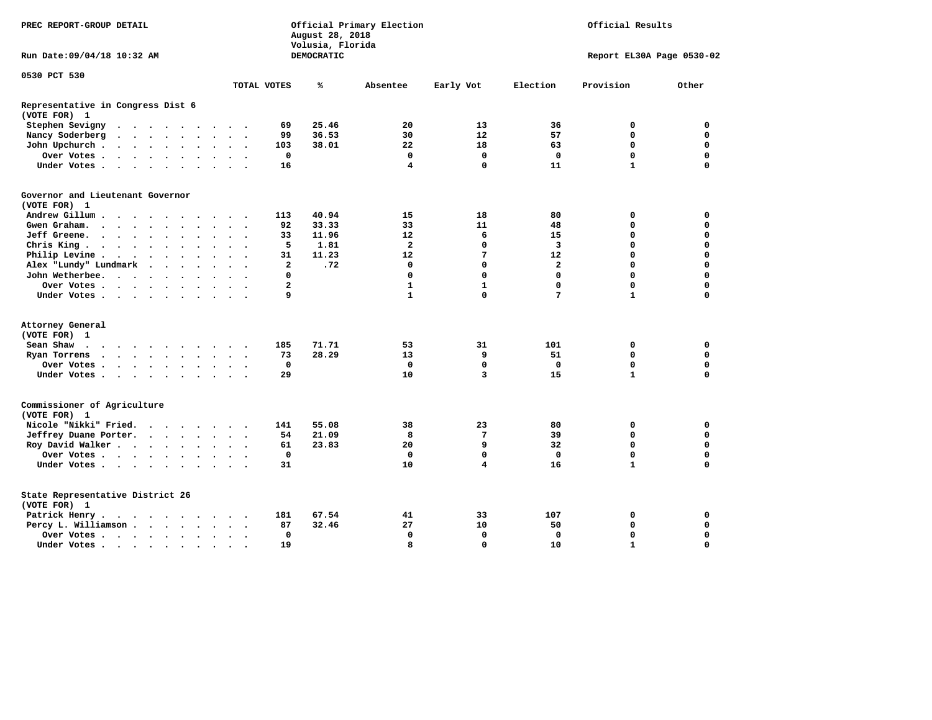| DEMOCRATIC<br>Report EL30A Page 0530-02<br>TOTAL VOTES<br>Early Vot<br>Election<br>Provision<br>Other<br>℁<br>Absentee<br>25.46<br>Stephen Sevigny<br>69<br>20<br>13<br>36<br>0<br>0<br>36.53<br>30<br>12<br>57<br>0<br>$\mathbf 0$<br>Nancy Soderberg<br>99<br>$\mathcal{A}$ , and $\mathcal{A}$ , and $\mathcal{A}$<br>$\bullet$<br>$\ddot{\phantom{0}}$<br>$\ddot{\phantom{1}}$<br>0<br>$\mathbf 0$<br>22<br>18<br>John Upchurch.<br>103<br>38.01<br>63<br>$\cdot$ $\cdot$ $\cdot$ $\cdot$ $\cdot$<br>$\bullet$<br>$\Omega$<br>$\mathbf 0$<br>$\mathbf 0$<br>$\mathbf 0$<br>$\mathbf 0$<br>$\mathbf 0$<br>Over Votes<br>$\ddot{\phantom{0}}$<br>$\bullet$<br>$\ddot{\phantom{0}}$<br>$\overline{4}$<br>$\mathbf{1}$<br>Under Votes<br>16<br>$\mathbf 0$<br>11<br>$\Omega$<br>$\sim$<br>$\cdot$<br>(VOTE FOR) 1<br>40.94<br>Andrew Gillum<br>113<br>15<br>18<br>80<br>0<br>0<br>33.33<br>33<br>$\mathbf 0$<br>$\Omega$<br>Gwen Graham.<br>92<br>11<br>48<br>$\ddot{\phantom{1}}$<br>$\sim$ $\sim$<br>$\ddot{\phantom{0}}$<br>Jeff Greene.<br>33<br>11.96<br>12<br>6<br>0<br>$\Omega$<br>15<br>$\sim$ $\sim$ $\sim$ $\sim$<br>$\ddot{\phantom{a}}$<br>0<br>$\mathbf 0$<br>Chris King<br>5<br>1.81<br>$\mathbf{2}$<br>$\mathbf 0$<br>3<br>11.23<br>7<br>0<br>$\mathbf 0$<br>Philip Levine .<br>31<br>12<br>12<br>$\ddot{\phantom{0}}$<br>$\cdots$<br>$\bullet$<br>$\bullet$<br>$\bullet$<br>$\cdot$<br>$\mathbf{2}$<br>0<br>$\mathbf 0$<br>Alex "Lundy" Lundmark<br>.72<br>0<br>0<br>$\mathbf{2}$<br>$\ddot{\phantom{0}}$<br>$\ddot{\phantom{0}}$<br>$\bullet$<br>$\ddot{\phantom{1}}$<br>$\Omega$<br>$\Omega$<br>$\mathbf 0$<br>$\Omega$<br>0<br>John Wetherbee.<br>0<br>$\cdots$<br>$\bullet$<br>$\overline{a}$<br>$\mathbf{1}$<br>$\mathbf 0$<br>$\Omega$<br>$\mathbf{1}$<br>0<br>Over Votes<br>$\cdot$<br>$\overline{a}$<br>9<br>$\mathbf{1}$<br>$\Omega$<br>7<br>$\mathbf{1}$<br>$\Omega$<br>Under Votes<br>$\bullet$<br>(VOTE FOR) 1<br>Sean Shaw<br>185<br>71.71<br>53<br>31<br>101<br>0<br>0<br>. The contract of the contract of the contract of the contract of the contract of the contract of the contract of the contract of the contract of the contract of the contract of the contract of the contract of the contrac<br>28.29<br>9<br>0<br>$\mathbf 0$<br>Ryan Torrens<br>73<br>13<br>51<br>$\mathbf{r}$ , and $\mathbf{r}$ , and $\mathbf{r}$ , and $\mathbf{r}$<br>$\bullet$<br>$\sim$<br>0<br>$\mathbf 0$<br>$\mathbf 0$<br>$\mathbf 0$<br>$\mathbf 0$<br>$\mathbf 0$<br>Over Votes<br>29<br>10<br>3<br>15<br>$\mathbf{1}$<br>$\mathbf 0$<br>Under Votes<br>$\ddot{\phantom{a}}$<br>$\ddot{\phantom{1}}$<br>Nicole "Nikki" Fried.<br>141<br>55.08<br>38<br>23<br>80<br>0<br>0<br>$\cdot$ $\cdot$ $\cdot$ $\cdot$<br>$\mathbf 0$<br>Jeffrey Duane Porter.<br>54<br>21.09<br>8<br>7<br>39<br>0<br>$\cdot$ $\cdot$ $\cdot$ $\cdot$<br>$\cdot$<br>9<br>$\mathbf 0$<br>Roy David Walker<br>20<br>32<br>$\mathbf 0$<br>61<br>23.83<br>$\bullet$<br>Over Votes<br>$\mathbf 0$<br>$\mathbf 0$<br>$\mathbf 0$<br>$\mathbf 0$<br>0<br>$\mathbf 0$<br>10<br>4<br>16<br>$\mathbf{1}$<br>$\Omega$<br>Under Votes<br>31<br>(VOTE FOR) 1<br>Patrick Henry.<br>181<br>67.54<br>41<br>33<br>107<br>0<br>0<br>$\cdots$<br>32.46<br>27<br>10<br>0<br>$\mathbf 0$<br>Percy L. Williamson<br>87<br>50<br>$\ddot{\phantom{a}}$<br>$\bullet$<br>$\cdot$<br>$\mathbf 0$<br>$\mathbf 0$<br>$\mathbf 0$<br>$\mathbf 0$<br>0<br>$\mathbf 0$<br>Over Votes<br>$\ddot{\phantom{1}}$<br>$\mathbf{a}$<br>$\Omega$<br>10<br>$\mathbf{1}$<br>$\Omega$<br>Under Votes<br>19<br>$\bullet$ | PREC REPORT-GROUP DETAIL                          | August 28, 2018<br>Volusia, Florida | Official Primary Election | Official Results |  |  |
|----------------------------------------------------------------------------------------------------------------------------------------------------------------------------------------------------------------------------------------------------------------------------------------------------------------------------------------------------------------------------------------------------------------------------------------------------------------------------------------------------------------------------------------------------------------------------------------------------------------------------------------------------------------------------------------------------------------------------------------------------------------------------------------------------------------------------------------------------------------------------------------------------------------------------------------------------------------------------------------------------------------------------------------------------------------------------------------------------------------------------------------------------------------------------------------------------------------------------------------------------------------------------------------------------------------------------------------------------------------------------------------------------------------------------------------------------------------------------------------------------------------------------------------------------------------------------------------------------------------------------------------------------------------------------------------------------------------------------------------------------------------------------------------------------------------------------------------------------------------------------------------------------------------------------------------------------------------------------------------------------------------------------------------------------------------------------------------------------------------------------------------------------------------------------------------------------------------------------------------------------------------------------------------------------------------------------------------------------------------------------------------------------------------------------------------------------------------------------------------------------------------------------------------------------------------------------------------------------------------------------------------------------------------------------------------------------------------------------------------------------------------------------------------------------------------------------------------------------------------------------------------------------------------------------------------------------------------------------------------------------------------------------------------------------------------------------------------------------------------------------------------------------------------------------------------------------------------------------------------------------------------------------------------------------------------------------------------------------------------------------------------------------------------------------------------------------------------------------------------------------------------------------------------------------------------------------|---------------------------------------------------|-------------------------------------|---------------------------|------------------|--|--|
|                                                                                                                                                                                                                                                                                                                                                                                                                                                                                                                                                                                                                                                                                                                                                                                                                                                                                                                                                                                                                                                                                                                                                                                                                                                                                                                                                                                                                                                                                                                                                                                                                                                                                                                                                                                                                                                                                                                                                                                                                                                                                                                                                                                                                                                                                                                                                                                                                                                                                                                                                                                                                                                                                                                                                                                                                                                                                                                                                                                                                                                                                                                                                                                                                                                                                                                                                                                                                                                                                                                                                                            | Run Date: 09/04/18 10:32 AM                       |                                     |                           |                  |  |  |
|                                                                                                                                                                                                                                                                                                                                                                                                                                                                                                                                                                                                                                                                                                                                                                                                                                                                                                                                                                                                                                                                                                                                                                                                                                                                                                                                                                                                                                                                                                                                                                                                                                                                                                                                                                                                                                                                                                                                                                                                                                                                                                                                                                                                                                                                                                                                                                                                                                                                                                                                                                                                                                                                                                                                                                                                                                                                                                                                                                                                                                                                                                                                                                                                                                                                                                                                                                                                                                                                                                                                                                            | 0530 PCT 530                                      |                                     |                           |                  |  |  |
|                                                                                                                                                                                                                                                                                                                                                                                                                                                                                                                                                                                                                                                                                                                                                                                                                                                                                                                                                                                                                                                                                                                                                                                                                                                                                                                                                                                                                                                                                                                                                                                                                                                                                                                                                                                                                                                                                                                                                                                                                                                                                                                                                                                                                                                                                                                                                                                                                                                                                                                                                                                                                                                                                                                                                                                                                                                                                                                                                                                                                                                                                                                                                                                                                                                                                                                                                                                                                                                                                                                                                                            |                                                   |                                     |                           |                  |  |  |
|                                                                                                                                                                                                                                                                                                                                                                                                                                                                                                                                                                                                                                                                                                                                                                                                                                                                                                                                                                                                                                                                                                                                                                                                                                                                                                                                                                                                                                                                                                                                                                                                                                                                                                                                                                                                                                                                                                                                                                                                                                                                                                                                                                                                                                                                                                                                                                                                                                                                                                                                                                                                                                                                                                                                                                                                                                                                                                                                                                                                                                                                                                                                                                                                                                                                                                                                                                                                                                                                                                                                                                            | Representative in Congress Dist 6<br>(VOTE FOR) 1 |                                     |                           |                  |  |  |
|                                                                                                                                                                                                                                                                                                                                                                                                                                                                                                                                                                                                                                                                                                                                                                                                                                                                                                                                                                                                                                                                                                                                                                                                                                                                                                                                                                                                                                                                                                                                                                                                                                                                                                                                                                                                                                                                                                                                                                                                                                                                                                                                                                                                                                                                                                                                                                                                                                                                                                                                                                                                                                                                                                                                                                                                                                                                                                                                                                                                                                                                                                                                                                                                                                                                                                                                                                                                                                                                                                                                                                            |                                                   |                                     |                           |                  |  |  |
|                                                                                                                                                                                                                                                                                                                                                                                                                                                                                                                                                                                                                                                                                                                                                                                                                                                                                                                                                                                                                                                                                                                                                                                                                                                                                                                                                                                                                                                                                                                                                                                                                                                                                                                                                                                                                                                                                                                                                                                                                                                                                                                                                                                                                                                                                                                                                                                                                                                                                                                                                                                                                                                                                                                                                                                                                                                                                                                                                                                                                                                                                                                                                                                                                                                                                                                                                                                                                                                                                                                                                                            |                                                   |                                     |                           |                  |  |  |
|                                                                                                                                                                                                                                                                                                                                                                                                                                                                                                                                                                                                                                                                                                                                                                                                                                                                                                                                                                                                                                                                                                                                                                                                                                                                                                                                                                                                                                                                                                                                                                                                                                                                                                                                                                                                                                                                                                                                                                                                                                                                                                                                                                                                                                                                                                                                                                                                                                                                                                                                                                                                                                                                                                                                                                                                                                                                                                                                                                                                                                                                                                                                                                                                                                                                                                                                                                                                                                                                                                                                                                            |                                                   |                                     |                           |                  |  |  |
|                                                                                                                                                                                                                                                                                                                                                                                                                                                                                                                                                                                                                                                                                                                                                                                                                                                                                                                                                                                                                                                                                                                                                                                                                                                                                                                                                                                                                                                                                                                                                                                                                                                                                                                                                                                                                                                                                                                                                                                                                                                                                                                                                                                                                                                                                                                                                                                                                                                                                                                                                                                                                                                                                                                                                                                                                                                                                                                                                                                                                                                                                                                                                                                                                                                                                                                                                                                                                                                                                                                                                                            |                                                   |                                     |                           |                  |  |  |
|                                                                                                                                                                                                                                                                                                                                                                                                                                                                                                                                                                                                                                                                                                                                                                                                                                                                                                                                                                                                                                                                                                                                                                                                                                                                                                                                                                                                                                                                                                                                                                                                                                                                                                                                                                                                                                                                                                                                                                                                                                                                                                                                                                                                                                                                                                                                                                                                                                                                                                                                                                                                                                                                                                                                                                                                                                                                                                                                                                                                                                                                                                                                                                                                                                                                                                                                                                                                                                                                                                                                                                            |                                                   |                                     |                           |                  |  |  |
|                                                                                                                                                                                                                                                                                                                                                                                                                                                                                                                                                                                                                                                                                                                                                                                                                                                                                                                                                                                                                                                                                                                                                                                                                                                                                                                                                                                                                                                                                                                                                                                                                                                                                                                                                                                                                                                                                                                                                                                                                                                                                                                                                                                                                                                                                                                                                                                                                                                                                                                                                                                                                                                                                                                                                                                                                                                                                                                                                                                                                                                                                                                                                                                                                                                                                                                                                                                                                                                                                                                                                                            | Governor and Lieutenant Governor                  |                                     |                           |                  |  |  |
|                                                                                                                                                                                                                                                                                                                                                                                                                                                                                                                                                                                                                                                                                                                                                                                                                                                                                                                                                                                                                                                                                                                                                                                                                                                                                                                                                                                                                                                                                                                                                                                                                                                                                                                                                                                                                                                                                                                                                                                                                                                                                                                                                                                                                                                                                                                                                                                                                                                                                                                                                                                                                                                                                                                                                                                                                                                                                                                                                                                                                                                                                                                                                                                                                                                                                                                                                                                                                                                                                                                                                                            |                                                   |                                     |                           |                  |  |  |
|                                                                                                                                                                                                                                                                                                                                                                                                                                                                                                                                                                                                                                                                                                                                                                                                                                                                                                                                                                                                                                                                                                                                                                                                                                                                                                                                                                                                                                                                                                                                                                                                                                                                                                                                                                                                                                                                                                                                                                                                                                                                                                                                                                                                                                                                                                                                                                                                                                                                                                                                                                                                                                                                                                                                                                                                                                                                                                                                                                                                                                                                                                                                                                                                                                                                                                                                                                                                                                                                                                                                                                            |                                                   |                                     |                           |                  |  |  |
|                                                                                                                                                                                                                                                                                                                                                                                                                                                                                                                                                                                                                                                                                                                                                                                                                                                                                                                                                                                                                                                                                                                                                                                                                                                                                                                                                                                                                                                                                                                                                                                                                                                                                                                                                                                                                                                                                                                                                                                                                                                                                                                                                                                                                                                                                                                                                                                                                                                                                                                                                                                                                                                                                                                                                                                                                                                                                                                                                                                                                                                                                                                                                                                                                                                                                                                                                                                                                                                                                                                                                                            |                                                   |                                     |                           |                  |  |  |
|                                                                                                                                                                                                                                                                                                                                                                                                                                                                                                                                                                                                                                                                                                                                                                                                                                                                                                                                                                                                                                                                                                                                                                                                                                                                                                                                                                                                                                                                                                                                                                                                                                                                                                                                                                                                                                                                                                                                                                                                                                                                                                                                                                                                                                                                                                                                                                                                                                                                                                                                                                                                                                                                                                                                                                                                                                                                                                                                                                                                                                                                                                                                                                                                                                                                                                                                                                                                                                                                                                                                                                            |                                                   |                                     |                           |                  |  |  |
|                                                                                                                                                                                                                                                                                                                                                                                                                                                                                                                                                                                                                                                                                                                                                                                                                                                                                                                                                                                                                                                                                                                                                                                                                                                                                                                                                                                                                                                                                                                                                                                                                                                                                                                                                                                                                                                                                                                                                                                                                                                                                                                                                                                                                                                                                                                                                                                                                                                                                                                                                                                                                                                                                                                                                                                                                                                                                                                                                                                                                                                                                                                                                                                                                                                                                                                                                                                                                                                                                                                                                                            |                                                   |                                     |                           |                  |  |  |
|                                                                                                                                                                                                                                                                                                                                                                                                                                                                                                                                                                                                                                                                                                                                                                                                                                                                                                                                                                                                                                                                                                                                                                                                                                                                                                                                                                                                                                                                                                                                                                                                                                                                                                                                                                                                                                                                                                                                                                                                                                                                                                                                                                                                                                                                                                                                                                                                                                                                                                                                                                                                                                                                                                                                                                                                                                                                                                                                                                                                                                                                                                                                                                                                                                                                                                                                                                                                                                                                                                                                                                            |                                                   |                                     |                           |                  |  |  |
|                                                                                                                                                                                                                                                                                                                                                                                                                                                                                                                                                                                                                                                                                                                                                                                                                                                                                                                                                                                                                                                                                                                                                                                                                                                                                                                                                                                                                                                                                                                                                                                                                                                                                                                                                                                                                                                                                                                                                                                                                                                                                                                                                                                                                                                                                                                                                                                                                                                                                                                                                                                                                                                                                                                                                                                                                                                                                                                                                                                                                                                                                                                                                                                                                                                                                                                                                                                                                                                                                                                                                                            |                                                   |                                     |                           |                  |  |  |
|                                                                                                                                                                                                                                                                                                                                                                                                                                                                                                                                                                                                                                                                                                                                                                                                                                                                                                                                                                                                                                                                                                                                                                                                                                                                                                                                                                                                                                                                                                                                                                                                                                                                                                                                                                                                                                                                                                                                                                                                                                                                                                                                                                                                                                                                                                                                                                                                                                                                                                                                                                                                                                                                                                                                                                                                                                                                                                                                                                                                                                                                                                                                                                                                                                                                                                                                                                                                                                                                                                                                                                            |                                                   |                                     |                           |                  |  |  |
|                                                                                                                                                                                                                                                                                                                                                                                                                                                                                                                                                                                                                                                                                                                                                                                                                                                                                                                                                                                                                                                                                                                                                                                                                                                                                                                                                                                                                                                                                                                                                                                                                                                                                                                                                                                                                                                                                                                                                                                                                                                                                                                                                                                                                                                                                                                                                                                                                                                                                                                                                                                                                                                                                                                                                                                                                                                                                                                                                                                                                                                                                                                                                                                                                                                                                                                                                                                                                                                                                                                                                                            |                                                   |                                     |                           |                  |  |  |
|                                                                                                                                                                                                                                                                                                                                                                                                                                                                                                                                                                                                                                                                                                                                                                                                                                                                                                                                                                                                                                                                                                                                                                                                                                                                                                                                                                                                                                                                                                                                                                                                                                                                                                                                                                                                                                                                                                                                                                                                                                                                                                                                                                                                                                                                                                                                                                                                                                                                                                                                                                                                                                                                                                                                                                                                                                                                                                                                                                                                                                                                                                                                                                                                                                                                                                                                                                                                                                                                                                                                                                            |                                                   |                                     |                           |                  |  |  |
|                                                                                                                                                                                                                                                                                                                                                                                                                                                                                                                                                                                                                                                                                                                                                                                                                                                                                                                                                                                                                                                                                                                                                                                                                                                                                                                                                                                                                                                                                                                                                                                                                                                                                                                                                                                                                                                                                                                                                                                                                                                                                                                                                                                                                                                                                                                                                                                                                                                                                                                                                                                                                                                                                                                                                                                                                                                                                                                                                                                                                                                                                                                                                                                                                                                                                                                                                                                                                                                                                                                                                                            | Attorney General                                  |                                     |                           |                  |  |  |
|                                                                                                                                                                                                                                                                                                                                                                                                                                                                                                                                                                                                                                                                                                                                                                                                                                                                                                                                                                                                                                                                                                                                                                                                                                                                                                                                                                                                                                                                                                                                                                                                                                                                                                                                                                                                                                                                                                                                                                                                                                                                                                                                                                                                                                                                                                                                                                                                                                                                                                                                                                                                                                                                                                                                                                                                                                                                                                                                                                                                                                                                                                                                                                                                                                                                                                                                                                                                                                                                                                                                                                            |                                                   |                                     |                           |                  |  |  |
|                                                                                                                                                                                                                                                                                                                                                                                                                                                                                                                                                                                                                                                                                                                                                                                                                                                                                                                                                                                                                                                                                                                                                                                                                                                                                                                                                                                                                                                                                                                                                                                                                                                                                                                                                                                                                                                                                                                                                                                                                                                                                                                                                                                                                                                                                                                                                                                                                                                                                                                                                                                                                                                                                                                                                                                                                                                                                                                                                                                                                                                                                                                                                                                                                                                                                                                                                                                                                                                                                                                                                                            |                                                   |                                     |                           |                  |  |  |
|                                                                                                                                                                                                                                                                                                                                                                                                                                                                                                                                                                                                                                                                                                                                                                                                                                                                                                                                                                                                                                                                                                                                                                                                                                                                                                                                                                                                                                                                                                                                                                                                                                                                                                                                                                                                                                                                                                                                                                                                                                                                                                                                                                                                                                                                                                                                                                                                                                                                                                                                                                                                                                                                                                                                                                                                                                                                                                                                                                                                                                                                                                                                                                                                                                                                                                                                                                                                                                                                                                                                                                            |                                                   |                                     |                           |                  |  |  |
|                                                                                                                                                                                                                                                                                                                                                                                                                                                                                                                                                                                                                                                                                                                                                                                                                                                                                                                                                                                                                                                                                                                                                                                                                                                                                                                                                                                                                                                                                                                                                                                                                                                                                                                                                                                                                                                                                                                                                                                                                                                                                                                                                                                                                                                                                                                                                                                                                                                                                                                                                                                                                                                                                                                                                                                                                                                                                                                                                                                                                                                                                                                                                                                                                                                                                                                                                                                                                                                                                                                                                                            |                                                   |                                     |                           |                  |  |  |
|                                                                                                                                                                                                                                                                                                                                                                                                                                                                                                                                                                                                                                                                                                                                                                                                                                                                                                                                                                                                                                                                                                                                                                                                                                                                                                                                                                                                                                                                                                                                                                                                                                                                                                                                                                                                                                                                                                                                                                                                                                                                                                                                                                                                                                                                                                                                                                                                                                                                                                                                                                                                                                                                                                                                                                                                                                                                                                                                                                                                                                                                                                                                                                                                                                                                                                                                                                                                                                                                                                                                                                            |                                                   |                                     |                           |                  |  |  |
|                                                                                                                                                                                                                                                                                                                                                                                                                                                                                                                                                                                                                                                                                                                                                                                                                                                                                                                                                                                                                                                                                                                                                                                                                                                                                                                                                                                                                                                                                                                                                                                                                                                                                                                                                                                                                                                                                                                                                                                                                                                                                                                                                                                                                                                                                                                                                                                                                                                                                                                                                                                                                                                                                                                                                                                                                                                                                                                                                                                                                                                                                                                                                                                                                                                                                                                                                                                                                                                                                                                                                                            | Commissioner of Agriculture<br>(VOTE FOR) 1       |                                     |                           |                  |  |  |
|                                                                                                                                                                                                                                                                                                                                                                                                                                                                                                                                                                                                                                                                                                                                                                                                                                                                                                                                                                                                                                                                                                                                                                                                                                                                                                                                                                                                                                                                                                                                                                                                                                                                                                                                                                                                                                                                                                                                                                                                                                                                                                                                                                                                                                                                                                                                                                                                                                                                                                                                                                                                                                                                                                                                                                                                                                                                                                                                                                                                                                                                                                                                                                                                                                                                                                                                                                                                                                                                                                                                                                            |                                                   |                                     |                           |                  |  |  |
|                                                                                                                                                                                                                                                                                                                                                                                                                                                                                                                                                                                                                                                                                                                                                                                                                                                                                                                                                                                                                                                                                                                                                                                                                                                                                                                                                                                                                                                                                                                                                                                                                                                                                                                                                                                                                                                                                                                                                                                                                                                                                                                                                                                                                                                                                                                                                                                                                                                                                                                                                                                                                                                                                                                                                                                                                                                                                                                                                                                                                                                                                                                                                                                                                                                                                                                                                                                                                                                                                                                                                                            |                                                   |                                     |                           |                  |  |  |
|                                                                                                                                                                                                                                                                                                                                                                                                                                                                                                                                                                                                                                                                                                                                                                                                                                                                                                                                                                                                                                                                                                                                                                                                                                                                                                                                                                                                                                                                                                                                                                                                                                                                                                                                                                                                                                                                                                                                                                                                                                                                                                                                                                                                                                                                                                                                                                                                                                                                                                                                                                                                                                                                                                                                                                                                                                                                                                                                                                                                                                                                                                                                                                                                                                                                                                                                                                                                                                                                                                                                                                            |                                                   |                                     |                           |                  |  |  |
|                                                                                                                                                                                                                                                                                                                                                                                                                                                                                                                                                                                                                                                                                                                                                                                                                                                                                                                                                                                                                                                                                                                                                                                                                                                                                                                                                                                                                                                                                                                                                                                                                                                                                                                                                                                                                                                                                                                                                                                                                                                                                                                                                                                                                                                                                                                                                                                                                                                                                                                                                                                                                                                                                                                                                                                                                                                                                                                                                                                                                                                                                                                                                                                                                                                                                                                                                                                                                                                                                                                                                                            |                                                   |                                     |                           |                  |  |  |
|                                                                                                                                                                                                                                                                                                                                                                                                                                                                                                                                                                                                                                                                                                                                                                                                                                                                                                                                                                                                                                                                                                                                                                                                                                                                                                                                                                                                                                                                                                                                                                                                                                                                                                                                                                                                                                                                                                                                                                                                                                                                                                                                                                                                                                                                                                                                                                                                                                                                                                                                                                                                                                                                                                                                                                                                                                                                                                                                                                                                                                                                                                                                                                                                                                                                                                                                                                                                                                                                                                                                                                            |                                                   |                                     |                           |                  |  |  |
|                                                                                                                                                                                                                                                                                                                                                                                                                                                                                                                                                                                                                                                                                                                                                                                                                                                                                                                                                                                                                                                                                                                                                                                                                                                                                                                                                                                                                                                                                                                                                                                                                                                                                                                                                                                                                                                                                                                                                                                                                                                                                                                                                                                                                                                                                                                                                                                                                                                                                                                                                                                                                                                                                                                                                                                                                                                                                                                                                                                                                                                                                                                                                                                                                                                                                                                                                                                                                                                                                                                                                                            | State Representative District 26                  |                                     |                           |                  |  |  |
|                                                                                                                                                                                                                                                                                                                                                                                                                                                                                                                                                                                                                                                                                                                                                                                                                                                                                                                                                                                                                                                                                                                                                                                                                                                                                                                                                                                                                                                                                                                                                                                                                                                                                                                                                                                                                                                                                                                                                                                                                                                                                                                                                                                                                                                                                                                                                                                                                                                                                                                                                                                                                                                                                                                                                                                                                                                                                                                                                                                                                                                                                                                                                                                                                                                                                                                                                                                                                                                                                                                                                                            |                                                   |                                     |                           |                  |  |  |
|                                                                                                                                                                                                                                                                                                                                                                                                                                                                                                                                                                                                                                                                                                                                                                                                                                                                                                                                                                                                                                                                                                                                                                                                                                                                                                                                                                                                                                                                                                                                                                                                                                                                                                                                                                                                                                                                                                                                                                                                                                                                                                                                                                                                                                                                                                                                                                                                                                                                                                                                                                                                                                                                                                                                                                                                                                                                                                                                                                                                                                                                                                                                                                                                                                                                                                                                                                                                                                                                                                                                                                            |                                                   |                                     |                           |                  |  |  |
|                                                                                                                                                                                                                                                                                                                                                                                                                                                                                                                                                                                                                                                                                                                                                                                                                                                                                                                                                                                                                                                                                                                                                                                                                                                                                                                                                                                                                                                                                                                                                                                                                                                                                                                                                                                                                                                                                                                                                                                                                                                                                                                                                                                                                                                                                                                                                                                                                                                                                                                                                                                                                                                                                                                                                                                                                                                                                                                                                                                                                                                                                                                                                                                                                                                                                                                                                                                                                                                                                                                                                                            |                                                   |                                     |                           |                  |  |  |
|                                                                                                                                                                                                                                                                                                                                                                                                                                                                                                                                                                                                                                                                                                                                                                                                                                                                                                                                                                                                                                                                                                                                                                                                                                                                                                                                                                                                                                                                                                                                                                                                                                                                                                                                                                                                                                                                                                                                                                                                                                                                                                                                                                                                                                                                                                                                                                                                                                                                                                                                                                                                                                                                                                                                                                                                                                                                                                                                                                                                                                                                                                                                                                                                                                                                                                                                                                                                                                                                                                                                                                            |                                                   |                                     |                           |                  |  |  |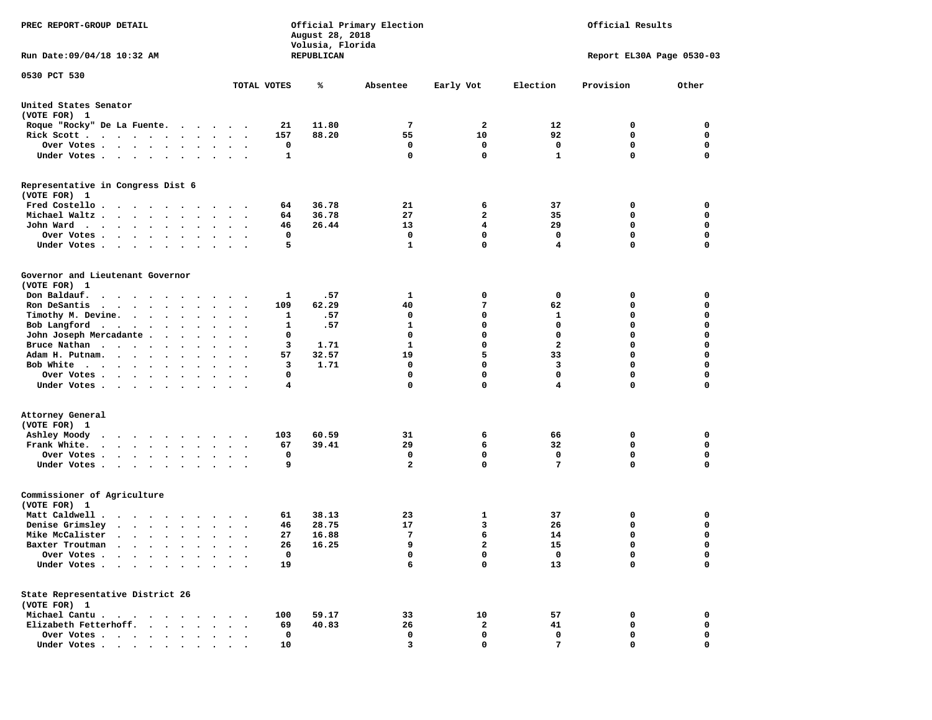| PREC REPORT-GROUP DETAIL                                                                                                                                                                                                                             |                      |         | August 28, 2018<br>Volusia, Florida | Official Primary Election |                         |                  | Official Results          |                  |
|------------------------------------------------------------------------------------------------------------------------------------------------------------------------------------------------------------------------------------------------------|----------------------|---------|-------------------------------------|---------------------------|-------------------------|------------------|---------------------------|------------------|
| Run Date: 09/04/18 10:32 AM                                                                                                                                                                                                                          |                      |         | REPUBLICAN                          |                           |                         |                  | Report EL30A Page 0530-03 |                  |
| 0530 PCT 530                                                                                                                                                                                                                                         | TOTAL VOTES          |         | ℁                                   | Absentee                  | Early Vot               | Election         | Provision                 | Other            |
|                                                                                                                                                                                                                                                      |                      |         |                                     |                           |                         |                  |                           |                  |
| United States Senator<br>(VOTE FOR) 1                                                                                                                                                                                                                |                      |         |                                     |                           |                         |                  |                           |                  |
| Roque "Rocky" De La Fuente.                                                                                                                                                                                                                          |                      | 21      | 11.80                               | 7                         | 2                       | 12               | 0                         | 0                |
| Rick Scott                                                                                                                                                                                                                                           |                      | 157     | 88.20                               | 55                        | 10                      | 92               | $\mathbf 0$               | $\mathbf 0$      |
| Over Votes.                                                                                                                                                                                                                                          |                      | 0       |                                     | 0                         | 0                       | 0                | 0                         | 0                |
| Under Votes                                                                                                                                                                                                                                          | $\cdots$             | 1       |                                     | $\mathbf 0$               | $\mathbf 0$             | $\mathbf{1}$     | 0                         | $\mathbf 0$      |
| Representative in Congress Dist 6<br>(VOTE FOR) 1                                                                                                                                                                                                    |                      |         |                                     |                           |                         |                  |                           |                  |
| Fred Costello                                                                                                                                                                                                                                        |                      | 64      | 36.78                               | 21                        | 6                       | 37               | 0                         | 0                |
| Michael Waltz                                                                                                                                                                                                                                        |                      | 64      | 36.78                               | 27                        | $\mathbf{2}$            | 35               | 0                         | 0                |
| John Ward.                                                                                                                                                                                                                                           |                      | 46      | 26.44                               | 13                        | $\overline{\mathbf{4}}$ | 29               | $\mathbf 0$               | $\mathbf 0$      |
| Over Votes .<br>$\cdots$                                                                                                                                                                                                                             |                      | 0       |                                     | 0                         | $\Omega$                | 0                | 0                         | 0                |
| Under Votes                                                                                                                                                                                                                                          |                      | 5       |                                     | $\mathbf{1}$              | $\mathbf 0$             | 4                | 0                         | $\mathbf 0$      |
| Governor and Lieutenant Governor                                                                                                                                                                                                                     |                      |         |                                     |                           |                         |                  |                           |                  |
| (VOTE FOR) 1                                                                                                                                                                                                                                         |                      |         |                                     |                           |                         |                  |                           |                  |
| Don Baldauf.                                                                                                                                                                                                                                         |                      | 1       | .57                                 | 1                         | 0                       | 0                | 0                         | 0                |
| Ron DeSantis<br>$\mathbf{r}$ , $\mathbf{r}$ , $\mathbf{r}$ , $\mathbf{r}$ , $\mathbf{r}$ , $\mathbf{r}$<br>$\ddot{\phantom{0}}$                                                                                                                      | $\ddot{\phantom{1}}$ | 109     | 62.29                               | 40<br>0                   | 7<br>$\mathbf 0$        | 62               | 0<br>0                    | 0<br>$\mathbf 0$ |
| Timothy M. Devine.                                                                                                                                                                                                                                   |                      | 1<br>1  | .57<br>.57                          | $\mathbf{1}$              | 0                       | 1<br>$\mathbf 0$ | 0                         | $\mathbf 0$      |
| Bob Langford<br>$\sim$<br>John Joseph Mercadante                                                                                                                                                                                                     | $\ddot{\phantom{1}}$ | 0       |                                     | 0                         | $\mathbf 0$             | $\mathbf 0$      | 0                         | $\mathbf 0$      |
| Bruce Nathan<br>$\bullet$                                                                                                                                                                                                                            |                      | 3       | 1.71                                | $\mathbf{1}$              | $\mathbf 0$             | $\overline{a}$   | 0                         | $\mathbf 0$      |
| Adam H. Putnam.<br>$\cdot$ $\cdot$ $\cdot$ $\cdot$                                                                                                                                                                                                   |                      | 57      | 32.57                               | 19                        | 5                       | 33               | 0                         | 0                |
| Bob White                                                                                                                                                                                                                                            |                      | 3       | 1.71                                | 0                         | $\mathbf 0$             | 3                | 0                         | $\mathbf 0$      |
| Over Votes<br>$\bullet$                                                                                                                                                                                                                              | $\ddot{\phantom{0}}$ | 0       |                                     | $\mathbf 0$               | $\mathbf 0$             | $\mathbf 0$      | 0                         | $\mathbf 0$      |
| Under Votes                                                                                                                                                                                                                                          |                      | 4       |                                     | $\mathbf 0$               | $\mathbf 0$             | 4                | 0                         | 0                |
| Attorney General                                                                                                                                                                                                                                     |                      |         |                                     |                           |                         |                  |                           |                  |
| (VOTE FOR) 1                                                                                                                                                                                                                                         |                      |         |                                     |                           |                         |                  |                           |                  |
| Ashley Moody<br>$\cdots$<br>$\sim$ $\sim$                                                                                                                                                                                                            |                      | 103     | 60.59                               | 31                        | 6                       | 66               | 0                         | 0                |
| Frank White.<br>$\bullet$                                                                                                                                                                                                                            | $\ddotsc$            | 67      | 39.41                               | 29                        | 6                       | 32               | 0                         | $\mathbf 0$      |
| Over Votes                                                                                                                                                                                                                                           |                      | 0       |                                     | 0                         | 0                       | 0                | 0                         | 0                |
| Under Votes<br>$\ddot{\phantom{0}}$                                                                                                                                                                                                                  |                      | 9       |                                     | $\overline{a}$            | $\mathbf 0$             | 7                | 0                         | $\mathbf 0$      |
| Commissioner of Agriculture<br>(VOTE FOR) 1                                                                                                                                                                                                          |                      |         |                                     |                           |                         |                  |                           |                  |
| Matt Caldwell .<br>.                                                                                                                                                                                                                                 |                      | 61      | 38.13                               | 23                        | 1                       | 37               | 0                         | 0                |
| Denise Grimsley<br>$\mathbf{r}$ . The set of the set of the set of the set of the set of the set of the set of the set of the set of the set of the set of the set of the set of the set of the set of the set of the set of the set of the set of t |                      | 46      | 28.75                               | 17                        | 3                       | 26               | 0                         | 0                |
| Mike McCalister<br>$\cdots$                                                                                                                                                                                                                          |                      | 27      | 16.88                               | 7                         | 6                       | 14               | 0                         | $\mathbf 0$      |
| Baxter Troutman<br>.                                                                                                                                                                                                                                 |                      | 26      | 16.25                               | 9                         | $\overline{a}$          | 15               | 0                         | 0                |
| Over Votes .<br>$\bullet$                                                                                                                                                                                                                            |                      | 0       |                                     | 0                         | 0                       | 0                | 0                         | 0                |
| Under Votes.<br>$\ddot{\phantom{a}}$<br>$\sim$<br>$\ddot{\phantom{0}}$<br>$\bullet$                                                                                                                                                                  |                      | 19      |                                     | 6                         | 0                       | 13               | 0                         | $\mathbf 0$      |
| State Representative District 26                                                                                                                                                                                                                     |                      |         |                                     |                           |                         |                  |                           |                  |
| (VOTE FOR) 1                                                                                                                                                                                                                                         |                      |         |                                     |                           |                         |                  |                           |                  |
| Michael Cantu.<br>$\sim$ $\sim$                                                                                                                                                                                                                      |                      | 100     | 59.17                               | 33                        | 10                      | 57               | 0                         | 0                |
| Elizabeth Fetterhoff.<br>$\ddot{\phantom{a}}$<br>$\ddot{\phantom{a}}$<br>Over Votes                                                                                                                                                                  |                      | 69<br>0 | 40.83                               | 26<br>0                   | 2<br>0                  | 41<br>0          | 0<br>0                    | 0<br>0           |
| Under Votes                                                                                                                                                                                                                                          |                      | 10      |                                     | 3                         | 0                       | 7                | 0                         | 0                |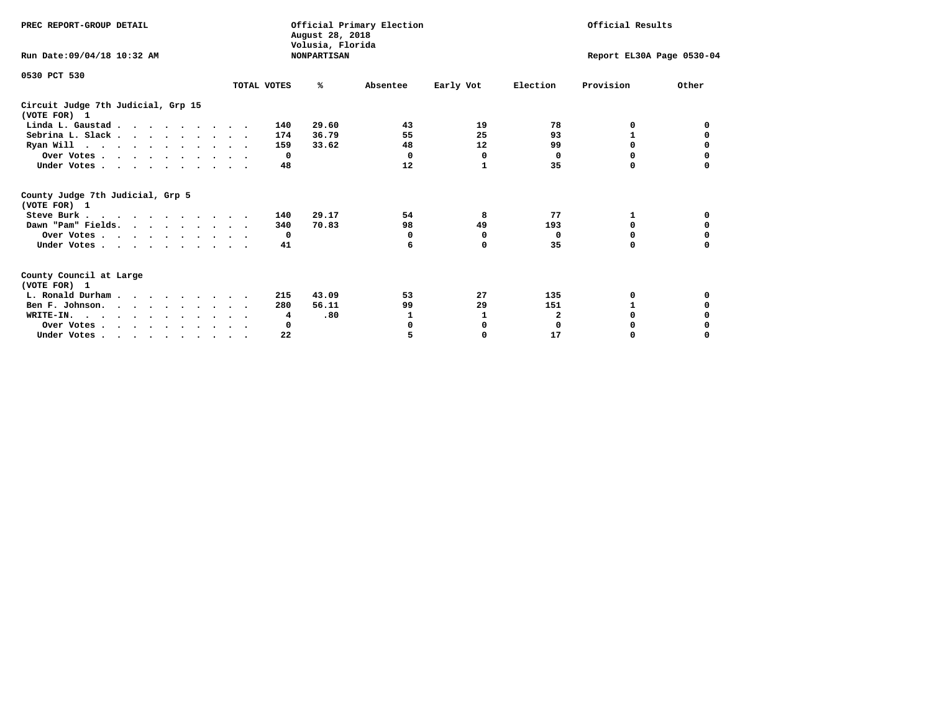| PREC REPORT-GROUP DETAIL                                                                   |             | August 28, 2018<br>Volusia, Florida | Official Primary Election |              | Official Results |                           |          |
|--------------------------------------------------------------------------------------------|-------------|-------------------------------------|---------------------------|--------------|------------------|---------------------------|----------|
| Run Date: 09/04/18 10:32 AM                                                                |             | <b>NONPARTISAN</b>                  |                           |              |                  | Report EL30A Page 0530-04 |          |
| 0530 PCT 530                                                                               |             |                                     |                           |              |                  |                           |          |
|                                                                                            | TOTAL VOTES | ℁                                   | Absentee                  | Early Vot    | Election         | Provision                 | Other    |
| Circuit Judge 7th Judicial, Grp 15<br>(VOTE FOR) 1                                         |             |                                     |                           |              |                  |                           |          |
| Linda L. Gaustad                                                                           | 140         | 29.60                               | 43                        | 19           | 78               | 0                         | 0        |
| Sebrina L. Slack                                                                           | 174         | 36.79                               | 55                        | 25           | 93               |                           |          |
| Ryan Will $\cdots$ , $\cdots$ , $\cdots$ , $\cdots$                                        | 159         | 33.62                               | 48                        | 12           | 99               | 0                         | 0        |
| Over Votes                                                                                 |             | $^{\circ}$                          | 0                         | 0            | 0                | 0                         | 0        |
| Under Votes                                                                                |             | 48                                  | 12                        | $\mathbf{1}$ | 35               | 0                         |          |
| County Judge 7th Judicial, Grp 5<br>(VOTE FOR) 1                                           |             |                                     |                           |              |                  |                           |          |
| Steve Burk                                                                                 | 140         | 29.17                               | 54                        | 8            | 77               | 1                         | 0        |
| Dawn "Pam" Fields.                                                                         | 340         | 70.83                               | 98                        | 49           | 193              | 0                         |          |
| Over Votes                                                                                 |             | $\mathbf{o}$                        | 0                         | 0            | 0                | 0                         | 0        |
| Under Votes                                                                                |             | 41                                  | 6                         | 0            | 35               | $\Omega$                  | $\Omega$ |
| County Council at Large<br>(VOTE FOR) 1                                                    |             |                                     |                           |              |                  |                           |          |
| L. Ronald Durham                                                                           | 215         | 43.09                               | 53                        | 27           | 135              | 0                         |          |
| Ben F. Johnson.                                                                            | 280         | 56.11                               | 99                        | 29           | 151              | 1                         | 0        |
| WRITE-IN.                                                                                  |             | .80<br>4                            | 1                         |              | $\mathbf{2}$     | $\Omega$                  |          |
| Over Votes                                                                                 |             | 0                                   | 0                         | 0            | $\mathbf 0$      | 0                         |          |
| Under Votes, $\cdot$ , $\cdot$ , $\cdot$ , $\cdot$ , $\cdot$ , $\cdot$ , $\cdot$ , $\cdot$ |             | 22                                  | 5                         | $\Omega$     | 17               | 0                         | $\Omega$ |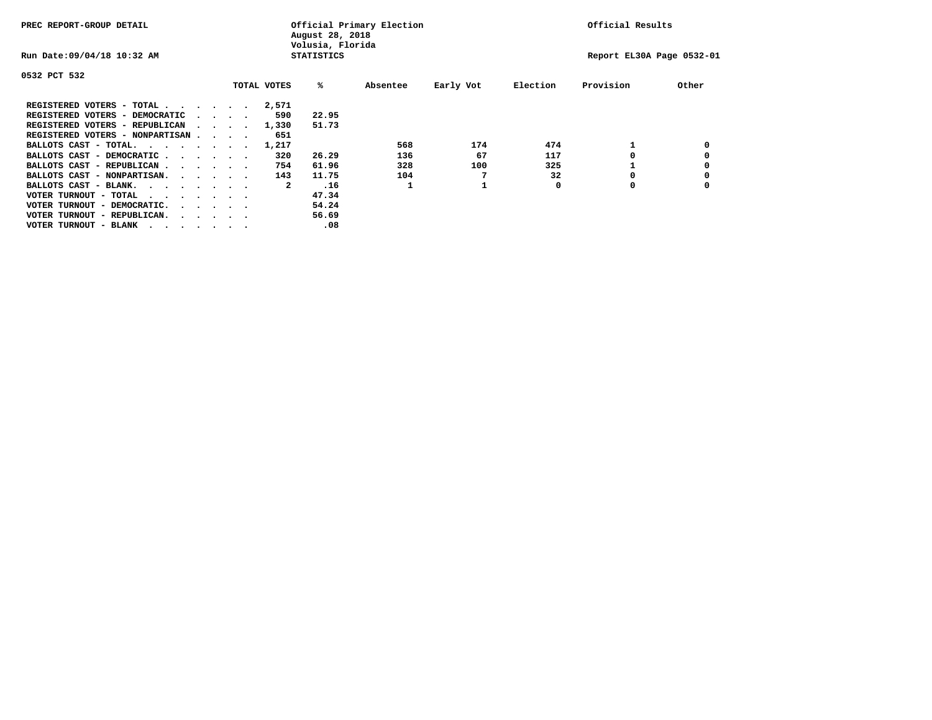| PREC REPORT-GROUP DETAIL                |  |                                         | August 28, 2018<br>Volusia, Florida | Official Primary Election |          | Official Results |          |                           |       |
|-----------------------------------------|--|-----------------------------------------|-------------------------------------|---------------------------|----------|------------------|----------|---------------------------|-------|
| Run Date: 09/04/18 10:32 AM             |  |                                         |                                     | <b>STATISTICS</b>         |          |                  |          | Report EL30A Page 0532-01 |       |
| 0532 PCT 532                            |  |                                         |                                     |                           |          |                  |          |                           |       |
|                                         |  |                                         | TOTAL VOTES                         | %ะ                        | Absentee | Early Vot        | Election | Provision                 | Other |
| REGISTERED VOTERS - TOTAL               |  |                                         | 2,571                               |                           |          |                  |          |                           |       |
| REGISTERED VOTERS - DEMOCRATIC          |  | $\cdot$ $\cdot$ $\cdot$ $\cdot$         | 590                                 | 22.95                     |          |                  |          |                           |       |
| REGISTERED VOTERS - REPUBLICAN          |  |                                         | 1,330                               | 51.73                     |          |                  |          |                           |       |
| REGISTERED VOTERS - NONPARTISAN         |  |                                         | 651                                 |                           |          |                  |          |                           |       |
| BALLOTS CAST - TOTAL.                   |  |                                         | 1,217                               |                           | 568      | 174              | 474      |                           |       |
| BALLOTS CAST - DEMOCRATIC               |  |                                         | 320                                 | 26.29                     | 136      | 67               | 117      |                           |       |
| BALLOTS CAST - REPUBLICAN               |  |                                         | 754                                 | 61.96                     | 328      | 100              | 325      |                           |       |
| BALLOTS CAST - NONPARTISAN.             |  |                                         | 143                                 | 11.75                     | 104      |                  | 32       |                           |       |
| BALLOTS CAST - BLANK.                   |  |                                         | 2                                   | .16                       |          |                  | 0        | 0                         |       |
| VOTER TURNOUT - TOTAL<br>.              |  |                                         |                                     | 47.34                     |          |                  |          |                           |       |
| VOTER TURNOUT - DEMOCRATIC.             |  | $\cdot$ $\cdot$ $\cdot$ $\cdot$ $\cdot$ |                                     | 54.24                     |          |                  |          |                           |       |
| VOTER TURNOUT - REPUBLICAN.<br>$\cdots$ |  |                                         |                                     | 56.69                     |          |                  |          |                           |       |
| VOTER TURNOUT - BLANK                   |  |                                         |                                     | .08                       |          |                  |          |                           |       |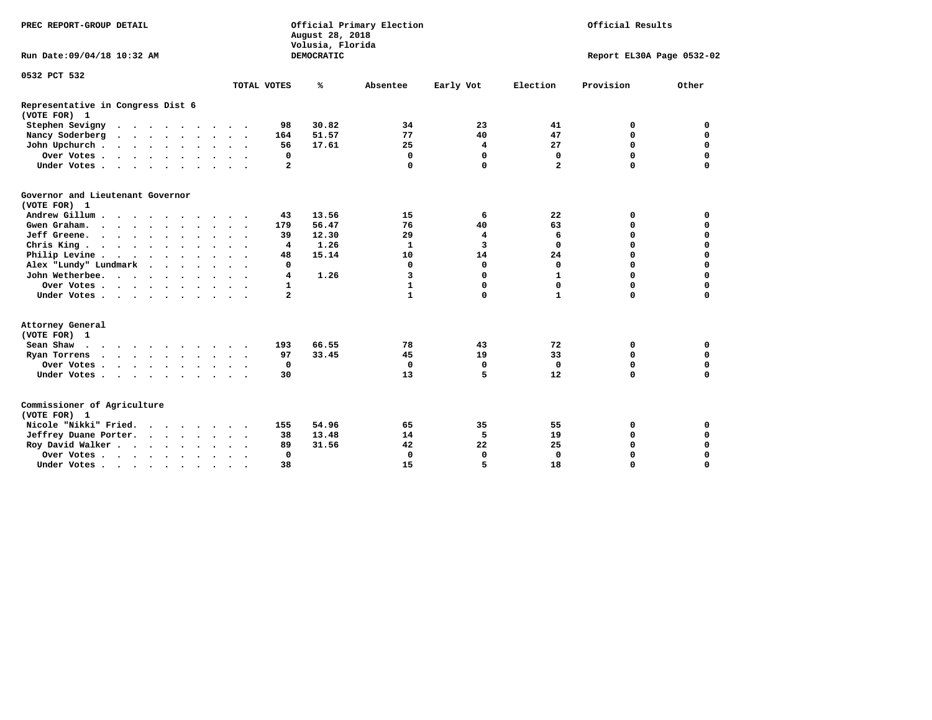| PREC REPORT-GROUP DETAIL                          |                                            |  | August 28, 2018<br>Volusia, Florida | Official Primary Election |                   |              | Official Results |                |                           |             |
|---------------------------------------------------|--------------------------------------------|--|-------------------------------------|---------------------------|-------------------|--------------|------------------|----------------|---------------------------|-------------|
| Run Date: 09/04/18 10:32 AM                       |                                            |  |                                     |                           | <b>DEMOCRATIC</b> |              |                  |                | Report EL30A Page 0532-02 |             |
| 0532 PCT 532                                      |                                            |  |                                     |                           |                   |              |                  |                |                           |             |
|                                                   |                                            |  |                                     | TOTAL VOTES               | ℁                 | Absentee     | Early Vot        | Election       | Provision                 | Other       |
| Representative in Congress Dist 6<br>(VOTE FOR) 1 |                                            |  |                                     |                           |                   |              |                  |                |                           |             |
| Stephen Sevigny                                   |                                            |  |                                     | 98                        | 30.82             | 34           | 23               | 41             | 0                         | 0           |
| Nancy Soderberg                                   |                                            |  |                                     | 164                       | 51.57             | 77           | 40               | 47             | $\mathbf 0$               | $\mathbf 0$ |
| John Upchurch                                     |                                            |  |                                     | 56                        | 17.61             | 25           | 4                | 27             | $\mathbf 0$               | $\mathbf 0$ |
| Over Votes                                        |                                            |  |                                     | 0                         |                   | 0            | $\mathbf 0$      | 0              | $\mathbf 0$               | 0           |
| Under Votes                                       |                                            |  |                                     | $\overline{2}$            |                   | 0            | $\mathbf 0$      | $\overline{a}$ | $\mathbf 0$               | $\Omega$    |
| Governor and Lieutenant Governor<br>(VOTE FOR) 1  |                                            |  |                                     |                           |                   |              |                  |                |                           |             |
| Andrew Gillum                                     |                                            |  |                                     | 43                        | 13.56             | 15           | 6                | 22             | 0                         | 0           |
| Gwen Graham.                                      |                                            |  | $\cdot$ $\cdot$ $\cdot$             | 179                       | 56.47             | 76           | 40               | 63             | 0                         | $\mathbf 0$ |
| Jeff Greene.                                      |                                            |  |                                     | 39                        | 12.30             | 29           | 4                | 6              | 0                         | 0           |
| Chris King                                        |                                            |  | $\sim$ $\sim$                       | $\overline{4}$            | 1.26              | 1            | 3                | $\mathbf 0$    | $\Omega$                  | $\Omega$    |
| Philip Levine                                     |                                            |  |                                     | 48                        | 15.14             | 10           | 14               | 24             | $\mathbf 0$               | $\mathbf 0$ |
| Alex "Lundy" Lundmark                             | <b>Contract Contract Contract Contract</b> |  |                                     | 0                         |                   | $\Omega$     | 0                | 0              | $\Omega$                  | $\mathbf 0$ |
| John Wetherbee.                                   |                                            |  |                                     | $\overline{4}$            | 1.26              | 3            | 0                | $\mathbf{1}$   | $\Omega$                  | $\Omega$    |
| Over Votes                                        |                                            |  |                                     | 1                         |                   | $\mathbf{1}$ | 0                | 0              | $\mathbf 0$               | $\mathbf 0$ |
| Under Votes                                       |                                            |  |                                     | $\mathbf{2}$              |                   | $\mathbf{1}$ | $\mathbf 0$      | $\mathbf{1}$   | $\Omega$                  | $\Omega$    |
| Attorney General<br>(VOTE FOR) 1                  |                                            |  |                                     |                           |                   |              |                  |                |                           |             |
| Sean Shaw                                         |                                            |  |                                     | 193                       | 66.55             | 78           | 43               | 72             | 0                         | $\mathbf 0$ |
| Ryan Torrens                                      |                                            |  |                                     | 97                        | 33.45             | 45           | 19               | 33             | $\mathbf 0$               | $\mathbf 0$ |
| Over Votes                                        |                                            |  |                                     | $\Omega$                  |                   | $\mathbf 0$  | $\mathbf 0$      | 0              | $\mathbf 0$               | 0           |
| Under Votes                                       |                                            |  |                                     | 30                        |                   | 13           | 5                | 12             | $\Omega$                  | $\mathbf 0$ |
| Commissioner of Agriculture<br>(VOTE FOR) 1       |                                            |  |                                     |                           |                   |              |                  |                |                           |             |
| Nicole "Nikki" Fried.                             |                                            |  |                                     | 155                       | 54.96             | 65           | 35               | 55             | 0                         | 0           |
| Jeffrey Duane Porter.                             |                                            |  |                                     | 38                        | 13.48             | 14           | 5                | 19             | 0                         | 0           |
| Roy David Walker                                  |                                            |  |                                     | 89                        | 31.56             | 42           | 22               | 25             | $\Omega$                  | 0           |
| Over Votes                                        |                                            |  |                                     | 0                         |                   | 0            | $\mathbf 0$      | 0              | $\Omega$                  | 0           |
| Under Votes                                       |                                            |  |                                     | 38                        |                   | 15           | 5                | 18             | $\Omega$                  | $\Omega$    |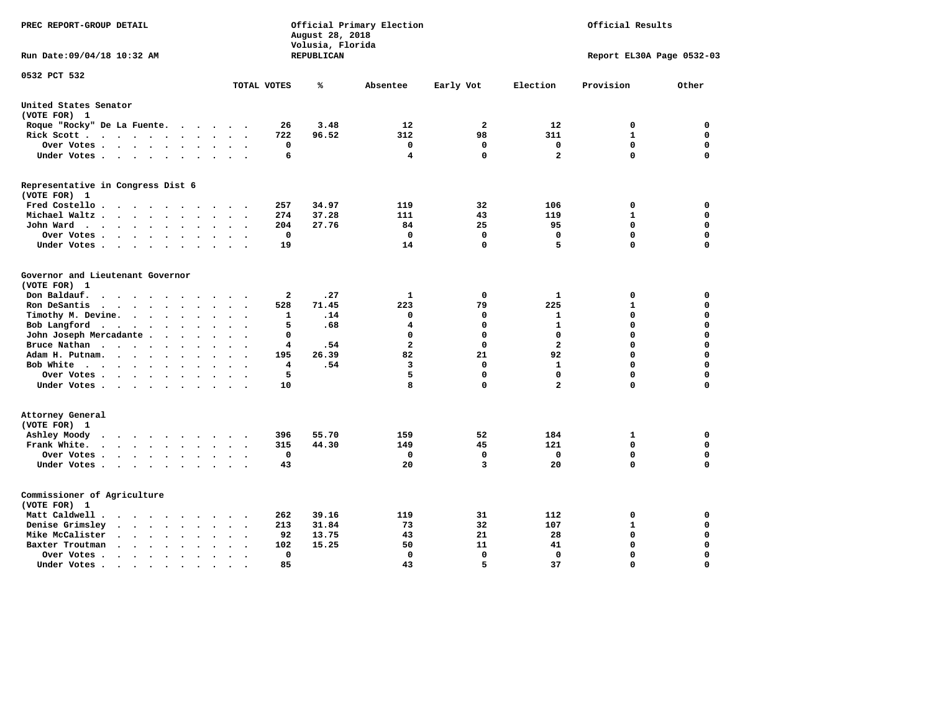| PREC REPORT-GROUP DETAIL                                                                                     |                                                   | August 28, 2018<br>Volusia, Florida | Official Primary Election | Official Results |                   |                           |             |  |
|--------------------------------------------------------------------------------------------------------------|---------------------------------------------------|-------------------------------------|---------------------------|------------------|-------------------|---------------------------|-------------|--|
| Run Date: 09/04/18 10:32 AM                                                                                  |                                                   | REPUBLICAN                          |                           |                  |                   | Report EL30A Page 0532-03 |             |  |
| 0532 PCT 532                                                                                                 | TOTAL VOTES                                       | ℁                                   | Absentee                  | Early Vot        | Election          | Provision                 | Other       |  |
| United States Senator                                                                                        |                                                   |                                     |                           |                  |                   |                           |             |  |
| (VOTE FOR) 1                                                                                                 |                                                   |                                     |                           |                  |                   |                           |             |  |
| Roque "Rocky" De La Fuente.                                                                                  | 26<br>$\cdots$                                    | 3.48                                | 12                        | $\overline{a}$   | 12                | 0                         | 0           |  |
| Rick Scott                                                                                                   | 722                                               | 96.52                               | 312                       | 98               | 311               | 1                         | 0           |  |
| Over Votes                                                                                                   | 0<br>$\ddot{\phantom{a}}$<br>$\ddot{\phantom{a}}$ |                                     | 0                         | 0                | $\mathbf 0$       | $\Omega$                  | 0           |  |
| Under Votes<br>$\ddot{\phantom{0}}$                                                                          | 6<br>$\cdot$                                      |                                     | 4                         | $\mathbf 0$      | $\overline{a}$    | $\Omega$                  | 0           |  |
| Representative in Congress Dist 6                                                                            |                                                   |                                     |                           |                  |                   |                           |             |  |
| (VOTE FOR) 1                                                                                                 |                                                   |                                     |                           |                  |                   |                           |             |  |
| Fred Costello.                                                                                               | 257<br>$\sim$ $\sim$ $\sim$ $\sim$                | 34.97                               | 119                       | 32               | 106               | 0                         | 0           |  |
| Michael Waltz .<br>$\cdots$<br>$\ddot{\phantom{a}}$<br>$\ddot{\phantom{a}}$                                  | 274                                               | 37.28                               | 111                       | 43               | 119               | 1                         | 0           |  |
| John Ward<br>$\sim$ $\sim$<br>$\ddot{\phantom{a}}$                                                           | 204<br>$\bullet$<br>$\mathbf 0$                   | 27.76                               | 84<br>0                   | 25<br>0          | 95<br>$\mathbf 0$ | 0<br>$\mathbf 0$          | 0<br>0      |  |
| Over Votes.<br>$\cdots$<br>$\overline{\phantom{a}}$                                                          |                                                   |                                     | 14                        | 0                | 5                 | $\mathbf 0$               | 0           |  |
| Under Votes<br>$\overline{\phantom{a}}$<br>$\cdot$                                                           | 19                                                |                                     |                           |                  |                   |                           |             |  |
| Governor and Lieutenant Governor                                                                             |                                                   |                                     |                           |                  |                   |                           |             |  |
| (VOTE FOR) 1                                                                                                 |                                                   |                                     |                           |                  |                   |                           |             |  |
| Don Baldauf.<br>$\ddot{\phantom{a}}$                                                                         | $\mathbf{2}$                                      | .27                                 | 1                         | $\mathbf 0$      | $\mathbf{1}$      | 0                         | 0           |  |
| Ron DeSantis<br>$\cdot$ $\cdot$ $\cdot$ $\cdot$<br>$\ddot{\phantom{1}}$<br>$\bullet$<br>$\ddot{\phantom{a}}$ | 528                                               | 71.45                               | 223                       | 79               | 225               | $\mathbf{1}$              | 0           |  |
| Timothy M. Devine.<br>$\bullet$                                                                              | 1                                                 | .14                                 | $\Omega$                  | 0                | $\mathbf{1}$      | $\mathbf 0$               | 0           |  |
| Bob Langford<br>$\ddot{\phantom{0}}$<br>$\ddot{\phantom{0}}$<br>$\ddot{\phantom{a}}$<br>$\ddot{\phantom{0}}$ | 5<br>$\bullet$                                    | .68                                 | $\overline{\mathbf{4}}$   | 0                | $\mathbf{1}$      | $\mathbf 0$               | 0           |  |
| John Joseph Mercadante                                                                                       | 0<br>$\sim$                                       |                                     | $\mathbf 0$               | 0                | $\mathbf 0$       | $\mathbf 0$               | 0           |  |
| Bruce Nathan<br>$\cdot$<br>$\ddot{\phantom{1}}$<br>$\bullet$                                                 | 4                                                 | .54                                 | $\overline{\mathbf{2}}$   | 0                | $\overline{a}$    | $\mathbf 0$               | 0           |  |
| Adam H. Putnam.<br>$\cdots$<br>$\ddot{\phantom{a}}$<br>$\bullet$                                             | 195                                               | 26.39                               | 82                        | 21               | 92                | $\mathbf 0$               | 0           |  |
| Bob White<br>$\sim$                                                                                          | 4<br>$\sim$                                       | .54                                 | 3                         | 0                | $\mathbf{1}$      | $\mathbf 0$               | 0           |  |
| Over Votes .<br>$\cdots$<br>$\ddot{\phantom{0}}$                                                             | 5                                                 |                                     | 5                         | 0                | $\mathbf 0$       | $\mathbf 0$               | 0           |  |
| Under Votes                                                                                                  | 10                                                |                                     | 8                         | 0                | $\overline{a}$    | $\mathbf 0$               | 0           |  |
| Attorney General                                                                                             |                                                   |                                     |                           |                  |                   |                           |             |  |
| (VOTE FOR) 1                                                                                                 |                                                   |                                     |                           |                  |                   |                           |             |  |
| Ashley Moody<br>$\sim$ $\sim$ $\sim$ $\sim$ $\sim$<br>$\cdot$<br>$\sim$ $\sim$                               | 396<br>$\bullet$<br>$\cdot$                       | 55.70                               | 159                       | 52               | 184               | 1                         | 0           |  |
| Frank White.<br>$\cdots$<br>$\ddot{\phantom{a}}$<br>$\overline{\phantom{a}}$                                 | 315                                               | 44.30                               | 149                       | 45               | 121               | $\mathbf 0$               | 0           |  |
| Over Votes .<br>$\bullet$                                                                                    | 0<br>$\ddot{\phantom{a}}$                         |                                     | 0                         | 0                | 0                 | $\mathbf 0$               | 0           |  |
| Under Votes                                                                                                  | 43<br>$\sim$ $\sim$                               |                                     | 20                        | 3                | 20                | $\mathbf 0$               | 0           |  |
| Commissioner of Agriculture                                                                                  |                                                   |                                     |                           |                  |                   |                           |             |  |
| (VOTE FOR) 1                                                                                                 |                                                   |                                     |                           |                  |                   |                           |             |  |
| Matt Caldwell.<br>$\cdot$ $\cdot$ $\cdot$ $\cdot$<br>$\sim$<br>$\overline{\phantom{a}}$                      | 262                                               | 39.16                               | 119                       | 31               | 112               | 0                         | 0           |  |
| Denise Grimsley<br>$\cdot$ $\cdot$<br>$\ddot{\phantom{a}}$<br>$\cdot$<br>$\ddot{\phantom{a}}$                | 213                                               | 31.84                               | 73                        | 32               | 107               | 1                         | 0           |  |
| Mike McCalister<br>$\sim$ , $\sim$ , $\sim$ , $\sim$<br>$\bullet$                                            | 92                                                | 13.75                               | 43                        | 21               | 28                | $\mathbf 0$               | 0           |  |
| Baxter Troutman<br>$\sim$ $\sim$ $\sim$ $\sim$<br>$\ddot{\phantom{a}}$<br>$\ddot{\phantom{a}}$               | 102                                               | 15.25                               | 50                        | 11               | 41                | $\mathbf 0$               | 0           |  |
| Over Votes .<br>$\sim$ $\sim$ $\sim$ $\sim$<br>$\blacksquare$ .<br>$\cdot$                                   | 0                                                 |                                     | 0                         | 0                | 0                 | $\mathbf 0$               | 0           |  |
| Under Votes.<br>$\cdots$<br>$\sim$<br>$\blacksquare$                                                         | 85<br>$\bullet$                                   |                                     | 43                        | 5                | 37                | $\Omega$                  | $\mathbf 0$ |  |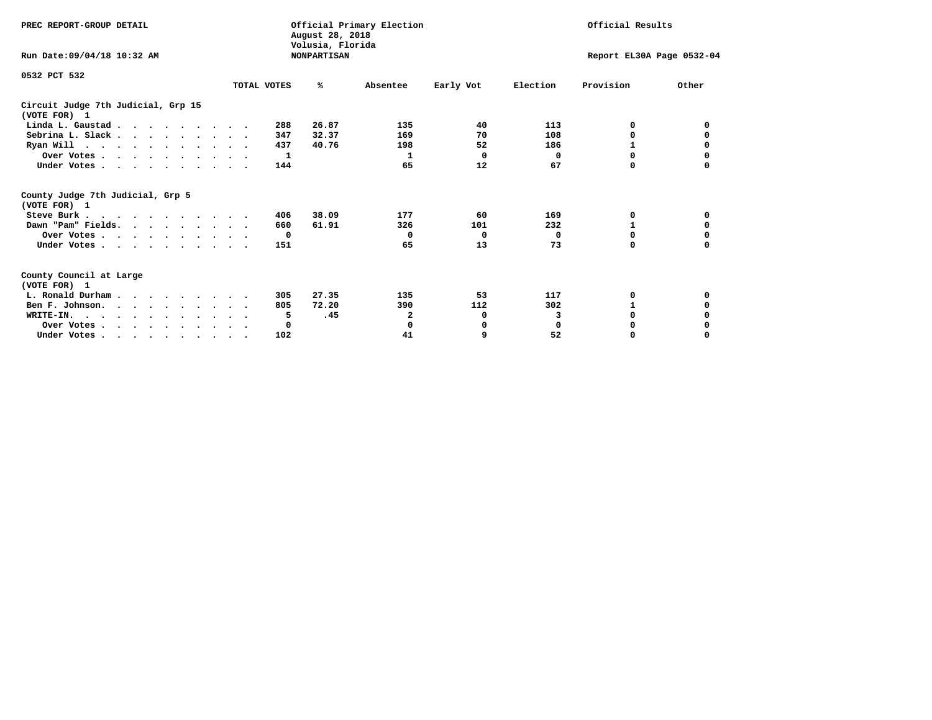| PREC REPORT-GROUP DETAIL                                                         |             | August 28, 2018                        | Official Primary Election |                           | Official Results |           |          |  |
|----------------------------------------------------------------------------------|-------------|----------------------------------------|---------------------------|---------------------------|------------------|-----------|----------|--|
| Run Date: 09/04/18 10:32 AM                                                      |             | Volusia, Florida<br><b>NONPARTISAN</b> |                           | Report EL30A Page 0532-04 |                  |           |          |  |
| 0532 PCT 532                                                                     | TOTAL VOTES | %ะ                                     | Absentee                  | Early Vot                 | Election         | Provision | Other    |  |
| Circuit Judge 7th Judicial, Grp 15<br>(VOTE FOR) 1                               |             |                                        |                           |                           |                  |           |          |  |
| Linda L. Gaustad                                                                 |             | 26.87<br>288                           | 135                       | 40                        | 113              | 0         | 0        |  |
| Sebrina L. Slack.                                                                |             | 32.37<br>347                           | 169                       | 70                        | 108              | 0         |          |  |
| Ryan Will $\cdots$ , $\cdots$ , $\cdots$ , $\cdots$                              |             | 437<br>40.76                           | 198                       | 52                        | 186              | 1         | 0        |  |
| Over Votes                                                                       |             | 1                                      | 1                         | $\Omega$                  | 0                | $\Omega$  | 0        |  |
| Under Votes                                                                      |             | 144                                    | 65                        | 12                        | 67               | 0         |          |  |
| County Judge 7th Judicial, Grp 5<br>(VOTE FOR) 1                                 |             |                                        |                           |                           |                  |           |          |  |
| Steve Burk                                                                       |             | 38.09<br>406                           | 177                       | 60                        | 169              | 0         | 0        |  |
| Dawn "Pam" Fields.                                                               |             | 61.91<br>660                           | 326                       | 101                       | 232              |           | 0        |  |
| Over Votes                                                                       |             | $\mathbf{o}$                           | $\mathbf{o}$              | 0                         | 0                | 0         | 0        |  |
| Under Votes                                                                      |             | 151                                    | 65                        | 13                        | 73               | $\Omega$  | 0        |  |
| County Council at Large<br>(VOTE FOR) 1                                          |             |                                        |                           |                           |                  |           |          |  |
| L. Ronald Durham                                                                 |             | 27.35<br>305                           | 135                       | 53                        | 117              | 0         | 0        |  |
| Ben F. Johnson.                                                                  |             | 72.20<br>805                           | 390                       | 112                       | 302              | 1         | 0        |  |
| WRITE-IN.                                                                        |             | .45<br>5                               | 2                         | 0                         | 3                | $\Omega$  |          |  |
| Over Votes                                                                       |             | 0                                      | 0                         | 0                         | $\mathbf 0$      | 0         |          |  |
| Under Votes, $\cdot$ , $\cdot$ , $\cdot$ , $\cdot$ , $\cdot$ , $\cdot$ , $\cdot$ |             | 102                                    | 41                        | 9                         | 52               | 0         | $\Omega$ |  |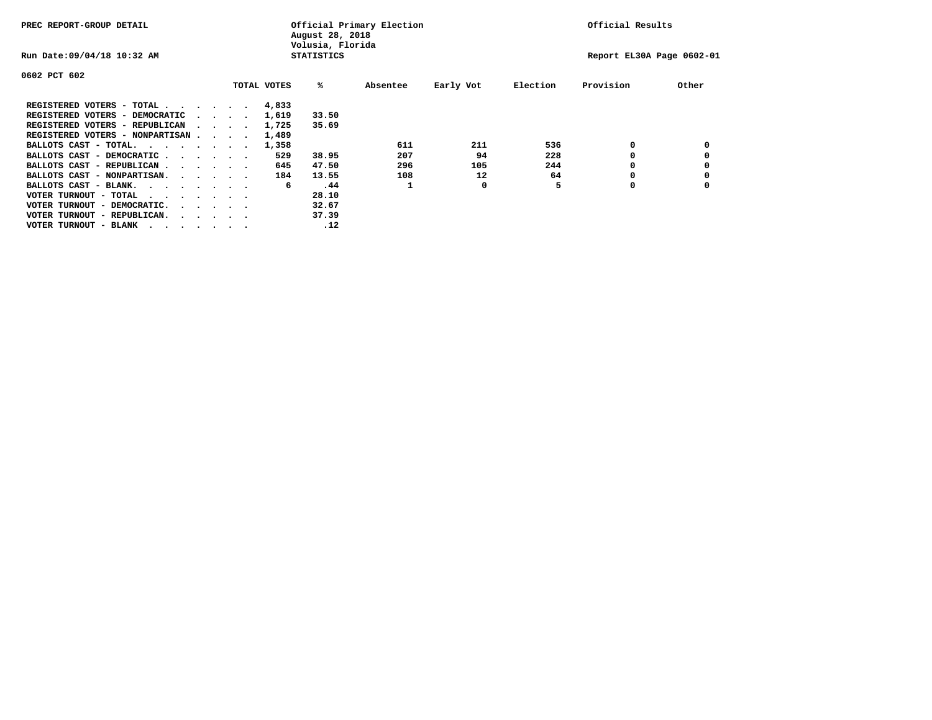| PREC REPORT-GROUP DETAIL               |  |  |                                         |             | August 28, 2018<br>Volusia, Florida | Official Primary Election |           |          | Official Results          |       |
|----------------------------------------|--|--|-----------------------------------------|-------------|-------------------------------------|---------------------------|-----------|----------|---------------------------|-------|
| Run Date: 09/04/18 10:32 AM            |  |  |                                         |             | <b>STATISTICS</b>                   |                           |           |          | Report EL30A Page 0602-01 |       |
| 0602 PCT 602                           |  |  |                                         |             |                                     |                           |           |          |                           |       |
|                                        |  |  |                                         | TOTAL VOTES | %ะ                                  | Absentee                  | Early Vot | Election | Provision                 | Other |
| REGISTERED VOTERS - TOTAL              |  |  |                                         | 4,833       |                                     |                           |           |          |                           |       |
| REGISTERED VOTERS - DEMOCRATIC         |  |  | $\sim$ $\sim$ $\sim$ $\sim$             | 1,619       | 33.50                               |                           |           |          |                           |       |
| REGISTERED VOTERS - REPUBLICAN         |  |  |                                         | 1,725       | 35.69                               |                           |           |          |                           |       |
| REGISTERED VOTERS - NONPARTISAN        |  |  |                                         | 1,489       |                                     |                           |           |          |                           |       |
| BALLOTS CAST - TOTAL.                  |  |  |                                         | 1,358       |                                     | 611                       | 211       | 536      | 0                         |       |
| BALLOTS CAST - DEMOCRATIC              |  |  |                                         | 529         | 38.95                               | 207                       | 94        | 228      |                           |       |
| BALLOTS CAST - REPUBLICAN              |  |  |                                         | 645         | 47.50                               | 296                       | 105       | 244      | 0                         |       |
| BALLOTS CAST - NONPARTISAN.            |  |  |                                         | 184         | 13.55                               | 108                       | 12        | 64       |                           |       |
| BALLOTS CAST - BLANK.                  |  |  |                                         | 6           | .44                                 |                           | 0         |          | 0                         |       |
| VOTER TURNOUT - TOTAL<br>.             |  |  |                                         |             | 28.10                               |                           |           |          |                           |       |
| VOTER TURNOUT - DEMOCRATIC.            |  |  | $\cdot$ $\cdot$ $\cdot$ $\cdot$ $\cdot$ |             | 32.67                               |                           |           |          |                           |       |
| VOTER TURNOUT - REPUBLICAN.<br>$\cdot$ |  |  |                                         |             | 37.39                               |                           |           |          |                           |       |
| VOTER TURNOUT - BLANK                  |  |  |                                         |             | .12                                 |                           |           |          |                           |       |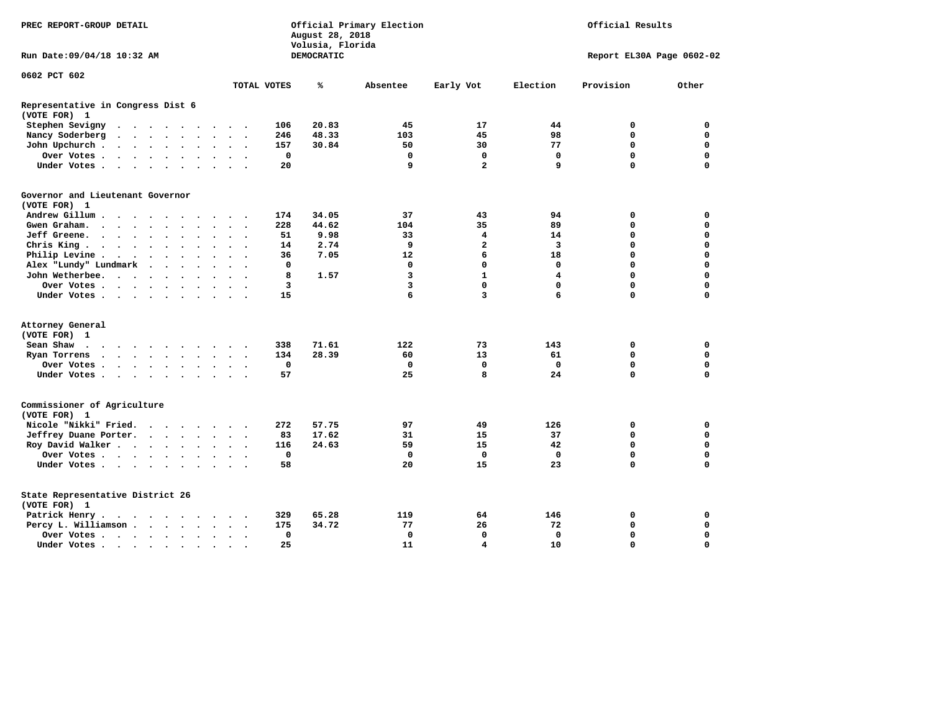| PREC REPORT-GROUP DETAIL                          |                                                                                         |                      |                      |                      |                      |                      |                          | August 28, 2018<br>Volusia, Florida | Official Primary Election |            | Official Results |                         |             |             |                           |
|---------------------------------------------------|-----------------------------------------------------------------------------------------|----------------------|----------------------|----------------------|----------------------|----------------------|--------------------------|-------------------------------------|---------------------------|------------|------------------|-------------------------|-------------|-------------|---------------------------|
| Run Date:09/04/18 10:32 AM                        |                                                                                         |                      |                      |                      |                      |                      |                          |                                     |                           | DEMOCRATIC |                  |                         |             |             | Report EL30A Page 0602-02 |
| 0602 PCT 602                                      |                                                                                         |                      |                      |                      |                      |                      |                          |                                     |                           |            |                  |                         |             |             |                           |
|                                                   |                                                                                         |                      |                      |                      |                      |                      |                          |                                     | TOTAL VOTES               | ℁          | Absentee         | Early Vot               | Election    | Provision   | Other                     |
| Representative in Congress Dist 6<br>(VOTE FOR) 1 |                                                                                         |                      |                      |                      |                      |                      |                          |                                     |                           |            |                  |                         |             |             |                           |
| Stephen Sevigny                                   | $\cdots$                                                                                |                      |                      |                      |                      |                      |                          |                                     | 106                       | 20.83      | 45               | 17                      | 44          | 0           | 0                         |
| Nancy Soderberg                                   |                                                                                         |                      |                      |                      |                      |                      |                          |                                     | 246                       | 48.33      | 103              | 45                      | 98          | 0           | 0                         |
| John Upchurch.                                    |                                                                                         |                      |                      |                      |                      |                      | $\cdot$ $\cdot$          |                                     | 157                       | 30.84      | 50               | 30                      | 77          | $\mathbf 0$ | $\mathbf 0$               |
| Over Votes                                        |                                                                                         |                      |                      |                      |                      | $\ddot{\phantom{0}}$ | $\ddot{\phantom{1}}$     |                                     | $\mathbf 0$               |            | $\mathbf 0$      | $\mathbf 0$             | $\mathbf 0$ | $\mathbf 0$ | $\mathbf 0$               |
| Under Votes                                       |                                                                                         |                      |                      |                      |                      |                      | $\sim$                   |                                     | 20                        |            | 9                | $\overline{\mathbf{2}}$ | 9           | $\Omega$    | $\mathbf 0$               |
| Governor and Lieutenant Governor<br>(VOTE FOR) 1  |                                                                                         |                      |                      |                      |                      |                      |                          |                                     |                           |            |                  |                         |             |             |                           |
| Andrew Gillum                                     |                                                                                         |                      |                      |                      |                      |                      |                          |                                     | 174                       | 34.05      | 37               | 43                      | 94          | 0           | 0                         |
| Gwen Graham.                                      | $\cdots$                                                                                |                      |                      |                      |                      |                      | $\sim$ $\sim$            | $\sim$                              | 228                       | 44.62      | 104              | 35                      | 89          | $\mathbf 0$ | $\mathbf 0$               |
| Jeff Greene.                                      |                                                                                         |                      | $\ddot{\phantom{a}}$ |                      |                      |                      | $\ddot{\phantom{a}}$     |                                     | 51                        | 9.98       | 33               | 4                       | 14          | $\mathbf 0$ | $\mathbf 0$               |
| Chris King                                        |                                                                                         |                      |                      |                      |                      |                      | $\bullet$ . $\bullet$    |                                     | 14                        | 2.74       | 9                | 2                       | 3           | $\mathbf 0$ | $\mathbf 0$               |
| Philip Levine.                                    | $\mathcal{A}=\mathcal{A}=\mathcal{A}=\mathcal{A}=\mathcal{A}=\mathcal{A}$ .             |                      |                      |                      |                      | $\ddot{\phantom{a}}$ | $\sim$                   | $\sim$                              | 36                        | 7.05       | 12               | 6                       | 18          | $\mathbf 0$ | $\mathbf 0$               |
| Alex "Lundy" Lundmark                             |                                                                                         | $\ddot{\phantom{0}}$ |                      | $\ddot{\phantom{1}}$ | $\ddot{\phantom{a}}$ |                      | $\bullet$                |                                     | 0                         |            | 0                | $\mathbf 0$             | 0           | $\mathbf 0$ | $\mathbf 0$               |
| John Wetherbee.                                   |                                                                                         |                      |                      |                      |                      | $\ddot{\phantom{a}}$ | $\bullet$                |                                     | 8                         | 1.57       | 3                | $\mathbf{1}$            | 4           | $\mathbf 0$ | $\mathbf 0$               |
| Over Votes                                        |                                                                                         |                      |                      |                      |                      |                      |                          |                                     | 3                         |            | 3                | $\mathbf 0$             | $\mathbf 0$ | $\Omega$    | $\mathbf 0$               |
| Under Votes                                       |                                                                                         |                      |                      |                      |                      |                      | $\sim$                   |                                     | 15                        |            | 6                | 3                       | 6           | $\Omega$    | $\mathbf 0$               |
|                                                   |                                                                                         |                      |                      |                      |                      |                      |                          |                                     |                           |            |                  |                         |             |             |                           |
| Attorney General                                  |                                                                                         |                      |                      |                      |                      |                      |                          |                                     |                           |            |                  |                         |             |             |                           |
| (VOTE FOR) 1                                      |                                                                                         |                      |                      |                      |                      |                      |                          |                                     |                           |            |                  |                         |             |             |                           |
| Sean Shaw                                         |                                                                                         |                      |                      |                      |                      |                      | $\sim$ $\sim$            |                                     | 338                       | 71.61      | 122              | 73                      | 143         | 0           | 0                         |
| Ryan Torrens                                      | $\mathbf{r}$ , $\mathbf{r}$ , $\mathbf{r}$ , $\mathbf{r}$ , $\mathbf{r}$ , $\mathbf{r}$ |                      |                      |                      |                      |                      | $\ddot{\phantom{1}}$     | $\ddot{\phantom{1}}$                | 134                       | 28.39      | 60               | 13                      | 61          | $\mathbf 0$ | $\mathbf 0$               |
| Over Votes                                        |                                                                                         |                      |                      |                      |                      |                      |                          |                                     | $\mathbf 0$               |            | $\mathbf 0$      | $\mathbf 0$             | $\mathbf 0$ | $\mathbf 0$ | $\mathbf 0$               |
| Under Votes                                       |                                                                                         |                      |                      |                      |                      | $\ddot{\phantom{1}}$ | $\sim$ $\sim$            |                                     | 57                        |            | 25               | 8                       | 24          | $\mathbf 0$ | $\mathbf 0$               |
| Commissioner of Agriculture<br>(VOTE FOR) 1       |                                                                                         |                      |                      |                      |                      |                      |                          |                                     |                           |            |                  |                         |             |             |                           |
| Nicole "Nikki" Fried.                             |                                                                                         |                      |                      |                      |                      |                      |                          |                                     | 272                       | 57.75      | 97               | 49                      | 126         | 0           | 0                         |
| Jeffrey Duane Porter.                             |                                                                                         |                      |                      |                      |                      |                      |                          |                                     | 83                        | 17.62      | 31               | 15                      | 37          | 0           | 0                         |
| Roy David Walker                                  |                                                                                         |                      |                      |                      |                      |                      |                          |                                     | 116                       | 24.63      | 59               | 15                      | 42          | $\mathbf 0$ | $\mathbf 0$               |
| Over Votes                                        |                                                                                         |                      |                      |                      |                      |                      | $\overline{\phantom{a}}$ |                                     | $\mathbf 0$               |            | $\mathbf 0$      | $\mathbf 0$             | $\Omega$    | $\mathbf 0$ | $\mathbf 0$               |
| Under Votes                                       |                                                                                         |                      |                      |                      |                      |                      |                          |                                     | 58                        |            | 20               | 15                      | 23          | $\Omega$    | $\mathbf 0$               |
| State Representative District 26<br>(VOTE FOR) 1  |                                                                                         |                      |                      |                      |                      |                      |                          |                                     |                           |            |                  |                         |             |             |                           |
| Patrick Henry.                                    | .                                                                                       |                      |                      |                      |                      |                      |                          |                                     | 329                       | 65.28      | 119              | 64                      | 146         | 0           | 0                         |
| Percy L. Williamson                               |                                                                                         |                      |                      |                      |                      | $\ddot{\phantom{0}}$ |                          | $\ddot{\phantom{1}}$                | 175                       | 34.72      | 77               | 26                      | 72          | $\mathbf 0$ | $\mathbf 0$               |
| Over Votes                                        |                                                                                         |                      |                      |                      |                      |                      | $\bullet$                |                                     | $\mathbf 0$               |            | $\mathbf 0$      | $\mathbf 0$             | $\mathbf 0$ | $\mathbf 0$ | $\mathbf 0$               |
| Under Votes                                       |                                                                                         |                      |                      |                      |                      |                      |                          |                                     | 25                        |            | 11               | $\overline{\mathbf{4}}$ | 10          | $\Omega$    | $\Omega$                  |
|                                                   |                                                                                         |                      |                      |                      |                      |                      |                          |                                     |                           |            |                  |                         |             |             |                           |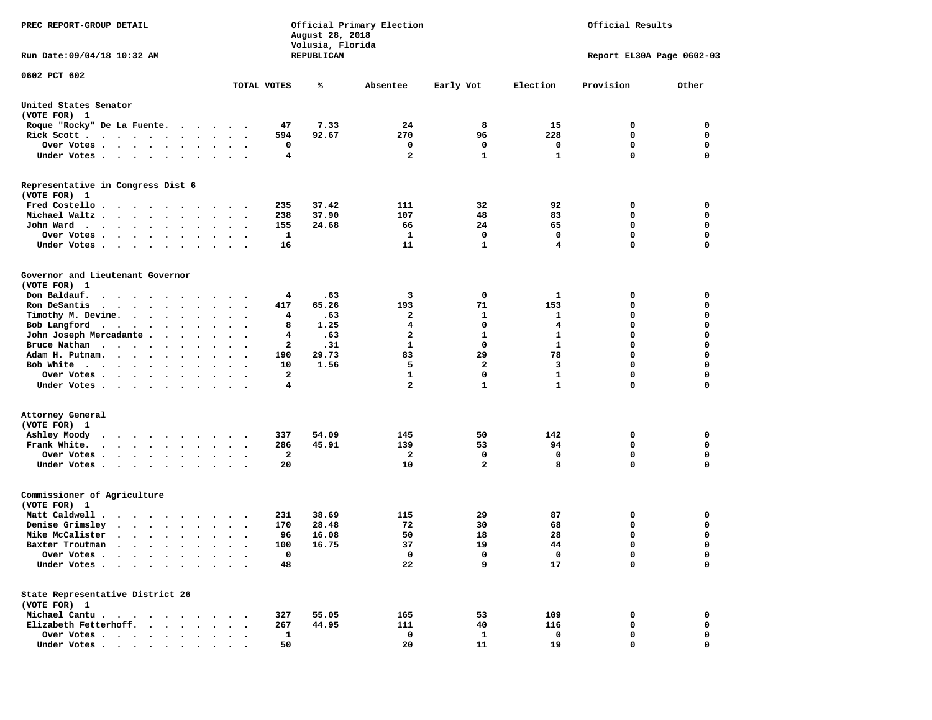| PREC REPORT-GROUP DETAIL                                                                                                                                                                                                                             |                                                                     | Volusia, Florida | Official Primary Election<br>Official Results<br>August 28, 2018 |                |              |                           |             |
|------------------------------------------------------------------------------------------------------------------------------------------------------------------------------------------------------------------------------------------------------|---------------------------------------------------------------------|------------------|------------------------------------------------------------------|----------------|--------------|---------------------------|-------------|
| Run Date: 09/04/18 10:32 AM                                                                                                                                                                                                                          |                                                                     | REPUBLICAN       |                                                                  |                |              | Report EL30A Page 0602-03 |             |
| 0602 PCT 602                                                                                                                                                                                                                                         |                                                                     |                  |                                                                  |                |              |                           |             |
|                                                                                                                                                                                                                                                      | TOTAL VOTES                                                         | ℁                | Absentee                                                         | Early Vot      | Election     | Provision                 | Other       |
| United States Senator<br>(VOTE FOR) 1                                                                                                                                                                                                                |                                                                     |                  |                                                                  |                |              |                           |             |
| Roque "Rocky" De La Fuente.                                                                                                                                                                                                                          | 47                                                                  | 7.33             | 24                                                               | 8              | 15           | 0                         | 0           |
| Rick Scott                                                                                                                                                                                                                                           | 594<br>$\bullet$ .<br><br><br><br><br><br><br><br><br><br><br><br>  | 92.67            | 270                                                              | 96             | 228          | 0                         | 0           |
| Over Votes                                                                                                                                                                                                                                           | 0<br>$\ddot{\phantom{1}}$                                           |                  | 0                                                                | 0              | 0            | $\mathbf 0$               | 0           |
| Under Votes                                                                                                                                                                                                                                          | $\bullet$ .<br>$\sim$ $\sim$                                        | 4                | $\overline{a}$                                                   | $\mathbf{1}$   | $\mathbf{1}$ | $\Omega$                  | $\mathbf 0$ |
| Representative in Congress Dist 6<br>(VOTE FOR) 1                                                                                                                                                                                                    |                                                                     |                  |                                                                  |                |              |                           |             |
| Fred Costello                                                                                                                                                                                                                                        | 235                                                                 | 37.42            | 111                                                              | 32             | 92           | 0                         | 0           |
| Michael Waltz                                                                                                                                                                                                                                        | 238<br>$\ddot{\phantom{1}}$                                         | 37.90            | 107                                                              | 48             | 83           | 0                         | 0           |
| John Ward                                                                                                                                                                                                                                            | 155<br>$\sim$ $\sim$<br>$\sim$                                      | 24.68            | 66                                                               | 24             | 65           | $\mathbf 0$               | 0           |
| Over Votes<br>$\cdot$<br>$\cdot$<br>$\sim$<br>$\cdot$                                                                                                                                                                                                | 1                                                                   |                  | 1                                                                | $\mathbf 0$    | 0            | $\mathbf 0$               | 0           |
| Under Votes                                                                                                                                                                                                                                          | 16                                                                  |                  | 11                                                               | 1              | 4            | $\mathbf 0$               | 0           |
| Governor and Lieutenant Governor<br>(VOTE FOR) 1                                                                                                                                                                                                     |                                                                     |                  |                                                                  |                |              |                           |             |
| Don Baldauf.<br>$\cdot$                                                                                                                                                                                                                              | 4<br>$\cdot$ $\cdot$                                                | .63              | 3                                                                | 0              | 1            | 0                         | 0           |
| Ron DeSantis<br>$\cdots$                                                                                                                                                                                                                             | 417<br>$\bullet$                                                    | 65.26            | 193                                                              | 71             | 153          | 0                         | 0           |
| Timothy M. Devine.                                                                                                                                                                                                                                   | $\ddot{\phantom{1}}$                                                | 4<br>.63         | $\mathbf{2}$                                                     | 1              | 1            | 0                         | $\mathbf 0$ |
| Bob Langford                                                                                                                                                                                                                                         | 8<br>$\sim$ $\sim$<br>$\overline{\phantom{a}}$                      | 1.25             | 4                                                                | $\mathbf 0$    | 4            | $\mathbf 0$               | 0           |
| John Joseph Mercadante .<br>$\sim$ $\sim$ $\sim$ $\sim$                                                                                                                                                                                              | $\bullet$                                                           | .63<br>4         | $\mathbf{2}$                                                     | 1              | 1            | $\mathbf 0$               | 0           |
| Bruce Nathan                                                                                                                                                                                                                                         | $\bullet$<br>$\ddot{\phantom{0}}$<br>$\cdot$                        | 2<br>.31         | $\mathbf{1}$                                                     | 0              | $\mathbf{1}$ | $\mathbf 0$               | 0           |
| Adam H. Putnam.<br>$\cdots$<br>$\sim$                                                                                                                                                                                                                | 190<br>$\ddot{\phantom{a}}$                                         | 29.73            | 83                                                               | 29             | 78           | $\mathbf 0$               | 0           |
| Bob White                                                                                                                                                                                                                                            | 10                                                                  | 1.56             | 5                                                                | 2              | 3            | $\mathbf 0$               | 0           |
| Over Votes.<br>$\cdots$<br>$\cdot$                                                                                                                                                                                                                   | $\overline{\mathbf{2}}$<br>$\cdot$<br>$\bullet$                     |                  | 1                                                                | $\mathbf 0$    | $\mathbf{1}$ | $\mathbf 0$               | 0           |
| Under Votes                                                                                                                                                                                                                                          |                                                                     | 4                | $\overline{a}$                                                   | $\mathbf{1}$   | $\mathbf{1}$ | $\mathbf 0$               | 0           |
| Attorney General                                                                                                                                                                                                                                     |                                                                     |                  |                                                                  |                |              |                           |             |
| (VOTE FOR) 1                                                                                                                                                                                                                                         |                                                                     | 54.09            | 145                                                              | 50             | 142          |                           | 0           |
| Ashley Moody<br>Frank White.                                                                                                                                                                                                                         | 337<br>$\cdot$ $\cdot$<br>286                                       | 45.91            | 139                                                              | 53             | 94           | 0<br>0                    | 0           |
| $\begin{array}{cccccccccccccc} \bullet & \bullet & \bullet & \bullet & \bullet & \bullet & \bullet & \bullet & \bullet & \bullet & \bullet & \bullet \end{array}$                                                                                    | $\bullet$ .<br>$\ddot{\phantom{a}}$<br>$\sim$<br>2                  |                  | 2                                                                | 0              | 0            | $\mathbf 0$               | 0           |
| Over Votes.<br>$\cdot$<br>$\ddot{\phantom{0}}$<br>Under Votes                                                                                                                                                                                        | 20                                                                  |                  | 10                                                               | $\overline{a}$ | 8            | $\Omega$                  | $\mathbf 0$ |
| Commissioner of Agriculture<br>(VOTE FOR) 1                                                                                                                                                                                                          |                                                                     |                  |                                                                  |                |              |                           |             |
| Matt Caldwell .<br>$\mathbf{r}$ . The set of the set of the set of the set of the set of the set of the set of the set of the set of the set of the set of the set of the set of the set of the set of the set of the set of the set of the set of t | 231                                                                 | 38.69            | 115                                                              | 29             | 87           | 0                         | 0           |
| Denise Grimsley<br>$\cdot$ $\cdot$ $\cdot$ $\cdot$ $\cdot$ $\cdot$                                                                                                                                                                                   | 170<br>$\cdot$                                                      | 28.48            | 72                                                               | 30             | 68           | $\mathbf 0$               | 0           |
| Mike McCalister                                                                                                                                                                                                                                      | 96<br>$\bullet$<br>$\ddot{\phantom{0}}$<br>$\overline{\phantom{a}}$ | 16.08            | 50                                                               | 18             | 28           | $\mathbf 0$               | 0           |
| Baxter Troutman                                                                                                                                                                                                                                      | 100                                                                 | 16.75            | 37                                                               | 19             | 44           | $\Omega$                  | $\Omega$    |
| Over Votes .<br>$\cdots$                                                                                                                                                                                                                             | $\mathbf 0$                                                         |                  | 0                                                                | 0              | 0            | 0                         | 0           |
| Under Votes.<br>$\ddot{\phantom{a}}$<br>$\sim$ $\sim$<br>$\ddot{\phantom{a}}$                                                                                                                                                                        | 48                                                                  |                  | 22                                                               | 9              | 17           | $\mathbf 0$               | 0           |
| State Representative District 26<br>(VOTE FOR) 1                                                                                                                                                                                                     |                                                                     |                  |                                                                  |                |              |                           |             |
| Michael Cantu.<br>$\sim$ $\sim$ $\sim$ $\sim$ $\sim$<br>$\sim$ $\sim$                                                                                                                                                                                | 327                                                                 | 55.05            | 165                                                              | 53             | 109          | 0                         | 0           |
| Elizabeth Fetterhoff.<br>$\ddot{\phantom{a}}$<br>$\ddot{\phantom{a}}$                                                                                                                                                                                | 267                                                                 | 44.95            | 111                                                              | 40             | 116          | 0                         | 0           |
| Over Votes<br>$\bullet$                                                                                                                                                                                                                              | 1                                                                   |                  | 0                                                                | 1              | 0            | 0                         | 0           |
| Under Votes                                                                                                                                                                                                                                          | 50                                                                  |                  | 20                                                               | 11             | 19           | $\mathbf 0$               | $\mathbf 0$ |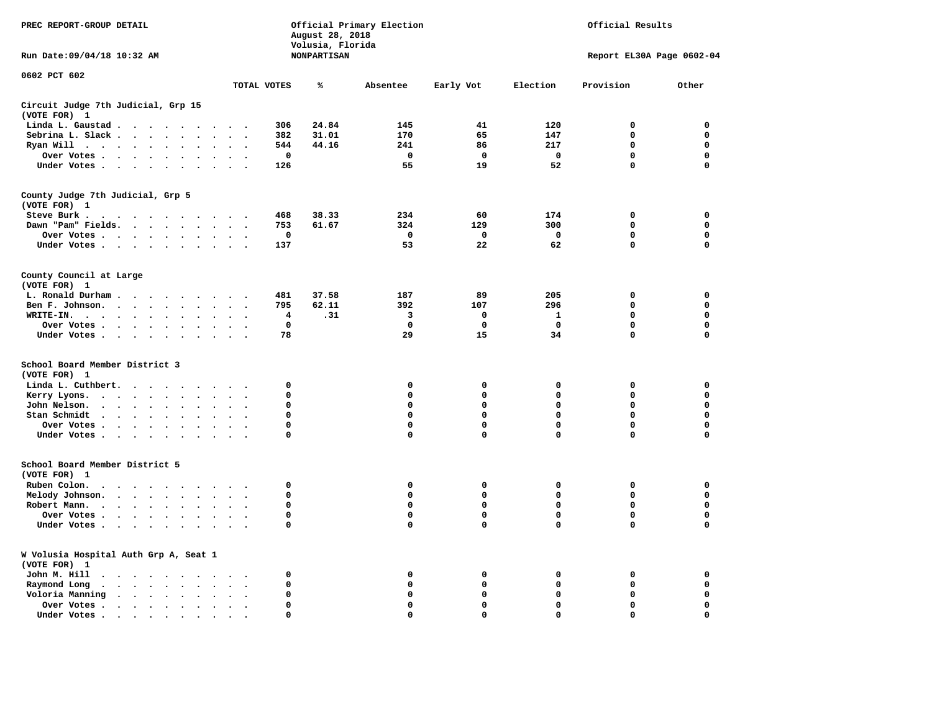| PREC REPORT-GROUP DETAIL                                                                                                                                                                                                                      |                                              | August 28, 2018<br>Volusia, Florida | Official Primary Election | Official Results |             |                            |                            |
|-----------------------------------------------------------------------------------------------------------------------------------------------------------------------------------------------------------------------------------------------|----------------------------------------------|-------------------------------------|---------------------------|------------------|-------------|----------------------------|----------------------------|
| Run Date: 09/04/18 10:32 AM                                                                                                                                                                                                                   |                                              | <b>NONPARTISAN</b>                  |                           |                  |             | Report EL30A Page 0602-04  |                            |
| 0602 PCT 602                                                                                                                                                                                                                                  | TOTAL VOTES                                  | ℁                                   | Absentee                  | Early Vot        | Election    | Provision                  | Other                      |
| Circuit Judge 7th Judicial, Grp 15                                                                                                                                                                                                            |                                              |                                     |                           |                  |             |                            |                            |
| (VOTE FOR) 1                                                                                                                                                                                                                                  |                                              |                                     |                           |                  |             |                            |                            |
| Linda L. Gaustad<br>$\overline{\phantom{a}}$<br>$\cdot$                                                                                                                                                                                       |                                              | 24.84<br>306                        | 145                       | 41               | 120         | 0                          | $\mathbf 0$                |
| Sebrina L. Slack<br>$\ddot{\phantom{a}}$<br>$\bullet$<br>$\ddot{\phantom{a}}$<br>$\ddot{\phantom{a}}$                                                                                                                                         | $\ddot{\phantom{a}}$<br>$\ddot{\phantom{0}}$ | 382<br>31.01                        | 170                       | 65               | 147         | $\mathbf 0$                | $\mathbf 0$                |
| Ryan Will $\cdots$<br>$\ddot{\phantom{a}}$<br>$\ddot{\phantom{a}}$<br>$\cdot$                                                                                                                                                                 | $\cdot$                                      | 44.16<br>544                        | 241                       | 86               | 217         | $\mathbf 0$                | $\mathbf 0$                |
| Over Votes<br>$\bullet$<br>$\bullet$                                                                                                                                                                                                          |                                              | 0                                   | 0                         | $\mathbf 0$      | 0           | $\mathbf 0$<br>$\mathbf 0$ | $\mathbf 0$<br>$\mathbf 0$ |
| Under Votes<br>$\ddot{\phantom{1}}$<br>$\bullet$<br>$\bullet$                                                                                                                                                                                 | $\bullet$                                    | 126                                 | 55                        | 19               | 52          |                            |                            |
| County Judge 7th Judicial, Grp 5<br>(VOTE FOR) 1                                                                                                                                                                                              |                                              |                                     |                           |                  |             |                            |                            |
| Steve Burk .<br>. The contract of the contract of the contract of the contract of the contract of the contract of the contract of the contract of the contract of the contract of the contract of the contract of the contract of the contrac |                                              | 468<br>38.33                        | 234                       | 60               | 174         | 0                          | 0                          |
| Dawn "Pam" Fields.<br>$\ddot{\phantom{a}}$                                                                                                                                                                                                    | $\cdot$<br>$\bullet$                         | 753<br>61.67                        | 324                       | 129              | 300         | 0                          | 0                          |
| Over Votes<br>$\ddot{\phantom{1}}$                                                                                                                                                                                                            |                                              | 0                                   | 0                         | 0                | 0           | 0                          | 0                          |
| Under Votes<br>$\ddot{\phantom{a}}$                                                                                                                                                                                                           |                                              | 137                                 | 53                        | 22               | 62          | $\mathbf 0$                | $\Omega$                   |
| County Council at Large                                                                                                                                                                                                                       |                                              |                                     |                           |                  |             |                            |                            |
| (VOTE FOR) 1<br>L. Ronald Durham                                                                                                                                                                                                              |                                              | 37.58<br>481                        | 187                       | 89               | 205         | 0                          | 0                          |
| $\mathcal{L}(\mathbf{z})$ , and $\mathcal{L}(\mathbf{z})$ , and<br>$\bullet$<br>Ben F. Johnson.<br>$\bullet$ .<br><br><br><br><br><br><br><br><br><br><br><br><br><br>$\bullet$<br>$\bullet$<br>$\bullet$<br>$\bullet$                        | $\bullet$                                    | 795<br>62.11                        | 392                       | 107              | 296         | $\mathbf 0$                | $\Omega$                   |
| WRITE-IN.<br>$\sim$ $\sim$<br>$\bullet$<br>$\bullet$<br>$\ddot{\phantom{a}}$<br>$\cdot$<br>$\ddot{\phantom{a}}$                                                                                                                               |                                              | 4<br>.31                            | 3                         | 0                | 1           | 0                          | 0                          |
| Over Votes .<br>$\cdot$ $\cdot$ $\cdot$<br>$\bullet$<br>$\bullet$<br>$\bullet$                                                                                                                                                                |                                              | $\mathbf 0$                         | $\mathbf 0$               | $\mathbf 0$      | $\mathbf 0$ | $\mathbf 0$                | $\mathbf 0$                |
| Under Votes<br>$\ddot{\phantom{0}}$<br>$\blacksquare$<br>$\bullet$<br>$\bullet$                                                                                                                                                               | $\cdot$                                      | 78                                  | 29                        | 15               | 34          | $\mathbf 0$                | $\Omega$                   |
| School Board Member District 3                                                                                                                                                                                                                |                                              |                                     |                           |                  |             |                            |                            |
| (VOTE FOR) 1                                                                                                                                                                                                                                  |                                              |                                     |                           |                  |             |                            |                            |
| Linda L. Cuthbert.<br>$\ddot{\phantom{1}}$<br>$\cdot$<br>$\bullet$                                                                                                                                                                            |                                              | 0                                   | 0                         | 0                | 0           | 0                          | 0                          |
| Kerry Lyons.<br>$\sim$ $\sim$ $\sim$ $\sim$<br>$\cdot$<br>$\ddot{\phantom{a}}$<br>$\ddot{\phantom{a}}$<br>$\sim$<br>$\Delta$                                                                                                                  | $\ddot{\phantom{a}}$                         | $\mathbf 0$                         | $\mathbf 0$               | $\mathbf 0$      | $\mathbf 0$ | $\mathbf 0$                | $\mathbf 0$                |
| John Nelson.<br>$\ddot{\phantom{a}}$<br>$\cdot$<br>$\ddot{\phantom{a}}$<br>$\ddot{\phantom{a}}$<br>$\overline{\phantom{a}}$                                                                                                                   |                                              | 0                                   | 0                         | 0                | $\mathbf 0$ | $\mathbf 0$                | $\mathbf 0$                |
| Stan Schmidt<br>$\ddot{\phantom{0}}$<br>$\cdot$ $\cdot$ $\cdot$<br>$\cdot$<br>$\cdot$<br>$\bullet$                                                                                                                                            |                                              | 0                                   | $\mathbf 0$               | $\mathbf 0$      | 0           | $\mathbf 0$                | $\mathbf 0$                |
| Over Votes .<br>$\sim$ $\sim$<br>$\ddot{\phantom{0}}$<br>$\cdot$<br>$\bullet$<br>$\bullet$<br>$\cdot$<br>$\bullet$                                                                                                                            | $\bullet$                                    | 0                                   | $\mathbf 0$               | $\mathbf 0$      | 0           | 0                          | $\mathbf 0$                |
| Under Votes.<br>$\cdots$<br>$\bullet$<br>$\sim$ $\sim$                                                                                                                                                                                        | $\sim$ $\sim$ $\sim$                         | 0                                   | $\Omega$                  | $\mathbf 0$      | $\Omega$    | $\mathbf 0$                | $\mathbf 0$                |
| School Board Member District 5<br>(VOTE FOR) 1                                                                                                                                                                                                |                                              |                                     |                           |                  |             |                            |                            |
| Ruben Colon.<br>$\bullet$<br>$\ddot{\phantom{0}}$                                                                                                                                                                                             |                                              | 0                                   | 0                         | 0                | 0           | 0                          | 0                          |
| Melody Johnson.<br>$\bullet$<br>$\ddot{\phantom{a}}$<br>$\bullet$                                                                                                                                                                             |                                              | 0                                   | $\mathbf 0$               | $\mathbf 0$      | $\mathbf 0$ | $\mathbf 0$                | 0                          |
| Robert Mann.<br>$\ddot{\phantom{0}}$<br>$\ddot{\phantom{0}}$<br>$\bullet$<br>$\bullet$<br>$\bullet$<br>$\bullet$<br>$\bullet$                                                                                                                 |                                              | 0                                   | $\mathbf 0$               | $\mathbf{0}$     | 0           | 0                          | 0                          |
| Over Votes .<br>$\cdot$ $\cdot$<br>$\bullet$<br>$\bullet$<br>$\bullet$                                                                                                                                                                        | $\bullet$                                    | $\mathbf 0$                         | $\mathbf 0$               | $\mathbf 0$      | $\mathbf 0$ | $\mathbf 0$                | $\mathbf 0$                |
| Under Votes.<br>$\ddot{\phantom{a}}$<br>$\ddot{\phantom{a}}$<br>$\blacksquare$<br>$\cdot$<br>$\ddot{\phantom{0}}$                                                                                                                             |                                              | 0                                   | 0                         | $\mathbf 0$      | $\Omega$    | $\mathbf 0$                | 0                          |
| W Volusia Hospital Auth Grp A, Seat 1<br>(VOTE FOR) 1                                                                                                                                                                                         |                                              |                                     |                           |                  |             |                            |                            |
| John M. Hill<br>$\bullet$<br>$\begin{array}{cccccccccccccc} \bullet & \bullet & \bullet & \bullet & \bullet & \bullet & \bullet & \bullet & \bullet & \bullet \end{array}$<br>$\bullet$                                                       | $\bullet$                                    | 0                                   | 0                         | 0                | 0           | 0                          | 0                          |
| Raymond Long<br>$\begin{array}{cccccccccccccc} \bullet & \bullet & \bullet & \bullet & \bullet & \bullet & \bullet & \bullet \end{array}$<br>$\bullet$<br>$\ddot{\phantom{a}}$<br>$\bullet$                                                   | $\cdot$                                      | 0                                   | 0                         | 0                | 0           | 0                          | $\mathbf 0$                |
| Voloria Manning<br>$\ddot{\phantom{a}}$<br>$\ddot{\phantom{a}}$<br>$\sim$ $\sim$<br>$\ddot{\phantom{a}}$<br>$\bullet$<br>$\ddot{\phantom{a}}$<br>$\ddot{\phantom{a}}$                                                                         |                                              | 0                                   | 0                         | 0                | 0           | 0                          | 0                          |
| Over Votes.<br>$\cdots$<br>$\ddot{\phantom{a}}$<br>$\cdot$                                                                                                                                                                                    | $\sim$                                       | $\mathbf 0$                         | $\mathbf 0$               | $\mathbf 0$      | $\mathbf 0$ | $\mathbf 0$                | $\mathbf 0$                |
| Under Votes.<br>$\cdot$ $\cdot$ $\cdot$<br>$\cdot$<br>$\bullet$<br>$\bullet$                                                                                                                                                                  |                                              | 0                                   | $\mathbf 0$               | $\mathbf 0$      | $\mathbf 0$ | $\mathbf 0$                | $\mathbf 0$                |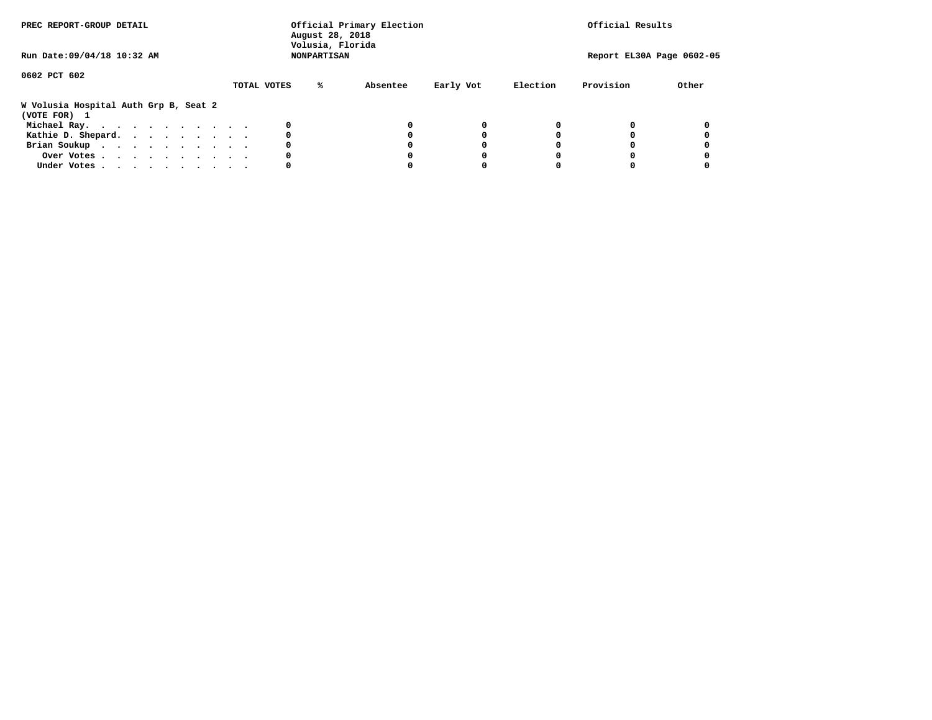| PREC REPORT-GROUP DETAIL                              |             | Official Primary Election<br>August 28, 2018<br>Volusia, Florida | Official Results      |          |                           |       |
|-------------------------------------------------------|-------------|------------------------------------------------------------------|-----------------------|----------|---------------------------|-------|
| Run Date: 09/04/18 10:32 AM                           |             | <b>NONPARTISAN</b>                                               |                       |          | Report EL30A Page 0602-05 |       |
| 0602 PCT 602                                          | TOTAL VOTES | %ะ                                                               | Early Vot<br>Absentee | Election | Provision                 | Other |
| W Volusia Hospital Auth Grp B, Seat 2<br>(VOTE FOR) 1 |             |                                                                  |                       |          |                           |       |
| Michael Ray.                                          |             | 0                                                                | O                     | 0        |                           |       |
| Kathie D. Shepard.                                    |             | 0                                                                |                       |          |                           |       |
| Brian Soukup                                          |             | 0                                                                |                       | O        |                           |       |
| Over Votes                                            |             | 0                                                                |                       |          |                           |       |
| Under Votes                                           |             | 0                                                                | O                     | O        |                           |       |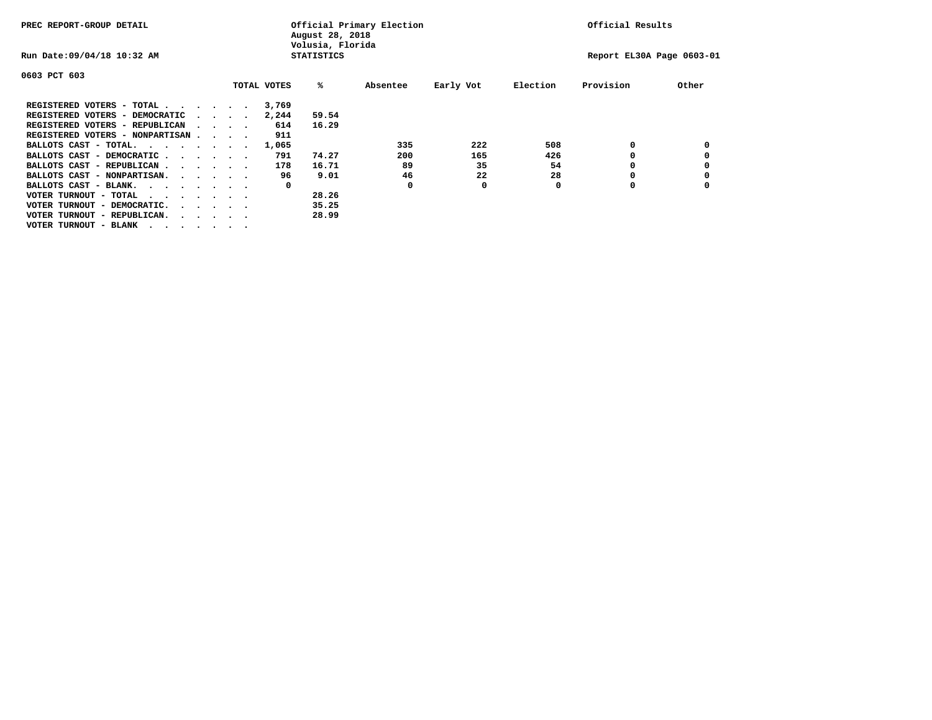| PREC REPORT-GROUP DETAIL               |  |  |                             | Official Primary Election<br>August 28, 2018<br>Volusia, Florida |             |                   |          |           |          | Official Results          |       |  |
|----------------------------------------|--|--|-----------------------------|------------------------------------------------------------------|-------------|-------------------|----------|-----------|----------|---------------------------|-------|--|
| Run Date: 09/04/18 10:32 AM            |  |  |                             |                                                                  |             | <b>STATISTICS</b> |          |           |          | Report EL30A Page 0603-01 |       |  |
| 0603 PCT 603                           |  |  |                             |                                                                  |             |                   |          |           |          |                           |       |  |
|                                        |  |  |                             |                                                                  | TOTAL VOTES | ‱                 | Absentee | Early Vot | Election | Provision                 | Other |  |
| REGISTERED VOTERS - TOTAL              |  |  |                             |                                                                  | 3,769       |                   |          |           |          |                           |       |  |
| REGISTERED VOTERS - DEMOCRATIC         |  |  | $\sim$ $\sim$ $\sim$ $\sim$ |                                                                  | 2,244       | 59.54             |          |           |          |                           |       |  |
| REGISTERED VOTERS - REPUBLICAN         |  |  | $\sim$ $\sim$ $\sim$ $\sim$ |                                                                  | 614         | 16.29             |          |           |          |                           |       |  |
| REGISTERED VOTERS - NONPARTISAN        |  |  |                             |                                                                  | 911         |                   |          |           |          |                           |       |  |
| BALLOTS CAST - TOTAL.                  |  |  |                             |                                                                  | 1,065       |                   | 335      | 222       | 508      | 0                         |       |  |
| BALLOTS CAST - DEMOCRATIC              |  |  |                             |                                                                  | 791         | 74.27             | 200      | 165       | 426      |                           |       |  |
| BALLOTS CAST - REPUBLICAN              |  |  |                             |                                                                  | 178         | 16.71             | 89       | 35        | 54       | 0                         |       |  |
| BALLOTS CAST - NONPARTISAN.            |  |  |                             |                                                                  | 96          | 9.01              | 46       | 22        | 28       |                           |       |  |
| BALLOTS CAST - BLANK.                  |  |  |                             |                                                                  | 0           |                   | 0        | 0         | 0        | O                         |       |  |
| VOTER TURNOUT - TOTAL<br>.             |  |  |                             |                                                                  |             | 28.26             |          |           |          |                           |       |  |
| VOTER TURNOUT - DEMOCRATIC.            |  |  | $\cdot$                     |                                                                  |             | 35.25             |          |           |          |                           |       |  |
| VOTER TURNOUT - REPUBLICAN.<br>$\cdot$ |  |  |                             |                                                                  |             | 28.99             |          |           |          |                           |       |  |
| VOTER TURNOUT - BLANK                  |  |  |                             |                                                                  |             |                   |          |           |          |                           |       |  |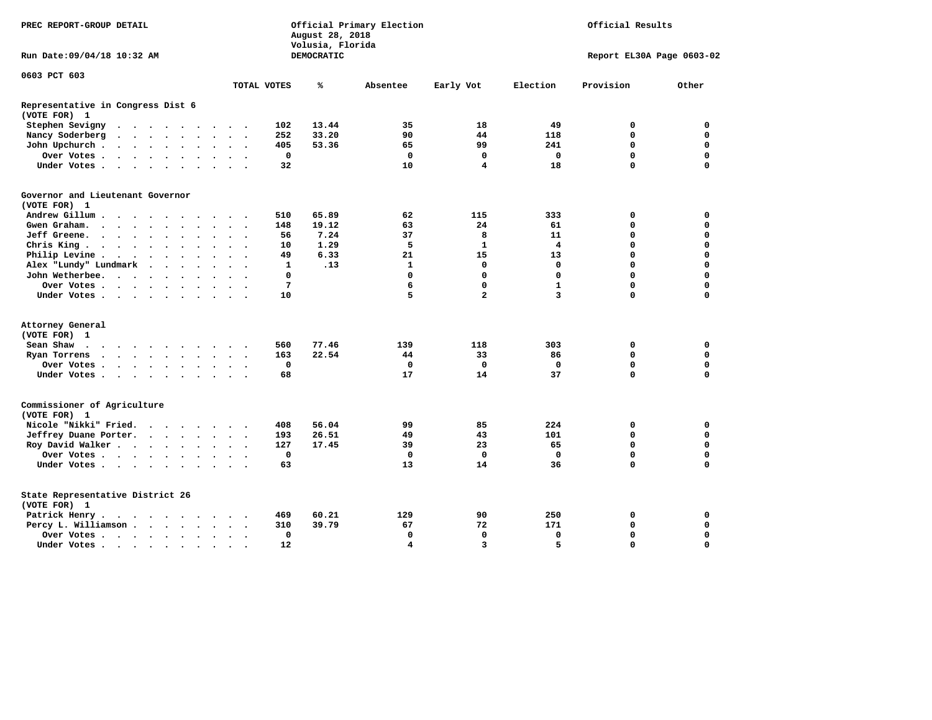| PREC REPORT-GROUP DETAIL                          |                                                 |                      |                      |                      |                      |                                 |                      | August 28, 2018<br>Volusia, Florida | Official Primary Election |            | Official Results |                |              |             |                           |
|---------------------------------------------------|-------------------------------------------------|----------------------|----------------------|----------------------|----------------------|---------------------------------|----------------------|-------------------------------------|---------------------------|------------|------------------|----------------|--------------|-------------|---------------------------|
| Run Date: 09/04/18 10:32 AM                       |                                                 |                      |                      |                      |                      |                                 |                      |                                     |                           | DEMOCRATIC |                  |                |              |             | Report EL30A Page 0603-02 |
| 0603 PCT 603                                      |                                                 |                      |                      |                      |                      |                                 |                      |                                     | TOTAL VOTES               | ℁          | Absentee         | Early Vot      | Election     | Provision   | Other                     |
|                                                   |                                                 |                      |                      |                      |                      |                                 |                      |                                     |                           |            |                  |                |              |             |                           |
| Representative in Congress Dist 6<br>(VOTE FOR) 1 |                                                 |                      |                      |                      |                      |                                 |                      |                                     |                           |            |                  |                |              |             |                           |
| Stephen Sevigny                                   | $\cdots$                                        |                      |                      |                      |                      |                                 |                      |                                     | 102                       | 13.44      | 35               | 18             | 49           | 0           | $\mathbf 0$               |
| Nancy Soderberg                                   | $\cdot$ $\cdot$ $\cdot$ $\cdot$ $\cdot$ $\cdot$ |                      |                      |                      |                      |                                 | $\sim$ $\sim$        | $\sim$                              | 252                       | 33.20      | 90               | 44             | 118          | 0           | 0                         |
| John Upchurch.                                    |                                                 |                      |                      |                      |                      |                                 | $\sim$ $\sim$        |                                     | 405                       | 53.36      | 65               | 99             | 241          | 0           | 0                         |
| Over Votes                                        |                                                 |                      |                      |                      |                      | $\ddot{\phantom{a}}$            | $\ddot{\phantom{a}}$ | $\sim$                              | 0                         |            | $\mathbf 0$      | 0              | $\mathbf 0$  | 0           | 0                         |
| Under Votes                                       |                                                 |                      |                      |                      | $\ddot{\phantom{1}}$ |                                 |                      |                                     | 32                        |            | 10               | 4              | 18           | 0           | 0                         |
| Governor and Lieutenant Governor                  |                                                 |                      |                      |                      |                      |                                 |                      |                                     |                           |            |                  |                |              |             |                           |
| (VOTE FOR) 1                                      |                                                 |                      |                      |                      |                      |                                 |                      |                                     |                           |            |                  |                |              |             |                           |
| Andrew Gillum                                     |                                                 | $\sim$               |                      |                      |                      |                                 |                      |                                     | 510                       | 65.89      | 62               | 115            | 333          | $\mathbf 0$ | $\mathbf 0$               |
| Gwen Graham.<br>$\cdots$                          |                                                 |                      |                      |                      |                      |                                 | $\ddot{\phantom{0}}$ | $\bullet$                           | 148                       | 19.12      | 63               | 24             | 61           | 0           | 0                         |
| Jeff Greene.                                      |                                                 |                      | $\ddot{\phantom{a}}$ | $\overline{a}$       |                      |                                 |                      |                                     | 56                        | 7.24       | 37               | 8              | 11           | 0           | 0                         |
| Chris King.                                       |                                                 |                      |                      | $\sim$               | $\ddot{\phantom{0}}$ |                                 |                      |                                     | 10                        | 1.29       | 5                | $\mathbf{1}$   | 4            | 0           | 0                         |
| Philip Levine .                                   | $\cdots$                                        |                      |                      |                      |                      | $\ddot{\phantom{a}}$            | $\bullet$            | $\overline{\phantom{a}}$            | 49                        | 6.33       | 21               | 15             | 13           | 0           | 0                         |
| Alex "Lundy" Lundmark                             |                                                 | $\ddot{\phantom{a}}$ | $\ddot{\phantom{a}}$ | $\ddot{\phantom{a}}$ | $\ddot{\phantom{a}}$ |                                 |                      |                                     | $\mathbf{1}$              | .13        | $\mathbf{1}$     | $\mathbf 0$    | $\mathbf{0}$ | 0           | 0                         |
| John Wetherbee.                                   |                                                 |                      |                      | $\sim$               | $\ddot{\phantom{a}}$ |                                 |                      |                                     | 0                         |            | $\mathbf 0$      | $\mathbf 0$    | $\Omega$     | 0           | 0                         |
| Over Votes                                        |                                                 |                      |                      |                      |                      |                                 | $\Delta$             |                                     | 7                         |            | 6                | $\mathbf 0$    | $\mathbf{1}$ | 0           | 0                         |
| Under Votes                                       |                                                 |                      |                      |                      |                      |                                 |                      |                                     | 10                        |            | 5                | $\overline{a}$ | 3            | 0           | 0                         |
|                                                   |                                                 |                      |                      |                      |                      |                                 |                      |                                     |                           |            |                  |                |              |             |                           |
| Attorney General                                  |                                                 |                      |                      |                      |                      |                                 |                      |                                     |                           |            |                  |                |              |             |                           |
| (VOTE FOR) 1                                      |                                                 |                      |                      |                      |                      |                                 |                      |                                     |                           |            |                  |                |              |             |                           |
| Sean Shaw                                         |                                                 |                      |                      |                      | $\sim$               |                                 |                      |                                     | 560                       | 77.46      | 139              | 118            | 303          | $\mathbf 0$ | 0                         |
| Ryan Torrens<br>$\cdots$                          |                                                 |                      |                      |                      |                      | $\bullet$                       | $\bullet$            | $\overline{\phantom{a}}$            | 163                       | 22.54      | 44               | 33             | 86           | 0           | 0                         |
| Over Votes                                        |                                                 |                      |                      |                      |                      |                                 |                      |                                     | $\mathbf 0$               |            | $\mathbf 0$      | $\mathbf 0$    | $\mathbf 0$  | 0           | $\mathbf 0$               |
| Under Votes                                       |                                                 |                      |                      |                      |                      | $\ddot{\phantom{a}}$            | $\ddot{\phantom{a}}$ |                                     | 68                        |            | 17               | 14             | 37           | 0           | $\mathbf 0$               |
| Commissioner of Agriculture<br>(VOTE FOR) 1       |                                                 |                      |                      |                      |                      |                                 |                      |                                     |                           |            |                  |                |              |             |                           |
| Nicole "Nikki" Fried.                             |                                                 |                      |                      |                      |                      |                                 |                      |                                     | 408                       | 56.04      | 99               | 85             | 224          | 0           | 0                         |
| Jeffrey Duane Porter.                             |                                                 |                      |                      |                      |                      |                                 | $\sim$               |                                     | 193                       | 26.51      | 49               | 43             | 101          | 0           | 0                         |
| Roy David Walker                                  |                                                 |                      |                      |                      |                      | $\bullet$ .<br><br><br><br><br> | $\ddot{\phantom{a}}$ |                                     | 127                       | 17.45      | 39               | 23             | 65           | $\mathbf 0$ | $\mathbf 0$               |
| Over Votes                                        |                                                 |                      |                      |                      |                      |                                 | $\ddot{\phantom{a}}$ |                                     | $\mathbf 0$               |            | $\mathbf 0$      | $\mathbf 0$    | $\mathbf{0}$ | 0           | 0                         |
| Under Votes                                       |                                                 |                      |                      |                      |                      |                                 |                      |                                     | 63                        |            | 13               | 14             | 36           | $\mathbf 0$ | 0                         |
|                                                   |                                                 |                      |                      |                      |                      |                                 |                      |                                     |                           |            |                  |                |              |             |                           |
| State Representative District 26<br>(VOTE FOR) 1  |                                                 |                      |                      |                      |                      |                                 |                      |                                     |                           |            |                  |                |              |             |                           |
| Patrick Henry.                                    | $\cdots$                                        |                      |                      |                      |                      |                                 |                      |                                     | 469                       | 60.21      | 129              | 90             | 250          | 0           | 0                         |
| Percy L. Williamson                               |                                                 |                      |                      |                      |                      | $\ddot{\phantom{a}}$            | $\bullet$            | $\ddot{\phantom{1}}$                | 310                       | 39.79      | 67               | 72             | 171          | 0           | $\mathbf 0$               |
| Over Votes                                        |                                                 |                      |                      |                      |                      |                                 | $\ddot{\phantom{0}}$ |                                     | $\mathbf 0$               |            | $\mathbf 0$      | $\mathbf 0$    | $\mathbf 0$  | 0           | 0                         |
| Under Votes                                       |                                                 |                      |                      |                      |                      |                                 |                      |                                     | 12                        |            | 4                | 3              | 5.           | $\Omega$    | $\Omega$                  |
|                                                   |                                                 |                      |                      |                      | $\bullet$            |                                 |                      |                                     |                           |            |                  |                |              |             |                           |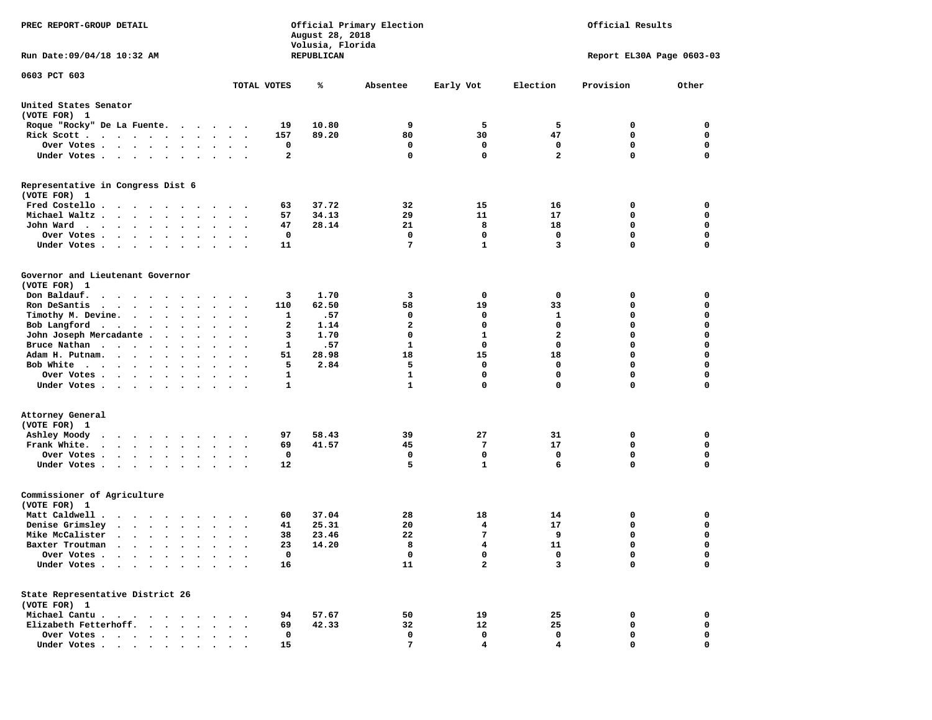| PREC REPORT-GROUP DETAIL                                                                                                                                         |                      | August 28, 2018<br>Volusia, Florida | Official Primary Election | Official Results |                |                           |             |
|------------------------------------------------------------------------------------------------------------------------------------------------------------------|----------------------|-------------------------------------|---------------------------|------------------|----------------|---------------------------|-------------|
| Run Date: 09/04/18 10:32 AM                                                                                                                                      |                      | REPUBLICAN                          |                           |                  |                | Report EL30A Page 0603-03 |             |
| 0603 PCT 603                                                                                                                                                     | TOTAL VOTES          | ℁                                   | Absentee                  | Early Vot        | Election       | Provision                 | Other       |
|                                                                                                                                                                  |                      |                                     |                           |                  |                |                           |             |
| United States Senator<br>(VOTE FOR) 1                                                                                                                            |                      |                                     |                           |                  |                |                           |             |
| Roque "Rocky" De La Fuente.                                                                                                                                      |                      | 19<br>10.80                         | 9                         | 5                | 5              | 0                         | 0           |
| Rick Scott                                                                                                                                                       |                      | 157<br>89.20                        | 80                        | 30               | 47             | 0                         | 0           |
| Over Votes                                                                                                                                                       |                      | 0                                   | 0                         | 0                | 0              | 0                         | 0           |
| Under Votes<br>$\bullet$ .                                                                                                                                       | $\ddot{\phantom{1}}$ | $\mathbf{2}$                        | $\mathbf 0$               | $\mathbf 0$      | $\overline{a}$ | 0                         | 0           |
| Representative in Congress Dist 6<br>(VOTE FOR) 1                                                                                                                |                      |                                     |                           |                  |                |                           |             |
| Fred Costello                                                                                                                                                    |                      | 37.72<br>63                         | 32                        | 15               | 16             | 0                         | 0           |
| Michael Waltz                                                                                                                                                    |                      | 57<br>34.13                         | 29                        | 11               | 17             | 0                         | 0           |
| John Ward<br>$\ddot{\phantom{a}}$                                                                                                                                |                      | 47<br>28.14                         | 21                        | 8                | 18             | 0                         | 0           |
| Over Votes .<br>$\cdot$ $\cdot$ $\cdot$ $\cdot$ $\cdot$                                                                                                          |                      | 0                                   | 0                         | 0                | $\mathbf 0$    | 0                         | $\mathbf 0$ |
| Under Votes.<br>$\cdots$<br>$\sim$ $\sim$                                                                                                                        |                      | 11                                  | 7                         | $\mathbf{1}$     | 3              | 0                         | $\mathbf 0$ |
|                                                                                                                                                                  |                      |                                     |                           |                  |                |                           |             |
| Governor and Lieutenant Governor<br>(VOTE FOR) 1                                                                                                                 |                      |                                     |                           |                  |                |                           |             |
| Don Baldauf.<br>.                                                                                                                                                |                      | 3<br>1.70                           | 3                         | 0                | 0              | 0                         | 0           |
| Ron DeSantis<br>$\cdots$                                                                                                                                         | $\ddot{\phantom{0}}$ | 62.50<br>110                        | 58                        | 19               | 33             | 0                         | 0           |
| Timothy M. Devine.                                                                                                                                               |                      | .57<br>1                            | 0                         | 0                | 1              | 0                         | $\mathbf 0$ |
| Bob Langford<br>$\bullet$<br>$\bullet$                                                                                                                           | $\cdot$              | $\mathbf{2}$<br>1.14                | $\overline{a}$            | $\mathbf 0$      | $\mathbf 0$    | 0                         | $\mathbf 0$ |
| John Joseph Mercadante<br>$\sim$ $\sim$<br>$\bullet$                                                                                                             |                      | з<br>1.70                           | $\mathbf 0$               | ${\bf 1}$        | $\mathbf{2}$   | 0                         | 0           |
| Bruce Nathan<br>$\bullet$                                                                                                                                        | $\ddot{\phantom{0}}$ | .57<br>1                            | 1                         | 0                | $\mathbf 0$    | 0                         | $\mathbf 0$ |
| Adam H. Putnam.<br>$\cdot$ $\cdot$ $\cdot$ $\cdot$                                                                                                               |                      | 51<br>28.98                         | 18                        | 15               | 18             | 0                         | $\mathbf 0$ |
| Bob White                                                                                                                                                        |                      | 2.84<br>5                           | 5                         | 0                | $\mathbf 0$    | 0                         | $\mathbf 0$ |
| Over Votes .<br>$\cdots$<br>$\bullet$                                                                                                                            | $\bullet$            | 1                                   | $\mathbf{1}$              | 0                | $\mathbf 0$    | 0                         | $\mathbf 0$ |
| Under Votes                                                                                                                                                      |                      | 1                                   | $\mathbf{1}$              | $\mathbf 0$      | 0              | 0                         | 0           |
| Attorney General                                                                                                                                                 |                      |                                     |                           |                  |                |                           |             |
| (VOTE FOR) 1                                                                                                                                                     |                      |                                     |                           |                  |                |                           |             |
| Ashley Moody<br>$\cdots$                                                                                                                                         |                      | 58.43<br>97                         | 39                        | 27               | 31             | 0                         | 0           |
| Frank White.<br>$\bullet$<br>$\bullet$                                                                                                                           | $\bullet$<br>$\cdot$ | 69<br>41.57                         | 45                        | 7                | 17             | 0                         | $\mathbf 0$ |
| Over Votes.<br>$\cdot$ $\cdot$ $\cdot$ $\cdot$ $\cdot$<br>$\bullet$                                                                                              |                      | 0                                   | 0                         | 0                | 0              | 0                         | 0           |
| Under Votes<br>$\sim$                                                                                                                                            | $\sim$ $\sim$        | 12                                  | 5                         | $\mathbf{1}$     | 6              | 0                         | $\mathbf 0$ |
| Commissioner of Agriculture<br>(VOTE FOR) 1                                                                                                                      |                      |                                     |                           |                  |                |                           |             |
| Matt Caldwell.<br>$\cdots$                                                                                                                                       |                      | 37.04<br>60                         | 28                        | 18               | 14             | 0                         | 0           |
| Denise Grimsley<br>$\begin{array}{cccccccccccccc} \bullet & \bullet & \bullet & \bullet & \bullet & \bullet & \bullet & \bullet & \bullet & \bullet \end{array}$ |                      | 25.31<br>41                         | 20                        | 4                | 17             | 0                         | 0           |
| Mike McCalister<br>$\cdots$<br>$\ddot{\phantom{a}}$                                                                                                              |                      | 23.46<br>38                         | 22                        | 7                | 9              | 0                         | $\mathbf 0$ |
| Baxter Troutman<br>.                                                                                                                                             |                      | 23<br>14.20                         | 8                         | 4                | 11             | 0                         | 0           |
| Over Votes .                                                                                                                                                     |                      | 0                                   | 0                         | 0                | 0              | 0                         | 0           |
| Under Votes.<br>$\bullet$                                                                                                                                        |                      | 16                                  | 11                        | $\overline{a}$   | 3              | 0                         | $\mathbf 0$ |
| State Representative District 26                                                                                                                                 |                      |                                     |                           |                  |                |                           |             |
| (VOTE FOR) 1                                                                                                                                                     |                      |                                     |                           |                  |                |                           |             |
| Michael Cantu.<br>$\cdots$                                                                                                                                       |                      | 57.67<br>94                         | 50                        | 19               | 25             | 0                         | 0           |
| Elizabeth Fetterhoff.                                                                                                                                            |                      | 69<br>42.33                         | 32                        | 12               | 25             | 0                         | 0           |
| Over Votes .<br>$\ddot{\phantom{1}}$<br>$\ddot{\phantom{0}}$<br>$\bullet$<br>$\bullet$                                                                           |                      | 0                                   | 0                         | 0                | 0              | 0                         | 0           |
| Under Votes                                                                                                                                                      |                      | 15                                  | 7                         | 4                | 4              | 0                         | 0           |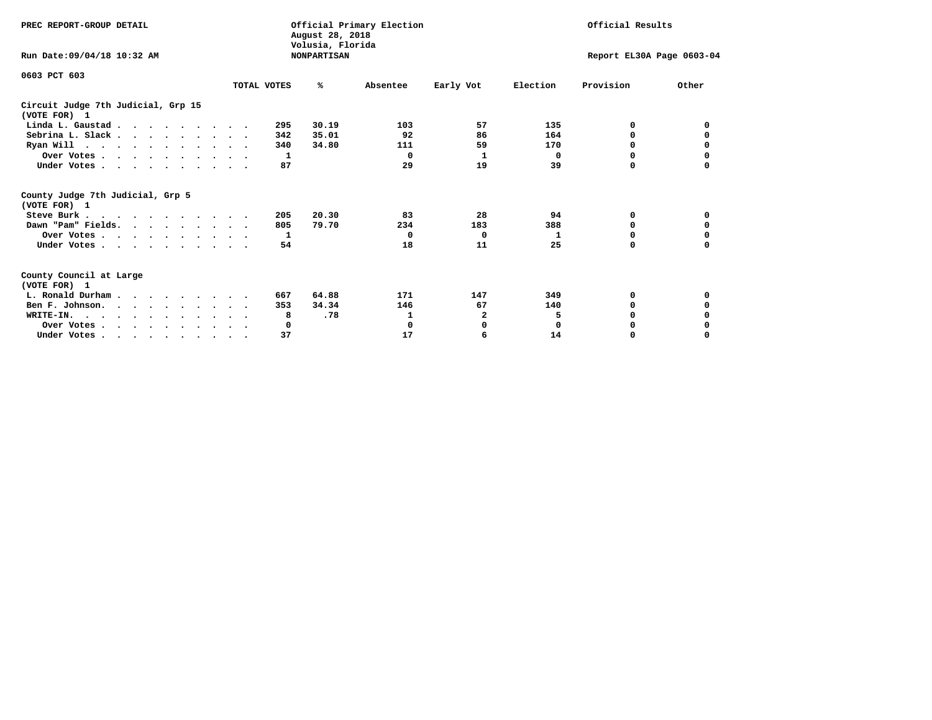| PREC REPORT-GROUP DETAIL                                                                   |             | August 28, 2018<br>Volusia, Florida | Official Primary Election |                           | Official Results |              |          |
|--------------------------------------------------------------------------------------------|-------------|-------------------------------------|---------------------------|---------------------------|------------------|--------------|----------|
| Run Date: 09/04/18 10:32 AM                                                                |             | <b>NONPARTISAN</b>                  |                           | Report EL30A Page 0603-04 |                  |              |          |
| 0603 PCT 603                                                                               |             |                                     |                           |                           |                  |              |          |
|                                                                                            | TOTAL VOTES | ℁                                   | Absentee                  | Early Vot                 | Election         | Provision    | Other    |
| Circuit Judge 7th Judicial, Grp 15<br>(VOTE FOR) 1                                         |             |                                     |                           |                           |                  |              |          |
| Linda L. Gaustad                                                                           |             | 30.19<br>295                        | 103                       | 57                        | 135              | 0            | 0        |
| Sebrina L. Slack                                                                           |             | 35.01<br>342                        | 92                        | 86                        | 164              | 0            |          |
| Ryan Will $\cdots$ , $\cdots$ , $\cdots$ , $\cdots$                                        |             | 340<br>34.80                        | 111                       | 59                        | 170              | 0            | 0        |
| Over Votes                                                                                 |             | 1                                   | 0                         | 1                         | 0                | 0            | 0        |
| Under Votes                                                                                |             | 87                                  | 29                        | 19                        | 39               | 0            |          |
| County Judge 7th Judicial, Grp 5<br>(VOTE FOR) 1                                           |             |                                     |                           |                           |                  |              |          |
| Steve Burk                                                                                 |             | 20.30<br>205                        | 83                        | 28                        | 94               | 0            | 0        |
| Dawn "Pam" Fields.                                                                         |             | 79.70<br>805                        | 234                       | 183                       | 388              | 0            |          |
| Over Votes                                                                                 |             | 1                                   | $\Omega$                  | 0                         | 1                | 0            | 0        |
| Under Votes                                                                                |             | 54                                  | 18                        | 11                        | 25               | $\Omega$     | $\Omega$ |
| County Council at Large<br>(VOTE FOR) 1                                                    |             |                                     |                           |                           |                  |              |          |
| L. Ronald Durham                                                                           |             | 64.88<br>667                        | 171                       | 147                       | 349              | 0            | 0        |
| Ben F. Johnson.                                                                            |             | 34.34<br>353                        | 146                       | 67                        | 140              | <sup>0</sup> | 0        |
| WRITE-IN.                                                                                  |             | .78<br>8                            | 1                         | $\mathbf{2}$              | 5                | $\Omega$     |          |
| Over Votes                                                                                 |             | 0                                   | 0                         | 0                         | 0                | 0            |          |
| Under Votes, $\cdot$ , $\cdot$ , $\cdot$ , $\cdot$ , $\cdot$ , $\cdot$ , $\cdot$ , $\cdot$ |             | 37                                  | 17                        | 6                         | 14               | 0            | $\Omega$ |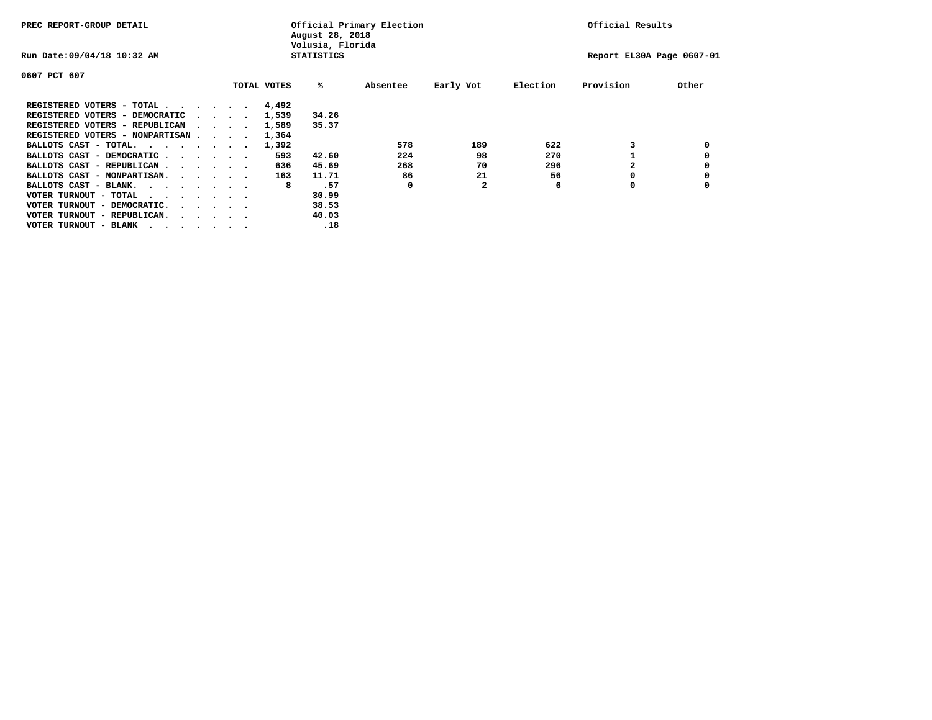| PREC REPORT-GROUP DETAIL               |  |                                         |  |             | August 28, 2018<br>Volusia, Florida | Official Primary Election |              |          | Official Results          |       |
|----------------------------------------|--|-----------------------------------------|--|-------------|-------------------------------------|---------------------------|--------------|----------|---------------------------|-------|
| Run Date: 09/04/18 10:32 AM            |  |                                         |  |             | <b>STATISTICS</b>                   |                           |              |          | Report EL30A Page 0607-01 |       |
| 0607 PCT 607                           |  |                                         |  |             |                                     |                           |              |          |                           |       |
|                                        |  |                                         |  | TOTAL VOTES | %ะ                                  | Absentee                  | Early Vot    | Election | Provision                 | Other |
| REGISTERED VOTERS - TOTAL              |  |                                         |  | 4,492       |                                     |                           |              |          |                           |       |
| REGISTERED VOTERS - DEMOCRATIC         |  | $\sim$ $\sim$ $\sim$ $\sim$             |  | 1,539       | 34.26                               |                           |              |          |                           |       |
| REGISTERED VOTERS - REPUBLICAN         |  |                                         |  | 1,589       | 35.37                               |                           |              |          |                           |       |
| REGISTERED VOTERS - NONPARTISAN        |  |                                         |  | 1,364       |                                     |                           |              |          |                           |       |
| BALLOTS CAST - TOTAL.                  |  |                                         |  | 1,392       |                                     | 578                       | 189          | 622      |                           |       |
| BALLOTS CAST - DEMOCRATIC              |  |                                         |  | 593         | 42.60                               | 224                       | 98           | 270      |                           |       |
| BALLOTS CAST - REPUBLICAN              |  |                                         |  | 636         | 45.69                               | 268                       | 70           | 296      |                           |       |
| BALLOTS CAST - NONPARTISAN.            |  |                                         |  | 163         | 11.71                               | 86                        | 21           | 56       |                           |       |
| BALLOTS CAST - BLANK.                  |  |                                         |  | 8           | .57                                 | 0                         | $\mathbf{2}$ | 6        | 0                         |       |
| VOTER TURNOUT - TOTAL<br>.             |  |                                         |  |             | 30.99                               |                           |              |          |                           |       |
| VOTER TURNOUT - DEMOCRATIC.            |  | $\cdot$ $\cdot$ $\cdot$ $\cdot$ $\cdot$ |  |             | 38.53                               |                           |              |          |                           |       |
| VOTER TURNOUT - REPUBLICAN.<br>$\cdot$ |  |                                         |  |             | 40.03                               |                           |              |          |                           |       |
| VOTER TURNOUT - BLANK                  |  |                                         |  |             | .18                                 |                           |              |          |                           |       |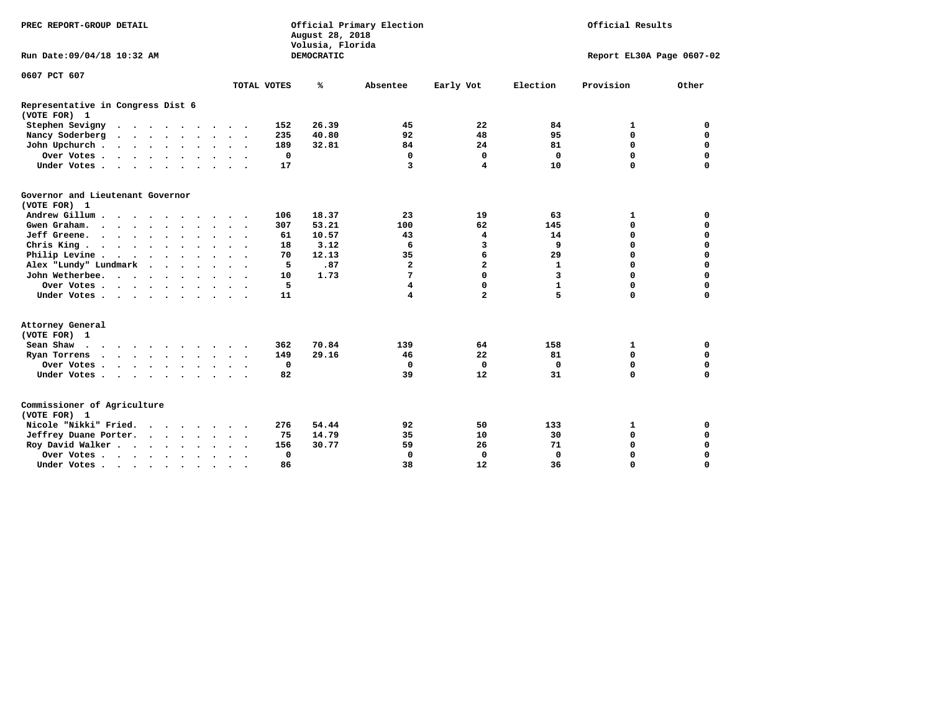| PREC REPORT-GROUP DETAIL                          | August 28, 2018                         | Official Primary Election             | Official Results             |              |                           |             |  |
|---------------------------------------------------|-----------------------------------------|---------------------------------------|------------------------------|--------------|---------------------------|-------------|--|
| Run Date: 09/04/18 10:32 AM                       |                                         | Volusia, Florida<br><b>DEMOCRATIC</b> |                              |              | Report EL30A Page 0607-02 |             |  |
| 0607 PCT 607                                      |                                         |                                       |                              |              |                           |             |  |
|                                                   | TOTAL VOTES                             | ℁<br>Absentee                         | Early Vot                    | Election     | Provision                 | Other       |  |
| Representative in Congress Dist 6<br>(VOTE FOR) 1 |                                         |                                       |                              |              |                           |             |  |
| Stephen Sevigny                                   | 152                                     | 26.39                                 | 22<br>45                     | 84           | 1                         | $\mathbf 0$ |  |
| Nancy Soderberg                                   | 235                                     | 40.80                                 | 48<br>92                     | 95           | $\mathbf 0$               | 0           |  |
| John Upchurch                                     | 189                                     | 32.81                                 | 24<br>84                     | 81           | $\mathbf 0$               | $\mathbf 0$ |  |
| Over Votes                                        | $\mathbf 0$<br>$\overline{\phantom{a}}$ |                                       | $\mathbf 0$<br>0             | $\mathbf 0$  | $\mathbf 0$               | $\mathbf 0$ |  |
| Under Votes                                       | 17                                      |                                       | 3<br>4                       | 10           | $\mathbf 0$               | $\mathbf 0$ |  |
| Governor and Lieutenant Governor<br>(VOTE FOR) 1  |                                         |                                       |                              |              |                           |             |  |
| Andrew Gillum                                     | 106                                     | 18.37                                 | 19<br>23                     | 63           | 1                         | 0           |  |
| Gwen Graham.                                      | 307                                     | 53.21                                 | 62<br>100                    | 145          | 0                         | $\mathbf 0$ |  |
| Jeff Greene.                                      | 61                                      | 10.57                                 | 4<br>43                      | 14           | $\mathbf 0$               | $\mathbf 0$ |  |
| Chris King                                        | 18                                      | 3.12                                  | 3<br>6                       | 9            | $\mathbf 0$               | $\mathbf 0$ |  |
| Philip Levine                                     | 70<br>$\cdot$ $\cdot$ $\cdot$           | 12.13                                 | 6<br>35                      | 29           | $\mathbf 0$               | $\mathbf 0$ |  |
| Alex "Lundy" Lundmark<br>$\sim$<br>$\sim$ $\sim$  | 5                                       | .87                                   | $\overline{\mathbf{2}}$<br>2 | 1            | $\mathbf 0$               | $\mathbf 0$ |  |
| John Wetherbee.                                   | 10                                      | 1.73                                  | 0<br>7                       | 3            | $\mathbf 0$               | $\mathbf 0$ |  |
| Over Votes                                        | 5                                       |                                       | 0<br>4                       | $\mathbf{1}$ | $\mathbf 0$               | $\mathbf 0$ |  |
| Under Votes                                       | 11                                      |                                       | $\overline{a}$<br>4          | 5            | $\mathbf 0$               | $\mathbf 0$ |  |
| Attorney General<br>(VOTE FOR) 1                  |                                         |                                       |                              |              |                           |             |  |
| Sean Shaw                                         | 362<br>$\sim$ $\sim$                    | 70.84                                 | 139<br>64                    | 158          | 1                         | 0           |  |
| Ryan Torrens<br>$\cdots$                          | 149                                     | 29.16                                 | 22<br>46                     | 81           | $\mathbf 0$               | $\mathbf 0$ |  |
| Over Votes                                        | $\mathbf 0$                             |                                       | $\mathbf 0$<br>$\mathbf 0$   | $\Omega$     | 0                         | $\mathbf 0$ |  |
| Under Votes                                       | 82                                      |                                       | 39<br>12                     | 31           | $\mathbf 0$               | $\mathbf 0$ |  |
| Commissioner of Agriculture<br>(VOTE FOR) 1       |                                         |                                       |                              |              |                           |             |  |
| Nicole "Nikki" Fried.                             | 276                                     | 54.44                                 | 92<br>50                     | 133          | 1                         | 0           |  |
| Jeffrey Duane Porter.                             | 75                                      | 14.79                                 | 35<br>10                     | 30           | 0                         | $\mathbf 0$ |  |
| Roy David Walker                                  | 156                                     | 30.77                                 | 26<br>59                     | 71           | $\mathbf 0$               | 0           |  |
| Over Votes                                        | 0<br>$\ddot{\phantom{a}}$               |                                       | $\mathbf 0$<br>0             | $\Omega$     | $\mathbf 0$               | 0           |  |
| Under Votes                                       | 86<br>$\ddot{\phantom{1}}$<br>$\sim$    |                                       | 38<br>12                     | 36           | $\Omega$                  | $\Omega$    |  |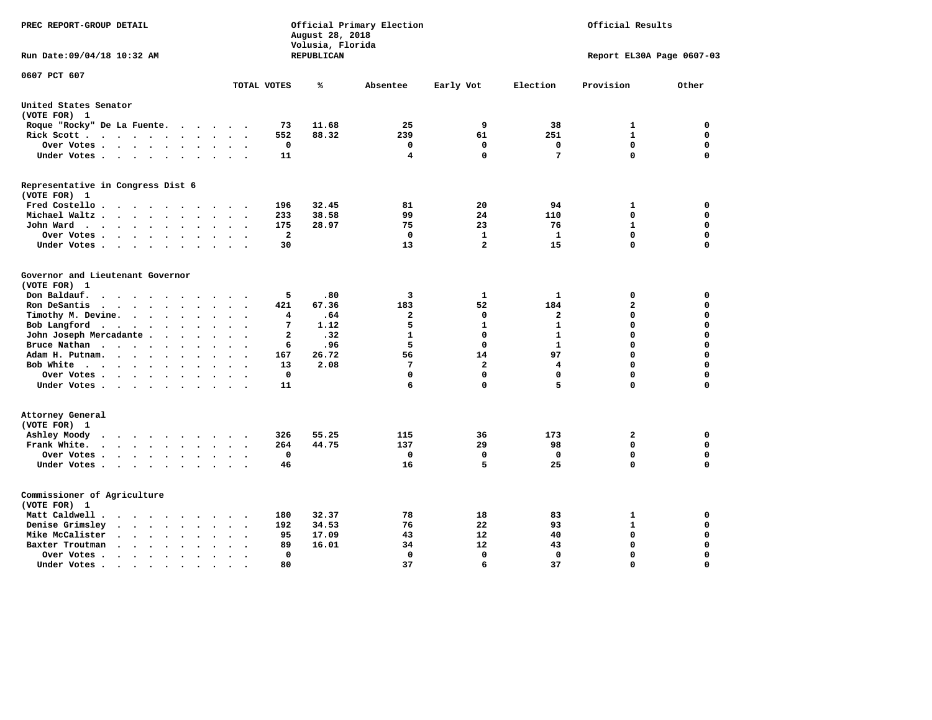| PREC REPORT-GROUP DETAIL                                                                                                                                                         |                | August 28, 2018<br>Volusia, Florida | Official Primary Election | Official Results |              |                             |             |
|----------------------------------------------------------------------------------------------------------------------------------------------------------------------------------|----------------|-------------------------------------|---------------------------|------------------|--------------|-----------------------------|-------------|
| Run Date: 09/04/18 10:32 AM                                                                                                                                                      |                | REPUBLICAN                          |                           |                  |              | Report EL30A Page 0607-03   |             |
| 0607 PCT 607                                                                                                                                                                     | TOTAL VOTES    | ℁                                   | Absentee                  | Early Vot        | Election     | Provision                   | Other       |
| United States Senator                                                                                                                                                            |                |                                     |                           |                  |              |                             |             |
| (VOTE FOR) 1                                                                                                                                                                     |                |                                     |                           |                  |              |                             |             |
| Roque "Rocky" De La Fuente.<br>$\ddot{\phantom{1}}$<br>$\ddot{\phantom{a}}$<br>$\sim$<br>$\overline{\phantom{a}}$                                                                | 73             | 11.68                               | 25                        | 9                | 38           | 1                           | 0           |
| Rick Scott<br>$\sim$ $\sim$<br>$\ddot{\phantom{1}}$<br>$\overline{\phantom{a}}$                                                                                                  | 552            | 88.32                               | 239                       | 61               | 251          | $\mathbf{1}$                | $\mathbf 0$ |
| Over Votes<br>$\bullet$<br>$\ddot{\phantom{a}}$<br>$\bullet$                                                                                                                     | 0              |                                     | 0                         | 0                | $\mathbf 0$  | $\mathbf 0$                 | $\mathbf 0$ |
| Under Votes<br>$\ddot{\phantom{1}}$<br>$\cdot$<br>$\bullet$                                                                                                                      | 11             |                                     | 4                         | $\Omega$         | 7            | $\mathbf 0$                 | 0           |
| Representative in Congress Dist 6                                                                                                                                                |                |                                     |                           |                  |              |                             |             |
| (VOTE FOR) 1                                                                                                                                                                     |                |                                     |                           |                  |              |                             |             |
| Fred Costello<br>$\cdot$<br>$\cdot$                                                                                                                                              | 196            | 32.45                               | 81                        | 20               | 94           | 1                           | 0           |
| Michael Waltz.<br>$\ddot{\phantom{1}}$                                                                                                                                           | 233            | 38.58                               | 99                        | 24               | 110          | 0                           | $\mathbf 0$ |
| John Ward<br>$\mathcal{A}=\mathcal{A}=\mathcal{A}=\mathcal{A}$ .<br>$\ddot{\phantom{0}}$<br>$\bullet$<br>$\bullet$<br>$\bullet$<br>$\bullet$<br>$\ddot{\phantom{a}}$             | 175            | 28.97                               | 75                        | 23               | 76           | $\mathbf{1}$<br>$\mathbf 0$ | $\mathbf 0$ |
| Over Votes.<br>$\sim$ $\sim$<br>$\ddot{\phantom{1}}$<br>$\cdot$<br>$\cdot$                                                                                                       | $\overline{a}$ |                                     | $\mathbf 0$               | $\mathbf{1}$     | $\mathbf{1}$ |                             | $\mathbf 0$ |
| Under Votes<br>$\cdot$                                                                                                                                                           | 30             |                                     | 13                        | $\overline{2}$   | 15           | $\mathbf 0$                 | $\mathbf 0$ |
| Governor and Lieutenant Governor<br>(VOTE FOR) 1                                                                                                                                 |                |                                     |                           |                  |              |                             |             |
| Don Baldauf.<br>$\cdot$ $\cdot$ $\cdot$<br>$\cdot$                                                                                                                               | 5              | .80                                 | 3                         | 1                | $\mathbf{1}$ | 0                           | $\mathbf 0$ |
| Ron DeSantis<br>$\ddotsc$ $\ddotsc$<br>$\ddot{\phantom{0}}$<br>$\bullet$<br>$\cdot$<br>$\ddot{\phantom{a}}$<br>$\overline{\phantom{a}}$                                          | 421            | 67.36                               | 183                       | 52               | 184          | $\mathbf{2}$                | $\mathbf 0$ |
| Timothy M. Devine.<br>$\bullet$<br>$\bullet$<br>$\bullet$                                                                                                                        | 4              | .64                                 | $\mathbf{z}$              | $\mathbf 0$      | $\mathbf{2}$ | $\mathbf 0$                 | $\mathbf 0$ |
| Bob Langford<br>$\ddot{\phantom{1}}$<br>$\bullet$<br>$\bullet$                                                                                                                   | 7              | 1.12                                | 5                         | $\mathbf{1}$     | $\mathbf{1}$ | 0                           | $\mathbf 0$ |
| John Joseph Mercadante .<br>$\ddot{\phantom{a}}$<br>$\ddot{\phantom{a}}$<br>$\bullet$<br>$\bullet$<br>$\overline{\phantom{a}}$                                                   | $\mathbf{2}$   | .32                                 | $\mathbf{1}$              | $\mathbf 0$      | $\mathbf{1}$ | 0                           | $\mathbf 0$ |
| Bruce Nathan<br>$\sim$ $\sim$ $\sim$ $\sim$<br>$\ddot{\phantom{a}}$<br>$\bullet$<br>$\ddot{\phantom{a}}$                                                                         | 6              | .96                                 | 5                         | $\mathbf{0}$     | $\mathbf{1}$ | 0                           | $\mathbf 0$ |
| Adam H. Putnam.<br>$\sim$ $\sim$<br>$\bullet$                                                                                                                                    | 167            | 26.72                               | 56                        | 14               | 97           | 0                           | $\mathbf 0$ |
| Bob White<br>$\bullet$<br>$\bullet$<br>$\ddot{\phantom{a}}$<br>$\ddot{\phantom{a}}$                                                                                              | 13             | 2.08                                | 7                         | $\overline{a}$   | 4            | $\mathbf 0$                 | $\Omega$    |
| Over Votes .<br>$\bullet$ . $\bullet$ .<br>$\sim$<br>$\ddot{\phantom{a}}$                                                                                                        | $\mathbf 0$    |                                     | 0                         | $\Omega$         | $\mathbf 0$  | $\mathbf 0$                 | $\mathbf 0$ |
| Under Votes                                                                                                                                                                      | 11             |                                     | 6                         | $\mathbf 0$      | 5            | 0                           | $\mathbf 0$ |
| Attorney General<br>(VOTE FOR) 1                                                                                                                                                 |                |                                     |                           |                  |              |                             |             |
| Ashley Moody<br>$\cdots$<br>$\bullet$<br>$\cdot$                                                                                                                                 | 326            | 55.25                               | 115                       | 36               | 173          | 2                           | 0           |
| Frank White.<br>$\ddot{\phantom{a}}$<br>$\ddot{\phantom{0}}$<br>$\bullet$<br>$\sim$                                                                                              | 264            | 44.75                               | 137                       | 29               | 98           | $\mathbf 0$                 | 0           |
| Over Votes .<br>$\mathcal{A}^{\mathcal{A}}$ , and $\mathcal{A}^{\mathcal{A}}$ , and $\mathcal{A}^{\mathcal{A}}$<br>$\bullet$<br>$\bullet$<br>$\bullet$<br>$\bullet$<br>$\bullet$ | $\mathbf 0$    |                                     | 0                         | $\mathbf 0$      | $\mathbf 0$  | $\mathbf 0$                 | $\mathbf 0$ |
| Under Votes<br>$\bullet$<br>$\bullet$<br>$\bullet$<br>$\bullet$                                                                                                                  | 46             |                                     | 16                        | 5                | 25           | $\mathbf 0$                 | 0           |
| Commissioner of Agriculture<br>(VOTE FOR) 1                                                                                                                                      |                |                                     |                           |                  |              |                             |             |
| Matt Caldwell.<br>$\ddot{\phantom{a}}$<br>$\sim$<br>$\ddot{\phantom{1}}$                                                                                                         | 180            | 32.37                               | 78                        | 18               | 83           | 1                           | 0           |
| Denise Grimsley<br>$\ddot{\phantom{a}}$<br>$\ddot{\phantom{a}}$                                                                                                                  | 192            | 34.53                               | 76                        | 22               | 93           | $\mathbf{1}$                | $\mathbf 0$ |
| Mike McCalister<br>$\sim$<br>$\ddot{\phantom{1}}$<br>$\bullet$<br>$\bullet$<br>$\bullet$<br>$\bullet$<br>$\ddot{\phantom{a}}$                                                    | 95             | 17.09                               | 43                        | 12               | 40           | $\mathbf 0$                 | $\mathbf 0$ |
| Baxter Troutman<br>$\ddot{\phantom{a}}$<br>$\sim$<br>$\ddot{\phantom{a}}$<br>$\overline{\phantom{a}}$                                                                            | 89             | 16.01                               | 34                        | 12               | 43           | $\mathbf 0$                 | $\mathbf 0$ |
| Over Votes .<br>$\sim$ $\sim$<br>$\bullet$<br>$\cdot$<br>$\ddot{\phantom{a}}$                                                                                                    | 0              |                                     | 0                         | 0                | 0            | $\mathbf 0$                 | $\mathbf 0$ |
| Under Votes.<br>$\bullet$ $\bullet$ $\bullet$ $\bullet$ $\bullet$<br>$\bullet$<br>$\bullet$<br>$\bullet$                                                                         | 80             |                                     | 37                        | 6                | 37           | $\Omega$                    | $\Omega$    |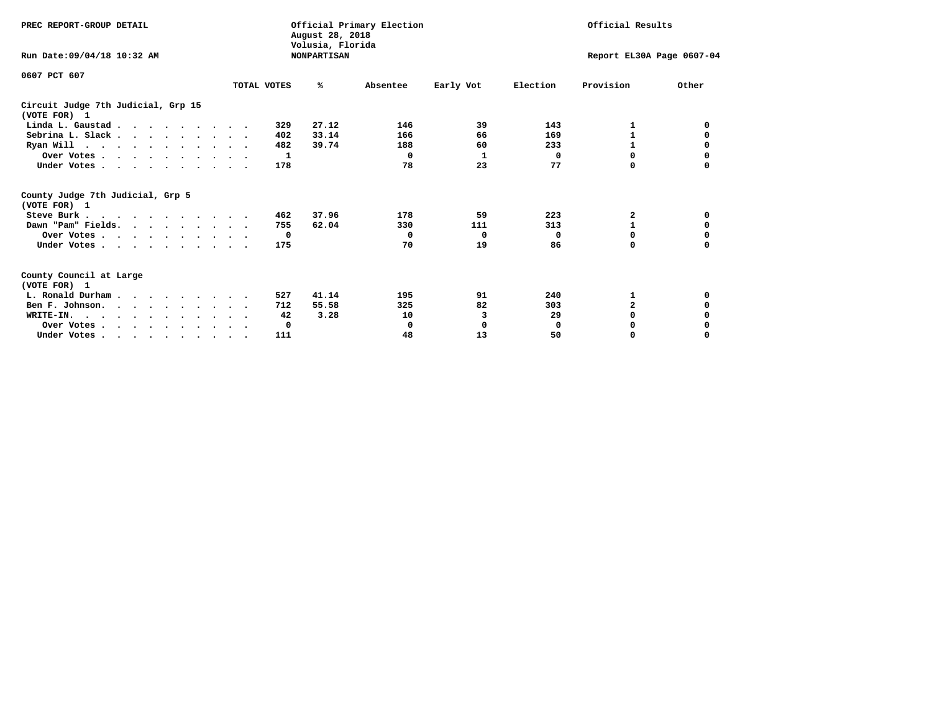| PREC REPORT-GROUP DETAIL                                                         |             | August 28, 2018<br>Volusia, Florida | Official Primary Election |                           | Official Results |                |          |  |
|----------------------------------------------------------------------------------|-------------|-------------------------------------|---------------------------|---------------------------|------------------|----------------|----------|--|
| Run Date: 09/04/18 10:32 AM                                                      |             | <b>NONPARTISAN</b>                  |                           | Report EL30A Page 0607-04 |                  |                |          |  |
| 0607 PCT 607                                                                     |             |                                     |                           |                           |                  |                |          |  |
|                                                                                  | TOTAL VOTES | ℁                                   | Absentee                  | Early Vot                 | Election         | Provision      | Other    |  |
| Circuit Judge 7th Judicial, Grp 15<br>(VOTE FOR) 1                               |             |                                     |                           |                           |                  |                |          |  |
| Linda L. Gaustad                                                                 |             | 27.12<br>329                        | 146                       | 39                        | 143              | 1              | 0        |  |
| Sebrina L. Slack.                                                                |             | 33.14<br>402                        | 166                       | 66                        | 169              |                | 0        |  |
| Ryan Will $\cdots$ , $\cdots$ , $\cdots$ , $\cdots$                              |             | 482<br>39.74                        | 188                       | 60                        | 233              | 1              | 0        |  |
| Over Votes                                                                       |             | 1                                   | 0                         | 1                         | 0                | $\Omega$       | 0        |  |
| Under Votes.                                                                     |             | 178                                 | 78                        | 23                        | 77               | 0              |          |  |
| County Judge 7th Judicial, Grp 5<br>(VOTE FOR) 1                                 |             |                                     |                           |                           |                  |                |          |  |
| Steve Burk                                                                       |             | 37.96<br>462                        | 178                       | 59                        | 223              | 2              | 0        |  |
| Dawn "Pam" Fields.                                                               |             | 755<br>62.04                        | 330                       | 111                       | 313              |                | 0        |  |
| Over Votes                                                                       |             | 0                                   | 0                         | 0                         | 0                | 0              | 0        |  |
| Under Votes                                                                      |             | 175                                 | 70                        | 19                        | 86               | $\Omega$       | $\Omega$ |  |
| County Council at Large<br>(VOTE FOR) 1                                          |             |                                     |                           |                           |                  |                |          |  |
| L. Ronald Durham                                                                 |             | 41.14<br>527                        | 195                       | 91                        | 240              | 1              | 0        |  |
| Ben F. Johnson.                                                                  |             | 55.58<br>712                        | 325                       | 82                        | 303              | $\overline{a}$ | 0        |  |
| WRITE-IN.                                                                        |             | 3.28<br>42                          | 10                        | 3                         | 29               | $\Omega$       | 0        |  |
| Over Votes                                                                       |             | 0                                   | $\mathbf 0$               | 0                         | $\mathbf 0$      | 0              |          |  |
| Under Votes, $\cdot$ , $\cdot$ , $\cdot$ , $\cdot$ , $\cdot$ , $\cdot$ , $\cdot$ |             | 111                                 | 48                        | 13                        | 50               | 0              | $\Omega$ |  |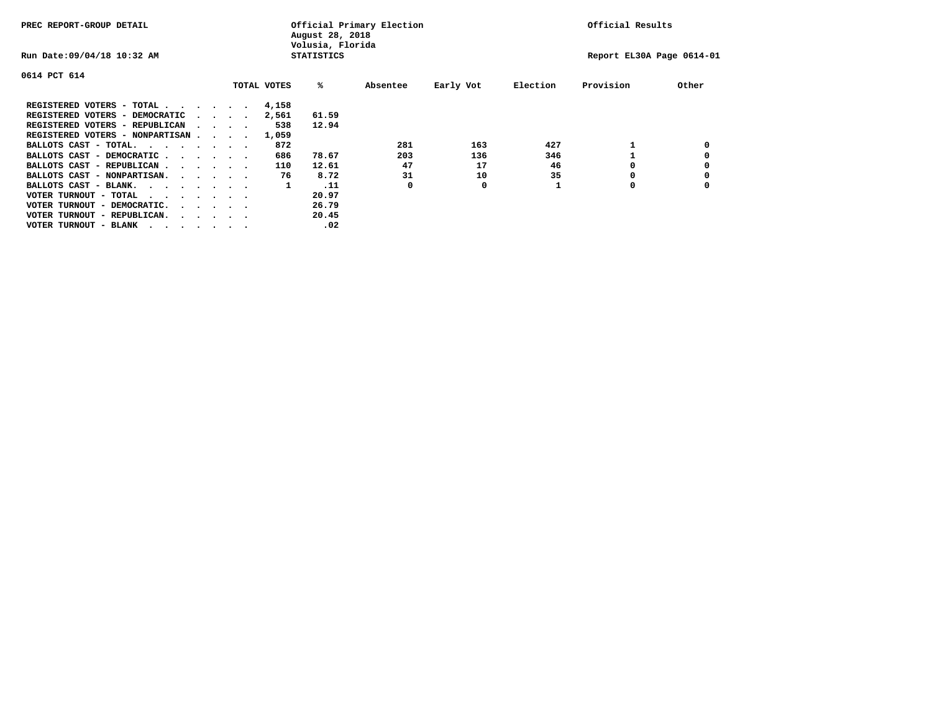| PREC REPORT-GROUP DETAIL                |  |  |                                         |  |             | August 28, 2018<br>Volusia, Florida | Official Primary Election | Official Results |          |                           |       |
|-----------------------------------------|--|--|-----------------------------------------|--|-------------|-------------------------------------|---------------------------|------------------|----------|---------------------------|-------|
| Run Date: 09/04/18 10:32 AM             |  |  |                                         |  |             | <b>STATISTICS</b>                   |                           |                  |          | Report EL30A Page 0614-01 |       |
| 0614 PCT 614                            |  |  |                                         |  |             |                                     |                           |                  |          |                           |       |
|                                         |  |  |                                         |  | TOTAL VOTES | ‱                                   | Absentee                  | Early Vot        | Election | Provision                 | Other |
| REGISTERED VOTERS - TOTAL               |  |  |                                         |  | 4,158       |                                     |                           |                  |          |                           |       |
| REGISTERED VOTERS - DEMOCRATIC          |  |  | $\sim$ $\sim$ $\sim$ $\sim$             |  | 2,561       | 61.59                               |                           |                  |          |                           |       |
| REGISTERED VOTERS - REPUBLICAN          |  |  | $\sim$ $\sim$ $\sim$ $\sim$             |  | 538         | 12.94                               |                           |                  |          |                           |       |
| REGISTERED VOTERS - NONPARTISAN         |  |  |                                         |  | 1,059       |                                     |                           |                  |          |                           |       |
| BALLOTS CAST - TOTAL.                   |  |  |                                         |  | 872         |                                     | 281                       | 163              | 427      |                           |       |
| BALLOTS CAST - DEMOCRATIC               |  |  |                                         |  | 686         | 78.67                               | 203                       | 136              | 346      |                           |       |
| BALLOTS CAST - REPUBLICAN               |  |  |                                         |  | 110         | 12.61                               | 47                        | 17               | 46       | O                         |       |
| BALLOTS CAST - NONPARTISAN.             |  |  |                                         |  | 76          | 8.72                                | 31                        | 10               | 35       |                           |       |
| BALLOTS CAST - BLANK.                   |  |  |                                         |  | 1           | .11                                 | 0                         | 0                |          | O                         |       |
| VOTER TURNOUT - TOTAL<br>.              |  |  |                                         |  |             | 20.97                               |                           |                  |          |                           |       |
| VOTER TURNOUT - DEMOCRATIC.             |  |  | $\cdot$ $\cdot$ $\cdot$ $\cdot$ $\cdot$ |  |             | 26.79                               |                           |                  |          |                           |       |
| VOTER TURNOUT - REPUBLICAN.<br>$\cdots$ |  |  |                                         |  |             | 20.45                               |                           |                  |          |                           |       |
| VOTER TURNOUT - BLANK                   |  |  |                                         |  |             | .02                                 |                           |                  |          |                           |       |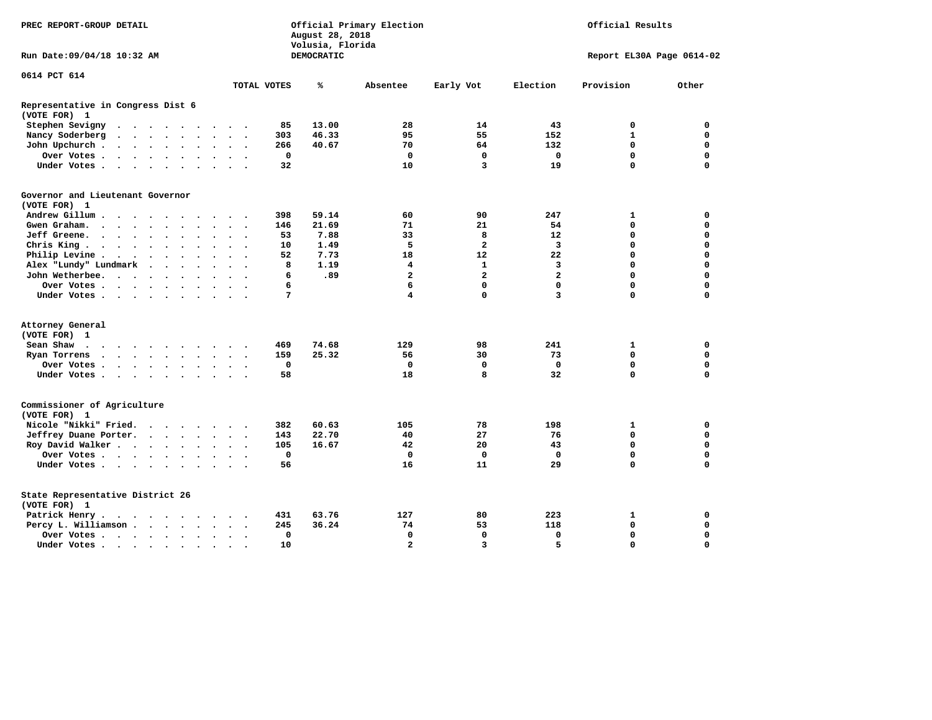| PREC REPORT-GROUP DETAIL                          |                                                                                           |                      |                      |                      |                      |                      | Official Primary Election<br>August 28, 2018<br>Volusia, Florida | Official Results     |             |                   |                |                         |                |                           |             |
|---------------------------------------------------|-------------------------------------------------------------------------------------------|----------------------|----------------------|----------------------|----------------------|----------------------|------------------------------------------------------------------|----------------------|-------------|-------------------|----------------|-------------------------|----------------|---------------------------|-------------|
| Run Date: 09/04/18 10:32 AM                       |                                                                                           |                      |                      |                      |                      |                      |                                                                  |                      |             | <b>DEMOCRATIC</b> |                |                         |                | Report EL30A Page 0614-02 |             |
| 0614 PCT 614                                      |                                                                                           |                      |                      |                      |                      |                      |                                                                  |                      |             |                   |                |                         |                |                           |             |
|                                                   |                                                                                           |                      |                      |                      |                      |                      |                                                                  |                      | TOTAL VOTES | ℁                 | Absentee       | Early Vot               | Election       | Provision                 | Other       |
| Representative in Congress Dist 6<br>(VOTE FOR) 1 |                                                                                           |                      |                      |                      |                      |                      |                                                                  |                      |             |                   |                |                         |                |                           |             |
| Stephen Sevigny                                   | $\cdots$                                                                                  |                      |                      |                      |                      |                      |                                                                  |                      | 85          | 13.00             | 28             | 14                      | 43             | 0                         | 0           |
| Nancy Soderberg                                   | $\begin{array}{cccccccccccccccccc} . & . & . & . & . & . & . & . & . & . & . \end{array}$ |                      |                      |                      |                      |                      |                                                                  |                      | 303         | 46.33             | 95             | 55                      | 152            | 1                         | 0           |
| John Upchurch.                                    |                                                                                           |                      |                      |                      |                      | $\sim$               | $\cdot$                                                          |                      | 266         | 40.67             | 70             | 64                      | 132            | $\mathbf 0$               | $\mathbf 0$ |
| Over Votes                                        |                                                                                           |                      |                      |                      |                      | $\ddot{\phantom{a}}$ | $\ddot{\phantom{a}}$                                             |                      | $\mathbf 0$ |                   | $\mathbf 0$    | $\mathbf 0$             | $\mathbf 0$    | $\mathbf 0$               | $\mathbf 0$ |
| Under Votes                                       |                                                                                           |                      |                      |                      |                      | $\sim$               | $\sim$                                                           |                      | 32          |                   | 10             | 3                       | 19             | $\Omega$                  | $\mathbf 0$ |
| Governor and Lieutenant Governor<br>(VOTE FOR) 1  |                                                                                           |                      |                      |                      |                      |                      |                                                                  |                      |             |                   |                |                         |                |                           |             |
| Andrew Gillum                                     |                                                                                           |                      |                      |                      |                      |                      |                                                                  |                      | 398         | 59.14             | 60             | 90                      | 247            | 1                         | 0           |
| Gwen Graham.                                      | $\cdots$                                                                                  |                      |                      |                      |                      |                      | $\ddot{\phantom{1}}$                                             | $\sim$               | 146         | 21.69             | 71             | 21                      | 54             | $\mathbf 0$               | $\mathbf 0$ |
| Jeff Greene.                                      |                                                                                           |                      | $\ddot{\phantom{a}}$ |                      |                      |                      | $\ddot{\phantom{a}}$                                             |                      | 53          | 7.88              | 33             | 8                       | 12             | $\mathbf 0$               | $\mathbf 0$ |
| Chris King                                        |                                                                                           |                      |                      |                      |                      |                      | $\bullet$ . $\bullet$                                            |                      | 10          | 1.49              | 5              | $\mathbf{2}$            | 3              | $\mathbf 0$               | $\mathbf 0$ |
| Philip Levine.                                    | $\mathcal{A}=\mathcal{A}=\mathcal{A}=\mathcal{A}=\mathcal{A}=\mathcal{A}$ .               |                      |                      |                      |                      | $\ddot{\phantom{a}}$ | $\sim$                                                           | $\sim$               | 52          | 7.73              | 18             | 12                      | 22             | $\mathbf 0$               | $\mathbf 0$ |
| Alex "Lundy" Lundmark                             |                                                                                           | $\ddot{\phantom{1}}$ |                      | $\ddot{\phantom{1}}$ | $\ddot{\phantom{0}}$ |                      | $\bullet$                                                        |                      | 8           | 1.19              | 4              | $\mathbf{1}$            | 3              | $\mathbf 0$               | $\mathbf 0$ |
| John Wetherbee.                                   |                                                                                           |                      |                      |                      | $\bullet$            | $\ddot{\phantom{a}}$ | $\bullet$                                                        |                      | 6           | .89               | $\overline{a}$ | $\overline{\mathbf{2}}$ | $\overline{a}$ | $\mathbf 0$               | $\mathbf 0$ |
| Over Votes                                        |                                                                                           |                      |                      |                      |                      |                      |                                                                  |                      | 6           |                   | 6              | $\mathbf 0$             | $\mathbf 0$    | $\Omega$                  | $\mathbf 0$ |
| Under Votes                                       |                                                                                           |                      |                      |                      |                      |                      | $\sim$                                                           |                      | 7           |                   | 4              | $\mathbf 0$             | 3              | $\Omega$                  | $\mathbf 0$ |
|                                                   |                                                                                           |                      |                      |                      |                      |                      |                                                                  |                      |             |                   |                |                         |                |                           |             |
| Attorney General                                  |                                                                                           |                      |                      |                      |                      |                      |                                                                  |                      |             |                   |                |                         |                |                           |             |
| (VOTE FOR) 1                                      |                                                                                           |                      |                      |                      |                      |                      |                                                                  |                      |             |                   |                |                         |                |                           |             |
| Sean Shaw                                         |                                                                                           |                      |                      |                      |                      |                      |                                                                  |                      | 469         | 74.68             | 129            | 98                      | 241            | 1                         | 0           |
| Ryan Torrens                                      | $\cdots$                                                                                  |                      |                      |                      |                      |                      | $\ddot{\phantom{0}}$                                             | $\ddot{\phantom{1}}$ | 159         | 25.32             | 56             | 30                      | 73             | $\mathbf 0$               | $\mathbf 0$ |
| Over Votes                                        |                                                                                           |                      |                      |                      |                      |                      |                                                                  |                      | $\mathbf 0$ |                   | $\mathbf 0$    | $\mathbf 0$             | $\mathbf 0$    | $\mathbf 0$               | $\mathbf 0$ |
| Under Votes                                       |                                                                                           |                      |                      |                      |                      | $\ddot{\phantom{1}}$ | $\sim$ $\sim$                                                    |                      | 58          |                   | 18             | 8                       | 32             | $\mathbf 0$               | $\mathbf 0$ |
| Commissioner of Agriculture<br>(VOTE FOR) 1       |                                                                                           |                      |                      |                      |                      |                      |                                                                  |                      |             |                   |                |                         |                |                           |             |
| Nicole "Nikki" Fried.                             |                                                                                           |                      |                      |                      |                      |                      |                                                                  |                      | 382         | 60.63             | 105            | 78                      | 198            | 1                         | 0           |
| Jeffrey Duane Porter.                             |                                                                                           |                      |                      |                      |                      |                      |                                                                  |                      | 143         | 22.70             | 40             | 27                      | 76             | 0                         | 0           |
| Roy David Walker                                  |                                                                                           |                      |                      |                      |                      |                      |                                                                  |                      | 105         | 16.67             | 42             | 20                      | 43             | $\mathbf 0$               | $\mathbf 0$ |
| Over Votes                                        |                                                                                           |                      |                      |                      |                      |                      | $\overline{\phantom{a}}$                                         |                      | $\mathbf 0$ |                   | $\mathbf{0}$   | $\mathbf 0$             | $\Omega$       | $\mathbf 0$               | $\mathbf 0$ |
| Under Votes                                       |                                                                                           |                      |                      |                      |                      |                      | $\sim$ $\sim$                                                    |                      | 56          |                   | 16             | 11                      | 29             | $\Omega$                  | $\mathbf 0$ |
| State Representative District 26<br>(VOTE FOR) 1  |                                                                                           |                      |                      |                      |                      |                      |                                                                  |                      |             |                   |                |                         |                |                           |             |
| Patrick Henry.                                    |                                                                                           |                      |                      |                      |                      |                      |                                                                  |                      | 431         | 63.76             | 127            | 80                      | 223            | 1                         | 0           |
| Percy L. Williamson                               |                                                                                           |                      |                      |                      |                      | $\ddot{\phantom{a}}$ | $\bullet$                                                        | $\ddot{\phantom{1}}$ | 245         | 36.24             | 74             | 53                      | 118            | $\mathbf 0$               | $\mathbf 0$ |
| Over Votes                                        |                                                                                           |                      |                      |                      |                      |                      | $\bullet$                                                        |                      | $\mathbf 0$ |                   | $\mathbf 0$    | $\mathbf 0$             | $\mathbf 0$    | $\mathbf 0$               | $\mathbf 0$ |
| Under Votes                                       |                                                                                           |                      |                      |                      |                      |                      |                                                                  |                      | 10          |                   | $\overline{a}$ | $\overline{3}$          | 5              | $\Omega$                  | $\Omega$    |
|                                                   |                                                                                           |                      |                      |                      |                      |                      |                                                                  |                      |             |                   |                |                         |                |                           |             |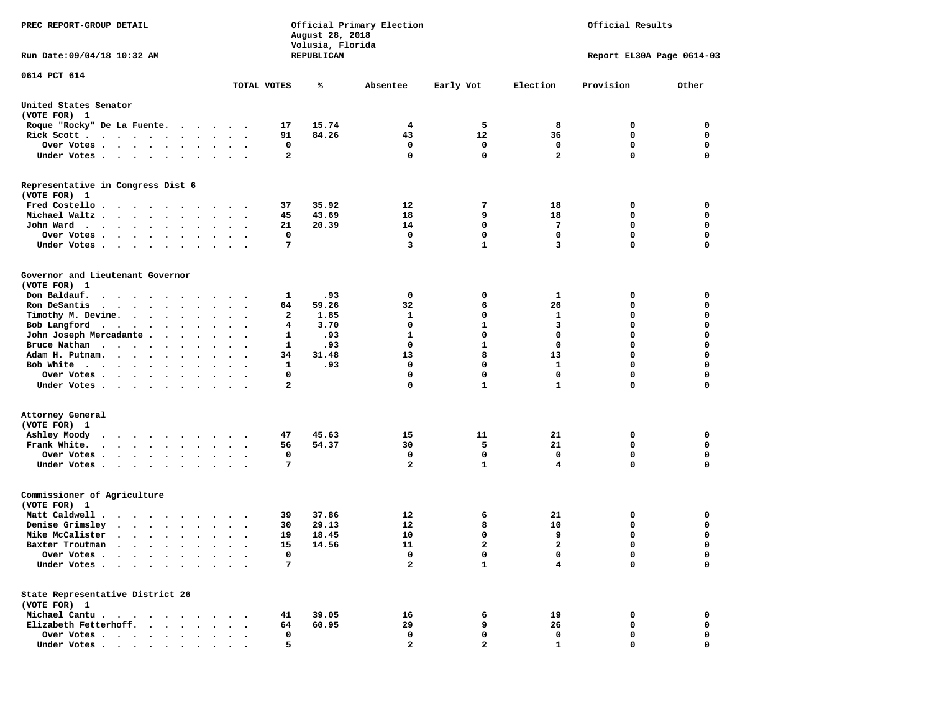| PREC REPORT-GROUP DETAIL                                                                                                                                                                                                                             |                       | August 28, 2018<br>Volusia, Florida | Official Primary Election | Official Results |              |                           |             |
|------------------------------------------------------------------------------------------------------------------------------------------------------------------------------------------------------------------------------------------------------|-----------------------|-------------------------------------|---------------------------|------------------|--------------|---------------------------|-------------|
| Run Date:09/04/18 10:32 AM                                                                                                                                                                                                                           |                       | REPUBLICAN                          |                           |                  |              | Report EL30A Page 0614-03 |             |
| 0614 PCT 614                                                                                                                                                                                                                                         |                       |                                     |                           |                  |              |                           |             |
|                                                                                                                                                                                                                                                      | TOTAL VOTES           | ℁                                   | Absentee                  | Early Vot        | Election     | Provision                 | Other       |
| United States Senator<br>(VOTE FOR) 1                                                                                                                                                                                                                |                       |                                     |                           |                  |              |                           |             |
| Roque "Rocky" De La Fuente.                                                                                                                                                                                                                          | 17                    | 15.74                               | 4                         | 5                | 8            | 0                         | 0           |
| Rick Scott                                                                                                                                                                                                                                           | 91                    | 84.26                               | 43                        | 12               | 36           | 0                         | 0           |
| Over Votes                                                                                                                                                                                                                                           |                       | 0                                   | 0                         | 0                | 0            | 0                         | 0           |
| Under Votes<br>$\sim$ $\sim$                                                                                                                                                                                                                         | $\ddot{\phantom{1}}$  | $\mathbf{2}$                        | 0                         | $\mathbf 0$      | $\mathbf{2}$ | 0                         | 0           |
| Representative in Congress Dist 6<br>(VOTE FOR) 1                                                                                                                                                                                                    |                       |                                     |                           |                  |              |                           |             |
| Fred Costello                                                                                                                                                                                                                                        | 37                    | 35.92                               | 12                        | 7                | 18           | 0                         | 0           |
| Michael Waltz.<br>$\ddot{\phantom{1}}$                                                                                                                                                                                                               | 45                    | 43.69                               | 18                        | 9                | 18           | 0                         | 0           |
| John Ward<br>$\bullet$<br>$\bullet$                                                                                                                                                                                                                  | 21<br>$\sim$ $\sim$   | 20.39                               | 14                        | 0                | 7            | 0                         | 0           |
| Over Votes .<br>$\cdot$ $\cdot$ $\cdot$ $\cdot$<br>$\ddot{\phantom{0}}$                                                                                                                                                                              |                       | 0                                   | $\mathbf 0$               | $\mathbf 0$      | 0            | $\mathbf 0$               | $\mathbf 0$ |
| Under Votes.<br>$\cdots$                                                                                                                                                                                                                             |                       | 7                                   | 3                         | $\mathbf{1}$     | 3            | 0                         | $\mathbf 0$ |
| Governor and Lieutenant Governor<br>(VOTE FOR) 1                                                                                                                                                                                                     |                       |                                     |                           |                  |              |                           |             |
| Don Baldauf.                                                                                                                                                                                                                                         |                       | .93<br>1                            | 0                         | 0                | 1            | 0                         | 0           |
| Ron DeSantis                                                                                                                                                                                                                                         | 64<br>$\bullet$       | 59.26                               | 32                        | 6                | 26           | 0                         | 0           |
| Timothy M. Devine.                                                                                                                                                                                                                                   |                       | 1.85<br>2                           | 1                         | 0                | 1            | 0                         | $\mathbf 0$ |
| Bob Langford<br>$\bullet$<br>$\bullet$ .                                                                                                                                                                                                             | $\bullet$             | 3.70<br>4                           | $\mathbf 0$               | $\mathbf{1}$     | 3            | 0                         | $\mathbf 0$ |
| John Joseph Mercadante<br>$\ddot{\phantom{a}}$                                                                                                                                                                                                       |                       | .93<br>1                            | 1                         | $\mathbf 0$      | 0            | 0                         | 0           |
| Bruce Nathan<br>$\bullet$<br>$\cdot$                                                                                                                                                                                                                 | $\ddot{\phantom{0}}$  | .93<br>1                            | 0                         | 1                | $\mathbf 0$  | 0                         | $\mathbf 0$ |
| Adam H. Putnam.<br>$\cdot$ $\cdot$ $\cdot$ $\cdot$<br>$\bullet$ .                                                                                                                                                                                    | 34                    | 31.48                               | 13                        | 8                | 13           | 0                         | $\mathbf 0$ |
| Bob White                                                                                                                                                                                                                                            |                       | 1<br>.93                            | 0                         | 0                | 1            | 0                         | $\mathbf 0$ |
| Over Votes .<br>$\bullet$<br>$\bullet$                                                                                                                                                                                                               | $\ddot{\phantom{a}}$  | 0                                   | 0                         | $\mathbf 0$      | $\mathbf 0$  | 0                         | $\mathbf 0$ |
| Under Votes                                                                                                                                                                                                                                          |                       | $\mathbf{2}$                        | 0                         | $\mathbf{1}$     | $\mathbf{1}$ | 0                         | 0           |
| Attorney General<br>(VOTE FOR) 1                                                                                                                                                                                                                     |                       |                                     |                           |                  |              |                           |             |
| Ashley Moody<br>$\mathbf{r}$ , and $\mathbf{r}$ , and $\mathbf{r}$ , and $\mathbf{r}$<br>$\sim$ $\sim$                                                                                                                                               | 47                    | 45.63                               | 15                        | 11               | 21           | 0                         | 0           |
| Frank White.<br>$\bullet$<br>$\bullet$ .<br>$\ddot{\phantom{0}}$                                                                                                                                                                                     | 56<br>$\cdot$         | 54.37                               | 30                        | 5                | 21           | 0                         | $\mathbf 0$ |
| Over Votes .<br>$\cdots$<br>$\bullet$                                                                                                                                                                                                                |                       | 0                                   | 0                         | 0                | 0            | 0                         | 0           |
| Under Votes<br>$\sim$                                                                                                                                                                                                                                | $\bullet$ . $\bullet$ | 7                                   | $\overline{a}$            | $\mathbf{1}$     | 4            | 0                         | $\Omega$    |
| Commissioner of Agriculture<br>(VOTE FOR) 1                                                                                                                                                                                                          |                       |                                     |                           |                  |              |                           |             |
| Matt Caldwell .<br>$\mathbf{r}$ . The set of the set of the set of the set of the set of the set of the set of the set of the set of the set of the set of the set of the set of the set of the set of the set of the set of the set of the set of t | 39                    | 37.86                               | 12                        | 6                | 21           | 0                         | 0           |
| Denise Grimsley<br>$\begin{array}{cccccccccccccc} \bullet & \bullet & \bullet & \bullet & \bullet & \bullet & \bullet & \bullet & \bullet & \bullet \end{array}$                                                                                     | 30                    | 29.13                               | 12                        | 8                | 10           | 0                         | 0           |
| Mike McCalister<br>$\begin{array}{cccccccccccccccccc} \bullet & \bullet & \bullet & \bullet & \bullet & \bullet & \bullet & \bullet & \bullet & \bullet \end{array}$<br>$\ddot{\phantom{0}}$                                                         | 19<br>$\cdot$ .       | 18.45                               | 10                        | $\mathbf 0$      | 9            | 0                         | $\mathbf 0$ |
| Baxter Troutman<br>.                                                                                                                                                                                                                                 | 15                    | 14.56                               | 11                        | 2                | 2            | 0                         | 0           |
| Over Votes .                                                                                                                                                                                                                                         |                       | 0                                   | 0                         | 0                | 0            | 0                         | 0           |
| Under Votes.<br>$\ddot{\phantom{a}}$                                                                                                                                                                                                                 |                       | 7                                   | 2                         | $\mathbf{1}$     | 4            | 0                         | $\mathbf 0$ |
| State Representative District 26<br>(VOTE FOR) 1                                                                                                                                                                                                     |                       |                                     |                           |                  |              |                           |             |
| Michael Cantu.<br>$\sim$ $\sim$<br>$\overline{\phantom{a}}$                                                                                                                                                                                          | 41                    | 39.05                               | 16                        | 6                | 19           | 0                         | 0           |
| Elizabeth Fetterhoff.                                                                                                                                                                                                                                | 64                    | 60.95                               | 29                        | 9                | 26           | 0                         | 0           |
| Over Votes .<br>$\ddot{\phantom{1}}$<br>$\sim$<br>$\bullet$<br>$\bullet$                                                                                                                                                                             |                       | 0                                   | 0                         | 0                | 0            | 0                         | 0           |
| Under Votes<br>$\bullet$                                                                                                                                                                                                                             |                       | 5                                   | $\mathbf{2}$              | $\mathbf{z}$     | $\mathbf{1}$ | 0                         | 0           |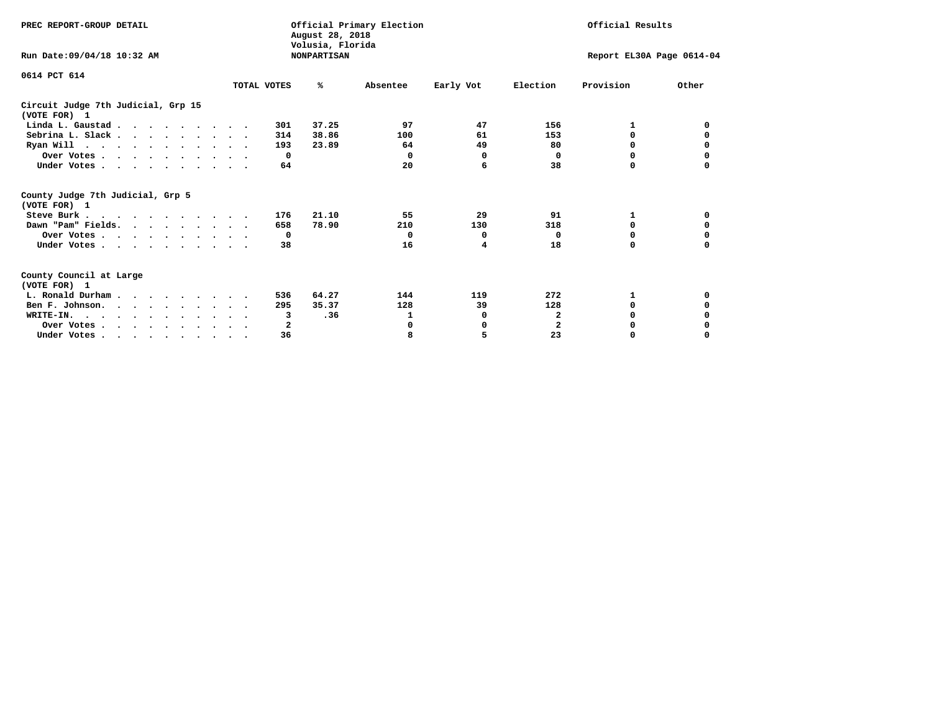| PREC REPORT-GROUP DETAIL                                                         |             | August 28, 2018                        | Official Primary Election | Official Results          |                |           |          |
|----------------------------------------------------------------------------------|-------------|----------------------------------------|---------------------------|---------------------------|----------------|-----------|----------|
| Run Date: 09/04/18 10:32 AM                                                      |             | Volusia, Florida<br><b>NONPARTISAN</b> |                           | Report EL30A Page 0614-04 |                |           |          |
| 0614 PCT 614                                                                     | TOTAL VOTES | %ะ                                     | Absentee                  | Early Vot                 | Election       | Provision | Other    |
| Circuit Judge 7th Judicial, Grp 15<br>(VOTE FOR) 1                               |             |                                        |                           |                           |                |           |          |
| Linda L. Gaustad                                                                 |             | 37.25<br>301                           | 97                        | 47                        | 156            |           | 0        |
| Sebrina L. Slack.                                                                |             | 38.86<br>314                           | 100                       | 61                        | 153            | 0         |          |
| Ryan Will $\cdots$ , $\cdots$ , $\cdots$ , $\cdots$                              |             | 193<br>23.89                           | 64                        | 49                        | 80             | 0         | 0        |
| Over Votes                                                                       |             | $\Omega$                               | 0                         | 0                         | 0              | $\Omega$  | 0        |
| Under Votes                                                                      |             | 64                                     | 20                        | 6                         | 38             | 0         |          |
| County Judge 7th Judicial, Grp 5<br>(VOTE FOR) 1                                 |             |                                        |                           |                           |                |           |          |
| Steve Burk                                                                       |             | 21.10<br>176                           | 55                        | 29                        | 91             | 1         | 0        |
| Dawn "Pam" Fields.                                                               |             | 78.90<br>658                           | 210                       | 130                       | 318            | 0         |          |
| Over Votes                                                                       |             | $\mathbf{o}$                           | $^{\circ}$                | 0                         | 0              | 0         | 0        |
| Under Votes                                                                      |             | 38                                     | 16                        | 4                         | 18             | $\Omega$  | 0        |
| County Council at Large<br>(VOTE FOR) 1                                          |             |                                        |                           |                           |                |           |          |
| L. Ronald Durham                                                                 |             | 64.27<br>536                           | 144                       | 119                       | 272            | 1         | 0        |
| Ben F. Johnson.                                                                  |             | 35.37<br>295                           | 128                       | 39                        | 128            | $\Omega$  | 0        |
| WRITE-IN.                                                                        |             | .36<br>3                               | 1                         | 0                         | $\mathbf{2}$   | O         |          |
| Over Votes                                                                       |             | 2                                      | 0                         | 0                         | $\overline{2}$ | 0         |          |
| Under Votes, $\cdot$ , $\cdot$ , $\cdot$ , $\cdot$ , $\cdot$ , $\cdot$ , $\cdot$ |             | 36                                     | 8                         | 5                         | 23             | 0         | $\Omega$ |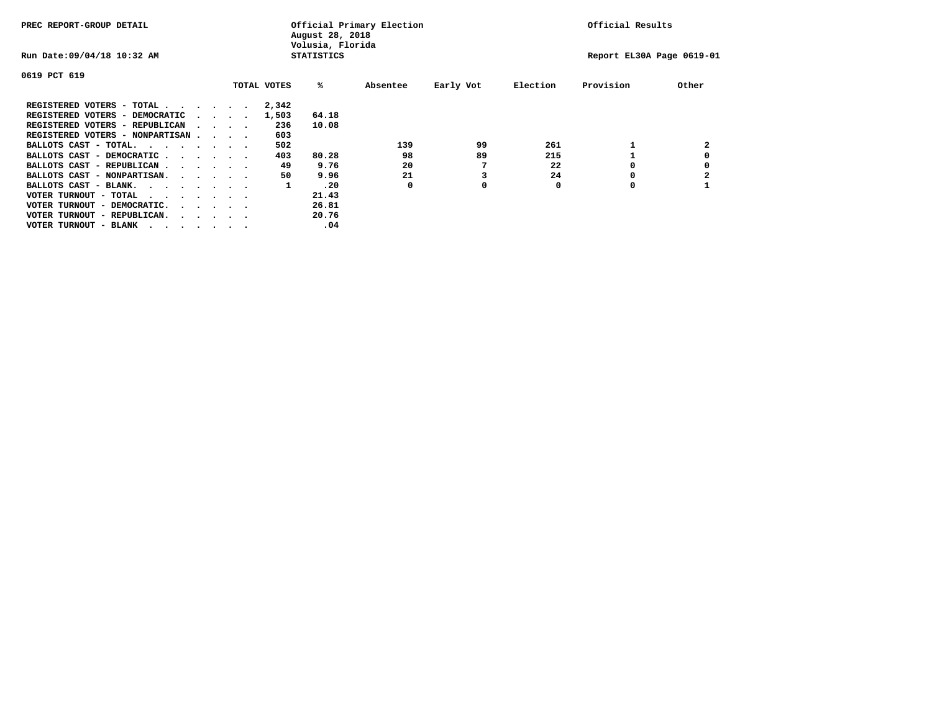| PREC REPORT-GROUP DETAIL                                                                                                                 |  | Official Primary Election<br>August 28, 2018<br>Volusia, Florida |  |  |             |                   |          |           | Official Results |                           |       |  |
|------------------------------------------------------------------------------------------------------------------------------------------|--|------------------------------------------------------------------|--|--|-------------|-------------------|----------|-----------|------------------|---------------------------|-------|--|
| Run Date: 09/04/18 10:32 AM                                                                                                              |  |                                                                  |  |  |             | <b>STATISTICS</b> |          |           |                  | Report EL30A Page 0619-01 |       |  |
| 0619 PCT 619                                                                                                                             |  |                                                                  |  |  |             |                   |          |           |                  |                           |       |  |
|                                                                                                                                          |  |                                                                  |  |  | TOTAL VOTES | %ะ                | Absentee | Early Vot | Election         | Provision                 | Other |  |
| REGISTERED VOTERS - TOTAL                                                                                                                |  |                                                                  |  |  | 2,342       |                   |          |           |                  |                           |       |  |
| REGISTERED VOTERS - DEMOCRATIC                                                                                                           |  | $\cdot$ $\cdot$ $\cdot$ $\cdot$ $\cdot$                          |  |  | 1,503       | 64.18             |          |           |                  |                           |       |  |
| REGISTERED VOTERS - REPUBLICAN                                                                                                           |  | $\cdot$ $\cdot$ $\cdot$ $\cdot$                                  |  |  | 236         | 10.08             |          |           |                  |                           |       |  |
| REGISTERED VOTERS - NONPARTISAN                                                                                                          |  |                                                                  |  |  | 603         |                   |          |           |                  |                           |       |  |
| BALLOTS CAST - TOTAL.                                                                                                                    |  |                                                                  |  |  | 502         |                   | 139      | 99        | 261              |                           | 2     |  |
| BALLOTS CAST - DEMOCRATIC                                                                                                                |  |                                                                  |  |  | 403         | 80.28             | 98       | 89        | 215              |                           |       |  |
| BALLOTS CAST - REPUBLICAN                                                                                                                |  |                                                                  |  |  | 49          | 9.76              | 20       |           | 22               | 0                         |       |  |
| BALLOTS CAST - NONPARTISAN.                                                                                                              |  |                                                                  |  |  | 50          | 9.96              | 21       |           | 24               |                           |       |  |
| BALLOTS CAST - BLANK.                                                                                                                    |  |                                                                  |  |  | 1           | .20               | 0        | 0         | 0                | O                         |       |  |
| VOTER TURNOUT - TOTAL<br>the contract of the contract of the contract of the contract of the contract of the contract of the contract of |  |                                                                  |  |  |             | 21.43             |          |           |                  |                           |       |  |
| VOTER TURNOUT - DEMOCRATIC.                                                                                                              |  | $\cdot$ $\cdot$ $\cdot$ $\cdot$ $\cdot$                          |  |  |             | 26.81             |          |           |                  |                           |       |  |
| VOTER TURNOUT - REPUBLICAN.<br>$\cdot$                                                                                                   |  |                                                                  |  |  |             | 20.76             |          |           |                  |                           |       |  |
| VOTER TURNOUT - BLANK                                                                                                                    |  |                                                                  |  |  |             | .04               |          |           |                  |                           |       |  |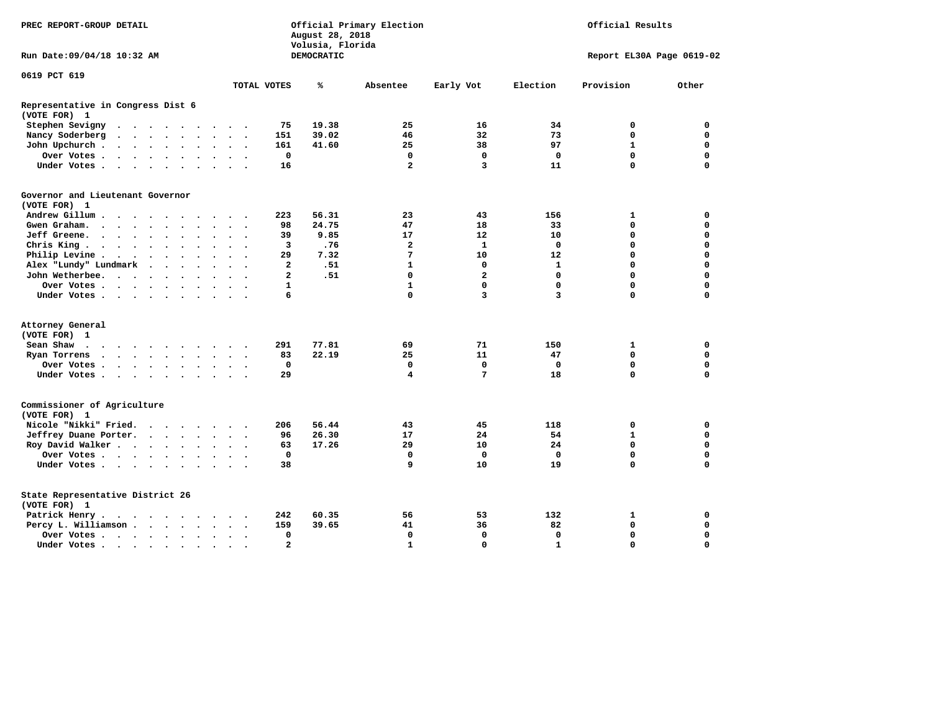| PREC REPORT-GROUP DETAIL                          |                                                                             |  |           |  |                      | Official Primary Election<br>August 28, 2018<br>Volusia, Florida | Official Results     |                |            |                         |                |              |                           |             |
|---------------------------------------------------|-----------------------------------------------------------------------------|--|-----------|--|----------------------|------------------------------------------------------------------|----------------------|----------------|------------|-------------------------|----------------|--------------|---------------------------|-------------|
| Run Date:09/04/18 10:32 AM                        |                                                                             |  |           |  |                      |                                                                  |                      |                | DEMOCRATIC |                         |                |              | Report EL30A Page 0619-02 |             |
| 0619 PCT 619                                      |                                                                             |  |           |  |                      |                                                                  |                      |                |            |                         |                |              |                           |             |
|                                                   |                                                                             |  |           |  |                      |                                                                  |                      | TOTAL VOTES    | ℁          | Absentee                | Early Vot      | Election     | Provision                 | Other       |
| Representative in Congress Dist 6<br>(VOTE FOR) 1 |                                                                             |  |           |  |                      |                                                                  |                      |                |            |                         |                |              |                           |             |
| Stephen Sevigny                                   | $\cdots$                                                                    |  |           |  |                      |                                                                  |                      | 75             | 19.38      | 25                      | 16             | 34           | 0                         | 0           |
| Nancy Soderberg                                   |                                                                             |  |           |  |                      |                                                                  |                      | 151            | 39.02      | 46                      | 32             | 73           | $\mathbf 0$               | 0           |
| John Upchurch.                                    |                                                                             |  |           |  |                      | $\sim$ $\sim$                                                    |                      | 161            | 41.60      | 25                      | 38             | 97           | $\mathbf{1}$              | $\mathbf 0$ |
| Over Votes                                        |                                                                             |  |           |  |                      | $\sim$                                                           |                      | $\mathbf 0$    |            | $\mathbf 0$             | $\mathbf 0$    | $\mathbf 0$  | $\mathbf 0$               | $\mathbf 0$ |
| Under Votes                                       |                                                                             |  |           |  |                      |                                                                  |                      | 16             |            | $\overline{\mathbf{2}}$ | 3              | 11           | $\Omega$                  | $\mathbf 0$ |
| Governor and Lieutenant Governor<br>(VOTE FOR) 1  |                                                                             |  |           |  |                      |                                                                  |                      |                |            |                         |                |              |                           |             |
| Andrew Gillum                                     |                                                                             |  | $\bullet$ |  |                      |                                                                  |                      | 223            | 56.31      | 23                      | 43             | 156          | 1                         | 0           |
| Gwen Graham.                                      |                                                                             |  |           |  |                      | $\sim$ $\sim$                                                    | $\sim$               | 98             | 24.75      | 47                      | 18             | 33           | $\mathbf 0$               | $\mathbf 0$ |
| Jeff Greene.                                      |                                                                             |  |           |  |                      | $\ddot{\phantom{a}}$                                             |                      | 39             | 9.85       | 17                      | 12             | 10           | $\mathbf 0$               | $\mathbf 0$ |
| Chris King                                        |                                                                             |  |           |  |                      | $\ddotsc$                                                        |                      | 3              | .76        | $\mathbf{2}$            | $\mathbf{1}$   | $\mathbf{0}$ | $\mathbf 0$               | $\mathbf 0$ |
| Philip Levine.                                    | $\mathcal{A}=\mathcal{A}=\mathcal{A}=\mathcal{A}=\mathcal{A}=\mathcal{A}$ . |  |           |  |                      | $\sim$ $\sim$                                                    | $\sim$               | 29             | 7.32       | 7                       | 10             | 12           | $\mathbf 0$               | $\mathbf 0$ |
| Alex "Lundy" Lundmark                             |                                                                             |  |           |  |                      | $\ddot{\phantom{a}}$                                             |                      | 2              | .51        | 1                       | 0              | 1            | $\mathbf 0$               | $\mathbf 0$ |
| John Wetherbee.                                   |                                                                             |  |           |  | $\ddot{\phantom{0}}$ | $\ddot{\phantom{1}}$                                             |                      | $\mathbf{2}$   | .51        | $\mathbf 0$             | $\overline{a}$ | $\mathbf{0}$ | $\mathbf 0$               | $\mathbf 0$ |
| Over Votes                                        |                                                                             |  |           |  |                      | $\sim$ $\sim$                                                    |                      | $\mathbf{1}$   |            | $\mathbf{1}$            | $\mathbf 0$    | $\mathbf 0$  | $\Omega$                  | $\mathbf 0$ |
| Under Votes                                       |                                                                             |  |           |  |                      |                                                                  |                      | 6              |            | $\Omega$                | 3              | 3            | $\Omega$                  | $\mathbf 0$ |
|                                                   |                                                                             |  |           |  |                      |                                                                  |                      |                |            |                         |                |              |                           |             |
| Attorney General<br>(VOTE FOR) 1                  |                                                                             |  |           |  |                      |                                                                  |                      |                |            |                         |                |              |                           |             |
| Sean Shaw                                         |                                                                             |  |           |  |                      |                                                                  |                      | 291            | 77.81      | 69                      | 71             | 150          | $\mathbf{1}$              | 0           |
| Ryan Torrens                                      | $\cdots$                                                                    |  |           |  |                      | $\sim$ $\sim$                                                    | $\ddot{\phantom{1}}$ | 83             | 22.19      | 25                      | 11             | 47           | $\mathbf 0$               | $\mathbf 0$ |
|                                                   |                                                                             |  |           |  |                      |                                                                  |                      | $\mathbf 0$    |            | $\mathbf 0$             | $\mathbf 0$    | $\mathbf 0$  | $\mathbf 0$               | $\mathbf 0$ |
| Over Votes<br>Under Votes                         |                                                                             |  |           |  | $\ddot{\phantom{0}}$ | $\sim$ $\sim$                                                    |                      | 29             |            | 4                       | $\overline{7}$ | 18           | $\mathbf 0$               | $\mathbf 0$ |
|                                                   |                                                                             |  |           |  |                      |                                                                  |                      |                |            |                         |                |              |                           |             |
| Commissioner of Agriculture<br>(VOTE FOR) 1       |                                                                             |  |           |  |                      |                                                                  |                      |                |            |                         |                |              |                           |             |
| Nicole "Nikki" Fried.                             |                                                                             |  |           |  |                      |                                                                  |                      | 206            | 56.44      | 43                      | 45             | 118          | 0                         | 0           |
| Jeffrey Duane Porter.                             |                                                                             |  |           |  |                      |                                                                  |                      | 96             | 26.30      | 17                      | 24             | 54           | $\mathbf{1}$              | 0           |
| Roy David Walker                                  |                                                                             |  |           |  |                      |                                                                  |                      | 63             | 17.26      | 29                      | 10             | 24           | $\mathbf 0$               | $\mathbf 0$ |
| Over Votes                                        |                                                                             |  |           |  |                      | $\sim$                                                           |                      | $\mathbf 0$    |            | $\mathbf 0$             | $\mathbf 0$    | $\Omega$     | $\mathbf 0$               | $\mathbf 0$ |
| Under Votes                                       |                                                                             |  |           |  |                      | $\sim$ $\sim$                                                    |                      | 38             |            | 9                       | 10             | 19           | $\Omega$                  | $\mathbf 0$ |
| State Representative District 26<br>(VOTE FOR) 1  |                                                                             |  |           |  |                      |                                                                  |                      |                |            |                         |                |              |                           |             |
| Patrick Henry.                                    | .                                                                           |  |           |  |                      |                                                                  |                      | 242            | 60.35      | 56                      | 53             | 132          | 1                         | 0           |
| Percy L. Williamson                               |                                                                             |  |           |  | $\sim$               | $\ddot{\phantom{1}}$                                             |                      | 159            | 39.65      | 41                      | 36             | 82           | $\mathbf 0$               | $\mathbf 0$ |
| Over Votes                                        |                                                                             |  |           |  |                      | $\ddot{\phantom{a}}$                                             |                      | $\mathbf 0$    |            | $\mathbf 0$             | $\mathbf 0$    | $\mathbf 0$  | $\mathbf 0$               | $\mathbf 0$ |
| Under Votes                                       |                                                                             |  |           |  |                      |                                                                  |                      | $\overline{2}$ |            | $\mathbf{1}$            | $\Omega$       | $\mathbf{1}$ | $\Omega$                  | $\Omega$    |
|                                                   |                                                                             |  |           |  |                      |                                                                  |                      |                |            |                         |                |              |                           |             |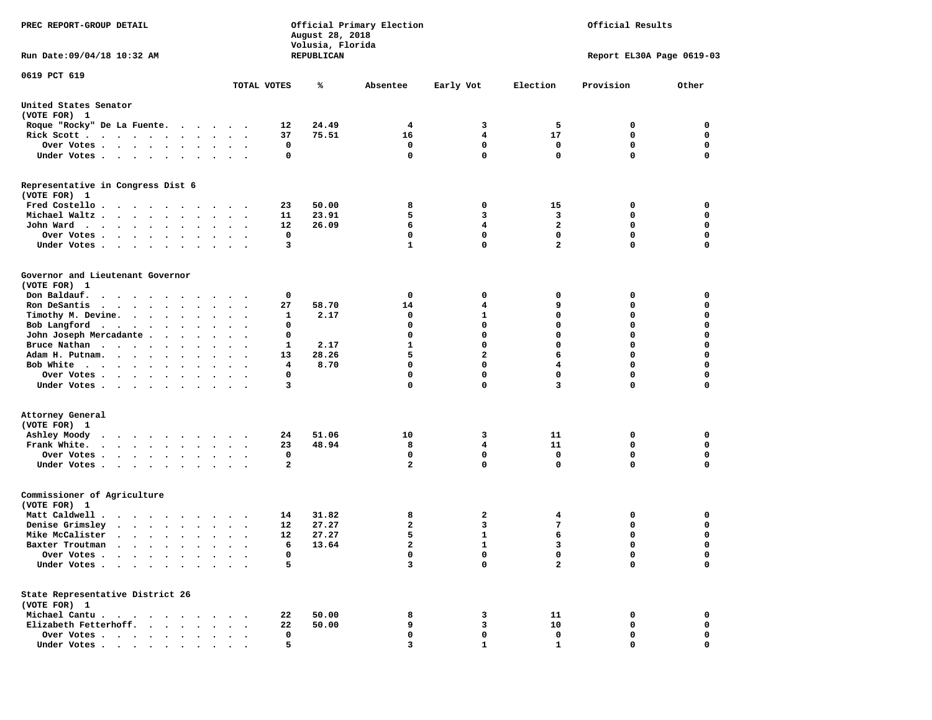| PREC REPORT-GROUP DETAIL                                               |                        |    | August 28, 2018<br>Volusia, Florida | Official Primary Election | Official Results |                         |                           |             |
|------------------------------------------------------------------------|------------------------|----|-------------------------------------|---------------------------|------------------|-------------------------|---------------------------|-------------|
| Run Date: 09/04/18 10:32 AM                                            |                        |    | REPUBLICAN                          |                           |                  |                         | Report EL30A Page 0619-03 |             |
| 0619 PCT 619                                                           | TOTAL VOTES            |    | ℁                                   | Absentee                  | Early Vot        | Election                | Provision                 | Other       |
| United States Senator<br>(VOTE FOR) 1                                  |                        |    |                                     |                           |                  |                         |                           |             |
| Roque "Rocky" De La Fuente.                                            |                        | 12 | 24.49                               | 4                         | 3                | 5                       | 0                         | 0           |
| Rick Scott                                                             | $\cdot$                | 37 | 75.51                               | 16                        | 4                | 17                      | 0                         | $\mathbf 0$ |
| Over Votes                                                             |                        | 0  |                                     | 0                         | 0                | 0                       | 0                         | 0           |
| Under Votes                                                            |                        | 0  |                                     | $\mathbf 0$               | $\mathbf{0}$     | $\mathbf 0$             | 0                         | $\mathbf 0$ |
| Representative in Congress Dist 6<br>(VOTE FOR) 1                      |                        |    |                                     |                           |                  |                         |                           |             |
| Fred Costello                                                          |                        | 23 | 50.00                               | 8                         | 0                | 15                      | 0                         | 0           |
| Michael Waltz.                                                         |                        | 11 | 23.91                               | 5                         | 3                | 3                       | 0                         | 0           |
| John Ward                                                              |                        | 12 | 26.09                               | 6                         | 4                | $\overline{a}$          | $\mathbf 0$               | $\mathbf 0$ |
| Over Votes .<br>$\bullet$ .                                            |                        | 0  |                                     | 0                         | 0                | 0                       | 0                         | 0           |
| Under Votes                                                            |                        | 3  |                                     | $\mathbf{1}$              | $\mathbf{0}$     | $\overline{a}$          | 0                         | $\mathbf 0$ |
| Governor and Lieutenant Governor<br>(VOTE FOR) 1                       |                        |    |                                     |                           |                  |                         |                           |             |
| Don Baldauf.<br>.                                                      |                        | 0  |                                     | 0                         | 0                | 0                       | 0                         | 0           |
| Ron DeSantis<br>$\cdots$<br>$\bullet$                                  | $\bullet$<br>$\bullet$ | 27 | 58.70                               | 14                        | 4                | 9                       | 0                         | $\mathbf 0$ |
| Timothy M. Devine.                                                     |                        | 1  | 2.17                                | 0                         | 1                | $\mathbf 0$             | 0                         | 0           |
| Bob Langford<br>$\sim$                                                 | $\sim$ $\sim$          | 0  |                                     | 0                         | $\mathbf 0$      | $\mathbf 0$             | 0                         | $\mathbf 0$ |
| John Joseph Mercadante                                                 |                        | 0  |                                     | 0                         | $\mathbf 0$      | $\mathbf 0$             | 0                         | $\mathbf 0$ |
| Bruce Nathan                                                           |                        | 1  | 2.17                                | 1                         | $\mathbf{0}$     | $\mathbf 0$             | 0                         | $\mathbf 0$ |
| Adam H. Putnam.                                                        |                        | 13 | 28.26                               | 5                         | $\mathbf{2}$     | 6                       | 0                         | 0           |
| Bob White                                                              |                        | 4  | 8.70                                | 0                         | $\mathbf 0$      | 4                       | 0                         | $\mathbf 0$ |
| Over Votes<br>$\sim$                                                   | $\ddot{\phantom{1}}$   | 0  |                                     | 0                         | $\mathbf 0$      | $\mathbf 0$             | 0                         | 0           |
| Under Votes                                                            |                        | 3  |                                     | $\Omega$                  | 0                | 3                       | 0                         | 0           |
| Attorney General<br>(VOTE FOR) 1<br>Ashley Moody<br>$\cdot$<br>$\cdot$ |                        | 24 | 51.06                               | 10                        | 3                | 11                      | 0                         | 0           |
| Frank White.                                                           |                        | 23 | 48.94                               | 8                         | 4                | 11                      | 0                         | 0           |
| Over Votes                                                             |                        | 0  |                                     | 0                         | 0                | 0                       | 0                         | $\mathbf 0$ |
| Under Votes                                                            |                        | 2  |                                     | $\overline{a}$            | $\mathbf{0}$     | 0                       | 0                         | 0           |
| Commissioner of Agriculture<br>(VOTE FOR) 1                            |                        |    |                                     |                           |                  |                         |                           |             |
| Matt Caldwell .                                                        |                        | 14 | 31.82                               | 8                         | 2                | 4                       | 0                         | 0           |
| Denise Grimsley                                                        |                        | 12 | 27.27                               | 2                         | 3                | 7                       | 0                         | 0           |
| Mike McCalister                                                        |                        | 12 | 27.27                               | 5                         | $\mathbf{1}$     | 6                       | 0                         | $\mathbf 0$ |
| Baxter Troutman<br>$\cdots$                                            |                        | 6  | 13.64                               | $\overline{a}$            | $\mathbf{1}$     | 3                       | 0                         | $\mathbf 0$ |
| Over Votes .<br>$\ddot{\phantom{0}}$<br>$\cdot$ $\cdot$                |                        | 0  |                                     | 0                         | 0                | 0                       | 0                         | 0           |
| Under Votes<br>$\bullet$                                               |                        | 5  |                                     | 3                         | $\mathbf{0}$     | $\overline{\mathbf{2}}$ | 0                         | 0           |
| State Representative District 26<br>(VOTE FOR) 1                       |                        |    |                                     |                           |                  |                         |                           |             |
| Michael Cantu.<br>$\cdots$<br>$\cdots$                                 |                        | 22 | 50.00                               | 8                         | 3                | 11                      | 0                         | 0           |
| Elizabeth Fetterhoff.<br>$\cdots$                                      |                        | 22 | 50.00                               | 9                         | 3                | 10                      | 0                         | 0           |
| Over Votes                                                             |                        | 0  |                                     | 0                         | 0                | 0                       | 0                         | 0           |
| Under Votes                                                            |                        | 5  |                                     | з                         | 1                | 1                       | 0                         | 0           |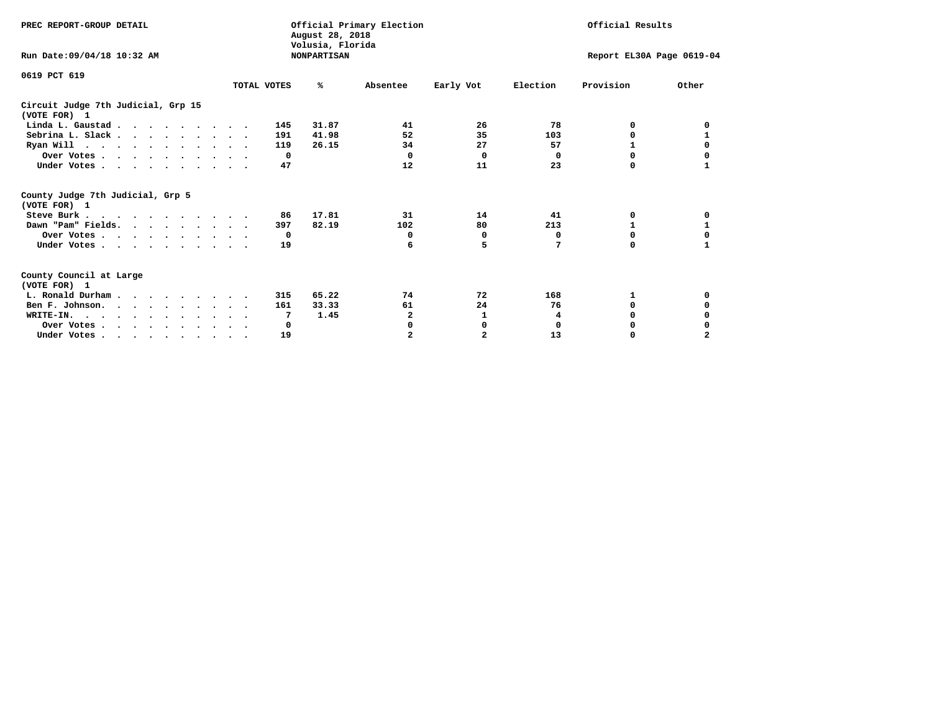| PREC REPORT-GROUP DETAIL                                                         |             | August 28, 2018<br>Volusia, Florida | Official Primary Election |                           | Official Results |              |       |
|----------------------------------------------------------------------------------|-------------|-------------------------------------|---------------------------|---------------------------|------------------|--------------|-------|
| Run Date:09/04/18 10:32 AM                                                       |             | <b>NONPARTISAN</b>                  |                           | Report EL30A Page 0619-04 |                  |              |       |
| 0619 PCT 619                                                                     |             |                                     |                           |                           |                  |              |       |
|                                                                                  | TOTAL VOTES | ℁                                   | Absentee                  | Early Vot                 | Election         | Provision    | Other |
| Circuit Judge 7th Judicial, Grp 15<br>(VOTE FOR) 1                               |             |                                     |                           |                           |                  |              |       |
| Linda L. Gaustad                                                                 |             | 31.87<br>145                        | 41                        | 26                        | 78               | 0            | 0     |
| Sebrina L. Slack                                                                 |             | 41.98<br>191                        | 52                        | 35                        | 103              | 0            |       |
| Ryan Will $\cdots$ , $\cdots$ , $\cdots$ , $\cdots$                              |             | 26.15<br>119                        | 34                        | 27                        | 57               | 1            | 0     |
| Over Votes                                                                       |             | $^{\circ}$                          | $\Omega$                  | $\Omega$                  | 0                | $\Omega$     | 0     |
| Under Votes                                                                      |             | 47                                  | 12                        | 11                        | 23               | 0            |       |
| County Judge 7th Judicial, Grp 5<br>(VOTE FOR) 1                                 |             |                                     |                           |                           |                  |              |       |
| Steve Burk                                                                       |             | 17.81<br>86                         | 31                        | 14                        | 41               | 0            | 0     |
| Dawn "Pam" Fields.                                                               |             | 82.19<br>397                        | 102                       | 80                        | 213              |              |       |
| Over Votes                                                                       |             | $\mathbf{o}$                        | 0                         | 0                         | 0                | 0            | 0     |
| Under Votes                                                                      |             | 19                                  | 6                         | 5                         | 7                | $\Omega$     | 1     |
| County Council at Large<br>(VOTE FOR) 1                                          |             |                                     |                           |                           |                  |              |       |
| L. Ronald Durham                                                                 |             | 65.22<br>315                        | 74                        | 72                        | 168              | 1            | 0     |
| Ben F. Johnson.                                                                  |             | 33.33<br>161                        | 61                        | 24                        | 76               | <sup>0</sup> | 0     |
| WRITE-IN.                                                                        |             | 1.45<br>7                           | 2                         | 1                         | 4                | O            |       |
| Over Votes                                                                       |             | 0                                   | 0                         | 0                         | $\mathbf 0$      | 0            |       |
| Under Votes, $\cdot$ , $\cdot$ , $\cdot$ , $\cdot$ , $\cdot$ , $\cdot$ , $\cdot$ |             | 19                                  |                           | $\overline{a}$            | 13               | 0            |       |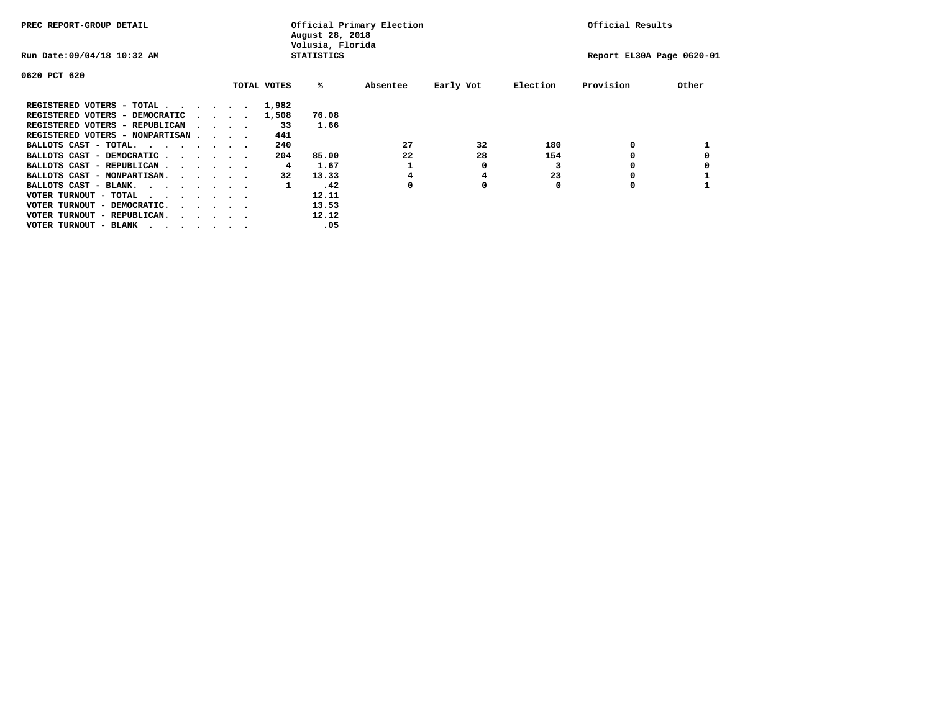| PREC REPORT-GROUP DETAIL               |  |                                         | August 28, 2018<br>Volusia, Florida | Official Primary Election | Official Results |          |           |                           |           |       |
|----------------------------------------|--|-----------------------------------------|-------------------------------------|---------------------------|------------------|----------|-----------|---------------------------|-----------|-------|
| Run Date: 09/04/18 10:32 AM            |  |                                         |                                     | <b>STATISTICS</b>         |                  |          |           | Report EL30A Page 0620-01 |           |       |
| 0620 PCT 620                           |  |                                         |                                     |                           |                  |          |           |                           |           |       |
|                                        |  |                                         |                                     | TOTAL VOTES               | %ะ               | Absentee | Early Vot | Election                  | Provision | Other |
| REGISTERED VOTERS - TOTAL              |  |                                         |                                     | 1,982                     |                  |          |           |                           |           |       |
| REGISTERED VOTERS - DEMOCRATIC         |  | $\cdot$ $\cdot$ $\cdot$ $\cdot$ $\cdot$ |                                     | 1,508                     | 76.08            |          |           |                           |           |       |
| REGISTERED VOTERS - REPUBLICAN         |  | $\cdot$ $\cdot$ $\cdot$ $\cdot$         |                                     | 33                        | 1.66             |          |           |                           |           |       |
| REGISTERED VOTERS - NONPARTISAN        |  |                                         |                                     | 441                       |                  |          |           |                           |           |       |
| BALLOTS CAST - TOTAL.                  |  |                                         |                                     | 240                       |                  | 27       | 32        | 180                       | 0         |       |
| BALLOTS CAST - DEMOCRATIC              |  |                                         |                                     | 204                       | 85.00            | 22       | 28        | 154                       |           |       |
| BALLOTS CAST - REPUBLICAN              |  |                                         |                                     | 4                         | 1.67             |          | 0         |                           | 0         |       |
| BALLOTS CAST - NONPARTISAN.            |  |                                         |                                     | 32                        | 13.33            |          | 4         | 23                        |           |       |
| BALLOTS CAST - BLANK.                  |  |                                         |                                     | 1                         | .42              |          | 0         | O                         |           |       |
| VOTER TURNOUT - TOTAL<br>$\cdots$      |  |                                         |                                     |                           | 12.11            |          |           |                           |           |       |
| VOTER TURNOUT - DEMOCRATIC.            |  | $\cdot$ $\cdot$ $\cdot$ $\cdot$ $\cdot$ |                                     |                           | 13.53            |          |           |                           |           |       |
| VOTER TURNOUT - REPUBLICAN.<br>$\cdot$ |  |                                         |                                     |                           | 12.12            |          |           |                           |           |       |
| VOTER TURNOUT - BLANK                  |  |                                         |                                     |                           | .05              |          |           |                           |           |       |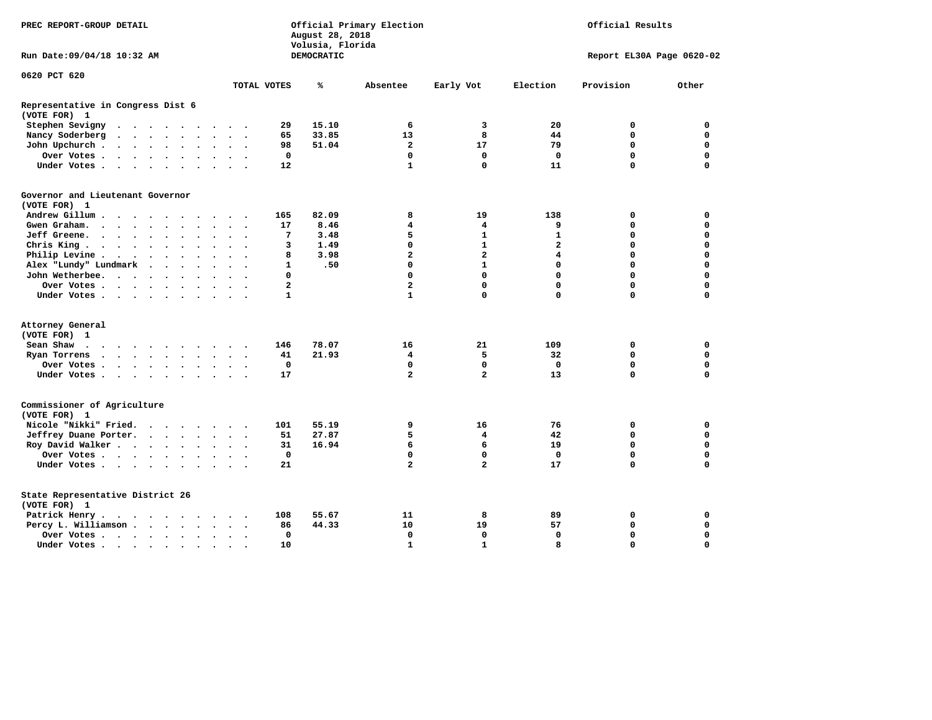| PREC REPORT-GROUP DETAIL                          |                                         | Official Primary Election<br>August 28, 2018<br>Volusia, Florida | Official Results        |                |                         |                           |             |
|---------------------------------------------------|-----------------------------------------|------------------------------------------------------------------|-------------------------|----------------|-------------------------|---------------------------|-------------|
| Run Date: 09/04/18 10:32 AM                       |                                         | DEMOCRATIC                                                       |                         |                |                         | Report EL30A Page 0620-02 |             |
| 0620 PCT 620                                      | TOTAL VOTES                             | ℁                                                                | Absentee                | Early Vot      | Election                | Provision                 | Other       |
|                                                   |                                         |                                                                  |                         |                |                         |                           |             |
| Representative in Congress Dist 6<br>(VOTE FOR) 1 |                                         |                                                                  |                         |                |                         |                           |             |
| Stephen Sevigny                                   | 29                                      | 15.10                                                            | 6                       | 3              | 20                      | 0                         | $\mathbf 0$ |
| Nancy Soderberg                                   | 65                                      | 33.85                                                            | 13                      | 8              | 44                      | $\mathbf 0$               | $\mathbf 0$ |
| John Upchurch                                     | 98                                      | 51.04                                                            | $\overline{a}$          | 17             | 79                      | $\mathbf 0$               | $\mathbf 0$ |
| Over Votes                                        | 0                                       |                                                                  | $\mathbf 0$             | 0              | $\mathbf 0$             | 0                         | 0           |
| Under Votes                                       | 12                                      |                                                                  | $\mathbf{1}$            | 0              | 11                      | $\mathbf 0$               | 0           |
| Governor and Lieutenant Governor<br>(VOTE FOR) 1  |                                         |                                                                  |                         |                |                         |                           |             |
| Andrew Gillum<br>$\sim$<br>$\bullet$              | 165                                     | 82.09                                                            | 8                       | 19             | 138                     | 0                         | 0           |
| Gwen Graham.                                      | 17                                      | 8.46                                                             | 4                       | 4              | 9                       | 0                         | $\mathbf 0$ |
| Jeff Greene.                                      | 7<br>$\ddot{\phantom{a}}$               | 3.48                                                             | 5                       | $\mathbf{1}$   | $\mathbf{1}$            | $\mathbf 0$               | $\mathbf 0$ |
| Chris King                                        | 3                                       | 1.49                                                             | $\mathbf 0$             | $\mathbf{1}$   | $\overline{a}$          | $\mathbf 0$               | $\mathbf 0$ |
| Philip Levine .<br>$\cdots$                       | 8                                       | 3.98                                                             | $\overline{a}$          | $\overline{a}$ | $\overline{\mathbf{4}}$ | $\Omega$                  | $\mathbf 0$ |
| Alex "Lundy" Lundmark                             | $\mathbf{1}$                            | .50                                                              | $\mathbf 0$             | $\mathbf{1}$   | $\mathbf 0$             | $\mathbf 0$               | $\mathbf 0$ |
| John Wetherbee.                                   | 0                                       |                                                                  | $\Omega$                | $\mathbf 0$    | $\mathbf 0$             | $\Omega$                  | $\mathbf 0$ |
| Over Votes.                                       | $\overline{a}$                          |                                                                  | $\overline{\mathbf{2}}$ | $\mathbf 0$    | $\mathbf 0$             | $\mathbf 0$               | $\mathbf 0$ |
| Under Votes                                       | 1                                       |                                                                  | 1                       | $\mathbf 0$    | $\Omega$                | $\mathbf 0$               | 0           |
| Attorney General<br>(VOTE FOR) 1                  |                                         |                                                                  |                         |                |                         |                           |             |
| Sean Shaw                                         | 146                                     | 78.07                                                            | 16                      | 21             | 109                     | 0                         | $\mathbf 0$ |
|                                                   | 41                                      | 21.93                                                            | 4                       | 5              | 32                      | $\mathbf 0$               | $\mathbf 0$ |
| Ryan Torrens<br>$\cdots$                          | $\overline{\phantom{a}}$<br>$\mathbf 0$ |                                                                  | $\mathbf 0$             | $\mathbf 0$    | $\mathbf{0}$            | $\mathbf 0$               | $\mathbf 0$ |
| Over Votes<br>Under Votes                         | 17                                      |                                                                  | $\overline{a}$          | $\overline{a}$ | 13                      | $\mathbf 0$               | $\mathbf 0$ |
|                                                   |                                         |                                                                  |                         |                |                         |                           |             |
| Commissioner of Agriculture<br>(VOTE FOR) 1       |                                         |                                                                  |                         |                |                         |                           |             |
| Nicole "Nikki" Fried.                             | 101                                     | 55.19                                                            | 9                       | 16             | 76                      | 0                         | 0           |
| Jeffrey Duane Porter.                             | 51                                      | 27.87                                                            | 5                       | 4              | 42                      | 0                         | 0           |
| Roy David Walker                                  | 31                                      | 16.94                                                            | 6                       | 6              | 19                      | $\mathbf 0$               | $\mathbf 0$ |
| Over Votes                                        | 0                                       |                                                                  | $\mathbf 0$             | $\mathbf 0$    | 0                       | $\mathbf 0$               | $\mathbf 0$ |
| Under Votes                                       | 21                                      |                                                                  | $\overline{a}$          | $\overline{2}$ | 17                      | $\mathbf 0$               | $\mathbf 0$ |
| State Representative District 26<br>(VOTE FOR) 1  |                                         |                                                                  |                         |                |                         |                           |             |
| Patrick Henry.                                    | 108                                     | 55.67                                                            | 11                      | 8              | 89                      | 0                         | $\mathbf 0$ |
| Percy L. Williamson                               | 86                                      | 44.33                                                            | 10                      | 19             | 57                      | $\mathbf 0$               | $\mathbf 0$ |
| Over Votes                                        | 0                                       |                                                                  | $\mathbf 0$             | $\mathbf 0$    | $\mathbf 0$             | $\mathbf 0$               | $\mathbf 0$ |
| Under Votes                                       | 10                                      |                                                                  | $\mathbf{1}$            | $\mathbf{1}$   | 8                       | $\Omega$                  | $\Omega$    |
|                                                   |                                         |                                                                  |                         |                |                         |                           |             |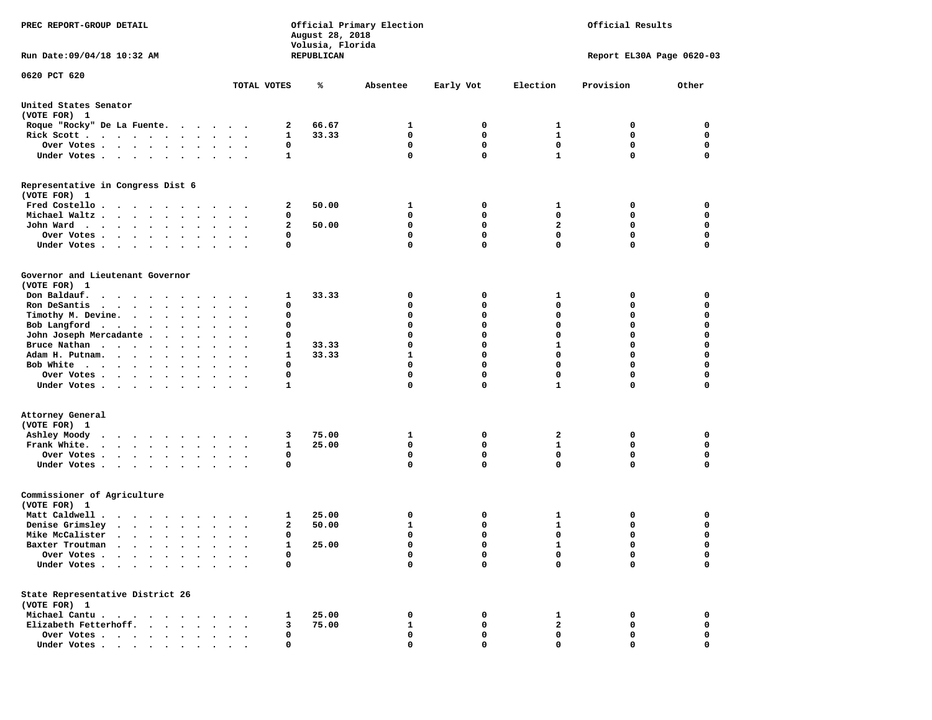| PREC REPORT-GROUP DETAIL<br>Run Date: 09/04/18 10:32 AM                                                                                                                                                                                          |                                   |             | August 28, 2018<br>Volusia, Florida<br>REPUBLICAN | Official Primary Election | Official Results<br>Report EL30A Page 0620-03 |                             |             |                  |
|--------------------------------------------------------------------------------------------------------------------------------------------------------------------------------------------------------------------------------------------------|-----------------------------------|-------------|---------------------------------------------------|---------------------------|-----------------------------------------------|-----------------------------|-------------|------------------|
| 0620 PCT 620                                                                                                                                                                                                                                     |                                   |             |                                                   |                           |                                               |                             |             |                  |
|                                                                                                                                                                                                                                                  |                                   | TOTAL VOTES | ℁                                                 | Absentee                  | Early Vot                                     | Election                    | Provision   | Other            |
| United States Senator<br>(VOTE FOR) 1                                                                                                                                                                                                            |                                   |             |                                                   |                           |                                               |                             |             |                  |
| Roque "Rocky" De La Fuente.                                                                                                                                                                                                                      |                                   | 2           | 66.67                                             | 1                         | 0                                             | 1                           | 0           | 0                |
| Rick Scott                                                                                                                                                                                                                                       | $\cdot$                           | 1           | 33.33                                             | $\mathbf 0$               | 0                                             | 1                           | 0           | $\mathbf 0$      |
| Over Votes                                                                                                                                                                                                                                       |                                   | 0           |                                                   | 0<br>0                    | 0<br>$\mathbf{0}$                             | 0                           | 0<br>0      | 0<br>$\mathbf 0$ |
| Under Votes                                                                                                                                                                                                                                      |                                   | 1           |                                                   |                           |                                               | $\mathbf{1}$                |             |                  |
| Representative in Congress Dist 6<br>(VOTE FOR) 1                                                                                                                                                                                                |                                   |             |                                                   |                           |                                               |                             |             |                  |
| Fred Costello                                                                                                                                                                                                                                    |                                   | 2           | 50.00                                             | 1                         | 0                                             | 1                           | 0           | 0                |
| Michael Waltz.                                                                                                                                                                                                                                   |                                   | 0           |                                                   | 0                         | 0                                             | 0                           | 0           | 0                |
| John Ward                                                                                                                                                                                                                                        |                                   | 2           | 50.00                                             | 0                         | $\mathbf 0$                                   | $\overline{a}$              | $\mathbf 0$ | $\mathbf 0$      |
| Over Votes                                                                                                                                                                                                                                       |                                   | 0           |                                                   | 0                         | 0                                             | $\mathbf 0$                 | 0           | 0                |
| Under Votes                                                                                                                                                                                                                                      |                                   | 0           |                                                   | $\Omega$                  | $\mathbf{0}$                                  | $\Omega$                    | 0           | $\mathbf 0$      |
| Governor and Lieutenant Governor<br>(VOTE FOR) 1                                                                                                                                                                                                 |                                   |             |                                                   |                           |                                               |                             |             |                  |
| Don Baldauf.<br>.                                                                                                                                                                                                                                |                                   | 1           | 33.33                                             | 0                         | 0                                             | 1                           | 0           | 0                |
| Ron DeSantis<br>$\mathbf{r}$ , and $\mathbf{r}$ , and $\mathbf{r}$ , and $\mathbf{r}$                                                                                                                                                            | $\bullet$<br>$\ddot{\phantom{1}}$ | $\mathbf 0$ |                                                   | 0                         | 0                                             | $\mathbf 0$                 | 0           | $\mathbf 0$      |
| Timothy M. Devine.                                                                                                                                                                                                                               |                                   | 0           |                                                   | 0                         | 0                                             | 0                           | 0           | 0                |
| Bob Langford                                                                                                                                                                                                                                     |                                   | 0           |                                                   | 0                         | $\mathbf 0$                                   | $\mathbf 0$                 | 0           | $\mathbf 0$      |
| John Joseph Mercadante                                                                                                                                                                                                                           |                                   | 0           |                                                   | 0                         | $\mathbf{0}$                                  | $\mathbf 0$                 | 0           | $\mathbf 0$      |
| Bruce Nathan                                                                                                                                                                                                                                     |                                   | 1           | 33.33                                             | 0                         | 0                                             | 1                           | 0           | 0                |
| Adam H. Putnam.                                                                                                                                                                                                                                  |                                   | 1           | 33.33                                             | $\mathbf{1}$              | 0                                             | $\mathbf 0$                 | 0           | 0                |
| Bob White                                                                                                                                                                                                                                        |                                   | 0           |                                                   | 0                         | $\mathbf 0$                                   | $\mathbf 0$                 | 0           | $\mathbf 0$      |
| Over Votes                                                                                                                                                                                                                                       |                                   | 0           |                                                   | 0                         | $\mathbf 0$                                   | $\mathbf 0$                 | 0           | 0                |
| Under Votes                                                                                                                                                                                                                                      |                                   | 1           |                                                   | 0                         | 0                                             | $\mathbf{1}$                | 0           | 0                |
| Attorney General<br>(VOTE FOR) 1                                                                                                                                                                                                                 |                                   |             |                                                   |                           |                                               |                             |             |                  |
| Ashley Moody<br>$\cdots$                                                                                                                                                                                                                         | $\sim$ $\sim$                     | 3           | 75.00                                             | 1                         | 0                                             | 2                           | 0           | 0                |
| Frank White.                                                                                                                                                                                                                                     |                                   | 1           | 25.00                                             | 0                         | 0<br>$\mathbf 0$                              | $\mathbf{1}$<br>$\mathbf 0$ | 0           | 0                |
| Over Votes<br>Under Votes                                                                                                                                                                                                                        |                                   | 0<br>0      |                                                   | 0<br>0                    | $\mathbf{0}$                                  | 0                           | 0<br>0      | 0<br>0           |
| Commissioner of Agriculture<br>(VOTE FOR) 1                                                                                                                                                                                                      |                                   |             |                                                   |                           |                                               |                             |             |                  |
| Matt Caldwell .<br>$\cdots$                                                                                                                                                                                                                      |                                   | 1           | 25.00                                             | 0                         | 0                                             | 1                           | 0           | 0                |
| Denise Grimsley                                                                                                                                                                                                                                  |                                   | 2           | 50.00                                             | 1                         | 0                                             | 1                           | 0           | 0                |
| Mike McCalister<br>$\cdots$                                                                                                                                                                                                                      |                                   | 0           |                                                   | 0                         | 0                                             | $\mathbf 0$                 | 0           | $\mathbf 0$      |
| Baxter Troutman<br>the company of the company of the company of the company of the company of the company of the company of the company of the company of the company of the company of the company of the company of the company of the company |                                   |             | 25.00                                             | $\Omega$                  | $\Omega$                                      | $\mathbf{1}$                | 0           | $\Omega$         |
| Over Votes .<br>$\sim$ $\sim$<br>$\bullet$<br>Under Votes.<br>$\mathbf{a}$ , and $\mathbf{a}$ , and $\mathbf{a}$<br>$\sim$ $\sim$                                                                                                                |                                   | 0<br>0      |                                                   | 0<br>0                    | 0<br>0                                        | 0<br>0                      | 0<br>0      | 0<br>0           |
| State Representative District 26<br>(VOTE FOR) 1                                                                                                                                                                                                 |                                   |             |                                                   |                           |                                               |                             |             |                  |
| Michael Cantu.<br>$\sim$ $\sim$ $\sim$ $\sim$ $\sim$<br>$\sim$ $\sim$                                                                                                                                                                            |                                   | 1           | 25.00                                             | 0                         | 0                                             | 1                           | 0           | 0                |
| Elizabeth Fetterhoff.                                                                                                                                                                                                                            |                                   | 3           | 75.00                                             | 1                         | 0                                             | $\mathbf{2}$                | 0           | 0                |
| Over Votes                                                                                                                                                                                                                                       |                                   | 0           |                                                   | 0                         | 0                                             | $\mathbf 0$                 | 0           | 0                |
| Under Votes.                                                                                                                                                                                                                                     |                                   | 0           |                                                   | 0                         | O                                             | $\Omega$                    | 0           | 0                |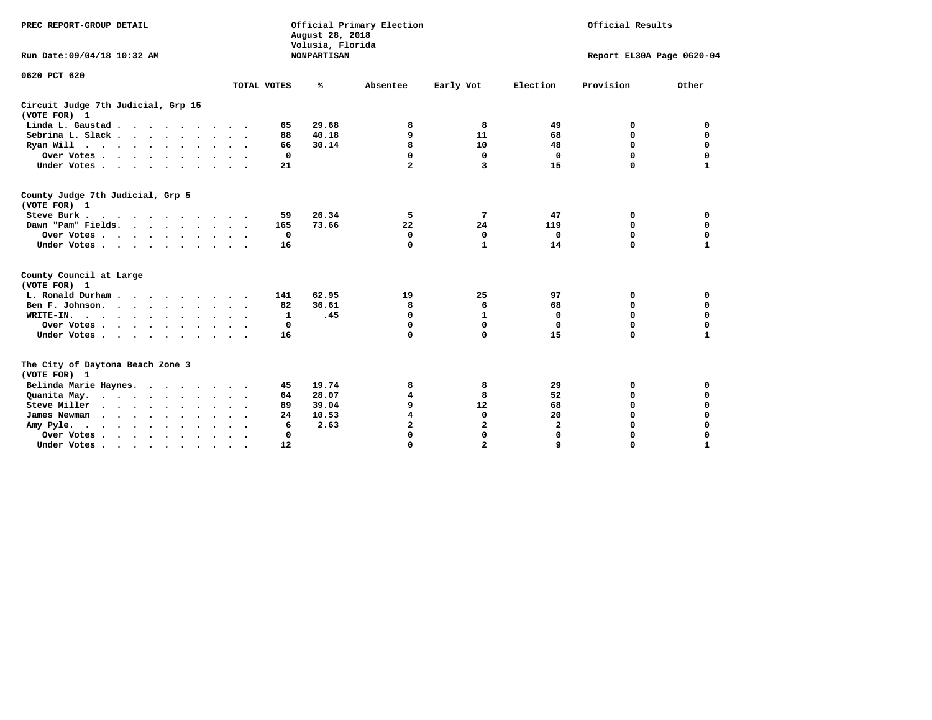| PREC REPORT-GROUP DETAIL<br>Run Date: 09/04/18 10:32 AM |                      |     | August 28, 2018<br>Volusia, Florida<br><b>NONPARTISAN</b> | Official Primary Election | Official Results<br>Report EL30A Page 0620-04 |                         |           |              |
|---------------------------------------------------------|----------------------|-----|-----------------------------------------------------------|---------------------------|-----------------------------------------------|-------------------------|-----------|--------------|
| 0620 PCT 620                                            | TOTAL VOTES          |     | ℁                                                         | Absentee                  | Early Vot                                     | Election                | Provision | Other        |
| Circuit Judge 7th Judicial, Grp 15<br>(VOTE FOR) 1      |                      |     |                                                           |                           |                                               |                         |           |              |
| Linda L. Gaustad                                        |                      | 65  | 29.68                                                     | 8                         | 8                                             | 49                      | 0         | 0            |
| Sebrina L. Slack                                        |                      | 88  | 40.18                                                     | 9                         | 11                                            | 68                      | 0         | $\Omega$     |
| Ryan Will $\cdots$ , $\cdots$ , $\cdots$ , $\cdots$     |                      | 66  | 30.14                                                     | 8                         | 10                                            | 48                      | 0         | $\mathbf 0$  |
| Over Votes                                              |                      | 0   |                                                           | $\mathbf 0$               | 0                                             | $\Omega$                | 0         | 0            |
| Under Votes                                             |                      | 21  |                                                           | $\mathbf{z}$              | 3                                             | 15                      | 0         | 1            |
| County Judge 7th Judicial, Grp 5<br>(VOTE FOR) 1        |                      |     |                                                           |                           |                                               |                         |           |              |
| Steve Burk                                              |                      | 59  | 26.34                                                     | 5.                        | 7                                             | 47                      | 0         | 0            |
| Dawn "Pam" Fields.                                      |                      | 165 | 73.66                                                     | $22 \overline{ }$         | 24                                            | 119                     | 0         | $\mathbf 0$  |
| Over Votes                                              |                      | 0   |                                                           | 0                         | 0                                             | 0                       | 0         | 0            |
| Under Votes.                                            |                      | 16  |                                                           | $\mathbf 0$               | $\mathbf{1}$                                  | 14                      | 0         | 1            |
| County Council at Large<br>(VOTE FOR) 1                 |                      |     |                                                           |                           |                                               |                         |           |              |
| L. Ronald Durham                                        |                      | 141 | 62.95                                                     | 19                        | 25                                            | 97                      | 0         | 0            |
| Ben F. Johnson.                                         |                      | 82  | 36.61                                                     | 8                         | 6                                             | 68                      | 0         | $\mathbf 0$  |
| WRITE-IN.<br>$\cdots$                                   |                      | 1   | .45                                                       | $\mathbf 0$               | $\mathbf{1}$                                  | 0                       | 0         | $\mathbf 0$  |
| Over Votes                                              |                      | 0   |                                                           | 0                         | 0                                             | 0                       | $\Omega$  | $\mathbf 0$  |
| Under Votes                                             |                      | 16  |                                                           | 0                         | $\mathbf 0$                                   | 15                      | 0         | $\mathbf{1}$ |
| The City of Daytona Beach Zone 3<br>(VOTE FOR) 1        |                      |     |                                                           |                           |                                               |                         |           |              |
| Belinda Marie Haynes.                                   |                      | 45  | 19.74                                                     | 8                         | 8                                             | 29                      | 0         | 0            |
| Quanita May.                                            |                      | 64  | 28.07                                                     | 4                         | 8                                             | 52                      | 0         | 0            |
| Steve Miller                                            |                      | 89  | 39.04                                                     | 9                         | 12                                            | 68                      | 0         | 0            |
| James Newman                                            |                      | 24  | 10.53                                                     | $\overline{\mathbf{4}}$   | $\mathbf 0$                                   | 20                      | 0         | $\mathbf 0$  |
| Amy Pyle.<br>$\cdots$                                   |                      | 6   | 2.63                                                      | 2                         | 2                                             | $\overline{\mathbf{2}}$ | 0         | 0            |
| Over Votes                                              | $\ddot{\phantom{0}}$ | 0   |                                                           | 0                         | 0                                             | $\Omega$                | 0         | 0            |
| Under Votes, , , , , , , , , ,                          |                      | 12  |                                                           | $\Omega$                  | $\mathbf{z}$                                  | Q                       | O         | 1            |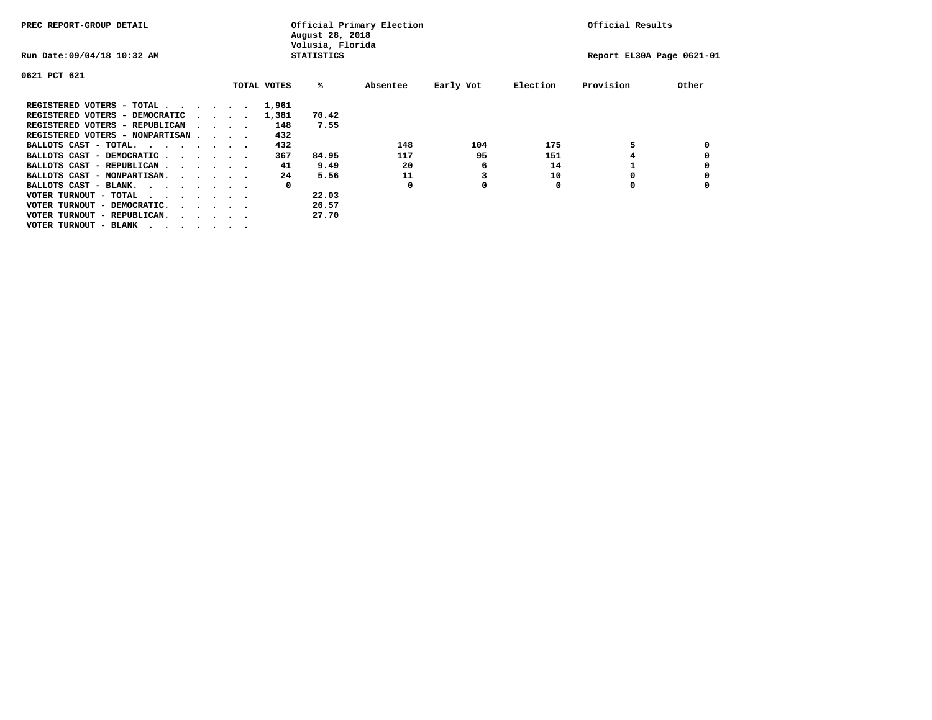| PREC REPORT-GROUP DETAIL                |  |  | Official Primary Election<br>August 28, 2018<br>Volusia, Florida |  |             |                   |          |           | Official Results |                           |       |
|-----------------------------------------|--|--|------------------------------------------------------------------|--|-------------|-------------------|----------|-----------|------------------|---------------------------|-------|
| Run Date: 09/04/18 10:32 AM             |  |  |                                                                  |  |             | <b>STATISTICS</b> |          |           |                  | Report EL30A Page 0621-01 |       |
| 0621 PCT 621                            |  |  |                                                                  |  |             |                   |          |           |                  |                           |       |
|                                         |  |  |                                                                  |  | TOTAL VOTES | %ะ                | Absentee | Early Vot | Election         | Provision                 | Other |
| REGISTERED VOTERS - TOTAL               |  |  |                                                                  |  | 1,961       |                   |          |           |                  |                           |       |
| REGISTERED VOTERS - DEMOCRATIC          |  |  | $\cdot$ $\cdot$ $\cdot$ $\cdot$                                  |  | 1,381       | 70.42             |          |           |                  |                           |       |
| REGISTERED VOTERS - REPUBLICAN          |  |  |                                                                  |  | 148         | 7.55              |          |           |                  |                           |       |
| REGISTERED VOTERS - NONPARTISAN         |  |  |                                                                  |  | 432         |                   |          |           |                  |                           |       |
| BALLOTS CAST - TOTAL.                   |  |  |                                                                  |  | 432         |                   | 148      | 104       | 175              |                           |       |
| BALLOTS CAST - DEMOCRATIC               |  |  |                                                                  |  | 367         | 84.95             | 117      | 95        | 151              |                           |       |
| BALLOTS CAST - REPUBLICAN               |  |  |                                                                  |  | 41          | 9.49              | 20       | 6         | 14               |                           |       |
| BALLOTS CAST - NONPARTISAN.             |  |  |                                                                  |  | 24          | 5.56              | 11       |           | 10               | 0                         |       |
| BALLOTS CAST - BLANK.                   |  |  |                                                                  |  | 0           |                   | O        | 0         | O                | O                         |       |
| VOTER TURNOUT - TOTAL<br>$\cdots$       |  |  |                                                                  |  |             | 22.03             |          |           |                  |                           |       |
| VOTER TURNOUT - DEMOCRATIC.<br>$\cdot$  |  |  |                                                                  |  |             | 26.57             |          |           |                  |                           |       |
| VOTER TURNOUT - REPUBLICAN.<br>$\cdots$ |  |  |                                                                  |  |             | 27.70             |          |           |                  |                           |       |
| VOTER TURNOUT - BLANK                   |  |  |                                                                  |  |             |                   |          |           |                  |                           |       |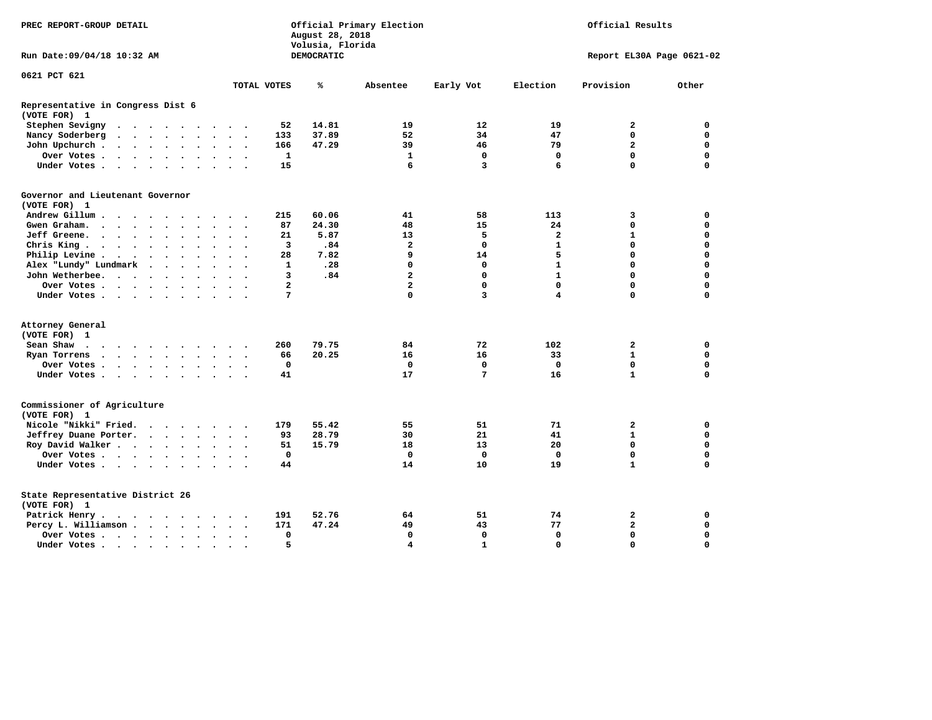| PREC REPORT-GROUP DETAIL                          |          |        |         |  |  |                      |                         |                          | August 28, 2018<br>Volusia, Florida | Official Primary Election<br>Official Results |                         |                   |                         |                           |             |
|---------------------------------------------------|----------|--------|---------|--|--|----------------------|-------------------------|--------------------------|-------------------------------------|-----------------------------------------------|-------------------------|-------------------|-------------------------|---------------------------|-------------|
| Run Date:09/04/18 10:32 AM                        |          |        |         |  |  |                      |                         |                          |                                     | DEMOCRATIC                                    |                         |                   |                         | Report EL30A Page 0621-02 |             |
| 0621 PCT 621                                      |          |        |         |  |  |                      |                         |                          |                                     |                                               |                         |                   |                         |                           |             |
|                                                   |          |        |         |  |  |                      |                         |                          | TOTAL VOTES                         | ℁                                             | Absentee                | Early Vot         | Election                | Provision                 | Other       |
| Representative in Congress Dist 6<br>(VOTE FOR) 1 |          |        |         |  |  |                      |                         |                          |                                     |                                               |                         |                   |                         |                           |             |
| Stephen Sevigny                                   |          |        |         |  |  |                      |                         |                          | 52                                  | 14.81                                         | 19                      | $12 \overline{ }$ | 19                      | $\mathbf{2}$              | $\mathbf 0$ |
| Nancy Soderberg                                   |          |        |         |  |  |                      |                         |                          | 133                                 | 37.89                                         | 52                      | 34                | 47                      | $\mathbf 0$               | $\mathbf 0$ |
| John Upchurch                                     |          |        |         |  |  |                      | $\cdot$ $\cdot$ $\cdot$ |                          | 166                                 | 47.29                                         | 39                      | 46                | 79                      | $\overline{a}$            | $\mathbf 0$ |
| Over Votes                                        |          |        |         |  |  | $\ddot{\phantom{0}}$ | $\ddot{\phantom{1}}$    |                          | 1                                   |                                               | 1                       | 0                 | 0                       | 0                         | 0           |
| Under Votes                                       |          |        |         |  |  |                      |                         |                          | 15                                  |                                               | 6                       | 3                 | 6                       | $\Omega$                  | $\mathbf 0$ |
| Governor and Lieutenant Governor<br>(VOTE FOR) 1  |          |        |         |  |  |                      |                         |                          |                                     |                                               |                         |                   |                         |                           |             |
| Andrew Gillum                                     |          |        | $\cdot$ |  |  |                      |                         |                          | 215                                 | 60.06                                         | 41                      | 58                | 113                     | 3                         | 0           |
| Gwen Graham.                                      |          |        |         |  |  |                      | $\sim$ $\sim$           | $\sim$                   | 87                                  | 24.30                                         | 48                      | 15                | 24                      | 0                         | 0           |
| Jeff Greene.                                      |          |        |         |  |  |                      |                         |                          | 21                                  | 5.87                                          | 13                      | 5                 | $\overline{\mathbf{2}}$ | $\mathbf{1}$              | 0           |
| Chris King                                        |          |        |         |  |  |                      | $\ddot{\phantom{1}}$    |                          | 3                                   | .84                                           | $\overline{\mathbf{2}}$ | $\mathbf 0$       | $\mathbf{1}$            | $\mathbf 0$               | $\mathbf 0$ |
| Philip Levine .                                   | $\cdots$ |        |         |  |  | $\ddot{\phantom{a}}$ | $\ddot{\phantom{a}}$    | $\overline{\phantom{a}}$ | 28                                  | 7.82                                          | 9                       | 14                | 5                       | $\mathbf 0$               | $\mathbf 0$ |
| Alex "Lundy" Lundmark                             |          | $\sim$ |         |  |  |                      | $\ddot{\phantom{a}}$    |                          | $\mathbf{1}$                        | .28                                           | $\mathbf 0$             | $\mathbf 0$       | $\mathbf{1}$            | $\mathbf 0$               | $\mathbf 0$ |
| John Wetherbee.                                   |          |        |         |  |  |                      | $\ddot{\phantom{a}}$    |                          | 3                                   | .84                                           | $\overline{a}$          | $\mathbf 0$       | $\mathbf{1}$            | $\mathbf 0$               | $\mathbf 0$ |
| Over Votes                                        |          |        |         |  |  |                      | $\cdot$                 |                          | $\overline{a}$                      |                                               | $\overline{\mathbf{2}}$ | $\mathbf 0$       | $\mathbf 0$             | $\mathbf 0$               | $\mathbf 0$ |
| Under Votes                                       |          |        |         |  |  |                      |                         |                          | 7                                   |                                               | $\mathbf 0$             | 3                 | 4                       | $\mathbf 0$               | 0           |
|                                                   |          |        |         |  |  |                      |                         |                          |                                     |                                               |                         |                   |                         |                           |             |
| Attorney General                                  |          |        |         |  |  |                      |                         |                          |                                     |                                               |                         |                   |                         |                           |             |
| (VOTE FOR) 1                                      |          |        |         |  |  |                      |                         |                          |                                     |                                               |                         |                   |                         |                           |             |
| Sean Shaw                                         |          |        |         |  |  |                      |                         |                          | 260                                 | 79.75                                         | 84                      | 72                | 102                     | $\overline{2}$            | $\mathbf 0$ |
| Ryan Torrens                                      |          |        |         |  |  |                      | $\cdot$ $\cdot$ $\cdot$ |                          | 66                                  | 20.25                                         | 16                      | 16                | 33                      | $\mathbf{1}$              | $\mathbf 0$ |
| Over Votes                                        |          |        |         |  |  |                      | $\bullet$               |                          | 0                                   |                                               | 0                       | $\mathbf 0$       | $\mathbf 0$             | $\mathbf 0$               | 0           |
| Under Votes                                       |          |        |         |  |  |                      |                         |                          | 41                                  |                                               | 17                      | 7                 | 16                      | $\mathbf{1}$              | $\mathbf 0$ |
| Commissioner of Agriculture<br>(VOTE FOR) 1       |          |        |         |  |  |                      |                         |                          |                                     |                                               |                         |                   |                         |                           |             |
| Nicole "Nikki" Fried.                             |          |        |         |  |  |                      |                         |                          | 179                                 | 55.42                                         | 55                      | 51                | 71                      | 2                         | 0           |
| Jeffrey Duane Porter.                             |          |        |         |  |  |                      |                         |                          | 93                                  | 28.79                                         | 30                      | 21                | 41                      | $\mathbf{1}$              | 0           |
| Roy David Walker                                  |          |        |         |  |  |                      |                         |                          | 51                                  | 15.79                                         | 18                      | 13                | 20                      | 0                         | $\mathbf 0$ |
| Over Votes                                        |          |        |         |  |  |                      | $\bullet$               |                          | $\mathbf 0$                         |                                               | $\mathbf{0}$            | $\mathbf{0}$      | $\mathbf 0$             | $\mathbf{0}$              | $\mathbf 0$ |
| Under Votes                                       |          |        |         |  |  |                      |                         |                          | 44                                  |                                               | 14                      | 10                | 19                      | $\mathbf{1}$              | $\mathbf 0$ |
| State Representative District 26<br>(VOTE FOR) 1  |          |        |         |  |  |                      |                         |                          |                                     |                                               |                         |                   |                         |                           |             |
| Patrick Henry.                                    | .        |        |         |  |  |                      |                         |                          | 191                                 | 52.76                                         | 64                      | 51                | 74                      | 2                         | 0           |
| Percy L. Williamson                               |          |        |         |  |  |                      |                         | $\ddot{\phantom{1}}$     | 171                                 | 47.24                                         | 49                      | 43                | 77                      | $\mathbf{2}$              | $\mathbf 0$ |
| Over Votes                                        |          |        |         |  |  | $\bullet$            | $\bullet$               |                          | 0                                   |                                               | $\mathbf 0$             | $\mathbf 0$       | $\mathbf 0$             | $\mathbf 0$               | $\mathbf 0$ |
| Under Votes                                       |          |        |         |  |  |                      | $\sim$ $\sim$           |                          | 5                                   |                                               | $\overline{\mathbf{4}}$ | $\mathbf{1}$      | $\Omega$                | $\Omega$                  | $\mathbf 0$ |
|                                                   |          |        |         |  |  |                      |                         |                          |                                     |                                               |                         |                   |                         |                           |             |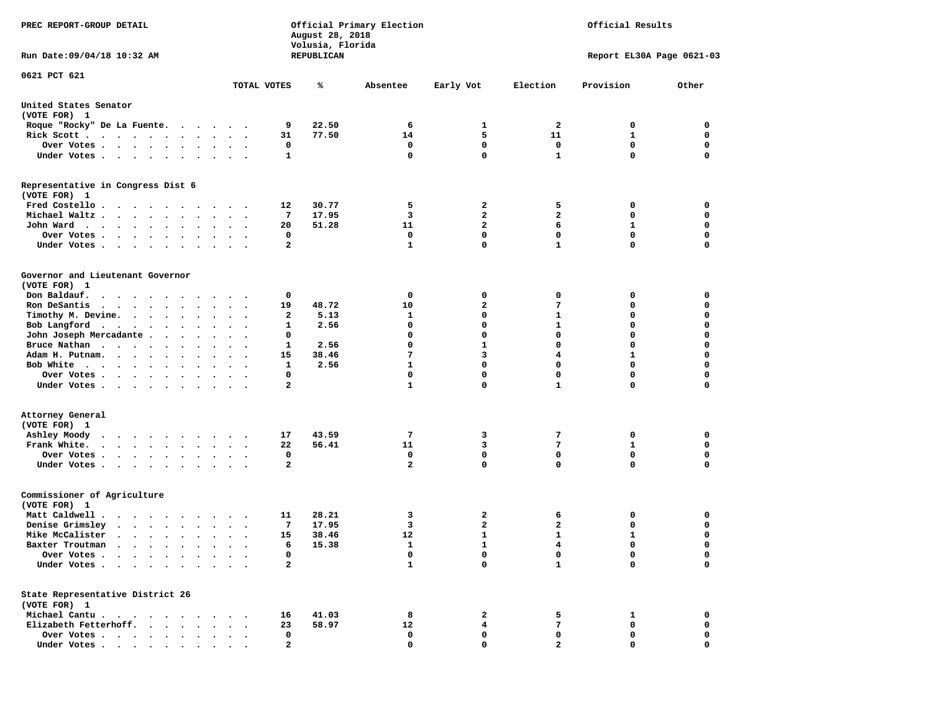| PREC REPORT-GROUP DETAIL<br>Run Date: 09/04/18 10:32 AM                                                                                                                                                                                          |                         |                      |                | August 28, 2018<br>Volusia, Florida<br>REPUBLICAN | Official Primary Election   | Official Results<br>Report EL30A Page 0621-03 |                            |              |                  |
|--------------------------------------------------------------------------------------------------------------------------------------------------------------------------------------------------------------------------------------------------|-------------------------|----------------------|----------------|---------------------------------------------------|-----------------------------|-----------------------------------------------|----------------------------|--------------|------------------|
|                                                                                                                                                                                                                                                  |                         |                      |                |                                                   |                             |                                               |                            |              |                  |
| 0621 PCT 621                                                                                                                                                                                                                                     |                         | TOTAL VOTES          |                | ℁                                                 | Absentee                    | Early Vot                                     | Election                   | Provision    | Other            |
| United States Senator<br>(VOTE FOR) 1                                                                                                                                                                                                            |                         |                      |                |                                                   |                             |                                               |                            |              |                  |
| Roque "Rocky" De La Fuente.                                                                                                                                                                                                                      |                         |                      | 9              | 22.50                                             | 6                           | 1                                             | 2                          | 0            | 0                |
| Rick Scott                                                                                                                                                                                                                                       |                         | $\bullet$            | 31             | 77.50                                             | 14                          | 5                                             | 11                         | 1            | $\mathbf 0$      |
| Over Votes                                                                                                                                                                                                                                       |                         |                      | 0              |                                                   | 0                           | 0                                             | 0                          | 0            | 0                |
| Under Votes                                                                                                                                                                                                                                      |                         |                      | 1              |                                                   | $\mathbf 0$                 | $\mathbf{0}$                                  | $\mathbf{1}$               | $\mathbf 0$  | $\mathbf 0$      |
| Representative in Congress Dist 6<br>(VOTE FOR) 1                                                                                                                                                                                                |                         |                      |                |                                                   |                             |                                               |                            |              |                  |
| Fred Costello                                                                                                                                                                                                                                    |                         |                      | 12             | 30.77                                             | 5                           | 2                                             | 5                          | 0            | 0                |
| Michael Waltz.                                                                                                                                                                                                                                   |                         |                      | 7              | 17.95                                             | 3                           | $\overline{a}$                                | $\overline{a}$             | 0            | 0                |
| John Ward                                                                                                                                                                                                                                        |                         |                      | 20             | 51.28                                             | 11                          | $\overline{a}$                                | 6                          | 1            | $\mathbf 0$      |
| Over Votes .<br>$\bullet$ .                                                                                                                                                                                                                      |                         |                      | 0              |                                                   | 0                           | $\Omega$                                      | 0                          | 0            | 0                |
| Under Votes                                                                                                                                                                                                                                      |                         |                      | $\mathbf{2}$   |                                                   | $\mathbf{1}$                | $\mathbf{0}$                                  | $\mathbf{1}$               | 0            | $\mathbf 0$      |
| Governor and Lieutenant Governor<br>(VOTE FOR) 1                                                                                                                                                                                                 |                         |                      |                |                                                   |                             |                                               |                            |              |                  |
| Don Baldauf.<br>.                                                                                                                                                                                                                                |                         |                      | 0              |                                                   | 0                           | 0                                             | 0                          | 0            | 0                |
| Ron DeSantis<br>$\cdots$                                                                                                                                                                                                                         | $\bullet$<br>$\bullet$  | $\bullet$            | 19             | 48.72                                             | 10                          | $\overline{\mathbf{2}}$                       | 7                          | 0            | $\mathbf 0$      |
| Timothy M. Devine.                                                                                                                                                                                                                               |                         |                      | 2              | 5.13                                              | 1                           | 0                                             | 1                          | 0            | 0                |
| Bob Langford                                                                                                                                                                                                                                     | $\sim$<br>$\sim$ $\sim$ |                      | 1              | 2.56                                              | 0                           | $\mathbf 0$                                   | 1                          | 0            | $\mathbf 0$      |
| John Joseph Mercadante                                                                                                                                                                                                                           |                         |                      | 0              |                                                   | 0                           | $\mathbf 0$                                   | $\mathbf 0$                | 0            | $\mathbf 0$      |
| Bruce Nathan                                                                                                                                                                                                                                     |                         |                      | 1              | 2.56                                              | 0                           | 1                                             | 0                          | 0            | 0                |
| Adam H. Putnam.                                                                                                                                                                                                                                  |                         |                      | 15             | 38.46                                             | 7                           | 3                                             | 4                          | 1            | 0                |
| Bob White<br>Over Votes.                                                                                                                                                                                                                         |                         |                      | 1<br>0         | 2.56                                              | $\mathbf{1}$<br>$\mathbf 0$ | $\mathbf 0$<br>$\mathbf 0$                    | $\mathbf 0$<br>$\mathbf 0$ | 0<br>0       | $\mathbf 0$<br>0 |
| $\mathcal{A}=\mathcal{A}=\mathcal{A}=\mathcal{A}=\mathcal{A}=\mathcal{A}=\mathcal{A}$<br>Under Votes                                                                                                                                             | $\sim$                  | $\ddot{\phantom{1}}$ | 2              |                                                   | $\mathbf{1}$                | 0                                             | $\mathbf{1}$               | 0            | 0                |
| Attorney General<br>(VOTE FOR) 1<br>Ashley Moody<br>$\cdots$                                                                                                                                                                                     | $\cdot$                 |                      | 17             | 43.59                                             | 7                           | 3                                             | 7                          | 0            | 0                |
| $\ddot{\phantom{0}}$<br>Frank White.                                                                                                                                                                                                             |                         | $\ddot{\phantom{1}}$ | 22             | 56.41                                             | 11                          | 3                                             | 7                          | 1            | 0                |
| Over Votes                                                                                                                                                                                                                                       |                         |                      | 0              |                                                   | 0                           | $\mathbf 0$                                   | $\mathbf 0$                | 0            | $\mathbf 0$      |
| Under Votes                                                                                                                                                                                                                                      |                         |                      | 2              |                                                   | $\mathbf{2}$                | $\mathbf{0}$                                  | 0                          | 0            | 0                |
| Commissioner of Agriculture<br>(VOTE FOR) 1                                                                                                                                                                                                      |                         |                      |                |                                                   |                             |                                               |                            |              |                  |
| Matt Caldwell .                                                                                                                                                                                                                                  |                         |                      | 11             | 28.21                                             | 3                           | 2                                             | 6                          | 0            | 0                |
| Denise Grimsley<br>$\begin{array}{cccccccccccccccccc} . & . & . & . & . & . & . & . & . \end{array}$                                                                                                                                             |                         |                      | 7              | 17.95                                             | 3                           | 2                                             | 2                          | 0            | 0                |
| Mike McCalister<br>$\cdots$                                                                                                                                                                                                                      |                         |                      | 15             | 38.46                                             | 12                          | 1                                             | 1                          | $\mathbf{1}$ | $\mathbf 0$      |
| Baxter Troutman<br>the company of the company of the company of the company of the company of the company of the company of the company of the company of the company of the company of the company of the company of the company of the company |                         |                      | 6              | 15.38                                             | $\mathbf{1}$                | $\mathbf{1}$                                  | $\overline{\mathbf{4}}$    | 0            | $\Omega$         |
| Over Votes .<br>$\cdot$ $\cdot$<br>$\ddot{\phantom{0}}$<br>Under Votes                                                                                                                                                                           |                         |                      | 0<br>2         |                                                   | 0<br>$\mathbf{1}$           | 0<br>$\mathbf{0}$                             | 0<br>$\mathbf{1}$          | 0<br>0       | 0<br>$\mathbf 0$ |
| State Representative District 26<br>(VOTE FOR) 1                                                                                                                                                                                                 |                         |                      |                |                                                   |                             |                                               |                            |              |                  |
| Michael Cantu.<br>$\cdots$                                                                                                                                                                                                                       |                         |                      | 16             | 41.03                                             | 8                           | 2                                             | 5                          | 1            | 0                |
| Elizabeth Fetterhoff.                                                                                                                                                                                                                            |                         |                      | 23             | 58.97                                             | 12                          | 4                                             | 7                          | 0            | 0                |
| Over Votes                                                                                                                                                                                                                                       |                         |                      | 0              |                                                   | 0                           | 0                                             | 0                          | 0            | 0                |
| Under Votes,                                                                                                                                                                                                                                     |                         |                      | $\overline{a}$ |                                                   | $\mathbf{0}$                |                                               |                            | 0            | 0                |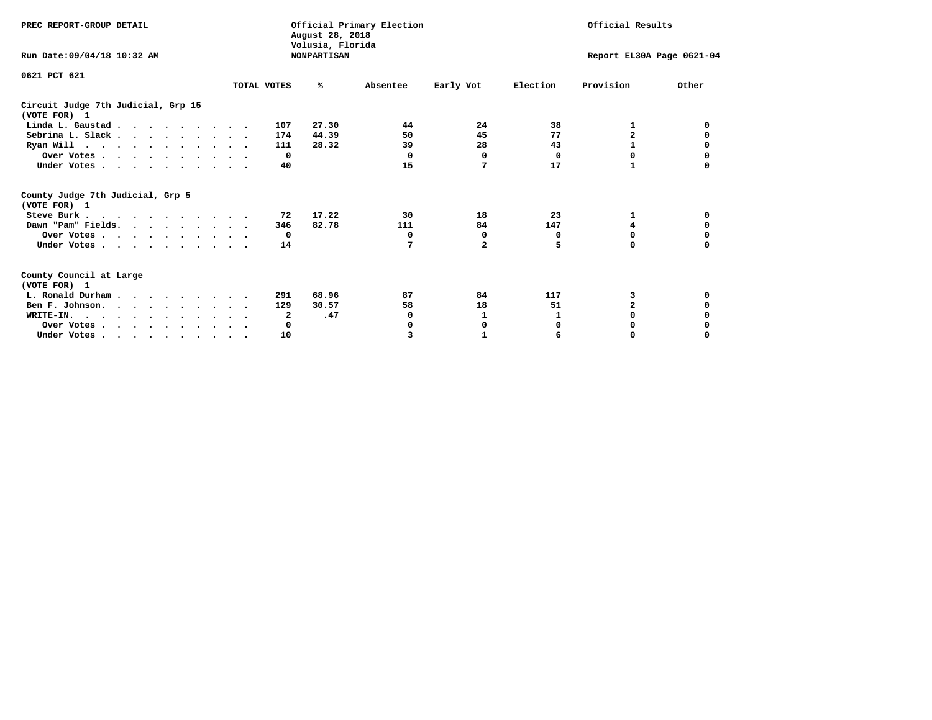| PREC REPORT-GROUP DETAIL                                                                   |             | Official Primary Election<br>August 28, 2018<br>Volusia, Florida |          | Official Results |                           |                         |          |
|--------------------------------------------------------------------------------------------|-------------|------------------------------------------------------------------|----------|------------------|---------------------------|-------------------------|----------|
| Run Date: 09/04/18 10:32 AM                                                                |             | <b>NONPARTISAN</b>                                               |          |                  | Report EL30A Page 0621-04 |                         |          |
| 0621 PCT 621                                                                               |             |                                                                  |          |                  |                           |                         |          |
|                                                                                            | TOTAL VOTES | ℁                                                                | Absentee | Early Vot        | Election                  | Provision               | Other    |
| Circuit Judge 7th Judicial, Grp 15<br>(VOTE FOR) 1                                         |             |                                                                  |          |                  |                           |                         |          |
| Linda L. Gaustad                                                                           |             | 27.30<br>107                                                     | 44       | 24               | 38                        | 1                       | 0        |
| Sebrina L. Slack.                                                                          |             | 44.39<br>174                                                     | 50       | 45               | 77                        | $\overline{\mathbf{2}}$ |          |
| Ryan Will $\cdots$ , $\cdots$ , $\cdots$ , $\cdots$                                        |             | 28.32<br>111                                                     | 39       | 28               | 43                        | 1                       | 0        |
| Over Votes                                                                                 |             | $\Omega$                                                         | 0        | 0                | 0                         | 0                       | 0        |
| Under Votes                                                                                |             | 40                                                               | 15       | 7                | 17                        |                         |          |
| County Judge 7th Judicial, Grp 5<br>(VOTE FOR) 1                                           |             |                                                                  |          |                  |                           |                         |          |
| Steve Burk                                                                                 |             | 17.22<br>72                                                      | 30       | 18               | 23                        | 1                       | 0        |
| Dawn "Pam" Fields.                                                                         |             | 82.78<br>346                                                     | 111      | 84               | 147                       | 4                       |          |
| Over Votes                                                                                 |             | 0                                                                | 0        | 0                | 0                         | 0                       | 0        |
| Under Votes                                                                                |             | 14                                                               | 7        | $\mathbf{2}$     | 5                         | $\Omega$                | $\Omega$ |
| County Council at Large<br>(VOTE FOR) 1                                                    |             |                                                                  |          |                  |                           |                         |          |
| L. Ronald Durham                                                                           |             | 68.96<br>291                                                     | 87       | 84               | 117                       | 3                       | 0        |
| Ben F. Johnson.                                                                            |             | 30.57<br>129                                                     | 58       | 18               | 51                        | $\mathbf{z}$            | 0        |
| WRITE-IN.                                                                                  |             | .47<br>2                                                         | 0        | 1                |                           | $\Omega$                |          |
| Over Votes                                                                                 |             | 0                                                                |          | 0                | 0                         | 0                       |          |
| Under Votes, $\cdot$ , $\cdot$ , $\cdot$ , $\cdot$ , $\cdot$ , $\cdot$ , $\cdot$ , $\cdot$ |             | 10                                                               | 3        |                  | 6                         | 0                       | $\Omega$ |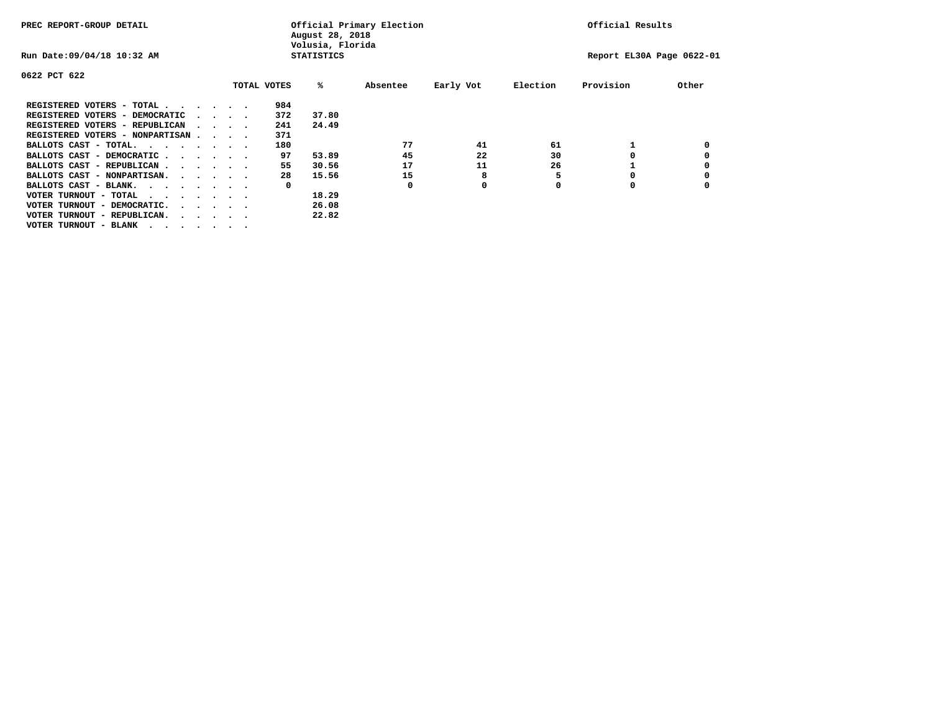| PREC REPORT-GROUP DETAIL                                               |  |  | Official Primary Election<br>August 28, 2018<br>Volusia, Florida |  |             |                   |          |           | Official Results |                           |       |
|------------------------------------------------------------------------|--|--|------------------------------------------------------------------|--|-------------|-------------------|----------|-----------|------------------|---------------------------|-------|
| Run Date: 09/04/18 10:32 AM                                            |  |  |                                                                  |  |             | <b>STATISTICS</b> |          |           |                  | Report EL30A Page 0622-01 |       |
| 0622 PCT 622                                                           |  |  |                                                                  |  |             |                   |          |           |                  |                           |       |
|                                                                        |  |  |                                                                  |  | TOTAL VOTES | %ะ                | Absentee | Early Vot | Election         | Provision                 | Other |
| REGISTERED VOTERS - TOTAL                                              |  |  |                                                                  |  | 984         |                   |          |           |                  |                           |       |
| REGISTERED VOTERS - DEMOCRATIC                                         |  |  | $\cdot$ $\cdot$ $\cdot$ $\cdot$                                  |  | 372         | 37.80             |          |           |                  |                           |       |
| REGISTERED VOTERS - REPUBLICAN                                         |  |  | $\cdots$                                                         |  | 241         | 24.49             |          |           |                  |                           |       |
| REGISTERED VOTERS - NONPARTISAN                                        |  |  |                                                                  |  | 371         |                   |          |           |                  |                           |       |
| BALLOTS CAST - TOTAL.                                                  |  |  |                                                                  |  | 180         |                   | 77       | 41        | 61               |                           |       |
| BALLOTS CAST - DEMOCRATIC                                              |  |  |                                                                  |  | 97          | 53.89             | 45       | 22        | 30               |                           |       |
| BALLOTS CAST - REPUBLICAN                                              |  |  |                                                                  |  | 55          | 30.56             | 17       | 11        | 26               |                           |       |
| BALLOTS CAST - NONPARTISAN.                                            |  |  |                                                                  |  | 28          | 15.56             | 15       | 8         |                  |                           |       |
| BALLOTS CAST - BLANK.                                                  |  |  |                                                                  |  | 0           |                   | 0        | 0         |                  | 0                         |       |
| VOTER TURNOUT - TOTAL<br>.                                             |  |  |                                                                  |  |             | 18.29             |          |           |                  |                           |       |
| VOTER TURNOUT - DEMOCRATIC.<br>$\cdot$ $\cdot$ $\cdot$ $\cdot$ $\cdot$ |  |  |                                                                  |  |             | 26.08             |          |           |                  |                           |       |
| VOTER TURNOUT - REPUBLICAN.<br>$\cdot$                                 |  |  |                                                                  |  |             | 22.82             |          |           |                  |                           |       |
| VOTER TURNOUT - BLANK                                                  |  |  |                                                                  |  |             |                   |          |           |                  |                           |       |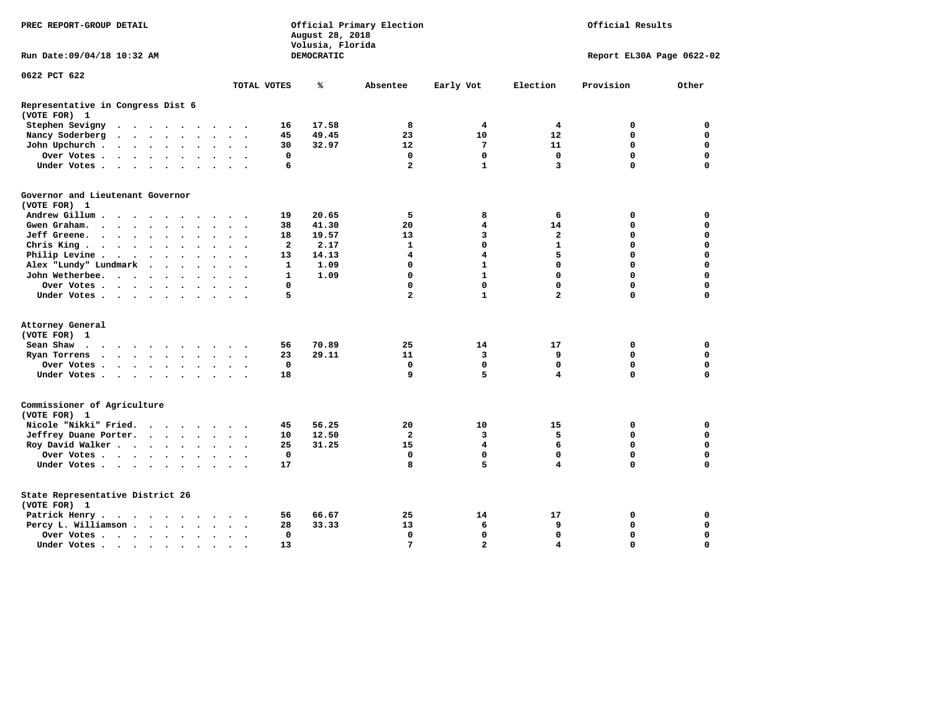| PREC REPORT-GROUP DETAIL                                                                                                                                                                                                                             |                | August 28, 2018<br>Volusia, Florida | Official Primary Election | Official Results        |                |                           |             |
|------------------------------------------------------------------------------------------------------------------------------------------------------------------------------------------------------------------------------------------------------|----------------|-------------------------------------|---------------------------|-------------------------|----------------|---------------------------|-------------|
| Run Date: 09/04/18 10:32 AM                                                                                                                                                                                                                          |                | DEMOCRATIC                          |                           |                         |                | Report EL30A Page 0622-02 |             |
| 0622 PCT 622                                                                                                                                                                                                                                         |                |                                     |                           |                         |                |                           |             |
| TOTAL VOTES                                                                                                                                                                                                                                          |                | ℁                                   | Absentee                  | Early Vot               | Election       | Provision                 | Other       |
| Representative in Congress Dist 6<br>(VOTE FOR) 1                                                                                                                                                                                                    |                |                                     |                           |                         |                |                           |             |
| Stephen Sevigny<br>$\mathbf{a}$ . The contribution of the contribution of the contribution of the contribution of the contribution of the contribution of the contribution of the contribution of the contribution of the contribution of the contri | 16             | 17.58                               | 8                         | 4                       | 4              | 0                         | $\mathbf 0$ |
| Nancy Soderberg<br>$\ddot{\phantom{a}}$                                                                                                                                                                                                              | 45             | 49.45                               | 23                        | 10                      | 12             | 0                         | $\mathbf 0$ |
| John Upchurch.<br>$\mathcal{A}=\mathcal{A}=\mathcal{A}=\mathcal{A}=\mathcal{A}=\mathcal{A}$ .<br>$\sim$ $\sim$ $\sim$                                                                                                                                | 30             | 32.97                               | 12                        | 7                       | 11             | $\mathbf 0$               | $\mathbf 0$ |
| Over Votes<br>$\cdots$                                                                                                                                                                                                                               | 0              |                                     | $\mathbf 0$               | $\mathbf 0$             | $\mathbf 0$    | $\mathbf 0$               | $\mathbf 0$ |
| Under Votes                                                                                                                                                                                                                                          | 6              |                                     | $\overline{2}$            | $\mathbf{1}$            | 3              | 0                         | $\mathbf 0$ |
| Governor and Lieutenant Governor                                                                                                                                                                                                                     |                |                                     |                           |                         |                |                           |             |
| (VOTE FOR) 1                                                                                                                                                                                                                                         |                |                                     |                           |                         |                |                           |             |
| Andrew Gillum                                                                                                                                                                                                                                        | 19             | 20.65                               | 5                         | 8                       | 6              | 0                         | 0           |
| Gwengraham                                                                                                                                                                                                                                           | 38             | 41.30                               | 20                        | 4                       | 14             | 0                         | $\mathbf 0$ |
| Jeff Greene.<br>$\ddot{\phantom{a}}$<br>$\bullet$                                                                                                                                                                                                    | 18             | 19.57                               | 13                        | 3                       | $\mathbf{2}$   | 0                         | $\mathbf 0$ |
| Chris King                                                                                                                                                                                                                                           | $\overline{a}$ | 2.17                                | $\mathbf{1}$              | $\Omega$                | $\mathbf{1}$   | $\Omega$                  | $\Omega$    |
| Philip Levine.<br>$\cdots$<br>$\bullet$<br>$\cdot$ .                                                                                                                                                                                                 | 13             | 14.13                               | $\overline{\mathbf{4}}$   | $\overline{\mathbf{4}}$ | 5              | 0                         | $\mathbf 0$ |
| Alex "Lundy" Lundmark<br>$\cdots$                                                                                                                                                                                                                    | 1              | 1.09                                | 0                         | $\mathbf{1}$            | $\Omega$       | $\Omega$                  | $\Omega$    |
| John Wetherbee.<br>$\sim$                                                                                                                                                                                                                            | $\mathbf{1}$   | 1.09                                | $\Omega$                  | $\mathbf{1}$            | $\mathbf 0$    | $\Omega$                  | $\Omega$    |
| Over Votes<br>$\ddot{\phantom{a}}$                                                                                                                                                                                                                   | $\mathbf 0$    |                                     | 0                         | $\mathbf 0$             | $\Omega$       | $\Omega$                  | $\Omega$    |
| Under Votes                                                                                                                                                                                                                                          | 5              |                                     | $\overline{a}$            | $\mathbf{1}$            | $\overline{a}$ | 0                         | 0           |
| Attorney General                                                                                                                                                                                                                                     |                |                                     |                           |                         |                |                           |             |
| (VOTE FOR) 1                                                                                                                                                                                                                                         |                |                                     |                           |                         |                |                           |             |
| Sean Shaw                                                                                                                                                                                                                                            | 56             | 70.89                               | 25                        | 14                      | 17             | 0                         | 0           |
| Ryan Torrens                                                                                                                                                                                                                                         | 23             | 29.11                               | 11                        | 3                       | 9              | 0                         | $\mathbf 0$ |
| Over Votes                                                                                                                                                                                                                                           | $\mathbf 0$    |                                     | $\mathbf 0$               | $\mathbf 0$             | $\mathbf 0$    | $\mathbf 0$               | $\mathbf 0$ |
| Under Votes                                                                                                                                                                                                                                          | 18             |                                     | 9                         | 5                       | 4              | 0                         | $\Omega$    |
| Commissioner of Agriculture<br>(VOTE FOR) 1                                                                                                                                                                                                          |                |                                     |                           |                         |                |                           |             |
| Nicole "Nikki" Fried.                                                                                                                                                                                                                                | 45             | 56.25                               | 20                        | 10                      | 15             | 0                         | 0           |
| Jeffrey Duane Porter.                                                                                                                                                                                                                                | 10             | 12.50                               | $\overline{\mathbf{2}}$   | 3                       | 5              | 0                         | $\mathbf 0$ |
| Roy David Walker                                                                                                                                                                                                                                     | 25             | 31.25                               | 15                        | 4                       | 6              | $\mathbf 0$               | $\mathbf 0$ |
| Over Votes<br>$\overline{\phantom{a}}$                                                                                                                                                                                                               | $\mathbf 0$    |                                     | 0                         | $\Omega$                | $\Omega$       | 0                         | $\Omega$    |
| Under Votes                                                                                                                                                                                                                                          | 17             |                                     | 8                         | 5                       | 4              | $\Omega$                  | 0           |
| State Representative District 26<br>(VOTE FOR) 1                                                                                                                                                                                                     |                |                                     |                           |                         |                |                           |             |
| Patrick Henry.<br>.                                                                                                                                                                                                                                  | 56             | 66.67                               | 25                        | 14                      | 17             | 0                         | 0           |
| Percy L. Williamson<br>$\sim$ $\sim$                                                                                                                                                                                                                 | 28             | 33.33                               | 13                        | 6                       | 9              | $\mathbf 0$               | $\mathbf 0$ |
| Over Votes<br>$\ddot{\phantom{a}}$                                                                                                                                                                                                                   | $\mathbf 0$    |                                     | $\mathbf 0$               | $\mathbf 0$             | $\mathbf 0$    | 0                         | $\mathbf 0$ |
| Under Votes                                                                                                                                                                                                                                          | 13             |                                     | $\overline{7}$            | $\overline{a}$          | 4              | $\Omega$                  | $\Omega$    |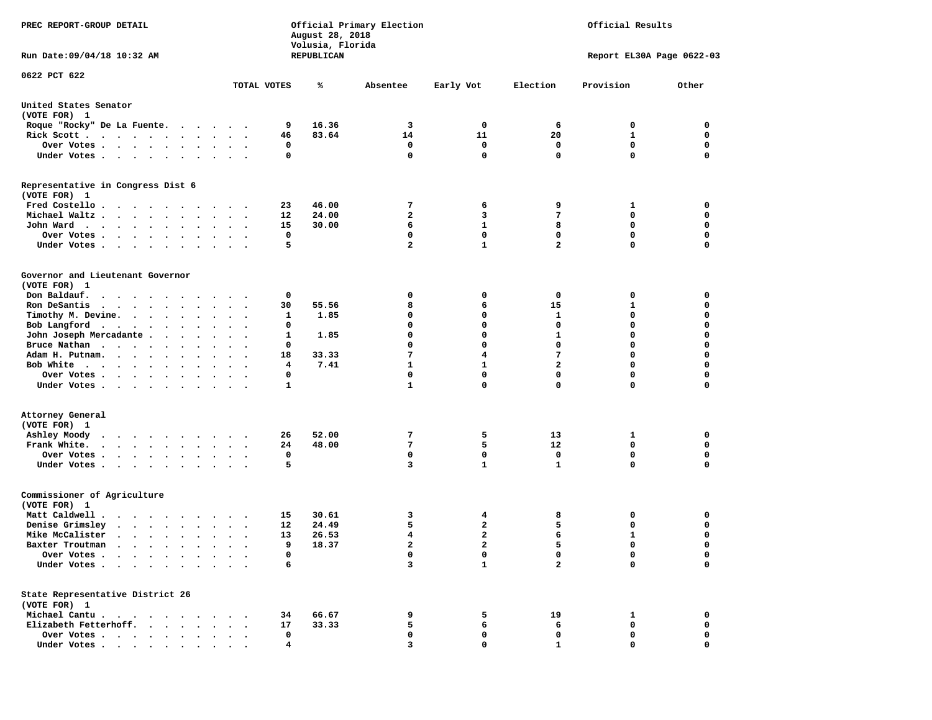| PREC REPORT-GROUP DETAIL<br>Run Date: 09/04/18 10:32 AM                                                  |                        |             | August 28, 2018<br>Volusia, Florida<br>REPUBLICAN | Official Primary Election   | Official Results<br>Report EL30A Page 0622-03 |                                        |              |                  |
|----------------------------------------------------------------------------------------------------------|------------------------|-------------|---------------------------------------------------|-----------------------------|-----------------------------------------------|----------------------------------------|--------------|------------------|
|                                                                                                          |                        |             |                                                   |                             |                                               |                                        |              |                  |
| 0622 PCT 622                                                                                             | TOTAL VOTES            |             | ℁                                                 | Absentee                    | Early Vot                                     | Election                               | Provision    | Other            |
| United States Senator<br>(VOTE FOR) 1                                                                    |                        |             |                                                   |                             |                                               |                                        |              |                  |
| Roque "Rocky" De La Fuente.                                                                              |                        | 9           | 16.36                                             | 3                           | 0                                             | 6                                      | 0            | 0                |
| Rick Scott                                                                                               | $\bullet$              | 46          | 83.64                                             | 14                          | 11                                            | 20                                     | 1            | $\mathbf 0$      |
| Over Votes                                                                                               |                        | 0           |                                                   | 0                           | 0                                             | 0                                      | 0            | 0                |
| Under Votes                                                                                              |                        | 0           |                                                   | $\mathbf{0}$                | $\mathbf{0}$                                  | $\mathbf 0$                            | $\mathbf 0$  | $\mathbf 0$      |
| Representative in Congress Dist 6<br>(VOTE FOR) 1                                                        |                        |             |                                                   |                             |                                               |                                        |              |                  |
| Fred Costello                                                                                            |                        | 23          | 46.00                                             | 7                           | 6                                             | 9                                      | 1            | 0                |
| Michael Waltz.                                                                                           |                        | 12          | 24.00                                             | $\overline{a}$              | 3                                             | 7                                      | 0            | 0                |
| John Ward                                                                                                |                        | 15          | 30.00                                             | 6                           | 1                                             | 8                                      | $\mathbf 0$  | $\mathbf 0$      |
| Over Votes .<br>$\bullet$ .                                                                              |                        | 0           |                                                   | 0                           | $^{\circ}$                                    | 0                                      | 0            | 0                |
| Under Votes                                                                                              |                        | 5           |                                                   | $\overline{a}$              | $\mathbf{1}$                                  | $\overline{\mathbf{2}}$                | 0            | $\mathbf 0$      |
| Governor and Lieutenant Governor<br>(VOTE FOR) 1                                                         |                        |             |                                                   |                             |                                               |                                        |              |                  |
| Don Baldauf.<br>.                                                                                        |                        | 0           |                                                   | 0                           | 0                                             | 0                                      | 0            | 0                |
| Ron DeSantis<br>$\cdots$<br>$\bullet$                                                                    | $\bullet$<br>$\bullet$ | 30          | 55.56                                             | 8                           | 6                                             | 15                                     | 1            | $\mathbf 0$      |
| Timothy M. Devine.                                                                                       |                        | 1           | 1.85                                              | 0                           | 0                                             | 1                                      | 0            | 0                |
| Bob Langford<br>$\sim$                                                                                   | $\sim$ $\sim$          | 0           |                                                   | 0                           | $\mathbf 0$                                   | 0                                      | 0            | $\mathbf 0$      |
| John Joseph Mercadante                                                                                   |                        | 1           | 1.85                                              | 0                           | $\mathbf{0}$                                  | 1                                      | 0            | $\mathbf 0$      |
| Bruce Nathan                                                                                             |                        | 0           |                                                   | 0                           | 0                                             | 0                                      | 0            | $\mathbf 0$      |
| Adam H. Putnam.<br>$\cdot$ $\cdot$ $\cdot$ $\cdot$ $\cdot$                                               |                        | 18          | 33.33                                             | 7                           | 4                                             | 7                                      | 0            | 0                |
| Bob White                                                                                                |                        | 4           | 7.41                                              | $\mathbf{1}$<br>$\mathbf 0$ | $\mathbf{1}$<br>$\mathbf 0$                   | $\overline{\mathbf{2}}$<br>$\mathbf 0$ | 0<br>0       | $\mathbf 0$<br>0 |
| Over Votes<br>$\sim$ $\sim$<br>Under Votes                                                               | $\ddot{\phantom{1}}$   | 0<br>1      |                                                   | $\mathbf{1}$                | 0                                             | 0                                      | 0            | 0                |
| Attorney General<br>(VOTE FOR) 1                                                                         |                        |             |                                                   |                             |                                               |                                        |              |                  |
| Ashley Moody<br>$\cdot$<br>$\cdot$                                                                       |                        | 26          | 52.00                                             | 7                           | 5                                             | 13                                     | 1            | 0                |
| Frank White.                                                                                             |                        | 24          | 48.00                                             | 7                           | 5                                             | 12                                     | 0            | 0                |
| Over Votes                                                                                               |                        | $\mathbf 0$ |                                                   | 0                           | $\mathbf 0$                                   | 0                                      | $\mathbf 0$  | $\mathbf 0$      |
| Under Votes<br>$\bullet$                                                                                 |                        | 5           |                                                   | 3                           | $\mathbf{1}$                                  | 1                                      | 0            | 0                |
| Commissioner of Agriculture<br>(VOTE FOR) 1                                                              |                        |             |                                                   |                             |                                               |                                        |              |                  |
| Matt Caldwell .<br>$\cdots$                                                                              |                        | 15          | 30.61                                             | 3                           | 4                                             | 8                                      | 0            | 0                |
| Denise Grimsley<br>$\begin{array}{cccccccccccccccccc} . & . & . & . & . & . & . & . & . & . \end{array}$ |                        | 12          | 24.49                                             | 5                           | 2                                             | 5                                      | 0            | 0                |
| Mike McCalister                                                                                          |                        | 13          | 26.53                                             | 4                           | $\mathbf{2}$                                  | 6                                      | $\mathbf{1}$ | $\mathbf 0$      |
| Baxter Troutman<br>$\cdots$                                                                              |                        | 9           | 18.37                                             | $\overline{a}$              | $\overline{a}$                                | 5                                      | 0            | $\mathbf 0$      |
| Over Votes .<br>$\cdot$ $\cdot$<br>$\cdot$<br>Under Votes<br>$\ddot{\phantom{1}}$                        |                        | 0<br>6      |                                                   | 0<br>3                      | 0<br>$\mathbf{1}$                             | 0<br>$\overline{a}$                    | 0<br>0       | 0<br>0           |
| State Representative District 26                                                                         |                        |             |                                                   |                             |                                               |                                        |              |                  |
| (VOTE FOR) 1                                                                                             |                        |             |                                                   |                             |                                               |                                        |              | 0                |
| Michael Cantu.<br>Elizabeth Fetterhoff.                                                                  |                        | 34<br>17    | 66.67<br>33.33                                    | 9<br>5                      | 5<br>6                                        | 19<br>6                                | 1<br>0       | 0                |
| Over Votes                                                                                               |                        | 0           |                                                   | 0                           | 0                                             | $\mathbf 0$                            | 0            | 0                |
| Under Votes.                                                                                             |                        | 4           |                                                   | 3                           | O                                             |                                        | 0            | 0                |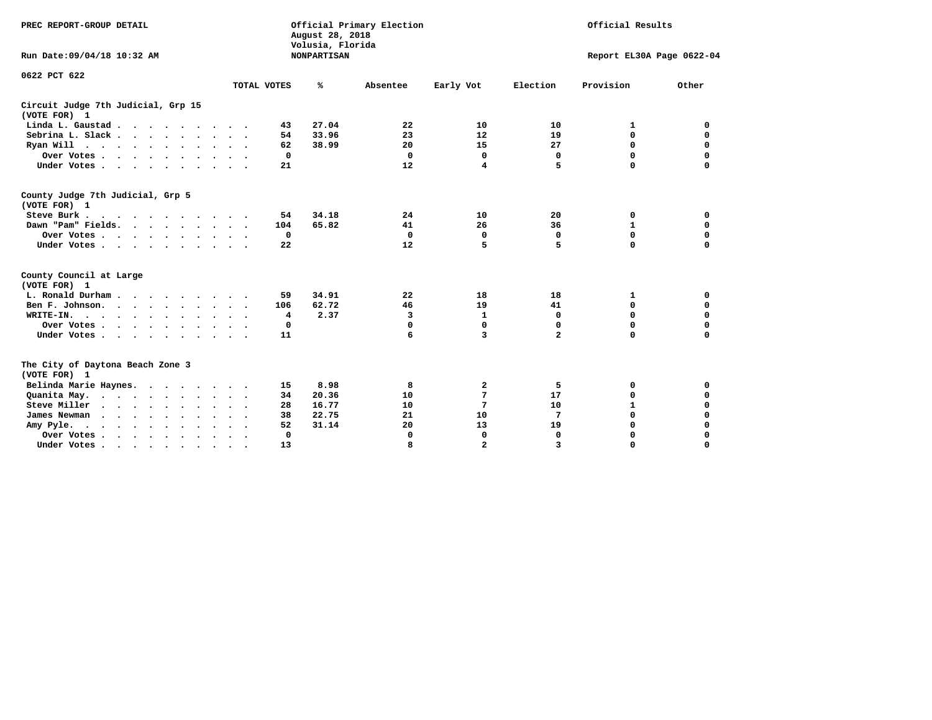| PREC REPORT-GROUP DETAIL<br>Run Date: 09/04/18 10:32 AM |               | August 28, 2018<br>Volusia, Florida<br><b>NONPARTISAN</b> | Official Primary Election |                | Official Results<br>Report EL30A Page 0622-04 |              |             |  |
|---------------------------------------------------------|---------------|-----------------------------------------------------------|---------------------------|----------------|-----------------------------------------------|--------------|-------------|--|
| 0622 PCT 622                                            | TOTAL VOTES   | ℁                                                         | Absentee                  | Early Vot      | Election                                      | Provision    | Other       |  |
| Circuit Judge 7th Judicial, Grp 15<br>(VOTE FOR) 1      |               |                                                           |                           |                |                                               |              |             |  |
| Linda L. Gaustad                                        |               | 27.04<br>43                                               | 22                        | 10             | 10                                            | 1            | 0           |  |
| Sebrina L. Slack                                        |               | 33.96<br>54                                               | 23                        | 12             | 19                                            | 0            | $\mathbf 0$ |  |
| Ryan Will $\cdots$ , $\cdots$ , $\cdots$                |               | 38.99<br>62                                               | 20                        | 15             | 27                                            | 0            | $\mathbf 0$ |  |
| Over Votes                                              |               | 0                                                         | $\Omega$                  | 0              | $\mathbf 0$                                   | 0            | 0           |  |
| Under Votes                                             |               | 21                                                        | 12                        | 4              | 5                                             | $\Omega$     | $\Omega$    |  |
|                                                         |               |                                                           |                           |                |                                               |              |             |  |
| County Judge 7th Judicial, Grp 5<br>(VOTE FOR) 1        |               |                                                           |                           |                |                                               |              |             |  |
| Steve Burk                                              | $\cdot$ .     | 34.18<br>54                                               | 24                        | 10             | 20                                            | 0            | 0           |  |
| Dawn "Pam" Fields.                                      |               | 65.82<br>104                                              | 41                        | 26             | 36                                            | $\mathbf{1}$ | $\mathbf 0$ |  |
| Over Votes                                              |               | 0                                                         | $\mathbf 0$               | 0              | $\mathbf 0$                                   | 0            | 0           |  |
| Under Votes                                             |               | 22                                                        | 12                        | 5              | 5                                             | 0            | 0           |  |
| County Council at Large<br>(VOTE FOR) 1                 |               |                                                           |                           |                |                                               |              |             |  |
| L. Ronald Durham                                        |               | 34.91<br>59                                               | 22                        | 18             | 18                                            | 1            | 0           |  |
| Ben F. Johnson.                                         |               | 62.72<br>106                                              | 46                        | 19             | 41                                            | 0            | $\mathbf 0$ |  |
| WRITE-IN.                                               |               | 2.37<br>4                                                 | 3                         | $\mathbf{1}$   | $\Omega$                                      | 0            | $\mathbf 0$ |  |
| Over Votes                                              |               | 0                                                         | $\mathbf 0$               | $\mathbf 0$    | $\Omega$                                      | $\Omega$     | $\Omega$    |  |
| Under Votes                                             |               | 11                                                        | 6                         | 3              | $\overline{a}$                                | $\Omega$     | $\Omega$    |  |
| The City of Daytona Beach Zone 3<br>(VOTE FOR) 1        |               |                                                           |                           |                |                                               |              |             |  |
| Belinda Marie Haynes.                                   |               | 8.98<br>15                                                | 8                         | $\mathbf{2}$   | 5                                             | 0            | 0           |  |
| Quanita May.                                            | $\sim$ $\sim$ | 20.36<br>34                                               | 10                        | 7              | 17                                            | 0            | 0           |  |
| Steve Miller                                            | $\bullet$     | 16.77<br>28                                               | 10                        | 7              | 10                                            | $\mathbf{1}$ | 0           |  |
| James Newman                                            |               | 38<br>22.75                                               | 21                        | 10             | 7                                             | 0            | $\mathbf 0$ |  |
| Amy Pyle.<br>$\cdots$                                   |               | 52<br>31.14                                               | 20                        | 13             | 19                                            | $\Omega$     | $\mathbf 0$ |  |
| Over Votes                                              | $\bullet$     | 0                                                         | 0                         | 0              | $\mathbf 0$                                   | 0            | 0           |  |
| Under Votes.                                            |               | 13                                                        | R                         | $\overline{2}$ | $\overline{\mathbf{z}}$                       | O            | $\Omega$    |  |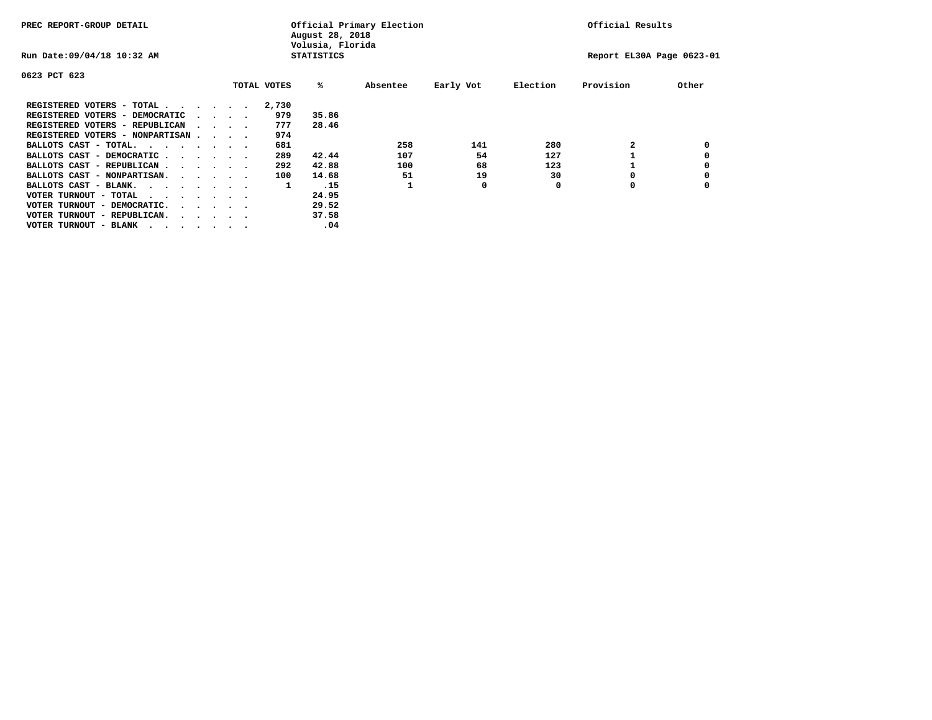| PREC REPORT-GROUP DETAIL                |  |  | Official Primary Election<br>August 28, 2018<br>Volusia, Florida |  |             |                   |          |           | Official Results |                           |       |
|-----------------------------------------|--|--|------------------------------------------------------------------|--|-------------|-------------------|----------|-----------|------------------|---------------------------|-------|
| Run Date: 09/04/18 10:32 AM             |  |  |                                                                  |  |             | <b>STATISTICS</b> |          |           |                  | Report EL30A Page 0623-01 |       |
| 0623 PCT 623                            |  |  |                                                                  |  |             |                   |          |           |                  |                           |       |
|                                         |  |  |                                                                  |  | TOTAL VOTES | %ะ                | Absentee | Early Vot | Election         | Provision                 | Other |
| REGISTERED VOTERS - TOTAL               |  |  |                                                                  |  | 2,730       |                   |          |           |                  |                           |       |
| REGISTERED VOTERS - DEMOCRATIC          |  |  | $\cdot$ $\cdot$ $\cdot$ $\cdot$                                  |  | 979         | 35.86             |          |           |                  |                           |       |
| REGISTERED VOTERS - REPUBLICAN          |  |  | $\sim$ $\sim$ $\sim$ $\sim$                                      |  | 777         | 28.46             |          |           |                  |                           |       |
| REGISTERED VOTERS - NONPARTISAN         |  |  |                                                                  |  | 974         |                   |          |           |                  |                           |       |
| BALLOTS CAST - TOTAL.                   |  |  |                                                                  |  | 681         |                   | 258      | 141       | 280              |                           |       |
| BALLOTS CAST - DEMOCRATIC               |  |  |                                                                  |  | 289         | 42.44             | 107      | 54        | 127              |                           |       |
| BALLOTS CAST - REPUBLICAN               |  |  |                                                                  |  | 292         | 42.88             | 100      | 68        | 123              |                           |       |
| BALLOTS CAST - NONPARTISAN.             |  |  |                                                                  |  | 100         | 14.68             | 51       | 19        | 30               |                           |       |
| BALLOTS CAST - BLANK.                   |  |  |                                                                  |  | 1           | .15               |          | 0         | 0                | 0                         |       |
| VOTER TURNOUT - TOTAL<br>$\cdots$       |  |  |                                                                  |  |             | 24.95             |          |           |                  |                           |       |
| VOTER TURNOUT - DEMOCRATIC.             |  |  | $\cdot$ $\cdot$ $\cdot$ $\cdot$ $\cdot$                          |  |             | 29.52             |          |           |                  |                           |       |
| VOTER TURNOUT - REPUBLICAN.<br>$\cdots$ |  |  |                                                                  |  |             | 37.58             |          |           |                  |                           |       |
| VOTER TURNOUT - BLANK                   |  |  |                                                                  |  |             | .04               |          |           |                  |                           |       |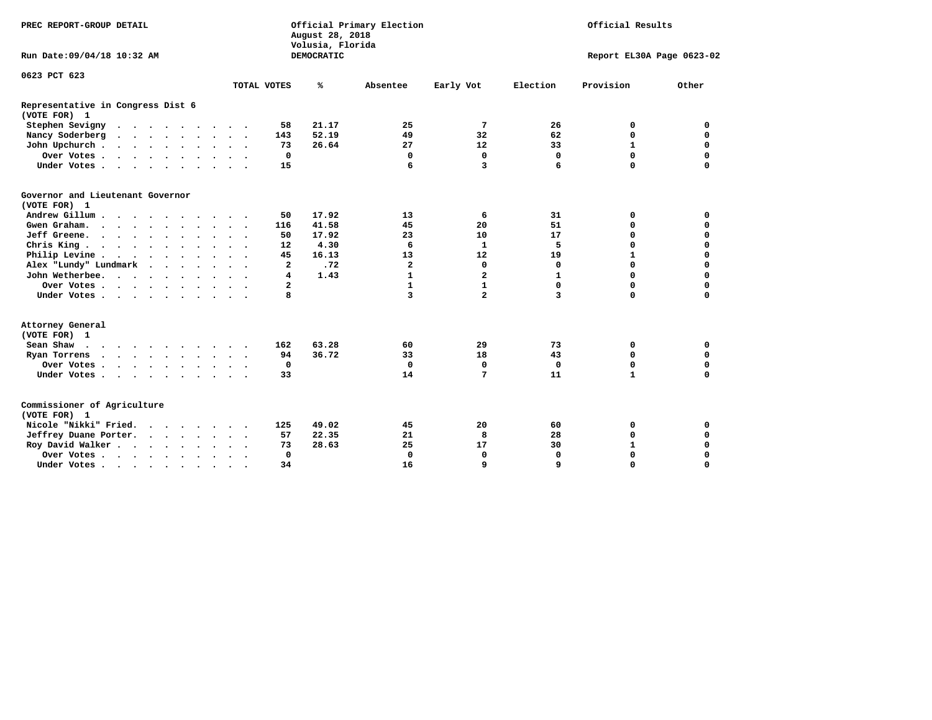| PREC REPORT-GROUP DETAIL                          |                            | Official Primary Election<br>August 28, 2018<br>Volusia, Florida | Official Results        |                |             |                           |             |
|---------------------------------------------------|----------------------------|------------------------------------------------------------------|-------------------------|----------------|-------------|---------------------------|-------------|
| Run Date: 09/04/18 10:32 AM                       |                            | DEMOCRATIC                                                       |                         |                |             | Report EL30A Page 0623-02 |             |
| 0623 PCT 623                                      |                            |                                                                  |                         |                |             |                           |             |
|                                                   | TOTAL VOTES                | %                                                                | Absentee                | Early Vot      | Election    | Provision                 | Other       |
| Representative in Congress Dist 6<br>(VOTE FOR) 1 |                            |                                                                  |                         |                |             |                           |             |
| Stephen Sevigny                                   | 58                         | 21.17                                                            | 25                      | 7              | 26          | 0                         | 0           |
| Nancy Soderberg                                   | 143                        | 52.19                                                            | 49                      | 32             | 62          | $\mathbf 0$               | $\mathbf 0$ |
| John Upchurch                                     | 73                         | 26.64                                                            | 27                      | 12             | 33          | $\mathbf{1}$              | 0           |
| Over Votes                                        | $\mathbf 0$                |                                                                  | 0                       | $\mathbf 0$    | $\mathbf 0$ | $\mathbf 0$               | $\mathbf 0$ |
| Under Votes                                       | 15                         |                                                                  | 6                       | 3              | 6           | $\Omega$                  | $\mathbf 0$ |
| Governor and Lieutenant Governor<br>(VOTE FOR) 1  |                            |                                                                  |                         |                |             |                           |             |
| Andrew Gillum                                     | 50                         | 17.92                                                            | 13                      | 6              | 31          | 0                         | 0           |
| Gwen Graham.                                      | 116                        | 41.58                                                            | 45                      | 20             | 51          | 0                         | 0           |
| Jeff Greene.                                      | 50                         | 17.92                                                            | 23                      | 10             | 17          | $\mathbf 0$               | $\mathbf 0$ |
| Chris King                                        | 12                         | 4.30                                                             | 6                       | $\mathbf{1}$   | 5           | $\mathbf 0$               | $\mathbf 0$ |
| Philip Levine                                     | 45                         | 16.13                                                            | 13                      | 12             | 19          | $\mathbf{1}$              | $\mathbf 0$ |
| Alex "Lundy" Lundmark                             | $\mathbf{2}$               | .72                                                              | $\overline{\mathbf{2}}$ | 0              | 0           | $\mathbf 0$               | $\mathbf 0$ |
| John Wetherbee.                                   | 4                          | 1.43                                                             | 1                       | $\overline{a}$ | 1           | $\mathbf 0$               | 0           |
| Over Votes                                        | $\mathbf{2}$               |                                                                  | $\mathbf{1}$            | $\mathbf{1}$   | 0           | $\mathbf 0$               | $\mathbf 0$ |
| Under Votes                                       | 8                          |                                                                  | 3                       | $\overline{a}$ | 3           | $\mathbf 0$               | $\mathbf 0$ |
| Attorney General<br>(VOTE FOR) 1                  |                            |                                                                  |                         |                |             |                           |             |
| Sean Shaw $\cdots$ $\cdots$ $\cdots$ $\cdots$     | 162                        | 63.28                                                            | 60                      | 29             | 73          | 0                         | 0           |
| Ryan Torrens                                      | 94                         | 36.72                                                            | 33                      | 18             | 43          | $\mathbf 0$               | 0           |
| Over Votes                                        | 0<br>$\ddot{\phantom{1}}$  |                                                                  | 0                       | $\mathbf 0$    | 0           | 0                         | 0           |
| Under Votes                                       | 33                         |                                                                  | 14                      | 7              | 11          | $\mathbf{1}$              | $\mathbf 0$ |
| Commissioner of Agriculture<br>(VOTE FOR) 1       |                            |                                                                  |                         |                |             |                           |             |
| Nicole "Nikki" Fried.                             | 125                        | 49.02                                                            | 45                      | 20             | 60          | 0                         | 0           |
| Jeffrey Duane Porter.                             | 57                         | 22.35                                                            | 21                      | 8              | 28          | $\mathbf 0$               | $\mathbf 0$ |
| Roy David Walker                                  | 73                         | 28.63                                                            | 25                      | 17             | 30          | $\mathbf{1}$              | $\mathbf 0$ |
| Over Votes                                        | $\mathbf 0$<br>$\cdot$     |                                                                  | $\Omega$                | $\mathbf 0$    | $\Omega$    | $\mathbf 0$               | $\mathbf 0$ |
| Under Votes                                       | 34<br>$\ddot{\phantom{a}}$ |                                                                  | 16                      | 9              | 9           | $\mathbf 0$               | $\mathbf 0$ |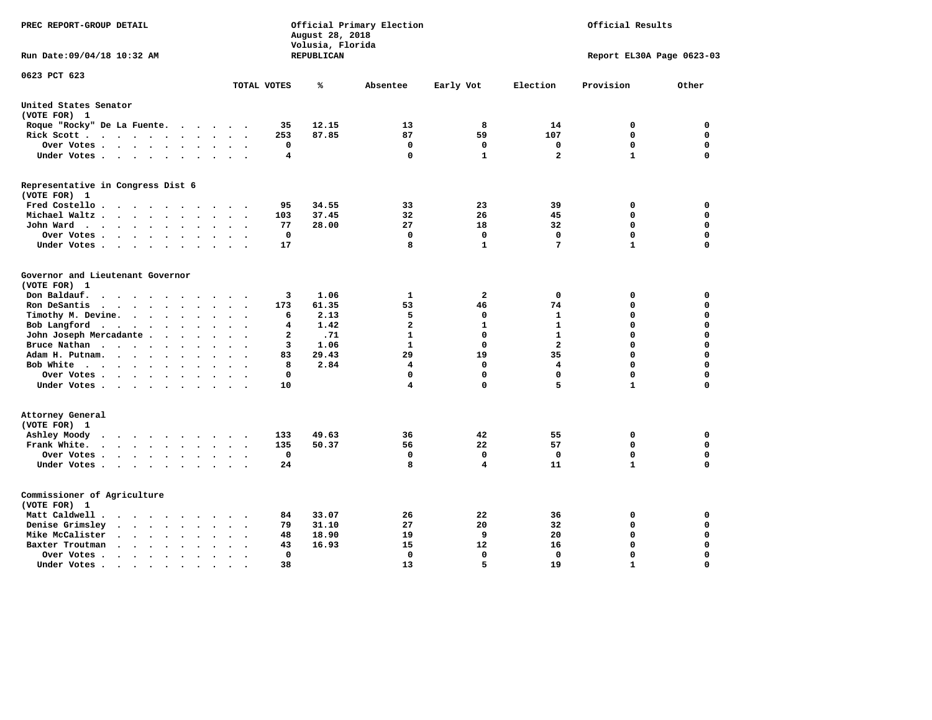| PREC REPORT-GROUP DETAIL                                                                                      | Official Primary Election<br>Official Results<br>August 28, 2018<br>Volusia, Florida |            |              |                      |                         |                           |             |
|---------------------------------------------------------------------------------------------------------------|--------------------------------------------------------------------------------------|------------|--------------|----------------------|-------------------------|---------------------------|-------------|
| Run Date: 09/04/18 10:32 AM                                                                                   |                                                                                      | REPUBLICAN |              |                      |                         | Report EL30A Page 0623-03 |             |
| 0623 PCT 623                                                                                                  | TOTAL VOTES                                                                          | ℁          | Absentee     | Early Vot            | Election                | Provision                 | Other       |
| United States Senator                                                                                         |                                                                                      |            |              |                      |                         |                           |             |
| (VOTE FOR) 1                                                                                                  |                                                                                      |            |              |                      |                         |                           |             |
| Roque "Rocky" De La Fuente.                                                                                   | 35<br>$\cdots$                                                                       | 12.15      | 13           | 8                    | 14                      | 0                         | 0           |
| Rick Scott                                                                                                    | 253                                                                                  | 87.85      | 87           | 59                   | 107                     | 0                         | 0           |
| Over Votes                                                                                                    | 0<br>$\ddot{\phantom{1}}$<br>$\bullet$<br>$\cdot$                                    |            | 0            | 0                    | 0                       | $\mathbf 0$               | 0           |
| Under Votes                                                                                                   | 4                                                                                    |            | $\mathbf 0$  | $\mathbf{1}$         | $\overline{\mathbf{2}}$ | $\mathbf{1}$              | 0           |
| Representative in Congress Dist 6<br>(VOTE FOR) 1                                                             |                                                                                      |            |              |                      |                         |                           |             |
| Fred Costello                                                                                                 | 95                                                                                   | 34.55      | 33           | 23                   | 39                      | 0                         | 0           |
| Michael Waltz<br>$\ddot{\phantom{a}}$<br>$\sim$                                                               | 103                                                                                  | 37.45      | 32           | 26                   | 45                      | $\mathbf 0$               | 0           |
| John Ward<br>$\ddot{\phantom{0}}$                                                                             | 77<br>$\bullet$                                                                      | 28.00      | 27           | 18                   | 32                      | $\mathbf 0$               | 0           |
| Over Votes .<br>$\cdots$<br>$\cdot$                                                                           | $\mathbf 0$                                                                          |            | $\mathbf 0$  | $\mathbf 0$          | $\mathbf{0}$            | $\mathbf 0$               | 0           |
| Under Votes<br>$\ddot{\phantom{0}}$                                                                           | 17                                                                                   |            | 8            | 1                    | 7                       | $\mathbf{1}$              | 0           |
|                                                                                                               |                                                                                      |            |              |                      |                         |                           |             |
| Governor and Lieutenant Governor                                                                              |                                                                                      |            |              |                      |                         |                           |             |
| (VOTE FOR) 1                                                                                                  |                                                                                      |            |              |                      |                         |                           |             |
| Don Baldauf.<br>$\bullet$ .<br><br><br><br><br><br><br><br><br><br><br><br>                                   | 3<br>173                                                                             | 1.06       | 1<br>53      | $\overline{a}$<br>46 | 0<br>74                 | 0<br>$\mathbf 0$          | 0<br>0      |
| Ron DeSantis<br>$\cdot$ $\cdot$ $\cdot$ $\cdot$<br>$\ddot{\phantom{a}}$<br>$\ddot{\phantom{a}}$<br>$\cdot$    |                                                                                      | 61.35      |              |                      |                         | $\mathbf 0$               | 0           |
| Timothy M. Devine.<br>$\bullet$                                                                               | 6<br>$\ddot{\phantom{a}}$                                                            | 2.13       | 5            | 0                    | 1                       |                           |             |
| Bob Langford                                                                                                  | 4<br>$\ddot{\phantom{a}}$                                                            | 1.42       | $\mathbf{2}$ | 1                    | 1                       | $\mathbf 0$               | 0           |
| John Joseph Mercadante                                                                                        | $\mathbf{2}$<br>$\sim$                                                               | .71        | $\mathbf{1}$ | 0                    | $\mathbf{1}$            | $\mathbf 0$               | 0           |
| Bruce Nathan<br>$\cdot$<br>$\sim$ $\sim$<br>$\ddot{\phantom{a}}$                                              | 3                                                                                    | 1.06       | 1            | 0                    | $\overline{a}$          | 0                         | 0           |
| Adam H. Putnam.<br>$\sim$ $\sim$ $\sim$ $\sim$<br>$\ddot{\phantom{a}}$                                        | 83                                                                                   | 29.43      | 29           | 19                   | 35                      | $\mathbf 0$               | 0           |
| Bob White                                                                                                     | 8<br>$\bullet$                                                                       | 2.84       | 4            | 0                    | $\overline{4}$          | $\mathbf 0$               | 0           |
| Over Votes.<br>$\cdots$<br>$\cdot$                                                                            | $\Omega$                                                                             |            | 0            | 0                    | $\Omega$                | 0                         | 0           |
| Under Votes                                                                                                   | 10                                                                                   |            | 4            | 0                    | 5                       | $\mathbf{1}$              | 0           |
| Attorney General                                                                                              |                                                                                      |            |              |                      |                         |                           |             |
| (VOTE FOR) 1                                                                                                  |                                                                                      |            |              |                      |                         |                           |             |
| Ashley Moody                                                                                                  | 133<br>$\sim$                                                                        | 49.63      | 36           | 42                   | 55                      | 0                         | $\mathbf 0$ |
| Frank White.<br>$\cdots$<br>$\ddot{\phantom{a}}$<br>$\ddot{\phantom{a}}$                                      | 135                                                                                  | 50.37      | 56           | 22                   | 57                      | $\mathbf 0$               | 0           |
| Over Votes                                                                                                    | 0<br>$\cdot$                                                                         |            | $\mathbf 0$  | 0                    | $\mathbf 0$             | $\mathbf 0$               | 0           |
| Under Votes                                                                                                   | 24                                                                                   |            | 8            | 4                    | 11                      | $\mathbf{1}$              | 0           |
| Commissioner of Agriculture                                                                                   |                                                                                      |            |              |                      |                         |                           |             |
| (VOTE FOR) 1                                                                                                  |                                                                                      |            |              |                      |                         |                           |             |
| Matt Caldwell.<br>$\cdots$                                                                                    | 84                                                                                   | 33.07      | 26           | 22                   | 36                      | 0                         | 0           |
| Denise Grimsley<br>$\cdot$ $\cdot$ $\cdot$ $\cdot$<br>$\bullet$                                               | 79                                                                                   | 31.10      | 27           | 20                   | 32                      | 0                         | 0           |
| Mike McCalister<br>$\bullet$                                                                                  | 48                                                                                   | 18.90      | 19           | 9                    | 20                      | $\mathbf 0$               | 0           |
| Baxter Troutman<br>$\mathbf{r}$ , $\mathbf{r}$ , $\mathbf{r}$<br>$\ddot{\phantom{a}}$<br>$\ddot{\phantom{a}}$ | 43                                                                                   | 16.93      | 15           | 12                   | 16                      | $\mathbf 0$               | 0           |
| Over Votes.<br>$\sim$ $\sim$ $\sim$ $\sim$ $\sim$<br>$\blacksquare$ .<br>$\cdot$                              | 0                                                                                    |            | 0            | 0                    | 0                       | $\mathbf 0$               | 0           |
| Under Votes.<br>$\cdots$<br>$\sim$<br>$\blacksquare$                                                          | 38                                                                                   |            | 13           | 5                    | 19                      | $\mathbf{1}$              | $\Omega$    |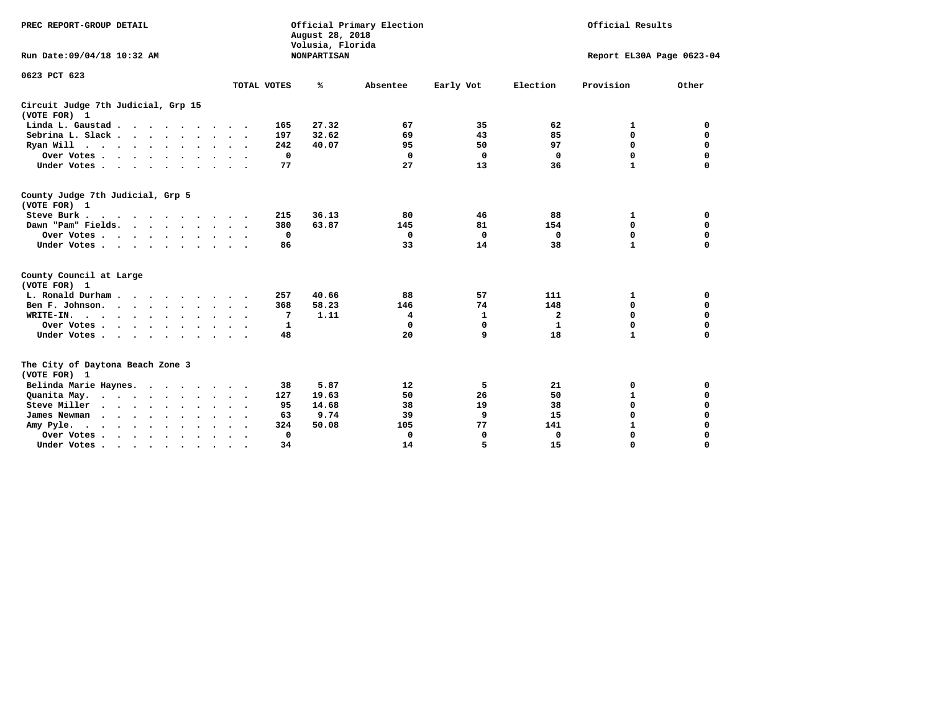| PREC REPORT-GROUP DETAIL<br>Run Date:09/04/18 10:32 AM |                             | August 28, 2018<br>Volusia, Florida<br><b>NONPARTISAN</b> | Official Primary Election | Official Results<br>Report EL30A Page 0623-04 |              |              |             |
|--------------------------------------------------------|-----------------------------|-----------------------------------------------------------|---------------------------|-----------------------------------------------|--------------|--------------|-------------|
| 0623 PCT 623                                           | TOTAL VOTES                 | ℁                                                         | Absentee                  | Early Vot                                     | Election     | Provision    | Other       |
| Circuit Judge 7th Judicial, Grp 15<br>(VOTE FOR) 1     |                             |                                                           |                           |                                               |              |              |             |
| Linda L. Gaustad                                       | 165                         | 27.32                                                     | 67                        | 35                                            | 62           | 1            | 0           |
| Sebrina L. Slack                                       | 197                         | 32.62                                                     | 69                        | 43                                            | 85           | $\mathbf 0$  | 0           |
| Ryan Will $\cdots$ , $\cdots$ , $\cdots$ , $\cdots$    | 242                         | 40.07                                                     | 95                        | 50                                            | 97           | 0            | 0           |
| Over Votes                                             | $\mathbf 0$                 |                                                           | $\mathbf{0}$              | $\mathbf 0$                                   | $\mathbf{0}$ | $\mathbf 0$  | $\mathbf 0$ |
| Under Votes                                            | 77                          |                                                           | 27                        | 13                                            | 36           | $\mathbf{1}$ | 0           |
| County Judge 7th Judicial, Grp 5<br>(VOTE FOR) 1       |                             |                                                           |                           |                                               |              |              |             |
| Steve Burk                                             | 215<br>$\ddot{\phantom{1}}$ | 36.13                                                     | 80                        | 46                                            | 88           | 1            | 0           |
| Dawn "Pam" Fields.                                     | 380                         | 63.87                                                     | 145                       | 81                                            | 154          | 0            | $\mathbf 0$ |
| Over Votes                                             | 0                           |                                                           | 0                         | 0                                             | 0            | 0            | 0           |
| Under Votes                                            | 86                          |                                                           | 33                        | 14                                            | 38           | $\mathbf{1}$ | $\mathbf 0$ |
| County Council at Large<br>(VOTE FOR) 1                |                             |                                                           |                           |                                               |              |              |             |
| L. Ronald Durham                                       | 257<br>$\cdot$ .            | 40.66                                                     | 88                        | 57                                            | 111          | 1            | 0           |
| Ben F. Johnson.                                        | 368                         | 58.23                                                     | 146                       | 74                                            | 148          | 0            | $\mathbf 0$ |
| WRITE-IN.                                              | 7                           | 1.11                                                      | 4                         | 1                                             | $\mathbf{2}$ | $\mathbf 0$  | $\mathbf 0$ |
| Over Votes                                             | 1                           |                                                           | 0                         | $\Omega$                                      | 1            | 0            | 0           |
| Under Votes                                            | 48                          |                                                           | 20                        | 9                                             | 18           | $\mathbf{1}$ | 0           |
| The City of Daytona Beach Zone 3<br>(VOTE FOR) 1       |                             |                                                           |                           |                                               |              |              |             |
| Belinda Marie Haynes.                                  | 38                          | 5.87                                                      | 12                        | 5                                             | 21           | 0            | 0           |
| Quanita May.                                           | 127<br>$\sim$ $\sim$        | 19.63                                                     | 50                        | 26                                            | 50           | $\mathbf 1$  | 0           |
| Steve Miller                                           | 95                          | 14.68                                                     | 38                        | 19                                            | 38           | $\mathbf 0$  | $\mathbf 0$ |
| James Newman<br>$\cdots$                               | 63                          | 9.74                                                      | 39                        | 9                                             | 15           | $\mathbf 0$  | 0           |
| Amy Pyle.<br>$\cdots$                                  | 324                         | 50.08                                                     | 105                       | 77                                            | 141          | $\mathbf 1$  | 0           |
| Over Votes<br>$\ddot{\phantom{1}}$                     | 0<br>$\ddot{\phantom{1}}$   |                                                           | 0                         | 0                                             | 0            | $\mathbf 0$  | 0           |
| Under Votes, , , , , , , , , ,                         | 34                          |                                                           | 14                        |                                               | 15           | $\Omega$     | $\Omega$    |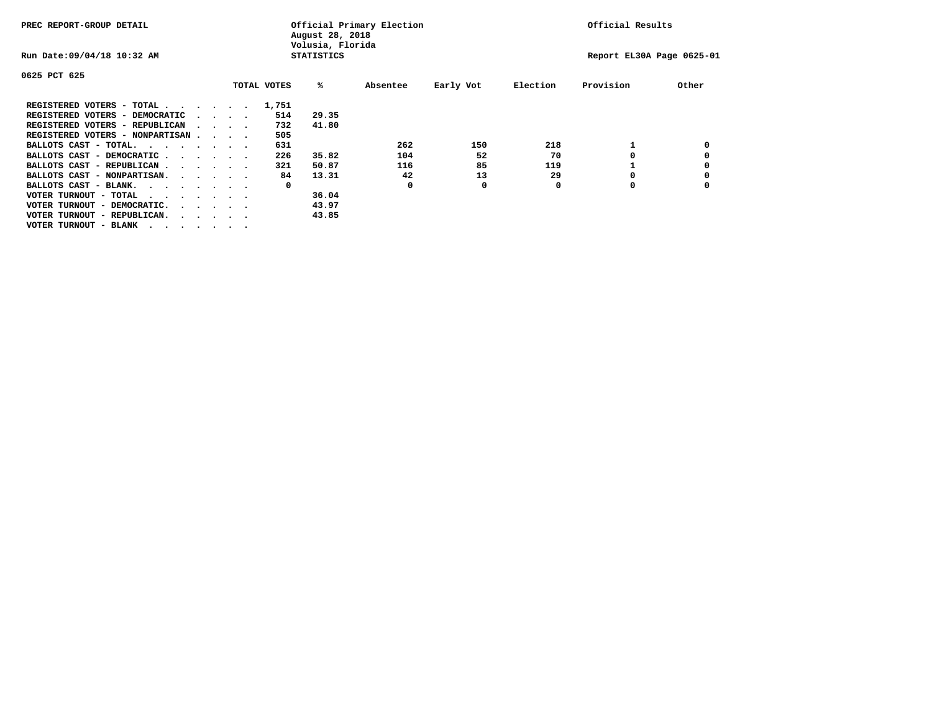| PREC REPORT-GROUP DETAIL                                               |  |  | Official Primary Election<br>August 28, 2018<br>Volusia, Florida |  |             |                   |          |           | Official Results |                           |       |  |
|------------------------------------------------------------------------|--|--|------------------------------------------------------------------|--|-------------|-------------------|----------|-----------|------------------|---------------------------|-------|--|
| Run Date: 09/04/18 10:32 AM                                            |  |  |                                                                  |  |             | <b>STATISTICS</b> |          |           |                  | Report EL30A Page 0625-01 |       |  |
| 0625 PCT 625                                                           |  |  |                                                                  |  |             |                   |          |           |                  |                           |       |  |
|                                                                        |  |  |                                                                  |  | TOTAL VOTES | %ะ                | Absentee | Early Vot | Election         | Provision                 | Other |  |
| REGISTERED VOTERS - TOTAL                                              |  |  |                                                                  |  | 1,751       |                   |          |           |                  |                           |       |  |
| REGISTERED VOTERS - DEMOCRATIC                                         |  |  | $\cdot$ $\cdot$ $\cdot$ $\cdot$                                  |  | 514         | 29.35             |          |           |                  |                           |       |  |
| REGISTERED VOTERS - REPUBLICAN                                         |  |  | $\cdots$                                                         |  | 732         | 41.80             |          |           |                  |                           |       |  |
| REGISTERED VOTERS - NONPARTISAN                                        |  |  |                                                                  |  | 505         |                   |          |           |                  |                           |       |  |
| BALLOTS CAST - TOTAL.<br>$\cdots$                                      |  |  |                                                                  |  | 631         |                   | 262      | 150       | 218              |                           |       |  |
| BALLOTS CAST - DEMOCRATIC                                              |  |  |                                                                  |  | 226         | 35.82             | 104      | 52        | 70               |                           |       |  |
| BALLOTS CAST - REPUBLICAN                                              |  |  |                                                                  |  | 321         | 50.87             | 116      | 85        | 119              |                           |       |  |
| BALLOTS CAST - NONPARTISAN.                                            |  |  |                                                                  |  | 84          | 13.31             | 42       | 13        | 29               | O                         |       |  |
| BALLOTS CAST - BLANK.                                                  |  |  |                                                                  |  | 0           |                   | O        | 0         | O                | O                         |       |  |
| VOTER TURNOUT - TOTAL<br>$\cdots$                                      |  |  |                                                                  |  |             | 36.04             |          |           |                  |                           |       |  |
| VOTER TURNOUT - DEMOCRATIC.<br>$\cdot$ $\cdot$ $\cdot$ $\cdot$ $\cdot$ |  |  |                                                                  |  |             | 43.97             |          |           |                  |                           |       |  |
| VOTER TURNOUT - REPUBLICAN.                                            |  |  |                                                                  |  |             | 43.85             |          |           |                  |                           |       |  |
| VOTER TURNOUT - BLANK                                                  |  |  |                                                                  |  |             |                   |          |           |                  |                           |       |  |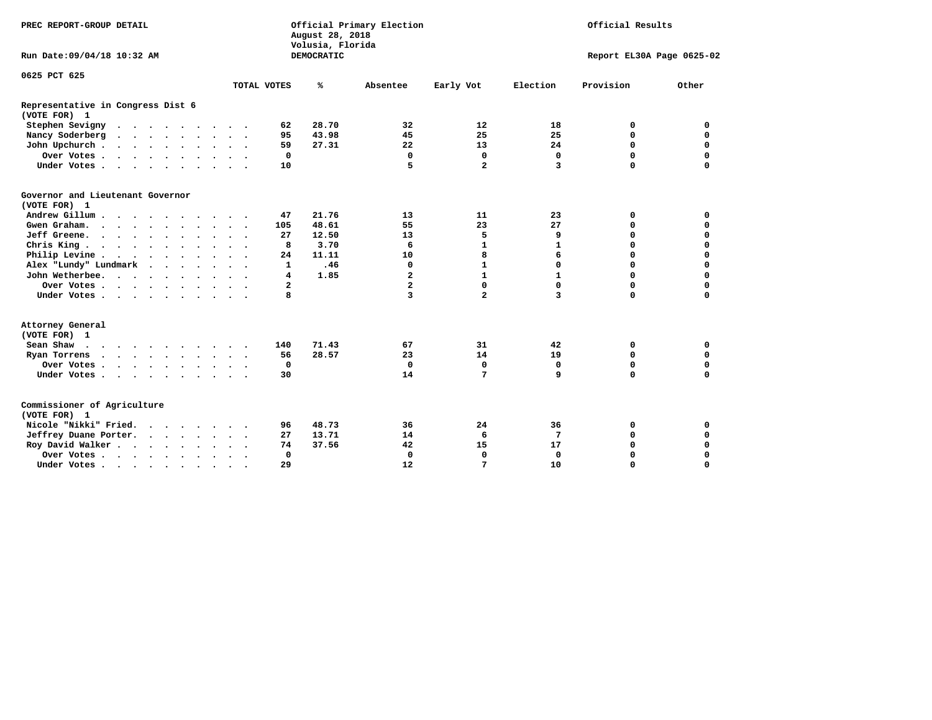| PREC REPORT-GROUP DETAIL                          | Official Results<br>Official Primary Election<br>August 28, 2018<br>Volusia, Florida |  |  |                      |           |                |            |                         |                |              |                           |             |
|---------------------------------------------------|--------------------------------------------------------------------------------------|--|--|----------------------|-----------|----------------|------------|-------------------------|----------------|--------------|---------------------------|-------------|
| Run Date: 09/04/18 10:32 AM                       |                                                                                      |  |  |                      |           |                | DEMOCRATIC |                         |                |              | Report EL30A Page 0625-02 |             |
| 0625 PCT 625                                      |                                                                                      |  |  |                      |           |                |            |                         |                |              |                           |             |
|                                                   |                                                                                      |  |  |                      |           | TOTAL VOTES    | ℁          | Absentee                | Early Vot      | Election     | Provision                 | Other       |
| Representative in Congress Dist 6<br>(VOTE FOR) 1 |                                                                                      |  |  |                      |           |                |            |                         |                |              |                           |             |
| Stephen Sevigny                                   |                                                                                      |  |  |                      |           | 62             | 28.70      | 32                      | 12             | 18           | 0                         | 0           |
| Nancy Soderberg<br>$\cdots$                       |                                                                                      |  |  |                      |           | 95             | 43.98      | 45                      | 25             | 25           | $\mathbf 0$               | 0           |
| John Upchurch                                     |                                                                                      |  |  |                      |           | 59             | 27.31      | 22                      | 13             | 24           | $\mathbf 0$               | $\mathbf 0$ |
| Over Votes                                        |                                                                                      |  |  |                      |           | $\mathbf 0$    |            | $\mathbf 0$             | $\mathbf 0$    | $\mathbf 0$  | $\mathbf 0$               | $\mathbf 0$ |
| Under Votes                                       |                                                                                      |  |  |                      |           | 10             |            | 5                       | $\overline{a}$ | 3            | $\Omega$                  | $\mathbf 0$ |
| Governor and Lieutenant Governor<br>(VOTE FOR) 1  |                                                                                      |  |  |                      |           |                |            |                         |                |              |                           |             |
| Andrew Gillum                                     |                                                                                      |  |  | $\ddot{\phantom{a}}$ |           | 47             | 21.76      | 13                      | 11             | 23           | 0                         | 0           |
| Gwen Graham                                       |                                                                                      |  |  |                      |           | 105            | 48.61      | 55                      | 23             | 27           | 0                         | 0           |
| Jeff Greene.                                      |                                                                                      |  |  |                      |           | 27             | 12.50      | 13                      | 5              | 9            | $\mathbf 0$               | $\mathbf 0$ |
| Chris King                                        |                                                                                      |  |  |                      |           | 8              | 3.70       | 6                       | $\mathbf{1}$   | 1            | 0                         | 0           |
| Philip Levine                                     |                                                                                      |  |  |                      |           | 24             | 11.11      | 10                      | 8              | 6            | $\mathbf 0$               | $\mathbf 0$ |
| Alex "Lundy" Lundmark                             |                                                                                      |  |  |                      |           | $\mathbf{1}$   | .46        | $\Omega$                | $\mathbf{1}$   | 0            | $\mathbf 0$               | $\mathbf 0$ |
| John Wetherbee.                                   |                                                                                      |  |  |                      |           | 4              | 1.85       | $\overline{\mathbf{2}}$ | $\mathbf{1}$   | $\mathbf{1}$ | $\mathbf 0$               | $\mathbf 0$ |
| Over Votes                                        |                                                                                      |  |  |                      |           | $\overline{a}$ |            | $\overline{a}$          | 0              | $\Omega$     | $\mathbf 0$               | $\mathbf 0$ |
| Under Votes                                       |                                                                                      |  |  |                      |           | 8              |            | 3                       | $\overline{a}$ | 3            | $\Omega$                  | $\mathbf 0$ |
| Attorney General<br>(VOTE FOR) 1                  |                                                                                      |  |  |                      |           |                |            |                         |                |              |                           |             |
| Sean Shaw $\cdots$ $\cdots$ $\cdots$ $\cdots$     |                                                                                      |  |  |                      |           | 140            | 71.43      | 67                      | 31             | 42           | 0                         | 0           |
| Ryan Torrens                                      |                                                                                      |  |  |                      |           | 56             | 28.57      | 23                      | 14             | 19           | $\mathbf 0$               | 0           |
| Over Votes                                        |                                                                                      |  |  |                      |           | 0              |            | 0                       | 0              | 0            | $\mathbf 0$               | 0           |
| Under Votes                                       |                                                                                      |  |  |                      |           | 30             |            | 14                      | 7              | 9            | $\mathbf 0$               | $\mathbf 0$ |
| Commissioner of Agriculture<br>(VOTE FOR) 1       |                                                                                      |  |  |                      |           |                |            |                         |                |              |                           |             |
| Nicole "Nikki" Fried.                             |                                                                                      |  |  |                      |           | 96             | 48.73      | 36                      | 24             | 36           | 0                         | 0           |
| Jeffrey Duane Porter.                             |                                                                                      |  |  |                      |           | 27             | 13.71      | 14                      | 6              | 7            | $\mathbf 0$               | $\mathbf 0$ |
| Roy David Walker                                  |                                                                                      |  |  |                      |           | 74             | 37.56      | 42                      | 15             | 17           | $\mathbf 0$               | $\mathbf 0$ |
| Over Votes                                        |                                                                                      |  |  | $\bullet$            | $\bullet$ | $\mathbf 0$    |            | $\Omega$                | $\mathbf 0$    | $\Omega$     | $\Omega$                  | $\mathbf 0$ |
| Under Votes                                       |                                                                                      |  |  | $\bullet$            |           | 29             |            | 12                      | 7              | 10           | 0                         | $\mathbf 0$ |
|                                                   |                                                                                      |  |  |                      |           |                |            |                         |                |              |                           |             |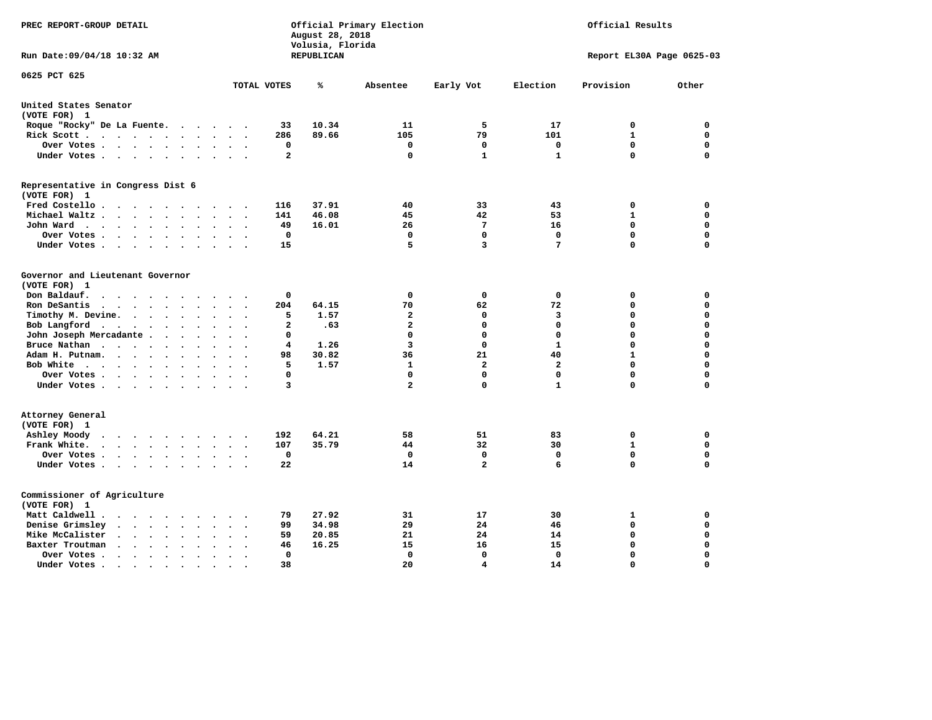| PREC REPORT-GROUP DETAIL                                                                                     |                                            | August 28, 2018<br>Volusia, Florida | Official Primary Election | Official Results |              |                           |             |
|--------------------------------------------------------------------------------------------------------------|--------------------------------------------|-------------------------------------|---------------------------|------------------|--------------|---------------------------|-------------|
| Run Date: 09/04/18 10:32 AM                                                                                  |                                            | REPUBLICAN                          |                           |                  |              | Report EL30A Page 0625-03 |             |
| 0625 PCT 625                                                                                                 | TOTAL VOTES                                | ℁                                   | Absentee                  | Early Vot        | Election     | Provision                 | Other       |
| United States Senator                                                                                        |                                            |                                     |                           |                  |              |                           |             |
| (VOTE FOR) 1                                                                                                 |                                            |                                     |                           |                  |              |                           |             |
| Roque "Rocky" De La Fuente.<br>$\ddot{\phantom{1}}$<br>$\sim$                                                | 33<br>$\ddot{\phantom{a}}$                 | 10.34                               | 11                        | 5                | 17           | 0                         | 0           |
| Rick Scott<br>$\bullet$                                                                                      | 286                                        | 89.66                               | 105                       | 79               | 101          | $\mathbf{1}$              | $\mathbf 0$ |
| Over Votes<br>$\ddot{\phantom{a}}$<br>$\bullet$                                                              | 0<br>$\bullet$<br>$\overline{\phantom{a}}$ |                                     | 0                         | 0                | $\mathbf 0$  | $\mathbf 0$               | $\mathbf 0$ |
| Under Votes<br>$\sim$                                                                                        | $\overline{a}$<br>$\sim$                   |                                     | 0                         | $\mathbf{1}$     | $\mathbf{1}$ | $\mathbf 0$               | $\mathbf 0$ |
| Representative in Congress Dist 6<br>(VOTE FOR) 1                                                            |                                            |                                     |                           |                  |              |                           |             |
| Fred Costello                                                                                                | 116                                        | 37.91                               | 40                        | 33               | 43           | 0                         | 0           |
| Michael Waltz.<br>$\ddot{\phantom{a}}$                                                                       | 141                                        | 46.08                               | 45                        | 42               | 53           | $\mathbf{1}$              | $\mathbf 0$ |
| John Ward<br>$\bullet$<br>$\bullet$                                                                          | 49<br>$\ddot{\phantom{0}}$                 | 16.01                               | 26                        | 7                | 16           | 0                         | $\mathbf 0$ |
| Over Votes<br>$\bullet$<br>$\bullet$                                                                         | 0                                          |                                     | 0                         | 0                | 0            | 0                         | 0           |
| Under Votes<br>$\bullet$<br>$\cdot$                                                                          | 15                                         |                                     | 5                         | 3                | 7            | $\Omega$                  | $\Omega$    |
| Governor and Lieutenant Governor<br>(VOTE FOR) 1<br>Don Baldauf.<br>$\cdot$ $\cdot$ $\cdot$<br>$\sim$        | 0                                          |                                     | $\mathbf 0$               | 0                | 0            | 0                         | 0           |
| Ron DeSantis<br>$\cdot$ $\cdot$ $\cdot$<br>$\ddot{\phantom{1}}$                                              | 204                                        | 64.15                               | 70                        | 62               | 72           | $\mathbf 0$               | $\mathbf 0$ |
| Timothy M. Devine. .<br>$\sim$<br>$\ddot{\phantom{a}}$<br>$\bullet$<br>$\ddot{\phantom{a}}$<br>$\bullet$     | 5<br>$\ddot{\phantom{0}}$                  | 1.57                                | $\mathbf{2}$              | $\mathbf 0$      | з            | $\mathbf 0$               | $\mathbf 0$ |
| Bob Langford<br>$\ddot{\phantom{0}}$<br>$\bullet$<br>$\ddot{\phantom{a}}$<br>$\ddot{\phantom{1}}$            | $\overline{a}$                             | .63                                 | $\mathbf{2}$              | $\mathbf 0$      | $\mathbf 0$  | $\mathbf 0$               | $\mathbf 0$ |
| John Joseph Mercadante .<br>$\bullet$<br>$\ddot{\phantom{a}}$                                                | 0                                          |                                     | $\mathbf 0$               | $\mathbf 0$      | $\mathbf 0$  | $\mathbf 0$               | $\mathbf 0$ |
| Bruce Nathan<br>$\cdots$ $\cdots$<br>$\ddot{\phantom{a}}$<br>$\bullet$<br>$\bullet$                          | 4                                          | 1.26                                | 3                         | $\mathbf 0$      | $\mathbf{1}$ | $\mathbf 0$               | $\mathbf 0$ |
| Adam H. Putnam.<br>$\cdots$ $\cdots$<br>$\ddot{\phantom{a}}$<br>$\ddot{\phantom{a}}$                         | 98                                         | 30.82                               | 36                        | 21               | 40           | $\mathbf{1}$              | $\mathbf 0$ |
| Bob White<br>$\ddot{\phantom{a}}$<br>$\overline{\phantom{a}}$<br>$\cdot$                                     | 5<br>$\sim$                                | 1.57                                | $\mathbf{1}$              | $\overline{a}$   | $\mathbf{2}$ | $\mathbf 0$               | $\mathbf 0$ |
| Over Votes .<br>$\sim$ $\sim$ $\sim$ $\sim$ $\sim$<br>$\bullet$<br>$\bullet$                                 | $\mathbf 0$                                |                                     | $\mathbf 0$               | $\mathbf 0$      | $\mathbf 0$  | $\mathbf 0$               | $\mathbf 0$ |
| Under Votes                                                                                                  | 3                                          |                                     | $\overline{\mathbf{2}}$   | $\mathbf 0$      | $\mathbf{1}$ | 0                         | 0           |
| Attorney General<br>(VOTE FOR) 1                                                                             |                                            |                                     |                           |                  |              |                           |             |
| Ashley Moody<br>$\cdot$<br>$\ddot{\phantom{a}}$<br>$\bullet$                                                 | 192<br>$\ddot{\phantom{a}}$                | 64.21                               | 58                        | 51               | 83           | 0                         | 0           |
| Frank White.<br>$\cdot$ $\cdot$ $\cdot$ $\cdot$<br>$\sim$ $\sim$                                             | 107                                        | 35.79                               | 44                        | 32               | 30           | $\mathbf{1}$              | $\mathbf 0$ |
| Over Votes.<br>$\cdots$<br>$\bullet$<br>$\bullet$                                                            | $\mathbf 0$<br>$\ddot{\phantom{a}}$        |                                     | $\mathbf 0$               | 0                | 0            | $\mathbf 0$               | $\mathbf 0$ |
| Under Votes<br>$\ddot{\phantom{1}}$                                                                          | 22<br>$\ddot{\phantom{a}}$                 |                                     | 14                        | $\overline{a}$   | 6            | 0                         | $\mathbf 0$ |
| Commissioner of Agriculture<br>(VOTE FOR) 1                                                                  |                                            |                                     |                           |                  |              |                           |             |
| Matt Caldwell.<br>$\cdot$ $\cdot$ $\cdot$ $\cdot$                                                            | 79                                         | 27.92                               | 31                        | 17               | 30           | 1                         | 0           |
| Denise Grimsley<br>$\ddot{\phantom{a}}$<br>$\sim$<br>$\ddot{\phantom{a}}$                                    | 99                                         | 34.98                               | 29                        | 24               | 46           | $\mathbf 0$               | $\mathbf 0$ |
| Mike McCalister<br>$\bullet$ .<br><br><br><br><br><br><br><br><br><br><br><br><br><br>$\bullet$<br>$\bullet$ | 59                                         | 20.85                               | 21                        | 24               | 14           | 0                         | $\mathbf 0$ |
| Baxter Troutman<br>$\ddot{\phantom{1}}$<br>$\ddot{\phantom{a}}$                                              | 46                                         | 16.25                               | 15                        | 16               | 15           | $\mathbf 0$               | $\mathbf 0$ |
| Over Votes.<br>$\sim$ $\sim$<br>$\ddot{\phantom{1}}$<br>$\cdot$<br>$\cdot$                                   | $\mathbf 0$<br>$\ddot{\phantom{1}}$        |                                     | $\mathbf 0$               | 0                | $\mathbf 0$  | $\mathbf 0$               | $\mathbf 0$ |
| Under Votes.<br>$\bullet$ , $\bullet$ , $\bullet$ , $\bullet$<br>$\bullet$<br>$\bullet$                      | 38                                         |                                     | 20                        | 4                | 14           | $\Omega$                  | $\Omega$    |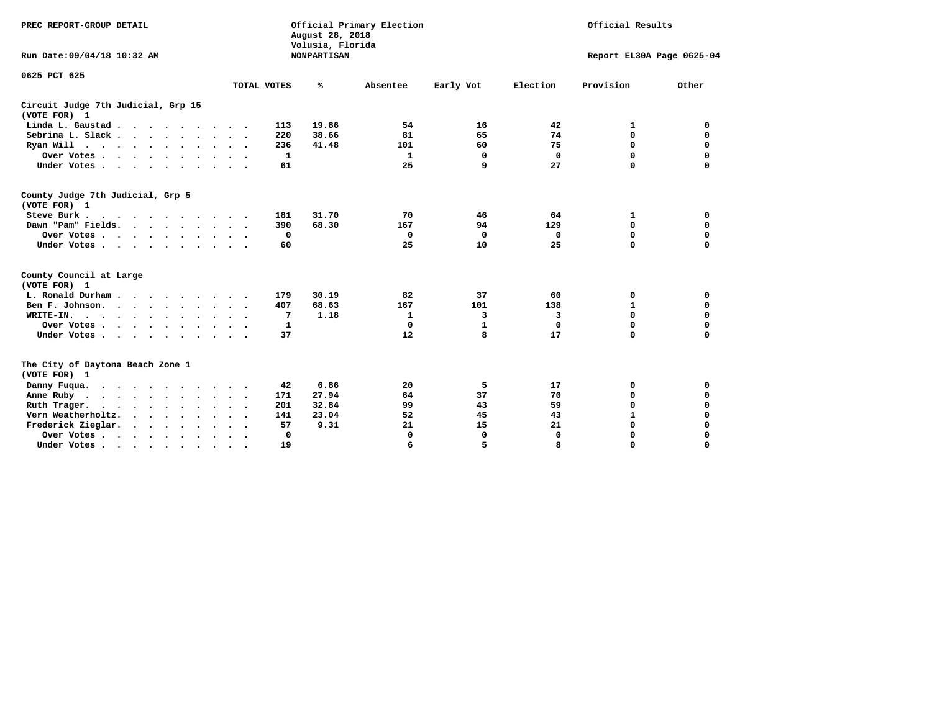| PREC REPORT-GROUP DETAIL<br>Run Date: 09/04/18 10:32 AM                                                                                                                                                                                                                                                                                                                  |              | August 28, 2018<br>Volusia, Florida<br><b>NONPARTISAN</b> | Official Primary Election |              | Official Results<br>Report EL30A Page 0625-04 |              |          |  |
|--------------------------------------------------------------------------------------------------------------------------------------------------------------------------------------------------------------------------------------------------------------------------------------------------------------------------------------------------------------------------|--------------|-----------------------------------------------------------|---------------------------|--------------|-----------------------------------------------|--------------|----------|--|
| 0625 PCT 625                                                                                                                                                                                                                                                                                                                                                             | TOTAL VOTES  | %                                                         | Absentee                  | Early Vot    | Election                                      | Provision    | Other    |  |
| Circuit Judge 7th Judicial, Grp 15<br>(VOTE FOR) 1                                                                                                                                                                                                                                                                                                                       |              |                                                           |                           |              |                                               |              |          |  |
| Linda L. Gaustad                                                                                                                                                                                                                                                                                                                                                         | 113          | 19.86                                                     | 54                        | 16           | 42                                            | 1            | 0        |  |
| Sebrina L. Slack                                                                                                                                                                                                                                                                                                                                                         | 220          | 38.66                                                     | 81                        | 65           | 74                                            | $\mathbf 0$  | 0        |  |
| Ryan Will $\cdots$ , $\cdots$ , $\cdots$ , $\cdots$                                                                                                                                                                                                                                                                                                                      | 236          | 41.48                                                     | 101                       | 60           | 75                                            | $\mathbf 0$  | 0        |  |
| Over Votes                                                                                                                                                                                                                                                                                                                                                               | $\mathbf{1}$ |                                                           | $\mathbf{1}$              | $\mathbf 0$  | $\mathbf 0$                                   | $\mathbf 0$  | 0        |  |
| Under Votes                                                                                                                                                                                                                                                                                                                                                              | 61           |                                                           | 25                        | 9            | 27                                            | $\Omega$     | 0        |  |
| County Judge 7th Judicial, Grp 5<br>(VOTE FOR) 1                                                                                                                                                                                                                                                                                                                         |              |                                                           |                           |              |                                               |              |          |  |
| Steve Burk                                                                                                                                                                                                                                                                                                                                                               | 181          | 31.70                                                     | 70                        | 46           | 64                                            | 1            | 0        |  |
| Dawn "Pam" Fields.                                                                                                                                                                                                                                                                                                                                                       | 390          | 68.30                                                     | 167                       | 94           | 129                                           | $\mathbf 0$  | 0        |  |
| Over Votes                                                                                                                                                                                                                                                                                                                                                               | 0            |                                                           | $\Omega$                  | $\Omega$     | 0                                             | $\mathbf 0$  | 0        |  |
| Under Votes                                                                                                                                                                                                                                                                                                                                                              | 60           |                                                           | 25                        | 10           | 25                                            | $\Omega$     | 0        |  |
| County Council at Large<br>(VOTE FOR) 1                                                                                                                                                                                                                                                                                                                                  |              |                                                           |                           |              |                                               |              |          |  |
| L. Ronald Durham                                                                                                                                                                                                                                                                                                                                                         | 179          | 30.19                                                     | 82                        | 37           | 60                                            | 0            | 0        |  |
| Ben F. Johnson.                                                                                                                                                                                                                                                                                                                                                          | 407          | 68.63                                                     | 167                       | 101          | 138                                           | 1            | 0        |  |
| WRITE-IN.                                                                                                                                                                                                                                                                                                                                                                | 7            | 1.18                                                      | $\mathbf{1}$              | 3            | 3                                             | 0            | 0        |  |
| Over Votes                                                                                                                                                                                                                                                                                                                                                               | 1            |                                                           | $\Omega$                  | $\mathbf{1}$ | $\mathbf 0$                                   | $\mathbf 0$  | 0        |  |
| Under Votes                                                                                                                                                                                                                                                                                                                                                              | 37           |                                                           | 12                        | 8            | 17                                            | $\mathbf 0$  | $\Omega$ |  |
| The City of Daytona Beach Zone 1<br>(VOTE FOR) 1                                                                                                                                                                                                                                                                                                                         |              |                                                           |                           |              |                                               |              |          |  |
| Danny Fuqua.<br>$\cdots$                                                                                                                                                                                                                                                                                                                                                 | 42           | 6.86                                                      | 20                        | 5            | 17                                            | 0            | 0        |  |
| Anne Ruby                                                                                                                                                                                                                                                                                                                                                                | 171          | 27.94                                                     | 64                        | 37           | 70                                            | 0            | 0        |  |
| Ruth Trager.                                                                                                                                                                                                                                                                                                                                                             | 201          | 32.84                                                     | 99                        | 43           | 59                                            | 0            | 0        |  |
| Vern Weatherholtz.                                                                                                                                                                                                                                                                                                                                                       | 141          | 23.04                                                     | 52                        | 45           | 43                                            | $\mathbf{1}$ | 0        |  |
| Frederick Zieglar.                                                                                                                                                                                                                                                                                                                                                       | 57           | 9.31                                                      | 21                        | 15           | 21                                            | 0            | 0        |  |
| Over Votes                                                                                                                                                                                                                                                                                                                                                               | 0<br>$\sim$  |                                                           | 0                         | $\mathbf 0$  | $\mathbf 0$                                   | O            | $\Omega$ |  |
| Under Votes, $\cdot$ , $\cdot$ , $\cdot$ , $\cdot$ , $\cdot$ , $\cdot$ , $\cdot$ , $\cdot$ , $\cdot$ , $\cdot$ , $\cdot$ , $\cdot$ , $\cdot$ , $\cdot$ , $\cdot$ , $\cdot$ , $\cdot$ , $\cdot$ , $\cdot$ , $\cdot$ , $\cdot$ , $\cdot$ , $\cdot$ , $\cdot$ , $\cdot$ , $\cdot$ , $\cdot$ , $\cdot$ , $\cdot$ , $\cdot$ , $\cdot$ , $\cdot$ , $\cdot$ , $\cdot$ , $\cdot$ | 19           |                                                           |                           |              | R                                             | O            | $\Omega$ |  |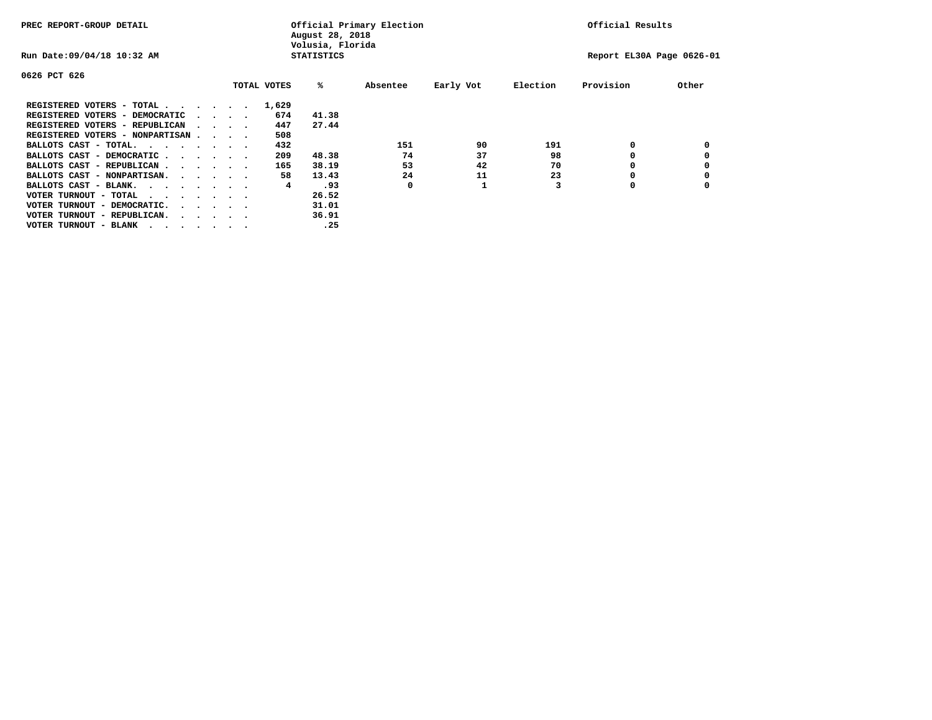| PREC REPORT-GROUP DETAIL               |  |                                         |  | Official Primary Election<br>August 28, 2018<br>Volusia, Florida |                   | Official Results |           |          |                           |       |
|----------------------------------------|--|-----------------------------------------|--|------------------------------------------------------------------|-------------------|------------------|-----------|----------|---------------------------|-------|
| Run Date: 09/04/18 10:32 AM            |  |                                         |  |                                                                  | <b>STATISTICS</b> |                  |           |          | Report EL30A Page 0626-01 |       |
| 0626 PCT 626                           |  |                                         |  |                                                                  |                   |                  |           |          |                           |       |
|                                        |  |                                         |  | TOTAL VOTES                                                      | %ะ                | Absentee         | Early Vot | Election | Provision                 | Other |
| REGISTERED VOTERS - TOTAL              |  |                                         |  | 1,629                                                            |                   |                  |           |          |                           |       |
| REGISTERED VOTERS - DEMOCRATIC         |  | $\cdot$ $\cdot$ $\cdot$ $\cdot$         |  | 674                                                              | 41.38             |                  |           |          |                           |       |
| REGISTERED VOTERS - REPUBLICAN         |  |                                         |  | 447                                                              | 27.44             |                  |           |          |                           |       |
| REGISTERED VOTERS - NONPARTISAN        |  |                                         |  | 508                                                              |                   |                  |           |          |                           |       |
| BALLOTS CAST - TOTAL.                  |  |                                         |  | 432                                                              |                   | 151              | 90        | 191      | 0                         |       |
| BALLOTS CAST - DEMOCRATIC              |  |                                         |  | 209                                                              | 48.38             | 74               | 37        | 98       |                           |       |
| BALLOTS CAST - REPUBLICAN              |  |                                         |  | 165                                                              | 38.19             | 53               | 42        | 70       | 0                         |       |
| BALLOTS CAST - NONPARTISAN.            |  |                                         |  | 58                                                               | 13.43             | 24               | 11        | 23       |                           |       |
| BALLOTS CAST - BLANK.                  |  |                                         |  | 4                                                                | .93               | 0                |           |          | 0                         |       |
| VOTER TURNOUT - TOTAL<br>.             |  |                                         |  |                                                                  | 26.52             |                  |           |          |                           |       |
| VOTER TURNOUT - DEMOCRATIC.            |  | $\cdot$ $\cdot$ $\cdot$ $\cdot$ $\cdot$ |  |                                                                  | 31.01             |                  |           |          |                           |       |
| VOTER TURNOUT - REPUBLICAN.<br>$\cdot$ |  |                                         |  |                                                                  | 36.91             |                  |           |          |                           |       |
| VOTER TURNOUT - BLANK                  |  |                                         |  |                                                                  | .25               |                  |           |          |                           |       |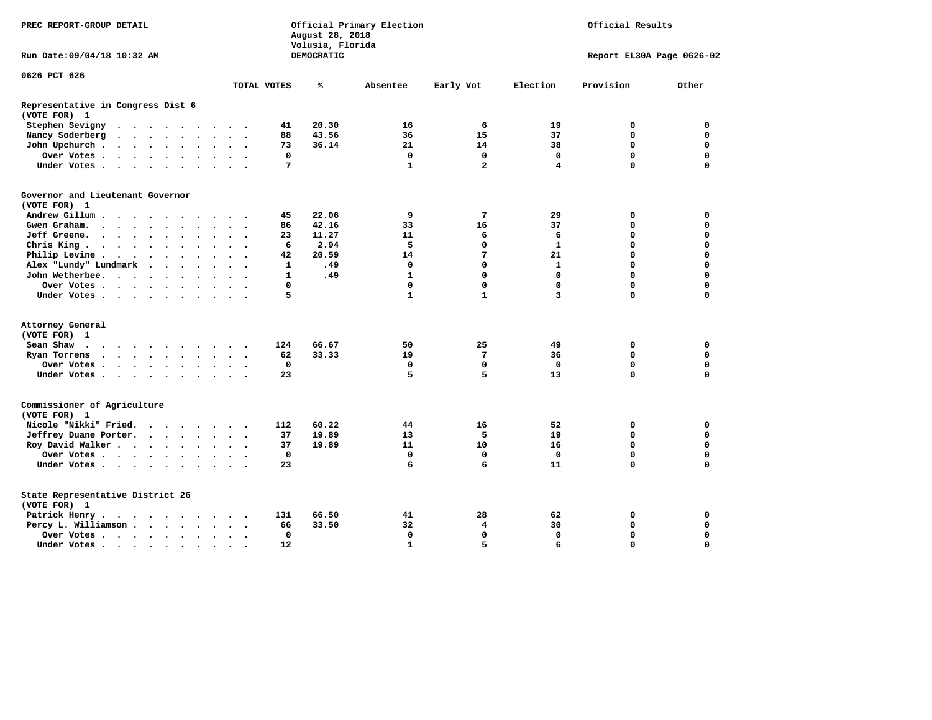| Run Date: 09/04/18 10:32 AM<br>DEMOCRATIC<br>Report EL30A Page 0626-02<br>0626 PCT 626<br>Provision<br>Other<br>TOTAL VOTES<br>℁<br>Absentee<br>Early Vot<br>Election<br>Representative in Congress Dist 6<br>(VOTE FOR) 1<br>Stephen Sevigny<br>20.30<br>16<br>6<br>19<br>0<br>41<br>0<br>$\cdots$<br>Nancy Soderberg<br>88<br>43.56<br>36<br>15<br>37<br>0<br>0<br>21<br>14<br>38<br>$\mathbf 0$<br>$\mathbf 0$<br>John Upchurch<br>73<br>36.14<br>$\ddot{\phantom{a}}$<br>$\mathbf 0$<br>$\mathbf 0$<br>$\mathbf 0$<br>0<br>$\mathbf 0$<br>Over Votes<br>0<br>$\Omega$<br>7<br>$\mathbf{1}$<br>$\mathbf{2}$<br>$\mathbf 0$<br>Under Votes<br>4<br>Governor and Lieutenant Governor<br>(VOTE FOR) 1<br>Andrew Gillum<br>22.06<br>9<br>$7\phantom{.0}$<br>29<br>45<br>0<br>0<br>$\sim$<br>42.16<br>33<br>16<br>37<br>$\mathbf 0$<br>$\mathbf 0$<br>Gwen Graham.<br>86<br>$\cdot$ $\cdot$ $\cdot$<br>Jeff Greene.<br>11.27<br>11<br>6<br>6<br>0<br>0<br>23<br>$\bullet$<br>2.94<br>5<br>$\mathbf{1}$<br>Chris King<br>6<br>0<br>0<br>0<br>$\ddot{\phantom{1}}$<br>20.59<br>7<br>21<br>$\mathbf 0$<br>$\mathbf 0$<br>Philip Levine.<br>42<br>14<br>. The contract of the contract of the contract of the contract of the contract of the contract of the contract of the contract of the contract of the contract of the contract of the contract of the contract of the contrac<br>$\mathbf 0$<br>$\mathbf 0$<br>$\mathbf 0$<br>Alex "Lundy" Lundmark<br>$\mathbf{1}$<br>.49<br>0<br>1<br>$\mathbf{1}$<br>$\mathbf 0$<br>$\mathbf{0}$<br>$\mathbf 0$<br>$\mathbf 0$<br>John Wetherbee.<br>$\mathbf{1}$<br>.49<br>$\ddot{\phantom{1}}$<br>$\mathbf 0$<br>0<br>$\mathbf 0$<br>$\Omega$<br>0<br>$\mathbf 0$<br>Over Votes<br>$\sim$ $\sim$<br>5<br>$\mathbf{1}$<br>$\mathbf{1}$<br>3<br>$\Omega$<br>$\mathbf 0$<br>Under Votes<br>Attorney General<br>(VOTE FOR) 1<br>124<br>66.67<br>50<br>25<br>49<br>0<br>0<br>Sean Shaw<br>33.33<br>62<br>19<br>7<br>36<br>0<br>0<br>Ryan Torrens<br>$\cdots$<br>$\ddot{\phantom{1}}$<br>$\mathbf 0$<br>$\mathbf 0$<br>$\mathbf 0$<br>$\mathbf 0$<br>$\mathbf 0$<br>0<br>Over Votes<br>5<br>5<br>13<br>$\mathbf 0$<br>$\mathbf 0$<br>Under Votes<br>23<br>Commissioner of Agriculture<br>(VOTE FOR) 1<br>Nicole "Nikki" Fried.<br>60.22<br>16<br>112<br>44<br>52<br>0<br>0<br>Jeffrey Duane Porter.<br>37<br>19.89<br>13<br>5<br>19<br>$\mathbf 0$<br>$\mathbf 0$<br>$\mathbf 0$<br>Roy David Walker<br>19.89<br>11<br>10<br>16<br>$\mathbf 0$<br>37<br>$\mathbf 0$<br>$\mathbf 0$<br>$\mathbf 0$<br>Over Votes<br>0<br>0<br>0<br>$\sim$ $\sim$<br>6<br>$\mathbf 0$<br>Under Votes<br>23<br>6<br>11<br>0<br>State Representative District 26<br>(VOTE FOR) 1<br>66.50<br>28<br>62<br>$\mathbf 0$<br>Patrick Henry.<br>131<br>41<br>0<br>$\cdots$<br>33.50<br>32<br>30<br>$\mathbf 0$<br>$\mathbf 0$<br>Percy L. Williamson<br>66<br>4<br>$\mathbf 0$<br>$\mathbf 0$<br>$\mathbf 0$<br>$\Omega$<br>$\mathbf 0$<br>$\mathbf 0$<br>Over Votes<br>$\mathbf{1}$<br>5<br>$\Omega$<br>$\Omega$<br>12<br>6<br>Under Votes<br>$\bullet$ | PREC REPORT-GROUP DETAIL | Official Primary Election<br>Official Results<br>August 28, 2018<br>Volusia, Florida |  |  |  |  |  |  |  |  |  |
|-----------------------------------------------------------------------------------------------------------------------------------------------------------------------------------------------------------------------------------------------------------------------------------------------------------------------------------------------------------------------------------------------------------------------------------------------------------------------------------------------------------------------------------------------------------------------------------------------------------------------------------------------------------------------------------------------------------------------------------------------------------------------------------------------------------------------------------------------------------------------------------------------------------------------------------------------------------------------------------------------------------------------------------------------------------------------------------------------------------------------------------------------------------------------------------------------------------------------------------------------------------------------------------------------------------------------------------------------------------------------------------------------------------------------------------------------------------------------------------------------------------------------------------------------------------------------------------------------------------------------------------------------------------------------------------------------------------------------------------------------------------------------------------------------------------------------------------------------------------------------------------------------------------------------------------------------------------------------------------------------------------------------------------------------------------------------------------------------------------------------------------------------------------------------------------------------------------------------------------------------------------------------------------------------------------------------------------------------------------------------------------------------------------------------------------------------------------------------------------------------------------------------------------------------------------------------------------------------------------------------------------------------------------------------------------------------------------------------------------------------------------------------------------------------------------------------------------------------------------------------------------------------------------------------------------------------------------------------------------------------------------------------------------------------------------------|--------------------------|--------------------------------------------------------------------------------------|--|--|--|--|--|--|--|--|--|
|                                                                                                                                                                                                                                                                                                                                                                                                                                                                                                                                                                                                                                                                                                                                                                                                                                                                                                                                                                                                                                                                                                                                                                                                                                                                                                                                                                                                                                                                                                                                                                                                                                                                                                                                                                                                                                                                                                                                                                                                                                                                                                                                                                                                                                                                                                                                                                                                                                                                                                                                                                                                                                                                                                                                                                                                                                                                                                                                                                                                                                                                 |                          |                                                                                      |  |  |  |  |  |  |  |  |  |
|                                                                                                                                                                                                                                                                                                                                                                                                                                                                                                                                                                                                                                                                                                                                                                                                                                                                                                                                                                                                                                                                                                                                                                                                                                                                                                                                                                                                                                                                                                                                                                                                                                                                                                                                                                                                                                                                                                                                                                                                                                                                                                                                                                                                                                                                                                                                                                                                                                                                                                                                                                                                                                                                                                                                                                                                                                                                                                                                                                                                                                                                 |                          |                                                                                      |  |  |  |  |  |  |  |  |  |
|                                                                                                                                                                                                                                                                                                                                                                                                                                                                                                                                                                                                                                                                                                                                                                                                                                                                                                                                                                                                                                                                                                                                                                                                                                                                                                                                                                                                                                                                                                                                                                                                                                                                                                                                                                                                                                                                                                                                                                                                                                                                                                                                                                                                                                                                                                                                                                                                                                                                                                                                                                                                                                                                                                                                                                                                                                                                                                                                                                                                                                                                 |                          |                                                                                      |  |  |  |  |  |  |  |  |  |
|                                                                                                                                                                                                                                                                                                                                                                                                                                                                                                                                                                                                                                                                                                                                                                                                                                                                                                                                                                                                                                                                                                                                                                                                                                                                                                                                                                                                                                                                                                                                                                                                                                                                                                                                                                                                                                                                                                                                                                                                                                                                                                                                                                                                                                                                                                                                                                                                                                                                                                                                                                                                                                                                                                                                                                                                                                                                                                                                                                                                                                                                 |                          |                                                                                      |  |  |  |  |  |  |  |  |  |
|                                                                                                                                                                                                                                                                                                                                                                                                                                                                                                                                                                                                                                                                                                                                                                                                                                                                                                                                                                                                                                                                                                                                                                                                                                                                                                                                                                                                                                                                                                                                                                                                                                                                                                                                                                                                                                                                                                                                                                                                                                                                                                                                                                                                                                                                                                                                                                                                                                                                                                                                                                                                                                                                                                                                                                                                                                                                                                                                                                                                                                                                 |                          |                                                                                      |  |  |  |  |  |  |  |  |  |
|                                                                                                                                                                                                                                                                                                                                                                                                                                                                                                                                                                                                                                                                                                                                                                                                                                                                                                                                                                                                                                                                                                                                                                                                                                                                                                                                                                                                                                                                                                                                                                                                                                                                                                                                                                                                                                                                                                                                                                                                                                                                                                                                                                                                                                                                                                                                                                                                                                                                                                                                                                                                                                                                                                                                                                                                                                                                                                                                                                                                                                                                 |                          |                                                                                      |  |  |  |  |  |  |  |  |  |
|                                                                                                                                                                                                                                                                                                                                                                                                                                                                                                                                                                                                                                                                                                                                                                                                                                                                                                                                                                                                                                                                                                                                                                                                                                                                                                                                                                                                                                                                                                                                                                                                                                                                                                                                                                                                                                                                                                                                                                                                                                                                                                                                                                                                                                                                                                                                                                                                                                                                                                                                                                                                                                                                                                                                                                                                                                                                                                                                                                                                                                                                 |                          |                                                                                      |  |  |  |  |  |  |  |  |  |
|                                                                                                                                                                                                                                                                                                                                                                                                                                                                                                                                                                                                                                                                                                                                                                                                                                                                                                                                                                                                                                                                                                                                                                                                                                                                                                                                                                                                                                                                                                                                                                                                                                                                                                                                                                                                                                                                                                                                                                                                                                                                                                                                                                                                                                                                                                                                                                                                                                                                                                                                                                                                                                                                                                                                                                                                                                                                                                                                                                                                                                                                 |                          |                                                                                      |  |  |  |  |  |  |  |  |  |
|                                                                                                                                                                                                                                                                                                                                                                                                                                                                                                                                                                                                                                                                                                                                                                                                                                                                                                                                                                                                                                                                                                                                                                                                                                                                                                                                                                                                                                                                                                                                                                                                                                                                                                                                                                                                                                                                                                                                                                                                                                                                                                                                                                                                                                                                                                                                                                                                                                                                                                                                                                                                                                                                                                                                                                                                                                                                                                                                                                                                                                                                 |                          |                                                                                      |  |  |  |  |  |  |  |  |  |
|                                                                                                                                                                                                                                                                                                                                                                                                                                                                                                                                                                                                                                                                                                                                                                                                                                                                                                                                                                                                                                                                                                                                                                                                                                                                                                                                                                                                                                                                                                                                                                                                                                                                                                                                                                                                                                                                                                                                                                                                                                                                                                                                                                                                                                                                                                                                                                                                                                                                                                                                                                                                                                                                                                                                                                                                                                                                                                                                                                                                                                                                 |                          |                                                                                      |  |  |  |  |  |  |  |  |  |
|                                                                                                                                                                                                                                                                                                                                                                                                                                                                                                                                                                                                                                                                                                                                                                                                                                                                                                                                                                                                                                                                                                                                                                                                                                                                                                                                                                                                                                                                                                                                                                                                                                                                                                                                                                                                                                                                                                                                                                                                                                                                                                                                                                                                                                                                                                                                                                                                                                                                                                                                                                                                                                                                                                                                                                                                                                                                                                                                                                                                                                                                 |                          |                                                                                      |  |  |  |  |  |  |  |  |  |
|                                                                                                                                                                                                                                                                                                                                                                                                                                                                                                                                                                                                                                                                                                                                                                                                                                                                                                                                                                                                                                                                                                                                                                                                                                                                                                                                                                                                                                                                                                                                                                                                                                                                                                                                                                                                                                                                                                                                                                                                                                                                                                                                                                                                                                                                                                                                                                                                                                                                                                                                                                                                                                                                                                                                                                                                                                                                                                                                                                                                                                                                 |                          |                                                                                      |  |  |  |  |  |  |  |  |  |
|                                                                                                                                                                                                                                                                                                                                                                                                                                                                                                                                                                                                                                                                                                                                                                                                                                                                                                                                                                                                                                                                                                                                                                                                                                                                                                                                                                                                                                                                                                                                                                                                                                                                                                                                                                                                                                                                                                                                                                                                                                                                                                                                                                                                                                                                                                                                                                                                                                                                                                                                                                                                                                                                                                                                                                                                                                                                                                                                                                                                                                                                 |                          |                                                                                      |  |  |  |  |  |  |  |  |  |
|                                                                                                                                                                                                                                                                                                                                                                                                                                                                                                                                                                                                                                                                                                                                                                                                                                                                                                                                                                                                                                                                                                                                                                                                                                                                                                                                                                                                                                                                                                                                                                                                                                                                                                                                                                                                                                                                                                                                                                                                                                                                                                                                                                                                                                                                                                                                                                                                                                                                                                                                                                                                                                                                                                                                                                                                                                                                                                                                                                                                                                                                 |                          |                                                                                      |  |  |  |  |  |  |  |  |  |
|                                                                                                                                                                                                                                                                                                                                                                                                                                                                                                                                                                                                                                                                                                                                                                                                                                                                                                                                                                                                                                                                                                                                                                                                                                                                                                                                                                                                                                                                                                                                                                                                                                                                                                                                                                                                                                                                                                                                                                                                                                                                                                                                                                                                                                                                                                                                                                                                                                                                                                                                                                                                                                                                                                                                                                                                                                                                                                                                                                                                                                                                 |                          |                                                                                      |  |  |  |  |  |  |  |  |  |
|                                                                                                                                                                                                                                                                                                                                                                                                                                                                                                                                                                                                                                                                                                                                                                                                                                                                                                                                                                                                                                                                                                                                                                                                                                                                                                                                                                                                                                                                                                                                                                                                                                                                                                                                                                                                                                                                                                                                                                                                                                                                                                                                                                                                                                                                                                                                                                                                                                                                                                                                                                                                                                                                                                                                                                                                                                                                                                                                                                                                                                                                 |                          |                                                                                      |  |  |  |  |  |  |  |  |  |
|                                                                                                                                                                                                                                                                                                                                                                                                                                                                                                                                                                                                                                                                                                                                                                                                                                                                                                                                                                                                                                                                                                                                                                                                                                                                                                                                                                                                                                                                                                                                                                                                                                                                                                                                                                                                                                                                                                                                                                                                                                                                                                                                                                                                                                                                                                                                                                                                                                                                                                                                                                                                                                                                                                                                                                                                                                                                                                                                                                                                                                                                 |                          |                                                                                      |  |  |  |  |  |  |  |  |  |
|                                                                                                                                                                                                                                                                                                                                                                                                                                                                                                                                                                                                                                                                                                                                                                                                                                                                                                                                                                                                                                                                                                                                                                                                                                                                                                                                                                                                                                                                                                                                                                                                                                                                                                                                                                                                                                                                                                                                                                                                                                                                                                                                                                                                                                                                                                                                                                                                                                                                                                                                                                                                                                                                                                                                                                                                                                                                                                                                                                                                                                                                 |                          |                                                                                      |  |  |  |  |  |  |  |  |  |
|                                                                                                                                                                                                                                                                                                                                                                                                                                                                                                                                                                                                                                                                                                                                                                                                                                                                                                                                                                                                                                                                                                                                                                                                                                                                                                                                                                                                                                                                                                                                                                                                                                                                                                                                                                                                                                                                                                                                                                                                                                                                                                                                                                                                                                                                                                                                                                                                                                                                                                                                                                                                                                                                                                                                                                                                                                                                                                                                                                                                                                                                 |                          |                                                                                      |  |  |  |  |  |  |  |  |  |
|                                                                                                                                                                                                                                                                                                                                                                                                                                                                                                                                                                                                                                                                                                                                                                                                                                                                                                                                                                                                                                                                                                                                                                                                                                                                                                                                                                                                                                                                                                                                                                                                                                                                                                                                                                                                                                                                                                                                                                                                                                                                                                                                                                                                                                                                                                                                                                                                                                                                                                                                                                                                                                                                                                                                                                                                                                                                                                                                                                                                                                                                 |                          |                                                                                      |  |  |  |  |  |  |  |  |  |
|                                                                                                                                                                                                                                                                                                                                                                                                                                                                                                                                                                                                                                                                                                                                                                                                                                                                                                                                                                                                                                                                                                                                                                                                                                                                                                                                                                                                                                                                                                                                                                                                                                                                                                                                                                                                                                                                                                                                                                                                                                                                                                                                                                                                                                                                                                                                                                                                                                                                                                                                                                                                                                                                                                                                                                                                                                                                                                                                                                                                                                                                 |                          |                                                                                      |  |  |  |  |  |  |  |  |  |
|                                                                                                                                                                                                                                                                                                                                                                                                                                                                                                                                                                                                                                                                                                                                                                                                                                                                                                                                                                                                                                                                                                                                                                                                                                                                                                                                                                                                                                                                                                                                                                                                                                                                                                                                                                                                                                                                                                                                                                                                                                                                                                                                                                                                                                                                                                                                                                                                                                                                                                                                                                                                                                                                                                                                                                                                                                                                                                                                                                                                                                                                 |                          |                                                                                      |  |  |  |  |  |  |  |  |  |
|                                                                                                                                                                                                                                                                                                                                                                                                                                                                                                                                                                                                                                                                                                                                                                                                                                                                                                                                                                                                                                                                                                                                                                                                                                                                                                                                                                                                                                                                                                                                                                                                                                                                                                                                                                                                                                                                                                                                                                                                                                                                                                                                                                                                                                                                                                                                                                                                                                                                                                                                                                                                                                                                                                                                                                                                                                                                                                                                                                                                                                                                 |                          |                                                                                      |  |  |  |  |  |  |  |  |  |
|                                                                                                                                                                                                                                                                                                                                                                                                                                                                                                                                                                                                                                                                                                                                                                                                                                                                                                                                                                                                                                                                                                                                                                                                                                                                                                                                                                                                                                                                                                                                                                                                                                                                                                                                                                                                                                                                                                                                                                                                                                                                                                                                                                                                                                                                                                                                                                                                                                                                                                                                                                                                                                                                                                                                                                                                                                                                                                                                                                                                                                                                 |                          |                                                                                      |  |  |  |  |  |  |  |  |  |
|                                                                                                                                                                                                                                                                                                                                                                                                                                                                                                                                                                                                                                                                                                                                                                                                                                                                                                                                                                                                                                                                                                                                                                                                                                                                                                                                                                                                                                                                                                                                                                                                                                                                                                                                                                                                                                                                                                                                                                                                                                                                                                                                                                                                                                                                                                                                                                                                                                                                                                                                                                                                                                                                                                                                                                                                                                                                                                                                                                                                                                                                 |                          |                                                                                      |  |  |  |  |  |  |  |  |  |
|                                                                                                                                                                                                                                                                                                                                                                                                                                                                                                                                                                                                                                                                                                                                                                                                                                                                                                                                                                                                                                                                                                                                                                                                                                                                                                                                                                                                                                                                                                                                                                                                                                                                                                                                                                                                                                                                                                                                                                                                                                                                                                                                                                                                                                                                                                                                                                                                                                                                                                                                                                                                                                                                                                                                                                                                                                                                                                                                                                                                                                                                 |                          |                                                                                      |  |  |  |  |  |  |  |  |  |
|                                                                                                                                                                                                                                                                                                                                                                                                                                                                                                                                                                                                                                                                                                                                                                                                                                                                                                                                                                                                                                                                                                                                                                                                                                                                                                                                                                                                                                                                                                                                                                                                                                                                                                                                                                                                                                                                                                                                                                                                                                                                                                                                                                                                                                                                                                                                                                                                                                                                                                                                                                                                                                                                                                                                                                                                                                                                                                                                                                                                                                                                 |                          |                                                                                      |  |  |  |  |  |  |  |  |  |
|                                                                                                                                                                                                                                                                                                                                                                                                                                                                                                                                                                                                                                                                                                                                                                                                                                                                                                                                                                                                                                                                                                                                                                                                                                                                                                                                                                                                                                                                                                                                                                                                                                                                                                                                                                                                                                                                                                                                                                                                                                                                                                                                                                                                                                                                                                                                                                                                                                                                                                                                                                                                                                                                                                                                                                                                                                                                                                                                                                                                                                                                 |                          |                                                                                      |  |  |  |  |  |  |  |  |  |
|                                                                                                                                                                                                                                                                                                                                                                                                                                                                                                                                                                                                                                                                                                                                                                                                                                                                                                                                                                                                                                                                                                                                                                                                                                                                                                                                                                                                                                                                                                                                                                                                                                                                                                                                                                                                                                                                                                                                                                                                                                                                                                                                                                                                                                                                                                                                                                                                                                                                                                                                                                                                                                                                                                                                                                                                                                                                                                                                                                                                                                                                 |                          |                                                                                      |  |  |  |  |  |  |  |  |  |
|                                                                                                                                                                                                                                                                                                                                                                                                                                                                                                                                                                                                                                                                                                                                                                                                                                                                                                                                                                                                                                                                                                                                                                                                                                                                                                                                                                                                                                                                                                                                                                                                                                                                                                                                                                                                                                                                                                                                                                                                                                                                                                                                                                                                                                                                                                                                                                                                                                                                                                                                                                                                                                                                                                                                                                                                                                                                                                                                                                                                                                                                 |                          |                                                                                      |  |  |  |  |  |  |  |  |  |
|                                                                                                                                                                                                                                                                                                                                                                                                                                                                                                                                                                                                                                                                                                                                                                                                                                                                                                                                                                                                                                                                                                                                                                                                                                                                                                                                                                                                                                                                                                                                                                                                                                                                                                                                                                                                                                                                                                                                                                                                                                                                                                                                                                                                                                                                                                                                                                                                                                                                                                                                                                                                                                                                                                                                                                                                                                                                                                                                                                                                                                                                 |                          |                                                                                      |  |  |  |  |  |  |  |  |  |
|                                                                                                                                                                                                                                                                                                                                                                                                                                                                                                                                                                                                                                                                                                                                                                                                                                                                                                                                                                                                                                                                                                                                                                                                                                                                                                                                                                                                                                                                                                                                                                                                                                                                                                                                                                                                                                                                                                                                                                                                                                                                                                                                                                                                                                                                                                                                                                                                                                                                                                                                                                                                                                                                                                                                                                                                                                                                                                                                                                                                                                                                 |                          |                                                                                      |  |  |  |  |  |  |  |  |  |
|                                                                                                                                                                                                                                                                                                                                                                                                                                                                                                                                                                                                                                                                                                                                                                                                                                                                                                                                                                                                                                                                                                                                                                                                                                                                                                                                                                                                                                                                                                                                                                                                                                                                                                                                                                                                                                                                                                                                                                                                                                                                                                                                                                                                                                                                                                                                                                                                                                                                                                                                                                                                                                                                                                                                                                                                                                                                                                                                                                                                                                                                 |                          |                                                                                      |  |  |  |  |  |  |  |  |  |
|                                                                                                                                                                                                                                                                                                                                                                                                                                                                                                                                                                                                                                                                                                                                                                                                                                                                                                                                                                                                                                                                                                                                                                                                                                                                                                                                                                                                                                                                                                                                                                                                                                                                                                                                                                                                                                                                                                                                                                                                                                                                                                                                                                                                                                                                                                                                                                                                                                                                                                                                                                                                                                                                                                                                                                                                                                                                                                                                                                                                                                                                 |                          |                                                                                      |  |  |  |  |  |  |  |  |  |
|                                                                                                                                                                                                                                                                                                                                                                                                                                                                                                                                                                                                                                                                                                                                                                                                                                                                                                                                                                                                                                                                                                                                                                                                                                                                                                                                                                                                                                                                                                                                                                                                                                                                                                                                                                                                                                                                                                                                                                                                                                                                                                                                                                                                                                                                                                                                                                                                                                                                                                                                                                                                                                                                                                                                                                                                                                                                                                                                                                                                                                                                 |                          |                                                                                      |  |  |  |  |  |  |  |  |  |
|                                                                                                                                                                                                                                                                                                                                                                                                                                                                                                                                                                                                                                                                                                                                                                                                                                                                                                                                                                                                                                                                                                                                                                                                                                                                                                                                                                                                                                                                                                                                                                                                                                                                                                                                                                                                                                                                                                                                                                                                                                                                                                                                                                                                                                                                                                                                                                                                                                                                                                                                                                                                                                                                                                                                                                                                                                                                                                                                                                                                                                                                 |                          |                                                                                      |  |  |  |  |  |  |  |  |  |
|                                                                                                                                                                                                                                                                                                                                                                                                                                                                                                                                                                                                                                                                                                                                                                                                                                                                                                                                                                                                                                                                                                                                                                                                                                                                                                                                                                                                                                                                                                                                                                                                                                                                                                                                                                                                                                                                                                                                                                                                                                                                                                                                                                                                                                                                                                                                                                                                                                                                                                                                                                                                                                                                                                                                                                                                                                                                                                                                                                                                                                                                 |                          |                                                                                      |  |  |  |  |  |  |  |  |  |
|                                                                                                                                                                                                                                                                                                                                                                                                                                                                                                                                                                                                                                                                                                                                                                                                                                                                                                                                                                                                                                                                                                                                                                                                                                                                                                                                                                                                                                                                                                                                                                                                                                                                                                                                                                                                                                                                                                                                                                                                                                                                                                                                                                                                                                                                                                                                                                                                                                                                                                                                                                                                                                                                                                                                                                                                                                                                                                                                                                                                                                                                 |                          |                                                                                      |  |  |  |  |  |  |  |  |  |
|                                                                                                                                                                                                                                                                                                                                                                                                                                                                                                                                                                                                                                                                                                                                                                                                                                                                                                                                                                                                                                                                                                                                                                                                                                                                                                                                                                                                                                                                                                                                                                                                                                                                                                                                                                                                                                                                                                                                                                                                                                                                                                                                                                                                                                                                                                                                                                                                                                                                                                                                                                                                                                                                                                                                                                                                                                                                                                                                                                                                                                                                 |                          |                                                                                      |  |  |  |  |  |  |  |  |  |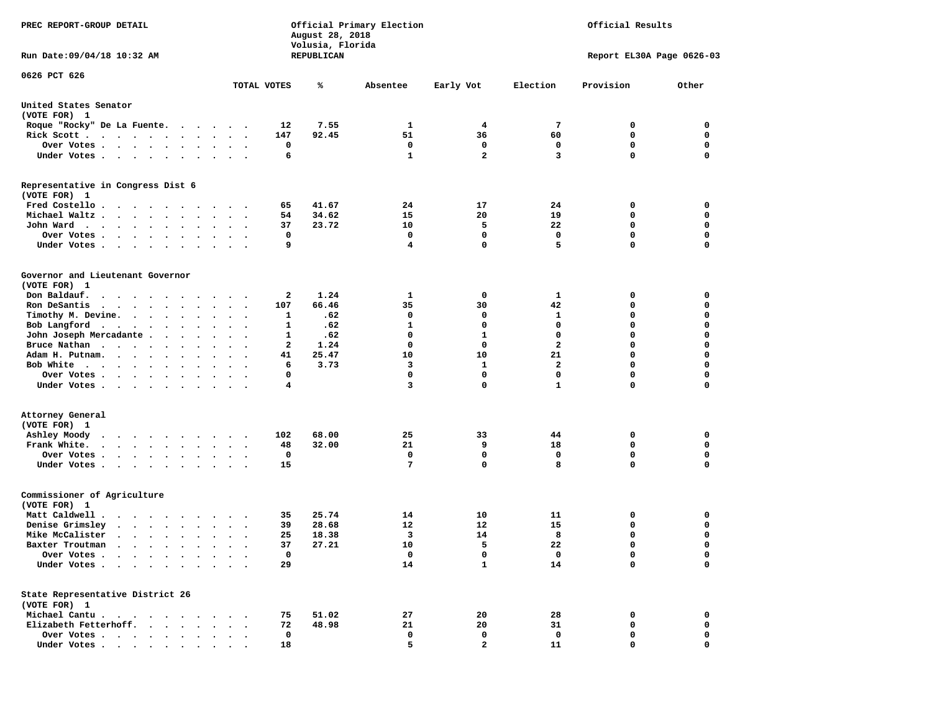| PREC REPORT-GROUP DETAIL                                                                                                                                                                                                                             |                                   | August 28, 2018<br>Volusia, Florida | Official Primary Election | Official Results |              |                           |                  |
|------------------------------------------------------------------------------------------------------------------------------------------------------------------------------------------------------------------------------------------------------|-----------------------------------|-------------------------------------|---------------------------|------------------|--------------|---------------------------|------------------|
| Run Date:09/04/18 10:32 AM                                                                                                                                                                                                                           |                                   | REPUBLICAN                          |                           |                  |              | Report EL30A Page 0626-03 |                  |
| 0626 PCT 626                                                                                                                                                                                                                                         |                                   |                                     |                           |                  |              |                           |                  |
|                                                                                                                                                                                                                                                      | TOTAL VOTES                       | ℁                                   | Absentee                  | Early Vot        | Election     | Provision                 | Other            |
| United States Senator<br>(VOTE FOR) 1                                                                                                                                                                                                                |                                   |                                     |                           |                  |              |                           |                  |
| Roque "Rocky" De La Fuente.                                                                                                                                                                                                                          |                                   | 12<br>7.55                          | 1                         | 4                | 7            | 0                         | 0                |
| Rick Scott                                                                                                                                                                                                                                           |                                   | 147<br>92.45                        | 51                        | 36               | 60           | 0                         | 0                |
| Over Votes                                                                                                                                                                                                                                           |                                   | 0                                   | 0                         | 0                | 0            | 0                         | 0                |
| Under Votes<br>$\sim$                                                                                                                                                                                                                                | $\ddot{\phantom{1}}$              | 6                                   | $\mathbf{1}$              | $\overline{a}$   | 3            | 0                         | 0                |
| Representative in Congress Dist 6<br>(VOTE FOR) 1                                                                                                                                                                                                    |                                   |                                     |                           |                  |              |                           |                  |
| Fred Costello                                                                                                                                                                                                                                        |                                   | 41.67<br>65                         | 24                        | 17               | 24           | 0                         | 0                |
| Michael Waltz.<br>$\cdots$<br>$\sim$ $\sim$<br>$\ddot{\phantom{0}}$                                                                                                                                                                                  |                                   | 34.62<br>54                         | 15                        | 20               | 19           | 0                         | 0                |
| John Ward<br>$\bullet$<br>$\bullet$                                                                                                                                                                                                                  |                                   | 37<br>23.72                         | 10                        | 5                | 22           | 0                         | 0                |
| Over Votes .<br>$\cdot$ $\cdot$ $\cdot$<br>$\sim$<br>$\cdot$                                                                                                                                                                                         |                                   | 0                                   | 0                         | 0                | 0            | $\mathbf 0$               | $\mathbf 0$      |
| Under Votes.<br>$\cdots$<br>$\cdot$                                                                                                                                                                                                                  |                                   | 9                                   | 4                         | 0                | 5            | 0                         | $\mathbf 0$      |
| Governor and Lieutenant Governor<br>(VOTE FOR) 1                                                                                                                                                                                                     |                                   |                                     |                           |                  |              |                           |                  |
| Don Baldauf.                                                                                                                                                                                                                                         |                                   | 2<br>1.24                           | 1                         | 0                | 1            | 0                         | 0                |
| Ron DeSantis<br>$\cdots$                                                                                                                                                                                                                             |                                   | 107<br>66.46                        | 35                        | 30               | 42           | 0                         | 0                |
| Timothy M. Devine.                                                                                                                                                                                                                                   |                                   | 1<br>.62                            | 0                         | 0                | 1            | 0                         | $\mathbf 0$      |
| Bob Langford<br>$\bullet$<br>$\bullet$                                                                                                                                                                                                               | $\bullet$<br>$\ddot{\phantom{0}}$ | 1<br>.62                            | $\mathbf{1}$              | 0                | $\mathbf 0$  | 0                         | $\mathbf 0$      |
| John Joseph Mercadante<br>$\sim$<br>$\ddot{\phantom{a}}$                                                                                                                                                                                             |                                   | .62<br>1                            | 0                         | $\mathbf{1}$     | 0            | 0                         | 0                |
| Bruce Nathan                                                                                                                                                                                                                                         |                                   | 2<br>1.24                           | 0                         | 0                | $\mathbf{2}$ | 0                         | $\mathbf 0$      |
| Adam H. Putnam.<br>$\cdot$ $\cdot$ $\cdot$ $\cdot$<br>$\bullet$                                                                                                                                                                                      |                                   | 25.47<br>41                         | 10                        | 10               | 21           | 0                         | $\mathbf 0$      |
| Bob White                                                                                                                                                                                                                                            |                                   | 6<br>3.73                           | 3                         | 1                | $\mathbf{2}$ | 0                         | $\mathbf 0$      |
| Over Votes .<br>$\cdot$ $\cdot$ $\cdot$ $\cdot$<br>$\ddot{\phantom{0}}$<br>$\bullet$                                                                                                                                                                 | $\bullet$                         | 0                                   | 0                         | $\mathbf 0$      | $\mathbf 0$  | 0                         | $\mathbf 0$      |
| Under Votes                                                                                                                                                                                                                                          |                                   | 4                                   | 3                         | $\mathbf 0$      | $\mathbf{1}$ | 0                         | 0                |
| Attorney General<br>(VOTE FOR) 1                                                                                                                                                                                                                     |                                   |                                     |                           |                  |              |                           |                  |
| Ashley Moody<br>$\cdots$<br>$\bullet$<br>Frank White.                                                                                                                                                                                                |                                   | 68.00<br>102<br>48<br>32.00         | 25<br>21                  | 33<br>9          | 44<br>18     | 0<br>0                    | 0<br>$\mathbf 0$ |
| $\cdots$<br>$\bullet$<br>$\bullet$<br>Over Votes.<br>$\cdot$ $\cdot$ $\cdot$ $\cdot$                                                                                                                                                                 | $\cdot$<br>$\bullet$              | 0                                   | 0                         | 0                | 0            | 0                         | 0                |
| $\sim$<br>Under Votes<br>$\sim$                                                                                                                                                                                                                      | $\sim$ $\sim$                     | 15                                  | 7                         | $\mathbf{0}$     | 8            | 0                         | $\Omega$         |
| Commissioner of Agriculture<br>(VOTE FOR) 1                                                                                                                                                                                                          |                                   |                                     |                           |                  |              |                           |                  |
| Matt Caldwell .<br>$\mathbf{r}$ . The set of the set of the set of the set of the set of the set of the set of the set of the set of the set of the set of the set of the set of the set of the set of the set of the set of the set of the set of t |                                   | 25.74<br>35                         | 14                        | 10               | 11           | 0                         | 0                |
| Denise Grimsley<br>$\begin{array}{cccccccccccccc} \bullet & \bullet & \bullet & \bullet & \bullet & \bullet & \bullet & \bullet & \bullet \end{array}$                                                                                               |                                   | 39<br>28.68                         | 12                        | 12               | 15           | 0                         | 0                |
| Mike McCalister<br>$\cdot$<br>$\ddot{\phantom{a}}$                                                                                                                                                                                                   | $\bullet$                         | 25<br>18.38                         | 3                         | 14               | 8            | 0                         | $\mathbf 0$      |
| Baxter Troutman<br>.                                                                                                                                                                                                                                 |                                   | 37<br>27.21                         | 10                        | 5                | 22           | 0                         | 0                |
| Over Votes .                                                                                                                                                                                                                                         |                                   | 0                                   | 0                         | 0                | 0            | 0                         | 0                |
| Under Votes.<br>$\ddot{\phantom{a}}$                                                                                                                                                                                                                 |                                   | 29                                  | 14                        | $\mathbf{1}$     | 14           | 0                         | $\mathbf 0$      |
| State Representative District 26<br>(VOTE FOR) 1                                                                                                                                                                                                     |                                   |                                     |                           |                  |              |                           |                  |
| Michael Cantu.<br>$\sim$ $\sim$                                                                                                                                                                                                                      |                                   | 75<br>51.02                         | 27                        | 20               | 28           | 0                         | 0                |
| Elizabeth Fetterhoff.                                                                                                                                                                                                                                |                                   | 72<br>48.98                         | 21                        | 20               | 31           | 0                         | 0                |
| Over Votes .<br>$\ddot{\phantom{0}}$<br>$\ddot{\phantom{0}}$<br>$\bullet$<br>$\bullet$                                                                                                                                                               |                                   | 0                                   | 0                         | 0                | 0            | 0                         | 0                |
| Under Votes<br>$\bullet$                                                                                                                                                                                                                             |                                   | 18                                  | 5                         | 2                | 11           | 0                         | 0                |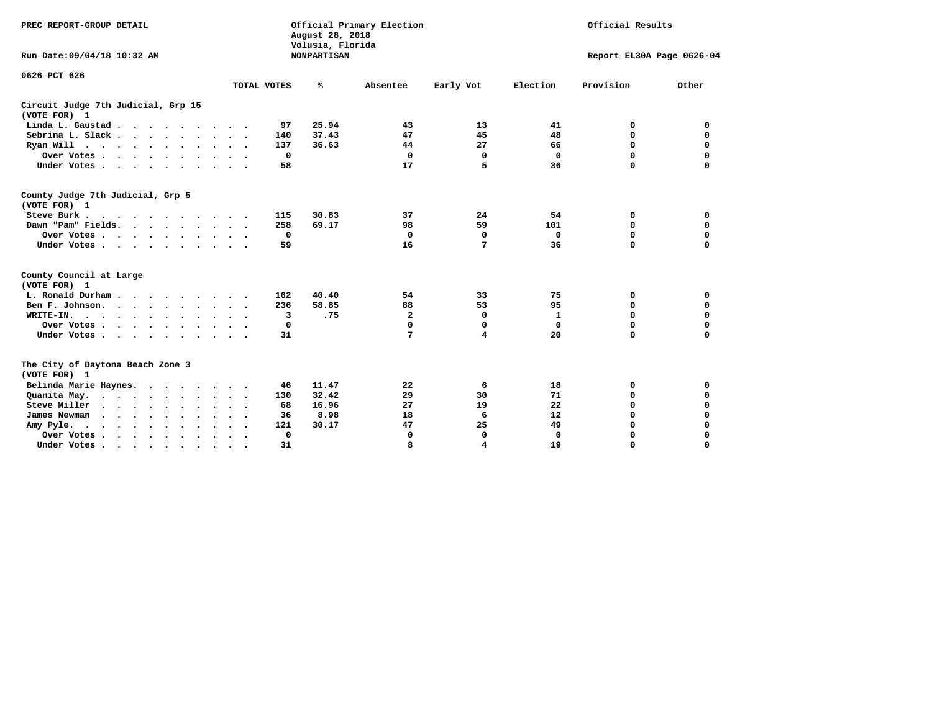| PREC REPORT-GROUP DETAIL<br>Run Date: 09/04/18 10:32 AM |             | August 28, 2018<br>Volusia, Florida<br><b>NONPARTISAN</b> | Official Primary Election |           | Official Results<br>Report EL30A Page 0626-04 |             |             |  |  |
|---------------------------------------------------------|-------------|-----------------------------------------------------------|---------------------------|-----------|-----------------------------------------------|-------------|-------------|--|--|
| 0626 PCT 626                                            | TOTAL VOTES | %                                                         | Absentee                  | Early Vot | Election                                      | Provision   | Other       |  |  |
| Circuit Judge 7th Judicial, Grp 15<br>(VOTE FOR) 1      |             |                                                           |                           |           |                                               |             |             |  |  |
| Linda L. Gaustad                                        | 97          | 25.94                                                     | 43                        | 13        | 41                                            | 0           | 0           |  |  |
| Sebrina L. Slack                                        | 140         | 37.43                                                     | 47                        | 45        | 48                                            | 0           | $\mathbf 0$ |  |  |
| Ryan Will $\cdots$ , $\cdots$ , $\cdots$ , $\cdots$     | 137         | 36.63                                                     | 44                        | 27        | 66                                            | $\mathbf 0$ | $\mathbf 0$ |  |  |
| Over Votes                                              | 0           |                                                           | $\mathbf 0$               | 0         | $\Omega$                                      | $\Omega$    | $\mathbf 0$ |  |  |
| Under Votes                                             | 58          |                                                           | 17                        | 5         | 36                                            | $\Omega$    | $\Omega$    |  |  |
| County Judge 7th Judicial, Grp 5<br>(VOTE FOR) 1        |             |                                                           |                           |           |                                               |             |             |  |  |
| Steve Burk                                              | 115         | 30.83                                                     | 37                        | 24        | 54                                            | 0           | 0           |  |  |
| Dawn "Pam" Fields.                                      | 258         | 69.17                                                     | 98                        | 59        | 101                                           | 0           | $\mathbf 0$ |  |  |
| Over Votes                                              | 0           |                                                           | 0                         | 0         | $\Omega$                                      | 0           | $\Omega$    |  |  |
| Under Votes                                             | 59          |                                                           | 16                        | 7         | 36                                            | $\Omega$    | $\Omega$    |  |  |
| County Council at Large<br>(VOTE FOR) 1                 |             |                                                           |                           |           |                                               |             |             |  |  |
| L. Ronald Durham                                        | 162         | 40.40                                                     | 54                        | 33        | 75                                            | 0           | 0           |  |  |
| Ben F. Johnson.                                         | 236         | 58.85                                                     | 88                        | 53        | 95                                            | 0           | $\mathbf 0$ |  |  |
| WRITE-IN.                                               | 3           | .75                                                       | $\mathbf{2}$              | 0         | 1                                             | 0           | 0           |  |  |
| Over Votes                                              | 0           |                                                           | $\Omega$                  | $\Omega$  | $\Omega$                                      | 0           | $\Omega$    |  |  |
| Under Votes                                             | 31          |                                                           | 7                         | 4         | 20                                            | $\Omega$    | $\Omega$    |  |  |
| The City of Daytona Beach Zone 3<br>(VOTE FOR) 1        |             |                                                           |                           |           |                                               |             |             |  |  |
| Belinda Marie Haynes.                                   | 46          | 11.47                                                     | 22                        | 6         | 18                                            | 0           | 0           |  |  |
| Quanita May.                                            | 130         | 32.42                                                     | 29                        | 30        | 71                                            | 0           | 0           |  |  |
| Steve Miller                                            | 68          | 16.96                                                     | 27                        | 19        | 22                                            | 0           | 0           |  |  |
| James Newman                                            | 36          | 8.98                                                      | 18                        | 6         | 12                                            | 0           | $\Omega$    |  |  |
| Amy Pyle.<br>$\cdots$                                   | 121         | 30.17                                                     | 47                        | 25        | 49                                            | $\Omega$    | 0           |  |  |
| Over Votes                                              | 0           |                                                           | 0                         | 0         | $\mathbf 0$                                   | 0           | 0           |  |  |
| Under Votes, , , , , , , , , ,                          | 31          |                                                           |                           | 4         | 19                                            | $\Omega$    | $\Omega$    |  |  |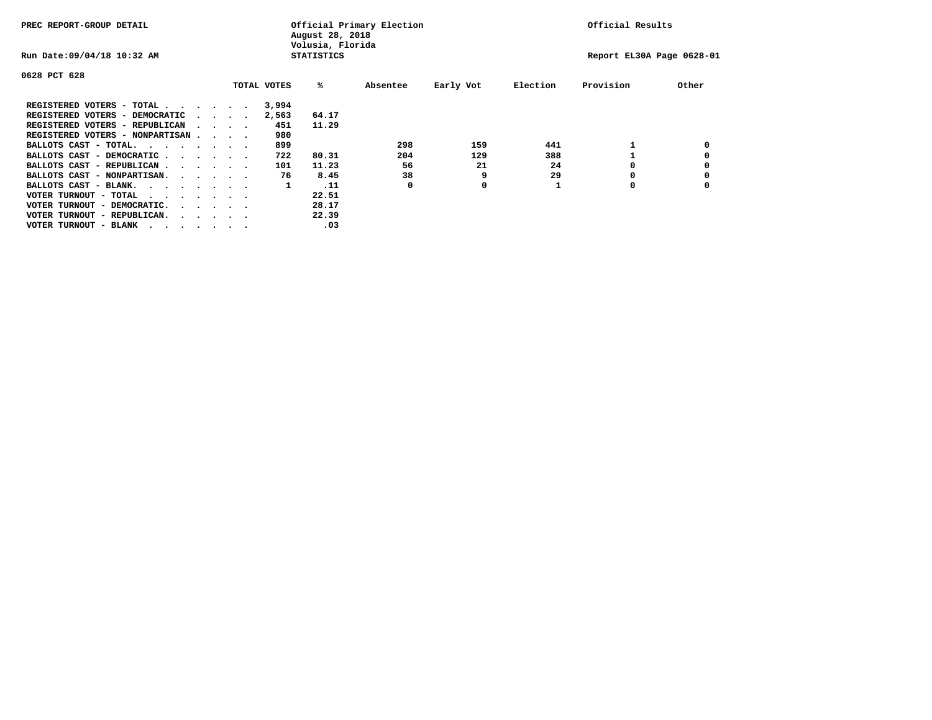| PREC REPORT-GROUP DETAIL               |  |  |                                         | August 28, 2018<br>Volusia, Florida | Official Primary Election |          | Official Results |          |                           |       |
|----------------------------------------|--|--|-----------------------------------------|-------------------------------------|---------------------------|----------|------------------|----------|---------------------------|-------|
| Run Date: 09/04/18 10:32 AM            |  |  |                                         |                                     | <b>STATISTICS</b>         |          |                  |          | Report EL30A Page 0628-01 |       |
| 0628 PCT 628                           |  |  |                                         |                                     |                           |          |                  |          |                           |       |
|                                        |  |  |                                         | TOTAL VOTES                         | %ะ                        | Absentee | Early Vot        | Election | Provision                 | Other |
| REGISTERED VOTERS - TOTAL              |  |  |                                         | 3,994                               |                           |          |                  |          |                           |       |
| REGISTERED VOTERS - DEMOCRATIC         |  |  | $\sim$ $\sim$ $\sim$ $\sim$             | 2,563                               | 64.17                     |          |                  |          |                           |       |
| REGISTERED VOTERS - REPUBLICAN         |  |  | $\sim$ $\sim$ $\sim$ $\sim$             | 451                                 | 11.29                     |          |                  |          |                           |       |
| REGISTERED VOTERS - NONPARTISAN        |  |  |                                         | 980                                 |                           |          |                  |          |                           |       |
| BALLOTS CAST - TOTAL.                  |  |  |                                         | 899                                 |                           | 298      | 159              | 441      |                           |       |
| BALLOTS CAST - DEMOCRATIC              |  |  |                                         | 722                                 | 80.31                     | 204      | 129              | 388      |                           |       |
| BALLOTS CAST - REPUBLICAN              |  |  |                                         | 101                                 | 11.23                     | 56       | 21               | 24       | 0                         |       |
| BALLOTS CAST - NONPARTISAN.            |  |  |                                         | 76                                  | 8.45                      | 38       | 9                | 29       |                           |       |
| BALLOTS CAST - BLANK.                  |  |  |                                         | 1                                   | .11                       | 0        | 0                |          | 0                         |       |
| VOTER TURNOUT - TOTAL<br>$\cdots$      |  |  |                                         |                                     | 22.51                     |          |                  |          |                           |       |
| VOTER TURNOUT - DEMOCRATIC.            |  |  | $\cdot$ $\cdot$ $\cdot$ $\cdot$ $\cdot$ |                                     | 28.17                     |          |                  |          |                           |       |
| VOTER TURNOUT - REPUBLICAN.<br>$\cdot$ |  |  |                                         |                                     | 22.39                     |          |                  |          |                           |       |
| VOTER TURNOUT - BLANK                  |  |  |                                         |                                     | .03                       |          |                  |          |                           |       |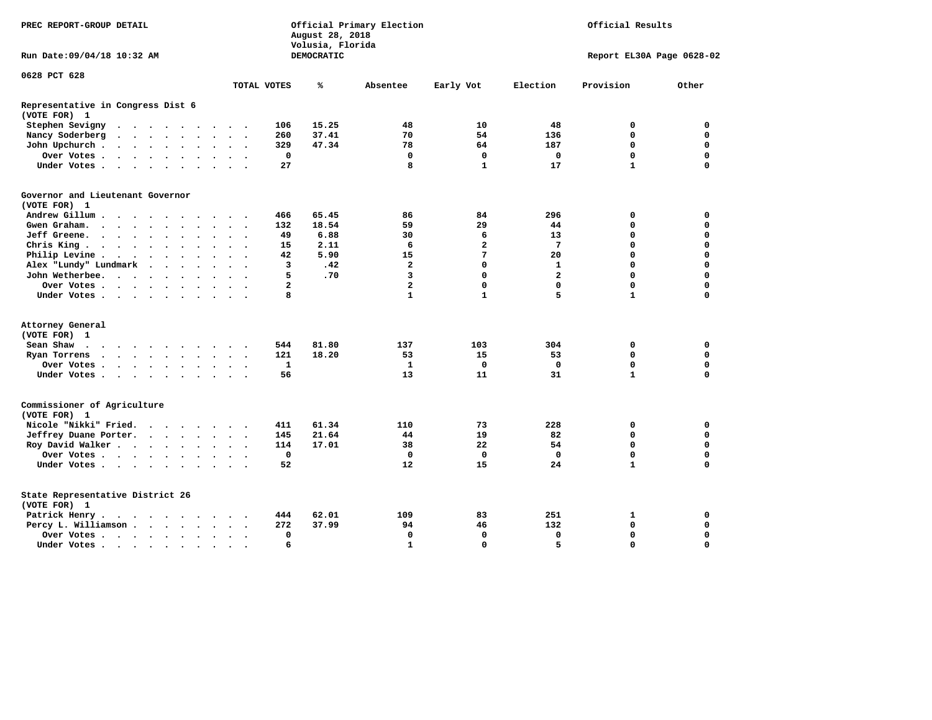| PREC REPORT-GROUP DETAIL                          |                                                                                         |                      |                      |                      |                      |                      | August 28, 2018<br>Volusia, Florida | Official Primary Election |                | Official Results |                         |              |                           |              |             |  |  |  |
|---------------------------------------------------|-----------------------------------------------------------------------------------------|----------------------|----------------------|----------------------|----------------------|----------------------|-------------------------------------|---------------------------|----------------|------------------|-------------------------|--------------|---------------------------|--------------|-------------|--|--|--|
| Run Date:09/04/18 10:32 AM                        |                                                                                         |                      |                      |                      |                      |                      |                                     |                           |                | DEMOCRATIC       |                         |              | Report EL30A Page 0628-02 |              |             |  |  |  |
| 0628 PCT 628                                      |                                                                                         |                      |                      |                      |                      |                      |                                     |                           |                |                  |                         |              |                           |              |             |  |  |  |
|                                                   |                                                                                         |                      |                      |                      |                      |                      |                                     |                           | TOTAL VOTES    | ℁                | Absentee                | Early Vot    | Election                  | Provision    | Other       |  |  |  |
| Representative in Congress Dist 6<br>(VOTE FOR) 1 |                                                                                         |                      |                      |                      |                      |                      |                                     |                           |                |                  |                         |              |                           |              |             |  |  |  |
| Stephen Sevigny                                   | $\cdots$                                                                                |                      |                      |                      |                      |                      |                                     |                           | 106            | 15.25            | 48                      | 10           | 48                        | 0            | 0           |  |  |  |
| Nancy Soderberg                                   |                                                                                         |                      |                      |                      |                      |                      |                                     |                           | 260            | 37.41            | 70                      | 54           | 136                       | 0            | 0           |  |  |  |
| John Upchurch.                                    |                                                                                         |                      |                      |                      |                      |                      | $\ddot{\phantom{1}}$                |                           | 329            | 47.34            | 78                      | 64           | 187                       | $\mathbf 0$  | $\mathbf 0$ |  |  |  |
| Over Votes                                        |                                                                                         |                      |                      |                      |                      | $\ddot{\phantom{1}}$ | $\ddot{\phantom{1}}$                |                           | $\mathbf 0$    |                  | $\mathbf 0$             | $\mathbf 0$  | $\mathbf 0$               | $\mathbf 0$  | $\mathbf 0$ |  |  |  |
| Under Votes                                       |                                                                                         |                      |                      |                      |                      |                      | $\sim$                              |                           | 27             |                  | 8                       | $\mathbf{1}$ | 17                        | $\mathbf{1}$ | $\Omega$    |  |  |  |
| Governor and Lieutenant Governor<br>(VOTE FOR) 1  |                                                                                         |                      |                      |                      |                      |                      |                                     |                           |                |                  |                         |              |                           |              |             |  |  |  |
| Andrew Gillum                                     |                                                                                         |                      |                      |                      |                      |                      |                                     |                           | 466            | 65.45            | 86                      | 84           | 296                       | 0            | 0           |  |  |  |
| Gwen Graham.                                      | $\cdots$                                                                                |                      |                      |                      |                      |                      | $\sim$ $\sim$                       | $\overline{\phantom{a}}$  | 132            | 18.54            | 59                      | 29           | 44                        | $\mathbf 0$  | $\mathbf 0$ |  |  |  |
| Jeff Greene.                                      |                                                                                         |                      | $\ddot{\phantom{a}}$ |                      |                      |                      | $\ddot{\phantom{a}}$                |                           | 49             | 6.88             | 30                      | 6            | 13                        | $\mathbf 0$  | $\mathbf 0$ |  |  |  |
| Chris King                                        |                                                                                         |                      |                      |                      |                      |                      | $\sim$ $\sim$                       |                           | 15             | 2.11             | 6                       | 2            | 7                         | $\mathbf 0$  | $\mathbf 0$ |  |  |  |
| Philip Levine.                                    | $\mathcal{A}=\mathcal{A}=\mathcal{A}=\mathcal{A}=\mathcal{A}=\mathcal{A}$ .             |                      |                      |                      |                      | $\ddot{\phantom{a}}$ | $\sim$                              | $\sim$                    | 42             | 5.90             | 15                      | 7            | 20                        | $\mathbf 0$  | $\mathbf 0$ |  |  |  |
| Alex "Lundy" Lundmark                             |                                                                                         | $\ddot{\phantom{1}}$ |                      | $\ddot{\phantom{1}}$ | $\ddot{\phantom{0}}$ |                      | $\bullet$                           |                           | 3              | .42              | 2                       | $\mathbf 0$  | 1                         | $\mathbf 0$  | 0           |  |  |  |
| John Wetherbee.                                   |                                                                                         |                      |                      |                      | $\bullet$            | $\ddot{\phantom{a}}$ | $\bullet$                           |                           | 5              | .70              | 3                       | $\mathbf 0$  | $\overline{a}$            | $\mathbf 0$  | $\mathbf 0$ |  |  |  |
| Over Votes                                        |                                                                                         |                      |                      |                      |                      |                      | $\sim$                              |                           | $\overline{a}$ |                  | $\overline{\mathbf{2}}$ | $\mathbf 0$  | $\mathbf 0$               | $\mathbf 0$  | $\mathbf 0$ |  |  |  |
| Under Votes                                       |                                                                                         |                      |                      |                      |                      |                      |                                     |                           | 8              |                  | $\mathbf{1}$            | $\mathbf{1}$ | 5                         | $\mathbf{1}$ | $\mathbf 0$ |  |  |  |
| Attorney General                                  |                                                                                         |                      |                      |                      |                      |                      |                                     |                           |                |                  |                         |              |                           |              |             |  |  |  |
| (VOTE FOR) 1                                      |                                                                                         |                      |                      |                      |                      |                      |                                     |                           |                |                  |                         |              |                           |              |             |  |  |  |
| Sean Shaw                                         |                                                                                         |                      |                      |                      |                      |                      | $\sim$ $\sim$                       |                           | 544            | 81.80            | 137                     | 103          | 304                       | 0            | 0           |  |  |  |
| Ryan Torrens                                      | $\mathbf{r}$ , $\mathbf{r}$ , $\mathbf{r}$ , $\mathbf{r}$ , $\mathbf{r}$ , $\mathbf{r}$ |                      |                      |                      |                      |                      | $\ddot{\phantom{1}}$                | $\ddot{\phantom{1}}$      | 121            | 18.20            | 53                      | 15           | 53                        | $\mathbf 0$  | $\mathbf 0$ |  |  |  |
| Over Votes                                        |                                                                                         |                      |                      |                      |                      |                      |                                     |                           | 1              |                  | $\mathbf{1}$            | $\mathbf 0$  | $\mathbf 0$               | $\mathbf 0$  | $\mathbf 0$ |  |  |  |
| Under Votes                                       |                                                                                         |                      |                      |                      |                      | $\ddot{\phantom{1}}$ | $\sim$ $\sim$                       |                           | 56             |                  | 13                      | 11           | 31                        | $\mathbf{1}$ | $\mathbf 0$ |  |  |  |
|                                                   |                                                                                         |                      |                      |                      |                      |                      |                                     |                           |                |                  |                         |              |                           |              |             |  |  |  |
| Commissioner of Agriculture<br>(VOTE FOR) 1       |                                                                                         |                      |                      |                      |                      |                      |                                     |                           |                |                  |                         |              |                           |              |             |  |  |  |
| Nicole "Nikki" Fried.                             |                                                                                         |                      |                      |                      |                      |                      |                                     |                           | 411            | 61.34            | 110                     | 73           | 228                       | 0            | 0           |  |  |  |
| Jeffrey Duane Porter.                             |                                                                                         |                      |                      |                      |                      |                      |                                     |                           | 145            | 21.64            | 44                      | 19           | 82                        | 0            | 0           |  |  |  |
| Roy David Walker                                  |                                                                                         |                      |                      |                      |                      |                      |                                     |                           | 114            | 17.01            | 38                      | 22           | 54                        | $\mathbf 0$  | $\mathbf 0$ |  |  |  |
| Over Votes                                        |                                                                                         |                      |                      |                      |                      |                      | $\overline{\phantom{a}}$            |                           | $\mathbf 0$    |                  | $\mathbf{0}$            | $\mathbf 0$  | $\Omega$                  | $\mathbf 0$  | $\mathbf 0$ |  |  |  |
| Under Votes                                       |                                                                                         |                      |                      |                      |                      |                      | $\sim$ $\sim$                       |                           | 52             |                  | 12                      | 15           | 24                        | $\mathbf{1}$ | $\mathbf 0$ |  |  |  |
| State Representative District 26<br>(VOTE FOR) 1  |                                                                                         |                      |                      |                      |                      |                      |                                     |                           |                |                  |                         |              |                           |              |             |  |  |  |
| Patrick Henry.                                    | .                                                                                       |                      |                      |                      |                      |                      |                                     |                           | 444            | 62.01            | 109                     | 83           | 251                       | 1            | 0           |  |  |  |
| Percy L. Williamson                               |                                                                                         |                      |                      |                      |                      | $\bullet$            | $\ddot{\phantom{a}}$                | $\overline{\phantom{a}}$  | 272            | 37.99            | 94                      | 46           | 132                       | $\mathbf 0$  | $\mathbf 0$ |  |  |  |
| Over Votes                                        |                                                                                         |                      |                      |                      |                      |                      | $\bullet$                           |                           | $\mathbf 0$    |                  | $\mathbf 0$             | $\mathbf 0$  | $\mathbf 0$               | $\mathbf 0$  | $\mathbf 0$ |  |  |  |
| Under Votes                                       |                                                                                         |                      |                      |                      |                      |                      |                                     |                           | 6              |                  | $\mathbf{1}$            | $\Omega$     | 5                         | $\Omega$     | $\Omega$    |  |  |  |
|                                                   |                                                                                         |                      |                      |                      |                      |                      |                                     |                           |                |                  |                         |              |                           |              |             |  |  |  |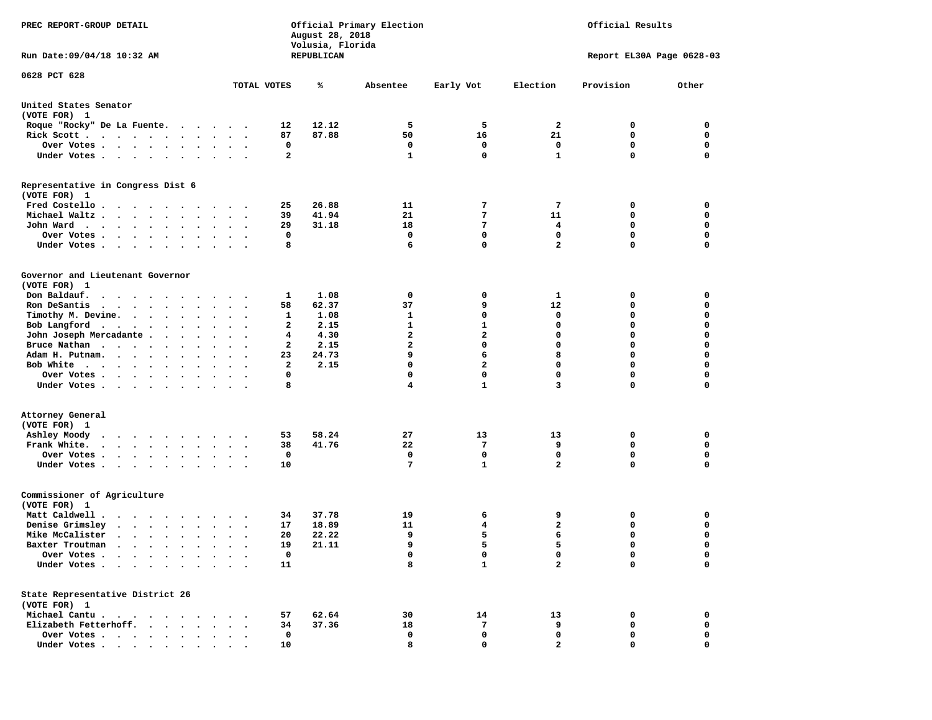| PREC REPORT-GROUP DETAIL                                                                                                                                                                                                                              |                             |              | August 28, 2018<br>Volusia, Florida<br>REPUBLICAN | Official Primary Election | Official Results<br>Report EL30A Page 0628-03 |                |             |             |  |  |
|-------------------------------------------------------------------------------------------------------------------------------------------------------------------------------------------------------------------------------------------------------|-----------------------------|--------------|---------------------------------------------------|---------------------------|-----------------------------------------------|----------------|-------------|-------------|--|--|
| Run Date: 09/04/18 10:32 AM                                                                                                                                                                                                                           |                             |              |                                                   |                           |                                               |                |             |             |  |  |
| 0628 PCT 628                                                                                                                                                                                                                                          | TOTAL VOTES                 |              | ℁                                                 | Absentee                  | Early Vot                                     | Election       | Provision   | Other       |  |  |
| United States Senator<br>(VOTE FOR) 1                                                                                                                                                                                                                 |                             |              |                                                   |                           |                                               |                |             |             |  |  |
| Roque "Rocky" De La Fuente.                                                                                                                                                                                                                           |                             | 12           | 12.12                                             | 5                         | 5                                             | 2              | 0           | 0           |  |  |
| Rick Scott                                                                                                                                                                                                                                            | $\bullet$                   | 87           | 87.88                                             | 50                        | 16                                            | 21             | 0           | $\mathbf 0$ |  |  |
| Over Votes                                                                                                                                                                                                                                            |                             | 0            |                                                   | 0                         | 0                                             | 0              | 0           | 0           |  |  |
| Under Votes                                                                                                                                                                                                                                           | $\sim$ $\sim$ $\sim$ $\sim$ | $\mathbf{2}$ |                                                   | $\mathbf{1}$              | $\mathbf 0$                                   | $\mathbf{1}$   | 0           | $\mathbf 0$ |  |  |
| Representative in Congress Dist 6<br>(VOTE FOR) 1                                                                                                                                                                                                     |                             |              |                                                   |                           |                                               |                |             |             |  |  |
| Fred Costello                                                                                                                                                                                                                                         |                             | 25           | 26.88                                             | 11                        | 7                                             | 7              | 0           | 0           |  |  |
| Michael Waltz.                                                                                                                                                                                                                                        |                             | 39           | 41.94                                             | 21                        | 7                                             | 11             | 0           | 0           |  |  |
| John Ward                                                                                                                                                                                                                                             |                             | 29           | 31.18                                             | 18                        | 7                                             | 4              | 0           | $\mathbf 0$ |  |  |
| Over Votes.<br>$\cdots$<br>$\bullet$                                                                                                                                                                                                                  |                             | 0            |                                                   | 0                         | 0                                             | $\mathbf 0$    | 0           | 0           |  |  |
| Under Votes                                                                                                                                                                                                                                           |                             | 8            |                                                   | 6                         | $\mathbf 0$                                   | $\overline{a}$ | 0           | $\mathbf 0$ |  |  |
| Governor and Lieutenant Governor<br>(VOTE FOR) 1                                                                                                                                                                                                      |                             |              |                                                   |                           |                                               |                |             |             |  |  |
| Don Baldauf.<br>.                                                                                                                                                                                                                                     |                             | 1            | 1.08                                              | 0                         | 0                                             | 1              | 0           | 0           |  |  |
| Ron DeSantis<br>$\begin{array}{cccccccccccccc} \bullet & \bullet & \bullet & \bullet & \bullet & \bullet & \bullet & \bullet & \bullet & \bullet & \bullet \end{array}$<br>$\bullet$                                                                  | $\bullet$<br>$\bullet$      | 58           | 62.37                                             | 37                        | 9                                             | 12             | 0           | $\mathbf 0$ |  |  |
| Timothy M. Devine.                                                                                                                                                                                                                                    |                             | 1            | 1.08                                              | 1                         | 0                                             | 0              | 0           | 0           |  |  |
| Bob Langford<br>$\sim$                                                                                                                                                                                                                                | $\ddot{\phantom{1}}$        | 2            | 2.15                                              | $\mathbf{1}$              | $\mathbf{1}$                                  | $\mathbf 0$    | 0           | $\mathbf 0$ |  |  |
| John Joseph Mercadante                                                                                                                                                                                                                                |                             | 4            | 4.30                                              | $\overline{a}$            | $\overline{a}$                                | $\mathbf 0$    | 0           | $\mathbf 0$ |  |  |
| Bruce Nathan                                                                                                                                                                                                                                          |                             | 2            | 2.15                                              | $\mathbf{2}$              | 0                                             | $\Omega$       | 0           | $\mathbf 0$ |  |  |
| Adam H. Putnam.<br>$\cdots$                                                                                                                                                                                                                           |                             | 23           | 24.73                                             | 9                         | 6                                             | 8              | 0           | $\mathbf 0$ |  |  |
| Bob White                                                                                                                                                                                                                                             |                             | $\mathbf{2}$ | 2.15                                              | $\mathbf 0$               | $\overline{\mathbf{2}}$                       | $\mathbf 0$    | 0           | $\mathbf 0$ |  |  |
| Over Votes<br>$\sim$                                                                                                                                                                                                                                  | $\bullet$<br>$\sim$         | 0            |                                                   | $\mathbf 0$               | $\mathbf 0$                                   | $\mathbf 0$    | 0           | 0           |  |  |
| Under Votes                                                                                                                                                                                                                                           |                             | 8            |                                                   | 4                         | $\mathbf{1}$                                  | 3              | 0           | 0           |  |  |
| Attorney General                                                                                                                                                                                                                                      |                             |              |                                                   |                           |                                               |                |             |             |  |  |
| (VOTE FOR) 1                                                                                                                                                                                                                                          |                             |              |                                                   |                           |                                               |                |             |             |  |  |
| Ashley Moody<br>$\cdots$                                                                                                                                                                                                                              |                             | 53           | 58.24                                             | 27                        | 13                                            | 13             | 0           | 0           |  |  |
| Frank White.                                                                                                                                                                                                                                          |                             | 38           | 41.76                                             | 22                        | 7                                             | 9              | 0           | 0           |  |  |
| Over Votes                                                                                                                                                                                                                                            |                             | 0            |                                                   | 0                         | 0                                             | $\mathbf 0$    | $\mathbf 0$ | $\mathbf 0$ |  |  |
| Under Votes<br>$\bullet$                                                                                                                                                                                                                              |                             | 10           |                                                   | 7                         | $\mathbf{1}$                                  | $\overline{a}$ | 0           | 0           |  |  |
| Commissioner of Agriculture<br>(VOTE FOR) 1                                                                                                                                                                                                           |                             |              |                                                   |                           |                                               |                |             |             |  |  |
| Matt Caldwell .<br>$\cdots$                                                                                                                                                                                                                           |                             | 34           | 37.78                                             | 19                        | 6                                             | 9              | 0           | 0           |  |  |
| Denise Grimsley<br>$\mathbf{r}$ , $\mathbf{r}$ , $\mathbf{r}$ , $\mathbf{r}$ , $\mathbf{r}$                                                                                                                                                           | $\overline{\phantom{a}}$    | 17           | 18.89                                             | 11                        | 4                                             | 2              | 0           | 0           |  |  |
| Mike McCalister<br>$\mathcal{A}$ . The set of the set of the set of the set of the set of the set of the set of the set of the set of the set of the set of the set of the set of the set of the set of the set of the set of the set of the set of t |                             | 20           | 22.22                                             | 9                         | 5                                             | 6              | 0           | $\mathbf 0$ |  |  |
| Baxter Troutman<br>the company of the company of the company of the company of the company of the company of the company of the company of the company of the company of the company of the company of the company of the company of the company      |                             | 19           | 21.11                                             | 9                         | 5                                             | 5              | $\Omega$    | $\mathbf 0$ |  |  |
| Over Votes .<br>$\sim$ $\sim$ $\sim$<br>$\cdot$                                                                                                                                                                                                       |                             | 0            |                                                   | 0                         | 0                                             | 0              | 0           | 0           |  |  |
| Under Votes                                                                                                                                                                                                                                           |                             | 11           |                                                   | 8                         | $\mathbf{1}$                                  | $\overline{a}$ | 0           | $\mathbf 0$ |  |  |
| State Representative District 26                                                                                                                                                                                                                      |                             |              |                                                   |                           |                                               |                |             |             |  |  |
| (VOTE FOR) 1                                                                                                                                                                                                                                          |                             |              |                                                   |                           |                                               |                |             |             |  |  |
| Michael Cantu<br>$\ddot{\phantom{1}}$<br>$\blacksquare$<br>$\sim$<br>Elizabeth Fetterhoff.                                                                                                                                                            |                             | 57           | 62.64                                             | 30                        | 14                                            | 13             | 0           | 0<br>0      |  |  |
| $\cdots$<br>Over Votes                                                                                                                                                                                                                                |                             | 34<br>0      | 37.36                                             | 18<br>0                   | 7<br>$\mathbf 0$                              | 9<br>0         | 0<br>0      | 0           |  |  |
| Under Votes                                                                                                                                                                                                                                           | $\ddotsc$ $\ddotsc$         | 10           |                                                   | 8                         | $\mathbf 0$                                   | $\mathbf{2}$   | 0           | 0           |  |  |
|                                                                                                                                                                                                                                                       |                             |              |                                                   |                           |                                               |                |             |             |  |  |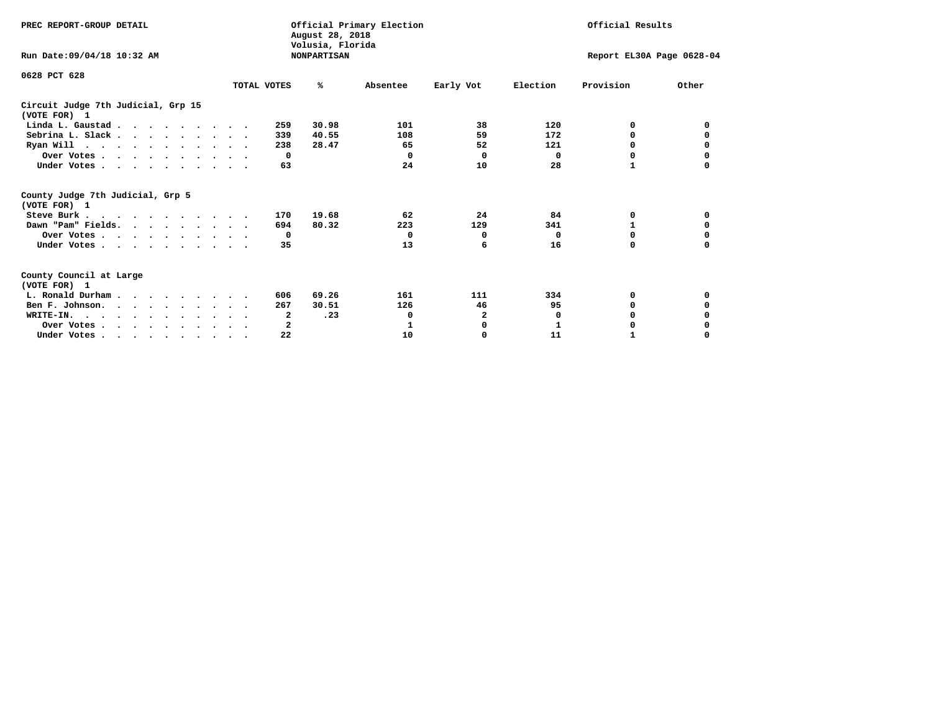| PREC REPORT-GROUP DETAIL                                                         |             | August 28, 2018                        | Official Primary Election |                           | Official Results |           |       |  |
|----------------------------------------------------------------------------------|-------------|----------------------------------------|---------------------------|---------------------------|------------------|-----------|-------|--|
| Run Date: 09/04/18 10:32 AM                                                      |             | Volusia, Florida<br><b>NONPARTISAN</b> |                           | Report EL30A Page 0628-04 |                  |           |       |  |
| 0628 PCT 628                                                                     | TOTAL VOTES | %ะ                                     | Absentee                  | Early Vot                 | Election         | Provision | Other |  |
|                                                                                  |             |                                        |                           |                           |                  |           |       |  |
| Circuit Judge 7th Judicial, Grp 15<br>(VOTE FOR) 1                               |             |                                        |                           |                           |                  |           |       |  |
| Linda L. Gaustad                                                                 |             | 30.98<br>259                           | 101                       | 38                        | 120              | 0         | 0     |  |
| Sebrina L. Slack.                                                                |             | 40.55<br>339                           | 108                       | 59                        | 172              | 0         |       |  |
| Ryan Will $\cdots$ , $\cdots$ , $\cdots$ , $\cdots$                              |             | 238<br>28.47                           | 65                        | 52                        | 121              | 0         | 0     |  |
| Over Votes                                                                       |             | $\Omega$                               | 0                         | 0                         | 0                | 0         | 0     |  |
| Under Votes                                                                      |             | 63                                     | 24                        | 10                        | 28               |           |       |  |
| County Judge 7th Judicial, Grp 5<br>(VOTE FOR) 1                                 |             |                                        |                           |                           |                  |           |       |  |
| Steve Burk                                                                       |             | 19.68<br>170                           | 62                        | 24                        | 84               | 0         | 0     |  |
| Dawn "Pam" Fields.                                                               |             | 80.32<br>694                           | 223                       | 129                       | 341              |           | 0     |  |
| Over Votes                                                                       |             | $\mathbf{o}$                           | 0                         | 0                         | 0                | 0         | 0     |  |
| Under Votes                                                                      |             | 35                                     | 13                        | 6                         | 16               | $\Omega$  | 0     |  |
| County Council at Large<br>(VOTE FOR) 1                                          |             |                                        |                           |                           |                  |           |       |  |
| L. Ronald Durham                                                                 |             | 69.26<br>606                           | 161                       | 111                       | 334              | 0         | 0     |  |
| Ben F. Johnson.                                                                  |             | 30.51<br>267                           | 126                       | 46                        | 95               | $\Omega$  | 0     |  |
| WRITE-IN.                                                                        |             | .23<br>2                               | 0                         | $\mathbf{2}$              | 0                | O         |       |  |
| Over Votes                                                                       |             | 2                                      | 1                         | 0                         | 1                | O         |       |  |
| Under Votes, $\cdot$ , $\cdot$ , $\cdot$ , $\cdot$ , $\cdot$ , $\cdot$ , $\cdot$ |             | 22                                     | 10                        | $\Omega$                  | 11               |           | 0     |  |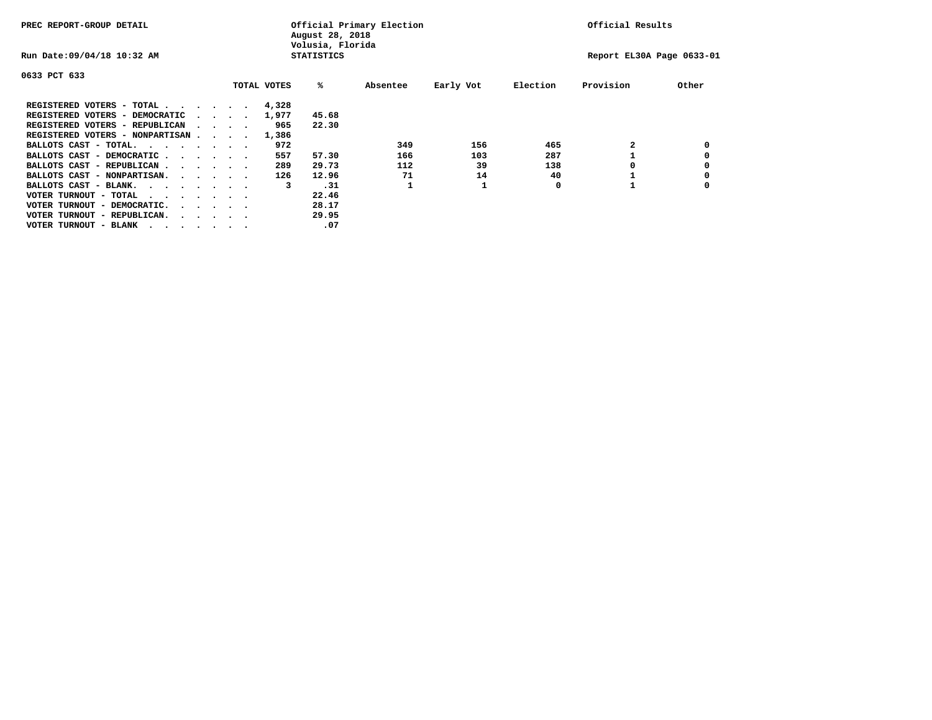| PREC REPORT-GROUP DETAIL                |  |                                         |  |             | August 28, 2018<br>Volusia, Florida | Official Primary Election | Official Results |          |                           |       |
|-----------------------------------------|--|-----------------------------------------|--|-------------|-------------------------------------|---------------------------|------------------|----------|---------------------------|-------|
| Run Date: 09/04/18 10:32 AM             |  |                                         |  |             | <b>STATISTICS</b>                   |                           |                  |          | Report EL30A Page 0633-01 |       |
| 0633 PCT 633                            |  |                                         |  |             |                                     |                           |                  |          |                           |       |
|                                         |  |                                         |  | TOTAL VOTES | %ะ                                  | Absentee                  | Early Vot        | Election | Provision                 | Other |
| REGISTERED VOTERS - TOTAL               |  |                                         |  | 4,328       |                                     |                           |                  |          |                           |       |
| REGISTERED VOTERS - DEMOCRATIC          |  | $\sim$ $\sim$ $\sim$ $\sim$             |  | 1,977       | 45.68                               |                           |                  |          |                           |       |
| REGISTERED VOTERS - REPUBLICAN          |  |                                         |  | 965         | 22.30                               |                           |                  |          |                           |       |
| REGISTERED VOTERS - NONPARTISAN         |  |                                         |  | 1,386       |                                     |                           |                  |          |                           |       |
| BALLOTS CAST - TOTAL.                   |  |                                         |  | 972         |                                     | 349                       | 156              | 465      |                           |       |
| BALLOTS CAST - DEMOCRATIC               |  |                                         |  | 557         | 57.30                               | 166                       | 103              | 287      |                           |       |
| BALLOTS CAST - REPUBLICAN               |  |                                         |  | 289         | 29.73                               | 112                       | 39               | 138      |                           |       |
| BALLOTS CAST - NONPARTISAN.             |  |                                         |  | 126         | 12.96                               | 71                        | 14               | 40       |                           |       |
| BALLOTS CAST - BLANK.                   |  |                                         |  | 3           | .31                                 |                           |                  | 0        |                           |       |
| VOTER TURNOUT - TOTAL<br>.              |  |                                         |  |             | 22.46                               |                           |                  |          |                           |       |
| VOTER TURNOUT - DEMOCRATIC.             |  | $\cdot$ $\cdot$ $\cdot$ $\cdot$ $\cdot$ |  |             | 28.17                               |                           |                  |          |                           |       |
| VOTER TURNOUT - REPUBLICAN.<br>$\cdots$ |  |                                         |  |             | 29.95                               |                           |                  |          |                           |       |
| VOTER TURNOUT - BLANK                   |  |                                         |  |             | .07                                 |                           |                  |          |                           |       |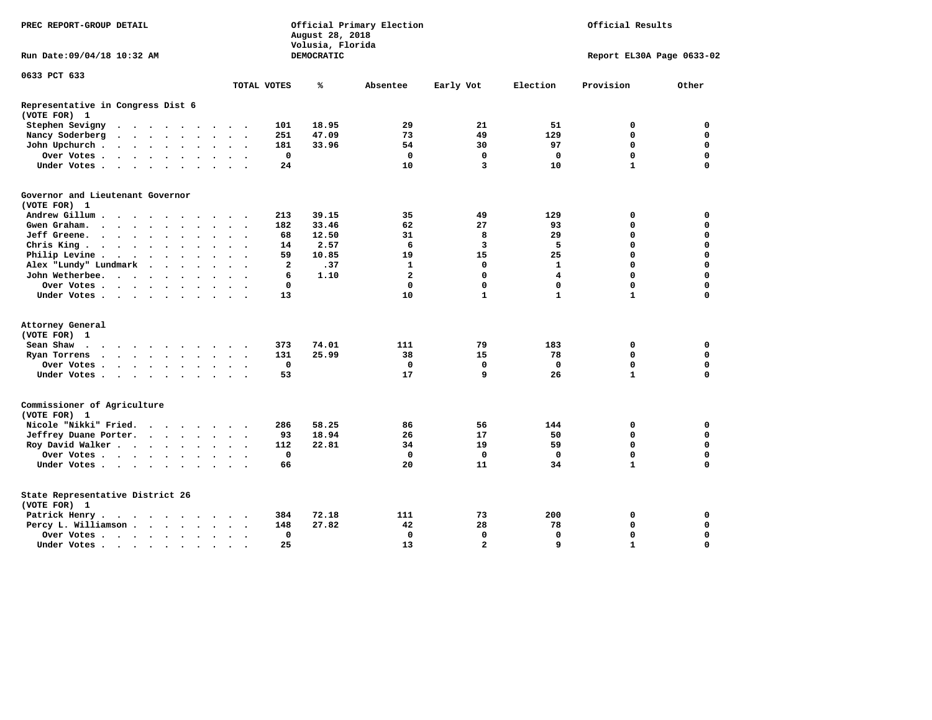| PREC REPORT-GROUP DETAIL                          |                                                         |                      | Official Primary Election<br>August 28, 2018<br>Volusia, Florida |                      |                      |                      |                      |                      |             |            | Official Results        |                |                           |              |             |  |  |
|---------------------------------------------------|---------------------------------------------------------|----------------------|------------------------------------------------------------------|----------------------|----------------------|----------------------|----------------------|----------------------|-------------|------------|-------------------------|----------------|---------------------------|--------------|-------------|--|--|
| Run Date: 09/04/18 10:32 AM                       |                                                         |                      |                                                                  |                      |                      |                      |                      |                      |             | DEMOCRATIC |                         |                | Report EL30A Page 0633-02 |              |             |  |  |
| 0633 PCT 633                                      |                                                         |                      |                                                                  |                      |                      |                      |                      |                      |             |            |                         |                |                           |              |             |  |  |
|                                                   |                                                         |                      |                                                                  |                      |                      |                      |                      |                      | TOTAL VOTES | ℁          | Absentee                | Early Vot      | Election                  | Provision    | Other       |  |  |
| Representative in Congress Dist 6<br>(VOTE FOR) 1 |                                                         |                      |                                                                  |                      |                      |                      |                      |                      |             |            |                         |                |                           |              |             |  |  |
| Stephen Sevigny                                   |                                                         |                      |                                                                  |                      |                      |                      |                      |                      | 101         | 18.95      | 29                      | 21             | 51                        | 0            | 0           |  |  |
| Nancy Soderberg                                   | $\cdot$ $\cdot$ $\cdot$ $\cdot$ $\cdot$ $\cdot$ $\cdot$ |                      |                                                                  |                      |                      |                      | $\ddot{\phantom{a}}$ |                      | 251         | 47.09      | 73                      | 49             | 129                       | 0            | 0           |  |  |
| John Upchurch.                                    |                                                         |                      |                                                                  |                      | $\bullet$            | $\sim$               | $\cdot$              |                      | 181         | 33.96      | 54                      | 30             | 97                        | $\mathbf 0$  | $\mathbf 0$ |  |  |
| Over Votes                                        |                                                         |                      |                                                                  |                      |                      | $\ddot{\phantom{a}}$ | $\ddot{\phantom{a}}$ |                      | $\mathbf 0$ |            | $\mathbf 0$             | $\mathbf 0$    | $\mathbf 0$               | $\mathbf 0$  | $\mathbf 0$ |  |  |
| Under Votes                                       |                                                         |                      |                                                                  |                      |                      | $\sim$               | $\sim$               |                      | 24          |            | 10                      | 3              | 10                        | $\mathbf{1}$ | $\mathbf 0$ |  |  |
| Governor and Lieutenant Governor<br>(VOTE FOR) 1  |                                                         |                      |                                                                  |                      |                      |                      |                      |                      |             |            |                         |                |                           |              |             |  |  |
| Andrew Gillum                                     |                                                         | $\sim$               |                                                                  |                      |                      |                      |                      |                      | 213         | 39.15      | 35                      | 49             | 129                       | 0            | 0           |  |  |
| Gwen Graham.                                      | $\cdots$                                                |                      |                                                                  |                      | $\sim$               |                      | $\sim$ $\sim$        | $\sim$               | 182         | 33.46      | 62                      | 27             | 93                        | $\mathbf 0$  | $\mathbf 0$ |  |  |
| Jeff Greene.                                      | $\cdots$                                                |                      | $\cdot$                                                          |                      |                      |                      | $\ddot{\phantom{a}}$ |                      | 68          | 12.50      | 31                      | 8              | 29                        | $\mathbf 0$  | $\mathbf 0$ |  |  |
| Chris King                                        |                                                         |                      |                                                                  |                      |                      |                      | $\bullet$            |                      | 14          | 2.57       | 6                       | 3              | 5                         | $\mathbf 0$  | $\mathbf 0$ |  |  |
| Philip Levine.                                    | $\mathbf{r}$ , and $\mathbf{r}$ , and $\mathbf{r}$      |                      |                                                                  |                      | $\bullet$            | $\bullet$            | $\bullet$            | $\sim$               | 59          | 10.85      | 19                      | 15             | 25                        | $\mathbf 0$  | $\mathbf 0$ |  |  |
| Alex "Lundy" Lundmark                             |                                                         | $\ddot{\phantom{1}}$ | $\sim$                                                           | $\ddot{\phantom{a}}$ | $\ddot{\phantom{a}}$ |                      | $\bullet$            |                      | 2           | .37        | 1                       | 0              | 1                         | $\mathbf 0$  | $\mathbf 0$ |  |  |
| John Wetherbee.                                   |                                                         |                      |                                                                  |                      | $\bullet$            | $\bullet$            |                      |                      | 6           | 1.10       | $\overline{\mathbf{2}}$ | $\mathbf 0$    | $\overline{4}$            | $\mathbf 0$  | $\mathbf 0$ |  |  |
| Over Votes                                        |                                                         |                      |                                                                  |                      |                      |                      |                      |                      | 0           |            | $\mathbf 0$             | $\mathbf 0$    | $\mathbf 0$               | $\mathbf 0$  | $\mathbf 0$ |  |  |
|                                                   |                                                         |                      |                                                                  |                      |                      |                      | $\ddot{\phantom{a}}$ |                      | 13          |            | 10                      | $\mathbf{1}$   | $\mathbf{1}$              | $\mathbf{1}$ | $\mathbf 0$ |  |  |
| Under Votes                                       |                                                         |                      |                                                                  |                      |                      |                      |                      |                      |             |            |                         |                |                           |              |             |  |  |
| Attorney General                                  |                                                         |                      |                                                                  |                      |                      |                      |                      |                      |             |            |                         |                |                           |              |             |  |  |
| (VOTE FOR) 1                                      |                                                         |                      |                                                                  |                      |                      |                      |                      |                      |             |            |                         |                |                           |              |             |  |  |
| Sean Shaw                                         |                                                         |                      |                                                                  |                      |                      |                      |                      |                      | 373         | 74.01      | 111                     | 79             | 183                       | 0            | 0           |  |  |
| Ryan Torrens                                      | $\cdots$                                                |                      |                                                                  |                      |                      |                      | $\ddot{\phantom{1}}$ | $\ddot{\phantom{1}}$ | 131         | 25.99      | 38                      | 15             | 78                        | $\mathbf 0$  | $\mathbf 0$ |  |  |
| Over Votes                                        |                                                         |                      |                                                                  |                      |                      |                      |                      |                      | $\mathbf 0$ |            | $\mathbf 0$             | $\mathbf 0$    | $\mathbf 0$               | $\mathbf 0$  | $\mathbf 0$ |  |  |
| Under Votes                                       |                                                         |                      |                                                                  |                      |                      | $\ddot{\phantom{a}}$ | $\sim$ $\sim$        |                      | 53          |            | 17                      | 9              | 26                        | $\mathbf{1}$ | $\mathbf 0$ |  |  |
| Commissioner of Agriculture<br>(VOTE FOR) 1       |                                                         |                      |                                                                  |                      |                      |                      |                      |                      |             |            |                         |                |                           |              |             |  |  |
| Nicole "Nikki" Fried.                             |                                                         |                      |                                                                  |                      |                      |                      |                      |                      | 286         | 58.25      | 86                      | 56             | 144                       | 0            | 0           |  |  |
| Jeffrey Duane Porter.                             |                                                         |                      |                                                                  |                      |                      |                      | $\sim$ $\sim$        |                      | 93          | 18.94      | 26                      | 17             | 50                        | 0            | 0           |  |  |
| Roy David Walker                                  |                                                         |                      |                                                                  |                      |                      |                      | $\sim$ $\sim$        |                      | 112         | 22.81      | 34                      | 19             | 59                        | $\mathbf 0$  | $\mathbf 0$ |  |  |
| Over Votes                                        |                                                         |                      |                                                                  |                      |                      |                      | $\ddot{\phantom{a}}$ |                      | $\mathbf 0$ |            | $\mathbf{0}$            | $\mathbf 0$    | $\mathbf 0$               | $\mathbf 0$  | $\mathbf 0$ |  |  |
| Under Votes                                       |                                                         |                      |                                                                  |                      |                      |                      |                      |                      | 66          |            | 20                      | 11             | 34                        | $\mathbf{1}$ | $\mathbf 0$ |  |  |
| State Representative District 26<br>(VOTE FOR) 1  |                                                         |                      |                                                                  |                      |                      |                      |                      |                      |             |            |                         |                |                           |              |             |  |  |
| Patrick Henry.                                    | $\cdots$                                                |                      |                                                                  |                      |                      |                      |                      |                      | 384         | 72.18      | 111                     | 73             | 200                       | 0            | 0           |  |  |
| Percy L. Williamson                               |                                                         |                      |                                                                  |                      |                      | $\ddot{\phantom{a}}$ | $\bullet$            | $\ddot{\phantom{1}}$ | 148         | 27.82      | 42                      | 28             | 78                        | $\mathbf 0$  | $\mathbf 0$ |  |  |
| Over Votes                                        |                                                         |                      |                                                                  |                      |                      |                      | $\bullet$            |                      | $\mathbf 0$ |            | $\mathbf 0$             | $\mathbf 0$    | $\mathbf 0$               | $\mathbf 0$  | $\mathbf 0$ |  |  |
| Under Votes                                       |                                                         |                      |                                                                  |                      |                      |                      |                      |                      | 25          |            | 13                      | $\overline{a}$ | 9                         | $\mathbf{1}$ | $\Omega$    |  |  |
|                                                   |                                                         |                      |                                                                  |                      |                      |                      |                      |                      |             |            |                         |                |                           |              |             |  |  |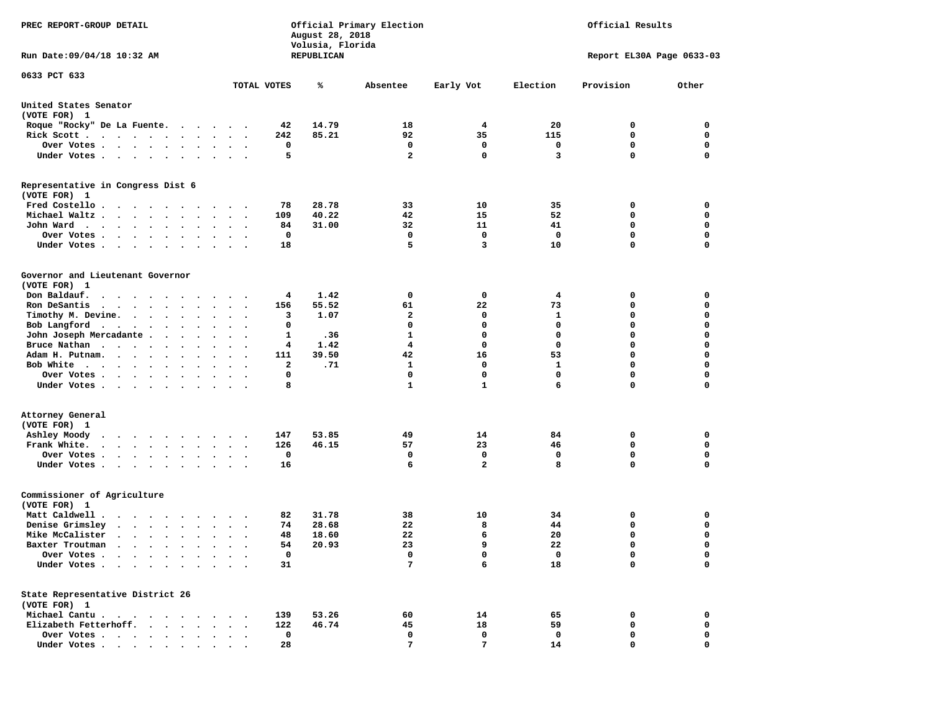| PREC REPORT-GROUP DETAIL                                                                                                                                         |             | August 28, 2018<br>Volusia, Florida | Official Primary Election | Official Results    |             |                           |                  |  |
|------------------------------------------------------------------------------------------------------------------------------------------------------------------|-------------|-------------------------------------|---------------------------|---------------------|-------------|---------------------------|------------------|--|
| Run Date: 09/04/18 10:32 AM                                                                                                                                      |             | REPUBLICAN                          |                           |                     |             | Report EL30A Page 0633-03 |                  |  |
| 0633 PCT 633                                                                                                                                                     | TOTAL VOTES | ℁                                   | Absentee                  | Early Vot           | Election    | Provision                 | Other            |  |
| United States Senator<br>(VOTE FOR) 1                                                                                                                            |             |                                     |                           |                     |             |                           |                  |  |
| Roque "Rocky" De La Fuente.                                                                                                                                      | 42          | 14.79                               | 18                        | 4                   | 20          | 0                         | 0                |  |
| Rick Scott.<br>. The contract of the contract of the contract of the contract of the contract of the $\alpha$                                                    | 242         | 85.21                               | 92                        | 35                  | 115         | 0                         | 0                |  |
| Over Votes                                                                                                                                                       | 0           |                                     | 0                         | 0                   | 0           | 0                         | 0                |  |
| Under Votes<br>$\sim$<br>$\ddot{\phantom{1}}$                                                                                                                    | 5           |                                     | $\overline{a}$            | $\mathbf 0$         | 3           | 0                         | 0                |  |
| Representative in Congress Dist 6<br>(VOTE FOR) 1                                                                                                                |             |                                     |                           |                     |             |                           |                  |  |
| Fred Costello                                                                                                                                                    | 78          | 28.78                               | 33                        | 10                  | 35          | 0                         | 0                |  |
| Michael Waltz.<br>$\cdot$ $\cdot$ $\cdot$ $\cdot$ $\cdot$ $\cdot$ $\cdot$<br>$\ddot{\phantom{1}}$                                                                | 109         | 40.22                               | 42                        | 15                  | 52          | 0                         | 0                |  |
| John Ward<br>$\bullet$<br>$\bullet$<br>$\cdot$ .                                                                                                                 | 84          | 31.00                               | 32                        | 11                  | 41          | 0                         | 0                |  |
| Over Votes .<br>$\cdot$ $\cdot$ $\cdot$ $\cdot$                                                                                                                  | $\mathbf 0$ |                                     | 0                         | $\mathbf 0$         | 0           | 0                         | $\mathbf 0$      |  |
| Under Votes.<br>$\cdots$<br>$\overline{\phantom{a}}$                                                                                                             | 18          |                                     | 5                         | 3                   | 10          | 0                         | $\mathbf 0$      |  |
| Governor and Lieutenant Governor<br>(VOTE FOR) 1                                                                                                                 |             |                                     |                           |                     |             |                           |                  |  |
| Don Baldauf.                                                                                                                                                     | 4           | 1.42                                | 0                         | 0                   | 4           | 0                         | 0                |  |
| Ron DeSantis<br>$\cdots$                                                                                                                                         | 156         | 55.52                               | 61                        | 22                  | 73          | 0                         | 0                |  |
| Timothy M. Devine.                                                                                                                                               | 3           | 1.07                                | $\mathbf{2}$              | 0                   | 1           | 0                         | $\mathbf 0$      |  |
| Bob Langford<br>$\bullet$<br>$\bullet$<br>$\ddot{\phantom{0}}$                                                                                                   | 0           |                                     | 0                         | $\mathbf 0$         | $\mathbf 0$ | 0                         | $\mathbf 0$      |  |
| John Joseph Mercadante.<br>$\sim$<br>$\bullet$<br>$\ddot{\phantom{1}}$                                                                                           | 1           | .36                                 | 1                         | 0                   | $\mathbf 0$ | 0                         | 0                |  |
| Bruce Nathan<br>$\bullet$<br>$\bullet$                                                                                                                           | 4           | 1.42                                | 4                         | 0                   | $\mathbf 0$ | 0                         | $\mathbf 0$      |  |
| Adam H. Putnam.<br>$\sim$ $\sim$ $\sim$ $\sim$<br>$\bullet$                                                                                                      | 111         | 39.50                               | 42                        | 16                  | 53          | 0                         | $\mathbf 0$      |  |
| Bob White                                                                                                                                                        | 2           | .71                                 | 1                         | 0                   | 1           | 0                         | $\mathbf 0$      |  |
| Over Votes .<br>$\cdots$<br>$\bullet$<br>$\bullet$<br>$\bullet$                                                                                                  | 0           |                                     | 0                         | 0                   | $\mathbf 0$ | 0                         | $\mathbf 0$      |  |
| Under Votes<br>$\ddot{\phantom{1}}$                                                                                                                              | 8           |                                     | $\mathbf{1}$              | $\mathbf{1}$        | 6           | 0                         | 0                |  |
| Attorney General<br>(VOTE FOR) 1                                                                                                                                 |             |                                     |                           |                     |             |                           |                  |  |
| Ashley Moody<br>$\cdots$<br>$\sim$ $\sim$                                                                                                                        | 147         | 53.85                               | 49                        | 14                  | 84          | 0<br>0                    | 0<br>$\mathbf 0$ |  |
| Frank White.<br>$\mathbf{r}$ , $\mathbf{r}$ , $\mathbf{r}$ , $\mathbf{r}$ , $\mathbf{r}$<br>$\bullet$<br>$\bullet$<br>$\cdot$<br>$\cdot$                         | 126         | 46.15                               | 57<br>0                   | 23                  | 46          |                           |                  |  |
| Over Votes.<br>$\sim$ $\sim$ $\sim$ $\sim$ $\sim$<br>$\cdot$<br>$\sim$ $\sim$<br>$\bullet$<br>Under Votes<br>$\sim$<br>$\sim$ $\sim$                             | 0<br>16     |                                     | 6                         | 0<br>$\overline{a}$ | 0<br>8      | 0<br>0                    | 0<br>$\mathbf 0$ |  |
| Commissioner of Agriculture<br>(VOTE FOR) 1                                                                                                                      |             |                                     |                           |                     |             |                           |                  |  |
| Matt Caldwell.<br>$\cdot$                                                                                                                                        | 82          | 31.78                               | 38                        | 10                  | 34          | 0                         | 0                |  |
| Denise Grimsley<br>$\begin{array}{cccccccccccccc} \bullet & \bullet & \bullet & \bullet & \bullet & \bullet & \bullet & \bullet & \bullet & \bullet \end{array}$ | 74          | 28.68                               | 22                        | 8                   | 44          | 0                         | 0                |  |
| Mike McCalister<br>$\cdots$                                                                                                                                      | 48          | 18.60                               | 22                        | 6                   | 20          | 0                         | $\mathbf 0$      |  |
| Baxter Troutman<br>the contract of the contract of the contract of the contract of the contract of the contract of the contract of                               | 54          | 20.93                               | 23                        | 9                   | 22          | 0                         | 0                |  |
| Over Votes .<br>$\ddot{\phantom{a}}$<br>$\cdot$                                                                                                                  | 0           |                                     | 0                         | 0                   | 0           | 0                         | 0                |  |
| Under Votes.<br>$\bullet$<br>$\sim$                                                                                                                              | 31          |                                     | 7                         | 6                   | 18          | 0                         | $\mathbf 0$      |  |
| State Representative District 26                                                                                                                                 |             |                                     |                           |                     |             |                           |                  |  |
| (VOTE FOR) 1<br>Michael Cantu.                                                                                                                                   | 139         | 53.26                               | 60                        | 14                  |             | 0                         | 0                |  |
| $\sim$ $\sim$<br>$\sim$<br>$\cdot$<br>Elizabeth Fetterhoff.                                                                                                      | 122         | 46.74                               | 45                        | 18                  | 65<br>59    | 0                         | 0                |  |
| Over Votes.<br>$\sim$ $\sim$ $\sim$ $\sim$<br>$\sim$ $\sim$                                                                                                      | 0           |                                     | 0                         | 0                   | 0           | 0                         | 0                |  |
| Under Votes                                                                                                                                                      | 28          |                                     | 7                         | $7\phantom{.0}$     | 14          | 0                         | 0                |  |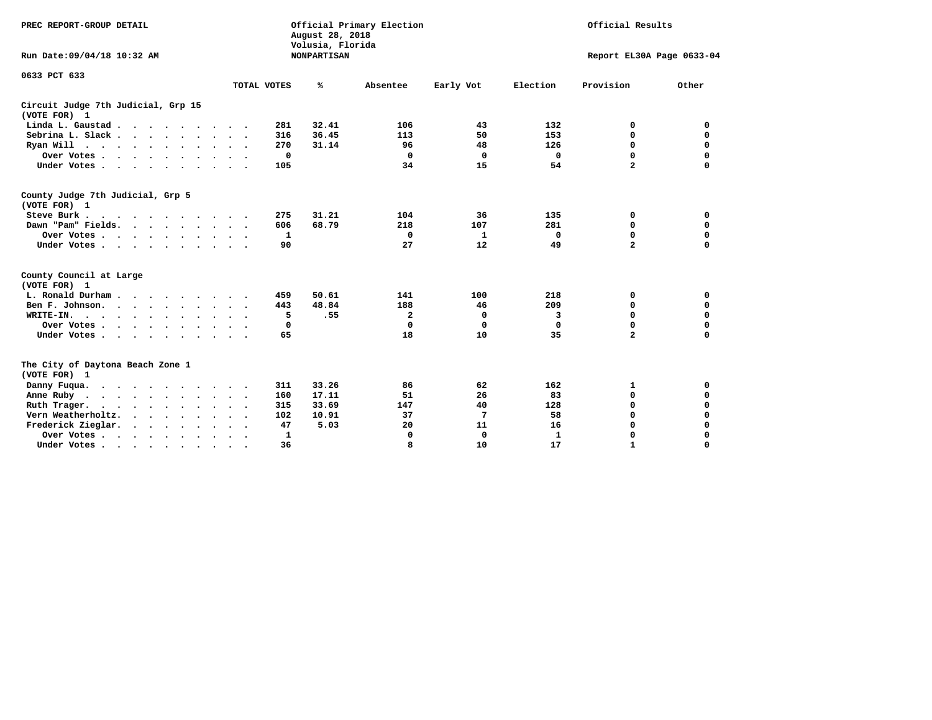| PREC REPORT-GROUP DETAIL<br>Run Date: 09/04/18 10:32 AM                          |             | August 28, 2018<br>Volusia, Florida<br><b>NONPARTISAN</b> | Official Primary Election |           | Official Results<br>Report EL30A Page 0633-04 |                |          |  |
|----------------------------------------------------------------------------------|-------------|-----------------------------------------------------------|---------------------------|-----------|-----------------------------------------------|----------------|----------|--|
| 0633 PCT 633                                                                     | TOTAL VOTES | %ะ                                                        | Absentee                  | Early Vot | Election                                      | Provision      | Other    |  |
| Circuit Judge 7th Judicial, Grp 15<br>(VOTE FOR) 1                               |             |                                                           |                           |           |                                               |                |          |  |
| Linda L. Gaustad                                                                 | 281         | 32.41                                                     | 106                       | 43        | 132                                           | 0              | 0        |  |
| Sebrina L. Slack                                                                 | 316         | 36.45                                                     | 113                       | 50        | 153                                           | 0              | 0        |  |
| Ryan Will $\cdots$ , $\cdots$ , $\cdots$ , $\cdots$                              | 270         | 31.14                                                     | 96                        | 48        | 126                                           | 0              | 0        |  |
| Over Votes                                                                       | 0           |                                                           | 0                         | 0         | 0                                             | 0              | $\Omega$ |  |
| Under Votes                                                                      | 105         |                                                           | 34                        | 15        | 54                                            | $\overline{a}$ | $\Omega$ |  |
| County Judge 7th Judicial, Grp 5<br>(VOTE FOR) 1                                 |             |                                                           |                           |           |                                               |                |          |  |
| Steve Burk                                                                       | 275         | 31.21                                                     | 104                       | 36        | 135                                           | 0              | 0        |  |
| Dawn "Pam" Fields.                                                               | 606         | 68.79                                                     | 218                       | 107       | 281                                           | 0              | 0        |  |
| Over Votes                                                                       | 1           |                                                           | 0                         | 1         | 0                                             | 0              | 0        |  |
| Under Votes                                                                      | 90          |                                                           | 27                        | 12        | 49                                            | $\overline{a}$ | $\Omega$ |  |
| County Council at Large<br>(VOTE FOR) 1                                          |             |                                                           |                           |           |                                               |                |          |  |
| L. Ronald Durham                                                                 | 459         | 50.61                                                     | 141                       | 100       | 218                                           | 0              | 0        |  |
| Ben F. Johnson.                                                                  | 443         | 48.84                                                     | 188                       | 46        | 209                                           | 0              | 0        |  |
| WRITE-IN.                                                                        | 5           | .55                                                       | $\overline{a}$            | 0         | 3                                             | 0              | 0        |  |
| Over Votes                                                                       | 0           |                                                           | 0                         | 0         | 0                                             | 0              | 0        |  |
| Under Votes                                                                      | 65          |                                                           | 18                        | 10        | 35                                            | $\mathbf{2}$   | $\Omega$ |  |
| The City of Daytona Beach Zone 1<br>(VOTE FOR) 1                                 |             |                                                           |                           |           |                                               |                |          |  |
| Danny Fuqua.                                                                     | 311         | 33.26                                                     | 86                        | 62        | 162                                           | 1              | 0        |  |
| Anne Ruby                                                                        | 160         | 17.11                                                     | 51                        | 26        | 83                                            | 0              | 0        |  |
| Ruth Trager.<br>$\cdots$                                                         | 315         | 33.69                                                     | 147                       | 40        | 128                                           | $\mathbf 0$    | 0        |  |
| Vern Weatherholtz.                                                               | 102         | 10.91                                                     | 37                        | 7         | 58                                            | 0              | $\Omega$ |  |
| Frederick Zieglar.                                                               | 47          | 5.03                                                      | 20                        | 11        | 16                                            | $\Omega$       | 0        |  |
| Over Votes                                                                       | 1           |                                                           | 0                         | 0         | 1                                             | $\Omega$       | $\Omega$ |  |
| Under Votes, $\cdot$ , $\cdot$ , $\cdot$ , $\cdot$ , $\cdot$ , $\cdot$ , $\cdot$ | 36          |                                                           | R                         | 10        | 17                                            | 1              | $\Omega$ |  |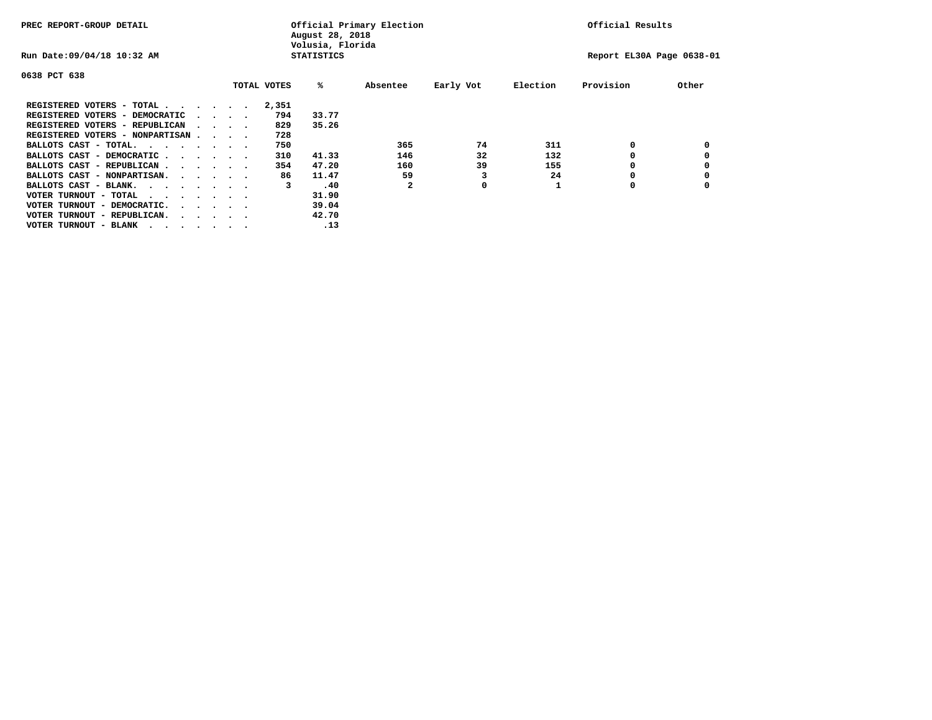| PREC REPORT-GROUP DETAIL                |  |                                         | August 28, 2018<br>Volusia, Florida | Official Primary Election |              | Official Results |          |                           |       |
|-----------------------------------------|--|-----------------------------------------|-------------------------------------|---------------------------|--------------|------------------|----------|---------------------------|-------|
| Run Date: 09/04/18 10:32 AM             |  |                                         |                                     | <b>STATISTICS</b>         |              |                  |          | Report EL30A Page 0638-01 |       |
| 0638 PCT 638                            |  |                                         |                                     |                           |              |                  |          |                           |       |
|                                         |  |                                         | TOTAL VOTES                         | %ะ                        | Absentee     | Early Vot        | Election | Provision                 | Other |
| REGISTERED VOTERS - TOTAL               |  |                                         | 2,351                               |                           |              |                  |          |                           |       |
| REGISTERED VOTERS - DEMOCRATIC          |  | $\cdot$ $\cdot$ $\cdot$ $\cdot$         | 794                                 | 33.77                     |              |                  |          |                           |       |
| REGISTERED VOTERS - REPUBLICAN          |  |                                         | 829                                 | 35.26                     |              |                  |          |                           |       |
| REGISTERED VOTERS - NONPARTISAN         |  |                                         | 728                                 |                           |              |                  |          |                           |       |
| BALLOTS CAST - TOTAL.                   |  |                                         | 750                                 |                           | 365          | 74               | 311      | 0                         |       |
| BALLOTS CAST - DEMOCRATIC               |  |                                         | 310                                 | 41.33                     | 146          | 32               | 132      |                           |       |
| BALLOTS CAST - REPUBLICAN               |  |                                         | 354                                 | 47.20                     | 160          | 39               | 155      | 0                         |       |
| BALLOTS CAST - NONPARTISAN.             |  |                                         | 86                                  | 11.47                     | 59           |                  | 24       |                           |       |
| BALLOTS CAST - BLANK.                   |  |                                         | 3                                   | .40                       | $\mathbf{z}$ | 0                |          | 0                         |       |
| VOTER TURNOUT - TOTAL<br>.              |  |                                         |                                     | 31.90                     |              |                  |          |                           |       |
| VOTER TURNOUT - DEMOCRATIC.             |  | $\cdot$ $\cdot$ $\cdot$ $\cdot$ $\cdot$ |                                     | 39.04                     |              |                  |          |                           |       |
| VOTER TURNOUT - REPUBLICAN.<br>$\cdots$ |  |                                         |                                     | 42.70                     |              |                  |          |                           |       |
| VOTER TURNOUT - BLANK                   |  |                                         |                                     | .13                       |              |                  |          |                           |       |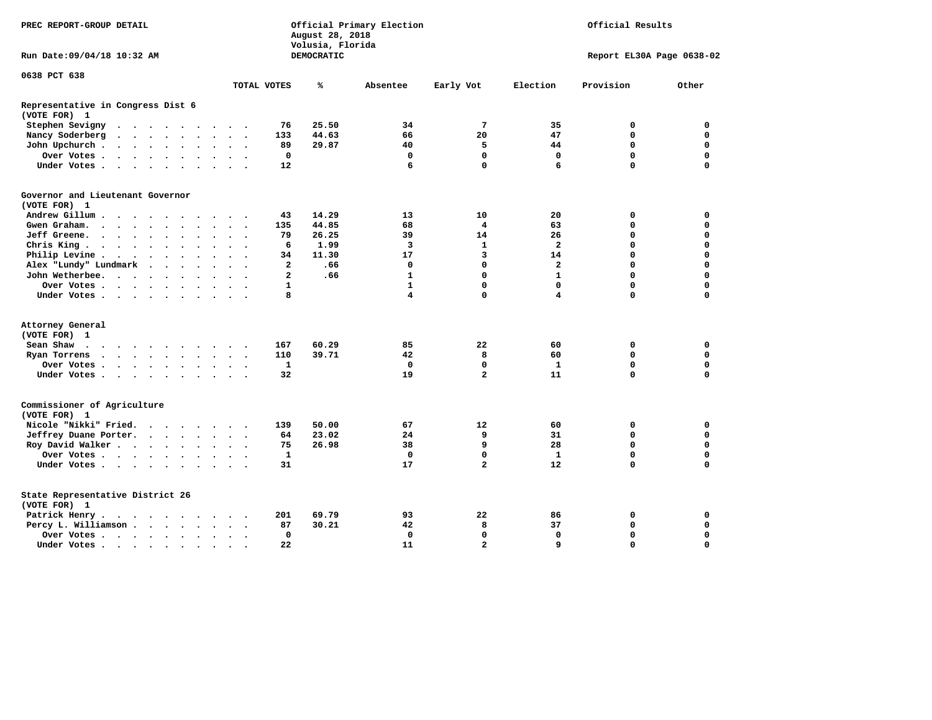| PREC REPORT-GROUP DETAIL                                                                                                                                                                                                                          |                                              | August 28, 2018<br>Volusia, Florida | Official Primary Election | Official Results        |                           |             |             |  |  |  |
|---------------------------------------------------------------------------------------------------------------------------------------------------------------------------------------------------------------------------------------------------|----------------------------------------------|-------------------------------------|---------------------------|-------------------------|---------------------------|-------------|-------------|--|--|--|
| Run Date: 09/04/18 10:32 AM                                                                                                                                                                                                                       |                                              | DEMOCRATIC                          |                           |                         | Report EL30A Page 0638-02 |             |             |  |  |  |
| 0638 PCT 638                                                                                                                                                                                                                                      | TOTAL VOTES                                  | ℁                                   | Absentee                  | Early Vot               | Election                  | Provision   | Other       |  |  |  |
|                                                                                                                                                                                                                                                   |                                              |                                     |                           |                         |                           |             |             |  |  |  |
| Representative in Congress Dist 6<br>(VOTE FOR) 1                                                                                                                                                                                                 |                                              |                                     |                           |                         |                           |             |             |  |  |  |
| Stephen Sevigny                                                                                                                                                                                                                                   | 76                                           | 25.50                               | 34                        | 7                       | 35                        | 0           | 0           |  |  |  |
| Nancy Soderberg<br>$\mathbf{a}$ , and $\mathbf{a}$ , and $\mathbf{a}$ , and $\mathbf{a}$                                                                                                                                                          | 133<br>$\cdots$                              | 44.63                               | 66                        | 20                      | 47                        | $\mathbf 0$ | 0           |  |  |  |
| John Upchurch<br>$\cdot$                                                                                                                                                                                                                          | 89<br>$\cdot$                                | 29.87                               | 40                        | 5                       | 44                        | 0           | 0           |  |  |  |
| Over Votes                                                                                                                                                                                                                                        | 0                                            |                                     | 0                         | 0                       | 0                         | $\mathbf 0$ | $\mathbf 0$ |  |  |  |
| Under Votes                                                                                                                                                                                                                                       | $12 \overline{ }$<br>$\cdot$ $\cdot$ $\cdot$ |                                     | 6                         | $\mathbf 0$             | 6                         | $\Omega$    | $\mathbf 0$ |  |  |  |
| Governor and Lieutenant Governor<br>(VOTE FOR) 1                                                                                                                                                                                                  |                                              |                                     |                           |                         |                           |             |             |  |  |  |
| Andrew Gillum<br>$\sim$<br>$\sim$                                                                                                                                                                                                                 | 43                                           | 14.29                               | 13                        | 10                      | 20                        | 0           | 0           |  |  |  |
| Gwen Graham.<br>$\mathbf{r}$ . The contract of the contract of the contract of the contract of the contract of the contract of the contract of the contract of the contract of the contract of the contract of the contract of the contract of th | 135<br>$\cdot$ $\cdot$ $\cdot$               | 44.85                               | 68                        | $\overline{\mathbf{4}}$ | 63                        | $\mathbf 0$ | $\mathbf 0$ |  |  |  |
| Jeff Greene.<br>$\ddot{\phantom{a}}$                                                                                                                                                                                                              | 79<br>$\bullet$                              | 26.25                               | 39                        | 14                      | 26                        | 0           | 0           |  |  |  |
| Chris King                                                                                                                                                                                                                                        | 6                                            | 1.99                                | 3                         | 1                       | $\overline{\mathbf{2}}$   | $\mathbf 0$ | $\mathbf 0$ |  |  |  |
| Philip Levine .<br>$\mathbf{r}$ , and $\mathbf{r}$ , and $\mathbf{r}$ , and $\mathbf{r}$<br>$\ddot{\phantom{a}}$                                                                                                                                  | 34<br>$\bullet$                              | 11.30                               | 17                        | 3                       | 14                        | $\mathbf 0$ | $\mathbf 0$ |  |  |  |
| Alex "Lundy" Lundmark<br>$\cdot \cdot \cdot \cdot$ .                                                                                                                                                                                              | $\mathbf{2}$<br>$\ddot{\phantom{a}}$         | .66                                 | 0                         | 0                       | $\overline{2}$            | $\mathbf 0$ | 0           |  |  |  |
| John Wetherbee.                                                                                                                                                                                                                                   | $\mathbf{2}$<br>$\ddot{\phantom{a}}$         | .66                                 | $\mathbf{1}$              | $\mathbf 0$             | $\mathbf{1}$              | $\mathbf 0$ | $\mathbf 0$ |  |  |  |
| Over Votes                                                                                                                                                                                                                                        | 1<br>$\sim$                                  |                                     | $\mathbf{1}$              | $\mathbf 0$             | $\mathbf{0}$              | $\mathbf 0$ | $\mathbf 0$ |  |  |  |
| Under Votes                                                                                                                                                                                                                                       | 8                                            |                                     | 4                         | $\mathbf 0$             | 4                         | $\mathbf 0$ | $\mathbf 0$ |  |  |  |
| Attorney General                                                                                                                                                                                                                                  |                                              |                                     |                           |                         |                           |             |             |  |  |  |
| (VOTE FOR) 1                                                                                                                                                                                                                                      |                                              |                                     |                           |                         |                           |             |             |  |  |  |
| Sean Shaw                                                                                                                                                                                                                                         | 167<br>$\sim$ $\sim$                         | 60.29                               | 85                        | 22                      | 60                        | 0           | 0           |  |  |  |
| Ryan Torrens                                                                                                                                                                                                                                      | 110<br>$\cdot$ $\cdot$ $\cdot$               | 39.71                               | 42                        | 8                       | 60                        | $\mathbf 0$ | $\mathbf 0$ |  |  |  |
| Over Votes                                                                                                                                                                                                                                        | 1<br>$\bullet$                               |                                     | $\mathbf 0$               | $\mathbf 0$             | $\mathbf{1}$              | $\mathbf 0$ | 0           |  |  |  |
| Under Votes                                                                                                                                                                                                                                       | 32                                           |                                     | 19                        | $\overline{a}$          | 11                        | $\mathbf 0$ | $\mathbf 0$ |  |  |  |
| Commissioner of Agriculture<br>(VOTE FOR) 1                                                                                                                                                                                                       |                                              |                                     |                           |                         |                           |             |             |  |  |  |
| Nicole "Nikki" Fried.                                                                                                                                                                                                                             | 139                                          | 50.00                               | 67                        | 12                      | 60                        | 0           | $\mathbf 0$ |  |  |  |
| Jeffrey Duane Porter.                                                                                                                                                                                                                             | 64                                           | 23.02                               | 24                        | 9                       | 31                        | $\mathbf 0$ | 0           |  |  |  |
| Roy David Walker                                                                                                                                                                                                                                  | 75                                           | 26.98                               | 38                        | 9                       | 28                        | $\mathbf 0$ | $\mathbf 0$ |  |  |  |
| Over Votes                                                                                                                                                                                                                                        | 1<br>$\ddot{\phantom{1}}$                    |                                     | 0                         | 0                       | 1                         | $\mathbf 0$ | 0           |  |  |  |
| Under Votes                                                                                                                                                                                                                                       | 31<br>$\sim$ $\sim$                          |                                     | 17                        | $\overline{\mathbf{2}}$ | 12                        | $\mathbf 0$ | $\mathbf 0$ |  |  |  |
| State Representative District 26<br>(VOTE FOR) 1                                                                                                                                                                                                  |                                              |                                     |                           |                         |                           |             |             |  |  |  |
| Patrick Henry.<br>.                                                                                                                                                                                                                               | 201                                          | 69.79                               | 93                        | 22                      | 86                        | 0           | 0           |  |  |  |
| Percy L. Williamson<br>$\ddot{\phantom{0}}$                                                                                                                                                                                                       | 87<br>$\overline{\phantom{a}}$<br>$\bullet$  | 30.21                               | 42                        | 8                       | 37                        | $\mathbf 0$ | $\mathbf 0$ |  |  |  |
| Over Votes                                                                                                                                                                                                                                        | $\mathbf 0$<br>$\bullet$                     |                                     | $\mathbf 0$               | $\mathbf 0$             | $\mathbf 0$               | $\mathbf 0$ | $\mathbf 0$ |  |  |  |
| Under Votes                                                                                                                                                                                                                                       | 22                                           |                                     | 11                        | $\overline{a}$          | 9                         | $\Omega$    | $\Omega$    |  |  |  |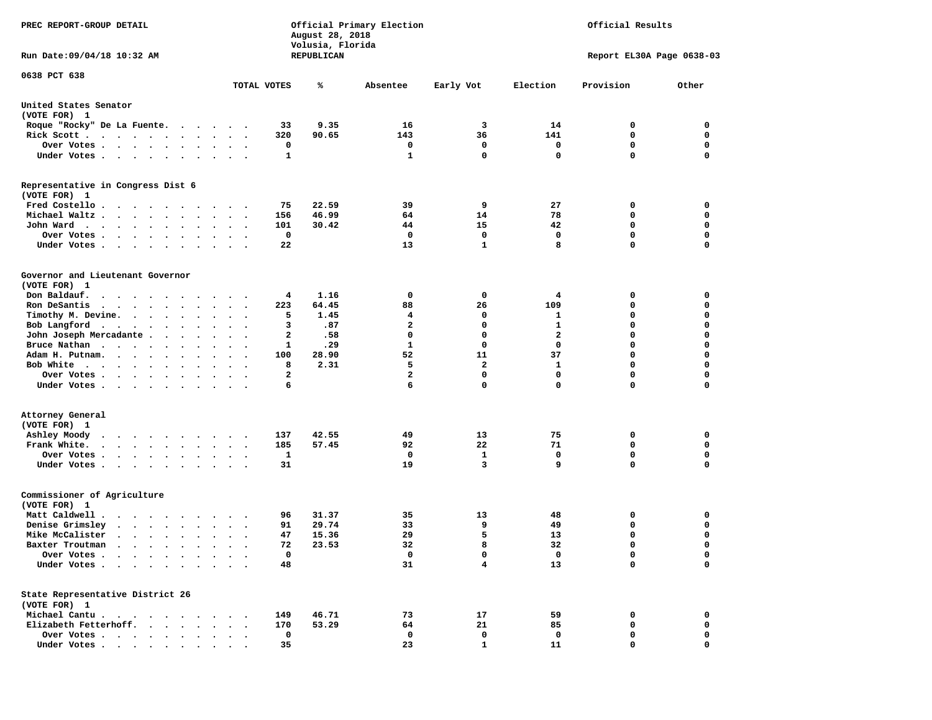| PREC REPORT-GROUP DETAIL                                                                                                                                                                                                                            |                                                                | August 28, 2018<br>Volusia, Florida | Official Primary Election |              | Official Results          |             |             |  |  |
|-----------------------------------------------------------------------------------------------------------------------------------------------------------------------------------------------------------------------------------------------------|----------------------------------------------------------------|-------------------------------------|---------------------------|--------------|---------------------------|-------------|-------------|--|--|
| Run Date: 09/04/18 10:32 AM                                                                                                                                                                                                                         |                                                                | REPUBLICAN                          |                           |              | Report EL30A Page 0638-03 |             |             |  |  |
| 0638 PCT 638                                                                                                                                                                                                                                        |                                                                |                                     |                           |              |                           |             |             |  |  |
|                                                                                                                                                                                                                                                     | TOTAL VOTES                                                    | ℁                                   | Absentee                  | Early Vot    | Election                  | Provision   | Other       |  |  |
| United States Senator<br>(VOTE FOR) 1                                                                                                                                                                                                               |                                                                |                                     |                           |              |                           |             |             |  |  |
| Roque "Rocky" De La Fuente.                                                                                                                                                                                                                         | 33                                                             | 9.35                                | 16                        | 3            | 14                        | 0           | 0           |  |  |
| Rick Scott                                                                                                                                                                                                                                          | 320                                                            | 90.65                               | 143                       | 36           | 141                       | 0           | 0           |  |  |
| Over Votes                                                                                                                                                                                                                                          | 0<br>$\sim$ $\sim$                                             |                                     | 0                         | 0            | 0                         | $\mathbf 0$ | 0           |  |  |
| Under Votes                                                                                                                                                                                                                                         | 1<br>$\cdots$                                                  |                                     | 1                         | $\mathbf 0$  | 0                         | $\Omega$    | $\mathbf 0$ |  |  |
| Representative in Congress Dist 6<br>(VOTE FOR) 1                                                                                                                                                                                                   |                                                                |                                     |                           |              |                           |             |             |  |  |
| Fred Costello                                                                                                                                                                                                                                       | 75                                                             | 22.59                               | 39                        | 9            | 27                        | 0           | 0           |  |  |
| Michael Waltz                                                                                                                                                                                                                                       | 156<br>$\ddot{\phantom{1}}$                                    | 46.99                               | 64                        | 14           | 78                        | 0           | 0           |  |  |
| John Ward                                                                                                                                                                                                                                           | 101<br>$\sim$ $\sim$<br>$\overline{\phantom{a}}$               | 30.42                               | 44                        | 15           | 42                        | 0           | 0           |  |  |
| Over Votes.<br>$\cdot$<br>$\cdot$                                                                                                                                                                                                                   | $\mathbf 0$                                                    |                                     | 0                         | $\mathbf 0$  | 0                         | $\mathbf 0$ | 0           |  |  |
| Under Votes                                                                                                                                                                                                                                         | 22                                                             |                                     | 13                        | 1            | 8                         | $\mathbf 0$ | 0           |  |  |
| Governor and Lieutenant Governor<br>(VOTE FOR) 1                                                                                                                                                                                                    |                                                                |                                     |                           |              |                           |             |             |  |  |
| Don Baldauf.<br>.                                                                                                                                                                                                                                   | 4                                                              | 1.16                                | 0                         | 0            | 4                         | 0           | 0           |  |  |
| Ron DeSantis<br>$\cdots$                                                                                                                                                                                                                            | 223<br>$\bullet$                                               | 64.45                               | 88                        | 26           | 109                       | 0           | 0           |  |  |
| Timothy M. Devine.                                                                                                                                                                                                                                  | 5                                                              | 1.45                                | 4                         | 0            | 1                         | 0           | $\mathbf 0$ |  |  |
| Bob Langford                                                                                                                                                                                                                                        | 3<br>$\sim$ $\sim$<br>$\overline{\phantom{a}}$                 | .87                                 | $\overline{\mathbf{2}}$   | $\mathbf 0$  | $\mathbf{1}$              | $\mathbf 0$ | 0           |  |  |
| John Joseph Mercadante                                                                                                                                                                                                                              | 2<br>$\sim$ $\sim$                                             | .58                                 | 0                         | 0            | $\mathbf{2}$              | $\mathbf 0$ | 0           |  |  |
| Bruce Nathan                                                                                                                                                                                                                                        | 1<br>$\ddot{\phantom{1}}$<br>$\overline{\phantom{a}}$          | .29                                 | $\mathbf{1}$              | 0            | 0                         | $\mathbf 0$ | 0           |  |  |
| Adam H. Putnam.<br><b>College</b>                                                                                                                                                                                                                   | 100<br>$\sim$                                                  | 28.90                               | 52                        | 11           | 37                        | $\mathbf 0$ | $\mathbf 0$ |  |  |
| Bob White                                                                                                                                                                                                                                           | 8                                                              | 2.31                                | 5                         | $\mathbf{2}$ | 1                         | $\mathbf 0$ | 0           |  |  |
| Over Votes .<br>.                                                                                                                                                                                                                                   | $\overline{\mathbf{2}}$<br>$\cdot$                             |                                     | $\overline{\mathbf{2}}$   | $\mathbf 0$  | 0                         | $\mathbf 0$ | 0           |  |  |
| Under Votes                                                                                                                                                                                                                                         | 6                                                              |                                     | 6                         | 0            | $\mathbf 0$               | $\mathbf 0$ | 0           |  |  |
| Attorney General                                                                                                                                                                                                                                    |                                                                |                                     |                           |              |                           |             |             |  |  |
| (VOTE FOR) 1                                                                                                                                                                                                                                        |                                                                |                                     |                           |              |                           |             |             |  |  |
| Ashley Moody<br>$\cdot$ $\cdot$ $\cdot$ $\cdot$ $\cdot$ $\cdot$ $\cdot$                                                                                                                                                                             | 137<br>$\sim$ $\sim$                                           | 42.55                               | 49                        | 13           | 75                        | 0           | 0           |  |  |
| Frank White.                                                                                                                                                                                                                                        | 185<br>$\bullet$ .<br><br><br><br><br><br>$\ddot{\phantom{1}}$ | 57.45                               | 92                        | 22           | 71                        | 0           | 0           |  |  |
| Over Votes.                                                                                                                                                                                                                                         | 1                                                              |                                     | 0                         | 1            | 0                         | $\mathbf 0$ | 0           |  |  |
| Under Votes                                                                                                                                                                                                                                         | 31                                                             |                                     | 19                        | 3            | 9                         | $\Omega$    | $\mathbf 0$ |  |  |
| Commissioner of Agriculture<br>(VOTE FOR) 1                                                                                                                                                                                                         |                                                                |                                     |                           |              |                           |             |             |  |  |
| Matt Caldwell.<br>$\mathbf{r}$ . The set of the set of the set of the set of the set of the set of the set of the set of the set of the set of the set of the set of the set of the set of the set of the set of the set of the set of the set of t | 96                                                             | 31.37                               | 35                        | 13           | 48                        | 0           | 0           |  |  |
| Denise Grimsley                                                                                                                                                                                                                                     | 91<br>$\cdot$                                                  | 29.74                               | 33                        | 9            | 49                        | 0           | 0           |  |  |
| Mike McCalister                                                                                                                                                                                                                                     | 47<br>$\sim$<br>$\cdot$<br>$\overline{\phantom{a}}$            | 15.36                               | 29                        | 5            | 13                        | $\mathbf 0$ | 0           |  |  |
| Baxter Troutman                                                                                                                                                                                                                                     | 72                                                             | 23.53                               | 32                        | 8            | 32                        | $\Omega$    | $\Omega$    |  |  |
| Over Votes .<br>$\sim$ $\sim$ $\sim$ $\sim$ $\sim$                                                                                                                                                                                                  | $\mathbf 0$                                                    |                                     | 0                         | 0            | 0                         | 0           | 0           |  |  |
| Under Votes.<br>$\sim$<br>$\sim$ $\sim$<br>$\bullet$                                                                                                                                                                                                | 48                                                             |                                     | 31                        | 4            | 13                        | $\mathbf 0$ | 0           |  |  |
| State Representative District 26<br>(VOTE FOR) 1                                                                                                                                                                                                    |                                                                |                                     |                           |              |                           |             |             |  |  |
| Michael Cantu.<br>$\sim$ $\sim$ $\sim$ $\sim$ $\sim$<br>$\sim$ $\sim$                                                                                                                                                                               | 149                                                            | 46.71                               | 73                        | 17           | 59                        | 0           | 0           |  |  |
| Elizabeth Fetterhoff.<br>$\ddot{\phantom{a}}$<br>$\ddot{\phantom{a}}$                                                                                                                                                                               | 170                                                            | 53.29                               | 64                        | 21           | 85                        | 0           | 0           |  |  |
| Over Votes<br>$\bullet$                                                                                                                                                                                                                             | 0                                                              |                                     | 0                         | 0            | 0                         | 0           | 0           |  |  |
| Under Votes                                                                                                                                                                                                                                         | 35                                                             |                                     | 23                        | $\mathbf{1}$ | 11                        | $\mathbf 0$ | $\mathbf 0$ |  |  |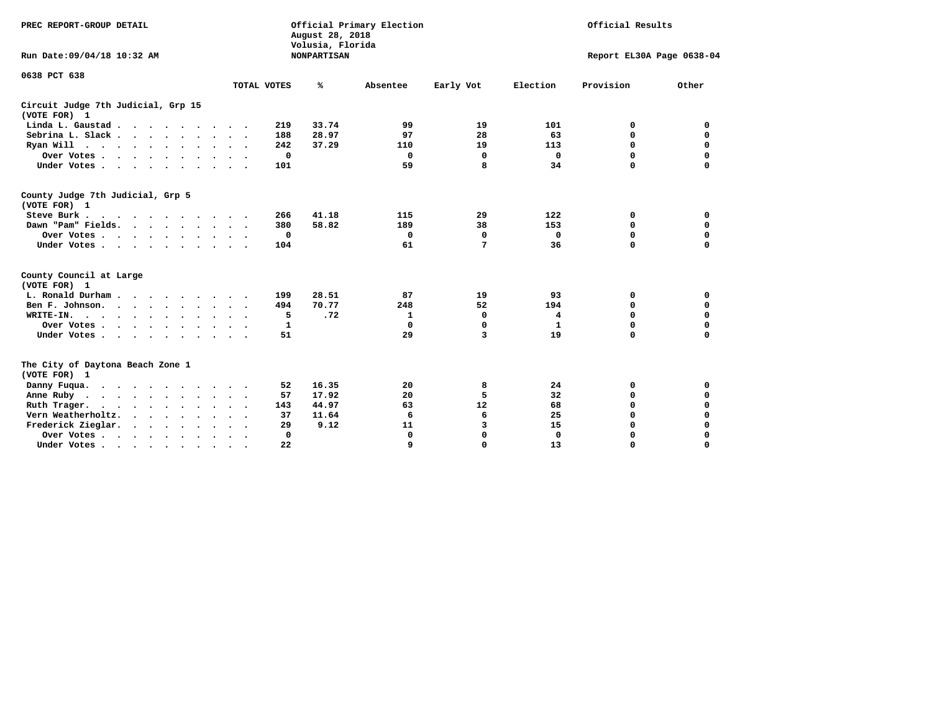| PREC REPORT-GROUP DETAIL<br>Run Date: 09/04/18 10:32 AM |                      | August 28, 2018<br>Volusia, Florida<br><b>NONPARTISAN</b> | Official Primary Election | Official Results<br>Report EL30A Page 0638-04 |             |           |             |
|---------------------------------------------------------|----------------------|-----------------------------------------------------------|---------------------------|-----------------------------------------------|-------------|-----------|-------------|
| 0638 PCT 638                                            | TOTAL VOTES          | ℁                                                         | Absentee                  | Early Vot                                     | Election    | Provision | Other       |
| Circuit Judge 7th Judicial, Grp 15<br>(VOTE FOR) 1      |                      |                                                           |                           |                                               |             |           |             |
| Linda L. Gaustad                                        |                      | 33.74<br>219                                              | 99                        | 19                                            | 101         | 0         | 0           |
| Sebrina L. Slack.                                       |                      | 28.97<br>188                                              | 97                        | 28                                            | 63          | 0         | 0           |
| Ryan Will $\cdots$ , $\cdots$ , $\cdots$ , $\cdots$     |                      | 37.29<br>242                                              | 110                       | 19                                            | 113         | 0         | $\mathbf 0$ |
|                                                         |                      | $\mathbf 0$                                               | $\Omega$                  | 0                                             | $\mathbf 0$ | 0         | 0           |
| Over Votes                                              |                      |                                                           | 59                        | 8                                             | 34          | 0         | $\Omega$    |
| Under Votes                                             |                      | 101                                                       |                           |                                               |             |           |             |
| County Judge 7th Judicial, Grp 5<br>(VOTE FOR) 1        |                      |                                                           |                           |                                               |             |           |             |
| Steve Burk                                              | $\ddot{\phantom{1}}$ | 41.18<br>266                                              | 115                       | 29                                            | 122         | 0         | 0           |
| Dawn "Pam" Fields.                                      |                      | 58.82<br>380                                              | 189                       | 38                                            | 153         | 0         | $\mathbf 0$ |
| Over Votes                                              |                      | 0                                                         | 0                         | 0                                             | 0           | 0         | $\mathbf 0$ |
| Under Votes                                             |                      | 104                                                       | 61                        | 7                                             | 36          | 0         | 0           |
| County Council at Large<br>(VOTE FOR) 1                 |                      |                                                           |                           |                                               |             |           |             |
| L. Ronald Durham                                        |                      | 28.51<br>199                                              | 87                        | 19                                            | 93          | 0         | 0           |
| Ben F. Johnson.                                         |                      | 70.77<br>494                                              | 248                       | 52                                            | 194         | 0         | $\mathbf 0$ |
| WRITE-IN.                                               |                      | 5<br>.72                                                  | $\mathbf{1}$              | 0                                             | 4           | 0         | 0           |
| Over Votes                                              |                      | 1                                                         | 0                         | 0                                             | 1           | $\Omega$  | $\Omega$    |
| Under Votes                                             |                      | 51                                                        | 29                        | 3                                             | 19          | $\Omega$  | O           |
| The City of Daytona Beach Zone 1<br>(VOTE FOR) 1        |                      |                                                           |                           |                                               |             |           |             |
| Danny Fuqua.                                            |                      | 16.35<br>52                                               | 20                        | 8                                             | 24          | 0         | 0           |
| Anne Ruby                                               |                      | 17.92<br>57                                               | 20                        | 5                                             | 32          | 0         | $\mathbf 0$ |
| Ruth Trager.                                            |                      | 44.97<br>143                                              | 63                        | 12                                            | 68          | 0         | $\mathbf 0$ |
| Vern Weatherholtz.<br>$\cdots$                          |                      | 37<br>11.64                                               | 6                         | 6                                             | 25          | 0         | $\mathbf 0$ |
| Frederick Zieglar.<br>$\cdots$                          |                      | 9.12<br>29                                                | 11                        | 3                                             | 15          | 0         | 0           |
| Over Votes                                              | $\ddot{\phantom{1}}$ | 0                                                         | 0                         | $\Omega$                                      | $\Omega$    | 0         | 0           |
| Under Votes, , , , , , , , , ,                          |                      | 22                                                        | $\Omega$                  | $\Omega$                                      | 13          | $\Omega$  | $\Omega$    |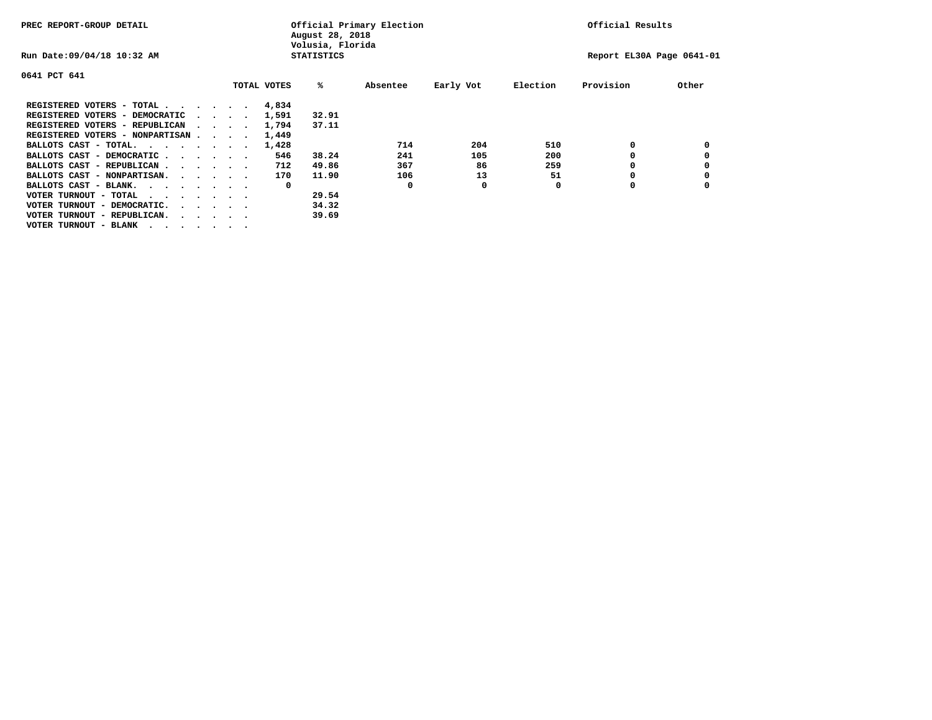| PREC REPORT-GROUP DETAIL                                               |  |  |                             |             | August 28, 2018<br>Volusia, Florida | Official Primary Election |           | Official Results |                           |       |  |
|------------------------------------------------------------------------|--|--|-----------------------------|-------------|-------------------------------------|---------------------------|-----------|------------------|---------------------------|-------|--|
| Run Date: 09/04/18 10:32 AM                                            |  |  |                             |             | <b>STATISTICS</b>                   |                           |           |                  | Report EL30A Page 0641-01 |       |  |
| 0641 PCT 641                                                           |  |  |                             |             |                                     |                           |           |                  |                           |       |  |
|                                                                        |  |  |                             | TOTAL VOTES | ‱                                   | Absentee                  | Early Vot | Election         | Provision                 | Other |  |
| REGISTERED VOTERS - TOTAL                                              |  |  |                             | 4,834       |                                     |                           |           |                  |                           |       |  |
| REGISTERED VOTERS - DEMOCRATIC                                         |  |  | $\sim$ $\sim$ $\sim$ $\sim$ | 1,591       | 32.91                               |                           |           |                  |                           |       |  |
| REGISTERED VOTERS - REPUBLICAN                                         |  |  |                             | 1,794       | 37.11                               |                           |           |                  |                           |       |  |
| REGISTERED VOTERS - NONPARTISAN                                        |  |  |                             | 1,449       |                                     |                           |           |                  |                           |       |  |
| BALLOTS CAST - TOTAL.                                                  |  |  |                             | 1,428       |                                     | 714                       | 204       | 510              | 0                         |       |  |
| BALLOTS CAST - DEMOCRATIC                                              |  |  |                             | 546         | 38.24                               | 241                       | 105       | 200              |                           |       |  |
| BALLOTS CAST - REPUBLICAN                                              |  |  |                             | 712         | 49.86                               | 367                       | 86        | 259              | 0                         |       |  |
| BALLOTS CAST - NONPARTISAN.                                            |  |  |                             | 170         | 11.90                               | 106                       | 13        | 51               |                           |       |  |
| BALLOTS CAST - BLANK.                                                  |  |  |                             | 0           |                                     | 0                         | 0         | 0                | O                         |       |  |
| VOTER TURNOUT - TOTAL<br>.                                             |  |  |                             |             | 29.54                               |                           |           |                  |                           |       |  |
| VOTER TURNOUT - DEMOCRATIC.<br>$\cdot$ $\cdot$ $\cdot$ $\cdot$ $\cdot$ |  |  |                             |             | 34.32                               |                           |           |                  |                           |       |  |
| VOTER TURNOUT - REPUBLICAN.<br>$\cdot$                                 |  |  |                             |             | 39.69                               |                           |           |                  |                           |       |  |
| VOTER TURNOUT - BLANK                                                  |  |  |                             |             |                                     |                           |           |                  |                           |       |  |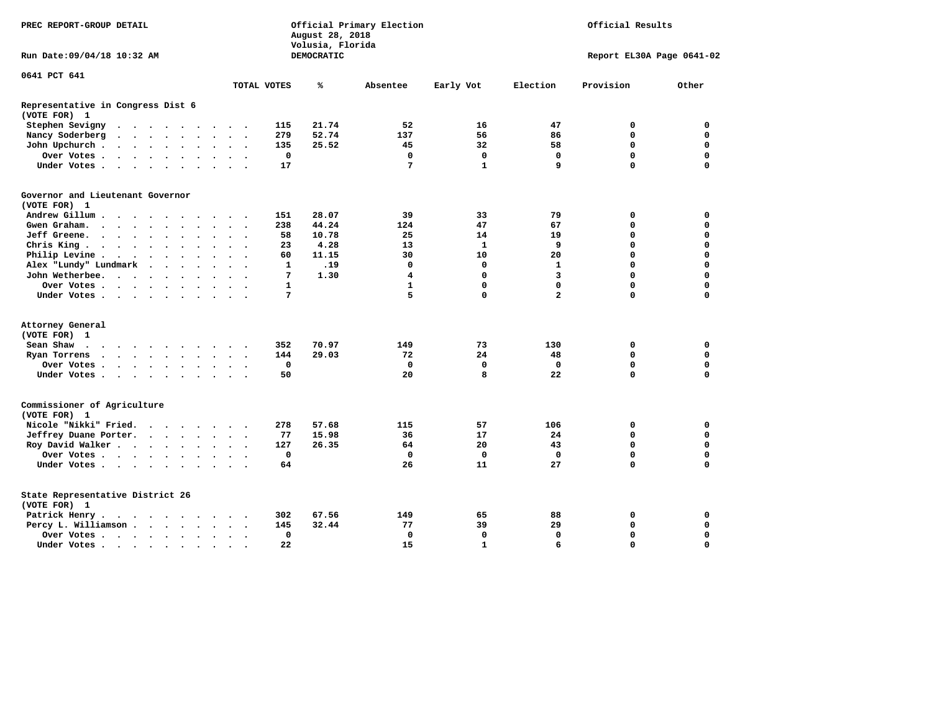| PREC REPORT-GROUP DETAIL                          |                                                                                           |                      |                      |                      |        |                      |                       | August 28, 2018<br>Volusia, Florida | Official Primary Election |            | Official Results |              |                           |             |             |  |  |
|---------------------------------------------------|-------------------------------------------------------------------------------------------|----------------------|----------------------|----------------------|--------|----------------------|-----------------------|-------------------------------------|---------------------------|------------|------------------|--------------|---------------------------|-------------|-------------|--|--|
| Run Date:09/04/18 10:32 AM                        |                                                                                           |                      |                      |                      |        |                      |                       |                                     |                           | DEMOCRATIC |                  |              | Report EL30A Page 0641-02 |             |             |  |  |
| 0641 PCT 641                                      |                                                                                           |                      |                      |                      |        |                      |                       |                                     |                           |            |                  |              |                           |             |             |  |  |
|                                                   |                                                                                           |                      |                      |                      |        |                      |                       |                                     | TOTAL VOTES               | ℁          | Absentee         | Early Vot    | Election                  | Provision   | Other       |  |  |
| Representative in Congress Dist 6<br>(VOTE FOR) 1 |                                                                                           |                      |                      |                      |        |                      |                       |                                     |                           |            |                  |              |                           |             |             |  |  |
| Stephen Sevigny                                   | $\cdots$                                                                                  |                      |                      |                      |        |                      |                       |                                     | 115                       | 21.74      | 52               | 16           | 47                        | 0           | 0           |  |  |
| Nancy Soderberg                                   | $\begin{array}{cccccccccccccccccc} . & . & . & . & . & . & . & . & . & . & . \end{array}$ |                      |                      |                      |        |                      |                       |                                     | 279                       | 52.74      | 137              | 56           | 86                        | 0           | 0           |  |  |
| John Upchurch.                                    |                                                                                           |                      |                      |                      |        |                      | $\ddot{\phantom{1}}$  |                                     | 135                       | 25.52      | 45               | 32           | 58                        | $\mathbf 0$ | $\mathbf 0$ |  |  |
| Over Votes                                        |                                                                                           |                      |                      |                      |        | $\ddot{\phantom{1}}$ | $\ddot{\phantom{1}}$  |                                     | $\mathbf 0$               |            | $\mathbf 0$      | $\mathbf{o}$ | $\mathbf 0$               | $\mathbf 0$ | $\mathbf 0$ |  |  |
| Under Votes                                       |                                                                                           |                      |                      |                      |        |                      | $\sim$                |                                     | 17                        |            | 7                | $\mathbf{1}$ | 9                         | $\Omega$    | $\mathbf 0$ |  |  |
| Governor and Lieutenant Governor<br>(VOTE FOR) 1  |                                                                                           |                      |                      |                      |        |                      |                       |                                     |                           |            |                  |              |                           |             |             |  |  |
| Andrew Gillum                                     |                                                                                           | $\sim$               |                      |                      |        |                      |                       |                                     | 151                       | 28.07      | 39               | 33           | 79                        | 0           | 0           |  |  |
| Gwen Graham.                                      | $\cdots$                                                                                  |                      |                      |                      |        |                      | $\sim$ $\sim$         | $\sim$                              | 238                       | 44.24      | 124              | 47           | 67                        | $\mathbf 0$ | $\mathbf 0$ |  |  |
| Jeff Greene.                                      | $\cdots$                                                                                  |                      | $\ddot{\phantom{a}}$ |                      |        |                      | $\ddot{\phantom{a}}$  |                                     | 58                        | 10.78      | 25               | 14           | 19                        | $\mathbf 0$ | $\mathbf 0$ |  |  |
| Chris King                                        |                                                                                           |                      |                      |                      |        |                      |                       |                                     | 23                        | 4.28       | 13               | $\mathbf{1}$ | 9                         | $\mathbf 0$ | $\mathbf 0$ |  |  |
|                                                   |                                                                                           |                      |                      |                      |        |                      | $\bullet$ . $\bullet$ |                                     | 60                        | 11.15      | 30               | 10           | 20                        | $\mathbf 0$ | $\mathbf 0$ |  |  |
| Philip Levine.                                    | $\mathcal{A}=\mathcal{A}=\mathcal{A}=\mathcal{A}=\mathcal{A}=\mathcal{A}$ .               |                      |                      |                      |        | $\ddot{\phantom{a}}$ | $\ddot{\phantom{a}}$  | $\sim$                              |                           |            | 0                | 0            |                           | $\mathbf 0$ | $\mathbf 0$ |  |  |
| Alex "Lundy" Lundmark                             |                                                                                           | $\ddot{\phantom{0}}$ |                      | $\ddot{\phantom{1}}$ | $\sim$ |                      | $\bullet$             |                                     | 1                         | .19        |                  |              | 1<br>3                    |             | $\mathbf 0$ |  |  |
| John Wetherbee.                                   |                                                                                           |                      |                      |                      |        | $\ddot{\phantom{a}}$ | $\bullet$             |                                     | 7                         | 1.30       | 4                | $\mathbf 0$  |                           | $\mathbf 0$ |             |  |  |
| Over Votes                                        |                                                                                           |                      |                      |                      |        |                      | $\sim$                |                                     | $\mathbf{1}$              |            | $\mathbf{1}$     | $\mathbf 0$  | $\mathbf 0$               | $\Omega$    | $\mathbf 0$ |  |  |
| Under Votes                                       |                                                                                           |                      |                      |                      |        |                      |                       |                                     | 7                         |            | 5                | $\mathbf 0$  | $\overline{a}$            | $\Omega$    | $\mathbf 0$ |  |  |
| Attorney General                                  |                                                                                           |                      |                      |                      |        |                      |                       |                                     |                           |            |                  |              |                           |             |             |  |  |
| (VOTE FOR) 1                                      |                                                                                           |                      |                      |                      |        |                      |                       |                                     |                           |            |                  |              |                           |             |             |  |  |
| Sean Shaw                                         |                                                                                           |                      |                      |                      |        |                      | $\sim$ $\sim$         |                                     | 352                       | 70.97      | 149              | 73           | 130                       | 0           | 0           |  |  |
| Ryan Torrens                                      | $\mathbf{r}$ , $\mathbf{r}$ , $\mathbf{r}$ , $\mathbf{r}$ , $\mathbf{r}$ , $\mathbf{r}$   |                      |                      |                      |        |                      | $\ddot{\phantom{1}}$  | $\ddot{\phantom{1}}$                | 144                       | 29.03      | 72               | 24           | 48                        | $\mathbf 0$ | $\mathbf 0$ |  |  |
| Over Votes                                        |                                                                                           |                      |                      |                      |        |                      |                       |                                     | 0                         |            | $\mathbf 0$      | $\mathbf 0$  | $\mathbf 0$               | $\mathbf 0$ | $\mathbf 0$ |  |  |
| Under Votes                                       |                                                                                           |                      |                      |                      |        | $\ddot{\phantom{1}}$ | $\sim$ $\sim$         |                                     | 50                        |            | 20               | 8            | 22                        | $\mathbf 0$ | $\mathbf 0$ |  |  |
| Commissioner of Agriculture<br>(VOTE FOR) 1       |                                                                                           |                      |                      |                      |        |                      |                       |                                     |                           |            |                  |              |                           |             |             |  |  |
| Nicole "Nikki" Fried.                             |                                                                                           |                      |                      |                      |        |                      |                       |                                     | 278                       | 57.68      | 115              | 57           | 106                       | 0           | 0           |  |  |
| Jeffrey Duane Porter.                             |                                                                                           |                      |                      |                      |        |                      | $\sim$ $\sim$         |                                     | 77                        | 15.98      | 36               | 17           | 24                        | 0           | 0           |  |  |
| Roy David Walker                                  |                                                                                           |                      |                      |                      |        |                      |                       |                                     | 127                       | 26.35      | 64               | 20           | 43                        | $\mathbf 0$ | $\mathbf 0$ |  |  |
| Over Votes                                        |                                                                                           |                      |                      |                      |        |                      | $\ddot{\phantom{a}}$  |                                     | $\mathbf 0$               |            | $\mathbf{0}$     | $\mathbf 0$  | $\mathbf{0}$              | $\mathbf 0$ | $\mathbf 0$ |  |  |
| Under Votes                                       |                                                                                           |                      |                      |                      |        |                      | $\sim$ $\sim$         |                                     | 64                        |            | 26               | 11           | 27                        | $\Omega$    | $\mathbf 0$ |  |  |
| State Representative District 26<br>(VOTE FOR) 1  |                                                                                           |                      |                      |                      |        |                      |                       |                                     |                           |            |                  |              |                           |             |             |  |  |
| Patrick Henry.                                    | .                                                                                         |                      |                      |                      |        |                      |                       |                                     | 302                       | 67.56      | 149              | 65           | 88                        | 0           | 0           |  |  |
| Percy L. Williamson                               |                                                                                           |                      |                      |                      |        | $\ddot{\phantom{0}}$ | $\bullet$             | $\sim$                              | 145                       | 32.44      | 77               | 39           | 29                        | $\mathbf 0$ | $\mathbf 0$ |  |  |
| Over Votes                                        |                                                                                           |                      |                      |                      |        |                      | $\bullet$             |                                     | $\mathbf 0$               |            | $\mathbf 0$      | $\mathbf 0$  | $\mathbf 0$               | $\mathbf 0$ | $\mathbf 0$ |  |  |
| Under Votes                                       |                                                                                           |                      |                      |                      |        |                      |                       |                                     | 22                        |            | 15               | $\mathbf{1}$ | 6                         | $\Omega$    | $\Omega$    |  |  |
|                                                   |                                                                                           |                      |                      |                      |        |                      |                       |                                     |                           |            |                  |              |                           |             |             |  |  |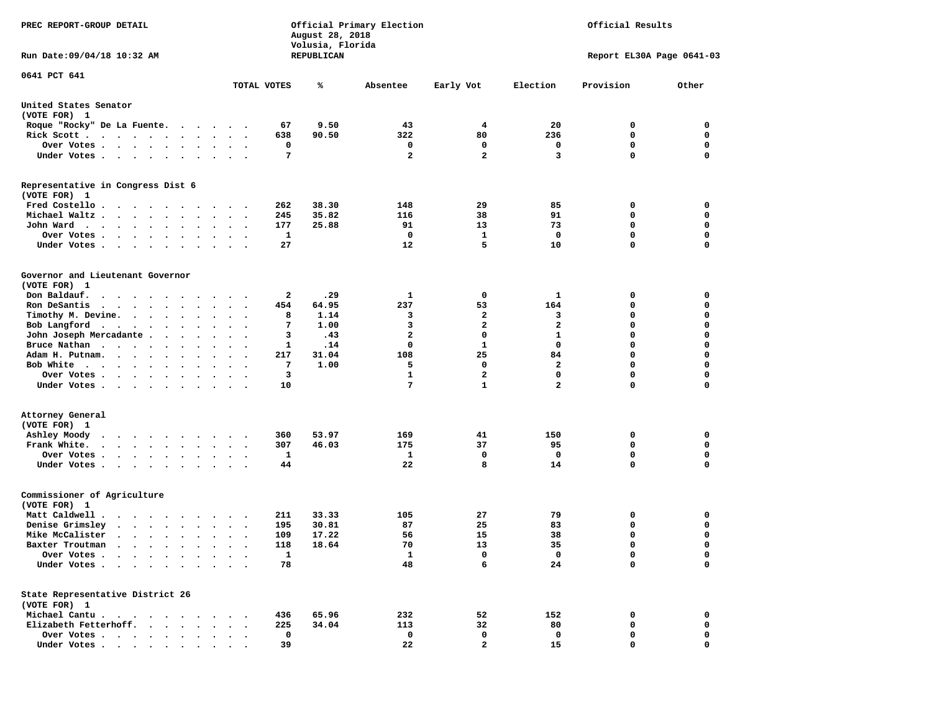| PREC REPORT-GROUP DETAIL                                                                                                                                                                                                                                                            |                                                                                 | August 28, 2018<br>Volusia, Florida | Official Primary Election |                | Official Results        |                           |             |  |  |
|-------------------------------------------------------------------------------------------------------------------------------------------------------------------------------------------------------------------------------------------------------------------------------------|---------------------------------------------------------------------------------|-------------------------------------|---------------------------|----------------|-------------------------|---------------------------|-------------|--|--|
| Run Date: 09/04/18 10:32 AM                                                                                                                                                                                                                                                         |                                                                                 | REPUBLICAN                          |                           |                |                         | Report EL30A Page 0641-03 |             |  |  |
| 0641 PCT 641                                                                                                                                                                                                                                                                        |                                                                                 |                                     |                           |                |                         |                           |             |  |  |
|                                                                                                                                                                                                                                                                                     | TOTAL VOTES                                                                     | ℁                                   | Absentee                  | Early Vot      | Election                | Provision                 | Other       |  |  |
| United States Senator<br>(VOTE FOR) 1                                                                                                                                                                                                                                               |                                                                                 |                                     |                           |                |                         |                           |             |  |  |
| Roque "Rocky" De La Fuente.                                                                                                                                                                                                                                                         | 67<br>$\ddot{\phantom{1}}$                                                      | 9.50                                | 43                        | 4              | 20                      | 0                         | 0           |  |  |
| Rick Scott                                                                                                                                                                                                                                                                          | 638<br>$\ddot{\phantom{1}}$<br>$\overline{\phantom{a}}$                         | 90.50                               | 322                       | 80             | 236                     | 0                         | 0           |  |  |
| Over Votes                                                                                                                                                                                                                                                                          |                                                                                 | 0                                   | 0                         | 0              | 0                       | $\mathbf 0$               | 0           |  |  |
| Under Votes                                                                                                                                                                                                                                                                         | $\cdot$ $\cdot$ $\cdot$                                                         | 7                                   | $\mathbf{2}$              | $\overline{a}$ | 3                       | $\mathbf 0$               | $\mathbf 0$ |  |  |
| Representative in Congress Dist 6<br>(VOTE FOR) 1                                                                                                                                                                                                                                   |                                                                                 |                                     |                           |                |                         |                           |             |  |  |
| Fred Costello                                                                                                                                                                                                                                                                       | 262                                                                             | 38.30                               | 148                       | 29             | 85                      | 0                         | 0           |  |  |
| Michael Waltz<br>$\ddot{\phantom{0}}$<br>$\bullet$                                                                                                                                                                                                                                  | 245<br>$\bullet$                                                                | 35.82                               | 116                       | 38             | 91                      | 0                         | 0           |  |  |
| John Ward<br>$\cdots$<br>$\bullet$                                                                                                                                                                                                                                                  | 177<br>$\ddot{\phantom{a}}$<br>$\ddot{\phantom{0}}$<br>$\overline{\phantom{a}}$ | 25.88                               | 91                        | 13             | 73                      | 0                         | 0           |  |  |
| Over Votes.<br>$\cdot$<br>$\bullet$                                                                                                                                                                                                                                                 | 1                                                                               |                                     | 0                         | 1              | $\mathbf{o}$            | $\mathbf 0$               | 0           |  |  |
| Under Votes<br>$\cdot$                                                                                                                                                                                                                                                              | 27                                                                              |                                     | 12                        | 5              | 10                      | $\mathbf 0$               | 0           |  |  |
| Governor and Lieutenant Governor<br>(VOTE FOR) 1                                                                                                                                                                                                                                    |                                                                                 |                                     |                           |                |                         |                           |             |  |  |
| Don Baldauf.<br>$\begin{array}{cccccccccccccccccc} \bullet & \bullet & \bullet & \bullet & \bullet & \bullet & \bullet & \bullet & \bullet & \bullet & \bullet & \bullet \end{array}$                                                                                               | $\cdot$ $\cdot$                                                                 | 2<br>.29                            | 1                         | 0              | 1                       | 0                         | 0           |  |  |
| Ron DeSantis<br>$\mathbf{r}$ . The set of the set of the set of the set of the set of the set of the set of the set of the set of the set of the set of the set of the set of the set of the set of the set of the set of the set of the set of t<br>$\sim$<br>$\ddot{\phantom{a}}$ | 454<br>$\ddot{\phantom{a}}$<br>$\ddot{\phantom{a}}$                             | 64.95                               | 237                       | 53             | 164                     | 0                         | 0           |  |  |
| Timothy M. Devine.                                                                                                                                                                                                                                                                  |                                                                                 | 8<br>1.14                           | 3                         | 2              | 3                       | 0                         | 0           |  |  |
| Bob Langford                                                                                                                                                                                                                                                                        | $\bullet$ .<br><br><br><br><br><br>$\bullet$<br>$\overline{\phantom{a}}$        | 1.00<br>7                           | 3                         | $\overline{a}$ | $\overline{\mathbf{2}}$ | $\mathbf 0$               | $\mathbf 0$ |  |  |
| John Joseph Mercadante .<br>$\sim$<br>$\ddot{\phantom{a}}$<br>$\ddot{\phantom{a}}$                                                                                                                                                                                                  | $\ddot{\phantom{a}}$                                                            | 3<br>.43                            | $\mathbf{2}$              | $\mathbf 0$    | $\mathbf{1}$            | $\mathbf 0$               | 0           |  |  |
| Bruce Nathan<br>$\sim$<br>$\bullet$                                                                                                                                                                                                                                                 | $\bullet$<br>$\bullet$<br>$\blacksquare$                                        | .14<br>1                            | 0                         | 1              | 0                       | $\mathbf 0$               | 0           |  |  |
| Adam H. Putnam.<br>$\sim$                                                                                                                                                                                                                                                           | 217<br>$\sim$                                                                   | 31.04                               | 108                       | 25             | 84                      | $\mathbf 0$               | $\mathbf 0$ |  |  |
| Bob White                                                                                                                                                                                                                                                                           | -7                                                                              | 1.00                                | 5                         | $\mathbf 0$    | $\mathbf{2}$            | $\mathbf 0$               | 0           |  |  |
| Over Votes .                                                                                                                                                                                                                                                                        |                                                                                 | 3                                   | 1                         | 2              | 0                       | 0                         | 0           |  |  |
| Under Votes                                                                                                                                                                                                                                                                         | 10                                                                              |                                     | 7                         | $\mathbf{1}$   | $\mathbf{2}$            | $\mathbf 0$               | 0           |  |  |
| Attorney General                                                                                                                                                                                                                                                                    |                                                                                 |                                     |                           |                |                         |                           |             |  |  |
| (VOTE FOR) 1                                                                                                                                                                                                                                                                        |                                                                                 |                                     |                           |                |                         |                           |             |  |  |
| Ashley Moody<br>$\begin{array}{cccccccccccccc} \bullet & \bullet & \bullet & \bullet & \bullet & \bullet & \bullet & \bullet & \bullet & \bullet & \bullet \end{array}$                                                                                                             | 360                                                                             | 53.97                               | 169                       | 41             | 150                     | 0                         | 0           |  |  |
| Frank White.                                                                                                                                                                                                                                                                        | 307<br>$\bullet$ .<br>$\bullet$<br>$\sim$                                       | 46.03                               | 175                       | 37             | 95                      | 0                         | 0           |  |  |
| Over Votes.<br>$\mathbf{r}$ . The contract of the contract of the contract of the contract of the contract of the contract of the contract of the contract of the contract of the contract of the contract of the contract of the contract of th                                    | 1<br>$\cdot$                                                                    |                                     | 1                         | 0              | 0                       | $\mathbf 0$               | 0           |  |  |
| Under Votes                                                                                                                                                                                                                                                                         | 44                                                                              |                                     | 22                        | 8              | 14                      | $\Omega$                  | $\mathbf 0$ |  |  |
| Commissioner of Agriculture<br>(VOTE FOR) 1                                                                                                                                                                                                                                         |                                                                                 |                                     |                           |                |                         |                           |             |  |  |
| Matt Caldwell .<br>$\cdots$                                                                                                                                                                                                                                                         | 211                                                                             | 33.33                               | 105                       | 27             | 79                      | 0                         | 0           |  |  |
| Denise Grimsley<br>$\cdot$ $\cdot$ $\cdot$ $\cdot$<br>$\bullet$<br>$\bullet$                                                                                                                                                                                                        | 195                                                                             | 30.81                               | 87                        | 25             | 83                      | 0                         | 0           |  |  |
| Mike McCalister                                                                                                                                                                                                                                                                     | 109<br>$\bullet$<br>$\cdot$                                                     | 17.22                               | 56                        | 15             | 38                      | $\mathbf 0$               | 0           |  |  |
| Baxter Troutman<br>in the common contract of the common contract of the common common common common common common common common common common common common common common common common common common common common common common common common c                                   | 118                                                                             | 18.64                               | 70                        | 13             | 35                      | 0                         | $\mathbf 0$ |  |  |
| Over Votes                                                                                                                                                                                                                                                                          |                                                                                 | 1                                   | $\mathbf{1}$              | 0              | 0                       | 0                         | 0           |  |  |
| Under Votes                                                                                                                                                                                                                                                                         | 78                                                                              |                                     | 48                        | 6              | 24                      | $\mathbf 0$               | $\mathbf 0$ |  |  |
| State Representative District 26<br>(VOTE FOR) 1                                                                                                                                                                                                                                    |                                                                                 |                                     |                           |                |                         |                           |             |  |  |
| Michael Cantu.                                                                                                                                                                                                                                                                      | 436                                                                             | 65.96                               | 232                       | 52             | 152                     | 0                         | 0           |  |  |
| Elizabeth Fetterhoff.                                                                                                                                                                                                                                                               | 225<br>$\ddot{\phantom{a}}$                                                     | 34.04                               | 113                       | 32             | 80                      | 0                         | 0           |  |  |
| Over Votes                                                                                                                                                                                                                                                                          | $\mathbf 0$                                                                     |                                     | 0                         | 0              | 0                       | 0                         | 0           |  |  |
| Under Votes                                                                                                                                                                                                                                                                         | 39                                                                              |                                     | 22                        | $\mathbf{2}$   | 15                      | 0                         | 0           |  |  |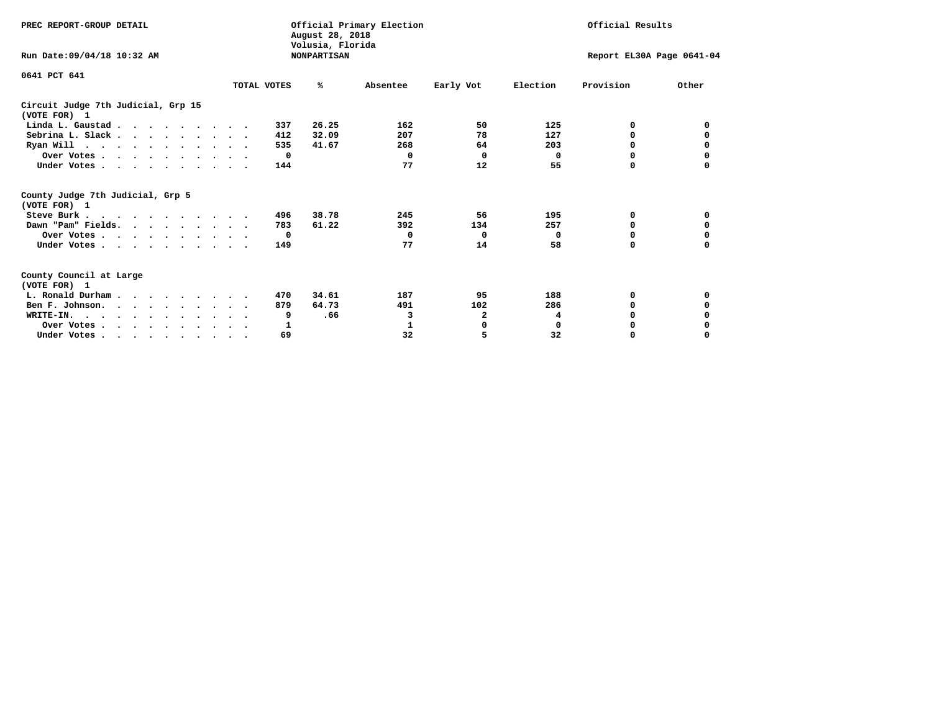| PREC REPORT-GROUP DETAIL                                                         |             | August 28, 2018                        | Official Primary Election |           | Official Results |                           |          |  |
|----------------------------------------------------------------------------------|-------------|----------------------------------------|---------------------------|-----------|------------------|---------------------------|----------|--|
| Run Date: 09/04/18 10:32 AM                                                      |             | Volusia, Florida<br><b>NONPARTISAN</b> |                           |           |                  | Report EL30A Page 0641-04 |          |  |
| 0641 PCT 641                                                                     | TOTAL VOTES | %ะ                                     | Absentee                  | Early Vot | Election         | Provision                 | Other    |  |
| Circuit Judge 7th Judicial, Grp 15<br>(VOTE FOR) 1                               |             |                                        |                           |           |                  |                           |          |  |
| Linda L. Gaustad                                                                 |             | 26.25<br>337                           | 162                       | 50        | 125              | 0                         | 0        |  |
| Sebrina L. Slack.                                                                |             | 32.09<br>412                           | 207                       | 78        | 127              | 0                         |          |  |
| Ryan Will $\cdots$ , $\cdots$ , $\cdots$ , $\cdots$                              |             | 535<br>41.67                           | 268                       | 64        | 203              | 0                         | 0        |  |
| Over Votes                                                                       |             | $\mathbf{o}$                           | $\Omega$                  | $\Omega$  | 0                | 0                         | 0        |  |
| Under Votes                                                                      |             | 144                                    | 77                        | 12        | 55               | 0                         |          |  |
| County Judge 7th Judicial, Grp 5<br>(VOTE FOR) 1                                 |             |                                        |                           |           |                  |                           |          |  |
| Steve Burk                                                                       |             | 38.78<br>496                           | 245                       | 56        | 195              | 0                         | 0        |  |
| Dawn "Pam" Fields.                                                               |             | 783<br>61.22                           | 392                       | 134       | 257              | 0                         |          |  |
| Over Votes                                                                       |             | $\mathbf{o}$                           | 0                         | 0         | 0                | 0                         | 0        |  |
| Under Votes                                                                      |             | 149                                    | 77                        | 14        | 58               | $\Omega$                  | 0        |  |
| County Council at Large<br>(VOTE FOR) 1                                          |             |                                        |                           |           |                  |                           |          |  |
| L. Ronald Durham                                                                 |             | 34.61<br>470                           | 187                       | 95        | 188              | 0                         | 0        |  |
| Ben F. Johnson.                                                                  |             | 64.73<br>879                           | 491                       | 102       | 286              | $\Omega$                  | 0        |  |
| WRITE-IN.                                                                        |             | .66<br>9                               | 3                         | 2         | 4                | O                         |          |  |
| Over Votes                                                                       |             | 1                                      | 1                         | 0         | $\mathbf 0$      | 0                         |          |  |
| Under Votes, $\cdot$ , $\cdot$ , $\cdot$ , $\cdot$ , $\cdot$ , $\cdot$ , $\cdot$ |             | 69                                     | 32                        | 5         | 32               | 0                         | $\Omega$ |  |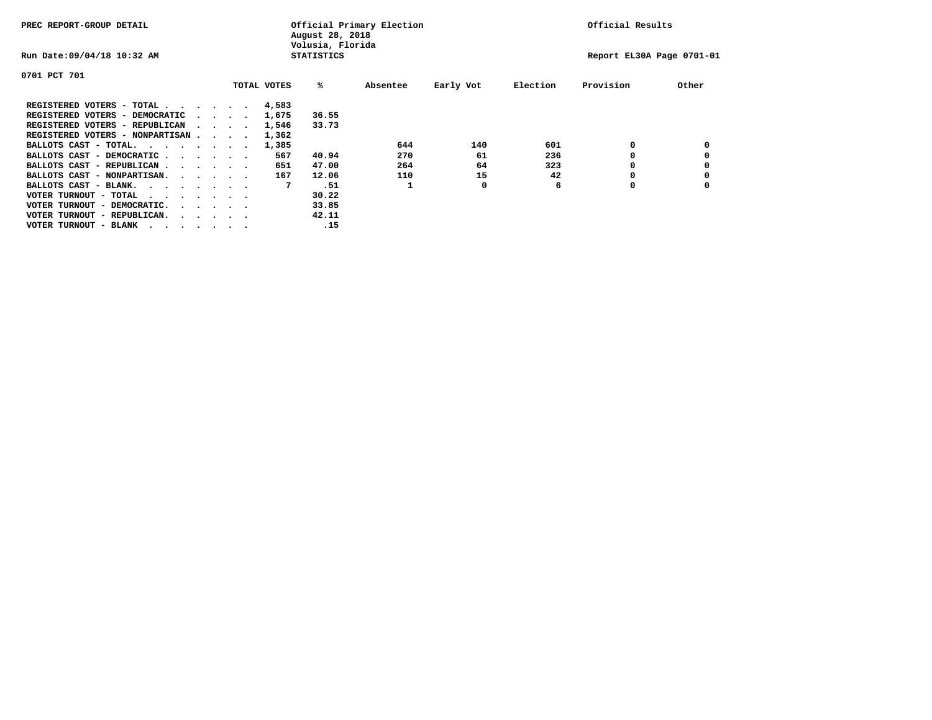| PREC REPORT-GROUP DETAIL               |                                         |  |             | August 28, 2018<br>Volusia, Florida | Official Primary Election |           |          | Official Results          |       |
|----------------------------------------|-----------------------------------------|--|-------------|-------------------------------------|---------------------------|-----------|----------|---------------------------|-------|
| Run Date: 09/04/18 10:32 AM            |                                         |  |             | <b>STATISTICS</b>                   |                           |           |          | Report EL30A Page 0701-01 |       |
| 0701 PCT 701                           |                                         |  |             |                                     |                           |           |          |                           |       |
|                                        |                                         |  | TOTAL VOTES | %ะ                                  | Absentee                  | Early Vot | Election | Provision                 | Other |
| REGISTERED VOTERS - TOTAL              |                                         |  | 4,583       |                                     |                           |           |          |                           |       |
| REGISTERED VOTERS - DEMOCRATIC         | $\sim$ $\sim$ $\sim$ $\sim$             |  | 1,675       | 36.55                               |                           |           |          |                           |       |
| REGISTERED VOTERS - REPUBLICAN         |                                         |  | 1,546       | 33.73                               |                           |           |          |                           |       |
| REGISTERED VOTERS - NONPARTISAN        |                                         |  | 1,362       |                                     |                           |           |          |                           |       |
| BALLOTS CAST - TOTAL.                  |                                         |  | 1,385       |                                     | 644                       | 140       | 601      | 0                         |       |
| BALLOTS CAST - DEMOCRATIC              |                                         |  | 567         | 40.94                               | 270                       | 61        | 236      |                           |       |
| BALLOTS CAST - REPUBLICAN              |                                         |  | 651         | 47.00                               | 264                       | 64        | 323      |                           |       |
| BALLOTS CAST - NONPARTISAN.            |                                         |  | 167         | 12.06                               | 110                       | 15        | 42       |                           |       |
| BALLOTS CAST - BLANK.                  |                                         |  | 7           | .51                                 |                           | 0         | 6        | 0                         |       |
| VOTER TURNOUT - TOTAL<br>.             |                                         |  |             | 30.22                               |                           |           |          |                           |       |
| VOTER TURNOUT - DEMOCRATIC.            | $\cdot$ $\cdot$ $\cdot$ $\cdot$ $\cdot$ |  |             | 33.85                               |                           |           |          |                           |       |
| VOTER TURNOUT - REPUBLICAN.<br>$\cdot$ |                                         |  |             | 42.11                               |                           |           |          |                           |       |
| VOTER TURNOUT - BLANK                  |                                         |  |             | .15                                 |                           |           |          |                           |       |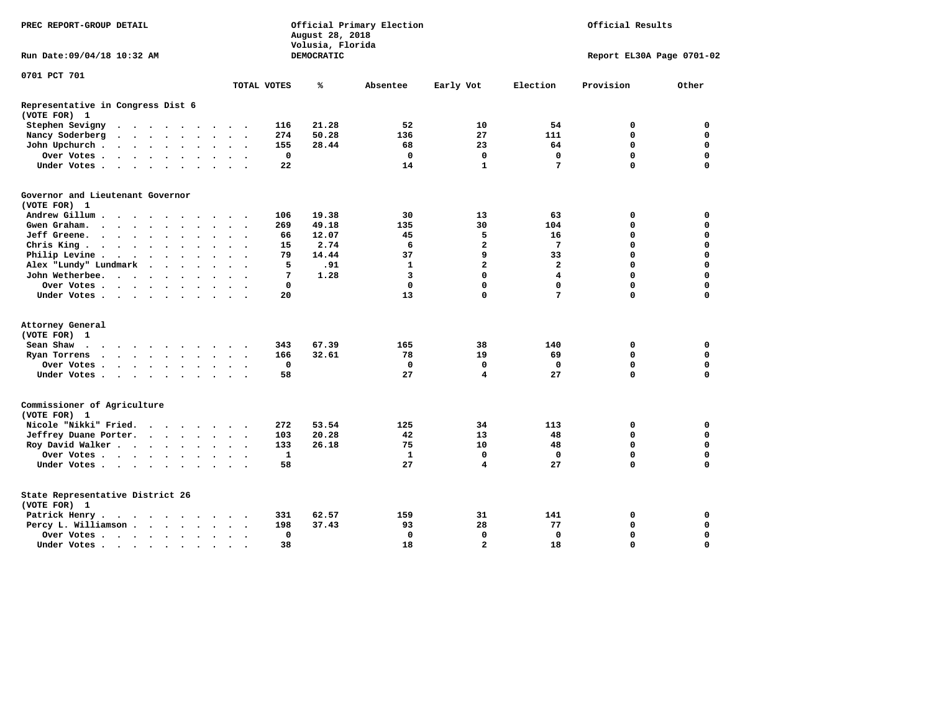| PREC REPORT-GROUP DETAIL                          |                                                                       |                      |                                         | Official Primary Election<br>August 28, 2018<br>Volusia, Florida |                      |                      |                      |                      |             |            |             | Official Results        |                 |                           |             |
|---------------------------------------------------|-----------------------------------------------------------------------|----------------------|-----------------------------------------|------------------------------------------------------------------|----------------------|----------------------|----------------------|----------------------|-------------|------------|-------------|-------------------------|-----------------|---------------------------|-------------|
| Run Date: 09/04/18 10:32 AM                       |                                                                       |                      |                                         |                                                                  |                      |                      |                      |                      |             | DEMOCRATIC |             |                         |                 | Report EL30A Page 0701-02 |             |
| 0701 PCT 701                                      |                                                                       |                      |                                         |                                                                  |                      |                      |                      |                      | TOTAL VOTES | ℁          | Absentee    | Early Vot               | Election        | Provision                 | Other       |
|                                                   |                                                                       |                      |                                         |                                                                  |                      |                      |                      |                      |             |            |             |                         |                 |                           |             |
| Representative in Congress Dist 6<br>(VOTE FOR) 1 |                                                                       |                      |                                         |                                                                  |                      |                      |                      |                      |             |            |             |                         |                 |                           |             |
| Stephen Sevigny                                   | $\cdots$                                                              |                      |                                         |                                                                  |                      |                      |                      |                      | 116         | 21.28      | 52          | 10                      | 54              | 0                         | 0           |
| Nancy Soderberg                                   | $\bullet$                                                             |                      | $\cdot$ $\cdot$ $\cdot$ $\cdot$ $\cdot$ |                                                                  |                      |                      | $\sim$ $\sim$        | $\ddot{\phantom{1}}$ | 274         | 50.28      | 136         | 27                      | 111             | 0                         | 0           |
| John Upchurch.                                    | $\cdot$ $\cdot$ $\cdot$ $\cdot$ $\cdot$                               |                      |                                         |                                                                  |                      |                      | $\bullet$            |                      | 155         | 28.44      | 68          | 23                      | 64              | $\mathbf 0$               | $\mathbf 0$ |
| Over Votes.                                       | $\cdots$                                                              |                      |                                         |                                                                  |                      | $\ddot{\phantom{a}}$ | $\ddot{\phantom{a}}$ | $\sim$               | $\mathbf 0$ |            | $\mathbf 0$ | $\mathbf 0$             | $\mathbf 0$     | $\mathbf 0$               | $\mathbf 0$ |
| Under Votes                                       |                                                                       |                      |                                         |                                                                  | $\sim$               | $\sim$               | $\sim$               |                      | 22          |            | 14          | $\mathbf{1}$            | 7               | $\Omega$                  | $\mathbf 0$ |
| Governor and Lieutenant Governor<br>(VOTE FOR) 1  |                                                                       |                      |                                         |                                                                  |                      |                      |                      |                      |             |            |             |                         |                 |                           |             |
| Andrew Gillum                                     |                                                                       | $\sim$               |                                         |                                                                  |                      |                      |                      |                      | 106         | 19.38      | 30          | 13                      | 63              | 0                         | 0           |
| Gwen Graham.                                      | $\cdot$                                                               |                      |                                         |                                                                  | $\sim$               |                      | $\sim$ $\sim$        | $\sim$               | 269         | 49.18      | 135         | 30                      | 104             | $\mathbf 0$               | $\mathbf 0$ |
| Jeff Greene.                                      | $\cdots$                                                              |                      | $\bullet$                               |                                                                  |                      |                      |                      |                      | 66          | 12.07      | 45          | 5                       | 16              | 0                         | 0           |
| Chris King                                        |                                                                       |                      |                                         |                                                                  |                      |                      |                      |                      | 15          | 2.74       | 6           | 2                       | $7\phantom{.0}$ | $\mathbf 0$               | $\mathbf 0$ |
| Philip Levine.                                    | $\cdot$ $\cdot$ $\cdot$ $\cdot$ $\cdot$                               |                      |                                         |                                                                  | $\ddot{\phantom{a}}$ | $\bullet$            | $\ddot{\phantom{a}}$ | $\sim$               | 79          | 14.44      | 37          | 9                       | 33              | $\mathbf 0$               | $\mathbf 0$ |
| Alex "Lundy" Lundmark                             |                                                                       | $\ddot{\phantom{a}}$ | $\ddot{\phantom{a}}$                    | $\ddot{\phantom{a}}$                                             | $\cdot$              |                      |                      |                      | 5           | .91        | 1           | $\mathbf{z}$            | $\overline{2}$  | $\mathbf 0$               | $\mathbf 0$ |
| John Wetherbee.                                   |                                                                       |                      |                                         |                                                                  |                      |                      |                      |                      | 7           | 1.28       | 3           | $\mathbf 0$             | $\overline{4}$  | $\mathbf 0$               | $\mathbf 0$ |
| Over Votes                                        |                                                                       |                      |                                         | $\sim$                                                           |                      |                      | $\Delta$             |                      | $\mathbf 0$ |            | $\mathbf 0$ | 0                       | $\mathbf 0$     | $\mathbf 0$               | $\mathbf 0$ |
| Under Votes                                       |                                                                       |                      |                                         |                                                                  |                      |                      |                      |                      | 20          |            | 13          | $\mathbf 0$             | 7               | $\mathbf 0$               | 0           |
|                                                   |                                                                       |                      |                                         |                                                                  |                      |                      |                      |                      |             |            |             |                         |                 |                           |             |
| Attorney General<br>(VOTE FOR) 1                  |                                                                       |                      |                                         |                                                                  |                      |                      |                      |                      |             |            |             |                         |                 |                           |             |
| Sean Shaw<br>$\cdots$                             |                                                                       |                      |                                         |                                                                  |                      |                      |                      |                      | 343         | 67.39      | 165         | 38                      | 140             | 0                         | 0           |
| Ryan Torrens                                      | $\cdots$                                                              |                      |                                         |                                                                  |                      | $\ddot{\phantom{a}}$ | $\bullet$            | $\ddot{\phantom{1}}$ | 166         | 32.61      | 78          | 19                      | 69              | $\mathbf 0$               | $\mathbf 0$ |
| Over Votes                                        |                                                                       |                      |                                         |                                                                  |                      |                      |                      |                      | $\mathbf 0$ |            | $\mathbf 0$ | $\mathbf 0$             | $\mathbf 0$     | $\mathbf 0$               | $\mathbf 0$ |
| Under Votes                                       |                                                                       |                      |                                         |                                                                  |                      |                      |                      |                      | 58          |            | 27          | $\overline{\mathbf{4}}$ | 27              | $\Omega$                  | $\Omega$    |
| Commissioner of Agriculture<br>(VOTE FOR) 1       |                                                                       |                      |                                         |                                                                  |                      |                      |                      |                      |             |            |             |                         |                 |                           |             |
| Nicole "Nikki" Fried.                             |                                                                       |                      |                                         |                                                                  |                      |                      |                      |                      | 272         | 53.54      | 125         | 34                      | 113             | 0                         | 0           |
| Jeffrey Duane Porter.                             |                                                                       |                      |                                         |                                                                  |                      |                      | $\sim$ $\sim$        |                      | 103         | 20.28      | 42          | 13                      | 48              | $\Omega$                  | $\mathbf 0$ |
| Roy David Walker                                  |                                                                       |                      |                                         |                                                                  |                      |                      | $\sim$ $\sim$        |                      | 133         | 26.18      | 75          | 10                      | 48              | $\mathbf 0$               | $\mathbf 0$ |
| Over Votes                                        |                                                                       |                      |                                         |                                                                  |                      | $\bullet$            | $\bullet$            |                      | 1           |            | 1           | 0                       | $^{\circ}$      | $\mathbf 0$               | $\mathbf 0$ |
| Under Votes                                       |                                                                       |                      |                                         |                                                                  |                      |                      |                      |                      | 58          |            | 27          | $\overline{\mathbf{4}}$ | 27              | $\Omega$                  | $\mathbf 0$ |
| State Representative District 26<br>(VOTE FOR) 1  |                                                                       |                      |                                         |                                                                  |                      |                      |                      |                      |             |            |             |                         |                 |                           |             |
| Patrick Henry.                                    | $\mathbf{r}$ , and $\mathbf{r}$ , and $\mathbf{r}$ , and $\mathbf{r}$ |                      |                                         |                                                                  |                      | $\sim$ $\sim$        |                      |                      | 331         | 62.57      | 159         | 31                      | 141             | 0                         | 0           |
| Percy L. Williamson                               |                                                                       |                      |                                         |                                                                  |                      | $\ddot{\phantom{a}}$ | $\bullet$            | $\ddot{\phantom{1}}$ | 198         | 37.43      | 93          | 28                      | 77              | 0                         | 0           |
| Over Votes                                        |                                                                       |                      |                                         |                                                                  |                      |                      | $\bullet$            |                      | 0           |            | $\mathbf 0$ | $\mathbf 0$             | 0               | $\Omega$                  | $\mathbf 0$ |
| Under Votes                                       |                                                                       |                      |                                         |                                                                  |                      | $\sim$ $\sim$        | $\Delta$             |                      | 38          |            | 18          | $\overline{a}$          | 18              | $\Omega$                  | $\mathbf 0$ |
|                                                   |                                                                       |                      |                                         |                                                                  |                      |                      |                      |                      |             |            |             |                         |                 |                           |             |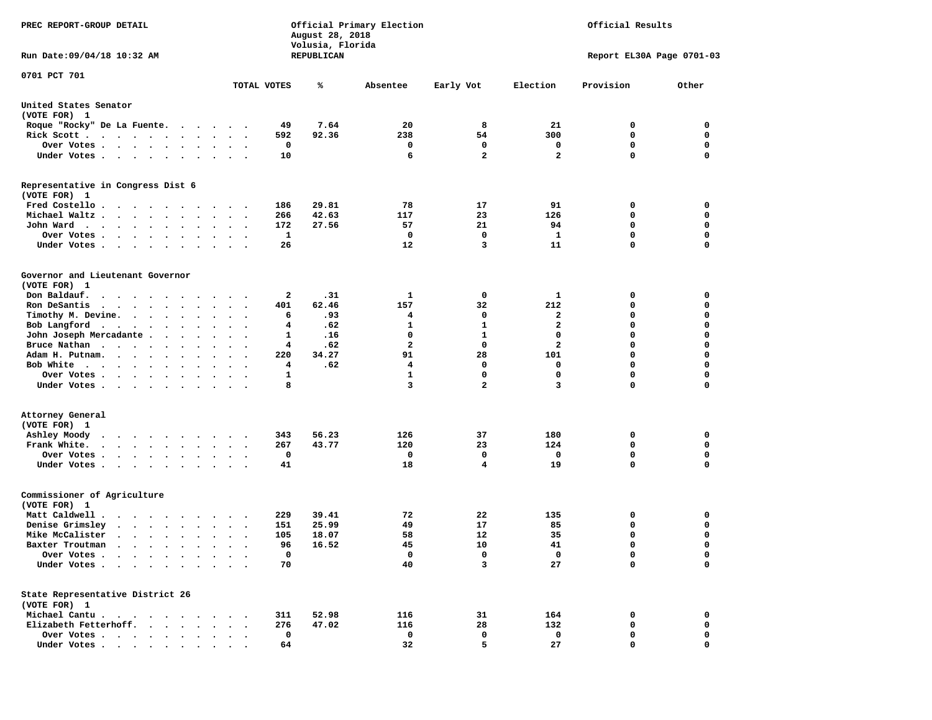| PREC REPORT-GROUP DETAIL                                                                                                                                                        |                      | August 28, 2018<br>Volusia, Florida | Official Primary Election | Official Results        |              |                           |                  |  |
|---------------------------------------------------------------------------------------------------------------------------------------------------------------------------------|----------------------|-------------------------------------|---------------------------|-------------------------|--------------|---------------------------|------------------|--|
| Run Date:09/04/18 10:32 AM                                                                                                                                                      |                      | REPUBLICAN                          |                           |                         |              | Report EL30A Page 0701-03 |                  |  |
| 0701 PCT 701                                                                                                                                                                    | TOTAL VOTES          | ℁                                   | Absentee                  |                         | Election     | Provision                 | Other            |  |
|                                                                                                                                                                                 |                      |                                     |                           | Early Vot               |              |                           |                  |  |
| United States Senator<br>(VOTE FOR) 1                                                                                                                                           |                      |                                     |                           |                         |              |                           |                  |  |
| Roque "Rocky" De La Fuente.<br>$\sim$ $\sim$                                                                                                                                    | $\ddot{\phantom{1}}$ | 7.64<br>49                          | 20                        | 8                       | 21           | 0                         | 0                |  |
| Rick Scott                                                                                                                                                                      | $\sim$ $\sim$        | 92.36<br>592                        | 238                       | 54                      | 300          | 0                         | 0                |  |
| Over Votes                                                                                                                                                                      |                      | 0                                   | 0                         | 0                       | 0            | 0                         | 0                |  |
| Under Votes<br>$\sim$<br>$\sim$                                                                                                                                                 | $\ddot{\phantom{1}}$ | 10                                  | 6                         | $\overline{a}$          | $\mathbf{2}$ | 0                         | 0                |  |
| Representative in Congress Dist 6<br>(VOTE FOR) 1                                                                                                                               |                      |                                     |                           |                         |              |                           |                  |  |
| Fred Costello                                                                                                                                                                   |                      | 29.81<br>186                        | 78                        | 17                      | 91           | 0                         | 0                |  |
| Michael Waltz.<br>$\cdot$ $\cdot$ $\cdot$ $\cdot$<br>$\bullet$<br>$\ddot{\phantom{a}}$<br>$\bullet$                                                                             |                      | 42.63<br>266                        | 117                       | 23                      | 126          | 0                         | 0                |  |
| John Ward<br>$\cdots$<br>$\cdot$<br>$\bullet$<br>$\bullet$                                                                                                                      |                      | 172<br>27.56                        | 57                        | 21                      | 94           | 0                         | 0                |  |
| Over Votes .<br>$\bullet$<br>$\sim$<br>$\bullet$<br>$\cdot$                                                                                                                     |                      | 1                                   | 0                         | $\mathbf 0$             | 1            | 0                         | $\mathbf 0$      |  |
| Under Votes.<br>$\sim$ $\sim$ $\sim$<br>$\bullet$<br>$\cdot$                                                                                                                    |                      | 26                                  | 12                        | 3                       | 11           | 0                         | $\mathbf 0$      |  |
| Governor and Lieutenant Governor<br>(VOTE FOR) 1                                                                                                                                |                      |                                     |                           |                         |              |                           |                  |  |
| Don Baldauf.<br>$\begin{array}{cccccccccccccccccc} \bullet & \bullet & \bullet & \bullet & \bullet & \bullet & \bullet & \bullet & \bullet & \bullet & \bullet \end{array}$     | $\cdot$ .            | 2<br>.31                            | 1                         | 0                       | 1            | 0                         | 0                |  |
| Ron DeSantis<br>$\cdots$<br>$\ddot{\phantom{a}}$<br>$\sim$ $\sim$<br>$\ddot{\phantom{a}}$                                                                                       |                      | 401<br>62.46                        | 157                       | 32                      | 212          | 0                         | 0                |  |
| Timothy M. Devine.                                                                                                                                                              |                      | .93<br>6                            | 4                         | $\mathbf{o}$            | 2            | 0                         | $\mathbf 0$      |  |
| Bob Langford.<br>$\begin{array}{cccccccccccccc} \bullet & \bullet & \bullet & \bullet & \bullet & \bullet & \bullet & \bullet \end{array}$<br>$\ddot{\phantom{0}}$<br>$\bullet$ |                      | 4<br>.62                            | 1                         | 1                       | $\mathbf{2}$ | 0                         | $\mathbf 0$      |  |
| John Joseph Mercadante .<br>$\bullet$<br>$\bullet$                                                                                                                              |                      | .16<br>1                            | 0                         | 1                       | 0            | 0                         | 0                |  |
| Bruce Nathan<br>$\cdot$<br>$\bullet$                                                                                                                                            |                      | 4<br>.62                            | $\overline{a}$            | 0                       | $\mathbf{2}$ | 0                         | $\mathbf 0$      |  |
| Adam H. Putnam.<br>$\bullet$<br>$\ddot{\phantom{1}}$<br>$\bullet$                                                                                                               |                      | 220<br>34.27                        | 91                        | 28                      | 101          | 0                         | $\mathbf 0$      |  |
| Bob White<br>$\cdot$ $\cdot$ $\cdot$<br>$\bullet$                                                                                                                               |                      | 4<br>.62                            | 4                         | 0                       | 0            | 0                         | $\mathbf 0$      |  |
| Over Votes .<br>$\cdot$ $\cdot$ $\cdot$ $\cdot$<br>$\bullet$                                                                                                                    | $\cdot$              | 1                                   | $\mathbf{1}$              | 0                       | 0            | 0                         | $\mathbf 0$      |  |
| Under Votes<br>$\ddot{\phantom{a}}$                                                                                                                                             |                      | 8                                   | 3                         | $\overline{\mathbf{2}}$ | 3            | 0                         | 0                |  |
| Attorney General<br>(VOTE FOR) 1                                                                                                                                                |                      |                                     |                           |                         |              |                           |                  |  |
| Ashley Moody<br>$\ddot{\phantom{0}}$<br>$\cdot$                                                                                                                                 |                      | 56.23<br>343                        | 126                       | 37                      | 180          | 0                         | 0                |  |
| Frank White.<br>$\cdots$<br>$\bullet$<br>$\bullet$                                                                                                                              | $\cdot$<br>$\cdot$   | 267<br>43.77                        | 120                       | 23                      | 124          | 0                         | $\mathbf 0$      |  |
| Over Votes .<br>$\sim$ $\sim$ $\sim$ $\sim$<br>$\ddot{\phantom{0}}$<br>$\bullet$                                                                                                |                      | 0                                   | 0                         | 0                       | 0            | 0                         | 0                |  |
| Under Votes<br>$\bullet$<br>$\bullet$                                                                                                                                           | $\bullet$            | 41                                  | 18                        | 4                       | 19           | 0                         | $\mathbf 0$      |  |
| Commissioner of Agriculture<br>(VOTE FOR) 1                                                                                                                                     |                      |                                     |                           |                         |              |                           |                  |  |
| Matt Caldwell .<br>$\cdot$ $\cdot$ $\cdot$ $\cdot$ $\cdot$ $\cdot$                                                                                                              |                      | 229<br>39.41                        | 72                        | 22                      | 135          | 0                         | 0                |  |
| Denise Grimsley<br>$\cdot$ $\cdot$ $\cdot$ $\cdot$<br>$\ddot{\phantom{a}}$<br>$\ddot{\phantom{0}}$                                                                              |                      | 25.99<br>151                        | 49                        | 17                      | 85           | 0                         | 0                |  |
| Mike McCalister<br>$\begin{array}{cccccccccccccc} \bullet & \bullet & \bullet & \bullet & \bullet & \bullet & \bullet & \bullet & \bullet \end{array}$<br>$\bullet$             |                      | 105<br>18.07                        | 58                        | 12                      | 35           | 0                         | $\mathbf 0$      |  |
| Baxter Troutman<br>.                                                                                                                                                            |                      | 96<br>16.52                         | 45                        | 10                      | 41           | 0                         | 0                |  |
| Over Votes .<br>Under Votes.<br>$\ddot{\phantom{a}}$                                                                                                                            |                      | 0<br>70                             | 0<br>40                   | 0<br>3                  | 0<br>27      | 0<br>0                    | 0<br>$\mathbf 0$ |  |
| State Representative District 26                                                                                                                                                |                      |                                     |                           |                         |              |                           |                  |  |
| (VOTE FOR) 1                                                                                                                                                                    |                      |                                     |                           |                         |              |                           |                  |  |
| Michael Cantu.<br>$\sim$ $\sim$ $\sim$                                                                                                                                          |                      | 52.98<br>311                        | 116                       | 31                      | 164          | 0                         | 0                |  |
| Elizabeth Fetterhoff.                                                                                                                                                           |                      | 276<br>47.02                        | 116                       | 28                      | 132          | 0                         | 0                |  |
| Over Votes .<br>$\ddot{\phantom{0}}$<br>$\ddot{\phantom{0}}$<br>$\bullet$<br>$\bullet$                                                                                          |                      | 0                                   | 0                         | 0                       | 0            | 0                         | 0                |  |
| Under Votes<br>$\cdot$                                                                                                                                                          |                      | 64                                  | 32                        | 5                       | 27           | 0                         | 0                |  |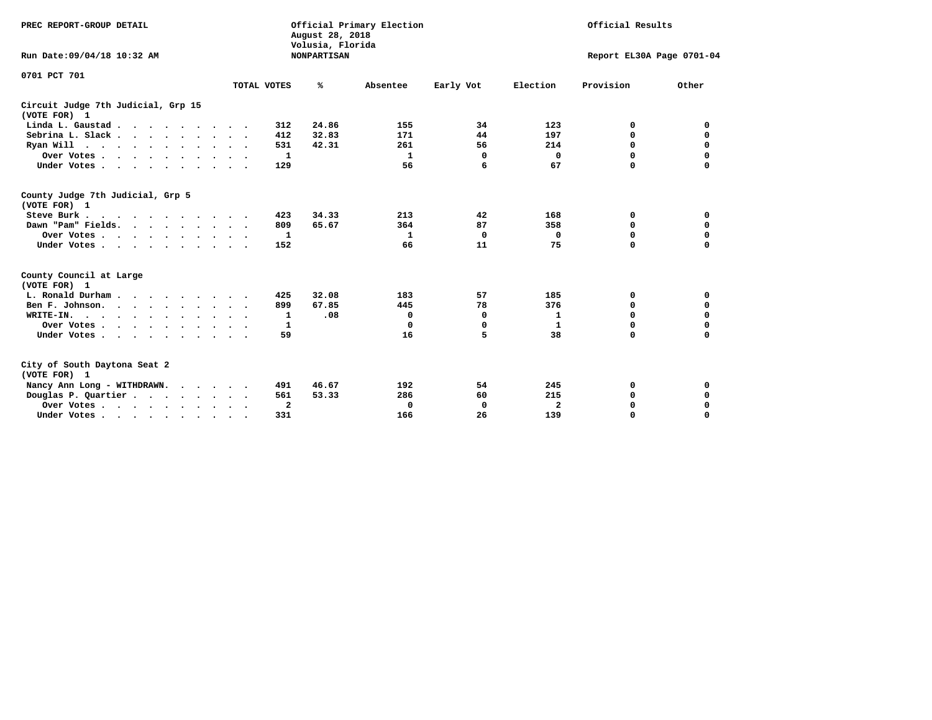| PREC REPORT-GROUP DETAIL<br>Run Date: 09/04/18 10:32 AM |                             | August 28, 2018<br>Volusia, Florida<br><b>NONPARTISAN</b> | Official Primary Election |           |              | Official Results<br>Report EL30A Page 0701-04 |             |  |  |
|---------------------------------------------------------|-----------------------------|-----------------------------------------------------------|---------------------------|-----------|--------------|-----------------------------------------------|-------------|--|--|
| 0701 PCT 701                                            | TOTAL VOTES                 | ℁                                                         | Absentee                  | Early Vot | Election     | Provision                                     | Other       |  |  |
| Circuit Judge 7th Judicial, Grp 15<br>(VOTE FOR) 1      |                             |                                                           |                           |           |              |                                               |             |  |  |
| Linda L. Gaustad                                        | 312                         | 24.86                                                     | 155                       | 34        | 123          | 0                                             | 0           |  |  |
| Sebrina L. Slack.                                       | 412                         | 32.83                                                     | 171                       | 44        | 197          | $\mathbf 0$                                   | $\mathbf 0$ |  |  |
| Ryan Will $\cdots$ $\cdots$ $\cdots$ $\cdots$           | 531                         | 42.31                                                     | 261                       | 56        | 214          | 0                                             | 0           |  |  |
| Over Votes                                              | 1<br>$\ddot{\phantom{1}}$   |                                                           | 1                         | 0         | 0            | 0                                             | $\mathbf 0$ |  |  |
| Under Votes                                             | 129                         |                                                           | 56                        | 6         | 67           | 0                                             | $\mathbf 0$ |  |  |
| County Judge 7th Judicial, Grp 5<br>(VOTE FOR) 1        |                             |                                                           |                           |           |              |                                               |             |  |  |
| Steve Burk .<br>.                                       | 423                         | 34.33                                                     | 213                       | 42        | 168          | 0                                             | 0           |  |  |
| Dawn "Pam" Fields.                                      | 809                         | 65.67                                                     | 364                       | 87        | 358          | 0                                             | 0           |  |  |
| Over Votes                                              | 1                           |                                                           | 1                         | 0         | 0            | 0                                             | 0           |  |  |
| Under Votes                                             | 152                         |                                                           | 66                        | 11        | 75           | 0                                             | $\mathbf 0$ |  |  |
| County Council at Large<br>(VOTE FOR) 1                 |                             |                                                           |                           |           |              |                                               |             |  |  |
| L. Ronald Durham.                                       | 425                         | 32.08                                                     | 183                       | 57        | 185          | 0                                             | 0           |  |  |
| Ben F. Johnson.                                         | 899<br>$\ddot{\phantom{1}}$ | 67.85                                                     | 445                       | 78        | 376          | 0                                             | 0           |  |  |
| WRITE-IN.                                               | 1                           | .08                                                       | $\mathbf 0$               | 0         | 1            | 0                                             | $\mathbf 0$ |  |  |
| Over Votes                                              | 1                           |                                                           | $\Omega$                  | 0         | $\mathbf{1}$ | 0                                             | $\mathbf 0$ |  |  |
| Under Votes                                             | 59                          |                                                           | 16                        | 5         | 38           | 0                                             | $\mathbf 0$ |  |  |
| City of South Daytona Seat 2<br>(VOTE FOR) 1            |                             |                                                           |                           |           |              |                                               |             |  |  |
| Nancy Ann Long - WITHDRAWN.                             | 491                         | 46.67                                                     | 192                       | 54        | 245          | 0                                             | 0           |  |  |
| Douglas P. Quartier                                     | 561                         | 53.33                                                     | 286                       | 60        | 215          | 0                                             | $\mathbf 0$ |  |  |
| Over Votes                                              | $\overline{\mathbf{2}}$     |                                                           | 0                         | 0         | $\mathbf{2}$ | 0                                             | 0           |  |  |
| Under Votes                                             | 331<br>$\bullet$            |                                                           | 166                       | 26        | 139          | $\Omega$                                      | $\mathbf 0$ |  |  |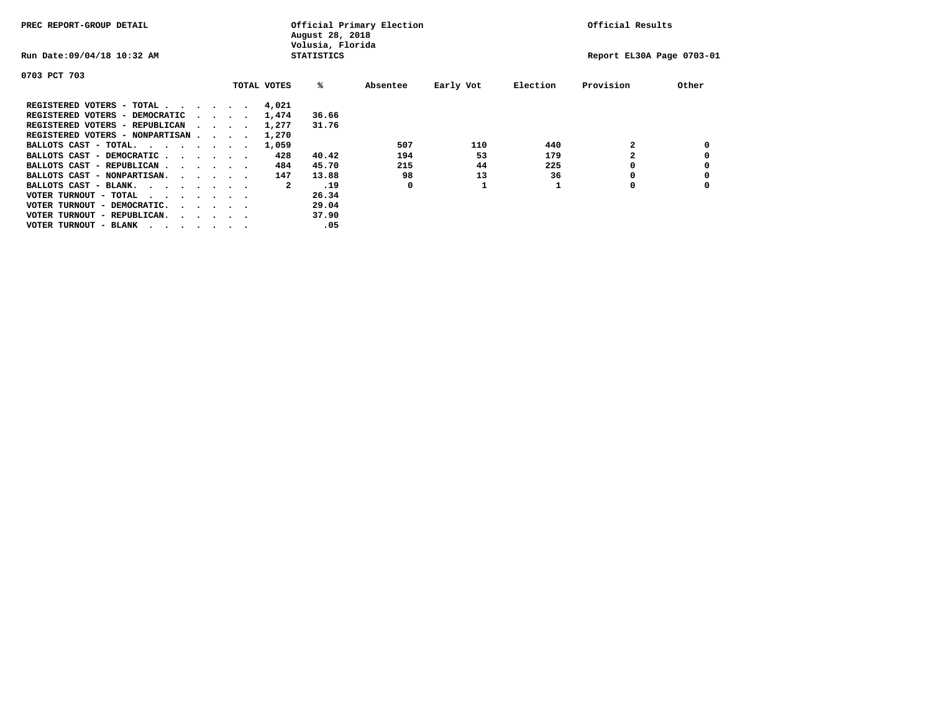| PREC REPORT-GROUP DETAIL               |  |                                         |             | August 28, 2018<br>Volusia, Florida | Official Primary Election |           |          | Official Results          |       |
|----------------------------------------|--|-----------------------------------------|-------------|-------------------------------------|---------------------------|-----------|----------|---------------------------|-------|
| Run Date: 09/04/18 10:32 AM            |  |                                         |             | <b>STATISTICS</b>                   |                           |           |          | Report EL30A Page 0703-01 |       |
| 0703 PCT 703                           |  |                                         |             |                                     |                           |           |          |                           |       |
|                                        |  |                                         | TOTAL VOTES | %ะ                                  | Absentee                  | Early Vot | Election | Provision                 | Other |
| REGISTERED VOTERS - TOTAL              |  |                                         | 4,021       |                                     |                           |           |          |                           |       |
| REGISTERED VOTERS - DEMOCRATIC         |  | $\sim$ $\sim$ $\sim$ $\sim$             | 1,474       | 36.66                               |                           |           |          |                           |       |
| REGISTERED VOTERS - REPUBLICAN         |  |                                         | 1,277       | 31.76                               |                           |           |          |                           |       |
| REGISTERED VOTERS - NONPARTISAN        |  |                                         | 1,270       |                                     |                           |           |          |                           |       |
| BALLOTS CAST - TOTAL.                  |  |                                         | 1,059       |                                     | 507                       | 110       | 440      |                           |       |
| BALLOTS CAST - DEMOCRATIC              |  |                                         | 428         | 40.42                               | 194                       | 53        | 179      |                           |       |
| BALLOTS CAST - REPUBLICAN              |  |                                         | 484         | 45.70                               | 215                       | 44        | 225      |                           |       |
| BALLOTS CAST - NONPARTISAN.            |  |                                         | 147         | 13.88                               | 98                        | 13        | 36       |                           |       |
| BALLOTS CAST - BLANK.                  |  |                                         | 2           | .19                                 | 0                         |           |          | 0                         |       |
| VOTER TURNOUT - TOTAL<br>.             |  |                                         |             | 26.34                               |                           |           |          |                           |       |
| VOTER TURNOUT - DEMOCRATIC.            |  | $\cdot$ $\cdot$ $\cdot$ $\cdot$ $\cdot$ |             | 29.04                               |                           |           |          |                           |       |
| VOTER TURNOUT - REPUBLICAN.<br>$\cdot$ |  |                                         |             | 37.90                               |                           |           |          |                           |       |
| VOTER TURNOUT - BLANK                  |  |                                         |             | .05                                 |                           |           |          |                           |       |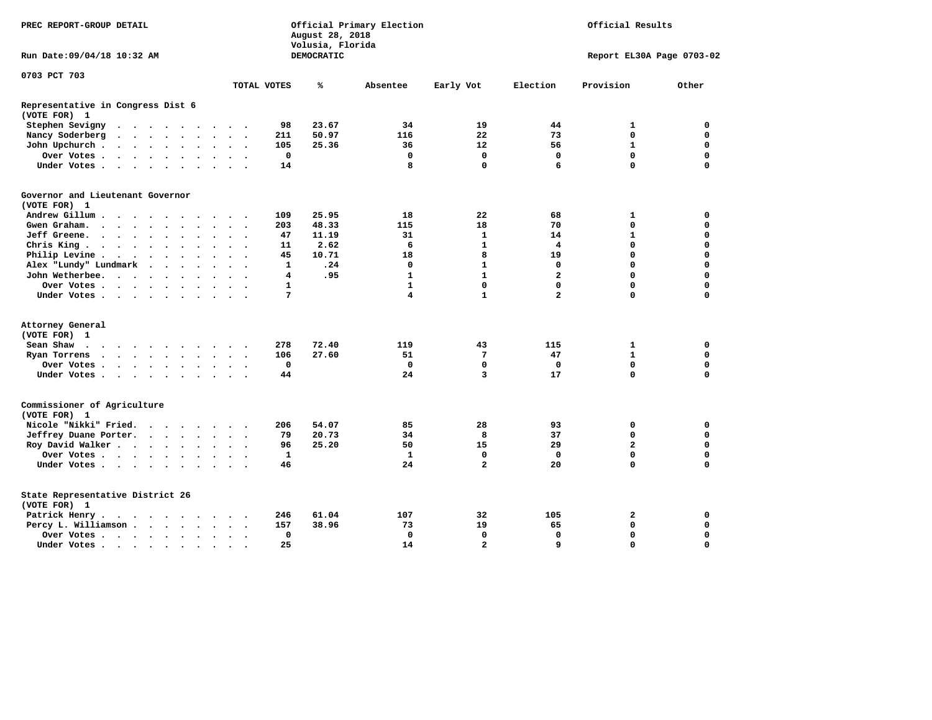| PREC REPORT-GROUP DETAIL                                                                                                                                                                                                                      |                                                                             | Official Primary Election<br>August 28, 2018<br>Volusia, Florida |                       | Official Results                       |             |  |  |
|-----------------------------------------------------------------------------------------------------------------------------------------------------------------------------------------------------------------------------------------------|-----------------------------------------------------------------------------|------------------------------------------------------------------|-----------------------|----------------------------------------|-------------|--|--|
| Run Date: 09/04/18 10:32 AM                                                                                                                                                                                                                   |                                                                             | <b>DEMOCRATIC</b>                                                |                       | Report EL30A Page 0703-02              |             |  |  |
| 0703 PCT 703                                                                                                                                                                                                                                  |                                                                             |                                                                  |                       |                                        |             |  |  |
|                                                                                                                                                                                                                                               | TOTAL VOTES                                                                 | ℁<br>Absentee                                                    | Early Vot<br>Election | Provision                              | Other       |  |  |
| Representative in Congress Dist 6<br>(VOTE FOR) 1                                                                                                                                                                                             |                                                                             |                                                                  |                       |                                        |             |  |  |
| Stephen Sevigny<br>$\cdots$                                                                                                                                                                                                                   | 98                                                                          | 23.67<br>34                                                      | 19                    | 44<br>1                                | 0           |  |  |
| Nancy Soderberg<br>$\begin{array}{cccccccccccccccccc} . & . & . & . & . & . & . & . & . & . & . & . \end{array}$                                                                                                                              | 211                                                                         | 50.97<br>116                                                     | 22                    | 73<br>$\mathbf 0$                      | 0           |  |  |
| John Upchurch.<br>$\cdots$<br>$\sim$                                                                                                                                                                                                          | 105<br>$\ddot{\phantom{a}}$<br>$\sim$                                       | 25.36<br>36                                                      | 12                    | 56<br>$\mathbf{1}$                     | $\mathbf 0$ |  |  |
| Over Votes                                                                                                                                                                                                                                    | 0                                                                           | $\mathbf 0$                                                      | $\mathbf 0$           | $\mathbf 0$<br>$\mathbf 0$             | $\mathbf 0$ |  |  |
| Under Votes                                                                                                                                                                                                                                   | 14                                                                          | 8                                                                | $\mathbf 0$           | $\Omega$<br>6                          | $\Omega$    |  |  |
| Governor and Lieutenant Governor<br>(VOTE FOR) 1                                                                                                                                                                                              |                                                                             |                                                                  |                       |                                        |             |  |  |
| Andrew Gillum<br>$\sim$                                                                                                                                                                                                                       | 109                                                                         | 25.95<br>18                                                      | 22                    | 68<br>1                                | 0           |  |  |
| Gwen Graham.                                                                                                                                                                                                                                  | 203<br>$\cdot$ $\cdot$ $\cdot$                                              | 48.33<br>115                                                     | 18                    | 70<br>$\mathbf 0$                      | $\mathbf 0$ |  |  |
| Jeff Greene.<br>$\ddot{\phantom{a}}$                                                                                                                                                                                                          | 47<br>$\bullet$                                                             | 11.19<br>31                                                      | $\mathbf{1}$          | 14<br>$\mathbf{1}$                     | $\mathbf 0$ |  |  |
| Chris King                                                                                                                                                                                                                                    | 11<br>$\sim$                                                                | 2.62<br>6                                                        | $\mathbf{1}$          | 4<br>$\mathbf 0$                       | $\mathbf 0$ |  |  |
| Philip Levine.<br>$\mathbf{r}$ , and $\mathbf{r}$ , and $\mathbf{r}$ , and $\mathbf{r}$                                                                                                                                                       | 45<br>$\ddot{\phantom{a}}$<br>$\bullet$                                     | 10.71<br>18                                                      | 8                     | 19<br>$\mathbf 0$                      | $\mathbf 0$ |  |  |
| Alex "Lundy" Lundmark<br>$\cdot$ $\cdot$ $\cdot$ $\cdot$                                                                                                                                                                                      | $\mathbf{1}$<br>$\ddot{\phantom{a}}$                                        | .24<br>0                                                         | $\mathbf{1}$          | $\mathbf 0$<br>0                       | 0           |  |  |
| John Wetherbee.<br>$\sim$                                                                                                                                                                                                                     | 4<br>$\ddot{\phantom{a}}$                                                   | .95<br>$\mathbf{1}$                                              | $\mathbf{1}$          | $\overline{\mathbf{2}}$<br>$\mathbf 0$ | $\mathbf 0$ |  |  |
| Over Votes                                                                                                                                                                                                                                    | 1<br>$\sim$                                                                 | $\mathbf{1}$                                                     | $\mathbf 0$           | $\mathbf{0}$<br>$\mathbf 0$            | $\mathbf 0$ |  |  |
| Under Votes                                                                                                                                                                                                                                   | 7                                                                           | 4                                                                | $\mathbf{1}$          | $\overline{a}$<br>$\mathbf 0$          | $\mathbf 0$ |  |  |
| Attorney General                                                                                                                                                                                                                              |                                                                             |                                                                  |                       |                                        |             |  |  |
| (VOTE FOR) 1                                                                                                                                                                                                                                  |                                                                             |                                                                  |                       |                                        |             |  |  |
| Sean Shaw<br>$\cdots$                                                                                                                                                                                                                         | 278                                                                         | 72.40<br>119                                                     | 43                    | 115<br>$\mathbf{1}$                    | 0           |  |  |
| Ryan Torrens<br>. The contract of the contract of the contract of the contract of the contract of the contract of the contract of the contract of the contract of the contract of the contract of the contract of the contract of the contrac | 106<br>$\cdot$ $\cdot$ $\cdot$                                              | 27.60<br>51                                                      | 7                     | 47<br>$\mathbf{1}$                     | $\mathbf 0$ |  |  |
| Over Votes                                                                                                                                                                                                                                    | $\mathbf 0$                                                                 | $\mathbf 0$                                                      | $\mathbf 0$           | $\mathbf 0$<br>$\mathbf 0$             | $\mathbf 0$ |  |  |
| Under Votes                                                                                                                                                                                                                                   | 44                                                                          | 24                                                               | 3                     | 17<br>$\mathbf 0$                      | $\mathbf 0$ |  |  |
| Commissioner of Agriculture<br>(VOTE FOR) 1                                                                                                                                                                                                   |                                                                             |                                                                  |                       |                                        |             |  |  |
| Nicole "Nikki" Fried.                                                                                                                                                                                                                         | 206                                                                         | 54.07<br>85                                                      | 28                    | 93<br>0                                | 0           |  |  |
| Jeffrey Duane Porter.                                                                                                                                                                                                                         | 79<br>$\cdot$ $\cdot$ $\cdot$                                               | 20.73<br>34                                                      | 8                     | $\mathbf 0$<br>37                      | 0           |  |  |
| Roy David Walker                                                                                                                                                                                                                              | 96                                                                          | 25.20<br>50                                                      | 15                    | 29<br>$\overline{a}$                   | $\mathbf 0$ |  |  |
| Over Votes                                                                                                                                                                                                                                    | 1<br>$\bullet$                                                              | $\mathbf{1}$                                                     | 0                     | $\mathbf{0}$<br>$\mathbf 0$            | $\mathbf 0$ |  |  |
| Under Votes                                                                                                                                                                                                                                   | 46                                                                          | 24                                                               | $\overline{a}$        | $\Omega$<br>20                         | $\mathbf 0$ |  |  |
| State Representative District 26<br>(VOTE FOR) 1                                                                                                                                                                                              |                                                                             |                                                                  |                       |                                        |             |  |  |
| Patrick Henry.<br>$\cdots$                                                                                                                                                                                                                    | 246                                                                         | 61.04<br>107                                                     | 32                    | 105<br>2                               | 0           |  |  |
| Percy L. Williamson                                                                                                                                                                                                                           | 157<br>$\ddot{\phantom{a}}$<br>$\ddot{\phantom{a}}$<br>$\ddot{\phantom{1}}$ | 38.96<br>73                                                      | 19                    | 65<br>$\mathbf 0$                      | $\mathbf 0$ |  |  |
| Over Votes                                                                                                                                                                                                                                    | 0<br>$\bullet$                                                              | $\mathbf 0$                                                      | $\mathbf 0$           | $\mathbf 0$<br>$\mathbf 0$             | $\mathbf 0$ |  |  |
| Under Votes                                                                                                                                                                                                                                   | 25<br>$\sim$ $\sim$                                                         | 14                                                               | $\overline{a}$        | $\mathbf{q}$<br>$\Omega$               | $\mathbf 0$ |  |  |
|                                                                                                                                                                                                                                               |                                                                             |                                                                  |                       |                                        |             |  |  |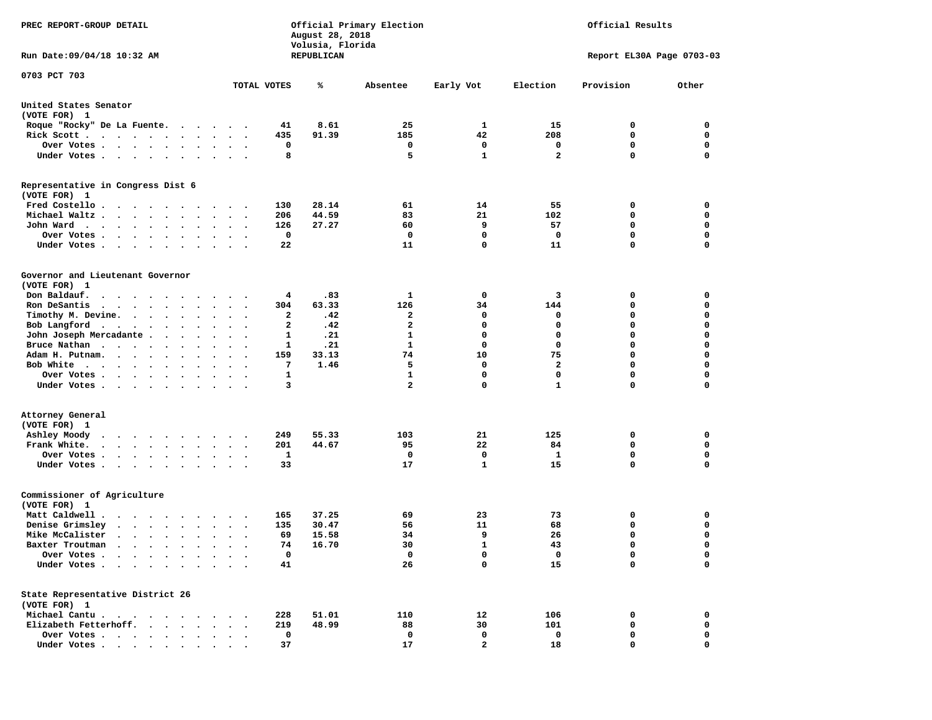| PREC REPORT-GROUP DETAIL                                                                                                                                                |                                                                 | August 28, 2018<br>Volusia, Florida | Official Primary Election | Official Results |                         |                           |             |  |
|-------------------------------------------------------------------------------------------------------------------------------------------------------------------------|-----------------------------------------------------------------|-------------------------------------|---------------------------|------------------|-------------------------|---------------------------|-------------|--|
| Run Date: 09/04/18 10:32 AM                                                                                                                                             |                                                                 | REPUBLICAN                          |                           |                  |                         | Report EL30A Page 0703-03 |             |  |
| 0703 PCT 703                                                                                                                                                            |                                                                 |                                     |                           |                  |                         |                           |             |  |
|                                                                                                                                                                         | TOTAL VOTES                                                     | ℁                                   | Absentee                  | Early Vot        | Election                | Provision                 | Other       |  |
| United States Senator<br>(VOTE FOR) 1                                                                                                                                   |                                                                 |                                     |                           |                  |                         |                           |             |  |
| Roque "Rocky" De La Fuente.                                                                                                                                             |                                                                 | 41<br>8.61                          | 25                        | 1                | 15                      | 0                         | 0           |  |
| Rick Scott                                                                                                                                                              | $\bullet$ .<br><br><br><br><br><br><br><br><br><br><br><br>     | 435<br>91.39                        | 185                       | 42               | 208                     | 0                         | 0           |  |
| Over Votes                                                                                                                                                              | $\ddot{\phantom{1}}$                                            | 0                                   | 0                         | 0                | 0                       | $\mathbf 0$               | 0           |  |
| Under Votes                                                                                                                                                             | $\bullet$ .<br>$\sim$ $\sim$                                    | 8                                   | 5                         | $\mathbf{1}$     | $\overline{\mathbf{2}}$ | $\Omega$                  | $\mathbf 0$ |  |
| Representative in Congress Dist 6<br>(VOTE FOR) 1                                                                                                                       |                                                                 |                                     |                           |                  |                         |                           |             |  |
| Fred Costello                                                                                                                                                           |                                                                 | 28.14<br>130                        | 61                        | 14               | 55                      | 0                         | 0           |  |
| Michael Waltz                                                                                                                                                           | $\ddot{\phantom{1}}$                                            | 206<br>44.59                        | 83                        | 21               | 102                     | 0                         | 0           |  |
| John Ward                                                                                                                                                               | $\ddot{\phantom{1}}$<br>$\sim$                                  | 126<br>27.27                        | 60                        | 9                | 57                      | 0                         | 0           |  |
| Over Votes<br>$\cdot$<br>$\cdot$<br>$\sim$<br>$\cdot$                                                                                                                   |                                                                 | $\mathbf 0$                         | 0                         | $\mathbf 0$      | $\mathbf 0$             | $\mathbf 0$               | 0           |  |
| Under Votes                                                                                                                                                             |                                                                 | 22                                  | 11                        | 0                | 11                      | $\mathbf 0$               | 0           |  |
| Governor and Lieutenant Governor<br>(VOTE FOR) 1                                                                                                                        |                                                                 |                                     |                           |                  |                         |                           |             |  |
| Don Baldauf.<br>$\cdot$                                                                                                                                                 | $\cdot$ $\cdot$                                                 | .83<br>4                            | 1                         | 0                | 3                       | 0                         | 0           |  |
| Ron DeSantis<br>$\cdots$                                                                                                                                                | $\bullet$                                                       | 304<br>63.33                        | 126                       | 34               | 144                     | 0                         | 0           |  |
| Timothy M. Devine.                                                                                                                                                      |                                                                 | $\mathbf{2}$<br>.42                 | $\mathbf{2}$              | 0                | 0                       | 0                         | $\mathbf 0$ |  |
| Bob Langford                                                                                                                                                            | $\sim$ $\sim$<br>$\overline{\phantom{a}}$                       | $\mathbf{2}$<br>.42                 | $\mathbf{2}$              | $\mathbf 0$      | $\mathbf 0$             | $\mathbf 0$               | 0           |  |
| John Joseph Mercadante .<br>$\sim$ $\sim$ $\sim$ $\sim$                                                                                                                 | $\ddot{\phantom{1}}$                                            | 1<br>.21                            | 1                         | 0                | 0                       | $\mathbf 0$               | 0           |  |
| Bruce Nathan                                                                                                                                                            | $\ddot{\phantom{1}}$<br>$\ddot{\phantom{0}}$                    | 1<br>.21                            | $\mathbf{1}$              | 0                | 0                       | $\mathbf 0$               | 0           |  |
| Adam H. Putnam.<br>$\sim$                                                                                                                                               | $\sim$                                                          | 159<br>33.13                        | 74                        | 10               | 75                      | $\mathbf 0$               | 0           |  |
| Bob White                                                                                                                                                               |                                                                 | 7<br>1.46                           | 5                         | 0                | $\mathbf{2}$            | $\mathbf 0$               | 0           |  |
| Over Votes .<br>$\cdots$<br>$\bullet$                                                                                                                                   | $\cdot$<br>$\bullet$                                            | $\mathbf{1}$                        | 1                         | $\mathbf 0$      | 0                       | $\mathbf 0$               | 0           |  |
| Under Votes                                                                                                                                                             |                                                                 | 3                                   | $\overline{a}$            | 0                | $\mathbf{1}$            | $\mathbf 0$               | 0           |  |
| Attorney General                                                                                                                                                        |                                                                 |                                     |                           |                  |                         |                           |             |  |
| (VOTE FOR) 1                                                                                                                                                            |                                                                 |                                     |                           |                  |                         |                           |             |  |
| Ashley Moody                                                                                                                                                            | $\cdot$ $\cdot$                                                 | 55.33<br>249                        | 103                       | 21               | 125                     | 0                         | 0           |  |
| Frank White.<br>$\begin{array}{cccccccccccccc} \bullet & \bullet & \bullet & \bullet & \bullet & \bullet & \bullet & \bullet & \bullet & \bullet & \bullet \end{array}$ | $\bullet$ .<br>$\bullet$<br>$\sim$                              | 201<br>44.67                        | 95                        | 22               | 84                      | 0                         | 0           |  |
| Over Votes.<br>$\cdots$<br>$\ddot{\phantom{1}}$                                                                                                                         |                                                                 | 1                                   | 0                         | 0                | 1                       | $\mathbf 0$               | 0           |  |
| Under Votes                                                                                                                                                             |                                                                 | 33                                  | 17                        | $\mathbf{1}$     | 15                      | $\Omega$                  | $\mathbf 0$ |  |
| Commissioner of Agriculture<br>(VOTE FOR) 1                                                                                                                             |                                                                 |                                     |                           |                  |                         |                           |             |  |
| Matt Caldwell .<br>$\cdots$                                                                                                                                             |                                                                 | 37.25<br>165                        | 69                        | 23               | 73                      | 0                         | 0           |  |
| Denise Grimsley<br>$\cdot$ $\cdot$ $\cdot$ $\cdot$ $\cdot$ $\cdot$                                                                                                      | $\cdot$                                                         | 135<br>30.47                        | 56                        | 11               | 68                      | 0                         | 0           |  |
| Mike McCalister                                                                                                                                                         | $\bullet$ .<br>$\ddot{\phantom{0}}$<br>$\overline{\phantom{a}}$ | 69<br>15.58                         | 34                        | 9                | 26                      | $\mathbf 0$               | 0           |  |
| Baxter Troutman                                                                                                                                                         |                                                                 | 74<br>16.70                         | 30                        | 1                | 43                      | $\Omega$                  | $\Omega$    |  |
| Over Votes .<br>$\sim$ $\sim$ $\sim$ $\sim$ $\sim$                                                                                                                      |                                                                 | $\mathbf 0$                         | 0                         | 0                | 0                       | 0                         | 0           |  |
| Under Votes.<br>$\sim$<br>$\ddot{\phantom{0}}$<br>$\ddot{\phantom{a}}$                                                                                                  |                                                                 | 41                                  | 26                        | 0                | 15                      | $\mathbf 0$               | 0           |  |
| State Representative District 26<br>(VOTE FOR) 1                                                                                                                        |                                                                 |                                     |                           |                  |                         |                           |             |  |
| Michael Cantu.<br>$\sim$ $\sim$                                                                                                                                         |                                                                 | 228<br>51.01                        | 110                       | 12               | 106                     | 0                         | 0           |  |
| Elizabeth Fetterhoff.<br>$\ddot{\phantom{1}}$<br>$\ddot{\phantom{a}}$                                                                                                   |                                                                 | 219<br>48.99                        | 88                        | 30               | 101                     | $\mathbf 0$               | 0           |  |
| Over Votes<br>$\bullet$                                                                                                                                                 |                                                                 | $\mathbf 0$                         | 0                         | 0                | 0                       | 0                         | 0           |  |
| Under Votes                                                                                                                                                             |                                                                 | 37                                  | 17                        | $\mathbf{2}$     | 18                      | 0                         | $\mathbf 0$ |  |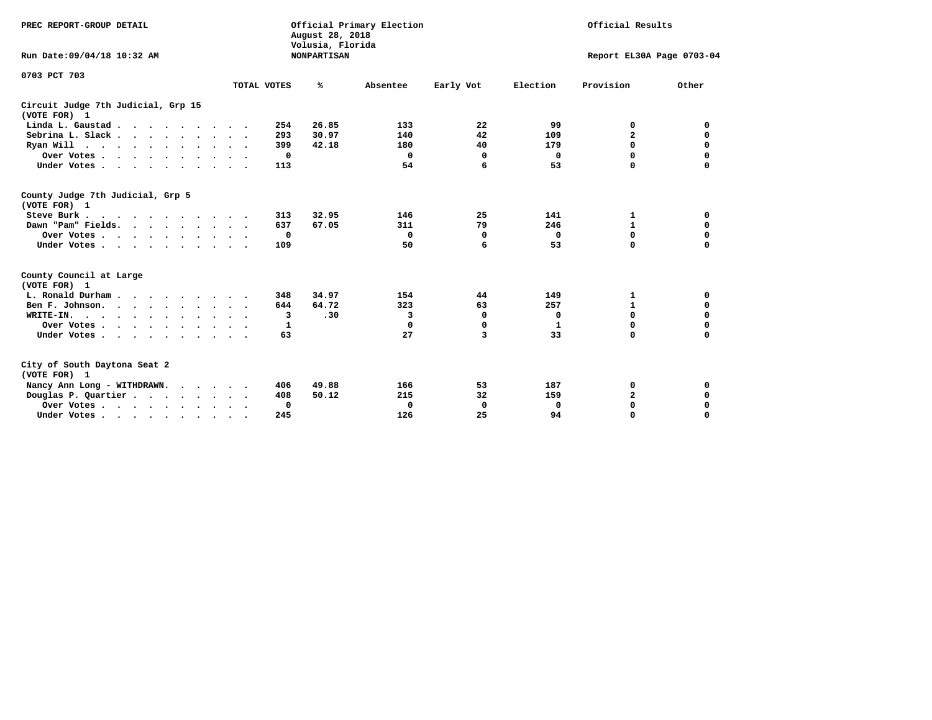| PREC REPORT-GROUP DETAIL<br>Run Date: 09/04/18 10:32 AM                                                           |                        | August 28, 2018<br>Volusia, Florida<br><b>NONPARTISAN</b> | Official Primary Election |                    | Official Results<br>Report EL30A Page 0703-04 |                             |                            |  |
|-------------------------------------------------------------------------------------------------------------------|------------------------|-----------------------------------------------------------|---------------------------|--------------------|-----------------------------------------------|-----------------------------|----------------------------|--|
| 0703 PCT 703                                                                                                      |                        |                                                           |                           |                    |                                               |                             |                            |  |
|                                                                                                                   | TOTAL VOTES            | ℁                                                         | Absentee                  | Early Vot          | Election                                      | Provision                   | Other                      |  |
| Circuit Judge 7th Judicial, Grp 15<br>(VOTE FOR) 1                                                                |                        |                                                           |                           |                    |                                               |                             |                            |  |
| Linda L. Gaustad                                                                                                  | 254                    | 26.85                                                     | 133                       | 22                 | 99                                            | 0                           | 0                          |  |
| Sebrina L. Slack.                                                                                                 | 293                    | 30.97                                                     | 140                       | 42                 | 109                                           | $\mathbf{2}$                | $\mathbf 0$                |  |
| Ryan Will $\cdots$ , $\cdots$ , $\cdots$ , $\cdots$                                                               | 399                    | 42.18                                                     | 180                       | 40                 | 179                                           | $\mathbf 0$                 | $\mathbf 0$                |  |
| Over Votes                                                                                                        | 0                      |                                                           | 0                         | 0                  | 0                                             | 0                           | $\mathbf 0$                |  |
| Under Votes                                                                                                       | 113                    |                                                           | 54                        | 6                  | 53                                            | 0                           | 0                          |  |
| County Judge 7th Judicial, Grp 5<br>(VOTE FOR) 1<br>Steve Burk<br>Dawn "Pam" Fields.<br>Over Votes<br>Under Votes | 313<br>637<br>0<br>109 | 32.95<br>67.05                                            | 146<br>311<br>0<br>50     | 25<br>79<br>0<br>6 | 141<br>246<br>0<br>53                         | 1<br>$\mathbf{1}$<br>0<br>0 | 0<br>0<br>0<br>$\mathbf 0$ |  |
| County Council at Large<br>(VOTE FOR) 1                                                                           |                        |                                                           |                           |                    |                                               |                             |                            |  |
| L. Ronald Durham                                                                                                  | 348                    | 34.97                                                     | 154                       | 44                 | 149                                           | 1                           | 0                          |  |
| Ben F. Johnson.                                                                                                   | 644<br>$\sim$ $\sim$   | 64.72                                                     | 323                       | 63                 | 257                                           | $\mathbf{1}$                | $\mathbf 0$                |  |
| WRITE-IN.                                                                                                         | 3                      | .30                                                       | 3                         | 0                  | 0                                             | 0                           | $\mathbf 0$                |  |
| Over Votes                                                                                                        | 1                      |                                                           | $\Omega$                  | 0                  | $\mathbf{1}$                                  | $\mathbf 0$                 | $\mathbf 0$                |  |
| Under Votes                                                                                                       | 63                     |                                                           | 27                        | $\overline{3}$     | 33                                            | 0                           | $\mathbf 0$                |  |
| City of South Daytona Seat 2<br>(VOTE FOR) 1                                                                      |                        |                                                           |                           |                    |                                               |                             |                            |  |
| Nancy Ann Long - WITHDRAWN.                                                                                       | 406                    | 49.88                                                     | 166                       | 53                 | 187                                           | 0                           | 0                          |  |
| Douglas P. Quartier                                                                                               | 408                    | 50.12                                                     | 215                       | 32                 | 159                                           | $\overline{2}$              | 0                          |  |
| Over Votes                                                                                                        | $\Omega$               |                                                           | $\mathbf 0$               | 0                  | 0                                             | 0                           | 0                          |  |
| Under Votes                                                                                                       | 245                    |                                                           | 126                       | 25                 | 94                                            | $\Omega$                    | $\Omega$                   |  |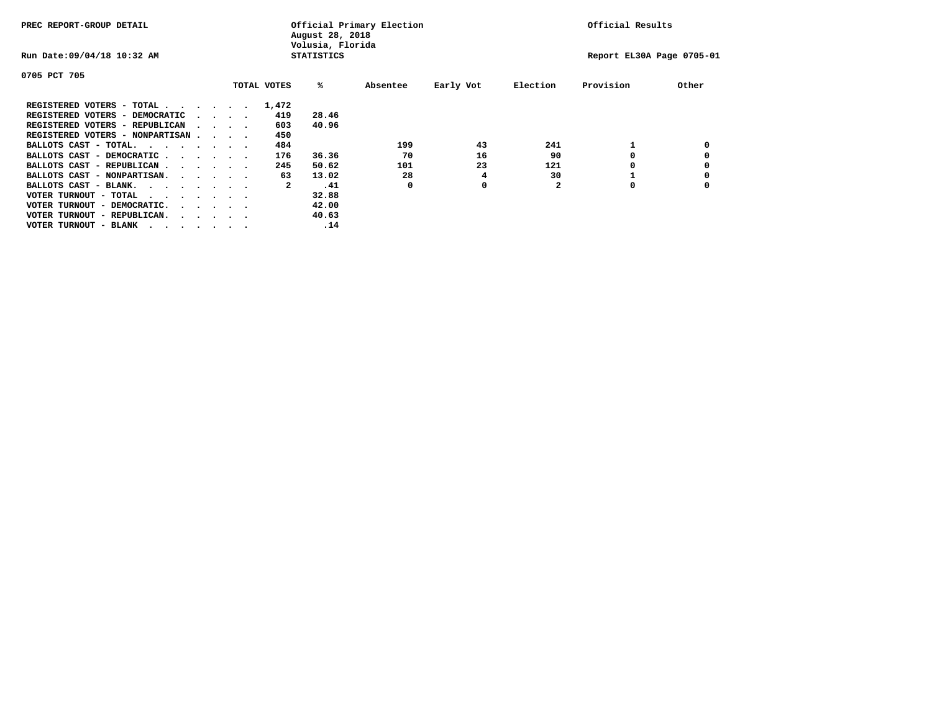| PREC REPORT-GROUP DETAIL                |  |                                 |             | August 28, 2018<br>Volusia, Florida | Official Primary Election |           |              | Official Results          |       |
|-----------------------------------------|--|---------------------------------|-------------|-------------------------------------|---------------------------|-----------|--------------|---------------------------|-------|
| Run Date: 09/04/18 10:32 AM             |  |                                 |             | <b>STATISTICS</b>                   |                           |           |              | Report EL30A Page 0705-01 |       |
| 0705 PCT 705                            |  |                                 |             |                                     |                           |           |              |                           |       |
|                                         |  |                                 | TOTAL VOTES | %ะ                                  | Absentee                  | Early Vot | Election     | Provision                 | Other |
| REGISTERED VOTERS - TOTAL               |  |                                 | 1,472       |                                     |                           |           |              |                           |       |
| REGISTERED VOTERS - DEMOCRATIC          |  | $\cdot$ $\cdot$ $\cdot$ $\cdot$ | 419         | 28.46                               |                           |           |              |                           |       |
| REGISTERED VOTERS - REPUBLICAN          |  | $\sim$ $\sim$ $\sim$ $\sim$     | 603         | 40.96                               |                           |           |              |                           |       |
| REGISTERED VOTERS - NONPARTISAN         |  |                                 | 450         |                                     |                           |           |              |                           |       |
| BALLOTS CAST - TOTAL.                   |  |                                 | 484         |                                     | 199                       | 43        | 241          |                           |       |
| BALLOTS CAST - DEMOCRATIC               |  |                                 | 176         | 36.36                               | 70                        | 16        | 90           |                           |       |
| BALLOTS CAST - REPUBLICAN               |  |                                 | 245         | 50.62                               | 101                       | 23        | 121          |                           |       |
| BALLOTS CAST - NONPARTISAN.             |  |                                 | 63          | 13.02                               | 28                        | 4         | 30           |                           |       |
| BALLOTS CAST - BLANK.                   |  |                                 | 2           | .41                                 | 0                         | 0         | $\mathbf{2}$ | 0                         |       |
| VOTER TURNOUT - TOTAL<br>.              |  |                                 |             | 32.88                               |                           |           |              |                           |       |
| VOTER TURNOUT - DEMOCRATIC.             |  | $\cdot$                         |             | 42.00                               |                           |           |              |                           |       |
| VOTER TURNOUT - REPUBLICAN.<br>$\cdots$ |  |                                 |             | 40.63                               |                           |           |              |                           |       |
| VOTER TURNOUT - BLANK                   |  |                                 |             | .14                                 |                           |           |              |                           |       |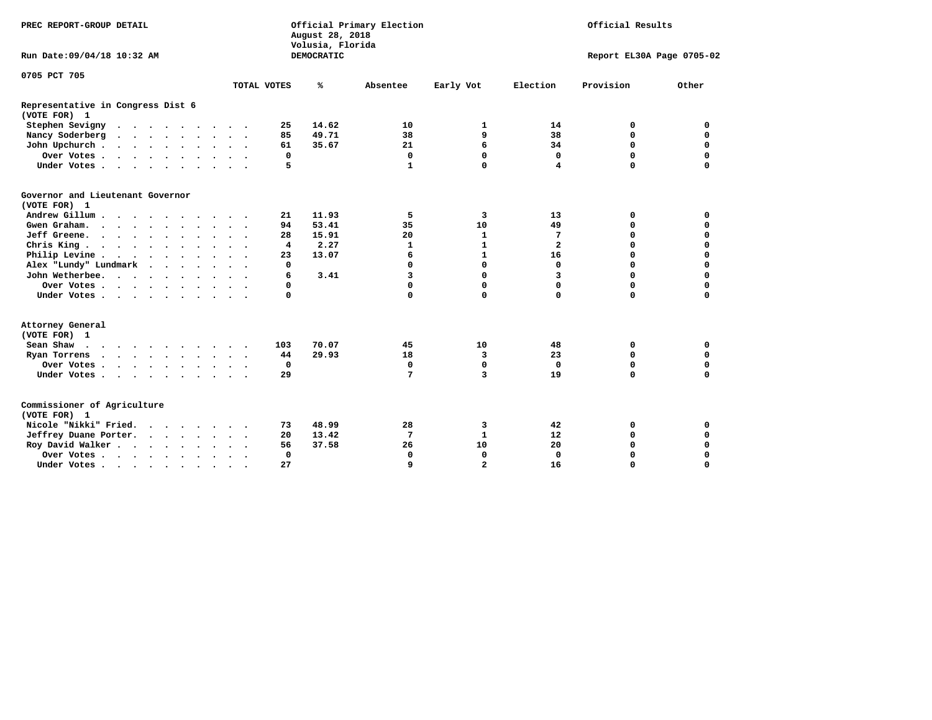| PREC REPORT-GROUP DETAIL                          |                      |               |             | August 28, 2018<br>Volusia, Florida | Official Primary Election | Official Results |              |                           |             |
|---------------------------------------------------|----------------------|---------------|-------------|-------------------------------------|---------------------------|------------------|--------------|---------------------------|-------------|
| Run Date: 09/04/18 10:32 AM                       |                      |               |             | DEMOCRATIC                          |                           |                  |              | Report EL30A Page 0705-02 |             |
| 0705 PCT 705                                      |                      |               |             |                                     |                           |                  |              |                           |             |
|                                                   |                      | TOTAL VOTES   |             | ℁                                   | Absentee                  | Early Vot        | Election     | Provision                 | Other       |
| Representative in Congress Dist 6<br>(VOTE FOR) 1 |                      |               |             |                                     |                           |                  |              |                           |             |
| Stephen Sevigny                                   |                      |               | 25          | 14.62                               | 10                        | 1                | 14           | 0                         | 0           |
| Nancy Soderberg                                   |                      |               | 85          | 49.71                               | 38                        | 9                | 38           | $\mathbf 0$               | $\mathbf 0$ |
| John Upchurch                                     |                      |               | 61          | 35.67                               | 21                        | 6                | 34           | $\mathbf 0$               | $\mathbf 0$ |
| Over Votes                                        |                      |               | 0           |                                     | 0                         | 0                | 0            | $\mathbf 0$               | $\mathbf 0$ |
| Under Votes                                       |                      |               | 5           |                                     | 1                         | $\mathbf 0$      | 4            | $\mathbf 0$               | $\mathbf 0$ |
| Governor and Lieutenant Governor<br>(VOTE FOR) 1  |                      |               |             |                                     |                           |                  |              |                           |             |
| Andrew Gillum                                     |                      |               | 21          | 11.93                               | 5                         | 3                | 13           | 0                         | $\mathbf 0$ |
| Gwengraham                                        |                      |               | 94          | 53.41                               | 35                        | 10               | 49           | $\mathbf 0$               | $\mathbf 0$ |
| Jeff Greene.                                      |                      |               | 28          | 15.91                               | 20                        | $\mathbf 1$      | 7            | 0                         | $\mathbf 0$ |
| Chris King                                        |                      |               | 4           | 2.27                                | 1                         | $\mathbf{1}$     | $\mathbf{2}$ | 0                         | 0           |
| Philip Levine                                     |                      |               | 23          | 13.07                               | 6                         | $\mathbf{1}$     | 16           | $\mathbf 0$               | $\mathbf 0$ |
| Alex "Lundy" Lundmark                             |                      |               | 0           |                                     | $\Omega$                  | 0                | $\mathbf 0$  | $\mathbf 0$               | $\mathbf 0$ |
| John Wetherbee.                                   |                      |               | 6           | 3.41                                | 3                         | 0                | 3            | $\mathbf 0$               | $\mathbf 0$ |
| Over Votes                                        |                      |               | 0           |                                     | $\mathbf 0$               | 0                | $\Omega$     | $\mathbf 0$               | $\mathbf 0$ |
| Under Votes                                       |                      |               | $\mathbf 0$ |                                     | 0                         | 0                | 0            | $\mathbf 0$               | $\mathbf 0$ |
| Attorney General<br>(VOTE FOR) 1                  |                      |               |             |                                     |                           |                  |              |                           |             |
| Sean Shaw                                         |                      |               | 103         | 70.07                               | 45                        | 10               | 48           | 0                         | $\mathbf 0$ |
| Ryan Torrens                                      |                      |               | 44          | 29.93                               | 18                        | 3                | 23           | $\mathbf 0$               | $\mathbf 0$ |
| Over Votes                                        |                      | $\sim$ $\sim$ | $\mathbf 0$ |                                     | $\mathbf 0$               | $\mathbf 0$      | $\Omega$     | $\mathbf 0$               | $\mathbf 0$ |
| Under Votes                                       |                      |               | 29          |                                     | 7                         | 3                | 19           | $\mathbf 0$               | 0           |
| Commissioner of Agriculture<br>(VOTE FOR) 1       |                      |               |             |                                     |                           |                  |              |                           |             |
| Nicole "Nikki" Fried.                             |                      |               | 73          | 48.99                               | 28                        | з                | 42           | 0                         | 0           |
| Jeffrey Duane Porter.                             |                      |               | 20          | 13.42                               | 7                         | $\mathbf{1}$     | 12           | $\mathbf 0$               | $\mathbf 0$ |
| Roy David Walker                                  |                      |               | 56          | 37.58                               | 26                        | 10               | 20           | $\mathbf 0$               | $\mathbf 0$ |
| Over Votes                                        |                      |               | $\mathbf 0$ |                                     | $\Omega$                  | 0                | $\Omega$     | $\Omega$                  | $\mathbf 0$ |
| Under Votes                                       | $\ddot{\phantom{a}}$ | $\cdot$       | 27          |                                     | 9                         | $\overline{a}$   | 16           | $\mathbf 0$               | $\mathbf 0$ |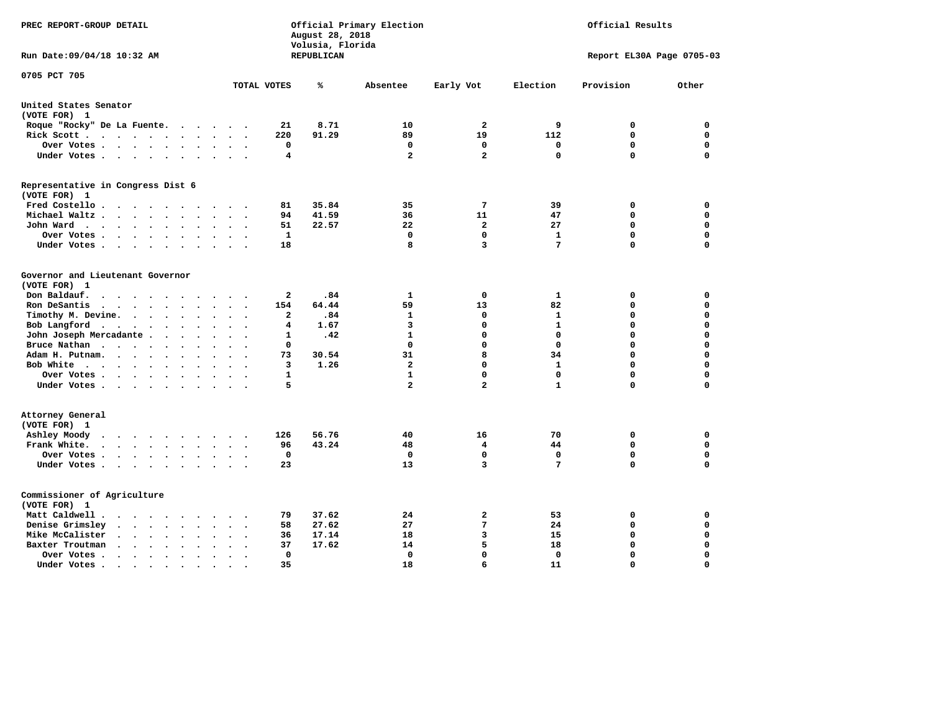| PREC REPORT-GROUP DETAIL                                                                                         |              | August 28, 2018<br>Volusia, Florida | Official Primary Election |                         | Official Results |                           |             |  |
|------------------------------------------------------------------------------------------------------------------|--------------|-------------------------------------|---------------------------|-------------------------|------------------|---------------------------|-------------|--|
| Run Date: 09/04/18 10:32 AM                                                                                      |              | <b>REPUBLICAN</b>                   |                           |                         |                  | Report EL30A Page 0705-03 |             |  |
| 0705 PCT 705                                                                                                     | TOTAL VOTES  | ℁                                   | Absentee                  | Early Vot               | Election         | Provision                 | Other       |  |
| United States Senator                                                                                            |              |                                     |                           |                         |                  |                           |             |  |
| (VOTE FOR) 1                                                                                                     |              |                                     |                           |                         |                  |                           |             |  |
| Roque "Rocky" De La Fuente.<br>$\sim$ $\sim$<br>$\ddot{\phantom{1}}$<br>$\ddot{\phantom{a}}$                     | 21           | 8.71                                | 10                        | 2                       | 9                | 0                         | 0           |  |
| Rick Scott<br>$\cdot$                                                                                            | 220          | 91.29                               | 89                        | 19                      | 112              | 0                         | $\mathbf 0$ |  |
| Over Votes<br>$\ddot{\phantom{0}}$<br>$\bullet$<br>$\bullet$                                                     | 0            |                                     | $\mathbf 0$               | $\mathbf 0$             | 0                | $\mathbf 0$               | $\mathbf 0$ |  |
| Under Votes<br>$\sim$<br>$\ddot{\phantom{1}}$                                                                    | 4            |                                     | $\overline{\mathbf{2}}$   | $\overline{a}$          | $\mathbf 0$      | $\mathbf 0$               | $\Omega$    |  |
| Representative in Congress Dist 6                                                                                |              |                                     |                           |                         |                  |                           |             |  |
| (VOTE FOR) 1                                                                                                     |              | 35.84                               | 35                        | 7                       | 39               | 0                         | 0           |  |
| Fred Costello<br>Michael Waltz<br>$\sim$<br>$\sim$<br>$\ddot{\phantom{a}}$                                       | 81<br>94     | 41.59                               | 36                        | 11                      | 47               | $\mathbf 0$               | $\mathbf 0$ |  |
| $\ddot{\phantom{1}}$                                                                                             | 51           | 22.57                               | 22                        | $\overline{a}$          | 27               | $\mathbf 0$               | $\mathbf 0$ |  |
| John Ward<br>$\ddot{\phantom{1}}$<br>$\ddot{\phantom{0}}$<br>$\bullet$<br>Over Votes                             | $\mathbf{1}$ |                                     | 0                         | $\mathbf{0}$            | $\mathbf 1$      | $\mathbf 0$               | $\mathbf 0$ |  |
| $\bullet$<br>$\bullet$<br>Under Votes<br>$\cdot$                                                                 | 18           |                                     | 8                         | 3                       | 7                | $\mathbf 0$               | $\mathbf 0$ |  |
| $\bullet$                                                                                                        |              |                                     |                           |                         |                  |                           |             |  |
| Governor and Lieutenant Governor<br>(VOTE FOR) 1                                                                 |              |                                     |                           |                         |                  |                           |             |  |
| Don Baldauf.<br>$\cdot$ $\cdot$ $\cdot$<br>$\sim$                                                                | $\mathbf{2}$ | .84                                 | 1                         | 0                       | 1                | 0                         | 0           |  |
| Ron DeSantis<br>$\cdots$<br>$\ddot{\phantom{a}}$<br>$\bullet$                                                    | 154          | 64.44                               | 59                        | 13                      | 82               | 0                         | $\mathbf 0$ |  |
| Timothy M. Devine. .<br>$\sim 100$ km s $^{-1}$<br>$\ddot{\phantom{1}}$<br>$\bullet$<br>$\bullet$<br>$\bullet$   | 2            | .84                                 | $\mathbf{1}$              | 0                       | $\mathbf{1}$     | $\mathbf 0$               | $\mathbf 0$ |  |
| Bob Langford<br>$\sim$ $\sim$<br>$\ddot{\phantom{0}}$<br>$\ddot{\phantom{a}}$                                    | 4            | 1.67                                | 3                         | $\mathbf 0$             | $\mathbf{1}$     | 0                         | $\mathbf 0$ |  |
| John Joseph Mercadante .<br>$\bullet$<br>$\sim$<br>$\ddot{\phantom{a}}$                                          | 1            | .42                                 | $\mathbf{1}$              | $\Omega$                | $\mathbf 0$      | $\mathbf 0$               | $\mathbf 0$ |  |
| Bruce Nathan<br>$\cdot$<br>$\ddot{\phantom{a}}$<br>$\bullet$<br>$\bullet$<br>$\ddot{\phantom{a}}$                | 0            |                                     | $\mathbf{0}$              | $\mathbf{0}$            | $\mathbf 0$      | 0                         | $\mathbf 0$ |  |
| Adam H. Putnam.<br>$\cdot$ $\cdot$ $\cdot$ $\cdot$<br>$\ddot{\phantom{a}}$                                       | 73           | 30.54                               | 31                        | 8                       | 34               | 0                         | $\mathbf 0$ |  |
| Bob White<br>$\overline{\phantom{a}}$<br>$\sim$<br>$\ddot{\phantom{a}}$                                          | 3            | 1.26                                | $\overline{\mathbf{2}}$   | $\mathbf{0}$            | $\mathbf{1}$     | $\mathbf 0$               | $\mathbf 0$ |  |
| Over Votes<br>$\bullet$ .<br><br><br><br><br><br><br>$\bullet$<br>$\bullet$<br>$\ddot{\phantom{a}}$              | 1            |                                     | 1                         | $\mathbf 0$             | 0                | 0                         | 0           |  |
| Under Votes                                                                                                      | 5            |                                     | $\overline{\mathbf{2}}$   | $\overline{a}$          | $\mathbf{1}$     | $\mathbf 0$               | $\mathbf 0$ |  |
| Attorney General<br>(VOTE FOR) 1                                                                                 |              |                                     |                           |                         |                  |                           |             |  |
| Ashley Moody<br>$\cdots$<br>$\ddot{\phantom{a}}$<br>$\cdot$<br>$\ddot{\phantom{0}}$                              | 126          | 56.76                               | 40                        | 16                      | 70               | 0                         | $\mathbf 0$ |  |
| Frank White.<br>$\cdot$ $\cdot$ $\cdot$ $\cdot$ $\cdot$<br>$\ddot{\phantom{0}}$                                  | 96           | 43.24                               | 48                        | 4                       | 44               | $\mathbf 0$               | $\mathbf 0$ |  |
| Over Votes.<br>$\cdots$<br>$\ddot{\phantom{1}}$<br>$\cdot$<br>$\bullet$                                          | $\mathbf 0$  |                                     | $\mathbf 0$               | $\mathbf 0$             | 0                | $\mathbf 0$               | $\mathbf 0$ |  |
| Under Votes<br>$\ddotsc$ $\ddotsc$                                                                               | 23           |                                     | 13                        | 3                       | 7                | $\mathbf 0$               | $\mathbf 0$ |  |
| Commissioner of Agriculture<br>(VOTE FOR) 1                                                                      |              |                                     |                           |                         |                  |                           |             |  |
| Matt Caldwell.<br>$\cdot$ $\cdot$ $\cdot$ $\cdot$ $\cdot$ $\cdot$                                                | 79           | 37.62                               | 24                        | 2                       | 53               | 0                         | 0           |  |
| Denise Grimsley<br>$\ddot{\phantom{a}}$<br>$\sim$<br>$\ddot{\phantom{a}}$                                        | 58           | 27.62                               | 27                        | 7                       | 24               | $\mathbf 0$               | $\mathbf 0$ |  |
| Mike McCalister<br>$\mathbf{a}$ , and $\mathbf{a}$ , and $\mathbf{a}$<br>$\bullet$<br>$\bullet$<br>$\bullet$     | 36           | 17.14                               | 18                        | $\overline{\mathbf{3}}$ | 15               | 0                         | $\mathbf 0$ |  |
| Baxter Troutman<br>$\ddot{\phantom{0}}$<br>$\ddot{\phantom{a}}$                                                  | 37           | 17.62                               | 14                        | 5                       | 18               | $\Omega$                  | $\Omega$    |  |
| Over Votes<br>$\ddot{\phantom{a}}$<br>$\cdot$<br>$\overline{\phantom{a}}$                                        | 0            |                                     | $\mathbf 0$               | $\mathbf{0}$            | $\mathbf 0$      | $\mathbf 0$               | $\mathbf 0$ |  |
| Under Votes.<br>$\bullet$ , $\bullet$ , $\bullet$ , $\bullet$ , $\bullet$<br>$\bullet$<br>$\bullet$<br>$\bullet$ | 35           |                                     | 18                        | 6                       | 11               | $\Omega$                  | $\Omega$    |  |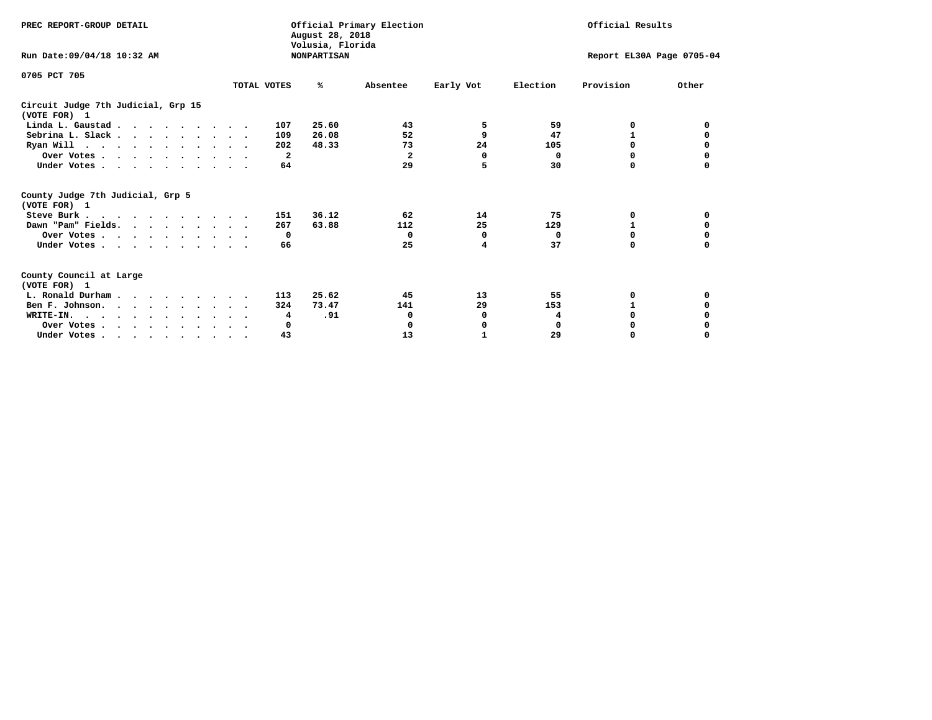| PREC REPORT-GROUP DETAIL                                                         |             | Official Primary Election<br>August 28, 2018<br>Volusia, Florida |              | Official Results |                           |           |          |
|----------------------------------------------------------------------------------|-------------|------------------------------------------------------------------|--------------|------------------|---------------------------|-----------|----------|
| Run Date: 09/04/18 10:32 AM                                                      |             | <b>NONPARTISAN</b>                                               |              |                  | Report EL30A Page 0705-04 |           |          |
| 0705 PCT 705                                                                     |             |                                                                  |              |                  |                           |           |          |
|                                                                                  | TOTAL VOTES | ℁                                                                | Absentee     | Early Vot        | Election                  | Provision | Other    |
| Circuit Judge 7th Judicial, Grp 15<br>(VOTE FOR) 1                               |             |                                                                  |              |                  |                           |           |          |
| Linda L. Gaustad                                                                 | 107         | 25.60                                                            | 43           | 5                | 59                        | 0         | 0        |
| Sebrina L. Slack                                                                 | 109         | 26.08                                                            | 52           | 9                | 47                        |           |          |
| Ryan Will $\cdots$ , $\cdots$ , $\cdots$ , $\cdots$                              | 202         | 48.33                                                            | 73           | 24               | 105                       | 0         |          |
| Over Votes                                                                       |             | $\mathbf{2}$                                                     | $\mathbf{2}$ | 0                | 0                         | 0         | 0        |
| Under Votes                                                                      |             | 64                                                               | 29           | 5                | 30                        | 0         |          |
| County Judge 7th Judicial, Grp 5<br>(VOTE FOR) 1                                 |             |                                                                  |              |                  |                           |           |          |
| Steve Burk                                                                       | 151         | 36.12                                                            | 62           | 14               | 75                        | 0         | 0        |
| Dawn "Pam" Fields.                                                               | 267         | 63.88                                                            | 112          | 25               | 129                       |           |          |
| Over Votes                                                                       |             | $\mathbf{o}$                                                     | $^{\circ}$   | 0                | 0                         | 0         | 0        |
| Under Votes                                                                      |             | 66                                                               | 25           | 4                | 37                        | $\Omega$  | $\Omega$ |
| County Council at Large<br>(VOTE FOR) 1                                          |             |                                                                  |              |                  |                           |           |          |
| L. Ronald Durham                                                                 | 113         | 25.62                                                            | 45           | 13               | 55                        | 0         |          |
| Ben F. Johnson.                                                                  | 324         | 73.47                                                            | 141          | 29               | 153                       | 1         | 0        |
| WRITE-IN.                                                                        |             | .91<br>4                                                         | 0            | 0                | 4                         | O         |          |
| Over Votes                                                                       |             | 0                                                                | 0            | 0                | $\mathbf 0$               | 0         |          |
| Under Votes, $\cdot$ , $\cdot$ , $\cdot$ , $\cdot$ , $\cdot$ , $\cdot$ , $\cdot$ |             | 43                                                               | 13           |                  | 29                        | 0         | $\Omega$ |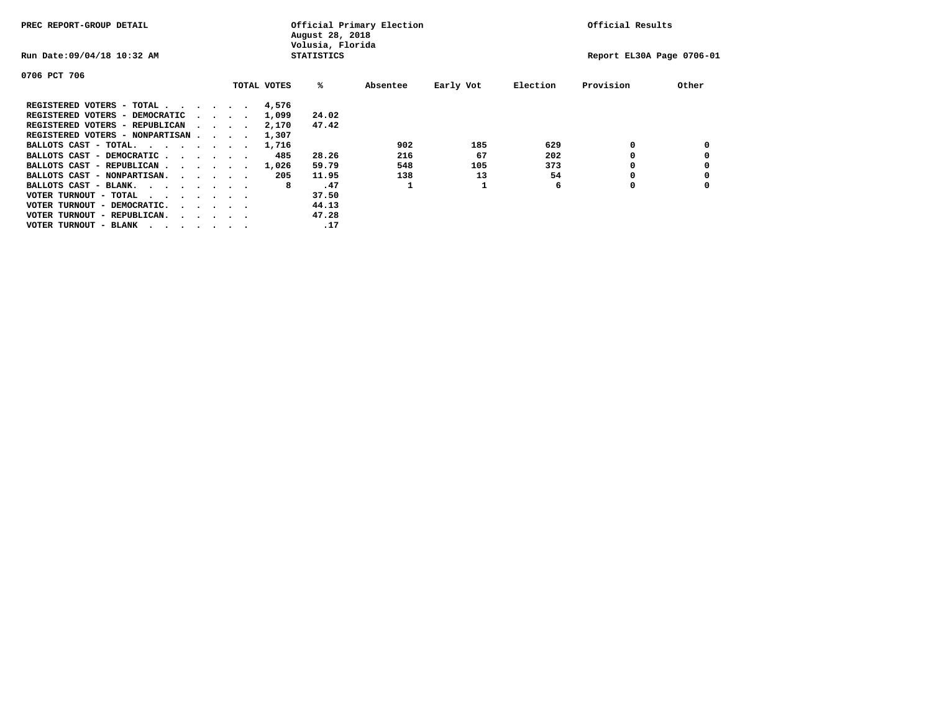| PREC REPORT-GROUP DETAIL               |  |  |                                         |             | August 28, 2018<br>Volusia, Florida | Official Primary Election |           | Official Results |                           |       |  |
|----------------------------------------|--|--|-----------------------------------------|-------------|-------------------------------------|---------------------------|-----------|------------------|---------------------------|-------|--|
| Run Date: 09/04/18 10:32 AM            |  |  |                                         |             | <b>STATISTICS</b>                   |                           |           |                  | Report EL30A Page 0706-01 |       |  |
| 0706 PCT 706                           |  |  |                                         |             |                                     |                           |           |                  |                           |       |  |
|                                        |  |  |                                         | TOTAL VOTES | %ะ                                  | Absentee                  | Early Vot | Election         | Provision                 | Other |  |
| REGISTERED VOTERS - TOTAL              |  |  |                                         | 4,576       |                                     |                           |           |                  |                           |       |  |
| REGISTERED VOTERS - DEMOCRATIC         |  |  | $\sim$ $\sim$ $\sim$ $\sim$             | 1,099       | 24.02                               |                           |           |                  |                           |       |  |
| REGISTERED VOTERS - REPUBLICAN         |  |  |                                         | 2,170       | 47.42                               |                           |           |                  |                           |       |  |
| REGISTERED VOTERS - NONPARTISAN        |  |  |                                         | 1,307       |                                     |                           |           |                  |                           |       |  |
| BALLOTS CAST - TOTAL.                  |  |  |                                         | 1,716       |                                     | 902                       | 185       | 629              | 0                         |       |  |
| BALLOTS CAST - DEMOCRATIC              |  |  |                                         | 485         | 28.26                               | 216                       | 67        | 202              |                           |       |  |
| BALLOTS CAST - REPUBLICAN              |  |  |                                         | 1,026       | 59.79                               | 548                       | 105       | 373              |                           |       |  |
| BALLOTS CAST - NONPARTISAN.            |  |  |                                         | 205         | 11.95                               | 138                       | 13        | 54               |                           |       |  |
| BALLOTS CAST - BLANK.                  |  |  |                                         | 8           | .47                                 |                           |           | 6                | 0                         |       |  |
| VOTER TURNOUT - TOTAL<br>.             |  |  |                                         |             | 37.50                               |                           |           |                  |                           |       |  |
| VOTER TURNOUT - DEMOCRATIC.            |  |  | $\cdot$ $\cdot$ $\cdot$ $\cdot$ $\cdot$ |             | 44.13                               |                           |           |                  |                           |       |  |
| VOTER TURNOUT - REPUBLICAN.<br>$\cdot$ |  |  |                                         |             | 47.28                               |                           |           |                  |                           |       |  |
| VOTER TURNOUT - BLANK                  |  |  |                                         |             | .17                                 |                           |           |                  |                           |       |  |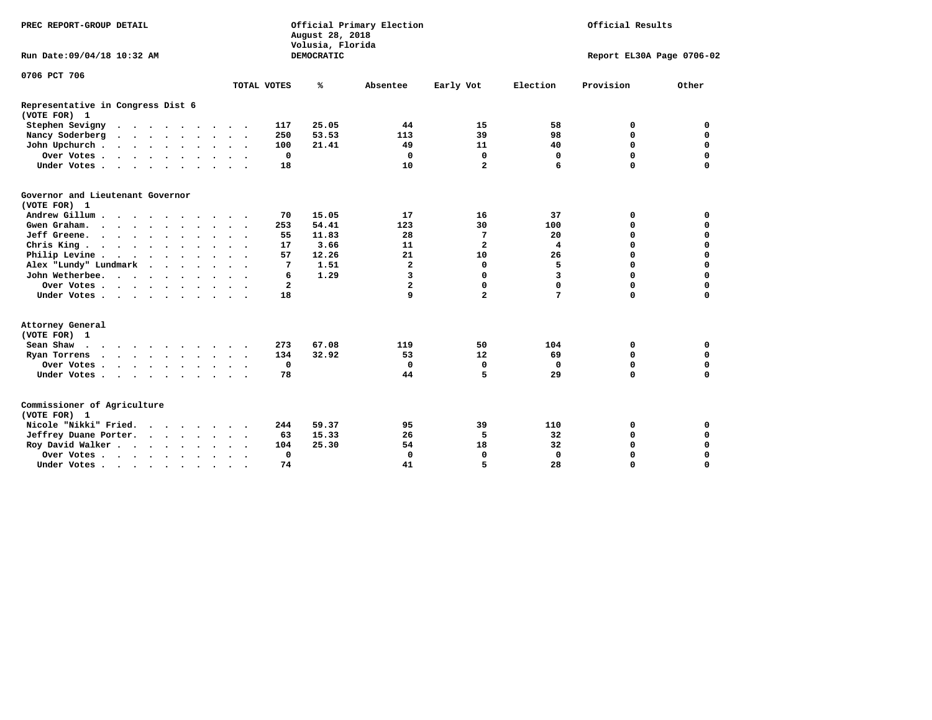| PREC REPORT-GROUP DETAIL                          |  |  |  |           |               |           |                         | August 28, 2018<br>Volusia, Florida | Official Primary Election | Official Results        |             |             |                           |
|---------------------------------------------------|--|--|--|-----------|---------------|-----------|-------------------------|-------------------------------------|---------------------------|-------------------------|-------------|-------------|---------------------------|
| Run Date: 09/04/18 10:32 AM                       |  |  |  |           |               |           |                         | DEMOCRATIC                          |                           |                         |             |             | Report EL30A Page 0706-02 |
| 0706 PCT 706                                      |  |  |  |           |               |           |                         |                                     |                           |                         |             |             |                           |
|                                                   |  |  |  |           |               |           | TOTAL VOTES             | ℁                                   | Absentee                  | Early Vot               | Election    | Provision   | Other                     |
| Representative in Congress Dist 6<br>(VOTE FOR) 1 |  |  |  |           |               |           |                         |                                     |                           |                         |             |             |                           |
| Stephen Sevigny                                   |  |  |  |           |               |           | 117                     | 25.05                               | 44                        | 15                      | 58          | 0           | 0                         |
| Nancy Soderberg                                   |  |  |  |           |               |           | 250                     | 53.53                               | 113                       | 39                      | 98          | $\mathbf 0$ | $\mathbf 0$               |
| John Upchurch                                     |  |  |  |           |               |           | 100                     | 21.41                               | 49                        | 11                      | 40          | 0           | $\mathbf 0$               |
| Over Votes                                        |  |  |  |           |               |           | $\mathbf 0$             |                                     | 0                         | $\mathbf 0$             | $\mathbf 0$ | $\mathbf 0$ | $\mathbf 0$               |
| Under Votes                                       |  |  |  |           |               |           | 18                      |                                     | 10                        | $\overline{a}$          | 6           | $\Omega$    | $\mathbf 0$               |
| Governor and Lieutenant Governor<br>(VOTE FOR) 1  |  |  |  |           |               |           |                         |                                     |                           |                         |             |             |                           |
| Andrew Gillum                                     |  |  |  |           |               |           | 70                      | 15.05                               | 17                        | 16                      | 37          | 0           | 0                         |
| Gwen Graham.                                      |  |  |  |           |               |           | 253                     | 54.41                               | 123                       | 30                      | 100         | $\mathbf 0$ | 0                         |
| Jeff Greene.                                      |  |  |  |           |               |           | 55                      | 11.83                               | 28                        | 7                       | 20          | $\mathbf 0$ | $\mathbf 0$               |
| Chris King                                        |  |  |  |           |               |           | 17                      | 3.66                                | 11                        | $\overline{\mathbf{2}}$ | 4           | $\mathbf 0$ | $\mathbf 0$               |
| Philip Levine                                     |  |  |  |           |               |           | 57                      | 12.26                               | 21                        | 10                      | 26          | $\mathbf 0$ | $\mathbf 0$               |
| Alex "Lundy" Lundmark                             |  |  |  |           |               |           | 7                       | 1.51                                | $\overline{\mathbf{2}}$   | 0                       | 5           | $\mathbf 0$ | $\mathbf 0$               |
| John Wetherbee.                                   |  |  |  |           |               |           | 6                       | 1.29                                | 3                         | 0                       | 3           | $\mathbf 0$ | 0                         |
| Over Votes                                        |  |  |  |           |               |           | $\overline{\mathbf{2}}$ |                                     | $\mathbf{z}$              | 0                       | 0           | $\mathbf 0$ | $\mathbf 0$               |
| Under Votes                                       |  |  |  |           |               |           | 18                      |                                     | 9                         | $\overline{a}$          | 7           | $\mathbf 0$ | $\mathbf 0$               |
| Attorney General<br>(VOTE FOR) 1                  |  |  |  |           |               |           |                         |                                     |                           |                         |             |             |                           |
| Sean Shaw                                         |  |  |  |           |               |           | 273                     | 67.08                               | 119                       | 50                      | 104         | 0           | $\mathbf 0$               |
| Ryan Torrens<br>$\cdots$                          |  |  |  |           |               |           | 134                     | 32.92                               | 53                        | 12                      | 69          | $\mathbf 0$ | $\mathbf 0$               |
| Over Votes                                        |  |  |  | $\bullet$ | $\sim$ $\sim$ |           | $\mathbf 0$             |                                     | $\mathbf 0$               | $\mathbf 0$             | 0           | $\mathbf 0$ | $\mathbf 0$               |
| Under Votes                                       |  |  |  |           |               |           | 78                      |                                     | 44                        | 5                       | 29          | $\mathbf 0$ | $\mathbf 0$               |
| Commissioner of Agriculture<br>(VOTE FOR) 1       |  |  |  |           |               |           |                         |                                     |                           |                         |             |             |                           |
| Nicole "Nikki" Fried.                             |  |  |  |           |               |           | 244                     | 59.37                               | 95                        | 39                      | 110         | 0           | 0                         |
| Jeffrey Duane Porter.                             |  |  |  |           |               |           | 63                      | 15.33                               | 26                        | 5                       | 32          | 0           | $\mathbf 0$               |
| Roy David Walker                                  |  |  |  |           |               |           | 104                     | 25.30                               | 54                        | 18                      | 32          | $\mathbf 0$ | $\mathbf 0$               |
| Over Votes                                        |  |  |  | $\bullet$ | $\bullet$     | $\bullet$ | $\mathbf 0$             |                                     | $\Omega$                  | 0                       | $\Omega$    | $\Omega$    | $\mathbf 0$               |
| Under Votes                                       |  |  |  | $\bullet$ |               |           | 74                      |                                     | 41                        | 5                       | 28          | 0           | $\mathbf 0$               |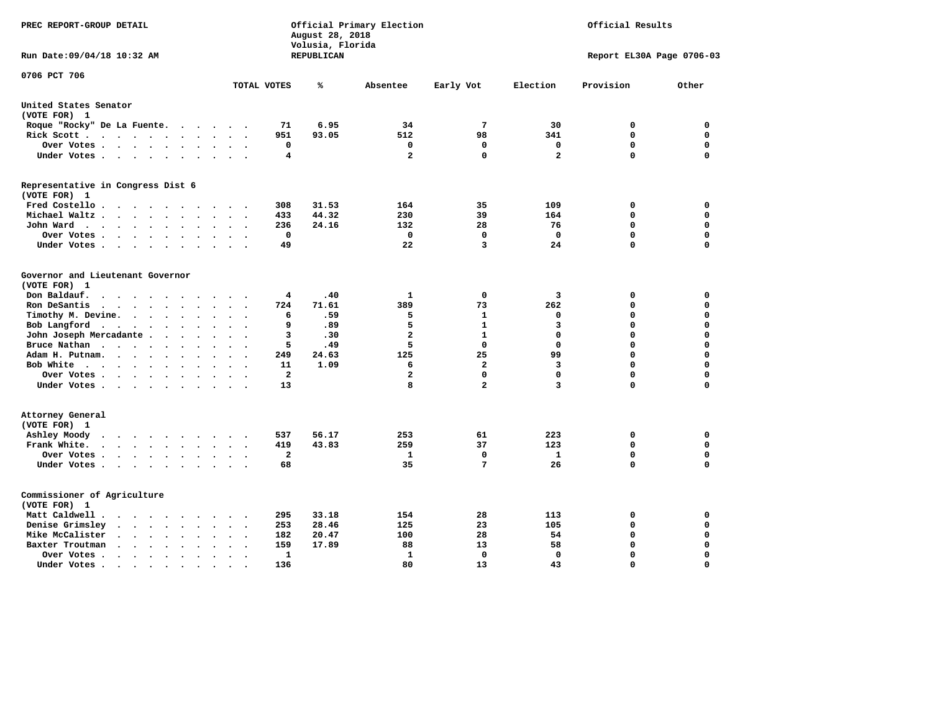| PREC REPORT-GROUP DETAIL                                                                                                     | Official Primary Election<br>August 28, 2018<br>Volusia, Florida | Official Results |                |                |                           |             |             |  |  |
|------------------------------------------------------------------------------------------------------------------------------|------------------------------------------------------------------|------------------|----------------|----------------|---------------------------|-------------|-------------|--|--|
| Run Date: 09/04/18 10:32 AM                                                                                                  |                                                                  | REPUBLICAN       |                |                | Report EL30A Page 0706-03 |             |             |  |  |
| 0706 PCT 706                                                                                                                 | TOTAL VOTES                                                      | %                | Absentee       | Early Vot      | Election                  | Provision   | Other       |  |  |
|                                                                                                                              |                                                                  |                  |                |                |                           |             |             |  |  |
| United States Senator<br>(VOTE FOR) 1                                                                                        |                                                                  |                  |                |                |                           |             |             |  |  |
| Roque "Rocky" De La Fuente.<br>$\cdot$ $\cdot$ $\cdot$                                                                       | 71<br>$\sim$                                                     | 6.95             | 34             | 7              | 30                        | 0           | 0           |  |  |
| Rick Scott                                                                                                                   | 951                                                              | 93.05            | 512            | 98             | 341                       | $\mathbf 0$ | 0           |  |  |
| Over Votes                                                                                                                   | 0<br>$\ddot{\phantom{a}}$<br>$\sim$<br>$\overline{\phantom{a}}$  |                  | 0              | 0              | 0                         | $\mathbf 0$ | 0           |  |  |
| Under Votes<br>$\ddot{\phantom{1}}$<br>$\ddot{\phantom{a}}$                                                                  | 4<br>$\sim$                                                      |                  | $\mathbf{2}$   | 0              | $\overline{a}$            | $\Omega$    | 0           |  |  |
| Representative in Congress Dist 6                                                                                            |                                                                  |                  |                |                |                           |             |             |  |  |
| (VOTE FOR) 1                                                                                                                 |                                                                  |                  |                |                |                           |             |             |  |  |
| Fred Costello<br>$\sim$                                                                                                      | 308<br>$\sim$ $\sim$ $\sim$                                      | 31.53            | 164            | 35             | 109                       | 0           | 0           |  |  |
| Michael Waltz.<br>$\cdots$<br>$\ddot{\phantom{a}}$                                                                           | 433                                                              | 44.32            | 230            | 39             | 164                       | $\mathbf 0$ | 0           |  |  |
| John Ward<br>$\ddot{\phantom{0}}$<br>$\ddot{\phantom{a}}$                                                                    | 236<br>$\bullet$                                                 | 24.16            | 132            | 28             | 76                        | $\mathbf 0$ | 0           |  |  |
| Over Votes<br>$\cdot$<br>$\cdot$                                                                                             | $\mathbf 0$                                                      |                  | 0              | 0              | $\mathbf 0$               | $\mathbf 0$ | 0           |  |  |
| Under Votes<br>$\bullet$<br>$\bullet$                                                                                        | 49                                                               |                  | 22             | 3              | 24                        | $\mathbf 0$ | 0           |  |  |
| Governor and Lieutenant Governor                                                                                             |                                                                  |                  |                |                |                           |             |             |  |  |
| (VOTE FOR) 1                                                                                                                 |                                                                  |                  |                |                |                           |             |             |  |  |
| Don Baldauf.<br>$\bullet$ , $\bullet$ , $\bullet$ , $\bullet$<br>$\overline{\phantom{a}}$                                    | 4                                                                | .40              | 1              | 0              | 3                         | 0           | 0           |  |  |
| Ron DeSantis<br>$\bullet$                                                                                                    | 724<br>$\Delta \sim 10$                                          | 71.61            | 389            | 73             | 262                       | 0           | 0           |  |  |
| Timothy M. Devine.<br>$\bullet$<br>$\bullet$                                                                                 | 6                                                                | .59              | 5              | 1              | 0                         | 0           | 0           |  |  |
| Bob Langford<br>$\cdot$ $\cdot$ $\cdot$<br>$\ddot{\phantom{0}}$<br>$\bullet$<br>$\ddot{\phantom{a}}$<br>$\ddot{\phantom{a}}$ | 9                                                                | .89              | 5              | $\mathbf{1}$   | 3                         | $\mathbf 0$ | 0           |  |  |
| John Joseph Mercadante                                                                                                       | 3                                                                | .30              | $\overline{a}$ | 1              | 0                         | $\mathbf 0$ | 0           |  |  |
| Bruce Nathan<br>$\cdots$ $\cdots$<br>$\ddot{\phantom{a}}$<br>$\bullet$<br>$\bullet$                                          | 5                                                                | .49              | 5              | $\Omega$       | $\Omega$                  | 0           | 0           |  |  |
| Adam H. Putnam.<br>$\sim$ $\sim$ $\sim$ $\sim$<br>$\sim$                                                                     | 249                                                              | 24.63            | 125            | 25             | 99                        | $\mathbf 0$ | 0           |  |  |
| Bob White<br>$\ddot{\phantom{1}}$<br>$\bullet$                                                                               | 11<br>$\ddot{\phantom{a}}$                                       | 1.09             | 6              | $\overline{a}$ | 3                         | $\mathbf 0$ | 0           |  |  |
| Over Votes .<br>$\cdot$ $\cdot$ $\cdot$ $\cdot$<br>$\cdot$<br>$\overline{\phantom{a}}$                                       | $\overline{a}$                                                   |                  | $\mathbf{2}$   | 0              | $\mathbf 0$               | $\mathbf 0$ | 0           |  |  |
| Under Votes<br>$\cdot$                                                                                                       | 13                                                               |                  | 8              | $\overline{a}$ | 3                         | $\mathbf 0$ | 0           |  |  |
| Attorney General                                                                                                             |                                                                  |                  |                |                |                           |             |             |  |  |
| (VOTE FOR) 1                                                                                                                 |                                                                  |                  |                |                |                           |             |             |  |  |
| Ashley Moody<br>$\cdot$ $\cdot$ $\cdot$ $\cdot$<br>$\cdot$<br>$\sim$<br>$\cdot$                                              | 537                                                              | 56.17            | 253            | 61             | 223                       | 0           | 0           |  |  |
| Frank White.<br>$\cdot$ $\cdot$ $\cdot$ $\cdot$ $\cdot$ $\cdot$<br>$\sim$                                                    | 419                                                              | 43.83            | 259            | 37             | 123                       | $\mathbf 0$ | 0           |  |  |
| Over Votes .<br>$\cdot$ $\cdot$ $\cdot$ $\cdot$<br>$\sim$ $\sim$<br>$\bullet$                                                | $\mathbf{2}$                                                     |                  | 1              | 0              | $\mathbf{1}$              | $\mathbf 0$ | 0           |  |  |
| Under Votes<br>$\ddot{\phantom{0}}$<br>$\ddot{\phantom{1}}$<br>$\bullet$                                                     | 68<br>$\bullet$                                                  |                  | 35             | 7              | 26                        | $\mathbf 0$ | 0           |  |  |
| Commissioner of Agriculture                                                                                                  |                                                                  |                  |                |                |                           |             |             |  |  |
| (VOTE FOR) 1                                                                                                                 |                                                                  |                  |                |                |                           |             |             |  |  |
| Matt Caldwell .<br>$\cdot$ $\cdot$ $\cdot$ $\cdot$ $\cdot$<br>$\sim$                                                         | 295                                                              | 33.18            | 154            | 28             | 113                       | 0           | 0           |  |  |
| Denise Grimsley<br>$\ddot{\phantom{a}}$ . $\ddot{\phantom{a}}$<br>$\ddot{\phantom{a}}$<br>$\bullet$                          | 253                                                              | 28.46            | 125            | 23             | 105                       | 0           | 0           |  |  |
| Mike McCalister<br>$\bullet$ .<br><br><br><br><br><br><br><br><br><br><br><br><br>$\ddot{\phantom{1}}$<br>$\bullet$          | 182<br>$\bullet$                                                 | 20.47            | 100            | 28             | 54                        | 0           | 0           |  |  |
| Baxter Troutman<br>$\langle \cdot \rangle$<br>$\bullet$<br>$\ddot{\phantom{a}}$                                              | 159                                                              | 17.89            | 88             | 13             | 58                        | 0           | 0           |  |  |
| Over Votes .<br>$\sim$ $\sim$ $\sim$<br>$\ddot{\phantom{0}}$<br>$\bullet$<br>$\cdot$                                         | 1                                                                |                  | 1              | 0              | 0                         | $\mathbf 0$ | 0           |  |  |
| Under Votes.<br>.                                                                                                            | 136                                                              |                  | 80             | 13             | 43                        | $\Omega$    | $\mathbf 0$ |  |  |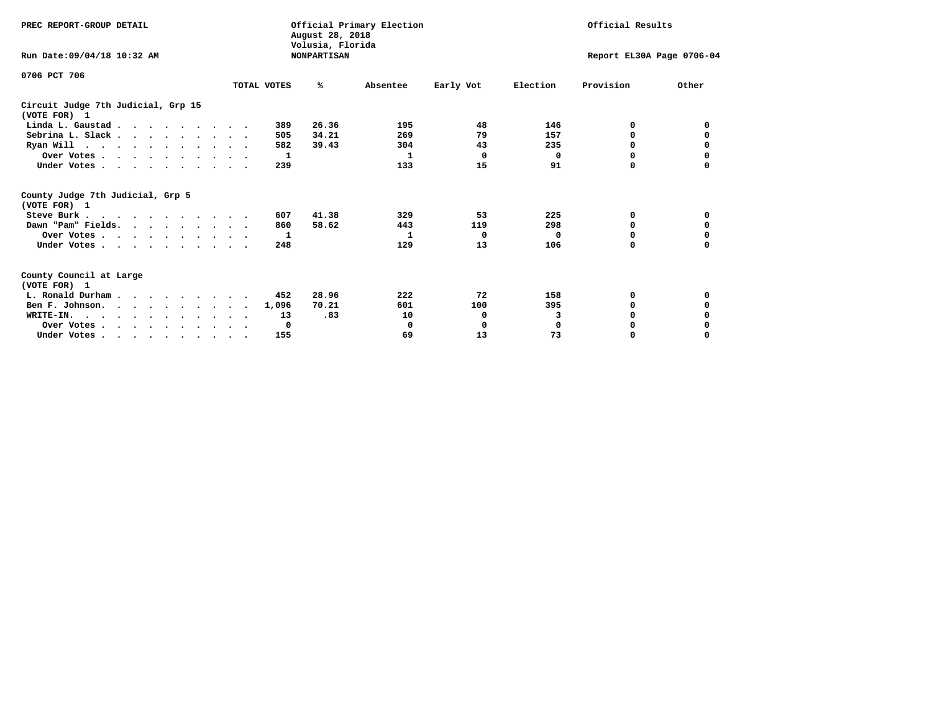| PREC REPORT-GROUP DETAIL                            |             | Official Primary Election<br>August 28, 2018<br>Volusia, Florida | Official Results |           |          |                           |          |
|-----------------------------------------------------|-------------|------------------------------------------------------------------|------------------|-----------|----------|---------------------------|----------|
| Run Date: 09/04/18 10:32 AM                         |             | <b>NONPARTISAN</b>                                               |                  |           |          | Report EL30A Page 0706-04 |          |
| 0706 PCT 706                                        |             |                                                                  |                  |           |          |                           |          |
|                                                     | TOTAL VOTES | ℁                                                                | Absentee         | Early Vot | Election | Provision                 | Other    |
| Circuit Judge 7th Judicial, Grp 15<br>(VOTE FOR) 1  |             |                                                                  |                  |           |          |                           |          |
| Linda L. Gaustad                                    |             | 26.36<br>389                                                     | 195              | 48        | 146      | 0                         | 0        |
| Sebrina L. Slack.                                   |             | 34.21<br>505                                                     | 269              | 79        | 157      | O                         | 0        |
| Ryan Will $\cdots$ , $\cdots$ , $\cdots$ , $\cdots$ |             | 39.43<br>582                                                     | 304              | 43        | 235      | 0                         |          |
| Over Votes                                          |             | 1                                                                | 1                | 0         | 0        | 0                         | 0        |
| Under Votes                                         |             | 239                                                              | 133              | 15        | 91       | O                         |          |
| County Judge 7th Judicial, Grp 5<br>(VOTE FOR) 1    |             |                                                                  |                  |           |          |                           |          |
| Steve Burk                                          |             | 41.38<br>607                                                     | 329              | 53        | 225      | 0                         | 0        |
| Dawn "Pam" Fields.                                  |             | 58.62<br>860                                                     | 443              | 119       | 298      | 0                         |          |
| Over Votes                                          |             | 1                                                                | 1                | 0         | $\Omega$ | 0                         | 0        |
| Under Votes                                         |             | 248                                                              | 129              | 13        | 106      | <sup>0</sup>              | 0        |
| County Council at Large<br>(VOTE FOR) 1             |             |                                                                  |                  |           |          |                           |          |
| L. Ronald Durham                                    |             | 28.96<br>452                                                     | 222              | 72        | 158      | 0                         | 0        |
| Ben F. Johnson.                                     |             | 70.21<br>1,096                                                   | 601              | 100       | 395      | 0                         | 0        |
| WRITE-IN.                                           |             | .83<br>13                                                        | 10               | 0         | 3        | $\Omega$                  |          |
| Over Votes                                          |             | 0                                                                | 0                | 0         | $\Omega$ | O                         |          |
| Under Votes, , , , , , , , , ,                      |             | 155                                                              | 69               | 13        | 73       | 0                         | $\Omega$ |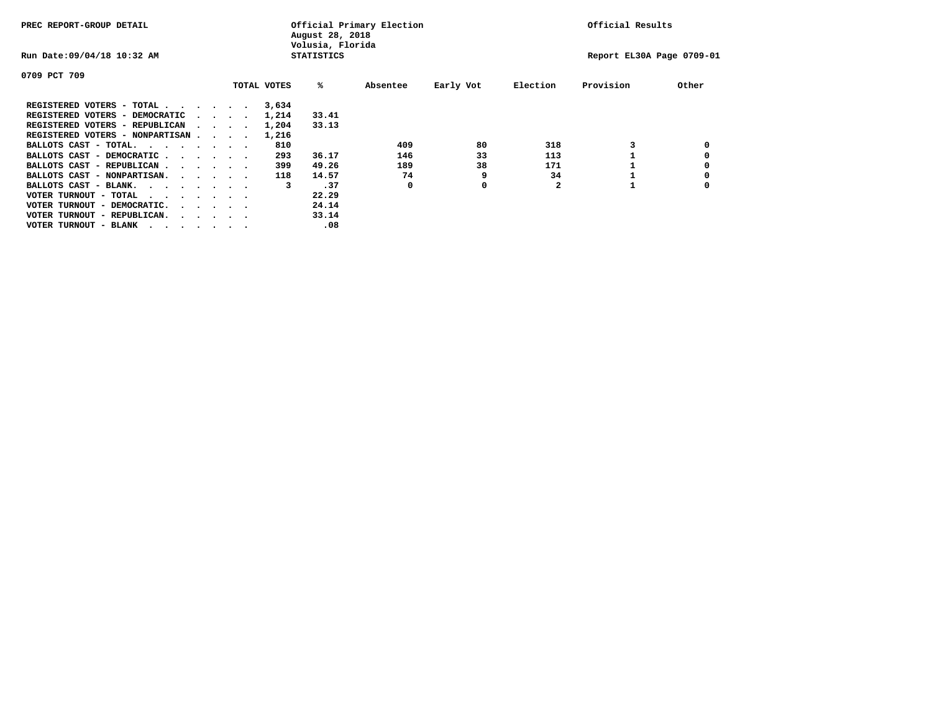| PREC REPORT-GROUP DETAIL               |  |  |                                         |             | August 28, 2018<br>Volusia, Florida | Official Primary Election | Official Results |          |                           |       |
|----------------------------------------|--|--|-----------------------------------------|-------------|-------------------------------------|---------------------------|------------------|----------|---------------------------|-------|
| Run Date: 09/04/18 10:32 AM            |  |  |                                         |             | <b>STATISTICS</b>                   |                           |                  |          | Report EL30A Page 0709-01 |       |
| 0709 PCT 709                           |  |  |                                         |             |                                     |                           |                  |          |                           |       |
|                                        |  |  |                                         | TOTAL VOTES | %ะ                                  | Absentee                  | Early Vot        | Election | Provision                 | Other |
| REGISTERED VOTERS - TOTAL              |  |  |                                         | 3,634       |                                     |                           |                  |          |                           |       |
| REGISTERED VOTERS - DEMOCRATIC         |  |  | $\sim$ $\sim$ $\sim$ $\sim$             | 1,214       | 33.41                               |                           |                  |          |                           |       |
| REGISTERED VOTERS - REPUBLICAN         |  |  |                                         | 1,204       | 33.13                               |                           |                  |          |                           |       |
| REGISTERED VOTERS - NONPARTISAN        |  |  |                                         | 1,216       |                                     |                           |                  |          |                           |       |
| BALLOTS CAST - TOTAL.                  |  |  |                                         | 810         |                                     | 409                       | 80               | 318      |                           |       |
| BALLOTS CAST - DEMOCRATIC              |  |  |                                         | 293         | 36.17                               | 146                       | 33               | 113      |                           |       |
| BALLOTS CAST - REPUBLICAN              |  |  |                                         | 399         | 49.26                               | 189                       | 38               | 171      |                           |       |
| BALLOTS CAST - NONPARTISAN.            |  |  |                                         | 118         | 14.57                               | 74                        | 9                | 34       |                           |       |
| BALLOTS CAST - BLANK.                  |  |  |                                         | 3           | .37                                 | 0                         | 0                |          |                           |       |
| VOTER TURNOUT - TOTAL<br>.             |  |  |                                         |             | 22.29                               |                           |                  |          |                           |       |
| VOTER TURNOUT - DEMOCRATIC.            |  |  | $\cdot$ $\cdot$ $\cdot$ $\cdot$ $\cdot$ |             | 24.14                               |                           |                  |          |                           |       |
| VOTER TURNOUT - REPUBLICAN.<br>$\cdot$ |  |  |                                         |             | 33.14                               |                           |                  |          |                           |       |
| VOTER TURNOUT - BLANK                  |  |  |                                         |             | .08                                 |                           |                  |          |                           |       |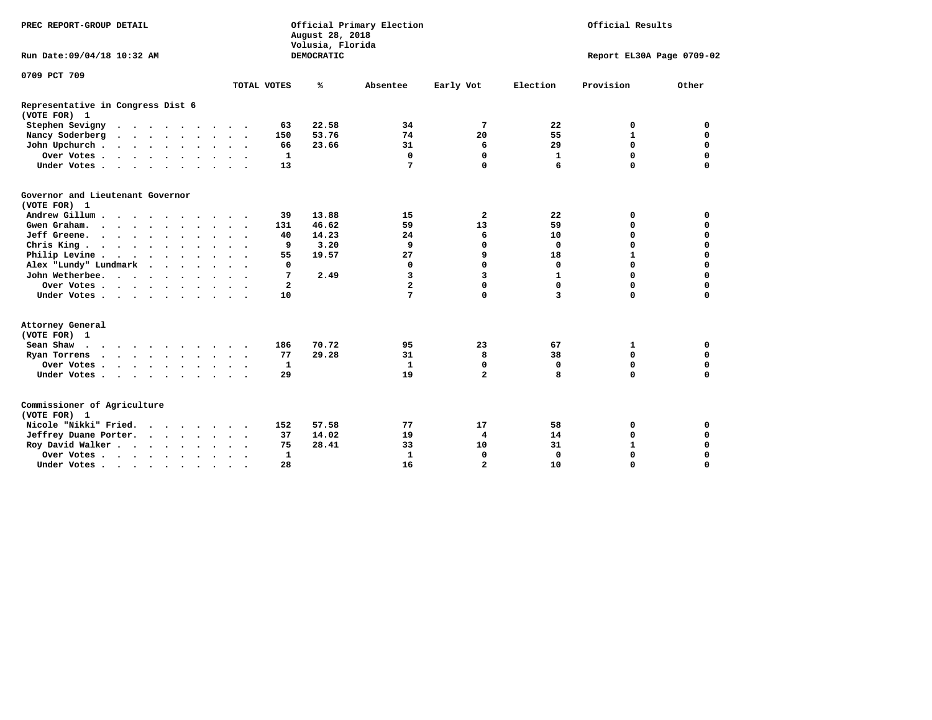| PREC REPORT-GROUP DETAIL                                                                                                                                                                                                                              |                                 | Official Primary Election<br>August 28, 2018<br>Volusia, Florida | Official Results      |                             |  |  |
|-------------------------------------------------------------------------------------------------------------------------------------------------------------------------------------------------------------------------------------------------------|---------------------------------|------------------------------------------------------------------|-----------------------|-----------------------------|--|--|
| Run Date: 09/04/18 10:32 AM                                                                                                                                                                                                                           |                                 | DEMOCRATIC                                                       |                       | Report EL30A Page 0709-02   |  |  |
| 0709 PCT 709                                                                                                                                                                                                                                          |                                 |                                                                  |                       |                             |  |  |
|                                                                                                                                                                                                                                                       | TOTAL VOTES                     | ℁<br>Absentee                                                    | Election<br>Early Vot | Provision<br>Other          |  |  |
| Representative in Congress Dist 6<br>(VOTE FOR) 1                                                                                                                                                                                                     |                                 |                                                                  |                       |                             |  |  |
| Stephen Sevigny                                                                                                                                                                                                                                       | 63                              | 22.58<br>34                                                      | 7<br>22               | 0<br>0                      |  |  |
| Nancy Soderberg                                                                                                                                                                                                                                       | 150                             | 53.76<br>74                                                      | 20<br>55              | $\mathbf{1}$<br>$\mathbf 0$ |  |  |
| John Upchurch                                                                                                                                                                                                                                         | 66                              | 23.66<br>31                                                      | 6<br>29               | $\mathbf 0$<br>$\mathbf 0$  |  |  |
| Over Votes                                                                                                                                                                                                                                            | $\mathbf{1}$                    | $\mathbf 0$                                                      | $\mathbf 0$<br>1      | $\mathbf 0$<br>$\mathbf 0$  |  |  |
| Under Votes                                                                                                                                                                                                                                           | 13                              | $7\phantom{.0}$                                                  | $\mathbf 0$<br>6      | $\Omega$<br>$\Omega$        |  |  |
| Governor and Lieutenant Governor<br>(VOTE FOR) 1                                                                                                                                                                                                      |                                 |                                                                  |                       |                             |  |  |
| Andrew Gillum                                                                                                                                                                                                                                         | 39                              | 13.88<br>15                                                      | $\mathbf{2}$<br>22    | 0<br>0                      |  |  |
| Gwen Graham.                                                                                                                                                                                                                                          | 131<br>$\overline{\phantom{a}}$ | 46.62<br>59                                                      | 13<br>59              | $\mathbf 0$<br>0            |  |  |
| Jeff Greene.                                                                                                                                                                                                                                          | 40                              | 14.23<br>24                                                      | 6<br>10               | 0<br>0                      |  |  |
| Chris King                                                                                                                                                                                                                                            | 9                               | 3.20<br>9                                                        | 0<br>$\Omega$         | $\mathbf 0$<br>$\mathbf 0$  |  |  |
| Philip Levine                                                                                                                                                                                                                                         | 55                              | 19.57<br>27                                                      | 9<br>18               | $\mathbf 0$<br>$\mathbf{1}$ |  |  |
| Alex "Lundy" Lundmark<br>$\cdot$ $\cdot$ $\cdot$ $\cdot$                                                                                                                                                                                              | 0                               | 0                                                                | 0<br>$\mathbf 0$      | $\mathbf 0$<br>$\mathbf 0$  |  |  |
| John Wetherbee.                                                                                                                                                                                                                                       | 7                               | 2.49<br>3                                                        | 3<br>$\mathbf{1}$     | $\Omega$<br>$\mathbf 0$     |  |  |
| Over Votes                                                                                                                                                                                                                                            | $\overline{2}$                  | $\overline{a}$                                                   | 0<br>0                | $\mathbf 0$<br>$\mathbf 0$  |  |  |
| Under Votes                                                                                                                                                                                                                                           | 10                              | 7                                                                | 0<br>3                | $\mathbf 0$<br>$\mathbf 0$  |  |  |
| Attorney General<br>(VOTE FOR) 1                                                                                                                                                                                                                      |                                 |                                                                  |                       |                             |  |  |
| Sean Shaw                                                                                                                                                                                                                                             | 186                             | 70.72<br>95                                                      | 23<br>67              | 0<br>1                      |  |  |
| Ryan Torrens<br>$\mathbf{a}$ and $\mathbf{a}$ are a set of the set of the set of the set of the set of the set of the set of the set of the set of the set of the set of the set of the set of the set of the set of the set of the set of the set of | 77                              | 29.28<br>31                                                      | 8<br>38               | $\mathbf 0$<br>0            |  |  |
| Over Votes                                                                                                                                                                                                                                            | 1                               | 1                                                                | 0<br>0                | $\mathbf 0$<br>$\mathbf 0$  |  |  |
| Under Votes                                                                                                                                                                                                                                           | 29                              | 19                                                               | $\overline{a}$<br>8   | $\mathbf 0$<br>$\mathbf 0$  |  |  |
| Commissioner of Agriculture<br>(VOTE FOR) 1                                                                                                                                                                                                           |                                 |                                                                  |                       |                             |  |  |
| Nicole "Nikki" Fried.                                                                                                                                                                                                                                 | 152                             | 57.58<br>77                                                      | 17<br>58              | $\mathbf 0$<br>0            |  |  |
| Jeffrey Duane Porter.                                                                                                                                                                                                                                 | 37                              | 14.02<br>19                                                      | 4<br>14               | 0<br>0                      |  |  |
| Roy David Walker                                                                                                                                                                                                                                      | 75                              | 28.41<br>33                                                      | 31<br>10              | $\mathbf{1}$<br>0           |  |  |
| Over Votes                                                                                                                                                                                                                                            | 1                               | 1                                                                | 0<br>0                | $\Omega$<br>$\Omega$        |  |  |
| Under Votes<br>$\ddot{\phantom{a}}$                                                                                                                                                                                                                   | 28                              | 16                                                               | $\overline{a}$<br>10  | $\Omega$<br>$\mathbf 0$     |  |  |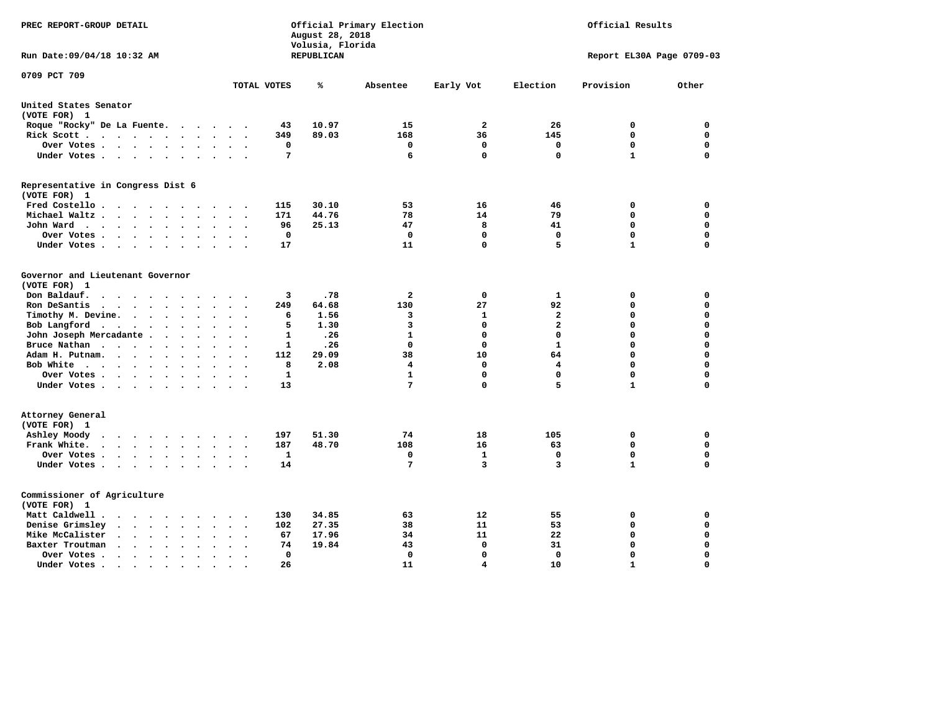| PREC REPORT-GROUP DETAIL                                                                                           |                                              | August 28, 2018<br>Volusia, Florida | Official Primary Election |                   | Official Results        |                            |                            |  |
|--------------------------------------------------------------------------------------------------------------------|----------------------------------------------|-------------------------------------|---------------------------|-------------------|-------------------------|----------------------------|----------------------------|--|
| Run Date: 09/04/18 10:32 AM                                                                                        |                                              | REPUBLICAN                          |                           |                   |                         | Report EL30A Page 0709-03  |                            |  |
| 0709 PCT 709                                                                                                       | TOTAL VOTES                                  | ℁                                   | Absentee                  | Early Vot         | Election                | Provision                  | Other                      |  |
| United States Senator                                                                                              |                                              |                                     |                           |                   |                         |                            |                            |  |
| (VOTE FOR) 1                                                                                                       |                                              |                                     |                           |                   |                         |                            |                            |  |
| Roque "Rocky" De La Fuente.<br>$\sim$ $\sim$<br>$\ddot{\phantom{a}}$                                               | 43<br>$\ddot{\phantom{a}}$                   | 10.97                               | 15                        | $\mathbf{2}$      | 26                      | 0                          | 0                          |  |
| Rick Scott                                                                                                         | 349<br>$\bullet$                             | 89.03                               | 168                       | 36                | 145                     | $\mathbf 0$                | $\mathbf 0$                |  |
| Over Votes<br>$\bullet$<br>$\bullet$                                                                               | 0<br>$\bullet$<br>$\overline{\phantom{a}}$   |                                     | 0                         | $\mathbf 0$       | 0                       | $\mathbf 0$                | $\mathbf 0$                |  |
| Under Votes                                                                                                        | 7<br>$\ddot{\phantom{a}}$                    |                                     | 6                         | $\Omega$          | $\Omega$                | $\mathbf{1}$               | $\Omega$                   |  |
| Representative in Congress Dist 6<br>(VOTE FOR) 1                                                                  |                                              |                                     |                           |                   |                         |                            |                            |  |
| Fred Costello                                                                                                      | 115                                          | 30.10                               | 53                        | 16                | 46                      | 0                          | 0                          |  |
| Michael Waltz<br>$\ddot{\phantom{a}}$                                                                              | 171                                          | 44.76                               | 78                        | 14                | 79                      | 0                          | $\mathbf 0$                |  |
| John Ward<br>$\ddot{\phantom{1}}$<br>$\ddot{\phantom{a}}$                                                          | 96<br>$\bullet$                              | 25.13                               | 47                        | 8                 | 41                      | 0                          | $\Omega$                   |  |
| Over Votes<br>$\cdot$<br>$\bullet$                                                                                 | 0<br>$\ddot{\phantom{0}}$                    |                                     | $\Omega$                  | $\mathbf 0$       | 0                       | $\Omega$                   | 0                          |  |
| Under Votes<br>$\cdot$<br>$\ddot{\phantom{a}}$                                                                     | 17                                           |                                     | 11                        | 0                 | 5                       | $\mathbf{1}$               | $\Omega$                   |  |
| Governor and Lieutenant Governor<br>(VOTE FOR) 1<br>Don Baldauf.<br>$\cdot$ $\cdot$ $\cdot$<br>$\sim$              | 3                                            | .78                                 | $\mathbf{2}$              | 0                 | 1                       | 0                          | 0                          |  |
| Ron DeSantis<br>$\cdots$<br>$\bullet$                                                                              | 249                                          | 64.68                               | 130                       | 27                | 92                      | $\mathbf 0$                | $\mathbf 0$                |  |
| Timothy M. Devine. .<br>$\sim$<br>$\bullet$<br>$\bullet$<br>$\bullet$                                              | 6                                            | 1.56                                | 3                         | 1                 | $\overline{\mathbf{2}}$ | $\mathbf 0$                | $\mathbf 0$                |  |
| Bob Langford<br>$\sim$ $-$<br>$\bullet$<br>$\bullet$<br>$\ddot{\phantom{a}}$                                       | 5                                            | 1.30                                | 3                         | $\mathbf 0$       | $\overline{\mathbf{2}}$ | $\mathbf 0$                | $\mathbf 0$                |  |
| John Joseph Mercadante .<br>$\sim$<br>$\ddot{\phantom{a}}$<br>$\overline{\phantom{a}}$                             | 1<br>$\overline{\phantom{a}}$                | .26                                 | $\mathbf{1}$              | $\mathbf 0$       | $\mathbf 0$             | $\mathbf 0$                | $\mathbf 0$                |  |
| Bruce Nathan<br>$\cdots$<br>$\bullet$<br>$\bullet$<br>$\bullet$<br>$\bullet$                                       | 1<br>$\overline{\phantom{a}}$                | .26                                 | 0                         | $\mathbf 0$       | $\mathbf{1}$            | 0                          | $\mathbf 0$                |  |
| Adam H. Putnam.<br>$\cdots$<br>$\bullet$                                                                           | 112                                          | 29.09                               | 38                        | 10                | 64                      | $\mathbf 0$                | $\mathbf 0$                |  |
| Bob White<br>$\sim$<br>$\ddot{\phantom{a}}$                                                                        | 8<br>$\ddot{\phantom{a}}$                    | 2.08                                | 4                         | $\mathbf 0$       | 4                       | $\mathbf 0$                | $\mathbf 0$                |  |
| Over Votes .<br>$\bullet$<br>$\bullet$                                                                             | 1                                            |                                     | $\mathbf{1}$              | $\Omega$          | $\mathbf 0$             | $\mathbf 0$                | $\mathbf 0$                |  |
| Under Votes                                                                                                        | 13<br>$\cdot$                                |                                     | 7                         | $\mathbf 0$       | 5                       | $\mathbf{1}$               | 0                          |  |
| Attorney General<br>(VOTE FOR) 1                                                                                   |                                              |                                     |                           |                   |                         |                            |                            |  |
| Ashley Moody<br>$\ddot{\phantom{a}}$<br>$\cdots$<br>$\bullet$                                                      | 197                                          | 51.30                               | 74                        | 18                | 105                     | 0                          | 0                          |  |
| Frank White.<br>$\sim$ $\sim$ $\sim$ $\sim$<br>$\bullet$ .<br>$\bullet$                                            | 187                                          | 48.70                               | 108                       | 16                | 63                      | $\mathbf 0$<br>$\mathbf 0$ | $\mathbf 0$<br>$\mathbf 0$ |  |
| Over Votes.<br>$\cdots$<br>$\bullet$<br>$\bullet$<br>Under Votes<br>$\ddot{\phantom{a}}$                           | 1<br>$\ddot{\phantom{a}}$<br>14<br>$\bullet$ |                                     | 0<br>7                    | $\mathbf{1}$<br>3 | 0<br>3                  | $\mathbf{1}$               | $\mathbf 0$                |  |
| Commissioner of Agriculture<br>(VOTE FOR) 1                                                                        |                                              |                                     |                           |                   |                         |                            |                            |  |
| Matt Caldwell.<br>$\cdot$ $\cdot$ $\cdot$ $\cdot$ $\cdot$                                                          | 130                                          | 34.85                               | 63                        | 12                | 55                      | 0                          | 0                          |  |
| Denise Grimsley<br>$\ddot{\phantom{a}}$<br>$\sim$<br>$\ddot{\phantom{a}}$                                          | 102                                          | 27.35                               | 38                        | 11                | 53                      | 0                          | $\mathbf 0$                |  |
| Mike McCalister<br>$\ddot{\phantom{0}}$<br>$\sim$ $\sim$<br>$\bullet$<br>$\bullet$<br>$\bullet$                    | 67                                           | 17.96                               | 34                        | 11                | 22                      | 0                          | $\Omega$                   |  |
| Baxter Troutman<br>$\ddot{\phantom{1}}$<br>$\ddot{\phantom{a}}$                                                    | 74                                           | 19.84                               | 43                        | $\Omega$          | 31                      | $\Omega$                   | $\Omega$                   |  |
| Over Votes.<br>$\cdot$ $\cdot$<br>$\ddot{\phantom{0}}$<br>$\Delta$<br>$\cdot$                                      | 0<br>$\bullet$                               |                                     | 0                         | $\mathbf 0$       | $\mathbf 0$             | $\mathbf 0$                | $\mathbf 0$                |  |
| Under Votes.<br>$\bullet$ .<br><br><br><br><br><br><br><br><br><br><br><br><br>$\bullet$<br>$\bullet$<br>$\bullet$ | 26                                           |                                     | 11                        | 4                 | 10                      | $\mathbf{1}$               | $\Omega$                   |  |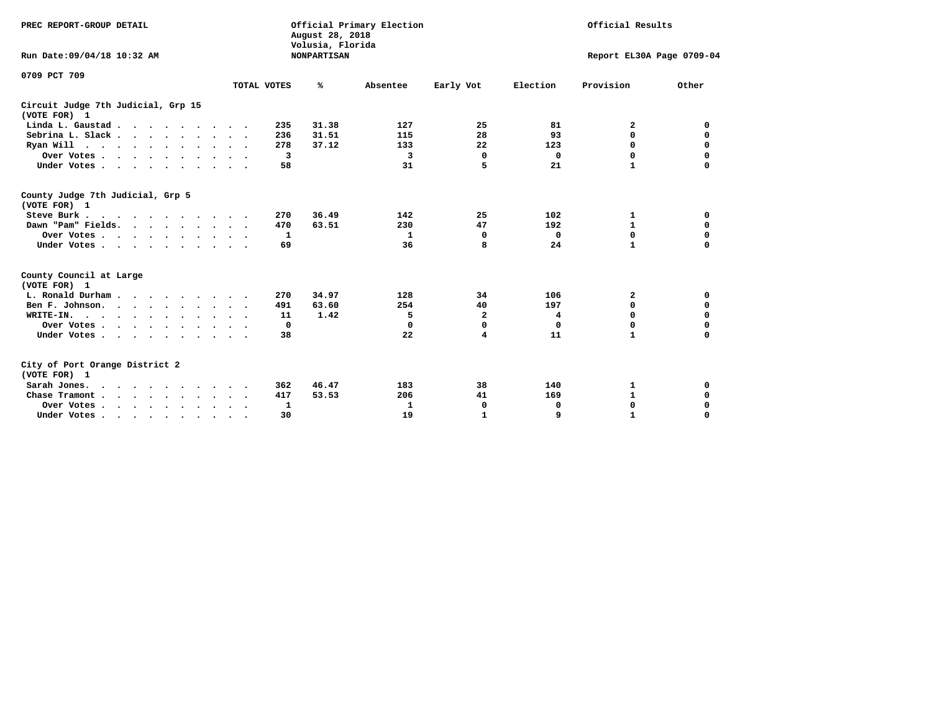| PREC REPORT-GROUP DETAIL<br>Run Date: 09/04/18 10:32 AM |                           | August 28, 2018<br>Volusia, Florida<br><b>NONPARTISAN</b> | Official Primary Election |                         | Official Results<br>Report EL30A Page 0709-04 |              |             |
|---------------------------------------------------------|---------------------------|-----------------------------------------------------------|---------------------------|-------------------------|-----------------------------------------------|--------------|-------------|
| 0709 PCT 709                                            | TOTAL VOTES               | ℁                                                         | Absentee                  | Early Vot               | Election                                      | Provision    | Other       |
| Circuit Judge 7th Judicial, Grp 15<br>(VOTE FOR) 1      |                           |                                                           |                           |                         |                                               |              |             |
| Linda L. Gaustad                                        | 235<br>$\sim$ $\sim$      | 31.38                                                     | 127                       | 25                      | 81                                            | 2            | 0           |
| Sebrina L. Slack.                                       | 236                       | 31.51                                                     | 115                       | 28                      | 93                                            | 0            | $\mathbf 0$ |
| Ryan Will $\cdots$ $\cdots$ $\cdots$ $\cdots$           | 278                       | 37.12                                                     | 133                       | 22                      | 123                                           | 0            | 0           |
| Over Votes                                              | 3<br>$\ddot{\phantom{1}}$ |                                                           | 3                         | $\mathbf 0$             | 0                                             | 0            | $\mathbf 0$ |
| Under Votes.                                            | 58                        |                                                           | 31                        | 5                       | 21                                            | $\mathbf{1}$ | $\Omega$    |
|                                                         |                           |                                                           |                           |                         |                                               |              |             |
| County Judge 7th Judicial, Grp 5<br>(VOTE FOR) 1        |                           |                                                           |                           |                         |                                               |              |             |
| Steve Burk                                              | 270                       | 36.49                                                     | 142                       | 25                      | 102                                           | 1            | 0           |
| Dawn "Pam" Fields.                                      | 470                       | 63.51                                                     | 230                       | 47                      | 192                                           | $\mathbf 1$  | 0           |
| Over Votes                                              | 1                         |                                                           | 1                         | 0                       | 0                                             | 0            | 0           |
| Under Votes                                             | 69<br>$\sim$ $\sim$       |                                                           | 36                        | 8                       | 24                                            | $\mathbf{1}$ | $\mathbf 0$ |
| County Council at Large<br>(VOTE FOR) 1                 |                           |                                                           |                           |                         |                                               |              |             |
| L. Ronald Durham.                                       | 270                       | 34.97                                                     | 128                       | 34                      | 106                                           | 2            | 0           |
| Ben F. Johnson.                                         | 491<br>$\sim$ $\sim$      | 63.60                                                     | 254                       | 40                      | 197                                           | 0            | 0           |
| WRITE-IN.                                               | 11                        | 1.42                                                      | 5                         | $\mathbf{2}$            | 4                                             | 0            | $\mathbf 0$ |
| Over Votes                                              | 0                         |                                                           | $\Omega$                  | $\mathbf 0$             | 0                                             | $\Omega$     | $\Omega$    |
| Under Votes                                             | 38                        |                                                           | 22                        | $\overline{\mathbf{4}}$ | 11                                            | $\mathbf{1}$ | $\mathbf 0$ |
| City of Port Orange District 2<br>(VOTE FOR) 1          |                           |                                                           |                           |                         |                                               |              |             |
| Sarah Jones.                                            | 362                       | 46.47                                                     | 183                       | 38                      | 140                                           | 1            | 0           |
| Chase Tramont                                           | 417                       | 53.53                                                     | 206                       | 41                      | 169                                           | $\mathbf{1}$ | $\mathbf 0$ |
| Over Votes                                              | 1                         |                                                           | 1                         | 0                       | 0                                             | 0            | 0           |
| Under Votes                                             | 30<br>$\bullet$           |                                                           | 19                        | 1                       | 9                                             | $\mathbf{1}$ | $\mathbf 0$ |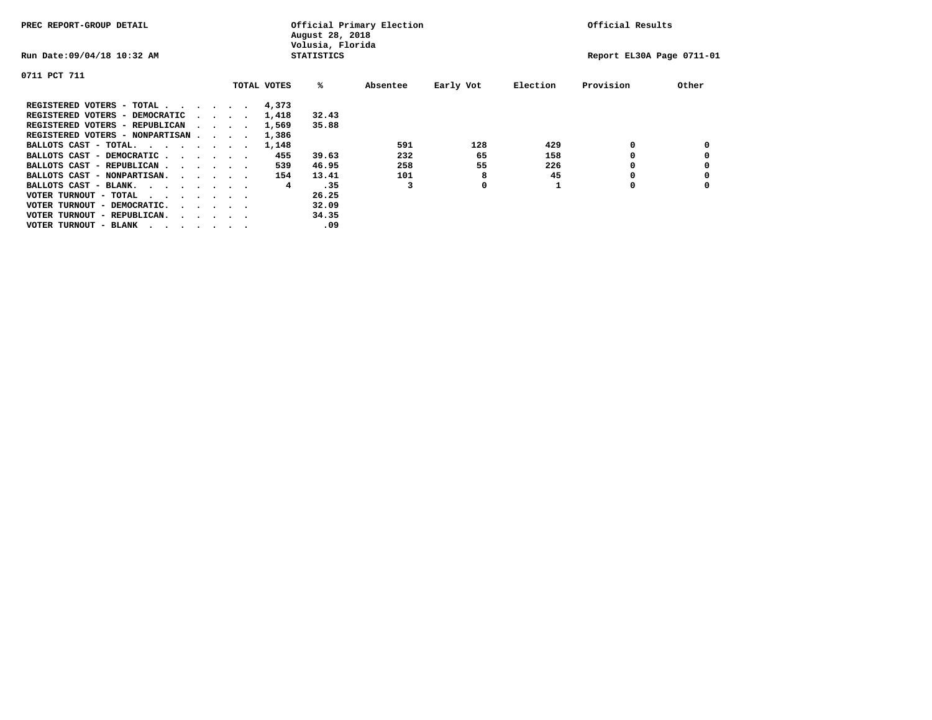| PREC REPORT-GROUP DETAIL               |  |  |                                         |             | August 28, 2018<br>Volusia, Florida | Official Primary Election | Official Results |          |                           |       |
|----------------------------------------|--|--|-----------------------------------------|-------------|-------------------------------------|---------------------------|------------------|----------|---------------------------|-------|
| Run Date: 09/04/18 10:32 AM            |  |  |                                         |             | <b>STATISTICS</b>                   |                           |                  |          | Report EL30A Page 0711-01 |       |
| 0711 PCT 711                           |  |  |                                         |             |                                     |                           |                  |          |                           |       |
|                                        |  |  |                                         | TOTAL VOTES | %ะ                                  | Absentee                  | Early Vot        | Election | Provision                 | Other |
| REGISTERED VOTERS - TOTAL              |  |  |                                         | 4,373       |                                     |                           |                  |          |                           |       |
| REGISTERED VOTERS - DEMOCRATIC         |  |  | $\cdot$ $\cdot$ $\cdot$ $\cdot$ $\cdot$ | 1,418       | 32.43                               |                           |                  |          |                           |       |
| REGISTERED VOTERS - REPUBLICAN         |  |  |                                         | 1,569       | 35.88                               |                           |                  |          |                           |       |
| REGISTERED VOTERS - NONPARTISAN        |  |  |                                         | 1,386       |                                     |                           |                  |          |                           |       |
| BALLOTS CAST - TOTAL.                  |  |  |                                         | 1,148       |                                     | 591                       | 128              | 429      | 0                         |       |
| BALLOTS CAST - DEMOCRATIC              |  |  |                                         | 455         | 39.63                               | 232                       | 65               | 158      |                           |       |
| BALLOTS CAST - REPUBLICAN              |  |  |                                         | 539         | 46.95                               | 258                       | 55               | 226      |                           |       |
| BALLOTS CAST - NONPARTISAN.            |  |  |                                         | 154         | 13.41                               | 101                       | 8                | 45       |                           |       |
| BALLOTS CAST - BLANK.                  |  |  |                                         | 4           | .35                                 |                           | 0                |          | 0                         |       |
| VOTER TURNOUT - TOTAL<br>.             |  |  |                                         |             | 26.25                               |                           |                  |          |                           |       |
| VOTER TURNOUT - DEMOCRATIC.            |  |  | $\cdot$ $\cdot$ $\cdot$ $\cdot$ $\cdot$ |             | 32.09                               |                           |                  |          |                           |       |
| VOTER TURNOUT - REPUBLICAN.<br>$\cdot$ |  |  |                                         |             | 34.35                               |                           |                  |          |                           |       |
| VOTER TURNOUT - BLANK                  |  |  |                                         |             | .09                                 |                           |                  |          |                           |       |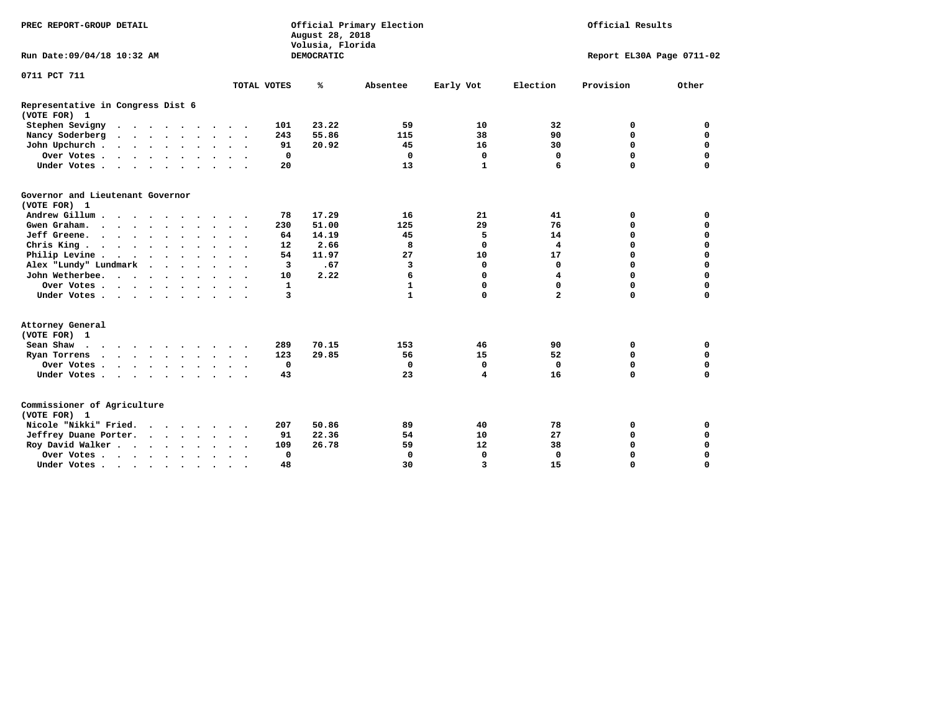| PREC REPORT-GROUP DETAIL<br>Official Primary Election<br>August 28, 2018<br>Volusia, Florida |                      |                      |             |                   |              |                           | Official Results |             |             |  |  |
|----------------------------------------------------------------------------------------------|----------------------|----------------------|-------------|-------------------|--------------|---------------------------|------------------|-------------|-------------|--|--|
| Run Date: 09/04/18 10:32 AM                                                                  |                      |                      |             | <b>DEMOCRATIC</b> |              | Report EL30A Page 0711-02 |                  |             |             |  |  |
| 0711 PCT 711                                                                                 |                      |                      |             |                   |              |                           |                  |             |             |  |  |
|                                                                                              |                      |                      | TOTAL VOTES | ℁                 | Absentee     | Early Vot                 | Election         | Provision   | Other       |  |  |
| Representative in Congress Dist 6<br>(VOTE FOR) 1                                            |                      |                      |             |                   |              |                           |                  |             |             |  |  |
| Stephen Sevigny                                                                              |                      |                      | 101         | 23.22             | 59           | 10                        | 32               | 0           | 0           |  |  |
| Nancy Soderberg                                                                              |                      |                      | 243         | 55.86             | 115          | 38                        | 90               | $\mathbf 0$ | $\mathbf 0$ |  |  |
| John Upchurch                                                                                |                      |                      | 91          | 20.92             | 45           | 16                        | 30               | $\mathbf 0$ | $\mathbf 0$ |  |  |
| Over Votes                                                                                   |                      |                      | 0           |                   | 0            | 0                         | 0                | $\mathbf 0$ | 0           |  |  |
| Under Votes                                                                                  |                      |                      | 20          |                   | 13           | $\mathbf{1}$              | 6                | $\mathbf 0$ | $\mathbf 0$ |  |  |
| Governor and Lieutenant Governor<br>(VOTE FOR) 1                                             |                      |                      |             |                   |              |                           |                  |             |             |  |  |
| Andrew Gillum                                                                                |                      |                      | 78          | 17.29             | 16           | 21                        | 41               | 0           | 0           |  |  |
| Gwen Graham.                                                                                 |                      |                      | 230         | 51.00             | 125          | 29                        | 76               | 0           | $\mathbf 0$ |  |  |
| Jeff Greene.                                                                                 |                      |                      | 64          | 14.19             | 45           | 5                         | 14               | 0           | 0           |  |  |
| Chris King                                                                                   |                      |                      | 12          | 2.66              | 8            | 0                         | 4                | $\mathbf 0$ | $\mathbf 0$ |  |  |
| Philip Levine                                                                                |                      |                      | 54          | 11.97             | 27           | 10                        | 17               | $\mathbf 0$ | $\mathbf 0$ |  |  |
| Alex "Lundy" Lundmark<br>$\sim$ $\sim$ $\sim$ $\sim$                                         |                      |                      | 3           | .67               | 3            | 0                         | 0                | $\mathbf 0$ | $\mathbf 0$ |  |  |
| John Wetherbee.                                                                              |                      |                      | 10          | 2.22              | 6            | 0                         | 4                | $\Omega$    | $\mathbf 0$ |  |  |
| Over Votes                                                                                   |                      |                      | 1           |                   | $\mathbf{1}$ | 0                         | 0                | $\mathbf 0$ | $\mathbf 0$ |  |  |
| Under Votes                                                                                  |                      |                      | 3           |                   | $\mathbf{1}$ | $\mathbf 0$               | $\overline{a}$   | $\mathbf 0$ | $\mathbf 0$ |  |  |
| Attorney General<br>(VOTE FOR) 1                                                             |                      |                      |             |                   |              |                           |                  |             |             |  |  |
| Sean Shaw                                                                                    |                      |                      | 289         | 70.15             | 153          | 46                        | 90               | 0           | $\mathbf 0$ |  |  |
| Ryan Torrens<br>$\cdots$                                                                     |                      |                      | 123         | 29.85             | 56           | 15                        | 52               | $\mathbf 0$ | $\mathbf 0$ |  |  |
| Over Votes                                                                                   |                      |                      | 0           |                   | $\mathbf 0$  | $\mathbf 0$               | 0                | $\mathbf 0$ | 0           |  |  |
| Under Votes                                                                                  |                      |                      | 43          |                   | 23           | 4                         | 16               | $\mathbf 0$ | $\mathbf 0$ |  |  |
| Commissioner of Agriculture<br>(VOTE FOR) 1                                                  |                      |                      |             |                   |              |                           |                  |             |             |  |  |
| Nicole "Nikki" Fried.                                                                        |                      |                      | 207         | 50.86             | 89           | 40                        | 78               | 0           | 0           |  |  |
| Jeffrey Duane Porter.                                                                        |                      |                      | 91          | 22.36             | 54           | 10                        | 27               | 0           | $\mathbf 0$ |  |  |
| Roy David Walker                                                                             |                      |                      | 109         | 26.78             | 59           | 12                        | 38               | $\mathbf 0$ | 0           |  |  |
| Over Votes                                                                                   | $\bullet$            |                      | $\mathbf 0$ |                   | $\mathbf 0$  | $\mathbf 0$               | 0                | $\mathbf 0$ | 0           |  |  |
| Under Votes                                                                                  | $\ddot{\phantom{1}}$ | $\ddot{\phantom{1}}$ | 48          |                   | 30           | 3                         | 15               | $\Omega$    | $\Omega$    |  |  |
|                                                                                              |                      |                      |             |                   |              |                           |                  |             |             |  |  |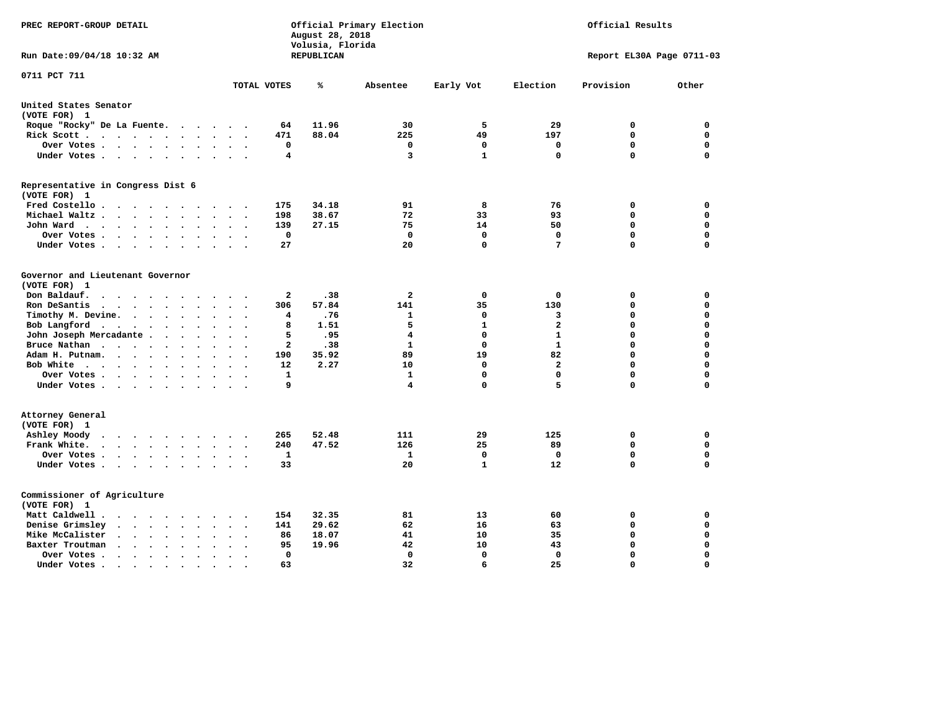| PREC REPORT-GROUP DETAIL                                                                                         |                             | August 28, 2018<br>Volusia, Florida | Official Primary Election | Official Results |                         |                           |                  |
|------------------------------------------------------------------------------------------------------------------|-----------------------------|-------------------------------------|---------------------------|------------------|-------------------------|---------------------------|------------------|
| Run Date: 09/04/18 10:32 AM                                                                                      |                             | REPUBLICAN                          |                           |                  |                         | Report EL30A Page 0711-03 |                  |
| 0711 PCT 711                                                                                                     | TOTAL VOTES                 | ℁                                   | Absentee                  | Early Vot        | Election                | Provision                 | Other            |
| United States Senator                                                                                            |                             |                                     |                           |                  |                         |                           |                  |
| (VOTE FOR) 1                                                                                                     |                             |                                     |                           |                  |                         |                           |                  |
| Roque "Rocky" De La Fuente.<br>$\sim$ $\sim$<br>$\ddot{\phantom{1}}$                                             | 64<br>$\sim$                | 11.96                               | 30                        | 5                | 29                      | 0                         | 0                |
| Rick Scott<br>$\bullet$<br>$\sim$                                                                                | 471                         | 88.04                               | 225                       | 49               | 197                     | $\mathbf 0$               | $\mathbf 0$      |
| Over Votes<br>$\bullet$<br>$\ddot{\phantom{a}}$                                                                  | $\mathbf 0$<br>$\bullet$    |                                     | 0                         | $\mathbf 0$      | 0                       | $\mathbf 0$               | $\mathbf 0$      |
| Under Votes                                                                                                      | 4<br>$\bullet$              |                                     | 3                         | $\mathbf{1}$     | $\mathbf 0$             | $\mathbf 0$               | $\mathbf 0$      |
| Representative in Congress Dist 6<br>(VOTE FOR) 1                                                                |                             |                                     |                           |                  |                         |                           |                  |
| Fred Costello                                                                                                    | 175                         | 34.18                               | 91                        | 8                | 76                      | 0                         | 0                |
| Michael Waltz<br>$\ddot{\phantom{a}}$<br>$\sim$                                                                  | 198                         | 38.67                               | 72                        | 33               | 93                      | 0                         | $\mathbf 0$      |
| John Ward<br>$\sim$<br>$\ddot{\phantom{a}}$<br>$\bullet$                                                         | 139<br>$\bullet$            | 27.15                               | 75                        | 14               | 50                      | $\mathbf 0$               | $\Omega$         |
| Over Votes.<br>$\cdots$ $\cdots$<br>$\sim$<br>$\overline{\phantom{a}}$                                           | $\mathbf 0$                 |                                     | $\mathbf 0$               | $\mathbf 0$      | $\mathbf 0$             | $\mathbf 0$               | $\Omega$         |
| Under Votes<br>$\cdot$<br>$\cdot$                                                                                | 27                          |                                     | 20                        | 0                | 7                       | 0                         | $\Omega$         |
| Governor and Lieutenant Governor<br>(VOTE FOR) 1<br>Don Baldauf.                                                 | 2                           | .38                                 | $\mathbf{2}$              | 0                | $\mathbf 0$             | 0                         | $\mathbf 0$      |
| $\sim$ $\sim$ $\sim$ $\sim$<br>$\ddot{\phantom{1}}$<br>Ron DeSantis<br>$\cdot$ $\cdot$ $\cdot$ $\cdot$<br>$\sim$ | 306<br>$\ddot{\phantom{a}}$ | 57.84                               | 141                       | 35               | 130                     | $\mathbf 0$               | $\mathbf 0$      |
| $\bullet$<br>Timothy M. Devine.<br>$\bullet$<br>$\ddot{\phantom{a}}$<br>$\ddot{\phantom{a}}$                     | 4                           | .76                                 | $\mathbf{1}$              | $\mathbf 0$      | 3                       | 0                         | $\mathbf 0$      |
| Bob Langford<br>$\cdots$<br>$\ddot{\phantom{a}}$<br>$\bullet$                                                    | 8                           | 1.51                                | 5                         | $\mathbf{1}$     | $\overline{\mathbf{2}}$ | 0                         | $\mathbf 0$      |
| John Joseph Mercadante .<br>$\cdots$<br>$\ddot{\phantom{a}}$                                                     | 5<br>$\sim$                 | .95                                 | 4                         | $\mathbf 0$      | $\mathbf{1}$            | 0                         | $\mathbf 0$      |
| Bruce Nathan<br><b>Contract Contract Contract Contract</b><br>$\ddot{\phantom{a}}$<br>$\bullet$                  | 2                           | .38                                 | $\mathbf{1}$              | $\mathbf 0$      | $\mathbf{1}$            | 0                         | $\Omega$         |
| Adam H. Putnam.<br>$\ddotsc$ $\ddotsc$<br>$\bullet$                                                              | 190                         | 35.92                               | 89                        | 19               | 82                      | 0                         | $\mathbf 0$      |
| Bob White<br>$\bullet$<br>$\bullet$<br>$\bullet$                                                                 | 12<br>$\ddot{\phantom{a}}$  | 2.27                                | 10                        | $\mathbf 0$      | $\overline{\mathbf{2}}$ | 0                         | $\mathbf 0$      |
| Over Votes .<br>$\sim$ $\sim$ $\sim$ $\sim$                                                                      | $\mathbf{1}$                |                                     | ${\bf 1}$                 | $\mathbf 0$      | $\mathbf 0$             | 0                         | $\mathbf 0$      |
| Under Votes                                                                                                      | 9                           |                                     | 4                         | $\mathbf 0$      | 5                       | 0                         | $\mathbf 0$      |
| Attorney General<br>(VOTE FOR) 1                                                                                 |                             |                                     |                           |                  |                         |                           |                  |
| Ashley Moody<br>$\cdots$<br>$\bullet$<br>$\blacksquare$ .                                                        | 265                         | 52.48                               | 111                       | 29<br>25         | 125                     | 0<br>$\mathbf 0$          | 0<br>$\mathbf 0$ |
| Frank White.<br>$\cdot$ $\cdot$ $\cdot$ $\cdot$ $\cdot$ $\cdot$<br>$\sim$                                        | 240                         | 47.52                               | 126                       | $\mathbf 0$      | 89<br>$\mathbf 0$       | $\mathbf 0$               | $\mathbf 0$      |
| Over Votes.<br>$\cdots$<br>$\bullet$<br>$\ddot{\phantom{a}}$                                                     | $\mathbf{1}$<br>$\bullet$   |                                     | 1<br>20                   | $\mathbf{1}$     |                         | 0                         | $\mathbf 0$      |
| Under Votes<br>$\ddot{\phantom{1}}$<br>$\ddot{\phantom{a}}$                                                      | 33                          |                                     |                           |                  | 12                      |                           |                  |
| Commissioner of Agriculture<br>(VOTE FOR) 1                                                                      |                             |                                     |                           |                  |                         |                           |                  |
| Matt Caldwell.<br>$\cdot$ $\cdot$ $\cdot$ $\cdot$<br>$\sim$                                                      | 154                         | 32.35                               | 81                        | 13               | 60                      | 0                         | 0                |
| Denise Grimsley<br>$\ddot{\phantom{0}}$<br>$\sim$<br>$\ddot{\phantom{a}}$                                        | 141                         | 29.62                               | 62                        | 16               | 63                      | 0                         | $\mathbf 0$      |
| Mike McCalister<br>$\ddot{\phantom{0}}$<br>$\sim$ $\sim$<br>$\bullet$<br>$\bullet$<br>$\bullet$<br>$\bullet$     | 86<br>$\ddot{\phantom{a}}$  | 18.07                               | 41                        | 10               | 35                      | 0                         | $\mathbf 0$      |
| Baxter Troutman<br>$\ddot{\phantom{0}}$<br>$\ddot{\phantom{1}}$<br>$\sim$<br>$\cdot$                             | 95                          | 19.96                               | 42                        | 10               | 43                      | $\mathbf 0$               | $\mathbf 0$      |
| Over Votes .<br>$\ddot{\phantom{0}}$<br>$\bullet$<br>$\bullet$<br>$\bullet$                                      | 0<br>$\ddot{\phantom{0}}$   |                                     | 0                         | $\mathbf 0$      | $\mathbf 0$             | $\mathbf 0$               | $\mathbf 0$      |
| Under Votes.<br>.<br>$\bullet$                                                                                   | 63<br>$\bullet$             |                                     | 32                        | 6                | 25                      | $\Omega$                  | $\Omega$         |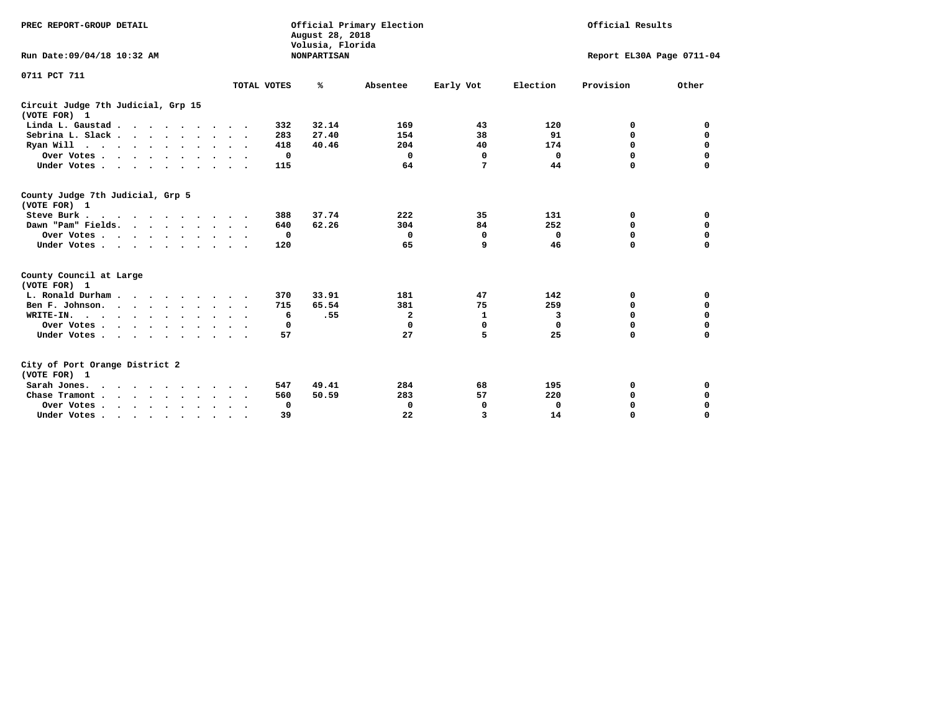| PREC REPORT-GROUP DETAIL<br>Run Date: 09/04/18 10:32 AM |             | Official Primary Election<br>August 28, 2018<br>Volusia, Florida<br><b>NONPARTISAN</b> |              | Official Results<br>Report EL30A Page 0711-04 |             |           |             |
|---------------------------------------------------------|-------------|----------------------------------------------------------------------------------------|--------------|-----------------------------------------------|-------------|-----------|-------------|
| 0711 PCT 711                                            | TOTAL VOTES | ℁                                                                                      | Absentee     | Early Vot                                     | Election    | Provision | Other       |
| Circuit Judge 7th Judicial, Grp 15<br>(VOTE FOR) 1      |             |                                                                                        |              |                                               |             |           |             |
| Linda L. Gaustad                                        |             | 32.14<br>332                                                                           | 169          | 43                                            | 120         | 0         | 0           |
| Sebrina L. Slack.                                       |             | 27.40<br>283                                                                           | 154          | 38                                            | 91          | 0         | $\mathbf 0$ |
| Ryan Will $\cdots$ , $\cdots$ , $\cdots$ , $\cdots$     |             | 40.46<br>418                                                                           | 204          | 40                                            | 174         | 0         | 0           |
| Over Votes                                              |             | 0                                                                                      | $\Omega$     | 0                                             | 0           | 0         | 0           |
| Under Votes                                             |             | 115                                                                                    | 64           | 7                                             | 44          | 0         | $\Omega$    |
|                                                         |             |                                                                                        |              |                                               |             |           |             |
| County Judge 7th Judicial, Grp 5<br>(VOTE FOR) 1        |             |                                                                                        |              |                                               |             |           |             |
| Steve Burk                                              |             | 37.74<br>388                                                                           | 222          | 35                                            | 131         | 0         | 0           |
| Dawn "Pam" Fields.                                      |             | 62.26<br>640                                                                           | 304          | 84                                            | 252         | 0         | 0           |
| Over Votes                                              |             | $\mathbf{o}$                                                                           | 0            | 0                                             | 0           | 0         | $\mathbf 0$ |
| Under Votes                                             |             | 120                                                                                    | 65           | 9                                             | 46          | $\Omega$  | $\Omega$    |
| County Council at Large<br>(VOTE FOR) 1                 |             |                                                                                        |              |                                               |             |           |             |
| L. Ronald Durham                                        |             | 33.91<br>370                                                                           | 181          | 47                                            | 142         | 0         | 0           |
| Ben F. Johnson.                                         |             | 715<br>65.54                                                                           | 381          | 75                                            | 259         | 0         | 0           |
| WRITE-IN.                                               |             | .55<br>6                                                                               | $\mathbf{2}$ | $\mathbf{1}$                                  | 3           | 0         | 0           |
| Over Votes                                              |             | 0                                                                                      | 0            | $\Omega$                                      | $\Omega$    | $\Omega$  | $\Omega$    |
| Under Votes                                             |             | 57                                                                                     | 27           | 5                                             | 25          | $\Omega$  | $\Omega$    |
|                                                         |             |                                                                                        |              |                                               |             |           |             |
| City of Port Orange District 2<br>(VOTE FOR) 1          |             |                                                                                        |              |                                               |             |           |             |
| Sarah Jones.                                            |             | 49.41<br>547                                                                           | 284          | 68                                            | 195         | 0         | 0           |
| Chase Tramont                                           |             | 560<br>50.59                                                                           | 283          | 57                                            | 220         | 0         | 0           |
| Over Votes                                              |             | 0                                                                                      | 0            | 0                                             | $\mathbf 0$ | 0         | 0           |
| Under Votes                                             | $\bullet$   | 39                                                                                     | 22           | 3                                             | 14          | 0         | $\Omega$    |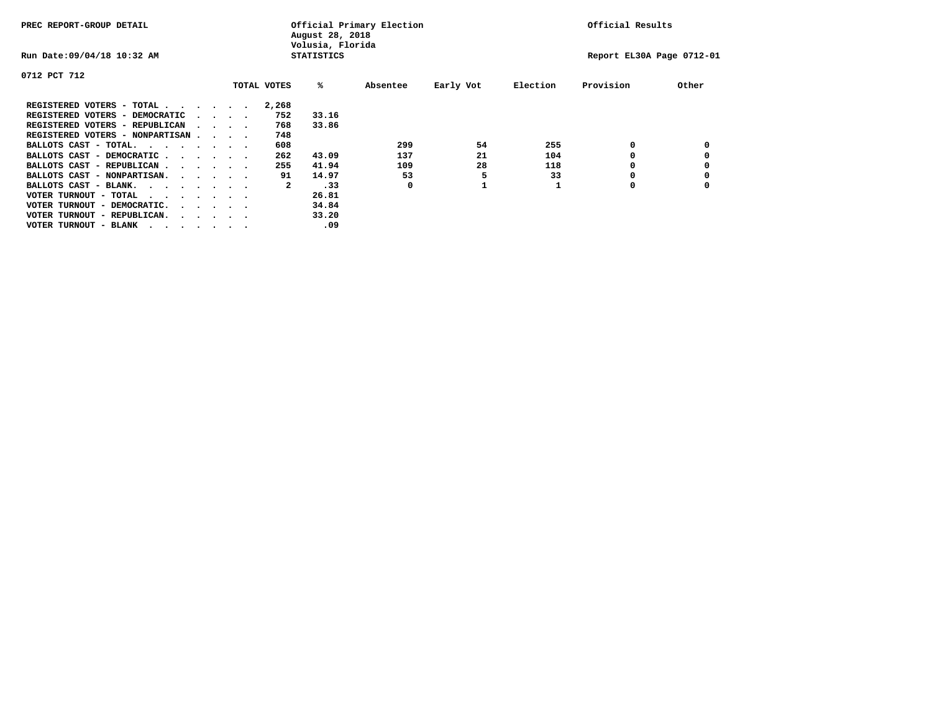| PREC REPORT-GROUP DETAIL                                                                       |  |  |                                         |  | August 28, 2018<br>Volusia, Florida | Official Primary Election |          | Official Results |          |                           |       |
|------------------------------------------------------------------------------------------------|--|--|-----------------------------------------|--|-------------------------------------|---------------------------|----------|------------------|----------|---------------------------|-------|
| Run Date: 09/04/18 10:32 AM                                                                    |  |  |                                         |  |                                     | <b>STATISTICS</b>         |          |                  |          | Report EL30A Page 0712-01 |       |
| 0712 PCT 712                                                                                   |  |  |                                         |  |                                     |                           |          |                  |          |                           |       |
|                                                                                                |  |  |                                         |  | TOTAL VOTES                         | %ะ                        | Absentee | Early Vot        | Election | Provision                 | Other |
| REGISTERED VOTERS - TOTAL                                                                      |  |  |                                         |  | 2,268                               |                           |          |                  |          |                           |       |
| REGISTERED VOTERS - DEMOCRATIC                                                                 |  |  | $\cdot$ $\cdot$ $\cdot$ $\cdot$         |  | 752                                 | 33.16                     |          |                  |          |                           |       |
| REGISTERED VOTERS - REPUBLICAN                                                                 |  |  | $\sim$ $\sim$ $\sim$ $\sim$             |  | 768                                 | 33.86                     |          |                  |          |                           |       |
| REGISTERED VOTERS - NONPARTISAN                                                                |  |  |                                         |  | 748                                 |                           |          |                  |          |                           |       |
| BALLOTS CAST - TOTAL.                                                                          |  |  |                                         |  | 608                                 |                           | 299      | 54               | 255      | 0                         |       |
| BALLOTS CAST - DEMOCRATIC                                                                      |  |  |                                         |  | 262                                 | 43.09                     | 137      | 21               | 104      |                           |       |
| BALLOTS CAST - REPUBLICAN                                                                      |  |  |                                         |  | 255                                 | 41.94                     | 109      | 28               | 118      | 0                         |       |
| BALLOTS CAST - NONPARTISAN.                                                                    |  |  |                                         |  | 91                                  | 14.97                     | 53       |                  | 33       |                           |       |
| BALLOTS CAST - BLANK.                                                                          |  |  |                                         |  | 2                                   | .33                       | 0        |                  |          | 0                         |       |
| VOTER TURNOUT - TOTAL<br>$\mathbf{r}$ , and $\mathbf{r}$ , and $\mathbf{r}$ , and $\mathbf{r}$ |  |  |                                         |  |                                     | 26.81                     |          |                  |          |                           |       |
| VOTER TURNOUT - DEMOCRATIC.                                                                    |  |  | $\cdot$ $\cdot$ $\cdot$ $\cdot$ $\cdot$ |  |                                     | 34.84                     |          |                  |          |                           |       |
| VOTER TURNOUT - REPUBLICAN.<br>$\cdots$                                                        |  |  |                                         |  |                                     | 33.20                     |          |                  |          |                           |       |
| VOTER TURNOUT - BLANK                                                                          |  |  |                                         |  |                                     | .09                       |          |                  |          |                           |       |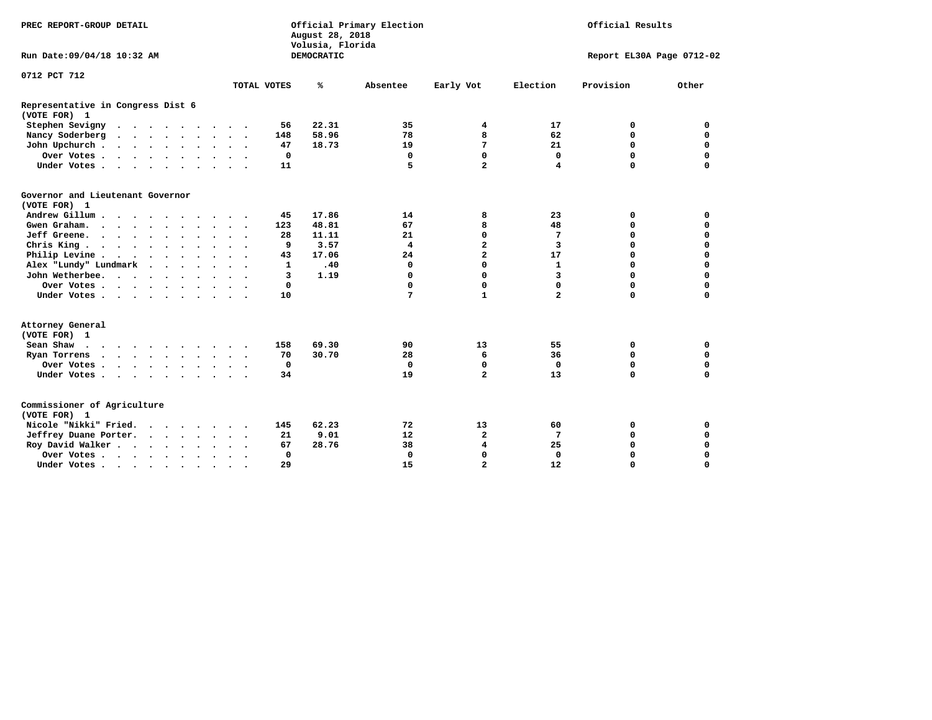| PREC REPORT-GROUP DETAIL                                  |                      |             | August 28, 2018<br>Volusia, Florida | Official Primary Election | Official Results |                           |           |             |  |
|-----------------------------------------------------------|----------------------|-------------|-------------------------------------|---------------------------|------------------|---------------------------|-----------|-------------|--|
| Run Date: 09/04/18 10:32 AM                               |                      |             | DEMOCRATIC                          |                           |                  | Report EL30A Page 0712-02 |           |             |  |
| 0712 PCT 712                                              |                      |             |                                     |                           |                  |                           |           |             |  |
|                                                           |                      | TOTAL VOTES | ℁                                   | Absentee                  | Early Vot        | Election                  | Provision | Other       |  |
| Representative in Congress Dist 6<br>(VOTE FOR) 1         |                      |             |                                     |                           |                  |                           |           |             |  |
| Stephen Sevigny                                           |                      | 56          | 22.31                               | 35                        | 4                | 17                        | 0         | 0           |  |
| Nancy Soderberg                                           |                      | 148         | 58.96                               | 78                        | 8                | 62                        | 0         | $\Omega$    |  |
| John Upchurch                                             |                      | 47          | 18.73                               | 19                        | 7                | 21                        | 0         | $\mathbf 0$ |  |
| Over Votes                                                | $\ddot{\phantom{1}}$ | 0           |                                     | 0                         | 0                | 0                         | 0         | $\mathbf 0$ |  |
| Under Votes                                               |                      | 11          |                                     | 5                         | $\overline{a}$   | 4                         | $\Omega$  | 0           |  |
| Governor and Lieutenant Governor<br>(VOTE FOR) 1          |                      |             |                                     |                           |                  |                           |           |             |  |
| Andrew Gillum                                             | $\sim$               | 45          | 17.86                               | 14                        | 8                | 23                        | 0         | 0           |  |
| Gwen Graham.                                              |                      | 123         | 48.81                               | 67                        | 8                | 48                        | 0         | $\mathbf 0$ |  |
| Jeff Greene.                                              |                      | 28          | 11.11                               | 21                        | 0                | 7                         | 0         | $\mathbf 0$ |  |
| Chris King                                                | $\ddot{\phantom{a}}$ | 9           | 3.57                                | $\overline{4}$            | $\mathbf{z}$     | 3                         | 0         | $\mathbf 0$ |  |
| Philip Levine                                             |                      | 43          | 17.06                               | 24                        | $\overline{a}$   | 17                        | 0         | $\mathbf 0$ |  |
| Alex "Lundy" Lundmark<br>$\ddot{\phantom{0}}$<br>$\cdots$ |                      | 1           | .40                                 | 0                         | $\Omega$         | $\mathbf{1}$              | 0         | 0           |  |
| John Wetherbee.                                           | $\cdot$ .            | 3           | 1.19                                | 0                         | $\Omega$         | $\overline{\mathbf{3}}$   | 0         | $\Omega$    |  |
| Over Votes                                                |                      | 0           |                                     | 0                         | 0                | $\Omega$                  | 0         | 0           |  |
| Under Votes                                               |                      | 10          |                                     | 7                         | $\mathbf{1}$     | $\overline{a}$            | 0         | 0           |  |
| Attorney General<br>(VOTE FOR) 1                          |                      |             |                                     |                           |                  |                           |           |             |  |
| Sean Shaw $\cdots$ $\cdots$ $\cdots$ $\cdots$             |                      | 158         | 69.30                               | 90                        | 13               | 55                        | 0         | 0           |  |
| Ryan Torrens                                              |                      | 70          | 30.70                               | 28                        | 6                | 36                        | 0         | $\mathbf 0$ |  |
| Over Votes                                                | $\ddot{\phantom{1}}$ | 0           |                                     | $\mathbf 0$               | 0                | $\mathbf 0$               | 0         | $\Omega$    |  |
| Under Votes                                               |                      | 34          |                                     | 19                        | $\overline{a}$   | 13                        | $\Omega$  | $\Omega$    |  |
| Commissioner of Agriculture<br>(VOTE FOR) 1               |                      |             |                                     |                           |                  |                           |           |             |  |
| Nicole "Nikki" Fried.                                     |                      | 145         | 62.23                               | 72                        | 13               | 60                        | 0         | 0           |  |
| Jeffrey Duane Porter.                                     |                      | 21          | 9.01                                | 12                        | $\mathbf{2}$     | 7                         | 0         | $\mathbf 0$ |  |
| Roy David Walker                                          |                      | 67          | 28.76                               | 38                        | 4                | 25                        | 0         | $\mathbf 0$ |  |
| Over Votes                                                | $\ddot{\phantom{1}}$ | $\mathbf 0$ |                                     | $\Omega$                  | $\Omega$         | $\Omega$                  | 0         | $\Omega$    |  |
| Under Votes                                               | $\bullet$            | 29          |                                     | 15                        | $\overline{a}$   | 12                        | 0         | $\Omega$    |  |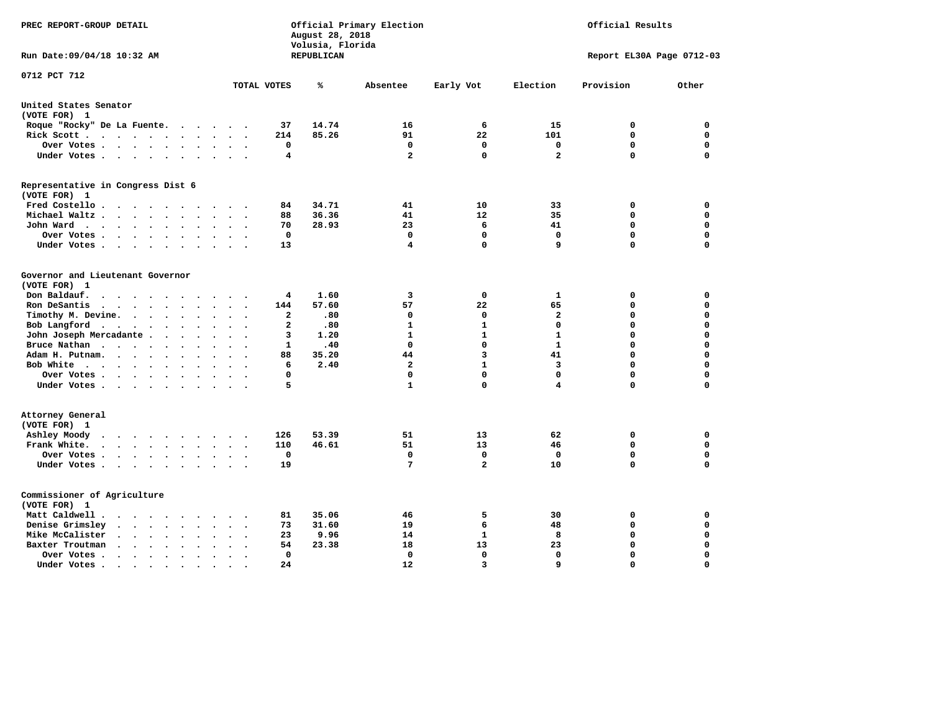| PREC REPORT-GROUP DETAIL                                                                                                                                  |                                            | August 28, 2018<br>Volusia, Florida | Official Primary Election | Official Results |                         |                           |             |
|-----------------------------------------------------------------------------------------------------------------------------------------------------------|--------------------------------------------|-------------------------------------|---------------------------|------------------|-------------------------|---------------------------|-------------|
| Run Date: 09/04/18 10:32 AM                                                                                                                               |                                            | <b>REPUBLICAN</b>                   |                           |                  |                         | Report EL30A Page 0712-03 |             |
| 0712 PCT 712                                                                                                                                              | TOTAL VOTES                                | ℁                                   | Absentee                  | Early Vot        | Election                | Provision                 | Other       |
| United States Senator                                                                                                                                     |                                            |                                     |                           |                  |                         |                           |             |
| (VOTE FOR) 1                                                                                                                                              |                                            |                                     |                           |                  |                         |                           |             |
| Roque "Rocky" De La Fuente.<br>$\cdot$ $\cdot$ $\cdot$                                                                                                    | 37<br>$\sim$ $\sim$                        | 14.74                               | 16                        | 6                | 15                      | 0                         | 0           |
| Rick Scott                                                                                                                                                | 214                                        | 85.26                               | 91                        | 22               | 101                     | 0                         | 0           |
| Over Votes<br>$\ddot{\phantom{0}}$<br>$\bullet$                                                                                                           | 0<br>$\bullet$<br>$\overline{\phantom{a}}$ |                                     | 0                         | 0                | 0                       | $\mathbf 0$               | $\mathbf 0$ |
| Under Votes                                                                                                                                               | $\overline{4}$<br>$\sim$                   |                                     | $\overline{a}$            | $\Omega$         | $\overline{\mathbf{2}}$ | $\mathbf 0$               | $\Omega$    |
| Representative in Congress Dist 6<br>(VOTE FOR) 1                                                                                                         |                                            |                                     |                           |                  |                         |                           |             |
| Fred Costello                                                                                                                                             | 84                                         | 34.71                               | 41                        | 10               | 33                      | 0                         | $\mathbf 0$ |
| Michael Waltz<br>$\ddot{\phantom{a}}$                                                                                                                     | 88                                         | 36.36                               | 41                        | 12               | 35                      | $\mathbf 0$               | $\mathbf 0$ |
| John Ward<br>$\ddot{\phantom{0}}$<br>$\bullet$                                                                                                            | 70<br>$\ddot{\phantom{1}}$                 | 28.93                               | 23                        | 6                | 41                      | $\mathbf 0$               | $\mathbf 0$ |
| Over Votes<br>$\ddot{\phantom{a}}$<br>$\bullet$                                                                                                           | $\mathbf 0$                                |                                     | $\Omega$                  | $\mathbf 0$      | $\mathbf 0$             | $\mathbf 0$               | $\mathbf 0$ |
| Under Votes<br>$\cdot$<br>$\cdot$                                                                                                                         | 13                                         |                                     | 4                         | $\mathbf 0$      | 9                       | $\Omega$                  | $\mathbf 0$ |
| Governor and Lieutenant Governor<br>(VOTE FOR) 1<br>Don Baldauf.<br>$\sim$ $\sim$ $\sim$ $\sim$<br>$\sim$                                                 | 4                                          | 1.60                                | 3                         | 0                | 1                       | 0                         | 0           |
| Ron DeSantis<br>$\sim$ $\sim$ $\sim$ $\sim$<br>$\sim$<br>$\ddot{\phantom{a}}$<br>$\sim$                                                                   | 144                                        | 57.60                               | 57                        | 22               | 65                      | $\mathbf 0$               | $\mathbf 0$ |
| Timothy M. Devine.<br>$\ddot{\phantom{a}}$<br>$\ddot{\phantom{a}}$<br>$\bullet$<br>$\bullet$                                                              | $\overline{a}$                             | .80                                 | 0                         | 0                | $\mathbf{2}$            | 0                         | $\mathbf 0$ |
| Bob Langford<br>$\ddot{\phantom{0}}$<br>$\ddot{\phantom{a}}$                                                                                              | $\mathbf{2}$                               | .80                                 | 1                         | $\mathbf{1}$     | $\mathbf 0$             | 0                         | $\mathbf 0$ |
| John Joseph Mercadante .<br>$\cdots$<br>$\ddot{\phantom{a}}$                                                                                              | 3<br>$\sim$                                | 1.20                                | $\mathbf{1}$              | $\mathbf{1}$     | $\mathbf{1}$            | 0                         | $\mathbf 0$ |
| Bruce Nathan<br>$\bullet$<br>$\bullet$<br>$\bullet$<br>$\bullet$                                                                                          | 1                                          | .40                                 | 0                         | 0                | 1                       | 0                         | 0           |
| Adam H. Putnam.<br><b>Contract Contract Contract Contract</b><br>$\ddot{\phantom{a}}$                                                                     | 88                                         | 35.20                               | 44                        | 3                | 41                      | 0                         | $\mathbf 0$ |
| Bob White<br>$\ddot{\phantom{1}}$<br>$\bullet$                                                                                                            | 6<br>$\sim$                                | 2.40                                | $\mathbf{2}$              | $\mathbf{1}$     | 3                       | 0                         | $\mathbf 0$ |
| Over Votes<br>$\bullet$                                                                                                                                   | 0                                          |                                     | 0                         | $\Omega$         | 0                       | $\mathbf 0$               | 0           |
| Under Votes                                                                                                                                               | 5                                          |                                     | 1                         | $\Omega$         | 4                       | $\Omega$                  | $\Omega$    |
| Attorney General<br>(VOTE FOR) 1                                                                                                                          |                                            |                                     |                           |                  |                         |                           |             |
| Ashley Moody<br>$\cdots$<br>$\cdot$<br>$\bullet$                                                                                                          | 126<br>$\sim$ $\sim$                       | 53.39                               | 51                        | 13               | 62                      | 0                         | 0           |
| Frank White.<br>$\cdot$ $\cdot$ $\cdot$ $\cdot$ $\cdot$ $\cdot$                                                                                           | 110                                        | 46.61                               | 51                        | 13               | 46                      | $\mathbf 0$               | $\mathbf 0$ |
| Over Votes .<br>$\cdots$<br>$\bullet$<br>$\bullet$                                                                                                        | $\mathbf 0$<br>$\ddot{\phantom{a}}$        |                                     | $\mathbf 0$               | $\mathbf 0$      | $\mathbf 0$             | $\mathbf 0$               | $\mathbf 0$ |
| Under Votes<br>$\sim$                                                                                                                                     | 19<br>$\ddot{\phantom{a}}$                 |                                     | 7                         | $\overline{a}$   | 10                      | 0                         | 0           |
| Commissioner of Agriculture<br>(VOTE FOR) 1                                                                                                               |                                            |                                     |                           |                  |                         |                           |             |
| Matt Caldwell.<br>$\cdot$ $\cdot$ $\cdot$ $\cdot$                                                                                                         | 81                                         | 35.06                               | 46                        | 5                | 30                      | 0                         | 0           |
| Denise Grimsley<br>$\ddot{\phantom{a}}$<br>$\ddot{\phantom{a}}$                                                                                           | 73                                         | 31.60                               | 19                        | 6                | 48                      | 0                         | 0           |
| Mike McCalister<br>$\mathbf{z} = \mathbf{z} + \mathbf{z} + \mathbf{z} + \mathbf{z}$<br>$\ddot{\phantom{1}}$<br>$\bullet$<br>$\bullet$                     | 23<br>$\bullet$                            | 9.96                                | 14                        | 1                | 8                       | 0                         | $\mathbf 0$ |
| Baxter Troutman<br>$\sim$<br>$\ddot{\phantom{a}}$<br>$\ddot{\phantom{a}}$<br>$\sim$                                                                       | 54                                         | 23.38                               | 18                        | 13               | 23                      | 0                         | $\mathbf 0$ |
| Over Votes.<br>$\sim$ $\sim$<br>$\ddot{\phantom{1}}$<br>$\cdot$<br>$\cdot$                                                                                | $\mathbf 0$<br>$\ddot{\phantom{0}}$        |                                     | 0                         | $\mathbf{0}$     | $\mathbf 0$             | $\mathbf 0$               | $\mathbf 0$ |
| Under Votes.<br>$\begin{array}{cccccccccccccc} \bullet & \bullet & \bullet & \bullet & \bullet & \bullet & \bullet \end{array}$<br>$\bullet$<br>$\bullet$ | 24                                         |                                     | 12                        | 3                | $\mathbf{q}$            | $\Omega$                  | $\Omega$    |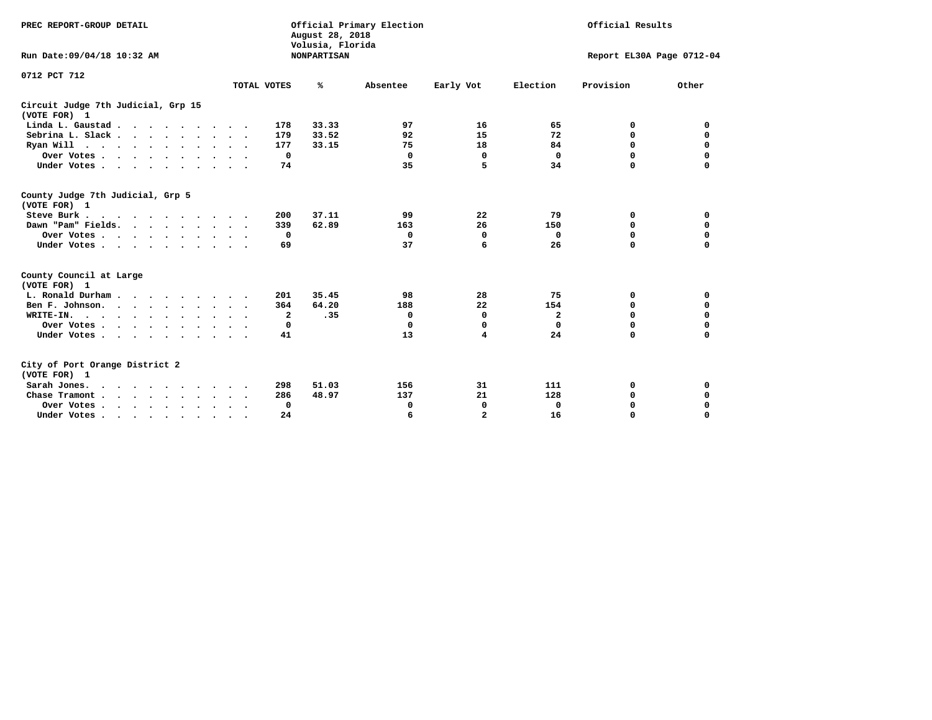| PREC REPORT-GROUP DETAIL<br>Run Date: 09/04/18 10:32 AM                                                           |                                        | August 28, 2018<br>Volusia, Florida<br><b>NONPARTISAN</b> | Official Primary Election | Official Results<br>Report EL30A Page 0712-04 |                      |                         |                            |
|-------------------------------------------------------------------------------------------------------------------|----------------------------------------|-----------------------------------------------------------|---------------------------|-----------------------------------------------|----------------------|-------------------------|----------------------------|
| 0712 PCT 712                                                                                                      | TOTAL VOTES                            | ℁                                                         | Absentee                  | Early Vot                                     | Election             | Provision               | Other                      |
| Circuit Judge 7th Judicial, Grp 15<br>(VOTE FOR) 1                                                                |                                        |                                                           |                           |                                               |                      |                         |                            |
| Linda L. Gaustad                                                                                                  | 178                                    | 33.33                                                     | 97                        | 16                                            | 65                   | 0                       | 0                          |
| Sebrina L. Slack.                                                                                                 | 179                                    | 33.52                                                     | 92                        | 15                                            | 72                   | 0                       | $\mathbf 0$                |
| Ryan Will $\cdots$ , $\cdots$ , $\cdots$                                                                          | 177                                    | 33.15                                                     | 75                        | 18                                            | 84                   | 0                       | 0                          |
| Over Votes                                                                                                        | 0<br>$\sim$ $\sim$                     |                                                           | 0                         | 0                                             | 0                    | 0                       | $\mathbf 0$                |
| Under Votes.                                                                                                      | 74                                     |                                                           | 35                        | 5                                             | 34                   | $\Omega$                | $\Omega$                   |
| County Judge 7th Judicial, Grp 5<br>(VOTE FOR) 1<br>Steve Burk<br>Dawn "Pam" Fields.<br>Over Votes<br>Under Votes | 200<br>339<br>0<br>69<br>$\sim$ $\sim$ | 37.11<br>62.89                                            | 99<br>163<br>0<br>37      | 22<br>26<br>0<br>6                            | 79<br>150<br>0<br>26 | 0<br>0<br>0<br>$\Omega$ | 0<br>0<br>0<br>$\mathbf 0$ |
| County Council at Large<br>(VOTE FOR) 1                                                                           |                                        |                                                           |                           |                                               |                      |                         |                            |
| L. Ronald Durham.                                                                                                 | 201                                    | 35.45                                                     | 98                        | 28                                            | 75                   | 0                       | 0                          |
| Ben F. Johnson.                                                                                                   | 364<br>$\sim$ $\sim$                   | 64.20                                                     | 188                       | 22                                            | 154                  | 0                       | 0                          |
| WRITE-IN.                                                                                                         | $\mathbf{2}$                           | .35                                                       | $\mathbf 0$               | 0                                             | 2                    | 0                       | $\mathbf 0$                |
| Over Votes                                                                                                        | 0                                      |                                                           | $\Omega$                  | $\mathbf 0$                                   | $\mathbf 0$          | $\Omega$                | $\mathbf 0$                |
| Under Votes                                                                                                       | 41                                     |                                                           | 13                        | 4                                             | 24                   | $\Omega$                | $\mathbf 0$                |
| City of Port Orange District 2<br>(VOTE FOR) 1<br>Sarah Jones.                                                    | 298                                    | 51.03                                                     | 156<br>137                | 31<br>21                                      | 111<br>128           | 0                       | 0                          |
| Chase Tramont                                                                                                     | 286                                    | 48.97                                                     |                           |                                               |                      | 0                       | $\mathbf 0$                |
| Over Votes<br>Under Votes                                                                                         | 0<br>24                                |                                                           | 0<br>6                    | 0<br>$\overline{a}$                           | 0<br>16              | 0<br>$\Omega$           | 0<br>$\mathbf 0$           |
|                                                                                                                   | $\bullet$                              |                                                           |                           |                                               |                      |                         |                            |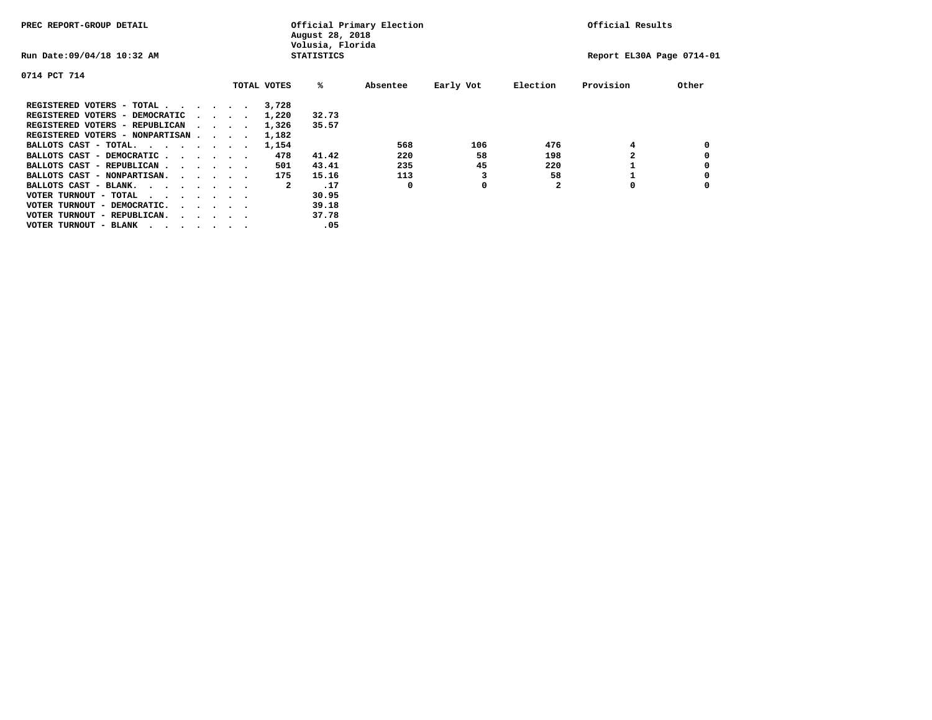| PREC REPORT-GROUP DETAIL               |  |                                         |  |             | August 28, 2018<br>Volusia, Florida | Official Primary Election |           | Official Results |                           |       |  |
|----------------------------------------|--|-----------------------------------------|--|-------------|-------------------------------------|---------------------------|-----------|------------------|---------------------------|-------|--|
| Run Date: 09/04/18 10:32 AM            |  |                                         |  |             | <b>STATISTICS</b>                   |                           |           |                  | Report EL30A Page 0714-01 |       |  |
| 0714 PCT 714                           |  |                                         |  |             |                                     |                           |           |                  |                           |       |  |
|                                        |  |                                         |  | TOTAL VOTES | %ะ                                  | Absentee                  | Early Vot | Election         | Provision                 | Other |  |
| REGISTERED VOTERS - TOTAL              |  |                                         |  | 3,728       |                                     |                           |           |                  |                           |       |  |
| REGISTERED VOTERS - DEMOCRATIC         |  | $\sim$ $\sim$ $\sim$ $\sim$             |  | 1,220       | 32.73                               |                           |           |                  |                           |       |  |
| REGISTERED VOTERS - REPUBLICAN         |  |                                         |  | 1,326       | 35.57                               |                           |           |                  |                           |       |  |
| REGISTERED VOTERS - NONPARTISAN        |  |                                         |  | 1,182       |                                     |                           |           |                  |                           |       |  |
| BALLOTS CAST - TOTAL.                  |  |                                         |  | 1,154       |                                     | 568                       | 106       | 476              | 4                         |       |  |
| BALLOTS CAST - DEMOCRATIC              |  |                                         |  | 478         | 41.42                               | 220                       | 58        | 198              |                           |       |  |
| BALLOTS CAST - REPUBLICAN              |  |                                         |  | 501         | 43.41                               | 235                       | 45        | 220              |                           |       |  |
| BALLOTS CAST - NONPARTISAN.            |  |                                         |  | 175         | 15.16                               | 113                       |           | 58               |                           |       |  |
| BALLOTS CAST - BLANK.                  |  |                                         |  | 2           | .17                                 | 0                         | 0         |                  | 0                         |       |  |
| VOTER TURNOUT - TOTAL<br>.             |  |                                         |  |             | 30.95                               |                           |           |                  |                           |       |  |
| VOTER TURNOUT - DEMOCRATIC.            |  | $\cdot$ $\cdot$ $\cdot$ $\cdot$ $\cdot$ |  |             | 39.18                               |                           |           |                  |                           |       |  |
| VOTER TURNOUT - REPUBLICAN.<br>$\cdot$ |  |                                         |  |             | 37.78                               |                           |           |                  |                           |       |  |
| VOTER TURNOUT - BLANK                  |  |                                         |  |             | .05                                 |                           |           |                  |                           |       |  |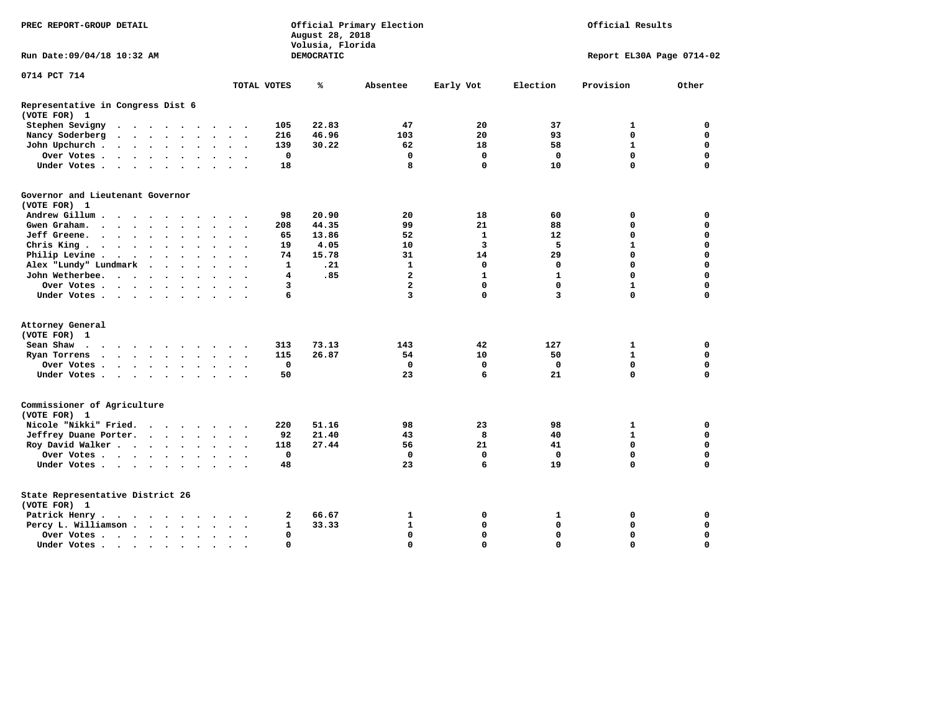| PREC REPORT-GROUP DETAIL                                                                                                                                                                 |                | August 28, 2018<br>Volusia, Florida | Official Primary Election | Official Results        |              |                           |             |
|------------------------------------------------------------------------------------------------------------------------------------------------------------------------------------------|----------------|-------------------------------------|---------------------------|-------------------------|--------------|---------------------------|-------------|
| Run Date: 09/04/18 10:32 AM                                                                                                                                                              |                | DEMOCRATIC                          |                           |                         |              | Report EL30A Page 0714-02 |             |
| 0714 PCT 714                                                                                                                                                                             |                |                                     |                           |                         |              | Provision                 |             |
| TOTAL VOTES                                                                                                                                                                              |                | ℁                                   | Absentee                  | Early Vot               | Election     |                           | Other       |
| Representative in Congress Dist 6<br>(VOTE FOR) 1                                                                                                                                        |                |                                     |                           |                         |              |                           |             |
| Stephen Sevigny<br>$\begin{array}{cccccccccccccc} \bullet & \bullet & \bullet & \bullet & \bullet & \bullet & \bullet & \bullet & \bullet & \bullet \end{array}$<br>$\ddot{\phantom{0}}$ | 105            | 22.83                               | 47                        | 20                      | 37           | 1                         | $\mathbf 0$ |
| Nancy Soderberg<br>$\cdot$ $\cdot$ $\cdot$ $\cdot$ $\cdot$<br>$\bullet$<br>$\bullet$<br>$\ddot{\phantom{1}}$                                                                             | 216            | 46.96                               | 103                       | 20                      | 93           | $\mathbf 0$               | $\mathbf 0$ |
| John Upchurch.<br>$\sim$ $\sim$ $\sim$ $\sim$<br>$\ddot{\phantom{a}}$<br>$\bullet$                                                                                                       | 139            | 30.22                               | 62                        | 18                      | 58           | $\mathbf{1}$              | $\mathbf 0$ |
| Over Votes .<br>$\begin{array}{cccccccccccccc} \bullet & \bullet & \bullet & \bullet & \bullet & \bullet & \bullet & \bullet & \bullet \end{array}$<br>$\sim$                            | $\mathbf 0$    |                                     | $\mathbf 0$               | $\mathbf 0$             | $\mathbf 0$  | $\mathbf 0$               | $\mathbf 0$ |
| Under Votes.<br>$\sim$ $\sim$ $\sim$ $\sim$ $\sim$<br>$\sim$                                                                                                                             | 18             |                                     | 8                         | $\mathbf{0}$            | 10           | 0                         | $\Omega$    |
| Governor and Lieutenant Governor                                                                                                                                                         |                |                                     |                           |                         |              |                           |             |
| (VOTE FOR) 1                                                                                                                                                                             |                |                                     |                           |                         |              |                           |             |
| Andrew Gillum                                                                                                                                                                            | 98             | 20.90                               | 20                        | 18                      | 60           | 0                         | 0           |
| Gwen Graham<br>$\ddot{\phantom{0}}$                                                                                                                                                      | 208            | 44.35                               | 99                        | 21                      | 88           | 0                         | $\mathbf 0$ |
| Jeff Greene.<br>$\cdot$ $\cdot$ $\cdot$ $\cdot$<br>$\bullet$<br>$\bullet$<br>$\ddot{\phantom{0}}$<br>$\bullet$<br>$\ddot{\phantom{0}}$                                                   | 65             | 13.86                               | 52                        | 1                       | 12           | 0                         | $\mathbf 0$ |
| Chris King $\cdots$ $\cdots$<br>$\ddot{\phantom{a}}$<br>$\bullet$                                                                                                                        | 19             | 4.05                                | 10                        | $\overline{\mathbf{3}}$ | 5            | $\mathbf{1}$              | $\mathbf 0$ |
| Philip Levine .<br>$\cdot$ $\cdot$ $\cdot$ $\cdot$ $\cdot$<br>$\bullet$<br>$\bullet$                                                                                                     | 74             | 15.78                               | 31                        | 14                      | 29           | 0                         | $\mathbf 0$ |
| Alex "Lundy" Lundmark<br>$\ddot{\phantom{1}}$<br>$\cdot$<br>$\bullet$                                                                                                                    | 1              | .21                                 | $\mathbf{1}$              | $\mathbf 0$             | 0            | 0                         | $\mathbf 0$ |
| John Wetherbee.<br>$\ddot{\phantom{1}}$                                                                                                                                                  | $\overline{4}$ | .85                                 | $\overline{2}$            | $\mathbf{1}$            | $\mathbf{1}$ | 0                         | $\mathbf 0$ |
| Over Votes .<br>$\cdots$<br>$\ddot{\phantom{0}}$                                                                                                                                         | 3              |                                     | $\overline{a}$            | $\mathbf{0}$            | $\Omega$     | $\mathbf{1}$              | $\Omega$    |
| Under Votes<br>$\ddot{\phantom{a}}$                                                                                                                                                      | 6              |                                     | 3                         | 0                       | 3            | $\Omega$                  | 0           |
| Attorney General                                                                                                                                                                         |                |                                     |                           |                         |              |                           |             |
| (VOTE FOR) 1                                                                                                                                                                             |                |                                     |                           |                         |              |                           |             |
| Sean Shaw<br>$\sim$                                                                                                                                                                      | 313            | 73.13                               | 143                       | 42                      | 127          | 1                         | $\mathbf 0$ |
| Ryan Torrens<br>$\bullet$<br>$\ddot{\phantom{1}}$                                                                                                                                        | 115            | 26.87                               | 54                        | 10                      | 50           | $\mathbf{1}$              | $\Omega$    |
| Over Votes.<br>$\cdots$                                                                                                                                                                  | $\mathbf 0$    |                                     | $\mathbf 0$               | $\mathbf 0$             | $\mathbf 0$  | $\mathbf 0$               | $\mathbf 0$ |
| Under Votes<br>$\bullet$<br>$\ddot{\phantom{1}}$                                                                                                                                         | 50             |                                     | 23                        | 6                       | 21           | 0                         | $\Omega$    |
| Commissioner of Agriculture<br>(VOTE FOR) 1                                                                                                                                              |                |                                     |                           |                         |              |                           |             |
| Nicole "Nikki" Fried.<br>$\cdots$                                                                                                                                                        | 220            | 51.16                               | 98                        | 23                      | 98           | 1                         | 0           |
| Jeffrey Duane Porter.<br>$\cdot$ $\cdot$ $\cdot$ $\cdot$<br>$\overline{\phantom{a}}$                                                                                                     | 92             | 21.40                               | 43                        | 8                       | 40           | 1                         | $\mathbf 0$ |
| Roy David Walker<br>$\bullet$                                                                                                                                                            | 118            | 27.44                               | 56                        | 21                      | 41           | $\mathbf 0$               | $\mathbf 0$ |
| Over Votes<br>$\cdot$                                                                                                                                                                    | $\mathbf 0$    |                                     | $\mathbf 0$               | 0                       | 0            | 0                         | $\Omega$    |
| Under Votes<br>$\ddot{\phantom{a}}$                                                                                                                                                      | 48             |                                     | 23                        | 6                       | 19           | $\Omega$                  | 0           |
| State Representative District 26<br>(VOTE FOR) 1                                                                                                                                         |                |                                     |                           |                         |              |                           |             |
| Patrick Henry.<br>$\cdots$                                                                                                                                                               | 2              | 66.67                               | 1                         | 0                       | 1            | 0                         | $\mathbf 0$ |
| Percy L. Williamson<br>$\bullet$<br>$\cdot$                                                                                                                                              | 1              | 33.33                               | $\mathbf{1}$              | $\mathbf 0$             | $\mathbf 0$  | 0                         | $\mathbf 0$ |
| Over Votes<br>$\bullet$<br>$\bullet$                                                                                                                                                     | 0              |                                     | 0                         | $\mathbf{0}$            | $\mathbf 0$  | 0                         | $\mathbf 0$ |
| Under Votes<br>$\bullet$                                                                                                                                                                 | $\Omega$       |                                     | $\Omega$                  | $\Omega$                | $\Omega$     | $\Omega$                  | $\Omega$    |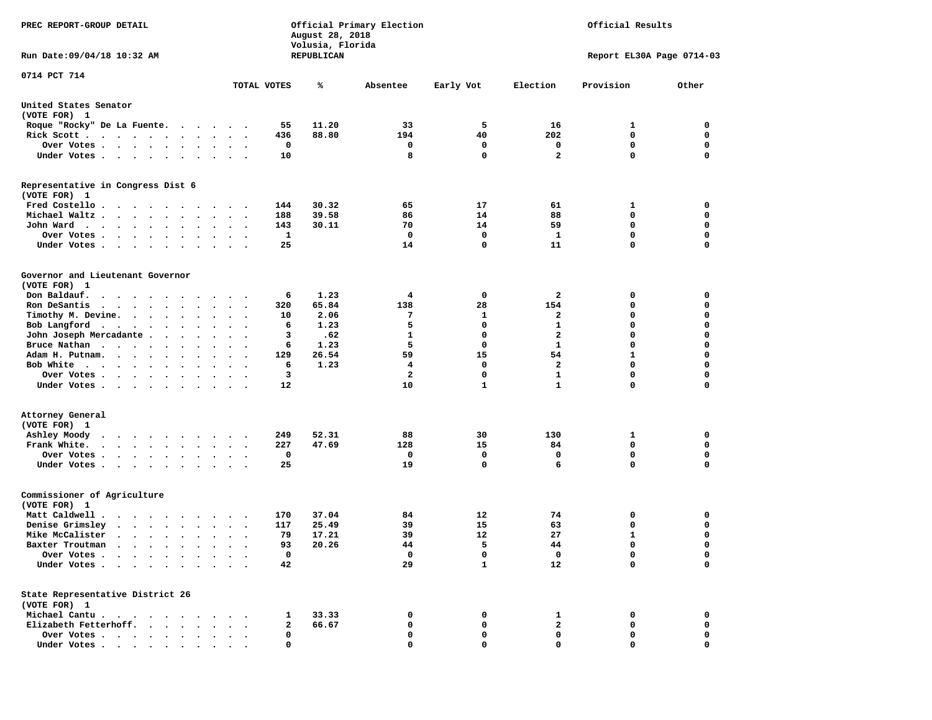| PREC REPORT-GROUP DETAIL<br>Run Date:09/04/18 10:32 AM                                                                                                                      |                       | August 28, 2018<br>Volusia, Florida<br>REPUBLICAN | Official Primary Election |              | Official Results<br>Report EL30A Page 0714-03 |             |             |  |
|-----------------------------------------------------------------------------------------------------------------------------------------------------------------------------|-----------------------|---------------------------------------------------|---------------------------|--------------|-----------------------------------------------|-------------|-------------|--|
|                                                                                                                                                                             |                       |                                                   |                           |              |                                               |             |             |  |
| 0714 PCT 714                                                                                                                                                                | TOTAL VOTES           | ℁                                                 | Absentee                  | Early Vot    | Election                                      | Provision   | Other       |  |
| United States Senator<br>(VOTE FOR) 1                                                                                                                                       |                       |                                                   |                           |              |                                               |             |             |  |
| Roque "Rocky" De La Fuente.<br>.                                                                                                                                            |                       | 11.20<br>55                                       | 33                        | 5            | 16                                            | 1           | 0           |  |
| Rick Scott                                                                                                                                                                  | $\ddot{\phantom{1}}$  | 436<br>88.80                                      | 194                       | 40           | 202                                           | 0           | 0           |  |
| Over Votes                                                                                                                                                                  |                       | 0                                                 | 0                         | 0            | 0                                             | 0           | 0           |  |
| Under Votes<br>$\sim$                                                                                                                                                       | $\ddot{\phantom{1}}$  | 10                                                | 8                         | $\mathbf{0}$ | $\mathbf{2}$                                  | 0           | 0           |  |
| Representative in Congress Dist 6<br>(VOTE FOR) 1                                                                                                                           |                       |                                                   |                           |              |                                               |             |             |  |
| Fred Costello                                                                                                                                                               |                       | 30.32<br>144                                      | 65                        | 17           | 61                                            | 1           | 0           |  |
| Michael Waltz.<br>$\cdot$ $\cdot$ $\cdot$ $\cdot$<br>$\bullet$<br>$\ddot{\phantom{a}}$<br>$\bullet$                                                                         |                       | 188<br>39.58                                      | 86                        | 14           | 88                                            | 0           | 0           |  |
| John Ward<br>$\cdot$<br>$\bullet$<br>$\bullet$                                                                                                                              |                       | 143<br>30.11                                      | 70                        | 14           | 59                                            | 0           | 0           |  |
| Over Votes .<br>$\cdot$ $\cdot$ $\cdot$ $\cdot$<br>$\bullet$<br>$\cdot$                                                                                                     |                       | 1                                                 | 0                         | 0            | 1                                             | $\mathbf 0$ | $\mathbf 0$ |  |
| Under Votes.<br>$\cdot$ $\cdot$ $\cdot$<br>$\bullet$<br>$\cdot$                                                                                                             |                       | 25                                                | 14                        | 0            | 11                                            | 0           | $\mathbf 0$ |  |
| Governor and Lieutenant Governor<br>(VOTE FOR) 1                                                                                                                            |                       |                                                   |                           |              |                                               |             |             |  |
| Don Baldauf.<br>$\begin{array}{cccccccccccccccccc} \bullet & \bullet & \bullet & \bullet & \bullet & \bullet & \bullet & \bullet & \bullet & \bullet & \bullet \end{array}$ | $\cdot$ .             | 6<br>1.23                                         | 4                         | 0            | 2                                             | 0           | 0           |  |
| Ron DeSantis<br>$\ddot{\phantom{1}}$                                                                                                                                        |                       | 65.84<br>320                                      | 138                       | 28           | 154                                           | 0           | 0           |  |
| Timothy M. Devine.                                                                                                                                                          |                       | 10<br>2.06                                        | 7                         | 1            | 2                                             | 0           | $\mathbf 0$ |  |
| Bob Langford<br>$\ddot{\phantom{0}}$<br>$\bullet$                                                                                                                           | $\cdot$<br>$\cdot$    | 1.23<br>6                                         | 5                         | $\mathbf 0$  | 1                                             | 0           | $\mathbf 0$ |  |
| John Joseph Mercadante .<br>$\ddot{\phantom{a}}$<br>$\bullet$                                                                                                               |                       | з<br>.62                                          | 1                         | 0            | $\mathbf{2}$                                  | 0           | 0           |  |
| Bruce Nathan<br>$\bullet$                                                                                                                                                   |                       | 1.23<br>6                                         | 5                         | 0            | 1                                             | 0           | $\mathbf 0$ |  |
| Adam H. Putnam.<br>$\bullet$<br>$\cdot$ $\cdot$<br>$\cdot$                                                                                                                  |                       | 26.54<br>129                                      | 59                        | 15           | 54                                            | 1           | $\mathbf 0$ |  |
| Bob White<br>$\cdot$ $\cdot$ $\cdot$ $\cdot$                                                                                                                                |                       | 6<br>1.23                                         | 4                         | 0            | 2                                             | 0           | $\mathbf 0$ |  |
| Over Votes .<br>$\cdot$ $\cdot$ $\cdot$ $\cdot$<br>$\bullet$<br>$\bullet$                                                                                                   | $\bullet$             | 3                                                 | $\overline{\mathbf{2}}$   | 0            | $\mathbf{1}$                                  | 0           | $\mathbf 0$ |  |
| Under Votes<br>$\sim$                                                                                                                                                       |                       | 12                                                | 10                        | $\mathbf{1}$ | $\mathbf{1}$                                  | 0           | 0           |  |
| Attorney General<br>(VOTE FOR) 1<br>Ashley Moody<br>$\ddot{\phantom{0}}$<br>.                                                                                               |                       | 52.31<br>249                                      | 88                        | 30           | 130                                           | 1           | 0           |  |
| Frank White.<br>$\cdots$<br>$\bullet$<br>$\bullet$                                                                                                                          | $\cdot$<br>$\cdot$    | 227<br>47.69                                      | 128                       | 15           | 84                                            | $\mathbf 0$ | $\mathbf 0$ |  |
| Over Votes.<br>$\sim$ $\sim$ $\sim$ $\sim$<br>$\ddot{\phantom{a}}$<br>$\bullet$                                                                                             |                       | 0                                                 | 0                         | 0            | 0                                             | 0           | 0           |  |
| Under Votes<br>$\bullet$                                                                                                                                                    | $\bullet$ . $\bullet$ | 25                                                | 19                        | $\mathbf 0$  | 6                                             | 0           | $\mathbf 0$ |  |
| Commissioner of Agriculture<br>(VOTE FOR) 1                                                                                                                                 |                       |                                                   |                           |              |                                               |             |             |  |
| Matt Caldwell .<br>$\mathbf{r}$ , $\mathbf{r}$ , $\mathbf{r}$ , $\mathbf{r}$ , $\mathbf{r}$ , $\mathbf{r}$                                                                  |                       | 37.04<br>170                                      | 84                        | 12           | 74                                            | 0           | 0           |  |
| Denise Grimsley<br>$\cdot \cdot \cdot \cdot$<br>$\bullet$<br>$\ddot{\phantom{0}}$                                                                                           |                       | 25.49<br>117                                      | 39                        | 15           | 63                                            | 0           | 0           |  |
| Mike McCalister<br>$\begin{array}{cccccccccccccc} \bullet & \bullet & \bullet & \bullet & \bullet & \bullet & \bullet & \bullet & \bullet & \bullet \end{array}$<br>$\cdot$ | $\bullet$             | 79<br>17.21                                       | 39                        | 12           | 27                                            | 1           | $\mathbf 0$ |  |
| Baxter Troutman<br>.                                                                                                                                                        |                       | 93<br>20.26                                       | 44                        | 5            | 44                                            | 0           | 0           |  |
| Over Votes .                                                                                                                                                                |                       | 0                                                 | 0                         | 0            | 0                                             | 0           | 0           |  |
| Under Votes.                                                                                                                                                                |                       | 42                                                | 29                        | $\mathbf{1}$ | 12                                            | 0           | $\mathbf 0$ |  |
| State Representative District 26<br>(VOTE FOR) 1                                                                                                                            |                       |                                                   |                           |              |                                               |             |             |  |
| Michael Cantu.<br>$\sim$ $\sim$<br>$\overline{\phantom{a}}$                                                                                                                 |                       | 33.33<br>1                                        | 0                         | 0            | 1                                             | 0           | 0           |  |
| Elizabeth Fetterhoff.                                                                                                                                                       |                       | 2<br>66.67                                        | 0                         | 0            | $\mathbf{2}$                                  | 0           | 0           |  |
| Over Votes .<br>$\ddot{\phantom{1}}$<br>$\sim$<br>$\bullet$<br>$\sim$ $\sim$                                                                                                |                       | 0                                                 | 0                         | 0            | 0                                             | 0           | 0           |  |
| Under Votes.<br>$\sim$ $\sim$<br>$\cdot$ .                                                                                                                                  |                       | 0                                                 | 0                         | O            | 0                                             | 0           | 0           |  |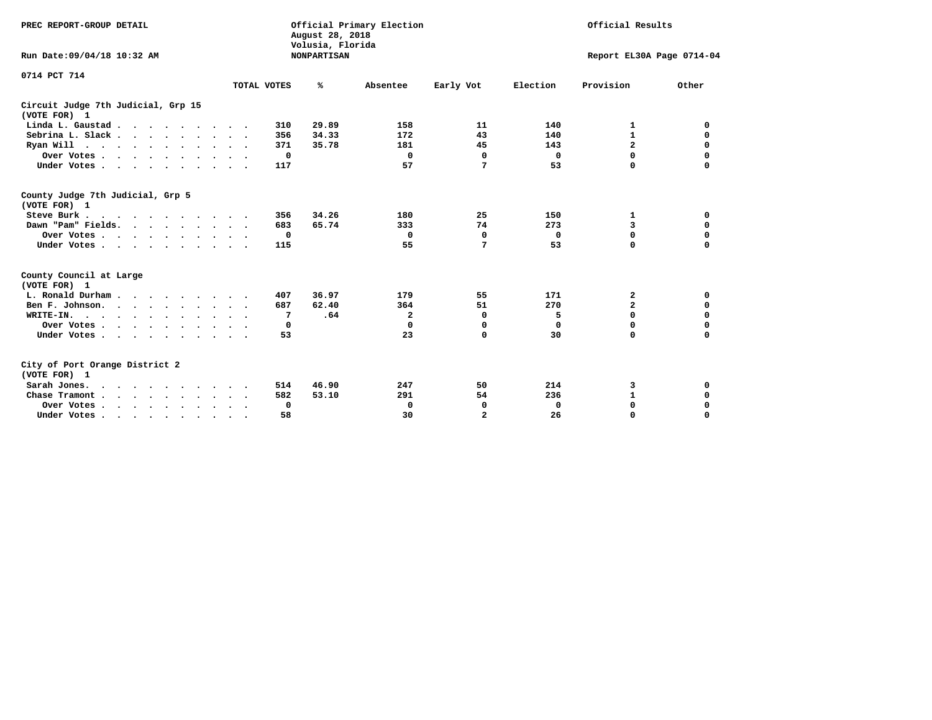| PREC REPORT-GROUP DETAIL<br>Run Date: 09/04/18 10:32 AM |                      | August 28, 2018<br>Volusia, Florida<br><b>NONPARTISAN</b> | Official Primary Election | Official Results<br>Report EL30A Page 0714-04 |             |              |             |  |
|---------------------------------------------------------|----------------------|-----------------------------------------------------------|---------------------------|-----------------------------------------------|-------------|--------------|-------------|--|
|                                                         |                      |                                                           |                           |                                               |             |              |             |  |
| 0714 PCT 714                                            | TOTAL VOTES          | ℁                                                         | Absentee                  | Early Vot                                     | Election    | Provision    | Other       |  |
| Circuit Judge 7th Judicial, Grp 15<br>(VOTE FOR) 1      |                      |                                                           |                           |                                               |             |              |             |  |
| Linda L. Gaustad                                        | 310                  | 29.89                                                     | 158                       | 11                                            | 140         | 1            | 0           |  |
| Sebrina L. Slack.                                       | 356                  | 34.33                                                     | 172                       | 43                                            | 140         | $\mathbf{1}$ | $\mathbf 0$ |  |
| Ryan Will $\cdots$ , $\cdots$ , $\cdots$ , $\cdots$     | 371                  | 35.78                                                     | 181                       | 45                                            | 143         | $\mathbf{z}$ | $\mathbf 0$ |  |
| Over Votes                                              | 0                    |                                                           | 0                         | 0                                             | 0           | 0            | 0           |  |
| Under Votes                                             | 117                  |                                                           | 57                        | 7                                             | 53          | $\Omega$     | $\mathbf 0$ |  |
|                                                         |                      |                                                           |                           |                                               |             |              |             |  |
| County Judge 7th Judicial, Grp 5<br>(VOTE FOR) 1        |                      |                                                           |                           |                                               |             |              |             |  |
| Steve Burk                                              | 356                  | 34.26                                                     | 180                       | 25                                            | 150         | 1            | 0           |  |
| Dawn "Pam" Fields.                                      | 683                  | 65.74                                                     | 333                       | 74                                            | 273         | 3            | $\mathbf 0$ |  |
| Over Votes                                              | 0                    |                                                           | 0                         | $\mathbf 0$                                   | 0           | $\mathbf 0$  | $\mathbf 0$ |  |
| Under Votes                                             | 115                  |                                                           | 55                        | 7                                             | 53          | $\Omega$     | $\mathbf 0$ |  |
| County Council at Large<br>(VOTE FOR) 1                 |                      |                                                           |                           |                                               |             |              |             |  |
| L. Ronald Durham.                                       | 407                  | 36.97                                                     | 179                       | 55                                            | 171         | 2            | 0           |  |
| Ben F. Johnson.                                         | 687<br>$\sim$ $\sim$ | 62.40                                                     | 364                       | 51                                            | 270         | $\mathbf{z}$ | $\mathbf 0$ |  |
| WRITE-IN.                                               | 7                    | .64                                                       | $\mathbf{2}$              | 0                                             | 5           | $\Omega$     | $\mathbf 0$ |  |
| Over Votes                                              | 0                    |                                                           | $\mathbf 0$               | 0                                             | $\mathbf 0$ | 0            | $\mathbf 0$ |  |
| Under Votes                                             | 53                   |                                                           | 23                        | $\mathbf 0$                                   | 30          | 0            | $\mathbf 0$ |  |
| City of Port Orange District 2<br>(VOTE FOR) 1          |                      |                                                           |                           |                                               |             |              |             |  |
| Sarah Jones.                                            | 514                  | 46.90                                                     | 247                       | 50                                            | 214         | 3            | 0           |  |
| Chase Tramont                                           | 582                  | 53.10                                                     | 291                       | 54                                            | 236         | $\mathbf{1}$ | $\mathbf 0$ |  |
| Over Votes                                              | 0                    |                                                           | 0                         | 0                                             | 0           | $\mathbf 0$  | $\mathbf 0$ |  |
| Under Votes                                             | 58<br>$\bullet$      |                                                           | 30                        | $\overline{a}$                                | 26          | $\Omega$     | $\mathbf 0$ |  |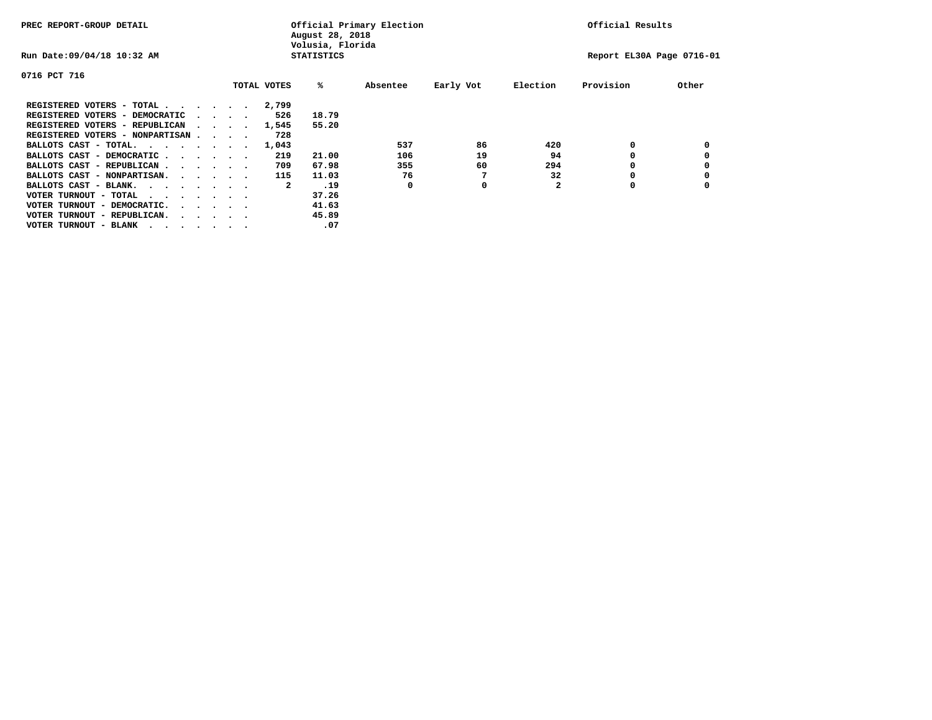| PREC REPORT-GROUP DETAIL         |  |                                         |  |             | Official Primary Election<br>August 28, 2018<br>Volusia, Florida |          | Official Results |          |                           |       |
|----------------------------------|--|-----------------------------------------|--|-------------|------------------------------------------------------------------|----------|------------------|----------|---------------------------|-------|
| Run Date: 09/04/18 10:32 AM      |  |                                         |  |             | <b>STATISTICS</b>                                                |          |                  |          | Report EL30A Page 0716-01 |       |
| 0716 PCT 716                     |  |                                         |  |             |                                                                  |          |                  |          |                           |       |
|                                  |  |                                         |  | TOTAL VOTES | %ะ                                                               | Absentee | Early Vot        | Election | Provision                 | Other |
| REGISTERED VOTERS - TOTAL        |  |                                         |  | 2,799       |                                                                  |          |                  |          |                           |       |
| REGISTERED VOTERS - DEMOCRATIC   |  | $\cdot$ $\cdot$ $\cdot$ $\cdot$         |  | 526         | 18.79                                                            |          |                  |          |                           |       |
| REGISTERED VOTERS - REPUBLICAN   |  |                                         |  | 1,545       | 55.20                                                            |          |                  |          |                           |       |
| REGISTERED VOTERS - NONPARTISAN  |  |                                         |  | 728         |                                                                  |          |                  |          |                           |       |
| BALLOTS CAST - TOTAL.            |  |                                         |  | 1,043       |                                                                  | 537      | 86               | 420      | 0                         |       |
| BALLOTS CAST - DEMOCRATIC        |  |                                         |  | 219         | 21.00                                                            | 106      | 19               | 94       |                           |       |
| BALLOTS CAST - REPUBLICAN        |  |                                         |  | 709         | 67.98                                                            | 355      | 60               | 294      | 0                         |       |
| BALLOTS CAST - NONPARTISAN.      |  |                                         |  | 115         | 11.03                                                            | 76       |                  | 32       |                           |       |
| BALLOTS CAST - BLANK.            |  |                                         |  | 2           | .19                                                              | 0        | 0                |          | 0                         |       |
| VOTER TURNOUT - TOTAL<br>.       |  |                                         |  |             | 37.26                                                            |          |                  |          |                           |       |
| VOTER TURNOUT - DEMOCRATIC.      |  | $\cdot$ $\cdot$ $\cdot$ $\cdot$ $\cdot$ |  |             | 41.63                                                            |          |                  |          |                           |       |
| VOTER TURNOUT - REPUBLICAN.<br>. |  |                                         |  |             | 45.89                                                            |          |                  |          |                           |       |
| VOTER TURNOUT - BLANK            |  |                                         |  |             | .07                                                              |          |                  |          |                           |       |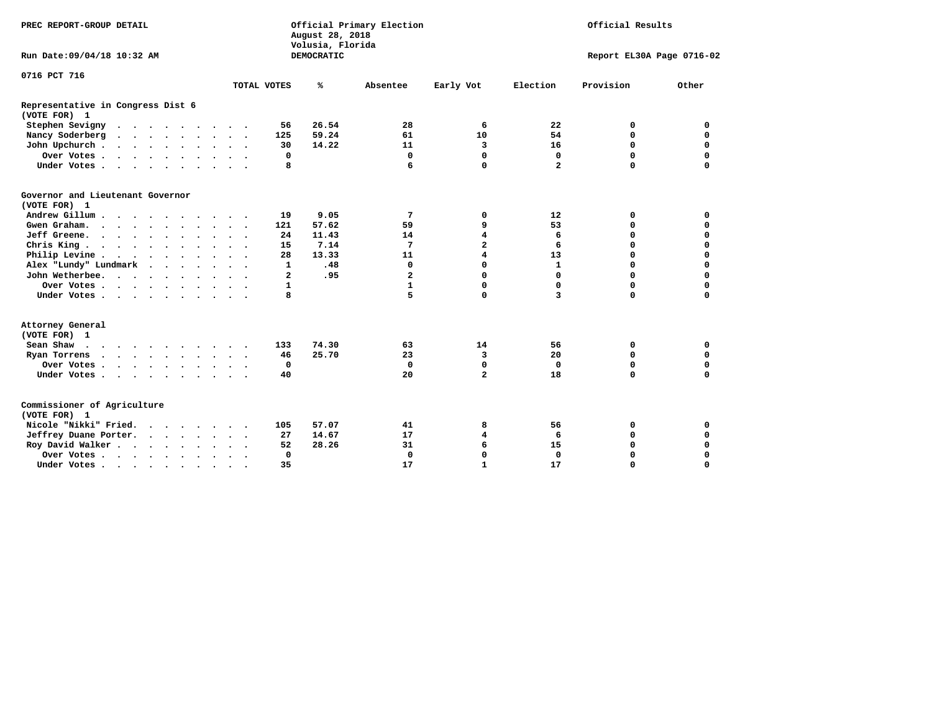| PREC REPORT-GROUP DETAIL                          |                         |              | August 28, 2018<br>Volusia, Florida | Official Primary Election | Official Results        |                   |                           |             |
|---------------------------------------------------|-------------------------|--------------|-------------------------------------|---------------------------|-------------------------|-------------------|---------------------------|-------------|
| Run Date: 09/04/18 10:32 AM                       |                         |              | DEMOCRATIC                          |                           |                         |                   | Report EL30A Page 0716-02 |             |
| 0716 PCT 716                                      |                         |              |                                     |                           |                         |                   |                           |             |
|                                                   |                         | TOTAL VOTES  | ℁                                   | Absentee                  | Early Vot               | Election          | Provision                 | Other       |
| Representative in Congress Dist 6<br>(VOTE FOR) 1 |                         |              |                                     |                           |                         |                   |                           |             |
| Stephen Sevigny                                   |                         | 56           | 26.54                               | 28                        | 6                       | 22                | 0                         | 0           |
| Nancy Soderberg                                   |                         | 125          | 59.24                               | 61                        | 10                      | 54                | $\mathbf 0$               | 0           |
| John Upchurch                                     |                         | 30           | 14.22                               | 11                        | 3                       | 16                | $\mathbf 0$               | $\mathbf 0$ |
| Over Votes                                        |                         | 0            |                                     | 0                         | $\mathbf 0$             | 0                 | $\mathbf 0$               | $\mathbf 0$ |
| Under Votes                                       |                         | 8            |                                     | 6                         | $\mathbf 0$             | $\overline{a}$    | $\Omega$                  | $\mathbf 0$ |
| Governor and Lieutenant Governor<br>(VOTE FOR) 1  |                         |              |                                     |                           |                         |                   |                           |             |
| Andrew Gillum                                     |                         | 19           | 9.05                                | 7                         | 0                       | $12 \overline{ }$ | 0                         | 0           |
| Gwen Graham.                                      | $\cdot$ $\cdot$ $\cdot$ | 121          | 57.62                               | 59                        | 9                       | 53                | 0                         | 0           |
| Jeff Greene.                                      | $\cdot$ $\cdot$ $\cdot$ | 24           | 11.43                               | 14                        | $\overline{\mathbf{4}}$ | 6                 | $\mathbf 0$               | $\mathbf 0$ |
| Chris King.                                       |                         | 15           | 7.14                                | 7                         | $\overline{\mathbf{2}}$ | 6                 | $\mathbf 0$               | 0           |
| Philip Levine                                     |                         | 28           | 13.33                               | 11                        | 4                       | 13                | $\mathbf 0$               | $\mathbf 0$ |
| Alex "Lundy" Lundmark                             |                         | 1            | .48                                 | 0                         | 0                       | $\mathbf{1}$      | $\mathbf 0$               | $\mathbf 0$ |
| John Wetherbee.                                   |                         | $\mathbf{2}$ | .95                                 | $\overline{\mathbf{2}}$   | 0                       | 0                 | $\mathbf 0$               | $\mathbf 0$ |
| Over Votes                                        |                         | $\mathbf{1}$ |                                     | $\mathbf{1}$              | 0                       | 0                 | $\mathbf 0$               | $\mathbf 0$ |
| Under Votes                                       |                         | 8            |                                     | 5                         | $\mathbf 0$             | 3                 | $\Omega$                  | $\mathbf 0$ |
| Attorney General<br>(VOTE FOR) 1                  |                         |              |                                     |                           |                         |                   |                           |             |
| Sean Shaw $\cdots$ $\cdots$ $\cdots$ $\cdots$     |                         | 133          | 74.30                               | 63                        | 14                      | 56                | 0                         | 0           |
| Ryan Torrens                                      |                         | 46           | 25.70                               | 23                        | 3                       | 20                | $\mathbf 0$               | 0           |
| Over Votes.                                       |                         | 0            |                                     | 0                         | 0                       | 0                 | $\mathbf 0$               | 0           |
| Under Votes                                       |                         | 40           |                                     | 20                        | $\overline{a}$          | 18                | $\mathbf 0$               | $\mathbf 0$ |
| Commissioner of Agriculture<br>(VOTE FOR) 1       |                         |              |                                     |                           |                         |                   |                           |             |
| Nicole "Nikki" Fried.                             |                         | 105          | 57.07                               | 41                        | 8                       | 56                | 0                         | 0           |
| Jeffrey Duane Porter.                             |                         | 27           | 14.67                               | 17                        | 4                       | 6                 | $\mathbf 0$               | $\mathbf 0$ |
| Roy David Walker                                  |                         | 52           | 28.26                               | 31                        | 6                       | 15                | $\mathbf 0$               | $\mathbf 0$ |
| Over Votes                                        | $\cdot$                 | $\mathbf 0$  |                                     | $\Omega$                  | $\mathbf 0$             | $\Omega$          | $\Omega$                  | $\mathbf 0$ |
| Under Votes                                       | $\ddot{\phantom{1}}$    | 35           |                                     | 17                        | $\mathbf{1}$            | 17                | $\mathbf 0$               | $\mathbf 0$ |
|                                                   |                         |              |                                     |                           |                         |                   |                           |             |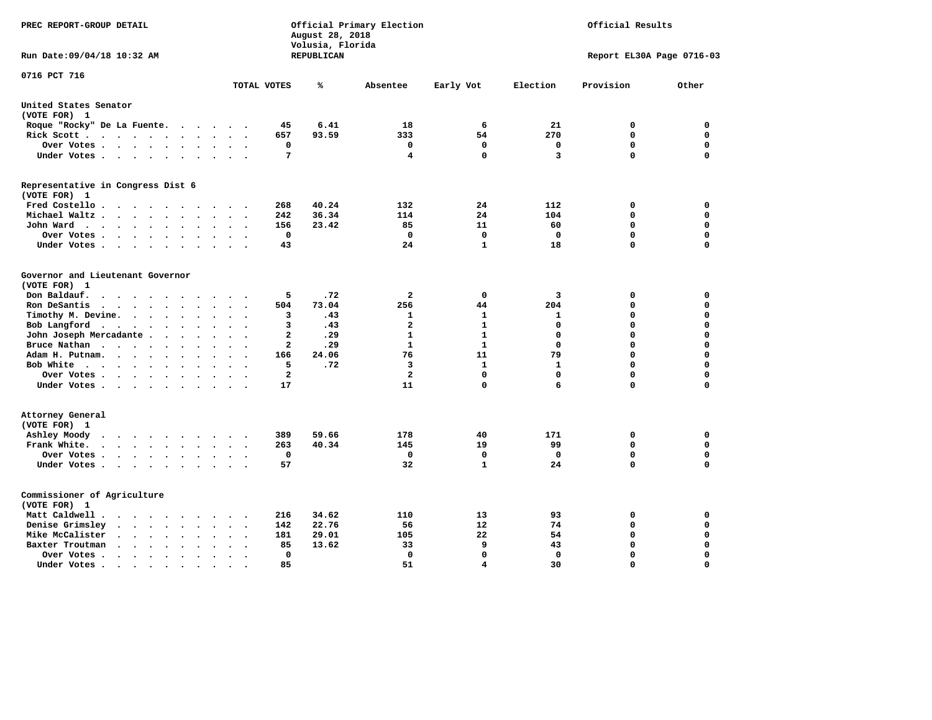| PREC REPORT-GROUP DETAIL                                                                                                                                         |                                                              | August 28, 2018<br>Volusia, Florida | Official Primary Election | Official Results |              |                           |          |  |
|------------------------------------------------------------------------------------------------------------------------------------------------------------------|--------------------------------------------------------------|-------------------------------------|---------------------------|------------------|--------------|---------------------------|----------|--|
| Run Date: 09/04/18 10:32 AM                                                                                                                                      |                                                              | REPUBLICAN                          |                           |                  |              | Report EL30A Page 0716-03 |          |  |
| 0716 PCT 716                                                                                                                                                     | TOTAL VOTES                                                  | ℁                                   | Absentee                  | Early Vot        | Election     | Provision                 | Other    |  |
| United States Senator                                                                                                                                            |                                                              |                                     |                           |                  |              |                           |          |  |
| (VOTE FOR) 1                                                                                                                                                     |                                                              |                                     |                           |                  |              |                           |          |  |
| Roque "Rocky" De La Fuente.<br>$\sim$ $\sim$ $\sim$ $\sim$                                                                                                       | 45<br>$\sim$                                                 | 6.41                                | 18                        | 6                | 21           | 0                         | 0        |  |
| Rick Scott<br>$\sim$<br>$\ddot{\phantom{0}}$                                                                                                                     | 657                                                          | 93.59                               | 333                       | 54               | 270          | $\mathbf 0$               | 0        |  |
| Over Votes                                                                                                                                                       | 0<br>$\ddot{\phantom{a}}$<br>$\cdot$<br>$\ddot{\phantom{a}}$ |                                     | $\mathbf 0$               | $\mathbf 0$      | 0            | 0                         | 0        |  |
| Under Votes<br>$\ddot{\phantom{1}}$                                                                                                                              | 7<br>$\bullet$                                               |                                     | 4                         | 0                | 3            | $\mathbf 0$               | 0        |  |
| Representative in Congress Dist 6<br>(VOTE FOR) 1                                                                                                                |                                                              |                                     |                           |                  |              |                           |          |  |
| Fred Costello                                                                                                                                                    | 268                                                          | 40.24                               | 132                       | 24               | 112          | 0                         | 0        |  |
| Michael Waltz.<br>$\cdots$<br>$\sim$                                                                                                                             | 242                                                          | 36.34                               | 114                       | 24               | 104          | $\mathbf 0$               | 0        |  |
| John Ward<br>$\bullet$                                                                                                                                           | 156<br>$\bullet$                                             | 23.42                               | 85                        | 11               | 60           | 0                         | 0        |  |
| Over Votes .<br>$\cdots$ $\cdots$<br>$\blacksquare$ .<br>$\ddot{\phantom{0}}$                                                                                    | $\mathbf 0$                                                  |                                     | $\mathbf 0$               | $\mathbf 0$      | $\mathbf 0$  | $\mathbf 0$               | 0        |  |
| Under Votes<br>$\bullet$                                                                                                                                         | 43                                                           |                                     | 24                        | 1                | 18           | $\mathbf 0$               | 0        |  |
|                                                                                                                                                                  |                                                              |                                     |                           |                  |              |                           |          |  |
| Governor and Lieutenant Governor<br>(VOTE FOR) 1                                                                                                                 |                                                              |                                     |                           |                  |              |                           |          |  |
| Don Baldauf.<br>$\cdot$ $\cdot$ $\cdot$                                                                                                                          | 5                                                            | .72                                 | 2                         | 0                | 3            | 0                         | 0        |  |
| Ron DeSantis<br>$\cdots$<br>$\bullet$<br>$\ddot{\phantom{a}}$<br>$\ddot{\phantom{a}}$                                                                            | 504                                                          | 73.04                               | 256                       | 44               | 204          | $\mathbf 0$               | 0        |  |
| Timothy M. Devine.<br>$\bullet$<br>$\bullet$                                                                                                                     | 3                                                            | .43                                 | 1                         | 1                | 1            | $\mathbf 0$               | 0        |  |
| Bob Langford<br>$\ddot{\phantom{0}}$<br>$\sim$ $\sim$<br>$\ddot{\phantom{a}}$                                                                                    | 3<br>$\ddot{\phantom{a}}$                                    | .43                                 | $\overline{\mathbf{2}}$   | $\mathbf{1}$     | $\mathbf 0$  | $\mathbf 0$               | 0        |  |
| John Joseph Mercadante.<br>$\sim$ $\sim$ $\sim$                                                                                                                  | $\overline{\mathbf{2}}$<br>$\sim$                            | .29                                 | $\mathbf{1}$              | $\mathbf{1}$     | $\mathbf 0$  | $\mathbf 0$               | 0        |  |
| Bruce Nathan<br>$\cdots$<br>$\bullet$<br>$\bullet$                                                                                                               | $\overline{\mathbf{2}}$                                      | .29                                 | $\mathbf{1}$              | $\mathbf{1}$     | $\Omega$     | 0                         | 0        |  |
| Adam H. Putnam.<br>$\sim$ $\sim$ $\sim$<br>$\cdot$<br>$\ddot{\phantom{a}}$                                                                                       | 166                                                          | 24.06                               | 76                        | 11               | 79           | $\mathbf 0$               | 0        |  |
| Bob White<br>$\overline{\phantom{a}}$                                                                                                                            | 5                                                            | .72                                 | 3                         | $\mathbf{1}$     | $\mathbf{1}$ | $\Omega$                  | 0        |  |
| Over Votes.<br>$\cdots$<br>$\bullet$                                                                                                                             | $\overline{\mathbf{2}}$                                      |                                     | $\overline{\mathbf{2}}$   | 0                | $\Omega$     | $\mathbf 0$               | 0        |  |
| Under Votes<br>$\sim$                                                                                                                                            | 17                                                           |                                     | 11                        | 0                | 6            | $\Omega$                  | 0        |  |
| Attorney General<br>(VOTE FOR) 1                                                                                                                                 |                                                              |                                     |                           |                  |              |                           |          |  |
| Ashley Moody<br>$\cdots$<br>$\sim$<br>$\sim$                                                                                                                     | 389<br>$\ddot{\phantom{a}}$                                  | 59.66                               | 178                       | 40               | 171          | 0                         | 0        |  |
| Frank White.<br>$\cdot$ $\cdot$ $\cdot$ $\cdot$<br>$\bullet$<br>$\bullet$                                                                                        | 263                                                          | 40.34                               | 145                       | 19               | 99           | 0                         | 0        |  |
| Over Votes.<br>$\begin{array}{cccccccccccccc} \bullet & \bullet & \bullet & \bullet & \bullet & \bullet & \bullet & \bullet \end{array}$<br>$\ddot{\phantom{0}}$ | 0<br>$\sim$                                                  |                                     | 0                         | 0                | 0            | $\mathbf 0$               | 0        |  |
| Under Votes<br>$\sim$ $\sim$                                                                                                                                     | 57                                                           |                                     | 32                        | $\mathbf{1}$     | 24           | $\mathbf 0$               | 0        |  |
|                                                                                                                                                                  |                                                              |                                     |                           |                  |              |                           |          |  |
| Commissioner of Agriculture<br>(VOTE FOR) 1                                                                                                                      |                                                              |                                     |                           |                  |              |                           |          |  |
| Matt Caldwell .                                                                                                                                                  | 216                                                          | 34.62                               | 110                       | 13               | 93           | 0                         | 0        |  |
| Denise Grimsley<br>$\sim$ $\sim$<br>$\ddot{\phantom{a}}$<br>$\ddot{\phantom{a}}$<br>$\ddot{\phantom{a}}$<br>$\overline{a}$                                       | 142                                                          | 22.76                               | 56                        | 12               | 74           | $\mathbf 0$               | 0        |  |
| Mike McCalister<br>$\cdots$<br>$\bullet$                                                                                                                         | 181                                                          | 29.01                               | 105                       | 22               | 54           | $\mathbf 0$               | 0        |  |
| Baxter Troutman<br>$\sim$ $\sim$<br>$\bullet$<br>$\ddot{\phantom{a}}$                                                                                            | 85                                                           | 13.62                               | 33                        | 9                | 43           | $\mathbf 0$               | 0        |  |
| Over Votes.<br>$\cdots$<br>$\bullet$<br>$\bullet$<br>$\bullet$                                                                                                   | 0                                                            |                                     | 0                         | 0                | 0            | $\mathbf 0$               | 0        |  |
| Under Votes.<br>$\cdot$ $\cdot$ $\cdot$<br>$\bullet$<br>$\bullet$<br>$\bullet$                                                                                   | 85                                                           |                                     | 51                        | 4                | 30           | $\Omega$                  | $\Omega$ |  |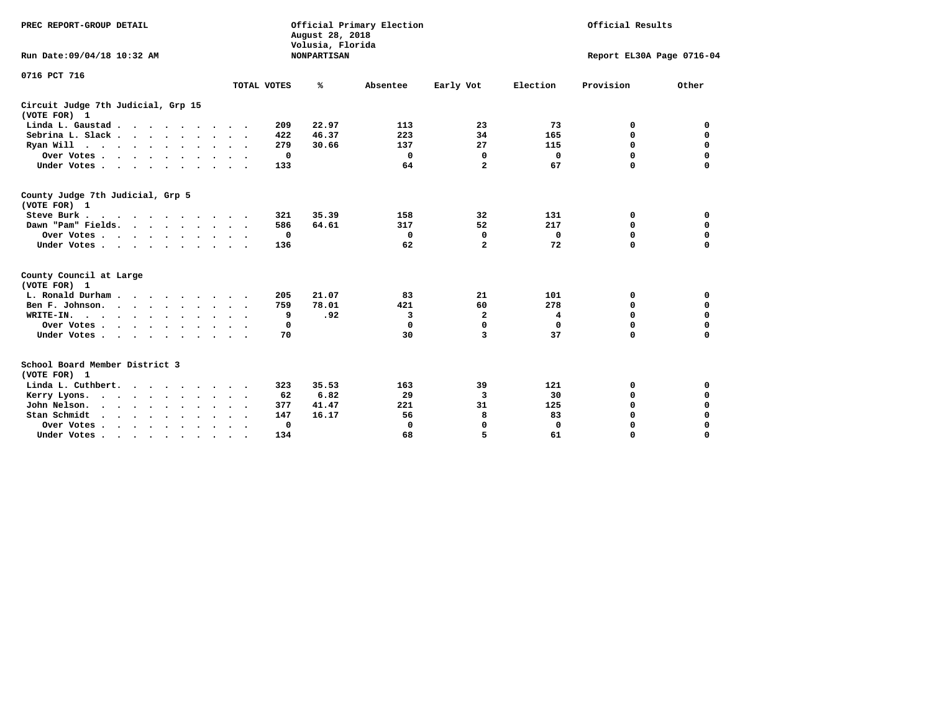| PREC REPORT-GROUP DETAIL                                     |                                         | Official Results<br>Official Primary Election<br>August 28, 2018<br>Volusia, Florida |          |                |             |                           |             |  |
|--------------------------------------------------------------|-----------------------------------------|--------------------------------------------------------------------------------------|----------|----------------|-------------|---------------------------|-------------|--|
| Run Date: 09/04/18 10:32 AM                                  |                                         | <b>NONPARTISAN</b>                                                                   |          |                |             | Report EL30A Page 0716-04 |             |  |
| 0716 PCT 716                                                 | TOTAL VOTES                             | ℁                                                                                    | Absentee | Early Vot      | Election    | Provision                 | Other       |  |
| Circuit Judge 7th Judicial, Grp 15                           |                                         |                                                                                      |          |                |             |                           |             |  |
| (VOTE FOR) 1                                                 |                                         |                                                                                      |          |                |             |                           |             |  |
| Linda L. Gaustad                                             |                                         | 22.97<br>209                                                                         | 113      | 23             | 73          | 0                         | 0           |  |
| Sebrina L. Slack                                             | $\sim$                                  | 422<br>46.37                                                                         | 223      | 34             | 165         | 0                         | $\mathbf 0$ |  |
| Ryan Will $\cdots$ , $\cdots$ , $\cdots$                     |                                         | 279<br>30.66                                                                         | 137      | 27             | 115         | 0                         | 0           |  |
| Over Votes                                                   | $\sim$                                  | 0                                                                                    | 0        | 0              | 0           | 0                         | $\Omega$    |  |
| Under Votes                                                  |                                         | 133                                                                                  | 64       | $\overline{a}$ | 67          | 0                         | 0           |  |
|                                                              |                                         |                                                                                      |          |                |             |                           |             |  |
| County Judge 7th Judicial, Grp 5<br>(VOTE FOR) 1             |                                         |                                                                                      |          |                |             |                           |             |  |
| Steve Burk                                                   |                                         | 35.39<br>321                                                                         | 158      | 32             | 131         | 0                         | 0           |  |
| Dawn "Pam" Fields.                                           |                                         | 586<br>64.61                                                                         | 317      | 52             | 217         | 0                         | $\mathbf 0$ |  |
| Over Votes                                                   |                                         | 0                                                                                    | 0        | 0              | 0           | 0                         | $\mathbf 0$ |  |
| Under Votes                                                  |                                         | 136                                                                                  | 62       | $\overline{a}$ | 72          | 0                         | $\Omega$    |  |
| County Council at Large                                      |                                         |                                                                                      |          |                |             |                           |             |  |
| (VOTE FOR) 1                                                 |                                         |                                                                                      |          |                |             |                           |             |  |
| L. Ronald Durham                                             |                                         | 21.07<br>205                                                                         | 83       | 21             | 101         | 0                         | 0           |  |
| Ben F. Johnson.                                              |                                         | 78.01<br>759                                                                         | 421      | 60             | 278         | 0                         | $\mathbf 0$ |  |
| WRITE-IN.<br>$\cdots$                                        |                                         | .92<br>9                                                                             | 3        | $\mathbf{2}$   | 4           | 0                         | $\mathbf 0$ |  |
| Over Votes                                                   |                                         | 0                                                                                    | 0        | $\mathbf 0$    | $\Omega$    | 0                         | $\mathbf 0$ |  |
| Under Votes                                                  | $\cdot$ $\cdot$<br>$\ddot{\phantom{1}}$ | 70                                                                                   | 30       | 3              | 37          | 0                         | $\Omega$    |  |
|                                                              |                                         |                                                                                      |          |                |             |                           |             |  |
| School Board Member District 3                               |                                         |                                                                                      |          |                |             |                           |             |  |
| (VOTE FOR) 1                                                 |                                         |                                                                                      |          |                |             |                           |             |  |
| Linda L. Cuthbert.                                           |                                         | 323<br>35.53                                                                         | 163      | 39             | 121         | 0                         | 0           |  |
| Kerry Lyons.                                                 | $\bullet$                               | 6.82<br>62                                                                           | 29       | 3              | 30          | 0                         | $\Omega$    |  |
| John Nelson.<br>$\cdots$                                     |                                         | 41.47<br>377                                                                         | 221      | 31             | 125         | 0                         | $\Omega$    |  |
| Stan Schmidt<br>$\sim$ $\sim$ $\sim$ $\sim$<br>$\sim$ $\sim$ |                                         | 147<br>16.17                                                                         | 56       | 8              | 83          | 0                         | 0           |  |
| Over Votes                                                   | $\bullet$<br>$\ddot{\phantom{1}}$       | 0                                                                                    | 0        | 0              | $\mathbf 0$ | 0                         | 0           |  |
| Under Votes                                                  |                                         | 134                                                                                  | 68       | 5              | 61          | O                         | $\Omega$    |  |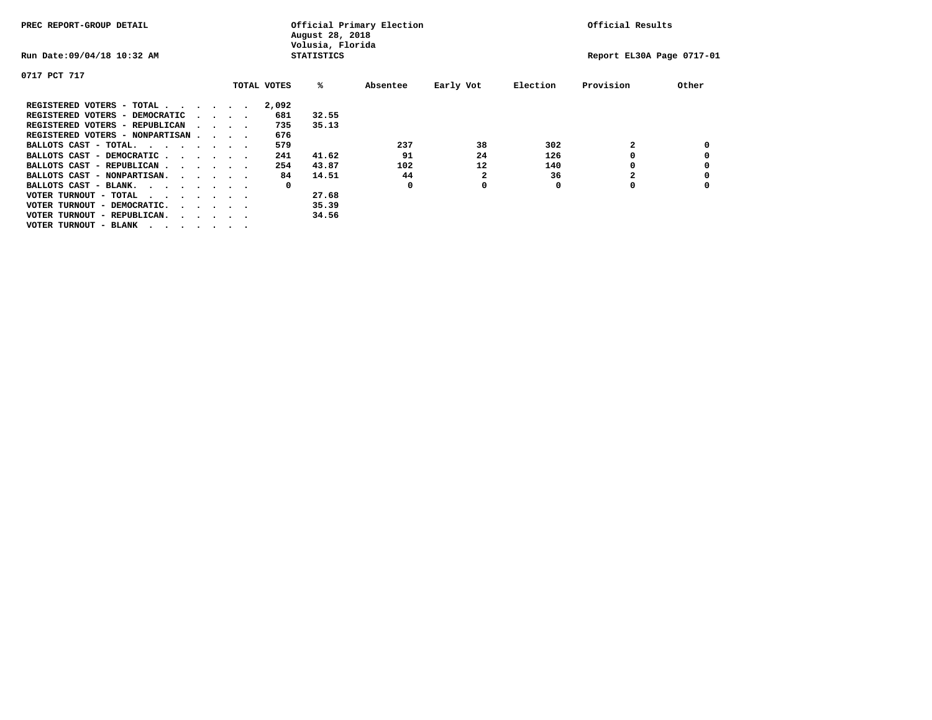| PREC REPORT-GROUP DETAIL                                                                       |  |                                         |  | August 28, 2018<br>Volusia, Florida | Official Primary Election | Official Results |           |          |                           |       |
|------------------------------------------------------------------------------------------------|--|-----------------------------------------|--|-------------------------------------|---------------------------|------------------|-----------|----------|---------------------------|-------|
| Run Date: 09/04/18 10:32 AM                                                                    |  |                                         |  |                                     | <b>STATISTICS</b>         |                  |           |          | Report EL30A Page 0717-01 |       |
| 0717 PCT 717                                                                                   |  |                                         |  |                                     |                           |                  |           |          |                           |       |
|                                                                                                |  |                                         |  | TOTAL VOTES                         | %ะ                        | Absentee         | Early Vot | Election | Provision                 | Other |
| REGISTERED VOTERS - TOTAL                                                                      |  |                                         |  | 2,092                               |                           |                  |           |          |                           |       |
| REGISTERED VOTERS - DEMOCRATIC                                                                 |  | $\cdot$ $\cdot$ $\cdot$ $\cdot$         |  | 681                                 | 32.55                     |                  |           |          |                           |       |
| REGISTERED VOTERS - REPUBLICAN                                                                 |  | $\sim$ $\sim$ $\sim$ $\sim$             |  | 735                                 | 35.13                     |                  |           |          |                           |       |
| REGISTERED VOTERS - NONPARTISAN                                                                |  |                                         |  | 676                                 |                           |                  |           |          |                           |       |
| BALLOTS CAST - TOTAL.                                                                          |  |                                         |  | 579                                 |                           | 237              | 38        | 302      |                           |       |
| BALLOTS CAST - DEMOCRATIC                                                                      |  |                                         |  | 241                                 | 41.62                     | 91               | 24        | 126      |                           |       |
| BALLOTS CAST - REPUBLICAN                                                                      |  |                                         |  | 254                                 | 43.87                     | 102              | 12        | 140      | 0                         |       |
| BALLOTS CAST - NONPARTISAN.                                                                    |  |                                         |  | 84                                  | 14.51                     | 44               | 2         | 36       |                           |       |
| BALLOTS CAST - BLANK.                                                                          |  |                                         |  | 0                                   |                           | 0                | 0         | 0        | 0                         |       |
| VOTER TURNOUT - TOTAL<br>$\mathbf{r}$ , and $\mathbf{r}$ , and $\mathbf{r}$ , and $\mathbf{r}$ |  |                                         |  |                                     | 27.68                     |                  |           |          |                           |       |
| VOTER TURNOUT - DEMOCRATIC.                                                                    |  | $\cdot$ $\cdot$ $\cdot$ $\cdot$ $\cdot$ |  |                                     | 35.39                     |                  |           |          |                           |       |
| VOTER TURNOUT - REPUBLICAN.<br>$\cdot$                                                         |  |                                         |  |                                     | 34.56                     |                  |           |          |                           |       |
| VOTER TURNOUT - BLANK                                                                          |  |                                         |  |                                     |                           |                  |           |          |                           |       |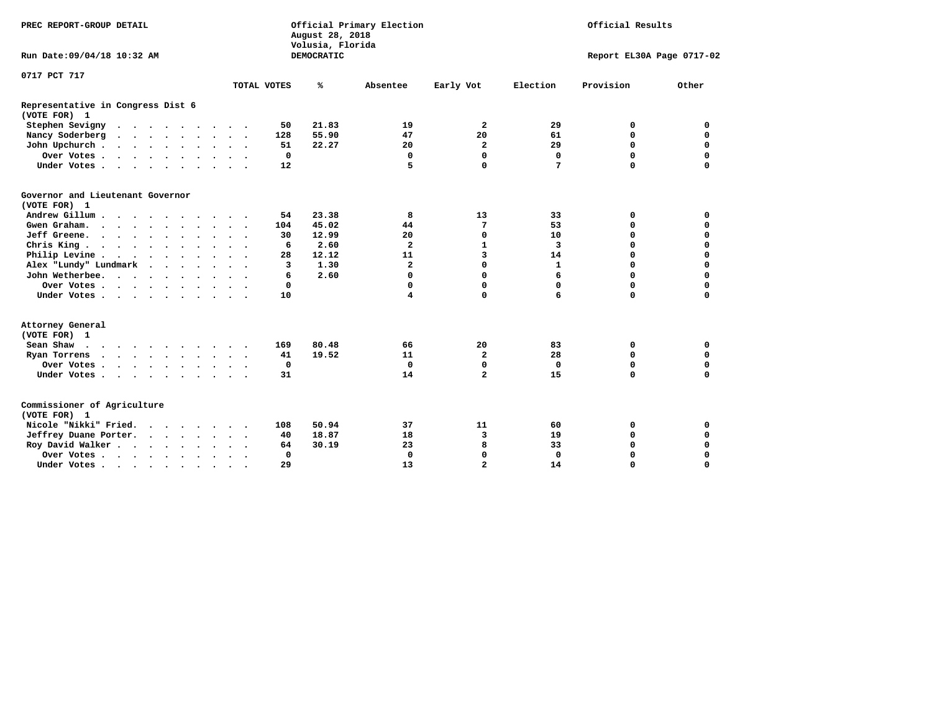| PREC REPORT-GROUP DETAIL                                            |                | Official Primary Election<br>August 28, 2018<br>Volusia, Florida |                                         | Official Results |                           |             |
|---------------------------------------------------------------------|----------------|------------------------------------------------------------------|-----------------------------------------|------------------|---------------------------|-------------|
| Run Date: 09/04/18 10:32 AM                                         |                | <b>DEMOCRATIC</b>                                                |                                         |                  | Report EL30A Page 0717-02 |             |
| 0717 PCT 717                                                        |                |                                                                  |                                         |                  |                           |             |
|                                                                     | TOTAL VOTES    | ℁<br>Absentee                                                    | Early Vot                               | Election         | Provision                 | Other       |
| Representative in Congress Dist 6<br>(VOTE FOR) 1                   |                |                                                                  |                                         |                  |                           |             |
| Stephen Sevigny                                                     | 50             | 21.83                                                            | $\overline{a}$<br>19                    | 29               | 0                         | 0           |
| Nancy Soderberg                                                     | 128            | 55.90                                                            | 47<br>20                                | 61               | $\mathbf 0$               | $\mathbf 0$ |
| John Upchurch                                                       | 51             | 22.27                                                            | 2<br>20                                 | 29               | $\mathbf 0$               | $\mathbf 0$ |
| Over Votes                                                          | 0              |                                                                  | $\mathbf 0$<br>0                        | 0                | $\mathbf 0$               | 0           |
| Under Votes                                                         | 12             |                                                                  | 5<br>0                                  | 7                | $\mathbf 0$               | $\Omega$    |
| Governor and Lieutenant Governor<br>(VOTE FOR) 1                    |                |                                                                  |                                         |                  |                           |             |
| Andrew Gillum                                                       | 54             | 23.38                                                            | 13<br>8                                 | 33               | 0                         | 0           |
| Gwen Graham.                                                        | 104            | 45.02                                                            | 7<br>44                                 | 53               | 0                         | $\mathbf 0$ |
| Jeff Greene.                                                        | 30             | 12.99                                                            | 20<br>0                                 | 10               | 0                         | 0           |
| Chris King                                                          | 6              | 2.60                                                             | $\overline{\mathbf{2}}$<br>$\mathbf{1}$ | 3                | $\Omega$                  | $\Omega$    |
| Philip Levine                                                       | 28             | 12.12                                                            | 3<br>11                                 | 14               | $\mathbf 0$               | $\mathbf 0$ |
| Alex "Lundy" Lundmark<br><b>Contract Contract Contract Contract</b> | $\overline{3}$ | 1.30                                                             | 0<br>$\mathbf{z}$                       | $\mathbf{1}$     | $\mathbf 0$               | $\mathbf 0$ |
| John Wetherbee.                                                     | 6              | 2.60                                                             | $\mathbf 0$<br>$\Omega$                 | 6                | $\Omega$                  | $\mathbf 0$ |
| Over Votes                                                          | 0              |                                                                  | 0<br>0                                  | 0                | $\mathbf 0$               | $\mathbf 0$ |
| Under Votes                                                         | 10             |                                                                  | $\mathbf 0$<br>4                        | 6                | $\mathbf 0$               | $\mathbf 0$ |
| Attorney General<br>(VOTE FOR) 1                                    |                |                                                                  |                                         |                  |                           |             |
| Sean Shaw                                                           | 169            | 80.48                                                            | 20<br>66                                | 83               | 0                         | $\mathbf 0$ |
| Ryan Torrens                                                        | 41             | 19.52                                                            | $\overline{a}$<br>11                    | 28               | $\mathbf 0$               | $\mathbf 0$ |
| Over Votes                                                          | $\Omega$       |                                                                  | $\Omega$<br>0                           | 0                | $\mathbf 0$               | 0           |
| Under Votes                                                         | 31             |                                                                  | $\overline{a}$<br>14                    | 15               | $\Omega$                  | $\mathbf 0$ |
| Commissioner of Agriculture<br>(VOTE FOR) 1                         |                |                                                                  |                                         |                  |                           |             |
| Nicole "Nikki" Fried.                                               | 108            | 50.94                                                            | 11<br>37                                | 60               | 0                         | 0           |
| Jeffrey Duane Porter.                                               | 40             | 18.87                                                            | 3<br>18                                 | 19               | 0                         | 0           |
| Roy David Walker.                                                   | 64             | 30.19                                                            | 23<br>8                                 | 33               | $\mathbf 0$               | 0           |
| Over Votes                                                          | 0              |                                                                  | 0<br>$\mathbf 0$                        | 0                | $\mathbf 0$               | 0           |
| Under Votes                                                         | 29             |                                                                  | $\overline{a}$<br>13                    | 14               | $\Omega$                  | $\Omega$    |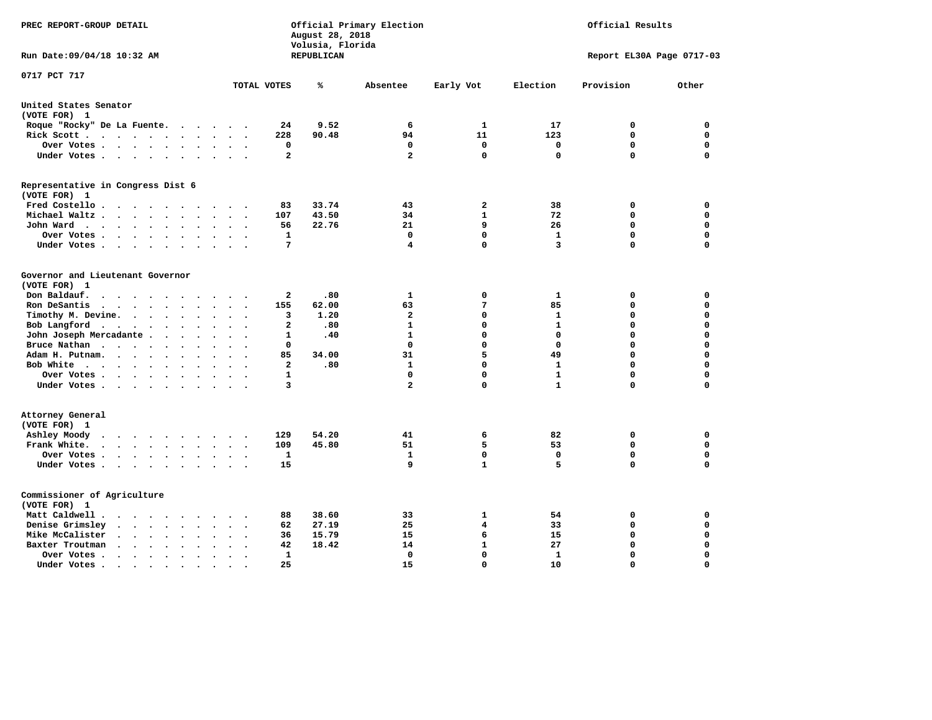| PREC REPORT-GROUP DETAIL                                                                                |                                                       | August 28, 2018<br>Volusia, Florida | Official Primary Election | Official Results |              |                           |             |
|---------------------------------------------------------------------------------------------------------|-------------------------------------------------------|-------------------------------------|---------------------------|------------------|--------------|---------------------------|-------------|
| Run Date: 09/04/18 10:32 AM                                                                             |                                                       | REPUBLICAN                          |                           |                  |              | Report EL30A Page 0717-03 |             |
| 0717 PCT 717                                                                                            | TOTAL VOTES                                           | ℁                                   | Absentee                  | Early Vot        | Election     | Provision                 | Other       |
| United States Senator                                                                                   |                                                       |                                     |                           |                  |              |                           |             |
| (VOTE FOR) 1                                                                                            |                                                       |                                     |                           |                  |              |                           |             |
| Roque "Rocky" De La Fuente.                                                                             | 24                                                    | 9.52                                | 6                         | 1                | 17           | 0                         | 0           |
| Rick Scott                                                                                              | 228                                                   | 90.48                               | 94                        | 11               | 123          | 0                         | 0           |
| Over Votes                                                                                              | 0<br>$\bullet$<br>$\cdot$                             |                                     | 0                         | $\mathbf 0$      | 0            | $\mathbf 0$               | 0           |
| Under Votes                                                                                             | $\overline{a}$                                        |                                     | $\overline{a}$            | $\mathbf 0$      | $\Omega$     | $\Omega$                  | $\mathbf 0$ |
| Representative in Congress Dist 6<br>(VOTE FOR) 1                                                       |                                                       |                                     |                           |                  |              |                           |             |
| Fred Costello                                                                                           | 83                                                    | 33.74                               | 43                        | $\mathbf{2}$     | 38           | 0                         | $\mathbf 0$ |
| Michael Waltz<br>$\sim$<br>$\sim$                                                                       | 107<br>$\ddot{\phantom{a}}$                           | 43.50                               | 34                        | $\mathbf{1}$     | 72           | $\mathbf 0$               | $\mathbf 0$ |
| John Ward                                                                                               | 56                                                    | 22.76                               | 21                        | 9                | 26           | $\mathbf 0$               | $\mathbf 0$ |
| Over Votes<br>$\cdot$                                                                                   | $\cdot$<br>$\mathbf{1}$                               |                                     | $\mathbf 0$               | $\mathbf 0$      | $\mathbf{1}$ | $\mathbf 0$               | 0           |
| Under Votes<br>$\sim$                                                                                   | $7\phantom{.0}$                                       |                                     | 4                         | $\mathbf 0$      | 3            | $\mathbf 0$               | $\mathbf 0$ |
|                                                                                                         |                                                       |                                     |                           |                  |              |                           |             |
| Governor and Lieutenant Governor<br>(VOTE FOR) 1                                                        |                                                       |                                     |                           |                  |              |                           |             |
| Don Baldauf.<br>$\cdot$ $\cdot$ $\cdot$ $\cdot$<br>$\sim$                                               | 2                                                     | .80                                 | 1                         | 0                | 1            | 0                         | 0           |
| Ron DeSantis<br>$\cdots$<br>$\sim$                                                                      | 155                                                   | 62.00                               | 63                        | 7                | 85           | $\mathbf 0$               | $\mathbf 0$ |
| Timothy M. Devine.<br>$\ddot{\phantom{0}}$                                                              | 3<br>$\ddot{\phantom{a}}$<br>$\overline{\phantom{a}}$ | 1.20                                | $\mathbf{2}$              | $\mathbf 0$      | 1            | $\mathbf 0$               | $\mathbf 0$ |
| Bob Langford                                                                                            | $\mathbf{2}$                                          | .80                                 | 1                         | 0                | $\mathbf{1}$ | $\mathbf 0$               | $\mathbf 0$ |
| John Joseph Mercadante                                                                                  | 1                                                     | .40                                 | $\mathbf{1}$              | $\mathbf 0$      | $\mathbf{0}$ | $\mathbf 0$               | $\mathbf 0$ |
| Bruce Nathan<br>$\bullet$                                                                               | $\Omega$                                              |                                     | 0                         | 0                | $\Omega$     | 0                         | $\mathbf 0$ |
| Adam H. Putnam.<br>$\ddot{\phantom{a}}$                                                                 | 85                                                    | 34.00                               | 31                        | 5                | 49           | $\mathbf 0$               | $\mathbf 0$ |
| Bob White                                                                                               | $\overline{a}$<br>$\sim$ $\sim$                       | .80                                 | 1                         | 0                | 1            | $\mathbf 0$               | $\mathbf 0$ |
| Over Votes                                                                                              | 1                                                     |                                     | $\Omega$                  | 0                | $\mathbf{1}$ | $\mathbf 0$               | $\mathbf 0$ |
| Under Votes                                                                                             | 3                                                     |                                     | $\overline{\mathbf{2}}$   | $\mathbf 0$      | $\mathbf{1}$ | $\Omega$                  | $\mathbf 0$ |
| Attorney General<br>(VOTE FOR) 1                                                                        |                                                       |                                     |                           |                  |              |                           |             |
| Ashley Moody                                                                                            | 129<br>$\overline{\phantom{a}}$                       | 54.20                               | 41                        | 6                | 82           | 0                         | $\mathbf 0$ |
| Frank White.<br>$\mathbf{r}$ , $\mathbf{r}$ , $\mathbf{r}$ , $\mathbf{r}$ , $\mathbf{r}$ , $\mathbf{r}$ | 109                                                   | 45.80                               | 51                        | 5                | 53           | $\mathbf 0$               | 0           |
| Over Votes                                                                                              | $\mathbf{1}$<br>$\ddot{\phantom{a}}$<br>$\cdot$       |                                     | 1                         | $\mathbf 0$      | $\mathbf 0$  | $\mathbf 0$               | $\mathbf 0$ |
| Under Votes                                                                                             | 15                                                    |                                     | 9                         | $\mathbf{1}$     | 5            | $\mathbf 0$               | $\mathbf 0$ |
| Commissioner of Agriculture                                                                             |                                                       |                                     |                           |                  |              |                           |             |
| (VOTE FOR) 1                                                                                            |                                                       |                                     |                           |                  |              |                           |             |
| Matt Caldwell .<br>$\cdots$                                                                             | 88                                                    | 38.60                               | 33                        | 1                | 54           | 0                         | 0           |
| Denise Grimsley<br>$\sim$ $\sim$ $\sim$ $\sim$<br>$\ddot{\phantom{a}}$                                  | 62                                                    | 27.19                               | 25                        | 4                | 33           | 0                         | 0           |
| Mike McCalister<br>$\cdots$<br>$\bullet$                                                                | 36<br>$\bullet$                                       | 15.79                               | 15                        | 6                | 15           | $\mathbf 0$               | 0           |
| Baxter Troutman<br>$\ddot{\phantom{a}}$<br>$\sim$                                                       | 42                                                    | 18.42                               | 14                        | $\mathbf{1}$     | 27           | $\mathbf 0$               | $\mathbf 0$ |
| Over Votes.<br>$\cdots$<br>$\bullet$                                                                    | 1                                                     |                                     | 0                         | $\mathbf 0$      | 1            | $\mathbf 0$               | $\mathbf 0$ |
| Under Votes.<br>$\sim$ $\sim$                                                                           | 25<br>$\bullet$                                       |                                     | 15                        | $\Omega$         | 10           | $\Omega$                  | $\Omega$    |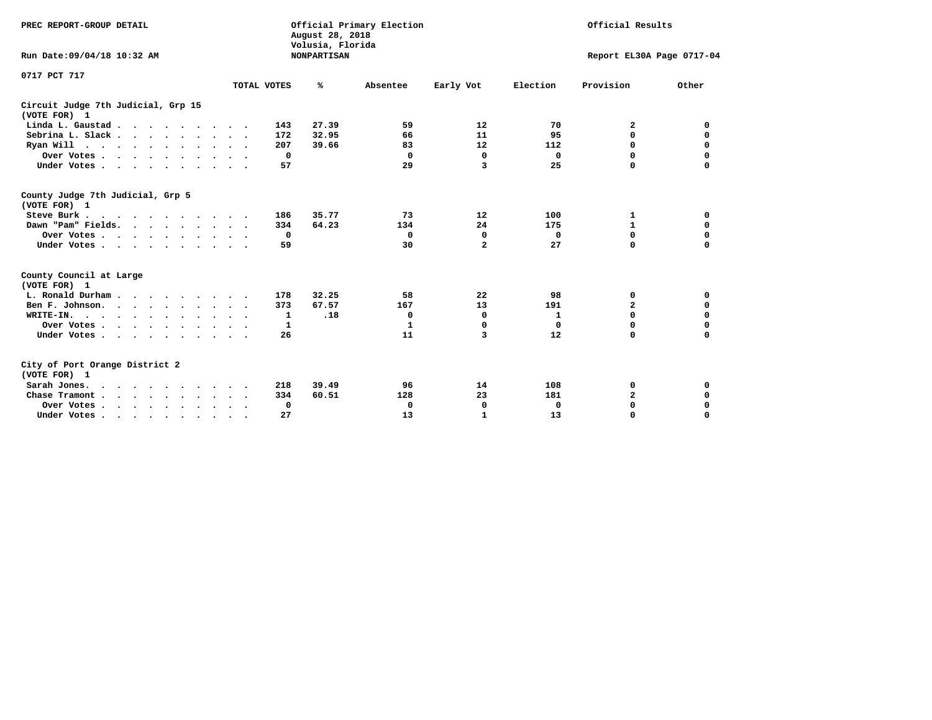| PREC REPORT-GROUP DETAIL<br>Run Date: 09/04/18 10:32 AM                                                           |                                                         | August 28, 2018<br>Volusia, Florida<br><b>NONPARTISAN</b> | Official Primary Election   |                                                    |                       | Official Results<br>Report EL30A Page 0717-04 |                                                |  |  |  |
|-------------------------------------------------------------------------------------------------------------------|---------------------------------------------------------|-----------------------------------------------------------|-----------------------------|----------------------------------------------------|-----------------------|-----------------------------------------------|------------------------------------------------|--|--|--|
| 0717 PCT 717                                                                                                      | TOTAL VOTES                                             | %                                                         | Absentee                    | Early Vot                                          | Election              | Provision                                     | Other                                          |  |  |  |
| Circuit Judge 7th Judicial, Grp 15<br>(VOTE FOR) 1                                                                |                                                         |                                                           |                             |                                                    |                       |                                               |                                                |  |  |  |
| Linda L. Gaustad                                                                                                  | 143                                                     | 27.39                                                     | 59                          | 12                                                 | 70                    | 2                                             | 0                                              |  |  |  |
| Sebrina L. Slack.                                                                                                 | 172                                                     | 32.95                                                     | 66                          | 11                                                 | 95                    | 0                                             | $\mathbf 0$                                    |  |  |  |
| Ryan Will $\cdots$ , $\cdots$ , $\cdots$ , $\cdots$                                                               | 207                                                     | 39.66                                                     | 83                          | 12                                                 | 112                   | $\Omega$                                      | $\mathbf 0$                                    |  |  |  |
| Over Votes                                                                                                        | 0<br>$\ddot{\phantom{1}}$                               |                                                           | 0                           | $\mathbf 0$                                        | 0                     | 0                                             | $\mathbf 0$                                    |  |  |  |
| Under Votes                                                                                                       | 57                                                      |                                                           | 29                          | 3                                                  | 25                    | $\Omega$                                      | 0                                              |  |  |  |
| County Judge 7th Judicial, Grp 5<br>(VOTE FOR) 1<br>Steve Burk<br>Dawn "Pam" Fields.<br>Over Votes<br>Under Votes | 186<br>334<br>0<br>59<br>$\ddot{\phantom{1}}$           | 35.77<br>64.23                                            | 73<br>134<br>0<br>30        | 12<br>24<br>$\mathbf 0$<br>$\overline{\mathbf{2}}$ | 100<br>175<br>0<br>27 | 1<br>$\mathbf{1}$<br>$\mathbf 0$<br>$\Omega$  | 0<br>$\mathbf 0$<br>$\mathbf 0$<br>$\mathbf 0$ |  |  |  |
| County Council at Large<br>(VOTE FOR) 1                                                                           |                                                         |                                                           |                             |                                                    |                       |                                               |                                                |  |  |  |
| L. Ronald Durham                                                                                                  | 178                                                     | 32.25                                                     | 58                          | 22                                                 | 98                    | 0                                             | 0                                              |  |  |  |
| Ben F. Johnson.                                                                                                   | 373<br>$\sim$ $\sim$                                    | 67.57                                                     | 167                         | 13                                                 | 191                   | $\overline{a}$                                | 0                                              |  |  |  |
| WRITE-IN.                                                                                                         | 1                                                       | .18                                                       | 0                           | 0                                                  | 1                     | $\Omega$                                      | 0                                              |  |  |  |
| Over Votes                                                                                                        | 1                                                       |                                                           | $\mathbf{1}$                | $\mathbf 0$                                        | $\Omega$              | $\mathbf 0$                                   | $\mathbf 0$                                    |  |  |  |
| Under Votes                                                                                                       | 26                                                      |                                                           | 11                          | 3                                                  | 12                    | $\Omega$                                      | $\mathbf 0$                                    |  |  |  |
| City of Port Orange District 2<br>(VOTE FOR) 1<br>Sarah Jones.<br>Chase Tramont<br>Over Votes<br>Under Votes      | 218<br>334<br>$\ddot{\phantom{1}}$<br>$\mathbf 0$<br>27 | 39.49<br>60.51                                            | 96<br>128<br>$\Omega$<br>13 | 14<br>23<br>0<br>$\mathbf{1}$                      | 108<br>181<br>0<br>13 | 0<br>$\overline{\mathbf{2}}$<br>0<br>$\Omega$ | 0<br>0<br>0<br>$\Omega$                        |  |  |  |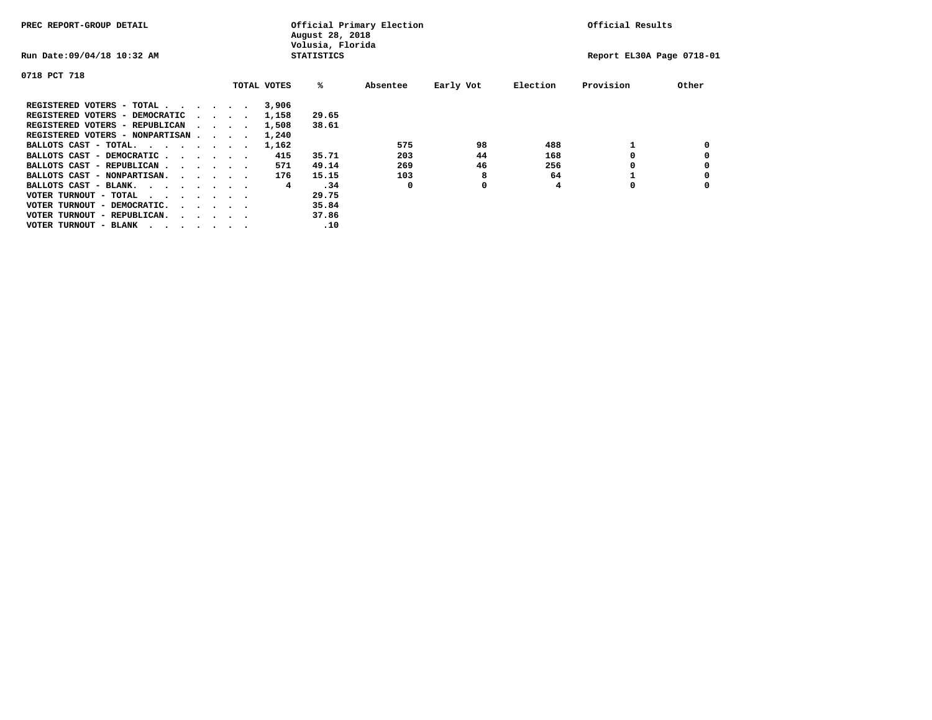| PREC REPORT-GROUP DETAIL               |  |  |                                         | August 28, 2018<br>Volusia, Florida | Official Primary Election | Official Results  |          |           |          |                           |       |
|----------------------------------------|--|--|-----------------------------------------|-------------------------------------|---------------------------|-------------------|----------|-----------|----------|---------------------------|-------|
| Run Date: 09/04/18 10:32 AM            |  |  |                                         |                                     |                           | <b>STATISTICS</b> |          |           |          | Report EL30A Page 0718-01 |       |
| 0718 PCT 718                           |  |  |                                         |                                     |                           |                   |          |           |          |                           |       |
|                                        |  |  |                                         |                                     | TOTAL VOTES               | %ะ                | Absentee | Early Vot | Election | Provision                 | Other |
| REGISTERED VOTERS - TOTAL              |  |  |                                         |                                     | 3,906                     |                   |          |           |          |                           |       |
| REGISTERED VOTERS - DEMOCRATIC         |  |  | $\sim$ $\sim$ $\sim$ $\sim$             |                                     | 1,158                     | 29.65             |          |           |          |                           |       |
| REGISTERED VOTERS - REPUBLICAN         |  |  |                                         |                                     | 1,508                     | 38.61             |          |           |          |                           |       |
| REGISTERED VOTERS - NONPARTISAN        |  |  |                                         |                                     | 1,240                     |                   |          |           |          |                           |       |
| BALLOTS CAST - TOTAL.                  |  |  |                                         |                                     | 1,162                     |                   | 575      | 98        | 488      |                           |       |
| BALLOTS CAST - DEMOCRATIC              |  |  |                                         |                                     | 415                       | 35.71             | 203      | 44        | 168      |                           |       |
| BALLOTS CAST - REPUBLICAN              |  |  |                                         |                                     | 571                       | 49.14             | 269      | 46        | 256      |                           |       |
| BALLOTS CAST - NONPARTISAN.            |  |  |                                         |                                     | 176                       | 15.15             | 103      | 8         | 64       |                           |       |
| BALLOTS CAST - BLANK.                  |  |  |                                         |                                     | 4                         | .34               | 0        | 0         | 4        | 0                         |       |
| VOTER TURNOUT - TOTAL<br>.             |  |  |                                         |                                     |                           | 29.75             |          |           |          |                           |       |
| VOTER TURNOUT - DEMOCRATIC.            |  |  | $\cdot$ $\cdot$ $\cdot$ $\cdot$ $\cdot$ |                                     |                           | 35.84             |          |           |          |                           |       |
| VOTER TURNOUT - REPUBLICAN.<br>$\cdot$ |  |  |                                         |                                     |                           | 37.86             |          |           |          |                           |       |
| VOTER TURNOUT - BLANK                  |  |  |                                         |                                     |                           | .10               |          |           |          |                           |       |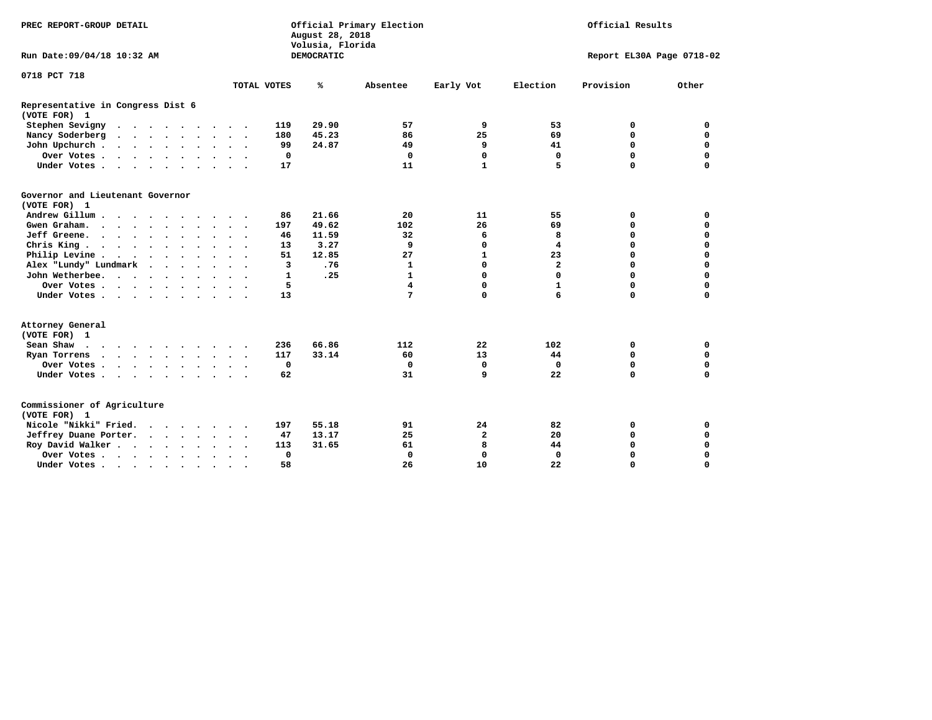| PREC REPORT-GROUP DETAIL                                                                 |                                         | Official Primary Election<br>August 28, 2018<br>Volusia, Florida |                            | Official Results |                           |             |  |
|------------------------------------------------------------------------------------------|-----------------------------------------|------------------------------------------------------------------|----------------------------|------------------|---------------------------|-------------|--|
| Run Date: 09/04/18 10:32 AM                                                              |                                         | DEMOCRATIC                                                       |                            |                  | Report EL30A Page 0718-02 |             |  |
| 0718 PCT 718                                                                             |                                         |                                                                  |                            |                  |                           |             |  |
|                                                                                          | TOTAL VOTES                             | ℁<br>Absentee                                                    | Early Vot                  | Election         | Provision                 | Other       |  |
| Representative in Congress Dist 6<br>(VOTE FOR) 1                                        |                                         |                                                                  |                            |                  |                           |             |  |
| Stephen Sevigny                                                                          | 119                                     | 29.90                                                            | 9<br>57                    | 53               | 0                         | 0           |  |
| Nancy Soderberg<br>$\mathbf{r}$ , and $\mathbf{r}$ , and $\mathbf{r}$ , and $\mathbf{r}$ | 180                                     | 45.23                                                            | 25<br>86                   | 69               | $\mathbf 0$               | $\mathbf 0$ |  |
| John Upchurch                                                                            | 99                                      | 24.87                                                            | 49<br>9                    | 41               | $\mathbf 0$               | 0           |  |
| Over Votes.                                                                              | 0                                       |                                                                  | $\mathbf 0$<br>0           | 0                | $\mathbf 0$               | $\mathbf 0$ |  |
| Under Votes                                                                              | 17                                      |                                                                  | $\mathbf{1}$<br>11         | 5                | $\mathbf 0$               | $\mathbf 0$ |  |
| Governor and Lieutenant Governor<br>(VOTE FOR) 1                                         |                                         |                                                                  |                            |                  |                           |             |  |
| Andrew Gillum                                                                            | 86<br>$\sim$ $\sim$                     | 21.66                                                            | 20<br>11                   | 55               | 0                         | 0           |  |
| Gwen Graham.                                                                             | 197                                     | 49.62<br>102                                                     | 26                         | 69               | $\mathbf 0$               | 0           |  |
| Jeff Greene.                                                                             | 46                                      | 11.59                                                            | 6<br>32                    | 8                | $\mathbf 0$               | $\mathbf 0$ |  |
| Chris King                                                                               | 13                                      | 3.27                                                             | 9<br>$\mathbf 0$           | 4                | $\Omega$                  | $\mathbf 0$ |  |
| Philip Levine                                                                            | 51                                      | 12.85                                                            | 27<br>$\mathbf{1}$         | 23               | $\mathbf 0$               | $\mathbf 0$ |  |
| Alex "Lundy" Lundmark                                                                    | 3                                       | .76                                                              | $\mathbf 0$<br>1           | $\overline{a}$   | $\Omega$                  | $\mathbf 0$ |  |
| John Wetherbee.                                                                          | $\mathbf{1}$                            | .25                                                              | $\mathbf 0$<br>1           | 0                | $\Omega$                  | 0           |  |
| Over Votes                                                                               | 5                                       |                                                                  | 4<br>$\mathbf 0$           | $\mathbf{1}$     | $\mathbf 0$               | $\mathbf 0$ |  |
| Under Votes                                                                              | 13                                      |                                                                  | $\Omega$<br>7              | 6                | $\mathbf 0$               | $\mathbf 0$ |  |
| Attorney General<br>(VOTE FOR) 1                                                         |                                         |                                                                  |                            |                  |                           |             |  |
| Sean Shaw                                                                                | 236                                     | 66.86<br>112                                                     | 22                         | 102              | 0                         | 0           |  |
| Ryan Torrens                                                                             | 117                                     | 33.14                                                            | 13<br>60                   | 44               | $\mathbf 0$               | 0           |  |
| Over Votes                                                                               | $\mathbf 0$                             |                                                                  | $\mathbf 0$<br>0           | 0                | 0                         | 0           |  |
| Under Votes                                                                              | 62                                      |                                                                  | 31<br>9                    | 22               | $\mathbf 0$               | $\mathbf 0$ |  |
| Commissioner of Agriculture<br>(VOTE FOR) 1                                              |                                         |                                                                  |                            |                  |                           |             |  |
| Nicole "Nikki" Fried.                                                                    | 197                                     | 55.18                                                            | 24<br>91                   | 82               | 0                         | 0           |  |
| Jeffrey Duane Porter.                                                                    | 47                                      | 13.17                                                            | 25<br>$\mathbf{2}$         | 20               | 0                         | $\mathbf 0$ |  |
| Roy David Walker                                                                         | 113                                     | 31.65                                                            | 8<br>61                    | 44               | $\mathbf 0$               | $\mathbf 0$ |  |
| Over Votes                                                                               | $\mathbf 0$                             |                                                                  | $\mathbf 0$<br>$\mathbf 0$ | $\mathbf 0$      | $\Omega$                  | $\mathbf 0$ |  |
| Under Votes                                                                              | 58<br><b>Contract Contract Contract</b> |                                                                  | 26<br>10                   | 22               | $\mathbf 0$               | $\mathbf 0$ |  |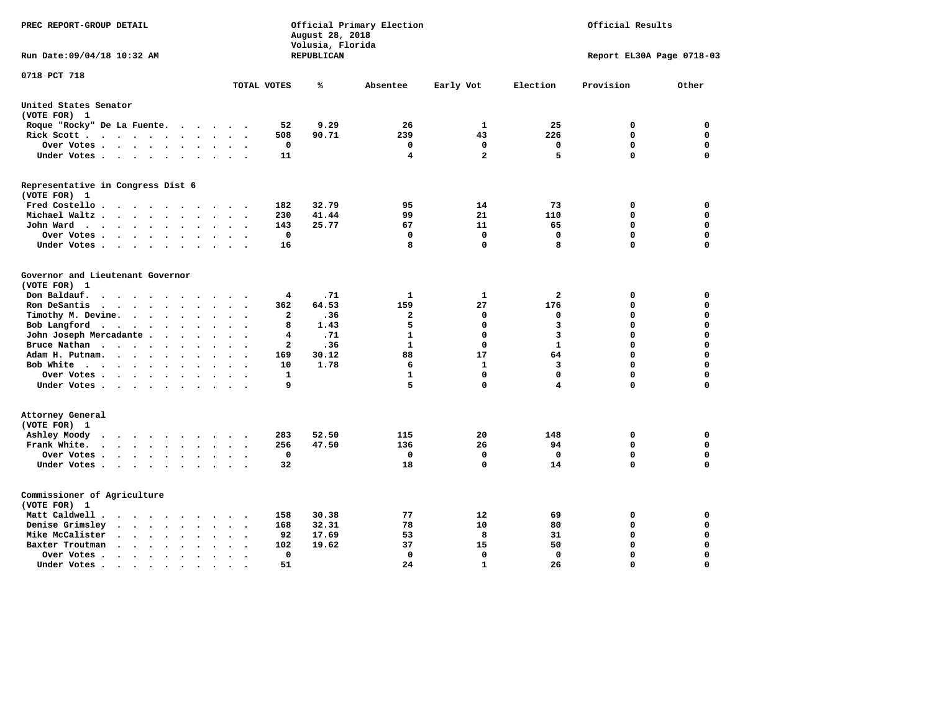| Official Primary Election<br>PREC REPORT-GROUP DETAIL<br>August 28, 2018<br>Volusia, Florida                                                                            |                                                     |            |              |              |              | Official Results          |             |  |
|-------------------------------------------------------------------------------------------------------------------------------------------------------------------------|-----------------------------------------------------|------------|--------------|--------------|--------------|---------------------------|-------------|--|
| Run Date: 09/04/18 10:32 AM                                                                                                                                             |                                                     | REPUBLICAN |              |              |              | Report EL30A Page 0718-03 |             |  |
| 0718 PCT 718                                                                                                                                                            | TOTAL VOTES                                         | ℁          | Absentee     | Early Vot    | Election     | Provision                 | Other       |  |
| United States Senator                                                                                                                                                   |                                                     |            |              |              |              |                           |             |  |
| (VOTE FOR) 1                                                                                                                                                            |                                                     |            |              |              |              |                           |             |  |
| Roque "Rocky" De La Fuente.<br>$\sim$ $\sim$                                                                                                                            | 52<br>$\cdot$<br>$\sim$<br>$\overline{\phantom{a}}$ | 9.29       | 26           | 1            | 25           | 0                         | 0           |  |
| Rick Scott<br>$\cdot$ $\cdot$                                                                                                                                           | 508                                                 | 90.71      | 239          | 43           | 226          | $\mathbf 0$               | 0           |  |
| Over Votes<br>$\bullet$                                                                                                                                                 | 0<br>$\ddot{\phantom{a}}$                           |            | 0            | 0            | 0            | 0                         | 0           |  |
| Under Votes<br>$\bullet$                                                                                                                                                | 11<br>$\cdot$                                       |            | 4            | $\mathbf{2}$ | 5            | $\mathbf 0$               | $\mathbf 0$ |  |
| Representative in Congress Dist 6                                                                                                                                       |                                                     |            |              |              |              |                           |             |  |
| (VOTE FOR) 1                                                                                                                                                            |                                                     |            |              |              |              |                           |             |  |
| Fred Costello                                                                                                                                                           | 182<br>$\cdot$ $\cdot$ $\cdot$                      | 32.79      | 95           | 14           | 73           | 0                         | 0           |  |
| Michael Waltz.<br>$\sim$ $\sim$ $\sim$<br>$\bullet$                                                                                                                     | 230                                                 | 41.44      | 99           | 21           | 110          | 0                         | 0           |  |
| John Ward<br>$\cdots$<br>$\bullet$<br>$\bullet$                                                                                                                         | 143<br>$\bullet$                                    | 25.77      | 67           | 11           | 65           | 0                         | 0           |  |
| Over Votes .<br>$\cdot$ $\cdot$ $\cdot$ $\cdot$<br>$\cdot$<br>$\ddot{\phantom{a}}$                                                                                      | $\mathbf 0$                                         |            | 0            | $\mathbf 0$  | $\mathbf 0$  | $\mathbf 0$               | 0           |  |
| Under Votes<br>$\bullet$                                                                                                                                                | 16                                                  |            | 8            | 0            | 8            | $\mathbf 0$               | $\mathbf 0$ |  |
| Governor and Lieutenant Governor                                                                                                                                        |                                                     |            |              |              |              |                           |             |  |
| (VOTE FOR) 1                                                                                                                                                            |                                                     |            |              |              |              |                           |             |  |
| Don Baldauf.<br>$\ddot{\phantom{0}}$<br>$\sim$                                                                                                                          | 4                                                   | .71        | 1            | 1            | 2            | 0                         | 0           |  |
| Ron DeSantis<br>$\sim$ $\sim$<br>$\overline{\phantom{a}}$<br>$\bullet$                                                                                                  | 362                                                 | 64.53      | 159          | 27           | 176          | 0                         | 0           |  |
| Timothy M. Devine.<br>$\cdot$<br>$\overline{\phantom{a}}$                                                                                                               | $\mathbf{2}$                                        | .36        | $\mathbf{2}$ | 0            | 0            | $\mathbf 0$               | $\mathbf 0$ |  |
| Bob Langford<br>$\ddot{\phantom{0}}$<br>$\ddot{\phantom{0}}$<br>$\cdot$<br>$\cdot$                                                                                      | 8                                                   | 1.43       | 5            | 0            | 3            | $\mathbf 0$               | $\mathbf 0$ |  |
| John Joseph Mercadante.<br>$\sim$<br>$\cdot$<br>$\cdot$                                                                                                                 | 4                                                   | .71        | $\mathbf{1}$ | $\mathbf 0$  | 3            | $\mathbf 0$               | $\mathbf 0$ |  |
| Bruce Nathan<br>$\mathcal{L}(\mathcal{A})$ , and $\mathcal{A}(\mathcal{A})$ , and $\mathcal{A}(\mathcal{A})$<br>$\ddot{\phantom{0}}$<br>$\cdot$<br>$\ddot{\phantom{a}}$ | $\mathbf{2}$                                        | .36        | 1            | 0            | $\mathbf{1}$ | 0                         | $\mathbf 0$ |  |
| Adam H. Putnam.<br>$\cdot$ $\cdot$ $\cdot$<br>$\overline{\phantom{a}}$                                                                                                  | 169                                                 | 30.12      | 88           | 17           | 64           | $\mathbf 0$               | $\mathbf 0$ |  |
| Bob White<br>$\sim$                                                                                                                                                     | 10<br>$\ddot{\phantom{a}}$                          | 1.78       | 6            | 1            | 3            | $\Omega$                  | $\mathbf 0$ |  |
| Over Votes .<br>$\cdot$ $\cdot$ $\cdot$ $\cdot$                                                                                                                         | 1                                                   |            | 1            | $\mathbf 0$  | $\mathbf 0$  | $\mathbf 0$               | $\mathbf 0$ |  |
| Under Votes<br>$\sim$                                                                                                                                                   | 9                                                   |            | 5            | $\mathbf 0$  | 4            | $\Omega$                  | $\mathbf 0$ |  |
| Attorney General                                                                                                                                                        |                                                     |            |              |              |              |                           |             |  |
| (VOTE FOR) 1                                                                                                                                                            |                                                     |            |              |              |              |                           |             |  |
| Ashley Moody<br>$\ddot{\phantom{a}}$<br>$\cdots$<br>$\sim$                                                                                                              | 283                                                 | 52.50      | 115          | 20           | 148          | 0                         | $\mathbf 0$ |  |
| Frank White.<br>$\cdot$ $\cdot$ $\cdot$ $\cdot$<br>$\bullet$<br>$\overline{\phantom{a}}$                                                                                | 256                                                 | 47.50      | 136          | 26           | 94           | 0                         | $\mathbf 0$ |  |
| Over Votes.<br>$\bullet$ .<br><br><br><br><br><br><br><br><br><br><br><br>$\ddot{\phantom{1}}$<br>$\ddot{\phantom{0}}$                                                  | 0<br>$\Delta$<br>$\overline{\phantom{a}}$           |            | 0            | $\mathbf 0$  | $\Omega$     | $\mathbf 0$               | $\mathbf 0$ |  |
| Under Votes<br>$\ddot{\phantom{a}}$                                                                                                                                     | 32<br>$\sim$                                        |            | 18           | 0            | 14           | $\mathbf 0$               | $\mathbf 0$ |  |
| Commissioner of Agriculture                                                                                                                                             |                                                     |            |              |              |              |                           |             |  |
| (VOTE FOR) 1                                                                                                                                                            |                                                     |            |              |              |              |                           |             |  |
| Matt Caldwell.                                                                                                                                                          | 158                                                 | 30.38      | 77           | 12           | 69           | 0                         | 0           |  |
| Denise Grimsley<br>$\cdot$ $\cdot$<br>$\ddot{\phantom{a}}$<br>$\ddot{\phantom{a}}$<br>$\sim$                                                                            | 168                                                 | 32.31      | 78           | 10           | 80           | $\mathbf 0$               | $\mathbf 0$ |  |
| Mike McCalister<br>$\bullet$<br>$\bullet$                                                                                                                               | 92                                                  | 17.69      | 53           | 8            | 31           | $\mathbf 0$               | $\mathbf 0$ |  |
| Baxter Troutman<br>$\ddot{\phantom{0}}$<br>$\bullet$                                                                                                                    | 102                                                 | 19.62      | 37           | 15           | 50           | $\mathbf 0$               | $\mathbf 0$ |  |
| Over Votes.<br>$\sim$ $\sim$ $\sim$<br>$\bullet$<br>$\cdot$<br>$\bullet$                                                                                                | 0                                                   |            | 0            | $\mathbf 0$  | 0            | $\mathbf 0$               | $\mathbf 0$ |  |
| Under Votes.<br>$\bullet$ .<br><br><br><br><br><br><br><br><br><br><br><br>$\bullet$<br>$\bullet$<br>$\bullet$                                                          | 51                                                  |            | 24           | $\mathbf{1}$ | 26           | $\Omega$                  | $\Omega$    |  |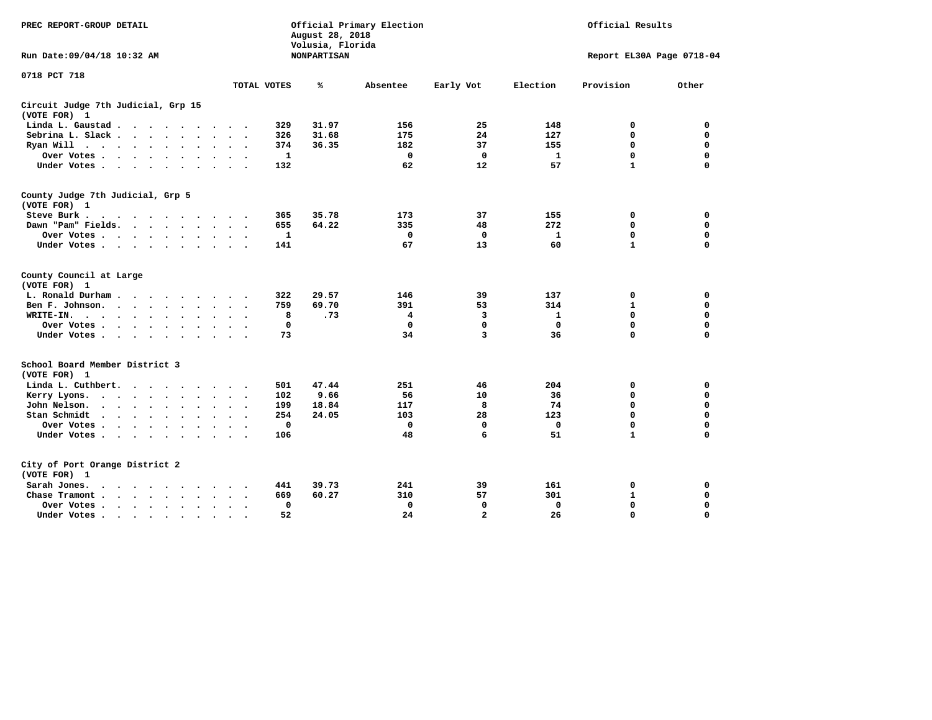| PREC REPORT-GROUP DETAIL                                                                                                                                                                                                                          |                                         | August 28, 2018<br>Volusia, Florida | Official Primary Election | Official Results |              |                           |             |  |
|---------------------------------------------------------------------------------------------------------------------------------------------------------------------------------------------------------------------------------------------------|-----------------------------------------|-------------------------------------|---------------------------|------------------|--------------|---------------------------|-------------|--|
| Run Date: 09/04/18 10:32 AM                                                                                                                                                                                                                       |                                         | <b>NONPARTISAN</b>                  |                           |                  |              | Report EL30A Page 0718-04 |             |  |
| 0718 PCT 718                                                                                                                                                                                                                                      |                                         |                                     |                           |                  |              |                           |             |  |
|                                                                                                                                                                                                                                                   | TOTAL VOTES                             | ℁                                   | Absentee                  | Early Vot        | Election     | Provision                 | Other       |  |
| Circuit Judge 7th Judicial, Grp 15<br>(VOTE FOR) 1                                                                                                                                                                                                |                                         |                                     |                           |                  |              |                           |             |  |
| Linda L. Gaustad                                                                                                                                                                                                                                  | 329<br>$\sim$ $\sim$                    | 31.97                               | 156                       | 25               | 148          | 0                         | 0           |  |
| Sebrina L. Slack                                                                                                                                                                                                                                  | 326<br>$\sim$<br>$\sim$<br>÷.           | 31.68                               | 175                       | 24               | 127          | $\mathbf 0$               | $\mathbf 0$ |  |
| Ryan Will $\cdots$ $\cdots$<br>$\ddot{\phantom{a}}$                                                                                                                                                                                               | 374                                     | 36.35                               | 182                       | 37               | 155          | $\mathbf 0$               | $\mathbf 0$ |  |
| Over Votes .<br>$\sim$ $\sim$ $\sim$ $\sim$ $\sim$<br>$\ddot{\phantom{a}}$                                                                                                                                                                        | $\mathbf{1}$                            |                                     | $\mathbf 0$               | $\mathbf 0$      | $\mathbf{1}$ | $\mathbf 0$               | $\mathbf 0$ |  |
| Under Votes<br>$\sim$                                                                                                                                                                                                                             | 132<br>$\bullet$                        |                                     | 62                        | 12               | 57           | $\mathbf{1}$              | $\mathbf 0$ |  |
| County Judge 7th Judicial, Grp 5<br>(VOTE FOR) 1                                                                                                                                                                                                  |                                         |                                     |                           |                  |              |                           |             |  |
| Steve Burk .                                                                                                                                                                                                                                      | 365                                     | 35.78                               | 173                       | 37               | 155          | 0                         | 0           |  |
| Dawn "Pam" Fields.                                                                                                                                                                                                                                | 655                                     | 64.22                               | 335                       | 48               | 272          | $\mathbf 0$               | $\mathbf 0$ |  |
| Over Votes<br>$\ddot{\phantom{0}}$                                                                                                                                                                                                                | $\mathbf{1}$                            |                                     | $\mathbf 0$               | $\mathbf 0$      | $\mathbf{1}$ | $\mathbf 0$               | $\mathbf 0$ |  |
| Under Votes                                                                                                                                                                                                                                       | 141                                     |                                     | 67                        | 13               | 60           | $\mathbf{1}$              | $\mathbf 0$ |  |
| County Council at Large<br>(VOTE FOR) 1                                                                                                                                                                                                           |                                         |                                     |                           |                  |              |                           |             |  |
| L. Ronald Durham<br>$\sim$ $\sim$                                                                                                                                                                                                                 | 322                                     | 29.57                               | 146                       | 39               | 137          | 0                         | 0           |  |
| Ben F. Johnson.<br>and the contract of the contract of the contract of the contract of the contract of the contract of the contract of the contract of the contract of the contract of the contract of the contract of the contract of the contra | 759                                     | 69.70                               | 391                       | 53               | 314          | $\mathbf{1}$              | $\mathbf 0$ |  |
| WRITE-IN.<br>$\cdots$<br>$\bullet$                                                                                                                                                                                                                | 8<br>$\bullet$                          | .73                                 | 4                         | 3                | 1            | $\mathbf 0$               | $\mathbf 0$ |  |
| Over Votes                                                                                                                                                                                                                                        | $\mathbf 0$                             |                                     | $\mathbf 0$               | 0                | $\mathbf 0$  | $\mathbf 0$               | $\mathbf 0$ |  |
| Under Votes<br>$\bullet$                                                                                                                                                                                                                          | 73<br>$\bullet$<br>$\ddot{\phantom{1}}$ |                                     | 34                        | 3                | 36           | 0                         | $\mathbf 0$ |  |
| School Board Member District 3<br>(VOTE FOR) 1                                                                                                                                                                                                    |                                         |                                     |                           |                  |              |                           |             |  |
| Linda L. Cuthbert.<br>$\cdots$                                                                                                                                                                                                                    | 501<br>$\cdot$                          | 47.44                               | 251                       | 46               | 204          | $\mathbf 0$               | 0           |  |
| Kerry Lyons.<br>$\cdots$                                                                                                                                                                                                                          | 102<br>$\bullet$<br>$\bullet$           | 9.66                                | 56                        | 10               | 36           | $\mathbf 0$               | 0           |  |
| John Nelson.<br>$\cdot$ $\cdot$ $\cdot$ $\cdot$ $\cdot$<br>$\ddot{\phantom{a}}$                                                                                                                                                                   | 199                                     | 18.84                               | 117                       | 8                | 74           | $\mathbf 0$               | $\mathbf 0$ |  |
| Stan Schmidt<br>$\sim$                                                                                                                                                                                                                            | 254                                     | 24.05                               | 103                       | 28               | 123          | $\mathbf 0$               | 0           |  |
| Over Votes.<br>$\sim$ $\sim$ $\sim$ $\sim$ $\sim$<br>$\sim$                                                                                                                                                                                       | $\Omega$                                |                                     | $\mathbf 0$               | $\mathbf 0$      | $\mathbf 0$  | $\mathbf 0$               | $\mathbf 0$ |  |
| Under Votes<br>$\sim$                                                                                                                                                                                                                             | 106<br>$\sim$                           |                                     | 48                        | 6                | 51           | $\mathbf{1}$              | $\mathbf 0$ |  |
| City of Port Orange District 2<br>(VOTE FOR) 1                                                                                                                                                                                                    |                                         |                                     |                           |                  |              |                           |             |  |
| Sarah Jones.<br>$\sim$ $\sim$ $\sim$ $\sim$<br>$\ddot{\phantom{1}}$                                                                                                                                                                               | 441                                     | 39.73                               | 241                       | 39               | 161          | 0                         | 0           |  |
| Chase Tramont.<br>$\cdots$ $\cdots$                                                                                                                                                                                                               | 669                                     | 60.27                               | 310                       | 57               | 301          | 1                         | 0           |  |
| Over Votes.<br>$\cdot$                                                                                                                                                                                                                            | 0                                       |                                     | 0                         | 0                | 0            | 0                         | $\mathbf 0$ |  |
| Under Votes                                                                                                                                                                                                                                       | 52                                      |                                     | 24                        | $\mathbf{2}$     | 26           | $\mathbf 0$               | $\mathbf 0$ |  |
|                                                                                                                                                                                                                                                   |                                         |                                     |                           |                  |              |                           |             |  |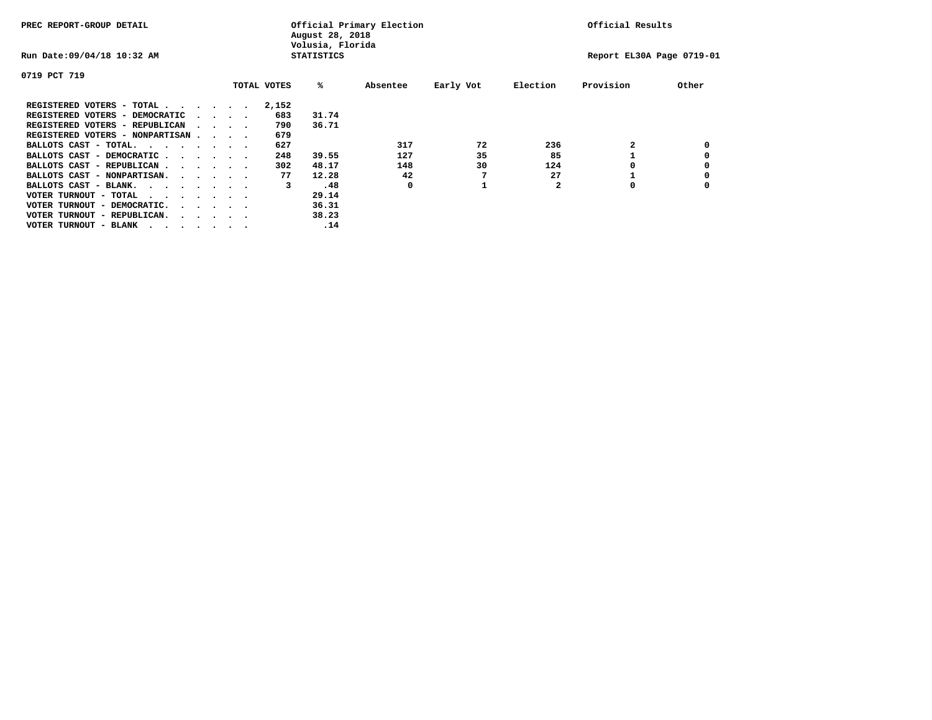| PREC REPORT-GROUP DETAIL               |  |  |                                         | August 28, 2018<br>Volusia, Florida | Official Primary Election | Official Results  |          |           |              |                           |       |
|----------------------------------------|--|--|-----------------------------------------|-------------------------------------|---------------------------|-------------------|----------|-----------|--------------|---------------------------|-------|
| Run Date: 09/04/18 10:32 AM            |  |  |                                         |                                     |                           | <b>STATISTICS</b> |          |           |              | Report EL30A Page 0719-01 |       |
| 0719 PCT 719                           |  |  |                                         |                                     |                           |                   |          |           |              |                           |       |
|                                        |  |  |                                         |                                     | TOTAL VOTES               | %ะ                | Absentee | Early Vot | Election     | Provision                 | Other |
| REGISTERED VOTERS - TOTAL              |  |  |                                         |                                     | 2,152                     |                   |          |           |              |                           |       |
| REGISTERED VOTERS - DEMOCRATIC         |  |  | $\cdot$ $\cdot$ $\cdot$ $\cdot$         |                                     | 683                       | 31.74             |          |           |              |                           |       |
| REGISTERED VOTERS - REPUBLICAN         |  |  |                                         |                                     | 790                       | 36.71             |          |           |              |                           |       |
| REGISTERED VOTERS - NONPARTISAN        |  |  |                                         |                                     | 679                       |                   |          |           |              |                           |       |
| BALLOTS CAST - TOTAL.                  |  |  |                                         |                                     | 627                       |                   | 317      | 72        | 236          |                           |       |
| BALLOTS CAST - DEMOCRATIC              |  |  |                                         |                                     | 248                       | 39.55             | 127      | 35        | 85           |                           |       |
| BALLOTS CAST - REPUBLICAN              |  |  |                                         |                                     | 302                       | 48.17             | 148      | 30        | 124          |                           |       |
| BALLOTS CAST - NONPARTISAN.            |  |  |                                         |                                     | 77                        | 12.28             | 42       |           | 27           |                           |       |
| BALLOTS CAST - BLANK.                  |  |  |                                         |                                     | 3                         | .48               | 0        |           | $\mathbf{2}$ | 0                         |       |
| VOTER TURNOUT - TOTAL<br>.             |  |  |                                         |                                     |                           | 29.14             |          |           |              |                           |       |
| VOTER TURNOUT - DEMOCRATIC.            |  |  | $\cdot$ $\cdot$ $\cdot$ $\cdot$ $\cdot$ |                                     |                           | 36.31             |          |           |              |                           |       |
| VOTER TURNOUT - REPUBLICAN.<br>$\cdot$ |  |  |                                         |                                     |                           | 38.23             |          |           |              |                           |       |
| VOTER TURNOUT - BLANK                  |  |  |                                         |                                     |                           | .14               |          |           |              |                           |       |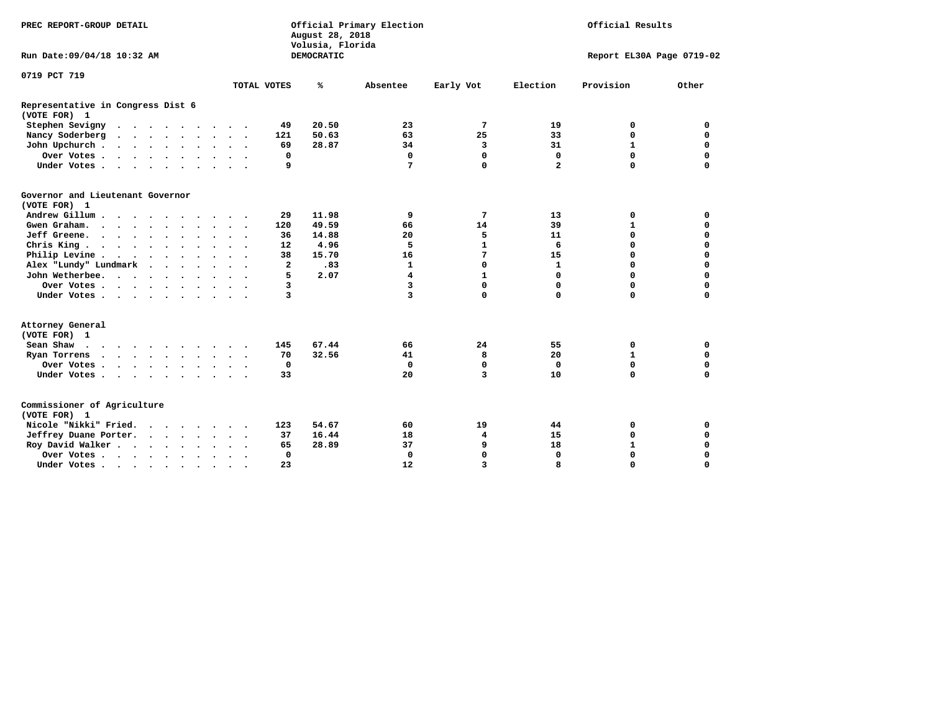| PREC REPORT-GROUP DETAIL                          |  |  |  |  |  |                      | August 28, 2018<br>Volusia, Florida | Official Primary Election |            | Official Results        |              |                           |              |             |  |
|---------------------------------------------------|--|--|--|--|--|----------------------|-------------------------------------|---------------------------|------------|-------------------------|--------------|---------------------------|--------------|-------------|--|
| Run Date: 09/04/18 10:32 AM                       |  |  |  |  |  |                      |                                     |                           | DEMOCRATIC |                         |              | Report EL30A Page 0719-02 |              |             |  |
| 0719 PCT 719                                      |  |  |  |  |  |                      |                                     |                           |            |                         |              |                           |              |             |  |
|                                                   |  |  |  |  |  |                      |                                     | TOTAL VOTES               | ℁          | Absentee                | Early Vot    | Election                  | Provision    | Other       |  |
| Representative in Congress Dist 6<br>(VOTE FOR) 1 |  |  |  |  |  |                      |                                     |                           |            |                         |              |                           |              |             |  |
| Stephen Sevigny                                   |  |  |  |  |  |                      |                                     | 49                        | 20.50      | 23                      | 7            | 19                        | 0            | 0           |  |
| Nancy Soderberg                                   |  |  |  |  |  |                      |                                     | 121                       | 50.63      | 63                      | 25           | 33                        | $\mathbf 0$  | $\mathbf 0$ |  |
| John Upchurch                                     |  |  |  |  |  |                      |                                     | 69                        | 28.87      | 34                      | 3            | 31                        | $\mathbf{1}$ | 0           |  |
| Over Votes                                        |  |  |  |  |  |                      |                                     | 0                         |            | 0                       | 0            | $\mathbf 0$               | $\mathbf 0$  | $\mathbf 0$ |  |
| Under Votes                                       |  |  |  |  |  |                      |                                     | 9                         |            | 7                       | $\mathbf 0$  | $\overline{a}$            | $\Omega$     | $\mathbf 0$ |  |
| Governor and Lieutenant Governor<br>(VOTE FOR) 1  |  |  |  |  |  |                      |                                     |                           |            |                         |              |                           |              |             |  |
| Andrew Gillum                                     |  |  |  |  |  | $\cdot$              |                                     | 29                        | 11.98      | 9                       | 7            | 13                        | 0            | 0           |  |
| Gwen Graham.                                      |  |  |  |  |  |                      |                                     | 120                       | 49.59      | 66                      | 14           | 39                        | $\mathbf{1}$ | 0           |  |
| Jeff Greene.                                      |  |  |  |  |  |                      |                                     | 36                        | 14.88      | 20                      | 5            | 11                        | $\mathbf 0$  | $\mathbf 0$ |  |
| Chris King.                                       |  |  |  |  |  |                      |                                     | 12                        | 4.96       | 5                       | $\mathbf{1}$ | 6                         | $\mathbf 0$  | $\mathbf 0$ |  |
| Philip Levine                                     |  |  |  |  |  |                      |                                     | 38                        | 15.70      | 16                      | 7            | 15                        | $\mathbf 0$  | $\mathbf 0$ |  |
| Alex "Lundy" Lundmark                             |  |  |  |  |  |                      |                                     | $\mathbf{2}$              | .83        | 1                       | 0            | $\mathbf{1}$              | $\mathbf 0$  | $\mathbf 0$ |  |
| John Wetherbee.                                   |  |  |  |  |  |                      |                                     | 5                         | 2.07       | 4                       | $\mathbf{1}$ | 0                         | $\mathbf 0$  | 0           |  |
| Over Votes                                        |  |  |  |  |  |                      |                                     | 3                         |            | 3                       | 0            | 0                         | $\mathbf 0$  | $\mathbf 0$ |  |
| Under Votes                                       |  |  |  |  |  |                      |                                     | 3                         |            | $\overline{\mathbf{3}}$ | $\mathbf 0$  | 0                         | $\mathbf 0$  | $\mathbf 0$ |  |
| Attorney General<br>(VOTE FOR) 1                  |  |  |  |  |  |                      |                                     |                           |            |                         |              |                           |              |             |  |
| Sean Shaw $\cdots$ $\cdots$ $\cdots$ $\cdots$     |  |  |  |  |  |                      |                                     | 145                       | 67.44      | 66                      | 24           | 55                        | 0            | 0           |  |
| Ryan Torrens                                      |  |  |  |  |  |                      |                                     | 70                        | 32.56      | 41                      | 8            | 20                        | $\mathbf{1}$ | 0           |  |
| Over Votes                                        |  |  |  |  |  |                      | $\sim$ $\sim$                       | 0                         |            | $\mathbf 0$             | 0            | 0                         | 0            | 0           |  |
| Under Votes                                       |  |  |  |  |  |                      |                                     | 33                        |            | 20                      | 3            | 10                        | $\mathbf 0$  | $\mathbf 0$ |  |
| Commissioner of Agriculture<br>(VOTE FOR) 1       |  |  |  |  |  |                      |                                     |                           |            |                         |              |                           |              |             |  |
| Nicole "Nikki" Fried.                             |  |  |  |  |  |                      |                                     | 123                       | 54.67      | 60                      | 19           | 44                        | 0            | 0           |  |
| Jeffrey Duane Porter.                             |  |  |  |  |  |                      |                                     | 37                        | 16.44      | 18                      | 4            | 15                        | 0            | $\mathbf 0$ |  |
| Roy David Walker                                  |  |  |  |  |  |                      |                                     | 65                        | 28.89      | 37                      | 9            | 18                        | $\mathbf{1}$ | $\mathbf 0$ |  |
| Over Votes                                        |  |  |  |  |  |                      |                                     | $\mathbf 0$               |            | $\Omega$                | $\mathbf 0$  | $\Omega$                  | $\mathbf 0$  | $\mathbf 0$ |  |
| Under Votes                                       |  |  |  |  |  | $\ddot{\phantom{a}}$ | $\Delta$                            | 23                        |            | 12                      | 3            | 8                         | $\mathbf 0$  | $\mathbf 0$ |  |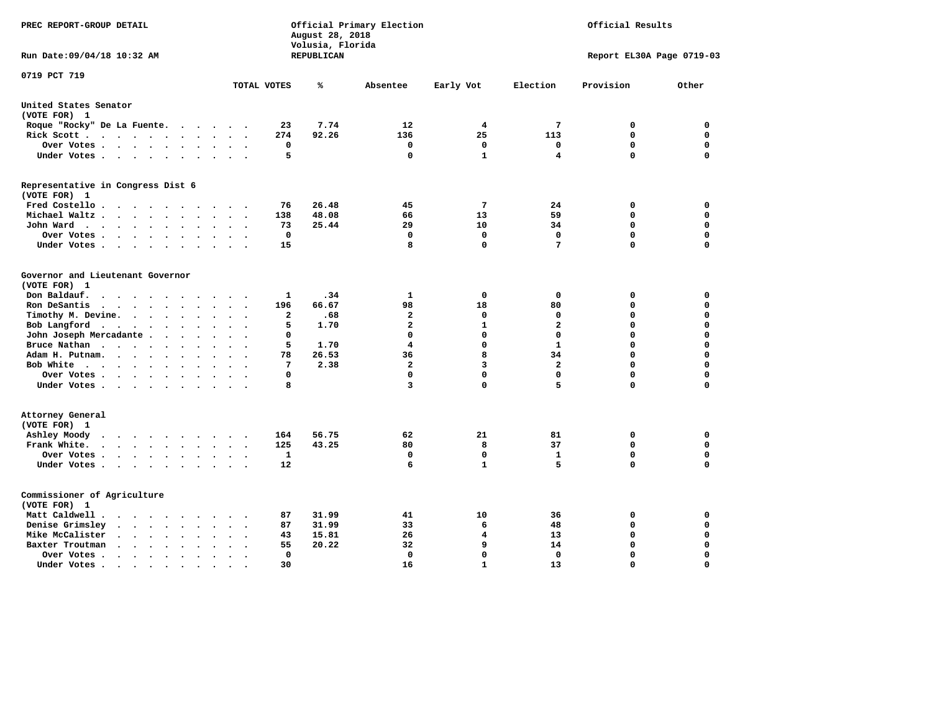| PREC REPORT-GROUP DETAIL                                                                                                                               |                                                                         | August 28, 2018<br>Volusia, Florida | Official Primary Election |              | Official Results          |             |             |  |  |
|--------------------------------------------------------------------------------------------------------------------------------------------------------|-------------------------------------------------------------------------|-------------------------------------|---------------------------|--------------|---------------------------|-------------|-------------|--|--|
| Run Date: 09/04/18 10:32 AM                                                                                                                            |                                                                         | REPUBLICAN                          |                           |              | Report EL30A Page 0719-03 |             |             |  |  |
| 0719 PCT 719                                                                                                                                           | TOTAL VOTES                                                             | ℁                                   | Absentee                  | Early Vot    | Election                  | Provision   | Other       |  |  |
| United States Senator                                                                                                                                  |                                                                         |                                     |                           |              |                           |             |             |  |  |
| (VOTE FOR) 1                                                                                                                                           |                                                                         |                                     |                           |              |                           |             |             |  |  |
| Roque "Rocky" De La Fuente.                                                                                                                            | 23<br>$\sim$ $\sim$ $\sim$ $\sim$ $\sim$                                | 7.74                                | 12                        | 4            | 7                         | 0           | 0           |  |  |
| Rick Scott                                                                                                                                             | 274<br>$\bullet$                                                        | 92.26                               | 136                       | 25           | 113                       | 0           | 0           |  |  |
| Over Votes                                                                                                                                             | 0<br>$\ddot{\phantom{a}}$<br>$\bullet$<br>$\cdot$                       |                                     | 0                         | $\mathbf 0$  | 0                         | $\mathbf 0$ | $\mathbf 0$ |  |  |
| Under Votes                                                                                                                                            | 5                                                                       |                                     | 0                         | $\mathbf{1}$ | 4                         | $\mathbf 0$ | $\mathbf 0$ |  |  |
| Representative in Congress Dist 6                                                                                                                      |                                                                         |                                     |                           |              |                           |             |             |  |  |
| (VOTE FOR) 1                                                                                                                                           |                                                                         |                                     |                           |              |                           |             |             |  |  |
| Fred Costello                                                                                                                                          | 76                                                                      | 26.48                               | 45                        | 7            | 24                        | 0           | 0           |  |  |
| Michael Waltz<br>$\ddot{\phantom{a}}$<br>$\ddot{\phantom{0}}$                                                                                          | 138<br>$\sim$                                                           | 48.08                               | 66                        | 13           | 59                        | $\mathbf 0$ | $\mathbf 0$ |  |  |
| John Ward                                                                                                                                              | 73                                                                      | 25.44                               | 29                        | 10           | 34                        | 0           | 0           |  |  |
| Over Votes<br>$\bullet$                                                                                                                                | 0                                                                       |                                     | 0                         | 0            | $\Omega$                  | 0           | $\mathbf 0$ |  |  |
| Under Votes                                                                                                                                            | 15                                                                      |                                     | 8                         | 0            | $\overline{7}$            | $\Omega$    | $\mathbf 0$ |  |  |
| Governor and Lieutenant Governor                                                                                                                       |                                                                         |                                     |                           |              |                           |             |             |  |  |
| (VOTE FOR) 1                                                                                                                                           |                                                                         |                                     |                           |              |                           |             |             |  |  |
| Don Baldauf.<br>$\cdot$ $\cdot$ $\cdot$ $\cdot$                                                                                                        | 1                                                                       | .34                                 | 1                         | $\mathbf 0$  | 0                         | 0           | $\mathbf 0$ |  |  |
| Ron DeSantis<br>$\sim$ $\sim$ $\sim$<br>$\ddot{\phantom{a}}$<br>$\bullet$                                                                              | 196                                                                     | 66.67                               | 98                        | 18           | 80                        | $\mathbf 0$ | $\mathbf 0$ |  |  |
| Timothy M. Devine.<br>$\bullet$                                                                                                                        | $\overline{\mathbf{2}}$<br>$\ddot{\phantom{a}}$<br>$\ddot{\phantom{0}}$ | .68                                 | $\overline{a}$            | $\mathbf 0$  | $\mathbf 0$               | $\mathbf 0$ | $\mathbf 0$ |  |  |
| Bob Langford<br>$\sim$<br>$\ddot{\phantom{a}}$                                                                                                         | 5<br>$\sim$                                                             | 1.70                                | $\mathbf{2}$              | $\mathbf{1}$ | $\overline{a}$            | $\mathbf 0$ | $\mathbf 0$ |  |  |
| John Joseph Mercadante.<br>$\sim$ $\sim$<br>$\ddot{\phantom{a}}$                                                                                       | 0                                                                       |                                     | $\mathbf 0$               | $\mathbf 0$  | $\mathbf 0$               | $\mathbf 0$ | $\mathbf 0$ |  |  |
| Bruce Nathan<br>$\ddot{\phantom{a}}$<br>$\bullet$                                                                                                      | 5                                                                       | 1.70                                | 4                         | $\mathbf 0$  | $\mathbf{1}$              | $\mathbf 0$ | $\mathbf 0$ |  |  |
| Adam H. Putnam.<br>$\ddot{\phantom{a}}$                                                                                                                | 78                                                                      | 26.53                               | 36                        | 8            | 34                        | $\mathbf 0$ | 0           |  |  |
| Bob White<br>$\sim$                                                                                                                                    | $7\phantom{.0}$<br>$\overline{a}$                                       | 2.38                                | $\mathbf{2}$              | 3            | $\overline{a}$            | $\mathbf 0$ | $\mathbf 0$ |  |  |
| Over Votes<br>$\bullet$                                                                                                                                | $\mathbf 0$                                                             |                                     | $\Omega$                  | $\mathbf 0$  | $\mathbf{0}$              | $\mathbf 0$ | $\mathbf 0$ |  |  |
| Under Votes                                                                                                                                            | 8                                                                       |                                     | 3                         | $\mathbf 0$  | 5                         | $\mathbf 0$ | 0           |  |  |
| Attorney General                                                                                                                                       |                                                                         |                                     |                           |              |                           |             |             |  |  |
| (VOTE FOR) 1                                                                                                                                           |                                                                         |                                     |                           |              |                           |             |             |  |  |
| Ashley Moody<br>$\begin{array}{cccccccccccccccccc} . & . & . & . & . & . & . & . & . & . \end{array}$                                                  | 164<br>$\sim$                                                           | 56.75                               | 62                        | 21           | 81                        | 0           | 0           |  |  |
| Frank White.<br>$\cdot$<br>$\ddot{\phantom{0}}$                                                                                                        | 125                                                                     | 43.25                               | 80                        | 8            | 37                        | $\mathbf 0$ | 0           |  |  |
| Over Votes .<br>$\mathbf{r}$ , $\mathbf{r}$ , $\mathbf{r}$ , $\mathbf{r}$<br>$\bullet$                                                                 | $\mathbf{1}$<br>$\cdot$<br>$\cdot$                                      |                                     | $\mathbf 0$               | $\mathbf 0$  | $\mathbf{1}$              | 0           | 0           |  |  |
| Under Votes                                                                                                                                            | 12                                                                      |                                     | 6                         | 1            | 5                         | $\mathbf 0$ | $\mathbf 0$ |  |  |
|                                                                                                                                                        |                                                                         |                                     |                           |              |                           |             |             |  |  |
| Commissioner of Agriculture                                                                                                                            |                                                                         |                                     |                           |              |                           |             |             |  |  |
| (VOTE FOR) 1                                                                                                                                           |                                                                         |                                     |                           |              |                           |             |             |  |  |
| Matt Caldwell.                                                                                                                                         | 87                                                                      | 31.99                               | 41                        | 10           | 36                        | 0           | 0           |  |  |
| Denise Grimsley<br>$\cdot$ $\cdot$ $\cdot$<br>$\ddot{\phantom{0}}$<br>$\ddot{\phantom{a}}$<br>$\ddot{\phantom{a}}$                                     | 87                                                                      | 31.99                               | 33                        | 6            | 48                        | $\mathbf 0$ | $\mathbf 0$ |  |  |
| Mike McCalister<br>$\mathbf{r}$ , $\mathbf{r}$ , $\mathbf{r}$ , $\mathbf{r}$<br>$\bullet$                                                              | 43                                                                      | 15.81                               | 26                        | 4            | 13                        | $\mathbf 0$ | $\mathbf 0$ |  |  |
| Baxter Troutman<br>$\cdot$ $\cdot$ $\cdot$ $\cdot$                                                                                                     | 55                                                                      | 20.22                               | 32                        | 9            | 14                        | $\mathbf 0$ | $\mathbf 0$ |  |  |
| Over Votes.<br>$\cdots$<br>$\cdot$<br>$\cdot$                                                                                                          | 0                                                                       |                                     | 0                         | $\mathbf 0$  | 0                         | $\mathbf 0$ | $\mathbf 0$ |  |  |
| Under Votes.<br>$\mathcal{A}^{\mathcal{A}}$ , and $\mathcal{A}^{\mathcal{A}}$ , and $\mathcal{A}^{\mathcal{A}}$<br>$\bullet$<br>$\bullet$<br>$\bullet$ | 30                                                                      |                                     | 16                        | $\mathbf{1}$ | 13                        | $\Omega$    | $\Omega$    |  |  |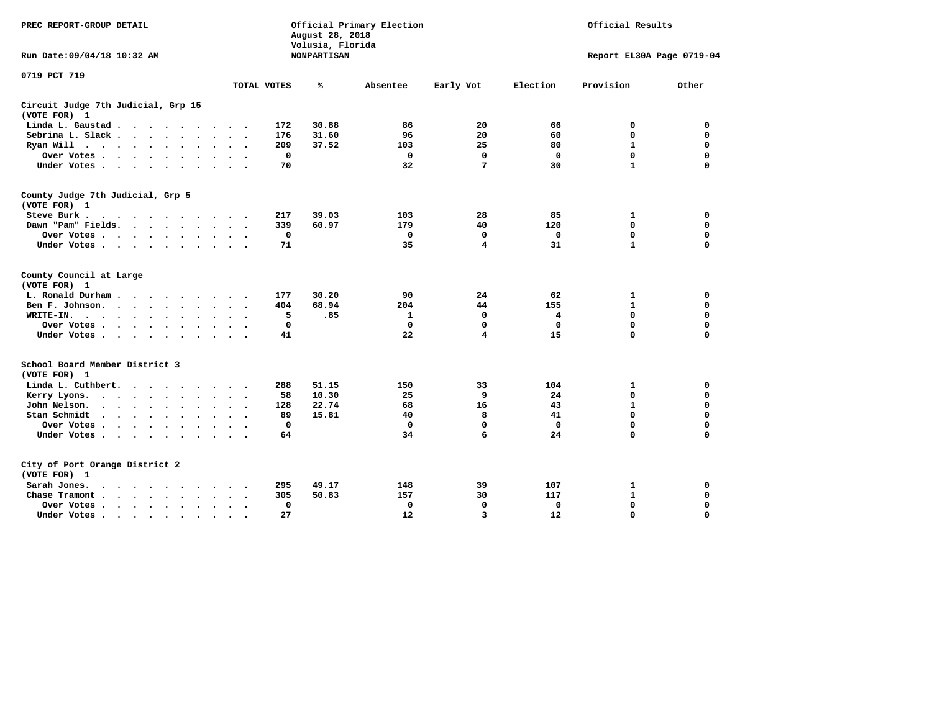| PREC REPORT-GROUP DETAIL                                                                     |                                              | August 28, 2018<br>Volusia, Florida | Official Primary Election | Official Results |                           |              |             |  |  |
|----------------------------------------------------------------------------------------------|----------------------------------------------|-------------------------------------|---------------------------|------------------|---------------------------|--------------|-------------|--|--|
| Run Date: 09/04/18 10:32 AM                                                                  |                                              | <b>NONPARTISAN</b>                  |                           |                  | Report EL30A Page 0719-04 |              |             |  |  |
| 0719 PCT 719                                                                                 |                                              |                                     |                           |                  |                           |              |             |  |  |
|                                                                                              | TOTAL VOTES                                  | ℁                                   | Absentee                  | Early Vot        | Election                  | Provision    | Other       |  |  |
| Circuit Judge 7th Judicial, Grp 15<br>(VOTE FOR) 1                                           |                                              |                                     |                           |                  |                           |              |             |  |  |
| Linda L. Gaustad                                                                             |                                              | 30.88<br>172                        | 86                        | 20               | 66                        | $\mathbf 0$  | 0           |  |  |
| Sebrina L. Slack                                                                             | $\cdot$<br>$\sim$<br>$\ddot{\phantom{0}}$    | 31.60<br>176                        | 96                        | 20               | 60                        | $\mathbf 0$  | $\mathbf 0$ |  |  |
| Ryan Will $\cdots$ $\cdots$                                                                  |                                              | 209<br>37.52                        | 103                       | 25               | 80                        | $\mathbf{1}$ | $\mathbf 0$ |  |  |
| Over Votes<br>$\ddot{\phantom{a}}$                                                           |                                              | $\mathbf 0$                         | $\mathbf 0$               | $\mathbf 0$      | 0                         | $\mathbf 0$  | $\mathbf 0$ |  |  |
| Under Votes                                                                                  |                                              | 70                                  | 32                        | 7                | 30                        | $\mathbf{1}$ | $\mathbf 0$ |  |  |
| County Judge 7th Judicial, Grp 5<br>(VOTE FOR) 1                                             |                                              |                                     |                           |                  |                           |              |             |  |  |
| Steve Burk.<br>$\cdot$                                                                       |                                              | 217<br>39.03                        | 103                       | 28               | 85                        | 1            | 0           |  |  |
| Dawn "Pam" Fields.                                                                           |                                              | 339<br>60.97                        | 179                       | 40               | 120                       | $\mathbf 0$  | $\mathbf 0$ |  |  |
| Over Votes.<br>$\cdots$                                                                      |                                              | 0                                   | $\mathbf 0$               | 0                | 0                         | $\mathbf 0$  | $\mathbf 0$ |  |  |
| Under Votes                                                                                  |                                              | 71                                  | 35                        | 4                | 31                        | ${\bf 1}$    | $\mathbf 0$ |  |  |
| County Council at Large<br>(VOTE FOR) 1                                                      |                                              |                                     |                           |                  |                           |              |             |  |  |
| L. Ronald Durham.                                                                            |                                              | 30.20<br>177                        | 90                        | 24               | 62                        | 1            | 0           |  |  |
| Ben F. Johnson.<br>$\sim$ $\sim$ $\sim$ $\sim$                                               |                                              | 68.94<br>404                        | 204                       | 44               | 155                       | $\mathbf{1}$ | $\mathbf 0$ |  |  |
| WRITE-IN.<br>$\cdot \cdot \cdot \cdot$<br>$\sim$ $\sim$<br>$\ddot{\phantom{a}}$<br>$\bullet$ | $\ddot{\phantom{a}}$<br>$\ddot{\phantom{0}}$ | 5<br>.85                            | 1                         | 0                | 4                         | 0            | 0           |  |  |
| Over Votes .<br>$\cdots$                                                                     | $\cdot$                                      | $\mathbf 0$                         | $\mathbf 0$               | 0                | 0                         | 0            | 0           |  |  |
| Under Votes                                                                                  | $\ddot{\phantom{a}}$<br>$\ddot{\phantom{1}}$ | 41                                  | 22                        | 4                | 15                        | $\mathbf 0$  | $\mathbf 0$ |  |  |
| School Board Member District 3<br>(VOTE FOR) 1                                               |                                              |                                     |                           |                  |                           |              |             |  |  |
| Linda L. Cuthbert.<br>$\cdots$                                                               |                                              | 51.15<br>288                        | 150                       | 33               | 104                       | 1            | 0           |  |  |
| Kerry Lyons.<br>$\cdot$                                                                      | $\bullet$                                    | 10.30<br>58                         | 25                        | 9                | 24                        | $\mathbf 0$  | 0           |  |  |
| John Nelson.<br>$\cdot$ $\cdot$ $\cdot$ $\cdot$ $\cdot$ $\cdot$                              |                                              | 128<br>22.74                        | 68                        | 16               | 43                        | $\mathbf{1}$ | $\mathbf 0$ |  |  |
| Stan Schmidt<br>$\cdots$<br>$\ddot{\phantom{a}}$                                             | $\bullet$<br>$\sim$                          | 89<br>15.81                         | 40                        | 8                | 41                        | $\mathbf 0$  | $\mathbf 0$ |  |  |
| Over Votes                                                                                   |                                              | 0                                   | $\mathbf 0$               | 0                | $\mathbf 0$               | $\mathbf 0$  | 0           |  |  |
| Under Votes<br>$\ddot{\phantom{1}}$                                                          | $\bullet$                                    | 64                                  | 34                        | 6                | 24                        | $\mathbf 0$  | $\mathbf 0$ |  |  |
| City of Port Orange District 2                                                               |                                              |                                     |                           |                  |                           |              |             |  |  |
| (VOTE FOR) 1                                                                                 |                                              |                                     |                           |                  |                           |              |             |  |  |
| Sarah Jones.<br>$\sim$ $\sim$ $\sim$ $\sim$ $\sim$                                           |                                              | 49.17<br>295                        | 148                       | 39               | 107                       | 1            | 0           |  |  |
| Chase Tramont.<br>$\sim$ $\sim$ $\sim$ $\sim$ $\sim$<br>$\ddot{\phantom{a}}$                 |                                              | 305<br>50.83                        | 157                       | 30               | 117                       | $\mathbf{1}$ | 0           |  |  |
| Over Votes.<br>$\cdot$ $\cdot$ $\cdot$ $\cdot$ $\cdot$<br>$\mathbf{A}$                       | $\cdot$<br>$\cdot$                           | 0                                   | 0                         | 0                | 0                         | $\mathbf 0$  | $\mathbf 0$ |  |  |
| Under Votes.<br>$\cdots$                                                                     | $\sim$                                       | 27                                  | 12                        | 3                | 12                        | $\mathbf 0$  | $\mathbf 0$ |  |  |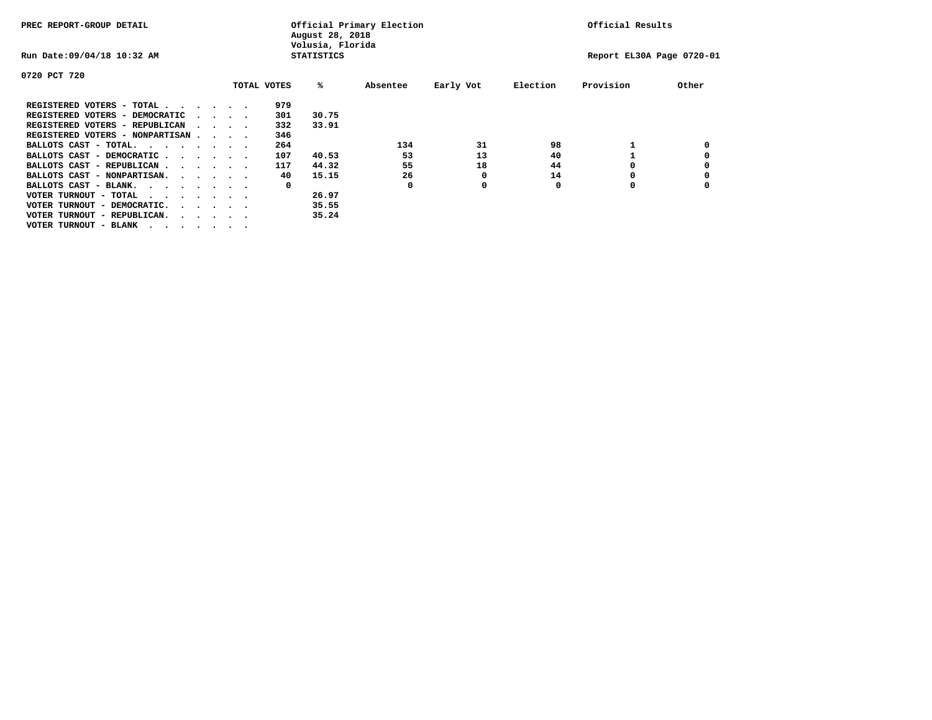| PREC REPORT-GROUP DETAIL                                               |  |                                 | August 28, 2018<br>Volusia, Florida | Official Primary Election | Official Results |           |          |                           |       |
|------------------------------------------------------------------------|--|---------------------------------|-------------------------------------|---------------------------|------------------|-----------|----------|---------------------------|-------|
| Run Date: 09/04/18 10:32 AM                                            |  |                                 |                                     | <b>STATISTICS</b>         |                  |           |          | Report EL30A Page 0720-01 |       |
| 0720 PCT 720                                                           |  |                                 |                                     |                           |                  |           |          |                           |       |
|                                                                        |  |                                 | TOTAL VOTES                         | %ะ                        | Absentee         | Early Vot | Election | Provision                 | Other |
| REGISTERED VOTERS - TOTAL                                              |  |                                 | 979                                 |                           |                  |           |          |                           |       |
| REGISTERED VOTERS - DEMOCRATIC                                         |  | $\cdot$ $\cdot$ $\cdot$ $\cdot$ | 301                                 | 30.75                     |                  |           |          |                           |       |
| REGISTERED VOTERS - REPUBLICAN                                         |  | $\cdots$                        | 332                                 | 33.91                     |                  |           |          |                           |       |
| REGISTERED VOTERS - NONPARTISAN                                        |  |                                 | 346                                 |                           |                  |           |          |                           |       |
| BALLOTS CAST - TOTAL.                                                  |  |                                 | 264                                 |                           | 134              | 31        | 98       |                           |       |
| BALLOTS CAST - DEMOCRATIC                                              |  |                                 | 107                                 | 40.53                     | 53               | 13        | 40       |                           |       |
| BALLOTS CAST - REPUBLICAN                                              |  |                                 | 117                                 | 44.32                     | 55               | 18        | 44       |                           |       |
| BALLOTS CAST - NONPARTISAN.                                            |  |                                 | 40                                  | 15.15                     | 26               | 0         | 14       |                           |       |
| BALLOTS CAST - BLANK.                                                  |  |                                 | 0                                   |                           | 0                | 0         | 0        | 0                         |       |
| VOTER TURNOUT - TOTAL<br>.                                             |  |                                 |                                     | 26.97                     |                  |           |          |                           |       |
| VOTER TURNOUT - DEMOCRATIC.<br>$\cdot$ $\cdot$ $\cdot$ $\cdot$ $\cdot$ |  |                                 |                                     | 35.55                     |                  |           |          |                           |       |
| VOTER TURNOUT - REPUBLICAN.<br>$\cdot$                                 |  |                                 |                                     | 35.24                     |                  |           |          |                           |       |
| VOTER TURNOUT - BLANK                                                  |  |                                 |                                     |                           |                  |           |          |                           |       |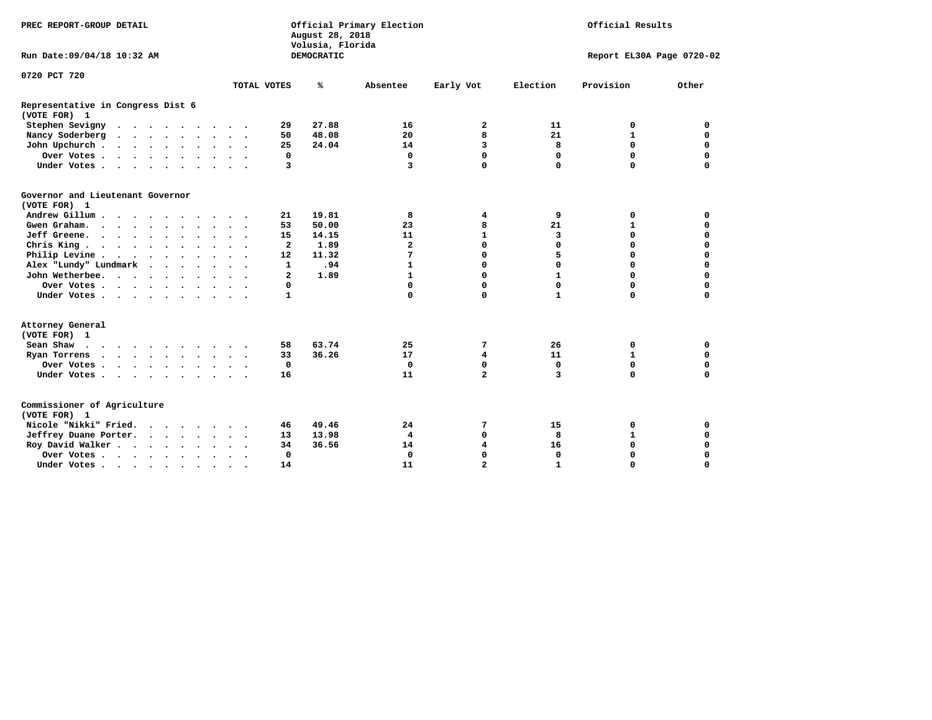| PREC REPORT-GROUP DETAIL                          |               |                      |             |                         | August 28, 2018<br>Volusia, Florida | Official Primary Election | Official Results |              |                           |             |  |  |  |
|---------------------------------------------------|---------------|----------------------|-------------|-------------------------|-------------------------------------|---------------------------|------------------|--------------|---------------------------|-------------|--|--|--|
| Run Date: 09/04/18 10:32 AM                       |               |                      |             |                         | DEMOCRATIC                          |                           |                  |              | Report EL30A Page 0720-02 |             |  |  |  |
| 0720 PCT 720                                      |               |                      |             |                         |                                     |                           |                  |              |                           |             |  |  |  |
|                                                   |               |                      | TOTAL VOTES |                         | ℁                                   | Absentee                  | Early Vot        | Election     | Provision                 | Other       |  |  |  |
| Representative in Congress Dist 6<br>(VOTE FOR) 1 |               |                      |             |                         |                                     |                           |                  |              |                           |             |  |  |  |
| Stephen Sevigny                                   |               |                      |             | 29                      | 27.88                               | 16                        | 2                | 11           | 0                         | 0           |  |  |  |
| Nancy Soderberg                                   |               |                      |             | 50                      | 48.08                               | 20                        | 8                | 21           | $\mathbf{1}$              | $\mathbf 0$ |  |  |  |
| John Upchurch                                     |               |                      |             | 25                      | 24.04                               | 14                        | 3                | 8            | 0                         | $\mathbf 0$ |  |  |  |
| Over Votes                                        |               |                      |             | 0                       |                                     | 0                         | $\Omega$         | $\mathbf 0$  | 0                         | $\mathbf 0$ |  |  |  |
| Under Votes                                       |               |                      |             | 3                       |                                     | $\overline{3}$            | $\Omega$         | $\Omega$     | 0                         | $\mathbf 0$ |  |  |  |
| Governor and Lieutenant Governor<br>(VOTE FOR) 1  |               |                      |             |                         |                                     |                           |                  |              |                           |             |  |  |  |
| Andrew Gillum                                     | $\sim$ $\sim$ |                      |             | 21                      | 19.81                               | 8                         | 4                | 9            | 0                         | 0           |  |  |  |
| Gwen Graham.                                      |               |                      |             | 53                      | 50.00                               | 23                        | 8                | 21           | $\mathbf{1}$              | $\mathbf 0$ |  |  |  |
| Jeff Greene.                                      |               |                      |             | 15                      | 14.15                               | 11                        | $\mathbf{1}$     | 3            | 0                         | 0           |  |  |  |
| Chris King                                        |               |                      |             | $\mathbf{2}$            | 1.89                                | $\overline{a}$            | $\Omega$         | $\Omega$     | 0                         | $\Omega$    |  |  |  |
| Philip Levine                                     |               |                      |             | 12                      | 11.32                               | 7                         | 0                | 5            | $\Omega$                  | $\mathbf 0$ |  |  |  |
| Alex "Lundy" Lundmark<br>$\cdot$                  |               |                      |             | $\mathbf{1}$            | .94                                 | $\mathbf{1}$              | 0                | $\Omega$     | $\Omega$                  | 0           |  |  |  |
| John Wetherbee.                                   |               | $\ddot{\phantom{1}}$ |             | $\overline{\mathbf{2}}$ | 1.89                                | $\mathbf{1}$              | $\Omega$         | $\mathbf{1}$ | $\Omega$                  | $\Omega$    |  |  |  |
| Over Votes                                        |               |                      |             | 0                       |                                     | $\mathbf 0$               | $\Omega$         | $\Omega$     | $\Omega$                  | 0           |  |  |  |
| Under Votes                                       |               |                      |             | $\mathbf{1}$            |                                     | $\Omega$                  | $\Omega$         | $\mathbf{1}$ | 0                         | 0           |  |  |  |
| Attorney General<br>(VOTE FOR) 1                  |               |                      |             |                         |                                     |                           |                  |              |                           |             |  |  |  |
| Sean Shaw $\cdots$ $\cdots$ $\cdots$ $\cdots$     |               |                      |             | 58                      | 63.74                               | 25                        | 7                | 26           | 0                         | 0           |  |  |  |
| Ryan Torrens                                      |               |                      |             | 33                      | 36.26                               | 17                        | 4                | 11           | $\mathbf{1}$              | $\mathbf 0$ |  |  |  |
| Over Votes                                        |               | $\ddot{\phantom{1}}$ |             | $\mathbf 0$             |                                     | $\mathbf 0$               | 0                | $\mathbf 0$  | $\Omega$                  | $\Omega$    |  |  |  |
| Under Votes                                       |               |                      |             | 16                      |                                     | 11                        | $\overline{2}$   | 3            | $\Omega$                  | $\Omega$    |  |  |  |
| Commissioner of Agriculture<br>(VOTE FOR) 1       |               |                      |             |                         |                                     |                           |                  |              |                           |             |  |  |  |
| Nicole "Nikki" Fried.                             |               |                      |             | 46                      | 49.46                               | 24                        | 7                | 15           | 0                         | 0           |  |  |  |
| Jeffrey Duane Porter.                             |               |                      |             | 13                      | 13.98                               | 4                         | 0                | 8            | $\mathbf{1}$              | $\mathbf 0$ |  |  |  |
| Roy David Walker                                  |               |                      |             | 34                      | 36.56                               | 14                        | 4                | 16           | 0                         | 0           |  |  |  |
| Over Votes                                        |               |                      |             | 0                       |                                     | $\Omega$                  | $\Omega$         | $\Omega$     | 0                         | $\Omega$    |  |  |  |
| Under Votes                                       | $\bullet$     |                      |             | 14                      |                                     | 11                        | $\overline{a}$   | $\mathbf{1}$ | 0                         | $\mathbf 0$ |  |  |  |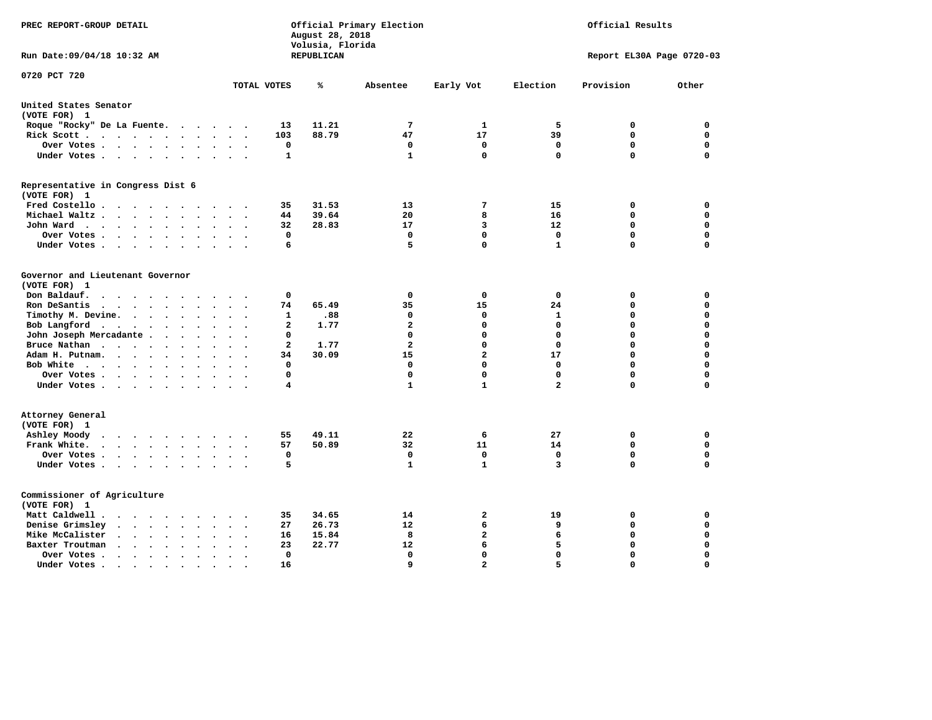| PREC REPORT-GROUP DETAIL                                                                                                                                                       |                         | August 28, 2018<br>Volusia, Florida | Official Primary Election   | Official Results           |                            |                            |                            |
|--------------------------------------------------------------------------------------------------------------------------------------------------------------------------------|-------------------------|-------------------------------------|-----------------------------|----------------------------|----------------------------|----------------------------|----------------------------|
| Run Date: 09/04/18 10:32 AM                                                                                                                                                    |                         | REPUBLICAN                          |                             |                            |                            | Report EL30A Page 0720-03  |                            |
| 0720 PCT 720                                                                                                                                                                   | TOTAL VOTES             | ℁                                   | Absentee                    | Early Vot                  | Election                   | Provision                  | Other                      |
| United States Senator                                                                                                                                                          |                         |                                     |                             |                            |                            |                            |                            |
| (VOTE FOR) 1                                                                                                                                                                   |                         |                                     |                             |                            |                            |                            |                            |
| Roque "Rocky" De La Fuente.<br>.                                                                                                                                               | 13                      | 11.21                               | 7                           | 1                          | 5                          | $\mathbf 0$                | $\mathbf 0$                |
| Rick Scott<br>$\ddot{\phantom{a}}$<br>$\ddot{\phantom{a}}$                                                                                                                     | 103                     | 88.79                               | 47                          | 17                         | 39                         | $\mathbf 0$                | $\mathbf 0$                |
| Over Votes<br>$\ddot{\phantom{0}}$<br>$\bullet$<br>Under Votes<br>$\bullet$ .<br><br><br><br><br>                                                                              | 0<br>$\mathbf{1}$       |                                     | $\mathbf 0$<br>$\mathbf{1}$ | $\mathbf 0$<br>$\mathbf 0$ | $\mathbf 0$<br>$\mathbf 0$ | $\mathbf 0$<br>$\mathbf 0$ | $\mathbf 0$<br>$\Omega$    |
| Representative in Congress Dist 6                                                                                                                                              |                         |                                     |                             |                            |                            |                            |                            |
| (VOTE FOR) 1                                                                                                                                                                   |                         |                                     |                             |                            |                            |                            |                            |
| Fred Costello                                                                                                                                                                  | 35                      | 31.53                               | 13                          | 7                          | 15                         | 0                          | 0                          |
| Michael Waltz.<br>$\sim$ 100 $\mu$                                                                                                                                             | 44                      | 39.64                               | 20                          | 8                          | 16                         | 0                          | 0                          |
| John Ward<br>$\ddot{\phantom{1}}$<br>$\bullet$ .                                                                                                                               | 32                      | 28.83                               | 17                          | 3                          | 12                         | $\mathbf 0$                | $\mathbf 0$                |
| Over Votes<br>$\ddot{\phantom{a}}$<br>$\bullet$ .<br><br><br><br><br><br><br>$\bullet$<br>$\bullet$<br>$\ddot{\phantom{a}}$                                                    | 0                       |                                     | 0                           | $\mathbf 0$                | 0                          | 0                          | $\mathbf 0$                |
| Under Votes<br>$\cdot$                                                                                                                                                         | 6                       |                                     | 5                           | 0                          | $\mathbf{1}$               | 0                          | $\mathbf 0$                |
| Governor and Lieutenant Governor<br>(VOTE FOR) 1                                                                                                                               |                         |                                     |                             |                            |                            |                            |                            |
| Don Baldauf.<br>$\cdot$ $\cdot$ $\cdot$ $\cdot$                                                                                                                                | $\mathbf 0$             |                                     | $\mathbf 0$                 | 0                          | 0                          | 0                          | $\mathbf 0$                |
| Ron DeSantis<br><b>Contract Contract Contract Contract</b><br>$\ddot{\phantom{a}}$<br>$\bullet$                                                                                | 74                      | 65.49                               | 35                          | 15                         | 24                         | $\mathbf 0$                | $\mathbf 0$                |
| Timothy M. Devine.<br>$\bullet$<br>$\bullet$<br>$\bullet$                                                                                                                      | $\mathbf{1}$            | .88                                 | 0                           | $\mathbf 0$                | $\mathbf 1$                | $\mathbf 0$                | $\mathbf 0$                |
| $\ddot{\phantom{1}}$                                                                                                                                                           | $\overline{a}$          | 1.77                                | $\overline{a}$              | $\mathbf 0$                | $\mathbf 0$                | 0                          | $\mathbf 0$                |
| Bob Langford<br>John Joseph Mercadante .<br>$\ddot{\phantom{0}}$                                                                                                               | 0                       |                                     | $\mathbf 0$                 | $\mathbf 0$                | $\mathbf 0$                | $\mathbf 0$                | $\mathbf 0$                |
| Bruce Nathan<br>$\cdot$ $\cdot$ $\cdot$ $\cdot$<br>$\ddot{\phantom{a}}$                                                                                                        | $\mathbf{2}$            | 1.77                                | $\overline{a}$              | $\mathbf 0$                | $\mathbf 0$                | 0                          | $\mathbf 0$                |
| $\bullet$<br>$\bullet$<br>$\bullet$<br>Adam H. Putnam.<br>$\mathcal{L}(\mathcal{A})$ , and $\mathcal{A}(\mathcal{A})$ , and $\mathcal{A}(\mathcal{A})$<br>$\ddot{\phantom{a}}$ | 34                      | 30.09                               | 15                          | $\overline{a}$             | 17                         | 0                          | $\mathbf 0$                |
| Bob White<br>$\sim$                                                                                                                                                            | 0                       |                                     | $\mathbf 0$                 | $\mathbf{0}$               | 0                          | $\mathbf 0$                | $\Omega$                   |
| $\ddot{\phantom{0}}$<br>$\ddot{\phantom{a}}$<br>Over Votes .                                                                                                                   | 0                       |                                     | 0                           | $\mathbf 0$                | 0                          | 0                          | $\mathbf 0$                |
| $\cdots$ $\cdots$<br>$\ddot{\phantom{a}}$<br>$\bullet$<br>$\ddot{\phantom{a}}$<br>Under Votes<br>$\sim$                                                                        | $\overline{\mathbf{4}}$ |                                     | $\mathbf{1}$                | $\mathbf{1}$               | $\overline{a}$             | 0                          | $\mathbf 0$                |
|                                                                                                                                                                                |                         |                                     |                             |                            |                            |                            |                            |
| Attorney General<br>(VOTE FOR) 1                                                                                                                                               |                         |                                     |                             |                            |                            |                            |                            |
|                                                                                                                                                                                |                         |                                     |                             |                            |                            |                            |                            |
| Ashley Moody<br>.                                                                                                                                                              | 55                      | 49.11                               | 22                          | 6                          | 27                         | $\mathbf 0$                | $\mathbf 0$                |
| Frank White.<br>$\cdot$                                                                                                                                                        | 57                      | 50.89                               | 32                          | 11                         | 14                         | $\mathbf 0$                | $\mathbf 0$                |
| Over Votes.<br>$\cdots$<br>$\bullet$<br>$\bullet$<br>$\bullet$                                                                                                                 | $\mathbf 0$             |                                     | $\mathbf 0$                 | $\mathbf 0$                | $\mathbf 0$                | $\mathbf 0$<br>$\mathbf 0$ | $\mathbf 0$<br>$\mathbf 0$ |
| Under Votes<br>$\sim$<br>$\sim$ $\sim$                                                                                                                                         | 5                       |                                     | $\mathbf{1}$                | $\mathbf{1}$               | 3                          |                            |                            |
| Commissioner of Agriculture                                                                                                                                                    |                         |                                     |                             |                            |                            |                            |                            |
| (VOTE FOR) 1                                                                                                                                                                   |                         |                                     |                             |                            |                            |                            |                            |
| Matt Caldwell .<br>$\cdots$                                                                                                                                                    | 35                      | 34.65                               | 14                          | 2                          | 19                         | 0                          | 0                          |
| Denise Grimsley<br>$\cdot$ $\cdot$ $\cdot$<br>$\bullet$                                                                                                                        | 27                      | 26.73                               | 12                          | 6                          | 9                          | 0                          | 0                          |
| Mike McCalister<br>$\mathbf{r}$ , and $\mathbf{r}$ , and $\mathbf{r}$<br>$\bullet$<br>$\bullet$                                                                                | 16                      | 15.84                               | 8                           | $\overline{2}$             | 6                          | 0                          | $\mathbf 0$                |
| Baxter Troutman<br>$\sim$ $\sim$<br>$\cdot$                                                                                                                                    | 23                      | 22.77                               | 12                          | 6                          | 5<br>$\Omega$              | $\mathbf 0$                | $\mathbf 0$                |
| Over Votes.<br>$\mathcal{L}(\mathbf{z})$ , and $\mathcal{L}(\mathbf{z})$ , and<br>$\bullet$<br>$\cdot$<br>$\ddot{\phantom{1}}$                                                 | $\mathbf 0$             |                                     | $\mathbf 0$                 | $\mathbf{0}$               | 5                          | 0                          | $\mathbf 0$                |
| Under Votes.<br>$\sim$ $\sim$ $\sim$ $\sim$ $\sim$<br>$\bullet$<br>$\bullet$<br>$\bullet$                                                                                      | 16                      |                                     | 9                           | $\mathbf{z}$               |                            | $\Omega$                   | $\Omega$                   |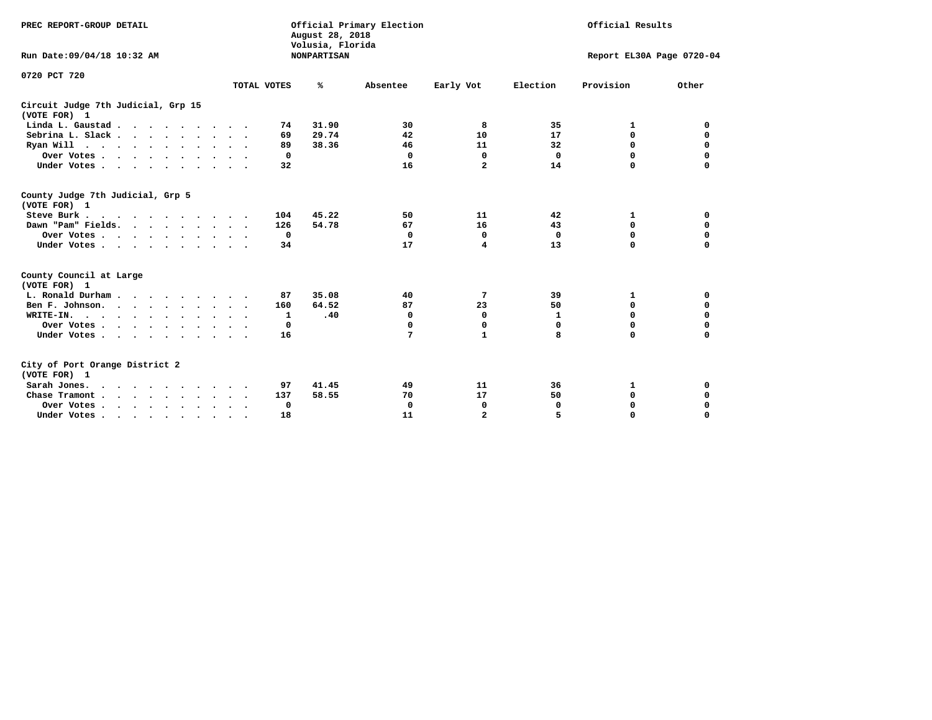| PREC REPORT-GROUP DETAIL<br>Run Date:09/04/18 10:32 AM |             | August 28, 2018<br>Volusia, Florida<br><b>NONPARTISAN</b> | Official Primary Election |                | Official Results<br>Report EL30A Page 0720-04 |             |             |  |
|--------------------------------------------------------|-------------|-----------------------------------------------------------|---------------------------|----------------|-----------------------------------------------|-------------|-------------|--|
|                                                        |             |                                                           |                           |                |                                               |             |             |  |
| 0720 PCT 720                                           | TOTAL VOTES | %                                                         | Absentee                  | Early Vot      | Election                                      | Provision   | Other       |  |
| Circuit Judge 7th Judicial, Grp 15<br>(VOTE FOR) 1     |             |                                                           |                           |                |                                               |             |             |  |
| Linda L. Gaustad                                       | 74          | 31.90                                                     | 30                        | 8              | 35                                            | 1           | 0           |  |
| Sebrina L. Slack.                                      | 69          | 29.74                                                     | 42                        | 10             | 17                                            | 0           | 0           |  |
| Ryan Will $\cdots$ , $\cdots$ , $\cdots$ , $\cdots$    | 89          | 38.36                                                     | 46                        | 11             | 32                                            | 0           | 0           |  |
| Over Votes                                             | 0           |                                                           | 0                         | $\mathbf 0$    | 0                                             | 0           | $\mathbf 0$ |  |
| Under Votes                                            | 32          |                                                           | 16                        | $\overline{a}$ | 14                                            | $\Omega$    | $\mathbf 0$ |  |
|                                                        |             |                                                           |                           |                |                                               |             |             |  |
| County Judge 7th Judicial, Grp 5<br>(VOTE FOR) 1       |             |                                                           |                           |                |                                               |             |             |  |
| Steve Burk                                             | 104         | 45.22                                                     | 50                        | 11             | 42                                            | 1           | 0           |  |
| Dawn "Pam" Fields.                                     | 126         | 54.78                                                     | 67                        | 16             | 43                                            | 0           | 0           |  |
| Over Votes                                             | 0           |                                                           | $\mathbf 0$               | 0              | 0                                             | 0           | 0           |  |
| Under Votes                                            | 34          |                                                           | 17                        | 4              | 13                                            | $\Omega$    | $\Omega$    |  |
| County Council at Large<br>(VOTE FOR) 1                |             |                                                           |                           |                |                                               |             |             |  |
| L. Ronald Durham                                       | 87          | 35.08                                                     | 40                        | 7              | 39                                            | 1           | 0           |  |
| Ben F. Johnson.                                        | 160         | 64.52                                                     | 87                        | 23             | 50                                            | 0           | 0           |  |
| WRITE-IN.                                              | 1           | .40                                                       | $\mathbf 0$               | 0              | 1                                             | $\mathbf 0$ | $\mathbf 0$ |  |
| Over Votes                                             | 0           |                                                           | $\Omega$                  | 0              | 0                                             | 0           | 0           |  |
| Under Votes                                            | 16          |                                                           | 7                         | $\mathbf{1}$   | 8                                             | $\Omega$    | $\mathbf 0$ |  |
| City of Port Orange District 2<br>(VOTE FOR) 1         |             |                                                           |                           |                |                                               |             |             |  |
| Sarah Jones.                                           | 97          | 41.45                                                     | 49                        | 11             | 36                                            | 1           | 0           |  |
| Chase Tramont                                          | 137         | 58.55                                                     | 70                        | 17             | 50                                            | 0           | 0           |  |
| Over Votes                                             | 0           |                                                           | $\mathbf 0$               | 0              | 0                                             | 0           | 0           |  |
| Under Votes                                            | 18          |                                                           | 11                        | $\overline{a}$ | 5                                             | $\Omega$    | $\mathbf 0$ |  |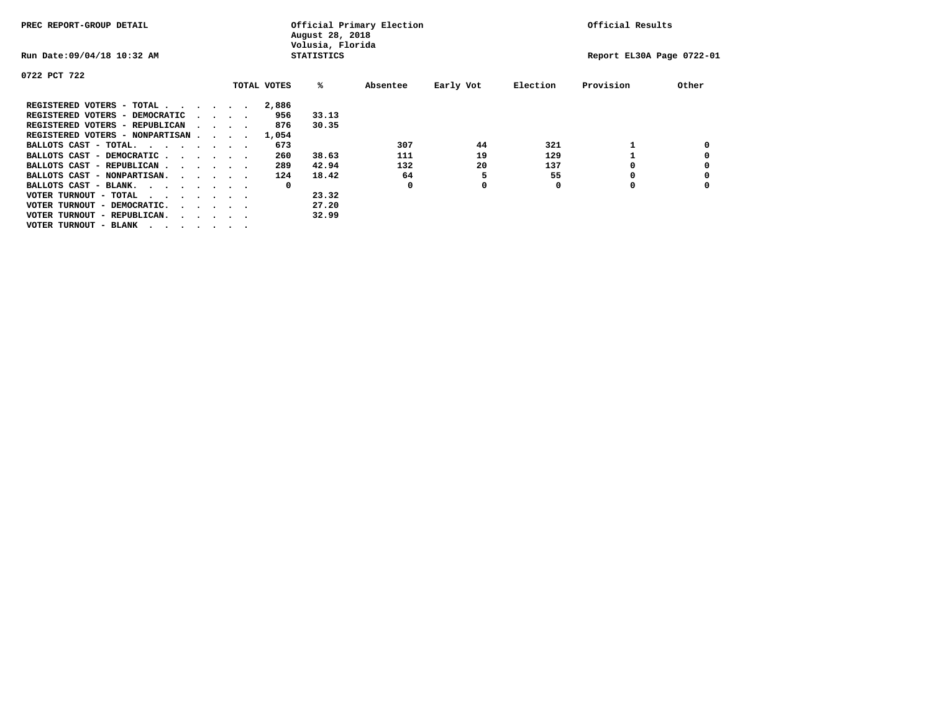| PREC REPORT-GROUP DETAIL               |  |                                         | August 28, 2018<br>Volusia, Florida | Official Primary Election | Official Results |           |          |                           |       |
|----------------------------------------|--|-----------------------------------------|-------------------------------------|---------------------------|------------------|-----------|----------|---------------------------|-------|
| Run Date: 09/04/18 10:32 AM            |  |                                         |                                     | <b>STATISTICS</b>         |                  |           |          | Report EL30A Page 0722-01 |       |
| 0722 PCT 722                           |  |                                         |                                     |                           |                  |           |          |                           |       |
|                                        |  |                                         | TOTAL VOTES                         | %ะ                        | Absentee         | Early Vot | Election | Provision                 | Other |
| REGISTERED VOTERS - TOTAL              |  |                                         | 2,886                               |                           |                  |           |          |                           |       |
| REGISTERED VOTERS - DEMOCRATIC         |  | $\cdot$ $\cdot$ $\cdot$ $\cdot$         | 956                                 | 33.13                     |                  |           |          |                           |       |
| REGISTERED VOTERS - REPUBLICAN         |  |                                         | 876                                 | 30.35                     |                  |           |          |                           |       |
| REGISTERED VOTERS - NONPARTISAN        |  |                                         | 1,054                               |                           |                  |           |          |                           |       |
| BALLOTS CAST - TOTAL.                  |  |                                         | 673                                 |                           | 307              | 44        | 321      |                           |       |
| BALLOTS CAST - DEMOCRATIC              |  |                                         | 260                                 | 38.63                     | 111              | 19        | 129      |                           |       |
| BALLOTS CAST - REPUBLICAN              |  |                                         | 289                                 | 42.94                     | 132              | 20        | 137      |                           |       |
| BALLOTS CAST - NONPARTISAN.            |  |                                         | 124                                 | 18.42                     | 64               |           | 55       |                           |       |
| BALLOTS CAST - BLANK.                  |  |                                         | 0                                   |                           | 0                | 0         | 0        | 0                         |       |
| VOTER TURNOUT - TOTAL<br>.             |  |                                         |                                     | 23.32                     |                  |           |          |                           |       |
| VOTER TURNOUT - DEMOCRATIC.            |  | $\cdot$ $\cdot$ $\cdot$ $\cdot$ $\cdot$ |                                     | 27.20                     |                  |           |          |                           |       |
| VOTER TURNOUT - REPUBLICAN.<br>$\cdot$ |  |                                         |                                     | 32.99                     |                  |           |          |                           |       |
| VOTER TURNOUT - BLANK                  |  |                                         |                                     |                           |                  |           |          |                           |       |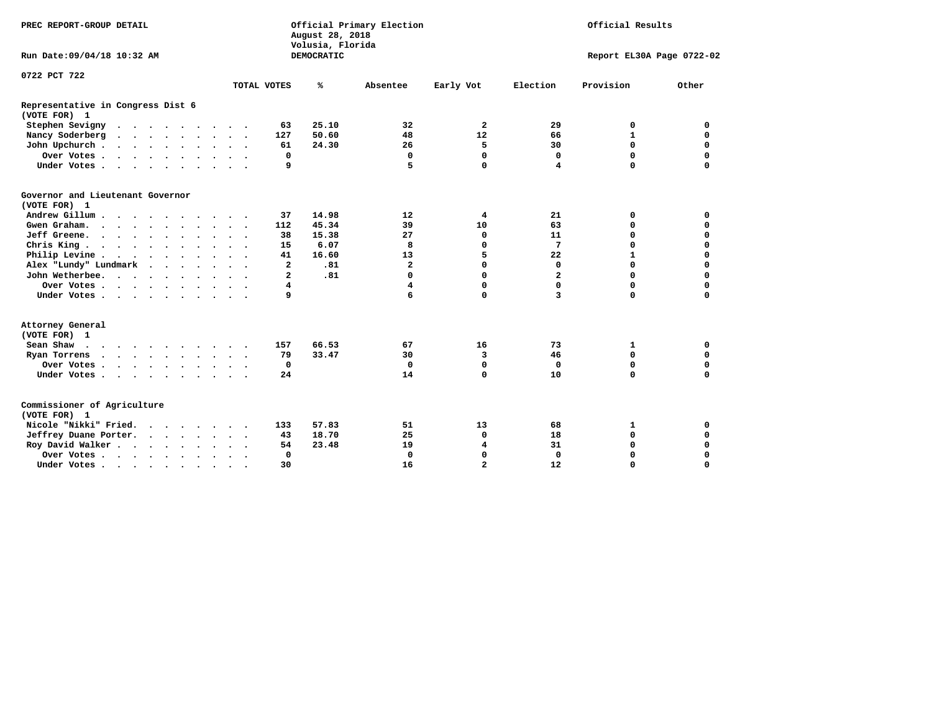| PREC REPORT-GROUP DETAIL                             |                      |                     |                | August 28, 2018<br>Volusia, Florida | Official Primary Election |                         | Official Results        |                           |             |  |
|------------------------------------------------------|----------------------|---------------------|----------------|-------------------------------------|---------------------------|-------------------------|-------------------------|---------------------------|-------------|--|
| Run Date: 09/04/18 10:32 AM                          |                      |                     |                | DEMOCRATIC                          |                           |                         |                         | Report EL30A Page 0722-02 |             |  |
| 0722 PCT 722                                         |                      |                     |                |                                     |                           |                         |                         |                           |             |  |
|                                                      |                      |                     | TOTAL VOTES    | ℁                                   | Absentee                  | Early Vot               | Election                | Provision                 | Other       |  |
| Representative in Congress Dist 6<br>(VOTE FOR) 1    |                      |                     |                |                                     |                           |                         |                         |                           |             |  |
| Stephen Sevigny                                      |                      |                     | 63             | 25.10                               | 32                        | $\overline{a}$          | 29                      | 0                         | 0           |  |
| Nancy Soderberg                                      |                      |                     | 127            | 50.60                               | 48                        | 12                      | 66                      | $\mathbf{1}$              | $\mathbf 0$ |  |
| John Upchurch                                        |                      |                     | 61             | 24.30                               | 26                        | 5                       | 30                      | $\mathbf 0$               | 0           |  |
| Over Votes                                           |                      |                     | 0              |                                     | 0                         | 0                       | 0                       | $\mathbf 0$               | 0           |  |
| Under Votes                                          |                      |                     | 9              |                                     | 5                         | $\Omega$                | 4                       | $\Omega$                  | $\mathbf 0$ |  |
| Governor and Lieutenant Governor<br>(VOTE FOR) 1     |                      |                     |                |                                     |                           |                         |                         |                           |             |  |
| Andrew Gillum                                        |                      |                     | 37             | 14.98                               | 12                        | 4                       | 21                      | 0                         | $\mathbf 0$ |  |
| Gwen Graham.                                         |                      | $\ddotsc$ $\ddotsc$ | 112            | 45.34                               | 39                        | 10                      | 63                      | $\mathbf 0$               | $\mathbf 0$ |  |
| Jeff Greene.                                         |                      |                     | 38             | 15.38                               | 27                        | 0                       | 11                      | $\mathbf 0$               | $\mathbf 0$ |  |
| Chris King                                           |                      | $\sim$ $\sim$       | 15             | 6.07                                | 8                         | 0                       | 7                       | $\Omega$                  | $\mathbf 0$ |  |
| Philip Levine                                        |                      |                     | 41             | 16.60                               | 13                        | 5                       | 22                      | $\mathbf{1}$              | $\mathbf 0$ |  |
| Alex "Lundy" Lundmark<br>$\sim$ $\sim$ $\sim$ $\sim$ |                      |                     | $\mathbf{2}$   | .81                                 | $\overline{\mathbf{2}}$   | 0                       | $\mathbf 0$             | $\mathbf 0$               | $\mathbf 0$ |  |
| John Wetherbee.                                      |                      |                     | $\overline{a}$ | .81                                 | $\Omega$                  | $\mathbf 0$             | $\overline{\mathbf{2}}$ | $\Omega$                  | $\Omega$    |  |
| Over Votes                                           |                      |                     | 4              |                                     | $\overline{\mathbf{4}}$   | 0                       | 0                       | $\mathbf 0$               | $\mathbf 0$ |  |
| Under Votes                                          |                      |                     | 9              |                                     | 6                         | 0                       | 3                       | $\Omega$                  | $\mathbf 0$ |  |
| Attorney General<br>(VOTE FOR) 1                     |                      |                     |                |                                     |                           |                         |                         |                           |             |  |
| Sean Shaw                                            |                      |                     | 157            | 66.53                               | 67                        | 16                      | 73                      | 1                         | 0           |  |
| Ryan Torrens<br>$\cdots$                             |                      |                     | 79             | 33.47                               | 30                        | 3                       | 46                      | $\mathbf 0$               | 0           |  |
| Over Votes                                           |                      |                     | 0              |                                     | $\mathbf 0$               | $\mathbf 0$             | 0                       | $\mathbf 0$               | $\mathbf 0$ |  |
| Under Votes                                          |                      |                     | 24             |                                     | 14                        | $\mathbf 0$             | 10                      | $\Omega$                  | $\mathbf 0$ |  |
| Commissioner of Agriculture<br>(VOTE FOR) 1          |                      |                     |                |                                     |                           |                         |                         |                           |             |  |
| Nicole "Nikki" Fried.                                |                      |                     | 133            | 57.83                               | 51                        | 13                      | 68                      | 1                         | 0           |  |
| Jeffrey Duane Porter.                                |                      |                     | 43             | 18.70                               | 25                        | 0                       | 18                      | $\mathbf 0$               | $\mathbf 0$ |  |
| Roy David Walker                                     |                      |                     | 54             | 23.48                               | 19                        | $\overline{\mathbf{4}}$ | 31                      | $\mathbf 0$               | 0           |  |
| Over Votes                                           |                      |                     | 0              |                                     | $\mathbf 0$               | 0                       | 0                       | $\mathbf 0$               | $\mathbf 0$ |  |
| Under Votes                                          | $\ddot{\phantom{1}}$ | $\cdot$             | 30             |                                     | 16                        | $\overline{a}$          | 12                      | $\Omega$                  | $\Omega$    |  |
|                                                      |                      |                     |                |                                     |                           |                         |                         |                           |             |  |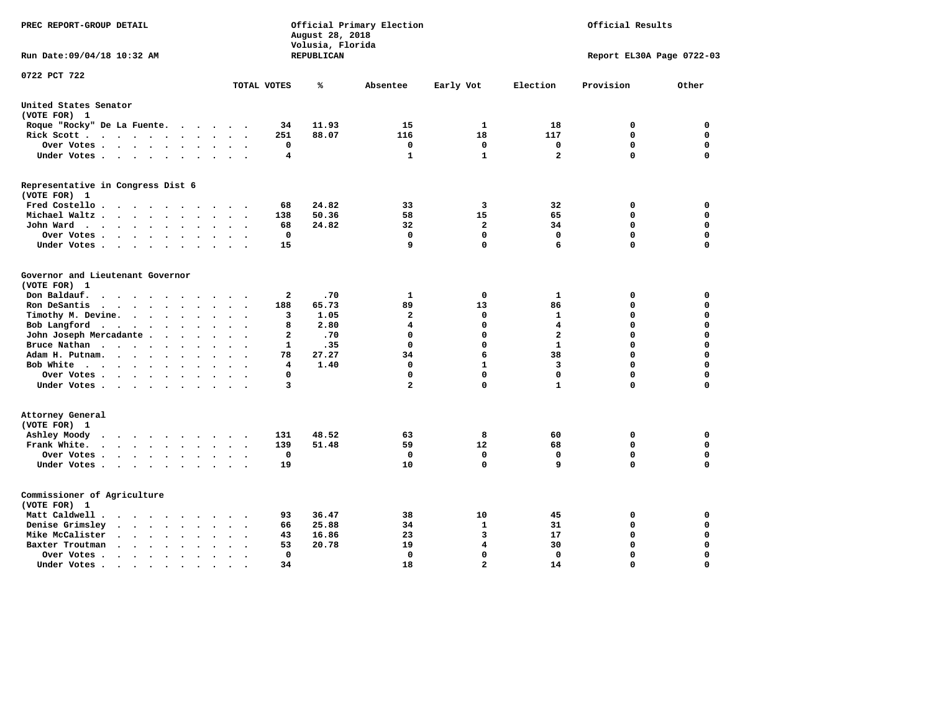| PREC REPORT-GROUP DETAIL                                                                              |                                                                           | August 28, 2018<br>Volusia, Florida | Official Primary Election |                | Official Results          |             |             |  |  |
|-------------------------------------------------------------------------------------------------------|---------------------------------------------------------------------------|-------------------------------------|---------------------------|----------------|---------------------------|-------------|-------------|--|--|
| Run Date: 09/04/18 10:32 AM                                                                           |                                                                           | REPUBLICAN                          |                           |                | Report EL30A Page 0722-03 |             |             |  |  |
| 0722 PCT 722                                                                                          | TOTAL VOTES                                                               | ℁                                   | Absentee                  | Early Vot      | Election                  | Provision   | Other       |  |  |
|                                                                                                       |                                                                           |                                     |                           |                |                           |             |             |  |  |
| United States Senator<br>(VOTE FOR) 1                                                                 |                                                                           |                                     |                           |                |                           |             |             |  |  |
| Roque "Rocky" De La Fuente.                                                                           | 34                                                                        | 11.93                               | 15                        | $\mathbf{1}$   | 18                        | 0           | $\mathbf 0$ |  |  |
| Rick Scott                                                                                            | 251                                                                       | 88.07                               | 116                       | 18             | 117                       | $\mathbf 0$ | 0           |  |  |
| Over Votes                                                                                            | 0<br>$\ddot{\phantom{a}}$<br>$\cdot$                                      |                                     | $\mathbf 0$               | $\mathbf 0$    | $\mathbf 0$               | $\mathbf 0$ | 0           |  |  |
| Under Votes                                                                                           | 4                                                                         |                                     | $\mathbf{1}$              | $\mathbf{1}$   | $\overline{a}$            | $\mathbf 0$ | $\mathbf 0$ |  |  |
| Representative in Congress Dist 6<br>(VOTE FOR) 1                                                     |                                                                           |                                     |                           |                |                           |             |             |  |  |
| Fred Costello                                                                                         | 68                                                                        | 24.82                               | 33                        | 3              | 32                        | 0           | 0           |  |  |
| Michael Waltz<br>$\sim$<br>$\sim$                                                                     | 138                                                                       | 50.36                               | 58                        | 15             | 65                        | $\mathbf 0$ | $\mathbf 0$ |  |  |
| John Ward<br>$\ddot{\phantom{0}}$<br>$\ddot{\phantom{a}}$                                             | 68                                                                        | 24.82                               | 32                        | $\overline{2}$ | 34                        | $\mathbf 0$ | $\mathbf 0$ |  |  |
| Over Votes<br>$\sim$                                                                                  | $\mathbf 0$                                                               |                                     | 0                         | $\mathbf 0$    | $\mathbf{0}$              | $\mathbf 0$ | $\mathbf 0$ |  |  |
| Under Votes<br>$\sim$                                                                                 | 15                                                                        |                                     | 9                         | 0              | 6                         | $\Omega$    | $\Omega$    |  |  |
|                                                                                                       |                                                                           |                                     |                           |                |                           |             |             |  |  |
| Governor and Lieutenant Governor<br>(VOTE FOR) 1                                                      |                                                                           |                                     |                           |                |                           |             |             |  |  |
| Don Baldauf.<br>$\cdot$ $\cdot$ $\cdot$ $\cdot$<br>$\sim$                                             | 2                                                                         | .70                                 | 1                         | $\mathbf 0$    | $\mathbf{1}$              | 0           | 0           |  |  |
| Ron DeSantis<br>$\sim$                                                                                | 188                                                                       | 65.73                               | 89                        | 13             | 86                        | $\mathbf 0$ | $\mathbf 0$ |  |  |
| Timothy M. Devine.<br>$\ddot{\phantom{1}}$                                                            | 3<br>$\ddot{\phantom{a}}$<br>$\ddot{\phantom{a}}$<br>$\ddot{\phantom{0}}$ | 1.05                                | $\mathbf{2}$              | $\mathbf 0$    | 1                         | $\mathbf 0$ | $\mathbf 0$ |  |  |
| Bob Langford                                                                                          | 8                                                                         | 2.80                                | 4                         | $\mathbf 0$    | 4                         | $\mathbf 0$ | 0           |  |  |
| John Joseph Mercadante                                                                                | $\overline{a}$<br>$\overline{\phantom{a}}$                                | .70                                 | $\mathbf 0$               | $\mathbf 0$    | $\overline{a}$            | $\mathbf 0$ | $\mathbf 0$ |  |  |
| Bruce Nathan<br>$\bullet$                                                                             | 1                                                                         | .35                                 | $\Omega$                  | $\mathbf 0$    | $\mathbf{1}$              | $\mathbf 0$ | $\mathbf 0$ |  |  |
| Adam H. Putnam.                                                                                       | 78                                                                        | 27.27                               | 34                        | 6              | 38                        | $\mathbf 0$ | 0           |  |  |
| Bob White<br>$\ddot{\phantom{a}}$                                                                     | 4<br>$\ddot{\phantom{a}}$                                                 | 1.40                                | 0                         | $\mathbf{1}$   | 3                         | $\mathbf 0$ | 0           |  |  |
| Over Votes .<br>$\cdots$                                                                              | $\Omega$                                                                  |                                     | 0                         | $\Omega$       | $\mathbf 0$               | $\mathbf 0$ | 0           |  |  |
| Under Votes                                                                                           | 3                                                                         |                                     | $\overline{a}$            | $\mathbf 0$    | $\mathbf{1}$              | $\Omega$    | $\mathbf 0$ |  |  |
| Attorney General<br>(VOTE FOR) 1                                                                      |                                                                           |                                     |                           |                |                           |             |             |  |  |
| Ashley Moody<br>$\begin{array}{cccccccccccccccccc} . & . & . & . & . & . & . & . & . & . \end{array}$ | 131                                                                       | 48.52                               | 63                        | 8              | 60                        | 0           | 0           |  |  |
| Frank White.<br>$\cdot$ $\cdot$ $\cdot$ $\cdot$ $\cdot$ $\cdot$<br>$\sim$                             | 139                                                                       | 51.48                               | 59                        | 12             | 68                        | $\mathbf 0$ | $\mathbf 0$ |  |  |
| Over Votes.<br>$\cdots$                                                                               | $\mathbf 0$                                                               |                                     | $\Omega$                  | $\mathbf 0$    | $\mathbf{0}$              | $\mathbf 0$ | $\mathbf 0$ |  |  |
| Under Votes                                                                                           | 19                                                                        |                                     | 10                        | $\mathbf 0$    | 9                         | $\Omega$    | $\mathbf 0$ |  |  |
| Commissioner of Agriculture<br>(VOTE FOR) 1                                                           |                                                                           |                                     |                           |                |                           |             |             |  |  |
| Matt Caldwell .<br>$\cdots$                                                                           | 93                                                                        | 36.47                               | 38                        | 10             | 45                        | 0           | 0           |  |  |
| Denise Grimsley<br>$\cdot$ $\cdot$ $\cdot$ $\cdot$ $\cdot$<br>$\bullet$                               | 66                                                                        | 25.88                               | 34                        | 1              | 31                        | 0           | 0           |  |  |
| Mike McCalister<br>$\cdot$ $\cdot$ $\cdot$ $\cdot$ $\cdot$<br>$\bullet$                               | 43                                                                        | 16.86                               | 23                        | 3              | 17                        | 0           | 0           |  |  |
| Baxter Troutman<br>$\cdot \cdot \cdot \cdot$<br>$\bullet$<br>$\sim$                                   | 53                                                                        | 20.78                               | 19                        | 4              | 30                        | 0           | 0           |  |  |
| Over Votes .<br>$\bullet$<br>$\bullet$                                                                | 0                                                                         |                                     | 0                         | $\mathbf 0$    | $\Omega$                  | $\mathbf 0$ | $\mathbf 0$ |  |  |
| Under Votes.<br>.                                                                                     | 34                                                                        |                                     | 18                        | $\overline{a}$ | 14                        | $\Omega$    | $\Omega$    |  |  |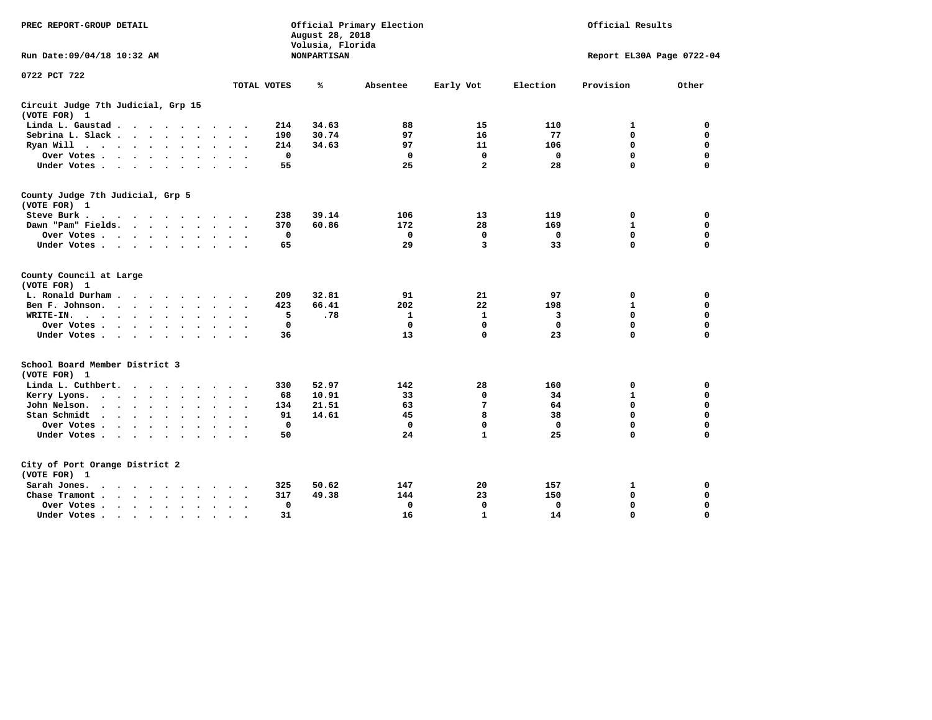| PREC REPORT-GROUP DETAIL                                                                                                   |                            | August 28, 2018<br>Volusia, Florida | Official Primary Election |              | Official Results          |              |             |  |  |
|----------------------------------------------------------------------------------------------------------------------------|----------------------------|-------------------------------------|---------------------------|--------------|---------------------------|--------------|-------------|--|--|
| Run Date: 09/04/18 10:32 AM                                                                                                |                            | <b>NONPARTISAN</b>                  |                           |              | Report EL30A Page 0722-04 |              |             |  |  |
| 0722 PCT 722                                                                                                               |                            |                                     |                           |              |                           |              |             |  |  |
|                                                                                                                            | TOTAL VOTES                | ℁                                   | Absentee                  | Early Vot    | Election                  | Provision    | Other       |  |  |
| Circuit Judge 7th Judicial, Grp 15<br>(VOTE FOR) 1                                                                         |                            |                                     |                           |              |                           |              |             |  |  |
| Linda L. Gaustad                                                                                                           | 214<br>$\cdot$ .           | 34.63                               | 88                        | 15           | 110                       | 1            | 0           |  |  |
| Sebrina L. Slack<br>$\sim$<br>$\ddot{\phantom{a}}$                                                                         | 190<br>$\sim$ $\sim$       | 30.74                               | 97                        | 16           | 77                        | $\mathbf 0$  | $\mathbf 0$ |  |  |
| Ryan Will $\cdots$ $\cdots$<br>$\ddot{\phantom{a}}$                                                                        | 214                        | 34.63                               | 97                        | 11           | 106                       | 0            | 0           |  |  |
| Over Votes<br>$\ddot{\phantom{0}}$                                                                                         | $\mathbf 0$                |                                     | $\mathbf 0$               | 0            | 0                         | 0            | 0           |  |  |
| Under Votes<br>$\bullet$ .<br><br><br><br><br><br>$\cdot$                                                                  | 55                         |                                     | 25                        | $\mathbf{2}$ | 28                        | 0            | 0           |  |  |
| County Judge 7th Judicial, Grp 5<br>(VOTE FOR) 1                                                                           |                            |                                     |                           |              |                           |              |             |  |  |
| Steve Burk.                                                                                                                | 238                        | 39.14                               | 106                       | 13           | 119                       | 0            | 0           |  |  |
| Dawn "Pam" Fields.                                                                                                         | 370                        | 60.86                               | 172                       | 28           | 169                       | $\mathbf{1}$ | 0           |  |  |
| Over Votes                                                                                                                 | 0<br>$\ddot{\phantom{0}}$  |                                     | $\mathbf 0$               | $\mathbf 0$  | 0                         | $\mathbf 0$  | $\mathbf 0$ |  |  |
| Under Votes                                                                                                                | 65                         |                                     | 29                        | 3            | 33                        | $\Omega$     | $\mathbf 0$ |  |  |
| County Council at Large<br>(VOTE FOR) 1                                                                                    |                            |                                     |                           |              |                           |              |             |  |  |
| L. Ronald Durham<br>$\sim$ $\sim$                                                                                          | 209                        | 32.81                               | 91                        | 21           | 97                        | 0            | 0           |  |  |
| Ben F. Johnson.<br>$\sim$ $\sim$ $\sim$ $\sim$ $\sim$                                                                      | 423                        | 66.41                               | 202                       | 22           | 198                       | $\mathbf{1}$ | $\mathbf 0$ |  |  |
| WRITE-IN.<br>$\cdots$<br>$\ddot{\phantom{0}}$<br>$\cdot$<br>$\bullet$                                                      | 5<br>$\ddot{\phantom{a}}$  | .78                                 | 1                         | 1            | 3                         | 0            | 0           |  |  |
| Over Votes                                                                                                                 | 0                          |                                     | $\mathbf 0$               | 0            | 0                         | 0            | 0           |  |  |
| Under Votes<br>$\ddot{\phantom{a}}$<br>$\ddot{\phantom{a}}$                                                                | 36<br>$\sim$ $\sim$        |                                     | 13                        | 0            | 23                        | $\mathbf 0$  | $\mathbf 0$ |  |  |
| School Board Member District 3<br>(VOTE FOR) 1                                                                             |                            |                                     |                           |              |                           |              |             |  |  |
| Linda L. Cuthbert.                                                                                                         | 330                        | 52.97                               | 142                       | 28           | 160                       | 0            | 0           |  |  |
| Kerry Lyons.<br>$\ddot{\phantom{a}}$<br>$\bullet$                                                                          | 68<br>$\ddot{\phantom{1}}$ | 10.91                               | 33                        | 0            | 34                        | $\mathbf{1}$ | $\mathbf 0$ |  |  |
| John Nelson.<br>$\cdots$                                                                                                   | 134                        | 21.51                               | 63                        | 7            | 64                        | $\mathbf 0$  | $\mathbf 0$ |  |  |
| Stan Schmidt<br>$\mathbf{r}$ , and $\mathbf{r}$ , and $\mathbf{r}$ , and $\mathbf{r}$<br>$\ddot{\phantom{0}}$<br>$\bullet$ | 91<br>$\sim$               | 14.61                               | 45                        | 8            | 38                        | $\mathbf 0$  | $\mathbf 0$ |  |  |
| Over Votes                                                                                                                 | $\mathbf 0$                |                                     | $\mathbf 0$               | $\mathbf 0$  | $\mathbf 0$               | $\mathbf 0$  | 0           |  |  |
| Under Votes<br>$\bullet$<br>$\bullet$                                                                                      | 50<br>$\cdot$ .            |                                     | 24                        | $\mathbf{1}$ | 25                        | $\Omega$     | $\mathbf 0$ |  |  |
| City of Port Orange District 2<br>(VOTE FOR) 1                                                                             |                            |                                     |                           |              |                           |              |             |  |  |
| Sarah Jones.<br>.                                                                                                          | 325                        | 50.62                               | 147                       | 20           | 157                       | 1            | 0           |  |  |
| Chase Tramont.<br>$\cdot \cdot \cdot \cdot$                                                                                | 317                        | 49.38                               | 144                       | 23           | 150                       | 0            | 0           |  |  |
| Over Votes.<br>$\ddot{\phantom{a}}$<br>$\overline{\phantom{a}}$                                                            | 0                          |                                     | 0                         | 0            | 0                         | 0            | 0           |  |  |
| Under Votes                                                                                                                | 31<br>$\ddot{\phantom{a}}$ |                                     | 16                        | $\mathbf{1}$ | 14                        | 0            | 0           |  |  |
|                                                                                                                            |                            |                                     |                           |              |                           |              |             |  |  |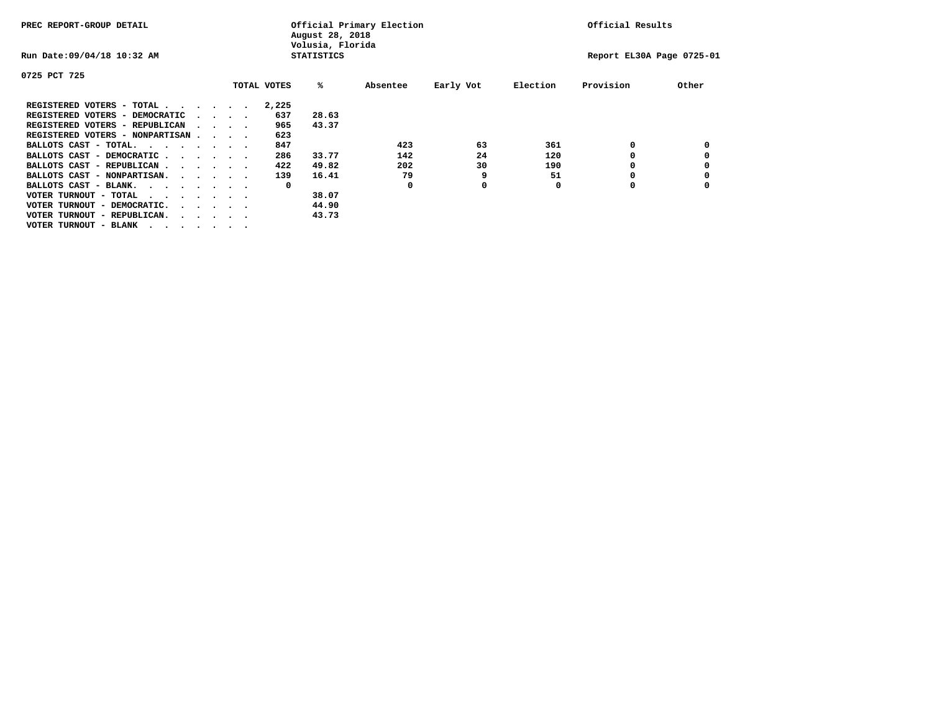| PREC REPORT-GROUP DETAIL                                                                                                                 |  |                                         | August 28, 2018<br>Volusia, Florida | Official Primary Election |          | Official Results |          |                           |       |  |
|------------------------------------------------------------------------------------------------------------------------------------------|--|-----------------------------------------|-------------------------------------|---------------------------|----------|------------------|----------|---------------------------|-------|--|
| Run Date: 09/04/18 10:32 AM                                                                                                              |  |                                         |                                     | <b>STATISTICS</b>         |          |                  |          | Report EL30A Page 0725-01 |       |  |
| 0725 PCT 725                                                                                                                             |  |                                         |                                     |                           |          |                  |          |                           |       |  |
|                                                                                                                                          |  |                                         | TOTAL VOTES                         | %ะ                        | Absentee | Early Vot        | Election | Provision                 | Other |  |
| REGISTERED VOTERS - TOTAL.<br>$\cdots$                                                                                                   |  |                                         | 2,225                               |                           |          |                  |          |                           |       |  |
| REGISTERED VOTERS - DEMOCRATIC                                                                                                           |  | $\cdot$ $\cdot$ $\cdot$ $\cdot$         | 637                                 | 28.63                     |          |                  |          |                           |       |  |
| REGISTERED VOTERS - REPUBLICAN                                                                                                           |  |                                         | 965                                 | 43.37                     |          |                  |          |                           |       |  |
| REGISTERED VOTERS - NONPARTISAN                                                                                                          |  |                                         | 623                                 |                           |          |                  |          |                           |       |  |
| BALLOTS CAST - TOTAL.<br>the contract of the contract of the contract of the contract of the contract of the contract of the contract of |  |                                         | 847                                 |                           | 423      | 63               | 361      |                           |       |  |
| BALLOTS CAST - DEMOCRATIC.<br>.                                                                                                          |  |                                         | 286                                 | 33.77                     | 142      | 24               | 120      |                           |       |  |
| BALLOTS CAST - REPUBLICAN                                                                                                                |  |                                         | 422                                 | 49.82                     | 202      | 30               | 190      |                           |       |  |
| BALLOTS CAST - NONPARTISAN.                                                                                                              |  |                                         | 139                                 | 16.41                     | 79       | 9                | 51       | O                         |       |  |
| BALLOTS CAST - BLANK.                                                                                                                    |  |                                         | 0                                   |                           | 0        | 0                | O        | O                         |       |  |
| VOTER TURNOUT - TOTAL<br>$\cdots$                                                                                                        |  |                                         |                                     | 38.07                     |          |                  |          |                           |       |  |
| VOTER TURNOUT - DEMOCRATIC.                                                                                                              |  | $\cdot$ $\cdot$ $\cdot$ $\cdot$ $\cdot$ |                                     | 44.90                     |          |                  |          |                           |       |  |
| VOTER TURNOUT - REPUBLICAN.                                                                                                              |  |                                         |                                     | 43.73                     |          |                  |          |                           |       |  |
| VOTER TURNOUT - BLANK                                                                                                                    |  |                                         |                                     |                           |          |                  |          |                           |       |  |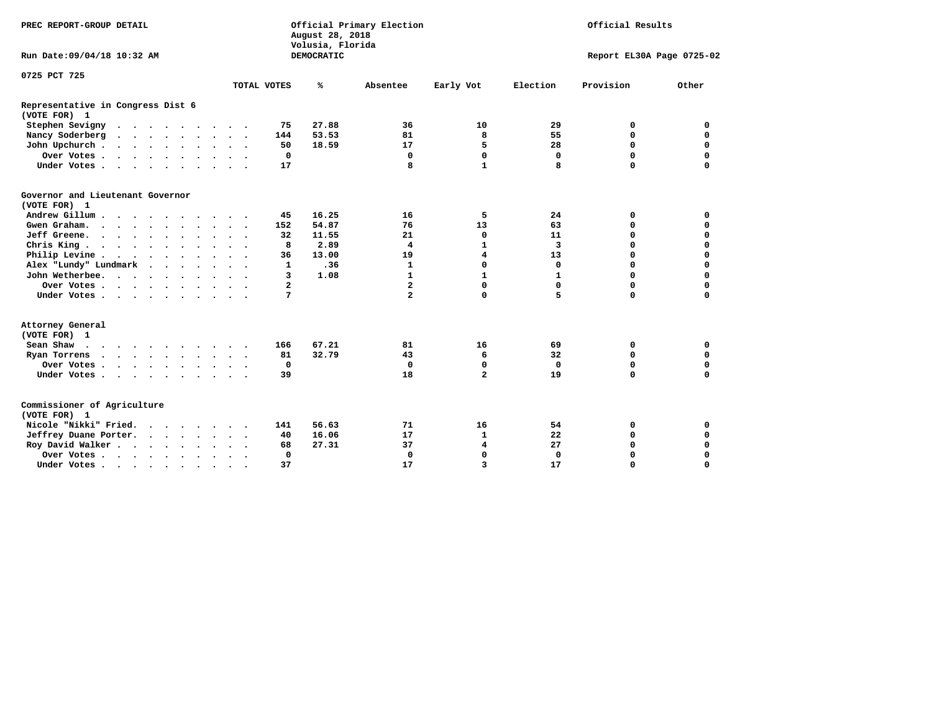| PREC REPORT-GROUP DETAIL                                 |               |                | August 28, 2018<br>Volusia, Florida | Official Primary Election | Official Results          |              |           |             |  |
|----------------------------------------------------------|---------------|----------------|-------------------------------------|---------------------------|---------------------------|--------------|-----------|-------------|--|
| Run Date: 09/04/18 10:32 AM                              |               |                | DEMOCRATIC                          |                           | Report EL30A Page 0725-02 |              |           |             |  |
| 0725 PCT 725                                             |               |                |                                     |                           |                           |              |           |             |  |
|                                                          |               | TOTAL VOTES    | ℁                                   | Absentee                  | Early Vot                 | Election     | Provision | Other       |  |
| Representative in Congress Dist 6<br>(VOTE FOR) 1        |               |                |                                     |                           |                           |              |           |             |  |
| Stephen Sevigny                                          |               | 75             | 27.88                               | 36                        | 10                        | 29           | 0         | 0           |  |
| Nancy Soderberg                                          |               | 144            | 53.53                               | 81                        | 8                         | 55           | 0         | $\mathbf 0$ |  |
| John Upchurch                                            |               | 50             | 18.59                               | 17                        | 5                         | 28           | $\Omega$  | $\mathbf 0$ |  |
| Over Votes                                               |               | $\mathbf 0$    |                                     | $\mathbf{0}$              | $\mathbf 0$               | $\mathbf 0$  | 0         | $\mathbf 0$ |  |
| Under Votes                                              |               | 17             |                                     | 8                         | $\mathbf{1}$              | 8            | $\Omega$  | $\mathbf 0$ |  |
| Governor and Lieutenant Governor<br>(VOTE FOR) 1         |               |                |                                     |                           |                           |              |           |             |  |
| Andrew Gillum                                            | $\sim$ $\sim$ | 45             | 16.25                               | 16                        | 5                         | 24           | 0         | 0           |  |
| Gwen Graham.                                             |               | 152            | 54.87                               | 76                        | 13                        | 63           | 0         | $\mathbf 0$ |  |
| Jeff Greene.                                             |               | 32             | 11.55                               | 21                        | 0                         | 11           | 0         | $\mathbf 0$ |  |
| Chris King                                               |               | 8              | 2.89                                | 4                         | 1                         | 3            | 0         | 0           |  |
| Philip Levine                                            | $\sim$ $\sim$ | 36             | 13.00                               | 19                        | 4                         | 13           | 0         | 0           |  |
| Alex "Lundy" Lundmark<br>$\cdot$ $\cdot$ $\cdot$ $\cdot$ |               | $\mathbf{1}$   | .36                                 | $\mathbf{1}$              | 0                         | $\mathbf 0$  | 0         | 0           |  |
| John Wetherbee.                                          |               | 3              | 1.08                                | $\mathbf{1}$              | $\mathbf{1}$              | $\mathbf{1}$ | 0         | $\mathbf 0$ |  |
| Over Votes                                               |               | $\overline{a}$ |                                     | $\overline{a}$            | $\Omega$                  | $\Omega$     | $\Omega$  | 0           |  |
| Under Votes                                              |               | 7              |                                     | $\overline{a}$            | $\Omega$                  | 5            | $\Omega$  | 0           |  |
| Attorney General<br>(VOTE FOR) 1                         |               |                |                                     |                           |                           |              |           |             |  |
| Sean Shaw $\cdots$ $\cdots$ $\cdots$ $\cdots$            |               | 166            | 67.21                               | 81                        | 16                        | 69           | 0         | 0           |  |
| Ryan Torrens                                             | $\sim$ $\sim$ | 81             | 32.79                               | 43                        | 6                         | 32           | 0         | 0           |  |
| Over Votes                                               | $\cdot$ .     | 0              |                                     | 0                         | 0                         | 0            | 0         | 0           |  |
| Under Votes                                              |               | 39             |                                     | 18                        | $\overline{a}$            | 19           | 0         | $\mathbf 0$ |  |
| Commissioner of Agriculture<br>(VOTE FOR) 1              |               |                |                                     |                           |                           |              |           |             |  |
| Nicole "Nikki" Fried.                                    |               | 141            | 56.63                               | 71                        | 16                        | 54           | 0         | 0           |  |
| Jeffrey Duane Porter.                                    |               | 40             | 16.06                               | 17                        | $\mathbf{1}$              | 22           | 0         | $\mathbf 0$ |  |
| Roy David Walker                                         |               | 68             | 27.31                               | 37                        | 4                         | 27           | 0         | $\mathbf 0$ |  |
| Over Votes                                               |               | $\mathbf 0$    |                                     | $\mathbf{0}$              | $\Omega$                  | $\Omega$     | 0         | $\Omega$    |  |
| Under Votes                                              | $\bullet$     | 37             |                                     | 17                        | 3                         | 17           | 0         | $\mathbf 0$ |  |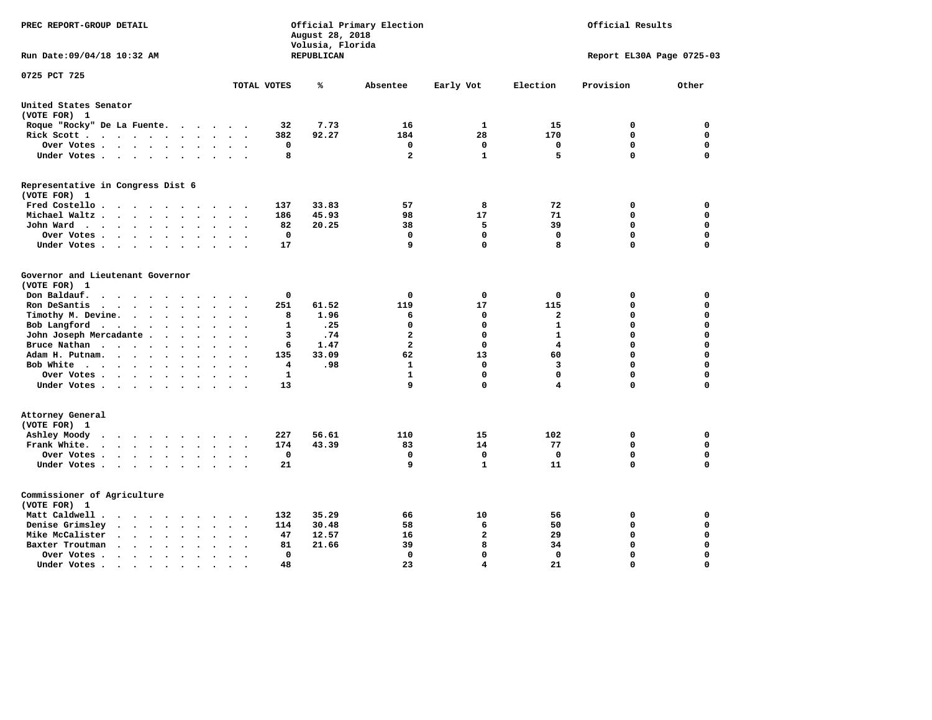| PREC REPORT-GROUP DETAIL                                                                                                                              |                                            | Official Primary Election<br>Official Results<br>August 28, 2018<br>Volusia, Florida |                         |                |                         |                           |             |
|-------------------------------------------------------------------------------------------------------------------------------------------------------|--------------------------------------------|--------------------------------------------------------------------------------------|-------------------------|----------------|-------------------------|---------------------------|-------------|
| Run Date: 09/04/18 10:32 AM                                                                                                                           |                                            | REPUBLICAN                                                                           |                         |                |                         | Report EL30A Page 0725-03 |             |
| 0725 PCT 725                                                                                                                                          | TOTAL VOTES                                | ℁                                                                                    | Absentee                | Early Vot      | Election                | Provision                 | Other       |
| United States Senator                                                                                                                                 |                                            |                                                                                      |                         |                |                         |                           |             |
| (VOTE FOR) 1                                                                                                                                          |                                            |                                                                                      |                         |                |                         |                           |             |
| Roque "Rocky" De La Fuente.<br>$\sim$ $\sim$<br>$\sim$                                                                                                | 32<br>$\ddot{\phantom{a}}$                 | 7.73                                                                                 | 16                      | 1              | 15                      | 0                         | 0           |
| Rick Scott<br>$\ddot{\phantom{0}}$<br>$\bullet$                                                                                                       | 382                                        | 92.27                                                                                | 184                     | 28             | 170                     | $\mathbf 0$               | $\mathbf 0$ |
| Over Votes<br>$\bullet$<br>$\ddot{\phantom{0}}$                                                                                                       | 0<br>$\bullet$<br>$\overline{\phantom{a}}$ |                                                                                      | 0                       | $\mathbf 0$    | 0                       | $\mathbf 0$               | $\mathbf 0$ |
| Under Votes<br>$\sim$                                                                                                                                 | 8<br>$\sim$                                |                                                                                      | $\overline{a}$          | $\mathbf{1}$   | 5                       | $\mathbf 0$               | $\mathbf 0$ |
| Representative in Congress Dist 6<br>(VOTE FOR) 1                                                                                                     |                                            |                                                                                      |                         |                |                         |                           |             |
| Fred Costello                                                                                                                                         | 137                                        | 33.83                                                                                | 57                      | 8              | 72                      | 0                         | 0           |
| Michael Waltz.<br>$\ddot{\phantom{a}}$                                                                                                                | 186                                        | 45.93                                                                                | 98                      | 17             | 71                      | 0                         | $\mathbf 0$ |
| John Ward<br>$\sim$ $\sim$<br>$\bullet$<br>$\bullet$                                                                                                  | 82<br>$\bullet$                            | 20.25                                                                                | 38                      | 5              | 39                      | 0                         | $\mathbf 0$ |
| Over Votes<br>$\ddot{\phantom{0}}$<br>$\bullet$                                                                                                       | 0                                          |                                                                                      | 0                       | 0              | 0                       | 0                         | 0           |
| Under Votes<br>$\bullet$<br>$\cdot$                                                                                                                   | 17                                         |                                                                                      | 9                       | $\Omega$       | 8                       | $\Omega$                  | $\Omega$    |
| Governor and Lieutenant Governor<br>(VOTE FOR) 1<br>Don Baldauf.<br>$\cdot$ $\cdot$ $\cdot$<br>$\overline{\phantom{a}}$                               | 0                                          |                                                                                      | $\mathbf 0$             | 0              | 0                       | 0                         | 0           |
| Ron DeSantis<br>$\cdot$ $\cdot$ $\cdot$<br>$\bullet$                                                                                                  | 251                                        | 61.52                                                                                | 119                     | 17             | 115                     | $\mathbf 0$               | $\mathbf 0$ |
| Timothy M. Devine. .<br>$\sim$<br>$\ddot{\phantom{a}}$<br>$\ddot{\phantom{a}}$<br>$\ddot{\phantom{a}}$<br>$\bullet$                                   | 8<br>$\ddot{\phantom{0}}$                  | 1.96                                                                                 | 6                       | 0              | $\mathbf{2}$            | $\mathbf 0$               | $\mathbf 0$ |
| Bob Langford<br>$\ddot{\phantom{0}}$<br>$\ddot{\phantom{a}}$<br>$\ddot{\phantom{a}}$<br>$\bullet$                                                     | $\mathbf{1}$                               | .25                                                                                  | $\mathbf 0$             | $\mathbf 0$    | $\mathbf{1}$            | 0                         | $\mathbf 0$ |
| John Joseph Mercadante .<br>$\bullet$<br>$\ddot{\phantom{a}}$                                                                                         | 3                                          | .74                                                                                  | $\mathbf{2}$            | $\mathbf 0$    | $\mathbf{1}$            | 0                         | $\mathbf 0$ |
| Bruce Nathan<br>$\cdots$ $\cdots$<br>$\ddot{\phantom{a}}$<br>$\bullet$<br>$\bullet$                                                                   | 6                                          | 1.47                                                                                 | $\overline{\mathbf{2}}$ | $\mathbf 0$    | 4                       | 0                         | $\mathbf 0$ |
| Adam H. Putnam.<br>$\sim$ $\sim$ $\sim$<br>$\ddot{\phantom{a}}$<br>$\ddot{\phantom{a}}$                                                               | 135                                        | 33.09                                                                                | 62                      | 13             | 60                      | 0                         | $\mathbf 0$ |
| Bob White<br>$\ddot{\phantom{a}}$<br>$\ddot{\phantom{a}}$<br>$\cdot$                                                                                  | 4<br>$\sim$                                | .98                                                                                  | $\mathbf{1}$            | $\mathbf 0$    | 3                       | 0                         | $\mathbf 0$ |
| Over Votes .<br>$\sim$ $\sim$ $\sim$ $\sim$ $\sim$<br>$\bullet$<br>$\bullet$                                                                          | $\mathbf{1}$                               |                                                                                      | $\mathbf{1}$            | $\mathbf 0$    | $\mathbf 0$             | $\mathbf 0$               | $\mathbf 0$ |
| Under Votes                                                                                                                                           | 13<br>$\ddot{\phantom{a}}$                 |                                                                                      | 9                       | $\mathbf 0$    | $\overline{\mathbf{4}}$ | 0                         | 0           |
| Attorney General<br>(VOTE FOR) 1                                                                                                                      |                                            |                                                                                      |                         |                |                         |                           |             |
| Ashley Moody<br>$\cdots$<br>$\ddot{\phantom{a}}$<br>$\cdot$                                                                                           | 227                                        | 56.61                                                                                | 110                     | 15             | 102                     | 0                         | 0           |
| Frank White.<br>$\mathbf{a}$ , and $\mathbf{a}$ , and $\mathbf{a}$<br>$\sim$<br>$\bullet$<br>$\bullet$                                                | 174                                        | 43.39                                                                                | 83                      | 14             | 77                      | $\mathbf 0$               | $\mathbf 0$ |
| Over Votes.<br>$\mathbf{a} = \mathbf{a} + \mathbf{a} + \mathbf{a} + \mathbf{a}$<br>$\sim$<br>$\bullet$<br>$\bullet$                                   | $\mathbf 0$<br>$\ddot{\phantom{a}}$        |                                                                                      | 0                       | $\mathbf 0$    | $\mathbf 0$             | 0                         | $\mathbf 0$ |
| Under Votes<br>$\ddot{\phantom{a}}$                                                                                                                   | 21<br>$\bullet$                            |                                                                                      | 9                       | $\mathbf{1}$   | 11                      | 0                         | $\mathbf 0$ |
| Commissioner of Agriculture<br>(VOTE FOR) 1                                                                                                           |                                            |                                                                                      |                         |                |                         |                           |             |
| Matt Caldwell.<br>$\begin{array}{cccccccccccccc} \bullet & \bullet & \bullet & \bullet & \bullet & \bullet & \bullet & \bullet & \bullet \end{array}$ | 132                                        | 35.29                                                                                | 66                      | 10             | 56                      | 0                         | 0           |
| Denise Grimsley<br>$\ddot{\phantom{a}}$<br>$\sim$<br>$\ddot{\phantom{a}}$<br>$\ddot{\phantom{a}}$                                                     | 114                                        | 30.48                                                                                | 58                      | 6              | 50                      | $\mathbf 0$               | $\mathbf 0$ |
| Mike McCalister<br>$\mathbf{r}=\mathbf{r}+\mathbf{r}+\mathbf{r}+\mathbf{r}$<br>$\bullet$<br>$\bullet$<br>$\ddot{\phantom{a}}$                         | 47                                         | 12.57                                                                                | 16                      | $\overline{a}$ | 29                      | 0                         | $\mathbf 0$ |
| Baxter Troutman<br>$\ddot{\phantom{1}}$<br>$\ddot{\phantom{a}}$                                                                                       | 81                                         | 21.66                                                                                | 39                      | 8              | 34                      | $\mathbf 0$               | $\mathbf 0$ |
| Over Votes.<br>$\sim$ $\sim$<br>$\ddot{\phantom{1}}$<br>$\ddot{\phantom{a}}$<br>$\overline{\phantom{a}}$                                              | 0<br>$\overline{\phantom{a}}$              |                                                                                      | 0                       | $\mathbf 0$    | 0                       | 0                         | $\mathbf 0$ |
| Under Votes.<br>$\bullet$ , $\bullet$ , $\bullet$ , $\bullet$<br>$\bullet$<br>$\bullet$                                                               | 48                                         |                                                                                      | 23                      | 4              | 21                      | $\Omega$                  | $\Omega$    |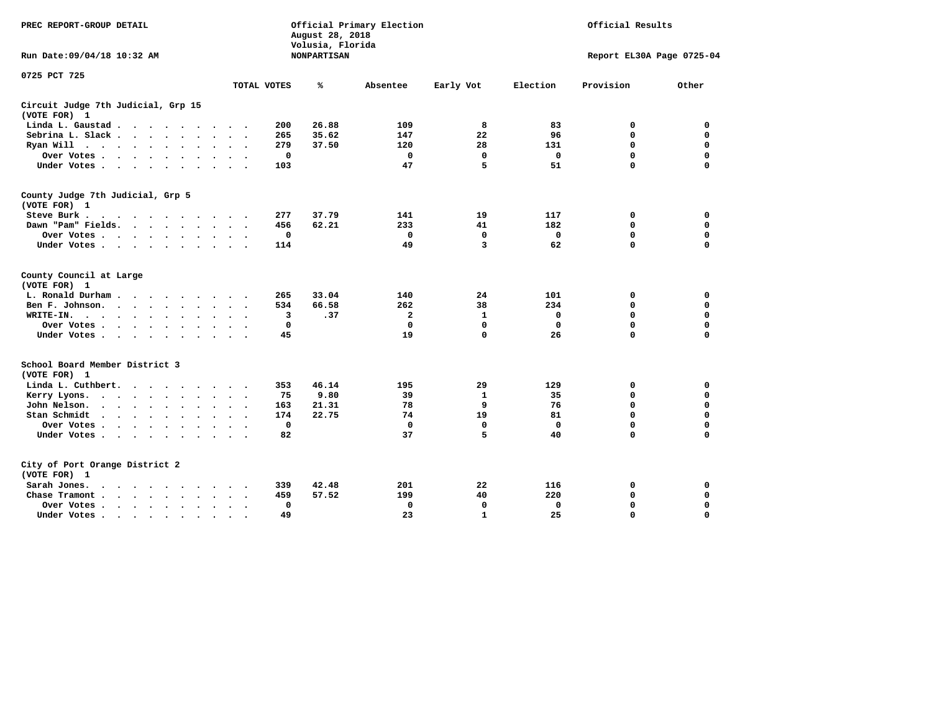| PREC REPORT-GROUP DETAIL                                                                                                      |                            | August 28, 2018<br>Volusia, Florida | Official Primary Election |              | Official Results |             |                           |  |
|-------------------------------------------------------------------------------------------------------------------------------|----------------------------|-------------------------------------|---------------------------|--------------|------------------|-------------|---------------------------|--|
| Run Date: 09/04/18 10:32 AM                                                                                                   |                            | <b>NONPARTISAN</b>                  |                           |              |                  |             | Report EL30A Page 0725-04 |  |
| 0725 PCT 725                                                                                                                  |                            |                                     |                           |              |                  |             |                           |  |
|                                                                                                                               | TOTAL VOTES                | ℁                                   | Absentee                  | Early Vot    | Election         | Provision   | Other                     |  |
| Circuit Judge 7th Judicial, Grp 15<br>(VOTE FOR) 1                                                                            |                            |                                     |                           |              |                  |             |                           |  |
| Linda L. Gaustad                                                                                                              | 200<br>$\sim$              | 26.88                               | 109                       | 8            | 83               | 0           | 0                         |  |
| Sebrina L. Slack<br>$\sim$ $\sim$ $\sim$                                                                                      | 265<br>$\sim$<br>$\bullet$ | 35.62                               | 147                       | 22           | 96               | 0           | $\mathbf 0$               |  |
| Ryan Will<br>$\ddot{\phantom{0}}$<br>$\ddot{\phantom{a}}$                                                                     | 279                        | 37.50                               | 120                       | 28           | 131              | $\mathbf 0$ | $\mathbf 0$               |  |
| Over Votes.<br>$\sim$ $\sim$ $\sim$<br>$\ddot{\phantom{a}}$<br>$\bullet$                                                      |                            | $\mathbf 0$                         | $\mathbf 0$               | $\mathbf 0$  | $\mathbf 0$      | $\mathbf 0$ | $\mathbf 0$               |  |
| Under Votes<br>$\bullet$                                                                                                      | 103<br>$\cdot$             |                                     | 47                        | 5            | 51               | $\mathbf 0$ | $\mathbf 0$               |  |
| County Judge 7th Judicial, Grp 5<br>(VOTE FOR) 1                                                                              |                            |                                     |                           |              |                  |             |                           |  |
| Steve Burk .<br>$\cdot$ $\cdot$ $\cdot$ $\cdot$ $\cdot$ $\cdot$ $\cdot$ $\cdot$                                               | 277                        | 37.79                               | 141                       | 19           | 117              | 0           | 0                         |  |
| Dawn "Pam" Fields.<br>$\sim$ $\sim$ $\sim$ $\sim$ $\sim$                                                                      | 456                        | 62.21                               | 233                       | 41           | 182              | $\mathbf 0$ | $\mathbf 0$               |  |
| Over Votes .<br>$\sim$<br>$\ddot{\phantom{1}}$<br>$\bullet$<br>$\bullet$<br>$\bullet$                                         |                            | 0                                   | 0                         | 0            | 0                | 0           | $\mathbf 0$               |  |
| Under Votes<br>$\bullet$                                                                                                      | 114                        |                                     | 49                        | 3            | 62               | $\Omega$    | $\Omega$                  |  |
| County Council at Large<br>(VOTE FOR) 1                                                                                       |                            |                                     |                           |              |                  |             |                           |  |
| L. Ronald Durham.<br>$\cdots$                                                                                                 | 265                        | 33.04                               | 140                       | 24           | 101              | 0           | $\mathbf 0$               |  |
| Ben F. Johnson.<br>$\sim$ $\sim$<br>$\bullet$<br>$\bullet$                                                                    |                            | 66.58<br>534                        | 262                       | 38           | 234              | 0           | $\mathbf 0$               |  |
| WRITE-IN.<br>$\ddot{\phantom{1}}$<br>$\sim$<br>$\ddot{\phantom{1}}$<br>$\cdot$ $\cdot$<br>$\bullet$<br>$\bullet$<br>$\bullet$ | $\ddot{\phantom{a}}$       | 3<br>.37                            | $\mathbf{2}$              | $\mathbf{1}$ | 0                | 0           | $\mathbf 0$               |  |
| Over Votes .<br>$\ddot{\phantom{a}}$<br>$\bullet$<br>$\bullet$                                                                |                            | $\mathbf 0$                         | $\mathbf 0$               | $\mathbf 0$  | $\mathbf 0$      | 0           | $\mathbf 0$               |  |
| Under Votes<br>$\bullet$<br>$\ddot{\phantom{0}}$<br>$\bullet$                                                                 | $\ddot{\phantom{0}}$       | 45                                  | 19                        | $\mathbf 0$  | 26               | 0           | 0                         |  |
| School Board Member District 3<br>(VOTE FOR) 1                                                                                |                            |                                     |                           |              |                  |             |                           |  |
| Linda L. Cuthbert.<br>$\ddot{\phantom{1}}$<br>$\ddot{\phantom{1}}$                                                            | 353                        | 46.14                               | 195                       | 29           | 129              | 0           | 0                         |  |
| Kerry Lyons.<br>$\cdot$ $\cdot$ $\cdot$ $\cdot$ $\cdot$<br>$\ddot{\phantom{1}}$<br>$\bullet$                                  |                            | 9.80<br>75                          | 39                        | 1            | 35               | 0           | 0                         |  |
| John Nelson.<br>$\ddot{\phantom{a}}$<br>$\sim$ $\sim$<br>$\bullet$<br>$\bullet$<br>$\cdot$                                    | 163                        | 21.31                               | 78                        | 9            | 76               | $\mathbf 0$ | $\mathbf 0$               |  |
| Stan Schmidt<br>$\sim$ $\sim$ $\sim$ $\sim$<br>$\bullet$<br>$\bullet$<br>$\bullet$                                            | 174                        | 22.75                               | 74                        | 19           | 81               | $\mathbf 0$ | $\mathbf 0$               |  |
| Over Votes .<br>$\sim$ $\sim$<br>$\bullet$<br>$\cdot$<br>$\cdot$                                                              |                            | $\mathbf 0$                         | $\mathbf 0$               | $\mathbf 0$  | $\mathbf 0$      | 0           | $\mathbf 0$               |  |
| Under Votes<br>$\bullet$<br>$\bullet$                                                                                         | $\bullet$                  | 82                                  | 37                        | 5            | 40               | 0           | $\Omega$                  |  |
| City of Port Orange District 2<br>(VOTE FOR) 1                                                                                |                            |                                     |                           |              |                  |             |                           |  |
| Sarah Jones.<br>$\cdot$<br>$\sim$                                                                                             | 339                        | 42.48                               | 201                       | 22           | 116              | 0           | 0                         |  |
| $\sim$<br>Chase Tramont.<br>$\ddot{\phantom{a}}$<br>$\ddot{\phantom{a}}$<br>$\ddot{\phantom{a}}$                              | 459                        | 57.52                               | 199                       | 40           | 220              | 0           | 0                         |  |
| Over Votes .<br>$\cdot$ $\cdot$<br>$\bullet$<br>$\bullet$<br>$\bullet$<br>$\bullet$                                           |                            | 0                                   | 0                         | 0            | 0                | 0           | 0                         |  |
| Under Votes .<br>$\cdot$<br>$\overline{\phantom{a}}$<br>$\bullet$<br>$\overline{a}$                                           |                            | 49                                  | 23                        | $\mathbf{1}$ | 25               | 0           | $\mathbf 0$               |  |
|                                                                                                                               |                            |                                     |                           |              |                  |             |                           |  |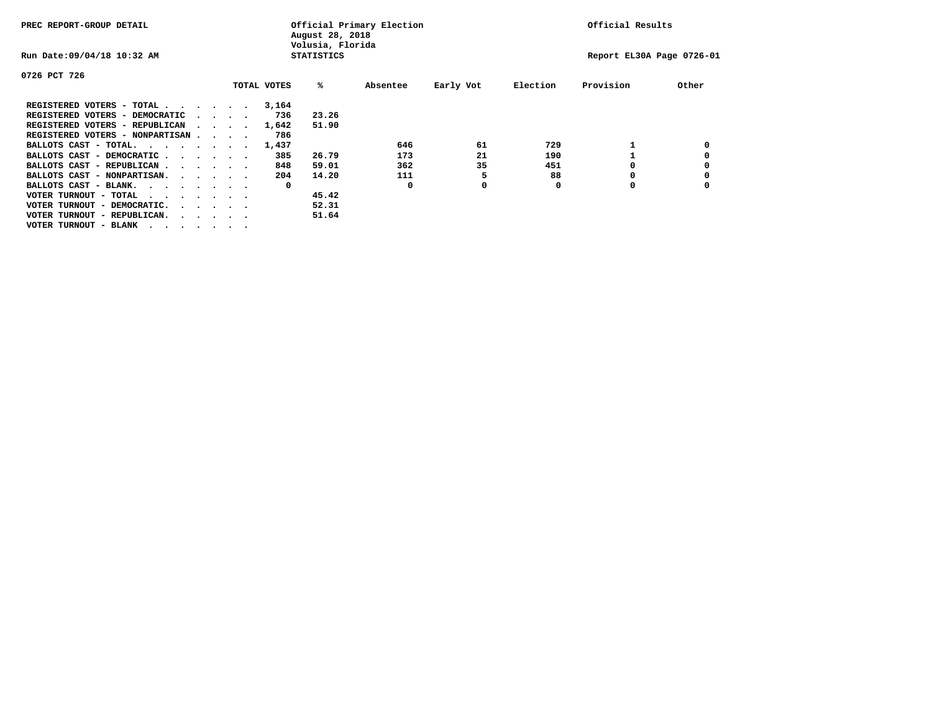| PREC REPORT-GROUP DETAIL               |                   |                                         |  | Official Primary Election<br>August 28, 2018<br>Volusia, Florida | Official Results |       |          |           |                           |           |       |
|----------------------------------------|-------------------|-----------------------------------------|--|------------------------------------------------------------------|------------------|-------|----------|-----------|---------------------------|-----------|-------|
| Run Date: 09/04/18 10:32 AM            | <b>STATISTICS</b> |                                         |  |                                                                  |                  |       |          |           | Report EL30A Page 0726-01 |           |       |
| 0726 PCT 726                           |                   |                                         |  |                                                                  |                  |       |          |           |                           |           |       |
|                                        |                   |                                         |  |                                                                  | TOTAL VOTES      | %ะ    | Absentee | Early Vot | Election                  | Provision | Other |
| REGISTERED VOTERS - TOTAL              |                   |                                         |  |                                                                  | 3,164            |       |          |           |                           |           |       |
| REGISTERED VOTERS - DEMOCRATIC         |                   | $\cdot$ $\cdot$ $\cdot$ $\cdot$         |  |                                                                  | 736              | 23.26 |          |           |                           |           |       |
| REGISTERED VOTERS - REPUBLICAN         |                   |                                         |  |                                                                  | 1,642            | 51.90 |          |           |                           |           |       |
| REGISTERED VOTERS - NONPARTISAN        |                   |                                         |  |                                                                  | 786              |       |          |           |                           |           |       |
| BALLOTS CAST - TOTAL.                  |                   |                                         |  |                                                                  | 1,437            |       | 646      | 61        | 729                       |           |       |
| BALLOTS CAST - DEMOCRATIC              |                   |                                         |  |                                                                  | 385              | 26.79 | 173      | 21        | 190                       |           |       |
| BALLOTS CAST - REPUBLICAN              |                   |                                         |  |                                                                  | 848              | 59.01 | 362      | 35        | 451                       |           |       |
| BALLOTS CAST - NONPARTISAN.            |                   |                                         |  |                                                                  | 204              | 14.20 | 111      |           | 88                        |           |       |
| BALLOTS CAST - BLANK.                  |                   |                                         |  |                                                                  | 0                |       | 0        | 0         | 0                         | 0         |       |
| VOTER TURNOUT - TOTAL<br>.             |                   |                                         |  |                                                                  |                  | 45.42 |          |           |                           |           |       |
| VOTER TURNOUT - DEMOCRATIC.            |                   | $\cdot$ $\cdot$ $\cdot$ $\cdot$ $\cdot$ |  |                                                                  |                  | 52.31 |          |           |                           |           |       |
| VOTER TURNOUT - REPUBLICAN.<br>$\cdot$ |                   |                                         |  |                                                                  |                  | 51.64 |          |           |                           |           |       |
| VOTER TURNOUT - BLANK                  |                   |                                         |  |                                                                  |                  |       |          |           |                           |           |       |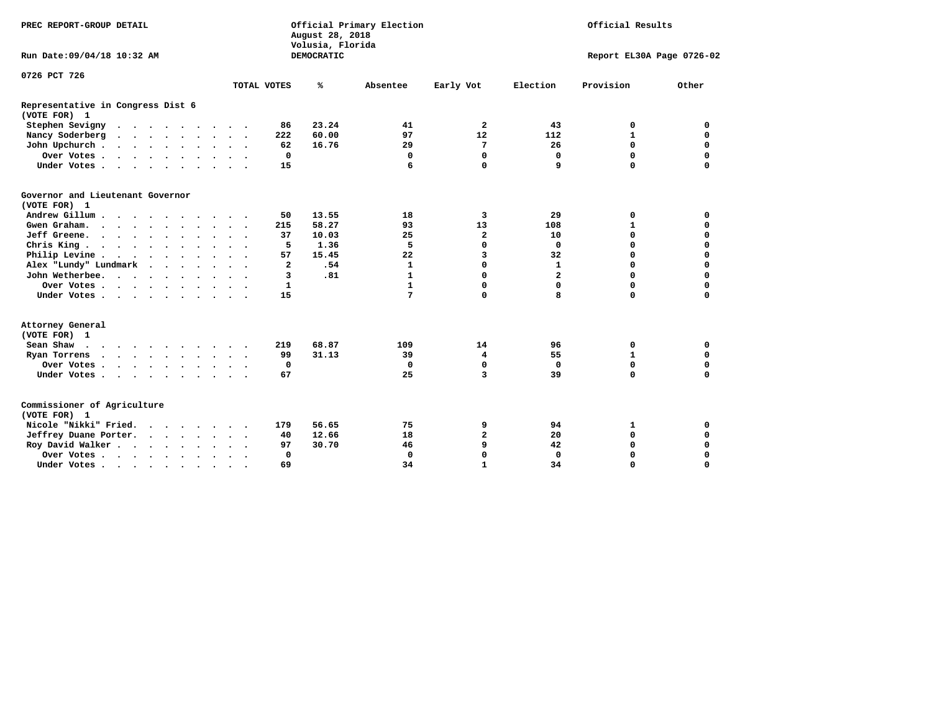| PREC REPORT-GROUP DETAIL                                                                                                                                                                                                                              | Official Primary Election<br>August 28, 2018 |                                       | Official Results              |                             |  |  |
|-------------------------------------------------------------------------------------------------------------------------------------------------------------------------------------------------------------------------------------------------------|----------------------------------------------|---------------------------------------|-------------------------------|-----------------------------|--|--|
| Run Date: 09/04/18 10:32 AM                                                                                                                                                                                                                           |                                              | Volusia, Florida<br><b>DEMOCRATIC</b> |                               | Report EL30A Page 0726-02   |  |  |
| 0726 PCT 726                                                                                                                                                                                                                                          |                                              |                                       |                               |                             |  |  |
|                                                                                                                                                                                                                                                       | TOTAL VOTES                                  | ℁<br>Absentee                         | Election<br>Early Vot         | Provision<br>Other          |  |  |
| Representative in Congress Dist 6<br>(VOTE FOR) 1                                                                                                                                                                                                     |                                              |                                       |                               |                             |  |  |
| Stephen Sevigny                                                                                                                                                                                                                                       | 86                                           | 23.24<br>41                           | $\overline{\mathbf{2}}$<br>43 | 0<br>0                      |  |  |
| Nancy Soderberg<br>$\cdots$                                                                                                                                                                                                                           | 222                                          | 60.00<br>97                           | 12<br>112                     | $\mathbf{1}$<br>$\mathbf 0$ |  |  |
| John Upchurch                                                                                                                                                                                                                                         | 62                                           | 16.76<br>29                           | 7<br>26                       | 0<br>0                      |  |  |
| Over Votes                                                                                                                                                                                                                                            | $\mathbf 0$                                  | 0                                     | 0<br>$\mathbf 0$              | $\mathbf 0$<br>$\mathbf 0$  |  |  |
| Under Votes                                                                                                                                                                                                                                           | 15                                           | 6                                     | $\mathbf 0$<br>9              | $\Omega$<br>$\mathbf 0$     |  |  |
| Governor and Lieutenant Governor<br>(VOTE FOR) 1                                                                                                                                                                                                      |                                              |                                       |                               |                             |  |  |
| Andrew Gillum                                                                                                                                                                                                                                         | 50                                           | 13.55<br>18                           | 3<br>29                       | $\mathbf 0$<br>$\mathbf 0$  |  |  |
| Gwen Graham.                                                                                                                                                                                                                                          | 215                                          | 58.27<br>93                           | 13<br>108                     | $\mathbf{1}$<br>$\mathbf 0$ |  |  |
| Jeff Greene.                                                                                                                                                                                                                                          | 37                                           | 25<br>10.03                           | 2<br>10                       | $\mathbf 0$<br>$\mathbf 0$  |  |  |
| Chris King                                                                                                                                                                                                                                            | 5<br>$\sim$ $\sim$                           | 1.36<br>5                             | 0<br>0                        | $\mathbf 0$<br>0            |  |  |
| Philip Levine                                                                                                                                                                                                                                         | 57                                           | 15.45<br>22                           | 3<br>32                       | $\mathbf 0$<br>$\mathbf 0$  |  |  |
| Alex "Lundy" Lundmark                                                                                                                                                                                                                                 | $\overline{a}$                               | .54<br>$\mathbf{1}$                   | $\mathbf 0$<br>$\mathbf{1}$   | $\mathbf 0$<br>$\mathbf 0$  |  |  |
| John Wetherbee.                                                                                                                                                                                                                                       | 3                                            | .81<br>$\mathbf{1}$                   | $\mathbf 0$<br>$\overline{a}$ | $\Omega$<br>$\mathbf 0$     |  |  |
| Over Votes                                                                                                                                                                                                                                            | $\mathbf{1}$                                 | $\mathbf{1}$                          | 0<br>0                        | $\mathbf 0$<br>$\mathbf 0$  |  |  |
| Under Votes                                                                                                                                                                                                                                           | 15                                           | 7                                     | 0<br>8                        | $\mathbf 0$<br>$\mathbf 0$  |  |  |
| Attorney General<br>(VOTE FOR) 1                                                                                                                                                                                                                      |                                              |                                       |                               |                             |  |  |
| Sean Shaw                                                                                                                                                                                                                                             | 219                                          | 68.87<br>109                          | 14<br>96                      | 0<br>0                      |  |  |
| Ryan Torrens<br>$\mathbf{a}$ and $\mathbf{a}$ are a set of the set of the set of the set of the set of the set of the set of the set of the set of the set of the set of the set of the set of the set of the set of the set of the set of the set of | 99                                           | 31.13<br>39                           | 55<br>4                       | $\mathbf{1}$<br>0           |  |  |
| Over Votes                                                                                                                                                                                                                                            | 0                                            | 0                                     | 0<br>$\Omega$                 | 0<br>$\mathbf 0$            |  |  |
| Under Votes                                                                                                                                                                                                                                           | 67                                           | 25                                    | 3<br>39                       | $\Omega$<br>$\mathbf 0$     |  |  |
| Commissioner of Agriculture<br>(VOTE FOR) 1                                                                                                                                                                                                           |                                              |                                       |                               |                             |  |  |
| Nicole "Nikki" Fried.                                                                                                                                                                                                                                 | 179                                          | 56.65<br>75                           | 9<br>94                       | 0<br>1                      |  |  |
| Jeffrey Duane Porter.                                                                                                                                                                                                                                 | 40                                           | 12.66<br>18                           | 2<br>20                       | 0<br>$\mathbf 0$            |  |  |
| Roy David Walker                                                                                                                                                                                                                                      | 97                                           | 30.70<br>46                           | 9<br>42                       | $\mathbf 0$<br>$\mathbf 0$  |  |  |
| Over Votes                                                                                                                                                                                                                                            | $\Omega$<br>$\ddot{\phantom{0}}$             | $\mathbf 0$                           | 0<br>0                        | $\mathbf 0$<br>0            |  |  |
| Under Votes                                                                                                                                                                                                                                           | 69<br>$\ddot{\phantom{1}}$<br>$\sim$         | 34                                    | $\mathbf{1}$<br>34            | $\mathbf 0$<br>$\mathbf 0$  |  |  |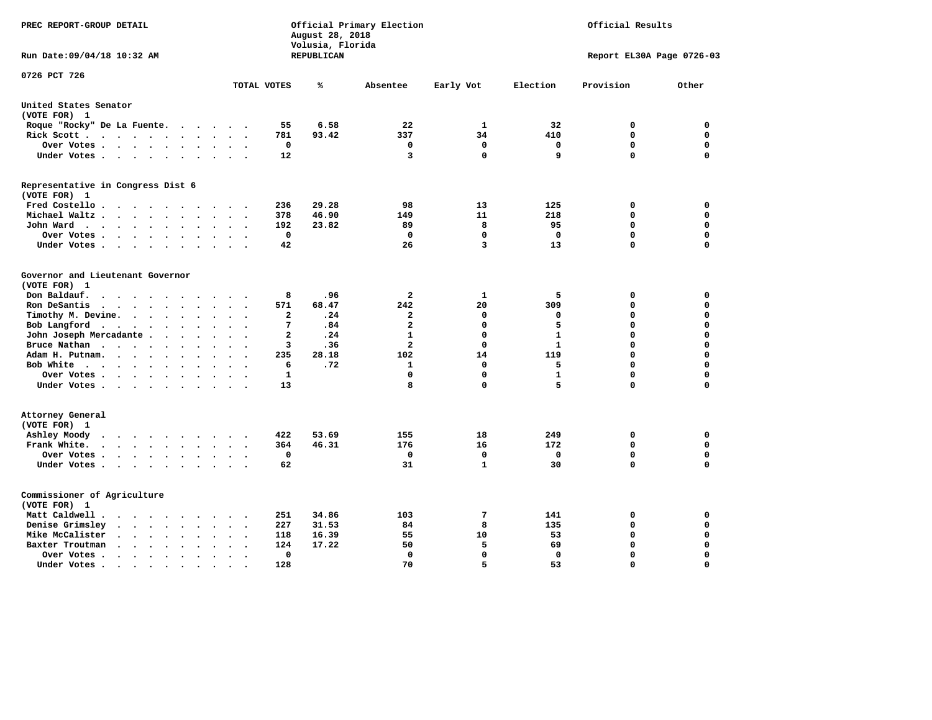| PREC REPORT-GROUP DETAIL                                                                                                                                  |                                                   | Official Primary Election<br>August 28, 2018<br>Volusia, Florida | Official Results        |              |              |                           |             |
|-----------------------------------------------------------------------------------------------------------------------------------------------------------|---------------------------------------------------|------------------------------------------------------------------|-------------------------|--------------|--------------|---------------------------|-------------|
| Run Date:09/04/18 10:32 AM                                                                                                                                |                                                   | REPUBLICAN                                                       |                         |              |              | Report EL30A Page 0726-03 |             |
| 0726 PCT 726                                                                                                                                              | TOTAL VOTES                                       | ℁                                                                | Absentee                | Early Vot    | Election     | Provision                 | Other       |
|                                                                                                                                                           |                                                   |                                                                  |                         |              |              |                           |             |
| United States Senator<br>(VOTE FOR) 1                                                                                                                     |                                                   |                                                                  |                         |              |              |                           |             |
| Roque "Rocky" De La Fuente.<br>$\cdots$                                                                                                                   | 55<br>$\sim$<br>$\sim$                            | 6.58                                                             | 22                      | 1            | 32           | 0                         | 0           |
| Rick Scott<br>$\sim$                                                                                                                                      | 781                                               | 93.42                                                            | 337                     | 34           | 410          | $\mathbf 0$               | $\mathbf 0$ |
| Over Votes<br>$\ddot{\phantom{1}}$                                                                                                                        | 0<br>$\ddot{\phantom{a}}$<br>$\ddot{\phantom{1}}$ |                                                                  | 0                       | $\mathbf 0$  | 0            | $\mathbf 0$               | $\mathbf 0$ |
| Under Votes<br>$\sim$                                                                                                                                     | 12<br>$\ddot{\phantom{a}}$                        |                                                                  | 3                       | $\mathbf 0$  | 9            | $\mathbf 0$               | $\mathbf 0$ |
| Representative in Congress Dist 6                                                                                                                         |                                                   |                                                                  |                         |              |              |                           |             |
| (VOTE FOR) 1                                                                                                                                              |                                                   |                                                                  |                         |              |              |                           |             |
| Fred Costello                                                                                                                                             | 236<br>$\sim$ $\sim$ $\sim$ $\sim$                | 29.28                                                            | 98                      | 13           | 125          | 0                         | 0           |
| Michael Waltz<br>$\ddot{\phantom{a}}$<br>$\ddot{\phantom{a}}$                                                                                             | 378                                               | 46.90                                                            | 149                     | 11           | 218          | 0                         | $\mathbf 0$ |
| John Ward<br>$\ddot{\phantom{a}}$                                                                                                                         | 192<br>$\ddot{\phantom{0}}$                       | 23.82                                                            | 89                      | 8            | 95           | $\mathbf 0$               | $\mathbf 0$ |
| Over Votes .<br>.<br>$\ddot{\phantom{a}}$                                                                                                                 | 0                                                 |                                                                  | 0                       | $\mathbf 0$  | $\Omega$     | $\mathbf 0$               | $\mathbf 0$ |
| Under Votes<br>$\cdot$<br>$\sim$                                                                                                                          | 42                                                |                                                                  | 26                      | 3            | 13           | $\mathbf 0$               | $\mathbf 0$ |
| Governor and Lieutenant Governor                                                                                                                          |                                                   |                                                                  |                         |              |              |                           |             |
| (VOTE FOR) 1                                                                                                                                              |                                                   |                                                                  |                         |              |              |                           |             |
| Don Baldauf.<br>$\cdot$ $\cdot$ $\cdot$<br>$\overline{\phantom{a}}$                                                                                       | 8                                                 | .96                                                              | $\overline{a}$          | $\mathbf{1}$ | 5            | 0                         | 0           |
| Ron DeSantis<br>$\cdot$ $\cdot$ $\cdot$ $\cdot$<br>$\bullet$<br>$\ddot{\phantom{a}}$                                                                      | 571                                               | 68.47                                                            | 242                     | 20           | 309          | $\mathbf 0$               | $\mathbf 0$ |
| Timothy M. Devine.<br>$\ddot{\phantom{a}}$<br>$\ddot{\phantom{a}}$                                                                                        | $\overline{a}$                                    | .24                                                              | $\overline{\mathbf{2}}$ | $\mathbf 0$  | 0            | $\mathbf 0$               | $\mathbf 0$ |
| Bob Langford<br>$\ddot{\phantom{0}}$<br>$\ddot{\phantom{0}}$<br>$\sim$<br>$\bullet$                                                                       | $7\phantom{.0}$<br>$\sim$                         | .84                                                              | $\overline{a}$          | $\mathbf 0$  | 5            | $\mathbf 0$               | $\mathbf 0$ |
| John Joseph Mercadante                                                                                                                                    | $\overline{a}$<br>$\sim$<br>$\ddot{\phantom{a}}$  | .24                                                              | $\mathbf{1}$            | $\mathbf 0$  | $\mathbf{1}$ | $\mathbf 0$               | $\mathbf 0$ |
| Bruce Nathan<br>$\cdot$<br>$\ddot{\phantom{a}}$<br>$\bullet$                                                                                              | 3                                                 | .36                                                              | $\overline{\mathbf{2}}$ | $\mathbf 0$  | $\mathbf{1}$ | $\mathbf 0$               | $\mathbf 0$ |
| Adam H. Putnam.<br>$\cdots$<br>$\bullet$                                                                                                                  | 235                                               | 28.18                                                            | 102                     | 14           | 119          | $\mathbf 0$               | $\mathbf 0$ |
| Bob White<br>$\bullet$                                                                                                                                    | 6<br>$\sim$                                       | .72                                                              | 1                       | $\mathbf 0$  | 5            | $\mathbf 0$               | $\mathbf 0$ |
| Over Votes .<br>$\cdots$                                                                                                                                  | $\mathbf{1}$                                      |                                                                  | $\Omega$                | $\mathbf 0$  | ${\bf 1}$    | $\mathbf 0$               | 0           |
| Under Votes                                                                                                                                               | 13                                                |                                                                  | 8                       | $\mathbf 0$  | 5            | $\mathbf 0$               | $\mathbf 0$ |
| Attorney General                                                                                                                                          |                                                   |                                                                  |                         |              |              |                           |             |
| (VOTE FOR) 1                                                                                                                                              |                                                   |                                                                  |                         |              |              |                           |             |
| Ashley Moody<br>$\cdots$<br>$\bullet$<br>$\sim$                                                                                                           | 422<br>$\cdot$                                    | 53.69                                                            | 155                     | 18           | 249          | 0                         | 0           |
| Frank White.<br>$\cdot$ $\cdot$ $\cdot$ $\cdot$ $\cdot$<br>$\ddot{\phantom{0}}$                                                                           | 364                                               | 46.31                                                            | 176                     | 16           | 172          | $\mathbf 0$               | 0           |
| Over Votes .<br>$\cdots$<br>$\bullet$                                                                                                                     | 0                                                 |                                                                  | 0                       | 0            | 0            | $\mathbf 0$               | 0           |
| Under Votes                                                                                                                                               | 62<br>$\sim$ $\sim$                               |                                                                  | 31                      | $\mathbf{1}$ | 30           | $\mathbf 0$               | $\mathbf 0$ |
| Commissioner of Agriculture                                                                                                                               |                                                   |                                                                  |                         |              |              |                           |             |
| (VOTE FOR) 1                                                                                                                                              |                                                   |                                                                  |                         |              |              |                           |             |
| Matt Caldwell.<br>$\bullet$ .<br><br><br><br><br><br><br><br><br><br><br><br><br>$\sim$                                                                   | 251                                               | 34.86                                                            | 103                     | 7            | 141          | 0                         | 0           |
| Denise Grimsley<br>$\cdot$ $\cdot$<br>$\ddot{\phantom{a}}$<br>$\cdot$                                                                                     | 227                                               | 31.53                                                            | 84                      | 8            | 135          | $\mathbf 0$               | $\mathbf 0$ |
| Mike McCalister<br>$\begin{array}{cccccccccccccc} \bullet & \bullet & \bullet & \bullet & \bullet & \bullet & \bullet & \bullet \end{array}$<br>$\bullet$ | 118<br>$\bullet$                                  | 16.39                                                            | 55                      | 10           | 53           | $\mathbf 0$               | 0           |
| Baxter Troutman<br>$\cdot$ $\cdot$<br>$\sim$<br>$\bullet$<br>$\ddot{\phantom{a}}$<br>$\sim$                                                               | 124                                               | 17.22                                                            | 50                      | 5            | 69           | $\mathbf 0$               | $\mathbf 0$ |
| Over Votes .<br>$\cdot$ $\cdot$ $\cdot$ $\cdot$<br>$\cdot$<br>$\cdot$                                                                                     | 0                                                 |                                                                  | 0                       | $\mathbf 0$  | 0            | $\mathbf 0$               | $\mathbf 0$ |
| Under Votes.<br>$\cdots$<br>$\sim$                                                                                                                        | 128<br>$\bullet$                                  |                                                                  | 70                      | 5            | 53           | $\Omega$                  | $\Omega$    |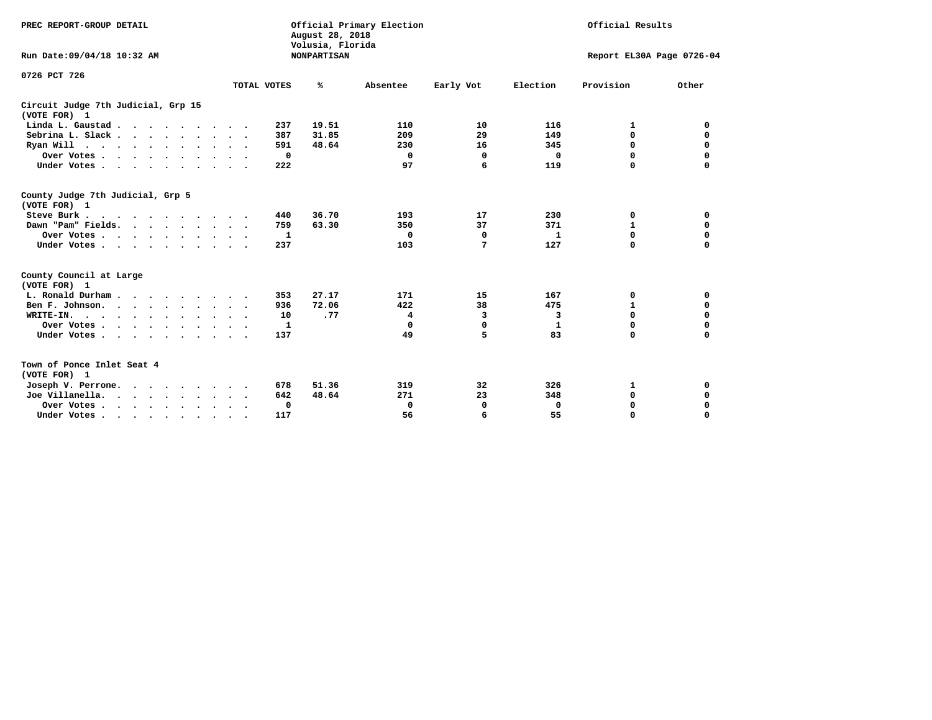| PREC REPORT-GROUP DETAIL<br>Run Date: 09/04/18 10:32 AM |                      | August 28, 2018<br>Volusia, Florida<br><b>NONPARTISAN</b> | Official Primary Election |             |          | Official Results<br>Report EL30A Page 0726-04 |             |  |
|---------------------------------------------------------|----------------------|-----------------------------------------------------------|---------------------------|-------------|----------|-----------------------------------------------|-------------|--|
|                                                         |                      |                                                           |                           |             |          |                                               |             |  |
| 0726 PCT 726                                            | TOTAL VOTES          | ℁                                                         | Absentee                  | Early Vot   | Election | Provision                                     | Other       |  |
| Circuit Judge 7th Judicial, Grp 15<br>(VOTE FOR) 1      |                      |                                                           |                           |             |          |                                               |             |  |
| Linda L. Gaustad                                        | 237                  | 19.51                                                     | 110                       | 10          | 116      | 1                                             | 0           |  |
| Sebrina L. Slack.                                       | 387                  | 31.85                                                     | 209                       | 29          | 149      | $\mathbf 0$                                   | $\mathbf 0$ |  |
| Ryan Will $\cdots$ , $\cdots$ , $\cdots$ , $\cdots$     | 591                  | 48.64                                                     | 230                       | 16          | 345      | 0                                             | $\mathbf 0$ |  |
| Over Votes                                              | 0                    |                                                           | 0                         | 0           | 0        | 0                                             | 0           |  |
| Under Votes                                             | 222                  |                                                           | 97                        | 6           | 119      | $\Omega$                                      | 0           |  |
| County Judge 7th Judicial, Grp 5<br>(VOTE FOR) 1        |                      |                                                           |                           |             |          |                                               |             |  |
| Steve Burk                                              | 440                  | 36.70                                                     | 193                       | 17          | 230      | 0                                             | 0           |  |
| Dawn "Pam" Fields.                                      | 759                  | 63.30                                                     | 350                       | 37          | 371      | $\mathbf{1}$                                  | $\mathbf 0$ |  |
| Over Votes                                              | 1                    |                                                           | 0                         | 0           | 1        | $\mathbf 0$                                   | $\mathbf 0$ |  |
| Under Votes                                             | 237                  |                                                           | 103                       | 7           | 127      | $\Omega$                                      | $\mathbf 0$ |  |
| County Council at Large<br>(VOTE FOR) 1                 |                      |                                                           |                           |             |          |                                               |             |  |
| L. Ronald Durham.                                       | 353                  | 27.17                                                     | 171                       | 15          | 167      | 0                                             | 0           |  |
| Ben F. Johnson.                                         | 936<br>$\sim$ $\sim$ | 72.06                                                     | 422                       | 38          | 475      | $\mathbf{1}$                                  | $\mathbf 0$ |  |
| WRITE-IN.                                               | 10                   | .77                                                       | 4                         | 3           | 3        | $\mathbf 0$                                   | $\mathbf 0$ |  |
| Over Votes                                              | 1                    |                                                           | 0                         | $\mathbf 0$ | 1        | 0                                             | $\mathbf 0$ |  |
| Under Votes                                             | 137                  |                                                           | 49                        | 5           | 83       | $\Omega$                                      | $\mathbf 0$ |  |
| Town of Ponce Inlet Seat 4<br>(VOTE FOR) 1              |                      |                                                           |                           |             |          |                                               |             |  |
| Joseph V. Perrone.                                      | 678                  | 51.36                                                     | 319                       | 32          | 326      | 1                                             | 0           |  |
| Joe Villanella.                                         | 642                  | 48.64                                                     | 271                       | 23          | 348      | 0                                             | $\mathbf 0$ |  |
| Over Votes                                              | 0                    |                                                           | 0                         | 0           | 0        | 0                                             | 0           |  |
| Under Votes                                             | 117<br>$\bullet$     |                                                           | 56                        | 6           | 55       | $\Omega$                                      | $\mathbf 0$ |  |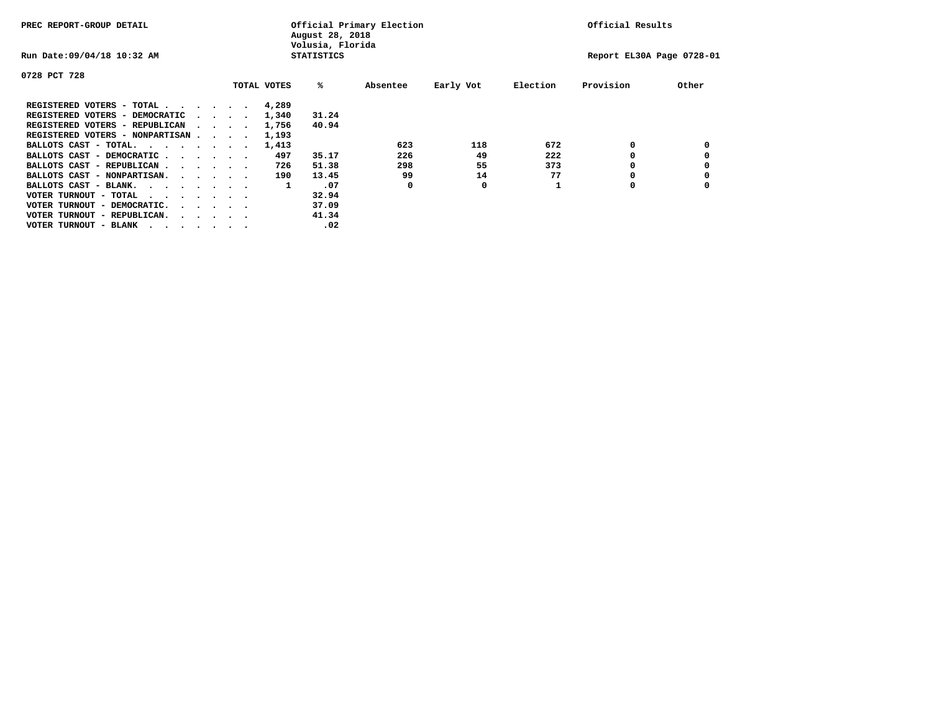| PREC REPORT-GROUP DETAIL               |  |                                         |  | Official Primary Election<br>August 28, 2018<br>Volusia, Florida | Official Results  |          |           |          |                           |       |
|----------------------------------------|--|-----------------------------------------|--|------------------------------------------------------------------|-------------------|----------|-----------|----------|---------------------------|-------|
| Run Date: 09/04/18 10:32 AM            |  |                                         |  |                                                                  | <b>STATISTICS</b> |          |           |          | Report EL30A Page 0728-01 |       |
| 0728 PCT 728                           |  |                                         |  |                                                                  |                   |          |           |          |                           |       |
|                                        |  |                                         |  | TOTAL VOTES                                                      | %ะ                | Absentee | Early Vot | Election | Provision                 | Other |
| REGISTERED VOTERS - TOTAL              |  |                                         |  | 4,289                                                            |                   |          |           |          |                           |       |
| REGISTERED VOTERS - DEMOCRATIC         |  | $\sim$ $\sim$ $\sim$ $\sim$             |  | 1,340                                                            | 31.24             |          |           |          |                           |       |
| REGISTERED VOTERS - REPUBLICAN         |  |                                         |  | 1,756                                                            | 40.94             |          |           |          |                           |       |
| REGISTERED VOTERS - NONPARTISAN        |  |                                         |  | 1,193                                                            |                   |          |           |          |                           |       |
| BALLOTS CAST - TOTAL.                  |  |                                         |  | 1,413                                                            |                   | 623      | 118       | 672      | 0                         |       |
| BALLOTS CAST - DEMOCRATIC              |  |                                         |  | 497                                                              | 35.17             | 226      | 49        | 222      |                           |       |
| BALLOTS CAST - REPUBLICAN              |  |                                         |  | 726                                                              | 51.38             | 298      | 55        | 373      |                           |       |
| BALLOTS CAST - NONPARTISAN.            |  |                                         |  | 190                                                              | 13.45             | 99       | 14        | 77       |                           |       |
| BALLOTS CAST - BLANK.                  |  |                                         |  | 1                                                                | .07               | 0        | 0         |          | 0                         |       |
| VOTER TURNOUT - TOTAL<br>.             |  |                                         |  |                                                                  | 32.94             |          |           |          |                           |       |
| VOTER TURNOUT - DEMOCRATIC.            |  | $\cdot$ $\cdot$ $\cdot$ $\cdot$ $\cdot$ |  |                                                                  | 37.09             |          |           |          |                           |       |
| VOTER TURNOUT - REPUBLICAN.<br>$\cdot$ |  |                                         |  |                                                                  | 41.34             |          |           |          |                           |       |
| VOTER TURNOUT - BLANK                  |  |                                         |  |                                                                  | .02               |          |           |          |                           |       |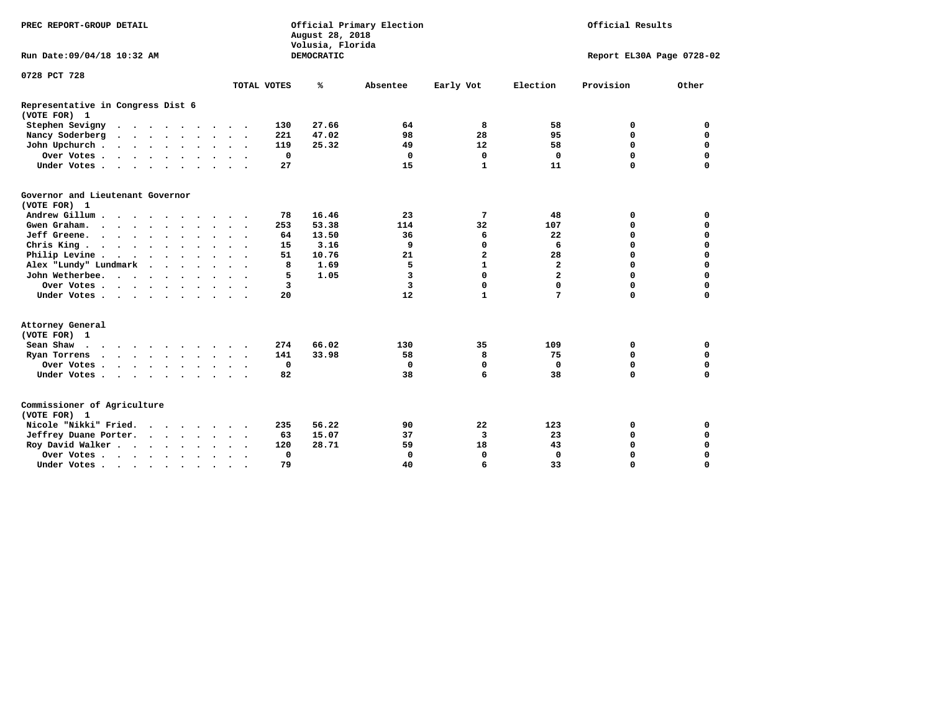| Official Primary Election<br>PREC REPORT-GROUP DETAIL<br>August 28, 2018<br>Volusia, Florida                                                                                                                                                          |                      |             |             |                   |             |              | Official Results |                           |             |  |
|-------------------------------------------------------------------------------------------------------------------------------------------------------------------------------------------------------------------------------------------------------|----------------------|-------------|-------------|-------------------|-------------|--------------|------------------|---------------------------|-------------|--|
| Run Date: 09/04/18 10:32 AM                                                                                                                                                                                                                           |                      |             |             | <b>DEMOCRATIC</b> |             |              |                  | Report EL30A Page 0728-02 |             |  |
| 0728 PCT 728                                                                                                                                                                                                                                          |                      |             |             |                   |             |              |                  |                           |             |  |
|                                                                                                                                                                                                                                                       |                      | TOTAL VOTES |             | ℁                 | Absentee    | Early Vot    | Election         | Provision                 | Other       |  |
| Representative in Congress Dist 6<br>(VOTE FOR) 1                                                                                                                                                                                                     |                      |             |             |                   |             |              |                  |                           |             |  |
| Stephen Sevigny                                                                                                                                                                                                                                       |                      |             | 130         | 27.66             | 64          | 8            | 58               | 0                         | 0           |  |
| Nancy Soderberg<br>$\cdots$                                                                                                                                                                                                                           |                      |             | 221         | 47.02             | 98          | 28           | 95               | $\mathbf 0$               | $\mathbf 0$ |  |
| John Upchurch                                                                                                                                                                                                                                         |                      |             | 119         | 25.32             | 49          | 12           | 58               | 0                         | 0           |  |
| Over Votes                                                                                                                                                                                                                                            |                      |             | $\mathbf 0$ |                   | 0           | $\mathbf 0$  | $\mathbf 0$      | $\mathbf 0$               | $\mathbf 0$ |  |
| Under Votes                                                                                                                                                                                                                                           |                      |             | 27          |                   | 15          | $\mathbf{1}$ | 11               | $\Omega$                  | $\mathbf 0$ |  |
| Governor and Lieutenant Governor<br>(VOTE FOR) 1                                                                                                                                                                                                      |                      |             |             |                   |             |              |                  |                           |             |  |
| Andrew Gillum                                                                                                                                                                                                                                         |                      |             | 78          | 16.46             | 23          | 7            | 48               | 0                         | $\mathbf 0$ |  |
| Gwen Graham.                                                                                                                                                                                                                                          |                      |             | 253         | 53.38             | 114         | 32           | 107              | $\mathbf 0$               | $\mathbf 0$ |  |
| Jeff Greene.                                                                                                                                                                                                                                          |                      |             | 64          | 13.50             | 36          | 6            | 22               | $\mathbf 0$               | $\mathbf 0$ |  |
| Chris King                                                                                                                                                                                                                                            | $\cdot$              |             | 15          | 3.16              | 9           | 0            | 6                | 0                         | 0           |  |
| Philip Levine                                                                                                                                                                                                                                         |                      |             | 51          | 10.76             | 21          | 2            | 28               | $\mathbf 0$               | $\mathbf 0$ |  |
| Alex "Lundy" Lundmark                                                                                                                                                                                                                                 | $\cdot$              |             | 8           | 1.69              | 5           | $\mathbf{1}$ | $\overline{a}$   | $\mathbf 0$               | $\mathbf 0$ |  |
| John Wetherbee.                                                                                                                                                                                                                                       |                      |             | 5           | 1.05              | 3           | $\mathbf 0$  | $\overline{a}$   | $\mathbf 0$               | $\mathbf 0$ |  |
| Over Votes                                                                                                                                                                                                                                            |                      |             | 3           |                   | 3           | 0            | 0                | $\mathbf 0$               | $\mathbf 0$ |  |
| Under Votes                                                                                                                                                                                                                                           |                      |             | 20          |                   | 12          | $\mathbf{1}$ | 7                | $\mathbf 0$               | $\mathbf 0$ |  |
| Attorney General<br>(VOTE FOR) 1                                                                                                                                                                                                                      |                      |             |             |                   |             |              |                  |                           |             |  |
| Sean Shaw                                                                                                                                                                                                                                             |                      |             | 274         | 66.02             | 130         | 35           | 109              | 0                         | 0           |  |
| Ryan Torrens<br>$\mathbf{a}$ and $\mathbf{a}$ are a set of the set of the set of the set of the set of the set of the set of the set of the set of the set of the set of the set of the set of the set of the set of the set of the set of the set of |                      |             | 141         | 33.98             | 58          | 8            | 75               | $\mathbf 0$               | 0           |  |
| Over Votes                                                                                                                                                                                                                                            |                      |             | $\mathbf 0$ |                   | 0           | 0            | $\Omega$         | 0                         | $\mathbf 0$ |  |
| Under Votes                                                                                                                                                                                                                                           |                      |             | 82          |                   | 38          | 6            | 38               | $\Omega$                  | $\mathbf 0$ |  |
| Commissioner of Agriculture<br>(VOTE FOR) 1                                                                                                                                                                                                           |                      |             |             |                   |             |              |                  |                           |             |  |
| Nicole "Nikki" Fried.                                                                                                                                                                                                                                 |                      |             | 235         | 56.22             | 90          | 22           | 123              | 0                         | 0           |  |
| Jeffrey Duane Porter.                                                                                                                                                                                                                                 |                      |             | 63          | 15.07             | 37          | 3            | 23               | $\mathbf 0$               | $\mathbf 0$ |  |
| Roy David Walker                                                                                                                                                                                                                                      |                      |             | 120         | 28.71             | 59          | 18           | 43               | $\mathbf 0$               | $\mathbf 0$ |  |
| Over Votes                                                                                                                                                                                                                                            | $\ddot{\phantom{1}}$ |             | 0           |                   | $\mathbf 0$ | $\mathbf 0$  | 0                | $\mathbf 0$               | 0           |  |
| Under Votes                                                                                                                                                                                                                                           | $\ddot{\phantom{1}}$ | $\sim$      | 79          |                   | 40          | 6            | 33               | $\mathbf 0$               | $\mathbf 0$ |  |
|                                                                                                                                                                                                                                                       |                      |             |             |                   |             |              |                  |                           |             |  |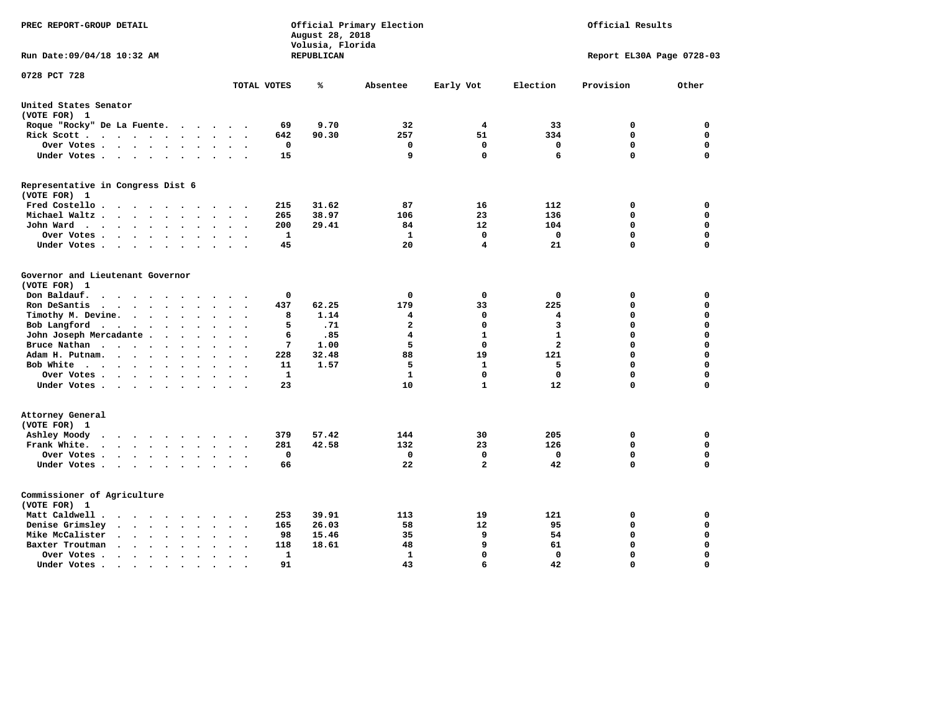| PREC REPORT-GROUP DETAIL                                                                                                                  |                                                  | Official Primary Election<br>Official Results<br>August 28, 2018<br>Volusia, Florida |                   |                               |              |                           |                  |
|-------------------------------------------------------------------------------------------------------------------------------------------|--------------------------------------------------|--------------------------------------------------------------------------------------|-------------------|-------------------------------|--------------|---------------------------|------------------|
| Run Date: 09/04/18 10:32 AM                                                                                                               |                                                  | <b>REPUBLICAN</b>                                                                    |                   |                               |              | Report EL30A Page 0728-03 |                  |
| 0728 PCT 728                                                                                                                              | TOTAL VOTES                                      | ℁                                                                                    | Absentee          | Early Vot                     | Election     | Provision                 | Other            |
| United States Senator                                                                                                                     |                                                  |                                                                                      |                   |                               |              |                           |                  |
| (VOTE FOR) 1                                                                                                                              |                                                  |                                                                                      |                   |                               |              |                           |                  |
| Roque "Rocky" De La Fuente.<br>$\ddot{\phantom{1}}$                                                                                       | $\overline{\phantom{a}}$<br>$\ddot{\phantom{a}}$ | 9.70<br>69                                                                           | 32                | 4                             | 33           | 0                         | 0                |
| Rick Scott<br>$\bullet$<br>$\cdot$                                                                                                        |                                                  | 642<br>90.30                                                                         | 257               | 51                            | 334          | 0                         | 0                |
| Over Votes<br>$\bullet$                                                                                                                   | $\ddot{\phantom{0}}$<br>$\bullet$                | 0                                                                                    | 0                 | 0                             | 0            | $\mathbf 0$               | $\mathbf 0$      |
| Under Votes<br>$\sim$                                                                                                                     | $\sim$<br>$\sim$                                 | 15                                                                                   | 9                 | $\Omega$                      | 6            | $\mathbf 0$               | $\mathbf 0$      |
| Representative in Congress Dist 6<br>(VOTE FOR) 1                                                                                         |                                                  |                                                                                      |                   |                               |              |                           |                  |
| Fred Costello                                                                                                                             |                                                  | 31.62<br>215                                                                         | 87                | 16                            | 112          | 0                         | $\mathbf 0$      |
| Michael Waltz<br>$\ddot{\phantom{a}}$<br>$\ddot{\phantom{a}}$                                                                             |                                                  | 38.97<br>265                                                                         | 106               | 23                            | 136          | $\mathbf 0$               | $\mathbf 0$      |
| John Ward<br>$\ddot{\phantom{0}}$<br>$\bullet$                                                                                            | $\ddot{\phantom{a}}$<br>$\bullet$                | 200<br>29.41                                                                         | 84                | 12                            | 104          | $\mathbf 0$               | $\mathbf 0$      |
| Over Votes.<br>$\ddot{\phantom{a}}$<br>$\ddot{\phantom{a}}$<br>$\ddot{\phantom{a}}$                                                       |                                                  | $\mathbf{1}$                                                                         | $\mathbf{1}$      | $\mathbf 0$                   | $\mathbf 0$  | $\mathbf 0$               | $\mathbf 0$      |
| Under Votes<br>$\ddot{\phantom{0}}$<br>$\cdot$                                                                                            |                                                  | 45                                                                                   | 20                | 4                             | 21           | 0                         | $\mathbf 0$      |
| Governor and Lieutenant Governor<br>(VOTE FOR) 1<br>Don Baldauf.<br>$\bullet$ .<br><br><br><br><br><br><br><br><br><br><br><br><br>$\sim$ |                                                  | 0                                                                                    | 0                 | 0                             | 0            | 0                         | 0                |
| Ron DeSantis<br>$\sim$ $\sim$ $\sim$ $\sim$                                                                                               |                                                  | 437<br>62.25                                                                         | 179               | 33                            | 225          | $\mathbf 0$               | $\mathbf 0$      |
| Timothy M. Devine.<br>$\sim$ $\sim$ $\sim$<br>$\ddot{\phantom{a}}$<br>$\ddot{\phantom{a}}$<br>$\ddot{\phantom{a}}$                        | $\ddot{\phantom{a}}$                             | 1.14<br>8                                                                            | 4                 | 0                             | 4            | 0                         | $\mathbf 0$      |
| Bob Langford<br>$\ddot{\phantom{a}}$<br>$\ddot{\phantom{a}}$<br>$\bullet$<br>$\ddot{\phantom{a}}$                                         |                                                  | 5<br>.71                                                                             | $\mathbf{2}$      | $\Omega$                      | 3            | 0                         | 0                |
| John Joseph Mercadante .<br>$\ddot{\phantom{a}}$<br>$\ddot{\phantom{a}}$<br>$\ddot{\phantom{a}}$                                          | $\ddot{\phantom{a}}$<br>$\ddot{\phantom{a}}$     | 6<br>.85                                                                             | 4                 | $\mathbf{1}$                  | $\mathbf{1}$ | 0                         | $\mathbf 0$      |
| Bruce Nathan<br>$\ddot{\phantom{a}}$<br>$\bullet$<br>$\bullet$                                                                            |                                                  | 7<br>1.00                                                                            | 5                 | 0                             | $\mathbf{2}$ | 0                         | 0                |
| Adam H. Putnam.<br>$\cdot$ $\cdot$ $\cdot$<br>$\ddot{\phantom{a}}$                                                                        |                                                  | 228<br>32.48                                                                         | 88                | 19                            | 121          | 0                         | $\mathbf 0$      |
| Bob White<br>$\bullet$<br>$\overline{\phantom{a}}$                                                                                        | $\bullet$<br>$\overline{\phantom{a}}$            | 11<br>1.57                                                                           | 5                 | 1                             | 5            | 0                         | $\mathbf 0$      |
| Over Votes.<br>$\cdot$ $\cdot$ $\cdot$ $\cdot$                                                                                            |                                                  | 1                                                                                    | 1                 | $\Omega$                      | 0            | 0                         | 0                |
| Under Votes                                                                                                                               | $\sim$                                           | 23                                                                                   | 10                | $\mathbf{1}$                  | 12           | $\Omega$                  | $\Omega$         |
| Attorney General<br>(VOTE FOR) 1                                                                                                          |                                                  |                                                                                      |                   |                               |              |                           |                  |
| Ashley Moody<br>$\cdots$<br>$\ddot{\phantom{0}}$<br>$\ddot{\phantom{0}}$                                                                  | $\bullet$                                        | 57.42<br>379                                                                         | 144               | 30                            | 205          | 0                         | 0                |
| Frank White.<br>$\cdot$ $\cdot$ $\cdot$<br>$\sim$<br>$\bullet$<br>$\bullet$                                                               |                                                  | 281<br>42.58                                                                         | 132               | 23                            | 126          | $\mathbf 0$               | $\mathbf 0$      |
| Over Votes.<br>$\mathbf{r} = \mathbf{r} + \mathbf{r} + \mathbf{r} + \mathbf{r}$<br>$\bullet$<br>$\bullet$                                 | $\bullet$<br>$\bullet$                           | $\mathbf 0$                                                                          | $\mathbf 0$<br>22 | $\mathbf 0$<br>$\overline{a}$ | $\mathbf 0$  | $\mathbf 0$<br>0          | $\mathbf 0$<br>0 |
| Under Votes<br>$\sim$<br>$\ddot{\phantom{0}}$                                                                                             | $\ddot{\phantom{a}}$<br>$\bullet$                | 66                                                                                   |                   |                               | 42           |                           |                  |
| Commissioner of Agriculture<br>(VOTE FOR) 1                                                                                               |                                                  |                                                                                      |                   |                               |              |                           |                  |
| Matt Caldwell.<br>$\ddot{\phantom{0}}$<br>$\sim$ $\sim$                                                                                   |                                                  | 39.91<br>253                                                                         | 113               | 19                            | 121          | 0                         | 0                |
| Denise Grimsley<br>$\ddot{\phantom{a}}$<br>$\ddot{\phantom{a}}$<br>$\bullet$                                                              |                                                  | 26.03<br>165                                                                         | 58                | 12                            | 95           | 0                         | 0                |
| Mike McCalister<br>$\sim$ $\sim$<br>$\ddot{\phantom{a}}$<br>$\sim$ $\sim$<br>$\bullet$<br>$\bullet$                                       | $\bullet$<br>$\bullet$                           | 15.46<br>98                                                                          | 35                | 9                             | 54           | 0                         | $\mathbf 0$      |
| Baxter Troutman<br>$\ddot{\phantom{a}}$<br>$\ddot{\phantom{a}}$<br>$\bullet$                                                              | $\ddot{\phantom{a}}$                             | 118<br>18.61                                                                         | 48                | 9                             | 61           | 0                         | $\mathbf 0$      |
| Over Votes.<br>$\ddot{\phantom{0}}$<br>$\cdot$<br>$\ddot{\phantom{a}}$<br>$\ddot{\phantom{a}}$                                            | $\ddot{\phantom{0}}$                             | 1                                                                                    | 1                 | $\Omega$                      | 0            | $\mathbf 0$               | $\mathbf 0$      |
| Under Votes.<br>$\cdot$ $\cdot$ $\cdot$<br>$\bullet$<br>$\bullet$<br>$\bullet$                                                            |                                                  | 91                                                                                   | 43                | 6                             | 42           | $\Omega$                  | $\Omega$         |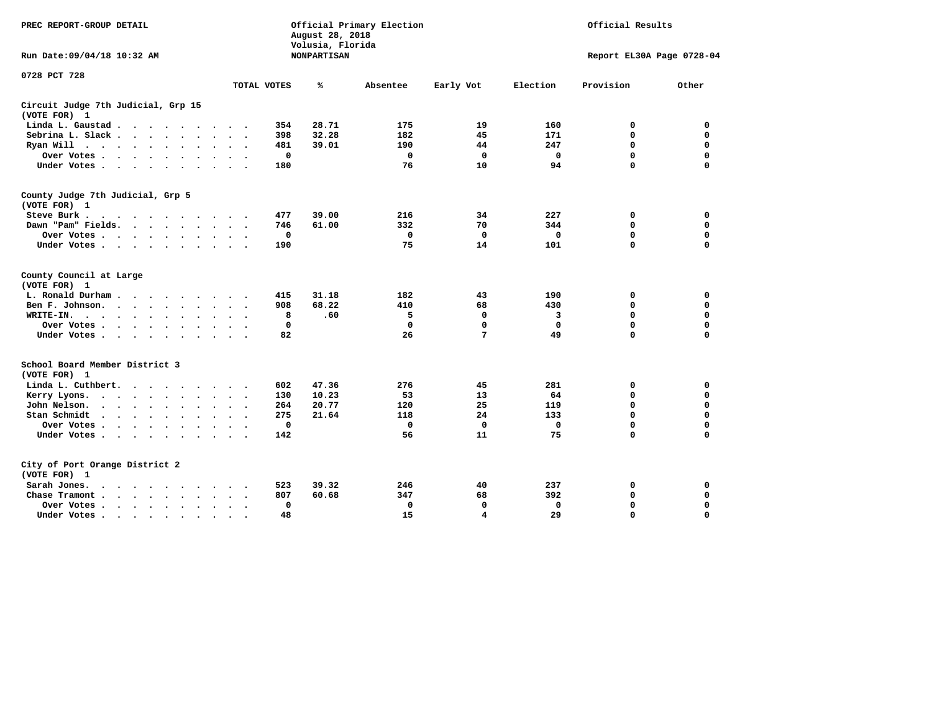| PREC REPORT-GROUP DETAIL                                                                    |                                           | August 28, 2018<br>Volusia, Florida | Official Primary Election |             | Official Results |                           |             |  |
|---------------------------------------------------------------------------------------------|-------------------------------------------|-------------------------------------|---------------------------|-------------|------------------|---------------------------|-------------|--|
| Run Date: 09/04/18 10:32 AM                                                                 |                                           | <b>NONPARTISAN</b>                  |                           |             |                  | Report EL30A Page 0728-04 |             |  |
| 0728 PCT 728                                                                                |                                           |                                     |                           |             |                  |                           |             |  |
|                                                                                             | TOTAL VOTES                               | ℁                                   | Absentee                  | Early Vot   | Election         | Provision                 | Other       |  |
| Circuit Judge 7th Judicial, Grp 15<br>(VOTE FOR) 1                                          |                                           |                                     |                           |             |                  |                           |             |  |
| Linda L. Gaustad                                                                            | 354<br>$\sim$ $\sim$                      | 28.71                               | 175                       | 19          | 160              | 0                         | 0           |  |
| Sebrina L. Slack<br>$\ddot{\phantom{a}}$                                                    | 398<br>$\sim$<br>$\overline{\phantom{a}}$ | 32.28                               | 182                       | 45          | 171              | $\mathbf 0$               | $\mathbf 0$ |  |
| Ryan Will $\cdots$ $\cdots$<br>$\ddot{\phantom{0}}$                                         | 481                                       | 39.01                               | 190                       | 44          | 247              | 0                         | 0           |  |
| Over Votes.<br>$\cdots$ $\cdots$<br>$\bullet$                                               | $\mathbf 0$                               |                                     | $\mathbf 0$               | $\mathbf 0$ | $\mathbf 0$      | $\mathbf 0$               | 0           |  |
| Under Votes<br>$\cdot$<br>$\cdot$                                                           | 180                                       |                                     | 76                        | 10          | 94               | $\mathbf 0$               | $\mathbf 0$ |  |
| County Judge 7th Judicial, Grp 5<br>(VOTE FOR) 1                                            |                                           |                                     |                           |             |                  |                           |             |  |
| Steve Burk.                                                                                 | 477                                       | 39.00                               | 216                       | 34          | 227              | 0                         | 0           |  |
| Dawn "Pam" Fields.                                                                          | 746                                       | 61.00                               | 332                       | 70          | 344              | 0                         | $\mathbf 0$ |  |
| Over Votes                                                                                  | 0                                         |                                     | $\mathbf 0$               | $\mathbf 0$ | 0                | 0                         | $\mathbf 0$ |  |
| Under Votes                                                                                 | 190                                       |                                     | 75                        | 14          | 101              | $\Omega$                  | $\mathbf 0$ |  |
| County Council at Large<br>(VOTE FOR) 1                                                     |                                           |                                     |                           |             |                  |                           |             |  |
| L. Ronald Durham                                                                            | 415                                       | 31.18                               | 182                       | 43          | 190              | 0                         | 0           |  |
| Ben F. Johnson.<br>$\mathbf{r}$ , $\mathbf{r}$ , $\mathbf{r}$ , $\mathbf{r}$ , $\mathbf{r}$ | 908                                       | 68.22                               | 410                       | 68          | 430              | $\mathbf 0$               | $\mathbf 0$ |  |
| WRITE-IN.<br>$\cdot$<br>$\cdot$<br>$\bullet$<br>$\ddot{\phantom{a}}$                        | 8                                         | .60                                 | 5                         | 0           | 3                | 0                         | $\mathbf 0$ |  |
| Over Votes<br>$\ddot{\phantom{a}}$                                                          | 0                                         |                                     | $\mathbf 0$               | 0           | 0                | 0                         | 0           |  |
| Under Votes<br>$\bullet$                                                                    | 82<br>$\sim$ $\sim$                       |                                     | 26                        | 7           | 49               | $\Omega$                  | $\mathbf 0$ |  |
| School Board Member District 3<br>(VOTE FOR) 1                                              |                                           |                                     |                           |             |                  |                           |             |  |
| Linda L. Cuthbert.<br>$\overline{\phantom{a}}$                                              | 602                                       | 47.36                               | 276                       | 45          | 281              | 0                         | 0           |  |
| Kerry Lyons.<br>$\cdots$<br>$\bullet$                                                       | 130<br>$\bullet$                          | 10.23                               | 53                        | 13          | 64               | 0                         | $\mathbf 0$ |  |
| John Nelson.<br>$\cdot$ $\cdot$ $\cdot$ $\cdot$ $\cdot$ $\cdot$ $\cdot$                     | 264                                       | 20.77                               | 120                       | 25          | 119              | $\Omega$                  | $\mathbf 0$ |  |
| Stan Schmidt<br>$\cdots$<br>$\bullet$                                                       | 275<br>$\bullet$                          | 21.64                               | 118                       | 24          | 133              | $\mathbf 0$               | $\mathbf 0$ |  |
| Over Votes                                                                                  | $\mathbf 0$                               |                                     | $\mathbf 0$               | $\mathbf 0$ | 0                | $\mathbf 0$               | 0           |  |
| Under Votes<br>$\bullet$                                                                    | 142<br>$\ddot{\phantom{0}}$               |                                     | 56                        | 11          | 75               | $\Omega$                  | $\mathbf 0$ |  |
| City of Port Orange District 2<br>(VOTE FOR) 1                                              |                                           |                                     |                           |             |                  |                           |             |  |
| Sarah Jones.<br>$\ddot{\phantom{1}}$<br>$\sim$ $\sim$ $\sim$ $\sim$<br>$\sim$               | 523                                       | 39.32                               | 246                       | 40          | 237              | 0                         | 0           |  |
| Chase Tramont.<br>$\mathbf{r}$ , $\mathbf{r}$ , $\mathbf{r}$ , $\mathbf{r}$                 | 807                                       | 60.68                               | 347                       | 68          | 392              | 0                         | 0           |  |
| Over Votes .<br>$\cdot$ $\cdot$ $\cdot$ $\cdot$ $\cdot$<br>$\bullet$                        | 0                                         |                                     | 0                         | 0           | 0                | 0                         | 0           |  |
| Under Votes                                                                                 | 48                                        |                                     | 15                        | 4           | 29               | $\mathbf 0$               | $\mathbf 0$ |  |
|                                                                                             |                                           |                                     |                           |             |                  |                           |             |  |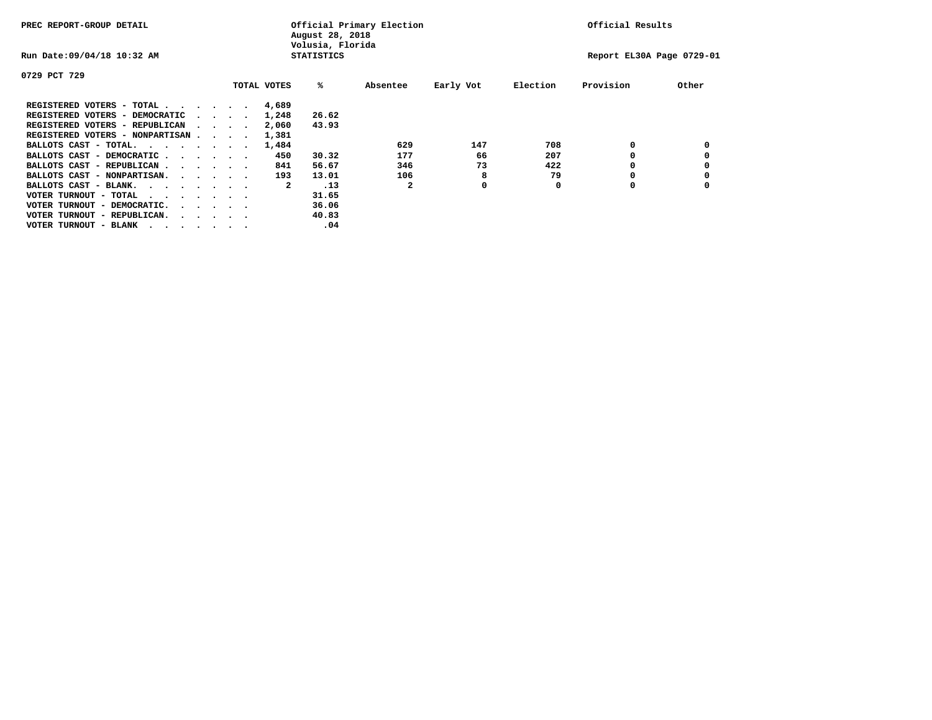| PREC REPORT-GROUP DETAIL                |  |                                         |  | Official Primary Election<br>August 28, 2018<br>Volusia, Florida | Official Results |       |          |           |                           |           |       |
|-----------------------------------------|--|-----------------------------------------|--|------------------------------------------------------------------|------------------|-------|----------|-----------|---------------------------|-----------|-------|
| Run Date: 09/04/18 10:32 AM             |  | <b>STATISTICS</b>                       |  |                                                                  |                  |       |          |           | Report EL30A Page 0729-01 |           |       |
| 0729 PCT 729                            |  |                                         |  |                                                                  |                  |       |          |           |                           |           |       |
|                                         |  |                                         |  |                                                                  | TOTAL VOTES      | %ะ    | Absentee | Early Vot | Election                  | Provision | Other |
| REGISTERED VOTERS - TOTAL               |  |                                         |  |                                                                  | 4,689            |       |          |           |                           |           |       |
| REGISTERED VOTERS - DEMOCRATIC          |  | $\sim$ $\sim$ $\sim$ $\sim$             |  |                                                                  | 1,248            | 26.62 |          |           |                           |           |       |
| REGISTERED VOTERS - REPUBLICAN          |  |                                         |  |                                                                  | 2,060            | 43.93 |          |           |                           |           |       |
| REGISTERED VOTERS - NONPARTISAN         |  |                                         |  |                                                                  | 1,381            |       |          |           |                           |           |       |
| BALLOTS CAST - TOTAL.                   |  |                                         |  |                                                                  | 1,484            |       | 629      | 147       | 708                       | 0         |       |
| BALLOTS CAST - DEMOCRATIC               |  |                                         |  |                                                                  | 450              | 30.32 | 177      | 66        | 207                       |           |       |
| BALLOTS CAST - REPUBLICAN               |  |                                         |  |                                                                  | 841              | 56.67 | 346      | 73        | 422                       | 0         |       |
| BALLOTS CAST - NONPARTISAN.             |  |                                         |  |                                                                  | 193              | 13.01 | 106      | 8         | 79                        |           |       |
| BALLOTS CAST - BLANK.                   |  |                                         |  |                                                                  | 2                | .13   | 2        | 0         | 0                         | 0         |       |
| VOTER TURNOUT - TOTAL<br>$\cdots$       |  |                                         |  |                                                                  |                  | 31.65 |          |           |                           |           |       |
| VOTER TURNOUT - DEMOCRATIC.             |  | $\cdot$ $\cdot$ $\cdot$ $\cdot$ $\cdot$ |  |                                                                  |                  | 36.06 |          |           |                           |           |       |
| VOTER TURNOUT - REPUBLICAN.<br>$\cdots$ |  |                                         |  |                                                                  |                  | 40.83 |          |           |                           |           |       |
| VOTER TURNOUT - BLANK                   |  |                                         |  |                                                                  |                  | .04   |          |           |                           |           |       |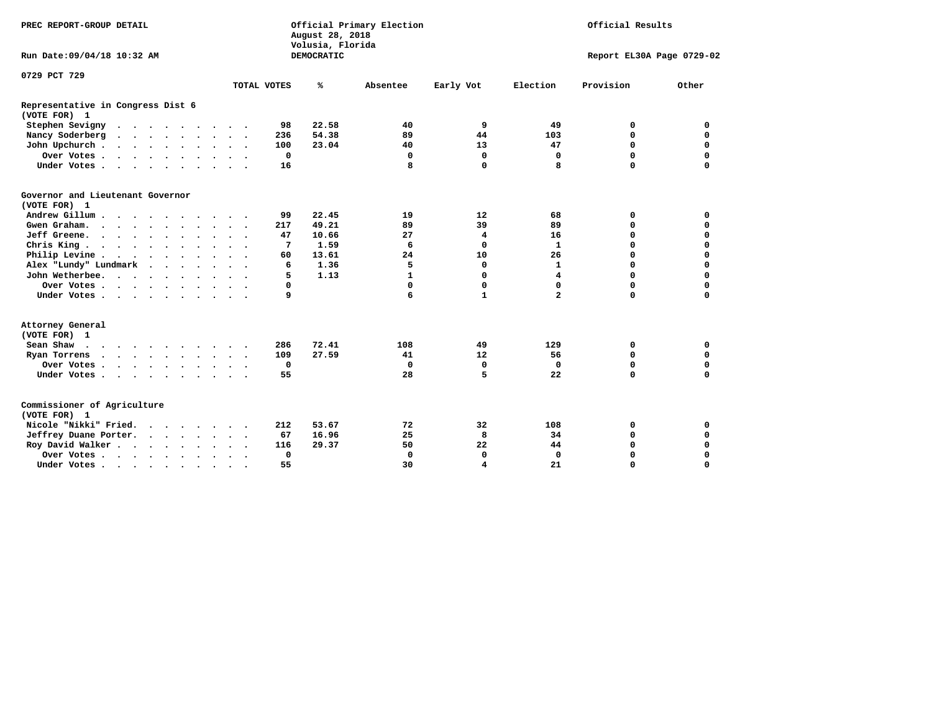| PREC REPORT-GROUP DETAIL                          |                                                              | Official Primary Election<br>August 28, 2018<br>Volusia, Florida |                            | Official Results |                           |             |  |
|---------------------------------------------------|--------------------------------------------------------------|------------------------------------------------------------------|----------------------------|------------------|---------------------------|-------------|--|
| Run Date: 09/04/18 10:32 AM                       |                                                              | DEMOCRATIC                                                       |                            |                  | Report EL30A Page 0729-02 |             |  |
| 0729 PCT 729                                      |                                                              |                                                                  |                            |                  |                           |             |  |
|                                                   | TOTAL VOTES                                                  | ℁<br>Absentee                                                    | Early Vot                  | Election         | Provision                 | Other       |  |
| Representative in Congress Dist 6<br>(VOTE FOR) 1 |                                                              |                                                                  |                            |                  |                           |             |  |
| Stephen Sevigny                                   | 98                                                           | 22.58                                                            | 9<br>40                    | 49               | 0                         | 0           |  |
| Nancy Soderberg                                   | 236                                                          | 54.38                                                            | 89<br>44                   | 103              | $\mathbf 0$               | $\mathbf 0$ |  |
| John Upchurch                                     | 100                                                          | 23.04                                                            | 13<br>40                   | 47               | $\mathbf 0$               | $\mathbf 0$ |  |
| Over Votes                                        | $\mathbf 0$                                                  |                                                                  | $\mathbf 0$<br>$\mathbf 0$ | $\mathbf 0$      | $\mathbf 0$               | $\mathbf 0$ |  |
| Under Votes                                       | 16                                                           |                                                                  | 8<br>$\mathbf 0$           | 8                | $\Omega$                  | $\mathbf 0$ |  |
| Governor and Lieutenant Governor<br>(VOTE FOR) 1  |                                                              |                                                                  |                            |                  |                           |             |  |
| Andrew Gillum                                     | 99                                                           | 22.45                                                            | 12<br>19                   | 68               | 0                         | 0           |  |
| Gwen Graham.                                      | 217                                                          | 49.21                                                            | 89<br>39                   | 89               | $\mathbf 0$               | 0           |  |
| Jeff Greene.                                      | 47                                                           | 10.66                                                            | 27<br>4                    | 16               | $\mathbf 0$               | $\mathbf 0$ |  |
| Chris King                                        | 7                                                            | 1.59                                                             | 6<br>0                     | $\mathbf{1}$     | $\mathbf 0$               | $\mathbf 0$ |  |
| Philip Levine                                     | 60                                                           | 13.61                                                            | 24<br>10                   | 26               | $\mathbf 0$               | $\mathbf 0$ |  |
| Alex "Lundy" Lundmark                             | 6                                                            | 1.36                                                             | 0<br>5                     | $\mathbf{1}$     | $\mathbf 0$               | $\mathbf 0$ |  |
| John Wetherbee.                                   | 5                                                            | 1.13                                                             | 1<br>0                     | 4                | 0                         | 0           |  |
| Over Votes                                        | 0                                                            |                                                                  | $\Omega$<br>0              | 0                | $\mathbf 0$               | 0           |  |
| Under Votes                                       | 9                                                            |                                                                  | $\mathbf{1}$<br>6          | $\overline{a}$   | $\mathbf 0$               | $\mathbf 0$ |  |
| Attorney General<br>(VOTE FOR) 1                  |                                                              |                                                                  |                            |                  |                           |             |  |
| Sean Shaw                                         | 286                                                          | 72.41                                                            | 108<br>49                  | 129              | 0                         | $\mathbf 0$ |  |
| Ryan Torrens<br>$\cdots$                          | 109                                                          | 27.59                                                            | 12<br>41                   | 56               | $\mathbf 0$               | $\mathbf 0$ |  |
| Over Votes                                        | $\mathbf 0$<br>$\sim$<br>$\cdot$<br>$\overline{\phantom{a}}$ |                                                                  | $\mathbf 0$<br>$\mathbf 0$ | $\Omega$         | $\mathbf 0$               | $\mathbf 0$ |  |
| Under Votes                                       | 55                                                           |                                                                  | 28<br>5                    | 22               | $\mathbf 0$               | $\mathbf 0$ |  |
| Commissioner of Agriculture<br>(VOTE FOR) 1       |                                                              |                                                                  |                            |                  |                           |             |  |
| Nicole "Nikki" Fried.                             | 212                                                          | 53.67                                                            | 72<br>32                   | 108              | 0                         | 0           |  |
| Jeffrey Duane Porter.                             | 67                                                           | 16.96                                                            | 25<br>8                    | 34               | $\mathbf 0$               | $\mathbf 0$ |  |
| Roy David Walker                                  | 116                                                          | 29.37                                                            | 50<br>22                   | 44               | $\mathbf 0$               | $\mathbf 0$ |  |
| Over Votes                                        | $\mathbf 0$<br>$\ddot{\phantom{0}}$<br>$\bullet$<br>$\cdot$  |                                                                  | $\Omega$<br>0              | $\Omega$         | $\Omega$                  | $\mathbf 0$ |  |
| Under Votes                                       | 55<br>$\bullet$                                              |                                                                  | 30<br>4                    | 21               | 0                         | $\mathbf 0$ |  |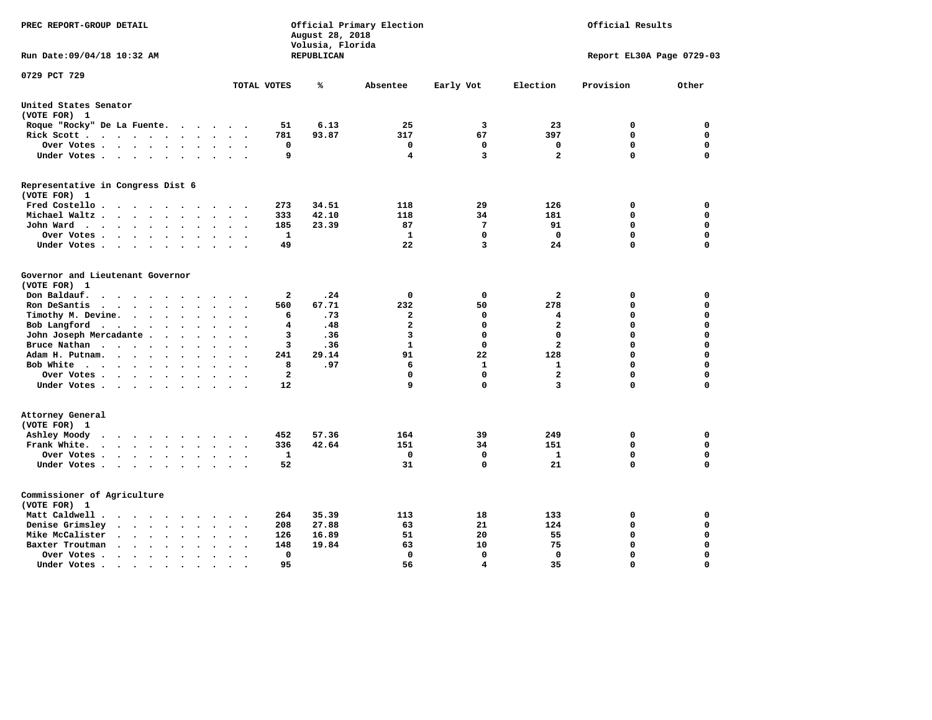| PREC REPORT-GROUP DETAIL                                                                                                   |                                                   | August 28, 2018<br>Volusia, Florida | Official Primary Election | Official Results |                         |                           |          |
|----------------------------------------------------------------------------------------------------------------------------|---------------------------------------------------|-------------------------------------|---------------------------|------------------|-------------------------|---------------------------|----------|
| Run Date: 09/04/18 10:32 AM                                                                                                |                                                   | REPUBLICAN                          |                           |                  |                         | Report EL30A Page 0729-03 |          |
| 0729 PCT 729                                                                                                               | TOTAL VOTES                                       | ℁                                   | Absentee                  | Early Vot        | Election                | Provision                 | Other    |
|                                                                                                                            |                                                   |                                     |                           |                  |                         |                           |          |
| United States Senator<br>(VOTE FOR) 1                                                                                      |                                                   |                                     |                           |                  |                         |                           |          |
| Roque "Rocky" De La Fuente.<br>$\mathcal{L}(\mathbf{z})$ , and $\mathcal{L}(\mathbf{z})$                                   | 51<br>$\sim$ $\sim$                               | 6.13                                | 25                        | 3                | 23                      | 0                         | 0        |
| Rick Scott<br>$\sim$<br>$\ddot{\phantom{0}}$                                                                               | 781                                               | 93.87                               | 317                       | 67               | 397                     | $\mathbf 0$               | 0        |
| Over Votes                                                                                                                 | 0<br>$\ddot{\phantom{a}}$<br>$\cdot$<br>$\bullet$ |                                     | 0                         | 0                | 0                       | 0                         | 0        |
| Under Votes<br>$\ddot{\phantom{0}}$                                                                                        | 9<br>$\bullet$                                    |                                     | 4                         | 3                | $\overline{\mathbf{2}}$ | $\mathbf 0$               | 0        |
| Representative in Congress Dist 6                                                                                          |                                                   |                                     |                           |                  |                         |                           |          |
| (VOTE FOR) 1                                                                                                               |                                                   |                                     |                           |                  |                         |                           |          |
| Fred Costello                                                                                                              | 273                                               | 34.51                               | 118                       | 29               | 126                     | 0                         | 0        |
| Michael Waltz.<br>$\cdots$<br>$\sim$                                                                                       | 333                                               | 42.10                               | 118                       | 34               | 181                     | $\mathbf 0$               | 0        |
| John Ward<br>$\bullet$                                                                                                     | 185<br>$\bullet$                                  | 23.39                               | 87                        | 7<br>0           | 91<br>$\mathbf 0$       | 0<br>$\mathbf 0$          | 0        |
| Over Votes .<br>$\cdot \cdot \cdot \cdot$<br>$\blacksquare$ .<br>$\ddot{\phantom{0}}$                                      | $\mathbf{1}$<br>49                                |                                     | 1<br>22                   | 3                | 24                      | $\mathbf 0$               | 0<br>0   |
| Under Votes<br>$\cdot$                                                                                                     |                                                   |                                     |                           |                  |                         |                           |          |
| Governor and Lieutenant Governor                                                                                           |                                                   |                                     |                           |                  |                         |                           |          |
| (VOTE FOR) 1                                                                                                               |                                                   |                                     |                           |                  |                         |                           |          |
| Don Baldauf.<br>$\cdot$ $\cdot$ $\cdot$                                                                                    | 2                                                 | .24                                 | $\Omega$                  | 0                | 2                       | 0                         | 0        |
| Ron DeSantis<br>$\cdots$<br>$\bullet$<br>$\ddot{\phantom{a}}$<br>$\ddot{\phantom{a}}$                                      | 560                                               | 67.71                               | 232                       | 50               | 278                     | 0                         | 0        |
| Timothy M. Devine.<br>$\bullet$<br>$\bullet$                                                                               | 6<br>$\ddot{\phantom{a}}$                         | .73                                 | $\mathbf{2}$              | 0                | $\overline{4}$          | $\Omega$                  | 0        |
| Bob Langford<br>$\sim$<br>$\sim$ $\sim$<br>$\bullet$                                                                       | 4<br>$\ddot{\phantom{a}}$                         | .48                                 | $\overline{\mathbf{2}}$   | 0                | $\overline{a}$          | $\mathbf 0$               | 0        |
| John Joseph Mercadante.<br>$\sim$ $\sim$ $\sim$                                                                            | 3<br>$\sim$                                       | .36                                 | 3                         | 0                | $\mathbf 0$             | $\mathbf 0$               | 0        |
| Bruce Nathan<br>$\cdots$<br>$\bullet$<br>$\bullet$                                                                         | 3                                                 | .36                                 | $\mathbf{1}$              | 0                | $\overline{2}$          | 0                         | 0        |
| Adam H. Putnam.<br>$\sim$ $\sim$ $\sim$<br>$\cdot$<br>$\ddot{\phantom{a}}$                                                 | 241                                               | 29.14                               | 91                        | 22               | 128                     | $\mathbf 0$               | 0        |
| Bob White<br>$\sim$                                                                                                        | 8                                                 | .97                                 | 6                         | $\mathbf{1}$     | 1                       | $\Omega$                  | 0        |
| Over Votes.<br>$\cdot$ $\cdot$ $\cdot$ $\cdot$<br>$\bullet$                                                                | $\mathbf{2}$                                      |                                     | 0                         | 0                | $\overline{a}$          | $\Omega$                  | 0        |
| Under Votes<br>$\sim$                                                                                                      | 12                                                |                                     | 9                         | 0                | 3                       | $\Omega$                  | 0        |
| Attorney General                                                                                                           |                                                   |                                     |                           |                  |                         |                           |          |
| (VOTE FOR) 1                                                                                                               |                                                   |                                     |                           |                  |                         |                           |          |
| Ashley Moody<br>$\cdots$<br>$\sim$<br>$\sim$                                                                               | 452<br>$\ddot{\phantom{a}}$                       | 57.36                               | 164                       | 39               | 249                     | 0                         | 0        |
| Frank White.<br>$\cdot$ $\cdot$ $\cdot$ $\cdot$<br>$\ddot{\phantom{1}}$<br>$\bullet$                                       | 336                                               | 42.64                               | 151                       | 34               | 151                     | 0                         | 0        |
| Over Votes.<br>$\cdot$ $\cdot$ $\cdot$ $\cdot$ $\cdot$<br>$\ddot{\phantom{0}}$                                             | $\mathbf{1}$<br>$\sim$                            |                                     | 0                         | $\mathbf 0$      | $\mathbf{1}$            | $\mathbf 0$               | 0        |
| Under Votes<br>$\sim$ $\sim$                                                                                               | 52                                                |                                     | 31                        | 0                | 21                      | $\Omega$                  | 0        |
| Commissioner of Agriculture                                                                                                |                                                   |                                     |                           |                  |                         |                           |          |
| (VOTE FOR) 1                                                                                                               |                                                   |                                     |                           |                  |                         |                           |          |
| Matt Caldwell .                                                                                                            | 264                                               | 35.39                               | 113                       | 18               | 133                     | 0                         | 0        |
| Denise Grimsley<br>$\sim$ $\sim$<br>$\ddot{\phantom{a}}$<br>$\ddot{\phantom{a}}$<br>$\ddot{\phantom{a}}$<br>$\overline{a}$ | 208                                               | 27.88                               | 63                        | 21               | 124                     | $\mathbf 0$               | 0        |
| Mike McCalister<br>$\cdot$<br>$\bullet$                                                                                    | 126                                               | 16.89                               | 51                        | 20               | 55                      | $\mathbf 0$               | 0        |
| Baxter Troutman<br>$\sim$ $\sim$<br>$\bullet$<br>$\ddot{\phantom{a}}$                                                      | 148                                               | 19.84                               | 63                        | 10               | 75                      | $\mathbf 0$               | 0        |
| Over Votes.<br>$\cdots$<br>$\bullet$<br>$\bullet$<br>$\cdot$                                                               | 0                                                 |                                     | 0                         | 0                | 0                       | $\mathbf 0$               | 0        |
| Under Votes.<br>$\cdot$ $\cdot$ $\cdot$<br>$\bullet$<br>$\bullet$<br>$\bullet$                                             | 95                                                |                                     | 56                        | 4                | 35                      | $\Omega$                  | $\Omega$ |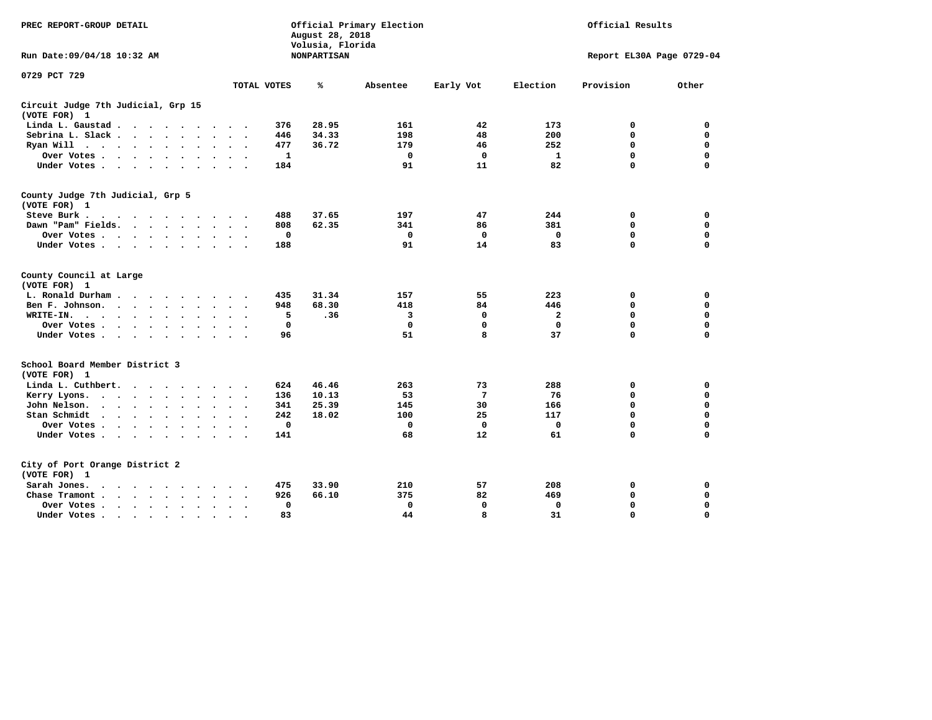| PREC REPORT-GROUP DETAIL                                                                                                                                                                                                                          |                                          | August 28, 2018<br>Volusia, Florida | Official Primary Election |                 | Official Results |                           |             |  |  |
|---------------------------------------------------------------------------------------------------------------------------------------------------------------------------------------------------------------------------------------------------|------------------------------------------|-------------------------------------|---------------------------|-----------------|------------------|---------------------------|-------------|--|--|
| Run Date: 09/04/18 10:32 AM                                                                                                                                                                                                                       |                                          | <b>NONPARTISAN</b>                  |                           |                 |                  | Report EL30A Page 0729-04 |             |  |  |
| 0729 PCT 729                                                                                                                                                                                                                                      |                                          |                                     |                           |                 |                  |                           |             |  |  |
|                                                                                                                                                                                                                                                   | TOTAL VOTES                              | ℁                                   | Absentee                  | Early Vot       | Election         | Provision                 | Other       |  |  |
| Circuit Judge 7th Judicial, Grp 15<br>(VOTE FOR) 1                                                                                                                                                                                                |                                          |                                     |                           |                 |                  |                           |             |  |  |
| Linda L. Gaustad                                                                                                                                                                                                                                  | 376<br>$\sim$ $\sim$                     | 28.95                               | 161                       | 42              | 173              | 0                         | 0           |  |  |
| Sebrina L. Slack<br>$\ddot{\phantom{a}}$                                                                                                                                                                                                          | 446<br>$\sim$                            | 34.33                               | 198                       | 48              | 200              | $\mathbf 0$               | $\mathbf 0$ |  |  |
| Ryan Will $\cdots$ $\cdots$ $\cdots$<br>$\sim$                                                                                                                                                                                                    | 477<br>$\sim$<br>$\bullet$               | 36.72                               | 179                       | 46              | 252              | 0                         | 0           |  |  |
| Over Votes                                                                                                                                                                                                                                        | $\mathbf{1}$                             |                                     | $\mathbf 0$               | $\mathbf 0$     | $\mathbf{1}$     | $\mathbf 0$               | 0           |  |  |
| Under Votes                                                                                                                                                                                                                                       | 184                                      |                                     | 91                        | 11              | 82               | $\Omega$                  | 0           |  |  |
| County Judge 7th Judicial, Grp 5<br>(VOTE FOR) 1                                                                                                                                                                                                  |                                          |                                     |                           |                 |                  |                           |             |  |  |
| Steve Burk.<br>$\cdot$                                                                                                                                                                                                                            | 488                                      | 37.65                               | 197                       | 47              | 244              | 0                         | 0           |  |  |
| Dawn "Pam" Fields.                                                                                                                                                                                                                                | 808                                      | 62.35                               | 341                       | 86              | 381              | 0                         | 0           |  |  |
| Over Votes<br>$\ddot{\phantom{0}}$                                                                                                                                                                                                                | 0                                        |                                     | 0                         | 0               | 0                | 0                         | $\mathbf 0$ |  |  |
| Under Votes                                                                                                                                                                                                                                       | 188                                      |                                     | 91                        | 14              | 83               | $\mathbf 0$               | 0           |  |  |
| County Council at Large<br>(VOTE FOR) 1                                                                                                                                                                                                           |                                          |                                     |                           |                 |                  |                           |             |  |  |
| L. Ronald Durham                                                                                                                                                                                                                                  | 435                                      | 31.34                               | 157                       | 55              | 223              | 0                         | 0           |  |  |
| Ben F. Johnson.<br>and the contract of the contract of the contract of the contract of the contract of the contract of the contract of the contract of the contract of the contract of the contract of the contract of the contract of the contra | 948                                      | 68.30                               | 418                       | 84              | 446              | $\mathbf 0$               | $\mathbf 0$ |  |  |
| WRITE-IN.<br>$\bullet$                                                                                                                                                                                                                            | 5<br>$\bullet$<br>$\sim$                 | .36                                 | 3                         | 0               | $\mathbf{2}$     | $\mathbf 0$               | $\mathbf 0$ |  |  |
| Over Votes                                                                                                                                                                                                                                        | $\mathbf 0$                              |                                     | $\mathbf 0$               | $\mathbf 0$     | $\mathbf 0$      | $\mathbf 0$               | $\mathbf 0$ |  |  |
| Under Votes<br>$\sim$ $\sim$                                                                                                                                                                                                                      | 96<br>$\sim$ $\sim$                      |                                     | 51                        | 8               | 37               | $\Omega$                  | $\mathbf 0$ |  |  |
| School Board Member District 3<br>(VOTE FOR) 1                                                                                                                                                                                                    |                                          |                                     |                           |                 |                  |                           |             |  |  |
| Linda L. Cuthbert.                                                                                                                                                                                                                                | 624                                      | 46.46                               | 263                       | 73              | 288              | 0                         | 0           |  |  |
| Kerry Lyons.<br>$\ddot{\phantom{a}}$                                                                                                                                                                                                              | 136<br>$\bullet$<br>$\sim$               | 10.13                               | 53                        | $7\phantom{.0}$ | 76               | 0                         | $\mathbf 0$ |  |  |
| John Nelson.<br>$\sim$ $\sim$ $\sim$ $\sim$ $\sim$ $\sim$                                                                                                                                                                                         | 341<br>$\ddot{\phantom{a}}$              | 25.39                               | 145                       | 30              | 166              | 0                         | $\mathbf 0$ |  |  |
| Stan Schmidt<br>$\mathbf{r}$ , $\mathbf{r}$ , $\mathbf{r}$ , $\mathbf{r}$ , $\mathbf{r}$ , $\mathbf{r}$<br>$\ddot{\phantom{a}}$                                                                                                                   | 242<br>$\bullet$<br>$\sim$               | 18.02                               | 100                       | 25              | 117              | 0                         | $\mathbf 0$ |  |  |
| Over Votes                                                                                                                                                                                                                                        | $\mathbf 0$                              |                                     | $\mathbf 0$               | $\mathbf 0$     | $\mathbf 0$      | $\mathbf 0$               | 0           |  |  |
| Under Votes<br>$\ddot{\phantom{0}}$                                                                                                                                                                                                               | 141<br>$\bullet$<br>$\ddot{\phantom{1}}$ |                                     | 68                        | 12              | 61               | $\mathbf 0$               | $\mathbf 0$ |  |  |
| City of Port Orange District 2                                                                                                                                                                                                                    |                                          |                                     |                           |                 |                  |                           |             |  |  |
| (VOTE FOR) 1                                                                                                                                                                                                                                      | 475                                      | 33.90                               | 210                       | 57              | 208              | 0                         |             |  |  |
| Sarah Jones.<br>$\cdots$                                                                                                                                                                                                                          |                                          |                                     | 375                       |                 |                  |                           | 0           |  |  |
| Chase Tramont                                                                                                                                                                                                                                     | 926                                      | 66.10                               |                           | 82              | 469              | 0                         | 0           |  |  |
| Over Votes<br>$\sim$                                                                                                                                                                                                                              | 0<br>$\sim$<br>$\cdot$                   |                                     | 0                         | $\mathbf 0$     | $\mathbf 0$      | 0                         | $\mathbf 0$ |  |  |
| Under Votes                                                                                                                                                                                                                                       | 83                                       |                                     | 44                        | 8               | 31               | $\Omega$                  | $\Omega$    |  |  |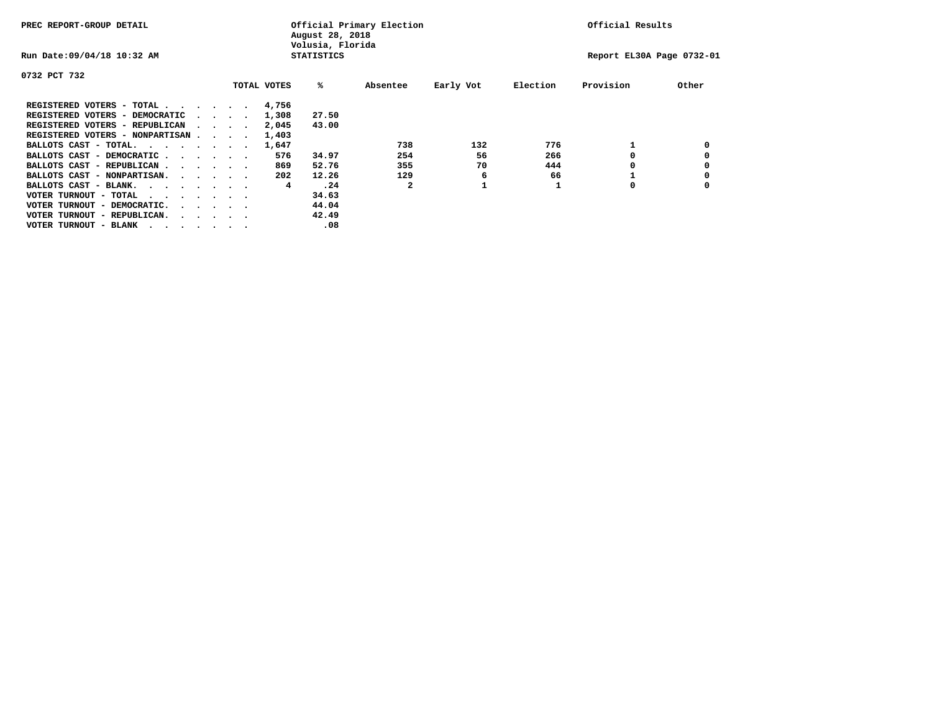| PREC REPORT-GROUP DETAIL               |  |  |                                         | Official Primary Election<br>August 28, 2018<br>Volusia, Florida | Official Results |                   |          |           |          |                           |       |
|----------------------------------------|--|--|-----------------------------------------|------------------------------------------------------------------|------------------|-------------------|----------|-----------|----------|---------------------------|-------|
| Run Date: 09/04/18 10:32 AM            |  |  |                                         |                                                                  |                  | <b>STATISTICS</b> |          |           |          | Report EL30A Page 0732-01 |       |
| 0732 PCT 732                           |  |  |                                         |                                                                  |                  |                   |          |           |          |                           |       |
|                                        |  |  |                                         |                                                                  | TOTAL VOTES      | %ะ                | Absentee | Early Vot | Election | Provision                 | Other |
| REGISTERED VOTERS - TOTAL              |  |  |                                         |                                                                  | 4,756            |                   |          |           |          |                           |       |
| REGISTERED VOTERS - DEMOCRATIC         |  |  | $\cdot$ $\cdot$ $\cdot$ $\cdot$ $\cdot$ |                                                                  | 1,308            | 27.50             |          |           |          |                           |       |
| REGISTERED VOTERS - REPUBLICAN         |  |  |                                         |                                                                  | 2,045            | 43.00             |          |           |          |                           |       |
| REGISTERED VOTERS - NONPARTISAN        |  |  |                                         |                                                                  | 1,403            |                   |          |           |          |                           |       |
| BALLOTS CAST - TOTAL.                  |  |  |                                         |                                                                  | 1,647            |                   | 738      | 132       | 776      |                           |       |
| BALLOTS CAST - DEMOCRATIC              |  |  |                                         |                                                                  | 576              | 34.97             | 254      | 56        | 266      |                           |       |
| BALLOTS CAST - REPUBLICAN              |  |  |                                         |                                                                  | 869              | 52.76             | 355      | 70        | 444      |                           |       |
| BALLOTS CAST - NONPARTISAN.            |  |  |                                         |                                                                  | 202              | 12.26             | 129      | 6         | 66       |                           |       |
| BALLOTS CAST - BLANK.                  |  |  |                                         |                                                                  | 4                | .24               | 2        |           |          | 0                         |       |
| VOTER TURNOUT - TOTAL<br>.             |  |  |                                         |                                                                  |                  | 34.63             |          |           |          |                           |       |
| VOTER TURNOUT - DEMOCRATIC.            |  |  | $\cdot$ $\cdot$ $\cdot$ $\cdot$ $\cdot$ |                                                                  |                  | 44.04             |          |           |          |                           |       |
| VOTER TURNOUT - REPUBLICAN.<br>$\cdot$ |  |  |                                         |                                                                  |                  | 42.49             |          |           |          |                           |       |
| VOTER TURNOUT - BLANK                  |  |  |                                         |                                                                  |                  | .08               |          |           |          |                           |       |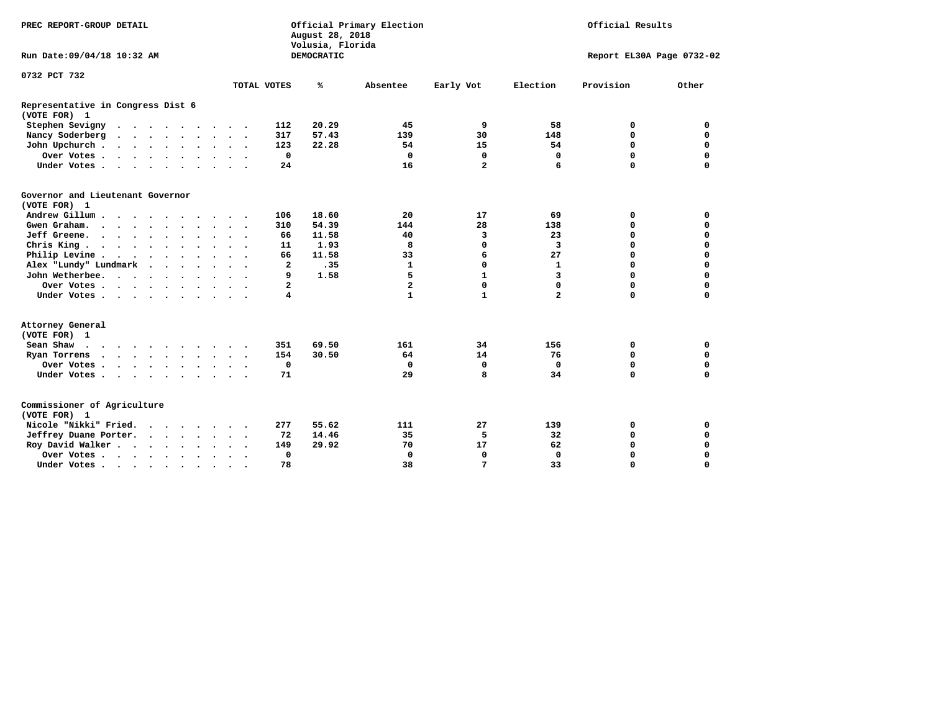| PREC REPORT-GROUP DETAIL                          |  |                      |           |         |                | August 28, 2018<br>Volusia, Florida | Official Primary Election | Official Results |                |             |                           |
|---------------------------------------------------|--|----------------------|-----------|---------|----------------|-------------------------------------|---------------------------|------------------|----------------|-------------|---------------------------|
| Run Date: 09/04/18 10:32 AM                       |  |                      |           |         |                | DEMOCRATIC                          |                           |                  |                |             | Report EL30A Page 0732-02 |
| 0732 PCT 732                                      |  |                      |           |         |                |                                     |                           |                  |                |             |                           |
|                                                   |  |                      |           |         | TOTAL VOTES    | %                                   | Absentee                  | Early Vot        | Election       | Provision   | Other                     |
| Representative in Congress Dist 6<br>(VOTE FOR) 1 |  |                      |           |         |                |                                     |                           |                  |                |             |                           |
| Stephen Sevigny                                   |  |                      |           |         | 112            | 20.29                               | 45                        | 9                | 58             | 0           | 0                         |
| Nancy Soderberg<br>$\cdots$                       |  |                      |           |         | 317            | 57.43                               | 139                       | 30               | 148            | $\mathbf 0$ | $\mathbf 0$               |
| John Upchurch                                     |  |                      |           |         | 123            | 22.28                               | 54                        | 15               | 54             | $\mathbf 0$ | $\mathbf 0$               |
| Over Votes.                                       |  |                      |           |         | $\mathbf 0$    |                                     | $\mathbf 0$               | $\mathbf 0$      | $\mathbf 0$    | $\mathbf 0$ | $\mathbf 0$               |
| Under Votes                                       |  |                      |           |         | 24             |                                     | 16                        | $\overline{a}$   | 6              | $\Omega$    | $\Omega$                  |
| Governor and Lieutenant Governor<br>(VOTE FOR) 1  |  |                      |           |         |                |                                     |                           |                  |                |             |                           |
| Andrew Gillum                                     |  |                      |           |         | 106            | 18.60                               | 20                        | 17               | 69             | 0           | $\mathbf 0$               |
| Gwen Graham.                                      |  |                      |           |         | 310            | 54.39                               | 144                       | 28               | 138            | $\Omega$    | $\mathbf 0$               |
| Jeff Greene.                                      |  |                      |           |         | 66             | 11.58                               | 40                        | 3                | 23             | 0           | $\mathbf 0$               |
| Chris King                                        |  |                      |           |         | 11             | 1.93                                | 8                         | 0                | 3              | 0           | $\mathbf 0$               |
| Philip Levine                                     |  |                      |           |         | 66             | 11.58                               | 33                        | 6                | 27             | $\Omega$    | $\mathbf 0$               |
| Alex "Lundy" Lundmark                             |  |                      |           |         | 2              | .35                                 | 1                         | 0                | $\mathbf{1}$   | $\mathbf 0$ | $\mathbf 0$               |
| John Wetherbee.                                   |  |                      |           |         | 9              | 1.58                                | 5                         | $\mathbf{1}$     | 3              | $\Omega$    | $\mathbf 0$               |
| Over Votes                                        |  |                      |           |         | $\overline{a}$ |                                     | $\overline{a}$            | 0                | 0              | $\mathbf 0$ | $\mathbf 0$               |
| Under Votes                                       |  |                      |           |         | 4              |                                     | $\mathbf{1}$              | $\mathbf{1}$     | $\overline{a}$ | $\Omega$    | $\mathbf 0$               |
| Attorney General<br>(VOTE FOR) 1                  |  |                      |           |         |                |                                     |                           |                  |                |             |                           |
| Sean Shaw                                         |  |                      |           |         | 351            | 69.50                               | 161                       | 34               | 156            | 0           | 0                         |
| Ryan Torrens<br>$\cdots$                          |  |                      |           |         | 154            | 30.50                               | 64                        | 14               | 76             | $\mathbf 0$ | 0                         |
| Over Votes.                                       |  |                      |           |         | $\mathbf 0$    |                                     | 0                         | $\mathbf 0$      | $\mathbf 0$    | 0           | 0                         |
| Under Votes                                       |  |                      |           |         | 71             |                                     | 29                        | 8                | 34             | $\mathbf 0$ | $\Omega$                  |
| Commissioner of Agriculture<br>(VOTE FOR) 1       |  |                      |           |         |                |                                     |                           |                  |                |             |                           |
| Nicole "Nikki" Fried.                             |  |                      |           |         | 277            | 55.62                               | 111                       | 27               | 139            | 0           | 0                         |
| Jeffrey Duane Porter.                             |  |                      |           |         | 72             | 14.46                               | 35                        | 5                | 32             | 0           | $\mathbf 0$               |
| Roy David Walker                                  |  |                      |           |         | 149            | 29.92                               | 70                        | 17               | 62             | $\mathbf 0$ | $\mathbf 0$               |
| Over Votes                                        |  | $\ddot{\phantom{0}}$ | $\bullet$ | $\cdot$ | $\mathbf 0$    |                                     | $\Omega$                  | 0                | $\Omega$       | $\Omega$    | $\mathbf 0$               |
| Under Votes                                       |  | $\bullet$            |           |         | 78             |                                     | 38                        | 7                | 33             | 0           | $\mathbf 0$               |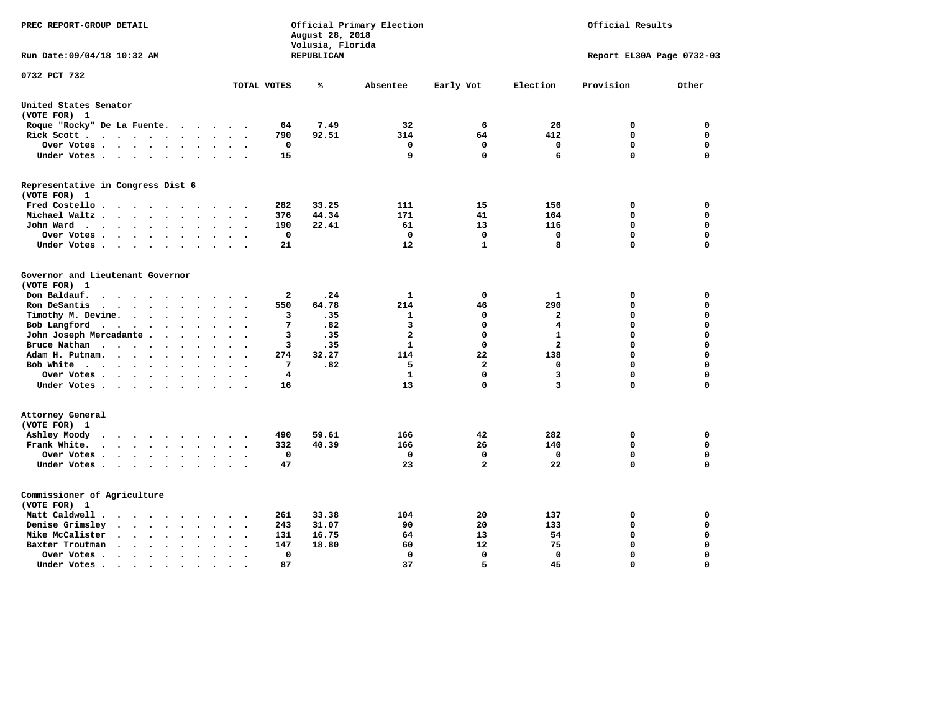| PREC REPORT-GROUP DETAIL                                                                                                                               |                                        | August 28, 2018<br>Volusia, Florida | Official Primary Election | Official Results |                         |                           |          |  |  |  |
|--------------------------------------------------------------------------------------------------------------------------------------------------------|----------------------------------------|-------------------------------------|---------------------------|------------------|-------------------------|---------------------------|----------|--|--|--|
| Run Date: 09/04/18 10:32 AM                                                                                                                            |                                        | REPUBLICAN                          |                           |                  |                         | Report EL30A Page 0732-03 |          |  |  |  |
| 0732 PCT 732                                                                                                                                           | TOTAL VOTES                            | ℁                                   | Absentee                  | Early Vot        | Election                | Provision                 | Other    |  |  |  |
| United States Senator                                                                                                                                  |                                        |                                     |                           |                  |                         |                           |          |  |  |  |
| (VOTE FOR) 1                                                                                                                                           |                                        |                                     |                           |                  |                         |                           |          |  |  |  |
| Roque "Rocky" De La Fuente.                                                                                                                            | 64<br>$\cdot$ $\cdot$ $\cdot$ $\cdot$  | 7.49                                | 32                        | 6                | 26                      | 0                         | 0        |  |  |  |
| Rick Scott                                                                                                                                             | 790                                    | 92.51                               | 314                       | 64               | 412                     | 0                         | 0        |  |  |  |
| Over Votes                                                                                                                                             | 0<br>$\bullet$<br>$\ddot{\phantom{a}}$ |                                     | 0                         | $\mathbf 0$      | $\mathbf 0$             | $\mathbf 0$               | 0        |  |  |  |
| Under Votes                                                                                                                                            | 15                                     |                                     | 9                         | 0                | 6                       | $\mathbf 0$               | 0        |  |  |  |
| Representative in Congress Dist 6<br>(VOTE FOR) 1                                                                                                      |                                        |                                     |                           |                  |                         |                           |          |  |  |  |
| Fred Costello                                                                                                                                          | 282                                    | 33.25                               | 111                       | 15               | 156                     | 0                         | 0        |  |  |  |
| Michael Waltz<br>$\cdot$<br>$\ddot{\phantom{a}}$<br>$\ddot{\phantom{a}}$                                                                               | 376                                    | 44.34                               | 171                       | 41               | 164                     | $\mathbf 0$               | 0        |  |  |  |
| John Ward<br>$\ddot{\phantom{a}}$                                                                                                                      | 190<br>$\sim$                          | 22.41                               | 61                        | 13               | 116                     | 0                         | 0        |  |  |  |
| Over Votes .<br>$\cdot$ $\cdot$ $\cdot$ $\cdot$<br>$\bullet$<br>$\cdot$                                                                                | 0                                      |                                     | 0                         | $\Omega$         | 0                       | 0                         | 0        |  |  |  |
| Under Votes<br>$\bullet$                                                                                                                               | 21                                     |                                     | 12                        | 1                | 8                       | $\Omega$                  | 0        |  |  |  |
|                                                                                                                                                        |                                        |                                     |                           |                  |                         |                           |          |  |  |  |
| Governor and Lieutenant Governor                                                                                                                       |                                        |                                     |                           |                  |                         |                           |          |  |  |  |
| (VOTE FOR) 1                                                                                                                                           |                                        |                                     |                           |                  |                         |                           |          |  |  |  |
| Don Baldauf.<br>$\cdot$ $\cdot$ $\cdot$                                                                                                                | 2                                      | .24                                 | 1                         | $\mathbf 0$      | 1                       | 0                         | 0        |  |  |  |
| Ron DeSantis<br>$\sim$ $\sim$ $\sim$<br>$\bullet$<br>$\cdot$<br>$\cdot$                                                                                | 550                                    | 64.78                               | 214                       | 46               | 290                     | $\mathbf 0$               | 0        |  |  |  |
| Timothy M. Devine.<br>$\ddot{\phantom{0}}$<br>$\ddot{\phantom{a}}$                                                                                     | 3<br>$\bullet$                         | .35                                 | $\mathbf{1}$              | 0                | $\mathbf{2}$            | $\mathbf 0$               | 0        |  |  |  |
| Bob Langford<br>$\ddot{\phantom{0}}$<br>$\ddot{\phantom{a}}$<br>$\cdot$<br>$\sim$                                                                      | 7<br>$\ddot{\phantom{a}}$              | .82                                 | 3                         | 0                | $\overline{\mathbf{4}}$ | $\mathbf 0$               | 0        |  |  |  |
| John Joseph Mercadante.<br>$\sim$ $\sim$<br>$\ddot{\phantom{a}}$                                                                                       | 3                                      | .35                                 | $\overline{a}$            | 0                | $\mathbf{1}$            | $\mathbf 0$               | 0        |  |  |  |
| Bruce Nathan<br>$\bullet$<br>$\bullet$<br>$\bullet$                                                                                                    | 3                                      | .35                                 | 1                         | 0                | $\overline{a}$          | $\mathbf 0$               | 0        |  |  |  |
| Adam H. Putnam.<br>$\cdots$<br>$\ddot{\phantom{a}}$<br>$\overline{\phantom{a}}$                                                                        | 274                                    | 32.27                               | 114                       | 22               | 138                     | $\mathbf 0$               | 0        |  |  |  |
| Bob White<br>$\sim$                                                                                                                                    | 7                                      | .82                                 | 5                         | $\overline{a}$   | $\mathbf 0$             | $\mathbf 0$               | 0        |  |  |  |
| Over Votes .<br>$\cdots$<br>$\bullet$<br>$\ddot{\phantom{0}}$                                                                                          | $\overline{4}$                         |                                     | 1                         | 0                | 3                       | $\mathbf 0$               | 0        |  |  |  |
| Under Votes<br>$\ddot{\phantom{a}}$                                                                                                                    | 16                                     |                                     | 13                        | 0                | 3                       | $\mathbf 0$               | 0        |  |  |  |
| Attorney General<br>(VOTE FOR) 1                                                                                                                       |                                        |                                     |                           |                  |                         |                           |          |  |  |  |
| Ashley Moody<br>$\cdot$<br>$\ddot{\phantom{a}}$<br>$\sim$                                                                                              | 490<br>$\bullet$                       | 59.61                               | 166                       | 42               | 282                     | 0                         | 0        |  |  |  |
| Frank White.<br>$\cdot$ $\cdot$ $\cdot$ $\cdot$<br>$\sim$ $\sim$<br>$\cdot$                                                                            | 332                                    | 40.39                               | 166                       | 26               | 140                     | 0                         | 0        |  |  |  |
| Over Votes .<br>$\begin{array}{cccccccccccccc} \bullet & \bullet & \bullet & \bullet & \bullet & \bullet & \bullet & \bullet \end{array}$<br>$\bullet$ | 0<br>$\cdot$                           |                                     | 0                         | 0                | 0                       | 0                         | 0        |  |  |  |
| Under Votes                                                                                                                                            | 47<br>$\sim$ $\sim$                    |                                     | 23                        | $\overline{a}$   | 22                      | $\mathbf 0$               | 0        |  |  |  |
| Commissioner of Agriculture<br>(VOTE FOR) 1                                                                                                            |                                        |                                     |                           |                  |                         |                           |          |  |  |  |
| Matt Caldwell.<br>$\cdots$                                                                                                                             | 261                                    | 33.38                               | 104                       | 20               | 137                     | 0                         | 0        |  |  |  |
| Denise Grimsley<br>$\cdot$ $\cdot$<br>$\ddot{\phantom{a}}$<br>$\ddot{\phantom{a}}$<br>$\ddot{\phantom{a}}$<br>$\overline{a}$                           | 243                                    | 31.07                               | 90                        | 20               | 133                     | $\mathbf 0$               | 0        |  |  |  |
| Mike McCalister<br>$\cdots$<br>$\bullet$                                                                                                               | 131                                    | 16.75                               | 64                        | 13               | 54                      | $\mathbf 0$               | 0        |  |  |  |
| Baxter Troutman<br>$\cdot$ $\cdot$<br>$\bullet$<br>$\ddot{\phantom{a}}$                                                                                | 147                                    | 18.80                               | 60                        | 12               | 75                      | $\mathbf 0$               | 0        |  |  |  |
| Over Votes.<br>$\cdots$<br>$\cdot$<br>$\bullet$<br>$\cdot$                                                                                             | 0                                      |                                     | 0                         | $\mathbf 0$      | 0                       | $\mathbf 0$               | 0        |  |  |  |
| Under Votes.<br>$\cdot$ $\cdot$ $\cdot$<br>$\bullet$<br>$\bullet$<br>$\bullet$                                                                         | 87                                     |                                     | 37                        | 5                | 45                      | $\Omega$                  | $\Omega$ |  |  |  |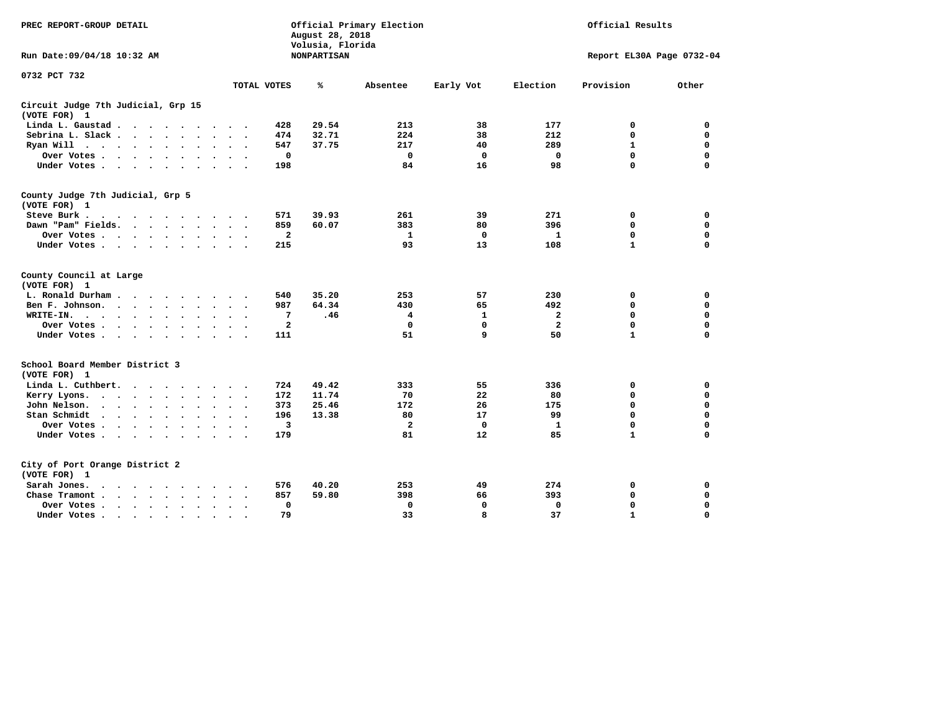| PREC REPORT-GROUP DETAIL                                                                                                    |                                 | August 28, 2018<br>Volusia, Florida | Official Primary Election |              | Official Results |              |                           |  |
|-----------------------------------------------------------------------------------------------------------------------------|---------------------------------|-------------------------------------|---------------------------|--------------|------------------|--------------|---------------------------|--|
| Run Date: 09/04/18 10:32 AM                                                                                                 |                                 | <b>NONPARTISAN</b>                  |                           |              |                  |              | Report EL30A Page 0732-04 |  |
| 0732 PCT 732                                                                                                                |                                 |                                     |                           |              |                  |              |                           |  |
|                                                                                                                             | TOTAL VOTES                     | ℁                                   | Absentee                  | Early Vot    | Election         | Provision    | Other                     |  |
| Circuit Judge 7th Judicial, Grp 15<br>(VOTE FOR) 1                                                                          |                                 |                                     |                           |              |                  |              |                           |  |
| Linda L. Gaustad<br>$\sim$                                                                                                  | 428<br>$\sim$ $\sim$            | 29.54                               | 213                       | 38           | 177              | 0            | 0                         |  |
| Sebrina L. Slack                                                                                                            | 474<br>$\overline{\phantom{a}}$ | 32.71                               | 224                       | 38           | 212              | 0            | $\mathbf 0$               |  |
| Ryan Will $\cdots$<br>$\ddot{\phantom{a}}$<br>$\bullet$                                                                     | 547                             | 37.75                               | 217                       | 40           | 289              | $\mathbf{1}$ | $\mathbf 0$               |  |
| Over Votes.<br>$\sim$ $\sim$<br>$\ddot{\phantom{a}}$<br>$\ddot{\phantom{a}}$<br>$\overline{a}$                              |                                 | $\mathbf 0$                         | $\Omega$                  | $\mathbf 0$  | $\mathbf 0$      | 0            | $\mathbf 0$               |  |
| Under Votes<br>$\ddot{\phantom{a}}$<br>$\ddot{\phantom{a}}$                                                                 | 198                             |                                     | 84                        | 16           | 98               | 0            | $\mathbf 0$               |  |
| County Judge 7th Judicial, Grp 5<br>(VOTE FOR) 1                                                                            |                                 |                                     |                           |              |                  |              |                           |  |
| Steve Burk .                                                                                                                | 571                             | 39.93                               | 261                       | 39           | 271              | 0            | 0                         |  |
| Dawn "Pam" Fields.                                                                                                          | 859                             | 60.07                               | 383                       | 80           | 396              | $\mathbf 0$  | 0                         |  |
| Over Votes .<br>$\cdots$<br>$\bullet$<br>$\ddot{\phantom{0}}$<br>$\bullet$                                                  |                                 | $\mathbf{2}$                        | 1                         | $\Omega$     | 1                | 0            | $\mathbf 0$               |  |
| Under Votes<br>$\bullet$                                                                                                    | 215                             |                                     | 93                        | 13           | 108              | $\mathbf{1}$ | $\Omega$                  |  |
| County Council at Large<br>(VOTE FOR) 1                                                                                     |                                 |                                     |                           |              |                  |              |                           |  |
| L. Ronald Durham                                                                                                            | 540                             | 35.20                               | 253                       | 57           | 230              | 0            | $\mathbf 0$               |  |
| Ben F. Johnson.<br>$\sim$ $\sim$<br>$\sim$ $\sim$<br>$\ddot{\phantom{a}}$                                                   | 987                             | 64.34                               | 430                       | 65           | 492              | 0            | $\mathbf 0$               |  |
| WRITE-IN.<br>$\sim$ $\sim$<br>$\cdot$ $\cdot$ $\cdot$ $\cdot$<br>$\ddot{\phantom{0}}$<br>$\Delta$                           |                                 | 7<br>.46                            | 4                         | $\mathbf{1}$ | $\mathbf{2}$     | 0            | $\mathbf 0$               |  |
| Over Votes.<br>$\sim$ $\sim$ $\sim$ $\sim$<br>$\bullet$<br>$\ddot{\phantom{0}}$                                             |                                 | $\overline{a}$                      | $\Omega$                  | $\mathbf 0$  | $\mathbf{2}$     | 0            | $\mathbf 0$               |  |
| Under Votes<br>$\bullet$ .<br>$\bullet$                                                                                     | 111<br>$\bullet$ $\bullet$      |                                     | 51                        | 9            | 50               | $\mathbf{1}$ | $\mathbf 0$               |  |
| School Board Member District 3<br>(VOTE FOR) 1                                                                              |                                 |                                     |                           |              |                  |              |                           |  |
| Linda L. Cuthbert.<br>$\ddot{\phantom{1}}$<br>$\sim$<br>$\cdot$<br>$\ddot{\phantom{1}}$                                     | 724                             | 49.42                               | 333                       | 55           | 336              | 0            | 0                         |  |
| Kerry Lyons.<br>$\cdots$<br>$\ddot{\phantom{a}}$<br>$\bullet$                                                               | 172<br>$\cdot$                  | 11.74                               | 70                        | 22           | 80               | 0            | $\mathbf 0$               |  |
| John Nelson.<br>$\sim$ $\sim$<br>$\ddot{\phantom{1}}$<br>$\ddot{\phantom{a}}$<br>$\bullet$<br>$\bullet$                     | 373                             | 25.46                               | 172                       | 26           | 175              | 0            | $\mathbf 0$               |  |
| Stan Schmidt<br>$\sim$ $\sim$ $\sim$ $\sim$<br>$\ddot{\phantom{0}}$<br>$\ddot{\phantom{0}}$<br>$\bullet$                    | 196                             | 13.38                               | 80                        | 17           | 99               | $\mathbf 0$  | $\mathbf 0$               |  |
| Over Votes.<br>$\cdot$ $\cdot$<br>$\bullet$<br>$\bullet$<br>$\bullet$                                                       |                                 | 3                                   | 2                         | 0            | 1                | 0            | $\mathbf 0$               |  |
| Under Votes<br>$\bullet$<br>$\bullet$                                                                                       | 179                             |                                     | 81                        | 12           | 85               | 1            | $\mathbf 0$               |  |
| City of Port Orange District 2<br>(VOTE FOR) 1                                                                              |                                 |                                     |                           |              |                  |              |                           |  |
| Sarah Jones.<br>$\cdot$ $\cdot$<br>$\sim$                                                                                   | 576                             | 40.20                               | 253                       | 49           | 274              | 0            | 0                         |  |
| Chase Tramont.<br>$\sim$ $\sim$<br>$\bullet$<br>$\bullet$                                                                   | 857                             | 59.80                               | 398                       | 66           | 393              | 0            | $\mathbf 0$               |  |
| Over Votes .<br>$\bullet$ .<br><br><br><br><br><br><br><br><br><br><br><br><br>$\bullet$<br>$\ddot{\phantom{0}}$<br>$\cdot$ |                                 | 0                                   | 0                         | 0            | 0                | 0            | 0                         |  |
| Under Votes.                                                                                                                |                                 | 79                                  | 33                        | 8            | 37               | $\mathbf{1}$ | $\Omega$                  |  |
|                                                                                                                             |                                 |                                     |                           |              |                  |              |                           |  |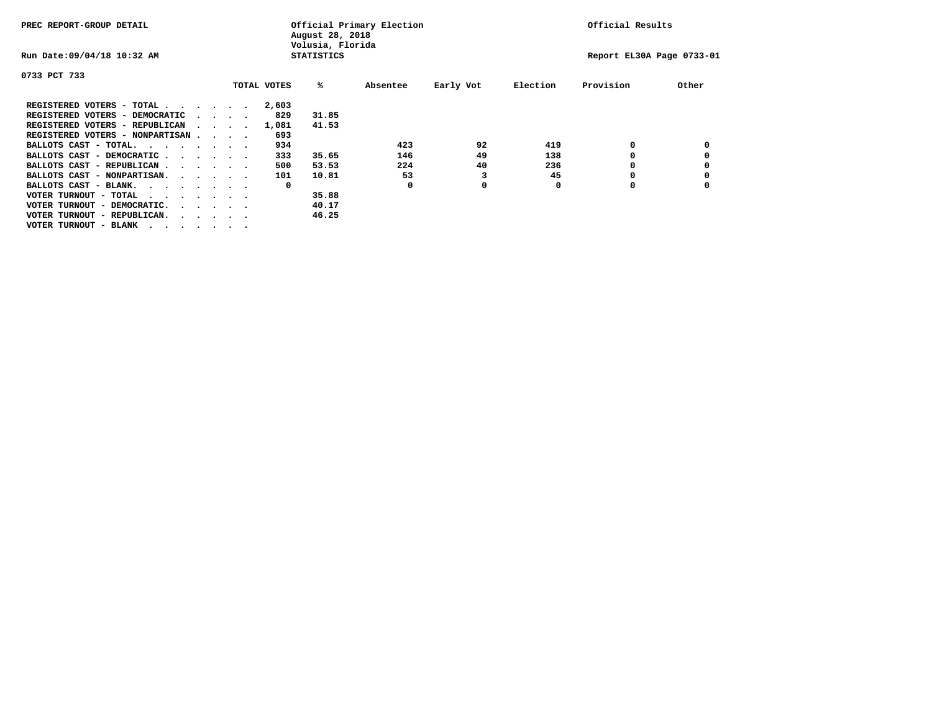| PREC REPORT-GROUP DETAIL                                                                       |  |                                 |  |  | August 28, 2018<br>Volusia, Florida | Official Primary Election |          | Official Results |          |                           |       |
|------------------------------------------------------------------------------------------------|--|---------------------------------|--|--|-------------------------------------|---------------------------|----------|------------------|----------|---------------------------|-------|
| Run Date: 09/04/18 10:32 AM                                                                    |  |                                 |  |  |                                     | <b>STATISTICS</b>         |          |                  |          | Report EL30A Page 0733-01 |       |
| 0733 PCT 733                                                                                   |  |                                 |  |  |                                     |                           |          |                  |          |                           |       |
|                                                                                                |  |                                 |  |  | TOTAL VOTES                         | %ะ                        | Absentee | Early Vot        | Election | Provision                 | Other |
| REGISTERED VOTERS - TOTAL                                                                      |  |                                 |  |  | 2,603                               |                           |          |                  |          |                           |       |
| REGISTERED VOTERS - DEMOCRATIC                                                                 |  | $\cdot$ $\cdot$ $\cdot$ $\cdot$ |  |  | 829                                 | 31.85                     |          |                  |          |                           |       |
| REGISTERED VOTERS - REPUBLICAN                                                                 |  |                                 |  |  | 1,081                               | 41.53                     |          |                  |          |                           |       |
| REGISTERED VOTERS - NONPARTISAN                                                                |  |                                 |  |  | 693                                 |                           |          |                  |          |                           |       |
| BALLOTS CAST - TOTAL.                                                                          |  |                                 |  |  | 934                                 |                           | 423      | 92               | 419      | 0                         |       |
| BALLOTS CAST - DEMOCRATIC                                                                      |  |                                 |  |  | 333                                 | 35.65                     | 146      | 49               | 138      |                           |       |
| BALLOTS CAST - REPUBLICAN                                                                      |  |                                 |  |  | 500                                 | 53.53                     | 224      | 40               | 236      | 0                         |       |
| BALLOTS CAST - NONPARTISAN.                                                                    |  |                                 |  |  | 101                                 | 10.81                     | 53       | 3                | 45       | 0                         |       |
| BALLOTS CAST - BLANK.                                                                          |  |                                 |  |  | 0                                   |                           | O        | 0                | O        | O                         |       |
| VOTER TURNOUT - TOTAL<br>$\mathbf{r}$ , and $\mathbf{r}$ , and $\mathbf{r}$ , and $\mathbf{r}$ |  |                                 |  |  |                                     | 35.88                     |          |                  |          |                           |       |
| VOTER TURNOUT - DEMOCRATIC.<br>$\cdot$                                                         |  |                                 |  |  |                                     | 40.17                     |          |                  |          |                           |       |
| VOTER TURNOUT - REPUBLICAN.<br>$\cdots$                                                        |  |                                 |  |  |                                     | 46.25                     |          |                  |          |                           |       |
| VOTER TURNOUT - BLANK                                                                          |  |                                 |  |  |                                     |                           |          |                  |          |                           |       |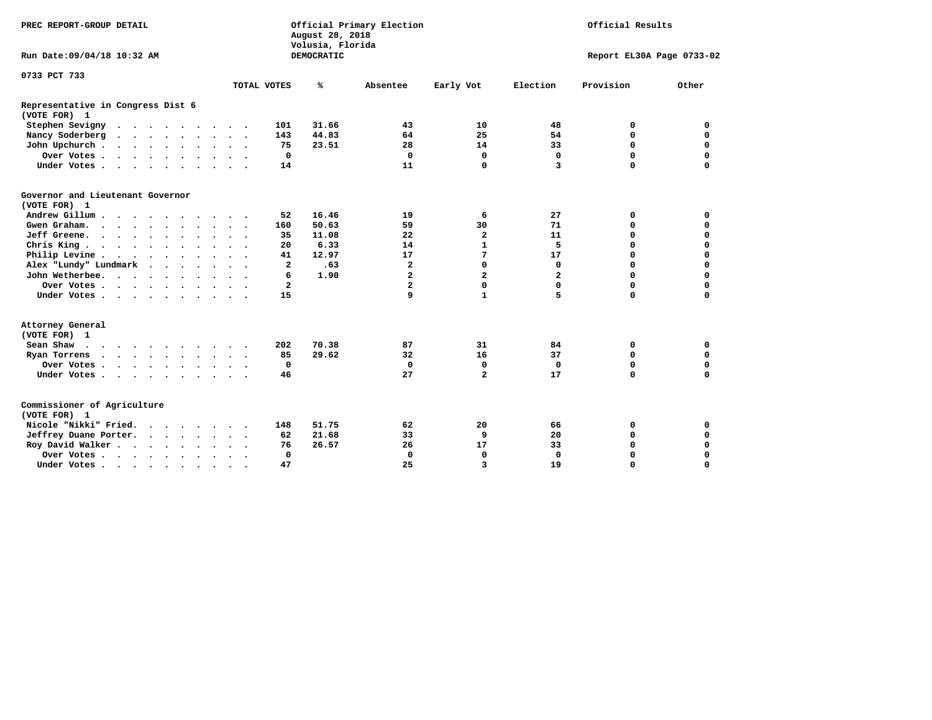| PREC REPORT-GROUP DETAIL                                                                                         |                                                    | August 28, 2018<br>Volusia, Florida | Official Primary Election |                | Official Results |                           |             |  |
|------------------------------------------------------------------------------------------------------------------|----------------------------------------------------|-------------------------------------|---------------------------|----------------|------------------|---------------------------|-------------|--|
| Run Date: 09/04/18 10:32 AM                                                                                      |                                                    | <b>DEMOCRATIC</b>                   |                           |                |                  | Report EL30A Page 0733-02 |             |  |
| 0733 PCT 733                                                                                                     |                                                    |                                     |                           |                |                  |                           |             |  |
|                                                                                                                  | TOTAL VOTES                                        | ℁                                   | Absentee                  | Early Vot      | Election         | Provision                 | Other       |  |
| Representative in Congress Dist 6<br>(VOTE FOR) 1                                                                |                                                    |                                     |                           |                |                  |                           |             |  |
| Stephen Sevigny                                                                                                  | 101                                                | 31.66                               | 43                        | 10             | 48               | 0                         | 0           |  |
| Nancy Soderberg<br>$\begin{array}{cccccccccccccccccc} . & . & . & . & . & . & . & . & . & . & . & . \end{array}$ | 143                                                | 44.83                               | 64                        | 25             | 54               | $\mathbf 0$               | 0           |  |
| John Upchurch                                                                                                    | 75                                                 | 23.51                               | 28                        | 14             | 33               | $\mathbf 0$               | $\mathbf 0$ |  |
| Over Votes                                                                                                       | 0                                                  |                                     | 0                         | $\mathbf 0$    | $\mathbf 0$      | $\mathbf 0$               | $\mathbf 0$ |  |
| Under Votes                                                                                                      | 14                                                 |                                     | 11                        | 0              | 3                | $\Omega$                  | $\mathbf 0$ |  |
| Governor and Lieutenant Governor<br>(VOTE FOR) 1                                                                 |                                                    |                                     |                           |                |                  |                           |             |  |
| Andrew Gillum                                                                                                    | 52                                                 | 16.46                               | 19                        | 6              | 27               | 0                         | 0           |  |
| Gwen Graham.                                                                                                     | 160                                                | 50.63                               | 59                        | 30             | 71               | 0                         | $\mathbf 0$ |  |
| Jeff Greene.                                                                                                     | 35                                                 | 11.08                               | 22                        | 2              | 11               | $\mathbf 0$               | $\mathbf 0$ |  |
| Chris King                                                                                                       | 20                                                 | 6.33                                | 14                        | $\mathbf{1}$   | 5                | $\mathbf 0$               | $\mathbf 0$ |  |
| Philip Levine                                                                                                    | 41                                                 | 12.97                               | 17                        | 7              | 17               | $\mathbf 0$               | $\mathbf 0$ |  |
| Alex "Lundy" Lundmark<br>$\sim$ $\sim$ $\sim$ $\sim$                                                             | $\mathbf{2}$                                       | .63                                 | $\overline{\mathbf{2}}$   | 0              | 0                | $\mathbf 0$               | $\mathbf 0$ |  |
| John Wetherbee.                                                                                                  | 6                                                  | 1.90                                | $\overline{\mathbf{2}}$   | $\overline{a}$ | $\mathbf{z}$     | $\mathbf 0$               | $\mathbf 0$ |  |
| Over Votes                                                                                                       | $\mathbf{2}$                                       |                                     | $\overline{a}$            | 0              | 0                | $\mathbf 0$               | $\mathbf 0$ |  |
| Under Votes                                                                                                      | 15                                                 |                                     | 9                         | $\mathbf{1}$   | 5                | $\mathbf 0$               | $\mathbf 0$ |  |
| Attorney General<br>(VOTE FOR) 1                                                                                 |                                                    |                                     |                           |                |                  |                           |             |  |
| Sean Shaw                                                                                                        | 202<br>$\sim$ $\sim$                               | 70.38                               | 87                        | 31             | 84               | 0                         | 0           |  |
| Ryan Torrens<br>$\cdots$                                                                                         | 85                                                 | 29.62                               | 32                        | 16             | 37               | $\mathbf 0$               | $\mathbf 0$ |  |
| Over Votes                                                                                                       | $\mathbf 0$                                        |                                     | $\mathbf 0$               | $\mathbf 0$    | $\Omega$         | 0                         | $\mathbf 0$ |  |
| Under Votes                                                                                                      | 46                                                 |                                     | 27                        | $\overline{a}$ | 17               | $\mathbf 0$               | $\mathbf 0$ |  |
| Commissioner of Agriculture<br>(VOTE FOR) 1                                                                      |                                                    |                                     |                           |                |                  |                           |             |  |
| Nicole "Nikki" Fried.                                                                                            | 148                                                | 51.75                               | 62                        | 20             | 66               | 0                         | 0           |  |
| Jeffrey Duane Porter.                                                                                            | 62                                                 | 21.68                               | 33                        | 9              | 20               | $\mathbf 0$               | $\mathbf 0$ |  |
| Roy David Walker                                                                                                 | 76                                                 | 26.57                               | 26                        | 17             | 33               | $\mathbf 0$               | 0           |  |
| Over Votes                                                                                                       | $\Omega$                                           |                                     | $\mathbf 0$               | $\mathbf 0$    | 0                | $\mathbf 0$               | 0           |  |
| Under Votes                                                                                                      | 47<br>$\ddot{\phantom{1}}$<br>$\ddot{\phantom{1}}$ |                                     | 25                        | 3              | 19               | $\mathbf 0$               | $\mathbf 0$ |  |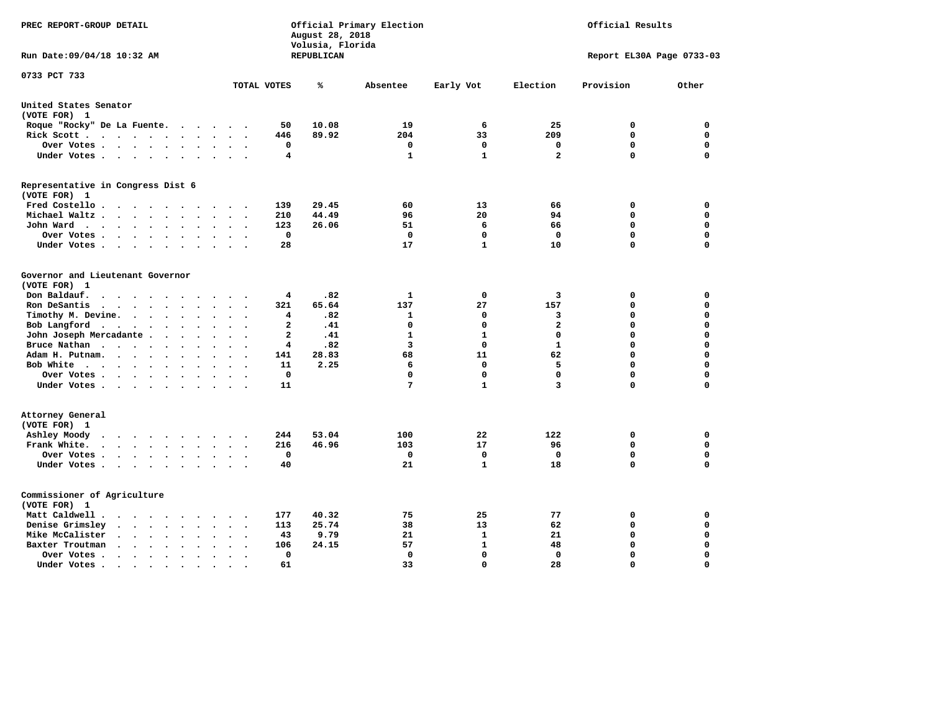| PREC REPORT-GROUP DETAIL                                                                                                                                                          |                                                                | August 28, 2018<br>Volusia, Florida | Official Primary Election               | Official Results            |                         |                            |                            |
|-----------------------------------------------------------------------------------------------------------------------------------------------------------------------------------|----------------------------------------------------------------|-------------------------------------|-----------------------------------------|-----------------------------|-------------------------|----------------------------|----------------------------|
| Run Date:09/04/18 10:32 AM                                                                                                                                                        |                                                                | REPUBLICAN                          |                                         |                             |                         | Report EL30A Page 0733-03  |                            |
| 0733 PCT 733                                                                                                                                                                      | TOTAL VOTES                                                    | ℁                                   | Absentee                                | Early Vot                   | Election                | Provision                  | Other                      |
|                                                                                                                                                                                   |                                                                |                                     |                                         |                             |                         |                            |                            |
| United States Senator<br>(VOTE FOR) 1                                                                                                                                             |                                                                |                                     |                                         |                             |                         |                            |                            |
| Roque "Rocky" De La Fuente.<br>$\cdots$                                                                                                                                           | 50<br>$\sim$<br>$\sim$                                         | 10.08                               | 19                                      | 6                           | 25                      | 0                          | 0                          |
| Rick Scott<br>$\sim$                                                                                                                                                              | 446                                                            | 89.92                               | 204                                     | 33                          | 209                     | $\mathbf 0$                | $\mathbf 0$                |
| Over Votes<br>$\ddot{\phantom{1}}$                                                                                                                                                | 0<br>$\ddot{\phantom{a}}$<br>$\ddot{\phantom{a}}$<br>$\bullet$ |                                     | 0                                       | 0                           | 0                       | $\mathbf 0$                | $\mathbf 0$                |
| Under Votes<br>$\ddot{\phantom{a}}$                                                                                                                                               | 4<br>$\ddot{\phantom{a}}$                                      |                                     | 1                                       | 1                           | $\overline{\mathbf{2}}$ | $\Omega$                   | $\mathbf 0$                |
| Representative in Congress Dist 6                                                                                                                                                 |                                                                |                                     |                                         |                             |                         |                            |                            |
| (VOTE FOR) 1                                                                                                                                                                      |                                                                |                                     |                                         |                             |                         |                            |                            |
| Fred Costello.                                                                                                                                                                    | 139<br>$\sim$ $\sim$ $\sim$                                    | 29.45                               | 60                                      | 13                          | 66                      | 0                          | 0                          |
| Michael Waltz.<br>$\sim$ $\sim$ $\sim$<br>$\ddot{\phantom{a}}$<br>$\ddot{\phantom{a}}$                                                                                            | 210                                                            | 44.49                               | 96                                      | 20                          | 94                      | $\mathbf 0$                | $\mathbf 0$                |
| John Ward<br>$\begin{array}{cccccccccccccc} \bullet & \bullet & \bullet & \bullet & \bullet & \bullet & \bullet & \bullet & \bullet & \bullet & \bullet \end{array}$<br>$\bullet$ | 123<br>$\ddot{\phantom{a}}$                                    | 26.06                               | 51                                      | 6                           | 66                      | $\mathbf 0$                | 0                          |
| Over Votes<br>$\cdot$                                                                                                                                                             | $\mathbf 0$                                                    |                                     | 0                                       | $\mathbf 0$                 | $\mathbf 0$             | $\mathbf 0$                | 0                          |
| Under Votes<br>$\bullet$<br>$\cdot$                                                                                                                                               | 28                                                             |                                     | 17                                      | $\mathbf{1}$                | 10                      | $\mathbf 0$                | $\mathbf 0$                |
| Governor and Lieutenant Governor                                                                                                                                                  |                                                                |                                     |                                         |                             |                         |                            |                            |
| (VOTE FOR) 1                                                                                                                                                                      |                                                                |                                     |                                         |                             |                         |                            |                            |
| Don Baldauf.<br>$\sim$ $\sim$ $\sim$ $\sim$<br>$\sim$                                                                                                                             | 4                                                              | .82                                 | 1                                       | 0                           | 3                       | 0                          | 0                          |
| Ron DeSantis<br>$\bullet$                                                                                                                                                         | 321<br>$\Delta \sim 10^{-11}$<br>$\ddot{\phantom{a}}$          | 65.64                               | 137                                     | 27                          | 157                     | 0                          | 0                          |
| Timothy M. Devine.<br>$\bullet$                                                                                                                                                   | 4                                                              | .82                                 | 1                                       | 0                           | 3                       | 0                          | $\mathbf 0$                |
| Bob Langford<br>$\ddot{\phantom{0}}$<br>$\overline{\phantom{a}}$<br>$\ddot{\phantom{a}}$                                                                                          | $\overline{a}$<br>$\cdot$                                      | .41                                 | $\mathbf 0$                             | $\mathbf 0$                 | $\overline{a}$          | $\mathbf 0$                | $\mathbf 0$                |
| John Joseph Mercadante                                                                                                                                                            | $\overline{a}$<br>$\overline{\phantom{a}}$                     | .41                                 | $\mathbf{1}$<br>$\overline{\mathbf{3}}$ | $\mathbf{1}$                | $\Omega$                | $\mathbf 0$                | $\mathbf 0$<br>$\mathbf 0$ |
| Bruce Nathan<br>$\bullet$<br>$\ddot{\phantom{a}}$                                                                                                                                 | $\overline{4}$                                                 | .82                                 |                                         | 0                           | 1                       | 0<br>$\mathbf 0$           |                            |
| Adam H. Putnam.                                                                                                                                                                   | 141                                                            | 28.83                               | 68                                      | 11                          | 62                      |                            | $\mathbf 0$                |
| Bob White<br>$\ddot{\phantom{1}}$                                                                                                                                                 | 11<br>$\ddot{\phantom{a}}$<br>$\mathbf 0$                      | 2.25                                | 6<br>0                                  | 0<br>$\mathbf 0$            | 5<br>$\mathbf 0$        | $\mathbf 0$<br>$\mathbf 0$ | $\mathbf 0$<br>$\mathbf 0$ |
| Over Votes .<br>$\cdot$<br>$\overline{a}$<br>Under Votes                                                                                                                          | 11                                                             |                                     | 7                                       | 1                           | $\overline{\mathbf{3}}$ | $\mathbf 0$                | $\mathbf 0$                |
|                                                                                                                                                                                   |                                                                |                                     |                                         |                             |                         |                            |                            |
| Attorney General<br>(VOTE FOR) 1                                                                                                                                                  |                                                                |                                     |                                         |                             |                         |                            |                            |
| Ashley Moody<br>$\bullet$<br>$\cdots$                                                                                                                                             | 244<br>$\cdot$                                                 | 53.04                               | 100                                     | 22                          | 122                     | 0                          | 0                          |
| $\sim$<br>Frank White.<br>$\sim$                                                                                                                                                  | 216                                                            | 46.96                               | 103                                     | 17                          | 96                      | $\mathbf 0$                | 0                          |
| Over Votes .<br>$\cdots$<br>$\bullet$                                                                                                                                             | $\mathbf 0$                                                    |                                     | 0                                       | $\mathbf 0$                 | $\mathbf{0}$            | $\mathbf 0$                | $\mathbf 0$                |
| Under Votes<br>$\sim$<br>$\sim$ $\sim$<br>$\ddot{\phantom{a}}$                                                                                                                    | 40<br>$\bullet$                                                |                                     | 21                                      | $\mathbf{1}$                | 18                      | $\mathbf 0$                | 0                          |
|                                                                                                                                                                                   |                                                                |                                     |                                         |                             |                         |                            |                            |
| Commissioner of Agriculture                                                                                                                                                       |                                                                |                                     |                                         |                             |                         |                            |                            |
| (VOTE FOR) 1                                                                                                                                                                      |                                                                |                                     |                                         |                             |                         |                            |                            |
| Matt Caldwell.<br>$\cdot$ $\cdot$ $\cdot$ $\cdot$ $\cdot$<br>$\sim$ $\sim$                                                                                                        | 177<br>$\ddot{\phantom{a}}$                                    | 40.32                               | 75                                      | 25                          | 77                      | 0                          | 0                          |
| Denise Grimsley<br>$\bullet$ .<br><br><br><br><br><br><br><br><br><br><br><br><br>$\bullet$<br>$\ddot{\phantom{a}}$<br>$\ddot{\phantom{a}}$                                       | 113                                                            | 25.74                               | 38                                      | 13                          | 62                      | 0                          | 0                          |
| Mike McCalister<br>$\cdot$ $\cdot$ $\cdot$ $\cdot$ $\cdot$<br>$\bullet$                                                                                                           | 43<br>$\overline{\phantom{a}}$                                 | 9.79                                | 21                                      | $\mathbf{1}$                | 21                      | 0                          | 0                          |
| Baxter Troutman<br>$\cdot$ $\cdot$ $\cdot$ $\cdot$<br>$\overline{\phantom{a}}$<br>$\bullet$                                                                                       | 106                                                            | 24.15                               | 57                                      | $\mathbf{1}$<br>$\mathbf 0$ | 48                      | 0<br>$\mathbf 0$           | 0                          |
| Over Votes .<br>$\sim$ $\sim$ $\sim$ $\sim$ $\sim$<br>$\bullet$                                                                                                                   | 0<br>61                                                        |                                     | 0                                       | $\mathbf 0$                 | $\Omega$<br>28          | $\Omega$                   | $\mathbf 0$<br>$\Omega$    |
| Under Votes.<br>.                                                                                                                                                                 |                                                                |                                     | 33                                      |                             |                         |                            |                            |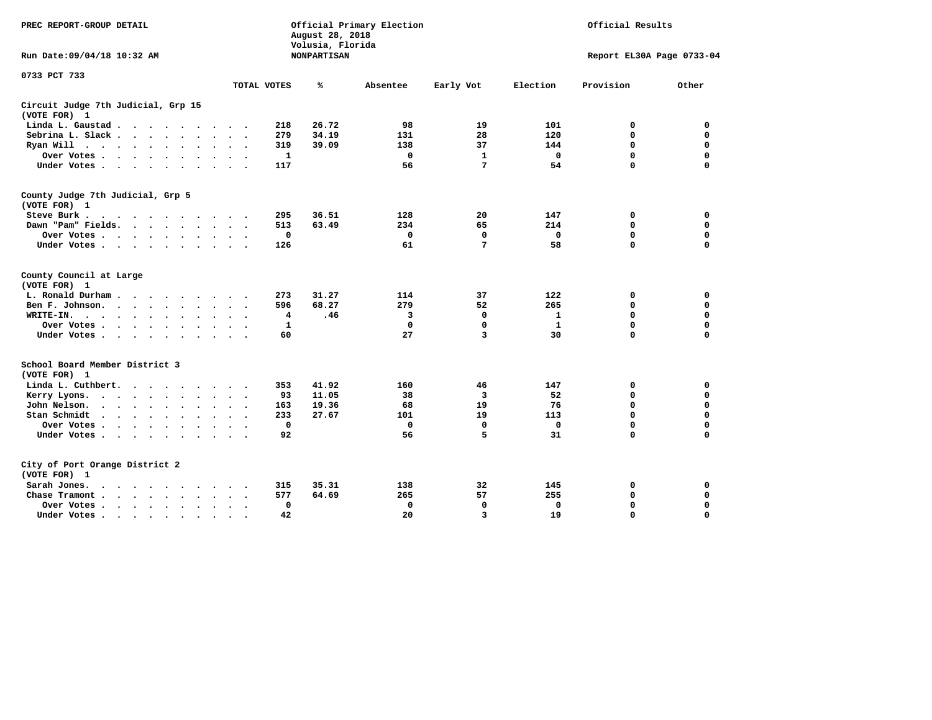| PREC REPORT-GROUP DETAIL                                                                                                                          |                                           | August 28, 2018<br>Volusia, Florida | Official Primary Election |                 | Official Results |                           |             |  |
|---------------------------------------------------------------------------------------------------------------------------------------------------|-------------------------------------------|-------------------------------------|---------------------------|-----------------|------------------|---------------------------|-------------|--|
| Run Date: 09/04/18 10:32 AM                                                                                                                       |                                           | <b>NONPARTISAN</b>                  |                           |                 |                  | Report EL30A Page 0733-04 |             |  |
| 0733 PCT 733                                                                                                                                      |                                           |                                     |                           |                 |                  |                           |             |  |
|                                                                                                                                                   | TOTAL VOTES                               | ℁                                   | Absentee                  | Early Vot       | Election         | Provision                 | Other       |  |
| Circuit Judge 7th Judicial, Grp 15<br>(VOTE FOR) 1                                                                                                |                                           |                                     |                           |                 |                  |                           |             |  |
| Linda L. Gaustad<br>$\ddot{\phantom{0}}$                                                                                                          | 218<br>$\ddot{\phantom{a}}$               | 26.72                               | 98                        | 19              | 101              | 0                         | 0           |  |
| Sebrina L. Slack<br>$\ddot{\phantom{a}}$<br>$\ddot{\phantom{0}}$<br>$\sim$                                                                        | 279<br>$\sim$<br>$\overline{\phantom{a}}$ | 34.19                               | 131                       | 28              | 120              | $\mathbf 0$               | $\mathbf 0$ |  |
| Ryan Will<br>$\ddot{\phantom{a}}$<br>$\Delta$                                                                                                     | 319                                       | 39.09                               | 138                       | 37              | 144              | $\mathbf 0$               | $\mathbf 0$ |  |
| Over Votes .<br>$\cdot$ $\cdot$<br>$\Delta$<br>$\overline{\phantom{a}}$                                                                           | $\mathbf{1}$                              |                                     | $\mathbf 0$               | $\mathbf{1}$    | $\mathbf 0$      | $\mathbf 0$               | $\mathbf 0$ |  |
| Under Votes<br>$\bullet$<br>$\bullet$                                                                                                             | 117                                       |                                     | 56                        | 7               | 54               | $\mathbf 0$               | $\mathbf 0$ |  |
| County Judge 7th Judicial, Grp 5<br>(VOTE FOR) 1                                                                                                  |                                           |                                     |                           |                 |                  |                           |             |  |
| Steve Burk .                                                                                                                                      | 295                                       | 36.51                               | 128                       | 20              | 147              | 0                         | 0           |  |
| Dawn "Pam" Fields.<br>$\sim$ $\sim$<br>$\sim$ $\sim$                                                                                              | 513                                       | 63.49                               | 234                       | 65              | 214              | $\mathbf 0$               | $\mathbf 0$ |  |
| Over Votes .<br>$\bullet$<br>$\bullet$<br>$\bullet$<br>$\bullet$<br>$\bullet$                                                                     |                                           | $\mathbf 0$                         | $\mathbf 0$               | $\mathbf 0$     | $\mathbf 0$      | $\Omega$                  | $\mathbf 0$ |  |
| Under Votes.<br>$\sim$ $\sim$ $\sim$<br>$\cdot$<br>$\bullet$                                                                                      | 126                                       |                                     | 61                        | $7\phantom{.0}$ | 58               | $\Omega$                  | $\Omega$    |  |
| County Council at Large<br>(VOTE FOR) 1                                                                                                           |                                           |                                     |                           |                 |                  |                           |             |  |
| L. Ronald Durham.<br>$\ddot{\phantom{a}}$<br>$\cdots$                                                                                             | 273                                       | 31.27                               | 114                       | 37              | 122              | 0                         | 0           |  |
| Ben F. Johnson.<br>$\sim$<br>$\ddot{\phantom{a}}$                                                                                                 | 596                                       | 68.27                               | 279                       | 52              | 265              | 0                         | $\mathbf 0$ |  |
| WRITE-IN.<br>$\ddot{\phantom{1}}$<br>$\ddot{\phantom{1}}$<br>$\bullet$<br>$\sim$<br>$\ddot{\phantom{a}}$<br>$\bullet$<br>$\bullet$<br>$\bullet$   | $\ddot{\phantom{0}}$                      | 4<br>.46                            | з                         | 0               | 1                | $\mathbf 0$               | $\mathbf 0$ |  |
| Over Votes .<br>$\sim$<br>$\ddot{\phantom{1}}$<br>$\bullet$<br>$\bullet$<br>$\bullet$                                                             |                                           | 1                                   | 0                         | 0               | 1                | 0                         | $\mathbf 0$ |  |
| Under Votes<br>$\bullet$<br>$\bullet$<br>$\ddot{\phantom{a}}$<br>$\bullet$                                                                        | 60<br>$\ddot{\phantom{1}}$                |                                     | 27                        | 3               | 30               | 0                         | 0           |  |
| School Board Member District 3<br>(VOTE FOR) 1                                                                                                    |                                           |                                     |                           |                 |                  |                           |             |  |
| Linda L. Cuthbert.<br>$\ddot{\phantom{a}}$<br>$\ddot{\phantom{1}}$<br>$\cdot$<br>$\cdot$                                                          | 353                                       | 41.92                               | 160                       | 46              | 147              | 0                         | 0           |  |
| Kerry Lyons.<br>$\cdot$ $\cdot$ $\cdot$ $\cdot$<br>$\bullet$<br>$\bullet$                                                                         | 93<br>$\bullet$                           | 11.05                               | 38                        | 3               | 52               | $\mathbf 0$               | $\mathbf 0$ |  |
| John Nelson.<br>$\ddot{\phantom{a}}$<br>$\ddot{\phantom{1}}$<br>$\ddot{\phantom{1}}$<br>$\ddot{\phantom{a}}$<br>$\bullet$<br>$\ddot{\phantom{a}}$ | 163                                       | 19.36                               | 68                        | 19              | 76               | 0                         | $\mathbf 0$ |  |
| Stan Schmidt<br>$\ddot{\phantom{0}}$<br>$\sim$ $\sim$<br>$\ddot{\phantom{1}}$<br>$\bullet$<br>$\ddot{\phantom{a}}$                                | 233                                       | 27.67                               | 101                       | 19              | 113              | $\mathbf 0$               | $\mathbf 0$ |  |
| Over Votes .<br>$\ddot{\phantom{a}}$<br>$\Delta$<br>$\ddot{\phantom{a}}$<br>$\blacksquare$                                                        |                                           | $\mathbf{0}$                        | $\mathbf 0$               | $\mathbf 0$     | $\mathbf 0$      | 0                         | $\mathbf 0$ |  |
| Under Votes.<br>$\sim$ $\sim$ $\sim$<br>$\bullet$<br>$\bullet$                                                                                    | 92                                        |                                     | 56                        | 5               | 31               | 0                         | $\mathbf 0$ |  |
| City of Port Orange District 2<br>(VOTE FOR) 1                                                                                                    |                                           |                                     |                           |                 |                  |                           |             |  |
| Sarah Jones.<br>$\ddot{\phantom{1}}$                                                                                                              | 315                                       | 35.31                               | 138                       | 32              | 145              | 0                         | 0           |  |
| $\sim$ $\sim$<br>Chase Tramont.<br>$\ddot{\phantom{1}}$<br>$\bullet$                                                                              | 577                                       | 64.69                               | 265                       | 57              | 255              | 0                         | 0           |  |
| Over Votes .<br>$\bullet$<br>$\cdot$ $\cdot$ $\cdot$<br>$\ddot{\phantom{a}}$<br>$\ddot{\phantom{0}}$                                              |                                           | 0                                   | 0                         | 0               | 0                | 0                         | 0           |  |
| Under Votes.<br>$\sim$ $\sim$ $\sim$<br>$\sim$<br>$\sim$<br>$\cdot$                                                                               | 42                                        |                                     | 20                        | 3               | 19               | 0                         | $\mathbf 0$ |  |
|                                                                                                                                                   |                                           |                                     |                           |                 |                  |                           |             |  |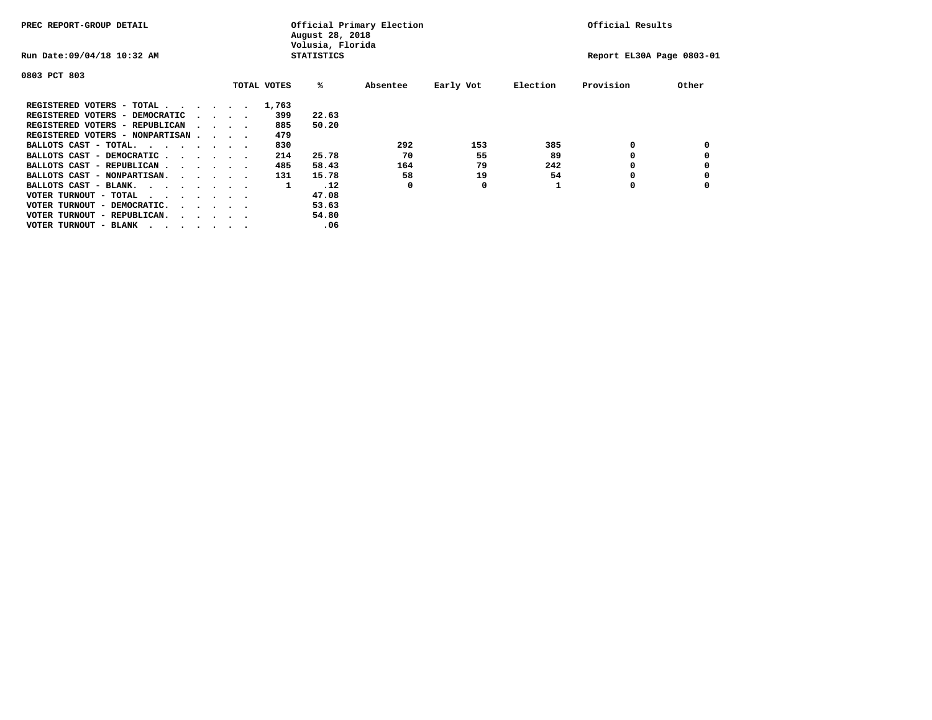| PREC REPORT-GROUP DETAIL                |  |                                         |  |  | Official Primary Election<br>August 28, 2018<br>Volusia, Florida | Official Results  |          |           |          |                           |       |
|-----------------------------------------|--|-----------------------------------------|--|--|------------------------------------------------------------------|-------------------|----------|-----------|----------|---------------------------|-------|
| Run Date: 09/04/18 10:32 AM             |  |                                         |  |  |                                                                  | <b>STATISTICS</b> |          |           |          | Report EL30A Page 0803-01 |       |
| 0803 PCT 803                            |  |                                         |  |  |                                                                  |                   |          |           |          |                           |       |
|                                         |  |                                         |  |  | TOTAL VOTES                                                      | %ะ                | Absentee | Early Vot | Election | Provision                 | Other |
| REGISTERED VOTERS - TOTAL               |  |                                         |  |  | 1,763                                                            |                   |          |           |          |                           |       |
| REGISTERED VOTERS - DEMOCRATIC          |  | $\sim$ $\sim$ $\sim$ $\sim$             |  |  | 399                                                              | 22.63             |          |           |          |                           |       |
| REGISTERED VOTERS - REPUBLICAN          |  | $\sim$ $\sim$ $\sim$ $\sim$             |  |  | 885                                                              | 50.20             |          |           |          |                           |       |
| REGISTERED VOTERS - NONPARTISAN         |  |                                         |  |  | 479                                                              |                   |          |           |          |                           |       |
| BALLOTS CAST - TOTAL.                   |  |                                         |  |  | 830                                                              |                   | 292      | 153       | 385      | 0                         |       |
| BALLOTS CAST - DEMOCRATIC               |  |                                         |  |  | 214                                                              | 25.78             | 70       | 55        | 89       |                           |       |
| BALLOTS CAST - REPUBLICAN               |  |                                         |  |  | 485                                                              | 58.43             | 164      | 79        | 242      | 0                         |       |
| BALLOTS CAST - NONPARTISAN.             |  |                                         |  |  | 131                                                              | 15.78             | 58       | 19        | 54       |                           |       |
| BALLOTS CAST - BLANK.                   |  |                                         |  |  | 1                                                                | .12               | 0        | 0         |          | 0                         |       |
| VOTER TURNOUT - TOTAL<br>$\cdots$       |  |                                         |  |  |                                                                  | 47.08             |          |           |          |                           |       |
| VOTER TURNOUT - DEMOCRATIC.             |  | $\cdot$ $\cdot$ $\cdot$ $\cdot$ $\cdot$ |  |  |                                                                  | 53.63             |          |           |          |                           |       |
| VOTER TURNOUT - REPUBLICAN.<br>$\cdots$ |  |                                         |  |  |                                                                  | 54.80             |          |           |          |                           |       |
| VOTER TURNOUT - BLANK                   |  |                                         |  |  |                                                                  | .06               |          |           |          |                           |       |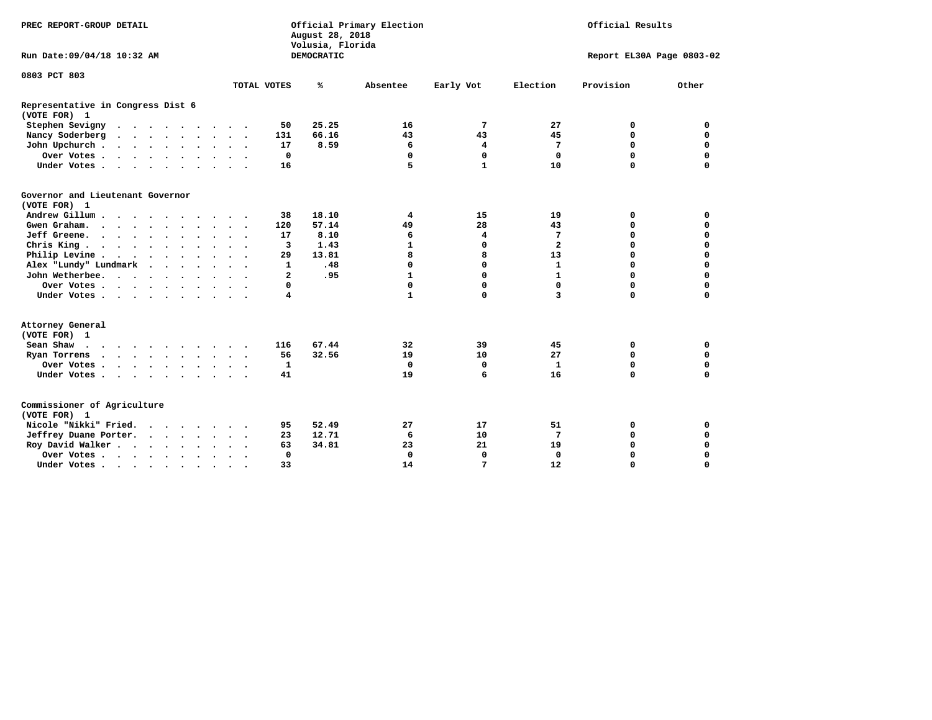| PREC REPORT-GROUP DETAIL                            |  |                                 |  |  | Official Primary Election<br>August 28, 2018<br>Volusia, Florida |  |                      |                |            |              |              | Official Results        |           |                           |
|-----------------------------------------------------|--|---------------------------------|--|--|------------------------------------------------------------------|--|----------------------|----------------|------------|--------------|--------------|-------------------------|-----------|---------------------------|
| Run Date: 09/04/18 10:32 AM                         |  |                                 |  |  |                                                                  |  |                      |                | DEMOCRATIC |              |              |                         |           | Report EL30A Page 0803-02 |
| 0803 PCT 803                                        |  |                                 |  |  |                                                                  |  |                      |                |            |              |              |                         |           |                           |
|                                                     |  |                                 |  |  |                                                                  |  |                      | TOTAL VOTES    | ℁          | Absentee     | Early Vot    | Election                | Provision | Other                     |
| Representative in Congress Dist 6<br>(VOTE FOR) 1   |  |                                 |  |  |                                                                  |  |                      |                |            |              |              |                         |           |                           |
| Stephen Sevigny                                     |  |                                 |  |  |                                                                  |  |                      | 50             | 25.25      | 16           | 7            | 27                      | 0         | 0                         |
| Nancy Soderberg                                     |  |                                 |  |  |                                                                  |  |                      | 131            | 66.16      | 43           | 43           | 45                      | 0         | $\mathbf 0$               |
| John Upchurch                                       |  |                                 |  |  |                                                                  |  |                      | 17             | 8.59       | 6            | 4            | 7                       | 0         | $\Omega$                  |
| Over Votes                                          |  |                                 |  |  |                                                                  |  |                      | 0              |            | $\mathbf 0$  | $\mathbf 0$  | $\mathbf 0$             | 0         | $\mathbf 0$               |
| Under Votes                                         |  |                                 |  |  |                                                                  |  |                      | 16             |            | 5            | $\mathbf{1}$ | 10                      | 0         | $\Omega$                  |
| Governor and Lieutenant Governor<br>(VOTE FOR) 1    |  |                                 |  |  |                                                                  |  |                      |                |            |              |              |                         |           |                           |
| Andrew Gillum                                       |  |                                 |  |  | $\sim$ $\sim$                                                    |  |                      | 38             | 18.10      | 4            | 15           | 19                      | 0         | 0                         |
| Gwen Graham.                                        |  |                                 |  |  |                                                                  |  |                      | 120            | 57.14      | 49           | 28           | 43                      | 0         | $\mathbf 0$               |
| Jeff Greene.                                        |  |                                 |  |  |                                                                  |  |                      | 17             | 8.10       | 6            | 4            | 7                       | $\Omega$  | 0                         |
| Chris King                                          |  |                                 |  |  |                                                                  |  |                      | 3              | 1.43       | $\mathbf{1}$ | $\Omega$     | $\overline{\mathbf{2}}$ | 0         | $\Omega$                  |
| Philip Levine $\cdots$ $\cdots$ $\cdots$            |  |                                 |  |  | $\bullet$ .                                                      |  | $\ddotsc$            | 29             | 13.81      | 8            | 8            | 13                      | $\Omega$  | $\Omega$                  |
| Alex "Lundy" Lundmark                               |  | $\cdot$ $\cdot$ $\cdot$ $\cdot$ |  |  |                                                                  |  |                      | 1              | .48        | $\mathbf 0$  | 0            | 1                       | 0         | 0                         |
| John Wetherbee.                                     |  |                                 |  |  |                                                                  |  |                      | $\overline{a}$ | .95        | $\mathbf{1}$ | $\Omega$     | 1                       | 0         | 0                         |
| Over Votes                                          |  |                                 |  |  |                                                                  |  |                      | 0              |            | $\mathbf 0$  | $\mathbf 0$  | $\Omega$                | 0         | 0                         |
| Under Votes                                         |  |                                 |  |  |                                                                  |  |                      | 4              |            | $\mathbf{1}$ | $\Omega$     | $\overline{\mathbf{3}}$ | 0         | 0                         |
| Attorney General<br>(VOTE FOR) 1                    |  |                                 |  |  |                                                                  |  |                      |                |            |              |              |                         |           |                           |
| Sean Shaw $\cdots$ , $\cdots$ , $\cdots$ , $\cdots$ |  |                                 |  |  |                                                                  |  |                      | 116            | 67.44      | 32           | 39           | 45                      | 0         | 0                         |
| Ryan Torrens                                        |  |                                 |  |  |                                                                  |  | $\ddot{\phantom{1}}$ | 56             | 32.56      | 19           | 10           | 27                      | 0         | 0                         |
| Over Votes                                          |  |                                 |  |  | $\ddot{\phantom{0}}$                                             |  | $\ddot{\phantom{1}}$ | $\mathbf{1}$   |            | $\mathbf 0$  | 0            | $\mathbf{1}$            | 0         | 0                         |
| Under Votes                                         |  |                                 |  |  |                                                                  |  |                      | 41             |            | 19           | 6            | 16                      | $\Omega$  | $\Omega$                  |
| Commissioner of Agriculture<br>(VOTE FOR) 1         |  |                                 |  |  |                                                                  |  |                      |                |            |              |              |                         |           |                           |
| Nicole "Nikki" Fried.                               |  |                                 |  |  |                                                                  |  |                      | 95             | 52.49      | 27           | 17           | 51                      | 0         | 0                         |
| Jeffrey Duane Porter.                               |  |                                 |  |  |                                                                  |  |                      | 23             | 12.71      | 6            | 10           | 7                       | 0         | $\mathbf 0$               |
| Roy David Walker                                    |  |                                 |  |  |                                                                  |  |                      | 63             | 34.81      | 23           | 21           | 19                      | 0         | $\mathbf 0$               |
| Over Votes                                          |  |                                 |  |  | $\bullet$                                                        |  |                      | $\mathbf{0}$   |            | $\Omega$     | $\Omega$     | $\Omega$                | $\Omega$  | 0                         |
| Under Votes                                         |  |                                 |  |  | $\sim$                                                           |  |                      | 33             |            | 14           | 7            | 12                      | 0         | 0                         |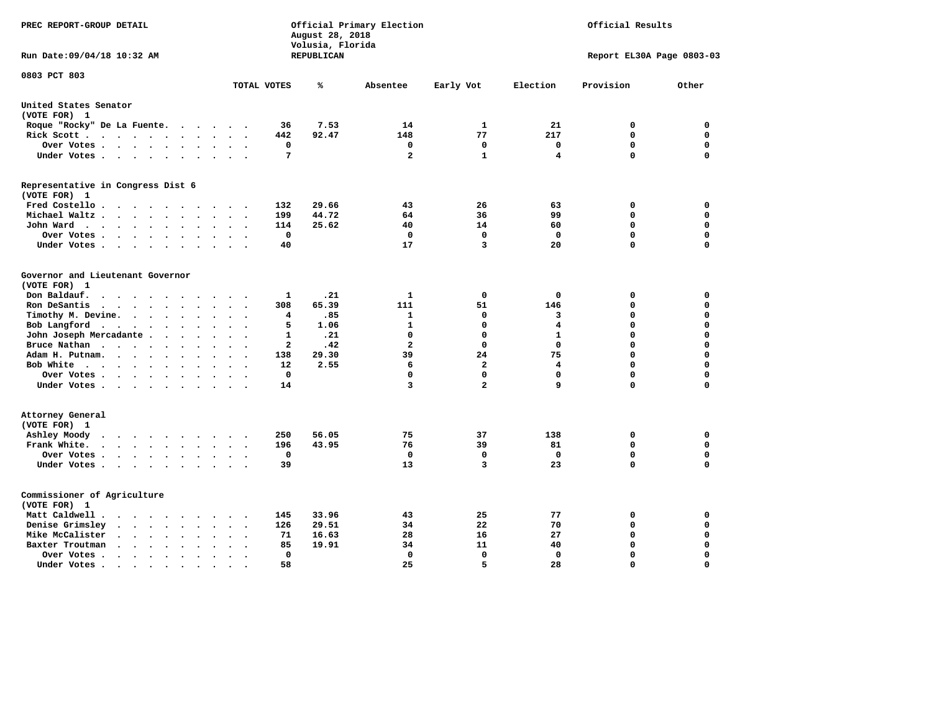| PREC REPORT-GROUP DETAIL                                                                                                                                                          |                                                                | August 28, 2018<br>Volusia, Florida | Official Primary Election |              |              |                           | Official Results |  |  |  |  |
|-----------------------------------------------------------------------------------------------------------------------------------------------------------------------------------|----------------------------------------------------------------|-------------------------------------|---------------------------|--------------|--------------|---------------------------|------------------|--|--|--|--|
| Run Date:09/04/18 10:32 AM                                                                                                                                                        |                                                                | REPUBLICAN                          |                           |              |              | Report EL30A Page 0803-03 |                  |  |  |  |  |
| 0803 PCT 803                                                                                                                                                                      | TOTAL VOTES                                                    | ℁                                   | Absentee                  | Early Vot    | Election     | Provision                 | Other            |  |  |  |  |
|                                                                                                                                                                                   |                                                                |                                     |                           |              |              |                           |                  |  |  |  |  |
| United States Senator<br>(VOTE FOR) 1                                                                                                                                             |                                                                |                                     |                           |              |              |                           |                  |  |  |  |  |
| Roque "Rocky" De La Fuente.<br>$\cdots$                                                                                                                                           | 36<br>$\sim$<br>$\sim$                                         | 7.53                                | 14                        | 1            | 21           | 0                         | 0                |  |  |  |  |
| Rick Scott<br>$\sim$                                                                                                                                                              | 442                                                            | 92.47                               | 148                       | 77           | 217          | $\mathbf 0$               | $\mathbf 0$      |  |  |  |  |
| Over Votes<br>$\ddot{\phantom{1}}$                                                                                                                                                | 0<br>$\ddot{\phantom{a}}$<br>$\ddot{\phantom{a}}$<br>$\bullet$ |                                     | 0                         | 0            | 0            | $\mathbf 0$               | $\mathbf 0$      |  |  |  |  |
| Under Votes<br>$\ddot{\phantom{a}}$                                                                                                                                               | $\overline{7}$<br>$\ddot{\phantom{a}}$                         |                                     | $\mathbf{2}$              | 1            | 4            | $\Omega$                  | $\mathbf 0$      |  |  |  |  |
| Representative in Congress Dist 6                                                                                                                                                 |                                                                |                                     |                           |              |              |                           |                  |  |  |  |  |
| (VOTE FOR) 1                                                                                                                                                                      |                                                                |                                     |                           |              |              |                           |                  |  |  |  |  |
| Fred Costello.<br>$\sim$ $\sim$                                                                                                                                                   | 132                                                            | 29.66                               | 43                        | 26           | 63           | 0                         | 0                |  |  |  |  |
| Michael Waltz.<br>$\cdots$<br>$\ddot{\phantom{a}}$<br>$\ddot{\phantom{a}}$                                                                                                        | 199                                                            | 44.72                               | 64                        | 36           | 99           | $\mathbf 0$               | $\mathbf 0$      |  |  |  |  |
| John Ward<br>$\begin{array}{cccccccccccccc} \bullet & \bullet & \bullet & \bullet & \bullet & \bullet & \bullet & \bullet & \bullet & \bullet & \bullet \end{array}$<br>$\bullet$ | 114<br>$\ddot{\phantom{a}}$                                    | 25.62                               | 40                        | 14           | 60           | $\mathbf 0$               | 0                |  |  |  |  |
| Over Votes<br>$\cdot$                                                                                                                                                             | $\mathbf{o}$                                                   |                                     | 0                         | $\mathbf 0$  | 0            | $\mathbf 0$               | 0                |  |  |  |  |
| Under Votes<br>$\bullet$<br>$\cdot$                                                                                                                                               | 40                                                             |                                     | 17                        | 3            | 20           | $\Omega$                  | $\mathbf 0$      |  |  |  |  |
| Governor and Lieutenant Governor<br>(VOTE FOR) 1                                                                                                                                  |                                                                |                                     |                           |              |              |                           |                  |  |  |  |  |
| Don Baldauf.<br>$\sim$ $\sim$ $\sim$ $\sim$<br>$\sim$                                                                                                                             | $\mathbf{1}$                                                   | .21                                 | 1                         | 0            | 0            | 0                         | 0                |  |  |  |  |
| Ron DeSantis<br>$\ddot{\phantom{0}}$                                                                                                                                              | 308<br>$\Delta \sim 10^{-11}$<br>$\ddot{\phantom{a}}$          | 65.39                               | 111                       | 51           | 146          | 0                         | 0                |  |  |  |  |
| Timothy M. Devine.<br>$\bullet$                                                                                                                                                   | $\overline{4}$                                                 | .85                                 | 1                         | 0            | 3            | 0                         | $\mathbf 0$      |  |  |  |  |
| Bob Langford<br>$\ddot{\phantom{0}}$<br>$\bullet$<br>$\ddot{\phantom{a}}$                                                                                                         | 5<br>$\ddot{\phantom{a}}$                                      | 1.06                                | $\mathbf{1}$              | $\mathbf 0$  | 4            | $\mathbf 0$               | $\mathbf 0$      |  |  |  |  |
| John Joseph Mercadante                                                                                                                                                            | 1<br>$\overline{\phantom{a}}$                                  | .21                                 | 0                         | 0            | $\mathbf{1}$ | $\mathbf 0$               | $\mathbf 0$      |  |  |  |  |
| Bruce Nathan<br>$\bullet$<br>$\ddot{\phantom{a}}$                                                                                                                                 | $\mathbf{2}$                                                   | .42                                 | $\overline{a}$            | 0            | $^{\circ}$   | 0                         | $\mathbf 0$      |  |  |  |  |
| Adam H. Putnam.                                                                                                                                                                   | 138                                                            | 29.30                               | 39                        | 24           | 75           | $\mathbf 0$               | $\mathbf 0$      |  |  |  |  |
| Bob White<br>$\ddot{\phantom{a}}$                                                                                                                                                 | 12<br>$\ddot{\phantom{a}}$                                     | 2.55                                | 6                         | $\mathbf{2}$ | 4            | $\mathbf 0$               | $\mathbf 0$      |  |  |  |  |
| Over Votes .<br>$\cdot$<br>$\overline{a}$                                                                                                                                         | $\mathbf 0$                                                    |                                     | 0                         | $\mathbf 0$  | $\mathbf 0$  | $\mathbf 0$               | $\mathbf 0$      |  |  |  |  |
| Under Votes                                                                                                                                                                       | 14                                                             |                                     | 3                         | $\mathbf{2}$ | 9            | $\mathbf 0$               | $\mathbf 0$      |  |  |  |  |
| Attorney General<br>(VOTE FOR) 1                                                                                                                                                  |                                                                |                                     |                           |              |              |                           |                  |  |  |  |  |
| Ashley Moody<br>$\bullet$<br>$\cdots$<br>$\sim$                                                                                                                                   | 250<br>$\cdot$                                                 | 56.05                               | 75                        | 37           | 138          | 0                         | 0                |  |  |  |  |
| Frank White.<br>$\cdot$ $\cdot$ $\cdot$ $\cdot$ $\cdot$ $\cdot$ $\cdot$<br>$\sim$                                                                                                 | 196                                                            | 43.95                               | 76                        | 39           | 81           | $\mathbf 0$               | 0                |  |  |  |  |
| Over Votes .<br>$\cdots$<br>$\bullet$                                                                                                                                             | $\mathbf 0$                                                    |                                     | 0                         | $\mathbf 0$  | $\mathbf{0}$ | $\mathbf 0$               | $\mathbf 0$      |  |  |  |  |
| Under Votes<br>$\sim$<br>$\sim$ $\sim$<br>$\ddot{\phantom{a}}$                                                                                                                    | 39<br>$\bullet$                                                |                                     | 13                        | 3            | 23           | $\mathbf 0$               | 0                |  |  |  |  |
| Commissioner of Agriculture<br>(VOTE FOR) 1                                                                                                                                       |                                                                |                                     |                           |              |              |                           |                  |  |  |  |  |
| Matt Caldwell.<br>$\cdot$ $\cdot$ $\cdot$ $\cdot$ $\cdot$<br><b>Contract Contract Street</b>                                                                                      | 145<br>$\ddot{\phantom{a}}$                                    | 33.96                               | 43                        | 25           | 77           | 0                         | 0                |  |  |  |  |
| Denise Grimsley<br>$\bullet$ .<br><br><br><br><br><br><br><br><br><br><br><br><br>$\bullet$<br>$\ddot{\phantom{a}}$<br>$\ddot{\phantom{a}}$                                       | 126                                                            | 29.51                               | 34                        | 22           | 70           | 0                         | 0                |  |  |  |  |
| Mike McCalister<br>$\cdot$ $\cdot$ $\cdot$ $\cdot$ $\cdot$<br>$\bullet$                                                                                                           | 71<br>$\overline{\phantom{a}}$                                 | 16.63                               | 28                        | 16           | 27           | 0                         | 0                |  |  |  |  |
| Baxter Troutman<br>$\cdot$ $\cdot$ $\cdot$ $\cdot$<br>$\sim$<br>$\sim$                                                                                                            | 85                                                             | 19.91                               | 34                        | 11           | 40           | 0                         | 0                |  |  |  |  |
| Over Votes .<br>$\sim$ $\sim$ $\sim$<br>$\bullet$<br>$\bullet$                                                                                                                    | 0                                                              |                                     | 0                         | $\mathbf{0}$ | $\Omega$     | $\mathbf 0$               | $\mathbf 0$      |  |  |  |  |
| Under Votes.<br>.                                                                                                                                                                 | 58                                                             |                                     | 25                        | 5            | 28           | $\Omega$                  | $\Omega$         |  |  |  |  |
|                                                                                                                                                                                   |                                                                |                                     |                           |              |              |                           |                  |  |  |  |  |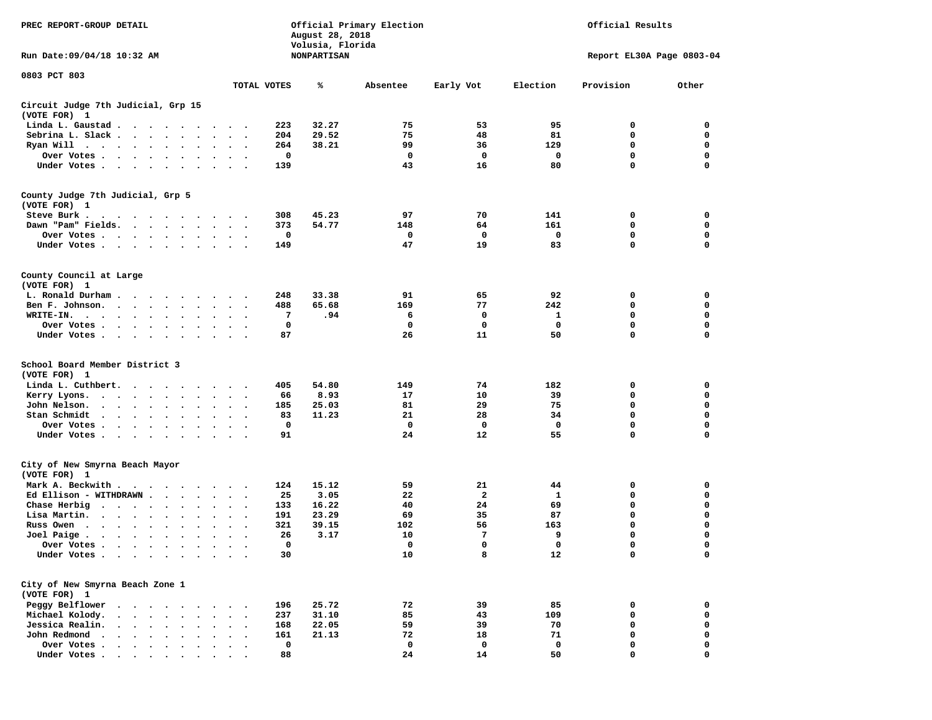| PREC REPORT-GROUP DETAIL<br>Run Date: 09/04/18 10:32 AM                                                                                                                 | Official Results<br>Official Primary Election<br>August 28, 2018<br>Volusia, Florida<br><b>NONPARTISAN</b><br>Report EL30A Page 0803-04 |       |          |           |             |             |             |
|-------------------------------------------------------------------------------------------------------------------------------------------------------------------------|-----------------------------------------------------------------------------------------------------------------------------------------|-------|----------|-----------|-------------|-------------|-------------|
| 0803 PCT 803                                                                                                                                                            |                                                                                                                                         |       |          |           |             |             |             |
|                                                                                                                                                                         | TOTAL VOTES                                                                                                                             | ℁     | Absentee | Early Vot | Election    | Provision   | Other       |
| Circuit Judge 7th Judicial, Grp 15<br>(VOTE FOR) 1                                                                                                                      |                                                                                                                                         |       |          |           |             |             |             |
| Linda L. Gaustad                                                                                                                                                        | 223                                                                                                                                     | 32.27 | 75       | 53        | 95          | 0           | 0           |
| Sebrina L. Slack                                                                                                                                                        | 204<br>$\ddot{\phantom{a}}$<br>$\cdot$                                                                                                  | 29.52 | 75       | 48        | 81          | 0           | 0           |
| Ryan Will $\cdots$ , $\cdots$ , $\cdots$                                                                                                                                | 264                                                                                                                                     | 38.21 | 99       | 36        | 129         | $\mathbf 0$ | $\mathbf 0$ |
| Over Votes                                                                                                                                                              | 0<br>$\cdot$<br>$\cdot$                                                                                                                 |       | 0        | 0         | 0           | 0           | 0           |
| Under Votes                                                                                                                                                             | 139                                                                                                                                     |       | 43       | 16        | 80          | 0           | $\mathbf 0$ |
| County Judge 7th Judicial, Grp 5                                                                                                                                        |                                                                                                                                         |       |          |           |             |             |             |
| (VOTE FOR) 1                                                                                                                                                            |                                                                                                                                         |       |          |           |             |             |             |
| Steve Burk.                                                                                                                                                             | 308                                                                                                                                     | 45.23 | 97       | 70        | 141         | 0           | 0           |
| Dawn "Pam" Fields.                                                                                                                                                      | 373<br>$\ddot{\phantom{1}}$<br>$\bullet$                                                                                                | 54.77 | 148      | 64        | 161         | 0           | 0           |
| Over Votes                                                                                                                                                              | 0                                                                                                                                       |       | 0        | 0         | 0           | 0           | 0           |
| Under Votes                                                                                                                                                             | 149                                                                                                                                     |       | 47       | 19        | 83          | 0           | 0           |
| County Council at Large<br>(VOTE FOR) 1                                                                                                                                 |                                                                                                                                         |       |          |           |             |             |             |
| L. Ronald Durham                                                                                                                                                        | 248                                                                                                                                     | 33.38 | 91       | 65        | 92          | 0           | 0           |
| Ben F. Johnson.                                                                                                                                                         | 488<br>$\sim$<br>$\cdot$                                                                                                                | 65.68 | 169      | 77        | 242         | 0           | 0           |
| WRITE-IN.<br>$\cdots$                                                                                                                                                   | 7                                                                                                                                       | .94   | 6        | 0         | 1           | 0           | $\mathbf 0$ |
| Over Votes                                                                                                                                                              | 0                                                                                                                                       |       | 0        | 0         | 0           | 0           | 0           |
| Under Votes                                                                                                                                                             | 87                                                                                                                                      |       | 26       | 11        | 50          | 0           | $\mathbf 0$ |
|                                                                                                                                                                         |                                                                                                                                         |       |          |           |             |             |             |
| School Board Member District 3<br>(VOTE FOR) 1                                                                                                                          |                                                                                                                                         |       |          |           |             |             |             |
| Linda L. Cuthbert.<br>$\cdots$                                                                                                                                          | 405                                                                                                                                     | 54.80 | 149      | 74        | 182         | 0           | 0           |
| Kerry Lyons.<br>$\begin{array}{cccccccccccccc} \bullet & \bullet & \bullet & \bullet & \bullet & \bullet & \bullet & \bullet & \bullet & \bullet & \bullet \end{array}$ | 66<br>$\bullet$<br>$\ddot{\phantom{a}}$<br>$\bullet$                                                                                    | 8.93  | 17       | 10        | 39          | 0           | 0           |
| John Nelson.<br>$\cdot$ $\cdot$ $\cdot$ $\cdot$ $\cdot$<br>$\ddot{\phantom{a}}$<br>$\sim$<br>$\cdot$                                                                    | 185<br>$\cdot$                                                                                                                          | 25.03 | 81       | 29        | 75          | 0           | $\mathbf 0$ |
| Stan Schmidt<br>$\cdots$<br>$\cdot$                                                                                                                                     | 83                                                                                                                                      | 11.23 | 21       | 28        | 34          | $\mathbf 0$ | 0           |
| Over Votes<br>$\bullet$                                                                                                                                                 | 0                                                                                                                                       |       | 0        | 0         | 0           | 0           | 0           |
| Under Votes                                                                                                                                                             | 91                                                                                                                                      |       | 24       | 12        | 55          | 0           | $\mathbf 0$ |
| City of New Smyrna Beach Mayor<br>(VOTE FOR) 1                                                                                                                          |                                                                                                                                         |       |          |           |             |             |             |
| Mark A. Beckwith                                                                                                                                                        | 124                                                                                                                                     | 15.12 | 59       | 21        | 44          | 0           | 0           |
| Ed Ellison - WITHDRAWN                                                                                                                                                  | 25<br>$\bullet$ .<br>$\bullet$                                                                                                          | 3.05  | 22       | 2         | 1           | 0           | 0           |
| Chase Herbig $\cdots$ $\cdots$<br>$\bullet$                                                                                                                             | 133                                                                                                                                     | 16.22 | 40       | 24        | 69          | $\mathbf 0$ | 0           |
| Lisa Martin.<br>$\mathbf{r}$ , $\mathbf{r}$ , $\mathbf{r}$ , $\mathbf{r}$<br>$\bullet$<br>$\ddot{\phantom{0}}$                                                          | 191<br>$\bullet$<br>$\bullet$                                                                                                           | 23.29 | 69       | 35        | 87          | 0           | 0           |
| Russ Owen                                                                                                                                                               | 321                                                                                                                                     | 39.15 | 102      | 56        | 163         | 0           | 0           |
| Joel Paige<br>$\bullet$                                                                                                                                                 | 26<br>$\bullet$                                                                                                                         | 3.17  | 10       | 7         | 9           | 0           | $\mathbf 0$ |
| Over Votes                                                                                                                                                              | 0                                                                                                                                       |       | 0        | 0         | $\mathbf 0$ | 0           | $\Omega$    |
| Under Votes                                                                                                                                                             | 30                                                                                                                                      |       | 10       | 8         | 12          | 0           | 0           |
| City of New Smyrna Beach Zone 1                                                                                                                                         |                                                                                                                                         |       |          |           |             |             |             |
| (VOTE FOR) 1                                                                                                                                                            |                                                                                                                                         |       |          |           |             |             |             |
| Peggy Belflower                                                                                                                                                         | 196                                                                                                                                     | 25.72 | 72       | 39        | 85          | 0           | 0           |
| Michael Kolody.<br>$\ddot{\phantom{a}}$                                                                                                                                 | 237                                                                                                                                     | 31.10 | 85       | 43        | 109         | 0           | $\mathbf 0$ |
| Jessica Realin.                                                                                                                                                         | 168                                                                                                                                     | 22.05 | 59       | 39        | 70          | 0           | 0           |
| John Redmond<br>$\cdot$ $\cdot$ $\cdot$ $\cdot$ $\cdot$<br>$\ddot{\phantom{a}}$                                                                                         | 161                                                                                                                                     | 21.13 | 72       | 18        | 71          | 0           | 0           |
| Over Votes                                                                                                                                                              | 0                                                                                                                                       |       | 0        | 0         | 0           | 0           | 0           |
| Under Votes,                                                                                                                                                            | 88                                                                                                                                      |       | 24       | 14        | 50          | $\Omega$    | $\mathbf 0$ |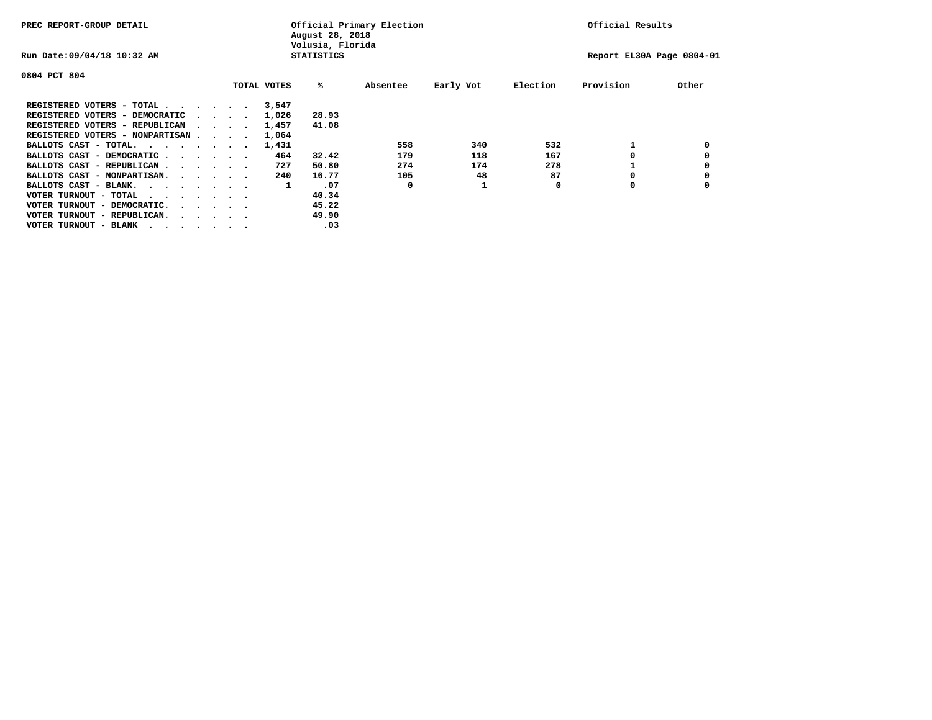| PREC REPORT-GROUP DETAIL               |  |  |                                         |             | August 28, 2018<br>Volusia, Florida | Official Primary Election |           | Official Results |           |       |  |
|----------------------------------------|--|--|-----------------------------------------|-------------|-------------------------------------|---------------------------|-----------|------------------|-----------|-------|--|
| Run Date: 09/04/18 10:32 AM            |  |  |                                         |             | <b>STATISTICS</b>                   | Report EL30A Page 0804-01 |           |                  |           |       |  |
| 0804 PCT 804                           |  |  |                                         |             |                                     |                           |           |                  |           |       |  |
|                                        |  |  |                                         | TOTAL VOTES | %ะ                                  | Absentee                  | Early Vot | Election         | Provision | Other |  |
| REGISTERED VOTERS - TOTAL              |  |  |                                         | 3,547       |                                     |                           |           |                  |           |       |  |
| REGISTERED VOTERS - DEMOCRATIC         |  |  | $\sim$ $\sim$ $\sim$ $\sim$             | 1,026       | 28.93                               |                           |           |                  |           |       |  |
| REGISTERED VOTERS - REPUBLICAN         |  |  |                                         | 1,457       | 41.08                               |                           |           |                  |           |       |  |
| REGISTERED VOTERS - NONPARTISAN        |  |  |                                         | 1,064       |                                     |                           |           |                  |           |       |  |
| BALLOTS CAST - TOTAL.                  |  |  |                                         | 1,431       |                                     | 558                       | 340       | 532              |           |       |  |
| BALLOTS CAST - DEMOCRATIC              |  |  |                                         | 464         | 32.42                               | 179                       | 118       | 167              |           |       |  |
| BALLOTS CAST - REPUBLICAN              |  |  |                                         | 727         | 50.80                               | 274                       | 174       | 278              |           |       |  |
| BALLOTS CAST - NONPARTISAN.            |  |  |                                         | 240         | 16.77                               | 105                       | 48        | 87               |           |       |  |
| BALLOTS CAST - BLANK.                  |  |  |                                         | 1           | .07                                 | 0                         |           | 0                | 0         |       |  |
| VOTER TURNOUT - TOTAL<br>.             |  |  |                                         |             | 40.34                               |                           |           |                  |           |       |  |
| VOTER TURNOUT - DEMOCRATIC.            |  |  | $\cdot$ $\cdot$ $\cdot$ $\cdot$ $\cdot$ |             | 45.22                               |                           |           |                  |           |       |  |
| VOTER TURNOUT - REPUBLICAN.<br>$\cdot$ |  |  |                                         |             | 49.90                               |                           |           |                  |           |       |  |
| VOTER TURNOUT - BLANK                  |  |  |                                         |             | .03                                 |                           |           |                  |           |       |  |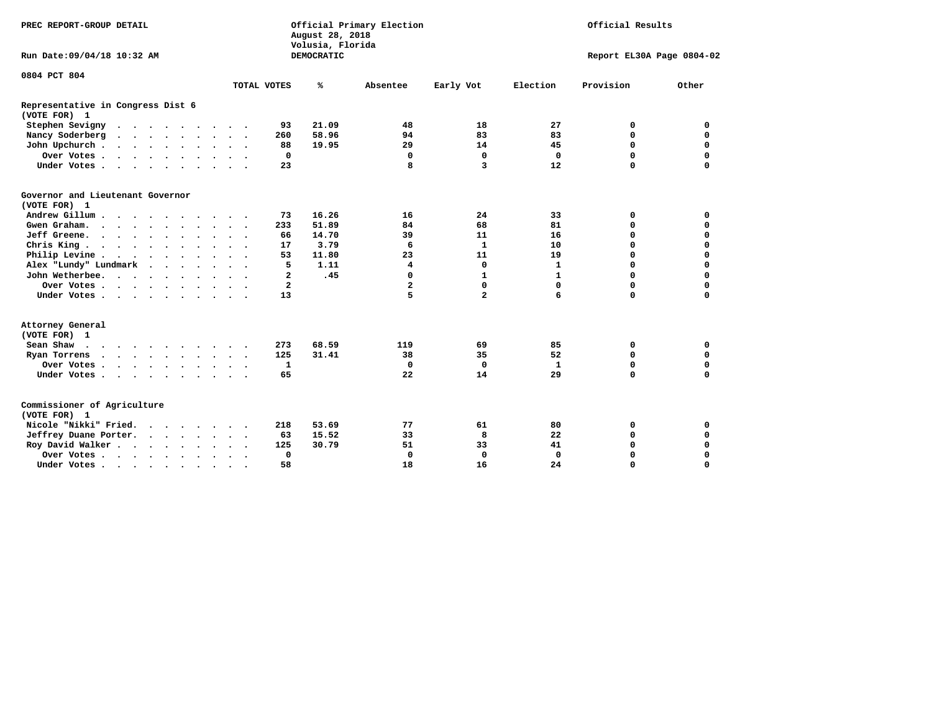| PREC REPORT-GROUP DETAIL                          |                                      | Official Primary Election<br>August 28, 2018<br>Volusia, Florida |                         | Official Results |             |                           |             |
|---------------------------------------------------|--------------------------------------|------------------------------------------------------------------|-------------------------|------------------|-------------|---------------------------|-------------|
| Run Date: 09/04/18 10:32 AM                       |                                      | DEMOCRATIC                                                       |                         |                  |             | Report EL30A Page 0804-02 |             |
| 0804 PCT 804                                      |                                      |                                                                  |                         |                  |             |                           |             |
|                                                   | TOTAL VOTES                          | %                                                                | Absentee                | Early Vot        | Election    | Provision                 | Other       |
| Representative in Congress Dist 6<br>(VOTE FOR) 1 |                                      |                                                                  |                         |                  |             |                           |             |
| Stephen Sevigny                                   | 93                                   | 21.09                                                            | 48                      | 18               | 27          | 0                         | 0           |
| Nancy Soderberg<br>$\cdots$                       | 260                                  | 58.96                                                            | 94                      | 83               | 83          | $\mathbf 0$               | $\mathbf 0$ |
| John Upchurch                                     | 88                                   | 19.95                                                            | 29                      | 14               | 45          | $\mathbf 0$               | 0           |
| Over Votes                                        | 0                                    |                                                                  | 0                       | $\mathbf 0$      | $\mathbf 0$ | $\mathbf 0$               | $\mathbf 0$ |
| Under Votes                                       | 23                                   |                                                                  | 8                       | 3                | 12          | $\Omega$                  | $\mathbf 0$ |
| Governor and Lieutenant Governor<br>(VOTE FOR) 1  |                                      |                                                                  |                         |                  |             |                           |             |
| Andrew Gillum                                     | 73                                   | 16.26                                                            | 16                      | 24               | 33          | 0                         | 0           |
| Gwen Graham.                                      | 233                                  | 51.89                                                            | 84                      | 68               | 81          | $\mathbf 0$               | 0           |
| Jeff Greene.                                      | 66                                   | 14.70                                                            | 39                      | 11               | 16          | $\mathbf 0$               | $\mathbf 0$ |
| Chris King                                        | 17<br>$\sim$<br>$\sim$               | 3.79                                                             | 6                       | $\mathbf{1}$     | 10          | $\mathbf 0$               | $\mathbf 0$ |
| Philip Levine                                     | 53                                   | 11.80                                                            | 23                      | 11               | 19          | $\mathbf 0$               | $\mathbf 0$ |
| Alex "Lundy" Lundmark                             | 5                                    | 1.11                                                             | 4                       | 0                | 1           | $\mathbf 0$               | $\mathbf 0$ |
| John Wetherbee.                                   | $\mathbf{2}$                         | .45                                                              | 0                       | $\mathbf{1}$     | 1           | $\mathbf 0$               | 0           |
| Over Votes                                        | $\mathbf{2}$                         |                                                                  | $\overline{\mathbf{2}}$ | 0                | 0           | $\mathbf 0$               | $\mathbf 0$ |
| Under Votes                                       | 13                                   |                                                                  | 5                       | $\overline{a}$   | 6           | $\mathbf 0$               | $\mathbf 0$ |
| Attorney General<br>(VOTE FOR) 1                  |                                      |                                                                  |                         |                  |             |                           |             |
| Sean Shaw                                         | 273                                  | 68.59                                                            | 119                     | 69               | 85          | 0                         | 0           |
| Ryan Torrens<br>$\cdots$                          | 125                                  | 31.41                                                            | 38                      | 35               | 52          | $\mathbf 0$               | 0           |
| Over Votes                                        | $\mathbf{1}$<br>$\ddot{\phantom{0}}$ |                                                                  | 0                       | 0                | 1           | 0                         | 0           |
| Under Votes                                       | 65                                   |                                                                  | 22                      | 14               | 29          | $\Omega$                  | $\mathbf 0$ |
| Commissioner of Agriculture<br>(VOTE FOR) 1       |                                      |                                                                  |                         |                  |             |                           |             |
| Nicole "Nikki" Fried.                             | 218                                  | 53.69                                                            | 77                      | 61               | 80          | 0                         | 0           |
| Jeffrey Duane Porter.                             | 63                                   | 15.52                                                            | 33                      | 8                | 22          | $\mathbf 0$               | $\mathbf 0$ |
| Roy David Walker                                  | 125                                  | 30.79                                                            | 51                      | 33               | 41          | $\mathbf 0$               | $\mathbf 0$ |
| Over Votes                                        | $\mathbf 0$<br>$\bullet$             |                                                                  | $\Omega$                | $\mathbf 0$      | $\mathbf 0$ | $\Omega$                  | $\mathbf 0$ |
| Under Votes                                       | 58<br>$\cdot$<br>$\cdot$             |                                                                  | 18                      | 16               | 24          | $\mathbf 0$               | $\mathbf 0$ |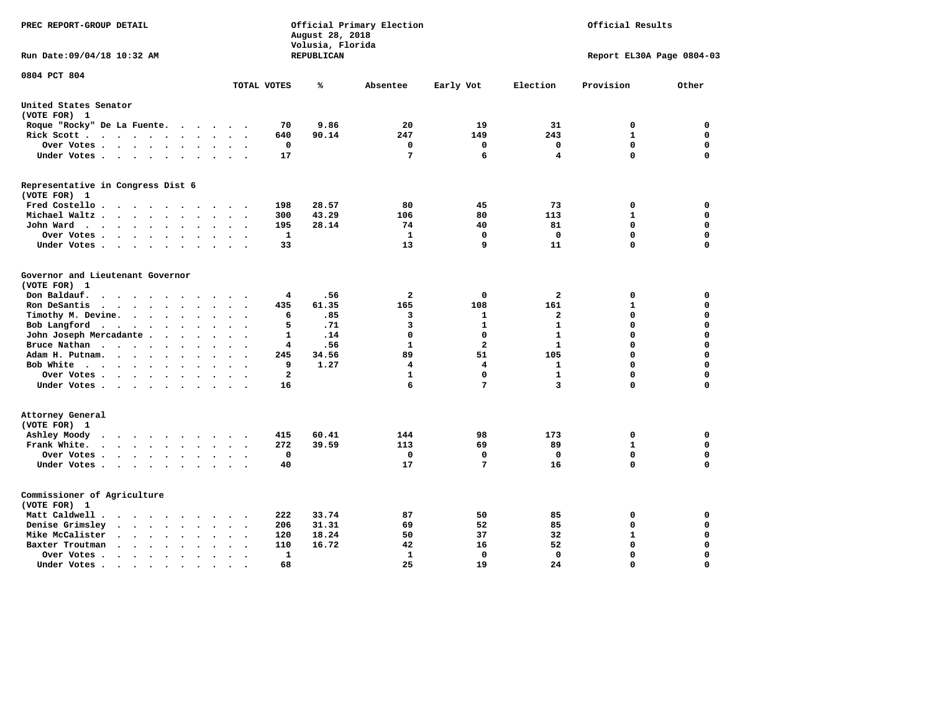| PREC REPORT-GROUP DETAIL                                                                                                               |                                                       | August 28, 2018<br>Volusia, Florida | Official Primary Election |                |                         | Official Results          |          |
|----------------------------------------------------------------------------------------------------------------------------------------|-------------------------------------------------------|-------------------------------------|---------------------------|----------------|-------------------------|---------------------------|----------|
| Run Date: 09/04/18 10:32 AM                                                                                                            |                                                       | REPUBLICAN                          |                           |                |                         | Report EL30A Page 0804-03 |          |
| 0804 PCT 804                                                                                                                           | TOTAL VOTES                                           | %                                   | Absentee                  | Early Vot      | Election                | Provision                 | Other    |
| United States Senator                                                                                                                  |                                                       |                                     |                           |                |                         |                           |          |
| (VOTE FOR) 1                                                                                                                           |                                                       |                                     |                           |                |                         |                           |          |
| Roque "Rocky" De La Fuente.                                                                                                            | 70<br>$\cdot$ $\cdot$ $\cdot$ $\cdot$ $\cdot$         | 9.86                                | 20                        | 19             | 31                      | 0                         | 0        |
| Rick Scott<br>$\sim$ $\sim$<br>$\ddot{\phantom{1}}$                                                                                    | 640                                                   | 90.14                               | 247                       | 149            | 243                     | 1                         | 0        |
| Over Votes                                                                                                                             | $\mathbf 0$<br>$\bullet$                              |                                     | $\mathbf 0$               | 0              | 0                       | $\mathbf 0$               | 0        |
| Under Votes                                                                                                                            | 17                                                    |                                     | 7                         | 6              | $\overline{\mathbf{4}}$ | $\mathbf 0$               | 0        |
| Representative in Congress Dist 6                                                                                                      |                                                       |                                     |                           |                |                         |                           |          |
| (VOTE FOR) 1                                                                                                                           |                                                       |                                     |                           |                |                         |                           |          |
| Fred Costello                                                                                                                          | 198                                                   | 28.57                               | 80                        | 45             | 73                      | 0                         | 0        |
| Michael Waltz<br>$\ddot{\phantom{a}}$<br>$\sim$                                                                                        | 300<br>$\sim$                                         | 43.29                               | 106                       | 80             | 113                     | $\mathbf 1$               | 0        |
| John Ward<br>$\cdots$<br>$\sim$                                                                                                        | 195<br>$\mathbf{r}$                                   | 28.14                               | 74                        | 40             | 81                      | $\mathbf 0$               | 0        |
| Over Votes .<br>$\cdots$<br>$\bullet$<br>$\bullet$                                                                                     | 1                                                     |                                     | 1                         | 0              | 0                       | $\mathbf 0$               | 0        |
| Under Votes<br>$\sim$<br>$\cdot$<br>$\cdot$                                                                                            | 33                                                    |                                     | 13                        | 9              | 11                      | $\mathbf 0$               | 0        |
| Governor and Lieutenant Governor                                                                                                       |                                                       |                                     |                           |                |                         |                           |          |
| (VOTE FOR) 1                                                                                                                           |                                                       |                                     |                           |                |                         |                           |          |
| Don Baldauf.<br>$\cdot$ $\cdot$ $\cdot$<br>$\sim$                                                                                      | 4                                                     | .56                                 | $\overline{\mathbf{2}}$   | 0              | $\overline{\mathbf{2}}$ | 0                         | 0        |
| Ron DeSantis<br>$\sim$ $\sim$ $\sim$<br>$\bullet$<br>$\bullet$                                                                         | 435                                                   | 61.35                               | 165                       | 108            | 161                     | 1                         | 0        |
| Timothy M. Devine.<br>$\sim$<br>$\ddot{\phantom{a}}$                                                                                   | 6<br>$\ddot{\phantom{a}}$<br>$\overline{\phantom{a}}$ | .85                                 | 3                         | 1              | $\overline{a}$          | $\mathbf 0$               | 0        |
| Bob Langford<br>$\ddot{\phantom{1}}$<br>$\ddot{\phantom{1}}$<br>$\ddot{\phantom{a}}$                                                   | 5<br>$\sim$                                           | .71                                 | $\overline{\mathbf{3}}$   | 1              | $\mathbf{1}$            | $\mathbf 0$               | 0        |
| John Joseph Mercadante.<br>$\ddot{\phantom{a}}$<br>$\sim$<br>$\cdot$                                                                   | 1                                                     | .14                                 | $\mathbf 0$               | $\mathbf{0}$   | $\mathbf{1}$            | $\mathbf 0$               | 0        |
| Bruce Nathan<br>$\sim$ $\sim$ $\sim$ $\sim$ $\sim$<br>$\bullet$<br>$\overline{\phantom{a}}$                                            | 4<br>$\ddot{\phantom{a}}$                             | .56                                 | 1                         | $\overline{a}$ | 1                       | $\mathbf 0$               | 0        |
| Adam H. Putnam.<br>$\cdots$<br>$\ddot{\phantom{a}}$<br>$\ddot{\phantom{a}}$                                                            | 245                                                   | 34.56                               | 89                        | 51             | 105                     | $\mathbf 0$               | 0        |
| Bob White<br>$\cdots$<br>$\sim$                                                                                                        | 9                                                     | 1.27                                | 4                         | 4              | 1                       | $\mathbf 0$               | 0        |
| Over Votes.<br>.<br>$\bullet$                                                                                                          | $\mathbf{2}$                                          |                                     | 1                         | 0              | 1                       | 0                         | 0        |
| Under Votes<br>$\sim$                                                                                                                  | 16<br>$\ddot{\phantom{a}}$                            |                                     | 6                         | 7              | $\overline{\mathbf{3}}$ | $\mathbf 0$               | 0        |
| Attorney General                                                                                                                       |                                                       |                                     |                           |                |                         |                           |          |
| (VOTE FOR) 1                                                                                                                           |                                                       |                                     |                           |                |                         |                           |          |
| Ashley Moody<br>$\cdots$<br>$\overline{\phantom{a}}$                                                                                   | 415                                                   | 60.41                               | 144                       | 98             | 173                     | 0                         | 0        |
| Frank White.<br>$\mathbf{a}$ , and $\mathbf{a}$ , and $\mathbf{a}$<br>$\sim$ $\sim$<br>$\sim$                                          | 272                                                   | 39.59                               | 113                       | 69             | 89                      | $\mathbf{1}$              | 0        |
| Over Votes .<br>$\cdot$ $\cdot$ $\cdot$ $\cdot$ $\cdot$ $\cdot$<br>$\sim$                                                              | 0<br>$\ddot{\phantom{a}}$                             |                                     | $\mathbf 0$               | 0              | $\mathbf 0$             | $\mathbf 0$               | 0        |
| Under Votes                                                                                                                            | 40                                                    |                                     | 17                        | 7              | 16                      | $\mathbf 0$               | 0        |
| Commissioner of Agriculture                                                                                                            |                                                       |                                     |                           |                |                         |                           |          |
| (VOTE FOR) 1                                                                                                                           |                                                       |                                     |                           |                |                         |                           |          |
| Matt Caldwell .<br>$\cdot$ $\cdot$ $\cdot$ $\cdot$ $\cdot$ $\cdot$ $\cdot$                                                             | 222                                                   | 33.74                               | 87                        | 50             | 85                      | 0                         | 0        |
| Denise Grimsley<br>$\cdot$ $\cdot$<br>$\ddot{\phantom{a}}$<br>$\ddot{\phantom{a}}$<br>$\ddot{\phantom{a}}$<br>$\overline{\phantom{a}}$ | 206                                                   | 31.31                               | 69                        | 52             | 85                      | $\mathbf 0$               | 0        |
| Mike McCalister<br>$\cdots$<br>$\bullet$                                                                                               | 120                                                   | 18.24                               | 50                        | 37             | 32                      | $\mathbf{1}$              | 0        |
| Baxter Troutman<br>$\sim$ $\sim$<br>$\bullet$<br>$\ddot{\phantom{a}}$                                                                  | 110                                                   | 16.72                               | 42                        | 16             | 52                      | $\mathbf 0$               | 0        |
| Over Votes .<br>$\cdots$<br>$\cdot$<br>$\bullet$<br>$\cdot$                                                                            | 1                                                     |                                     | 1                         | 0              | $\mathbf 0$             | $\Omega$                  | 0        |
| Under Votes.<br>$\bullet$ .<br><br><br><br><br><br><br><br><br><br><br><br>$\bullet$<br>$\bullet$<br>$\bullet$                         | 68                                                    |                                     | 25                        | 19             | 24                      | $\Omega$                  | $\Omega$ |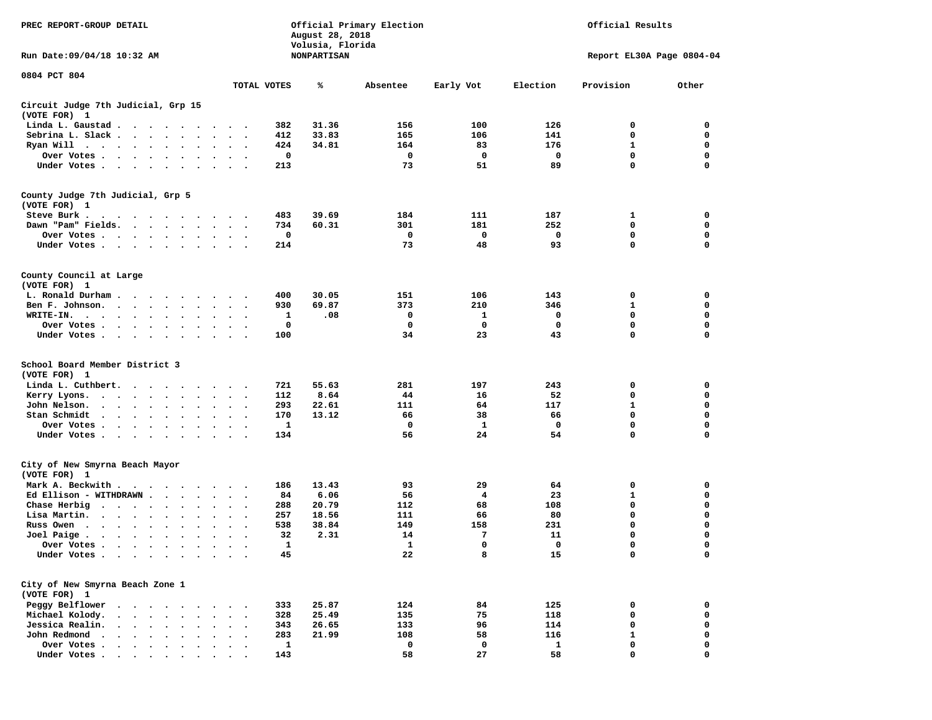| Official Results<br>PREC REPORT-GROUP DETAIL<br>Official Primary Election<br>August 28, 2018<br>Volusia, Florida                                                                                                                                  |                                                       |                    |              |            |          |                           |             |
|---------------------------------------------------------------------------------------------------------------------------------------------------------------------------------------------------------------------------------------------------|-------------------------------------------------------|--------------------|--------------|------------|----------|---------------------------|-------------|
| Run Date: 09/04/18 10:32 AM                                                                                                                                                                                                                       |                                                       | <b>NONPARTISAN</b> |              |            |          | Report EL30A Page 0804-04 |             |
| 0804 PCT 804                                                                                                                                                                                                                                      |                                                       |                    |              |            |          |                           |             |
|                                                                                                                                                                                                                                                   | TOTAL VOTES                                           | ℁                  | Absentee     | Early Vot  | Election | Provision                 | Other       |
| Circuit Judge 7th Judicial, Grp 15<br>(VOTE FOR) 1                                                                                                                                                                                                |                                                       |                    |              |            |          |                           |             |
| Linda L. Gaustad                                                                                                                                                                                                                                  | 382                                                   | 31.36              | 156          | 100        | 126      | 0                         | 0           |
| Sebrina L. Slack                                                                                                                                                                                                                                  | 412<br>$\ddot{\phantom{1}}$                           | 33.83              | 165          | 106        | 141      | 0                         | 0           |
| Ryan Will $\cdots$ $\cdots$ $\cdots$                                                                                                                                                                                                              | 424                                                   | 34.81              | 164          | 83         | 176      | 1                         | 0           |
| Over Votes                                                                                                                                                                                                                                        | $\sim$ $\sim$<br>$\sim$ $\sim$                        | 0                  | 0            | 0          | 0        | $\mathbf 0$               | 0           |
| Under Votes                                                                                                                                                                                                                                       | 213<br>$\ddotsc$ $\ddotsc$                            |                    | 73           | 51         | 89       | 0                         | 0           |
| County Judge 7th Judicial, Grp 5                                                                                                                                                                                                                  |                                                       |                    |              |            |          |                           |             |
| (VOTE FOR) 1                                                                                                                                                                                                                                      |                                                       |                    |              |            |          |                           |             |
| Steve Burk .<br>.                                                                                                                                                                                                                                 | 483                                                   | 39.69              | 184          | 111        | 187      | 1                         | 0           |
| Dawn "Pam" Fields.                                                                                                                                                                                                                                | 734<br>$\ddot{\phantom{1}}$                           | 60.31              | 301          | 181        | 252      | $\mathbf 0$               | 0           |
| Over Votes                                                                                                                                                                                                                                        | $\bullet$<br>$\ddot{\phantom{0}}$                     | 0                  | 0            | 0          | 0        | 0                         | 0           |
| Under Votes                                                                                                                                                                                                                                       | 214<br>$\cdots$                                       |                    | 73           | 48         | 93       | $\mathbf 0$               | 0           |
| County Council at Large                                                                                                                                                                                                                           |                                                       |                    |              |            |          |                           |             |
| (VOTE FOR) 1                                                                                                                                                                                                                                      |                                                       |                    |              |            |          |                           |             |
| L. Ronald Durham                                                                                                                                                                                                                                  | 400                                                   | 30.05              | 151          | 106        | 143      | 0                         | 0           |
| Ben F. Johnson.                                                                                                                                                                                                                                   | 930<br>$\sim$<br>$\ddot{\phantom{1}}$                 | 69.87              | 373          | 210        | 346      | 1                         | 0           |
| WRITE-IN.<br>$\cdots$                                                                                                                                                                                                                             |                                                       | .08<br>1           | 0            | 1          | 0        | 0                         | 0           |
| Over Votes .<br>$\bullet$ .                                                                                                                                                                                                                       | $\bullet$                                             | 0                  | 0            | 0          | 0        | 0                         | 0           |
| Under Votes<br>$\sim$ $\sim$                                                                                                                                                                                                                      | 100<br>$\ddot{\phantom{1}}$                           |                    | 34           | 23         | 43       | $\mathbf 0$               | 0           |
| School Board Member District 3                                                                                                                                                                                                                    |                                                       |                    |              |            |          |                           |             |
| (VOTE FOR) 1                                                                                                                                                                                                                                      |                                                       |                    |              |            |          |                           |             |
| Linda L. Cuthbert.                                                                                                                                                                                                                                | 721                                                   | 55.63              | 281          | 197        | 243      | 0                         | 0           |
| Kerry Lyons.<br>$\begin{array}{cccccccccccccc} \bullet & \bullet & \bullet & \bullet & \bullet & \bullet & \bullet & \bullet & \bullet & \bullet & \bullet \end{array}$                                                                           | 112<br>$\cdots$                                       | 8.64               | 44           | 16         | 52       | $\mathbf 0$               | 0           |
| John Nelson.<br>$\mathbf{r} = \mathbf{r} + \mathbf{r} + \mathbf{r} + \mathbf{r}$<br>$\ddot{\phantom{a}}$                                                                                                                                          | 293<br>$\bullet$<br>$\ddot{\phantom{0}}$              | 22.61              | 111          | 64         | 117      | 1                         | 0           |
| Stan Schmidt<br>$\cdots$<br>$\bullet$                                                                                                                                                                                                             | 170<br>$\bullet$<br>$\bullet$<br>$\ddot{\phantom{1}}$ | 13.12              | 66           | 38         | 66       | 0                         | 0           |
| Over Votes                                                                                                                                                                                                                                        | $\cdot$<br>$\sim$                                     | 1                  | 0            | 1          | 0        | $\mathbf 0$               | 0           |
| Under Votes<br>$\sim$                                                                                                                                                                                                                             | 134<br>$\bullet$                                      |                    | 56           | 24         | 54       | 0                         | 0           |
| City of New Smyrna Beach Mayor                                                                                                                                                                                                                    |                                                       |                    |              |            |          |                           |             |
| (VOTE FOR) 1                                                                                                                                                                                                                                      |                                                       |                    |              |            |          |                           |             |
| Mark A. Beckwith                                                                                                                                                                                                                                  | 186<br>$\sim$ $\sim$ $\sim$                           | 13.43              | 93           | 29         | 64       | 0                         | 0           |
| Ed Ellison - WITHDRAWN.<br>$\sim$ 100 $\sim$                                                                                                                                                                                                      | 84                                                    | 6.06               | 56           | 4          | 23       | 1                         | 0           |
| Chase Herbig<br>.                                                                                                                                                                                                                                 | 288                                                   | 20.79              | 112          | 68         | 108      | 0                         | 0           |
| Lisa Martin.<br>$\cdot$<br>$\bullet$                                                                                                                                                                                                              | 257<br>$\bullet$<br>$\ddot{\phantom{0}}$              | 18.56              | 111          | 66         | 80       | $\mathbf 0$               | 0           |
| Russ Owen                                                                                                                                                                                                                                         | 538                                                   | 38.84              | 149          | 158        | 231      | 0                         | 0           |
| Joel Paige $\cdots$ $\cdots$<br>$\ddot{\phantom{0}}$<br>$\bullet$                                                                                                                                                                                 | 32<br>$\bullet$<br>$\bullet$<br>$\ddot{\phantom{0}}$  | 2.31               | 14           | 7          | 11       | 0                         | 0           |
| Over Votes                                                                                                                                                                                                                                        |                                                       | $\mathbf{1}$       | $\mathbf{1}$ | $^{\circ}$ | 0        | $\mathbf 0$               | 0           |
| Under Votes                                                                                                                                                                                                                                       |                                                       | 45                 | 22           | 8          | 15       | 0                         | 0           |
| City of New Smyrna Beach Zone 1                                                                                                                                                                                                                   |                                                       |                    |              |            |          |                           |             |
| (VOTE FOR) 1                                                                                                                                                                                                                                      |                                                       |                    |              |            |          |                           |             |
| Peggy Belflower                                                                                                                                                                                                                                   | 333                                                   | 25.87              | 124          | 84         | 125      | 0                         | 0           |
| Michael Kolody.<br>$\begin{array}{cccccccccccccc} \bullet & \bullet & \bullet & \bullet & \bullet & \bullet & \bullet \end{array}$                                                                                                                | 328                                                   | 25.49              | 135          | 75         | 118      | 0                         | 0           |
| Jessica Realin.<br>$\mathbf{r}$ , $\mathbf{r}$ , $\mathbf{r}$ , $\mathbf{r}$ , $\mathbf{r}$                                                                                                                                                       | 343                                                   | 26.65              | 133          | 96         | 114      | $\mathbf 0$               | 0           |
| John Redmond                                                                                                                                                                                                                                      | 283<br>$\ddot{\phantom{a}}$                           | 21.99              | 108          | 58         | 116      | $\mathbf{1}$              | 0           |
| Over Votes .<br>$\mathbf{r}$ . The set of the set of the set of the set of the set of the set of the set of the set of the set of the set of the set of the set of the set of the set of the set of the set of the set of the set of the set of t |                                                       | $\mathbf{1}$       | 0            | 0          | 1        | 0                         | 0           |
| Under Votes.                                                                                                                                                                                                                                      | 143                                                   |                    | 58           | 27         | 58       | 0                         | $\mathbf 0$ |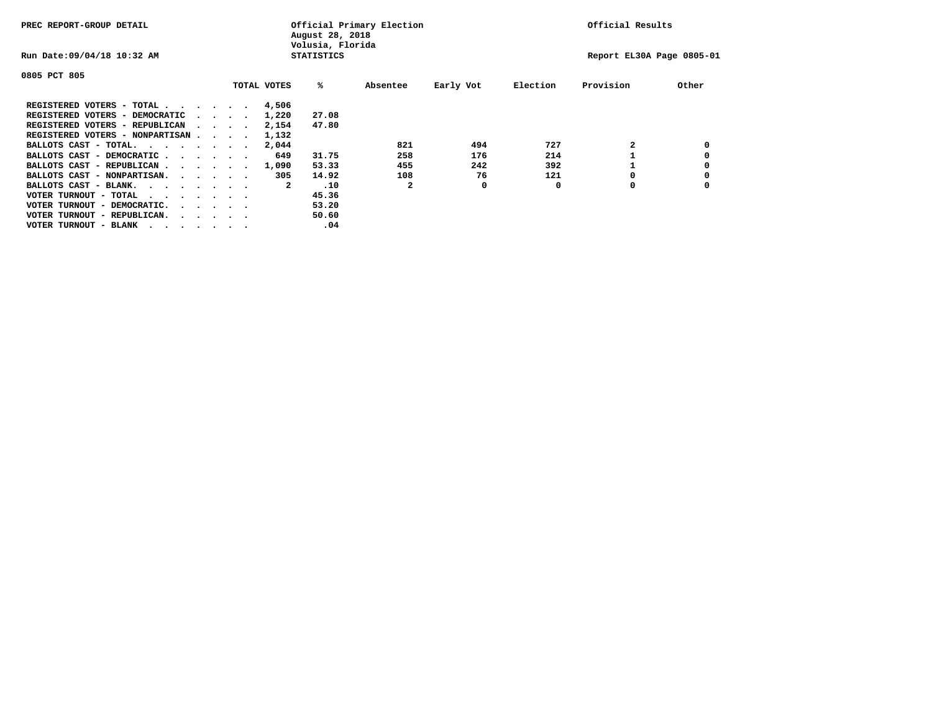| PREC REPORT-GROUP DETAIL                                               |  |  |                             |             | August 28, 2018<br>Volusia, Florida | Official Primary Election |           | Official Results |                           |       |  |
|------------------------------------------------------------------------|--|--|-----------------------------|-------------|-------------------------------------|---------------------------|-----------|------------------|---------------------------|-------|--|
| Run Date: 09/04/18 10:32 AM                                            |  |  |                             |             | <b>STATISTICS</b>                   |                           |           |                  | Report EL30A Page 0805-01 |       |  |
| 0805 PCT 805                                                           |  |  |                             |             |                                     |                           |           |                  |                           |       |  |
|                                                                        |  |  |                             | TOTAL VOTES | %ะ                                  | Absentee                  | Early Vot | Election         | Provision                 | Other |  |
| REGISTERED VOTERS - TOTAL                                              |  |  |                             | 4,506       |                                     |                           |           |                  |                           |       |  |
| REGISTERED VOTERS - DEMOCRATIC                                         |  |  | $\sim$ $\sim$ $\sim$ $\sim$ | 1,220       | 27.08                               |                           |           |                  |                           |       |  |
| REGISTERED VOTERS - REPUBLICAN                                         |  |  |                             | 2,154       | 47.80                               |                           |           |                  |                           |       |  |
| REGISTERED VOTERS - NONPARTISAN                                        |  |  |                             | 1,132       |                                     |                           |           |                  |                           |       |  |
| BALLOTS CAST - TOTAL.                                                  |  |  |                             | 2,044       |                                     | 821                       | 494       | 727              |                           |       |  |
| BALLOTS CAST - DEMOCRATIC                                              |  |  |                             | 649         | 31.75                               | 258                       | 176       | 214              |                           |       |  |
| BALLOTS CAST - REPUBLICAN                                              |  |  |                             | 1,090       | 53.33                               | 455                       | 242       | 392              |                           |       |  |
| BALLOTS CAST - NONPARTISAN.                                            |  |  |                             | 305         | 14.92                               | 108                       | 76        | 121              |                           |       |  |
| BALLOTS CAST - BLANK.                                                  |  |  |                             | 2           | .10                                 | 2                         | 0         | 0                | 0                         |       |  |
| VOTER TURNOUT - TOTAL<br>.                                             |  |  |                             |             | 45.36                               |                           |           |                  |                           |       |  |
| VOTER TURNOUT - DEMOCRATIC.<br>$\cdot$ $\cdot$ $\cdot$ $\cdot$ $\cdot$ |  |  |                             |             | 53.20                               |                           |           |                  |                           |       |  |
| VOTER TURNOUT - REPUBLICAN.<br>$\cdot$                                 |  |  |                             |             | 50.60                               |                           |           |                  |                           |       |  |
| VOTER TURNOUT - BLANK                                                  |  |  |                             |             | .04                                 |                           |           |                  |                           |       |  |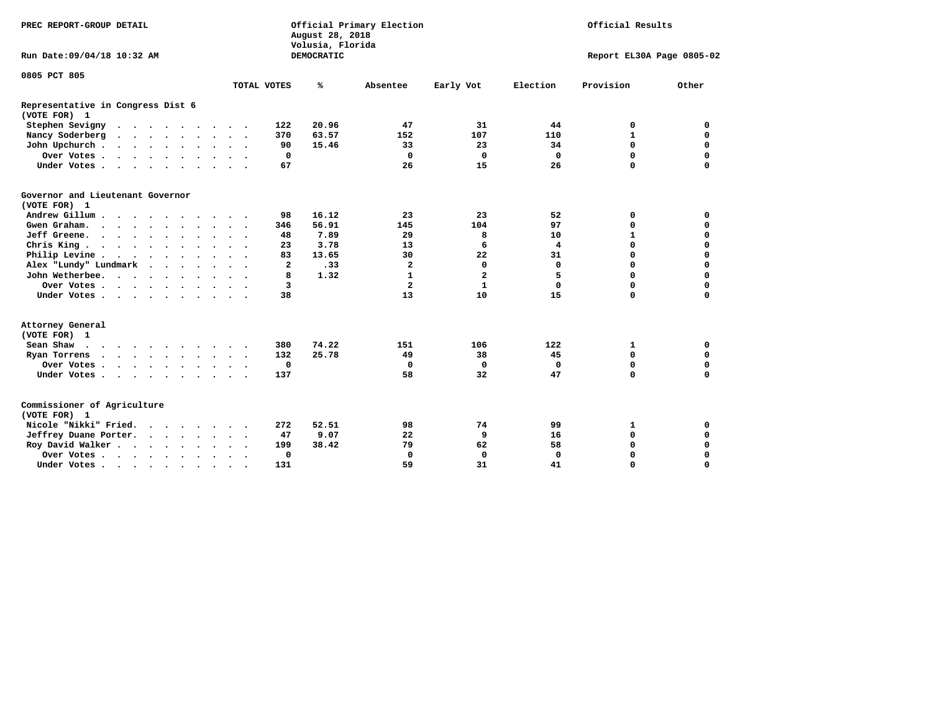| PREC REPORT-GROUP DETAIL                          |                                                           | Official Primary Election<br>August 28, 2018<br>Volusia, Florida | Official Results            |                             |  |  |
|---------------------------------------------------|-----------------------------------------------------------|------------------------------------------------------------------|-----------------------------|-----------------------------|--|--|
| Run Date: 09/04/18 10:32 AM                       |                                                           | DEMOCRATIC                                                       |                             | Report EL30A Page 0805-02   |  |  |
| 0805 PCT 805                                      |                                                           |                                                                  |                             |                             |  |  |
|                                                   | TOTAL VOTES                                               | ℁<br>Absentee                                                    | Early Vot<br>Election       | Provision<br>Other          |  |  |
| Representative in Congress Dist 6<br>(VOTE FOR) 1 |                                                           |                                                                  |                             |                             |  |  |
| Stephen Sevigny<br>$\cdots$                       | 122                                                       | 20.96<br>47                                                      | 31<br>44                    | 0<br>0                      |  |  |
| Nancy Soderberg<br>$\cdot$                        | 370<br>$\sim$                                             | 63.57<br>152                                                     | 107<br>110                  | $\mathbf{1}$<br>0           |  |  |
| John Upchurch                                     | 90                                                        | 15.46<br>33                                                      | 23<br>34                    | $\mathbf 0$<br>0            |  |  |
| Over Votes                                        | $\mathbf 0$                                               | $\mathbf 0$                                                      | $\mathbf 0$<br>$\mathbf 0$  | 0<br>0                      |  |  |
| Under Votes                                       | 67<br>$\ddot{\phantom{a}}$                                | 26                                                               | 15<br>26                    | $\Omega$<br>$\Omega$        |  |  |
| Governor and Lieutenant Governor<br>(VOTE FOR) 1  |                                                           |                                                                  |                             |                             |  |  |
| Andrew Gillum                                     | 98                                                        | 16.12<br>23                                                      | 23<br>52                    | $\mathbf 0$<br>0            |  |  |
| Gwen Graham.<br>$\cdots$                          | 346                                                       | 56.91<br>145                                                     | 104<br>97                   | $\mathbf 0$<br>$\mathbf 0$  |  |  |
| Jeff Greene.                                      | 48                                                        | 7.89<br>29                                                       | 8<br>10                     | $\mathbf 0$<br>$\mathbf{1}$ |  |  |
| Chris King                                        | 23<br>$\cdot$                                             | 3.78<br>13                                                       | 6<br>4                      | $\mathbf 0$<br>$\mathbf 0$  |  |  |
| Philip Levine                                     | 83<br>$\sim$ $\sim$<br>$\sim$                             | 30<br>13.65                                                      | 22<br>31                    | $\mathbf 0$<br>$\mathbf 0$  |  |  |
| Alex "Lundy" Lundmark                             | $\overline{a}$                                            | .33<br>$\mathbf{2}$                                              | $\mathbf 0$<br>$\mathbf{0}$ | $\mathbf 0$<br>$\mathbf 0$  |  |  |
| John Wetherbee.                                   | 8                                                         | 1.32<br>$\mathbf{1}$                                             | $\mathbf{2}$<br>5           | $\mathbf 0$<br>$\mathbf 0$  |  |  |
| Over Votes                                        | 3                                                         | $\overline{a}$                                                   | $\mathbf{1}$<br>$\mathbf 0$ | $\mathbf 0$<br>$\mathbf 0$  |  |  |
| Under Votes                                       | 38                                                        | 13                                                               | 10<br>15                    | $\mathbf 0$<br>$\mathbf 0$  |  |  |
| Attorney General<br>(VOTE FOR) 1                  |                                                           |                                                                  |                             |                             |  |  |
| Sean Shaw                                         | 380<br>$\sim$                                             | 74.22<br>151                                                     | 122<br>106                  | 0<br>1                      |  |  |
| Ryan Torrens<br>$\cdots$                          | 132<br>$\sim$ $\sim$                                      | 25.78<br>49                                                      | 38<br>45                    | 0<br>0                      |  |  |
| Over Votes                                        | $\mathbf 0$<br>$\cdot$<br>$\ddot{\phantom{0}}$<br>$\cdot$ | 0                                                                | 0<br>0                      | 0<br>0                      |  |  |
| Under Votes                                       | 137                                                       | 58                                                               | 32<br>47                    | $\mathbf 0$<br>$\mathbf 0$  |  |  |
| Commissioner of Agriculture                       |                                                           |                                                                  |                             |                             |  |  |
| (VOTE FOR) 1                                      |                                                           |                                                                  |                             |                             |  |  |
| Nicole "Nikki" Fried.                             | 272                                                       | 52.51<br>98                                                      | 74<br>99                    | 0<br>1                      |  |  |
| Jeffrey Duane Porter.                             | 47<br>$\bullet$                                           | 9.07<br>22                                                       | 9<br>16                     | $\mathbf 0$<br>$\mathbf 0$  |  |  |
| Roy David Walker                                  | 199                                                       | 79<br>38.42                                                      | 58<br>62                    | $\mathbf 0$<br>$\mathbf 0$  |  |  |
| Over Votes                                        | $\mathbf 0$                                               | $\Omega$                                                         | $\mathbf 0$<br>$\Omega$     | $\Omega$<br>$\mathbf 0$     |  |  |
| Under Votes                                       | 131<br>$\cdot$<br>$\cdot$                                 | 59                                                               | 31<br>41                    | $\mathbf 0$<br>$\mathbf 0$  |  |  |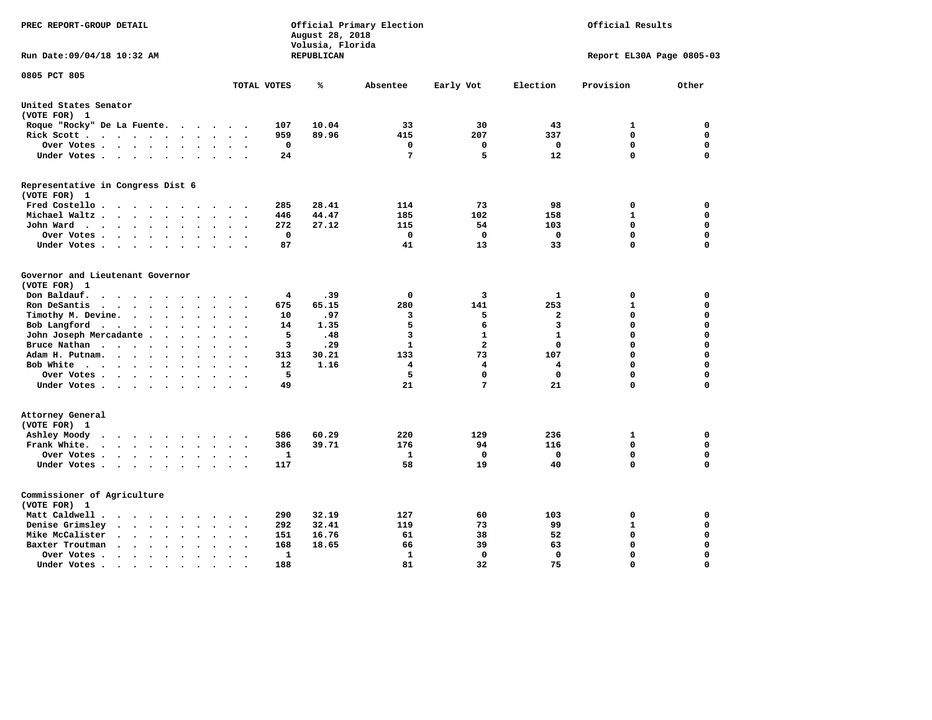| PREC REPORT-GROUP DETAIL                                                                                                                                  |                                        | August 28, 2018<br>Volusia, Florida | Official Primary Election |                |              |                           | Official Results |  |  |  |  |
|-----------------------------------------------------------------------------------------------------------------------------------------------------------|----------------------------------------|-------------------------------------|---------------------------|----------------|--------------|---------------------------|------------------|--|--|--|--|
| Run Date: 09/04/18 10:32 AM                                                                                                                               |                                        | REPUBLICAN                          |                           |                |              | Report EL30A Page 0805-03 |                  |  |  |  |  |
| 0805 PCT 805                                                                                                                                              | TOTAL VOTES                            | ℁                                   | Absentee                  | Early Vot      | Election     | Provision                 | Other            |  |  |  |  |
|                                                                                                                                                           |                                        |                                     |                           |                |              |                           |                  |  |  |  |  |
| United States Senator<br>(VOTE FOR) 1                                                                                                                     |                                        |                                     |                           |                |              |                           |                  |  |  |  |  |
| Roque "Rocky" De La Fuente.                                                                                                                               | 107<br>$\cdot$ $\cdot$ $\cdot$ $\cdot$ | 10.04                               | 33                        | 30             | 43           | 1                         | 0                |  |  |  |  |
| Rick Scott<br>$\sim 100$ km s $^{-1}$<br>$\ddot{\phantom{a}}$                                                                                             | 959                                    | 89.96                               | 415                       | 207            | 337          | $\mathbf 0$               | 0                |  |  |  |  |
| Over Votes<br>$\bullet$                                                                                                                                   | 0<br>$\bullet$<br>$\ddot{\phantom{0}}$ |                                     | $\mathbf 0$               | 0              | 0            | $\mathbf 0$               | 0                |  |  |  |  |
| Under Votes                                                                                                                                               | 24                                     |                                     | 7                         | 5              | 12           | $\mathbf 0$               | 0                |  |  |  |  |
| Representative in Congress Dist 6<br>(VOTE FOR) 1                                                                                                         |                                        |                                     |                           |                |              |                           |                  |  |  |  |  |
| Fred Costello                                                                                                                                             | 285                                    | 28.41                               | 114                       | 73             | 98           | 0                         | 0                |  |  |  |  |
| Michael Waltz.<br>$\sim$ $\sim$ $\sim$<br>$\ddot{\phantom{a}}$<br>$\sim$<br>$\sim$                                                                        | 446                                    | 44.47                               | 185                       | 102            | 158          | $\mathbf{1}$              | 0                |  |  |  |  |
| John Ward<br>$\cdots$<br>$\ddot{\phantom{a}}$                                                                                                             | 272<br>$\ddot{\phantom{a}}$            | 27.12                               | 115                       | 54             | 103          | $\mathbf 0$               | 0                |  |  |  |  |
| Over Votes .<br>$\cdots$<br>$\bullet$<br>$\bullet$<br>$\cdot$                                                                                             | 0                                      |                                     | 0                         | 0              | 0            | $\mathbf 0$               | 0                |  |  |  |  |
| Under Votes<br>$\bullet$<br>$\sim$                                                                                                                        | 87                                     |                                     | 41                        | 13             | 33           | $\mathbf 0$               | 0                |  |  |  |  |
|                                                                                                                                                           |                                        |                                     |                           |                |              |                           |                  |  |  |  |  |
| Governor and Lieutenant Governor<br>(VOTE FOR) 1                                                                                                          |                                        |                                     |                           |                |              |                           |                  |  |  |  |  |
| Don Baldauf.<br>$\cdot$ $\cdot$ $\cdot$                                                                                                                   | 4                                      | .39                                 | 0                         | 3              | 1            | 0                         | 0                |  |  |  |  |
| Ron DeSantis<br>$\cdot$ $\cdot$ $\cdot$<br>$\bullet$                                                                                                      | 675                                    | 65.15                               | 280                       | 141            | 253          | ${\bf 1}$                 | 0                |  |  |  |  |
| Timothy M. Devine.<br>$\bullet$<br>$\bullet$                                                                                                              | 10<br>$\ddot{\phantom{a}}$             | .97                                 | 3                         | 5              | $\mathbf{2}$ | $\mathbf 0$               | 0                |  |  |  |  |
| Bob Langford<br>$\sim$<br>$\ddot{\phantom{a}}$<br>$\ddot{\phantom{a}}$                                                                                    | 14<br>$\bullet$                        | 1.35                                | 5                         | 6              | 3            | $\mathbf 0$               | 0                |  |  |  |  |
| $\ddot{\phantom{0}}$<br>John Joseph Mercadante .<br>$\ddot{\phantom{a}}$                                                                                  | 5<br>$\mathbf{r}$                      | .48                                 | 3                         | $\mathbf{1}$   | ${\bf 1}$    | $\mathbf 0$               | 0                |  |  |  |  |
| $\sim$ $\sim$<br>Bruce Nathan                                                                                                                             | 3                                      | .29                                 | 1                         | $\overline{a}$ | 0            | $\mathbf 0$               | 0                |  |  |  |  |
| $\cdots$<br>$\bullet$<br>$\bullet$                                                                                                                        |                                        |                                     |                           |                |              | $\mathbf 0$               |                  |  |  |  |  |
| Adam H. Putnam.<br>$\cdots$<br>$\bullet$<br>$\bullet$                                                                                                     | 313                                    | 30.21                               | 133                       | 73             | 107          |                           | 0                |  |  |  |  |
| Bob White<br>$\cdot$                                                                                                                                      | 12<br>$\sim$                           | 1.16                                | 4                         | 4              | 4            | $\mathbf 0$               | 0                |  |  |  |  |
| Over Votes .<br>$\cdot$ $\cdot$ $\cdot$ $\cdot$<br>$\bullet$                                                                                              | 5                                      |                                     | 5                         | 0              | 0            | $\mathbf 0$               | 0                |  |  |  |  |
| Under Votes<br>$\sim$                                                                                                                                     | 49                                     |                                     | 21                        | 7              | 21           | $\Omega$                  | 0                |  |  |  |  |
| Attorney General                                                                                                                                          |                                        |                                     |                           |                |              |                           |                  |  |  |  |  |
| (VOTE FOR) 1                                                                                                                                              | 586                                    | 60.29                               | 220                       | 129            | 236          | 1                         | 0                |  |  |  |  |
| Ashley Moody<br>$\cdots$<br>$\overline{\phantom{a}}$<br>$\sim$<br>Frank White.                                                                            | $\ddot{\phantom{a}}$<br>386            | 39.71                               | 176                       | 94             | 116          | $\mathbf 0$               | 0                |  |  |  |  |
| $\cdot$ $\cdot$ $\cdot$ $\cdot$ $\cdot$<br>$\bullet$                                                                                                      | $\mathbf{1}$                           |                                     | 1                         | $\mathbf 0$    | $\mathbf 0$  | $\mathbf 0$               | 0                |  |  |  |  |
| Over Votes .<br>$\mathbf{r}$ , $\mathbf{r}$ , $\mathbf{r}$ , $\mathbf{r}$ , $\mathbf{r}$<br>$\bullet$                                                     | $\ddot{\phantom{a}}$<br>$\bullet$      |                                     | 58                        | 19             | 40           | $\mathbf 0$               | 0                |  |  |  |  |
| Under Votes<br>$\ddotsc$                                                                                                                                  | 117<br>$\sim$                          |                                     |                           |                |              |                           |                  |  |  |  |  |
| Commissioner of Agriculture                                                                                                                               |                                        |                                     |                           |                |              |                           |                  |  |  |  |  |
| (VOTE FOR) 1                                                                                                                                              |                                        |                                     |                           |                |              |                           |                  |  |  |  |  |
| Matt Caldwell .<br>$\cdot$ $\cdot$ $\cdot$ $\cdot$ $\cdot$                                                                                                | 290                                    | 32.19                               | 127                       | 60             | 103          | 0                         | 0                |  |  |  |  |
| Denise Grimsley<br>$\sim$ $\sim$<br>$\bullet$<br>$\ddot{\phantom{a}}$<br>$\bullet$                                                                        | 292                                    | 32.41                               | 119                       | 73             | 99           | $\mathbf 1$               | 0                |  |  |  |  |
| Mike McCalister<br>$\begin{array}{cccccccccccccc} \bullet & \bullet & \bullet & \bullet & \bullet & \bullet & \bullet & \bullet \end{array}$<br>$\bullet$ | 151<br>$\bullet$                       | 16.76                               | 61                        | 38             | 52           | $\mathbf 0$               | 0                |  |  |  |  |
| Baxter Troutman<br>$\sim$ $\sim$ $\sim$ $\sim$<br>$\ddot{\phantom{a}}$<br>$\ddot{\phantom{a}}$<br>$\ddot{\phantom{a}}$                                    | 168                                    | 18.65                               | 66                        | 39             | 63           | 0                         | 0                |  |  |  |  |
| Over Votes .<br>$\cdot$ $\cdot$ $\cdot$ $\cdot$<br>$\cdot$<br>$\bullet$<br>$\cdot$                                                                        | 1                                      |                                     | 1                         | 0              | 0            | $\mathbf 0$               | 0                |  |  |  |  |
| Under Votes.<br>$\cdot$ $\cdot$ $\cdot$ $\cdot$<br>$\sim$ $\sim$<br>$\sim$                                                                                | 188                                    |                                     | 81                        | 32             | 75           | $\Omega$                  | $\Omega$         |  |  |  |  |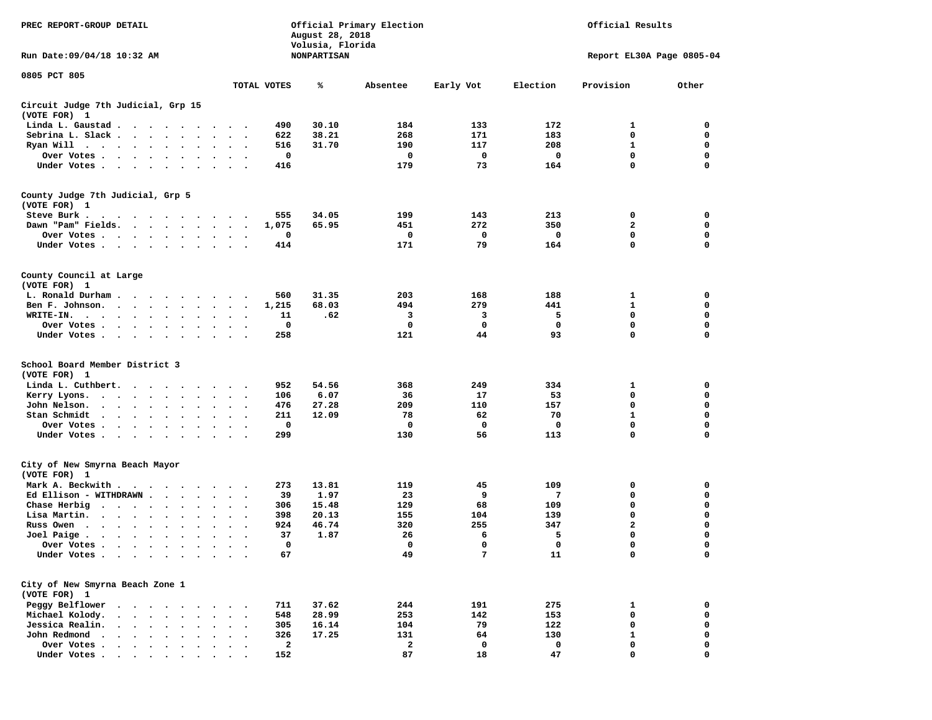| PREC REPORT-GROUP DETAIL                                                                             |                                               | August 28, 2018<br>Volusia, Florida | Official Primary Election | Official Results |          |                           |          |
|------------------------------------------------------------------------------------------------------|-----------------------------------------------|-------------------------------------|---------------------------|------------------|----------|---------------------------|----------|
| Run Date: 09/04/18 10:32 AM                                                                          |                                               | NONPARTISAN                         |                           |                  |          | Report EL30A Page 0805-04 |          |
| 0805 PCT 805                                                                                         |                                               |                                     |                           |                  |          |                           |          |
|                                                                                                      | TOTAL VOTES                                   | ℁                                   | Absentee                  | Early Vot        | Election | Provision                 | Other    |
| Circuit Judge 7th Judicial, Grp 15<br>(VOTE FOR) 1                                                   |                                               |                                     |                           |                  |          |                           |          |
| Linda L. Gaustad                                                                                     | 490                                           | 30.10                               | 184                       | 133              | 172      | 1                         | 0        |
| Sebrina L. Slack                                                                                     | 622<br>$\sim$ $\sim$                          | 38.21                               | 268                       | 171              | 183      | 0                         | 0        |
| Ryan Will $\cdots$ , $\cdots$ , $\cdots$                                                             | 516<br>$\ddot{\phantom{1}}$                   | 31.70                               | 190                       | 117              | 208      | 1                         | 0        |
| Over Votes                                                                                           | 0<br>$\sim$ $\sim$                            |                                     | 0                         | 0                | 0        | 0                         | 0        |
| Under Votes                                                                                          | 416                                           |                                     | 179                       | 73               | 164      | 0                         | 0        |
| County Judge 7th Judicial, Grp 5                                                                     |                                               |                                     |                           |                  |          |                           |          |
| (VOTE FOR) 1                                                                                         |                                               |                                     |                           |                  |          |                           |          |
| Steve Burk.<br>.                                                                                     | 555                                           | 34.05                               | 199                       | 143              | 213      | 0                         | 0        |
| Dawn "Pam" Fields.                                                                                   | 1,075                                         | 65.95                               | 451                       | 272              | 350      | $\overline{\mathbf{2}}$   | 0        |
| Over Votes                                                                                           | 0<br>$\bullet$                                |                                     | 0                         | 0                | 0        | 0                         | 0        |
| Under Votes                                                                                          | 414<br>$\ddot{\phantom{1}}$                   |                                     | 171                       | 79               | 164      | 0                         | 0        |
| County Council at Large                                                                              |                                               |                                     |                           |                  |          |                           |          |
| (VOTE FOR) 1                                                                                         |                                               |                                     |                           |                  |          |                           |          |
| L. Ronald Durham                                                                                     | 560<br>$\sim$ $\sim$ $\sim$                   | 31.35                               | 203                       | 168              | 188      | 1                         | 0        |
| Ben F. Johnson.                                                                                      | 1,215<br>$\ddot{\phantom{1}}$                 | 68.03                               | 494                       | 279              | 441      | 1                         | 0        |
| WRITE-IN.<br>$\ddot{\phantom{0}}$                                                                    | 11<br>$\cdot$<br>$\bullet$                    | .62                                 | 3                         | 3                | 5        | 0                         | 0        |
| Over Votes.<br>$\cdot$<br>$\cdot$                                                                    | 0<br>$\bullet$                                |                                     | 0                         | 0                | 0        | 0                         | 0        |
| Under Votes                                                                                          | 258<br>$\bullet$<br>$\ddot{\phantom{0}}$      |                                     | 121                       | 44               | 93       | 0                         | 0        |
| School Board Member District 3                                                                       |                                               |                                     |                           |                  |          |                           |          |
| (VOTE FOR) 1                                                                                         |                                               |                                     |                           |                  |          |                           |          |
| Linda L. Cuthbert.<br>$\cdot$                                                                        | 952                                           | 54.56                               | 368                       | 249              | 334      | 1                         | 0        |
| Kerry Lyons.<br>.                                                                                    | 106<br>$\ddot{\phantom{1}}$                   | 6.07                                | 36                        | 17               | 53       | 0                         | 0        |
| John Nelson.<br>$\cdot$ $\cdot$ $\cdot$ $\cdot$<br>$\ddot{\phantom{a}}$                              | 476                                           | 27.28                               | 209                       | 110              | 157      | 0                         | 0        |
| Stan Schmidt<br>$\cdot$ $\cdot$ $\cdot$ $\cdot$ $\cdot$ $\cdot$<br>$\ddot{\phantom{0}}$<br>$\bullet$ | 211<br>$\ddot{\phantom{1}}$<br>$\bullet$      | 12.09                               | 78                        | 62               | 70       | 1                         | 0        |
| Over Votes.<br>$\cdots$<br>$\bullet$                                                                 | 0                                             |                                     | 0                         | 0                | 0        | 0                         | 0        |
| Under Votes                                                                                          | 299<br>$\cdot$ $\cdot$ $\cdot$                |                                     | 130                       | 56               | 113      | 0                         | 0        |
| City of New Smyrna Beach Mayor                                                                       |                                               |                                     |                           |                  |          |                           |          |
| (VOTE FOR) 1<br>Mark A. Beckwith                                                                     | 273                                           | 13.81                               | 119                       | 45               | 109      | 0                         | 0        |
| Ed Ellison - WITHDRAWN<br>$\ddot{\phantom{0}}$                                                       | $\overline{\phantom{a}}$<br>39                | 1.97                                | 23                        | 9                | 7        | 0                         | 0        |
| Chase Herbig                                                                                         | 306                                           | 15.48                               | 129                       | 68               | 109      | 0                         | 0        |
| Lisa Martin.<br>$\bullet$                                                                            | 398<br>$\bullet$                              | 20.13                               | 155                       | 104              | 139      | 0                         | 0        |
| Russ Owen<br>$\cdot$                                                                                 | 924                                           | 46.74                               | 320                       | 255              | 347      | 2                         | 0        |
| Joel Paige $\cdots$ $\cdots$<br>$\ddot{\phantom{0}}$                                                 | 37                                            | 1.87                                | 26                        | 6                | 5        | 0                         | 0        |
| $\bullet$<br>$\bullet$<br>Over Votes                                                                 | $\bullet$<br>$\ddot{\phantom{1}}$<br>$\Omega$ |                                     | $\Omega$                  | $\Omega$         | 0        | $\Omega$                  | $\Omega$ |
| Under Votes                                                                                          | 67                                            |                                     | 49                        | 7                | 11       | 0                         | 0        |
|                                                                                                      |                                               |                                     |                           |                  |          |                           |          |
| City of New Smyrna Beach Zone 1                                                                      |                                               |                                     |                           |                  |          |                           |          |
| (VOTE FOR) 1                                                                                         |                                               |                                     |                           |                  |          |                           |          |
| Peggy Belflower<br>$\sim$<br>$\sim$ $\sim$<br>$\sim$                                                 | 711                                           | 37.62                               | 244                       | 191              | 275      | 1                         | 0        |
| Michael Kolody.<br>$\bullet$<br>$\ddot{\phantom{a}}$<br>$\ddot{\phantom{a}}$<br>$\sim$               | 548                                           | 28.99                               | 253                       | 142              | 153      | 0                         | 0        |
| Jessica Realin.<br>$\cdot$ $\cdot$ $\cdot$ $\cdot$ $\cdot$                                           | 305                                           | 16.14                               | 104                       | 79               | 122      | 0                         | 0        |
| John Redmond<br>$\cdot$ $\cdot$ $\cdot$ $\cdot$ $\cdot$                                              | 326                                           | 17.25                               | 131                       | 64               | 130      | 1                         | 0        |
| Over Votes<br>$\cdot$ $\cdot$ $\cdot$ $\cdot$ $\cdot$ $\cdot$                                        | $\overline{\mathbf{2}}$                       |                                     | $\mathbf{2}$              | 0                | 0        | 0                         | 0        |
| Under Votes                                                                                          | 152                                           |                                     | 87                        | 18               | 47       | 0                         | $\Omega$ |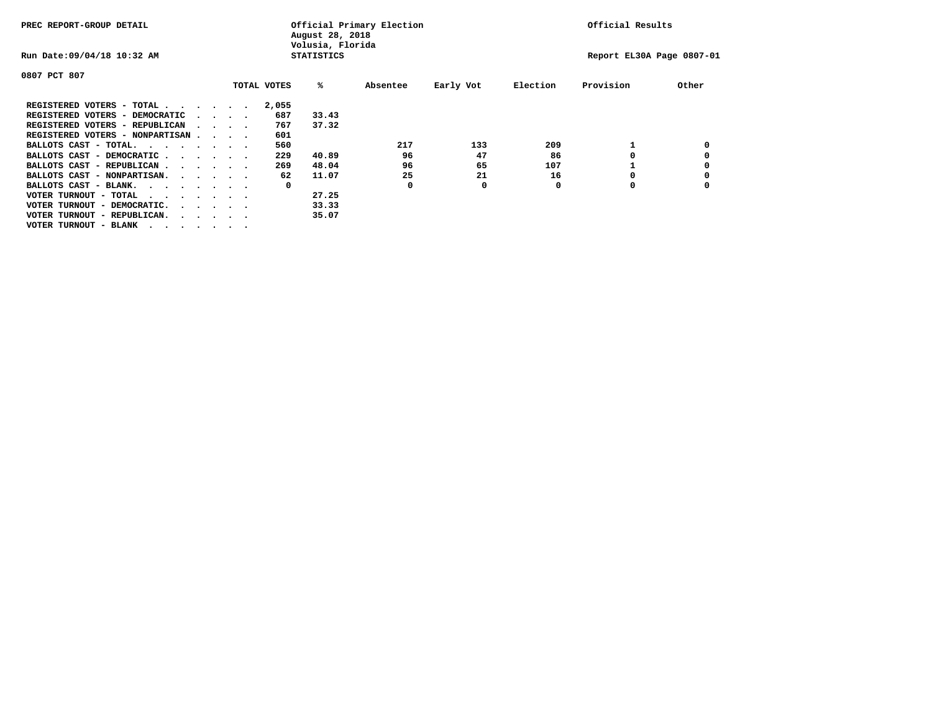| PREC REPORT-GROUP DETAIL               |  |  |                                         |             | August 28, 2018<br>Volusia, Florida | Official Primary Election |           | Official Results |                           |       |  |
|----------------------------------------|--|--|-----------------------------------------|-------------|-------------------------------------|---------------------------|-----------|------------------|---------------------------|-------|--|
| Run Date: 09/04/18 10:32 AM            |  |  |                                         |             | <b>STATISTICS</b>                   |                           |           |                  | Report EL30A Page 0807-01 |       |  |
| 0807 PCT 807                           |  |  |                                         |             |                                     |                           |           |                  |                           |       |  |
|                                        |  |  |                                         | TOTAL VOTES | %ะ                                  | Absentee                  | Early Vot | Election         | Provision                 | Other |  |
| REGISTERED VOTERS - TOTAL              |  |  |                                         | 2,055       |                                     |                           |           |                  |                           |       |  |
| REGISTERED VOTERS - DEMOCRATIC         |  |  | $\cdot$ $\cdot$ $\cdot$ $\cdot$         | 687         | 33.43                               |                           |           |                  |                           |       |  |
| REGISTERED VOTERS - REPUBLICAN         |  |  | $\sim$ $\sim$ $\sim$ $\sim$             | 767         | 37.32                               |                           |           |                  |                           |       |  |
| REGISTERED VOTERS - NONPARTISAN        |  |  |                                         | 601         |                                     |                           |           |                  |                           |       |  |
| BALLOTS CAST - TOTAL.                  |  |  |                                         | 560         |                                     | 217                       | 133       | 209              |                           |       |  |
| BALLOTS CAST - DEMOCRATIC              |  |  |                                         | 229         | 40.89                               | 96                        | 47        | 86               |                           |       |  |
| BALLOTS CAST - REPUBLICAN              |  |  |                                         | 269         | 48.04                               | 96                        | 65        | 107              |                           |       |  |
| BALLOTS CAST - NONPARTISAN.            |  |  |                                         | 62          | 11.07                               | 25                        | 21        | 16               |                           |       |  |
| BALLOTS CAST - BLANK.                  |  |  |                                         | 0           |                                     | 0                         | 0         | 0                | 0                         |       |  |
| VOTER TURNOUT - TOTAL<br>$\cdots$      |  |  |                                         |             | 27.25                               |                           |           |                  |                           |       |  |
| VOTER TURNOUT - DEMOCRATIC.            |  |  | $\cdot$ $\cdot$ $\cdot$ $\cdot$ $\cdot$ |             | 33.33                               |                           |           |                  |                           |       |  |
| VOTER TURNOUT - REPUBLICAN.<br>$\cdot$ |  |  |                                         |             | 35.07                               |                           |           |                  |                           |       |  |
| VOTER TURNOUT - BLANK                  |  |  |                                         |             |                                     |                           |           |                  |                           |       |  |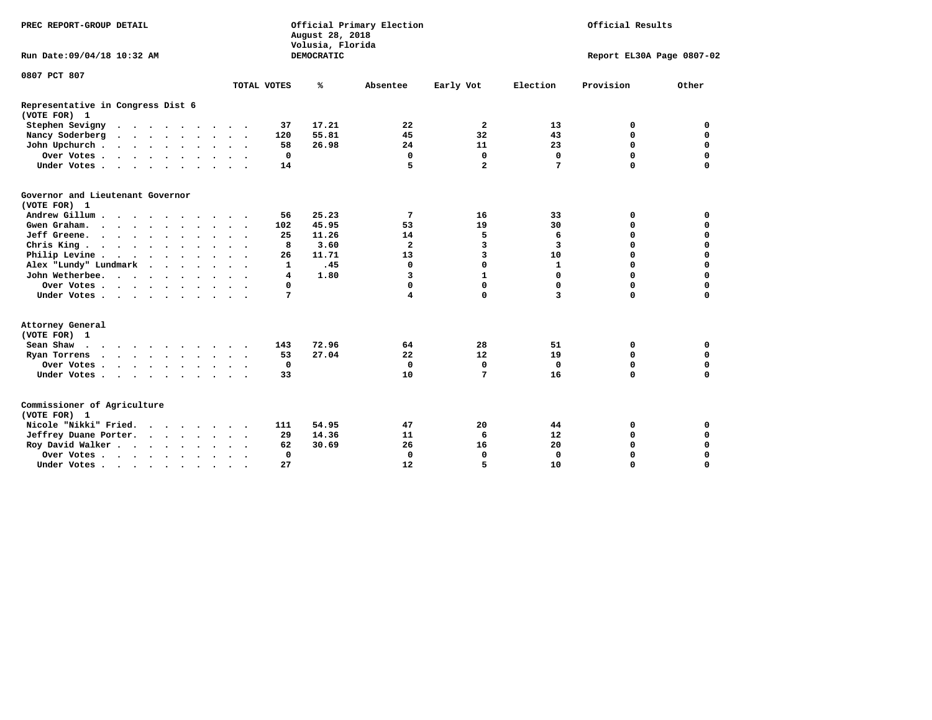| PREC REPORT-GROUP DETAIL                             |                                                    | Official Primary Election<br>August 28, 2018<br>Volusia, Florida | Official Results           |                            |  |  |
|------------------------------------------------------|----------------------------------------------------|------------------------------------------------------------------|----------------------------|----------------------------|--|--|
| Run Date: 09/04/18 10:32 AM                          |                                                    | <b>DEMOCRATIC</b>                                                |                            | Report EL30A Page 0807-02  |  |  |
| 0807 PCT 807                                         |                                                    |                                                                  |                            |                            |  |  |
|                                                      | TOTAL VOTES                                        | ℁<br>Absentee                                                    | Early Vot<br>Election      | Provision<br>Other         |  |  |
| Representative in Congress Dist 6<br>(VOTE FOR) 1    |                                                    |                                                                  |                            |                            |  |  |
| Stephen Sevigny                                      | 37                                                 | 17.21<br>22                                                      | $\overline{a}$<br>13       | 0<br>0                     |  |  |
| Nancy Soderberg                                      | 120                                                | 55.81<br>45                                                      | 32<br>43                   | $\mathbf 0$<br>0           |  |  |
| John Upchurch                                        | 58                                                 | 26.98<br>24                                                      | 23<br>11                   | $\mathbf 0$<br>$\mathbf 0$ |  |  |
| Over Votes                                           | 0                                                  | 0                                                                | $\mathbf 0$<br>$\mathbf 0$ | $\mathbf 0$<br>$\mathbf 0$ |  |  |
| Under Votes                                          | 14                                                 | 5                                                                | $\overline{a}$<br>7        | $\Omega$<br>$\mathbf 0$    |  |  |
| Governor and Lieutenant Governor<br>(VOTE FOR) 1     |                                                    |                                                                  |                            |                            |  |  |
| Andrew Gillum                                        | 56                                                 | 25.23<br>7                                                       | 16<br>33                   | 0<br>0                     |  |  |
| Gwen Graham.                                         | 102                                                | 45.95<br>53                                                      | 19<br>30                   | $\mathbf 0$<br>0           |  |  |
| Jeff Greene.                                         | 25                                                 | 11.26<br>14                                                      | 5<br>6                     | $\mathbf 0$<br>$\mathbf 0$ |  |  |
| Chris King                                           | 8                                                  | 3.60<br>$\overline{\mathbf{2}}$                                  | 3<br>3                     | $\mathbf 0$<br>$\mathbf 0$ |  |  |
| Philip Levine                                        | 26                                                 | 11.71<br>13                                                      | 3<br>10                    | $\mathbf 0$<br>$\mathbf 0$ |  |  |
| Alex "Lundy" Lundmark<br>$\sim$ $\sim$ $\sim$ $\sim$ | 1                                                  | .45<br>0                                                         | 0<br>$\mathbf{1}$          | $\mathbf 0$<br>$\mathbf 0$ |  |  |
| John Wetherbee.                                      | 4                                                  | 1.80<br>3                                                        | $\mathbf{1}$<br>0          | $\mathbf 0$<br>$\mathbf 0$ |  |  |
| Over Votes                                           | 0                                                  | 0                                                                | 0<br>$\mathbf 0$           | $\mathbf 0$<br>$\mathbf 0$ |  |  |
| Under Votes                                          | 7                                                  | $\overline{\mathbf{4}}$                                          | 0<br>3                     | $\mathbf 0$<br>$\mathbf 0$ |  |  |
| Attorney General<br>(VOTE FOR) 1                     |                                                    |                                                                  |                            |                            |  |  |
| Sean Shaw                                            | 143                                                | 72.96<br>64                                                      | 28<br>51                   | 0<br>0                     |  |  |
| Ryan Torrens<br>$\cdots$                             | 53                                                 | 27.04<br>22                                                      | 12<br>19                   | $\mathbf 0$<br>$\mathbf 0$ |  |  |
| Over Votes                                           | $\mathbf 0$                                        | $\mathbf 0$                                                      | $\mathbf 0$<br>$\Omega$    | 0<br>$\mathbf 0$           |  |  |
| Under Votes                                          | 33                                                 | 10                                                               | 7<br>16                    | $\mathbf 0$<br>$\mathbf 0$ |  |  |
| Commissioner of Agriculture<br>(VOTE FOR) 1          |                                                    |                                                                  |                            |                            |  |  |
| Nicole "Nikki" Fried.                                | 111                                                | 54.95<br>47                                                      | 20<br>44                   | 0<br>0                     |  |  |
| Jeffrey Duane Porter.                                | 29                                                 | 14.36<br>11                                                      | 6<br>12                    | $\mathbf 0$<br>$\mathbf 0$ |  |  |
| Roy David Walker                                     | 62                                                 | 30.69<br>26                                                      | 16<br>20                   | $\mathbf 0$<br>0           |  |  |
| Over Votes                                           | $\Omega$                                           | $\mathbf 0$                                                      | $\mathbf 0$<br>0           | $\mathbf 0$<br>0           |  |  |
| Under Votes                                          | 27<br>$\ddot{\phantom{a}}$<br>$\ddot{\phantom{1}}$ | 12                                                               | 5<br>10                    | $\mathbf 0$<br>$\mathbf 0$ |  |  |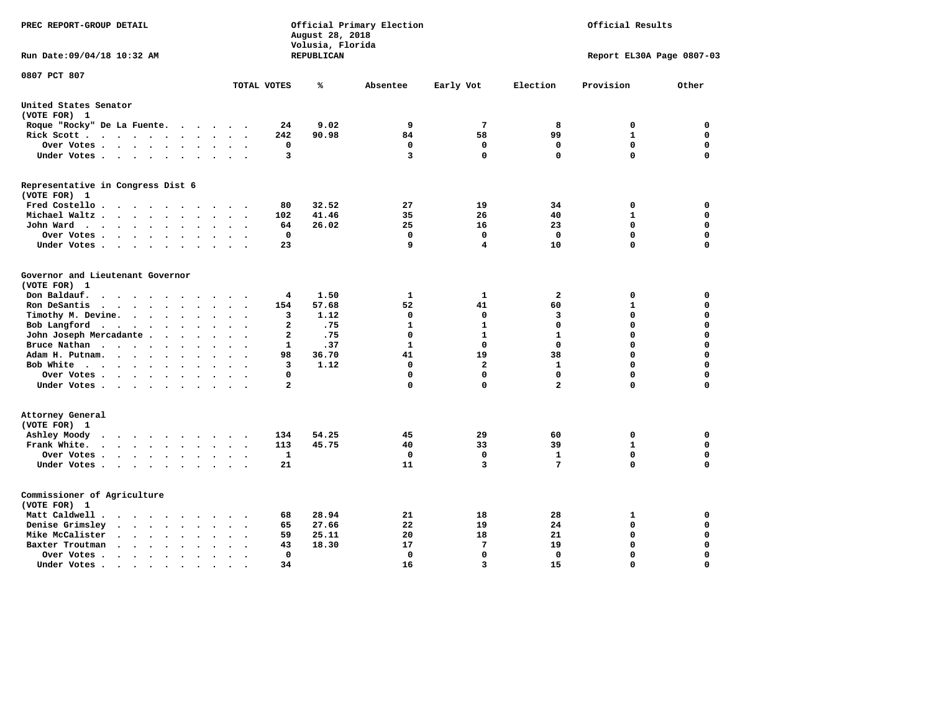| PREC REPORT-GROUP DETAIL                                                                              |                                                                           | August 28, 2018<br>Volusia, Florida | Official Primary Election | Official Results        |                            |                         |                  |  |  |
|-------------------------------------------------------------------------------------------------------|---------------------------------------------------------------------------|-------------------------------------|---------------------------|-------------------------|----------------------------|-------------------------|------------------|--|--|
| Run Date: 09/04/18 10:32 AM                                                                           |                                                                           | REPUBLICAN                          |                           |                         | Report EL30A Page 0807-03  |                         |                  |  |  |
| 0807 PCT 807                                                                                          | TOTAL VOTES                                                               | ℁                                   | Absentee                  | Early Vot               | Election                   | Provision               | Other            |  |  |
| United States Senator                                                                                 |                                                                           |                                     |                           |                         |                            |                         |                  |  |  |
| (VOTE FOR) 1                                                                                          |                                                                           |                                     |                           |                         |                            |                         |                  |  |  |
| Roque "Rocky" De La Fuente.                                                                           | 24<br>$\cdots$                                                            | 9.02                                | 9                         | $7\phantom{.0}$         | 8                          | 0                       | $\mathbf 0$      |  |  |
| Rick Scott                                                                                            | 242                                                                       | 90.98                               | 84                        | 58                      | 99                         | $\mathbf{1}$            | 0                |  |  |
| Over Votes                                                                                            | 0<br>$\ddot{\phantom{a}}$<br>$\cdot$                                      |                                     | $\mathbf 0$               | $\mathbf 0$             | $\mathbf 0$                | $\mathbf 0$             | 0                |  |  |
| Under Votes                                                                                           | 3                                                                         |                                     | 3                         | $\mathbf 0$             | $\mathbf 0$                | $\Omega$                | $\mathbf 0$      |  |  |
| Representative in Congress Dist 6                                                                     |                                                                           |                                     |                           |                         |                            |                         |                  |  |  |
| (VOTE FOR) 1<br>Fred Costello                                                                         | 80                                                                        | 32.52                               | 27                        | 19                      | 34                         | 0                       | 0                |  |  |
| Michael Waltz<br>$\sim$<br>$\ddot{\phantom{a}}$                                                       | 102                                                                       | 41.46                               | 35                        | 26                      | 40                         | $\mathbf{1}$            | $\mathbf 0$      |  |  |
| John Ward<br>$\ddot{\phantom{a}}$                                                                     | 64<br>$\ddot{\phantom{a}}$<br>$\bullet$                                   | 26.02                               | 25                        | 16                      | 23                         | $\mathbf 0$             | $\mathbf 0$      |  |  |
| Over Votes<br>$\sim$                                                                                  | $\mathbf 0$                                                               |                                     | $\mathbf 0$               | $\mathbf 0$             | $\Omega$                   | $\mathbf 0$             | $\mathbf 0$      |  |  |
| Under Votes<br>$\sim$                                                                                 | 23                                                                        |                                     | 9                         | 4                       | 10                         | $\mathbf 0$             | $\Omega$         |  |  |
|                                                                                                       |                                                                           |                                     |                           |                         |                            |                         |                  |  |  |
| Governor and Lieutenant Governor                                                                      |                                                                           |                                     |                           |                         |                            |                         |                  |  |  |
| (VOTE FOR) 1                                                                                          |                                                                           |                                     |                           |                         |                            |                         |                  |  |  |
| Don Baldauf.<br>$\cdot$ $\cdot$ $\cdot$ $\cdot$<br>$\sim$                                             | 4                                                                         | 1.50                                | 1                         | $\mathbf{1}$            | $\overline{a}$             | 0                       | $\mathbf 0$      |  |  |
| Ron DeSantis<br>$\sim$                                                                                | 154                                                                       | 57.68                               | 52                        | 41                      | 60                         | $\mathbf{1}$            | $\mathbf 0$      |  |  |
| Timothy M. Devine.<br>$\ddot{\phantom{1}}$                                                            | 3<br>$\ddot{\phantom{a}}$<br>$\ddot{\phantom{a}}$<br>$\ddot{\phantom{a}}$ | 1.12                                | $\mathbf 0$               | $\mathbf 0$             | 3                          | $\mathbf 0$             | $\mathbf 0$      |  |  |
| Bob Langford                                                                                          | $\overline{a}$<br>$\ddot{\phantom{a}}$                                    | .75                                 | $\mathbf{1}$              | $\mathbf{1}$            | $\mathbf 0$                | $\mathbf 0$             | 0                |  |  |
| John Joseph Mercadante                                                                                | $\overline{a}$<br>$\overline{\phantom{a}}$                                | .75                                 | $\mathbf 0$               | $\mathbf{1}$            | $\mathbf{1}$               | $\mathbf 0$             | $\mathbf 0$      |  |  |
| Bruce Nathan<br>$\bullet$                                                                             | 1                                                                         | .37                                 | $\mathbf{1}$              | $\mathbf 0$             | $\Omega$                   | $\mathbf 0$             | $\mathbf 0$      |  |  |
| Adam H. Putnam.                                                                                       | 98                                                                        | 36.70                               | 41                        | 19                      | 38                         | $\mathbf 0$             | 0                |  |  |
| Bob White<br>$\ddot{\phantom{a}}$                                                                     | 3<br>$\ddot{\phantom{a}}$                                                 | 1.12                                | $\mathbf 0$               | $\mathbf{2}$            | $\mathbf{1}$               | $\mathbf 0$             | 0                |  |  |
| Over Votes .<br>$\cdots$                                                                              | $\Omega$<br>$\overline{a}$                                                |                                     | 0<br>$\Omega$             | $\Omega$<br>$\mathbf 0$ | $\Omega$<br>$\overline{a}$ | $\mathbf 0$<br>$\Omega$ | 0<br>$\mathbf 0$ |  |  |
| Under Votes                                                                                           |                                                                           |                                     |                           |                         |                            |                         |                  |  |  |
| Attorney General                                                                                      |                                                                           |                                     |                           |                         |                            |                         |                  |  |  |
| (VOTE FOR) 1                                                                                          |                                                                           |                                     |                           |                         |                            |                         |                  |  |  |
| Ashley Moody<br>$\begin{array}{cccccccccccccccccc} . & . & . & . & . & . & . & . & . & . \end{array}$ | 134                                                                       | 54.25                               | 45                        | 29                      | 60                         | 0                       | 0                |  |  |
| Frank White.<br>$\cdot$ $\cdot$ $\cdot$ $\cdot$ $\cdot$ $\cdot$<br>$\sim$                             | 113                                                                       | 45.75                               | 40                        | 33                      | 39                         | 1                       | $\mathbf 0$      |  |  |
| Over Votes.<br>$\cdots$                                                                               | $\mathbf{1}$                                                              |                                     | $\Omega$                  | $\mathbf 0$             | $\mathbf{1}$               | $\mathbf 0$<br>$\Omega$ | $\mathbf 0$      |  |  |
| Under Votes                                                                                           | 21<br>$\sim$ $\sim$                                                       |                                     | 11                        | 3                       | 7                          |                         | $\mathbf 0$      |  |  |
| Commissioner of Agriculture                                                                           |                                                                           |                                     |                           |                         |                            |                         |                  |  |  |
| (VOTE FOR) 1                                                                                          |                                                                           |                                     |                           |                         |                            |                         |                  |  |  |
| Matt Caldwell .<br>$\sim$ $\sim$ $\sim$ $\sim$ $\sim$<br>$\sim$ $\sim$                                | 68<br>$\ddot{\phantom{a}}$                                                | 28.94                               | 21                        | 18                      | 28                         | 1                       | 0                |  |  |
| Denise Grimsley<br>$\cdot$ $\cdot$ $\cdot$ $\cdot$ $\cdot$<br>$\ddot{\phantom{a}}$                    | 65                                                                        | 27.66                               | 22                        | 19                      | 24                         | 0                       | 0                |  |  |
| Mike McCalister<br>$\cdot$ $\cdot$ $\cdot$ $\cdot$ $\cdot$<br>$\bullet$                               | 59                                                                        | 25.11                               | 20                        | 18                      | 21                         | 0                       | 0                |  |  |
| Baxter Troutman<br>$\cdot \cdot \cdot \cdot$<br>$\sim$<br>$\sim$                                      | 43                                                                        | 18.30                               | 17                        | 7                       | 19                         | 0                       | 0                |  |  |
| Over Votes .<br>$\bullet$<br>$\bullet$                                                                | 0                                                                         |                                     | 0                         | $\mathbf 0$             | $\Omega$                   | $\mathbf 0$             | $\mathbf 0$      |  |  |
| Under Votes.<br>.                                                                                     | 34                                                                        |                                     | 16                        | 3                       | 15                         | $\Omega$                | $\Omega$         |  |  |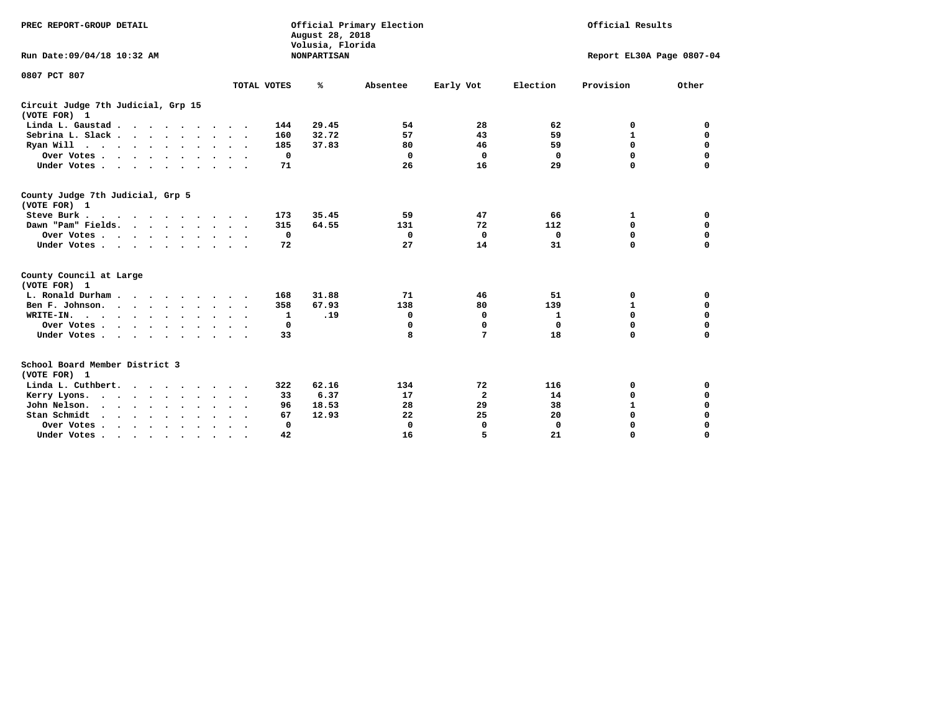| PREC REPORT-GROUP DETAIL                                                |                                     | Official Primary Election<br>Official Results<br>August 28, 2018<br>Volusia, Florida |             |              |              |                           |             |  |  |  |
|-------------------------------------------------------------------------|-------------------------------------|--------------------------------------------------------------------------------------|-------------|--------------|--------------|---------------------------|-------------|--|--|--|
| Run Date: 09/04/18 10:32 AM                                             |                                     | <b>NONPARTISAN</b>                                                                   |             |              |              | Report EL30A Page 0807-04 |             |  |  |  |
| 0807 PCT 807                                                            | TOTAL VOTES                         | ℁                                                                                    | Absentee    | Early Vot    | Election     | Provision                 | Other       |  |  |  |
|                                                                         |                                     |                                                                                      |             |              |              |                           |             |  |  |  |
| Circuit Judge 7th Judicial, Grp 15<br>(VOTE FOR) 1                      |                                     |                                                                                      |             |              |              |                           |             |  |  |  |
| Linda L. Gaustad                                                        | 144<br>$\ddot{\phantom{1}}$         | 29.45                                                                                | 54          | 28           | 62           | 0                         | 0           |  |  |  |
| Sebrina L. Slack                                                        | 160                                 | 32.72                                                                                | 57          | 43           | 59           | $\mathbf{1}$              | $\mathbf 0$ |  |  |  |
| Ryan Will $\cdots$ $\cdots$ $\cdots$ $\cdots$                           | 185                                 | 37.83                                                                                | 80          | 46           | 59           | 0                         | 0           |  |  |  |
| Over Votes                                                              | 0                                   |                                                                                      | 0           | 0            | 0            | 0                         | 0           |  |  |  |
| Under Votes                                                             | 71                                  |                                                                                      | 26          | 16           | 29           | 0                         | $\mathbf 0$ |  |  |  |
| County Judge 7th Judicial, Grp 5<br>(VOTE FOR) 1                        |                                     |                                                                                      |             |              |              |                           |             |  |  |  |
| Steve Burk .<br>$\cdots$                                                | 173                                 | 35.45                                                                                | 59          | 47           | 66           | 1                         | 0           |  |  |  |
| Dawn "Pam" Fields.                                                      | 315                                 | 64.55                                                                                | 131         | 72           | 112          | 0                         | 0           |  |  |  |
| Over Votes                                                              | 0                                   |                                                                                      | 0           | 0            | 0            | 0                         | 0           |  |  |  |
| Under Votes                                                             | 72<br>$\sim$ $\sim$                 |                                                                                      | 27          | 14           | 31           | 0                         | 0           |  |  |  |
| County Council at Large<br>(VOTE FOR) 1                                 |                                     |                                                                                      |             |              |              |                           |             |  |  |  |
| L. Ronald Durham                                                        | 168                                 | 31.88                                                                                | 71          | 46           | 51           | $\mathbf{o}$              | 0           |  |  |  |
| Ben F. Johnson.                                                         | 358                                 | 67.93                                                                                | 138         | 80           | 139          | 1                         | 0           |  |  |  |
| WRITE-IN.<br>$\cdots$                                                   | 1                                   | .19                                                                                  | $\mathbf 0$ | 0            | $\mathbf{1}$ | $\mathbf 0$               | 0           |  |  |  |
| Over Votes                                                              | 0                                   |                                                                                      | 0           | 0            | $\mathbf 0$  | $\mathbf 0$               | $\mathbf 0$ |  |  |  |
| Under Votes                                                             | 33                                  |                                                                                      | 8           | 7            | 18           | $\Omega$                  | $\mathbf 0$ |  |  |  |
| School Board Member District 3<br>(VOTE FOR) 1                          |                                     |                                                                                      |             |              |              |                           |             |  |  |  |
| Linda L. Cuthbert.                                                      | 322                                 | 62.16                                                                                | 134         | 72           | 116          | 0                         | 0           |  |  |  |
| Kerry Lyons.                                                            | 33                                  | 6.37                                                                                 | 17          | $\mathbf{2}$ | 14           | 0                         | 0           |  |  |  |
| John Nelson.<br>$\cdot$ $\cdot$ $\cdot$ $\cdot$ $\cdot$ $\cdot$ $\cdot$ | 96                                  | 18.53                                                                                | 28          | 29           | 38           | $\mathbf{1}$              | 0           |  |  |  |
| Stan Schmidt<br>$\sim$ $\sim$ $\sim$ $\sim$ $\sim$<br>$\sim$            | 67                                  | 12.93                                                                                | 22          | 25           | 20           | 0                         | 0           |  |  |  |
| Over Votes                                                              | $\mathbf 0$<br>$\ddot{\phantom{1}}$ |                                                                                      | 0           | 0            | 0            | 0                         | 0           |  |  |  |
| Under Votes.                                                            | 42                                  |                                                                                      | 16          | 5            | 21           | $\Omega$                  | $\Omega$    |  |  |  |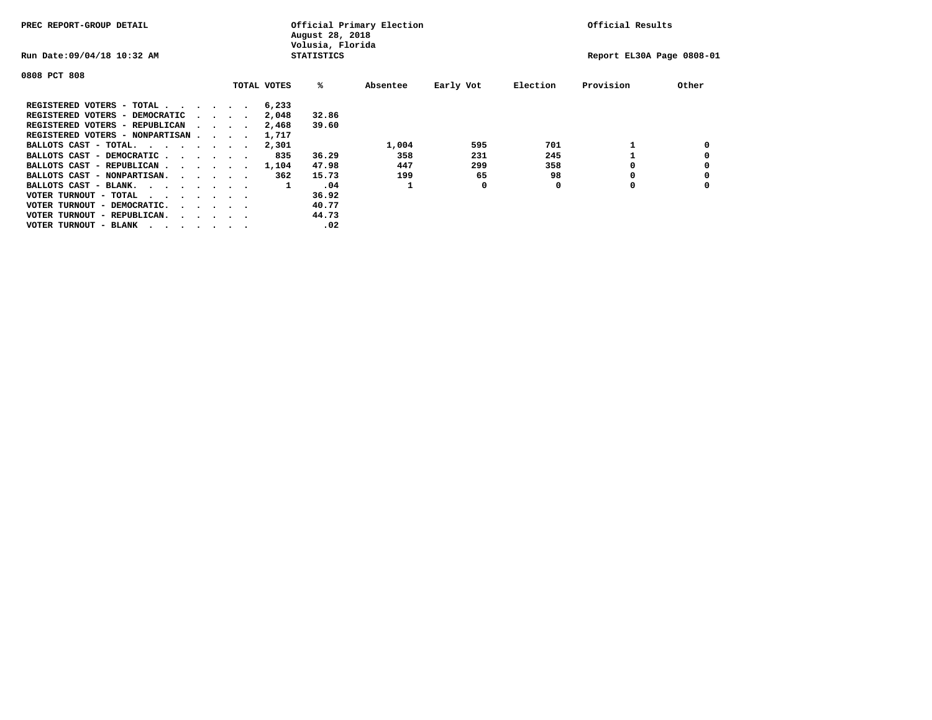| PREC REPORT-GROUP DETAIL               |  |                                         |  | Official Primary Election<br>August 28, 2018<br>Volusia, Florida | Official Results  |          |           |          |                           |       |
|----------------------------------------|--|-----------------------------------------|--|------------------------------------------------------------------|-------------------|----------|-----------|----------|---------------------------|-------|
| Run Date: 09/04/18 10:32 AM            |  |                                         |  |                                                                  | <b>STATISTICS</b> |          |           |          | Report EL30A Page 0808-01 |       |
| 0808 PCT 808                           |  |                                         |  |                                                                  |                   |          |           |          |                           |       |
|                                        |  |                                         |  | TOTAL VOTES                                                      | %ะ                | Absentee | Early Vot | Election | Provision                 | Other |
| REGISTERED VOTERS - TOTAL              |  |                                         |  | 6,233                                                            |                   |          |           |          |                           |       |
| REGISTERED VOTERS - DEMOCRATIC         |  | $\sim$ $\sim$ $\sim$ $\sim$             |  | 2,048                                                            | 32.86             |          |           |          |                           |       |
| REGISTERED VOTERS - REPUBLICAN         |  |                                         |  | 2,468                                                            | 39.60             |          |           |          |                           |       |
| REGISTERED VOTERS - NONPARTISAN        |  |                                         |  | 1,717                                                            |                   |          |           |          |                           |       |
| BALLOTS CAST - TOTAL.                  |  |                                         |  | 2,301                                                            |                   | 1,004    | 595       | 701      |                           |       |
| BALLOTS CAST - DEMOCRATIC              |  |                                         |  | 835                                                              | 36.29             | 358      | 231       | 245      |                           |       |
| BALLOTS CAST - REPUBLICAN              |  |                                         |  | 1,104                                                            | 47.98             | 447      | 299       | 358      |                           |       |
| BALLOTS CAST - NONPARTISAN.            |  |                                         |  | 362                                                              | 15.73             | 199      | 65        | 98       |                           |       |
| BALLOTS CAST - BLANK.                  |  |                                         |  | 1                                                                | .04               |          | 0         | 0        | 0                         |       |
| VOTER TURNOUT - TOTAL<br>.             |  |                                         |  |                                                                  | 36.92             |          |           |          |                           |       |
| VOTER TURNOUT - DEMOCRATIC.            |  | $\cdot$ $\cdot$ $\cdot$ $\cdot$ $\cdot$ |  |                                                                  | 40.77             |          |           |          |                           |       |
| VOTER TURNOUT - REPUBLICAN.<br>$\cdot$ |  |                                         |  |                                                                  | 44.73             |          |           |          |                           |       |
| VOTER TURNOUT - BLANK                  |  |                                         |  |                                                                  | .02               |          |           |          |                           |       |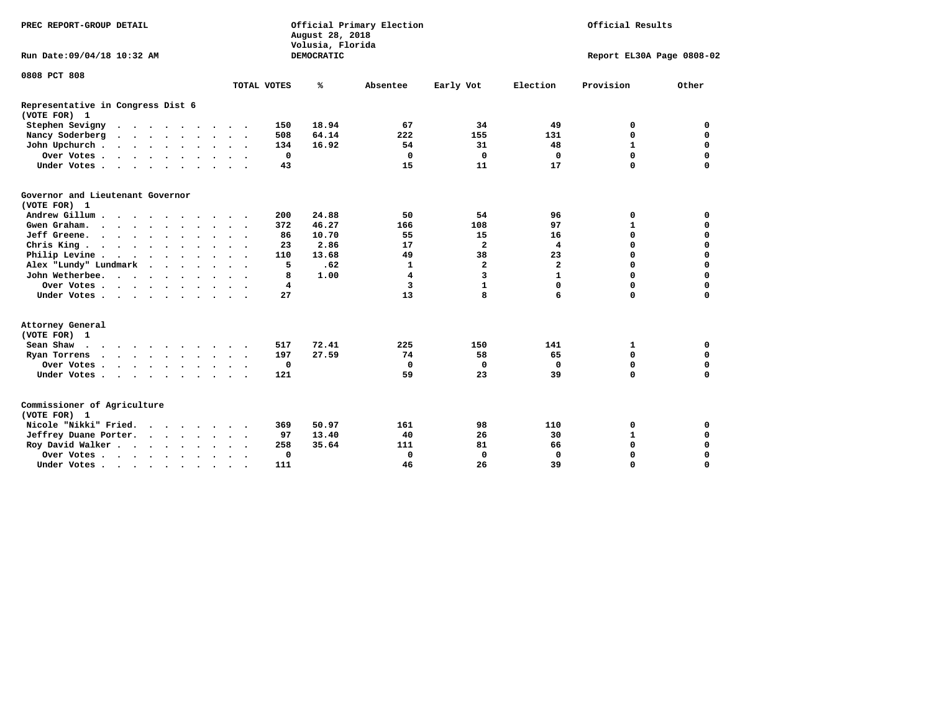| PREC REPORT-GROUP DETAIL                          |                                                             | August 28, 2018<br>Volusia, Florida | Official Primary Election | Official Results        |                |                           |             |
|---------------------------------------------------|-------------------------------------------------------------|-------------------------------------|---------------------------|-------------------------|----------------|---------------------------|-------------|
| Run Date: 09/04/18 10:32 AM                       |                                                             | <b>DEMOCRATIC</b>                   |                           |                         |                | Report EL30A Page 0808-02 |             |
| 0808 PCT 808                                      |                                                             |                                     |                           |                         |                |                           |             |
|                                                   | TOTAL VOTES                                                 | ℁                                   | Absentee                  | Early Vot               | Election       | Provision                 | Other       |
| Representative in Congress Dist 6<br>(VOTE FOR) 1 |                                                             |                                     |                           |                         |                |                           |             |
| Stephen Sevigny                                   | 150                                                         | 18.94                               | 67                        | 34                      | 49             | 0                         | 0           |
| Nancy Soderberg<br>$\cdots$                       | 508<br>$\sim$                                               | 64.14                               | 222                       | 155                     | 131            | $\Omega$                  | $\mathbf 0$ |
| John Upchurch                                     | 134                                                         | 16.92                               | 54                        | 31                      | 48             | $\mathbf{1}$              | 0           |
| Over Votes                                        | 0                                                           |                                     | 0                         | $\Omega$                | 0              | $\mathbf 0$               | $\mathbf 0$ |
| Under Votes                                       | 43                                                          |                                     | 15                        | 11                      | 17             | $\Omega$                  | $\Omega$    |
| Governor and Lieutenant Governor<br>(VOTE FOR) 1  |                                                             |                                     |                           |                         |                |                           |             |
| Andrew Gillum                                     | 200                                                         | 24.88                               | 50                        | 54                      | 96             | 0                         | 0           |
| Gwen Graham.                                      | 372<br>$\sim$                                               | 46.27                               | 166                       | 108                     | 97             | $\mathbf{1}$              | $\mathbf 0$ |
| Jeff Greene.                                      | 86                                                          | 10.70                               | 55                        | 15                      | 16             | 0                         | $\mathbf 0$ |
| Chris King                                        | 23<br>$\sim$ $\sim$                                         | 2.86                                | 17                        | $\overline{\mathbf{2}}$ | 4              | $\Omega$                  | $\mathbf 0$ |
| Philip Levine                                     | 110                                                         | 13.68                               | 49                        | 38                      | 23             | $\Omega$                  | $\mathbf 0$ |
| Alex "Lundy" Lundmark                             | 5                                                           | .62                                 | $\mathbf{1}$              | $\mathbf{2}$            | $\overline{a}$ | $\mathbf 0$               | $\mathbf 0$ |
| John Wetherbee.                                   | 8                                                           | 1.00                                | 4                         | 3                       | $\mathbf{1}$   | $\Omega$                  | $\Omega$    |
| Over Votes                                        | 4                                                           |                                     | 3                         | $\mathbf{1}$            | $\mathbf 0$    | $\Omega$                  | $\Omega$    |
| Under Votes                                       | 27                                                          |                                     | 13                        | 8                       | 6              | $\mathbf 0$               | $\mathbf 0$ |
| Attorney General<br>(VOTE FOR) 1                  |                                                             |                                     |                           |                         |                |                           |             |
| Sean Shaw                                         | 517<br>$\sim$ $\sim$<br>$\sim$                              | 72.41                               | 225                       | 150                     | 141            | 1                         | 0           |
| Ryan Torrens                                      | 197<br>$\cdot$ $\cdot$ $\cdot$                              | 27.59                               | 74                        | 58                      | 65             | $\mathbf 0$               | $\mathbf 0$ |
| Over Votes                                        | $\mathbf 0$<br>$\ddot{\phantom{1}}$<br>$\ddot{\phantom{1}}$ |                                     | $\mathbf 0$               | 0                       | 0              | 0                         | 0           |
| Under Votes                                       | 121<br>$\sim$                                               |                                     | 59                        | 23                      | 39             | $\Omega$                  | $\Omega$    |
| Commissioner of Agriculture<br>(VOTE FOR) 1       |                                                             |                                     |                           |                         |                |                           |             |
| Nicole "Nikki" Fried.                             | 369                                                         | 50.97                               | 161                       | 98                      | 110            | 0                         | 0           |
| Jeffrey Duane Porter.                             | 97                                                          | 13.40                               | 40                        | 26                      | 30             | $\mathbf{1}$              | $\mathbf 0$ |
| Roy David Walker                                  | 258                                                         | 35.64                               | 111                       | 81                      | 66             | $\mathbf 0$               | $\mathbf 0$ |
| Over Votes                                        | $\mathbf 0$<br>$\bullet$<br>$\bullet$<br>$\bullet$          |                                     | $\mathbf 0$               | $\mathbf 0$             | $\Omega$       | $\Omega$                  | $\Omega$    |
| Under Votes                                       | 111<br>$\ddot{\phantom{1}}$                                 |                                     | 46                        | 26                      | 39             | $\Omega$                  | $\mathbf 0$ |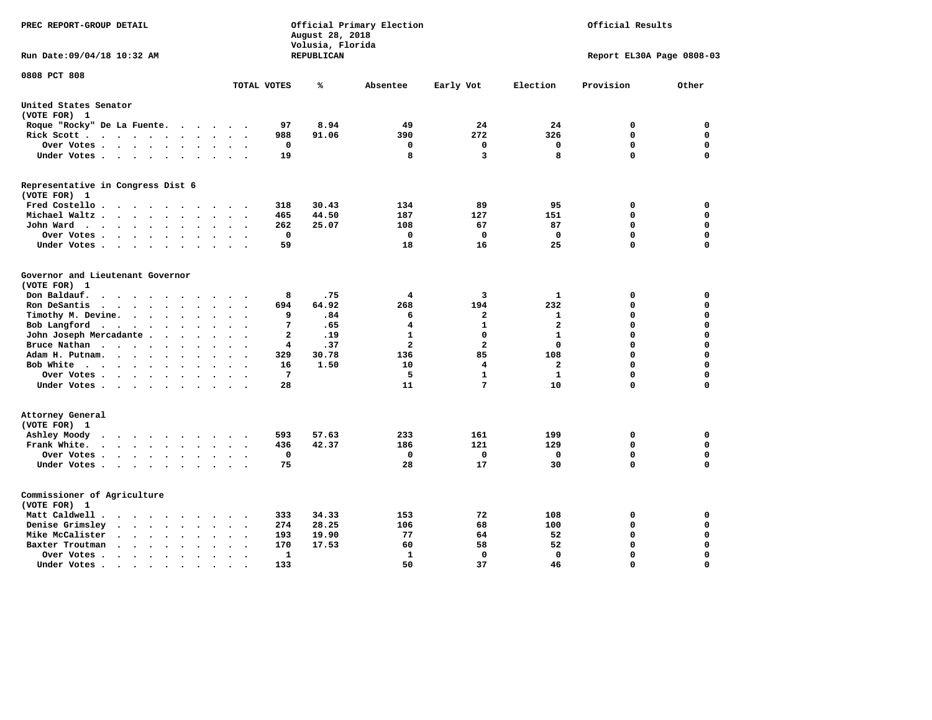| PREC REPORT-GROUP DETAIL                                                                                                                                |                               | August 28, 2018<br>Volusia, Florida | Official Primary Election |                 | Official Results |                           |             |  |
|---------------------------------------------------------------------------------------------------------------------------------------------------------|-------------------------------|-------------------------------------|---------------------------|-----------------|------------------|---------------------------|-------------|--|
| Run Date:09/04/18 10:32 AM                                                                                                                              |                               | REPUBLICAN                          |                           |                 |                  | Report EL30A Page 0808-03 |             |  |
| 0808 PCT 808                                                                                                                                            | TOTAL VOTES                   | ℁                                   | Absentee                  | Early Vot       | Election         | Provision                 | Other       |  |
| United States Senator                                                                                                                                   |                               |                                     |                           |                 |                  |                           |             |  |
| (VOTE FOR) 1                                                                                                                                            |                               |                                     |                           |                 |                  |                           |             |  |
| Roque "Rocky" De La Fuente.<br>$\overline{\phantom{a}}$<br>$\sim$<br>$\ddot{\phantom{a}}$                                                               | 97<br>$\sim$                  | 8.94                                | 49                        | 24              | 24               | 0                         | 0           |  |
| Rick Scott<br>$\bullet$<br>$\cdot$                                                                                                                      | 988                           | 91.06                               | 390                       | 272             | 326              | $\mathbf 0$               | $\mathbf 0$ |  |
| Over Votes<br>$\ddot{\phantom{0}}$<br>$\ddot{\phantom{0}}$                                                                                              | 0<br>$\bullet$                |                                     | 0                         | 0               | $\mathbf 0$      | $\mathbf 0$               | $\mathbf 0$ |  |
| Under Votes<br>$\sim$<br>$\sim$                                                                                                                         | 19<br>$\sim$                  |                                     | 8                         | 3               | 8                | $\mathbf 0$               | $\mathbf 0$ |  |
| Representative in Congress Dist 6<br>(VOTE FOR) 1                                                                                                       |                               |                                     |                           |                 |                  |                           |             |  |
| Fred Costello                                                                                                                                           | 318                           | 30.43                               | 134                       | 89              | 95               | 0                         | 0           |  |
| Michael Waltz<br>$\ddot{\phantom{a}}$<br>$\ddot{\phantom{a}}$<br>$\ddot{\phantom{a}}$                                                                   | 465                           | 44.50                               | 187                       | 127             | 151              | 0                         | $\mathbf 0$ |  |
| John Ward<br>$\ddot{\phantom{1}}$<br>$\bullet$<br>$\bullet$<br>$\bullet$                                                                                | 262<br>$\bullet$              | 25.07                               | 108                       | 67              | 87               | 0                         | $\mathbf 0$ |  |
| Over Votes.<br>$\ddot{\phantom{0}}$<br>$\cdot$<br>$\ddot{\phantom{0}}$<br>$\bullet$                                                                     | 0                             |                                     | 0                         | 0               | 0                | 0                         | 0           |  |
| Under Votes<br>$\cdot$<br>$\bullet$                                                                                                                     | 59                            |                                     | 18                        | 16              | 25               | $\Omega$                  | $\mathbf 0$ |  |
| Governor and Lieutenant Governor<br>(VOTE FOR) 1<br>Don Baldauf.<br>$\ddotsc$ $\ddotsc$<br>$\ddot{\phantom{a}}$                                         | 8                             | .75                                 | 4                         | 3               | 1                | 0                         | 0           |  |
| Ron DeSantis<br>$\cdot$ $\cdot$ $\cdot$                                                                                                                 | 694                           | 64.92                               | 268                       | 194             | 232              | $\mathbf 0$               | $\mathbf 0$ |  |
| Timothy M. Devine.<br>$\ddot{\phantom{1}}$<br>$\ddot{\phantom{0}}$<br>$\ddot{\phantom{a}}$<br>$\ddot{\phantom{a}}$<br>$\bullet$<br>$\ddot{\phantom{a}}$ | 9<br>$\ddot{\phantom{a}}$     | .84                                 | 6                         | $\mathbf{2}$    | $\mathbf 1$      | 0                         | $\mathbf 0$ |  |
| Bob Langford<br>$\blacksquare$<br>$\ddot{\phantom{a}}$<br>$\bullet$<br>$\bullet$                                                                        | 7                             | .65                                 | 4                         | $\mathbf{1}$    | $\mathbf{2}$     | 0                         | $\mathbf 0$ |  |
| John Joseph Mercadante .<br>$\ddot{\phantom{a}}$<br>$\ddot{\phantom{a}}$                                                                                | $\overline{a}$                | .19                                 | $\mathbf{1}$              | $\mathbf 0$     | $\mathbf{1}$     | 0                         | $\mathbf 0$ |  |
| Bruce Nathan<br>$\bullet$<br>$\overline{\phantom{a}}$<br>$\ddot{\phantom{a}}$                                                                           | 4                             | .37                                 | $\overline{\mathbf{2}}$   | $\overline{a}$  | $\mathbf 0$      | 0                         | $\mathbf 0$ |  |
| Adam H. Putnam.<br>$\ddot{\phantom{a}}$<br>$\ddot{\phantom{a}}$<br>$\sim$<br>$\sim$                                                                     | 329                           | 30.78                               | 136                       | 85              | 108              | 0                         | $\mathbf 0$ |  |
| Bob White<br>$\ddot{\phantom{a}}$<br>$\ddot{\phantom{a}}$<br>$\cdot$                                                                                    | 16<br>$\ddot{\phantom{a}}$    | 1.50                                | 10                        | 4               | $\mathbf{2}$     | 0                         | $\mathbf 0$ |  |
| Over Votes .<br>$\mathbf{z} = \mathbf{z} + \mathbf{z}$ .<br>$\bullet$<br>$\bullet$                                                                      | 7                             |                                     | 5                         | $\mathbf{1}$    | $\mathbf{1}$     | 0                         | $\mathbf 0$ |  |
| Under Votes<br>$\ddot{\phantom{1}}$                                                                                                                     | 28                            |                                     | 11                        | $7\phantom{.0}$ | 10               | 0                         | 0           |  |
| Attorney General<br>(VOTE FOR) 1                                                                                                                        |                               |                                     |                           |                 |                  |                           |             |  |
| Ashley Moody<br>$\cdot$ $\cdot$ $\cdot$ $\cdot$ $\cdot$<br>$\bullet$<br>$\sim$<br>$\cdot$                                                               | 593                           | 57.63                               | 233                       | 161             | 199              | 0                         | 0           |  |
| Frank White.<br>$\mathbf{r} = \mathbf{r} + \mathbf{r}$ , where $\mathbf{r}$<br>$\bullet$ .<br>$\bullet$<br>$\sim$                                       | 436                           | 42.37                               | 186                       | 121             | 129              | $\mathbf 0$               | $\mathbf 0$ |  |
| Over Votes .<br>$\mathbf{a}$ , and $\mathbf{a}$ , and $\mathbf{a}$<br>$\cdot$<br>$\bullet$<br>$\bullet$<br>$\bullet$                                    | $\mathbf 0$<br>$\bullet$      |                                     | 0                         | $\mathbf 0$     | 0                | 0                         | $\mathbf 0$ |  |
| Under Votes<br>$\sim$<br>$\ddot{\phantom{0}}$<br>$\ddot{\phantom{a}}$                                                                                   | 75<br>$\bullet$               |                                     | 28                        | 17              | 30               | 0                         | $\mathbf 0$ |  |
| Commissioner of Agriculture<br>(VOTE FOR) 1                                                                                                             |                               |                                     |                           |                 |                  |                           |             |  |
| Matt Caldwell.<br>$\cdot$ $\cdot$ $\cdot$ $\cdot$                                                                                                       | 333                           | 34.33                               | 153                       | 72              | 108              | 0                         | 0           |  |
| Denise Grimsley<br>$\ddot{\phantom{a}}$<br>$\sim$<br>$\ddot{\phantom{a}}$                                                                               | 274                           | 28.25                               | 106                       | 68              | 100              | $\mathbf 0$               | $\mathbf 0$ |  |
| Mike McCalister<br>$\sim$<br>$\sim$<br>$\bullet$<br>$\sim$<br>$\bullet$<br>$\ddot{\phantom{a}}$                                                         | 193<br>$\ddot{\phantom{0}}$   | 19.90                               | 77                        | 64              | 52               | 0                         | $\Omega$    |  |
| Baxter Troutman<br>$\ddot{\phantom{a}}$<br>$\ddot{\phantom{a}}$                                                                                         | 170                           | 17.53                               | 60                        | 58              | 52               | $\Omega$                  | $\mathbf 0$ |  |
| Over Votes.<br>$\sim$ $\sim$<br>$\ddot{\phantom{1}}$<br>$\ddot{\phantom{a}}$<br>$\ddot{\phantom{a}}$                                                    | 1<br>$\overline{\phantom{a}}$ |                                     | 1                         | 0               | $\mathbf 0$      | 0                         | $\mathbf 0$ |  |
| Under Votes.<br>$\bullet$ . $\bullet$<br>$\sim$<br>$\bullet$<br>$\bullet$                                                                               | 133                           |                                     | 50                        | 37              | 46               | $\Omega$                  | $\Omega$    |  |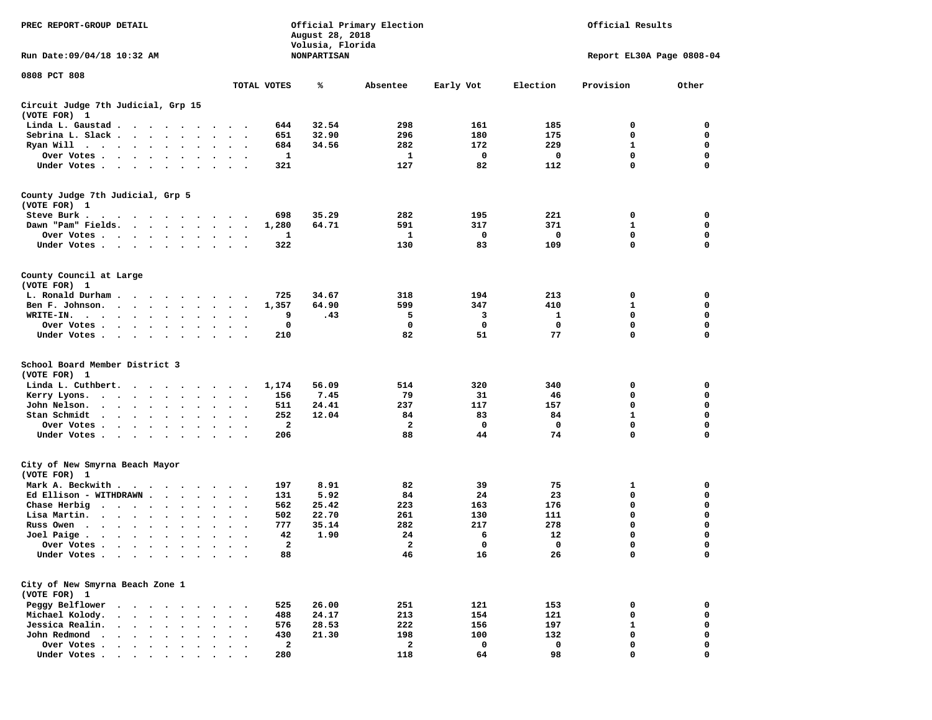| PREC REPORT-GROUP DETAIL                                                                                                                                                                                                                          |                                                     | August 28, 2018<br>Volusia, Florida | Official Primary Election | Official Results |          |                           |       |
|---------------------------------------------------------------------------------------------------------------------------------------------------------------------------------------------------------------------------------------------------|-----------------------------------------------------|-------------------------------------|---------------------------|------------------|----------|---------------------------|-------|
| Run Date: 09/04/18 10:32 AM                                                                                                                                                                                                                       |                                                     | <b>NONPARTISAN</b>                  |                           |                  |          | Report EL30A Page 0808-04 |       |
| 0808 PCT 808                                                                                                                                                                                                                                      |                                                     |                                     |                           |                  |          |                           |       |
|                                                                                                                                                                                                                                                   | TOTAL VOTES                                         | ℁                                   | Absentee                  | Early Vot        | Election | Provision                 | Other |
| Circuit Judge 7th Judicial, Grp 15<br>(VOTE FOR) 1                                                                                                                                                                                                |                                                     |                                     |                           |                  |          |                           |       |
| Linda L. Gaustad                                                                                                                                                                                                                                  | 644                                                 | 32.54                               | 298                       | 161              | 185      | 0                         | 0     |
| Sebrina L. Slack                                                                                                                                                                                                                                  | 651<br>$\sim$<br>$\sim$ $\sim$                      | 32.90                               | 296                       | 180              | 175      | 0                         | 0     |
| Ryan Will $\cdots$ $\cdots$ $\cdots$                                                                                                                                                                                                              | 684                                                 | 34.56                               | 282                       | 172              | 229      | 1                         | 0     |
| Over Votes                                                                                                                                                                                                                                        | 1<br>$\bullet$                                      |                                     | 1                         | 0                | 0        | 0                         | 0     |
| Under Votes                                                                                                                                                                                                                                       | 321                                                 |                                     | 127                       | 82               | 112      | 0                         | 0     |
| County Judge 7th Judicial, Grp 5                                                                                                                                                                                                                  |                                                     |                                     |                           |                  |          |                           |       |
| (VOTE FOR) 1                                                                                                                                                                                                                                      |                                                     |                                     |                           |                  |          |                           |       |
| Steve Burk.                                                                                                                                                                                                                                       | 698                                                 | 35.29                               | 282                       | 195              | 221      | 0                         | 0     |
| Dawn "Pam" Fields.                                                                                                                                                                                                                                | 1,280<br>$\ddot{\phantom{1}}$                       | 64.71                               | 591                       | 317              | 371      | $\mathbf{1}$              | 0     |
| Over Votes                                                                                                                                                                                                                                        | 1                                                   |                                     | 1                         | 0                | 0        | 0                         | 0     |
| Under Votes                                                                                                                                                                                                                                       | 322<br>$\bullet$<br>$\cdot$ $\cdot$                 |                                     | 130                       | 83               | 109      | 0                         | 0     |
| County Council at Large                                                                                                                                                                                                                           |                                                     |                                     |                           |                  |          |                           |       |
| (VOTE FOR) 1                                                                                                                                                                                                                                      |                                                     |                                     |                           |                  |          |                           |       |
| L. Ronald Durham                                                                                                                                                                                                                                  | 725<br>$\sim$ $\sim$                                | 34.67                               | 318                       | 194              | 213      | 0                         | 0     |
| Ben F. Johnson.                                                                                                                                                                                                                                   | 1,357<br>$\sim$                                     | 64.90                               | 599                       | 347              | 410      | 1                         | 0     |
| WRITE-IN.<br><u>in the contract of the contract of the contract of the contract of the contract of the contract of the contract of the contract of the contract of the contract of the contract of the contract of the contract of the contra</u> | 9                                                   | .43                                 | 5                         | 3                | 1        | 0                         | 0     |
| Over Votes<br>$\ddot{\phantom{0}}$                                                                                                                                                                                                                | 0                                                   |                                     | 0                         | 0                | 0        | 0                         | 0     |
| Under Votes                                                                                                                                                                                                                                       | 210<br>$\sim$<br>$\sim$ $\sim$                      |                                     | 82                        | 51               | 77       | 0                         | 0     |
| School Board Member District 3                                                                                                                                                                                                                    |                                                     |                                     |                           |                  |          |                           |       |
| (VOTE FOR) 1                                                                                                                                                                                                                                      |                                                     |                                     |                           |                  |          |                           |       |
| Linda L. Cuthbert.<br>.                                                                                                                                                                                                                           | 1,174                                               | 56.09                               | 514                       | 320              | 340      | 0                         | 0     |
| Kerry Lyons.<br>.                                                                                                                                                                                                                                 | 156<br>$\ddot{\phantom{1}}$                         | 7.45                                | 79                        | 31               | 46       | 0                         | 0     |
| John Nelson.<br>$\cdot$ $\cdot$ $\cdot$ $\cdot$ $\cdot$<br>$\bullet$                                                                                                                                                                              | 511                                                 | 24.41                               | 237                       | 117              | 157      | $\mathbf 0$               | 0     |
| Stan Schmidt<br>$\cdots$<br>$\bullet$<br>$\bullet$                                                                                                                                                                                                | 252<br>$\bullet$<br>$\sim$ $\sim$                   | 12.04                               | 84                        | 83               | 84       | 1                         | 0     |
| Over Votes<br>$\bullet$<br>$\cdot$                                                                                                                                                                                                                | 2                                                   |                                     | 2                         | 0                | 0        | 0                         | 0     |
| Under Votes                                                                                                                                                                                                                                       | 206<br>$\ddot{\phantom{0}}$<br>$\ddot{\phantom{1}}$ |                                     | 88                        | 44               | 74       | $\mathbf 0$               | 0     |
| City of New Smyrna Beach Mayor                                                                                                                                                                                                                    |                                                     |                                     |                           |                  |          |                           |       |
| (VOTE FOR) 1                                                                                                                                                                                                                                      |                                                     |                                     |                           |                  |          |                           |       |
| Mark A. Beckwith                                                                                                                                                                                                                                  | 197<br>$\cdots$                                     | 8.91                                | 82                        | 39               | 75       | 1                         | 0     |
| Ed Ellison - WITHDRAWN<br>$\ddot{\phantom{1}}$                                                                                                                                                                                                    | 131                                                 | 5.92                                | 84                        | 24               | 23       | 0                         | 0     |
| Chase Herbig<br>$\cdot$<br>$\bullet$                                                                                                                                                                                                              | 562                                                 | 25.42                               | 223                       | 163              | 176      | 0                         | 0     |
| Lisa Martin.<br>$\bullet$<br>$\bullet$                                                                                                                                                                                                            | 502                                                 | 22.70                               | 261                       | 130              | 111      | 0                         | 0     |
| Russ Owen                                                                                                                                                                                                                                         | 777                                                 | 35.14                               | 282                       | 217              | 278      | 0                         | 0     |
| Joel Paige $\cdots$ $\cdots$<br>$\bullet$<br>$\bullet$<br>$\bullet$                                                                                                                                                                               | 42<br>$\bullet$<br>$\ddot{\phantom{1}}$             | 1.90                                | 24                        | 6                | 12       | 0                         | 0     |
| Over Votes                                                                                                                                                                                                                                        | $\mathbf{2}$                                        |                                     | $\boldsymbol{z}$          | 0                | $\Omega$ | $\Omega$                  | 0     |
| Under Votes                                                                                                                                                                                                                                       | 88                                                  |                                     | 46                        | 16               | 26       | 0                         | 0     |
| City of New Smyrna Beach Zone 1                                                                                                                                                                                                                   |                                                     |                                     |                           |                  |          |                           |       |
| (VOTE FOR) 1                                                                                                                                                                                                                                      |                                                     |                                     |                           |                  |          |                           |       |
| Peggy Belflower<br>$\cdot$<br>$\sim$ $\sim$<br>$\ddot{\phantom{1}}$                                                                                                                                                                               | 525                                                 | 26.00                               | 251                       | 121              | 153      | 0                         | 0     |
| Michael Kolody.<br>$\cdot$<br>$\ddot{\phantom{0}}$<br>$\mathbf{r}$                                                                                                                                                                                | 488                                                 | 24.17                               | 213                       | 154              | 121      | 0                         | 0     |
| Jessica Realin.<br>$\cdot$ $\cdot$ $\cdot$ $\cdot$                                                                                                                                                                                                | 576                                                 | 28.53                               | 222                       | 156              | 197      | 1                         | 0     |
| John Redmond<br>$\cdots$ $\cdots$<br>$\bullet$<br>$\cdot$                                                                                                                                                                                         | 430                                                 | 21.30                               | 198                       | 100              | 132      | 0                         | 0     |
| Over Votes<br>$\mathbf{r}$ . The set of the set of $\mathbf{r}$                                                                                                                                                                                   | $\mathbf{2}$                                        |                                     | $\mathbf{2}$              | 0                | 0        | 0                         | 0     |
| Under Votes                                                                                                                                                                                                                                       | 280                                                 |                                     | 118                       | 64               | 98       | 0                         | O     |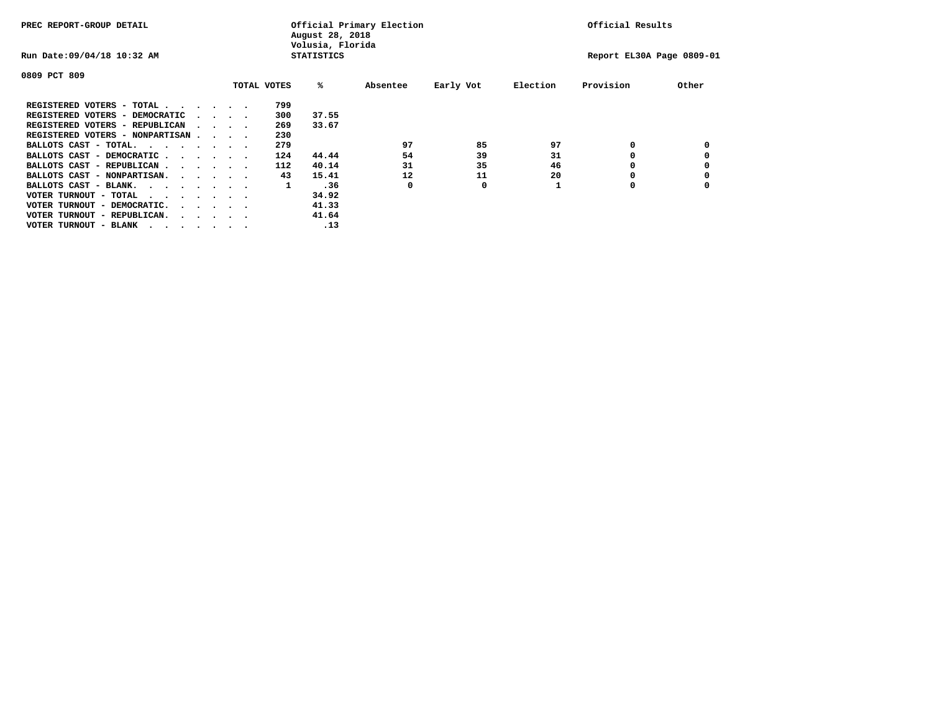| PREC REPORT-GROUP DETAIL               |  |  |                                         |  | Official Primary Election<br>August 28, 2018<br>Volusia, Florida | Official Results  |          |           |          |                           |       |
|----------------------------------------|--|--|-----------------------------------------|--|------------------------------------------------------------------|-------------------|----------|-----------|----------|---------------------------|-------|
| Run Date: 09/04/18 10:32 AM            |  |  |                                         |  |                                                                  | <b>STATISTICS</b> |          |           |          | Report EL30A Page 0809-01 |       |
| 0809 PCT 809                           |  |  |                                         |  |                                                                  |                   |          |           |          |                           |       |
|                                        |  |  |                                         |  | TOTAL VOTES                                                      | %ะ                | Absentee | Early Vot | Election | Provision                 | Other |
| REGISTERED VOTERS - TOTAL              |  |  |                                         |  | 799                                                              |                   |          |           |          |                           |       |
| REGISTERED VOTERS - DEMOCRATIC         |  |  | $\sim$ $\sim$ $\sim$ $\sim$             |  | 300                                                              | 37.55             |          |           |          |                           |       |
| REGISTERED VOTERS - REPUBLICAN         |  |  | $\sim$ $\sim$ $\sim$ $\sim$             |  | 269                                                              | 33.67             |          |           |          |                           |       |
| REGISTERED VOTERS - NONPARTISAN        |  |  |                                         |  | 230                                                              |                   |          |           |          |                           |       |
| BALLOTS CAST - TOTAL.                  |  |  |                                         |  | 279                                                              |                   | 97       | 85        | 97       | 0                         |       |
| BALLOTS CAST - DEMOCRATIC              |  |  |                                         |  | 124                                                              | 44.44             | 54       | 39        | 31       |                           |       |
| BALLOTS CAST - REPUBLICAN              |  |  |                                         |  | 112                                                              | 40.14             | 31       | 35        | 46       | 0                         |       |
| BALLOTS CAST - NONPARTISAN.            |  |  |                                         |  | 43                                                               | 15.41             | 12       | 11        | 20       |                           |       |
| BALLOTS CAST - BLANK.                  |  |  |                                         |  | 1                                                                | .36               | 0        | 0         |          | 0                         |       |
| VOTER TURNOUT - TOTAL<br>.             |  |  |                                         |  |                                                                  | 34.92             |          |           |          |                           |       |
| VOTER TURNOUT - DEMOCRATIC.            |  |  | $\cdot$ $\cdot$ $\cdot$ $\cdot$ $\cdot$ |  |                                                                  | 41.33             |          |           |          |                           |       |
| VOTER TURNOUT - REPUBLICAN.<br>$\cdot$ |  |  |                                         |  |                                                                  | 41.64             |          |           |          |                           |       |
| VOTER TURNOUT - BLANK                  |  |  |                                         |  |                                                                  | .13               |          |           |          |                           |       |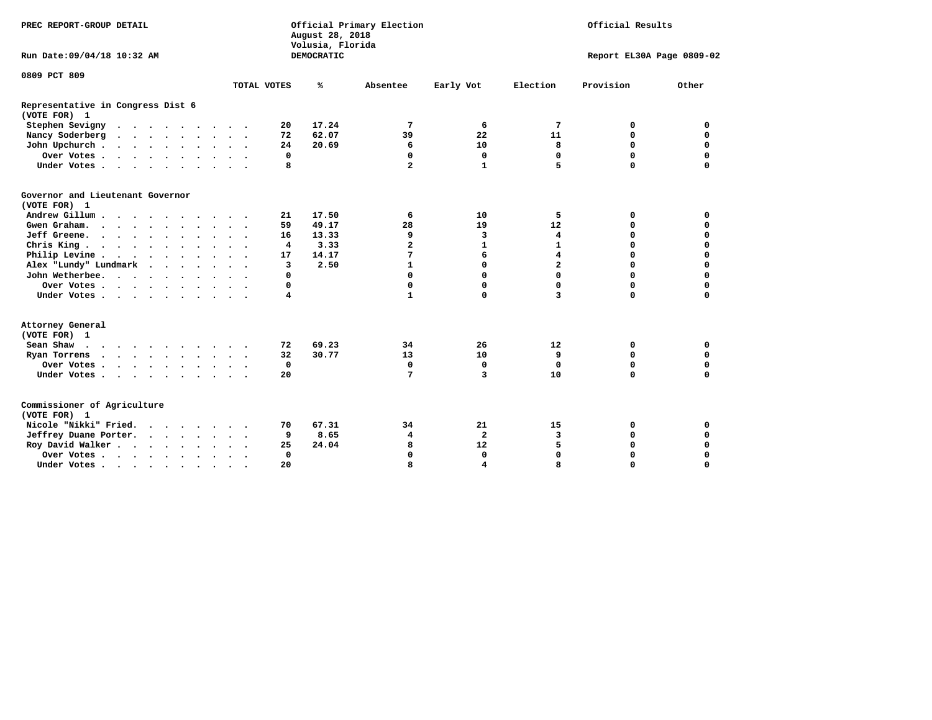| PREC REPORT-GROUP DETAIL                          |                                               | Official Primary Election<br>August 28, 2018<br>Volusia, Florida | Official Results             |                            |  |  |
|---------------------------------------------------|-----------------------------------------------|------------------------------------------------------------------|------------------------------|----------------------------|--|--|
| Run Date: 09/04/18 10:32 AM                       |                                               | DEMOCRATIC                                                       |                              | Report EL30A Page 0809-02  |  |  |
| 0809 PCT 809                                      |                                               |                                                                  |                              |                            |  |  |
|                                                   | TOTAL VOTES                                   | ℁<br>Absentee                                                    | Early Vot<br>Election        | Provision<br>Other         |  |  |
| Representative in Congress Dist 6<br>(VOTE FOR) 1 |                                               |                                                                  |                              |                            |  |  |
| Stephen Sevigny                                   | 20                                            | 17.24<br>7                                                       | 7<br>6                       | 0<br>0                     |  |  |
| Nancy Soderberg                                   | 72                                            | 62.07<br>39                                                      | 22<br>11                     | $\mathbf 0$<br>$\mathbf 0$ |  |  |
| John Upchurch                                     | 24                                            | 20.69<br>6                                                       | 10<br>8                      | $\mathbf 0$<br>$\mathbf 0$ |  |  |
| Over Votes                                        | $\mathbf 0$                                   | $\mathbf 0$                                                      | $\mathbf 0$<br>0             | $\mathbf 0$<br>$\mathbf 0$ |  |  |
| Under Votes                                       | 8                                             | $\overline{a}$                                                   | $\mathbf{1}$<br>5.           | $\Omega$<br>$\mathbf 0$    |  |  |
| Governor and Lieutenant Governor<br>(VOTE FOR) 1  |                                               |                                                                  |                              |                            |  |  |
| Andrew Gillum                                     | 21<br>$\cdot$                                 | 17.50<br>6                                                       | 5<br>10                      | 0<br>0                     |  |  |
| Gwen Graham.                                      | 59                                            | 49.17<br>28                                                      | 19<br>12                     | 0<br>0                     |  |  |
| Jeff Greene.                                      | 16                                            | 13.33<br>9                                                       | 3<br>4                       | $\mathbf 0$<br>$\mathbf 0$ |  |  |
| Chris King                                        | 4                                             | 3.33<br>$\overline{\mathbf{2}}$                                  | $\mathbf{1}$<br>$\mathbf{1}$ | $\mathbf 0$<br>$\mathbf 0$ |  |  |
| Philip Levine                                     | 17                                            | 7<br>14.17                                                       | 6<br>$\overline{\mathbf{4}}$ | $\mathbf 0$<br>$\mathbf 0$ |  |  |
| Alex "Lundy" Lundmark                             | 3                                             | 2.50<br>$\mathbf{1}$                                             | 0<br>$\overline{a}$          | $\mathbf 0$<br>$\mathbf 0$ |  |  |
| John Wetherbee.                                   | $\mathbf 0$                                   | $\Omega$                                                         | 0<br>$\Omega$                | $\mathbf 0$<br>0           |  |  |
| Over Votes                                        | 0                                             | 0                                                                | 0<br>0                       | $\mathbf 0$<br>0           |  |  |
| Under Votes                                       | 4                                             | $\mathbf{1}$                                                     | 0<br>3                       | $\mathbf 0$<br>$\mathbf 0$ |  |  |
| Attorney General<br>(VOTE FOR) 1                  |                                               |                                                                  |                              |                            |  |  |
| Sean Shaw                                         | 72                                            | 69.23<br>34                                                      | 12<br>26                     | $\mathbf 0$<br>0           |  |  |
| Ryan Torrens                                      | 32                                            | 30.77<br>13                                                      | 9<br>10                      | $\mathbf 0$<br>$\mathbf 0$ |  |  |
| Over Votes.                                       | $\mathbf 0$                                   | $\mathbf 0$                                                      | $\mathbf 0$<br>$\mathbf 0$   | $\mathbf 0$<br>$\mathbf 0$ |  |  |
| Under Votes                                       | 20                                            | 7                                                                | $\overline{3}$<br>10         | $\mathbf 0$<br>$\mathbf 0$ |  |  |
| Commissioner of Agriculture<br>(VOTE FOR) 1       |                                               |                                                                  |                              |                            |  |  |
| Nicole "Nikki" Fried.                             | 70                                            | 67.31<br>34                                                      | 21<br>15                     | 0<br>0                     |  |  |
| Jeffrey Duane Porter.                             | 9                                             | 8.65<br>4                                                        | $\overline{a}$<br>3          | $\mathbf 0$<br>0           |  |  |
| Roy David Walker                                  | 25                                            | 24.04<br>8                                                       | 5<br>12                      | $\mathbf 0$<br>$\mathbf 0$ |  |  |
| Over Votes                                        | $\Omega$<br>$\ddot{\phantom{a}}$<br>$\bullet$ | $\Omega$                                                         | 0<br>$\Omega$                | $\Omega$<br>$\mathbf 0$    |  |  |
| Under Votes                                       | 20<br>$\bullet$                               | 8                                                                | 4<br>8                       | 0<br>0                     |  |  |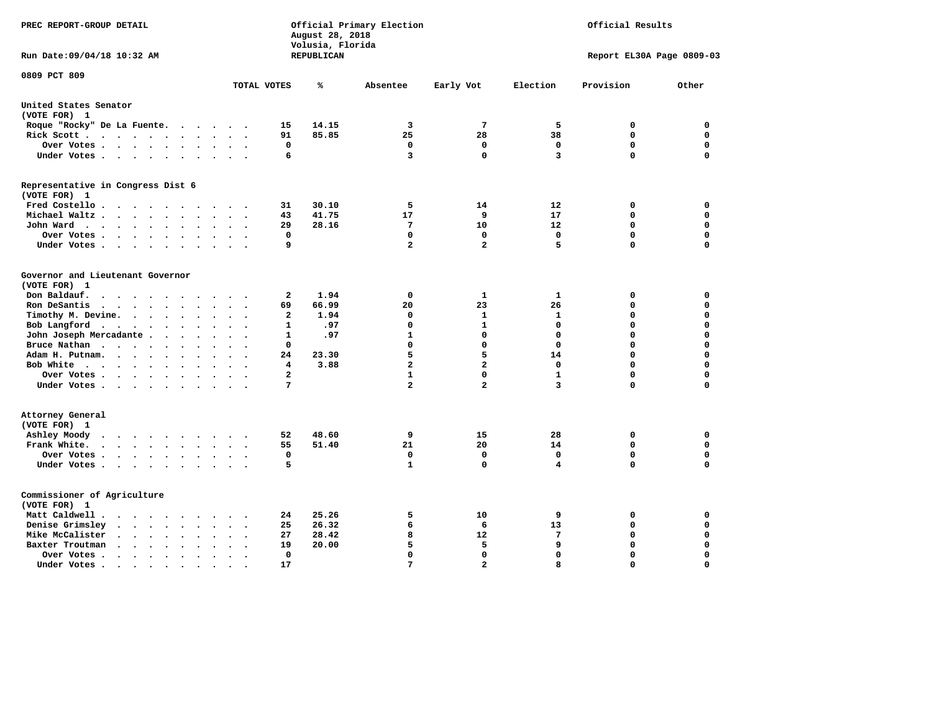| PREC REPORT-GROUP DETAIL                                                                                                |                | August 28, 2018<br>Volusia, Florida | Official Primary Election |                   | Official Results |                           |             |  |
|-------------------------------------------------------------------------------------------------------------------------|----------------|-------------------------------------|---------------------------|-------------------|------------------|---------------------------|-------------|--|
| Run Date: 09/04/18 10:32 AM                                                                                             |                | REPUBLICAN                          |                           |                   |                  | Report EL30A Page 0809-03 |             |  |
| 0809 PCT 809<br>TOTAL VOTES                                                                                             |                | ℁                                   | Absentee                  | Early Vot         | Election         | Provision                 | Other       |  |
| United States Senator                                                                                                   |                |                                     |                           |                   |                  |                           |             |  |
| (VOTE FOR) 1                                                                                                            |                |                                     |                           |                   |                  |                           |             |  |
| Roque "Rocky" De La Fuente.<br>$\cdots$                                                                                 | 15             | 14.15                               | 3                         | 7                 | 5                | 0                         | 0           |  |
| Rick Scott<br>$\ddot{\phantom{a}}$                                                                                      | 91             | 85.85                               | 25                        | 28                | 38               | 0                         | $\mathbf 0$ |  |
| Over Votes<br>$\bullet$<br>$\ddot{\phantom{0}}$<br>$\cdot$                                                              | $\mathbf 0$    |                                     | 0                         | $\mathbf 0$       | $\mathbf 0$      | $\mathbf 0$               | $\mathbf 0$ |  |
| Under Votes                                                                                                             | 6              |                                     | 3                         | $\mathbf 0$       | 3                | $\mathbf 0$               | $\Omega$    |  |
| Representative in Congress Dist 6<br>(VOTE FOR) 1                                                                       |                |                                     |                           |                   |                  |                           |             |  |
| Fred Costello                                                                                                           | 31             | 30.10                               | 5                         | 14                | 12               | 0                         | 0           |  |
| Michael Waltz<br>$\sim$                                                                                                 | 43             | 41.75                               | 17                        | 9                 | 17               | $\mathbf 0$               | $\mathbf 0$ |  |
| John Ward<br>$\bullet$ .<br>$\ddot{\phantom{1}}$                                                                        | 29             | 28.16                               | $7\phantom{.0}$           | 10                | 12               | $\mathbf 0$               | $\mathbf 0$ |  |
| Over Votes<br>$\bullet$<br>$\bullet$                                                                                    | $\mathbf 0$    |                                     | $\mathbf 0$               | $\Omega$          | $\mathbf 0$      | $\mathbf 0$               | $\mathbf 0$ |  |
| Under Votes<br>$\cdot$<br>$\cdot$                                                                                       | 9              |                                     | $\overline{\mathbf{2}}$   | $\overline{a}$    | 5                | 0                         | 0           |  |
| Governor and Lieutenant Governor<br>(VOTE FOR) 1<br>Don Baldauf.<br><b>Contract Contract Contract Contract</b>          | $\mathbf{2}$   | 1.94                                | 0                         | 1                 | 1                | 0                         | 0           |  |
| Ron DeSantis<br>$\bullet$                                                                                               | 69             | 66.99                               | 20                        | 23                | 26               | 0                         | $\mathbf 0$ |  |
| Timothy M. Devine.<br>$\sim$<br>$\ddot{\phantom{a}}$<br>$\bullet$<br>$\bullet$                                          | $\overline{a}$ | 1.94                                | 0                         | $\mathbf{1}$      | $\mathbf{1}$     | $\mathbf 0$               | $\mathbf 0$ |  |
| Bob Langford<br>$\cdot$ $\cdot$                                                                                         | 1              | .97                                 | $\Omega$                  | $\mathbf{1}$      | 0                | 0                         | $\mathbf 0$ |  |
| John Joseph Mercadante .<br>$\sim$ $\sim$<br>$\ddot{\phantom{a}}$                                                       | 1              | .97                                 | $\mathbf{1}$              | $\mathbf{0}$      | $\mathbf 0$      | $\mathbf 0$               | $\mathbf 0$ |  |
| Bruce Nathan<br>$\bullet$<br>$\bullet$<br>$\bullet$<br>$\ddot{\phantom{a}}$                                             | 0              |                                     | $\mathbf 0$               | $\mathbf{0}$      | $\mathbf 0$      | 0                         | $\mathbf 0$ |  |
| Adam H. Putnam.<br>$\cdot$<br>$\ddot{\phantom{a}}$                                                                      | 24             | 23.30                               | 5                         | 5                 | 14               | 0                         | $\mathbf 0$ |  |
| Bob White<br>$\ddot{\phantom{a}}$<br>$\sim$                                                                             | 4              | 3.88                                | $\overline{a}$            | $\overline{a}$    | 0                | $\mathbf 0$               | $\mathbf 0$ |  |
| Over Votes<br>$\ddot{\phantom{a}}$<br>$\bullet$                                                                         | $\overline{a}$ |                                     | 1                         | $\mathbf 0$       | 1                | $\mathbf 0$               | 0           |  |
| Under Votes                                                                                                             | 7              |                                     | $\overline{a}$            | $\overline{a}$    | 3                | 0                         | $\mathbf 0$ |  |
| Attorney General<br>(VOTE FOR) 1                                                                                        |                |                                     |                           |                   |                  |                           |             |  |
| Ashley Moody<br>$\sim$ $\sim$                                                                                           | 52             | 48.60                               | 9                         | 15                | 28               | 0                         | $\mathbf 0$ |  |
| Frank White.                                                                                                            | 55             | 51.40                               | 21                        | 20                | 14               | $\mathbf 0$               | $\mathbf 0$ |  |
| Over Votes.<br>$\cdots$<br>$\ddot{\phantom{0}}$<br>$\bullet$<br>$\ddot{\phantom{a}}$                                    | $\mathbf 0$    |                                     | 0                         | $\mathbf 0$       | $\mathbf 0$      | $\mathbf 0$               | $\mathbf 0$ |  |
| Under Votes<br>$\sim$ $\sim$                                                                                            | 5              |                                     | $\mathbf{1}$              | $\mathbf 0$       | 4                | $\mathbf 0$               | $\mathbf 0$ |  |
| Commissioner of Agriculture<br>(VOTE FOR) 1                                                                             |                |                                     |                           |                   |                  |                           |             |  |
| Matt Caldwell .                                                                                                         | 24             | 25.26                               | 5                         | 10                | 9                | 0                         | 0           |  |
| Denise Grimsley<br>$\cdot$ $\cdot$ $\cdot$<br>$\ddot{\phantom{a}}$<br>$\ddot{\phantom{a}}$                              | 25             | 26.32                               | 6                         | 6                 | 13               | $\mathbf 0$               | $\mathbf 0$ |  |
| Mike McCalister<br>$\mathbf{u} = \mathbf{u} + \mathbf{u} + \mathbf{u} + \mathbf{u}$<br>$\bullet$<br>$\bullet$<br>$\sim$ | 27             | 28.42                               | 8                         | $12 \overline{ }$ | 7                | 0                         | $\mathbf 0$ |  |
| Baxter Troutman<br>$\ddot{\phantom{a}}$<br>$\sim$                                                                       | 19             | 20.00                               | 5                         | 5                 | 9                | $\mathbf 0$               | $\mathbf 0$ |  |
| Over Votes.<br>$\cdots$<br>$\bullet$<br>$\cdot$<br>$\ddot{\phantom{a}}$                                                 | $\mathbf 0$    |                                     | $\mathbf 0$               | $\mathbf 0$       | $\mathbf 0$      | $\mathbf 0$               | $\mathbf 0$ |  |
| Under Votes.<br>$\sim$ $\sim$ $\sim$ $\sim$ $\sim$<br>$\bullet$<br>$\bullet$<br>$\bullet$                               | 17             |                                     | 7                         | $\mathbf{z}$      | 8                | $\Omega$                  | $\Omega$    |  |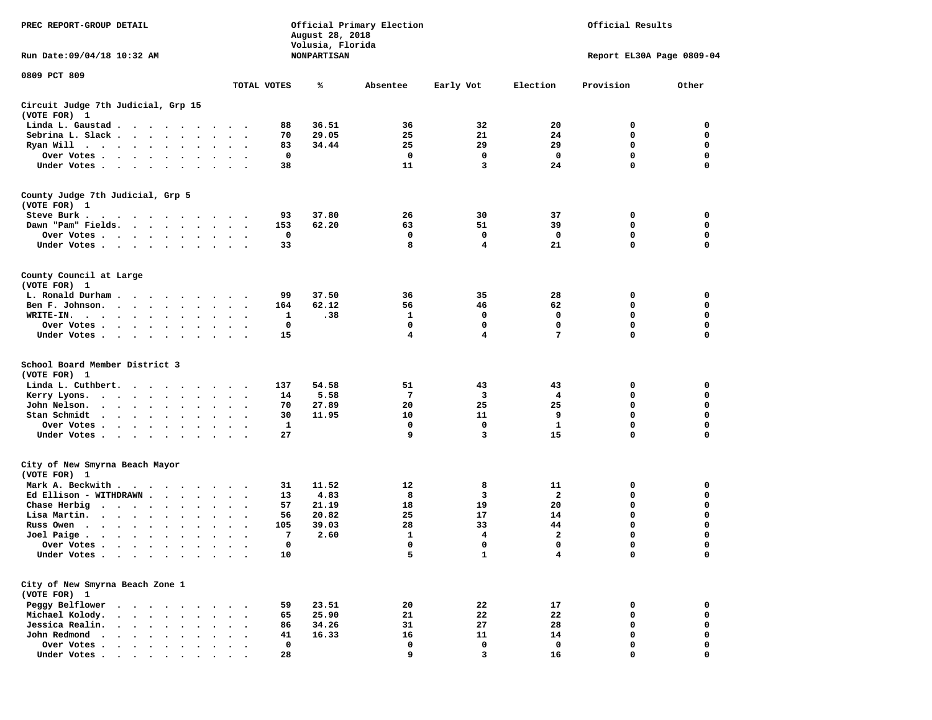| PREC REPORT-GROUP DETAIL<br>Run Date: 09/04/18 10:32 AM                    |                            | August 28, 2018<br>Volusia, Florida<br><b>NONPARTISAN</b> | Official Primary Election |              | Official Results<br>Report EL30A Page 0809-04 |             |             |
|----------------------------------------------------------------------------|----------------------------|-----------------------------------------------------------|---------------------------|--------------|-----------------------------------------------|-------------|-------------|
| 0809 PCT 809                                                               |                            |                                                           |                           |              |                                               |             |             |
|                                                                            | TOTAL VOTES                | ℁                                                         | Absentee                  | Early Vot    | Election                                      | Provision   | Other       |
| Circuit Judge 7th Judicial, Grp 15<br>(VOTE FOR) 1                         |                            |                                                           |                           |              |                                               |             |             |
| Linda L. Gaustad                                                           | 88                         | 36.51                                                     | 36                        | 32           | 20                                            | 0           | 0           |
| Sebrina L. Slack.                                                          | 70                         | 29.05                                                     | 25                        | 21           | 24                                            | $\mathbf 0$ | 0           |
| Ryan Will $\cdots$ $\cdots$ $\cdots$ $\cdots$                              | 83                         | 34.44                                                     | 25                        | 29           | 29                                            | $\mathbf 0$ | 0           |
| Over Votes                                                                 | 0                          |                                                           | 0                         | 0            | 0                                             | $\mathbf 0$ | 0           |
| Under Votes                                                                | 38                         |                                                           | 11                        | 3            | 24                                            | $\Omega$    | 0           |
| County Judge 7th Judicial, Grp 5                                           |                            |                                                           |                           |              |                                               |             |             |
| (VOTE FOR) 1                                                               |                            |                                                           |                           |              |                                               |             |             |
| Steve Burk.<br>$\cdots$                                                    | 93                         | 37.80                                                     | 26                        | 30           | 37                                            | 0           | 0           |
| Dawn "Pam" Fields.                                                         | 153                        | 62.20                                                     | 63                        | 51           | 39                                            | 0           | 0           |
| Over Votes<br>$\bullet$                                                    | $\mathbf 0$                |                                                           | 0                         | 0            | 0                                             | $\mathbf 0$ | 0           |
| Under Votes                                                                | 33                         |                                                           | 8                         | 4            | 21                                            | $\mathbf 0$ | 0           |
| County Council at Large                                                    |                            |                                                           |                           |              |                                               |             |             |
| (VOTE FOR) 1                                                               |                            |                                                           |                           |              |                                               |             |             |
| L. Ronald Durham                                                           | 99                         | 37.50                                                     | 36                        | 35           | 28                                            | 0           | 0           |
| Ben F. Johnson.                                                            | 164                        | 62.12                                                     | 56                        | 46           | 62                                            | $\mathbf 0$ | $\mathbf 0$ |
| WRITE-IN.                                                                  | 1                          | .38                                                       | 1                         | 0            | 0                                             | $\mathbf 0$ | 0           |
| Over Votes                                                                 | 0                          |                                                           | $\mathbf 0$               | $\mathbf 0$  | $\mathbf 0$                                   | $\mathbf 0$ | 0           |
| Under Votes                                                                | 15                         |                                                           | 4                         | 4            | 7                                             | $\Omega$    | 0           |
| School Board Member District 3<br>(VOTE FOR) 1                             |                            |                                                           |                           |              |                                               |             |             |
| Linda L. Cuthbert.                                                         | 137                        | 54.58                                                     | 51                        | 43           | 43                                            | 0           | 0           |
| Kerry Lyons.                                                               | 14<br>$\cdot$              | 5.58                                                      | 7                         | 3            | 4                                             | $\mathbf 0$ | 0           |
| John Nelson.<br>.                                                          | 70                         | 27.89                                                     | 20                        | 25           | 25                                            | $\mathbf 0$ | 0           |
| Stan Schmidt<br>$\cdots$                                                   | 30                         | 11.95                                                     | 10                        | 11           | 9                                             | $\mathbf 0$ | 0           |
| Over Votes                                                                 | 1                          |                                                           | 0                         | 0            | 1                                             | $\mathbf 0$ | 0           |
| Under Votes                                                                | 27                         |                                                           | 9                         | 3            | 15                                            | $\mathbf 0$ | 0           |
| City of New Smyrna Beach Mayor                                             |                            |                                                           |                           |              |                                               |             |             |
| (VOTE FOR) 1                                                               |                            |                                                           |                           |              |                                               |             |             |
| Mark A. Beckwith                                                           | 31                         | 11.52                                                     | 12                        | 8            | 11                                            | 0           | 0           |
| Ed Ellison - WITHDRAWN                                                     | 13                         | 4.83                                                      | 8                         | 3            | $\mathbf{2}$                                  | $\mathbf 0$ | 0           |
| Chase Herbig                                                               | 57                         | 21.19                                                     | 18                        | 19           | 20                                            | $\mathbf 0$ | 0           |
| Lisa Martin.<br>$\ddot{\phantom{1}}$<br>$\ddot{\phantom{0}}$               | 56<br>$\ddot{\phantom{1}}$ | 20.82                                                     | 25                        | 17           | 14                                            | $\mathbf 0$ | 0           |
| Russ Owen<br>$\cdot$                                                       | 105                        | 39.03                                                     | 28                        | 33           | 44                                            | $\mathbf 0$ | 0           |
| Joel Paige $\cdots$ $\cdots$ $\cdots$<br>$\ddot{\phantom{a}}$<br>$\bullet$ | 7<br>$\bullet$             | 2.60                                                      | $\mathbf{1}$              | 4            | $\overline{a}$                                | $\mathbf 0$ | 0           |
| Over Votes                                                                 | n                          |                                                           | $\Omega$                  | 0            | 0                                             | $\Omega$    | $\Omega$    |
| Under Votes                                                                | 10                         |                                                           | 5                         | $\mathbf{1}$ | $\overline{\mathbf{4}}$                       | 0           | 0           |
| City of New Smyrna Beach Zone 1                                            |                            |                                                           |                           |              |                                               |             |             |
| (VOTE FOR) 1                                                               |                            |                                                           |                           |              |                                               |             |             |
| Peggy Belflower<br>$\ddot{\phantom{1}}$                                    | 59                         | 23.51                                                     | 20                        | 22           | 17                                            | 0           | 0           |
| Michael Kolody.<br>$\cdot$ $\cdot$ $\cdot$ $\cdot$ $\cdot$<br>$\bullet$    | 65                         | 25.90                                                     | 21                        | 22           | 22                                            | 0           | 0           |
| Jessica Realin.<br>$\cdot$ $\cdot$ $\cdot$ $\cdot$<br>$\ddot{\phantom{a}}$ | 86                         | 34.26                                                     | 31                        | 27           | 28                                            | $\mathbf 0$ | 0           |
| John Redmond.<br>$\cdot$ $\cdot$ $\cdot$ $\cdot$ $\cdot$                   | 41                         | 16.33                                                     | 16                        | 11           | 14                                            | $\mathbf 0$ | 0           |
| Over Votes                                                                 | 0                          |                                                           | 0                         | $\mathbf 0$  | 0                                             | $\mathbf 0$ | 0           |
| Under Votes                                                                | 28                         |                                                           | 9                         | 3            | 16                                            | $\mathbf 0$ | $\Omega$    |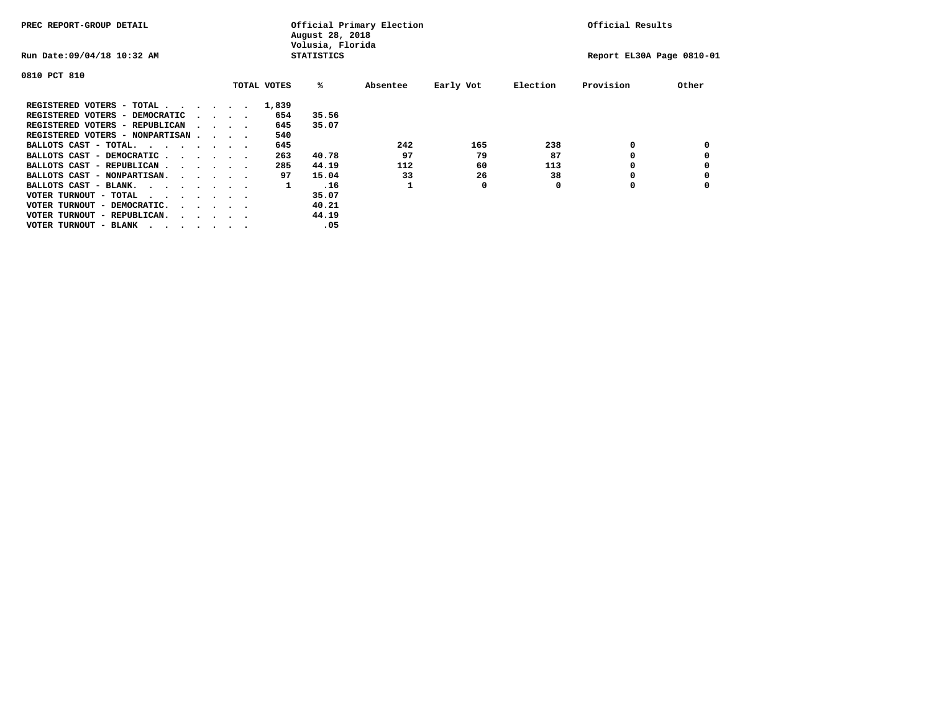| PREC REPORT-GROUP DETAIL               |  |  |                                         |  | Official Primary Election<br>August 28, 2018<br>Volusia, Florida | Official Results  |          |           |          |                           |       |
|----------------------------------------|--|--|-----------------------------------------|--|------------------------------------------------------------------|-------------------|----------|-----------|----------|---------------------------|-------|
| Run Date: 09/04/18 10:32 AM            |  |  |                                         |  |                                                                  | <b>STATISTICS</b> |          |           |          | Report EL30A Page 0810-01 |       |
| 0810 PCT 810                           |  |  |                                         |  |                                                                  |                   |          |           |          |                           |       |
|                                        |  |  |                                         |  | TOTAL VOTES                                                      | %ะ                | Absentee | Early Vot | Election | Provision                 | Other |
| REGISTERED VOTERS - TOTAL              |  |  |                                         |  | 1,839                                                            |                   |          |           |          |                           |       |
| REGISTERED VOTERS - DEMOCRATIC         |  |  | $\cdot$ $\cdot$ $\cdot$ $\cdot$         |  | 654                                                              | 35.56             |          |           |          |                           |       |
| REGISTERED VOTERS - REPUBLICAN         |  |  | $\sim$ $\sim$ $\sim$ $\sim$             |  | 645                                                              | 35.07             |          |           |          |                           |       |
| REGISTERED VOTERS - NONPARTISAN        |  |  |                                         |  | 540                                                              |                   |          |           |          |                           |       |
| BALLOTS CAST - TOTAL.                  |  |  |                                         |  | 645                                                              |                   | 242      | 165       | 238      | 0                         |       |
| BALLOTS CAST - DEMOCRATIC              |  |  |                                         |  | 263                                                              | 40.78             | 97       | 79        | 87       |                           |       |
| BALLOTS CAST - REPUBLICAN              |  |  |                                         |  | 285                                                              | 44.19             | 112      | 60        | 113      | 0                         |       |
| BALLOTS CAST - NONPARTISAN.            |  |  |                                         |  | 97                                                               | 15.04             | 33       | 26        | 38       |                           |       |
| BALLOTS CAST - BLANK.                  |  |  |                                         |  | 1                                                                | .16               |          | 0         | 0        | 0                         |       |
| VOTER TURNOUT - TOTAL<br>$\cdots$      |  |  |                                         |  |                                                                  | 35.07             |          |           |          |                           |       |
| VOTER TURNOUT - DEMOCRATIC.            |  |  | $\cdot$ $\cdot$ $\cdot$ $\cdot$ $\cdot$ |  |                                                                  | 40.21             |          |           |          |                           |       |
| VOTER TURNOUT - REPUBLICAN.<br>$\cdot$ |  |  |                                         |  |                                                                  | 44.19             |          |           |          |                           |       |
| VOTER TURNOUT - BLANK                  |  |  |                                         |  |                                                                  | .05               |          |           |          |                           |       |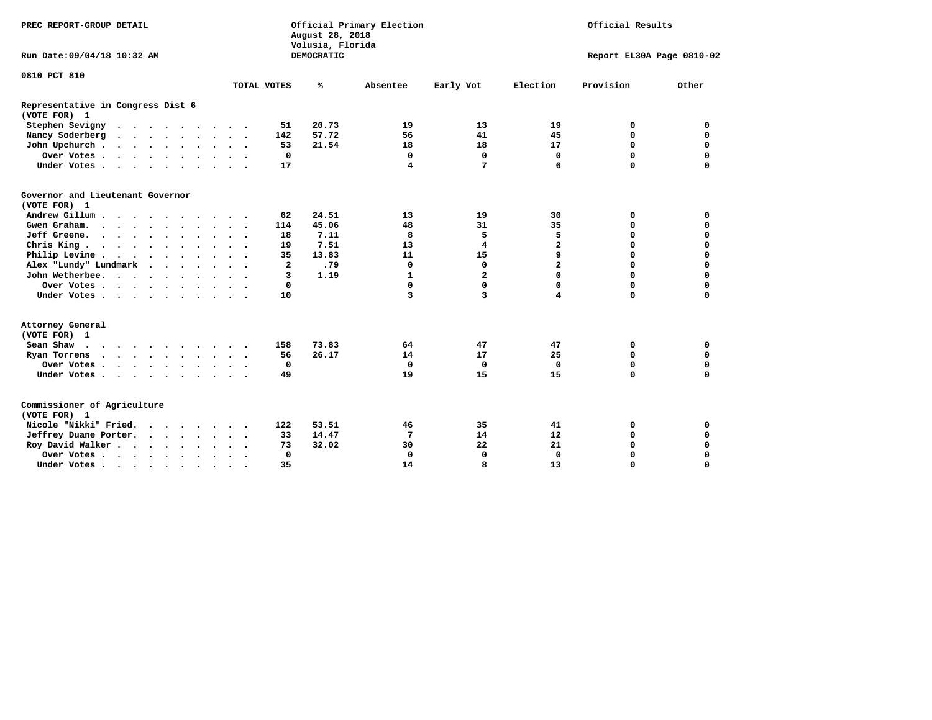| PREC REPORT-GROUP DETAIL                                                                                                                                                                                                                              |                            | August 28, 2018<br>Volusia, Florida | Official Primary Election | Official Results |                |                           |             |
|-------------------------------------------------------------------------------------------------------------------------------------------------------------------------------------------------------------------------------------------------------|----------------------------|-------------------------------------|---------------------------|------------------|----------------|---------------------------|-------------|
| Run Date: 09/04/18 10:32 AM                                                                                                                                                                                                                           |                            | <b>DEMOCRATIC</b>                   |                           |                  |                | Report EL30A Page 0810-02 |             |
| 0810 PCT 810                                                                                                                                                                                                                                          |                            |                                     |                           |                  |                |                           |             |
|                                                                                                                                                                                                                                                       | TOTAL VOTES                | ℁                                   | Absentee                  | Early Vot        | Election       | Provision                 | Other       |
| Representative in Congress Dist 6<br>(VOTE FOR) 1                                                                                                                                                                                                     |                            |                                     |                           |                  |                |                           |             |
| Stephen Sevigny                                                                                                                                                                                                                                       | 51                         | 20.73                               | 19                        | 13               | 19             | 0                         | 0           |
| Nancy Soderberg<br>$\cdots$                                                                                                                                                                                                                           | 142                        | 57.72                               | 56                        | 41               | 45             | $\mathbf 0$               | $\mathbf 0$ |
| John Upchurch                                                                                                                                                                                                                                         | 53                         | 21.54                               | 18                        | 18               | 17             | 0                         | 0           |
| Over Votes                                                                                                                                                                                                                                            | $\mathbf 0$                |                                     | 0                         | $\mathbf 0$      | 0              | $\mathbf 0$               | $\mathbf 0$ |
| Under Votes                                                                                                                                                                                                                                           | 17                         |                                     | 4                         | $7\phantom{.0}$  | 6              | $\Omega$                  | $\mathbf 0$ |
| Governor and Lieutenant Governor<br>(VOTE FOR) 1                                                                                                                                                                                                      |                            |                                     |                           |                  |                |                           |             |
| Andrew Gillum<br>$\bullet$                                                                                                                                                                                                                            | 62                         | 24.51                               | 13                        | 19               | 30             | 0                         | $\mathbf 0$ |
| Gwen Graham.                                                                                                                                                                                                                                          | 114                        | 45.06                               | 48                        | 31               | 35             | $\mathbf 0$               | $\mathbf 0$ |
| Jeff Greene.                                                                                                                                                                                                                                          | 18                         | 7.11                                | 8                         | 5                | 5              | $\mathbf 0$               | $\mathbf 0$ |
| Chris King                                                                                                                                                                                                                                            | 19                         | 7.51                                | 13                        | 4                | $\overline{a}$ | 0                         | 0           |
| Philip Levine                                                                                                                                                                                                                                         | 35                         | 13.83                               | 11                        | 15               | 9              | $\mathbf 0$               | $\mathbf 0$ |
| Alex "Lundy" Lundmark                                                                                                                                                                                                                                 | $\overline{a}$             | .79                                 | $\mathbf 0$               | 0                | $\overline{a}$ | $\mathbf 0$               | $\mathbf 0$ |
| John Wetherbee.                                                                                                                                                                                                                                       | $\overline{3}$             | 1.19                                | $\mathbf{1}$              | $\overline{a}$   | $\Omega$       | $\Omega$                  | $\mathbf 0$ |
| Over Votes                                                                                                                                                                                                                                            | $\mathbf 0$                |                                     | $\Omega$                  | 0                | 0              | $\mathbf 0$               | $\mathbf 0$ |
| Under Votes                                                                                                                                                                                                                                           | 10                         |                                     | 3                         | 3                | 4              | $\mathbf 0$               | $\mathbf 0$ |
| Attorney General<br>(VOTE FOR) 1                                                                                                                                                                                                                      |                            |                                     |                           |                  |                |                           |             |
| Sean Shaw                                                                                                                                                                                                                                             | 158                        | 73.83                               | 64                        | 47               | 47             | 0                         | 0           |
| Ryan Torrens<br>$\mathbf{a}$ and $\mathbf{a}$ are a set of the set of the set of the set of the set of the set of the set of the set of the set of the set of the set of the set of the set of the set of the set of the set of the set of the set of | 56                         | 26.17                               | 14                        | 17               | 25             | $\mathbf 0$               | 0           |
| Over Votes                                                                                                                                                                                                                                            | 0                          |                                     | 0                         | $\mathbf 0$      | $\Omega$       | 0                         | $\mathbf 0$ |
| Under Votes                                                                                                                                                                                                                                           | 49                         |                                     | 19                        | 15               | 15             | $\Omega$                  | $\mathbf 0$ |
| Commissioner of Agriculture<br>(VOTE FOR) 1                                                                                                                                                                                                           |                            |                                     |                           |                  |                |                           |             |
| Nicole "Nikki" Fried.                                                                                                                                                                                                                                 | 122                        | 53.51                               | 46                        | 35               | 41             | 0                         | 0           |
| Jeffrey Duane Porter.                                                                                                                                                                                                                                 | 33                         | 14.47                               | 7                         | 14               | 12             | $\mathbf 0$               | $\mathbf 0$ |
| Roy David Walker                                                                                                                                                                                                                                      | 73                         | 32.02                               | 30                        | 22               | 21             | $\mathbf 0$               | $\mathbf 0$ |
| Over Votes<br>$\ddot{\phantom{0}}$                                                                                                                                                                                                                    | $\Omega$                   |                                     | $\mathbf 0$               | $\mathbf 0$      | 0              | $\mathbf 0$               | 0           |
| Under Votes<br>$\ddot{\phantom{1}}$                                                                                                                                                                                                                   | 35<br>$\ddot{\phantom{0}}$ |                                     | 14                        | 8                | 13             | $\mathbf 0$               | $\mathbf 0$ |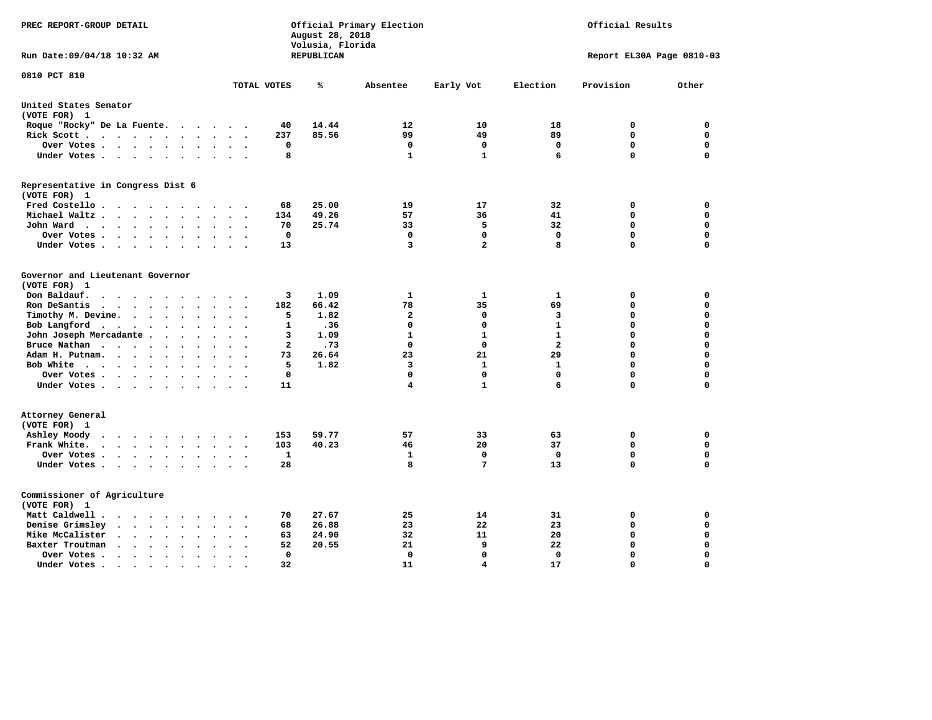| Official Primary Election<br>PREC REPORT-GROUP DETAIL<br>August 28, 2018<br>Volusia, Florida                           |                                                            |            |                   |                         |                                | Official Results          |                            |  |  |  |
|------------------------------------------------------------------------------------------------------------------------|------------------------------------------------------------|------------|-------------------|-------------------------|--------------------------------|---------------------------|----------------------------|--|--|--|
| Run Date: 09/04/18 10:32 AM                                                                                            |                                                            | REPUBLICAN |                   |                         |                                | Report EL30A Page 0810-03 |                            |  |  |  |
| 0810 PCT 810                                                                                                           | TOTAL VOTES                                                | ℁          | Absentee          | Early Vot               | Election                       | Provision                 | Other                      |  |  |  |
| United States Senator                                                                                                  |                                                            |            |                   |                         |                                |                           |                            |  |  |  |
| (VOTE FOR) 1                                                                                                           |                                                            |            |                   |                         |                                |                           |                            |  |  |  |
| Roque "Rocky" De La Fuente.                                                                                            | 40<br>$\cdots$                                             | 14.44      | 12                | 10                      | 18                             | 0                         | 0                          |  |  |  |
| Rick Scott                                                                                                             | 237                                                        | 85.56      | 99                | 49                      | 89                             | 0                         | 0                          |  |  |  |
| Over Votes                                                                                                             | 0<br>$\bullet$<br>$\cdot$                                  |            | 0                 | 0                       | 0                              | $\mathbf 0$               | 0                          |  |  |  |
| Under Votes                                                                                                            | 8                                                          |            | $\mathbf{1}$      | $\mathbf{1}$            | 6                              | $\Omega$                  | $\mathbf 0$                |  |  |  |
| Representative in Congress Dist 6                                                                                      |                                                            |            |                   |                         |                                |                           |                            |  |  |  |
| (VOTE FOR) 1                                                                                                           | 68                                                         | 25.00      | 19                | 17                      | 32                             | 0                         | $\mathbf 0$                |  |  |  |
| Fred Costello<br>Michael Waltz<br>$\ddot{\phantom{a}}$<br>$\ddot{\phantom{a}}$                                         | 134<br>$\ddot{\phantom{a}}$                                | 49.26      | 57                | 36                      | 41                             | $\mathbf 0$               | $\mathbf 0$                |  |  |  |
|                                                                                                                        | 70                                                         | 25.74      | 33                | 5                       | 32                             | $\mathbf 0$               | 0                          |  |  |  |
| John Ward                                                                                                              | $\mathbf 0$                                                |            | $\mathbf 0$       | $\mathbf 0$             | $\mathbf 0$                    | $\mathbf 0$               | 0                          |  |  |  |
| Over Votes<br>$\cdot$<br>Under Votes                                                                                   | 13                                                         |            | 3                 | $\overline{\mathbf{2}}$ | 8                              | $\mathbf 0$               | $\mathbf 0$                |  |  |  |
| $\ddot{\phantom{0}}$                                                                                                   |                                                            |            |                   |                         |                                |                           |                            |  |  |  |
| Governor and Lieutenant Governor<br>(VOTE FOR) 1                                                                       |                                                            |            |                   |                         |                                |                           |                            |  |  |  |
| Don Baldauf.<br>$\cdot$ $\cdot$ $\cdot$ $\cdot$                                                                        | 3                                                          | 1.09       | 1                 | 1                       | 1                              | 0                         | 0                          |  |  |  |
| Ron DeSantis<br>$\cdot$                                                                                                | 182                                                        | 66.42      | 78                | 35                      | 69                             | $\mathbf 0$               | $\mathbf 0$                |  |  |  |
| $\cdot$ $\cdot$ $\cdot$ $\cdot$ $\cdot$                                                                                | 5                                                          | 1.82       | $\overline{2}$    | 0                       | $\overline{\mathbf{3}}$        | $\mathbf 0$               | $\mathbf 0$                |  |  |  |
| Timothy M. Devine.<br>$\ddot{\phantom{a}}$                                                                             | $\ddot{\phantom{a}}$<br>$\overline{\phantom{a}}$<br>1      |            | 0                 | 0                       | $\mathbf{1}$                   | $\mathbf 0$               | $\mathbf 0$                |  |  |  |
| Bob Langford                                                                                                           |                                                            | .36        |                   |                         |                                |                           |                            |  |  |  |
| John Joseph Mercadante                                                                                                 | 3<br>$\mathbf{2}$                                          | 1.09       | $\mathbf{1}$<br>0 | $\mathbf{1}$<br>0       | $\mathbf{1}$<br>$\overline{a}$ | $\mathbf 0$<br>0          | $\mathbf 0$<br>$\mathbf 0$ |  |  |  |
| Bruce Nathan<br>$\bullet$                                                                                              |                                                            | .73        |                   |                         |                                |                           |                            |  |  |  |
| Adam H. Putnam.<br>$\cdot$                                                                                             | 73                                                         | 26.64      | 23                | 21                      | 29                             | $\mathbf 0$               | $\mathbf 0$                |  |  |  |
| Bob White                                                                                                              | 5<br>$\sim$                                                | 1.82       | 3                 | 1                       | $\mathbf{1}$                   | $\mathbf 0$               | $\mathbf 0$                |  |  |  |
| Over Votes                                                                                                             | $\Omega$                                                   |            | 0                 | 0<br>$\mathbf{1}$       | $\Omega$<br>6                  | $\mathbf 0$<br>$\Omega$   | $\mathbf 0$<br>$\mathbf 0$ |  |  |  |
| Under Votes                                                                                                            | 11                                                         |            | 4                 |                         |                                |                           |                            |  |  |  |
| Attorney General                                                                                                       |                                                            |            |                   |                         |                                |                           |                            |  |  |  |
| (VOTE FOR) 1                                                                                                           |                                                            |            |                   |                         |                                |                           |                            |  |  |  |
| Ashley Moody                                                                                                           | 153<br>$\sim$<br>$\overline{\phantom{a}}$                  | 59.77      | 57                | 33                      | 63                             | 0                         | $\mathbf 0$                |  |  |  |
| Frank White.<br>$\mathbf{r}$ , $\mathbf{r}$ , $\mathbf{r}$ , $\mathbf{r}$ , $\mathbf{r}$ , $\mathbf{r}$ , $\mathbf{r}$ | 103                                                        | 40.23      | 46                | 20                      | 37                             | $\mathbf 0$               | 0                          |  |  |  |
| Over Votes                                                                                                             | $\mathbf{1}$<br>$\ddot{\phantom{a}}$<br>$\cdot$<br>$\cdot$ |            | 1                 | $\mathbf 0$             | 0                              | $\mathbf 0$               | $\mathbf 0$                |  |  |  |
| Under Votes                                                                                                            | 28                                                         |            | 8                 | 7                       | 13                             | $\mathbf 0$               | $\mathbf 0$                |  |  |  |
| Commissioner of Agriculture                                                                                            |                                                            |            |                   |                         |                                |                           |                            |  |  |  |
| (VOTE FOR) 1                                                                                                           |                                                            |            |                   |                         |                                |                           |                            |  |  |  |
| Matt Caldwell.<br>$\sim$ $\sim$ $\sim$ $\sim$ $\sim$                                                                   | 70                                                         | 27.67      | 25                | 14                      | 31                             | 0                         | 0                          |  |  |  |
| Denise Grimsley<br>$\cdot$ $\cdot$ $\cdot$ $\cdot$<br>$\sim$                                                           | 68                                                         | 26.88      | 23                | 22                      | 23                             | 0                         | 0                          |  |  |  |
| Mike McCalister<br>$\sim$ , and $\sim$ , and $\sim$<br>$\bullet$                                                       | 63<br>$\bullet$                                            | 24.90      | 32                | 11                      | 20                             | $\mathbf 0$               | 0                          |  |  |  |
| Baxter Troutman<br>$\sim$ $\sim$ $\sim$ $\sim$<br>$\overline{\phantom{a}}$<br>$\sim$                                   | 52                                                         | 20.55      | 21                | 9                       | 22                             | $\mathbf 0$               | $\mathbf 0$                |  |  |  |
| Over Votes .<br>$\cdot$<br>$\cdot$                                                                                     | $\Omega$                                                   |            | 0                 | 0                       | $\Omega$                       | $\mathbf 0$               | $\mathbf 0$                |  |  |  |
| Under Votes.<br>$\cdots$<br>$\sim$ $\sim$                                                                              | 32<br>$\bullet$                                            |            | 11                | 4                       | 17                             | $\Omega$                  | $\Omega$                   |  |  |  |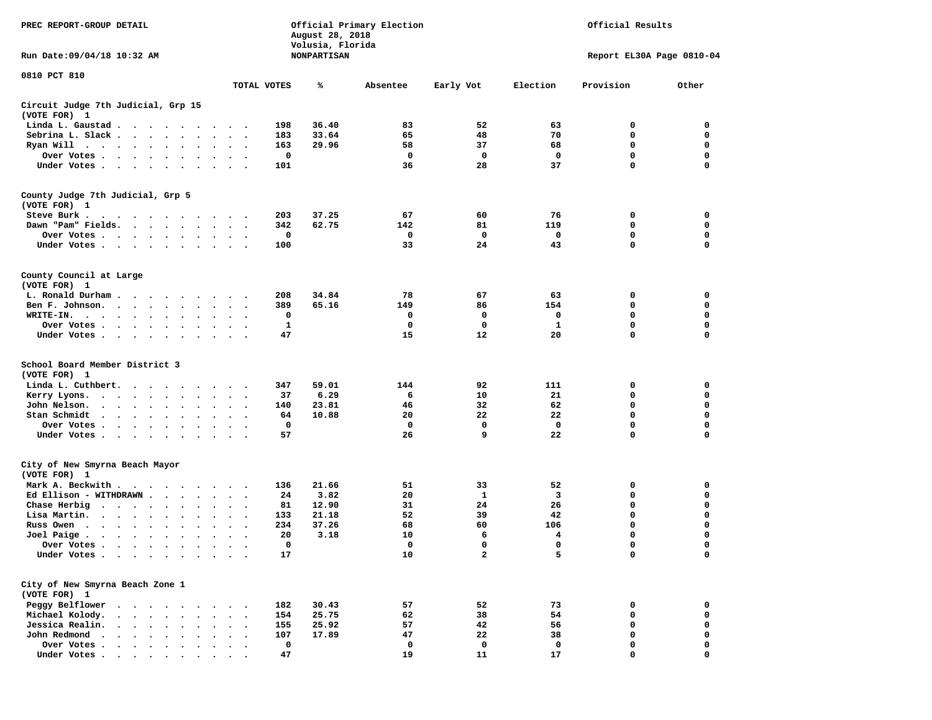| PREC REPORT-GROUP DETAIL                                                                                                                                                              |                            | August 28, 2018<br>Volusia, Florida | Official Primary Election | Official Results |             |                           |                |
|---------------------------------------------------------------------------------------------------------------------------------------------------------------------------------------|----------------------------|-------------------------------------|---------------------------|------------------|-------------|---------------------------|----------------|
| Run Date: 09/04/18 10:32 AM                                                                                                                                                           |                            | <b>NONPARTISAN</b>                  |                           |                  |             | Report EL30A Page 0810-04 |                |
| 0810 PCT 810                                                                                                                                                                          |                            |                                     |                           |                  |             |                           |                |
|                                                                                                                                                                                       | TOTAL VOTES                | ℁                                   | Absentee                  | Early Vot        | Election    | Provision                 | Other          |
| Circuit Judge 7th Judicial, Grp 15<br>(VOTE FOR) 1                                                                                                                                    |                            |                                     |                           |                  |             |                           |                |
| Linda L. Gaustad                                                                                                                                                                      | 198                        | 36.40                               | 83                        | 52               | 63          | 0                         | 0              |
| Sebrina L. Slack                                                                                                                                                                      | 183                        | 33.64                               | 65                        | 48               | 70          | 0                         | 0              |
| Ryan Will $\cdots$ , $\cdots$ , $\cdots$                                                                                                                                              | 163                        | 29.96                               | 58                        | 37               | 68          | 0                         | 0              |
| Over Votes                                                                                                                                                                            | 0                          |                                     | $\mathbf{o}$              | 0                | $\mathbf 0$ | 0                         | 0              |
| Under Votes                                                                                                                                                                           | 101                        |                                     | 36                        | 28               | 37          | 0                         | 0              |
| County Judge 7th Judicial, Grp 5                                                                                                                                                      |                            |                                     |                           |                  |             |                           |                |
| (VOTE FOR) 1                                                                                                                                                                          |                            |                                     |                           |                  |             |                           |                |
| Steve Burk.<br>the contract of the contract of the contract of the contract of the contract of the contract of the contract of                                                        | 203                        | 37.25                               | 67                        | 60               | 76          | 0                         | 0              |
| Dawn "Pam" Fields.                                                                                                                                                                    | 342<br>$\sim$ $\sim$       | 62.75                               | 142                       | 81               | 119         | 0                         | 0              |
| Over Votes                                                                                                                                                                            | 0                          |                                     | $\mathbf{o}$              | 0                | 0           | 0                         | 0              |
| Under Votes                                                                                                                                                                           | 100                        |                                     | 33                        | 24               | 43          | 0                         | $\mathsf{o}\,$ |
| County Council at Large                                                                                                                                                               |                            |                                     |                           |                  |             |                           |                |
| (VOTE FOR) 1                                                                                                                                                                          |                            |                                     |                           |                  |             |                           |                |
| L. Ronald Durham                                                                                                                                                                      | 208                        | 34.84                               | 78                        | 67               | 63          | 0                         | 0              |
| Ben F. Johnson.                                                                                                                                                                       | 389                        | 65.16                               | 149                       | 86               | 154         | 0                         | $\mathbf 0$    |
| WRITE-IN.                                                                                                                                                                             | 0                          |                                     | 0                         | 0                | 0           | 0                         | 0              |
| Over Votes                                                                                                                                                                            | 1                          |                                     | $^{\circ}$                | 0                | 1           | 0                         | 0              |
| Under Votes                                                                                                                                                                           | 47                         |                                     | 15                        | 12               | 20          | 0                         | 0              |
| School Board Member District 3                                                                                                                                                        |                            |                                     |                           |                  |             |                           |                |
| (VOTE FOR) 1                                                                                                                                                                          |                            |                                     |                           |                  |             |                           |                |
| Linda L. Cuthbert.                                                                                                                                                                    | 347                        | 59.01                               | 144                       | 92               | 111         | 0                         | 0              |
| Kerry Lyons.<br>$\mathbf{r}$ , and $\mathbf{r}$ , and $\mathbf{r}$ , and $\mathbf{r}$                                                                                                 | 37<br>$\ddot{\phantom{1}}$ | 6.29                                | 6                         | 10               | 21          | 0                         | 0              |
| John Nelson.<br>$\mathbf{r}$ , $\mathbf{r}$ , $\mathbf{r}$ , $\mathbf{r}$ , $\mathbf{r}$<br>$\ddot{\phantom{a}}$<br>$\ddot{\phantom{a}}$                                              | 140                        | 23.81                               | 46                        | 32               | 62          | 0                         | 0              |
| Stan Schmidt<br>$\ddot{\phantom{1}}$                                                                                                                                                  | 64                         | 10.88                               | 20                        | 22               | 22          | 0                         | 0              |
| Over Votes                                                                                                                                                                            | 0                          |                                     | 0                         | 0                | $\mathbf 0$ | 0                         | 0              |
| Under Votes                                                                                                                                                                           | 57                         |                                     | 26                        | 9                | 22          | 0                         | $\mathbf 0$    |
| City of New Smyrna Beach Mayor                                                                                                                                                        |                            |                                     |                           |                  |             |                           |                |
| (VOTE FOR) 1                                                                                                                                                                          |                            |                                     |                           |                  |             |                           |                |
| Mark A. Beckwith                                                                                                                                                                      | 136                        | 21.66                               | 51                        | 33               | 52          | 0                         | 0              |
| Ed Ellison - WITHDRAWN $\cdot$                                                                                                                                                        | 24                         | 3.82                                | 20                        | 1                | 3           | 0                         | 0              |
| Chase Herbig                                                                                                                                                                          | 81                         | 12.90                               | 31                        | 24               | 26          | 0                         | 0              |
| Lisa Martin.<br>$\ddot{\phantom{a}}$                                                                                                                                                  | 133                        | 21.18                               | 52                        | 39               | 42          | $\mathbf 0$               | 0              |
| Russ Owen<br>$\bullet$                                                                                                                                                                | 234                        | 37.26                               | 68                        | 60               | 106         | 0                         | 0              |
| Joel Paige<br>$\bullet$<br>$\bullet$                                                                                                                                                  | 20<br>$\ddot{\phantom{0}}$ | 3.18                                | 10                        | 6                | 4           | 0                         | 0              |
| Over Votes .                                                                                                                                                                          | $\Omega$                   |                                     | $\Omega$                  | $^{\circ}$       | 0           | $\mathbf{0}$              | 0              |
| Under Votes                                                                                                                                                                           | 17                         |                                     | 10                        | $\mathbf{2}$     | 5           | 0                         | 0              |
| City of New Smyrna Beach Zone 1                                                                                                                                                       |                            |                                     |                           |                  |             |                           |                |
| (VOTE FOR) 1                                                                                                                                                                          |                            |                                     |                           |                  |             |                           |                |
| Peggy Belflower                                                                                                                                                                       | 182                        | 30.43                               | 57                        | 52               | 73          | 0                         | 0              |
| Michael Kolody.<br>$\cdot$ $\cdot$ $\cdot$ $\cdot$ $\cdot$                                                                                                                            | 154                        | 25.75                               | 62                        | 38               | 54          | 0                         | 0              |
| Jessica Realin.<br>$\cdots$                                                                                                                                                           | 155                        | 25.92                               | 57                        | 42               | 56          | 0                         | 0              |
| $\begin{array}{cccccccccccccc} \bullet & \bullet & \bullet & \bullet & \bullet & \bullet & \bullet & \bullet & \bullet \end{array}$<br>John Redmond<br>$\sim$<br>$\ddot{\phantom{a}}$ | 107                        | 17.89                               | 47                        | 22               | 38          | 0                         | 0              |
| Over Votes .<br>$\begin{array}{cccccccccccccc} \bullet & \bullet & \bullet & \bullet & \bullet & \bullet & \bullet & \bullet & \bullet \end{array}$                                   | 0                          |                                     | 0                         | 0                | 0           | 0                         | 0              |
| Under Votes.                                                                                                                                                                          | 47                         |                                     | 19                        | 11               | 17          | $\Omega$                  | 0              |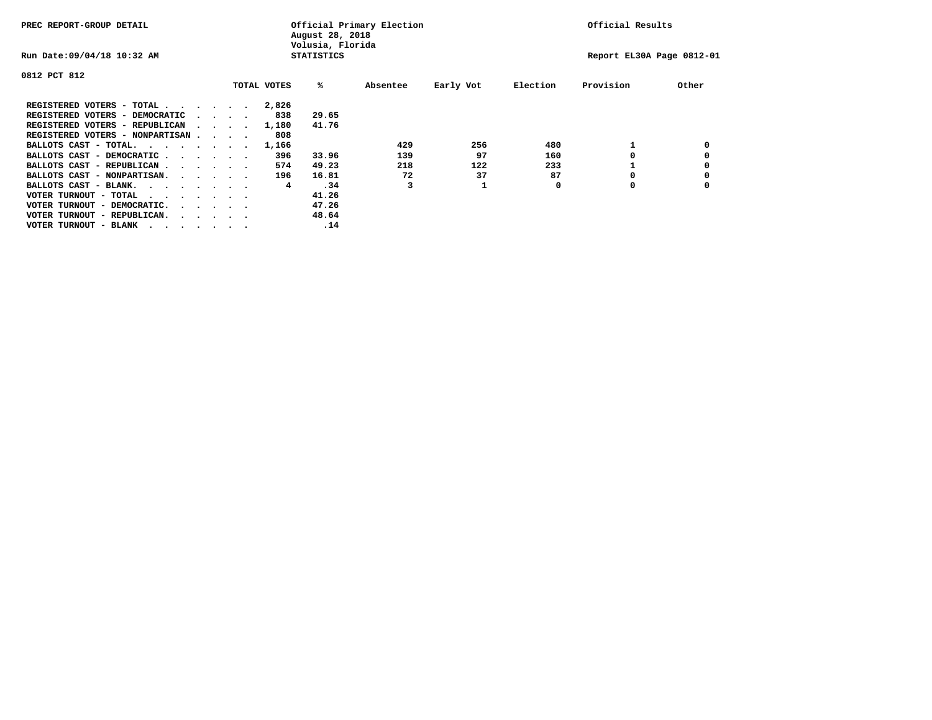| PREC REPORT-GROUP DETAIL                |  |                                         |  |             | Official Primary Election<br>August 28, 2018<br>Volusia, Florida |          | Official Results |          |                           |       |
|-----------------------------------------|--|-----------------------------------------|--|-------------|------------------------------------------------------------------|----------|------------------|----------|---------------------------|-------|
| Run Date: 09/04/18 10:32 AM             |  |                                         |  |             | <b>STATISTICS</b>                                                |          |                  |          | Report EL30A Page 0812-01 |       |
| 0812 PCT 812                            |  |                                         |  |             |                                                                  |          |                  |          |                           |       |
|                                         |  |                                         |  | TOTAL VOTES | %ะ                                                               | Absentee | Early Vot        | Election | Provision                 | Other |
| REGISTERED VOTERS - TOTAL               |  |                                         |  | 2,826       |                                                                  |          |                  |          |                           |       |
| REGISTERED VOTERS - DEMOCRATIC          |  | $\cdot$ $\cdot$ $\cdot$ $\cdot$         |  | 838         | 29.65                                                            |          |                  |          |                           |       |
| REGISTERED VOTERS - REPUBLICAN          |  |                                         |  | 1,180       | 41.76                                                            |          |                  |          |                           |       |
| REGISTERED VOTERS - NONPARTISAN         |  |                                         |  | 808         |                                                                  |          |                  |          |                           |       |
| BALLOTS CAST - TOTAL.                   |  |                                         |  | 1,166       |                                                                  | 429      | 256              | 480      |                           |       |
| BALLOTS CAST - DEMOCRATIC               |  |                                         |  | 396         | 33.96                                                            | 139      | 97               | 160      |                           |       |
| BALLOTS CAST - REPUBLICAN               |  |                                         |  | 574         | 49.23                                                            | 218      | 122              | 233      |                           |       |
| BALLOTS CAST - NONPARTISAN.             |  |                                         |  | 196         | 16.81                                                            | 72       | 37               | 87       |                           |       |
| BALLOTS CAST - BLANK.                   |  |                                         |  | 4           | .34                                                              |          |                  | 0        | 0                         |       |
| VOTER TURNOUT - TOTAL<br>.              |  |                                         |  |             | 41.26                                                            |          |                  |          |                           |       |
| VOTER TURNOUT - DEMOCRATIC.             |  | $\cdot$ $\cdot$ $\cdot$ $\cdot$ $\cdot$ |  |             | 47.26                                                            |          |                  |          |                           |       |
| VOTER TURNOUT - REPUBLICAN.<br>$\cdots$ |  |                                         |  |             | 48.64                                                            |          |                  |          |                           |       |
| VOTER TURNOUT - BLANK                   |  |                                         |  |             | .14                                                              |          |                  |          |                           |       |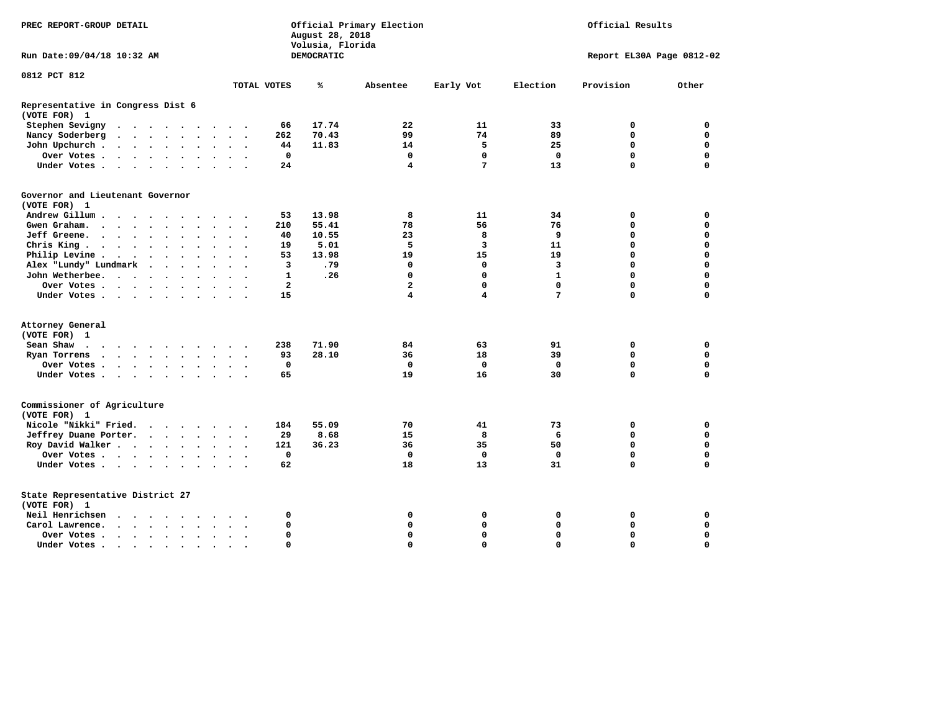|                                                   | Official Primary Election<br>Official Results<br>PREC REPORT-GROUP DETAIL<br>August 28, 2018<br>Volusia, Florida |  |         |  |  |  |                      |           |                |            |                         |                         |              |             |                           |
|---------------------------------------------------|------------------------------------------------------------------------------------------------------------------|--|---------|--|--|--|----------------------|-----------|----------------|------------|-------------------------|-------------------------|--------------|-------------|---------------------------|
| Run Date: 09/04/18 10:32 AM                       |                                                                                                                  |  |         |  |  |  |                      |           |                | DEMOCRATIC |                         |                         |              |             | Report EL30A Page 0812-02 |
| 0812 PCT 812                                      |                                                                                                                  |  |         |  |  |  |                      |           |                |            |                         |                         |              |             |                           |
|                                                   |                                                                                                                  |  |         |  |  |  |                      |           | TOTAL VOTES    | ℁          | Absentee                | Early Vot               | Election     | Provision   | Other                     |
| Representative in Congress Dist 6<br>(VOTE FOR) 1 |                                                                                                                  |  |         |  |  |  |                      |           |                |            |                         |                         |              |             |                           |
| Stephen Sevigny                                   | $\cdots$                                                                                                         |  |         |  |  |  |                      |           | 66             | 17.74      | 22                      | 11                      | 33           | 0           | $\mathbf 0$               |
| Nancy Soderberg                                   |                                                                                                                  |  |         |  |  |  |                      |           | 262            | 70.43      | 99                      | 74                      | 89           | $\Omega$    | $\mathbf 0$               |
| John Upchurch                                     |                                                                                                                  |  |         |  |  |  |                      |           | 44             | 11.83      | 14                      | 5                       | 25           | $\mathbf 0$ | $\mathbf 0$               |
| Over Votes                                        |                                                                                                                  |  |         |  |  |  |                      |           | 0              |            | 0                       | 0                       | 0            | 0           | 0                         |
| Under Votes                                       |                                                                                                                  |  |         |  |  |  |                      |           | 24             |            | 4                       | 7                       | 13           | $\Omega$    | 0                         |
| Governor and Lieutenant Governor                  |                                                                                                                  |  |         |  |  |  |                      |           |                |            |                         |                         |              |             |                           |
| (VOTE FOR) 1                                      |                                                                                                                  |  |         |  |  |  |                      |           |                |            |                         |                         |              |             |                           |
| Andrew Gillum                                     |                                                                                                                  |  | $\cdot$ |  |  |  |                      |           | 53             | 13.98      | 8                       | 11                      | 34           | 0           | 0                         |
| Gwen Graham.                                      |                                                                                                                  |  |         |  |  |  |                      |           | 210            | 55.41      | 78                      | 56                      | 76           | 0           | $\mathbf 0$               |
| Jeff Greene.                                      |                                                                                                                  |  |         |  |  |  | $\ddot{\phantom{a}}$ |           | 40             | 10.55      | 23                      | 8                       | 9            | $\Omega$    | $\mathbf 0$               |
| Chris King                                        |                                                                                                                  |  |         |  |  |  |                      |           | 19             | 5.01       | 5                       | 3                       | 11           | $\mathbf 0$ | $\mathbf 0$               |
| Philip Levine .                                   | $\cdots$                                                                                                         |  |         |  |  |  |                      |           | 53             | 13.98      | 19                      | 15                      | 19           | $\Omega$    | $\mathbf 0$               |
| Alex "Lundy" Lundmark                             |                                                                                                                  |  |         |  |  |  |                      |           | 3              | .79        | $\mathbf 0$             | $\mathbf 0$             | 3            | $\mathbf 0$ | $\mathbf 0$               |
| John Wetherbee.                                   |                                                                                                                  |  |         |  |  |  | $\ddot{\phantom{1}}$ |           | $\mathbf{1}$   | .26        | $\Omega$                | $\mathbf 0$             | $\mathbf{1}$ | $\Omega$    | $\mathbf 0$               |
| Over Votes                                        |                                                                                                                  |  |         |  |  |  | $\sim$ $\sim$        |           | $\overline{2}$ |            | $\overline{\mathbf{2}}$ | $\mathbf 0$             | $\mathbf 0$  | $\mathbf 0$ | $\mathbf 0$               |
| Under Votes                                       |                                                                                                                  |  |         |  |  |  |                      |           | 15             |            | 4                       | $\overline{\mathbf{4}}$ | 7            | $\mathbf 0$ | 0                         |
|                                                   |                                                                                                                  |  |         |  |  |  |                      |           |                |            |                         |                         |              |             |                           |
| Attorney General                                  |                                                                                                                  |  |         |  |  |  |                      |           |                |            |                         |                         |              |             |                           |
| (VOTE FOR) 1                                      |                                                                                                                  |  |         |  |  |  |                      |           |                |            |                         |                         |              |             |                           |
| Sean Shaw                                         |                                                                                                                  |  |         |  |  |  |                      |           | 238            | 71.90      | 84                      | 63                      | 91           | 0           | $\mathbf 0$               |
| Ryan Torrens                                      | $\mathbf{r}$ , $\mathbf{r}$ , $\mathbf{r}$ , $\mathbf{r}$ , $\mathbf{r}$ , $\mathbf{r}$                          |  |         |  |  |  | $\ddot{\phantom{1}}$ |           | 93             | 28.10      | 36                      | 18                      | 39           | $\mathbf 0$ | $\mathbf 0$               |
| Over Votes                                        |                                                                                                                  |  |         |  |  |  |                      |           | $\mathbf 0$    |            | $\mathbf 0$             | $\mathbf{0}$            | $\mathbf 0$  | $\mathbf 0$ | $\mathbf 0$               |
| Under Votes                                       |                                                                                                                  |  |         |  |  |  |                      |           | 65             |            | 19                      | 16                      | 30           | $\mathbf 0$ | $\mathbf 0$               |
| Commissioner of Agriculture<br>(VOTE FOR) 1       |                                                                                                                  |  |         |  |  |  |                      |           |                |            |                         |                         |              |             |                           |
| Nicole "Nikki" Fried.                             |                                                                                                                  |  |         |  |  |  |                      |           | 184            | 55.09      | 70                      | 41                      | 73           | 0           | 0                         |
| Jeffrey Duane Porter.                             |                                                                                                                  |  |         |  |  |  |                      |           | 29             | 8.68       | 15                      | 8                       | 6            | 0           | 0                         |
| Roy David Walker                                  |                                                                                                                  |  |         |  |  |  |                      |           | 121            | 36.23      | 36                      | 35                      | 50           | $\mathbf 0$ | $\mathbf 0$               |
| Over Votes                                        |                                                                                                                  |  |         |  |  |  |                      |           | 0              |            | $\mathbf 0$             | $\mathbf 0$             | 0            | $\mathbf 0$ | $\mathbf 0$               |
| Under Votes                                       |                                                                                                                  |  |         |  |  |  |                      |           | 62             |            | 18                      | 13                      | 31           | $\mathbf 0$ | $\mathbf 0$               |
|                                                   |                                                                                                                  |  |         |  |  |  |                      |           |                |            |                         |                         |              |             |                           |
| State Representative District 27<br>(VOTE FOR) 1  |                                                                                                                  |  |         |  |  |  |                      |           |                |            |                         |                         |              |             |                           |
| Neil Henrichsen                                   | $\cdots$                                                                                                         |  |         |  |  |  |                      |           | 0              |            | 0                       | 0                       | 0            | 0           | $\mathbf 0$               |
| Carol Lawrence.                                   | $\cdots$                                                                                                         |  |         |  |  |  |                      |           | 0              |            | $\mathbf 0$             | $\mathbf 0$             | $\mathbf 0$  | $\mathbf 0$ | $\mathbf 0$               |
| Over Votes                                        |                                                                                                                  |  |         |  |  |  | $\sim$ $\sim$        |           | 0              |            | $\Omega$                | 0                       | $\mathbf 0$  | $\Omega$    | $\mathbf 0$               |
| Under Votes.                                      | .                                                                                                                |  |         |  |  |  |                      | $\bullet$ | $\Omega$       |            | $\Omega$                | 0                       | $\Omega$     | $\Omega$    | $\Omega$                  |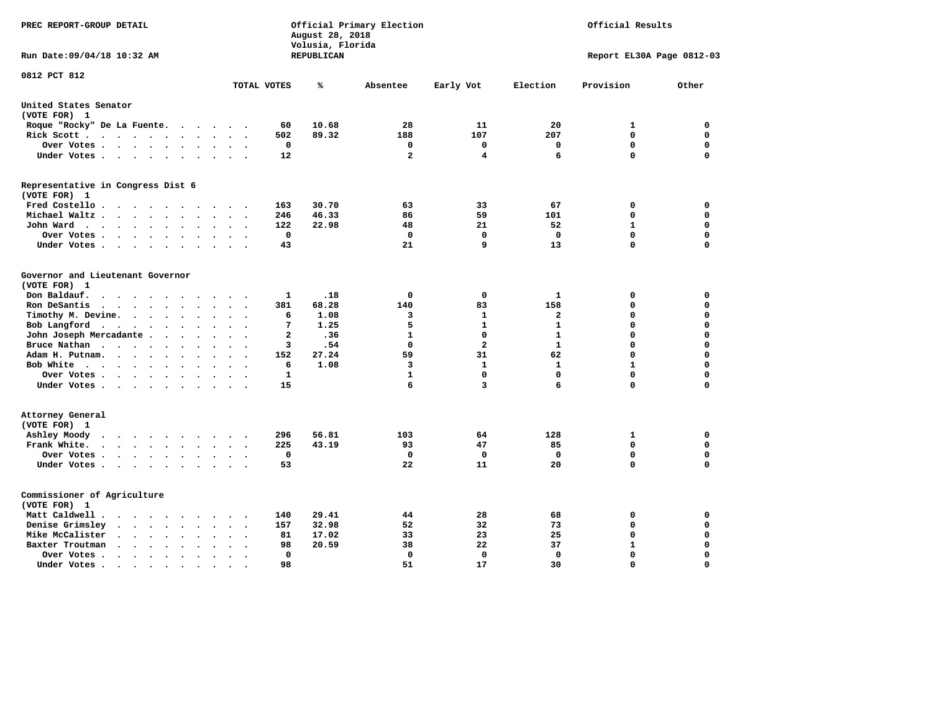| PREC REPORT-GROUP DETAIL                                                                        |                                                  | August 28, 2018<br>Volusia, Florida | Official Primary Election |              | Official Results |                           |             |  |
|-------------------------------------------------------------------------------------------------|--------------------------------------------------|-------------------------------------|---------------------------|--------------|------------------|---------------------------|-------------|--|
| Run Date:09/04/18 10:32 AM                                                                      |                                                  | REPUBLICAN                          |                           |              |                  | Report EL30A Page 0812-03 |             |  |
| 0812 PCT 812                                                                                    | TOTAL VOTES                                      | ℁                                   | Absentee                  | Early Vot    | Election         | Provision                 | Other       |  |
|                                                                                                 |                                                  |                                     |                           |              |                  |                           |             |  |
| United States Senator<br>(VOTE FOR) 1                                                           |                                                  |                                     |                           |              |                  |                           |             |  |
| Roque "Rocky" De La Fuente.<br>$\cdot$ $\cdot$ $\cdot$                                          | 60<br>$\sim$<br>$\sim$                           | 10.68                               | 28                        | 11           | 20               | 1                         | 0           |  |
| Rick Scott<br>$\sim$                                                                            | 502                                              | 89.32                               | 188                       | 107          | 207              | $\mathbf 0$               | $\mathbf 0$ |  |
| Over Votes<br>$\ddot{\phantom{a}}$                                                              | 0<br>$\ddot{\phantom{a}}$                        |                                     | 0                         | 0            | 0                | $\mathbf 0$               | $\mathbf 0$ |  |
| Under Votes<br>$\ddot{\phantom{0}}$                                                             | 12<br>$\cdot$                                    |                                     | $\mathbf{2}$              | 4            | 6                | $\mathbf 0$               | $\mathbf 0$ |  |
| Representative in Congress Dist 6                                                               |                                                  |                                     |                           |              |                  |                           |             |  |
| (VOTE FOR) 1                                                                                    |                                                  |                                     |                           |              |                  |                           |             |  |
| Fred Costello.                                                                                  | 163<br>$\sim$ $\sim$ $\sim$                      | 30.70                               | 63                        | 33           | 67               | 0                         | 0           |  |
| Michael Waltz.<br>$\cdots$<br>$\ddot{\phantom{a}}$<br>$\ddot{\phantom{a}}$                      | 246                                              | 46.33                               | 86                        | 59           | 101              | 0                         | $\mathbf 0$ |  |
| John Ward<br>$\sim$<br>$\bullet$                                                                | 122<br>$\ddot{\phantom{0}}$                      | 22.98                               | 48                        | 21           | 52               | 1                         | 0           |  |
| Over Votes .<br>$\cdot$ $\cdot$ $\cdot$ $\cdot$<br>$\overline{\phantom{a}}$<br>$\sim$           | $\mathbf 0$                                      |                                     | 0                         | $\mathbf 0$  | $\Omega$         | $\mathbf 0$               | $\mathbf 0$ |  |
| Under Votes<br>$\cdot$                                                                          | 43                                               |                                     | 21                        | 9            | 13               | $\mathbf 0$               | $\mathbf 0$ |  |
|                                                                                                 |                                                  |                                     |                           |              |                  |                           |             |  |
| Governor and Lieutenant Governor                                                                |                                                  |                                     |                           |              |                  |                           |             |  |
| (VOTE FOR) 1                                                                                    |                                                  |                                     |                           |              |                  |                           |             |  |
| Don Baldauf.<br>$\cdot$ $\cdot$ $\cdot$<br>$\overline{\phantom{a}}$                             | 1                                                | .18                                 | 0                         | $\mathbf 0$  | $\mathbf{1}$     | 0                         | 0           |  |
| Ron DeSantis<br>$\cdot$ $\cdot$ $\cdot$ $\cdot$<br>$\bullet$<br>$\ddot{\phantom{a}}$            | 381                                              | 68.28                               | 140                       | 83           | 158              | $\mathbf 0$               | $\mathbf 0$ |  |
| Timothy M. Devine.<br>$\ddot{\phantom{a}}$<br>$\ddot{\phantom{a}}$                              | 6                                                | 1.08                                | 3                         | $\mathbf{1}$ | $\mathbf{2}$     | $\mathbf 0$               | $\mathbf 0$ |  |
| Bob Langford<br>$\ddot{\phantom{0}}$<br>$\blacksquare$<br>$\ddot{\phantom{a}}$<br>$\bullet$     | $7\phantom{.0}$<br>$\ddot{\phantom{a}}$          | 1.25                                | 5                         | $\mathbf{1}$ | $\mathbf{1}$     | $\mathbf 0$               | $\mathbf 0$ |  |
| John Joseph Mercadante.<br>$\cdot$ $\cdot$ $\cdot$                                              | $\overline{a}$<br>$\sim$<br>$\ddot{\phantom{a}}$ | .36                                 | $\mathbf{1}$              | $\mathbf 0$  | $\mathbf{1}$     | $\mathbf 0$               | $\mathbf 0$ |  |
| Bruce Nathan<br>$\cdot$<br>$\bullet$<br>$\ddot{\phantom{a}}$                                    | 3                                                | .54                                 | $\Omega$                  | $\mathbf{2}$ | $\mathbf{1}$     | $\mathbf 0$               | $\mathbf 0$ |  |
| Adam H. Putnam.<br>$\sim$ $\sim$ $\sim$<br>$\bullet$                                            | 152                                              | 27.24                               | 59                        | 31           | 62               | $\mathbf 0$               | $\mathbf 0$ |  |
| Bob White<br>$\bullet$                                                                          | 6<br>$\sim$                                      | 1.08                                | 3                         | $\mathbf{1}$ | $\mathbf{1}$     | $\mathbf{1}$              | $\mathbf 0$ |  |
| Over Votes .<br>$\cdot$                                                                         | $\mathbf{1}$                                     |                                     | $\mathbf{1}$              | $\mathbf 0$  | $\mathbf 0$      | $\mathbf 0$               | 0           |  |
| Under Votes<br>$\sim$                                                                           | 15                                               |                                     | 6                         | 3            | 6                | $\mathbf 0$               | $\mathbf 0$ |  |
| Attorney General                                                                                |                                                  |                                     |                           |              |                  |                           |             |  |
| (VOTE FOR) 1                                                                                    |                                                  |                                     |                           |              |                  |                           |             |  |
| Ashley Moody<br>$\cdots$<br>$\bullet$<br>$\sim$                                                 | 296<br>$\cdot$                                   | 56.81                               | 103                       | 64           | 128              | 1                         | 0           |  |
| Frank White.<br>$\cdot$ $\cdot$ $\cdot$ $\cdot$ $\cdot$<br>$\overline{\phantom{a}}$             | 225                                              | 43.19                               | 93                        | 47           | 85               | $\mathbf 0$               | 0           |  |
| Over Votes .<br>$\cdots$<br>$\bullet$                                                           | 0                                                |                                     | 0                         | 0            | 0                | $\mathbf 0$               | 0           |  |
| Under Votes<br>$\ddot{\phantom{0}}$                                                             | 53<br>$\ddot{\phantom{a}}$                       |                                     | 22                        | 11           | 20               | $\mathbf 0$               | $\mathbf 0$ |  |
|                                                                                                 |                                                  |                                     |                           |              |                  |                           |             |  |
| Commissioner of Agriculture                                                                     |                                                  |                                     |                           |              |                  |                           |             |  |
| (VOTE FOR) 1                                                                                    |                                                  |                                     |                           |              |                  |                           |             |  |
| Matt Caldwell.<br>$\bullet$ .<br><br><br><br><br><br><br><br><br><br><br><br><br><br><br>$\sim$ | 140                                              | 29.41                               | 44                        | 28           | 68               | 0                         | 0           |  |
| Denise Grimsley<br>$\ddot{\phantom{0}}$<br>$\cdot$<br>$\ddot{\phantom{a}}$                      | 157                                              | 32.98                               | 52                        | 32           | 73               | $\mathbf 0$               | $\mathbf 0$ |  |
| Mike McCalister<br>$\cdot$ $\cdot$ $\cdot$ $\cdot$ $\cdot$<br>$\bullet$<br>$\ddot{\phantom{0}}$ | 81                                               | 17.02                               | 33                        | 23           | 25               | $\mathbf 0$               | 0           |  |
| Baxter Troutman<br>$\sim$ $\sim$<br>$\sim$<br>$\bullet$<br>$\ddot{\phantom{a}}$<br>$\Delta$     | 98                                               | 20.59                               | 38                        | 22           | 37               | $\mathbf{1}$              | $\mathbf 0$ |  |
| Over Votes .<br>$\sim$ $\sim$ $\sim$ $\sim$ $\sim$<br>$\cdot$<br>$\cdot$                        | $\Omega$                                         |                                     | 0                         | 0            | 0                | $\mathbf 0$               | $\mathbf 0$ |  |
| Under Votes.<br>$\cdots$<br>$\blacksquare$                                                      | 98<br>$\bullet$                                  |                                     | 51                        | 17           | 30               | $\Omega$                  | $\Omega$    |  |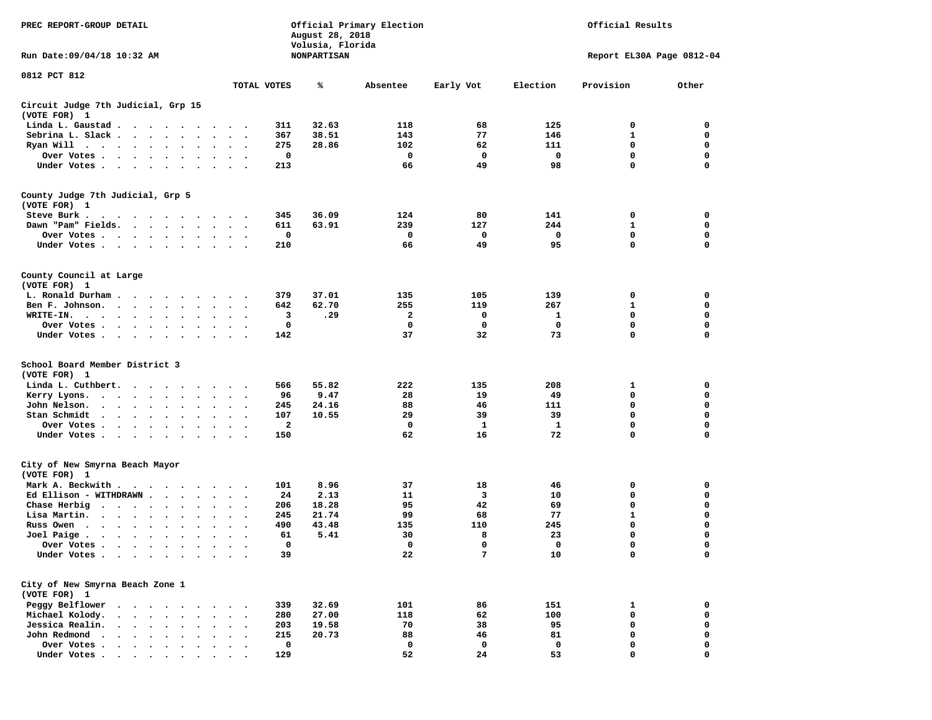| PREC REPORT-GROUP DETAIL                                                           |                                                                          |                                   |           |                      |                                       |             |              | August 28, 2018<br>Volusia, Florida | Official Primary Election |           |            | Official Results |                           |
|------------------------------------------------------------------------------------|--------------------------------------------------------------------------|-----------------------------------|-----------|----------------------|---------------------------------------|-------------|--------------|-------------------------------------|---------------------------|-----------|------------|------------------|---------------------------|
| Run Date:09/04/18 10:32 AM                                                         |                                                                          |                                   |           |                      |                                       |             |              | NONPARTISAN                         |                           |           |            |                  | Report EL30A Page 0812-04 |
| 0812 PCT 812                                                                       |                                                                          |                                   |           |                      |                                       |             |              |                                     |                           |           |            |                  |                           |
|                                                                                    |                                                                          |                                   |           |                      |                                       | TOTAL VOTES |              | ℁                                   | Absentee                  | Early Vot | Election   | Provision        | Other                     |
| Circuit Judge 7th Judicial, Grp 15<br>(VOTE FOR) 1                                 |                                                                          |                                   |           |                      |                                       |             |              |                                     |                           |           |            |                  |                           |
| Linda L. Gaustad                                                                   |                                                                          |                                   |           |                      |                                       |             | 311          | 32.63                               | 118                       | 68        | 125        | 0                | 0                         |
| Sebrina L. Slack                                                                   |                                                                          |                                   |           | $\ddot{\phantom{a}}$ | $\sim$ $\sim$                         |             | 367          | 38.51                               | 143                       | 77        | 146        | 1                | 0                         |
| Ryan Will $\cdots$ , $\cdots$ , $\cdots$                                           |                                                                          |                                   |           |                      | $\sim$ $\sim$                         |             | 275          | 28.86                               | 102                       | 62        | 111        | 0                | 0                         |
| Over Votes                                                                         |                                                                          |                                   |           |                      | $\ddot{\phantom{0}}$                  |             | 0            |                                     | 0                         | 0         | 0          | $\mathbf 0$      | 0                         |
| Under Votes                                                                        |                                                                          |                                   |           | $\sim$               |                                       |             | 213          |                                     | 66                        | 49        | 98         | 0                | $\mathbf 0$               |
| County Judge 7th Judicial, Grp 5                                                   |                                                                          |                                   |           |                      |                                       |             |              |                                     |                           |           |            |                  |                           |
| (VOTE FOR) 1                                                                       |                                                                          |                                   |           |                      |                                       |             |              |                                     |                           |           |            |                  |                           |
| Steve Burk .<br>$\cdots$                                                           |                                                                          |                                   |           |                      |                                       |             | 345          | 36.09                               | 124                       | 80        | 141        | 0                | 0                         |
| Dawn "Pam" Fields.                                                                 |                                                                          |                                   |           |                      | $\ddot{\phantom{1}}$                  |             | 611          | 63.91                               | 239                       | 127       | 244        | 1                | 0                         |
| Over Votes                                                                         |                                                                          |                                   |           |                      | $\ddot{\phantom{1}}$                  |             | 0            |                                     | 0                         | 0         | 0          | 0                | 0                         |
| Under Votes                                                                        |                                                                          |                                   |           |                      |                                       |             | 210          |                                     | 66                        | 49        | 95         | $\mathbf 0$      | $\mathbf 0$               |
| County Council at Large                                                            |                                                                          |                                   |           |                      |                                       |             |              |                                     |                           |           |            |                  |                           |
| (VOTE FOR) 1                                                                       |                                                                          |                                   |           |                      |                                       |             |              |                                     |                           |           |            |                  |                           |
| L. Ronald Durham                                                                   |                                                                          |                                   |           |                      |                                       |             | 379          | 37.01                               | 135                       | 105       | 139        | 0                | 0                         |
| Ben F. Johnson.                                                                    | $\cdots$                                                                 |                                   |           |                      | $\ddot{\phantom{1}}$                  |             | 642          | 62.70                               | 255                       | 119       | 267        | 1                | 0                         |
| WRITE-IN.                                                                          |                                                                          |                                   |           |                      |                                       |             | 3            | .29                                 | 2                         | 0         | 1          | 0                | 0                         |
| Over Votes                                                                         |                                                                          | $\bullet$ .                       | $\bullet$ |                      |                                       |             | 0            |                                     | 0                         | 0         | 0          | 0                | $\mathbf 0$               |
| Under Votes                                                                        |                                                                          |                                   |           |                      |                                       |             | 142          |                                     | 37                        | 32        | 73         | 0                | $\mathbf 0$               |
| School Board Member District 3                                                     |                                                                          |                                   |           |                      |                                       |             |              |                                     |                           |           |            |                  |                           |
| (VOTE FOR) 1                                                                       |                                                                          |                                   |           |                      |                                       |             |              |                                     |                           |           |            |                  |                           |
| Linda L. Cuthbert.                                                                 |                                                                          |                                   |           |                      |                                       |             | 566          | 55.82                               | 222                       | 135       | 208        | 1                | 0                         |
| Kerry Lyons.                                                                       |                                                                          |                                   |           |                      |                                       |             | 96           | 9.47                                | 28                        | 19        | 49         | $\mathbf 0$      | 0                         |
| John Nelson.<br>$\mathbf{u} = \mathbf{u} + \mathbf{u} + \mathbf{u} + \mathbf{u}$ . |                                                                          | $\ddot{\phantom{0}}$<br>$\bullet$ | $\bullet$ |                      | $\bullet$                             |             | 245          | 24.16                               | 88                        | 46        | 111        | 0                | 0                         |
| Stan Schmidt<br>$\cdot$ $\cdot$ $\cdot$ $\cdot$ $\cdot$                            |                                                                          | $\ddot{\phantom{0}}$              | $\bullet$ | $\bullet$            | $\cdot$                               |             | 107          | 10.55                               | 29                        | 39        | 39         | 0                | 0                         |
| Over Votes                                                                         |                                                                          |                                   | $\cdot$   |                      | $\ddot{\phantom{1}}$                  |             | $\mathbf{2}$ |                                     | 0                         | 1         | 1          | 0                | $\mathbf 0$               |
| Under Votes                                                                        |                                                                          | $\bullet$ .                       | $\bullet$ | $\bullet$            | $\cdot$ .                             |             | 150          |                                     | 62                        | 16        | 72         | 0                | $\mathbf 0$               |
| City of New Smyrna Beach Mayor                                                     |                                                                          |                                   |           |                      |                                       |             |              |                                     |                           |           |            |                  |                           |
| (VOTE FOR) 1                                                                       |                                                                          |                                   |           |                      |                                       |             |              |                                     |                           |           |            |                  |                           |
| Mark A. Beckwith                                                                   |                                                                          |                                   |           |                      |                                       |             | 101          | 8.96                                | 37                        | 18        | 46         | 0                | 0                         |
| Ed Ellison - WITHDRAWN.                                                            |                                                                          | $\sim$ $\sim$                     |           |                      | $\overline{\phantom{a}}$              |             | 24           | 2.13                                | 11                        | 3         | 10         | 0                | 0                         |
| Chase Herbig<br>$\cdots$                                                           |                                                                          |                                   |           |                      |                                       |             | 206          | 18.28                               | 95                        | 42        | 69         | 0                | 0                         |
| Lisa Martin.<br>$\sim$ , and $\sim$ , and $\sim$                                   |                                                                          |                                   | $\bullet$ | $\bullet$            | $\bullet$<br>$\overline{\phantom{a}}$ |             | 245          | 21.74                               | 99                        | 68        | 77         | $\mathbf{1}$     | $\mathbf 0$               |
| Russ Owen                                                                          |                                                                          | $\bullet$                         |           |                      |                                       |             | 490          | 43.48                               | 135                       | 110       | 245        | 0                | 0                         |
| Joel Paige $\cdots$ $\cdots$                                                       |                                                                          | $\ddot{\phantom{0}}$<br>$\bullet$ | $\bullet$ | $\bullet$            | $\bullet$<br>$\bullet$                |             | 61           | 5.41                                | 30                        | 8         | 23         | $\mathbf 0$      | $\mathbf 0$               |
| Over Votes                                                                         |                                                                          |                                   |           |                      |                                       |             | $^{\circ}$   |                                     | $\mathbf 0$               | $\Omega$  | $^{\circ}$ | 0                | $\Omega$                  |
| Under Votes                                                                        |                                                                          |                                   |           |                      |                                       |             | 39           |                                     | 22                        | 7         | 10         | 0                | 0                         |
| City of New Smyrna Beach Zone 1                                                    |                                                                          |                                   |           |                      |                                       |             |              |                                     |                           |           |            |                  |                           |
| (VOTE FOR) 1                                                                       |                                                                          |                                   |           |                      |                                       |             |              |                                     |                           |           |            |                  |                           |
| Peggy Belflower                                                                    |                                                                          |                                   |           |                      |                                       |             | 339          | 32.69                               | 101                       | 86        | 151        | 1                | 0                         |
| Michael Kolody.<br>$\ddot{\phantom{0}}$                                            | $\sim$                                                                   | $\ddot{\phantom{a}}$              |           |                      |                                       |             | 280          | 27.00                               | 118                       | 62        | 100        | 0                | 0                         |
| Jessica Realin.                                                                    | <b>Contract Contract Contract</b>                                        |                                   |           |                      |                                       |             | 203          | 19.58                               | 70                        | 38        | 95         | 0                | 0                         |
| John Redmond                                                                       | $\mathbf{r}$ , and $\mathbf{r}$ , and $\mathbf{r}$                       |                                   |           |                      |                                       |             | 215          | 20.73                               | 88                        | 46        | 81         | 0                | $\mathbf 0$               |
| Over Votes .                                                                       | $\mathbf{r}$ , $\mathbf{r}$ , $\mathbf{r}$ , $\mathbf{r}$ , $\mathbf{r}$ |                                   |           |                      |                                       |             | 0            |                                     | 0                         | 0         | 0          | 0                | 0                         |
| Under Votes.                                                                       |                                                                          |                                   |           |                      |                                       |             | 129          |                                     | 52                        | 24        | 53         | O                | $\Omega$                  |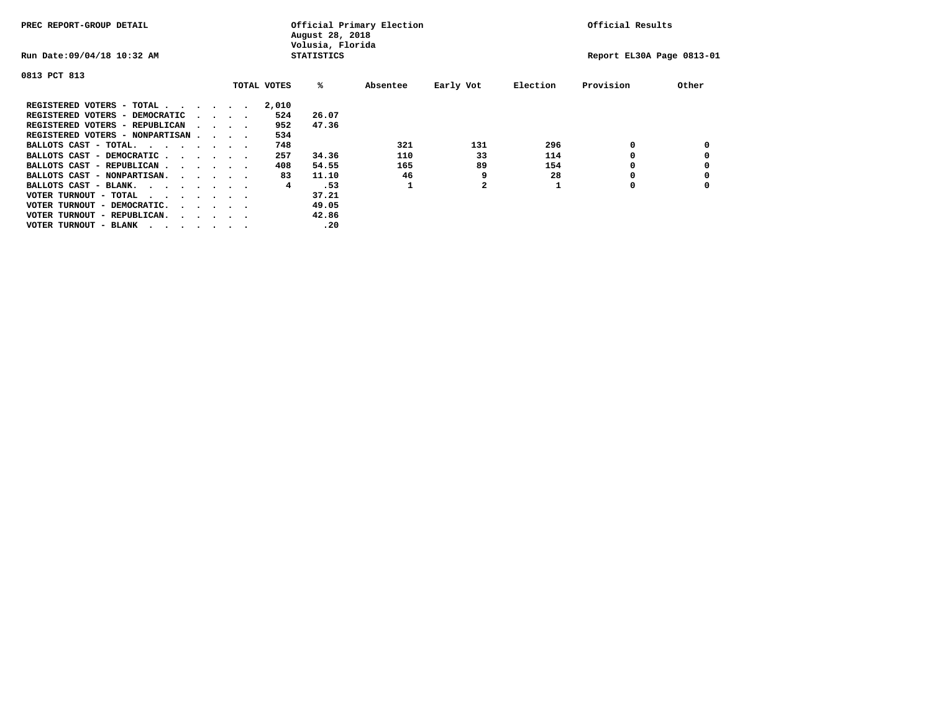| PREC REPORT-GROUP DETAIL                |  |  |                                         |             | August 28, 2018<br>Volusia, Florida | Official Primary Election |           | Official Results |                           |       |  |
|-----------------------------------------|--|--|-----------------------------------------|-------------|-------------------------------------|---------------------------|-----------|------------------|---------------------------|-------|--|
| Run Date: 09/04/18 10:32 AM             |  |  |                                         |             | <b>STATISTICS</b>                   |                           |           |                  | Report EL30A Page 0813-01 |       |  |
| 0813 PCT 813                            |  |  |                                         |             |                                     |                           |           |                  |                           |       |  |
|                                         |  |  |                                         | TOTAL VOTES | %ะ                                  | Absentee                  | Early Vot | Election         | Provision                 | Other |  |
| REGISTERED VOTERS - TOTAL               |  |  |                                         | 2,010       |                                     |                           |           |                  |                           |       |  |
| REGISTERED VOTERS - DEMOCRATIC          |  |  | $\sim$ $\sim$ $\sim$ $\sim$             | 524         | 26.07                               |                           |           |                  |                           |       |  |
| REGISTERED VOTERS - REPUBLICAN          |  |  |                                         | 952         | 47.36                               |                           |           |                  |                           |       |  |
| REGISTERED VOTERS - NONPARTISAN         |  |  |                                         | 534         |                                     |                           |           |                  |                           |       |  |
| BALLOTS CAST - TOTAL.                   |  |  |                                         | 748         |                                     | 321                       | 131       | 296              | 0                         |       |  |
| BALLOTS CAST - DEMOCRATIC               |  |  |                                         | 257         | 34.36                               | 110                       | 33        | 114              |                           |       |  |
| BALLOTS CAST - REPUBLICAN               |  |  |                                         | 408         | 54.55                               | 165                       | 89        | 154              | 0                         |       |  |
| BALLOTS CAST - NONPARTISAN.             |  |  |                                         | 83          | 11.10                               | 46                        | 9         | 28               |                           |       |  |
| BALLOTS CAST - BLANK.                   |  |  |                                         | 4           | .53                                 |                           | 2         |                  | 0                         |       |  |
| VOTER TURNOUT - TOTAL<br>$\cdots$       |  |  |                                         |             | 37.21                               |                           |           |                  |                           |       |  |
| VOTER TURNOUT - DEMOCRATIC.             |  |  | $\cdot$ $\cdot$ $\cdot$ $\cdot$ $\cdot$ |             | 49.05                               |                           |           |                  |                           |       |  |
| VOTER TURNOUT - REPUBLICAN.<br>$\cdots$ |  |  |                                         |             | 42.86                               |                           |           |                  |                           |       |  |
| VOTER TURNOUT - BLANK                   |  |  |                                         |             | .20                                 |                           |           |                  |                           |       |  |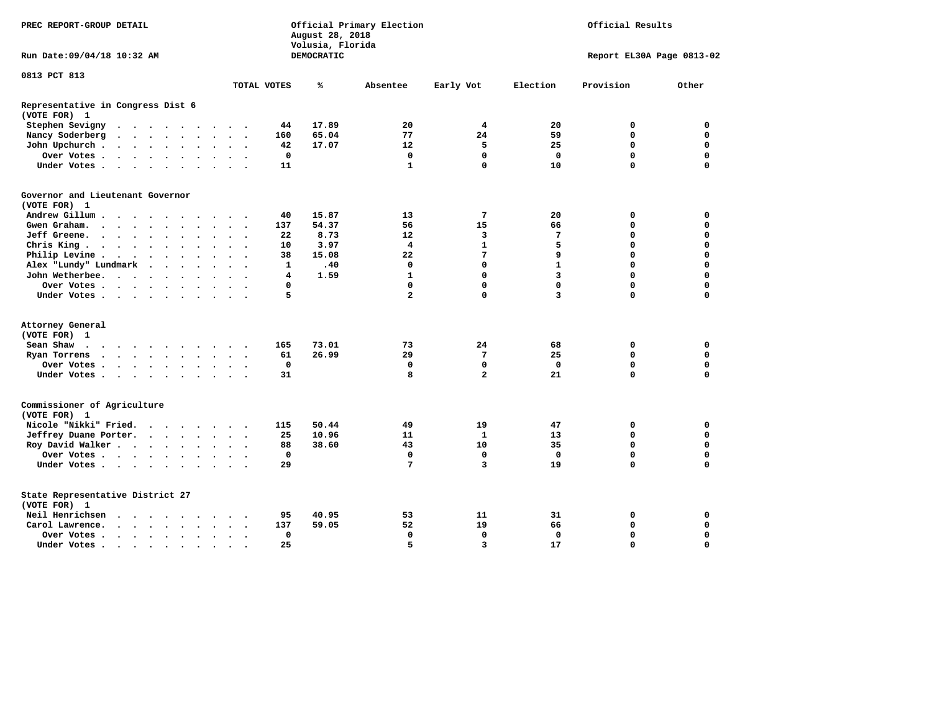| PREC REPORT-GROUP DETAIL                                                                                                                                                                                               |                         | August 28, 2018<br>Volusia, Florida | Official Primary Election | Official Results |              |                           |             |
|------------------------------------------------------------------------------------------------------------------------------------------------------------------------------------------------------------------------|-------------------------|-------------------------------------|---------------------------|------------------|--------------|---------------------------|-------------|
| Run Date: 09/04/18 10:32 AM                                                                                                                                                                                            |                         | DEMOCRATIC                          |                           |                  |              | Report EL30A Page 0813-02 |             |
| 0813 PCT 813                                                                                                                                                                                                           |                         |                                     |                           |                  |              |                           |             |
|                                                                                                                                                                                                                        | TOTAL VOTES             | ℁                                   | Absentee                  | Early Vot        | Election     | Provision                 | Other       |
| Representative in Congress Dist 6<br>(VOTE FOR) 1                                                                                                                                                                      |                         |                                     |                           |                  |              |                           |             |
| Stephen Sevigny<br>$\mathbf{u} = \mathbf{u} + \mathbf{u} + \mathbf{u} + \mathbf{u} + \mathbf{u} + \mathbf{u} + \mathbf{u} + \mathbf{u}$                                                                                | 44                      | 17.89                               | 20                        | 4                | 20           | 0                         | 0           |
| Nancy Soderberg<br>$\bullet$<br>$\ddotsc$                                                                                                                                                                              | 160                     | 65.04                               | 77                        | 24               | 59           | 0                         | $\mathbf 0$ |
| John Upchurch.<br>$\cdot$ $\cdot$ $\cdot$ $\cdot$ $\cdot$ $\cdot$<br>$\bullet$                                                                                                                                         | 42                      | 17.07                               | 12                        | 5                | 25           | 0                         | $\mathbf 0$ |
| Over Votes<br>$\bullet$<br>$\sim$ $\sim$                                                                                                                                                                               | 0                       |                                     | $\mathbf 0$               | $\mathbf 0$      | $\mathbf 0$  | $\mathbf 0$               | $\Omega$    |
| Under Votes<br>$\sim$                                                                                                                                                                                                  | 11                      |                                     | $\mathbf{1}$              | $\Omega$         | 10           | $\Omega$                  | $\Omega$    |
| Governor and Lieutenant Governor                                                                                                                                                                                       |                         |                                     |                           |                  |              |                           |             |
| (VOTE FOR) 1                                                                                                                                                                                                           |                         |                                     |                           |                  |              |                           |             |
| Andrew Gillum                                                                                                                                                                                                          | 40                      | 15.87                               | 13                        | 7                | 20           | 0                         | 0           |
| Gwen Graham.<br>$\cdot$<br>$\sim$<br>$\sim$                                                                                                                                                                            | 137                     | 54.37                               | 56                        | 15               | 66           | 0                         | $\mathbf 0$ |
| Jeff Greene.<br>$\bullet$<br>$\bullet$                                                                                                                                                                                 | 22                      | 8.73                                | 12                        | 3                | 7            | 0                         | 0           |
| Chris King                                                                                                                                                                                                             | 10                      | 3.97                                | $\overline{4}$            | $\mathbf{1}$     | 5            | 0                         | $\mathbf 0$ |
| Philip Levine .<br>$\begin{array}{cccccccccccccc} \bullet & \bullet & \bullet & \bullet & \bullet & \bullet & \bullet & \bullet \end{array}$<br>$\bullet$<br>$\ddot{\phantom{a}}$<br>$\bullet$<br>$\ddot{\phantom{1}}$ | 38                      | 15.08                               | 22                        | 7                | 9            | 0                         | $\mathbf 0$ |
| Alex "Lundy" Lundmark<br>$\sim$<br>$\ddot{\phantom{1}}$<br>$\ddot{\phantom{1}}$                                                                                                                                        | $\mathbf{1}$            | .40                                 | $\mathbf 0$               | $\mathbf 0$      | $\mathbf{1}$ | 0                         | $\mathbf 0$ |
| John Wetherbee.                                                                                                                                                                                                        | $\overline{\mathbf{4}}$ | 1.59                                | $\mathbf{1}$              | $\Omega$         | 3            | $\Omega$                  | $\Omega$    |
| Over Votes .<br>$\overline{\phantom{a}}$                                                                                                                                                                               | 0                       |                                     | 0                         | $\mathbf 0$      | $\Omega$     | 0                         | $\mathbf 0$ |
| Under Votes                                                                                                                                                                                                            | 5                       |                                     | $\overline{a}$            | $\mathbf 0$      | 3            | $\Omega$                  | $\Omega$    |
| Attorney General                                                                                                                                                                                                       |                         |                                     |                           |                  |              |                           |             |
| (VOTE FOR) 1                                                                                                                                                                                                           |                         |                                     |                           |                  |              |                           |             |
| Sean Shaw<br>$\cdots$<br>$\sim$ $\sim$                                                                                                                                                                                 | 165                     | 73.01                               | 73                        | 24               | 68           | 0                         | $\mathbf 0$ |
| Ryan Torrens<br>$\cdots$                                                                                                                                                                                               | 61                      | 26.99                               | 29                        | $7\phantom{.0}$  | 25           | $\Omega$                  | $\Omega$    |
| Over Votes                                                                                                                                                                                                             | $\mathbf 0$             |                                     | $\mathbf 0$               | $\mathbf 0$      | $\Omega$     | 0                         | $\mathbf 0$ |
| Under Votes<br>$\sim$<br>$\ddot{\phantom{1}}$                                                                                                                                                                          | 31                      |                                     | 8                         | $\overline{a}$   | 21           | 0                         | $\Omega$    |
| Commissioner of Agriculture<br>(VOTE FOR) 1                                                                                                                                                                            |                         |                                     |                           |                  |              |                           |             |
| Nicole "Nikki" Fried.<br>$\cdots$                                                                                                                                                                                      | 115                     | 50.44                               | 49                        | 19               | 47           | 0                         | 0           |
| Jeffrey Duane Porter.<br>$\mathcal{L}(\mathbf{z})$ , and $\mathcal{L}(\mathbf{z})$ , and $\mathcal{L}(\mathbf{z})$<br>$\ddot{\phantom{a}}$                                                                             | 25                      | 10.96                               | 11                        | 1                | 13           | 0                         | $\mathbf 0$ |
| Roy David Walker<br>$\bullet$                                                                                                                                                                                          | 88                      | 38.60                               | 43                        | 10               | 35           | $\mathbf 0$               | $\mathbf 0$ |
| Over Votes                                                                                                                                                                                                             | $\mathbf 0$             |                                     | $\mathbf 0$               | $\mathbf 0$      | $\mathbf 0$  | 0                         | $\Omega$    |
| Under Votes                                                                                                                                                                                                            | 29                      |                                     | 7                         | $\overline{3}$   | 19           | $\Omega$                  | 0           |
| State Representative District 27<br>(VOTE FOR) 1                                                                                                                                                                       |                         |                                     |                           |                  |              |                           |             |
| Neil Henrichsen<br>$\ddot{\phantom{a}}$<br>$\sim$<br>$\sim$<br>$\cdots$                                                                                                                                                | 95                      | 40.95                               | 53                        | 11               | 31           | 0                         | $\mathbf 0$ |
| Carol Lawrence.<br>$\cdot$ $\cdot$ $\cdot$ $\cdot$ $\cdot$<br>$\ddot{\phantom{0}}$<br>$\cdot$<br>$\bullet$<br>$\cdot$                                                                                                  | 137                     | 59.05                               | 52                        | 19               | 66           | $\mathbf 0$               | $\Omega$    |
| Over Votes<br>$\cdot$                                                                                                                                                                                                  | $\mathbf 0$             |                                     | $\Omega$                  | $\mathbf 0$      | $\Omega$     | 0                         | $\mathbf 0$ |
| Under Votes.<br>$\cdot$ $\cdot$ $\cdot$ $\cdot$ $\cdot$<br>$\sim$<br>$\bullet$                                                                                                                                         | 25                      |                                     | 5                         | 3                | 17           | $\Omega$                  | $\Omega$    |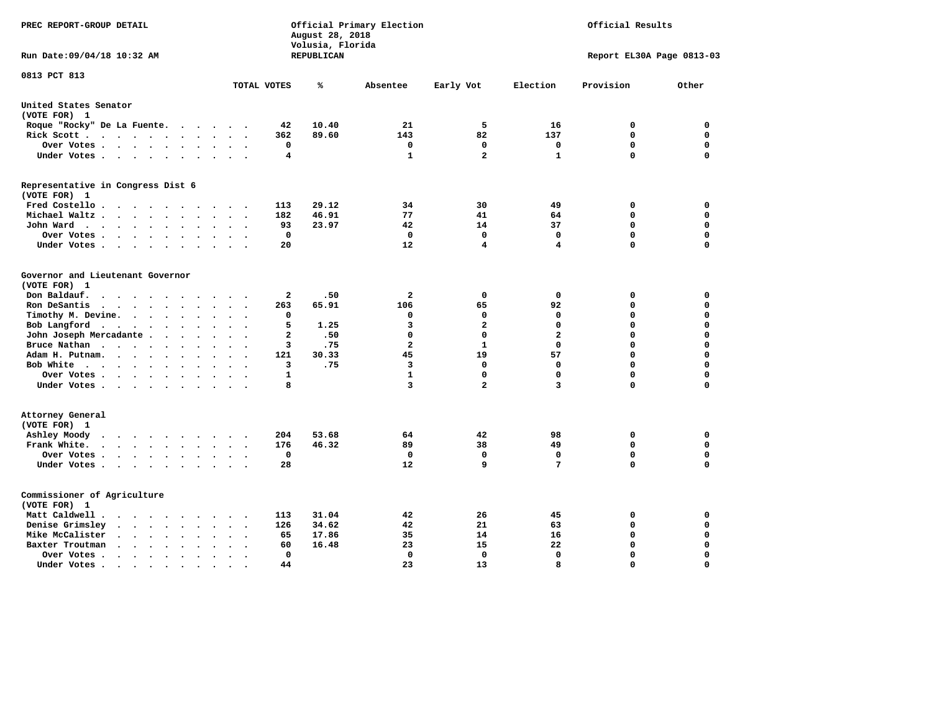| PREC REPORT-GROUP DETAIL                                                                                      |                                                                 | August 28, 2018<br>Volusia, Florida | Official Primary Election | Official Results |                 |                           |          |
|---------------------------------------------------------------------------------------------------------------|-----------------------------------------------------------------|-------------------------------------|---------------------------|------------------|-----------------|---------------------------|----------|
| Run Date: 09/04/18 10:32 AM                                                                                   |                                                                 | REPUBLICAN                          |                           |                  |                 | Report EL30A Page 0813-03 |          |
| 0813 PCT 813                                                                                                  | TOTAL VOTES                                                     | ℁                                   | Absentee                  | Early Vot        | Election        | Provision                 | Other    |
|                                                                                                               |                                                                 |                                     |                           |                  |                 |                           |          |
| United States Senator<br>(VOTE FOR) 1                                                                         |                                                                 |                                     |                           |                  |                 |                           |          |
| Roque "Rocky" De La Fuente.                                                                                   | 42<br>$\cdots$                                                  | 10.40                               | 21                        | 5                | 16              | 0                         | 0        |
| Rick Scott                                                                                                    | 362                                                             | 89.60                               | 143                       | 82               | 137             | $\mathbf 0$               | 0        |
| Over Votes                                                                                                    | 0<br>$\sim$<br>$\ddot{\phantom{a}}$<br>$\overline{\phantom{a}}$ |                                     | 0                         | 0                | 0               | $\mathbf 0$               | 0        |
| Under Votes                                                                                                   | 4<br>$\ddot{\phantom{a}}$                                       |                                     | 1                         | $\overline{a}$   | $\mathbf{1}$    | $\mathbf 0$               | 0        |
| Representative in Congress Dist 6                                                                             |                                                                 |                                     |                           |                  |                 |                           |          |
| (VOTE FOR) 1                                                                                                  |                                                                 |                                     |                           |                  |                 |                           |          |
| Fred Costello                                                                                                 | 113                                                             | 29.12                               | 34                        | 30               | 49              | 0                         | 0        |
| Michael Waltz<br>$\ddot{\phantom{a}}$<br>$\ddot{\phantom{a}}$<br>$\ddot{\phantom{a}}$                         | 182                                                             | 46.91                               | 77                        | 41               | 64              | 0                         | 0        |
| John Ward<br>$\bullet$                                                                                        | 93<br>$\bullet$                                                 | 23.97                               | 42                        | 14               | 37              | 0                         | 0        |
| Over Votes<br>$\overline{\phantom{a}}$                                                                        | 0                                                               |                                     | 0                         | 0                | $\mathbf 0$     | $\mathbf 0$               | 0        |
| Under Votes<br>$\overline{\phantom{a}}$<br>$\cdot$                                                            | 20                                                              |                                     | 12                        | 4                | $\overline{4}$  | $\mathbf 0$               | 0        |
| Governor and Lieutenant Governor                                                                              |                                                                 |                                     |                           |                  |                 |                           |          |
| (VOTE FOR) 1                                                                                                  |                                                                 |                                     |                           |                  |                 |                           |          |
| Don Baldauf.<br>$\cdot$ $\cdot$ $\cdot$ $\cdot$                                                               | 2                                                               | .50                                 | $\overline{\mathbf{2}}$   | $\mathbf 0$      | $\mathbf 0$     | 0                         | 0        |
| Ron DeSantis<br>$\bullet$<br>$\sim$                                                                           | 263                                                             | 65.91                               | 106                       | 65               | 92              | $\mathbf 0$               | 0        |
| Timothy M. Devine.<br>$\ddot{\phantom{a}}$                                                                    | 0                                                               |                                     | 0                         | 0                | $\mathbf 0$     | $\mathbf 0$               | 0        |
| Bob Langford<br>$\sim$                                                                                        | 5<br>$\ddot{\phantom{a}}$                                       | 1.25                                | 3                         | $\overline{a}$   | $\mathbf 0$     | $\mathbf 0$               | 0        |
| John Joseph Mercadante                                                                                        | $\overline{\mathbf{2}}$<br>$\overline{\phantom{a}}$             | .50                                 | $\mathbf 0$               | 0                | $\overline{a}$  | $\mathbf 0$               | 0        |
| Bruce Nathan<br>$\mathbf{r}$ , and $\mathbf{r}$ , and $\mathbf{r}$ , and $\mathbf{r}$<br>$\ddot{\phantom{0}}$ | 3                                                               | .75                                 | $\overline{\mathbf{2}}$   | $\mathbf{1}$     | $\mathbf{0}$    | $\mathbf 0$               | 0        |
| Adam H. Putnam.<br>$\cdots$<br>$\ddot{\phantom{a}}$                                                           | 121                                                             | 30.33                               | 45                        | 19               | 57              | $\mathbf 0$               | 0        |
| Bob White<br>$\ddot{\phantom{a}}$                                                                             | 3<br>$\sim$                                                     | .75                                 | 3                         | 0                | $\mathbf 0$     | $\mathbf 0$               | 0        |
| Over Votes .<br>.<br>$\ddot{\phantom{0}}$                                                                     | $\mathbf{1}$                                                    |                                     | $\mathbf{1}$              | 0                | $\mathbf 0$     | $\mathbf 0$               | 0        |
| Under Votes                                                                                                   | 8                                                               |                                     | 3                         | $\overline{a}$   | 3               | $\mathbf 0$               | 0        |
| Attorney General                                                                                              |                                                                 |                                     |                           |                  |                 |                           |          |
| (VOTE FOR) 1                                                                                                  |                                                                 |                                     |                           |                  |                 |                           |          |
| Ashley Moody<br>$\cdots$<br>$\cdot$                                                                           | 204<br>$\overline{\phantom{a}}$                                 | 53.68                               | 64                        | 42               | 98              | 0                         | 0        |
| Frank White.<br>$\cdots$<br>$\ddot{\phantom{0}}$<br>$\overline{\phantom{a}}$                                  | 176                                                             | 46.32                               | 89                        | 38               | 49              | $\mathbf 0$               | 0        |
| Over Votes .<br>$\cdots$<br>$\sim$                                                                            | 0<br>$\cdot$                                                    |                                     | 0                         | 0                | $\mathbf 0$     | $\mathbf 0$               | 0        |
| Under Votes                                                                                                   | 28                                                              |                                     | 12                        | 9                | $7\phantom{.0}$ | $\mathbf 0$               | 0        |
| Commissioner of Agriculture                                                                                   |                                                                 |                                     |                           |                  |                 |                           |          |
| (VOTE FOR) 1                                                                                                  |                                                                 |                                     |                           |                  |                 |                           |          |
| Matt Caldwell .<br>$\cdot$ $\cdot$ $\cdot$ $\cdot$ $\cdot$<br>$\sim$ $\sim$                                   | 113                                                             | 31.04                               | 42                        | 26               | 45              | 0                         | 0        |
| Denise Grimsley<br>$\sim$ $\sim$<br>$\ddot{\phantom{a}}$<br>$\ddot{\phantom{a}}$<br>$\ddot{\phantom{a}}$      | 126                                                             | 34.62                               | 42                        | 21               | 63              | $\mathbf 0$               | 0        |
| Mike McCalister<br>$\mathbf{r}$ , $\mathbf{r}$ , $\mathbf{r}$ , $\mathbf{r}$<br>$\ddot{\phantom{a}}$          | 65                                                              | 17.86                               | 35                        | 14               | 16              | $\mathbf 0$               | 0        |
| Baxter Troutman<br>$\mathbf{r}$ , $\mathbf{r}$ , $\mathbf{r}$<br>$\ddot{\phantom{a}}$<br>$\ddot{\phantom{a}}$ | 60                                                              | 16.48                               | 23                        | 15               | 22              | $\mathbf 0$               | 0        |
| Over Votes.<br>$\sim$ $\sim$ $\sim$ $\sim$<br>$\sim$<br>$\cdot$                                               | 0                                                               |                                     | 0                         | 0                | 0               | $\mathbf 0$               | 0        |
| Under Votes.<br>$\cdots$<br>$\sim$<br>$\blacksquare$                                                          | 44<br>$\bullet$                                                 |                                     | 23                        | 13               | 8               | $\Omega$                  | $\Omega$ |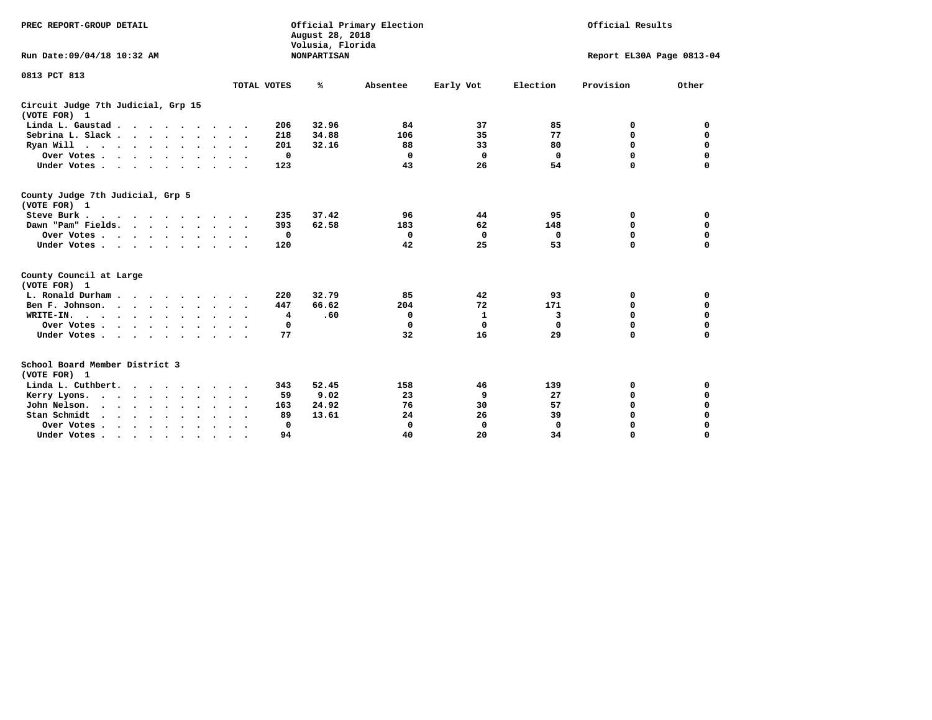| PREC REPORT-GROUP DETAIL                                                |                      | August 28, 2018<br>Volusia, Florida | Official Primary Election |             | Official Results |                           |             |  |  |
|-------------------------------------------------------------------------|----------------------|-------------------------------------|---------------------------|-------------|------------------|---------------------------|-------------|--|--|
| Run Date: 09/04/18 10:32 AM                                             |                      | <b>NONPARTISAN</b>                  |                           |             |                  | Report EL30A Page 0813-04 |             |  |  |
| 0813 PCT 813                                                            | TOTAL VOTES          | ℁                                   | Absentee                  | Early Vot   | Election         | Provision                 | Other       |  |  |
| Circuit Judge 7th Judicial, Grp 15<br>(VOTE FOR) 1                      |                      |                                     |                           |             |                  |                           |             |  |  |
| Linda L. Gaustad                                                        | 206                  | 32.96                               | 84                        | 37          | 85               | 0                         | 0           |  |  |
| Sebrina L. Slack.                                                       | 218                  | 34.88                               | 106                       | 35          | 77               | 0                         | $\mathbf 0$ |  |  |
| Ryan Will $\cdots$ , $\cdots$ , $\cdots$                                | 201                  | 32.16                               | 88                        | 33          | 80               | $\mathbf 0$               | $\mathbf 0$ |  |  |
| Over Votes                                                              | 0                    |                                     | $\mathbf 0$               | $\mathbf 0$ | 0                | $\mathbf 0$               | $\mathbf 0$ |  |  |
| Under Votes                                                             | 123                  |                                     | 43                        | 26          | 54               | 0                         | $\mathbf 0$ |  |  |
| County Judge 7th Judicial, Grp 5<br>(VOTE FOR) 1                        |                      |                                     |                           |             |                  |                           |             |  |  |
| Steve Burk                                                              | 235<br>$\sim$ $\sim$ | 37.42                               | 96                        | 44          | 95               | 0                         | 0           |  |  |
| Dawn "Pam" Fields.                                                      | 393                  | 62.58                               | 183                       | 62          | 148              | $\mathbf 0$               | 0           |  |  |
| Over Votes                                                              | 0                    |                                     | 0                         | 0           | 0                | 0                         | 0           |  |  |
| Under Votes                                                             | 120<br>$\sim$ $\sim$ |                                     | 42                        | 25          | 53               | $\Omega$                  | $\mathbf 0$ |  |  |
| County Council at Large<br>(VOTE FOR) 1                                 |                      |                                     |                           |             |                  |                           |             |  |  |
| L. Ronald Durham                                                        | 220                  | 32.79                               | 85                        | 42          | 93               | 0                         | 0           |  |  |
| Ben F. Johnson.                                                         | 447                  | 66.62                               | 204                       | 72          | 171              | 0                         | $\mathbf 0$ |  |  |
| WRITE-IN.<br>$\cdots$                                                   | 4                    | .60                                 | 0                         | 1           | 3                | $\mathbf 0$               | $\mathbf 0$ |  |  |
| Over Votes                                                              | 0                    |                                     | 0                         | 0           | 0                | 0                         | 0           |  |  |
| Under Votes                                                             | 77<br>$\sim$ $\sim$  |                                     | 32                        | 16          | 29               | $\Omega$                  | 0           |  |  |
| School Board Member District 3<br>(VOTE FOR) 1                          |                      |                                     |                           |             |                  |                           |             |  |  |
| Linda L. Cuthbert.                                                      | 343                  | 52.45                               | 158                       | 46          | 139              | 0                         | 0           |  |  |
| Kerry Lyons.<br>.                                                       | 59                   | 9.02                                | 23                        | 9           | 27               | 0                         | $\mathbf 0$ |  |  |
| John Nelson.<br>$\cdot$ $\cdot$ $\cdot$ $\cdot$ $\cdot$ $\cdot$ $\cdot$ | 163                  | 24.92                               | 76                        | 30          | 57               | $\mathbf 0$               | $\mathbf 0$ |  |  |
| Stan Schmidt<br>$\sim$<br>$\cdot$ $\cdot$<br>$\sim$                     | 89                   | 13.61                               | 24                        | 26          | 39               | 0                         | $\mathbf 0$ |  |  |
| Over Votes                                                              | 0<br>$\sim$          |                                     | $\mathbf 0$               | 0           | 0                | 0                         | $\mathbf 0$ |  |  |
| Under Votes.                                                            | 94                   |                                     | 40                        | 20          | 34               | $\Omega$                  | $\Omega$    |  |  |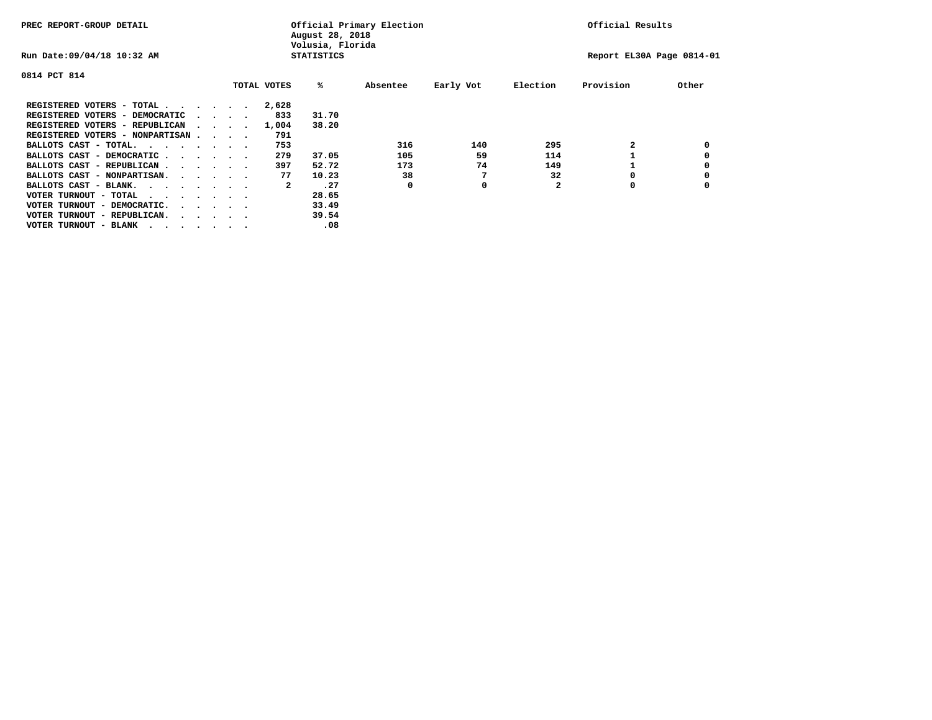| PREC REPORT-GROUP DETAIL               |  |                                         |  |             | Official Primary Election<br>August 28, 2018<br>Volusia, Florida |          | Official Results |              |                           |       |
|----------------------------------------|--|-----------------------------------------|--|-------------|------------------------------------------------------------------|----------|------------------|--------------|---------------------------|-------|
| Run Date: 09/04/18 10:32 AM            |  |                                         |  |             | <b>STATISTICS</b>                                                |          |                  |              | Report EL30A Page 0814-01 |       |
| 0814 PCT 814                           |  |                                         |  |             |                                                                  |          |                  |              |                           |       |
|                                        |  |                                         |  | TOTAL VOTES | %ะ                                                               | Absentee | Early Vot        | Election     | Provision                 | Other |
| REGISTERED VOTERS - TOTAL              |  |                                         |  | 2,628       |                                                                  |          |                  |              |                           |       |
| REGISTERED VOTERS - DEMOCRATIC         |  | $\cdot$ $\cdot$ $\cdot$ $\cdot$         |  | 833         | 31.70                                                            |          |                  |              |                           |       |
| REGISTERED VOTERS - REPUBLICAN         |  |                                         |  | 1,004       | 38.20                                                            |          |                  |              |                           |       |
| REGISTERED VOTERS - NONPARTISAN        |  |                                         |  | 791         |                                                                  |          |                  |              |                           |       |
| BALLOTS CAST - TOTAL.                  |  |                                         |  | 753         |                                                                  | 316      | 140              | 295          |                           |       |
| BALLOTS CAST - DEMOCRATIC              |  |                                         |  | 279         | 37.05                                                            | 105      | 59               | 114          |                           |       |
| BALLOTS CAST - REPUBLICAN              |  |                                         |  | 397         | 52.72                                                            | 173      | 74               | 149          |                           |       |
| BALLOTS CAST - NONPARTISAN.            |  |                                         |  | 77          | 10.23                                                            | 38       |                  | 32           |                           |       |
| BALLOTS CAST - BLANK.                  |  |                                         |  | 2           | .27                                                              | 0        | 0                | $\mathbf{2}$ | 0                         |       |
| VOTER TURNOUT - TOTAL<br>.             |  |                                         |  |             | 28.65                                                            |          |                  |              |                           |       |
| VOTER TURNOUT - DEMOCRATIC.            |  | $\cdot$ $\cdot$ $\cdot$ $\cdot$ $\cdot$ |  |             | 33.49                                                            |          |                  |              |                           |       |
| VOTER TURNOUT - REPUBLICAN.<br>$\cdot$ |  |                                         |  |             | 39.54                                                            |          |                  |              |                           |       |
| VOTER TURNOUT - BLANK                  |  |                                         |  |             | .08                                                              |          |                  |              |                           |       |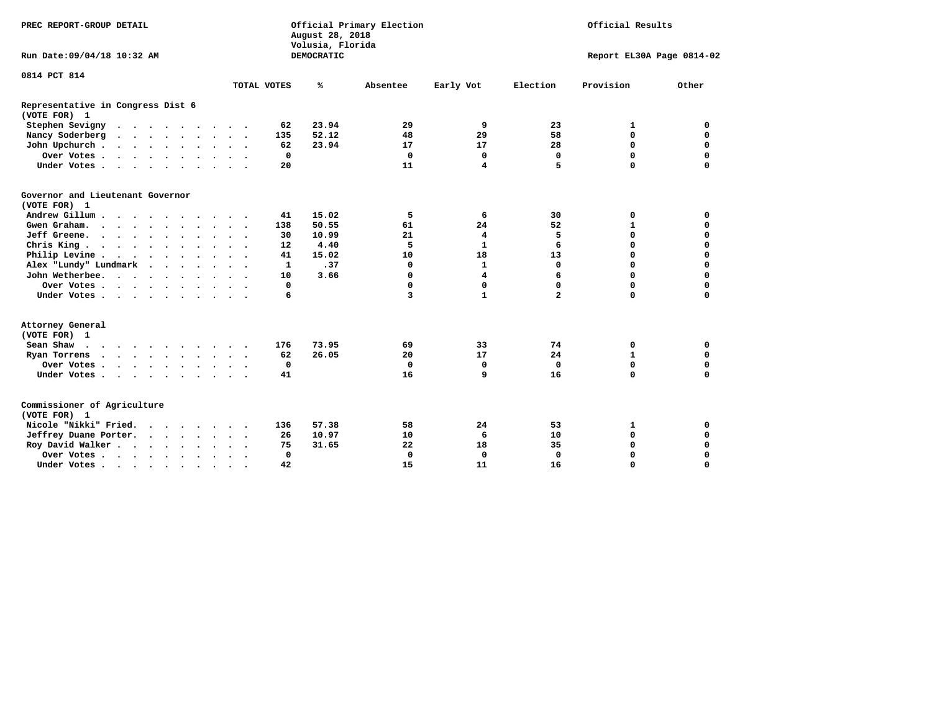| PREC REPORT-GROUP DETAIL                          |                           | Official Primary Election<br>August 28, 2018<br>Volusia, Florida |                               | Official Results |                           |             |  |
|---------------------------------------------------|---------------------------|------------------------------------------------------------------|-------------------------------|------------------|---------------------------|-------------|--|
| Run Date: 09/04/18 10:32 AM                       |                           | DEMOCRATIC                                                       |                               |                  | Report EL30A Page 0814-02 |             |  |
| 0814 PCT 814                                      |                           |                                                                  |                               |                  |                           |             |  |
|                                                   | TOTAL VOTES               | %<br>Absentee                                                    | Early Vot                     | Election         | Provision                 | Other       |  |
| Representative in Congress Dist 6<br>(VOTE FOR) 1 |                           |                                                                  |                               |                  |                           |             |  |
| Stephen Sevigny                                   | 62                        | 23.94                                                            | 9<br>29                       | 23               | 1                         | 0           |  |
| Nancy Soderberg                                   | 135                       | 52.12                                                            | 29<br>48                      | 58               | $\mathbf 0$               | $\mathbf 0$ |  |
| John Upchurch                                     | 62                        | 23.94                                                            | 17<br>17                      | 28               | 0                         | 0           |  |
| Over Votes                                        | 0                         |                                                                  | $\mathbf 0$<br>0              | $\mathbf 0$      | $\mathbf 0$               | $\mathbf 0$ |  |
| Under Votes                                       | 20                        |                                                                  | 11<br>$\overline{\mathbf{4}}$ | 5                | $\Omega$                  | $\Omega$    |  |
| Governor and Lieutenant Governor<br>(VOTE FOR) 1  |                           |                                                                  |                               |                  |                           |             |  |
| Andrew Gillum                                     | 41                        | 15.02                                                            | 5<br>6                        | 30               | 0                         | 0           |  |
| Gwen Graham.                                      | 138                       | 50.55                                                            | 24<br>61                      | 52               | $\mathbf{1}$              | 0           |  |
| Jeff Greene.                                      | 30                        | 10.99                                                            | 21<br>4                       | 5                | $\mathbf 0$               | $\mathbf 0$ |  |
| Chris King                                        | 12                        | 4.40                                                             | 5<br>$\mathbf{1}$             | 6                | $\Omega$                  | $\mathbf 0$ |  |
| Philip Levine                                     | 41                        | 15.02                                                            | 10<br>18                      | 13               | $\mathbf 0$               | $\mathbf 0$ |  |
| Alex "Lundy" Lundmark                             | $\mathbf{1}$              | .37                                                              | $\mathbf{1}$<br>0             | $\mathbf 0$      | $\Omega$                  | $\mathbf 0$ |  |
| John Wetherbee.                                   | 10<br>$\sim$ $\sim$       | 3.66                                                             | 4<br>$\Omega$                 | 6                | $\Omega$                  | 0           |  |
| Over Votes                                        | 0                         |                                                                  | 0<br>0                        | 0                | $\mathbf 0$               | $\mathbf 0$ |  |
| Under Votes                                       | 6                         |                                                                  | $\mathbf{1}$<br>3             | $\overline{a}$   | $\mathbf 0$               | $\mathbf 0$ |  |
| Attorney General<br>(VOTE FOR) 1                  |                           |                                                                  |                               |                  |                           |             |  |
| Sean Shaw $\cdots$ $\cdots$ $\cdots$ $\cdots$     | 176                       | 73.95                                                            | 33<br>69                      | 74               | 0                         | 0           |  |
| Ryan Torrens                                      | 62                        | 26.05                                                            | 17<br>20                      | 24               | $\mathbf{1}$              | 0           |  |
| Over Votes                                        | 0<br>$\ddot{\phantom{0}}$ |                                                                  | $\mathbf 0$<br>0              | $\mathbf 0$      | 0                         | 0           |  |
| Under Votes                                       | 41                        |                                                                  | 16<br>9                       | 16               | $\Omega$                  | $\mathbf 0$ |  |
| Commissioner of Agriculture<br>(VOTE FOR) 1       |                           |                                                                  |                               |                  |                           |             |  |
| Nicole "Nikki" Fried.                             | 136                       | 57.38                                                            | 58<br>24                      | 53               | 1                         | 0           |  |
| Jeffrey Duane Porter.                             | 26                        | 10.97                                                            | 10<br>6                       | 10               | $\mathbf 0$               | $\mathbf 0$ |  |
| Roy David Walker                                  | 75                        | 31.65                                                            | 22<br>18                      | 35               | $\mathbf 0$               | $\mathbf 0$ |  |
| Over Votes                                        | $\mathbf 0$               |                                                                  | $\Omega$<br>$\mathbf 0$       | $\Omega$         | $\Omega$                  | $\Omega$    |  |
| Under Votes                                       | 42<br>$\cdot$             |                                                                  | 15<br>11                      | 16               | $\mathbf 0$               | $\mathbf 0$ |  |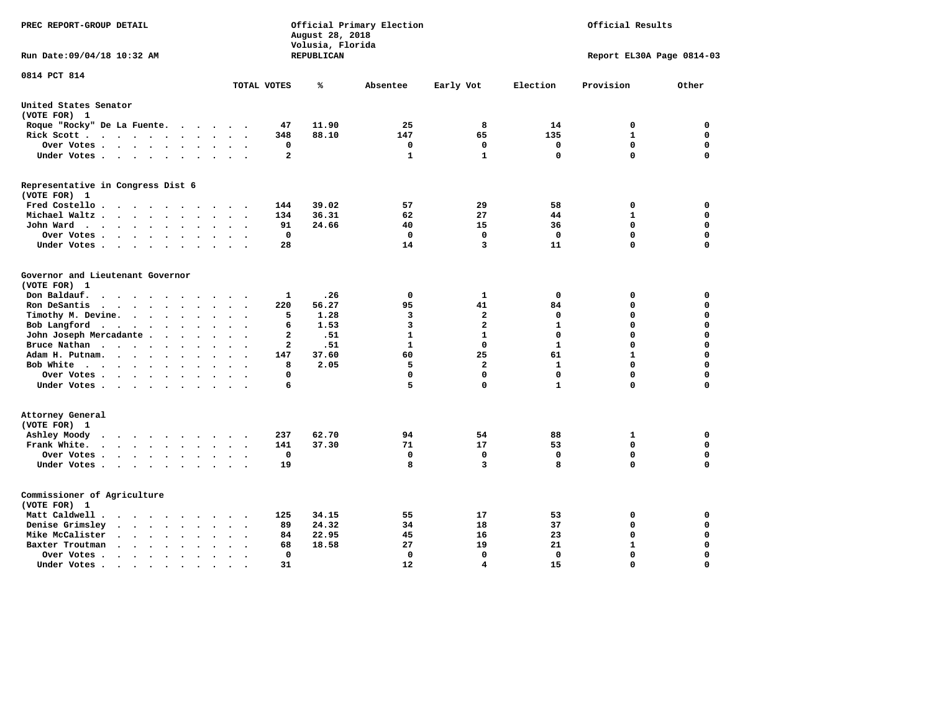| PREC REPORT-GROUP DETAIL                                                                                                                                         |                                                 | August 28, 2018<br>Volusia, Florida | Official Primary Election | Official Results           |                   |                           |          |
|------------------------------------------------------------------------------------------------------------------------------------------------------------------|-------------------------------------------------|-------------------------------------|---------------------------|----------------------------|-------------------|---------------------------|----------|
| Run Date: 09/04/18 10:32 AM                                                                                                                                      |                                                 | REPUBLICAN                          |                           |                            |                   | Report EL30A Page 0814-03 |          |
| 0814 PCT 814                                                                                                                                                     | TOTAL VOTES                                     | ℁                                   | Absentee                  | Early Vot                  | Election          | Provision                 | Other    |
|                                                                                                                                                                  |                                                 |                                     |                           |                            |                   |                           |          |
| United States Senator<br>(VOTE FOR) 1                                                                                                                            |                                                 |                                     |                           |                            |                   |                           |          |
| Roque "Rocky" De La Fuente.<br>$\mathcal{L}(\mathbf{z})$ , and $\mathcal{L}(\mathbf{z})$                                                                         | 47<br>$\sim$ $\sim$                             | 11.90                               | 25                        | 8                          | 14                | 0                         | 0        |
| Rick Scott<br>$\sim$ $\sim$                                                                                                                                      | 348                                             | 88.10                               | 147                       | 65                         | 135               | $\mathbf{1}$              | 0        |
| Over Votes                                                                                                                                                       | 0<br>$\cdot$<br>$\ddot{\phantom{a}}$<br>$\cdot$ |                                     | 0                         | 0                          | 0                 | $\mathbf 0$               | 0        |
| Under Votes                                                                                                                                                      | $\mathbf{2}$<br>$\ddot{\phantom{a}}$            |                                     | 1                         | $\mathbf{1}$               | $\mathbf 0$       | $\mathbf 0$               | 0        |
| Representative in Congress Dist 6                                                                                                                                |                                                 |                                     |                           |                            |                   |                           |          |
| (VOTE FOR) 1                                                                                                                                                     |                                                 | 39.02                               | 57                        | 29                         |                   |                           | 0        |
| Fred Costello<br>$\sim$                                                                                                                                          | 144                                             | 36.31                               |                           | 27                         | 58                | 0<br>$\mathbf{1}$         | 0        |
| Michael Waltz<br>$\ddot{\phantom{a}}$                                                                                                                            | 134                                             |                                     | 62                        | 15                         | 44                | $\mathbf 0$               |          |
| John Ward<br>$\bullet$                                                                                                                                           | 91<br>$\bullet$<br>$\mathbf 0$                  | 24.66                               | 40<br>$\mathbf 0$         | $\mathbf 0$                | 36<br>$\mathbf 0$ | $\mathbf 0$               | 0<br>0   |
| Over Votes .<br>.<br>$\cdot$<br>Under Votes                                                                                                                      | 28                                              |                                     | 14                        | 3                          | 11                | $\mathbf 0$               | 0        |
| $\overline{\phantom{a}}$                                                                                                                                         |                                                 |                                     |                           |                            |                   |                           |          |
| Governor and Lieutenant Governor<br>(VOTE FOR) 1                                                                                                                 |                                                 |                                     |                           |                            |                   |                           |          |
| Don Baldauf.<br>$\ddot{\phantom{a}}$                                                                                                                             | 1                                               | .26                                 | 0                         | 1                          | 0                 | 0                         | 0        |
| Ron DeSantis<br>$\cdots$<br>$\ddot{\phantom{a}}$<br>$\ddot{\phantom{a}}$<br>$\bullet$<br>$\bullet$                                                               | 220                                             | 56.27                               | 95                        | 41                         | 84                | $\mathbf 0$               | 0        |
|                                                                                                                                                                  | 5                                               | 1.28                                | 3                         | $\overline{a}$             | 0                 | $\mathbf 0$               | 0        |
| Timothy M. Devine.<br>$\bullet$                                                                                                                                  | $\ddot{\phantom{a}}$                            |                                     | 3                         | $\overline{a}$             | $\mathbf{1}$      | $\mathbf 0$               | 0        |
| Bob Langford                                                                                                                                                     | 6<br>$\cdot$                                    | 1.53                                | $\mathbf{1}$              | $\mathbf{1}$               | $\mathbf 0$       | $\mathbf 0$               | 0        |
| John Joseph Mercadante                                                                                                                                           | $\overline{2}$<br>$\Delta \sim 10^{-10}$        | .51                                 | $\mathbf{1}$              | $\Omega$                   | $\mathbf{1}$      | 0                         | 0        |
| Bruce Nathan<br>$\cdots$<br>$\ddot{\phantom{0}}$<br>$\bullet$                                                                                                    | $\mathbf{2}$                                    | .51                                 |                           |                            |                   |                           |          |
| Adam H. Putnam.<br>$\sim$ $\sim$ $\sim$<br>$\ddot{\phantom{a}}$<br>$\ddot{\phantom{a}}$                                                                          | 147                                             | 37.60                               | 60                        | 25                         | 61                | $\mathbf{1}$              | 0        |
| Bob White<br>$\sim$                                                                                                                                              | 8<br>$\overline{\phantom{a}}$                   | 2.05                                | 5                         | $\overline{a}$<br>$\Omega$ | $\mathbf{1}$      | $\mathbf 0$               | 0        |
| Over Votes.<br>$\cdots$<br>$\bullet$                                                                                                                             | 0                                               |                                     | 0                         |                            | $\mathbf 0$       | $\mathbf 0$<br>$\Omega$   | 0        |
| Under Votes                                                                                                                                                      | 6                                               |                                     | 5                         | 0                          | $\mathbf{1}$      |                           | 0        |
| Attorney General                                                                                                                                                 |                                                 |                                     |                           |                            |                   |                           |          |
| (VOTE FOR) 1                                                                                                                                                     |                                                 |                                     |                           |                            |                   |                           |          |
| Ashley Moody<br>$\ddot{\phantom{a}}$                                                                                                                             | 237<br>$\sim$                                   | 62.70                               | 94                        | 54                         | 88                | 1                         | 0        |
| Frank White.<br>$\cdots$<br>$\ddot{\phantom{1}}$<br>$\ddot{\phantom{0}}$<br>$\overline{\phantom{a}}$                                                             | 141                                             | 37.30                               | 71                        | 17                         | 53                | 0                         | 0        |
| Over Votes.<br>$\begin{array}{cccccccccccccc} \bullet & \bullet & \bullet & \bullet & \bullet & \bullet & \bullet & \bullet \end{array}$<br>$\ddot{\phantom{a}}$ | 0<br>$\sim$<br>$\overline{\phantom{a}}$         |                                     | $\mathbf 0$               | 0                          | $\mathbf 0$       | $\mathbf 0$               | 0        |
| Under Votes                                                                                                                                                      | 19                                              |                                     | 8                         | 3                          | 8                 | $\mathbf 0$               | 0        |
| Commissioner of Agriculture                                                                                                                                      |                                                 |                                     |                           |                            |                   |                           |          |
| (VOTE FOR) 1                                                                                                                                                     |                                                 |                                     |                           |                            |                   |                           |          |
| Matt Caldwell .<br>$\cdots$                                                                                                                                      | 125                                             | 34.15                               | 55                        | 17                         | 53                | 0                         | 0        |
| Denise Grimsley<br>$\cdot$ $\cdot$ $\cdot$<br>$\ddot{\phantom{a}}$<br>$\ddot{\phantom{a}}$<br>$\ddot{\phantom{a}}$                                               | 89                                              | 24.32                               | 34                        | 18                         | 37                | $\mathbf 0$               | 0        |
| Mike McCalister<br>$\cdots$<br>$\bullet$                                                                                                                         | 84                                              | 22.95                               | 45                        | 16                         | 23                | $\mathbf 0$               | 0        |
| Baxter Troutman<br>$\sim$ $\sim$<br>$\bullet$<br>$\ddot{\phantom{a}}$                                                                                            | 68                                              | 18.58                               | 27                        | 19                         | 21                | $\mathbf{1}$              | 0        |
| Over Votes.<br>$\cdot$ $\cdot$ $\cdot$ $\cdot$<br>$\bullet$<br>$\cdot$                                                                                           | 0                                               |                                     | 0                         | $\mathbf 0$                | 0                 | $\mathbf 0$               | 0        |
| Under Votes .<br>$\cdot$ $\cdot$ $\cdot$<br>$\bullet$<br>$\bullet$<br>$\bullet$                                                                                  | 31                                              |                                     | 12                        | 4                          | 15                | $\Omega$                  | $\Omega$ |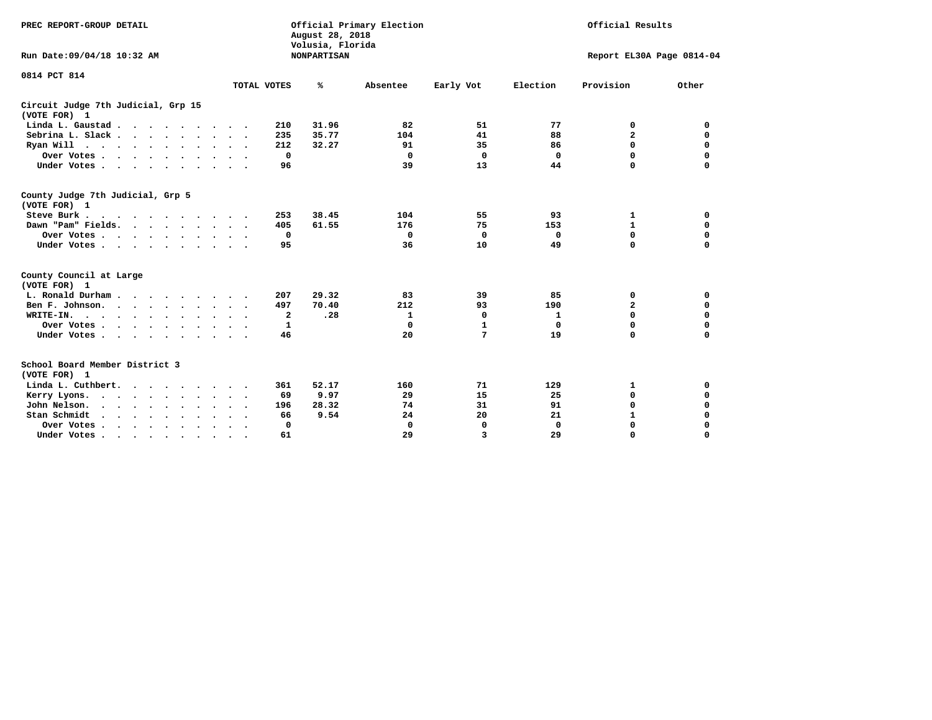| PREC REPORT-GROUP DETAIL                                                                                 |                                  | August 28, 2018<br>Volusia, Florida | Official Primary Election | Official Results |             |                           |             |
|----------------------------------------------------------------------------------------------------------|----------------------------------|-------------------------------------|---------------------------|------------------|-------------|---------------------------|-------------|
| Run Date: 09/04/18 10:32 AM                                                                              |                                  | <b>NONPARTISAN</b>                  |                           |                  |             | Report EL30A Page 0814-04 |             |
| 0814 PCT 814                                                                                             | TOTAL VOTES                      | ℁                                   | Absentee                  | Early Vot        | Election    | Provision                 | Other       |
| Circuit Judge 7th Judicial, Grp 15<br>(VOTE FOR) 1                                                       |                                  |                                     |                           |                  |             |                           |             |
| Linda L. Gaustad                                                                                         | 210                              | 31.96                               | 82                        | 51               | 77          | 0                         | 0           |
| Sebrina L. Slack.                                                                                        | 235<br>$\ddot{\phantom{1}}$      | 35.77                               | 104                       | 41               | 88          | $\overline{\mathbf{2}}$   | 0           |
| Ryan Will $\cdots$ , $\cdots$ , $\cdots$                                                                 | 212<br>$\cdot$ .                 | 32.27                               | 91                        | 35               | 86          | $\mathbf 0$               | $\mathbf 0$ |
| Over Votes                                                                                               | $\mathbf 0$                      |                                     | $\mathbf 0$               | $\mathbf 0$      | $\mathbf 0$ | $\mathbf 0$               | $\mathbf 0$ |
| Under Votes                                                                                              | 96                               |                                     | 39                        | 13               | 44          | $\mathbf 0$               | 0           |
| County Judge 7th Judicial, Grp 5<br>(VOTE FOR) 1                                                         |                                  |                                     |                           |                  |             |                           |             |
| Steve Burk                                                                                               | 253                              | 38.45                               | 104                       | 55               | 93          | 1                         | 0           |
| Dawn "Pam" Fields.                                                                                       | 405                              | 61.55                               | 176                       | 75               | 153         | $\mathbf 1$               | 0           |
| Over Votes                                                                                               | 0                                |                                     | $\mathbf{o}$              | 0                | 0           | 0                         | 0           |
| Under Votes                                                                                              | 95<br>$\sim$ $\sim$              |                                     | 36                        | 10               | 49          | $\Omega$                  | $\mathbf 0$ |
| County Council at Large<br>(VOTE FOR) 1                                                                  |                                  |                                     |                           |                  |             |                           |             |
| L. Ronald Durham.                                                                                        | 207                              | 29.32                               | 83                        | 39               | 85          | 0                         | 0           |
| Ben F. Johnson.                                                                                          | 497                              | 70.40                               | 212                       | 93               | 190         | $\mathbf{2}$              | 0           |
| WRITE-IN.<br>$\cdots$                                                                                    | 2                                | .28                                 | 1                         | 0                | 1           | $\mathbf 0$               | 0           |
| Over Votes                                                                                               | 1                                |                                     | $\Omega$                  | 1                | 0           | $\mathbf 0$               | 0           |
| Under Votes                                                                                              | 46<br>$\sim$ $\sim$              |                                     | 20                        | 7                | 19          | $\Omega$                  | $\Omega$    |
| School Board Member District 3<br>(VOTE FOR) 1                                                           |                                  |                                     |                           |                  |             |                           |             |
| Linda L. Cuthbert.                                                                                       | 361                              | 52.17                               | 160                       | 71               | 129         | 1                         | 0           |
| Kerry Lyons.<br>$\mathbf{r}$ , and $\mathbf{r}$ , and $\mathbf{r}$ , and $\mathbf{r}$ , and $\mathbf{r}$ | 69                               | 9.97                                | 29                        | 15               | 25          | $\mathbf 0$               | 0           |
| John Nelson.<br>$\mathbf{r}$ , $\mathbf{r}$ , $\mathbf{r}$ , $\mathbf{r}$ , $\mathbf{r}$ , $\mathbf{r}$  | 196                              | 28.32                               | 74                        | 31               | 91          | $\mathbf 0$               | 0           |
| Stan Schmidt<br>$\mathbf{r}$ , $\mathbf{r}$ , $\mathbf{r}$ , $\mathbf{r}$ , $\mathbf{r}$                 | 66                               | 9.54                                | 24                        | 20               | 21          | $\mathbf{1}$              | 0           |
| Over Votes                                                                                               | $\Omega$<br>$\ddot{\phantom{1}}$ |                                     | 0                         | 0                | $\mathbf 0$ | 0                         | 0           |
| Under Votes.                                                                                             | 61                               |                                     | 29                        | 3                | 29          | $\Omega$                  | $\Omega$    |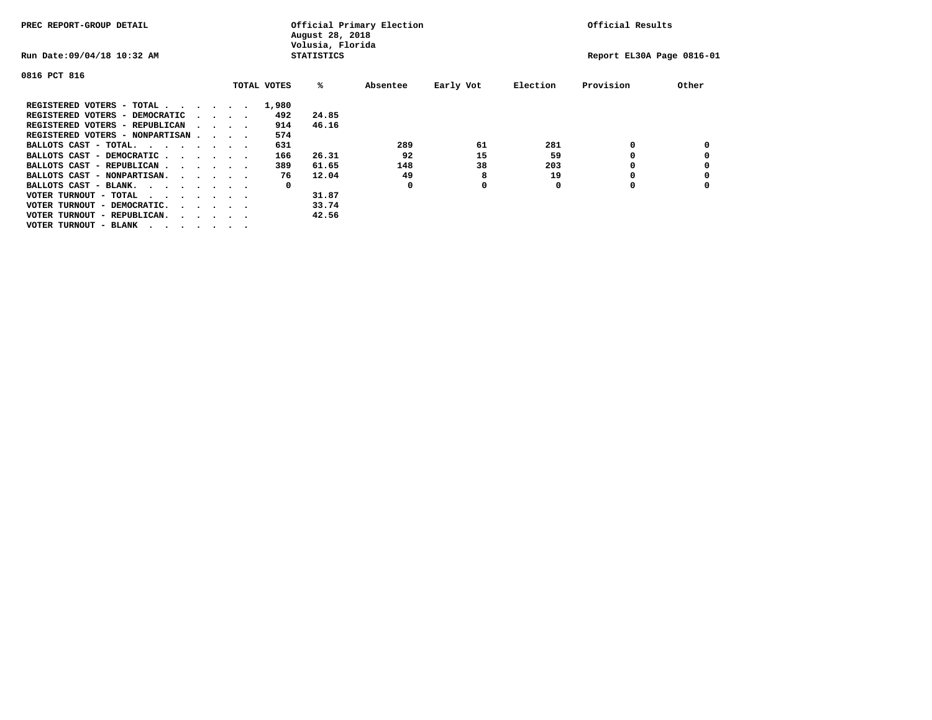| PREC REPORT-GROUP DETAIL               |  |  |                                         |  |             | August 28, 2018<br>Volusia, Florida | Official Primary Election |           |          | Official Results          |       |
|----------------------------------------|--|--|-----------------------------------------|--|-------------|-------------------------------------|---------------------------|-----------|----------|---------------------------|-------|
| Run Date: 09/04/18 10:32 AM            |  |  |                                         |  |             | <b>STATISTICS</b>                   |                           |           |          | Report EL30A Page 0816-01 |       |
| 0816 PCT 816                           |  |  |                                         |  |             |                                     |                           |           |          |                           |       |
|                                        |  |  |                                         |  | TOTAL VOTES | %ะ                                  | Absentee                  | Early Vot | Election | Provision                 | Other |
| REGISTERED VOTERS - TOTAL              |  |  |                                         |  | 1,980       |                                     |                           |           |          |                           |       |
| REGISTERED VOTERS - DEMOCRATIC         |  |  | $\cdot$ $\cdot$ $\cdot$ $\cdot$         |  | 492         | 24.85                               |                           |           |          |                           |       |
| REGISTERED VOTERS - REPUBLICAN         |  |  |                                         |  | 914         | 46.16                               |                           |           |          |                           |       |
| REGISTERED VOTERS - NONPARTISAN        |  |  |                                         |  | 574         |                                     |                           |           |          |                           |       |
| BALLOTS CAST - TOTAL.                  |  |  |                                         |  | 631         |                                     | 289                       | 61        | 281      | 0                         |       |
| BALLOTS CAST - DEMOCRATIC              |  |  |                                         |  | 166         | 26.31                               | 92                        | 15        | 59       |                           |       |
| BALLOTS CAST - REPUBLICAN              |  |  |                                         |  | 389         | 61.65                               | 148                       | 38        | 203      | 0                         |       |
| BALLOTS CAST - NONPARTISAN.            |  |  |                                         |  | 76          | 12.04                               | 49                        | 8         | 19       |                           |       |
| BALLOTS CAST - BLANK.                  |  |  |                                         |  | 0           |                                     | 0                         | 0         | 0        | 0                         |       |
| VOTER TURNOUT - TOTAL<br>.             |  |  |                                         |  |             | 31.87                               |                           |           |          |                           |       |
| VOTER TURNOUT - DEMOCRATIC.            |  |  | $\cdot$ $\cdot$ $\cdot$ $\cdot$ $\cdot$ |  |             | 33.74                               |                           |           |          |                           |       |
| VOTER TURNOUT - REPUBLICAN.<br>$\cdot$ |  |  |                                         |  |             | 42.56                               |                           |           |          |                           |       |
| VOTER TURNOUT - BLANK                  |  |  |                                         |  |             |                                     |                           |           |          |                           |       |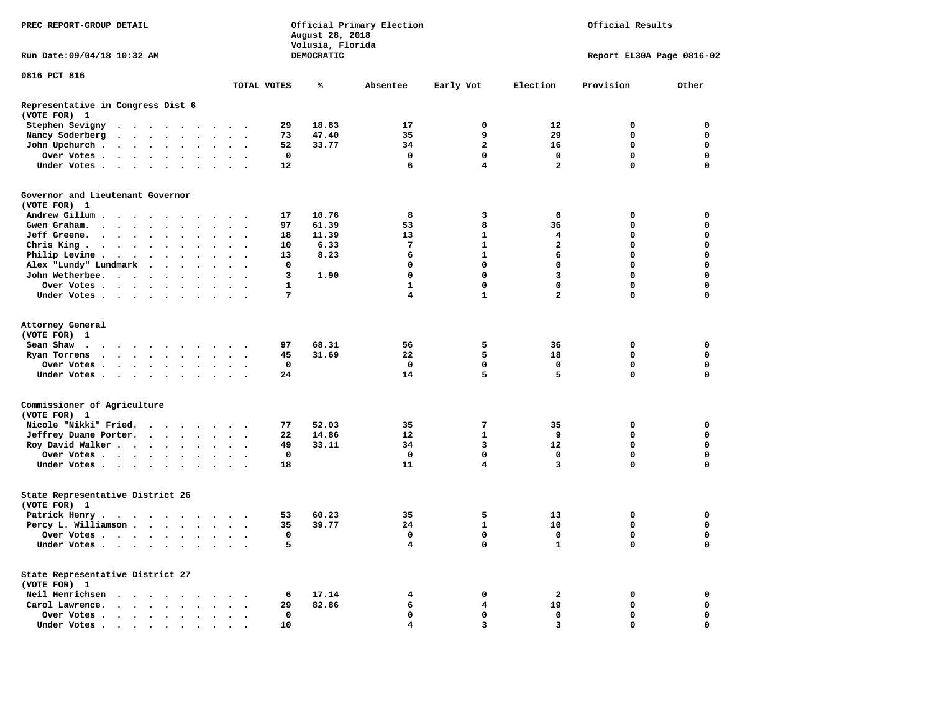| PREC REPORT-GROUP DETAIL                                                           |                                                                                                                 |  |  |        |              |           | August 28, 2018<br>Volusia, Florida | Official Primary Election | Official Results  |                         |                |                         |                           |              |
|------------------------------------------------------------------------------------|-----------------------------------------------------------------------------------------------------------------|--|--|--------|--------------|-----------|-------------------------------------|---------------------------|-------------------|-------------------------|----------------|-------------------------|---------------------------|--------------|
| Run Date: 09/04/18 10:32 AM                                                        |                                                                                                                 |  |  |        |              |           |                                     |                           | <b>DEMOCRATIC</b> |                         |                |                         | Report EL30A Page 0816-02 |              |
| 0816 PCT 816                                                                       |                                                                                                                 |  |  |        |              |           |                                     |                           |                   |                         |                |                         |                           |              |
|                                                                                    |                                                                                                                 |  |  |        |              |           |                                     | TOTAL VOTES               | ℁                 | Absentee                | Early Vot      | Election                | Provision                 | Other        |
| Representative in Congress Dist 6<br>(VOTE FOR) 1                                  |                                                                                                                 |  |  |        |              |           |                                     |                           |                   |                         |                |                         |                           |              |
| Stephen Sevigny                                                                    | .                                                                                                               |  |  |        |              |           |                                     | 29                        | 18.83             | 17                      | $\mathbf 0$    | $12 \overline{ }$       | $\mathbf 0$               | $\mathbf 0$  |
| Nancy Soderberg                                                                    |                                                                                                                 |  |  |        |              |           |                                     | 73                        | 47.40             | 35                      | 9              | 29                      | $\mathbf 0$               | $\mathbf 0$  |
| John Upchurch                                                                      |                                                                                                                 |  |  |        | $\sim$       |           | $\mathbf{r}$                        | 52                        | 33.77             | 34                      | $\overline{a}$ | 16                      | $\mathbf 0$               | $\mathbf 0$  |
| Over Votes                                                                         |                                                                                                                 |  |  |        |              |           |                                     | $\mathbf 0$               |                   | $\mathbf 0$             | 0              | $\mathbf 0$             | $\mathbf 0$               | $\mathbf 0$  |
| Under Votes                                                                        |                                                                                                                 |  |  |        |              |           |                                     | 12                        |                   | 6                       | 4              | $\overline{a}$          | $\mathbf 0$               | $\mathbf 0$  |
| Governor and Lieutenant Governor<br>(VOTE FOR) 1                                   |                                                                                                                 |  |  |        |              |           |                                     |                           |                   |                         |                |                         |                           |              |
| Andrew Gillum                                                                      |                                                                                                                 |  |  |        |              |           |                                     | 17                        | 10.76             | 8                       | 3              | 6                       | $\mathbf 0$               | $\mathbf 0$  |
| Gwen Graham.                                                                       |                                                                                                                 |  |  |        |              |           |                                     | 97                        | 61.39             | 53                      | 8              | 36                      | $\mathbf 0$               | $\mathbf 0$  |
| Jeff Greene.                                                                       |                                                                                                                 |  |  | $\sim$ | $\mathbf{r}$ | $\cdot$   | $\ddot{\phantom{a}}$                | 18                        | 11.39             | 13                      | $\mathbf{1}$   | $\overline{\mathbf{4}}$ | $\mathbf 0$               | $\mathbf 0$  |
| Chris King                                                                         |                                                                                                                 |  |  |        |              |           |                                     | 10                        | 6.33              | $7\phantom{.0}$         | $\mathbf{1}$   | $\overline{a}$          | $\mathbf 0$               | $\mathbf 0$  |
| Philip Levine                                                                      |                                                                                                                 |  |  |        |              |           | $\mathbf{r}$                        | 13                        | 8.23              | 6                       | $\mathbf{1}$   | 6                       | $\mathbf 0$               | $\mathbf 0$  |
| Alex "Lundy" Lundmark                                                              |                                                                                                                 |  |  |        |              |           | $\sim$ $\sim$ $\sim$                | 0                         |                   | $\mathbf 0$             | $\mathbf 0$    | $\mathbf 0$             | $\mathbf 0$               | $\mathbf 0$  |
| John Wetherbee.                                                                    |                                                                                                                 |  |  |        | $\sim$       |           | $\overline{\phantom{a}}$            | 3                         | 1.90              | $\mathbf 0$             | $\mathbf 0$    | $\overline{3}$          | $\mathbf 0$               | $\mathbf 0$  |
| Over Votes                                                                         |                                                                                                                 |  |  |        |              |           |                                     | $\mathbf{1}$              |                   | $\mathbf{1}$            | $\mathbf 0$    | $\mathbf 0$             | $\mathbf 0$               | $\mathbf 0$  |
| Under Votes                                                                        |                                                                                                                 |  |  |        |              | $\sim$    |                                     | $7\phantom{.0}$           |                   | 4                       | $\mathbf{1}$   | $\overline{a}$          | $\mathbf 0$               | $\mathbf 0$  |
| Attorney General                                                                   |                                                                                                                 |  |  |        |              |           |                                     |                           |                   |                         |                |                         |                           |              |
| (VOTE FOR) 1                                                                       |                                                                                                                 |  |  |        |              |           |                                     |                           |                   |                         |                |                         |                           |              |
| Sean Shaw<br>$\mathbf{r}$ , and $\mathbf{r}$ , and $\mathbf{r}$ , and $\mathbf{r}$ |                                                                                                                 |  |  |        |              |           | $\sim$ $\sim$                       | 97                        | 68.31             | 56                      | 5              | 36                      | $\mathbf 0$               | $\mathbf 0$  |
| Ryan Torrens                                                                       |                                                                                                                 |  |  |        |              |           |                                     | 45                        | 31.69             | 22                      | 5              | 18                      | $\mathbf 0$               | $\mathbf 0$  |
| Over Votes                                                                         |                                                                                                                 |  |  |        |              | $\bullet$ | $\bullet$                           | $\mathbf 0$               |                   | $\mathbf 0$             | $\mathbf 0$    | $\mathbf 0$             | $\mathbf 0$               | $\mathbf 0$  |
| Under Votes                                                                        |                                                                                                                 |  |  |        |              |           |                                     | 24                        |                   | 14                      | 5              | 5                       | $\mathbf 0$               | $\mathbf 0$  |
| Commissioner of Agriculture<br>(VOTE FOR) 1                                        |                                                                                                                 |  |  |        |              |           |                                     |                           |                   |                         |                |                         |                           |              |
| Nicole "Nikki" Fried.                                                              |                                                                                                                 |  |  |        |              |           |                                     | 77                        | 52.03             | 35                      | 7              | 35                      | $\mathbf 0$               | $\mathbf 0$  |
| Jeffrey Duane Porter.                                                              |                                                                                                                 |  |  |        |              |           |                                     | 22                        | 14.86             | 12                      | $\mathbf{1}$   | 9                       | $\mathbf{0}$              | $\mathbf 0$  |
| Roy David Walker                                                                   |                                                                                                                 |  |  |        |              |           |                                     | 49                        | 33.11             | 34                      | $\overline{3}$ | 12                      | $\mathbf 0$               | $\mathbf 0$  |
| Over Votes                                                                         |                                                                                                                 |  |  |        |              |           |                                     | $\mathbf{0}$              |                   | $\Omega$                | $\mathbf{0}$   | $\mathbf{0}$            | $\mathbf{0}$              | $\mathbf{0}$ |
| Under Votes                                                                        |                                                                                                                 |  |  |        |              |           |                                     | 18                        |                   | 11                      | 4              | 3                       | $\mathbf 0$               | $\mathbf 0$  |
| State Representative District 26                                                   |                                                                                                                 |  |  |        |              |           |                                     |                           |                   |                         |                |                         |                           |              |
| (VOTE FOR) 1                                                                       |                                                                                                                 |  |  |        |              |           |                                     |                           |                   |                         |                |                         |                           |              |
| Patrick Henry.                                                                     |                                                                                                                 |  |  |        |              |           |                                     | 53                        | 60.23             | 35                      | 5              | 13                      | $\mathbf 0$               | $\mathbf 0$  |
| Percy L. Williamson                                                                |                                                                                                                 |  |  |        |              |           |                                     | 35                        | 39.77             | 24                      | $\mathbf{1}$   | 10                      | $\mathbf 0$               | $\mathbf 0$  |
| Over Votes                                                                         |                                                                                                                 |  |  |        |              |           | $\ddot{\phantom{a}}$                | $\mathbf 0$               |                   | 0                       | 0              | $\mathbf 0$             | $\mathbf 0$               | $\mathbf 0$  |
| Under Votes                                                                        |                                                                                                                 |  |  |        |              |           |                                     | 5                         |                   | $\overline{\mathbf{4}}$ | $\mathbf{0}$   | $\mathbf{1}$            | $\mathbf 0$               | $\Omega$     |
| State Representative District 27<br>(VOTE FOR) 1                                   |                                                                                                                 |  |  |        |              |           |                                     |                           |                   |                         |                |                         |                           |              |
| Neil Henrichsen                                                                    |                                                                                                                 |  |  |        |              |           |                                     | 6                         | 17.14             | 4                       | $\mathbf 0$    | $\overline{\mathbf{2}}$ | $\mathbf 0$               | $\mathbf 0$  |
| Carol Lawrence.                                                                    |                                                                                                                 |  |  |        |              |           | $\cdot$                             | 29                        | 82.86             | 6                       | 4              | 19                      | $\mathbf 0$               | $\mathbf 0$  |
| Over Votes                                                                         |                                                                                                                 |  |  |        |              |           | $\ddotsc$ $\ddotsc$                 | 0                         |                   | $\mathbf 0$             | $\mathbf 0$    | $\mathbf 0$             | $\mathbf 0$               | $\mathbf 0$  |
| Under Votes.                                                                       | the contract of the contract of the contract of the contract of the contract of the contract of the contract of |  |  |        |              |           | $\sim$                              | 10                        |                   | 4                       | 3              | 3                       | $\Omega$                  | $\mathbf 0$  |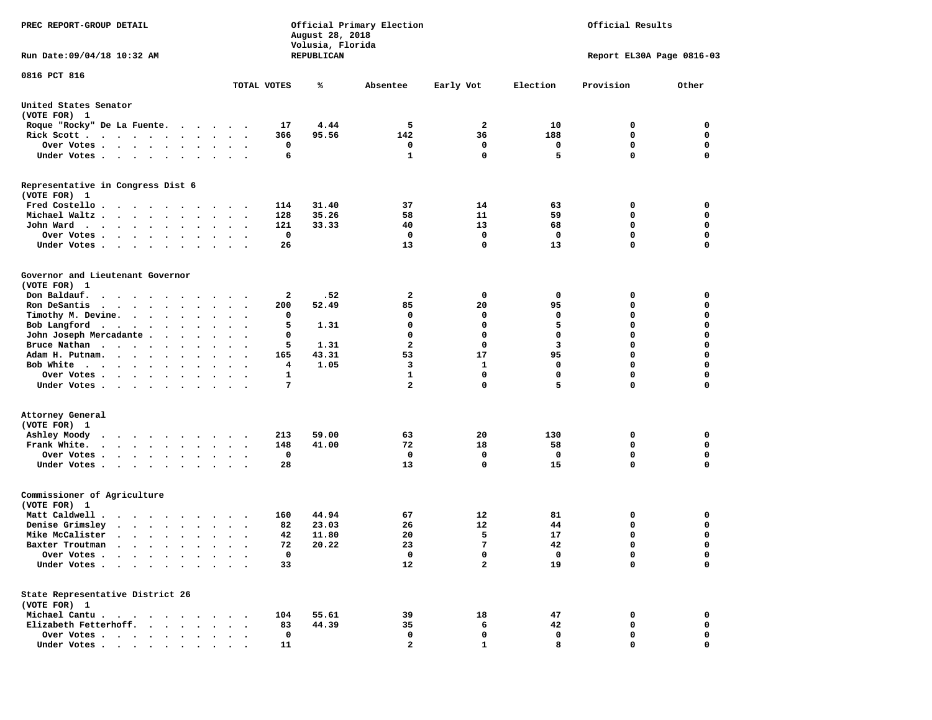| PREC REPORT-GROUP DETAIL                                                                                                                                                                        |                                                                      | August 28, 2018<br>Volusia, Florida | Official Primary Election | Official Results |              |                           |             |
|-------------------------------------------------------------------------------------------------------------------------------------------------------------------------------------------------|----------------------------------------------------------------------|-------------------------------------|---------------------------|------------------|--------------|---------------------------|-------------|
| Run Date: 09/04/18 10:32 AM                                                                                                                                                                     |                                                                      | REPUBLICAN                          |                           |                  |              | Report EL30A Page 0816-03 |             |
| 0816 PCT 816                                                                                                                                                                                    | TOTAL VOTES                                                          | ℁                                   | Absentee                  | Early Vot        | Election     | Provision                 | Other       |
|                                                                                                                                                                                                 |                                                                      |                                     |                           |                  |              |                           |             |
| United States Senator<br>(VOTE FOR) 1                                                                                                                                                           |                                                                      |                                     |                           |                  |              |                           |             |
| Roque "Rocky" De La Fuente.                                                                                                                                                                     | 17                                                                   | 4.44                                | 5                         | $\mathbf{2}$     | 10           | 0                         | 0           |
| Rick Scott                                                                                                                                                                                      | 366<br>$\cdot$ $\cdot$ $\cdot$                                       | 95.56                               | 142                       | 36               | 188          | 0                         | 0           |
| Over Votes                                                                                                                                                                                      | 0                                                                    |                                     | 0                         | 0                | 0            | $\mathbf 0$               | 0           |
| Under Votes                                                                                                                                                                                     | 6<br>$\cdots$                                                        |                                     | $\mathbf{1}$              | $\mathbf 0$      | 5            | $\mathbf 0$               | $\mathbf 0$ |
| Representative in Congress Dist 6<br>(VOTE FOR) 1                                                                                                                                               |                                                                      |                                     |                           |                  |              |                           |             |
| Fred Costello                                                                                                                                                                                   | 114                                                                  | 31.40                               | 37                        | 14               | 63           | 0                         | 0           |
| Michael Waltz                                                                                                                                                                                   | 128<br>$\bullet$                                                     | 35.26                               | 58                        | 11               | 59           | 0                         | 0           |
| John Ward<br>$\ddot{\phantom{1}}$                                                                                                                                                               | 121<br>$\ddot{\phantom{0}}$<br>$\bullet$<br>$\overline{\phantom{a}}$ | 33.33                               | 40                        | 13               | 68           | 0                         | 0           |
| Over Votes                                                                                                                                                                                      | 0                                                                    |                                     | 0                         | 0                | $\mathbf{o}$ | $\mathbf 0$               | 0           |
| Under Votes                                                                                                                                                                                     | 26                                                                   |                                     | 13                        | $\mathbf 0$      | 13           | $\mathbf 0$               | 0           |
| Governor and Lieutenant Governor<br>(VOTE FOR) 1                                                                                                                                                |                                                                      |                                     |                           |                  |              |                           |             |
| Don Baldauf.<br>$\begin{array}{cccccccccccccccccc} \bullet & \bullet & \bullet & \bullet & \bullet & \bullet & \bullet & \bullet & \bullet & \bullet & \bullet & \bullet & \bullet \end{array}$ | 2<br>$\sim$ $\sim$                                                   | .52                                 | 2                         | 0                | $\mathbf{o}$ | 0                         | 0           |
| Ron DeSantis<br>the contract of the contract of the contract of the contract of the contract of the contract of the contract of                                                                 | 200<br>$\ddot{\phantom{0}}$<br>$\bullet$                             | 52.49                               | 85                        | 20               | 95           | 0                         | 0           |
| Timothy M. Devine.                                                                                                                                                                              | 0                                                                    |                                     | 0                         | 0                | 0            | 0                         | 0           |
| Bob Langford                                                                                                                                                                                    | 5<br>$\ddot{\phantom{0}}$<br>$\overline{\phantom{a}}$                | 1.31                                | 0                         | 0                | 5            | $\mathbf 0$               | $\mathbf 0$ |
| John Joseph Mercadante .<br>$\sim$ $\sim$ $\sim$                                                                                                                                                | 0<br>$\overline{\phantom{a}}$                                        |                                     | 0                         | 0                | $\mathbf 0$  | $\mathbf 0$               | 0           |
| Bruce Nathan                                                                                                                                                                                    | 5<br>$\bullet$ .<br>$\ddot{\phantom{0}}$<br>$\blacksquare$           | 1.31                                | 2                         | 0                | 3            | $\mathbf 0$               | 0           |
| Adam H. Putnam.                                                                                                                                                                                 | 165<br>$\sim$                                                        | 43.31                               | 53                        | 17               | 95           | $\mathbf 0$               | $\mathbf 0$ |
| Bob White                                                                                                                                                                                       | 4<br>$\ddot{\phantom{a}}$                                            | 1.05                                | 3                         | $\mathbf{1}$     | 0            | $\mathbf 0$               | 0           |
| Over Votes.<br>$\sim$                                                                                                                                                                           | 1                                                                    |                                     | 1                         | 0                | 0            | 0                         | 0           |
| Under Votes                                                                                                                                                                                     | 7                                                                    |                                     | $\overline{\mathbf{2}}$   | 0                | 5            | $\mathbf 0$               | 0           |
| Attorney General                                                                                                                                                                                |                                                                      |                                     |                           |                  |              |                           |             |
| (VOTE FOR) 1                                                                                                                                                                                    |                                                                      |                                     |                           |                  |              |                           |             |
| Ashley Moody                                                                                                                                                                                    | 213                                                                  | 59.00                               | 63                        | 20               | 130          | 0                         | 0           |
| Frank White.<br>$\mathbf{r}$ , and $\mathbf{r}$ , and $\mathbf{r}$ , and $\mathbf{r}$                                                                                                           | 148<br>$\ddot{\phantom{0}}$<br>$\sim$                                | 41.00                               | 72                        | 18               | 58           | 0                         | 0           |
| Over Votes                                                                                                                                                                                      | 0<br>$\cdot$                                                         |                                     | 0                         | 0                | 0            | $\mathbf 0$               | 0           |
| Under Votes                                                                                                                                                                                     | 28                                                                   |                                     | 13                        | 0                | 15           | $\Omega$                  | $\mathbf 0$ |
| Commissioner of Agriculture<br>(VOTE FOR) 1                                                                                                                                                     |                                                                      |                                     |                           |                  |              |                           |             |
| Matt Caldwell .                                                                                                                                                                                 | 160                                                                  | 44.94                               | 67                        | 12               | 81           | 0                         | 0           |
| Denise Grimsley<br>$\cdot$ $\cdot$ $\cdot$ $\cdot$ $\cdot$<br>$\sim$                                                                                                                            | 82                                                                   | 23.03                               | 26                        | 12               | 44           | 0                         | 0           |
| Mike McCalister                                                                                                                                                                                 | 42<br>$\bullet$                                                      | 11.80                               | 20                        | 5                | 17           | $\mathbf 0$               | 0           |
| Baxter Troutman<br>.                                                                                                                                                                            | 72                                                                   | 20.22                               | 23                        | 7                | 42           | $\mathbf 0$               | $\mathbf 0$ |
| Over Votes                                                                                                                                                                                      | 0                                                                    |                                     | 0                         | 0                | 0            | 0                         | 0           |
| Under Votes                                                                                                                                                                                     | 33                                                                   |                                     | 12                        | $\mathbf{2}$     | 19           | $\mathbf 0$               | $\mathbf 0$ |
| State Representative District 26                                                                                                                                                                |                                                                      |                                     |                           |                  |              |                           |             |
| (VOTE FOR) 1                                                                                                                                                                                    |                                                                      |                                     |                           |                  |              |                           |             |
| Michael Cantu.                                                                                                                                                                                  | 104                                                                  | 55.61                               | 39                        | 18               | 47           | 0                         | 0           |
| Elizabeth Fetterhoff.                                                                                                                                                                           | 83                                                                   | 44.39                               | 35                        | 6                | 42           | 0                         | 0           |
| Over Votes                                                                                                                                                                                      | $\mathbf 0$                                                          |                                     | 0                         | 0                | 0            | 0                         | 0           |
| Under Votes                                                                                                                                                                                     | 11                                                                   |                                     | 2                         | 1                | 8            | 0                         | 0           |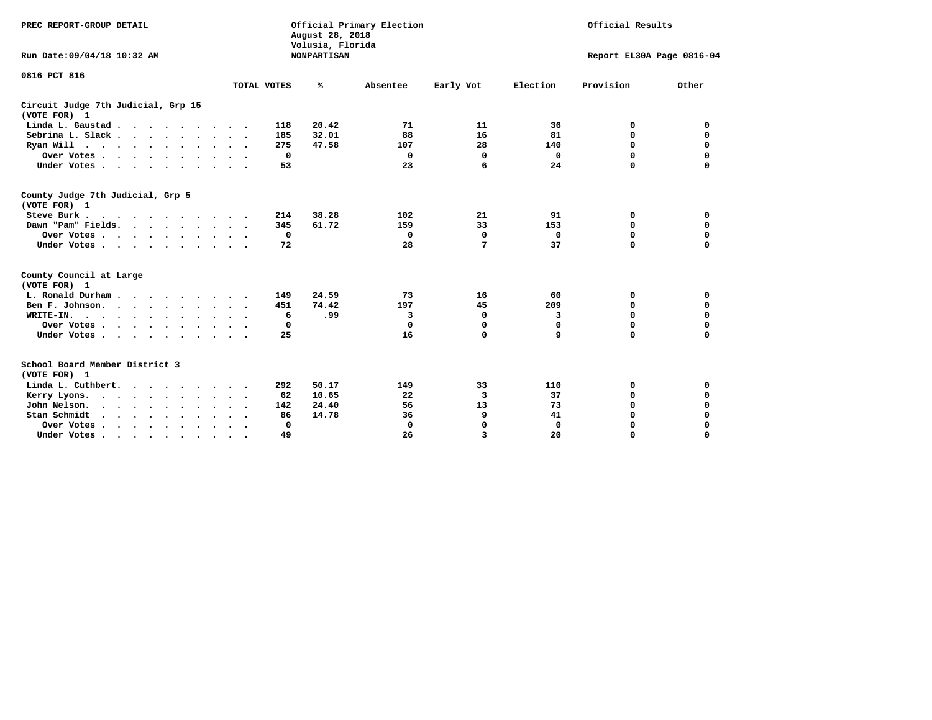| PREC REPORT-GROUP DETAIL                                                                                                                                                                                                                          |                                     | August 28, 2018<br>Volusia, Florida | Official Primary Election | Official Results        |              |                           |             |
|---------------------------------------------------------------------------------------------------------------------------------------------------------------------------------------------------------------------------------------------------|-------------------------------------|-------------------------------------|---------------------------|-------------------------|--------------|---------------------------|-------------|
| Run Date:09/04/18 10:32 AM                                                                                                                                                                                                                        |                                     | <b>NONPARTISAN</b>                  |                           |                         |              | Report EL30A Page 0816-04 |             |
| 0816 PCT 816                                                                                                                                                                                                                                      |                                     |                                     |                           |                         |              |                           |             |
|                                                                                                                                                                                                                                                   | TOTAL VOTES                         | ℁                                   | Absentee                  | Early Vot               | Election     | Provision                 | Other       |
| Circuit Judge 7th Judicial, Grp 15<br>(VOTE FOR) 1                                                                                                                                                                                                |                                     |                                     |                           |                         |              |                           |             |
| Linda L. Gaustad                                                                                                                                                                                                                                  | 118                                 | 20.42                               | 71                        | 11                      | 36           | 0                         | 0           |
| Sebrina L. Slack.                                                                                                                                                                                                                                 | 185                                 | 32.01                               | 88                        | 16                      | 81           | 0                         | $\mathbf 0$ |
| Ryan Will<br>$\cdots$                                                                                                                                                                                                                             | 275                                 | 47.58                               | 107                       | 28                      | 140          | 0                         | 0           |
| Over Votes                                                                                                                                                                                                                                        | 0                                   |                                     | $\Omega$                  | $\mathbf 0$             | 0            | $\mathbf 0$               | 0           |
| Under Votes                                                                                                                                                                                                                                       | 53                                  |                                     | 23                        | 6                       | 24           | $\mathbf 0$               | 0           |
|                                                                                                                                                                                                                                                   |                                     |                                     |                           |                         |              |                           |             |
| County Judge 7th Judicial, Grp 5<br>(VOTE FOR) 1                                                                                                                                                                                                  |                                     |                                     |                           |                         |              |                           |             |
| Steve Burk.<br>.                                                                                                                                                                                                                                  | 214                                 | 38.28                               | 102                       | 21                      | 91           | 0                         | 0           |
| Dawn "Pam" Fields.                                                                                                                                                                                                                                | 345                                 | 61.72                               | 159                       | 33                      | 153          | 0                         | 0           |
| Over Votes                                                                                                                                                                                                                                        | 0                                   |                                     | 0                         | $\mathbf 0$             | 0            | 0                         | 0           |
| Under Votes                                                                                                                                                                                                                                       | 72<br>$\sim$ $\sim$                 |                                     | 28                        | 7                       | 37           | $\Omega$                  | 0           |
| County Council at Large                                                                                                                                                                                                                           |                                     |                                     |                           |                         |              |                           |             |
| (VOTE FOR) 1                                                                                                                                                                                                                                      |                                     |                                     |                           |                         |              |                           |             |
| L. Ronald Durham                                                                                                                                                                                                                                  | 149                                 | 24.59                               | 73                        | 16                      | 60           | 0                         | 0           |
| Ben F. Johnson.                                                                                                                                                                                                                                   | 451                                 | 74.42                               | 197                       | 45                      | 209          | 0                         | 0           |
| WRITE-IN.                                                                                                                                                                                                                                         | 6                                   | 99.                                 | 3                         | $\mathbf 0$             | 3            | 0                         | $\mathbf 0$ |
| Over Votes                                                                                                                                                                                                                                        | 0                                   |                                     | 0                         | $\mathbf 0$             | 0            | 0                         | 0           |
| Under Votes                                                                                                                                                                                                                                       | 25<br>$\ddot{\phantom{1}}$          |                                     | 16                        | $\Omega$                | 9            | $\mathbf 0$               | $\mathbf 0$ |
|                                                                                                                                                                                                                                                   |                                     |                                     |                           |                         |              |                           |             |
| School Board Member District 3<br>(VOTE FOR) 1                                                                                                                                                                                                    |                                     |                                     |                           |                         |              |                           |             |
| Linda L. Cuthbert.                                                                                                                                                                                                                                | 292                                 | 50.17                               | 149                       | 33                      | 110          | 0                         | 0           |
| Kerry Lyons.                                                                                                                                                                                                                                      | 62                                  | 10.65                               | 22                        | 3                       | 37           | 0                         | 0           |
| John Nelson.<br>$\mathbf{r}$ , $\mathbf{r}$ , $\mathbf{r}$ , $\mathbf{r}$ , $\mathbf{r}$ , $\mathbf{r}$                                                                                                                                           | 142                                 | 24.40                               | 56                        | 13                      | 73           | $\mathbf 0$               | 0           |
| Stan Schmidt<br>$\mathbf{r}$ . The set of the set of the set of the set of the set of the set of the set of the set of the set of the set of the set of the set of the set of the set of the set of the set of the set of the set of the set of t | 86                                  | 14.78                               | 36                        | 9                       | 41           | $\mathbf 0$               | 0           |
| Over Votes                                                                                                                                                                                                                                        | $\mathbf 0$<br>$\ddot{\phantom{1}}$ |                                     | $\Omega$                  | $\Omega$                | $\mathbf{0}$ | $\mathbf 0$               | 0           |
| Under Votes.                                                                                                                                                                                                                                      | 49                                  |                                     | 26                        | $\overline{\mathbf{z}}$ | 20           | $\Omega$                  | $\Omega$    |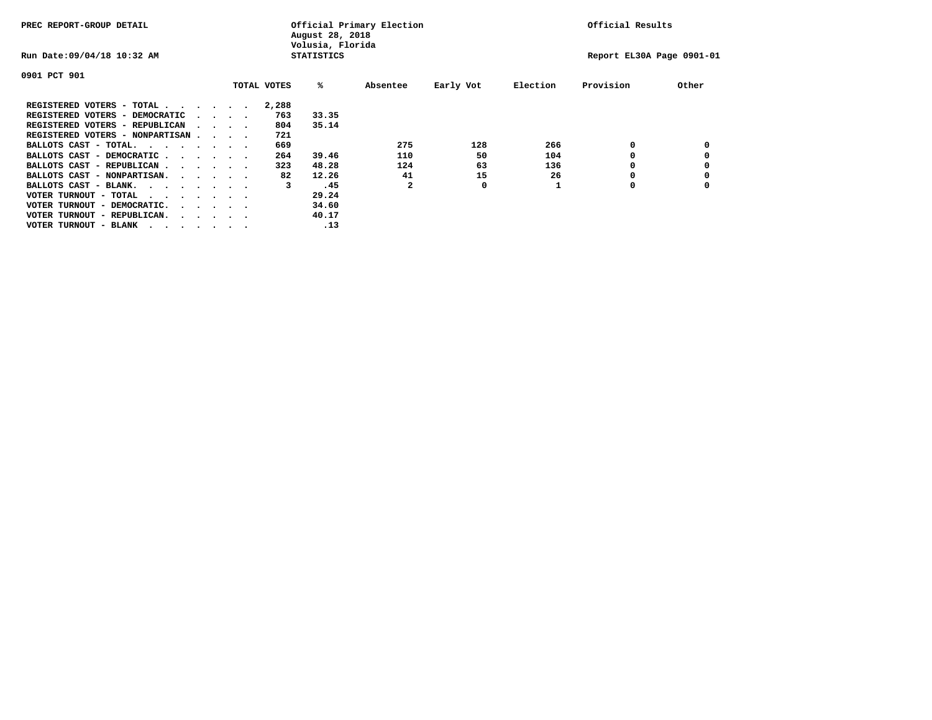| PREC REPORT-GROUP DETAIL               |  |  |                                         |  |             | Official Primary Election<br>August 28, 2018<br>Volusia, Florida | Official Results |           |          |                           |       |
|----------------------------------------|--|--|-----------------------------------------|--|-------------|------------------------------------------------------------------|------------------|-----------|----------|---------------------------|-------|
| Run Date: 09/04/18 10:32 AM            |  |  |                                         |  |             | <b>STATISTICS</b>                                                |                  |           |          | Report EL30A Page 0901-01 |       |
| 0901 PCT 901                           |  |  |                                         |  |             |                                                                  |                  |           |          |                           |       |
|                                        |  |  |                                         |  | TOTAL VOTES | %ะ                                                               | Absentee         | Early Vot | Election | Provision                 | Other |
| REGISTERED VOTERS - TOTAL              |  |  |                                         |  | 2,288       |                                                                  |                  |           |          |                           |       |
| REGISTERED VOTERS - DEMOCRATIC         |  |  | $\cdot$ $\cdot$ $\cdot$ $\cdot$         |  | 763         | 33.35                                                            |                  |           |          |                           |       |
| REGISTERED VOTERS - REPUBLICAN         |  |  | $\sim$ $\sim$ $\sim$ $\sim$             |  | 804         | 35.14                                                            |                  |           |          |                           |       |
| REGISTERED VOTERS - NONPARTISAN        |  |  |                                         |  | 721         |                                                                  |                  |           |          |                           |       |
| BALLOTS CAST - TOTAL.                  |  |  |                                         |  | 669         |                                                                  | 275              | 128       | 266      | 0                         |       |
| BALLOTS CAST - DEMOCRATIC              |  |  |                                         |  | 264         | 39.46                                                            | 110              | 50        | 104      |                           |       |
| BALLOTS CAST - REPUBLICAN              |  |  |                                         |  | 323         | 48.28                                                            | 124              | 63        | 136      | 0                         |       |
| BALLOTS CAST - NONPARTISAN.            |  |  |                                         |  | 82          | 12.26                                                            | 41               | 15        | 26       |                           |       |
| BALLOTS CAST - BLANK.                  |  |  |                                         |  | 3           | .45                                                              | $\mathbf{z}$     | 0         |          | O                         |       |
| VOTER TURNOUT - TOTAL<br>$\cdots$      |  |  |                                         |  |             | 29.24                                                            |                  |           |          |                           |       |
| VOTER TURNOUT - DEMOCRATIC.            |  |  | $\cdot$ $\cdot$ $\cdot$ $\cdot$ $\cdot$ |  |             | 34.60                                                            |                  |           |          |                           |       |
| VOTER TURNOUT - REPUBLICAN.<br>$\cdot$ |  |  |                                         |  |             | 40.17                                                            |                  |           |          |                           |       |
| VOTER TURNOUT - BLANK                  |  |  |                                         |  |             | .13                                                              |                  |           |          |                           |       |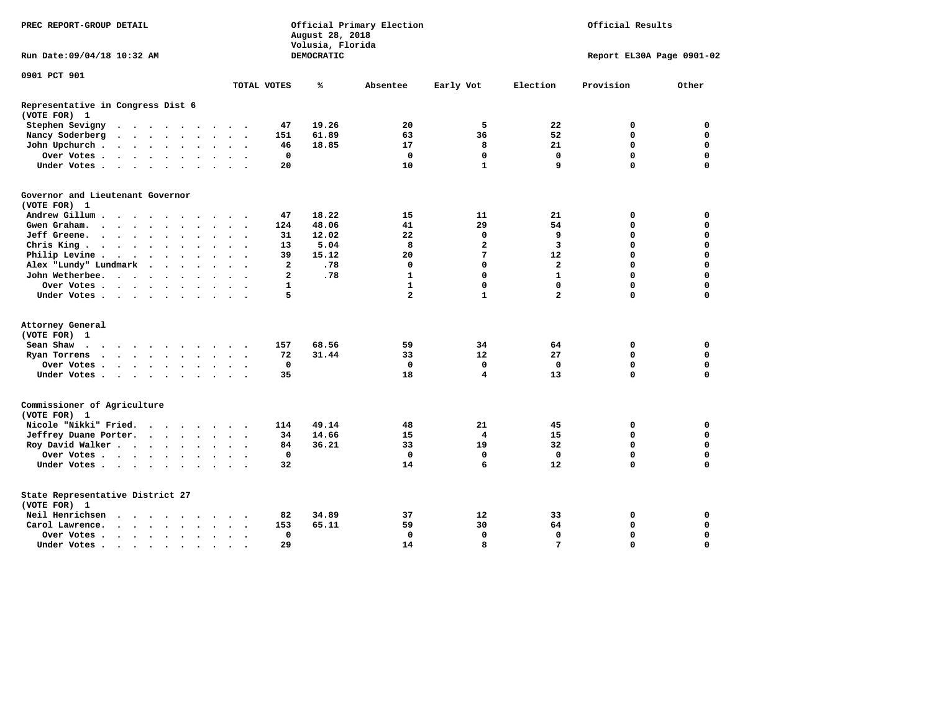| PREC REPORT-GROUP DETAIL                          |                                                                                                                                                                                                                                   |  |                          |                      | Official Primary Election<br>August 28, 2018<br>Volusia, Florida |                      |                      |                      |                |            |                |                | Official Results |                           |             |  |
|---------------------------------------------------|-----------------------------------------------------------------------------------------------------------------------------------------------------------------------------------------------------------------------------------|--|--------------------------|----------------------|------------------------------------------------------------------|----------------------|----------------------|----------------------|----------------|------------|----------------|----------------|------------------|---------------------------|-------------|--|
| Run Date: 09/04/18 10:32 AM                       |                                                                                                                                                                                                                                   |  |                          |                      |                                                                  |                      |                      |                      |                | DEMOCRATIC |                |                |                  | Report EL30A Page 0901-02 |             |  |
| 0901 PCT 901                                      |                                                                                                                                                                                                                                   |  |                          |                      |                                                                  |                      |                      |                      |                |            |                |                |                  |                           |             |  |
|                                                   |                                                                                                                                                                                                                                   |  |                          |                      |                                                                  |                      |                      |                      | TOTAL VOTES    | ℁          | Absentee       | Early Vot      | Election         | Provision                 | Other       |  |
| Representative in Congress Dist 6<br>(VOTE FOR) 1 |                                                                                                                                                                                                                                   |  |                          |                      |                                                                  |                      |                      |                      |                |            |                |                |                  |                           |             |  |
| Stephen Sevigny                                   | $\cdots$                                                                                                                                                                                                                          |  |                          |                      |                                                                  |                      |                      |                      | 47             | 19.26      | 20             | 5              | 22               | 0                         | 0           |  |
| Nancy Soderberg                                   | $\mathbf{r}$ , $\mathbf{r}$ , $\mathbf{r}$ , $\mathbf{r}$ , $\mathbf{r}$                                                                                                                                                          |  |                          |                      |                                                                  |                      | $\ddotsc$ $\ddotsc$  |                      | 151            | 61.89      | 63             | 36             | 52               | 0                         | 0           |  |
| John Upchurch.                                    |                                                                                                                                                                                                                                   |  |                          |                      |                                                                  |                      | $\cdot$ $\cdot$      |                      | 46             | 18.85      | 17             | 8              | 21               | 0                         | 0           |  |
| Over Votes                                        |                                                                                                                                                                                                                                   |  |                          |                      |                                                                  | $\ddot{\phantom{a}}$ | $\sim$               | $\ddot{\phantom{1}}$ | $\mathbf 0$    |            | $\mathbf 0$    | $\mathbf 0$    | $\mathbf 0$      | $\mathbf 0$               | $\mathbf 0$ |  |
| Under Votes                                       |                                                                                                                                                                                                                                   |  |                          |                      |                                                                  |                      |                      |                      | 20             |            | 10             | $\mathbf{1}$   | 9                | $\Omega$                  | 0           |  |
| Governor and Lieutenant Governor                  |                                                                                                                                                                                                                                   |  |                          |                      |                                                                  |                      |                      |                      |                |            |                |                |                  |                           |             |  |
| (VOTE FOR) 1                                      |                                                                                                                                                                                                                                   |  |                          |                      |                                                                  |                      |                      |                      |                |            |                |                |                  |                           |             |  |
| Andrew Gillum                                     |                                                                                                                                                                                                                                   |  | $\overline{\phantom{a}}$ |                      |                                                                  |                      |                      |                      | 47             | 18.22      | 15             | 11             | 21               | 0                         | 0           |  |
| Gwen Graham.                                      | $\cdots$                                                                                                                                                                                                                          |  |                          |                      |                                                                  |                      | $\ddot{\phantom{1}}$ | $\ddot{\phantom{0}}$ | 124            | 48.06      | 41             | 29             | 54               | 0                         | 0           |  |
| <b>Jeff Greene.</b>                               | $\cdots$                                                                                                                                                                                                                          |  |                          | $\ddot{\phantom{a}}$ |                                                                  |                      |                      |                      | 31             | 12.02      | 22             | 0              | 9                | 0                         | 0           |  |
| Chris King                                        |                                                                                                                                                                                                                                   |  |                          |                      |                                                                  |                      | $\ddot{\phantom{1}}$ |                      | 13             | 5.04       | 8              | 2              | 3                | 0                         | 0           |  |
| Philip Levine.                                    | $\mathbf{r}$ . The contract of the contract of the contract of the contract of the contract of the contract of the contract of the contract of the contract of the contract of the contract of the contract of the contract of th |  |                          |                      |                                                                  | $\bullet$ .          | $\ddot{\phantom{a}}$ | $\sim$               | 39             | 15.12      | 20             | 7              | 12               | 0                         | 0           |  |
| Alex "Lundy" Lundmark                             |                                                                                                                                                                                                                                   |  |                          |                      |                                                                  |                      | $\ddot{\phantom{a}}$ |                      | 2              | .78        | 0              | 0              | $\overline{2}$   | 0                         | 0           |  |
| John Wetherbee.                                   |                                                                                                                                                                                                                                   |  |                          |                      |                                                                  | $\ddot{\phantom{0}}$ | $\bullet$            | $\sim$               | $\overline{a}$ | .78        | $\mathbf{1}$   | $\mathbf 0$    | $\mathbf{1}$     | 0                         | 0           |  |
| Over Votes                                        |                                                                                                                                                                                                                                   |  |                          |                      |                                                                  |                      | $\sim$               |                      | $\mathbf{1}$   |            | $\mathbf{1}$   | 0              | $\mathbf{0}$     | $\mathbf 0$               | 0           |  |
| Under Votes                                       |                                                                                                                                                                                                                                   |  |                          |                      |                                                                  |                      |                      |                      | 5              |            | $\overline{a}$ | $\mathbf{1}$   | $\mathbf{2}$     | $\Omega$                  | 0           |  |
| Attorney General                                  |                                                                                                                                                                                                                                   |  |                          |                      |                                                                  |                      |                      |                      |                |            |                |                |                  |                           |             |  |
| (VOTE FOR) 1                                      |                                                                                                                                                                                                                                   |  |                          |                      |                                                                  |                      |                      |                      |                |            |                |                |                  |                           |             |  |
| Sean Shaw                                         |                                                                                                                                                                                                                                   |  |                          |                      |                                                                  |                      | $\ddot{\phantom{1}}$ |                      | 157            | 68.56      | 59             | 34             | 64               | 0                         | 0           |  |
| Ryan Torrens                                      | $\cdots$                                                                                                                                                                                                                          |  |                          |                      |                                                                  | $\bullet$            | $\bullet$            | $\ddot{\phantom{1}}$ | 72             | 31.44      | 33             | 12             | 27               | 0                         | 0           |  |
| Over Votes                                        |                                                                                                                                                                                                                                   |  |                          |                      |                                                                  |                      |                      |                      | $\mathbf 0$    |            | $\mathbf 0$    | $\mathbf 0$    | $\mathbf 0$      | 0                         | $\mathbf 0$ |  |
| Under Votes                                       |                                                                                                                                                                                                                                   |  |                          |                      |                                                                  | $\ddot{\phantom{a}}$ | $\ddot{\phantom{1}}$ |                      | 35             |            | 18             | $\overline{4}$ | 13               | 0                         | $\mathbf 0$ |  |
|                                                   |                                                                                                                                                                                                                                   |  |                          |                      |                                                                  |                      |                      |                      |                |            |                |                |                  |                           |             |  |
| Commissioner of Agriculture<br>(VOTE FOR) 1       |                                                                                                                                                                                                                                   |  |                          |                      |                                                                  |                      |                      |                      |                |            |                |                |                  |                           |             |  |
| Nicole "Nikki" Fried.                             |                                                                                                                                                                                                                                   |  |                          |                      |                                                                  |                      |                      |                      | 114            | 49.14      | 48             | 21             | 45               | 0                         | 0           |  |
| Jeffrey Duane Porter.                             |                                                                                                                                                                                                                                   |  |                          |                      |                                                                  |                      | $\sim$ $\sim$        | $\sim$               | 34             | 14.66      | 15             | 4              | 15               | 0                         | 0           |  |
| Roy David Walker                                  |                                                                                                                                                                                                                                   |  |                          |                      |                                                                  |                      | $\sim$ $\sim$        |                      | 84             | 36.21      | 33             | 19             | 32               | 0                         | $\mathbf 0$ |  |
| Over Votes                                        |                                                                                                                                                                                                                                   |  |                          |                      |                                                                  |                      |                      |                      | $\mathbf 0$    |            | $\mathbf{0}$   | $\mathbf{0}$   | $\mathbf{0}$     | 0                         | 0           |  |
| Under Votes                                       |                                                                                                                                                                                                                                   |  |                          |                      |                                                                  |                      | $\sim$ $\sim$        |                      | 32             |            | 14             | 6              | 12               | $\Omega$                  | 0           |  |
|                                                   |                                                                                                                                                                                                                                   |  |                          |                      |                                                                  |                      |                      |                      |                |            |                |                |                  |                           |             |  |
| State Representative District 27<br>(VOTE FOR) 1  |                                                                                                                                                                                                                                   |  |                          |                      |                                                                  |                      |                      |                      |                |            |                |                |                  |                           |             |  |
| Neil Henrichsen                                   | $\cdots$                                                                                                                                                                                                                          |  |                          |                      |                                                                  |                      |                      |                      | 82             | 34.89      | 37             | 12             | 33               | 0                         | 0           |  |
| Carol Lawrence.                                   | $\cdots$                                                                                                                                                                                                                          |  |                          |                      |                                                                  | $\ddot{\phantom{a}}$ | $\ddot{\phantom{0}}$ | $\ddot{\phantom{1}}$ | 153            | 65.11      | 59             | 30             | 64               | 0                         | $\mathbf 0$ |  |
| Over Votes                                        |                                                                                                                                                                                                                                   |  |                          |                      | $\ddot{\phantom{a}}$                                             |                      | $\bullet$            |                      | $\mathbf 0$    |            | $\mathbf 0$    | $\mathbf 0$    | $\mathbf 0$      | 0                         | 0           |  |
| Under Votes.                                      |                                                                                                                                                                                                                                   |  |                          |                      |                                                                  |                      |                      |                      | 29             |            | 14             | 8              | $7\phantom{.0}$  | $\Omega$                  | $\Omega$    |  |
|                                                   | $\sim$ , and $\sim$ , and $\sim$ , and $\sim$                                                                                                                                                                                     |  |                          |                      | $\cdot$                                                          |                      |                      |                      |                |            |                |                |                  |                           |             |  |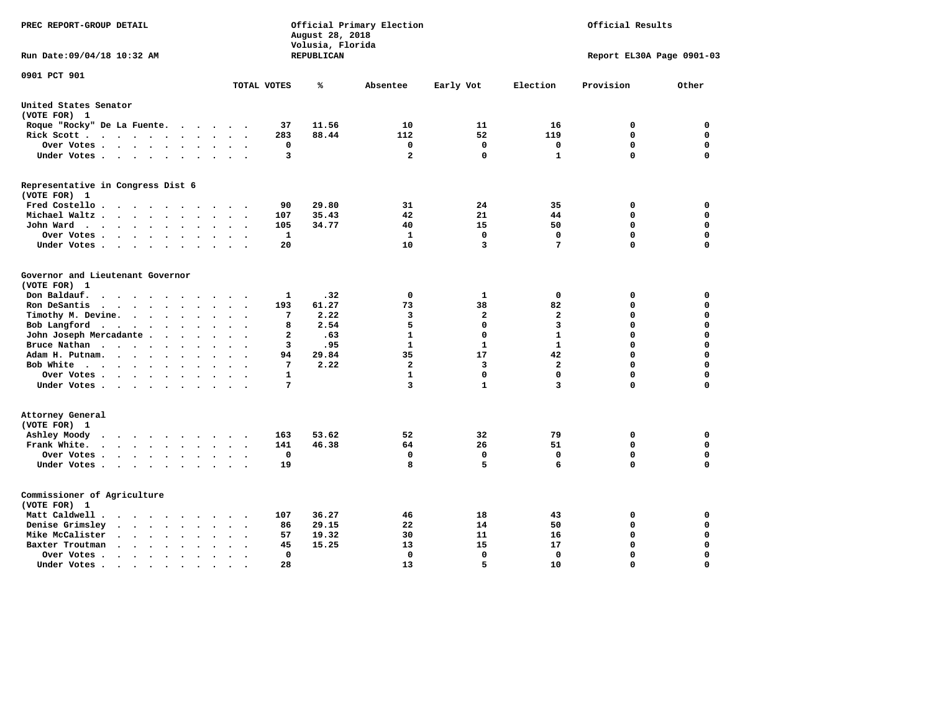| PREC REPORT-GROUP DETAIL                                                                                   |                                                             | August 28, 2018<br>Volusia, Florida | Official Primary Election |                | Official Results        |                           |             |  |
|------------------------------------------------------------------------------------------------------------|-------------------------------------------------------------|-------------------------------------|---------------------------|----------------|-------------------------|---------------------------|-------------|--|
| Run Date: 09/04/18 10:32 AM                                                                                |                                                             | REPUBLICAN                          |                           |                |                         | Report EL30A Page 0901-03 |             |  |
| 0901 PCT 901                                                                                               | TOTAL VOTES                                                 | ℁                                   | Absentee                  | Early Vot      | Election                | Provision                 | Other       |  |
| United States Senator                                                                                      |                                                             |                                     |                           |                |                         |                           |             |  |
| (VOTE FOR) 1                                                                                               |                                                             |                                     |                           |                |                         |                           |             |  |
| Roque "Rocky" De La Fuente.                                                                                | 37<br>$\cdot$                                               | 11.56                               | 10                        | 11             | 16                      | 0                         | $\mathbf 0$ |  |
| Rick Scott                                                                                                 | 283                                                         | 88.44                               | 112                       | 52             | 119                     | $\mathbf 0$               | 0           |  |
| Over Votes                                                                                                 | 0<br>$\sim$<br>$\ddot{\phantom{a}}$<br>$\ddot{\phantom{0}}$ |                                     | $\mathbf 0$               | $\mathbf 0$    | $\mathbf 0$             | $\mathbf 0$               | 0           |  |
| Under Votes                                                                                                | 3                                                           |                                     | $\overline{\mathbf{2}}$   | 0              | $\mathbf{1}$            | $\mathbf 0$               | 0           |  |
| Representative in Congress Dist 6<br>(VOTE FOR) 1                                                          |                                                             |                                     |                           |                |                         |                           |             |  |
| Fred Costello                                                                                              | 90                                                          | 29.80                               | 31                        | 24             | 35                      | 0                         | 0           |  |
| Michael Waltz<br>$\ddot{\phantom{a}}$<br>$\cdot$                                                           | 107                                                         | 35.43                               | 42                        | 21             | 44                      | $\Omega$                  | 0           |  |
| John Ward<br>$\ddot{\phantom{a}}$                                                                          | 105<br>$\bullet$                                            | 34.77                               | 40                        | 15             | 50                      | $\mathbf 0$               | 0           |  |
| Over Votes.<br>$\cdots$<br>$\overline{\phantom{a}}$                                                        | $\mathbf{1}$                                                |                                     | 1                         | $\mathbf{0}$   | $\mathbf 0$             | $\Omega$                  | 0           |  |
| Under Votes<br>$\ddot{\phantom{0}}$                                                                        | 20                                                          |                                     | 10                        | 3              | 7                       | $\Omega$                  | $\mathbf 0$ |  |
| Governor and Lieutenant Governor<br>(VOTE FOR) 1                                                           |                                                             |                                     |                           |                |                         |                           |             |  |
| Don Baldauf.<br>$\cdot$ $\cdot$ $\cdot$<br>$\sim$                                                          | 1                                                           | .32                                 | 0                         | 1              | 0                       | 0                         | 0           |  |
| Ron DeSantis<br>$\sim$                                                                                     | 193                                                         | 61.27                               | 73                        | 38             | 82                      | $\mathbf 0$               | 0           |  |
| Timothy M. Devine.<br>$\ddot{\phantom{a}}$                                                                 | 7                                                           | 2.22                                | 3                         | $\overline{a}$ | $\overline{a}$          | $\mathbf 0$               | 0           |  |
| Bob Langford<br>$\sim$<br>$\ddot{\phantom{a}}$                                                             | 8<br>$\bullet$                                              | 2.54                                | 5                         | $\mathbf 0$    | 3                       | $\mathbf 0$               | 0           |  |
| John Joseph Mercadante                                                                                     | $\overline{\mathbf{2}}$                                     | .63                                 | $\mathbf{1}$              | 0              | $\mathbf{1}$            | $\mathbf 0$               | 0           |  |
| Bruce Nathan<br>$\cdots$<br>$\ddot{\phantom{1}}$<br>$\bullet$                                              | 3                                                           | .95                                 | $\mathbf{1}$              | $\mathbf{1}$   | $\mathbf{1}$            | $\Omega$                  | 0           |  |
| Adam H. Putnam.<br>$\cdots$                                                                                | 94                                                          | 29.84                               | 35                        | 17             | 42                      | $\mathbf 0$               | 0           |  |
| Bob White<br>$\bullet$                                                                                     | 7<br>$\cdot$                                                | 2.22                                | $\mathbf{2}$              | 3              | $\overline{\mathbf{2}}$ | $\mathbf 0$               | 0           |  |
| Over Votes .<br>$\cdots$                                                                                   | $\mathbf{1}$                                                |                                     | $\mathbf{1}$              | 0              | $\mathbf 0$             | $\Omega$                  | 0           |  |
| Under Votes                                                                                                | 7                                                           |                                     | 3                         | $\mathbf{1}$   | 3                       | $\Omega$                  | 0           |  |
| Attorney General<br>(VOTE FOR) 1                                                                           |                                                             |                                     |                           |                |                         |                           |             |  |
| Ashley Moody<br>$\cdots$<br>$\cdot$<br>$\sim$                                                              | 163<br>$\cdot$                                              | 53.62                               | 52                        | 32             | 79                      | 0                         | 0           |  |
| Frank White.<br>.<br>$\sim$<br>$\ddot{\phantom{a}}$                                                        | 141                                                         | 46.38                               | 64                        | 26             | 51                      | $\mathbf 0$               | 0           |  |
| Over Votes.<br>$\sim$ $\sim$ $\sim$ $\sim$ $\sim$<br>$\ddot{\phantom{0}}$                                  | $\mathbf 0$                                                 |                                     | $\mathbf 0$               | 0              | $\Omega$                | $\mathbf 0$               | 0           |  |
| Under Votes<br>$\sim$ $\sim$<br>$\sim$                                                                     | 19<br>$\ddot{\phantom{1}}$                                  |                                     | 8                         | 5              | 6                       | $\Omega$                  | 0           |  |
| Commissioner of Agriculture<br>(VOTE FOR) 1                                                                |                                                             |                                     |                           |                |                         |                           |             |  |
| Matt Caldwell .                                                                                            | 107                                                         | 36.27                               | 46                        | 18             | 43                      | 0                         | 0           |  |
| Denise Grimsley<br>$\cdot$ $\cdot$ $\cdot$ $\cdot$ $\cdot$ $\cdot$                                         | 86                                                          | 29.15                               | 22                        | 14             | 50                      | 0                         | 0           |  |
| Mike McCalister<br>$\mathbf{a}$ , and $\mathbf{a}$ , and $\mathbf{a}$<br>$\ddot{\phantom{1}}$<br>$\bullet$ | 57                                                          | 19.32                               | 30                        | 11             | 16                      | 0                         | 0           |  |
| Baxter Troutman<br>$\cdot$ $\cdot$ $\cdot$ $\cdot$<br>$\bullet$<br>$\cdot$                                 | 45                                                          | 15.25                               | 13                        | 15             | 17                      | 0                         | 0           |  |
| Over Votes .<br>$\sim$ $\sim$ $\sim$ $\sim$<br>$\bullet$<br>$\bullet$<br>$\bullet$                         | 0                                                           |                                     | 0                         | $\mathbf{0}$   | 0                       | $\mathbf 0$               | 0           |  |
| Under Votes.<br>.                                                                                          | 28                                                          |                                     | 13                        | 5              | 10                      | $\Omega$                  | $\mathbf 0$ |  |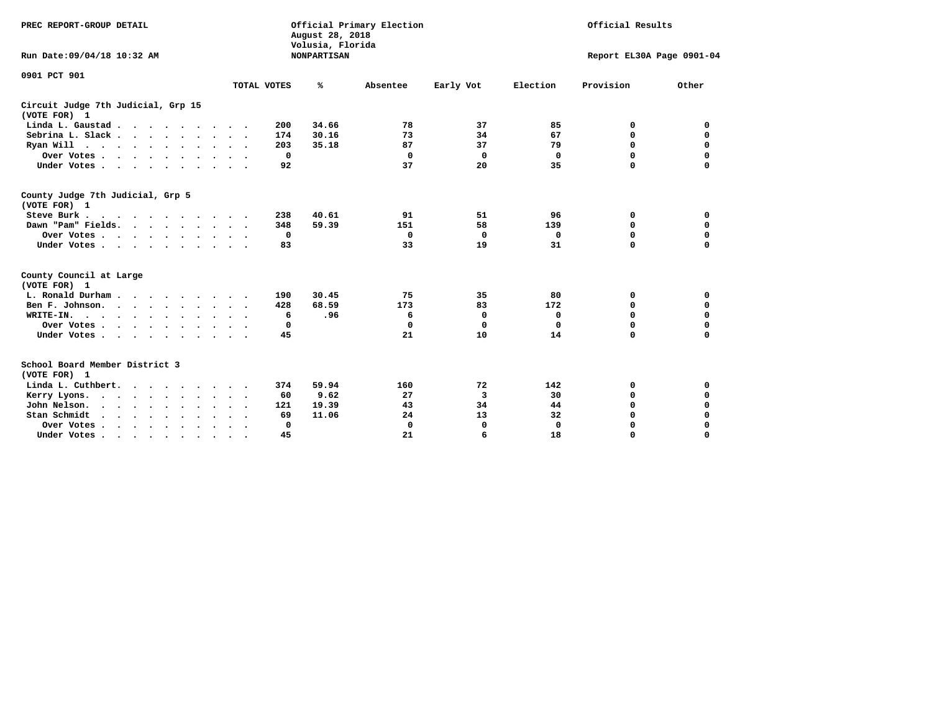| PREC REPORT-GROUP DETAIL<br>Run Date: 09/04/18 10:32 AM                                                                                                                                                                                           |                      | August 28, 2018<br>Volusia, Florida<br><b>NONPARTISAN</b> | Official Primary Election |            | Official Results<br>Report EL30A Page 0901-04 |           |               |  |
|---------------------------------------------------------------------------------------------------------------------------------------------------------------------------------------------------------------------------------------------------|----------------------|-----------------------------------------------------------|---------------------------|------------|-----------------------------------------------|-----------|---------------|--|
|                                                                                                                                                                                                                                                   |                      |                                                           |                           |            |                                               |           |               |  |
| 0901 PCT 901                                                                                                                                                                                                                                      | TOTAL VOTES          | ℁                                                         | Absentee                  | Early Vot  | Election                                      | Provision | Other         |  |
| Circuit Judge 7th Judicial, Grp 15                                                                                                                                                                                                                |                      |                                                           |                           |            |                                               |           |               |  |
| (VOTE FOR) 1                                                                                                                                                                                                                                      |                      |                                                           |                           |            |                                               |           |               |  |
| Linda L. Gaustad                                                                                                                                                                                                                                  | 200                  | 34.66                                                     | 78                        | 37         | 85                                            | 0         | 0             |  |
| Sebrina L. Slack.                                                                                                                                                                                                                                 | 174                  | 30.16                                                     | 73                        | 34         | 67                                            | 0         | $\mathbf 0$   |  |
| Ryan Will $\cdots$ , $\cdots$ , $\cdots$                                                                                                                                                                                                          | 203                  | 35.18                                                     | 87                        | 37         | 79                                            | 0         | $\Omega$      |  |
| Over Votes                                                                                                                                                                                                                                        |                      | $\mathbf{0}$                                              | $\mathbf{0}$              | 0          | $\Omega$                                      | $\Omega$  | $\Omega$      |  |
| Under Votes                                                                                                                                                                                                                                       | $\ddot{\phantom{1}}$ | 92                                                        | 37                        | 20         | 35                                            | $\Omega$  | $\Omega$      |  |
| County Judge 7th Judicial, Grp 5<br>(VOTE FOR) 1                                                                                                                                                                                                  |                      |                                                           |                           |            |                                               |           |               |  |
| Steve Burk                                                                                                                                                                                                                                        | 238                  | 40.61                                                     | 91                        | 51         | 96                                            | 0         | 0             |  |
| Dawn "Pam" Fields.                                                                                                                                                                                                                                | 348                  | 59.39                                                     | 151                       | 58         | 139                                           | 0         | $\mathbf 0$   |  |
| Over Votes                                                                                                                                                                                                                                        |                      | 0                                                         | 0                         | $^{\circ}$ | 0                                             | 0         | 0             |  |
| Under Votes                                                                                                                                                                                                                                       |                      | 83                                                        | 33                        | 19         | 31                                            | $\Omega$  | $\Omega$      |  |
|                                                                                                                                                                                                                                                   |                      |                                                           |                           |            |                                               |           |               |  |
| County Council at Large                                                                                                                                                                                                                           |                      |                                                           |                           |            |                                               |           |               |  |
| (VOTE FOR) 1                                                                                                                                                                                                                                      |                      |                                                           |                           |            |                                               |           |               |  |
| L. Ronald Durham                                                                                                                                                                                                                                  | 190                  | 30.45                                                     | 75                        | 35         | 80                                            | 0         | 0             |  |
| Ben F. Johnson.                                                                                                                                                                                                                                   | 428                  | 68.59                                                     | 173                       | 83         | 172                                           | 0         | $\mathbf 0$   |  |
| WRITE-IN.<br>$\mathbf{r}$ . The contract of the contract of the contract of the contract of the contract of the contract of the contract of the contract of the contract of the contract of the contract of the contract of the contract of th    |                      | .96<br>6                                                  | 6                         | 0          | $\mathbf 0$                                   | 0         | $\Omega$      |  |
| Over Votes                                                                                                                                                                                                                                        |                      | 0                                                         | 0                         | 0          | $\mathbf 0$                                   | 0         | 0             |  |
| Under Votes                                                                                                                                                                                                                                       | $\sim$ $\sim$        | 45                                                        | 21                        | 10         | 14                                            | 0         | $\Omega$      |  |
| School Board Member District 3<br>(VOTE FOR) 1                                                                                                                                                                                                    |                      |                                                           |                           |            |                                               |           |               |  |
| Linda L. Cuthbert.                                                                                                                                                                                                                                | 374                  | 59.94                                                     | 160                       | 72         | 142                                           | 0         | 0             |  |
|                                                                                                                                                                                                                                                   |                      | 9.62<br>60                                                | 27                        | 3          | 30                                            | 0         | $\Omega$      |  |
| Kerry Lyons.<br>John Nelson.                                                                                                                                                                                                                      | $\bullet$ .<br>121   | 19.39                                                     | 43                        | 34         | 44                                            | 0         | $\Omega$      |  |
| $\cdots$                                                                                                                                                                                                                                          |                      |                                                           |                           |            |                                               | 0         |               |  |
| Stan Schmidt<br>$\mathbf{r}$ . The contract of the contract of the contract of the contract of the contract of the contract of the contract of the contract of the contract of the contract of the contract of the contract of the contract of th |                      | 69<br>11.06                                               | 24                        | 13         | 32                                            |           | 0             |  |
| Over Votes                                                                                                                                                                                                                                        | $\bullet$            | 0                                                         | $\Omega$                  | 0<br>6     | $\mathbf 0$                                   | 0<br>O    | 0<br>$\Omega$ |  |
| Under Votes.                                                                                                                                                                                                                                      |                      | 45                                                        | 21                        |            | 18                                            |           |               |  |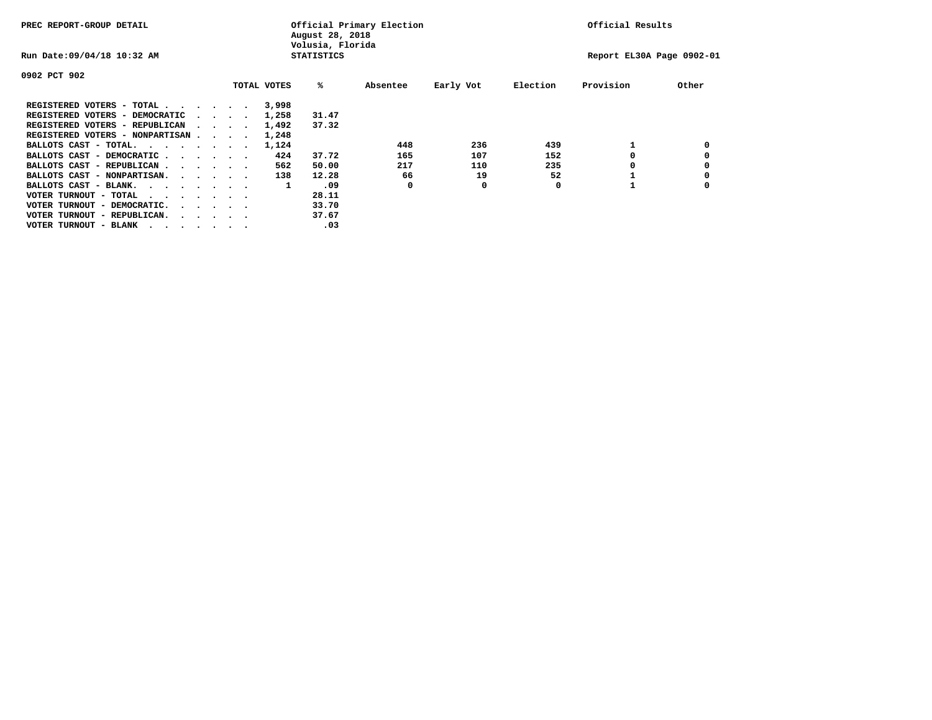| PREC REPORT-GROUP DETAIL               |  |  |                                         |  |             | August 28, 2018<br>Volusia, Florida | Official Primary Election |           |          | Official Results          |       |
|----------------------------------------|--|--|-----------------------------------------|--|-------------|-------------------------------------|---------------------------|-----------|----------|---------------------------|-------|
| Run Date: 09/04/18 10:32 AM            |  |  |                                         |  |             | <b>STATISTICS</b>                   |                           |           |          | Report EL30A Page 0902-01 |       |
| 0902 PCT 902                           |  |  |                                         |  |             |                                     |                           |           |          |                           |       |
|                                        |  |  |                                         |  | TOTAL VOTES | %ะ                                  | Absentee                  | Early Vot | Election | Provision                 | Other |
| REGISTERED VOTERS - TOTAL              |  |  |                                         |  | 3,998       |                                     |                           |           |          |                           |       |
| REGISTERED VOTERS - DEMOCRATIC         |  |  | $\sim$ $\sim$ $\sim$ $\sim$             |  | 1,258       | 31.47                               |                           |           |          |                           |       |
| REGISTERED VOTERS - REPUBLICAN         |  |  |                                         |  | 1,492       | 37.32                               |                           |           |          |                           |       |
| REGISTERED VOTERS - NONPARTISAN        |  |  |                                         |  | 1,248       |                                     |                           |           |          |                           |       |
| BALLOTS CAST - TOTAL.                  |  |  |                                         |  | 1,124       |                                     | 448                       | 236       | 439      |                           |       |
| BALLOTS CAST - DEMOCRATIC              |  |  |                                         |  | 424         | 37.72                               | 165                       | 107       | 152      |                           |       |
| BALLOTS CAST - REPUBLICAN              |  |  |                                         |  | 562         | 50.00                               | 217                       | 110       | 235      |                           |       |
| BALLOTS CAST - NONPARTISAN.            |  |  |                                         |  | 138         | 12.28                               | 66                        | 19        | 52       |                           |       |
| BALLOTS CAST - BLANK.                  |  |  |                                         |  | 1           | .09                                 | 0                         | 0         | 0        |                           |       |
| VOTER TURNOUT - TOTAL<br>.             |  |  |                                         |  |             | 28.11                               |                           |           |          |                           |       |
| VOTER TURNOUT - DEMOCRATIC.            |  |  | $\cdot$ $\cdot$ $\cdot$ $\cdot$ $\cdot$ |  |             | 33.70                               |                           |           |          |                           |       |
| VOTER TURNOUT - REPUBLICAN.<br>$\cdot$ |  |  |                                         |  |             | 37.67                               |                           |           |          |                           |       |
| VOTER TURNOUT - BLANK                  |  |  |                                         |  |             | .03                                 |                           |           |          |                           |       |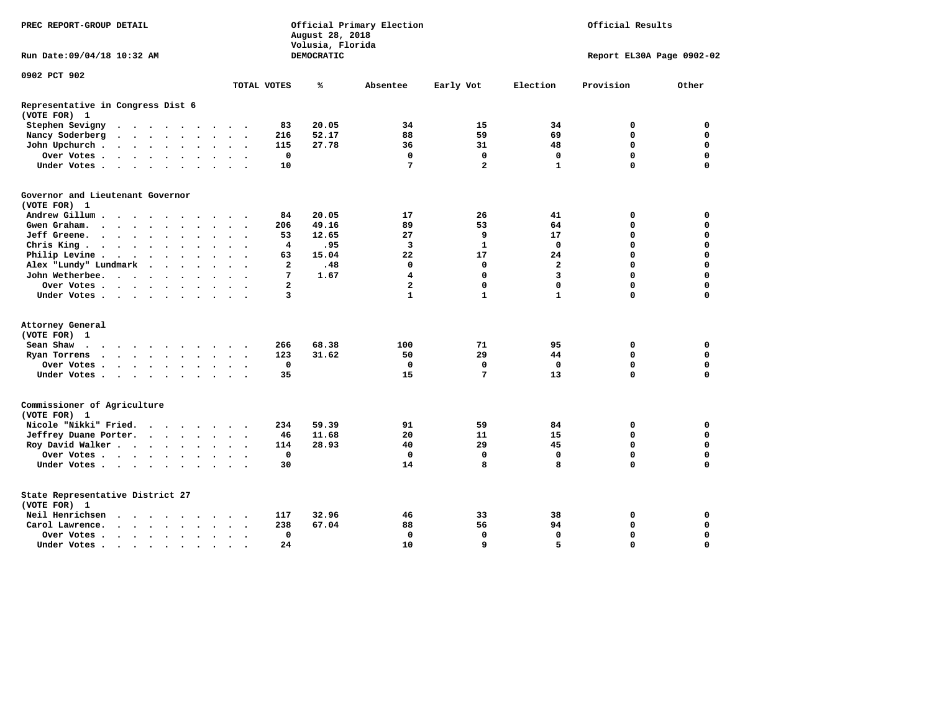| PREC REPORT-GROUP DETAIL                          |                                                                                                                                                                                                                               |                          |                      |                      |                      |                      |                      | August 28, 2018<br>Volusia, Florida | Official Primary Election |            | Official Results        |              |                           |             |             |  |  |  |
|---------------------------------------------------|-------------------------------------------------------------------------------------------------------------------------------------------------------------------------------------------------------------------------------|--------------------------|----------------------|----------------------|----------------------|----------------------|----------------------|-------------------------------------|---------------------------|------------|-------------------------|--------------|---------------------------|-------------|-------------|--|--|--|
| Run Date:09/04/18 10:32 AM                        |                                                                                                                                                                                                                               |                          |                      |                      |                      |                      |                      |                                     |                           | DEMOCRATIC |                         |              | Report EL30A Page 0902-02 |             |             |  |  |  |
| 0902 PCT 902                                      |                                                                                                                                                                                                                               |                          |                      |                      |                      |                      |                      |                                     |                           |            |                         |              |                           |             |             |  |  |  |
|                                                   |                                                                                                                                                                                                                               |                          |                      |                      |                      |                      |                      |                                     | TOTAL VOTES               | ℁          | Absentee                | Early Vot    | Election                  | Provision   | Other       |  |  |  |
| Representative in Congress Dist 6<br>(VOTE FOR) 1 |                                                                                                                                                                                                                               |                          |                      |                      |                      |                      |                      |                                     |                           |            |                         |              |                           |             |             |  |  |  |
| Stephen Sevigny                                   | $\cdots$                                                                                                                                                                                                                      |                          |                      |                      |                      |                      |                      |                                     | 83                        | 20.05      | 34                      | 15           | 34                        | 0           | $\mathbf 0$ |  |  |  |
| Nancy Soderberg                                   | $\begin{array}{cccccccccccccccccc} . & . & . & . & . & . & . & . & . & . & . & . \end{array}$                                                                                                                                 |                          |                      |                      |                      |                      |                      |                                     | 216                       | 52.17      | 88                      | 59           | 69                        | $\Omega$    | $\mathbf 0$ |  |  |  |
| John Upchurch.                                    |                                                                                                                                                                                                                               |                          |                      |                      | $\sim$               | $\sim$               | $\cdot$              |                                     | 115                       | 27.78      | 36                      | 31           | 48                        | $\Omega$    | $\mathbf 0$ |  |  |  |
| Over Votes                                        |                                                                                                                                                                                                                               |                          |                      |                      |                      | $\ddot{\phantom{1}}$ | $\bullet$            |                                     | 0                         |            | 0                       | 0            | 0                         | 0           | 0           |  |  |  |
| Under Votes                                       |                                                                                                                                                                                                                               |                          |                      |                      |                      |                      |                      |                                     | 10                        |            | 7                       | $\mathbf{2}$ | $\mathbf{1}$              | $\Omega$    | $\Omega$    |  |  |  |
| Governor and Lieutenant Governor<br>(VOTE FOR) 1  |                                                                                                                                                                                                                               |                          |                      |                      |                      |                      |                      |                                     |                           |            |                         |              |                           |             |             |  |  |  |
| Andrew Gillum                                     |                                                                                                                                                                                                                               | $\overline{\phantom{a}}$ |                      |                      |                      |                      |                      |                                     | 84                        | 20.05      | 17                      | 26           | 41                        | 0           | 0           |  |  |  |
| Gwen Graham.                                      | $\cdots$                                                                                                                                                                                                                      |                          |                      |                      | $\bullet$            |                      | $\sim$ $\sim$        | $\ddot{\phantom{1}}$                | 206                       | 49.16      | 89                      | 53           | 64                        | 0           | 0           |  |  |  |
| Jeff Greene.                                      |                                                                                                                                                                                                                               |                          | $\ddot{\phantom{a}}$ |                      |                      |                      |                      |                                     | 53                        | 12.65      | 27                      | 9            | 17                        | 0           | 0           |  |  |  |
| Chris King                                        |                                                                                                                                                                                                                               |                          |                      |                      |                      |                      |                      |                                     | 4                         | .95        | 3                       | $\mathbf{1}$ | $\mathbf{0}$              | $\Omega$    | $\mathbf 0$ |  |  |  |
| Philip Levine .                                   | $\cdot$ $\cdot$ $\cdot$ $\cdot$ $\cdot$                                                                                                                                                                                       |                          |                      |                      | $\ddot{\phantom{a}}$ | $\ddot{\phantom{a}}$ | $\ddot{\phantom{a}}$ |                                     | 63                        | 15.04      | 22                      | 17           | 24                        | $\Omega$    | $\mathbf 0$ |  |  |  |
| Alex "Lundy" Lundmark                             |                                                                                                                                                                                                                               | $\ddot{\phantom{a}}$     |                      | $\ddot{\phantom{1}}$ | $\ddot{\phantom{a}}$ |                      | $\ddot{\phantom{a}}$ |                                     | $\overline{2}$            | .48        | $\mathbf 0$             | $\mathbf 0$  | $\overline{2}$            | $\Omega$    | $\Omega$    |  |  |  |
| John Wetherbee.                                   |                                                                                                                                                                                                                               |                          |                      |                      |                      |                      |                      |                                     | 7                         | 1.67       | $\overline{\mathbf{4}}$ | $\mathbf{0}$ | $\overline{3}$            | $\Omega$    | $\mathbf 0$ |  |  |  |
| Over Votes                                        |                                                                                                                                                                                                                               |                          |                      |                      |                      |                      |                      |                                     | 2                         |            | $\overline{\mathbf{2}}$ | $\mathbf 0$  | $\mathbf 0$               | $\mathbf 0$ | $\mathbf 0$ |  |  |  |
|                                                   |                                                                                                                                                                                                                               |                          |                      | $\sim$               |                      |                      | $\bullet$            |                                     | 3                         |            | 1                       | $\mathbf{1}$ | $\mathbf{1}$              | $\Omega$    | 0           |  |  |  |
| Under Votes                                       |                                                                                                                                                                                                                               |                          |                      |                      |                      |                      |                      |                                     |                           |            |                         |              |                           |             |             |  |  |  |
| Attorney General                                  |                                                                                                                                                                                                                               |                          |                      |                      |                      |                      |                      |                                     |                           |            |                         |              |                           |             |             |  |  |  |
| (VOTE FOR) 1                                      |                                                                                                                                                                                                                               |                          |                      |                      |                      |                      |                      |                                     |                           |            |                         |              |                           |             |             |  |  |  |
| Sean Shaw<br>$\cdots$                             |                                                                                                                                                                                                                               |                          |                      |                      |                      |                      |                      |                                     | 266                       | 68.38      | 100                     | 71           | 95                        | 0           | $\mathbf 0$ |  |  |  |
| Ryan Torrens                                      | . The contract of the contract of the contract of the contract of the contract of the contract of the contract of the contract of the contract of the contract of the contract of the contract of the contract of the contrac |                          |                      |                      |                      |                      | $\ddot{\phantom{1}}$ | $\sim$                              | 123                       | 31.62      | 50                      | 29           | 44                        | $\mathbf 0$ | $\mathbf 0$ |  |  |  |
| Over Votes                                        |                                                                                                                                                                                                                               |                          |                      |                      |                      |                      |                      |                                     | 0                         |            | 0                       | $\mathbf 0$  | $\mathbf 0$               | $\mathbf 0$ | 0           |  |  |  |
| Under Votes                                       |                                                                                                                                                                                                                               |                          |                      |                      |                      |                      |                      |                                     | 35                        |            | 15                      | 7            | 13                        | $\mathbf 0$ | $\mathbf 0$ |  |  |  |
| Commissioner of Agriculture<br>(VOTE FOR) 1       |                                                                                                                                                                                                                               |                          |                      |                      |                      |                      |                      |                                     |                           |            |                         |              |                           |             |             |  |  |  |
| Nicole "Nikki" Fried.                             |                                                                                                                                                                                                                               |                          |                      |                      |                      |                      |                      |                                     | 234                       | 59.39      | 91                      | 59           | 84                        | 0           | 0           |  |  |  |
| Jeffrey Duane Porter.                             |                                                                                                                                                                                                                               |                          |                      |                      |                      |                      | $\sim$ $\sim$        |                                     | 46                        | 11.68      | 20                      | 11           | 15                        | 0           | 0           |  |  |  |
| Roy David Walker                                  |                                                                                                                                                                                                                               |                          |                      |                      |                      |                      |                      |                                     | 114                       | 28.93      | 40                      | 29           | 45                        | $\mathbf 0$ | $\mathbf 0$ |  |  |  |
| Over Votes                                        |                                                                                                                                                                                                                               |                          |                      |                      | $\ddot{\phantom{a}}$ |                      | $\bullet$            |                                     | 0                         |            | $\mathbf{0}$            | 0            | $\mathbf 0$               | $\mathbf 0$ | $\mathbf 0$ |  |  |  |
| Under Votes                                       |                                                                                                                                                                                                                               |                          |                      |                      |                      |                      |                      |                                     | 30                        |            | 14                      | 8            | 8                         | $\Omega$    | $\mathbf 0$ |  |  |  |
| State Representative District 27<br>(VOTE FOR) 1  |                                                                                                                                                                                                                               |                          |                      |                      |                      |                      |                      |                                     |                           |            |                         |              |                           |             |             |  |  |  |
| Neil Henrichsen                                   |                                                                                                                                                                                                                               |                          |                      |                      |                      |                      |                      |                                     | 117                       | 32.96      | 46                      | 33           | 38                        | 0           | 0           |  |  |  |
| Carol Lawrence.                                   | $\cdot$ $\cdot$ $\cdot$ $\cdot$ $\cdot$                                                                                                                                                                                       |                          |                      |                      | $\ddot{\phantom{a}}$ | $\bullet$            | $\bullet$            | $\bullet$                           | 238                       | 67.04      | 88                      | 56           | 94                        | $\mathbf 0$ | $\mathbf 0$ |  |  |  |
| Over Votes                                        |                                                                                                                                                                                                                               |                          |                      |                      | $\ddot{\phantom{a}}$ |                      |                      |                                     | 0                         |            | $\mathbf 0$             | $\mathbf 0$  | $\mathbf 0$               | $\mathbf 0$ | $\mathbf 0$ |  |  |  |
| Under Votes                                       |                                                                                                                                                                                                                               |                          |                      |                      |                      |                      |                      |                                     | 24                        |            | 10                      | 9            | 5                         | $\Omega$    | $\mathbf 0$ |  |  |  |
|                                                   |                                                                                                                                                                                                                               |                          |                      |                      | $\sim$               | $\cdot$              |                      |                                     |                           |            |                         |              |                           |             |             |  |  |  |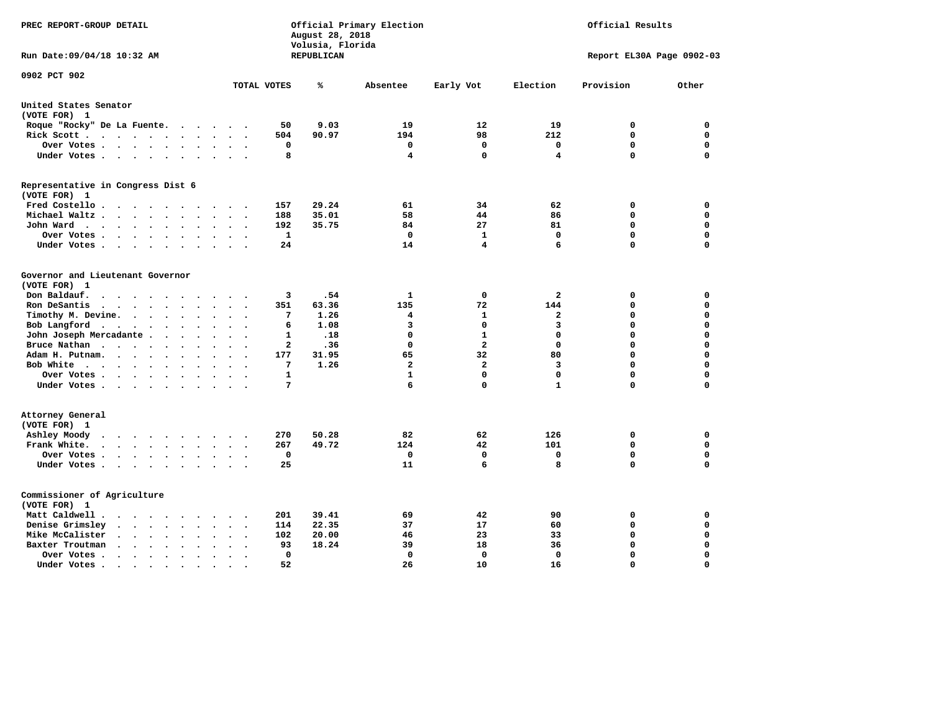| PREC REPORT-GROUP DETAIL                                                                                 |                                    | August 28, 2018<br>Volusia, Florida | Official Primary Election | Official Results |                   |                           |          |  |
|----------------------------------------------------------------------------------------------------------|------------------------------------|-------------------------------------|---------------------------|------------------|-------------------|---------------------------|----------|--|
| Run Date: 09/04/18 10:32 AM                                                                              |                                    | REPUBLICAN                          |                           |                  |                   | Report EL30A Page 0902-03 |          |  |
| 0902 PCT 902                                                                                             | TOTAL VOTES                        | ℁                                   | Absentee                  | Early Vot        | Election          | Provision                 | Other    |  |
| United States Senator                                                                                    |                                    |                                     |                           |                  |                   |                           |          |  |
| (VOTE FOR) 1                                                                                             |                                    |                                     |                           |                  |                   |                           |          |  |
| Roque "Rocky" De La Fuente.<br>$\sim$ $\sim$ $\sim$                                                      | 50<br>$\sim$ 100 $\mu$             | 9.03                                | 19                        | 12               | 19                | 0                         | 0        |  |
| Rick Scott                                                                                               | 504                                | 90.97                               | 194                       | 98               | 212               | $\mathbf 0$               | 0        |  |
| Over Votes                                                                                               | 0<br>$\sim$                        |                                     | 0                         | 0                | 0                 | $\mathbf 0$               | 0        |  |
| Under Votes<br>$\ddot{\phantom{0}}$                                                                      | 8<br>$\cdot$                       |                                     | 4                         | 0                | 4                 | $\mathbf 0$               | 0        |  |
| Representative in Congress Dist 6                                                                        |                                    |                                     |                           |                  |                   |                           |          |  |
| (VOTE FOR) 1                                                                                             |                                    |                                     |                           | 34               |                   |                           | 0        |  |
| Fred Costello.                                                                                           | 157<br>$\sim$ $\sim$ $\sim$ $\sim$ | 29.24<br>35.01                      | 61<br>58                  |                  | 62                | 0<br>0                    | 0        |  |
| Michael Waltz .<br>$\cdots$<br>$\ddot{\phantom{a}}$                                                      | 188                                |                                     |                           | 44<br>27         | 86                |                           | 0        |  |
| John Ward<br>$\bullet$                                                                                   | 192<br>$\bullet$                   | 35.75                               | 84<br>0                   | $\mathbf{1}$     | 81<br>$\mathbf 0$ | 0<br>$\mathbf 0$          | 0        |  |
| Over Votes.<br>$\cdots$<br>$\overline{\phantom{a}}$<br>Under Votes                                       | 1<br>24                            |                                     | 14                        | 4                | 6                 | $\mathbf 0$               | 0        |  |
| $\overline{\phantom{a}}$<br>$\cdot$                                                                      |                                    |                                     |                           |                  |                   |                           |          |  |
| Governor and Lieutenant Governor                                                                         |                                    |                                     |                           |                  |                   |                           |          |  |
| (VOTE FOR) 1                                                                                             |                                    |                                     |                           |                  |                   |                           |          |  |
| Don Baldauf.<br>$\ddot{\phantom{a}}$                                                                     | 3                                  | .54                                 | 1                         | $\mathbf 0$      | $\overline{a}$    | 0                         | 0        |  |
| Ron DeSantis<br>$\cdot \cdot \cdot \cdot$<br>$\ddot{\phantom{a}}$<br>$\bullet$<br>$\ddot{\phantom{a}}$   | 351                                | 63.36                               | 135                       | 72               | 144               | $\mathbf 0$               | 0        |  |
| Timothy M. Devine.<br>$\bullet$                                                                          | 7                                  | 1.26                                | 4                         | 1                | $\mathbf{2}$      | $\mathbf 0$               | 0        |  |
| Bob Langford<br>$\sim$ $\sim$<br>$\ddot{\phantom{1}}$<br>$\ddot{\phantom{a}}$                            | 6<br>$\ddot{\phantom{a}}$          | 1.08                                | 3                         | $\mathbf 0$      | 3                 | $\mathbf 0$               | 0        |  |
| John Joseph Mercadante                                                                                   | 1                                  | .18                                 | $\mathbf 0$               | $\mathbf{1}$     | $\mathbf 0$       | $\mathbf 0$               | 0        |  |
| Bruce Nathan<br>$\cdot$<br>$\sim$ $\sim$<br>$\bullet$                                                    | $\mathbf{2}$                       | .36                                 | $\mathbf 0$               | $\overline{a}$   | $\mathbf 0$       | $\mathbf 0$               | 0        |  |
| Adam H. Putnam.<br>$\cdots$<br>$\ddot{\phantom{a}}$<br>$\bullet$                                         | 177                                | 31.95                               | 65                        | 32               | 80                | $\mathbf 0$               | 0        |  |
| Bob White<br>$\sim$                                                                                      | $7\phantom{.0}$<br>$\sim$          | 1.26                                | $\overline{\mathbf{2}}$   | $\overline{a}$   | 3                 | $\mathbf 0$               | 0        |  |
| Over Votes .<br>$\cdots$<br>$\ddot{\phantom{0}}$                                                         | $\mathbf{1}$                       |                                     | $\mathbf{1}$              | 0                | $\mathbf 0$       | $\mathbf 0$               | 0        |  |
| Under Votes                                                                                              | 7                                  |                                     | 6                         | 0                | $\mathbf{1}$      | $\mathbf 0$               | 0        |  |
| Attorney General                                                                                         |                                    |                                     |                           |                  |                   |                           |          |  |
| (VOTE FOR) 1                                                                                             |                                    |                                     |                           |                  |                   |                           |          |  |
| Ashley Moody<br>$\sim$ $\sim$ $\sim$ $\sim$ $\sim$<br>$\cdot$<br>$\sim$ $\sim$                           | 270<br>$\bullet$                   | 50.28                               | 82                        | 62               | 126               | 0                         | 0        |  |
| Frank White.<br>$\cdot$ $\cdot$ $\cdot$ $\cdot$ $\cdot$ $\cdot$<br>$\bullet$<br>$\overline{\phantom{a}}$ | 267                                | 49.72                               | 124                       | 42               | 101               | $\mathbf 0$               | 0        |  |
| Over Votes .<br>$\cdots$<br>$\bullet$                                                                    | 0<br>$\ddot{\phantom{a}}$          |                                     | 0                         | 0                | 0                 | $\mathbf 0$               | 0        |  |
| Under Votes                                                                                              | 25<br>$\sim$ $\sim$                |                                     | 11                        | 6                | 8                 | $\mathbf 0$               | 0        |  |
| Commissioner of Agriculture                                                                              |                                    |                                     |                           |                  |                   |                           |          |  |
| (VOTE FOR) 1                                                                                             |                                    |                                     |                           |                  |                   |                           |          |  |
| Matt Caldwell.<br>$\cdot$ $\cdot$ $\cdot$ $\cdot$<br>$\sim$<br>$\overline{\phantom{a}}$                  | 201                                | 39.41                               | 69                        | 42               | 90                | 0                         | 0        |  |
| Denise Grimsley<br>$\cdot$ $\cdot$<br>$\ddot{\phantom{a}}$<br>$\cdot$<br>$\ddot{\phantom{a}}$            | 114                                | 22.35                               | 37                        | 17               | 60                | $\mathbf 0$               | 0        |  |
| Mike McCalister<br>$\sim$ , $\sim$ , $\sim$ , $\sim$<br>$\bullet$                                        | 102<br>$\bullet$                   | 20.00                               | 46                        | 23               | 33                | $\mathbf 0$               | 0        |  |
| Baxter Troutman<br>$\sim$ $\sim$ $\sim$ $\sim$<br>$\ddot{\phantom{a}}$<br>$\ddot{\phantom{a}}$           | 93                                 | 18.24                               | 39                        | 18               | 36                | $\mathbf 0$               | 0        |  |
| Over Votes.<br>$\cdot$ $\cdot$ $\cdot$ $\cdot$<br>$\bullet$<br>$\cdot$                                   | 0                                  |                                     | 0                         | 0                | 0                 | $\mathbf 0$               | 0        |  |
| Under Votes.<br>$\cdot$ $\cdot$ $\cdot$ $\cdot$<br>$\sim$<br>$\blacksquare$                              | 52<br>$\bullet$                    |                                     | 26                        | 10               | 16                | $\Omega$                  | $\Omega$ |  |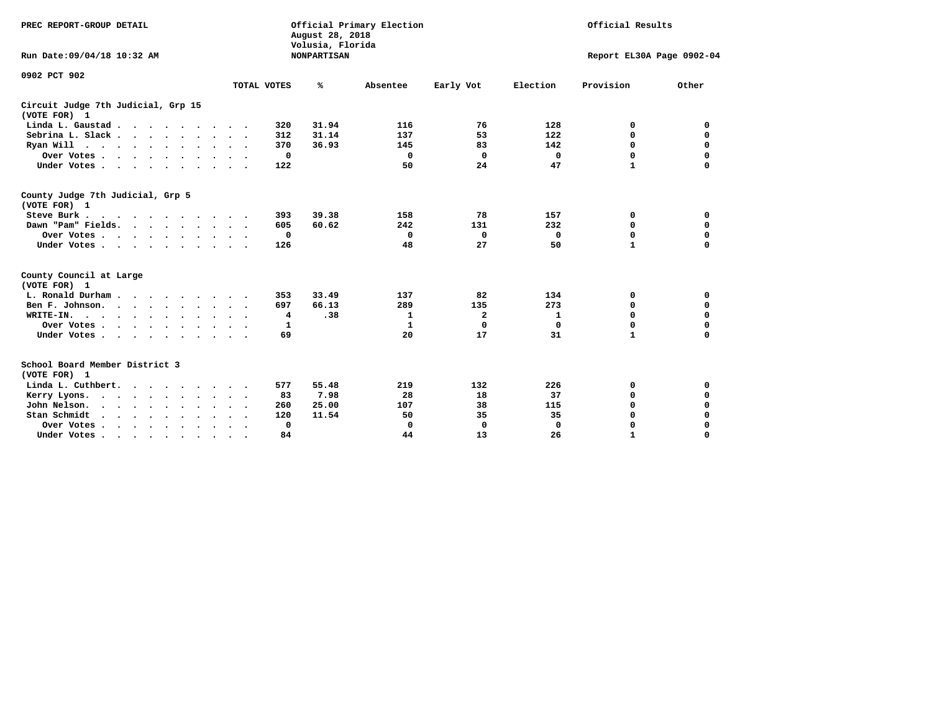| PREC REPORT-GROUP DETAIL                                        |                             | August 28, 2018<br>Volusia, Florida | Official Primary Election |                | Official Results |                           |             |  |  |
|-----------------------------------------------------------------|-----------------------------|-------------------------------------|---------------------------|----------------|------------------|---------------------------|-------------|--|--|
| Run Date: 09/04/18 10:32 AM                                     |                             | <b>NONPARTISAN</b>                  |                           |                |                  | Report EL30A Page 0902-04 |             |  |  |
| 0902 PCT 902                                                    |                             |                                     |                           |                |                  |                           |             |  |  |
|                                                                 | TOTAL VOTES                 | ℁                                   | Absentee                  | Early Vot      | Election         | Provision                 | Other       |  |  |
| Circuit Judge 7th Judicial, Grp 15<br>(VOTE FOR) 1              |                             |                                     |                           |                |                  |                           |             |  |  |
| Linda L. Gaustad                                                | 320                         | 31.94                               | 116                       | 76             | 128              | 0                         | 0           |  |  |
| Sebrina L. Slack.                                               | 312                         | 31.14                               | 137                       | 53             | 122              | 0                         | 0           |  |  |
| Ryan Will $\cdots$ , $\cdots$ , $\cdots$                        | 370                         | 36.93                               | 145                       | 83             | 142              | 0                         | 0           |  |  |
| Over Votes                                                      | 0                           |                                     | 0                         | $^{\circ}$     | 0                | 0                         | 0           |  |  |
| Under Votes                                                     | 122                         |                                     | 50                        | 24             | 47               | $\mathbf{1}$              | $\mathbf 0$ |  |  |
| County Judge 7th Judicial, Grp 5<br>(VOTE FOR) 1                |                             |                                     |                           |                |                  |                           |             |  |  |
| Steve Burk                                                      | 393                         | 39.38                               | 158                       | 78             | 157              | 0                         | 0           |  |  |
| Dawn "Pam" Fields.                                              | 605<br>$\cdot$ .            | 60.62                               | 242                       | 131            | 232              | 0                         | 0           |  |  |
| Over Votes                                                      | 0                           |                                     | $\mathbf 0$               | 0              | $\mathbf 0$      | 0                         | 0           |  |  |
| Under Votes                                                     | 126                         |                                     | 48                        | 27             | 50               | $\mathbf{1}$              | 0           |  |  |
| County Council at Large                                         |                             |                                     |                           |                |                  |                           |             |  |  |
| (VOTE FOR) 1                                                    |                             |                                     |                           |                |                  |                           |             |  |  |
| L. Ronald Durham                                                | 353                         | 33.49                               | 137                       | 82             | 134              | 0                         | 0           |  |  |
| Ben F. Johnson.<br>$\cdots$                                     | 697                         | 66.13                               | 289                       | 135            | 273              | 0                         | 0           |  |  |
| WRITE-IN.                                                       | 4                           | .38                                 | 1                         | $\overline{a}$ | 1                | $\mathbf 0$               | 0           |  |  |
| Over Votes                                                      | 1                           |                                     | 1                         | $\mathbf 0$    | 0                | 0                         | 0           |  |  |
| Under Votes                                                     | 69<br>$\cdot$ .             |                                     | 20                        | 17             | 31               | $\mathbf{1}$              | O           |  |  |
| School Board Member District 3<br>(VOTE FOR) 1                  |                             |                                     |                           |                |                  |                           |             |  |  |
| Linda L. Cuthbert.                                              | 577                         | 55.48                               | 219                       | 132            | 226              | 0                         | 0           |  |  |
| Kerry Lyons.<br>$\cdot$                                         | 83                          | 7.98                                | 28                        | 18             | 37               | 0                         | 0           |  |  |
| John Nelson.<br>$\cdot$ $\cdot$ $\cdot$ $\cdot$ $\cdot$ $\cdot$ | 260                         | 25.00                               | 107                       | 38             | 115              | 0                         | 0           |  |  |
| Stan Schmidt<br>$\sim$<br>$\cdot$ $\cdot$<br>$\sim$             | 120                         | 11.54                               | 50                        | 35             | 35               | 0                         | 0           |  |  |
| Over Votes                                                      | 0<br>$\ddot{\phantom{1}}$ . |                                     | 0                         | 0              | 0                | 0                         | 0           |  |  |
| Under Votes.                                                    | 84                          |                                     | 44                        | 13             | 26               | $\mathbf{1}$              | $\Omega$    |  |  |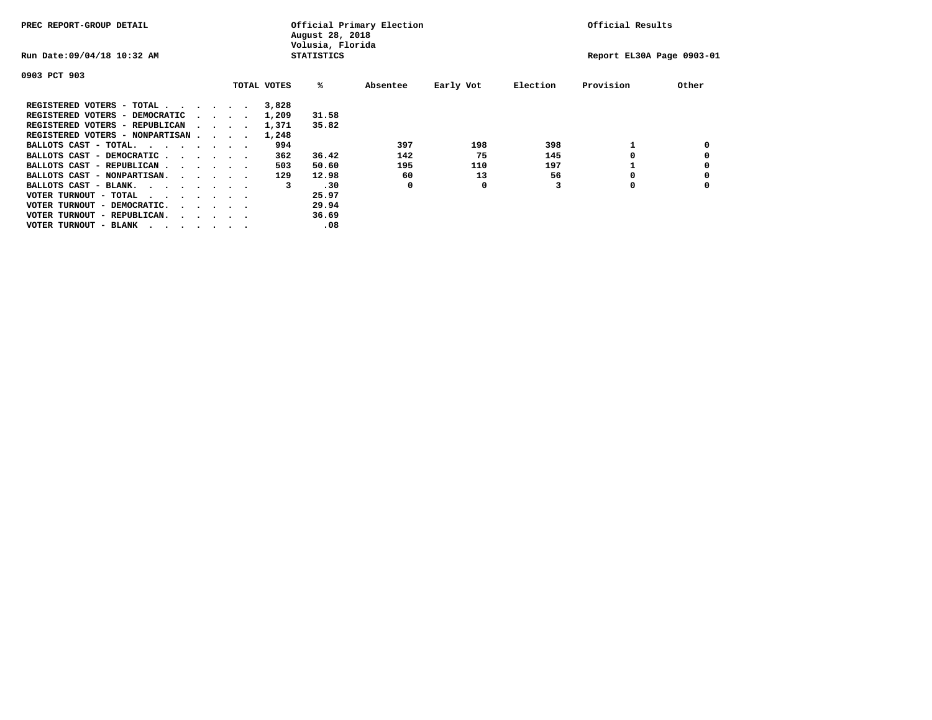| PREC REPORT-GROUP DETAIL                |                                         |  | August 28, 2018<br>Volusia, Florida | Official Primary Election |          | Official Results |          |                           |       |
|-----------------------------------------|-----------------------------------------|--|-------------------------------------|---------------------------|----------|------------------|----------|---------------------------|-------|
| Run Date: 09/04/18 10:32 AM             |                                         |  |                                     | <b>STATISTICS</b>         |          |                  |          | Report EL30A Page 0903-01 |       |
| 0903 PCT 903                            |                                         |  |                                     |                           |          |                  |          |                           |       |
|                                         |                                         |  | TOTAL VOTES                         | %ะ                        | Absentee | Early Vot        | Election | Provision                 | Other |
| REGISTERED VOTERS - TOTAL               |                                         |  | 3,828                               |                           |          |                  |          |                           |       |
| REGISTERED VOTERS - DEMOCRATIC          | $\sim$ $\sim$ $\sim$ $\sim$             |  | 1,209                               | 31.58                     |          |                  |          |                           |       |
| REGISTERED VOTERS - REPUBLICAN          |                                         |  | 1,371                               | 35.82                     |          |                  |          |                           |       |
| REGISTERED VOTERS - NONPARTISAN         |                                         |  | 1,248                               |                           |          |                  |          |                           |       |
| BALLOTS CAST - TOTAL.                   |                                         |  | 994                                 |                           | 397      | 198              | 398      |                           |       |
| BALLOTS CAST - DEMOCRATIC               |                                         |  | 362                                 | 36.42                     | 142      | 75               | 145      |                           |       |
| BALLOTS CAST - REPUBLICAN               |                                         |  | 503                                 | 50.60                     | 195      | 110              | 197      |                           |       |
| BALLOTS CAST - NONPARTISAN.             |                                         |  | 129                                 | 12.98                     | 60       | 13               | 56       |                           |       |
| BALLOTS CAST - BLANK.                   |                                         |  | 3                                   | .30                       | 0        | 0                |          | 0                         |       |
| VOTER TURNOUT - TOTAL<br>$\cdots$       |                                         |  |                                     | 25.97                     |          |                  |          |                           |       |
| VOTER TURNOUT - DEMOCRATIC.             | $\cdot$ $\cdot$ $\cdot$ $\cdot$ $\cdot$ |  |                                     | 29.94                     |          |                  |          |                           |       |
| VOTER TURNOUT - REPUBLICAN.<br>$\cdots$ |                                         |  |                                     | 36.69                     |          |                  |          |                           |       |
| VOTER TURNOUT - BLANK                   |                                         |  |                                     | .08                       |          |                  |          |                           |       |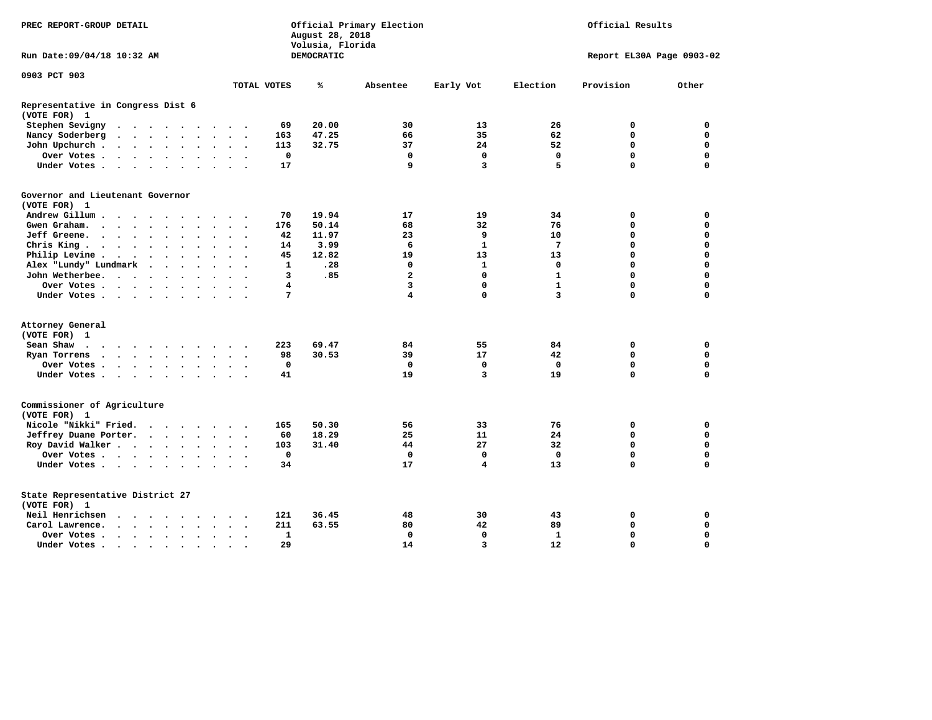| PREC REPORT-GROUP DETAIL                                                                                                                                                          |              | August 28, 2018<br>Volusia, Florida | Official Primary Election |                | Official Results |                           |             |  |  |
|-----------------------------------------------------------------------------------------------------------------------------------------------------------------------------------|--------------|-------------------------------------|---------------------------|----------------|------------------|---------------------------|-------------|--|--|
| Run Date: 09/04/18 10:32 AM                                                                                                                                                       |              | DEMOCRATIC                          |                           |                |                  | Report EL30A Page 0903-02 |             |  |  |
| 0903 PCT 903                                                                                                                                                                      |              |                                     |                           |                |                  |                           |             |  |  |
|                                                                                                                                                                                   | TOTAL VOTES  | ℁                                   | Absentee                  | Early Vot      | Election         | Provision                 | Other       |  |  |
| Representative in Congress Dist 6<br>(VOTE FOR) 1                                                                                                                                 |              |                                     |                           |                |                  |                           |             |  |  |
| Stephen Sevigny<br>$\begin{array}{cccccccccccccc} \bullet & \bullet & \bullet & \bullet & \bullet & \bullet & \bullet & \bullet & \bullet & \bullet \end{array}$<br>.             | 69           | 20.00                               | 30                        | 13             | 26               | 0                         | 0           |  |  |
| Nancy Soderberg<br><b>Contract Contract Contract</b><br>$\ddot{\phantom{a}}$<br>$\sim$<br>$\bullet$<br>$\ddot{\phantom{a}}$<br>$\ddot{\phantom{1}}$                               | 163          | 47.25                               | 66                        | 35             | 62               | 0                         | $\mathbf 0$ |  |  |
| John Upchurch.<br>$\cdot$ $\cdot$ $\cdot$ $\cdot$<br>$\ddot{\phantom{1}}$                                                                                                         | 113          | 32.75                               | 37                        | 24             | 52               | 0                         | $\mathbf 0$ |  |  |
| Over Votes .<br>$\cdot$ $\cdot$ $\cdot$ $\cdot$ $\cdot$<br>$\ddot{\phantom{a}}$<br>$\bullet$<br>$\bullet$<br>$\cdot$                                                              | $\mathbf 0$  |                                     | $\mathbf 0$               | $\mathbf 0$    | $\mathbf 0$      | $\mathbf 0$               | $\mathbf 0$ |  |  |
| Under Votes<br>$\ddot{\phantom{a}}$<br>$\sim$<br>$\sim$                                                                                                                           | 17           |                                     | 9                         | $\overline{3}$ | 5                | 0                         | $\Omega$    |  |  |
| Governor and Lieutenant Governor                                                                                                                                                  |              |                                     |                           |                |                  |                           |             |  |  |
| (VOTE FOR) 1                                                                                                                                                                      | 70           | 19.94                               | 17                        |                |                  |                           | 0           |  |  |
| Andrew Gillum.<br>$\sim$<br>$\sim$<br>Gwen Graham.                                                                                                                                | 176          | 50.14                               | 68                        | 19<br>32       | 34<br>76         | 0<br>$\mathbf 0$          | $\mathbf 0$ |  |  |
| $\cdots$<br>$\ddot{\phantom{a}}$<br>$\ddot{\phantom{0}}$<br>$\bullet$<br>$\ddot{\phantom{0}}$<br>$\ddot{\phantom{0}}$<br>Jeff Greene.<br>$\sim$ $\sim$<br>$\ddot{\phantom{a}}$    | 42           | 11.97                               | 23                        | 9              | 10               | 0                         | $\mathbf 0$ |  |  |
| $\sim$<br>Chris King                                                                                                                                                              | 14           | 3.99                                | 6                         | $\mathbf{1}$   | 7                | 0                         | $\mathbf 0$ |  |  |
| $\bullet$<br>$\bullet$<br>Philip Levine .                                                                                                                                         | 45           | 12.82                               | 19                        | 13             | 13               | 0                         | $\mathbf 0$ |  |  |
| $\sim$ $\sim$<br>$\sim$ $\sim$<br>$\bullet$<br>$\cdot$<br>$\bullet$<br>$\bullet$<br>$\cdot$<br>$\ddot{\phantom{0}}$<br>Alex "Lundy" Lundmark<br>$\ddot{\phantom{a}}$<br>$\bullet$ | $\mathbf{1}$ | .28                                 | 0                         | 1              | 0                | 0                         | $\mathbf 0$ |  |  |
| $\bullet$<br>John Wetherbee.                                                                                                                                                      | 3            | .85                                 | $\overline{a}$            | $\mathbf{0}$   | $\mathbf{1}$     | $\mathbf 0$               | $\Omega$    |  |  |
| $\ddot{\phantom{a}}$<br>$\bullet$<br>$\sim$ $\sim$<br>$\bullet$<br>$\bullet$<br>Over Votes .                                                                                      | 4            |                                     | 3                         | 0              | $\mathbf{1}$     | 0                         | $\Omega$    |  |  |
| $\cdot$ $\cdot$ $\cdot$ $\cdot$<br>$\sim$<br>Under Votes.                                                                                                                         | 7            |                                     | 4                         | $\Omega$       | 3                | $\Omega$                  | $\Omega$    |  |  |
| $\cdots$                                                                                                                                                                          |              |                                     |                           |                |                  |                           |             |  |  |
| Attorney General                                                                                                                                                                  |              |                                     |                           |                |                  |                           |             |  |  |
| (VOTE FOR) 1                                                                                                                                                                      |              |                                     |                           |                |                  |                           |             |  |  |
| Sean Shaw<br>$\sim$ $\sim$<br>.<br>$\ddot{\phantom{0}}$                                                                                                                           | 223          | 69.47                               | 84                        | 55             | 84               | 0                         | 0           |  |  |
| Ryan Torrens<br>$\cdots$<br>$\bullet$<br>$\cdot$<br>$\cdot$                                                                                                                       | 98           | 30.53                               | 39                        | 17             | 42               | 0                         | $\mathbf 0$ |  |  |
| Over Votes.<br>the contract of the contract of the contract of the contract of the contract of the contract of the contract of                                                    | $\mathbf 0$  |                                     | $\mathbf 0$               | 0              | $\mathbf 0$      | 0                         | $\mathbf 0$ |  |  |
| Under Votes<br>$\ddot{\phantom{a}}$<br>$\bullet$<br>$\sim$ $\sim$                                                                                                                 | 41           |                                     | 19                        | 3              | 19               | 0                         | $\mathbf 0$ |  |  |
| Commissioner of Agriculture<br>(VOTE FOR) 1                                                                                                                                       |              |                                     |                           |                |                  |                           |             |  |  |
| Nicole "Nikki" Fried.<br>$\cdot$ $\cdot$ $\cdot$ $\cdot$                                                                                                                          | 165          | 50.30                               | 56                        | 33             | 76               | 0                         | 0           |  |  |
| Jeffrey Duane Porter.<br>$\cdot$ $\cdot$ $\cdot$ $\cdot$                                                                                                                          | 60           | 18.29                               | 25                        | 11             | 24               | 0                         | $\mathbf 0$ |  |  |
| Roy David Walker<br>$\ddot{\phantom{a}}$<br>$\sim$                                                                                                                                | 103          | 31.40                               | 44                        | 27             | 32               | $\mathbf 0$               | $\mathbf 0$ |  |  |
| Over Votes                                                                                                                                                                        | $\mathbf 0$  |                                     | $\mathbf 0$               | $\mathbf{0}$   | $\mathbf 0$      | 0                         | $\mathbf 0$ |  |  |
| Under Votes<br>$\ddot{\phantom{a}}$                                                                                                                                               | 34           |                                     | 17                        | 4              | 13               | $\Omega$                  | $\Omega$    |  |  |
| State Representative District 27<br>(VOTE FOR) 1                                                                                                                                  |              |                                     |                           |                |                  |                           |             |  |  |
| Neil Henrichsen<br>$\sim$<br>$\bullet$<br>$\bullet$<br>$\ddot{\phantom{0}}$                                                                                                       | 121          | 36.45                               | 48                        | 30             | 43               | 0                         | 0           |  |  |
| Carol Lawrence.<br>$\cdot$ $\cdot$ $\cdot$ $\cdot$<br>$\ddot{\phantom{a}}$<br>$\bullet$<br>$\bullet$<br>$\cdot$<br>$\cdot$                                                        | 211          | 63.55                               | 80                        | 42             | 89               | $\mathbf 0$               | $\mathbf 0$ |  |  |
| Over Votes .<br>$\cdots$<br>$\ddot{\phantom{a}}$<br>$\ddot{\phantom{a}}$                                                                                                          | $\mathbf{1}$ |                                     | $\mathbf 0$               | $\mathbf 0$    | $\mathbf{1}$     | 0                         | $\mathbf 0$ |  |  |
| Under Votes.<br>$\cdots$<br>$\sim 100$ km s $^{-1}$<br>$\bullet$<br>$\bullet$                                                                                                     | 29           |                                     | 14                        | 3              | 12               | $\Omega$                  | $\Omega$    |  |  |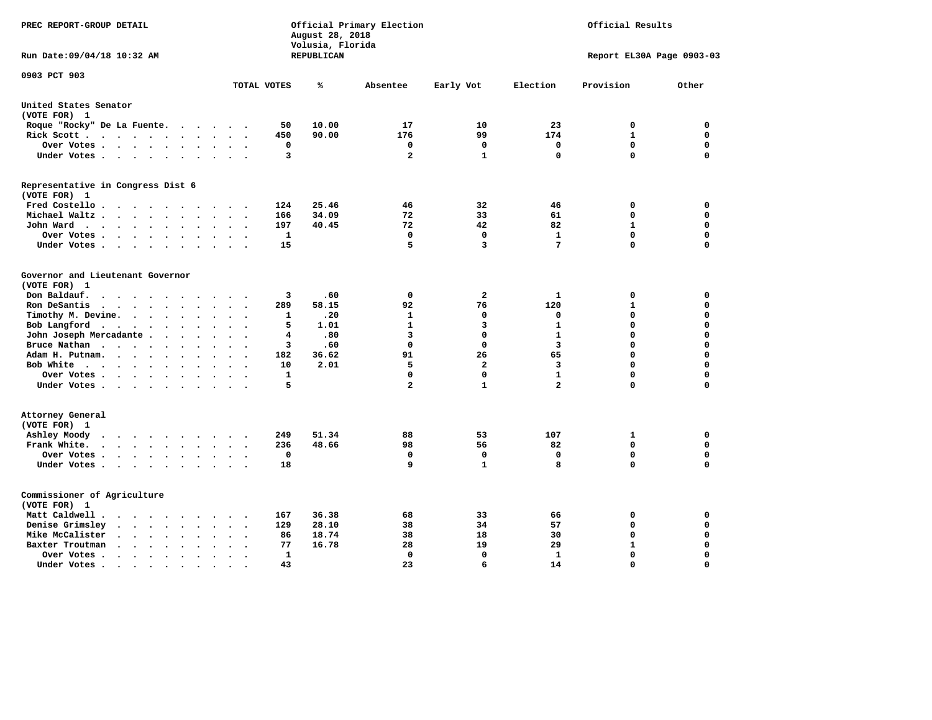| PREC REPORT-GROUP DETAIL                                                                                                |                                            | August 28, 2018<br>Volusia, Florida | Official Primary Election | Official Results        |                         |                           |             |
|-------------------------------------------------------------------------------------------------------------------------|--------------------------------------------|-------------------------------------|---------------------------|-------------------------|-------------------------|---------------------------|-------------|
| Run Date: 09/04/18 10:32 AM                                                                                             |                                            | REPUBLICAN                          |                           |                         |                         | Report EL30A Page 0903-03 |             |
| 0903 PCT 903                                                                                                            | TOTAL VOTES                                | ℁                                   | Absentee                  | Early Vot               | Election                | Provision                 | Other       |
| United States Senator                                                                                                   |                                            |                                     |                           |                         |                         |                           |             |
| (VOTE FOR) 1                                                                                                            |                                            |                                     |                           |                         |                         |                           |             |
| Roque "Rocky" De La Fuente.<br>$\sim$ $\sim$<br>$\overline{\phantom{a}}$                                                | 50<br>$\sim$                               | 10.00                               | 17                        | 10                      | 23                      | 0                         | 0           |
| Rick Scott<br>$\bullet$<br>$\bullet$                                                                                    | 450                                        | 90.00                               | 176                       | 99                      | 174                     | $\mathbf{1}$              | $\mathbf 0$ |
| Over Votes<br>$\ddot{\phantom{a}}$<br>$\ddot{\phantom{0}}$                                                              | 0<br>$\bullet$<br>$\overline{\phantom{a}}$ |                                     | 0                         | 0                       | 0                       | $\mathbf 0$               | $\mathbf 0$ |
| Under Votes<br>$\sim$<br>$\sim$                                                                                         | 3<br>$\sim$                                |                                     | $\overline{a}$            | $\mathbf{1}$            | $\mathbf 0$             | $\mathbf 0$               | $\mathbf 0$ |
| Representative in Congress Dist 6<br>(VOTE FOR) 1                                                                       |                                            |                                     |                           |                         |                         |                           |             |
| Fred Costello                                                                                                           | 124                                        | 25.46                               | 46                        | 32                      | 46                      | 0                         | 0           |
| Michael Waltz.<br>$\ddot{\phantom{a}}$                                                                                  | 166                                        | 34.09                               | 72                        | 33                      | 61                      | 0                         | $\mathbf 0$ |
| John Ward<br>$\sim$ $\sim$<br>$\bullet$<br>$\bullet$                                                                    | 197<br>$\bullet$                           | 40.45                               | 72                        | 42                      | 82                      | $\mathbf{1}$              | $\mathbf 0$ |
| Over Votes.<br>$\ddot{\phantom{a}}$<br>$\ddot{\phantom{0}}$<br>$\bullet$                                                | 1                                          |                                     | 0                         | $\Omega$                | 1                       | $\mathbf 0$               | 0           |
| Under Votes<br>$\bullet$                                                                                                | 15<br>$\ddot{\phantom{a}}$                 |                                     | 5                         | 3                       | 7                       | $\Omega$                  | $\mathbf 0$ |
| Governor and Lieutenant Governor<br>(VOTE FOR) 1<br>Don Baldauf.<br>$\cdot$ $\cdot$ $\cdot$<br>$\overline{\phantom{a}}$ | 3                                          | .60                                 | $\mathbf 0$               | $\overline{\mathbf{2}}$ | 1                       | 0                         | 0           |
| Ron DeSantis<br>$\cdot$ $\cdot$ $\cdot$                                                                                 | 289                                        | 58.15                               | 92                        | 76                      | 120                     | $\mathbf{1}$              | $\mathbf 0$ |
| Timothy M. Devine. .<br>$\sim$<br>$\ddot{\phantom{a}}$<br>$\ddot{\phantom{a}}$<br>$\ddot{\phantom{a}}$<br>$\bullet$     | 1<br>$\ddot{\phantom{0}}$                  | .20                                 | $\mathbf{1}$              | $\mathbf 0$             | $\mathbf 0$             | $\mathbf 0$               | $\mathbf 0$ |
| Bob Langford<br>$\ddot{\phantom{0}}$<br>$\ddot{\phantom{a}}$<br>$\ddot{\phantom{a}}$<br>$\bullet$                       | 5                                          | 1.01                                | $\mathbf{1}$              | 3                       | $\mathbf{1}$            | 0                         | $\mathbf 0$ |
| John Joseph Mercadante .<br>$\bullet$<br>$\ddot{\phantom{a}}$                                                           | 4                                          | .80                                 | 3                         | $\mathbf 0$             | $\mathbf{1}$            | $\mathbf 0$               | $\mathbf 0$ |
| Bruce Nathan<br>$\cdots$ $\cdots$<br>$\ddot{\phantom{a}}$<br>$\bullet$<br>$\bullet$                                     | 3                                          | .60                                 | $\mathbf 0$               | $\mathbf 0$             | 3                       | 0                         | $\mathbf 0$ |
| Adam H. Putnam.<br>$\sim$ $\sim$ $\sim$<br>$\ddot{\phantom{a}}$<br>$\ddot{\phantom{a}}$                                 | 182                                        | 36.62                               | 91                        | 26                      | 65                      | 0                         | $\mathbf 0$ |
| Bob White<br>$\ddot{\phantom{a}}$<br>$\ddot{\phantom{a}}$<br>$\cdot$                                                    | 10<br>$\sim$                               | 2.01                                | 5                         | $\overline{a}$          | 3                       | 0                         | $\mathbf 0$ |
| Over Votes .<br>$\sim$ $\sim$ $\sim$ $\sim$ $\sim$<br>$\bullet$<br>$\bullet$                                            | 1                                          |                                     | $\mathbf 0$               | $\mathbf 0$             | $\mathbf{1}$            | $\mathbf 0$               | $\mathbf 0$ |
| Under Votes                                                                                                             | 5                                          |                                     | $\overline{\mathbf{2}}$   | $\mathbf{1}$            | $\overline{\mathbf{2}}$ | 0                         | 0           |
| Attorney General<br>(VOTE FOR) 1                                                                                        |                                            |                                     |                           |                         |                         |                           |             |
| Ashley Moody<br>$\cdots$<br>$\ddot{\phantom{a}}$<br>$\cdot$                                                             | 249                                        | 51.34                               | 88                        | 53                      | 107                     | 1                         | 0           |
| Frank White.<br>$\mathbf{a}$ , and $\mathbf{a}$ , and $\mathbf{a}$<br>$\bullet$ .<br>$\bullet$<br>$\sim$                | 236                                        | 48.66                               | 98                        | 56                      | 82                      | $\mathbf 0$               | $\mathbf 0$ |
| Over Votes.<br>$\mathbf{a} = \mathbf{a} + \mathbf{a} + \mathbf{a} + \mathbf{a}$<br>$\sim$<br>$\bullet$<br>$\bullet$     | $\mathbf 0$<br>$\cdot$                     |                                     | 0                         | $\mathbf 0$             | 0                       | 0                         | $\mathbf 0$ |
| Under Votes<br>$\ddot{\phantom{a}}$                                                                                     | 18<br>$\bullet$                            |                                     | 9                         | $\mathbf{1}$            | 8                       | 0                         | $\mathbf 0$ |
| Commissioner of Agriculture<br>(VOTE FOR) 1                                                                             |                                            |                                     |                           |                         |                         |                           |             |
| Matt Caldwell.<br>$\cdot$ $\cdot$ $\cdot$ $\cdot$ $\cdot$ $\cdot$                                                       | 167                                        | 36.38                               | 68                        | 33                      | 66                      | 0                         | 0           |
| Denise Grimsley<br>$\ddot{\phantom{a}}$<br>$\sim$<br>$\ddot{\phantom{a}}$                                               | 129                                        | 28.10                               | 38                        | 34                      | 57                      | $\mathbf 0$               | $\mathbf 0$ |
| Mike McCalister<br>$\cdot$ $\cdot$ $\cdot$ $\cdot$<br>$\ddot{\phantom{1}}$<br>$\bullet$<br>$\ddot{\phantom{a}}$         | 86                                         | 18.74                               | 38                        | 18                      | 30                      | 0                         | $\mathbf 0$ |
| Baxter Troutman<br>$\ddot{\phantom{1}}$<br>$\ddot{\phantom{a}}$                                                         | 77                                         | 16.78                               | 28                        | 19                      | 29                      | $\mathbf{1}$              | $\mathbf 0$ |
| Over Votes.<br>$\sim$ $\sim$<br>$\ddot{\phantom{1}}$<br>$\cdot$<br>$\overline{a}$                                       | 1<br>$\overline{\phantom{a}}$              |                                     | 0                         | $\mathbf 0$             | $\mathbf{1}$            | $\mathbf 0$               | $\mathbf 0$ |
| Under Votes.<br>$\bullet$ , $\bullet$ , $\bullet$ , $\bullet$<br>$\bullet$<br>$\bullet$                                 | 43                                         |                                     | 23                        | 6                       | 14                      | $\Omega$                  | $\Omega$    |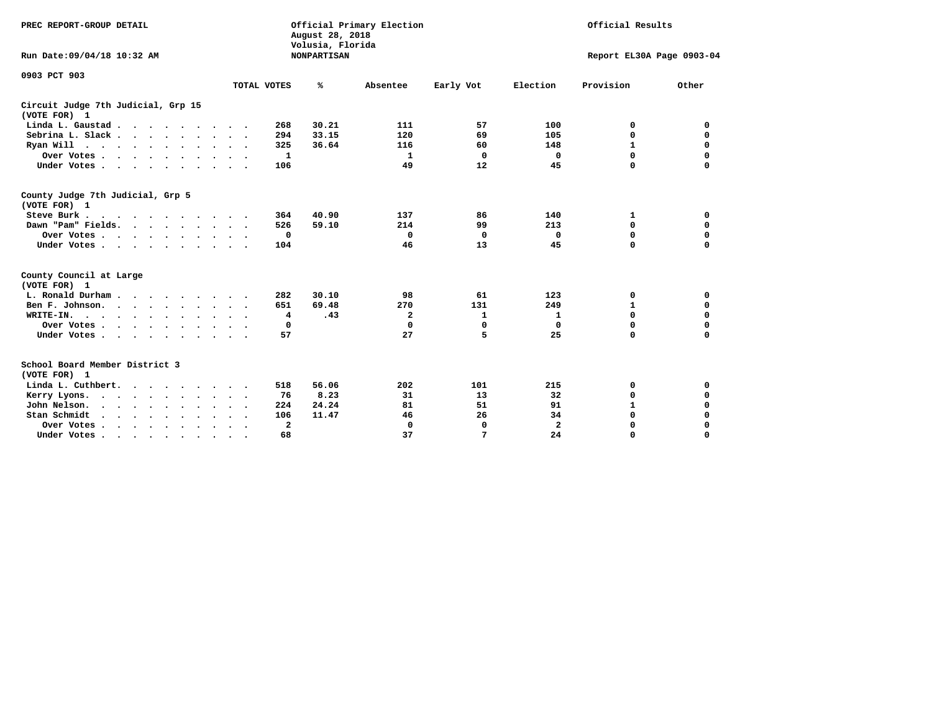| PREC REPORT-GROUP DETAIL                                        |                                                 | August 28, 2018<br>Volusia, Florida | Official Primary Election |              | Official Results |                           |             |  |  |
|-----------------------------------------------------------------|-------------------------------------------------|-------------------------------------|---------------------------|--------------|------------------|---------------------------|-------------|--|--|
| Run Date: 09/04/18 10:32 AM                                     |                                                 | <b>NONPARTISAN</b>                  |                           |              |                  | Report EL30A Page 0903-04 |             |  |  |
| 0903 PCT 903                                                    | TOTAL VOTES                                     | ℁                                   | Absentee                  |              | Election         | Provision                 | Other       |  |  |
|                                                                 |                                                 |                                     |                           | Early Vot    |                  |                           |             |  |  |
| Circuit Judge 7th Judicial, Grp 15<br>(VOTE FOR) 1              |                                                 |                                     |                           |              |                  |                           |             |  |  |
| Linda L. Gaustad                                                | 268                                             | 30.21                               | 111                       | 57           | 100              | 0                         | 0           |  |  |
| Sebrina L. Slack.                                               | 294                                             | 33.15                               | 120                       | 69           | 105              | $\mathbf 0$               | $\mathbf 0$ |  |  |
| Ryan Will $\cdots$ , $\cdots$ , $\cdots$                        | 325                                             | 36.64                               | 116                       | 60           | 148              | 1                         | $\mathbf 0$ |  |  |
| Over Votes                                                      | 1                                               |                                     | $\mathbf{1}$              | 0            | 0                | 0                         | $\mathbf 0$ |  |  |
| Under Votes                                                     | 106                                             |                                     | 49                        | 12           | 45               | 0                         | $\mathbf 0$ |  |  |
| County Judge 7th Judicial, Grp 5<br>(VOTE FOR) 1                |                                                 |                                     |                           |              |                  |                           |             |  |  |
| Steve Burk.<br>$\cdots$                                         | 364                                             | 40.90                               | 137                       | 86           | 140              | 1                         | 0           |  |  |
| Dawn "Pam" Fields.                                              | 526                                             | 59.10                               | 214                       | 99           | 213              | 0                         | $\mathbf 0$ |  |  |
| Over Votes                                                      | 0                                               |                                     | 0                         | 0            | 0                | $\mathbf 0$               | $\mathbf 0$ |  |  |
| Under Votes                                                     | 104                                             |                                     | 46                        | 13           | 45               | 0                         | $\mathbf 0$ |  |  |
| County Council at Large<br>(VOTE FOR) 1                         |                                                 |                                     |                           |              |                  |                           |             |  |  |
| L. Ronald Durham                                                | 282                                             | 30.10                               | 98                        | 61           | 123              | 0                         | 0           |  |  |
| Ben F. Johnson.                                                 | 651                                             | 69.48                               | 270                       | 131          | 249              | 1                         | $\mathbf 0$ |  |  |
| WRITE-IN.<br>$\cdots$                                           | 4                                               | .43                                 | 2                         | $\mathbf{1}$ | $\mathbf{1}$     | $\mathbf 0$               | $\mathbf 0$ |  |  |
| Over Votes                                                      | 0                                               |                                     | $\mathbf 0$               | 0            | 0                | $\mathbf 0$               | 0           |  |  |
| Under Votes                                                     | 57<br>$\sim$ $\sim$                             |                                     | 27                        | 5            | 25               | $\Omega$                  | $\mathbf 0$ |  |  |
| School Board Member District 3<br>(VOTE FOR) 1                  |                                                 |                                     |                           |              |                  |                           |             |  |  |
| Linda L. Cuthbert.                                              | 518                                             | 56.06                               | 202                       | 101          | 215              | 0                         | 0           |  |  |
| Kerry Lyons.<br>$\cdot$                                         | 76                                              | 8.23                                | 31                        | 13           | 32               | 0                         | $\mathbf 0$ |  |  |
| John Nelson.<br>$\cdot$ $\cdot$ $\cdot$ $\cdot$ $\cdot$ $\cdot$ | 224                                             | 24.24                               | 81                        | 51           | 91               | 1                         | $\mathbf 0$ |  |  |
| Stan Schmidt<br>$\sim$ $\sim$ $\sim$<br>$\sim$<br>$\sim$        | 106                                             | 11.47                               | 46                        | 26           | 34               | $\mathbf 0$               | 0           |  |  |
| Over Votes                                                      | $\overline{\mathbf{2}}$<br>$\ddot{\phantom{1}}$ |                                     | $\mathbf 0$               | 0            | $\mathbf{2}$     | 0                         | $\mathbf 0$ |  |  |
| Under Votes.                                                    | 68                                              |                                     | 37                        | 7            | 24               | $\Omega$                  | $\Omega$    |  |  |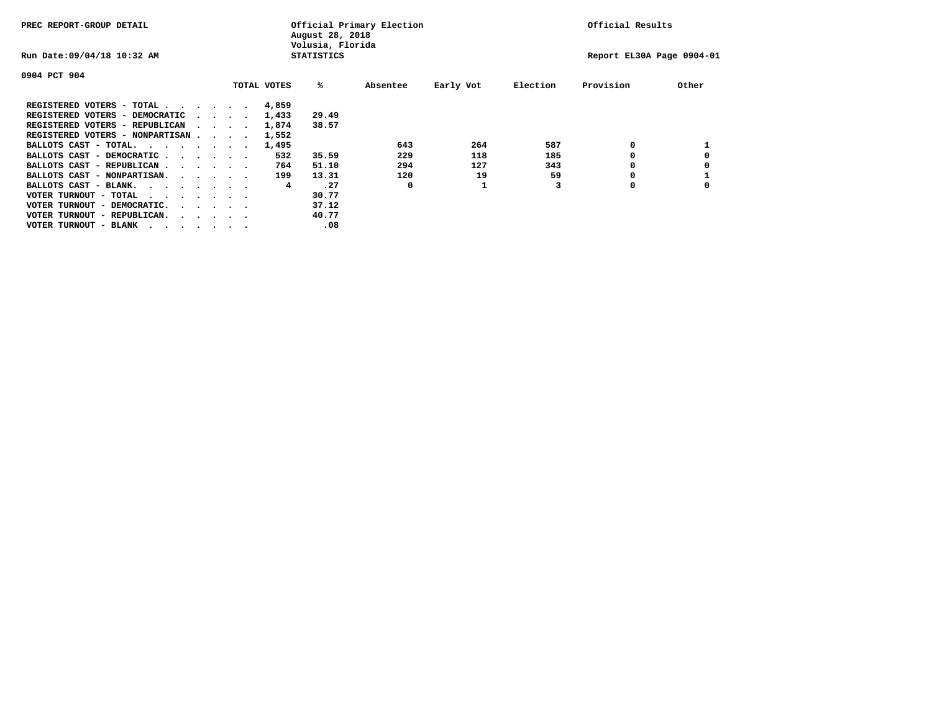| PREC REPORT-GROUP DETAIL                |  |                                         | August 28, 2018<br>Volusia, Florida | Official Primary Election |          | Official Results |          |                           |       |
|-----------------------------------------|--|-----------------------------------------|-------------------------------------|---------------------------|----------|------------------|----------|---------------------------|-------|
| Run Date: 09/04/18 10:32 AM             |  |                                         |                                     | <b>STATISTICS</b>         |          |                  |          | Report EL30A Page 0904-01 |       |
| 0904 PCT 904                            |  |                                         |                                     |                           |          |                  |          |                           |       |
|                                         |  |                                         | TOTAL VOTES                         | %ะ                        | Absentee | Early Vot        | Election | Provision                 | Other |
| REGISTERED VOTERS - TOTAL               |  |                                         | 4,859                               |                           |          |                  |          |                           |       |
| REGISTERED VOTERS - DEMOCRATIC          |  | $\sim$ $\sim$ $\sim$ $\sim$             | 1,433                               | 29.49                     |          |                  |          |                           |       |
| REGISTERED VOTERS - REPUBLICAN          |  |                                         | 1,874                               | 38.57                     |          |                  |          |                           |       |
| REGISTERED VOTERS - NONPARTISAN         |  |                                         | 1,552                               |                           |          |                  |          |                           |       |
| BALLOTS CAST - TOTAL.                   |  |                                         | 1,495                               |                           | 643      | 264              | 587      | 0                         |       |
| BALLOTS CAST - DEMOCRATIC               |  |                                         | 532                                 | 35.59                     | 229      | 118              | 185      |                           |       |
| BALLOTS CAST - REPUBLICAN               |  |                                         | 764                                 | 51.10                     | 294      | 127              | 343      | 0                         |       |
| BALLOTS CAST - NONPARTISAN.             |  |                                         | 199                                 | 13.31                     | 120      | 19               | 59       |                           |       |
| BALLOTS CAST - BLANK.                   |  |                                         | 4                                   | .27                       | 0        |                  |          | 0                         |       |
| VOTER TURNOUT - TOTAL<br>.              |  |                                         |                                     | 30.77                     |          |                  |          |                           |       |
| VOTER TURNOUT - DEMOCRATIC.             |  | $\cdot$ $\cdot$ $\cdot$ $\cdot$ $\cdot$ |                                     | 37.12                     |          |                  |          |                           |       |
| VOTER TURNOUT - REPUBLICAN.<br>$\cdots$ |  |                                         |                                     | 40.77                     |          |                  |          |                           |       |
| VOTER TURNOUT - BLANK                   |  |                                         |                                     | .08                       |          |                  |          |                           |       |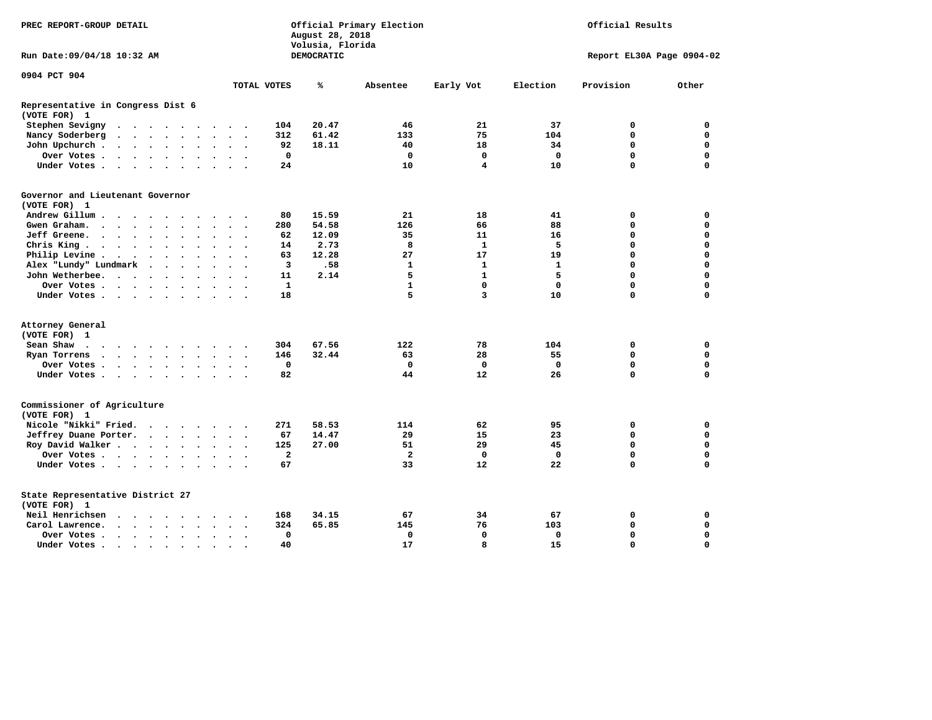| PREC REPORT-GROUP DETAIL                                                                                                                                                                                                                   |                                         |                      |                      |                      |                      |                          |                          |              | August 28, 2018<br>Volusia, Florida | Official Primary Election |                         | Official Results |                           |             |  |
|--------------------------------------------------------------------------------------------------------------------------------------------------------------------------------------------------------------------------------------------|-----------------------------------------|----------------------|----------------------|----------------------|----------------------|--------------------------|--------------------------|--------------|-------------------------------------|---------------------------|-------------------------|------------------|---------------------------|-------------|--|
| Run Date: 09/04/18 10:32 AM                                                                                                                                                                                                                |                                         |                      |                      |                      |                      |                          |                          |              | DEMOCRATIC                          |                           |                         |                  | Report EL30A Page 0904-02 |             |  |
| 0904 PCT 904                                                                                                                                                                                                                               |                                         |                      |                      |                      |                      |                          |                          |              |                                     |                           |                         |                  |                           |             |  |
|                                                                                                                                                                                                                                            |                                         |                      |                      |                      |                      |                          |                          | TOTAL VOTES  | ℁                                   | Absentee                  | Early Vot               | Election         | Provision                 | Other       |  |
| Representative in Congress Dist 6<br>(VOTE FOR) 1                                                                                                                                                                                          |                                         |                      |                      |                      |                      |                          |                          |              |                                     |                           |                         |                  |                           |             |  |
| Stephen Sevigny<br>$\cdots$                                                                                                                                                                                                                |                                         |                      |                      |                      |                      |                          |                          | 104          | 20.47                               | 46                        | 21                      | 37               | 0                         | $\mathbf 0$ |  |
| Nancy Soderberg<br>$\bullet$                                                                                                                                                                                                               | $\cdot$ $\cdot$ $\cdot$ $\cdot$ $\cdot$ |                      |                      |                      | $\bullet$            | $\ddot{\phantom{a}}$     | $\ddot{\phantom{1}}$     | 312          | 61.42                               | 133                       | 75                      | 104              | $\mathbf 0$               | $\mathbf 0$ |  |
| John Upchurch.<br>$\begin{array}{cccccccccccccc} \bullet & \bullet & \bullet & \bullet & \bullet & \bullet & \bullet & \bullet \end{array}$                                                                                                |                                         |                      |                      |                      |                      | $\bullet$                |                          | 92           | 18.11                               | 40                        | 18                      | 34               | $\mathbf 0$               | $\mathbf 0$ |  |
| Over Votes.<br>$\mathbf{r}$ , $\mathbf{r}$ , $\mathbf{r}$ , $\mathbf{r}$ , $\mathbf{r}$                                                                                                                                                    |                                         |                      |                      | $\ddot{\phantom{0}}$ | $\ddot{\phantom{0}}$ | $\ddot{\phantom{a}}$     |                          | $\mathbf 0$  |                                     | $\mathbf 0$               | $\mathbf 0$             | $\mathbf 0$      | $\mathbf 0$               | $\mathbf 0$ |  |
| Under Votes                                                                                                                                                                                                                                |                                         |                      |                      | $\sim$               | $\sim$               | $\sim$                   |                          | 24           |                                     | 10                        | $\overline{\mathbf{4}}$ | 10               | $\mathbf 0$               | $\mathbf 0$ |  |
| Governor and Lieutenant Governor<br>(VOTE FOR) 1                                                                                                                                                                                           |                                         |                      |                      |                      |                      |                          |                          |              |                                     |                           |                         |                  |                           |             |  |
| Andrew Gillum<br>$\sim$ $\sim$                                                                                                                                                                                                             | $\sim$                                  |                      |                      |                      |                      |                          |                          | 80           | 15.59                               | 21                        | 18                      | 41               | 0                         | 0           |  |
| Gwen Graham.<br>$\cdot$                                                                                                                                                                                                                    |                                         |                      |                      | $\ddot{\phantom{0}}$ | $\ddot{\phantom{1}}$ |                          | $\cdot$                  | 280          | 54.58                               | 126                       | 66                      | 88               | 0                         | $\mathbf 0$ |  |
| Jeff Greene.<br>$\cdots$                                                                                                                                                                                                                   |                                         | $\ddot{\phantom{a}}$ |                      |                      |                      | $\ddot{\phantom{a}}$     |                          | 62           | 12.09                               | 35                        | 11                      | 16               | $\mathbf 0$               | $\mathbf 0$ |  |
| Chris King.                                                                                                                                                                                                                                |                                         |                      | $\ddot{\phantom{a}}$ |                      |                      | $\bullet$                |                          | 14           | 2.73                                | 8                         | $\mathbf{1}$            | 5                | $\mathbf 0$               | $\mathbf 0$ |  |
| Philip Levine .<br>$\begin{array}{cccccccccccccc} \bullet & \bullet & \bullet & \bullet & \bullet & \bullet & \bullet & \bullet \end{array}$                                                                                               |                                         |                      |                      | $\ddot{\phantom{a}}$ | $\ddot{\phantom{a}}$ | $\bullet$                | $\overline{\phantom{a}}$ | 63           | 12.28                               | 27                        | 17                      | 19               | $\mathbf 0$               | $\mathbf 0$ |  |
| Alex "Lundy" Lundmark                                                                                                                                                                                                                      | $\ddot{\phantom{0}}$                    | $\bullet$            | $\ddot{\phantom{a}}$ | $\ddot{\phantom{a}}$ |                      | $\overline{\phantom{a}}$ |                          | 3            | .58                                 | 1                         | 1                       | 1                | $\mathbf 0$               | $\mathbf 0$ |  |
| John Wetherbee. .                                                                                                                                                                                                                          | $\cdot$ $\cdot$ $\cdot$ $\cdot$         |                      |                      | $\bullet$            | $\bullet$            | $\cdot$                  |                          | 11           | 2.14                                | 5                         | $\mathbf{1}$            | 5                | $\mathbf 0$               | $\mathbf 0$ |  |
| Over Votes                                                                                                                                                                                                                                 |                                         |                      |                      |                      |                      | $\ddot{\phantom{a}}$     |                          | $\mathbf{1}$ |                                     | $\mathbf{1}$              | $\mathbf 0$             | $\mathbf 0$      | $\Omega$                  | $\mathbf 0$ |  |
| Under Votes                                                                                                                                                                                                                                |                                         |                      |                      |                      |                      |                          |                          | 18           |                                     | 5                         | 3                       | 10               | $\mathbf 0$               | $\mathbf 0$ |  |
| Attorney General                                                                                                                                                                                                                           |                                         |                      |                      |                      |                      |                          |                          |              |                                     |                           |                         |                  |                           |             |  |
| (VOTE FOR) 1                                                                                                                                                                                                                               |                                         |                      |                      |                      |                      |                          |                          |              |                                     |                           |                         |                  |                           |             |  |
| Sean Shaw<br>. The contract of the contract of the contract of the contract of the contract of the contract of the contract of the contract of the contract of the contract of the contract of the contract of the contract of the contrac |                                         |                      |                      |                      |                      |                          |                          | 304          | 67.56                               | 122                       | 78                      | 104              | 0                         | 0           |  |
| Ryan Torrens<br>$\cdots$                                                                                                                                                                                                                   |                                         |                      |                      |                      | $\bullet$            | $\bullet$                | $\sim$                   | 146          | 32.44                               | 63                        | 28                      | 55               | $\mathbf 0$               | $\mathbf 0$ |  |
| Over Votes                                                                                                                                                                                                                                 |                                         |                      |                      |                      |                      |                          |                          | $\mathbf 0$  |                                     | $\mathbf 0$               | $\mathbf 0$             | $\mathbf 0$      | $\mathbf 0$               | $\mathbf 0$ |  |
| Under Votes                                                                                                                                                                                                                                |                                         |                      |                      |                      |                      | $\sim$ $\sim$            |                          | 82           |                                     | 44                        | 12                      | 26               | $\mathbf 0$               | $\mathbf 0$ |  |
| Commissioner of Agriculture<br>(VOTE FOR) 1                                                                                                                                                                                                |                                         |                      |                      |                      |                      |                          |                          |              |                                     |                           |                         |                  |                           |             |  |
| Nicole "Nikki" Fried.                                                                                                                                                                                                                      |                                         |                      |                      |                      |                      |                          |                          | 271          | 58.53                               | 114                       | 62                      | 95               | 0                         | $\mathbf 0$ |  |
| Jeffrey Duane Porter.                                                                                                                                                                                                                      |                                         |                      |                      |                      | $\sim$ $\sim$        |                          |                          | 67           | 14.47                               | 29                        | 15                      | 23               | $\mathbf 0$               | $\mathbf 0$ |  |
| Roy David Walker                                                                                                                                                                                                                           |                                         |                      |                      |                      | $\sim$               | $\bullet$                |                          | 125          | 27.00                               | 51                        | 29                      | 45               | $\mathbf 0$               | $\mathbf 0$ |  |
| Over Votes                                                                                                                                                                                                                                 |                                         |                      |                      | $\ddot{\phantom{a}}$ |                      | $\bullet$                |                          | $\mathbf{2}$ |                                     | $\overline{\mathbf{2}}$   | 0                       | $\mathbf{0}$     | $\mathbf 0$               | $\mathbf 0$ |  |
| Under Votes                                                                                                                                                                                                                                |                                         |                      |                      |                      |                      |                          |                          | 67           |                                     | 33                        | 12                      | 22               | $\Omega$                  | $\mathbf 0$ |  |
| State Representative District 27<br>(VOTE FOR) 1                                                                                                                                                                                           |                                         |                      |                      |                      |                      |                          |                          |              |                                     |                           |                         |                  |                           |             |  |
| Neil Henrichsen<br>$\ddot{\phantom{a}}$                                                                                                                                                                                                    |                                         | $\sim$ $\sim$ $\sim$ |                      |                      |                      |                          |                          | 168          | 34.15                               | 67                        | 34                      | 67               | 0                         | 0           |  |
| Carol Lawrence.<br>$\cdot$ $\cdot$ $\cdot$ $\cdot$                                                                                                                                                                                         |                                         |                      | $\ddot{\phantom{a}}$ | $\ddot{\phantom{a}}$ | $\bullet$            | $\bullet$                | $\bullet$                | 324          | 65.85                               | 145                       | 76                      | 103              | $\mathbf 0$               | $\mathbf 0$ |  |
| Over Votes                                                                                                                                                                                                                                 |                                         |                      |                      | $\bullet$            |                      |                          |                          | 0            |                                     | $\mathbf 0$               | $\mathbf 0$             | 0                | $\mathbf 0$               | $\mathbf 0$ |  |
| Under Votes                                                                                                                                                                                                                                |                                         |                      | $\sim$               |                      | $\cdot$              |                          |                          | 40           |                                     | 17                        | 8                       | 15               | $\Omega$                  | $\mathbf 0$ |  |
|                                                                                                                                                                                                                                            |                                         |                      |                      |                      |                      |                          |                          |              |                                     |                           |                         |                  |                           |             |  |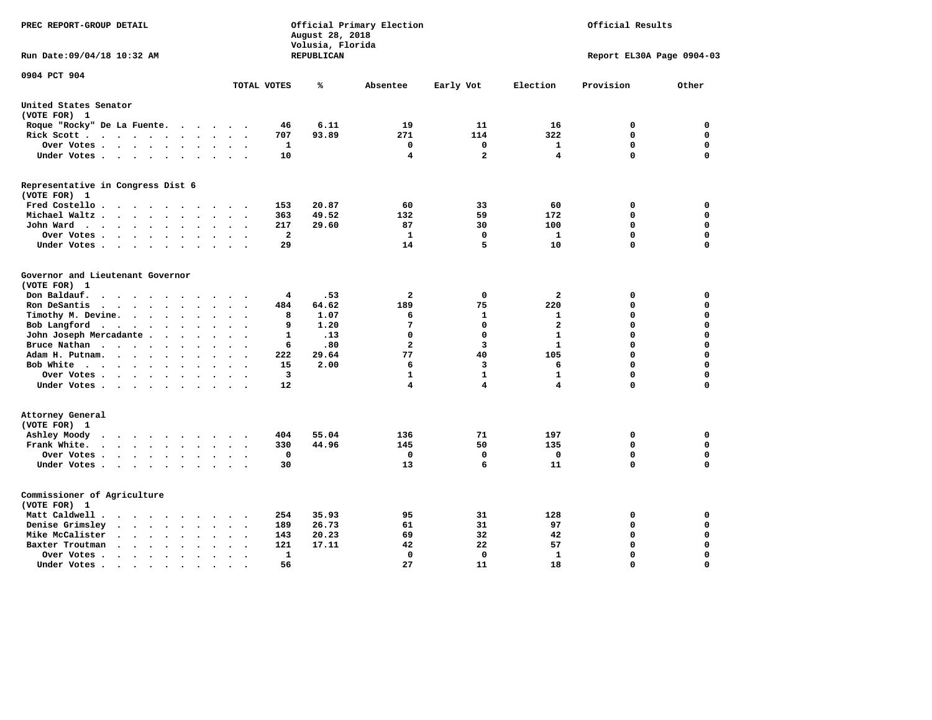| PREC REPORT-GROUP DETAIL                                                                                                                                     |                                                        | August 28, 2018<br>Volusia, Florida | Official Primary Election | Official Results |                           |             |             |  |  |
|--------------------------------------------------------------------------------------------------------------------------------------------------------------|--------------------------------------------------------|-------------------------------------|---------------------------|------------------|---------------------------|-------------|-------------|--|--|
| Run Date: 09/04/18 10:32 AM                                                                                                                                  |                                                        | REPUBLICAN                          |                           |                  | Report EL30A Page 0904-03 |             |             |  |  |
| 0904 PCT 904                                                                                                                                                 | TOTAL VOTES                                            | ℁                                   | Absentee                  | Early Vot        | Election                  | Provision   | Other       |  |  |
|                                                                                                                                                              |                                                        |                                     |                           |                  |                           |             |             |  |  |
| United States Senator<br>(VOTE FOR) 1                                                                                                                        |                                                        |                                     |                           |                  |                           |             |             |  |  |
| Roque "Rocky" De La Fuente.<br>$\sim$ $\sim$                                                                                                                 | 46<br>$\overline{\phantom{a}}$<br>$\ddot{\phantom{a}}$ | 6.11                                | 19                        | 11               | 16                        | 0           | 0           |  |  |
| Rick Scott<br>$\sim$<br>$\sim$                                                                                                                               | 707                                                    | 93.89                               | 271                       | 114              | 322                       | $\mathbf 0$ | 0           |  |  |
| Over Votes<br>$\bullet$                                                                                                                                      | 1<br>$\bullet$                                         |                                     | 0                         | 0                | 1                         | 0           | 0           |  |  |
| Under Votes<br>$\sim$                                                                                                                                        | 10<br>$\ddot{\phantom{a}}$                             |                                     | 4                         | $\mathbf{2}$     | 4                         | $\mathbf 0$ | $\mathbf 0$ |  |  |
| Representative in Congress Dist 6                                                                                                                            |                                                        |                                     |                           |                  |                           |             |             |  |  |
| (VOTE FOR) 1                                                                                                                                                 |                                                        |                                     |                           |                  |                           |             |             |  |  |
| Fred Costello                                                                                                                                                | 153<br>$\cdot$ $\cdot$ $\cdot$                         | 20.87                               | 60                        | 33               | 60                        | 0           | 0           |  |  |
| Michael Waltz.<br>$\cdot$ $\cdot$ $\cdot$<br>$\bullet$                                                                                                       | 363                                                    | 49.52                               | 132                       | 59               | 172                       | 0           | 0           |  |  |
| John Ward<br>$\cdots$<br>$\bullet$<br>$\bullet$                                                                                                              | 217<br>$\bullet$                                       | 29.60                               | 87                        | 30               | 100                       | 0           | 0           |  |  |
| Over Votes .<br>$\cdot$ $\cdot$ $\cdot$ $\cdot$<br>$\cdot$<br>$\ddot{\phantom{a}}$                                                                           | $\overline{\mathbf{2}}$                                |                                     | 1                         | $\mathbf 0$      | $\mathbf{1}$              | 0           | 0           |  |  |
| Under Votes<br>$\bullet$                                                                                                                                     | 29                                                     |                                     | 14                        | 5                | 10                        | $\mathbf 0$ | $\mathbf 0$ |  |  |
| Governor and Lieutenant Governor                                                                                                                             |                                                        |                                     |                           |                  |                           |             |             |  |  |
| (VOTE FOR) 1                                                                                                                                                 |                                                        |                                     |                           |                  |                           |             |             |  |  |
| Don Baldauf.<br>$\ddot{\phantom{0}}$<br>$\sim$                                                                                                               | 4                                                      | .53                                 | 2                         | 0                | 2                         | 0           | 0           |  |  |
| Ron DeSantis<br>$\ddot{\phantom{1}}$<br>$\overline{\phantom{a}}$<br>$\ddot{\phantom{a}}$                                                                     | 484                                                    | 64.62                               | 189                       | 75               | 220                       | 0           | 0           |  |  |
| Timothy M. Devine.<br>$\sim$ $\sim$<br>$\cdot$<br>$\ddot{\phantom{a}}$                                                                                       | 8                                                      | 1.07                                | 6                         | 1                | 1                         | $\mathbf 0$ | $\mathbf 0$ |  |  |
| Bob Langford<br>$\ddot{\phantom{0}}$<br>$\bullet$<br>$\cdot$<br>$\sim$                                                                                       | 9                                                      | 1.20                                | 7                         | $\mathbf 0$      | $\overline{a}$            | $\mathbf 0$ | $\mathbf 0$ |  |  |
| John Joseph Mercadante .<br>$\sim$<br>$\ddot{\phantom{a}}$<br>$\ddot{\phantom{a}}$                                                                           | 1                                                      | .13                                 | $\Omega$                  | $\mathbf 0$      | $\mathbf{1}$              | $\mathbf 0$ | $\mathbf 0$ |  |  |
| Bruce Nathan<br>$\mathcal{L}(\mathcal{A})$ , and $\mathcal{A}(\mathcal{A})$ , and $\mathcal{A}(\mathcal{A})$<br>$\bullet$<br>$\cdot$<br>$\ddot{\phantom{a}}$ | 6                                                      | .80                                 | $\overline{a}$            | 3                | $\mathbf{1}$              | 0           | $\mathbf 0$ |  |  |
| Adam H. Putnam.<br>$\cdot$ $\cdot$ $\cdot$<br>$\ddot{\phantom{a}}$                                                                                           | 222                                                    | 29.64                               | 77                        | 40               | 105                       | $\mathbf 0$ | $\mathbf 0$ |  |  |
| Bob White<br>$\overline{\phantom{a}}$<br>$\ddot{\phantom{a}}$                                                                                                | 15<br>$\overline{\phantom{a}}$                         | 2.00                                | 6                         | 3                | 6                         | $\Omega$    | $\mathbf 0$ |  |  |
| Over Votes .<br>$\sim$<br>$\ddot{\phantom{a}}$                                                                                                               | 3                                                      |                                     | 1                         | $\mathbf{1}$     | 1                         | $\mathbf 0$ | $\mathbf 0$ |  |  |
| Under Votes<br>$\sim$                                                                                                                                        | 12                                                     |                                     | 4                         | 4                | 4                         | $\Omega$    | $\mathbf 0$ |  |  |
| Attorney General                                                                                                                                             |                                                        |                                     |                           |                  |                           |             |             |  |  |
| (VOTE FOR) 1                                                                                                                                                 |                                                        |                                     |                           |                  |                           |             |             |  |  |
| Ashley Moody<br>$\overline{\phantom{a}}$<br>$\cdot$<br>$\sim$                                                                                                | 404                                                    | 55.04                               | 136                       | 71               | 197                       | 0           | $\mathbf 0$ |  |  |
| Frank White.<br>$\cdot$ $\cdot$ $\cdot$ $\cdot$<br>$\cdot$<br>$\bullet$<br>$\overline{\phantom{a}}$                                                          | 330                                                    | 44.96                               | 145                       | 50               | 135                       | 0           | 0           |  |  |
| Over Votes.<br>$\bullet$ , $\bullet$ , $\bullet$ , $\bullet$ , $\bullet$<br>$\ddot{\phantom{1}}$<br>$\ddot{\phantom{0}}$                                     | 0<br>$\ddot{\phantom{a}}$<br>$\overline{\phantom{a}}$  |                                     | 0                         | $\mathbf 0$      | 0                         | $\mathbf 0$ | $\mathbf 0$ |  |  |
| Under Votes<br>$\ddot{\phantom{a}}$                                                                                                                          | 30<br>$\sim$                                           |                                     | 13                        | 6                | 11                        | $\mathbf 0$ | $\mathbf 0$ |  |  |
| Commissioner of Agriculture                                                                                                                                  |                                                        |                                     |                           |                  |                           |             |             |  |  |
| (VOTE FOR) 1                                                                                                                                                 |                                                        |                                     |                           |                  |                           |             |             |  |  |
| Matt Caldwell.                                                                                                                                               | 254                                                    | 35.93                               | 95                        | 31               | 128                       | 0           | 0           |  |  |
| Denise Grimsley<br>$\ddot{\phantom{1}}$<br>$\ddot{\phantom{a}}$<br>$\ddot{\phantom{a}}$<br>$\sim$                                                            | 189                                                    | 26.73                               | 61                        | 31               | 97                        | $\mathbf 0$ | $\mathbf 0$ |  |  |
| Mike McCalister<br>$\cdot$ $\cdot$ $\cdot$ $\cdot$<br>$\bullet$<br>$\bullet$                                                                                 | 143                                                    | 20.23                               | 69                        | 32               | 42                        | $\mathbf 0$ | $\mathbf 0$ |  |  |
| Baxter Troutman<br>$\sim$<br>$\sim$<br>$\bullet$                                                                                                             | 121                                                    | 17.11                               | 42                        | 22               | 57                        | $\mathbf 0$ | $\mathbf 0$ |  |  |
| Over Votes.<br>$\sim$ $\sim$ $\sim$<br>$\bullet$<br>$\cdot$<br>$\bullet$                                                                                     | 1                                                      |                                     | 0                         | 0                | 1                         | $\mathbf 0$ | $\mathbf 0$ |  |  |
| Under Votes.<br>$\bullet$ .<br><br><br><br><br><br><br><br><br><br><br><br>$\bullet$<br>$\bullet$<br>$\bullet$                                               | 56                                                     |                                     | 27                        | 11               | 18                        | $\Omega$    | $\Omega$    |  |  |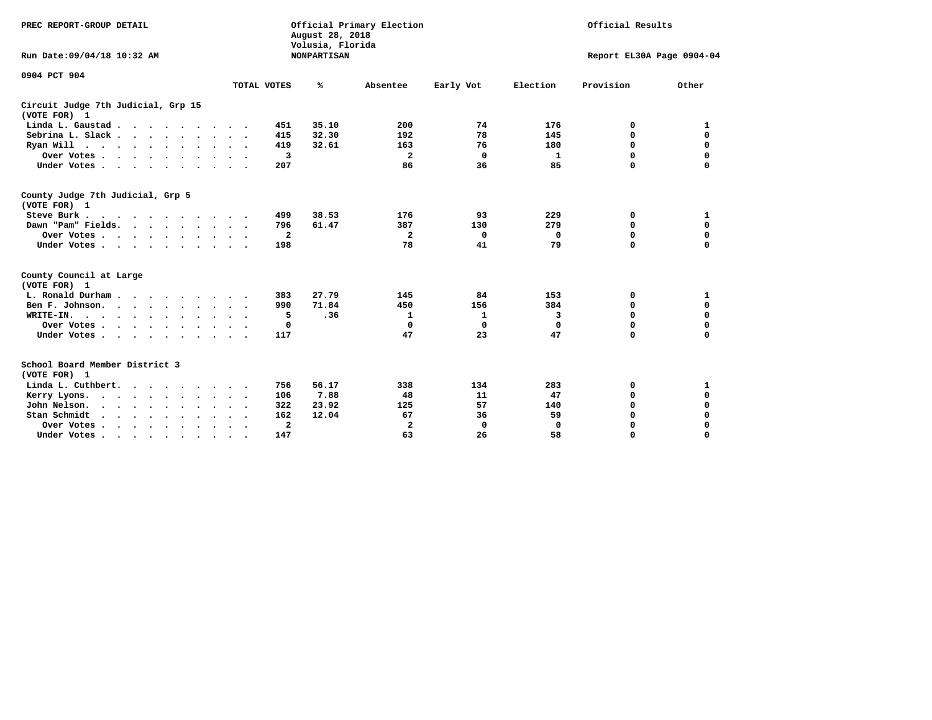| PREC REPORT-GROUP DETAIL                                                                                                                                      |                        | August 28, 2018<br>Volusia, Florida | Official Primary Election |           | Official Results |             |                           |  |  |
|---------------------------------------------------------------------------------------------------------------------------------------------------------------|------------------------|-------------------------------------|---------------------------|-----------|------------------|-------------|---------------------------|--|--|
| Run Date:09/04/18 10:32 AM                                                                                                                                    |                        | <b>NONPARTISAN</b>                  |                           |           |                  |             | Report EL30A Page 0904-04 |  |  |
| 0904 PCT 904                                                                                                                                                  |                        |                                     |                           |           |                  |             |                           |  |  |
|                                                                                                                                                               | TOTAL VOTES            | ℁                                   | Absentee                  | Early Vot | Election         | Provision   | Other                     |  |  |
| Circuit Judge 7th Judicial, Grp 15<br>(VOTE FOR) 1                                                                                                            |                        |                                     |                           |           |                  |             |                           |  |  |
| Linda L. Gaustad                                                                                                                                              | 451                    | 35.10                               | 200                       | 74        | 176              | 0           | 1                         |  |  |
| Sebrina L. Slack                                                                                                                                              | 415                    | 32.30                               | 192                       | 78        | 145              | 0           | $\mathbf 0$               |  |  |
| Ryan Will $\cdots$ $\cdots$ $\cdots$ $\cdots$                                                                                                                 | 419                    | 32.61                               | 163                       | 76        | 180              | 0           | $\mathbf 0$               |  |  |
| Over Votes                                                                                                                                                    | 3                      |                                     | $\mathbf{2}$              | 0         | 1                | 0           | $\mathbf 0$               |  |  |
| Under Votes                                                                                                                                                   | 207                    |                                     | 86                        | 36        | 85               | $\Omega$    | $\mathbf 0$               |  |  |
| County Judge 7th Judicial, Grp 5<br>(VOTE FOR) 1                                                                                                              |                        |                                     |                           |           |                  |             |                           |  |  |
| Steve Burk.<br>$\cdots$                                                                                                                                       | 499                    | 38.53                               | 176                       | 93        | 229              | 0           | 1                         |  |  |
| Dawn "Pam" Fields.                                                                                                                                            | 796                    | 61.47                               | 387                       | 130       | 279              | 0           | $\mathbf 0$               |  |  |
| Over Votes                                                                                                                                                    | $\overline{a}$         |                                     | $\mathbf{2}$              | 0         | 0                | $\mathbf 0$ | $\mathbf 0$               |  |  |
| Under Votes                                                                                                                                                   | 198<br>$\cdot$ .       |                                     | 78                        | 41        | 79               | $\Omega$    | $\mathbf 0$               |  |  |
| County Council at Large<br>(VOTE FOR) 1                                                                                                                       |                        |                                     |                           |           |                  |             |                           |  |  |
| L. Ronald Durham.                                                                                                                                             | 383                    | 27.79                               | 145                       | 84        | 153              | 0           | 1                         |  |  |
| Ben F. Johnson.<br>$\cdots$                                                                                                                                   | 990                    | 71.84                               | 450                       | 156       | 384              | 0           | $\mathbf 0$               |  |  |
| WRITE-IN.<br>$\cdots$                                                                                                                                         | 5                      | .36                                 | 1                         | 1         | 3                | $\mathbf 0$ | 0                         |  |  |
| Over Votes                                                                                                                                                    | 0                      |                                     | 0                         | 0         | $\mathbf 0$      | 0           | 0                         |  |  |
| Under Votes                                                                                                                                                   | 117<br>$\sim$ $\sim$   |                                     | 47                        | 23        | 47               | $\Omega$    | $\mathbf 0$               |  |  |
| School Board Member District 3<br>(VOTE FOR) 1                                                                                                                |                        |                                     |                           |           |                  |             |                           |  |  |
| Linda L. Cuthbert.                                                                                                                                            | 756                    | 56.17                               | 338                       | 134       | 283              | 0           | 1                         |  |  |
| Kerry Lyons.<br>$\cdots$                                                                                                                                      | 106                    | 7.88                                | 48                        | 11        | 47               | 0           | $\mathbf 0$               |  |  |
| John Nelson.<br>$\begin{array}{cccccccccccccc} \bullet & \bullet & \bullet & \bullet & \bullet & \bullet & \bullet & \bullet & \bullet & \bullet \end{array}$ | 322                    | 23.92                               | 125                       | 57        | 140              | 0           | $\mathbf 0$               |  |  |
| Stan Schmidt<br>$\sim$<br>$\mathbf{r} = \mathbf{r}$<br>$\sim$                                                                                                 | 162                    | 12.04                               | 67                        | 36        | 59               | 0           | 0                         |  |  |
| Over Votes                                                                                                                                                    | $\mathbf{2}$<br>$\sim$ |                                     | $\overline{\mathbf{2}}$   | 0         | 0                | 0           | $\Omega$                  |  |  |
| Under Votes.                                                                                                                                                  | 147                    |                                     | 63                        | 26        | 58               | $\Omega$    | $\Omega$                  |  |  |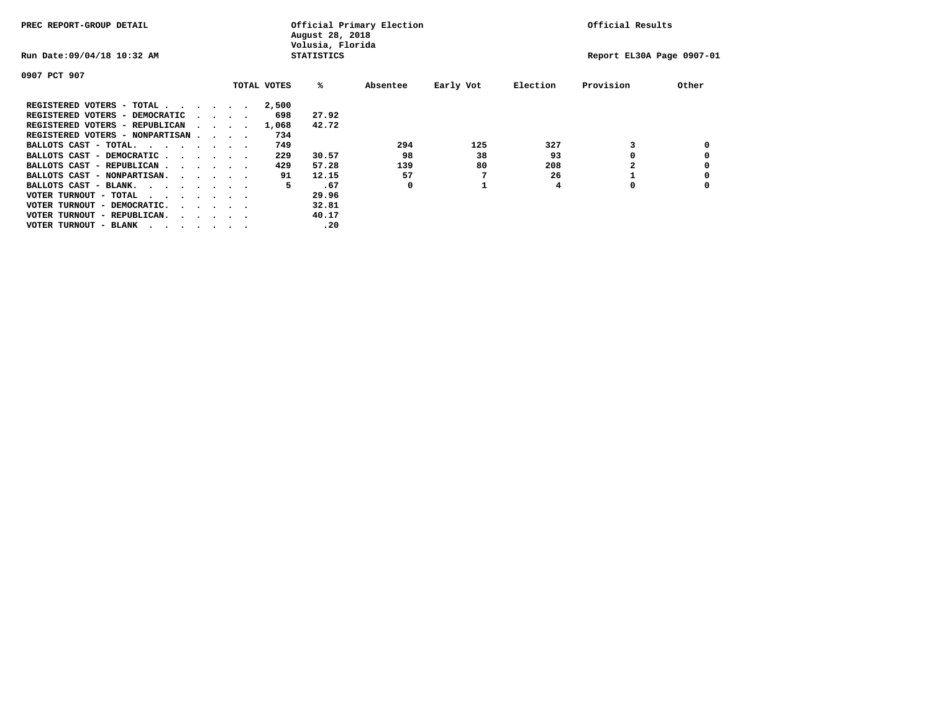| PREC REPORT-GROUP DETAIL         |  |                                         | Official Primary Election<br>August 28, 2018<br>Volusia, Florida |                   | Official Results |           |          |                           |       |
|----------------------------------|--|-----------------------------------------|------------------------------------------------------------------|-------------------|------------------|-----------|----------|---------------------------|-------|
| Run Date: 09/04/18 10:32 AM      |  |                                         |                                                                  | <b>STATISTICS</b> |                  |           |          | Report EL30A Page 0907-01 |       |
| 0907 PCT 907                     |  |                                         |                                                                  |                   |                  |           |          |                           |       |
|                                  |  |                                         | TOTAL VOTES                                                      | %ะ                | Absentee         | Early Vot | Election | Provision                 | Other |
| REGISTERED VOTERS - TOTAL        |  |                                         | 2,500                                                            |                   |                  |           |          |                           |       |
| REGISTERED VOTERS - DEMOCRATIC   |  | $\cdot$ $\cdot$ $\cdot$ $\cdot$         | 698                                                              | 27.92             |                  |           |          |                           |       |
| REGISTERED VOTERS - REPUBLICAN   |  |                                         | 1,068                                                            | 42.72             |                  |           |          |                           |       |
| REGISTERED VOTERS - NONPARTISAN  |  |                                         | 734                                                              |                   |                  |           |          |                           |       |
| BALLOTS CAST - TOTAL.            |  |                                         | 749                                                              |                   | 294              | 125       | 327      |                           |       |
| BALLOTS CAST - DEMOCRATIC        |  |                                         | 229                                                              | 30.57             | 98               | 38        | 93       |                           |       |
| BALLOTS CAST - REPUBLICAN        |  |                                         | 429                                                              | 57.28             | 139              | 80        | 208      |                           |       |
| BALLOTS CAST - NONPARTISAN.      |  |                                         | 91                                                               | 12.15             | 57               |           | 26       |                           |       |
| BALLOTS CAST - BLANK.            |  |                                         | 5                                                                | .67               | 0                |           | 4        | 0                         |       |
| VOTER TURNOUT - TOTAL<br>.       |  |                                         |                                                                  | 29.96             |                  |           |          |                           |       |
| VOTER TURNOUT - DEMOCRATIC.      |  | $\cdot$ $\cdot$ $\cdot$ $\cdot$ $\cdot$ |                                                                  | 32.81             |                  |           |          |                           |       |
| VOTER TURNOUT - REPUBLICAN.<br>. |  |                                         |                                                                  | 40.17             |                  |           |          |                           |       |
| VOTER TURNOUT - BLANK            |  |                                         |                                                                  | .20               |                  |           |          |                           |       |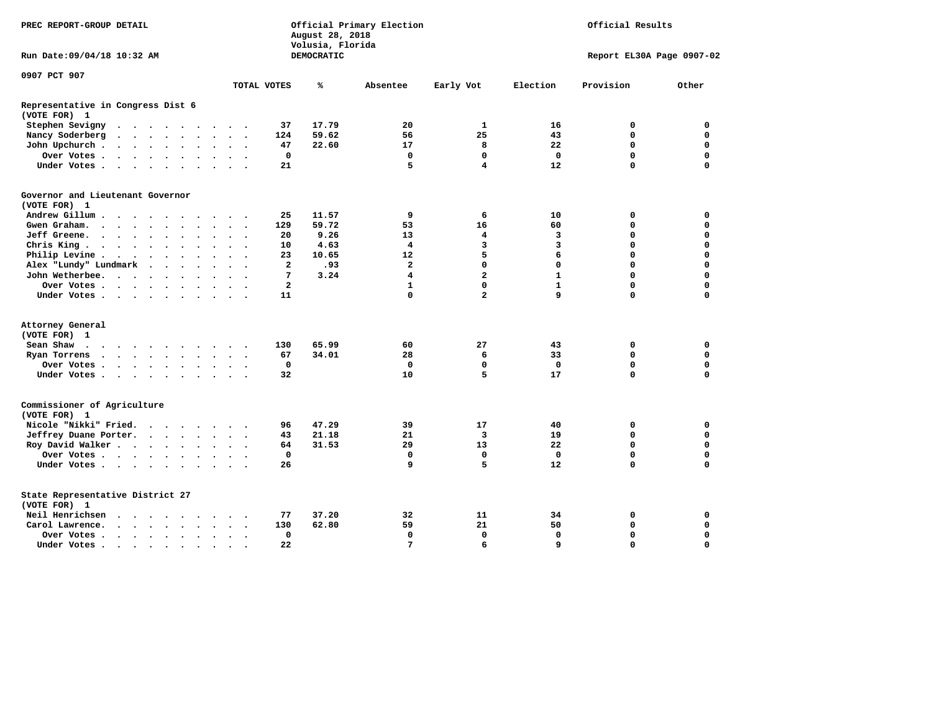| PREC REPORT-GROUP DETAIL                                                                                                                     |                         | August 28, 2018<br>Volusia, Florida | Official Primary Election |                         |              | Official Results          |             |
|----------------------------------------------------------------------------------------------------------------------------------------------|-------------------------|-------------------------------------|---------------------------|-------------------------|--------------|---------------------------|-------------|
| Run Date: 09/04/18 10:32 AM                                                                                                                  |                         | DEMOCRATIC                          |                           |                         |              | Report EL30A Page 0907-02 |             |
| 0907 PCT 907                                                                                                                                 |                         |                                     |                           |                         |              |                           |             |
|                                                                                                                                              | TOTAL VOTES             | ℁                                   | Absentee                  | Early Vot               | Election     | Provision                 | Other       |
| Representative in Congress Dist 6<br>(VOTE FOR) 1                                                                                            |                         |                                     |                           |                         |              |                           |             |
| Stephen Sevigny                                                                                                                              | 37                      | 17.79                               | 20                        | 1                       | 16           | 0                         | 0           |
| Nancy Soderberg<br>$\cdots$<br>$\ddot{\phantom{a}}$<br>$\ddot{\phantom{a}}$<br>$\ddot{\phantom{1}}$                                          | 124                     | 59.62                               | 56                        | 25                      | 43           | 0                         | $\mathbf 0$ |
| John Upchurch.<br>$\cdot$ $\cdot$ $\cdot$ $\cdot$<br>$\bullet$                                                                               | 47                      | 22.60                               | 17                        | 8                       | 22           | 0                         | $\mathbf 0$ |
| Over Votes .<br>$\cdot$ $\cdot$ $\cdot$ $\cdot$ $\cdot$<br>$\ddot{\phantom{1}}$<br>$\ddot{\phantom{1}}$<br>$\ddot{\phantom{0}}$<br>$\bullet$ | $\mathbf 0$             |                                     | $\mathbf 0$               | $\mathbf 0$             | $\mathbf 0$  | $\mathbf 0$               | $\mathbf 0$ |
| Under Votes<br>$\sim$<br>$\sim$                                                                                                              | 21                      |                                     | 5                         | 4                       | 12           | 0                         | $\Omega$    |
| Governor and Lieutenant Governor<br>(VOTE FOR) 1                                                                                             |                         |                                     |                           |                         |              |                           |             |
| Andrew Gillum.<br>$\sim$<br>$\sim$                                                                                                           | 25                      | 11.57                               | 9                         | 6                       | 10           | 0                         | 0           |
| Gwen Graham.<br>$\ddot{\phantom{a}}$<br>$\ddot{\phantom{0}}$<br>$\bullet$<br>$\bullet$ .<br>$\bullet$                                        | 129                     | 59.72                               | 53                        | 16                      | 60           | $\mathbf 0$               | $\mathbf 0$ |
| Jeff Greene.<br>$\mathbf{r}$ , and $\mathbf{r}$ , and $\mathbf{r}$<br>$\ddot{\phantom{a}}$                                                   | 20                      | 9.26                                | 13                        | 4                       | 3            | 0                         | $\mathbf 0$ |
| Chris King<br>$\bullet$                                                                                                                      | 10                      | 4.63                                | $\overline{4}$            | 3                       | 3            | 0                         | $\mathbf 0$ |
| Philip Levine .<br>$\sim$ 100 $\pm$<br>$\sim$ $\sim$<br>$\bullet$<br>$\cdot$<br>$\bullet$<br>$\bullet$<br>$\cdot$<br>$\ddot{\phantom{0}}$    | 23                      | 10.65                               | 12                        | 5                       | 6            | 0                         | $\mathbf 0$ |
| Alex "Lundy" Lundmark<br>$\ddot{\phantom{1}}$<br>$\ddot{\phantom{a}}$<br>$\bullet$<br>$\bullet$                                              | $\overline{\mathbf{2}}$ | .93                                 | $\overline{2}$            | $\mathbf 0$             | $\mathbf 0$  | 0                         | $\mathbf 0$ |
| John Wetherbee.<br>$\ddot{\phantom{a}}$<br>$\sim$ $\sim$<br>$\overline{\phantom{a}}$<br>$\bullet$<br>$\bullet$                               | 7                       | 3.24                                | $\overline{\mathbf{4}}$   | $\overline{\mathbf{2}}$ | $\mathbf{1}$ | $\mathbf 0$               | $\Omega$    |
| Over Votes .<br>$\cdot$ $\cdot$ $\cdot$ $\cdot$<br>$\sim$                                                                                    | $\overline{a}$          |                                     | $\mathbf{1}$              | $\Omega$                | $\mathbf{1}$ | 0                         | $\Omega$    |
| Under Votes.<br>$\cdots$                                                                                                                     | 11                      |                                     | $\Omega$                  | $\overline{a}$          | 9            | $\Omega$                  | $\Omega$    |
| Attorney General                                                                                                                             |                         |                                     |                           |                         |              |                           |             |
| (VOTE FOR) 1                                                                                                                                 |                         |                                     |                           |                         |              |                           |             |
| Sean Shaw<br>$\sim$ $\sim$<br>.<br>$\cdot$                                                                                                   | 130                     | 65.99                               | 60                        | 27                      | 43           | 0                         | 0           |
| Ryan Torrens<br>$\cdots$<br>$\bullet$<br>$\cdot$<br>$\cdot$                                                                                  | 67                      | 34.01                               | 28                        | 6                       | 33           | 0                         | $\mathbf 0$ |
| Over Votes.<br>$\cdots$                                                                                                                      | $\mathbf 0$             |                                     | $\mathbf 0$               | 0                       | $\mathbf 0$  | 0                         | $\mathbf 0$ |
| Under Votes<br>$\ddot{\phantom{a}}$<br>$\ddot{\phantom{0}}$<br>$\sim$ $\sim$                                                                 | 32                      |                                     | 10                        | 5                       | 17           | 0                         | $\mathbf 0$ |
| Commissioner of Agriculture<br>(VOTE FOR) 1                                                                                                  |                         |                                     |                           |                         |              |                           |             |
| Nicole "Nikki" Fried.<br>$\cdot$                                                                                                             | 96                      | 47.29                               | 39                        | 17                      | 40           | 0                         | 0           |
| Jeffrey Duane Porter.<br><b>Contract Contract Contract</b>                                                                                   | 43                      | 21.18                               | 21                        | 3                       | 19           | 0                         | $\mathbf 0$ |
| Roy David Walker<br>$\ddot{\phantom{0}}$<br>$\sim$                                                                                           | 64                      | 31.53                               | 29                        | 13                      | 22           | $\mathbf 0$               | $\mathbf 0$ |
| Over Votes                                                                                                                                   | $\mathbf 0$             |                                     | $\mathbf 0$               | $\mathbf{0}$            | $\mathbf 0$  | 0                         | $\mathbf 0$ |
| Under Votes                                                                                                                                  | 26                      |                                     | 9                         | 5                       | 12           | $\Omega$                  | $\Omega$    |
| State Representative District 27<br>(VOTE FOR) 1                                                                                             |                         |                                     |                           |                         |              |                           |             |
| Neil Henrichsen<br>$\sim$<br>$\ddot{\phantom{0}}$<br>$\bullet$<br>$\cdot$                                                                    | 77                      | 37.20                               | 32                        | 11                      | 34           | 0                         | 0           |
| Carol Lawrence.<br>$\cdot$ $\cdot$ $\cdot$ $\cdot$<br>$\ddot{\phantom{a}}$<br>$\bullet$<br>$\bullet$<br>$\cdot$<br>$\sim$                    | 130                     | 62.80                               | 59                        | 21                      | 50           | $\mathbf 0$               | $\mathbf 0$ |
| Over Votes .<br>$\cdots$<br>$\bullet$<br>$\cdot$                                                                                             | $\mathbf 0$             |                                     | $\mathbf 0$               | $\mathbf 0$             | $\mathbf 0$  | 0                         | $\mathbf 0$ |
| Under Votes.<br>$\sim$ $\sim$ $\sim$<br>$\sim$ $\sim$<br>$\bullet$ .<br>$\bullet$                                                            | 22                      |                                     | $\overline{7}$            | 6                       | $\mathbf{q}$ | $\Omega$                  | $\Omega$    |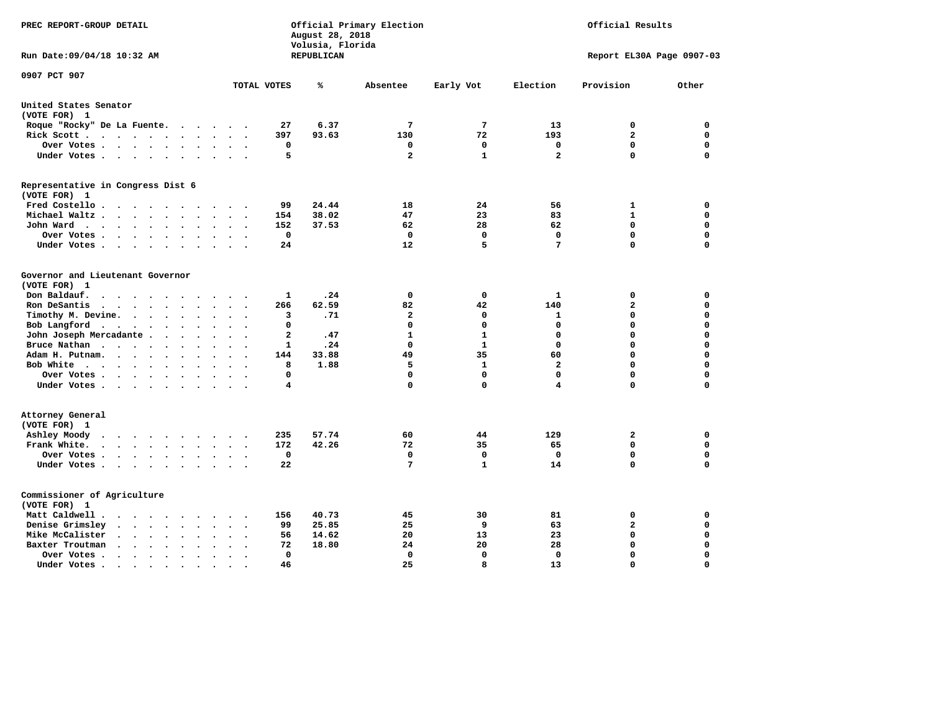| PREC REPORT-GROUP DETAIL                                                                                                                                                                |                | August 28, 2018<br>Volusia, Florida | Official Primary Election |              |              | Official Results          |             |
|-----------------------------------------------------------------------------------------------------------------------------------------------------------------------------------------|----------------|-------------------------------------|---------------------------|--------------|--------------|---------------------------|-------------|
| Run Date: 09/04/18 10:32 AM                                                                                                                                                             |                | REPUBLICAN                          |                           |              |              | Report EL30A Page 0907-03 |             |
| 0907 PCT 907                                                                                                                                                                            | TOTAL VOTES    | ℁                                   | Absentee                  | Early Vot    | Election     | Provision                 | Other       |
| United States Senator                                                                                                                                                                   |                |                                     |                           |              |              |                           |             |
| (VOTE FOR) 1                                                                                                                                                                            |                |                                     |                           |              |              |                           |             |
| Roque "Rocky" De La Fuente.<br>$\sim$<br>$\ddot{\phantom{0}}$<br>$\overline{\phantom{a}}$<br>$\sim$                                                                                     | 27             | 6.37                                | 7                         | 7            | 13           | 0                         | 0           |
| Rick Scott<br>$\ddot{\phantom{a}}$<br>$\ddot{\phantom{a}}$<br>$\sim$<br>$\ddot{\phantom{a}}$                                                                                            | 397            | 93.63                               | 130                       | 72           | 193          | $\overline{a}$            | $\mathbf 0$ |
| Over Votes<br>$\bullet$<br>$\cdot$<br>$\ddot{\phantom{a}}$                                                                                                                              | 0              |                                     | 0                         | 0            | 0            | $\mathbf 0$               | $\mathbf 0$ |
| Under Votes<br>$\ddot{\phantom{a}}$<br>$\ddot{\phantom{a}}$<br>$\overline{\phantom{a}}$                                                                                                 | 5              |                                     | $\overline{a}$            | $\mathbf{1}$ | $\mathbf{2}$ | $\mathbf 0$               | 0           |
| Representative in Congress Dist 6<br>(VOTE FOR) 1                                                                                                                                       |                |                                     |                           |              |              |                           |             |
| Fred Costello<br>$\cdot$<br>$\cdot$                                                                                                                                                     | 99             | 24.44                               | 18                        | 24           | 56           | 1                         | 0           |
| Michael Waltz.<br>$\sim$ $\sim$                                                                                                                                                         | 154            | 38.02                               | 47                        | 23           | 83           | $\mathbf{1}$              | $\mathbf 0$ |
| John Ward<br>$\ddot{\phantom{1}}$<br>$\bullet$<br>$\bullet$<br>$\bullet$<br>$\bullet$                                                                                                   | 152            | 37.53                               | 62                        | 28           | 62           | $\mathbf 0$               | $\mathbf 0$ |
| Over Votes.<br>$\sim$ $\sim$ $\sim$<br>$\bullet$<br>$\overline{\phantom{a}}$                                                                                                            | $\mathbf 0$    |                                     | $\mathbf 0$               | $\mathbf 0$  | $\mathbf 0$  | $\mathbf 0$               | $\mathbf 0$ |
| Under Votes<br>$\cdot$<br>$\cdot$<br>$\ddot{\phantom{a}}$                                                                                                                               | 24             |                                     | 12                        | 5            | 7            | 0                         | $\mathbf 0$ |
| Governor and Lieutenant Governor<br>(VOTE FOR) 1<br>Don Baldauf.<br>$\sim$ $\sim$ $\sim$ $\sim$<br>$\sim$                                                                               | 1              | .24                                 | $\mathbf 0$               | $\mathbf 0$  | $\mathbf{1}$ | 0                         | $\mathbf 0$ |
| Ron DeSantis<br>$\cdot$ $\cdot$ $\cdot$<br>$\ddot{\phantom{a}}$<br>$\ddot{\phantom{0}}$<br>$\overline{\phantom{a}}$                                                                     | 266            | 62.59                               | 82                        | 42           | 140          | $\overline{\mathbf{2}}$   | $\mathbf 0$ |
| Timothy M. Devine.<br>$\bullet$<br>$\bullet$<br>$\bullet$<br>$\ddot{\phantom{a}}$                                                                                                       | 3              | .71                                 | $\mathbf{2}$              | $\mathbf 0$  | 1            | 0                         | $\mathbf 0$ |
| Bob Langford<br>$\sim$ $\sim$ $\sim$ $\sim$<br>$\ddot{\phantom{a}}$<br>$\bullet$<br>$\ddot{\phantom{a}}$<br>$\bullet$                                                                   | $\mathbf 0$    |                                     | $\mathbf 0$               | $\mathbf 0$  | $\mathbf 0$  | 0                         | $\mathbf 0$ |
| John Joseph Mercadante .<br>$\ddot{\phantom{a}}$<br>$\sim$<br>$\ddot{\phantom{a}}$<br>$\ddot{\phantom{a}}$<br>$\ddot{\phantom{a}}$                                                      | $\overline{a}$ | .47                                 | $\mathbf{1}$              | $\mathbf{1}$ | $\mathbf 0$  | 0                         | $\mathbf 0$ |
| Bruce Nathan<br>$\mathbf{r}$ , and $\mathbf{r}$ , and $\mathbf{r}$<br>$\ddot{\phantom{a}}$<br>$\bullet$                                                                                 | 1              | .24                                 | $\mathbf 0$               | $\mathbf{1}$ | $\mathbf 0$  | 0                         | $\mathbf 0$ |
| Adam H. Putnam.<br>$\ddotsc$ $\ddotsc$<br>$\ddot{\phantom{a}}$                                                                                                                          | 144            | 33.88                               | 49                        | 35           | 60           | 0                         | $\mathbf 0$ |
| Bob White<br>$\bullet$<br>$\ddot{\phantom{a}}$<br>$\bullet$<br>$\cdot$                                                                                                                  | 8              | 1.88                                | 5                         | $\mathbf{1}$ | $\mathbf{2}$ | $\mathbf 0$               | $\Omega$    |
| Over Votes.<br>$\bullet$ .<br><br><br><br><br><br><br><br><br><br><br><br><br>$\ddot{\phantom{a}}$<br>$\ddot{\phantom{a}}$                                                              | $\mathbf 0$    |                                     | $\mathbf 0$               | $\mathbf 0$  | $\mathbf 0$  | 0                         | $\mathbf 0$ |
| Under Votes                                                                                                                                                                             | 4              |                                     | $\mathbf 0$               | $\mathbf 0$  | 4            | 0                         | $\mathbf 0$ |
| Attorney General<br>(VOTE FOR) 1                                                                                                                                                        |                |                                     |                           |              |              |                           |             |
| Ashley Moody<br>$\ddot{\phantom{0}}$<br>$\sim$ , and $\sim$ , and $\sim$<br>$\ddot{\phantom{1}}$<br>$\bullet$<br>$\cdot$                                                                | 235            | 57.74                               | 60                        | 44           | 129          | 2                         | 0           |
| Frank White.<br>$\cdot$ $\cdot$ $\cdot$ $\cdot$<br>$\sim$<br>$\bullet$<br>$\bullet$                                                                                                     | 172            | 42.26                               | 72                        | 35           | 65           | $\mathbf 0$               | $\mathbf 0$ |
| Over Votes.<br>$\mathcal{L}(\mathcal{A})$ , and $\mathcal{L}(\mathcal{A})$ , and $\mathcal{L}(\mathcal{A})$<br>$\bullet$<br>$\bullet$<br>$\bullet$<br>$\ddot{\phantom{a}}$<br>$\bullet$ | 0              |                                     | $\mathbf 0$               | $\mathbf 0$  | $\mathbf 0$  | $\mathbf 0$               | $\mathbf 0$ |
| Under Votes<br>$\ddot{\phantom{0}}$<br>$\cdot$<br>$\bullet$<br>$\cdot$                                                                                                                  | 22             |                                     | 7                         | $\mathbf{1}$ | 14           | 0                         | 0           |
| Commissioner of Agriculture<br>(VOTE FOR) 1                                                                                                                                             |                |                                     |                           |              |              |                           |             |
| Matt Caldwell.<br>$\ddot{\phantom{0}}$<br>$\sim$ $\sim$                                                                                                                                 | 156            | 40.73                               | 45                        | 30           | 81           | 0                         | 0           |
| Denise Grimsley<br>$\ddot{\phantom{a}}$<br>$\ddot{\phantom{a}}$<br>$\ddot{\phantom{a}}$                                                                                                 | 99             | 25.85                               | 25                        | 9            | 63           | $\mathbf{2}$              | $\mathbf 0$ |
| Mike McCalister<br>$\sim$ $\sim$<br>$\ddot{\phantom{0}}$<br>$\bullet$<br>$\bullet$<br>$\bullet$                                                                                         | 56             | 14.62                               | 20                        | 13           | 23           | $\mathbf 0$               | $\mathbf 0$ |
| Baxter Troutman<br>$\ddot{\phantom{a}}$<br>$\ddot{\phantom{a}}$<br>$\bullet$                                                                                                            | 72             | 18.80                               | 24                        | 20           | 28           | $\mathbf 0$               | $\mathbf 0$ |
| Over Votes.<br>$\ddot{\phantom{0}}$<br>$\cdot$<br>$\cdot$<br>$\ddot{\phantom{a}}$<br>$\ddot{\phantom{0}}$                                                                               | $\mathbf 0$    |                                     | 0                         | 0            | 0            | $\mathbf 0$               | $\mathbf 0$ |
| Under Votes.<br>$\cdot$ $\cdot$ $\cdot$<br>$\sim$<br>$\bullet$<br>$\bullet$                                                                                                             | 46             |                                     | 25                        | 8            | 13           | $\Omega$                  | $\Omega$    |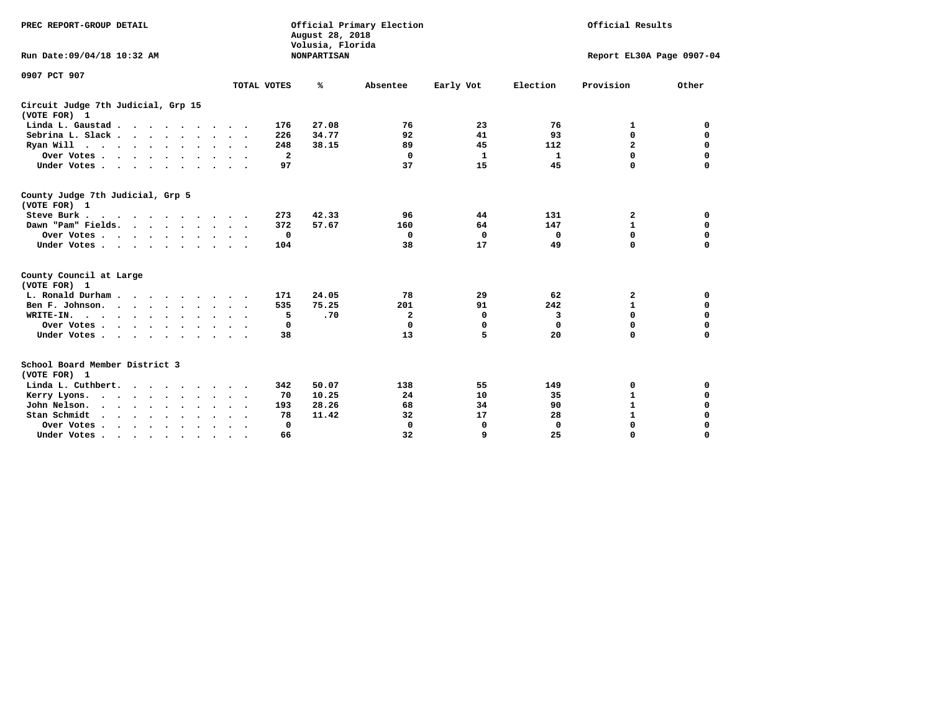| PREC REPORT-GROUP DETAIL                                        |                           | August 28, 2018<br>Volusia, Florida | Official Primary Election |             | Official Results |                           |             |
|-----------------------------------------------------------------|---------------------------|-------------------------------------|---------------------------|-------------|------------------|---------------------------|-------------|
| Run Date: 09/04/18 10:32 AM                                     |                           | <b>NONPARTISAN</b>                  |                           |             |                  | Report EL30A Page 0907-04 |             |
| 0907 PCT 907                                                    |                           |                                     |                           |             |                  |                           |             |
|                                                                 | TOTAL VOTES               | ℁                                   | Absentee                  | Early Vot   | Election         | Provision                 | Other       |
| Circuit Judge 7th Judicial, Grp 15<br>(VOTE FOR) 1              |                           |                                     |                           |             |                  |                           |             |
| Linda L. Gaustad                                                | 176                       | 27.08                               | 76                        | 23          | 76               | 1                         | 0           |
| Sebrina L. Slack.                                               | 226                       | 34.77                               | 92                        | 41          | 93               | $\mathbf 0$               | 0           |
| Ryan Will $\cdots$ , $\cdots$ , $\cdots$                        | 248                       | 38.15                               | 89                        | 45          | 112              | $\mathbf{2}$              | $\mathbf 0$ |
| Over Votes                                                      | $\mathbf{2}$              |                                     | $\mathbf 0$               | 1           | 1                | 0                         | $\mathbf 0$ |
| Under Votes                                                     | 97                        |                                     | 37                        | 15          | 45               | 0                         | $\mathbf 0$ |
| County Judge 7th Judicial, Grp 5<br>(VOTE FOR) 1                |                           |                                     |                           |             |                  |                           |             |
| Steve Burk .<br>$\cdots$                                        | 273                       | 42.33                               | 96                        | 44          | 131              | 2                         | 0           |
| Dawn "Pam" Fields.                                              | 372                       | 57.67                               | 160                       | 64          | 147              | $\mathbf{1}$              | $\mathbf 0$ |
| Over Votes                                                      | 0                         |                                     | 0                         | $\mathbf 0$ | 0                | $\mathbf 0$               | $\mathbf 0$ |
| Under Votes                                                     | 104                       |                                     | 38                        | 17          | 49               | 0                         | $\mathbf 0$ |
| County Council at Large<br>(VOTE FOR) 1                         |                           |                                     |                           |             |                  |                           |             |
| L. Ronald Durham                                                | 171                       | 24.05                               | 78                        | 29          | 62               | 2                         | 0           |
| Ben F. Johnson.                                                 | 535                       | 75.25                               | 201                       | 91          | 242              | $\mathbf{1}$              | $\mathbf 0$ |
| WRITE-IN.<br>$\cdots$                                           | 5                         | .70                                 | $\mathbf{2}$              | 0           | 3                | $\mathbf 0$               | $\mathbf 0$ |
| Over Votes                                                      | 0                         |                                     | $\mathbf 0$               | 0           | $\mathbf 0$      | $\mathbf 0$               | 0           |
| Under Votes                                                     | 38<br>$\sim$ $\sim$       |                                     | 13                        | 5           | 20               | $\Omega$                  | $\mathbf 0$ |
| School Board Member District 3<br>(VOTE FOR) 1                  |                           |                                     |                           |             |                  |                           |             |
| Linda L. Cuthbert.                                              | 342                       | 50.07                               | 138                       | 55          | 149              | 0                         | 0           |
| Kerry Lyons.<br>$\cdot$                                         | 70                        | 10.25                               | 24                        | 10          | 35               | $\mathbf{1}$              | $\mathbf 0$ |
| John Nelson.<br>$\cdot$ $\cdot$ $\cdot$ $\cdot$ $\cdot$ $\cdot$ | 193                       | 28.26                               | 68                        | 34          | 90               | ${\bf 1}$                 | $\mathbf 0$ |
| Stan Schmidt<br>$\sim$ $\sim$ $\sim$<br>$\sim$<br>$\sim$        | 78                        | 11.42                               | 32                        | 17          | 28               | $\mathbf{1}$              | 0           |
| Over Votes                                                      | 0<br>$\ddot{\phantom{1}}$ |                                     | $\mathbf 0$               | 0           | 0                | 0                         | $\mathbf 0$ |
| Under Votes.                                                    | 66                        |                                     | 32                        | 9           | 25               | $\Omega$                  | $\Omega$    |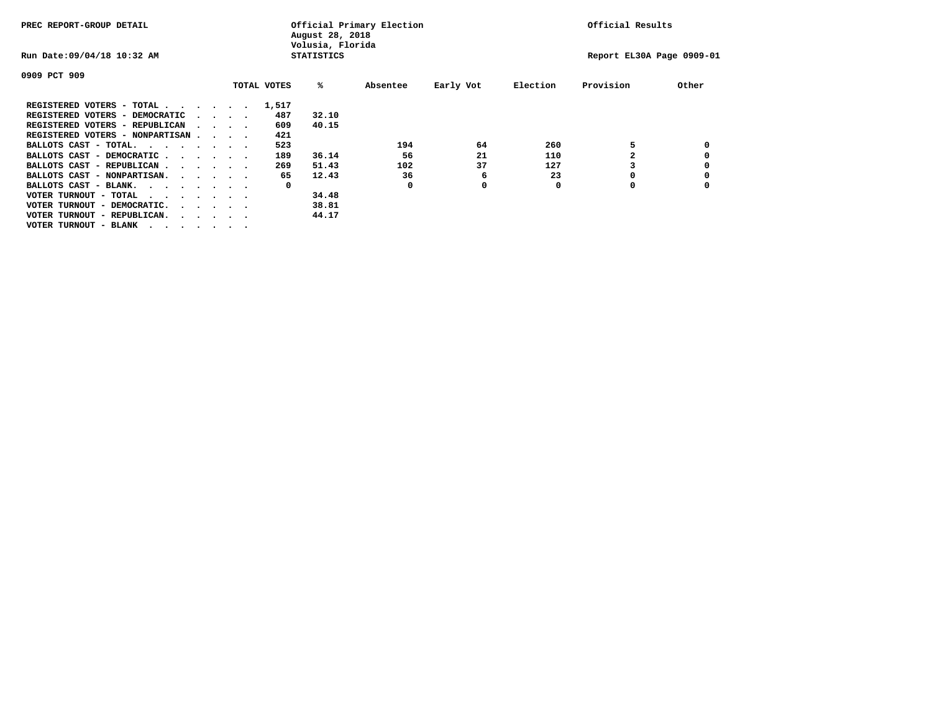| PREC REPORT-GROUP DETAIL               |  |                                         |             | August 28, 2018<br>Volusia, Florida | Official Primary Election |           |          | Official Results          |       |
|----------------------------------------|--|-----------------------------------------|-------------|-------------------------------------|---------------------------|-----------|----------|---------------------------|-------|
| Run Date: 09/04/18 10:32 AM            |  |                                         |             | <b>STATISTICS</b>                   |                           |           |          | Report EL30A Page 0909-01 |       |
| 0909 PCT 909                           |  |                                         |             |                                     |                           |           |          |                           |       |
|                                        |  |                                         | TOTAL VOTES | %ะ                                  | Absentee                  | Early Vot | Election | Provision                 | Other |
| REGISTERED VOTERS - TOTAL              |  |                                         | 1,517       |                                     |                           |           |          |                           |       |
| REGISTERED VOTERS - DEMOCRATIC         |  | $\cdot$ $\cdot$ $\cdot$ $\cdot$         | 487         | 32.10                               |                           |           |          |                           |       |
| REGISTERED VOTERS - REPUBLICAN         |  |                                         | 609         | 40.15                               |                           |           |          |                           |       |
| REGISTERED VOTERS - NONPARTISAN        |  |                                         | 421         |                                     |                           |           |          |                           |       |
| BALLOTS CAST - TOTAL.                  |  |                                         | 523         |                                     | 194                       | 64        | 260      |                           |       |
| BALLOTS CAST - DEMOCRATIC              |  |                                         | 189         | 36.14                               | 56                        | 21        | 110      |                           |       |
| BALLOTS CAST - REPUBLICAN              |  |                                         | 269         | 51.43                               | 102                       | 37        | 127      |                           |       |
| BALLOTS CAST - NONPARTISAN.            |  |                                         | 65          | 12.43                               | 36                        | 6         | 23       |                           |       |
| BALLOTS CAST - BLANK.                  |  |                                         | 0           |                                     | 0                         | 0         | 0        | ٥                         |       |
| VOTER TURNOUT - TOTAL<br>$\cdots$      |  |                                         |             | 34.48                               |                           |           |          |                           |       |
| VOTER TURNOUT - DEMOCRATIC.            |  | $\cdot$ $\cdot$ $\cdot$ $\cdot$ $\cdot$ |             | 38.81                               |                           |           |          |                           |       |
| VOTER TURNOUT - REPUBLICAN.<br>$\cdot$ |  |                                         |             | 44.17                               |                           |           |          |                           |       |
| VOTER TURNOUT - BLANK                  |  |                                         |             |                                     |                           |           |          |                           |       |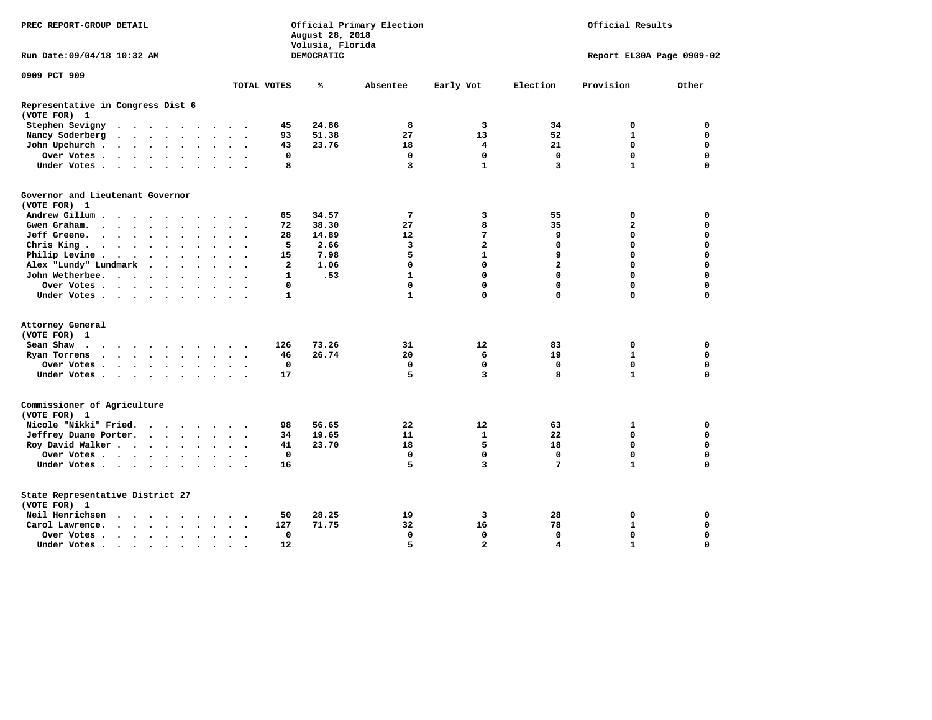| PREC REPORT-GROUP DETAIL                          |          |  | Official Primary Election<br>Official Results<br>August 28, 2018<br>Volusia, Florida |  |                      |                      |                          |                |            |              |                         |                |                           |              |
|---------------------------------------------------|----------|--|--------------------------------------------------------------------------------------|--|----------------------|----------------------|--------------------------|----------------|------------|--------------|-------------------------|----------------|---------------------------|--------------|
| Run Date:09/04/18 10:32 AM                        |          |  |                                                                                      |  |                      |                      |                          |                | DEMOCRATIC |              |                         |                | Report EL30A Page 0909-02 |              |
| 0909 PCT 909                                      |          |  |                                                                                      |  |                      |                      |                          |                |            |              |                         |                |                           |              |
|                                                   |          |  |                                                                                      |  |                      |                      |                          | TOTAL VOTES    | ℁          | Absentee     | Early Vot               | Election       | Provision                 | Other        |
| Representative in Congress Dist 6<br>(VOTE FOR) 1 |          |  |                                                                                      |  |                      |                      |                          |                |            |              |                         |                |                           |              |
| Stephen Sevigny                                   |          |  |                                                                                      |  |                      |                      |                          | 45             | 24.86      | 8            | 3                       | 34             | 0                         | 0            |
| Nancy Soderberg                                   |          |  |                                                                                      |  |                      |                      |                          | 93             | 51.38      | 27           | 13                      | 52             | $\mathbf{1}$              | 0            |
| John Upchurch                                     |          |  |                                                                                      |  |                      | $\ddot{\phantom{1}}$ |                          | 43             | 23.76      | 18           | $\overline{\mathbf{4}}$ | 21             | $\mathbf 0$               | $\mathbf 0$  |
| Over Votes                                        |          |  |                                                                                      |  | $\ddot{\phantom{1}}$ | $\sim$               |                          | $\mathbf 0$    |            | $\mathbf 0$  | $\mathbf 0$             | $\mathbf 0$    | $\mathbf 0$               | $\mathbf 0$  |
| Under Votes                                       |          |  |                                                                                      |  | $\sim$               | $\sim$               |                          | 8              |            | 3            | $\mathbf{1}$            | 3              | $\mathbf{1}$              | $\mathbf 0$  |
| Governor and Lieutenant Governor<br>(VOTE FOR) 1  |          |  |                                                                                      |  |                      |                      |                          |                |            |              |                         |                |                           |              |
| Andrew Gillum                                     |          |  |                                                                                      |  |                      |                      |                          | 65             | 34.57      | 7            | 3                       | 55             | 0                         | 0            |
| Gwen Graham.                                      |          |  |                                                                                      |  |                      | $\sim$ $\sim$        | $\overline{\phantom{a}}$ | 72             | 38.30      | 27           | 8                       | 35             | $\mathbf{2}$              | 0            |
| Jeff Greene.                                      |          |  |                                                                                      |  |                      | $\ddot{\phantom{a}}$ |                          | 28             | 14.89      | 12           | 7                       | 9              | $\mathbf 0$               | $\mathbf 0$  |
| Chris King $\cdots$ $\cdots$ $\cdots$             |          |  |                                                                                      |  |                      | $\sim$ $\sim$        |                          | 5              | 2.66       | 3            | $\overline{a}$          | $\mathbf{0}$   | $\mathbf 0$               | $\mathbf 0$  |
| Philip Levine .                                   | $\cdots$ |  |                                                                                      |  |                      |                      |                          | 15             | 7.98       | 5            | $\mathbf{1}$            | 9              | $\Omega$                  | $\mathbf 0$  |
| Alex "Lundy" Lundmark                             |          |  |                                                                                      |  |                      |                      |                          | $\overline{2}$ | 1.06       | $\mathbf 0$  | $\mathbf 0$             | $\overline{a}$ | $\mathbf 0$               | $\mathbf 0$  |
| John Wetherbee.                                   |          |  |                                                                                      |  |                      | $\sim$ $\sim$        | $\sim$                   | $\mathbf{1}$   | .53        | $\mathbf{1}$ | $\mathbf 0$             | $\mathbf 0$    | $\Omega$                  | $\mathbf 0$  |
| Over Votes                                        |          |  |                                                                                      |  |                      | $\sim$ $\sim$        |                          | 0              |            | $\mathbf 0$  | $\mathbf 0$             | $\mathbf 0$    | $\mathbf 0$               | $\mathbf 0$  |
| Under Votes                                       |          |  |                                                                                      |  |                      |                      |                          | $\mathbf{1}$   |            | $\mathbf{1}$ | $\mathbf 0$             | 0              | $\mathbf 0$               | 0            |
|                                                   |          |  |                                                                                      |  |                      |                      |                          |                |            |              |                         |                |                           |              |
| Attorney General<br>(VOTE FOR) 1                  |          |  |                                                                                      |  |                      |                      |                          |                |            |              |                         |                |                           |              |
| Sean Shaw                                         |          |  |                                                                                      |  |                      |                      |                          | 126            | 73.26      | 31           | $12 \overline{ }$       | 83             | 0                         | $\mathbf 0$  |
| Ryan Torrens                                      | $\cdots$ |  |                                                                                      |  |                      | $\ddot{\phantom{1}}$ | $\sim$                   | 46             | 26.74      | 20           | 6                       | 19             | $\mathbf{1}$              | $\mathbf 0$  |
| Over Votes                                        |          |  |                                                                                      |  |                      |                      |                          | $\mathbf 0$    |            | $\Omega$     | $\mathbf 0$             | $\mathbf{0}$   | $\mathbf 0$               | $\mathbf 0$  |
| Under Votes                                       |          |  |                                                                                      |  |                      | $\ddotsc$            |                          | 17             |            | 5            | 3                       | 8              | $\mathbf{1}$              | $\mathbf 0$  |
| Commissioner of Agriculture<br>(VOTE FOR) 1       |          |  |                                                                                      |  |                      |                      |                          |                |            |              |                         |                |                           |              |
| Nicole "Nikki" Fried.                             |          |  |                                                                                      |  |                      |                      |                          | 98             | 56.65      | 22           | 12                      | 63             | $\mathbf{1}$              | 0            |
| Jeffrey Duane Porter.                             |          |  |                                                                                      |  |                      |                      |                          | 34             | 19.65      | 11           | $\mathbf{1}$            | 22             | $\mathbf 0$               | $\mathbf 0$  |
| Roy David Walker                                  |          |  |                                                                                      |  |                      |                      |                          | 41             | 23.70      | 18           | 5                       | 18             | $\mathbf{0}$              | $\mathbf{0}$ |
| Over Votes                                        |          |  |                                                                                      |  |                      | $\sim$ $\sim$        |                          | $\mathbf 0$    |            | $\mathbf 0$  | $\mathbf 0$             | $\mathbf{0}$   | $\mathbf 0$               | $\mathbf 0$  |
| Under Votes                                       |          |  |                                                                                      |  |                      |                      |                          | 16             |            | 5            | 3                       | 7              | $\mathbf{1}$              | 0            |
| State Representative District 27<br>(VOTE FOR) 1  |          |  |                                                                                      |  |                      |                      |                          |                |            |              |                         |                |                           |              |
| Neil Henrichsen                                   | $\cdots$ |  |                                                                                      |  |                      |                      |                          | 50             | 28.25      | 19           | 3                       | 28             | 0                         | $\mathbf 0$  |
| Carol Lawrence.                                   | $\cdots$ |  |                                                                                      |  |                      | $\sim$ $\sim$        | $\ddot{\phantom{1}}$     | 127            | 71.75      | 32           | 16                      | 78             | $\mathbf{1}$              | $\mathbf 0$  |
| Over Votes                                        |          |  |                                                                                      |  | $\sim$               | $\ddot{\phantom{a}}$ |                          | $\mathbf 0$    |            | $\mathbf 0$  | $\mathbf 0$             | $\mathbf 0$    | $\mathbf 0$               | $\mathbf 0$  |
| Under Votes.                                      | $\cdots$ |  |                                                                                      |  | $\bullet$            | $\bullet$            |                          | 12             |            | 5            | $\overline{a}$          | 4              | $\mathbf{1}$              | $\Omega$     |
|                                                   |          |  |                                                                                      |  |                      |                      |                          |                |            |              |                         |                |                           |              |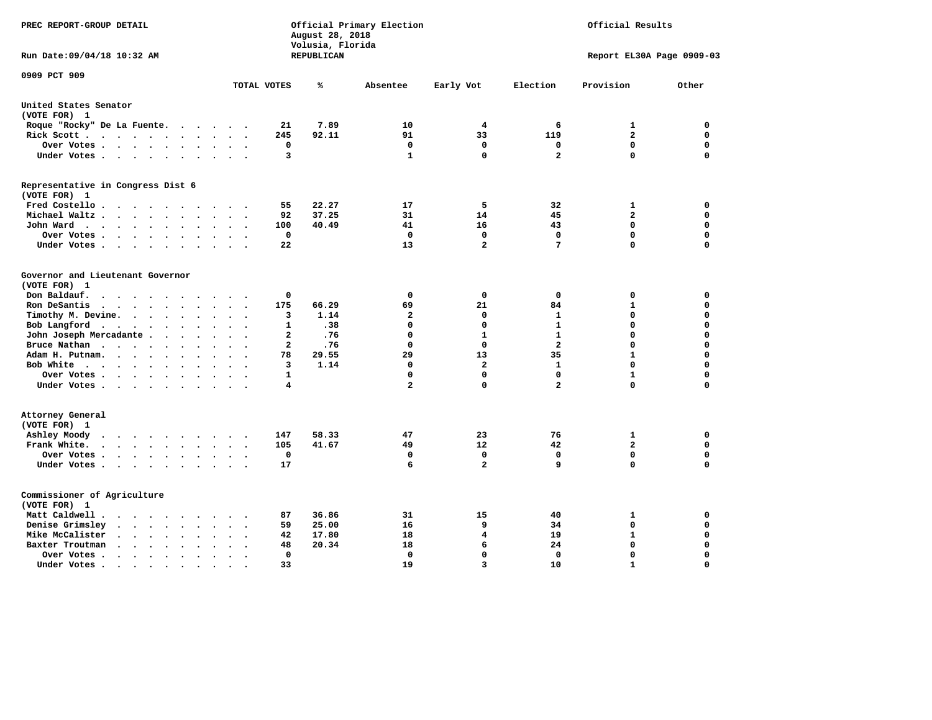| PREC REPORT-GROUP DETAIL                                                                                                         |              | August 28, 2018<br>Volusia, Florida | Official Primary Election |                         |                         | Official Results          |             |
|----------------------------------------------------------------------------------------------------------------------------------|--------------|-------------------------------------|---------------------------|-------------------------|-------------------------|---------------------------|-------------|
| Run Date: 09/04/18 10:32 AM                                                                                                      |              | <b>REPUBLICAN</b>                   |                           |                         |                         | Report EL30A Page 0909-03 |             |
| 0909 PCT 909                                                                                                                     | TOTAL VOTES  | ℁                                   | Absentee                  | Early Vot               | Election                | Provision                 | Other       |
| United States Senator                                                                                                            |              |                                     |                           |                         |                         |                           |             |
| (VOTE FOR) 1                                                                                                                     |              |                                     |                           |                         |                         |                           |             |
| Roque "Rocky" De La Fuente.<br>$\sim$ $\sim$<br>$\bullet$<br>$\ddot{\phantom{a}}$                                                | 21           | 7.89                                | 10                        | 4                       | 6                       | 1                         | 0           |
| Rick Scott                                                                                                                       | 245          | 92.11                               | 91                        | 33                      | 119                     | $\overline{\mathbf{2}}$   | $\mathbf 0$ |
| Over Votes<br>$\ddot{\phantom{0}}$<br>$\bullet$<br>$\bullet$                                                                     | 0            |                                     | $\mathbf 0$               | $\mathbf 0$             | $\mathbf 0$             | $\mathbf 0$               | $\mathbf 0$ |
| Under Votes<br>$\sim$<br>$\ddot{\phantom{1}}$                                                                                    | 3            |                                     | $\mathbf{1}$              | $\mathbf 0$             | $\overline{\mathbf{2}}$ | $\mathbf 0$               | $\Omega$    |
| Representative in Congress Dist 6<br>(VOTE FOR) 1                                                                                |              |                                     |                           |                         |                         |                           |             |
| Fred Costello<br>$\bullet$                                                                                                       | 55           | 22.27                               | 17                        | 5                       | 32                      | 1                         | 0           |
| Michael Waltz<br>$\bullet$<br>$\ddot{\phantom{a}}$<br>$\ddot{\phantom{a}}$                                                       | 92           | 37.25                               | 31                        | 14                      | 45                      | $\mathbf{2}$              | 0           |
| John Ward<br>$\bullet$<br>$\ddot{\phantom{1}}$                                                                                   | 100          | 40.49                               | 41                        | 16                      | 43                      | $\mathbf 0$               | $\mathbf 0$ |
| $\bullet$<br>Over Votes<br>$\bullet$<br>$\bullet$                                                                                | $\mathbf 0$  |                                     | $\mathbf 0$               | $\mathbf 0$             | $\mathbf 0$             | $\mathbf 0$               | $\mathbf 0$ |
| Under Votes<br>$\cdot$<br>$\ddot{\phantom{a}}$                                                                                   | 22           |                                     | 13                        | $\overline{a}$          | 7                       | $\mathbf 0$               | 0           |
|                                                                                                                                  |              |                                     |                           |                         |                         |                           |             |
| Governor and Lieutenant Governor<br>(VOTE FOR) 1                                                                                 |              |                                     |                           |                         |                         |                           |             |
| Don Baldauf.<br>$\cdot$ $\cdot$ $\cdot$                                                                                          | 0            |                                     | 0                         | 0                       | 0                       | 0                         | 0           |
| Ron DeSantis<br>$\cdot$ $\cdot$ $\cdot$<br>$\bullet$                                                                             | 175          | 66.29                               | 69                        | 21                      | 84                      | $\mathbf{1}$              | $\mathbf 0$ |
| Timothy M. Devine. .<br>$\sim$<br>$\ddot{\phantom{a}}$<br>$\bullet$<br>$\bullet$<br>$\ddot{\phantom{0}}$<br>$\ddot{\phantom{a}}$ | з            | 1.14                                | $\mathbf{2}$              | 0                       | $\mathbf{1}$            | $\mathbf 0$               | $\mathbf 0$ |
| Bob Langford<br>$\ddot{\phantom{a}}$<br>$\bullet$<br>$\bullet$<br>$\cdot$                                                        | 1            | .38                                 | 0                         | $\Omega$                | $\mathbf{1}$            | 0                         | $\mathbf 0$ |
| John Joseph Mercadante.<br>$\ddot{\phantom{a}}$<br>$\ddot{\phantom{a}}$<br>$\overline{\phantom{a}}$                              | $\mathbf{2}$ | .76                                 | 0                         | $\mathbf{1}$            | $\mathbf{1}$            | $\mathbf 0$               | $\mathbf 0$ |
| Bruce Nathan<br>$\bullet$<br>$\bullet$<br>$\bullet$<br>$\ddot{\phantom{a}}$                                                      | 2            | .76                                 | 0                         | $\Omega$                | $\overline{\mathbf{2}}$ | $\mathbf 0$               | $\mathbf 0$ |
| Adam H. Putnam.<br>$\sim$ $\sim$ $\sim$<br>$\ddot{\phantom{a}}$                                                                  | 78           | 29.55                               | 29                        | 13                      | 35                      | $\mathbf{1}$              | 0           |
| Bob White<br>.<br>$\ddot{\phantom{a}}$<br>$\sim$<br>$\ddot{\phantom{a}}$<br>$\ddot{\phantom{a}}$                                 | 3            | 1.14                                | 0                         | $\overline{\mathbf{2}}$ | $\mathbf{1}$            | $\mathbf 0$               | $\mathbf 0$ |
| Over Votes .<br><b>Contract Contract Contract</b><br>$\bullet$<br>$\bullet$                                                      | 1            |                                     | 0                         | $\mathbf 0$             | 0                       | $\mathbf{1}$              | 0           |
| Under Votes<br>$\sim$                                                                                                            | 4            |                                     | $\overline{\mathbf{2}}$   | $\mathbf 0$             | $\overline{\mathbf{2}}$ | $\mathbf 0$               | $\mathbf 0$ |
| Attorney General<br>(VOTE FOR) 1                                                                                                 |              |                                     |                           |                         |                         |                           |             |
| Ashley Moody<br>$\cdots$<br>$\ddot{\phantom{a}}$<br>$\sim$<br>$\ddot{\phantom{a}}$<br>$\cdot$                                    | 147          | 58.33                               | 47                        | 23                      | 76                      | 1                         | $\mathbf 0$ |
| Frank White.<br>$\sim$ $\sim$ $\sim$ $\sim$<br>$\sim$<br>$\bullet$                                                               | 105          | 41.67                               | 49                        | 12                      | 42                      | $\mathbf{2}$              | $\mathbf 0$ |
| Over Votes .<br>$\cdot$ $\cdot$ $\cdot$ $\cdot$ $\cdot$<br>$\bullet$<br>$\ddot{\phantom{a}}$<br>$\bullet$                        | $\mathbf 0$  |                                     | 0                         | 0                       | 0                       | $\mathbf 0$               | $\mathbf 0$ |
| Under Votes<br>$\ddot{\phantom{a}}$<br>$\sim$ $\sim$                                                                             | 17           |                                     | 6                         | $\overline{a}$          | 9                       | $\mathbf 0$               | $\mathbf 0$ |
| Commissioner of Agriculture<br>(VOTE FOR) 1                                                                                      |              |                                     |                           |                         |                         |                           |             |
| Matt Caldwell .<br>$\cdot$ $\cdot$ $\cdot$ $\cdot$                                                                               | 87           | 36.86                               | 31                        | 15                      | 40                      | 1                         | 0           |
| Denise Grimsley<br>$\ddot{\phantom{a}}$<br>$\sim$<br>$\ddot{\phantom{a}}$                                                        | 59           | 25.00                               | 16                        | 9                       | 34                      | $\mathbf 0$               | $\mathbf 0$ |
| Mike McCalister<br>$\ddot{\phantom{1}}$<br>$\sim$ $\sim$<br>$\bullet$<br>$\bullet$<br>$\bullet$                                  | 42           | 17.80                               | 18                        | $\overline{4}$          | 19                      | $\mathbf{1}$              | $\mathbf 0$ |
| Baxter Troutman<br>$\ddot{\phantom{0}}$<br>$\cdot$                                                                               | 48           | 20.34                               | 18                        | 6                       | 24                      | $\mathbf 0$               | $\mathbf 0$ |
| Over Votes.<br>$\sim$ $\sim$<br>$\ddot{\phantom{0}}$<br>$\Delta$<br>$\cdot$                                                      | 0            |                                     | $\mathbf 0$               | $\mathbf{0}$            | 0                       | $\mathbf 0$               | $\mathbf 0$ |
| Under Votes.<br>$\bullet$ .<br><br><br><br><br><br><br><br><br><br><br><br><br>$\bullet$<br>$\bullet$<br>$\bullet$               | 33           |                                     | 19                        | 3                       | 10                      | $\mathbf{1}$              | $\Omega$    |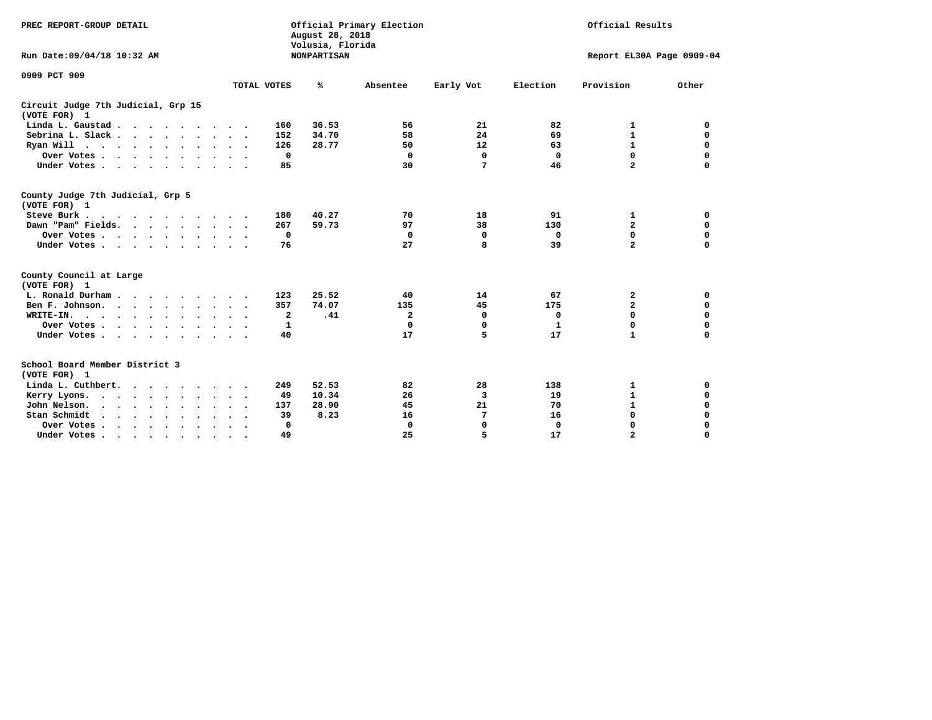| PREC REPORT-GROUP DETAIL                                                |                                     | August 28, 2018<br>Volusia, Florida | Official Primary Election |                 |              | Official Results          |             |
|-------------------------------------------------------------------------|-------------------------------------|-------------------------------------|---------------------------|-----------------|--------------|---------------------------|-------------|
| Run Date:09/04/18 10:32 AM                                              |                                     | <b>NONPARTISAN</b>                  |                           |                 |              | Report EL30A Page 0909-04 |             |
| 0909 PCT 909                                                            |                                     |                                     |                           |                 |              |                           |             |
|                                                                         | TOTAL VOTES                         | ℁                                   | Absentee                  | Early Vot       | Election     | Provision                 | Other       |
| Circuit Judge 7th Judicial, Grp 15<br>(VOTE FOR) 1                      |                                     |                                     |                           |                 |              |                           |             |
| Linda L. Gaustad                                                        | 160                                 | 36.53                               | 56                        | 21              | 82           | 1                         | 0           |
| Sebrina L. Slack                                                        | 152                                 | 34.70                               | 58                        | 24              | 69           | $\mathbf{1}$              | $\mathbf 0$ |
| Ryan Will $\cdots$ , $\cdots$ , $\cdots$                                | 126                                 | 28.77                               | 50                        | 12 <sup>2</sup> | 63           | $\mathbf{1}$              | 0           |
| Over Votes                                                              | 0                                   |                                     | $\mathbf 0$               | 0               | 0            | $\mathbf 0$               | $\mathbf 0$ |
| Under Votes                                                             | 85                                  |                                     | 30                        | $7\phantom{.0}$ | 46           | $\overline{a}$            | $\mathbf 0$ |
| County Judge 7th Judicial, Grp 5<br>(VOTE FOR) 1                        |                                     |                                     |                           |                 |              |                           |             |
| Steve Burk                                                              | 180                                 | 40.27                               | 70                        | 18              | 91           | 1                         | 0           |
| Dawn "Pam" Fields.                                                      | 267                                 | 59.73                               | 97                        | 38              | 130          | $\mathbf{2}$              | $\mathbf 0$ |
| Over Votes                                                              | 0                                   |                                     | 0                         | $\mathbf 0$     | 0            | $\mathbf 0$               | $\mathbf 0$ |
| Under Votes                                                             | 76<br>$\cdot$ .                     |                                     | 27                        | 8               | 39           | $\overline{a}$            | $\mathbf 0$ |
| County Council at Large<br>(VOTE FOR) 1                                 |                                     |                                     |                           |                 |              |                           |             |
| L. Ronald Durham                                                        | 123                                 | 25.52                               | 40                        | 14              | 67           | 2                         | 0           |
| Ben F. Johnson.                                                         | 357                                 | 74.07                               | 135                       | 45              | 175          | $\overline{a}$            | $\mathbf 0$ |
| WRITE-IN.                                                               | 2                                   | .41                                 | $\mathbf{z}$              | $\mathbf 0$     | 0            | $\mathbf 0$               | 0           |
| Over Votes                                                              | 1                                   |                                     | 0                         | $\mathbf 0$     | $\mathbf{1}$ | $\mathbf 0$               | 0           |
| Under Votes                                                             | 40<br>$\sim$ $\sim$                 |                                     | 17                        | 5               | 17           | $\mathbf{1}$              | $\mathbf 0$ |
| School Board Member District 3<br>(VOTE FOR) 1                          |                                     |                                     |                           |                 |              |                           |             |
| Linda L. Cuthbert.                                                      | 249                                 | 52.53                               | 82                        | 28              | 138          | 1                         | 0           |
| Kerry Lyons.<br>$\cdots$                                                | 49                                  | 10.34                               | 26                        | 3               | 19           | $\mathbf{1}$              | $\mathbf 0$ |
| John Nelson.<br>$\cdot$ $\cdot$ $\cdot$ $\cdot$ $\cdot$ $\cdot$ $\cdot$ | 137                                 | 28.90                               | 45                        | 21              | 70           | $\mathbf{1}$              | $\mathbf 0$ |
| Stan Schmidt<br>$\sim$<br>$\sim$ $\sim$ $\sim$<br>$\sim$                | 39                                  | 8.23                                | 16                        | 7               | 16           | $\mathbf 0$               | $\mathbf 0$ |
| Over Votes                                                              | $\mathbf 0$<br>$\ddot{\phantom{0}}$ |                                     | $\mathbf 0$               | 0               | 0            | 0                         | $\mathbf 0$ |
| Under Votes.                                                            | 49                                  |                                     | 25                        | 5               | 17           | 2                         | $\Omega$    |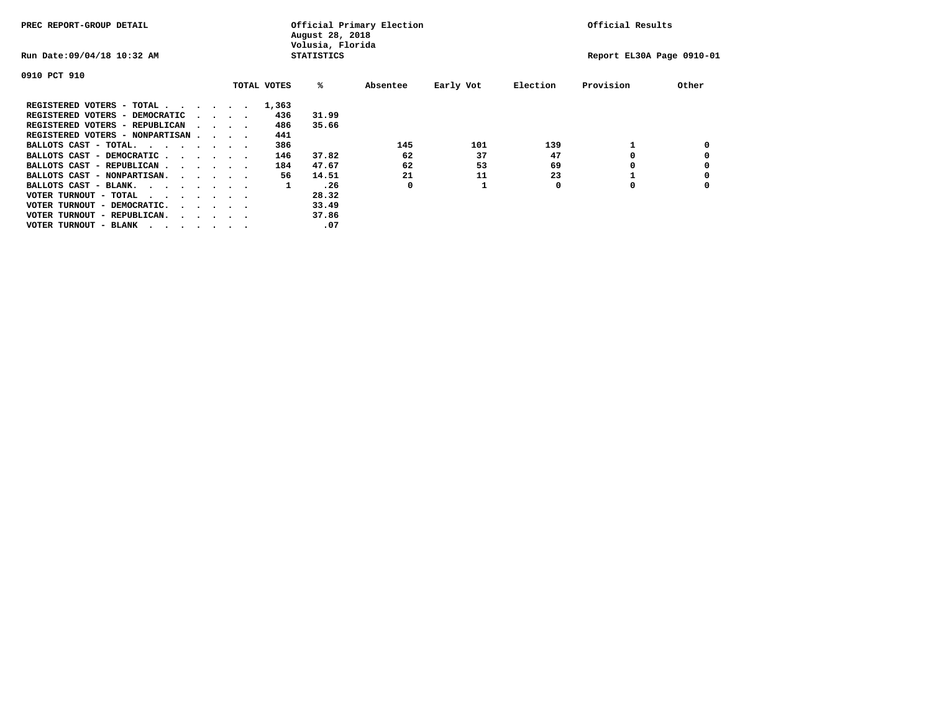| PREC REPORT-GROUP DETAIL               |  |                                         |             | August 28, 2018<br>Volusia, Florida | Official Primary Election |           |          | Official Results          |       |
|----------------------------------------|--|-----------------------------------------|-------------|-------------------------------------|---------------------------|-----------|----------|---------------------------|-------|
| Run Date: 09/04/18 10:32 AM            |  |                                         |             | <b>STATISTICS</b>                   |                           |           |          | Report EL30A Page 0910-01 |       |
| 0910 PCT 910                           |  |                                         |             |                                     |                           |           |          |                           |       |
|                                        |  |                                         | TOTAL VOTES | %ะ                                  | Absentee                  | Early Vot | Election | Provision                 | Other |
| REGISTERED VOTERS - TOTAL              |  |                                         | 1,363       |                                     |                           |           |          |                           |       |
| REGISTERED VOTERS - DEMOCRATIC         |  | $\sim$ $\sim$ $\sim$ $\sim$             | 436         | 31.99                               |                           |           |          |                           |       |
| REGISTERED VOTERS - REPUBLICAN         |  | $\sim$ $\sim$ $\sim$ $\sim$             | 486         | 35.66                               |                           |           |          |                           |       |
| REGISTERED VOTERS - NONPARTISAN        |  |                                         | 441         |                                     |                           |           |          |                           |       |
| BALLOTS CAST - TOTAL.                  |  |                                         | 386         |                                     | 145                       | 101       | 139      |                           |       |
| BALLOTS CAST - DEMOCRATIC              |  |                                         | 146         | 37.82                               | 62                        | 37        | 47       |                           |       |
| BALLOTS CAST - REPUBLICAN              |  |                                         | 184         | 47.67                               | 62                        | 53        | 69       |                           |       |
| BALLOTS CAST - NONPARTISAN.            |  |                                         | 56          | 14.51                               | 21                        | 11        | 23       |                           |       |
| BALLOTS CAST - BLANK.                  |  |                                         | 1           | .26                                 | 0                         |           | 0        | 0                         |       |
| VOTER TURNOUT - TOTAL<br>$\cdots$      |  |                                         |             | 28.32                               |                           |           |          |                           |       |
| VOTER TURNOUT - DEMOCRATIC.            |  | $\cdot$ $\cdot$ $\cdot$ $\cdot$ $\cdot$ |             | 33.49                               |                           |           |          |                           |       |
| VOTER TURNOUT - REPUBLICAN.<br>$\cdot$ |  |                                         |             | 37.86                               |                           |           |          |                           |       |
| VOTER TURNOUT - BLANK                  |  |                                         |             | .07                                 |                           |           |          |                           |       |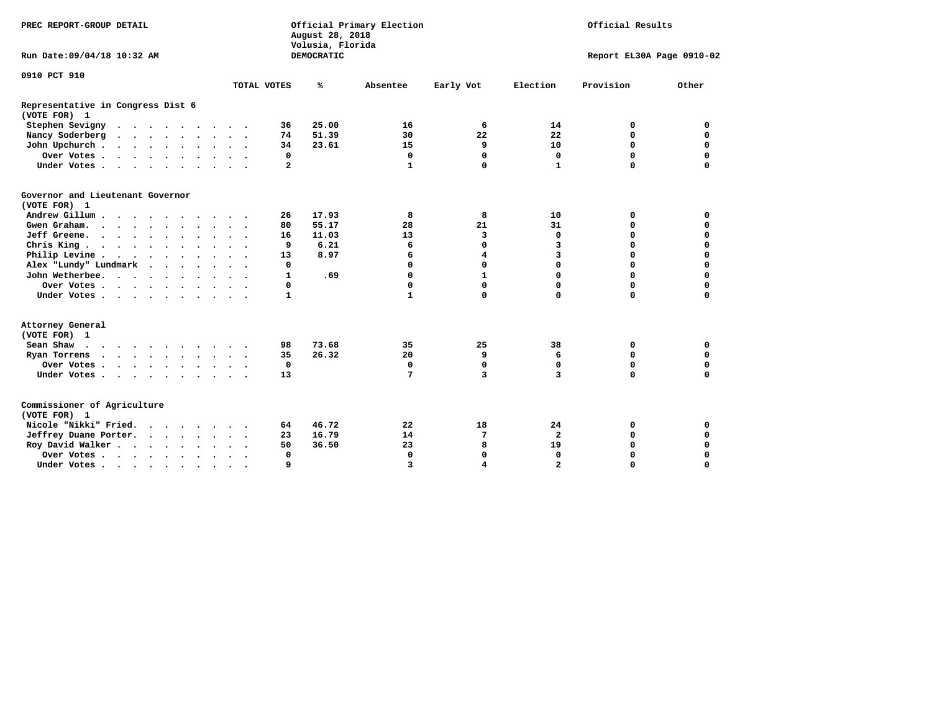| PREC REPORT-GROUP DETAIL                          |  |  |                      |           |             |                         | August 28, 2018<br>Volusia, Florida | Official Primary Election |                         | Official Results |                           |             |  |
|---------------------------------------------------|--|--|----------------------|-----------|-------------|-------------------------|-------------------------------------|---------------------------|-------------------------|------------------|---------------------------|-------------|--|
| Run Date: 09/04/18 10:32 AM                       |  |  |                      |           |             |                         | DEMOCRATIC                          |                           |                         |                  | Report EL30A Page 0910-02 |             |  |
| 0910 PCT 910                                      |  |  |                      |           |             |                         |                                     |                           |                         |                  |                           |             |  |
|                                                   |  |  |                      |           | TOTAL VOTES |                         | ℁                                   | Absentee                  | Early Vot               | Election         | Provision                 | Other       |  |
| Representative in Congress Dist 6<br>(VOTE FOR) 1 |  |  |                      |           |             |                         |                                     |                           |                         |                  |                           |             |  |
| Stephen Sevigny                                   |  |  |                      |           |             | 36                      | 25.00                               | 16                        | 6                       | 14               | 0                         | 0           |  |
| Nancy Soderberg                                   |  |  |                      |           |             | 74                      | 51.39                               | 30                        | 22                      | 22               | $\mathbf 0$               | $\mathbf 0$ |  |
| John Upchurch                                     |  |  |                      |           |             | 34                      | 23.61                               | 15                        | 9                       | 10               | $\mathbf 0$               | $\mathbf 0$ |  |
| Over Votes                                        |  |  |                      |           |             | 0                       |                                     | $\mathbf 0$               | 0                       | 0                | $\mathbf 0$               | $\mathbf 0$ |  |
| Under Votes                                       |  |  |                      |           |             | $\overline{\mathbf{2}}$ |                                     | $\mathbf{1}$              | $\mathbf 0$             | $\mathbf{1}$     | $\Omega$                  | $\mathbf 0$ |  |
| Governor and Lieutenant Governor<br>(VOTE FOR) 1  |  |  |                      |           |             |                         |                                     |                           |                         |                  |                           |             |  |
| Andrew Gillum                                     |  |  |                      |           |             | 26                      | 17.93                               | 8                         | 8                       | 10               | 0                         | 0           |  |
| Gwen Graham.                                      |  |  |                      |           |             | 80                      | 55.17                               | 28                        | 21                      | 31               | 0                         | 0           |  |
| Jeff Greene.                                      |  |  |                      |           |             | 16                      | 11.03                               | 13                        | 3                       | $\mathbf 0$      | $\mathbf 0$               | $\mathbf 0$ |  |
| Chris King.                                       |  |  |                      |           |             | 9                       | 6.21                                | 6                         | 0                       | 3                | $\mathbf 0$               | $\mathbf 0$ |  |
| Philip Levine                                     |  |  |                      |           |             | 13                      | 8.97                                | 6                         | $\overline{\mathbf{4}}$ | $\overline{3}$   | $\mathbf 0$               | $\mathbf 0$ |  |
| Alex "Lundy" Lundmark                             |  |  |                      |           |             | $\mathbf 0$             |                                     | $\Omega$                  | 0                       | $\Omega$         | $\mathbf 0$               | $\mathbf 0$ |  |
| John Wetherbee.                                   |  |  |                      |           |             | $\mathbf{1}$            | .69                                 | 0                         | $\mathbf{1}$            | $\Omega$         | $\mathbf 0$               | 0           |  |
| Over Votes                                        |  |  |                      |           |             | 0                       |                                     | 0                         | 0                       | 0                | $\mathbf 0$               | 0           |  |
| Under Votes                                       |  |  |                      |           |             | 1                       |                                     | $\mathbf{1}$              | 0                       | 0                | $\mathbf 0$               | $\mathbf 0$ |  |
| Attorney General<br>(VOTE FOR) 1                  |  |  |                      |           |             |                         |                                     |                           |                         |                  |                           |             |  |
| Sean Shaw                                         |  |  |                      |           |             | 98                      | 73.68                               | 35                        | 25                      | 38               | 0                         | $\mathbf 0$ |  |
| Ryan Torrens                                      |  |  |                      |           |             | 35                      | 26.32                               | 20                        | 9                       | 6                | $\mathbf 0$               | $\mathbf 0$ |  |
| Over Votes.                                       |  |  |                      |           |             | $\mathbf 0$             |                                     | $\mathbf 0$               | 0                       | $\mathbf 0$      | $\mathbf 0$               | $\mathbf 0$ |  |
| Under Votes                                       |  |  |                      |           |             | 13                      |                                     | 7                         | 3                       | 3                | $\mathbf 0$               | $\mathbf 0$ |  |
| Commissioner of Agriculture<br>(VOTE FOR) 1       |  |  |                      |           |             |                         |                                     |                           |                         |                  |                           |             |  |
| Nicole "Nikki" Fried.                             |  |  |                      |           |             | 64                      | 46.72                               | 22                        | 18                      | 24               | 0                         | 0           |  |
| Jeffrey Duane Porter.                             |  |  |                      |           |             | 23                      | 16.79                               | 14                        | 7                       | $\overline{a}$   | 0                         | $\mathbf 0$ |  |
| Roy David Walker                                  |  |  |                      |           |             | 50                      | 36.50                               | 23                        | 8                       | 19               | $\mathbf 0$               | $\mathbf 0$ |  |
| Over Votes                                        |  |  | $\ddot{\phantom{a}}$ | $\bullet$ |             | $\Omega$                |                                     | $\mathbf 0$               | 0                       | 0                | $\Omega$                  | $\mathbf 0$ |  |
| Under Votes                                       |  |  | $\bullet$            |           |             | 9                       |                                     | 3                         | 4                       | $\overline{a}$   | 0                         | 0           |  |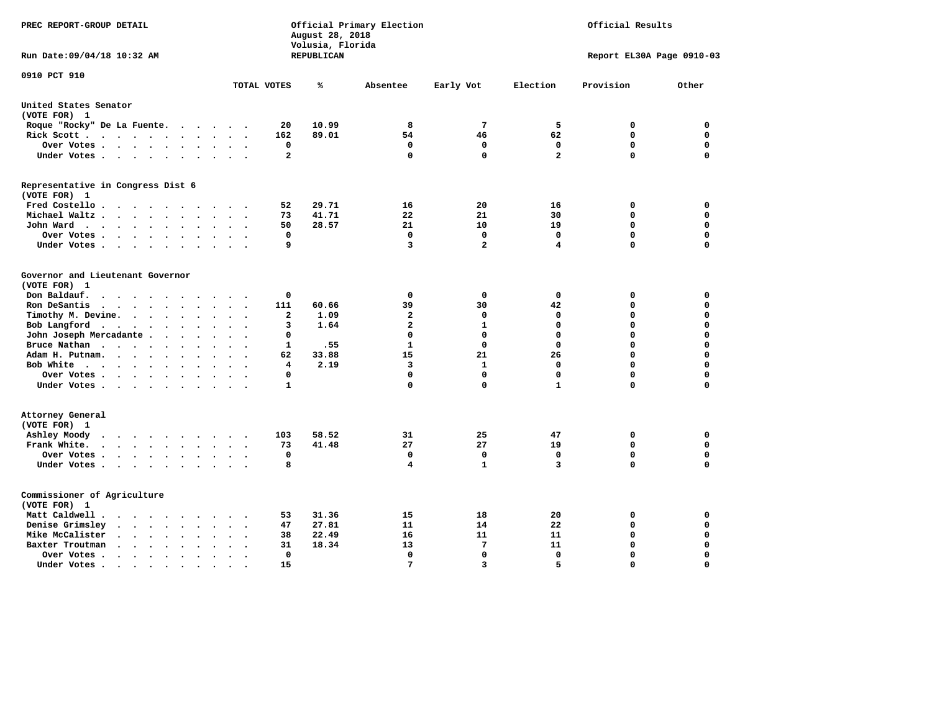| PREC REPORT-GROUP DETAIL                                                                                                                                                          |                         | August 28, 2018<br>Volusia, Florida | Official Primary Election | Official Results |              |                           |             |
|-----------------------------------------------------------------------------------------------------------------------------------------------------------------------------------|-------------------------|-------------------------------------|---------------------------|------------------|--------------|---------------------------|-------------|
| Run Date: 09/04/18 10:32 AM                                                                                                                                                       |                         | REPUBLICAN                          |                           |                  |              | Report EL30A Page 0910-03 |             |
| 0910 PCT 910                                                                                                                                                                      | TOTAL VOTES             | ℁                                   | Absentee                  | Early Vot        | Election     | Provision                 | Other       |
| United States Senator                                                                                                                                                             |                         |                                     |                           |                  |              |                           |             |
| (VOTE FOR) 1                                                                                                                                                                      |                         |                                     |                           |                  |              |                           |             |
| Roque "Rocky" De La Fuente.<br>$\sim$ $\sim$ $\sim$ $\sim$<br>$\sim$ $\sim$ $\sim$                                                                                                | 20                      | 10.99                               | 8                         | 7                | 5            | 0                         | 0           |
| Rick Scott<br>$\ddot{\phantom{a}}$                                                                                                                                                | 162                     | 89.01                               | 54                        | 46               | 62           | $\mathbf 0$               | $\mathbf 0$ |
| Over Votes<br>$\bullet$<br>$\bullet$                                                                                                                                              | 0                       |                                     | 0                         | 0                | 0            | $\mathbf 0$               | 0           |
| Under Votes<br>$\bullet$ .<br><br><br><br><br>                                                                                                                                    | $\mathbf{2}$            |                                     | $\mathbf 0$               | $\Omega$         | $\mathbf{2}$ | $\mathbf 0$               | $\mathbf 0$ |
| Representative in Congress Dist 6<br>(VOTE FOR) 1                                                                                                                                 |                         |                                     |                           |                  |              |                           |             |
| Fred Costello                                                                                                                                                                     | 52                      | 29.71                               | 16                        | 20               | 16           | 0                         | 0           |
| Michael Waltz<br>$\sim$ $\sim$<br>$\sim$                                                                                                                                          | 73                      | 41.71                               | 22                        | 21               | 30           | $\mathbf 0$               | $\mathbf 0$ |
| John Ward<br>$\bullet$ .<br>$\sim$ $\sim$                                                                                                                                         | 50                      | 28.57                               | 21                        | 10               | 19           | $\mathbf 0$               | $\mathbf 0$ |
| Over Votes<br>$\bullet$ .<br>$\bullet$                                                                                                                                            | $\mathbf 0$             |                                     | $\mathbf 0$               | $\mathbf{0}$     | $\mathbf 0$  | $\mathbf 0$               | $\mathbf 0$ |
| Under Votes<br>$\ddot{\phantom{a}}$                                                                                                                                               | 9                       |                                     | 3                         | $\overline{a}$   | 4            | 0                         | $\mathbf 0$ |
| Governor and Lieutenant Governor<br>(VOTE FOR) 1                                                                                                                                  |                         |                                     |                           |                  |              |                           |             |
| Don Baldauf.<br>$\ddot{\phantom{a}}$<br>$\sim$                                                                                                                                    | 0                       |                                     | 0                         | 0                | 0            | 0                         | 0           |
| Ron DeSantis<br>$\cdot$ $\cdot$ $\cdot$<br>$\ddot{\phantom{0}}$<br>$\bullet$                                                                                                      | 111                     | 60.66                               | 39                        | 30               | 42           | 0                         | $\mathbf 0$ |
| Timothy M. Devine.<br>$\sim$<br>$\ddot{\phantom{a}}$<br>$\bullet$<br>$\ddot{\phantom{a}}$                                                                                         | $\mathbf{2}$            | 1.09                                | $\mathbf{2}$              | 0                | 0            | $\mathbf 0$               | $\mathbf 0$ |
| Bob Langford<br>$\sim$<br>$\ddot{\phantom{1}}$                                                                                                                                    | 3                       | 1.64                                | $\overline{a}$            | 1                | $\mathbf 0$  | 0                         | $\mathbf 0$ |
| John Joseph Mercadante .<br>$\sim$<br>$\ddot{\phantom{a}}$<br>$\ddot{\phantom{a}}$                                                                                                | 0                       |                                     | $\mathbf 0$               | $\mathbf{0}$     | $\mathbf 0$  | $\mathbf 0$               | $\mathbf 0$ |
| Bruce Nathan<br>$\bullet$<br>$\bullet$<br>$\bullet$<br>$\ddot{\phantom{a}}$                                                                                                       | 1                       | .55                                 | $\mathbf{1}$              | $\mathbf 0$      | $\mathbf 0$  | 0                         | $\mathbf 0$ |
| Adam H. Putnam.<br>$\cdots$<br>$\ddot{\phantom{a}}$                                                                                                                               | 62                      | 33.88                               | 15                        | 21               | 26           | 0                         | $\mathbf 0$ |
| Bob White<br>$\ddot{\phantom{a}}$<br>$\sim$                                                                                                                                       | $\overline{\mathbf{4}}$ | 2.19                                | 3                         | $\mathbf{1}$     | $\mathbf 0$  | $\mathbf 0$               | $\Omega$    |
| Over Votes .<br><b>Contract Contract Contract</b><br>$\bullet$<br>$\bullet$                                                                                                       | 0                       |                                     | $\mathbf 0$               | $\mathbf 0$      | $\mathbf 0$  | $\mathbf 0$               | $\mathbf 0$ |
| Under Votes                                                                                                                                                                       | $\mathbf{1}$            |                                     | $\mathbf 0$               | $\mathbf 0$      | $\mathbf{1}$ | 0                         | 0           |
| Attorney General<br>(VOTE FOR) 1                                                                                                                                                  |                         |                                     |                           |                  |              |                           |             |
| Ashley Moody<br>$\cdots$<br>$\ddot{\phantom{1}}$<br>$\cdot$<br>$\sim$                                                                                                             | 103                     | 58.52                               | 31                        | 25               | 47           | 0                         | 0           |
| Frank White.<br>$\cdot$ $\cdot$ $\cdot$ $\cdot$<br>$\sim$ $\sim$                                                                                                                  | 73                      | 41.48                               | 27                        | 27               | 19           | $\mathbf 0$               | $\mathbf 0$ |
| Over Votes.<br>$\cdots$<br>$\ddot{\phantom{0}}$<br>$\bullet$<br>$\cdot$                                                                                                           | 0                       |                                     | 0                         | 0                | 0            | $\mathbf 0$               | $\mathbf 0$ |
| Under Votes<br>$\sim$                                                                                                                                                             | 8                       |                                     | 4                         | 1                | 3            | 0                         | $\Omega$    |
| Commissioner of Agriculture<br>(VOTE FOR) 1                                                                                                                                       |                         |                                     |                           |                  |              |                           |             |
| Matt Caldwell.<br><b>Contract Contract Service</b>                                                                                                                                | 53                      | 31.36                               | 15                        | 18               | 20           | 0                         | 0           |
| Denise Grimsley<br>$\ddot{\phantom{0}}$<br>$\sim$<br>$\ddot{\phantom{a}}$                                                                                                         | 47                      | 27.81                               | 11                        | 14               | 22           | 0                         | 0           |
| Mike McCalister<br>$\begin{array}{cccccccccccccc} \bullet & \bullet & \bullet & \bullet & \bullet & \bullet & \bullet & \bullet \end{array}$<br>$\bullet$<br>$\bullet$<br>$\cdot$ | 38                      | 22.49                               | 16                        | 11               | 11           | $\mathbf 0$               | $\mathbf 0$ |
| Baxter Troutman<br>$\ddot{\phantom{1}}$<br>$\ddot{\phantom{a}}$<br>$\overline{a}$<br>$\cdot$                                                                                      | 31                      | 18.34                               | 13                        | $7\phantom{.0}$  | 11           | $\mathbf 0$               | $\mathbf 0$ |
| Over Votes.<br>$\cdot$<br>$\cdot$<br>$\ddot{\phantom{0}}$                                                                                                                         | 0                       |                                     | $\mathbf 0$               | $\mathbf 0$      | $\mathbf 0$  | $\mathbf 0$               | $\mathbf 0$ |
| Under Votes.<br>$\begin{array}{cccccccccccccc} \bullet & \bullet & \bullet & \bullet & \bullet & \bullet & \bullet \end{array}$<br>$\bullet$<br>$\bullet$<br>$\bullet$            | 15                      |                                     | 7                         | 3                | 5            | $\Omega$                  | $\Omega$    |